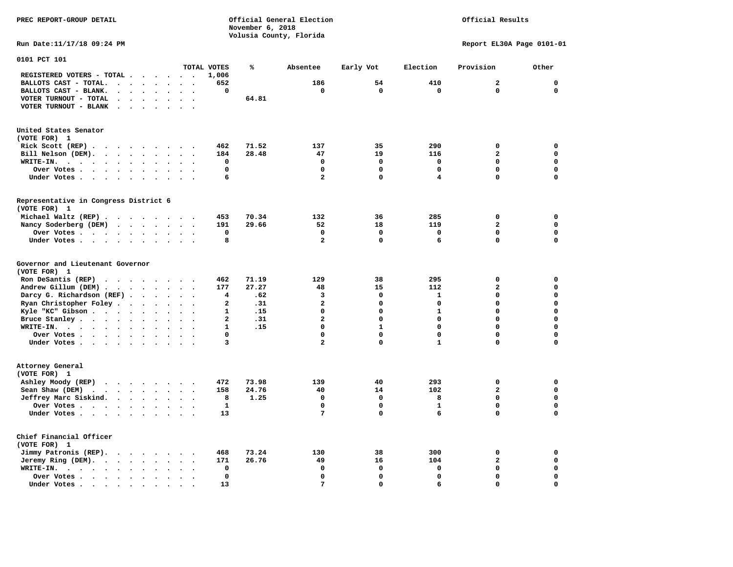Official Results

**Run Date:11/17/18 09:24 PM Report EL30A Page 0101-01** 

| 0101 PCT 101                                                                                     |                                                  |                          |                         |       |                         |              |                         |                         |             |
|--------------------------------------------------------------------------------------------------|--------------------------------------------------|--------------------------|-------------------------|-------|-------------------------|--------------|-------------------------|-------------------------|-------------|
|                                                                                                  |                                                  |                          | TOTAL VOTES             | %     | Absentee                | Early Vot    | Election                | Provision               | Other       |
| REGISTERED VOTERS - TOTAL .<br>$\cdot$                                                           |                                                  |                          | 1,006                   |       |                         |              |                         |                         |             |
| BALLOTS CAST - TOTAL.<br>$\ddot{\phantom{a}}$<br>$\ddot{\phantom{a}}$<br>$\cdot$                 | $\ddot{\phantom{a}}$                             |                          | 652                     |       | 186                     | 54           | 410                     | $\overline{a}$          | $\mathbf 0$ |
| BALLOTS CAST - BLANK.<br>$\sim$<br>$\sim$<br>$\sim$<br>$\bullet$                                 | $\ddot{\phantom{a}}$<br>$\sim$                   | $\overline{\phantom{a}}$ | 0                       |       | $\mathbf 0$             | $\mathbf 0$  | $\mathbf 0$             | $\mathbf 0$             | $\mathbf 0$ |
| VOTER TURNOUT - TOTAL                                                                            |                                                  |                          |                         | 64.81 |                         |              |                         |                         |             |
| VOTER TURNOUT - BLANK<br>$\sim$<br>$\cdot$                                                       |                                                  |                          |                         |       |                         |              |                         |                         |             |
|                                                                                                  |                                                  |                          |                         |       |                         |              |                         |                         |             |
| United States Senator                                                                            |                                                  |                          |                         |       |                         |              |                         |                         |             |
| (VOTE FOR) 1                                                                                     |                                                  |                          |                         |       |                         |              |                         |                         |             |
| Rick Scott (REP).<br>$\cdots$<br>$\sim$                                                          | $\ddot{\phantom{0}}$                             |                          | 462                     | 71.52 | 137                     | 35           | 290                     | 0                       | 0           |
| Bill Nelson (DEM).<br>$\cdot$ $\cdot$ $\cdot$ $\cdot$                                            | $\cdot$ $\cdot$ $\cdot$ $\cdot$                  |                          | 184                     | 28.48 | 47                      | 19           | 116                     | $\overline{\mathbf{2}}$ | $\mathbf 0$ |
| WRITE-IN.<br>$\cdots$<br>$\sim$ $\sim$ $\sim$ $\sim$ $\sim$<br>$\bullet$<br>$\ddot{\phantom{a}}$ | $\ddot{\phantom{a}}$<br>$\overline{\phantom{a}}$ | $\ddot{\phantom{a}}$     | $\mathbf 0$             |       | $\mathbf 0$             | $\mathbf 0$  | $\mathbf 0$             | 0                       | $\mathbf 0$ |
| Over Votes .<br>$\sim$<br>$\sim$ $\sim$ $\sim$ $\sim$<br>$\bullet$                               | $\bullet$                                        |                          | 0                       |       | $\mathbf 0$             | 0            | $\mathbf 0$             | 0                       | 0           |
| Under Votes<br>$\sim$ $\sim$<br>$\sim$                                                           | $\ddot{\phantom{1}}$                             | $\sim$<br>$\bullet$      | 6                       |       | $\overline{a}$          | 0            | $\overline{\mathbf{4}}$ | 0                       | $\mathbf 0$ |
|                                                                                                  |                                                  |                          |                         |       |                         |              |                         |                         |             |
| Representative in Congress District 6                                                            |                                                  |                          |                         |       |                         |              |                         |                         |             |
| (VOTE FOR) 1                                                                                     |                                                  |                          |                         |       |                         |              |                         |                         |             |
| Michael Waltz (REP)                                                                              |                                                  |                          | 453                     | 70.34 | 132                     | 36           | 285                     | 0                       | 0           |
| Nancy Soderberg (DEM)                                                                            |                                                  |                          | 191                     | 29.66 | 52                      | 18           | 119                     | $\overline{\mathbf{2}}$ | $\mathbf 0$ |
| Over Votes<br>$\mathbf{r}$                                                                       | $\ddot{\phantom{a}}$<br>$\sim$                   |                          | 0                       |       | $\mathbf 0$             | 0            | $\mathbf 0$             | 0                       | $\mathbf 0$ |
| Under Votes<br>$\ddot{\phantom{a}}$                                                              |                                                  |                          | 8                       |       | $\overline{a}$          | $\mathbf 0$  | 6                       | $\Omega$                | $\mathbf 0$ |
| Governor and Lieutenant Governor<br>(VOTE FOR) 1                                                 |                                                  |                          |                         |       |                         |              |                         |                         |             |
| Ron DeSantis (REP)<br>$\cdot$ $\cdot$ $\cdot$ $\cdot$ $\cdot$ $\cdot$                            | $\sim$                                           |                          | 462                     | 71.19 | 129                     | 38           | 295                     | 0                       | $\mathbf 0$ |
| Andrew Gillum (DEM)                                                                              |                                                  |                          | 177                     | 27.27 | 48                      | 15           | 112                     | $\mathbf{2}$            | $\mathbf 0$ |
| Darcy G. Richardson (REF).<br>$\ddot{\phantom{a}}$                                               | $\ddot{\phantom{a}}$                             |                          | 4                       | .62   | 3                       | 0            | $\mathbf{1}$            | 0                       | $\mathbf 0$ |
| Ryan Christopher Foley<br>$\bullet$                                                              | $\bullet$                                        |                          | $\overline{a}$          | .31   | $\overline{\mathbf{c}}$ | 0            | 0                       | 0                       | $\mathbf 0$ |
| Kyle "KC" Gibson<br>$\sim$<br>$\bullet$                                                          | $\ddot{\phantom{a}}$<br>$\ddot{\phantom{a}}$     |                          | $\mathbf{1}$            | .15   | $\mathbf 0$             | 0            | $\mathbf{1}$            | 0                       | $\mathbf 0$ |
| Bruce Stanley<br>$\ddot{\phantom{a}}$                                                            | $\bullet$<br>$\ddot{\phantom{a}}$                |                          | $\overline{\mathbf{2}}$ | .31   | $\overline{\mathbf{2}}$ | 0            | 0                       | 0                       | $\mathbf 0$ |
| WRITE-IN.<br>$\cdots$                                                                            | $\ddot{\phantom{a}}$                             |                          | $\mathbf{1}$            | .15   | $\Omega$                | $\mathbf{1}$ | $\Omega$                | $\Omega$                | $\mathbf 0$ |
| Over Votes.<br>$\sim$ $\sim$ $\sim$ $\sim$ $\sim$ $\sim$<br>$\cdot$                              | $\bullet$<br>$\ddot{\phantom{a}}$                | $\overline{\phantom{a}}$ | 0                       |       | $\Omega$                | $\mathbf 0$  | $\Omega$                | $\Omega$                | $\mathbf 0$ |
| Under Votes                                                                                      | $\sim$                                           |                          | 3                       |       | $\overline{a}$          | $\mathbf 0$  | $\mathbf{1}$            | 0                       | $\mathbf 0$ |
|                                                                                                  |                                                  |                          |                         |       |                         |              |                         |                         |             |
| Attorney General<br>(VOTE FOR) 1                                                                 |                                                  |                          |                         |       |                         |              |                         |                         |             |
| Ashley Moody (REP)                                                                               |                                                  |                          | 472                     | 73.98 | 139                     | 40           | 293                     | $\mathbf 0$             | 0           |
| Sean Shaw (DEM)<br>$\cdot$ $\cdot$ $\cdot$ $\cdot$ $\cdot$                                       | $\bullet$                                        |                          | 158                     | 24.76 | 40                      | 14           | 102                     | $\overline{\mathbf{2}}$ | $\mathbf 0$ |
| Jeffrey Marc Siskind.                                                                            | $\ddot{\phantom{0}}$                             |                          | 8                       | 1.25  | $\mathbf 0$             | $\mathbf 0$  | 8                       | 0                       | $\mathbf 0$ |
| Over Votes.                                                                                      | $\ddot{\phantom{a}}$                             |                          | $\mathbf{1}$            |       | $\Omega$                | 0            | $\mathbf{1}$            | $\Omega$                | $\mathbf 0$ |
| Under Votes                                                                                      |                                                  |                          | 13                      |       | 7                       | 0            | 6                       | 0                       | $\mathbf 0$ |
| Chief Financial Officer<br>(VOTE FOR) 1                                                          |                                                  |                          |                         |       |                         |              |                         |                         |             |
| Jimmy Patronis (REP).<br>$\cdot$ $\cdot$ $\cdot$ $\cdot$                                         | $\ddot{\phantom{1}}$                             |                          | 468                     | 73.24 | 130                     | 38           | 300                     | 0                       | 0           |
| Jeremy Ring (DEM).<br>$\sim$                                                                     | $\ddot{\phantom{a}}$                             |                          | 171                     | 26.76 | 49                      | 16           | 104                     | $\overline{\mathbf{2}}$ | $\mathbf 0$ |
|                                                                                                  |                                                  |                          |                         |       |                         | 0            |                         | 0                       |             |
| WRITE-IN.<br>$\cdot$ $\cdot$ $\cdot$ $\cdot$ $\cdot$<br>$\langle \cdot \rangle$<br>$\bullet$     | $\bullet$                                        |                          | 0                       |       | 0                       |              | 0                       |                         | 0           |
| Over Votes.<br>$\sim$ $\sim$ $\sim$ $\sim$<br>$\bullet$<br>$\cdot$                               |                                                  |                          | $\mathbf 0$             |       | $\Omega$                | $\mathbf 0$  | $\Omega$                | $\Omega$                | $\mathbf 0$ |
| Under Votes.<br>$\sim$ $\sim$<br>$\sim$ $\sim$<br>$\blacksquare$ .<br>$\bullet$                  |                                                  |                          | 13                      |       | $\overline{7}$          | $\mathbf 0$  | 6                       | 0                       | $\mathbf 0$ |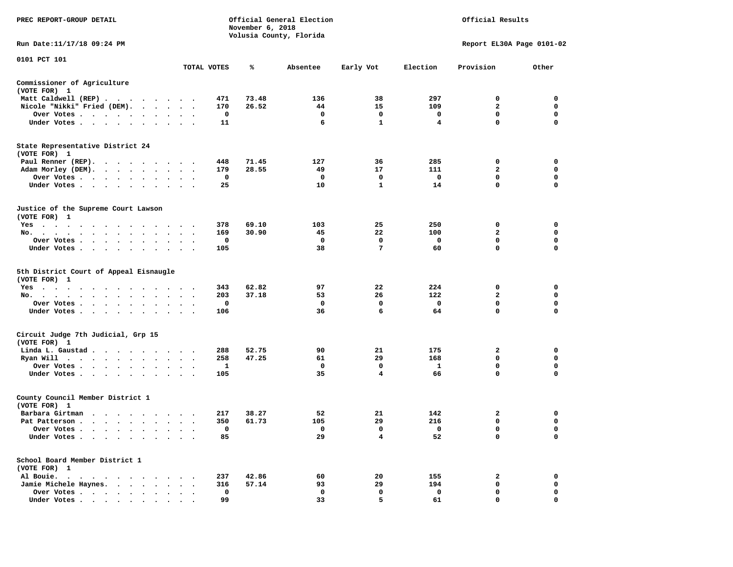| PREC REPORT-GROUP DETAIL                                                                                                                                                                                                                                                                                                                                                                                                                                                                                 |           |                   | November 6, 2018 | Official General Election<br>Volusia County, Florida |                   |                                 | Official Results              |                            |
|----------------------------------------------------------------------------------------------------------------------------------------------------------------------------------------------------------------------------------------------------------------------------------------------------------------------------------------------------------------------------------------------------------------------------------------------------------------------------------------------------------|-----------|-------------------|------------------|------------------------------------------------------|-------------------|---------------------------------|-------------------------------|----------------------------|
| Run Date:11/17/18 09:24 PM                                                                                                                                                                                                                                                                                                                                                                                                                                                                               |           |                   |                  |                                                      |                   |                                 | Report EL30A Page 0101-02     |                            |
| 0101 PCT 101                                                                                                                                                                                                                                                                                                                                                                                                                                                                                             |           | TOTAL VOTES       | ℁                | Absentee                                             | Early Vot         | Election                        | Provision                     | Other                      |
| Commissioner of Agriculture                                                                                                                                                                                                                                                                                                                                                                                                                                                                              |           |                   |                  |                                                      |                   |                                 |                               |                            |
| (VOTE FOR) 1                                                                                                                                                                                                                                                                                                                                                                                                                                                                                             |           |                   |                  |                                                      |                   |                                 |                               |                            |
| Matt Caldwell (REP)                                                                                                                                                                                                                                                                                                                                                                                                                                                                                      |           | 471               | 73.48            | 136                                                  | 38                | 297                             | $\mathbf{0}$                  | $\mathbf 0$                |
| Nicole "Nikki" Fried (DEM).                                                                                                                                                                                                                                                                                                                                                                                                                                                                              |           | 170               | 26.52            | 44                                                   | 15                | 109                             | $\mathbf{2}$                  | 0                          |
| Over Votes                                                                                                                                                                                                                                                                                                                                                                                                                                                                                               |           | 0                 |                  | $\mathbf 0$                                          | $\mathbf 0$       | $\mathbf{o}$                    | 0                             | 0                          |
| Under Votes                                                                                                                                                                                                                                                                                                                                                                                                                                                                                              |           | 11                |                  | 6                                                    | $\mathbf{1}$      | $\overline{\mathbf{4}}$         | $\mathbf 0$                   | $\mathbf 0$                |
| State Representative District 24                                                                                                                                                                                                                                                                                                                                                                                                                                                                         |           |                   |                  |                                                      |                   |                                 |                               |                            |
| (VOTE FOR) 1                                                                                                                                                                                                                                                                                                                                                                                                                                                                                             |           |                   |                  |                                                      |                   |                                 |                               |                            |
| Paul Renner (REP).                                                                                                                                                                                                                                                                                                                                                                                                                                                                                       |           | 448<br>179        | 71.45<br>28.55   | 127<br>49                                            | 36<br>17          | 285<br>111                      | 0<br>$\overline{a}$           | 0<br>$\mathbf 0$           |
| Adam Morley (DEM).                                                                                                                                                                                                                                                                                                                                                                                                                                                                                       |           | $\mathbf 0$       |                  | $\overline{\mathbf{0}}$                              | $\mathbf 0$       | $\overline{\phantom{0}}$        | $\mathbf 0$                   | $\mathbf 0$                |
| Over Votes<br>Under Votes                                                                                                                                                                                                                                                                                                                                                                                                                                                                                |           | 25                |                  | 10                                                   | $\mathbf{1}$      | 14                              | $\mathbf 0$                   | $\mathbf 0$                |
|                                                                                                                                                                                                                                                                                                                                                                                                                                                                                                          |           |                   |                  |                                                      |                   |                                 |                               |                            |
| Justice of the Supreme Court Lawson<br>(VOTE FOR) 1                                                                                                                                                                                                                                                                                                                                                                                                                                                      |           |                   |                  |                                                      |                   |                                 |                               |                            |
| Yes                                                                                                                                                                                                                                                                                                                                                                                                                                                                                                      |           | 378               | 69.10            | 103                                                  | 25                | 250                             | $\mathbf{0}$                  | $\mathbf 0$                |
| No.                                                                                                                                                                                                                                                                                                                                                                                                                                                                                                      |           | 169               | 30.90            | 45                                                   | 22                | 100                             | $\overline{a}$                | $\mathbf 0$                |
| Over Votes                                                                                                                                                                                                                                                                                                                                                                                                                                                                                               |           | 0                 |                  | $\mathbf{0}$                                         | $\Omega$          | $\mathbf 0$                     | 0                             | 0                          |
| Under Votes                                                                                                                                                                                                                                                                                                                                                                                                                                                                                              |           | 105               |                  | 38                                                   | $7\phantom{.0}$   | 60                              | $\Omega$                      | $\mathbf 0$                |
| 5th District Court of Appeal Eisnaugle<br>(VOTE FOR) 1                                                                                                                                                                                                                                                                                                                                                                                                                                                   |           |                   |                  |                                                      |                   |                                 |                               |                            |
| Yes                                                                                                                                                                                                                                                                                                                                                                                                                                                                                                      |           | 343               | 62.82            | 97                                                   | 22                | 224                             | 0                             | 0                          |
| No.                                                                                                                                                                                                                                                                                                                                                                                                                                                                                                      |           | 203               | 37.18            | 53                                                   | 26                | 122                             | $\mathbf{2}$                  | 0                          |
| Over Votes                                                                                                                                                                                                                                                                                                                                                                                                                                                                                               |           | 0                 |                  | 0                                                    | $\mathbf 0$       | $\mathbf 0$                     | $\mathbf 0$<br>$\mathbf 0$    | $\mathbf 0$<br>$\Omega$    |
| Under Votes                                                                                                                                                                                                                                                                                                                                                                                                                                                                                              |           | 106               |                  | 36                                                   | 6                 | 64                              |                               |                            |
| Circuit Judge 7th Judicial, Grp 15                                                                                                                                                                                                                                                                                                                                                                                                                                                                       |           |                   |                  |                                                      |                   |                                 |                               |                            |
| (VOTE FOR) 1                                                                                                                                                                                                                                                                                                                                                                                                                                                                                             |           |                   |                  |                                                      |                   |                                 |                               |                            |
| Linda L. Gaustad<br>Ryan Will $\cdots$ , $\cdots$ , $\cdots$ , $\cdots$                                                                                                                                                                                                                                                                                                                                                                                                                                  |           | 288<br>258        | 52.75<br>47.25   | 90<br>61                                             | 21<br>29          | 175<br>168                      | $\overline{2}$<br>$\mathbf 0$ | $\mathbf 0$<br>$\mathbf 0$ |
| Over Votes                                                                                                                                                                                                                                                                                                                                                                                                                                                                                               |           | 1                 |                  | $\mathbf 0$                                          | $\mathbf 0$       | $\mathbf{1}$                    | $\mathbf 0$                   | $\mathbf 0$                |
| Under Votes                                                                                                                                                                                                                                                                                                                                                                                                                                                                                              |           | 105               |                  | 35                                                   | $\overline{4}$    | 66                              | $\Omega$                      | $\Omega$                   |
|                                                                                                                                                                                                                                                                                                                                                                                                                                                                                                          |           |                   |                  |                                                      |                   |                                 |                               |                            |
| County Council Member District 1<br>(VOTE FOR) 1                                                                                                                                                                                                                                                                                                                                                                                                                                                         |           |                   |                  |                                                      |                   |                                 |                               |                            |
| Barbara Girtman                                                                                                                                                                                                                                                                                                                                                                                                                                                                                          |           | 217               | 38.27            | 52                                                   | 21                | 142                             | 2                             | 0                          |
| Pat Patterson<br>Over Votes                                                                                                                                                                                                                                                                                                                                                                                                                                                                              |           | 350<br>0          | 61.73            | 105<br>$\overline{\phantom{0}}$                      | 29<br>$\mathbf 0$ | 216<br>$\overline{\phantom{0}}$ | 0<br>$\mathbf 0$              | 0<br>$\mathbf 0$           |
| Under Votes                                                                                                                                                                                                                                                                                                                                                                                                                                                                                              |           | 85                |                  | 29                                                   | $\overline{4}$    | 52                              | $\mathbf 0$                   | $\Omega$                   |
| School Board Member District 1                                                                                                                                                                                                                                                                                                                                                                                                                                                                           |           |                   |                  |                                                      |                   |                                 |                               |                            |
| (VOTE FOR) 1                                                                                                                                                                                                                                                                                                                                                                                                                                                                                             |           |                   |                  |                                                      |                   |                                 |                               |                            |
| Al Bouie.                                                                                                                                                                                                                                                                                                                                                                                                                                                                                                |           | 237               | 42.86            | 60                                                   | 20                | 155                             | $\overline{2}$                | $\mathbf 0$                |
| Jamie Michele Haynes.                                                                                                                                                                                                                                                                                                                                                                                                                                                                                    |           | 316               | 57.14            | 93                                                   | 29<br>$\mathbf 0$ | 194                             | 0<br>$\mathbf 0$              | $\mathbf 0$<br>$\mathbf 0$ |
| Over Votes<br>$\blacksquare$ $\blacksquare$ $\blacksquare$ $\blacksquare$ $\blacksquare$ $\blacksquare$ $\blacksquare$ $\blacksquare$ $\blacksquare$ $\blacksquare$ $\blacksquare$ $\blacksquare$ $\blacksquare$ $\blacksquare$ $\blacksquare$ $\blacksquare$ $\blacksquare$ $\blacksquare$ $\blacksquare$ $\blacksquare$ $\blacksquare$ $\blacksquare$ $\blacksquare$ $\blacksquare$ $\blacksquare$ $\blacksquare$ $\blacksquare$ $\blacksquare$ $\blacksquare$ $\blacksquare$ $\blacksquare$ $\blacks$ | $\ddotsc$ | $\mathbf 0$<br>99 |                  | $\mathbf 0$<br>33                                    | 5.                | $\mathbf 0$<br>61               | $\Omega$                      | $\Omega$                   |
|                                                                                                                                                                                                                                                                                                                                                                                                                                                                                                          |           |                   |                  |                                                      |                   |                                 |                               |                            |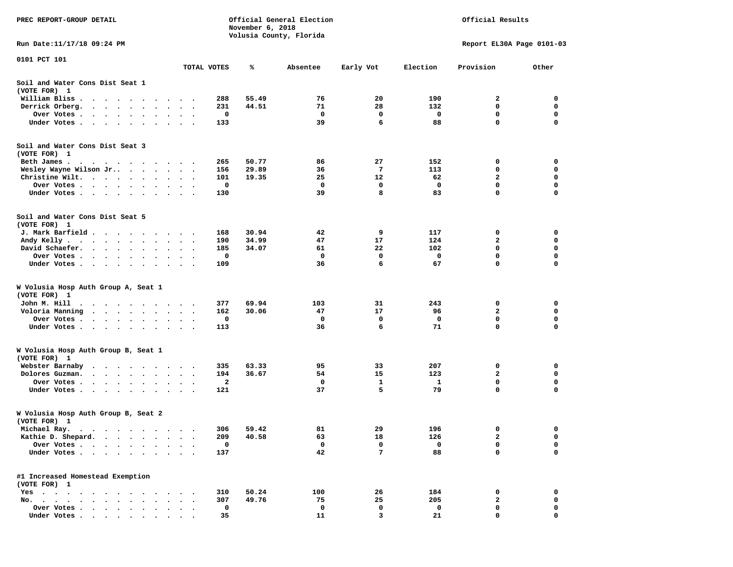| PREC REPORT-GROUP DETAIL                                                                                 |                                          |                  | Official General Election |             |          | Official Results          |             |
|----------------------------------------------------------------------------------------------------------|------------------------------------------|------------------|---------------------------|-------------|----------|---------------------------|-------------|
|                                                                                                          |                                          | November 6, 2018 |                           |             |          |                           |             |
| Run Date:11/17/18 09:24 PM                                                                               |                                          |                  | Volusia County, Florida   |             |          | Report EL30A Page 0101-03 |             |
|                                                                                                          |                                          |                  |                           |             |          |                           |             |
| 0101 PCT 101                                                                                             | TOTAL VOTES                              | ℁                | Absentee                  | Early Vot   | Election | Provision                 | Other       |
|                                                                                                          |                                          |                  |                           |             |          |                           |             |
| Soil and Water Cons Dist Seat 1<br>(VOTE FOR) 1                                                          |                                          |                  |                           |             |          |                           |             |
| William Bliss                                                                                            | 288                                      | 55.49            | 76                        | 20          | 190      | 2                         | 0           |
| Derrick Orberg.<br>$\cdots$                                                                              | 231                                      | 44.51            | 71                        | 28          | 132      | 0                         | 0           |
| Over Votes                                                                                               | 0<br>$\sim$<br>$\bullet$                 |                  | 0                         | $\mathbf 0$ | 0        | 0                         | 0           |
| Under Votes                                                                                              | 133<br>$\sim$                            |                  | 39                        | 6           | 88       | 0                         | $\mathbf 0$ |
| Soil and Water Cons Dist Seat 3                                                                          |                                          |                  |                           |             |          |                           |             |
| (VOTE FOR) 1                                                                                             |                                          |                  |                           |             |          |                           |             |
| Beth James.                                                                                              | 265                                      | 50.77            | 86                        | 27          | 152      | 0                         | 0           |
| Wesley Wayne Wilson Jr                                                                                   | 156                                      | 29.89            | 36                        | 7           | 113      | 0                         | 0           |
| Christine Wilt.                                                                                          | 101                                      | 19.35            | 25                        | 12          | 62       | 2                         | 0           |
| Over Votes                                                                                               | 0                                        |                  | 0                         | 0           | 0        | $\mathbf 0$               | 0           |
| Under Votes                                                                                              | 130                                      |                  | 39                        | 8           | 83       | 0                         | 0           |
| Soil and Water Cons Dist Seat 5                                                                          |                                          |                  |                           |             |          |                           |             |
| (VOTE FOR) 1<br>J. Mark Barfield                                                                         | 168                                      | 30.94            | 42                        | 9           | 117      | 0                         | 0           |
|                                                                                                          |                                          | 34.99            | 47                        | 17          | 124      | 2                         | 0           |
| Andy Kelly<br>David Schaefer.                                                                            | 190<br>185                               | 34.07            | 61                        | 22          | 102      | 0                         | 0           |
| $\ddot{\phantom{1}}$                                                                                     | $\cdot$<br>0                             |                  | 0                         | 0           | 0        | 0                         | 0           |
| Over Votes                                                                                               | 109                                      |                  | 36                        | 6           | 67       | 0                         | $\mathbf 0$ |
| Under Votes                                                                                              | $\bullet$<br>$\cdot$ .                   |                  |                           |             |          |                           |             |
| W Volusia Hosp Auth Group A, Seat 1<br>(VOTE FOR) 1                                                      |                                          |                  |                           |             |          |                           |             |
| John M. Hill                                                                                             | 377                                      | 69.94            | 103                       | 31          | 243      | 0                         | 0           |
| .<br>Voloria Manning<br>$\cdots$                                                                         | 162                                      | 30.06            | 47                        | 17          | 96       | 2                         | 0           |
| Over Votes                                                                                               | 0                                        |                  | $\mathbf{o}$              | 0           | 0        | 0                         | 0           |
| Under Votes                                                                                              | $\bullet$<br>$\bullet$ .<br>113          |                  | 36                        | 6           | 71       | $\mathbf 0$               | $\mathbf 0$ |
|                                                                                                          |                                          |                  |                           |             |          |                           |             |
| W Volusia Hosp Auth Group B, Seat 1                                                                      |                                          |                  |                           |             |          |                           |             |
| (VOTE FOR) 1                                                                                             |                                          |                  |                           |             |          |                           |             |
| Webster Barnaby<br>.                                                                                     | 335                                      | 63.33            | 95                        | 33          | 207      | 0                         | 0           |
| Dolores Guzman.                                                                                          | 194                                      | 36.67            | 54                        | 15          | 123      | $\mathbf{2}$              | 0           |
| Over Votes .<br>$\cdots$<br>$\sim$<br>$\sim$                                                             | 2<br>$\bullet$                           |                  | 0                         | 1           | 1        | 0                         | 0           |
| Under Votes<br>$\bullet$                                                                                 | 121                                      |                  | 37                        | 5           | 79       | 0                         | $\mathbf 0$ |
| W Volusia Hosp Auth Group B, Seat 2                                                                      |                                          |                  |                           |             |          |                           |             |
| (VOTE FOR) 1                                                                                             |                                          |                  |                           |             |          |                           |             |
| Michael Ray.<br>.                                                                                        | 306                                      | 59.42            | 81                        | 29          | 196      | 0                         | 0           |
| Kathie D. Shepard.<br>$\sim$ , and $\sim$ , and $\sim$<br>$\bullet$                                      | 209<br>$\bullet$                         | 40.58            | 63                        | 18          | 126      | $\mathbf{2}$              | 0           |
| Over Votes .<br>$\ddot{\phantom{1}}$<br>$\bullet$                                                        | 0                                        |                  | $\mathbf 0$               | 0           | 0        | 0                         | 0           |
| Under Votes<br>$\cdot$ $\cdot$ $\cdot$ $\cdot$ $\cdot$                                                   | 137<br>$\bullet$<br>$\ddot{\phantom{1}}$ |                  | 42                        | 7           | 88       | 0                         | $\mathbf 0$ |
| #1 Increased Homestead Exemption                                                                         |                                          |                  |                           |             |          |                           |             |
| (VOTE FOR) 1                                                                                             |                                          |                  |                           |             |          |                           |             |
| $Yes \cdot \cdot \cdot \cdot \cdot \cdot \cdot \cdot \cdot$<br>$\cdot$                                   | 310                                      | 50.24            | 100                       | 26          | 184      | 0                         | 0           |
| $No.$<br>$\ddot{\phantom{1}}$<br>$\ddot{\phantom{1}}$<br>$\cdot$ $\cdot$ $\cdot$<br>$\ddot{\phantom{a}}$ | 307                                      | 49.76            | 75                        | 25          | 205      | 2                         | 0           |
| Over Votes<br>$\bullet$                                                                                  | 0                                        |                  | 0                         | 0           | 0        | 0                         | 0           |
| Under Votes.<br>$\cdots$                                                                                 | 35                                       |                  | 11                        | 3           | 21       | 0                         | 0           |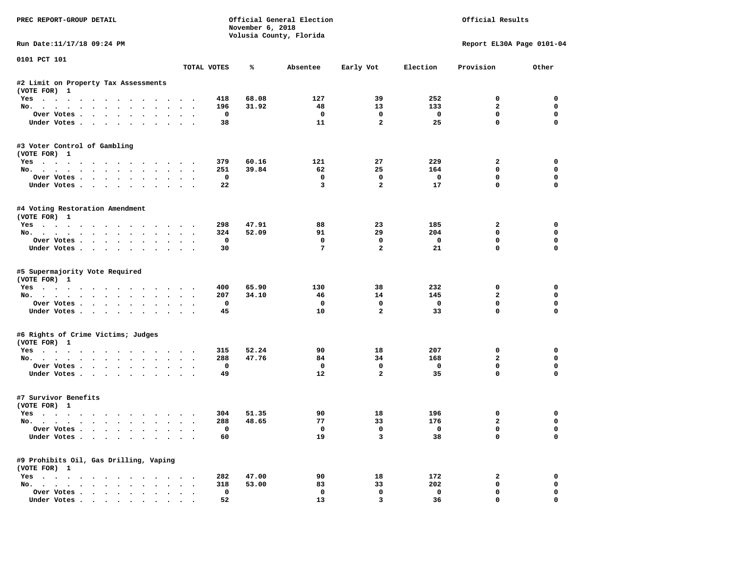| PREC REPORT-GROUP DETAIL                                                                                                                                                                                                                                                                                                                                                                                                                                                                   |        |                    | November 6, 2018 | Official General Election<br>Volusia County, Florida |                   |                                | Official Results            |                         |
|--------------------------------------------------------------------------------------------------------------------------------------------------------------------------------------------------------------------------------------------------------------------------------------------------------------------------------------------------------------------------------------------------------------------------------------------------------------------------------------------|--------|--------------------|------------------|------------------------------------------------------|-------------------|--------------------------------|-----------------------------|-------------------------|
| Run Date:11/17/18 09:24 PM                                                                                                                                                                                                                                                                                                                                                                                                                                                                 |        |                    |                  |                                                      |                   |                                | Report EL30A Page 0101-04   |                         |
| 0101 PCT 101                                                                                                                                                                                                                                                                                                                                                                                                                                                                               |        | TOTAL VOTES        | ℁                | Absentee                                             | Early Vot         | Election                       | Provision                   | Other                   |
| #2 Limit on Property Tax Assessments                                                                                                                                                                                                                                                                                                                                                                                                                                                       |        |                    |                  |                                                      |                   |                                |                             |                         |
| (VOTE FOR) 1                                                                                                                                                                                                                                                                                                                                                                                                                                                                               |        |                    |                  |                                                      |                   |                                |                             |                         |
| Yes                                                                                                                                                                                                                                                                                                                                                                                                                                                                                        |        | 418                | 68.08            | 127                                                  | 39                | 252                            | $\mathbf 0$                 | $\Omega$                |
| No.                                                                                                                                                                                                                                                                                                                                                                                                                                                                                        |        | 196                | 31.92            | 48                                                   | 13                | 133                            | $\mathbf{2}$                | $\Omega$                |
| Over Votes                                                                                                                                                                                                                                                                                                                                                                                                                                                                                 |        | $\mathbf 0$        |                  | $\mathbf 0$                                          | $\mathbf 0$       | $\overline{\phantom{0}}$       | 0                           | 0                       |
| Under Votes                                                                                                                                                                                                                                                                                                                                                                                                                                                                                |        | 38                 |                  | 11                                                   | $\overline{a}$    | 25                             | $\mathbf 0$                 | $\mathbf 0$             |
| #3 Voter Control of Gambling<br>(VOTE FOR) 1                                                                                                                                                                                                                                                                                                                                                                                                                                               |        |                    |                  |                                                      |                   |                                |                             |                         |
| Yes                                                                                                                                                                                                                                                                                                                                                                                                                                                                                        |        | 379                | 60.16            | 121                                                  | 27                | 229                            | $\mathbf{2}$                | 0                       |
| No.                                                                                                                                                                                                                                                                                                                                                                                                                                                                                        |        | 251                | 39.84            | 62                                                   | 25                | 164                            | $\mathbf 0$                 | 0                       |
| Over Votes                                                                                                                                                                                                                                                                                                                                                                                                                                                                                 |        | $\mathbf{o}$       |                  | $\mathbf{o}$                                         | $\mathbf 0$       | $\overline{\phantom{0}}$       | $\mathbf 0$                 | 0                       |
| Under Votes                                                                                                                                                                                                                                                                                                                                                                                                                                                                                |        | 22                 |                  | 3                                                    | $\overline{a}$    | 17                             | $\mathbf 0$                 | 0                       |
| #4 Voting Restoration Amendment<br>(VOTE FOR) 1                                                                                                                                                                                                                                                                                                                                                                                                                                            |        |                    |                  |                                                      |                   |                                |                             |                         |
| Yes                                                                                                                                                                                                                                                                                                                                                                                                                                                                                        |        | 298                | 47.91            | 88                                                   | 23                | 185                            | $\overline{a}$              | $\Omega$                |
| No.                                                                                                                                                                                                                                                                                                                                                                                                                                                                                        |        | 324                | 52.09            | 91                                                   | 29                | 204                            | $\mathbf 0$                 | 0                       |
| Over Votes                                                                                                                                                                                                                                                                                                                                                                                                                                                                                 |        | $^{\circ}$         |                  | $^{\circ}$                                           | 0                 | $\overline{\mathbf{0}}$        | $\mathbf 0$                 | 0                       |
| Under Votes                                                                                                                                                                                                                                                                                                                                                                                                                                                                                |        | 30                 |                  | $7\overline{ }$                                      | $\overline{a}$    | 21                             | $\Omega$                    | $\Omega$                |
| #5 Supermajority Vote Required<br>(VOTE FOR) 1                                                                                                                                                                                                                                                                                                                                                                                                                                             |        |                    |                  |                                                      |                   |                                |                             |                         |
| Yes                                                                                                                                                                                                                                                                                                                                                                                                                                                                                        |        | 400                | 65.90            | 130                                                  | 38                | 232                            | 0                           | 0<br>0                  |
| No.<br>Over Votes                                                                                                                                                                                                                                                                                                                                                                                                                                                                          |        | 207<br>0           | 34.10            | 46<br>$\mathbf{o}$                                   | 14<br>$\mathbf 0$ | 145<br>$\mathbf 0$             | $\mathbf{2}$<br>$\mathbf 0$ | $\mathbf 0$             |
| Under Votes                                                                                                                                                                                                                                                                                                                                                                                                                                                                                |        | 45                 |                  | 10                                                   | $\overline{a}$    | 33                             | $\mathbf 0$                 | $\Omega$                |
|                                                                                                                                                                                                                                                                                                                                                                                                                                                                                            |        |                    |                  |                                                      |                   |                                |                             |                         |
| #6 Rights of Crime Victims; Judges<br>(VOTE FOR) 1                                                                                                                                                                                                                                                                                                                                                                                                                                         |        |                    |                  |                                                      |                   |                                |                             |                         |
| Yes                                                                                                                                                                                                                                                                                                                                                                                                                                                                                        |        | 315                | 52.24            | 90                                                   | 18                | 207                            | 0                           | $\mathbf 0$             |
| No.                                                                                                                                                                                                                                                                                                                                                                                                                                                                                        |        | 288                | 47.76            | 84                                                   | 34                | 168                            | $\overline{a}$              | $\mathbf 0$             |
| Over Votes.                                                                                                                                                                                                                                                                                                                                                                                                                                                                                |        | $\mathbf 0$        |                  | $\mathbf 0$                                          | $\mathbf 0$       | $\mathbf{o}$                   | $\mathbf 0$                 | $\mathbf 0$             |
| Under Votes                                                                                                                                                                                                                                                                                                                                                                                                                                                                                |        | 49                 |                  | 12                                                   | $\overline{a}$    | 35                             | $\Omega$                    | $\Omega$                |
| #7 Survivor Benefits<br>(VOTE FOR) 1                                                                                                                                                                                                                                                                                                                                                                                                                                                       |        |                    |                  |                                                      |                   |                                |                             |                         |
| Yes                                                                                                                                                                                                                                                                                                                                                                                                                                                                                        |        | 304                | 51.35            | 90                                                   | 18                | 196                            | 0                           | 0                       |
| No.                                                                                                                                                                                                                                                                                                                                                                                                                                                                                        |        | 288                | 48.65            | 77                                                   | 33                | 176                            | $\mathbf{2}$                | 0                       |
| Over Votes<br>Under Votes                                                                                                                                                                                                                                                                                                                                                                                                                                                                  |        | $\mathbf{o}$<br>60 |                  | $\mathbf 0$<br>19                                    | $\mathbf 0$<br>3  | $\overline{\phantom{0}}$<br>38 | $\mathbf 0$<br>$\mathbf 0$  | $\mathbf 0$<br>$\Omega$ |
| #9 Prohibits Oil, Gas Drilling, Vaping                                                                                                                                                                                                                                                                                                                                                                                                                                                     |        |                    |                  |                                                      |                   |                                |                             |                         |
| (VOTE FOR) 1                                                                                                                                                                                                                                                                                                                                                                                                                                                                               |        | 282                | 47.00            | 90                                                   | 18                | 172                            | $\overline{a}$              | $\mathbf 0$             |
| Yes<br>No.                                                                                                                                                                                                                                                                                                                                                                                                                                                                                 |        | 318                | 53.00            | 83                                                   | 33                | 202                            | 0                           | 0                       |
| Over Votes                                                                                                                                                                                                                                                                                                                                                                                                                                                                                 | $\sim$ | $\mathbf 0$        |                  | $\mathbf{o}$                                         | $\mathbf 0$       | $\mathbf 0$                    | $\mathbf 0$                 | 0                       |
| $\blacksquare$ $\blacksquare$ $\blacksquare$ $\blacksquare$ $\blacksquare$ $\blacksquare$ $\blacksquare$ $\blacksquare$ $\blacksquare$ $\blacksquare$ $\blacksquare$ $\blacksquare$ $\blacksquare$ $\blacksquare$ $\blacksquare$ $\blacksquare$ $\blacksquare$ $\blacksquare$ $\blacksquare$ $\blacksquare$ $\blacksquare$ $\blacksquare$ $\blacksquare$ $\blacksquare$ $\blacksquare$ $\blacksquare$ $\blacksquare$ $\blacksquare$ $\blacksquare$ $\blacksquare$ $\blacksquare$ $\blacks$ |        | 52                 |                  | 13                                                   | 3                 | 36                             | $\Omega$                    | $\Omega$                |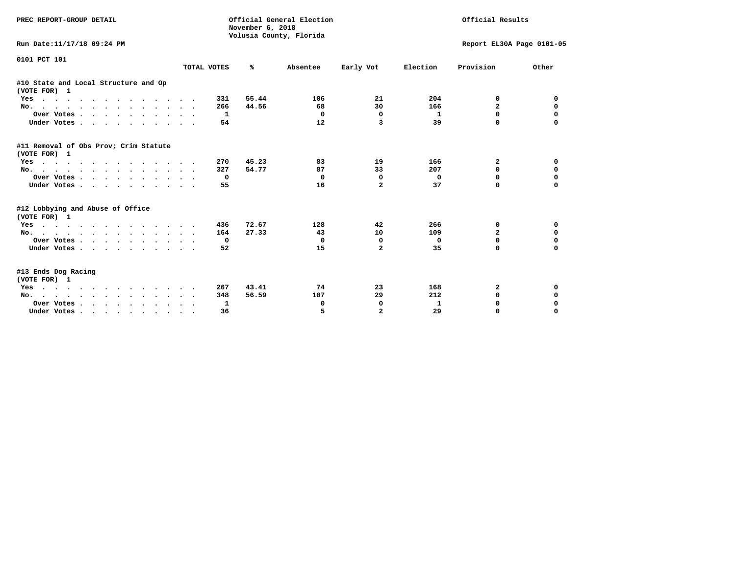| PREC REPORT-GROUP DETAIL                              |             | November 6, 2018 | Official General Election<br>Volusia County, Florida |                |              | Official Results          |             |
|-------------------------------------------------------|-------------|------------------|------------------------------------------------------|----------------|--------------|---------------------------|-------------|
| Run Date:11/17/18 09:24 PM                            |             |                  |                                                      |                |              | Report EL30A Page 0101-05 |             |
| 0101 PCT 101                                          | TOTAL VOTES | %                | Absentee                                             | Early Vot      | Election     | Provision                 | Other       |
|                                                       |             |                  |                                                      |                |              |                           |             |
| #10 State and Local Structure and Op<br>(VOTE FOR) 1  |             |                  |                                                      |                |              |                           |             |
| Yes                                                   | 331         | 55.44            | 106                                                  | 21             | 204          | 0                         | 0           |
| No.                                                   | 266         | 44.56            | 68                                                   | 30             | 166          | $\overline{a}$            | $\mathbf 0$ |
| Over Votes                                            | 1           |                  | $\Omega$                                             | $\mathbf 0$    | $\mathbf{1}$ | 0                         | $\mathbf 0$ |
| Under Votes                                           | 54          |                  | 12                                                   | 3              | 39           | $\Omega$                  | $\Omega$    |
| #11 Removal of Obs Prov; Crim Statute<br>(VOTE FOR) 1 |             |                  |                                                      |                |              |                           |             |
| Yes                                                   | 270         | 45.23            | 83                                                   | 19             | 166          | 2                         | 0           |
| No.                                                   | 327         | 54.77            | 87                                                   | 33             | 207          | $\Omega$                  | 0           |
| Over Votes.                                           | 0           |                  | 0                                                    | 0              | $\mathbf{0}$ | 0                         | 0           |
| Under Votes.                                          | 55          |                  | 16                                                   | $\overline{a}$ | 37           | 0                         | $\Omega$    |
| #12 Lobbying and Abuse of Office<br>(VOTE FOR) 1      |             |                  |                                                      |                |              |                           |             |
| Yes                                                   | 436         | 72.67            | 128                                                  | 42             | 266          | 0                         | 0           |
| No.                                                   | 164         | 27.33            | 43                                                   | 10             | 109          | $\overline{a}$            | $\Omega$    |
| Over Votes.                                           | 0           |                  | 0                                                    | $\Omega$       | 0            | $\Omega$                  | 0           |
| Under Votes.                                          | 52          |                  | 15                                                   | $\overline{a}$ | 35           | <sup>0</sup>              | $\Omega$    |
| #13 Ends Dog Racing<br>(VOTE FOR) 1                   |             |                  |                                                      |                |              |                           |             |
| Yes                                                   | 267         | 43.41            | 74                                                   | 23             | 168          | 2                         | 0           |
| No.                                                   | 348         | 56.59            | 107                                                  | 29             | 212          | $\Omega$                  | $\Omega$    |
| Over Votes                                            | 1           |                  | 0                                                    | $\Omega$       | 1            | $\Omega$                  | $\Omega$    |
| Under Votes.                                          | 36          |                  | 5                                                    | $\overline{a}$ | 29           | $\Omega$                  | $\Omega$    |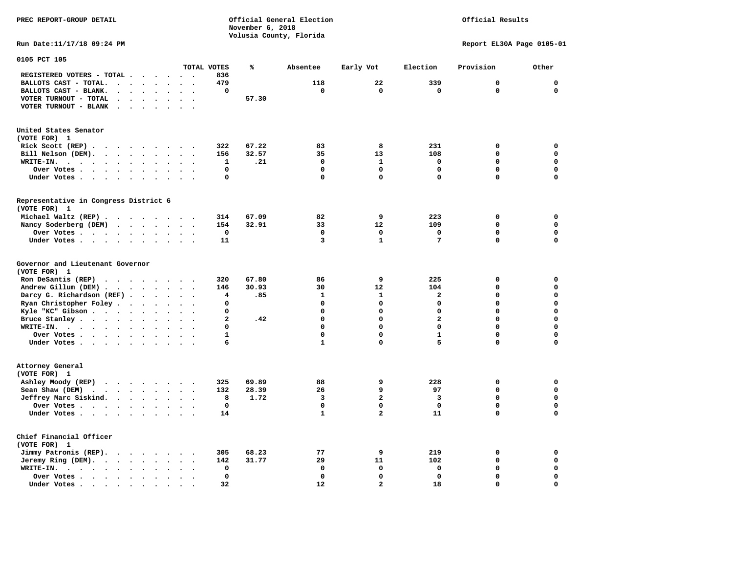Official Results

**Run Date:11/17/18 09:24 PM Report EL30A Page 0105-01** 

| 0105 PCT 105                                                                                                            |                                      |                |       |              |                         |                         |              |             |
|-------------------------------------------------------------------------------------------------------------------------|--------------------------------------|----------------|-------|--------------|-------------------------|-------------------------|--------------|-------------|
|                                                                                                                         |                                      | TOTAL VOTES    | ℁     | Absentee     | Early Vot               | Election                | Provision    | Other       |
| REGISTERED VOTERS - TOTAL .<br>$\ddot{\phantom{a}}$                                                                     | $\ddot{\phantom{a}}$                 | 836            |       |              |                         |                         |              |             |
| BALLOTS CAST - TOTAL.<br>$\cdot$<br>$\ddot{\phantom{a}}$<br>$\ddot{\phantom{a}}$<br>$\ddot{\phantom{a}}$                |                                      | 479            |       | 118          | 22                      | 339                     | $\mathbf{0}$ | $\mathbf 0$ |
| BALLOTS CAST - BLANK.<br>$\ddot{\phantom{a}}$<br>$\bullet$<br>$\bullet$                                                 | $\ddot{\phantom{a}}$                 | 0              |       | $\mathbf 0$  | $\mathbf 0$             | $\mathbf 0$             | $\mathbf 0$  | $\mathbf 0$ |
| VOTER TURNOUT - TOTAL<br>$\ddot{\phantom{1}}$<br>$\ddot{\phantom{1}}$                                                   |                                      |                | 57.30 |              |                         |                         |              |             |
| VOTER TURNOUT - BLANK<br>$\ddot{\phantom{a}}$                                                                           |                                      |                |       |              |                         |                         |              |             |
|                                                                                                                         |                                      |                |       |              |                         |                         |              |             |
| United States Senator                                                                                                   |                                      |                |       |              |                         |                         |              |             |
| (VOTE FOR) 1                                                                                                            |                                      |                |       |              |                         |                         |              |             |
| Rick Scott (REP).<br>$\bullet$<br>$\sim$ $\sim$<br>$\sim$<br>$\ddot{\phantom{0}}$<br>$\overline{\phantom{a}}$           |                                      | 322            | 67.22 | 83           | 8                       | 231                     | $\mathbf 0$  | 0           |
| Bill Nelson (DEM).<br>$\cdot$ $\cdot$ $\cdot$ $\cdot$ $\cdot$ $\cdot$                                                   | $\sim$<br>$\ddot{\phantom{a}}$       | 156            | 32.57 | 35           | 13                      | 108                     | $\mathbf 0$  | $\mathbf 0$ |
| WRITE-IN.<br>$\sim$ $\sim$ $\sim$<br>$\blacksquare$<br>$\ddot{\phantom{0}}$<br>$\bullet$                                |                                      | 1              | .21   | $\mathbf 0$  | $\mathbf{1}$            | $\mathbf{0}$            | $\mathbf 0$  | 0           |
| $\bullet$<br>$\bullet$                                                                                                  |                                      | 0              |       | $\mathbf 0$  | $\mathbf 0$             | 0                       | $\mathbf 0$  | 0           |
| Over Votes .<br>$\sim$<br>$\cdot$ $\cdot$ $\cdot$<br>$\bullet$<br>$\bullet$                                             |                                      |                |       |              |                         |                         |              |             |
| Under Votes<br>$\sim$ $\sim$<br>$\bullet$<br>$\ddot{\phantom{0}}$                                                       | $\ddot{\phantom{0}}$                 | $\mathbf 0$    |       | $\Omega$     | 0                       | 0                       | $\mathbf 0$  | $\mathbf 0$ |
| Representative in Congress District 6                                                                                   |                                      |                |       |              |                         |                         |              |             |
| (VOTE FOR) 1                                                                                                            |                                      |                |       |              |                         |                         |              |             |
| Michael Waltz (REP).<br>$\cdots$                                                                                        |                                      | 314            | 67.09 | 82           | 9                       | 223                     | 0            | 0           |
|                                                                                                                         |                                      | 154            | 32.91 | 33           | 12                      | 109                     | $\mathbf 0$  | $\mathbf 0$ |
| Nancy Soderberg (DEM)<br>$\cdots$                                                                                       | $\sim$<br>$\bullet$                  |                |       | 0            | 0                       | 0                       | $\mathbf 0$  | 0           |
| Over Votes<br>$\ddot{\phantom{a}}$<br>$\bullet$<br>$\ddot{\phantom{a}}$                                                 |                                      | 0              |       |              |                         |                         |              |             |
| Under Votes<br>$\bullet$<br>$\bullet$                                                                                   |                                      | 11             |       | 3            | $\mathbf{1}$            | 7                       | $\mathbf 0$  | $\mathbf 0$ |
| Governor and Lieutenant Governor<br>(VOTE FOR) 1                                                                        |                                      |                |       |              |                         |                         |              |             |
| Ron DeSantis (REP)<br>$\cdot$ $\cdot$ $\cdot$<br>$\cdots$                                                               | $\overline{\phantom{a}}$             | 320            | 67.80 | 86           | 9                       | 225                     | $\mathbf 0$  | $\mathbf 0$ |
| Andrew Gillum (DEM)                                                                                                     | $\sim$<br>$\ddot{\phantom{a}}$       | 146            | 30.93 | 30           | 12                      | 104                     | $\mathbf 0$  | $\mathbf 0$ |
| Darcy G. Richardson (REF).<br>$\bullet$<br>$\bullet$                                                                    |                                      | 4              | .85   | 1            | 1                       | $\mathbf{z}$            | $\Omega$     | 0           |
| Ryan Christopher Foley.<br>$\ddot{\phantom{1}}$<br>$\ddot{\phantom{a}}$<br>$\bullet$                                    |                                      | 0              |       | $\mathbf 0$  | $\mathbf 0$             | 0                       | $\mathbf 0$  | $\mathbf 0$ |
| Kyle "KC" Gibson<br>$\bullet$<br>$\bullet$<br>$\bullet$                                                                 | $\bullet$                            | 0              |       | $\mathbf 0$  | 0                       | 0                       | $\mathbf 0$  | $\mathbf 0$ |
| Bruce Stanley<br>$\overline{\phantom{a}}$<br>$\ddot{\phantom{a}}$                                                       |                                      | $\overline{a}$ | .42   | $\Omega$     | $\Omega$                | $\overline{\mathbf{2}}$ | $\mathbf 0$  | $\mathbf 0$ |
| WRITE-IN.<br>$\cdots$<br>$\sim$ $\sim$<br>$\cdot$                                                                       |                                      | 0              |       | $\Omega$     | $\Omega$                | $\Omega$                | $\mathbf 0$  | $\mathbf 0$ |
| Over Votes .<br>$\cdots$<br>$\bullet$<br>$\bullet$                                                                      | $\bullet$<br>$\ddot{\phantom{0}}$    | $\mathbf{1}$   |       | $\mathbf 0$  | 0                       | $\mathbf{1}$            | $\mathbf 0$  | 0           |
| Under Votes<br>$\ddot{\phantom{1}}$                                                                                     | $\sim$                               | 6              |       | $\mathbf{1}$ | 0                       | 5                       | 0            | $\mathbf 0$ |
|                                                                                                                         |                                      |                |       |              |                         |                         |              |             |
| Attorney General<br>(VOTE FOR) 1                                                                                        |                                      |                |       |              |                         |                         |              |             |
| Ashley Moody (REP)                                                                                                      |                                      | 325            | 69.89 | 88           | 9                       | 228                     | $\mathbf 0$  | $\mathbf 0$ |
| Sean Shaw (DEM)<br>$\sim 100$ km s $^{-1}$<br>$\sim 100$ km s $^{-1}$<br>$\bullet$<br>$\ddot{\phantom{a}}$<br>$\bullet$ | $\ddot{\phantom{a}}$                 | 132            | 28.39 | 26           | 9                       | 97                      | $\mathbf 0$  | $\mathbf 0$ |
| Jeffrey Marc Siskind.<br>$\ddot{\phantom{0}}$                                                                           | $\mathbf{r}$<br>$\ddot{\phantom{a}}$ | 8              | 1.72  | 3            | $\overline{\mathbf{2}}$ | 3                       | $\mathbf 0$  | $\mathbf 0$ |
| Over Votes .<br>$\sim$ $\sim$ $\sim$ $\sim$<br>$\bullet$<br>$\ddot{\phantom{a}}$                                        |                                      | $\mathbf 0$    |       | $\mathbf 0$  | $\mathbf 0$             | $\mathbf 0$             | $\mathbf 0$  | $\mathbf 0$ |
| Under Votes<br>$\bullet$                                                                                                |                                      | 14             |       | $\mathbf 1$  | $\overline{\mathbf{2}}$ | 11                      | $\mathbf 0$  | 0           |
| Chief Financial Officer<br>(VOTE FOR) 1                                                                                 |                                      |                |       |              |                         |                         |              |             |
| Jimmy Patronis (REP).<br>$\cdot$ $\cdot$ $\cdot$ $\cdot$<br>$\ddot{\phantom{1}}$                                        | $\ddot{\phantom{a}}$                 | 305            | 68.23 | 77           | 9                       | 219                     | 0            | 0           |
| Jeremy Ring (DEM).<br>$\ddot{\phantom{a}}$<br>$\sim$<br>$\bullet$<br>$\bullet$<br>$\bullet$                             |                                      | 142            | 31.77 | 29           | 11                      | 102                     | $\mathbf 0$  | 0           |
| WRITE-IN.<br>$\bullet$<br>$\cdot$ $\cdot$ $\cdot$ $\cdot$ $\cdot$<br>$\bullet$                                          |                                      | 0              |       | $\mathbf 0$  | $\mathbf 0$             | $\mathbf 0$             | $\mathbf 0$  | $\mathbf 0$ |
| Over Votes.<br>$\cdots$<br>$\bullet$                                                                                    |                                      | $\mathbf 0$    |       | $\mathbf 0$  | $\mathbf 0$             | $\mathbf 0$             | $\mathbf 0$  | 0           |
| Under Votes<br>$\overline{\phantom{a}}$                                                                                 |                                      | 32             |       | 12           | $\overline{a}$          | 18                      | $\Omega$     | $\mathbf 0$ |
|                                                                                                                         |                                      |                |       |              |                         |                         |              |             |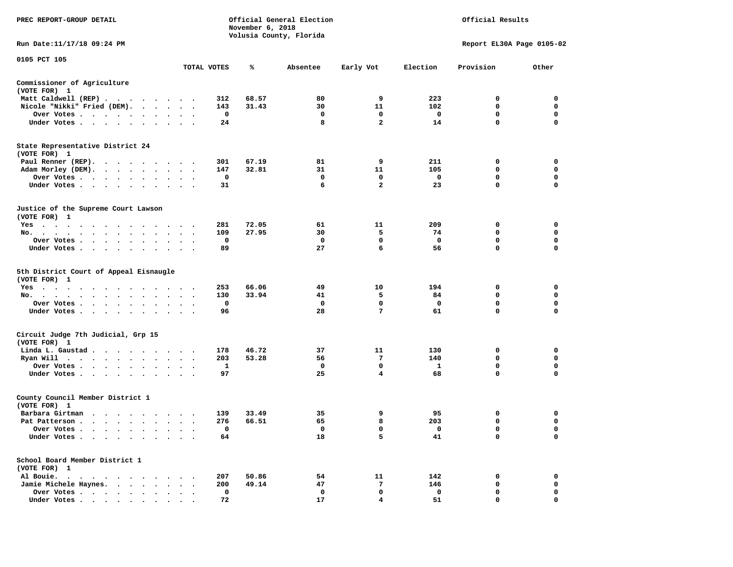| <b>PREC REPORT-GROUP DETAIL</b>                        |             | November 6, 2018 | Official General Election<br>Volusia County, Florida |                |              | Official Results          |             |
|--------------------------------------------------------|-------------|------------------|------------------------------------------------------|----------------|--------------|---------------------------|-------------|
| Run Date:11/17/18 09:24 PM                             |             |                  |                                                      |                |              | Report EL30A Page 0105-02 |             |
| 0105 PCT 105                                           |             |                  |                                                      |                |              |                           |             |
|                                                        | TOTAL VOTES | ℁                | Absentee                                             | Early Vot      | Election     | Provision                 | Other       |
| Commissioner of Agriculture<br>(VOTE FOR) 1            |             |                  |                                                      |                |              |                           |             |
| Matt Caldwell (REP)                                    | 312         | 68.57            | 80                                                   | 9              | 223          | $\mathbf{o}$              | 0           |
| Nicole "Nikki" Fried (DEM).                            | 143         | 31.43            | 30                                                   | 11             | 102          | 0                         | 0           |
| Over Votes                                             | 0           |                  | 0                                                    | 0              | 0            | 0                         | 0           |
| Under Votes                                            | 24          |                  | 8                                                    | $\overline{a}$ | 14           | 0                         | $\mathbf 0$ |
| State Representative District 24<br>(VOTE FOR) 1       |             |                  |                                                      |                |              |                           |             |
| Paul Renner (REP).                                     | 301         | 67.19            | 81                                                   | 9              | 211          | 0                         | 0           |
| Adam Morley (DEM).                                     | 147         | 32.81            | 31                                                   | 11             | 105          | 0                         | $\mathbf 0$ |
| Over Votes                                             | 0           |                  | 0                                                    | 0              | 0            | 0                         | 0           |
| Under Votes                                            | 31          |                  | 6                                                    | $\overline{2}$ | 23           | 0                         | 0           |
| Justice of the Supreme Court Lawson<br>(VOTE FOR) 1    |             |                  |                                                      |                |              |                           |             |
| Yes                                                    | 281         | 72.05            | 61                                                   | 11             | 209          | 0                         | 0           |
| No.                                                    | 109         | 27.95            | 30                                                   | 5              | 74           | 0                         | 0           |
| Over Votes                                             | 0           |                  | 0                                                    | 0              | 0            | 0                         | 0           |
| Under Votes                                            | 89          |                  | 27                                                   | 6              | 56           | 0                         | 0           |
| 5th District Court of Appeal Eisnaugle<br>(VOTE FOR) 1 |             |                  |                                                      |                |              |                           |             |
| Yes                                                    | 253         | 66.06            | 49                                                   | 10             | 194          | $\mathbf{o}$              | 0           |
| No.                                                    | 130         | 33.94            | 41                                                   | 5              | 84           | 0                         | 0           |
| Over Votes                                             | 0           |                  | 0                                                    | 0              | $\mathbf{o}$ | 0                         | 0           |
| Under Votes                                            | 96          |                  | 28                                                   | 7              | 61           | 0                         | $\mathbf 0$ |
| Circuit Judge 7th Judicial, Grp 15<br>(VOTE FOR) 1     |             |                  |                                                      |                |              |                           |             |
| Linda L. Gaustad                                       | 178         | 46.72            | 37                                                   | 11             | 130          | 0                         | 0           |
| Ryan Will $\cdots$ , $\cdots$ , $\cdots$ , $\cdots$    | 203         | 53.28            | 56                                                   | 7              | 140          | 0                         | $\mathbf 0$ |
| Over Votes                                             | 1           |                  | 0                                                    | 0              | 1            | 0                         | 0           |
| Under Votes                                            | 97          |                  | 25                                                   | 4              | 68           | 0                         | 0           |
| County Council Member District 1                       |             |                  |                                                      |                |              |                           |             |
| (VOTE FOR) 1                                           |             |                  |                                                      |                |              |                           |             |
| Barbara Girtman                                        | 139         | 33.49            | 35                                                   | 9              | 95           | $\mathbf{o}$              | 0           |
| Pat Patterson                                          | 276         | 66.51            | 65                                                   | 8              | 203          | 0                         | 0           |
| Over Votes                                             | 0           |                  | $\mathbf 0$                                          | 0              | $\mathbf 0$  | $\mathbf 0$               | $\mathbf 0$ |
| Under Votes $\cdots$ $\cdots$ $\cdots$ $\cdots$        | 64          |                  | 18                                                   | 5              | 41           | 0                         | 0           |
| School Board Member District 1<br>(VOTE FOR) 1         |             |                  |                                                      |                |              |                           |             |
| Al Bouie.                                              | 207         | 50.86            | 54                                                   | 11             | 142          | 0                         | 0           |
| Jamie Michele Haynes.<br>$\bullet$                     | 200         | 49.14            | 47                                                   | 7              | 146          | 0                         | 0           |
| Over Votes                                             | 0           |                  | 0                                                    | 0              | 0            | 0                         | 0           |
|                                                        | 72          |                  | 17                                                   | 4              | 51           | $\mathbf 0$               | $\mathbf 0$ |
| Under Votes                                            |             |                  |                                                      |                |              |                           |             |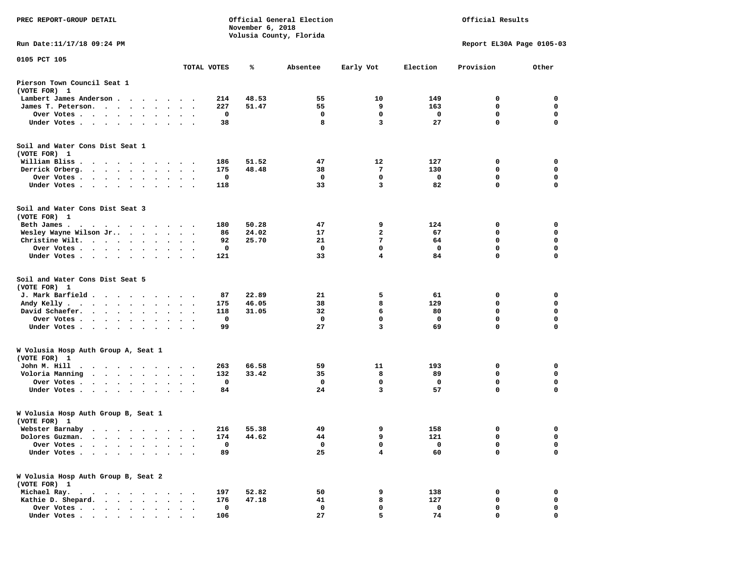| PREC REPORT-GROUP DETAIL                                                                                                                                                                                                                     |                      |             | November 6, 2018 | Official General Election<br>Volusia County, Florida |                |             | Official Results          |             |
|----------------------------------------------------------------------------------------------------------------------------------------------------------------------------------------------------------------------------------------------|----------------------|-------------|------------------|------------------------------------------------------|----------------|-------------|---------------------------|-------------|
| Run Date: 11/17/18 09:24 PM                                                                                                                                                                                                                  |                      |             |                  |                                                      |                |             | Report EL30A Page 0105-03 |             |
| 0105 PCT 105                                                                                                                                                                                                                                 |                      | TOTAL VOTES | %                | Absentee                                             | Early Vot      | Election    | Provision                 | Other       |
| Pierson Town Council Seat 1<br>(VOTE FOR) 1                                                                                                                                                                                                  |                      |             |                  |                                                      |                |             |                           |             |
| Lambert James Anderson.<br>$\cdots$                                                                                                                                                                                                          |                      | 214         | 48.53            | 55                                                   | 10             | 149         | 0                         | 0           |
| James T. Peterson.<br>$\sim$ $\sim$                                                                                                                                                                                                          |                      | 227         | 51.47            | 55                                                   | 9              | 163         | 0                         | 0           |
| Over Votes<br>$\cdot$<br>$\bullet$                                                                                                                                                                                                           | $\cdot$              | 0           |                  | 0                                                    | $\mathbf 0$    | 0           | $\mathbf 0$               | $\mathbf 0$ |
| Under Votes                                                                                                                                                                                                                                  |                      | 38          |                  | 8                                                    | 3              | 27          | 0                         | 0           |
| Soil and Water Cons Dist Seat 1<br>(VOTE FOR) 1                                                                                                                                                                                              |                      |             |                  |                                                      |                |             |                           |             |
| William Bliss<br>$\ddot{\phantom{0}}$<br>$\ddot{\phantom{1}}$<br>$\cdot$<br>$\cdot$ $\cdot$ $\cdot$                                                                                                                                          |                      | 186         | 51.52            | 47                                                   | 12             | 127         | 0                         | 0           |
| Derrick Orberg.<br>$\cdot$ $\cdot$ $\cdot$ $\cdot$ $\cdot$<br>$\cdot$<br>$\bullet$                                                                                                                                                           | $\cdot$              | 175         | 48.48            | 38                                                   | 7              | 130         | 0                         | 0           |
| Over Votes.<br>$\sim$ $\sim$<br>$\bullet$<br>$\cdot$<br>$\bullet$                                                                                                                                                                            |                      | 0           |                  | 0                                                    | 0              | 0           | 0                         | 0           |
| Under Votes.<br>$\cdot$                                                                                                                                                                                                                      | $\bullet$            | 118         |                  | 33                                                   | 3              | 82          | $\mathbf 0$               | $\mathbf 0$ |
| Soil and Water Cons Dist Seat 3<br>(VOTE FOR) 1                                                                                                                                                                                              |                      |             |                  |                                                      |                |             |                           |             |
| Beth James.<br>. The contract of the contract of the contract of the contract of the contract of the contract of the contract of the contract of the contract of the contract of the contract of the contract of the contract of the contrac |                      | 180         | 50.28            | 47                                                   | 9              | 124         | 0                         | 0           |
| Wesley Wayne Wilson Jr<br>$\cdot$ $\cdot$ $\cdot$                                                                                                                                                                                            | $\cdot$ .            | 86          | 24.02            | 17                                                   | $\overline{a}$ | 67          | 0                         | 0           |
| Christine Wilt.<br>$\bullet$ , $\bullet$ , $\bullet$ , $\bullet$<br>$\bullet$ .<br><br><br><br><br><br><br>$\bullet$                                                                                                                         |                      | 92          | 25.70            | 21                                                   | 7              | 64          | $\mathbf 0$               | $\mathbf 0$ |
| Over Votes<br>$\bullet$<br>$\bullet$<br>$\bullet$                                                                                                                                                                                            |                      | 0           |                  | $\mathbf 0$                                          | $\mathbf 0$    | 0           | $\mathbf 0$               | 0           |
| Under Votes<br>$\cdot$                                                                                                                                                                                                                       |                      | 121         |                  | 33                                                   | 4              | 84          | 0                         | $\mathbf 0$ |
| Soil and Water Cons Dist Seat 5<br>(VOTE FOR) 1                                                                                                                                                                                              |                      |             |                  |                                                      |                |             |                           |             |
| J. Mark Barfield .<br>$\cdots$<br>$\bullet$                                                                                                                                                                                                  |                      | 87          | 22.89            | 21                                                   | 5              | 61          | 0                         | 0           |
| Andy Kelly.<br>$\begin{array}{cccccccccccccc} \bullet & \bullet & \bullet & \bullet & \bullet & \bullet & \bullet & \bullet & \bullet & \bullet \end{array}$<br>$\ddot{\phantom{0}}$<br>$\bullet$                                            | $\ddot{\phantom{1}}$ | 175         | 46.05            | 38                                                   | 8              | 129         | 0                         | $\mathbf 0$ |
| David Schaefer.<br>$\sim$ $\sim$ $\sim$ $\sim$<br>$\bullet$                                                                                                                                                                                  |                      | 118         | 31.05            | 32                                                   | 6              | 80          | 0                         | 0           |
| Over Votes .<br>$\mathcal{A}=\mathcal{A}=\mathcal{A}=\mathcal{A}$ .<br>$\bullet$<br>$\bullet$<br>$\bullet$<br>$\bullet$                                                                                                                      | $\bullet$            | 0           |                  | 0                                                    | $\mathbf 0$    | 0           | $\mathbf 0$               | $\mathbf 0$ |
| Under Votes<br>$\ddot{\phantom{a}}$<br>$\ddot{\phantom{0}}$<br>$\ddot{\phantom{0}}$                                                                                                                                                          | $\sim$ $\sim$        | 99          |                  | 27                                                   | 3              | 69          | $\mathbf 0$               | $\mathbf 0$ |
| W Volusia Hosp Auth Group A, Seat 1<br>(VOTE FOR) 1                                                                                                                                                                                          |                      |             |                  |                                                      |                |             |                           |             |
| John M. Hill<br>$\bullet$<br>$\ddot{\phantom{1}}$<br>$\cdots$<br>$\blacksquare$<br>$\cdot$<br>$\bullet$                                                                                                                                      |                      | 263         | 66.58            | 59                                                   | 11             | 193         | 0                         | 0           |
| Voloria Manning<br>$\sim$ $\sim$ $\sim$ $\sim$<br>$\bullet$ .<br>$\bullet$                                                                                                                                                                   |                      | 132         | 33.42            | 35                                                   | 8              | 89          | 0                         | 0           |
| Over Votes .<br>$\cdots$<br>$\cdot$<br>$\cdot$                                                                                                                                                                                               |                      | 0           |                  | 0                                                    | 0              | 0           | 0                         | 0           |
| Under Votes<br>$\ddot{\phantom{1}}$<br>$\bullet$                                                                                                                                                                                             |                      | 84          |                  | 24                                                   | 3              | 57          | $\mathbf 0$               | 0           |
| W Volusia Hosp Auth Group B, Seat 1<br>(VOTE FOR) 1                                                                                                                                                                                          |                      |             |                  |                                                      |                |             |                           |             |
| Webster Barnaby                                                                                                                                                                                                                              |                      | 216         | 55.38            | 49                                                   | 9              | 158         | 0                         | 0           |
| Dolores Guzman.                                                                                                                                                                                                                              |                      | 174         | 44.62            | 44                                                   | 9              | 121         | 0                         | 0           |
| Over Votes .                                                                                                                                                                                                                                 |                      | $\mathbf 0$ |                  | 0                                                    | 0              | $\mathbf 0$ | 0                         | 0           |
| Under Votes.<br>$\bullet$<br>$\ddot{\phantom{a}}$                                                                                                                                                                                            |                      | 89          |                  | 25                                                   | 4              | 60          | 0                         | $\Omega$    |
| W Volusia Hosp Auth Group B, Seat 2<br>(VOTE FOR) 1                                                                                                                                                                                          |                      |             |                  |                                                      |                |             |                           |             |
| Michael Ray.<br>$\ddot{\phantom{0}}$<br>$\sim$ $\sim$ $\sim$<br>$\ddot{\phantom{0}}$                                                                                                                                                         |                      | 197         | 52.82            | 50                                                   | 9              | 138         | 0                         | 0           |
| Kathie D. Shepard.<br>$\ddot{\phantom{a}}$<br>$\ddot{\phantom{a}}$<br>$\ddot{\phantom{a}}$<br>$\ddot{\phantom{a}}$                                                                                                                           |                      | 176         | 47.18            | 41                                                   | 8              | 127         | 0                         | 0           |
| Over Votes .<br>$\ddot{\phantom{0}}$<br>$\overline{\phantom{a}}$<br>$\bullet$<br>$\bullet$                                                                                                                                                   |                      | 0           |                  | 0                                                    | 0              | 0           | 0                         | 0           |
| Under Votes.<br>$\cdot$<br>$\cdot$                                                                                                                                                                                                           |                      | 106         |                  | 27                                                   | 5              | 74          | 0                         | 0           |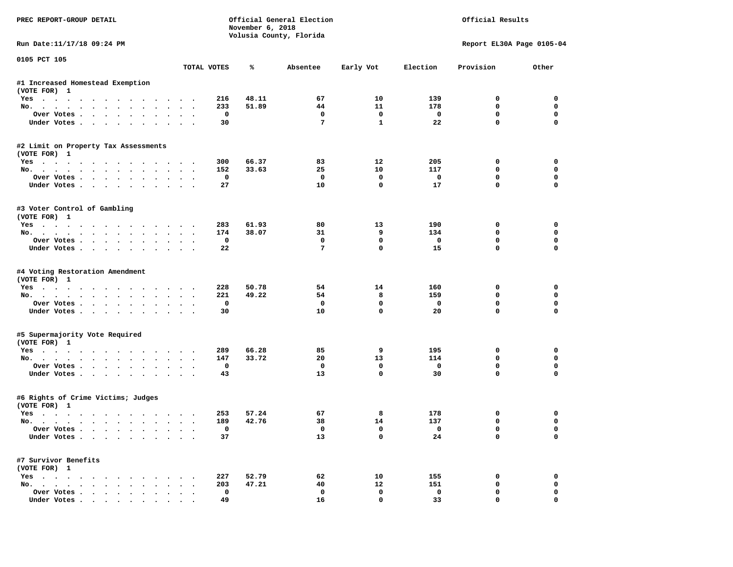| PREC REPORT-GROUP DETAIL                                    |             | November 6, 2018 | Official General Election<br>Volusia County, Florida |                            |             | Official Results            |                         |
|-------------------------------------------------------------|-------------|------------------|------------------------------------------------------|----------------------------|-------------|-----------------------------|-------------------------|
| Run Date: 11/17/18 09:24 PM                                 |             |                  |                                                      |                            |             | Report EL30A Page 0105-04   |                         |
| 0105 PCT 105                                                | TOTAL VOTES | ℁                | Absentee                                             | Early Vot                  | Election    | Provision                   | Other                   |
|                                                             |             |                  |                                                      |                            |             |                             |                         |
| #1 Increased Homestead Exemption<br>(VOTE FOR) 1            |             |                  |                                                      |                            |             |                             |                         |
| Yes                                                         | 216         | 48.11            | 67                                                   | 10                         | 139         | 0                           | 0                       |
| No.                                                         | 233         | 51.89            | 44                                                   | 11                         | 178         | $\mathbf 0$                 | $\mathbf 0$             |
| Over Votes.                                                 | 0           |                  | 0                                                    | 0                          | 0           | $\mathbf 0$                 | $\mathbf 0$             |
| Under Votes                                                 | 30          |                  | 7                                                    | $\mathbf{1}$               | 22          | $\mathbf 0$                 | $\Omega$                |
| #2 Limit on Property Tax Assessments                        |             |                  |                                                      |                            |             |                             |                         |
| (VOTE FOR) 1                                                |             |                  |                                                      |                            |             |                             |                         |
| Yes                                                         | 300         | 66.37            | 83                                                   | 12                         | 205         | 0                           | 0                       |
| No.                                                         | 152         | 33.63            | 25                                                   | 10                         | 117         | $\mathbf 0$                 | $\mathbf 0$             |
| Over Votes                                                  | $\mathbf 0$ |                  | $\mathbf 0$                                          | $\mathbf 0$                | $\mathbf 0$ | $\mathbf 0$                 | $\mathbf 0$             |
| Under Votes                                                 | 27          |                  | 10                                                   | $\mathbf 0$                | 17          | $\mathbf{0}$                | $\mathbf 0$             |
| #3 Voter Control of Gambling                                |             |                  |                                                      |                            |             |                             |                         |
| (VOTE FOR) 1                                                |             |                  |                                                      |                            |             |                             |                         |
| Yes                                                         | 283         | 61.93            | 80                                                   | 13                         | 190         | 0                           | 0                       |
| No.                                                         | 174         | 38.07            | 31                                                   | 9                          | 134         | 0                           | 0                       |
| Over Votes                                                  | 0           |                  | $\mathbf 0$                                          | 0                          | $\mathbf 0$ | $\mathbf 0$                 | $\mathbf 0$             |
| Under Votes                                                 | 22          |                  | 7                                                    | $\mathbf 0$                | 15          | $\mathbf 0$                 | $\Omega$                |
| #4 Voting Restoration Amendment                             |             |                  |                                                      |                            |             |                             |                         |
| (VOTE FOR) 1                                                |             |                  |                                                      |                            |             |                             |                         |
| Yes                                                         | 228         | 50.78            | 54                                                   | 14                         | 160         | 0                           | 0                       |
| No.                                                         | 221         | 49.22            | 54                                                   | 8                          | 159         | $\mathbf 0$                 | 0                       |
| Over Votes                                                  | 0           |                  | $\mathbf 0$                                          | 0                          | 0           | $\mathbf 0$                 | $\mathbf 0$             |
| Under Votes                                                 | 30          |                  | 10                                                   | $\mathbf 0$                | 20          | $\mathbf 0$                 | $\Omega$                |
| #5 Supermajority Vote Required                              |             |                  |                                                      |                            |             |                             |                         |
| (VOTE FOR) 1                                                |             |                  |                                                      |                            |             |                             |                         |
| Yes                                                         | 289         | 66.28            | 85                                                   | 9                          | 195         | 0                           | 0                       |
| No.                                                         | 147         | 33.72            | 20                                                   | 13                         | 114         | $\mathbf 0$                 | $\mathbf 0$             |
| Over Votes                                                  | 0           |                  | 0                                                    | $\mathbf 0$<br>$\mathbf 0$ | $\mathbf 0$ | $\mathbf 0$<br>$\mathbf{0}$ | $\mathbf 0$<br>$\Omega$ |
| Under Votes                                                 | 43          |                  | 13                                                   |                            | 30          |                             |                         |
| #6 Rights of Crime Victims; Judges                          |             |                  |                                                      |                            |             |                             |                         |
| (VOTE FOR) 1                                                |             |                  |                                                      |                            |             |                             |                         |
| Yes                                                         | 253         | 57.24            | 67                                                   | 8                          | 178         | 0                           | 0                       |
| No.                                                         | 189         | 42.76            | 38                                                   | 14                         | 137         | 0                           | $\mathbf 0$             |
| Over votes $\cdots$<br>Under Votes                          | 0<br>37     |                  | 0<br>13                                              | $\mathbf 0$                | 0<br>24     | 0<br>0                      | 0<br>0                  |
| #7 Survivor Benefits                                        |             |                  |                                                      |                            |             |                             |                         |
| (VOTE FOR) 1                                                |             |                  |                                                      |                            |             |                             |                         |
| $Yes \cdot \cdot \cdot \cdot \cdot \cdot \cdot \cdot \cdot$ | 227         | 52.79            | 62                                                   | 10                         | 155         | 0                           | 0                       |
| $\cdot$<br>$No.$ $\cdot$ $\cdot$ $\cdot$                    | 203         | 47.21            | 40                                                   | 12                         | 151         | 0                           | 0                       |
| Over Votes                                                  | 0           |                  | 0                                                    | 0                          | 0           | 0                           | 0                       |
| Under Votes.                                                | 49          |                  | 16                                                   | $\mathbf 0$                | 33          |                             |                         |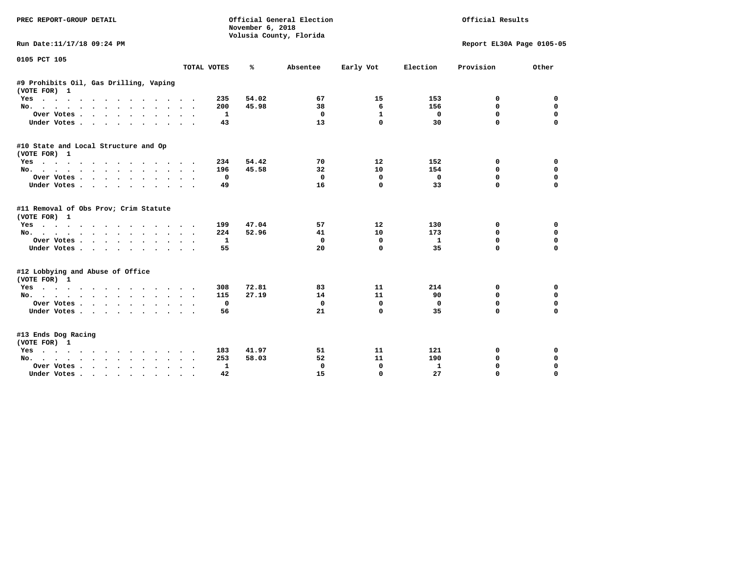| PREC REPORT-GROUP DETAIL                                                                                  |             | November 6, 2018 | Official General Election<br>Volusia County, Florida |              |              | Official Results          |             |
|-----------------------------------------------------------------------------------------------------------|-------------|------------------|------------------------------------------------------|--------------|--------------|---------------------------|-------------|
| Run Date:11/17/18 09:24 PM                                                                                |             |                  |                                                      |              |              | Report EL30A Page 0105-05 |             |
| 0105 PCT 105                                                                                              |             |                  |                                                      |              |              |                           |             |
|                                                                                                           | TOTAL VOTES | ℁                | Absentee                                             | Early Vot    | Election     | Provision                 | Other       |
| #9 Prohibits Oil, Gas Drilling, Vaping<br>(VOTE FOR) 1                                                    |             |                  |                                                      |              |              |                           |             |
| Yes                                                                                                       |             | 54.02<br>235     | 67                                                   | 15           | 153          | 0                         | 0           |
| No.                                                                                                       |             | 45.98<br>200     | 38                                                   | 6            | 156          | 0                         | $\mathbf 0$ |
| Over Votes<br>$\sim$ $\sim$ $\sim$<br>$\bullet$ $\bullet$<br>$\cdot$                                      | $\bullet$   | 1                | 0                                                    | $\mathbf{1}$ | $\mathbf{0}$ | $\Omega$                  | $\mathbf 0$ |
| Under Votes                                                                                               |             | 43               | 13                                                   | 0            | 30           | 0                         | $\mathbf 0$ |
| #10 State and Local Structure and Op<br>(VOTE FOR) 1                                                      |             |                  |                                                      |              |              |                           |             |
| Yes                                                                                                       |             | 234<br>54.42     | 70                                                   | 12           | 152          | 0                         | 0           |
| No.                                                                                                       |             | 45.58<br>196     | 32                                                   | 10           | 154          | 0                         | $\mathbf 0$ |
| Over Votes                                                                                                | $\bullet$   | 0                | 0                                                    | 0            | $\mathbf 0$  | $\Omega$                  | $\mathbf 0$ |
| Under Votes                                                                                               | $\bullet$   | 49               | 16                                                   | $\mathbf 0$  | 33           | 0                         | $\Omega$    |
| #11 Removal of Obs Prov; Crim Statute<br>(VOTE FOR) 1                                                     |             |                  |                                                      |              |              |                           |             |
| Yes                                                                                                       |             | 199<br>47.04     | 57                                                   | 12           | 130          | 0                         | 0           |
| No.                                                                                                       |             | 52.96<br>224     | 41                                                   | 10           | 173          | 0                         | $\mathbf 0$ |
| Over Votes<br>$\begin{array}{cccccccccccccc} \bullet & \bullet & \bullet & \bullet & \bullet \end{array}$ |             | $\mathbf{1}$     | 0                                                    | 0            | $\mathbf{1}$ | $\Omega$                  | $\mathbf 0$ |
| Under Votes                                                                                               |             | 55               | 20                                                   | $\mathbf 0$  | 35           | 0                         | $\Omega$    |
| #12 Lobbying and Abuse of Office<br>(VOTE FOR) 1                                                          |             |                  |                                                      |              |              |                           |             |
| Yes                                                                                                       |             | 72.81<br>308     | 83                                                   | 11           | 214          | 0                         | 0           |
| No.                                                                                                       |             | 27.19<br>115     | 14                                                   | 11           | 90           | 0                         | $\mathbf 0$ |
| Over Votes                                                                                                |             | 0                | 0                                                    | 0            | 0            | $\Omega$                  | 0           |
| Under Votes                                                                                               |             | 56               | 21                                                   | $\mathbf 0$  | 35           | $\Omega$                  | $\Omega$    |
| #13 Ends Dog Racing<br>(VOTE FOR) 1                                                                       |             |                  |                                                      |              |              |                           |             |
| Yes                                                                                                       |             | 41.97<br>183     | 51                                                   | 11           | 121          | 0                         | 0           |
| No.                                                                                                       |             | 58.03<br>253     | 52                                                   | 11           | 190          | 0                         | 0           |
| Over Votes .<br>$\cdot$                                                                                   |             | 1                | 0                                                    | 0            | 1            | 0                         | 0           |
| Under Votes<br>$\sim$ 100 $\sim$                                                                          |             | 42               | 15                                                   | $\Omega$     | 27           | $\Omega$                  | $\Omega$    |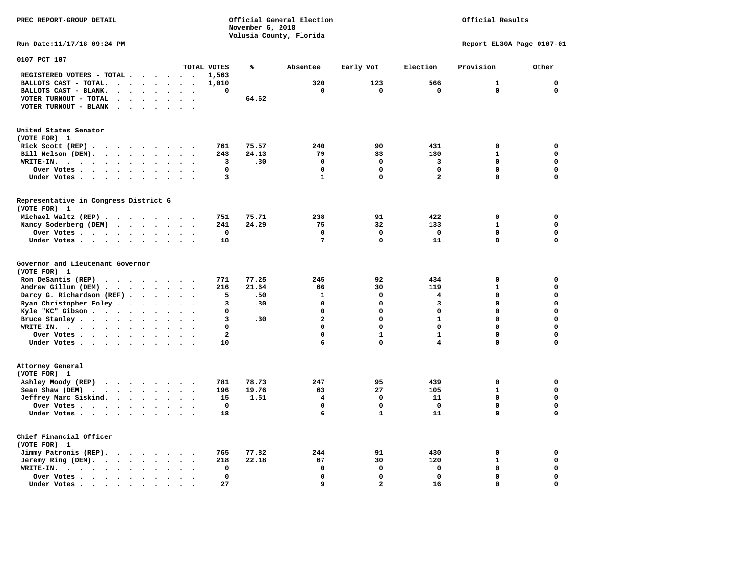Official Results

**Run Date:11/17/18 09:24 PM Report EL30A Page 0107-01** 

| 0107 PCT 107                                                                                                                                                            |                                    |                         |       |                |                |              |              |              |
|-------------------------------------------------------------------------------------------------------------------------------------------------------------------------|------------------------------------|-------------------------|-------|----------------|----------------|--------------|--------------|--------------|
|                                                                                                                                                                         |                                    | TOTAL VOTES             | ℁     | Absentee       | Early Vot      | Election     | Provision    | Other        |
| REGISTERED VOTERS - TOTAL .<br>$\overline{\phantom{a}}$<br>$\ddot{\phantom{a}}$<br>$\ddot{\phantom{a}}$                                                                 | $\overline{\phantom{a}}$<br>$\sim$ | 1,563                   |       |                |                |              |              |              |
| BALLOTS CAST - TOTAL.<br>$\cdot$<br>$\ddot{\phantom{a}}$<br>$\ddot{\phantom{a}}$<br>$\ddot{\phantom{a}}$                                                                |                                    | 1,010                   |       | 320            | 123            | 566          | $\mathbf{1}$ | $\mathbf 0$  |
| BALLOTS CAST - BLANK.<br>$\ddot{\phantom{a}}$<br>$\bullet$<br>$\bullet$<br>$\bullet$                                                                                    | $\ddot{\phantom{a}}$<br>$\bullet$  | 0                       |       | 0              | 0              | $\mathbf 0$  | 0            | $\mathbf{0}$ |
| VOTER TURNOUT - TOTAL<br>$\ddot{\phantom{a}}$<br>$\ddot{\phantom{1}}$                                                                                                   |                                    |                         | 64.62 |                |                |              |              |              |
| VOTER TURNOUT - BLANK<br>$\ddot{\phantom{a}}$                                                                                                                           |                                    |                         |       |                |                |              |              |              |
|                                                                                                                                                                         |                                    |                         |       |                |                |              |              |              |
|                                                                                                                                                                         |                                    |                         |       |                |                |              |              |              |
| United States Senator                                                                                                                                                   |                                    |                         |       |                |                |              |              |              |
| (VOTE FOR) 1                                                                                                                                                            |                                    |                         |       |                |                |              |              |              |
| Rick Scott (REP).<br>$\ddot{\phantom{0}}$<br>$\sim$ $\sim$<br>$\sim$ $\sim$<br>$\cdot$<br>$\overline{\phantom{a}}$                                                      |                                    | 761                     | 75.57 | 240            | 90             | 431          | $\mathbf 0$  | 0            |
| Bill Nelson (DEM).<br>$\cdots$                                                                                                                                          | $\bullet$                          | 243                     | 24.13 | 79             | 33             | 130          | $\mathbf{1}$ | $\mathbf 0$  |
| WRITE-IN.<br>$\sim$ $\sim$ $\sim$ $\sim$<br>$\bullet$ .<br><br><br><br><br><br><br><br><br><br><br><br><br>$\bullet$<br>$\bullet$                                       |                                    | 3                       | .30   | $\mathbf 0$    | $\mathbf 0$    | 3            | 0            | 0            |
| Over Votes<br>$\bullet$<br>$\ddot{\phantom{a}}$<br>$\ddot{\phantom{a}}$                                                                                                 |                                    | 0                       |       | $\mathbf 0$    | 0              | $\mathbf 0$  | 0            | $\mathbf 0$  |
| Under Votes<br>$\bullet$<br>$\bullet$                                                                                                                                   | $\bullet$<br>$\bullet$             | 3                       |       | $\mathbf{1}$   | $\mathbf 0$    | $\mathbf{2}$ | 0            | $\mathbf 0$  |
|                                                                                                                                                                         |                                    |                         |       |                |                |              |              |              |
| Representative in Congress District 6                                                                                                                                   |                                    |                         |       |                |                |              |              |              |
| (VOTE FOR) 1                                                                                                                                                            |                                    |                         |       |                |                |              |              |              |
| Michael Waltz (REP).                                                                                                                                                    |                                    | 751                     | 75.71 | 238            | 91             | 422          | 0            | 0            |
| Nancy Soderberg (DEM)<br><b>Contract Contract Contract</b><br>$\bullet$                                                                                                 | $\ddotsc$<br>$\bullet$             | 241                     | 24.29 | 75             | 32             | 133          | $\mathbf{1}$ | $\mathbf 0$  |
| Over Votes .<br>$\cdot$ $\cdot$ $\cdot$ $\cdot$<br>$\ddot{\phantom{a}}$<br>$\ddot{\phantom{a}}$                                                                         |                                    | 0                       |       | 0              | 0              | 0            | 0            | 0            |
| Under Votes                                                                                                                                                             |                                    | 18                      |       | 7              | $\mathbf 0$    | 11           | $\mathbf 0$  | $\mathbf 0$  |
| $\ddot{\phantom{a}}$<br>$\Delta$                                                                                                                                        |                                    |                         |       |                |                |              |              |              |
| Governor and Lieutenant Governor                                                                                                                                        |                                    |                         |       |                |                |              |              |              |
| (VOTE FOR) 1                                                                                                                                                            |                                    |                         |       |                |                |              |              |              |
| Ron DeSantis (REP)<br>$\cdot$ $\cdot$ $\cdot$ $\cdot$ $\cdot$<br>$\sim$ $\sim$                                                                                          | $\sim$                             | 771                     | 77.25 | 245            | 92             | 434          | 0            | 0            |
| Andrew Gillum (DEM)<br>$\ddot{\phantom{a}}$                                                                                                                             | $\ddot{\phantom{0}}$<br>$\bullet$  | 216                     | 21.64 | 66             | 30             | 119          | $\mathbf{1}$ | $\mathbf 0$  |
| Darcy G. Richardson (REF).<br>$\bullet$                                                                                                                                 |                                    | 5                       | .50   | ${\bf 1}$      | $\mathbf 0$    | 4            | 0            | $\mathbf 0$  |
|                                                                                                                                                                         |                                    | 3                       |       | $\mathbf 0$    | $\mathbf 0$    | 3            | 0            | $\mathbf 0$  |
| Ryan Christopher Foley.<br>$\sim$<br>$\bullet$                                                                                                                          |                                    | 0                       | .30   | $\mathbf 0$    | $\mathbf 0$    | 0            | 0            | $\mathbf 0$  |
| Kyle "KC" Gibson<br>$\bullet$<br>$\bullet$<br>$\bullet$                                                                                                                 |                                    |                         |       | $\overline{a}$ | $\Omega$       | $\mathbf{1}$ | 0            | $\mathbf 0$  |
| Bruce Stanley<br>$\overline{\phantom{a}}$                                                                                                                               |                                    | 3                       | .30   |                |                |              |              |              |
| WRITE-IN.<br>$\begin{array}{cccccccccccccc} \bullet & \bullet & \bullet & \bullet & \bullet & \bullet & \bullet & \bullet & \bullet & \bullet \end{array}$<br>$\bullet$ |                                    | 0                       |       | $\Omega$       | $\Omega$       | $\Omega$     | $\Omega$     | $\mathbf 0$  |
| Over Votes<br>$\ddot{\phantom{a}}$<br>$\cdot$                                                                                                                           | $\ddot{\phantom{a}}$               | $\overline{\mathbf{2}}$ |       | $\Omega$       | $\mathbf{1}$   | $\mathbf{1}$ | $\mathbf 0$  | $\mathbf 0$  |
| Under Votes<br>$\ddot{\phantom{a}}$                                                                                                                                     | $\bullet$                          | 10                      |       | 6              | $\Omega$       | 4            | 0            | $\mathbf 0$  |
|                                                                                                                                                                         |                                    |                         |       |                |                |              |              |              |
| Attorney General                                                                                                                                                        |                                    |                         |       |                |                |              |              |              |
| (VOTE FOR) 1                                                                                                                                                            |                                    |                         | 78.73 | 247            | 95             | 439          | $\mathbf 0$  | $\mathbf 0$  |
| Ashley Moody (REP)<br>$\cdot$                                                                                                                                           |                                    | 781                     |       |                |                |              |              |              |
| Sean Shaw (DEM)<br>$\sim$ $\sim$<br>$\sim$ $\sim$<br>$\bullet$                                                                                                          |                                    | 196                     | 19.76 | 63             | 27             | 105          | $\mathbf{1}$ | $\mathbf 0$  |
| Jeffrey Marc Siskind.<br><b><i>Committee State State State</i></b><br>$\bullet$<br>$\ddot{\phantom{a}}$                                                                 | $\bullet$                          | 15                      | 1.51  | 4              | $\mathbf 0$    | 11           | 0            | $\mathbf 0$  |
| Over Votes .<br>$\ddot{\phantom{a}}$                                                                                                                                    |                                    | $\mathbf 0$             |       | $\mathbf 0$    | $\mathbf 0$    | $\mathbf 0$  | 0            | $\mathbf 0$  |
| Under Votes                                                                                                                                                             |                                    | 18                      |       | 6              | $\mathbf{1}$   | 11           | 0            | $\mathbf 0$  |
|                                                                                                                                                                         |                                    |                         |       |                |                |              |              |              |
| Chief Financial Officer                                                                                                                                                 |                                    |                         |       |                |                |              |              |              |
| (VOTE FOR) 1                                                                                                                                                            |                                    |                         |       |                |                |              |              |              |
| Jimmy Patronis (REP).<br>$\sim$ $\sim$<br>$\sim$ $\sim$ $\sim$<br>$\bullet$                                                                                             |                                    | 765                     | 77.82 | 244            | 91             | 430          | 0            | 0            |
| Jeremy Ring (DEM).<br>$\cdot$ $\cdot$ $\cdot$<br>$\ddot{\phantom{a}}$                                                                                                   |                                    | 218                     | 22.18 | 67             | 30             | 120          | $\mathbf{1}$ | $\mathbf 0$  |
| WRITE-IN.<br>$\ddot{\phantom{a}}$<br>$\cdot$ $\cdot$ $\cdot$ $\cdot$ $\cdot$<br>$\bullet$                                                                               |                                    | 0                       |       | $\mathbf 0$    | $\mathbf 0$    | 0            | 0            | $\mathbf 0$  |
| Over Votes.<br>$\cdots$<br>$\bullet$                                                                                                                                    |                                    | $\mathbf 0$             |       | $\mathbf 0$    | $\mathbf 0$    | $\mathbf 0$  | 0            | $\mathbf 0$  |
| Under Votes<br>$\sim$                                                                                                                                                   |                                    | 27                      |       | 9              | $\overline{a}$ | 16           | 0            | $\mathbf 0$  |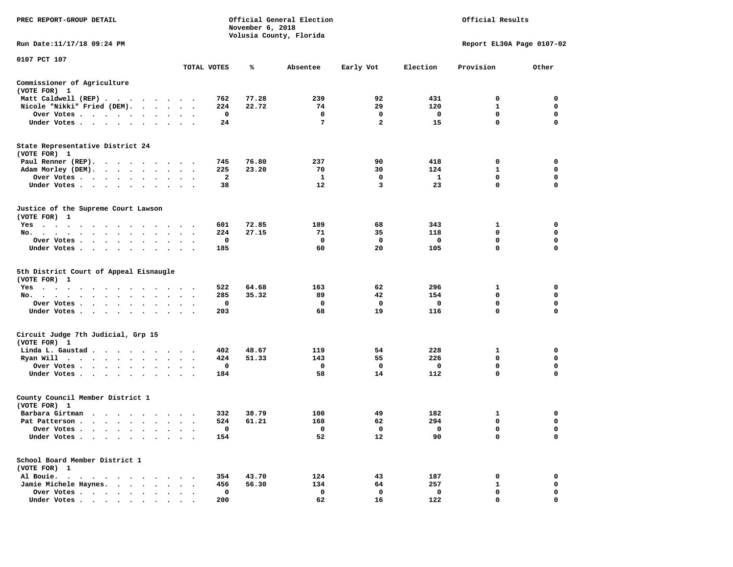| PREC REPORT-GROUP DETAIL                                                                                                                                                                                                                                                                                                                                                                                                                                                                   |                      |                       | November 6, 2018 | Official General Election<br>Volusia County, Florida |                         |                          | Official Results            |                  |
|--------------------------------------------------------------------------------------------------------------------------------------------------------------------------------------------------------------------------------------------------------------------------------------------------------------------------------------------------------------------------------------------------------------------------------------------------------------------------------------------|----------------------|-----------------------|------------------|------------------------------------------------------|-------------------------|--------------------------|-----------------------------|------------------|
| Run Date: 11/17/18 09:24 PM                                                                                                                                                                                                                                                                                                                                                                                                                                                                |                      |                       |                  |                                                      |                         |                          | Report EL30A Page 0107-02   |                  |
| 0107 PCT 107                                                                                                                                                                                                                                                                                                                                                                                                                                                                               |                      | TOTAL VOTES           | ℁                | Absentee                                             | Early Vot               | Election                 | Provision                   | Other            |
| Commissioner of Agriculture                                                                                                                                                                                                                                                                                                                                                                                                                                                                |                      |                       |                  |                                                      |                         |                          |                             |                  |
| (VOTE FOR) 1                                                                                                                                                                                                                                                                                                                                                                                                                                                                               |                      |                       |                  |                                                      |                         |                          |                             |                  |
| Matt Caldwell (REP)                                                                                                                                                                                                                                                                                                                                                                                                                                                                        |                      | 762                   | 77.28            | 239                                                  | 92                      | 431                      | $\Omega$                    | $\mathbf 0$      |
| Nicole "Nikki" Fried (DEM).                                                                                                                                                                                                                                                                                                                                                                                                                                                                |                      | 224                   | 22.72            | 74                                                   | 29                      | 120                      | $\mathbf{1}$                | $\Omega$         |
| Over Votes                                                                                                                                                                                                                                                                                                                                                                                                                                                                                 |                      | 0                     |                  | $\mathbf 0$                                          | $\mathbf 0$             | $\overline{\phantom{0}}$ | $\mathbf 0$                 | 0                |
| Under Votes                                                                                                                                                                                                                                                                                                                                                                                                                                                                                |                      | 24                    |                  | $\overline{7}$                                       | $\overline{a}$          | 15                       | $\mathbf{0}$                | $\mathbf 0$      |
| State Representative District 24                                                                                                                                                                                                                                                                                                                                                                                                                                                           |                      |                       |                  |                                                      |                         |                          |                             |                  |
| (VOTE FOR) 1                                                                                                                                                                                                                                                                                                                                                                                                                                                                               |                      |                       |                  |                                                      |                         |                          |                             |                  |
| Paul Renner (REP).                                                                                                                                                                                                                                                                                                                                                                                                                                                                         |                      | 745                   | 76.80            | 237                                                  | 90                      | 418                      | $\mathbf 0$                 | 0                |
| Adam Morley (DEM).                                                                                                                                                                                                                                                                                                                                                                                                                                                                         |                      | 225<br>$\overline{a}$ | 23.20            | 70<br>$\mathbf{1}$                                   | 30<br>$\mathbf 0$       | 124<br>$\mathbf{1}$      | $\mathbf{1}$<br>$\mathbf 0$ | 0<br>$\mathbf 0$ |
| Over Votes<br>Under Votes                                                                                                                                                                                                                                                                                                                                                                                                                                                                  |                      | 38                    |                  | $12 \overline{ }$                                    | 3                       | 23                       | $\mathbf 0$                 | $\mathbf 0$      |
|                                                                                                                                                                                                                                                                                                                                                                                                                                                                                            |                      |                       |                  |                                                      |                         |                          |                             |                  |
| Justice of the Supreme Court Lawson<br>(VOTE FOR) 1                                                                                                                                                                                                                                                                                                                                                                                                                                        |                      |                       |                  |                                                      |                         |                          |                             |                  |
| Yes                                                                                                                                                                                                                                                                                                                                                                                                                                                                                        |                      | 601                   | 72.85            | 189                                                  | 68                      | 343                      | $\mathbf{1}$                | $\mathbf 0$      |
| No.                                                                                                                                                                                                                                                                                                                                                                                                                                                                                        |                      | 224                   | 27.15            | -71                                                  | 35                      | 118                      | $\mathbf 0$                 | 0                |
| Over Votes                                                                                                                                                                                                                                                                                                                                                                                                                                                                                 |                      | 0                     |                  | $\mathbf{O}$                                         | $\mathbf 0$             | 0                        | 0                           | 0                |
| Under Votes                                                                                                                                                                                                                                                                                                                                                                                                                                                                                |                      | 185                   |                  | 60                                                   | 20                      | 105                      | 0                           | $\mathbf 0$      |
|                                                                                                                                                                                                                                                                                                                                                                                                                                                                                            |                      |                       |                  |                                                      |                         |                          |                             |                  |
| 5th District Court of Appeal Eisnaugle<br>(VOTE FOR) 1                                                                                                                                                                                                                                                                                                                                                                                                                                     |                      |                       |                  |                                                      |                         |                          |                             |                  |
| Yes                                                                                                                                                                                                                                                                                                                                                                                                                                                                                        |                      | 522                   | 64.68            | 163                                                  | 62                      | 296                      | 1<br>$\mathbf 0$            | 0                |
| No.<br>Over Votes                                                                                                                                                                                                                                                                                                                                                                                                                                                                          |                      | 285<br>0              | 35.32            | 89<br>$\mathbf{o}$                                   | 42<br>$\mathbf 0$       | 154<br>0                 | $\mathbf 0$                 | 0<br>$\mathbf 0$ |
| Under Votes                                                                                                                                                                                                                                                                                                                                                                                                                                                                                |                      | 203                   |                  | 68                                                   | 19                      | 116                      | $\mathbf{0}$                | $\Omega$         |
|                                                                                                                                                                                                                                                                                                                                                                                                                                                                                            |                      |                       |                  |                                                      |                         |                          |                             |                  |
| Circuit Judge 7th Judicial, Grp 15                                                                                                                                                                                                                                                                                                                                                                                                                                                         |                      |                       |                  |                                                      |                         |                          |                             |                  |
| (VOTE FOR) 1                                                                                                                                                                                                                                                                                                                                                                                                                                                                               |                      |                       | 48.67            | 119                                                  | 54                      | 228                      |                             |                  |
| Linda L. Gaustad<br>Ryan Will $\cdots$ , $\cdots$ , $\cdots$ , $\cdots$                                                                                                                                                                                                                                                                                                                                                                                                                    |                      | 402<br>424            | 51.33            | 143                                                  | 55                      | 226                      | $\mathbf{1}$<br>$\Omega$    | 0<br>$\mathbf 0$ |
|                                                                                                                                                                                                                                                                                                                                                                                                                                                                                            |                      | 0                     |                  | $\mathbf{o}$                                         | $\mathbf{o}$            | $\mathbf{o}$             | $\mathbf 0$                 | $\mathbf 0$      |
| Over Votes<br>Under Votes                                                                                                                                                                                                                                                                                                                                                                                                                                                                  |                      | 184                   |                  | 58                                                   | 14                      | 112                      | $\Omega$                    | $\Omega$         |
| County Council Member District 1                                                                                                                                                                                                                                                                                                                                                                                                                                                           |                      |                       |                  |                                                      |                         |                          |                             |                  |
| (VOTE FOR) 1                                                                                                                                                                                                                                                                                                                                                                                                                                                                               |                      |                       |                  |                                                      |                         |                          |                             |                  |
| Barbara Girtman                                                                                                                                                                                                                                                                                                                                                                                                                                                                            |                      | 332                   | 38.79            | 100                                                  | 49                      | 182                      | 1                           | 0                |
| Pat Patterson                                                                                                                                                                                                                                                                                                                                                                                                                                                                              |                      | 524                   | 61.21            | 168                                                  | 62                      | 294                      | $\mathbf 0$                 | 0                |
| Over Votes.                                                                                                                                                                                                                                                                                                                                                                                                                                                                                |                      | 0                     |                  | $\overline{\phantom{a}}$                             | $\overline{\mathbf{0}}$ | $\overline{\phantom{0}}$ | $\mathbf 0$                 | $\mathbf 0$      |
| Under Votes                                                                                                                                                                                                                                                                                                                                                                                                                                                                                |                      | 154                   |                  | 52                                                   | 12                      | 90                       | $\Omega$                    | $\Omega$         |
| School Board Member District 1                                                                                                                                                                                                                                                                                                                                                                                                                                                             |                      |                       |                  |                                                      |                         |                          |                             |                  |
| (VOTE FOR) 1                                                                                                                                                                                                                                                                                                                                                                                                                                                                               |                      |                       |                  |                                                      |                         |                          |                             |                  |
| Al Bouie.                                                                                                                                                                                                                                                                                                                                                                                                                                                                                  |                      | 354                   | 43.70            | 124                                                  | 43                      | 187                      | $\mathbf 0$                 | $\mathbf 0$      |
| Jamie Michele Haynes.                                                                                                                                                                                                                                                                                                                                                                                                                                                                      |                      | 456                   | 56.30            | 134                                                  | 64                      | 257                      | $\mathbf{1}$                | 0                |
| Over Votes                                                                                                                                                                                                                                                                                                                                                                                                                                                                                 | $\ddot{\phantom{a}}$ | $\mathbf 0$           |                  | $\mathbf 0$                                          | $\mathbf 0$             | $\mathbf 0$              | $\mathbf 0$                 | 0                |
| $\blacksquare$ $\blacksquare$ $\blacksquare$ $\blacksquare$ $\blacksquare$ $\blacksquare$ $\blacksquare$ $\blacksquare$ $\blacksquare$ $\blacksquare$ $\blacksquare$ $\blacksquare$ $\blacksquare$ $\blacksquare$ $\blacksquare$ $\blacksquare$ $\blacksquare$ $\blacksquare$ $\blacksquare$ $\blacksquare$ $\blacksquare$ $\blacksquare$ $\blacksquare$ $\blacksquare$ $\blacksquare$ $\blacksquare$ $\blacksquare$ $\blacksquare$ $\blacksquare$ $\blacksquare$ $\blacksquare$ $\blacks$ |                      | 200                   |                  | 62                                                   | 16                      | 122                      | $\Omega$                    | $\Omega$         |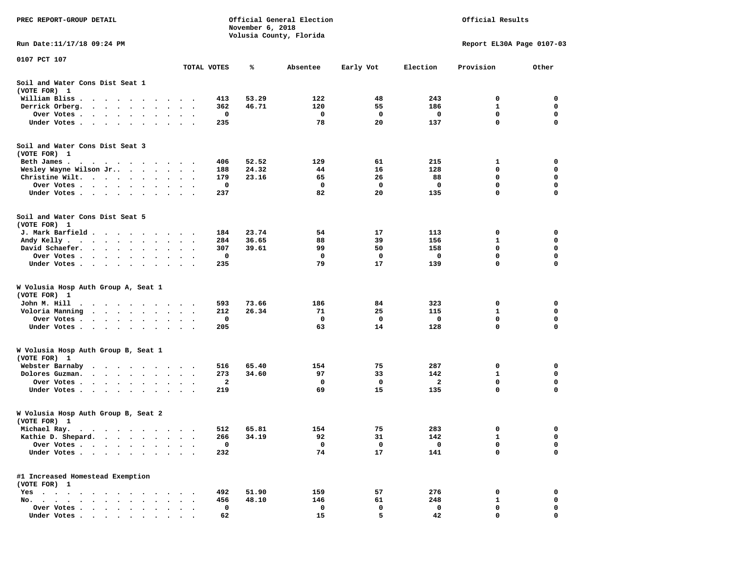| PREC REPORT-GROUP DETAIL                                                                                                           |                      |                        | November 6, 2018 | Official General Election<br>Volusia County, Florida |          | Official Results |                           |                  |                  |
|------------------------------------------------------------------------------------------------------------------------------------|----------------------|------------------------|------------------|------------------------------------------------------|----------|------------------|---------------------------|------------------|------------------|
| Run Date: 11/17/18 09:24 PM                                                                                                        |                      |                        |                  |                                                      |          |                  | Report EL30A Page 0107-03 |                  |                  |
| 0107 PCT 107                                                                                                                       |                      |                        | TOTAL VOTES      | ℁                                                    | Absentee | Early Vot        | Election                  | Provision        | Other            |
| Soil and Water Cons Dist Seat 1                                                                                                    |                      |                        |                  |                                                      |          |                  |                           |                  |                  |
| (VOTE FOR) 1                                                                                                                       |                      |                        |                  | 53.29                                                | 122      |                  | 243                       |                  | 0                |
| William Bliss.<br>$\sim$<br>$\ddot{\phantom{1}}$<br>$\cdot$<br>$\sim$ $\sim$ $\sim$<br>$\overline{\phantom{a}}$<br>Derrick Orberg. |                      |                        | 413<br>362       | 46.71                                                | 120      | 48<br>55         | 186                       | 0<br>1           | 0                |
| $\ddot{\phantom{0}}$<br>$\sim$<br>$\bullet$<br>Over Votes<br>$\bullet$                                                             | $\bullet$            | $\cdot$                | 0                |                                                      | 0        | 0                | 0                         | $\mathbf 0$      | 0                |
| Under Votes<br>$\ddot{\phantom{0}}$                                                                                                |                      |                        | 235              |                                                      | 78       | 20               | 137                       | 0                | 0                |
| Soil and Water Cons Dist Seat 3<br>(VOTE FOR) 1                                                                                    |                      |                        |                  |                                                      |          |                  |                           |                  |                  |
| Beth James.<br>$\cdots$                                                                                                            | $\sim$               |                        | 406              | 52.52                                                | 129      | 61               | 215                       | 1                | 0                |
| Wesley Wayne Wilson Jr                                                                                                             | $\ddot{\phantom{0}}$ | $\bullet$<br>$\bullet$ | 188              | 24.32                                                | 44       | 16               | 128                       | 0                | 0                |
| Christine Wilt.<br>$\bullet$<br>$\ddot{\phantom{0}}$<br>$\bullet$                                                                  |                      | $\bullet$              | 179              | 23.16                                                | 65       | 26               | 88                        | 0                | 0                |
| Over Votes<br>$\bullet$<br>$\bullet$                                                                                               | $\bullet$            | $\cdot$                | 0                |                                                      | 0        | 0                | 0                         | $\mathbf 0$<br>0 | $\mathbf 0$<br>0 |
| Under Votes<br>$\cdot$                                                                                                             |                      | $\sim$ $\sim$          | 237              |                                                      | 82       | 20               | 135                       |                  |                  |
| Soil and Water Cons Dist Seat 5<br>(VOTE FOR) 1                                                                                    |                      |                        |                  |                                                      |          |                  |                           |                  |                  |
| J. Mark Barfield                                                                                                                   | $\bullet$            | $\cdot$ .              | 184              | 23.74                                                | 54       | 17               | 113                       | 0                | 0                |
| Andy Kelly<br>$\bullet$                                                                                                            |                      |                        | 284              | 36.65                                                | 88       | 39               | 156                       | 1                | 0                |
| David Schaefer.<br>$\mathcal{L}^{\text{max}}$ , and $\mathcal{L}^{\text{max}}$<br>$\bullet$<br>$\bullet$<br>$\bullet$              | $\bullet$            |                        | 307              | 39.61                                                | 99       | 50               | 158                       | 0                | 0                |
| Over Votes<br>$\ddot{\phantom{1}}$                                                                                                 |                      |                        | 0                |                                                      | 0        | 0                | 0                         | 0                | 0                |
| Under Votes<br>$\ddot{\phantom{0}}$<br>$\bullet$                                                                                   | $\bullet$            | $\ddot{\phantom{1}}$   | 235              |                                                      | 79       | 17               | 139                       | 0                | 0                |
| W Volusia Hosp Auth Group A, Seat 1<br>(VOTE FOR) 1                                                                                |                      |                        |                  |                                                      |          |                  |                           |                  |                  |
| John M. Hill                                                                                                                       |                      |                        | 593              | 73.66                                                | 186      | 84               | 323                       | 0                | 0                |
| Voloria Manning<br>$\cdots$<br>$\ddot{\phantom{0}}$<br>$\bullet$<br>$\bullet$                                                      |                      |                        | 212              | 26.34                                                | 71       | 25               | 115                       | 1                | 0                |
| Over Votes .<br>$\sim$ $\sim$<br>$\sim$ $\sim$<br>$\bullet$<br>$\bullet$                                                           | $\bullet$            | $\bullet$              | 0                |                                                      | 0        | 0                | 0                         | 0                | $\mathbf 0$      |
| Under Votes<br>$\sim$                                                                                                              |                      | $\sim$ $\sim$ $\sim$   | 205              |                                                      | 63       | 14               | 128                       | $\mathbf 0$      | $\mathbf 0$      |
| W Volusia Hosp Auth Group B, Seat 1<br>(VOTE FOR) 1                                                                                |                      |                        |                  |                                                      |          |                  |                           |                  |                  |
| Webster Barnaby<br>$\cdots$<br>$\bullet$<br>$\bullet$                                                                              | $\bullet$            |                        | 516              | 65.40                                                | 154      | 75               | 287                       | 0                | 0                |
| Dolores Guzman.<br>$\cdot$ $\cdot$ $\cdot$ $\cdot$<br>$\bullet$<br>$\cdot$                                                         |                      |                        | 273              | 34.60                                                | 97       | 33               | 142                       | 1                | 0                |
| Over Votes .<br>$\bullet$ $\bullet$<br>$\ddot{\phantom{a}}$<br>$\cdot$<br>$\bullet$                                                |                      |                        | 2                |                                                      | 0        | 0                | 2                         | 0                | 0                |
| Under Votes<br>$\bullet$                                                                                                           |                      |                        | 219              |                                                      | 69       | 15               | 135                       | $\mathbf 0$      | 0                |
| W Volusia Hosp Auth Group B, Seat 2<br>(VOTE FOR)<br>$\mathbf{1}$                                                                  |                      |                        |                  |                                                      |          |                  |                           |                  |                  |
| Michael Ray.                                                                                                                       |                      |                        | 512              | 65.81                                                | 154      | 75               | 283                       | 0                | 0                |
| Kathie D. Shepard.<br>$\bullet$<br>$\bullet$<br>$\bullet$                                                                          |                      |                        | 266              | 34.19                                                | 92       | 31               | 142                       | 1                | 0                |
| Over Votes .<br>$\ddot{\phantom{a}}$<br>$\bullet$<br>$\ddot{\phantom{a}}$<br>$\bullet$                                             |                      |                        | 0                |                                                      | 0        | 0                | $\mathbf 0$               | 0                | 0                |
| Under Votes<br>$\ddot{\phantom{0}}$<br>$\sim$<br>$\ddot{\phantom{0}}$<br>$\ddot{\phantom{1}}$<br>$\bullet$                         |                      |                        | 232              |                                                      | 74       | 17               | 141                       | 0                | 0                |
| #1 Increased Homestead Exemption<br>(VOTE FOR) 1                                                                                   |                      |                        |                  |                                                      |          |                  |                           |                  |                  |
| $Yes \cdot \cdot \cdot \cdot \cdot \cdot \cdot$<br>$\ddot{\phantom{0}}$<br>$\cdot$                                                 |                      |                        | 492              | 51.90                                                | 159      | 57               | 276                       | 0                | 0                |
| No.<br>$\cdot$<br>$\cdot$<br>$\ddot{\phantom{a}}$<br>$\ddot{\phantom{a}}$<br>$\overline{\phantom{a}}$                              |                      |                        | 456              | 48.10                                                | 146      | 61               | 248                       | $\mathbf{1}$     | 0                |
| Over Votes<br>$\bullet$                                                                                                            |                      |                        | 0                |                                                      | 0        | 0                | 0                         | 0                | 0                |
| Under Votes                                                                                                                        |                      |                        | 62               |                                                      | 15       | 5                | 42                        | $\Omega$         | $\Omega$         |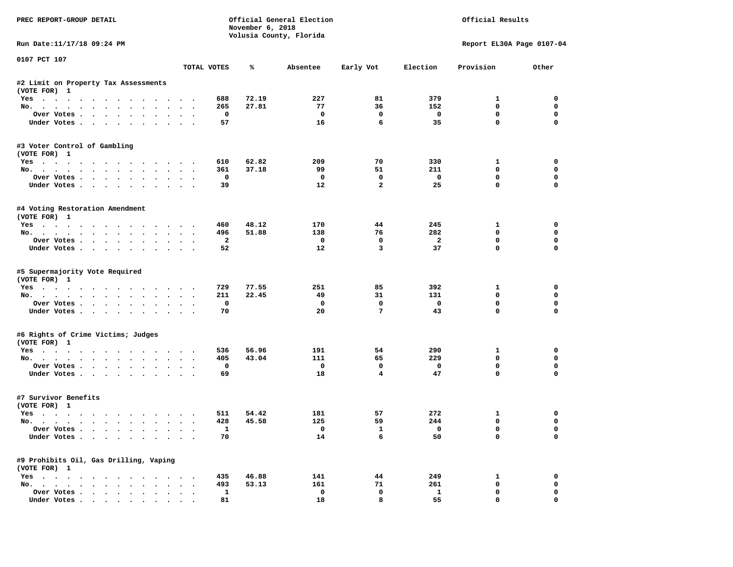| PREC REPORT-GROUP DETAIL                                                         |                                |                | November 6, 2018 | Official General Election<br>Volusia County, Florida |                 | Official Results          |                             |                            |  |
|----------------------------------------------------------------------------------|--------------------------------|----------------|------------------|------------------------------------------------------|-----------------|---------------------------|-----------------------------|----------------------------|--|
| Run Date:11/17/18 09:24 PM                                                       |                                |                |                  |                                                      |                 | Report EL30A Page 0107-04 |                             |                            |  |
| 0107 PCT 107                                                                     |                                | TOTAL VOTES    | ℁                | Absentee                                             | Early Vot       | Election                  | Provision                   | Other                      |  |
|                                                                                  |                                |                |                  |                                                      |                 |                           |                             |                            |  |
| #2 Limit on Property Tax Assessments<br>(VOTE FOR) 1                             |                                |                |                  |                                                      |                 |                           |                             |                            |  |
| Yes                                                                              |                                | 688            | 72.19            | 227                                                  | 81              | 379                       | $\mathbf{1}$                | $\Omega$                   |  |
| No.                                                                              |                                | 265            | 27.81            | 77                                                   | 36              | 152                       | 0                           | $\mathbf 0$                |  |
| Over Votes                                                                       |                                | $\mathbf{o}$   |                  | $\mathbf 0$                                          | $\mathbf 0$     | $\overline{\mathbf{0}}$   | 0                           | 0                          |  |
| Under Votes                                                                      |                                | 57             |                  | 16                                                   | 6               | 35                        | $\mathbf 0$                 | $\Omega$                   |  |
| #3 Voter Control of Gambling<br>(VOTE FOR) 1                                     |                                |                |                  |                                                      |                 |                           |                             |                            |  |
| Yes                                                                              |                                | 610            | 62.82            | 209                                                  | 70              | 330                       | $\mathbf{1}$                | 0                          |  |
| No.                                                                              |                                | 361            | 37.18            | 99                                                   | 51              | 211                       | $\mathbf 0$                 | 0                          |  |
| Over Votes                                                                       |                                | $\mathbf{o}$   |                  | $\Omega$                                             | $\mathbf 0$     | $\overline{\phantom{0}}$  | 0                           | $\mathbf 0$                |  |
| Under Votes                                                                      |                                | 39             |                  | 12                                                   | $\overline{2}$  | 25                        | $\mathbf 0$                 | $\mathbf 0$                |  |
| #4 Voting Restoration Amendment<br>(VOTE FOR) 1                                  |                                |                |                  |                                                      |                 |                           |                             |                            |  |
| Yes                                                                              |                                | 460            | 48.12            | 170                                                  | 44              | 245                       | $\mathbf{1}$                | 0                          |  |
| No.                                                                              |                                | 496            | 51.88            | 138                                                  | 76              | 282                       | $\mathbf 0$                 | 0                          |  |
| Over Votes                                                                       |                                | $\overline{a}$ |                  | $\mathbf 0$                                          | $\mathbf 0$     | $\overline{\mathbf{2}}$   | $\mathbf 0$                 | $\mathbf 0$                |  |
| Under Votes                                                                      |                                | 52             |                  | 12                                                   | $\overline{3}$  | 37                        | $\mathbf 0$                 | $\Omega$                   |  |
| #5 Supermajority Vote Required<br>(VOTE FOR) 1<br>Yes<br>No.                     |                                | 729<br>211     | 77.55<br>22.45   | 251<br>49                                            | 85<br>31        | 392<br>131                | $\mathbf{1}$<br>$\mathbf 0$ | $\mathbf 0$<br>$\mathbf 0$ |  |
| Over Votes                                                                       |                                | 0              |                  | $\mathbf{o}$                                         | $^{\circ}$      | $\mathbf 0$               | $\mathbf 0$                 | $\mathbf 0$                |  |
| Under Votes                                                                      |                                | 70             |                  | 20                                                   | $7\phantom{.0}$ | 43                        | $\mathbf 0$                 | $\mathbf 0$                |  |
| #6 Rights of Crime Victims; Judges<br>(VOTE FOR) 1                               |                                |                |                  |                                                      |                 |                           |                             |                            |  |
|                                                                                  |                                | 536            | 56.96            | 191                                                  | 54              | 290                       | $\mathbf{1}$                | 0                          |  |
| Yes<br>No.                                                                       |                                | 405            | 43.04            | 111                                                  | 65              | 229                       | 0                           | 0                          |  |
| Over Votes<br>$\cdot$ $\cdot$ $\cdot$                                            |                                | $\mathbf 0$    |                  | $\mathbf 0$                                          | $\mathbf 0$     | $\mathbf 0$               | 0                           | $\mathbf 0$                |  |
| Under Votes                                                                      |                                | 69             |                  | 18                                                   | $\overline{4}$  | 47                        | $\Omega$                    | $\Omega$                   |  |
| #7 Survivor Benefits<br>(VOTE FOR) 1                                             |                                |                |                  |                                                      |                 |                           |                             |                            |  |
| Yes                                                                              |                                | 511            | 54.42            | 181                                                  | 57              | 272                       | 1                           | 0                          |  |
| No.                                                                              |                                | 428            | 45.58            | 125                                                  | 59              | 244                       | 0                           | $\mathbf 0$                |  |
| Over Votes                                                                       |                                | <b>1</b>       |                  | $\mathbf{o}$                                         | 1               | $\overline{\mathbf{0}}$   | $\mathbf 0$                 | $\mathbf 0$                |  |
| Under Votes                                                                      |                                | 70             |                  | 14                                                   | 6               | 50                        | $\mathbf{0}$                | $\mathbf 0$                |  |
| #9 Prohibits Oil, Gas Drilling, Vaping<br>(VOTE FOR) 1                           |                                |                |                  |                                                      |                 |                           |                             |                            |  |
| Yes                                                                              |                                | 435            | 46.88            | 141                                                  | 44              | 249                       | 1                           | 0                          |  |
| No.                                                                              |                                | 493            | 53.13            | 161                                                  | 71              | 261                       | 0                           | 0                          |  |
| Over Votes                                                                       | $\sim$<br>$\ddot{\phantom{a}}$ | $\mathbf{1}$   |                  | $\mathbf 0$                                          | $\mathbf 0$     | $\mathbf{1}$              | $\mathbf 0$                 | 0                          |  |
| Under Votes, $\cdot$ , $\cdot$ , $\cdot$ , $\cdot$ , $\cdot$ , $\cdot$ , $\cdot$ |                                | 81             |                  | 18                                                   | 8               | 55                        | $\Omega$                    | $\Omega$                   |  |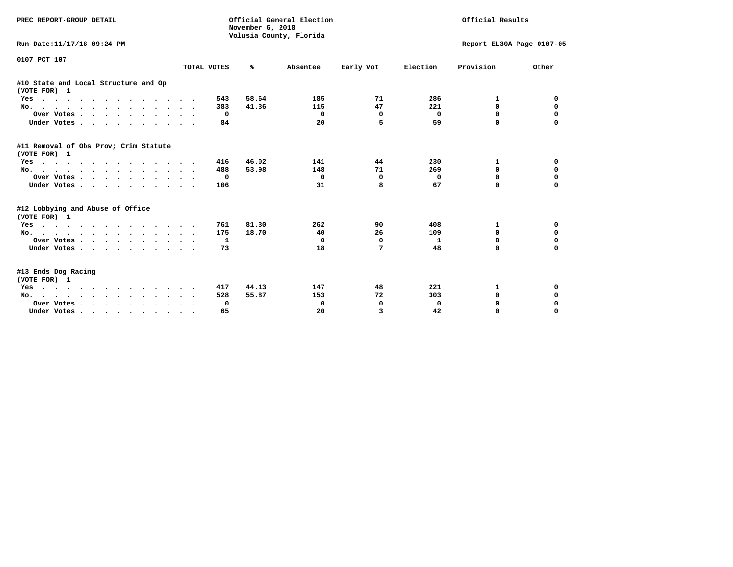| PREC REPORT-GROUP DETAIL                              |             | Official General Election<br>November 6, 2018<br>Volusia County, Florida |          | Official Results |                           |             |             |
|-------------------------------------------------------|-------------|--------------------------------------------------------------------------|----------|------------------|---------------------------|-------------|-------------|
| Run Date:11/17/18 09:24 PM                            |             |                                                                          |          |                  | Report EL30A Page 0107-05 |             |             |
| 0107 PCT 107                                          | TOTAL VOTES | ℁                                                                        | Absentee | Early Vot        | Election                  | Provision   | Other       |
|                                                       |             |                                                                          |          |                  |                           |             |             |
| #10 State and Local Structure and Op<br>(VOTE FOR) 1  |             |                                                                          |          |                  |                           |             |             |
| Yes                                                   | 543         | 58.64                                                                    | 185      | 71               | 286                       | 1           | 0           |
| No.                                                   | 383         | 41.36                                                                    | 115      | 47               | 221                       | $\Omega$    | 0           |
| Over Votes.                                           | 0           |                                                                          | 0        | 0                | 0                         | $\Omega$    | 0           |
| Under Votes.                                          | 84          |                                                                          | 20       | 5                | 59                        | $\Omega$    |             |
| #11 Removal of Obs Prov; Crim Statute<br>(VOTE FOR) 1 |             |                                                                          |          |                  |                           |             |             |
| Yes                                                   | 416         | 46.02                                                                    | 141      | 44               | 230                       | 1           | 0           |
| No.                                                   | 488         | 53.98                                                                    | 148      | 71               | 269                       | $\Omega$    | $\mathbf 0$ |
| Over Votes                                            | 0           |                                                                          | 0        | 0                | 0                         | $\Omega$    | $\mathbf 0$ |
| Under Votes.                                          | 106         |                                                                          | 31       | 8                | 67                        | $\Omega$    | $\Omega$    |
| #12 Lobbying and Abuse of Office<br>(VOTE FOR) 1      |             |                                                                          |          |                  |                           |             |             |
| Yes                                                   | 761         | 81.30                                                                    | 262      | 90               | 408                       | 1           | 0           |
| No.                                                   | 175         | 18.70                                                                    | 40       | 26               | 109                       | $\Omega$    | $\mathbf 0$ |
| Over Votes                                            | 1           |                                                                          | 0        | 0                | $\mathbf{1}$              | 0           | $\mathbf 0$ |
| Under Votes                                           | 73          |                                                                          | 18       | 7                | 48                        | $\Omega$    | $\Omega$    |
| #13 Ends Dog Racing<br>(VOTE FOR) 1                   |             |                                                                          |          |                  |                           |             |             |
| Yes                                                   | 417         | 44.13                                                                    | 147      | 48               | 221                       | 1           | 0           |
| No.                                                   | 528         | 55.87                                                                    | 153      | 72               | 303                       | $\mathbf 0$ | $\mathbf 0$ |
| Over Votes                                            | 0           |                                                                          | 0        | 0                | 0                         | 0           | $\mathbf 0$ |
| Under Votes                                           | 65          |                                                                          | 20       | 3                | 42                        | $\Omega$    | $\Omega$    |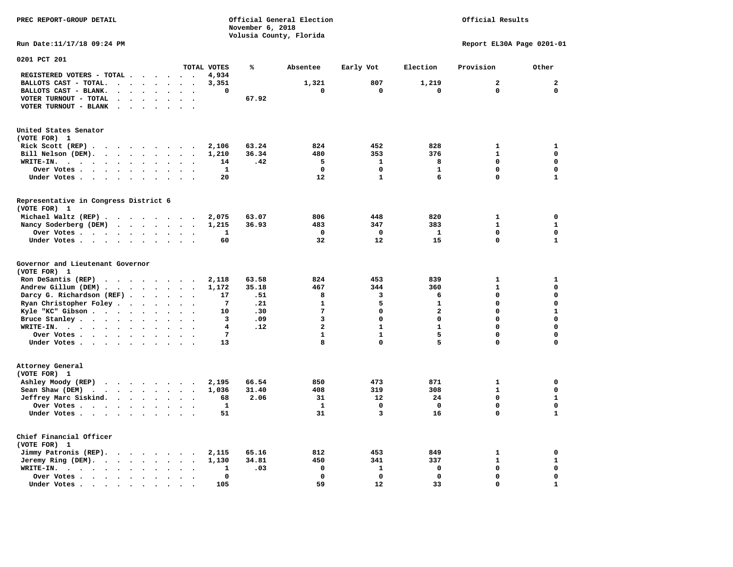| PREC REPORT-GROUP DETAIL                                                                                                                                                                          | Official General Election<br>November 6, 2018                                            |                                                         | Official Results                                                                                             |
|---------------------------------------------------------------------------------------------------------------------------------------------------------------------------------------------------|------------------------------------------------------------------------------------------|---------------------------------------------------------|--------------------------------------------------------------------------------------------------------------|
|                                                                                                                                                                                                   | Volusia County, Florida                                                                  |                                                         |                                                                                                              |
| Run Date: 11/17/18 09:24 PM                                                                                                                                                                       |                                                                                          |                                                         | Report EL30A Page 0201-01                                                                                    |
| 0201 PCT 201<br>TOTAL VOTES                                                                                                                                                                       | ℁<br>Absentee                                                                            | Early Vot<br>Election                                   | Provision<br>Other                                                                                           |
| REGISTERED VOTERS - TOTAL<br>4,934                                                                                                                                                                |                                                                                          |                                                         |                                                                                                              |
| BALLOTS CAST - TOTAL.<br>3,351<br>$\cdots$                                                                                                                                                        | 1,321                                                                                    | 807<br>1,219                                            | $\overline{2}$<br>$\overline{a}$                                                                             |
| BALLOTS CAST - BLANK.<br>$\cdot$ $\cdot$ $\cdot$ $\cdot$<br>$\sim$                                                                                                                                | 0<br>0                                                                                   | 0<br>0                                                  | $\mathbf{0}$<br>$\mathbf 0$                                                                                  |
| VOTER TURNOUT - TOTAL<br>$\cdots$                                                                                                                                                                 | 67.92                                                                                    |                                                         |                                                                                                              |
| VOTER TURNOUT - BLANK<br>$\sim$ $\sim$ $\sim$                                                                                                                                                     |                                                                                          |                                                         |                                                                                                              |
| United States Senator                                                                                                                                                                             |                                                                                          |                                                         |                                                                                                              |
| (VOTE FOR) 1                                                                                                                                                                                      |                                                                                          |                                                         |                                                                                                              |
| Rick Scott $(REP)$ .<br>2,106                                                                                                                                                                     | 63.24<br>824                                                                             | 452<br>828                                              | 1<br>1                                                                                                       |
| Bill Nelson (DEM).<br>1,210                                                                                                                                                                       | 36.34<br>480                                                                             | 353<br>376                                              | $\mathbf{1}$<br>$\mathbf 0$                                                                                  |
| WRITE-IN.                                                                                                                                                                                         | .42<br>5<br>14                                                                           | $\mathbf{1}$<br>8                                       | $\mathbf 0$<br>$\mathbf 0$                                                                                   |
| Over Votes<br>$\ddot{\phantom{a}}$<br>$\ddot{\phantom{a}}$<br>$\ddot{\phantom{a}}$<br>$\cdot$                                                                                                     | $\mathbf 0$<br>1                                                                         | $\mathbf 0$<br>$\mathbf{1}$                             | $\mathbf 0$<br>$\mathbf 0$                                                                                   |
| Under Votes                                                                                                                                                                                       | 12<br>20                                                                                 | $\mathbf{1}$<br>6                                       | $\Omega$<br>$\mathbf{1}$                                                                                     |
| Representative in Congress District 6<br>(VOTE FOR) 1                                                                                                                                             |                                                                                          |                                                         |                                                                                                              |
| Michael Waltz (REP)<br>2,075                                                                                                                                                                      | 63.07<br>806                                                                             | 820<br>448                                              | 1<br>0                                                                                                       |
| 1,215<br>Nancy Soderberg (DEM)                                                                                                                                                                    | 36.93<br>483                                                                             | 347<br>383                                              | $\mathbf{1}$<br>$\mathbf{1}$                                                                                 |
| Over Votes<br>$\sim$ $\sim$ $\sim$<br>$\sim$                                                                                                                                                      | 0<br>1                                                                                   | 0<br>1                                                  | $\mathbf 0$<br>$\mathbf 0$                                                                                   |
| Under Votes                                                                                                                                                                                       | 32<br>60                                                                                 | 12<br>15                                                | $\mathbf 0$<br>$\mathbf{1}$                                                                                  |
| Governor and Lieutenant Governor<br>(VOTE FOR) 1<br>Ron DeSantis (REP) $\cdots$ $\cdots$ $\cdots$<br>2,118<br>Andrew Gillum (DEM)<br>1,172<br>Darcy G. Richardson (REF)<br>Ryan Christopher Foley | 824<br>63.58<br>35.18<br>467<br>.51<br>8<br>17<br>$7\phantom{.0}$<br>$\mathbf{1}$<br>.21 | 453<br>839<br>344<br>360<br>3<br>6<br>5<br>$\mathbf{1}$ | $\mathbf{1}$<br>1<br>$\mathbf 0$<br>$\mathbf{1}$<br>$\mathbf 0$<br>$\mathbf 0$<br>$\mathbf 0$<br>$\mathbf 0$ |
| Kyle "KC" Gibson<br>$\sim$ $\sim$                                                                                                                                                                 | $7\phantom{.0}$<br>.30<br>10                                                             | $\mathbf 0$<br>$\overline{a}$                           | $\mathbf 0$<br>$\mathbf{1}$                                                                                  |
| Bruce Stanley<br>$\bullet$ .<br><br><br><br><br><br><br><br><br><br><br><br>                                                                                                                      | 3<br>.09<br>3                                                                            | $\mathbf{0}$<br>$\mathbf{0}$                            | $\Omega$<br>$\mathbf{0}$                                                                                     |
| WRITE-IN.<br>$\sim$ $\sim$                                                                                                                                                                        | $\overline{a}$<br>.12<br>4                                                               | $\mathbf{1}$<br>$\mathbf{1}$                            | $\mathbf 0$<br>$\Omega$                                                                                      |
| Over Votes                                                                                                                                                                                        | $7\phantom{.0}$<br>$\mathbf{1}$                                                          | $\mathbf{1}$<br>5                                       | $\mathbf 0$<br>$\mathbf 0$                                                                                   |
| Under Votes                                                                                                                                                                                       | 8<br>13                                                                                  | $\mathbf 0$<br>5                                        | $\mathbf 0$<br>$\mathbf 0$                                                                                   |
| Attorney General<br>(VOTE FOR) 1                                                                                                                                                                  |                                                                                          |                                                         |                                                                                                              |
| Ashley Moody (REP)<br>2,195                                                                                                                                                                       | 66.54<br>850                                                                             | 473<br>871                                              | $\mathbf{0}$<br>1                                                                                            |
| Sean Shaw (DEM) $\cdots$ $\cdots$ $\cdots$ $\cdots$<br>1,036                                                                                                                                      | 31.40<br>408                                                                             | 319<br>308                                              | $\mathbf 0$<br>$\mathbf{1}$                                                                                  |
| Jeffrey Marc Siskind.                                                                                                                                                                             | 2.06<br>31<br>68                                                                         | 12<br>24                                                | $\mathbf 0$<br>$\mathbf{1}$                                                                                  |
| Over Votes                                                                                                                                                                                        | $\mathbf{1}$<br>$\mathbf{1}$                                                             | 0<br>$\mathbf{0}$                                       | $\mathbf 0$<br>$\mathbf 0$                                                                                   |
| Under Votes                                                                                                                                                                                       | 31<br>51                                                                                 | $\overline{\mathbf{3}}$<br>16                           | $\mathbf 0$<br>$\mathbf{1}$                                                                                  |
| Chief Financial Officer<br>(VOTE FOR) 1                                                                                                                                                           |                                                                                          |                                                         |                                                                                                              |
| Jimmy Patronis (REP).<br>2,115<br>$\sim$                                                                                                                                                          | 65.16<br>812                                                                             | 453<br>849                                              | $\mathbf 0$<br>1                                                                                             |
| Jeremy Ring (DEM).<br>1,130                                                                                                                                                                       | 450<br>34.81                                                                             | 341<br>337                                              | $\mathbf{1}$<br>$\mathbf{1}$                                                                                 |
| WRITE-IN.<br>$\mathbf{r}$ , $\mathbf{r}$ , $\mathbf{r}$ , $\mathbf{r}$ , $\mathbf{r}$ , $\mathbf{r}$<br>$\ddot{\phantom{a}}$<br>$\sim$                                                            | 1<br>.03<br>$\mathbf 0$                                                                  | 1<br>0                                                  | $\mathbf 0$<br>$\mathbf 0$                                                                                   |
| Over Votes<br>$\bullet$<br>$\bullet$<br>$\blacksquare$                                                                                                                                            | $\Omega$<br>$\Omega$                                                                     | $\Omega$<br>$\Omega$                                    | $\Omega$<br>$\mathbf 0$                                                                                      |
| Under Votes<br>$\ddot{\phantom{a}}$<br>$\overline{\phantom{a}}$<br>$\overline{\phantom{a}}$<br>$\sim$                                                                                             | 59<br>105                                                                                | 12<br>33                                                | $\mathbf 0$<br>$\mathbf{1}$                                                                                  |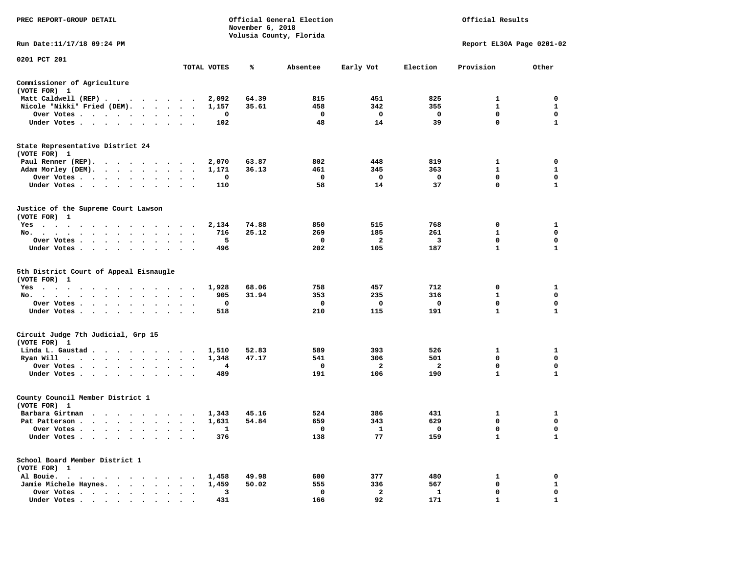| PREC REPORT-GROUP DETAIL                                      |              | November 6, 2018 | Official General Election<br>Volusia County, Florida |                         |                         | Official Results            |                  |
|---------------------------------------------------------------|--------------|------------------|------------------------------------------------------|-------------------------|-------------------------|-----------------------------|------------------|
| Run Date: 11/17/18 09:24 PM                                   |              |                  |                                                      |                         |                         | Report EL30A Page 0201-02   |                  |
| 0201 PCT 201                                                  | TOTAL VOTES  | ℁                | Absentee                                             | Early Vot               | Election                | Provision                   | Other            |
| Commissioner of Agriculture                                   |              |                  |                                                      |                         |                         |                             |                  |
| (VOTE FOR) 1                                                  |              |                  |                                                      |                         |                         |                             |                  |
| Matt Caldwell (REP)                                           | 2,092        | 64.39            | 815                                                  | 451                     | 825                     | $\mathbf{1}$                | $\Omega$         |
| Nicole "Nikki" Fried (DEM).                                   | 1,157        | 35.61            | 458                                                  | 342                     | 355                     | $\mathbf{1}$                | $\mathbf{1}$     |
| Over Votes                                                    | 0            |                  | $\overline{\phantom{0}}$                             | $\overline{\mathbf{0}}$ | $\mathbf 0$             | $\mathbf 0$                 | $\mathbf 0$      |
| Under Votes                                                   | 102          |                  | 48                                                   | 14                      | 39                      | $\mathbf{0}$                | $\mathbf{1}$     |
| State Representative District 24<br>(VOTE FOR) 1              |              |                  |                                                      |                         |                         |                             |                  |
| Paul Renner (REP).                                            | 2,070        | 63.87            | 802                                                  | 448                     | 819                     | $\mathbf{1}$                | 0                |
| Adam Morley (DEM).                                            | 1,171        | 36.13            | 461                                                  | 345                     | 363                     | $\mathbf{1}$                | 1                |
| Over Votes                                                    | 0            |                  | $\mathbf{o}$                                         | $\overline{\mathbf{0}}$ | $\mathbf 0$             | $\mathbf 0$                 | 0                |
| Under Votes                                                   | 110          |                  | 58                                                   | 14                      | 37                      | $\mathbf 0$                 | $\mathbf{1}$     |
| Justice of the Supreme Court Lawson<br>(VOTE FOR) 1           |              |                  |                                                      |                         |                         |                             |                  |
| Yes                                                           | 2,134        | 74.88            | 850                                                  | 515                     | 768                     | $\mathbf 0$                 | 1                |
| No.                                                           | 716          | 25.12            | 269                                                  | 185                     | 261                     | $\mathbf{1}$                | $\mathbf 0$      |
| Over Votes                                                    | 5            |                  | $\mathbf 0$                                          | $\overline{a}$          | $\overline{\mathbf{3}}$ | $\mathbf 0$                 | $\mathbf 0$      |
| Under Votes                                                   | 496          |                  | 202                                                  | 105                     | 187                     | $\mathbf{1}$                | $\mathbf{1}$     |
| 5th District Court of Appeal Eisnaugle<br>(VOTE FOR) 1<br>Yes | 1,928        | 68.06            | 758                                                  | 457                     | 712                     | 0                           | 1                |
| No.                                                           | 905          | 31.94            | 353<br>$\mathbf 0$                                   | 235                     | 316                     | $\mathbf{1}$<br>$\mathbf 0$ | 0<br>$\mathbf 0$ |
| Over Votes                                                    | 0            |                  | 210                                                  | 0<br>115                | $\mathbf 0$<br>191      | $\mathbf{1}$                | $\mathbf{1}$     |
| Under Votes                                                   | 518          |                  |                                                      |                         |                         |                             |                  |
| Circuit Judge 7th Judicial, Grp 15<br>(VOTE FOR) 1            |              |                  |                                                      |                         |                         |                             |                  |
| Linda L. Gaustad 1,510                                        |              | 52.83            | 589                                                  | 393                     | 526                     | $\mathbf{1}$                | 1                |
| Ryan Will $\cdots$                                            | 1,348        | 47.17            | 541                                                  | 306                     | 501                     | $\Omega$                    | $\mathbf 0$      |
| Over Votes                                                    | 4            |                  | $\mathbf 0$                                          | $\overline{\mathbf{2}}$ | $\overline{a}$          | $\mathbf 0$                 | $\mathbf 0$      |
| Under Votes                                                   | 489          |                  | 191                                                  | 106                     | 190                     | $\mathbf{1}$                | $\mathbf{1}$     |
| County Council Member District 1<br>(VOTE FOR) 1              |              |                  |                                                      |                         |                         |                             |                  |
| Barbara Girtman 1,343                                         |              | 45.16            | 524                                                  | 386                     | 431                     | $\mathbf{1}$                | 1                |
| Pat Patterson                                                 | 1,631        | 54.84            | 659                                                  | 343                     | 629                     | $\mathbf 0$                 | $\mathbf 0$      |
| Over Votes                                                    | $\mathbf{1}$ |                  | $\Omega$                                             | $\mathbf{1}$            | $\Omega$                | $\mathbf{0}$                | $\mathbf 0$      |
| Under Votes                                                   | 376          |                  | 138                                                  | 77                      | 159                     | $\mathbf{1}$                | $\mathbf{1}$     |
| School Board Member District 1<br>(VOTE FOR) 1                |              |                  |                                                      |                         |                         |                             |                  |
| Al Bouie.                                                     | 1,458        | 49.98            | 600                                                  | 377                     | 480                     | 1                           | 0                |
| Jamie Michele Haynes.                                         | 1,459        | 50.02            | 555                                                  | 336                     | 567                     | $\mathbf 0$                 | $\mathbf{1}$     |
| Over Votes                                                    | 3            |                  | $\mathbf 0$                                          | $\overline{a}$          | $\mathbf{1}$            | $\mathbf 0$                 | $\mathbf 0$      |
| Under Votes                                                   | 431          |                  | 166                                                  | 92                      | 171                     | $\mathbf{1}$                | $\mathbf{1}$     |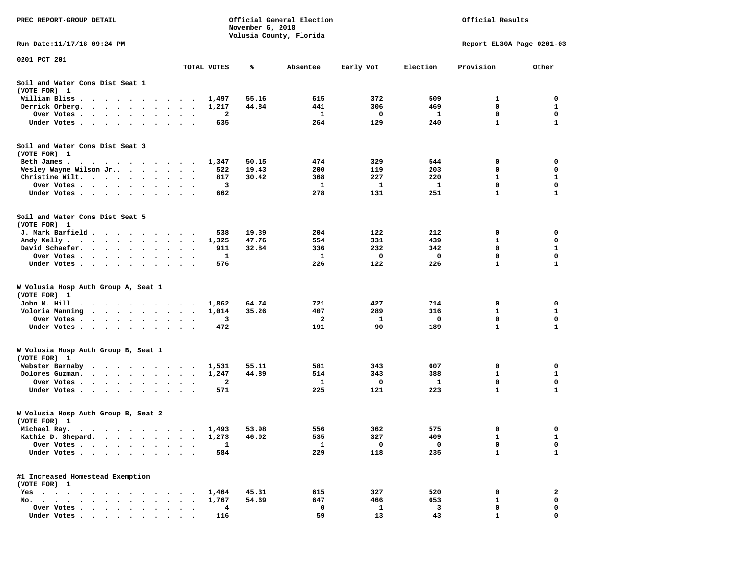| PREC REPORT-GROUP DETAIL                                                                                                                                                                                                                     |                                                | November 6, 2018 | Official General Election<br>Volusia County, Florida |           |          | Official Results          |              |
|----------------------------------------------------------------------------------------------------------------------------------------------------------------------------------------------------------------------------------------------|------------------------------------------------|------------------|------------------------------------------------------|-----------|----------|---------------------------|--------------|
| Run Date:11/17/18 09:24 PM                                                                                                                                                                                                                   |                                                |                  |                                                      |           |          | Report EL30A Page 0201-03 |              |
| 0201 PCT 201                                                                                                                                                                                                                                 | TOTAL VOTES                                    | ℁                | Absentee                                             | Early Vot | Election | Provision                 | Other        |
| Soil and Water Cons Dist Seat 1                                                                                                                                                                                                              |                                                |                  |                                                      |           |          |                           |              |
| (VOTE FOR) 1                                                                                                                                                                                                                                 |                                                |                  |                                                      |           |          |                           |              |
| William Bliss.                                                                                                                                                                                                                               | 1,497<br>$\bullet$                             | 55.16            | 615                                                  | 372       | 509      | 1                         | 0            |
| Derrick Orberg.                                                                                                                                                                                                                              | 1,217<br>$\bullet$<br>$\ddot{\phantom{1}}$     | 44.84            | 441                                                  | 306       | 469      | 0                         | 1            |
| Over Votes .<br>$\cdots$<br>$\cdot$                                                                                                                                                                                                          |                                                | 2                | 1                                                    | 0         | 1        | 0                         | 0            |
| Under Votes                                                                                                                                                                                                                                  |                                                | 635              | 264                                                  | 129       | 240      | $\mathbf{1}$              | $\mathbf{1}$ |
| Soil and Water Cons Dist Seat 3<br>(VOTE FOR) 1                                                                                                                                                                                              |                                                |                  |                                                      |           |          |                           |              |
| Beth James.<br>. The contract of the contract of the contract of the contract of the contract of the contract of the contract of the contract of the contract of the contract of the contract of the contract of the contract of the contrac | 1,347                                          | 50.15            | 474                                                  | 329       | 544      | 0                         | 0            |
| Wesley Wayne Wilson Jr                                                                                                                                                                                                                       |                                                | 19.43<br>522     | 200                                                  | 119       | 203      | 0                         | 0            |
| Christine Wilt.                                                                                                                                                                                                                              |                                                | 30.42<br>817     | 368                                                  | 227       | 220      | $\mathbf{1}$              | $\mathbf{1}$ |
| Over Votes                                                                                                                                                                                                                                   | $\ddot{\phantom{0}}$<br>$\bullet$<br>$\bullet$ | 3                | 1                                                    | 1         | 1        | 0                         | 0            |
| Under Votes                                                                                                                                                                                                                                  |                                                | 662              | 278                                                  | 131       | 251      | $\mathbf{1}$              | 1            |
| Soil and Water Cons Dist Seat 5<br>(VOTE FOR) 1                                                                                                                                                                                              |                                                |                  |                                                      |           |          |                           |              |
| J. Mark Barfield                                                                                                                                                                                                                             |                                                | 538<br>19.39     | 204                                                  | 122       | 212      | 0                         | 0            |
| Andy Kelly                                                                                                                                                                                                                                   | 1,325                                          | 47.76            | 554                                                  | 331       | 439      | 1                         | 0            |
| David Schaefer.<br>$\cdots$                                                                                                                                                                                                                  |                                                | 32.84<br>911     | 336                                                  | 232       | 342      | 0                         | $\mathbf{1}$ |
| Over Votes                                                                                                                                                                                                                                   | $\cdot$                                        | -1               | 1                                                    | 0         | 0        | $\mathbf 0$               | $\mathbf 0$  |
| Under Votes                                                                                                                                                                                                                                  |                                                | 576              | 226                                                  | 122       | 226      | 1                         | 1            |
| W Volusia Hosp Auth Group A, Seat 1<br>(VOTE FOR) 1                                                                                                                                                                                          |                                                |                  |                                                      |           |          |                           |              |
| John M. Hill                                                                                                                                                                                                                                 | 1,862                                          | 64.74            | 721                                                  | 427       | 714      | 0                         | 0            |
| Voloria Manning<br>.                                                                                                                                                                                                                         | 1,014                                          | 35.26            | 407                                                  | 289       | 316      | 1                         | 1            |
| Over Votes.<br>. The contract of the contract of the contract of the contract of the contract of the contract of the contract of the contract of the contract of the contract of the contract of the contract of the contract of the contrac | $\ddot{\phantom{1}}$                           | 3                | 2                                                    | 1         | 0        | 0                         | 0            |
| Under Votes                                                                                                                                                                                                                                  |                                                | 472              | 191                                                  | 90        | 189      | 1                         | 1            |
| W Volusia Hosp Auth Group B, Seat 1<br>(VOTE FOR) 1                                                                                                                                                                                          |                                                |                  |                                                      |           |          |                           |              |
| Webster Barnaby                                                                                                                                                                                                                              | 1,531                                          | 55.11            | 581                                                  | 343       | 607      | 0                         | 0            |
| Dolores Guzman.                                                                                                                                                                                                                              | 1,247<br>$\ddot{\phantom{1}}$                  | 44.89            | 514                                                  | 343       | 388      | 1                         | 1            |
| Over Votes                                                                                                                                                                                                                                   | $\bullet$                                      | 2                | 1                                                    | 0         | 1        | 0                         | 0            |
| Under Votes<br>$\sim$ $\sim$                                                                                                                                                                                                                 | $\bullet$ .<br>$\ddot{\phantom{1}}$            | 571              | 225                                                  | 121       | 223      | $\mathbf{1}$              | $\mathbf{1}$ |
| W Volusia Hosp Auth Group B, Seat 2<br>(VOTE FOR) 1                                                                                                                                                                                          |                                                |                  |                                                      |           |          |                           |              |
| Michael Ray.<br>$\sim$ $\sim$<br>$\bullet$<br>$\bullet$                                                                                                                                                                                      | 1,493                                          | 53.98            | 556                                                  | 362       | 575      | 0                         | 0            |
| Kathie D. Shepard.<br>$\bullet$<br>$\ddot{\phantom{a}}$<br>$\bullet$<br>$\bullet$                                                                                                                                                            | 1,273                                          | 46.02            | 535                                                  | 327       | 409      | 1                         | 1            |
| Over Votes .<br>$\bullet$<br>$\bullet$<br>$\ddot{\phantom{1}}$                                                                                                                                                                               |                                                | 1                | $\mathbf{1}$                                         | 0         | 0        | 0                         | 0            |
| Under Votes<br>$\sim$<br>$\begin{array}{cccccccccccccc} \bullet & \bullet & \bullet & \bullet & \bullet & \bullet & \bullet \end{array}$                                                                                                     | $\bullet$<br>$\ddot{\phantom{1}}$              | 584              | 229                                                  | 118       | 235      | $\mathbf{1}$              | 1            |
| #1 Increased Homestead Exemption<br>(VOTE FOR) 1                                                                                                                                                                                             |                                                |                  |                                                      |           |          |                           |              |
| $Yes \t . \t .$<br>$\cdot$                                                                                                                                                                                                                   | 1,464                                          | 45.31            | 615                                                  | 327       | 520      | 0                         | 2            |
| No. $\cdot$ $\cdot$ $\cdot$<br>$\sim$ $\sim$<br>$\sim$ $\sim$<br>$\bullet$                                                                                                                                                                   | 1,767                                          | 54.69            | 647                                                  | 466       | 653      | 1                         | 0            |
| Over Votes<br>$\sim$ $\sim$<br>$\cdot$<br>$\ddot{\phantom{a}}$                                                                                                                                                                               |                                                | 4                | 0                                                    | 1         | 3        | 0                         | 0            |
| Under Votes                                                                                                                                                                                                                                  |                                                | 116              | 59                                                   | 13        | 43       |                           | $\Omega$     |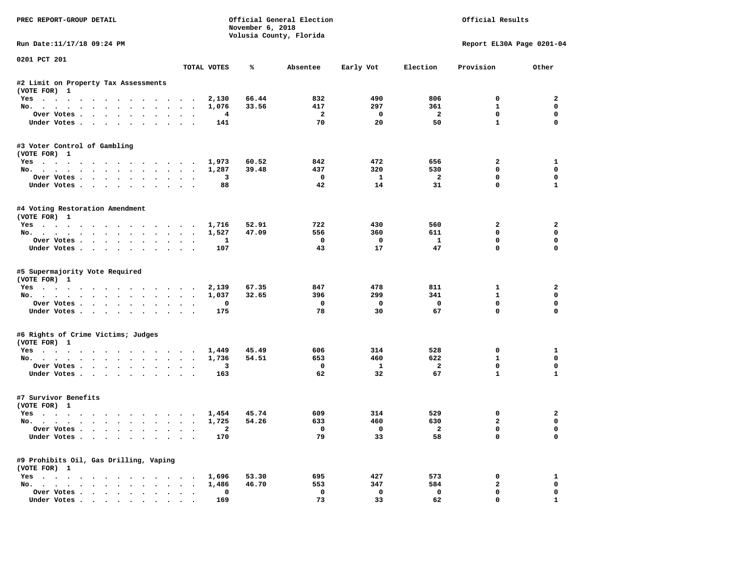| PREC REPORT-GROUP DETAIL                               |                                |                         | November 6, 2018 | Official General Election<br>Volusia County, Florida |                         | Official Results              |                            |                         |  |
|--------------------------------------------------------|--------------------------------|-------------------------|------------------|------------------------------------------------------|-------------------------|-------------------------------|----------------------------|-------------------------|--|
| Run Date:11/17/18 09:24 PM                             |                                |                         |                  |                                                      |                         |                               | Report EL30A Page 0201-04  |                         |  |
| 0201 PCT 201                                           |                                | TOTAL VOTES             | ℁                | Absentee                                             | Early Vot               | Election                      | Provision                  | Other                   |  |
|                                                        |                                |                         |                  |                                                      |                         |                               |                            |                         |  |
| #2 Limit on Property Tax Assessments<br>(VOTE FOR) 1   |                                |                         |                  |                                                      |                         |                               |                            |                         |  |
| Yes                                                    |                                | 2,130                   | 66.44            | 832                                                  | 490                     | 806                           | $^{\circ}$                 | $\overline{2}$          |  |
| No.                                                    |                                | 1,076                   | 33.56            | 417                                                  | 297                     | 361                           | $\mathbf{1}$               | $\mathbf 0$             |  |
| Over Votes                                             | $\sim$                         | $\overline{4}$          |                  | $\overline{\mathbf{2}}$                              | $\overline{\mathbf{0}}$ | $\overline{\mathbf{2}}$       | $\mathbf 0$                | $\mathbf 0$             |  |
| Under Votes                                            |                                | 141                     |                  | 70                                                   | 20                      | 50                            | $\mathbf{1}$               | $\mathbf 0$             |  |
| #3 Voter Control of Gambling<br>(VOTE FOR) 1           |                                |                         |                  |                                                      |                         |                               |                            |                         |  |
| Yes                                                    |                                | 1,973                   | 60.52            | 842                                                  | 472                     | 656                           | $\mathbf{2}$               | $\mathbf{1}$            |  |
| No.                                                    |                                | 1,287                   | 39.48            | 437                                                  | 320                     | 530                           | $\mathbf 0$                | $\mathbf 0$             |  |
| Over Votes                                             |                                | 3                       |                  | $\overline{\phantom{a}}$                             | $\mathbf{1}$            | $\overline{\mathbf{2}}$       | $\mathbf 0$                | 0                       |  |
| Under Votes                                            | $\sim$<br>$\sim$               | 88                      |                  | 42                                                   | 14                      | 31                            | $\mathbf 0$                | $\mathbf{1}$            |  |
| #4 Voting Restoration Amendment<br>(VOTE FOR) 1        |                                |                         |                  |                                                      |                         |                               |                            |                         |  |
| Yes 1,716                                              |                                |                         | 52.91            | 722                                                  | 430                     | 560                           | $\mathbf{2}$               | $\overline{a}$          |  |
| No.                                                    |                                | 1,527                   | 47.09            | 556                                                  | 360                     | 611                           | $\mathbf 0$                | $\mathbf 0$             |  |
| Over Votes                                             |                                | 1                       |                  | $\mathbf{o}$                                         | $\overline{\mathbf{0}}$ | $\mathbf{1}$                  | $\mathbf 0$                | $\mathbf 0$             |  |
| Under Votes                                            |                                | 107                     |                  | 43                                                   | 17                      | 47                            | $\Omega$                   | $\Omega$                |  |
| #5 Supermajority Vote Required<br>(VOTE FOR) 1<br>Yes  |                                | 2,139                   | 67.35            | 847                                                  | 478                     | 811                           | $\mathbf{1}$               | 2                       |  |
| No.                                                    |                                | 1,037                   | 32.65            | 396                                                  | 299                     | 341                           | $\mathbf{1}$               | $\mathbf 0$             |  |
| Over Votes                                             |                                | 0                       |                  | $\mathbf{o}$                                         | $\mathbf{o}$            | $\mathbf 0$                   | $\mathbf 0$                | $\mathbf 0$             |  |
| Under Votes                                            |                                | 175                     |                  | 78                                                   | 30                      | 67                            | $\mathbf 0$                | $\Omega$                |  |
| #6 Rights of Crime Victims; Judges                     |                                |                         |                  |                                                      |                         |                               |                            |                         |  |
| (VOTE FOR) 1<br>Yes                                    |                                | 1,449                   | 45.49            | 606                                                  | 314                     | 528                           | 0                          | 1                       |  |
| No.                                                    |                                | 1,736                   | 54.51            | 653                                                  | 460                     | 622                           | $\mathbf{1}$               | $\mathbf 0$             |  |
| Over Votes                                             |                                | $\overline{\mathbf{3}}$ |                  | $\mathbf 0$                                          | $\mathbf{1}$            | $\overline{a}$                | 0                          | $\mathbf 0$             |  |
| Under Votes                                            |                                | 163                     |                  | 62                                                   | 32                      | 67                            | $\mathbf{1}$               | $\mathbf{1}$            |  |
| #7 Survivor Benefits<br>(VOTE FOR) 1                   |                                |                         |                  |                                                      |                         |                               |                            |                         |  |
| Yes 1,454                                              |                                |                         | 45.74            | 609                                                  | 314                     | 529                           | 0                          | 2                       |  |
| No.                                                    |                                | 1,725                   | 54.26            | 633                                                  | 460                     | 630                           | $\overline{a}$             | $\mathbf 0$             |  |
| Over Votes<br>Under Votes                              |                                | $\overline{a}$<br>170   |                  | $\overline{\mathbf{0}}$<br>79                        | $\overline{0}$<br>33    | $\overline{\mathbf{2}}$<br>58 | $\mathbf 0$<br>$\mathbf 0$ | $\mathbf 0$<br>$\Omega$ |  |
| #9 Prohibits Oil, Gas Drilling, Vaping<br>(VOTE FOR) 1 |                                |                         |                  |                                                      |                         |                               |                            |                         |  |
| Yes 1,696                                              |                                |                         | 53.30            | 695                                                  | 427                     | 573                           | 0                          | 1                       |  |
| No.                                                    |                                | 1,486                   | 46.70            | 553                                                  | 347                     | 584                           | $\overline{\mathbf{2}}$    | 0                       |  |
| Over Votes                                             | $\sim$<br>$\ddot{\phantom{1}}$ | 0                       |                  | $\mathbf 0$                                          | $\mathbf 0$             | $\mathbf 0$                   | $\mathbf 0$                | 0                       |  |
| Under Votes                                            |                                | 169                     |                  | 73                                                   | 33                      | 62                            | $\mathbf{0}$               | $\mathbf{1}$            |  |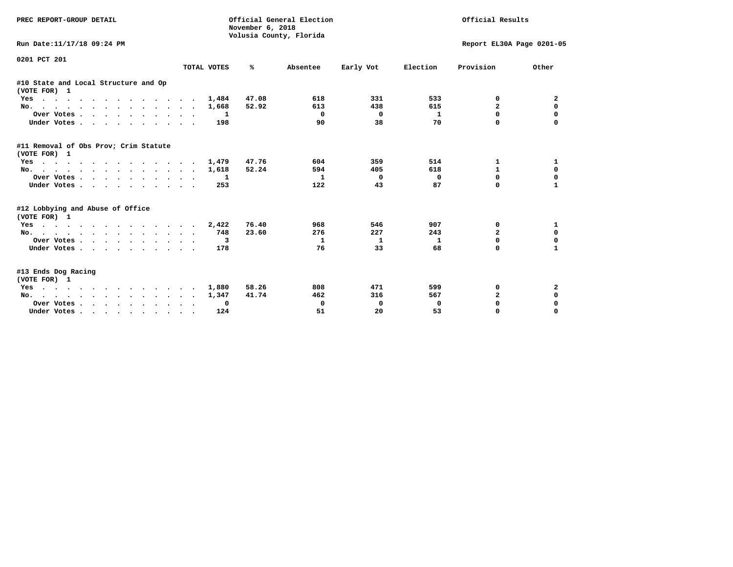| PREC REPORT-GROUP DETAIL                              |             | Official General Election<br>November 6, 2018<br>Volusia County, Florida |              | Official Results |                           |                |              |
|-------------------------------------------------------|-------------|--------------------------------------------------------------------------|--------------|------------------|---------------------------|----------------|--------------|
| Run Date:11/17/18 09:24 PM                            |             |                                                                          |              |                  | Report EL30A Page 0201-05 |                |              |
| 0201 PCT 201                                          | TOTAL VOTES | ℁                                                                        | Absentee     | Early Vot        | Election                  | Provision      | Other        |
| #10 State and Local Structure and Op<br>(VOTE FOR) 1  |             |                                                                          |              |                  |                           |                |              |
| Yes                                                   | 1,484       | 47.08                                                                    | 618          | 331              | 533                       | 0              | 2            |
| No.                                                   | 1,668       | 52.92                                                                    | 613          | 438              | 615                       | $\mathbf{z}$   | $\mathbf 0$  |
| Over Votes.                                           | 1           |                                                                          | $\Omega$     | $^{\circ}$       | $\mathbf{1}$              | $\Omega$       | 0            |
| Under Votes                                           | 198         |                                                                          | 90           | 38               | 70                        | <sup>o</sup>   |              |
| #11 Removal of Obs Prov; Crim Statute<br>(VOTE FOR) 1 |             |                                                                          |              |                  |                           |                |              |
| Yes                                                   | 1,479       | 47.76                                                                    | 604          | 359              | 514                       | 1              | 1            |
| No.                                                   | 1,618       | 52.24                                                                    | 594          | 405              | 618                       | 1              | 0            |
| Over Votes                                            | -1          |                                                                          | $\mathbf{1}$ | $\mathbf 0$      | 0                         | $\Omega$       | 0            |
| Under Votes                                           | 253         |                                                                          | 122          | 43               | 87                        | $\Omega$       |              |
| #12 Lobbying and Abuse of Office<br>(VOTE FOR) 1      |             |                                                                          |              |                  |                           |                |              |
| Yes                                                   | 2,422       | 76.40                                                                    | 968          | 546              | 907                       | 0              | 1            |
| No.                                                   | 748         | 23.60                                                                    | 276          | 227              | 243                       | $\overline{a}$ | $\mathbf 0$  |
| Over Votes                                            | 3           |                                                                          | 1            | 1                | 1                         | $\Omega$       | $\mathbf 0$  |
| Under Votes                                           | 178         |                                                                          | 76           | 33               | 68                        | <sup>o</sup>   | $\mathbf{1}$ |
| #13 Ends Dog Racing<br>(VOTE FOR) 1                   |             |                                                                          |              |                  |                           |                |              |
| Yes                                                   | 1,880       | 58.26                                                                    | 808          | 471              | 599                       | 0              | 2            |
| No.                                                   | 1,347       | 41.74                                                                    | 462          | 316              | 567                       | $\overline{2}$ | $\mathbf 0$  |
| Over Votes                                            | 0           |                                                                          | 0            | $^{\circ}$       | 0                         | $\mathbf 0$    | $\mathbf 0$  |
| Under Votes                                           | 124         |                                                                          | 51           | 20               | 53                        | $\Omega$       | $\Omega$     |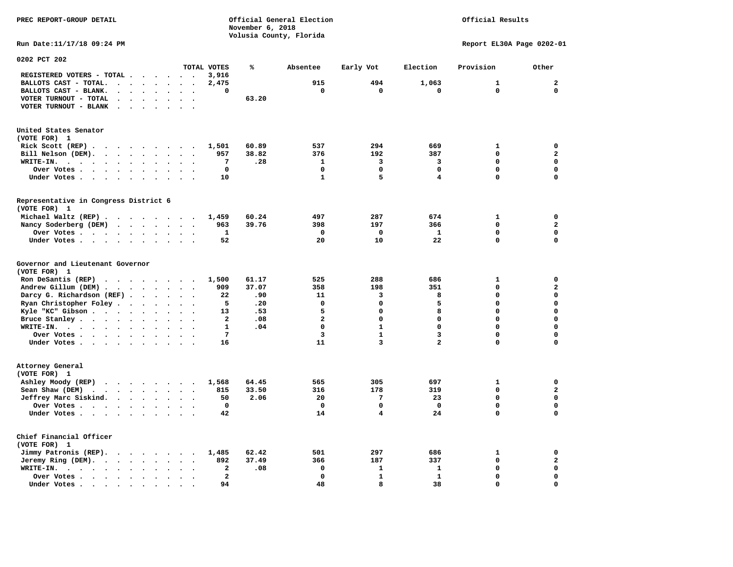**November 6, 2018 Volusia County, Florida Run Date:11/17/18 09:24 PM Report EL30A Page 0202-01 0202 PCT 202 TOTAL VOTES % Absentee Early Vot Election Provision Other REGISTERED VOTERS - TOTAL . . . . . . 3,916 BALLOTS CAST - TOTAL. . . . . . . . 2,475 915 494 1,063 1 2 BALLOTS CAST - BLANK. . . . . . . . 0 0 0 0 0 0 VOTER TURNOUT - TOTAL . . . . . . . 63.20 VOTER TURNOUT - BLANK . . . . . . . United States Senator (VOTE FOR) 1 Rick Scott (REP) . . . . . . . . . 1,501 60.89 537 294 669 1 0 Bill Nelson (DEM). . . . . . . . . 957 38.82 376 192 387 0 2 WRITE-IN. . . . . . . . . . . . 7 .28 1 3 3 0 0 Over Votes . . . . . . . . . . 0 0 0 0 0 0 Under Votes . . . . . . . . . . 10 1 5 4 0 0 Representative in Congress District 6 (VOTE FOR) 1 Michael Waltz (REP) . . . . . . . . 1,459 60.24 497 287 674 1 0 Nancy Soderberg (DEM) . . . . . . . 963 39.76 398 197 366 0 2 Over Votes . . . . . . . . . . 1 0 0 1 0 0**  $\Omega$  **Under Votes . . . . . . . . . . 52** 20 10 22 0 **Governor and Lieutenant Governor (VOTE FOR) 1 Ron DeSantis (REP) . . . . . . . . 1,500 61.17 525 288 686 1 0 Andrew Gillum (DEM) . . . . . . . . 909 37.07 358 198 351 0 2 Darcy G. Richardson (REF) . . . . . . 22 .90** 11 3 8 0 0 0<br>**Ryan Christopher Foley** . . . . . . . 5 .20 0 0 0 5 0 0  **Ryan Christopher Foley . . . . . . . 5 .20 0 0 5 0 0**  Kyle "KC" Gibson . . . . . . . . . 13 **Bruce Stanley . . . . . . . . . . 2** .08 2 0 0 0 0 0 0 0  **WRITE-IN. . . . . . . . . . . . 1 .04 0 1 0 0 0**  $\mathbf{0}$ **Over Votes . . . . . . . . . . 7** 3 1 3 0  $\mathbf{0}$  **Under Votes . . . . . . . . . . . 16** 11 3 2 0 **Attorney General (VOTE FOR) 1 Ashley Moody (REP) . . . . . . . . 1,568 64.45 565 305 697 1 0 Sean Shaw (DEM) . . . . . . . . . 815 33.50 316 178 319 0 2 Jeffrey Marc Siskind. . . . . . . . 50 2.06 20 7 23 0 0 Over Votes . . . . . . . . . . 0 0 0 0 0 0**  $\mathbf 0$  **Under Votes . . . . . . . . . . 42** 14 4 24 0 **Chief Financial Officer (VOTE FOR) 1 Jimmy Patronis (REP). . . . . . . . 1,485 62.42 501 297 686 1 0 Jeremy Ring (DEM).** . . . . . . . 892 37.49 366 187 337 0 2  **WRITE-IN. . . . . . . . . . . . 2 .08 0 1 1 0 0 Over Votes . . . . . . . . . . . 2** 0 1 1 0 0 0  $\mathbf{o}$  **Under Votes . . . . . . . . . . 94** 48 48 38 38 0

**PREC REPORT-GROUP DETAIL Official General Election Official Results**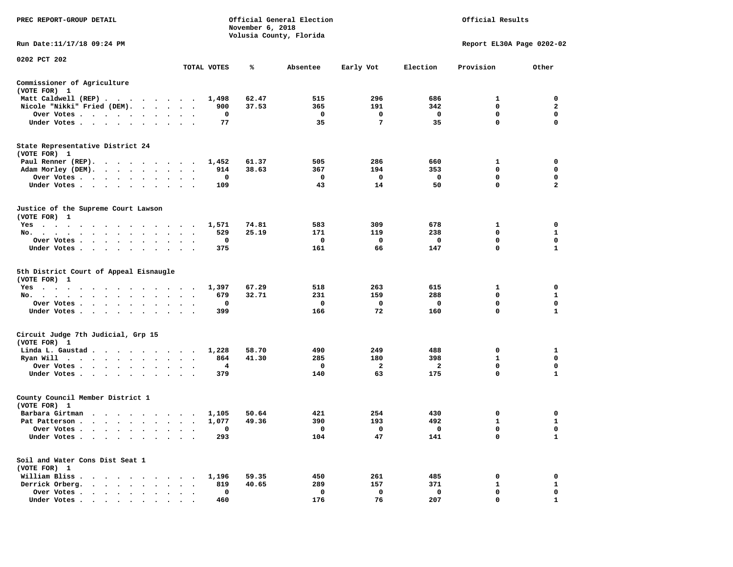| PREC REPORT-GROUP DETAIL                                                                                                                                                                                                                                                               |                                                                                                    | Official General Election<br>Official Results<br>November 6, 2018<br>Volusia County, Florida |                        |                       |                         |                                      |                                        |  |
|----------------------------------------------------------------------------------------------------------------------------------------------------------------------------------------------------------------------------------------------------------------------------------------|----------------------------------------------------------------------------------------------------|----------------------------------------------------------------------------------------------|------------------------|-----------------------|-------------------------|--------------------------------------|----------------------------------------|--|
| Run Date:11/17/18 09:24 PM                                                                                                                                                                                                                                                             |                                                                                                    |                                                                                              |                        |                       |                         | Report EL30A Page 0202-02            |                                        |  |
| 0202 PCT 202                                                                                                                                                                                                                                                                           | TOTAL VOTES                                                                                        | ℁                                                                                            | Absentee               | Early Vot             | Election                | Provision                            | Other                                  |  |
| Commissioner of Agriculture                                                                                                                                                                                                                                                            |                                                                                                    |                                                                                              |                        |                       |                         |                                      |                                        |  |
| (VOTE FOR) 1                                                                                                                                                                                                                                                                           |                                                                                                    |                                                                                              |                        |                       |                         |                                      |                                        |  |
| Matt Caldwell (REP)                                                                                                                                                                                                                                                                    | 1,498                                                                                              | 62.47                                                                                        | 515                    | 296                   | 686                     | 1                                    | 0                                      |  |
| Nicole "Nikki" Fried (DEM).                                                                                                                                                                                                                                                            | 900                                                                                                | 37.53                                                                                        | 365                    | 191                   | 342                     | $\mathbf 0$                          | $\overline{2}$                         |  |
| Over Votes<br>$\bullet$<br>Under Votes                                                                                                                                                                                                                                                 | 0<br>77                                                                                            |                                                                                              | $\mathbf{o}$<br>35     | 0<br>$7\phantom{.}$   | $\mathbf 0$<br>35       | 0<br>$\mathbf{0}$                    | 0<br>$\mathbf 0$                       |  |
|                                                                                                                                                                                                                                                                                        |                                                                                                    |                                                                                              |                        |                       |                         |                                      |                                        |  |
| State Representative District 24<br>(VOTE FOR) 1                                                                                                                                                                                                                                       |                                                                                                    |                                                                                              |                        |                       |                         |                                      |                                        |  |
| Paul Renner (REP).                                                                                                                                                                                                                                                                     | 1,452                                                                                              | 61.37                                                                                        | 505                    | 286                   | 660                     | $\mathbf{1}$                         | 0                                      |  |
| Adam Morley (DEM).                                                                                                                                                                                                                                                                     | 914                                                                                                | 38.63                                                                                        | 367                    | 194                   | 353                     | 0                                    | 0                                      |  |
| Over Votes                                                                                                                                                                                                                                                                             | 0                                                                                                  |                                                                                              | $\mathbf{o}$           | 0                     | $\mathbf{o}$            | 0                                    | 0                                      |  |
| Under Votes<br>$\sim$ $\sim$                                                                                                                                                                                                                                                           | 109                                                                                                |                                                                                              | 43                     | 14                    | 50                      | $\mathbf 0$                          | $\overline{a}$                         |  |
| Justice of the Supreme Court Lawson<br>(VOTE FOR) 1                                                                                                                                                                                                                                    |                                                                                                    |                                                                                              |                        |                       |                         |                                      |                                        |  |
| $Yes \t . \t .$<br>$\sim$ $\sim$ $\sim$ $\sim$ $\sim$<br>. The contract of the contract of the contract of the contract of the contract of the contract of the contract of the contract of the contract of the contract of the contract of the contract of the contract of the contrac | 1,571                                                                                              | 74.81                                                                                        | 583                    | 309                   | 678                     | $\mathbf{1}$                         | $\mathbf 0$                            |  |
| No.                                                                                                                                                                                                                                                                                    | 529                                                                                                | 25.19                                                                                        | 171                    | 119                   | 238                     | 0                                    | $\mathbf{1}$                           |  |
| Over Votes<br>$\sim$<br>$\cdot$                                                                                                                                                                                                                                                        | 0<br>$\ddot{\phantom{a}}$<br>$\cdot$                                                               |                                                                                              | 0                      | 0                     | $\mathbf{o}$            | $\mathbf 0$                          | $\mathbf 0$                            |  |
| Under Votes                                                                                                                                                                                                                                                                            | 375                                                                                                |                                                                                              | 161                    | 66                    | 147                     | $\mathbf 0$                          | ${\bf 1}$                              |  |
| 5th District Court of Appeal Eisnaugle<br>(VOTE FOR) 1<br>Yes<br>No.<br>$\sim$ $\sim$<br>$\ddot{\phantom{a}}$<br>$\cdot$<br>Over Votes<br>Under Votes<br>$\bullet$<br>$\ddot{\phantom{a}}$                                                                                             | 1,397<br>679<br>0<br>$\bullet$<br>399                                                              | 67.29<br>32.71                                                                               | 518<br>231<br>0<br>166 | 263<br>159<br>0<br>72 | 615<br>288<br>0<br>160  | 1<br>0<br>$\mathbf 0$<br>$\mathbf 0$ | 0<br>$\mathbf{1}$<br>0<br>$\mathbf{1}$ |  |
| Circuit Judge 7th Judicial, Grp 15<br>(VOTE FOR) 1                                                                                                                                                                                                                                     |                                                                                                    |                                                                                              |                        |                       |                         |                                      |                                        |  |
| Linda L. Gaustad                                                                                                                                                                                                                                                                       | 1,228                                                                                              | 58.70                                                                                        | 490                    | 249                   | 488                     | 0                                    | $\mathbf{1}$                           |  |
| Ryan Will $\cdots$ , $\cdots$ , $\cdots$ , $\cdots$                                                                                                                                                                                                                                    | 864                                                                                                | 41.30                                                                                        | 285                    | 180                   | 398                     | 1                                    | 0                                      |  |
| Over Votes<br>$\ddot{\phantom{1}}$                                                                                                                                                                                                                                                     | 4                                                                                                  |                                                                                              | $\mathbf{o}$           | $\overline{a}$        | $\overline{\mathbf{2}}$ | 0                                    | 0                                      |  |
| Under Votes<br>$\ddot{\phantom{1}}$                                                                                                                                                                                                                                                    | 379                                                                                                |                                                                                              | 140                    | 63                    | 175                     | 0                                    | $\mathbf{1}$                           |  |
| County Council Member District 1<br>(VOTE FOR) 1                                                                                                                                                                                                                                       |                                                                                                    |                                                                                              |                        |                       |                         |                                      |                                        |  |
| Barbara Girtman                                                                                                                                                                                                                                                                        | 1,105                                                                                              | 50.64                                                                                        | 421                    | 254                   | 430                     | 0                                    | 0                                      |  |
| Pat Patterson                                                                                                                                                                                                                                                                          | 1,077<br>$\blacksquare$                                                                            | 49.36                                                                                        | 390                    | 193                   | 492                     | $\mathbf{1}$                         | $\mathbf{1}$                           |  |
| Over Votes<br>$\sim$                                                                                                                                                                                                                                                                   | $\mathbf{o}$<br>$\ddot{\phantom{a}}$                                                               |                                                                                              | $\mathbf{o}$           | $\mathbf 0$           | $\Omega$                | $\mathbf 0$                          | $\mathbf 0$                            |  |
| Under Votes<br>$\ddot{\phantom{1}}$<br>$\bullet$                                                                                                                                                                                                                                       | 293                                                                                                |                                                                                              | 104                    | 47                    | 141                     | $\mathbf 0$                          | $\mathbf{1}$                           |  |
| Soil and Water Cons Dist Seat 1<br>(VOTE FOR) 1                                                                                                                                                                                                                                        |                                                                                                    |                                                                                              |                        |                       |                         |                                      |                                        |  |
| William Bliss.                                                                                                                                                                                                                                                                         | 1,196                                                                                              | 59.35                                                                                        | 450                    | 261                   | 485                     | 0                                    | 0                                      |  |
| Derrick Orberg.                                                                                                                                                                                                                                                                        | 819<br>$\begin{array}{cccccccccccccc} \bullet & \bullet & \bullet & \bullet & \bullet \end{array}$ | 40.65                                                                                        | 289                    | 157                   | 371                     | 1                                    | $\mathbf{1}$                           |  |
| Over Votes<br>$\ddot{\phantom{a}}$                                                                                                                                                                                                                                                     | 0<br>$\bullet$                                                                                     |                                                                                              | 0                      | $\mathbf 0$           | $\mathbf 0$             | $\mathbf 0$                          | $\mathbf 0$                            |  |
| Under Votes.                                                                                                                                                                                                                                                                           | 460                                                                                                |                                                                                              | 176                    | 76                    | 207                     | $\mathbf 0$                          | $\mathbf{1}$                           |  |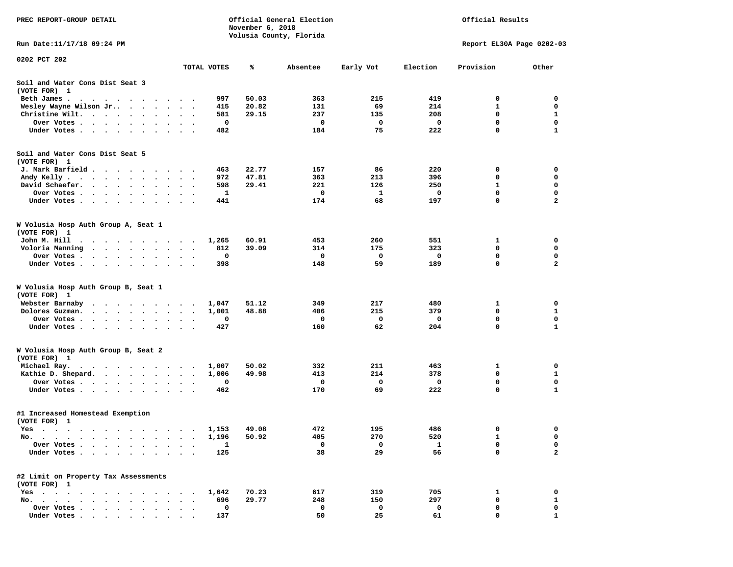| PREC REPORT-GROUP DETAIL                                                                                                                                                                                                                      |                             | November 6, 2018 | Official General Election |              | Official Results |              |                           |  |
|-----------------------------------------------------------------------------------------------------------------------------------------------------------------------------------------------------------------------------------------------|-----------------------------|------------------|---------------------------|--------------|------------------|--------------|---------------------------|--|
| Run Date:11/17/18 09:24 PM                                                                                                                                                                                                                    |                             |                  | Volusia County, Florida   |              |                  |              | Report EL30A Page 0202-03 |  |
| 0202 PCT 202                                                                                                                                                                                                                                  |                             |                  |                           |              |                  |              |                           |  |
|                                                                                                                                                                                                                                               | TOTAL VOTES                 | ℁                | Absentee                  | Early Vot    | Election         | Provision    | Other                     |  |
| Soil and Water Cons Dist Seat 3<br>(VOTE FOR) 1                                                                                                                                                                                               |                             |                  |                           |              |                  |              |                           |  |
| Beth James.<br>$\cdots$<br>$\ddot{\phantom{1}}$                                                                                                                                                                                               |                             | 997<br>50.03     | 363                       | 215          | 419              | 0            | 0                         |  |
| Wesley Wayne Wilson Jr                                                                                                                                                                                                                        |                             | 20.82<br>415     | 131                       | 69           | 214              | 1            | 0                         |  |
| Christine Wilt.                                                                                                                                                                                                                               |                             | 581<br>29.15     | 237                       | 135          | 208              | 0            | 1                         |  |
| Over Votes.<br>the contract of the contract of the contract of the contract of the contract of the contract of the contract of                                                                                                                |                             | 0                | 0                         | 0            | 0                | $\mathbf 0$  | $\mathbf 0$               |  |
| Under Votes                                                                                                                                                                                                                                   |                             | 482              | 184                       | 75           | 222              | 0            | 1                         |  |
| Soil and Water Cons Dist Seat 5                                                                                                                                                                                                               |                             |                  |                           |              |                  |              |                           |  |
| (VOTE FOR) 1<br>J. Mark Barfield                                                                                                                                                                                                              |                             | 22.77<br>463     | 157                       | 86           | 220              | 0            | 0                         |  |
| Andy Kelly                                                                                                                                                                                                                                    |                             | 47.81<br>972     | 363                       | 213          | 396              | 0            | 0                         |  |
| David Schaefer.<br>$\cdot$ $\cdot$ $\cdot$ $\cdot$ $\cdot$ $\cdot$<br>$\bullet$<br>$\bullet$                                                                                                                                                  | $\bullet$ .<br>$\bullet$    | 29.41<br>598     | 221                       | 126          | 250              | $\mathbf{1}$ | $\mathbf 0$               |  |
| Over Votes.<br>$\cdots$<br>$\bullet$<br>$\bullet$                                                                                                                                                                                             |                             | 1                | 0                         | 1            | 0                | 0            | 0                         |  |
| Under Votes<br>$\ddot{\phantom{0}}$                                                                                                                                                                                                           | $\ddot{\phantom{1}}$        | 441              | 174                       | 68           | 197              | 0            | $\mathbf{2}$              |  |
| W Volusia Hosp Auth Group A, Seat 1<br>(VOTE FOR) 1                                                                                                                                                                                           |                             |                  |                           |              |                  |              |                           |  |
| John M. Hill<br>$\bullet$<br>.                                                                                                                                                                                                                | 1,265                       | 60.91            | 453                       | 260          | 551              | 1            | 0                         |  |
| Voloria Manning                                                                                                                                                                                                                               | $\cdot$                     | 39.09<br>812     | 314                       | 175          | 323              | 0            | 0                         |  |
| Over Votes .<br>.                                                                                                                                                                                                                             |                             | 0                | 0                         | 0            | 0                | $\mathbf 0$  | 0                         |  |
| Under Votes.<br>.                                                                                                                                                                                                                             |                             | 398              | 148                       | 59           | 189              | 0            | $\mathbf{2}$              |  |
| W Volusia Hosp Auth Group B, Seat 1<br>(VOTE FOR) 1                                                                                                                                                                                           |                             |                  |                           |              |                  |              |                           |  |
| Webster Barnaby<br>$\cdot$                                                                                                                                                                                                                    | 1,047                       | 51.12            | 349                       | 217          | 480              | 1            | 0                         |  |
| Dolores Guzman.<br>$\cdot$ $\cdot$ $\cdot$ $\cdot$ $\cdot$ $\cdot$ $\cdot$ $\cdot$                                                                                                                                                            | 1,001                       | 48.88            | 406                       | 215          | 379              | 0            | 1                         |  |
| Over Votes .<br>$\begin{array}{cccccccccccccc} \bullet & \bullet & \bullet & \bullet & \bullet & \bullet & \bullet \end{array}$<br>$\sim$ $\sim$<br>$\bullet$                                                                                 | $\bullet$                   | 0                | 0                         | $\mathbf{o}$ | 0                | $\mathbf 0$  | $\mathbf 0$               |  |
| Under Votes<br>$\sim$ $\sim$                                                                                                                                                                                                                  |                             | 427              | 160                       | 62           | 204              | 0            | $\mathbf{1}$              |  |
| W Volusia Hosp Auth Group B, Seat 2<br>(VOTE FOR) 1                                                                                                                                                                                           |                             |                  |                           |              |                  |              |                           |  |
| Michael Ray.<br>. The contract contract of the contract of the contract of the contract of the contract of the contract of the contract of the contract of the contract of the contract of the contract of the contract of the contract of th | 1,007                       | 50.02            | 332                       | 211          | 463              | 1            | 0                         |  |
| Kathie D. Shepard.                                                                                                                                                                                                                            | 1,006<br>$\cdot$            | 49.98            | 413                       | 214          | 378              | $\mathbf 0$  | 1                         |  |
| Over Votes<br>$\sim$ $\sim$<br>$\ddot{\phantom{1}}$                                                                                                                                                                                           |                             | 0                | 0                         | 0            | 0                | 0            | 0                         |  |
| Under Votes                                                                                                                                                                                                                                   | $\sim$ $\sim$ $\sim$ $\sim$ | 462              | 170                       | 69           | 222              | 0            | 1                         |  |
| #1 Increased Homestead Exemption<br>(VOTE FOR) 1                                                                                                                                                                                              |                             |                  |                           |              |                  |              |                           |  |
| Yes                                                                                                                                                                                                                                           | 1,153                       | 49.08            | 472                       | 195          | 486              | 0            | 0                         |  |
| No.<br>$\sim$ $\sim$ $\sim$                                                                                                                                                                                                                   | 1,196                       | 50.92            | 405                       | 270          | 520              | 1            | 0                         |  |
| Over Votes .                                                                                                                                                                                                                                  |                             | 1                | 0                         | 0            | 1                | 0            | 0                         |  |
| Under Votes.                                                                                                                                                                                                                                  |                             | 125              | 38                        | 29           | 56               | 0            | $\mathbf{2}$              |  |
| #2 Limit on Property Tax Assessments<br>(VOTE FOR) 1                                                                                                                                                                                          |                             |                  |                           |              |                  |              |                           |  |
| $Yes \cdot \cdot \cdot$                                                                                                                                                                                                                       | 1,642                       | 70.23            | 617                       | 319          | 705              | 1            | 0                         |  |
| $No.$ $\ldots$ $\ldots$<br>$\ddot{\phantom{a}}$                                                                                                                                                                                               |                             | 696<br>29.77     | 248                       | 150          | 297              | 0            | 1                         |  |
| Over Votes .<br>$\mathbf{r} = \mathbf{r} + \mathbf{r}$<br>$\cdot$<br>Under Votes                                                                                                                                                              |                             | 0<br>137         | 0<br>50                   | 0<br>25      | 0<br>61          | 0<br>0       | 0                         |  |
|                                                                                                                                                                                                                                               |                             |                  |                           |              |                  |              |                           |  |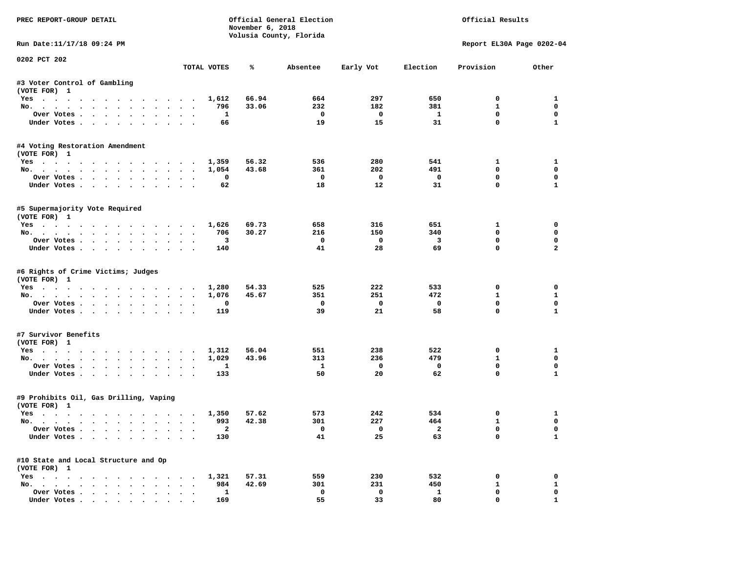| PREC REPORT-GROUP DETAIL                                  |                      |                          | November 6, 2018 | Official General Election<br>Volusia County, Florida |                         |                          | Official Results          |                |
|-----------------------------------------------------------|----------------------|--------------------------|------------------|------------------------------------------------------|-------------------------|--------------------------|---------------------------|----------------|
| Run Date:11/17/18 09:24 PM                                |                      |                          |                  |                                                      |                         |                          | Report EL30A Page 0202-04 |                |
| 0202 PCT 202                                              |                      | TOTAL VOTES              | ℁                | Absentee                                             | Early Vot               | Election                 | Provision                 | Other          |
|                                                           |                      |                          |                  |                                                      |                         |                          |                           |                |
| #3 Voter Control of Gambling<br>(VOTE FOR) 1              |                      |                          |                  |                                                      |                         |                          |                           |                |
| Yes 1,612                                                 |                      |                          | 66.94            | 664                                                  | 297                     | 650                      | $^{\circ}$                | 1              |
| No.                                                       |                      | 796                      | 33.06            | 232                                                  | 182                     | 381                      | $\mathbf{1}$              | $\mathbf 0$    |
| Over Votes                                                |                      | <b>1</b>                 |                  | $\overline{\mathbf{0}}$                              | $\overline{\mathbf{0}}$ | $\mathbf{1}$             | $\mathbf 0$               | $\mathbf 0$    |
| Under Votes                                               |                      | 66                       |                  | 19                                                   | 15                      | 31                       | $\mathbf 0$               | $\mathbf{1}$   |
| #4 Voting Restoration Amendment<br>(VOTE FOR) 1           |                      |                          |                  |                                                      |                         |                          |                           |                |
| Yes                                                       |                      | 1,359                    | 56.32            | 536                                                  | 280                     | 541                      | $\mathbf{1}$              | $\mathbf{1}$   |
| No.                                                       |                      | 1,054                    | 43.68            | 361                                                  | 202                     | 491                      | $^{\circ}$                | 0              |
| Over Votes                                                |                      | 0                        |                  | $\overline{\phantom{0}}$                             | $\overline{\mathbf{0}}$ | $\overline{\phantom{0}}$ | $\mathbf 0$               | 0              |
| Under Votes                                               | $\sim$               | 62                       |                  | 18                                                   | 12                      | 31                       | $\mathbf 0$               | $\mathbf{1}$   |
|                                                           |                      |                          |                  |                                                      |                         |                          |                           |                |
| #5 Supermajority Vote Required<br>(VOTE FOR) 1            |                      |                          |                  |                                                      |                         |                          |                           |                |
| Yes 1,626                                                 |                      |                          | 69.73            | 658                                                  | 316                     | 651                      | $\mathbf{1}$              | $\mathbf 0$    |
| No.                                                       |                      | 706                      | 30.27            | 216                                                  | 150                     | 340                      | $\mathbf 0$               | $\mathbf 0$    |
| Over Votes.                                               |                      | 3                        |                  | $\mathbf{o}$                                         | $\overline{\mathbf{0}}$ | $\overline{\mathbf{3}}$  | $\mathbf 0$               | $\mathbf 0$    |
| Under Votes                                               |                      | 140                      |                  | 41                                                   | 28                      | 69                       | $\Omega$                  | $\overline{a}$ |
| #6 Rights of Crime Victims; Judges<br>(VOTE FOR) 1<br>Yes |                      | 1,280                    | 54.33            | 525                                                  | 222                     | 533                      | 0                         | 0              |
| No.                                                       |                      | 1,076                    | 45.67            | 351                                                  | 251                     | 472                      | $\mathbf{1}$              | $\mathbf{1}$   |
| Over Votes                                                |                      | 0                        |                  | $\mathbf{o}$                                         | $\mathbf{o}$            | $\mathbf 0$              | $\mathbf 0$               | $\mathbf 0$    |
| Under Votes                                               |                      | 119                      |                  | 39                                                   | 21                      | 58                       | $\mathbf 0$               | $\mathbf{1}$   |
| #7 Survivor Benefits                                      |                      |                          |                  |                                                      |                         |                          |                           |                |
| (VOTE FOR) 1                                              |                      |                          |                  |                                                      |                         |                          |                           |                |
| Yes                                                       |                      | 1,312                    | 56.04            | 551                                                  | 238                     | 522                      | 0                         | 1              |
| No.                                                       |                      | 1,029                    | 43.96            | 313                                                  | 236                     | 479                      | $\mathbf{1}$              | $\mathbf{0}$   |
| Over Votes                                                |                      | <b>1</b>                 |                  | $\mathbf{1}$                                         | $\overline{\mathbf{0}}$ | $\mathbf 0$              | 0                         | $\mathbf 0$    |
| Under Votes                                               |                      | 133                      |                  | 50                                                   | 20                      | 62                       | $\mathbf{0}$              | $\mathbf{1}$   |
| #9 Prohibits Oil, Gas Drilling, Vaping<br>(VOTE FOR) 1    |                      |                          |                  |                                                      |                         |                          |                           |                |
| Yes 1,350                                                 |                      |                          | 57.62            | 573                                                  | 242                     | 534                      | 0                         | 1              |
| No.                                                       |                      | 993                      | 42.38            | 301                                                  | 227                     | 464                      | $\mathbf{1}$              | $\mathbf 0$    |
| Over Votes                                                |                      | $\overline{\phantom{a}}$ |                  | $\overline{\mathbf{0}}$                              | $\overline{a}$          | $\overline{\mathbf{2}}$  | $\mathbf 0$               | $\mathbf 0$    |
| Under Votes                                               |                      | 130                      |                  | 41                                                   | 25                      | 63                       | $\mathbf 0$               | $\mathbf{1}$   |
| #10 State and Local Structure and Op                      |                      |                          |                  |                                                      |                         |                          |                           |                |
| (VOTE FOR) 1                                              |                      |                          |                  |                                                      |                         |                          |                           |                |
| Yes 1,321                                                 |                      |                          | 57.31            | 559                                                  | 230                     | 532                      | 0                         | 0              |
| No.                                                       | $\sim$ $\sim$ $\sim$ | 984                      | 42.69            | 301                                                  | 231                     | 450                      | $\mathbf{1}$              | $\mathbf{1}$   |
| Over Votes                                                | $\ddotsc$            | $\mathbf{1}$             |                  | $\mathbf 0$                                          | $\mathbf 0$             | $\mathbf{1}$             | $\mathbf 0$               | $\mathbf 0$    |
| Under Votes                                               |                      | 169                      |                  | 55                                                   | 33                      | 80                       | $\mathbf{0}$              | $\mathbf{1}$   |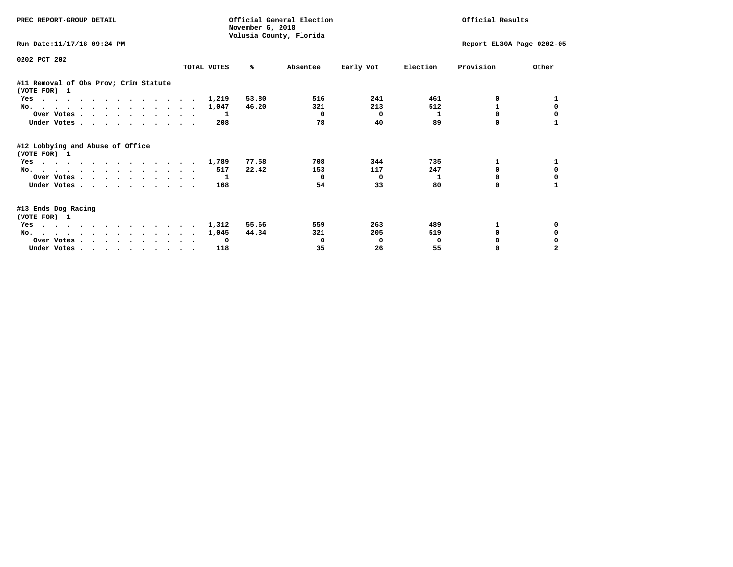| PREC REPORT-GROUP DETAIL                              |             | November 6, 2018 | Official General Election<br>Volusia County, Florida |                           | Official Results |           |          |
|-------------------------------------------------------|-------------|------------------|------------------------------------------------------|---------------------------|------------------|-----------|----------|
| Run Date:11/17/18 09:24 PM                            |             |                  |                                                      | Report EL30A Page 0202-05 |                  |           |          |
| 0202 PCT 202                                          | TOTAL VOTES | ℁                | Absentee                                             | Early Vot                 | Election         | Provision | Other    |
| #11 Removal of Obs Prov; Crim Statute<br>(VOTE FOR) 1 |             |                  |                                                      |                           |                  |           |          |
| Yes                                                   |             | 53.80<br>1,219   | 516                                                  | 241                       | 461              | 0         |          |
| No.                                                   | 1,047       | 46.20            | 321                                                  | 213                       | 512              | 1         | $\Omega$ |
| Over Votes                                            |             | -1               | $\Omega$                                             | $\mathbf 0$               | 1                | $\Omega$  |          |
| Under Votes                                           |             | 208              | 78                                                   | 40                        | 89               | 0         |          |
| #12 Lobbying and Abuse of Office<br>(VOTE FOR) 1      |             |                  |                                                      |                           |                  |           |          |
| Yes                                                   | 1,789       | 77.58            | 708                                                  | 344                       | 735              | 1         |          |
| No.                                                   |             | 22.42<br>517     | 153                                                  | 117                       | 247              | 0         | 0        |
| Over Votes                                            |             | $\mathbf{1}$     | $\Omega$                                             | $^{\circ}$                | 1                | 0         | 0        |
| Under Votes                                           |             | 168              | 54                                                   | 33                        | 80               | 0         |          |
| #13 Ends Dog Racing<br>(VOTE FOR) 1                   |             |                  |                                                      |                           |                  |           |          |
| Yes                                                   |             | 55.66<br>1,312   | 559                                                  | 263                       | 489              | 1         | 0        |
| No.                                                   |             | 44.34<br>1,045   | 321                                                  | 205                       | 519              | $\Omega$  | 0        |
| Over Votes                                            |             | 0                | 0                                                    | 0                         | 0                |           |          |
| Under Votes                                           |             | 118              | 35                                                   | 26                        | 55               | 0         |          |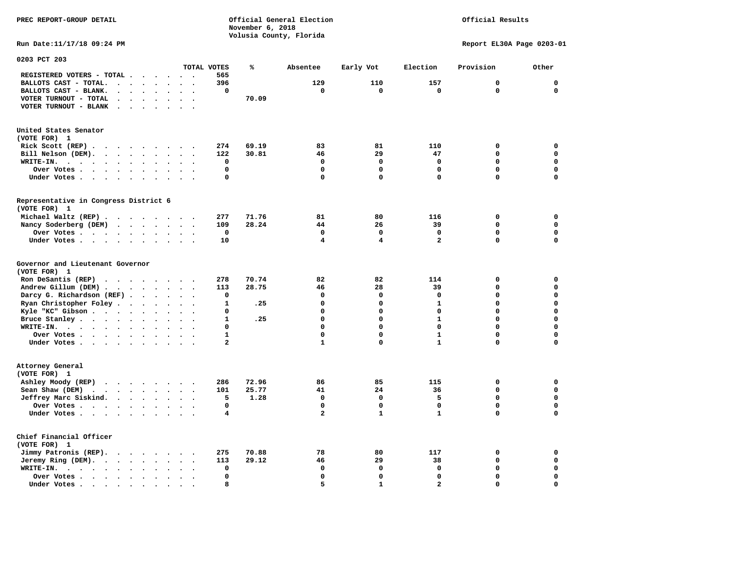Official Results

**Run Date:11/17/18 09:24 PM Report EL30A Page 0203-01** 

| 0203 PCT 203                                                                                                                            |                                              |              |       |                |              |                |              |             |
|-----------------------------------------------------------------------------------------------------------------------------------------|----------------------------------------------|--------------|-------|----------------|--------------|----------------|--------------|-------------|
|                                                                                                                                         |                                              | TOTAL VOTES  | ℁     | Absentee       | Early Vot    | Election       | Provision    | Other       |
| REGISTERED VOTERS - TOTAL .<br>$\sim$ $\sim$<br>$\overline{\phantom{a}}$                                                                | $\sim$ $\sim$<br>$\cdot$                     | 565          |       |                |              |                |              |             |
| BALLOTS CAST - TOTAL.<br>$\ddot{\phantom{a}}$<br>$\ddot{\phantom{a}}$                                                                   |                                              | 396          |       | 129            | 110          | 157            | $\mathbf 0$  | $\mathbf 0$ |
| BALLOTS CAST - BLANK.<br>$\cdot$ $\cdot$ $\cdot$<br>$\ddot{\phantom{0}}$                                                                | $\sim$<br>$\ddot{\phantom{a}}$               | 0            |       | $\mathbf 0$    | $\mathbf 0$  | $\mathbf 0$    | $\mathbf 0$  | $\mathbf 0$ |
| VOTER TURNOUT - TOTAL                                                                                                                   |                                              |              | 70.09 |                |              |                |              |             |
| VOTER TURNOUT - BLANK<br>$\sim$<br>$\cdot$                                                                                              |                                              |              |       |                |              |                |              |             |
|                                                                                                                                         |                                              |              |       |                |              |                |              |             |
| United States Senator                                                                                                                   |                                              |              |       |                |              |                |              |             |
| (VOTE FOR) 1                                                                                                                            |                                              |              |       |                |              |                |              |             |
| Rick Scott (REP).<br>$\sim$ $\sim$<br>$\cdots$                                                                                          | $\overline{\phantom{a}}$                     | 274          | 69.19 | 83             | 81           | 110            | 0            | $\mathbf 0$ |
| Bill Nelson (DEM).                                                                                                                      |                                              | 122          | 30.81 | 46             | 29           | 47             | $\mathbf 0$  | $\mathbf 0$ |
| WRITE-IN.<br>$\cdots$<br>$\mathbf{a}$ , and $\mathbf{a}$ , and $\mathbf{a}$<br>$\bullet$<br>$\bullet$<br>$\bullet$                      | $\bullet$<br>$\ddot{\phantom{a}}$            | 0            |       | $\mathbf 0$    | $\mathbf 0$  | $\mathbf 0$    | $\mathbf 0$  | $\mathbf 0$ |
| Over Votes.<br>$\ddot{\phantom{0}}$<br>$\mathbf{a}$ , $\mathbf{a}$ , $\mathbf{a}$ , $\mathbf{a}$<br>$\bullet$<br>$\bullet$<br>$\bullet$ |                                              | 0            |       | 0              | 0            | $\mathbf 0$    | $\Omega$     | $\mathbf 0$ |
|                                                                                                                                         |                                              | 0            |       | 0              | $\mathbf 0$  | $\mathbf 0$    | $\Omega$     | $\Omega$    |
| Under Votes                                                                                                                             | $\sim$<br>$\cdot$                            |              |       |                |              |                |              |             |
| Representative in Congress District 6                                                                                                   |                                              |              |       |                |              |                |              |             |
| (VOTE FOR) 1                                                                                                                            |                                              |              |       |                |              |                |              |             |
| Michael Waltz (REP).                                                                                                                    |                                              | 277          | 71.76 | 81             | 80           | 116            | $\mathbf 0$  | $\mathbf 0$ |
| Nancy Soderberg (DEM)<br>$\mathcal{A}$ . The contribution of the contribution of $\mathcal{A}$                                          | $\ddot{\phantom{0}}$                         | 109          | 28.24 | 44             | 26           | 39             | $\mathbf 0$  | $\mathbf 0$ |
| Over Votes<br>$\sim$<br>$\cdot$<br>$\sim$                                                                                               | $\sim$                                       | 0            |       | 0              | 0            | 0              | $\Omega$     | $\mathbf 0$ |
| Under Votes<br>$\ddot{\phantom{a}}$<br>$\ddot{\phantom{a}}$<br>$\bullet$                                                                |                                              | 10           |       | 4              | 4            | $\overline{a}$ | $\mathbf{0}$ | $\mathbf 0$ |
| Governor and Lieutenant Governor<br>(VOTE FOR) 1                                                                                        |                                              |              |       |                |              |                |              |             |
| Ron DeSantis (REP)<br>$\cdot$                                                                                                           |                                              | 278          | 70.74 | 82             | 82           | 114            | $\mathbf 0$  | $\mathbf 0$ |
| Andrew Gillum (DEM)                                                                                                                     | $\bullet$                                    | 113          | 28.75 | 46             | 28           | 39             | 0            | $\mathbf 0$ |
| Darcy G. Richardson (REF).<br>$\ddot{\phantom{a}}$<br>$\cdot$                                                                           |                                              | 0            |       | $\mathbf 0$    | $\mathbf 0$  | $\Omega$       | $\Omega$     | $\mathbf 0$ |
| Ryan Christopher Foley.<br>$\sim$<br>$\ddot{\phantom{a}}$<br>$\bullet$                                                                  |                                              | 1            | .25   | $\mathbf 0$    | $\mathbf 0$  | $\mathbf{1}$   | $\Omega$     | $\mathbf 0$ |
| Kyle "KC" Gibson<br>$\bullet$<br>$\bullet$<br>$\bullet$                                                                                 | $\ddot{\phantom{a}}$                         | 0            |       | $\mathbf 0$    | $\mathbf 0$  | $\mathbf 0$    | $\Omega$     | $\mathbf 0$ |
| Bruce Stanley<br>$\sim$<br>$\ddot{\phantom{a}}$                                                                                         | $\sim$                                       | 1            | .25   | $\Omega$       | $\Omega$     | $\mathbf{1}$   | 0            | $\mathbf 0$ |
| WRITE-IN.<br>$\mathbf{r}$ , $\mathbf{r}$ , $\mathbf{r}$ , $\mathbf{r}$ , $\mathbf{r}$<br>$\bullet$                                      |                                              | $\mathbf 0$  |       | $\mathbf 0$    | $\mathbf 0$  | $\mathbf 0$    | $\Omega$     | $\mathbf 0$ |
| Over Votes<br>$\ddot{\phantom{a}}$<br>$\bullet$                                                                                         | $\ddot{\phantom{a}}$<br>$\ddot{\phantom{a}}$ | $\mathbf{1}$ |       | 0              | 0            | $\mathbf{1}$   | $\mathbf 0$  | $\mathbf 0$ |
| Under Votes                                                                                                                             | $\ddot{\phantom{a}}$                         | $\mathbf{2}$ |       | $\mathbf{1}$   | 0            | $\mathbf{1}$   | 0            | $\mathbf 0$ |
| Attorney General                                                                                                                        |                                              |              |       |                |              |                |              |             |
| (VOTE FOR) 1                                                                                                                            |                                              |              |       |                |              |                |              |             |
| Ashley Moody (REP)                                                                                                                      |                                              | 286          | 72.96 | 86             | 85           | 115            | $\mathbf 0$  | $\mathbf 0$ |
| Sean Shaw (DEM)<br>$\ddot{\phantom{a}}$                                                                                                 | $\sim$                                       | 101          | 25.77 | 41             | 24           | 36             | $\mathbf 0$  | $\mathbf 0$ |
| Jeffrey Marc Siskind.<br>$\cdots$                                                                                                       | $\ddot{\phantom{a}}$                         | 5            | 1.28  | $\mathbf 0$    | $\mathbf 0$  | 5              | $\mathbf 0$  | 0           |
| $\bullet$                                                                                                                               |                                              |              |       |                |              |                | $\mathbf 0$  |             |
| Over Votes<br>$\bullet$<br>$\ddot{\phantom{a}}$<br>$\cdot$                                                                              | $\sim$                                       | 0            |       | $\mathbf 0$    | $\mathbf 0$  | $\mathbf 0$    |              | 0           |
| Under Votes<br>$\bullet$                                                                                                                |                                              | 4            |       | $\overline{a}$ | $\mathbf{1}$ | $\mathbf{1}$   | $\Omega$     | $\mathbf 0$ |
| Chief Financial Officer<br>(VOTE FOR) 1                                                                                                 |                                              |              |       |                |              |                |              |             |
| Jimmy Patronis (REP).<br>$\cdot$ $\cdot$ $\cdot$ $\cdot$<br>$\sim$                                                                      | $\ddot{\phantom{a}}$                         | 275          | 70.88 | 78             | 80           | 117            | $\mathbf 0$  | $\mathbf 0$ |
| Jeremy Ring (DEM).                                                                                                                      | $\sim$<br>$\bullet$                          | 113          | 29.12 | 46             | 29           | 38             | $\mathbf 0$  | $\mathbf 0$ |
| WRITE-IN.<br>$\cdots$<br>$\bullet$<br>$\bullet$<br>$\ddot{\phantom{1}}$                                                                 |                                              | $\mathbf 0$  |       | $\mathbf 0$    | $\mathbf 0$  | $\mathbf 0$    | $\mathbf 0$  | $\mathbf 0$ |
| Over Votes<br>$\bullet$<br>$\bullet$                                                                                                    |                                              | $\mathbf 0$  |       | $\mathbf 0$    | $\mathbf 0$  | $\mathbf 0$    | 0            | $\Omega$    |
| Under Votes.<br>$\blacksquare$<br>$\bullet$<br>$\bullet$<br>$\bullet$<br>$\sim$ $\sim$                                                  |                                              | 8            |       | 5.             | $\mathbf{1}$ | $\mathbf{z}$   | $\Omega$     | $\Omega$    |
|                                                                                                                                         |                                              |              |       |                |              |                |              |             |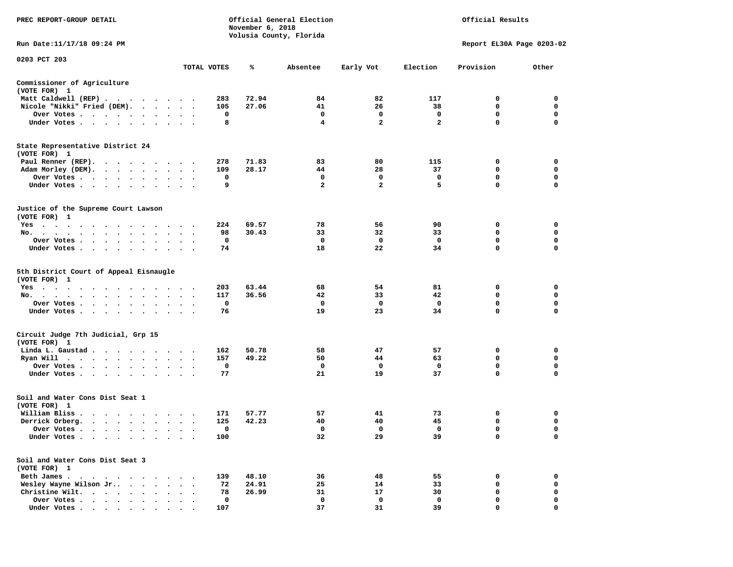| PREC REPORT-GROUP DETAIL                                                                                    |              | November 6, 2018 | Official General Election<br>Volusia County, Florida | Official Results    |                   |                           |             |
|-------------------------------------------------------------------------------------------------------------|--------------|------------------|------------------------------------------------------|---------------------|-------------------|---------------------------|-------------|
| Run Date:11/17/18 09:24 PM                                                                                  |              |                  |                                                      |                     |                   | Report EL30A Page 0203-02 |             |
| 0203 PCT 203                                                                                                | TOTAL VOTES  | ℁                | Absentee                                             | Early Vot           | Election          | Provision                 | Other       |
| Commissioner of Agriculture                                                                                 |              |                  |                                                      |                     |                   |                           |             |
| (VOTE FOR) 1                                                                                                |              |                  |                                                      |                     |                   |                           |             |
| Matt Caldwell (REP)                                                                                         | 283          | 72.94            | 84                                                   | 82                  | 117               | 0                         | 0           |
| Nicole "Nikki" Fried (DEM).                                                                                 | 105          | 27.06            | 41                                                   | 26                  | 38                | 0                         | 0           |
| Over Votes                                                                                                  | 0<br>8       |                  | 0<br>4                                               | 0<br>$\overline{2}$ | 0<br>$\mathbf{2}$ | 0<br>0                    | 0<br>0      |
| Under Votes                                                                                                 |              |                  |                                                      |                     |                   |                           |             |
| State Representative District 24<br>(VOTE FOR) 1                                                            |              |                  |                                                      |                     |                   |                           |             |
| Paul Renner (REP).                                                                                          | 278          | 71.83            | 83                                                   | 80                  | 115               | 0                         | 0           |
| Adam Morley (DEM).                                                                                          | 109          | 28.17            | 44                                                   | 28                  | 37                | 0                         | 0           |
| Over Votes                                                                                                  | 0            |                  | 0                                                    | 0                   | 0                 | 0                         | 0           |
| Under Votes                                                                                                 | 9            |                  | $\overline{a}$                                       | $\overline{2}$      | 5                 | $\mathbf{0}$              | $\mathbf 0$ |
| Justice of the Supreme Court Lawson<br>(VOTE FOR) 1                                                         |              |                  |                                                      |                     |                   |                           |             |
| Yes                                                                                                         | 224          | 69.57            | 78                                                   | 56                  | 90                | 0                         | 0           |
| No.                                                                                                         | 98           | 30.43            | 33                                                   | 32                  | 33                | 0                         | 0           |
| Over Votes                                                                                                  | 0            |                  | 0                                                    | 0                   | $\mathbf 0$       | 0                         | 0           |
| Under Votes                                                                                                 | 74           |                  | 18                                                   | 22                  | 34                | 0                         | 0           |
| 5th District Court of Appeal Eisnaugle<br>(VOTE FOR) 1                                                      |              |                  |                                                      |                     |                   |                           |             |
| Yes                                                                                                         | 203          | 63.44            | 68                                                   | 54                  | 81                | 0                         | 0           |
| No.                                                                                                         | 117          | 36.56            | 42                                                   | 33                  | 42                | 0                         | 0           |
| Over Votes                                                                                                  | 0            |                  | 0                                                    | 0                   | 0                 | 0                         | 0           |
| Under Votes                                                                                                 | 76           |                  | 19                                                   | 23                  | 34                | 0                         | 0           |
| Circuit Judge 7th Judicial, Grp 15<br>(VOTE FOR) 1                                                          |              |                  |                                                      |                     |                   |                           |             |
| Linda L. Gaustad                                                                                            | 162          | 50.78            | 58                                                   | 47                  | 57                | 0                         | 0           |
| Ryan Will $\cdots$                                                                                          | 157          | 49.22            | 50                                                   | 44                  | 63                | 0                         | 0           |
| Over Votes                                                                                                  | $\mathbf{o}$ |                  | 0                                                    | 0                   | 0                 | 0                         | 0           |
| Under Votes                                                                                                 | 77           |                  | 21                                                   | 19                  | 37                | 0                         | $\mathbf 0$ |
| Soil and Water Cons Dist Seat 1<br>(VOTE FOR) 1                                                             |              |                  |                                                      |                     |                   |                           |             |
| William Bliss .<br>$\mathbf{r}$ , and $\mathbf{r}$ , and $\mathbf{r}$ , and $\mathbf{r}$ , and $\mathbf{r}$ | 171          | 57.77            | 57                                                   | 41                  | 73                | 0                         | 0           |
| Derrick Orberg.                                                                                             | 125          | 42.23            | 40                                                   | 40                  | 45                | 0                         | 0           |
| Over Votes .                                                                                                | 0            |                  | 0                                                    | 0                   | 0                 | $\mathbf 0$               | 0           |
| Under Votes                                                                                                 | 100          |                  | 32                                                   | 29                  | 39                | 0                         | 0           |
| Soil and Water Cons Dist Seat 3<br>(VOTE FOR) 1                                                             |              |                  |                                                      |                     |                   |                           |             |
| Beth James<br>$\cdot$                                                                                       | 139          | 48.10            | 36                                                   | 48                  | 55                | 0                         | 0           |
| Wesley Wayne Wilson Jr<br>$\sim$ $\sim$<br>$\ddot{\phantom{0}}$                                             | 72           | 24.91            | 25                                                   | 14                  | 33                | 0                         | 0           |
| Christine Wilt.<br>$\mathbf{r}$ , $\mathbf{r}$ , $\mathbf{r}$ , $\mathbf{r}$<br>$\ddot{\phantom{a}}$        | 78           | 26.99            | 31                                                   | 17                  | 30                | 0                         | 0           |
| Over Votes .<br>$\mathbf{r}$ . The set of $\mathbf{r}$                                                      | 0            |                  | 0                                                    | 0                   | 0                 | 0                         | 0           |
| Under Votes                                                                                                 | 107          |                  | 37                                                   | 31                  | 39                | $\Omega$                  | $\mathbf 0$ |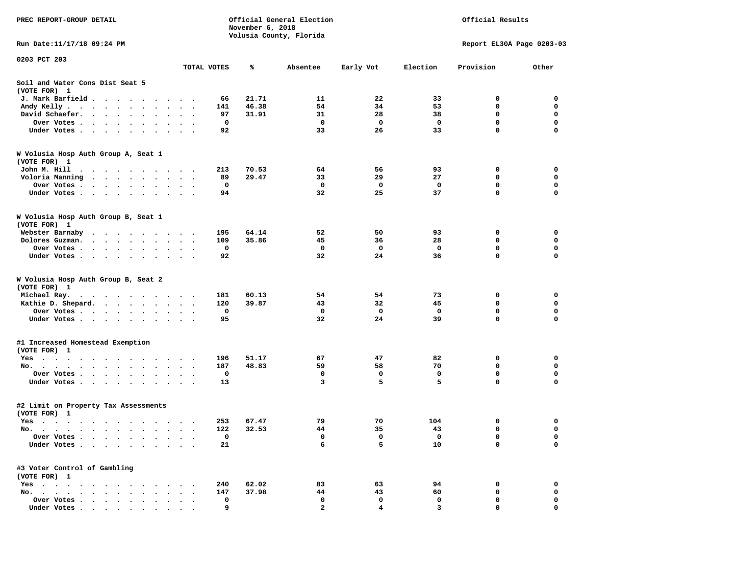| PREC REPORT-GROUP DETAIL                                                                                                                                                                                                                 |             | November 6, 2018 | Official General Election<br>Volusia County, Florida |             | Official Results |                           |             |  |
|------------------------------------------------------------------------------------------------------------------------------------------------------------------------------------------------------------------------------------------|-------------|------------------|------------------------------------------------------|-------------|------------------|---------------------------|-------------|--|
| Run Date:11/17/18 09:24 PM                                                                                                                                                                                                               |             |                  |                                                      |             |                  | Report EL30A Page 0203-03 |             |  |
| 0203 PCT 203                                                                                                                                                                                                                             |             |                  |                                                      |             |                  |                           |             |  |
|                                                                                                                                                                                                                                          | TOTAL VOTES | ℁                | Absentee                                             | Early Vot   | Election         | Provision                 | Other       |  |
| Soil and Water Cons Dist Seat 5<br>(VOTE FOR) 1                                                                                                                                                                                          |             |                  |                                                      |             |                  |                           |             |  |
| J. Mark Barfield                                                                                                                                                                                                                         |             | 21.71<br>66      | 11                                                   | 22          | 33               | 0                         | 0           |  |
| Andy Kelly                                                                                                                                                                                                                               |             | 46.38<br>141     | 54                                                   | 34          | 53               | $\mathbf 0$               | $\mathbf 0$ |  |
| David Schaefer.                                                                                                                                                                                                                          |             | 31.91<br>97      | 31                                                   | 28          | 38               | $\mathbf 0$               | 0           |  |
| Over Votes                                                                                                                                                                                                                               |             | 0                | $\mathbf{o}$                                         | $\mathbf 0$ | 0                | $\mathbf 0$               | $\mathbf 0$ |  |
| Under Votes                                                                                                                                                                                                                              |             | 92               | 33                                                   | 26          | 33               | $\mathbf 0$               | $\Omega$    |  |
| W Volusia Hosp Auth Group A, Seat 1<br>(VOTE FOR) 1                                                                                                                                                                                      |             |                  |                                                      |             |                  |                           |             |  |
| John M. Hill<br>$\cdots$                                                                                                                                                                                                                 |             | 70.53<br>213     | 64                                                   | 56          | 93               | 0                         | 0           |  |
| Voloria Manning                                                                                                                                                                                                                          |             | 89<br>29.47      | 33                                                   | 29          | 27               | 0                         | $\mathbf 0$ |  |
| Over Votes                                                                                                                                                                                                                               |             | $\Omega$         | $\mathbf 0$                                          | 0           | 0                | $\mathbf 0$               | 0           |  |
| Under Votes                                                                                                                                                                                                                              |             | 94               | 32                                                   | 25          | 37               | $\Omega$                  | $\Omega$    |  |
| W Volusia Hosp Auth Group B, Seat 1<br>(VOTE FOR) 1                                                                                                                                                                                      |             |                  |                                                      |             |                  |                           |             |  |
| Webster Barnaby                                                                                                                                                                                                                          |             | 64.14<br>195     | 52                                                   | 50          | 93               | 0                         | 0           |  |
| Dolores Guzman.                                                                                                                                                                                                                          |             | 109<br>35.86     | 45                                                   | 36          | 28               | 0                         | $\mathbf 0$ |  |
| Over Votes                                                                                                                                                                                                                               |             | 0                | $\mathbf{o}$                                         | 0           | 0                | 0                         | 0           |  |
| Under Votes                                                                                                                                                                                                                              |             | 92               | 32                                                   | 24          | 36               | $\mathbf 0$               | 0           |  |
| W Volusia Hosp Auth Group B, Seat 2<br>(VOTE FOR) 1                                                                                                                                                                                      |             |                  |                                                      |             |                  |                           |             |  |
| Michael Ray.                                                                                                                                                                                                                             |             | 60.13<br>181     | 54                                                   | 54          | 73               | 0                         | 0           |  |
| Kathie D. Shepard.                                                                                                                                                                                                                       |             | 120<br>39.87     | 43                                                   | 32          | 45               | 0                         | 0           |  |
| Over Votes                                                                                                                                                                                                                               |             | 0                | $\mathbf 0$                                          | $\mathbf 0$ | 0                | $\mathbf 0$               | $\mathbf 0$ |  |
| Under Votes                                                                                                                                                                                                                              |             | 95               | 32                                                   | 24          | 39               | 0                         | $\Omega$    |  |
| #1 Increased Homestead Exemption<br>(VOTE FOR) 1                                                                                                                                                                                         |             |                  |                                                      |             |                  |                           |             |  |
| Yes                                                                                                                                                                                                                                      |             | 51.17<br>196     | 67                                                   | 47          | 82               | 0                         | 0           |  |
| No.                                                                                                                                                                                                                                      |             | 187<br>48.83     | 59                                                   | 58          | 70               | 0                         | 0           |  |
| Over Votes                                                                                                                                                                                                                               | $\bullet$ . | 0                | 0                                                    | 0           | 0                | $\mathbf 0$               | 0           |  |
| Under Votes                                                                                                                                                                                                                              |             | 13               | 3                                                    | 5           | 5                | $\Omega$                  | $\Omega$    |  |
| #2 Limit on Property Tax Assessments<br>(VOTE FOR) 1                                                                                                                                                                                     |             |                  |                                                      |             |                  |                           |             |  |
| Yes                                                                                                                                                                                                                                      |             | 67.47<br>253     | 79                                                   | 70          | 104              | 0                         | 0           |  |
| No.                                                                                                                                                                                                                                      |             | 32.53<br>122     | 44                                                   | 35          | 43               | 0                         | 0           |  |
| Over Votes .<br>$\sim$<br>$\sim$ $\sim$ $\sim$                                                                                                                                                                                           |             | 0                | 0                                                    | 0           | 0                | 0                         | 0           |  |
| Under Votes.<br>$\sim$ $\sim$ $\sim$ $\sim$<br>$\sim$<br>$\bullet$                                                                                                                                                                       |             | 21               | 6                                                    | 5           | 10               | 0                         | 0           |  |
| #3 Voter Control of Gambling<br>(VOTE FOR) 1                                                                                                                                                                                             |             |                  |                                                      |             |                  |                           |             |  |
| $Yes \cdot \cdot \cdot \cdot \cdot \cdot \cdot \cdot$                                                                                                                                                                                    |             | 240<br>62.02     | 83                                                   | 63          | 94               | 0                         | 0           |  |
| $\mathbf{r}$ . The set of the set of the set of the set of the set of the set of the set of the set of the set of the set of the set of the set of the set of the set of the set of the set of the set of the set of the set of t<br>No. |             | 147<br>37.98     | 44                                                   | 43          | 60               | 0                         | 0           |  |
| Over Votes<br>$\bullet$                                                                                                                                                                                                                  |             | 0                | 0                                                    | 0           | 0                | 0                         | 0           |  |
| Under Votes                                                                                                                                                                                                                              |             | 9                | 2                                                    |             | в                |                           |             |  |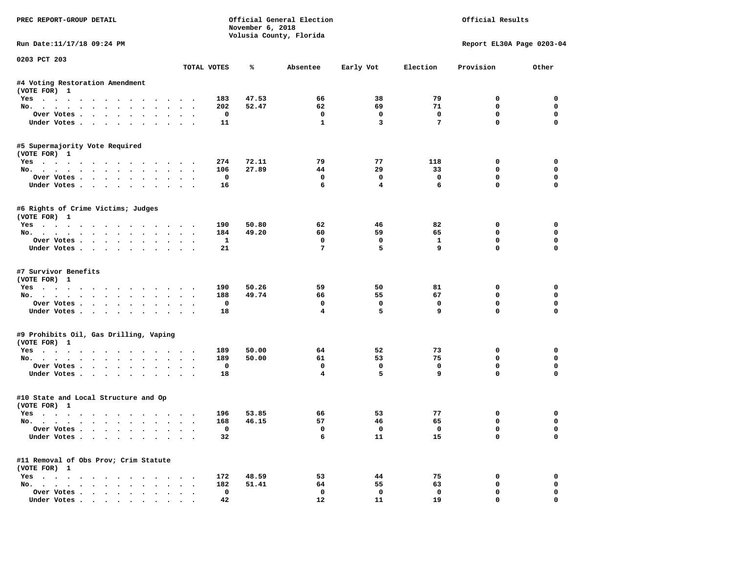| PREC REPORT-GROUP DETAIL                                    |                                    |                    | November 6, 2018 | Official General Election<br>Volusia County, Florida |              |                 | Official Results          |                  |
|-------------------------------------------------------------|------------------------------------|--------------------|------------------|------------------------------------------------------|--------------|-----------------|---------------------------|------------------|
| Run Date: 11/17/18 09:24 PM                                 |                                    |                    |                  |                                                      |              |                 | Report EL30A Page 0203-04 |                  |
| 0203 PCT 203                                                |                                    | TOTAL VOTES        | ℁                | Absentee                                             | Early Vot    | Election        | Provision                 | Other            |
|                                                             |                                    |                    |                  |                                                      |              |                 |                           |                  |
| #4 Voting Restoration Amendment<br>(VOTE FOR) 1             |                                    |                    |                  |                                                      |              |                 |                           |                  |
| Yes                                                         |                                    | 183                | 47.53            | 66                                                   | 38           | 79              | 0                         | 0                |
| No.                                                         |                                    | 202                | 52.47            | 62                                                   | 69           | 71              | $\mathbf 0$               | $\mathbf 0$      |
| Over Votes.                                                 |                                    | 0                  |                  | $\mathbf 0$                                          | 0            | 0               | $\mathbf 0$               | $\mathbf 0$      |
| Under Votes                                                 |                                    | 11                 |                  | $\mathbf{1}$                                         | 3            | $7\phantom{.0}$ | $\mathbf 0$               | $\Omega$         |
| #5 Supermajority Vote Required                              |                                    |                    |                  |                                                      |              |                 |                           |                  |
| (VOTE FOR) 1                                                |                                    |                    |                  |                                                      |              |                 |                           |                  |
| Yes                                                         |                                    | 274                | 72.11<br>27.89   | 79<br>44                                             | 77<br>29     | 118             | 0<br>$\mathbf 0$          | 0<br>$\mathbf 0$ |
| No.                                                         |                                    | 106<br>$\mathbf 0$ |                  | $\mathbf 0$                                          | $\mathbf 0$  | 33              | $\mathbf 0$               | $\mathbf 0$      |
| Over Votes                                                  |                                    |                    |                  | 6                                                    | 4            | 0<br>6          | $\mathbf{0}$              | $\Omega$         |
| Under Votes                                                 |                                    | 16                 |                  |                                                      |              |                 |                           |                  |
| #6 Rights of Crime Victims; Judges<br>(VOTE FOR) 1          |                                    |                    |                  |                                                      |              |                 |                           |                  |
| Yes                                                         |                                    | 190                | 50.80            | 62                                                   | 46           | 82              | 0                         | 0                |
| No.                                                         |                                    | 184                | 49.20            | 60                                                   | 59           | 65              | 0                         | 0                |
| Over Votes                                                  |                                    | 1                  |                  | $\mathbf 0$                                          | $\mathbf 0$  | $\mathbf{1}$    | $\mathbf 0$               | $\mathbf 0$      |
| Under Votes                                                 |                                    | 21                 |                  | 7                                                    | 5            | 9               | $\mathbf 0$               | $\Omega$         |
|                                                             |                                    |                    |                  |                                                      |              |                 |                           |                  |
| #7 Survivor Benefits<br>(VOTE FOR) 1                        |                                    |                    |                  |                                                      |              |                 |                           |                  |
| Yes                                                         |                                    | 190                | 50.26            | 59                                                   | 50           | 81              | 0                         | 0                |
| No.                                                         |                                    | 188                | 49.74            | 66                                                   | 55           | 67              | $\mathbf 0$               | 0                |
| Over Votes                                                  |                                    | 0                  |                  | 0                                                    | 0            | 0               | $\mathbf 0$               | $\mathbf 0$      |
| Under Votes                                                 |                                    | 18                 |                  | $\overline{\mathbf{4}}$                              | 5            | 9               | $\mathbf 0$               | $\Omega$         |
| #9 Prohibits Oil, Gas Drilling, Vaping                      |                                    |                    |                  |                                                      |              |                 |                           |                  |
| (VOTE FOR) 1                                                |                                    |                    |                  |                                                      |              |                 |                           |                  |
| Yes                                                         |                                    | 189                | 50.00            | 64                                                   | 52           | 73              | 0                         | 0                |
| No.                                                         |                                    | 189                | 50.00            | 61                                                   | 53           | 75              | $\mathbf 0$               | $\mathbf 0$      |
| Over Votes                                                  |                                    | 0                  |                  | $\mathbf 0$                                          | $\mathbf 0$  | $\mathbf 0$     | $\mathbf 0$               | $\mathbf 0$      |
| Under Votes                                                 |                                    | 18                 |                  | $\overline{\mathbf{4}}$                              | 5            | 9               | $\mathbf{0}$              | $\Omega$         |
| #10 State and Local Structure and Op                        |                                    |                    |                  |                                                      |              |                 |                           |                  |
| (VOTE FOR) 1                                                |                                    |                    |                  |                                                      |              |                 |                           |                  |
| Yes                                                         |                                    | 196                | 53.85            | 66                                                   | 53           | 77              | 0                         | 0                |
| No.                                                         |                                    | 168                | 46.15            | 57                                                   | 46           | 65              | 0                         | $\mathbf 0$      |
| Over votes $\cdots$                                         |                                    | 0                  |                  | 0                                                    | $\mathbf{o}$ | 0               | 0                         | 0                |
| Under Votes                                                 |                                    | 32                 |                  | 6                                                    | 11           | 15              | 0                         | 0                |
| #11 Removal of Obs Prov; Crim Statute                       |                                    |                    |                  |                                                      |              |                 |                           |                  |
| (VOTE FOR) 1                                                |                                    |                    |                  |                                                      |              |                 |                           |                  |
| $Yes \cdot \cdot \cdot \cdot \cdot \cdot \cdot \cdot \cdot$ | $\sim$ $\sim$ $\sim$ $\sim$ $\sim$ | 172                | 48.59            | 53                                                   | 44           | 75              | 0                         | 0                |
| No.<br>$\sim$                                               |                                    | 182                | 51.41            | 64                                                   | 55           | 63              | 0                         | 0                |
| Over Votes                                                  | $\ddot{\phantom{1}}$               | 0                  |                  | 0                                                    | 0            | 0               | 0                         | 0                |
| Under Votes                                                 |                                    | 42                 |                  | 12                                                   | 11           | 19              | 0                         | $\mathbf 0$      |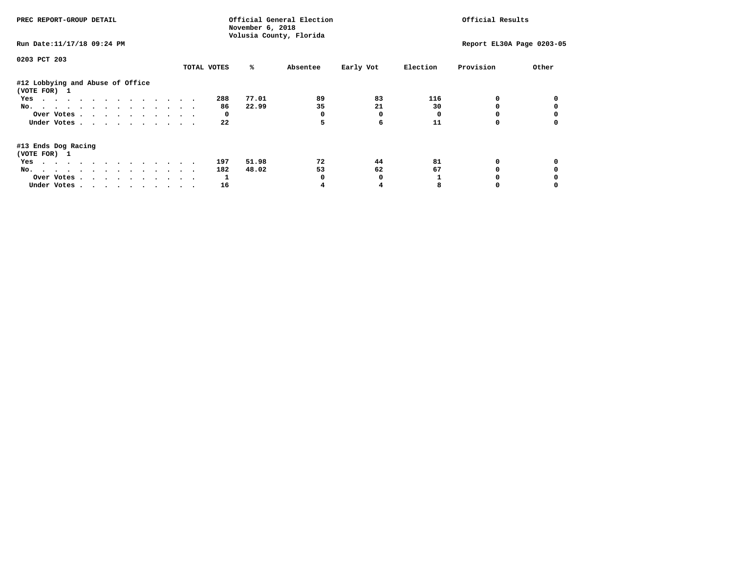| PREC REPORT-GROUP DETAIL                                                                                               |             | November 6, 2018 | Official General Election<br>Volusia County, Florida |           |          | Official Results          |       |
|------------------------------------------------------------------------------------------------------------------------|-------------|------------------|------------------------------------------------------|-----------|----------|---------------------------|-------|
| Run Date: 11/17/18 09:24 PM                                                                                            |             |                  |                                                      |           |          | Report EL30A Page 0203-05 |       |
| 0203 PCT 203                                                                                                           |             |                  |                                                      |           |          |                           |       |
|                                                                                                                        | TOTAL VOTES | %ะ               | Absentee                                             | Early Vot | Election | Provision                 | Other |
| #12 Lobbying and Abuse of Office<br>(VOTE FOR) 1                                                                       |             |                  |                                                      |           |          |                           |       |
| Yes                                                                                                                    | 288         | 77.01            | 89                                                   | 83        | 116      |                           |       |
| No.                                                                                                                    |             | 22.99<br>86      | 35                                                   | 21        | 30       |                           |       |
| Over Votes                                                                                                             |             | 0                |                                                      | 0         |          |                           |       |
| Under Votes                                                                                                            |             | 22               | 5                                                    | 6         | 11       |                           |       |
| #13 Ends Dog Racing<br>(VOTE FOR) 1                                                                                    |             |                  |                                                      |           |          |                           |       |
| the contract of the contract of the contract of the contract of the contract of the contract of the contract of<br>Yes | 197         | 51.98            | 72                                                   | 44        | 81       | 0                         |       |
| No.                                                                                                                    | 182         | 48.02            | 53                                                   | 62        | 67       |                           |       |
| Over Votes                                                                                                             |             |                  |                                                      |           |          |                           |       |
| Under Votes                                                                                                            |             | 16               |                                                      |           |          |                           |       |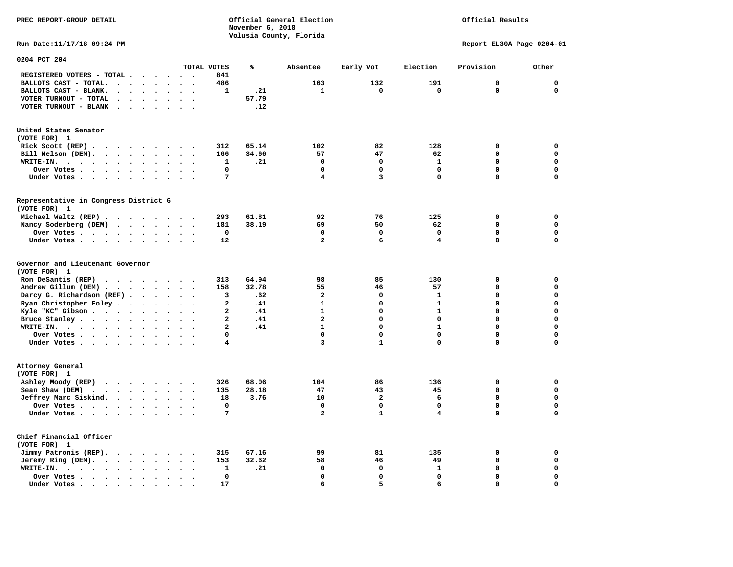## Official Results

**Run Date:11/17/18 09:24 PM Report EL30A Page 0204-01** 

| 0204 PCT 204                                                                                                                                                                                                                                                                                                                     |                      |                                                                          |                                                                                   |                                                                                                                 |        |                                                           |                                   |                                                                                              |                                                   |                                                                                                                           |                                                    |                                                                                                    |                                                  |                                                                                                                                     |
|----------------------------------------------------------------------------------------------------------------------------------------------------------------------------------------------------------------------------------------------------------------------------------------------------------------------------------|----------------------|--------------------------------------------------------------------------|-----------------------------------------------------------------------------------|-----------------------------------------------------------------------------------------------------------------|--------|-----------------------------------------------------------|-----------------------------------|----------------------------------------------------------------------------------------------|---------------------------------------------------|---------------------------------------------------------------------------------------------------------------------------|----------------------------------------------------|----------------------------------------------------------------------------------------------------|--------------------------------------------------|-------------------------------------------------------------------------------------------------------------------------------------|
|                                                                                                                                                                                                                                                                                                                                  |                      |                                                                          |                                                                                   |                                                                                                                 |        |                                                           |                                   | TOTAL VOTES                                                                                  | ℁                                                 | Absentee                                                                                                                  | Early Vot                                          | Election                                                                                           | Provision                                        | Other                                                                                                                               |
| REGISTERED VOTERS - TOTAL .                                                                                                                                                                                                                                                                                                      |                      |                                                                          |                                                                                   |                                                                                                                 |        |                                                           |                                   | 841                                                                                          |                                                   |                                                                                                                           |                                                    |                                                                                                    |                                                  |                                                                                                                                     |
| BALLOTS CAST - TOTAL.                                                                                                                                                                                                                                                                                                            | $\bullet$            | $\ddot{\phantom{a}}$                                                     |                                                                                   | $\bullet$                                                                                                       |        | $\ddot{\phantom{a}}$                                      | $\bullet$                         | 486                                                                                          |                                                   | 163                                                                                                                       | 132                                                | 191                                                                                                | 0                                                | $\mathbf 0$                                                                                                                         |
| BALLOTS CAST - BLANK.<br>$\bullet$                                                                                                                                                                                                                                                                                               |                      |                                                                          |                                                                                   |                                                                                                                 |        |                                                           |                                   | 1                                                                                            | .21                                               | 1                                                                                                                         | 0                                                  | $\mathbf 0$                                                                                        | $\mathbf 0$                                      | 0                                                                                                                                   |
| VOTER TURNOUT - TOTAL<br>$\ddot{\phantom{a}}$                                                                                                                                                                                                                                                                                    | $\cdot$              | $\ddot{\phantom{a}}$                                                     | $\bullet$                                                                         | $\ddot{\phantom{a}}$                                                                                            |        | $\sim$                                                    | $\ddot{\phantom{a}}$              |                                                                                              | 57.79                                             |                                                                                                                           |                                                    |                                                                                                    |                                                  |                                                                                                                                     |
| VOTER TURNOUT - BLANK<br>$\bullet$                                                                                                                                                                                                                                                                                               | $\ddot{\phantom{0}}$ |                                                                          |                                                                                   |                                                                                                                 |        |                                                           |                                   |                                                                                              | .12                                               |                                                                                                                           |                                                    |                                                                                                    |                                                  |                                                                                                                                     |
| United States Senator                                                                                                                                                                                                                                                                                                            |                      |                                                                          |                                                                                   |                                                                                                                 |        |                                                           |                                   |                                                                                              |                                                   |                                                                                                                           |                                                    |                                                                                                    |                                                  |                                                                                                                                     |
| (VOTE FOR) 1                                                                                                                                                                                                                                                                                                                     |                      |                                                                          |                                                                                   |                                                                                                                 |        |                                                           |                                   |                                                                                              |                                                   |                                                                                                                           |                                                    |                                                                                                    |                                                  |                                                                                                                                     |
| Rick Scott (REP)                                                                                                                                                                                                                                                                                                                 |                      |                                                                          |                                                                                   |                                                                                                                 |        |                                                           |                                   | 312                                                                                          | 65.14                                             | 102                                                                                                                       | 82                                                 | 128                                                                                                | 0                                                | $\mathbf 0$                                                                                                                         |
| Bill Nelson (DEM).<br>$\cdot$ $\cdot$ $\cdot$ $\cdot$ $\cdot$ $\cdot$ $\cdot$ $\cdot$                                                                                                                                                                                                                                            |                      |                                                                          |                                                                                   |                                                                                                                 |        |                                                           |                                   | 166                                                                                          | 34.66                                             | 57                                                                                                                        | 47                                                 | 62                                                                                                 | 0                                                | 0                                                                                                                                   |
| WRITE-IN.<br>$\sim$ $\sim$ $\sim$ $\sim$<br>$\ddotsc$<br>$\sim$                                                                                                                                                                                                                                                                  |                      | $\ddot{\phantom{a}}$                                                     | $\bullet$                                                                         | $\bullet$                                                                                                       |        |                                                           |                                   | 1                                                                                            | .21                                               | $\mathbf 0$                                                                                                               | $\mathbf 0$                                        | $\mathbf{1}$                                                                                       | $\Omega$                                         | $\mathbf 0$                                                                                                                         |
| Over Votes .                                                                                                                                                                                                                                                                                                                     |                      |                                                                          |                                                                                   |                                                                                                                 |        |                                                           |                                   | $\mathbf 0$                                                                                  |                                                   | $\mathbf 0$                                                                                                               | 0                                                  | $\mathbf 0$                                                                                        | 0                                                | $\mathbf 0$                                                                                                                         |
| $\ddot{\phantom{0}}$<br>$\bullet$<br>$\sim 100$ km s $^{-1}$                                                                                                                                                                                                                                                                     | $\bullet$ .          | $\bullet$                                                                | $\bullet$                                                                         | $\bullet$                                                                                                       |        |                                                           |                                   | 7                                                                                            |                                                   | 4                                                                                                                         | 3                                                  | 0                                                                                                  | $\Omega$                                         | $\mathbf 0$                                                                                                                         |
| Under Votes<br>$\sim$<br>$\sim$ $\sim$                                                                                                                                                                                                                                                                                           |                      | $\ddot{\phantom{a}}$                                                     |                                                                                   |                                                                                                                 |        |                                                           |                                   |                                                                                              |                                                   |                                                                                                                           |                                                    |                                                                                                    |                                                  |                                                                                                                                     |
| Representative in Congress District 6<br>(VOTE FOR) 1                                                                                                                                                                                                                                                                            |                      |                                                                          |                                                                                   |                                                                                                                 |        |                                                           |                                   |                                                                                              |                                                   |                                                                                                                           |                                                    |                                                                                                    |                                                  |                                                                                                                                     |
| Michael Waltz (REP).<br>$\cdot$ $\cdot$                                                                                                                                                                                                                                                                                          |                      | $\sim$ $\sim$ $\sim$                                                     |                                                                                   |                                                                                                                 |        | $\sim$ $\sim$                                             |                                   | 293                                                                                          | 61.81                                             | 92                                                                                                                        | 76                                                 | 125                                                                                                | 0                                                | 0                                                                                                                                   |
| Nancy Soderberg (DEM)<br>$\mathbf{r}$ . The set of the set of the set of the set of the set of the set of the set of the set of the set of the set of the set of the set of the set of the set of the set of the set of the set of the set of the set of t                                                                       |                      |                                                                          |                                                                                   |                                                                                                                 |        |                                                           |                                   | 181                                                                                          | 38.19                                             | 69                                                                                                                        | 50                                                 | 62                                                                                                 | 0                                                | $\mathbf 0$                                                                                                                         |
| Over Votes                                                                                                                                                                                                                                                                                                                       |                      |                                                                          | $\ddot{\phantom{a}}$                                                              | $\bullet$                                                                                                       |        | $\bullet$                                                 | $\ddot{\phantom{a}}$              | $\mathbf 0$                                                                                  |                                                   | $\mathbf 0$                                                                                                               | $\mathbf 0$                                        | $\mathbf 0$                                                                                        | $\mathbf 0$                                      | $\mathbf 0$                                                                                                                         |
| Under Votes                                                                                                                                                                                                                                                                                                                      |                      | $\ddot{\phantom{1}}$                                                     | $\ddot{\phantom{a}}$                                                              | $\bullet$                                                                                                       |        |                                                           |                                   | 12                                                                                           |                                                   | $\mathbf{2}$                                                                                                              | 6                                                  | 4                                                                                                  | 0                                                | 0                                                                                                                                   |
| Governor and Lieutenant Governor<br>(VOTE FOR) 1<br>Ron DeSantis (REP)<br>$\cdot$ $\cdot$ $\cdot$ $\cdot$ $\cdot$ $\cdot$ $\cdot$ $\cdot$<br>Andrew Gillum (DEM).<br>$\cdots$<br>Darcy G. Richardson (REF).<br>Ryan Christopher Foley<br>Kyle "KC" Gibson<br>Bruce Stanley<br>WRITE-IN.<br>$\cdots$<br>Over Votes<br>Under Votes |                      | $\bullet$<br>$\bullet$<br>$\ddot{\phantom{a}}$<br>$\bullet$<br>$\bullet$ | $\ddot{\phantom{a}}$<br>$\bullet$<br>$\ddot{\phantom{a}}$<br>$\ddot{\phantom{0}}$ | $\ddot{\phantom{a}}$<br>$\ddot{\phantom{a}}$<br>$\ddot{\phantom{a}}$<br>$\bullet$<br>$\bullet$<br>$\sim$ $\sim$ | $\sim$ | $\cdot$<br>$\bullet$<br>$\ddot{\phantom{a}}$<br>$\bullet$ | $\bullet$<br>$\ddot{\phantom{0}}$ | 313<br>158<br>3<br>2<br>$\overline{a}$<br>$\overline{a}$<br>$\mathbf{z}$<br>$\mathbf 0$<br>4 | 64.94<br>32.78<br>.62<br>.41<br>.41<br>.41<br>.41 | 98<br>55<br>$\overline{\mathbf{2}}$<br>$\mathbf{1}$<br>$\mathbf{1}$<br>$\overline{a}$<br>$\mathbf{1}$<br>$\mathbf 0$<br>3 | 85<br>46<br>0<br>0<br>$\Omega$<br>0<br>0<br>0<br>1 | 130<br>57<br>$\mathbf{1}$<br>$\mathbf{1}$<br>$\mathbf{1}$<br>0<br>$\mathbf{1}$<br>$\mathbf 0$<br>0 | 0<br>0<br>0<br>0<br>$\Omega$<br>0<br>0<br>0<br>0 | $\mathbf 0$<br>$\mathbf 0$<br>$\mathbf 0$<br>$\mathbf 0$<br>$\mathbf 0$<br>$\mathbf 0$<br>$\mathbf 0$<br>$\mathbf 0$<br>$\mathbf 0$ |
| Attorney General                                                                                                                                                                                                                                                                                                                 |                      |                                                                          |                                                                                   |                                                                                                                 |        |                                                           |                                   |                                                                                              |                                                   |                                                                                                                           |                                                    |                                                                                                    |                                                  |                                                                                                                                     |
| (VOTE FOR) 1                                                                                                                                                                                                                                                                                                                     |                      |                                                                          |                                                                                   |                                                                                                                 |        |                                                           |                                   | 326                                                                                          | 68.06                                             | 104                                                                                                                       | 86                                                 | 136                                                                                                | 0                                                | 0                                                                                                                                   |
| Ashley Moody (REP)                                                                                                                                                                                                                                                                                                               |                      |                                                                          |                                                                                   |                                                                                                                 |        |                                                           |                                   |                                                                                              |                                                   |                                                                                                                           |                                                    |                                                                                                    |                                                  |                                                                                                                                     |
| Sean Shaw (DEM)<br>$\cdots$                                                                                                                                                                                                                                                                                                      |                      |                                                                          |                                                                                   |                                                                                                                 |        | $\sim$                                                    |                                   | 135                                                                                          | 28.18                                             | 47                                                                                                                        | 43                                                 | 45                                                                                                 | 0                                                | $\mathbf 0$                                                                                                                         |
| Jeffrey Marc Siskind.                                                                                                                                                                                                                                                                                                            |                      |                                                                          |                                                                                   |                                                                                                                 |        | $\sim$                                                    | $\ddot{\phantom{a}}$              | 18                                                                                           | 3.76                                              | 10                                                                                                                        | $\overline{\mathbf{2}}$                            | 6                                                                                                  | 0                                                | $\mathbf 0$                                                                                                                         |
| Over Votes .<br>$\sim$ $\sim$ $\sim$ $\sim$                                                                                                                                                                                                                                                                                      |                      | $\bullet$                                                                | $\bullet$                                                                         | $\bullet$                                                                                                       |        |                                                           |                                   | $\mathbf 0$                                                                                  |                                                   | $\mathbf 0$                                                                                                               | 0                                                  | $\mathbf 0$                                                                                        | 0                                                | $\mathbf 0$                                                                                                                         |
| Under Votes                                                                                                                                                                                                                                                                                                                      |                      |                                                                          |                                                                                   |                                                                                                                 |        |                                                           |                                   | 7                                                                                            |                                                   | $\overline{\mathbf{2}}$                                                                                                   | $\mathbf{1}$                                       | 4                                                                                                  | $\Omega$                                         | $\mathbf 0$                                                                                                                         |
| Chief Financial Officer<br>(VOTE FOR) 1                                                                                                                                                                                                                                                                                          |                      |                                                                          |                                                                                   |                                                                                                                 |        |                                                           |                                   |                                                                                              |                                                   |                                                                                                                           |                                                    |                                                                                                    |                                                  |                                                                                                                                     |
| Jimmy Patronis (REP).<br>$\sim$ $\sim$                                                                                                                                                                                                                                                                                           |                      | $\cdot$ $\cdot$                                                          |                                                                                   | $\cdot$                                                                                                         |        |                                                           |                                   | 315                                                                                          | 67.16                                             | 99                                                                                                                        | 81                                                 | 135                                                                                                | 0                                                | 0                                                                                                                                   |
| Jeremy Ring (DEM).<br>$\cdot$ $\cdot$ $\cdot$ $\cdot$                                                                                                                                                                                                                                                                            |                      | $\ddot{\phantom{a}}$                                                     | $\bullet$                                                                         | $\bullet$                                                                                                       |        |                                                           |                                   | 153                                                                                          | 32.62                                             | 58                                                                                                                        | 46                                                 | 49                                                                                                 | 0                                                | $\mathbf 0$                                                                                                                         |
| WRITE-IN.<br>$\mathbf{r}$ , $\mathbf{r}$ , $\mathbf{r}$ , $\mathbf{r}$                                                                                                                                                                                                                                                           | $\ddot{\phantom{a}}$ | $\bullet$                                                                |                                                                                   | $\ddot{\phantom{a}}$                                                                                            |        |                                                           |                                   | 1                                                                                            | .21                                               | $\mathbf 0$                                                                                                               | 0                                                  | $\mathbf{1}$                                                                                       | 0                                                | $\mathbf 0$                                                                                                                         |
| Over Votes .<br><b>Contract Contract Contract</b>                                                                                                                                                                                                                                                                                | $\bullet$            | $\bullet$                                                                |                                                                                   |                                                                                                                 |        |                                                           |                                   | $\mathbf 0$                                                                                  |                                                   | $\mathbf 0$                                                                                                               | 0                                                  | 0                                                                                                  | 0                                                | $\mathbf 0$                                                                                                                         |
| Under Votes.<br>$\ddot{\phantom{1}}$<br>$\sim$ $\sim$<br>$\sim$                                                                                                                                                                                                                                                                  | $\bullet$            | $\cdot$                                                                  |                                                                                   |                                                                                                                 |        |                                                           |                                   | 17                                                                                           |                                                   | 6                                                                                                                         | 5                                                  | 6                                                                                                  | 0                                                | $\mathbf 0$                                                                                                                         |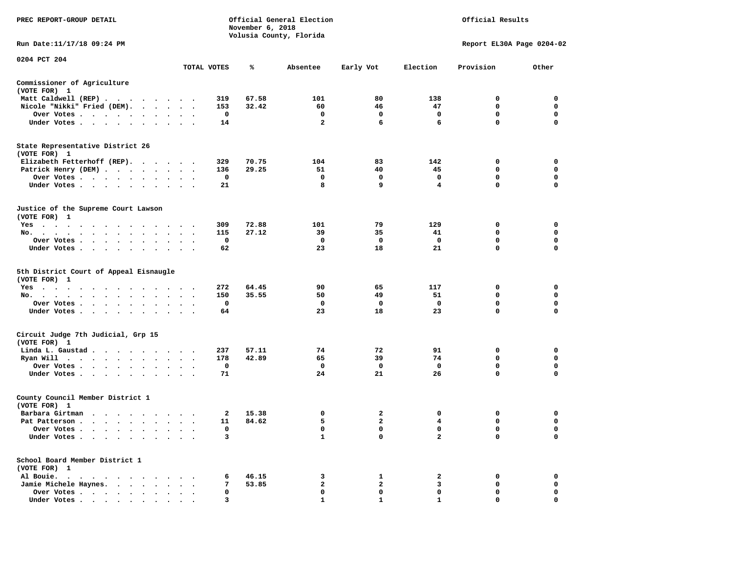| PREC REPORT-GROUP DETAIL                                                                                                                                                                                                                   |                         |              | November 6, 2018 | Official General Election<br>Volusia County, Florida |                |                | Official Results          |             |
|--------------------------------------------------------------------------------------------------------------------------------------------------------------------------------------------------------------------------------------------|-------------------------|--------------|------------------|------------------------------------------------------|----------------|----------------|---------------------------|-------------|
| Run Date:11/17/18 09:24 PM                                                                                                                                                                                                                 |                         |              |                  |                                                      |                |                | Report EL30A Page 0204-02 |             |
| 0204 PCT 204                                                                                                                                                                                                                               |                         |              |                  |                                                      |                |                |                           |             |
|                                                                                                                                                                                                                                            |                         | TOTAL VOTES  | ℁                | Absentee                                             | Early Vot      | Election       | Provision                 | Other       |
| Commissioner of Agriculture<br>(VOTE FOR) 1                                                                                                                                                                                                |                         |              |                  |                                                      |                |                |                           |             |
| Matt Caldwell (REP)                                                                                                                                                                                                                        |                         | 319          | 67.58            | 101                                                  | 80             | 138            | 0                         | 0           |
| Nicole "Nikki" Fried (DEM).                                                                                                                                                                                                                |                         | 153          | 32.42            | 60                                                   | 46             | 47             | 0                         | 0           |
| Over Votes                                                                                                                                                                                                                                 |                         | 0            |                  | 0                                                    | 0              | 0              | 0                         | 0           |
| Under Votes                                                                                                                                                                                                                                | $\sim$ $\sim$           | 14           |                  | $\overline{a}$                                       | 6              | 6              | $\mathbf 0$               | $\Omega$    |
| State Representative District 26<br>(VOTE FOR) 1                                                                                                                                                                                           |                         |              |                  |                                                      |                |                |                           |             |
| Elizabeth Fetterhoff (REP).                                                                                                                                                                                                                |                         | 329          | 70.75            | 104                                                  | 83             | 142            | 0                         | $\mathbf 0$ |
| Patrick Henry (DEM)                                                                                                                                                                                                                        |                         | 136          | 29.25            | 51                                                   | 40             | 45             | 0                         | 0           |
| Over Votes<br>$\sim$                                                                                                                                                                                                                       |                         | $\mathbf 0$  |                  | 0                                                    | 0              | 0              | 0                         | $\mathbf 0$ |
| Under Votes<br>$\sim$                                                                                                                                                                                                                      | $\cdot$ $\cdot$ $\cdot$ | 21           |                  | 8                                                    | 9              | 4              | $\mathbf{0}$              | $\Omega$    |
| Justice of the Supreme Court Lawson<br>(VOTE FOR) 1                                                                                                                                                                                        |                         |              |                  |                                                      |                |                |                           |             |
| Yes                                                                                                                                                                                                                                        |                         | 309          | 72.88            | 101                                                  | 79             | 129            | 0                         | $\mathbf 0$ |
| No.                                                                                                                                                                                                                                        | $\cdots$                | 115          | 27.12            | 39                                                   | 35             | 41             | 0                         | 0           |
| Over Votes                                                                                                                                                                                                                                 | $\bullet$               | $\mathbf 0$  |                  | $\mathbf 0$                                          | $\mathbf 0$    | $\mathbf{o}$   | $\mathbf 0$               | $\mathbf 0$ |
| Under Votes                                                                                                                                                                                                                                |                         | 62           |                  | 23                                                   | 18             | 21             | 0                         | $\mathbf 0$ |
| 5th District Court of Appeal Eisnaugle<br>(VOTE FOR) 1                                                                                                                                                                                     |                         |              |                  |                                                      |                |                |                           | $\mathbf 0$ |
| $Yes \cdot \cdot \cdot \cdot$<br>$\ddot{\phantom{1}}$<br>$\sim$ $\sim$ $\sim$<br>$\cdot$<br>No.                                                                                                                                            | $\cdot$                 | 272<br>150   | 64.45<br>35.55   | 90<br>50                                             | 65<br>49       | 117<br>51      | 0<br>$\mathbf{0}$         | $\mathbf 0$ |
| Over Votes                                                                                                                                                                                                                                 | $\blacksquare$ .        | 0            |                  | $\mathbf 0$                                          | 0              | $\mathbf 0$    | $\mathbf 0$               | $\mathbf 0$ |
| Under Votes                                                                                                                                                                                                                                |                         | 64           |                  | 23                                                   | 18             | 23             | 0                         | $\mathbf 0$ |
| Circuit Judge 7th Judicial, Grp 15                                                                                                                                                                                                         |                         |              |                  |                                                      |                |                |                           |             |
| (VOTE FOR) 1                                                                                                                                                                                                                               |                         |              |                  |                                                      |                |                |                           |             |
| Linda L. Gaustad                                                                                                                                                                                                                           |                         | 237          | 57.11            | 74                                                   | 72             | 91             | $\mathbf 0$               | $\mathbf 0$ |
| Ryan Will $\cdots$ , $\cdots$ , $\cdots$ , $\cdots$                                                                                                                                                                                        |                         | 178          | 42.89            | 65                                                   | 39             | 74             | $\mathbf{0}$              | $\mathbf 0$ |
| Over Votes                                                                                                                                                                                                                                 |                         | 0            |                  | 0                                                    | 0              | 0              | 0                         | 0           |
| Under Votes                                                                                                                                                                                                                                |                         | 71           |                  | 24                                                   | 21             | 26             | 0                         | $\mathbf 0$ |
| County Council Member District 1<br>(VOTE FOR) 1                                                                                                                                                                                           |                         |              |                  |                                                      |                |                |                           |             |
| Barbara Girtman                                                                                                                                                                                                                            |                         | $\mathbf{2}$ | 15.38            | 0                                                    | $\mathbf{2}$   | 0              | 0                         | 0           |
| Pat Patterson                                                                                                                                                                                                                              |                         | 11           | 84.62            | 5                                                    | $\overline{a}$ | 4              | $\mathbf 0$               | $\mathbf 0$ |
| Over Votes                                                                                                                                                                                                                                 |                         | 0            |                  | 0                                                    | 0              | $\mathbf 0$    | 0                         | 0           |
| Under Votes<br>$\cdot$ $\cdot$<br>$\cdot$<br>$\ddot{\phantom{1}}$                                                                                                                                                                          |                         | 3            |                  | $\mathbf{1}$                                         | 0              | $\overline{a}$ | 0                         | 0           |
| School Board Member District 1<br>(VOTE FOR) 1                                                                                                                                                                                             |                         |              |                  |                                                      |                |                |                           |             |
| Al Bouie.<br>the company of the company of the company of the company of the company of the company of the company of the company of the company of the company of the company of the company of the company of the company of the company |                         | 6            | 46.15            | 3                                                    | $\mathbf{1}$   | 2              | 0                         | 0           |
| Jamie Michele Haynes.                                                                                                                                                                                                                      |                         | 7            | 53.85            | 2                                                    | 2              | 3              | 0                         | 0           |
| Over Votes<br>$\ddot{\phantom{0}}$<br>$\ddot{\phantom{a}}$                                                                                                                                                                                 |                         | 0            |                  | $\mathbf 0$                                          | 0              | $\mathbf 0$    | $\mathbf 0$               | $\mathbf 0$ |
| Under Votes,                                                                                                                                                                                                                               |                         | 3            |                  | 1                                                    | $\mathbf{1}$   | $\mathbf{1}$   | $\Omega$                  | $\Omega$    |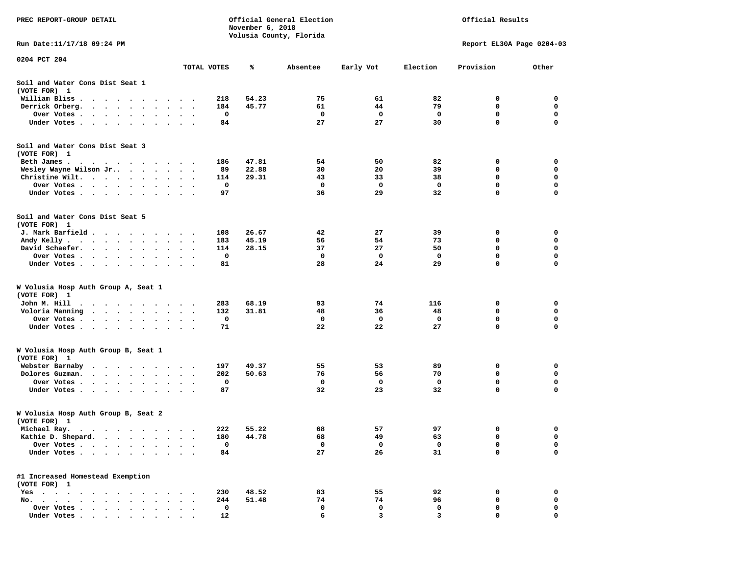| PREC REPORT-GROUP DETAIL                                                                                                                              |                        |                                 |             | November 6, 2018 | Official General Election<br>Volusia County, Florida | Official Results |          |                           |             |
|-------------------------------------------------------------------------------------------------------------------------------------------------------|------------------------|---------------------------------|-------------|------------------|------------------------------------------------------|------------------|----------|---------------------------|-------------|
| Run Date:11/17/18 09:24 PM                                                                                                                            |                        |                                 |             |                  |                                                      |                  |          | Report EL30A Page 0204-03 |             |
| 0204 PCT 204                                                                                                                                          |                        |                                 | TOTAL VOTES | %                | Absentee                                             | Early Vot        | Election | Provision                 | Other       |
| Soil and Water Cons Dist Seat 1<br>(VOTE FOR) 1                                                                                                       |                        |                                 |             |                  |                                                      |                  |          |                           |             |
| William Bliss.<br>$\begin{array}{ccccccccccccc} \bullet & \bullet & \bullet & \bullet & \bullet & \bullet \end{array}$<br>$\cdots$                    | $\cdot$                |                                 | 218         | 54.23            | 75                                                   | 61               | 82       | 0                         | 0           |
| Derrick Orberg.<br>$\bullet$ .<br><br><br><br><br><br><br>$\bullet$                                                                                   |                        |                                 | 184         | 45.77            | 61                                                   | 44               | 79       | 0                         | 0           |
| Over Votes.<br>$\begin{array}{cccccccccccccc} \bullet & \bullet & \bullet & \bullet & \bullet & \bullet & \bullet & \bullet \end{array}$<br>$\bullet$ | $\cdot$<br>$\bullet$   |                                 | 0           |                  | 0                                                    | 0                | 0        | $\mathbf 0$               | 0           |
| Under Votes<br>$\ddot{\phantom{1}}$<br>$\bullet$                                                                                                      |                        |                                 | 84          |                  | 27                                                   | 27               | 30       | 0                         | 0           |
| Soil and Water Cons Dist Seat 3<br>(VOTE FOR) 1                                                                                                       |                        |                                 |             |                  |                                                      |                  |          |                           |             |
| Beth James.                                                                                                                                           | $\bullet$              |                                 | 186         | 47.81            | 54                                                   | 50               | 82       | 0                         | 0           |
| Wesley Wayne Wilson Jr                                                                                                                                | $\sim$                 | $\ddot{\phantom{0}}$<br>$\cdot$ | 89          | 22.88            | 30                                                   | 20               | 39       | 0                         | 0           |
| Christine Wilt.<br>$\sim$ $\sim$<br>$\bullet$                                                                                                         | $\cdot$                |                                 | 114<br>0    | 29.31            | 43<br>0                                              | 33<br>0          | 38<br>0  | 0<br>$\mathbf 0$          | 0<br>0      |
| Over Votes<br>$\bullet$<br>$\cdot$<br>Under Votes                                                                                                     | $\bullet$<br>$\bullet$ | $\sim$<br>$\sim$                | 97          |                  | 36                                                   | 29               | 32       | 0                         | 0           |
| Soil and Water Cons Dist Seat 5                                                                                                                       |                        |                                 |             |                  |                                                      |                  |          |                           |             |
| (VOTE FOR) 1                                                                                                                                          |                        |                                 |             |                  |                                                      |                  |          |                           |             |
| J. Mark Barfield                                                                                                                                      |                        |                                 | 108         | 26.67            | 42                                                   | 27               | 39       | 0                         | 0           |
| Andy Kelly<br>$\bullet$                                                                                                                               |                        |                                 | 183         | 45.19            | 56                                                   | 54               | 73       | 0                         | 0           |
| David Schaefer.<br>$\sim$ $\sim$ $\sim$<br>$\bullet$<br>$\bullet$<br>$\bullet$                                                                        | $\bullet$<br>$\bullet$ |                                 | 114         | 28.15            | 37                                                   | 27               | 50       | 0                         | 0           |
| Over Votes.<br>$\sim$ $\sim$ $\sim$ $\sim$<br>$\ddot{\phantom{1}}$                                                                                    |                        |                                 | 0           |                  | 0<br>28                                              | 0                | 0        | 0<br>0                    | 0<br>0      |
| Under Votes<br>$\ddot{\phantom{0}}$<br>$\bullet$                                                                                                      | $\bullet$              | $\bullet$<br>$\cdot$            | 81          |                  |                                                      | 24               | 29       |                           |             |
| W Volusia Hosp Auth Group A, Seat 1<br>(VOTE FOR) 1                                                                                                   |                        |                                 |             |                  |                                                      |                  |          |                           |             |
| John M. Hill                                                                                                                                          |                        |                                 | 283         | 68.19            | 93                                                   | 74               | 116      | 0                         | 0           |
| Voloria Manning<br>$\sim$ $\sim$ $\sim$<br>$\bullet$<br>$\overline{\phantom{a}}$<br>$\bullet$                                                         | $\bullet$              |                                 | 132         | 31.81            | 48                                                   | 36               | 48       | 0                         | 0           |
| Over Votes .<br>$\bullet$ . $\bullet$ . $\bullet$ . $\bullet$ .<br>$\bullet$<br>$\bullet$                                                             | $\bullet$<br>$\bullet$ |                                 | 0           |                  | 0                                                    | 0                | 0        | 0                         | $\mathbf 0$ |
| Under Votes                                                                                                                                           | $\sim$ $\sim$ $\sim$   |                                 | 71          |                  | 22                                                   | 22               | 27       | $\mathbf 0$               | $\mathbf 0$ |
| W Volusia Hosp Auth Group B, Seat 1<br>(VOTE FOR) 1                                                                                                   |                        |                                 |             |                  |                                                      |                  |          |                           |             |
| Webster Barnaby<br>$\cdots$<br>$\bullet$<br>$\bullet$<br>$\bullet$                                                                                    | $\bullet$              | $\cdot$ .                       | 197         | 49.37            | 55                                                   | 53               | 89       | 0                         | 0           |
| Dolores Guzman.<br>$\sim$ $\sim$ $\sim$ $\sim$<br>$\bullet$<br>$\cdot$                                                                                |                        |                                 | 202         | 50.63            | 76                                                   | 56               | 70       | 0                         | 0           |
| Over Votes .<br>$\sim$ $\sim$<br>$\bullet$<br>$\cdot$<br>$\cdot$                                                                                      |                        |                                 | 0           |                  | 0                                                    | 0                | 0        | 0                         | 0           |
| Under Votes<br>$\bullet$<br>$\bullet$                                                                                                                 |                        |                                 | 87          |                  | 32                                                   | 23               | 32       | 0                         | 0           |
| W Volusia Hosp Auth Group B, Seat 2<br>(VOTE FOR) 1                                                                                                   |                        |                                 |             |                  |                                                      |                  |          |                           |             |
| Michael Ray.                                                                                                                                          |                        |                                 | 222         | 55.22            | 68                                                   | 57               | 97       | 0                         | 0           |
| Kathie D. Shepard.<br>$\bullet$                                                                                                                       |                        |                                 | 180         | 44.78            | 68                                                   | 49               | 63       | 0                         | 0           |
| Over Votes .<br>$\ddot{\phantom{a}}$<br>$\ddot{\phantom{a}}$                                                                                          |                        |                                 | $\mathbf 0$ |                  | 0                                                    | 0                | 0        | 0                         | 0           |
| Under Votes.<br>$\ddot{\phantom{1}}$<br>$\ddot{\phantom{a}}$<br>$\bullet$<br>$\bullet$                                                                |                        |                                 | 84          |                  | 27                                                   | 26               | 31       | 0                         | 0           |
| #1 Increased Homestead Exemption<br>(VOTE FOR) 1                                                                                                      |                        |                                 |             |                  |                                                      |                  |          |                           |             |
| $Yes \cdot \cdot \cdot \cdot \cdot$<br>$\ddot{\phantom{1}}$                                                                                           |                        |                                 | 230         | 48.52            | 83                                                   | 55               | 92       | 0                         | 0           |
| No.<br>$\cdot$<br>$\ddot{\phantom{a}}$<br>$\ddot{\phantom{a}}$<br>$\ddot{\phantom{a}}$                                                                |                        |                                 | 244         | 51.48            | 74                                                   | 74               | 96       | 0                         | 0           |
| Over Votes                                                                                                                                            |                        |                                 | 0           |                  | 0                                                    | 0                | 0        | 0                         | 0           |
| Under Votes                                                                                                                                           |                        |                                 | 12          |                  | 6                                                    | $\overline{3}$   | 3        | $\Omega$                  | $\Omega$    |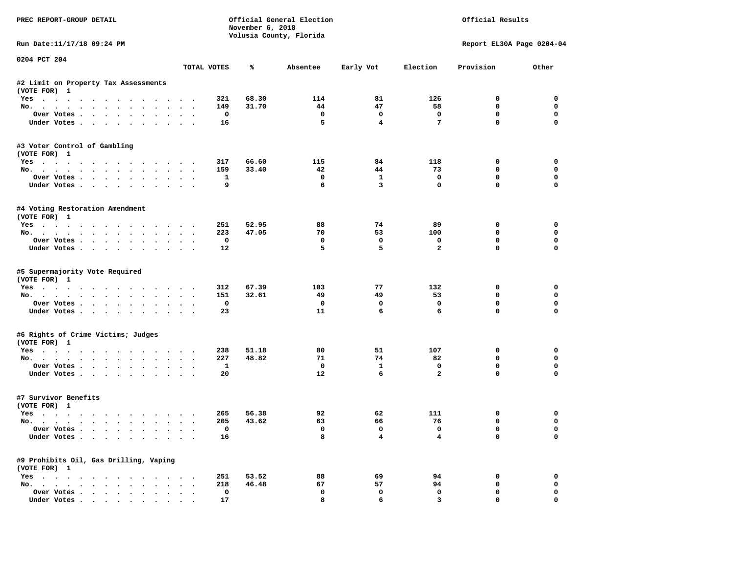| PREC REPORT-GROUP DETAIL                                                                                                                                                                                                                                                                                                                                                                                                                                                                   |        |                         | November 6, 2018 | Official General Election<br>Volusia County, Florida |                         |                 | Official Results          |                         |
|--------------------------------------------------------------------------------------------------------------------------------------------------------------------------------------------------------------------------------------------------------------------------------------------------------------------------------------------------------------------------------------------------------------------------------------------------------------------------------------------|--------|-------------------------|------------------|------------------------------------------------------|-------------------------|-----------------|---------------------------|-------------------------|
| Run Date: 11/17/18 09:24 PM                                                                                                                                                                                                                                                                                                                                                                                                                                                                |        |                         |                  |                                                      |                         |                 | Report EL30A Page 0204-04 |                         |
| 0204 PCT 204                                                                                                                                                                                                                                                                                                                                                                                                                                                                               |        |                         |                  |                                                      |                         |                 |                           |                         |
|                                                                                                                                                                                                                                                                                                                                                                                                                                                                                            |        | TOTAL VOTES             | ℁                | Absentee                                             | Early Vot               | Election        | Provision                 | Other                   |
| #2 Limit on Property Tax Assessments<br>(VOTE FOR) 1                                                                                                                                                                                                                                                                                                                                                                                                                                       |        |                         |                  |                                                      |                         |                 |                           |                         |
| Yes                                                                                                                                                                                                                                                                                                                                                                                                                                                                                        |        | 321                     | 68.30            | 114                                                  | 81                      | 126             | 0                         | 0                       |
| No.                                                                                                                                                                                                                                                                                                                                                                                                                                                                                        |        | 149                     | 31.70            | 44                                                   | 47                      | 58              | 0                         | 0                       |
| Over Votes                                                                                                                                                                                                                                                                                                                                                                                                                                                                                 |        | $\mathbf{o}$            |                  | $\overline{\phantom{0}}$                             | $\mathbf 0$             | $\mathbf 0$     | $\mathbf 0$               | $\mathbf 0$             |
| Under Votes                                                                                                                                                                                                                                                                                                                                                                                                                                                                                |        | 16                      |                  | 5                                                    | $\overline{\mathbf{4}}$ | $7\phantom{.0}$ | $\mathbf{0}$              | $\Omega$                |
| #3 Voter Control of Gambling<br>(VOTE FOR) 1                                                                                                                                                                                                                                                                                                                                                                                                                                               |        |                         |                  |                                                      |                         |                 |                           |                         |
| Yes                                                                                                                                                                                                                                                                                                                                                                                                                                                                                        |        | 317                     | 66.60            | 115                                                  | 84                      | 118             | 0                         | 0                       |
| No.                                                                                                                                                                                                                                                                                                                                                                                                                                                                                        |        | 159                     | 33.40            | 42                                                   | 44                      | 73              | 0                         | $\mathbf 0$             |
| Over Votes                                                                                                                                                                                                                                                                                                                                                                                                                                                                                 |        | $\mathbf{1}$            |                  | $\mathbf{o}$                                         | $\mathbf{1}$            | $\mathbf 0$     | 0                         | $\mathbf 0$             |
| Under Votes                                                                                                                                                                                                                                                                                                                                                                                                                                                                                |        | 9                       |                  | 6                                                    | $\mathbf{3}$            | $\Omega$        | $\Omega$                  | $\Omega$                |
| #4 Voting Restoration Amendment<br>(VOTE FOR) 1                                                                                                                                                                                                                                                                                                                                                                                                                                            |        |                         |                  |                                                      |                         |                 |                           |                         |
| Yes                                                                                                                                                                                                                                                                                                                                                                                                                                                                                        |        | 251                     | 52.95            | 88                                                   | 74                      | 89              | 0                         | 0                       |
| No.                                                                                                                                                                                                                                                                                                                                                                                                                                                                                        |        | 223                     | 47.05            | 70                                                   | 53                      | 100             | $\mathbf 0$               | 0                       |
| Over Votes                                                                                                                                                                                                                                                                                                                                                                                                                                                                                 |        | $\overline{\mathbf{0}}$ |                  | $^{\circ}$                                           | $\Omega$                | $\mathbf 0$     | $\mathbf 0$               | $\mathbf 0$             |
| Under Votes                                                                                                                                                                                                                                                                                                                                                                                                                                                                                |        | 12                      |                  | 5                                                    | 5                       | $\overline{a}$  | $\mathbf 0$               | $\mathbf 0$             |
| #5 Supermajority Vote Required<br>(VOTE FOR) 1                                                                                                                                                                                                                                                                                                                                                                                                                                             |        |                         |                  |                                                      | 77                      |                 |                           |                         |
| Yes                                                                                                                                                                                                                                                                                                                                                                                                                                                                                        |        | 312<br>151              | 67.39<br>32.61   | 103<br>49                                            | 49                      | 132<br>53       | 0<br>$\Omega$             | $\mathbf 0$<br>$\Omega$ |
| No.<br>Over Votes                                                                                                                                                                                                                                                                                                                                                                                                                                                                          |        | 0                       |                  | $\mathbf{o}$                                         | $\mathbf 0$             | $\mathbf 0$     | $\mathbf 0$               | $\mathbf 0$             |
| Under Votes                                                                                                                                                                                                                                                                                                                                                                                                                                                                                |        | 23                      |                  | 11                                                   | 6                       | 6               | $\Omega$                  | $\Omega$                |
|                                                                                                                                                                                                                                                                                                                                                                                                                                                                                            |        |                         |                  |                                                      |                         |                 |                           |                         |
| #6 Rights of Crime Victims; Judges<br>(VOTE FOR) 1                                                                                                                                                                                                                                                                                                                                                                                                                                         |        |                         |                  |                                                      |                         |                 |                           |                         |
| Yes                                                                                                                                                                                                                                                                                                                                                                                                                                                                                        |        | 238                     | 51.18            | 80                                                   | 51                      | 107             | 0                         | $\mathbf 0$             |
| No.                                                                                                                                                                                                                                                                                                                                                                                                                                                                                        |        | 227                     | 48.82            | 71                                                   | 74                      | 82              | $\mathbf 0$               | $\mathbf 0$             |
| Over Votes                                                                                                                                                                                                                                                                                                                                                                                                                                                                                 |        | <b>1</b>                |                  | $\mathbf{o}$                                         | 1                       | 0               | 0                         | 0                       |
| Under Votes                                                                                                                                                                                                                                                                                                                                                                                                                                                                                |        | 20                      |                  | 12                                                   | 6                       | $\overline{a}$  | $\mathbf 0$               | $\Omega$                |
| #7 Survivor Benefits<br>(VOTE FOR) 1                                                                                                                                                                                                                                                                                                                                                                                                                                                       |        |                         |                  |                                                      |                         |                 |                           |                         |
| Yes                                                                                                                                                                                                                                                                                                                                                                                                                                                                                        |        | 265                     | 56.38            | 92                                                   | 62                      | 111             | 0                         | 0                       |
| No.                                                                                                                                                                                                                                                                                                                                                                                                                                                                                        |        | 205                     | 43.62            | 63                                                   | 66                      | 76              | $\mathbf 0$               | 0                       |
| Over Votes                                                                                                                                                                                                                                                                                                                                                                                                                                                                                 |        | 0                       |                  | $\Omega$                                             | 0                       | 0               | 0                         | 0                       |
| Under Votes                                                                                                                                                                                                                                                                                                                                                                                                                                                                                |        | 16                      |                  | 8                                                    | $\overline{4}$          | 4               | $\mathbf 0$               | $\mathbf 0$             |
| #9 Prohibits Oil, Gas Drilling, Vaping<br>(VOTE FOR) 1                                                                                                                                                                                                                                                                                                                                                                                                                                     |        |                         |                  |                                                      |                         |                 |                           |                         |
| Yes                                                                                                                                                                                                                                                                                                                                                                                                                                                                                        |        | 251                     | 53.52            | 88                                                   | 69                      | 94              | 0                         | 0                       |
| No.                                                                                                                                                                                                                                                                                                                                                                                                                                                                                        |        | 218                     | 46.48            | 67                                                   | 57                      | 94              | 0                         | 0                       |
| Over Votes                                                                                                                                                                                                                                                                                                                                                                                                                                                                                 | $\sim$ | $\mathbf 0$             |                  | $\mathbf 0$                                          | $\mathbf 0$             | $\mathbf 0$     | $\mathbf 0$               | 0                       |
| $\blacksquare$ $\blacksquare$ $\blacksquare$ $\blacksquare$ $\blacksquare$ $\blacksquare$ $\blacksquare$ $\blacksquare$ $\blacksquare$ $\blacksquare$ $\blacksquare$ $\blacksquare$ $\blacksquare$ $\blacksquare$ $\blacksquare$ $\blacksquare$ $\blacksquare$ $\blacksquare$ $\blacksquare$ $\blacksquare$ $\blacksquare$ $\blacksquare$ $\blacksquare$ $\blacksquare$ $\blacksquare$ $\blacksquare$ $\blacksquare$ $\blacksquare$ $\blacksquare$ $\blacksquare$ $\blacksquare$ $\blacks$ |        | 17                      |                  | я                                                    | 6                       | 3               | $\Omega$                  | $\Omega$                |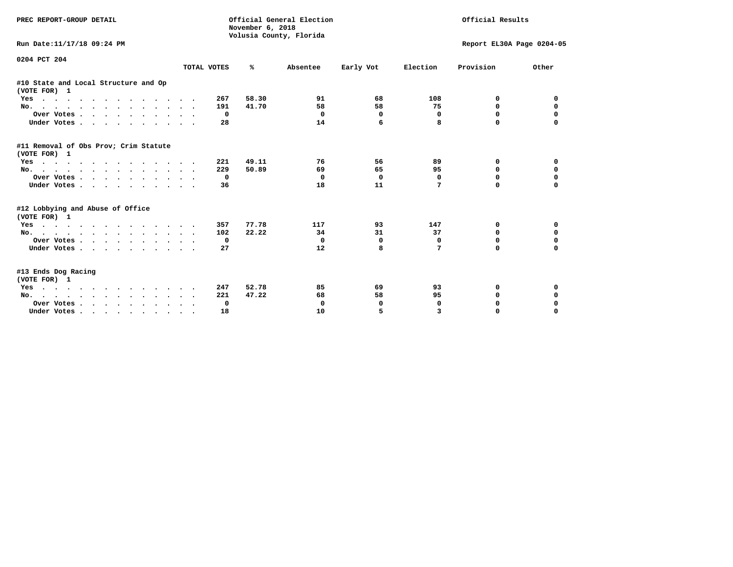| PREC REPORT-GROUP DETAIL                              |              | Official General Election<br>November 6, 2018<br>Volusia County, Florida |            | Official Results |             |                           |             |
|-------------------------------------------------------|--------------|--------------------------------------------------------------------------|------------|------------------|-------------|---------------------------|-------------|
| Run Date:11/17/18 09:24 PM                            |              |                                                                          |            |                  |             | Report EL30A Page 0204-05 |             |
| 0204 PCT 204                                          | TOTAL VOTES  | ℁                                                                        | Absentee   | Early Vot        | Election    | Provision                 | Other       |
| #10 State and Local Structure and Op<br>(VOTE FOR) 1  |              |                                                                          |            |                  |             |                           |             |
| Yes                                                   | 267          | 58.30                                                                    | 91         | 68               | 108         | 0                         | 0           |
| No.                                                   | 191          | 41.70                                                                    | 58         | 58               | 75          | $\mathbf{0}$              | $\mathbf 0$ |
| Over Votes                                            | $\mathbf 0$  |                                                                          | $\Omega$   | $\mathbf 0$      | 0           | 0                         | $\mathbf 0$ |
| Under Votes                                           | 28           |                                                                          | 14         | 6                | 8           | $\Omega$                  | $\Omega$    |
| #11 Removal of Obs Prov; Crim Statute<br>(VOTE FOR) 1 |              |                                                                          |            |                  |             |                           |             |
| Yes                                                   | 221          | 49.11                                                                    | 76         | 56               | 89          | 0                         | 0           |
| No.                                                   | 229          | 50.89                                                                    | 69         | 65               | 95          | 0                         | 0           |
| Over Votes                                            | 0            |                                                                          | $^{\circ}$ | $\Omega$         | 0           | 0                         | $\mathbf 0$ |
| Under Votes.                                          | 36           |                                                                          | 18         | 11               | 7           | <sup>n</sup>              | $\Omega$    |
| #12 Lobbying and Abuse of Office<br>(VOTE FOR) 1      |              |                                                                          |            |                  |             |                           |             |
| Yes                                                   | 357          | 77.78                                                                    | 117        | 93               | 147         | 0                         | 0           |
| No.                                                   | 102          | 22.22                                                                    | 34         | 31               | 37          | 0                         | $\mathbf 0$ |
| Over Votes.                                           | 0            |                                                                          | $^{\circ}$ | 0                | $\mathbf 0$ | $\Omega$                  | $\mathbf 0$ |
| Under Votes                                           | 27           |                                                                          | 12         | 8                | 7           | <sup>0</sup>              | $\Omega$    |
| #13 Ends Dog Racing<br>(VOTE FOR) 1                   |              |                                                                          |            |                  |             |                           |             |
| Yes                                                   | 247          | 52.78                                                                    | 85         | 69               | 93          | 0                         | 0           |
| No.                                                   | 221          | 47.22                                                                    | 68         | 58               | 95          | 0                         | $\mathbf 0$ |
| Over Votes                                            | $\mathbf{o}$ |                                                                          | 0          | 0                | $\mathbf 0$ | 0                         | 0           |
| Under Votes.                                          | 18           |                                                                          | 10         | 5                | 3           | 0                         | $\Omega$    |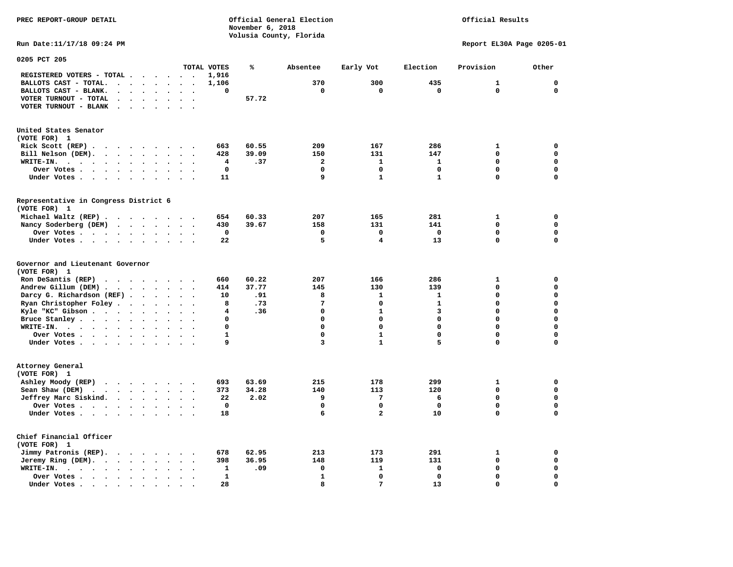## Official Results

**Run Date:11/17/18 09:24 PM Report EL30A Page 0205-01** 

| 0205 PCT 205                                                                                                         |                                              |                         |                |                         |                         |              |              |                  |
|----------------------------------------------------------------------------------------------------------------------|----------------------------------------------|-------------------------|----------------|-------------------------|-------------------------|--------------|--------------|------------------|
|                                                                                                                      |                                              | TOTAL VOTES             | ℁              | Absentee                | Early Vot               | Election     | Provision    | Other            |
| REGISTERED VOTERS - TOTAL .<br>$\overline{\phantom{a}}$<br>$\ddot{\phantom{a}}$<br>$\ddot{\phantom{a}}$              | $\ddot{\phantom{0}}$<br>$\sim$               | 1,916                   |                |                         |                         |              |              |                  |
| BALLOTS CAST - TOTAL.<br>$\sim$<br>$\bullet$<br>$\bullet$<br>$\ddot{\phantom{a}}$                                    |                                              | 1,106                   |                | 370                     | 300                     | 435          | $\mathbf{1}$ | $\mathbf 0$      |
| BALLOTS CAST - BLANK.<br>$\bullet$<br>$\ddot{\phantom{a}}$<br>$\bullet$<br>$\bullet$<br>$\bullet$                    | $\bullet$<br>$\bullet$                       | 0                       |                | $\mathbf 0$             | $\mathbf 0$             | $\mathbf 0$  | $\mathbf 0$  | $\mathbf 0$      |
| VOTER TURNOUT - TOTAL<br>$\bullet$<br>$\ddot{\phantom{a}}$<br>$\ddot{\phantom{1}}$                                   |                                              |                         | 57.72          |                         |                         |              |              |                  |
| VOTER TURNOUT - BLANK<br>$\overline{\phantom{a}}$                                                                    |                                              |                         |                |                         |                         |              |              |                  |
|                                                                                                                      |                                              |                         |                |                         |                         |              |              |                  |
|                                                                                                                      |                                              |                         |                |                         |                         |              |              |                  |
| United States Senator                                                                                                |                                              |                         |                |                         |                         |              |              |                  |
| (VOTE FOR) 1                                                                                                         |                                              |                         |                |                         |                         |              |              |                  |
| Rick Scott (REP).<br>$\ddot{\phantom{1}}$<br>$\sim$ $\sim$ $\sim$<br>$\sim$ $\sim$<br>$\ddot{\phantom{a}}$<br>$\sim$ | $\overline{\phantom{a}}$                     | 663                     | 60.55          | 209                     | 167                     | 286          | 1            | $\mathbf 0$      |
| Bill Nelson (DEM).<br>$\cdots$                                                                                       | $\bullet$                                    | 428                     | 39.09          | 150                     | 131                     | 147          | 0            | $\mathbf{0}$     |
| WRITE-IN.<br>$\cdot$ $\cdot$ $\cdot$<br>$\sim$ $\sim$ $\sim$ $\sim$<br>$\ddot{\phantom{a}}$                          |                                              | 4                       | .37            | $\overline{\mathbf{2}}$ | 1                       | 1            | $\Omega$     | $\mathbf 0$      |
| Over Votes<br>$\ddot{\phantom{a}}$                                                                                   |                                              | $\mathbf 0$             |                | $\Omega$                | $\mathbf 0$             | $\mathbf 0$  | $\mathbf 0$  | $\mathbf 0$      |
| Under Votes<br>$\bullet$<br>$\bullet$                                                                                | $\ddot{\phantom{a}}$<br>$\bullet$            | 11                      |                | 9                       | $\mathbf{1}$            | $\mathbf{1}$ | $\mathbf 0$  | $\mathbf 0$      |
|                                                                                                                      |                                              |                         |                |                         |                         |              |              |                  |
| Representative in Congress District 6                                                                                |                                              |                         |                |                         |                         |              |              |                  |
| (VOTE FOR) 1                                                                                                         |                                              |                         |                |                         |                         |              |              |                  |
| Michael Waltz (REP)                                                                                                  |                                              | 654                     | 60.33          | 207                     | 165                     | 281          | 1            | 0                |
| Nancy Soderberg (DEM)                                                                                                | $\bullet$                                    | 430                     | 39.67          | 158                     | 131                     | 141          | 0            | $\mathbf 0$      |
| Over Votes .<br>$\sim$ $\sim$ $\sim$ $\sim$<br>$\ddot{\phantom{a}}$<br>$\bullet$                                     |                                              | 0                       |                | 0                       | 0                       | $\mathbf 0$  | 0            | 0                |
| Under Votes<br>$\ddot{\phantom{a}}$<br>$\bullet$                                                                     | $\sim$<br>$\ddot{\phantom{a}}$               | 22                      |                | 5                       | $\overline{\mathbf{4}}$ | 13           | $\mathbf 0$  | $\mathbf 0$      |
|                                                                                                                      |                                              |                         |                |                         |                         |              |              |                  |
| Governor and Lieutenant Governor                                                                                     |                                              |                         |                |                         |                         |              |              |                  |
| (VOTE FOR) 1                                                                                                         |                                              |                         |                |                         |                         |              |              |                  |
| Ron DeSantis (REP)<br>.                                                                                              |                                              | 660                     | 60.22          | 207                     | 166                     | 286          | $\mathbf{1}$ | $\mathbf 0$      |
| Andrew Gillum (DEM)<br>$\ddot{\phantom{1}}$                                                                          | $\ddot{\phantom{a}}$<br>$\bullet$            | 414                     | 37.77          | 145                     | 130                     | 139          | 0            | $\mathbf 0$      |
| Darcy G. Richardson (REF).<br>$\ddot{\phantom{a}}$                                                                   |                                              | 10                      | .91            | 8                       | $\mathbf{1}$            | $\mathbf{1}$ | 0            | 0                |
|                                                                                                                      |                                              | 8                       | .73            | 7                       | $\Omega$                | $\mathbf{1}$ | $\Omega$     | $\mathbf 0$      |
| Ryan Christopher Foley.<br>$\sim$<br>$\bullet$<br>$\bullet$                                                          |                                              | $\overline{\mathbf{4}}$ | .36            | $\Omega$                | $\mathbf{1}$            | 3            | $\mathbf 0$  | $\mathbf 0$      |
| Kyle "KC" Gibson.<br>$\mathcal{L}=\mathcal{L}=\mathcal{L}$ .<br>$\bullet$<br>$\ddot{\phantom{a}}$<br>$\bullet$       | $\ddot{\phantom{a}}$<br>$\ddot{\phantom{1}}$ |                         |                | $\Omega$                | $\Omega$                | 0            | 0            | $\mathbf 0$      |
| Bruce Stanley<br>$\ddot{\phantom{a}}$                                                                                |                                              | 0                       |                |                         |                         |              |              |                  |
| WRITE-IN.<br>.<br>$\ddot{\phantom{a}}$                                                                               |                                              | 0                       |                | $\Omega$                | $\mathbf 0$             | $\Omega$     | $\mathbf 0$  | $\mathbf 0$      |
| Over Votes<br>$\bullet$<br>$\bullet$                                                                                 |                                              | $\mathbf{1}$            |                | 0                       | $\mathbf{1}$            | 0            | 0            | $\mathbf 0$      |
| Under Votes<br>$\cdot$                                                                                               |                                              | 9                       |                | 3                       | $\mathbf{1}$            | 5            | 0            | $\mathbf 0$      |
|                                                                                                                      |                                              |                         |                |                         |                         |              |              |                  |
| Attorney General<br>(VOTE FOR) 1                                                                                     |                                              |                         |                |                         |                         |              |              |                  |
|                                                                                                                      |                                              |                         |                |                         |                         |              |              |                  |
| Ashley Moody (REP)                                                                                                   |                                              | 693<br>373              | 63.69<br>34.28 | 215<br>140              | 178<br>113              | 299<br>120   | 1<br>0       | 0<br>$\mathbf 0$ |
| Sean Shaw (DEM)<br>$\cdots$<br>$\ddot{\phantom{a}}$                                                                  |                                              |                         |                |                         |                         |              |              |                  |
| Jeffrey Marc Siskind.<br>$\ddot{\phantom{a}}$<br>$\bullet$                                                           | $\ddot{\phantom{a}}$<br>$\ddot{\phantom{a}}$ | 22                      | 2.02           | 9                       | 7                       | 6            | 0            | $\mathbf 0$      |
| Over Votes<br>$\ddot{\phantom{0}}$                                                                                   |                                              | $\mathbf 0$             |                | $\Omega$                | $\mathbf 0$             | $\mathbf 0$  | 0            | $\mathbf 0$      |
| Under Votes<br>$\bullet$                                                                                             |                                              | 18                      |                | 6                       | $\mathbf{2}$            | 10           | 0            | $\mathbf 0$      |
| Chief Financial Officer                                                                                              |                                              |                         |                |                         |                         |              |              |                  |
|                                                                                                                      |                                              |                         |                |                         |                         |              |              |                  |
| (VOTE FOR) 1                                                                                                         |                                              |                         |                |                         |                         |              |              |                  |
| Jimmy Patronis (REP).<br>$\mathbf{r}$ , and $\mathbf{r}$ , and $\mathbf{r}$<br>$\ddot{\phantom{a}}$                  |                                              | 678                     | 62.95          | 213                     | 173                     | 291          | $\mathbf{1}$ | 0                |
| Jeremy Ring (DEM).<br>$\bullet$<br>$\bullet$                                                                         | $\ddot{\phantom{a}}$<br>$\bullet$            | 398                     | 36.95          | 148                     | 119                     | 131          | 0            | $\mathbf 0$      |
| WRITE-IN.<br>$\bullet$<br>$\sim$<br>$\sim$ $\sim$<br>$\bullet$                                                       |                                              | 1                       | .09            | $\mathbf 0$             | $\mathbf 1$             | $\mathbf 0$  | 0            | $\mathbf 0$      |
| Over Votes .<br>$\sim$ $\sim$ $\sim$<br>$\sim$<br>$\bullet$                                                          |                                              | $\mathbf{1}$            |                | $\mathbf{1}$            | $\mathbf 0$             | $\mathbf 0$  | $\mathbf 0$  | $\mathbf 0$      |
| Under Votes .<br>$\bullet$ .<br>$\bullet$<br>$\bullet$<br>$\bullet$                                                  |                                              | 28                      |                | 8                       | 7                       | 13           | $\Omega$     | $\mathbf 0$      |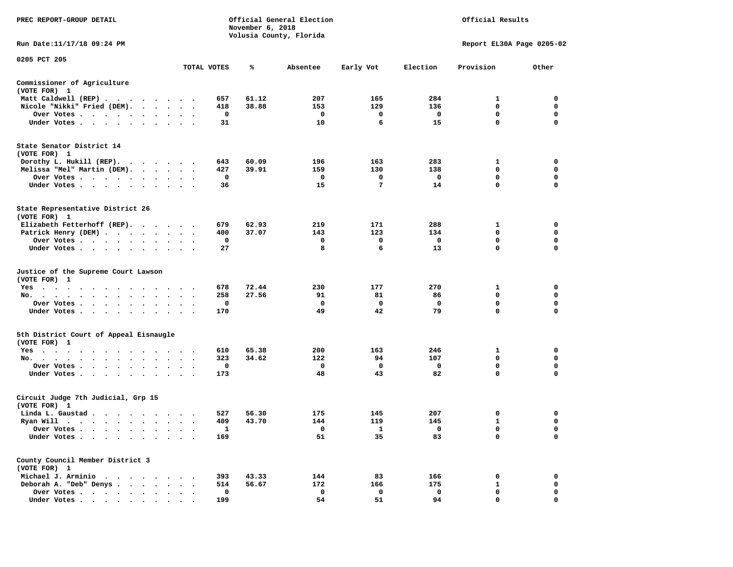| PREC REPORT-GROUP DETAIL                                    |                         |                     | November 6, 2018 | Official General Election<br>Volusia County, Florida | Official Results  |                         |                           |                  |
|-------------------------------------------------------------|-------------------------|---------------------|------------------|------------------------------------------------------|-------------------|-------------------------|---------------------------|------------------|
| Run Date:11/17/18 09:24 PM                                  |                         |                     |                  |                                                      |                   |                         | Report EL30A Page 0205-02 |                  |
| 0205 PCT 205                                                |                         | TOTAL VOTES         | ℁                | Absentee                                             | Early Vot         | Election                | Provision                 | Other            |
|                                                             |                         |                     |                  |                                                      |                   |                         |                           |                  |
| Commissioner of Agriculture<br>(VOTE FOR) 1                 |                         |                     |                  |                                                      |                   |                         |                           |                  |
| Matt Caldwell (REP)                                         |                         | 657                 | 61.12            | 207                                                  | 165               | 284                     | 1                         | $\mathbf 0$      |
| Nicole "Nikki" Fried (DEM).                                 |                         | 418                 | 38.88            | 153                                                  | 129               | 136                     | $\mathbf 0$               | $\mathbf 0$      |
| Over Votes                                                  |                         | 0                   |                  | $\mathbf 0$                                          | $\mathbf 0$       | $\mathbf 0$             | $\mathbf 0$               | $\mathbf 0$      |
| Under Votes                                                 |                         | 31                  |                  | 10                                                   | 6                 | 15                      | $\mathbf{0}$              | $\Omega$         |
| State Senator District 14<br>(VOTE FOR) 1                   |                         |                     |                  |                                                      |                   |                         |                           |                  |
| Dorothy L. Hukill (REP).                                    |                         | 643                 | 60.09            | 196                                                  | 163               | 283                     | 1                         | $\mathbf 0$      |
| Melissa "Mel" Martin (DEM).                                 |                         | 427                 | 39.91            | 159                                                  | 130               | 138                     | 0                         | 0                |
| Over Votes                                                  |                         | $\mathbf 0$         |                  | $\mathbf 0$                                          | 0                 | $\overline{\mathbf{0}}$ | $\mathbf 0$               | $\mathbf 0$      |
| Under Votes                                                 |                         | 36                  |                  | 15                                                   | 7                 | 14                      | $\mathbf 0$               | $\mathbf 0$      |
| State Representative District 26<br>(VOTE FOR) 1            |                         |                     |                  |                                                      |                   |                         |                           |                  |
| Elizabeth Fetterhoff (REP).                                 |                         | 679                 | 62.93            | 219                                                  | 171               | 288                     | $\mathbf{1}$              | $\mathbf 0$      |
| Patrick Henry (DEM)                                         |                         | 400                 | 37.07            | 143                                                  | 123               | 134                     | $\mathbf 0$               | $\mathbf 0$      |
| Over Votes                                                  | $\ddot{\phantom{1}}$    | 0                   |                  | 0                                                    | 0                 | $\mathbf{o}$            | 0                         | 0                |
| Under Votes                                                 |                         | 27                  |                  | 8                                                    | 6                 | 13                      | $\mathbf 0$               | $\mathbf 0$      |
| Justice of the Supreme Court Lawson<br>(VOTE FOR) 1         |                         |                     |                  |                                                      |                   | 270                     |                           |                  |
| Yes<br>No.                                                  |                         | 678<br>258          | 72.44<br>27.56   | 230<br>91                                            | 177<br>81         | 86                      | 1<br>0                    | 0<br>0           |
| $\sim$<br>Over Votes                                        |                         | 0                   |                  | $\mathbf{o}$                                         | 0                 | $\mathbf 0$             | $\mathbf 0$               | $\mathbf 0$      |
| Under Votes                                                 | $\cdot$ $\cdot$ $\cdot$ | 170                 |                  | 49                                                   | 42                | 79                      | $\mathbf 0$               | $\mathbf 0$      |
|                                                             |                         |                     |                  |                                                      |                   |                         |                           |                  |
| 5th District Court of Appeal Eisnaugle<br>(VOTE FOR) 1      |                         |                     |                  |                                                      |                   |                         |                           |                  |
| Yes                                                         |                         | 610                 | 65.38            | 200                                                  | 163               | 246                     | 1                         | $\mathbf 0$      |
| No.                                                         |                         | 323                 | 34.62            | 122                                                  | 94                | 107                     | 0                         | 0                |
| Over Votes<br>$\ddot{\phantom{1}}$<br>Under Votes<br>$\sim$ |                         | $\mathbf{o}$<br>173 |                  | $\mathbf 0$<br>48                                    | $\mathbf 0$<br>43 | $\mathbf 0$<br>82       | 0<br>$\mathbf 0$          | 0<br>$\mathbf 0$ |
| Circuit Judge 7th Judicial, Grp 15                          |                         |                     |                  |                                                      |                   |                         |                           |                  |
| (VOTE FOR) 1                                                |                         |                     |                  |                                                      |                   |                         |                           |                  |
| Linda L. Gaustad                                            |                         | 527                 | 56.30            | 175                                                  | 145               | 207                     | 0                         | $\mathbf 0$      |
| Ryan Will $\cdots$ , $\cdots$ , $\cdots$ , $\cdots$         |                         | 409                 | 43.70            | 144                                                  | 119               | 145                     | $\mathbf{1}$              | $\mathbf 0$      |
| Over Votes                                                  |                         | 1                   |                  | $\overline{\phantom{0}}$                             | $\mathbf{1}$      | $\overline{\mathbf{0}}$ | $\mathbf 0$               | $\Omega$         |
| Under Votes<br>$\sim$<br>$\ddot{\phantom{1}}$<br>$\bullet$  |                         | 169                 |                  | 51                                                   | 35                | 83                      | 0                         | $\mathbf 0$      |
| County Council Member District 3<br>(VOTE FOR) 1            |                         |                     |                  |                                                      |                   |                         |                           |                  |
| Michael J. Arminio                                          |                         | 393                 | 43.33            | 144                                                  | 83                | 166                     | 0                         | 0                |
| Deborah A. "Deb" Denys                                      |                         | 514                 | 56.67            | 172                                                  | 166               | 175                     | 1                         | 0                |
| Over Votes<br>$\ddot{\phantom{a}}$                          | $\cdot$<br>$\cdot$      | 0                   |                  | $\mathbf 0$                                          | 0                 | $\mathbf 0$             | $\mathbf 0$               | $\mathbf 0$      |
| Under Votes, , , , , , , , , ,                              |                         | 199                 |                  | 54                                                   | 51                | 94                      | $\Omega$                  | $\mathbf 0$      |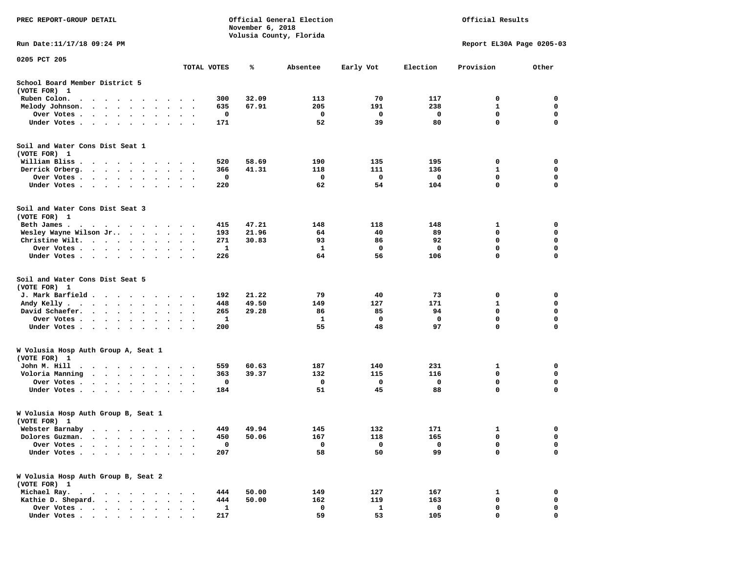| PREC REPORT-GROUP DETAIL                                                                                                                                                |                                                               |              | November 6, 2018 | Official General Election<br>Volusia County, Florida |           | Official Results |                            |                            |  |
|-------------------------------------------------------------------------------------------------------------------------------------------------------------------------|---------------------------------------------------------------|--------------|------------------|------------------------------------------------------|-----------|------------------|----------------------------|----------------------------|--|
| Run Date: 11/17/18 09:24 PM                                                                                                                                             |                                                               |              |                  |                                                      |           |                  | Report EL30A Page 0205-03  |                            |  |
| 0205 PCT 205                                                                                                                                                            |                                                               | TOTAL VOTES  | ℁                | Absentee                                             | Early Vot | Election         | Provision                  | Other                      |  |
| School Board Member District 5                                                                                                                                          |                                                               |              |                  |                                                      |           |                  |                            |                            |  |
| (VOTE FOR) 1                                                                                                                                                            |                                                               |              |                  |                                                      |           |                  |                            |                            |  |
| Ruben Colon.<br>$\cdot$ $\cdot$ $\cdot$ $\cdot$<br>$\blacksquare$ .                                                                                                     |                                                               | 300          | 32.09            | 113                                                  | 70        | 117              | 0                          | 0                          |  |
| Melody Johnson.                                                                                                                                                         | $\sim$ $\sim$                                                 | 635          | 67.91            | 205                                                  | 191       | 238              | 1                          | 0                          |  |
| Over Votes.<br>$\ddotsc$<br>$\sim$<br>$\bullet$                                                                                                                         |                                                               | 0            |                  | 0                                                    | 0         | 0                | 0                          | 0                          |  |
| Under Votes                                                                                                                                                             |                                                               | 171          |                  | 52                                                   | 39        | 80               | 0                          | $\mathbf 0$                |  |
| Soil and Water Cons Dist Seat 1<br>(VOTE FOR) 1                                                                                                                         |                                                               |              |                  |                                                      |           |                  |                            |                            |  |
| William Bliss.                                                                                                                                                          |                                                               | 520          | 58.69            | 190                                                  | 135       | 195              | 0                          | 0                          |  |
| Derrick Orberg.<br>.                                                                                                                                                    |                                                               | 366          | 41.31            | 118                                                  | 111       | 136              | 1                          | 0                          |  |
| Over Votes                                                                                                                                                              |                                                               | 0            |                  | 0                                                    | 0         | 0                | $\mathbf 0$                | $\mathbf 0$                |  |
| Under Votes<br>$\sim$                                                                                                                                                   | $\sim$<br>$\cdot$ $\cdot$                                     | 220          |                  | 62                                                   | 54        | 104              | $\mathbf 0$                | 0                          |  |
| Soil and Water Cons Dist Seat 3<br>(VOTE FOR) 1                                                                                                                         |                                                               |              |                  |                                                      |           |                  |                            |                            |  |
| Beth James.<br>$\cdots$                                                                                                                                                 |                                                               | 415          | 47.21            | 148                                                  | 118       | 148              | 1                          | 0                          |  |
| Wesley Wayne Wilson Jr                                                                                                                                                  |                                                               | 193          | 21.96            | 64                                                   | 40        | 89               | 0                          | 0                          |  |
| Christine Wilt.                                                                                                                                                         | $\ddot{\phantom{1}}$<br>$\sim$                                | 271          | 30.83            | 93                                                   | 86        | 92               | 0                          | 0                          |  |
| Over Votes<br>$\ddot{\phantom{a}}$<br>$\cdot$                                                                                                                           |                                                               | 1            |                  | 1                                                    | 0         | 0                | $\mathbf 0$                | $\mathbf 0$                |  |
| Under Votes                                                                                                                                                             |                                                               | 226          |                  | 64                                                   | 56        | 106              | $\mathbf 0$                | $\mathbf 0$                |  |
| Soil and Water Cons Dist Seat 5                                                                                                                                         |                                                               |              |                  |                                                      |           |                  |                            |                            |  |
| (VOTE FOR) 1                                                                                                                                                            |                                                               |              |                  |                                                      |           |                  |                            |                            |  |
| J. Mark Barfield                                                                                                                                                        |                                                               | 192          | 21.22            | 79                                                   | 40        | 73               | 0                          | 0                          |  |
| Andy Kelly.                                                                                                                                                             | $\ddot{\phantom{1}}$<br>$\cdot$                               | 448          | 49.50            | 149                                                  | 127       | 171              | 1                          | 0                          |  |
| David Schaefer.<br>$\cdots$                                                                                                                                             |                                                               | 265          | 29.28            | 86                                                   | 85        | 94               | $\mathbf 0$<br>$\mathbf 0$ | $\mathbf 0$<br>$\mathbf 0$ |  |
| Over Votes<br>$\ddot{\phantom{0}}$                                                                                                                                      | $\cdot$<br>$\bullet$                                          | 1            |                  | 1                                                    | 0         | 0                | 0                          |                            |  |
| Under Votes<br>$\cdot$                                                                                                                                                  |                                                               | 200          |                  | 55                                                   | 48        | 97               |                            | 0                          |  |
| W Volusia Hosp Auth Group A, Seat 1<br>(VOTE FOR) 1                                                                                                                     |                                                               |              |                  |                                                      |           |                  |                            |                            |  |
| John M. Hill<br>$\sim$ $\sim$<br>.                                                                                                                                      |                                                               | 559          | 60.63            | 187                                                  | 140       | 231              | 1                          | 0                          |  |
| Voloria Manning<br>$\cdots$                                                                                                                                             | $\bullet$<br>$\ddot{\phantom{0}}$<br>$\overline{\phantom{a}}$ | 363          | 39.37            | 132                                                  | 115       | 116              | 0                          | 0                          |  |
| Over Votes<br>$\sim$                                                                                                                                                    | $\cdot$                                                       | 0            |                  | 0                                                    | 0         | 0                | 0                          | 0                          |  |
| Under Votes<br>$\sim$                                                                                                                                                   | $\bullet$<br>$\cdot$ .                                        | 184          |                  | 51                                                   | 45        | 88               | $\mathbf 0$                | $\mathbf 0$                |  |
| W Volusia Hosp Auth Group B, Seat 1<br>(VOTE FOR) 1                                                                                                                     |                                                               |              |                  |                                                      |           |                  |                            |                            |  |
| Webster Barnaby                                                                                                                                                         |                                                               | 449          | 49.94            | 145                                                  | 132       | 171              | 1                          | 0                          |  |
| Dolores Guzman.                                                                                                                                                         |                                                               | 450          | 50.06            | 167                                                  | 118       | 165              | 0                          | 0                          |  |
| Over Votes .                                                                                                                                                            |                                                               | $\mathbf 0$  |                  | 0                                                    | 0         | 0                | 0                          | 0                          |  |
| Under Votes.<br>$\bullet$<br>$\ddot{\phantom{a}}$<br>$\ddot{\phantom{0}}$<br>$\bullet$<br>$\ddot{\phantom{0}}$                                                          | $\bullet$                                                     | 207          |                  | 58                                                   | 50        | 99               | $\mathbf 0$                | $\mathbf 0$                |  |
| W Volusia Hosp Auth Group B, Seat 2<br>(VOTE FOR) 1                                                                                                                     |                                                               |              |                  |                                                      |           |                  |                            |                            |  |
| Michael Ray.<br>$\begin{array}{cccccccccccccc} \bullet & \bullet & \bullet & \bullet & \bullet & \bullet & \bullet & \bullet & \bullet & \bullet & \bullet \end{array}$ |                                                               | 444          | 50.00            | 149                                                  | 127       | 167              | 1                          | 0                          |  |
| Kathie D. Shepard.                                                                                                                                                      |                                                               | 444          | 50.00            | 162                                                  | 119       | 163              | 0                          | 0                          |  |
| Over Votes<br>$\ddot{\phantom{a}}$                                                                                                                                      |                                                               | $\mathbf{1}$ |                  | 0                                                    | 1         | 0                | 0                          | 0                          |  |
| Under Votes                                                                                                                                                             |                                                               | 217          |                  | 59                                                   | 53        | 105              | $\mathbf{0}$               | $\mathbf 0$                |  |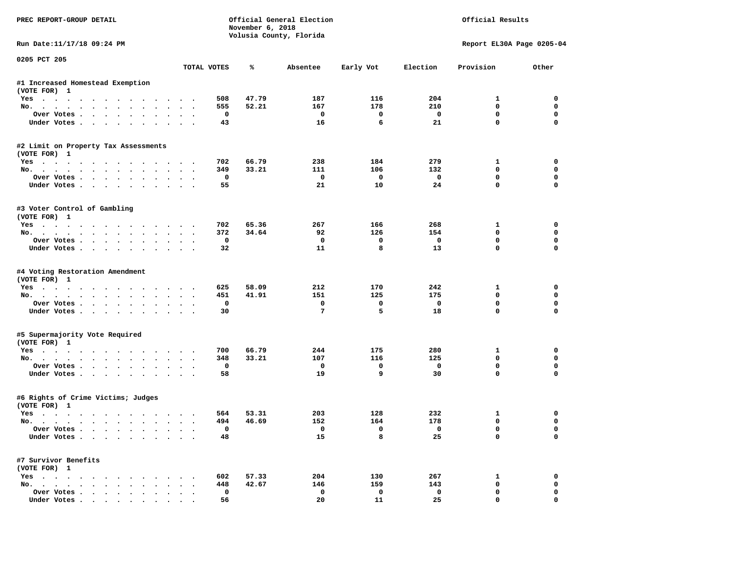| PREC REPORT-GROUP DETAIL                               |               |             | November 6, 2018 | Official General Election<br>Volusia County, Florida |                         |                         | Official Results          |             |
|--------------------------------------------------------|---------------|-------------|------------------|------------------------------------------------------|-------------------------|-------------------------|---------------------------|-------------|
| Run Date:11/17/18 09:24 PM                             |               |             |                  |                                                      |                         |                         | Report EL30A Page 0205-04 |             |
| 0205 PCT 205                                           |               | TOTAL VOTES | ℁                | Absentee                                             | Early Vot               | Election                | Provision                 | Other       |
| #1 Increased Homestead Exemption                       |               |             |                  |                                                      |                         |                         |                           |             |
| (VOTE FOR) 1                                           |               |             |                  |                                                      |                         |                         |                           |             |
| Yes                                                    |               | 508         | 47.79            | 187                                                  | 116                     | 204                     | $\mathbf{1}$              | 0           |
| No.                                                    |               | 555         | 52.21            | 167                                                  | 178                     | 210                     | $\mathbf 0$               | $\mathbf 0$ |
| Over Votes<br>$\sim$                                   |               | 0           |                  | $\overline{\phantom{0}}$                             | $\mathbf{o}$            | $\mathbf{o}$            | $\mathbf 0$               | $\mathbf 0$ |
| Under Votes                                            |               | 43          |                  | 16                                                   | 6                       | 21                      | $\mathbf 0$               | $\mathbf 0$ |
| #2 Limit on Property Tax Assessments<br>(VOTE FOR) 1   |               |             |                  |                                                      |                         |                         |                           |             |
| Yes                                                    |               | 702         | 66.79            | 238                                                  | 184                     | 279                     | $\mathbf{1}$              | 0           |
| No.                                                    |               | 349         | 33.21            | 111                                                  | 106                     | 132                     | $\mathbf 0$               | 0           |
| Over Votes                                             |               | $\mathbf 0$ |                  | $\mathbf 0$                                          | $\overline{\mathbf{0}}$ | $\overline{\mathbf{0}}$ | $\mathbf 0$               | $\mathbf 0$ |
| Under Votes                                            |               | 55          |                  | 21                                                   | 10                      | 24                      | $\mathbf 0$               | $\Omega$    |
| #3 Voter Control of Gambling                           |               |             |                  |                                                      |                         |                         |                           |             |
| (VOTE FOR) 1                                           |               |             |                  |                                                      |                         |                         |                           |             |
| Yes                                                    |               | 702         | 65.36            | 267                                                  | 166                     | 268                     | $\mathbf{1}$              | $\mathbf 0$ |
| No.                                                    |               | 372         | 34.64            | 92                                                   | 126                     | 154                     | $\mathbf 0$               | $\mathbf 0$ |
| Over Votes                                             |               | 0           |                  | $\mathbf{o}$                                         | $\mathbf 0$             | $\mathbf 0$             | 0                         | 0           |
| Under Votes                                            |               | 32          |                  | 11                                                   | 8                       | 13                      | $\mathbf{0}$              | $\mathbf 0$ |
| #4 Voting Restoration Amendment<br>(VOTE FOR) 1<br>Yes |               | 625         | 58.09            | 212                                                  | 170                     | 242                     | 1                         | 0           |
| No.                                                    |               | 451         | 41.91            | 151                                                  | 125                     | 175                     | $\mathbf 0$               | 0           |
| Over Votes                                             |               | $\mathbf 0$ |                  | $\mathbf 0$                                          | $\mathbf{0}$            | $\mathbf 0$             | $\mathbf 0$               | $\mathbf 0$ |
| Under Votes                                            |               | 30          |                  | $7\phantom{.0}$                                      | 5                       | 18                      | $\mathbf{0}$              | $\Omega$    |
| #5 Supermajority Vote Required<br>(VOTE FOR) 1         |               |             |                  |                                                      |                         |                         |                           |             |
| Yes                                                    |               | 700         | 66.79            | 244                                                  | 175                     | 280                     | 1                         | 0           |
| No.                                                    |               | 348         | 33.21            | 107                                                  | 116                     | 125                     | $\mathbf{0}$              | $\mathbf 0$ |
| Over Votes                                             |               | $\mathbf 0$ |                  | $^{\circ}$                                           | $\mathbf 0$             | $\mathbf{o}$            | $\mathbf 0$               | $\Omega$    |
| Under Votes                                            |               | 58          |                  | 19                                                   | 9                       | 30                      | $\mathbf 0$               | $\mathbf 0$ |
| #6 Rights of Crime Victims; Judges                     |               |             |                  |                                                      |                         |                         |                           |             |
| (VOTE FOR) 1                                           |               |             |                  |                                                      |                         |                         |                           |             |
| Yes                                                    |               | 564         | 53.31            | 203                                                  | 128                     | 232                     | 1                         | 0           |
| No.                                                    |               | 494         | 46.69            | 152                                                  | 164                     | 178                     | $\mathbf 0$               | 0           |
| Over Votes                                             |               | $\Omega$    |                  | $^{\circ}$                                           | $\Omega$                | $\Omega$                | $\Omega$                  | $\mathbf 0$ |
| Under Votes                                            |               | 48          |                  | 15                                                   | 8                       | 25                      | $\mathbf 0$               | $\mathbf 0$ |
| #7 Survivor Benefits                                   |               |             |                  |                                                      |                         |                         |                           |             |
| (VOTE FOR) 1                                           |               |             |                  |                                                      |                         |                         |                           |             |
| Yes<br>No.                                             |               | 602         | 57.33            | 204                                                  | 130                     | 267                     | 1                         | 0<br>0      |
|                                                        |               | 448<br>0    | 42.67            | 146<br>0                                             | 159<br>0                | 143<br>$\mathbf 0$      | 0<br>$\mathbf 0$          | 0           |
| Over Votes<br>Under Votes.                             | $\sim$ $\sim$ | 56          |                  | 20                                                   | 11                      | 25                      | $\mathbf{0}$              | $\mathbf 0$ |
|                                                        |               |             |                  |                                                      |                         |                         |                           |             |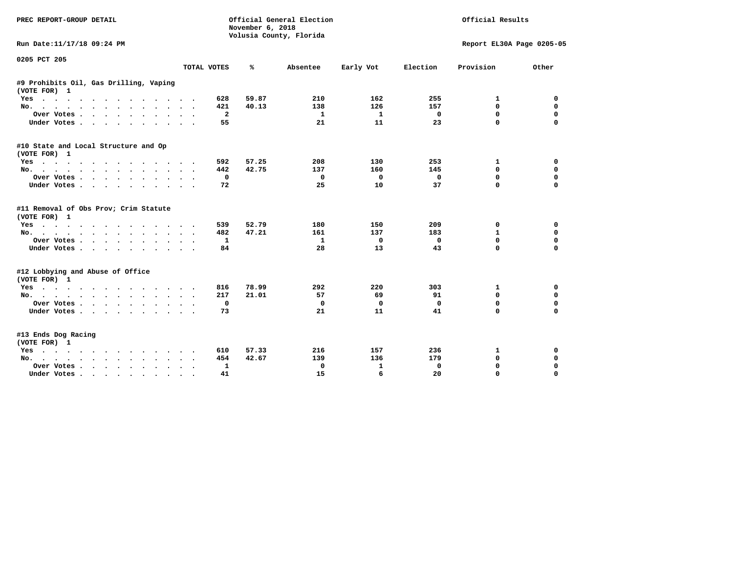| <b>PREC REPORT-GROUP DETAIL</b>                        |                            | November 6, 2018 | Official General Election<br>Volusia County, Florida | Official Results |             |                           |             |
|--------------------------------------------------------|----------------------------|------------------|------------------------------------------------------|------------------|-------------|---------------------------|-------------|
| Run Date:11/17/18 09:24 PM                             |                            |                  |                                                      |                  |             | Report EL30A Page 0205-05 |             |
| 0205 PCT 205                                           |                            |                  |                                                      |                  |             |                           |             |
|                                                        | TOTAL VOTES                | ℁                | Absentee                                             | Early Vot        | Election    | Provision                 | Other       |
| #9 Prohibits Oil, Gas Drilling, Vaping<br>(VOTE FOR) 1 |                            |                  |                                                      |                  |             |                           |             |
| Yes                                                    | 628                        | 59.87            | 210                                                  | 162              | 255         | 1                         | 0           |
| No.                                                    | 421                        | 40.13            | 138                                                  | 126              | 157         | $\mathbf 0$               | $\mathbf 0$ |
| Over Votes                                             | $\overline{\mathbf{2}}$    |                  | 1                                                    | $\mathbf{1}$     | 0           | $\mathbf 0$               | $\mathbf 0$ |
| Under Votes<br>$\sim$                                  | 55<br>$\cdot$<br>$\cdot$ . |                  | 21                                                   | 11               | 23          | $\mathbf 0$               | $\mathbf 0$ |
| #10 State and Local Structure and Op<br>(VOTE FOR) 1   |                            |                  |                                                      |                  |             |                           |             |
| Yes                                                    | 592                        | 57.25            | 208                                                  | 130              | 253         | 1                         | 0           |
| No.                                                    | 442                        | 42.75            | 137                                                  | 160              | 145         | $\mathbf 0$               | $\mathbf 0$ |
| Over Votes                                             | 0                          |                  | 0                                                    | 0                | $\mathbf 0$ | 0                         | $\mathbf 0$ |
| Under Votes                                            | 72                         |                  | 25                                                   | 10               | 37          | $\mathbf 0$               | $\mathbf 0$ |
| #11 Removal of Obs Prov; Crim Statute<br>(VOTE FOR) 1  |                            |                  |                                                      |                  |             |                           |             |
| Yes                                                    | 539                        | 52.79            | 180                                                  | 150              | 209         | 0                         | 0           |
| No.                                                    | 482                        | 47.21            | 161                                                  | 137              | 183         | 1                         | $\mathbf 0$ |
| Over Votes<br>$\bullet$                                | 1                          |                  | 1                                                    | 0                | $\mathbf 0$ | $\mathbf 0$               | $\mathbf 0$ |
| Under Votes                                            | 84                         |                  | 28                                                   | 13               | 43          | 0                         | $\mathbf 0$ |
| #12 Lobbying and Abuse of Office<br>(VOTE FOR) 1       |                            |                  |                                                      |                  |             |                           |             |
| Yes                                                    | 816                        | 78.99            | 292                                                  | 220              | 303         | 1                         | 0           |
| No.                                                    | 217                        | 21.01            | 57                                                   | 69               | 91          | 0                         | 0           |
| Over Votes                                             | 0<br>$\sim$                |                  | 0                                                    | 0                | $\mathbf 0$ | $\mathbf 0$               | $\mathbf 0$ |
| Under Votes                                            | 73                         |                  | 21                                                   | 11               | 41          | 0                         | $\mathbf 0$ |
| #13 Ends Dog Racing<br>(VOTE FOR) 1                    |                            |                  |                                                      |                  |             |                           |             |
| Yes                                                    | 610                        | 57.33            | 216                                                  | 157              | 236         | 1                         | 0           |
| No.                                                    | 454                        | 42.67            | 139                                                  | 136              | 179         | $\mathbf 0$               | $\mathbf 0$ |
| Over Votes .<br>$\cdot$<br>$\ddot{\phantom{0}}$        | 1                          |                  | 0                                                    | 1                | 0           | $\mathbf 0$               | $\mathbf 0$ |
| Under Votes<br>$\sim$ 100 $\sim$                       | 41                         |                  | 15                                                   | 6                | 20          | $\Omega$                  | $\Omega$    |
|                                                        |                            |                  |                                                      |                  |             |                           |             |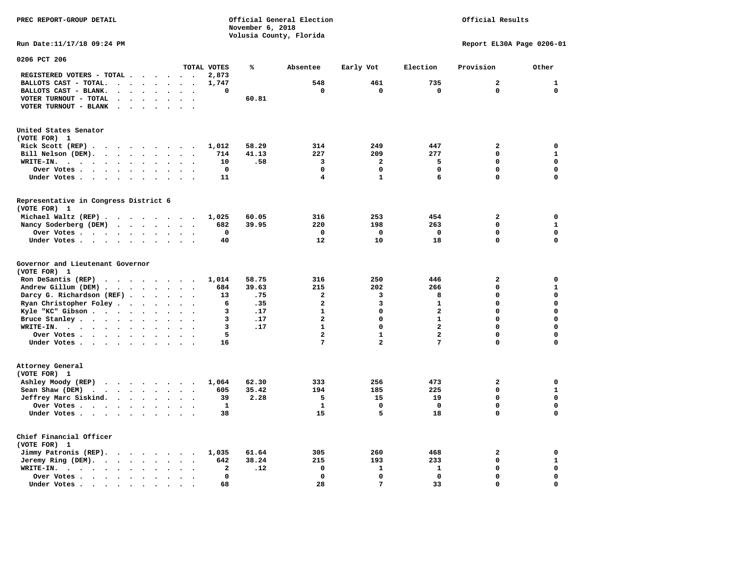## Official Results

**Run Date:11/17/18 09:24 PM Report EL30A Page 0206-01** 

| 0206 PCT 206                                                                                                                                                               |                      |                      |                      |                      |                      |                          |              |       |                         |                |                         |                |              |
|----------------------------------------------------------------------------------------------------------------------------------------------------------------------------|----------------------|----------------------|----------------------|----------------------|----------------------|--------------------------|--------------|-------|-------------------------|----------------|-------------------------|----------------|--------------|
|                                                                                                                                                                            |                      |                      |                      |                      |                      |                          | TOTAL VOTES  | ℁     | Absentee                | Early Vot      | Election                | Provision      | Other        |
| REGISTERED VOTERS - TOTAL .                                                                                                                                                |                      | $\bullet$            |                      | $\ddot{\phantom{1}}$ | $\ddot{\phantom{a}}$ |                          | 2,873        |       |                         |                |                         |                |              |
| BALLOTS CAST - TOTAL.<br>$\overline{a}$                                                                                                                                    | $\sim$               | $\ddot{\phantom{a}}$ | $\cdot$              | $\bullet$            | $\bullet$            | $\bullet$                | 1,747        |       | 548                     | 461            | 735                     | $\overline{a}$ | $\mathbf{1}$ |
| BALLOTS CAST - BLANK.<br>$\bullet$                                                                                                                                         | $\bullet$            | $\ddot{\phantom{a}}$ |                      | $\ddot{\phantom{a}}$ |                      |                          | 0            |       | 0                       | 0              | $\mathbf 0$             | 0              | $\mathbf 0$  |
| VOTER TURNOUT - TOTAL<br>$\ddot{\phantom{a}}$                                                                                                                              | $\cdot$              | $\ddot{\phantom{a}}$ |                      | $\bullet$            | $\ddot{\phantom{a}}$ | $\cdot$                  |              | 60.81 |                         |                |                         |                |              |
| VOTER TURNOUT - BLANK                                                                                                                                                      | $\bullet$            |                      |                      |                      |                      |                          |              |       |                         |                |                         |                |              |
| United States Senator                                                                                                                                                      |                      |                      |                      |                      |                      |                          |              |       |                         |                |                         |                |              |
| (VOTE FOR) 1                                                                                                                                                               |                      |                      |                      |                      |                      |                          |              |       |                         |                |                         |                |              |
| Rick Scott $(REP)$                                                                                                                                                         |                      |                      |                      |                      |                      | $\overline{\phantom{a}}$ | 1,012        | 58.29 | 314                     | 249            | 447                     | $\mathbf{2}$   | 0            |
| Bill Nelson (DEM).<br>$\cdot$ $\cdot$ $\cdot$ $\cdot$ $\cdot$ $\cdot$                                                                                                      |                      |                      |                      |                      | $\sim$               |                          | 714          | 41.13 | 227                     | 209            | 277                     | 0              | $\mathbf 1$  |
| WRITE-IN.<br>$\sim$ $\sim$<br>$\ddot{\phantom{a}}$<br>$\sim$ $\sim$                                                                                                        | $\sim$               | $\ddot{\phantom{a}}$ |                      | $\ddot{\phantom{a}}$ |                      |                          | 10           | .58   | 3                       | $\overline{a}$ | 5                       | 0              | $\mathbf 0$  |
| Over Votes .                                                                                                                                                               |                      |                      |                      |                      |                      |                          | 0            |       | $\mathbf 0$             | 0              | 0                       | 0              | $\mathbf 0$  |
| $\ddot{\phantom{0}}$<br>$\sim$ $\sim$ $\sim$ $\sim$ $\sim$ $\sim$                                                                                                          |                      | $\bullet$            | $\bullet$            | $\bullet$            |                      |                          |              |       | $\overline{\mathbf{4}}$ | $\mathbf{1}$   | 6                       | 0              | $\mathbf 0$  |
| Under Votes                                                                                                                                                                |                      | $\ddot{\phantom{a}}$ | $\sim$               | $\ddot{\phantom{a}}$ |                      |                          | 11           |       |                         |                |                         |                |              |
| Representative in Congress District 6<br>(VOTE FOR) 1                                                                                                                      |                      |                      |                      |                      |                      |                          |              |       |                         |                |                         |                |              |
|                                                                                                                                                                            |                      |                      |                      |                      |                      |                          |              |       |                         |                |                         |                |              |
| Michael Waltz (REP).<br>$\cdots$                                                                                                                                           |                      |                      |                      |                      |                      |                          | 1,025        | 60.05 | 316                     | 253            | 454                     | 2              | 0            |
| Nancy Soderberg (DEM)<br>$\cdot$ $\cdot$ $\cdot$ $\cdot$                                                                                                                   |                      |                      |                      | $\ddotsc$            | $\sim$               |                          | 682          | 39.95 | 220                     | 198            | 263                     | 0              | $\mathbf{1}$ |
| Over Votes .<br>$\sim$ $\sim$ $\sim$ $\sim$ $\sim$ $\sim$ $\sim$                                                                                                           |                      | $\bullet$            | $\ddot{\phantom{a}}$ | $\bullet$            | $\bullet$            | $\ddot{\phantom{a}}$     | 0            |       | $\mathbf 0$             | $\mathbf 0$    | $\mathbf 0$             | 0              | $\mathbf 0$  |
| Under Votes                                                                                                                                                                |                      |                      |                      | $\ddot{\phantom{a}}$ | $\ddot{\phantom{a}}$ |                          | 40           |       | 12                      | 10             | 18                      | 0              | $\mathbf 0$  |
| Governor and Lieutenant Governor<br>(VOTE FOR) 1                                                                                                                           |                      |                      |                      |                      |                      |                          |              |       |                         |                |                         |                |              |
| Ron DeSantis (REP)<br>$\cdots$                                                                                                                                             |                      |                      |                      |                      |                      |                          | 1,014        | 58.75 | 316                     | 250            | 446                     | $\mathbf{2}$   | $\mathbf 0$  |
| Andrew Gillum (DEM).<br>$\ddot{\phantom{1}}$                                                                                                                               | $\ddot{\phantom{0}}$ | $\sim$ $\sim$        |                      | $\sim$ $\sim$        |                      |                          | 684          | 39.63 | 215                     | 202            | 266                     | 0              | $\mathbf{1}$ |
| Darcy G. Richardson (REF).                                                                                                                                                 |                      | $\sim$ $\sim$        | $\ddot{\phantom{0}}$ | $\ddot{\phantom{a}}$ | $\ddot{\phantom{0}}$ | $\bullet$                | 13           | .75   | $\mathbf{2}$            | з              | 8                       | 0              | $\mathbf 0$  |
| Ryan Christopher Foley.                                                                                                                                                    | $\sim$               | $\bullet$            |                      | $\ddot{\phantom{a}}$ | $\sim$               |                          | 6            | .35   | $\overline{\mathbf{2}}$ | 3              | $\mathbf{1}$            | 0              | $\mathbf 0$  |
| Kyle "KC" Gibson                                                                                                                                                           | $\sim$               | $\bullet$            |                      | $\bullet$            |                      |                          | 3            | .17   | $\mathbf{1}$            | $\mathbf 0$    | $\overline{\mathbf{2}}$ | $\Omega$       | $\mathbf 0$  |
| Bruce Stanley                                                                                                                                                              |                      | $\ddot{\phantom{a}}$ |                      | $\ddot{\phantom{a}}$ | $\ddot{\phantom{a}}$ | $\overline{\phantom{a}}$ | 3            | .17   | $\overline{a}$          | $\mathbf 0$    | $\mathbf{1}$            | $\Omega$       | $\mathbf 0$  |
| $W\text{RITE-IN.}$                                                                                                                                                         |                      | $\bullet$            |                      |                      |                      |                          | 3            | .17   | $\mathbf{1}$            | 0              | $\mathbf{2}$            | 0              | $\mathbf 0$  |
| Over Votes                                                                                                                                                                 |                      |                      | $\cdot$              | $\bullet$            | $\ddot{\phantom{a}}$ | $\cdot$                  | 5            |       | $\overline{\mathbf{2}}$ | $\mathbf{1}$   | $\overline{\mathbf{2}}$ | $\mathbf 0$    | $\mathbf 0$  |
| Under Votes                                                                                                                                                                |                      |                      | $\bullet$            | $\bullet$            |                      |                          | 16           |       | 7                       | $\overline{a}$ | 7                       | 0              | $\mathbf 0$  |
| Attorney General                                                                                                                                                           |                      |                      |                      |                      |                      |                          |              |       |                         |                |                         |                |              |
| (VOTE FOR) 1                                                                                                                                                               |                      |                      |                      |                      |                      |                          |              |       |                         |                |                         |                |              |
|                                                                                                                                                                            |                      |                      |                      |                      |                      |                          |              | 62.30 | 333                     | 256            | 473                     | $\mathbf{2}$   | 0            |
| Ashley Moody (REP)<br>$\cdot$ $\cdot$ $\cdot$ $\cdot$ $\cdot$ $\cdot$                                                                                                      |                      |                      |                      |                      | $\sim$               | $\ddot{\phantom{1}}$     | 1,064        |       |                         |                |                         |                |              |
| Sean Shaw (DEM)<br>$\begin{array}{cccccccccccccc} \bullet & \bullet & \bullet & \bullet & \bullet & \bullet & \bullet & \bullet & \bullet & \bullet & \bullet \end{array}$ |                      |                      |                      |                      | $\sim$               | $\overline{\phantom{a}}$ | 605          | 35.42 | 194                     | 185            | 225                     | 0              | $\mathbf{1}$ |
| Jeffrey Marc Siskind.<br>$\sim$ $\sim$                                                                                                                                     |                      | $\ddot{\phantom{a}}$ |                      | $\ddot{\phantom{a}}$ |                      |                          | 39           | 2.28  | 5                       | 15             | 19                      | 0              | $\mathbf 0$  |
| Over Votes.<br>$\cdots$                                                                                                                                                    |                      |                      | $\bullet$            | $\bullet$            | $\bullet$            |                          | $\mathbf{1}$ |       | $\mathbf{1}$            | 0              | $\mathbf 0$             | 0              | $\mathbf 0$  |
| Under Votes                                                                                                                                                                |                      | $\sim$               | $\ddot{\phantom{a}}$ | $\ddot{\phantom{a}}$ | $\bullet$            |                          | 38           |       | 15                      | 5              | 18                      | 0              | $\mathbf 0$  |
| Chief Financial Officer<br>(VOTE FOR) 1                                                                                                                                    |                      |                      |                      |                      |                      |                          |              |       |                         |                |                         |                |              |
| Jimmy Patronis (REP).<br>$\cdot$ $\cdot$ $\cdot$ $\cdot$ $\cdot$                                                                                                           |                      |                      |                      |                      | $\ddot{\phantom{a}}$ | $\ddot{\phantom{a}}$     | 1,035        | 61.64 | 305                     | 260            | 468                     | $\mathbf{2}$   | 0            |
| Jeremy Ring (DEM).<br>$\sim$ $\sim$                                                                                                                                        | $\bullet$            | $\bullet$            |                      | $\bullet$            |                      |                          | 642          | 38.24 | 215                     | 193            | 233                     | 0              | $\mathbf 1$  |
| WRITE-IN.<br>$\cdot$ $\cdot$ $\cdot$ $\cdot$ $\cdot$                                                                                                                       | $\bullet$            | $\bullet$            |                      | $\bullet$            |                      | $\ddot{\phantom{a}}$     | 2            | .12   | $\mathbf 0$             | 1              | ${\bf 1}$               | 0              | $\mathbf 0$  |
| Over Votes.<br>$\cdots$                                                                                                                                                    |                      | $\ddot{\phantom{a}}$ |                      |                      |                      |                          | $\mathbf 0$  |       | $\mathbf 0$             | 0              | $\mathbf 0$             | 0              | $\mathbf 0$  |
| Under Votes                                                                                                                                                                | $\sim$               | $\ddot{\phantom{a}}$ |                      |                      |                      |                          | 68           |       | 28                      | 7              | 33                      | 0              | $\mathbf 0$  |
|                                                                                                                                                                            |                      |                      |                      |                      |                      |                          |              |       |                         |                |                         |                |              |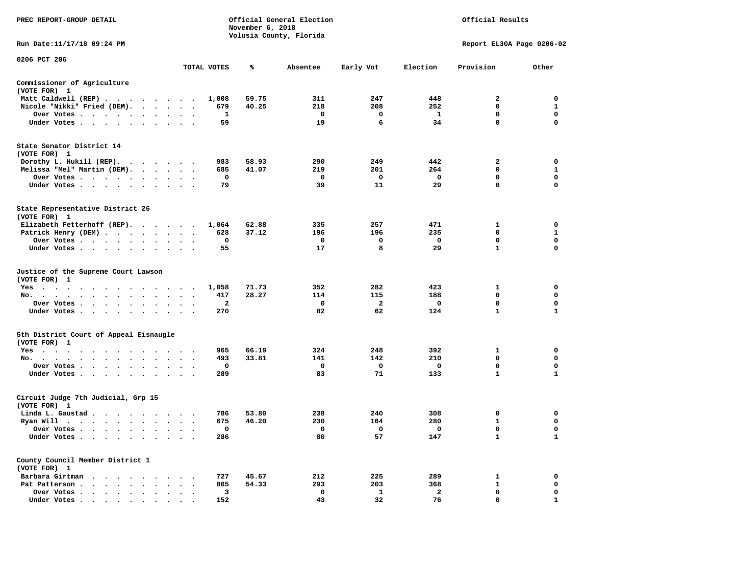| PREC REPORT-GROUP DETAIL                                                                                                                                                                                                                                                                                                                                                                                                            |                                                |              | November 6, 2018 | Official General Election<br>Volusia County, Florida | Official Results        |                         |                           |              |
|-------------------------------------------------------------------------------------------------------------------------------------------------------------------------------------------------------------------------------------------------------------------------------------------------------------------------------------------------------------------------------------------------------------------------------------|------------------------------------------------|--------------|------------------|------------------------------------------------------|-------------------------|-------------------------|---------------------------|--------------|
| Run Date:11/17/18 09:24 PM                                                                                                                                                                                                                                                                                                                                                                                                          |                                                |              |                  |                                                      |                         |                         | Report EL30A Page 0206-02 |              |
| 0206 PCT 206                                                                                                                                                                                                                                                                                                                                                                                                                        |                                                | TOTAL VOTES  | ℁                | Absentee                                             | Early Vot               | Election                | Provision                 | Other        |
| Commissioner of Agriculture                                                                                                                                                                                                                                                                                                                                                                                                         |                                                |              |                  |                                                      |                         |                         |                           |              |
| (VOTE FOR) 1                                                                                                                                                                                                                                                                                                                                                                                                                        |                                                |              |                  |                                                      |                         |                         |                           |              |
| Matt Caldwell (REP)                                                                                                                                                                                                                                                                                                                                                                                                                 |                                                | 1,008        | 59.75            | 311                                                  | 247                     | 448                     | $\overline{2}$            | $\mathbf 0$  |
| Nicole "Nikki" Fried (DEM).                                                                                                                                                                                                                                                                                                                                                                                                         |                                                | 679          | 40.25            | 218                                                  | 208                     | 252                     | $\Omega$                  | 1            |
| Over Votes                                                                                                                                                                                                                                                                                                                                                                                                                          |                                                | 1            |                  | 0                                                    | 0                       | $\mathbf{1}$            | 0                         | 0            |
| Under Votes                                                                                                                                                                                                                                                                                                                                                                                                                         |                                                | 59           |                  | 19                                                   | 6                       | 34                      | $\mathbf 0$               | $\mathbf 0$  |
| State Senator District 14<br>(VOTE FOR) 1                                                                                                                                                                                                                                                                                                                                                                                           |                                                |              |                  |                                                      |                         |                         |                           |              |
| Dorothy L. Hukill $(REP)$ .                                                                                                                                                                                                                                                                                                                                                                                                         |                                                | 983          | 58.93            | 290                                                  | 249                     | 442                     | $\mathbf{2}$              | 0            |
| Melissa "Mel" Martin (DEM).                                                                                                                                                                                                                                                                                                                                                                                                         |                                                | 685          | 41.07            | 219                                                  | 201                     | 264                     | $\mathbf 0$               | $\mathbf{1}$ |
| Over Votes                                                                                                                                                                                                                                                                                                                                                                                                                          |                                                | $\mathbf 0$  |                  | $\mathbf 0$                                          | $\mathbf 0$             | $\mathbf 0$             | $\mathbf 0$               | $\mathbf 0$  |
| Under Votes                                                                                                                                                                                                                                                                                                                                                                                                                         |                                                | 79           |                  | 39                                                   | 11                      | 29                      | $\mathbf 0$               | $\mathbf 0$  |
| State Representative District 26<br>(VOTE FOR) 1                                                                                                                                                                                                                                                                                                                                                                                    |                                                |              |                  |                                                      |                         |                         |                           |              |
| Elizabeth Fetterhoff (REP).                                                                                                                                                                                                                                                                                                                                                                                                         |                                                | 1,064        | 62.88            | 335                                                  | 257                     | 471                     | $\mathbf{1}$              | $\mathbf 0$  |
| Patrick Henry (DEM)                                                                                                                                                                                                                                                                                                                                                                                                                 |                                                | 628          | 37.12            | 196                                                  | 196                     | 235                     | $\mathbf 0$               | $\mathbf{1}$ |
| Over Votes                                                                                                                                                                                                                                                                                                                                                                                                                          | $\bullet$<br>$\sim$                            | 0            |                  | 0                                                    | 0                       | 0                       | 0                         | 0            |
| Under Votes                                                                                                                                                                                                                                                                                                                                                                                                                         |                                                | 55           |                  | 17                                                   | 8                       | 29                      | $\mathbf{1}$              | $\mathbf 0$  |
| Justice of the Supreme Court Lawson<br>(VOTE FOR) 1                                                                                                                                                                                                                                                                                                                                                                                 |                                                |              |                  |                                                      |                         |                         |                           |              |
| Yes                                                                                                                                                                                                                                                                                                                                                                                                                                 |                                                | 1,058        | 71.73            | 352                                                  | 282                     | 423                     | $\mathbf{1}$              | 0            |
| No.<br>$\mathbf{u} = \mathbf{u} + \mathbf{u} + \mathbf{u} + \mathbf{u} + \mathbf{u} + \mathbf{u} + \mathbf{u} + \mathbf{u} + \mathbf{u} + \mathbf{u} + \mathbf{u} + \mathbf{u} + \mathbf{u} + \mathbf{u} + \mathbf{u} + \mathbf{u} + \mathbf{u} + \mathbf{u} + \mathbf{u} + \mathbf{u} + \mathbf{u} + \mathbf{u} + \mathbf{u} + \mathbf{u} + \mathbf{u} + \mathbf{u} + \mathbf{u} + \mathbf{u} + \mathbf{u} + \mathbf{u} + \mathbf$ |                                                | 417          | 28.27            | 114                                                  | 115                     | 188                     | 0                         | 0            |
| Over Votes                                                                                                                                                                                                                                                                                                                                                                                                                          | $\cdot$<br>$\cdot$<br>$\overline{\phantom{a}}$ | $\mathbf{2}$ |                  | 0                                                    | $\overline{\mathbf{2}}$ | $\mathbf 0$             | $\mathbf 0$               | 0            |
| Under Votes                                                                                                                                                                                                                                                                                                                                                                                                                         | $\cdot$ $\cdot$ $\cdot$                        | 270          |                  | 82                                                   | 62                      | 124                     | $\mathbf{1}$              | $\mathbf{1}$ |
| 5th District Court of Appeal Eisnaugle<br>(VOTE FOR) 1                                                                                                                                                                                                                                                                                                                                                                              |                                                |              |                  |                                                      |                         |                         |                           |              |
| Yes                                                                                                                                                                                                                                                                                                                                                                                                                                 |                                                | 965          | 66.19            | 324                                                  | 248                     | 392                     | $\mathbf{1}$              | $\mathbf 0$  |
| No.                                                                                                                                                                                                                                                                                                                                                                                                                                 |                                                | 493          | 33.81            | 141                                                  | 142                     | 210                     | $\mathbf 0$               | $\mathbf 0$  |
| Over Votes<br>$\sim$ $\sim$<br>$\cdot$                                                                                                                                                                                                                                                                                                                                                                                              |                                                | 0            |                  | $\mathbf 0$                                          | 0                       | $\mathbf 0$             | $\mathbf 0$               | $\mathbf 0$  |
| Under Votes                                                                                                                                                                                                                                                                                                                                                                                                                         |                                                | 289          |                  | 83                                                   | 71                      | 133                     | $\mathbf{1}$              | $\mathbf{1}$ |
| Circuit Judge 7th Judicial, Grp 15<br>(VOTE FOR) 1                                                                                                                                                                                                                                                                                                                                                                                  |                                                |              |                  |                                                      |                         |                         |                           |              |
| Linda L. Gaustad                                                                                                                                                                                                                                                                                                                                                                                                                    |                                                | 786          | 53.80            | 238                                                  | 240                     | 308                     | 0                         | 0            |
| Ryan Will $\cdots$                                                                                                                                                                                                                                                                                                                                                                                                                  | $\sim$ $\sim$ $\sim$                           | 675          | 46.20            | 230                                                  | 164                     | 280                     | 1                         | 0            |
| Over Votes                                                                                                                                                                                                                                                                                                                                                                                                                          |                                                | 0            |                  | $\mathbf 0$                                          | 0                       | $\mathbf{0}$            | $\mathbf 0$               | $\mathbf 0$  |
| Under Votes<br>$\ddot{\phantom{1}}$<br>$\cdot$<br>$\bullet$                                                                                                                                                                                                                                                                                                                                                                         |                                                | 286          |                  | 80                                                   | 57                      | 147                     | $\mathbf{1}$              | $\mathbf{1}$ |
| County Council Member District 1<br>(VOTE FOR) 1                                                                                                                                                                                                                                                                                                                                                                                    |                                                |              |                  |                                                      |                         |                         |                           |              |
| Barbara Girtman                                                                                                                                                                                                                                                                                                                                                                                                                     |                                                | 727          | 45.67            | 212                                                  | 225                     | 289                     | $\mathbf{1}$              | $\mathbf 0$  |
| Pat Patterson                                                                                                                                                                                                                                                                                                                                                                                                                       | $\cdot$ $\cdot$ $\cdot$                        | 865          | 54.33            | 293                                                  | 203                     | 368                     | $\mathbf{1}$              | 0            |
| Over Votes<br>$\bullet$<br>$\sim$                                                                                                                                                                                                                                                                                                                                                                                                   | $\cdot$<br>$\ddot{\phantom{a}}$                | 3            |                  | $\mathbf 0$                                          | 1                       | $\overline{\mathbf{2}}$ | $\mathbf 0$               | $\mathbf 0$  |
| Under Votes                                                                                                                                                                                                                                                                                                                                                                                                                         |                                                | 152          |                  | 43                                                   | 32                      | 76                      | $\Omega$                  | 1            |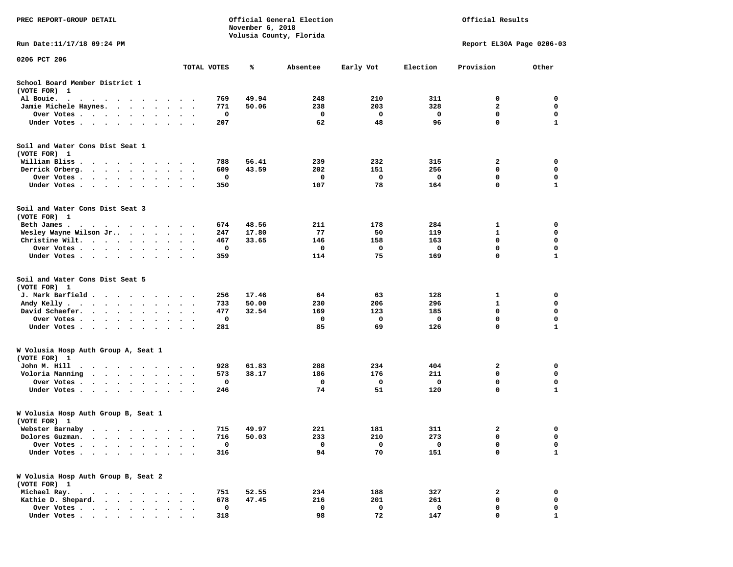| PREC REPORT-GROUP DETAIL                                                                                                                                                  |                      |                      | November 6, 2018 | Official General Election<br>Volusia County, Florida | Official Results |           |          |                           |                   |
|---------------------------------------------------------------------------------------------------------------------------------------------------------------------------|----------------------|----------------------|------------------|------------------------------------------------------|------------------|-----------|----------|---------------------------|-------------------|
| Run Date:11/17/18 09:24 PM                                                                                                                                                |                      |                      |                  |                                                      |                  |           |          | Report EL30A Page 0206-03 |                   |
| 0206 PCT 206                                                                                                                                                              |                      |                      | TOTAL VOTES      | %                                                    | Absentee         | Early Vot | Election | Provision                 | Other             |
| School Board Member District 1<br>(VOTE FOR) 1                                                                                                                            |                      |                      |                  |                                                      |                  |           |          |                           |                   |
| Al Bouie.<br>$\bullet$<br>$\ddot{\phantom{0}}$<br>$\sim$ $\sim$ $\sim$<br>$\cdot$<br>$\sim$<br>$\sim$<br>$\overline{\phantom{a}}$                                         |                      |                      | 769              | 49.94                                                | 248              | 210       | 311      | 0                         | 0                 |
| Jamie Michele Haynes.<br>$\bullet$<br>$\ddot{\phantom{0}}$                                                                                                                |                      |                      | 771              | 50.06                                                | 238              | 203       | 328      | $\mathbf{2}$              | 0                 |
| Over Votes<br>$\sim$<br>$\bullet$<br>$\sim$ $\sim$<br>$\bullet$                                                                                                           | $\bullet$            | $\cdot$              | 0                |                                                      | 0                | 0         | 0        | $\mathbf 0$               | 0                 |
| Under Votes<br>$\ddot{\phantom{0}}$<br>$\cdot$<br>$\cdot$                                                                                                                 |                      |                      | 207              |                                                      | 62               | 48        | 96       | $\mathbf 0$               | 1                 |
| Soil and Water Cons Dist Seat 1<br>(VOTE FOR) 1                                                                                                                           |                      |                      |                  |                                                      |                  |           |          |                           |                   |
| William Bliss<br>$\sim$<br>$\cdot$<br>$\cdot$ $\cdot$<br>$\sim$ $\sim$<br>$\ddot{\phantom{1}}$                                                                            |                      |                      | 788              | 56.41                                                | 239              | 232       | 315      | 2                         | 0                 |
| Derrick Orberg.<br>$\sim$ $\sim$<br>$\sim$ $\sim$ $\sim$ $\sim$<br>$\bullet$                                                                                              | $\bullet$            | $\bullet$            | 609              | 43.59                                                | 202              | 151       | 256      | 0                         | 0                 |
| Over Votes .<br>$\sim$<br>$\sim$<br>$\bullet$<br>$\bullet$<br>Under Votes.<br>$\cdots$<br>$\bullet$<br>$\cdot$                                                            |                      | $\sim$ $\sim$        | 0<br>350         |                                                      | 0<br>107         | 0<br>78   | 0<br>164 | 0<br>$\mathbf 0$          | 0<br>$\mathbf{1}$ |
| Soil and Water Cons Dist Seat 3<br>(VOTE FOR) 1                                                                                                                           |                      |                      |                  |                                                      |                  |           |          |                           |                   |
| Beth James.<br>$\mathbf{r}$ , $\mathbf{r}$ , $\mathbf{r}$ , $\mathbf{r}$ , $\mathbf{r}$ , $\mathbf{r}$                                                                    |                      |                      | 674              | 48.56                                                | 211              | 178       | 284      | 1                         | 0                 |
| Wesley Wayne Wilson Jr<br>$\cdot$ $\cdot$ $\cdot$                                                                                                                         |                      | $\sim$<br>$\cdot$    | 247              | 17.80                                                | 77               | 50        | 119      | 1                         | 0                 |
| Christine Wilt.<br>$\ddot{\phantom{0}}$<br>$\sim$<br>$\bullet$<br>$\bullet$ .<br><br><br><br><br><br>$\ddot{\phantom{a}}$                                                 |                      |                      | 467              | 33.65                                                | 146              | 158       | 163      | $\mathbf 0$               | $\mathbf 0$       |
| Over Votes<br>$\bullet$<br>$\bullet$<br>$\bullet$                                                                                                                         | $\bullet$            | $\bullet$            | 0                |                                                      | 0                | 0         | 0        | $\mathbf 0$               | 0                 |
| Under Votes<br>$\cdot$                                                                                                                                                    |                      |                      | 359              |                                                      | 114              | 75        | 169      | 0                         | $\mathbf{1}$      |
| Soil and Water Cons Dist Seat 5<br>(VOTE FOR) 1                                                                                                                           |                      |                      |                  |                                                      |                  |           |          |                           |                   |
| J. Mark Barfield.<br>$\cdots$                                                                                                                                             | $\bullet$            |                      | 256              | 17.46                                                | 64               | 63        | 128      | 1                         | 0                 |
| Andy Kelly.<br>$\begin{array}{cccccccccccccc} \bullet & \bullet & \bullet & \bullet & \bullet & \bullet & \bullet & \bullet & \bullet & \bullet \end{array}$<br>$\bullet$ | $\bullet$            | $\ddot{\phantom{1}}$ | 733              | 50.00                                                | 230              | 206       | 296      | $\mathbf{1}$              | $\mathbf 0$       |
| David Schaefer.<br>$\sim$<br>$\ddot{\phantom{1}}$<br>$\ddot{\phantom{a}}$<br>$\bullet$                                                                                    |                      |                      | 477              | 32.54                                                | 169              | 123       | 185      | 0                         | 0                 |
| Over Votes .<br>$\ddot{\phantom{1}}$<br>$\bullet$<br>$\bullet$<br>$\bullet$<br>$\bullet$                                                                                  | $\bullet$            | $\bullet$            | 0                |                                                      | 0                | 0         | 0        | $\mathbf 0$               | $\mathbf 0$       |
| Under Votes<br>$\bullet$<br>$\ddot{\phantom{a}}$<br>$\ddot{\phantom{a}}$                                                                                                  | $\ddot{\phantom{0}}$ | $\cdot$ .            | 281              |                                                      | 85               | 69        | 126      | $\mathbf 0$               | $\mathbf{1}$      |
| W Volusia Hosp Auth Group A, Seat 1<br>(VOTE FOR) 1                                                                                                                       |                      |                      |                  |                                                      |                  |           |          |                           |                   |
| John M. Hill<br>$\bullet$<br>$\sim$<br>$\ddot{\phantom{1}}$<br>$\sim$<br>$\bullet$<br>$\blacksquare$<br>$\cdot$                                                           | $\bullet$            | $\cdot$ .            | 928              | 61.83                                                | 288              | 234       | 404      | 2                         | 0                 |
| Voloria Manning<br>$\sim$ $\sim$ $\sim$ $\sim$<br>$\bullet$ .<br>$\cdot$                                                                                                  |                      |                      | 573              | 38.17                                                | 186              | 176       | 211      | 0                         | 0                 |
| Over Votes .<br>$\ddot{\phantom{1}}$<br>$\cdot$<br>$\bullet$<br>$\cdot$                                                                                                   |                      |                      | 0                |                                                      | 0                | 0         | 0        | 0                         | 0                 |
| Under Votes<br>$\cdot$<br>$\bullet$                                                                                                                                       |                      |                      | 246              |                                                      | 74               | 51        | 120      | 0                         | $\mathbf{1}$      |
| W Volusia Hosp Auth Group B, Seat 1<br>(VOTE FOR) 1                                                                                                                       |                      |                      |                  |                                                      |                  |           |          |                           |                   |
| Webster Barnaby<br>.                                                                                                                                                      |                      |                      | 715              | 49.97                                                | 221              | 181       | 311      | 2                         | 0                 |
| Dolores Guzman.                                                                                                                                                           |                      |                      | 716              | 50.03                                                | 233              | 210       | 273      | 0                         | 0                 |
| Over Votes .                                                                                                                                                              |                      |                      | $\mathbf 0$      |                                                      | $\mathbf 0$      | 0         | 0        | 0                         | 0                 |
| Under Votes.                                                                                                                                                              |                      |                      | 316              |                                                      | 94               | 70        | 151      | 0                         | $\mathbf{1}$      |
| W Volusia Hosp Auth Group B, Seat 2<br>(VOTE FOR) 1                                                                                                                       |                      |                      |                  |                                                      |                  |           |          |                           |                   |
| Michael Ray.<br>$\ddot{\phantom{0}}$<br>$\sim$ $\sim$<br>$\ddot{\phantom{0}}$<br>$\sim$                                                                                   |                      |                      | 751              | 52.55                                                | 234              | 188       | 327      | 2                         | 0                 |
| Kathie D. Shepard.<br>$\ddot{\phantom{a}}$<br>$\cdot$<br>$\ddot{\phantom{a}}$<br>$\ddot{\phantom{a}}$                                                                     |                      |                      | 678              | 47.45                                                | 216              | 201       | 261      | 0                         | 0                 |
| Over Votes.<br>$\cdot$ $\cdot$ $\cdot$ $\cdot$ $\cdot$                                                                                                                    |                      |                      | 0                |                                                      | 0                | 0         | 0        | 0                         | 0                 |
| Under Votes                                                                                                                                                               |                      |                      | 318              |                                                      | 98               | 72        | 147      | $\Omega$                  |                   |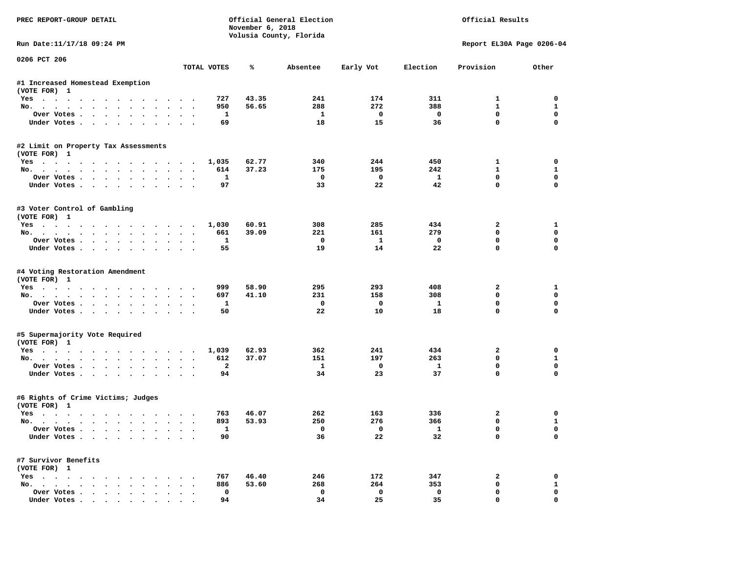| PREC REPORT-GROUP DETAIL                                                |                      | Official General Election<br>November 6, 2018<br>Volusia County, Florida |            | Official Results        |                     |                              |                             |
|-------------------------------------------------------------------------|----------------------|--------------------------------------------------------------------------|------------|-------------------------|---------------------|------------------------------|-----------------------------|
| Run Date:11/17/18 09:24 PM                                              |                      |                                                                          |            |                         |                     | Report EL30A Page 0206-04    |                             |
| 0206 PCT 206                                                            | TOTAL VOTES          | ℁                                                                        | Absentee   | Early Vot               | Election            | Provision                    | Other                       |
| #1 Increased Homestead Exemption                                        |                      |                                                                          |            |                         |                     |                              |                             |
| (VOTE FOR) 1                                                            |                      |                                                                          |            |                         |                     |                              |                             |
| Yes                                                                     | 727                  | 43.35                                                                    | 241        | 174                     | 311                 | 1                            | 0                           |
| No.                                                                     | 950                  | 56.65                                                                    | 288        | 272                     | 388                 | $\mathbf{1}$                 | $\mathbf{1}$                |
| Over Votes                                                              | 1                    |                                                                          | 1          | $\mathbf 0$             | $\mathbf 0$         | $\mathbf 0$                  | $\mathbf 0$                 |
| Under Votes                                                             | 69                   |                                                                          | 18         | 15                      | 36                  | $\mathbf 0$                  | $\Omega$                    |
| #2 Limit on Property Tax Assessments                                    |                      |                                                                          |            |                         |                     |                              |                             |
| (VOTE FOR) 1                                                            |                      |                                                                          |            |                         |                     |                              |                             |
| Yes                                                                     | 1,035                | 62.77                                                                    | 340        | 244                     | 450                 | $\mathbf{1}$<br>$\mathbf{1}$ | 0                           |
| No.<br>Over Votes.                                                      | 614<br>1             | 37.23                                                                    | 175<br>0   | 195<br>$\mathbf{o}$     | 242<br>$\mathbf{1}$ | $\mathbf{0}$                 | $\mathbf{1}$<br>$\mathbf 0$ |
| Under Votes                                                             | 97                   |                                                                          | 33         | 22                      | 42                  | $\Omega$                     | $\Omega$                    |
|                                                                         |                      |                                                                          |            |                         |                     |                              |                             |
| #3 Voter Control of Gambling<br>(VOTE FOR) 1                            |                      |                                                                          |            |                         |                     |                              |                             |
| Yes                                                                     | 1,030                | 60.91                                                                    | 308        | 285                     | 434                 | $\overline{\mathbf{2}}$      | 1                           |
| No.                                                                     | 661                  | 39.09                                                                    | 221        | 161                     | 279                 | $\Omega$                     | 0                           |
| Over Votes                                                              | 1                    |                                                                          | $^{\circ}$ | $\mathbf{1}$            | $\mathbf 0$         | $\mathbf 0$                  | 0                           |
| Under Votes                                                             | 55                   |                                                                          | 19         | 14                      | 22                  | $\mathbf{0}$                 | $\Omega$                    |
| #4 Voting Restoration Amendment<br>(VOTE FOR) 1                         |                      |                                                                          |            |                         |                     |                              |                             |
| Yes                                                                     | 999                  | 58.90                                                                    | 295        | 293                     | 408                 | 2                            | 1                           |
| No.                                                                     | 697                  | 41.10                                                                    | 231        | 158                     | 308                 | $\mathbf 0$                  | 0                           |
| Over Votes                                                              | 1                    |                                                                          | 0          | $\mathbf 0$             | 1                   | $\mathbf 0$                  | $\mathbf 0$                 |
| Under Votes                                                             | 50                   |                                                                          | 22         | 10                      | 18                  | $\mathbf 0$                  | $\Omega$                    |
| #5 Supermajority Vote Required                                          |                      |                                                                          |            |                         |                     |                              |                             |
| (VOTE FOR) 1                                                            |                      |                                                                          |            |                         |                     |                              |                             |
| Yes                                                                     | 1,039                | 62.93                                                                    | 362        | 241                     | 434                 | 2                            | 0                           |
| No.                                                                     | 612                  | 37.07                                                                    | 151        | 197                     | 263                 | 0                            | $\mathbf{1}$                |
| Over Votes                                                              | $\overline{a}$<br>94 |                                                                          | 1<br>34    | $\mathbf 0$<br>23       | $\mathbf{1}$<br>37  | $\mathbf 0$<br>$\Omega$      | $\mathbf 0$<br>$\Omega$     |
| Under Votes                                                             |                      |                                                                          |            |                         |                     |                              |                             |
| #6 Rights of Crime Victims; Judges<br>(VOTE FOR) 1                      |                      |                                                                          |            |                         |                     |                              |                             |
| Yes                                                                     | 763                  | 46.07                                                                    | 262        | 163                     | 336                 | 2                            | 0                           |
| No.                                                                     | 893                  | 53.93                                                                    | 250        | 276                     | 366                 | 0                            | $\mathbf{1}$                |
| Over votes $\cdots$                                                     | 1                    |                                                                          |            | $\overline{\mathbf{0}}$ | $\mathbf{1}$        | 0                            | 0                           |
| Under Votes                                                             | 90                   |                                                                          | 36         | 22                      | 32                  | 0                            | 0                           |
| #7 Survivor Benefits                                                    |                      |                                                                          |            |                         |                     |                              |                             |
| (VOTE FOR) 1                                                            |                      |                                                                          |            |                         |                     |                              |                             |
| $Yes \cdot \cdot \cdot \cdot \cdot \cdot \cdot \cdot \cdot \cdot \cdot$ | 767                  | 46.40                                                                    | 246        | 172                     | 347                 | 2                            | 0                           |
| No.<br>Over Votes                                                       | 886                  | 53.60                                                                    | 268        | 264                     | 353                 | 0                            | $\mathbf{1}$<br>0           |
|                                                                         | 0<br>94              |                                                                          | 0<br>34    | 0<br>25                 | $\mathbf 0$<br>35   | 0<br>$\mathbf 0$             | 0                           |
| Under Votes                                                             |                      |                                                                          |            |                         |                     |                              |                             |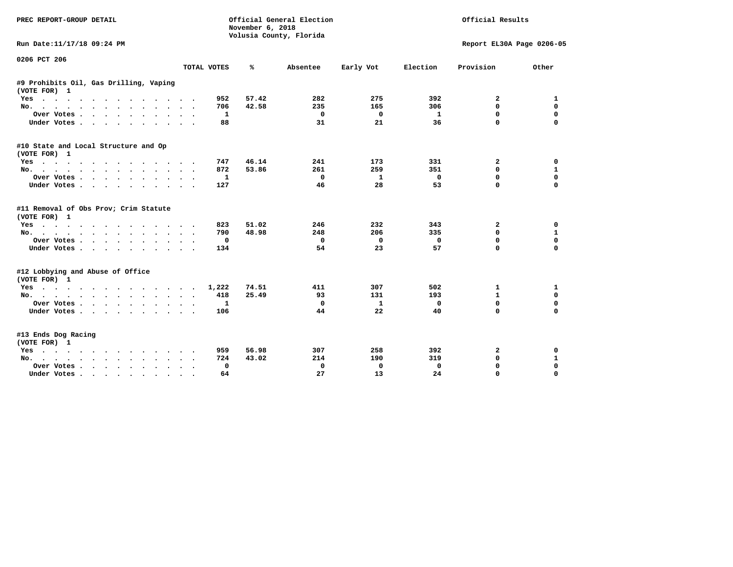| <b>PREC REPORT-GROUP DETAIL</b>                        |                                       | November 6, 2018 | Official General Election<br>Volusia County, Florida | Official Results |             |                           |              |
|--------------------------------------------------------|---------------------------------------|------------------|------------------------------------------------------|------------------|-------------|---------------------------|--------------|
| Run Date:11/17/18 09:24 PM                             |                                       |                  |                                                      |                  |             | Report EL30A Page 0206-05 |              |
| 0206 PCT 206                                           | TOTAL VOTES                           | ℁                | Absentee                                             | Early Vot        | Election    | Provision                 | Other        |
|                                                        |                                       |                  |                                                      |                  |             |                           |              |
| #9 Prohibits Oil, Gas Drilling, Vaping<br>(VOTE FOR) 1 |                                       |                  |                                                      |                  |             |                           |              |
| Yes                                                    | 952                                   | 57.42            | 282                                                  | 275              | 392         | 2                         | 1            |
| No.                                                    | 706                                   | 42.58            | 235                                                  | 165              | 306         | 0                         | $\mathbf 0$  |
| Over Votes                                             | 1                                     |                  | 0                                                    | 0                | -1          | 0                         | $\mathbf 0$  |
| Under Votes                                            | 88                                    |                  | 31                                                   | 21               | 36          | 0                         | $\Omega$     |
| #10 State and Local Structure and Op<br>(VOTE FOR) 1   |                                       |                  |                                                      |                  |             |                           |              |
| Yes                                                    | 747                                   | 46.14            | 241                                                  | 173              | 331         | 2                         | $\mathbf 0$  |
| No.                                                    | 872                                   | 53.86            | 261                                                  | 259              | 351         | 0                         | 1            |
| Over Votes                                             | 1                                     |                  | $\Omega$                                             | 1                | $\mathbf 0$ | $\mathbf{0}$              | $\mathbf 0$  |
| Under Votes                                            | 127                                   |                  | 46                                                   | 28               | 53          | $\mathbf 0$               | 0            |
| #11 Removal of Obs Prov; Crim Statute<br>(VOTE FOR) 1  |                                       |                  |                                                      |                  |             |                           |              |
| $Yes \t . \t .$<br>$\ddot{\phantom{1}}$<br>.           | 823                                   | 51.02            | 246                                                  | 232              | 343         | 2                         | 0            |
| No.                                                    | 790                                   | 48.98            | 248                                                  | 206              | 335         | 0                         | 1            |
| Over Votes                                             | 0                                     |                  | 0                                                    | 0                | 0           | 0                         | $\mathbf 0$  |
| Under Votes<br>$\ddot{\phantom{0}}$                    | 134                                   |                  | 54                                                   | 23               | 57          | 0                         | $\mathbf 0$  |
| #12 Lobbying and Abuse of Office<br>(VOTE FOR) 1       |                                       |                  |                                                      |                  |             |                           |              |
| Yes                                                    | 1,222                                 | 74.51            | 411                                                  | 307              | 502         | 1                         | 1            |
| No.                                                    | 418<br>$\ddot{\phantom{a}}$<br>$\sim$ | 25.49            | 93                                                   | 131              | 193         | 1                         | 0            |
| Over Votes                                             | 1                                     |                  | $^{\circ}$                                           | 1                | $\mathbf 0$ | 0                         | $\mathbf 0$  |
| Under Votes.                                           | 106                                   |                  | 44                                                   | 22               | 40          | 0                         | $\mathbf 0$  |
| #13 Ends Dog Racing<br>(VOTE FOR) 1                    |                                       |                  |                                                      |                  |             |                           |              |
| Yes                                                    | 959                                   | 56.98            | 307                                                  | 258              | 392         | 2                         | 0            |
| No.                                                    | 724                                   | 43.02            | 214                                                  | 190              | 319         | $\mathbf 0$               | $\mathbf{1}$ |
| Over Votes .<br>$\cdots$                               | 0                                     |                  | 0                                                    | 0                | $\mathbf 0$ | $\mathbf 0$               | $\mathbf 0$  |
| Under Votes                                            | 64                                    |                  | 27                                                   | 13               | 24          | $\mathbf 0$               | $\mathbf 0$  |
|                                                        |                                       |                  |                                                      |                  |             |                           |              |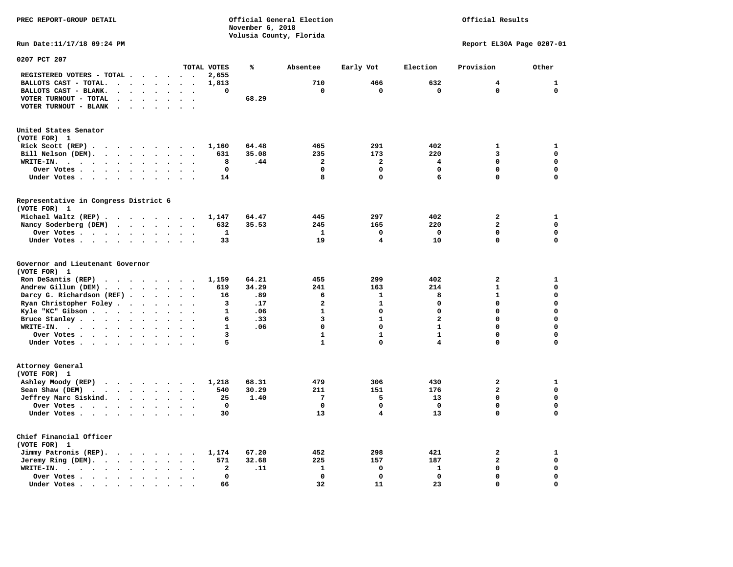**PREC REPORT-GROUP DETAIL Official General Election Official Results November 6, 2018 Volusia County, Florida Run Date:11/17/18 09:24 PM Report EL30A Page 0207-01 0207 PCT 207 TOTAL VOTES % Absentee Early Vot Election Provision Other REGISTERED VOTERS - TOTAL . . . . . . 2,655 BALLOTS CAST - TOTAL.** . . . . . . 1,813 710 466 632 4 1  **BALLOTS CAST - BLANK. . . . . . . . 0 0 0 0 0 0 VOTER TURNOUT - TOTAL . . . . . . . 68.29 VOTER TURNOUT - BLANK . . . . . . . United States Senator (VOTE FOR) 1 Rick Scott (REP) . . . . . . . . 1,160** 64.48 465 291 402 1 1  **Bill Nelson (DEM). . . . . . . . . 631 35.08 235 173 220 3 0 WRITE-IN. . . . . . . . . . . . 8 .44 2 2 4 0 0 Over Votes . . . . . . . . . . 0 0 0 0 0 0 Under Votes . . . . . . . . . . 14** 8 0 6 0 0 **Representative in Congress District 6 (VOTE FOR) 1 Michael Waltz (REP) . . . . . . . . 1,147 64.47 445 297 402 2 1 Nancy Soderberg (DEM) . . . . . . . 632 35.53 245 165 220 2 0 Over Votes . . . . . . . . . . 1** 1 0 0 0 0 0 0  **Under Votes . . . . . . . . . . . 33** 19 4 10 0 **Governor and Lieutenant Governor (VOTE FOR) 1 Ron DeSantis (REP) . . . . . . . . 1,159 64.21 455 299 402 2 1 Andrew Gillum (DEM) . . . . . . . . 619 34.29 241 163 214 1 0** 

 $\mathbf 0$ 

 $\mathbf 0$ 

 $\mathbf{0}$ 

| (VOTE FOR)                                                        |  |  |  |       |       |     |     |     |  |
|-------------------------------------------------------------------|--|--|--|-------|-------|-----|-----|-----|--|
| Ron DeSantis (REP) $\cdot \cdot \cdot \cdot \cdot \cdot \cdot$    |  |  |  | 1,159 | 64.21 | 455 | 299 | 402 |  |
| Andrew Gillum (DEM)                                               |  |  |  | 619   | 34.29 | 241 | 163 | 214 |  |
| Darcy G. Richardson $(REF)$                                       |  |  |  | 16    | .89   |     |     |     |  |
| Ryan Christopher Foley                                            |  |  |  |       | .17   |     |     |     |  |
| Kyle "KC" Gibson                                                  |  |  |  |       | .06   |     |     |     |  |
| Bruce Stanley.                                                    |  |  |  |       | .33   |     |     |     |  |
| WRITE-IN.<br>$\cdots$                                             |  |  |  |       | .06   |     |     |     |  |
| Over Votes                                                        |  |  |  |       |       |     |     |     |  |
| Under Votes.                                                      |  |  |  |       |       |     |     |     |  |
| Attorney General                                                  |  |  |  |       |       |     |     |     |  |
| (VOTE FOR) 1                                                      |  |  |  |       |       |     |     |     |  |
| Ashley Moody (REP)                                                |  |  |  | 1,218 | 68.31 | 479 | 306 | 430 |  |
| Sean Shaw (DEM) $\cdot \cdot \cdot \cdot \cdot \cdot \cdot \cdot$ |  |  |  | 540   | 30.29 | 211 | 151 | 176 |  |
| Jeffrey Marc Siskind.                                             |  |  |  | 25    | 1.40  |     |     | 13  |  |
| Over Votes                                                        |  |  |  |       |       |     |     |     |  |
| Under Votes                                                       |  |  |  | 30    |       |     |     | 13  |  |
|                                                                   |  |  |  |       |       |     |     |     |  |

| Chief Financial Officer                                                       |                                                                                                        |  |  |  |  |     |       |     |     |     |            |
|-------------------------------------------------------------------------------|--------------------------------------------------------------------------------------------------------|--|--|--|--|-----|-------|-----|-----|-----|------------|
| (VOTE FOR) 1                                                                  |                                                                                                        |  |  |  |  |     |       |     |     |     |            |
| Jimmy Patronis (REP). 1,174                                                   |                                                                                                        |  |  |  |  |     | 67.20 | 452 | 298 | 421 |            |
| Jeremy Ring (DEM).                                                            |                                                                                                        |  |  |  |  | 571 | 32.68 | 225 | 157 | 187 | $^{\circ}$ |
| WRITE-IN, $\cdot$ , $\cdot$ , $\cdot$ , $\cdot$ , $\cdot$ , $\cdot$ , $\cdot$ |                                                                                                        |  |  |  |  |     |       |     |     |     | 0          |
|                                                                               |                                                                                                        |  |  |  |  |     |       |     |     |     | $\Omega$   |
| Under Votes                                                                   | $\mathbf{r}$ , $\mathbf{r}$ , $\mathbf{r}$ , $\mathbf{r}$ , $\mathbf{r}$ , $\mathbf{r}$ , $\mathbf{r}$ |  |  |  |  | 66  |       |     |     |     | $\Omega$   |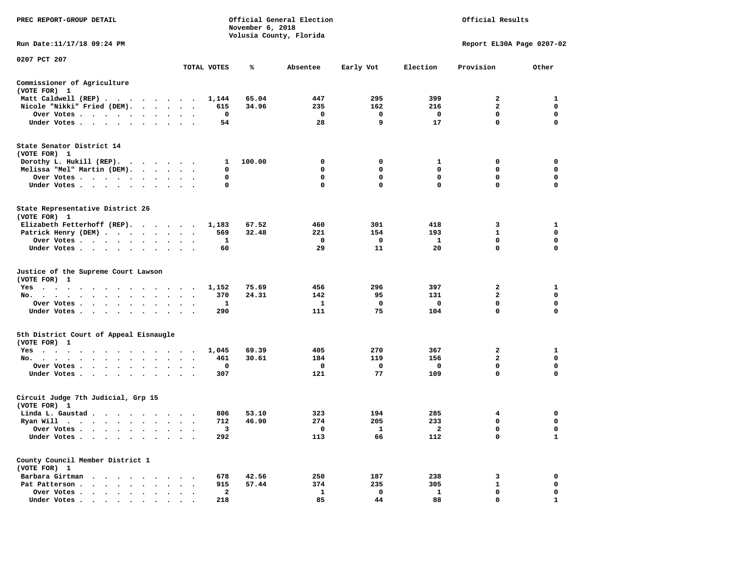| PREC REPORT-GROUP DETAIL                                                                                                                                                                                                                   |           | November 6, 2018     | Official General Election<br>Volusia County, Florida | Official Results |              |              |              |                           |             |
|--------------------------------------------------------------------------------------------------------------------------------------------------------------------------------------------------------------------------------------------|-----------|----------------------|------------------------------------------------------|------------------|--------------|--------------|--------------|---------------------------|-------------|
| Run Date:11/17/18 09:24 PM                                                                                                                                                                                                                 |           |                      |                                                      |                  |              |              |              | Report EL30A Page 0207-02 |             |
| 0207 PCT 207                                                                                                                                                                                                                               |           |                      |                                                      |                  |              |              |              |                           |             |
|                                                                                                                                                                                                                                            |           |                      | TOTAL VOTES                                          | ℁                | Absentee     | Early Vot    | Election     | Provision                 | Other       |
| Commissioner of Agriculture<br>(VOTE FOR) 1                                                                                                                                                                                                |           |                      |                                                      |                  |              |              |              |                           |             |
| Matt Caldwell (REP)                                                                                                                                                                                                                        |           |                      | 1,144                                                | 65.04            | 447          | 295          | 399          | 2                         | 1           |
| Nicole "Nikki" Fried (DEM).                                                                                                                                                                                                                |           |                      | 615                                                  | 34.96            | 235          | 162          | 216          | $\mathbf{2}$              | 0           |
| Over Votes                                                                                                                                                                                                                                 | $\bullet$ |                      | 0                                                    |                  | 0            | 0            | 0            | $\mathbf 0$               | 0           |
| Under Votes                                                                                                                                                                                                                                |           |                      | 54                                                   |                  | 28           | 9            | 17           | $\mathbf 0$               | 0           |
| State Senator District 14<br>(VOTE FOR) 1                                                                                                                                                                                                  |           |                      |                                                      |                  |              |              |              |                           |             |
| Dorothy L. Hukill $(REP)$ .                                                                                                                                                                                                                |           |                      | 1                                                    | 100.00           | 0            | 0            | 1            | 0                         | 0           |
| Melissa "Mel" Martin (DEM).                                                                                                                                                                                                                |           |                      | 0                                                    |                  | 0            | $\Omega$     | 0            | 0                         | 0           |
| Over Votes                                                                                                                                                                                                                                 |           |                      | 0                                                    |                  | 0            | 0            | $\mathbf 0$  | $\mathbf 0$               | 0           |
| Under Votes                                                                                                                                                                                                                                |           |                      | 0                                                    |                  | 0            | $\mathbf{0}$ | $\mathbf 0$  | $\mathbf 0$               | $\mathbf 0$ |
| State Representative District 26<br>(VOTE FOR) 1                                                                                                                                                                                           |           |                      |                                                      |                  |              |              |              |                           |             |
| Elizabeth Fetterhoff (REP).                                                                                                                                                                                                                |           |                      | 1,183                                                | 67.52            | 460          | 301          | 418          | 3                         | 1           |
| Patrick Henry (DEM)                                                                                                                                                                                                                        |           |                      | 569                                                  | 32.48            | 221          | 154          | 193          | $\mathbf{1}$              | 0           |
| Over Votes                                                                                                                                                                                                                                 |           |                      | 1                                                    |                  | 0            | 0            | 1            | $\mathbf 0$               | 0           |
| Under Votes                                                                                                                                                                                                                                |           |                      | 60                                                   |                  | 29           | 11           | 20           | $\mathbf 0$               | 0           |
| Justice of the Supreme Court Lawson<br>(VOTE FOR) 1                                                                                                                                                                                        |           |                      |                                                      |                  |              |              |              |                           |             |
| $Yes \t . \t .$<br>.                                                                                                                                                                                                                       |           |                      | 1,152                                                | 75.69            | 456          | 296          | 397          | 2                         | 1           |
| No.                                                                                                                                                                                                                                        |           |                      | 370                                                  | 24.31            | 142          | 95           | 131          | $\overline{2}$            | 0           |
| Over Votes                                                                                                                                                                                                                                 |           |                      | 1                                                    |                  | 1            | 0            | 0            | $\mathbf 0$               | 0           |
| Under Votes                                                                                                                                                                                                                                |           |                      | 290                                                  |                  | 111          | 75           | 104          | $\mathbf 0$               | 0           |
| 5th District Court of Appeal Eisnaugle<br>(VOTE FOR) 1                                                                                                                                                                                     |           |                      |                                                      |                  |              |              |              |                           |             |
| Yes                                                                                                                                                                                                                                        |           |                      | 1,045                                                | 69.39            | 405          | 270          | 367          | 2                         | 1           |
| No.                                                                                                                                                                                                                                        |           | $\ddot{\phantom{1}}$ | 461                                                  | 30.61            | 184          | 119          | 156          | 2                         | 0           |
| Over Votes                                                                                                                                                                                                                                 |           |                      | 0                                                    |                  | 0            | 0            | 0            | $\mathbf 0$               | $\mathbf 0$ |
| Under Votes                                                                                                                                                                                                                                |           |                      | 307                                                  |                  | 121          | 77           | 109          | $\mathbf 0$               | $\mathbf 0$ |
| Circuit Judge 7th Judicial, Grp 15<br>(VOTE FOR) 1                                                                                                                                                                                         |           |                      |                                                      |                  |              |              |              |                           |             |
| Linda L. Gaustad                                                                                                                                                                                                                           |           |                      | 806                                                  | 53.10            | 323          | 194          | 285          | 4                         | 0           |
| Ryan Will<br>. The contract of the contract of the contract of the contract of the contract of the contract of the contract of the contract of the contract of the contract of the contract of the contract of the contract of the contrac |           |                      | 712                                                  | 46.90            | 274          | 205          | 233          | 0                         | 0           |
| Over Votes                                                                                                                                                                                                                                 |           |                      | 3                                                    |                  | 0            | 1            | $\mathbf{2}$ | 0                         | $\Omega$    |
| Under Votes                                                                                                                                                                                                                                |           |                      | 292                                                  |                  | 113          | 66           | 112          | 0                         | 1           |
| County Council Member District 1                                                                                                                                                                                                           |           |                      |                                                      |                  |              |              |              |                           |             |
| (VOTE FOR) 1                                                                                                                                                                                                                               |           |                      |                                                      |                  |              |              |              |                           |             |
| Barbara Girtman<br>$\sim$<br>$\overline{\phantom{a}}$                                                                                                                                                                                      |           |                      | 678                                                  | 42.56            | 250          | 187          | 238          | 3                         | 0           |
| Pat Patterson.<br>$\ddot{\phantom{a}}$<br>$\sim$ $\sim$<br>$\ddot{\phantom{a}}$<br>$\Delta$                                                                                                                                                |           |                      | 915                                                  | 57.44            | 374          | 235          | 305          | $\mathbf{1}$              | $\mathbf 0$ |
| Over Votes .<br>$\ddot{\phantom{a}}$                                                                                                                                                                                                       |           |                      | $\mathbf{2}$                                         |                  | $\mathbf{1}$ | 0            | $\mathbf{1}$ | 0<br>$\mathbf 0$          | 0           |
| Under Votes.                                                                                                                                                                                                                               |           |                      | 218                                                  |                  | 85           | 44           | 88           |                           | 1           |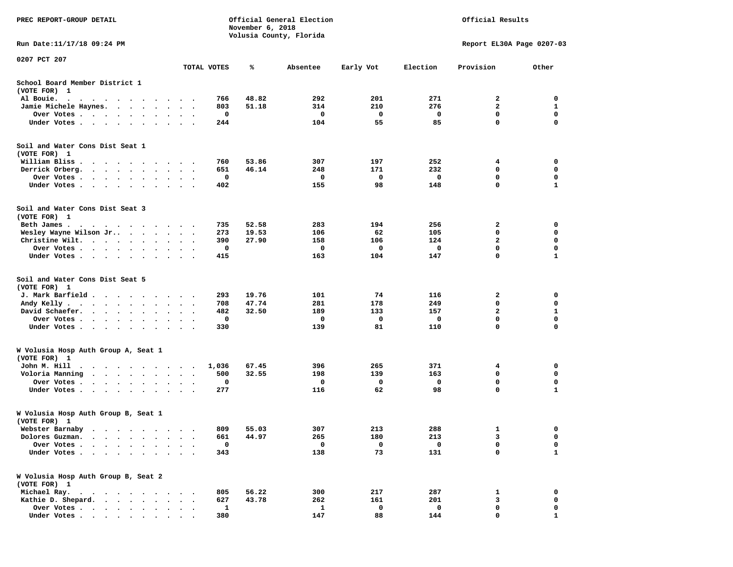| PREC REPORT-GROUP DETAIL                                                                                                                                                             |                                   |             | November 6, 2018 | Official General Election<br>Volusia County, Florida |           |          | Official Results          |                   |
|--------------------------------------------------------------------------------------------------------------------------------------------------------------------------------------|-----------------------------------|-------------|------------------|------------------------------------------------------|-----------|----------|---------------------------|-------------------|
| Run Date: 11/17/18 09:24 PM                                                                                                                                                          |                                   |             |                  |                                                      |           |          | Report EL30A Page 0207-03 |                   |
| 0207 PCT 207                                                                                                                                                                         |                                   | TOTAL VOTES | ℁                | Absentee                                             | Early Vot | Election | Provision                 | Other             |
| School Board Member District 1<br>(VOTE FOR) 1                                                                                                                                       |                                   |             |                  |                                                      |           |          |                           |                   |
| Al Bouie.<br>$\bullet$<br>$\ddot{\phantom{0}}$<br>$\sim$ $\sim$ $\sim$<br>$\cdot$<br>$\sim$<br>$\sim$<br>$\overline{\phantom{a}}$                                                    |                                   | 766         | 48.82            | 292                                                  | 201       | 271      | 2                         | 0                 |
| Jamie Michele Haynes.<br>$\bullet$<br>$\bullet$ .<br><br><br><br><br><br>$\bullet$                                                                                                   |                                   | 803         | 51.18            | 314                                                  | 210       | 276      | $\mathbf{2}$              | 1                 |
| Over Votes<br>$\sim$<br>$\bullet$<br>$\bullet$<br>$\bullet$                                                                                                                          | $\cdot$<br>$\bullet$              | 0           |                  | 0                                                    | 0         | 0        | $\mathbf 0$               | $\mathbf 0$       |
| Under Votes<br>$\ddot{\phantom{0}}$<br>$\cdot$<br>$\bullet$                                                                                                                          |                                   | 244         |                  | 104                                                  | 55        | 85       | $\mathbf 0$               | 0                 |
| Soil and Water Cons Dist Seat 1<br>(VOTE FOR) 1                                                                                                                                      |                                   |             |                  |                                                      |           |          |                           |                   |
| William Bliss<br>$\sim$<br>$\cdot$<br>$\cdot$ $\cdot$<br>$\sim$ $\sim$<br>$\ddot{\phantom{1}}$                                                                                       |                                   | 760         | 53.86            | 307                                                  | 197       | 252      | 4                         | 0                 |
| Derrick Orberg.<br>$\sim$ $\sim$<br>$\sim$ $\sim$ $\sim$ $\sim$<br>$\bullet$                                                                                                         | $\bullet$<br>$\bullet$            | 651         | 46.14            | 248                                                  | 171       | 232      | 0                         | 0                 |
| Over Votes .<br>$\sim$<br>$\sim$<br>$\bullet$<br>$\bullet$<br>Under Votes.<br>$\cdots$<br>$\bullet$<br>$\cdot$                                                                       | $\bullet$                         | 0<br>402    |                  | 0<br>155                                             | 0<br>98   | 0<br>148 | 0<br>$\mathbf 0$          | 0<br>$\mathbf{1}$ |
| Soil and Water Cons Dist Seat 3<br>(VOTE FOR) 1                                                                                                                                      |                                   |             |                  |                                                      |           |          |                           |                   |
| Beth James.                                                                                                                                                                          |                                   | 735         | 52.58            | 283                                                  | 194       | 256      | 2                         | 0                 |
| Wesley Wayne Wilson Jr<br>$\cdot$ $\cdot$ $\cdot$                                                                                                                                    | $\sim$                            | 273         | 19.53            | 106                                                  | 62        | 105      | 0                         | 0                 |
| Christine Wilt.<br>$\cdot$ $\cdot$ $\cdot$<br>$\bullet$<br>$\bullet$ .<br><br><br><br><br><br>$\ddot{\phantom{a}}$                                                                   |                                   | 390         | 27.90            | 158                                                  | 106       | 124      | $\mathbf{2}$              | $\mathbf 0$       |
| Over Votes<br>$\bullet$<br>$\bullet$<br>$\bullet$                                                                                                                                    | $\bullet$<br>$\bullet$            | 0           |                  | 0                                                    | 0         | 0        | $\mathbf 0$               | $\mathbf 0$       |
| Under Votes<br>$\cdot$                                                                                                                                                               |                                   | 415         |                  | 163                                                  | 104       | 147      | 0                         | $\mathbf{1}$      |
| Soil and Water Cons Dist Seat 5<br>(VOTE FOR) 1                                                                                                                                      |                                   |             |                  |                                                      |           |          |                           |                   |
| J. Mark Barfield.<br>$\cdots$                                                                                                                                                        | $\bullet$                         | 293         | 19.76            | 101                                                  | 74        | 116      | 2                         | 0                 |
| Andy Kelly.<br>$\begin{array}{cccccccccccccc} \bullet & \bullet & \bullet & \bullet & \bullet & \bullet & \bullet & \bullet & \bullet & \bullet \end{array}$<br>$\ddot{\phantom{0}}$ | $\ddot{\phantom{1}}$<br>$\bullet$ | 708         | 47.74            | 281                                                  | 178       | 249      | $\mathbf 0$               | $\mathbf 0$       |
| David Schaefer.<br>$\ddot{\phantom{1}}$<br>$\ddot{\phantom{a}}$<br>$\ddot{\phantom{a}}$<br>$\bullet$                                                                                 |                                   | 482         | 32.50            | 189                                                  | 133       | 157      | 2                         | 1                 |
| Over Votes .<br>$\ddot{\phantom{1}}$<br>$\bullet$<br>$\bullet$<br>$\bullet$<br>$\bullet$                                                                                             | $\bullet$<br>$\bullet$            | 0           |                  | 0                                                    | 0         | 0        | $\mathbf 0$               | $\mathbf 0$       |
| Under Votes<br>$\bullet$<br>$\ddot{\phantom{a}}$<br>$\ddot{\phantom{1}}$                                                                                                             | $\cdot$<br>$\cdot$ .              | 330         |                  | 139                                                  | 81        | 110      | $\mathbf 0$               | $\mathbf 0$       |
| W Volusia Hosp Auth Group A, Seat 1<br>(VOTE FOR) 1                                                                                                                                  |                                   |             |                  |                                                      |           |          |                           |                   |
| John M. Hill<br>$\bullet$<br>$\overline{\phantom{a}}$<br>$\ddot{\phantom{1}}$<br>$\sim$<br>$\bullet$<br>$\sim$<br>$\cdots$                                                           | $\cdot$                           | 1,036       | 67.45            | 396                                                  | 265       | 371      | 4                         | 0                 |
| Voloria Manning<br>$\cdot$ $\cdot$ $\cdot$ $\cdot$<br>$\bullet$ .<br>$\cdot$                                                                                                         |                                   | 500         | 32.55            | 198                                                  | 139       | 163      | 0                         | 0                 |
| Over Votes.<br>$\sim$<br>$\bullet$<br>$\cdot$<br>$\cdot$                                                                                                                             |                                   | 0           |                  | 0                                                    | 0         | 0        | 0                         | 0                 |
| Under Votes<br>$\bullet$<br>$\bullet$                                                                                                                                                |                                   | 277         |                  | 116                                                  | 62        | 98       | $\mathbf 0$               | $\mathbf{1}$      |
| W Volusia Hosp Auth Group B, Seat 1<br>(VOTE FOR) 1                                                                                                                                  |                                   |             |                  |                                                      |           |          |                           |                   |
| Webster Barnaby<br>.                                                                                                                                                                 |                                   | 809         | 55.03            | 307                                                  | 213       | 288      | 1                         | 0                 |
| Dolores Guzman.                                                                                                                                                                      |                                   | 661         | 44.97            | 265                                                  | 180       | 213      | 3                         | 0                 |
| Over Votes .                                                                                                                                                                         |                                   | 0           |                  | $\mathbf 0$                                          | 0         | 0        | 0                         | 0                 |
| Under Votes.                                                                                                                                                                         |                                   | 343         |                  | 138                                                  | 73        | 131      | 0                         | $\mathbf{1}$      |
| W Volusia Hosp Auth Group B, Seat 2<br>(VOTE FOR) 1                                                                                                                                  |                                   |             |                  |                                                      |           |          |                           |                   |
| Michael Ray.<br>$\ddot{\phantom{0}}$<br>$\sim$ $\sim$<br>$\ddot{\phantom{0}}$                                                                                                        |                                   | 805         | 56.22            | 300                                                  | 217       | 287      | 1                         | 0                 |
| Kathie D. Shepard.<br>$\ddot{\phantom{a}}$<br>$\ddot{\phantom{a}}$<br>$\ddot{\phantom{a}}$<br>$\ddot{\phantom{a}}$                                                                   |                                   | 627         | 43.78            | 262                                                  | 161       | 201      | 3                         | 0                 |
| Over Votes.<br>$\cdot$ $\cdot$ $\cdot$ $\cdot$<br>$\bullet$                                                                                                                          |                                   | 1           |                  | 1                                                    | 0         | 0        | 0                         | 0                 |
| Under Votes                                                                                                                                                                          |                                   | 380         |                  | 147                                                  | 88        | 144      | $\Omega$                  |                   |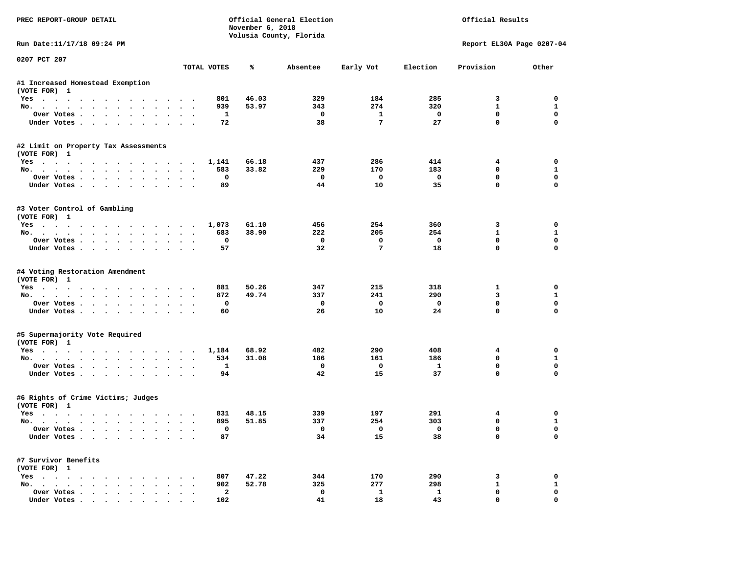| PREC REPORT-GROUP DETAIL             |                         | November 6, 2018 | Official General Election<br>Volusia County, Florida |                         |                         | Official Results          |                             |
|--------------------------------------|-------------------------|------------------|------------------------------------------------------|-------------------------|-------------------------|---------------------------|-----------------------------|
| Run Date:11/17/18 09:24 PM           |                         |                  |                                                      |                         |                         | Report EL30A Page 0207-04 |                             |
| 0207 PCT 207                         | TOTAL VOTES             | ℁                | Absentee                                             | Early Vot               | Election                | Provision                 | Other                       |
| #1 Increased Homestead Exemption     |                         |                  |                                                      |                         |                         |                           |                             |
| (VOTE FOR) 1                         |                         |                  |                                                      |                         |                         |                           |                             |
| Yes                                  | 801                     | 46.03            | 329                                                  | 184                     | 285                     | 3                         | 0                           |
| No.                                  | 939                     | 53.97            | 343                                                  | 274                     | 320                     | $\mathbf{1}$              | $\mathbf{1}$                |
| Over Votes                           | 1                       |                  | 0                                                    | 1                       | 0                       | $\mathbf{0}$              | $\mathbf 0$                 |
| Under Votes                          | 72                      |                  | 38                                                   | 7                       | 27                      | $\mathbf 0$               | $\mathbf 0$                 |
| #2 Limit on Property Tax Assessments |                         |                  |                                                      |                         |                         |                           |                             |
| (VOTE FOR) 1                         |                         |                  |                                                      |                         |                         |                           |                             |
| Yes                                  | 1,141                   | 66.18            | 437                                                  | 286                     | 414                     | 4                         | 0                           |
| No.                                  | 583                     | 33.82            | 229                                                  | 170                     | 183                     | 0                         | $\mathbf{1}$                |
| Over Votes.<br>Under Votes           | 0<br>89                 |                  | $\Omega$<br>44                                       | $\mathbf 0$<br>10       | $\mathbf 0$<br>35       | $\mathbf{0}$<br>$\Omega$  | $\mathbf 0$<br>$\Omega$     |
|                                      |                         |                  |                                                      |                         |                         |                           |                             |
| #3 Voter Control of Gambling         |                         |                  |                                                      |                         |                         |                           |                             |
| (VOTE FOR) 1                         |                         |                  |                                                      |                         |                         |                           |                             |
| Yes<br>No.                           | 1,073<br>683            | 61.10<br>38.90   | 456<br>222                                           | 254<br>205              | 360<br>254              | 3<br>$\mathbf{1}$         | 0<br>1                      |
|                                      | 0                       |                  | $^{\circ}$                                           | $\mathbf 0$             | $\Omega$                | $\mathbf{0}$              | 0                           |
| Over Votes<br>Under Votes            | 57                      |                  | 32                                                   | 7                       | 18                      | $\Omega$                  | $\mathbf 0$                 |
| #4 Voting Restoration Amendment      |                         |                  |                                                      |                         |                         |                           |                             |
| (VOTE FOR) 1                         |                         |                  |                                                      |                         |                         |                           |                             |
| Yes                                  | 881                     | 50.26            | 347                                                  | 215                     | 318                     | 1                         | 0                           |
| No.                                  | 872                     | 49.74            | 337                                                  | 241                     | 290                     | 3                         | $\mathbf{1}$                |
| Over Votes                           | 0                       |                  | 0                                                    | $\mathbf 0$             | 0                       | $\mathbf 0$               | $\mathbf 0$                 |
| Under Votes                          | 60                      |                  | 26                                                   | 10                      | 24                      | $\mathbf 0$               | $\Omega$                    |
| #5 Supermajority Vote Required       |                         |                  |                                                      |                         |                         |                           |                             |
| (VOTE FOR) 1                         |                         |                  |                                                      |                         |                         |                           |                             |
| Yes                                  | 1,184                   | 68.92            | 482                                                  | 290                     | 408                     | 4                         | 0                           |
| No.                                  | 534                     | 31.08            | 186<br>$\mathbf 0$                                   | 161                     | 186<br>$\mathbf{1}$     | 0<br>0                    | $\mathbf{1}$<br>$\mathbf 0$ |
| Over Votes<br>Under Votes            | 1<br>94                 |                  | 42                                                   | $\mathbf 0$<br>15       | 37                      | $\Omega$                  | $\Omega$                    |
|                                      |                         |                  |                                                      |                         |                         |                           |                             |
| #6 Rights of Crime Victims; Judges   |                         |                  |                                                      |                         |                         |                           |                             |
| (VOTE FOR) 1<br>Yes                  | 831                     | 48.15            | 339                                                  | 197                     | 291                     | 4                         | 0                           |
| No.                                  | 895                     | 51.85            | 337                                                  | 254                     | 303                     | 0                         | $\mathbf{1}$                |
|                                      | 0                       |                  |                                                      | $\overline{\mathbf{0}}$ | $\overline{\mathbf{0}}$ | 0                         | 0                           |
| Over votes $\cdots$<br>Under Votes   | 87                      |                  | 34                                                   | 15                      | 38                      | 0                         | 0                           |
| #7 Survivor Benefits                 |                         |                  |                                                      |                         |                         |                           |                             |
| (VOTE FOR) 1                         |                         |                  |                                                      |                         |                         |                           |                             |
| Yes                                  | 807                     | 47.22            | 344                                                  | 170                     | 290                     | 3                         | 0                           |
| No.                                  | 902                     | 52.78            | 325                                                  | 277                     | 298                     | $\mathbf{1}$              | $\mathbf{1}$                |
| Over Votes                           | $\overline{\mathbf{2}}$ |                  | 0                                                    | $\mathbf{1}$            | $\mathbf{1}$            | 0                         | 0                           |
| Under Votes                          | 102                     |                  | 41                                                   | 18                      | 43                      | $\mathbf 0$               | 0                           |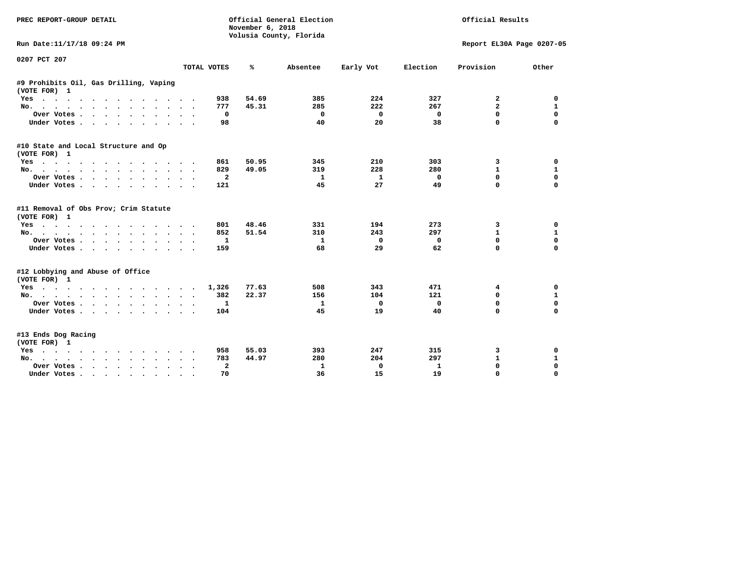| <b>PREC REPORT-GROUP DETAIL</b>                                                                         |                                       | November 6, 2018 | Official General Election<br>Volusia County, Florida |           | Official Results |                           |              |
|---------------------------------------------------------------------------------------------------------|---------------------------------------|------------------|------------------------------------------------------|-----------|------------------|---------------------------|--------------|
| Run Date:11/17/18 09:24 PM                                                                              |                                       |                  |                                                      |           |                  | Report EL30A Page 0207-05 |              |
| 0207 PCT 207                                                                                            | TOTAL VOTES                           | ℁                | Absentee                                             | Early Vot | Election         | Provision                 | Other        |
|                                                                                                         |                                       |                  |                                                      |           |                  |                           |              |
| #9 Prohibits Oil, Gas Drilling, Vaping<br>(VOTE FOR) 1                                                  |                                       |                  |                                                      |           |                  |                           |              |
| Yes                                                                                                     | 938                                   | 54.69            | 385                                                  | 224       | 327              | 2                         | 0            |
| No.                                                                                                     | 777                                   | 45.31            | 285                                                  | 222       | 267              | $\mathbf{2}$              | 1            |
| Over Votes                                                                                              | 0                                     |                  | $^{\circ}$                                           | 0         | 0                | 0                         | $\mathbf 0$  |
| Under Votes                                                                                             | 98                                    |                  | 40                                                   | 20        | 38               | 0                         | $\Omega$     |
| #10 State and Local Structure and Op<br>(VOTE FOR) 1                                                    |                                       |                  |                                                      |           |                  |                           |              |
| Yes                                                                                                     | 861                                   | 50.95            | 345                                                  | 210       | 303              | 3                         | $\mathbf 0$  |
| No.                                                                                                     | 829                                   | 49.05            | 319                                                  | 228       | 280              | 1                         | 1            |
| Over Votes                                                                                              | $\mathbf{2}$                          |                  | 1                                                    | 1         | $\mathbf 0$      | $\mathbf 0$               | $\mathbf 0$  |
| Under Votes                                                                                             | 121                                   |                  | 45                                                   | 27        | 49               | $\Omega$                  | 0            |
| #11 Removal of Obs Prov; Crim Statute<br>(VOTE FOR) 1                                                   |                                       |                  |                                                      |           |                  |                           |              |
| $Yes \t . \t .$<br>$\ddot{\phantom{1}}$<br>.                                                            | 801                                   | 48.46            | 331                                                  | 194       | 273              | 3                         | 0            |
| No.                                                                                                     | 852                                   | 51.54            | 310                                                  | 243       | 297              | 1                         | 1            |
| Over Votes                                                                                              | 1                                     |                  | 1                                                    | 0         | 0                | 0                         | $\mathbf 0$  |
| Under Votes<br>$\ddot{\phantom{0}}$                                                                     | 159                                   |                  | 68                                                   | 29        | 62               | 0                         | $\Omega$     |
| #12 Lobbying and Abuse of Office<br>(VOTE FOR) 1                                                        |                                       |                  |                                                      |           |                  |                           |              |
| Yes                                                                                                     | 1,326                                 | 77.63            | 508                                                  | 343       | 471              | 4                         | 0            |
| No.                                                                                                     | 382<br>$\ddot{\phantom{a}}$<br>$\sim$ | 22.37            | 156                                                  | 104       | 121              | 0                         | 1            |
| Over Votes                                                                                              | 1<br>$\sim$                           |                  | 1                                                    | 0         | $\mathbf 0$      | $\Omega$                  | $\mathbf 0$  |
| Under Votes.                                                                                            | 104                                   |                  | 45                                                   | 19        | 40               | 0                         | $\Omega$     |
| #13 Ends Dog Racing<br>(VOTE FOR) 1                                                                     |                                       |                  |                                                      |           |                  |                           |              |
| Yes                                                                                                     | 958                                   | 55.03            | 393                                                  | 247       | 315              | 3                         | 0            |
| No.                                                                                                     | 783                                   | 44.97            | 280                                                  | 204       | 297              | $\mathbf{1}$              | $\mathbf{1}$ |
| Over Votes .<br>$\mathbf{r}$ , $\mathbf{r}$ , $\mathbf{r}$ , $\mathbf{r}$ , $\mathbf{r}$ , $\mathbf{r}$ | $\mathbf{z}$                          |                  | 1                                                    | 0         | $\mathbf{1}$     | $\Omega$                  | $\mathbf 0$  |
| Under Votes                                                                                             | 70                                    |                  | 36                                                   | 15        | 19               | $\Omega$                  | $\Omega$     |
|                                                                                                         |                                       |                  |                                                      |           |                  |                           |              |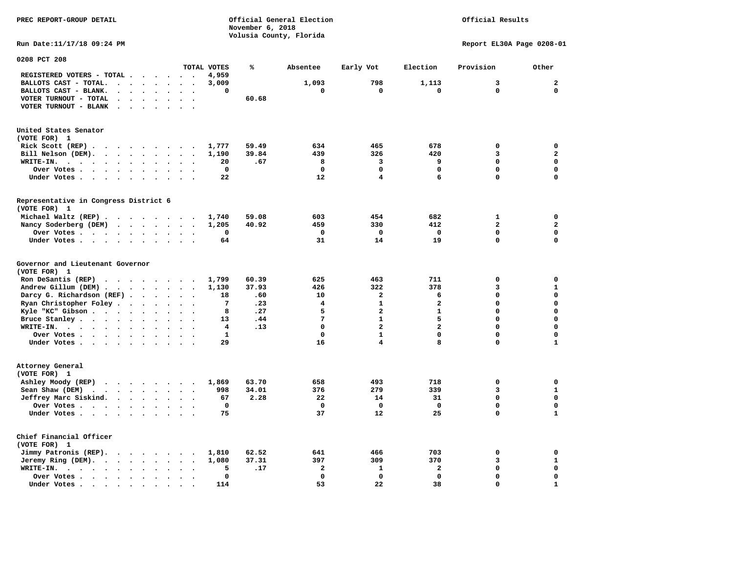**November 6, 2018 Volusia County, Florida Run Date:11/17/18 09:24 PM Report EL30A Page 0208-01 0208 PCT 208 TOTAL VOTES % Absentee Early Vot Election Provision Other REGISTERED VOTERS - TOTAL . . . . . . 4,959 BALLOTS CAST - TOTAL. . . . . . . . 3,009 1,093 798 1,113 3 2 BALLOTS CAST - BLANK. . . . . . . . 0 0 0 0 0 0 VOTER TURNOUT - TOTAL . . . . . . . 60.68 VOTER TURNOUT - BLANK . . . . . . . United States Senator (VOTE FOR) 1 Rick Scott (REP) . . . . . . . . . 1,777 59.49 634 465 678 0 0 Bill Nelson (DEM). . . . . . . . . 1,190 39.84 439 326 420 3 2 WRITE-IN. . . . . . . . . . . . 20 .67 8 3 9 0 0 Over Votes . . . . . . . . . . 0 0 0 0 0 0 Under Votes . . . . . . . . . . 22** 12 4 6 0 0 **Representative in Congress District 6 (VOTE FOR) 1 Michael Waltz (REP) . . . . . . . . 1,740 59.08 603 454 682 1 0 Nancy Soderberg (DEM) . . . . . . . 1,205 40.92 459 330 412 2 2 Over Votes . . . . . . . . . . 0 0 0 0 0 0**  $\Omega$  **Under Votes . . . . . . . . . . 64** 31 14 19 0 **Governor and Lieutenant Governor (VOTE FOR) 1 Ron DeSantis (REP) . . . . . . . . 1,799 60.39 625 463 711 0 0 Andrew Gillum (DEM) . . . . . . . . 1,130 37.93 426 322 378 3 1 Darcy G. Richardson (REF) . . . . . 18** .60 10 2 6 0 0 0<br> **Ryan Christopher Foley . . . . . . 7** .23 4 1 2 0 0  **Ryan Christopher Foley . . . . . . . 7 .23 4 1 2 0 0 Kyle "KC" Gibson . . . . . . . . . 8 . 27** 5 2 2 **Bruce Stanley . . . . . . . . . 13 .44** 7 1 5 0 0  **WRITE-IN. . . . . . . . . . . . 4 .13 0 2 2 0 0**  $\mathbf{0}$  **Over Votes . . . . . . . . . . 1 0 1 0 0 0**  $\mathbf 1$  **Under Votes . . . . . . . . . . 29 16 4 8 0 1 Attorney General (VOTE FOR) 1 Ashley Moody (REP) . . . . . . . . 1,869 63.70 658 493 718 0 0 Sean Shaw (DEM)** . . . . . . . . 998 34.01 376 279 339 3 39 1  **Jeffrey Marc Siskind. . . . . . . . 67 2.28 22 14 31 0 0 Over Votes . . . . . . . . . . 0 0 0 0 0 0**  $\mathbf 1$  **Under Votes . . . . . . . . . . 75** 37 31 22 25 0 **Chief Financial Officer (VOTE FOR) 1 Jimmy Patronis (REP). . . . . . . . 1,810 62.52 641 466 703 0 0 Jeremy Ring (DEM).** . . . . . . . 1,080 37.31 397 309 370 370 3 1  **WRITE-IN. . . . . . . . . . . . 5 .17 2 1 2 0 0 Over Votes . . . . . . . . . . 0 0 0 0 0 0**  $\mathbf{1}$  **Under Votes . . . . . . . . . . 114** 53 22 38 0

**PREC REPORT-GROUP DETAIL Official General Election Official Results**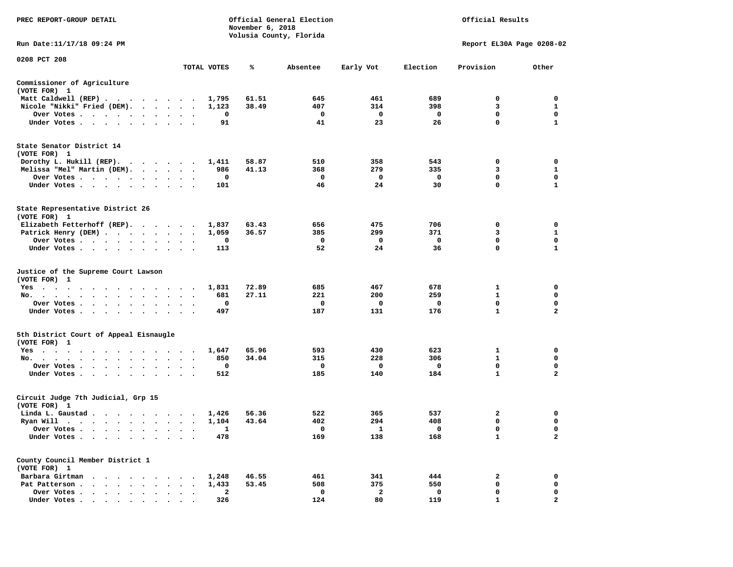| PREC REPORT-GROUP DETAIL                                                                                        |                                                  |             | November 6, 2018 | Official General Election<br>Volusia County, Florida |                |              | Official Results          |                |
|-----------------------------------------------------------------------------------------------------------------|--------------------------------------------------|-------------|------------------|------------------------------------------------------|----------------|--------------|---------------------------|----------------|
| Run Date:11/17/18 09:24 PM                                                                                      |                                                  |             |                  |                                                      |                |              | Report EL30A Page 0208-02 |                |
| 0208 PCT 208                                                                                                    |                                                  | TOTAL VOTES | ℁                | Absentee                                             | Early Vot      | Election     | Provision                 | Other          |
| Commissioner of Agriculture                                                                                     |                                                  |             |                  |                                                      |                |              |                           |                |
| (VOTE FOR) 1                                                                                                    |                                                  |             |                  |                                                      |                |              |                           |                |
| Matt Caldwell (REP)                                                                                             |                                                  | 1,795       | 61.51            | 645                                                  | 461            | 689          | $\mathbf 0$               | $\mathbf 0$    |
| Nicole "Nikki" Fried (DEM).                                                                                     |                                                  | 1,123       | 38.49            | 407                                                  | 314            | 398          | 3                         | 1              |
| Over Votes                                                                                                      |                                                  | 0           |                  | 0                                                    | $\mathbf 0$    | $\mathbf 0$  | 0                         | 0              |
| Under Votes                                                                                                     |                                                  | 91          |                  | 41                                                   | 23             | 26           | $\mathbf 0$               | $\mathbf{1}$   |
| State Senator District 14<br>(VOTE FOR) 1                                                                       |                                                  |             |                  |                                                      |                |              |                           |                |
| Dorothy L. Hukill (REP).                                                                                        |                                                  | 1,411       | 58.87            | 510                                                  | 358            | 543          | 0                         | 0              |
| Melissa "Mel" Martin (DEM).                                                                                     |                                                  | 986         | 41.13            | 368                                                  | 279            | 335          | 3                         | $\mathbf{1}$   |
| Over Votes                                                                                                      |                                                  | 0           |                  | $\mathbf 0$                                          | $\mathbf 0$    | $\mathbf{o}$ | $\mathbf 0$               | $\mathbf 0$    |
| Under Votes<br>$\ddot{\phantom{a}}$                                                                             |                                                  | 101         |                  | 46                                                   | 24             | 30           | $\mathbf 0$               | $\mathbf{1}$   |
| State Representative District 26<br>(VOTE FOR) 1                                                                |                                                  |             |                  |                                                      |                |              |                           |                |
| Elizabeth Fetterhoff (REP).                                                                                     |                                                  | 1,837       | 63.43            | 656                                                  | 475            | 706          | $\mathbf 0$               | $\mathbf 0$    |
| Patrick Henry (DEM)                                                                                             |                                                  | 1,059       | 36.57            | 385                                                  | 299            | 371          | 3                         | $\mathbf{1}$   |
| Over Votes                                                                                                      | $\ddot{\phantom{a}}$<br>$\overline{\phantom{a}}$ | 0           |                  | 0                                                    | 0              | $\mathbf 0$  | 0                         | 0              |
| Under Votes                                                                                                     |                                                  | 113         |                  | 52                                                   | 24             | 36           | 0                         | $\mathbf{1}$   |
| Justice of the Supreme Court Lawson<br>(VOTE FOR) 1                                                             |                                                  |             |                  |                                                      |                |              |                           |                |
| Yes                                                                                                             |                                                  | 1,831       | 72.89            | 685                                                  | 467            | 678          | $\mathbf{1}$              | 0              |
| No.<br>$\mathbf{r}$ , and $\mathbf{r}$ , and $\mathbf{r}$ , and $\mathbf{r}$<br>$\cdot$ $\cdot$ $\cdot$ $\cdot$ |                                                  | 681         | 27.11            | 221                                                  | 200            | 259          | 1                         | 0              |
| Over Votes                                                                                                      | $\cdot$<br>$\cdot$<br>$\overline{\phantom{a}}$   | 0           |                  | $\mathbf 0$                                          | 0              | $\mathbf 0$  | $\mathbf 0$               | 0              |
| Under Votes<br>$\sim$                                                                                           | $\cdot$ $\cdot$ $\cdot$                          | 497         |                  | 187                                                  | 131            | 176          | $\mathbf{1}$              | $\mathbf{2}$   |
| 5th District Court of Appeal Eisnaugle<br>(VOTE FOR) 1                                                          |                                                  |             |                  |                                                      |                |              |                           |                |
| Yes                                                                                                             |                                                  | 1,647       | 65.96            | 593                                                  | 430            | 623          | $\mathbf{1}$              | $\mathbf 0$    |
| No.                                                                                                             | $\sim$ $\sim$                                    | 850         | 34.04            | 315                                                  | 228            | 306          | $\mathbf{1}$              | $\mathbf 0$    |
| Over Votes<br>$\sim$<br>$\ddot{\phantom{a}}$                                                                    |                                                  | 0           |                  | $\mathbf{o}$                                         | 0              | $\mathbf 0$  | $\mathbf 0$               | $\mathbf 0$    |
| Under Votes                                                                                                     |                                                  | 512         |                  | 185                                                  | 140            | 184          | $\mathbf{1}$              | $\mathbf{2}$   |
| Circuit Judge 7th Judicial, Grp 15<br>(VOTE FOR) 1                                                              |                                                  |             |                  |                                                      |                |              |                           |                |
| Linda L. Gaustad                                                                                                |                                                  | 1,426       | 56.36            | 522                                                  | 365            | 537          | 2                         | 0              |
| Ryan Will $\cdots$ , $\cdots$ , $\cdots$ , $\cdots$                                                             |                                                  | 1,104       | 43.64            | 402                                                  | 294            | 408          | 0                         | 0              |
| Over Votes                                                                                                      | $\cdot$ .                                        | 1           |                  | $\mathbf 0$                                          | $\mathbf{1}$   | $\mathbf 0$  | $\mathbf 0$               | $\mathbf 0$    |
| Under Votes<br>$\ddot{\phantom{1}}$<br>$\cdot$<br>$\bullet$<br>$\cdot$                                          |                                                  | 478         |                  | 169                                                  | 138            | 168          | $\mathbf{1}$              | $\overline{a}$ |
| County Council Member District 1<br>(VOTE FOR) 1                                                                |                                                  |             |                  |                                                      |                |              |                           |                |
| Barbara Girtman                                                                                                 |                                                  | 1,248       | 46.55            | 461                                                  | 341            | 444          | $\mathbf{2}$              | $\mathbf 0$    |
| Pat Patterson                                                                                                   |                                                  | 1,433       | 53.45            | 508                                                  | 375            | 550          | 0                         | 0              |
| Over Votes<br>$\ddot{\phantom{0}}$<br>$\bullet$                                                                 | $\ddot{\phantom{1}}$<br>$\cdot$                  | 2           |                  | 0                                                    | $\overline{a}$ | $\mathbf 0$  | $\mathbf 0$               | $\mathbf 0$    |
| Under Votes                                                                                                     |                                                  | 326         |                  | 124                                                  | 80             | 119          | 1                         | $\mathbf{z}$   |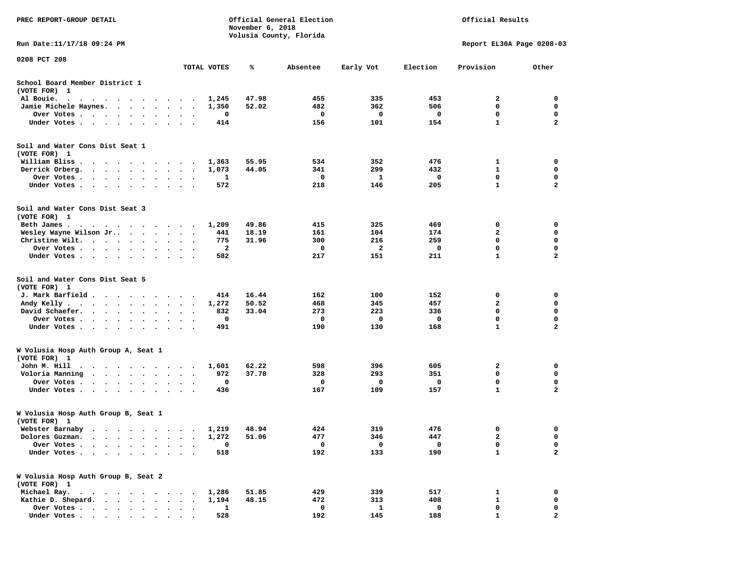| PREC REPORT-GROUP DETAIL                                                                                                                                                             |                                   |             | November 6, 2018 | Official General Election<br>Volusia County, Florida | Official Results        |          |                           |                |  |  |  |
|--------------------------------------------------------------------------------------------------------------------------------------------------------------------------------------|-----------------------------------|-------------|------------------|------------------------------------------------------|-------------------------|----------|---------------------------|----------------|--|--|--|
| Run Date:11/17/18 09:24 PM                                                                                                                                                           |                                   |             |                  |                                                      |                         |          | Report EL30A Page 0208-03 |                |  |  |  |
| 0208 PCT 208                                                                                                                                                                         |                                   | TOTAL VOTES | %                | Absentee                                             | Early Vot               | Election | Provision                 | Other          |  |  |  |
| School Board Member District 1<br>(VOTE FOR) 1                                                                                                                                       |                                   |             |                  |                                                      |                         |          |                           |                |  |  |  |
| Al Bouie.<br>$\ddot{\phantom{0}}$<br>$\cdots$<br>$\cdots$                                                                                                                            | $\cdot$                           | 1,245       | 47.98            | 455                                                  | 335                     | 453      | 2                         | 0              |  |  |  |
| Jamie Michele Haynes.<br>$\cdot$ $\cdot$ $\cdot$ $\cdot$                                                                                                                             | $\bullet$                         | 1,350       | 52.02            | 482                                                  | 362                     | 506      | 0                         | 0              |  |  |  |
| Over Votes<br>$\mathbf{r}$ , and $\mathbf{r}$ , and $\mathbf{r}$                                                                                                                     | $\bullet$<br>$\bullet$<br>$\cdot$ | 0           |                  | 0                                                    | 0                       | 0        | $\mathbf 0$               | $\mathbf 0$    |  |  |  |
| Under Votes<br>$\ddot{\phantom{1}}$<br>$\cdot$                                                                                                                                       |                                   | 414         |                  | 156                                                  | 101                     | 154      | $\mathbf{1}$              | $\mathbf{2}$   |  |  |  |
| Soil and Water Cons Dist Seat 1<br>(VOTE FOR) 1                                                                                                                                      |                                   |             |                  |                                                      |                         |          |                           |                |  |  |  |
| William Bliss<br>.<br>$\cdot$                                                                                                                                                        | $\sim$<br>$\bullet$               | 1,363       | 55.95            | 534                                                  | 352                     | 476      | 1                         | 0              |  |  |  |
| Derrick Orberg.<br>$\cdot$ $\cdot$ $\cdot$ $\cdot$ $\cdot$ $\cdot$                                                                                                                   | $\bullet$<br>$\bullet$<br>$\cdot$ | 1,073       | 44.05            | 341                                                  | 299                     | 432      | 1                         | 0              |  |  |  |
| Over Votes.<br>$\sim$ $\sim$ $\sim$<br>$\bullet$<br>$\bullet$                                                                                                                        |                                   | 1           |                  | 0                                                    | 1                       | 0        | 0                         | 0              |  |  |  |
| Under Votes.<br>$\cdot$ $\cdot$ $\cdot$ $\cdot$<br>$\ddot{\phantom{0}}$                                                                                                              | $\bullet$                         | 572         |                  | 218                                                  | 146                     | 205      | $\mathbf{1}$              | $\mathbf{2}$   |  |  |  |
| Soil and Water Cons Dist Seat 3<br>(VOTE FOR) 1                                                                                                                                      |                                   |             |                  |                                                      |                         |          |                           |                |  |  |  |
| Beth James.                                                                                                                                                                          |                                   | 1,209       | 49.86            | 415                                                  | 325                     | 469      | 0                         | 0              |  |  |  |
| Wesley Wayne Wilson Jr<br>$\sim$ $\sim$ $\sim$                                                                                                                                       | $\ddot{\phantom{1}}$<br>$\cdot$   | 441         | 18.19            | 161                                                  | 104                     | 174      | $\mathbf{2}$              | 0              |  |  |  |
| Christine Wilt.<br>$\bullet$ , $\bullet$ , $\bullet$ , $\bullet$ , $\bullet$<br>$\sim$ $\sim$                                                                                        |                                   | 775         | 31.96            | 300                                                  | 216                     | 259      | $\mathbf 0$               | $\mathbf 0$    |  |  |  |
| Over Votes<br>$\bullet$<br>$\bullet$<br>$\bullet$                                                                                                                                    | $\ddot{\phantom{a}}$<br>$\bullet$ | 2           |                  | 0                                                    | $\overline{\mathbf{2}}$ | 0        | $\mathbf 0$               | $\mathbf 0$    |  |  |  |
| Under Votes                                                                                                                                                                          |                                   | 582         |                  | 217                                                  | 151                     | 211      | $\mathbf{1}$              | $\mathbf{2}$   |  |  |  |
| Soil and Water Cons Dist Seat 5<br>(VOTE FOR) 1                                                                                                                                      |                                   |             |                  |                                                      |                         |          |                           |                |  |  |  |
| J. Mark Barfield.<br>$\cdots$                                                                                                                                                        | $\bullet$                         | 414         | 16.44            | 162                                                  | 100                     | 152      | 0                         | 0              |  |  |  |
| Andy Kelly.<br>$\begin{array}{cccccccccccccccccc} \bullet & \bullet & \bullet & \bullet & \bullet & \bullet & \bullet & \bullet & \bullet & \bullet & \bullet & \bullet \end{array}$ | $\bullet$<br>$\bullet$            | 1,272       | 50.52            | 468                                                  | 345                     | 457      | $\mathbf{2}$              | $\mathbf 0$    |  |  |  |
| David Schaefer.<br>$\sim$ $\sim$ $\sim$<br>$\bullet$                                                                                                                                 |                                   | 832         | 33.04            | 273                                                  | 223                     | 336      | 0                         | 0              |  |  |  |
| Over Votes.<br>$\sim$ $\sim$<br>$\sim$<br>$\bullet$<br>$\bullet$<br>$\bullet$                                                                                                        | $\bullet$<br>$\bullet$            | 0           |                  | 0                                                    | 0                       | 0        | $\mathbf 0$               | $\mathbf 0$    |  |  |  |
| Under Votes<br>$\ddot{\phantom{0}}$<br>$\sim$                                                                                                                                        | $\ddot{\phantom{0}}$<br>$\cdot$ . | 491         |                  | 190                                                  | 130                     | 168      | $\mathbf{1}$              | $\mathbf{2}$   |  |  |  |
| W Volusia Hosp Auth Group A, Seat 1<br>(VOTE FOR) 1                                                                                                                                  |                                   |             |                  |                                                      |                         |          |                           |                |  |  |  |
| John M. Hill<br>$\ddot{\phantom{0}}$<br>$\mathcal{A}$ . The set of the set of the set of the $\mathcal{A}$<br>$\ddot{\phantom{0}}$                                                   | $\sim$                            | 1,601       | 62.22            | 598                                                  | 396                     | 605      | 2                         | 0              |  |  |  |
| Voloria Manning<br>$\cdot$ $\cdot$ $\cdot$ $\cdot$<br>$\ddot{\phantom{0}}$                                                                                                           |                                   | 972         | 37.78            | 328                                                  | 293                     | 351      | 0                         | 0              |  |  |  |
| Over Votes .<br>$\sim$ $\sim$<br>$\ddot{\phantom{1}}$<br>$\cdot$<br>$\cdot$<br>$\ddot{\phantom{a}}$                                                                                  |                                   | 0           |                  | 0                                                    | 0                       | 0        | 0                         | 0              |  |  |  |
| Under Votes<br>$\ddot{\phantom{1}}$<br>$\bullet$<br>$\bullet$                                                                                                                        |                                   | 436         |                  | 167                                                  | 109                     | 157      | $\mathbf{1}$              | $\mathbf{z}$   |  |  |  |
| W Volusia Hosp Auth Group B, Seat 1<br>(VOTE FOR) 1                                                                                                                                  |                                   |             |                  |                                                      |                         |          |                           |                |  |  |  |
| Webster Barnaby                                                                                                                                                                      |                                   | 1,219       | 48.94            | 424                                                  | 319                     | 476      | 0                         | 0              |  |  |  |
| Dolores Guzman.                                                                                                                                                                      |                                   | 1,272       | 51.06            | 477                                                  | 346                     | 447      | 2                         | 0              |  |  |  |
| Over Votes .                                                                                                                                                                         |                                   | $\mathbf 0$ |                  | $\mathbf 0$                                          | 0                       | 0        | 0                         | 0              |  |  |  |
| Under Votes.                                                                                                                                                                         |                                   | 518         |                  | 192                                                  | 133                     | 190      | $\mathbf{1}$              | $\overline{a}$ |  |  |  |
| W Volusia Hosp Auth Group B, Seat 2<br>(VOTE FOR) 1                                                                                                                                  |                                   |             |                  |                                                      |                         |          |                           |                |  |  |  |
| Michael Ray.<br>$\cdots$<br>$\ddot{\phantom{0}}$                                                                                                                                     |                                   | 1,286       | 51.85            | 429                                                  | 339                     | 517      | 1                         | 0              |  |  |  |
| Kathie D. Shepard.<br>$\sim$ $\sim$<br>$\ddot{\phantom{a}}$<br>$\ddot{\phantom{a}}$<br>$\ddot{\phantom{a}}$                                                                          |                                   | 1,194       | 48.15            | 472                                                  | 313                     | 408      | $\mathbf{1}$              | 0              |  |  |  |
| Over Votes.<br>$\cdot$                                                                                                                                                               |                                   | 1           |                  | 0                                                    | 1                       | 0        | 0                         | 0              |  |  |  |
| Under Votes                                                                                                                                                                          |                                   | 528         |                  | 192                                                  | 145                     | 188      |                           |                |  |  |  |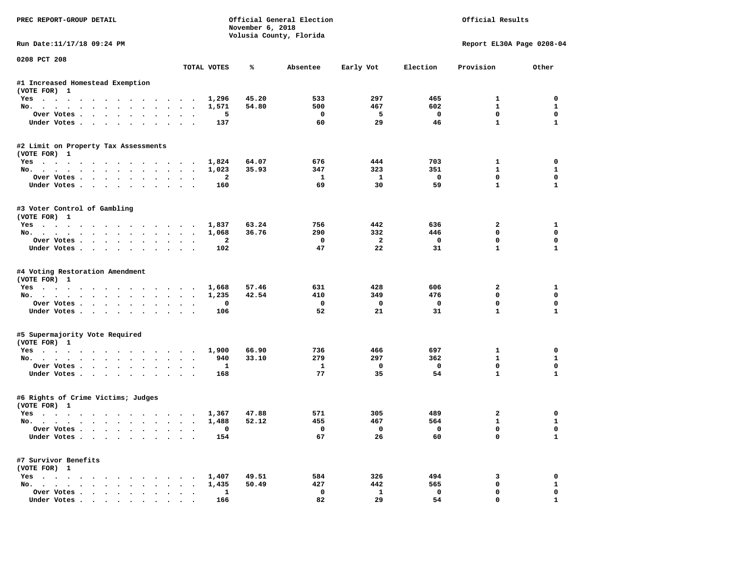| PREC REPORT-GROUP DETAIL                           |              | November 6, 2018 | Official General Election<br>Volusia County, Florida |                |             | Official Results          |                   |
|----------------------------------------------------|--------------|------------------|------------------------------------------------------|----------------|-------------|---------------------------|-------------------|
| Run Date: 11/17/18 09:24 PM                        |              |                  |                                                      |                |             | Report EL30A Page 0208-04 |                   |
| 0208 PCT 208                                       | TOTAL VOTES  | ℁                | Absentee                                             | Early Vot      | Election    | Provision                 | Other             |
| #1 Increased Homestead Exemption                   |              |                  |                                                      |                |             |                           |                   |
| (VOTE FOR) 1                                       |              |                  |                                                      |                |             |                           |                   |
| Yes                                                | 1,296        | 45.20            | 533                                                  | 297            | 465         | $\mathbf{1}$              | 0                 |
| No.                                                | 1,571        | 54.80            | 500                                                  | 467            | 602         | $\mathbf{1}$              | 1                 |
| Over Votes                                         | 5            |                  | 0                                                    | 5              | 0           | 0                         | 0                 |
| Under Votes.                                       | 137          |                  | 60                                                   | 29             | 46          | $\mathbf{1}$              | $\mathbf{1}$      |
| #2 Limit on Property Tax Assessments               |              |                  |                                                      |                |             |                           |                   |
| (VOTE FOR) 1                                       |              |                  |                                                      |                |             |                           |                   |
| Yes 1,824                                          |              | 64.07            | 676                                                  | 444            | 703         | $\mathbf{1}$              | 0                 |
| No.                                                | 1,023        | 35.93            | 347                                                  | 323            | 351         | $\mathbf{1}$              | 1                 |
| Over Votes                                         | $\mathbf{2}$ |                  | 1                                                    | $\mathbf{1}$   | $\mathbf 0$ | 0                         | 0                 |
| Under Votes                                        | 160          |                  | 69                                                   | 30             | 59          | $\mathbf{1}$              | $\mathbf{1}$      |
| #3 Voter Control of Gambling                       |              |                  |                                                      |                |             |                           |                   |
| (VOTE FOR) 1                                       |              |                  |                                                      |                |             |                           |                   |
| Yes                                                | 1,837        | 63.24            | 756                                                  | 442            | 636         | 2                         | 1                 |
| No.                                                | 1,068        | 36.76            | 290                                                  | 332            | 446         | 0                         | 0                 |
| Over Votes.                                        | $\mathbf{2}$ |                  | 0                                                    | $\overline{a}$ | 0           | 0                         | 0                 |
| Under Votes                                        | 102          |                  | 47                                                   | 22             | 31          | $\mathbf{1}$              | $\mathbf{1}$      |
| #4 Voting Restoration Amendment                    |              |                  |                                                      |                |             |                           |                   |
| (VOTE FOR) 1                                       |              |                  |                                                      |                |             |                           |                   |
| Yes                                                | 1,668        | 57.46            | 631                                                  | 428            | 606         | $\mathbf{2}$              | 1<br>0            |
| No.                                                | 1,235        | 42.54            | 410                                                  | 349            | 476         | 0<br>0                    | 0                 |
| Over Votes.                                        | $\mathbf 0$  |                  | 0                                                    | $\mathbf 0$    | 0           |                           |                   |
| Under Votes                                        | 106          |                  | 52                                                   | 21             | 31          | $\mathbf{1}$              | $\mathbf{1}$      |
| #5 Supermajority Vote Required                     |              |                  |                                                      |                |             |                           |                   |
| (VOTE FOR) 1<br>Yes                                | 1,900        | 66.90            | 736                                                  | 466            | 697         | $\mathbf{1}$              | 0                 |
| No.                                                | 940          | 33.10            | 279                                                  | 297            | 362         | $\mathbf{1}$              | 1                 |
| Over Votes                                         | 1            |                  | 1                                                    | 0              | 0           | 0                         | 0                 |
| Under Votes                                        | 168          |                  | 77                                                   | 35             | 54          | $\mathbf{1}$              | $\mathbf{1}$      |
|                                                    |              |                  |                                                      |                |             |                           |                   |
| #6 Rights of Crime Victims; Judges<br>(VOTE FOR) 1 |              |                  |                                                      |                |             |                           |                   |
| Yes                                                | 1,367        | 47.88            | 571                                                  | 305            | 489         | 2                         | 0                 |
| No.                                                | 1,488        | 52.12            | 455                                                  | 467            | 564         | $\mathbf{1}$              | $\mathbf{1}$      |
| Over Votes                                         | 0            |                  | 0                                                    | 0              | 0           | 0                         | 0                 |
| Under Votes                                        | 154          |                  | 67                                                   | 26             | 60          | 0                         | $\mathbf{1}$      |
| #7 Survivor Benefits                               |              |                  |                                                      |                |             |                           |                   |
| (VOTE FOR) 1                                       |              |                  |                                                      |                |             |                           |                   |
| Yes                                                | 1,407        | 49.51            | 584                                                  | 326            | 494         | 3                         | 0                 |
| No.                                                | 1,435        | 50.49            | 427                                                  | 442            | 565         | 0                         | $\mathbf{1}$<br>0 |
| Over Votes                                         | $\mathbf{1}$ |                  | $\mathbf 0$                                          | $\mathbf{1}$   | 0           | 0                         |                   |
| Under Votes                                        | 166          |                  | 82                                                   | 29             | 54          | 0                         | $\mathbf{1}$      |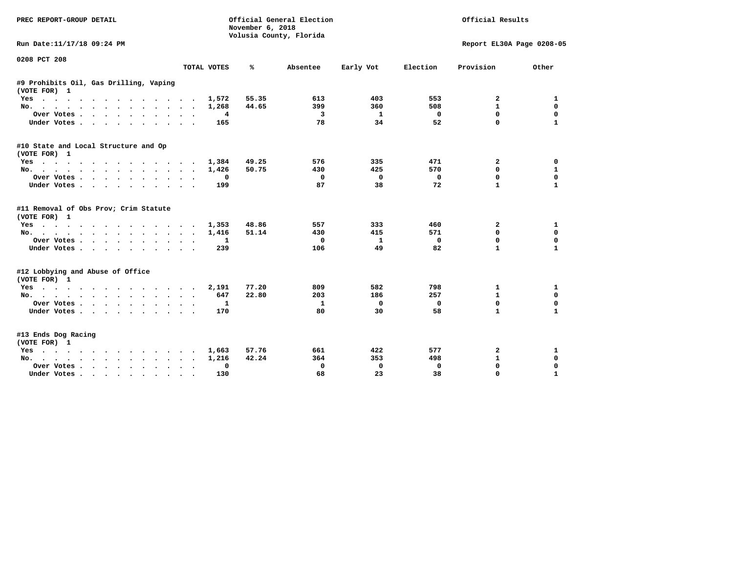| <b>PREC REPORT-GROUP DETAIL</b>                        |                           | November 6, 2018<br>Volusia County, Florida | Official General Election |             | Official Results |                           |              |
|--------------------------------------------------------|---------------------------|---------------------------------------------|---------------------------|-------------|------------------|---------------------------|--------------|
| Run Date:11/17/18 09:24 PM                             |                           |                                             |                           |             |                  | Report EL30A Page 0208-05 |              |
| 0208 PCT 208                                           | TOTAL VOTES               | ℁                                           | Absentee                  | Early Vot   | Election         | Provision                 | Other        |
|                                                        |                           |                                             |                           |             |                  |                           |              |
| #9 Prohibits Oil, Gas Drilling, Vaping<br>(VOTE FOR) 1 |                           |                                             |                           |             |                  |                           |              |
| Yes                                                    | 1,572                     | 55.35                                       | 613                       | 403         | 553              | 2                         | 1            |
| No.                                                    | 1,268                     | 44.65                                       | 399                       | 360         | 508              | $\mathbf{1}$              | $\mathbf 0$  |
| Over Votes                                             | 4                         |                                             | 3                         | 1           | $\mathbf{o}$     | $\mathbf{0}$              | $\mathbf 0$  |
| Under Votes                                            | 165                       |                                             | 78                        | 34          | 52               | 0                         | $\mathbf{1}$ |
| #10 State and Local Structure and Op<br>(VOTE FOR) 1   |                           |                                             |                           |             |                  |                           |              |
| Yes                                                    | 1,384                     | 49.25                                       | 576                       | 335         | 471              | 2                         | 0            |
| No.                                                    | 1,426                     | 50.75                                       | 430                       | 425         | 570              | 0                         | 1            |
| Over Votes                                             | 0                         |                                             | 0                         | $\mathbf 0$ | $\mathbf 0$      | $\mathbf 0$               | $\mathbf 0$  |
| Under Votes                                            | 199                       |                                             | 87                        | 38          | 72               | $\mathbf{1}$              | $\mathbf{1}$ |
| #11 Removal of Obs Prov; Crim Statute<br>(VOTE FOR) 1  |                           |                                             |                           |             |                  |                           |              |
| Yes                                                    | 1,353                     | 48.86                                       | 557                       | 333         | 460              | $\mathbf{2}$              | 1            |
| No.                                                    | 1,416                     | 51.14                                       | 430                       | 415         | 571              | $\Omega$                  | $\mathbf 0$  |
| Over Votes                                             | 1                         |                                             | $\Omega$                  | 1           | $\Omega$         | $\mathbf{0}$              | $\mathbf 0$  |
| Under Votes                                            | 239                       |                                             | 106                       | 49          | 82               | $\mathbf{1}$              | $\mathbf{1}$ |
| #12 Lobbying and Abuse of Office<br>(VOTE FOR) 1       |                           |                                             |                           |             |                  |                           |              |
| Yes                                                    | 2,191                     | 77.20                                       | 809                       | 582         | 798              | 1                         | 1            |
| No.                                                    | 647<br>$\sim$             | 22.80                                       | 203                       | 186         | 257              | 1                         | 0            |
| Over Votes                                             | 1                         |                                             | $\mathbf{1}$              | 0           | $^{\circ}$       | 0                         | 0            |
| Under Votes                                            | 170                       |                                             | 80                        | 30          | 58               | $\mathbf{1}$              | 1            |
| #13 Ends Dog Racing<br>(VOTE FOR) 1                    |                           |                                             |                           |             |                  |                           |              |
| Yes                                                    | 1,663                     | 57.76                                       | 661                       | 422         | 577              | 2                         | 1            |
| No.                                                    | 1,216                     | 42.24                                       | 364                       | 353         | 498              | $\mathbf{1}$              | $\mathbf 0$  |
| Over Votes.                                            | 0<br>$\ddot{\phantom{0}}$ |                                             | 0                         | 0           | $\Omega$         | 0                         | $\mathbf 0$  |
| Under Votes                                            | 130                       |                                             | 68                        | 23          | 38               | $\Omega$                  | $\mathbf{1}$ |
|                                                        |                           |                                             |                           |             |                  |                           |              |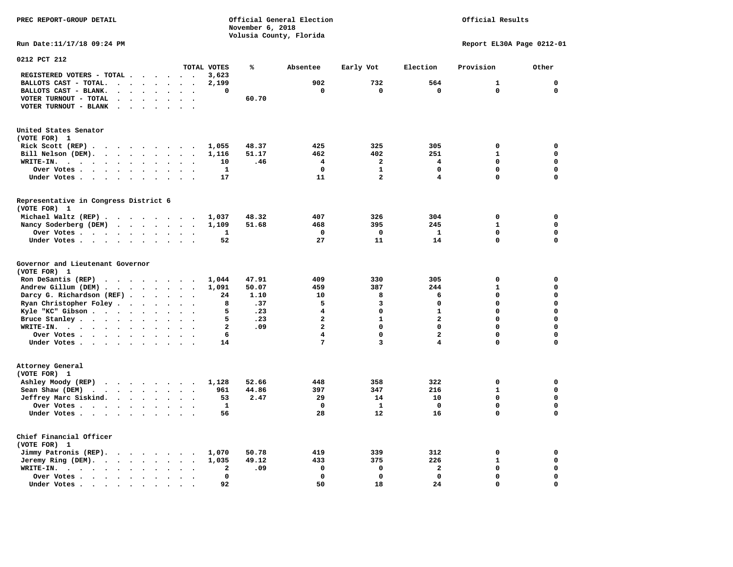**November 6, 2018 Volusia County, Florida Run Date:11/17/18 09:24 PM Report EL30A Page 0212-01 0212 PCT 212 TOTAL VOTES % Absentee Early Vot Election Provision Other REGISTERED VOTERS - TOTAL . . . . . . 3,623 BALLOTS CAST - TOTAL. . . . . . . . 2,199 902 732 564 1 0 BALLOTS CAST - BLANK. . . . . . . . 0 0 0 0 0 0 VOTER TURNOUT - TOTAL . . . . . . . 60.70 VOTER TURNOUT - BLANK . . . . . . . United States Senator (VOTE FOR) 1 Rick Scott (REP) . . . . . . . . . 1,055 48.37 425 325 305 0 0 Bill Nelson (DEM). . . . . . . . . 1,116 51.17 462 402 251 1 0 WRITE-IN. . . . . . . . . . . . 10 .46 4 2 4 0 0 Over Votes . . . . . . . . . . 1 0 1 0 0 0 Under Votes . . . . . . . . . . 17** 11 2 4 0 0 **Representative in Congress District 6 (VOTE FOR) 1 Michael Waltz (REP) . . . . . . . . 1,037 48.32 407 326 304 0 0 Nancy Soderberg (DEM) . . . . . . . 1,109 51.68 468 395 245 1 0 Over Votes . . . . . . . . . . 1 0 0 1 0 0**  $\Omega$  **Under Votes . . . . . . . . . . 52** 27 11 14 0 **Governor and Lieutenant Governor (VOTE FOR) 1 Ron DeSantis (REP) . . . . . . . . 1,044 47.91 409 330 305 0 0 Andrew Gillum (DEM) . . . . . . . . 1,091 50.07 459 387 244 1 0 Darcy G. Richardson (REF) . . . . . 24 1.10** 10 8 6 0 0 0<br>**Ryan Christopher Foley** . . . . . . 8 37 5 3 0 0 0  **Ryan Christopher Foley . . . . . . . 8 .37 5 3 0 0 0 Kyle "KC" Gibson . . . . . . . . . . 5 .23** 4 **Bruce Stanley . . . . . . . . . . 5 .23** 2 1 2 0 0  **WRITE-IN. . . . . . . . . . . . 2 .09 2 0 0 0 0**  $\mathbf{0}$ **Over Votes . . . . . . . . . . . 6** 4 0 2 0  $\mathbf{0}$  **Under Votes . . . . . . . . . . . 14** 7 3 4 0 **Attorney General (VOTE FOR) 1 Ashley Moody (REP) . . . . . . . . 1,128 52.66 448 358 322 0 0 Sean Shaw (DEM)** . . . . . . . . 961 44.86 397 347 216 1 0  **Jeffrey Marc Siskind. . . . . . . . 53 2.47 29 14 10 0 0 Over Votes . . . . . . . . . . 1 0 1 0 0 0**  $\mathbf 0$  **Under Votes . . . . . . . . . . 56** 28 12 16 0 **Chief Financial Officer (VOTE FOR) 1 Jimmy Patronis (REP). . . . . . . . 1,070 50.78 419 339 312 0 0 Jeremy Ring (DEM).** . . . . . . . 1,035 49.12 433 375 226 1 0  **WRITE-IN. . . . . . . . . . . . 2 .09 0 0 2 0 0 Over Votes . . . . . . . . . . 0 0 0 0 0 0**  $\mathbf{o}$  **Under Votes . . . . . . . . . . 92** 50 18 24 0

**PREC REPORT-GROUP DETAIL Official General Election Official Results**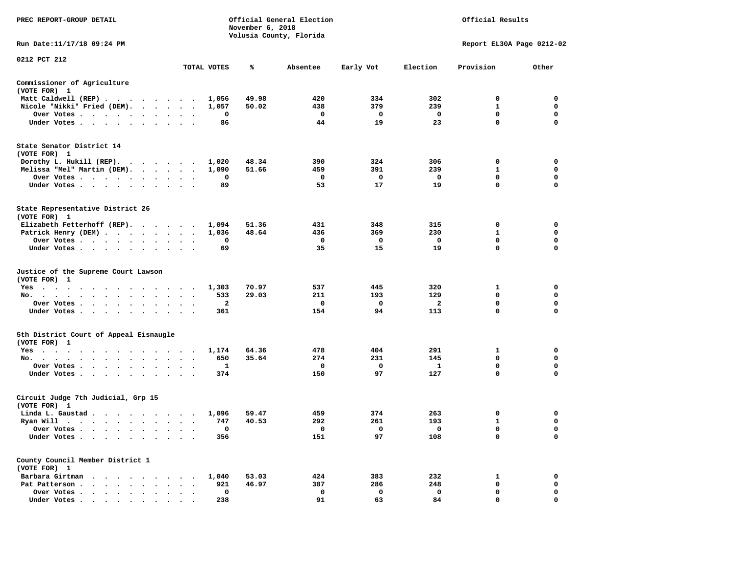| PREC REPORT-GROUP DETAIL<br>Official General Election<br>November 6, 2018<br>Volusia County, Florida |                                 |             |       |              |             |                                | Official Results          |                  |
|------------------------------------------------------------------------------------------------------|---------------------------------|-------------|-------|--------------|-------------|--------------------------------|---------------------------|------------------|
| Run Date:11/17/18 09:24 PM                                                                           |                                 |             |       |              |             |                                | Report EL30A Page 0212-02 |                  |
| 0212 PCT 212                                                                                         |                                 | TOTAL VOTES | ℁     | Absentee     | Early Vot   | Election                       | Provision                 | Other            |
| Commissioner of Agriculture                                                                          |                                 |             |       |              |             |                                |                           |                  |
| (VOTE FOR) 1                                                                                         |                                 |             |       |              |             |                                |                           |                  |
| Matt Caldwell (REP)                                                                                  |                                 | 1,056       | 49.98 | 420          | 334         | 302                            | $\Omega$                  | $\mathbf 0$      |
| Nicole "Nikki" Fried (DEM).                                                                          |                                 | 1,057       | 50.02 | 438          | 379         | 239                            | 1                         | $\mathbf 0$      |
| Over Votes                                                                                           |                                 | 0           |       | $\mathbf{o}$ | 0           | $\mathbf 0$                    | 0                         | 0<br>$\mathbf 0$ |
| Under Votes                                                                                          |                                 | 86          |       | 44           | 19          | 23                             | $\mathbf 0$               |                  |
| State Senator District 14<br>(VOTE FOR) 1                                                            |                                 |             |       |              |             |                                |                           |                  |
| Dorothy L. Hukill (REP).                                                                             |                                 | 1,020       | 48.34 | 390          | 324         | 306                            | 0                         | 0                |
| Melissa "Mel" Martin (DEM).                                                                          |                                 | 1,090       | 51.66 | 459          | 391         | 239                            | $\mathbf{1}$              | $\mathbf 0$      |
| Over Votes                                                                                           |                                 | 0           |       | $\mathbf 0$  | 0           | $\mathbf 0$                    | 0                         | $\mathbf 0$      |
| Under Votes<br>$\ddot{\phantom{1}}$                                                                  |                                 | 89          |       | 53           | 17          | 19                             | 0                         | $\Omega$         |
| State Representative District 26<br>(VOTE FOR) 1                                                     |                                 |             |       |              |             |                                |                           |                  |
| Elizabeth Fetterhoff (REP).                                                                          |                                 | 1,094       | 51.36 | 431          | 348         | 315                            | 0                         | 0                |
| Patrick Henry (DEM)                                                                                  |                                 | 1,036       | 48.64 | 436          | 369         | 230                            | 1                         | 0                |
| Over Votes                                                                                           | $\ddot{\phantom{a}}$<br>$\cdot$ | 0           |       | $\mathbf 0$  | 0           | $\mathbf 0$                    | $\mathbf 0$               | $\mathbf 0$      |
| Under Votes                                                                                          |                                 | 69          |       | 35           | 15          | 19                             | $\mathbf 0$               | $\mathbf 0$      |
| Justice of the Supreme Court Lawson<br>(VOTE FOR) 1                                                  |                                 |             |       |              |             |                                |                           |                  |
| Yes                                                                                                  |                                 | 1,303       | 70.97 | 537          | 445         | 320                            | $\mathbf{1}$              | $\mathbf 0$      |
| No.<br>$\cdot$ $\cdot$ $\cdot$ $\cdot$ $\cdot$ $\cdot$<br>$\sim$<br>$\sim$<br>$\sim$<br>$\sim$       |                                 | 533         | 29.03 | 211          | 193         | 129                            | 0<br>0                    | $\mathbf 0$<br>0 |
| Over Votes                                                                                           | $\sim$ $\sim$<br>$\sim$         | 2<br>361    |       | 0<br>154     | 0<br>94     | $\overline{\mathbf{2}}$<br>113 | $\mathbf 0$               | $\mathbf 0$      |
| Under Votes                                                                                          | $\cdot$ $\cdot$ $\cdot$         |             |       |              |             |                                |                           |                  |
| 5th District Court of Appeal Eisnaugle<br>(VOTE FOR) 1                                               |                                 |             |       |              |             |                                |                           |                  |
| Yes                                                                                                  |                                 | 1,174       | 64.36 | 478          | 404         | 291                            | 1                         | 0                |
| No.                                                                                                  |                                 | 650         | 35.64 | 274          | 231         | 145                            | 0                         | $\mathbf 0$      |
| Over Votes<br>$\ddot{\phantom{a}}$                                                                   |                                 | 1           |       | $\mathbf 0$  | $\mathbf 0$ | <b>1</b>                       | 0                         | $\mathbf 0$      |
| Under Votes<br>$\sim$                                                                                | $\cdot$ $\cdot$ $\cdot$         | 374         |       | 150          | 97          | 127                            | $\Omega$                  | $\Omega$         |
| Circuit Judge 7th Judicial, Grp 15<br>(VOTE FOR) 1                                                   |                                 |             |       |              |             |                                |                           |                  |
| Linda L. Gaustad                                                                                     |                                 | 1,096       | 59.47 | 459          | 374         | 263                            | 0                         | 0                |
| Ryan Will $\cdots$ , $\cdots$ , $\cdots$ , $\cdots$                                                  |                                 | 747         | 40.53 | 292          | 261         | 193                            | $\mathbf{1}$              | $\mathbf 0$      |
| Over Votes                                                                                           |                                 | 0           |       | $\mathbf 0$  | 0           | $\mathbf 0$                    | $\mathbf 0$               | $\mathbf 0$      |
| Under Votes<br>$\ddot{\phantom{0}}$<br>$\ddot{\phantom{0}}$<br>$\cdot$                               |                                 | 356         |       | 151          | 97          | 108                            | 0                         | $\mathbf 0$      |
| County Council Member District 1<br>(VOTE FOR) 1                                                     |                                 |             |       |              |             |                                |                           |                  |
| Barbara Girtman                                                                                      |                                 | 1,040       | 53.03 | 424          | 383         | 232                            | 1                         | 0                |
| Pat Patterson                                                                                        | $\cdot$ $\cdot$ $\cdot$         | 921         | 46.97 | 387          | 286         | 248                            | 0                         | 0                |
| Over Votes<br>$\ddot{\phantom{0}}$<br>$\bullet$                                                      | $\bullet$                       | 0           |       | $\mathbf 0$  | $\mathbf 0$ | $\mathbf 0$                    | $\mathbf 0$<br>$\Omega$   | $\mathbf 0$      |
| Under Votes, , , , , , ,                                                                             |                                 | 238         |       | 91           | 63          | 84                             |                           | $\mathbf 0$      |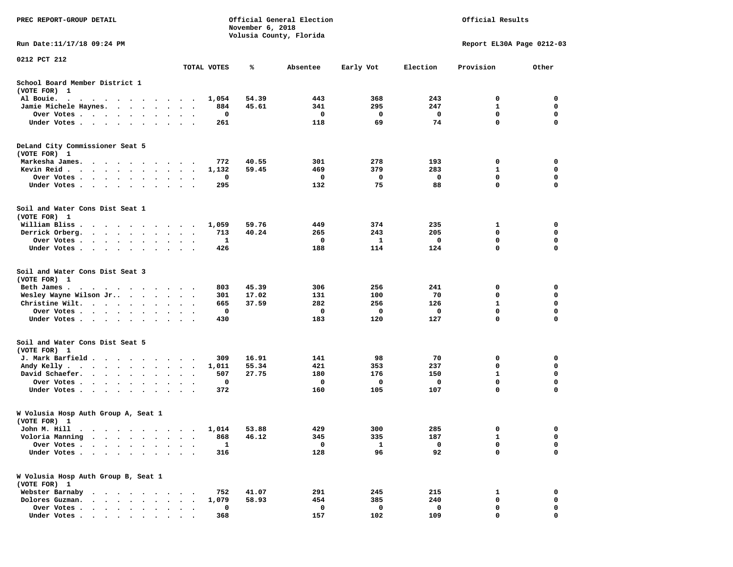| PREC REPORT-GROUP DETAIL                                                                                                                          |                                   |             | November 6, 2018 | Official General Election |           |          | Official Results          |                  |
|---------------------------------------------------------------------------------------------------------------------------------------------------|-----------------------------------|-------------|------------------|---------------------------|-----------|----------|---------------------------|------------------|
| Run Date: 11/17/18 09:24 PM                                                                                                                       |                                   |             |                  | Volusia County, Florida   |           |          | Report EL30A Page 0212-03 |                  |
| 0212 PCT 212                                                                                                                                      |                                   | TOTAL VOTES | ℁                | Absentee                  | Early Vot | Election | Provision                 | Other            |
|                                                                                                                                                   |                                   |             |                  |                           |           |          |                           |                  |
| School Board Member District 1<br>(VOTE FOR) 1                                                                                                    |                                   |             |                  |                           |           |          |                           |                  |
| Al Bouie.<br>. As the contract of the contract of the contract of the contract of the contract of the $\alpha$                                    |                                   | 1,054       | 54.39            | 443                       | 368       | 243      | 0                         | 0                |
| Jamie Michele Haynes.                                                                                                                             | $\ddot{\phantom{1}}$              | 884         | 45.61            | 341                       | 295       | 247      | $\mathbf{1}$              | $\mathbf 0$      |
| Over Votes<br>Under Votes                                                                                                                         | $\bullet$<br>$\bullet$            | 0<br>261    |                  | 0<br>118                  | 0<br>69   | 0<br>74  | 0<br>$\mathbf 0$          | 0<br>$\mathbf 0$ |
|                                                                                                                                                   |                                   |             |                  |                           |           |          |                           |                  |
| DeLand City Commissioner Seat 5<br>(VOTE FOR) 1                                                                                                   |                                   |             |                  |                           |           |          |                           |                  |
| Markesha James.<br>$\cdots$                                                                                                                       | $\ddot{\phantom{1}}$              | 772         | 40.55            | 301                       | 278       | 193      | 0                         | 0                |
| Kevin Reid                                                                                                                                        | $\cdots$                          | 1,132       | 59.45            | 469                       | 379       | 283      | 1                         | 0                |
| Over Votes                                                                                                                                        | $\cdot$                           | 0           |                  | 0                         | 0         | 0        | 0                         | 0                |
| Under Votes<br>$\sim$                                                                                                                             |                                   | 295         |                  | 132                       | 75        | 88       | $\mathbf 0$               | 0                |
| Soil and Water Cons Dist Seat 1<br>(VOTE FOR) 1                                                                                                   |                                   |             |                  |                           |           |          |                           |                  |
| William Bliss.<br>.                                                                                                                               | $\overline{\phantom{a}}$          | 1,059       | 59.76            | 449                       | 374       | 235      | 1                         | 0                |
| Derrick Orberg.<br>$\cdot$ $\cdot$ $\cdot$ $\cdot$ $\cdot$ $\cdot$ $\cdot$                                                                        | $\bullet$                         | 713         | 40.24            | 265                       | 243       | 205      | 0                         | 0                |
| Over Votes                                                                                                                                        |                                   | 1           |                  | 0                         | 1         | 0        | $\mathbf 0$               | 0                |
| Under Votes                                                                                                                                       |                                   | 426         |                  | 188                       | 114       | 124      | $\mathbf 0$               | $\mathbf 0$      |
| Soil and Water Cons Dist Seat 3<br>(VOTE FOR) 1                                                                                                   |                                   |             |                  |                           |           |          |                           |                  |
| Beth James.                                                                                                                                       |                                   | 803         | 45.39            | 306                       | 256       | 241      | 0                         | 0                |
| Wesley Wayne Wilson Jr                                                                                                                            |                                   | 301         | 17.02            | 131                       | 100       | 70       | 0                         | 0                |
| Christine Wilt.                                                                                                                                   | $\ddot{\phantom{1}}$<br>$\bullet$ | 665         | 37.59            | 282                       | 256       | 126      | 1                         | $\mathbf 0$      |
| Over Votes                                                                                                                                        |                                   | 0           |                  | 0                         | 0         | 0        | 0<br>$\mathbf 0$          | 0<br>0           |
| Under Votes                                                                                                                                       |                                   | 430         |                  | 183                       | 120       | 127      |                           |                  |
| Soil and Water Cons Dist Seat 5<br>(VOTE FOR) 1                                                                                                   |                                   |             |                  |                           |           |          |                           |                  |
| J. Mark Barfield                                                                                                                                  |                                   | 309         | 16.91            | 141                       | 98        | 70       | 0                         | 0                |
| Andy Kelly                                                                                                                                        | $\ddot{\phantom{1}}$              | 1,011       | 55.34            | 421                       | 353       | 237      | 0                         | 0                |
| David Schaefer.                                                                                                                                   |                                   | 507         | 27.75            | 180                       | 176       | 150      | 1                         | 0                |
| Over Votes                                                                                                                                        | $\bullet$<br>$\bullet$            | 0           |                  | 0                         | 0         | 0        | $\mathbf 0$               | $\mathbf 0$      |
| Under Votes                                                                                                                                       | $\cdots$                          | 372         |                  | 160                       | 105       | 107      | $\mathbf 0$               | $\mathbf 0$      |
| W Volusia Hosp Auth Group A, Seat 1<br>(VOTE FOR) 1                                                                                               |                                   |             |                  |                           |           |          |                           |                  |
| John M. Hill                                                                                                                                      |                                   |             | 1,014 53.88      | 429                       | 300       | 285      | 0                         | 0                |
| Voloria Manning<br>$\mathbf{a}$ , and $\mathbf{a}$ , and $\mathbf{a}$<br>$\bullet$ , $\bullet$ , $\bullet$ , $\bullet$ , $\bullet$                | $\bullet$<br>$\bullet$            | 868         | 46.12            | 345                       | 335       | 187      | 1                         | 0                |
| Over Votes .<br>$\ddot{\phantom{a}}$<br>$\bullet$<br>$\ddot{\phantom{a}}$<br>$\ddot{\phantom{0}}$<br>$\ddot{\phantom{1}}$<br>$\ddot{\phantom{a}}$ |                                   | 1           |                  | 0                         | 1         | 0        | 0                         | 0                |
| Under Votes                                                                                                                                       |                                   | 316         |                  | 128                       | 96        | 92       | $\mathbf 0$               | $\mathbf 0$      |
| W Volusia Hosp Auth Group B, Seat 1<br>(VOTE FOR) 1                                                                                               |                                   |             |                  |                           |           |          |                           |                  |
| Webster Barnaby<br>$\cdot$ $\cdot$ $\cdot$ $\cdot$ $\cdot$ $\cdot$                                                                                |                                   | 752         | 41.07            | 291                       | 245       | 215      | 1                         | 0                |
| Dolores Guzman.<br>$\sim$<br>$\sim$                                                                                                               |                                   | 1,079       | 58.93            | 454                       | 385       | 240      | 0                         | 0                |
| Over Votes .<br>$\mathbf{r}$ , and $\mathbf{r}$ , and $\mathbf{r}$ , and $\mathbf{r}$                                                             |                                   | 0           |                  | 0                         | 0         | 0        | 0                         | 0                |
| Under Votes                                                                                                                                       |                                   | 368         |                  | 157                       | 102       | 109      | 0                         | 0                |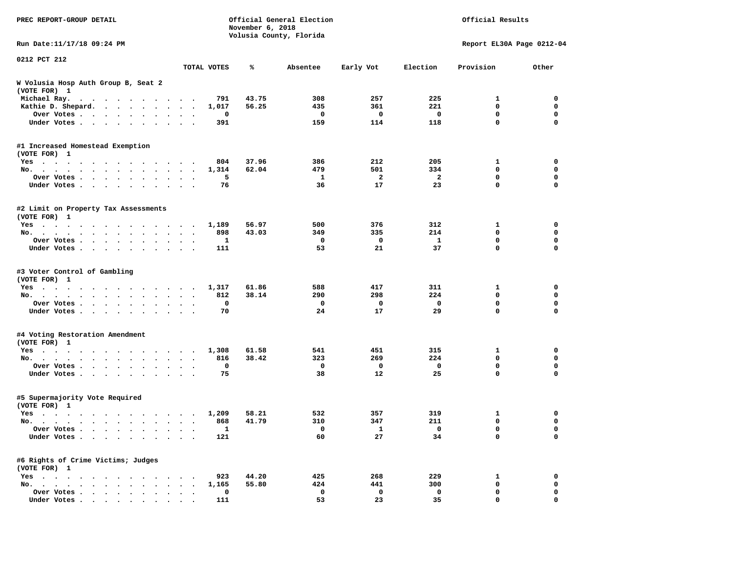| PREC REPORT-GROUP DETAIL                             |                      |             | November 6, 2018 | Official General Election<br>Volusia County, Florida |           | Official Results |                           |             |  |  |
|------------------------------------------------------|----------------------|-------------|------------------|------------------------------------------------------|-----------|------------------|---------------------------|-------------|--|--|
| Run Date: 11/17/18 09:24 PM                          |                      |             |                  |                                                      |           |                  | Report EL30A Page 0212-04 |             |  |  |
| 0212 PCT 212                                         |                      | TOTAL VOTES | ℁                | Absentee                                             | Early Vot | Election         | Provision                 | Other       |  |  |
| W Volusia Hosp Auth Group B, Seat 2<br>(VOTE FOR) 1  |                      |             |                  |                                                      |           |                  |                           |             |  |  |
| Michael Ray.                                         |                      | 791         | 43.75            | 308                                                  | 257       | 225              | 1                         | 0           |  |  |
| Kathie D. Shepard.                                   | $\ddot{\phantom{1}}$ | 1,017       | 56.25            | 435                                                  | 361       | 221              | $\mathbf 0$               | 0           |  |  |
| Over Votes<br>$\bullet$                              | $\bullet$            | 0           |                  | 0                                                    | 0         | 0                | 0                         | $\mathbf 0$ |  |  |
| Under Votes<br>$\sim$                                |                      | 391         |                  | 159                                                  | 114       | 118              | 0                         | $\mathbf 0$ |  |  |
| #1 Increased Homestead Exemption                     |                      |             |                  |                                                      |           |                  |                           |             |  |  |
| (VOTE FOR) 1                                         |                      | 804         | 37.96            | 386                                                  | 212       | 205              | 1                         | 0           |  |  |
| Yes<br>No.                                           | $\ddot{\phantom{1}}$ | 1,314       | 62.04            | 479                                                  | 501       | 334              | 0                         | $\mathbf 0$ |  |  |
| Over Votes<br>$\bullet$                              |                      | 5           |                  | 1                                                    | 2         | 2                | 0                         | 0           |  |  |
| Under Votes<br>$\bullet$                             | $\ddot{\phantom{0}}$ | 76          |                  | 36                                                   | 17        | 23               | 0                         | $\mathbf 0$ |  |  |
|                                                      |                      |             |                  |                                                      |           |                  |                           |             |  |  |
| #2 Limit on Property Tax Assessments<br>(VOTE FOR) 1 |                      |             |                  |                                                      |           |                  |                           |             |  |  |
| Yes                                                  |                      | 1,189       | 56.97            | 500                                                  | 376       | 312              | 1                         | 0           |  |  |
| No.                                                  |                      | 898         | 43.03            | 349                                                  | 335       | 214              | 0                         | 0           |  |  |
| Over Votes.                                          |                      | 1           |                  | 0                                                    | 0         | 1                | 0                         | 0           |  |  |
| Under Votes                                          | $\sim$ $\sim$        | 111         |                  | 53                                                   | 21        | 37               | 0                         | 0           |  |  |
| #3 Voter Control of Gambling<br>(VOTE FOR) 1         |                      |             |                  |                                                      |           |                  |                           |             |  |  |
| Yes                                                  |                      | 1,317       | 61.86            | 588                                                  | 417       | 311              | 1                         | 0           |  |  |
| No.                                                  | $\sim$ $\sim$        | 812         | 38.14            | 290                                                  | 298       | 224              | 0                         | 0           |  |  |
| Over Votes<br>$\bullet$<br>$\bullet$                 | $\bullet$            | $\mathbf 0$ |                  | 0                                                    | 0         | $\mathbf 0$      | 0                         | $\mathbf 0$ |  |  |
| Under Votes<br>$\ddot{\phantom{0}}$                  |                      | 70          |                  | 24                                                   | 17        | 29               | 0                         | $\mathbf 0$ |  |  |
| #4 Voting Restoration Amendment<br>(VOTE FOR) 1      |                      |             |                  |                                                      |           |                  |                           |             |  |  |
| Yes                                                  |                      | 1,308       | 61.58            | 541                                                  | 451       | 315              | 1                         | 0           |  |  |
| No.<br>$\ddot{\phantom{0}}$                          | $\ddot{\phantom{1}}$ | 816         | 38.42            | 323                                                  | 269       | 224              | 0                         | $\mathbf 0$ |  |  |
| Over Votes<br>$\bullet$                              |                      | 0           |                  | 0                                                    | 0         | 0                | 0                         | 0           |  |  |
| Under Votes                                          | $\ddot{\phantom{1}}$ | 75          |                  | 38                                                   | 12        | 25               | 0                         | 0           |  |  |
| #5 Supermajority Vote Required<br>(VOTE FOR) 1       |                      |             |                  |                                                      |           |                  |                           |             |  |  |
| Yes                                                  |                      | 1,209       | 58.21            | 532                                                  | 357       | 319              | 1                         | 0           |  |  |
| No.                                                  | $\ddotsc$            | 868         | 41.79            | 310                                                  | 347       | 211              | 0                         | 0           |  |  |
| Over Votes                                           |                      | 1           |                  | $\mathbf{0}$                                         | 1         | $\mathbf 0$      | 0                         | 0           |  |  |
| Under Votes                                          |                      | 121         |                  | 60                                                   | 27        | 34               | 0                         | $\mathbf 0$ |  |  |
| #6 Rights of Crime Victims; Judges<br>(VOTE FOR) 1   |                      |             |                  |                                                      |           |                  |                           |             |  |  |
| $Yes \cdot \cdot \cdot \cdot$                        |                      | 923         | 44.20            | 425                                                  | 268       | 229              | 1                         | 0           |  |  |
| No.                                                  |                      | 1,165       | 55.80            | 424                                                  | 441       | 300              | 0                         | 0           |  |  |
| Over Votes                                           |                      | $\mathbf 0$ |                  | 0                                                    | 0         | 0                | 0                         | 0           |  |  |
| Under Votes                                          |                      | 111         |                  | 53                                                   | 23        | 35               | 0                         | 0           |  |  |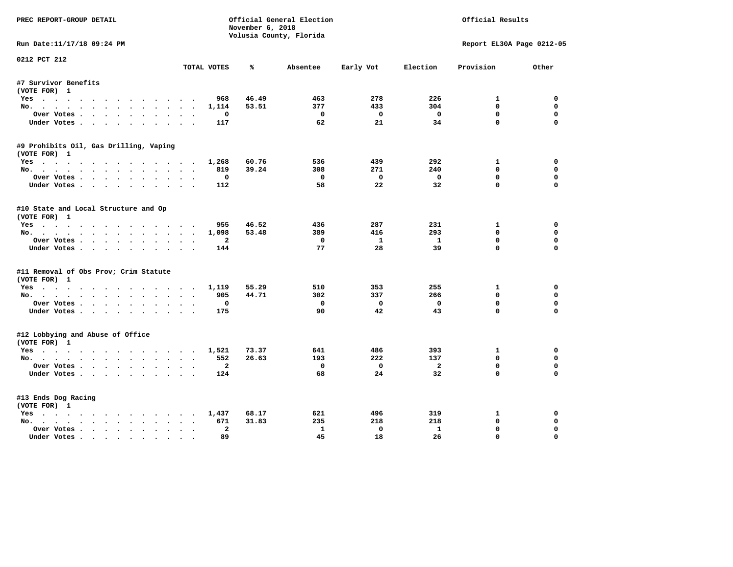| PREC REPORT-GROUP DETAIL               |                                        | November 6, 2018 | Official General Election |                         | Official Results |                           |             |  |
|----------------------------------------|----------------------------------------|------------------|---------------------------|-------------------------|------------------|---------------------------|-------------|--|
|                                        |                                        |                  | Volusia County, Florida   |                         |                  |                           |             |  |
| Run Date:11/17/18 09:24 PM             |                                        |                  |                           |                         |                  | Report EL30A Page 0212-05 |             |  |
| 0212 PCT 212                           | TOTAL VOTES                            | ℁                | Absentee                  | Early Vot               | Election         | Provision                 | Other       |  |
| #7 Survivor Benefits                   |                                        |                  |                           |                         |                  |                           |             |  |
| (VOTE FOR) 1                           |                                        |                  |                           |                         |                  |                           |             |  |
| Yes                                    | 968                                    | 46.49            | 463                       | 278                     | 226              | $\mathbf{1}$              | 0           |  |
| No.                                    | 1,114                                  | 53.51            | 377                       | 433                     | 304              | $\Omega$                  | $\Omega$    |  |
| Over Votes.                            | $\Omega$                               |                  | $^{\circ}$                | $^{\circ}$              | $\Omega$         | $\Omega$                  | $\Omega$    |  |
| Under Votes                            | 117                                    |                  | 62                        | 21                      | 34               | $\Omega$                  | $\Omega$    |  |
| #9 Prohibits Oil, Gas Drilling, Vaping |                                        |                  |                           |                         |                  |                           |             |  |
| (VOTE FOR) 1                           |                                        |                  |                           |                         |                  |                           |             |  |
| Yes                                    | 1,268                                  | 60.76            | 536                       | 439                     | 292              | 1                         | 0           |  |
| No.                                    | 819                                    | 39.24            | 308                       | 271                     | 240              | $\Omega$                  | $\Omega$    |  |
| Over Votes                             | 0                                      |                  | $\Omega$                  | $\overline{\mathbf{0}}$ | $\mathbf 0$      | $\mathbf 0$               | $\mathbf 0$ |  |
| Under Votes                            | 112                                    |                  | 58                        | 22                      | 32               | $\Omega$                  | $\Omega$    |  |
| #10 State and Local Structure and Op   |                                        |                  |                           |                         |                  |                           |             |  |
| (VOTE FOR) 1                           |                                        |                  |                           |                         |                  |                           |             |  |
| Yes                                    | 955                                    | 46.52            | 436                       | 287                     | 231              | $\mathbf{1}$              | $\Omega$    |  |
| No.                                    | 1,098                                  | 53.48            | 389                       | 416                     | 293              | $\mathbf{0}$              | $\mathbf 0$ |  |
| Over Votes                             | 2                                      |                  | $^{\circ}$                | $\mathbf{1}$            | $\mathbf{1}$     | $\mathbf 0$               | $\mathbf 0$ |  |
| Under Votes                            | 144                                    |                  | 77                        | 28                      | 39               | $\Omega$                  | $\Omega$    |  |
| #11 Removal of Obs Prov; Crim Statute  |                                        |                  |                           |                         |                  |                           |             |  |
| (VOTE FOR) 1                           |                                        |                  |                           |                         |                  |                           |             |  |
| Yes                                    | 1,119                                  | 55.29            | 510                       | 353                     | 255              | $\mathbf{1}$              | $\mathbf 0$ |  |
| No.                                    | 905                                    | 44.71            | 302                       | 337                     | 266              | $\mathbf{0}$              | 0           |  |
| Over Votes                             | 0                                      |                  | $\mathbf 0$               | $\overline{\mathbf{0}}$ | $\mathbf 0$      | $\mathbf 0$               | $\mathbf 0$ |  |
| Under Votes.                           | 175                                    |                  | 90                        | 42                      | 43               | $\Omega$                  | $\Omega$    |  |
| #12 Lobbying and Abuse of Office       |                                        |                  |                           |                         |                  |                           |             |  |
| (VOTE FOR) 1                           |                                        |                  |                           |                         |                  |                           |             |  |
| Yes                                    | 1,521                                  | 73.37            | 641                       | 486                     | 393              | 1                         | $\mathbf 0$ |  |
| No.                                    | 552                                    | 26.63            | 193                       | 222                     | 137              | $\mathbf{0}$              | $\Omega$    |  |
| Over Votes                             | $\overline{a}$                         |                  | $\mathbf 0$               | $\overline{\mathbf{0}}$ | $\overline{2}$   | $\mathbf 0$               | $\mathbf 0$ |  |
| Under Votes                            | 124                                    |                  | 68                        | 24                      | 32               | $\Omega$                  | $\Omega$    |  |
| #13 Ends Dog Racing                    |                                        |                  |                           |                         |                  |                           |             |  |
| (VOTE FOR) 1                           |                                        |                  |                           |                         |                  |                           |             |  |
| Yes                                    | 1,437                                  | 68.17            | 621                       | 496                     | 319              | 1                         | 0           |  |
| No.                                    | 671                                    | 31.83            | 235                       | 218                     | 218              | $\mathbf{0}$              | 0           |  |
| Over Votes                             | $\overline{a}$<br>$\ddot{\phantom{a}}$ |                  | $\mathbf{1}$              | $\mathbf 0$             | $\mathbf{1}$     | $\mathbf{0}$              | $\Omega$    |  |
| Under Votes                            | 89                                     |                  | 45                        | 18                      | 26               | $\mathbf{0}$              | $\Omega$    |  |
|                                        |                                        |                  |                           |                         |                  |                           |             |  |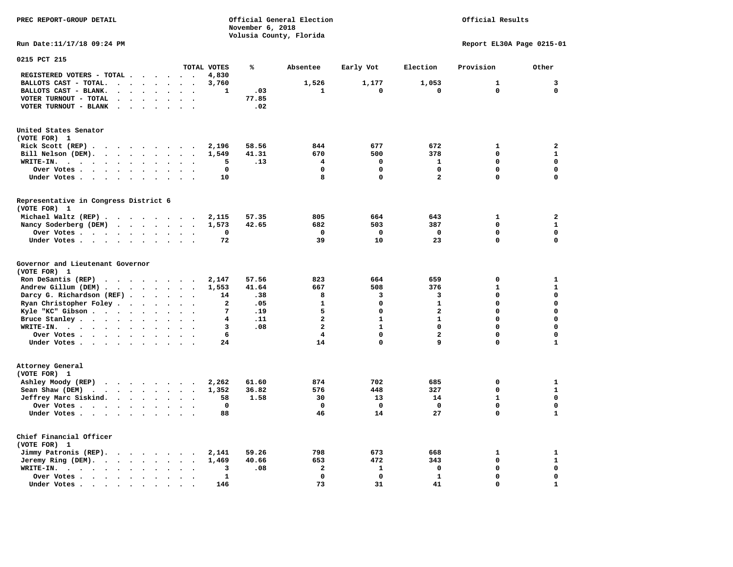# Official Results

**Run Date:11/17/18 09:24 PM Report EL30A Page 0215-01** 

| 0215 PCT 215                                                                                |                                              |                      |                          |                          |                          |              |       |                         |              |                         |              |              |
|---------------------------------------------------------------------------------------------|----------------------------------------------|----------------------|--------------------------|--------------------------|--------------------------|--------------|-------|-------------------------|--------------|-------------------------|--------------|--------------|
|                                                                                             |                                              |                      |                          |                          |                          | TOTAL VOTES  | %     | Absentee                | Early Vot    | Election                | Provision    | Other        |
| REGISTERED VOTERS - TOTAL .                                                                 | $\ddot{\phantom{a}}$                         |                      | $\overline{\phantom{a}}$ | $\sim$                   | $\ddot{\phantom{a}}$     | 4,830        |       |                         |              |                         |              |              |
| BALLOTS CAST - TOTAL.<br>$\sim$<br>$\ddot{\phantom{a}}$                                     | $\bullet$                                    |                      | $\bullet$                |                          |                          | 3,760        |       | 1,526                   | 1,177        | 1,053                   | $\mathbf{1}$ | 3            |
| BALLOTS CAST - BLANK.                                                                       | $\ddot{\phantom{a}}$<br>$\bullet$            |                      | $\bullet$                | $\ddot{\phantom{a}}$     | $\bullet$                | $\mathbf{1}$ | .03   | $\mathbf{1}$            | 0            | $\mathbf 0$             | $\mathbf 0$  | $\mathbf 0$  |
| VOTER TURNOUT - TOTAL<br>$\overline{\phantom{a}}$                                           | $\ddot{\phantom{a}}$<br>$\ddot{\phantom{a}}$ |                      |                          |                          |                          |              | 77.85 |                         |              |                         |              |              |
| VOTER TURNOUT - BLANK<br>$\overline{\phantom{a}}$                                           |                                              |                      |                          |                          |                          |              | .02   |                         |              |                         |              |              |
|                                                                                             |                                              |                      |                          |                          |                          |              |       |                         |              |                         |              |              |
| United States Senator                                                                       |                                              |                      |                          |                          |                          |              |       |                         |              |                         |              |              |
| (VOTE FOR) 1                                                                                |                                              |                      |                          |                          |                          |              |       |                         |              |                         |              |              |
| Rick Scott (REP).<br>$\ddot{\phantom{1}}$<br>$\cdots$                                       |                                              |                      |                          | $\overline{\phantom{a}}$ |                          | 2,196        | 58.56 | 844                     | 677          | 672                     | 1            | $\mathbf{2}$ |
| Bill Nelson (DEM).<br>$\cdots$                                                              |                                              |                      |                          |                          | $\bullet$                | 1,549        | 41.31 | 670                     | 500          | 378                     | 0            | $\mathbf{1}$ |
| WRITE-IN.<br>$\cdots$<br>$\cdot$ $\cdot$                                                    | $\ddot{\phantom{0}}$<br>$\bullet$            |                      | $\bullet$                |                          |                          | 5            | .13   | 4                       | 0            | 1                       | $\Omega$     | $\mathbf 0$  |
| Over Votes                                                                                  | $\bullet$                                    | $\ddot{\phantom{a}}$ | $\bullet$                |                          |                          | 0            |       | $\mathbf 0$             | 0            | $\mathbf 0$             | 0            | $\mathbf 0$  |
| Under Votes                                                                                 | $\ddot{\phantom{0}}$                         | $\bullet$            | $\cdot$                  | $\ddot{\phantom{a}}$     | $\cdot$                  | 10           |       | 8                       | $\mathbf 0$  | $\overline{\mathbf{2}}$ | $\Omega$     | $\mathbf 0$  |
|                                                                                             |                                              |                      |                          |                          |                          |              |       |                         |              |                         |              |              |
| Representative in Congress District 6                                                       |                                              |                      |                          |                          |                          |              |       |                         |              |                         |              |              |
| (VOTE FOR) 1                                                                                |                                              |                      |                          |                          |                          |              |       |                         |              |                         |              |              |
| Michael Waltz (REP).                                                                        |                                              |                      |                          |                          |                          | 2,115        | 57.35 | 805                     | 664          | 643                     | 1            | $\mathbf{2}$ |
| Nancy Soderberg (DEM)<br>$\mathcal{A}$ , and $\mathcal{A}$ , and $\mathcal{A}$              |                                              |                      |                          | $\sim$ $\sim$            | $\bullet$                | 1,573        | 42.65 | 682                     | 503          | 387                     | 0            | $\mathbf{1}$ |
| Over Votes .<br>$\sim$ $\sim$ $\sim$ $\sim$ $\sim$                                          | $\bullet$<br>$\ddot{\phantom{0}}$            |                      | $\bullet$                |                          |                          | 0            |       | 0                       | $\mathbf 0$  | 0                       | 0            | $\mathbf 0$  |
| Under Votes                                                                                 |                                              | $\bullet$            | $\bullet$                | $\ddot{\phantom{a}}$     | $\cdot$                  | 72           |       | 39                      | 10           | 23                      | $\Omega$     | $\mathbf 0$  |
| Governor and Lieutenant Governor<br>(VOTE FOR) 1<br>Ron DeSantis (REP)<br>.                 |                                              |                      |                          |                          |                          | 2,147        | 57.56 | 823                     | 664          | 659                     | 0            | $\mathbf{1}$ |
| Andrew Gillum (DEM)                                                                         |                                              |                      |                          |                          |                          |              | 41.64 | 667                     | 508          | 376                     | $\mathbf{1}$ | ${\bf 1}$    |
|                                                                                             |                                              |                      |                          | $\ddot{\phantom{a}}$     | $\ddot{\phantom{a}}$     | 1,553        |       | 8                       | 3            | 3                       | 0            | $\mathbf 0$  |
| Darcy G. Richardson (REF).                                                                  | $\ddot{\phantom{0}}$                         |                      | $\bullet$                |                          |                          | 14           | .38   |                         |              |                         | $\Omega$     | $\mathbf 0$  |
| Ryan Christopher Foley.                                                                     | $\bullet$<br>$\bullet$                       |                      | $\bullet$                |                          |                          | $\mathbf{2}$ | .05   | $\mathbf{1}$            | 0            | $\mathbf{1}$            |              |              |
| Kyle "KC" Gibson.<br>$\sim$ $\sim$ $\sim$ $\sim$ $\sim$                                     | $\bullet$                                    | $\ddot{\phantom{a}}$ | $\bullet$                | $\cdot$                  | $\ddot{\phantom{a}}$     | 7            | .19   | 5                       | $\mathbf 0$  | $\overline{a}$          | $\Omega$     | $\mathbf 0$  |
| Bruce Stanley                                                                               |                                              |                      | $\ddot{\phantom{a}}$     | $\overline{\phantom{a}}$ |                          | 4            | .11   | $\overline{a}$          | $\mathbf{1}$ | $\mathbf{1}$            | 0            | $\mathbf 0$  |
| WRITE-IN.<br>$\cdots$                                                                       | $\cdot$                                      |                      |                          |                          |                          | 3            | .08   | $\overline{a}$          | $\mathbf{1}$ | $\Omega$                | $\Omega$     | $\mathbf 0$  |
| Over Votes .<br>$\cdots$                                                                    |                                              |                      | $\bullet$                |                          |                          | 6            |       | 4                       | 0            | $\overline{\mathbf{2}}$ | 0            | $\mathbf 0$  |
| Under Votes                                                                                 |                                              |                      | $\ddot{\phantom{a}}$     | $\sim$                   |                          | 24           |       | 14                      | 0            | 9                       | 0            | $\mathbf{1}$ |
| Attorney General<br>(VOTE FOR) 1                                                            |                                              |                      |                          |                          |                          |              |       |                         |              |                         |              |              |
| Ashley Moody (REP)                                                                          |                                              |                      |                          |                          |                          | 2,262        | 61.60 | 874                     | 702          | 685                     | 0            | 1            |
| Sean Shaw (DEM)<br>$\mathbf{r}$ , $\mathbf{r}$ , $\mathbf{r}$ , $\mathbf{r}$ , $\mathbf{r}$ |                                              |                      | $\bullet$                |                          | $\ddot{\phantom{a}}$     | 1,352        | 36.82 | 576                     | 448          | 327                     | 0            | $\mathbf{1}$ |
| Jeffrey Marc Siskind.<br>$\sim$ $\sim$ $\sim$ $\sim$                                        |                                              | $\ddot{\phantom{a}}$ | $\bullet$                | $\ddot{\phantom{a}}$     | $\overline{\phantom{a}}$ | 58           | 1.58  | 30                      | 13           | 14                      | $\mathbf{1}$ | $\mathbf 0$  |
| Over Votes                                                                                  | $\bullet$                                    |                      | $\ddot{\phantom{a}}$     |                          |                          | 0            |       | $\Omega$                | $\mathbf 0$  | $\mathbf 0$             | 0            | $\mathbf 0$  |
| Under Votes                                                                                 | $\bullet$                                    |                      |                          |                          |                          | 88           |       | 46                      | 14           | 27                      | 0            | $\mathbf{1}$ |
| Chief Financial Officer<br>(VOTE FOR) 1                                                     |                                              |                      |                          |                          |                          |              |       |                         |              |                         |              |              |
| Jimmy Patronis (REP).                                                                       | $\sim$ $\sim$ $\sim$ $\sim$                  |                      | $\bullet$                | $\ddot{\phantom{a}}$     |                          | 2,141        | 59.26 | 798                     | 673          | 668                     | 1            | $\mathbf{1}$ |
| Jeremy Ring (DEM).                                                                          |                                              |                      |                          | $\ddot{\phantom{a}}$     | $\bullet$                | 1,469        | 40.66 | 653                     | 472          | 343                     | $\mathbf 0$  | $\mathbf{1}$ |
| WRITE-IN.<br>$\sim$<br>$\sim$<br>$\ddot{\phantom{a}}$                                       | $\ddot{\phantom{a}}$<br>$\bullet$            |                      |                          |                          |                          | 3            | .08   | $\overline{\mathbf{2}}$ | ${\bf 1}$    | $\mathbf 0$             | 0            | $\mathbf 0$  |
| Over Votes.<br>$\cdots$                                                                     | $\bullet$<br>$\bullet$                       |                      | $\ddot{\phantom{0}}$     |                          |                          | 1            |       | $\mathbf 0$             | 0            | $\mathbf{1}$            | $\Omega$     | $\mathbf 0$  |
| Under Votes .<br>$\bullet$<br>$\bullet$                                                     | $\bullet$<br>$\bullet$                       |                      |                          |                          |                          | 146          |       | 73                      | 31           | 41                      | $\Omega$     | $\mathbf{1}$ |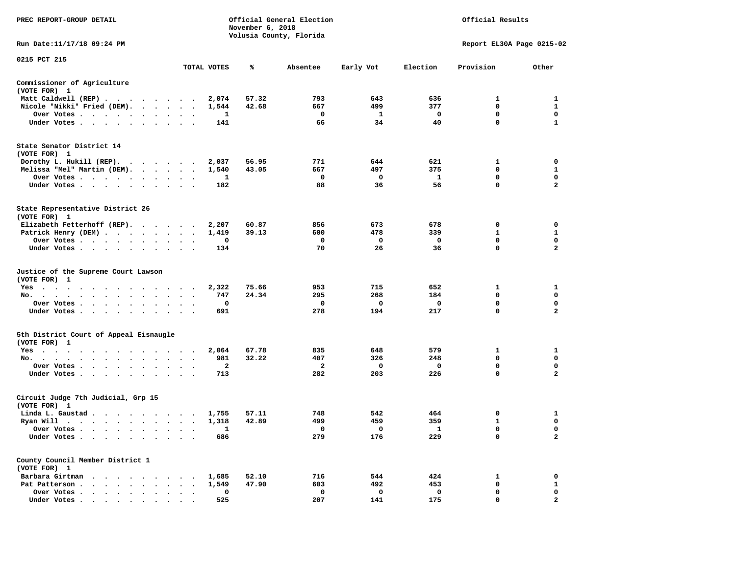| PREC REPORT-GROUP DETAIL                                                                   |                                                 |             | November 6, 2018 | Official General Election<br>Volusia County, Florida |              | Official Results    |                           |                               |  |  |
|--------------------------------------------------------------------------------------------|-------------------------------------------------|-------------|------------------|------------------------------------------------------|--------------|---------------------|---------------------------|-------------------------------|--|--|
| Run Date:11/17/18 09:24 PM                                                                 |                                                 |             |                  |                                                      |              |                     | Report EL30A Page 0215-02 |                               |  |  |
| 0215 PCT 215                                                                               |                                                 | TOTAL VOTES | ℁                | Absentee                                             | Early Vot    | Election            | Provision                 | Other                         |  |  |
| Commissioner of Agriculture                                                                |                                                 |             |                  |                                                      |              |                     |                           |                               |  |  |
| (VOTE FOR) 1                                                                               |                                                 |             |                  |                                                      |              |                     |                           |                               |  |  |
| Matt Caldwell (REP)                                                                        |                                                 | 2,074       | 57.32            | 793                                                  | 643          | 636                 | $\mathbf{1}$              | 1                             |  |  |
| Nicole "Nikki" Fried (DEM).                                                                |                                                 | 1,544       | 42.68            | 667                                                  | 499          | 377                 | 0                         | $\mathbf{1}$                  |  |  |
| Over Votes                                                                                 |                                                 | 1           |                  | $\mathbf 0$                                          | $\mathbf{1}$ | $\mathbf{o}$        | 0                         | 0                             |  |  |
| Under Votes                                                                                |                                                 | 141         |                  | 66                                                   | 34           | 40                  | $\mathbf 0$               | $\mathbf{1}$                  |  |  |
| State Senator District 14<br>(VOTE FOR) 1                                                  |                                                 |             |                  |                                                      |              |                     |                           |                               |  |  |
| Dorothy L. Hukill (REP).                                                                   |                                                 | 2,037       | 56.95            | 771                                                  | 644          | 621                 | $\mathbf{1}$              | 0                             |  |  |
| Melissa "Mel" Martin (DEM).                                                                |                                                 | 1,540       | 43.05            | 667                                                  | 497          | 375                 | $\mathbf 0$               | $\mathbf{1}$                  |  |  |
| Over Votes                                                                                 |                                                 | 1           |                  | $\mathbf 0$                                          | 0            | - 1                 | 0                         | $\mathbf 0$                   |  |  |
| Under Votes<br>$\ddot{\phantom{1}}$                                                        |                                                 | 182         |                  | 88                                                   | 36           | 56                  | 0                         | $\mathbf{2}$                  |  |  |
| State Representative District 26<br>(VOTE FOR) 1                                           |                                                 |             |                  |                                                      |              |                     |                           |                               |  |  |
| Elizabeth Fetterhoff (REP).                                                                |                                                 | 2,207       | 60.87            | 856                                                  | 673          | 678                 | 0                         | 0                             |  |  |
| Patrick Henry (DEM)                                                                        |                                                 | 1,419       | 39.13            | 600                                                  | 478          | 339                 | 1                         | 1                             |  |  |
| Over Votes                                                                                 | $\ddot{\phantom{a}}$<br>$\ddot{\phantom{a}}$    | 0           |                  | $\mathbf 0$                                          | 0            | $\mathbf 0$         | $\mathbf 0$               | $\mathbf 0$                   |  |  |
| Under Votes                                                                                |                                                 | 134         |                  | 70                                                   | 26           | 36                  | $\mathbf 0$               | $\overline{\mathbf{2}}$       |  |  |
| Justice of the Supreme Court Lawson<br>(VOTE FOR) 1                                        |                                                 |             |                  |                                                      |              |                     |                           |                               |  |  |
| Yes                                                                                        |                                                 | 2,322       | 75.66            | 953                                                  | 715          | 652                 | $\mathbf{1}$              | 1                             |  |  |
| No.<br>$\cdot$ $\cdot$ $\cdot$ $\cdot$ $\cdot$<br>$\sim$<br>$\ddot{\phantom{a}}$<br>$\sim$ |                                                 | 747         | 24.34            | 295                                                  | 268          | 184<br>$\mathbf{o}$ | 0<br>0                    | $\mathbf 0$<br>0              |  |  |
| Over Votes<br>Under Votes<br>$\sim$                                                        | $\sim$<br>$\ddot{\phantom{0}}$<br>$\sim$ $\sim$ | 0<br>691    |                  | 0<br>278                                             | 0<br>194     | 217                 | $\mathbf 0$               | $\mathbf{2}$                  |  |  |
|                                                                                            |                                                 |             |                  |                                                      |              |                     |                           |                               |  |  |
| 5th District Court of Appeal Eisnaugle<br>(VOTE FOR) 1                                     |                                                 |             |                  |                                                      |              |                     |                           |                               |  |  |
| Yes                                                                                        |                                                 | 2,064       | 67.78            | 835                                                  | 648          | 579                 | 1                         | 1                             |  |  |
| No.                                                                                        |                                                 | 981         | 32.22            | 407                                                  | 326          | 248                 | 0                         | $\mathbf 0$                   |  |  |
| Over Votes<br>$\sim$<br>$\ddot{\phantom{a}}$<br>Under Votes<br>$\sim$                      |                                                 | 2<br>713    |                  | $\overline{a}$<br>282                                | 0<br>203     | $\mathbf 0$<br>226  | 0<br>$\Omega$             | 0<br>$\overline{a}$           |  |  |
|                                                                                            |                                                 |             |                  |                                                      |              |                     |                           |                               |  |  |
| Circuit Judge 7th Judicial, Grp 15<br>(VOTE FOR) 1                                         |                                                 |             |                  |                                                      |              |                     |                           |                               |  |  |
| Linda L. Gaustad                                                                           |                                                 | 1,755       | 57.11            | 748                                                  | 542          | 464                 | 0                         | 1                             |  |  |
| Ryan Will $\cdots$ , $\cdots$ , $\cdots$ , $\cdots$                                        |                                                 | 1,318       | 42.89            | 499                                                  | 459          | 359                 | $\mathbf{1}$              | $\mathbf 0$                   |  |  |
| Over Votes<br>Under Votes                                                                  | $\cdot$ .                                       | 1<br>686    |                  | $\mathbf{o}$<br>279                                  | 0<br>176     | $\mathbf{1}$<br>229 | $\mathbf 0$<br>0          | $\mathbf 0$<br>$\overline{a}$ |  |  |
| $\ddot{\phantom{0}}$<br>$\ddot{\phantom{0}}$<br>$\cdot$<br>$\bullet$                       |                                                 |             |                  |                                                      |              |                     |                           |                               |  |  |
| County Council Member District 1<br>(VOTE FOR) 1                                           |                                                 |             |                  |                                                      |              |                     |                           |                               |  |  |
| Barbara Girtman                                                                            |                                                 | 1,685       | 52.10            | 716                                                  | 544          | 424                 | 1                         | 0                             |  |  |
| Pat Patterson                                                                              |                                                 | 1,549       | 47.90            | 603                                                  | 492          | 453                 | 0                         | $\mathbf{1}$                  |  |  |
| Over Votes<br>$\bullet$<br>Under Votes, , , , , , ,                                        | $\cdot$<br>$\ddot{\phantom{a}}$                 | 0<br>525    |                  | $\mathbf 0$<br>207                                   | 0<br>141     | 0<br>175            | $\mathbf 0$<br>$\Omega$   | 0<br>$\mathbf{2}$             |  |  |
|                                                                                            |                                                 |             |                  |                                                      |              |                     |                           |                               |  |  |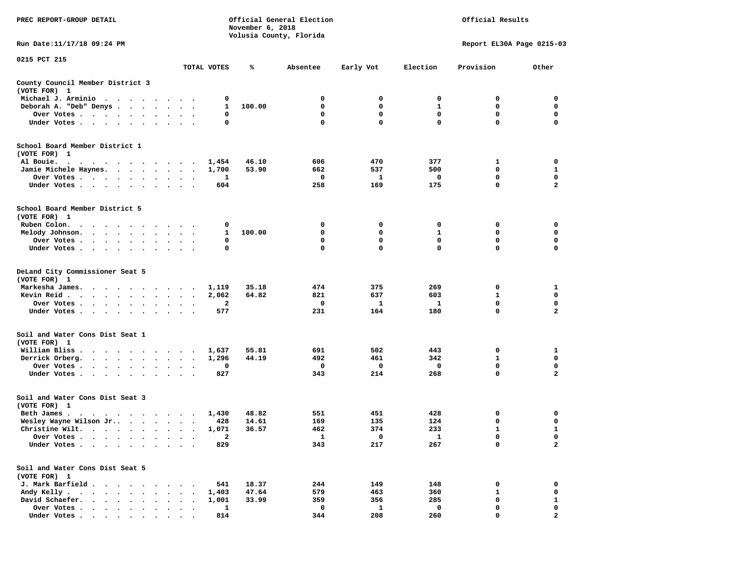| PREC REPORT-GROUP DETAIL                                                                                                                                                                                                                   |                                      |                         | November 6, 2018 | Official General Election<br>Volusia County, Florida |                     | Official Results   |                             |                             |  |
|--------------------------------------------------------------------------------------------------------------------------------------------------------------------------------------------------------------------------------------------|--------------------------------------|-------------------------|------------------|------------------------------------------------------|---------------------|--------------------|-----------------------------|-----------------------------|--|
| Run Date: 11/17/18 09:24 PM                                                                                                                                                                                                                |                                      |                         |                  |                                                      |                     |                    | Report EL30A Page 0215-03   |                             |  |
| 0215 PCT 215                                                                                                                                                                                                                               |                                      | TOTAL VOTES             | %                | Absentee                                             | Early Vot           | Election           | Provision                   | Other                       |  |
| County Council Member District 3<br>(VOTE FOR) 1                                                                                                                                                                                           |                                      |                         |                  |                                                      |                     |                    |                             |                             |  |
| Michael J. Arminio                                                                                                                                                                                                                         |                                      | 0                       |                  | 0                                                    | 0                   | 0                  | 0                           | 0                           |  |
| Deborah A. "Deb" Denys                                                                                                                                                                                                                     |                                      | 1                       | 100.00           | $\mathbf 0$                                          | $\mathbf{0}$        | $\mathbf{1}$       | $\mathbf 0$                 | $\mathbf 0$                 |  |
| Over Votes                                                                                                                                                                                                                                 |                                      | 0                       |                  | 0                                                    | 0                   | 0                  | $^{\circ}$                  | 0                           |  |
| Under Votes                                                                                                                                                                                                                                |                                      | 0                       |                  | $\mathbf 0$                                          | $\mathbf 0$         | 0                  | 0                           | $\mathbf 0$                 |  |
| School Board Member District 1                                                                                                                                                                                                             |                                      |                         |                  |                                                      |                     |                    |                             |                             |  |
| (VOTE FOR) 1                                                                                                                                                                                                                               |                                      |                         |                  |                                                      |                     |                    |                             |                             |  |
| Al Bouie.<br>. The contract of the contract of the contract of the contract of the contract of the contract of the contract of the contract of the contract of the contract of the contract of the contract of the contract of the contrac |                                      | 1,454                   | 46.10            | 606                                                  | 470                 | 377                | 1                           | 0                           |  |
| Jamie Michele Haynes.                                                                                                                                                                                                                      |                                      | 1,700                   | 53.90            | 662<br>$\mathbf 0$                                   | 537<br>$\mathbf{1}$ | 500<br>$\mathbf 0$ | $\mathbf 0$<br>0            | $\mathbf{1}$<br>$\mathbf 0$ |  |
| Over Votes                                                                                                                                                                                                                                 |                                      | 1<br>604                |                  | 258                                                  | 169                 | 175                | 0                           | $\overline{a}$              |  |
| Under Votes                                                                                                                                                                                                                                |                                      |                         |                  |                                                      |                     |                    |                             |                             |  |
| School Board Member District 5                                                                                                                                                                                                             |                                      |                         |                  |                                                      |                     |                    |                             |                             |  |
| (VOTE FOR) 1                                                                                                                                                                                                                               |                                      |                         |                  |                                                      | 0                   |                    |                             |                             |  |
| Ruben Colon.<br>the contract of the contract of the contract of the contract of the contract of the contract of the contract of<br>Melody Johnson.                                                                                         |                                      | 0<br>$\mathbf{1}$       | 100.00           | 0<br>0                                               | 0                   | 0<br>1             | 0<br>0                      | 0<br>0                      |  |
| Over Votes                                                                                                                                                                                                                                 |                                      | 0                       |                  | $\mathbf 0$                                          | $\mathbf 0$         | 0                  | $\mathbf 0$                 | $\mathbf 0$                 |  |
| Under Votes                                                                                                                                                                                                                                |                                      | 0                       |                  | $\Omega$                                             | $\Omega$            | 0                  | $\Omega$                    | 0                           |  |
|                                                                                                                                                                                                                                            |                                      |                         |                  |                                                      |                     |                    |                             |                             |  |
| DeLand City Commissioner Seat 5<br>(VOTE FOR) 1                                                                                                                                                                                            |                                      |                         |                  |                                                      |                     |                    |                             |                             |  |
| Markesha James.                                                                                                                                                                                                                            |                                      | 1,119                   | 35.18            | 474                                                  | 375                 | 269                | 0                           | 1                           |  |
| Kevin Reid $\cdots$                                                                                                                                                                                                                        |                                      | 2,062                   | 64.82            | 821                                                  | 637                 | 603                | $\mathbf{1}$                | 0                           |  |
| Over Votes.                                                                                                                                                                                                                                |                                      | $\overline{\mathbf{2}}$ |                  | $\Omega$                                             | $\mathbf{1}$        | 1                  | $\Omega$                    | $\Omega$                    |  |
| Under Votes                                                                                                                                                                                                                                |                                      | 577                     |                  | 231                                                  | 164                 | 180                | 0                           | $\overline{a}$              |  |
| Soil and Water Cons Dist Seat 1<br>(VOTE FOR) 1                                                                                                                                                                                            |                                      |                         |                  |                                                      |                     |                    |                             |                             |  |
| William Bliss                                                                                                                                                                                                                              |                                      | 1,637                   | 55.81            | 691                                                  | 502                 | 443                | 0                           | 1                           |  |
| Derrick Orberg.                                                                                                                                                                                                                            |                                      | 1,296                   | 44.19            | 492                                                  | 461                 | 342                | $\mathbf{1}$                | 0                           |  |
| Over Votes                                                                                                                                                                                                                                 |                                      | 0                       |                  | 0                                                    | $\mathbf 0$         | 0                  | $\mathbf 0$                 | 0                           |  |
| Under Votes                                                                                                                                                                                                                                |                                      | 827                     |                  | 343                                                  | 214                 | 268                | $\mathbf 0$                 | $\overline{a}$              |  |
| Soil and Water Cons Dist Seat 3                                                                                                                                                                                                            |                                      |                         |                  |                                                      |                     |                    |                             |                             |  |
| (VOTE FOR) 1                                                                                                                                                                                                                               |                                      |                         |                  |                                                      |                     |                    |                             |                             |  |
| Beth James.                                                                                                                                                                                                                                |                                      | 1,430                   | 48.82<br>14.61   | 551<br>169                                           | 451<br>135          | 428<br>124         | 0<br>0                      | 0<br>0                      |  |
| Wesley Wayne Wilson Jr<br>Christine Wilt.                                                                                                                                                                                                  |                                      | 428<br>1,071            | 36.57            | 462                                                  | 374                 | 233                | $\mathbf{1}$                | $\mathbf{1}$                |  |
| Over Votes                                                                                                                                                                                                                                 |                                      | 2                       |                  | 1                                                    | 0                   | $\mathbf{1}$       | 0                           | 0                           |  |
| Under Votes                                                                                                                                                                                                                                |                                      | 829                     |                  | 343                                                  | 217                 | 267                | 0                           | $\mathbf{2}$                |  |
| Soil and Water Cons Dist Seat 5                                                                                                                                                                                                            |                                      |                         |                  |                                                      |                     |                    |                             |                             |  |
| (VOTE FOR) 1                                                                                                                                                                                                                               |                                      |                         |                  |                                                      |                     |                    |                             |                             |  |
| J. Mark Barfield .                                                                                                                                                                                                                         | $\cdot$ .                            | 541                     | 18.37            | 244                                                  | 149                 | 148                | 0                           | 0                           |  |
| Andy Kelly                                                                                                                                                                                                                                 | $\ddot{\phantom{1}}$                 | 1,403                   | 47.64            | 579<br>359                                           | 463                 | 360<br>285         | $\mathbf{1}$<br>$\mathbf 0$ | $\mathbf 0$                 |  |
| David Schaefer.<br>Over Votes                                                                                                                                                                                                              | $\sim$<br>$\overline{\phantom{a}}$ . | 1,001<br>1              | 33.99            | 0                                                    | 356<br>1            | 0                  | 0                           | $\mathbf{1}$<br>0           |  |
| Under Votes                                                                                                                                                                                                                                |                                      | 814                     |                  | 344                                                  | 208                 | 260                | $\mathbf 0$                 | $\overline{a}$              |  |
|                                                                                                                                                                                                                                            |                                      |                         |                  |                                                      |                     |                    |                             |                             |  |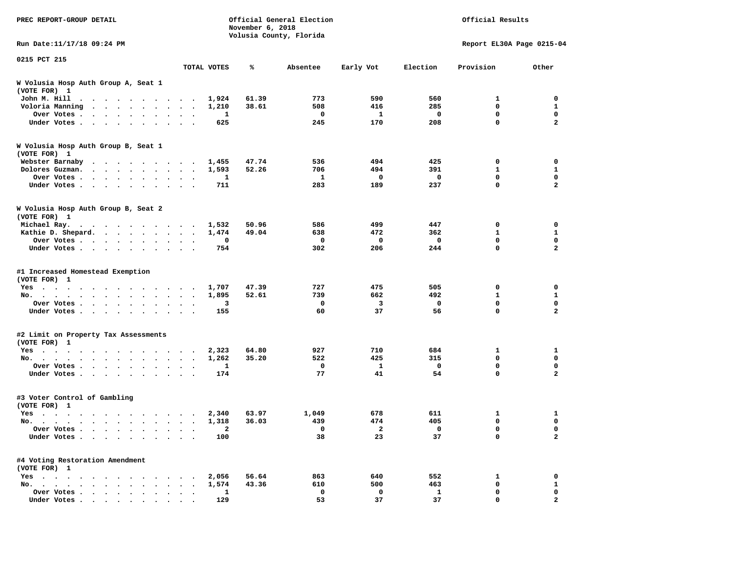| Run Date: 11/17/18 09:24 PM<br>Report EL30A Page 0215-04<br>0215 PCT 215<br>TOTAL VOTES<br>Early Vot<br>Election<br>Provision<br>Other<br>℁<br>Absentee<br>W Volusia Hosp Auth Group A, Seat 1<br>(VOTE FOR) 1<br>John M. Hill<br>1,924<br>61.39<br>773<br>590<br>560<br>1<br>. The contract of the contract of the contract of the contract of the contract of the contract of the contract of the contract of the contract of the contract of the contract of the contract of the contract of the contrac<br>285<br>Voloria Manning<br>1,210<br>38.61<br>508<br>416<br>0<br>Over Votes<br>1<br>0<br>$\mathbf{1}$<br>$\mathbf{o}$<br>0<br>$\ddot{\phantom{a}}$<br>$\mathbf 0$<br>Under Votes<br>625<br>245<br>170<br>208<br>$\sim$<br>$\sim$ $\sim$<br>W Volusia Hosp Auth Group B, Seat 1<br>(VOTE FOR) 1<br>494<br>Webster Barnaby<br>47.74<br>536<br>425<br>0<br>1,455<br>52.26<br>706<br>494<br>391<br>$\mathbf{1}$<br>Dolores Guzman.<br>1,593<br>1<br>0<br>$\overline{\mathbf{0}}$<br>0<br>Over Votes<br>1<br>$\ddot{\phantom{a}}$<br>$\cdot$<br>237<br>0<br>283<br>189<br>Under Votes<br>711<br>$\sim$<br>W Volusia Hosp Auth Group B, Seat 2<br>(VOTE FOR) 1<br>Michael Ray.<br>1,532<br>50.96<br>586<br>499<br>447<br>0<br>. The contract of the contract of the contract of the contract of the contract of the contract of the contract of the contract of the contract of the contract of the contract of the contract of the contract of the contrac<br>Kathie D. Shepard.<br>1,474<br>49.04<br>638<br>472<br>362<br>1<br>$\mathbf 0$<br>Over Votes<br>0<br>0<br>0<br>0<br>$\ddot{\phantom{a}}$<br>$\ddot{\phantom{a}}$<br>$\cdot$<br>$\mathbf 0$<br>206<br>244<br>Under Votes<br>754<br>302<br>#1 Increased Homestead Exemption<br>(VOTE FOR) 1<br>47.39<br>727<br>475<br>505<br>Yes<br>1,707<br>0<br>492<br>$\mathbf{1}$<br>No.<br>1,895<br>52.61<br>739<br>662<br>$\sim$<br>$\sim$<br>$\sim$<br>$\overline{\phantom{a}}$<br>$\sim$ $\sim$ $\sim$ $\sim$<br>$\mathbf 0$<br>0<br>0<br>Over Votes<br>3<br>3<br>$\ddot{\phantom{a}}$<br>$\sim$<br>$\bullet$<br>37<br>56<br>$\mathbf 0$<br>Under Votes<br>60<br>155<br>$\ddot{\phantom{0}}$<br>$\cdot$<br>#2 Limit on Property Tax Assessments<br>(VOTE FOR) 1<br>2,323<br>64.80<br>927<br>710<br>684<br>1<br>Yes<br>315<br>No.<br>1,262<br>35.20<br>522<br>425<br>0<br>$\ddot{\phantom{a}}$<br>$\sim$<br>$\mathbf 0$<br>0<br>Over Votes<br>0<br>$\mathbf{1}$<br>1<br>$\cdot$<br>77<br>41<br>54<br>$\Omega$<br>Under Votes<br>174<br>#3 Voter Control of Gambling<br>(VOTE FOR) 1<br>2,340<br>63.97<br>1,049<br>678<br>611<br>1<br>Yes<br>36.03<br>439<br>474<br>405<br>0<br>No.<br>$\mathbf{r}$ , $\mathbf{r}$ , $\mathbf{r}$<br>1,318<br>$\sim$<br>$\bullet$<br>$\bullet$<br>$\overline{\mathbf{0}}$<br>$\mathbf 0$<br>$\mathbf 0$<br>$\overline{\mathbf{2}}$<br>Over Votes<br>2<br>38<br>23<br>37<br>$\mathbf 0$<br>Under Votes<br>100<br>$\ddot{\phantom{0}}$<br>$\bullet$<br>$\bullet$<br>#4 Voting Restoration Amendment<br>(VOTE FOR) 1<br>2,056<br>56.64<br>863<br>640<br>552<br>1<br>$Yes \cdot \cdot \cdot$<br>. The contract of the contract of the contract of the contract of the contract of the contract of the contract of the contract of the contract of the contract of the contract of the contract of the contract of the contrac<br>0<br>1,574<br>43.36<br>610<br>500<br>463<br>No.<br>$\bullet$ .<br><br><br><br><br><br><br><br><br><br><br><br><br>$\mathbf 0$<br>Over Votes<br>0<br>$\mathbf 0$<br>$\mathbf{1}$<br>$\ddot{\phantom{0}}$<br>$\bullet$<br>1<br>$\bullet$<br>$\ddot{\phantom{a}}$ | PREC REPORT-GROUP DETAIL | November 6, 2018 | Official General Election<br>Volusia County, Florida | Official Results |  |                             |  |  |
|--------------------------------------------------------------------------------------------------------------------------------------------------------------------------------------------------------------------------------------------------------------------------------------------------------------------------------------------------------------------------------------------------------------------------------------------------------------------------------------------------------------------------------------------------------------------------------------------------------------------------------------------------------------------------------------------------------------------------------------------------------------------------------------------------------------------------------------------------------------------------------------------------------------------------------------------------------------------------------------------------------------------------------------------------------------------------------------------------------------------------------------------------------------------------------------------------------------------------------------------------------------------------------------------------------------------------------------------------------------------------------------------------------------------------------------------------------------------------------------------------------------------------------------------------------------------------------------------------------------------------------------------------------------------------------------------------------------------------------------------------------------------------------------------------------------------------------------------------------------------------------------------------------------------------------------------------------------------------------------------------------------------------------------------------------------------------------------------------------------------------------------------------------------------------------------------------------------------------------------------------------------------------------------------------------------------------------------------------------------------------------------------------------------------------------------------------------------------------------------------------------------------------------------------------------------------------------------------------------------------------------------------------------------------------------------------------------------------------------------------------------------------------------------------------------------------------------------------------------------------------------------------------------------------------------------------------------------------------------------------------------------------------------------------------------------------------------------------------------------------------------------------------------------------------------------------------------------------------------------------------------------------------------------------------------------------------------------------------------------------------------------------------------------------------------------------------------------------------------------------------------------------------------------------------------------------------------------|--------------------------|------------------|------------------------------------------------------|------------------|--|-----------------------------|--|--|
|                                                                                                                                                                                                                                                                                                                                                                                                                                                                                                                                                                                                                                                                                                                                                                                                                                                                                                                                                                                                                                                                                                                                                                                                                                                                                                                                                                                                                                                                                                                                                                                                                                                                                                                                                                                                                                                                                                                                                                                                                                                                                                                                                                                                                                                                                                                                                                                                                                                                                                                                                                                                                                                                                                                                                                                                                                                                                                                                                                                                                                                                                                                                                                                                                                                                                                                                                                                                                                                                                                                                                                                      |                          |                  |                                                      |                  |  |                             |  |  |
|                                                                                                                                                                                                                                                                                                                                                                                                                                                                                                                                                                                                                                                                                                                                                                                                                                                                                                                                                                                                                                                                                                                                                                                                                                                                                                                                                                                                                                                                                                                                                                                                                                                                                                                                                                                                                                                                                                                                                                                                                                                                                                                                                                                                                                                                                                                                                                                                                                                                                                                                                                                                                                                                                                                                                                                                                                                                                                                                                                                                                                                                                                                                                                                                                                                                                                                                                                                                                                                                                                                                                                                      |                          |                  |                                                      |                  |  |                             |  |  |
|                                                                                                                                                                                                                                                                                                                                                                                                                                                                                                                                                                                                                                                                                                                                                                                                                                                                                                                                                                                                                                                                                                                                                                                                                                                                                                                                                                                                                                                                                                                                                                                                                                                                                                                                                                                                                                                                                                                                                                                                                                                                                                                                                                                                                                                                                                                                                                                                                                                                                                                                                                                                                                                                                                                                                                                                                                                                                                                                                                                                                                                                                                                                                                                                                                                                                                                                                                                                                                                                                                                                                                                      |                          |                  |                                                      |                  |  |                             |  |  |
|                                                                                                                                                                                                                                                                                                                                                                                                                                                                                                                                                                                                                                                                                                                                                                                                                                                                                                                                                                                                                                                                                                                                                                                                                                                                                                                                                                                                                                                                                                                                                                                                                                                                                                                                                                                                                                                                                                                                                                                                                                                                                                                                                                                                                                                                                                                                                                                                                                                                                                                                                                                                                                                                                                                                                                                                                                                                                                                                                                                                                                                                                                                                                                                                                                                                                                                                                                                                                                                                                                                                                                                      |                          |                  |                                                      |                  |  |                             |  |  |
|                                                                                                                                                                                                                                                                                                                                                                                                                                                                                                                                                                                                                                                                                                                                                                                                                                                                                                                                                                                                                                                                                                                                                                                                                                                                                                                                                                                                                                                                                                                                                                                                                                                                                                                                                                                                                                                                                                                                                                                                                                                                                                                                                                                                                                                                                                                                                                                                                                                                                                                                                                                                                                                                                                                                                                                                                                                                                                                                                                                                                                                                                                                                                                                                                                                                                                                                                                                                                                                                                                                                                                                      |                          |                  |                                                      |                  |  | $\mathbf 0$                 |  |  |
|                                                                                                                                                                                                                                                                                                                                                                                                                                                                                                                                                                                                                                                                                                                                                                                                                                                                                                                                                                                                                                                                                                                                                                                                                                                                                                                                                                                                                                                                                                                                                                                                                                                                                                                                                                                                                                                                                                                                                                                                                                                                                                                                                                                                                                                                                                                                                                                                                                                                                                                                                                                                                                                                                                                                                                                                                                                                                                                                                                                                                                                                                                                                                                                                                                                                                                                                                                                                                                                                                                                                                                                      |                          |                  |                                                      |                  |  | 1                           |  |  |
|                                                                                                                                                                                                                                                                                                                                                                                                                                                                                                                                                                                                                                                                                                                                                                                                                                                                                                                                                                                                                                                                                                                                                                                                                                                                                                                                                                                                                                                                                                                                                                                                                                                                                                                                                                                                                                                                                                                                                                                                                                                                                                                                                                                                                                                                                                                                                                                                                                                                                                                                                                                                                                                                                                                                                                                                                                                                                                                                                                                                                                                                                                                                                                                                                                                                                                                                                                                                                                                                                                                                                                                      |                          |                  |                                                      |                  |  | 0                           |  |  |
|                                                                                                                                                                                                                                                                                                                                                                                                                                                                                                                                                                                                                                                                                                                                                                                                                                                                                                                                                                                                                                                                                                                                                                                                                                                                                                                                                                                                                                                                                                                                                                                                                                                                                                                                                                                                                                                                                                                                                                                                                                                                                                                                                                                                                                                                                                                                                                                                                                                                                                                                                                                                                                                                                                                                                                                                                                                                                                                                                                                                                                                                                                                                                                                                                                                                                                                                                                                                                                                                                                                                                                                      |                          |                  |                                                      |                  |  | $\overline{\mathbf{2}}$     |  |  |
|                                                                                                                                                                                                                                                                                                                                                                                                                                                                                                                                                                                                                                                                                                                                                                                                                                                                                                                                                                                                                                                                                                                                                                                                                                                                                                                                                                                                                                                                                                                                                                                                                                                                                                                                                                                                                                                                                                                                                                                                                                                                                                                                                                                                                                                                                                                                                                                                                                                                                                                                                                                                                                                                                                                                                                                                                                                                                                                                                                                                                                                                                                                                                                                                                                                                                                                                                                                                                                                                                                                                                                                      |                          |                  |                                                      |                  |  |                             |  |  |
|                                                                                                                                                                                                                                                                                                                                                                                                                                                                                                                                                                                                                                                                                                                                                                                                                                                                                                                                                                                                                                                                                                                                                                                                                                                                                                                                                                                                                                                                                                                                                                                                                                                                                                                                                                                                                                                                                                                                                                                                                                                                                                                                                                                                                                                                                                                                                                                                                                                                                                                                                                                                                                                                                                                                                                                                                                                                                                                                                                                                                                                                                                                                                                                                                                                                                                                                                                                                                                                                                                                                                                                      |                          |                  |                                                      |                  |  | 0                           |  |  |
|                                                                                                                                                                                                                                                                                                                                                                                                                                                                                                                                                                                                                                                                                                                                                                                                                                                                                                                                                                                                                                                                                                                                                                                                                                                                                                                                                                                                                                                                                                                                                                                                                                                                                                                                                                                                                                                                                                                                                                                                                                                                                                                                                                                                                                                                                                                                                                                                                                                                                                                                                                                                                                                                                                                                                                                                                                                                                                                                                                                                                                                                                                                                                                                                                                                                                                                                                                                                                                                                                                                                                                                      |                          |                  |                                                      |                  |  | $\mathbf{1}$                |  |  |
|                                                                                                                                                                                                                                                                                                                                                                                                                                                                                                                                                                                                                                                                                                                                                                                                                                                                                                                                                                                                                                                                                                                                                                                                                                                                                                                                                                                                                                                                                                                                                                                                                                                                                                                                                                                                                                                                                                                                                                                                                                                                                                                                                                                                                                                                                                                                                                                                                                                                                                                                                                                                                                                                                                                                                                                                                                                                                                                                                                                                                                                                                                                                                                                                                                                                                                                                                                                                                                                                                                                                                                                      |                          |                  |                                                      |                  |  | $\mathbf 0$                 |  |  |
|                                                                                                                                                                                                                                                                                                                                                                                                                                                                                                                                                                                                                                                                                                                                                                                                                                                                                                                                                                                                                                                                                                                                                                                                                                                                                                                                                                                                                                                                                                                                                                                                                                                                                                                                                                                                                                                                                                                                                                                                                                                                                                                                                                                                                                                                                                                                                                                                                                                                                                                                                                                                                                                                                                                                                                                                                                                                                                                                                                                                                                                                                                                                                                                                                                                                                                                                                                                                                                                                                                                                                                                      |                          |                  |                                                      |                  |  | $\overline{a}$              |  |  |
|                                                                                                                                                                                                                                                                                                                                                                                                                                                                                                                                                                                                                                                                                                                                                                                                                                                                                                                                                                                                                                                                                                                                                                                                                                                                                                                                                                                                                                                                                                                                                                                                                                                                                                                                                                                                                                                                                                                                                                                                                                                                                                                                                                                                                                                                                                                                                                                                                                                                                                                                                                                                                                                                                                                                                                                                                                                                                                                                                                                                                                                                                                                                                                                                                                                                                                                                                                                                                                                                                                                                                                                      |                          |                  |                                                      |                  |  |                             |  |  |
|                                                                                                                                                                                                                                                                                                                                                                                                                                                                                                                                                                                                                                                                                                                                                                                                                                                                                                                                                                                                                                                                                                                                                                                                                                                                                                                                                                                                                                                                                                                                                                                                                                                                                                                                                                                                                                                                                                                                                                                                                                                                                                                                                                                                                                                                                                                                                                                                                                                                                                                                                                                                                                                                                                                                                                                                                                                                                                                                                                                                                                                                                                                                                                                                                                                                                                                                                                                                                                                                                                                                                                                      |                          |                  |                                                      |                  |  | 0                           |  |  |
|                                                                                                                                                                                                                                                                                                                                                                                                                                                                                                                                                                                                                                                                                                                                                                                                                                                                                                                                                                                                                                                                                                                                                                                                                                                                                                                                                                                                                                                                                                                                                                                                                                                                                                                                                                                                                                                                                                                                                                                                                                                                                                                                                                                                                                                                                                                                                                                                                                                                                                                                                                                                                                                                                                                                                                                                                                                                                                                                                                                                                                                                                                                                                                                                                                                                                                                                                                                                                                                                                                                                                                                      |                          |                  |                                                      |                  |  | 1                           |  |  |
|                                                                                                                                                                                                                                                                                                                                                                                                                                                                                                                                                                                                                                                                                                                                                                                                                                                                                                                                                                                                                                                                                                                                                                                                                                                                                                                                                                                                                                                                                                                                                                                                                                                                                                                                                                                                                                                                                                                                                                                                                                                                                                                                                                                                                                                                                                                                                                                                                                                                                                                                                                                                                                                                                                                                                                                                                                                                                                                                                                                                                                                                                                                                                                                                                                                                                                                                                                                                                                                                                                                                                                                      |                          |                  |                                                      |                  |  | $\mathbf 0$                 |  |  |
|                                                                                                                                                                                                                                                                                                                                                                                                                                                                                                                                                                                                                                                                                                                                                                                                                                                                                                                                                                                                                                                                                                                                                                                                                                                                                                                                                                                                                                                                                                                                                                                                                                                                                                                                                                                                                                                                                                                                                                                                                                                                                                                                                                                                                                                                                                                                                                                                                                                                                                                                                                                                                                                                                                                                                                                                                                                                                                                                                                                                                                                                                                                                                                                                                                                                                                                                                                                                                                                                                                                                                                                      |                          |                  |                                                      |                  |  | $\overline{\mathbf{2}}$     |  |  |
|                                                                                                                                                                                                                                                                                                                                                                                                                                                                                                                                                                                                                                                                                                                                                                                                                                                                                                                                                                                                                                                                                                                                                                                                                                                                                                                                                                                                                                                                                                                                                                                                                                                                                                                                                                                                                                                                                                                                                                                                                                                                                                                                                                                                                                                                                                                                                                                                                                                                                                                                                                                                                                                                                                                                                                                                                                                                                                                                                                                                                                                                                                                                                                                                                                                                                                                                                                                                                                                                                                                                                                                      |                          |                  |                                                      |                  |  |                             |  |  |
|                                                                                                                                                                                                                                                                                                                                                                                                                                                                                                                                                                                                                                                                                                                                                                                                                                                                                                                                                                                                                                                                                                                                                                                                                                                                                                                                                                                                                                                                                                                                                                                                                                                                                                                                                                                                                                                                                                                                                                                                                                                                                                                                                                                                                                                                                                                                                                                                                                                                                                                                                                                                                                                                                                                                                                                                                                                                                                                                                                                                                                                                                                                                                                                                                                                                                                                                                                                                                                                                                                                                                                                      |                          |                  |                                                      |                  |  | $\mathbf 0$                 |  |  |
|                                                                                                                                                                                                                                                                                                                                                                                                                                                                                                                                                                                                                                                                                                                                                                                                                                                                                                                                                                                                                                                                                                                                                                                                                                                                                                                                                                                                                                                                                                                                                                                                                                                                                                                                                                                                                                                                                                                                                                                                                                                                                                                                                                                                                                                                                                                                                                                                                                                                                                                                                                                                                                                                                                                                                                                                                                                                                                                                                                                                                                                                                                                                                                                                                                                                                                                                                                                                                                                                                                                                                                                      |                          |                  |                                                      |                  |  | $\mathbf{1}$                |  |  |
|                                                                                                                                                                                                                                                                                                                                                                                                                                                                                                                                                                                                                                                                                                                                                                                                                                                                                                                                                                                                                                                                                                                                                                                                                                                                                                                                                                                                                                                                                                                                                                                                                                                                                                                                                                                                                                                                                                                                                                                                                                                                                                                                                                                                                                                                                                                                                                                                                                                                                                                                                                                                                                                                                                                                                                                                                                                                                                                                                                                                                                                                                                                                                                                                                                                                                                                                                                                                                                                                                                                                                                                      |                          |                  |                                                      |                  |  | 0                           |  |  |
|                                                                                                                                                                                                                                                                                                                                                                                                                                                                                                                                                                                                                                                                                                                                                                                                                                                                                                                                                                                                                                                                                                                                                                                                                                                                                                                                                                                                                                                                                                                                                                                                                                                                                                                                                                                                                                                                                                                                                                                                                                                                                                                                                                                                                                                                                                                                                                                                                                                                                                                                                                                                                                                                                                                                                                                                                                                                                                                                                                                                                                                                                                                                                                                                                                                                                                                                                                                                                                                                                                                                                                                      |                          |                  |                                                      |                  |  | $\mathbf{2}$                |  |  |
|                                                                                                                                                                                                                                                                                                                                                                                                                                                                                                                                                                                                                                                                                                                                                                                                                                                                                                                                                                                                                                                                                                                                                                                                                                                                                                                                                                                                                                                                                                                                                                                                                                                                                                                                                                                                                                                                                                                                                                                                                                                                                                                                                                                                                                                                                                                                                                                                                                                                                                                                                                                                                                                                                                                                                                                                                                                                                                                                                                                                                                                                                                                                                                                                                                                                                                                                                                                                                                                                                                                                                                                      |                          |                  |                                                      |                  |  |                             |  |  |
|                                                                                                                                                                                                                                                                                                                                                                                                                                                                                                                                                                                                                                                                                                                                                                                                                                                                                                                                                                                                                                                                                                                                                                                                                                                                                                                                                                                                                                                                                                                                                                                                                                                                                                                                                                                                                                                                                                                                                                                                                                                                                                                                                                                                                                                                                                                                                                                                                                                                                                                                                                                                                                                                                                                                                                                                                                                                                                                                                                                                                                                                                                                                                                                                                                                                                                                                                                                                                                                                                                                                                                                      |                          |                  |                                                      |                  |  | 1                           |  |  |
|                                                                                                                                                                                                                                                                                                                                                                                                                                                                                                                                                                                                                                                                                                                                                                                                                                                                                                                                                                                                                                                                                                                                                                                                                                                                                                                                                                                                                                                                                                                                                                                                                                                                                                                                                                                                                                                                                                                                                                                                                                                                                                                                                                                                                                                                                                                                                                                                                                                                                                                                                                                                                                                                                                                                                                                                                                                                                                                                                                                                                                                                                                                                                                                                                                                                                                                                                                                                                                                                                                                                                                                      |                          |                  |                                                      |                  |  | $\mathbf 0$                 |  |  |
|                                                                                                                                                                                                                                                                                                                                                                                                                                                                                                                                                                                                                                                                                                                                                                                                                                                                                                                                                                                                                                                                                                                                                                                                                                                                                                                                                                                                                                                                                                                                                                                                                                                                                                                                                                                                                                                                                                                                                                                                                                                                                                                                                                                                                                                                                                                                                                                                                                                                                                                                                                                                                                                                                                                                                                                                                                                                                                                                                                                                                                                                                                                                                                                                                                                                                                                                                                                                                                                                                                                                                                                      |                          |                  |                                                      |                  |  | 0                           |  |  |
|                                                                                                                                                                                                                                                                                                                                                                                                                                                                                                                                                                                                                                                                                                                                                                                                                                                                                                                                                                                                                                                                                                                                                                                                                                                                                                                                                                                                                                                                                                                                                                                                                                                                                                                                                                                                                                                                                                                                                                                                                                                                                                                                                                                                                                                                                                                                                                                                                                                                                                                                                                                                                                                                                                                                                                                                                                                                                                                                                                                                                                                                                                                                                                                                                                                                                                                                                                                                                                                                                                                                                                                      |                          |                  |                                                      |                  |  | $\overline{a}$              |  |  |
|                                                                                                                                                                                                                                                                                                                                                                                                                                                                                                                                                                                                                                                                                                                                                                                                                                                                                                                                                                                                                                                                                                                                                                                                                                                                                                                                                                                                                                                                                                                                                                                                                                                                                                                                                                                                                                                                                                                                                                                                                                                                                                                                                                                                                                                                                                                                                                                                                                                                                                                                                                                                                                                                                                                                                                                                                                                                                                                                                                                                                                                                                                                                                                                                                                                                                                                                                                                                                                                                                                                                                                                      |                          |                  |                                                      |                  |  |                             |  |  |
|                                                                                                                                                                                                                                                                                                                                                                                                                                                                                                                                                                                                                                                                                                                                                                                                                                                                                                                                                                                                                                                                                                                                                                                                                                                                                                                                                                                                                                                                                                                                                                                                                                                                                                                                                                                                                                                                                                                                                                                                                                                                                                                                                                                                                                                                                                                                                                                                                                                                                                                                                                                                                                                                                                                                                                                                                                                                                                                                                                                                                                                                                                                                                                                                                                                                                                                                                                                                                                                                                                                                                                                      |                          |                  |                                                      |                  |  | 1                           |  |  |
|                                                                                                                                                                                                                                                                                                                                                                                                                                                                                                                                                                                                                                                                                                                                                                                                                                                                                                                                                                                                                                                                                                                                                                                                                                                                                                                                                                                                                                                                                                                                                                                                                                                                                                                                                                                                                                                                                                                                                                                                                                                                                                                                                                                                                                                                                                                                                                                                                                                                                                                                                                                                                                                                                                                                                                                                                                                                                                                                                                                                                                                                                                                                                                                                                                                                                                                                                                                                                                                                                                                                                                                      |                          |                  |                                                      |                  |  | $\mathbf 0$                 |  |  |
|                                                                                                                                                                                                                                                                                                                                                                                                                                                                                                                                                                                                                                                                                                                                                                                                                                                                                                                                                                                                                                                                                                                                                                                                                                                                                                                                                                                                                                                                                                                                                                                                                                                                                                                                                                                                                                                                                                                                                                                                                                                                                                                                                                                                                                                                                                                                                                                                                                                                                                                                                                                                                                                                                                                                                                                                                                                                                                                                                                                                                                                                                                                                                                                                                                                                                                                                                                                                                                                                                                                                                                                      |                          |                  |                                                      |                  |  | $\mathbf 0$<br>$\mathbf{2}$ |  |  |
|                                                                                                                                                                                                                                                                                                                                                                                                                                                                                                                                                                                                                                                                                                                                                                                                                                                                                                                                                                                                                                                                                                                                                                                                                                                                                                                                                                                                                                                                                                                                                                                                                                                                                                                                                                                                                                                                                                                                                                                                                                                                                                                                                                                                                                                                                                                                                                                                                                                                                                                                                                                                                                                                                                                                                                                                                                                                                                                                                                                                                                                                                                                                                                                                                                                                                                                                                                                                                                                                                                                                                                                      |                          |                  |                                                      |                  |  |                             |  |  |
|                                                                                                                                                                                                                                                                                                                                                                                                                                                                                                                                                                                                                                                                                                                                                                                                                                                                                                                                                                                                                                                                                                                                                                                                                                                                                                                                                                                                                                                                                                                                                                                                                                                                                                                                                                                                                                                                                                                                                                                                                                                                                                                                                                                                                                                                                                                                                                                                                                                                                                                                                                                                                                                                                                                                                                                                                                                                                                                                                                                                                                                                                                                                                                                                                                                                                                                                                                                                                                                                                                                                                                                      |                          |                  |                                                      |                  |  |                             |  |  |
|                                                                                                                                                                                                                                                                                                                                                                                                                                                                                                                                                                                                                                                                                                                                                                                                                                                                                                                                                                                                                                                                                                                                                                                                                                                                                                                                                                                                                                                                                                                                                                                                                                                                                                                                                                                                                                                                                                                                                                                                                                                                                                                                                                                                                                                                                                                                                                                                                                                                                                                                                                                                                                                                                                                                                                                                                                                                                                                                                                                                                                                                                                                                                                                                                                                                                                                                                                                                                                                                                                                                                                                      |                          |                  |                                                      |                  |  | 0                           |  |  |
|                                                                                                                                                                                                                                                                                                                                                                                                                                                                                                                                                                                                                                                                                                                                                                                                                                                                                                                                                                                                                                                                                                                                                                                                                                                                                                                                                                                                                                                                                                                                                                                                                                                                                                                                                                                                                                                                                                                                                                                                                                                                                                                                                                                                                                                                                                                                                                                                                                                                                                                                                                                                                                                                                                                                                                                                                                                                                                                                                                                                                                                                                                                                                                                                                                                                                                                                                                                                                                                                                                                                                                                      |                          |                  |                                                      |                  |  | $\mathbf{1}$<br>0           |  |  |
| 53<br>37<br>37<br>$\Omega$<br>Under Votes, , , , , , ,<br>129<br>$\sim$ $\sim$                                                                                                                                                                                                                                                                                                                                                                                                                                                                                                                                                                                                                                                                                                                                                                                                                                                                                                                                                                                                                                                                                                                                                                                                                                                                                                                                                                                                                                                                                                                                                                                                                                                                                                                                                                                                                                                                                                                                                                                                                                                                                                                                                                                                                                                                                                                                                                                                                                                                                                                                                                                                                                                                                                                                                                                                                                                                                                                                                                                                                                                                                                                                                                                                                                                                                                                                                                                                                                                                                                       |                          |                  |                                                      |                  |  | $\overline{a}$              |  |  |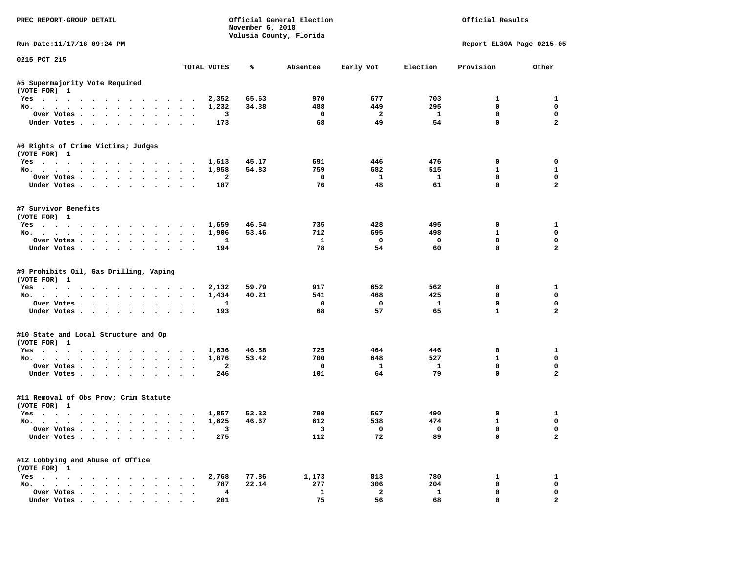| PREC REPORT-GROUP DETAIL                                                                                                                                           |                                | November 6, 2018 | Official General Election<br>Volusia County, Florida |                           |                            | Official Results                |                                 |
|--------------------------------------------------------------------------------------------------------------------------------------------------------------------|--------------------------------|------------------|------------------------------------------------------|---------------------------|----------------------------|---------------------------------|---------------------------------|
| Run Date: 11/17/18 09:24 PM                                                                                                                                        |                                |                  |                                                      |                           |                            |                                 | Report EL30A Page 0215-05       |
| 0215 PCT 215                                                                                                                                                       | TOTAL VOTES                    | ℁                | Absentee                                             | Early Vot                 | Election                   | Provision                       | Other                           |
|                                                                                                                                                                    |                                |                  |                                                      |                           |                            |                                 |                                 |
| #5 Supermajority Vote Required<br>(VOTE FOR) 1                                                                                                                     |                                |                  |                                                      |                           |                            |                                 |                                 |
| Yes                                                                                                                                                                | 2,352                          | 65.63            | 970                                                  | 677                       | 703                        | $\mathbf{1}$                    | $\mathbf{1}$                    |
| No.                                                                                                                                                                | 1,232                          | 34.38            | 488                                                  | 449                       | 295                        | $\mathbf 0$                     | $\mathbf 0$                     |
| Over Votes                                                                                                                                                         | 3                              |                  | $\mathbf 0$                                          | $\overline{a}$            | $\mathbf{1}$               | $\mathbf 0$                     | $\mathbf 0$                     |
| Under Votes                                                                                                                                                        | 173                            |                  | 68                                                   | 49                        | 54                         | $\mathbf 0$                     | $\overline{a}$                  |
| #6 Rights of Crime Victims; Judges                                                                                                                                 |                                |                  |                                                      |                           |                            |                                 |                                 |
| (VOTE FOR) 1                                                                                                                                                       |                                |                  |                                                      |                           |                            |                                 |                                 |
| Yes                                                                                                                                                                | 1,613                          | 45.17            | 691                                                  | 446                       | 476                        | $\mathbf 0$                     | $\mathbf 0$                     |
| No.                                                                                                                                                                | 1,958                          | 54.83            | 759                                                  | 682                       | 515                        | 1                               | $\mathbf{1}$                    |
| Over Votes.                                                                                                                                                        | $\overline{\mathbf{2}}$        |                  | $\mathbf 0$<br>76                                    | $\mathbf{1}$<br>48        | 1<br>61                    | $\mathbf 0$<br>$\mathbf 0$      | $\mathbf 0$<br>$\overline{a}$   |
| Under Votes                                                                                                                                                        | 187                            |                  |                                                      |                           |                            |                                 |                                 |
| #7 Survivor Benefits                                                                                                                                               |                                |                  |                                                      |                           |                            |                                 |                                 |
| (VOTE FOR) 1                                                                                                                                                       |                                |                  |                                                      |                           |                            |                                 |                                 |
| Yes                                                                                                                                                                | 1,659                          | 46.54            | 735                                                  | 428                       | 495                        | $\mathbf 0$                     | $\mathbf{1}$                    |
| No.                                                                                                                                                                | 1,906                          | 53.46            | 712                                                  | 695                       | 498                        | $\mathbf{1}$                    | $\mathbf 0$                     |
| Over Votes                                                                                                                                                         | $\mathbf{1}$                   |                  | $\mathbf{1}$                                         | $\mathbf 0$               | $\mathbf 0$                | $\mathbf 0$                     | $\mathbf 0$                     |
| Under Votes                                                                                                                                                        | 194                            |                  | 78                                                   | 54                        | 60                         | $\Omega$                        | $\overline{2}$                  |
| #9 Prohibits Oil, Gas Drilling, Vaping<br>(VOTE FOR) 1<br>$Yes \cdot \cdot \cdot \cdot \cdot \cdot \cdot \cdot \cdot \cdot \cdot \cdot \cdot$<br>No.<br>Over Votes | 2,132<br>1,434<br>$\mathbf{1}$ | 59.79<br>40.21   | 917<br>541<br>$\mathbf 0$                            | 652<br>468<br>$\mathbf 0$ | 562<br>425<br>$\mathbf{1}$ | 0<br>$\mathbf 0$<br>$\mathbf 0$ | 1<br>$\mathbf 0$<br>$\mathbf 0$ |
| Under Votes                                                                                                                                                        | 193                            |                  | 68                                                   | 57                        | 65                         | $\mathbf{1}$                    | $\overline{a}$                  |
| #10 State and Local Structure and Op                                                                                                                               |                                |                  |                                                      |                           |                            |                                 |                                 |
| (VOTE FOR) 1                                                                                                                                                       |                                |                  |                                                      |                           |                            |                                 |                                 |
| Yes                                                                                                                                                                | 1,636                          | 46.58            | 725                                                  | 464                       | 446                        | 0<br>$\mathbf{1}$               | $\mathbf{1}$<br>$\mathbf 0$     |
| No.                                                                                                                                                                | 1,876                          | 53.42            | 700                                                  | 648                       | 527                        |                                 |                                 |
| Over Votes                                                                                                                                                         | $\overline{2}$                 |                  | $\mathbf 0$                                          | $\mathbf{1}$<br>64        | $\mathbf{1}$<br>79         | $\mathbf 0$<br>$\mathbf 0$      | $\mathbf 0$<br>$\overline{a}$   |
| Under Votes                                                                                                                                                        | 246                            |                  | 101                                                  |                           |                            |                                 |                                 |
| #11 Removal of Obs Prov; Crim Statute<br>(VOTE FOR) 1                                                                                                              |                                |                  |                                                      |                           |                            |                                 |                                 |
| Yes                                                                                                                                                                | 1,857                          | 53.33            | 799                                                  | 567                       | 490                        | $\mathbf 0$                     | $\mathbf{1}$                    |
| No.                                                                                                                                                                | 1,625                          | 46.67            | 612                                                  | 538                       | 474                        | $\mathbf{1}$                    | $\mathbf 0$                     |
| Over Votes                                                                                                                                                         | $\overline{\mathbf{3}}$        |                  | $\overline{\mathbf{3}}$                              | $\Omega$                  | $\Omega$                   | $\mathbf 0$                     | $\Omega$                        |
| Under Votes                                                                                                                                                        | 275                            |                  | 112                                                  | 72                        | 89                         | $\Omega$                        | $\overline{a}$                  |
| #12 Lobbying and Abuse of Office                                                                                                                                   |                                |                  |                                                      |                           |                            |                                 |                                 |
| (VOTE FOR) 1                                                                                                                                                       |                                |                  |                                                      |                           |                            |                                 |                                 |
| Yes                                                                                                                                                                | 2,768                          | 77.86            | 1,173                                                | 813                       | 780                        | 1                               | $\mathbf{1}$                    |
| No.                                                                                                                                                                | 787                            | 22.14            | 277                                                  | 306                       | 204                        | $\mathbf 0$                     | $\mathbf 0$                     |
| Over Votes                                                                                                                                                         | 4                              |                  | $\mathbf{1}$                                         | $\overline{2}$            | $\mathbf{1}$               | $\mathbf 0$                     | $\mathbf 0$                     |
| Under Votes                                                                                                                                                        | 201                            |                  | 75                                                   | 56                        | 68                         | $\mathbf 0$                     | $\overline{a}$                  |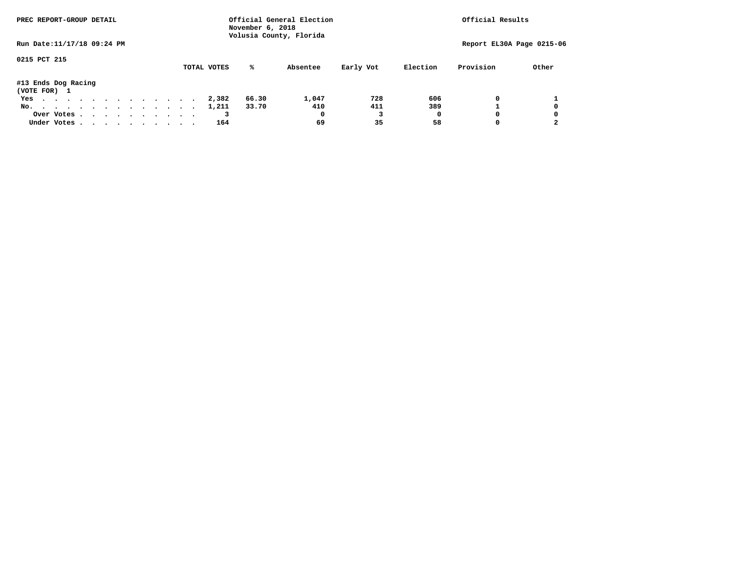| PREC REPORT-GROUP DETAIL            | November 6, 2018<br>Volusia County, Florida | Official General Election |                       | Official Results          |
|-------------------------------------|---------------------------------------------|---------------------------|-----------------------|---------------------------|
| Run Date: 11/17/18 09:24 PM         |                                             |                           |                       | Report EL30A Page 0215-06 |
| 0215 PCT 215                        | TOTAL VOTES<br>%ะ                           | Absentee<br>Early Vot     | Provision<br>Election | Other                     |
| #13 Ends Dog Racing<br>(VOTE FOR) 1 |                                             |                           |                       |                           |
| Yes                                 | 66.30<br>2,382                              | 728<br>1,047              | 606                   | 0                         |
| No.                                 | 33.70<br>1,211                              | 411<br>410                | 389                   | 0                         |
| Over Votes                          |                                             | 0                         | 0                     | 0<br>0                    |
| Under Votes                         | 164                                         | 35<br>69                  | 58                    | $\mathbf{2}$<br>0         |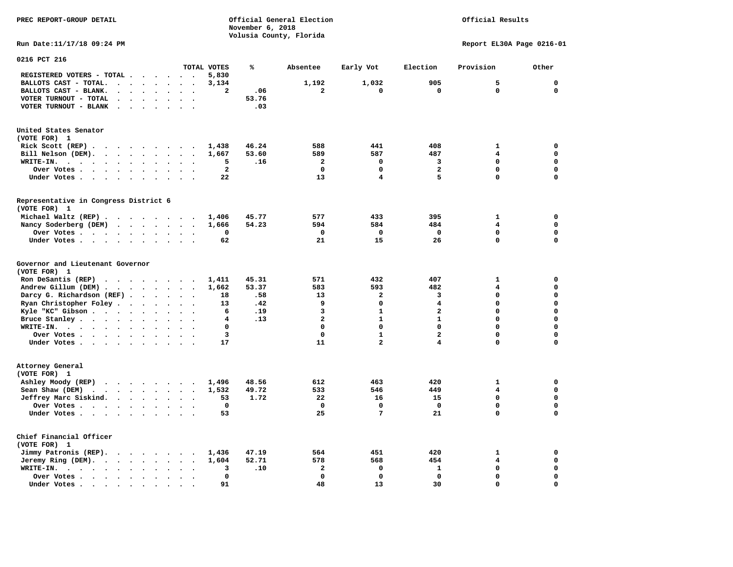# Official Results

**Run Date:11/17/18 09:24 PM Report EL30A Page 0216-01** 

| 0216 PCT 216                                                                                                                      |                                                                      |                         |       |                         |                         |                         |                         |             |
|-----------------------------------------------------------------------------------------------------------------------------------|----------------------------------------------------------------------|-------------------------|-------|-------------------------|-------------------------|-------------------------|-------------------------|-------------|
|                                                                                                                                   |                                                                      | TOTAL VOTES             | %     | Absentee                | Early Vot               | Election                | Provision               | Other       |
| REGISTERED VOTERS - TOTAL .<br>$\cdots$                                                                                           | $\cdots$                                                             | 5,830                   |       |                         |                         |                         |                         |             |
| BALLOTS CAST - TOTAL.<br>$\ddot{\phantom{a}}$<br>$\sim$<br>$\ddot{\phantom{a}}$<br>$\Delta$<br>$\ddot{\phantom{a}}$               |                                                                      | 3,134                   |       | 1,192                   | 1,032                   | 905                     | 5                       | $\mathbf 0$ |
| BALLOTS CAST - BLANK.<br>$\sim$<br>$\sim$<br>$\sim$<br>$\cdot$                                                                    | $\ddot{\phantom{a}}$<br>$\ddot{\phantom{a}}$<br>$\ddot{\phantom{a}}$ | $\overline{\mathbf{2}}$ | .06   | $\overline{a}$          | 0                       | $\mathbf 0$             | $\mathbf 0$             | $\mathbf 0$ |
| VOTER TURNOUT - TOTAL                                                                                                             |                                                                      |                         | 53.76 |                         |                         |                         |                         |             |
| VOTER TURNOUT - BLANK<br>$\sim$ $\sim$                                                                                            |                                                                      |                         | .03   |                         |                         |                         |                         |             |
|                                                                                                                                   |                                                                      |                         |       |                         |                         |                         |                         |             |
| United States Senator                                                                                                             |                                                                      |                         |       |                         |                         |                         |                         |             |
| (VOTE FOR) 1                                                                                                                      |                                                                      |                         |       |                         |                         |                         |                         |             |
| Rick Scott (REP).<br>$\sim$ $\sim$                                                                                                |                                                                      | 1,438                   | 46.24 | 588                     | 441                     | 408                     | $\mathbf{1}$            | $\mathbf 0$ |
| Bill Nelson (DEM).<br>$\cdot$ $\cdot$ $\cdot$ $\cdot$ $\cdot$ $\cdot$ $\cdot$                                                     |                                                                      | 1,667                   | 53.60 | 589                     | 587                     | 487                     | 4                       | $\mathbf 0$ |
| WRITE-IN.<br>$\cdots$<br>$\sim$ $\sim$ $\sim$ $\sim$ $\sim$ $\sim$<br>$\bullet$<br>$\ddot{\phantom{a}}$<br>$\bullet$              | $\bullet$                                                            | 5                       | .16   | $\overline{\mathbf{2}}$ | 0                       | 3                       | 0                       | $\mathbf 0$ |
| Over Votes .<br>$\sim$ $\sim$ $\sim$ $\sim$<br>$\bullet$                                                                          |                                                                      | $\mathbf{2}$            |       | 0                       | 0                       | $\mathbf{2}$            | 0                       | 0           |
| Under Votes<br>$\ddot{\phantom{1}}$                                                                                               | $\sim$<br>$\cdot$                                                    | 22                      |       | 13                      | 4                       | 5                       | 0                       | $\mathbf 0$ |
|                                                                                                                                   |                                                                      |                         |       |                         |                         |                         |                         |             |
| Representative in Congress District 6                                                                                             |                                                                      |                         |       |                         |                         |                         |                         |             |
| (VOTE FOR) 1                                                                                                                      |                                                                      |                         |       |                         |                         |                         |                         |             |
| Michael Waltz (REP)                                                                                                               |                                                                      | 1,406                   | 45.77 | 577                     | 433                     | 395                     | $\mathbf{1}$            | $\mathbf 0$ |
| Nancy Soderberg (DEM)<br>$\cdots$                                                                                                 | $\ddot{\phantom{a}}$                                                 | 1,666                   | 54.23 | 594                     | 584                     | 484                     | $\overline{\mathbf{4}}$ | $\mathbf 0$ |
| Over Votes<br>$\sim$<br>$\sim$                                                                                                    | $\ddot{\phantom{a}}$<br>$\sim$                                       | 0                       |       | 0                       | 0                       | 0                       | 0                       | $\mathbf 0$ |
| Under Votes<br>$\ddot{\phantom{a}}$<br>$\ddot{\phantom{a}}$                                                                       |                                                                      | 62                      |       | 21                      | 15                      | 26                      | 0                       | $\mathbf 0$ |
| Governor and Lieutenant Governor<br>(VOTE FOR) 1<br>Ron DeSantis (REP)<br>$\cdot$ $\cdot$ $\cdot$ $\cdot$ $\cdot$ $\cdot$ $\cdot$ |                                                                      | 1,411                   | 45.31 | 571                     | 432                     | 407                     | $\mathbf{1}$            | 0           |
|                                                                                                                                   |                                                                      |                         |       |                         |                         |                         |                         |             |
| Andrew Gillum (DEM)                                                                                                               | $\sim$<br>$\ddot{\phantom{1}}$                                       | 1,662                   | 53.37 | 583                     | 593                     | 482                     | 4                       | $\mathbf 0$ |
| Darcy G. Richardson (REF).<br>$\bullet$                                                                                           | $\ddot{\phantom{a}}$                                                 | 18                      | .58   | 13                      | $\overline{\mathbf{2}}$ | 3                       | 0                       | $\mathbf 0$ |
| Ryan Christopher Foley.<br>$\ddot{\phantom{0}}$<br>$\bullet$                                                                      | $\bullet$                                                            | 13                      | .42   | 9                       | 0                       | 4                       | $\Omega$                | $\mathbf 0$ |
| Kyle "KC" Gibson<br>$\bullet$<br>$\bullet$<br>$\bullet$                                                                           | $\ddot{\phantom{a}}$<br>$\overline{\phantom{a}}$                     | 6                       | .19   | 3                       | $\mathbf{1}$            | $\overline{\mathbf{2}}$ | 0                       | $\mathbf 0$ |
| Bruce Stanley<br>$\ddot{\phantom{a}}$<br>$\ddot{\phantom{a}}$                                                                     | $\sim$                                                               | 4                       | .13   | $\overline{\mathbf{2}}$ | $\mathbf{1}$            | $\mathbf{1}$            | 0                       | $\mathbf 0$ |
| WRITE-IN.<br>$\cdots$<br>$\bullet$                                                                                                |                                                                      | $\mathbf 0$             |       | $\Omega$                | $\mathbf 0$             | $\mathbf 0$             | $\Omega$                | $\mathbf 0$ |
| Over Votes<br>$\ddot{\phantom{a}}$<br>$\bullet$                                                                                   | $\overline{\phantom{a}}$                                             | 3                       |       | $\mathbf 0$             | $\mathbf{1}$            | $\overline{\mathbf{c}}$ | 0                       | $\mathbf 0$ |
| Under Votes<br>$\ddot{\phantom{a}}$                                                                                               | $\ddot{\phantom{a}}$                                                 | 17                      |       | 11                      | 2                       | $\overline{\mathbf{4}}$ | 0                       | 0           |
| Attorney General<br>(VOTE FOR) 1                                                                                                  |                                                                      |                         |       |                         |                         |                         |                         |             |
| Ashley Moody (REP)                                                                                                                |                                                                      | 1,496                   | 48.56 | 612                     | 463                     | 420                     | 1                       | $\mathbf 0$ |
| Sean Shaw (DEM)<br>$\ddotsc$                                                                                                      | $\ddot{\phantom{a}}$<br>$\ddot{\phantom{a}}$                         | 1,532                   | 49.72 | 533                     | 546                     | 449                     | 4                       | $\mathbf 0$ |
| Jeffrey Marc Siskind.<br>$\cdots$<br>$\ddot{\phantom{0}}$                                                                         | $\ddot{\phantom{a}}$<br>$\ddot{\phantom{1}}$                         | 53                      | 1.72  | 22                      | 16                      | 15                      | 0                       | $\mathbf 0$ |
| Over Votes                                                                                                                        | $\bullet$<br>$\overline{\phantom{a}}$                                | $\mathbf 0$             |       | $\mathbf 0$             | 0                       | $\mathbf 0$             | 0                       | $\mathbf 0$ |
| Under Votes<br>$\bullet$                                                                                                          |                                                                      | 53                      |       | 25                      | 7                       | 21                      | $\Omega$                | $\mathbf 0$ |
| Chief Financial Officer<br>(VOTE FOR) 1                                                                                           |                                                                      |                         |       |                         |                         |                         |                         |             |
| Jimmy Patronis (REP).<br>$\cdots$                                                                                                 | $\overline{\phantom{a}}$<br>$\overline{\phantom{a}}$                 | 1,436                   | 47.19 | 564                     | 451                     | 420                     | $\mathbf{1}$            | 0           |
| Jeremy Ring (DEM).                                                                                                                | $\sim$<br>$\bullet$                                                  | 1,604                   | 52.71 | 578                     | 568                     | 454                     | $\overline{\mathbf{4}}$ | $\mathbf 0$ |
| WRITE-IN.<br>$\cdots$<br>$\bullet$<br>$\bullet$<br>$\sim$                                                                         |                                                                      | 3                       | .10   | $\mathbf{2}$            | 0                       | $\mathbf{1}$            | 0                       | $\mathbf 0$ |
| Over Votes<br>$\bullet$<br>$\bullet$<br>$\bullet$                                                                                 |                                                                      | 0                       |       | $\mathbf 0$             | $\Omega$                | $\mathbf 0$             | $\Omega$                | $\mathbf 0$ |
| Under Votes.<br>$\bullet$<br>$\bullet$<br>$\bullet$<br>$\bullet$                                                                  |                                                                      | 91                      |       | 48                      | 13                      | 30                      | $\Omega$                | $\mathbf 0$ |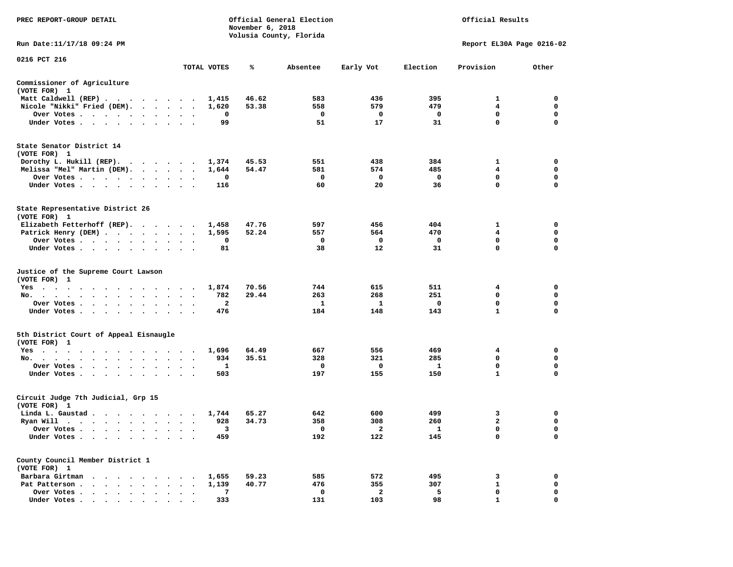| PREC REPORT-GROUP DETAIL                                                        |                                              |              | November 6, 2018 | Official General Election<br>Volusia County, Florida | Official Results |              |                           |             |  |
|---------------------------------------------------------------------------------|----------------------------------------------|--------------|------------------|------------------------------------------------------|------------------|--------------|---------------------------|-------------|--|
| Run Date:11/17/18 09:24 PM                                                      |                                              |              |                  |                                                      |                  |              | Report EL30A Page 0216-02 |             |  |
| 0216 PCT 216                                                                    |                                              |              |                  |                                                      |                  |              |                           |             |  |
|                                                                                 |                                              | TOTAL VOTES  | ℁                | Absentee                                             | Early Vot        | Election     | Provision                 | Other       |  |
| Commissioner of Agriculture<br>(VOTE FOR) 1                                     |                                              |              |                  |                                                      |                  |              |                           |             |  |
| Matt Caldwell (REP)                                                             |                                              | 1,415        | 46.62            | 583                                                  | 436              | 395          | 1                         | 0           |  |
| Nicole "Nikki" Fried (DEM).                                                     |                                              | 1,620        | 53.38            | 558                                                  | 579              | 479          | 4                         | 0           |  |
| Over Votes                                                                      | $\sim$ $\sim$ $\sim$                         | 0            |                  | $\mathbf 0$                                          | $\mathbf 0$      | $\mathbf 0$  | $\mathbf{0}$              | $\mathbf 0$ |  |
| Under Votes                                                                     |                                              | 99           |                  | 51                                                   | 17               | 31           | $\mathbf 0$               | 0           |  |
| State Senator District 14<br>(VOTE FOR) 1                                       |                                              |              |                  |                                                      |                  |              |                           |             |  |
| Dorothy L. Hukill (REP).                                                        |                                              | 1,374        | 45.53            | 551                                                  | 438              | 384          | 1                         | 0           |  |
| Melissa "Mel" Martin (DEM).                                                     |                                              | 1,644        | 54.47            | 581                                                  | 574              | 485          | $\overline{4}$            | $\mathbf 0$ |  |
| Over Votes                                                                      | $\cdot$                                      | 0            |                  | $\mathbf 0$                                          | $\mathbf 0$      | $\mathbf{o}$ | $\mathbf 0$               | $\mathbf 0$ |  |
| Under Votes                                                                     | $\cdot$ $\cdot$ $\cdot$                      | 116          |                  | 60                                                   | 20               | 36           | $\mathbf 0$               | $\mathbf 0$ |  |
| State Representative District 26<br>(VOTE FOR) 1                                |                                              |              |                  |                                                      |                  |              |                           |             |  |
| Elizabeth Fetterhoff (REP).                                                     |                                              | 1,458        | 47.76            | 597                                                  | 456              | 404          | 1                         | $\mathbf 0$ |  |
| Patrick Henry (DEM)                                                             |                                              | 1,595        | 52.24            | 557                                                  | 564              | 470          | $\overline{4}$            | $\mathbf 0$ |  |
| Over Votes                                                                      | $\bullet$<br>$\bullet$                       | 0            |                  | $\mathbf 0$                                          | 0                | $\mathbf 0$  | $\mathbf 0$               | $\mathbf 0$ |  |
| Under Votes                                                                     |                                              | 81           |                  | 38                                                   | 12               | 31           | $\mathbf 0$               | $\mathbf 0$ |  |
| Justice of the Supreme Court Lawson<br>(VOTE FOR) 1                             |                                              |              |                  |                                                      |                  |              |                           |             |  |
| $Yes \t . \t .$<br>$\sim$<br>$\sim$ $\sim$<br>$\cdots$                          | $\sim$ $\sim$                                | 1,874        | 70.56            | 744                                                  | 615              | 511          | 4                         | 0           |  |
| No.<br>$\mathbf{A}$                                                             | $\cdot$                                      | 782          | 29.44            | 263                                                  | 268              | 251          | $\mathbf 0$               | $\mathbf 0$ |  |
| Over Votes                                                                      | $\cdot$ $\cdot$<br>$\bullet$                 | $\mathbf{2}$ |                  | 1                                                    | 1                | $\mathbf 0$  | $\mathbf 0$               | $\mathbf 0$ |  |
| Under Votes                                                                     | $\ddot{\phantom{0}}$<br>$\ddot{\phantom{1}}$ | 476          |                  | 184                                                  | 148              | 143          | $\mathbf{1}$              | 0           |  |
| 5th District Court of Appeal Eisnaugle<br>(VOTE FOR) 1                          |                                              |              |                  |                                                      |                  |              |                           |             |  |
| Yes                                                                             |                                              | 1,696        | 64.49            | 667                                                  | 556              | 469          | 4                         | 0           |  |
| No.                                                                             | $\sim$                                       | 934          | 35.51            | 328                                                  | 321              | 285          | $\mathbf 0$               | $\mathbf 0$ |  |
| Over Votes<br>$\ddot{\phantom{0}}$<br>$\cdot$<br>$\cdot$                        | $\bullet$                                    | 1            |                  | 0                                                    | 0                | <b>1</b>     | 0                         | 0           |  |
| Under Votes                                                                     |                                              | 503          |                  | 197                                                  | 155              | 150          | $\mathbf{1}$              | $\mathbf 0$ |  |
| Circuit Judge 7th Judicial, Grp 15<br>(VOTE FOR) 1                              |                                              |              |                  |                                                      |                  |              |                           |             |  |
| Linda L. Gaustad                                                                |                                              | 1,744        | 65.27            | 642                                                  | 600              | 499          | 3                         | 0           |  |
| Ryan Will $\cdots$ , $\cdots$ , $\cdots$ , $\cdots$                             |                                              | 928          | 34.73            | 358                                                  | 308              | 260          | $\overline{a}$            | 0           |  |
| Over Votes<br>$\cdot$                                                           | $\sim$ $\sim$                                | 3            |                  | 0                                                    | 2                | $\mathbf{1}$ | 0                         | $\mathbf 0$ |  |
| Under Votes<br>$\ddot{\phantom{1}}$<br>$\bullet$<br>$\blacksquare$<br>$\bullet$ |                                              | 459          |                  | 192                                                  | 122              | 145          | $\mathbf 0$               | $\mathbf 0$ |  |
| County Council Member District 1<br>(VOTE FOR) 1                                |                                              |              |                  |                                                      |                  |              |                           |             |  |
| Barbara Girtman                                                                 |                                              | 1,655        | 59.23            | 585                                                  | 572              | 495          | 3                         | $\mathbf 0$ |  |
| Pat Patterson                                                                   |                                              | 1,139        | 40.77            | 476                                                  | 355              | 307          | $\mathbf{1}$              | 0           |  |
| Over Votes<br>$\sim$ $\sim$<br>$\bullet$<br>$\cdot$                             | $\cdot$                                      | 7            |                  | 0                                                    | $\overline{a}$   | 5            | $\mathbf 0$               | $\mathbf 0$ |  |
| Under Votes                                                                     |                                              | 333          |                  | 131                                                  | 103              | 98           | 1                         | $\Omega$    |  |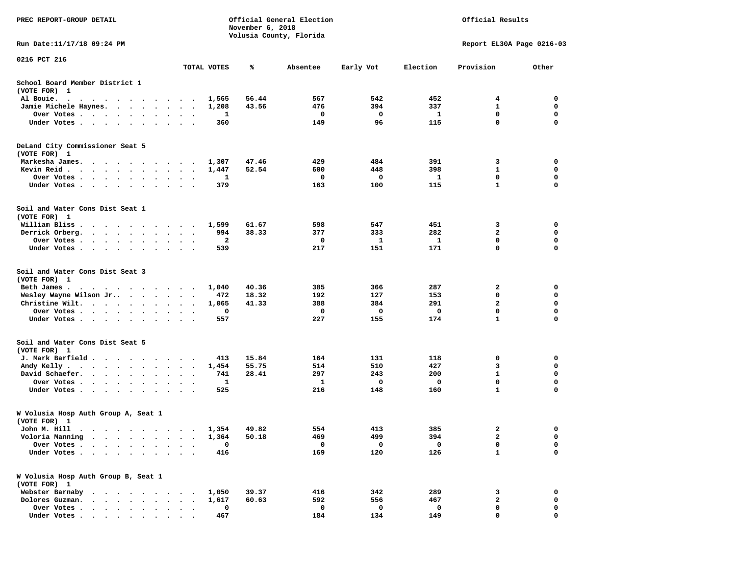| PREC REPORT-GROUP DETAIL                                                                                                                                                                                                                    |                                   | November 6, 2018 | Official General Election |           | Official Results |                           |                  |  |
|---------------------------------------------------------------------------------------------------------------------------------------------------------------------------------------------------------------------------------------------|-----------------------------------|------------------|---------------------------|-----------|------------------|---------------------------|------------------|--|
| Run Date: 11/17/18 09:24 PM                                                                                                                                                                                                                 |                                   |                  | Volusia County, Florida   |           |                  | Report EL30A Page 0216-03 |                  |  |
| 0216 PCT 216                                                                                                                                                                                                                                |                                   |                  |                           |           |                  |                           |                  |  |
|                                                                                                                                                                                                                                             | TOTAL VOTES                       | ℁                | Absentee                  | Early Vot | Election         | Provision                 | Other            |  |
| School Board Member District 1<br>(VOTE FOR) 1                                                                                                                                                                                              |                                   |                  |                           |           |                  |                           |                  |  |
| Al Bouie.<br>the contract of the contract of the contract of the contract of the contract of the contract of the contract of the contract of the contract of the contract of the contract of the contract of the contract of the contract o | 1,565                             | 56.44            | 567                       | 542       | 452              | 4                         | 0                |  |
| Jamie Michele Haynes.                                                                                                                                                                                                                       | 1,208                             | 43.56            | 476                       | 394       | 337              | $\mathbf{1}$              | 0                |  |
| Over Votes                                                                                                                                                                                                                                  | $\bullet$<br>$\ddot{\phantom{1}}$ | 1<br>360         | 0<br>149                  | 0<br>96   | 1<br>115         | 0<br>$\mathbf 0$          | 0<br>$\mathbf 0$ |  |
| Under Votes                                                                                                                                                                                                                                 |                                   |                  |                           |           |                  |                           |                  |  |
| DeLand City Commissioner Seat 5<br>(VOTE FOR) 1                                                                                                                                                                                             |                                   |                  |                           |           |                  |                           |                  |  |
| Markesha James.<br>$\cdots$                                                                                                                                                                                                                 | 1,307                             | 47.46            | 429                       | 484       | 391              | 3                         | 0                |  |
| Kevin Reid                                                                                                                                                                                                                                  | 1,447                             | 52.54            | 600                       | 448       | 398              | 1                         | 0                |  |
| Over Votes                                                                                                                                                                                                                                  | $\cdot$<br>$\ddot{\phantom{a}}$   | 1                | 0                         | 0         | 1                | 0                         | 0                |  |
| Under Votes                                                                                                                                                                                                                                 |                                   | 379              | 163                       | 100       | 115              | $\mathbf{1}$              | 0                |  |
| Soil and Water Cons Dist Seat 1<br>(VOTE FOR) 1                                                                                                                                                                                             |                                   |                  |                           |           |                  |                           |                  |  |
| William Bliss.<br>$\mathbf{r}$ , and $\mathbf{r}$ , and $\mathbf{r}$ , and $\mathbf{r}$                                                                                                                                                     | 1,599                             | 61.67            | 598                       | 547       | 451              | 3                         | 0                |  |
| Derrick Orberg.<br>$\cdot$ $\cdot$ $\cdot$ $\cdot$ $\cdot$ $\cdot$ $\cdot$                                                                                                                                                                  |                                   | 38.33<br>994     | 377                       | 333       | 282              | 2                         | 0                |  |
| Over Votes                                                                                                                                                                                                                                  |                                   | 2                | 0                         | 1         | 1                | $\mathbf 0$               | 0                |  |
| Under Votes                                                                                                                                                                                                                                 |                                   | 539              | 217                       | 151       | 171              | $\mathbf 0$               | $\mathbf 0$      |  |
| Soil and Water Cons Dist Seat 3<br>(VOTE FOR) 1                                                                                                                                                                                             |                                   |                  |                           |           |                  |                           |                  |  |
| Beth James.<br>the contract of the contract of the contract of the contract of the contract of the contract of the contract of                                                                                                              | 1,040                             | 40.36            | 385                       | 366       | 287              | 2                         | 0                |  |
| Wesley Wayne Wilson Jr                                                                                                                                                                                                                      | $\bullet$<br>$\bullet$ .          | 472<br>18.32     | 192                       | 127       | 153              | 0                         | 0                |  |
| Christine Wilt.                                                                                                                                                                                                                             | 1,065<br>$\cdot$                  | 41.33            | 388                       | 384       | 291              | $\mathbf{2}$              | $\mathbf 0$      |  |
| Over Votes                                                                                                                                                                                                                                  |                                   | 0                | 0                         | 0         | 0                | 0                         | 0                |  |
| Under Votes                                                                                                                                                                                                                                 |                                   | 557              | 227                       | 155       | 174              | $\mathbf{1}$              | 0                |  |
| Soil and Water Cons Dist Seat 5<br>(VOTE FOR) 1                                                                                                                                                                                             |                                   |                  |                           |           |                  |                           |                  |  |
| J. Mark Barfield                                                                                                                                                                                                                            |                                   | 15.84<br>413     | 164                       | 131       | 118              | 0                         | 0                |  |
| Andy Kelly                                                                                                                                                                                                                                  | 1,454                             | 55.75            | 514                       | 510       | 427              | 3                         | 0                |  |
| David Schaefer.                                                                                                                                                                                                                             |                                   | 28.41<br>741     | 297                       | 243       | 200              | 1                         | 0                |  |
| Over Votes                                                                                                                                                                                                                                  | $\bullet$                         | 1                | 1                         | 0         | 0                | $\mathbf 0$               | $\mathbf 0$      |  |
| Under Votes                                                                                                                                                                                                                                 |                                   | 525              | 216                       | 148       | 160              | $\mathbf{1}$              | $\mathbf 0$      |  |
| W Volusia Hosp Auth Group A, Seat 1<br>(VOTE FOR) 1                                                                                                                                                                                         |                                   |                  |                           |           |                  |                           |                  |  |
| John M. Hill                                                                                                                                                                                                                                |                                   | 1,354 49.82      | 554                       | 413       | 385              | $\mathbf{2}$              | 0                |  |
| Voloria Manning<br>$\mathbf{u} = \mathbf{u} + \mathbf{u} + \mathbf{u} + \mathbf{u} + \mathbf{u} + \mathbf{u} + \mathbf{u} + \mathbf{u}$                                                                                                     | 1,364                             | 50.18            | 469                       | 499       | 394              | 2                         | 0                |  |
| Over Votes .<br>$\cdot$ $\cdot$ $\cdot$ $\cdot$<br>$\ddot{\phantom{a}}$<br>$\sim$                                                                                                                                                           |                                   | 0                | 0                         | 0         | 0                | 0                         | 0                |  |
| Under Votes                                                                                                                                                                                                                                 |                                   | 416              | 169                       | 120       | 126              | $\mathbf{1}$              | $\mathbf 0$      |  |
| W Volusia Hosp Auth Group B, Seat 1<br>(VOTE FOR) 1                                                                                                                                                                                         |                                   |                  |                           |           |                  |                           |                  |  |
| Webster Barnaby<br>.                                                                                                                                                                                                                        | 1,050                             | 39.37            | 416                       | 342       | 289              | 3                         | 0                |  |
| Dolores Guzman.<br>$\sim$ $\sim$ $\sim$ $\sim$<br>$\sim$                                                                                                                                                                                    | 1,617                             | 60.63            | 592                       | 556       | 467              | 2                         | 0                |  |
| Over Votes .<br>$\cdot$ $\cdot$ $\cdot$ $\cdot$ $\cdot$ $\cdot$ $\cdot$                                                                                                                                                                     |                                   | 0                | 0                         | 0         | 0                | 0                         | 0                |  |
| Under Votes                                                                                                                                                                                                                                 |                                   | 467              | 184                       | 134       | 149              | 0                         | 0                |  |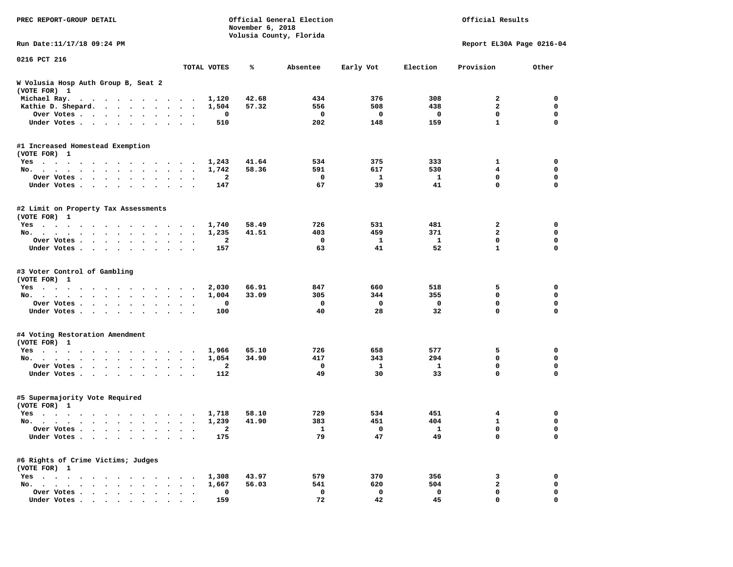| PREC REPORT-GROUP DETAIL                             |                      | Official General Election<br>November 6, 2018<br>Volusia County, Florida |       |          |              |              |                           | Official Results |  |  |
|------------------------------------------------------|----------------------|--------------------------------------------------------------------------|-------|----------|--------------|--------------|---------------------------|------------------|--|--|
| Run Date:11/17/18 09:24 PM                           |                      |                                                                          |       |          |              |              | Report EL30A Page 0216-04 |                  |  |  |
| 0216 PCT 216                                         |                      | TOTAL VOTES                                                              | ℁     | Absentee | Early Vot    | Election     | Provision                 | Other            |  |  |
| W Volusia Hosp Auth Group B, Seat 2<br>(VOTE FOR) 1  |                      |                                                                          |       |          |              |              |                           |                  |  |  |
| Michael Ray.                                         |                      | 1,120                                                                    | 42.68 | 434      | 376          | 308          | 2                         | 0                |  |  |
| Kathie D. Shepard.                                   | $\sim$ $\sim$        | 1,504                                                                    | 57.32 | 556      | 508          | 438          | $\mathbf{2}$              | 0                |  |  |
| Over Votes<br>$\bullet$                              | $\ddot{\phantom{a}}$ | 0                                                                        |       | 0        | $\mathbf{o}$ | 0            | $\mathbf 0$               | $\mathbf 0$      |  |  |
| Under Votes<br>$\ddot{\phantom{0}}$                  |                      | 510                                                                      |       | 202      | 148          | 159          | $\mathbf{1}$              | $\mathbf 0$      |  |  |
| #1 Increased Homestead Exemption<br>(VOTE FOR) 1     |                      |                                                                          |       |          |              |              |                           |                  |  |  |
| Yes                                                  |                      | 1,243                                                                    | 41.64 | 534      | 375          | 333          | 1                         | 0                |  |  |
| No.                                                  | $\ddot{\phantom{1}}$ | 1,742                                                                    | 58.36 | 591      | 617          | 530          | 4                         | $\mathbf 0$      |  |  |
| Over Votes                                           |                      | 2                                                                        |       | 0        | 1            | 1            | 0                         | 0                |  |  |
| Under Votes<br>$\ddot{\phantom{0}}$                  | $\ddot{\phantom{1}}$ | 147                                                                      |       | 67       | 39           | 41           | 0                         | $\mathbf 0$      |  |  |
| #2 Limit on Property Tax Assessments<br>(VOTE FOR) 1 |                      |                                                                          |       |          |              |              |                           |                  |  |  |
| Yes                                                  |                      | 1,740                                                                    | 58.49 | 726      | 531          | 481          | 2                         | 0                |  |  |
| No.                                                  |                      | 1,235                                                                    | 41.51 | 403      | 459          | 371          | $\overline{a}$            | 0                |  |  |
| Over Votes                                           |                      | 2                                                                        |       | 0        | 1            | $\mathbf{1}$ | $\mathbf 0$               | 0                |  |  |
| Under Votes                                          | $\sim$ $\sim$        | 157                                                                      |       | 63       | 41           | 52           | $\mathbf{1}$              | 0                |  |  |
| #3 Voter Control of Gambling<br>(VOTE FOR) 1<br>Yes  |                      | 2,030                                                                    | 66.91 | 847      | 660          | 518          | 5                         | 0                |  |  |
| No.                                                  | $\ddot{\phantom{0}}$ | 1,004                                                                    | 33.09 | 305      | 344          | 355          | 0                         | 0                |  |  |
| Over Votes<br>$\bullet$                              | $\bullet$            | 0                                                                        |       | 0        | $\mathbf 0$  | $\mathbf 0$  | 0                         | $\mathbf 0$      |  |  |
| Under Votes<br>$\ddot{\phantom{0}}$                  |                      | 100                                                                      |       | 40       | 28           | 32           | 0                         | $\mathbf 0$      |  |  |
| #4 Voting Restoration Amendment<br>(VOTE FOR) 1      |                      |                                                                          |       |          |              |              |                           |                  |  |  |
| Yes                                                  |                      | 1,966                                                                    | 65.10 | 726      | 658          | 577          | 5                         | 0                |  |  |
| No.                                                  | $\bullet$            | 1,054                                                                    | 34.90 | 417      | 343          | 294          | 0                         | $\mathbf 0$      |  |  |
| Over Votes<br>$\ddot{\phantom{1}}$                   |                      | 2                                                                        |       | 0        | 1            | 1            | 0                         | 0                |  |  |
| Under Votes                                          |                      | 112                                                                      |       | 49       | 30           | 33           | 0                         | 0                |  |  |
| #5 Supermajority Vote Required<br>(VOTE FOR) 1       |                      |                                                                          |       |          |              |              |                           |                  |  |  |
| Yes                                                  |                      | 1,718                                                                    | 58.10 | 729      | 534          | 451          | 4                         | 0                |  |  |
| No.                                                  |                      | 1,239                                                                    | 41.90 | 383      | 451          | 404          | 1                         | 0                |  |  |
| Over Votes                                           |                      | 2                                                                        |       | ı        | 0            | ı,           | 0                         | 0                |  |  |
| Under Votes                                          |                      | 175                                                                      |       | 79       | 47           | 49           | 0                         | $\mathbf 0$      |  |  |
| #6 Rights of Crime Victims; Judges<br>(VOTE FOR) 1   |                      |                                                                          |       |          |              |              |                           |                  |  |  |
| $Yes \cdot \cdot \cdot \cdot$                        |                      | 1,308                                                                    | 43.97 | 579      | 370          | 356          | з                         | 0                |  |  |
| No.                                                  |                      | 1,667                                                                    | 56.03 | 541      | 620          | 504          | 2                         | 0                |  |  |
| Over Votes                                           |                      | $\mathbf 0$                                                              |       | 0        | 0            | 0            | 0                         | 0                |  |  |
| Under Votes.                                         |                      | 159                                                                      |       | 72       | 42           | 45           | 0                         | $\mathbf 0$      |  |  |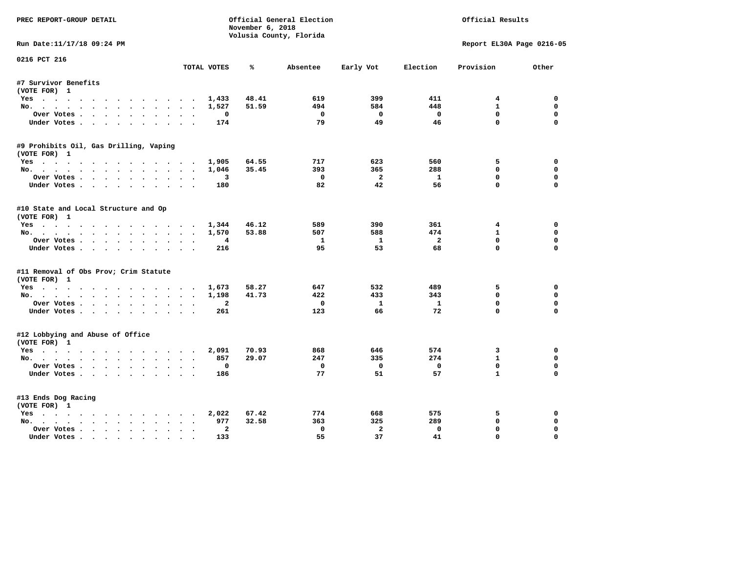| PREC REPORT-GROUP DETAIL                                                                                                                                                                                                                         |                | November 6, 2018 | Official General Election |                    | Official Results     |                           |                         |  |
|--------------------------------------------------------------------------------------------------------------------------------------------------------------------------------------------------------------------------------------------------|----------------|------------------|---------------------------|--------------------|----------------------|---------------------------|-------------------------|--|
|                                                                                                                                                                                                                                                  |                |                  | Volusia County, Florida   |                    |                      |                           |                         |  |
| Run Date:11/17/18 09:24 PM                                                                                                                                                                                                                       |                |                  |                           |                    |                      | Report EL30A Page 0216-05 |                         |  |
| 0216 PCT 216                                                                                                                                                                                                                                     | TOTAL VOTES    | ℁                | Absentee                  | Early Vot          | Election             | Provision                 | Other                   |  |
| #7 Survivor Benefits                                                                                                                                                                                                                             |                |                  |                           |                    |                      |                           |                         |  |
| (VOTE FOR) 1                                                                                                                                                                                                                                     |                |                  |                           |                    |                      |                           |                         |  |
| Yes                                                                                                                                                                                                                                              | 1,433          | 48.41            | 619                       | 399                | 411                  | $4\overline{ }$           | 0                       |  |
| No.                                                                                                                                                                                                                                              | 1,527          | 51.59            | 494                       | 584                | 448                  | $\mathbf{1}$              | 0                       |  |
| Over Votes                                                                                                                                                                                                                                       | $\Omega$       |                  | $^{\circ}$                | $\Omega$           | $^{\circ}$           | $\Omega$                  | 0                       |  |
| Under Votes                                                                                                                                                                                                                                      | 174            |                  | 79                        | 49                 | 46                   | $\mathbf{0}$              | $\Omega$                |  |
| #9 Prohibits Oil, Gas Drilling, Vaping                                                                                                                                                                                                           |                |                  |                           |                    |                      |                           |                         |  |
| (VOTE FOR) 1                                                                                                                                                                                                                                     |                |                  |                           |                    |                      |                           |                         |  |
| Yes                                                                                                                                                                                                                                              | 1,905          | 64.55            | 717                       | 623                | 560                  | 5                         | 0                       |  |
| No.                                                                                                                                                                                                                                              | 1,046          | 35.45            | 393                       | 365                | 288                  | $\mathbf 0$               | $\mathbf 0$             |  |
| Over Votes                                                                                                                                                                                                                                       | 3              |                  | $\Omega$                  | - 2                | 1                    | $\mathbf{0}$              | $\mathbf 0$             |  |
| Under Votes                                                                                                                                                                                                                                      | 180            |                  | 82                        | 42                 | 56                   | $\Omega$                  | $\Omega$                |  |
| #10 State and Local Structure and Op                                                                                                                                                                                                             |                |                  |                           |                    |                      |                           |                         |  |
| (VOTE FOR) 1                                                                                                                                                                                                                                     |                |                  |                           |                    |                      |                           |                         |  |
| Yes                                                                                                                                                                                                                                              | 1,344          | 46.12            | 589                       | 390                | 361                  | $4\overline{ }$           | 0                       |  |
| No.                                                                                                                                                                                                                                              | 1,570          | 53.88            | 507                       | 588                | 474                  | $\mathbf{1}$              | 0                       |  |
| Over Votes<br>Under Votes                                                                                                                                                                                                                        | 4<br>216       |                  | $\mathbf{1}$<br>95        | $\mathbf{1}$<br>53 | $\overline{a}$<br>68 | $\mathbf 0$<br>$\Omega$   | $\mathbf 0$<br>$\Omega$ |  |
|                                                                                                                                                                                                                                                  |                |                  |                           |                    |                      |                           |                         |  |
| #11 Removal of Obs Prov; Crim Statute                                                                                                                                                                                                            |                |                  |                           |                    |                      |                           |                         |  |
| (VOTE FOR) 1                                                                                                                                                                                                                                     |                |                  |                           |                    |                      |                           |                         |  |
| Yes                                                                                                                                                                                                                                              | 1,673          | 58.27            | 647                       | 532                | 489                  | 5                         | 0                       |  |
| No.                                                                                                                                                                                                                                              | 1,198          | 41.73            | 422                       | 433                | 343                  | $\Omega$                  | 0                       |  |
| Over Votes                                                                                                                                                                                                                                       | $\overline{a}$ |                  | $\mathbf 0$               | $\mathbf{1}$       | $\mathbf{1}$         | $\mathbf 0$<br>$\Omega$   | $\Omega$                |  |
| Under Votes                                                                                                                                                                                                                                      | 261            |                  | 123                       | 66                 | 72                   |                           | $\Omega$                |  |
| #12 Lobbying and Abuse of Office<br>(VOTE FOR) 1                                                                                                                                                                                                 |                |                  |                           |                    |                      |                           |                         |  |
| Yes                                                                                                                                                                                                                                              | 2,091          | 70.93            | 868                       | 646                | 574                  | 3                         | $\Omega$                |  |
| No.                                                                                                                                                                                                                                              | 857            | 29.07            | 247                       | 335                | 274                  | $\mathbf{1}$              | 0                       |  |
| Over Votes                                                                                                                                                                                                                                       | $\Omega$       |                  | $^{\circ}$                | $\mathbf{0}$       | $^{\circ}$           | $\Omega$                  | $\Omega$                |  |
| Under Votes                                                                                                                                                                                                                                      | 186            |                  | 77                        | 51                 | 57                   | $\mathbf{1}$              | $\Omega$                |  |
| #13 Ends Dog Racing                                                                                                                                                                                                                              |                |                  |                           |                    |                      |                           |                         |  |
| (VOTE FOR) 1                                                                                                                                                                                                                                     |                |                  |                           |                    |                      |                           |                         |  |
| Yes                                                                                                                                                                                                                                              | 2,022          | 67.42            | 774                       | 668                | 575                  | 5                         | 0                       |  |
| No.                                                                                                                                                                                                                                              | 977            | 32.58            | 363                       | 325                | 289                  | $\mathbf{0}$              | $\Omega$                |  |
| $\mathbf{r}$ . The set of the set of the set of the set of the set of the set of the set of the set of the set of the set of the set of the set of the set of the set of the set of the set of the set of the set of the set of t<br>Over Votes. | $\overline{a}$ |                  | $\mathbf 0$               | $\overline{a}$     | $\mathbf 0$          | 0                         | $\mathbf 0$             |  |
| Under Votes                                                                                                                                                                                                                                      | 133            |                  | 55                        | 37                 | 41                   | $\mathbf{0}$              | $\Omega$                |  |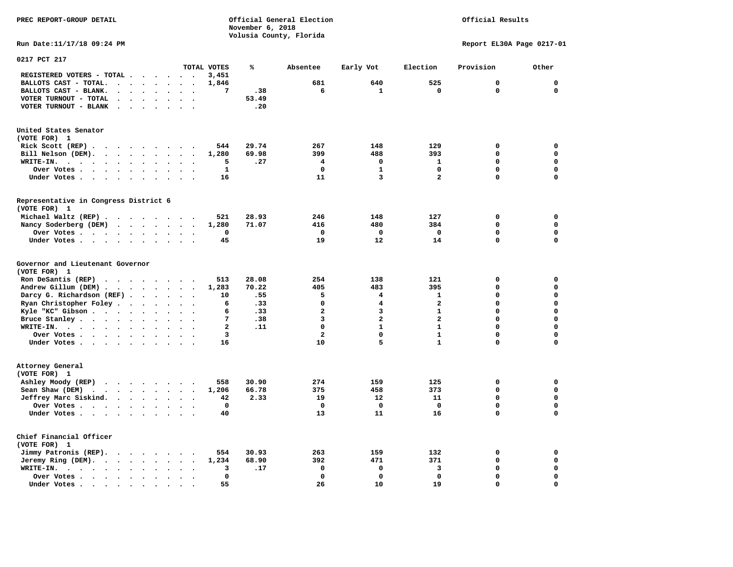# Official Results

**Run Date:11/17/18 09:24 PM Report EL30A Page 0217-01** 

| 0217 PCT 217                                                                                                                                                                                                                                                                                                        |                      |                                              |                                                                                   |                                                                                                             |                                                                                   |                                                  |                                                              |                                                   |                                                                                                                |                                                                                                                   |                                                                                                                              |                                                  |                                                                                                                                     |
|---------------------------------------------------------------------------------------------------------------------------------------------------------------------------------------------------------------------------------------------------------------------------------------------------------------------|----------------------|----------------------------------------------|-----------------------------------------------------------------------------------|-------------------------------------------------------------------------------------------------------------|-----------------------------------------------------------------------------------|--------------------------------------------------|--------------------------------------------------------------|---------------------------------------------------|----------------------------------------------------------------------------------------------------------------|-------------------------------------------------------------------------------------------------------------------|------------------------------------------------------------------------------------------------------------------------------|--------------------------------------------------|-------------------------------------------------------------------------------------------------------------------------------------|
|                                                                                                                                                                                                                                                                                                                     |                      |                                              |                                                                                   |                                                                                                             |                                                                                   |                                                  | TOTAL VOTES                                                  | ℁                                                 | Absentee                                                                                                       | Early Vot                                                                                                         | Election                                                                                                                     | Provision                                        | Other                                                                                                                               |
| REGISTERED VOTERS - TOTAL .                                                                                                                                                                                                                                                                                         | $\cdot$              |                                              |                                                                                   | $\sim$                                                                                                      | $\sim$                                                                            |                                                  | 3,451                                                        |                                                   |                                                                                                                |                                                                                                                   |                                                                                                                              |                                                  |                                                                                                                                     |
| BALLOTS CAST - TOTAL.<br>$\sim$<br>$\overline{a}$                                                                                                                                                                                                                                                                   |                      | $\ddot{\phantom{a}}$                         | $\ddot{\phantom{1}}$                                                              |                                                                                                             | $\bullet$                                                                         | $\bullet$                                        | 1,846                                                        |                                                   | 681                                                                                                            | 640                                                                                                               | 525                                                                                                                          | 0                                                | $\mathbf 0$                                                                                                                         |
| BALLOTS CAST - BLANK.<br>$\bullet$<br>$\bullet$                                                                                                                                                                                                                                                                     | $\cdot$              |                                              |                                                                                   | $\ddot{\phantom{a}}$                                                                                        |                                                                                   |                                                  | 7                                                            | .38                                               | 6                                                                                                              | 1                                                                                                                 | $\mathbf 0$                                                                                                                  | $\mathbf 0$                                      | $\mathbf 0$                                                                                                                         |
| VOTER TURNOUT - TOTAL<br>$\bullet$<br>$\cdot$                                                                                                                                                                                                                                                                       |                      | $\ddot{\phantom{a}}$                         |                                                                                   | $\bullet$                                                                                                   | $\ddot{\phantom{a}}$                                                              | $\cdot$                                          |                                                              | 53.49                                             |                                                                                                                |                                                                                                                   |                                                                                                                              |                                                  |                                                                                                                                     |
| VOTER TURNOUT - BLANK<br>$\bullet$                                                                                                                                                                                                                                                                                  |                      |                                              |                                                                                   |                                                                                                             |                                                                                   |                                                  |                                                              | .20                                               |                                                                                                                |                                                                                                                   |                                                                                                                              |                                                  |                                                                                                                                     |
| United States Senator                                                                                                                                                                                                                                                                                               |                      |                                              |                                                                                   |                                                                                                             |                                                                                   |                                                  |                                                              |                                                   |                                                                                                                |                                                                                                                   |                                                                                                                              |                                                  |                                                                                                                                     |
| (VOTE FOR) 1                                                                                                                                                                                                                                                                                                        |                      |                                              |                                                                                   |                                                                                                             |                                                                                   |                                                  |                                                              |                                                   |                                                                                                                |                                                                                                                   |                                                                                                                              |                                                  |                                                                                                                                     |
| Rick Scott $(REP)$                                                                                                                                                                                                                                                                                                  |                      |                                              |                                                                                   |                                                                                                             |                                                                                   |                                                  | 544                                                          | 29.74                                             | 267                                                                                                            | 148                                                                                                               | 129                                                                                                                          | 0                                                | $\mathbf 0$                                                                                                                         |
| Bill Nelson (DEM).<br>$\cdot$ $\cdot$ $\cdot$ $\cdot$ $\cdot$ $\cdot$                                                                                                                                                                                                                                               |                      |                                              |                                                                                   |                                                                                                             | $\sim$                                                                            |                                                  | 1,280                                                        | 69.98                                             | 399                                                                                                            | 488                                                                                                               | 393                                                                                                                          | 0                                                | $\mathbf 0$                                                                                                                         |
| WRITE-IN.<br>$\sim$<br>$\sim$ $\sim$ $\sim$ $\sim$<br>$\overline{\phantom{a}}$<br>$\overline{\phantom{a}}$                                                                                                                                                                                                          |                      | $\ddot{\phantom{0}}$                         | $\sim$                                                                            | $\bullet$                                                                                                   |                                                                                   |                                                  | 5                                                            | .27                                               | 4                                                                                                              | 0                                                                                                                 | $\mathbf{1}$                                                                                                                 | $\Omega$                                         | $\mathbf 0$                                                                                                                         |
| Over Votes .<br>$\ddot{\phantom{1}}$<br>$\sim$ $\sim$ $\sim$                                                                                                                                                                                                                                                        | $\bullet$            | $\bullet$                                    |                                                                                   | $\bullet$                                                                                                   |                                                                                   |                                                  | $\mathbf{1}$                                                 |                                                   | $\mathbf 0$                                                                                                    | $\mathbf{1}$                                                                                                      | $\mathbf 0$                                                                                                                  | 0                                                | $\mathbf 0$                                                                                                                         |
| Under Votes                                                                                                                                                                                                                                                                                                         |                      | $\ddot{\phantom{a}}$                         |                                                                                   | $\cdot$                                                                                                     |                                                                                   |                                                  | 16                                                           |                                                   | 11                                                                                                             | $\overline{3}$                                                                                                    | $\overline{a}$                                                                                                               | $\Omega$                                         | $\mathbf 0$                                                                                                                         |
|                                                                                                                                                                                                                                                                                                                     |                      |                                              |                                                                                   |                                                                                                             |                                                                                   |                                                  |                                                              |                                                   |                                                                                                                |                                                                                                                   |                                                                                                                              |                                                  |                                                                                                                                     |
| Representative in Congress District 6<br>(VOTE FOR) 1                                                                                                                                                                                                                                                               |                      |                                              |                                                                                   |                                                                                                             |                                                                                   |                                                  |                                                              |                                                   |                                                                                                                |                                                                                                                   |                                                                                                                              |                                                  |                                                                                                                                     |
| Michael Waltz (REP).<br>$\sim$ $\sim$                                                                                                                                                                                                                                                                               |                      | $\cdots$                                     |                                                                                   |                                                                                                             | $\sim$ $\sim$                                                                     |                                                  | 521                                                          | 28.93                                             | 246                                                                                                            | 148                                                                                                               | 127                                                                                                                          | 0                                                | 0                                                                                                                                   |
| Nancy Soderberg (DEM)<br>$\cdot$ $\cdot$ $\cdot$                                                                                                                                                                                                                                                                    |                      |                                              |                                                                                   | $\cdot$ $\cdot$ $\cdot$                                                                                     |                                                                                   |                                                  | 1,280                                                        | 71.07                                             | 416                                                                                                            | 480                                                                                                               | 384                                                                                                                          | 0                                                | $\mathbf 0$                                                                                                                         |
| Over Votes                                                                                                                                                                                                                                                                                                          |                      | $\bullet$                                    | $\bullet$                                                                         | $\bullet$                                                                                                   |                                                                                   | $\bullet$                                        | $\mathbf 0$                                                  |                                                   | $\mathbf 0$                                                                                                    | $\mathbf 0$                                                                                                       | $\mathbf 0$                                                                                                                  | 0                                                | $\mathbf 0$                                                                                                                         |
| Under Votes                                                                                                                                                                                                                                                                                                         | $\sim$               |                                              | $\ddot{\phantom{a}}$                                                              | $\ddot{\phantom{a}}$                                                                                        | $\ddot{\phantom{a}}$                                                              |                                                  | 45                                                           |                                                   | 19                                                                                                             | 12                                                                                                                | 14                                                                                                                           | 0                                                | $\mathbf 0$                                                                                                                         |
| Governor and Lieutenant Governor<br>(VOTE FOR) 1<br>Ron DeSantis (REP)<br>$\cdot$ $\cdot$ $\cdot$ $\cdot$ $\cdot$ $\cdot$ $\cdot$ $\cdot$<br>Andrew Gillum (DEM)<br>Darcy G. Richardson (REF).<br>Ryan Christopher Foley<br>Kyle "KC" Gibson<br>Bruce Stanley<br>WRITE-IN.<br>$\cdots$<br>Over Votes<br>Under Votes | $\bullet$<br>$\cdot$ | $\ddot{\phantom{a}}$<br>$\bullet$            | $\ddotsc$<br>$\ddot{\phantom{a}}$<br>$\cdot$<br>$\bullet$<br>$\ddot{\phantom{a}}$ | $\ddot{\phantom{1}}$<br>$\ddot{\phantom{a}}$<br>$\ddot{\phantom{a}}$<br>$\bullet$<br>$\bullet$<br>$\bullet$ | $\ddot{\phantom{a}}$<br>$\bullet$<br>$\ddot{\phantom{1}}$<br>$\ddot{\phantom{a}}$ | $\bullet$<br>$\bullet$                           | 513<br>1,283<br>10<br>6<br>6<br>7<br>$\mathbf{2}$<br>3<br>16 | 28.08<br>70.22<br>.55<br>.33<br>.33<br>.38<br>.11 | 254<br>405<br>5<br>$\mathbf 0$<br>$\overline{\mathbf{2}}$<br>3<br>$\mathbf 0$<br>$\overline{\mathbf{2}}$<br>10 | 138<br>483<br>$\overline{\mathbf{4}}$<br>$\overline{\mathbf{4}}$<br>3<br>$\overline{a}$<br>$\mathbf{1}$<br>0<br>5 | 121<br>395<br>$\mathbf{1}$<br>$\mathbf{2}$<br>$\mathbf{1}$<br>$\overline{a}$<br>$\mathbf{1}$<br>$\mathbf{1}$<br>$\mathbf{1}$ | 0<br>0<br>0<br>0<br>$\Omega$<br>0<br>0<br>0<br>0 | $\mathbf 0$<br>$\mathbf 0$<br>$\mathbf 0$<br>$\mathbf 0$<br>$\mathbf 0$<br>$\mathbf 0$<br>$\mathbf 0$<br>$\mathbf 0$<br>$\mathbf 0$ |
| Attorney General<br>(VOTE FOR) 1<br>Ashley Moody (REP)<br>Sean Shaw (DEM)<br>$\cdots$<br>Jeffrey Marc Siskind.<br>Over Votes .<br>$\cdots$<br>Under Votes                                                                                                                                                           |                      | $\ddot{\phantom{a}}$<br>$\ddot{\phantom{a}}$ |                                                                                   | $\bullet$                                                                                                   | $\sim$<br>$\sim$                                                                  | $\overline{\phantom{a}}$<br>$\ddot{\phantom{a}}$ | 558<br>1,206<br>42<br>$\mathbf 0$<br>40                      | 30.90<br>66.78<br>2.33                            | 274<br>375<br>19<br>$\mathbf 0$<br>13                                                                          | 159<br>458<br>12<br>$\mathbf{0}$<br>11                                                                            | 125<br>373<br>11<br>$\mathbf 0$<br>16                                                                                        | 0<br>0<br>0<br>0<br>$\Omega$                     | 0<br>0<br>$\mathbf 0$<br>$\mathbf 0$<br>$\mathbf 0$                                                                                 |
| Chief Financial Officer<br>(VOTE FOR) 1<br>Jimmy Patronis (REP).<br>$\sim$ $\sim$<br>Jeremy Ring (DEM).<br>$\sim$ $\sim$ $\sim$<br>WRITE-IN.<br>$\mathcal{L}(\mathbf{z})$ , and $\mathcal{L}(\mathbf{z})$ , and $\mathcal{L}(\mathbf{z})$<br>$\ddot{\phantom{1}}$<br>$\sim$ $\sim$                                  | $\bullet$            | $\sim$ $\sim$ $\sim$<br>$\bullet$            | $\sim$                                                                            | $\ddot{\phantom{1}}$<br>$\bullet$<br>$\bullet$                                                              | $\ddot{\phantom{a}}$                                                              |                                                  | 554<br>1,234<br>3                                            | 30.93<br>68.90<br>.17                             | 263<br>392<br>$\mathbf 0$                                                                                      | 159<br>471<br>0                                                                                                   | 132<br>371<br>3                                                                                                              | 0<br>0<br>0                                      | 0<br>$\mathbf 0$<br>$\mathbf 0$                                                                                                     |
| Over Votes .                                                                                                                                                                                                                                                                                                        |                      |                                              |                                                                                   |                                                                                                             |                                                                                   |                                                  | $\mathbf 0$                                                  |                                                   | $\mathbf 0$                                                                                                    | 0                                                                                                                 | $\mathbf 0$                                                                                                                  | 0                                                | $\mathbf 0$                                                                                                                         |
| $\mathcal{L}(\mathbf{z})$ , and $\mathcal{L}(\mathbf{z})$ , and $\mathcal{L}(\mathbf{z})$<br>$\ddot{\phantom{a}}$<br>Under Votes.                                                                                                                                                                                   | $\bullet$            |                                              |                                                                                   | $\ddot{\phantom{a}}$                                                                                        |                                                                                   |                                                  | 55                                                           |                                                   | 26                                                                                                             | 10                                                                                                                | 19                                                                                                                           | 0                                                | $\mathbf 0$                                                                                                                         |
| $\cdots$<br>$\sim$<br>$\blacksquare$ .                                                                                                                                                                                                                                                                              | $\bullet$            |                                              |                                                                                   |                                                                                                             |                                                                                   |                                                  |                                                              |                                                   |                                                                                                                |                                                                                                                   |                                                                                                                              |                                                  |                                                                                                                                     |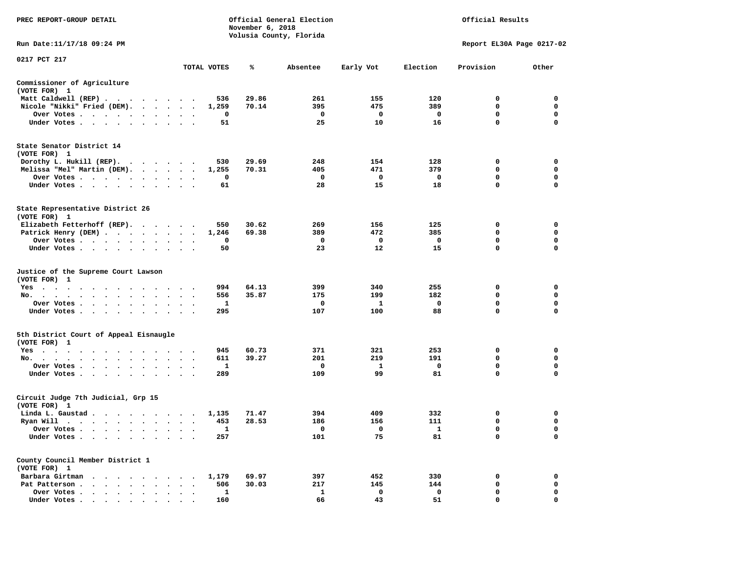| PREC REPORT-GROUP DETAIL                                    |                                                                                             |              | November 6, 2018 | Official General Election<br>Volusia County, Florida |              | Official Results        |                           |             |  |
|-------------------------------------------------------------|---------------------------------------------------------------------------------------------|--------------|------------------|------------------------------------------------------|--------------|-------------------------|---------------------------|-------------|--|
| Run Date:11/17/18 09:24 PM                                  |                                                                                             |              |                  |                                                      |              |                         | Report EL30A Page 0217-02 |             |  |
| 0217 PCT 217                                                |                                                                                             | TOTAL VOTES  | ℁                | Absentee                                             | Early Vot    | Election                | Provision                 | Other       |  |
| Commissioner of Agriculture                                 |                                                                                             |              |                  |                                                      |              |                         |                           |             |  |
| (VOTE FOR) 1                                                |                                                                                             |              |                  |                                                      |              |                         |                           |             |  |
| Matt Caldwell (REP)                                         |                                                                                             | 536          | 29.86            | 261                                                  | 155          | 120                     | $\Omega$                  | $^{\circ}$  |  |
| Nicole "Nikki" Fried (DEM).                                 |                                                                                             | 1,259        | 70.14            | 395                                                  | 475          | 389                     | $\mathbf 0$               | $\mathbf 0$ |  |
| Over Votes                                                  |                                                                                             | 0            |                  | $\mathbf 0$                                          | 0            | $\mathbf{o}$            | 0                         | 0           |  |
| Under Votes                                                 |                                                                                             | 51           |                  | 25                                                   | 10           | 16                      | $\mathbf{0}$              | $\Omega$    |  |
| State Senator District 14<br>(VOTE FOR) 1                   |                                                                                             |              |                  |                                                      |              |                         |                           |             |  |
| Dorothy L. Hukill (REP).                                    |                                                                                             | 530          | 29.69            | 248                                                  | 154          | 128                     | 0                         | $\mathbf 0$ |  |
| Melissa "Mel" Martin (DEM).                                 |                                                                                             | 1,255        | 70.31            | 405                                                  | 471          | 379                     | 0                         | 0           |  |
| Over Votes                                                  |                                                                                             | 0            |                  | 0                                                    | 0            | $\overline{\mathbf{0}}$ | 0                         | 0           |  |
| Under Votes<br>$\ddot{\phantom{a}}$                         |                                                                                             | 61           |                  | 28                                                   | 15           | 18                      | $\mathbf 0$               | $\mathbf 0$ |  |
| State Representative District 26<br>(VOTE FOR) 1            |                                                                                             |              |                  |                                                      |              |                         |                           |             |  |
| Elizabeth Fetterhoff (REP).                                 |                                                                                             | 550          | 30.62            | 269                                                  | 156          | 125                     | 0                         | $\mathbf 0$ |  |
| Patrick Henry (DEM)                                         |                                                                                             | 1,246        | 69.38            | 389                                                  | 472          | 385                     | 0                         | $\mathbf 0$ |  |
| Over Votes                                                  | $\ddot{\phantom{a}}$<br>$\cdot$<br>$\cdot$                                                  | 0            |                  | $\mathbf{o}$                                         | 0            | $\mathbf 0$             | $\mathbf 0$               | $\mathbf 0$ |  |
| Under Votes                                                 |                                                                                             | 50           |                  | 23                                                   | 12           | 15                      | $\Omega$                  | $\Omega$    |  |
| Justice of the Supreme Court Lawson<br>(VOTE FOR) 1         |                                                                                             |              |                  |                                                      |              |                         |                           |             |  |
| Yes                                                         |                                                                                             | 994          | 64.13            | 399                                                  | 340          | 255                     | 0                         | 0           |  |
| No.<br>$\sim$ $\sim$<br>$\bullet$<br>$\bullet$              |                                                                                             | 556          | 35.87            | 175                                                  | 199          | 182                     | 0                         | 0           |  |
| Over Votes<br>$\sim$                                        |                                                                                             | 1            |                  | 0                                                    | <b>1</b>     | $\mathbf{o}$            | $\mathbf 0$               | $\mathbf 0$ |  |
| Under Votes<br>$\sim$                                       | $\cdot$                                                                                     | 295          |                  | 107                                                  | 100          | 88                      | $\mathbf{0}$              | $\Omega$    |  |
| 5th District Court of Appeal Eisnaugle<br>(VOTE FOR) 1      |                                                                                             |              |                  |                                                      |              |                         |                           |             |  |
| Yes                                                         |                                                                                             | 945          | 60.73            | 371                                                  | 321          | 253                     | 0                         | $\mathbf 0$ |  |
| No.                                                         |                                                                                             | 611          | 39.27            | 201                                                  | 219          | 191                     | $\Omega$                  | 0           |  |
| Over Votes<br>$\ddot{\phantom{1}}$                          |                                                                                             | 1            |                  | 0                                                    | $\mathbf{1}$ | $\mathbf 0$             | 0                         | 0           |  |
| Under Votes<br>$\ddot{\phantom{1}}$                         | $\cdot$ $\cdot$ $\cdot$                                                                     | 289          |                  | 109                                                  | 99           | 81                      | 0                         | $\mathbf 0$ |  |
| Circuit Judge 7th Judicial, Grp 15<br>(VOTE FOR) 1          |                                                                                             |              |                  |                                                      |              |                         |                           |             |  |
| Linda L. Gaustad                                            |                                                                                             | 1,135        | 71.47            | 394                                                  | 409          | 332                     | 0                         | 0           |  |
| Ryan Will $\cdots$ , $\cdots$ , $\cdots$ , $\cdots$         |                                                                                             | 453          | 28.53            | 186                                                  | 156          | 111                     | $\mathbf 0$               | $\mathbf 0$ |  |
| Over Votes                                                  | $\cdot$ .<br>$\cdot$                                                                        | $\mathbf{1}$ |                  | $\mathbf 0$                                          | $^{\circ}$   | $\mathbf{1}$            | $\mathbf 0$               | $\Omega$    |  |
| Under Votes<br>$\ddot{\phantom{0}}$<br>$\ddot{\phantom{1}}$ |                                                                                             | 257          |                  | 101                                                  | 75           | 81                      | $\mathbf 0$               | 0           |  |
| County Council Member District 1<br>(VOTE FOR) 1            |                                                                                             |              |                  |                                                      |              |                         |                           |             |  |
| Barbara Girtman<br>.                                        |                                                                                             | 1,179        | 69.97            | 397                                                  | 452          | 330                     | 0                         | 0           |  |
| Pat Patterson                                               | $\begin{array}{cccccccccccccc} \bullet & \bullet & \bullet & \bullet & \bullet \end{array}$ | 506          | 30.03            | 217                                                  | 145          | 144                     | $\mathbf 0$               | 0           |  |
| Over Votes<br>$\ddot{\phantom{a}}$                          | $\ddot{\phantom{1}}$                                                                        | 1            |                  | $\mathbf{1}$                                         | $\mathbf 0$  | $\mathbf 0$             | $\mathbf 0$               | $\mathbf 0$ |  |
| Under Votes                                                 |                                                                                             | 160          |                  | 66                                                   | 43           | 51                      | $\mathbf 0$               | $\mathbf 0$ |  |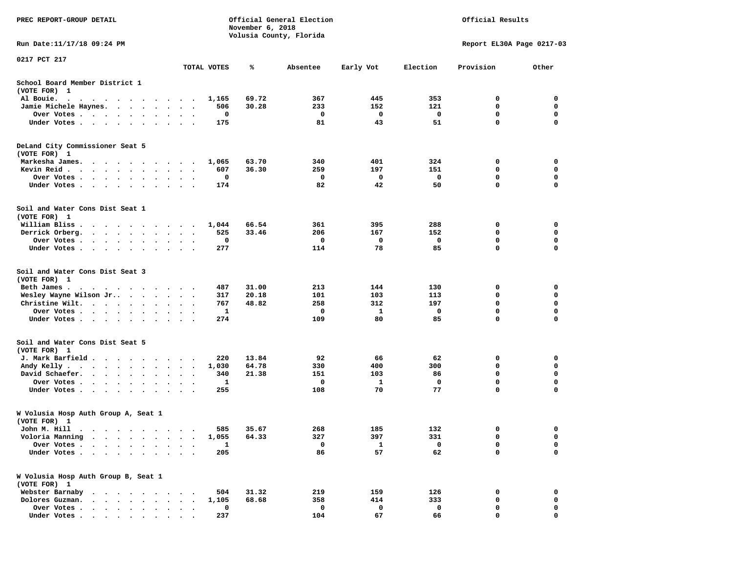| PREC REPORT-GROUP DETAIL                                                                                                                                         |                                         |             | November 6, 2018 | Official General Election<br>Volusia County, Florida |           | Official Results  |                            |                            |  |
|------------------------------------------------------------------------------------------------------------------------------------------------------------------|-----------------------------------------|-------------|------------------|------------------------------------------------------|-----------|-------------------|----------------------------|----------------------------|--|
| Run Date: 11/17/18 09:24 PM                                                                                                                                      |                                         |             |                  |                                                      |           |                   | Report EL30A Page 0217-03  |                            |  |
| 0217 PCT 217                                                                                                                                                     |                                         | TOTAL VOTES | ℁                | Absentee                                             | Early Vot | Election          | Provision                  | Other                      |  |
| School Board Member District 1                                                                                                                                   |                                         |             |                  |                                                      |           |                   |                            |                            |  |
| (VOTE FOR) 1                                                                                                                                                     |                                         |             |                  |                                                      |           |                   |                            |                            |  |
| Al Bouie.<br>. As the contract of the contract of the contract of the contract of the contract of the $\alpha$                                                   |                                         | 1,165       | 69.72            | 367                                                  | 445       | 353               | 0                          | 0                          |  |
| Jamie Michele Haynes.                                                                                                                                            | $\ddot{\phantom{0}}$                    | 506         | 30.28            | 233                                                  | 152       | 121               | 0                          | $\mathbf 0$                |  |
| Over Votes                                                                                                                                                       | $\bullet$<br>$\blacksquare$             | 0           |                  | 0                                                    | 0         | 0                 | 0                          | 0                          |  |
| Under Votes                                                                                                                                                      |                                         | 175         |                  | 81                                                   | 43        | 51                | $\mathbf 0$                | $\mathbf 0$                |  |
| DeLand City Commissioner Seat 5<br>(VOTE FOR) 1                                                                                                                  |                                         |             |                  |                                                      |           |                   |                            |                            |  |
| Markesha James.                                                                                                                                                  | $\overline{\phantom{a}}$                | 1,065       | 63.70            | 340                                                  | 401       | 324               | 0                          | 0                          |  |
| Kevin Reid                                                                                                                                                       | $\ddot{\phantom{1}}$<br>$\bullet$       | 607         | 36.30            | 259                                                  | 197       | 151               | 0                          | 0                          |  |
| Over Votes                                                                                                                                                       | $\ddot{\phantom{a}}$<br>$\bullet$       | 0           |                  | 0                                                    | 0         | 0                 | 0                          | 0                          |  |
| Under Votes<br>$\sim$                                                                                                                                            | $\sim$                                  | 174         |                  | 82                                                   | 42        | 50                | $\mathbf 0$                | 0                          |  |
| Soil and Water Cons Dist Seat 1<br>(VOTE FOR) 1                                                                                                                  |                                         |             |                  |                                                      |           |                   |                            |                            |  |
| William Bliss.                                                                                                                                                   |                                         | 1,044       | 66.54            | 361                                                  | 395       | 288               | 0                          | 0                          |  |
| Derrick Orberg.<br>$\cdot$ $\cdot$ $\cdot$ $\cdot$ $\cdot$ $\cdot$ $\cdot$                                                                                       |                                         | 525         | 33.46            | 206                                                  | 167       | 152               | 0                          | 0                          |  |
| Over Votes                                                                                                                                                       |                                         | 0           |                  | 0                                                    | 0         | 0                 | $\mathbf 0$                | 0                          |  |
| Under Votes                                                                                                                                                      |                                         | 277         |                  | 114                                                  | 78        | 85                | $\mathbf 0$                | $\mathbf 0$                |  |
| Soil and Water Cons Dist Seat 3<br>(VOTE FOR) 1                                                                                                                  |                                         |             |                  |                                                      |           |                   |                            |                            |  |
| Beth James.                                                                                                                                                      |                                         | 487         | 31.00            | 213                                                  | 144       | 130               | 0                          | 0                          |  |
| Wesley Wayne Wilson Jr                                                                                                                                           |                                         | 317         | 20.18            | 101                                                  | 103       | 113               | 0                          | 0                          |  |
| Christine Wilt.                                                                                                                                                  | $\ddot{\phantom{1}}$<br>$\bullet$       | 767         | 48.82            | 258                                                  | 312       | 197               | 0                          | $\mathbf 0$                |  |
| Over Votes<br>Under Votes                                                                                                                                        |                                         | 1<br>274    |                  | 0<br>109                                             | 1<br>80   | 0<br>85           | 0<br>$\mathbf 0$           | 0<br>$\mathbf 0$           |  |
|                                                                                                                                                                  |                                         |             |                  |                                                      |           |                   |                            |                            |  |
| Soil and Water Cons Dist Seat 5<br>(VOTE FOR) 1                                                                                                                  |                                         |             |                  |                                                      |           |                   |                            |                            |  |
| J. Mark Barfield                                                                                                                                                 |                                         | 220         | 13.84            | 92                                                   | 66        | 62                | 0                          | 0                          |  |
| Andy Kelly                                                                                                                                                       | $\ddot{\phantom{1}}$                    | 1,030       | 64.78            | 330                                                  | 400       | 300               | 0                          | 0                          |  |
| David Schaefer.                                                                                                                                                  |                                         | 340         | 21.38            | 151                                                  | 103       | 86                | $\mathbf 0$                | 0                          |  |
| Over Votes<br>Under Votes                                                                                                                                        | $\bullet$<br>$\bullet$<br>$\sim$ $\sim$ | 1<br>255    |                  | 0<br>108                                             | 1<br>70   | 0<br>77           | $\mathbf 0$<br>$\mathbf 0$ | $\mathbf 0$<br>$\mathbf 0$ |  |
|                                                                                                                                                                  |                                         |             |                  |                                                      |           |                   |                            |                            |  |
| W Volusia Hosp Auth Group A, Seat 1<br>(VOTE FOR) 1                                                                                                              |                                         |             |                  |                                                      |           |                   |                            |                            |  |
| John M. Hill                                                                                                                                                     |                                         |             | 585 35.67        | 268                                                  | 185       | 132               | 0                          | 0                          |  |
| Voloria Manning                                                                                                                                                  |                                         | 1,055       | 64.33            | 327                                                  | 397       | 331               | 0                          | 0                          |  |
| Over Votes .<br>$\cdot$ $\cdot$ $\cdot$ $\cdot$<br>$\ddot{\phantom{1}}$<br>$\sim$<br>Under Votes                                                                 |                                         | 1<br>205    |                  | 0<br>86                                              | 1<br>57   | $\mathbf 0$<br>62 | 0<br>0                     | 0<br>$\mathbf 0$           |  |
|                                                                                                                                                                  |                                         |             |                  |                                                      |           |                   |                            |                            |  |
| W Volusia Hosp Auth Group B, Seat 1<br>(VOTE FOR) 1                                                                                                              |                                         |             |                  |                                                      |           |                   |                            |                            |  |
| Webster Barnaby<br>$\begin{array}{cccccccccccccc} \bullet & \bullet & \bullet & \bullet & \bullet & \bullet & \bullet & \bullet & \bullet & \bullet \end{array}$ |                                         | 504         | 31.32            | 219                                                  | 159       | 126               | 0                          | 0                          |  |
| Dolores Guzman.<br>$\sim$ $\sim$ $\sim$ $\sim$<br>$\sim$                                                                                                         |                                         | 1,105       | 68.68            | 358                                                  | 414       | 333               | 0                          | 0                          |  |
| Over Votes .<br>$\cdot$ $\cdot$ $\cdot$ $\cdot$ $\cdot$ $\cdot$                                                                                                  |                                         | 0           |                  | 0                                                    | 0         | 0                 | 0                          | 0                          |  |
| Under Votes,                                                                                                                                                     |                                         | 237         |                  | 104                                                  | 67        | 66                | 0                          | 0                          |  |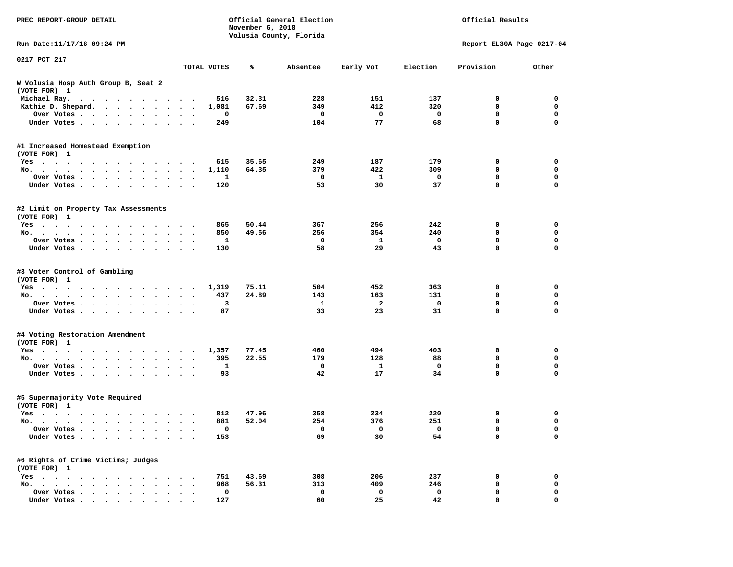| PREC REPORT-GROUP DETAIL                                                                       |                          |              | November 6, 2018 | Official General Election<br>Volusia County, Florida |                         | Official Results |                           |                  |  |
|------------------------------------------------------------------------------------------------|--------------------------|--------------|------------------|------------------------------------------------------|-------------------------|------------------|---------------------------|------------------|--|
| Run Date:11/17/18 09:24 PM                                                                     |                          |              |                  |                                                      |                         |                  | Report EL30A Page 0217-04 |                  |  |
| 0217 PCT 217                                                                                   |                          | TOTAL VOTES  | ℁                | Absentee                                             | Early Vot               | Election         | Provision                 | Other            |  |
| W Volusia Hosp Auth Group B, Seat 2<br>(VOTE FOR) 1                                            |                          |              |                  |                                                      |                         |                  |                           |                  |  |
| Michael Ray.<br>$\mathbf{a}$ . The second contribution of the second contribution $\mathbf{a}$ |                          | 516          | 32.31            | 228                                                  | 151                     | 137              | 0                         | 0                |  |
| Kathie D. Shepard.                                                                             | $\cdot$                  | 1,081        | 67.69            | 349                                                  | 412                     | 320              | $\mathbf 0$               | 0                |  |
| Over Votes<br>$\sim$<br>$\bullet$<br>$\bullet$                                                 | $\bullet$                | 0            |                  | 0                                                    | 0                       | 0                | 0                         | $\mathbf 0$      |  |
| Under Votes<br>$\ddot{\phantom{0}}$<br>$\ddot{\phantom{a}}$                                    |                          | 249          |                  | 104                                                  | 77                      | 68               | 0                         | $\mathbf 0$      |  |
| #1 Increased Homestead Exemption                                                               |                          |              |                  |                                                      |                         |                  |                           |                  |  |
| (VOTE FOR) 1                                                                                   |                          |              |                  |                                                      |                         |                  |                           |                  |  |
| Yes<br>No.                                                                                     |                          | 615<br>1,110 | 35.65<br>64.35   | 249<br>379                                           | 187<br>422              | 179<br>309       | 0<br>0                    | 0<br>$\mathbf 0$ |  |
| $\bullet$ .<br>Over Votes                                                                      | $\ddot{\phantom{1}}$     | 1            |                  | 0                                                    | 1                       | 0                | 0                         | 0                |  |
| $\cdot$<br>$\bullet$<br>Under Votes<br>$\bullet$                                               | $\bullet$ $\bullet$      | 120          |                  | 53                                                   | 30                      | 37               | 0                         | $\mathbf 0$      |  |
|                                                                                                |                          |              |                  |                                                      |                         |                  |                           |                  |  |
| #2 Limit on Property Tax Assessments<br>(VOTE FOR) 1                                           |                          |              |                  |                                                      |                         |                  |                           |                  |  |
| Yes                                                                                            |                          | 865          | 50.44            | 367                                                  | 256                     | 242              | 0                         | 0                |  |
| No.                                                                                            |                          | 850          | 49.56            | 256                                                  | 354                     | 240              | 0                         | $\mathbf 0$      |  |
| Over Votes.                                                                                    |                          | 1            |                  | 0                                                    | 1                       | 0                | 0                         | 0                |  |
| Under Votes                                                                                    |                          | 130          |                  | 58                                                   | 29                      | 43               | 0                         | 0                |  |
| #3 Voter Control of Gambling<br>(VOTE FOR) 1                                                   |                          |              |                  |                                                      |                         |                  |                           |                  |  |
| Yes                                                                                            |                          | 1,319        | 75.11            | 504                                                  | 452                     | 363              | 0                         | 0                |  |
| No.                                                                                            | $\sim$ $\sim$            | 437          | 24.89            | 143                                                  | 163                     | 131              | 0                         | 0                |  |
| Over Votes<br>$\bullet$<br>$\bullet$                                                           | $\bullet$                | з            |                  | 1                                                    | $\overline{\mathbf{2}}$ | $\mathbf 0$      | 0                         | $\mathbf 0$      |  |
| Under Votes<br>$\ddot{\phantom{a}}$                                                            |                          | 87           |                  | 33                                                   | 23                      | 31               | 0                         | $\mathbf 0$      |  |
| #4 Voting Restoration Amendment<br>(VOTE FOR) 1                                                |                          |              |                  |                                                      |                         |                  |                           |                  |  |
| Yes                                                                                            |                          | 1,357        | 77.45            | 460                                                  | 494                     | 403              | 0                         | 0                |  |
| No.<br>$\bullet$                                                                               | $\overline{\phantom{a}}$ | 395          | 22.55            | 179                                                  | 128                     | 88               | 0                         | $\mathbf 0$      |  |
| Over Votes<br>$\bullet$<br>$\bullet$                                                           |                          | 1            |                  | 0                                                    | 1                       | 0                | 0                         | 0                |  |
| Under Votes                                                                                    |                          | 93           |                  | 42                                                   | 17                      | 34               | 0                         | 0                |  |
| #5 Supermajority Vote Required<br>(VOTE FOR) 1                                                 |                          |              |                  |                                                      |                         |                  |                           |                  |  |
| Yes                                                                                            |                          | 812          | 47.96            | 358                                                  | 234                     | 220              | 0                         | 0                |  |
| No.                                                                                            |                          | 881          | 52.04            | 254                                                  | 376                     | 251              | 0                         | 0                |  |
| Over Votes                                                                                     |                          | 0            |                  | $\mathbf 0$                                          | 0                       | $\mathbf 0$      | 0                         | 0                |  |
| Under Votes                                                                                    |                          | 153          |                  | 69                                                   | 30                      | 54               | 0                         | $\mathbf 0$      |  |
| #6 Rights of Crime Victims; Judges<br>(VOTE FOR) 1                                             |                          |              |                  |                                                      |                         |                  |                           |                  |  |
| $Yes \cdot \cdot \cdot \cdot$                                                                  |                          | 751          | 43.69            | 308                                                  | 206                     | 237              | 0                         | 0                |  |
| No.                                                                                            |                          | 968          | 56.31            | 313                                                  | 409                     | 246              | 0                         | 0                |  |
| Over Votes                                                                                     |                          | $\mathbf 0$  |                  | 0                                                    | 0                       | 0                | 0                         | 0                |  |
| Under Votes                                                                                    |                          | 127          |                  | 60                                                   | 25                      | 42               | 0                         | 0                |  |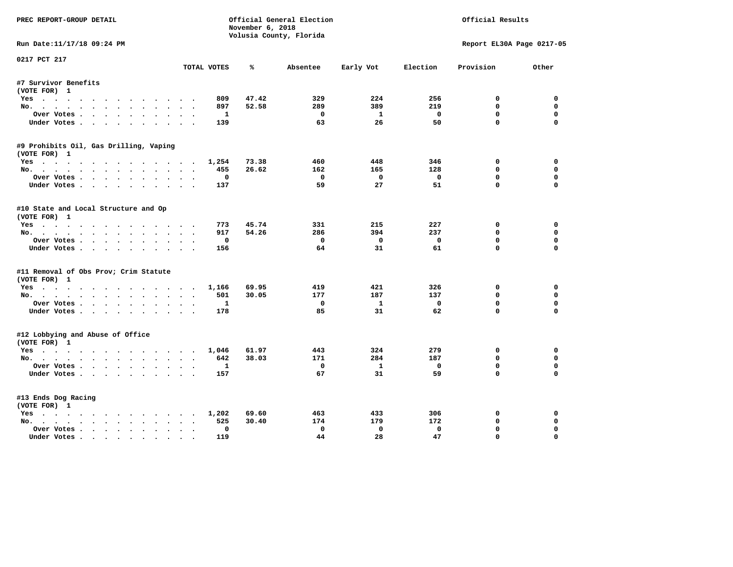| PREC REPORT-GROUP DETAIL               |                                  | November 6, 2018 | Official General Election |              | Official Results |                           |             |
|----------------------------------------|----------------------------------|------------------|---------------------------|--------------|------------------|---------------------------|-------------|
|                                        |                                  |                  | Volusia County, Florida   |              |                  |                           |             |
| Run Date:11/17/18 09:24 PM             |                                  |                  |                           |              |                  | Report EL30A Page 0217-05 |             |
| 0217 PCT 217                           | TOTAL VOTES                      | ℁                | Absentee                  | Early Vot    | Election         | Provision                 | Other       |
| #7 Survivor Benefits                   |                                  |                  |                           |              |                  |                           |             |
| (VOTE FOR) 1                           |                                  |                  |                           |              |                  |                           |             |
| Yes                                    | 809                              | 47.42            | 329                       | 224          | 256              | 0                         | 0           |
| No.                                    | 897                              | 52.58            | 289                       | 389          | 219              | $\mathbf{0}$              | $\mathbf 0$ |
| Over Votes                             | 1                                |                  | $^{\circ}$                | 1            | $\Omega$         | $\Omega$                  | $\Omega$    |
| Under Votes                            | 139                              |                  | 63                        | 26           | 50               | $\Omega$                  | $\Omega$    |
| #9 Prohibits Oil, Gas Drilling, Vaping |                                  |                  |                           |              |                  |                           |             |
| (VOTE FOR) 1                           |                                  |                  |                           |              |                  |                           |             |
| Yes                                    | 1,254                            | 73.38            | 460                       | 448          | 346              | 0                         | 0           |
| No.                                    | 455                              | 26.62            | 162                       | 165          | 128              | 0                         | $\mathbf 0$ |
| Over Votes                             | 0                                |                  | 0                         | $\mathbf 0$  | $\mathbf 0$      | $\mathbf 0$               | $\mathbf 0$ |
| Under Votes                            | 137                              |                  | 59                        | 27           | 51               | $\Omega$                  | $\Omega$    |
| #10 State and Local Structure and Op   |                                  |                  |                           |              |                  |                           |             |
| (VOTE FOR) 1                           |                                  |                  |                           |              |                  |                           |             |
| Yes                                    | 773                              | 45.74            | 331                       | 215          | 227              | 0                         | $\Omega$    |
| No.                                    | 917                              | 54.26            | 286                       | 394          | 237              | $\mathbf{0}$              | $\mathbf 0$ |
| Over Votes                             | $\mathbf 0$                      |                  | $^{\circ}$                | $\mathbf{0}$ | $\mathbf 0$      | $\mathbf 0$               | $\mathbf 0$ |
| Under Votes                            | 156                              |                  | 64                        | 31           | 61               | $\Omega$                  | $\Omega$    |
| #11 Removal of Obs Prov; Crim Statute  |                                  |                  |                           |              |                  |                           |             |
| (VOTE FOR) 1                           |                                  |                  |                           |              |                  |                           |             |
| Yes                                    | 1,166                            | 69.95            | 419                       | 421          | 326              | 0                         | $\mathbf 0$ |
| No.                                    | 501                              | 30.05            | 177                       | 187          | 137              | $\Omega$                  | 0           |
| Over Votes                             | 1                                |                  | $\mathbf 0$               | $\mathbf{1}$ | $\mathbf 0$      | $\mathbf 0$               | $\mathbf 0$ |
| Under Votes.                           | 178                              |                  | 85                        | 31           | 62               | $\Omega$                  | $\Omega$    |
| #12 Lobbying and Abuse of Office       |                                  |                  |                           |              |                  |                           |             |
| (VOTE FOR) 1                           |                                  |                  |                           |              |                  |                           |             |
| Yes                                    | 1,046                            | 61.97            | 443                       | 324          | 279              | $\mathbf 0$               | $\mathbf 0$ |
| No.                                    | 642                              | 38.03            | 171                       | 284          | 187              | $\mathbf{0}$              | $\mathbf 0$ |
| Over Votes                             | $\mathbf{1}$                     |                  | $\mathbf 0$               | $\mathbf{1}$ | $\mathbf 0$      | $\mathbf 0$               | $\mathbf 0$ |
| Under Votes                            | 157                              |                  | 67                        | 31           | 59               | $\Omega$                  | $\Omega$    |
| #13 Ends Dog Racing                    |                                  |                  |                           |              |                  |                           |             |
| (VOTE FOR) 1                           |                                  |                  |                           |              |                  |                           |             |
| Yes                                    | 1,202                            | 69.60            | 463                       | 433          | 306              | 0                         | 0           |
| No.                                    | 525                              | 30.40            | 174                       | 179          | 172              | $\mathbf 0$               | 0           |
| Over Votes                             | $\Omega$<br>$\ddot{\phantom{0}}$ |                  | $\mathbf 0$               | $\mathbf 0$  | $\mathbf 0$      | $\mathbf{0}$              | $\mathbf 0$ |
| Under Votes                            | 119                              |                  | 44                        | 28           | 47               | $\mathbf{0}$              | $\Omega$    |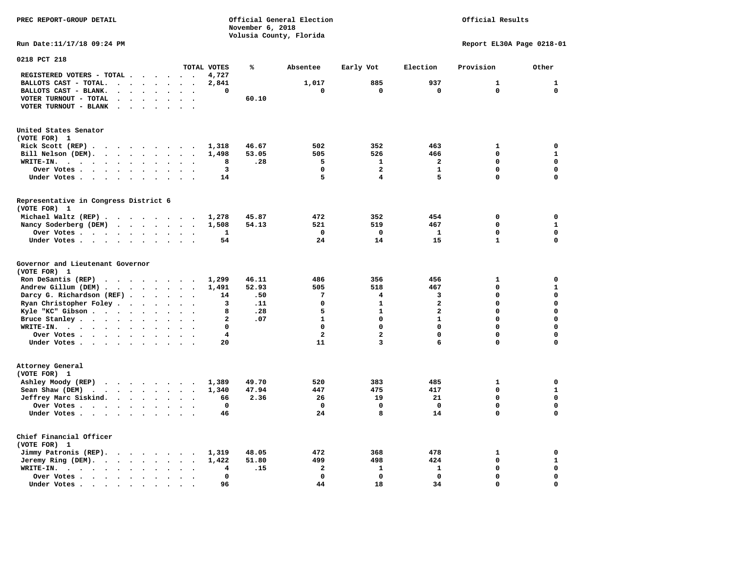|                                                                                                                                                                                  |                | November 6, 2018 |                         |                         |                         |                           |                  |
|----------------------------------------------------------------------------------------------------------------------------------------------------------------------------------|----------------|------------------|-------------------------|-------------------------|-------------------------|---------------------------|------------------|
|                                                                                                                                                                                  |                |                  | Volusia County, Florida |                         |                         |                           |                  |
| Run Date: 11/17/18 09:24 PM                                                                                                                                                      |                |                  |                         |                         |                         | Report EL30A Page 0218-01 |                  |
| 0218 PCT 218                                                                                                                                                                     |                |                  |                         |                         |                         |                           |                  |
| TOTAL VOTES                                                                                                                                                                      |                | ℁                | Absentee                | Early Vot               | Election                | Provision                 | Other            |
| REGISTERED VOTERS - TOTAL                                                                                                                                                        | 4,727          |                  |                         |                         |                         |                           |                  |
| BALLOTS CAST - TOTAL.<br>$\begin{array}{cccccccccccccc} \bullet & \bullet & \bullet & \bullet & \bullet & \bullet & \bullet & \bullet & \bullet & \bullet & \bullet \end{array}$ | 2,841          |                  | 1,017                   | 885                     | 937                     | $\mathbf{1}$              | 1                |
| BALLOTS CAST - BLANK.<br>$\mathbf{r}$ , $\mathbf{r}$ , $\mathbf{r}$<br>$\ddot{\phantom{a}}$<br>$\ddot{\phantom{a}}$                                                              | 0              |                  | 0                       | 0                       | 0                       | $\mathbf 0$               | 0                |
| VOTER TURNOUT - TOTAL<br>$\ddot{\phantom{0}}$<br>$\ddot{\phantom{0}}$<br>$\bullet$                                                                                               |                | 60.10            |                         |                         |                         |                           |                  |
| VOTER TURNOUT - BLANK<br>$\sim$ $\sim$<br>$\ddot{\phantom{a}}$<br>$\cdot$                                                                                                        |                |                  |                         |                         |                         |                           |                  |
| United States Senator<br>(VOTE FOR) 1                                                                                                                                            |                |                  |                         |                         |                         |                           |                  |
|                                                                                                                                                                                  |                |                  |                         |                         |                         |                           |                  |
| Rick Scott $(REP)$                                                                                                                                                               | 1,318          | 46.67            | 502                     | 352                     | 463                     | 1                         | 0                |
| Bill Nelson (DEM).<br>$\mathbf{r}$ , $\mathbf{r}$ , $\mathbf{r}$ , $\mathbf{r}$ , $\mathbf{r}$<br>$\sim$<br>$\ddot{\phantom{0}}$                                                 | 1,498          | 53.05            | 505                     | 526                     | 466                     | $\mathbf 0$               | 1<br>$\mathbf 0$ |
| WRITE-IN.<br>$\sim$<br>$\ddot{\phantom{1}}$<br>$\ddot{\phantom{a}}$                                                                                                              | 8              | .28              | 5                       | $\mathbf{1}$            | $\overline{a}$          | $\mathbf 0$               |                  |
| Over Votes.<br>$\cdots$<br>$\cdot$<br>$\bullet$<br>$\cdot$                                                                                                                       | 3              |                  | $\mathbf 0$             | $\overline{a}$          | $\mathbf{1}$            | $\mathbf 0$               | $\mathbf 0$      |
| Under Votes<br>$\bullet$<br>$\ddot{\phantom{1}}$                                                                                                                                 | 14             |                  | 5                       | $\overline{\mathbf{4}}$ | 5                       | $\mathbf 0$               | $\Omega$         |
| Representative in Congress District 6<br>(VOTE FOR) 1                                                                                                                            |                |                  |                         |                         |                         |                           |                  |
| Michael Waltz (REP)                                                                                                                                                              | 1,278          | 45.87            | 472                     | 352                     | 454                     | 0                         | 0                |
| Nancy Soderberg (DEM)<br>$\ddot{\phantom{0}}$                                                                                                                                    | 1,508          | 54.13            | 521                     | 519                     | 467                     | $\mathbf 0$               | $\mathbf{1}$     |
| Over Votes<br>$\ddot{\phantom{0}}$                                                                                                                                               | 1              |                  | $\mathbf 0$             | 0                       | 1                       | $\mathbf 0$               | $\mathbf 0$      |
| Under Votes<br>$\cdot$ $\cdot$<br>$\sim$                                                                                                                                         | 54             |                  | 24                      | 14                      | 15                      | $\mathbf{1}$              | $\mathbf 0$      |
|                                                                                                                                                                                  |                |                  |                         |                         |                         |                           |                  |
| Governor and Lieutenant Governor<br>(VOTE FOR) 1                                                                                                                                 |                |                  |                         |                         |                         |                           |                  |
| Ron DeSantis (REP) $\cdot \cdot \cdot \cdot \cdot \cdot$                                                                                                                         | 1,299          | 46.11            | 486                     | 356                     | 456                     | 1                         | 0                |
| Andrew Gillum (DEM)<br>$\bullet$                                                                                                                                                 | 1,491          | 52.93            | 505                     | 518                     | 467                     | $\mathbf 0$               | $\mathbf{1}$     |
| Darcy G. Richardson (REF)<br>$\sim$                                                                                                                                              | 14             | .50              | 7                       | 4                       | 3                       | $\mathbf 0$               | $\mathbf 0$      |
| Ryan Christopher Foley.<br>$\sim$ $\sim$ $\sim$ $\sim$ $\sim$<br>$\sim$ $\sim$<br>$\cdot$ .                                                                                      | з              | .11              | $\mathbf 0$             | $\mathbf{1}$            | $\overline{\mathbf{2}}$ | $\mathbf 0$               | $\mathbf 0$      |
| Kyle "KC" Gibson<br>$\ddot{\phantom{a}}$<br>$\sim$<br>$\ddot{\phantom{0}}$                                                                                                       | 8              | .28              | 5                       | $\mathbf{1}$            | $\overline{a}$          | $\mathbf 0$               | $\mathbf 0$      |
| Bruce Stanley<br>$\ddot{\phantom{1}}$<br>$\sim$                                                                                                                                  | $\overline{a}$ | .07              | $\mathbf{1}$            | $\mathbf 0$             | $\mathbf{1}$            | $\mathbf 0$               | $\Omega$         |
| WRITE-IN.<br>$\ddot{\phantom{a}}$                                                                                                                                                | 0              |                  | 0                       | $\mathbf 0$             | 0                       | $\mathbf 0$               | $\mathbf 0$      |
| Over Votes<br>$\sim$<br>$\sim$ $\sim$                                                                                                                                            | 4              |                  | $\overline{a}$          | $\overline{a}$          | $\mathbf 0$             | $\mathbf 0$               | $\mathbf 0$      |
| Under Votes<br>$\ddot{\phantom{1}}$                                                                                                                                              | 20             |                  | 11                      | 3                       | 6                       | $\mathbf 0$               | 0                |
|                                                                                                                                                                                  |                |                  |                         |                         |                         |                           |                  |
| Attorney General<br>(VOTE FOR) 1                                                                                                                                                 |                |                  |                         |                         |                         |                           |                  |
| Ashley Moody (REP)                                                                                                                                                               | 1,389          | 49.70            | 520                     | 383                     | 485                     | 1                         | 0                |
| Sean Shaw (DEM)<br>$\cdots$<br>$\bullet$<br>$\bullet$                                                                                                                            | 1,340          | 47.94            | 447                     | 475                     | 417                     | $\mathbf 0$               | $\mathbf{1}$     |
| Jeffrey Marc Siskind.<br>$\ddot{\phantom{1}}$<br>$\ddot{\phantom{a}}$<br>$\bullet$                                                                                               | 66             | 2.36             | 26                      | 19                      | 21                      | 0                         | $\Omega$         |
| Over Votes                                                                                                                                                                       | $\mathbf 0$    |                  | $\mathbf 0$             | $\mathbf 0$             | $\mathbf 0$             | $\mathbf 0$               | $\mathbf 0$      |
| Under Votes<br>$\bullet$                                                                                                                                                         | 46             |                  | 24                      | 8                       | 14                      | $\mathbf 0$               | 0                |
|                                                                                                                                                                                  |                |                  |                         |                         |                         |                           |                  |
| Chief Financial Officer<br>(VOTE FOR) 1                                                                                                                                          |                |                  |                         |                         |                         |                           |                  |
| Jimmy Patronis (REP).                                                                                                                                                            | 1,319          | 48.05            | 472                     | 368                     | 478                     | 1                         | 0                |
| Jeremy Ring (DEM).<br>$\bullet$<br>$\bullet$                                                                                                                                     | 1,422          | 51.80            | 499                     | 498                     | 424                     | 0                         | 1                |
| WRITE-IN.<br>$\cdots$<br>$\bullet$                                                                                                                                               | 4              | .15              | 2                       | $\mathbf{1}$            | 1                       | $\mathbf 0$               | $\mathbf 0$      |
| Over Votes.<br>$\cdot$ $\cdot$ $\cdot$ $\cdot$ $\cdot$<br>$\ddot{\phantom{a}}$<br>$\bullet$<br>$\ddot{\phantom{1}}$<br>$\ddot{\phantom{0}}$<br>$\ddot{\phantom{a}}$              | $\mathbf 0$    |                  | $\mathbf 0$             | $\mathbf 0$             | $\mathbf 0$             | $\mathbf 0$               | $\mathbf 0$      |
| Under Votes.<br>$\bullet \qquad \bullet \qquad \bullet$<br>$\blacksquare$                                                                                                        | 96             |                  | 44                      | 18                      | 34                      | $\Omega$                  | $\Omega$         |

Official Results

**PREC REPORT-GROUP DETAIL CONSULTS AND RESULTS Official General Election**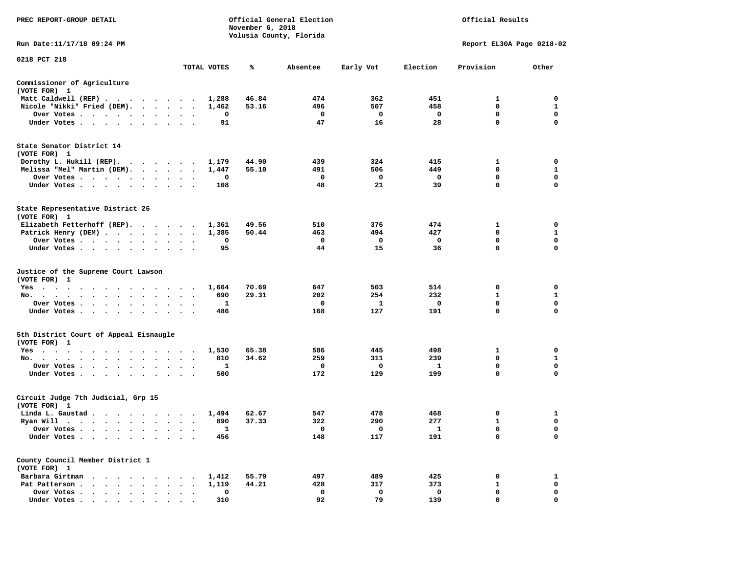| PREC REPORT-GROUP DETAIL                                                                                                                                                                                                                                                                                                                                                                                                            |                                                         |             | November 6, 2018 | Official General Election<br>Volusia County, Florida |              | Official Results        |                           |                            |  |
|-------------------------------------------------------------------------------------------------------------------------------------------------------------------------------------------------------------------------------------------------------------------------------------------------------------------------------------------------------------------------------------------------------------------------------------|---------------------------------------------------------|-------------|------------------|------------------------------------------------------|--------------|-------------------------|---------------------------|----------------------------|--|
| Run Date:11/17/18 09:24 PM                                                                                                                                                                                                                                                                                                                                                                                                          |                                                         |             |                  |                                                      |              |                         | Report EL30A Page 0218-02 |                            |  |
| 0218 PCT 218                                                                                                                                                                                                                                                                                                                                                                                                                        |                                                         | TOTAL VOTES | ℁                | Absentee                                             | Early Vot    | Election                | Provision                 | Other                      |  |
| Commissioner of Agriculture                                                                                                                                                                                                                                                                                                                                                                                                         |                                                         |             |                  |                                                      |              |                         |                           |                            |  |
| (VOTE FOR) 1                                                                                                                                                                                                                                                                                                                                                                                                                        |                                                         |             |                  |                                                      |              |                         |                           |                            |  |
| Matt Caldwell (REP)                                                                                                                                                                                                                                                                                                                                                                                                                 |                                                         | 1,288       | 46.84            | 474                                                  | 362          | 451                     | 1                         | $\mathbf 0$                |  |
| Nicole "Nikki" Fried (DEM).                                                                                                                                                                                                                                                                                                                                                                                                         |                                                         | 1,462       | 53.16            | 496                                                  | 507          | 458                     | $\Omega$                  | 1                          |  |
| Over Votes                                                                                                                                                                                                                                                                                                                                                                                                                          |                                                         | 0           |                  | 0                                                    | 0            | $\mathbf 0$             | 0                         | 0                          |  |
| Under Votes                                                                                                                                                                                                                                                                                                                                                                                                                         |                                                         | 91          |                  | 47                                                   | 16           | 28                      | $\mathbf 0$               | $\mathbf 0$                |  |
| State Senator District 14<br>(VOTE FOR) 1                                                                                                                                                                                                                                                                                                                                                                                           |                                                         |             |                  |                                                      |              |                         |                           |                            |  |
| Dorothy L. Hukill (REP).                                                                                                                                                                                                                                                                                                                                                                                                            |                                                         | 1,179       | 44.90            | 439                                                  | 324          | 415                     | 1                         | 0                          |  |
| Melissa "Mel" Martin (DEM).                                                                                                                                                                                                                                                                                                                                                                                                         |                                                         | 1,447       | 55.10            | 491                                                  | 506          | 449                     | 0                         | $\mathbf{1}$               |  |
| Over Votes                                                                                                                                                                                                                                                                                                                                                                                                                          |                                                         | 0           |                  | $\mathbf{o}$                                         | $\mathbf 0$  | $\overline{\mathbf{0}}$ | $\mathbf 0$               | $\mathbf 0$                |  |
| Under Votes<br>$\sim$                                                                                                                                                                                                                                                                                                                                                                                                               |                                                         | 108         |                  | 48                                                   | 21           | 39                      | $\mathbf 0$               | $\mathbf 0$                |  |
| State Representative District 26<br>(VOTE FOR) 1                                                                                                                                                                                                                                                                                                                                                                                    |                                                         |             |                  |                                                      |              |                         |                           |                            |  |
| Elizabeth Fetterhoff (REP).                                                                                                                                                                                                                                                                                                                                                                                                         |                                                         | 1,361       | 49.56            | 510                                                  | 376          | 474                     | $\mathbf{1}$              | $\mathbf 0$                |  |
| Patrick Henry (DEM)                                                                                                                                                                                                                                                                                                                                                                                                                 |                                                         | 1,385       | 50.44            | 463                                                  | 494          | 427                     | $\mathbf 0$               | $\mathbf{1}$               |  |
| Over Votes                                                                                                                                                                                                                                                                                                                                                                                                                          | $\bullet$<br>$\overline{\phantom{a}}$                   | 0           |                  | 0                                                    | 0            | 0                       | 0                         | 0                          |  |
| Under Votes                                                                                                                                                                                                                                                                                                                                                                                                                         |                                                         | 95          |                  | 44                                                   | 15           | 36                      | 0                         | $\mathbf 0$                |  |
| Justice of the Supreme Court Lawson<br>(VOTE FOR) 1                                                                                                                                                                                                                                                                                                                                                                                 |                                                         |             |                  |                                                      |              |                         |                           |                            |  |
| Yes                                                                                                                                                                                                                                                                                                                                                                                                                                 |                                                         | 1,664       | 70.69            | 647                                                  | 503          | 514                     | 0                         | 0                          |  |
| No.<br>$\mathbf{u} = \mathbf{u} + \mathbf{u} + \mathbf{u} + \mathbf{u} + \mathbf{u} + \mathbf{u} + \mathbf{u} + \mathbf{u} + \mathbf{u} + \mathbf{u} + \mathbf{u} + \mathbf{u} + \mathbf{u} + \mathbf{u} + \mathbf{u} + \mathbf{u} + \mathbf{u} + \mathbf{u} + \mathbf{u} + \mathbf{u} + \mathbf{u} + \mathbf{u} + \mathbf{u} + \mathbf{u} + \mathbf{u} + \mathbf{u} + \mathbf{u} + \mathbf{u} + \mathbf{u} + \mathbf{u} + \mathbf$ |                                                         | 690         | 29.31            | 202                                                  | 254          | 232                     | 1                         | 1                          |  |
| Over Votes                                                                                                                                                                                                                                                                                                                                                                                                                          | $\ddot{\phantom{a}}$<br>$\sim$<br>$\cdot$               | 1           |                  | 0                                                    | $\mathbf{1}$ | $\mathbf 0$             | $\mathbf 0$               | $\mathbf 0$<br>$\mathbf 0$ |  |
| Under Votes                                                                                                                                                                                                                                                                                                                                                                                                                         | $\cdot$ $\cdot$ $\cdot$                                 | 486         |                  | 168                                                  | 127          | 191                     | $\mathbf 0$               |                            |  |
| 5th District Court of Appeal Eisnaugle<br>(VOTE FOR) 1                                                                                                                                                                                                                                                                                                                                                                              |                                                         |             |                  |                                                      |              |                         |                           |                            |  |
| Yes                                                                                                                                                                                                                                                                                                                                                                                                                                 |                                                         | 1,530       | 65.38            | 586                                                  | 445          | 498                     | $\mathbf{1}$              | $\mathbf 0$                |  |
| No.                                                                                                                                                                                                                                                                                                                                                                                                                                 |                                                         | 810         | 34.62            | 259                                                  | 311          | 239                     | $\mathbf 0$               | $\mathbf{1}$               |  |
| Over Votes<br>$\cdot$ $\cdot$<br>$\cdot$                                                                                                                                                                                                                                                                                                                                                                                            |                                                         | 1           |                  | $\mathbf{o}$                                         | 0            | -1                      | $\mathbf 0$               | $\mathbf 0$                |  |
| Under Votes                                                                                                                                                                                                                                                                                                                                                                                                                         |                                                         | 500         |                  | 172                                                  | 129          | 199                     | $\Omega$                  | $\Omega$                   |  |
| Circuit Judge 7th Judicial, Grp 15<br>(VOTE FOR) 1                                                                                                                                                                                                                                                                                                                                                                                  |                                                         |             |                  |                                                      |              |                         |                           |                            |  |
| Linda L. Gaustad                                                                                                                                                                                                                                                                                                                                                                                                                    |                                                         | 1,494       | 62.67            | 547                                                  | 478          | 468                     | 0                         | 1                          |  |
| Ryan Will $\cdots$ $\cdots$ $\cdots$ $\cdots$                                                                                                                                                                                                                                                                                                                                                                                       |                                                         | 890         | 37.33            | 322                                                  | 290          | 277                     | 1                         | $\mathbf 0$                |  |
| Over Votes                                                                                                                                                                                                                                                                                                                                                                                                                          | $\sim$ $\sim$                                           | 1           |                  | $\mathbf{o}$                                         | 0            | 1                       | $\mathbf 0$               | $\mathbf 0$                |  |
| Under Votes<br>$\ddot{\phantom{0}}$<br>$\cdot$<br>$\cdot$                                                                                                                                                                                                                                                                                                                                                                           |                                                         | 456         |                  | 148                                                  | 117          | 191                     | $\mathbf 0$               | $\mathbf 0$                |  |
| County Council Member District 1<br>(VOTE FOR) 1                                                                                                                                                                                                                                                                                                                                                                                    |                                                         |             |                  |                                                      |              |                         |                           |                            |  |
| Barbara Girtman                                                                                                                                                                                                                                                                                                                                                                                                                     |                                                         | 1,412       | 55.79            | 497                                                  | 489          | 425                     | 0                         | 1                          |  |
| Pat Patterson                                                                                                                                                                                                                                                                                                                                                                                                                       |                                                         | 1,119       | 44.21            | 428                                                  | 317          | 373                     | 1                         | 0                          |  |
| Over Votes<br>$\ddot{\phantom{0}}$<br>$\bullet$                                                                                                                                                                                                                                                                                                                                                                                     | $\ddot{\phantom{1}}$<br>$\ddot{\phantom{a}}$<br>$\cdot$ | 0           |                  | $\mathbf 0$                                          | $\mathbf{o}$ | $\mathbf 0$             | $\mathbf 0$               | $\mathbf 0$                |  |
| Under Votes                                                                                                                                                                                                                                                                                                                                                                                                                         |                                                         | 310         |                  | 92                                                   | 79           | 139                     | $\Omega$                  | $\Omega$                   |  |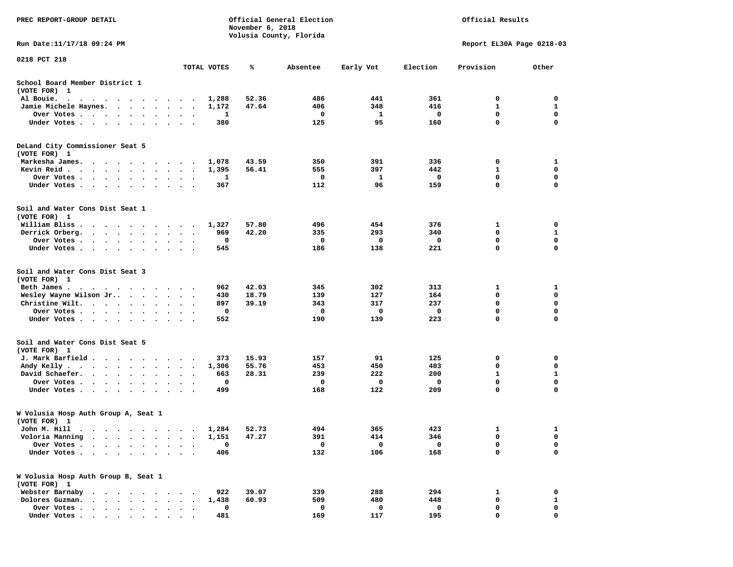| PREC REPORT-GROUP DETAIL                                                                                       |                                              |       | November 6, 2018 | Official General Election<br>Volusia County, Florida |           | Official Results |                           |             |
|----------------------------------------------------------------------------------------------------------------|----------------------------------------------|-------|------------------|------------------------------------------------------|-----------|------------------|---------------------------|-------------|
| Run Date: 11/17/18 09:24 PM                                                                                    |                                              |       |                  |                                                      |           |                  | Report EL30A Page 0218-03 |             |
| 0218 PCT 218                                                                                                   | TOTAL VOTES                                  |       | ℁                | Absentee                                             | Early Vot | Election         | Provision                 | Other       |
| School Board Member District 1                                                                                 |                                              |       |                  |                                                      |           |                  |                           |             |
| (VOTE FOR) 1                                                                                                   |                                              |       |                  |                                                      |           |                  |                           |             |
| Al Bouie.<br>$\sim$<br>$\cdots$                                                                                |                                              | 1,288 | 52.36            | 486                                                  | 441       | 361              | 0                         | 0           |
| Jamie Michele Haynes.                                                                                          |                                              | 1,172 | 47.64            | 406                                                  | 348       | 416              | 1                         | 1           |
| Over Votes<br>$\cdots$                                                                                         |                                              | 1     |                  | 0                                                    | 1         | 0                | 0                         | 0           |
| Under Votes                                                                                                    |                                              | 380   |                  | 125                                                  | 95        | 160              | 0                         | $\mathbf 0$ |
| DeLand City Commissioner Seat 5<br>(VOTE FOR) 1                                                                |                                              |       |                  |                                                      |           |                  |                           |             |
| Markesha James.                                                                                                |                                              | 1,078 | 43.59            | 350                                                  | 391       | 336              | 0                         | 1           |
| Kevin Reid $\cdots$                                                                                            |                                              | 1,395 | 56.41            | 555                                                  | 397       | 442              | 1                         | 0           |
| Over Votes                                                                                                     | $\cdot$                                      | 1     |                  | 0                                                    | 1         | 0                | $\mathbf 0$               | $\mathbf 0$ |
| Under Votes                                                                                                    | $\sim$<br>$\ddot{\phantom{1}}$               | 367   |                  | 112                                                  | 96        | 159              | 0                         | 0           |
| Soil and Water Cons Dist Seat 1<br>(VOTE FOR) 1                                                                |                                              |       |                  |                                                      |           |                  |                           |             |
| William Bliss.<br>.                                                                                            |                                              | 1,327 | 57.80            | 496                                                  | 454       | 376              | 1                         | 0           |
| Derrick Orberg.                                                                                                | $\ddot{\phantom{0}}$                         | 969   | 42.20            | 335                                                  | 293       | 340              | 0                         | 1           |
| Over Votes                                                                                                     | $\ddot{\phantom{1}}$                         | 0     |                  | 0                                                    | 0         | 0                | 0                         | 0           |
| Under Votes                                                                                                    |                                              | 545   |                  | 186                                                  | 138       | 221              | $\mathbf 0$               | $\mathbf 0$ |
| Soil and Water Cons Dist Seat 3<br>(VOTE FOR) 1                                                                |                                              |       |                  |                                                      |           |                  |                           |             |
| Beth James.<br>$\cdots$                                                                                        |                                              | 962   | 42.03            | 345                                                  | 302       | 313              | 1                         | 1           |
| Wesley Wayne Wilson Jr                                                                                         |                                              | 430   | 18.79            | 139                                                  | 127       | 164              | 0                         | 0           |
| Christine Wilt.                                                                                                |                                              | 897   | 39.19            | 343                                                  | 317       | 237              | 0                         | 0           |
| Over Votes                                                                                                     | $\bullet$ .                                  | 0     |                  | 0                                                    | 0         | 0                | $\mathbf 0$               | $\mathbf 0$ |
| Under Votes                                                                                                    |                                              | 552   |                  | 190                                                  | 139       | 223              | $\mathbf 0$               | 0           |
| Soil and Water Cons Dist Seat 5<br>(VOTE FOR) 1                                                                |                                              |       |                  |                                                      |           |                  |                           |             |
| J. Mark Barfield                                                                                               |                                              | 373   | 15.93            | 157                                                  | 91        | 125              | 0                         | 0           |
| Andy Kelly                                                                                                     | $\bullet$<br>$\ddot{\phantom{1}}$            | 1,306 | 55.76            | 453                                                  | 450       | 403              | 0                         | 0           |
| David Schaefer.<br>$\ddot{\phantom{0}}$                                                                        | $\bullet$<br>$\ddot{\phantom{0}}$<br>$\cdot$ | 663   | 28.31            | 239                                                  | 222       | 200              | 1                         | 1           |
| Over Votes<br>$\ddot{\phantom{a}}$<br>$\cdot$                                                                  |                                              | 0     |                  | 0                                                    | 0         | 0                | $\mathbf 0$               | $\mathbf 0$ |
| Under Votes<br>$\cdot$                                                                                         | $\bullet$<br>$\ddot{\phantom{1}}$            | 499   |                  | 168                                                  | 122       | 209              | $\mathbf 0$               | $\mathbf 0$ |
| W Volusia Hosp Auth Group A, Seat 1<br>(VOTE FOR) 1                                                            |                                              |       |                  |                                                      |           |                  |                           |             |
| John M. Hill<br>$\bullet$                                                                                      |                                              | 1,284 | 52.73            | 494                                                  | 365       | 423              | 1                         | 1           |
| Voloria Manning                                                                                                |                                              | 1,151 | 47.27            | 391                                                  | 414       | 346              | 0                         | 0           |
| Over Votes .                                                                                                   |                                              | 0     |                  | 0                                                    | 0         | 0                | 0                         | 0           |
| Under Votes.<br>$\bullet$<br>$\ddot{\phantom{0}}$<br>$\bullet$<br>$\ddot{\phantom{1}}$<br>$\ddot{\phantom{a}}$ |                                              | 406   |                  | 132                                                  | 106       | 168              | 0                         | $\mathbf 0$ |
| W Volusia Hosp Auth Group B, Seat 1<br>(VOTE FOR) 1                                                            |                                              |       |                  |                                                      |           |                  |                           |             |
| Webster Barnaby<br>$\sim$ $\sim$ $\sim$                                                                        |                                              | 922   | 39.07            | 339                                                  | 288       | 294              | 1                         | 0           |
| Dolores Guzman.                                                                                                |                                              | 1,438 | 60.93            | 509                                                  | 480       | 448              | 0                         | 1           |
| Over Votes<br>$\ddot{\phantom{0}}$<br>$\ddot{\phantom{a}}$<br>$\ddot{\phantom{0}}$                             |                                              | 0     |                  | 0                                                    | 0         | 0                | 0                         | 0           |
| Under Votes                                                                                                    |                                              | 481   |                  | 169                                                  | 117       | 195              | 0                         | $\mathbf 0$ |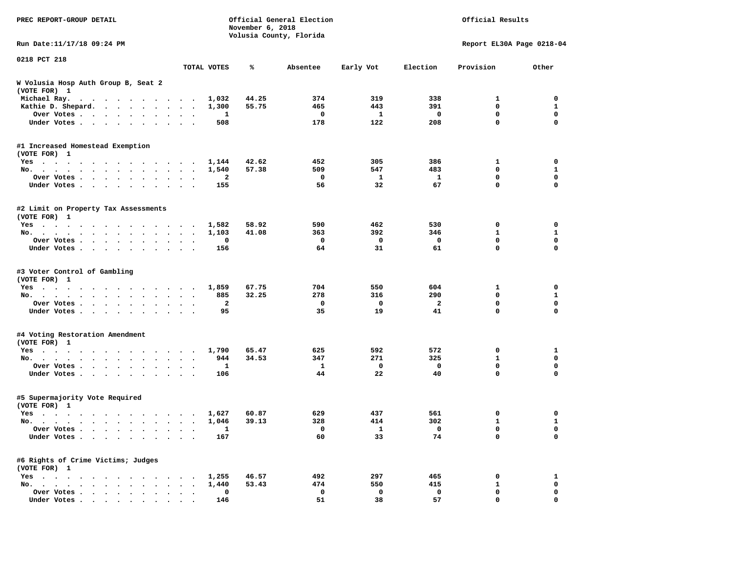| PREC REPORT-GROUP DETAIL                             |                      |                         | November 6, 2018 | Official General Election<br>Volusia County, Florida |              | Official Results |                           |              |  |
|------------------------------------------------------|----------------------|-------------------------|------------------|------------------------------------------------------|--------------|------------------|---------------------------|--------------|--|
| Run Date: 11/17/18 09:24 PM                          |                      |                         |                  |                                                      |              |                  | Report EL30A Page 0218-04 |              |  |
| 0218 PCT 218                                         |                      | TOTAL VOTES             | ℁                | Absentee                                             | Early Vot    | Election         | Provision                 | Other        |  |
| W Volusia Hosp Auth Group B, Seat 2<br>(VOTE FOR) 1  |                      |                         |                  |                                                      |              |                  |                           |              |  |
| Michael Ray.                                         |                      | 1,032                   | 44.25            | 374                                                  | 319          | 338              | 1                         | 0            |  |
| Kathie D. Shepard.                                   | $\ddot{\phantom{1}}$ | 1,300                   | 55.75            | 465                                                  | 443          | 391              | $\mathbf 0$               | 1            |  |
| Over Votes<br>$\bullet$                              | $\ddot{\phantom{0}}$ | 1                       |                  | 0                                                    | 1            | 0                | 0                         | $\mathbf 0$  |  |
| Under Votes<br>$\ddot{\phantom{0}}$                  |                      | 508                     |                  | 178                                                  | 122          | 208              | 0                         | $\mathbf 0$  |  |
| #1 Increased Homestead Exemption<br>(VOTE FOR) 1     |                      |                         |                  |                                                      |              |                  |                           |              |  |
| Yes                                                  |                      | 1,144                   | 42.62            | 452                                                  | 305          | 386              | 1                         | 0            |  |
| No.                                                  | $\ddot{\phantom{1}}$ | 1,540                   | 57.38            | 509                                                  | 547          | 483              | 0                         | $\mathbf{1}$ |  |
| Over Votes<br>$\cdot$                                |                      | 2                       |                  | 0                                                    | 1            | 1                | 0                         | 0            |  |
| Under Votes<br>$\ddot{\phantom{0}}$                  | $\ddot{\phantom{1}}$ | 155                     |                  | 56                                                   | 32           | 67               | 0                         | $\mathbf 0$  |  |
| #2 Limit on Property Tax Assessments<br>(VOTE FOR) 1 |                      |                         |                  |                                                      |              |                  |                           |              |  |
| Yes                                                  |                      | 1,582                   | 58.92            | 590                                                  | 462          | 530              | 0                         | 0            |  |
| No.                                                  |                      | 1,103                   | 41.08            | 363                                                  | 392          | 346              | 1                         | 1            |  |
| Over Votes                                           |                      | 0                       |                  | 0                                                    | 0            | 0                | 0                         | 0            |  |
| Under Votes                                          | $\sim$ $\sim$        | 156                     |                  | 64                                                   | 31           | 61               | 0                         | 0            |  |
| #3 Voter Control of Gambling<br>(VOTE FOR) 1         |                      |                         |                  |                                                      |              |                  |                           |              |  |
| Yes                                                  |                      | 1,859                   | 67.75            | 704                                                  | 550          | 604              | 1                         | 0            |  |
| No.                                                  | $\sim$ $\sim$        | 885                     | 32.25            | 278                                                  | 316          | 290              | 0                         | $\mathbf{1}$ |  |
| Over Votes<br>$\bullet$<br>$\bullet$                 | $\bullet$            | $\overline{\mathbf{2}}$ |                  | 0                                                    | 0            | $\overline{2}$   | 0                         | $\mathbf 0$  |  |
| Under Votes                                          |                      | 95                      |                  | 35                                                   | 19           | 41               | 0                         | 0            |  |
| #4 Voting Restoration Amendment<br>(VOTE FOR) 1      |                      |                         |                  |                                                      |              |                  |                           |              |  |
| Yes                                                  |                      | 1,790                   | 65.47            | 625                                                  | 592          | 572              | 0                         | 1            |  |
| No.<br>$\bullet$                                     | $\bullet$            | 944                     | 34.53            | 347                                                  | 271          | 325              | $\mathbf{1}$              | $\mathbf 0$  |  |
| Over Votes<br>$\bullet$<br>$\bullet$                 |                      | 1                       |                  | 1                                                    | $\mathbf 0$  | 0                | 0                         | 0            |  |
| Under Votes                                          |                      | 106                     |                  | 44                                                   | 22           | 40               | 0                         | 0            |  |
| #5 Supermajority Vote Required<br>(VOTE FOR) 1       |                      |                         |                  |                                                      |              |                  |                           |              |  |
| Yes                                                  |                      | 1,627                   | 60.87            | 629                                                  | 437          | 561              | 0                         | 0            |  |
| No.                                                  |                      | 1,046                   | 39.13            | 328                                                  | 414          | 302              | 1                         | 1            |  |
| Over Votes                                           |                      | 1                       |                  | $\mathbf{0}$                                         | $\mathbf{I}$ | $\mathbf 0$      | 0                         | 0            |  |
| Under Votes                                          |                      | 167                     |                  | 60                                                   | 33           | 74               | 0                         | $\mathbf 0$  |  |
| #6 Rights of Crime Victims; Judges<br>(VOTE FOR) 1   |                      |                         |                  |                                                      |              |                  |                           |              |  |
| $Yes \t . \t . \t .$                                 |                      | 1,255                   | 46.57            | 492                                                  | 297          | 465              | 0                         | $\mathbf{1}$ |  |
| No.                                                  |                      | 1,440                   | 53.43            | 474                                                  | 550          | 415              | $\mathbf{1}$              | 0            |  |
| Over Votes                                           |                      | $\mathbf 0$             |                  | 0                                                    | 0            | 0                | 0                         | 0            |  |
| Under Votes.                                         |                      | 146                     |                  | 51                                                   | 38           | 57               | 0                         | $\mathbf 0$  |  |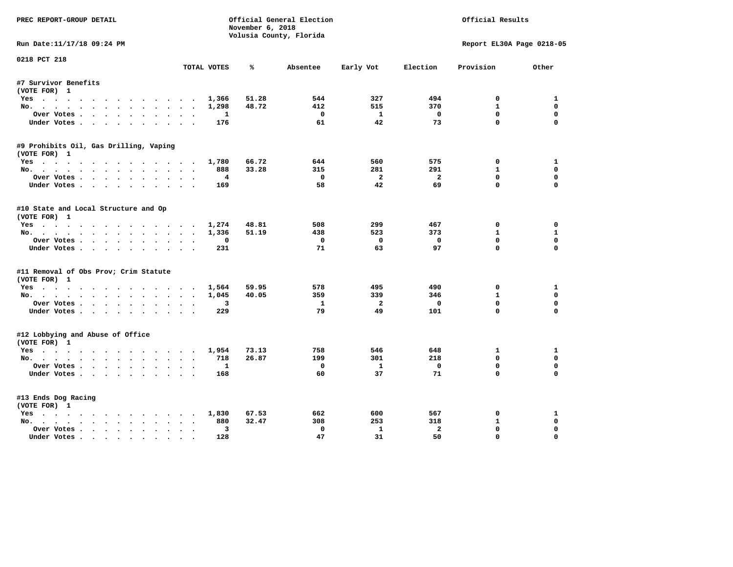| PREC REPORT-GROUP DETAIL               |             | November 6, 2018 | Official General Election |                | Official Results |                           |              |
|----------------------------------------|-------------|------------------|---------------------------|----------------|------------------|---------------------------|--------------|
|                                        |             |                  | Volusia County, Florida   |                |                  |                           |              |
| Run Date:11/17/18 09:24 PM             |             |                  |                           |                |                  | Report EL30A Page 0218-05 |              |
| 0218 PCT 218                           | TOTAL VOTES | ℁                | Absentee                  | Early Vot      | Election         | Provision                 | Other        |
|                                        |             |                  |                           |                |                  |                           |              |
| #7 Survivor Benefits<br>(VOTE FOR) 1   |             |                  |                           |                |                  |                           |              |
| Yes                                    |             | 51.28<br>1,366   | 544                       | 327            | 494              | 0                         | 1            |
| No.                                    |             | 48.72<br>1,298   | 412                       | 515            | 370              | $\mathbf{1}$              | 0            |
| Over Votes                             |             | $\mathbf{1}$     | $\mathbf{o}$              | $\mathbf{1}$   | $\mathbf 0$      | $\Omega$                  | 0            |
| Under Votes                            |             | 176              | 61                        | 42             | 73               | $\mathbf 0$               | $\mathbf 0$  |
| #9 Prohibits Oil, Gas Drilling, Vaping |             |                  |                           |                |                  |                           |              |
| (VOTE FOR) 1                           |             |                  |                           |                |                  |                           |              |
| Yes                                    |             | 66.72<br>1,780   | 644                       | 560            | 575              | 0                         | 1            |
| No.                                    |             | 33.28<br>888     | 315                       | 281            | 291              | $\mathbf{1}$              | 0            |
| Over Votes                             |             | $\overline{4}$   | $\Omega$                  | $\overline{2}$ | $\overline{2}$   | $\mathbf{0}$              | $\mathbf 0$  |
| Under Votes                            |             | 169              | 58                        | 42             | 69               | $\Omega$                  | $\mathbf 0$  |
| #10 State and Local Structure and Op   |             |                  |                           |                |                  |                           |              |
| (VOTE FOR) 1                           |             |                  |                           |                |                  |                           |              |
| Yes                                    |             | 1,274<br>48.81   | 508                       | 299            | 467              | $^{\circ}$                | $\Omega$     |
| No.                                    |             | 51.19<br>1,336   | 438                       | 523            | 373              | $\mathbf{1}$              | $\mathbf{1}$ |
| Over Votes                             |             | $\Omega$         | $^{\circ}$                | $\mathbf{0}$   | $\Omega$         | $\Omega$                  | 0            |
| Under Votes                            |             | 231              | 71                        | 63             | 97               | $\Omega$                  | $\Omega$     |
| #11 Removal of Obs Prov; Crim Statute  |             |                  |                           |                |                  |                           |              |
| (VOTE FOR) 1                           |             |                  |                           |                |                  |                           |              |
| Yes                                    |             | 59.95<br>1,564   | 578                       | 495            | 490              | 0                         | 1            |
| No.                                    |             | 40.05<br>1,045   | 359                       | 339            | 346              | $\mathbf{1}$              | 0            |
| Over Votes                             |             | 3                | 1                         | - 2            | 0                | $\mathbf{0}$              | $\mathbf 0$  |
| Under Votes                            |             | 229              | 79                        | 49             | 101              | $\mathbf 0$               | $\Omega$     |
| #12 Lobbying and Abuse of Office       |             |                  |                           |                |                  |                           |              |
| (VOTE FOR) 1                           |             |                  |                           |                |                  |                           |              |
| Yes                                    |             | 1,954<br>73.13   | 758                       | 546            | 648              | 1                         | 1            |
| No.                                    |             | 26.87<br>718     | 199                       | 301            | 218              | $\Omega$                  | $\mathbf 0$  |
| Over Votes                             |             | 1                | 0                         | $\mathbf{1}$   | $\mathbf 0$      | $\mathbf 0$               | $\mathbf 0$  |
| Under Votes                            |             | 168              | 60                        | 37             | 71               | $\Omega$                  | $\Omega$     |
| #13 Ends Dog Racing                    |             |                  |                           |                |                  |                           |              |
| (VOTE FOR) 1                           |             |                  |                           |                |                  |                           |              |
| Yes                                    |             | 1,830<br>67.53   | 662                       | 600            | 567              | $\mathbf{o}$              | 1            |
| No.                                    |             | 32.47<br>880     | 308                       | 253            | 318              | $\mathbf{1}$              | 0            |
| Over Votes                             | $\bullet$   | 3                | $\Omega$                  | $\mathbf{1}$   | $\overline{a}$   | 0                         | $\Omega$     |
| Under Votes                            |             | 128              | 47                        | 31             | 50               | $\mathbf{0}$              | $\mathbf 0$  |
|                                        |             |                  |                           |                |                  |                           |              |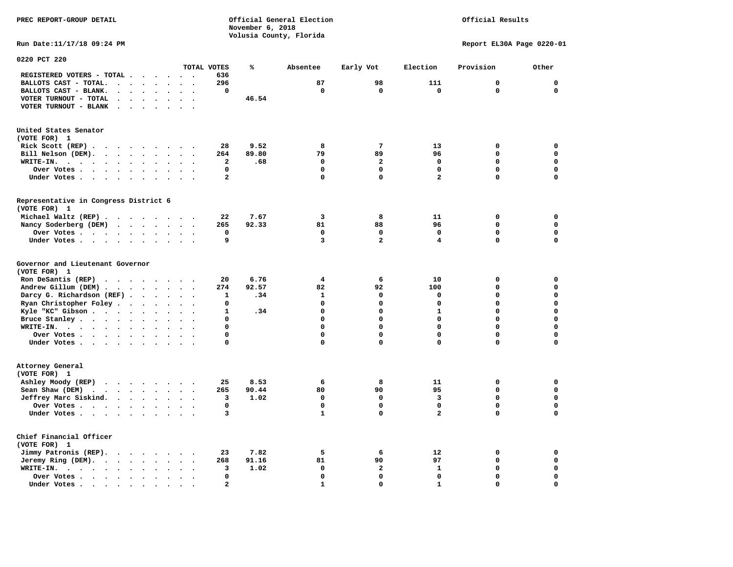## Official Results

**Run Date:11/17/18 09:24 PM Report EL30A Page 0220-01** 

| 0220 PCT 220                                                                                          |                                |                                           |                         |       |              |                |                         |              |             |
|-------------------------------------------------------------------------------------------------------|--------------------------------|-------------------------------------------|-------------------------|-------|--------------|----------------|-------------------------|--------------|-------------|
|                                                                                                       |                                |                                           | TOTAL VOTES             | %     | Absentee     | Early Vot      | Election                | Provision    | Other       |
| REGISTERED VOTERS - TOTAL .<br>$\ddot{\phantom{a}}$                                                   |                                | $\ddot{\phantom{a}}$                      | 636                     |       |              |                |                         |              |             |
| BALLOTS CAST - TOTAL.<br>$\sim$<br>$\bullet$<br>$\overline{a}$<br>$\sim$                              | $\bullet$                      | $\cdot$<br>$\bullet$                      | 296                     |       | 87           | 98             | 111                     | 0            | $\mathbf 0$ |
| BALLOTS CAST - BLANK.<br>$\ddot{\phantom{a}}$<br>$\ddot{\phantom{a}}$                                 | $\ddot{\phantom{a}}$           |                                           | 0                       |       | $\mathbf 0$  | $\mathbf 0$    | $\mathbf 0$             | $\mathbf 0$  | $\mathbf 0$ |
| VOTER TURNOUT - TOTAL<br>$\ddot{\phantom{a}}$<br>$\sim$<br>$\cdot$<br>$\ddot{\phantom{a}}$            | $\bullet$                      | $\sim$<br>$\cdot$                         |                         | 46.54 |              |                |                         |              |             |
| VOTER TURNOUT - BLANK<br>$\ddot{\phantom{a}}$<br>$\bullet$                                            |                                |                                           |                         |       |              |                |                         |              |             |
|                                                                                                       |                                |                                           |                         |       |              |                |                         |              |             |
| United States Senator<br>(VOTE FOR) 1                                                                 |                                |                                           |                         |       |              |                |                         |              |             |
| Rick Scott $(REP)$                                                                                    | $\sim$ $\sim$                  |                                           | 28                      | 9.52  | 8            | $\overline{7}$ | 13                      | 0            | 0           |
| Bill Nelson (DEM).<br>$\cdot$ $\cdot$ $\cdot$ $\cdot$ $\cdot$ $\cdot$ $\cdot$ $\cdot$                 |                                |                                           | 264                     | 89.80 | 79           | 89             | 96                      | 0            | 0           |
| WRITE-IN.<br>$\sim$ $\sim$<br>$\sim$ $\sim$ $\sim$ $\sim$<br>$\ddot{\phantom{0}}$<br>$\cdot$          | $\ddot{\phantom{a}}$           |                                           | $\overline{\mathbf{2}}$ | .68   | $\mathbf 0$  | $\overline{a}$ | $\mathbf 0$             | 0            | $\mathbf 0$ |
|                                                                                                       |                                |                                           | 0                       |       | $\mathbf 0$  | 0              | 0                       | 0            | $\mathbf 0$ |
| Over Votes .<br>$\ddot{\phantom{1}}$<br>$\cdots$<br>$\sim 100$ km s $^{-1}$<br>$\bullet$<br>$\bullet$ | $\bullet$                      |                                           |                         |       |              |                |                         |              |             |
| Under Votes.<br>$\cdot$ $\cdot$<br>$\ddot{\phantom{a}}$<br>$\sim$ $\sim$<br>$\sim$                    | $\cdot$                        |                                           | $\overline{\mathbf{2}}$ |       | $\Omega$     | 0              | $\overline{\mathbf{2}}$ | 0            | $\mathbf 0$ |
| Representative in Congress District 6<br>(VOTE FOR) 1                                                 |                                |                                           |                         |       |              |                |                         |              |             |
| Michael Waltz (REP).<br>$\cdots$                                                                      |                                |                                           | 22                      | 7.67  | 3            | 8              | 11                      | 0            | 0           |
| Nancy Soderberg (DEM)<br>$\mathbf{r}$ , $\mathbf{r}$ , $\mathbf{r}$ , $\mathbf{r}$ , $\mathbf{r}$     |                                |                                           | 265                     | 92.33 | 81           | 88             | 96                      | $\mathbf{0}$ | $\mathbf 0$ |
| Over Votes .                                                                                          |                                | $\ddot{\phantom{a}}$                      | 0                       |       | $\mathbf 0$  | 0              | 0                       | 0            | $\mathbf 0$ |
| $\bullet$                                                                                             | $\bullet$                      | $\ddot{\phantom{a}}$                      | 9                       |       | 3            | $\overline{a}$ | 4                       | 0            | $\mathbf 0$ |
| Under Votes                                                                                           | $\sim$                         | $\ddot{\phantom{0}}$                      |                         |       |              |                |                         |              |             |
| Governor and Lieutenant Governor<br>(VOTE FOR) 1                                                      |                                |                                           |                         |       |              |                |                         |              |             |
| Ron DeSantis (REP)<br>$\cdots$                                                                        |                                |                                           | 20                      | 6.76  | 4            | 6              | 10                      | 0            | $\mathbf 0$ |
| Andrew Gillum (DEM).<br>$\ddot{\phantom{1}}$<br>$\sim$<br>$\sim$ $\sim$                               | $\sim$ $\sim$                  |                                           | 274                     | 92.57 | 82           | 92             | 100                     | 0            | $\mathbf 0$ |
| Darcy G. Richardson (REF).<br>$\sim$ $\sim$ $\sim$ $\sim$                                             |                                | $\ddot{\phantom{1}}$<br>$\bullet$         | 1                       | .34   | 1            | 0              | 0                       | 0            | $\mathbf 0$ |
| Ryan Christopher Foley.<br>$\sim$ $\sim$<br>$\bullet$<br>$\ddot{\phantom{a}}$                         | $\ddot{\phantom{a}}$<br>$\sim$ |                                           | 0                       |       | $\mathbf 0$  | 0              | $\mathbf 0$             | 0            | $\mathbf 0$ |
| Kyle "KC" Gibson<br>$\sim$<br>$\bullet$                                                               | $\ddot{\phantom{a}}$           |                                           | ${\bf 1}$               | .34   | $\Omega$     | $\mathbf 0$    | $\mathbf{1}$            | $\Omega$     | $\mathbf 0$ |
| Bruce Stanley<br>$\bullet$<br>$\ddot{\phantom{a}}$                                                    | $\ddot{\phantom{a}}$           | $\cdot$<br>$\ddot{\phantom{a}}$           | 0                       |       | $\Omega$     | $\mathbf 0$    | $\Omega$                | $\Omega$     | $\mathbf 0$ |
| $W\text{RITE-IN.}$                                                                                    |                                |                                           | 0                       |       | $\Omega$     | 0              | 0                       | 0            | 0           |
| $\bullet$                                                                                             |                                |                                           |                         |       | $\mathbf 0$  | 0              | $\mathbf 0$             | $\mathbf 0$  | $\mathbf 0$ |
| Over Votes<br>$\ddot{\phantom{a}}$                                                                    | $\bullet$                      | $\sim$<br>$\cdot$                         | 0                       |       |              |                |                         |              |             |
| Under Votes<br>$\ddot{\phantom{0}}$                                                                   | $\bullet$                      |                                           | 0                       |       | 0            | $\mathbf 0$    | 0                       | 0            | $\mathbf 0$ |
| Attorney General                                                                                      |                                |                                           |                         |       |              |                |                         |              |             |
| (VOTE FOR) 1                                                                                          |                                |                                           |                         |       |              |                |                         |              |             |
| Ashley Moody (REP)<br>$\cdot$ $\cdot$ $\cdot$ $\cdot$ $\cdot$ $\cdot$                                 |                                | $\sim$ $\sim$<br>$\overline{\phantom{a}}$ | 25                      | 8.53  | 6            | 8              | 11                      | 0            | 0           |
| Sean Shaw (DEM)<br>$\sim$ $\sim$                                                                      |                                | $\cdot$                                   | 265                     | 90.44 | 80           | 90             | 95                      | 0            | $\mathbf 0$ |
| Jeffrey Marc Siskind.<br>$\mathbf{r}$ . The set of $\mathbf{r}$                                       | $\cdot$ $\cdot$                |                                           | 3                       | 1.02  | $\Omega$     | 0              | 3                       | 0            | $\mathbf 0$ |
| Over Votes.<br>$\cdots$<br>$\bullet$                                                                  | $\bullet$                      | $\bullet$                                 | $\mathbf 0$             |       | $\mathbf 0$  | $\mathbf 0$    | $\mathbf 0$             | $\Omega$     | $\mathbf 0$ |
| Under Votes<br>$\ddot{\phantom{a}}$                                                                   | $\ddot{\phantom{a}}$           | $\ddot{\phantom{0}}$                      | 3                       |       | 1            | 0              | $\mathbf{z}$            | 0            | $\mathbf 0$ |
| Chief Financial Officer<br>(VOTE FOR) 1                                                               |                                |                                           |                         |       |              |                |                         |              |             |
| Jimmy Patronis (REP).<br>$\cdot$ $\cdot$ $\cdot$ $\cdot$                                              | $\sim$                         |                                           | 23                      | 7.82  | 5            | 6              | 12                      | 0            | 0           |
| Jeremy Ring (DEM).<br>$\sim 100$ $\sim$<br>$\bullet$ .<br>$\bullet$                                   | $\bullet$                      |                                           | 268                     | 91.16 | 81           | 90             | 97                      | 0            | $\mathbf 0$ |
| WRITE-IN.<br>$\cdot$ $\cdot$ $\cdot$ $\cdot$ $\cdot$<br>$\bullet$<br>$\bullet$                        | $\bullet$                      | $\ddot{\phantom{a}}$                      | 3                       | 1.02  | $\mathbf 0$  | 2              | $\mathbf 1$             | 0            | $\mathbf 0$ |
| Over Votes.<br>$\mathbf{r}$ , $\mathbf{r}$ , $\mathbf{r}$ , $\mathbf{r}$<br>$\bullet$                 |                                |                                           | 0                       |       | $\mathbf 0$  | 0              | $\mathbf 0$             | 0            | 0           |
| Under Votes<br>$\ddot{\phantom{a}}$                                                                   |                                |                                           | $\mathbf{z}$            |       | $\mathbf{1}$ | $\Omega$       | $\mathbf{1}$            | 0            | $\mathbf 0$ |
|                                                                                                       |                                |                                           |                         |       |              |                |                         |              |             |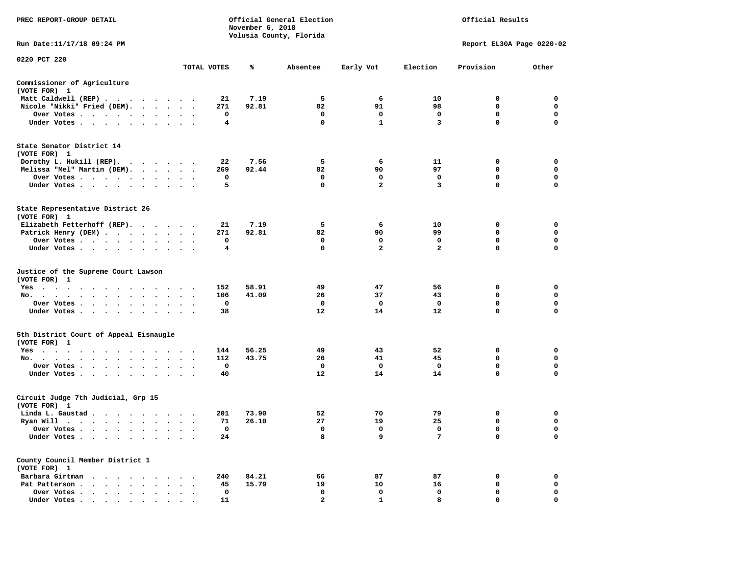| PREC REPORT-GROUP DETAIL                                                                                                                                                                           |                      |                      |                       | November 6, 2018 | Official General Election<br>Volusia County, Florida |                             | Official Results        |                                      |                                                |  |
|----------------------------------------------------------------------------------------------------------------------------------------------------------------------------------------------------|----------------------|----------------------|-----------------------|------------------|------------------------------------------------------|-----------------------------|-------------------------|--------------------------------------|------------------------------------------------|--|
| Run Date:11/17/18 09:24 PM                                                                                                                                                                         |                      |                      |                       |                  |                                                      |                             |                         | Report EL30A Page 0220-02            |                                                |  |
| 0220 PCT 220                                                                                                                                                                                       |                      |                      | TOTAL VOTES           | ℁                | Absentee                                             | Early Vot                   | Election                | Provision                            | Other                                          |  |
| Commissioner of Agriculture                                                                                                                                                                        |                      |                      |                       |                  |                                                      |                             |                         |                                      |                                                |  |
| (VOTE FOR) 1                                                                                                                                                                                       |                      |                      |                       |                  |                                                      |                             |                         |                                      |                                                |  |
| Matt Caldwell (REP)                                                                                                                                                                                |                      |                      | 21                    | 7.19             | 5                                                    | 6                           | 10                      | $\mathbf{0}$                         | 0                                              |  |
| Nicole "Nikki" Fried (DEM).                                                                                                                                                                        |                      |                      | 271                   | 92.81            | 82                                                   | 91                          | 98                      | $\mathbf 0$                          | 0                                              |  |
| Over Votes                                                                                                                                                                                         |                      |                      | 0                     |                  | $\mathbf{o}$                                         | $\mathbf 0$                 | $\mathbf 0$             | $\mathbf 0$                          | $\mathbf 0$                                    |  |
| Under Votes                                                                                                                                                                                        |                      |                      | 4                     |                  | $\mathbf 0$                                          | $\mathbf{1}$                | $\overline{\mathbf{3}}$ | $\mathbf{0}$                         | $\mathbf 0$                                    |  |
| State Senator District 14                                                                                                                                                                          |                      |                      |                       |                  |                                                      |                             |                         |                                      |                                                |  |
| (VOTE FOR) 1<br>Dorothy L. Hukill (REP).                                                                                                                                                           |                      |                      | 22                    | 7.56             | 5                                                    | 6                           | 11                      | 0                                    | $\mathbf 0$                                    |  |
| Melissa "Mel" Martin (DEM).                                                                                                                                                                        |                      |                      | 269                   | 92.44            | 82                                                   | 90                          | 97                      | $\mathbf{0}$                         | $\mathbf{0}$                                   |  |
| Over Votes                                                                                                                                                                                         |                      |                      | 0                     |                  | $^{\circ}$                                           | $^{\circ}$                  | 0                       | $\mathbf{0}$                         | $\mathbf{0}$                                   |  |
| Under Votes                                                                                                                                                                                        |                      |                      | 5                     |                  | 0                                                    | $\overline{a}$              | 3                       | 0                                    | $\mathbf 0$                                    |  |
| State Representative District 26<br>(VOTE FOR) 1                                                                                                                                                   |                      |                      |                       |                  |                                                      |                             |                         |                                      |                                                |  |
| Elizabeth Fetterhoff (REP).                                                                                                                                                                        |                      |                      | 21                    | 7.19             | 5                                                    | 6                           | 10                      | 0                                    | 0                                              |  |
| Patrick Henry (DEM)                                                                                                                                                                                |                      |                      | 271                   | 92.81            | 82                                                   | 90                          | 99                      | $\mathbf 0$                          | $\mathbf 0$                                    |  |
| Over Votes                                                                                                                                                                                         |                      | $\ddot{\phantom{1}}$ | $\mathbf 0$           |                  | $\mathbf 0$                                          | $\mathbf 0$                 | $\mathbf 0$             | $\mathbf 0$                          | $\mathbf 0$                                    |  |
| Under Votes                                                                                                                                                                                        |                      |                      | 4                     |                  | $\mathbf 0$                                          | $\overline{a}$              | $\overline{a}$          | $\mathbf 0$                          | $\Omega$                                       |  |
| Justice of the Supreme Court Lawson<br>(VOTE FOR) 1<br>$Yes \cdot \cdot \cdot$<br>$\sim$ $\sim$ $\sim$ $\sim$<br>$\sim$ , and $\sim$ , and $\sim$ , and $\sim$<br>No.<br>Over Votes<br>Under Votes |                      |                      | 152<br>106<br>0<br>38 | 58.91<br>41.09   | 49<br>26<br>$\mathbf 0$<br>12                        | 47<br>37<br>0<br>14         | 56<br>43<br>0<br>12     | 0<br>$\mathbf 0$<br>0<br>$\mathbf 0$ | $\mathbf 0$<br>$\mathbf 0$<br>$\mathbf 0$<br>0 |  |
| 5th District Court of Appeal Eisnaugle<br>(VOTE FOR) 1                                                                                                                                             |                      |                      |                       |                  |                                                      |                             |                         |                                      |                                                |  |
| Yes                                                                                                                                                                                                |                      |                      | 144                   | 56.25            | 49                                                   | 43                          | 52                      | 0                                    | $\mathbf 0$                                    |  |
| No.                                                                                                                                                                                                |                      |                      | 112                   | 43.75            | 26                                                   | 41                          | 45                      | $\mathbf 0$                          | $\mathbf 0$                                    |  |
| Over Votes                                                                                                                                                                                         |                      |                      | $\mathbf{o}$          |                  | $\mathbf{o}$                                         | $\mathbf 0$                 | $\mathbf{o}$            | $\mathbf 0$                          | $\mathbf 0$                                    |  |
| Under Votes                                                                                                                                                                                        |                      |                      | 40                    |                  | 12                                                   | 14                          | 14                      | $\mathbf 0$                          | $\Omega$                                       |  |
| Circuit Judge 7th Judicial, Grp 15<br>(VOTE FOR) 1                                                                                                                                                 |                      |                      |                       |                  |                                                      |                             |                         |                                      |                                                |  |
| Linda L. Gaustad                                                                                                                                                                                   |                      |                      | 201                   | 73.90            | 52                                                   | 70                          | 79                      | 0                                    | $\mathbf 0$                                    |  |
| Ryan Will $\cdots$ $\cdots$ $\cdots$ $\cdots$                                                                                                                                                      |                      |                      | 71                    | 26.10            | 27                                                   | 19                          | 25                      | 0                                    | 0                                              |  |
| Over Votes                                                                                                                                                                                         |                      |                      | 0                     |                  | $\mathbf 0$                                          | 0                           | 0                       | $\mathbf 0$                          | $\mathbf 0$                                    |  |
| Under Votes<br>$\blacksquare$                                                                                                                                                                      |                      |                      | 24                    |                  | 8                                                    | 9                           | $7\phantom{.0}$         | $\mathbf 0$                          | $\mathbf 0$                                    |  |
| County Council Member District 1<br>(VOTE FOR) 1                                                                                                                                                   |                      |                      |                       |                  |                                                      |                             |                         |                                      |                                                |  |
| Barbara Girtman                                                                                                                                                                                    |                      |                      | 240                   | 84.21            | 66                                                   | 87                          | 87                      | 0                                    | $\mathbf 0$                                    |  |
| Pat Patterson                                                                                                                                                                                      |                      |                      | 45                    | 15.79            | 19                                                   | 10                          | 16                      | 0                                    | 0                                              |  |
| Over Votes<br>$\ddot{\phantom{1}}$<br>Under Votes                                                                                                                                                  | $\bullet$<br>$\cdot$ |                      | 0<br>11               |                  | $\mathbf 0$<br>$\mathbf{z}$                          | $\mathbf 0$<br>$\mathbf{1}$ | $\mathbf 0$<br>8        | $\mathbf 0$<br>$\Omega$              | $\mathbf 0$<br>$\Omega$                        |  |
|                                                                                                                                                                                                    |                      |                      |                       |                  |                                                      |                             |                         |                                      |                                                |  |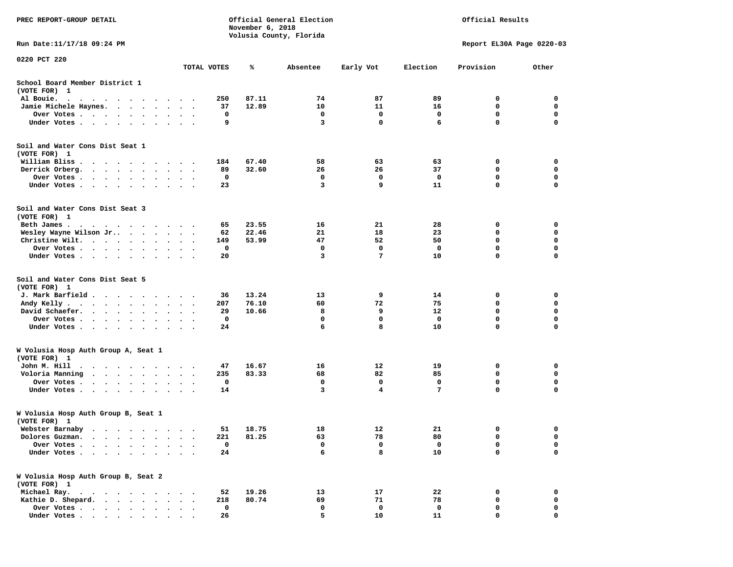| PREC REPORT-GROUP DETAIL                                                                                                                                                                                                                                                  |                      |             | November 6, 2018 | Official General Election<br>Volusia County, Florida |           | Official Results |                           |                  |  |
|---------------------------------------------------------------------------------------------------------------------------------------------------------------------------------------------------------------------------------------------------------------------------|----------------------|-------------|------------------|------------------------------------------------------|-----------|------------------|---------------------------|------------------|--|
| Run Date: 11/17/18 09:24 PM                                                                                                                                                                                                                                               |                      |             |                  |                                                      |           |                  | Report EL30A Page 0220-03 |                  |  |
| 0220 PCT 220                                                                                                                                                                                                                                                              |                      | TOTAL VOTES | ℁                | Absentee                                             | Early Vot | Election         | Provision                 | Other            |  |
| School Board Member District 1<br>(VOTE FOR) 1                                                                                                                                                                                                                            |                      |             |                  |                                                      |           |                  |                           |                  |  |
| Al Bouie.<br>. The contract of the contract of the contract of the contract of the contract of the contract of the contract of the contract of the contract of the contract of the contract of the contract of the contract of the contrac                                | $\ddot{\phantom{1}}$ | 250         | 87.11            | 74                                                   | 87        | 89               | 0                         | 0                |  |
| $\blacksquare$<br>$\bullet$<br>Jamie Michele Haynes.                                                                                                                                                                                                                      |                      | 37          | 12.89            | 10                                                   | 11        | 16               | 0                         | 0                |  |
| Over Votes                                                                                                                                                                                                                                                                |                      | 0           |                  | 0                                                    | 0         | 0                | 0                         | 0                |  |
| Under Votes                                                                                                                                                                                                                                                               |                      | 9           |                  | 3                                                    | 0         | 6                | $\mathbf 0$               | $\mathbf 0$      |  |
| Soil and Water Cons Dist Seat 1                                                                                                                                                                                                                                           |                      |             |                  |                                                      |           |                  |                           |                  |  |
| (VOTE FOR) 1                                                                                                                                                                                                                                                              |                      |             |                  |                                                      |           |                  |                           |                  |  |
| William Bliss.<br>.                                                                                                                                                                                                                                                       |                      | 184         | 67.40            | 58                                                   | 63        | 63               | 0                         | 0                |  |
| Derrick Orberg.<br>$\begin{array}{cccccccccccccc} \bullet & \bullet & \bullet & \bullet & \bullet & \bullet & \bullet & \bullet & \bullet & \bullet & \bullet \end{array}$                                                                                                | $\ddot{\phantom{1}}$ | 89          | 32.60            | 26                                                   | 26        | 37               | 0                         | 0                |  |
| Over Votes .<br>. The contract of the contract of the contract of the contract of the contract of the contract of the contract of the contract of the contract of the contract of the contract of the contract of the contract of the contrac<br>Under Votes<br>$\bullet$ | $\ddot{\phantom{1}}$ | 0<br>23     |                  | 0<br>3                                               | 0<br>9    | 0<br>11          | 0<br>0                    | 0<br>$\mathbf 0$ |  |
| Soil and Water Cons Dist Seat 3                                                                                                                                                                                                                                           |                      |             |                  |                                                      |           |                  |                           |                  |  |
| (VOTE FOR) 1                                                                                                                                                                                                                                                              |                      |             |                  |                                                      |           |                  |                           |                  |  |
| Beth James.<br>the contract of the contract of the contract of the contract of the contract of the contract of the contract of                                                                                                                                            |                      | 65          | 23.55            | 16                                                   | 21        | 28               | 0                         | 0                |  |
| Wesley Wayne Wilson Jr<br>$\cdot$                                                                                                                                                                                                                                         | $\sim$               | 62          | 22.46            | 21<br>47                                             | 18<br>52  | 23<br>50         | 0<br>$\mathbf 0$          | 0<br>$\mathbf 0$ |  |
| Christine Wilt.<br>Over Votes .                                                                                                                                                                                                                                           | $\ddot{\phantom{1}}$ | 149<br>0    | 53.99            | 0                                                    | 0         | 0                | 0                         | 0                |  |
| $\cdots$<br>$\bullet$<br>$\cdot$<br>Under Votes                                                                                                                                                                                                                           |                      | 20          |                  | 3                                                    | 7         | 10               | 0                         | 0                |  |
| $\bullet$                                                                                                                                                                                                                                                                 |                      |             |                  |                                                      |           |                  |                           |                  |  |
| Soil and Water Cons Dist Seat 5<br>(VOTE FOR) 1                                                                                                                                                                                                                           |                      |             |                  |                                                      |           |                  |                           |                  |  |
| J. Mark Barfield                                                                                                                                                                                                                                                          |                      | 36          | 13.24            | 13                                                   | 9         | 14               | 0                         | 0                |  |
| Andy Kelly.<br>$\mathbf{r}$ , and $\mathbf{r}$ , and $\mathbf{r}$ , and $\mathbf{r}$                                                                                                                                                                                      | $\ddot{\phantom{1}}$ | 207         | 76.10            | 60                                                   | 72        | 75               | 0                         | 0                |  |
| David Schaefer.<br>$\sim$ $\sim$ $\sim$ $\sim$ $\sim$ $\sim$                                                                                                                                                                                                              |                      | 29          | 10.66            | 8                                                    | 9         | 12               | $\mathbf 0$               | $\mathbf 0$      |  |
| Over Votes .<br>$\bullet$<br>$\bullet$                                                                                                                                                                                                                                    | $\bullet$<br>$\cdot$ | 0           |                  | 0                                                    | 0         | 0                | 0                         | 0                |  |
| Under Votes                                                                                                                                                                                                                                                               |                      | 24          |                  | 6                                                    | 8         | 10               | 0                         | $\mathbf 0$      |  |
| W Volusia Hosp Auth Group A, Seat 1                                                                                                                                                                                                                                       |                      |             |                  |                                                      |           |                  |                           |                  |  |
| (VOTE FOR) 1                                                                                                                                                                                                                                                              |                      |             |                  |                                                      |           |                  |                           |                  |  |
| John M. Hill<br>$\bullet$<br>$\cdot$ $\cdot$ $\cdot$ $\cdot$<br>$\sim$ $\sim$ $\sim$<br>$\cdot$                                                                                                                                                                           |                      | 47          | 16.67            | 16                                                   | 12        | 19               | 0                         | 0                |  |
| Voloria Manning<br>$\bullet$<br>$\bullet$                                                                                                                                                                                                                                 | $\ddot{\phantom{1}}$ | 235         | 83.33            | 68                                                   | 82        | 85               | 0                         | 0                |  |
| Over Votes.<br>$\cdots$                                                                                                                                                                                                                                                   |                      | 0           |                  | 0<br>3                                               | 0<br>4    | 0<br>7           | 0<br>$\mathbf 0$          | 0<br>0           |  |
| Under Votes.<br>$\cdot$ $\cdot$ $\cdot$ $\cdot$<br>$\bullet$<br>$\bullet$<br>$\bullet$                                                                                                                                                                                    |                      | 14          |                  |                                                      |           |                  |                           |                  |  |
| W Volusia Hosp Auth Group B, Seat 1                                                                                                                                                                                                                                       |                      |             |                  |                                                      |           |                  |                           |                  |  |
| (VOTE FOR) 1                                                                                                                                                                                                                                                              |                      | 51          | 18.75            | 18                                                   | 12        | 21               | 0                         | 0                |  |
| Webster Barnaby<br>Dolores Guzman.                                                                                                                                                                                                                                        |                      | 221         | 81.25            | 63                                                   | 78        | 80               | 0                         | 0                |  |
| Over Votes .                                                                                                                                                                                                                                                              |                      | 0           |                  | 0                                                    | 0         | 0                | 0                         | 0                |  |
| Under Votes.<br>$\bullet$<br>$\bullet$                                                                                                                                                                                                                                    |                      | 24          |                  | 6                                                    | 8         | 10               | 0                         | $\mathbf 0$      |  |
| W Volusia Hosp Auth Group B, Seat 2                                                                                                                                                                                                                                       |                      |             |                  |                                                      |           |                  |                           |                  |  |
| (VOTE FOR) 1                                                                                                                                                                                                                                                              |                      |             |                  |                                                      |           |                  |                           |                  |  |
| Michael Ray.<br>$\cdot$ $\cdot$ $\cdot$ $\cdot$<br>Kathie D. Shepard.                                                                                                                                                                                                     |                      | 52<br>218   | 19.26<br>80.74   | 13<br>69                                             | 17<br>71  | 22<br>78         | 0<br>$\mathbf 0$          | 0<br>0           |  |
| $\bullet$ . $\bullet$ .<br>$\ddot{\phantom{a}}$<br>$\bullet$<br>Over Votes .<br>$\ddot{\phantom{0}}$<br>$\sim$ $\sim$<br>$\ddot{\phantom{0}}$<br>$\sim$                                                                                                                   |                      | 0           |                  | 0                                                    | 0         | 0                | 0                         | 0                |  |
| Under Votes.<br>$\mathbf{r}$ , and $\mathbf{r}$ , and $\mathbf{r}$ , and $\mathbf{r}$<br>$\bullet$                                                                                                                                                                        |                      | 26          |                  | 5                                                    | 10        | 11               | 0                         | 0                |  |
|                                                                                                                                                                                                                                                                           |                      |             |                  |                                                      |           |                  |                           |                  |  |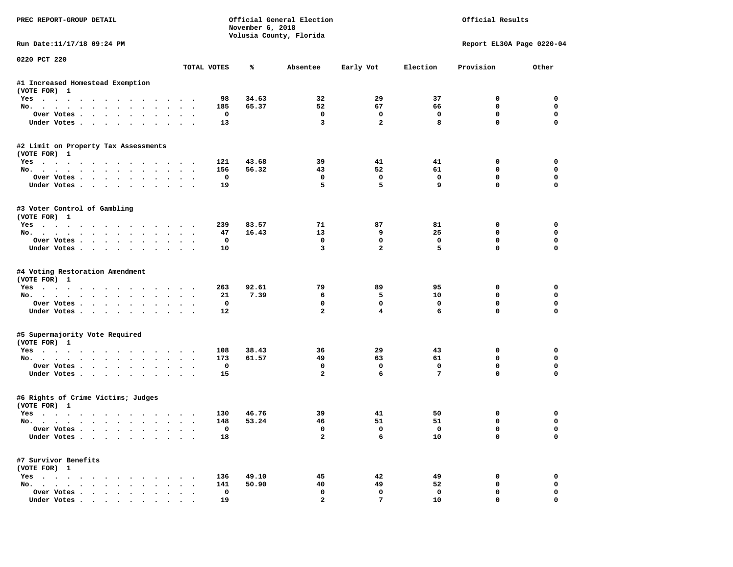| PREC REPORT-GROUP DETAIL                                                                                                                                                                                                             |               |             | November 6, 2018 | Official General Election<br>Volusia County, Florida | Official Results |             |                           |             |
|--------------------------------------------------------------------------------------------------------------------------------------------------------------------------------------------------------------------------------------|---------------|-------------|------------------|------------------------------------------------------|------------------|-------------|---------------------------|-------------|
| Run Date:11/17/18 09:24 PM                                                                                                                                                                                                           |               |             |                  |                                                      |                  |             | Report EL30A Page 0220-04 |             |
| 0220 PCT 220                                                                                                                                                                                                                         | TOTAL VOTES   |             | ℁                | Absentee                                             | Early Vot        | Election    | Provision                 | Other       |
| #1 Increased Homestead Exemption<br>(VOTE FOR) 1                                                                                                                                                                                     |               |             |                  |                                                      |                  |             |                           |             |
| Yes                                                                                                                                                                                                                                  |               | 98          | 34.63            | 32                                                   | 29               | 37          | 0                         | 0           |
| No.                                                                                                                                                                                                                                  |               | 185         | 65.37            | 52                                                   | 67               | 66          | $\mathbf 0$               | $\mathbf 0$ |
| Over Votes<br>$\ddot{\phantom{0}}$<br>$\bullet$                                                                                                                                                                                      |               | 0           |                  | 0                                                    | 0                | 0           | 0                         | 0           |
| Under Votes                                                                                                                                                                                                                          |               | 13          |                  | 3                                                    | $\overline{a}$   | 8           | $\mathbf 0$               | $\mathbf 0$ |
| #2 Limit on Property Tax Assessments<br>(VOTE FOR) 1                                                                                                                                                                                 |               |             |                  |                                                      |                  |             |                           |             |
| $Yes \cdot \cdot \cdot \cdot$<br>$\cdots$                                                                                                                                                                                            |               | 121         | 43.68            | 39                                                   | 41               | 41          | 0                         | 0           |
| No.                                                                                                                                                                                                                                  |               | 156         | 56.32            | 43                                                   | 52               | 61          | 0                         | $\mathbf 0$ |
| Over Votes                                                                                                                                                                                                                           |               | $\mathbf 0$ |                  | $\mathbf 0$                                          | $\mathbf 0$      | $\mathbf 0$ | $\mathbf 0$               | $\mathbf 0$ |
| Under Votes<br>$\ddot{\phantom{0}}$                                                                                                                                                                                                  |               | 19          |                  | 5                                                    | 5                | 9           | 0                         | 0           |
| #3 Voter Control of Gambling<br>(VOTE FOR) 1                                                                                                                                                                                         |               |             |                  |                                                      |                  |             |                           |             |
| Yes                                                                                                                                                                                                                                  |               | 239         | 83.57            | 71                                                   | 87               | 81          | 0                         | 0           |
| No.                                                                                                                                                                                                                                  | $\bullet$     | 47          | 16.43            | 13                                                   | 9                | 25          | 0                         | 0           |
| Over Votes                                                                                                                                                                                                                           |               | 0           |                  | $\mathbf 0$                                          | 0                | 0           | $\mathbf 0$               | 0           |
| Under Votes                                                                                                                                                                                                                          | $\sim$ $\sim$ | 10          |                  | 3                                                    | $\overline{a}$   | 5           | $\mathbf 0$               | $\mathbf 0$ |
| #4 Voting Restoration Amendment<br>(VOTE FOR) 1<br>Yes                                                                                                                                                                               |               | 263         | 92.61            | 79                                                   | 89               | 95          | 0                         | 0           |
| No.                                                                                                                                                                                                                                  |               | 21          | 7.39             | 6                                                    | 5                | 10          | 0                         | 0           |
| Over Votes<br>$\bullet$                                                                                                                                                                                                              | $\bullet$     | 0           |                  | 0                                                    | 0                | 0           | 0                         | 0           |
| Under Votes                                                                                                                                                                                                                          |               | 12          |                  | $\overline{a}$                                       | 4                | 6           | $\mathbf 0$               | $\mathbf 0$ |
| #5 Supermajority Vote Required<br>(VOTE FOR) 1                                                                                                                                                                                       |               |             |                  |                                                      |                  |             |                           |             |
| Yes                                                                                                                                                                                                                                  |               | 108         | 38.43            | 36                                                   | 29               | 43          | 0                         | 0           |
| No.                                                                                                                                                                                                                                  | $\sim$ $\sim$ | 173         | 61.57            | 49                                                   | 63               | 61          | 0                         | $\mathbf 0$ |
| Over Votes                                                                                                                                                                                                                           |               | 0           |                  | $\mathbf 0$                                          | 0                | 0           | $\mathbf 0$               | $\mathbf 0$ |
| Under Votes                                                                                                                                                                                                                          |               | 15          |                  | $\overline{a}$                                       | 6                | 7           | $\Omega$                  | $\Omega$    |
| #6 Rights of Crime Victims; Judges<br>(VOTE FOR) 1                                                                                                                                                                                   |               |             |                  |                                                      |                  |             |                           |             |
| Yes<br>. The contract of the contract of the contract of the contract of the contract of the contract of the contract of the contract of the contract of the contract of the contract of the contract of the contract of the contrac |               | 130         | 46.76            | 39                                                   | 41               | 50          | 0                         | 0           |
| No.<br>$\cdots$                                                                                                                                                                                                                      | $\sim$ $\sim$ | 148         | 53.24            | 46                                                   | 51               | 51          | $\mathbf 0$               | 0           |
| Over votes $\cdots$ $\cdots$ $\cdots$ $\cdots$                                                                                                                                                                                       |               | 0           |                  | 0                                                    | 0                | 0           | 0                         | 0           |
| Under Votes                                                                                                                                                                                                                          |               | 18          |                  | 2                                                    | 6                | 10          | $\mathbf 0$               | 0           |
| #7 Survivor Benefits<br>(VOTE FOR) 1                                                                                                                                                                                                 |               |             |                  |                                                      |                  |             |                           |             |
| Yes                                                                                                                                                                                                                                  |               | 136         | 49.10            | 45                                                   | 42               | 49          | 0                         | 0           |
| No.                                                                                                                                                                                                                                  |               | 141         | 50.90            | 40                                                   | 49               | 52          | 0                         | 0           |
| Over Votes                                                                                                                                                                                                                           |               | 0           |                  | 0                                                    | 0                | 0           | 0                         | 0           |
| Under Votes.<br>$\sim$ $\sim$ $\sim$ $\sim$                                                                                                                                                                                          |               | 19          |                  | $\mathbf{2}$                                         | $7\phantom{.0}$  | 10          | 0                         | $\mathbf 0$ |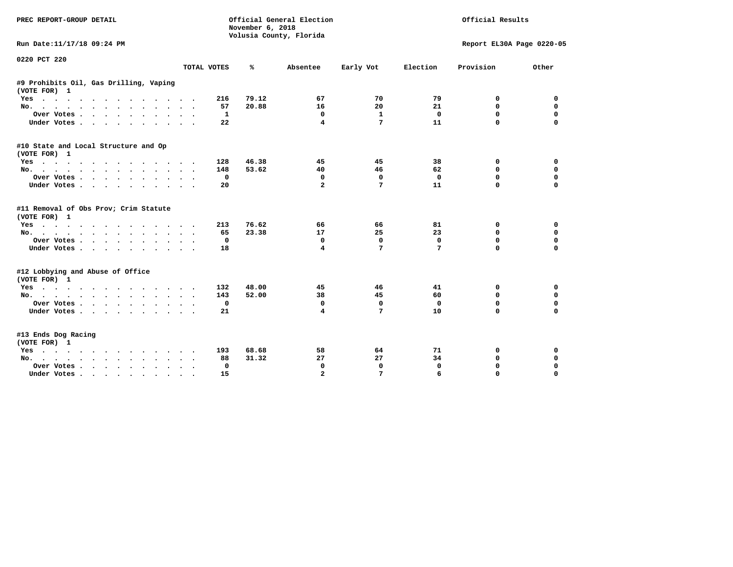| PREC REPORT-GROUP DETAIL                                                                                                                                                                                                             |                                              | November 6, 2018 | Official General Election<br>Volusia County, Florida | Official Results |              |                           |             |
|--------------------------------------------------------------------------------------------------------------------------------------------------------------------------------------------------------------------------------------|----------------------------------------------|------------------|------------------------------------------------------|------------------|--------------|---------------------------|-------------|
| Run Date:11/17/18 09:24 PM                                                                                                                                                                                                           |                                              |                  |                                                      |                  |              | Report EL30A Page 0220-05 |             |
| 0220 PCT 220                                                                                                                                                                                                                         |                                              |                  |                                                      |                  | Election     |                           |             |
|                                                                                                                                                                                                                                      | TOTAL VOTES                                  | ℁                | Absentee                                             | Early Vot        |              | Provision                 | Other       |
| #9 Prohibits Oil, Gas Drilling, Vaping<br>(VOTE FOR) 1                                                                                                                                                                               |                                              |                  |                                                      |                  |              |                           |             |
| Yes                                                                                                                                                                                                                                  | 216                                          | 79.12            | 67                                                   | 70               | 79           | 0                         | 0           |
| No.                                                                                                                                                                                                                                  | 57                                           | 20.88            | 16                                                   | 20               | 21           | 0                         | 0           |
| Over Votes                                                                                                                                                                                                                           | $\bullet$                                    | $\mathbf{1}$     | 0                                                    | $\mathbf{1}$     | $\Omega$     | $\Omega$                  | $\Omega$    |
| Under Votes                                                                                                                                                                                                                          | 22                                           |                  | 4                                                    | 7                | 11           | 0                         | $\Omega$    |
| #10 State and Local Structure and Op                                                                                                                                                                                                 |                                              |                  |                                                      |                  |              |                           |             |
| (VOTE FOR) 1                                                                                                                                                                                                                         | 128                                          | 46.38            | 45                                                   | 45               | 38           | 0                         | 0           |
| Yes<br>No.                                                                                                                                                                                                                           | 148                                          | 53.62            | 40                                                   | 46               | 62           | 0                         | $\Omega$    |
| Over Votes                                                                                                                                                                                                                           |                                              | 0                | 0                                                    | 0                | $\mathbf 0$  | $\Omega$                  | 0           |
| Under Votes                                                                                                                                                                                                                          | $\ddot{\phantom{a}}$<br>20                   |                  | $\overline{a}$                                       | 7                | 11           | 0                         | $\Omega$    |
|                                                                                                                                                                                                                                      |                                              |                  |                                                      |                  |              |                           |             |
| #11 Removal of Obs Prov; Crim Statute                                                                                                                                                                                                |                                              |                  |                                                      |                  |              |                           |             |
| (VOTE FOR) 1                                                                                                                                                                                                                         |                                              |                  |                                                      |                  |              |                           |             |
| Yes                                                                                                                                                                                                                                  | 213                                          | 76.62            | 66                                                   | 66               | 81           | 0                         | 0           |
| No.                                                                                                                                                                                                                                  | 65                                           | 23.38            | 17                                                   | 25               | 23           | 0                         | $\mathbf 0$ |
| Over Votes                                                                                                                                                                                                                           |                                              | $\Omega$         | $\mathbf 0$                                          | $\mathbf 0$      | $\mathbf 0$  | $\Omega$                  | $\mathbf 0$ |
| Under Votes                                                                                                                                                                                                                          | 18                                           |                  | 4                                                    | 7                | 7            | $\Omega$                  | $\mathbf 0$ |
| #12 Lobbying and Abuse of Office                                                                                                                                                                                                     |                                              |                  |                                                      |                  |              |                           |             |
| (VOTE FOR) 1                                                                                                                                                                                                                         |                                              |                  |                                                      |                  |              |                           |             |
| Yes                                                                                                                                                                                                                                  | 132                                          | 48.00            | 45                                                   | 46               | 41           | 0                         | 0           |
| No.                                                                                                                                                                                                                                  | 143                                          | 52.00            | 38                                                   | 45               | 60           | 0                         | $\mathbf 0$ |
| Over Votes                                                                                                                                                                                                                           |                                              | 0                | 0                                                    | 0                | 0            | 0                         | 0           |
| Under Votes                                                                                                                                                                                                                          | 21                                           |                  | 4                                                    | 7                | 10           | $\Omega$                  | $\mathbf 0$ |
| #13 Ends Dog Racing                                                                                                                                                                                                                  |                                              |                  |                                                      |                  |              |                           |             |
| (VOTE FOR) 1                                                                                                                                                                                                                         |                                              |                  |                                                      |                  |              |                           |             |
| Yes<br>. The contract of the contract of the contract of the contract of the contract of the contract of the contract of the contract of the contract of the contract of the contract of the contract of the contract of the contrac | 193                                          | 68.68            | 58                                                   | 64               | 71           | 0                         | 0           |
| No.                                                                                                                                                                                                                                  | 88                                           | 31.32            | 27                                                   | 27               | 34           | 0                         | 0           |
| Over Votes .                                                                                                                                                                                                                         | $\ddot{\phantom{0}}$<br>$\ddot{\phantom{1}}$ | 0                | $\mathbf 0$                                          | $\mathbf 0$      | $\mathbf{0}$ | $\mathbf 0$               | $\mathbf 0$ |
| Under Votes                                                                                                                                                                                                                          | 15                                           |                  | $\mathbf{z}$                                         | 7                | 6            | $\Omega$                  | $\Omega$    |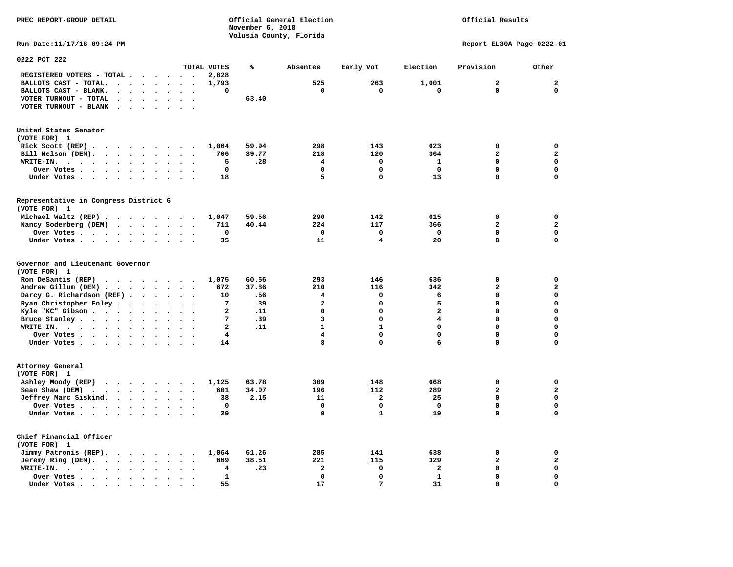**November 6, 2018 Volusia County, Florida Run Date:11/17/18 09:24 PM Report EL30A Page 0222-01 0222 PCT 222 TOTAL VOTES % Absentee Early Vot Election Provision Other REGISTERED VOTERS - TOTAL . . . . . . 2,828 BALLOTS CAST - TOTAL. . . . . . . . 1,793 525 263 1,001 2 2 BALLOTS CAST - BLANK. . . . . . . . 0 0 0 0 0 0 VOTER TURNOUT - TOTAL . . . . . . . 63.40 VOTER TURNOUT - BLANK . . . . . . . United States Senator (VOTE FOR) 1 Rick Scott (REP) . . . . . . . . . 1,064 59.94 298 143 623 0 0 Bill Nelson (DEM). . . . . . . . . 706 39.77 218 120 364 2 2 WRITE-IN. . . . . . . . . . . . 5 .28 4 0 1 0 0 Over Votes . . . . . . . . . . 0 0 0 0 0 0 Under Votes . . . . . . . . . . 18** 5 0 13 0 0 **Representative in Congress District 6 (VOTE FOR) 1 Michael Waltz (REP) . . . . . . . . 1,047 59.56 290 142 615 0 0 Nancy Soderberg (DEM) . . . . . . . 711 40.44 224 117 366 2 2 Over Votes . . . . . . . . . . 0 0 0 0 0 0**  $\Omega$  **Under Votes . . . . . . . . . . 35 11 4 20 0 0 Governor and Lieutenant Governor (VOTE FOR) 1 Ron DeSantis (REP) . . . . . . . . 1,075 60.56 293 146 636 0 0 Andrew Gillum (DEM) . . . . . . . . 672 37.86 210 116 342 2 2 Darcy G. Richardson (REF) . . . . . . 10 .56 4 0 6 0 0 Ryan Christopher Foley . . . . . . . 7 .39 2** 0 5 0 0 0<br> **Ryle "KC" Gibson . . . . . . . . . 2 .11** 0 0 2 0 0  **Kyle "KC" Gibson . . . . . . . . . 2 .11 0 0 2 0 0 Bruce Stanley . . . . . . . . . . 7 .39** 3 0 4 0 0  **WRITE-IN. . . . . . . . . . . . 2 .11 1 1 0 0 0**  $\mathbf{0}$ **Over Votes . . . . . . . . . . 4** 4 0 0 0 0 0  $\mathbf{0}$ **Under Votes . . . . . . . . . . 14** 8 0 6 0 0 **Attorney General (VOTE FOR) 1 Ashley Moody (REP) . . . . . . . . 1,125 63.78 309 148 668 0 0 Sean Shaw (DEM)** . . . . . . . . 601 34.07 196 112 289 2 2  **Jeffrey Marc Siskind. . . . . . . . 38 2.15 11 2 25 0 0 Over Votes . . . . . . . . . . 0 0 0 0 0 0**  $\mathbf 0$  **Under Votes . . . . . . . . . . 29 9 1 19 0 0 Chief Financial Officer (VOTE FOR) 1 Jimmy Patronis (REP). . . . . . . . 1,064 61.26 285 141 638 0 0 Jeremy Ring (DEM).** . . . . . . . 669 38.51 221 115 329 2 2 2  **WRITE-IN. . . . . . . . . . . . 4 .23 2 0 2 0 0 Over Votes . . . . . . . . . . 1 0 0 1 0 0**  $\mathbf{o}$  **Under Votes . . . . . . . . . . . 55** 17 31 0

**PREC REPORT-GROUP DETAIL Official General Election Official Results**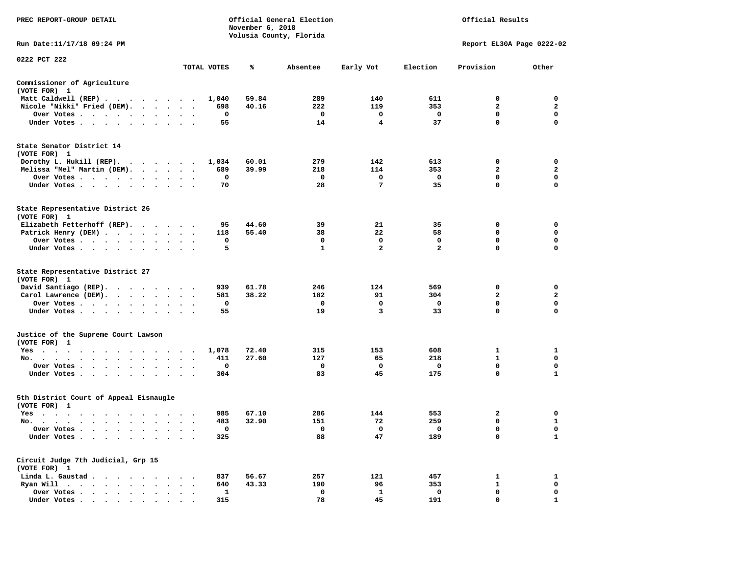| PREC REPORT-GROUP DETAIL                                                        |                                 |             | November 6, 2018 | Official General Election<br>Volusia County, Florida |                         |                | Official Results          |                |
|---------------------------------------------------------------------------------|---------------------------------|-------------|------------------|------------------------------------------------------|-------------------------|----------------|---------------------------|----------------|
| Run Date: 11/17/18 09:24 PM                                                     |                                 |             |                  |                                                      |                         |                | Report EL30A Page 0222-02 |                |
| 0222 PCT 222                                                                    |                                 | TOTAL VOTES | ℁                | Absentee                                             | Early Vot               | Election       | Provision                 | Other          |
|                                                                                 |                                 |             |                  |                                                      |                         |                |                           |                |
| Commissioner of Agriculture<br>(VOTE FOR) 1                                     |                                 |             |                  |                                                      |                         |                |                           |                |
| Matt Caldwell (REP)                                                             |                                 | 1,040       | 59.84            | 289                                                  | 140                     | 611            | 0                         | $\mathbf 0$    |
| Nicole "Nikki" Fried (DEM).                                                     |                                 | 698         | 40.16            | 222                                                  | 119                     | 353            | $\overline{2}$            | $\mathbf{2}$   |
| Over Votes                                                                      |                                 | $\mathbf 0$ |                  | $\mathbf{o}$                                         | $\mathbf 0$             | $\mathbf 0$    | $\mathbf{0}$              | $\mathbf 0$    |
| Under Votes                                                                     |                                 | 55          |                  | 14                                                   | $\overline{4}$          | 37             | $\mathbf 0$               | $\Omega$       |
| State Senator District 14<br>(VOTE FOR) 1                                       |                                 |             |                  |                                                      |                         |                |                           |                |
| Dorothy L. Hukill (REP).                                                        |                                 | 1,034       | 60.01            | 279                                                  | 142                     | 613            | 0                         | 0              |
| Melissa "Mel" Martin (DEM).                                                     |                                 | 689         | 39.99            | 218                                                  | 114                     | 353            | $\overline{2}$            | $\mathbf{2}$   |
| Over Votes                                                                      |                                 | $\mathbf 0$ |                  | $\mathbf 0$                                          | $\mathbf 0$             | $\mathbf 0$    | $\mathbf 0$               | $\mathbf 0$    |
| Under Votes                                                                     | $\cdot$ $\cdot$ $\cdot$         | 70          |                  | 28                                                   | $\overline{7}$          | 35             | $\mathbf 0$               | $\mathbf 0$    |
| State Representative District 26<br>(VOTE FOR) 1                                |                                 |             |                  |                                                      |                         |                |                           |                |
| Elizabeth Fetterhoff (REP).                                                     |                                 | 95          | 44.60            | 39                                                   | 21                      | 35             | 0                         | $\mathbf 0$    |
| Patrick Henry (DEM)                                                             |                                 | 118         | 55.40            | 38                                                   | 22                      | 58             | $\mathbf 0$               | $\mathbf 0$    |
| Over Votes                                                                      | $\ddot{\phantom{1}}$            | 0           |                  | 0                                                    | $\mathbf 0$             | $\mathbf 0$    | $\mathbf 0$               | $\mathbf 0$    |
| Under Votes                                                                     |                                 | 5           |                  | $\mathbf{1}$                                         | $\overline{\mathbf{2}}$ | $\overline{a}$ | $\mathbf 0$               | $\mathbf 0$    |
| State Representative District 27<br>(VOTE FOR) 1                                |                                 |             |                  |                                                      |                         |                |                           |                |
| David Santiago (REP).                                                           |                                 | 939         | 61.78            | 246                                                  | 124                     | 569            | 0                         | $\mathbf 0$    |
| Carol Lawrence (DEM).                                                           |                                 | 581         | 38.22            | 182                                                  | 91                      | 304            | $\overline{2}$            | $\overline{2}$ |
| Over Votes                                                                      |                                 | 0           |                  | $\mathbf 0$                                          | $\mathbf 0$             | $\mathbf 0$    | $\mathbf 0$               | $\mathbf 0$    |
| Under Votes                                                                     |                                 | 55          |                  | 19                                                   | 3                       | 33             | 0                         | 0              |
| Justice of the Supreme Court Lawson<br>(VOTE FOR) 1                             |                                 |             |                  |                                                      |                         |                |                           |                |
| Yes                                                                             |                                 | 1,078       | 72.40            | 315                                                  | 153                     | 608            | 1                         | 1              |
| No.                                                                             |                                 | 411         | 27.60            | 127                                                  | 65                      | 218            | $\mathbf{1}$              | $\mathbf 0$    |
| Over Votes<br>$\sim$<br>$\ddot{\phantom{1}}$                                    |                                 | 0           |                  | 0                                                    | 0                       | 0              | 0                         | 0              |
| Under Votes                                                                     |                                 | 304         |                  | 83                                                   | 45                      | 175            | $\mathbf 0$               | $\mathbf{1}$   |
| 5th District Court of Appeal Eisnaugle<br>(VOTE FOR) 1                          |                                 |             |                  |                                                      |                         |                |                           |                |
| Yes                                                                             |                                 | 985         | 67.10            | 286                                                  | 144                     | 553            | $\overline{\mathbf{2}}$   | $\mathbf 0$    |
| No.                                                                             |                                 | 483         | 32.90            | 151                                                  | 72                      | 259            | 0                         | 1              |
| Over Votes                                                                      |                                 | 0           |                  | $\mathbf{o}$                                         | 0                       | $\mathbf{o}$   | 0                         | $\mathbf 0$    |
| Under Votes<br>$\ddot{\phantom{1}}$<br>$\bullet$<br>$\bullet$<br>$\blacksquare$ |                                 | 325         |                  | 88                                                   | 47                      | 189            | $\mathbf 0$               | $\mathbf{1}$   |
| Circuit Judge 7th Judicial, Grp 15<br>(VOTE FOR) 1                              |                                 |             |                  |                                                      |                         |                |                           |                |
| Linda L. Gaustad                                                                |                                 | 837         | 56.67            | 257                                                  | 121                     | 457            | 1                         | 1              |
| Ryan Will $\cdots$ , $\cdots$ , $\cdots$ , $\cdots$                             |                                 | 640         | 43.33            | 190                                                  | 96                      | 353            | $\mathbf{1}$              | 0              |
| Over Votes<br>$\cdot$                                                           | $\ddot{\phantom{a}}$<br>$\cdot$ | 1           |                  | $\mathbf 0$                                          | 1                       | $\mathbf 0$    | $\mathbf 0$               | $\mathbf 0$    |
| Under Votes                                                                     |                                 | 315         |                  | 78                                                   | 45                      | 191            | $\Omega$                  | 1              |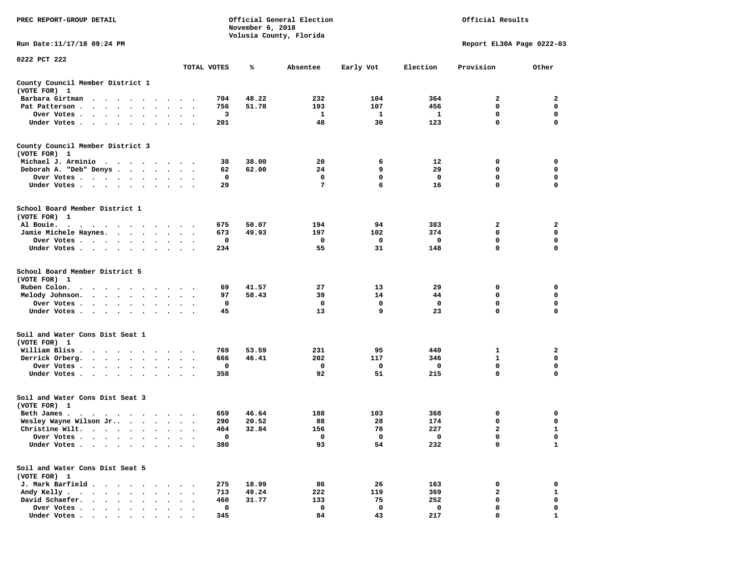| PREC REPORT-GROUP DETAIL                                                                                                                      |                                     |             | November 6, 2018 | Official General Election<br>Volusia County, Florida | Official Results |          |                           |              |  |
|-----------------------------------------------------------------------------------------------------------------------------------------------|-------------------------------------|-------------|------------------|------------------------------------------------------|------------------|----------|---------------------------|--------------|--|
| Run Date:11/17/18 09:24 PM                                                                                                                    |                                     |             |                  |                                                      |                  |          | Report EL30A Page 0222-03 |              |  |
| 0222 PCT 222                                                                                                                                  |                                     | TOTAL VOTES | ℁                | Absentee                                             | Early Vot        | Election | Provision                 | Other        |  |
| County Council Member District 1<br>(VOTE FOR) 1                                                                                              |                                     |             |                  |                                                      |                  |          |                           |              |  |
| Barbara Girtman<br>$\ddot{\phantom{1}}$<br>$\ddot{\phantom{0}}$<br>$\cdots$<br>$\sim$                                                         |                                     | 704         | 48.22            | 232                                                  | 104              | 364      | 2                         | 2            |  |
| Pat Patterson.<br>$\bullet$                                                                                                                   |                                     | 756         | 51.78            | 193                                                  | 107              | 456      | 0                         | 0            |  |
| Over Votes<br>$\bullet$                                                                                                                       | $\bullet$<br>$\cdot$                | 3           |                  | 1                                                    | 1                | 1        | 0                         | 0            |  |
| Under Votes<br>$\sim$ $\sim$                                                                                                                  |                                     | 201         |                  | 48                                                   | 30               | 123      | 0                         | 0            |  |
| County Council Member District 3                                                                                                              |                                     |             |                  |                                                      |                  |          |                           |              |  |
| (VOTE FOR) 1                                                                                                                                  |                                     |             |                  |                                                      |                  |          |                           |              |  |
| Michael J. Arminio.<br>.                                                                                                                      |                                     | 38          | 38.00            | 20                                                   | 6                | 12       | 0                         | 0            |  |
| Deborah A. "Deb" Denys                                                                                                                        | $\bullet$<br>$\bullet$              | 62<br>0     | 62.00            | 24<br>0                                              | 9<br>0           | 29<br>0  | 0<br>0                    | 0<br>0       |  |
| Over Votes<br>$\bullet$ .<br>$\cdot$<br>$\bullet$<br>Under Votes<br>$\cdot$                                                                   |                                     | 29          |                  | 7                                                    | 6                | 16       | $\mathbf 0$               | $\mathbf 0$  |  |
| School Board Member District 1<br>(VOTE FOR) 1                                                                                                |                                     |             |                  |                                                      |                  |          |                           |              |  |
| Al Bouie.<br>$\sim$ $\sim$<br>the contract of the contract of the contract of the contract of the contract of the contract of the contract of |                                     | 675         | 50.07            | 194                                                  | 94               | 383      | 2                         | 2            |  |
| Jamie Michele Haynes.<br>$\cdot$ $\cdot$ $\cdot$ $\cdot$ $\cdot$                                                                              | $\sim$ $\sim$                       | 673         | 49.93            | 197                                                  | 102              | 374      | 0                         | 0            |  |
| Over Votes                                                                                                                                    |                                     | 0           |                  | 0                                                    | 0                | 0        | 0                         | 0            |  |
| Under Votes                                                                                                                                   |                                     | 234         |                  | 55                                                   | 31               | 148      | 0                         | 0            |  |
| School Board Member District 5<br>(VOTE FOR) 1                                                                                                |                                     |             |                  |                                                      |                  |          |                           |              |  |
| Ruben Colon.<br>$\bullet$<br>$\cdot$<br>$\cdot$<br>$\cdot$ $\cdot$ $\cdot$ $\cdot$                                                            |                                     | 69          | 41.57            | 27                                                   | 13               | 29       | 0                         | 0            |  |
| Melody Johnson.<br>$\cdots$                                                                                                                   |                                     | 97          | 58.43            | 39                                                   | 14               | 44       | 0                         | 0            |  |
| Over Votes                                                                                                                                    | $\bullet$                           | 0           |                  | 0                                                    | 0                | 0        | 0                         | 0            |  |
| Under Votes<br>$\ddot{\phantom{1}}$                                                                                                           |                                     | 45          |                  | 13                                                   | 9                | 23       | 0                         | 0            |  |
| Soil and Water Cons Dist Seat 1<br>(VOTE FOR) 1                                                                                               |                                     |             |                  |                                                      |                  |          |                           |              |  |
| William Bliss.<br>$\sim$<br>$\sim$<br>$\cdots$                                                                                                |                                     | 769         | 53.59            | 231                                                  | 95               | 440      | 1                         | 2            |  |
| Derrick Orberg.<br>$\cdot$ $\cdot$ $\cdot$ $\cdot$ $\cdot$<br>$\bullet$                                                                       | $\bullet$<br>$\bullet$<br>$\bullet$ | 666         | 46.41            | 202                                                  | 117              | 346      | 1                         | 0            |  |
| Over Votes .<br>$\cdots$                                                                                                                      |                                     | 0           |                  | 0                                                    | 0                | 0        | 0                         | 0            |  |
| Under Votes<br>$\bullet$                                                                                                                      |                                     | 358         |                  | 92                                                   | 51               | 215      | 0                         | $\mathbf 0$  |  |
| Soil and Water Cons Dist Seat 3<br>(VOTE FOR) 1                                                                                               |                                     |             |                  |                                                      |                  |          |                           |              |  |
| Beth James.<br>$\mathbf{a}$ . The second contribution of the second contribution of the second contribution of the $\mathbf{a}$               |                                     | 659         | 46.64            | 188                                                  | 103              | 368      | 0                         | 0            |  |
| Wesley Wayne Wilson Jr                                                                                                                        | $\ddotsc$                           | 290         | 20.52            | 88                                                   | 28               | 174      | 0                         | 0            |  |
| Christine Wilt.                                                                                                                               |                                     | 464         | 32.84            | 156                                                  | 78               | 227      | $\overline{a}$            | 1            |  |
| Over Votes .<br>$\bullet$                                                                                                                     |                                     | 0           |                  | 0                                                    | 0                | 0        | 0                         | 0            |  |
| Under Votes.<br>$\ddot{\phantom{a}}$<br>$\ddot{\phantom{a}}$<br>$\ddot{\phantom{a}}$                                                          |                                     | 380         |                  | 93                                                   | 54               | 232      | 0                         | $\mathbf{1}$ |  |
| Soil and Water Cons Dist Seat 5<br>(VOTE FOR) 1                                                                                               |                                     |             |                  |                                                      |                  |          |                           |              |  |
| J. Mark Barfield.<br>$\ddot{\phantom{a}}$<br>$\ddot{\phantom{a}}$                                                                             |                                     | 275         | 18.99            | 86                                                   | 26               | 163      | 0                         | 0            |  |
| Andy Kelly.<br>$\ddot{\phantom{0}}$<br>$\cdot$ $\cdot$ $\cdot$ $\cdot$                                                                        |                                     | 713         | 49.24            | 222                                                  | 119              | 369      | $\overline{a}$            | $\mathbf{1}$ |  |
| David Schaefer.<br>$\cdot$ $\cdot$ $\cdot$<br>$\sim$                                                                                          |                                     | 460         | 31.77            | 133                                                  | 75               | 252      | 0                         | 0            |  |
| Over Votes .<br>$\cdot$ $\cdot$ $\cdot$ $\cdot$ $\cdot$                                                                                       |                                     | 0           |                  | 0                                                    | 0                | 0        | 0                         | 0            |  |
| Under Votes                                                                                                                                   |                                     | 345         |                  | 84                                                   | 43               | 217      | $\Omega$                  |              |  |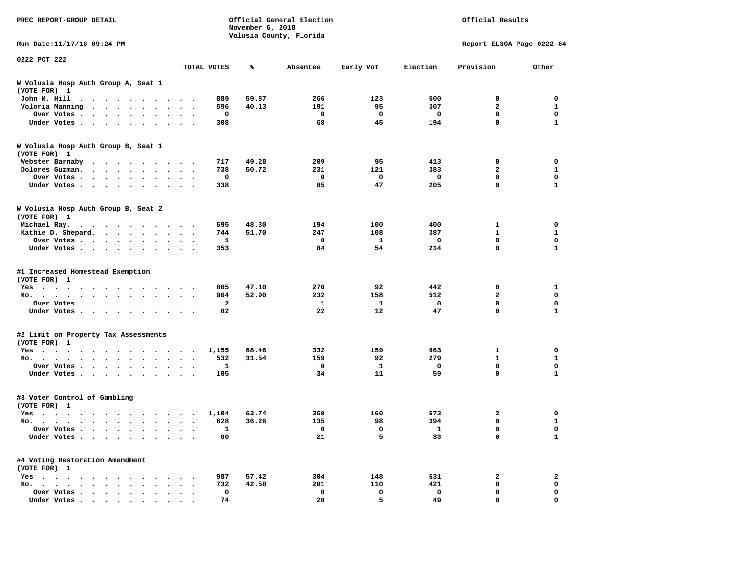| PREC REPORT-GROUP DETAIL                                                                                                                                                                                                                                     |                                                  |              | November 6, 2018 | Official General Election<br>Volusia County, Florida |              |             | Official Results          |                             |
|--------------------------------------------------------------------------------------------------------------------------------------------------------------------------------------------------------------------------------------------------------------|--------------------------------------------------|--------------|------------------|------------------------------------------------------|--------------|-------------|---------------------------|-----------------------------|
| Run Date: 11/17/18 09:24 PM                                                                                                                                                                                                                                  |                                                  |              |                  |                                                      |              |             | Report EL30A Page 0222-04 |                             |
| 0222 PCT 222                                                                                                                                                                                                                                                 |                                                  | TOTAL VOTES  | ℁                | Absentee                                             | Early Vot    | Election    | Provision                 | Other                       |
|                                                                                                                                                                                                                                                              |                                                  |              |                  |                                                      |              |             |                           |                             |
| W Volusia Hosp Auth Group A, Seat 1<br>(VOTE FOR) 1                                                                                                                                                                                                          |                                                  |              |                  |                                                      |              |             |                           |                             |
| John M. Hill                                                                                                                                                                                                                                                 |                                                  | 889          | 59.87            | 266                                                  | 123          | 500         | 0                         | $\mathbf 0$                 |
| Voloria Manning                                                                                                                                                                                                                                              |                                                  | 596          | 40.13            | 191                                                  | 95           | 307         | $\overline{2}$            | $\mathbf{1}$                |
| Over Votes                                                                                                                                                                                                                                                   |                                                  | 0            |                  | $\mathbf 0$                                          | $\mathbf 0$  | $\mathbf 0$ | $\mathbf 0$               | $\mathbf 0$                 |
| Under Votes                                                                                                                                                                                                                                                  | $\sim$ $\sim$ $\sim$                             | 308          |                  | 68                                                   | 45           | 194         | $\mathbf 0$               | $\mathbf{1}$                |
| W Volusia Hosp Auth Group B, Seat 1<br>(VOTE FOR) 1                                                                                                                                                                                                          |                                                  |              |                  |                                                      |              |             |                           |                             |
| Webster Barnaby                                                                                                                                                                                                                                              |                                                  | 717          | 49.28            | 209                                                  | 95           | 413         | 0                         | 0                           |
| Dolores Guzman.                                                                                                                                                                                                                                              |                                                  | 738          | 50.72            | 231                                                  | 121          | 383         | $\overline{2}$            | $\mathbf{1}$                |
| Over Votes                                                                                                                                                                                                                                                   |                                                  | $\Omega$     |                  | $\Omega$                                             | $\Omega$     | 0           | $\mathbf 0$               | $\mathbf{0}$                |
| Under Votes<br>$\cdot$                                                                                                                                                                                                                                       |                                                  | 338          |                  | 85                                                   | 47           | 205         | 0                         | $\mathbf{1}$                |
| W Volusia Hosp Auth Group B, Seat 2<br>(VOTE FOR) 1                                                                                                                                                                                                          |                                                  |              |                  |                                                      |              |             |                           |                             |
| Michael Ray.                                                                                                                                                                                                                                                 |                                                  | 695          | 48.30            | 194                                                  | 100          | 400         | 1                         | 0                           |
| Kathie D. Shepard.                                                                                                                                                                                                                                           |                                                  | 744          | 51.70            | 247                                                  | 108          | 387         | $\mathbf{1}$              | $\mathbf{1}$                |
| Over Votes<br>$\ddot{\phantom{1}}$                                                                                                                                                                                                                           | $\bullet$                                        | $\mathbf{1}$ |                  | $\mathbf 0$                                          | $\mathbf{1}$ | $\mathbf 0$ | $\mathbf 0$               | $\mathbf 0$                 |
| Under Votes                                                                                                                                                                                                                                                  |                                                  | 353          |                  | 84                                                   | 54           | 214         | $\mathbf 0$               | $\mathbf{1}$                |
| #1 Increased Homestead Exemption<br>(VOTE FOR) 1                                                                                                                                                                                                             |                                                  |              |                  |                                                      |              |             |                           |                             |
| $Yes \t . \t .$<br>$\cdots$<br>. The contract of the contract of the contract of the contract of the contract of the contract of the contract of the contract of the contract of the contract of the contract of the contract of the contract of the contrac |                                                  | 805          | 47.10            | 270                                                  | 92           | 442         | $\mathbf 0$               | $\mathbf{1}$<br>$\mathbf 0$ |
| No.<br>$\mathbf{r}$ , and $\mathbf{r}$ , and $\mathbf{r}$ , and $\mathbf{r}$<br>$\sim$<br>$\cdot$ $\cdot$ $\cdot$                                                                                                                                            |                                                  | 904          | 52.90            | 232                                                  | 158          | 512         | $\overline{2}$            |                             |
| Over Votes<br>$\ddot{\phantom{1}}$                                                                                                                                                                                                                           | $\ddot{\phantom{a}}$<br>$\overline{\phantom{a}}$ | 2            |                  | 1                                                    | 1            | 0           | 0                         | 0                           |
| Under Votes<br>$\sim$<br>$\sim$                                                                                                                                                                                                                              | $\sim$ $\sim$                                    | 82           |                  | 22                                                   | 12           | 47          | $\mathbf 0$               | $\mathbf{1}$                |
| #2 Limit on Property Tax Assessments<br>(VOTE FOR) 1                                                                                                                                                                                                         |                                                  |              |                  |                                                      |              |             |                           |                             |
| Yes                                                                                                                                                                                                                                                          |                                                  | 1,155        | 68.46            | 332                                                  | 159          | 663         | 1                         | $\mathbf 0$                 |
| No.<br>$\sim$                                                                                                                                                                                                                                                | $\ddot{\phantom{a}}$                             | 532          | 31.54            | 159                                                  | 92           | 279         | $\mathbf{1}$              | $\mathbf{1}$                |
| Over Votes<br>$\sim$<br>$\cdot$                                                                                                                                                                                                                              |                                                  | 1            |                  | 0                                                    | 1            | 0           | $\mathbf 0$               | $\mathbf 0$                 |
| Under Votes                                                                                                                                                                                                                                                  |                                                  | 105          |                  | 34                                                   | 11           | 59          | $\mathbf 0$               | $\mathbf{1}$                |
| #3 Voter Control of Gambling<br>(VOTE FOR) 1                                                                                                                                                                                                                 |                                                  |              |                  |                                                      |              |             |                           |                             |
| Yes                                                                                                                                                                                                                                                          |                                                  | 1,104        | 63.74            | 369                                                  | 160          | 573         | 2                         | $\mathbf 0$                 |
| No.<br>$\sim$<br>$\sim$ $\sim$ $\sim$<br>$\sim$<br>$\ddot{\phantom{0}}$                                                                                                                                                                                      | $\ddotsc$                                        | 628          | 36.26            | 135                                                  | 98           | 394         | 0                         | 1                           |
| Over Votes<br>$\sim$<br>$\sim$<br>$\ddot{\phantom{a}}$                                                                                                                                                                                                       | $\ddot{\phantom{a}}$                             | 1            |                  | 0                                                    | 0            | 1           | $\mathbf 0$               | $\mathbf 0$                 |
| Under Votes<br>$\ddot{\phantom{1}}$<br>$\cdot$<br>$\bullet$                                                                                                                                                                                                  |                                                  | 60           |                  | 21                                                   | 5            | 33          | $\mathbf 0$               | $\mathbf{1}$                |
| #4 Voting Restoration Amendment<br>(VOTE FOR) 1                                                                                                                                                                                                              |                                                  |              |                  |                                                      |              |             |                           |                             |
| $Yes \t . \t .$<br>the contract of the contract of the contract of the contract of the contract of the contract of the contract of                                                                                                                           |                                                  | 987          | 57.42            | 304                                                  | 148          | 531         | $\overline{2}$            | $\overline{a}$              |
| No.                                                                                                                                                                                                                                                          | $\cdot$ $\cdot$ $\cdot$                          | 732          | 42.58            | 201                                                  | 110          | 421         | 0                         | 0                           |
| Over Votes.<br>$\sim$ $\sim$ $\sim$<br>$\sim$<br>$\bullet$<br>$\ddot{\phantom{0}}$<br>$\cdot$                                                                                                                                                                | $\ddot{\phantom{a}}$                             | 0            |                  | $\mathbf 0$                                          | $\mathbf 0$  | $\mathbf 0$ | $\mathbf 0$               | $\mathbf 0$                 |
| Under Votes                                                                                                                                                                                                                                                  |                                                  | 74           |                  | 20                                                   | 5.           | 49          | $\Omega$                  | $\Omega$                    |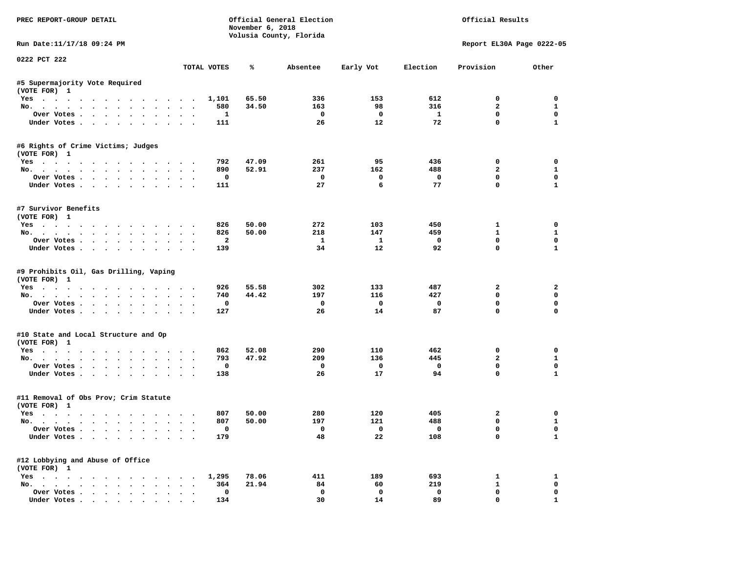| PREC REPORT-GROUP DETAIL                                                                                                                                                                                                                                                                                                                                                                                                                                                                   |                      |                     | November 6, 2018 | Official General Election<br>Volusia County, Florida | Official Results               |                                 |                               |                             |
|--------------------------------------------------------------------------------------------------------------------------------------------------------------------------------------------------------------------------------------------------------------------------------------------------------------------------------------------------------------------------------------------------------------------------------------------------------------------------------------------|----------------------|---------------------|------------------|------------------------------------------------------|--------------------------------|---------------------------------|-------------------------------|-----------------------------|
| Run Date:11/17/18 09:24 PM                                                                                                                                                                                                                                                                                                                                                                                                                                                                 |                      |                     |                  |                                                      |                                |                                 | Report EL30A Page 0222-05     |                             |
| 0222 PCT 222                                                                                                                                                                                                                                                                                                                                                                                                                                                                               |                      | TOTAL VOTES         | %                | Absentee                                             | Early Vot                      | Election                        | Provision                     | Other                       |
| #5 Supermajority Vote Required                                                                                                                                                                                                                                                                                                                                                                                                                                                             |                      |                     |                  |                                                      |                                |                                 |                               |                             |
| (VOTE FOR) 1                                                                                                                                                                                                                                                                                                                                                                                                                                                                               |                      |                     |                  |                                                      |                                |                                 |                               |                             |
| Yes                                                                                                                                                                                                                                                                                                                                                                                                                                                                                        |                      | 1,101               | 65.50            | 336                                                  | 153                            | 612                             | $\mathbf 0$                   | $\Omega$                    |
| No.                                                                                                                                                                                                                                                                                                                                                                                                                                                                                        |                      | 580<br>$\mathbf{1}$ | 34.50            | 163<br>$\overline{\phantom{0}}$                      | 98<br>$\overline{\mathbf{0}}$  | 316<br>$\mathbf{1}$             | $\mathbf{2}$<br>0             | $\mathbf{1}$<br>$\mathbf 0$ |
| Over Votes<br>Under Votes                                                                                                                                                                                                                                                                                                                                                                                                                                                                  |                      | 111                 |                  | -26                                                  | 12                             | 72                              | $\mathbf 0$                   | $\mathbf{1}$                |
| #6 Rights of Crime Victims; Judges                                                                                                                                                                                                                                                                                                                                                                                                                                                         |                      |                     |                  |                                                      |                                |                                 |                               |                             |
| (VOTE FOR) 1                                                                                                                                                                                                                                                                                                                                                                                                                                                                               |                      |                     |                  |                                                      |                                |                                 |                               |                             |
| Yes                                                                                                                                                                                                                                                                                                                                                                                                                                                                                        |                      | 792                 | 47.09            | 261                                                  | 95                             | 436                             | 0                             | 0                           |
| No.                                                                                                                                                                                                                                                                                                                                                                                                                                                                                        |                      | 890<br>$\mathbf 0$  | 52.91            | 237<br>$\overline{\phantom{0}}$                      | 162<br>$\mathbf 0$             | 488<br>$\overline{\phantom{0}}$ | $\overline{a}$<br>$\mathbf 0$ | $\mathbf{1}$<br>$\mathbf 0$ |
| Over Votes<br>Under Votes                                                                                                                                                                                                                                                                                                                                                                                                                                                                  |                      | 111                 |                  | 27                                                   | 6                              | 77                              | $\Omega$                      | $\mathbf{1}$                |
|                                                                                                                                                                                                                                                                                                                                                                                                                                                                                            |                      |                     |                  |                                                      |                                |                                 |                               |                             |
| #7 Survivor Benefits<br>(VOTE FOR) 1                                                                                                                                                                                                                                                                                                                                                                                                                                                       |                      |                     |                  |                                                      |                                |                                 |                               |                             |
| Yes                                                                                                                                                                                                                                                                                                                                                                                                                                                                                        |                      | 826                 | 50.00            | 272                                                  | 103                            | 450                             | $\mathbf{1}$                  | $\Omega$                    |
| No.                                                                                                                                                                                                                                                                                                                                                                                                                                                                                        |                      | 826                 | 50.00            | 218                                                  | 147                            | 459                             | $\mathbf{1}$                  | $\mathbf{1}$                |
| Over Votes                                                                                                                                                                                                                                                                                                                                                                                                                                                                                 |                      | $\overline{a}$      |                  | $\mathbf{1}$                                         | $\mathbf{1}$                   | $\overline{\mathbf{0}}$         | $^{\circ}$                    | $\Omega$                    |
| Under Votes                                                                                                                                                                                                                                                                                                                                                                                                                                                                                |                      | 139                 |                  | 34                                                   | 12                             | 92                              | $\Omega$                      | $\mathbf{1}$                |
| #9 Prohibits Oil, Gas Drilling, Vaping<br>(VOTE FOR) 1<br>Yes                                                                                                                                                                                                                                                                                                                                                                                                                              |                      | 926                 | 55.58            | 302                                                  | 133                            | 487                             | $\mathbf{2}$                  | 2                           |
| No.                                                                                                                                                                                                                                                                                                                                                                                                                                                                                        |                      | 740                 | 44.42            | 197                                                  | 116                            | 427                             | $\mathbf 0$                   | 0                           |
| Over Votes                                                                                                                                                                                                                                                                                                                                                                                                                                                                                 |                      | 0                   |                  | $\mathbf{o}$                                         | $\overline{\mathbf{0}}$        | $\mathbf 0$                     | $\mathbf 0$                   | $\mathbf 0$                 |
| Under Votes                                                                                                                                                                                                                                                                                                                                                                                                                                                                                |                      | 127                 |                  | 26                                                   | 14                             | 87                              | $\mathbf 0$                   | $\Omega$                    |
| #10 State and Local Structure and Op                                                                                                                                                                                                                                                                                                                                                                                                                                                       |                      |                     |                  |                                                      |                                |                                 |                               |                             |
| (VOTE FOR) 1                                                                                                                                                                                                                                                                                                                                                                                                                                                                               |                      |                     |                  |                                                      |                                |                                 |                               |                             |
| Yes                                                                                                                                                                                                                                                                                                                                                                                                                                                                                        |                      | 862                 | 52.08            | 290                                                  | 110                            | 462                             | $\mathbf 0$                   | $\mathbf 0$                 |
| No.                                                                                                                                                                                                                                                                                                                                                                                                                                                                                        |                      | 793<br>$\mathbf{o}$ | 47.92            | 209                                                  | 136<br>$\overline{\mathbf{0}}$ | 445<br>$\mathbf 0$              | $\overline{a}$<br>$\mathbf 0$ | $\mathbf{1}$<br>$\mathbf 0$ |
| Over Votes                                                                                                                                                                                                                                                                                                                                                                                                                                                                                 |                      | 138                 |                  | $\mathbf 0$<br>26                                    | 17                             | 94                              | $\Omega$                      | $\mathbf{1}$                |
| Under Votes                                                                                                                                                                                                                                                                                                                                                                                                                                                                                |                      |                     |                  |                                                      |                                |                                 |                               |                             |
| #11 Removal of Obs Prov; Crim Statute<br>(VOTE FOR) 1                                                                                                                                                                                                                                                                                                                                                                                                                                      |                      |                     |                  |                                                      |                                |                                 |                               |                             |
| Yes                                                                                                                                                                                                                                                                                                                                                                                                                                                                                        |                      | 807                 | 50.00            | 280                                                  | 120                            | 405                             | 2                             | 0                           |
| No.                                                                                                                                                                                                                                                                                                                                                                                                                                                                                        |                      | 807                 | 50.00            | 197                                                  | 121                            | 488                             | $\mathbf 0$                   | $\mathbf{1}$                |
| Over Votes                                                                                                                                                                                                                                                                                                                                                                                                                                                                                 |                      | 0                   |                  | $\overline{\phantom{a}}$                             | $\overline{\phantom{0}}$       | $\overline{\phantom{0}}$        | $\mathbf 0$                   | $\mathbf 0$                 |
| Under Votes                                                                                                                                                                                                                                                                                                                                                                                                                                                                                |                      | 179                 |                  | 48                                                   | 22                             | 108                             | $\mathbf 0$                   | $\mathbf{1}$                |
| #12 Lobbying and Abuse of Office<br>(VOTE FOR) 1                                                                                                                                                                                                                                                                                                                                                                                                                                           |                      |                     |                  |                                                      |                                |                                 |                               |                             |
|                                                                                                                                                                                                                                                                                                                                                                                                                                                                                            |                      | 1,295               | 78.06            | 411                                                  | 189                            | 693                             | $\mathbf{1}$                  | 1                           |
| Yes<br>No.                                                                                                                                                                                                                                                                                                                                                                                                                                                                                 |                      | 364                 | 21.94            | 84                                                   | 60                             | 219                             | 1                             | $\mathbf 0$                 |
| Over Votes                                                                                                                                                                                                                                                                                                                                                                                                                                                                                 | $\ddot{\phantom{a}}$ | 0                   |                  | $\mathbf{o}$                                         | $\mathbf 0$                    | $\mathbf 0$                     | $\mathbf 0$                   | 0                           |
| $\blacksquare$ $\blacksquare$ $\blacksquare$ $\blacksquare$ $\blacksquare$ $\blacksquare$ $\blacksquare$ $\blacksquare$ $\blacksquare$ $\blacksquare$ $\blacksquare$ $\blacksquare$ $\blacksquare$ $\blacksquare$ $\blacksquare$ $\blacksquare$ $\blacksquare$ $\blacksquare$ $\blacksquare$ $\blacksquare$ $\blacksquare$ $\blacksquare$ $\blacksquare$ $\blacksquare$ $\blacksquare$ $\blacksquare$ $\blacksquare$ $\blacksquare$ $\blacksquare$ $\blacksquare$ $\blacksquare$ $\blacks$ |                      | 134                 |                  | 30                                                   | 14                             | 89                              | $\Omega$                      | $\mathbf{1}$                |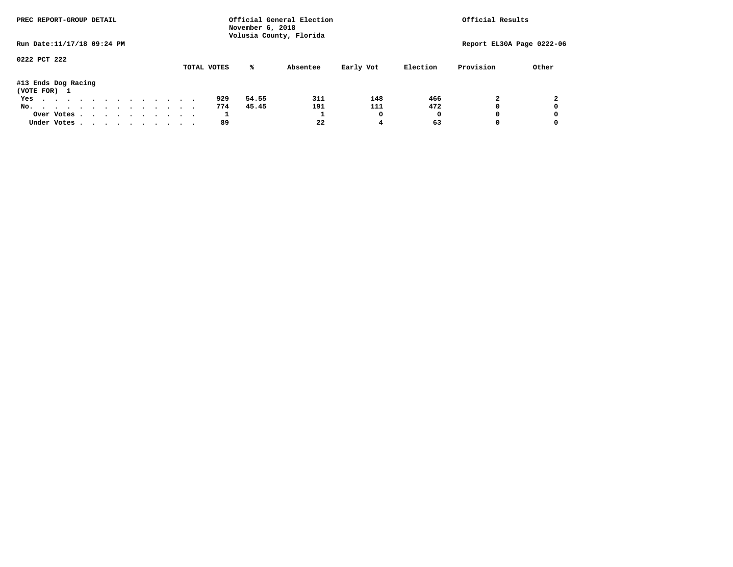| PREC REPORT-GROUP DETAIL            |  |  |  |  |  |  |             | November 6, 2018 | Official General Election<br>Volusia County, Florida |           |          | Official Results |                           |
|-------------------------------------|--|--|--|--|--|--|-------------|------------------|------------------------------------------------------|-----------|----------|------------------|---------------------------|
| Run Date: 11/17/18 09:24 PM         |  |  |  |  |  |  |             |                  |                                                      |           |          |                  | Report EL30A Page 0222-06 |
| 0222 PCT 222                        |  |  |  |  |  |  | TOTAL VOTES | %ะ               | Absentee                                             | Early Vot | Election | Provision        | Other                     |
| #13 Ends Dog Racing<br>(VOTE FOR) 1 |  |  |  |  |  |  |             |                  |                                                      |           |          |                  |                           |
| Yes                                 |  |  |  |  |  |  | 929         | 54.55            | 311                                                  | 148       | 466      |                  |                           |
| No.                                 |  |  |  |  |  |  | 774         | 45.45            | 191                                                  | 111       | 472      |                  | 0                         |
| Over Votes                          |  |  |  |  |  |  | <b>T</b>    |                  |                                                      |           | 0        |                  | 0                         |
| Under Votes                         |  |  |  |  |  |  | 89          |                  | 22                                                   | 4         | 63       |                  | 0                         |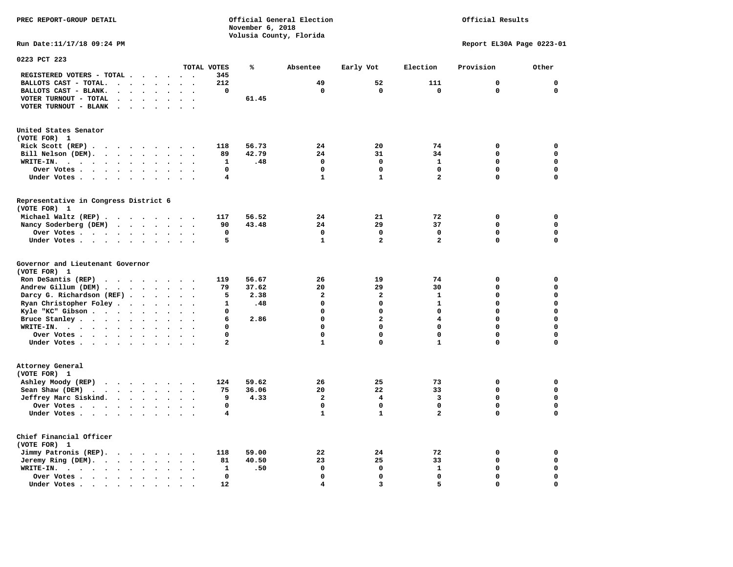Official Results

**Run Date:11/17/18 09:24 PM Report EL30A Page 0223-01** 

| 0223 PCT 223                                                                                                 |                                              |              |       |                         |                         |                         |             |             |
|--------------------------------------------------------------------------------------------------------------|----------------------------------------------|--------------|-------|-------------------------|-------------------------|-------------------------|-------------|-------------|
|                                                                                                              |                                              | TOTAL VOTES  | ℁     | Absentee                | Early Vot               | Election                | Provision   | Other       |
| REGISTERED VOTERS - TOTAL .<br>$\overline{\phantom{a}}$                                                      | $\ddot{\phantom{a}}$                         | 345          |       |                         |                         |                         |             |             |
| BALLOTS CAST - TOTAL.<br>$\sim$<br>$\ddot{\phantom{a}}$<br>$\ddot{\phantom{a}}$<br>$\ddot{\phantom{a}}$      |                                              | 212          |       | 49                      | 52                      | 111                     | $\mathbf 0$ | $\mathbf 0$ |
| BALLOTS CAST - BLANK.<br>$\bullet$<br>$\ddot{\phantom{a}}$<br>$\bullet$<br>$\bullet$                         | $\bullet$<br>$\bullet$                       | 0            |       | $\mathbf 0$             | $\Omega$                | $\mathbf 0$             | $\mathbf 0$ | $\mathbf 0$ |
| VOTER TURNOUT - TOTAL<br>$\ddot{\phantom{a}}$<br>$\ddot{\phantom{a}}$<br>$\ddot{\phantom{1}}$                |                                              |              | 61.45 |                         |                         |                         |             |             |
| VOTER TURNOUT - BLANK<br>$\ddot{\phantom{a}}$                                                                |                                              |              |       |                         |                         |                         |             |             |
|                                                                                                              |                                              |              |       |                         |                         |                         |             |             |
| United States Senator                                                                                        |                                              |              |       |                         |                         |                         |             |             |
| (VOTE FOR) 1                                                                                                 |                                              |              |       |                         |                         |                         |             |             |
| Rick Scott (REP).<br>$\ddot{\phantom{0}}$<br>$\sim$ $\sim$<br>$\cdots$<br>$\sim$                             | $\ddot{\phantom{0}}$                         | 118          | 56.73 | 24                      | 20                      | 74                      | 0           | 0           |
| Bill Nelson (DEM).<br>$\cdot$                                                                                | $\ddot{\phantom{1}}$                         | 89           | 42.79 | 24                      | 31                      | 34                      | 0           | $\mathbf 0$ |
| WRITE-IN.<br>$\cdot$ $\cdot$ $\cdot$<br>$\cdot$ $\cdot$ $\cdot$ $\cdot$<br>$\ddot{\phantom{a}}$<br>$\bullet$ |                                              | 1            | .48   | $\Omega$                | $\mathbf 0$             | $\mathbf{1}$            | $\Omega$    | $\mathbf 0$ |
| $\ddot{\phantom{a}}$                                                                                         |                                              | 0            |       | $\Omega$                | $\mathbf 0$             | $\mathbf 0$             | 0           | $\mathbf 0$ |
| Over Votes<br>$\ddot{\phantom{0}}$<br>$\bullet$                                                              |                                              | 4            |       | $\mathbf{1}$            | $\mathbf{1}$            | $\overline{a}$          | 0           | $\mathbf 0$ |
| Under Votes<br>$\bullet$<br>$\bullet$                                                                        | $\bullet$<br>$\cdot$                         |              |       |                         |                         |                         |             |             |
| Representative in Congress District 6                                                                        |                                              |              |       |                         |                         |                         |             |             |
| (VOTE FOR) 1                                                                                                 |                                              |              |       |                         |                         |                         |             |             |
| Michael Waltz (REP)                                                                                          |                                              | 117          | 56.52 | 24                      | 21                      | 72                      | $\mathbf 0$ | 0           |
|                                                                                                              |                                              | 90           | 43.48 | 24                      | 29                      | 37                      | $\mathbf 0$ | $\mathbf 0$ |
| Nancy Soderberg (DEM)                                                                                        | $\bullet$                                    | 0            |       | 0                       | $\mathbf 0$             | $\mathbf 0$             | 0           | 0           |
| Over Votes<br>$\bullet$<br>$\bullet$<br>$\cdot$                                                              | $\ddot{\phantom{a}}$                         |              |       | $\mathbf{1}$            | $\overline{\mathbf{2}}$ | $\overline{\mathbf{2}}$ | 0           | $\mathbf 0$ |
| Under Votes<br>$\cdot$<br>$\ddot{\phantom{a}}$                                                               |                                              | 5            |       |                         |                         |                         |             |             |
| Governor and Lieutenant Governor                                                                             |                                              |              |       |                         |                         |                         |             |             |
| (VOTE FOR) 1                                                                                                 |                                              |              |       |                         |                         |                         |             |             |
| Ron DeSantis (REP)<br>$\cdot$ $\cdot$ $\cdot$ $\cdot$ $\cdot$ $\cdot$ $\cdot$                                |                                              | 119          | 56.67 | 26                      | 19                      | 74                      | 0           | 0           |
| Andrew Gillum (DEM)<br>$\ddot{\phantom{0}}$                                                                  | $\ddot{\phantom{1}}$<br>$\bullet$            | 79           | 37.62 | 20                      | 29                      | 30                      | 0           | $\mathbf 0$ |
| Darcy G. Richardson (REF).<br>$\bullet$<br>$\ddot{\phantom{a}}$                                              |                                              | 5            | 2.38  | $\overline{\mathbf{2}}$ | $\mathbf{2}$            | $\mathbf{1}$            | 0           | $\mathbf 0$ |
| Ryan Christopher Foley.<br>$\ddot{\phantom{1}}$<br>$\bullet$<br>$\bullet$                                    |                                              | $\mathbf{1}$ | .48   | $\Omega$                | $\mathbf 0$             | $\mathbf{1}$            | $\mathbf 0$ | $\mathbf 0$ |
| Kyle "KC" Gibson<br>$\bullet$<br>$\bullet$<br>$\bullet$                                                      | $\bullet$<br>$\ddot{\phantom{1}}$            | 0            |       | $\Omega$                | $\mathbf 0$             | 0                       | 0           | $\mathbf 0$ |
| Bruce Stanley<br>$\overline{\phantom{a}}$                                                                    |                                              | 6            | 2.86  | $\mathbf 0$             | $\overline{\mathbf{2}}$ | $\overline{\mathbf{4}}$ | 0           | $\mathbf 0$ |
| WRITE-IN.                                                                                                    |                                              | 0            |       | $\Omega$                | $\Omega$                | $\Omega$                | $\mathbf 0$ | $\mathbf 0$ |
| $\mathbf{r}$ , $\mathbf{r}$ , $\mathbf{r}$ , $\mathbf{r}$ , $\mathbf{r}$ , $\mathbf{r}$<br>$\sim$            |                                              | 0            |       | $\mathbf 0$             | $\mathbf 0$             | 0                       | 0           | $\mathbf 0$ |
| Over Votes<br>$\cdot$<br>$\bullet$                                                                           | $\ddot{\phantom{a}}$<br>$\ddot{\phantom{0}}$ |              |       |                         |                         |                         |             |             |
| Under Votes<br>$\bullet$                                                                                     | $\ddot{\phantom{a}}$                         | $\mathbf{z}$ |       | $\mathbf{1}$            | $\mathbf 0$             | $\mathbf{1}$            | 0           | 0           |
| Attorney General                                                                                             |                                              |              |       |                         |                         |                         |             |             |
| (VOTE FOR) 1                                                                                                 |                                              |              |       |                         |                         |                         |             |             |
| Ashley Moody (REP)<br>$\cdots$                                                                               |                                              | 124          | 59.62 | 26                      | 25                      | 73                      | 0           | $\mathbf 0$ |
| Sean Shaw (DEM)<br>$\cdot$ $\cdot$ $\cdot$ $\cdot$ $\cdot$<br>$\ddot{\phantom{a}}$                           |                                              | 75           | 36.06 | 20                      | 22                      | 33                      | 0           | $\mathbf 0$ |
| Jeffrey Marc Siskind.<br>$\sim$ $\sim$ $\sim$ $\sim$ $\sim$ $\sim$<br>$\ddot{\phantom{a}}$<br>$\bullet$      | $\ddot{\phantom{a}}$                         | 9            | 4.33  | $\overline{\mathbf{2}}$ | 4                       | 3                       | 0           | $\mathbf 0$ |
|                                                                                                              |                                              | 0            |       | $\mathbf 0$             | $\mathbf 0$             | $\mathbf 0$             | 0           | $\mathbf 0$ |
| Over Votes<br>$\ddot{\phantom{0}}$<br>$\ddot{\phantom{a}}$                                                   |                                              |              |       | $\mathbf{1}$            | $\mathbf{1}$            | $\overline{\mathbf{2}}$ | 0           | $\mathbf 0$ |
| Under Votes                                                                                                  |                                              | 4            |       |                         |                         |                         |             |             |
| Chief Financial Officer                                                                                      |                                              |              |       |                         |                         |                         |             |             |
| (VOTE FOR) 1                                                                                                 |                                              |              |       |                         |                         |                         |             |             |
| Jimmy Patronis (REP).<br>$\sim$ $\sim$<br>$\sim$ $\sim$<br>$\cdot$<br>$\ddot{\phantom{0}}$                   |                                              | 118          | 59.00 | 22                      | 24                      | 72                      | $\mathbf 0$ | 0           |
| Jeremy Ring (DEM).<br>$\cdot \cdot \cdot \cdot$<br>$\ddot{\phantom{a}}$<br>$\sim$                            | $\bullet$                                    | 81           | 40.50 | 23                      | 25                      | 33                      | 0           | $\mathbf 0$ |
| WRITE-IN.<br>$\cdot$ $\cdot$ $\cdot$ $\cdot$ $\cdot$ $\cdot$<br>$\bullet$                                    |                                              | 1            | .50   | $\Omega$                | $\mathbf 0$             | $\mathbf{1}$            | 0           | $\mathbf 0$ |
| Over Votes.                                                                                                  |                                              | 0            |       | $\Omega$                | $\mathbf 0$             | 0                       | $\mathbf 0$ | $\mathbf 0$ |
| $\bullet$<br>Under Votes.<br>$\sim$                                                                          |                                              | 12           |       | 4                       | $\overline{\mathbf{3}}$ | 5                       | 0           | $\mathbf 0$ |
| $\blacksquare$ .<br>$\sim$<br>$\sim$<br>$\bullet$                                                            |                                              |              |       |                         |                         |                         |             |             |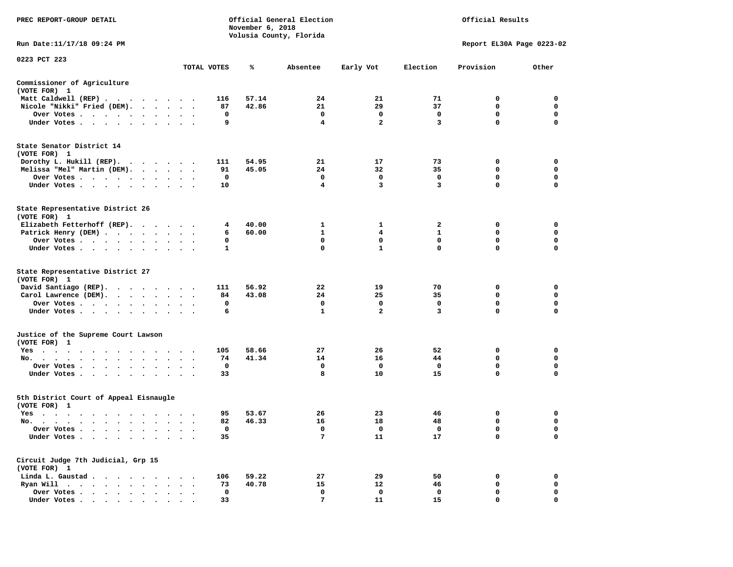| PREC REPORT-GROUP DETAIL                                                            |                                |                | November 6, 2018 | Official General Election<br>Volusia County, Florida |                |              | Official Results          |             |
|-------------------------------------------------------------------------------------|--------------------------------|----------------|------------------|------------------------------------------------------|----------------|--------------|---------------------------|-------------|
| Run Date:11/17/18 09:24 PM                                                          |                                |                |                  |                                                      |                |              | Report EL30A Page 0223-02 |             |
| 0223 PCT 223                                                                        |                                | TOTAL VOTES    | ℁                |                                                      |                | Election     | Provision                 | Other       |
|                                                                                     |                                |                |                  | Absentee                                             | Early Vot      |              |                           |             |
| Commissioner of Agriculture<br>(VOTE FOR) 1                                         |                                |                |                  |                                                      |                |              |                           |             |
| Matt Caldwell (REP)                                                                 |                                | 116            | 57.14            | 24                                                   | 21             | 71           | 0                         | $\mathbf 0$ |
| Nicole "Nikki" Fried (DEM).                                                         |                                | 87             | 42.86            | 21                                                   | 29             | 37           | $\mathbf 0$               | $\mathbf 0$ |
| Over Votes                                                                          |                                | $\Omega$       |                  | $\mathbf{0}$                                         | $\Omega$       | $\mathbf 0$  | $\mathbf 0$               | $\mathbf 0$ |
| Under Votes                                                                         |                                | 9              |                  | 4                                                    | $\overline{a}$ | 3            | $\mathbf 0$               | 0           |
| State Senator District 14<br>(VOTE FOR) 1                                           |                                |                |                  |                                                      |                |              |                           |             |
| Dorothy L. Hukill (REP).                                                            |                                | 111            | 54.95            | 21                                                   | 17             | 73           | 0                         | 0           |
| Melissa "Mel" Martin (DEM).                                                         |                                | 91             | 45.05            | 24                                                   | 32             | 35           | $\mathbf 0$               | $\mathbf 0$ |
| Over Votes                                                                          |                                | 0              |                  | $\mathbf 0$                                          | $\mathbf 0$    | $\mathbf 0$  | $\mathbf 0$               | $\mathbf 0$ |
| Under Votes                                                                         |                                | 10             |                  | $\overline{4}$                                       | 3              | 3            | $\mathbf 0$               | $\mathbf 0$ |
| State Representative District 26<br>(VOTE FOR) 1                                    |                                |                |                  |                                                      |                |              |                           |             |
| Elizabeth Fetterhoff (REP).                                                         |                                | $4\phantom{1}$ | 40.00            | $\mathbf{1}$                                         | 1              | $\mathbf{2}$ | 0                         | $\mathbf 0$ |
| Patrick Henry (DEM)                                                                 |                                | 6              | 60.00            | $\mathbf{1}$                                         | $\overline{4}$ | $\mathbf{1}$ | $\mathbf 0$               | $\mathbf 0$ |
| Over Votes                                                                          |                                | 0              |                  | 0                                                    | 0              | $\mathbf 0$  | $\mathbf 0$               | $\mathbf 0$ |
| Under Votes                                                                         |                                | 1              |                  | 0                                                    | $\mathbf{1}$   | $\mathbf 0$  | $\mathbf 0$               | $\mathbf 0$ |
| State Representative District 27<br>(VOTE FOR) 1                                    |                                |                |                  |                                                      |                |              |                           |             |
| David Santiago (REP).                                                               |                                | 111            | 56.92            | 22                                                   | 19             | 70           | 0                         | $\mathbf 0$ |
| Carol Lawrence (DEM).                                                               |                                | 84             | 43.08            | 24                                                   | 25             | 35           | $\mathbf 0$               | $\mathbf 0$ |
| Over Votes                                                                          |                                | 0              |                  | $\mathbf 0$                                          | $\mathbf 0$    | $\mathbf 0$  | $\mathbf 0$               | $\mathbf 0$ |
| Under Votes                                                                         |                                | 6              |                  | 1                                                    | $\mathbf{2}$   | 3            | 0                         | 0           |
| Justice of the Supreme Court Lawson<br>(VOTE FOR) 1                                 |                                |                |                  |                                                      |                |              |                           |             |
| Yes                                                                                 |                                | 105            | 58.66            | 27                                                   | 26             | 52           | 0                         | 0           |
| No.                                                                                 |                                | 74             | 41.34            | 14                                                   | 16             | 44           | $\mathbf 0$               | $\mathbf 0$ |
| Over Votes<br>$\cdot$ $\cdot$ $\cdot$                                               | $\sim$<br>$\sim$               | 0              |                  | 0                                                    | 0              | 0            | 0                         | 0           |
| Under Votes                                                                         |                                | 33             |                  | 8                                                    | 10             | 15           | $\mathbf 0$               | $\mathbf 0$ |
| 5th District Court of Appeal Eisnaugle<br>(VOTE FOR) 1                              |                                |                |                  |                                                      |                |              |                           |             |
| Yes                                                                                 |                                | 95             | 53.67            | 26                                                   | 23             | 46           | 0                         | $\mathbf 0$ |
| No.                                                                                 |                                | 82             | 46.33            | 16                                                   | 18             | 48           | 0                         | 0           |
| Over Votes                                                                          |                                | 0              |                  | 0                                                    | 0              | 0            | 0                         | $\mathbf 0$ |
| Under Votes<br>$\ddot{\phantom{1}}$<br>$\ddot{\phantom{1}}$<br>$\cdot$<br>$\bullet$ |                                | 35             |                  | 7                                                    | 11             | 17           | $\mathbf 0$               | $\mathbf 0$ |
| Circuit Judge 7th Judicial, Grp 15<br>(VOTE FOR) 1                                  |                                |                |                  |                                                      |                |              |                           |             |
| Linda L. Gaustad                                                                    |                                | 106            | 59.22            | 27                                                   | 29             | 50           | 0                         | 0           |
| Ryan Will $\cdots$ , $\cdots$ , $\cdots$ , $\cdots$                                 |                                | 73             | 40.78            | 15                                                   | 12             | 46           | 0                         | 0           |
| Over Votes                                                                          | $\ddot{\phantom{a}}$<br>$\sim$ | 0              |                  | $\mathbf 0$                                          | $\mathbf 0$    | $\mathbf 0$  | $\mathbf 0$               | $\mathbf 0$ |
| Under Votes                                                                         |                                | 33             |                  | 7                                                    | 11             | 15           | $\Omega$                  | $\Omega$    |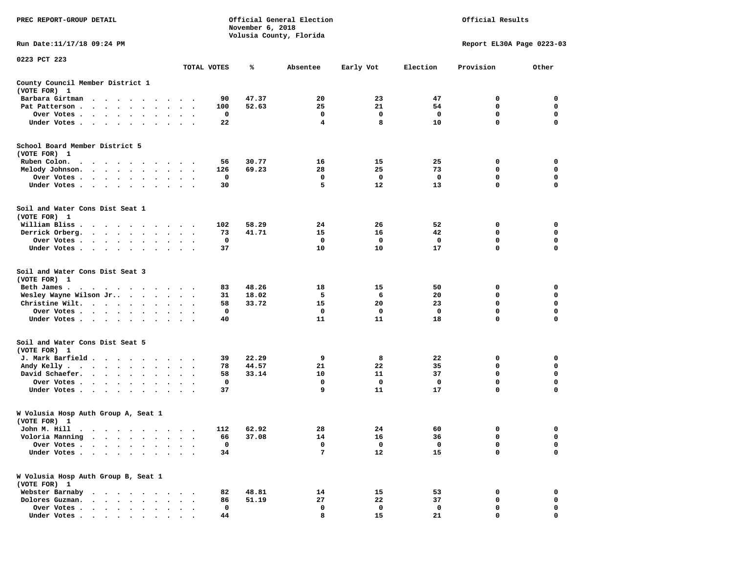| PREC REPORT-GROUP DETAIL                                                                                                                                               |                                   |             | November 6, 2018 | Official General Election<br>Volusia County, Florida | Official Results |             |                           |             |
|------------------------------------------------------------------------------------------------------------------------------------------------------------------------|-----------------------------------|-------------|------------------|------------------------------------------------------|------------------|-------------|---------------------------|-------------|
| Run Date:11/17/18 09:24 PM                                                                                                                                             |                                   |             |                  |                                                      |                  |             | Report EL30A Page 0223-03 |             |
| 0223 PCT 223                                                                                                                                                           |                                   | TOTAL VOTES | %                | Absentee                                             | Early Vot        | Election    | Provision                 | Other       |
| County Council Member District 1<br>(VOTE FOR) 1                                                                                                                       |                                   |             |                  |                                                      |                  |             |                           |             |
| Barbara Girtman<br>$\cdots$<br>$\sim$<br>$\overline{\phantom{a}}$<br>$\overline{\phantom{a}}$<br>$\ddot{\phantom{0}}$                                                  |                                   | 90          | 47.37            | 20                                                   | 23               | 47          | 0                         | 0           |
| Pat Patterson.<br><b>Contract Contract Contract</b><br>$\bullet$<br>$\bullet$ .                                                                                        |                                   | 100         | 52.63            | 25                                                   | 21               | 54          | 0                         | 0           |
| Over Votes<br>$\bullet$                                                                                                                                                | $\cdot$<br>$\bullet$              | 0           |                  | 0                                                    | 0                | 0           | 0                         | 0           |
| Under Votes<br>$\ddot{\phantom{1}}$<br>$\bullet$                                                                                                                       |                                   | 22          |                  | 4                                                    | 8                | 10          | 0                         | 0           |
| School Board Member District 5<br>(VOTE FOR) 1                                                                                                                         |                                   |             |                  |                                                      |                  |             |                           |             |
| Ruben Colon.<br>$\cdot$ $\cdot$ $\cdot$ $\cdot$<br>$\cdot$ $\cdot$ $\cdot$ $\cdot$ $\cdot$                                                                             | $\bullet$                         | 56          | 30.77            | 16                                                   | 15               | 25          | 0                         | 0           |
| Melody Johnson.<br>$\cdots$                                                                                                                                            | $\bullet$<br>$\bullet$            | 126         | 69.23            | 28                                                   | 25               | 73          | 0                         | 0           |
| Over Votes<br>$\sim$<br>$\bullet$                                                                                                                                      |                                   | 0           |                  | 0                                                    | 0                | 0           | 0                         | 0           |
| Under Votes                                                                                                                                                            |                                   | 30          |                  | 5                                                    | 12               | 13          | $\mathbf 0$               | $\mathbf 0$ |
| Soil and Water Cons Dist Seat 1<br>(VOTE FOR) 1                                                                                                                        |                                   |             |                  |                                                      |                  |             |                           |             |
| William Bliss.                                                                                                                                                         |                                   | 102         | 58.29            | 24                                                   | 26               | 52          | 0                         | 0           |
| Derrick Orberg.<br>$\cdot$ $\cdot$ $\cdot$ $\cdot$ $\cdot$ $\cdot$                                                                                                     | $\ddot{\phantom{a}}$<br>$\cdot$ . | 73          | 41.71            | 15                                                   | 16               | 42          | 0                         | 0           |
| Over Votes .<br>$\cdot$ $\cdot$ $\cdot$ $\cdot$ $\cdot$ $\cdot$                                                                                                        | $\ddot{\phantom{0}}$              | 0           |                  | 0                                                    | 0                | 0           | 0                         | 0           |
| Under Votes                                                                                                                                                            | $\ddot{\phantom{1}}$              | 37          |                  | 10                                                   | 10               | 17          | 0                         | 0           |
| Soil and Water Cons Dist Seat 3<br>(VOTE FOR) 1                                                                                                                        |                                   |             |                  |                                                      |                  |             |                           |             |
| Beth James.                                                                                                                                                            |                                   | 83          | 48.26            | 18                                                   | 15               | 50          | 0                         | 0           |
| Wesley Wayne Wilson Jr                                                                                                                                                 | $\sim$ $\sim$<br>$\bullet$ .      | 31          | 18.02            | 5                                                    | 6                | 20          | 0                         | 0           |
| Christine Wilt.                                                                                                                                                        | $\ddot{\phantom{a}}$<br>$\bullet$ | 58          | 33.72            | 15                                                   | 20               | 23          | 0                         | 0           |
| Over Votes<br>$\bullet$                                                                                                                                                |                                   | 0           |                  | 0                                                    | 0                | 0           | 0                         | 0           |
| Under Votes<br>$\bullet$                                                                                                                                               | $\bullet$                         | 40          |                  | 11                                                   | 11               | 18          | $\mathbf 0$               | $\mathbf 0$ |
| Soil and Water Cons Dist Seat 5<br>(VOTE FOR) 1                                                                                                                        |                                   |             |                  |                                                      |                  |             |                           |             |
| J. Mark Barfield                                                                                                                                                       |                                   | 39          | 22.29            | 9                                                    | 8                | 22          | 0                         | 0           |
| Andy Kelly.<br>$\begin{array}{cccccccccccccc} \bullet & \bullet & \bullet & \bullet & \bullet & \bullet & \bullet & \bullet & \bullet & \bullet & \bullet \end{array}$ |                                   | 78          | 44.57            | 21                                                   | 22               | 35          | 0                         | 0           |
| David Schaefer.<br>$\cdots$                                                                                                                                            | $\bullet$                         | 58          | 33.14            | 10                                                   | 11               | 37          | $\mathbf 0$               | $\mathbf 0$ |
| Over Votes<br>$\cdot$<br>$\cdot$                                                                                                                                       |                                   | 0           |                  | 0                                                    | 0                | 0           | 0                         | 0           |
| Under Votes<br>$\bullet$<br>$\bullet$                                                                                                                                  |                                   | 37          |                  | 9                                                    | 11               | 17          | 0                         | 0           |
| W Volusia Hosp Auth Group A, Seat 1<br>(VOTE FOR) 1                                                                                                                    |                                   |             |                  |                                                      |                  |             |                           |             |
| John M. Hill                                                                                                                                                           |                                   | 112         | 62.92            | 28                                                   | 24               | 60          | 0                         | 0           |
| Voloria Manning<br>$\bullet$<br>$\bullet$<br>$\bullet$                                                                                                                 |                                   | 66          | 37.08            | 14                                                   | 16               | 36          | 0                         | 0           |
| Over Votes .<br>$\ddot{\phantom{a}}$<br>$\ddot{\phantom{0}}$                                                                                                           |                                   | $\mathbf 0$ |                  | 0                                                    | $\mathbf 0$      | $\mathbf 0$ | 0                         | 0           |
| Under Votes.<br>$\sim$ $\sim$<br>$\bullet$<br>$\ddot{\phantom{1}}$<br>$\bullet$                                                                                        |                                   | 34          |                  | 7                                                    | 12               | 15          | 0                         | $\Omega$    |
| W Volusia Hosp Auth Group B, Seat 1<br>(VOTE FOR) 1                                                                                                                    |                                   |             |                  |                                                      |                  |             |                           |             |
| Webster Barnaby<br>$\sim$ $\sim$<br>$\ddot{\phantom{0}}$<br>$\cdot$                                                                                                    |                                   | 82          | 48.81            | 14                                                   | 15               | 53          | 0                         | 0           |
| Dolores Guzman.<br>$\overline{\phantom{a}}$<br>$\overline{\phantom{a}}$                                                                                                |                                   | 86          | 51.19            | 27                                                   | 22               | 37          | 0                         | 0           |
| Over Votes .<br>$\sim$ $\sim$ $\sim$<br>$\ddot{\phantom{1}}$<br>$\bullet$                                                                                              |                                   | 0           |                  | 0                                                    | 0                | 0           | 0                         | 0           |
| Under Votes.<br>$\cdots$<br>$\ddot{\phantom{0}}$                                                                                                                       |                                   | 44          |                  | 8                                                    | 15               | 21          | 0                         | 0           |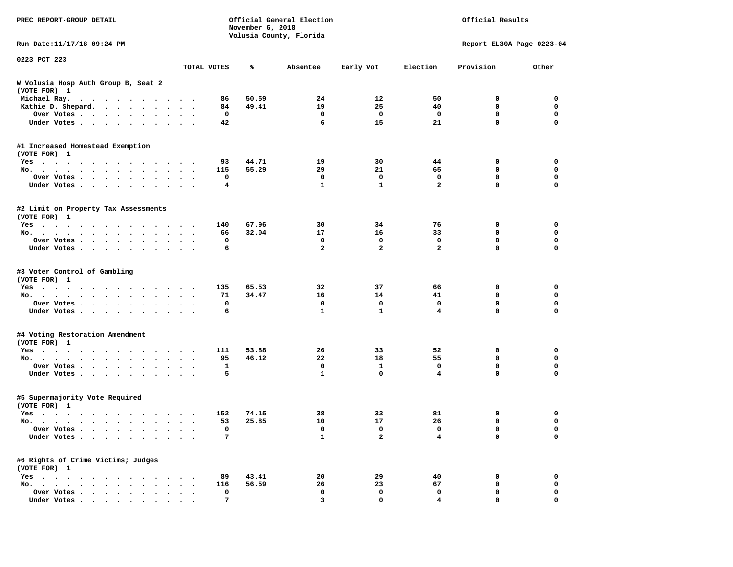| PREC REPORT-GROUP DETAIL                                                                                                                                                                                                             |                      |          | November 6, 2018 | Official General Election<br>Volusia County, Florida | Official Results |                |                           |             |
|--------------------------------------------------------------------------------------------------------------------------------------------------------------------------------------------------------------------------------------|----------------------|----------|------------------|------------------------------------------------------|------------------|----------------|---------------------------|-------------|
| Run Date: 11/17/18 09:24 PM                                                                                                                                                                                                          |                      |          |                  |                                                      |                  |                | Report EL30A Page 0223-04 |             |
| 0223 PCT 223                                                                                                                                                                                                                         |                      |          |                  |                                                      |                  |                |                           |             |
|                                                                                                                                                                                                                                      | TOTAL VOTES          |          | ℁                | Absentee                                             | Early Vot        | Election       | Provision                 | Other       |
| W Volusia Hosp Auth Group B, Seat 2<br>(VOTE FOR) 1                                                                                                                                                                                  |                      |          |                  |                                                      |                  |                |                           |             |
| Michael Ray.                                                                                                                                                                                                                         |                      | 86       | 50.59            | 24                                                   | 12               | 50             | 0                         | 0           |
| Kathie D. Shepard.                                                                                                                                                                                                                   |                      | 84       | 49.41            | 19                                                   | 25               | 40             | 0                         | 0           |
| Over Votes                                                                                                                                                                                                                           |                      | 0        |                  | $\mathbf 0$                                          | $\mathbf 0$      | 0              | $\mathbf 0$               | 0           |
| Under Votes                                                                                                                                                                                                                          |                      | 42       |                  | 6                                                    | 15               | 21             | $\Omega$                  | 0           |
| #1 Increased Homestead Exemption<br>(VOTE FOR) 1                                                                                                                                                                                     |                      |          |                  |                                                      |                  |                |                           |             |
| Yes                                                                                                                                                                                                                                  |                      | 93       | 44.71            | 19                                                   | 30               | 44             | 0                         | 0           |
| No.                                                                                                                                                                                                                                  |                      | 115      | 55.29            | 29                                                   | 21               | 65             | 0                         | $\mathbf 0$ |
| Over Votes                                                                                                                                                                                                                           |                      | 0        |                  | $\mathbf 0$                                          | $\mathbf 0$      | $\mathbf 0$    | $\mathbf 0$               | $\mathbf 0$ |
| Under Votes                                                                                                                                                                                                                          |                      | 4        |                  | $\mathbf{1}$                                         | 1                | $\overline{a}$ | $\mathbf 0$               | 0           |
| #2 Limit on Property Tax Assessments<br>(VOTE FOR) 1                                                                                                                                                                                 |                      |          |                  |                                                      |                  |                |                           |             |
| Yes                                                                                                                                                                                                                                  |                      | 140      | 67.96            | 30                                                   | 34               | 76             | 0                         | 0           |
| No.                                                                                                                                                                                                                                  |                      | 66       | 32.04            | 17                                                   | 16               | 33             | 0                         | $\mathbf 0$ |
| Over Votes                                                                                                                                                                                                                           |                      | 0        |                  | $\mathbf 0$                                          | 0                | 0              | $\mathbf 0$               | 0           |
| Under Votes                                                                                                                                                                                                                          |                      | 6        |                  | $\overline{a}$                                       | $\overline{a}$   | $\overline{a}$ | $\Omega$                  | $\Omega$    |
| #3 Voter Control of Gambling<br>(VOTE FOR) 1                                                                                                                                                                                         |                      |          |                  |                                                      |                  |                |                           |             |
| Yes                                                                                                                                                                                                                                  |                      | 135      | 65.53            | 32                                                   | 37               | 66             | 0                         | 0           |
| No.                                                                                                                                                                                                                                  |                      | 71       | 34.47            | 16                                                   | 14               | 41             | 0                         | 0           |
| Over Votes                                                                                                                                                                                                                           |                      | 0        |                  | $\mathbf 0$                                          | $\mathbf 0$      | 0              | $\mathbf 0$               | 0           |
| Under Votes                                                                                                                                                                                                                          |                      | 6        |                  | $\mathbf{1}$                                         | $\mathbf{1}$     | $\overline{4}$ | $\Omega$                  | 0           |
| #4 Voting Restoration Amendment<br>(VOTE FOR) 1                                                                                                                                                                                      |                      |          |                  |                                                      |                  |                |                           |             |
| Yes                                                                                                                                                                                                                                  |                      | 111      | 53.88            | 26                                                   | 33               | 52             | 0                         | 0           |
| No.                                                                                                                                                                                                                                  |                      | 95       | 46.12            | 22                                                   | 18               | 55             | 0                         | $\mathbf 0$ |
| Over Votes                                                                                                                                                                                                                           |                      | 1        |                  | $\mathbf 0$                                          | $\mathbf{1}$     | 0              | $\mathbf 0$               | $\mathbf 0$ |
| Under Votes                                                                                                                                                                                                                          |                      | 5        |                  | $\mathbf{1}$                                         | $\mathbf{0}$     | 4              | $\Omega$                  | 0           |
| #5 Supermajority Vote Required<br>(VOTE FOR) 1                                                                                                                                                                                       |                      |          |                  |                                                      |                  |                |                           |             |
| Yes<br>. The contract of the contract of the contract of the contract of the contract of the contract of the contract of the contract of the contract of the contract of the contract of the contract of the contract of the contrac |                      | 152      | 74.15            | 38                                                   | 33               | 81             | 0                         | 0           |
| No.                                                                                                                                                                                                                                  | $\ddot{\phantom{1}}$ | 53       | 25.85            | 10                                                   | 17               | 26             | 0                         | $\mathbf 0$ |
| Over Votes                                                                                                                                                                                                                           |                      | $\Omega$ |                  | 0                                                    | - 0              | $\Omega$       | $\Omega$                  | $\Omega$    |
| Under Votes                                                                                                                                                                                                                          |                      | 7        |                  | $\mathbf{1}$                                         | $\mathbf{2}$     | 4              | 0                         | 0           |
| #6 Rights of Crime Victims; Judges<br>(VOTE FOR) 1                                                                                                                                                                                   |                      |          |                  |                                                      |                  |                |                           |             |
| $Yes \cdot \cdot \cdot \cdot \cdot \cdot \cdot$                                                                                                                                                                                      |                      | 89       | 43.41            | 20                                                   | 29               | 40             | 0                         | 0           |
| No.                                                                                                                                                                                                                                  |                      | 116      | 56.59            | 26                                                   | 23               | 67             | 0                         | 0           |
| Over Votes                                                                                                                                                                                                                           |                      | 0        |                  | 0                                                    | 0                | 0              | 0                         | 0           |
| Under Votes.                                                                                                                                                                                                                         |                      | 7        |                  | 3                                                    | $\Omega$         | 4              | 0                         |             |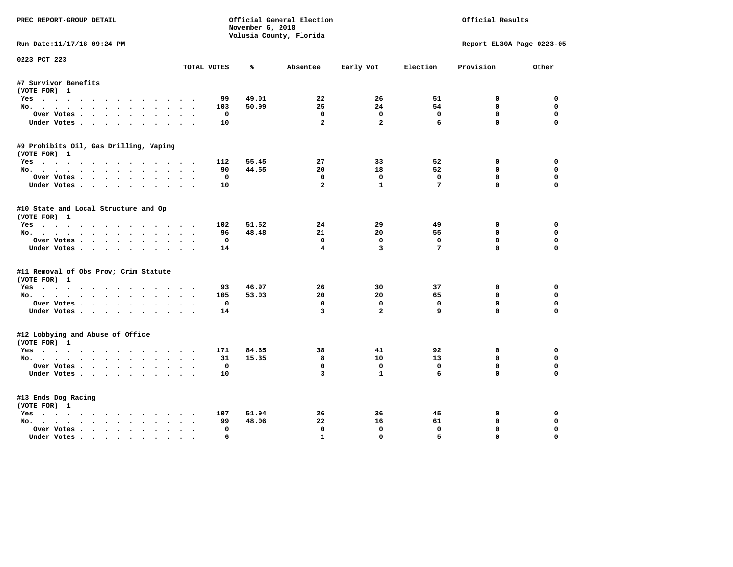| PREC REPORT-GROUP DETAIL                                                                                                                                                               |                               | November 6, 2018 | Official General Election<br>Volusia County, Florida |                  |                             | Official Results            |                         |
|----------------------------------------------------------------------------------------------------------------------------------------------------------------------------------------|-------------------------------|------------------|------------------------------------------------------|------------------|-----------------------------|-----------------------------|-------------------------|
| Run Date:11/17/18 09:24 PM                                                                                                                                                             |                               |                  |                                                      |                  |                             | Report EL30A Page 0223-05   |                         |
| 0223 PCT 223                                                                                                                                                                           | TOTAL VOTES                   | ℁                | Absentee                                             | Early Vot        | Election                    | Provision                   | Other                   |
| #7 Survivor Benefits                                                                                                                                                                   |                               |                  |                                                      |                  |                             |                             |                         |
| (VOTE FOR) 1                                                                                                                                                                           |                               |                  |                                                      |                  |                             |                             |                         |
| Yes                                                                                                                                                                                    | 99                            | 49.01            | 22                                                   | 26               | 51                          | 0                           | 0                       |
| No.                                                                                                                                                                                    | 103                           | 50.99            | 25                                                   | 24               | 54                          | 0                           | $\mathbf 0$             |
| Over Votes                                                                                                                                                                             | 0                             |                  | 0                                                    | 0                | $\mathbf 0$                 | $\mathbf 0$                 | 0                       |
| Under Votes                                                                                                                                                                            | 10                            |                  | $\overline{a}$                                       | $\overline{a}$   | 6                           | $\mathbf 0$                 | $\Omega$                |
| #9 Prohibits Oil, Gas Drilling, Vaping                                                                                                                                                 |                               |                  |                                                      |                  |                             |                             |                         |
| (VOTE FOR) 1<br>Yes                                                                                                                                                                    | 112                           | 55.45            | 27                                                   | 33               | 52                          | 0                           | 0                       |
| No.                                                                                                                                                                                    | 90                            | 44.55            | 20                                                   | 18               | 52                          | 0                           | 0                       |
| Over Votes                                                                                                                                                                             | 0                             |                  | 0                                                    | 0                | $\mathbf 0$                 | $\mathbf 0$                 | $\mathbf 0$             |
| Under Votes                                                                                                                                                                            | 10<br>$\cdot$ $\cdot$ $\cdot$ |                  | $\overline{a}$                                       | $\mathbf{1}$     | 7                           | 0                           | 0                       |
| #10 State and Local Structure and Op<br>(VOTE FOR) 1                                                                                                                                   |                               |                  |                                                      |                  |                             |                             |                         |
| Yes                                                                                                                                                                                    | 102                           | 51.52            | 24                                                   | 29               | 49                          | 0                           | 0                       |
| No.<br>$\sim$ $\sim$                                                                                                                                                                   | 96                            | 48.48            | 21                                                   | 20               | 55                          | $\mathbf 0$                 | $\mathbf 0$             |
| Over Votes<br>Under Votes                                                                                                                                                              | 0<br>14                       |                  | $^{\circ}$<br>$\overline{4}$                         | 0<br>3           | $\Omega$<br>$7\phantom{.0}$ | $\mathbf{0}$<br>$\mathbf 0$ | $\mathbf 0$<br>$\Omega$ |
| #11 Removal of Obs Prov; Crim Statute<br>(VOTE FOR) 1                                                                                                                                  |                               |                  |                                                      |                  |                             |                             |                         |
| Yes                                                                                                                                                                                    | 93                            | 46.97            | 26                                                   | 30               | 37                          | 0                           | 0                       |
| No.<br>$\begin{array}{cccccccccccccc} \bullet & \bullet & \bullet & \bullet & \bullet & \bullet & \bullet & \bullet & \bullet & \bullet \end{array}$<br>$\ddot{\phantom{0}}$<br>$\sim$ | 105                           | 53.03            | 20                                                   | 20               | 65                          | 0                           | 0                       |
| Over Votes<br>$\sim$ $\sim$                                                                                                                                                            | 0<br>$\bullet$<br>$\bullet$   |                  | 0                                                    | 0                | 0                           | $\mathbf 0$                 | $\mathbf 0$             |
| Under Votes                                                                                                                                                                            | 14                            |                  | 3                                                    | $\overline{a}$   | 9                           | $\mathbf 0$                 | $\mathbf 0$             |
| #12 Lobbying and Abuse of Office<br>(VOTE FOR) 1                                                                                                                                       |                               |                  |                                                      |                  |                             |                             |                         |
| Yes                                                                                                                                                                                    | 171                           | 84.65            | 38                                                   | 41               | 92                          | 0                           | 0                       |
| No.                                                                                                                                                                                    | 31                            | 15.35            | 8                                                    | 10               | 13                          | $\mathbf 0$                 | $\mathbf 0$             |
| Over Votes                                                                                                                                                                             | 0                             |                  | 0                                                    | 0                | 0                           | $\mathbf 0$                 | $\mathbf 0$             |
| Under Votes                                                                                                                                                                            | 10                            |                  | $\overline{3}$                                       | $\mathbf{1}$     | 6                           | $\mathbf 0$                 | $\mathbf 0$             |
| #13 Ends Dog Racing                                                                                                                                                                    |                               |                  |                                                      |                  |                             |                             |                         |
| (VOTE FOR) 1                                                                                                                                                                           |                               |                  |                                                      |                  |                             |                             |                         |
| Yes                                                                                                                                                                                    | 107                           | 51.94            | 26                                                   | 36               | 45                          | 0                           | 0                       |
| No.<br>$\bullet$                                                                                                                                                                       | 99                            | 48.06            | 22                                                   | 16               | 61                          | $\mathbf 0$                 | $\mathbf 0$             |
| Over Votes .<br>$\bullet$<br>Under Votes<br>$\overline{\phantom{a}}$                                                                                                                   | 0<br>6                        |                  | 0<br>$\mathbf{1}$                                    | 0<br>$\mathbf 0$ | 0<br>5                      | 0<br>$\mathbf 0$            | 0<br>$\mathbf 0$        |
|                                                                                                                                                                                        |                               |                  |                                                      |                  |                             |                             |                         |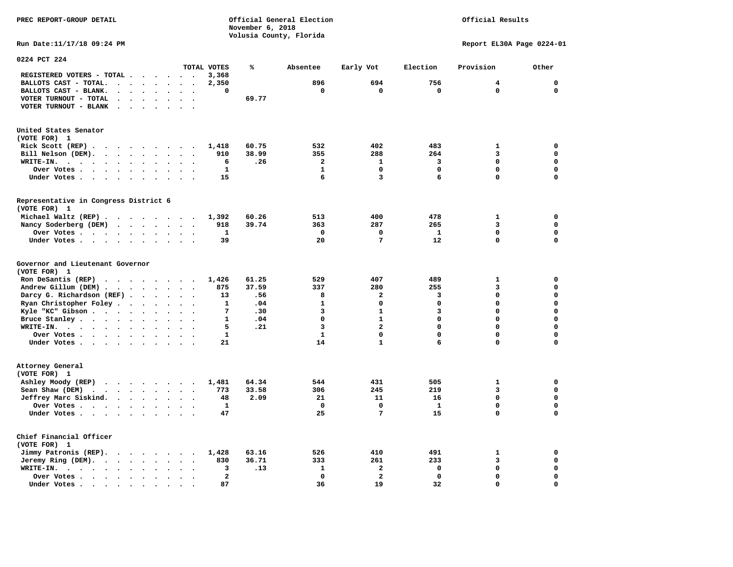## Official Results

**Run Date:11/17/18 09:24 PM Report EL30A Page 0224-01** 

| 0224 PCT 224                                                                  |                                   |                         |                          |                          |                      |                      |                         |       |              |                         |              |             |             |
|-------------------------------------------------------------------------------|-----------------------------------|-------------------------|--------------------------|--------------------------|----------------------|----------------------|-------------------------|-------|--------------|-------------------------|--------------|-------------|-------------|
|                                                                               |                                   |                         |                          |                          |                      |                      | TOTAL VOTES             | ℁     | Absentee     | Early Vot               | Election     | Provision   | Other       |
| REGISTERED VOTERS - TOTAL .                                                   | $\sim$                            |                         |                          |                          | $\ddot{\phantom{a}}$ | $\ddot{\phantom{a}}$ | 3,368                   |       |              |                         |              |             |             |
| BALLOTS CAST - TOTAL.                                                         | $\ddot{\phantom{a}}$              | $\cdot$ $\cdot$ $\cdot$ |                          |                          | $\sim$               | $\bullet$            | 2,350                   |       | 896          | 694                     | 756          | 4           | $\mathbf 0$ |
| BALLOTS CAST - BLANK.                                                         | $\ddot{\phantom{a}}$              |                         |                          |                          |                      |                      | 0                       |       | $\mathbf 0$  | $\mathbf 0$             | $\mathbf 0$  | $\mathbf 0$ | $\mathbf 0$ |
| VOTER TURNOUT - TOTAL                                                         | $\bullet$<br>$\bullet$            |                         |                          |                          |                      |                      |                         | 69.77 |              |                         |              |             |             |
| VOTER TURNOUT - BLANK<br>$\ddotsc$                                            | $\bullet$                         |                         | $\ddot{\phantom{a}}$     |                          | $\bullet$            | $\ddot{\phantom{0}}$ |                         |       |              |                         |              |             |             |
|                                                                               |                                   |                         |                          |                          |                      |                      |                         |       |              |                         |              |             |             |
| United States Senator<br>(VOTE FOR) 1                                         |                                   |                         |                          |                          |                      |                      |                         |       |              |                         |              |             |             |
| Rick Scott (REP).<br>$\cdots$                                                 |                                   |                         |                          |                          |                      |                      | 1,418                   | 60.75 | 532          | 402                     | 483          | 1           | $\mathbf 0$ |
| Bill Nelson (DEM).<br>$\cdot$ $\cdot$ $\cdot$ $\cdot$ $\cdot$ $\cdot$ $\cdot$ |                                   |                         |                          |                          |                      | $\bullet$            | 910                     | 38.99 | 355          | 288                     | 264          | 3           | $\mathbf 0$ |
| WRITE-IN.<br>$\sim$ $\sim$                                                    |                                   | $\bullet$               | $\ddot{\phantom{a}}$     | $\ddot{\phantom{a}}$     | $\ddot{\phantom{a}}$ |                      | 6                       | .26   | 2            | $\mathbf{1}$            | 3            | 0           | $\mathbf 0$ |
| $\bullet$                                                                     |                                   |                         |                          |                          |                      |                      | 1                       |       | $\mathbf{1}$ | $\mathbf 0$             | $\mathbf 0$  | $\mathbf 0$ | $\mathbf 0$ |
| Over Votes                                                                    |                                   | $\ddot{\phantom{1}}$    | $\bullet$                | $\bullet$                | $\bullet$            | $\ddot{\phantom{a}}$ |                         |       |              |                         |              |             |             |
| Under Votes                                                                   |                                   | $\ddot{\phantom{0}}$    | $\bullet$                | $\bullet$                | $\bullet$            |                      | 15                      |       | 6            | 3                       | 6            | 0           | $\mathbf 0$ |
| Representative in Congress District 6                                         |                                   |                         |                          |                          |                      |                      |                         |       |              |                         |              |             |             |
| (VOTE FOR) 1                                                                  |                                   |                         |                          |                          |                      |                      |                         |       |              |                         |              |             |             |
| Michael Waltz (REP)                                                           |                                   |                         |                          |                          |                      | $\bullet$            | 1,392                   | 60.26 | 513          | 400                     | 478          | 1           | 0           |
| Nancy Soderberg (DEM)<br>$\sim$ $\sim$ $\sim$ $\sim$ $\sim$                   |                                   |                         | $\sim$                   | $\ddot{\phantom{1}}$     |                      | $\sim$               | 918                     | 39.74 | 363          | 287                     | 265          | 3           | $\mathbf 0$ |
| Over Votes                                                                    |                                   | $\ddot{\phantom{0}}$    |                          |                          |                      |                      | 1                       |       | $\mathbf 0$  | 0                       | 1            | 0           | $\mathbf 0$ |
| Under Votes                                                                   | $\sim$                            |                         | $\ddot{\phantom{a}}$     | $\cdot$                  |                      |                      | 39                      |       | 20           | 7                       | 12           | 0           | $\mathbf 0$ |
| Governor and Lieutenant Governor<br>(VOTE FOR) 1                              |                                   |                         |                          |                          |                      |                      |                         |       |              |                         |              |             |             |
| Ron DeSantis (REP)<br>$\bullet$<br>$\sim$<br>$\sim$                           |                                   | $\cdots$                |                          |                          |                      |                      | 1,426                   | 61.25 | 529          | 407                     | 489          | 1           | 0           |
| Andrew Gillum (DEM).<br>$\sim$ 100 $\sim$<br>$\bullet$                        |                                   | $\bullet$ .             | $\sim$ $\sim$            |                          | $\bullet$            | $\bullet$            | 875                     | 37.59 | 337          | 280                     | 255          | 3           | $\mathbf 0$ |
| Darcy G. Richardson (REF).                                                    |                                   | $\ddot{\phantom{a}}$    | $\bullet$                | $\ddot{\phantom{a}}$     | $\ddot{\phantom{0}}$ |                      | 13                      | .56   | 8            | $\mathbf{2}$            | 3            | 0           | 0           |
| Ryan Christopher Foley.<br>$\ddot{\phantom{1}}$                               |                                   | $\bullet$ .             | $\ddot{\phantom{0}}$     | $\ddot{\phantom{1}}$     |                      | $\ddot{\phantom{a}}$ | $\mathbf{1}$            | .04   | $\mathbf{1}$ | $\mathbf 0$             | 0            | 0           | $\mathbf 0$ |
| Kyle "KC" Gibson.                                                             |                                   |                         | $\ddot{\phantom{a}}$     | $\ddot{\phantom{a}}$     | $\bullet$            |                      | 7                       | .30   | 3            | $\mathbf{1}$            | 3            | 0           | $\mathbf 0$ |
| Bruce Stanley                                                                 |                                   | $\bullet$               |                          |                          |                      |                      | $\mathbf{1}$            | .04   | $\mathbf 0$  | $\mathbf{1}$            | 0            | 0           | 0           |
| WRITE-IN.<br>$\cdots$                                                         | $\sim$                            |                         | $\ddot{\phantom{a}}$     | $\overline{\phantom{a}}$ | $\sim$               | $\ddot{\phantom{a}}$ | 5                       | .21   | 3            | $\overline{\mathbf{c}}$ | 0            | 0           | $\mathbf 0$ |
| Over Votes .<br>$\cdot$ $\cdot$ $\cdot$ $\cdot$                               | $\bullet$                         |                         |                          |                          |                      |                      | $\mathbf{1}$            |       | $\mathbf{1}$ | $\Omega$                | $\Omega$     | 0           | $\mathbf 0$ |
| Under Votes                                                                   |                                   | $\ddot{\phantom{a}}$    |                          |                          |                      |                      | 21                      |       | 14           | $\mathbf{1}$            | 6            | 0           | $\mathbf 0$ |
| Attorney General<br>(VOTE FOR) 1                                              |                                   |                         |                          |                          |                      |                      |                         |       |              |                         |              |             |             |
| Ashley Moody (REP)                                                            |                                   |                         |                          |                          | $\sim$               | $\ddot{\phantom{a}}$ | 1,481                   | 64.34 | 544          | 431                     | 505          | 1           | $\mathbf 0$ |
| Sean Shaw (DEM)<br>$\cdots$                                                   |                                   |                         |                          |                          |                      |                      | 773                     | 33.58 | 306          | 245                     | 219          | 3           | $\mathbf 0$ |
| Jeffrey Marc Siskind.                                                         |                                   |                         |                          |                          |                      |                      | 48                      | 2.09  | 21           | 11                      | 16           | 0           | $\mathbf 0$ |
| $\sim$ $\sim$ $\sim$ $\sim$                                                   |                                   |                         | $\ddot{\phantom{a}}$     | $\bullet$                | $\bullet$            | $\ddot{\phantom{a}}$ |                         |       |              |                         |              |             |             |
| Over Votes                                                                    | $\ddot{\phantom{0}}$              |                         |                          | $\ddot{\phantom{a}}$     |                      |                      | $\mathbf{1}$            |       | $\Omega$     | $\mathbf 0$             | $\mathbf{1}$ | 0           | $\mathbf 0$ |
| Under Votes                                                                   |                                   | $\bullet$               |                          |                          |                      |                      | 47                      |       | 25           | 7                       | 15           | $\mathbf 0$ | $\mathbf 0$ |
| Chief Financial Officer<br>(VOTE FOR) 1                                       |                                   |                         |                          |                          |                      |                      |                         |       |              |                         |              |             |             |
| Jimmy Patronis (REP).<br>$\ddot{\phantom{1}}$                                 | $\sim$                            |                         | $\overline{\phantom{a}}$ | $\ddot{\phantom{a}}$     |                      |                      | 1,428                   | 63.16 | 526          | 410                     | 491          | 1           | 0           |
| Jeremy Ring (DEM).<br>$\sim$ $\sim$ $\sim$ $\sim$                             |                                   |                         | $\sim$                   | $\ddot{\phantom{a}}$     | $\ddot{\phantom{a}}$ | $\ddot{\phantom{a}}$ | 830                     | 36.71 | 333          | 261                     | 233          | 3           | $\mathbf 0$ |
| WRITE-IN.<br>$\cdots$<br>$\ddot{\phantom{a}}$                                 | $\bullet$<br>$\bullet$            |                         |                          |                          |                      |                      | з                       | .13   | 1            | $\mathbf{2}$            | 0            | 0           | $\mathbf 0$ |
| Over Votes.<br>$\sim$ $\sim$ $\sim$ $\sim$ $\sim$                             | $\ddot{\phantom{1}}$<br>$\bullet$ |                         |                          |                          |                      |                      | $\overline{\mathbf{2}}$ |       | $\Omega$     | $\overline{\mathbf{2}}$ | $\mathbf 0$  | $\mathbf 0$ | $\mathbf 0$ |
| Under Votes.<br>$\sim$<br>$\blacksquare$<br>$\bullet$                         | $\bullet$<br>$\bullet$            |                         |                          |                          |                      |                      | 87                      |       | 36           | 19                      | 32           | 0           | $\mathbf 0$ |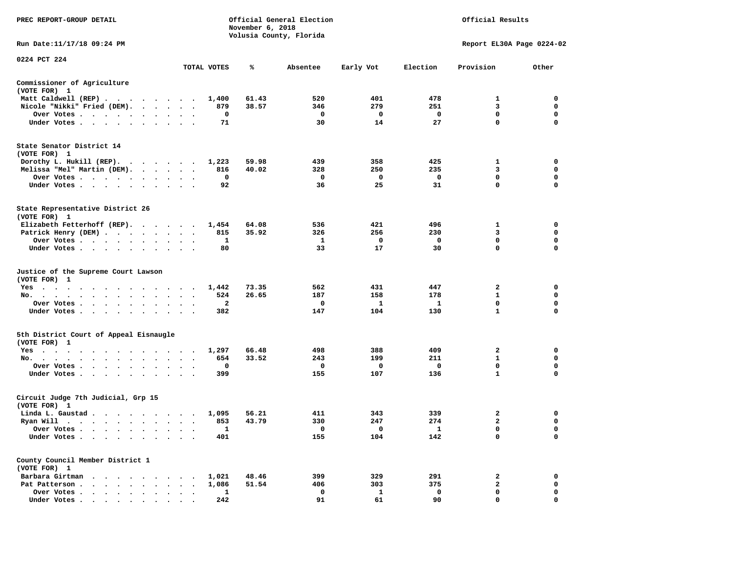| PREC REPORT-GROUP DETAIL                                                                                                                                                                                                                                                                                                                                                                                                            |                                                |              | November 6, 2018 | Official General Election<br>Volusia County, Florida |              | Official Results |                           |             |  |
|-------------------------------------------------------------------------------------------------------------------------------------------------------------------------------------------------------------------------------------------------------------------------------------------------------------------------------------------------------------------------------------------------------------------------------------|------------------------------------------------|--------------|------------------|------------------------------------------------------|--------------|------------------|---------------------------|-------------|--|
| Run Date:11/17/18 09:24 PM                                                                                                                                                                                                                                                                                                                                                                                                          |                                                |              |                  |                                                      |              |                  | Report EL30A Page 0224-02 |             |  |
| 0224 PCT 224                                                                                                                                                                                                                                                                                                                                                                                                                        |                                                | TOTAL VOTES  | ℁                | Absentee                                             | Early Vot    | Election         | Provision                 | Other       |  |
| Commissioner of Agriculture                                                                                                                                                                                                                                                                                                                                                                                                         |                                                |              |                  |                                                      |              |                  |                           |             |  |
| (VOTE FOR) 1                                                                                                                                                                                                                                                                                                                                                                                                                        |                                                |              |                  |                                                      |              |                  |                           |             |  |
| Matt Caldwell (REP)                                                                                                                                                                                                                                                                                                                                                                                                                 |                                                | 1,400        | 61.43            | 520                                                  | 401          | 478              | $\mathbf{1}$              | $\mathbf 0$ |  |
| Nicole "Nikki" Fried (DEM).                                                                                                                                                                                                                                                                                                                                                                                                         |                                                | 879          | 38.57            | 346                                                  | 279          | 251              | 3                         | 0           |  |
| Over Votes                                                                                                                                                                                                                                                                                                                                                                                                                          |                                                | 0            |                  | $\mathbf 0$                                          | 0            | $\mathbf{o}$     | 0                         | 0           |  |
| Under Votes                                                                                                                                                                                                                                                                                                                                                                                                                         |                                                | 71           |                  | 30                                                   | 14           | 27               | $\mathbf 0$               | $\mathbf 0$ |  |
| State Senator District 14<br>(VOTE FOR) 1                                                                                                                                                                                                                                                                                                                                                                                           |                                                |              |                  |                                                      |              |                  |                           |             |  |
| Dorothy L. Hukill (REP).                                                                                                                                                                                                                                                                                                                                                                                                            |                                                | 1,223        | 59.98            | 439                                                  | 358          | 425              | 1                         | 0           |  |
| Melissa "Mel" Martin (DEM).                                                                                                                                                                                                                                                                                                                                                                                                         |                                                | 816          | 40.02            | 328                                                  | 250          | 235              | 3                         | $\mathbf 0$ |  |
| Over Votes                                                                                                                                                                                                                                                                                                                                                                                                                          |                                                | $\mathbf 0$  |                  | $\mathbf 0$                                          | $\mathbf 0$  | $\mathbf{o}$     | $\mathbf 0$               | $\mathbf 0$ |  |
| Under Votes                                                                                                                                                                                                                                                                                                                                                                                                                         |                                                | 92           |                  | 36                                                   | 25           | 31               | $\mathbf 0$               | $\mathbf 0$ |  |
| State Representative District 26<br>(VOTE FOR) 1                                                                                                                                                                                                                                                                                                                                                                                    |                                                |              |                  |                                                      |              |                  |                           |             |  |
| Elizabeth Fetterhoff (REP).                                                                                                                                                                                                                                                                                                                                                                                                         |                                                | 1,454        | 64.08            | 536                                                  | 421          | 496              | $\mathbf{1}$              | $\mathbf 0$ |  |
| Patrick Henry (DEM)                                                                                                                                                                                                                                                                                                                                                                                                                 |                                                | 815          | 35.92            | 326                                                  | 256          | 230              | 3                         | $\mathbf 0$ |  |
| Over Votes                                                                                                                                                                                                                                                                                                                                                                                                                          | $\sim$ $\sim$                                  | 1            |                  | 1                                                    | 0            | 0                | 0                         | 0           |  |
| Under Votes                                                                                                                                                                                                                                                                                                                                                                                                                         |                                                | 80           |                  | 33                                                   | 17           | 30               | $\mathbf 0$               | $\mathbf 0$ |  |
| Justice of the Supreme Court Lawson<br>(VOTE FOR) 1                                                                                                                                                                                                                                                                                                                                                                                 |                                                |              |                  |                                                      |              |                  |                           |             |  |
| Yes                                                                                                                                                                                                                                                                                                                                                                                                                                 |                                                | 1,442        | 73.35            | 562                                                  | 431          | 447              | $\mathbf{2}$              | 0           |  |
| No.<br>$\mathbf{u} = \mathbf{u} + \mathbf{u} + \mathbf{u} + \mathbf{u} + \mathbf{u} + \mathbf{u} + \mathbf{u} + \mathbf{u} + \mathbf{u} + \mathbf{u} + \mathbf{u} + \mathbf{u} + \mathbf{u} + \mathbf{u} + \mathbf{u} + \mathbf{u} + \mathbf{u} + \mathbf{u} + \mathbf{u} + \mathbf{u} + \mathbf{u} + \mathbf{u} + \mathbf{u} + \mathbf{u} + \mathbf{u} + \mathbf{u} + \mathbf{u} + \mathbf{u} + \mathbf{u} + \mathbf{u} + \mathbf$ |                                                | 524          | 26.65            | 187                                                  | 158          | 178              | 1                         | 0           |  |
| Over Votes                                                                                                                                                                                                                                                                                                                                                                                                                          | $\cdot$<br>$\cdot$<br>$\overline{\phantom{a}}$ | $\mathbf{2}$ |                  | $\mathbf 0$                                          | $\mathbf{1}$ | - 1              | $\mathbf 0$               | 0           |  |
| Under Votes                                                                                                                                                                                                                                                                                                                                                                                                                         | $\cdot$ $\cdot$ $\cdot$                        | 382          |                  | 147                                                  | 104          | 130              | $\mathbf{1}$              | $\mathbf 0$ |  |
| 5th District Court of Appeal Eisnaugle<br>(VOTE FOR) 1                                                                                                                                                                                                                                                                                                                                                                              |                                                |              |                  |                                                      |              |                  |                           |             |  |
| Yes                                                                                                                                                                                                                                                                                                                                                                                                                                 |                                                | 1,297        | 66.48            | 498                                                  | 388          | 409              | $\mathbf{2}$              | $\mathbf 0$ |  |
| No.                                                                                                                                                                                                                                                                                                                                                                                                                                 |                                                | 654          | 33.52            | 243                                                  | 199          | 211              | $\mathbf{1}$              | $\mathbf 0$ |  |
| Over Votes<br>$\cdot$ $\cdot$<br>$\cdot$                                                                                                                                                                                                                                                                                                                                                                                            |                                                | 0            |                  | $\mathbf{o}$                                         | 0            | 0                | $\mathbf 0$               | $\mathbf 0$ |  |
| Under Votes                                                                                                                                                                                                                                                                                                                                                                                                                         |                                                | 399          |                  | 155                                                  | 107          | 136              | $\mathbf{1}$              | $\Omega$    |  |
| Circuit Judge 7th Judicial, Grp 15<br>(VOTE FOR) 1                                                                                                                                                                                                                                                                                                                                                                                  |                                                |              |                  |                                                      |              |                  |                           |             |  |
| Linda L. Gaustad                                                                                                                                                                                                                                                                                                                                                                                                                    |                                                | 1,095        | 56.21            | 411                                                  | 343          | 339              | 2                         | 0           |  |
| Ryan Will $\cdots$ $\cdots$ $\cdots$ $\cdots$                                                                                                                                                                                                                                                                                                                                                                                       |                                                | 853          | 43.79            | 330                                                  | 247          | 274              | $\mathbf{2}$              | 0           |  |
| Over Votes                                                                                                                                                                                                                                                                                                                                                                                                                          | $\cdot$ .                                      | 1            |                  | $\mathbf{o}$                                         | 0            | - 1              | $\mathbf 0$               | $\mathbf 0$ |  |
| Under Votes<br>$\ddot{\phantom{0}}$<br>$\cdot$<br>$\cdot$                                                                                                                                                                                                                                                                                                                                                                           |                                                | 401          |                  | 155                                                  | 104          | 142              | $\mathbf 0$               | $\mathbf 0$ |  |
| County Council Member District 1<br>(VOTE FOR) 1                                                                                                                                                                                                                                                                                                                                                                                    |                                                |              |                  |                                                      |              |                  |                           |             |  |
| Barbara Girtman                                                                                                                                                                                                                                                                                                                                                                                                                     |                                                | 1,021        | 48.46            | 399                                                  | 329          | 291              | $\mathbf{2}$              | $\mathbf 0$ |  |
| Pat Patterson                                                                                                                                                                                                                                                                                                                                                                                                                       |                                                | 1,086        | 51.54            | 406                                                  | 303          | 375              | $\mathbf{2}$              | 0           |  |
| Over Votes<br>$\ddot{\phantom{0}}$<br>$\bullet$                                                                                                                                                                                                                                                                                                                                                                                     | $\cdot$<br>$\ddot{\phantom{a}}$<br>$\cdot$     | 1            |                  | $\mathbf 0$                                          | 1            | $\mathbf 0$      | $\mathbf 0$               | $\mathbf 0$ |  |
| Under Votes                                                                                                                                                                                                                                                                                                                                                                                                                         |                                                | 2.42         |                  | 91                                                   | 61           | 90               | $\Omega$                  | $\Omega$    |  |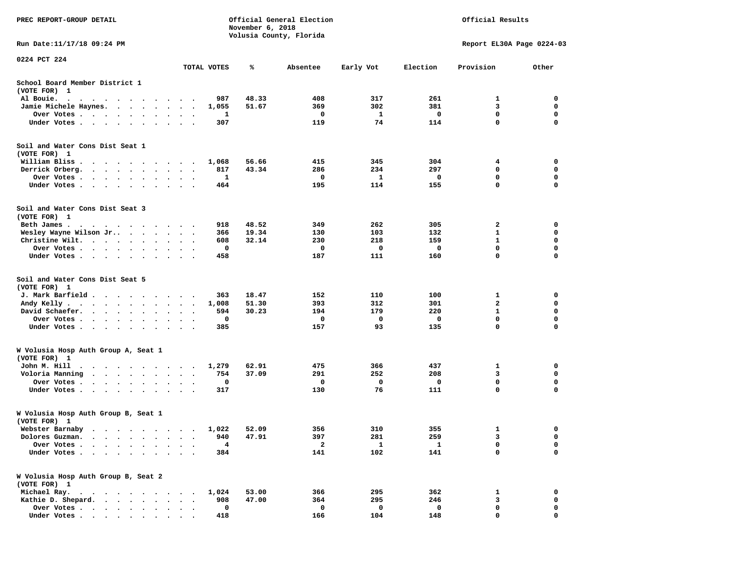| PREC REPORT-GROUP DETAIL                                                                                                                                               |                                   |                         | November 6, 2018 | Official General Election<br>Volusia County, Florida |              | Official Results          |              |             |  |
|------------------------------------------------------------------------------------------------------------------------------------------------------------------------|-----------------------------------|-------------------------|------------------|------------------------------------------------------|--------------|---------------------------|--------------|-------------|--|
| Run Date:11/17/18 09:24 PM                                                                                                                                             |                                   |                         |                  |                                                      |              | Report EL30A Page 0224-03 |              |             |  |
| 0224 PCT 224                                                                                                                                                           |                                   | TOTAL VOTES             | ℁                | Absentee                                             | Early Vot    | Election                  | Provision    | Other       |  |
| School Board Member District 1<br>(VOTE FOR) 1                                                                                                                         |                                   |                         |                  |                                                      |              |                           |              |             |  |
| Al Bouie.<br>$\bullet$<br>$\cdot$ $\cdot$ $\cdot$<br>$\ddot{\phantom{1}}$<br>$\sim$ $\sim$<br>$\overline{\phantom{a}}$                                                 |                                   | 987                     | 48.33            | 408                                                  | 317          | 261                       | 1            | 0           |  |
| Jamie Michele Haynes.<br>$\cdot$ $\cdot$ $\cdot$ $\cdot$                                                                                                               | $\cdot$                           | 1,055                   | 51.67            | 369                                                  | 302          | 381                       | 3            | 0           |  |
| Over Votes<br>$\mathbf{r} = \mathbf{r} + \mathbf{r} + \mathbf{r} + \mathbf{r}$ .                                                                                       | $\cdot$<br>$\cdot$<br>$\bullet$   | 1                       |                  | 0                                                    | 1            | 0                         | $\mathbf 0$  | $\mathbf 0$ |  |
| Under Votes<br>$\ddot{\phantom{0}}$<br>$\cdot$<br>$\cdot$<br>$\ddot{\phantom{1}}$                                                                                      |                                   | 307                     |                  | 119                                                  | 74           | 114                       | $\mathbf 0$  | 0           |  |
| Soil and Water Cons Dist Seat 1<br>(VOTE FOR) 1                                                                                                                        |                                   |                         |                  |                                                      |              |                           |              |             |  |
| William Bliss<br>$\sim$<br>$\ddot{\phantom{1}}$<br>$\cdot$<br>$\sim$ $\sim$ $\sim$                                                                                     | $\sim$<br>$\cdot$                 | 1,068                   | 56.66            | 415                                                  | 345          | 304                       | 4            | 0           |  |
| Derrick Orberg.<br>$\begin{array}{cccccccccccccc} \bullet & \bullet & \bullet & \bullet & \bullet & \bullet & \bullet & \bullet & \bullet & \bullet \end{array}$       | $\bullet$<br>$\bullet$            | 817                     | 43.34            | 286                                                  | 234          | 297                       | 0            | 0           |  |
| Over Votes .<br>$\sim$<br>$\sim$<br>$\bullet$<br>$\bullet$                                                                                                             |                                   | 1                       |                  | 0                                                    | 1            | 0                         | 0            | 0           |  |
| Under Votes.<br>$\cdot$ $\cdot$ $\cdot$ $\cdot$<br>$\bullet$<br>$\bullet$                                                                                              |                                   | 464                     |                  | 195                                                  | 114          | 155                       | $\mathbf 0$  | $\mathbf 0$ |  |
| Soil and Water Cons Dist Seat 3<br>(VOTE FOR) 1                                                                                                                        |                                   |                         |                  |                                                      |              |                           |              |             |  |
| Beth James.                                                                                                                                                            |                                   | 918                     | 48.52            | 349                                                  | 262          | 305                       | 2            | 0           |  |
| Wesley Wayne Wilson Jr<br>$\bullet$ $\bullet$ $\bullet$ $\bullet$                                                                                                      | $\bullet$                         | 366                     | 19.34            | 130                                                  | 103          | 132                       | 1            | 0           |  |
| Christine Wilt.<br>$\bullet$ , $\bullet$ , $\bullet$ , $\bullet$<br>$\sim$ 100 $\sim$ 100 $\sim$                                                                       |                                   | 608                     | 32.14            | 230                                                  | 218          | 159                       | $\mathbf{1}$ | $\mathbf 0$ |  |
| Over Votes<br>$\bullet$<br>$\bullet$<br>$\bullet$                                                                                                                      | $\bullet$<br>$\bullet$            | 0                       |                  | 0                                                    | 0            | 0                         | $\mathbf 0$  | 0           |  |
| Under Votes<br>$\ddot{\phantom{0}}$                                                                                                                                    |                                   | 458                     |                  | 187                                                  | 111          | 160                       | 0            | 0           |  |
| Soil and Water Cons Dist Seat 5<br>(VOTE FOR) 1                                                                                                                        |                                   |                         |                  |                                                      |              |                           |              |             |  |
| J. Mark Barfield.<br>$\cdots$                                                                                                                                          | $\bullet$                         | 363                     | 18.47            | 152                                                  | 110          | 100                       | 1            | 0           |  |
| Andy Kelly.<br>$\begin{array}{cccccccccccccc} \bullet & \bullet & \bullet & \bullet & \bullet & \bullet & \bullet & \bullet & \bullet & \bullet & \bullet \end{array}$ | $\bullet$<br>$\bullet$            | 1,008                   | 51.30            | 393                                                  | 312          | 301                       | $\mathbf{2}$ | $\mathbf 0$ |  |
| David Schaefer.<br>$\sim$ $\sim$<br>$\bullet$<br>$\ddot{\phantom{a}}$                                                                                                  |                                   | 594                     | 30.23            | 194                                                  | 179          | 220                       | $\mathbf{1}$ | 0           |  |
| Over Votes.<br>$\cdot$ $\cdot$<br>$\sim$<br>$\bullet$<br>$\bullet$<br>$\bullet$                                                                                        | $\bullet$<br>$\bullet$            | 0                       |                  | 0                                                    | 0            | 0                         | $\mathbf 0$  | $\mathbf 0$ |  |
| Under Votes<br>$\ddot{\phantom{a}}$<br>$\ddot{\phantom{0}}$                                                                                                            | $\ddot{\phantom{0}}$<br>$\cdot$ . | 385                     |                  | 157                                                  | 93           | 135                       | $\mathbf 0$  | $\mathbf 0$ |  |
| W Volusia Hosp Auth Group A, Seat 1<br>(VOTE FOR) 1                                                                                                                    |                                   |                         |                  |                                                      |              |                           |              |             |  |
| John M. Hill<br>$\ddot{\phantom{1}}$<br>$\sim$<br>$\ddot{\phantom{1}}$<br>$\cdots$                                                                                     | $\bullet$                         | 1,279                   | 62.91            | 475                                                  | 366          | 437                       | 1            | 0           |  |
| Voloria Manning<br>$\sim$ $\sim$ $\sim$ $\sim$<br>$\bullet$ .<br><br><br><br><br><br>$\ddot{\phantom{0}}$                                                              |                                   | 754                     | 37.09            | 291                                                  | 252          | 208                       | 3            | 0           |  |
| Over Votes .<br>$\ddot{\phantom{1}}$<br>$\cdot$<br>$\cdot$<br>$\cdot$<br>$\ddot{\phantom{a}}$                                                                          |                                   | 0                       |                  | 0                                                    | 0            | 0                         | 0            | 0           |  |
| Under Votes<br>$\cdot$<br>$\bullet$<br>$\cdot$                                                                                                                         |                                   | 317                     |                  | 130                                                  | 76           | 111                       | $\mathbf 0$  | 0           |  |
| W Volusia Hosp Auth Group B, Seat 1<br>(VOTE FOR) 1                                                                                                                    |                                   |                         |                  |                                                      |              |                           |              |             |  |
| Webster Barnaby<br>.                                                                                                                                                   |                                   | 1,022                   | 52.09            | 356                                                  | 310          | 355                       | 1            | 0           |  |
| Dolores Guzman.                                                                                                                                                        |                                   | 940                     | 47.91            | 397                                                  | 281          | 259                       | 3            | 0           |  |
| Over Votes .                                                                                                                                                           |                                   | $\overline{\mathbf{4}}$ |                  | $\overline{\mathbf{2}}$                              | $\mathbf{1}$ | $\mathbf{1}$              | 0            | 0           |  |
| Under Votes.<br>$\bullet$                                                                                                                                              |                                   | 384                     |                  | 141                                                  | 102          | 141                       | 0            | $\Omega$    |  |
| W Volusia Hosp Auth Group B, Seat 2<br>(VOTE FOR) 1                                                                                                                    |                                   |                         |                  |                                                      |              |                           |              |             |  |
| Michael Ray.<br>$\cdot$ $\cdot$ $\cdot$ $\cdot$<br>$\cdot$ $\cdot$ $\cdot$                                                                                             |                                   | 1,024                   | 53.00            | 366                                                  | 295          | 362                       | 1            | 0           |  |
| Kathie D. Shepard.<br>$\cdot$ $\cdot$<br>$\cdot$<br>$\cdot$                                                                                                            |                                   | 908                     | 47.00            | 364                                                  | 295          | 246                       | 3            | 0           |  |
| Over Votes.<br>.                                                                                                                                                       |                                   | 0                       |                  | 0                                                    | 0            | 0                         | 0            | 0           |  |
| Under Votes                                                                                                                                                            |                                   | 418                     |                  | 166                                                  | 104          | 148                       | $\Omega$     | O           |  |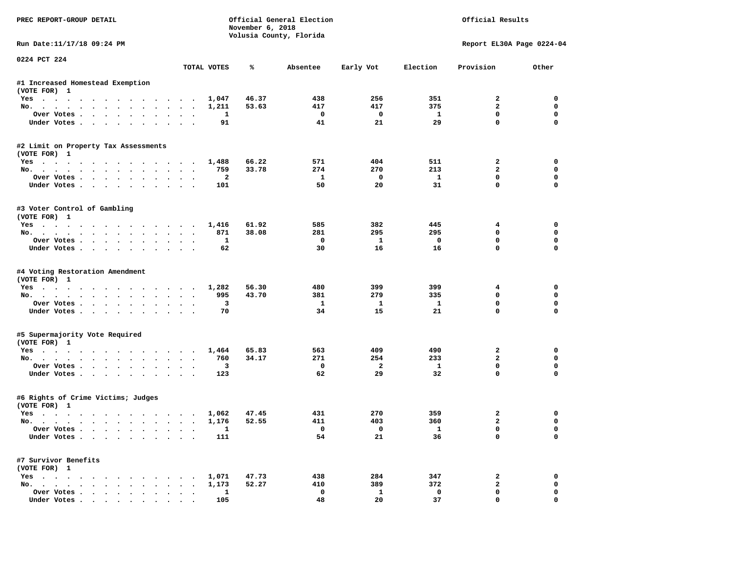| PREC REPORT-GROUP DETAIL                           |                      | November 6, 2018 | Official General Election<br>Volusia County, Florida |                    |                    | Official Results              |                           |
|----------------------------------------------------|----------------------|------------------|------------------------------------------------------|--------------------|--------------------|-------------------------------|---------------------------|
| Run Date: 11/17/18 09:24 PM                        |                      |                  |                                                      |                    |                    |                               | Report EL30A Page 0224-04 |
| 0224 PCT 224                                       | TOTAL VOTES          | ℁                | Absentee                                             | Early Vot          | Election           | Provision                     | Other                     |
| #1 Increased Homestead Exemption                   |                      |                  |                                                      |                    |                    |                               |                           |
| (VOTE FOR) 1                                       |                      |                  |                                                      |                    |                    |                               |                           |
| Yes                                                | 1,047                | 46.37            | 438                                                  | 256                | 351                | $\mathbf{2}$                  | $\Omega$                  |
| No.                                                | 1,211                | 53.63            | 417                                                  | 417                | 375                | $\overline{a}$                | $\mathbf 0$               |
| Over Votes.                                        | 1                    |                  | $\mathbf 0$                                          | $\mathbf{o}$       | $\mathbf{1}$       | $\mathbf 0$                   | $\mathbf 0$               |
| Under Votes                                        | 91                   |                  | 41                                                   | 21                 | 29                 | $\mathbf 0$                   | $\mathbf{0}$              |
| #2 Limit on Property Tax Assessments               |                      |                  |                                                      |                    |                    |                               |                           |
| (VOTE FOR) 1                                       |                      |                  |                                                      |                    |                    |                               |                           |
| Yes                                                | 1,488                | 66.22            | 571                                                  | 404                | 511                | $\overline{2}$                | $\mathbf 0$               |
| No.                                                | 759                  | 33.78            | 274                                                  | 270                | 213                | $\overline{a}$<br>$\mathbf 0$ | 0<br>$\mathbf 0$          |
| Over Votes.<br>Under Votes                         | $\overline{a}$       |                  | $\mathbf{1}$<br>50                                   | $\mathbf{o}$<br>20 | $\mathbf{1}$<br>31 | $\mathbf 0$                   | $\mathbf 0$               |
|                                                    | 101                  |                  |                                                      |                    |                    |                               |                           |
| #3 Voter Control of Gambling<br>(VOTE FOR) 1       |                      |                  |                                                      |                    |                    |                               |                           |
| Yes                                                | 1,416                | 61.92            | 585                                                  | 382                | 445                | 4                             | $\mathbf 0$               |
| No.                                                | 871                  | 38.08            | 281                                                  | 295                | 295                | 0                             | $\mathbf 0$               |
| Over Votes                                         | $\mathbf{1}$         |                  | $\mathbf 0$                                          | $\mathbf{1}$       | $\mathbf 0$        | $\mathbf 0$                   | $\mathbf 0$               |
| Under Votes                                        | 62                   |                  | 30                                                   | 16                 | 16                 | $\Omega$                      | $\Omega$                  |
| #4 Voting Restoration Amendment<br>(VOTE FOR) 1    |                      |                  |                                                      |                    |                    |                               |                           |
| Yes                                                | 1,282                | 56.30            | 480                                                  | 399                | 399                | 4                             | 0                         |
| No.                                                | 995<br>$\sim$ $\sim$ | 43.70            | 381                                                  | 279                | 335                | $\mathbf 0$                   | $\mathbf 0$               |
| Over Votes                                         | 3                    |                  | $\mathbf{1}$                                         | $\mathbf{1}$       | $\mathbf{1}$       | $\mathbf 0$                   | $\mathbf 0$               |
| Under Votes                                        | 70                   |                  | 34                                                   | 15                 | 21                 | $\Omega$                      | $\mathbf 0$               |
| #5 Supermajority Vote Required                     |                      |                  |                                                      |                    |                    |                               |                           |
| (VOTE FOR) 1                                       |                      |                  |                                                      |                    |                    |                               |                           |
| Yes                                                | 1,464                | 65.83            | 563                                                  | 409                | 490                | $\overline{2}$                | $\mathbf 0$               |
| No.                                                | 760                  | 34.17            | 271                                                  | 254                | 233                | $\overline{a}$                | $\mathbf{0}$              |
| Over Votes                                         | 3                    |                  | $\mathbf 0$                                          | $\mathbf{2}$       | $\mathbf{1}$       | $\mathbf 0$                   | $\mathbf 0$               |
| Under Votes                                        | 123                  |                  | 62                                                   | 29                 | 32                 | $\mathbf 0$                   | $\mathbf{0}$              |
| #6 Rights of Crime Victims; Judges<br>(VOTE FOR) 1 |                      |                  |                                                      |                    |                    |                               |                           |
| Yes                                                | 1,062                | 47.45            | 431                                                  | 270                | 359                | $\overline{2}$                | $\mathbf 0$               |
| No.                                                | 1,176                | 52.55            | 411                                                  | 403                | 360                | $\overline{a}$                | $\mathbf 0$               |
| Over Votes                                         | $\mathbf{1}$         |                  | $\Omega$                                             | $\Omega$           | $\mathbf{1}$       | $\mathbf 0$                   | $\mathbf{0}$              |
| Under Votes                                        | 111                  |                  | 54                                                   | 21                 | 36                 | $\mathbf 0$                   | $\mathbf 0$               |
| #7 Survivor Benefits                               |                      |                  |                                                      |                    |                    |                               |                           |
| (VOTE FOR) 1                                       |                      | 47.73            | 438                                                  | 284                | 347                | 2                             | 0                         |
| Yes<br>No.                                         | 1,071<br>1,173       | 52.27            | 410                                                  | 389                | 372                | $\mathbf{2}$                  | $\mathbf 0$               |
| Over Votes                                         | $\mathbf{1}$         |                  | $\mathbf{0}$                                         | $\mathbf{1}$       | $\mathbf 0$        | $\mathbf{0}$                  | $\mathbf 0$               |
| Under Votes                                        | 105                  |                  | 48                                                   | 20                 | 37                 | $\mathbf{0}$                  | $\mathbf 0$               |
|                                                    |                      |                  |                                                      |                    |                    |                               |                           |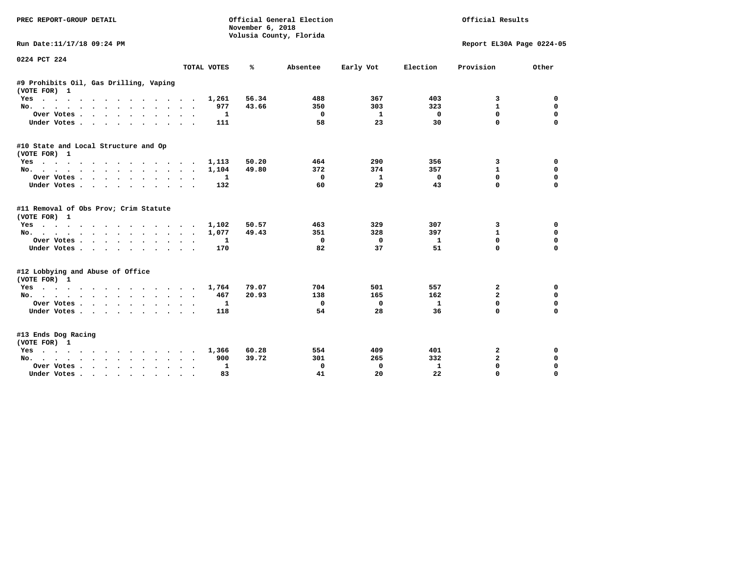| PREC REPORT-GROUP DETAIL                                           |                  | November 6, 2018<br>Volusia County, Florida | Official General Election |           | Official Results |                           |             |  |
|--------------------------------------------------------------------|------------------|---------------------------------------------|---------------------------|-----------|------------------|---------------------------|-------------|--|
| Run Date:11/17/18 09:24 PM                                         |                  |                                             |                           |           |                  | Report EL30A Page 0224-05 |             |  |
| 0224 PCT 224                                                       | TOTAL VOTES      | ℁                                           | Absentee                  | Early Vot | Election         | Provision                 | Other       |  |
|                                                                    |                  |                                             |                           |           |                  |                           |             |  |
| #9 Prohibits Oil, Gas Drilling, Vaping<br>(VOTE FOR) 1             |                  |                                             |                           |           |                  |                           |             |  |
| $Yes \cdot \cdot \cdot$                                            | 1,261            | 56.34                                       | 488                       | 367       | 403              | 3                         | 0           |  |
| No.                                                                | 977              | 43.66                                       | 350                       | 303       | 323              | $\mathbf{1}$              | $\mathbf 0$ |  |
| Over Votes                                                         | 1<br>$\bullet$ . |                                             | 0                         | -1        | $\mathbf 0$      | $\mathbf{0}$              | $\mathbf 0$ |  |
| Under Votes                                                        | 111              |                                             | 58                        | 23        | 30               | $\mathbf 0$               | $\mathbf 0$ |  |
| #10 State and Local Structure and Op<br>(VOTE FOR) 1               |                  |                                             |                           |           |                  |                           |             |  |
| Yes                                                                | 1,113            | 50.20                                       | 464                       | 290       | 356              | 3                         | 0           |  |
| No.                                                                | 1,104            | 49.80                                       | 372                       | 374       | 357              | $\mathbf{1}$              | 0           |  |
| Over Votes                                                         | 1                |                                             | $\mathbf 0$               | 1         | $\mathbf 0$      | 0                         | $\mathbf 0$ |  |
| Under Votes                                                        | 132              |                                             | 60                        | 29        | 43               | $\Omega$                  | $\mathbf 0$ |  |
| #11 Removal of Obs Prov; Crim Statute<br>(VOTE FOR) 1              | 1,102            | 50.57                                       | 463                       | 329       | 307              | 3                         | 0           |  |
| Yes<br>No.                                                         | 1,077            | 49.43                                       | 351                       | 328       | 397              | $\mathbf{1}$              | 0           |  |
|                                                                    | $\sim$<br>1      |                                             | $\mathbf 0$               | $\Omega$  | $\mathbf{1}$     | 0                         | $\mathbf 0$ |  |
| Over Votes<br>Under Votes<br>$\ddot{\phantom{1}}$                  | $\bullet$<br>170 |                                             | 82                        | 37        | 51               | 0                         | $\mathbf 0$ |  |
|                                                                    |                  |                                             |                           |           |                  |                           |             |  |
| #12 Lobbying and Abuse of Office<br>(VOTE FOR) 1                   |                  |                                             |                           |           |                  |                           |             |  |
| Yes                                                                | 1,764            | 79.07                                       | 704                       | 501       | 557              | 2                         | 0           |  |
| No.                                                                | 467              | 20.93                                       | 138                       | 165       | 162              | $\overline{a}$            | 0           |  |
| Over Votes                                                         | 1                |                                             | 0                         | 0         | $\mathbf{1}$     | 0                         | $\mathbf 0$ |  |
| Under Votes                                                        | 118              |                                             | 54                        | 28        | 36               | 0                         | $\mathbf 0$ |  |
| #13 Ends Dog Racing<br>(VOTE FOR) 1                                |                  |                                             |                           |           |                  |                           |             |  |
| Yes                                                                | 1,366            | 60.28                                       | 554                       | 409       | 401              | 2                         | 0           |  |
| $No.$<br>.<br>$\sim$                                               | 900              | 39.72                                       | 301                       | 265       | 332              | $\mathbf{2}$              | 0           |  |
| Over Votes .<br>$\cdot$ $\cdot$ $\cdot$ $\cdot$ $\cdot$<br>$\cdot$ | 1<br>$\bullet$   |                                             | 0                         | 0         | 1                | 0                         | $\mathbf 0$ |  |
| Under Votes<br>$\bullet$                                           | 83               |                                             | 41                        | 20        | 22               | $\Omega$                  | $\Omega$    |  |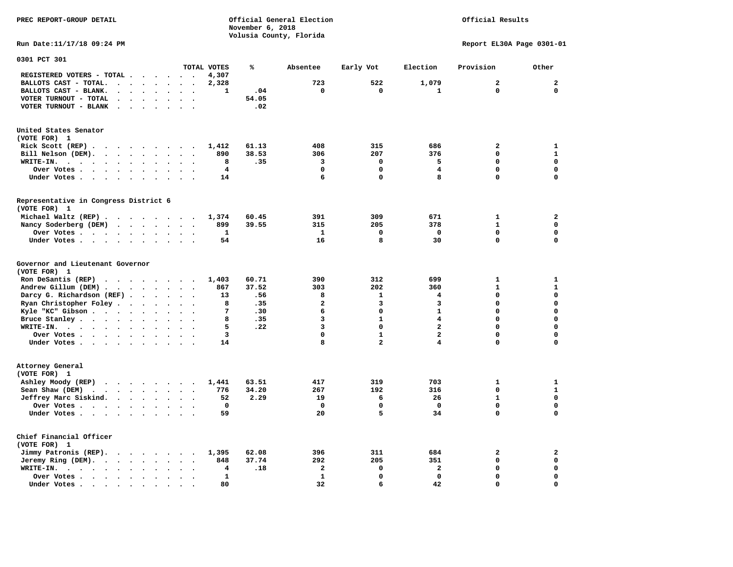Official Results

**Run Date:11/17/18 09:24 PM Report EL30A Page 0301-01** 

| 0301 PCT 301                                                                                                                                                        |                      |                          |                      |                         |                      |                          |              |            |                         |                |                         |                         |              |
|---------------------------------------------------------------------------------------------------------------------------------------------------------------------|----------------------|--------------------------|----------------------|-------------------------|----------------------|--------------------------|--------------|------------|-------------------------|----------------|-------------------------|-------------------------|--------------|
|                                                                                                                                                                     |                      |                          |                      |                         |                      |                          | TOTAL VOTES  | ℁          | Absentee                | Early Vot      | Election                | Provision               | Other        |
| REGISTERED VOTERS - TOTAL .                                                                                                                                         |                      | $\overline{\phantom{a}}$ |                      | $\ddot{\phantom{a}}$    | $\sim$               |                          | 4,307        |            | 723                     | 522            |                         | $\overline{a}$          | $\mathbf{z}$ |
| BALLOTS CAST - TOTAL.                                                                                                                                               | $\ddot{\phantom{a}}$ | $\bullet$                | $\cdot$              | $\bullet$               | $\ddot{\phantom{a}}$ | $\bullet$                | 2,328        |            | $\mathbf 0$             |                | 1,079<br>$\mathbf{1}$   | 0                       | $\mathbf 0$  |
| BALLOTS CAST - BLANK.                                                                                                                                               |                      | $\ddot{\phantom{a}}$     |                      | $\ddot{\phantom{a}}$    |                      |                          | 1            | .04        |                         | 0              |                         |                         |              |
| VOTER TURNOUT - TOTAL<br>$\ddot{\phantom{a}}$                                                                                                                       | $\cdot$              | $\ddot{\phantom{a}}$     | $\ddot{\phantom{a}}$ | $\bullet$               | $\ddot{\phantom{a}}$ | $\ddot{\phantom{a}}$     |              | 54.05      |                         |                |                         |                         |              |
| VOTER TURNOUT - BLANK                                                                                                                                               | $\bullet$            |                          |                      |                         |                      |                          |              | .02        |                         |                |                         |                         |              |
| United States Senator                                                                                                                                               |                      |                          |                      |                         |                      |                          |              |            |                         |                |                         |                         |              |
| (VOTE FOR) 1                                                                                                                                                        |                      |                          |                      |                         |                      |                          |              |            |                         |                |                         |                         |              |
| Rick Scott (REP).<br>.                                                                                                                                              |                      |                          |                      |                         |                      |                          | 1,412        | 61.13      | 408                     | 315            | 686                     | $\overline{\mathbf{2}}$ | $\mathbf{1}$ |
| Bill Nelson (DEM).<br>$\begin{array}{cccccccccccccc} \bullet & \bullet & \bullet & \bullet & \bullet & \bullet & \bullet & \bullet & \bullet & \bullet \end{array}$ |                      |                          |                      |                         | $\ddot{\phantom{a}}$ |                          | 890          | 38.53      | 306                     | 207            | 376                     | 0                       | $\mathbf{1}$ |
| WRITE-IN.<br>$\sim$<br>$\sim$ $\sim$ $\sim$<br>$\ddot{\phantom{a}}$                                                                                                 |                      | $\ddot{\phantom{a}}$     | $\sim$               |                         |                      |                          | 8            | .35        | 3                       | $\mathbf 0$    | 5                       | $\mathbf 0$             | $\mathbf 0$  |
| Over Votes .<br>$\cdots$                                                                                                                                            |                      | $\bullet$                | $\ddot{\phantom{a}}$ | $\bullet$               |                      |                          | 4            |            | $\Omega$                | $\mathbf 0$    | 4                       | 0                       | $\mathbf 0$  |
| Under Votes                                                                                                                                                         |                      | $\ddot{\phantom{a}}$     |                      | $\ddot{\phantom{a}}$    |                      |                          | 14           |            | 6                       | $\Omega$       | 8                       | $\mathbf 0$             | $\mathbf 0$  |
| Representative in Congress District 6                                                                                                                               |                      |                          |                      |                         |                      |                          |              |            |                         |                |                         |                         |              |
| (VOTE FOR) 1                                                                                                                                                        |                      |                          |                      |                         |                      |                          |              |            |                         |                |                         |                         |              |
| Michael Waltz (REP)                                                                                                                                                 |                      |                          |                      | $\cdots$                |                      |                          | 1,374        | 60.45      | 391                     | 309            | 671                     | $\mathbf{1}$            | 2            |
| Nancy Soderberg (DEM)<br>$\sim$ $\sim$ $\sim$ $\sim$                                                                                                                |                      |                          |                      | $\cdot$ $\cdot$ $\cdot$ |                      |                          | 899          | 39.55      | 315                     | 205            | 378                     | $\mathbf{1}$            | $\mathbf 0$  |
| Over Votes                                                                                                                                                          |                      |                          | $\ddot{\phantom{a}}$ | $\bullet$               | $\bullet$            | $\ddot{\phantom{a}}$     | $\mathbf{1}$ |            | $\mathbf{1}$            | $\mathbf 0$    | $\mathbf 0$             | 0                       | $\mathbf 0$  |
| Under Votes                                                                                                                                                         |                      | $\sim$                   | $\ddot{\phantom{a}}$ | $\ddot{\phantom{a}}$    | $\sim$               |                          | 54           |            | 16                      | 8              | 30                      | 0                       | $\mathbf 0$  |
|                                                                                                                                                                     |                      |                          |                      |                         |                      |                          |              |            |                         |                |                         |                         |              |
| Governor and Lieutenant Governor<br>(VOTE FOR) 1                                                                                                                    |                      |                          |                      |                         |                      |                          |              |            |                         |                |                         |                         |              |
| Ron DeSantis (REP)<br>$\cdots$                                                                                                                                      |                      |                          |                      |                         |                      | $\overline{\phantom{a}}$ | 1,403        | 60.71      | 390                     | 312            | 699                     | 1                       | 1            |
| Andrew Gillum (DEM).<br>$\sim$ $\sim$ $\sim$                                                                                                                        |                      | $\sim$                   |                      | $\cdot$ $\cdot$         |                      |                          | 867          | 37.52      | 303                     | 202            | 360                     | $\mathbf{1}$            | $\mathbf{1}$ |
| Darcy G. Richardson (REF).                                                                                                                                          |                      | $\bullet$                | $\ddot{\phantom{a}}$ | $\bullet$               | $\ddot{\phantom{1}}$ | $\bullet$                | 13           | .56        | 8                       | $\mathbf{1}$   | 4                       | 0                       | $\mathbf 0$  |
| Ryan Christopher Foley                                                                                                                                              |                      |                          |                      | $\ddot{\phantom{a}}$    |                      |                          | 8            | .35        | $\overline{\mathbf{2}}$ | 3              | 3                       | 0                       | $\mathbf 0$  |
| Kyle "KC" Gibson                                                                                                                                                    |                      | $\bullet$                |                      |                         | $\ddot{\phantom{1}}$ |                          | 7            | .30        | 6                       | $\Omega$       | $\mathbf{1}$            | $\mathbf 0$             | $\mathbf 0$  |
|                                                                                                                                                                     |                      |                          | $\cdot$              |                         |                      |                          | 8            |            | 3                       | $\mathbf{1}$   | 4                       | 0                       | $\mathbf 0$  |
| Bruce Stanley                                                                                                                                                       |                      | $\bullet$                |                      |                         |                      |                          | 5            | .35<br>.22 | $\overline{3}$          | $\mathbf 0$    | $\overline{\mathbf{2}}$ | 0                       | $\mathbf 0$  |
| WRITE-IN.<br>$\cdot$ $\cdot$ $\cdot$ $\cdot$ $\cdot$ $\cdot$ $\cdot$                                                                                                |                      | $\bullet$                |                      |                         |                      |                          |              |            |                         |                |                         |                         |              |
| Over Votes                                                                                                                                                          |                      |                          | $\bullet$            | $\bullet$               | $\ddot{\phantom{a}}$ | $\ddot{\phantom{a}}$     | 3            |            | $\mathbf 0$             | $\mathbf{1}$   | $\overline{\mathbf{2}}$ | 0                       | $\mathbf 0$  |
| Under Votes                                                                                                                                                         |                      |                          | $\ddot{\phantom{a}}$ | $\bullet$               |                      |                          | 14           |            | 8                       | $\overline{a}$ | 4                       | 0                       | $\mathbf 0$  |
| Attorney General                                                                                                                                                    |                      |                          |                      |                         |                      |                          |              |            |                         |                |                         |                         |              |
| (VOTE FOR) 1                                                                                                                                                        |                      |                          |                      |                         |                      |                          |              |            |                         |                |                         |                         |              |
| Ashley Moody (REP)<br>$\cdot$                                                                                                                                       |                      |                          |                      |                         |                      |                          | 1,441        | 63.51      | 417                     | 319            | 703                     | $\mathbf{1}$            | 1            |
| Sean Shaw (DEM)                                                                                                                                                     |                      |                          | $\ddot{\phantom{a}}$ | $\ddot{\phantom{a}}$    | $\cdot$              |                          | 776          | 34.20      | 267                     | 192            | 316                     | 0                       | $\mathbf{1}$ |
| Jeffrey Marc Siskind.                                                                                                                                               |                      |                          |                      |                         | $\ddot{\phantom{1}}$ | $\overline{\phantom{a}}$ | 52           | 2.29       | 19                      | 6              | 26                      | $\mathbf{1}$            | $\mathbf 0$  |
| Over Votes                                                                                                                                                          |                      | $\ddot{\phantom{a}}$     |                      | $\bullet$               |                      |                          | $\mathbf 0$  |            | $\mathbf 0$             | $\mathbf 0$    | $\mathbf 0$             | 0                       | $\mathbf 0$  |
| Under Votes                                                                                                                                                         |                      | $\ddot{\phantom{a}}$     |                      |                         |                      |                          | 59           |            | 20                      | 5              | 34                      | 0                       | $\mathbf 0$  |
| Chief Financial Officer                                                                                                                                             |                      |                          |                      |                         |                      |                          |              |            |                         |                |                         |                         |              |
| (VOTE FOR) 1                                                                                                                                                        |                      |                          |                      |                         |                      |                          |              |            |                         |                |                         |                         |              |
| Jimmy Patronis (REP).<br>$\sim$ $\sim$                                                                                                                              |                      | $\cdot$ $\cdot$          |                      | $\ddot{\phantom{0}}$    | $\ddot{\phantom{a}}$ |                          | 1,395        | 62.08      | 396                     | 311            | 684                     | $\overline{\mathbf{2}}$ | $\mathbf{2}$ |
| Jeremy Ring (DEM).<br>$\cdot$ $\cdot$ $\cdot$                                                                                                                       |                      | $\bullet$                | $\sim$               | $\ddot{\phantom{a}}$    |                      |                          | 848          | 37.74      | 292                     | 205            | 351                     | 0                       | $\mathbf 0$  |
| WRITE-IN.<br>.                                                                                                                                                      |                      | $\bullet$                |                      | $\ddot{\phantom{a}}$    |                      |                          | 4            | .18        | $\overline{\mathbf{2}}$ | $\mathbf 0$    | $\mathbf{z}$            | 0                       | $\mathbf 0$  |
| Over Votes .<br>$\mathcal{L}(\mathcal{A})$ , and $\mathcal{L}(\mathcal{A})$ , and $\mathcal{L}(\mathcal{A})$                                                        | $\ddot{\phantom{1}}$ | $\bullet$                |                      |                         |                      |                          | $\mathbf{1}$ |            | $\mathbf{1}$            | $\mathbf 0$    | $\mathbf 0$             | 0                       | 0            |
| Under Votes.<br>$\sim$ $\sim$<br>$\sim$ $\sim$                                                                                                                      | $\sim$               | $\bullet$                |                      |                         |                      |                          | 80           |            | 32                      | 6              | 42                      | 0                       | $\mathbf 0$  |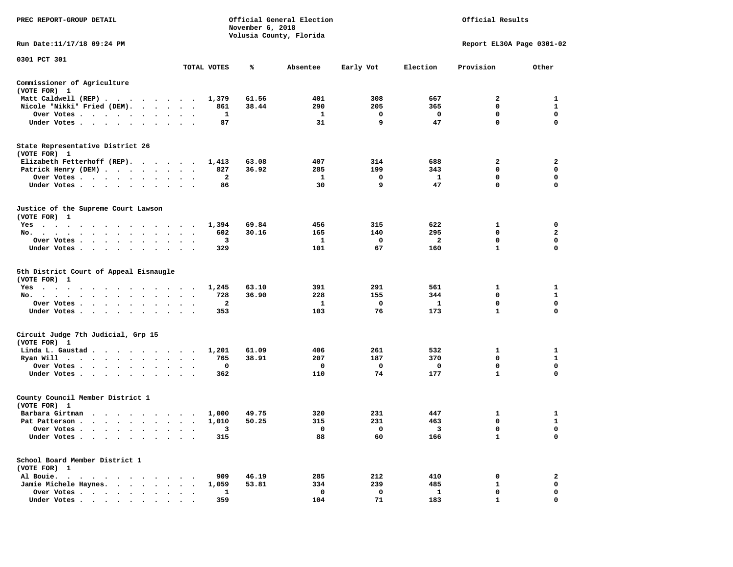| PREC REPORT-GROUP DETAIL                                                                                   |                          |              | Official General Election<br>November 6, 2018<br>Volusia County, Florida | Official Results |             |                         |                           |                  |
|------------------------------------------------------------------------------------------------------------|--------------------------|--------------|--------------------------------------------------------------------------|------------------|-------------|-------------------------|---------------------------|------------------|
| Run Date: 11/17/18 09:24 PM                                                                                |                          |              |                                                                          |                  |             |                         | Report EL30A Page 0301-02 |                  |
| 0301 PCT 301                                                                                               |                          | TOTAL VOTES  | ℁                                                                        | Absentee         | Early Vot   | Election                | Provision                 | Other            |
| Commissioner of Agriculture                                                                                |                          |              |                                                                          |                  |             |                         |                           |                  |
| (VOTE FOR) 1                                                                                               |                          |              |                                                                          |                  |             |                         |                           |                  |
| Matt Caldwell (REP)                                                                                        |                          | 1,379        | 61.56                                                                    | 401              | 308         | 667                     | 2                         | 1                |
| Nicole "Nikki" Fried (DEM).<br>Over Votes                                                                  | $\sim$ $\sim$            | 861<br>1     | 38.44                                                                    | 290<br>1         | 205<br>0    | 365<br>0                | 0<br>$\mathbf 0$          | 1<br>$\mathbf 0$ |
| $\bullet$<br>$\bullet$<br>Under Votes<br>$\ddot{\phantom{0}}$                                              | $\bullet$                | 87           |                                                                          | 31               | 9           | 47                      | 0                         | $\mathbf 0$      |
| State Representative District 26                                                                           |                          |              |                                                                          |                  |             |                         |                           |                  |
| (VOTE FOR) 1                                                                                               |                          |              |                                                                          |                  |             |                         |                           |                  |
| Elizabeth Fetterhoff (REP).                                                                                |                          | 1,413        | 63.08                                                                    | 407              | 314         | 688                     | 2                         | 2                |
| Patrick Henry (DEM)                                                                                        | $\ddot{\phantom{1}}$     | 827          | 36.92                                                                    | 285              | 199         | 343                     | 0                         | $\mathbf 0$      |
| Over Votes<br>$\ddot{\phantom{1}}$                                                                         |                          | 2            |                                                                          | 1                | 0           | 1                       | 0                         | 0                |
| Under Votes<br>$\bullet$                                                                                   |                          | 86           |                                                                          | 30               | 9           | 47                      | 0                         | $\mathbf 0$      |
| Justice of the Supreme Court Lawson                                                                        |                          |              |                                                                          |                  |             |                         |                           |                  |
| (VOTE FOR) 1                                                                                               |                          |              |                                                                          |                  |             |                         |                           |                  |
| $Yes \cdot \cdot \cdot \cdot$<br>$\sim$<br>$\bullet$<br>$\cdot$ $\cdot$ $\cdot$ $\cdot$ $\cdot$<br>$\cdot$ | $\overline{\phantom{a}}$ | 1,394        | 69.84                                                                    | 456              | 315         | 622                     | 1                         | 0                |
| No.<br>$\ddot{\phantom{0}}$<br>$\sim$ $\sim$<br>$\ddot{\phantom{a}}$                                       | $\cdot$                  | 602          | 30.16                                                                    | 165              | 140         | 295                     | 0                         | $\mathbf{2}$     |
| Over Votes<br>$\ddot{\phantom{0}}$                                                                         |                          | 3            |                                                                          | 1                | 0           | 2                       | 0                         | 0                |
| Under Votes<br>$\ddot{\phantom{a}}$                                                                        |                          | 329          |                                                                          | 101              | 67          | 160                     | $\mathbf{1}$              | 0                |
| 5th District Court of Appeal Eisnaugle                                                                     |                          |              |                                                                          |                  |             |                         |                           |                  |
| (VOTE FOR) 1                                                                                               |                          |              | 63.10                                                                    | 391              | 291         | 561                     |                           | 1                |
| $Yes \cdot \cdot \cdot \cdot \cdot \cdot \cdot$<br>.<br>No.<br>$\bullet$<br>$\ddot{\phantom{0}}$           | $\sim$ $\sim$            | 1,245<br>728 | 36.90                                                                    | 228              | 155         | 344                     | 1<br>0                    | $\mathbf{1}$     |
| Over Votes<br>$\bullet$<br>$\bullet$                                                                       | $\overline{\phantom{a}}$ | $\mathbf{2}$ |                                                                          | 1                | $\mathbf 0$ | $\mathbf{1}$            | 0                         | $\mathbf 0$      |
| Under Votes<br>$\ddot{\phantom{0}}$                                                                        |                          | 353          |                                                                          | 103              | 76          | 173                     | $\mathbf{1}$              | 0                |
|                                                                                                            |                          |              |                                                                          |                  |             |                         |                           |                  |
| Circuit Judge 7th Judicial, Grp 15<br>(VOTE FOR) 1                                                         |                          |              |                                                                          |                  |             |                         |                           |                  |
| Linda L. Gaustad                                                                                           |                          | 1,201        | 61.09                                                                    | 406              | 261         | 532                     | 1                         | 1                |
| Ryan Will<br>$\bullet$                                                                                     | $\ddot{\phantom{1}}$     | 765          | 38.91                                                                    | 207              | 187         | 370                     | 0                         | $\mathbf{1}$     |
| Over Votes<br>$\bullet$<br>$\bullet$                                                                       |                          | 0            |                                                                          | 0                | 0           | 0                       | 0                         | 0                |
| Under Votes<br>$\bullet$ .                                                                                 |                          | 362          |                                                                          | 110              | 74          | 177                     | $\mathbf{1}$              | 0                |
| County Council Member District 1                                                                           |                          |              |                                                                          |                  |             |                         |                           |                  |
| (VOTE FOR) 1                                                                                               |                          |              |                                                                          |                  |             |                         |                           |                  |
| Barbara Girtman                                                                                            |                          | 1,000        | 49.75                                                                    | 320              | 231         | 447                     | 1                         | 1                |
| Pat Patterson                                                                                              | $\blacksquare$           | 1,010        | 50.25                                                                    | 315              | 231         | 463                     | 0                         | 1                |
| Over Votes $\cdots$ $\cdots$ $\cdots$ $\cdots$                                                             |                          | 3            |                                                                          | $\mathbf{0}$     | 0           | $\overline{\mathbf{3}}$ | 0                         | 0                |
| Under Votes                                                                                                |                          | 315          |                                                                          | 88               | 60          | 166                     | 1                         | 0                |
| School Board Member District 1                                                                             |                          |              |                                                                          |                  |             |                         |                           |                  |
| (VOTE FOR) 1                                                                                               |                          |              |                                                                          |                  |             |                         |                           |                  |
| Al Bouie.                                                                                                  |                          | 909          | 46.19                                                                    | 285              | 212         | 410                     | 0                         | 2                |
| Jamie Michele Haynes.                                                                                      |                          | 1,059        | 53.81                                                                    | 334              | 239         | 485                     | 1                         | 0                |
| Over Votes                                                                                                 |                          | 1            |                                                                          | 0<br>104         | 0           | $\mathbf{1}$            | 0<br>$\mathbf{1}$         | 0<br>0           |
| Under Votes                                                                                                |                          | 359          |                                                                          |                  | 71          | 183                     |                           |                  |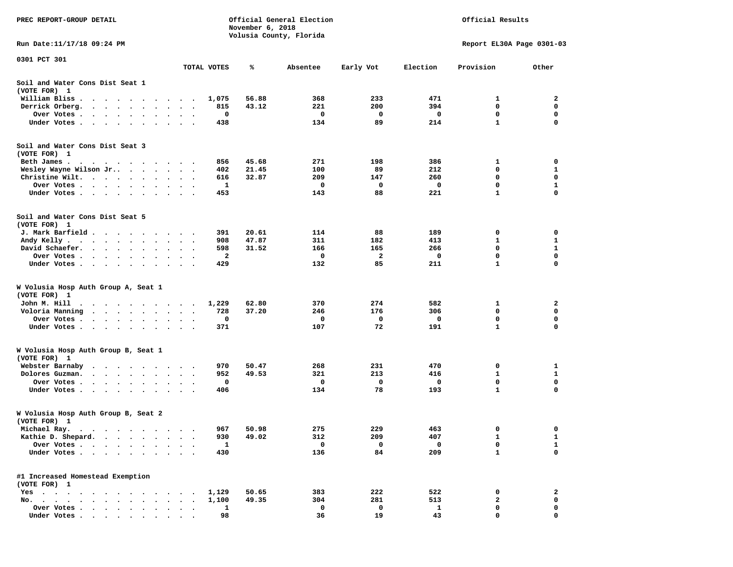| PREC REPORT-GROUP DETAIL                                                                    |                                   |                | Official General Election<br>Official Results<br>November 6, 2018<br>Volusia County, Florida |          |           |             |                           |              |
|---------------------------------------------------------------------------------------------|-----------------------------------|----------------|----------------------------------------------------------------------------------------------|----------|-----------|-------------|---------------------------|--------------|
| Run Date: 11/17/18 09:24 PM                                                                 |                                   |                |                                                                                              |          |           |             | Report EL30A Page 0301-03 |              |
| 0301 PCT 301                                                                                |                                   |                |                                                                                              |          |           |             |                           |              |
|                                                                                             |                                   | TOTAL VOTES    | ℁                                                                                            | Absentee | Early Vot | Election    | Provision                 | Other        |
| Soil and Water Cons Dist Seat 1<br>(VOTE FOR) 1                                             |                                   |                |                                                                                              |          |           |             |                           |              |
| William Bliss.<br>.                                                                         |                                   | 1,075          | 56.88                                                                                        | 368      | 233       | 471         | 1                         | 2            |
| Derrick Orberg.<br>$\mathbf{r}$ , $\mathbf{r}$ , $\mathbf{r}$ , $\mathbf{r}$ , $\mathbf{r}$ | $\bullet$                         | 815            | 43.12                                                                                        | 221      | 200       | 394         | 0                         | $\mathbf 0$  |
| Over Votes.<br>$\mathbf{r}$ , and $\mathbf{r}$ , and $\mathbf{r}$<br>$\bullet$              | $\bullet$<br>$\bullet$            | 0<br>$\bullet$ |                                                                                              | 0        | 0         | 0           | 0                         | 0            |
| Under Votes                                                                                 |                                   | 438            |                                                                                              | 134      | 89        | 214         | $\mathbf{1}$              | $\mathbf 0$  |
| Soil and Water Cons Dist Seat 3<br>(VOTE FOR) 1                                             |                                   |                |                                                                                              |          |           |             |                           |              |
| Beth James.                                                                                 |                                   | 856            | 45.68                                                                                        | 271      | 198       | 386         | 1                         | 0            |
| Wesley Wayne Wilson Jr                                                                      |                                   | 402            | 21.45                                                                                        | 100      | 89        | 212         | 0                         | 1            |
| Christine Wilt.                                                                             |                                   | 616            | 32.87                                                                                        | 209      | 147       | 260         | 0                         | $\mathbf 0$  |
| Over Votes                                                                                  |                                   | 1              |                                                                                              | 0        | 0         | 0           | $\mathbf 0$               | 1            |
| Under Votes                                                                                 |                                   | 453            |                                                                                              | 143      | 88        | 221         | 1                         | $\mathbf 0$  |
| Soil and Water Cons Dist Seat 5<br>(VOTE FOR) 1                                             |                                   |                |                                                                                              |          |           |             |                           |              |
| J. Mark Barfield                                                                            |                                   | 391            | 20.61                                                                                        | 114      | 88        | 189         | 0                         | 0            |
| Andy Kelly                                                                                  |                                   | 908            | 47.87                                                                                        | 311      | 182       | 413         | 1                         | 1            |
| David Schaefer.                                                                             | $\ddot{\phantom{1}}$<br>$\bullet$ | 598            | 31.52                                                                                        | 166      | 165       | 266         | $\mathbf 0$               | $\mathbf{1}$ |
| Over Votes<br>$\bullet$                                                                     |                                   | 2              |                                                                                              | 0        | 2         | 0           | 0                         | 0            |
| Under Votes                                                                                 |                                   | 429            |                                                                                              | 132      | 85        | 211         | $\mathbf{1}$              | 0            |
| W Volusia Hosp Auth Group A, Seat 1<br>(VOTE FOR) 1                                         |                                   |                |                                                                                              |          |           |             |                           |              |
| John M. Hill                                                                                |                                   | 1,229          | 62.80                                                                                        | 370      | 274       | 582         | 1                         | 2            |
| Voloria Manning                                                                             |                                   | 728            | 37.20                                                                                        | 246      | 176       | 306         | 0                         | 0            |
| Over Votes.<br>$\cdots$                                                                     |                                   | 0              |                                                                                              | 0        | 0         | 0           | 0                         | 0            |
| Under Votes                                                                                 |                                   | 371            |                                                                                              | 107      | 72        | 191         | 1                         | 0            |
| W Volusia Hosp Auth Group B, Seat 1<br>(VOTE FOR) 1                                         |                                   |                |                                                                                              |          |           |             |                           |              |
| Webster Barnaby<br>.                                                                        |                                   | 970            | 50.47                                                                                        | 268      | 231       | 470         | 0                         | 1            |
| Dolores Guzman.<br>$\mathbf{r}$ , and $\mathbf{r}$ , and $\mathbf{r}$ , and $\mathbf{r}$    |                                   | 952            | 49.53                                                                                        | 321      | 213       | 416         | 1                         | 1            |
| Over Votes                                                                                  | $\bullet$<br>$\bullet$            | 0              |                                                                                              | 0        | 0         | 0           | $\mathbf 0$               | $\mathbf 0$  |
| Under Votes                                                                                 |                                   | 406            |                                                                                              | 134      | 78        | 193         | $\mathbf{1}$              | $\mathbf 0$  |
| W Volusia Hosp Auth Group B, Seat 2<br>(VOTE FOR) 1                                         |                                   |                |                                                                                              |          |           |             |                           |              |
| Michael Ray.                                                                                |                                   | 967            | 50.98                                                                                        | 275      | 229       | 463         |                           | 0            |
| Kathie D. Shepard.                                                                          |                                   | 930            | 49.02                                                                                        | 312      | 209       | 407         | 1                         | 1            |
| Over Votes                                                                                  |                                   | $\mathbf{1}$   |                                                                                              | 0        | 0         | $\mathbf 0$ | 0                         | $\mathbf{1}$ |
| Under Votes                                                                                 |                                   | 430            |                                                                                              | 136      | 84        | 209         | $\mathbf{1}$              | $\mathbf 0$  |
| #1 Increased Homestead Exemption<br>(VOTE FOR) 1                                            |                                   |                |                                                                                              |          |           |             |                           |              |
| $Yes \cdot \cdot \cdot$<br>$\cdots$                                                         |                                   | 1,129          | 50.65                                                                                        | 383      | 222       | 522         | 0                         | 2            |
| No.                                                                                         |                                   | 1,100          | 49.35                                                                                        | 304      | 281       | 513         | 2                         | 0            |
| Over Votes                                                                                  |                                   | 1              |                                                                                              | 0        | 0         | 1           | 0                         | 0            |
| Under Votes.                                                                                |                                   | 98             |                                                                                              | 36       | 19        | 43          | $\mathbf 0$               | 0            |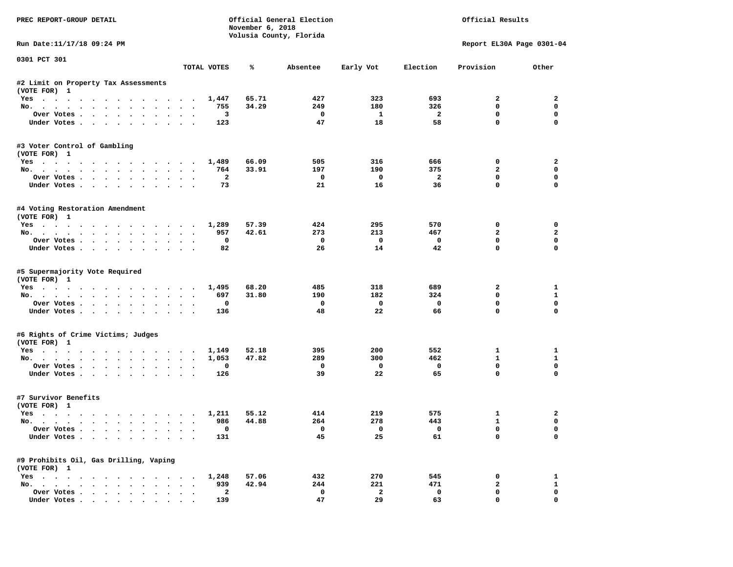| PREC REPORT-GROUP DETAIL                               |                                                           |                         | November 6, 2018 | Official General Election<br>Volusia County, Florida | Official Results         |                          |                           |                |
|--------------------------------------------------------|-----------------------------------------------------------|-------------------------|------------------|------------------------------------------------------|--------------------------|--------------------------|---------------------------|----------------|
| Run Date:11/17/18 09:24 PM                             |                                                           |                         |                  |                                                      |                          |                          | Report EL30A Page 0301-04 |                |
| 0301 PCT 301                                           |                                                           | TOTAL VOTES             | ℁                | Absentee                                             | Early Vot                | Election                 | Provision                 | Other          |
|                                                        |                                                           |                         |                  |                                                      |                          |                          |                           |                |
| #2 Limit on Property Tax Assessments<br>(VOTE FOR) 1   |                                                           |                         |                  |                                                      |                          |                          |                           |                |
| Yes                                                    |                                                           | 1,447                   | 65.71            | 427                                                  | 323                      | 693                      | $\mathbf{2}$              | $\overline{2}$ |
| No.                                                    |                                                           | 755                     | 34.29            | 249                                                  | 180                      | 326                      | 0                         | $\mathbf 0$    |
| Over Votes                                             |                                                           | $\overline{\mathbf{3}}$ |                  | $\overline{\phantom{0}}$                             | $\mathbf{1}$             | $\overline{\mathbf{2}}$  | 0                         | $\mathbf 0$    |
| Under Votes                                            |                                                           | 123                     |                  | 47                                                   | 18                       | 58                       | $\mathbf 0$               | $\mathbf 0$    |
| #3 Voter Control of Gambling<br>(VOTE FOR) 1           |                                                           |                         |                  |                                                      |                          |                          |                           |                |
| Yes                                                    |                                                           | 1,489                   | 66.09            | 505                                                  | 316                      | 666                      | 0                         | $\overline{a}$ |
| No.                                                    |                                                           | 764                     | 33.91            | 197                                                  | 190                      | 375                      | $\overline{a}$            | 0              |
| Over Votes                                             |                                                           | $\overline{2}$          |                  | $\mathbf 0$                                          | $\overline{\phantom{0}}$ | $\overline{\phantom{a}}$ | $\mathbf 0$               | 0              |
| Under Votes                                            |                                                           | 73                      |                  | 21                                                   | 16                       | 36                       | $\mathbf 0$               | $\mathbf 0$    |
| #4 Voting Restoration Amendment<br>(VOTE FOR) 1        |                                                           |                         |                  |                                                      |                          |                          |                           |                |
| Yes 1,289                                              |                                                           |                         | 57.39            | 424                                                  | 295                      | 570                      | 0                         | 0              |
| No.                                                    |                                                           | 957                     | 42.61            | 273                                                  | 213                      | 467                      | $\mathbf{2}$              | $\mathbf{2}$   |
| Over Votes                                             |                                                           | $\mathbf 0$             |                  | $\overline{\phantom{0}}$                             | $\overline{\mathbf{0}}$  | $\mathbf{o}$             | $\mathbf 0$               | $\mathbf 0$    |
| Under Votes                                            |                                                           | 82                      |                  | 26                                                   | 14                       | 42                       | $\mathbf 0$               | $\Omega$       |
| #5 Supermajority Vote Required<br>(VOTE FOR) 1<br>Yes  |                                                           | 1,495                   | 68.20            | 485                                                  | 318                      | 689                      | $\overline{a}$            | 1              |
| No.                                                    |                                                           | 697                     | 31.80            | 190                                                  | 182                      | 324                      | $\mathbf 0$               | $\mathbf{1}$   |
| Over Votes                                             |                                                           | 0                       |                  | $\mathbf{o}$                                         | $\overline{\mathbf{0}}$  | $\mathbf 0$              | 0                         | $\mathbf 0$    |
| Under Votes                                            |                                                           | 136                     |                  | 48                                                   | 22                       | 66                       | $\mathbf 0$               | $\mathbf 0$    |
| #6 Rights of Crime Victims; Judges                     |                                                           |                         |                  |                                                      |                          |                          |                           |                |
| (VOTE FOR) 1                                           |                                                           | 1,149                   | 52.18            | 395                                                  | 200                      | 552                      | $\mathbf{1}$              | 1              |
| Yes<br>No.                                             |                                                           | 1,053                   | 47.82            | 289                                                  | 300                      | 462                      | $\mathbf{1}$              | $\mathbf{1}$   |
| Over Votes<br>$\cdot$ $\cdot$ $\cdot$                  |                                                           | 0                       |                  | $\mathbf{o}$                                         | $\overline{\mathbf{0}}$  | $\mathbf 0$              | 0                         | $\mathbf 0$    |
| Under Votes                                            |                                                           | 126                     |                  | 39                                                   | 22                       | 65                       | $\Omega$                  | $\Omega$       |
| #7 Survivor Benefits<br>(VOTE FOR) 1                   |                                                           |                         |                  |                                                      |                          |                          |                           |                |
| Yes                                                    |                                                           | 1,211                   | 55.12            | 414                                                  | 219                      | 575                      | 1                         | $\overline{a}$ |
| No.                                                    |                                                           | 986                     | 44.88            | 264                                                  | 278                      | 443                      | $\mathbf{1}$              | $\mathbf 0$    |
| Over Votes                                             |                                                           | 0                       |                  | $\overline{\phantom{0}}$                             | $\overline{\mathbf{0}}$  | $\overline{\mathbf{0}}$  | $\mathbf 0$               | $\mathbf 0$    |
| Under Votes                                            |                                                           | 131                     |                  | 45                                                   | 25                       | 61                       | $\mathbf{0}$              | $\mathbf 0$    |
| #9 Prohibits Oil, Gas Drilling, Vaping<br>(VOTE FOR) 1 |                                                           |                         |                  |                                                      |                          |                          |                           |                |
| Yes 1,248                                              |                                                           |                         | 57.06            | 432                                                  | 270                      | 545                      | 0                         | 1              |
| No.                                                    |                                                           | 939                     | 42.94            | 244                                                  | 221                      | 471                      | $\mathbf{2}$              | $\mathbf{1}$   |
| Over Votes                                             | $\ddot{\phantom{1}}$<br>$\ddot{\phantom{a}}$<br>$\bullet$ | $\overline{\mathbf{2}}$ |                  | $\mathbf 0$                                          | $\overline{a}$           | $\mathbf 0$              | $\mathbf 0$               | $\mathbf{0}$   |
| Under Votes, , , , , , , , , ,                         |                                                           | 139                     |                  | 47                                                   | 29                       | 63                       | $\Omega$                  | $\Omega$       |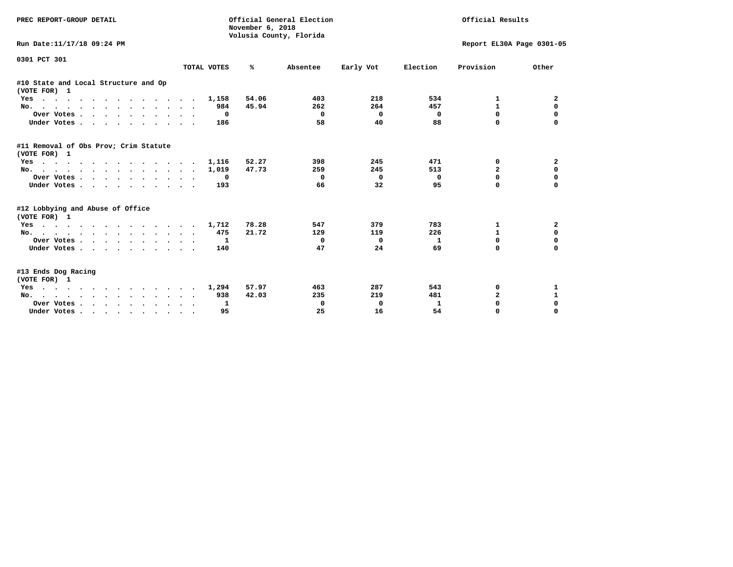| PREC REPORT-GROUP DETAIL                              |              | Official General Election<br>November 6, 2018<br>Volusia County, Florida |          | Official Results |                           |                |              |
|-------------------------------------------------------|--------------|--------------------------------------------------------------------------|----------|------------------|---------------------------|----------------|--------------|
| Run Date:11/17/18 09:24 PM                            |              |                                                                          |          |                  | Report EL30A Page 0301-05 |                |              |
| 0301 PCT 301                                          | TOTAL VOTES  | ℁                                                                        | Absentee | Early Vot        | Election                  | Provision      | Other        |
| #10 State and Local Structure and Op<br>(VOTE FOR) 1  |              |                                                                          |          |                  |                           |                |              |
| Yes                                                   | 1,158        | 54.06                                                                    | 403      | 218              | 534                       | 1              | 2            |
| No.                                                   | 984          | 45.94                                                                    | 262      | 264              | 457                       | $\mathbf{1}$   | 0            |
| Over Votes.                                           | $\mathbf{o}$ |                                                                          | 0        | $\Omega$         | 0                         | $\Omega$       | 0            |
| Under Votes                                           | 186          |                                                                          | 58       | 40               | 88                        | $\Omega$       |              |
| #11 Removal of Obs Prov; Crim Statute<br>(VOTE FOR) 1 |              |                                                                          |          |                  |                           |                |              |
| Yes                                                   | 1,116        | 52.27                                                                    | 398      | 245              | 471                       | 0              | 2            |
| No.                                                   | 1,019        | 47.73                                                                    | 259      | 245              | 513                       | $\overline{a}$ | $\mathbf 0$  |
| Over Votes.                                           | $^{\circ}$   |                                                                          | 0        | $^{\circ}$       | 0                         | 0              | $\mathbf 0$  |
| Under Votes                                           | 193          |                                                                          | 66       | 32               | 95                        | O              | $\Omega$     |
| #12 Lobbying and Abuse of Office<br>(VOTE FOR) 1      |              |                                                                          |          |                  |                           |                |              |
| Yes                                                   | 1,712        | 78.28                                                                    | 547      | 379              | 783                       | 1              | $\mathbf{2}$ |
| No.                                                   | 475          | 21.72                                                                    | 129      | 119              | 226                       | $\mathbf{1}$   | $\mathbf 0$  |
| Over Votes                                            | 1            |                                                                          | 0        | 0                | 1                         | $\Omega$       | $\mathbf 0$  |
| Under Votes                                           | 140          |                                                                          | 47       | 24               | 69                        | $\Omega$       | $\Omega$     |
| #13 Ends Dog Racing<br>(VOTE FOR) 1                   |              |                                                                          |          |                  |                           |                |              |
| Yes                                                   | 1,294        | 57.97                                                                    | 463      | 287              | 543                       | 0              | 1            |
| No.                                                   | 938          | 42.03                                                                    | 235      | 219              | 481                       | $\overline{a}$ | $\mathbf{1}$ |
| Over Votes                                            | 1            |                                                                          | 0        | 0                | 1                         | 0              | $\mathbf 0$  |
| Under Votes                                           | 95           |                                                                          | 25       | 16               | 54                        | $\Omega$       | $\Omega$     |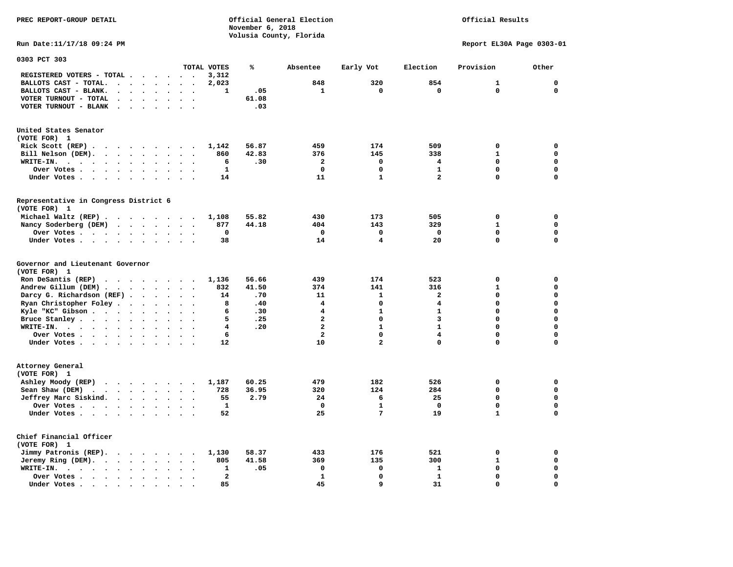Official Results

**Run Date:11/17/18 09:24 PM Report EL30A Page 0303-01** 

| 0303 PCT 303                                                                                                  |           |                      |                      |                      |                          |                      |              |       |                              |                         |                         |              |                            |
|---------------------------------------------------------------------------------------------------------------|-----------|----------------------|----------------------|----------------------|--------------------------|----------------------|--------------|-------|------------------------------|-------------------------|-------------------------|--------------|----------------------------|
|                                                                                                               |           |                      |                      |                      |                          |                      | TOTAL VOTES  | ℁     | Absentee                     | Early Vot               | Election                | Provision    | Other                      |
| REGISTERED VOTERS - TOTAL .                                                                                   |           |                      |                      |                      | $\ddot{\phantom{a}}$     |                      | 3,312        |       |                              |                         |                         |              |                            |
| BALLOTS CAST - TOTAL.                                                                                         | $\bullet$ | $\ddot{\phantom{a}}$ | $\ddot{\phantom{a}}$ | $\bullet$            | $\ddot{\phantom{a}}$     | $\bullet$            | 2,023        |       | 848                          | 320                     | 854                     | 1            | $\mathbf 0$                |
| BALLOTS CAST - BLANK.<br>$\bullet$                                                                            |           |                      |                      |                      |                          |                      | 1            | .05   | 1                            | 0                       | $\mathbf 0$             | 0            | $\mathbf 0$                |
| VOTER TURNOUT - TOTAL<br>$\ddot{\phantom{a}}$                                                                 | $\cdot$   | $\overline{a}$       |                      | $\ddot{\phantom{a}}$ | $\ddot{\phantom{a}}$     | $\cdot$              |              | 61.08 |                              |                         |                         |              |                            |
| VOTER TURNOUT - BLANK<br>$\ddot{\phantom{0}}$                                                                 |           |                      |                      |                      |                          |                      |              | .03   |                              |                         |                         |              |                            |
| United States Senator                                                                                         |           |                      |                      |                      |                          |                      |              |       |                              |                         |                         |              |                            |
| (VOTE FOR) 1                                                                                                  |           |                      |                      |                      |                          |                      |              |       |                              |                         |                         |              |                            |
| Rick Scott (REP).<br>$\cdots$                                                                                 |           |                      |                      |                      |                          | $\ddot{\phantom{0}}$ | 1,142        | 56.87 | 459                          | 174                     | 509                     | 0            | 0                          |
| Bill Nelson (DEM).<br>$\mathbf{r}$ , $\mathbf{r}$ , $\mathbf{r}$ , $\mathbf{r}$ , $\mathbf{r}$ , $\mathbf{r}$ |           |                      |                      |                      | $\sim$                   |                      | 860          | 42.83 | 376                          | 145                     | 338                     | $\mathbf{1}$ | $\mathbf 0$                |
| WRITE-IN.<br>$\cdot$ $\cdot$<br>$\ddot{\phantom{a}}$<br>$\sim$ $\sim$<br>$\overline{\phantom{a}}$             | $\bullet$ | $\bullet$            | $\ddot{\phantom{a}}$ | $\ddot{\phantom{a}}$ |                          |                      | 6            | .30   | $\overline{\mathbf{2}}$      | $\mathbf 0$             | 4                       | 0            | $\mathbf 0$                |
| Over Votes .<br>$\langle \cdot \rangle$<br>$\sim$ $-$<br>$\blacksquare$                                       | $\bullet$ | $\bullet$            |                      | $\bullet$            |                          |                      | $\mathbf{1}$ |       | $\mathbf 0$                  | 0                       | $\mathbf{1}$            | $\Omega$     | $\mathbf 0$                |
| Under Votes.<br>$\ddot{\phantom{0}}$<br>$\ddot{\phantom{1}}$                                                  |           | $\bullet$            |                      |                      |                          |                      | 14           |       | 11                           | $\mathbf{1}$            | $\overline{\mathbf{2}}$ | 0            | $\mathbf 0$                |
| Representative in Congress District 6                                                                         |           |                      |                      |                      |                          |                      |              |       |                              |                         |                         |              |                            |
| (VOTE FOR) 1                                                                                                  |           |                      |                      |                      |                          |                      |              |       |                              |                         |                         |              |                            |
| Michael Waltz (REP).<br>$\sim$ $\sim$                                                                         |           |                      | $\cdots$             |                      | $\cdot$ .                |                      | 1,108        | 55.82 | 430                          | 173                     | 505                     | 0            | 0                          |
| Nancy Soderberg (DEM)<br>$\sim$ $\sim$                                                                        |           | $\ddot{\phantom{a}}$ |                      | $\ddot{\phantom{1}}$ |                          |                      | 877          | 44.18 | 404                          | 143                     | 329                     | $\mathbf{1}$ | $\mathbf 0$                |
| Over Votes                                                                                                    |           | $\bullet$            | $\bullet$            | $\bullet$            | $\ddot{\phantom{1}}$     | $\ddot{\phantom{a}}$ | 0            |       | $\mathbf 0$                  | 0                       | $\mathbf 0$             | 0            | $\mathbf 0$                |
| Under Votes                                                                                                   |           | $\ddot{\phantom{1}}$ | $\ddot{\phantom{a}}$ | $\ddot{\phantom{a}}$ | $\ddot{\phantom{a}}$     |                      | 38           |       | 14                           | $\overline{\mathbf{4}}$ | 20                      | 0            | $\mathbf 0$                |
| Governor and Lieutenant Governor<br>(VOTE FOR) 1<br>Ron DeSantis (REP)                                        |           |                      |                      |                      |                          |                      | 1,136        | 56.66 | 439                          | 174                     | 523                     | 0            | $\mathbf 0$                |
| $\cdot$ $\cdot$ $\cdot$ $\cdot$ $\cdot$ $\cdot$ $\cdot$                                                       |           |                      |                      |                      |                          |                      | 832          | 41.50 | 374                          | 141                     | 316                     | $\mathbf{1}$ | $\mathbf 0$                |
| Andrew Gillum (DEM).<br>$\sim$ $\sim$                                                                         |           | $\sim$ $\sim$        |                      | $\ddotsc$            |                          |                      | 14           | .70   | 11                           | $\mathbf{1}$            | $\mathbf{2}$            | 0            | $\mathbf 0$                |
| Darcy G. Richardson (REF).                                                                                    |           | $\bullet$            | $\ddot{\phantom{a}}$ | $\bullet$            | $\ddot{\phantom{a}}$     | $\bullet$            |              |       |                              | 0                       | 4                       | 0            | $\mathbf 0$                |
| Ryan Christopher Foley                                                                                        |           | $\ddot{\phantom{a}}$ | $\ddot{\phantom{a}}$ | $\bullet$            | $\ddot{\phantom{a}}$     |                      | 8            | .40   | 4                            |                         |                         |              |                            |
| Kyle "KC" Gibson                                                                                              |           | $\ddot{\phantom{a}}$ | $\ddot{\phantom{a}}$ | $\ddot{\phantom{a}}$ |                          |                      | 6<br>5       | .30   | 4<br>$\overline{\mathbf{2}}$ | $\mathbf{1}$<br>0       | $\mathbf{1}$<br>3       | 0<br>0       | $\mathbf 0$<br>$\mathbf 0$ |
| Bruce Stanley                                                                                                 |           | $\bullet$            | $\bullet$            | $\bullet$            | $\bullet$                | $\ddot{\phantom{1}}$ |              | .25   |                              |                         |                         |              |                            |
| WRITE-IN.                                                                                                     |           | $\bullet$            |                      |                      |                          |                      | 4            | .20   | $\overline{a}$               | $\mathbf{1}$            | ${\bf 1}$               | 0            | 0                          |
| Over Votes                                                                                                    |           |                      | $\cdot$              | $\bullet$            | $\overline{\phantom{a}}$ | $\cdot$              | 6            |       | $\overline{a}$               | $\Omega$                | 4                       | $\Omega$     | $\mathbf 0$                |
| Under Votes                                                                                                   |           |                      | $\ddot{\phantom{0}}$ | $\bullet$            |                          |                      | 12           |       | 10                           | $\mathbf{2}$            | 0                       | 0            | $\mathbf 0$                |
| Attorney General<br>(VOTE FOR) 1                                                                              |           |                      |                      |                      |                          |                      |              |       |                              |                         |                         |              |                            |
| Ashley Moody (REP)                                                                                            |           |                      |                      |                      |                          | $\bullet$            | 1,187        | 60.25 | 479                          | 182                     | 526                     | 0            | 0                          |
| Sean Shaw (DEM)<br>$\sim$ $\sim$ $\sim$ $\sim$<br>$\sim$ $\sim$                                               |           |                      | $\ddot{\phantom{1}}$ | $\ddot{\phantom{a}}$ | $\sim$                   |                      | 728          | 36.95 | 320                          | 124                     | 284                     | 0            | $\mathbf 0$                |
| Jeffrey Marc Siskind.<br>$\cdot$ $\cdot$ $\cdot$                                                              |           |                      | $\ddot{\phantom{0}}$ | $\bullet$            |                          |                      | 55           | 2.79  | 24                           | 6                       | 25                      | 0            | $\mathbf 0$                |
| Over Votes                                                                                                    |           | $\bullet$            | $\bullet$            | $\bullet$            | $\bullet$                |                      | $\mathbf{1}$ |       | $\mathbf 0$                  | $\mathbf{1}$            | $\mathbf{0}$            | 0            | $\mathbf 0$                |
| Under Votes                                                                                                   |           | $\ddot{\phantom{a}}$ | $\ddot{\phantom{a}}$ | $\ddot{\phantom{a}}$ |                          |                      | 52           |       | 25                           | 7                       | 19                      | $\mathbf{1}$ | $\mathbf 0$                |
| Chief Financial Officer<br>(VOTE FOR) 1                                                                       |           |                      |                      |                      |                          |                      |              |       |                              |                         |                         |              |                            |
| Jimmy Patronis (REP).<br>$\mathbf{A}^{\prime}$ , $\mathbf{A}^{\prime}$                                        |           | $\cdot$ $\cdot$      |                      | $\sim$               | $\overline{\phantom{a}}$ |                      | 1,130        | 58.37 | 433                          | 176                     | 521                     | 0            | 0                          |
| Jeremy Ring (DEM).<br>$\sim$<br>$\bullet$                                                                     | $\bullet$ | $\bullet$            |                      |                      |                          |                      | 805          | 41.58 | 369                          | 135                     | 300                     | $\mathbf{1}$ | $\mathbf 0$                |
| WRITE-IN.<br>$\cdot$ $\cdot$ $\cdot$ $\cdot$ $\cdot$                                                          | $\bullet$ | $\bullet$            |                      | $\ddot{\phantom{a}}$ |                          |                      | 1            | .05   | $\mathbf 0$                  | 0                       | $\mathbf{1}$            | 0            | $\mathbf 0$                |
| Over Votes .<br>$\sim$ $\sim$<br>$\sim$                                                                       | $\bullet$ | $\bullet$            |                      |                      |                          |                      | 2            |       | $\mathbf 1$                  | 0                       | $\mathbf{1}$            | 0            | 0                          |
| Under Votes                                                                                                   |           | $\ddot{\phantom{a}}$ |                      |                      |                          |                      | 85           |       | 45                           | 9                       | 31                      | 0            | $\mathbf 0$                |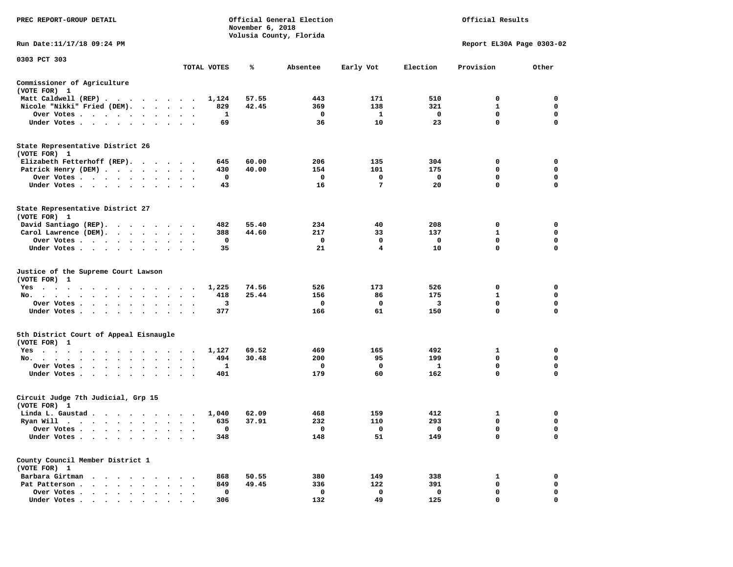| PREC REPORT-GROUP DETAIL                                                                                                           | Official General Election<br>Official Results<br>November 6, 2018<br>Volusia County, Florida |             |       |              |                         |                         |                           |             |  |
|------------------------------------------------------------------------------------------------------------------------------------|----------------------------------------------------------------------------------------------|-------------|-------|--------------|-------------------------|-------------------------|---------------------------|-------------|--|
| Run Date:11/17/18 09:24 PM                                                                                                         |                                                                                              |             |       |              |                         |                         | Report EL30A Page 0303-02 |             |  |
| 0303 PCT 303                                                                                                                       |                                                                                              | TOTAL VOTES | ℁     | Absentee     | Early Vot               | Election                | Provision                 | Other       |  |
| Commissioner of Agriculture<br>(VOTE FOR) 1                                                                                        |                                                                                              |             |       |              |                         |                         |                           |             |  |
| Matt Caldwell (REP)                                                                                                                |                                                                                              | 1,124       | 57.55 | 443          | 171                     | 510                     | $\Omega$                  | $^{\circ}$  |  |
| Nicole "Nikki" Fried (DEM).                                                                                                        |                                                                                              | 829         | 42.45 | 369          | 138                     | 321                     | $\mathbf{1}$              | $\mathbf 0$ |  |
| Over Votes                                                                                                                         |                                                                                              | 1           |       | $\mathbf 0$  | $\mathbf{1}$            | $\mathbf{o}$            | 0                         | 0           |  |
| Under Votes                                                                                                                        | $\sim$ $\sim$ $\sim$                                                                         | 69          |       | 36           | 10                      | 23                      | $\mathbf 0$               | $\Omega$    |  |
| State Representative District 26<br>(VOTE FOR) 1                                                                                   |                                                                                              |             |       |              |                         |                         |                           |             |  |
| Elizabeth Fetterhoff (REP).                                                                                                        |                                                                                              | 645         | 60.00 | 206          | 135                     | 304                     | 0                         | $\mathbf 0$ |  |
| Patrick Henry (DEM)                                                                                                                |                                                                                              | 430         | 40.00 | 154          | 101                     | 175                     | 0                         | 0           |  |
| Over Votes                                                                                                                         |                                                                                              | 0           |       | 0            | 0                       | $\mathbf 0$             | 0                         | 0           |  |
| Under Votes                                                                                                                        |                                                                                              | 43          |       | 16           | $\overline{7}$          | 20                      | $\mathbf 0$               | $\mathbf 0$ |  |
| State Representative District 27<br>(VOTE FOR) 1                                                                                   |                                                                                              |             |       |              |                         |                         |                           |             |  |
| David Santiago (REP).                                                                                                              |                                                                                              | 482         | 55.40 | 234          | 40                      | 208                     | 0                         | $\mathbf 0$ |  |
| Carol Lawrence (DEM).                                                                                                              |                                                                                              | 388         | 44.60 | 217          | 33                      | 137                     | 1                         | $\mathbf 0$ |  |
| Over Votes                                                                                                                         | $\sim$ $\sim$<br>$\cdot$                                                                     | $\mathbf 0$ |       | $\mathbf{o}$ | $\mathbf 0$             | $\mathbf{o}$            | $\mathbf 0$               | $\mathbf 0$ |  |
| Under Votes                                                                                                                        |                                                                                              | 35          |       | 21           | $\overline{\mathbf{4}}$ | 10                      | $\Omega$                  | $\Omega$    |  |
| Justice of the Supreme Court Lawson<br>(VOTE FOR) 1                                                                                |                                                                                              |             |       |              |                         |                         |                           |             |  |
| $Yes \t . \t .$<br>the contract of the contract of the contract of the contract of the contract of the contract of the contract of |                                                                                              | 1,225       | 74.56 | 526          | 173                     | 526                     | 0                         | 0           |  |
| No.<br>$\sim$ $\sim$<br>$\bullet$<br>$\bullet$                                                                                     |                                                                                              | 418         | 25.44 | 156          | 86                      | 175                     | 1                         | 0           |  |
| Over Votes<br>$\sim$ $\sim$                                                                                                        |                                                                                              | 3           |       | 0            | 0                       | $\overline{\mathbf{3}}$ | $\mathbf 0$               | $\mathbf 0$ |  |
| Under Votes<br>$\bullet$                                                                                                           | $\cdot$                                                                                      | 377         |       | 166          | 61                      | 150                     | $\mathbf 0$               | $\Omega$    |  |
| 5th District Court of Appeal Eisnaugle<br>(VOTE FOR) 1                                                                             |                                                                                              |             |       |              |                         |                         |                           |             |  |
| Yes                                                                                                                                |                                                                                              | 1,127       | 69.52 | 469          | 165                     | 492                     | 1                         | $\mathbf 0$ |  |
| No.                                                                                                                                |                                                                                              | 494         | 30.48 | 200          | 95                      | 199                     | $\Omega$                  | 0           |  |
| Over Votes<br>$\ddot{\phantom{1}}$<br>$\bullet$                                                                                    |                                                                                              | 1           |       | 0            | 0                       | $\mathbf{1}$            | 0                         | 0           |  |
| Under Votes<br>$\ddot{\phantom{1}}$                                                                                                | $\ddotsc$ $\ddotsc$                                                                          | 401         |       | 179          | 60                      | 162                     | 0                         | $\mathbf 0$ |  |
| Circuit Judge 7th Judicial, Grp 15<br>(VOTE FOR) 1                                                                                 |                                                                                              |             |       |              |                         |                         |                           |             |  |
| Linda L. Gaustad                                                                                                                   |                                                                                              | 1,040       | 62.09 | 468          | 159                     | 412                     | 1                         | 0           |  |
| Ryan Will $\cdots$ $\cdots$ $\cdots$ $\cdots$                                                                                      |                                                                                              | 635         | 37.91 | 232          | 110                     | 293                     | $\mathbf 0$               | $\mathbf 0$ |  |
| Over Votes                                                                                                                         | $\cdot$<br>$\cdot$ .                                                                         | $\mathbf 0$ |       | $\Omega$     | $\mathbf 0$             | $\Omega$                | $\mathbf 0$               | $\Omega$    |  |
| Under Votes<br>$\ddot{\phantom{0}}$<br>$\ddot{\phantom{1}}$                                                                        |                                                                                              | 348         |       | 148          | 51                      | 149                     | $\mathbf 0$               | 0           |  |
| County Council Member District 1<br>(VOTE FOR) 1                                                                                   |                                                                                              |             |       |              |                         |                         |                           |             |  |
| Barbara Girtman                                                                                                                    |                                                                                              | 868         | 50.55 | 380          | 149                     | 338                     | 1                         | 0           |  |
| Pat Patterson                                                                                                                      | $\begin{array}{cccccccccccccc} \bullet & \bullet & \bullet & \bullet & \bullet \end{array}$  | 849         | 49.45 | 336          | 122                     | 391                     | $\mathbf 0$               | 0           |  |
| Over Votes<br>$\ddot{\phantom{1}}$                                                                                                 | $\cdot$                                                                                      | 0           |       | $\mathbf 0$  | $\mathbf 0$             | $\mathbf 0$             | $\mathbf 0$               | $\mathbf 0$ |  |
| Under Votes                                                                                                                        |                                                                                              | 306         |       | 132          | 49                      | 125                     | $\mathbf 0$               | $\mathbf 0$ |  |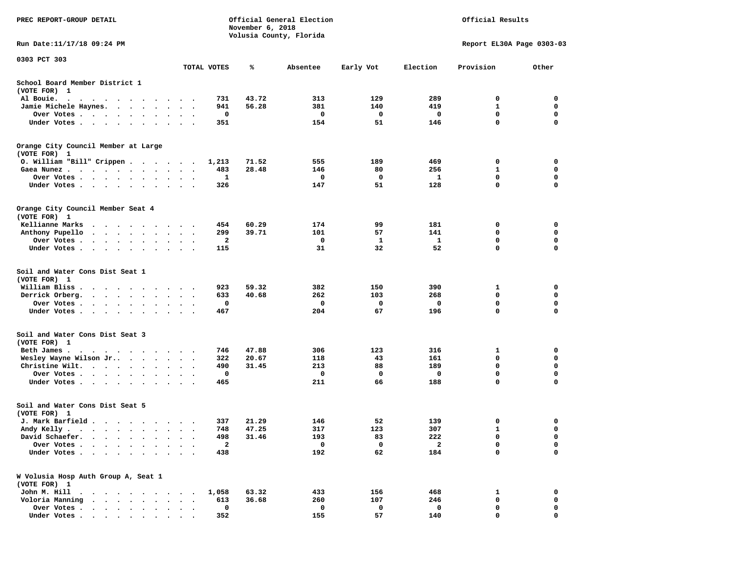| <b>PREC REPORT-GROUP DETAIL</b>                                                       | Official General Election<br>Official Results<br>November 6, 2018 |                |                         |                 |                         |                           |             |
|---------------------------------------------------------------------------------------|-------------------------------------------------------------------|----------------|-------------------------|-----------------|-------------------------|---------------------------|-------------|
| Run Date:11/17/18 09:24 PM                                                            |                                                                   |                | Volusia County, Florida |                 |                         | Report EL30A Page 0303-03 |             |
| 0303 PCT 303                                                                          |                                                                   |                |                         |                 |                         |                           |             |
|                                                                                       | TOTAL VOTES                                                       | ℁              | Absentee                | Early Vot       | Election                | Provision                 | Other       |
| School Board Member District 1<br>(VOTE FOR) 1                                        |                                                                   |                |                         |                 |                         |                           |             |
| Al Bouie.                                                                             | 731                                                               | 43.72          | 313                     | 129             | 289                     | 0                         | 0           |
| Jamie Michele Haynes.                                                                 | 941                                                               | 56.28          | 381                     | 140             | 419                     | 1                         | 0           |
| Over Votes                                                                            | 0                                                                 |                | 0                       | 0               | 0                       | 0                         | 0           |
| Under Votes                                                                           | 351                                                               |                | 154                     | 51              | 146                     | 0                         | $\mathbf 0$ |
| Orange City Council Member at Large                                                   |                                                                   |                |                         |                 |                         |                           |             |
| (VOTE FOR) 1                                                                          |                                                                   |                |                         |                 |                         |                           |             |
| 0. William "Bill" Crippen                                                             | 1,213                                                             | 71.52          | 555                     | 189             | 469                     | 0                         | 0           |
| Gaea Nunez                                                                            | 483                                                               | 28.48          | 146                     | 80              | 256                     | 1                         | 0           |
| Over Votes                                                                            | 1                                                                 |                | 0                       | 0               | 1                       | 0                         | 0           |
| Under Votes                                                                           | 326                                                               |                | 147                     | 51              | 128                     | 0                         | 0           |
| Orange City Council Member Seat 4<br>(VOTE FOR) 1                                     |                                                                   |                |                         |                 |                         |                           |             |
| Kellianne Marks<br>.                                                                  | 454                                                               | 60.29          | 174                     | 99              | 181                     | 0                         | 0           |
| Anthony Pupello<br>$\cdots$                                                           | 299<br>$\ddot{\phantom{1}}$                                       | 39.71          | 101                     | 57              | 141                     | 0                         | 0           |
| Over Votes                                                                            | 2                                                                 |                | 0                       | 1               | 1                       | 0                         | 0           |
| Under Votes                                                                           | 115                                                               |                | 31                      | 32              | 52                      | 0                         | 0           |
| Soil and Water Cons Dist Seat 1<br>(VOTE FOR) 1<br>William Bliss<br>Derrick Orberg.   | 923<br>633<br>0                                                   | 59.32<br>40.68 | 382<br>262<br>0         | 150<br>103<br>0 | 390<br>268<br>0         | 1<br>0<br>0               | 0<br>0<br>0 |
| Over Votes                                                                            |                                                                   |                |                         |                 |                         |                           |             |
| Under Votes                                                                           | 467                                                               |                | 204                     | 67              | 196                     | 0                         | $\mathbf 0$ |
| Soil and Water Cons Dist Seat 3<br>(VOTE FOR) 1                                       |                                                                   |                |                         |                 |                         |                           |             |
| Beth James.                                                                           | 746                                                               | 47.88          | 306                     | 123             | 316                     | 1                         | 0           |
| Wesley Wayne Wilson Jr                                                                | 322                                                               | 20.67          | 118                     | 43              | 161                     | 0                         | 0           |
| Christine Wilt.                                                                       | 490                                                               | 31.45          | 213                     | 88              | 189                     | 0                         | 0           |
| Over Votes                                                                            | 0                                                                 |                | 0                       | 0               | 0                       | $\mathbf 0$               | 0           |
| Under Votes                                                                           | 465                                                               |                | 211                     | 66              | 188                     | 0                         | $\mathbf 0$ |
| Soil and Water Cons Dist Seat 5<br>(VOTE FOR) 1                                       |                                                                   |                |                         |                 |                         |                           |             |
| J. Mark Barfield                                                                      | 337                                                               | 21.29          | 146                     | 52              | 139                     | 0                         | 0           |
| Andy Kelly                                                                            | 748                                                               | 47.25          | 317                     | 123             | 307                     | п.                        | $\mathbf 0$ |
| David Schaefer.                                                                       | 498                                                               | 31.46          | 193                     | 83              | 222                     | 0                         | 0           |
| Over Votes .<br>$\mathbf{r}$ , and $\mathbf{r}$ , and $\mathbf{r}$ , and $\mathbf{r}$ | $\mathbf{2}$                                                      |                | 0                       | 0               | $\overline{\mathbf{2}}$ | 0                         | 0           |
| Under Votes                                                                           | 438                                                               |                | 192                     | 62              | 184                     | 0                         | 0           |
| W Volusia Hosp Auth Group A, Seat 1<br>(VOTE FOR) 1                                   |                                                                   |                |                         |                 |                         |                           |             |
| John M. Hill                                                                          | 1,058                                                             | 63.32          | 433                     | 156             | 468                     | 1                         | 0           |
| Voloria Manning<br>$\cdots$                                                           | 613                                                               | 36.68          | 260                     | 107             | 246                     | 0                         | 0           |
| Over Votes                                                                            | 0                                                                 |                | 0                       | 0               | 0                       | 0                         | 0           |
| Under Votes,                                                                          | 352                                                               |                | 155                     | 57              | 140                     | 0                         | 0           |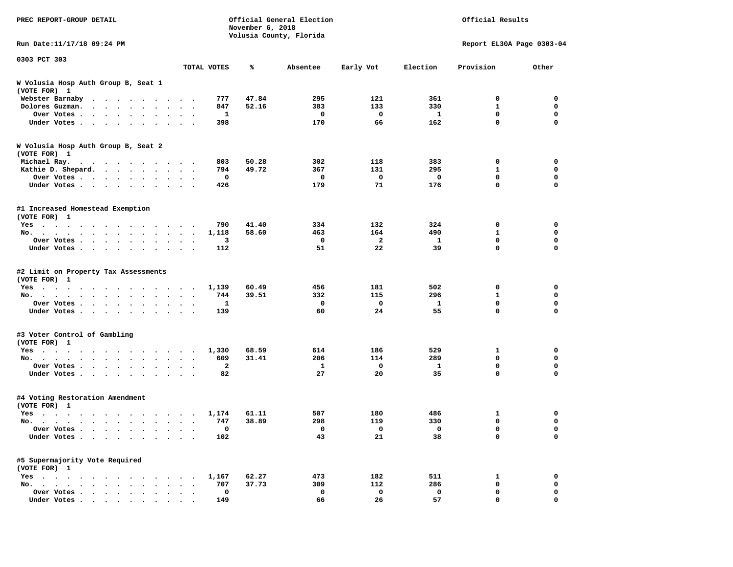| PREC REPORT-GROUP DETAIL                                                                                                                                                                                                                      |                                                      |       | Official General Election<br>Official Results<br>November 6, 2018<br>Volusia County, Florida |                    |                     |                           |                  |
|-----------------------------------------------------------------------------------------------------------------------------------------------------------------------------------------------------------------------------------------------|------------------------------------------------------|-------|----------------------------------------------------------------------------------------------|--------------------|---------------------|---------------------------|------------------|
| Run Date: 11/17/18 09:24 PM                                                                                                                                                                                                                   |                                                      |       |                                                                                              |                    |                     | Report EL30A Page 0303-04 |                  |
| 0303 PCT 303                                                                                                                                                                                                                                  | TOTAL VOTES                                          | ℁     | Absentee                                                                                     | Early Vot          | Election            | Provision                 | Other            |
| W Volusia Hosp Auth Group B, Seat 1                                                                                                                                                                                                           |                                                      |       |                                                                                              |                    |                     |                           |                  |
| (VOTE FOR) 1                                                                                                                                                                                                                                  |                                                      |       |                                                                                              |                    |                     |                           |                  |
| Webster Barnaby                                                                                                                                                                                                                               | 777                                                  | 47.84 | 295                                                                                          | 121                | 361                 | 0                         | $\Omega$         |
| Dolores Guzman.                                                                                                                                                                                                                               | 847                                                  | 52.16 | 383                                                                                          | 133                | 330                 | $\mathbf{1}$              | $\mathbf 0$      |
| Over Votes<br>$\cdot$                                                                                                                                                                                                                         | 1                                                    |       | 0                                                                                            | 0                  | $\mathbf{1}$        | $\mathbf 0$               | 0                |
| Under Votes<br>$\sim$                                                                                                                                                                                                                         | 398<br>$\sim$ $\sim$                                 |       | 170                                                                                          | 66                 | 162                 | $\mathbf 0$               | $\Omega$         |
| W Volusia Hosp Auth Group B, Seat 2<br>(VOTE FOR) 1                                                                                                                                                                                           |                                                      |       |                                                                                              |                    |                     |                           |                  |
| Michael Ray.<br>. The contract of the contract of the contract of the contract of the contract of the contract of the contract of the contract of the contract of the contract of the contract of the contract of the contract of the contrac | 803                                                  | 50.28 | 302                                                                                          | 118                | 383                 | 0                         | $\mathbf 0$      |
| Kathie D. Shepard.                                                                                                                                                                                                                            | 794                                                  | 49.72 | 367                                                                                          | 131                | 295                 | 1                         | 0                |
| Over Votes                                                                                                                                                                                                                                    | 0                                                    |       | 0                                                                                            | 0                  | $\mathbf 0$         | $\mathbf 0$               | 0                |
| Under Votes<br>$\cdot$<br>$\ddot{\phantom{0}}$                                                                                                                                                                                                | 426                                                  |       | 179                                                                                          | 71                 | 176                 | $\mathbf 0$               | $\mathbf 0$      |
| #1 Increased Homestead Exemption<br>(VOTE FOR) 1                                                                                                                                                                                              |                                                      |       |                                                                                              |                    |                     |                           |                  |
| $Yes \cdot \cdot \cdot$<br>.                                                                                                                                                                                                                  | 790                                                  | 41.40 | 334                                                                                          | 132                | 324                 | 0                         | $\mathbf 0$      |
| No.                                                                                                                                                                                                                                           | 1,118                                                | 58.60 | 463                                                                                          | 164                | 490                 | 1                         | $\mathbf 0$      |
| Over Votes<br>$\ddot{\phantom{1}}$<br>$\ddot{\phantom{a}}$<br>$\sim$ $\sim$<br>$\cdot$                                                                                                                                                        | 3<br>$\ddot{\phantom{a}}$<br>$\cdot$                 |       | $\mathbf 0$                                                                                  | $\overline{a}$     | $\mathbf{1}$        | $\mathbf 0$               | $\mathbf 0$      |
| Under Votes                                                                                                                                                                                                                                   | 112                                                  |       | 51                                                                                           | 22                 | 39                  | $\Omega$                  | $\Omega$         |
| #2 Limit on Property Tax Assessments<br>(VOTE FOR) 1                                                                                                                                                                                          |                                                      |       |                                                                                              |                    |                     |                           |                  |
| Yes                                                                                                                                                                                                                                           | 1,139                                                | 60.49 | 456                                                                                          | 181                | 502                 | 0                         | 0<br>0           |
| No.<br>$\cdot$                                                                                                                                                                                                                                | 744<br>1                                             | 39.51 | 332<br>0                                                                                     | 115<br>$\mathbf 0$ | 296<br>$\mathbf{1}$ | 1<br>$\mathbf 0$          | $\mathbf 0$      |
| Over Votes                                                                                                                                                                                                                                    | $\ddot{\phantom{a}}$<br>139                          |       | 60                                                                                           | 24                 | 55                  | $\mathbf 0$               | $\Omega$         |
| Under Votes<br>$\sim$                                                                                                                                                                                                                         |                                                      |       |                                                                                              |                    |                     |                           |                  |
| #3 Voter Control of Gambling<br>(VOTE FOR) 1                                                                                                                                                                                                  |                                                      |       |                                                                                              |                    |                     |                           |                  |
| Yes                                                                                                                                                                                                                                           | 1,330                                                | 68.59 | 614                                                                                          | 186                | 529                 | 1                         | $\mathbf 0$      |
| No.                                                                                                                                                                                                                                           | 609<br>$\sim$ $\sim$                                 | 31.41 | 206                                                                                          | 114                | 289                 | $\mathbf 0$               | 0                |
| Over Votes<br>$\bullet$<br>Under Votes<br>$\ddot{\phantom{1}}$                                                                                                                                                                                | $\mathbf{2}$<br>82<br>$\sim$ $\sim$                  |       | 1<br>27                                                                                      | 0<br>20            | 1<br>35             | 0<br>$\mathbf 0$          | 0<br>$\mathbf 0$ |
| #4 Voting Restoration Amendment<br>(VOTE FOR) 1                                                                                                                                                                                               |                                                      |       |                                                                                              |                    |                     |                           |                  |
| Yes                                                                                                                                                                                                                                           | 1,174                                                | 61.11 | 507                                                                                          | 180                | 486                 | 1                         | $\mathbf 0$      |
| No.<br>$\sim$ $\sim$ $\sim$ $\sim$<br>$\ddot{\phantom{a}}$                                                                                                                                                                                    | 747<br>$\ddot{\phantom{0}}$<br>$\ddot{\phantom{1}}$  | 38.89 | 298                                                                                          | 119                | 330                 | $\mathbf 0$               | $\mathbf 0$      |
| Over Votes<br>$\cdot$                                                                                                                                                                                                                         | $\mathbf 0$<br>$\cdot$                               |       | $\mathbf 0$                                                                                  | $\Omega$           | $\Omega$            | $\mathbf 0$               | $\Omega$         |
| Under Votes<br>$\ddot{\phantom{0}}$<br>$\sim$<br>$\cdot$                                                                                                                                                                                      | 102<br>$\sim$                                        |       | 43                                                                                           | 21                 | 38                  | $\mathbf 0$               | 0                |
| #5 Supermajority Vote Required<br>(VOTE FOR) 1                                                                                                                                                                                                |                                                      |       |                                                                                              |                    |                     |                           |                  |
| $Yes \cdot \cdot \cdot$<br>the contract of the contract of the contract of the contract of the contract of the contract of the contract of                                                                                                    | 1,167                                                | 62.27 | 473                                                                                          | 182                | 511                 | 1                         | 0                |
| No.<br>$\bullet$ , $\bullet$ , $\bullet$ , $\bullet$ , $\bullet$                                                                                                                                                                              | 707<br>$\bullet$ , $\bullet$ , $\bullet$ , $\bullet$ | 37.73 | 309                                                                                          | 112                | 286                 | $\mathbf 0$               | 0                |
| Over Votes<br>$\bullet$                                                                                                                                                                                                                       | 0<br>$\bullet$                                       |       | $\mathbf 0$                                                                                  | $\mathbf 0$        | $\mathbf 0$         | $\mathbf 0$               | $\mathbf 0$      |
| Under Votes                                                                                                                                                                                                                                   | 149                                                  |       | 66                                                                                           | 26                 | 57                  | $\mathbf 0$               | $\mathbf 0$      |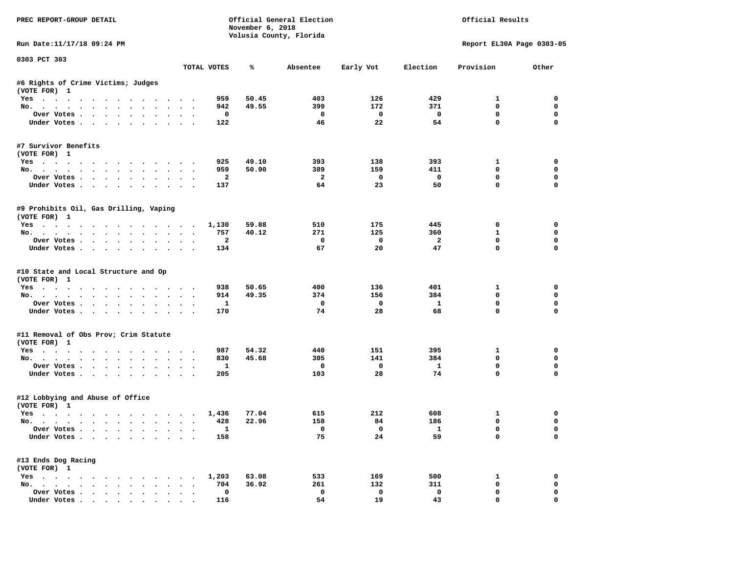| PREC REPORT-GROUP DETAIL                                           |                      |                | November 6, 2018 | Official General Election<br>Volusia County, Florida |                          | Official Results         |                             |             |  |
|--------------------------------------------------------------------|----------------------|----------------|------------------|------------------------------------------------------|--------------------------|--------------------------|-----------------------------|-------------|--|
| Run Date: 11/17/18 09:24 PM                                        |                      |                |                  |                                                      |                          |                          | Report EL30A Page 0303-05   |             |  |
| 0303 PCT 303                                                       |                      | TOTAL VOTES    | ℁                | Absentee                                             | Early Vot                | Election                 | Provision                   | Other       |  |
|                                                                    |                      |                |                  |                                                      |                          |                          |                             |             |  |
| #6 Rights of Crime Victims; Judges<br>(VOTE FOR) 1                 |                      |                |                  |                                                      |                          |                          |                             |             |  |
| Yes                                                                |                      | 959            | 50.45            | 403                                                  | 126                      | 429                      | $\mathbf{1}$                | $^{\circ}$  |  |
| No.                                                                |                      | 942            | 49.55            | 399                                                  | 172                      | 371                      | $\mathbf 0$                 | $\mathbf 0$ |  |
| Over Votes                                                         |                      | $\mathbf 0$    |                  | $\overline{\phantom{0}}$                             | $\overline{\mathbf{0}}$  | $\overline{\phantom{0}}$ | 0                           | $\mathbf 0$ |  |
| Under Votes                                                        |                      | 122            |                  | 46                                                   | 22                       | 54                       | $\mathbf 0$                 | $\mathbf 0$ |  |
| #7 Survivor Benefits<br>(VOTE FOR) 1                               |                      |                |                  |                                                      |                          |                          |                             |             |  |
| Yes                                                                |                      | 925            | 49.10            | 393                                                  | 138                      | 393                      | $\mathbf{1}$                | 0           |  |
| No.                                                                |                      | 959            | 50.90            | 389                                                  | 159                      | 411                      | $^{\circ}$                  | 0           |  |
| Over Votes                                                         |                      | $\overline{a}$ |                  | $\overline{\phantom{a}}$                             | $\overline{\phantom{0}}$ | $\overline{\phantom{0}}$ | $\mathbf 0$                 | 0           |  |
| Under Votes                                                        |                      | 137            |                  | 64                                                   | 23                       | 50                       | $\mathbf 0$                 | 0           |  |
| #9 Prohibits Oil, Gas Drilling, Vaping<br>(VOTE FOR) 1             |                      |                |                  |                                                      |                          |                          |                             |             |  |
| Yes 1,130                                                          |                      |                | 59.88            | 510                                                  | 175                      | 445                      | 0                           | $\mathbf 0$ |  |
| No.                                                                |                      | 757            | 40.12            | 271                                                  | 125                      | 360                      | $\mathbf{1}$                | $\mathbf 0$ |  |
| Over Votes.                                                        |                      | $\overline{a}$ |                  | $\mathbf{o}$                                         | $\overline{\mathbf{0}}$  | $\overline{2}$           | $\mathbf 0$                 | $\mathbf 0$ |  |
| Under Votes                                                        |                      | 134            |                  | 67                                                   | 20                       | 47                       | $\Omega$                    | $\Omega$    |  |
| #10 State and Local Structure and Op<br>(VOTE FOR) 1<br>Yes<br>No. |                      | 938<br>914     | 50.65<br>49.35   | 400<br>374                                           | 136<br>156               | 401<br>384               | $\mathbf{1}$<br>$\mathbf 0$ | 0<br>0      |  |
| Over Votes                                                         |                      | $\mathbf{1}$   |                  | $\mathbf{o}$                                         | $\overline{\mathbf{0}}$  | $\mathbf{1}$             | $\mathbf 0$                 | $\mathbf 0$ |  |
| Under Votes                                                        |                      | 170            |                  | 74                                                   | 28                       | 68                       | $\mathbf 0$                 | $\Omega$    |  |
|                                                                    |                      |                |                  |                                                      |                          |                          |                             |             |  |
| #11 Removal of Obs Prov; Crim Statute<br>(VOTE FOR) 1              |                      |                |                  |                                                      |                          |                          |                             |             |  |
| Yes                                                                |                      | 987            | 54.32            | 440                                                  | 151                      | 395                      | 1                           | 0           |  |
| No.                                                                |                      | 830            | 45.68            | 305                                                  | 141                      | 384                      | $\Omega$                    | $\mathbf 0$ |  |
| Over Votes                                                         |                      | $\mathbf{1}$   |                  | $\overline{\mathbf{0}}$                              | $\overline{\mathbf{0}}$  | $\mathbf{1}$             | 0                           | 0           |  |
| Under Votes                                                        |                      | 205            |                  | 103                                                  | 28                       | 74                       | $\Omega$                    | $\mathbf 0$ |  |
| #12 Lobbying and Abuse of Office<br>(VOTE FOR) 1                   |                      |                |                  |                                                      |                          |                          |                             |             |  |
| Yes                                                                |                      | 1,436          | 77.04            | 615                                                  | 212                      | 608                      | $\mathbf{1}$                | 0           |  |
| No.                                                                |                      | 428            | 22.96            | 158                                                  | 84                       | 186                      | $\mathbf 0$                 | $\mathbf 0$ |  |
| Over Votes                                                         |                      | $\mathbf{1}$   |                  | $\overline{0}$                                       | $\overline{0}$           | $\overline{\mathbf{1}}$  | $\mathbf 0$                 | $\Omega$    |  |
| Under Votes                                                        |                      | 158            |                  | 75                                                   | 24                       | 59                       | $\mathbf 0$                 | $\Omega$    |  |
| #13 Ends Dog Racing<br>(VOTE FOR) 1                                |                      |                |                  |                                                      |                          |                          |                             |             |  |
| Yes 1,203                                                          |                      |                | 63.08            | 533                                                  | 169                      | 500                      | 1                           | 0           |  |
| No.                                                                |                      | 704            | 36.92            | 261                                                  | 132                      | 311                      | $\mathbf 0$                 | $\mathbf 0$ |  |
| Over Votes                                                         | $\ddot{\phantom{0}}$ | 0              |                  | $\mathbf 0$                                          | $\mathbf 0$              | $\mathbf 0$              | $\mathbf 0$                 | 0           |  |
| Under Votes.                                                       |                      | 116            |                  | 54                                                   | 19                       | 43                       | $\mathbf 0$                 | $\mathbf 0$ |  |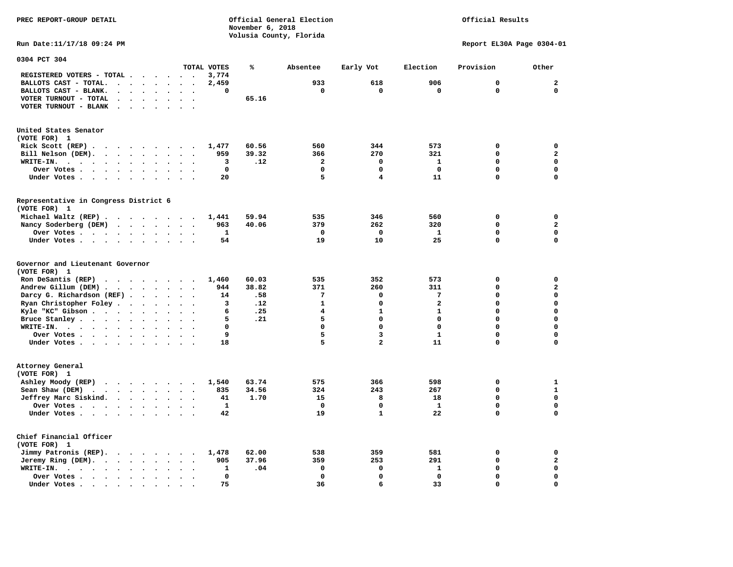**PREC REPORT-GROUP DETAIL COMPUTER CONSUMING A CONSUMING CONSUMING A CONSUMING A CONSUMING A CONSUMING A CONSUMING A CONSUMING A CONSUMING A CONSUMING A CONSUMING A CONSUMING A CONSUMING A CONSUMING A CONSUMING A CONSUMING** *November 6, 2018 November 6, 2018*  **Volusia County, Florida** 

## Official Results

**Run Date:11/17/18 09:24 PM Report EL30A Page 0304-01** 

| 0304 PCT 304                                                                                                             |                               |       |                |                         |                         |             |                         |
|--------------------------------------------------------------------------------------------------------------------------|-------------------------------|-------|----------------|-------------------------|-------------------------|-------------|-------------------------|
|                                                                                                                          | TOTAL VOTES                   | ℁     | Absentee       | Early Vot               | Election                | Provision   | Other                   |
| REGISTERED VOTERS - TOTAL .<br>$\sim$ $\sim$<br>$\cdots$                                                                 | 3,774<br>$\bullet$            |       |                |                         |                         |             |                         |
| BALLOTS CAST - TOTAL.<br>$\ddot{\phantom{a}}$<br>$\ddot{\phantom{a}}$<br>$\cdot$<br>$\sim$<br>$\ddot{\phantom{a}}$       | 2,459                         |       | 933            | 618                     | 906                     | $\mathbf 0$ | $\mathbf{2}$            |
| BALLOTS CAST - BLANK.<br>$\sim$ 100 $\mu$<br>$\ddot{\phantom{a}}$<br>$\sim$<br>$\sim$<br>$\ddot{\phantom{a}}$<br>$\cdot$ | 0<br>$\overline{\phantom{a}}$ |       | $\mathbf 0$    | $\mathbf 0$             | $\mathbf 0$             | $\mathbf 0$ | $\mathbf 0$             |
| VOTER TURNOUT - TOTAL                                                                                                    |                               | 65.16 |                |                         |                         |             |                         |
| VOTER TURNOUT - BLANK<br>$\sim$<br>$\cdot$                                                                               |                               |       |                |                         |                         |             |                         |
|                                                                                                                          |                               |       |                |                         |                         |             |                         |
| United States Senator                                                                                                    |                               |       |                |                         |                         |             |                         |
| (VOTE FOR) 1                                                                                                             |                               |       |                |                         |                         |             |                         |
| Rick Scott (REP).<br>.<br>$\sim$<br>$\sim$ $\sim$                                                                        | 1,477                         | 60.56 | 560            | 344                     | 573                     | 0           | 0                       |
| Bill Nelson (DEM).<br>$\cdot$ $\cdot$ $\cdot$ $\cdot$ $\cdot$<br>$\ddot{\phantom{1}}$                                    | 959                           | 39.32 | 366            | 270                     | 321                     | $\Omega$    | $\overline{\mathbf{2}}$ |
| WRITE-IN.<br>$\cdots$<br>$\sim$ $\sim$ $\sim$<br>$\bullet$<br>$\bullet$<br>$\bullet$<br>$\ddot{\phantom{a}}$             | 3<br>$\ddot{\phantom{a}}$     | .12   | $\overline{a}$ | 0                       | $\mathbf{1}$            | 0           | $\mathbf 0$             |
| Over Votes .<br>$\sim$<br>$\sim$ $\sim$ $\sim$ $\sim$<br>$\bullet$<br>$\bullet$                                          | $\mathbf 0$                   |       | $\mathbf 0$    | 0                       | $\mathbf 0$             | 0           | 0                       |
| Under Votes<br>$\sim$<br>$\ddot{\phantom{0}}$<br>$\cdot$<br>$\sim$                                                       | 20<br>$\bullet$               |       | 5              | $\overline{\mathbf{4}}$ | 11                      | 0           | $\mathbf 0$             |
|                                                                                                                          |                               |       |                |                         |                         |             |                         |
| Representative in Congress District 6                                                                                    |                               |       |                |                         |                         |             |                         |
| (VOTE FOR) 1                                                                                                             |                               |       |                |                         |                         |             |                         |
| Michael Waltz (REP)                                                                                                      | 1,441                         | 59.94 | 535            | 346                     | 560                     | 0           | 0                       |
| Nancy Soderberg (DEM)<br>$\cdots$<br>$\ddot{\phantom{0}}$                                                                | 963<br>$\ddot{\phantom{1}}$   | 40.06 | 379            | 262                     | 320                     | 0           | $\overline{\mathbf{2}}$ |
| Over Votes<br>$\sim$<br>$\ddot{\phantom{a}}$<br>$\ddot{\phantom{a}}$                                                     | 1                             |       | 0              | $\mathbf 0$             | 1                       | 0           | $\mathbf 0$             |
| Under Votes<br>$\ddot{\phantom{0}}$                                                                                      | 54                            |       | 19             | 10                      | 25                      | $\Omega$    | $\mathbf 0$             |
| Governor and Lieutenant Governor<br>(VOTE FOR) 1                                                                         |                               |       |                |                         |                         |             |                         |
| Ron DeSantis (REP)<br>$\cdot$<br>$\sim$                                                                                  | 1,460                         | 60.03 | 535            | 352                     | 573                     | 0           | $\mathbf 0$             |
| Andrew Gillum (DEM) $\cdots$ $\cdots$<br>$\sim$ $\sim$                                                                   | 944<br>$\cdot$                | 38.82 | 371            | 260                     | 311                     | 0           | $\mathbf 2$             |
| Darcy G. Richardson (REF).<br>$\ddot{\phantom{a}}$<br>$\ddot{\phantom{a}}$                                               | 14                            | .58   | 7              | 0                       | 7                       | 0           | $\mathbf 0$             |
| Ryan Christopher Foley.<br>$\sim$<br>$\bullet$<br>$\bullet$                                                              | 3                             | .12   | $\mathbf{1}$   | 0                       | $\overline{\mathbf{c}}$ | 0           | $\mathbf 0$             |
| Kyle "KC" Gibson<br>$\ddot{\phantom{a}}$<br>$\bullet$<br>$\bullet$<br>$\ddot{\phantom{a}}$                               | 6                             | .25   | 4              | $\mathbf{1}$            | $\mathbf{1}$            | 0           | $\mathbf 0$             |
| Bruce Stanley<br>$\ddot{\phantom{a}}$<br>$\bullet$                                                                       | 5                             | .21   | 5              | 0                       | 0                       | 0           | $\mathbf 0$             |
| WRITE-IN.<br>$\bullet$                                                                                                   | $\Omega$                      |       | $\Omega$       | $\Omega$                | $\Omega$                | $\Omega$    | $\mathbf 0$             |
| Over Votes.<br>$\ddot{\phantom{a}}$<br>$\bullet$<br>$\ddot{\phantom{a}}$                                                 | 9<br>$\overline{\phantom{a}}$ |       | 5              | 3                       | $\mathbf{1}$            | $\Omega$    | $\mathbf 0$             |
| Under Votes<br>$\ddot{\phantom{a}}$<br>$\sim$                                                                            | 18                            |       | 5              | $\overline{a}$          | 11                      | 0           | $\mathbf 0$             |
| Attorney General                                                                                                         |                               |       |                |                         |                         |             |                         |
| (VOTE FOR) 1                                                                                                             |                               |       |                |                         |                         |             |                         |
| Ashley Moody (REP)                                                                                                       | 1,540                         | 63.74 | 575            | 366                     | 598                     | $\mathbf 0$ | $\mathbf{1}$            |
| Sean Shaw (DEM)<br>$\ddot{\phantom{1}}$<br>$\sim$ $\sim$<br>$\ddot{\phantom{a}}$                                         | 835                           | 34.56 | 324            | 243                     | 267                     | 0           | $\mathbf{1}$            |
| Jeffrey Marc Siskind.<br>$\cdots$<br>$\bullet$<br>$\bullet$                                                              | 41                            | 1.70  | 15             | 8                       | 18                      | 0           | $\mathbf 0$             |
| Over Votes.<br>$\ddot{\phantom{a}}$<br>$\ddot{\phantom{a}}$                                                              | $\mathbf{1}$                  |       | $\mathbf 0$    | $\mathbf 0$             | $\mathbf{1}$            | $\Omega$    | $\mathbf 0$             |
| Under Votes                                                                                                              | 42                            |       | 19             | $\mathbf{1}$            | 22                      | 0           | $\mathbf 0$             |
| Chief Financial Officer<br>(VOTE FOR) 1                                                                                  |                               |       |                |                         |                         |             |                         |
| Jimmy Patronis (REP).<br>$\sim$ $\sim$<br>$\sim$ $\sim$<br>$\ddot{\phantom{1}}$                                          | 1,478                         | 62.00 | 538            | 359                     | 581                     | 0           | 0                       |
| Jeremy Ring (DEM).<br>$\cdot$ $\cdot$ $\cdot$ $\cdot$ $\cdot$<br>$\bullet$<br>$\bullet$<br>$\sim$                        | 905                           | 37.96 | 359            | 253                     | 291                     | 0           | $\mathbf{z}$            |
| WRITE-IN.<br>$\cdot$ $\cdot$ $\cdot$ $\cdot$ $\cdot$<br>$\bullet$<br>$\bullet$<br>$\bullet$                              | 1                             | .04   | 0              | 0                       | 1                       | 0           | $\mathbf 0$             |
| Over Votes.<br>$\sim$ $\sim$ $\sim$ $\sim$<br>$\ddot{\phantom{a}}$<br>$\cdot$                                            | $\mathbf 0$                   |       | $\Omega$       | 0                       | $\mathbf 0$             | $\Omega$    | $\mathbf 0$             |
| Under Votes.<br>$\cdot$ $\cdot$<br>$\sim$<br>$\sim$<br>$\bullet$                                                         | 75                            |       | 36             | 6                       | 33                      | 0           | $\mathbf 0$             |
|                                                                                                                          |                               |       |                |                         |                         |             |                         |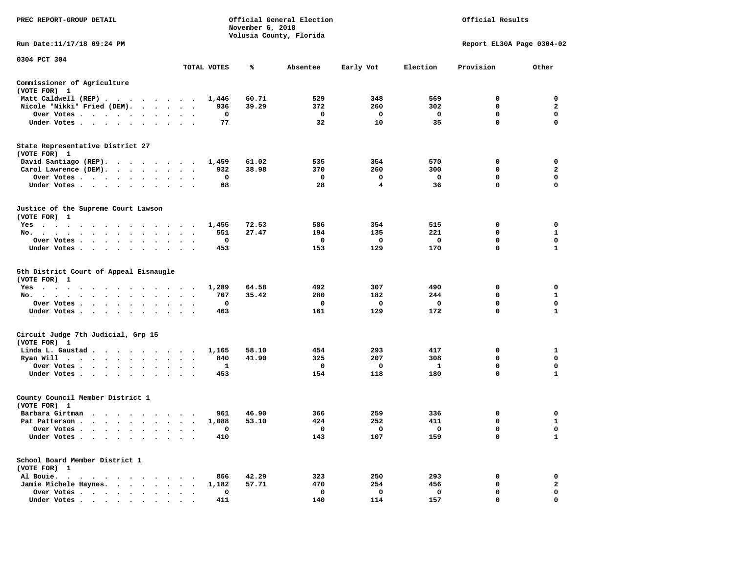| PREC REPORT-GROUP DETAIL                                                                                                                                                                                                                                                                       | Official General Election<br>Official Results<br>November 6, 2018<br>Volusia County, Florida |       |              |              |              |                           |                   |  |
|------------------------------------------------------------------------------------------------------------------------------------------------------------------------------------------------------------------------------------------------------------------------------------------------|----------------------------------------------------------------------------------------------|-------|--------------|--------------|--------------|---------------------------|-------------------|--|
| Run Date:11/17/18 09:24 PM                                                                                                                                                                                                                                                                     |                                                                                              |       |              |              |              | Report EL30A Page 0304-02 |                   |  |
| 0304 PCT 304                                                                                                                                                                                                                                                                                   | TOTAL VOTES                                                                                  | ℁     | Absentee     | Early Vot    | Election     | Provision                 | Other             |  |
| Commissioner of Agriculture                                                                                                                                                                                                                                                                    |                                                                                              |       |              |              |              |                           |                   |  |
| (VOTE FOR) 1                                                                                                                                                                                                                                                                                   |                                                                                              |       |              |              |              |                           |                   |  |
| Matt Caldwell (REP)                                                                                                                                                                                                                                                                            | 1,446                                                                                        | 60.71 | 529          | 348          | 569          | $\Omega$                  | $\mathbf 0$       |  |
| Nicole "Nikki" Fried (DEM).                                                                                                                                                                                                                                                                    | 936                                                                                          | 39.29 | 372          | 260          | 302          | 0                         | $\mathbf{2}$      |  |
| Over Votes<br>$\bullet$                                                                                                                                                                                                                                                                        | 0                                                                                            |       | $\mathbf{o}$ | $\mathbf{o}$ | $\mathbf{o}$ | 0                         | 0                 |  |
| Under Votes                                                                                                                                                                                                                                                                                    | 77                                                                                           |       | 32           | 10           | 35           | $\mathbf 0$               | $\mathbf 0$       |  |
| State Representative District 27<br>(VOTE FOR) 1                                                                                                                                                                                                                                               |                                                                                              |       |              |              |              |                           |                   |  |
| David Santiago (REP).                                                                                                                                                                                                                                                                          | 1,459                                                                                        | 61.02 | 535          | 354          | 570          | 0                         | 0                 |  |
| Carol Lawrence (DEM).                                                                                                                                                                                                                                                                          | 932                                                                                          | 38.98 | 370          | 260          | 300          | $\mathbf 0$               | $\overline{a}$    |  |
| Over Votes                                                                                                                                                                                                                                                                                     | 0<br>$\sim$                                                                                  |       | $\mathbf 0$  | 0            | $\mathbf 0$  | 0                         | $\mathbf 0$       |  |
| Under Votes<br>$\ddot{\phantom{1}}$<br>$\ddot{\phantom{1}}$                                                                                                                                                                                                                                    | 68                                                                                           |       | 28           | 4            | 36           | 0                         | $\mathbf 0$       |  |
| Justice of the Supreme Court Lawson<br>(VOTE FOR) 1                                                                                                                                                                                                                                            |                                                                                              |       |              |              |              |                           |                   |  |
| $Yes \cdot \cdot \cdot$<br>$\sim$ $\sim$ $\sim$ $\sim$ $\sim$<br>. The contract of the contract of the contract of the contract of the contract of the contract of the contract of the contract of the contract of the contract of the contract of the contract of the contract of the contrac | 1,455                                                                                        | 72.53 | 586          | 354          | 515          | 0                         | 0                 |  |
| No.                                                                                                                                                                                                                                                                                            | 551                                                                                          | 27.47 | 194          | 135          | 221          | 0                         | 1                 |  |
| Over Votes<br>$\ddot{\phantom{0}}$<br>$\bullet$                                                                                                                                                                                                                                                | 0<br>$\bullet$<br>$\cdot$                                                                    |       | 0            | 0            | 0            | $\mathbf 0$               | $\mathbf 0$       |  |
| Under Votes                                                                                                                                                                                                                                                                                    | 453                                                                                          |       | 153          | 129          | 170          | 0                         | $\mathbf{1}$      |  |
| 5th District Court of Appeal Eisnaugle<br>(VOTE FOR) 1                                                                                                                                                                                                                                         |                                                                                              |       |              |              |              |                           |                   |  |
| Yes                                                                                                                                                                                                                                                                                            | 1,289                                                                                        | 64.58 | 492          | 307          | 490          | 0                         | $\mathbf 0$       |  |
| No.<br>$\cdot$ $\cdot$ $\cdot$ $\cdot$ $\cdot$<br>$\sim$<br>$\sim$<br>$\sim$<br>$\sim$                                                                                                                                                                                                         | 707                                                                                          | 35.42 | 280          | 182          | 244          | 0                         | $\mathbf{1}$<br>0 |  |
| Over Votes                                                                                                                                                                                                                                                                                     | 0<br>$\overline{\phantom{a}}$                                                                |       | 0            | 0<br>129     | $\mathbf{o}$ | 0<br>$\mathbf 0$          | $\mathbf{1}$      |  |
| Under Votes                                                                                                                                                                                                                                                                                    | 463                                                                                          |       | 161          |              | 172          |                           |                   |  |
| Circuit Judge 7th Judicial, Grp 15<br>(VOTE FOR) 1                                                                                                                                                                                                                                             |                                                                                              |       |              |              |              |                           |                   |  |
| Linda L. Gaustad                                                                                                                                                                                                                                                                               | 1,165                                                                                        | 58.10 | 454          | 293          | 417          | 0                         | 1                 |  |
| Ryan Will $\cdots$ , $\cdots$ , $\cdots$ , $\cdots$                                                                                                                                                                                                                                            | 840                                                                                          | 41.90 | 325          | 207          | 308          | 0                         | $\mathbf 0$       |  |
| Over Votes<br>$\cdot$                                                                                                                                                                                                                                                                          | 1                                                                                            |       | 0            | 0            | 1            | 0                         | 0                 |  |
| Under Votes                                                                                                                                                                                                                                                                                    | 453<br>$\cdot$                                                                               |       | 154          | 118          | 180          | $\mathbf 0$               | $\mathbf{1}$      |  |
| County Council Member District 1<br>(VOTE FOR) 1                                                                                                                                                                                                                                               |                                                                                              |       |              |              |              |                           |                   |  |
| Barbara Girtman                                                                                                                                                                                                                                                                                | 961                                                                                          | 46.90 | 366          | 259          | 336          | 0                         | 0                 |  |
| Pat Patterson                                                                                                                                                                                                                                                                                  | 1,088<br>$\ddot{\phantom{0}}$                                                                | 53.10 | 424          | 252          | 411          | 0                         | $\mathbf{1}$      |  |
| Over Votes<br>$\sim$ $\sim$                                                                                                                                                                                                                                                                    | 0<br>$\sim$                                                                                  |       | 0            | 0            | 0            | $\mathbf 0$               | $\mathbf 0$       |  |
| Under Votes<br>$\ddot{\phantom{0}}$<br>$\ddot{\phantom{0}}$                                                                                                                                                                                                                                    | 410                                                                                          |       | 143          | 107          | 159          | 0                         | $\mathbf{1}$      |  |
| School Board Member District 1<br>(VOTE FOR) 1                                                                                                                                                                                                                                                 |                                                                                              |       |              |              |              |                           |                   |  |
| Al Bouie.<br>. The contract of the contract of the contract of the contract of the contract of the contract of the contract of the contract of the contract of the contract of the contract of the contract of the contract of the contrac                                                     | 866                                                                                          | 42.29 | 323          | 250          | 293          | 0                         | 0                 |  |
| Jamie Michele Haynes.                                                                                                                                                                                                                                                                          | 1,182                                                                                        | 57.71 | 470          | 254          | 456          | 0                         | $\mathbf{2}$      |  |
| Over Votes<br>$\bullet$<br>$\cdot$                                                                                                                                                                                                                                                             | 0<br>$\bullet$<br>$\cdot$                                                                    |       | 0            | 0            | 0            | $\mathbf 0$               | $\mathbf 0$       |  |
| Under Votes, , , , , , , , , ,                                                                                                                                                                                                                                                                 | 411                                                                                          |       | 140          | 114          | 157          | $\Omega$                  | $\mathbf 0$       |  |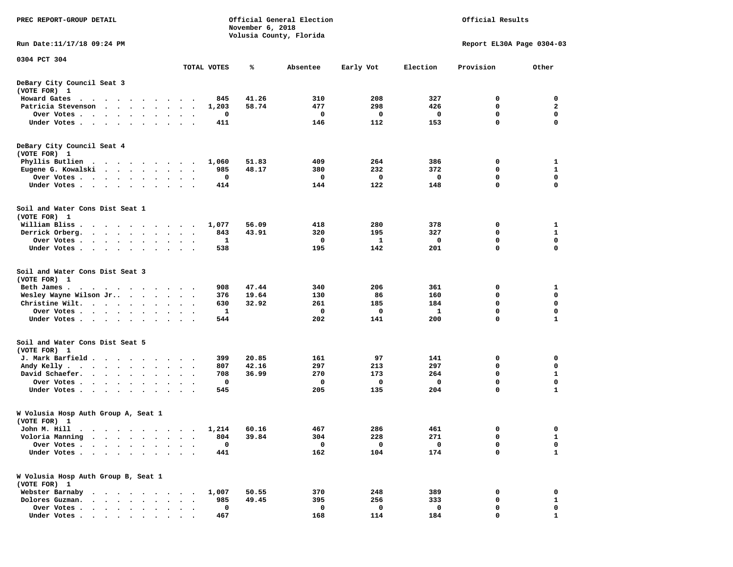| PREC REPORT-GROUP DETAIL                                                                                                                                                                                                                     | Official Results<br>Official General Election<br>November 6, 2018<br>Volusia County, Florida |       |          |                    |                           |                  |                   |  |  |  |
|----------------------------------------------------------------------------------------------------------------------------------------------------------------------------------------------------------------------------------------------|----------------------------------------------------------------------------------------------|-------|----------|--------------------|---------------------------|------------------|-------------------|--|--|--|
| Run Date: 11/17/18 09:24 PM                                                                                                                                                                                                                  |                                                                                              |       |          |                    | Report EL30A Page 0304-03 |                  |                   |  |  |  |
| 0304 PCT 304                                                                                                                                                                                                                                 | TOTAL VOTES                                                                                  | ℁     | Absentee | Early Vot          | Election                  | Provision        | Other             |  |  |  |
| DeBary City Council Seat 3                                                                                                                                                                                                                   |                                                                                              |       |          |                    |                           |                  |                   |  |  |  |
| (VOTE FOR) 1                                                                                                                                                                                                                                 |                                                                                              |       |          |                    |                           |                  |                   |  |  |  |
| Howard Gates                                                                                                                                                                                                                                 | 845<br>$\ddot{\phantom{0}}$                                                                  | 41.26 | 310      | 208                | 327                       | 0                | 0                 |  |  |  |
| Patricia Stevenson<br>$\sim$                                                                                                                                                                                                                 | 1,203                                                                                        | 58.74 | 477      | 298                | 426                       | 0                | $\mathbf{2}$      |  |  |  |
| Over Votes<br>$\bullet$                                                                                                                                                                                                                      | 0                                                                                            |       | 0        | $\mathbf 0$        | 0                         | 0                | 0                 |  |  |  |
| Under Votes                                                                                                                                                                                                                                  | 411                                                                                          |       | 146      | 112                | 153                       | $\mathbf 0$      | $\mathbf 0$       |  |  |  |
| DeBary City Council Seat 4                                                                                                                                                                                                                   |                                                                                              |       |          |                    |                           |                  |                   |  |  |  |
| (VOTE FOR) 1                                                                                                                                                                                                                                 |                                                                                              |       |          |                    |                           |                  |                   |  |  |  |
| Phyllis Butlien                                                                                                                                                                                                                              | 1,060                                                                                        | 51.83 | 409      | 264                | 386                       | 0                | 1                 |  |  |  |
| Eugene G. Kowalski                                                                                                                                                                                                                           | 985                                                                                          | 48.17 | 380      | 232                | 372                       | 0                | $\mathbf{1}$      |  |  |  |
| Over Votes<br>$\bullet$                                                                                                                                                                                                                      | 0                                                                                            |       | 0        | 0                  | 0                         | $\mathbf 0$      | 0                 |  |  |  |
| Under Votes                                                                                                                                                                                                                                  | 414<br>$\cdot$                                                                               |       | 144      | 122                | 148                       | $\mathbf 0$      | $\mathbf 0$       |  |  |  |
| Soil and Water Cons Dist Seat 1                                                                                                                                                                                                              |                                                                                              |       |          |                    |                           |                  |                   |  |  |  |
| (VOTE FOR) 1                                                                                                                                                                                                                                 |                                                                                              |       |          |                    |                           |                  |                   |  |  |  |
| William Bliss.<br>$\cdots$                                                                                                                                                                                                                   | 1,077                                                                                        | 56.09 | 418      | 280                | 378                       | 0                | 1                 |  |  |  |
| Derrick Orberg.<br>$\cdots$                                                                                                                                                                                                                  | 843<br>$\ddot{\phantom{0}}$                                                                  | 43.91 | 320      | 195                | 327                       | 0                | 1                 |  |  |  |
| Over Votes                                                                                                                                                                                                                                   | 1<br>$\ddot{\phantom{1}}$                                                                    |       | 0        | 1                  | 0                         | $\mathbf 0$      | 0                 |  |  |  |
| Under Votes<br>$\sim$ $\sim$                                                                                                                                                                                                                 | 538                                                                                          |       | 195      | 142                | 201                       | 0                | $\mathbf 0$       |  |  |  |
| Soil and Water Cons Dist Seat 3                                                                                                                                                                                                              |                                                                                              |       |          |                    |                           |                  |                   |  |  |  |
| (VOTE FOR) 1                                                                                                                                                                                                                                 |                                                                                              |       |          |                    |                           |                  |                   |  |  |  |
| Beth James.<br>. The contract of the contract of the contract of the contract of the contract of the contract of the contract of the contract of the contract of the contract of the contract of the contract of the contract of the contrac | 908                                                                                          | 47.44 | 340      | 206                | 361                       | 0                | 1                 |  |  |  |
| Wesley Wayne Wilson Jr                                                                                                                                                                                                                       | 376                                                                                          | 19.64 | 130      | 86                 | 160                       | 0                | 0                 |  |  |  |
| Christine Wilt. $\cdots$                                                                                                                                                                                                                     | 630<br>$\sim$ $\sim$                                                                         | 32.92 | 261      | 185                | 184                       | 0                | $\mathbf 0$       |  |  |  |
| Over Votes                                                                                                                                                                                                                                   | $\mathbf{1}$                                                                                 |       | 0        | 0                  | 1                         | $\mathbf 0$      | $\mathbf 0$       |  |  |  |
| Under Votes<br>$\bullet$<br>$\bullet$                                                                                                                                                                                                        | 544                                                                                          |       | 202      | 141                | 200                       | $\mathbf 0$      | $\mathbf{1}$      |  |  |  |
| Soil and Water Cons Dist Seat 5                                                                                                                                                                                                              |                                                                                              |       |          |                    |                           |                  |                   |  |  |  |
| (VOTE FOR) 1                                                                                                                                                                                                                                 |                                                                                              |       |          |                    |                           |                  |                   |  |  |  |
| J. Mark Barfield                                                                                                                                                                                                                             | 399                                                                                          | 20.85 | 161      | 97                 | 141                       | 0                | 0                 |  |  |  |
| Andy Kelly<br>$\ddot{\phantom{a}}$<br>$\ddot{\phantom{a}}$                                                                                                                                                                                   | 807<br>$\cdot$                                                                               | 42.16 | 297      | 213                | 297                       | 0                | 0                 |  |  |  |
| David Schaefer.<br>$\bullet$<br>$\ddot{\phantom{1}}$                                                                                                                                                                                         | 708<br>$\bullet$                                                                             | 36.99 | 270      | 173                | 264                       | 0<br>$\mathbf 0$ | 1                 |  |  |  |
| Over Votes<br>$\ddot{\phantom{1}}$                                                                                                                                                                                                           | 0<br>545                                                                                     |       | 0<br>205 | $\mathbf 0$<br>135 | 0<br>204                  | $\mathbf 0$      | 0<br>$\mathbf{1}$ |  |  |  |
| Under Votes<br>$\cdot$                                                                                                                                                                                                                       |                                                                                              |       |          |                    |                           |                  |                   |  |  |  |
| W Volusia Hosp Auth Group A, Seat 1<br>(VOTE FOR) 1                                                                                                                                                                                          |                                                                                              |       |          |                    |                           |                  |                   |  |  |  |
| John M. Hill<br>$\mathcal{A}$ , and a set of the set of the set of the $\mathcal{A}$                                                                                                                                                         | 1,214                                                                                        | 60.16 | 467      | 286                | 461                       | $\mathbf 0$      | 0                 |  |  |  |
| Voloria Manning<br>$\bullet$<br>$\bullet$                                                                                                                                                                                                    | 804                                                                                          | 39.84 | 304      | 228                | 271                       | 0                | 1                 |  |  |  |
| Over Votes .<br>$\ddot{\phantom{0}}$<br>$\ddot{\phantom{a}}$<br>$\bullet$                                                                                                                                                                    | 0                                                                                            |       | 0        | 0                  | 0                         | 0                | 0                 |  |  |  |
| Under Votes.<br>$\begin{array}{cccccccccccccc} \bullet & \bullet & \bullet & \bullet & \bullet & \bullet & \bullet & \bullet \end{array}$<br>$\bullet$<br>$\bullet$                                                                          | 441                                                                                          |       | 162      | 104                | 174                       | $\mathbf{0}$     | $\mathbf 1$       |  |  |  |
| W Volusia Hosp Auth Group B, Seat 1<br>(VOTE FOR) 1                                                                                                                                                                                          |                                                                                              |       |          |                    |                           |                  |                   |  |  |  |
| Webster Barnaby<br>$\mathbf{r}$ , and $\mathbf{r}$ , and $\mathbf{r}$ , and $\mathbf{r}$                                                                                                                                                     | 1,007                                                                                        | 50.55 | 370      | 248                | 389                       | 0                | 0                 |  |  |  |
| Dolores Guzman.<br>$\cdot$ $\cdot$ $\cdot$ $\cdot$<br>$\bullet$                                                                                                                                                                              | 985                                                                                          | 49.45 | 395      | 256                | 333                       | $\mathbf 0$      | ${\bf 1}$         |  |  |  |
| Over Votes .<br>$\bullet$ .<br><br><br><br><br><br><br><br><br><br><br><br><br><br><br>$\ddot{\phantom{a}}$<br>$\bullet$                                                                                                                     | 0                                                                                            |       | 0        | 0                  | 0                         | 0                | 0                 |  |  |  |
| Under Votes.<br>$\cdot$ $\cdot$ $\cdot$ $\cdot$ $\cdot$ $\cdot$<br>$\bullet$<br>$\bullet$                                                                                                                                                    | 467                                                                                          |       | 168      | 114                | 184                       | 0                | 1                 |  |  |  |
|                                                                                                                                                                                                                                              |                                                                                              |       |          |                    |                           |                  |                   |  |  |  |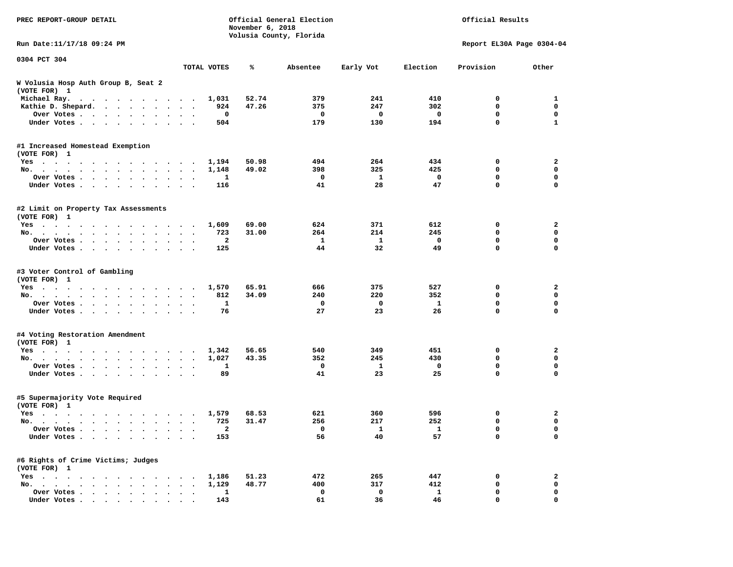| PREC REPORT-GROUP DETAIL                             |                      |              | November 6, 2018 | Official General Election<br>Volusia County, Florida | Official Results |              |                           |              |
|------------------------------------------------------|----------------------|--------------|------------------|------------------------------------------------------|------------------|--------------|---------------------------|--------------|
| Run Date: 11/17/18 09:24 PM                          |                      |              |                  |                                                      |                  |              | Report EL30A Page 0304-04 |              |
| 0304 PCT 304                                         |                      | TOTAL VOTES  | ℁                | Absentee                                             | Early Vot        | Election     | Provision                 | Other        |
| W Volusia Hosp Auth Group B, Seat 2<br>(VOTE FOR) 1  |                      |              |                  |                                                      |                  |              |                           |              |
| Michael Ray.                                         |                      | 1,031        | 52.74            | 379                                                  | 241              | 410          | 0                         | 1            |
| Kathie D. Shepard.                                   | $\sim$ $\sim$        | 924          | 47.26            | 375                                                  | 247              | 302          | $\mathbf 0$               | 0            |
| Over Votes<br>$\bullet$                              | $\ddot{\phantom{0}}$ | 0            |                  | $\mathbf{o}$                                         | $\mathbf{o}$     | 0            | 0                         | $\mathbf 0$  |
| Under Votes<br>$\ddot{\phantom{1}}$                  |                      | 504          |                  | 179                                                  | 130              | 194          | 0                         | $\mathbf{1}$ |
| #1 Increased Homestead Exemption<br>(VOTE FOR) 1     |                      |              |                  |                                                      |                  |              |                           |              |
| Yes                                                  |                      | 1,194        | 50.98            | 494                                                  | 264              | 434          | 0                         | 2            |
| No.                                                  | $\ddot{\phantom{1}}$ | 1,148        | 49.02            | 398                                                  | 325              | 425          | 0                         | $\mathbf 0$  |
| Over Votes<br>$\cdot$                                |                      | 1            |                  | 0                                                    | 1                | 0            | 0                         | 0            |
| Under Votes<br>$\ddot{\phantom{0}}$                  | $\ddot{\phantom{1}}$ | 116          |                  | 41                                                   | 28               | 47           | 0                         | $\mathbf 0$  |
| #2 Limit on Property Tax Assessments<br>(VOTE FOR) 1 |                      |              |                  |                                                      |                  |              |                           |              |
| Yes                                                  |                      | 1,609        | 69.00            | 624                                                  | 371              | 612          | 0                         | 2            |
| No.                                                  |                      | 723          | 31.00            | 264                                                  | 214              | 245          | 0                         | $\mathbf 0$  |
| Over Votes                                           |                      | $\mathbf{2}$ |                  | 1                                                    | 1                | 0            | 0                         | 0            |
| Under Votes                                          |                      | 125          |                  | 44                                                   | 32               | 49           | 0                         | 0            |
| #3 Voter Control of Gambling<br>(VOTE FOR) 1         |                      |              |                  |                                                      |                  |              |                           |              |
| Yes                                                  |                      | 1,570        | 65.91            | 666                                                  | 375              | 527          | 0                         | 2            |
| No.                                                  | $\sim$ $\sim$        | 812          | 34.09            | 240                                                  | 220              | 352          | 0                         | 0            |
| Over Votes<br>$\bullet$<br>$\bullet$                 | $\sim$               | $\mathbf{1}$ |                  | 0                                                    | $\mathbf 0$      | $\mathbf{1}$ | 0                         | $\mathbf 0$  |
| Under Votes<br>$\ddot{\phantom{0}}$                  |                      | 76           |                  | 27                                                   | 23               | 26           | 0                         | $\mathbf 0$  |
| #4 Voting Restoration Amendment<br>(VOTE FOR) 1      |                      |              |                  |                                                      |                  |              |                           |              |
| Yes                                                  |                      | 1,342        | 56.65            | 540                                                  | 349              | 451          | 0                         | 2            |
| No.                                                  | $\ddot{\phantom{1}}$ | 1,027        | 43.35            | 352                                                  | 245              | 430          | 0                         | $\mathbf 0$  |
| Over Votes<br>$\ddot{\phantom{1}}$                   |                      | 1            |                  | 0                                                    | 1                | 0            | 0                         | 0            |
| Under Votes                                          | $\ddot{\phantom{1}}$ | 89           |                  | 41                                                   | 23               | 25           | 0                         | 0            |
| #5 Supermajority Vote Required<br>(VOTE FOR) 1       |                      |              |                  |                                                      |                  |              |                           |              |
| Yes                                                  |                      | 1,579        | 68.53            | 621                                                  | 360              | 596          | 0                         | 2            |
| No.                                                  | $\ddot{\phantom{0}}$ | 725          | 31.47            | 256                                                  | 217              | 252          | 0                         | 0            |
| Over Votes                                           |                      | 2            |                  | 0                                                    | $\mathbf{I}$     | ı,           | 0                         | 0            |
| Under Votes                                          |                      | 153          |                  | 56                                                   | 40               | 57           | 0                         | $\mathbf 0$  |
| #6 Rights of Crime Victims; Judges<br>(VOTE FOR) 1   |                      |              |                  |                                                      |                  |              |                           |              |
| $Yes \t . \t . \t .$                                 |                      | 1,186        | 51.23            | 472                                                  | 265              | 447          | 0                         | 2            |
| No.                                                  |                      | 1,129        | 48.77            | 400                                                  | 317              | 412          | 0                         | 0            |
| Over Votes                                           |                      | $\mathbf{1}$ |                  | 0                                                    | 0                | $\mathbf{1}$ | 0                         | 0            |
| Under Votes.                                         |                      | 143          |                  | 61                                                   | 36               | 46           | 0                         | $\mathbf 0$  |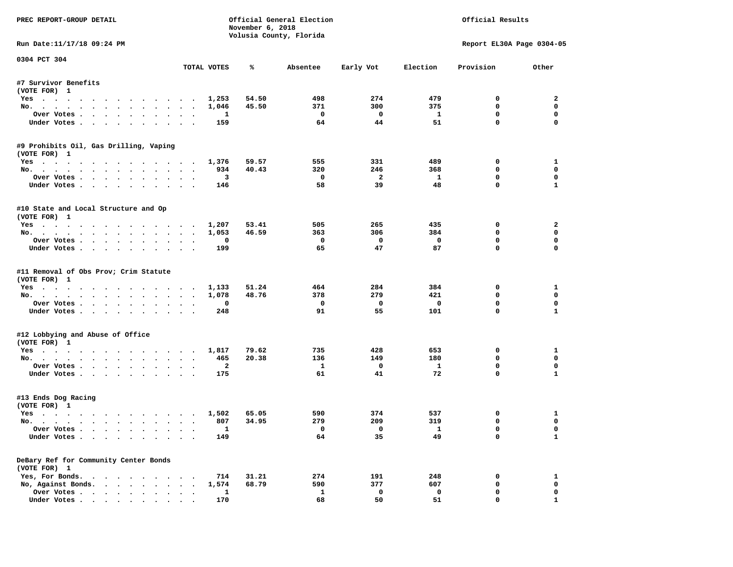| PREC REPORT-GROUP DETAIL                                     |                      |                         | November 6, 2018 | Official General Election<br>Volusia County, Florida | Official Results          |                               |                            |                             |
|--------------------------------------------------------------|----------------------|-------------------------|------------------|------------------------------------------------------|---------------------------|-------------------------------|----------------------------|-----------------------------|
| Run Date:11/17/18 09:24 PM                                   |                      |                         |                  |                                                      | Report EL30A Page 0304-05 |                               |                            |                             |
| 0304 PCT 304                                                 |                      | TOTAL VOTES             | ℁                | Absentee                                             | Early Vot                 | Election                      | Provision                  | Other                       |
| #7 Survivor Benefits                                         |                      |                         |                  |                                                      |                           |                               |                            |                             |
| (VOTE FOR) 1                                                 |                      |                         |                  |                                                      |                           |                               |                            |                             |
| Yes                                                          |                      | 1,253                   | 54.50            | 498                                                  | 274                       | 479                           | $^{\circ}$                 | 2                           |
| No.                                                          |                      | 1,046                   | 45.50            | 371                                                  | 300                       | 375                           | 0                          | $\mathbf 0$                 |
| Over Votes                                                   |                      | <b>1</b>                |                  | $\overline{\phantom{0}}$                             | $\overline{\mathbf{0}}$   | $\mathbf{1}$                  | 0                          | $\mathbf 0$                 |
| Under Votes                                                  |                      | 159                     |                  | 64                                                   | 44                        | 51                            | $\mathbf 0$                | $\mathbf 0$                 |
| #9 Prohibits Oil, Gas Drilling, Vaping<br>(VOTE FOR) 1       |                      |                         |                  |                                                      |                           |                               |                            |                             |
| Yes 1,376                                                    |                      |                         | 59.57            | 555                                                  | 331                       | 489                           | 0                          | $\mathbf{1}$                |
| No.                                                          |                      | 934                     | 40.43            | 320                                                  | 246                       | 368                           | $\mathbf 0$                | $\mathbf 0$                 |
| Over Votes                                                   |                      | $\overline{\mathbf{3}}$ |                  | $\overline{\phantom{0}}$                             | $\overline{\mathbf{2}}$   | $\mathbf{1}$                  | $\mathbf 0$                | 0                           |
| Under Votes                                                  | $\sim$               | 146                     |                  | 58                                                   | 39                        | 48                            | $\mathbf 0$                | $\mathbf{1}$                |
| #10 State and Local Structure and Op<br>(VOTE FOR) 1         |                      |                         |                  |                                                      |                           |                               |                            |                             |
| Yes 1,207                                                    |                      |                         | 53.41            | 505                                                  | 265                       | 435                           | 0                          | $\overline{a}$              |
| No.                                                          |                      | 1,053                   | 46.59            | 363                                                  | 306                       | 384                           | $\mathbf 0$                | $\mathbf 0$                 |
| Over Votes                                                   |                      | 0                       |                  | $\mathbf{o}$                                         | $\overline{\mathbf{0}}$   | $\overline{\mathbf{0}}$       | $\mathbf 0$                | $\mathbf 0$                 |
| Under Votes                                                  |                      | 199                     |                  | 65                                                   | 47                        | 87                            | $\Omega$                   | $\Omega$                    |
| #11 Removal of Obs Prov; Crim Statute<br>(VOTE FOR) 1<br>Yes |                      | 1,133                   | 51.24            | 464                                                  | 284                       | 384                           | 0                          | 1                           |
| No.                                                          |                      | 1,078                   | 48.76            | 378                                                  | 279                       | 421                           | 0                          | $\mathbf 0$                 |
| Over Votes                                                   |                      | 0                       |                  | $\mathbf{o}$                                         | $\overline{\mathbf{0}}$   | $\mathbf 0$                   | $\mathbf 0$                | $\mathbf 0$                 |
| Under Votes                                                  |                      | 248                     |                  | 91                                                   | 55                        | 101                           | $\mathbf 0$                | $\mathbf{1}$                |
| #12 Lobbying and Abuse of Office<br>(VOTE FOR) 1             |                      |                         |                  |                                                      |                           |                               |                            |                             |
| Yes                                                          |                      | 1,817                   | 79.62            | 735                                                  | 428                       | 653                           | 0                          | 1                           |
| No.                                                          |                      | 465                     | 20.38            | 136                                                  | 149                       | 180                           | $\Omega$                   | $\mathbf 0$                 |
| Over Votes                                                   |                      | $\overline{\mathbf{2}}$ |                  | $\mathbf{1}$                                         | $\overline{\mathbf{0}}$   | $\mathbf{1}$                  | 0                          | $\mathbf 0$                 |
| Under Votes                                                  |                      | 175                     |                  | 61                                                   | 41                        | 72                            | $\Omega$                   | $\mathbf{1}$                |
| #13 Ends Dog Racing<br>(VOTE FOR) 1                          |                      |                         |                  |                                                      |                           |                               |                            |                             |
| Yes. 1,502                                                   |                      |                         | 65.05            | 590                                                  | 374                       | 537                           | 0                          | 1                           |
| No.                                                          |                      | 807                     | 34.95            | 279                                                  | 209                       | 319                           | $\mathbf 0$                | $\mathbf 0$                 |
| Over Votes<br>Under Votes                                    |                      | $\mathbf{1}$<br>149     |                  | $\overline{\mathbf{0}}$<br>64                        | $\overline{0}$<br>35      | $\overline{\mathbf{1}}$<br>49 | $\mathbf 0$<br>$\mathbf 0$ | $\mathbf 0$<br>$\mathbf{1}$ |
| DeBary Ref for Community Center Bonds                        |                      |                         |                  |                                                      |                           |                               |                            |                             |
| (VOTE FOR) 1<br>Yes, For Bonds.                              |                      | 714                     | 31.21            | 274                                                  | 191                       | 248                           | 0                          | 1                           |
| No, Against Bonds.                                           |                      | 1,574                   | 68.79            | 590                                                  | 377                       | 607                           | $\mathbf 0$                | $\mathbf 0$                 |
| Over Votes                                                   | $\ddot{\phantom{a}}$ | $\mathbf{1}$            |                  | $\mathbf{1}$                                         | $\mathbf 0$               | $\mathbf 0$                   | $\mathbf 0$                | 0                           |
| Under Votes.                                                 |                      | 170                     |                  | 68                                                   | 50                        | 51                            | $\mathbf{0}$               | $\mathbf{1}$                |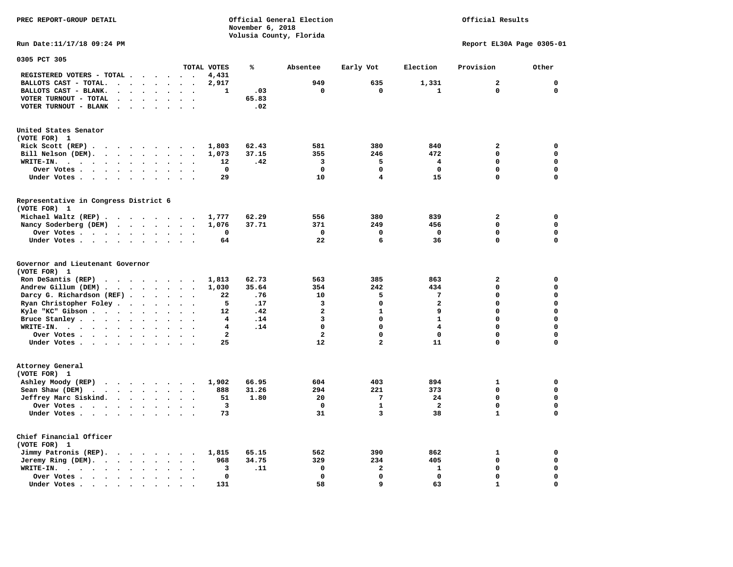**PREC REPORT-GROUP DETAIL COMPUTER CONSUMING A CONSUMING CONSUMING A CONSUMING A CONSUMING A CONSUMING A CONSUMING A CONSUMING A CONSUMING A CONSUMING A CONSUMING A CONSUMING A CONSUMING A CONSUMING A CONSUMING A CONSUMING** *November 6, 2018 November 6, 2018*  **Volusia County, Florida** 

## Official Results

**Run Date:11/17/18 09:24 PM Report EL30A Page 0305-01** 

| 0305 PCT 305                                                                                                                                                  |                                                                          |                         |       |                         |                         |                         |                |             |
|---------------------------------------------------------------------------------------------------------------------------------------------------------------|--------------------------------------------------------------------------|-------------------------|-------|-------------------------|-------------------------|-------------------------|----------------|-------------|
|                                                                                                                                                               |                                                                          | TOTAL VOTES             | ℁     | Absentee                | Early Vot               | Election                | Provision      | Other       |
| REGISTERED VOTERS - TOTAL .<br>$\cdots$                                                                                                                       | $\sim$ $\sim$<br>$\ddot{\phantom{a}}$                                    | 4,431                   |       |                         |                         |                         |                |             |
| BALLOTS CAST - TOTAL.<br>$\ddot{\phantom{a}}$<br>$\ddot{\phantom{a}}$<br>$\ddot{\phantom{a}}$                                                                 | $\ddot{\phantom{a}}$                                                     | 2,917                   |       | 949                     | 635                     | 1,331                   | $\overline{a}$ | $\mathbf 0$ |
| BALLOTS CAST - BLANK.<br>$\sim$ 100 $\mu$<br>$\sim$<br>$\sim$<br>$\cdot$                                                                                      | $\ddot{\phantom{a}}$<br>$\ddot{\phantom{a}}$<br>$\overline{\phantom{a}}$ | 1                       | .03   | $\mathbf 0$             | $\mathbf 0$             | $\mathbf{1}$            | $\mathbf 0$    | $\mathbf 0$ |
| VOTER TURNOUT - TOTAL                                                                                                                                         |                                                                          |                         | 65.83 |                         |                         |                         |                |             |
| VOTER TURNOUT - BLANK<br>$\sim$<br>$\cdot$                                                                                                                    |                                                                          |                         | .02   |                         |                         |                         |                |             |
|                                                                                                                                                               |                                                                          |                         |       |                         |                         |                         |                |             |
| United States Senator                                                                                                                                         |                                                                          |                         |       |                         |                         |                         |                |             |
| (VOTE FOR) 1                                                                                                                                                  |                                                                          |                         |       |                         |                         |                         |                |             |
| Rick Scott (REP).<br>$\sim$                                                                                                                                   |                                                                          | 1,803                   | 62.43 | 581                     | 380                     | 840                     | $\mathbf{z}$   | $\mathbf 0$ |
| Bill Nelson (DEM).<br>$\cdot$ $\cdot$ $\cdot$ $\cdot$ $\cdot$ $\cdot$ $\cdot$ $\cdot$                                                                         |                                                                          | 1,073                   | 37.15 | 355                     | 246                     | 472                     | 0              | $\mathbf 0$ |
| WRITE-IN.<br>$\cdots$<br>$\mathcal{A}^{\mathcal{A}}$ , and $\mathcal{A}^{\mathcal{A}}$ , and $\mathcal{A}^{\mathcal{A}}$<br>$\bullet$<br>$\ddot{\phantom{a}}$ | $\bullet$<br>$\bullet$                                                   | 12                      | .42   | 3                       | 5                       | 4                       | 0              | $\mathbf 0$ |
| Over Votes .<br>$\sim$<br>$\sim$ $\sim$ $\sim$ $\sim$<br>$\bullet$                                                                                            |                                                                          | $\mathbf 0$             |       | 0                       | 0                       | $\mathbf 0$             | 0              | 0           |
| Under Votes<br>$\sim$                                                                                                                                         | $\sim$<br>$\cdot$                                                        | 29                      |       | 10                      | 4                       | 15                      | 0              | $\mathbf 0$ |
|                                                                                                                                                               |                                                                          |                         |       |                         |                         |                         |                |             |
| Representative in Congress District 6                                                                                                                         |                                                                          |                         |       |                         |                         |                         |                |             |
| (VOTE FOR) 1                                                                                                                                                  |                                                                          |                         |       |                         |                         |                         |                |             |
| Michael Waltz (REP)                                                                                                                                           |                                                                          | 1,777                   | 62.29 | 556                     | 380                     | 839                     | $\mathbf{z}$   | $\mathbf 0$ |
| Nancy Soderberg (DEM)                                                                                                                                         | $\overline{\phantom{a}}$                                                 | 1,076                   | 37.71 | 371                     | 249                     | 456                     | 0              | $\mathbf 0$ |
| Over Votes<br>$\sim$<br>$\sim$                                                                                                                                | $\ddot{\phantom{a}}$<br>$\sim$                                           | 0                       |       | $\Omega$                | 0                       | 0                       | 0              | $\mathbf 0$ |
| Under Votes<br>$\cdot$                                                                                                                                        | $\ddot{\phantom{a}}$                                                     | 64                      |       | 22                      | 6                       | 36                      | 0              | $\mathbf 0$ |
| Governor and Lieutenant Governor<br>(VOTE FOR) 1                                                                                                              |                                                                          |                         |       |                         |                         |                         |                |             |
| Ron DeSantis (REP)<br>.                                                                                                                                       |                                                                          | 1,813                   | 62.73 | 563                     | 385                     | 863                     | 2              | 0           |
| Andrew Gillum (DEM)                                                                                                                                           | $\sim$<br>$\ddot{\phantom{1}}$                                           | 1,030                   | 35.64 | 354                     | 242                     | 434                     | 0              | $\mathbf 0$ |
| Darcy G. Richardson (REF).<br>$\cdot$                                                                                                                         | $\ddot{\phantom{a}}$                                                     | 22                      | .76   | 10                      | 5                       | 7                       | 0              | $\mathbf 0$ |
| Ryan Christopher Foley.<br>$\sim$<br>$\bullet$                                                                                                                | $\bullet$                                                                | 5                       | .17   | 3                       | 0                       | $\overline{a}$          | $\Omega$       | $\mathbf 0$ |
| Kyle "KC" Gibson<br>$\bullet$<br>$\bullet$                                                                                                                    | $\bullet$<br>$\ddot{\phantom{a}}$<br>$\overline{\phantom{a}}$            | 12                      | .42   | $\overline{\mathbf{2}}$ | $\mathbf{1}$            | 9                       | 0              | $\mathbf 0$ |
| Bruce Stanley<br>$\ddot{\phantom{a}}$                                                                                                                         | $\ddot{\phantom{a}}$<br>$\sim$                                           | 4                       | .14   | 3                       | $\mathbf 0$             | $\mathbf{1}$            | 0              | $\mathbf 0$ |
| WRITE-IN.<br>$\cdots$<br>$\bullet$                                                                                                                            |                                                                          | 4                       | .14   | $\Omega$                | $\mathbf 0$             | $\overline{\mathbf{4}}$ | $\Omega$       | $\mathbf 0$ |
| Over Votes<br>$\ddot{\phantom{a}}$                                                                                                                            | $\bullet$<br>$\ddot{\phantom{a}}$                                        | $\overline{\mathbf{2}}$ |       | $\overline{a}$          | 0                       | $\mathbf 0$             | 0              | $\mathbf 0$ |
| Under Votes<br>$\ddot{\phantom{a}}$                                                                                                                           | $\ddot{\phantom{a}}$                                                     | 25                      |       | 12                      | 2                       | 11                      | 0              | 0           |
| Attorney General<br>(VOTE FOR) 1                                                                                                                              |                                                                          |                         |       |                         |                         |                         |                |             |
| Ashley Moody (REP)                                                                                                                                            |                                                                          | 1,902                   | 66.95 | 604                     | 403                     | 894                     | 1              | $\mathbf 0$ |
| Sean Shaw (DEM)<br>$\mathbf{r}$ , $\mathbf{r}$ , $\mathbf{r}$ , $\mathbf{r}$ , $\mathbf{r}$                                                                   | $\ddot{\phantom{a}}$<br>$\Delta$                                         | 888                     | 31.26 | 294                     | 221                     | 373                     | 0              | $\mathbf 0$ |
| Jeffrey Marc Siskind.<br>$\cdots$                                                                                                                             | $\ddot{\phantom{a}}$<br>$\bullet$                                        | 51                      | 1.80  | 20                      | $7\phantom{.0}$         | 24                      | 0              | $\mathbf 0$ |
| Over Votes<br>$\ddot{\phantom{a}}$                                                                                                                            | $\bullet$                                                                | 3                       |       | $\mathbf 0$             | $\mathbf{1}$            | $\overline{\mathbf{2}}$ | 0              | $\mathbf 0$ |
| Under Votes<br>$\bullet$                                                                                                                                      |                                                                          | 73                      |       | 31                      | 3                       | 38                      | $\mathbf{1}$   | $\mathbf 0$ |
| Chief Financial Officer<br>(VOTE FOR) 1                                                                                                                       |                                                                          |                         |       |                         |                         |                         |                |             |
| Jimmy Patronis (REP).<br>$\sim$ $\sim$ $\sim$ $\sim$ $\sim$                                                                                                   | $\overline{\phantom{a}}$                                                 | 1,815                   | 65.15 | 562                     | 390                     | 862                     | $\mathbf{1}$   | 0           |
| Jeremy Ring (DEM).                                                                                                                                            | $\ddot{\phantom{0}}$<br>$\bullet$                                        | 968                     | 34.75 | 329                     | 234                     | 405                     | $\mathbf 0$    | $\mathbf 0$ |
| WRITE-IN.<br>$\cdots$<br>$\bullet$<br>$\bullet$<br>$\sim$                                                                                                     |                                                                          | 3                       | .11   | $\mathbf 0$             | $\overline{\mathbf{2}}$ | $\mathbf{1}$            | 0              | $\mathbf 0$ |
| Over Votes<br>$\bullet$<br>$\bullet$                                                                                                                          | $\bullet$                                                                | 0                       |       | $\mathbf 0$             | $\mathbf 0$             | $\mathbf 0$             | $\Omega$       | $\mathbf 0$ |
| Under Votes.<br>$\bullet$<br>$\bullet$<br>$\bullet$<br>$\bullet$                                                                                              |                                                                          | 131                     |       | 58                      | 9                       | 63                      | $\mathbf{1}$   | $\mathbf 0$ |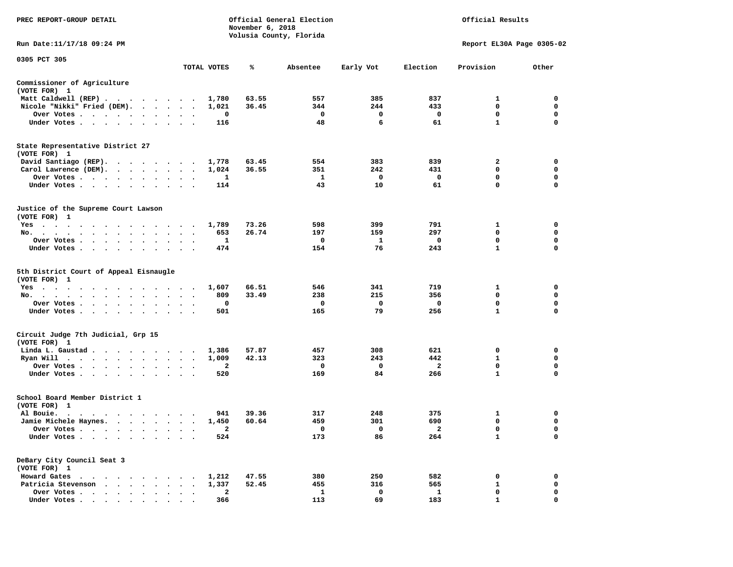| PREC REPORT-GROUP DETAIL                                                                         |                                                  | November 6, 2018 | Official General Election<br>Official Results<br>Volusia County, Florida |                   |                     |                             |                            |
|--------------------------------------------------------------------------------------------------|--------------------------------------------------|------------------|--------------------------------------------------------------------------|-------------------|---------------------|-----------------------------|----------------------------|
| Run Date:11/17/18 09:24 PM                                                                       |                                                  |                  |                                                                          |                   |                     |                             | Report EL30A Page 0305-02  |
| 0305 PCT 305                                                                                     | TOTAL VOTES                                      | ℁                | Absentee                                                                 | Early Vot         | Election            | Provision                   | Other                      |
| Commissioner of Agriculture                                                                      |                                                  |                  |                                                                          |                   |                     |                             |                            |
| (VOTE FOR) 1                                                                                     |                                                  |                  |                                                                          |                   |                     |                             |                            |
| Matt Caldwell (REP)                                                                              | 1,780                                            | 63.55            | 557                                                                      | 385               | 837                 | 1                           | 0                          |
| Nicole "Nikki" Fried (DEM).                                                                      | 1,021                                            | 36.45            | 344                                                                      | 244               | 433                 | $\mathbf 0$                 | $\mathbf 0$                |
| Over Votes                                                                                       |                                                  | 0                | $\mathbf 0$                                                              | 0                 | $\mathbf 0$         | 0                           | 0                          |
| Under Votes                                                                                      |                                                  | 116              | 48                                                                       | 6                 | 61                  | $\mathbf{1}$                | $\Omega$                   |
| State Representative District 27<br>(VOTE FOR) 1                                                 |                                                  |                  |                                                                          |                   |                     |                             |                            |
| David Santiago (REP).                                                                            | 1,778                                            | 63.45            | 554                                                                      | 383               | 839                 | $\mathbf{2}$                | $\mathbf 0$                |
| Carol Lawrence (DEM).                                                                            | 1,024                                            | 36.55            | 351                                                                      | 242               | 431                 | 0                           | 0                          |
| Over Votes                                                                                       | $\ddot{\phantom{a}}$<br>$\overline{\phantom{a}}$ | 1                | 1                                                                        | 0                 | $\mathbf 0$         | $\mathbf 0$                 | 0                          |
| Under Votes<br>$\sim$ $\sim$<br>$\cdot$<br>$\ddot{\phantom{a}}$<br>$\cdot$                       |                                                  | 114              | 43                                                                       | 10                | 61                  | $\mathbf 0$                 | $\mathbf 0$                |
| Justice of the Supreme Court Lawson<br>(VOTE FOR) 1                                              |                                                  |                  |                                                                          |                   |                     |                             |                            |
| Yes                                                                                              | 1,789                                            | 73.26            | 598                                                                      | 399               | 791                 | $\mathbf{1}$                | $\mathbf 0$                |
| No.                                                                                              |                                                  | 653<br>26.74     | 197                                                                      | 159               | 297                 | 0                           | $\mathbf 0$                |
| Over Votes<br>$\sim$<br>$\bullet$                                                                | $\cdot$<br>$\overline{\phantom{a}}$              | -1               | $\mathbf{o}$                                                             | 1                 | $\mathbf{o}$        | $\mathbf 0$                 | $\mathbf 0$                |
| Under Votes                                                                                      |                                                  | 474              | 154                                                                      | 76                | 243                 | $\mathbf{1}$                | $\Omega$                   |
| 5th District Court of Appeal Eisnaugle<br>(VOTE FOR) 1                                           |                                                  |                  |                                                                          |                   |                     |                             |                            |
| Yes                                                                                              | 1,607                                            | 66.51            | 546                                                                      | 341               | 719                 | 1                           | 0                          |
| No.<br>$\sim$ $\sim$<br>$\bullet$<br>$\bullet$                                                   |                                                  | 809<br>33.49     | 238                                                                      | 215               | 356                 | 0                           | 0                          |
| Over Votes<br>$\sim 100$                                                                         | $\cdot$                                          | 0                | 0                                                                        | 0                 | $\mathbf 0$         | $\mathbf 0$                 | $\mathbf 0$                |
| Under Votes<br>$\bullet$<br>$\ddot{\phantom{a}}$                                                 |                                                  | 501              | 165                                                                      | 79                | 256                 | $\mathbf{1}$                | $\Omega$                   |
| Circuit Judge 7th Judicial, Grp 15<br>(VOTE FOR) 1                                               |                                                  |                  |                                                                          |                   |                     |                             |                            |
| Linda L. Gaustad                                                                                 | 1,386                                            | 57.87            | 457                                                                      | 308               | 621                 | 0                           | $\mathbf 0$                |
| Ryan Will $\cdots$ , $\cdots$ , $\cdots$ , $\cdots$                                              | 1,009                                            | 42.13            | 323                                                                      | 243               | 442                 | 1                           | 0                          |
| Over Votes<br>$\blacksquare$ .<br>$\bullet$                                                      |                                                  | 2                | 0                                                                        | $\mathbf 0$       | $\overline{a}$      | 0                           | 0                          |
| Under Votes<br>$\ddot{\phantom{1}}$                                                              | $\cdot$ $\cdot$ $\cdot$                          | 520              | 169                                                                      | 84                | 266                 | $\mathbf{1}$                | $\mathbf 0$                |
| School Board Member District 1<br>(VOTE FOR) 1                                                   |                                                  |                  |                                                                          |                   |                     |                             |                            |
| Al Bouie.                                                                                        |                                                  | 39.36<br>941     | 317                                                                      | 248               | 375                 | 1                           | 0                          |
| Jamie Michele Haynes.                                                                            | 1,450<br>$\ddot{\phantom{1}}$                    | 60.64            | 459                                                                      | 301               | 690                 | $\mathbf 0$                 | $\mathbf 0$                |
| Over Votes                                                                                       |                                                  | $\overline{a}$   | $\mathbf 0$                                                              | $\overline{0}$    | $\overline{2}$      | $\mathbf 0$<br>$\mathbf{1}$ | $\Omega$                   |
| Under Votes<br>$\ddot{\phantom{0}}$<br>$\sim$                                                    |                                                  | 524              | 173                                                                      | 86                | 264                 |                             | 0                          |
| DeBary City Council Seat 3<br>(VOTE FOR) 1                                                       |                                                  |                  |                                                                          |                   |                     |                             |                            |
| Howard Gates<br>$\mathcal{A}$ . The second contribution of the second contribution $\mathcal{A}$ | 1,212                                            | 47.55            | 380                                                                      | 250               | 582                 | 0                           | 0                          |
| Patricia Stevenson                                                                               | 1,337                                            | 52.45            | 455                                                                      | 316               | 565                 | 1                           | 0                          |
| Over Votes<br>$\ddot{\phantom{a}}$<br>$\bullet$<br>Under Votes                                   | $\ddot{\phantom{a}}$<br>$\bullet$                | 2<br>366         | $\mathbf{1}$<br>113                                                      | $\mathbf 0$<br>69 | $\mathbf{1}$<br>183 | $\mathbf 0$<br>$\mathbf{1}$ | $\mathbf 0$<br>$\mathbf 0$ |
|                                                                                                  |                                                  |                  |                                                                          |                   |                     |                             |                            |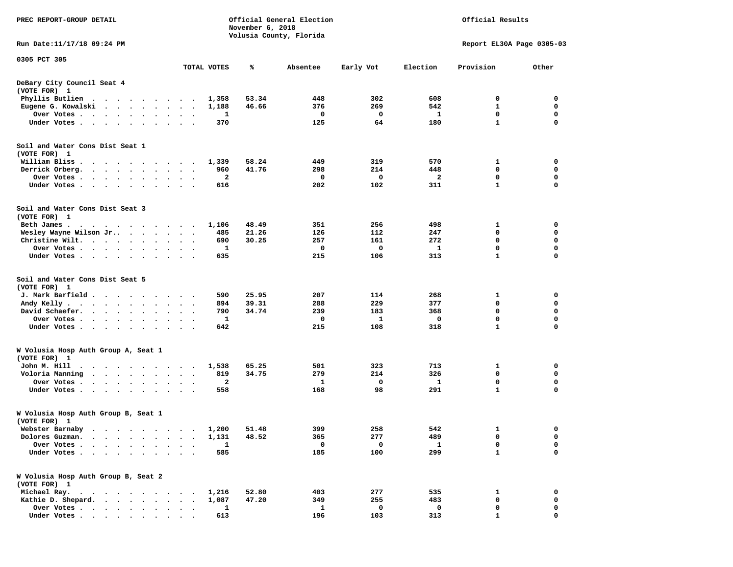| PREC REPORT-GROUP DETAIL                                                                                                                  | Official General Election<br>November 6, 2018<br>Volusia County, Florida |             |       |          |           |          | Official Results            |                            |  |
|-------------------------------------------------------------------------------------------------------------------------------------------|--------------------------------------------------------------------------|-------------|-------|----------|-----------|----------|-----------------------------|----------------------------|--|
| Run Date: 11/17/18 09:24 PM                                                                                                               |                                                                          |             |       |          |           |          | Report EL30A Page 0305-03   |                            |  |
| 0305 PCT 305                                                                                                                              |                                                                          | TOTAL VOTES | ℁     | Absentee | Early Vot | Election | Provision                   | Other                      |  |
| DeBary City Council Seat 4<br>(VOTE FOR) 1                                                                                                |                                                                          |             |       |          |           |          |                             |                            |  |
| Phyllis Butlien<br>$\ddot{\phantom{0}}$<br>$\cdots$                                                                                       |                                                                          | 1,358       | 53.34 | 448      | 302       | 608      | 0                           | 0                          |  |
| Eugene G. Kowalski<br>$\cdot$ $\cdot$ $\cdot$ $\cdot$ $\cdot$                                                                             | $\bullet$                                                                | 1,188       | 46.66 | 376      | 269       | 542      | 1                           | 0                          |  |
| Over Votes .<br>$\ddot{\phantom{a}}$<br>$\bullet$                                                                                         | $\cdot$<br>$\bullet$<br>$\bullet$                                        | 1           |       | 0        | 0         | 1        | $\mathbf 0$                 | $\mathbf 0$                |  |
| Under Votes.<br>$\ddot{\phantom{1}}$<br>$\ddot{\phantom{0}}$<br>$\ddot{\phantom{1}}$<br>$\bullet$                                         |                                                                          | 370         |       | 125      | 64        | 180      | 1                           | 0                          |  |
| Soil and Water Cons Dist Seat 1                                                                                                           |                                                                          |             |       |          |           |          |                             |                            |  |
| (VOTE FOR) 1                                                                                                                              |                                                                          |             |       |          |           |          |                             |                            |  |
| William Bliss<br>$\sim$<br>$\sim$<br>$\cdot$<br>$\ddot{\phantom{a}}$<br>$\cdot$ $\cdot$ $\cdot$ $\cdot$                                   | $\bullet$                                                                | 1,339       | 58.24 | 449      | 319       | 570      | 1<br>0                      | 0<br>0                     |  |
| Derrick Orberg.<br>$\cdots$<br>$\ddot{\phantom{0}}$<br>$\ddot{\phantom{0}}$                                                               | $\bullet$<br>$\bullet$<br>$\cdot$                                        | 960<br>2    | 41.76 | 298<br>0 | 214<br>0  | 448<br>2 | 0                           | 0                          |  |
| Over Votes .<br>$\ddot{\phantom{0}}$<br>$\bullet$<br>$\bullet$<br>Under Votes.<br>$\ddot{\phantom{0}}$<br>$\bullet$                       |                                                                          | 616         |       | 202      | 102       | 311      | $\mathbf{1}$                | $\mathbf 0$                |  |
|                                                                                                                                           |                                                                          |             |       |          |           |          |                             |                            |  |
| Soil and Water Cons Dist Seat 3<br>(VOTE FOR) 1                                                                                           |                                                                          |             |       |          |           |          |                             |                            |  |
| Beth James.<br>. An interaction of the state of the state of the state $\alpha$                                                           |                                                                          | 1,106       | 48.49 | 351      | 256       | 498      | 1                           | 0                          |  |
| Wesley Wayne Wilson Jr<br>$\ddot{\phantom{a}}$                                                                                            | $\bullet$<br>$\Delta$<br>$\cdot$                                         | 485         | 21.26 | 126      | 112       | 247      | 0                           | 0                          |  |
| Christine Wilt.<br>$\ddot{\phantom{0}}$<br>$\sim$<br>$\bullet$<br>$\bullet$                                                               |                                                                          | 690         | 30.25 | 257      | 161       | 272      | $\mathbf 0$                 | $\mathbf 0$                |  |
| Over Votes .<br>$\sim$ $\sim$<br>$\sim$<br>$\bullet$<br>$\bullet$                                                                         | $\bullet$<br>$\bullet$<br>$\bullet$                                      | 1           |       | 0        | 0         | 1        | $\mathbf 0$                 | 0                          |  |
| Under Votes.<br>$\sim$ $\sim$<br>$\cdot$<br>$\bullet$                                                                                     |                                                                          | 635         |       | 215      | 106       | 313      | $\mathbf{1}$                | 0                          |  |
| Soil and Water Cons Dist Seat 5<br>(VOTE FOR) 1<br>J. Mark Barfield.<br>$\ddot{\phantom{1}}$<br>$\cdot$ $\cdot$ $\cdot$                   | $\cdot$                                                                  | 590         | 25.95 | 207      | 114       | 268      | 1                           | 0                          |  |
| Andy Kelly.<br>$\sim$<br>$\cdot$ $\cdot$ $\cdot$ $\cdot$<br>$\ddot{\phantom{0}}$<br>$\bullet$                                             | $\bullet$<br>$\bullet$<br>$\cdot$                                        | 894         | 39.31 | 288      | 229       | 377      | $\mathbf 0$                 | $\mathbf 0$                |  |
| David Schaefer.<br>$\ddot{\phantom{a}}$<br>$\ddot{\phantom{1}}$<br>$\bullet$<br>$\bullet$                                                 |                                                                          | 790         | 34.74 | 239      | 183       | 368      | 0                           | 0                          |  |
| Over Votes .<br>$\ddot{\phantom{0}}$<br>$\bullet$<br>$\bullet$<br>$\bullet$<br>$\bullet$                                                  | $\bullet$<br>$\bullet$                                                   | 1           |       | 0        | 1         | 0        | $\mathbf 0$<br>$\mathbf{1}$ | $\mathbf 0$<br>$\mathbf 0$ |  |
| Under Votes.<br>$\cdot$ $\cdot$ $\cdot$ $\cdot$<br>$\ddot{\phantom{a}}$<br>$\ddot{\phantom{0}}$<br>$\ddot{\phantom{0}}$                   | $\bullet$<br>$\ddot{\phantom{1}}$                                        | 642         |       | 215      | 108       | 318      |                             |                            |  |
| W Volusia Hosp Auth Group A, Seat 1<br>(VOTE FOR) 1                                                                                       |                                                                          |             |       |          |           |          |                             |                            |  |
| John M. Hill<br>$\bullet$<br>$\bullet$<br>$\ddot{\phantom{1}}$<br>$\sim$<br>$\bullet$<br>$\sim$<br>$\sim$ $\sim$                          | $\cdot$<br>$\overline{\phantom{a}}$<br>$\cdot$                           | 1,538       | 65.25 | 501      | 323       | 713      | 1                           | 0                          |  |
| Voloria Manning<br>$\ddot{\phantom{a}}$<br>$\ddot{\phantom{a}}$<br>$\bullet$                                                              |                                                                          | 819         | 34.75 | 279      | 214       | 326      | 0                           | 0                          |  |
| Over Votes .<br>$\bullet$<br>$\cdot$<br>$\cdot$<br>$\ddot{\phantom{a}}$                                                                   | $\bullet$                                                                | 2           |       | 1        | 0         | 1        | 0                           | 0                          |  |
| Under Votes.<br>$\cdot$ $\cdot$<br>$\bullet$<br>$\bullet$<br>$\bullet$                                                                    |                                                                          | 558         |       | 168      | 98        | 291      | $\mathbf{1}$                | 0                          |  |
| W Volusia Hosp Auth Group B, Seat 1<br>(VOTE FOR) 1                                                                                       |                                                                          |             |       |          |           |          |                             |                            |  |
| Webster Barnaby                                                                                                                           |                                                                          | 1,200       | 51.48 | 399      | 258       | 542      | 1                           | 0                          |  |
| Dolores Guzman.                                                                                                                           |                                                                          | 1,131       | 48.52 | 365      | 277       | 489      | 0                           | 0                          |  |
| Over Votes .                                                                                                                              |                                                                          | 1           |       | 0        | 0         | 1        | 0                           | 0                          |  |
| Under Votes.                                                                                                                              |                                                                          | 585         |       | 185      | 100       | 299      | $\mathbf{1}$                | $\mathbf 0$                |  |
| W Volusia Hosp Auth Group B, Seat 2<br>(VOTE FOR) 1                                                                                       |                                                                          |             |       |          |           |          |                             |                            |  |
| Michael Ray.<br>$\ddot{\phantom{1}}$<br>.                                                                                                 |                                                                          | 1,216       | 52.80 | 403      | 277       | 535      | 1                           | 0                          |  |
| Kathie D. Shepard.<br>$\ddot{\phantom{a}}$<br>$\ddot{\phantom{a}}$<br>$\ddot{\phantom{a}}$<br>$\cdot$                                     |                                                                          | 1,087       | 47.20 | 349      | 255       | 483      | 0                           | 0                          |  |
| Over Votes .<br>$\begin{array}{cccccccccccccc} \bullet & \bullet & \bullet & \bullet & \bullet & \bullet & \bullet & \bullet \end{array}$ |                                                                          | 1           |       | 1        | 0         | 0        | 0                           | 0                          |  |
| Under Votes                                                                                                                               |                                                                          | 613         |       | 196      | 103       | 313      |                             | O                          |  |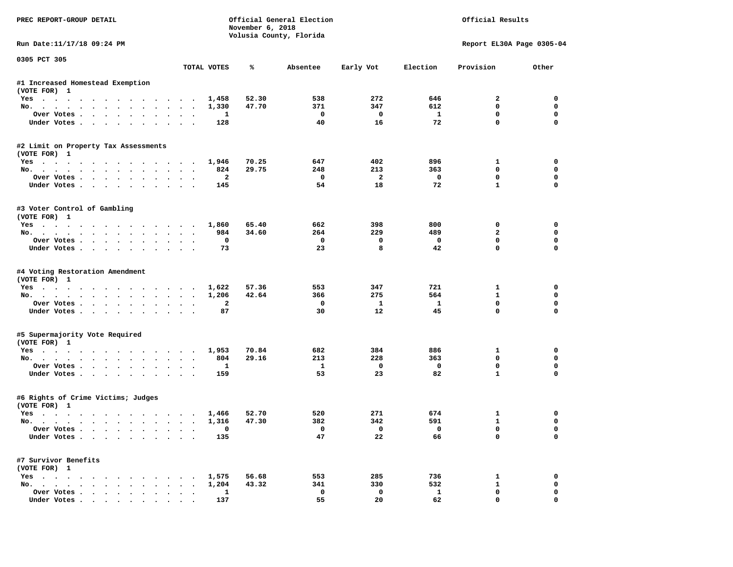| PREC REPORT-GROUP DETAIL                           |              | November 6, 2018 | Official General Election<br>Volusia County, Florida |                         | Official Results |                           |             |  |  |
|----------------------------------------------------|--------------|------------------|------------------------------------------------------|-------------------------|------------------|---------------------------|-------------|--|--|
| Run Date: 11/17/18 09:24 PM                        |              |                  |                                                      |                         |                  | Report EL30A Page 0305-04 |             |  |  |
| 0305 PCT 305                                       | TOTAL VOTES  | ℁                | Absentee                                             | Early Vot               | Election         | Provision                 | Other       |  |  |
| #1 Increased Homestead Exemption                   |              |                  |                                                      |                         |                  |                           |             |  |  |
| (VOTE FOR) 1                                       |              |                  |                                                      |                         |                  |                           |             |  |  |
| Yes                                                | 1,458        | 52.30            | 538                                                  | 272                     | 646              | 2                         | 0           |  |  |
| No.                                                | 1,330        | 47.70            | 371                                                  | 347                     | 612              | 0                         | 0           |  |  |
| Over Votes                                         | 1            |                  | 0                                                    | $\mathbf 0$             | $\mathbf{1}$     | 0                         | 0           |  |  |
| Under Votes.                                       | 128          |                  | 40                                                   | 16                      | 72               | $\mathbf 0$               | 0           |  |  |
| #2 Limit on Property Tax Assessments               |              |                  |                                                      |                         |                  |                           |             |  |  |
| (VOTE FOR) 1                                       |              |                  |                                                      |                         |                  |                           |             |  |  |
| Yes                                                | 1,946        | 70.25            | 647                                                  | 402                     | 896              | $\mathbf{1}$              | $\mathbf 0$ |  |  |
| No.                                                | 824          | 29.75            | 248                                                  | 213                     | 363              | 0                         | 0           |  |  |
| Over Votes                                         | $\mathbf{2}$ |                  | 0                                                    | $\overline{\mathbf{2}}$ | $\mathbf 0$      | 0                         | 0           |  |  |
| Under Votes                                        | 145          |                  | 54                                                   | 18                      | 72               | $\mathbf{1}$              | 0           |  |  |
| #3 Voter Control of Gambling                       |              |                  |                                                      |                         |                  |                           |             |  |  |
| (VOTE FOR) 1                                       |              |                  |                                                      |                         |                  |                           |             |  |  |
| Yes                                                | 1,860        | 65.40            | 662                                                  | 398                     | 800              | 0                         | 0           |  |  |
| No.                                                | 984          | 34.60            | 264                                                  | 229                     | 489              | $\overline{a}$            | 0           |  |  |
| Over Votes                                         | 0            |                  | 0                                                    | 0                       | 0                | 0                         | 0           |  |  |
| Under Votes                                        | 73           |                  | 23                                                   | 8                       | 42               | $\mathbf 0$               | $\mathbf 0$ |  |  |
| #4 Voting Restoration Amendment                    |              |                  |                                                      |                         |                  |                           |             |  |  |
| (VOTE FOR) 1                                       |              |                  |                                                      |                         |                  |                           |             |  |  |
| Yes                                                | 1,622        | 57.36            | 553                                                  | 347                     | 721              | 1                         | 0           |  |  |
| No.                                                | 1,206        | 42.64            | 366                                                  | 275                     | 564              | 1                         | 0           |  |  |
| Over Votes                                         | $\mathbf{2}$ |                  | 0                                                    | $\mathbf{1}$            | $\mathbf{1}$     | 0                         | 0           |  |  |
| Under Votes                                        | 87           |                  | 30                                                   | 12                      | 45               | 0                         | 0           |  |  |
| #5 Supermajority Vote Required                     |              |                  |                                                      |                         |                  |                           |             |  |  |
| (VOTE FOR) 1                                       | 1,953        | 70.84            | 682                                                  | 384                     | 886              | 1                         | 0           |  |  |
| Yes<br>No.                                         | 804          | 29.16            | 213                                                  | 228                     | 363              | 0                         | 0           |  |  |
| Over Votes                                         | 1            |                  | 1                                                    | 0                       | 0                | 0                         | 0           |  |  |
| Under Votes                                        | 159          |                  | 53                                                   | 23                      | 82               | $\mathbf{1}$              | $\mathbf 0$ |  |  |
|                                                    |              |                  |                                                      |                         |                  |                           |             |  |  |
| #6 Rights of Crime Victims; Judges<br>(VOTE FOR) 1 |              |                  |                                                      |                         |                  |                           |             |  |  |
| Yes                                                | 1,466        | 52.70            | 520                                                  | 271                     | 674              | 1                         | 0           |  |  |
| No.                                                | 1,316        | 47.30            | 382                                                  | 342                     | 591              | $\mathbf{1}$              | 0           |  |  |
| Over Votes                                         | 0            |                  | 0                                                    | 0                       | 0                | 0                         | 0           |  |  |
| Under Votes                                        | 135          |                  | 47                                                   | 22                      | 66               | 0                         | 0           |  |  |
| #7 Survivor Benefits                               |              |                  |                                                      |                         |                  |                           |             |  |  |
| (VOTE FOR) 1                                       |              |                  |                                                      |                         |                  |                           |             |  |  |
| Yes                                                | 1,575        | 56.68            | 553                                                  | 285                     | 736              | 1                         | 0           |  |  |
| No.                                                | 1,204        | 43.32            | 341                                                  | 330                     | 532              | 1                         | 0           |  |  |
| Over Votes                                         | $\mathbf{1}$ |                  | 0                                                    | $\mathbf 0$             | $\mathbf{1}$     | 0                         | 0           |  |  |
| Under Votes                                        | 137          |                  | 55                                                   | 20                      | 62               | 0                         | 0           |  |  |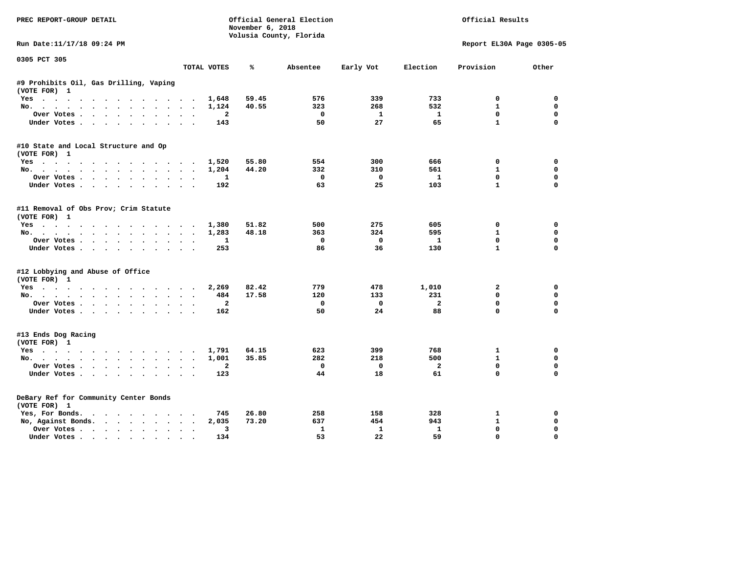| PREC REPORT-GROUP DETAIL               |                      | November 6, 2018 | Official General Election |                         |                | Official Results          |             |
|----------------------------------------|----------------------|------------------|---------------------------|-------------------------|----------------|---------------------------|-------------|
|                                        |                      |                  | Volusia County, Florida   |                         |                |                           |             |
| Run Date:11/17/18 09:24 PM             |                      |                  |                           |                         |                | Report EL30A Page 0305-05 |             |
| 0305 PCT 305                           | TOTAL VOTES          | ℁                | Absentee                  | Early Vot               | Election       | Provision                 | Other       |
| #9 Prohibits Oil, Gas Drilling, Vaping |                      |                  |                           |                         |                |                           |             |
| (VOTE FOR) 1                           |                      |                  |                           |                         |                |                           |             |
| Yes                                    |                      | 1,648<br>59.45   | 576                       | 339                     | 733            | 0                         | 0           |
| No.                                    |                      | 40.55<br>1,124   | 323                       | 268                     | 532            | $\mathbf{1}$              | $\mathbf 0$ |
| Over Votes                             |                      | $\overline{a}$   | $^{\circ}$                | $\mathbf{1}$            | $\mathbf{1}$   | $\Omega$                  | 0           |
| Under Votes                            |                      | 143              | 50                        | 27                      | 65             | $\mathbf{1}$              | $\mathbf 0$ |
| #10 State and Local Structure and Op   |                      |                  |                           |                         |                |                           |             |
| (VOTE FOR) 1                           |                      |                  |                           |                         |                |                           |             |
| Yes                                    |                      | 55.80<br>1,520   | 554                       | 300                     | 666            | 0                         | 0           |
| No.                                    |                      | 44.20<br>1,204   | 332                       | 310                     | 561            | $\mathbf{1}$              | $\mathbf 0$ |
| Over Votes                             |                      | 1                | $^{\circ}$                | $\mathbf 0$             | $\mathbf{1}$   | $\Omega$                  | 0           |
| Under Votes                            |                      | 192              | 63                        | 25                      | 103            | $\mathbf{1}$              | $\Omega$    |
| #11 Removal of Obs Prov; Crim Statute  |                      |                  |                           |                         |                |                           |             |
| (VOTE FOR) 1                           |                      |                  |                           |                         |                |                           |             |
| Yes                                    |                      | 51.82<br>1,380   | 500                       | 275                     | 605            | 0                         | 0           |
| No.                                    |                      | 48.18<br>1,283   | 363                       | 324                     | 595            | $\mathbf{1}$              | $\mathbf 0$ |
| Over Votes                             |                      | $\mathbf{1}$     | $\mathbf{o}$              | $\mathbf{0}$            | $\mathbf{1}$   | $\mathbf{0}$              | $\mathbf 0$ |
| Under Votes                            |                      | 253              | 86                        | 36                      | 130            | $\mathbf{1}$              | $\Omega$    |
| #12 Lobbying and Abuse of Office       |                      |                  |                           |                         |                |                           |             |
| (VOTE FOR) 1                           |                      |                  |                           |                         |                |                           |             |
| Yes                                    |                      | 82.42<br>2,269   | 779                       | 478                     | 1,010          | $\mathbf{2}$              | $\mathbf 0$ |
| No.                                    |                      | 17.58<br>484     | 120                       | 133                     | 231            | $\Omega$                  | 0           |
| Over Votes                             |                      | $\overline{a}$   | $\mathbf 0$               | $\mathbf{o}$            | $\overline{a}$ | $\mathbf{0}$              | $\Omega$    |
| Under Votes                            |                      | 162              | 50                        | 24                      | 88             | $\mathbf 0$               | $\Omega$    |
| #13 Ends Dog Racing                    |                      |                  |                           |                         |                |                           |             |
| (VOTE FOR) 1                           |                      |                  |                           |                         |                |                           |             |
| Yes                                    |                      | 64.15<br>1,791   | 623                       | 399                     | 768            | 1                         | 0           |
| No.                                    |                      | 35.85<br>1,001   | 282                       | 218                     | 500            | $\mathbf{1}$              | 0           |
| Over Votes.                            |                      | $\mathbf{2}$     | $\Omega$                  | $\overline{\mathbf{0}}$ | $\overline{a}$ | $\mathbf{0}$              | $\mathbf 0$ |
| Under Votes                            |                      | 123              | 44                        | 18                      | 61             | $\mathbf 0$               | $\Omega$    |
| DeBary Ref for Community Center Bonds  |                      |                  |                           |                         |                |                           |             |
| (VOTE FOR) 1                           |                      |                  |                           |                         |                |                           |             |
| Yes, For Bonds.                        |                      | 745<br>26.80     | 258                       | 158                     | 328            | 1                         | 0           |
| No, Against Bonds.                     |                      | 2,035<br>73.20   | 637                       | 454                     | 943            | $\mathbf{1}$              | 0           |
| Over Votes                             | $\ddot{\phantom{0}}$ | 3                | 1                         | $\mathbf{1}$            | $\mathbf{1}$   | 0                         | $\mathbf 0$ |
| Under Votes                            |                      | 134              | 53                        | 22                      | 59             | 0                         | $\Omega$    |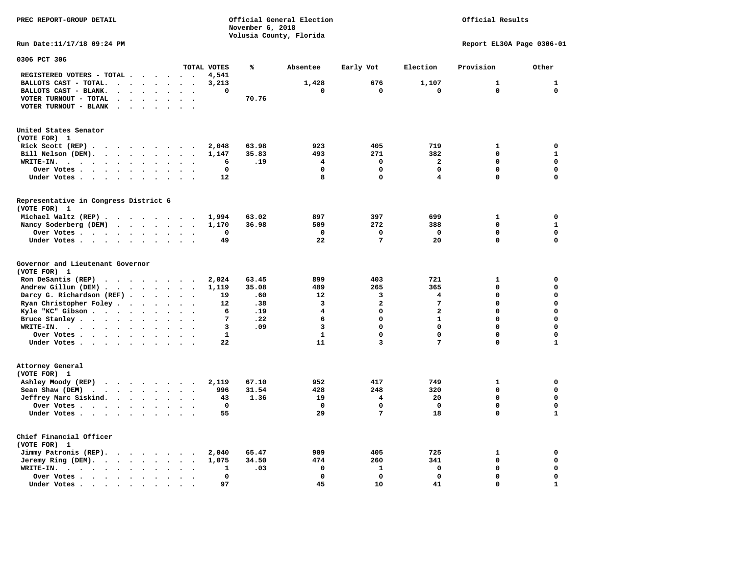**November 6, 2018 Volusia County, Florida Run Date:11/17/18 09:24 PM Report EL30A Page 0306-01 0306 PCT 306 TOTAL VOTES % Absentee Early Vot Election Provision Other REGISTERED VOTERS - TOTAL . . . . . . 4,541 BALLOTS CAST - TOTAL.** . . . . . 3,213 1,428 676 1,107 1 1 1  **BALLOTS CAST - BLANK. . . . . . . . 0 0 0 0 0 0 VOTER TURNOUT - TOTAL . . . . . . . 70.76 VOTER TURNOUT - BLANK . . . . . . . United States Senator (VOTE FOR) 1 Rick Scott (REP) . . . . . . . . . 2,048 63.98 923 405 719 1 0 Bill Nelson (DEM). . . . . . . . . 1,147 35.83 493 271 382 0 1 WRITE-IN. . . . . . . . . . . . 6 .19 4 0 2 0 0 Over Votes . . . . . . . . . . 0 0 0 0 0 0 Under Votes . . . . . . . . . . 12** 8 0 4 0 0 0 **Representative in Congress District 6 (VOTE FOR) 1 Michael Waltz (REP) . . . . . . . . 1,994 63.02 897 397 699 1 0 Nancy Soderberg (DEM) . . . . . . . 1,170 36.98 509 272 388 0 1 Over Votes . . . . . . . . . . 0 0 0 0 0 0**  $\Omega$  **Under Votes . . . . . . . . . . 49 22 7 20 0 0 Governor and Lieutenant Governor (VOTE FOR) 1 Ron DeSantis (REP) . . . . . . . . 2,024 63.45 899 403 721 1 0 Andrew Gillum (DEM) . . . . . . . . 1,119 35.08 489 265 365 0 0 Darcy G. Richardson (REF) . . . . . 19** .60 12 3 4 0 0<br>**Ryan Christopher Foley . . . . . . 12** .38 3 2 7 0 0 **Ryan Christopher Foley . . . . . . 12 .38** 3 3 2 7 0 0 0<br> **12 .38** 3 2 7 0 0 0<br> **19 4** 0 2 0 0  **Kyle "KC" Gibson . . . . . . . . . 6 .19 4 0 2 0 0 Bruce Stanley . . . . . . . . . . 7 .22** 6 0 1 0 0 0  **WRITE-IN. . . . . . . . . . . . 3 .09 3 0 0 0 0**  $\mathbf{0}$ **Over Votes . . . . . . . . . . 1** 1 0 0 0 0 0  $\mathbf 1$  **Under Votes . . . . . . . . . . 22** 11 3 7 0 **Attorney General (VOTE FOR) 1 Ashley Moody (REP)** . . . . . . 2,119 67.10 952 417 749 1 0  **Sean Shaw (DEM)** . . . . . . . . 996 31.54 428 248 320 0 0  **Jeffrey Marc Siskind. . . . . . . . 43 1.36 19 4 20 0 0 Over Votes . . . . . . . . . . 0 0 0 0 0 0**  $\mathbf 1$  **Under Votes . . . . . . . . . . 55 29 7 18 0 Chief Financial Officer (VOTE FOR) 1 Jimmy Patronis (REP). . . . . . . . 2,040 65.47 909 405 725 1 0 Jeremy Ring (DEM).** . . . . . . . 1,075 34.50 474 260 341 0 0 0  **WRITE-IN. . . . . . . . . . . . 1 .03 0 1 0 0 0 Over Votes . . . . . . . . . . 0 0 0 0 0 0**  $\mathbf{1}$  **Under Votes . . . . . . . . . . 97** 45 10 41 0

**PREC REPORT-GROUP DETAIL Official General Election Official Results**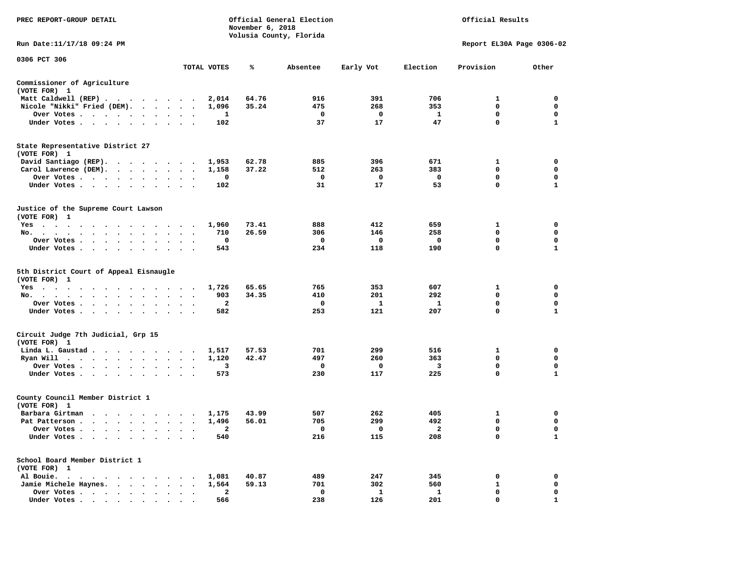| PREC REPORT-GROUP DETAIL                               |                                          | November 6, 2018 | Official General Election<br>Volusia County, Florida |              |                         | Official Results          |              |
|--------------------------------------------------------|------------------------------------------|------------------|------------------------------------------------------|--------------|-------------------------|---------------------------|--------------|
| Run Date:11/17/18 09:24 PM                             |                                          |                  |                                                      |              |                         | Report EL30A Page 0306-02 |              |
| 0306 PCT 306                                           | TOTAL VOTES                              | ℁                | Absentee                                             | Early Vot    | Election                | Provision                 | Other        |
| Commissioner of Agriculture                            |                                          |                  |                                                      |              |                         |                           |              |
| (VOTE FOR) 1                                           |                                          |                  |                                                      |              |                         |                           |              |
| Matt Caldwell (REP)                                    | 2,014                                    | 64.76            | 916                                                  | 391          | 706                     | 1                         | $\mathbf 0$  |
| Nicole "Nikki" Fried (DEM).                            | 1,096                                    | 35.24            | 475                                                  | 268          | 353                     | $\mathbf 0$               | $\mathbf 0$  |
| Over Votes<br>$\bullet$                                | 1                                        |                  | $\mathbf{o}$                                         | $\mathbf 0$  | <b>1</b>                | 0                         | 0            |
| Under Votes                                            | 102                                      |                  | 37                                                   | 17           | 47                      | $\mathbf{0}$              | $\mathbf{1}$ |
| State Representative District 27<br>(VOTE FOR) 1       |                                          |                  |                                                      |              |                         |                           |              |
| David Santiago (REP).                                  | 1,953                                    | 62.78            | 885                                                  | 396          | 671                     | $\mathbf{1}$              | 0            |
| Carol Lawrence (DEM).                                  | 1,158                                    | 37.22            | 512                                                  | 263          | 383                     | 0                         | 0            |
| Over Votes                                             | 0<br>$\cdot$                             |                  | $\mathbf{o}$                                         | 0            | $\mathbf 0$             | 0                         | 0            |
| Under Votes<br>$\sim$ $\sim$<br>$\ddot{\phantom{a}}$   | 102                                      |                  | 31                                                   | 17           | 53                      | $\mathbf 0$               | $\mathbf{1}$ |
| Justice of the Supreme Court Lawson<br>(VOTE FOR) 1    |                                          |                  |                                                      |              |                         |                           |              |
| Yes                                                    | 1,960                                    | 73.41            | 888                                                  | 412          | 659                     | $\mathbf{1}$              | $\mathbf 0$  |
| No.                                                    | 710                                      | 26.59            | 306                                                  | 146          | 258                     | 0                         | 0            |
| Over Votes<br>$\sim$<br>$\ddot{\phantom{a}}$           | 0<br>$\cdot$<br>$\overline{\phantom{a}}$ |                  | 0                                                    | 0            | $\mathbf{o}$            | $\mathbf 0$               | $\mathbf 0$  |
| Under Votes                                            | 543                                      |                  | 234                                                  | 118          | 190                     | $\mathbf 0$               | ${\bf 1}$    |
| 5th District Court of Appeal Eisnaugle<br>(VOTE FOR) 1 |                                          |                  |                                                      |              |                         |                           |              |
| Yes                                                    | 1,726                                    | 65.65            | 765                                                  | 353          | 607                     | 1                         | 0            |
| No.<br>$\sim$ $\sim$<br>$\cdot$<br>$\cdot$             | 903                                      | 34.35            | 410                                                  | 201          | 292                     | 0                         | 0            |
| Over Votes                                             | $\mathbf{2}$<br>$\bullet$                |                  | 0                                                    | <b>1</b>     | <b>1</b>                | $\mathbf 0$               | 0            |
| Under Votes<br>$\sim$                                  | 582<br>$\cdot$ $\cdot$ $\cdot$           |                  | 253                                                  | 121          | 207                     | $\mathbf 0$               | $\mathbf{1}$ |
| Circuit Judge 7th Judicial, Grp 15<br>(VOTE FOR) 1     |                                          |                  |                                                      |              |                         |                           |              |
| Linda L. Gaustad                                       | 1,517                                    | 57.53            | 701                                                  | 299          | 516                     | 1                         | 0            |
| Ryan Will $\cdots$ , $\cdots$ , $\cdots$ , $\cdots$    | 1,120                                    | 42.47            | 497                                                  | 260          | 363                     | 0                         | 0            |
| Over Votes<br>$\ddot{\phantom{1}}$                     | 3                                        |                  | $\mathbf{o}$                                         | 0            | $\overline{\mathbf{3}}$ | 0                         | 0            |
| Under Votes<br>$\sim$                                  | 573<br>$\cdot$ $\cdot$ $\cdot$           |                  | 230                                                  | 117          | 225                     | 0                         | $\mathbf{1}$ |
| County Council Member District 1<br>(VOTE FOR) 1       |                                          |                  |                                                      |              |                         |                           |              |
| Barbara Girtman                                        | 1,175                                    | 43.99            | 507                                                  | 262          | 405                     | 1                         | 0            |
| Pat Patterson                                          | 1,496<br>$\ddot{\phantom{0}}$            | 56.01            | 705                                                  | 299          | 492                     | $\mathbf 0$               | $\mathbf 0$  |
| Over Votes<br>$\sim$ $-$                               | $\overline{\mathbf{2}}$<br>$\cdot$       |                  | 0                                                    | $\mathbf 0$  | $\overline{2}$          | $\mathbf 0$               | $\mathbf 0$  |
| Under Votes<br>$\cdot$<br>$\ddot{\phantom{a}}$         | 540                                      |                  | 216                                                  | 115          | 208                     | $\mathbf 0$               | 1            |
| School Board Member District 1<br>(VOTE FOR) 1         |                                          |                  |                                                      |              |                         |                           |              |
| Al Bouie.                                              | 1,081                                    | 40.87            | 489                                                  | 247          | 345                     | 0                         | 0            |
| Jamie Michele Haynes.                                  | 1,564                                    | 59.13            | 701                                                  | 302          | 560                     | 1                         | 0            |
| Over Votes<br>$\ddot{\phantom{0}}$<br>$\bullet$        | 2<br>$\bullet$<br>$\blacksquare$         |                  | $\mathbf 0$                                          | $\mathbf{1}$ | $\mathbf{1}$            | $\mathbf 0$               | $\mathbf 0$  |
| Under Votes.                                           | 566                                      |                  | 238                                                  | 126          | 201                     | $\mathbf 0$               | $\mathbf{1}$ |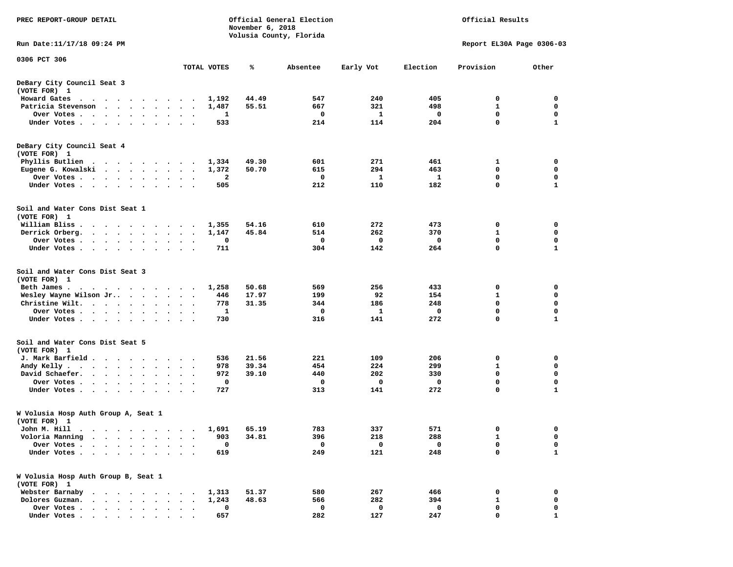| PREC REPORT-GROUP DETAIL                                                                                                                                                                                                                      | Official General Election<br>Official Results<br>November 6, 2018<br>Volusia County, Florida |                |            |             |            |                           |              |
|-----------------------------------------------------------------------------------------------------------------------------------------------------------------------------------------------------------------------------------------------|----------------------------------------------------------------------------------------------|----------------|------------|-------------|------------|---------------------------|--------------|
| Run Date: 11/17/18 09:24 PM                                                                                                                                                                                                                   |                                                                                              |                |            |             |            | Report EL30A Page 0306-03 |              |
| 0306 PCT 306                                                                                                                                                                                                                                  | TOTAL VOTES                                                                                  | ℁              | Absentee   | Early Vot   | Election   | Provision                 | Other        |
| DeBary City Council Seat 3<br>(VOTE FOR) 1                                                                                                                                                                                                    |                                                                                              |                |            |             |            |                           |              |
| Howard Gates                                                                                                                                                                                                                                  | 1,192                                                                                        | 44.49          | 547        | 240         | 405        | 0                         | 0            |
| Patricia Stevenson                                                                                                                                                                                                                            | 1,487                                                                                        | 55.51          | 667        | 321         | 498        | 1                         | $\mathbf 0$  |
| Over Votes<br>$\bullet$                                                                                                                                                                                                                       | 1<br>$\bullet$                                                                               |                | 0          | 1           | 0          | 0                         | $\mathbf 0$  |
| Under Votes                                                                                                                                                                                                                                   | 533                                                                                          |                | 214        | 114         | 204        | $\mathbf 0$               | $\mathbf{1}$ |
| DeBary City Council Seat 4                                                                                                                                                                                                                    |                                                                                              |                |            |             |            |                           |              |
| (VOTE FOR) 1                                                                                                                                                                                                                                  |                                                                                              |                |            | 271         |            |                           | 0            |
| Phyllis Butlien<br>Eugene G. Kowalski                                                                                                                                                                                                         | 1,334<br>1,372<br>$\ddot{\phantom{a}}$                                                       | 49.30<br>50.70 | 601<br>615 | 294         | 461<br>463 | 1<br>0                    | $\mathbf 0$  |
| Over Votes<br>$\bullet$                                                                                                                                                                                                                       | 2<br>$\sim$                                                                                  |                | 0          | 1           | 1          | 0                         | 0            |
| Under Votes                                                                                                                                                                                                                                   | 505<br>$\sim$ $\sim$                                                                         |                | 212        | 110         | 182        | $\mathbf 0$               | $\mathbf{1}$ |
|                                                                                                                                                                                                                                               |                                                                                              |                |            |             |            |                           |              |
| Soil and Water Cons Dist Seat 1<br>(VOTE FOR) 1                                                                                                                                                                                               |                                                                                              |                |            |             |            |                           |              |
| William Bliss.                                                                                                                                                                                                                                | 1,355<br>$\ddot{\phantom{1}}$                                                                | 54.16          | 610        | 272         | 473        | 0                         | 0            |
| Derrick Orberg.<br>$\mathbf{r}$ , and $\mathbf{r}$ , and $\mathbf{r}$ , and $\mathbf{r}$                                                                                                                                                      | 1,147                                                                                        | 45.84          | 514        | 262         | 370        | 1                         | $\mathbf 0$  |
| Over Votes                                                                                                                                                                                                                                    | 0                                                                                            |                | 0          | 0           | 0          | 0                         | 0            |
| Under Votes                                                                                                                                                                                                                                   | 711                                                                                          |                | 304        | 142         | 264        | 0                         | 1            |
| Soil and Water Cons Dist Seat 3<br>(VOTE FOR) 1                                                                                                                                                                                               |                                                                                              |                |            |             |            |                           |              |
| Beth James.<br>.                                                                                                                                                                                                                              | 1,258                                                                                        | 50.68          | 569        | 256         | 433        | 0                         | 0            |
| Wesley Wayne Wilson Jr                                                                                                                                                                                                                        | 446                                                                                          | 17.97          | 199        | 92          | 154        | 1                         | 0            |
| Christine Wilt.                                                                                                                                                                                                                               | 778                                                                                          | 31.35          | 344        | 186         | 248        | 0                         | $\mathbf 0$  |
| Over Votes<br>$\bullet$                                                                                                                                                                                                                       | 1                                                                                            |                | 0          | 1           | 0          | 0                         | 0            |
| Under Votes<br>$\bullet$<br>$\bullet$                                                                                                                                                                                                         | 730                                                                                          |                | 316        | 141         | 272        | $\mathbf 0$               | 1            |
| Soil and Water Cons Dist Seat 5<br>(VOTE FOR) 1                                                                                                                                                                                               |                                                                                              |                |            |             |            |                           |              |
| J. Mark Barfield                                                                                                                                                                                                                              | 536                                                                                          | 21.56          | 221        | 109         | 206        | 0                         | 0            |
| Andy Kelly<br>$\ddot{\phantom{1}}$                                                                                                                                                                                                            | 978<br>$\ddot{\phantom{0}}$                                                                  | 39.34          | 454        | 224         | 299        | 1                         | 0            |
| David Schaefer.                                                                                                                                                                                                                               | 972<br>$\ddot{\phantom{0}}$                                                                  | 39.10          | 440        | 202         | 330        | 0                         | $\mathbf 0$  |
| Over Votes<br>$\cdot$                                                                                                                                                                                                                         | $\mathbf 0$                                                                                  |                | 0          | $\mathbf 0$ | 0          | 0                         | 0            |
| Under Votes<br>$\sim$<br>$\cdot$                                                                                                                                                                                                              | 727                                                                                          |                | 313        | 141         | 272        | 0                         | 1            |
| W Volusia Hosp Auth Group A, Seat 1<br>(VOTE FOR) 1                                                                                                                                                                                           |                                                                                              |                |            |             |            |                           |              |
| John M. Hill<br>. The contract of the contract of the contract of the contract of the contract of the contract of the contract of the contract of the contract of the contract of the contract of the contract of the contract of the contrac | 1,691                                                                                        | 65.19          | 783        | 337         | 571        | 0                         | 0            |
| Voloria Manning                                                                                                                                                                                                                               | 903                                                                                          | 34.81          | 396        | 218         | 288        | 1                         | 0            |
| Over Votes .<br>$\bullet$                                                                                                                                                                                                                     | 0                                                                                            |                | 0          | 0           | 0          | 0                         | 0            |
| Under Votes.<br>$\bullet$<br>$\sim$<br>$\ddot{\phantom{a}}$<br>$\ddot{\phantom{a}}$<br>$\sim$ $\sim$<br>$\bullet$<br>$\cdot$                                                                                                                  | 619                                                                                          |                | 249        | 121         | 248        | $\mathbf 0$               | 1            |
| W Volusia Hosp Auth Group B, Seat 1<br>(VOTE FOR) 1                                                                                                                                                                                           |                                                                                              |                |            |             |            |                           |              |
| Webster Barnaby<br>$\cdot$ $\cdot$ $\cdot$ $\cdot$ $\cdot$ $\cdot$ $\cdot$<br>$\sim$                                                                                                                                                          | 1,313<br>$\sim$                                                                              | 51.37          | 580        | 267         | 466        | 0                         | 0            |
| Dolores Guzman.<br>$\ddot{\phantom{a}}$<br>$\ddot{\phantom{a}}$<br>$\ddot{\phantom{a}}$                                                                                                                                                       | 1,243                                                                                        | 48.63          | 566        | 282         | 394        | $\mathbf{1}$              | 0            |
| Over Votes .<br>$\cdot$ $\cdot$ $\cdot$ $\cdot$ $\cdot$<br>$\bullet$<br>$\bullet$                                                                                                                                                             | 0                                                                                            |                | 0          | 0           | 0          | 0                         | 0            |
| Under Votes.<br>$\begin{array}{cccccccccccccccccc} \bullet & \bullet & \bullet & \bullet & \bullet & \bullet & \bullet & \bullet & \bullet & \bullet & \bullet & \bullet & \bullet \end{array}$                                               | 657                                                                                          |                | 282        | 127         | 247        | 0                         | $\mathbf{1}$ |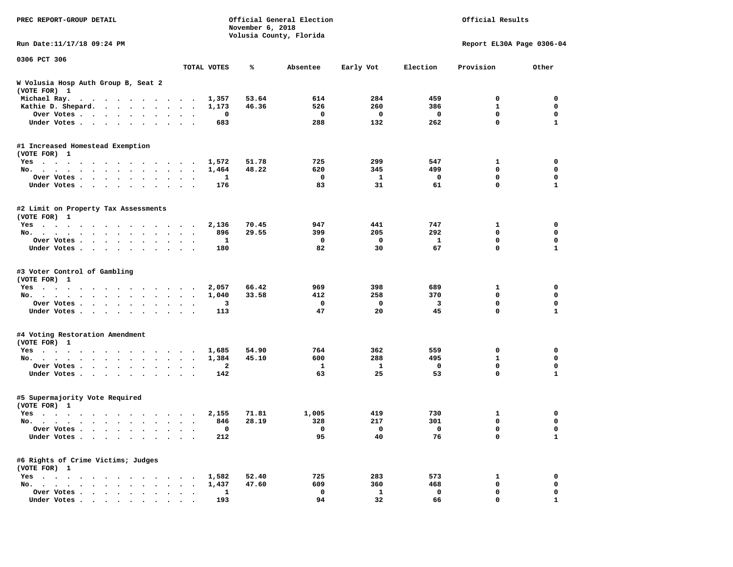| PREC REPORT-GROUP DETAIL                                                                                                                                                                                                                 |                      |                            | November 6, 2018 | Official General Election<br>Volusia County, Florida |                       | Official Results                 |                                      |                                      |  |  |
|------------------------------------------------------------------------------------------------------------------------------------------------------------------------------------------------------------------------------------------|----------------------|----------------------------|------------------|------------------------------------------------------|-----------------------|----------------------------------|--------------------------------------|--------------------------------------|--|--|
| Run Date: 11/17/18 09:24 PM                                                                                                                                                                                                              |                      |                            |                  |                                                      |                       |                                  | Report EL30A Page 0306-04            |                                      |  |  |
| 0306 PCT 306                                                                                                                                                                                                                             |                      |                            |                  |                                                      |                       |                                  |                                      |                                      |  |  |
|                                                                                                                                                                                                                                          |                      | TOTAL VOTES                | ℁                | Absentee                                             | Early Vot             | Election                         | Provision                            | Other                                |  |  |
| W Volusia Hosp Auth Group B, Seat 2<br>(VOTE FOR) 1                                                                                                                                                                                      |                      |                            |                  |                                                      |                       |                                  |                                      |                                      |  |  |
| Michael Ray.                                                                                                                                                                                                                             |                      | 1,357                      | 53.64            | 614                                                  | 284                   | 459                              | 0                                    | 0                                    |  |  |
| Kathie D. Shepard.                                                                                                                                                                                                                       |                      | 1,173                      | 46.36            | 526                                                  | 260                   | 386                              | $\mathbf{1}$                         | $\mathbf 0$                          |  |  |
| Over Votes                                                                                                                                                                                                                               |                      | 0                          |                  | $\mathbf 0$                                          | 0                     | 0                                | $\mathbf 0$                          | 0                                    |  |  |
| Under Votes                                                                                                                                                                                                                              |                      | 683                        |                  | 288                                                  | 132                   | 262                              | $\mathbf 0$                          | 1                                    |  |  |
| #1 Increased Homestead Exemption<br>(VOTE FOR) 1                                                                                                                                                                                         |                      |                            |                  |                                                      |                       |                                  |                                      |                                      |  |  |
| Yes                                                                                                                                                                                                                                      |                      | 1,572                      | 51.78            | 725                                                  | 299                   | 547                              | 1                                    | 0                                    |  |  |
| No.                                                                                                                                                                                                                                      |                      | 1,464                      | 48.22            | 620                                                  | 345                   | 499                              | 0                                    | $\mathbf 0$                          |  |  |
| Over Votes                                                                                                                                                                                                                               |                      | 1                          |                  | $\mathbf 0$                                          | $\mathbf{1}$          | 0                                | $\mathbf 0$                          | $\mathbf 0$                          |  |  |
| Under Votes                                                                                                                                                                                                                              |                      | 176                        |                  | 83                                                   | 31                    | 61                               | 0                                    | 1                                    |  |  |
| #2 Limit on Property Tax Assessments<br>(VOTE FOR) 1                                                                                                                                                                                     |                      |                            |                  |                                                      |                       |                                  |                                      |                                      |  |  |
| Yes                                                                                                                                                                                                                                      |                      | 2,136                      | 70.45            | 947                                                  | 441                   | 747                              | 1                                    | 0                                    |  |  |
| No.                                                                                                                                                                                                                                      |                      | 896                        | 29.55            | 399                                                  | 205                   | 292                              | 0                                    | $\mathbf 0$                          |  |  |
| Over Votes                                                                                                                                                                                                                               |                      | 1                          |                  | $\mathbf 0$                                          | 0                     | 1                                | $\mathbf 0$                          | 0                                    |  |  |
| Under Votes                                                                                                                                                                                                                              |                      | 180                        |                  | 82                                                   | 30                    | 67                               | $\mathbf 0$                          | $\mathbf{1}$                         |  |  |
| #3 Voter Control of Gambling<br>(VOTE FOR) 1<br>Yes<br>No.<br>Over Votes<br>Under Votes                                                                                                                                                  |                      | 2,057<br>1,040<br>3<br>113 | 66.42<br>33.58   | 969<br>412<br>$\mathbf 0$<br>47                      | 398<br>258<br>0<br>20 | 689<br>370<br>$\mathbf{3}$<br>45 | 1<br>0<br>$\mathbf 0$<br>$\mathbf 0$ | 0<br>$\mathbf 0$<br>$\mathbf 0$<br>1 |  |  |
| #4 Voting Restoration Amendment<br>(VOTE FOR) 1                                                                                                                                                                                          |                      |                            |                  |                                                      |                       |                                  |                                      |                                      |  |  |
| Yes                                                                                                                                                                                                                                      |                      | 1,685                      | 54.90            | 764                                                  | 362                   | 559                              | 0                                    | 0                                    |  |  |
| No.                                                                                                                                                                                                                                      |                      | 1,384                      | 45.10            | 600                                                  | 288                   | 495                              | $\mathbf{1}$                         | $\mathbf 0$                          |  |  |
| Over Votes                                                                                                                                                                                                                               | $\sim$ $\sim$        | 2                          |                  | 1                                                    | 1                     | 0                                | 0                                    | $\mathbf 0$                          |  |  |
| Under Votes                                                                                                                                                                                                                              |                      | 142                        |                  | 63                                                   | 25                    | 53                               | $\mathbf 0$                          | 1                                    |  |  |
| #5 Supermajority Vote Required<br>(VOTE FOR) 1                                                                                                                                                                                           |                      |                            |                  |                                                      |                       |                                  |                                      |                                      |  |  |
| Yes<br>$\mathbf{r}$ , and a set of the set of the set of the set of the set of the set of the set of the set of the set of the set of the set of the set of the set of the set of the set of the set of the set of the set of the set of |                      | 2,155                      | 71.81            | 1,005                                                | 419                   | 730                              | 1                                    | 0                                    |  |  |
| No.                                                                                                                                                                                                                                      | $\ddot{\phantom{1}}$ | 846                        | 28.19            | 328                                                  | 217                   | 301                              | 0                                    | $\mathbf 0$                          |  |  |
| Over Votes .                                                                                                                                                                                                                             |                      | $\Omega$                   |                  | $\mathbf 0$                                          | $\overline{0}$        | $\overline{\phantom{0}}$         | $\Omega$                             | 0                                    |  |  |
| Under Votes                                                                                                                                                                                                                              |                      | 212                        |                  | 95                                                   | 40                    | 76                               | 0                                    | 1                                    |  |  |
| #6 Rights of Crime Victims; Judges<br>(VOTE FOR) 1                                                                                                                                                                                       |                      |                            |                  |                                                      |                       |                                  |                                      |                                      |  |  |
| Yes                                                                                                                                                                                                                                      |                      | 1,582                      | 52.40            | 725                                                  | 283                   | 573                              | 1                                    | 0                                    |  |  |
| No.<br>$\sim$ $\sim$                                                                                                                                                                                                                     |                      | 1,437                      | 47.60            | 609                                                  | 360                   | 468                              | 0                                    | 0                                    |  |  |
| Over Votes                                                                                                                                                                                                                               |                      | 1                          |                  | 0                                                    | 1                     | 0                                | 0                                    | 0                                    |  |  |
| Under Votes.<br>$\cdots$                                                                                                                                                                                                                 |                      | 193                        |                  | 94                                                   | 32                    | 66                               | 0                                    | 1                                    |  |  |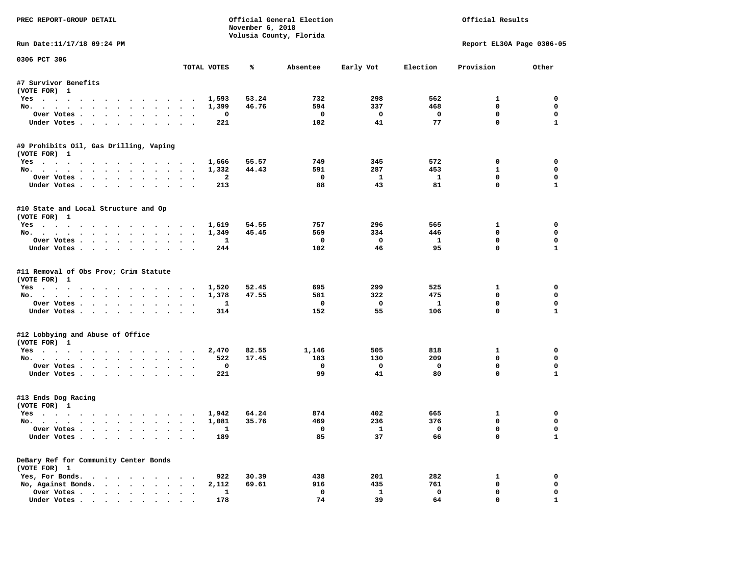| PREC REPORT-GROUP DETAIL                             |                                | November 6, 2018 | Official General Election<br>Volusia County, Florida |                           |                            | Official Results            |                            |
|------------------------------------------------------|--------------------------------|------------------|------------------------------------------------------|---------------------------|----------------------------|-----------------------------|----------------------------|
| Run Date:11/17/18 09:24 PM                           |                                |                  |                                                      |                           |                            | Report EL30A Page 0306-05   |                            |
| 0306 PCT 306                                         | TOTAL VOTES                    | ℁                | Absentee                                             | Early Vot                 | Election                   | Provision                   | Other                      |
| #7 Survivor Benefits                                 |                                |                  |                                                      |                           |                            |                             |                            |
| (VOTE FOR) 1                                         |                                |                  |                                                      |                           |                            |                             |                            |
| Yes                                                  | 1,593                          | 53.24            | 732                                                  | 298                       | 562                        | $\mathbf{1}$                | $\mathbf{0}$               |
| No.                                                  | 1,399                          | 46.76            | 594                                                  | 337                       | 468                        | 0                           | $\mathbf 0$                |
| Over Votes                                           | $\mathbf 0$<br>$\sim$ $\sim$   |                  | $\overline{\mathbf{0}}$                              | $\mathbf 0$               | $\mathbf{o}$               | $\mathbf 0$                 | 0                          |
| Under Votes.                                         | 221                            |                  | 102                                                  | 41                        | 77                         | $\mathbf 0$                 | $\mathbf{1}$               |
| #9 Prohibits Oil, Gas Drilling, Vaping               |                                |                  |                                                      |                           |                            |                             |                            |
| (VOTE FOR) 1                                         |                                |                  |                                                      |                           |                            |                             |                            |
| Yes 1,666                                            |                                | 55.57            | 749                                                  | 345                       | 572                        | $\mathbf 0$                 | $\mathbf 0$                |
| No.                                                  | 1,332                          | 44.43            | 591                                                  | 287                       | 453                        | $\mathbf{1}$                | 0                          |
| Over Votes                                           | $\mathbf{2}$                   |                  | $\mathbf 0$                                          | $\mathbf{1}$              | - 1                        | $\mathbf 0$                 | $\mathbf 0$                |
| Under Votes                                          | 213                            |                  | 88                                                   | 43                        | 81                         | $\mathbf 0$                 | $\mathbf{1}$               |
| #10 State and Local Structure and Op<br>(VOTE FOR) 1 |                                |                  |                                                      |                           |                            |                             |                            |
| Yes. 1,619                                           |                                | 54.55            | 757                                                  | 296                       | 565                        | $\mathbf{1}$                | $\mathbf 0$                |
| No.                                                  | 1,349                          | 45.45            | 569                                                  | 334                       | 446                        | $\mathbf 0$                 | $\mathbf 0$                |
| Over Votes                                           | $\mathbf{1}$                   |                  | $\mathbf 0$                                          | $\mathbf 0$               | $\mathbf{1}$               | $\mathbf 0$                 | $\mathbf 0$                |
| Under Votes                                          | 244                            |                  | 102                                                  | 46                        | 95                         | $\Omega$                    | $\mathbf{1}$               |
| (VOTE FOR) 1<br>Yes<br>No.<br>Over Votes             | 1,520<br>1,378<br>$\mathbf{1}$ | 52.45<br>47.55   | 695<br>581<br>$\mathbf{o}$                           | 299<br>322<br>$\mathbf 0$ | 525<br>475<br>$\mathbf{1}$ | 1<br>0<br>0                 | 0<br>0<br>$\mathbf 0$      |
| Under Votes                                          | 314                            |                  | 152                                                  | 55                        | 106                        | $\mathbf 0$                 | $\mathbf{1}$               |
| #12 Lobbying and Abuse of Office                     |                                |                  |                                                      |                           |                            |                             |                            |
| (VOTE FOR) 1                                         |                                |                  |                                                      |                           |                            |                             |                            |
| Yes                                                  | 2,470                          | 82.55            | 1,146                                                | 505                       | 818                        | $\mathbf{1}$<br>$\mathbf 0$ | $\mathbf 0$<br>$\mathbf 0$ |
| No.                                                  | 522                            | 17.45            | 183                                                  | 130                       | 209                        |                             |                            |
| Over Votes                                           | $\mathbf 0$                    |                  | $\mathbf 0$                                          | $\mathbf{o}$              | $\mathbf 0$                | 0                           | 0                          |
| Under Votes                                          | 221                            |                  | 99                                                   | 41                        | 80                         | $\mathbf 0$                 | $\mathbf{1}$               |
| #13 Ends Dog Racing<br>(VOTE FOR) 1                  |                                |                  |                                                      |                           |                            |                             |                            |
| Yes                                                  | 1,942                          | 64.24            | 874                                                  | 402                       | 665                        | $\mathbf{1}$                | $\mathbf 0$                |
| No.                                                  | 1,081                          | 35.76            | 469                                                  | 236                       | 376                        | $\mathbf 0$                 | $\mathbf 0$                |
| Over Votes                                           | $\mathbf{1}$                   |                  | $\Omega$                                             | $\mathbf{1}$              | $\Omega$                   | $\mathbf{0}$                | $\mathbf 0$                |
| Under Votes                                          | 189                            |                  | 85                                                   | 37                        | 66                         | $\mathbf{0}$                | $\mathbf{1}$               |
| DeBary Ref for Community Center Bonds                |                                |                  |                                                      |                           |                            |                             |                            |
| (VOTE FOR) 1                                         |                                |                  |                                                      |                           |                            |                             |                            |
| Yes, For Bonds.                                      | 922                            | 30.39            | 438                                                  | 201                       | 282                        | $\mathbf{1}$                | 0                          |
| No, Against Bonds.                                   | 2,112                          | 69.61            | 916                                                  | 435                       | 761                        | 0                           | 0                          |
| Over Votes                                           | 1                              |                  | $\mathbf 0$                                          | $\mathbf{1}$              | $\mathbf 0$                | $\mathbf 0$                 | $\mathbf 0$                |
| Under Votes.                                         | 178                            |                  | 74                                                   | 39                        | 64                         | $\mathbf 0$                 | $\mathbf{1}$               |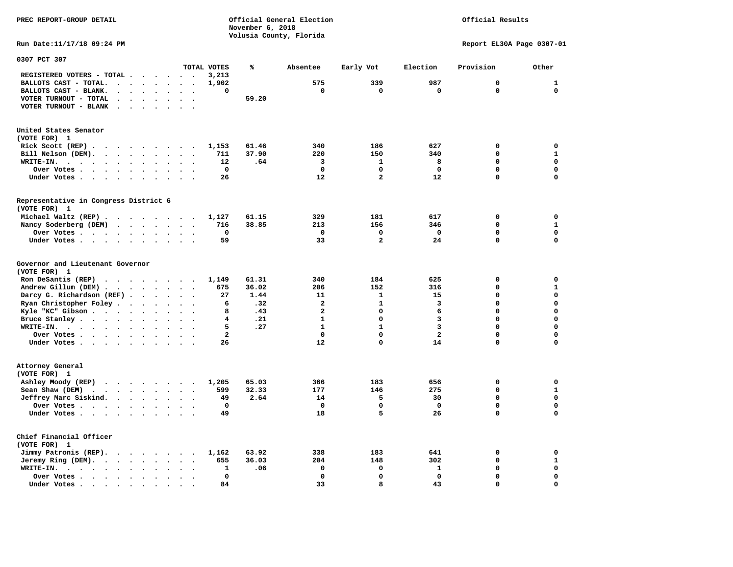**PREC REPORT-GROUP DETAIL COMPUTER CONSUMING A CONSUMING CONSUMING A CONSUMING A CONSUMING A CONSUMING A CONSUMING A CONSUMING A CONSUMING A CONSUMING A CONSUMING A CONSUMING A CONSUMING A CONSUMING A CONSUMING A CONSUMING** 

*November 6, 2018 November 6, 2018*  **Volusia County, Florida** 

## Official Results

**Run Date:11/17/18 09:24 PM Report EL30A Page 0307-01** 

| 0307 PCT 307                                                                                                                                                  |                                        |                         |       |                |                |                         |             |              |
|---------------------------------------------------------------------------------------------------------------------------------------------------------------|----------------------------------------|-------------------------|-------|----------------|----------------|-------------------------|-------------|--------------|
|                                                                                                                                                               |                                        | TOTAL VOTES             | ℁     | Absentee       | Early Vot      | Election                | Provision   | Other        |
| REGISTERED VOTERS - TOTAL .<br>$\cdot$                                                                                                                        |                                        | 3,213                   |       |                |                |                         |             |              |
| BALLOTS CAST - TOTAL.<br>$\ddot{\phantom{a}}$<br>$\ddot{\phantom{a}}$<br>$\ddot{\phantom{a}}$<br>$\ddot{\phantom{a}}$                                         |                                        | 1,902                   |       | 575            | 339            | 987                     | 0           | ${\bf 1}$    |
| BALLOTS CAST - BLANK.<br>$\ddot{\phantom{a}}$<br>$\sim$<br>$\sim$<br>$\ddot{\phantom{a}}$<br>$\ddot{\phantom{a}}$                                             | $\ddot{\phantom{a}}$<br>$\overline{a}$ | 0                       |       | $\mathbf 0$    | $\mathbf 0$    | $\mathbf 0$             | $\mathbf 0$ | $\mathbf 0$  |
| VOTER TURNOUT - TOTAL                                                                                                                                         |                                        |                         | 59.20 |                |                |                         |             |              |
| VOTER TURNOUT - BLANK<br>$\ddot{\phantom{1}}$                                                                                                                 |                                        |                         |       |                |                |                         |             |              |
|                                                                                                                                                               |                                        |                         |       |                |                |                         |             |              |
| United States Senator                                                                                                                                         |                                        |                         |       |                |                |                         |             |              |
| (VOTE FOR) 1                                                                                                                                                  |                                        |                         |       |                |                |                         |             |              |
| Rick Scott (REP).<br>$\cdots$                                                                                                                                 |                                        | 1,153                   | 61.46 | 340            | 186            | 627                     | $\mathbf 0$ | $\mathbf 0$  |
| Bill Nelson (DEM).<br>$\cdot$ $\cdot$ $\cdot$ $\cdot$<br>$\sim$                                                                                               | $\ddotsc$                              | 711                     | 37.90 | 220            | 150            | 340                     | 0           | ${\bf 1}$    |
| WRITE-IN.<br>$\cdot$ $\cdot$ $\cdot$<br>$\mathcal{L}(\mathbf{z})$ , and $\mathcal{L}(\mathbf{z})$ , and<br>$\bullet$<br>$\bullet$<br>$\overline{\phantom{a}}$ | $\bullet$                              | 12                      | .64   | 3              | $\mathbf{1}$   | 8                       | 0           | $\mathbf 0$  |
| Over Votes.<br>$\ddot{\phantom{0}}$<br>$\sim$ $\sim$ $\sim$ $\sim$<br>$\bullet$                                                                               |                                        | 0                       |       | $\mathbf 0$    | 0              | 0                       | 0           | $\mathbf 0$  |
| Under Votes<br>$\bullet$<br>$\ddot{\phantom{1}}$                                                                                                              | $\sim$ $\sim$                          | 26                      |       | 12             | $\overline{a}$ | 12                      | 0           | $\mathbf 0$  |
|                                                                                                                                                               |                                        |                         |       |                |                |                         |             |              |
| Representative in Congress District 6<br>(VOTE FOR) 1                                                                                                         |                                        |                         |       |                |                |                         |             |              |
| Michael Waltz (REP)                                                                                                                                           |                                        | 1,127                   | 61.15 | 329            | 181            | 617                     | 0           | $\mathbf 0$  |
| Nancy Soderberg (DEM)<br>$\cdots$                                                                                                                             | $\sim$<br>$\ddot{\phantom{0}}$         | 716                     | 38.85 | 213            | 156            | 346                     | 0           | ${\bf 1}$    |
| Over Votes<br>$\sim$<br>$\ddot{\phantom{a}}$                                                                                                                  |                                        | 0                       |       | $\mathbf 0$    | 0              | 0                       | 0           | $\mathbf 0$  |
| Under Votes<br>$\ddot{\phantom{a}}$                                                                                                                           |                                        | 59                      |       | 33             | $\overline{a}$ | 24                      | 0           | $\mathbf 0$  |
|                                                                                                                                                               |                                        |                         |       |                |                |                         |             |              |
| Governor and Lieutenant Governor<br>(VOTE FOR) 1                                                                                                              |                                        |                         |       |                |                |                         |             |              |
| Ron DeSantis (REP)<br>$\cdot$ $\cdot$ $\cdot$ $\cdot$ $\cdot$ $\cdot$ $\cdot$                                                                                 |                                        | 1,149                   | 61.31 | 340            | 184            | 625                     | 0           | 0            |
| Andrew Gillum (DEM) $\cdots$ $\cdots$                                                                                                                         | $\sim$<br>$\bullet$                    | 675                     | 36.02 | 206            | 152            | 316                     | 0           | ${\bf 1}$    |
| Darcy G. Richardson (REF).<br>$\ddot{\phantom{a}}$<br>$\ddot{\phantom{a}}$                                                                                    |                                        | 27                      | 1.44  | 11             | $\mathbf{1}$   | 15                      | 0           | $\mathbf 0$  |
| Ryan Christopher Foley.<br>$\sim$<br>$\bullet$<br>$\bullet$                                                                                                   |                                        | 6                       | .32   | $\overline{a}$ | $\mathbf{1}$   | 3                       | $\mathbf 0$ | $\mathbf 0$  |
| Kyle "KC" Gibson<br>$\bullet$<br>$\bullet$<br>$\bullet$                                                                                                       | $\ddot{\phantom{a}}$                   | 8                       | .43   | $\overline{a}$ | $\mathbf 0$    | 6                       | 0           | $\mathbf 0$  |
| Bruce Stanley<br>$\bullet$<br>$\ddot{\phantom{a}}$                                                                                                            |                                        | 4                       | .21   | $\mathbf{1}$   | $\mathbf 0$    | 3                       | 0           | $\mathbf 0$  |
| WRITE-IN.<br>$\cdots$<br>$\bullet$                                                                                                                            |                                        | 5                       | .27   | $\mathbf{1}$   | $\mathbf{1}$   | 3                       | $\mathbf 0$ | $\mathbf 0$  |
| Over Votes<br>$\ddot{\phantom{a}}$<br>$\bullet$                                                                                                               | $\ddot{\phantom{a}}$                   | $\overline{\mathbf{2}}$ |       | $\mathbf 0$    | $\mathbf 0$    | $\overline{\mathbf{2}}$ | 0           | $\mathbf 0$  |
| Under Votes<br>$\bullet$                                                                                                                                      | $\bullet$                              | 26                      |       | 12             | $\mathbf 0$    | 14                      | 0           | $\mathbf 0$  |
|                                                                                                                                                               |                                        |                         |       |                |                |                         |             |              |
| Attorney General<br>(VOTE FOR) 1                                                                                                                              |                                        |                         |       |                |                |                         |             |              |
| Ashley Moody (REP)<br>.                                                                                                                                       |                                        | 1,205                   | 65.03 | 366            | 183            | 656                     | 0           | $\mathbf 0$  |
| Sean Shaw (DEM)<br>$\cdot$ $\cdot$ $\cdot$ $\cdot$ $\cdot$<br>$\ddot{\phantom{a}}$                                                                            |                                        | 599                     | 32.33 | 177            | 146            | 275                     | 0           | $\mathbf{1}$ |
| Jeffrey Marc Siskind.<br>$\bullet$<br>$\ddot{\phantom{a}}$                                                                                                    | $\bullet$<br>$\bullet$                 | 49                      | 2.64  | 14             | 5              | 30                      | 0           | $\mathbf 0$  |
| Over Votes<br>$\ddot{\phantom{1}}$<br>$\overline{\phantom{a}}$                                                                                                |                                        | $\mathbf 0$             |       | $\mathbf 0$    | $\mathbf 0$    | $\mathbf 0$             | 0           | $\mathbf 0$  |
| Under Votes<br>$\bullet$                                                                                                                                      |                                        | 49                      |       | 18             | 5              | 26                      | $\Omega$    | $\mathbf 0$  |
|                                                                                                                                                               |                                        |                         |       |                |                |                         |             |              |
| Chief Financial Officer<br>(VOTE FOR) 1                                                                                                                       |                                        |                         |       |                |                |                         |             |              |
| Jimmy Patronis (REP).<br>$\cdot$ $\cdot$ $\cdot$ $\cdot$<br>$\sim$                                                                                            | $\ddot{\phantom{a}}$                   | 1,162                   | 63.92 | 338            | 183            | 641                     | 0           | 0            |
| Jeremy Ring (DEM).<br>$\ddot{\phantom{0}}$<br>$\bullet$                                                                                                       | $\bullet$<br>$\bullet$                 | 655                     | 36.03 | 204            | 148            | 302                     | 0           | ${\bf 1}$    |
| WRITE-IN.<br>$\ddot{\phantom{a}}$<br>$\bullet$<br>$\overline{\phantom{a}}$<br>$\sim$<br>$\sim$ $\sim$                                                         |                                        | 1                       | .06   | $\mathbf 0$    | $\mathbf 0$    | $\mathbf{1}$            | 0           | $\mathbf 0$  |
| Over Votes .<br>$\sim$ $\sim$ $\sim$ $\sim$ $\sim$<br>$\bullet$<br>$\bullet$                                                                                  |                                        | 0                       |       | $\Omega$       | $\Omega$       | $\mathbf 0$             | $\mathbf 0$ | $\mathbf 0$  |
| Under Votes .<br>$\bullet$ .<br>$\bullet$<br>$\bullet$<br>$\bullet$                                                                                           |                                        | 84                      |       | 33             | 8              | 43                      | $\Omega$    | $\mathbf 0$  |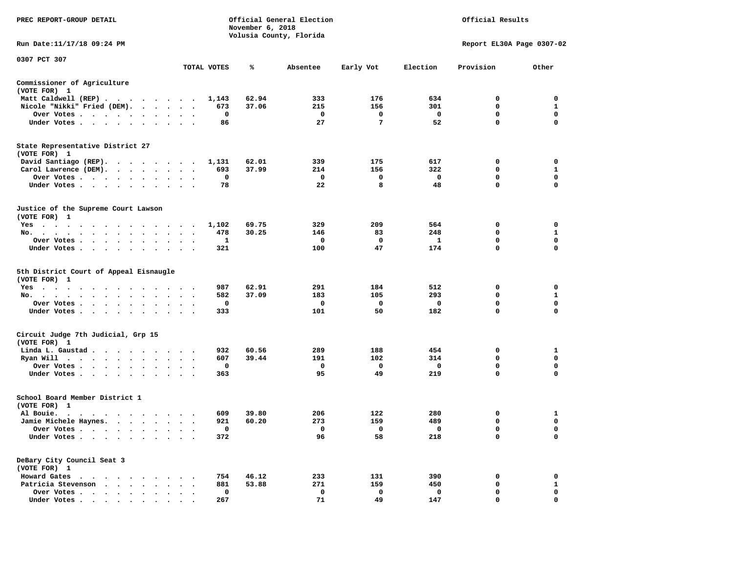| PREC REPORT-GROUP DETAIL                                                                                                                          |                                          | November 6, 2018 | Official General Election<br>Volusia County, Florida |           |              | Official Results          |                  |
|---------------------------------------------------------------------------------------------------------------------------------------------------|------------------------------------------|------------------|------------------------------------------------------|-----------|--------------|---------------------------|------------------|
| Run Date:11/17/18 09:24 PM                                                                                                                        |                                          |                  |                                                      |           |              | Report EL30A Page 0307-02 |                  |
| 0307 PCT 307                                                                                                                                      | TOTAL VOTES                              | ℁                | Absentee                                             | Early Vot | Election     | Provision                 | Other            |
|                                                                                                                                                   |                                          |                  |                                                      |           |              |                           |                  |
| Commissioner of Agriculture<br>(VOTE FOR) 1                                                                                                       |                                          |                  |                                                      |           |              |                           |                  |
| Matt Caldwell (REP)                                                                                                                               | 1,143                                    | 62.94            | 333                                                  | 176       | 634          | 0                         | 0                |
| Nicole "Nikki" Fried (DEM).                                                                                                                       | 673<br>$\ddot{\phantom{1}}$              | 37.06            | 215                                                  | 156       | 301          | 0                         | 1                |
| Over Votes<br>$\bullet$                                                                                                                           | 0<br>$\bullet$<br>$\bullet$<br>$\bullet$ |                  | 0                                                    | 0         | 0            | 0                         | 0                |
| Under Votes                                                                                                                                       | 86<br>$\ddot{\phantom{0}}$               |                  | 27                                                   | 7         | 52           | $\mathbf 0$               | $\mathbf 0$      |
| State Representative District 27                                                                                                                  |                                          |                  |                                                      |           |              |                           |                  |
| (VOTE FOR) 1                                                                                                                                      |                                          |                  |                                                      |           |              |                           |                  |
| David Santiago (REP).<br>$\cdots$                                                                                                                 | 1,131<br>$\sim$                          | 62.01            | 339                                                  | 175       | 617          | 0                         | 0                |
| Carol Lawrence (DEM).<br>$\cdot$ $\cdot$ $\cdot$ $\cdot$                                                                                          | 693<br>$\bullet$<br>$\ddot{\phantom{1}}$ | 37.99            | 214                                                  | 156       | 322          | 0                         | 1                |
| Over Votes<br>$\sim$ $\sim$ $\sim$<br>$\cdot$<br>Under Votes                                                                                      | $\mathbf 0$<br>78                        |                  | 0<br>22                                              | 0<br>8    | 0<br>48      | $\mathbf 0$<br>0          | $\mathbf 0$<br>0 |
| $\ddot{\phantom{0}}$<br>$\bullet$                                                                                                                 |                                          |                  |                                                      |           |              |                           |                  |
| Justice of the Supreme Court Lawson<br>(VOTE FOR) 1                                                                                               |                                          |                  |                                                      |           |              |                           |                  |
| $Yes \t . \t .$<br>$\sim$ $\sim$<br>$\sim$ $\sim$<br>$\mathcal{A}=\mathcal{A}=\mathcal{A}=\mathcal{A}=\mathcal{A}=\mathcal{A}=\mathcal{A}$        | 1,102<br>$\blacksquare$ .                | 69.75            | 329                                                  | 209       | 564          | 0                         | 0                |
| No.<br>$\sim$<br>$\bullet$<br>$\sim$<br>$\ddot{\phantom{1}}$<br>$\overline{\phantom{a}}$<br>$\bullet$<br>$\cdot$                                  | 478                                      | 30.25            | 146                                                  | 83        | 248          | 0                         | 1                |
| Over Votes<br>$\ddot{\phantom{1}}$                                                                                                                | 1                                        |                  | 0                                                    | 0         | 1            | $\mathbf 0$               | 0                |
| Under Votes<br>$\ddot{\phantom{1}}$                                                                                                               | 321<br>$\cdot$<br>$\cdot$ $\cdot$        |                  | 100                                                  | 47        | 174          | $\mathbf 0$               | $\mathbf 0$      |
| 5th District Court of Appeal Eisnaugle<br>(VOTE FOR) 1                                                                                            |                                          |                  |                                                      |           |              |                           |                  |
| Yes<br>$\mathcal{A}=\mathcal{A}=\mathcal{A}=\mathcal{A}=\mathcal{A}=\mathcal{A}$                                                                  | 987                                      | 62.91            | 291                                                  | 184       | 512          | 0                         | 0                |
| No.<br>$\cdot$ $\cdot$ $\cdot$ $\cdot$ $\cdot$                                                                                                    | 582                                      | 37.09            | 183                                                  | 105       | 293          | 0                         | $\mathbf{1}$     |
| Over Votes<br>$\blacksquare$ .<br>$\bullet$                                                                                                       | 0<br>$\bullet$<br>$\bullet$<br>$\bullet$ |                  | 0                                                    | 0         | 0            | 0                         | 0                |
| Under Votes<br>$\ddot{\phantom{1}}$                                                                                                               | 333<br>$\bullet$<br>$\sim$               |                  | 101                                                  | 50        | 182          | 0                         | $\mathbf 0$      |
| Circuit Judge 7th Judicial, Grp 15<br>(VOTE FOR) 1                                                                                                |                                          |                  |                                                      |           |              |                           |                  |
| Linda L. Gaustad<br>$\sim$                                                                                                                        | 932                                      | 60.56            | 289                                                  | 188       | 454          | 0                         | 1                |
| Ryan Will<br>$\cdots$<br>$\bullet$                                                                                                                | 607                                      | 39.44            | 191                                                  | 102       | 314          | 0                         | 0                |
| Over Votes<br>$\bullet$<br>$\bullet$                                                                                                              | 0                                        |                  | 0                                                    | 0         | 0            | 0                         | 0                |
| Under Votes<br>$\sim$ $\sim$<br>$\bullet$<br>$\bullet$                                                                                            | 363                                      |                  | 95                                                   | 49        | 219          | 0                         | 0                |
| School Board Member District 1<br>(VOTE FOR) 1                                                                                                    |                                          |                  |                                                      |           |              |                           |                  |
| Al Bouie.<br>$\cdot$<br>$\sim$ $\sim$<br>$\bullet$ .<br><br><br><br><br><br><br><br><br><br><br><br><br><br><br><br><br><br><br><br><br>$\bullet$ | 609                                      | 39.80            | 206                                                  | 122       | 280          | 0                         | 1                |
| Jamie Michele Haynes.<br>$\cdot$ $\cdot$ $\cdot$ $\cdot$                                                                                          | 921<br>$\ddot{\phantom{1}}$              | 60.20            | 273                                                  | 159       | 489          | 0                         | $\mathbf 0$      |
| Over Votes                                                                                                                                        | 0                                        |                  | 0                                                    | 0         | $\mathbf{o}$ | 0                         | 0                |
| Under Votes                                                                                                                                       | 372                                      |                  | 96                                                   | 58        | 218          | 0                         | 0                |
| DeBary City Council Seat 3<br>(VOTE FOR) 1                                                                                                        |                                          |                  |                                                      |           |              |                           |                  |
| Howard Gates<br>$\sim$ $\sim$<br>$\cdots$                                                                                                         | 754                                      | 46.12            | 233                                                  | 131       | 390          | 0                         | 0                |
| Patricia Stevenson                                                                                                                                | 881                                      | 53.88            | 271                                                  | 159       | 450          | 0                         | $\mathbf{1}$     |
| Over Votes<br>$\ddot{\phantom{a}}$                                                                                                                | 0                                        |                  | 0                                                    | 0         | 0            | 0                         | 0                |
| Under Votes.                                                                                                                                      | 267                                      |                  | 71                                                   | 49        | 147          | 0                         | 0                |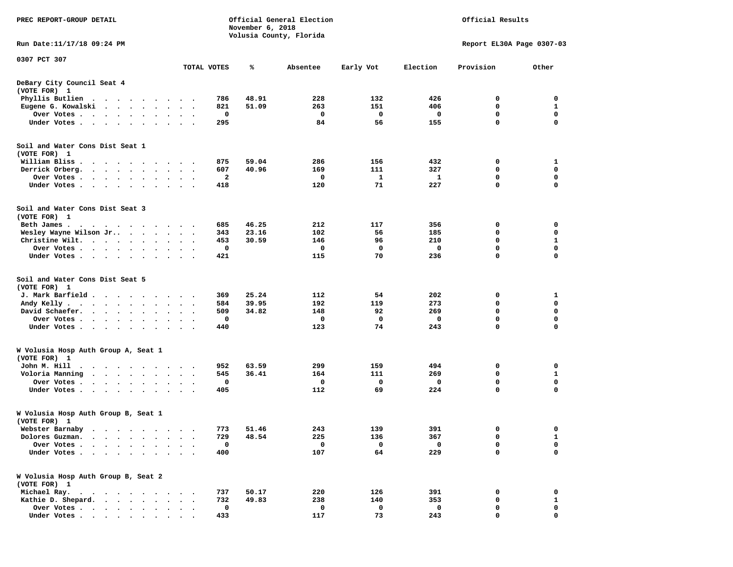| PREC REPORT-GROUP DETAIL                                                                                                                              |                                   |                      | November 6, 2018 | Official General Election<br>Volusia County, Florida | Official Results |           |             |                           |              |
|-------------------------------------------------------------------------------------------------------------------------------------------------------|-----------------------------------|----------------------|------------------|------------------------------------------------------|------------------|-----------|-------------|---------------------------|--------------|
| Run Date:11/17/18 09:24 PM                                                                                                                            |                                   |                      |                  |                                                      |                  |           |             | Report EL30A Page 0307-03 |              |
| 0307 PCT 307                                                                                                                                          |                                   |                      | TOTAL VOTES      | ℁                                                    | Absentee         | Early Vot | Election    | Provision                 | Other        |
| DeBary City Council Seat 4<br>(VOTE FOR) 1                                                                                                            |                                   |                      |                  |                                                      |                  |           |             |                           |              |
| Phyllis Butlien<br>$\ddot{\phantom{1}}$<br>$\sim$ $\sim$                                                                                              |                                   |                      | 786              | 48.91                                                | 228              | 132       | 426         | 0                         | 0            |
| Eugene G. Kowalski<br>$\ddot{\phantom{0}}$<br>$\cdot$ $\cdot$ $\cdot$ $\cdot$                                                                         |                                   |                      | 821              | 51.09                                                | 263              | 151       | 406         | 0                         | 1            |
| Over Votes.<br>$\begin{array}{cccccccccccccc} \bullet & \bullet & \bullet & \bullet & \bullet & \bullet & \bullet & \bullet \end{array}$<br>$\bullet$ | $\ddot{\phantom{a}}$<br>$\bullet$ |                      | 0                |                                                      | 0                | 0         | 0           | $\mathbf 0$               | $\mathbf 0$  |
| Under Votes<br>$\ddot{\phantom{0}}$<br>$\cdot$<br>$\bullet$                                                                                           |                                   |                      | 295              |                                                      | 84               | 56        | 155         | 0                         | 0            |
| Soil and Water Cons Dist Seat 1<br>(VOTE FOR) 1                                                                                                       |                                   |                      |                  |                                                      |                  |           |             |                           |              |
| William Bliss<br>$\cdot$<br>$\cdot$<br>$\cdot$<br>$\cdot$<br>$\cdot$<br>$\bullet$                                                                     |                                   |                      | 875              | 59.04                                                | 286              | 156       | 432         | 0                         | 1            |
| Derrick Orberg.<br>$\sim$<br>$\sim$ $\sim$<br>$\ddot{\phantom{0}}$<br>$\bullet$<br>$\bullet$                                                          | $\bullet$<br>$\bullet$            |                      | 607<br>2         | 40.96                                                | 169<br>0         | 111       | 327<br>1    | 0<br>0                    | 0<br>0       |
| Over Votes .<br>$\ddot{\phantom{1}}$<br>$\sim$<br>$\bullet$<br>$\bullet$<br>Under Votes.<br>$\cdots$<br>$\bullet$<br>$\cdot$                          | $\bullet$                         |                      | 418              |                                                      | 120              | 1<br>71   | 227         | $\mathbf 0$               | $\mathbf 0$  |
| Soil and Water Cons Dist Seat 3<br>(VOTE FOR) 1                                                                                                       |                                   |                      |                  |                                                      |                  |           |             |                           |              |
| Beth James.<br>. As a set of the set of the set of the set of the set of the set of the set of the $\alpha$                                           |                                   |                      | 685              | 46.25                                                | 212              | 117       | 356         | 0                         | 0            |
| Wesley Wayne Wilson Jr<br>$\ddot{\phantom{0}}$<br>$\bullet$<br>$\ddot{\phantom{a}}$                                                                   |                                   | $\bullet$<br>$\cdot$ | 343              | 23.16                                                | 102              | 56        | 185         | 0                         | 0            |
| Christine Wilt.<br>$\ddot{\phantom{0}}$<br>$\sim$<br>$\bullet$<br>$\cdot$                                                                             |                                   |                      | 453              | 30.59                                                | 146              | 96        | 210         | $\mathbf 0$               | 1            |
| Over Votes<br>$\bullet$<br>$\bullet$<br>$\bullet$                                                                                                     | $\bullet$                         |                      | 0                |                                                      | 0                | 0         | 0           | $\mathbf 0$               | $\mathbf 0$  |
| Under Votes<br>$\cdot$                                                                                                                                |                                   |                      | 421              |                                                      | 115              | 70        | 236         | 0                         | 0            |
| Soil and Water Cons Dist Seat 5<br>(VOTE FOR) 1                                                                                                       |                                   |                      |                  |                                                      |                  |           |             |                           |              |
| J. Mark Barfield.<br>$\ddot{\phantom{1}}$<br>$\sim$ $\sim$<br>$\ddot{\phantom{a}}$                                                                    | $\bullet$                         |                      | 369              | 25.24                                                | 112              | 54        | 202         | 0                         | 1            |
| Andy Kelly.<br>$\cdot$ $\cdot$ $\cdot$ $\cdot$ $\cdot$<br>$\bullet$ .<br>$\bullet$                                                                    | $\bullet$                         | $\ddot{\phantom{0}}$ | 584              | 39.95                                                | 192              | 119       | 273         | $\mathbf 0$               | $\mathbf 0$  |
| David Schaefer.<br>$\ddot{\phantom{1}}$<br>$\bullet$<br>$\ddot{\phantom{0}}$<br>$\bullet$                                                             |                                   |                      | 509              | 34.82                                                | 148              | 92        | 269         | 0                         | 0            |
| Over Votes .<br>$\sim$ $\sim$<br>$\bullet$<br>$\bullet$<br>$\bullet$<br>$\bullet$                                                                     | $\bullet$<br>$\bullet$            |                      | 0                |                                                      | 0                | 0         | 0           | $\mathbf 0$               | $\mathbf 0$  |
| Under Votes<br>$\ddot{\phantom{0}}$<br>$\ddot{\phantom{a}}$<br>$\cdot$                                                                                | $\cdot$                           | $\cdot$ .            | 440              |                                                      | 123              | 74        | 243         | $\mathbf 0$               | $\mathbf 0$  |
| W Volusia Hosp Auth Group A, Seat 1<br>(VOTE FOR) 1                                                                                                   |                                   |                      |                  |                                                      |                  |           |             |                           |              |
| John M. Hill<br>$\bullet$<br>$\overline{\phantom{a}}$<br>$\ddot{\phantom{1}}$<br>$\sim$<br>$\bullet$<br>$\cdot$<br>$\bullet$                          | $\bullet$                         |                      | 952              | 63.59                                                | 299              | 159       | 494         | 0                         | 0            |
| Voloria Manning<br>$\sim$ $\sim$<br>$\sim$<br>$\ddot{\phantom{a}}$<br>$\cdot$                                                                         |                                   |                      | 545              | 36.41                                                | 164              | 111       | 269         | 0                         | 1            |
| Over Votes.<br>$\sim$<br>$\bullet$<br>$\cdot$<br>$\cdot$                                                                                              |                                   |                      | 0                |                                                      | 0                | 0         | 0           | 0                         | 0            |
| Under Votes.<br>$\sim$ $\sim$ $\sim$<br>$\bullet$<br>$\bullet$                                                                                        |                                   |                      | 405              |                                                      | 112              | 69        | 224         | 0                         | $\Omega$     |
| W Volusia Hosp Auth Group B, Seat 1<br>(VOTE FOR) 1                                                                                                   |                                   |                      |                  |                                                      |                  |           |             |                           |              |
| Webster Barnaby<br>.                                                                                                                                  |                                   |                      | 773              | 51.46                                                | 243              | 139       | 391         | 0                         | 0            |
| Dolores Guzman.                                                                                                                                       |                                   |                      | 729              | 48.54                                                | 225              | 136       | 367         | 0                         | 1            |
| Over Votes .                                                                                                                                          |                                   |                      | $\mathbf 0$      |                                                      | 0                | 0         | $\mathbf 0$ | 0                         | 0            |
| Under Votes.<br>$\bullet$<br>$\ddot{\phantom{0}}$<br>$\bullet$                                                                                        |                                   |                      | 400              |                                                      | 107              | 64        | 229         | 0                         | $\Omega$     |
| W Volusia Hosp Auth Group B, Seat 2<br>(VOTE FOR) 1                                                                                                   |                                   |                      |                  |                                                      |                  |           |             |                           |              |
| Michael Ray.<br>$\cdot$ $\cdot$ $\cdot$ $\cdot$ $\cdot$<br>$\cdot$ $\cdot$ $\cdot$ $\cdot$                                                            |                                   |                      | 737              | 50.17                                                | 220              | 126       | 391         | 0                         | 0            |
| Kathie D. Shepard.<br>$\sim$<br>$\ddot{\phantom{a}}$<br>$\sim$<br>$\ddot{\phantom{a}}$<br>$\ddot{\phantom{a}}$                                        |                                   |                      | 732              | 49.83                                                | 238              | 140       | 353         | 0                         | $\mathbf{1}$ |
| Over Votes.<br>$\cdots$                                                                                                                               | $\sim$                            |                      | 0                |                                                      | 0                | 0         | 0           | 0                         | 0            |
| Under Votes                                                                                                                                           |                                   |                      | 433              |                                                      | 117              | 73        | 243         | 0                         | $\mathbf 0$  |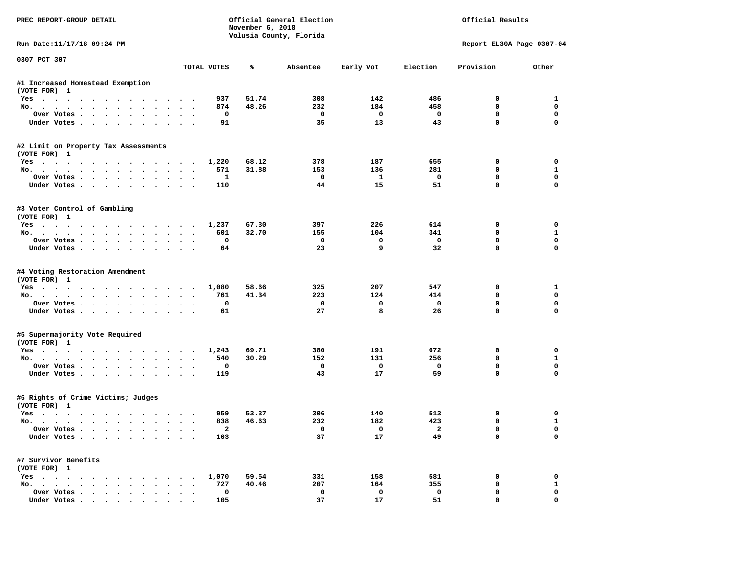| PREC REPORT-GROUP DETAIL                                                |                                         | November 6, 2018 | Official General Election<br>Volusia County, Florida |              | Official Results |                           |                   |  |  |
|-------------------------------------------------------------------------|-----------------------------------------|------------------|------------------------------------------------------|--------------|------------------|---------------------------|-------------------|--|--|
| Run Date: 11/17/18 09:24 PM                                             |                                         |                  |                                                      |              |                  | Report EL30A Page 0307-04 |                   |  |  |
| 0307 PCT 307                                                            | TOTAL VOTES                             | ℁                | Absentee                                             | Early Vot    | Election         | Provision                 | Other             |  |  |
| #1 Increased Homestead Exemption                                        |                                         |                  |                                                      |              |                  |                           |                   |  |  |
| (VOTE FOR) 1                                                            |                                         |                  |                                                      |              |                  |                           |                   |  |  |
| Yes                                                                     | 937                                     | 51.74            | 308                                                  | 142          | 486              | 0                         | 1                 |  |  |
| No.                                                                     | 874                                     | 48.26            | 232                                                  | 184          | 458              | 0                         | 0                 |  |  |
| Over Votes                                                              | $\mathbf 0$<br>$\overline{\phantom{a}}$ |                  | 0                                                    | $\mathbf 0$  | 0                | 0                         | 0                 |  |  |
| Under Votes.                                                            | 91                                      |                  | 35                                                   | 13           | 43               | $\mathbf 0$               | 0                 |  |  |
| #2 Limit on Property Tax Assessments                                    |                                         |                  |                                                      |              |                  |                           |                   |  |  |
| (VOTE FOR) 1                                                            |                                         |                  |                                                      |              |                  |                           |                   |  |  |
| Yes                                                                     | 1,220                                   | 68.12            | 378                                                  | 187          | 655              | 0                         | 0                 |  |  |
| No.                                                                     | 571                                     | 31.88            | 153                                                  | 136          | 281              | 0                         | 1                 |  |  |
| Over Votes                                                              | 1                                       |                  | 0                                                    | $\mathbf{1}$ | $\mathbf 0$      | 0                         | 0                 |  |  |
| Under Votes                                                             | 110                                     |                  | 44                                                   | 15           | 51               | 0                         | 0                 |  |  |
| #3 Voter Control of Gambling                                            |                                         |                  |                                                      |              |                  |                           |                   |  |  |
| (VOTE FOR) 1                                                            |                                         |                  |                                                      | 226          |                  |                           |                   |  |  |
| Yes                                                                     | 1,237                                   | 67.30<br>32.70   | 397<br>155                                           | 104          | 614<br>341       | 0<br>0                    | 0<br>$\mathbf{1}$ |  |  |
| No.                                                                     | 601                                     |                  |                                                      |              |                  |                           |                   |  |  |
| Over Votes.                                                             | 0<br>64                                 |                  | 0<br>23                                              | 0<br>9       | 0<br>32          | 0<br>$\mathbf 0$          | 0<br>$\mathbf 0$  |  |  |
| Under Votes                                                             |                                         |                  |                                                      |              |                  |                           |                   |  |  |
| #4 Voting Restoration Amendment                                         |                                         |                  |                                                      |              |                  |                           |                   |  |  |
| (VOTE FOR) 1                                                            |                                         |                  |                                                      |              |                  |                           |                   |  |  |
| Yes                                                                     | 1,080                                   | 58.66<br>41.34   | 325<br>223                                           | 207<br>124   | 547<br>414       | 0<br>0                    | 1<br>0            |  |  |
| No.                                                                     | 761<br>$\mathbf 0$                      |                  | 0                                                    | 0            | 0                | 0                         | 0                 |  |  |
| Over Votes                                                              |                                         |                  | 27                                                   | 8            | 26               | $\mathbf 0$               | 0                 |  |  |
| Under Votes                                                             | 61                                      |                  |                                                      |              |                  |                           |                   |  |  |
| #5 Supermajority Vote Required                                          |                                         |                  |                                                      |              |                  |                           |                   |  |  |
| (VOTE FOR) 1<br>Yes                                                     | 1,243                                   | 69.71            | 380                                                  | 191          | 672              | 0                         | 0                 |  |  |
| No.                                                                     | 540                                     | 30.29            | 152                                                  | 131          | 256              | 0                         | 1                 |  |  |
| Over Votes                                                              | 0                                       |                  | 0                                                    | 0            | 0                | 0                         | 0                 |  |  |
| Under Votes                                                             | 119                                     |                  | 43                                                   | 17           | 59               | $\mathbf 0$               | 0                 |  |  |
| #6 Rights of Crime Victims; Judges<br>(VOTE FOR) 1                      |                                         |                  |                                                      |              |                  |                           |                   |  |  |
| Yes                                                                     | 959                                     | 53.37            | 306                                                  | 140          | 513              | 0                         | 0                 |  |  |
| No.                                                                     | 838                                     | 46.63            | 232                                                  | 182          | 423              | 0                         | $\mathbf{1}$      |  |  |
|                                                                         |                                         |                  |                                                      |              |                  |                           |                   |  |  |
| Over Votes<br>Under Votes                                               | 2<br>103                                |                  | 0<br>37                                              | 0<br>17      | 2<br>49          | 0<br>0                    | 0<br>0            |  |  |
| #7 Survivor Benefits                                                    |                                         |                  |                                                      |              |                  |                           |                   |  |  |
| (VOTE FOR) 1                                                            |                                         |                  |                                                      |              |                  |                           |                   |  |  |
| $Yes \cdot \cdot \cdot \cdot \cdot \cdot \cdot \cdot \cdot \cdot \cdot$ | 1,070                                   | 59.54            | 331                                                  | 158          | 581              | 0                         | 0                 |  |  |
| No.                                                                     | 727                                     | 40.46            | 207                                                  | 164          | 355              | 0                         | $\mathbf{1}$      |  |  |
| Over Votes                                                              | 0                                       |                  | 0                                                    | $\mathbf 0$  | 0                | 0                         | 0                 |  |  |
| Under Votes                                                             | 105                                     |                  | 37                                                   | 17           | 51               | 0                         | 0                 |  |  |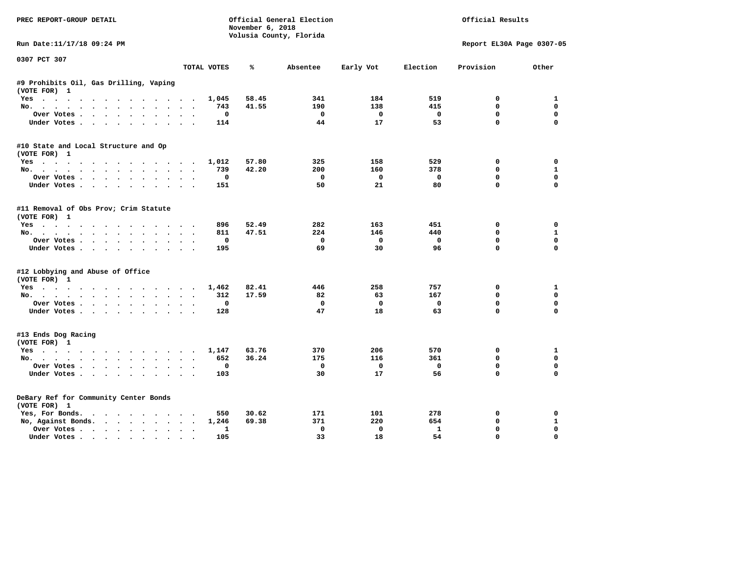| PREC REPORT-GROUP DETAIL                               |                      | November 6, 2018         | Official General Election |                   |                    | Official Results          |                          |
|--------------------------------------------------------|----------------------|--------------------------|---------------------------|-------------------|--------------------|---------------------------|--------------------------|
|                                                        |                      |                          | Volusia County, Florida   |                   |                    |                           |                          |
| Run Date:11/17/18 09:24 PM                             |                      |                          |                           |                   |                    | Report EL30A Page 0307-05 |                          |
| 0307 PCT 307                                           | TOTAL VOTES          | ℁                        | Absentee                  | Early Vot         | Election           | Provision                 | Other                    |
|                                                        |                      |                          |                           |                   |                    |                           |                          |
| #9 Prohibits Oil, Gas Drilling, Vaping<br>(VOTE FOR) 1 |                      |                          |                           |                   |                    |                           |                          |
| Yes                                                    |                      | 58.45<br>1,045           | 341                       | 184               | 519                | 0                         | 1                        |
| No.                                                    |                      | 41.55<br>743             | 190                       | 138               | 415                | $\mathbf{0}$              | 0                        |
| Over Votes                                             |                      | $^{\circ}$               | $\mathbf{o}$              | $^{\circ}$        | $\mathbf 0$        | $\mathbf 0$               | 0                        |
| Under Votes                                            |                      | 114                      | 44                        | 17                | 53                 | $\mathbf 0$               | $\mathbf 0$              |
| #10 State and Local Structure and Op                   |                      |                          |                           |                   |                    |                           |                          |
| (VOTE FOR) 1                                           |                      |                          |                           |                   |                    |                           |                          |
| Yes                                                    |                      | 1,012<br>57.80           | 325                       | 158               | 529                | 0                         | 0                        |
| No.                                                    |                      | 739<br>42.20<br>$\Omega$ | 200<br>$\Omega$           | 160<br>$\Omega$   | 378<br>$\mathbf 0$ | 0<br>$\mathbf{0}$         | $\mathbf{1}$<br>$\Omega$ |
| Over Votes.<br>Under Votes                             |                      | 151                      | 50                        | 21                | 80                 | $\mathbf{0}$              | $\mathbf 0$              |
|                                                        |                      |                          |                           |                   |                    |                           |                          |
| #11 Removal of Obs Prov; Crim Statute<br>(VOTE FOR) 1  |                      |                          |                           |                   |                    |                           |                          |
| Yes                                                    |                      | 896<br>52.49             | 282                       | 163               | 451                | $^{\circ}$                | $\Omega$                 |
| No.                                                    |                      | 811<br>47.51             | 224                       | 146               | 440                | $\mathbf 0$               | $\mathbf{1}$             |
| Over Votes                                             |                      | $\Omega$                 | $\Omega$                  | $\mathbf{0}$      | $\Omega$           | $\mathbf{0}$              | 0                        |
| Under Votes.                                           |                      | 195                      | 69                        | 30                | 96                 | $\Omega$                  | $\Omega$                 |
| #12 Lobbying and Abuse of Office                       |                      |                          |                           |                   |                    |                           |                          |
| (VOTE FOR) 1                                           |                      |                          |                           |                   |                    |                           |                          |
| Yes                                                    |                      | 82.41<br>1,462           | 446                       | 258               | 757                | 0                         | 1                        |
| No.                                                    |                      | 17.59<br>312             | 82                        | 63                | 167                | $\mathbf 0$               | 0                        |
| Over Votes                                             |                      | 0                        | 0                         | $\Omega$          | 0                  | $\mathbf 0$               | $\mathbf 0$              |
| Under Votes                                            |                      | 128                      | 47                        | 18                | 63                 | $\mathbf 0$               | $\mathbf 0$              |
| #13 Ends Dog Racing                                    |                      |                          |                           |                   |                    |                           |                          |
| (VOTE FOR) 1                                           |                      |                          |                           |                   |                    |                           |                          |
| Yes                                                    |                      | 1,147<br>63.76           | 370                       | 206               | 570                | 0                         | 1                        |
| No.                                                    |                      | 36.24<br>652             | 175                       | 116               | 361                | $\mathbf{0}$              | $\mathbf 0$              |
| Over Votes                                             |                      | 0                        | 0                         | $\mathbf 0$<br>17 | $\mathbf 0$<br>56  | $\mathbf 0$<br>$\Omega$   | $\mathbf 0$<br>$\Omega$  |
| Under Votes                                            |                      | 103                      | 30                        |                   |                    |                           |                          |
| DeBary Ref for Community Center Bonds                  |                      |                          |                           |                   |                    |                           |                          |
| (VOTE FOR) 1                                           |                      |                          |                           |                   |                    |                           |                          |
| Yes, For Bonds.                                        |                      | 550<br>30.62             | 171                       | 101               | 278                | 0                         | 0                        |
| No, Against Bonds.                                     |                      | 69.38<br>1,246           | 371                       | 220               | 654                | $\mathbf 0$               | $\mathbf{1}$             |
| Over Votes                                             | $\ddot{\phantom{0}}$ | 1                        | $\Omega$                  | $\Omega$          | 1                  | 0                         | $\Omega$                 |
| Under Votes                                            | $\sim$               | 105                      | 33                        | 18                | 54                 | $\mathbf{0}$              | $\mathbf 0$              |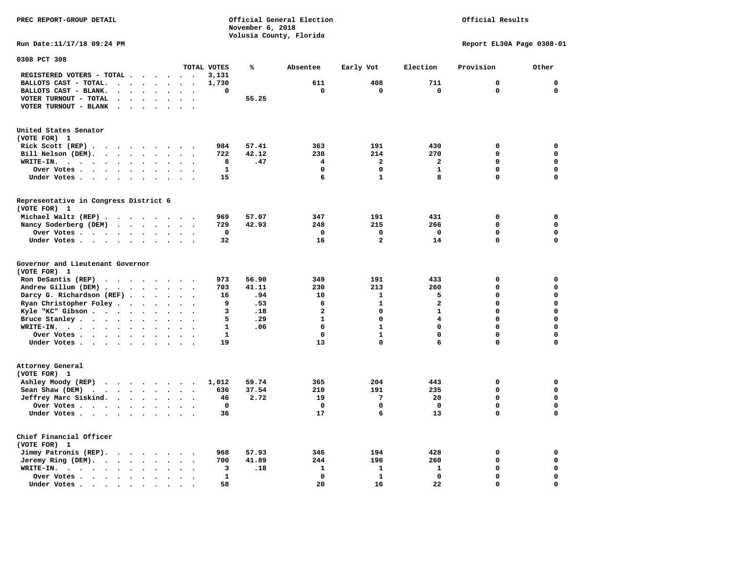**PREC REPORT-GROUP DETAIL COMPUTER CONSUMING A CONSUMING CONSUMING A LIGACION CONSUMING A LIGACION November 6, 2018 Volusia County, Florida** 

Official Results

**Run Date:11/17/18 09:24 PM Report EL30A Page 0308-01** 

| 0308 PCT 308                                                                                                                                   |                                                  |              |       |                |                         |              |              |              |
|------------------------------------------------------------------------------------------------------------------------------------------------|--------------------------------------------------|--------------|-------|----------------|-------------------------|--------------|--------------|--------------|
|                                                                                                                                                |                                                  | TOTAL VOTES  | ℁     | Absentee       | Early Vot               | Election     | Provision    | Other        |
| REGISTERED VOTERS - TOTAL .<br>$\sim$<br>$\overline{\phantom{a}}$<br>$\overline{\phantom{a}}$                                                  | $\sim$<br>$\ddot{\phantom{a}}$                   | 3,131        |       |                |                         |              |              |              |
| BALLOTS CAST - TOTAL.<br>$\ddot{\phantom{a}}$<br>$\overline{\phantom{a}}$<br>$\bullet$<br>$\ddot{\phantom{a}}$<br>$\ddot{\phantom{a}}$         |                                                  | 1,730        |       | 611            | 408                     | 711          | $\mathbf{0}$ | $\mathbf 0$  |
| BALLOTS CAST - BLANK.<br>$\sim$<br>$\bullet$<br>$\ddot{\phantom{a}}$<br>$\bullet$                                                              | $\ddot{\phantom{a}}$<br>$\bullet$                | $\mathbf 0$  |       | $\mathbf 0$    | $\mathbf 0$             | $\mathbf 0$  | $\Omega$     | $\mathbf 0$  |
| VOTER TURNOUT - TOTAL<br>$\ddot{\phantom{a}}$<br>$\ddot{\phantom{a}}$                                                                          |                                                  |              | 55.25 |                |                         |              |              |              |
| $\blacksquare$<br>VOTER TURNOUT - BLANK                                                                                                        |                                                  |              |       |                |                         |              |              |              |
| $\bullet$<br>$\bullet$                                                                                                                         |                                                  |              |       |                |                         |              |              |              |
|                                                                                                                                                |                                                  |              |       |                |                         |              |              |              |
| United States Senator                                                                                                                          |                                                  |              |       |                |                         |              |              |              |
| (VOTE FOR) 1                                                                                                                                   |                                                  |              |       |                |                         |              |              |              |
| Rick Scott (REP).<br>$\cdot$ $\cdot$ $\cdot$ $\cdot$<br>$\bullet$<br>$\sim$                                                                    |                                                  | 984          | 57.41 | 363            | 191                     | 430          | $\mathbf 0$  | $\mathbf 0$  |
| Bill Nelson (DEM).<br>$\cdot$                                                                                                                  |                                                  | 722          | 42.12 | 238            | 214                     | 270          | $\mathbf 0$  | $\mathbf{0}$ |
| WRITE-IN.<br>$\cdots$ $\cdots$<br>$\cdots$<br>$\bullet$                                                                                        |                                                  | 8            | .47   | 4              | $\overline{a}$          | $\mathbf{2}$ | $\Omega$     | $\mathbf 0$  |
| Over Votes<br>$\ddot{\phantom{a}}$<br>$\cdot$                                                                                                  |                                                  | $\mathbf{1}$ |       | $\mathbf 0$    | $\mathbf 0$             | $\mathbf{1}$ | $\mathbf 0$  | $\mathbf 0$  |
| Under Votes<br>$\bullet$<br>$\ddot{\phantom{1}}$                                                                                               | $\ddot{\phantom{0}}$<br>$\cdot$                  | 15           |       | 6              | $\mathbf{1}$            | 8            | $\Omega$     | $\mathbf 0$  |
|                                                                                                                                                |                                                  |              |       |                |                         |              |              |              |
| Representative in Congress District 6                                                                                                          |                                                  |              |       |                |                         |              |              |              |
| (VOTE FOR) 1                                                                                                                                   |                                                  |              |       |                |                         |              |              |              |
|                                                                                                                                                |                                                  |              |       |                |                         |              |              |              |
| Michael Waltz (REP)                                                                                                                            |                                                  | 969          | 57.07 | 347            | 191                     | 431          | $\mathbf 0$  | 0            |
| Nancy Soderberg (DEM)<br>the contract of the contract of the                                                                                   |                                                  | 729          | 42.93 | 248            | 215                     | 266          | $\mathbf 0$  | $\mathbf 0$  |
| Over Votes<br>$\ddot{\phantom{0}}$<br>$\ddot{\phantom{a}}$<br>$\bullet$                                                                        |                                                  | 0            |       | 0              | 0                       | $\mathbf 0$  | 0            | 0            |
| Under Votes<br>$\bullet$<br>$\bullet$                                                                                                          | $\sim$ $\sim$                                    | 32           |       | 16             | $\overline{\mathbf{2}}$ | 14           | $\Omega$     | $\mathbf 0$  |
| Governor and Lieutenant Governor                                                                                                               |                                                  |              |       |                |                         |              |              |              |
| (VOTE FOR) 1                                                                                                                                   |                                                  |              |       |                |                         |              |              |              |
| Ron DeSantis (REP)<br>$\cdots$                                                                                                                 |                                                  | 973          | 56.90 | 349            | 191                     | 433          | $\mathbf 0$  | $\mathbf 0$  |
| Andrew Gillum (DEM) $\cdot \cdot \cdot \cdot \cdot$                                                                                            | $\sim$ $\sim$                                    | 703          | 41.11 | 230            | 213                     | 260          | $\mathbf 0$  | $\mathbf 0$  |
| Darcy G. Richardson (REF).<br>$\ddot{\phantom{a}}$<br>$\bullet$<br>$\sim$                                                                      |                                                  | 16           | .94   | 10             | $\mathbf{1}$            | 5            | $\mathbf 0$  | $\mathbf 0$  |
| Ryan Christopher Foley.<br>$\sim$<br>$\bullet$<br>$\bullet$<br>$\bullet$                                                                       |                                                  | 9            | .53   | 6              | 1                       | 2            | $\Omega$     | $\mathbf 0$  |
| Kyle "KC" Gibson<br>$\bullet$<br>$\ddot{\phantom{a}}$                                                                                          | $\ddot{\phantom{a}}$<br>$\overline{\phantom{a}}$ | 3            | .18   | $\overline{a}$ | $\Omega$                | $\mathbf{1}$ | $\Omega$     | $\mathbf 0$  |
| Bruce Stanley<br>$\ddot{\phantom{a}}$                                                                                                          |                                                  | 5            | .29   | $\mathbf{1}$   | $\mathbf 0$             | 4            | 0            | $\mathbf 0$  |
| WRITE-IN.<br>$\ddot{\phantom{a}}$                                                                                                              | $\ddot{\phantom{a}}$                             | $\mathbf{1}$ | .06   | $\mathbf{0}$   | $\mathbf{1}$            | 0            | $\Omega$     | $\mathbf 0$  |
| $\cdot$<br>Over Votes.                                                                                                                         |                                                  | $\mathbf{1}$ |       | $\mathbf 0$    | $\mathbf{1}$            | $\Omega$     | $\mathbf 0$  | $\mathbf 0$  |
| $\cdots$<br>$\bullet$<br>$\bullet$                                                                                                             | $\ddot{\phantom{0}}$                             |              |       |                | $\mathbf 0$             |              | $\mathbf 0$  | $\mathbf 0$  |
| Under Votes<br>$\bullet$                                                                                                                       |                                                  | 19           |       | 13             |                         | 6            |              |              |
| Attorney General                                                                                                                               |                                                  |              |       |                |                         |              |              |              |
| (VOTE FOR) 1                                                                                                                                   |                                                  |              |       |                |                         |              |              |              |
| Ashley Moody (REP)                                                                                                                             |                                                  | 1,012        | 59.74 | 365            | 204                     | 443          | $\mathbf 0$  | 0            |
| Sean Shaw (DEM)<br>$\mathcal{A}=\mathcal{A}=\mathcal{A}=\mathcal{A}=\mathcal{A}=\mathcal{A}$ .<br>$\ddot{\phantom{a}}$<br>$\ddot{\phantom{a}}$ | $\ddotsc$                                        | 636          | 37.54 | 210            | 191                     | 235          | $\mathbf 0$  | $\mathbf 0$  |
|                                                                                                                                                |                                                  |              | 2.72  | 19             | 7                       | 20           | $\mathbf 0$  | $\mathbf 0$  |
| Jeffrey Marc Siskind.<br>$\sim$ $\sim$ $\sim$ $\sim$<br>$\bullet$<br>$\ddot{\phantom{a}}$                                                      | $\ddot{\phantom{a}}$                             | 46           |       |                |                         |              |              |              |
| Over Votes<br>$\langle \cdot \rangle$<br>$\ddot{\phantom{a}}$<br>$\overline{\phantom{a}}$                                                      |                                                  | 0            |       | $\mathbf 0$    | $\mathbf 0$             | $\mathbf 0$  | $\mathbf 0$  | $\mathbf 0$  |
| Under Votes<br>$\ddot{\phantom{a}}$                                                                                                            |                                                  | 36           |       | 17             | 6                       | 13           | $\mathbf 0$  | $\mathbf 0$  |
|                                                                                                                                                |                                                  |              |       |                |                         |              |              |              |
| Chief Financial Officer<br>(VOTE FOR) 1                                                                                                        |                                                  |              |       |                |                         |              |              |              |
|                                                                                                                                                |                                                  |              |       |                |                         |              |              |              |
| Jimmy Patronis (REP).<br>$\sim$ $\sim$ $\sim$ $\sim$ $\sim$<br>$\bullet$<br>$\overline{\phantom{a}}$                                           |                                                  | 968          | 57.93 | 346            | 194                     | 428          | $\mathbf 0$  | 0            |
| Jeremy Ring (DEM).<br>$\bullet$<br>$\bullet$                                                                                                   | $\ddotsc$                                        | 700          | 41.89 | 244            | 196                     | 260          | $\mathbf 0$  | $\mathbf 0$  |
| WRITE-IN.<br>$\ddot{\phantom{a}}$<br>$\bullet$<br>$\sim$ $\sim$<br>$\sim$ $\sim$                                                               |                                                  | з            | .18   | $\mathbf{1}$   | $\mathbf{1}$            | $\mathbf{1}$ | $\mathbf 0$  | $\mathbf 0$  |
| Over Votes.<br>$\mathcal{L}(\mathbf{z})$ , and $\mathcal{L}(\mathbf{z})$ , and $\mathcal{L}(\mathbf{z})$<br>$\bullet$                          |                                                  | $\mathbf{1}$ |       | $\mathbf 0$    | $\mathbf{1}$            | $\mathbf 0$  | $\Omega$     | $\mathbf 0$  |
| Under Votes.<br>$\bullet$<br>$\bullet$<br>$\bullet$<br>$\cdot$                                                                                 |                                                  | 58           |       | 20             | 16                      | 22           | 0            | $\mathbf 0$  |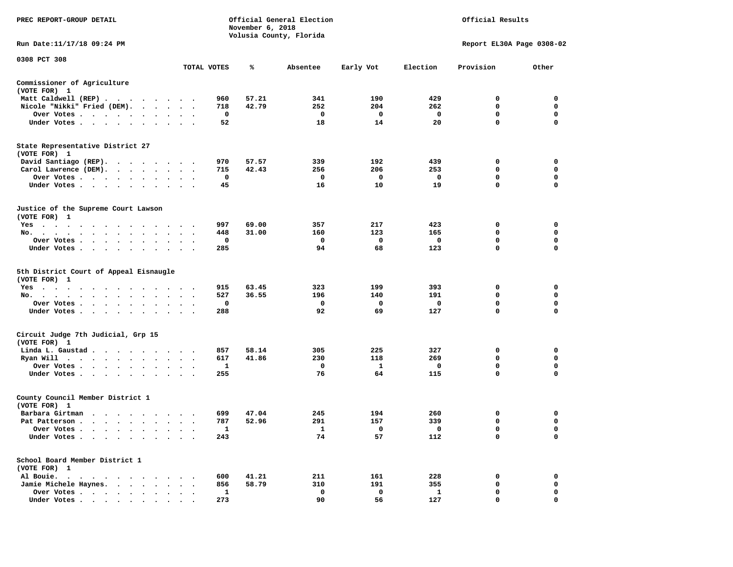| PREC REPORT-GROUP DETAIL                                                                                                                                                                                                                                                       |                                   |             | November 6, 2018 | Official General Election<br>Volusia County, Florida | Official Results |              |                           |                  |
|--------------------------------------------------------------------------------------------------------------------------------------------------------------------------------------------------------------------------------------------------------------------------------|-----------------------------------|-------------|------------------|------------------------------------------------------|------------------|--------------|---------------------------|------------------|
| Run Date:11/17/18 09:24 PM                                                                                                                                                                                                                                                     |                                   |             |                  |                                                      |                  |              | Report EL30A Page 0308-02 |                  |
| 0308 PCT 308                                                                                                                                                                                                                                                                   |                                   | TOTAL VOTES | ℁                | Absentee                                             | Early Vot        | Election     | Provision                 | Other            |
| Commissioner of Agriculture                                                                                                                                                                                                                                                    |                                   |             |                  |                                                      |                  |              |                           |                  |
| (VOTE FOR) 1                                                                                                                                                                                                                                                                   |                                   |             |                  |                                                      |                  |              |                           |                  |
| Matt Caldwell (REP)                                                                                                                                                                                                                                                            |                                   | 960         | 57.21            | 341                                                  | 190              | 429          | $\Omega$                  | 0                |
| Nicole "Nikki" Fried (DEM).                                                                                                                                                                                                                                                    |                                   | 718         | 42.79            | 252                                                  | 204              | 262          | 0                         | $\mathbf 0$      |
| Over Votes                                                                                                                                                                                                                                                                     |                                   | 0           |                  | 0                                                    | 0                | $\mathbf{o}$ | 0                         | 0                |
| Under Votes                                                                                                                                                                                                                                                                    |                                   | 52          |                  | 18                                                   | 14               | 20           | $\mathbf 0$               | $\mathbf 0$      |
| State Representative District 27<br>(VOTE FOR) 1                                                                                                                                                                                                                               |                                   |             |                  |                                                      |                  |              |                           |                  |
| David Santiago (REP).                                                                                                                                                                                                                                                          |                                   | 970         | 57.57            | 339                                                  | 192              | 439          | 0                         | 0                |
| Carol Lawrence (DEM).                                                                                                                                                                                                                                                          |                                   | 715         | 42.43            | 256                                                  | 206              | 253          | $\mathbf 0$               | $\mathbf 0$      |
| Over Votes                                                                                                                                                                                                                                                                     |                                   | 0           |                  | 0                                                    | 0                | $\mathbf 0$  | 0                         | $\mathbf 0$      |
| Under Votes<br>$\sim$ $\sim$<br>$\cdot$                                                                                                                                                                                                                                        |                                   | 45          |                  | 16                                                   | 10               | 19           | 0                         | 0                |
| Justice of the Supreme Court Lawson<br>(VOTE FOR) 1                                                                                                                                                                                                                            |                                   |             |                  |                                                      |                  |              |                           |                  |
| $Yes \cdot \cdot \cdot$<br>$\cdots$<br>$\sim$<br>. The contract of the contract of the contract of the contract of the contract of the contract of the contract of the contract of the contract of the contract of the contract of the contract of the contract of the contrac |                                   | 997         | 69.00            | 357                                                  | 217              | 423          | 0                         | 0                |
| No.                                                                                                                                                                                                                                                                            |                                   | 448         | 31.00            | 160                                                  | 123              | 165          | 0                         | 0                |
| Over Votes<br>$\bullet$<br>$\ddot{\phantom{0}}$<br>$\bullet$                                                                                                                                                                                                                   | $\cdot$<br>$\cdot$                | 0           |                  | 0                                                    | 0                | 0            | $\mathbf 0$               | $\mathbf 0$      |
| Under Votes                                                                                                                                                                                                                                                                    |                                   | 285         |                  | 94                                                   | 68               | 123          | 0                         | $\mathbf 0$      |
| 5th District Court of Appeal Eisnaugle<br>(VOTE FOR) 1                                                                                                                                                                                                                         |                                   |             |                  |                                                      |                  |              |                           |                  |
| Yes                                                                                                                                                                                                                                                                            |                                   | 915         | 63.45            | 323                                                  | 199              | 393          | 0                         | $\mathbf 0$      |
| No.<br>$\cdot$ $\cdot$ $\cdot$ $\cdot$ $\cdot$ $\cdot$<br>$\sim$<br>$\cdot$                                                                                                                                                                                                    |                                   | 527         | 36.55            | 196                                                  | 140              | 191          | 0<br>0                    | $\mathbf 0$<br>0 |
| Over Votes                                                                                                                                                                                                                                                                     |                                   | 0           |                  | 0<br>92                                              | 0                | 0<br>127     | 0                         | $\mathbf 0$      |
| Under Votes<br>$\ddot{\phantom{0}}$                                                                                                                                                                                                                                            | $\cdot$ $\cdot$ $\cdot$           | 288         |                  |                                                      | 69               |              |                           |                  |
| Circuit Judge 7th Judicial, Grp 15<br>(VOTE FOR) 1                                                                                                                                                                                                                             |                                   |             |                  |                                                      |                  |              |                           |                  |
| Linda L. Gaustad                                                                                                                                                                                                                                                               |                                   | 857         | 58.14            | 305                                                  | 225              | 327          | 0                         | 0                |
| Ryan Will $\cdots$ , $\cdots$ , $\cdots$ , $\cdots$                                                                                                                                                                                                                            |                                   | 617         | 41.86            | 230                                                  | 118              | 269          | 0                         | $\mathbf 0$      |
| Over Votes<br>$\ddot{\phantom{a}}$<br>$\blacksquare$                                                                                                                                                                                                                           |                                   | 1           |                  | 0                                                    | 1                | 0            | 0                         | 0                |
| Under Votes<br>$\ddot{\phantom{0}}$                                                                                                                                                                                                                                            |                                   | 255         |                  | 76                                                   | 64               | 115          | $\mathbf 0$               | $\Omega$         |
| County Council Member District 1<br>(VOTE FOR) 1                                                                                                                                                                                                                               |                                   |             |                  |                                                      |                  |              |                           |                  |
| Barbara Girtman                                                                                                                                                                                                                                                                |                                   | 699         | 47.04            | 245                                                  | 194              | 260          | 0                         | 0                |
| Pat Patterson<br>$\mathbf{r} = \mathbf{r} + \mathbf{r}$ .<br>$\sim$<br>$\ddot{\phantom{a}}$                                                                                                                                                                                    | $\bullet$<br>$\ddot{\phantom{0}}$ | 787         | 52.96            | 291                                                  | 157              | 339          | 0                         | $\mathbf 0$      |
| Over Votes<br>$\sim$                                                                                                                                                                                                                                                           | $\cdot$                           | 1           |                  | 1                                                    | 0                | $\mathbf{o}$ | 0                         | $\mathbf 0$      |
| Under Votes<br>$\bullet$<br>$\ddot{\phantom{1}}$                                                                                                                                                                                                                               |                                   | 243         |                  | 74                                                   | 57               | 112          | 0                         | $\mathbf 0$      |
| School Board Member District 1<br>(VOTE FOR) 1                                                                                                                                                                                                                                 |                                   |             |                  |                                                      |                  |              |                           |                  |
| Al Bouie.<br>$\cdot$<br>. The contract of the contract of the contract of the contract of the contract of the contract of the contract of the contract of the contract of the contract of the contract of the contract of the contract of the contrac                          |                                   | 600         | 41.21            | 211                                                  | 161              | 228          | 0                         | 0                |
| Jamie Michele Haynes.                                                                                                                                                                                                                                                          | $\cdot$ $\cdot$ $\cdot$           | 856         | 58.79            | 310                                                  | 191              | 355          | 0                         | 0                |
| Over Votes<br>$\bullet$<br>$\ddot{\phantom{a}}$                                                                                                                                                                                                                                | $\cdot$                           | 1           |                  | $\mathbf 0$                                          | $\mathbf 0$      | $\mathbf{1}$ | $\mathbf 0$               | $\mathbf 0$      |
| Under Votes, $\cdot$ , $\cdot$ , $\cdot$ , $\cdot$ , $\cdot$ , $\cdot$                                                                                                                                                                                                         |                                   | 273         |                  | 90                                                   | 56               | 127          | $\Omega$                  | $\Omega$         |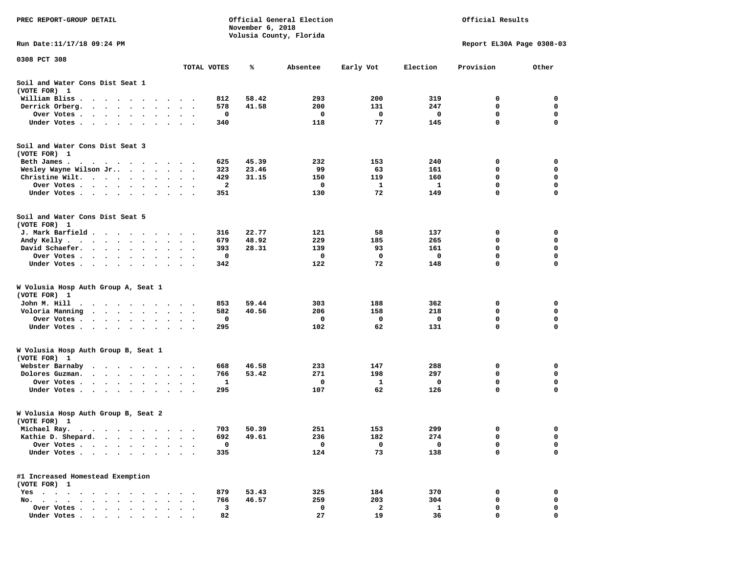| PREC REPORT-GROUP DETAIL                                                                                                               |           |                            | November 6, 2018 | Official General Election<br>Volusia County, Florida |          | Official Results |                           |                  |                  |
|----------------------------------------------------------------------------------------------------------------------------------------|-----------|----------------------------|------------------|------------------------------------------------------|----------|------------------|---------------------------|------------------|------------------|
| Run Date: 11/17/18 09:24 PM                                                                                                            |           |                            |                  |                                                      |          |                  | Report EL30A Page 0308-03 |                  |                  |
| 0308 PCT 308                                                                                                                           |           |                            | TOTAL VOTES      | ℁                                                    | Absentee | Early Vot        | Election                  | Provision        | Other            |
| Soil and Water Cons Dist Seat 1                                                                                                        |           |                            |                  |                                                      |          |                  |                           |                  |                  |
| (VOTE FOR) 1<br>William Bliss.                                                                                                         |           |                            | 812              | 58.42                                                | 293      | 200              | 319                       | 0                | 0                |
| $\ddot{\phantom{1}}$<br>$\cdot$<br>$\ddot{\phantom{0}}$<br>$\ddot{\phantom{1}}$<br>Derrick Orberg.<br>$\ddotsc$<br>$\sim$<br>$\bullet$ |           |                            | 578              | 41.58                                                | 200      | 131              | 247                       | 0                | 0                |
| Over Votes .<br>$\sim$ $\sim$<br>$\bullet$                                                                                             | $\bullet$ | $\cdot$                    | 0                |                                                      | 0        | 0                | 0                         | 0                | 0                |
| Under Votes<br>$\ddot{\phantom{1}}$                                                                                                    |           |                            | 340              |                                                      | 118      | 77               | 145                       | 0                | 0                |
| Soil and Water Cons Dist Seat 3<br>(VOTE FOR) 1                                                                                        |           |                            |                  |                                                      |          |                  |                           |                  |                  |
| Beth James.                                                                                                                            | $\sim$    |                            | 625              | 45.39                                                | 232      | 153              | 240                       | 0                | 0                |
| Wesley Wayne Wilson Jr                                                                                                                 | $\bullet$ | $\bullet$<br>$\bullet$     | 323              | 23.46                                                | 99       | 63               | 161                       | 0                | 0                |
| Christine Wilt.<br>$\bullet$<br>$\bullet$<br>$\cdot$                                                                                   |           | $\bullet$                  | 429<br>2         | 31.15                                                | 150<br>0 | 119<br>1         | 160<br>1                  | 0<br>$\mathbf 0$ | 0<br>$\mathbf 0$ |
| Over Votes<br>$\bullet$ .<br>$\bullet$<br>$\bullet$<br>Under Votes<br>$\ddot{\phantom{1}}$                                             | $\bullet$ | $\bullet$<br>$\sim$ $\sim$ | 351              |                                                      | 130      | 72               | 149                       | 0                | 0                |
| Soil and Water Cons Dist Seat 5<br>(VOTE FOR) 1                                                                                        |           |                            |                  |                                                      |          |                  |                           |                  |                  |
| J. Mark Barfield                                                                                                                       | $\bullet$ | $\cdot$                    | 316              | 22.77                                                | 121      | 58               | 137                       | 0                | 0                |
| Andy Kelly<br>$\bullet$                                                                                                                |           |                            | 679              | 48.92                                                | 229      | 185              | 265                       | 0                | 0                |
| David Schaefer.<br>$\sim$ $\sim$ $\sim$ $\sim$ $\sim$<br>$\bullet$<br>$\bullet$<br>$\bullet$                                           | $\bullet$ |                            | 393              | 28.31                                                | 139      | 93               | 161                       | 0                | 0                |
| Over Votes.<br>$\sim$ $\sim$ $\sim$ $\sim$ $\sim$ $\sim$<br>$\ddot{\phantom{1}}$                                                       |           |                            | 0                |                                                      | 0        | 0                | $\mathbf 0$               | 0                | 0                |
| Under Votes<br>$\ddot{\phantom{0}}$<br>$\bullet$                                                                                       | $\bullet$ | $\ddot{\phantom{1}}$       | 342              |                                                      | 122      | 72               | 148                       | 0                | 0                |
| W Volusia Hosp Auth Group A, Seat 1<br>(VOTE FOR) 1                                                                                    |           |                            |                  |                                                      |          |                  |                           |                  |                  |
| John M. Hill                                                                                                                           |           |                            | 853              | 59.44                                                | 303      | 188              | 362                       | 0                | 0                |
| Voloria Manning<br>$\ddot{\phantom{1}}$<br>$\sim$<br>$\bullet$                                                                         |           |                            | 582              | 40.56                                                | 206      | 158              | 218                       | 0                | 0                |
| Over Votes .<br>$\bullet$ . $\bullet$ .<br>$\sim$ $\sim$<br>$\bullet$<br>$\bullet$                                                     | $\bullet$ | $\bullet$                  | 0                |                                                      | 0        | 0                | 0                         | 0                | $\mathbf 0$      |
| Under Votes<br>$\cdot$                                                                                                                 | $\sim$    | $\sim$ $\sim$              | 295              |                                                      | 102      | 62               | 131                       | $\mathbf 0$      | $\mathbf 0$      |
| W Volusia Hosp Auth Group B, Seat 1<br>(VOTE FOR) 1                                                                                    |           |                            |                  |                                                      |          |                  |                           |                  |                  |
| Webster Barnaby<br>$\sim$<br>$\sim$ $\sim$ $\sim$<br>$\bullet$<br>$\cdot$ $\cdot$<br>$\bullet$                                         | $\bullet$ | $\bullet$                  | 668              | 46.58                                                | 233      | 147              | 288                       | 0                | 0                |
| Dolores Guzman.<br>$\cdot$ $\cdot$ $\cdot$ $\cdot$<br>$\ddot{\phantom{0}}$<br>$\cdot$                                                  |           |                            | 766              | 53.42                                                | 271      | 198              | 297                       | 0                | 0                |
| Over Votes .<br>$\blacksquare$ .<br>$\cdot$<br>$\bullet$<br>$\bullet$<br>Under Votes<br>$\bullet$                                      |           |                            | 1<br>295         |                                                      | 0<br>107 | 1<br>62          | 0<br>126                  | 0<br>$\mathbf 0$ | 0<br>0           |
| W Volusia Hosp Auth Group B, Seat 2<br>(VOTE FOR)<br>$\mathbf{1}$                                                                      |           |                            |                  |                                                      |          |                  |                           |                  |                  |
| Michael Ray.<br>.                                                                                                                      |           |                            | 703              | 50.39                                                | 251      | 153              | 299                       | 0                | 0                |
| Kathie D. Shepard.<br>$\bullet$<br>$\bullet$                                                                                           |           |                            | 692              | 49.61                                                | 236      | 182              | 274                       | 0                | 0                |
| Over Votes .<br>$\cdot$<br>$\bullet$<br>$\bullet$<br>$\bullet$                                                                         |           |                            | 0                |                                                      | 0        | 0                | $\mathbf 0$               | 0                | 0                |
| Under Votes<br>$\ddot{\phantom{0}}$<br>$\bullet$ .<br>$\bullet$<br>$\blacksquare$<br>$\bullet$                                         |           |                            | 335              |                                                      | 124      | 73               | 138                       | 0                | 0                |
| #1 Increased Homestead Exemption<br>(VOTE FOR) 1                                                                                       |           |                            |                  |                                                      |          |                  |                           |                  |                  |
| $Yes \cdot \cdot \cdot$<br>$\sim$ $\sim$ $\sim$ $\sim$<br>$\ddot{\phantom{1}}$<br>$\cdot$<br>$\cdot$                                   |           |                            | 879              | 53.43                                                | 325      | 184              | 370                       | 0                | 0                |
| No.<br>$\ddot{\phantom{a}}$<br>$\cdot$<br>$\ddot{\phantom{a}}$<br>$\ddot{\phantom{a}}$                                                 |           |                            | 766              | 46.57                                                | 259      | 203              | 304                       | 0                | 0                |
| Over Votes<br>$\cdot$                                                                                                                  |           |                            | 3                |                                                      | 0        | $\mathbf{2}$     | 1                         | 0                | 0                |
| Under Votes                                                                                                                            |           |                            | 82               |                                                      | 27       | 19               | 36                        | $\Omega$         | $\Omega$         |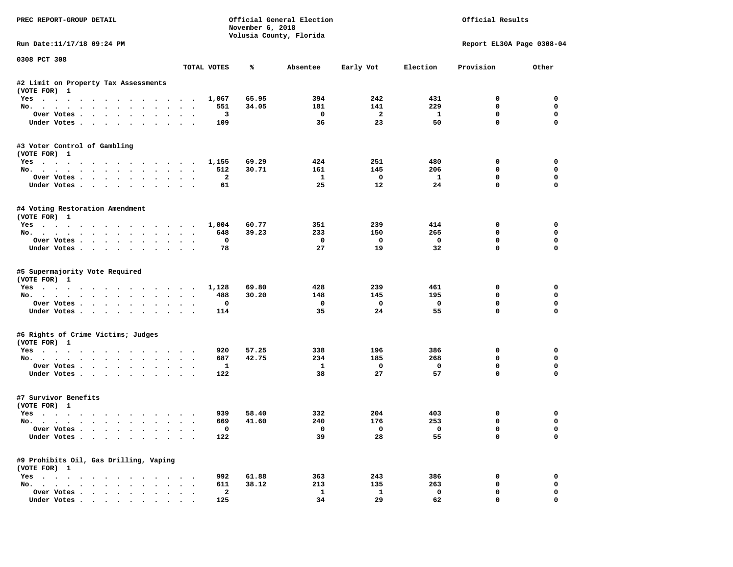| PREC REPORT-GROUP DETAIL                               |                      | November 6, 2018 | Official General Election<br>Volusia County, Florida |                          | Official Results         |                         |                           |                  |
|--------------------------------------------------------|----------------------|------------------|------------------------------------------------------|--------------------------|--------------------------|-------------------------|---------------------------|------------------|
| Run Date:11/17/18 09:24 PM                             |                      |                  |                                                      |                          |                          |                         | Report EL30A Page 0308-04 |                  |
| 0308 PCT 308                                           |                      | TOTAL VOTES      | ℁                                                    | Absentee                 | Early Vot                | Election                | Provision                 | Other            |
| #2 Limit on Property Tax Assessments                   |                      |                  |                                                      |                          |                          |                         |                           |                  |
| (VOTE FOR) 1                                           |                      |                  |                                                      |                          |                          |                         |                           |                  |
| Yes                                                    |                      | 1,067            | 65.95                                                | 394                      | 242                      | 431                     | $^{\circ}$                | $\Omega$         |
| No.                                                    |                      | 551              | 34.05                                                | 181                      | 141                      | 229                     | 0                         | $\mathbf 0$      |
| Over Votes                                             |                      | 3                |                                                      | $\overline{\phantom{0}}$ | $\overline{\mathbf{2}}$  | $\mathbf{1}$            | 0                         | $\mathbf 0$      |
| Under Votes                                            |                      | 109              |                                                      | 36                       | 23                       | 50                      | $\mathbf 0$               | $\mathbf 0$      |
| #3 Voter Control of Gambling<br>(VOTE FOR) 1           |                      |                  |                                                      |                          |                          |                         |                           |                  |
| Yes 1,155                                              |                      |                  | 69.29                                                | 424                      | 251                      | 480                     | 0                         | 0                |
| No.                                                    |                      | 512              | 30.71                                                | 161                      | 145                      | 206                     | $\mathbf 0$               | 0                |
| Over Votes                                             |                      | $\overline{a}$   |                                                      | $\mathbf{1}$             | $\overline{\phantom{0}}$ | $\mathbf{1}$            | $\mathbf 0$               | 0                |
| Under Votes                                            |                      | 61               |                                                      | 25                       | 12                       | 24                      | $\mathbf 0$               | 0                |
| #4 Voting Restoration Amendment<br>(VOTE FOR) 1        |                      |                  |                                                      |                          |                          |                         |                           |                  |
| Yes 1,004                                              |                      |                  | 60.77                                                | 351                      | 239                      | 414                     | 0                         | 0                |
| No.                                                    |                      | 648              | 39.23                                                | 233                      | 150                      | 265                     | 0                         | $\mathbf 0$      |
| Over Votes.                                            |                      | $\mathbf{o}$     |                                                      | $\mathbf{o}$             | $\overline{\mathbf{0}}$  | $\mathbf{o}$            | $\mathbf 0$               | $\mathbf 0$      |
| Under Votes                                            |                      | 78               |                                                      | 27                       | 19                       | 32                      | $\Omega$                  | $\Omega$         |
| #5 Supermajority Vote Required<br>(VOTE FOR) 1<br>Yes  |                      | 1,128            | 69.80                                                | 428                      | 239                      | 461                     | 0                         | 0                |
| No.                                                    |                      | 488              | 30.20                                                | 148                      | 145                      | 195                     | 0                         | 0                |
| Over Votes                                             |                      | $\mathbf 0$      |                                                      | $\mathbf{o}$             | $\mathbf{o}$             | $\mathbf 0$             | $\mathbf 0$               | 0                |
| Under Votes                                            |                      | 114              |                                                      | 35                       | 24                       | 55                      | $\mathbf 0$               | $\Omega$         |
| #6 Rights of Crime Victims; Judges                     |                      |                  |                                                      |                          |                          |                         |                           |                  |
| (VOTE FOR) 1                                           |                      |                  |                                                      | 338                      | 196                      | 386                     |                           |                  |
| Yes<br>No.                                             |                      | 920<br>687       | 57.25<br>42.75                                       | 234                      | 185                      | 268                     | 0<br>$\Omega$             | 0<br>$\mathbf 0$ |
| Over Votes                                             |                      | $\mathbf{1}$     |                                                      | $\mathbf{1}$             | $\overline{\mathbf{0}}$  | $\mathbf 0$             | 0                         | 0                |
| Under Votes                                            |                      | 122              |                                                      | 38                       | 27                       | 57                      | $\mathbf{0}$              | $\Omega$         |
| #7 Survivor Benefits<br>(VOTE FOR) 1                   |                      |                  |                                                      |                          |                          |                         |                           |                  |
| Yes                                                    |                      | 939              | 58.40                                                | 332                      | 204                      | 403                     | 0                         | 0                |
| No.                                                    |                      | 669              | 41.60                                                | 240                      | 176                      | 253                     | $\mathbf 0$               | 0                |
| Over Votes                                             |                      | $\mathbf 0$      |                                                      | $\overline{\mathbf{0}}$  | $\overline{0}$           | $\overline{\mathbf{0}}$ | $\mathbf 0$               | $\Omega$         |
| Under Votes                                            |                      | 122              |                                                      | 39                       | 28                       | 55                      | $\mathbf 0$               | $\Omega$         |
| #9 Prohibits Oil, Gas Drilling, Vaping<br>(VOTE FOR) 1 |                      |                  |                                                      |                          |                          |                         |                           |                  |
| Yes                                                    |                      | 992              | 61.88                                                | 363                      | 243                      | 386                     | 0                         | 0                |
| No.                                                    | $\sim$ $\sim$ $\sim$ | 611              | 38.12                                                | 213                      | 135                      | 263                     | $\mathbf 0$               | 0                |
| Over Votes                                             | $\ddot{\phantom{0}}$ | $\mathbf{2}$     |                                                      | $\mathbf{1}$             | $\mathbf{1}$             | $\mathbf 0$             | $\mathbf 0$               | $\Omega$         |
| Under Votes                                            |                      | 125              |                                                      | 34                       | 29                       | 62                      | $\mathbf{0}$              | 0                |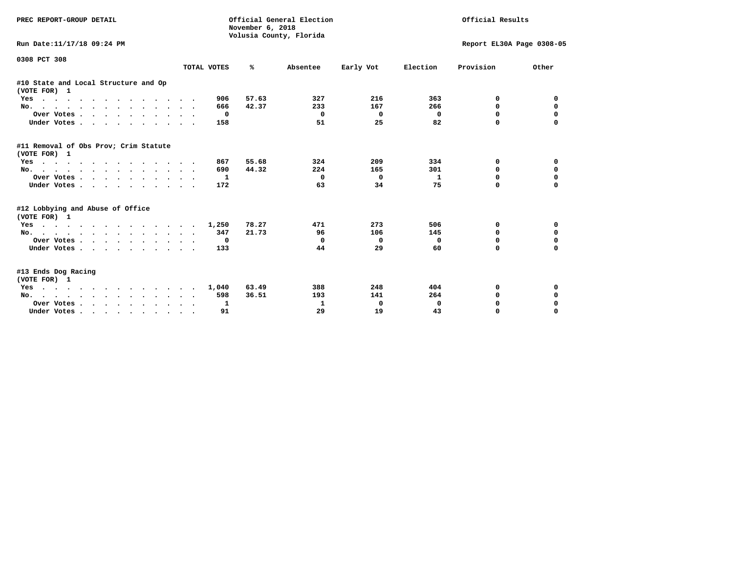| PREC REPORT-GROUP DETAIL                                                                                                                                                                                                                 |              | Official General Election<br>November 6, 2018<br>Volusia County, Florida |          | Official Results |                           |           |             |
|------------------------------------------------------------------------------------------------------------------------------------------------------------------------------------------------------------------------------------------|--------------|--------------------------------------------------------------------------|----------|------------------|---------------------------|-----------|-------------|
| Run Date:11/17/18 09:24 PM                                                                                                                                                                                                               |              |                                                                          |          |                  | Report EL30A Page 0308-05 |           |             |
| 0308 PCT 308                                                                                                                                                                                                                             | TOTAL VOTES  | ℁                                                                        | Absentee | Early Vot        | Election                  | Provision | Other       |
| #10 State and Local Structure and Op                                                                                                                                                                                                     |              |                                                                          |          |                  |                           |           |             |
| (VOTE FOR) 1                                                                                                                                                                                                                             |              |                                                                          |          |                  |                           |           |             |
| Yes<br>$\mathbf{r}$ , and a set of the set of the set of the set of the set of the set of the set of the set of the set of the set of the set of the set of the set of the set of the set of the set of the set of the set of the set of | 906          | 57.63                                                                    | 327      | 216              | 363                       | 0         | 0           |
| No.                                                                                                                                                                                                                                      | 666          | 42.37                                                                    | 233      | 167              | 266                       | 0         | 0           |
| Over Votes.                                                                                                                                                                                                                              | 0            |                                                                          | 0        | 0                | 0                         | 0         | $\Omega$    |
| Under Votes.                                                                                                                                                                                                                             | 158          |                                                                          | 51       | 25               | 82                        | $\Omega$  |             |
| #11 Removal of Obs Prov; Crim Statute<br>(VOTE FOR) 1                                                                                                                                                                                    |              |                                                                          |          |                  |                           |           |             |
| Yes                                                                                                                                                                                                                                      | 867          | 55.68                                                                    | 324      | 209              | 334                       | 0         | 0           |
| No.                                                                                                                                                                                                                                      | 690          | 44.32                                                                    | 224      | 165              | 301                       | $\Omega$  | $\mathbf 0$ |
| Over Votes.                                                                                                                                                                                                                              | 1            |                                                                          | 0        | $^{\circ}$       | 1                         | $\Omega$  | $\mathbf 0$ |
| Under Votes                                                                                                                                                                                                                              | 172          |                                                                          | 63       | 34               | 75                        | $\Omega$  | $\Omega$    |
| #12 Lobbying and Abuse of Office<br>(VOTE FOR) 1                                                                                                                                                                                         |              |                                                                          |          |                  |                           |           |             |
| Yes                                                                                                                                                                                                                                      | 1,250        | 78.27                                                                    | 471      | 273              | 506                       | 0         | 0           |
| No.                                                                                                                                                                                                                                      | 347          | 21.73                                                                    | 96       | 106              | 145                       | $\Omega$  | $\mathbf 0$ |
| Over Votes                                                                                                                                                                                                                               | $\mathbf{o}$ |                                                                          | 0        | $\Omega$         | 0                         | 0         | $\mathbf 0$ |
| Under Votes                                                                                                                                                                                                                              | 133          |                                                                          | 44       | 29               | 60                        | $\Omega$  | $\mathbf 0$ |
| #13 Ends Dog Racing<br>(VOTE FOR) 1                                                                                                                                                                                                      |              |                                                                          |          |                  |                           |           |             |
| . The contract of the contract of the contract of the contract of the contract of the contract of the contract of the contract of the contract of the contract of the contract of the contract of the contract of the contrac<br>Yes     | 1,040        | 63.49                                                                    | 388      | 248              | 404                       | 0         | 0           |
| No.                                                                                                                                                                                                                                      | 598          | 36.51                                                                    | 193      | 141              | 264                       | 0         | $\mathbf 0$ |
| Over Votes                                                                                                                                                                                                                               | 1            |                                                                          | 1        | 0                | 0                         | 0         | 0           |
| Under Votes                                                                                                                                                                                                                              | 91           |                                                                          | 29       | 19               | 43                        | $\Omega$  | $\Omega$    |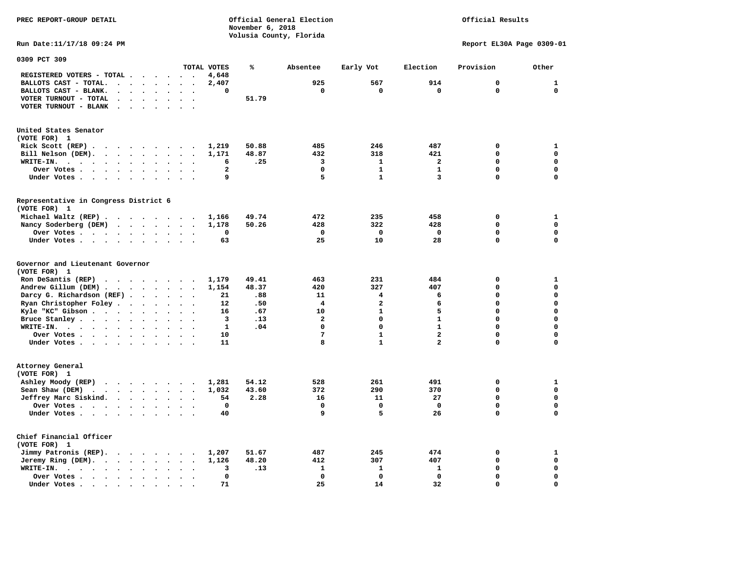**November 6, 2018 Volusia County, Florida Run Date:11/17/18 09:24 PM Report EL30A Page 0309-01 0309 PCT 309 TOTAL VOTES % Absentee Early Vot Election Provision Other REGISTERED VOTERS - TOTAL . . . . . . 4,648 BALLOTS CAST - TOTAL. . . . . . . . 2,407 925 567 914 0 1 BALLOTS CAST - BLANK. . . . . . . . 0 0 0 0 0 0 VOTER TURNOUT - TOTAL . . . . . . . 51.79 VOTER TURNOUT - BLANK . . . . . . . United States Senator (VOTE FOR) 1 Rick Scott (REP) . . . . . . . . . 1,219 50.88 485 246 487 0 1 Bill Nelson (DEM). . . . . . . . . 1,171 48.87 432 318 421 0 0 WRITE-IN. . . . . . . . . . . . 6 .25 3 1 2 0 0 Over Votes . . . . . . . . . . . 2** 0 1 1 0 0 0 **Under Votes . . . . . . . . . . 9** 5 1 3 0 0 **Representative in Congress District 6 (VOTE FOR) 1 Michael Waltz (REP) . . . . . . . . 1,166 49.74 472 235 458 0 1 Nancy Soderberg (DEM) . . . . . . . 1,178 50.26 428 322 428 0 0 Over Votes . . . . . . . . . . 0 0 0 0 0 0**  $\Omega$  **Under Votes . . . . . . . . . . 63 25 10 28 0 0 Governor and Lieutenant Governor (VOTE FOR) 1 Ron DeSantis (REP) . . . . . . . . 1,179 49.41 463 231 484 0 1 Andrew Gillum (DEM) . . . . . . . . 1,154 48.37 420 327 407 0 0 Darcy G. Richardson (REF) . . . . . . 21 .88 11 4 6 0 0 Ryan Christopher Foley . . . . . . . 12 .50 4 2 6 0 0 Kyle "KC" Gibson . . . . . . . . . . 16 .67** 10 **Bruce Stanley . . . . . . . . . . 3 .13** 2 0 1 0 0  **WRITE-IN. . . . . . . . . . . . 1 .04 0 0 1 0 0**  $\mathbf{0}$  **Over Votes . . . . . . . . . . 10 7 1 2 0 0**  $\mathbf{0}$  **Under Votes . . . . . . . . . . 11 8 1 2 3 0 Attorney General (VOTE FOR) 1 Ashley Moody (REP) . . . . . . . . 1,281 54.12 528 261 491 0 1 Sean Shaw (DEM)** . . . . . . . . 1,032 43.60 372 290 370 0 0  **Jeffrey Marc Siskind. . . . . . . . 54 2.28 16 11 27 0 0 Over Votes . . . . . . . . . . 0 0 0 0 0 0**  $\mathbf 0$ **Under Votes . . . . . . . . . . 40** 9 5 26 0 **Chief Financial Officer (VOTE FOR) 1 Jimmy Patronis (REP). . . . . . . . 1,207 51.67 487 245 474 0 1 Jeremy Ring (DEM).** . . . . . . . 1,126 48.20 412 307 407 0 0 0 **WRITE-IN.** . . . . . . . . . . . . 3 .13 1 1 1 1 0 0 0  **Over Votes . . . . . . . . . . 0 0 0 0 0 0**  $\mathbf{o}$  **Under Votes . . . . . . . . . . 71 25 14 32 0 0** 

**PREC REPORT-GROUP DETAIL Official General Election Official Results**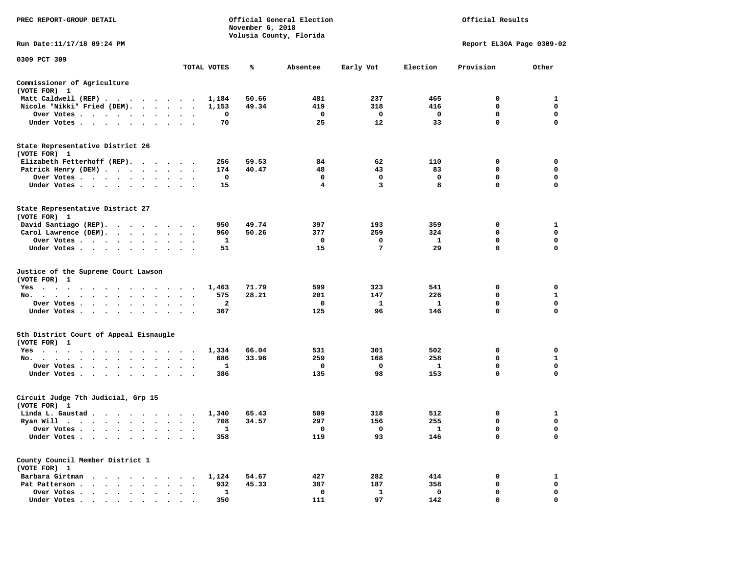| PREC REPORT-GROUP DETAIL                                                                             |                                              |             | November 6, 2018 | Official General Election<br>Volusia County, Florida | Official Results    |                     |                           |                             |
|------------------------------------------------------------------------------------------------------|----------------------------------------------|-------------|------------------|------------------------------------------------------|---------------------|---------------------|---------------------------|-----------------------------|
| Run Date:11/17/18 09:24 PM                                                                           |                                              |             |                  |                                                      |                     |                     | Report EL30A Page 0309-02 |                             |
| 0309 PCT 309                                                                                         |                                              | TOTAL VOTES | ℁                | Absentee                                             | Early Vot           | Election            | Provision                 | Other                       |
| Commissioner of Agriculture                                                                          |                                              |             |                  |                                                      |                     |                     |                           |                             |
| (VOTE FOR) 1                                                                                         |                                              |             |                  |                                                      |                     |                     |                           |                             |
| Matt Caldwell (REP)                                                                                  |                                              | 1,184       | 50.66            | 481                                                  | 237                 | 465                 | $\Omega$                  | 1                           |
| Nicole "Nikki" Fried (DEM).                                                                          |                                              | 1,153       | 49.34            | 419                                                  | 318                 | 416                 | 0                         | $\mathbf 0$                 |
| Over Votes                                                                                           |                                              | 0           |                  | $\mathbf{o}$                                         | 0                   | $\mathbf{o}$        | 0                         | 0                           |
| Under Votes                                                                                          | $\cdot$ $\cdot$ $\cdot$                      | 70          |                  | 25                                                   | 12                  | 33                  | $\mathbf 0$               | $\mathbf 0$                 |
| State Representative District 26<br>(VOTE FOR) 1                                                     |                                              |             |                  |                                                      |                     |                     |                           |                             |
| Elizabeth Fetterhoff (REP).                                                                          |                                              | 256         | 59.53            | 84                                                   | 62                  | 110                 | 0                         | 0                           |
| Patrick Henry (DEM)                                                                                  |                                              | 174         | 40.47            | 48                                                   | 43                  | 83                  | $\mathbf 0$               | $\mathbf 0$                 |
| Over Votes                                                                                           |                                              | 0           |                  | 0                                                    | 0                   | $\mathbf 0$         | 0                         | $\mathbf 0$                 |
| Under Votes                                                                                          |                                              | 15          |                  | 4                                                    | 3                   | 8                   | 0                         | $\Omega$                    |
| State Representative District 27<br>(VOTE FOR) 1                                                     |                                              |             |                  |                                                      |                     |                     |                           |                             |
| David Santiago (REP).                                                                                |                                              | 950         | 49.74            | 397                                                  | 193                 | 359                 | 0                         | 1                           |
| Carol Lawrence (DEM).                                                                                |                                              | 960         | 50.26            | 377                                                  | 259                 | 324                 | 0                         | 0                           |
| Over Votes                                                                                           | $\ddot{\phantom{0}}$<br>$\cdot$              | 1           |                  | $\mathbf 0$                                          | 0                   | $\mathbf{1}$        | $\mathbf 0$               | $\mathbf 0$                 |
| Under Votes                                                                                          |                                              | 51          |                  | 15                                                   | $\overline{7}$      | 29                  | $\mathbf 0$               | $\mathbf 0$                 |
| Justice of the Supreme Court Lawson<br>(VOTE FOR) 1                                                  |                                              |             |                  |                                                      |                     |                     |                           |                             |
| Yes                                                                                                  |                                              | 1,463       | 71.79            | 599                                                  | 323                 | 541                 | 0<br>0                    | $\mathbf 0$<br>$\mathbf{1}$ |
| No.<br>$\cdot$ $\cdot$ $\cdot$ $\cdot$ $\cdot$<br>$\sim$<br>$\sim$<br>$\sim$<br>$\sim$<br>Over Votes | $\sim$                                       | 575<br>2    | 28.21            | 201<br>0                                             | 147<br>$\mathbf{1}$ | 226<br>$\mathbf{1}$ | 0                         | 0                           |
| Under Votes                                                                                          | $\cdot$ $\cdot$ $\cdot$                      | 367         |                  | 125                                                  | 96                  | 146                 | $\mathbf 0$               | $\mathbf 0$                 |
|                                                                                                      |                                              |             |                  |                                                      |                     |                     |                           |                             |
| 5th District Court of Appeal Eisnaugle<br>(VOTE FOR) 1                                               |                                              |             |                  |                                                      |                     |                     |                           |                             |
| Yes                                                                                                  |                                              | 1,334       | 66.04            | 531                                                  | 301                 | 502                 | 0                         | 0                           |
| No.                                                                                                  |                                              | 686         | 33.96            | 259                                                  | 168                 | 258                 | 0<br>0                    | $\mathbf{1}$<br>$\mathbf 0$ |
| Over Votes<br>$\sim$<br>Under Votes<br>$\sim$                                                        | $\cdot$ $\cdot$ $\cdot$                      | 1<br>386    |                  | $\mathbf 0$<br>135                                   | $\mathbf 0$<br>98   | $\mathbf{1}$<br>153 | $\mathbf 0$               | $\Omega$                    |
|                                                                                                      |                                              |             |                  |                                                      |                     |                     |                           |                             |
| Circuit Judge 7th Judicial, Grp 15<br>(VOTE FOR) 1                                                   |                                              |             |                  |                                                      |                     |                     |                           |                             |
| Linda L. Gaustad                                                                                     |                                              | 1,340       | 65.43            | 509                                                  | 318                 | 512                 | 0                         | 1                           |
| Ryan Will $\cdots$ , $\cdots$ , $\cdots$ , $\cdots$                                                  |                                              | 708         | 34.57            | 297                                                  | 156                 | 255                 | 0                         | $\mathbf 0$                 |
| Over Votes<br>Under Votes<br>$\ddot{\phantom{0}}$<br>$\ddot{\phantom{0}}$<br>$\ddot{\phantom{1}}$    |                                              | 1<br>358    |                  | $\mathbf{o}$<br>119                                  | 0<br>93             | $\mathbf{1}$<br>146 | $\mathbf 0$<br>0          | $\mathbf 0$<br>$\mathbf 0$  |
|                                                                                                      |                                              |             |                  |                                                      |                     |                     |                           |                             |
| County Council Member District 1<br>(VOTE FOR) 1                                                     |                                              |             |                  |                                                      |                     |                     |                           |                             |
| Barbara Girtman                                                                                      |                                              | 1,124       | 54.67            | 427                                                  | 282                 | 414                 | 0                         | 1                           |
| Pat Patterson                                                                                        | $\cdot$ $\cdot$ $\cdot$                      | 932         | 45.33            | 387                                                  | 187                 | 358                 | 0                         | 0                           |
| Over Votes<br>$\ddot{\phantom{0}}$<br>$\bullet$                                                      | $\ddot{\phantom{a}}$<br>$\ddot{\phantom{1}}$ | 1<br>350    |                  | 0<br>111                                             | 1<br>97             | 0<br>142            | $\mathbf 0$<br>$\Omega$   | $\mathbf 0$<br>$\mathbf 0$  |
|                                                                                                      |                                              |             |                  |                                                      |                     |                     |                           |                             |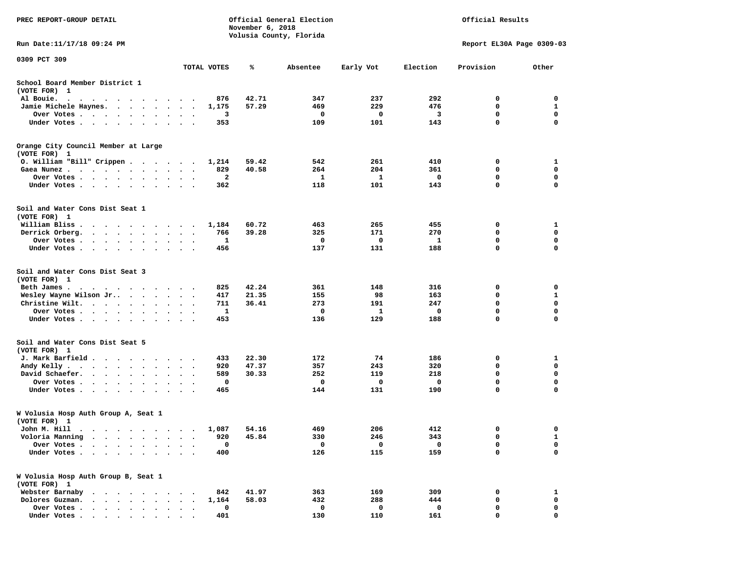| PREC REPORT-GROUP DETAIL                                                                                                                                                                                                                   |                      |             | November 6, 2018 | Official General Election<br>Volusia County, Florida |           | Official Results |                           |                            |  |
|--------------------------------------------------------------------------------------------------------------------------------------------------------------------------------------------------------------------------------------------|----------------------|-------------|------------------|------------------------------------------------------|-----------|------------------|---------------------------|----------------------------|--|
| Run Date: 11/17/18 09:24 PM                                                                                                                                                                                                                |                      |             |                  |                                                      |           |                  | Report EL30A Page 0309-03 |                            |  |
| 0309 PCT 309                                                                                                                                                                                                                               |                      |             |                  |                                                      |           |                  |                           |                            |  |
|                                                                                                                                                                                                                                            |                      | TOTAL VOTES | %ะ               | Absentee                                             | Early Vot | Election         | Provision                 | Other                      |  |
| School Board Member District 1<br>(VOTE FOR) 1                                                                                                                                                                                             |                      |             |                  |                                                      |           |                  |                           |                            |  |
| Al Bouie.<br>. The contract of the contract of the contract of the contract of the contract of the contract of the contract of the contract of the contract of the contract of the contract of the contract of the contract of the contrac |                      | 876         | 42.71            | 347                                                  | 237       | 292              | 0                         | 0                          |  |
| Jamie Michele Haynes.                                                                                                                                                                                                                      | $\ddot{\phantom{1}}$ | 1,175       | 57.29            | 469                                                  | 229       | 476              | 0                         | 1                          |  |
| Over Votes                                                                                                                                                                                                                                 |                      | 3           |                  | 0                                                    | 0         | 3                | $\mathbf 0$               | $\mathbf 0$                |  |
| Under Votes                                                                                                                                                                                                                                |                      | 353         |                  | 109                                                  | 101       | 143              | 0                         | $\mathbf 0$                |  |
| Orange City Council Member at Large<br>(VOTE FOR) 1                                                                                                                                                                                        |                      |             |                  |                                                      |           |                  |                           |                            |  |
| 0. William "Bill" Crippen                                                                                                                                                                                                                  |                      | 1,214       | 59.42            | 542                                                  | 261       | 410              | 0                         | 1                          |  |
| Gaea Nunez                                                                                                                                                                                                                                 |                      | 829         | 40.58            | 264                                                  | 204       | 361              | 0                         | 0                          |  |
| Over Votes                                                                                                                                                                                                                                 | $\cdot$              | 2           |                  | 1                                                    | 1         | 0                | 0                         | 0                          |  |
| Under Votes<br>$\cdot$ $\cdot$                                                                                                                                                                                                             | $\ddot{\phantom{0}}$ | 362         |                  | 118                                                  | 101       | 143              | 0                         | $\mathbf 0$                |  |
| Soil and Water Cons Dist Seat 1<br>(VOTE FOR) 1                                                                                                                                                                                            |                      |             |                  |                                                      |           |                  |                           |                            |  |
| William Bliss.<br>$\cdots$                                                                                                                                                                                                                 |                      | 1,184       | 60.72            | 463                                                  | 265       | 455              | 0                         | 1                          |  |
| Derrick Orberg.                                                                                                                                                                                                                            |                      | 766         | 39.28            | 325                                                  | 171       | 270              | 0                         | $\mathbf 0$                |  |
| Over Votes                                                                                                                                                                                                                                 |                      | 1           |                  | 0                                                    | 0         | 1                | 0                         | $\mathbf 0$                |  |
| Under Votes                                                                                                                                                                                                                                |                      | 456         |                  | 137                                                  | 131       | 188              | 0                         | $\mathbf 0$                |  |
| Soil and Water Cons Dist Seat 3<br>(VOTE FOR) 1                                                                                                                                                                                            |                      |             |                  |                                                      |           |                  |                           |                            |  |
| Beth James.                                                                                                                                                                                                                                |                      | 825         | 42.24            | 361                                                  | 148       | 316              | 0                         | 0                          |  |
| Wesley Wayne Wilson Jr                                                                                                                                                                                                                     |                      | 417         | 21.35            | 155                                                  | 98        | 163              | 0                         | 1                          |  |
| Christine Wilt.                                                                                                                                                                                                                            |                      | 711         | 36.41            | 273                                                  | 191       | 247              | $\mathbf 0$<br>0          | $\mathbf 0$<br>$\mathbf 0$ |  |
| Over Votes<br>$\cdot$ .<br>Under Votes                                                                                                                                                                                                     | $\cdots$             | 1<br>453    |                  | 0<br>136                                             | 1<br>129  | 0<br>188         | 0                         | 0                          |  |
| Soil and Water Cons Dist Seat 5                                                                                                                                                                                                            |                      |             |                  |                                                      |           |                  |                           |                            |  |
| (VOTE FOR) 1                                                                                                                                                                                                                               |                      |             |                  |                                                      |           |                  |                           |                            |  |
| J. Mark Barfield                                                                                                                                                                                                                           |                      | 433         | 22.30            | 172                                                  | 74        | 186              | 0                         | 1                          |  |
| Andy Kelly                                                                                                                                                                                                                                 |                      | 920         | 47.37            | 357                                                  | 243       | 320              | 0                         | 0                          |  |
| David Schaefer.                                                                                                                                                                                                                            |                      | 589         | 30.33            | 252                                                  | 119       | 218              | $\mathbf 0$               | $\mathbf 0$                |  |
| Over Votes<br>$\sim$ $\sim$                                                                                                                                                                                                                | $\bullet$<br>$\cdot$ | 0           |                  | 0                                                    | 0         | 0                | $\mathbf 0$               | $\mathbf 0$                |  |
| Under Votes.                                                                                                                                                                                                                               |                      | 465         |                  | 144                                                  | 131       | 190              | 0                         | $\mathbf 0$                |  |
| W Volusia Hosp Auth Group A, Seat 1<br>(VOTE FOR) 1                                                                                                                                                                                        |                      |             |                  |                                                      |           |                  |                           |                            |  |
| John M. Hill                                                                                                                                                                                                                               |                      |             | 1,087 54.16      | 469                                                  | 206       | 412              | $\sim$                    |                            |  |
| Voloria Manning<br>$\ddot{\phantom{1}}$<br>$\sim$ $\sim$<br>$\sim$<br>$\cdot$ $\cdot$<br>$\sim$                                                                                                                                            | $\bullet$            | 920         | 45.84            | 330                                                  | 246       | 343              | 0                         | 1                          |  |
| Over Votes .<br>$\ddot{\phantom{a}}$<br>$\ddot{\phantom{a}}$<br>$\sim$                                                                                                                                                                     |                      | 0           |                  | 0                                                    | 0         | $\mathbf{o}$     | 0                         | 0                          |  |
| Under Votes.<br>$\cdots$                                                                                                                                                                                                                   |                      | 400         |                  | 126                                                  | 115       | 159              | 0                         | 0                          |  |
| W Volusia Hosp Auth Group B, Seat 1<br>(VOTE FOR) 1                                                                                                                                                                                        |                      |             |                  |                                                      |           |                  |                           |                            |  |
| Webster Barnaby<br>$\cdots$<br>$\ddot{\phantom{a}}$                                                                                                                                                                                        |                      | 842         | 41.97            | 363                                                  | 169       | 309              | 0                         | 1                          |  |
| Dolores Guzman.                                                                                                                                                                                                                            |                      | 1,164       | 58.03            | 432                                                  | 288       | 444              | 0                         | 0                          |  |
| Over Votes .<br>$\cdots$                                                                                                                                                                                                                   |                      | 0           |                  | 0                                                    | 0         | 0                | 0                         | 0                          |  |
| Under Votes                                                                                                                                                                                                                                |                      | 401         |                  | 130                                                  | 110       | 161              | 0                         | 0                          |  |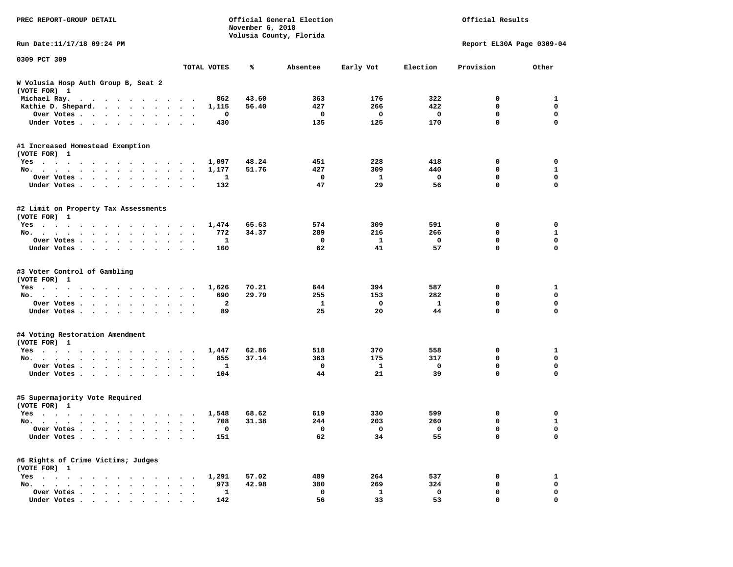| PREC REPORT-GROUP DETAIL                                                                                                                                                                                                             |                      |                | November 6, 2018 | Official General Election<br>Volusia County, Florida |                | Official Results         |                           |              |  |
|--------------------------------------------------------------------------------------------------------------------------------------------------------------------------------------------------------------------------------------|----------------------|----------------|------------------|------------------------------------------------------|----------------|--------------------------|---------------------------|--------------|--|
| Run Date: 11/17/18 09:24 PM                                                                                                                                                                                                          |                      |                |                  |                                                      |                |                          | Report EL30A Page 0309-04 |              |  |
| 0309 PCT 309                                                                                                                                                                                                                         |                      |                |                  |                                                      |                |                          |                           |              |  |
|                                                                                                                                                                                                                                      |                      | TOTAL VOTES    | ℁                | Absentee                                             | Early Vot      | Election                 | Provision                 | Other        |  |
| W Volusia Hosp Auth Group B, Seat 2<br>(VOTE FOR) 1                                                                                                                                                                                  |                      |                |                  |                                                      |                |                          |                           |              |  |
| Michael Ray.                                                                                                                                                                                                                         |                      | 862            | 43.60            | 363                                                  | 176            | 322                      | 0                         | 1            |  |
| Kathie D. Shepard.                                                                                                                                                                                                                   |                      | 1,115          | 56.40            | 427                                                  | 266            | 422                      | 0                         | $\mathbf 0$  |  |
| Over Votes                                                                                                                                                                                                                           |                      | 0              |                  | $\mathbf 0$                                          | 0              | 0                        | $\mathbf 0$               | 0            |  |
| Under Votes                                                                                                                                                                                                                          |                      | 430            |                  | 135                                                  | 125            | 170                      | $\mathbf 0$               | 0            |  |
| #1 Increased Homestead Exemption<br>(VOTE FOR) 1                                                                                                                                                                                     |                      |                |                  |                                                      |                |                          |                           |              |  |
| Yes                                                                                                                                                                                                                                  |                      | 1,097          | 48.24            | 451                                                  | 228            | 418                      | 0                         | 0            |  |
| No.                                                                                                                                                                                                                                  |                      | 1,177          | 51.76            | 427                                                  | 309            | 440                      | 0                         | $\mathbf{1}$ |  |
| Over Votes                                                                                                                                                                                                                           |                      | 1              |                  | $\mathbf 0$                                          | $\mathbf{1}$   | $\mathbf 0$              | $\mathbf 0$               | $\mathbf 0$  |  |
| Under Votes                                                                                                                                                                                                                          |                      | 132            |                  | 47                                                   | 29             | 56                       | $\mathbf 0$               | 0            |  |
| #2 Limit on Property Tax Assessments<br>(VOTE FOR) 1                                                                                                                                                                                 |                      |                |                  |                                                      |                |                          |                           |              |  |
| Yes                                                                                                                                                                                                                                  |                      | 1,474          | 65.63            | 574                                                  | 309            | 591                      | 0                         | 0            |  |
| No.                                                                                                                                                                                                                                  |                      | 772            | 34.37            | 289                                                  | 216            | 266                      | 0                         | 1            |  |
| Over Votes                                                                                                                                                                                                                           |                      | 1              |                  | $\mathbf 0$                                          | 1              | 0                        | $\mathbf 0$               | $\mathbf 0$  |  |
| Under Votes                                                                                                                                                                                                                          |                      | 160            |                  | 62                                                   | 41             | 57                       | $\mathbf 0$               | $\mathbf 0$  |  |
| #3 Voter Control of Gambling<br>(VOTE FOR) 1                                                                                                                                                                                         |                      |                |                  |                                                      |                |                          |                           |              |  |
| Yes                                                                                                                                                                                                                                  |                      | 1,626          | 70.21            | 644                                                  | 394            | 587                      | 0                         | 1            |  |
| No.                                                                                                                                                                                                                                  |                      | 690            | 29.79            | 255                                                  | 153            | 282                      | 0                         | $\mathbf 0$  |  |
| Over Votes                                                                                                                                                                                                                           |                      | $\overline{2}$ |                  | 1                                                    | 0              | $\mathbf{1}$             | 0                         | 0            |  |
| Under Votes                                                                                                                                                                                                                          |                      | 89             |                  | 25                                                   | 20             | 44                       | $\mathbf 0$               | 0            |  |
| #4 Voting Restoration Amendment<br>(VOTE FOR) 1                                                                                                                                                                                      |                      |                |                  |                                                      |                |                          |                           |              |  |
| Yes                                                                                                                                                                                                                                  |                      | 1,447          | 62.86            | 518                                                  | 370            | 558                      | 0                         | 1            |  |
| No.                                                                                                                                                                                                                                  |                      | 855            | 37.14            | 363                                                  | 175            | 317                      | 0                         | 0            |  |
| Over Votes                                                                                                                                                                                                                           | $\ddot{\phantom{0}}$ | 1              |                  | 0                                                    | 1              | 0                        | $\mathbf 0$               | $\mathbf 0$  |  |
| Under Votes                                                                                                                                                                                                                          |                      | 104            |                  | 44                                                   | 21             | 39                       | $\mathbf 0$               | 0            |  |
| #5 Supermajority Vote Required<br>(VOTE FOR) 1                                                                                                                                                                                       |                      |                |                  |                                                      |                |                          |                           |              |  |
| Yes<br>. The contract of the contract of the contract of the contract of the contract of the contract of the contract of the contract of the contract of the contract of the contract of the contract of the contract of the contrac |                      | 1,548          | 68.62            | 619                                                  | 330            | 599                      | 0                         | 0            |  |
| No.                                                                                                                                                                                                                                  | $\ddot{\phantom{1}}$ | 708            | 31.38            | 244                                                  | 203            | 260                      | 0                         | $\mathbf{1}$ |  |
| Over Votes                                                                                                                                                                                                                           |                      | $\Omega$       |                  | $\mathbf 0$                                          | $\overline{0}$ | $\overline{\phantom{0}}$ | $\Omega$                  | $\Omega$     |  |
| Under Votes                                                                                                                                                                                                                          |                      | 151            |                  | 62                                                   | 34             | 55                       | 0                         | 0            |  |
| #6 Rights of Crime Victims; Judges<br>(VOTE FOR) 1                                                                                                                                                                                   |                      |                |                  |                                                      |                |                          |                           |              |  |
| Yes                                                                                                                                                                                                                                  | $\bullet$            | 1,291          | 57.02            | 489                                                  | 264            | 537                      | 0                         | $\mathbf{1}$ |  |
| No.<br>$\ddot{\phantom{0}}$                                                                                                                                                                                                          |                      | 973            | 42.98            | 380                                                  | 269            | 324                      | 0                         | 0            |  |
| Over Votes                                                                                                                                                                                                                           |                      | 1              |                  | 0                                                    | 1              | 0                        | 0                         | 0            |  |
| Under Votes.                                                                                                                                                                                                                         |                      | 142            |                  | 56                                                   | 33             | 53                       | 0                         | 0            |  |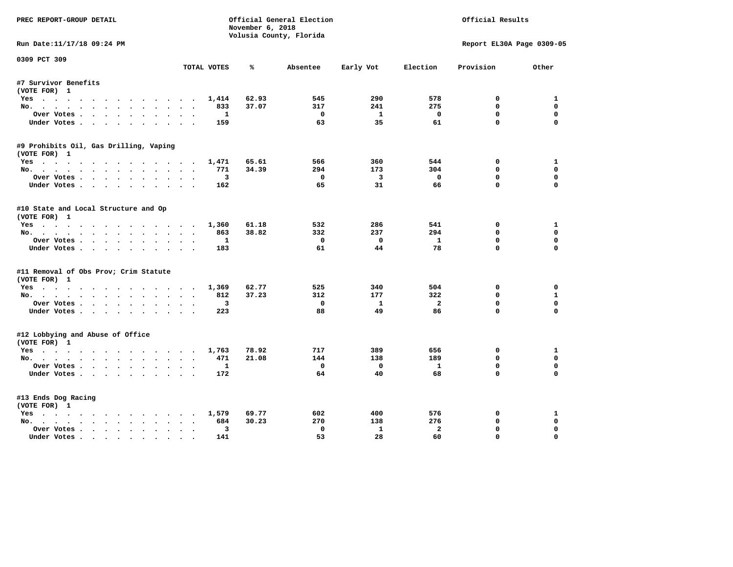| PREC REPORT-GROUP DETAIL               |             | November 6, 2018 | Official General Election |                         | Official Results |                           |              |
|----------------------------------------|-------------|------------------|---------------------------|-------------------------|------------------|---------------------------|--------------|
|                                        |             |                  | Volusia County, Florida   |                         |                  |                           |              |
| Run Date:11/17/18 09:24 PM             |             |                  |                           |                         |                  | Report EL30A Page 0309-05 |              |
| 0309 PCT 309                           | TOTAL VOTES | ℁                | Absentee                  | Early Vot               | Election         | Provision                 | Other        |
| #7 Survivor Benefits                   |             |                  |                           |                         |                  |                           |              |
| (VOTE FOR) 1                           |             |                  |                           |                         |                  |                           |              |
| Yes                                    | 1,414       | 62.93            | 545                       | 290                     | 578              | 0                         | 1            |
| No.                                    |             | 833<br>37.07     | 317                       | 241                     | 275              | $\mathbf{0}$              | 0            |
| Over Votes.                            |             | $\mathbf{1}$     | $^{\circ}$                | $\mathbf{1}$            | $\Omega$         | $\mathbf{0}$              | 0            |
| Under Votes                            |             | 159              | 63                        | 35                      | 61               | $\mathbf 0$               | $\Omega$     |
| #9 Prohibits Oil, Gas Drilling, Vaping |             |                  |                           |                         |                  |                           |              |
| (VOTE FOR) 1                           |             |                  |                           |                         |                  |                           |              |
| Yes                                    | 1,471       | 65.61            | 566                       | 360                     | 544              | 0                         | 1            |
| No.                                    |             | 34.39<br>771     | 294                       | 173                     | 304              | 0                         | $\Omega$     |
| Over Votes                             |             | 3                | 0                         | $\overline{\mathbf{3}}$ | $\mathbf 0$      | $\mathbf 0$               | 0            |
| Under Votes                            |             | 162              | 65                        | 31                      | 66               | $\Omega$                  | $\Omega$     |
| #10 State and Local Structure and Op   |             |                  |                           |                         |                  |                           |              |
| (VOTE FOR) 1                           |             |                  |                           |                         |                  |                           |              |
| Yes                                    | 1,360       | 61.18            | 532                       | 286                     | 541              | $^{\circ}$                | 1            |
| No.                                    |             | 38.82<br>863     | 332                       | 237                     | 294              | 0                         | 0            |
| Over Votes                             |             | 1                | $\mathbf{o}$              | $\mathbf{0}$            | $\mathbf{1}$     | $\mathbf{0}$              | $\Omega$     |
| Under Votes                            |             | 183              | 61                        | 44                      | 78               | $\mathbf 0$               | $\Omega$     |
| #11 Removal of Obs Prov; Crim Statute  |             |                  |                           |                         |                  |                           |              |
| (VOTE FOR) 1                           |             |                  |                           |                         |                  |                           |              |
| Yes                                    | 1,369       | 62.77            | 525                       | 340                     | 504              | 0                         | 0            |
| No.                                    |             | 37.23<br>812     | 312                       | 177                     | 322              | $\Omega$                  | $\mathbf{1}$ |
| Over Votes                             | $\bullet$   | 3                | $\mathbf 0$               | $\mathbf{1}$            | $\overline{a}$   | $\mathbf 0$               | $\mathbf 0$  |
| Under Votes                            |             | 223              | 88                        | 49                      | 86               | $\Omega$                  | $\Omega$     |
| #12 Lobbying and Abuse of Office       |             |                  |                           |                         |                  |                           |              |
| (VOTE FOR) 1                           |             |                  |                           |                         |                  |                           |              |
| Yes                                    | 1,763       | 78.92            | 717                       | 389                     | 656              | $\Omega$                  | $\mathbf{1}$ |
| No.                                    |             | 471<br>21.08     | 144                       | 138                     | 189              | $\mathbf{0}$              | 0            |
| Over Votes                             |             | 1                | $^{\circ}$                | $^{\circ}$              | 1                | $\mathbf{0}$              | $\Omega$     |
| Under Votes                            |             | 172              | 64                        | 40                      | 68               | $\Omega$                  | $\Omega$     |
| #13 Ends Dog Racing                    |             |                  |                           |                         |                  |                           |              |
| (VOTE FOR) 1                           |             |                  |                           |                         |                  |                           |              |
| Yes                                    | 1,579       | 69.77            | 602                       | 400                     | 576              | 0                         | 1            |
| No.                                    |             | 684<br>30.23     | 270                       | 138                     | 276              | $\mathbf{0}$              | 0            |
| Over Votes                             |             | 3                | $\mathbf{0}$              | $\mathbf{1}$            | $\overline{a}$   | 0                         | $\mathbf 0$  |
| Under Votes                            |             | 141              | 53                        | 28                      | 60               | $\mathbf{0}$              | $\Omega$     |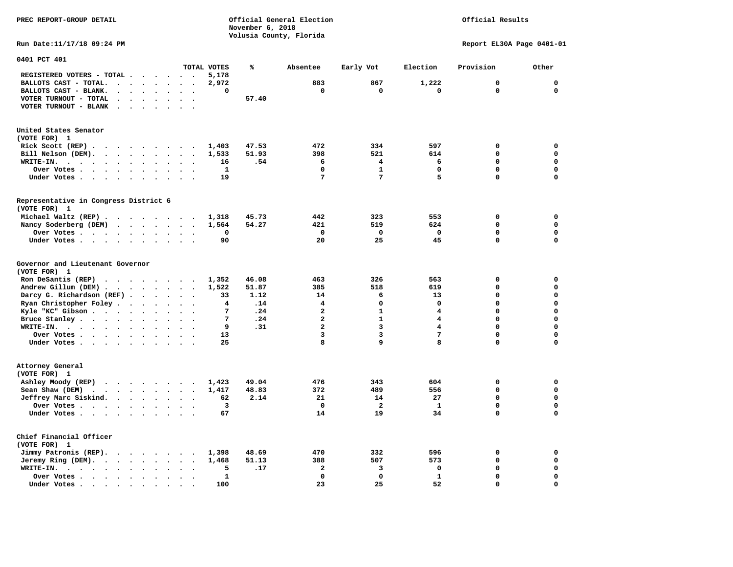**November 6, 2018 Volusia County, Florida Run Date:11/17/18 09:24 PM Report EL30A Page 0401-01 0401 PCT 401 TOTAL VOTES % Absentee Early Vot Election Provision Other REGISTERED VOTERS - TOTAL . . . . . . 5,178 BALLOTS CAST - TOTAL.** . . . . . . 2,972 883 867 1,222 0 0 0  **BALLOTS CAST - BLANK. . . . . . . . 0 0 0 0 0 0 VOTER TURNOUT - TOTAL . . . . . . .** 57.40  **VOTER TURNOUT - BLANK . . . . . . . United States Senator (VOTE FOR) 1 Rick Scott (REP) . . . . . . . . . 1,403 47.53 472 334 597 0 0 Bill Nelson (DEM). . . . . . . . . 1,533 51.93 398 521 614 0 0 WRITE-IN. . . . . . . . . . . . 16 .54 6 4 6 0 0 Over Votes . . . . . . . . . . 1 0 1 0 0 0 Under Votes . . . . . . . . . . 19 7 7 5 0 0 Representative in Congress District 6 (VOTE FOR) 1 Michael Waltz (REP) . . . . . . . . 1,318 45.73 442 323 553 0 0 Nancy Soderberg (DEM) . . . . . . . 1,564 54.27 421 519 624 0 0 Over Votes . . . . . . . . . . 0 0 0 0 0 0**  $\Omega$ **Under Votes . . . . . . . . . . 90 20 25 45 0 Governor and Lieutenant Governor (VOTE FOR) 1 Ron DeSantis (REP) . . . . . . . . 1,352 46.08 463 326 563 0 0 Andrew Gillum (DEM) . . . . . . . . 1,522 51.87 385 518 619 0 0 Darcy G. Richardson (REF) . . . . . 33 1.12 14 6 13 0 0**<br>**Ryan Christopher Foley** . . . . . . 4 14 4 0 0 0 0 0  **Ryan Christopher Foley . . . . . . . 4 .14 4 0 0 0 0 Kyle "KC" Gibson . . . . . . . . . . 7 . 24 2 1 2 1 4 Bruce Stanley . . . . . . . . . . 7 .24** 2 1 4 0 0  **WRITE-IN. . . . . . . . . . . . 9 .31 2 3 4 0 0**  $\mathbf{0}$ **Over Votes . . . . . . . . . . 13** 3 3 7 0  $\mathbf{0}$ **Under Votes . . . . . . . . . . 25** 8 9 8 0 **Attorney General (VOTE FOR) 1 Ashley Moody (REP) . . . . . . . . 1,423 49.04 476 343 604 0 0 Sean Shaw (DEM) . . . . . . . . . 1,417 48.83 372 489 556 0 0 Jeffrey Marc Siskind. . . . . . . . 62 2.14 21 14 27 0 0 Over Votes . . . . . . . . . . . 3** 0 2 1  $\mathbf 0$  **Under Votes . . . . . . . . . . 67** 14 19 34 0 **Chief Financial Officer (VOTE FOR) 1 Jimmy Patronis (REP). . . . . . . . 1,398 48.69 470 332 596 0 0 Jeremy Ring (DEM).** . . . . . . . 1,468 51.13 388 507 573 0 0 0  **WRITE-IN. . . . . . . . . . . . 5 .17 2 3 0 0 0 Over Votes . . . . . . . . . . 1 0 0 1 0 0**  $\mathbf{o}$  **Under Votes . . . . . . . . . . 100 23** 25 52 0

**PREC REPORT-GROUP DETAIL Official General Election Official Results**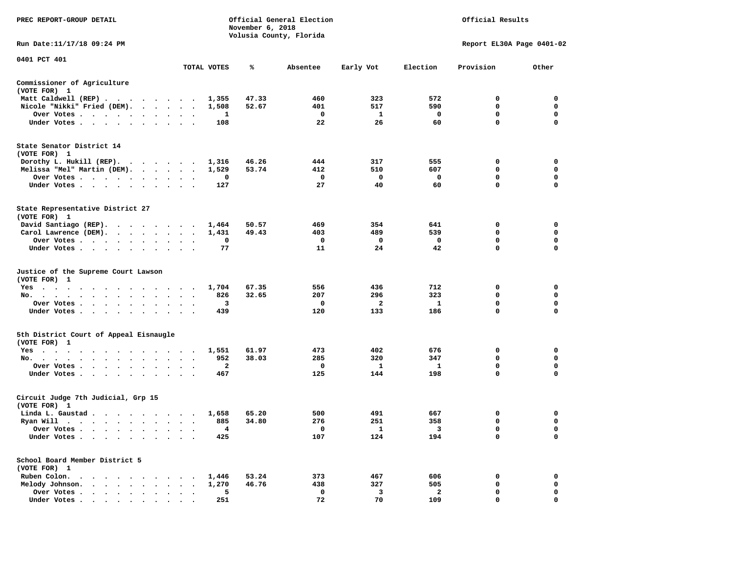| PREC REPORT-GROUP DETAIL                                                                                                                                                                                                                      |                                                             |                | November 6, 2018 | Official General Election<br>Volusia County, Florida | Official Results        |                |              |                           |
|-----------------------------------------------------------------------------------------------------------------------------------------------------------------------------------------------------------------------------------------------|-------------------------------------------------------------|----------------|------------------|------------------------------------------------------|-------------------------|----------------|--------------|---------------------------|
| Run Date: 11/17/18 09:24 PM                                                                                                                                                                                                                   |                                                             |                |                  |                                                      |                         |                |              | Report EL30A Page 0401-02 |
| 0401 PCT 401                                                                                                                                                                                                                                  |                                                             | TOTAL VOTES    | ℁                | Absentee                                             | Early Vot               | Election       | Provision    | Other                     |
| Commissioner of Agriculture                                                                                                                                                                                                                   |                                                             |                |                  |                                                      |                         |                |              |                           |
| (VOTE FOR) 1                                                                                                                                                                                                                                  |                                                             |                |                  |                                                      |                         |                |              |                           |
| Matt Caldwell (REP)                                                                                                                                                                                                                           |                                                             | 1,355          | 47.33            | 460                                                  | 323                     | 572            | $\mathbf{0}$ | $\mathbf 0$               |
| Nicole "Nikki" Fried (DEM).                                                                                                                                                                                                                   |                                                             | 1,508          | 52.67            | 401                                                  | 517                     | 590            | 0            | 0                         |
| Over Votes                                                                                                                                                                                                                                    |                                                             | 1              |                  | $\mathbf 0$                                          | $\mathbf{1}$            | $\mathbf 0$    | 0            | 0                         |
| Under Votes                                                                                                                                                                                                                                   |                                                             | 108            |                  | 22                                                   | -26                     | 60             | $\mathbf 0$  | $\mathbf 0$               |
| State Senator District 14<br>(VOTE FOR) 1                                                                                                                                                                                                     |                                                             |                |                  |                                                      |                         |                |              |                           |
| Dorothy L. Hukill (REP).                                                                                                                                                                                                                      |                                                             | 1,316          | 46.26            | 444                                                  | 317                     | 555            | 0            | 0                         |
| Melissa "Mel" Martin (DEM).                                                                                                                                                                                                                   |                                                             | 1,529          | 53.74            | 412                                                  | 510                     | 607            | $\mathbf 0$  | $\mathbf 0$               |
| Over Votes                                                                                                                                                                                                                                    |                                                             | 0              |                  | $\mathbf{o}$                                         | $\mathbf 0$             | $\mathbf 0$    | $\mathbf 0$  | $\mathbf 0$               |
| Under Votes                                                                                                                                                                                                                                   | $\sim$ $\sim$                                               | 127            |                  | 27                                                   | 40                      | 60             | $\mathbf 0$  | $\mathbf 0$               |
| State Representative District 27<br>(VOTE FOR) 1                                                                                                                                                                                              |                                                             |                |                  |                                                      |                         |                |              |                           |
| David Santiago (REP).                                                                                                                                                                                                                         |                                                             | 1,464          | 50.57            | 469                                                  | 354                     | 641            | $\mathbf 0$  | $\mathbf 0$               |
| Carol Lawrence (DEM).                                                                                                                                                                                                                         |                                                             | 1,431          | 49.43            | 403                                                  | 489                     | 539            | $\mathbf 0$  | $\mathbf 0$               |
| Over Votes                                                                                                                                                                                                                                    | $\bullet$<br>$\ddot{\phantom{1}}$<br>$\Delta$               | 0              |                  | 0                                                    | 0                       | $\mathbf 0$    | 0            | 0                         |
| Under Votes                                                                                                                                                                                                                                   |                                                             | 77             |                  | 11                                                   | 24                      | 42             | $\mathbf 0$  | $\mathbf 0$               |
| Justice of the Supreme Court Lawson<br>(VOTE FOR) 1                                                                                                                                                                                           |                                                             |                |                  |                                                      |                         |                |              |                           |
| $Yes \t . \t .$<br>the contract of the contract of the contract of the contract of the contract of the contract of the contract of                                                                                                            |                                                             | 1,704          | 67.35            | 556                                                  | 436                     | 712            | 0            | 0                         |
| No.<br>$\cdot$ $\cdot$ $\cdot$                                                                                                                                                                                                                | $\cdot$                                                     | 826            | 32.65            | 207                                                  | 296                     | 323            | 0            | 0                         |
| Over Votes                                                                                                                                                                                                                                    | $\cdot$<br>$\overline{\phantom{a}}$<br>$\ddot{\phantom{1}}$ | 3              |                  | 0                                                    | 2                       | - 1            | $\mathbf 0$  | 0                         |
| Under Votes                                                                                                                                                                                                                                   | $\cdot$<br>$\cdot$ $\cdot$                                  | 439            |                  | 120                                                  | 133                     | 186            | $\mathbf 0$  | $\Omega$                  |
| 5th District Court of Appeal Eisnaugle<br>(VOTE FOR) 1                                                                                                                                                                                        |                                                             |                |                  |                                                      |                         |                |              |                           |
| Yes                                                                                                                                                                                                                                           |                                                             | 1,551          | 61.97            | 473                                                  | 402                     | 676            | 0            | $\mathbf 0$               |
| No.                                                                                                                                                                                                                                           |                                                             | 952            | 38.03            | 285                                                  | 320                     | 347            | $\mathbf 0$  | $\mathbf 0$               |
| Over Votes<br>$\sim$<br>$\cdot$                                                                                                                                                                                                               |                                                             | $\overline{a}$ |                  | $^{\circ}$                                           | $\mathbf{1}$            | 1              | $\mathbf 0$  | $\mathbf 0$               |
| Under Votes                                                                                                                                                                                                                                   |                                                             | 467            |                  | 125                                                  | 144                     | 198            | $\mathbf 0$  | $\mathbf 0$               |
| Circuit Judge 7th Judicial, Grp 15<br>(VOTE FOR) 1                                                                                                                                                                                            |                                                             |                |                  |                                                      |                         |                |              |                           |
| Linda L. Gaustad                                                                                                                                                                                                                              |                                                             | 1,658          | 65.20            | 500                                                  | 491                     | 667            | 0            | 0                         |
| Ryan Will $\cdots$                                                                                                                                                                                                                            |                                                             | 885            | 34.80            | 276                                                  | 251                     | 358            | 0            | 0                         |
| Over Votes                                                                                                                                                                                                                                    |                                                             | 4              |                  | 0                                                    | $\mathbf{1}$            | $_{3}$         | $\mathbf 0$  | $\mathbf 0$               |
| Under Votes<br>$\ddot{\phantom{1}}$<br>$\cdot$<br>$\bullet$                                                                                                                                                                                   |                                                             | 425            |                  | 107                                                  | 124                     | 194            | $\mathbf 0$  | $\mathbf 0$               |
| School Board Member District 5<br>(VOTE FOR) 1                                                                                                                                                                                                |                                                             |                |                  |                                                      |                         |                |              |                           |
| Ruben Colon.<br>. The contract of the contract of the contract of the contract of the contract of the contract of the contract of the contract of the contract of the contract of the contract of the contract of the contract of the contrac |                                                             | 1,446          | 53.24            | 373                                                  | 467                     | 606            | 0            | $\mathbf 0$               |
| Melody Johnson.                                                                                                                                                                                                                               |                                                             | 1,270          | 46.76            | 438                                                  | 327                     | 505            | 0            | 0                         |
| Over Votes<br>$\bullet$                                                                                                                                                                                                                       | $\cdot$<br>$\cdot$                                          | 5              |                  | $\mathbf 0$                                          | $\overline{\mathbf{3}}$ | $\overline{a}$ | $\mathbf 0$  | $\mathbf 0$               |
| Under Votes                                                                                                                                                                                                                                   |                                                             | 251            |                  | 72                                                   | 70                      | 109            | $\Omega$     | $\Omega$                  |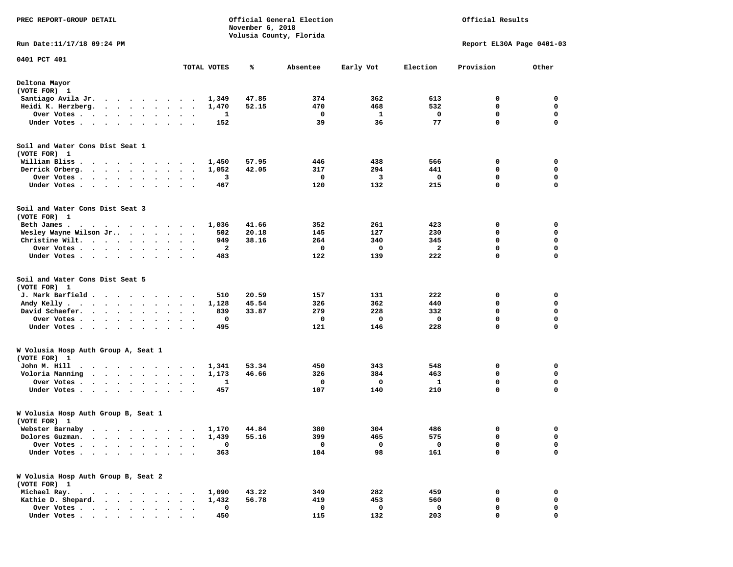| PREC REPORT-GROUP DETAIL                                                                                                |                                              |             | November 6, 2018 | Official General Election |             |              | Official Results          |             |
|-------------------------------------------------------------------------------------------------------------------------|----------------------------------------------|-------------|------------------|---------------------------|-------------|--------------|---------------------------|-------------|
| Run Date: 11/17/18 09:24 PM                                                                                             |                                              |             |                  | Volusia County, Florida   |             |              | Report EL30A Page 0401-03 |             |
| 0401 PCT 401                                                                                                            |                                              |             |                  |                           |             |              |                           |             |
|                                                                                                                         |                                              | TOTAL VOTES | ℁                | Absentee                  | Early Vot   | Election     | Provision                 | Other       |
| Deltona Mayor<br>(VOTE FOR) 1                                                                                           |                                              |             |                  |                           |             |              |                           |             |
| Santiago Avila Jr.                                                                                                      |                                              | 1,349       | 47.85            | 374                       | 362         | 613          | 0                         | 0           |
| Heidi K. Herzberg.                                                                                                      |                                              | 1,470       | 52.15            | 470                       | 468         | 532          | 0                         | $\mathbf 0$ |
| Over Votes                                                                                                              | $\bullet$<br>$\bullet$<br>$\bullet$          | 1           |                  | 0                         | 1           | 0            | 0                         | 0           |
| Under Votes                                                                                                             |                                              | 152         |                  | 39                        | 36          | 77           | $\mathbf 0$               | $\mathbf 0$ |
| Soil and Water Cons Dist Seat 1<br>(VOTE FOR) 1                                                                         |                                              |             |                  |                           |             |              |                           |             |
| William Bliss.<br>$\ddot{\phantom{0}}$<br>.                                                                             |                                              | 1,450       | 57.95            | 446                       | 438         | 566          | 0                         | 0           |
| Derrick Orberg.                                                                                                         | $\bullet$ .<br>$\bullet$<br>$\blacksquare$ . | 1,052       | 42.05            | 317                       | 294         | 441          | 0                         | 0           |
| Over Votes                                                                                                              | $\cdot$                                      | 3           |                  | 0                         | 3           | 0            | 0                         | $\mathbf 0$ |
| Under Votes<br>$\cdot$                                                                                                  | $\cdot$                                      | 467         |                  | 120                       | 132         | 215          | $\mathbf 0$               | 0           |
| Soil and Water Cons Dist Seat 3<br>(VOTE FOR) 1                                                                         |                                              |             |                  |                           |             |              |                           |             |
| Beth James.<br>$\cdots$                                                                                                 |                                              | 1,036       | 41.66            | 352                       | 261         | 423          | 0                         | 0           |
| Wesley Wayne Wilson Jr                                                                                                  |                                              | 502         | 20.18            | 145                       | 127         | 230          | 0                         | 0           |
| Christine Wilt.                                                                                                         |                                              | 949         | 38.16            | 264                       | 340         | 345          | $\mathbf 0$               | $\mathbf 0$ |
| Over Votes                                                                                                              | $\bullet$<br>$\bullet$                       | 2           |                  | 0                         | 0           | $\mathbf{z}$ | $\mathbf 0$               | $\mathbf 0$ |
| Under Votes                                                                                                             | $\sim$                                       | 483         |                  | 122                       | 139         | 222          | 0                         | 0           |
| Soil and Water Cons Dist Seat 5<br>(VOTE FOR) 1                                                                         |                                              |             |                  |                           |             |              |                           |             |
| J. Mark Barfield                                                                                                        | $\sim$                                       | 510         | 20.59            | 157                       | 131         | 222          | 0                         | 0           |
| Andy Kelly                                                                                                              | $\bullet$<br>$\bullet$<br>$\blacksquare$     | 1,128       | 45.54            | 326                       | 362         | 440          | 0                         | 0           |
| David Schaefer.<br>$\cdots$                                                                                             |                                              | 839         | 33.87            | 279                       | 228         | 332          | 0                         | 0           |
| Over Votes                                                                                                              | $\sim$ $\sim$                                | 0           |                  | 0                         | 0           | 0            | $\mathbf 0$               | $\mathbf 0$ |
| Under Votes                                                                                                             |                                              | 495         |                  | 121                       | 146         | 228          | 0                         | 0           |
| W Volusia Hosp Auth Group A, Seat 1<br>(VOTE FOR) 1                                                                     |                                              |             |                  |                           |             |              |                           |             |
| John M. Hill                                                                                                            |                                              | 1,341       | 53.34            | 450                       | 343         | 548          | 0                         | 0           |
| Voloria Manning                                                                                                         | $\bullet$                                    | 1,173       | 46.66            | 326                       | 384         | 463          | 0                         | 0           |
| Over Votes                                                                                                              | $\bullet$<br>$\bullet$                       | 1           |                  | 0                         | $\mathbf 0$ | 1            | $\mathbf 0$               | $\mathbf 0$ |
| Under Votes<br>$\sim$                                                                                                   | $\ddot{\phantom{1}}$                         | 457         |                  | 107                       | 140         | 210          | $\mathbf 0$               | $\mathbf 0$ |
| W Volusia Hosp Auth Group B, Seat 1<br>(VOTE FOR) 1                                                                     |                                              |             |                  |                           |             |              |                           |             |
| Webster Barnaby                                                                                                         |                                              |             | 1,170 44.84      | 380                       | 304         | 486          | 0                         | 0           |
| Dolores Guzman.<br>$\ddot{\phantom{0}}$<br>$\bullet$ .<br><br><br><br><br><br><br><br><br><br><br><br><br><br>$\bullet$ | $\bullet$<br>$\bullet$                       | 1,439       | 55.16            | 399                       | 465         | 575          | 0                         | 0           |
| Over Votes .<br>$\cdot$<br>$\ddot{\phantom{a}}$<br>$\ddot{\phantom{a}}$                                                 |                                              | 0           |                  | 0                         | 0           | $\mathbf 0$  | 0                         | 0           |
| Under Votes.                                                                                                            |                                              | 363         |                  | 104                       | 98          | 161          | $\mathbf 0$               | $\mathbf 0$ |
| W Volusia Hosp Auth Group B, Seat 2<br>(VOTE FOR) 1                                                                     |                                              |             |                  |                           |             |              |                           |             |
| Michael Ray.                                                                                                            |                                              | 1,090       | 43.22            | 349                       | 282         | 459          | 0                         | 0           |
| Kathie D. Shepard.                                                                                                      |                                              | 1,432       | 56.78            | 419                       | 453         | 560          | 0                         | 0           |
| Over Votes                                                                                                              |                                              | 0           |                  | 0                         | 0           | 0            | 0                         | 0           |
| Under Votes,                                                                                                            |                                              | 450         |                  | 115                       | 132         | 203          | 0                         | 0           |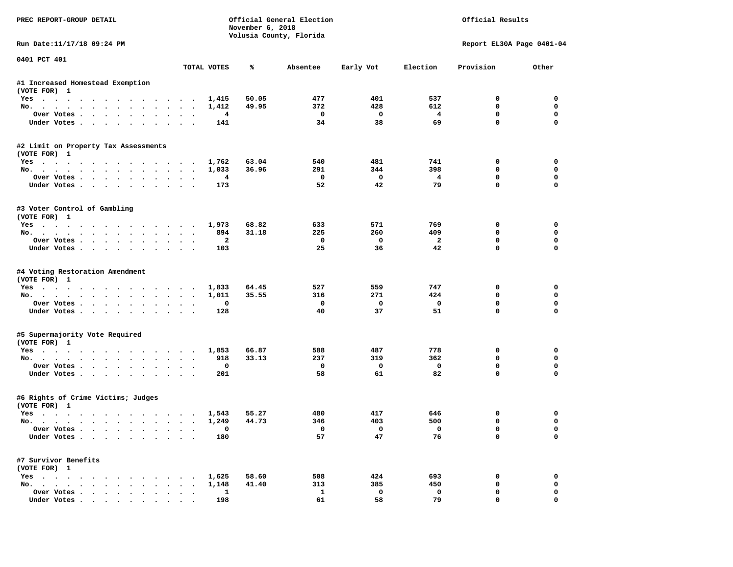| PREC REPORT-GROUP DETAIL                           |                                              |                | November 6, 2018 | Official General Election<br>Volusia County, Florida |                         |                      | Official Results          |                         |
|----------------------------------------------------|----------------------------------------------|----------------|------------------|------------------------------------------------------|-------------------------|----------------------|---------------------------|-------------------------|
| Run Date:11/17/18 09:24 PM                         |                                              |                |                  |                                                      |                         |                      | Report EL30A Page 0401-04 |                         |
| 0401 PCT 401                                       |                                              | TOTAL VOTES    | ℁                | Absentee                                             | Early Vot               | Election             | Provision                 | Other                   |
| #1 Increased Homestead Exemption                   |                                              |                |                  |                                                      |                         |                      |                           |                         |
| (VOTE FOR) 1                                       |                                              |                |                  |                                                      |                         |                      |                           |                         |
| Yes                                                |                                              | 1,415          | 50.05            | 477                                                  | 401                     | 537                  | 0                         | 0                       |
| No.                                                |                                              | 1,412          | 49.95            | 372                                                  | 428                     | 612                  | 0                         | 0                       |
| Over Votes                                         |                                              | 4              |                  | 0                                                    | $\mathbf 0$             | $\overline{4}$       | $\mathbf 0$               | $\mathbf 0$             |
| Under Votes                                        |                                              | 141            |                  | 34                                                   | 38                      | 69                   | $\mathbf 0$               | $\mathbf 0$             |
| #2 Limit on Property Tax Assessments               |                                              |                |                  |                                                      |                         |                      |                           |                         |
| (VOTE FOR) 1                                       |                                              |                |                  |                                                      |                         |                      |                           |                         |
| Yes                                                |                                              | 1,762          | 63.04            | 540                                                  | 481                     | 741                  | 0                         | 0                       |
| No.                                                |                                              | 1,033          | 36.96            | 291                                                  | 344                     | 398                  | 0                         | $\mathbf 0$             |
| Over Votes.                                        |                                              | $\overline{4}$ |                  | $^{\circ}$<br>52                                     | $\mathbf{0}$<br>42      | $\overline{4}$<br>79 | $\mathbf 0$<br>$\Omega$   | $\mathbf 0$<br>$\Omega$ |
| Under Votes                                        |                                              | 173            |                  |                                                      |                         |                      |                           |                         |
| #3 Voter Control of Gambling                       |                                              |                |                  |                                                      |                         |                      |                           |                         |
| (VOTE FOR) 1                                       |                                              |                |                  |                                                      |                         |                      |                           |                         |
| Yes                                                |                                              | 1,973<br>894   | 68.82<br>31.18   | 633<br>225                                           | 571<br>260              | 769<br>409           | 0<br>$\Omega$             | 0<br>0                  |
| No.                                                |                                              | $\overline{a}$ |                  | $^{\circ}$                                           | $\Omega$                | $\overline{a}$       | $\mathbf 0$               | $\mathbf 0$             |
| Over Votes<br>Under Votes                          |                                              | 103            |                  | 25                                                   | 36                      | 42                   | $\mathbf{0}$              | $\Omega$                |
| #4 Voting Restoration Amendment                    |                                              |                |                  |                                                      |                         |                      |                           |                         |
| (VOTE FOR) 1                                       |                                              |                |                  |                                                      |                         |                      |                           |                         |
| Yes                                                |                                              | 1,833          | 64.45            | 527                                                  | 559                     | 747                  | 0                         | 0                       |
| No.                                                |                                              | 1,011          | 35.55            | 316                                                  | 271                     | 424                  | 0                         | 0                       |
| Over Votes                                         |                                              | 0              |                  | 0                                                    | $\mathbf{0}$            | 0                    | $\mathbf 0$               | $\mathbf 0$             |
| Under Votes                                        |                                              | 128            |                  | 40                                                   | 37                      | 51                   | $\mathbf 0$               | $\Omega$                |
| #5 Supermajority Vote Required                     |                                              |                |                  |                                                      |                         |                      |                           |                         |
| (VOTE FOR) 1                                       |                                              |                |                  |                                                      |                         |                      |                           |                         |
| Yes                                                |                                              | 1,853          | 66.87            | 588                                                  | 487                     | 778                  | 0                         | 0                       |
| No.                                                |                                              | 918            | 33.13            | 237                                                  | 319                     | 362                  | 0                         | $\mathbf 0$             |
| Over Votes                                         |                                              | 0<br>201       |                  | 0<br>58                                              | $\mathbf 0$<br>61       | $\mathbf 0$<br>82    | $\mathbf 0$<br>$\Omega$   | $\mathbf 0$<br>$\Omega$ |
| Under Votes                                        |                                              |                |                  |                                                      |                         |                      |                           |                         |
| #6 Rights of Crime Victims; Judges<br>(VOTE FOR) 1 |                                              |                |                  |                                                      |                         |                      |                           |                         |
| Yes                                                |                                              | 1,543          | 55.27            | 480                                                  | 417                     | 646                  | 0                         | 0                       |
| No.                                                |                                              | 1,249          | 44.73            | 346                                                  | 403                     | 500                  | 0                         | $\mathbf 0$             |
| Over votes $\cdots$                                |                                              |                |                  |                                                      | $\overline{\mathbf{0}}$ | $\mathbf 0$          | 0                         | 0                       |
| Under Votes                                        |                                              | 180            |                  | 57                                                   | 47                      | 76                   | 0                         | 0                       |
| #7 Survivor Benefits                               |                                              |                |                  |                                                      |                         |                      |                           |                         |
| (VOTE FOR) 1                                       |                                              |                |                  |                                                      |                         |                      |                           |                         |
| Yes                                                |                                              | 1,625          | 58.60            | 508                                                  | 424                     | 693                  | 0                         | 0                       |
| No.                                                |                                              | 1,148          | 41.40            | 313                                                  | 385                     | 450                  | 0                         | 0                       |
| Over Votes                                         | $\ddot{\phantom{a}}$<br>$\ddot{\phantom{a}}$ | 1              |                  | 1                                                    | $\mathbf{o}$            | $\mathbf 0$          | 0                         | 0                       |
| Under Votes                                        |                                              | 198            |                  | 61                                                   | 58                      | 79                   | 0                         | 0                       |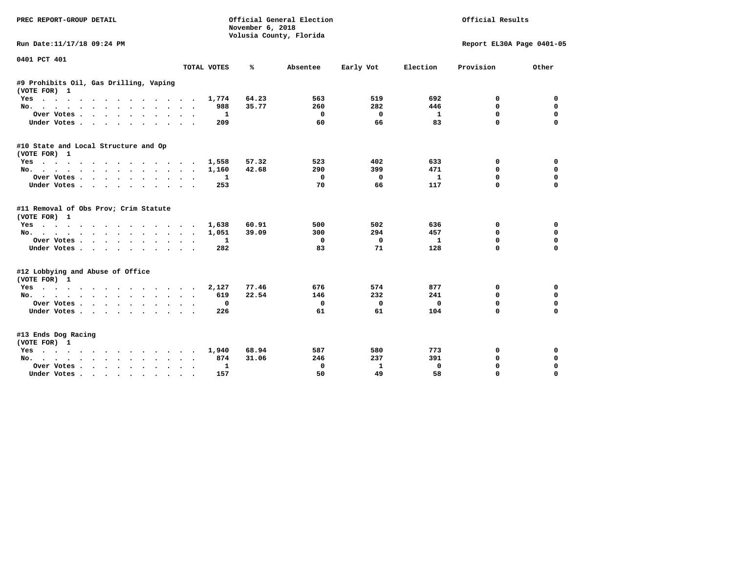| PREC REPORT-GROUP DETAIL                               |                                       | November 6, 2018 | Official General Election<br>Volusia County, Florida |              |              | Official Results          |             |
|--------------------------------------------------------|---------------------------------------|------------------|------------------------------------------------------|--------------|--------------|---------------------------|-------------|
| Run Date:11/17/18 09:24 PM                             |                                       |                  |                                                      |              |              | Report EL30A Page 0401-05 |             |
| 0401 PCT 401                                           |                                       | ℁                |                                                      |              | Election     | Provision                 | Other       |
|                                                        | TOTAL VOTES                           |                  | Absentee                                             | Early Vot    |              |                           |             |
| #9 Prohibits Oil, Gas Drilling, Vaping<br>(VOTE FOR) 1 |                                       |                  |                                                      |              |              |                           |             |
| $Yes \t . \t .$<br>$\cdots$                            | 1,774                                 | 64.23            | 563                                                  | 519          | 692          | 0                         | 0           |
| No.                                                    | 988<br>$\ddot{\phantom{a}}$<br>$\sim$ | 35.77            | 260                                                  | 282          | 446          | 0                         | 0           |
| Over Votes                                             | 1<br>$\cdot$                          |                  | 0                                                    | 0            | 1            | $\mathbf{0}$              | $\mathbf 0$ |
| Under Votes<br>$\sim$<br>$\sim$                        | 209                                   |                  | 60                                                   | 66           | 83           | 0                         | $\mathbf 0$ |
| #10 State and Local Structure and Op<br>(VOTE FOR) 1   |                                       |                  |                                                      |              |              |                           |             |
| Yes                                                    | 1,558                                 | 57.32            | 523                                                  | 402          | 633          | 0                         | 0           |
| No.                                                    | 1,160                                 | 42.68            | 290                                                  | 399          | 471          | 0                         | 0           |
| Over Votes                                             | 1<br>$\ddot{\phantom{0}}$             |                  | 0                                                    | 0            | $\mathbf{1}$ | $\mathbf 0$               | $\mathbf 0$ |
| Under Votes                                            | 253                                   |                  | 70                                                   | 66           | 117          | 0                         | $\mathbf 0$ |
| #11 Removal of Obs Prov; Crim Statute<br>(VOTE FOR) 1  |                                       |                  |                                                      |              |              |                           |             |
| Yes                                                    | 1,638                                 | 60.91            | 500                                                  | 502          | 636          | 0                         | 0           |
| No.                                                    | 1,051<br>$\sim$                       | 39.09            | 300                                                  | 294          | 457          | $\mathbf 0$               | 0           |
| Over Votes                                             | 1<br>$\bullet$                        |                  | 0                                                    | 0            | 1            | 0                         | $\mathbf 0$ |
| Under Votes                                            | 282                                   |                  | 83                                                   | 71           | 128          | $\Omega$                  | $\mathbf 0$ |
| #12 Lobbying and Abuse of Office<br>(VOTE FOR) 1       |                                       |                  |                                                      |              |              |                           |             |
| Yes                                                    | 2,127                                 | 77.46            | 676                                                  | 574          | 877          | 0                         | 0           |
| No.                                                    | 619                                   | 22.54            | 146                                                  | 232          | 241          | 0                         | $\mathbf 0$ |
| Over Votes                                             | 0<br>$\bullet$                        |                  | 0                                                    | 0            | 0            | 0                         | 0           |
| Under Votes                                            | 226                                   |                  | 61                                                   | 61           | 104          | $\Omega$                  | $\mathbf 0$ |
| #13 Ends Dog Racing<br>(VOTE FOR) 1                    |                                       |                  |                                                      |              |              |                           |             |
| Yes                                                    | 1,940<br>$\sim$                       | 68.94            | 587                                                  | 580          | 773          | 0                         | 0           |
| No.                                                    | 874                                   | 31.06            | 246                                                  | 237          | 391          | 0                         | $\mathbf 0$ |
| Over Votes.<br>$\cdots$                                | 1                                     |                  | 0                                                    | $\mathbf{1}$ | $\mathbf 0$  | $\mathbf 0$               | $\mathbf 0$ |
| Under Votes                                            | 157                                   |                  | 50                                                   | 49           | 58           | $\Omega$                  | $\Omega$    |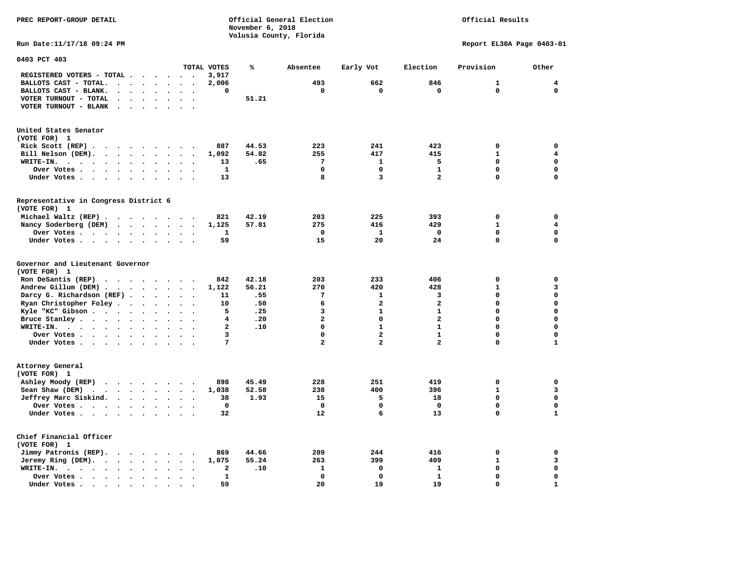**November 6, 2018 Volusia County, Florida Run Date:11/17/18 09:24 PM Report EL30A Page 0403-01 0403 PCT 403 TOTAL VOTES % Absentee Early Vot Election Provision Other REGISTERED VOTERS - TOTAL . . . . . . 3,917 BALLOTS CAST - TOTAL. . . . . . . . 2,006 493 662 846 1 4 BALLOTS CAST - BLANK. . . . . . . . 0 0 0 0 0 0 VOTER TURNOUT - TOTAL . . . . . . . 51.21 VOTER TURNOUT - BLANK . . . . . . . United States Senator (VOTE FOR) 1 Rick Scott (REP) . . . . . . . . . 887 44.53 223 241 423 0 0 Bill Nelson (DEM). . . . . . . . . 1,092 54.82 255 417 415 1 4 WRITE-IN. . . . . . . . . . . . 13 .65 7 1 5 0 0 Over Votes . . . . . . . . . . 1 0 0 1 0 0 Under Votes . . . . . . . . . . 13** 8 3 2 0 0 **Representative in Congress District 6 (VOTE FOR) 1 Michael Waltz (REP) . . . . . . . . 821 42.19 203 225 393 0 0 Nancy Soderberg (DEM) . . . . . . . 1,125 57.81 275 416 429 1 4 Over Votes . . . . . . . . . . 1 0 1 0 0 0**  $\Omega$  **Under Votes . . . . . . . . . . 59 15 20 24 0** 0 **Governor and Lieutenant Governor (VOTE FOR) 1 Ron DeSantis (REP) . . . . . . . . 842 42.18 203 233 406 0 0 Andrew Gillum (DEM) . . . . . . . . 1,122 56.21 270 420 428 1 3 Darcy G. Richardson (REF) . . . . . . 11 .55** 7 1 3 0 0 0<br>**Ryan Christopher Foley** . . . . . . . 10 .50 6 2 2 2 0 0 **Ryan Christopher Foley . . . . . . 10 .50** 6 2 2 2 0 0 0<br>**Ryle "KC"** Gibson . . . . . . . . . 5 .25 3 1 1 0 0  **Kyle "KC" Gibson . . . . . . . . . . 5 . 25 3 Bruce Stanley . . . . . . . . . . 4 .20** 2 0 2 0 0 0 0  **WRITE-IN. . . . . . . . . . . . 2 .10 0 1 1 0 0**  $\mathbf{0}$ **Over Votes . . . . . . . . . . 3** 0 2 1 0  $\mathbf 1$  **Under Votes . . . . . . . . . . . 7** 2 2 2 0 **Attorney General (VOTE FOR) 1 Ashley Moody (REP) . . . . . . . . 898 45.49 228 251 419 0 0 Sean Shaw (DEM) . . . . . . . . . 1,038 52.58 238 400 396 1 3 Jeffrey Marc Siskind. . . . . . . . 38 1.93 15 5 18 0 0 Over Votes . . . . . . . . . . 0 0 0 0 0 0**  $\mathbf 1$  **Under Votes . . . . . . . . . . 32** 12 6 13 0 **Chief Financial Officer (VOTE FOR) 1 Jimmy Patronis (REP). . . . . . . . 869 44.66 209 244 416 0 0 Jeremy Ring (DEM).** . . . . . . . 1,075 55.24 263 399 409 1 3  **WRITE-IN. . . . . . . . . . . . 2 .10 1 0 1 0 0 Over Votes . . . . . . . . . . 1 0 0 1 0 0**  $\mathbf{1}$  **Under Votes . . . . . . . . . . . 59 20 19 19 19** 0

**PREC REPORT-GROUP DETAIL Official General Election Official Results**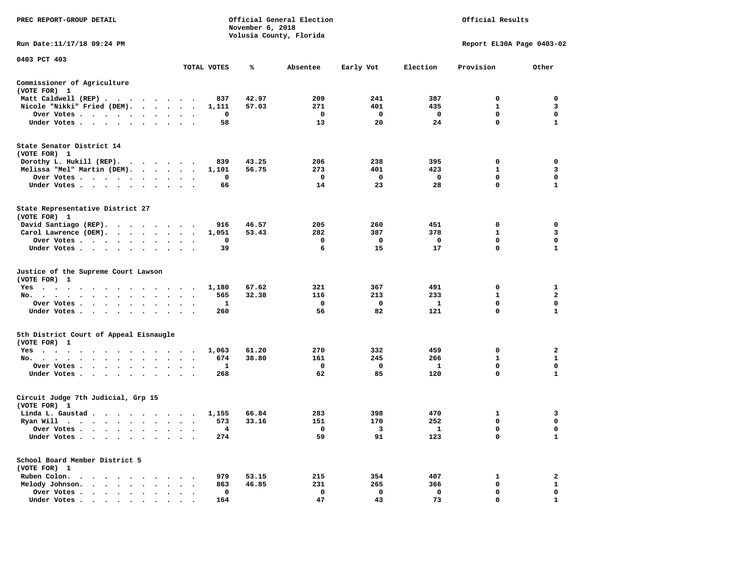| PREC REPORT-GROUP DETAIL                                                                                                                                                                                                                                       |                                                                      |             | November 6, 2018 | Official General Election<br>Volusia County, Florida |             |              | Official Results          |                         |
|----------------------------------------------------------------------------------------------------------------------------------------------------------------------------------------------------------------------------------------------------------------|----------------------------------------------------------------------|-------------|------------------|------------------------------------------------------|-------------|--------------|---------------------------|-------------------------|
| Run Date:11/17/18 09:24 PM                                                                                                                                                                                                                                     |                                                                      |             |                  |                                                      |             |              | Report EL30A Page 0403-02 |                         |
| 0403 PCT 403                                                                                                                                                                                                                                                   |                                                                      | TOTAL VOTES | ℁                | Absentee                                             | Early Vot   | Election     | Provision                 | Other                   |
|                                                                                                                                                                                                                                                                |                                                                      |             |                  |                                                      |             |              |                           |                         |
| Commissioner of Agriculture<br>(VOTE FOR) 1                                                                                                                                                                                                                    |                                                                      |             |                  |                                                      |             |              |                           |                         |
| Matt Caldwell (REP)                                                                                                                                                                                                                                            |                                                                      | 837         | 42.97            | 209                                                  | 241         | 387          | $\Omega$                  | 0                       |
| Nicole "Nikki" Fried (DEM).                                                                                                                                                                                                                                    |                                                                      | 1,111       | 57.03            | 271                                                  | 401         | 435          | $\mathbf{1}$              | $\overline{\mathbf{3}}$ |
| Over Votes<br>$\bullet$                                                                                                                                                                                                                                        |                                                                      | 0           |                  | $\mathbf{o}$                                         | $\mathbf 0$ | $\mathbf{o}$ | $\mathbf 0$               | $\mathbf 0$             |
| Under Votes                                                                                                                                                                                                                                                    |                                                                      | 58          |                  | 13                                                   | 20          | 24           | $\mathbf 0$               | $\mathbf{1}$            |
| State Senator District 14                                                                                                                                                                                                                                      |                                                                      |             |                  |                                                      |             |              |                           |                         |
| (VOTE FOR) 1                                                                                                                                                                                                                                                   |                                                                      |             |                  |                                                      |             |              |                           |                         |
| Dorothy L. Hukill $(REP)$ .                                                                                                                                                                                                                                    |                                                                      | 839         | 43.25            | 206                                                  | 238         | 395          | 0                         | 0                       |
| Melissa "Mel" Martin (DEM).                                                                                                                                                                                                                                    |                                                                      | 1,101       | 56.75            | 273                                                  | 401         | 423          | $\mathbf{1}$              | 3                       |
| Over Votes                                                                                                                                                                                                                                                     | $\ddot{\phantom{0}}$                                                 | 0           |                  | 0                                                    | 0           | 0            | $\mathbf{0}$              | 0                       |
| Under Votes<br>$\cdot$                                                                                                                                                                                                                                         |                                                                      | 66          |                  | 14                                                   | 23          | 28           | 0                         | 1                       |
| State Representative District 27<br>(VOTE FOR) 1                                                                                                                                                                                                               |                                                                      |             |                  |                                                      |             |              |                           |                         |
| David Santiago (REP).<br>$\cdots$                                                                                                                                                                                                                              |                                                                      | 916         | 46.57            | 205                                                  | 260         | 451          | 0                         | 0                       |
| Carol Lawrence (DEM).                                                                                                                                                                                                                                          |                                                                      | 1,051       | 53.43            | 282                                                  | 387         | 378          | 1                         | 3                       |
| Over Votes                                                                                                                                                                                                                                                     | $\cdot$<br>$\ddot{\phantom{a}}$                                      | $\mathbf 0$ |                  | $\mathbf 0$                                          | 0           | $\mathbf 0$  | $\mathbf 0$               | $\mathbf 0$             |
| Under Votes                                                                                                                                                                                                                                                    |                                                                      | 39          |                  | 6                                                    | 15          | 17           | 0                         | $\mathbf{1}$            |
| Justice of the Supreme Court Lawson<br>(VOTE FOR) 1                                                                                                                                                                                                            |                                                                      |             |                  |                                                      |             |              |                           |                         |
| $Yes \t . \t .$<br>$\blacksquare$ .<br>$\ddot{\phantom{1}}$<br>$\overline{\phantom{a}}$                                                                                                                                                                        | $\overline{\phantom{a}}$                                             | 1,180       | 67.62            | 321                                                  | 367         | 491          | 0                         | 1                       |
| No.<br>$\mathcal{A}=\mathcal{A}=\mathcal{A}=\mathcal{A}=\mathcal{A}=\mathcal{A}=\mathcal{A}$ .<br>$\sim$<br>$\bullet$ , $\bullet$ , $\bullet$ , $\bullet$ , $\bullet$                                                                                          | $\overline{a}$                                                       | 565         | 32.38            | 116                                                  | 213         | 233          | $\mathbf{1}$              | $\mathbf{2}$            |
| Over Votes                                                                                                                                                                                                                                                     | $\ddot{\phantom{a}}$<br>$\ddot{\phantom{0}}$<br>$\ddot{\phantom{0}}$ | 1           |                  | 0                                                    | 0           | <b>1</b>     | 0                         | 0                       |
| Under Votes<br>$\sim$                                                                                                                                                                                                                                          | $\cdot$<br>$\cdot$ $\cdot$                                           | 260         |                  | 56                                                   | 82          | 121          | $\mathbf 0$               | $\mathbf{1}$            |
| 5th District Court of Appeal Eisnaugle<br>(VOTE FOR) 1                                                                                                                                                                                                         |                                                                      |             |                  |                                                      |             |              |                           |                         |
| Yes                                                                                                                                                                                                                                                            |                                                                      | 1,063       | 61.20            | 270                                                  | 332         | 459          | 0                         | $\overline{a}$          |
| No.                                                                                                                                                                                                                                                            |                                                                      | 674         | 38.80            | 161                                                  | 245         | 266          | $\mathbf{1}$              | $\mathbf{1}$            |
| Over Votes<br>$\sim$<br>$\cdot$                                                                                                                                                                                                                                |                                                                      | 1           |                  | $\mathbf 0$                                          | 0           | <b>1</b>     | $\mathbf 0$               | $\mathbf 0$             |
| Under Votes                                                                                                                                                                                                                                                    | $\cdot$ $\cdot$ $\cdot$                                              | 268         |                  | 62                                                   | 85          | 120          | $\mathbf 0$               | $\mathbf{1}$            |
| Circuit Judge 7th Judicial, Grp 15<br>(VOTE FOR) 1                                                                                                                                                                                                             |                                                                      |             |                  |                                                      |             |              |                           |                         |
| Linda L. Gaustad                                                                                                                                                                                                                                               |                                                                      | 1,155       | 66.84            | 283                                                  | 398         | 470          | 1                         | 3                       |
| Ryan Will $\cdots$ , $\cdots$ , $\cdots$                                                                                                                                                                                                                       | $\bullet$ . $\bullet$<br>$\bullet$                                   | 573         | 33.16            | 151                                                  | 170         | 252          | 0                         | 0                       |
| Over Votes                                                                                                                                                                                                                                                     | $\sim$ $\sim$<br>$\cdot$                                             | 4           |                  | $\mathbf 0$                                          | 3           | $\mathbf{1}$ | 0                         | $\mathbf 0$             |
| Under Votes<br>$\ddot{\phantom{a}}$<br>$\cdot$                                                                                                                                                                                                                 |                                                                      | 274         |                  | 59                                                   | 91          | 123          | $\mathbf 0$               | $\mathbf{1}$            |
| School Board Member District 5                                                                                                                                                                                                                                 |                                                                      |             |                  |                                                      |             |              |                           |                         |
| (VOTE FOR) 1<br>Ruben Colon.                                                                                                                                                                                                                                   |                                                                      | 979         | 53.15            | 215                                                  | 354         | 407          | 1                         | $\overline{a}$          |
| $\mathbf{A}$ . The contribution of the contribution of the contribution of the contribution of the contribution of the contribution of the contribution of the contribution of the contribution of the contribution of the contri<br>Melody Johnson.<br>$\sim$ | $\cdot$ $\cdot$ $\cdot$                                              | 863         | 46.85            | 231                                                  | 265         | 366          | 0                         | $\mathbf{1}$            |
| Over Votes .<br>$\cdots$<br>$\bullet$<br>$\cdot$                                                                                                                                                                                                               | $\cdot$<br>$\cdot$                                                   | 0           |                  | $\mathbf 0$                                          | 0           | $\mathbf 0$  | $\mathbf 0$               | 0                       |
| Under Votes                                                                                                                                                                                                                                                    |                                                                      | 164         |                  | 47                                                   | 43          | 73           | $\Omega$                  | 1                       |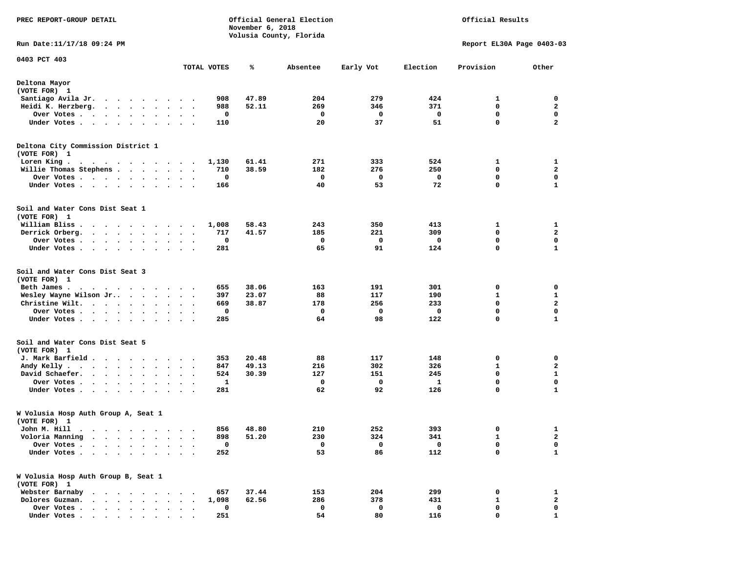| PREC REPORT-GROUP DETAIL                                                                                                                                                                                                                      |                        |          | November 6, 2018 | Official General Election<br>Volusia County, Florida |           | Official Results |                           |                  |  |
|-----------------------------------------------------------------------------------------------------------------------------------------------------------------------------------------------------------------------------------------------|------------------------|----------|------------------|------------------------------------------------------|-----------|------------------|---------------------------|------------------|--|
| Run Date: 11/17/18 09:24 PM                                                                                                                                                                                                                   |                        |          |                  |                                                      |           |                  | Report EL30A Page 0403-03 |                  |  |
| 0403 PCT 403                                                                                                                                                                                                                                  |                        |          |                  |                                                      |           |                  |                           |                  |  |
|                                                                                                                                                                                                                                               | TOTAL VOTES            |          | ℁                | Absentee                                             | Early Vot | Election         | Provision                 | Other            |  |
| Deltona Mayor<br>(VOTE FOR) 1                                                                                                                                                                                                                 |                        |          |                  |                                                      |           |                  |                           |                  |  |
| Santiago Avila Jr.                                                                                                                                                                                                                            |                        | 908      | 47.89            | 204                                                  | 279       | 424              | 1                         | 0                |  |
| Heidi K. Herzberg.<br>$\cdot$ $\cdot$ $\cdot$ $\cdot$ $\cdot$ $\cdot$<br>$\ddot{\phantom{1}}$                                                                                                                                                 | $\ddot{\phantom{1}}$   | 988      | 52.11            | 269                                                  | 346       | 371              | 0                         | 2                |  |
| Over Votes .<br>$\mathcal{A}$ . The set of the set of the set of $\mathcal{A}$<br>$\blacksquare$                                                                                                                                              | $\ddot{\phantom{1}}$   | 0        |                  | 0                                                    | 0         | 0                | $\mathbf 0$               | $\mathbf 0$      |  |
| Under Votes                                                                                                                                                                                                                                   |                        | 110      |                  | 20                                                   | 37        | 51               | $\mathbf 0$               | $\mathbf{2}$     |  |
| Deltona City Commission District 1<br>(VOTE FOR) 1                                                                                                                                                                                            |                        |          |                  |                                                      |           |                  |                           |                  |  |
| Loren King.                                                                                                                                                                                                                                   |                        | 1,130    | 61.41            | 271                                                  | 333       | 524              | 1                         | 1                |  |
| Willie Thomas Stephens                                                                                                                                                                                                                        |                        | 710      | 38.59            | 182                                                  | 276       | 250              | 0                         | $\mathbf{2}$     |  |
| Over Votes                                                                                                                                                                                                                                    |                        | 0        |                  | 0                                                    | 0         | 0                | 0                         | 0                |  |
| Under Votes                                                                                                                                                                                                                                   |                        | 166      |                  | 40                                                   | 53        | 72               | 0                         | $\mathbf{1}$     |  |
| Soil and Water Cons Dist Seat 1<br>(VOTE FOR) 1                                                                                                                                                                                               |                        |          |                  |                                                      |           |                  |                           |                  |  |
| William Bliss.<br>.                                                                                                                                                                                                                           |                        | 1,008    | 58.43            | 243                                                  | 350       | 413              | 1                         | 1                |  |
| Derrick Orberg.                                                                                                                                                                                                                               | $\ddot{\phantom{1}}$   | 717      | 41.57            | 185                                                  | 221       | 309              | $\mathbf 0$               | $\mathbf{2}$     |  |
| Over Votes .<br>. The contract of the contract of the contract of the contract of the contract of the contract of the contract of the contract of the contract of the contract of the contract of the contract of the contract of the contrac | $\sim$                 | 0        |                  | 0                                                    | 0         | $\mathbf 0$      | 0                         | 0                |  |
| Under Votes<br>$\sim$                                                                                                                                                                                                                         | $\ddot{\phantom{1}}$   | 281      |                  | 65                                                   | 91        | 124              | 0                         | $\mathbf{1}$     |  |
| Soil and Water Cons Dist Seat 3<br>(VOTE FOR) 1                                                                                                                                                                                               |                        |          |                  |                                                      |           |                  |                           |                  |  |
| Beth James.<br>. The contract of the contract of the contract of the contract of the contract of the contract of the contract of the contract of the contract of the contract of the contract of the contract of the contract of the contrac  |                        | 655      | 38.06            | 163                                                  | 191       | 301              | 0                         | 0                |  |
| Wesley Wayne Wilson Jr<br>$\sim$ $\sim$                                                                                                                                                                                                       | $\sim$ $\sim$          | 397      | 23.07            | 88                                                   | 117       | 190              | 1                         | 1                |  |
| Christine Wilt.                                                                                                                                                                                                                               |                        | 669      | 38.87            | 178                                                  | 256       | 233              | $\mathbf 0$               | $\overline{a}$   |  |
| Over Votes<br>$\bullet$<br>Under Votes                                                                                                                                                                                                        | $\bullet$              | 0<br>285 |                  | $\mathbf 0$<br>64                                    | 0<br>98   | 0<br>122         | $\mathbf 0$<br>0          | $\mathbf 0$<br>1 |  |
| Soil and Water Cons Dist Seat 5<br>(VOTE FOR) 1                                                                                                                                                                                               |                        |          |                  |                                                      |           |                  |                           |                  |  |
| J. Mark Barfield                                                                                                                                                                                                                              |                        | 353      | 20.48            | 88                                                   | 117       | 148              | 0                         | 0                |  |
| Andy Kelly.<br>. The contract of the contract of the contract of the contract of the contract of the contract of the contract of the contract of the contract of the contract of the contract of the contract of the contract of the contrac  | $\ddot{\phantom{1}}$   | 847      | 49.13            | 216                                                  | 302       | 326              | 1                         | 2                |  |
| David Schaefer.<br>$\cdots$                                                                                                                                                                                                                   |                        | 524      | 30.39            | 127                                                  | 151       | 245              | $\mathbf 0$               | $\mathbf{1}$     |  |
| Over Votes .<br>$\mathbf{u} = \mathbf{u} + \mathbf{u} + \mathbf{u} + \mathbf{u} + \mathbf{u} + \mathbf{u} + \mathbf{u}$                                                                                                                       | $\bullet$ .<br>$\cdot$ | 1        |                  | 0                                                    | 0         | 1                | $\mathbf 0$               | $\mathbf 0$      |  |
| Under Votes                                                                                                                                                                                                                                   |                        | 281      |                  | 62                                                   | 92        | 126              | 0                         | 1                |  |
| W Volusia Hosp Auth Group A, Seat 1<br>(VOTE FOR) 1                                                                                                                                                                                           |                        |          |                  |                                                      |           |                  |                           |                  |  |
| John M. Hill .                                                                                                                                                                                                                                |                        |          | 856 48.80        | 210                                                  | 252       | 393              | $\mathbf 0$               | 1                |  |
| Voloria Manning<br>$\mathcal{A}=\mathcal{A}=\mathcal{A}=\mathcal{A}=\mathcal{A}=\mathcal{A}=\mathcal{A}$                                                                                                                                      | $\cdots$               | 898      | 51.20            | 230                                                  | 324       | 341              | 1                         | 2                |  |
| Over Votes .<br>$\sim$<br>$\sim$<br>$\sim$ $\sim$ $\sim$                                                                                                                                                                                      |                        | 0        |                  | 0                                                    | 0         | 0                | 0                         | 0                |  |
| Under Votes .                                                                                                                                                                                                                                 |                        | 252      |                  | 53                                                   | 86        | 112              | $\mathbf 0$               | 1                |  |
| W Volusia Hosp Auth Group B, Seat 1<br>(VOTE FOR) 1                                                                                                                                                                                           |                        |          |                  |                                                      |           |                  |                           |                  |  |
| Webster Barnaby<br>.                                                                                                                                                                                                                          |                        | 657      | 37.44            | 153                                                  | 204       | 299              | 0                         | 1                |  |
| Dolores Guzman.<br>$\ddot{\phantom{a}}$<br>$\bullet$                                                                                                                                                                                          | $\ddot{\phantom{a}}$   | 1,098    | 62.56            | 286                                                  | 378       | 431              | 1                         | 2                |  |
| Over Votes .<br>$\sim$ $\sim$ $\sim$ $\sim$ $\sim$                                                                                                                                                                                            |                        | 0        |                  | 0<br>54                                              | 0         | 0                | 0<br>0                    | 0                |  |
| Under Votes.                                                                                                                                                                                                                                  |                        | 251      |                  |                                                      | 80        | 116              |                           | 1                |  |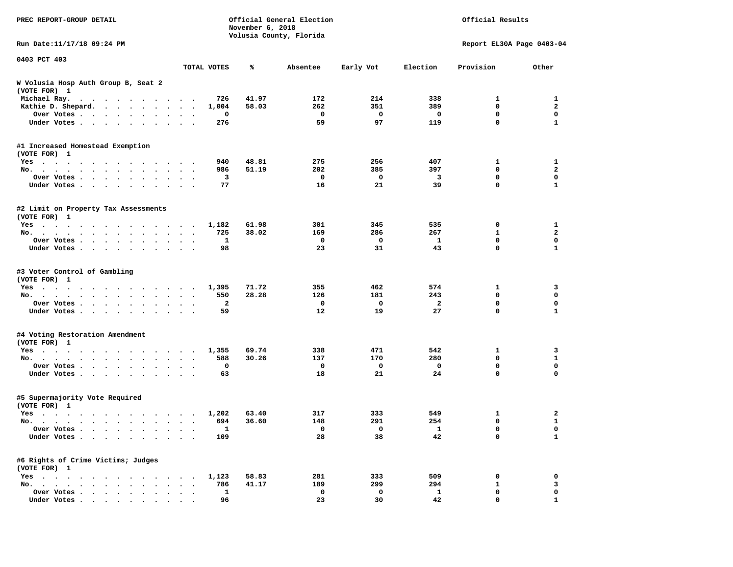| PREC REPORT-GROUP DETAIL                                                                                                                                                                                                                          |                      |              | November 6, 2018 | Official General Election<br>Volusia County, Florida |             |                | Official Results          |                     |
|---------------------------------------------------------------------------------------------------------------------------------------------------------------------------------------------------------------------------------------------------|----------------------|--------------|------------------|------------------------------------------------------|-------------|----------------|---------------------------|---------------------|
| Run Date:11/17/18 09:24 PM                                                                                                                                                                                                                        |                      |              |                  |                                                      |             |                | Report EL30A Page 0403-04 |                     |
| 0403 PCT 403                                                                                                                                                                                                                                      |                      | TOTAL VOTES  | ℁                | Absentee                                             | Early Vot   | Election       | Provision                 | Other               |
| W Volusia Hosp Auth Group B, Seat 2<br>(VOTE FOR) 1                                                                                                                                                                                               |                      |              |                  |                                                      |             |                |                           |                     |
| Michael Ray.<br>$\mathbf{a}$ . The contribution of the contribution of the contribution of the contribution of the contribution of the contribution of the contribution of the contribution of the contribution of the contribution of the contri |                      | 726          | 41.97            | 172                                                  | 214         | 338            | 1                         | 1                   |
| Kathie D. Shepard.                                                                                                                                                                                                                                | $\cdot$              | 1,004        | 58.03            | 262                                                  | 351         | 389            | $\mathbf 0$               | $\mathbf{2}$        |
| Over Votes<br>$\bullet$<br>$\bullet$                                                                                                                                                                                                              | $\bullet$            | 0            |                  | 0                                                    | 0           | 0              | 0                         | $\mathbf 0$         |
| Under Votes<br>$\ddot{\phantom{0}}$                                                                                                                                                                                                               |                      | 276          |                  | 59                                                   | 97          | 119            | 0                         | $\mathbf{1}$        |
| #1 Increased Homestead Exemption                                                                                                                                                                                                                  |                      |              |                  |                                                      |             |                |                           |                     |
| (VOTE FOR) 1                                                                                                                                                                                                                                      |                      |              |                  |                                                      |             |                |                           |                     |
| Yes<br>No.                                                                                                                                                                                                                                        |                      | 940<br>986   | 48.81<br>51.19   | 275<br>202                                           | 256<br>385  | 407<br>397     | 1<br>0                    | 1<br>$\overline{a}$ |
| $\ddot{\phantom{a}}$<br>Over Votes                                                                                                                                                                                                                | $\ddot{\phantom{1}}$ | 3            |                  | 0                                                    | 0           | 3              | 0                         | 0                   |
| $\bullet$<br>Under Votes                                                                                                                                                                                                                          |                      | 77           |                  | 16                                                   | 21          | 39             | 0                         | $\mathbf{1}$        |
| $\bullet$                                                                                                                                                                                                                                         |                      |              |                  |                                                      |             |                |                           |                     |
| #2 Limit on Property Tax Assessments<br>(VOTE FOR) 1                                                                                                                                                                                              |                      |              |                  |                                                      |             |                |                           |                     |
| Yes                                                                                                                                                                                                                                               |                      | 1,182        | 61.98            | 301                                                  | 345         | 535            | 0                         | 1                   |
| No.                                                                                                                                                                                                                                               |                      | 725          | 38.02            | 169                                                  | 286         | 267            | 1                         | $\overline{a}$      |
| Over Votes                                                                                                                                                                                                                                        |                      | 1            |                  | 0                                                    | 0           | 1              | 0                         | 0                   |
| Under Votes                                                                                                                                                                                                                                       |                      | 98           |                  | 23                                                   | 31          | 43             | 0                         | 1                   |
| #3 Voter Control of Gambling<br>(VOTE FOR) 1                                                                                                                                                                                                      |                      |              |                  |                                                      |             |                |                           |                     |
| Yes                                                                                                                                                                                                                                               |                      | 1,395        | 71.72            | 355                                                  | 462         | 574            | 1                         | 3                   |
| No.                                                                                                                                                                                                                                               | $\sim$ $\sim$        | 550          | 28.28            | 126                                                  | 181         | 243            | 0                         | 0                   |
| Over Votes<br>$\bullet$<br>$\bullet$                                                                                                                                                                                                              | $\bullet$            | $\mathbf{2}$ |                  | 0                                                    | $\mathbf 0$ | $\overline{a}$ | 0                         | $\mathbf 0$         |
| Under Votes<br>$\ddot{\phantom{0}}$                                                                                                                                                                                                               |                      | 59           |                  | 12                                                   | 19          | 27             | 0                         | $\mathbf{1}$        |
| #4 Voting Restoration Amendment<br>(VOTE FOR) 1                                                                                                                                                                                                   |                      |              |                  |                                                      |             |                |                           |                     |
| Yes                                                                                                                                                                                                                                               |                      | 1,355        | 69.74            | 338                                                  | 471         | 542            | 1                         | 3                   |
| No.<br>$\bullet$                                                                                                                                                                                                                                  | $\ddot{\phantom{1}}$ | 588          | 30.26            | 137                                                  | 170         | 280            | 0                         | $\mathbf{1}$        |
| Over Votes<br>$\bullet$<br>$\bullet$                                                                                                                                                                                                              |                      | 0            |                  | 0                                                    | 0           | 0              | 0                         | 0                   |
| Under Votes                                                                                                                                                                                                                                       | $\ddot{\phantom{1}}$ | 63           |                  | 18                                                   | 21          | 24             | 0                         | 0                   |
| #5 Supermajority Vote Required<br>(VOTE FOR) 1                                                                                                                                                                                                    |                      |              |                  |                                                      |             |                |                           |                     |
| Yes                                                                                                                                                                                                                                               |                      | 1,202        | 63.40            | 317                                                  | 333         | 549            | 1                         | 2                   |
| No.                                                                                                                                                                                                                                               | $\ddot{\phantom{0}}$ | 694          | 36.60            | 148                                                  | 291         | 254            | 0                         | $\mathbf{1}$        |
| Over Votes                                                                                                                                                                                                                                        |                      | <b>1</b>     |                  | 0                                                    | 0           | ı.             | 0                         | 0                   |
| Under Votes                                                                                                                                                                                                                                       |                      | 109          |                  | 28                                                   | 38          | 42             | 0                         | $\mathbf{1}$        |
| #6 Rights of Crime Victims; Judges<br>(VOTE FOR) 1                                                                                                                                                                                                |                      |              |                  |                                                      |             |                |                           |                     |
| $Yes \cdot \cdot \cdot \cdot$                                                                                                                                                                                                                     |                      | 1,123        | 58.83            | 281                                                  | 333         | 509            | 0                         | 0                   |
| No.                                                                                                                                                                                                                                               |                      | 786          | 41.17            | 189                                                  | 299         | 294            | $\mathbf{1}$              | 3                   |
| Over Votes                                                                                                                                                                                                                                        |                      | $\mathbf{1}$ |                  | 0                                                    | 0           | $\mathbf{1}$   | 0                         | 0                   |
| Under Votes                                                                                                                                                                                                                                       |                      | 96           |                  | 23                                                   | 30          | 42             | 0                         | $\mathbf{1}$        |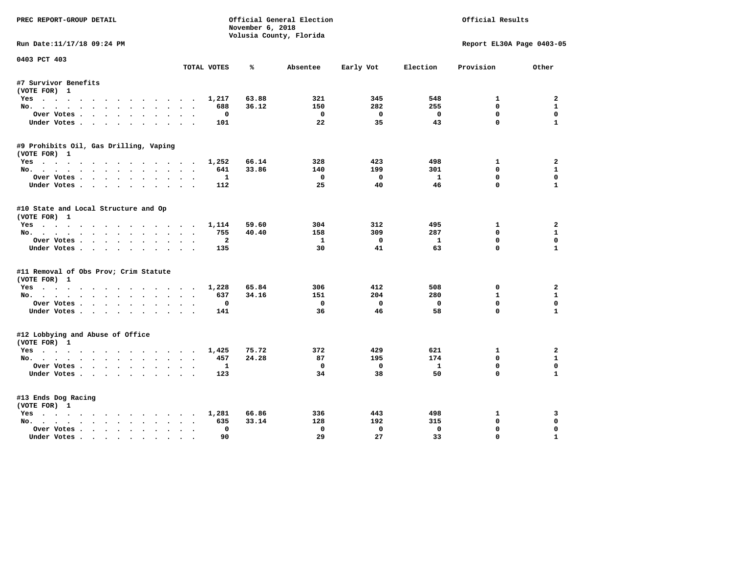| PREC REPORT-GROUP DETAIL               |                      | November 6, 2018 | Official General Election |              |              | Official Results          |                |
|----------------------------------------|----------------------|------------------|---------------------------|--------------|--------------|---------------------------|----------------|
|                                        |                      |                  | Volusia County, Florida   |              |              |                           |                |
| Run Date:11/17/18 09:24 PM             |                      |                  |                           |              |              | Report EL30A Page 0403-05 |                |
| 0403 PCT 403                           | TOTAL VOTES          | ℁                | Absentee                  | Early Vot    | Election     | Provision                 | Other          |
|                                        |                      |                  |                           |              |              |                           |                |
| #7 Survivor Benefits<br>(VOTE FOR) 1   |                      |                  |                           |              |              |                           |                |
| Yes                                    | 1,217                | 63.88            | 321                       | 345          | 548          | $\mathbf{1}$              | $\overline{a}$ |
| No.                                    | 688                  | 36.12            | 150                       | 282          | 255          | $\mathbf{0}$              | $\mathbf{1}$   |
| Over Votes                             |                      | $\Omega$         | $^{\circ}$                | $\Omega$     | $\Omega$     | $\mathbf{0}$              | 0              |
| Under Votes                            | 101                  |                  | 22                        | 35           | 43           | $\mathbf{0}$              | $\mathbf{1}$   |
| #9 Prohibits Oil, Gas Drilling, Vaping |                      |                  |                           |              |              |                           |                |
| (VOTE FOR) 1                           |                      |                  |                           |              |              |                           |                |
| Yes                                    | 1,252                | 66.14            | 328                       | 423          | 498          | 1                         | $\mathbf{2}$   |
| No.                                    | 641                  | 33.86            | 140                       | 199          | 301          | $\mathbf{0}$              | $\mathbf{1}$   |
| Over Votes                             |                      | 1                | $\Omega$                  | $^{\circ}$   | $\mathbf{1}$ | $\mathbf{0}$              | $\mathbf 0$    |
| Under Votes                            | 112                  |                  | 25                        | 40           | 46           | $\Omega$                  | $\mathbf{1}$   |
| #10 State and Local Structure and Op   |                      |                  |                           |              |              |                           |                |
| (VOTE FOR) 1                           |                      |                  |                           |              |              |                           |                |
| Yes                                    | 1,114                | 59.60            | 304                       | 312          | 495          | $\mathbf{1}$              | $\overline{a}$ |
| No.                                    | 755                  | 40.40            | 158                       | 309          | 287          | $\mathbf{0}$              | $\mathbf{1}$   |
| Over Votes                             |                      | $\overline{a}$   | $\mathbf{1}$              | $\mathbf{0}$ | $\mathbf{1}$ | $\mathbf 0$               | $\mathbf 0$    |
| Under Votes                            | 135                  |                  | 30                        | 41           | 63           | $\Omega$                  | $\mathbf{1}$   |
| #11 Removal of Obs Prov; Crim Statute  |                      |                  |                           |              |              |                           |                |
| (VOTE FOR) 1                           |                      |                  |                           |              |              |                           |                |
| Yes                                    | 1,228                | 65.84            | 306                       | 412          | 508          | 0                         | 2              |
| No.                                    | 637                  | 34.16            | 151                       | 204          | 280          | $\mathbf{1}$              | $\mathbf{1}$   |
| Over Votes                             |                      | 0                | $\mathbf 0$               | $\Omega$     | $\mathbf 0$  | $\Omega$                  | $\Omega$       |
| Under Votes                            | 141                  |                  | 36                        | 46           | 58           | $\mathbf 0$               | $\mathbf{1}$   |
| #12 Lobbying and Abuse of Office       |                      |                  |                           |              |              |                           |                |
| (VOTE FOR) 1                           |                      |                  |                           |              |              |                           |                |
| Yes                                    | 1,425                | 75.72            | 372                       | 429          | 621          | 1                         | $\mathbf{2}$   |
| No.                                    | 457                  | 24.28            | 87                        | 195          | 174          | $\mathbf{0}$              | $\mathbf{1}$   |
| Over Votes.                            |                      | 1                | $^{\circ}$                | $\mathbf{0}$ | $\mathbf{1}$ | $\mathbf{0}$              | 0              |
| Under Votes                            | 123                  |                  | 34                        | 38           | 50           | $\mathbf 0$               | $\mathbf{1}$   |
| #13 Ends Dog Racing                    |                      |                  |                           |              |              |                           |                |
| (VOTE FOR) 1                           |                      |                  |                           |              |              |                           |                |
| Yes                                    | 1,281                | 66.86            | 336                       | 443          | 498          | 1                         | 3              |
| No.                                    | $\sim$ $\sim$<br>635 | 33.14            | 128                       | 192          | 315          | $\mathbf 0$               | 0              |
| Over Votes                             |                      | $\Omega$         | $\Omega$                  | $\Omega$     | $\mathbf 0$  | 0                         | $\Omega$       |
| Under Votes                            |                      | 90               | 29                        | 27           | 33           | 0                         | $\mathbf{1}$   |
|                                        |                      |                  |                           |              |              |                           |                |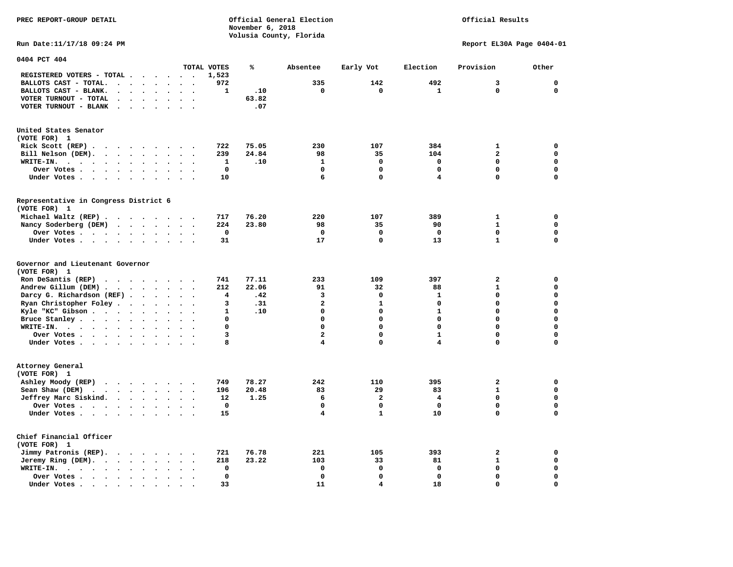**PREC REPORT-GROUP DETAIL COMPUTER CONSUMING A CONSUMING CONSUMING A CONSUMING A CONSUMING A CONSUMING A CONSUMING A CONSUMING A CONSUMING A CONSUMING A CONSUMING A CONSUMING A CONSUMING A CONSUMING A CONSUMING A CONSUMING November 6, 2018 Volusia County, Florida** 

## Official Results

**Run Date:11/17/18 09:24 PM Report EL30A Page 0404-01** 

| 0404 PCT 404                                                                                                               |                                     |                                              |             |       |                         |                         |                         |                         |              |
|----------------------------------------------------------------------------------------------------------------------------|-------------------------------------|----------------------------------------------|-------------|-------|-------------------------|-------------------------|-------------------------|-------------------------|--------------|
|                                                                                                                            |                                     |                                              | TOTAL VOTES | %     | Absentee                | Early Vot               | Election                | Provision               | Other        |
| REGISTERED VOTERS - TOTAL .<br>$\ddot{\phantom{a}}$                                                                        | $\ddot{\phantom{a}}$                | $\sim$<br>$\ddot{\phantom{a}}$               | 1,523       |       |                         |                         |                         |                         |              |
| BALLOTS CAST - TOTAL.<br>$\cdot$<br>$\ddot{\phantom{a}}$<br>$\ddot{\phantom{a}}$                                           | $\ddot{\phantom{a}}$                |                                              | 972         |       | 335                     | 142                     | 492                     | 3                       | $\mathbf 0$  |
| BALLOTS CAST - BLANK.<br>$\bullet$<br>$\bullet$                                                                            | $\bullet$                           | $\cdot$<br>$\bullet$                         | 1           | .10   | $\mathbf 0$             | 0                       | 1                       | 0                       | $\mathbf{0}$ |
| VOTER TURNOUT - TOTAL<br>$\ddot{\phantom{a}}$<br>$\ddot{\phantom{1}}$<br>$\overline{\phantom{a}}$                          |                                     |                                              |             | 63.82 |                         |                         |                         |                         |              |
| VOTER TURNOUT - BLANK<br>$\ddot{\phantom{a}}$                                                                              |                                     |                                              |             | .07   |                         |                         |                         |                         |              |
|                                                                                                                            |                                     |                                              |             |       |                         |                         |                         |                         |              |
| United States Senator                                                                                                      |                                     |                                              |             |       |                         |                         |                         |                         |              |
| (VOTE FOR) 1                                                                                                               |                                     |                                              |             |       |                         |                         |                         |                         |              |
| Rick Scott (REP).<br>$\bullet$<br>$\ddot{\phantom{1}}$<br>$\sim$                                                           | $\cdot$<br>$\overline{\phantom{a}}$ |                                              | 722         | 75.05 | 230                     | 107                     | 384                     | $\mathbf{1}$            | 0            |
| Bill Nelson (DEM).<br>$\cdot$ $\cdot$ $\cdot$ $\cdot$ $\cdot$ $\cdot$ $\cdot$                                              |                                     | $\sim$<br>$\ddot{\phantom{a}}$               | 239         | 24.84 | 98                      | 35                      | 104                     | $\overline{\mathbf{2}}$ | $\mathbf 0$  |
| WRITE-IN.<br>$\sim$ $\sim$ $\sim$ $\sim$<br>$\ddot{\phantom{1}}$<br>$\bullet$ .<br>$\bullet$<br>$\bullet$                  | $\bullet$                           |                                              | ${\bf 1}$   | .10   | $\mathbf{1}$            | 0                       | $\mathbf 0$             | 0                       | $\mathbf 0$  |
| Over Votes .<br>$\cdots$<br>$\bullet$                                                                                      | $\bullet$                           |                                              | $\mathbf 0$ |       | $\mathbf 0$             | 0                       | $\mathbf 0$             | 0                       | $\mathbf 0$  |
|                                                                                                                            |                                     |                                              | 10          |       | 6                       | $\mathbf 0$             | 4                       | 0                       | $\mathbf 0$  |
| Under Votes                                                                                                                | $\bullet$<br>$\ddot{\phantom{1}}$   | $\ddot{\phantom{0}}$<br>$\cdot$              |             |       |                         |                         |                         |                         |              |
|                                                                                                                            |                                     |                                              |             |       |                         |                         |                         |                         |              |
| Representative in Congress District 6<br>(VOTE FOR) 1                                                                      |                                     |                                              |             |       |                         |                         |                         |                         |              |
|                                                                                                                            |                                     |                                              | 717         | 76.20 | 220                     | 107                     | 389                     | 1                       | 0            |
| Michael Waltz (REP).<br>$\sim$ $\sim$                                                                                      | $\cdots$                            |                                              |             |       |                         |                         |                         | $\mathbf{1}$            | $\mathbf 0$  |
| Nancy Soderberg (DEM)<br>$\cdots$                                                                                          |                                     | $\ddot{\phantom{0}}$<br>$\bullet$            | 224         | 23.80 | 98<br>$\Omega$          | 35<br>0                 | 90<br>0                 | 0                       | 0            |
| Over Votes .<br>$\ddot{\phantom{a}}$                                                                                       | $\bullet$                           |                                              | 0           |       |                         | 0                       |                         | $\mathbf{1}$            | $\mathbf 0$  |
| Under Votes<br>$\bullet$                                                                                                   | $\ddot{\phantom{a}}$                |                                              | 31          |       | 17                      |                         | 13                      |                         |              |
| Governor and Lieutenant Governor<br>(VOTE FOR) 1                                                                           |                                     |                                              |             |       |                         |                         |                         |                         |              |
| Ron DeSantis (REP)<br>$\ddot{\phantom{a}}$                                                                                 | $\cdots$<br>$\sim$                  |                                              | 741         | 77.11 | 233                     | 109                     | 397                     | $\mathbf{z}$            | $\mathbf 0$  |
| Andrew Gillum (DEM)                                                                                                        |                                     | $\sim$<br>$\cdot$                            | 212         | 22.06 | 91                      | 32                      | 88                      | $\mathbf{1}$            | $\mathbf 0$  |
| Darcy G. Richardson (REF).<br>$\bullet$                                                                                    | $\bullet$                           |                                              | 4           | .42   | 3                       | 0                       | 1                       | 0                       | $\mathbf 0$  |
| Ryan Christopher Foley.<br>$\sim$<br>$\ddot{\phantom{a}}$                                                                  |                                     |                                              | 3           | .31   | $\overline{\mathbf{c}}$ | $\mathbf{1}$            | $\mathbf 0$             | 0                       | $\mathbf 0$  |
| Kyle "KC" Gibson                                                                                                           | $\bullet$                           |                                              | 1           | .10   | $\mathbf 0$             | 0                       | $\mathbf{1}$            | 0                       | $\mathbf 0$  |
| $\bullet$<br>Bruce Stanley                                                                                                 | $\bullet$<br>$\bullet$              | $\bullet$                                    | 0           |       | $\Omega$                | $\mathbf 0$             | $\Omega$                | $\Omega$                | $\mathbf 0$  |
| $\bullet$<br>WRITE-IN.                                                                                                     |                                     |                                              | 0           |       | $\Omega$                | $\mathbf 0$             | $\Omega$                | $\mathbf 0$             | $\mathbf 0$  |
| the contract of the contract of the contract of the contract of the contract of the contract of the contract of<br>$\cdot$ |                                     |                                              | 3           |       | $\overline{\mathbf{c}}$ | 0                       | $\mathbf{1}$            | 0                       | $\mathbf 0$  |
| Over Votes .<br>$\cdots$                                                                                                   | $\bullet$<br>$\bullet$              | $\bullet$<br>$\ddot{\phantom{0}}$            | 8           |       | $\overline{\mathbf{4}}$ | 0                       | $\overline{\mathbf{4}}$ | 0                       | $\mathbf 0$  |
| Under Votes                                                                                                                | $\ddot{\phantom{1}}$                | $\sim$                                       |             |       |                         |                         |                         |                         |              |
| Attorney General<br>(VOTE FOR) 1                                                                                           |                                     |                                              |             |       |                         |                         |                         |                         |              |
| Ashley Moody (REP)<br>$\cdots$                                                                                             |                                     |                                              | 749         | 78.27 | 242                     | 110                     | 395                     | $\mathbf{z}$            | $\mathbf 0$  |
| Sean Shaw (DEM)<br>$\sim$ $\sim$ $\sim$ $\sim$<br>$\sim 100$ km s $^{-1}$<br>$\ddot{\phantom{0}}$                          | $\bullet$                           |                                              | 196         | 20.48 | 83                      | 29                      | 83                      | $\mathbf{1}$            | $\mathbf 0$  |
| Jeffrey Marc Siskind.                                                                                                      | $\bullet$                           | $\ddot{\phantom{a}}$<br>$\ddot{\phantom{a}}$ | 12          | 1.25  | 6                       | $\overline{\mathbf{2}}$ | 4                       | 0                       | $\mathbf 0$  |
| Over Votes .<br>$\sim$ $\sim$ $\sim$ $\sim$<br>$\bullet$                                                                   | $\ddot{\phantom{0}}$                |                                              | 0           |       | $\mathbf 0$             | 0                       | $\mathbf 0$             | 0                       | $\mathbf 0$  |
| Under Votes<br>$\bullet$                                                                                                   |                                     |                                              | 15          |       | 4                       | $\mathbf 1$             | 10                      | 0                       | 0            |
|                                                                                                                            |                                     |                                              |             |       |                         |                         |                         |                         |              |
| Chief Financial Officer                                                                                                    |                                     |                                              |             |       |                         |                         |                         |                         |              |
| (VOTE FOR) 1                                                                                                               |                                     |                                              |             |       |                         |                         |                         |                         |              |
| Jimmy Patronis (REP).<br>$\cdot$ $\cdot$ $\cdot$ $\cdot$                                                                   | $\ddot{\phantom{1}}$                | $\overline{\phantom{a}}$                     | 721         | 76.78 | 221                     | 105                     | 393                     | 2                       | 0            |
| Jeremy Ring (DEM).<br>$\sim$<br>$\ddot{\phantom{1}}$<br>$\bullet$<br>$\ddot{\phantom{a}}$                                  | $\bullet$                           |                                              | 218         | 23.22 | 103                     | 33                      | 81                      | $\mathbf{1}$            | $\mathbf 0$  |
| WRITE-IN.<br>$\cdot$ $\cdot$ $\cdot$ $\cdot$ $\cdot$<br>$\bullet$<br>$\bullet$                                             |                                     |                                              | $\mathbf 0$ |       | 0                       | 0                       | $\mathbf 0$             | 0                       | $\mathbf 0$  |
| Over Votes.<br>$\cdots$<br>$\bullet$                                                                                       |                                     |                                              | $\mathbf 0$ |       | $\mathbf 0$             | 0                       | $\mathbf 0$             | 0                       | 0            |
| Under Votes<br>$\ddot{\phantom{a}}$                                                                                        |                                     |                                              | 33          |       | 11                      | 4                       | 18                      | 0                       | $\mathbf 0$  |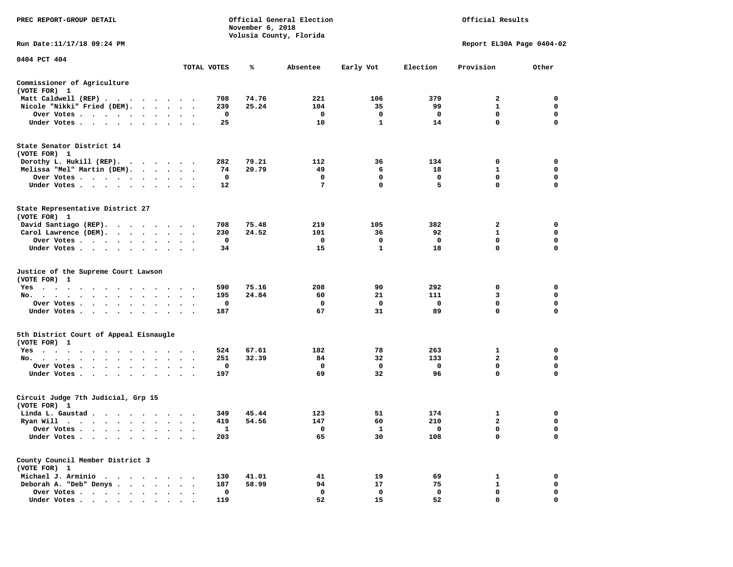| PREC REPORT-GROUP DETAIL                               |                                 |             | November 6, 2018 | Official General Election<br>Volusia County, Florida |                          | Official Results        |                             |                         |  |
|--------------------------------------------------------|---------------------------------|-------------|------------------|------------------------------------------------------|--------------------------|-------------------------|-----------------------------|-------------------------|--|
| Run Date: 11/17/18 09:24 PM                            |                                 |             |                  |                                                      |                          |                         | Report EL30A Page 0404-02   |                         |  |
| 0404 PCT 404                                           |                                 | TOTAL VOTES | ℁                | Absentee                                             | Early Vot                | Election                | Provision                   | Other                   |  |
|                                                        |                                 |             |                  |                                                      |                          |                         |                             |                         |  |
| Commissioner of Agriculture<br>(VOTE FOR) 1            |                                 |             |                  |                                                      |                          |                         |                             |                         |  |
| Matt Caldwell (REP)                                    |                                 | 708         | 74.76            | 221                                                  | 106                      | 379                     | $\overline{a}$              | $\mathbf 0$             |  |
| Nicole "Nikki" Fried (DEM).                            |                                 | 239         | 25.24            | 104                                                  | 35                       | 99                      | $\mathbf{1}$                | 0                       |  |
| Over Votes                                             |                                 | $\mathbf 0$ |                  | $\mathbf 0$<br>10                                    | $\Omega$<br>$\mathbf{1}$ | $\mathbf{o}$<br>14      | $\mathbf{0}$<br>$\mathbf 0$ | $\mathbf 0$<br>0        |  |
| Under Votes                                            |                                 | 25          |                  |                                                      |                          |                         |                             |                         |  |
| State Senator District 14<br>(VOTE FOR) 1              |                                 |             |                  |                                                      |                          |                         |                             |                         |  |
| Dorothy L. Hukill (REP).                               |                                 | 282         | 79.21            | 112                                                  | 36                       | 134                     | 0                           | 0                       |  |
| Melissa "Mel" Martin (DEM).                            |                                 | 74          | 20.79            | 49                                                   | 6                        | 18                      | $\mathbf{1}$                | $\mathbf 0$             |  |
| Over Votes                                             |                                 | $\mathbf 0$ |                  | $\mathbf 0$                                          | $\mathbf 0$              | $\mathbf 0$             | $\mathbf 0$                 | $\mathbf 0$             |  |
| Under Votes                                            | $\cdot$ $\cdot$ $\cdot$         | $12 \,$     |                  | 7                                                    | $\mathbf 0$              | 5                       | $\mathbf 0$                 | $\mathbf 0$             |  |
| State Representative District 27<br>(VOTE FOR) 1       |                                 |             |                  |                                                      |                          |                         |                             |                         |  |
| David Santiago (REP).                                  |                                 | 708         | 75.48            | 219                                                  | 105                      | 382                     | 2                           | $\mathbf 0$             |  |
| Carol Lawrence (DEM).                                  |                                 | 230         | 24.52            | 101                                                  | 36                       | 92                      | $\mathbf{1}$                | $\mathbf 0$             |  |
| Over Votes                                             | $\ddot{\phantom{a}}$            | $\mathbf 0$ |                  | $\mathbf 0$                                          | 0                        | $\mathbf 0$             | $\mathbf 0$                 | $\mathbf 0$             |  |
| Under Votes                                            |                                 | 34          |                  | 15                                                   | $\mathbf{1}$             | 18                      | $\mathbf 0$                 | $\mathbf 0$             |  |
| Justice of the Supreme Court Lawson<br>(VOTE FOR) 1    |                                 |             |                  |                                                      |                          |                         |                             |                         |  |
| $Yes \cdot \cdot \cdot \cdot$<br>.                     |                                 | 590         | 75.16            | 208                                                  | 90                       | 292                     | 0                           | 0                       |  |
| No.                                                    | $\cdot$ $\cdot$ $\cdot$         | 195         | 24.84            | 60                                                   | 21                       | 111                     | 3                           | $\mathbf 0$             |  |
| Over Votes                                             |                                 | 0           |                  | 0                                                    | $\mathbf 0$              | $\mathbf 0$             | $\mathbf 0$<br>0            | $\mathbf 0$<br>0        |  |
| Under Votes                                            |                                 | 187         |                  | 67                                                   | 31                       | 89                      |                             |                         |  |
| 5th District Court of Appeal Eisnaugle<br>(VOTE FOR) 1 |                                 |             |                  |                                                      |                          |                         |                             |                         |  |
| Yes                                                    |                                 | 524         | 67.61            | 182                                                  | 78                       | 263                     | 1                           | 0                       |  |
| No.                                                    |                                 | 251         | 32.39            | 84                                                   | 32                       | 133                     | $\overline{2}$              | $\mathbf 0$             |  |
| Over Votes<br>$\cdot$<br>Under Votes                   |                                 | 0<br>197    |                  | 0<br>69                                              | 0<br>32                  | $\mathbf 0$<br>96       | 0<br>$\mathbf 0$            | 0<br>$\mathbf 0$        |  |
|                                                        |                                 |             |                  |                                                      |                          |                         |                             |                         |  |
| Circuit Judge 7th Judicial, Grp 15<br>(VOTE FOR) 1     |                                 |             |                  |                                                      |                          |                         |                             |                         |  |
| Linda L. Gaustad                                       |                                 | 349         | 45.44            | 123                                                  | 51                       | 174                     | 1                           | 0                       |  |
| Ryan Will $\cdots$ , $\cdots$ , $\cdots$ , $\cdots$    |                                 | 419         | 54.56            | 147                                                  | 60                       | 210                     | $\mathbf{2}$                | 0                       |  |
| Over Votes                                             |                                 | 1           |                  | $\mathbf{o}$                                         | <b>1</b>                 | $\overline{\mathbf{0}}$ | 0                           | $\mathbf 0$             |  |
| Under Votes<br>$\cdot$<br>$\bullet$<br>$\cdot$ $\cdot$ |                                 | 203         |                  | 65                                                   | 30                       | 108                     | $\mathbf 0$                 | $\mathbf 0$             |  |
| County Council Member District 3<br>(VOTE FOR) 1       |                                 |             |                  |                                                      |                          |                         |                             |                         |  |
| Michael J. Arminio                                     |                                 | 130         | 41.01            | 41                                                   | 19                       | 69                      | 1                           | $\mathbf 0$             |  |
| Deborah A. "Deb" Denys                                 |                                 | 187         | 58.99            | 94                                                   | 17                       | 75                      | $\mathbf{1}$                | 0                       |  |
| Over Votes<br>$\sim$                                   | $\ddot{\phantom{a}}$<br>$\cdot$ | 0           |                  | $\mathbf 0$                                          | $\mathbf 0$              | $\mathbf 0$             | $\mathbf 0$<br>$\Omega$     | $\mathbf 0$<br>$\Omega$ |  |
| Under Votes,                                           |                                 | 119         |                  | 52                                                   | 15                       | 52                      |                             |                         |  |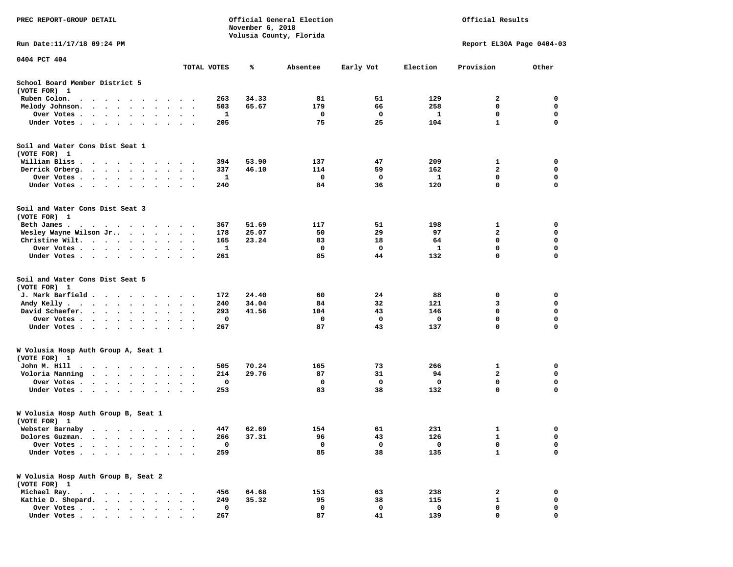| PREC REPORT-GROUP DETAIL                                                                                                                     |                                        | November 6, 2018 | Official General Election<br>Volusia County, Florida | Official Results |          |                           |             |
|----------------------------------------------------------------------------------------------------------------------------------------------|----------------------------------------|------------------|------------------------------------------------------|------------------|----------|---------------------------|-------------|
| Run Date: 11/17/18 09:24 PM                                                                                                                  |                                        |                  |                                                      |                  |          | Report EL30A Page 0404-03 |             |
| 0404 PCT 404                                                                                                                                 | TOTAL VOTES                            | ℁                | Absentee                                             | Early Vot        | Election | Provision                 | Other       |
|                                                                                                                                              |                                        |                  |                                                      |                  |          |                           |             |
| School Board Member District 5<br>(VOTE FOR) 1                                                                                               |                                        |                  |                                                      |                  |          |                           |             |
| Ruben Colon.<br>$\sim$ $\sim$<br>$\cdots$                                                                                                    | 263<br>$\cdot$                         | 34.33            | 81                                                   | 51               | 129      | 2                         | 0           |
| Melody Johnson.<br>$\cdots$                                                                                                                  | 503                                    | 65.67            | 179                                                  | 66               | 258      | 0                         | 0           |
| Over Votes<br>$\cdot$                                                                                                                        | 1<br>$\bullet$                         |                  | 0                                                    | 0                | 1        | 0                         | $\mathbf 0$ |
| Under Votes<br>$\sim$<br>$\cdot$                                                                                                             | 205                                    |                  | 75                                                   | 25               | 104      | $\mathbf{1}$              | 0           |
| Soil and Water Cons Dist Seat 1                                                                                                              |                                        |                  |                                                      |                  |          |                           |             |
| (VOTE FOR) 1                                                                                                                                 |                                        |                  |                                                      |                  |          |                           |             |
| William Bliss.<br>$\cdots$                                                                                                                   | 394                                    | 53.90            | 137                                                  | 47               | 209      | 1                         | 0           |
| Derrick Orberg.<br>$\cdots$                                                                                                                  | 337<br>$\bullet$ .<br><br><br><br><br> | 46.10            | 114                                                  | 59               | 162      | $\mathbf{2}$              | 0           |
| Over Votes                                                                                                                                   | 1                                      |                  | 0                                                    | 0                | 1        | 0                         | 0           |
| Under Votes                                                                                                                                  | 240<br>$\sim$                          |                  | 84                                                   | 36               | 120      | $\mathbf 0$               | $\mathbf 0$ |
| Soil and Water Cons Dist Seat 3                                                                                                              |                                        |                  |                                                      |                  |          |                           |             |
| (VOTE FOR) 1                                                                                                                                 |                                        |                  |                                                      |                  |          |                           |             |
| Beth James.<br>$\mathcal{A}=\mathcal{A}=\mathcal{A}=\mathcal{A}=\mathcal{A}=\mathcal{A}=\mathcal{A}=\mathcal{A}=\mathcal{A}$                 | 367                                    | 51.69            | 117                                                  | 51               | 198      | 1                         | 0           |
| Wesley Wayne Wilson Jr                                                                                                                       | 178                                    | 25.07            | 50                                                   | 29               | 97       | $\overline{\mathbf{2}}$   | 0           |
| Christine Wilt.                                                                                                                              | 165                                    | 23.24            | 83                                                   | 18               | 64       | 0                         | 0           |
| Over Votes<br>$\bullet$                                                                                                                      | 1                                      |                  | 0                                                    | $\Omega$         | 1        | 0                         | 0           |
| Under Votes<br>$\cdot$<br>$\bullet$                                                                                                          | 261                                    |                  | 85                                                   | 44               | 132      | $\mathbf 0$               | 0           |
| Soil and Water Cons Dist Seat 5<br>(VOTE FOR) 1                                                                                              |                                        |                  |                                                      |                  |          |                           |             |
| J. Mark Barfield                                                                                                                             | 172                                    | 24.40            | 60                                                   | 24               | 88       | 0                         | 0           |
| Andy Kelly.                                                                                                                                  | 240<br>$\ddot{\phantom{1}}$            | 34.04            | 84                                                   | 32               | 121      | 3                         | 0           |
| David Schaefer.<br>$\bullet$                                                                                                                 | 293                                    | 41.56            | 104                                                  | 43               | 146      | 0                         | 0           |
| Over Votes<br>$\bullet$                                                                                                                      | 0<br>$\bullet$                         |                  | 0                                                    | 0                | 0        | 0                         | 0           |
| Under Votes                                                                                                                                  | 267                                    |                  | 87                                                   | 43               | 137      | $\mathbf 0$               | 0           |
|                                                                                                                                              |                                        |                  |                                                      |                  |          |                           |             |
| W Volusia Hosp Auth Group A, Seat 1<br>(VOTE FOR) 1                                                                                          |                                        |                  |                                                      |                  |          |                           |             |
| John M. Hill<br>the contract of the contract of the contract of the contract of the contract of the contract of the contract of<br>$\bullet$ | 505                                    | 70.24            | 165                                                  | 73               | 266      | 1                         | 0           |
| Voloria Manning<br>$\cdot$                                                                                                                   | 214<br>$\bullet$ .<br><br><br><br><br> | 29.76            | 87                                                   | 31               | 94       | $\mathbf{2}$              | 0           |
| Over Votes .<br>$\cdot$                                                                                                                      | 0                                      |                  | 0                                                    | 0                | 0        | 0                         | 0           |
| Under Votes<br>$\cdot$                                                                                                                       | 253                                    |                  | 83                                                   | 38               | 132      | 0                         | 0           |
| W Volusia Hosp Auth Group B, Seat 1                                                                                                          |                                        |                  |                                                      |                  |          |                           |             |
| (VOTE FOR) 1                                                                                                                                 |                                        |                  |                                                      |                  |          |                           |             |
| Webster Barnaby<br>$\sim$<br>.                                                                                                               | 447                                    | 62.69            | 154                                                  | 61               | 231      | $\mathbf{1}$              | 0           |
| Dolores Guzman.<br>$\bullet$                                                                                                                 | 266                                    | 37.31            | 96                                                   | 43               | 126      | 1                         | 0           |
| Over Votes .<br>$\sim$<br>$\ddot{\phantom{0}}$<br>$\ddot{\phantom{a}}$                                                                       | 0                                      |                  | $\mathbf 0$                                          | 0                | 0        | 0                         | 0           |
| Under Votes.<br>$\bullet$ .<br><br><br><br><br><br><br><br><br><br><br><br><br>$\bullet$<br>$\ddot{\phantom{0}}$<br>$\cdot$                  | 259                                    |                  | 85                                                   | 38               | 135      | $\mathbf{1}$              | 0           |
| W Volusia Hosp Auth Group B, Seat 2                                                                                                          |                                        |                  |                                                      |                  |          |                           |             |
| (VOTE FOR) 1                                                                                                                                 |                                        |                  |                                                      |                  |          |                           |             |
| Michael Ray.                                                                                                                                 | 456<br>$\sim$                          | 64.68            | 153                                                  | 63               | 238      | 2                         | 0           |
| Kathie D. Shepard.<br>$\mathbf{r}$ , $\mathbf{r}$ , $\mathbf{r}$ , $\mathbf{r}$ , $\mathbf{r}$                                               | 249                                    | 35.32            | 95                                                   | 38               | 115      | $\mathbf{1}$              | 0           |
| Over Votes                                                                                                                                   | 0<br>$\bullet$                         |                  | 0                                                    | 0                | 0        | 0                         | 0           |
| Under Votes                                                                                                                                  | 267                                    |                  | 87                                                   | 41               | 139      | $\mathbf 0$               | 0           |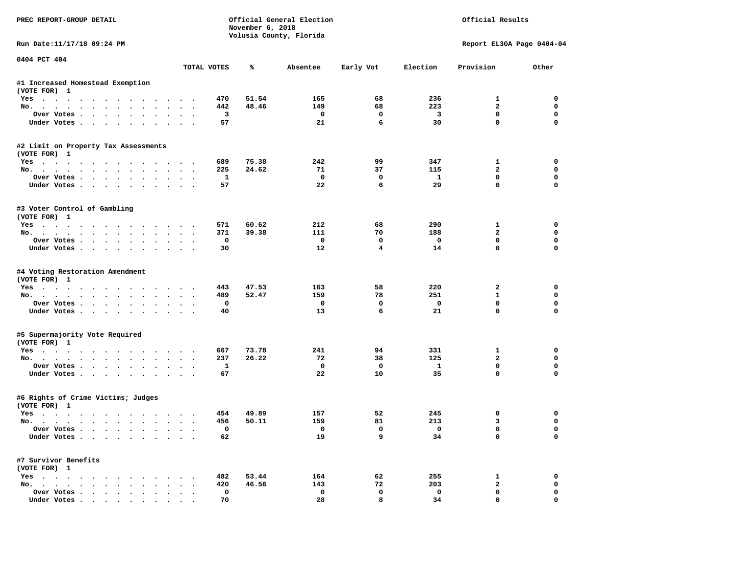| PREC REPORT-GROUP DETAIL                                                  |                        |              | November 6, 2018 | Official General Election<br>Volusia County, Florida |                         |          | Official Results          |             |
|---------------------------------------------------------------------------|------------------------|--------------|------------------|------------------------------------------------------|-------------------------|----------|---------------------------|-------------|
| Run Date:11/17/18 09:24 PM                                                |                        |              |                  |                                                      |                         |          | Report EL30A Page 0404-04 |             |
| 0404 PCT 404                                                              | TOTAL VOTES            |              | ℁                | Absentee                                             | Early Vot               | Election | Provision                 | Other       |
| #1 Increased Homestead Exemption<br>(VOTE FOR) 1                          |                        |              |                  |                                                      |                         |          |                           |             |
| Yes                                                                       |                        | 470          | 51.54            | 165                                                  | 68                      | 236      | 1                         | 0           |
| No.<br>$\cdot$ $\cdot$ $\cdot$ $\cdot$                                    |                        | 442          | 48.46            | 149                                                  | 68                      | 223      | $\overline{a}$            | $\mathbf 0$ |
| Over Votes<br>$\bullet$<br>$\ddot{\phantom{0}}$                           | $\bullet$              | 3            |                  | 0                                                    | 0                       | 3        | 0                         | 0           |
| Under Votes                                                               |                        | 57           |                  | 21                                                   | 6                       | 30       | $\Omega$                  | 0           |
| #2 Limit on Property Tax Assessments<br>(VOTE FOR) 1                      |                        |              |                  |                                                      |                         |          |                           |             |
| $Yes \cdot \cdot \cdot \cdot$<br>.                                        |                        | 689          | 75.38            | 242                                                  | 99                      | 347      | 1                         | 0           |
| No.                                                                       |                        | 225          | 24.62            | 71                                                   | 37                      | 115      | $\overline{a}$            | $\mathbf 0$ |
| Over Votes                                                                |                        | $\mathbf{1}$ |                  | $\mathbf 0$                                          | 0                       | 1        | 0                         | $\mathbf 0$ |
| Under Votes.<br>$\cdot$<br>$\cdot$<br>$\blacksquare$ .                    |                        | 57           |                  | 22                                                   | 6                       | 29       | 0                         | 0           |
| #3 Voter Control of Gambling<br>(VOTE FOR) 1                              |                        |              |                  |                                                      |                         |          |                           |             |
| Yes                                                                       |                        | 571          | 60.62            | 212                                                  | 68                      | 290      | 1                         | 0           |
| No.<br>$\cdot$ $\cdot$ $\cdot$ $\cdot$                                    |                        | 371          | 39.38            | 111                                                  | 70                      | 188      | $\overline{a}$            | 0           |
| Over Votes                                                                |                        | 0            |                  | 0                                                    | 0                       | 0        | 0                         | 0           |
| Under Votes.                                                              | $\sim$ $\sim$          | 30           |                  | 12                                                   | $\overline{\mathbf{4}}$ | 14       | $\mathbf 0$               | $\mathbf 0$ |
| #4 Voting Restoration Amendment<br>(VOTE FOR) 1<br>Yes                    |                        | 443          | 47.53            | 163                                                  | 58                      | 220      | 2                         | 0           |
| No.<br>$\ddot{\phantom{a}}$                                               |                        | 489          | 52.47            | 159                                                  | 78                      | 251      | $\mathbf{1}$              | 0           |
| Over Votes<br>$\bullet$                                                   |                        | 0            |                  | 0                                                    | 0                       | 0        | 0                         | 0           |
| Under Votes                                                               | $\bullet$              | 40           |                  | 13                                                   | 6                       | 21       | $\mathbf 0$               | 0           |
| #5 Supermajority Vote Required<br>(VOTE FOR) 1                            |                        |              |                  |                                                      |                         |          |                           |             |
| Yes                                                                       |                        | 667          | 73.78            | 241                                                  | 94                      | 331      | 1                         | 0           |
| No.                                                                       | $\sim$ $\sim$          | 237          | 26.22            | 72                                                   | 38                      | 125      | $\mathbf{2}$              | 0           |
| Over Votes                                                                |                        | 1            |                  | $\mathbf{o}$                                         | $\mathbf 0$             | 1        | 0                         | $\mathbf 0$ |
| Under Votes<br>$\ddot{\phantom{0}}$                                       |                        | 67           |                  | 22                                                   | 10                      | 35       | 0                         | 0           |
| #6 Rights of Crime Victims; Judges<br>(VOTE FOR) 1                        |                        |              |                  |                                                      |                         |          |                           |             |
| Yes<br>.                                                                  |                        | 454          | 49.89            | 157                                                  | 52                      | 245      | 0                         | 0           |
| No.                                                                       | $\bullet$<br>$\bullet$ | 456          | 50.11            | 159                                                  | 81                      | 213      | 3                         | 0           |
| Over votes $\cdots$ $\cdots$ $\cdots$ $\cdots$                            |                        | 0            |                  | 0                                                    | 0                       | 0        | 0                         | 0           |
| Under Votes                                                               |                        | 62           |                  | 19                                                   | 9                       | 34       | 0                         | 0           |
| #7 Survivor Benefits<br>(VOTE FOR) 1                                      |                        |              |                  |                                                      |                         |          |                           |             |
| $Yes \cdot \cdot \cdot \cdot \cdot \cdot \cdot \cdot$<br>$\sim$ $\sim$    |                        | 482          | 53.44            | 164                                                  | 62                      | 255      | 1                         | 0           |
| No.                                                                       |                        | 420          | 46.56            | 143                                                  | 72                      | 203      | $\mathbf{2}$              | 0           |
| Over Votes                                                                |                        | 0            |                  | 0                                                    | $\mathbf 0$             | 0        | 0                         | 0           |
| Under Votes.<br>$\mathbf{r}$ , $\mathbf{r}$ , $\mathbf{r}$ , $\mathbf{r}$ |                        | 70           |                  | 28                                                   | 8                       | 34       | $\mathbf 0$               | $\mathbf 0$ |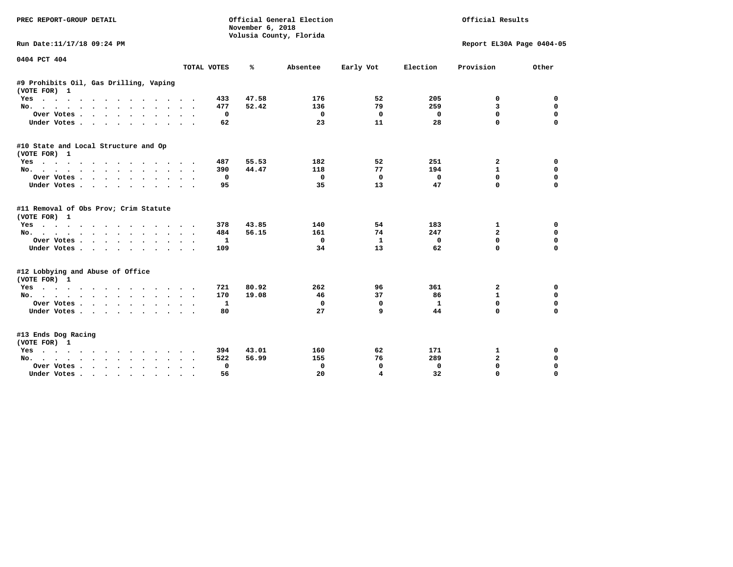| PREC REPORT-GROUP DETAIL                                                        |                           | November 6, 2018 | Official General Election<br>Volusia County, Florida |                         | Official Results |                           |             |  |
|---------------------------------------------------------------------------------|---------------------------|------------------|------------------------------------------------------|-------------------------|------------------|---------------------------|-------------|--|
| Run Date:11/17/18 09:24 PM                                                      |                           |                  |                                                      |                         |                  | Report EL30A Page 0404-05 |             |  |
| 0404 PCT 404                                                                    |                           |                  |                                                      |                         |                  |                           |             |  |
|                                                                                 | TOTAL VOTES               | ℁                | Absentee                                             | Early Vot               | Election         | Provision                 | Other       |  |
| #9 Prohibits Oil, Gas Drilling, Vaping<br>(VOTE FOR) 1                          |                           |                  |                                                      |                         |                  |                           |             |  |
| Yes                                                                             | 433                       | 47.58            | 176                                                  | 52                      | 205              | 0                         | 0           |  |
| No.                                                                             | 477                       | 52.42            | 136                                                  | 79                      | 259              | 3                         | 0           |  |
| Over Votes                                                                      | 0<br>$\bullet$<br>$\sim$  |                  | 0                                                    | 0                       | $\mathbf 0$      | $\mathbf 0$               | $\mathbf 0$ |  |
| Under Votes                                                                     | 62                        |                  | 23                                                   | 11                      | 28               | $\Omega$                  | $\mathbf 0$ |  |
| #10 State and Local Structure and Op<br>(VOTE FOR) 1                            |                           |                  |                                                      |                         |                  |                           |             |  |
| Yes                                                                             | 487                       | 55.53            | 182                                                  | 52                      | 251              | 2                         | 0           |  |
| No.                                                                             | 390                       | 44.47            | 118                                                  | 77                      | 194              | 1                         | 0           |  |
| Over Votes                                                                      | 0<br>$\sim$               |                  | 0                                                    | 0                       | $\Omega$         | 0                         | $\mathbf 0$ |  |
| Under Votes                                                                     | 95                        |                  | 35                                                   | 13                      | 47               | $\Omega$                  | $\mathbf 0$ |  |
| #11 Removal of Obs Prov; Crim Statute<br>(VOTE FOR) 1                           |                           |                  |                                                      |                         |                  |                           |             |  |
| Yes                                                                             | 378                       | 43.85            | 140                                                  | 54                      | 183              | 1                         | 0           |  |
| No.                                                                             | 484                       | 56.15            | 161                                                  | 74                      | 247              | $\overline{a}$            | 0           |  |
| Over Votes                                                                      | 1<br>$\bullet$            |                  | 0                                                    | 1                       | $\Omega$         | 0                         | $\mathbf 0$ |  |
| Under Votes                                                                     | 109                       |                  | 34                                                   | 13                      | 62               | $\Omega$                  | $\Omega$    |  |
| #12 Lobbying and Abuse of Office<br>(VOTE FOR) 1                                |                           |                  |                                                      |                         |                  |                           |             |  |
| Yes                                                                             | 721                       | 80.92            | 262                                                  | 96                      | 361              | 2                         | 0           |  |
| No.                                                                             | 170                       | 19.08            | 46                                                   | 37                      | 86               | $\mathbf{1}$              | 0           |  |
| Over Votes                                                                      | 1<br>$\ddot{\phantom{1}}$ |                  | 0                                                    | $\Omega$                | $\mathbf{1}$     | 0                         | $\mathbf 0$ |  |
| Under Votes                                                                     | 80                        |                  | 27                                                   | 9                       | 44               | 0                         | $\mathbf 0$ |  |
| #13 Ends Dog Racing<br>(VOTE FOR) 1                                             |                           |                  |                                                      |                         |                  |                           |             |  |
| Yes                                                                             | 394                       | 43.01            | 160                                                  | 62                      | 171              | 1                         | 0           |  |
| No.                                                                             | 522                       | 56.99            | 155                                                  | 76                      | 289              | $\mathbf{2}$              | $\mathbf 0$ |  |
| Over Votes .<br>$\cdot$ $\cdot$ $\cdot$ $\cdot$ $\cdot$<br>$\ddot{\phantom{a}}$ | 0                         |                  | 0                                                    | 0                       | $\mathbf 0$      | $\mathbf 0$               | $\mathbf 0$ |  |
| Under Votes<br>$\sim$ 100 $\sim$                                                | 56                        |                  | 20                                                   | $\overline{\mathbf{4}}$ | 32               | $\Omega$                  | $\Omega$    |  |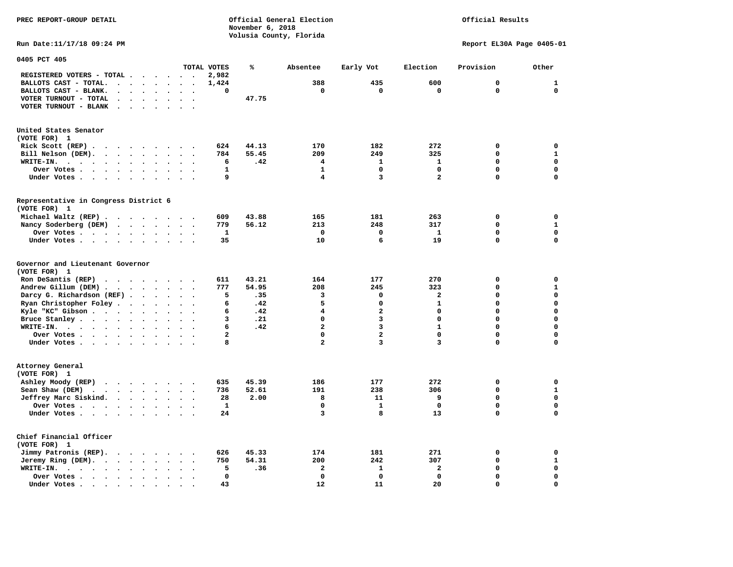**PREC REPORT-GROUP DETAIL COMPUTER CONSUMING A CONSUMING CONSUMING A CONSUMING A CONSUMING A CONSUMING A CONSUMING A CONSUMING A CONSUMING A CONSUMING A CONSUMING A CONSUMING A CONSUMING A CONSUMING A CONSUMING A CONSUMING November 6, 2018 Volusia County, Florida** 

## Official Results

**Run Date:11/17/18 09:24 PM Report EL30A Page 0405-01** 

| 0405 PCT 405                                                                                                                                                                      |                      |                                                  |                |       |                         |                         |                |              |              |
|-----------------------------------------------------------------------------------------------------------------------------------------------------------------------------------|----------------------|--------------------------------------------------|----------------|-------|-------------------------|-------------------------|----------------|--------------|--------------|
|                                                                                                                                                                                   |                      |                                                  | TOTAL VOTES    | ℁     | Absentee                | Early Vot               | Election       | Provision    | Other        |
| REGISTERED VOTERS - TOTAL .<br>$\ddot{\phantom{a}}$<br>$\ddot{\phantom{a}}$                                                                                                       | $\sim$               | $\sim$<br>$\ddot{\phantom{a}}$                   | 2,982          |       |                         |                         |                |              |              |
| BALLOTS CAST - TOTAL.<br>$\cdot$ $\cdot$<br>$\ddot{\phantom{a}}$                                                                                                                  | $\bullet$            |                                                  | 1,424          |       | 388                     | 435                     | 600            | $\mathbf 0$  | 1            |
| BALLOTS CAST - BLANK.<br>$\bullet$<br>$\bullet$<br>$\bullet$                                                                                                                      | $\bullet$            | $\ddot{\phantom{a}}$<br>$\bullet$                | $\mathbf 0$    |       | $\mathbf 0$             | $\mathbf 0$             | $\mathbf 0$    | $\Omega$     | $\Omega$     |
| VOTER TURNOUT - TOTAL<br>$\Delta$<br>$\ddot{\phantom{a}}$<br>$\ddot{\phantom{a}}$                                                                                                 | $\ddot{\phantom{a}}$ |                                                  |                | 47.75 |                         |                         |                |              |              |
| VOTER TURNOUT - BLANK<br>$\ddot{\phantom{a}}$                                                                                                                                     |                      |                                                  |                |       |                         |                         |                |              |              |
|                                                                                                                                                                                   |                      |                                                  |                |       |                         |                         |                |              |              |
| United States Senator                                                                                                                                                             |                      |                                                  |                |       |                         |                         |                |              |              |
| (VOTE FOR) 1                                                                                                                                                                      |                      |                                                  |                |       |                         |                         |                |              |              |
| Rick Scott (REP).<br>$\bullet$<br>$\sim$ $\sim$<br>$\cdots$                                                                                                                       |                      | $\overline{\phantom{a}}$                         | 624            | 44.13 | 170                     | 182                     | 272            | $\mathbf 0$  | $\mathbf 0$  |
| Bill Nelson (DEM).<br>$\cdots$                                                                                                                                                    |                      | $\overline{\phantom{a}}$                         | 784            | 55.45 | 209                     | 249                     | 325            | 0            | $\mathbf{1}$ |
| WRITE-IN.<br>$\sim$ $\sim$ $\sim$<br>$\sim$ $\sim$ $\sim$<br>$\sim$<br>$\ddot{\phantom{a}}$                                                                                       | $\bullet$            |                                                  | 6              | .42   | 4                       | 1                       | 1              | $\mathbf 0$  | $\mathbf 0$  |
| Over Votes<br>$\ddot{\phantom{a}}$                                                                                                                                                | $\ddot{\phantom{a}}$ |                                                  | 1              |       | $\mathbf{1}$            | $\mathbf 0$             | 0              | $\mathbf{0}$ | $\mathbf 0$  |
| Under Votes                                                                                                                                                                       |                      |                                                  | 9              |       | 4                       | 3                       | $\overline{a}$ | $\Omega$     | $\Omega$     |
| $\bullet$<br>$\ddot{\phantom{0}}$                                                                                                                                                 | $\bullet$            | $\ddot{\phantom{1}}$                             |                |       |                         |                         |                |              |              |
| Representative in Congress District 6                                                                                                                                             |                      |                                                  |                |       |                         |                         |                |              |              |
| (VOTE FOR) 1                                                                                                                                                                      |                      |                                                  |                |       |                         |                         |                |              |              |
| Michael Waltz (REP).<br>$\cdot$ $\cdot$ $\cdot$ $\cdot$ $\cdot$                                                                                                                   |                      |                                                  | 609            | 43.88 | 165                     | 181                     | 263            | 0            | $\mathbf 0$  |
| Nancy Soderberg (DEM)                                                                                                                                                             |                      | $\sim$                                           | 779            | 56.12 | 213                     | 248                     | 317            | $\Omega$     | $\mathbf{1}$ |
| $\mathcal{A}$ . The set of the set of $\mathcal{A}$                                                                                                                               |                      | $\bullet$                                        |                |       | $\mathbf 0$             | 0                       |                | 0            | $\mathbf 0$  |
| Over Votes.<br>$\cdots$<br>$\bullet$<br>$\bullet$                                                                                                                                 | $\bullet$            |                                                  | 1              |       |                         |                         | 1              |              | $\Omega$     |
| Under Votes<br>$\ddot{\phantom{a}}$                                                                                                                                               | $\bullet$            | $\sim$                                           | 35             |       | 10                      | 6                       | 19             | $\Omega$     |              |
| Governor and Lieutenant Governor                                                                                                                                                  |                      |                                                  |                |       |                         |                         |                |              |              |
| (VOTE FOR) 1                                                                                                                                                                      |                      |                                                  |                |       |                         |                         |                |              |              |
| Ron DeSantis (REP)<br>$\begin{array}{cccccccccccccccccc} \bullet & \bullet & \bullet & \bullet & \bullet & \bullet & \bullet & \bullet & \bullet & \bullet & \bullet \end{array}$ |                      |                                                  | 611            | 43.21 | 164                     | 177                     | 270            | $\mathbf 0$  | $\mathbf 0$  |
| Andrew Gillum (DEM)                                                                                                                                                               |                      |                                                  | 777            | 54.95 | 208                     | 245                     | 323            | $\mathbf 0$  | $\mathbf{1}$ |
|                                                                                                                                                                                   | $\ddot{\phantom{a}}$ | $\bullet$<br>$\bullet$                           |                |       | 3                       | $\mathbf 0$             |                | 0            | $\mathbf 0$  |
| Darcy G. Richardson (REF).<br>$\bullet$<br>$\ddot{\phantom{a}}$                                                                                                                   | $\ddot{\phantom{a}}$ |                                                  | 5              | .35   |                         |                         | 2              | $\Omega$     |              |
| Ryan Christopher Foley.<br>$\ddot{\phantom{0}}$<br>$\bullet$                                                                                                                      | $\bullet$            |                                                  | 6              | .42   | 5                       | $\mathbf 0$             | $\mathbf{1}$   |              | $\mathbf 0$  |
| Kyle "KC" Gibson.<br>$\sim$ $\sim$ $\sim$<br>$\bullet$<br>$\bullet$                                                                                                               | $\ddot{\phantom{a}}$ | $\ddot{\phantom{a}}$                             | 6              | .42   | $\overline{\mathbf{4}}$ | $\overline{\mathbf{2}}$ | $\mathbf 0$    | $\Omega$     | $\mathbf 0$  |
| Bruce Stanley<br>$\bullet$<br>$\bullet$                                                                                                                                           | $\bullet$            | $\sim$                                           | 3              | .21   | $\mathbf 0$             | 3                       | $\mathbf 0$    | $\Omega$     | $\Omega$     |
| WRITE-IN.<br>$\cdots$<br>$\ddot{\phantom{1}}$                                                                                                                                     |                      |                                                  | 6              | .42   | $\overline{\mathbf{2}}$ | 3                       | $\mathbf{1}$   | $\Omega$     | $\mathbf 0$  |
| Over Votes<br>$\bullet$<br>$\ddot{\phantom{a}}$                                                                                                                                   | $\bullet$            |                                                  | $\overline{a}$ |       | 0                       | $\overline{\mathbf{2}}$ | 0              | 0            | $\mathbf 0$  |
| Under Votes<br>$\sim$<br>$\cdot$                                                                                                                                                  | $\bullet$            |                                                  | 8              |       | $\overline{\mathbf{2}}$ | 3                       | 3              | 0            | $\mathbf 0$  |
| Attorney General                                                                                                                                                                  |                      |                                                  |                |       |                         |                         |                |              |              |
| (VOTE FOR) 1                                                                                                                                                                      |                      |                                                  |                |       |                         |                         |                |              |              |
| Ashley Moody (REP)                                                                                                                                                                |                      | $\sim$ $\sim$                                    | 635            | 45.39 | 186                     | 177                     | 272            | $\mathbf 0$  | $\mathbf 0$  |
| Sean Shaw (DEM)<br>$\cdots$                                                                                                                                                       | $\ddot{\phantom{a}}$ |                                                  | 736            | 52.61 | 191                     | 238                     | 306            | 0            | $\mathbf{1}$ |
| Jeffrey Marc Siskind.<br>$\cdots$<br>$\bullet$                                                                                                                                    | $\bullet$            | $\ddot{\phantom{a}}$<br>$\overline{\phantom{a}}$ | 28             | 2.00  | 8                       | 11                      | 9              | $\Omega$     | $\mathbf 0$  |
| Over Votes<br>$\bullet$<br>$\ddot{\phantom{a}}$                                                                                                                                   | $\ddot{\phantom{a}}$ |                                                  | 1              |       | $\mathbf 0$             | $\mathbf{1}$            | $\Omega$       | 0            | $\mathbf 0$  |
| Under Votes<br>$\bullet$                                                                                                                                                          |                      |                                                  | 24             |       | 3                       | 8                       | 13             | $\Omega$     | $\mathbf 0$  |
|                                                                                                                                                                                   |                      |                                                  |                |       |                         |                         |                |              |              |
| Chief Financial Officer<br>(VOTE FOR) 1                                                                                                                                           |                      |                                                  |                |       |                         |                         |                |              |              |
|                                                                                                                                                                                   |                      |                                                  |                |       |                         |                         |                |              |              |
| Jimmy Patronis (REP).<br>$\cdot$ $\cdot$ $\cdot$ $\cdot$                                                                                                                          | $\ddot{\phantom{a}}$ |                                                  | 626            | 45.33 | 174                     | 181                     | 271            | $\mathbf 0$  | $\mathbf 0$  |
| Jeremy Ring (DEM).                                                                                                                                                                | $\bullet$            | $\ddot{\phantom{a}}$<br>$\ddot{\phantom{a}}$     | 750            | 54.31 | 200                     | 242                     | 307            | 0            | $\mathbf{1}$ |
| WRITE-IN.<br>$\sim$<br>$\sim$ $\sim$<br>$\sim$<br>$\bullet$                                                                                                                       |                      |                                                  | 5              | .36   | $\mathbf{2}$            | $\mathbf{1}$            | $\mathbf{2}$   | $\mathbf 0$  | 0            |
| Over Votes<br>$\bullet$<br>$\bullet$                                                                                                                                              |                      |                                                  | 0              |       | $\mathbf 0$             | $\mathbf{0}$            | $\mathbf 0$    | 0            | $\Omega$     |
| Under Votes.<br>$\cdot$<br>$\bullet$<br>$\sim$<br>$\bullet$                                                                                                                       |                      |                                                  | 43             |       | 12                      | 11                      | 20             | $\Omega$     | $\Omega$     |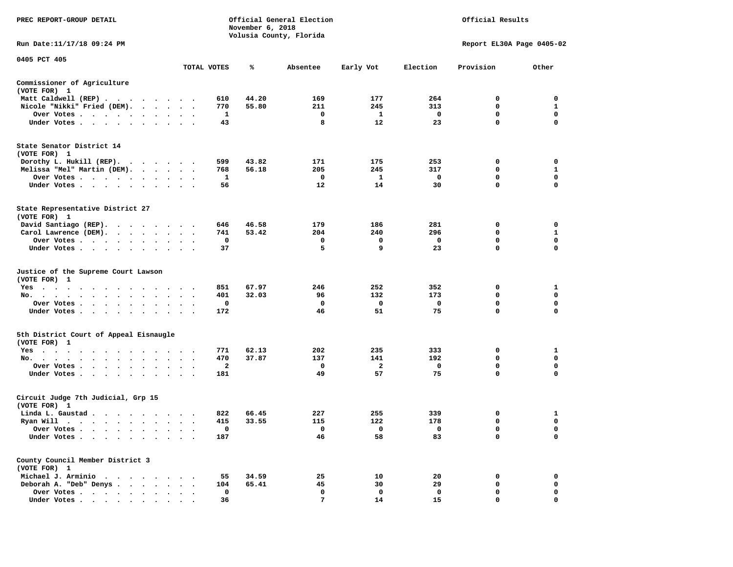| PREC REPORT-GROUP DETAIL                                     |                                 |             | November 6, 2018 | Official General Election<br>Volusia County, Florida |                      | Official Results  |                            |                         |  |
|--------------------------------------------------------------|---------------------------------|-------------|------------------|------------------------------------------------------|----------------------|-------------------|----------------------------|-------------------------|--|
| Run Date: 11/17/18 09:24 PM                                  |                                 |             |                  |                                                      |                      |                   | Report EL30A Page 0405-02  |                         |  |
| 0405 PCT 405                                                 |                                 | TOTAL VOTES | ℁                | Absentee                                             | Early Vot            | Election          | Provision                  | Other                   |  |
|                                                              |                                 |             |                  |                                                      |                      |                   |                            |                         |  |
| Commissioner of Agriculture<br>(VOTE FOR) 1                  |                                 |             |                  |                                                      |                      |                   |                            |                         |  |
| Matt Caldwell (REP)                                          |                                 | 610         | 44.20            | 169                                                  | 177                  | 264               | 0                          | $\mathbf 0$             |  |
| Nicole "Nikki" Fried (DEM).                                  |                                 | 770         | 55.80            | 211                                                  | 245                  | 313               | $\mathbf 0$                | $\mathbf{1}$            |  |
| Over Votes                                                   |                                 | 1<br>43     |                  | $\mathbf 0$<br>8                                     | $\mathbf{1}$<br>12   | $\mathbf 0$<br>23 | $\mathbf 0$<br>$\mathbf 0$ | $\mathbf 0$<br>0        |  |
| Under Votes                                                  |                                 |             |                  |                                                      |                      |                   |                            |                         |  |
| State Senator District 14<br>(VOTE FOR) 1                    |                                 |             |                  |                                                      |                      |                   |                            |                         |  |
| Dorothy L. Hukill (REP).                                     |                                 | 599         | 43.82            | 171                                                  | 175                  | 253               | 0                          | 0                       |  |
| Melissa "Mel" Martin (DEM).                                  |                                 | 768         | 56.18            | 205                                                  | 245                  | 317               | $\mathbf{0}$               | $\mathbf{1}$            |  |
| Over Votes                                                   |                                 | 1           |                  | $\mathbf 0$                                          | $\mathbf{1}$         | $\mathbf 0$       | $\mathbf 0$                | $\mathbf 0$             |  |
| Under Votes                                                  | $\sim$ $\sim$ $\sim$            | 56          |                  | 12                                                   | 14                   | 30                | $\mathbf 0$                | $\mathbf 0$             |  |
| State Representative District 27<br>(VOTE FOR) 1             |                                 |             |                  |                                                      |                      |                   |                            |                         |  |
| David Santiago (REP).                                        |                                 | 646         | 46.58            | 179                                                  | 186                  | 281               | 0                          | $\mathbf 0$             |  |
| Carol Lawrence (DEM).                                        |                                 | 741         | 53.42            | 204                                                  | 240                  | 296               | $\mathbf 0$                | $\mathbf{1}$            |  |
| Over Votes                                                   |                                 | 0           |                  | 0                                                    | 0                    | $\mathbf 0$       | $\mathbf 0$                | $\mathbf 0$             |  |
| Under Votes                                                  |                                 | 37          |                  | 5                                                    | 9                    | 23                | $\mathbf 0$                | $\mathbf 0$             |  |
| Justice of the Supreme Court Lawson<br>(VOTE FOR) 1          |                                 |             |                  |                                                      |                      |                   |                            |                         |  |
| $Yes \cdot \cdot \cdot$<br>$\sim$ $\sim$<br>.                |                                 | 851         | 67.97            | 246                                                  | 252                  | 352               | 0                          | 1                       |  |
| No.                                                          | $\cdot$ $\cdot$ $\cdot$         | 401         | 32.03            | 96                                                   | 132                  | 173               | $\mathbf 0$                | $\mathbf 0$             |  |
| Over Votes                                                   |                                 | 0           |                  | $\mathbf 0$                                          | $\mathbf 0$          | $\mathbf 0$       | $\mathbf 0$                | $\mathbf 0$             |  |
| Under Votes                                                  | $\ddot{\phantom{a}}$            | 172         |                  | 46                                                   | 51                   | 75                | 0                          | 0                       |  |
| 5th District Court of Appeal Eisnaugle<br>(VOTE FOR) 1       |                                 |             |                  |                                                      |                      |                   |                            |                         |  |
| Yes                                                          |                                 | 771         | 62.13            | 202                                                  | 235                  | 333               | 0                          | 1                       |  |
| No.                                                          |                                 | 470         | 37.87            | 137                                                  | 141                  | 192               | 0                          | $\mathbf 0$<br>0        |  |
| Over Votes<br>$\sim$ $\sim$<br>$\cdot$<br>Under Votes        |                                 | 2<br>181    |                  | 0<br>49                                              | $\overline{a}$<br>57 | 0<br>75           | 0<br>$\mathbf 0$           | $\mathbf 0$             |  |
| Circuit Judge 7th Judicial, Grp 15<br>(VOTE FOR) 1           |                                 |             |                  |                                                      |                      |                   |                            |                         |  |
| Linda L. Gaustad                                             |                                 | 822         | 66.45            | 227                                                  | 255                  | 339               | 0                          | 1                       |  |
| Ryan Will $\cdots$ , $\cdots$ , $\cdots$ , $\cdots$          |                                 | 415         | 33.55            | 115                                                  | 122                  | 178               | 0                          | $\mathbf 0$             |  |
| Over Votes                                                   |                                 | 0           |                  | 0                                                    | 0                    | $\mathbf 0$       | 0                          | $\mathbf 0$             |  |
| Under Votes<br>$\sim$<br>$\bullet$<br>$\bullet$<br>$\bullet$ |                                 | 187         |                  | 46                                                   | 58                   | 83                | $\mathbf 0$                | $\mathbf 0$             |  |
| County Council Member District 3<br>(VOTE FOR) 1             |                                 |             |                  |                                                      |                      |                   |                            |                         |  |
| Michael J. Arminio                                           |                                 | 55          | 34.59            | 25                                                   | 10                   | 20                | 0                          | $\mathbf 0$             |  |
| Deborah A. "Deb" Denys                                       |                                 | 104         | 65.41            | 45                                                   | 30                   | 29                | 0                          | 0                       |  |
| Over Votes<br>$\sim$                                         | $\ddot{\phantom{a}}$<br>$\cdot$ | 0           |                  | $\mathbf 0$                                          | $\mathbf 0$          | $\mathbf 0$       | $\mathbf 0$<br>$\Omega$    | $\mathbf 0$<br>$\Omega$ |  |
| Under Votes,                                                 |                                 | 36          |                  | 7                                                    | 14                   | 15                |                            |                         |  |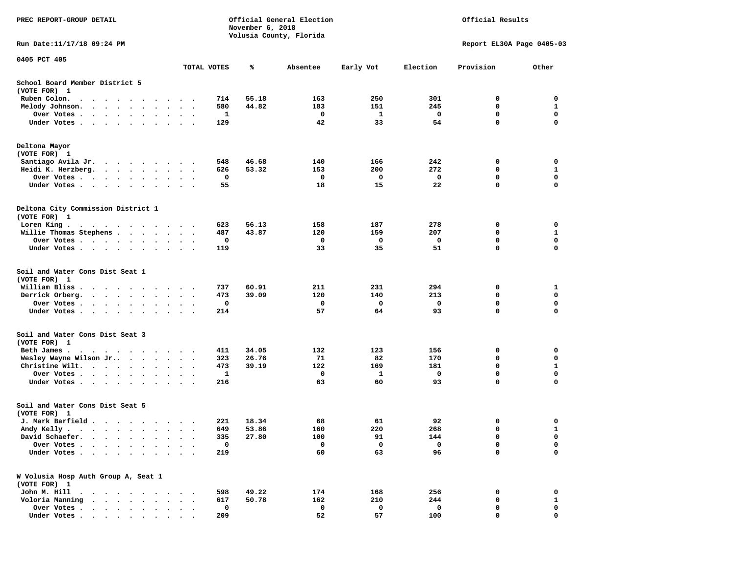| PREC REPORT-GROUP DETAIL                                                                                                                                                                                                                         |                                   |             | November 6, 2018 | Official General Election<br>Volusia County, Florida |           | Official Results |                  |                            |  |
|--------------------------------------------------------------------------------------------------------------------------------------------------------------------------------------------------------------------------------------------------|-----------------------------------|-------------|------------------|------------------------------------------------------|-----------|------------------|------------------|----------------------------|--|
| Run Date: 11/17/18 09:24 PM                                                                                                                                                                                                                      |                                   |             |                  |                                                      |           |                  |                  | Report EL30A Page 0405-03  |  |
| 0405 PCT 405                                                                                                                                                                                                                                     |                                   | TOTAL VOTES | ℁                | Absentee                                             | Early Vot | Election         | Provision        | Other                      |  |
| School Board Member District 5                                                                                                                                                                                                                   |                                   |             |                  |                                                      |           |                  |                  |                            |  |
| (VOTE FOR) 1                                                                                                                                                                                                                                     |                                   |             |                  |                                                      |           |                  |                  |                            |  |
| Ruben Colon.<br>$\bullet$<br>$\cdot$<br>$\bullet$<br>$\bullet$<br>$\cdot$<br>$\bullet$                                                                                                                                                           |                                   | 714         | 55.18            | 163                                                  | 250       | 301              | 0                | 0                          |  |
| Melody Johnson.<br>$\sim$ $\sim$ $\sim$ $\sim$<br>$\bullet$<br>$\ddot{\phantom{0}}$                                                                                                                                                              | $\mathbf{r}$                      | 580         | 44.82            | 183                                                  | 151       | 245              | 0                | 1                          |  |
| Over Votes.<br>$\bullet$ .<br><br><br><br><br><br><br><br><br><br><br><br><br>$\bullet$<br>Under Votes<br>$\bullet$<br>$\cdot$                                                                                                                   |                                   | 1<br>129    |                  | 0<br>42                                              | 1<br>33   | 0<br>54          | 0<br>$\mathbf 0$ | 0<br>$\mathbf 0$           |  |
| Deltona Mayor                                                                                                                                                                                                                                    |                                   |             |                  |                                                      |           |                  |                  |                            |  |
| (VOTE FOR) 1                                                                                                                                                                                                                                     |                                   |             |                  |                                                      |           |                  |                  |                            |  |
| Santiago Avila Jr.<br>$\begin{array}{cccccccccccccccccc} \bullet & \bullet & \bullet & \bullet & \bullet & \bullet & \bullet & \bullet & \bullet & \bullet & \bullet & \bullet \end{array}$                                                      |                                   | 548         | 46.68            | 140                                                  | 166       | 242              | 0                | 0                          |  |
| Heidi K. Herzberg.<br>$\mathcal{A}=\mathcal{A}=\mathcal{A}=\mathcal{A}=\mathcal{A}=\mathcal{A}$ .                                                                                                                                                | $\bullet$<br>$\ddot{\phantom{1}}$ | 626         | 53.32            | 153                                                  | 200       | 272              | 0                | 1                          |  |
| Over Votes.<br>$\sim$ $\sim$<br>$\cdot$                                                                                                                                                                                                          |                                   | 0           |                  | 0                                                    | 0         | 0                | 0                | 0                          |  |
| Under Votes<br>$\sim$<br>$\bullet$                                                                                                                                                                                                               | $\bullet$                         | 55          |                  | 18                                                   | 15        | 22               | 0                | $\mathbf 0$                |  |
| Deltona City Commission District 1<br>(VOTE FOR) 1                                                                                                                                                                                               |                                   |             |                  |                                                      |           |                  |                  |                            |  |
| Loren King.<br>$\mathbf{a}$ . The contribution of the contribution of the contribution of the contribution of the contribution of the contribution of the contribution of the contribution of the contribution of the contribution of the contri |                                   | 623         | 56.13            | 158                                                  | 187       | 278              | 0                | 0                          |  |
| Willie Thomas Stephens                                                                                                                                                                                                                           | $\ddot{\phantom{0}}$              | 487         | 43.87            | 120                                                  | 159       | 207              | 0                | 1                          |  |
| Over Votes<br>$\bullet$                                                                                                                                                                                                                          | $\ddot{\phantom{1}}$              | 0           |                  | 0                                                    | 0         | 0                | $\mathbf 0$      | $\mathbf 0$                |  |
| Under Votes<br>$\bullet$                                                                                                                                                                                                                         | $\sim$ $\sim$                     | 119         |                  | 33                                                   | 35        | 51               | 0                | 0                          |  |
| Soil and Water Cons Dist Seat 1<br>(VOTE FOR) 1                                                                                                                                                                                                  |                                   |             |                  |                                                      |           |                  |                  |                            |  |
| William Bliss.<br>$\ddot{\phantom{a}}$<br>$\ddot{\phantom{1}}$<br>$\ddot{\phantom{0}}$<br>$\bullet$<br>$\overline{\phantom{a}}$<br>$\cdot$                                                                                                       |                                   | 737         | 60.91            | 211                                                  | 231       | 294              | 0                | 1                          |  |
| Derrick Orberg.<br>$\ddotsc$<br>$\sim$<br>$\cdot$                                                                                                                                                                                                |                                   | 473<br>0    | 39.09            | 120<br>0                                             | 140<br>0  | 213<br>0         | 0<br>0           | 0<br>0                     |  |
| Over Votes .<br>$\bullet$ .<br><br><br><br><br><br><br><br><br><br><br><br><br>$\bullet$<br>$\bullet$<br>Under Votes<br>$\bullet$<br>$\bullet$                                                                                                   | $\sim$                            | 214         |                  | 57                                                   | 64        | 93               | 0                | $\Omega$                   |  |
| Soil and Water Cons Dist Seat 3<br>(VOTE FOR) 1                                                                                                                                                                                                  |                                   |             |                  |                                                      |           |                  |                  |                            |  |
| Beth James.<br>.                                                                                                                                                                                                                                 |                                   | 411         | 34.05            | 132                                                  | 123       | 156              | 0                | 0                          |  |
| Wesley Wayne Wilson Jr<br>$\sim$ $\sim$ $\sim$ $\sim$ $\sim$ $\sim$                                                                                                                                                                              | $\bullet$<br>$\ddot{\phantom{1}}$ | 323         | 26.76            | 71                                                   | 82        | 170              | 0                | $\mathbf 0$                |  |
| Christine Wilt.<br>$\bullet$<br>$\bullet$<br>$\cdot$                                                                                                                                                                                             |                                   | 473         | 39.19            | 122                                                  | 169       | 181              | 0                | 1                          |  |
| Over Votes<br>$\bullet$<br>$\bullet$<br>Under Votes.                                                                                                                                                                                             | $\bullet$                         | 1<br>216    |                  | 0<br>63                                              | 1<br>60   | 0<br>93          | $\mathbf 0$<br>0 | $\mathbf 0$<br>$\mathbf 0$ |  |
| Soil and Water Cons Dist Seat 5                                                                                                                                                                                                                  |                                   |             |                  |                                                      |           |                  |                  |                            |  |
| (VOTE FOR) 1                                                                                                                                                                                                                                     |                                   |             |                  |                                                      |           |                  |                  |                            |  |
| J. Mark Barfield                                                                                                                                                                                                                                 | $\sim$                            | 221         | 18.34            | 68                                                   | 61        | 92               | 0                | 0                          |  |
| Andy Kelly                                                                                                                                                                                                                                       |                                   | 649         | 53.86            | 160                                                  | 220       | 268              | $\mathbf 0$      | $\mathbf{1}$               |  |
| David Schaefer.                                                                                                                                                                                                                                  |                                   | 335         | 27.80            | 100                                                  | 91        | 144              | 0                | 0                          |  |
| Over Votes .<br>Under Votes.<br>$\ddot{\phantom{a}}$                                                                                                                                                                                             |                                   | 0<br>219    |                  | 0<br>60                                              | 0<br>63   | 0<br>96          | 0<br>0           | 0<br>$\mathbf 0$           |  |
| W Volusia Hosp Auth Group A, Seat 1                                                                                                                                                                                                              |                                   |             |                  |                                                      |           |                  |                  |                            |  |
| (VOTE FOR) 1                                                                                                                                                                                                                                     |                                   |             |                  |                                                      |           |                  |                  |                            |  |
| John M. Hill<br>$\cdot$<br>$\ddot{\phantom{a}}$                                                                                                                                                                                                  |                                   | 598         | 49.22            | 174                                                  | 168       | 256              | 0                | 0                          |  |
| Voloria Manning<br>$\ddot{\phantom{a}}$<br>$\ddot{\phantom{a}}$                                                                                                                                                                                  |                                   | 617         | 50.78            | 162                                                  | 210       | 244              | 0                | 1                          |  |
| Over Votes<br>$\bullet$<br>$\bullet$<br>$\bullet$<br>$\bullet$                                                                                                                                                                                   |                                   | 0           |                  | 0                                                    | 0         | 0                | 0                | 0                          |  |
| Under Votes.<br>$\cdot$ $\cdot$ $\cdot$ $\cdot$<br>$\sim$                                                                                                                                                                                        |                                   | 209         |                  | 52                                                   | 57        | 100              | 0                | 0                          |  |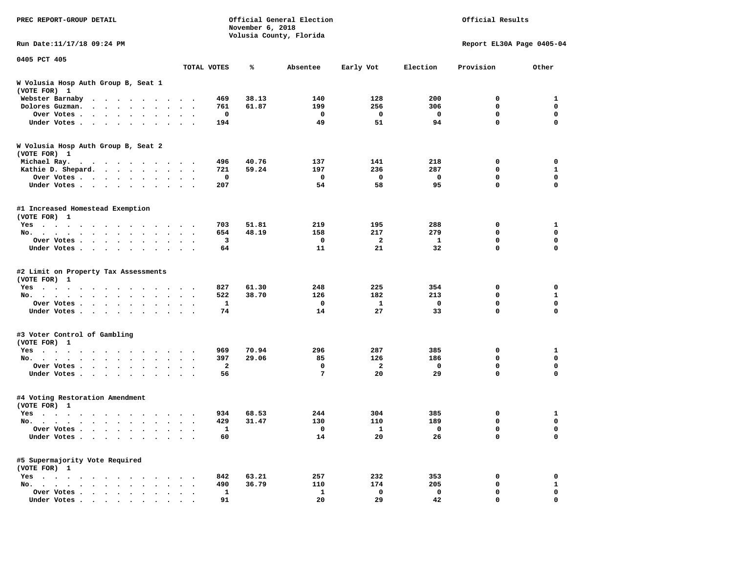| PREC REPORT-GROUP DETAIL                                                                                                                                                                                                                         |                                              |             | November 6, 2018 | Official General Election<br>Volusia County, Florida |                     | Official Results   |                            |                             |  |
|--------------------------------------------------------------------------------------------------------------------------------------------------------------------------------------------------------------------------------------------------|----------------------------------------------|-------------|------------------|------------------------------------------------------|---------------------|--------------------|----------------------------|-----------------------------|--|
| Run Date: 11/17/18 09:24 PM                                                                                                                                                                                                                      |                                              |             |                  |                                                      |                     |                    | Report EL30A Page 0405-04  |                             |  |
| 0405 PCT 405                                                                                                                                                                                                                                     |                                              |             |                  |                                                      |                     |                    |                            |                             |  |
|                                                                                                                                                                                                                                                  | TOTAL VOTES                                  |             | ℁                | Absentee                                             | Early Vot           | Election           | Provision                  | Other                       |  |
| W Volusia Hosp Auth Group B, Seat 1<br>(VOTE FOR) 1                                                                                                                                                                                              |                                              |             |                  |                                                      |                     |                    |                            |                             |  |
| Webster Barnaby<br>$\cdots$                                                                                                                                                                                                                      |                                              | 469         | 38.13            | 140                                                  | 128                 | 200                | 0                          | 1                           |  |
| Dolores Guzman.<br>$\ddot{\phantom{0}}$<br>$\sim$ $\sim$<br>$\sim$<br>$\sim$                                                                                                                                                                     |                                              | 761         | 61.87            | 199                                                  | 256                 | 306                | $\mathbf 0$                | 0                           |  |
| Over Votes                                                                                                                                                                                                                                       |                                              | $\mathbf 0$ |                  | $\mathbf 0$                                          | $\mathbf 0$         | $\mathbf 0$        | $\mathbf 0$                | $\mathbf 0$                 |  |
| Under Votes<br>$\ddot{\phantom{0}}$<br>$\ddot{\phantom{a}}$                                                                                                                                                                                      | $\sim$ $\sim$                                | 194         |                  | 49                                                   | 51                  | 94                 | $\mathbf 0$                | $\Omega$                    |  |
| W Volusia Hosp Auth Group B, Seat 2<br>(VOTE FOR) 1                                                                                                                                                                                              |                                              |             |                  |                                                      |                     |                    |                            |                             |  |
| Michael Ray.<br>. The contract of the contract of the contract of the contract of the contract of the contract of the contract of the contract of the contract of the contract of the contract of the contract of the contract of the contrac    |                                              | 496         | 40.76            | 137                                                  | 141                 | 218                | 0                          | 0                           |  |
| Kathie D. Shepard.                                                                                                                                                                                                                               |                                              | 721         | 59.24            | 197                                                  | 236                 | 287                | $\mathbf 0$                | $\mathbf{1}$                |  |
| Over Votes<br>$\ddot{\phantom{0}}$                                                                                                                                                                                                               |                                              | $\mathbf 0$ |                  | $\mathbf 0$                                          | $\mathbf 0$         | $\mathbf 0$        | $\mathbf 0$                | $\mathbf 0$                 |  |
| Under Votes<br>$\sim$ $\sim$                                                                                                                                                                                                                     | $\sim$ $\sim$ $\sim$                         | 207         |                  | 54                                                   | 58                  | 95                 | $\mathbf 0$                | $\mathbf 0$                 |  |
| #1 Increased Homestead Exemption<br>(VOTE FOR) 1                                                                                                                                                                                                 |                                              |             |                  |                                                      |                     |                    |                            |                             |  |
| Yes                                                                                                                                                                                                                                              |                                              | 703         | 51.81            | 219                                                  | 195                 | 288                | $\mathbf 0$                | 1                           |  |
| No.<br>$\sim$                                                                                                                                                                                                                                    | $\cdot$<br>$\overline{\phantom{a}}$          | 654         | 48.19            | 158                                                  | 217                 | 279                | $\mathbf 0$                | $\mathbf 0$                 |  |
| Over Votes<br>$\bullet$ .<br>$\bullet$<br>$\bullet$<br>$\bullet$<br>$\bullet$                                                                                                                                                                    |                                              | 3           |                  | 0                                                    | $\overline{a}$      | 1                  | $\mathbf 0$                | $\mathbf 0$                 |  |
| Under Votes                                                                                                                                                                                                                                      |                                              | 64          |                  | 11                                                   | 21                  | 32                 | $\mathbf 0$                | $\mathbf 0$                 |  |
| #2 Limit on Property Tax Assessments<br>(VOTE FOR) 1                                                                                                                                                                                             |                                              |             |                  |                                                      |                     |                    |                            |                             |  |
| $Yes \t . \t .$<br>$\ddot{\phantom{1}}$<br>$\ddot{\phantom{0}}$<br>$\ddot{\phantom{1}}$<br>$\sim$ $\sim$<br>$\sim$ $\sim$                                                                                                                        |                                              | 827         | 61.30            | 248                                                  | 225                 | 354                | 0                          | 0                           |  |
| No.<br>$\cdots$<br>$\cdot$ $\cdot$ $\cdot$<br>$\sim$                                                                                                                                                                                             | $\sim$                                       | 522         | 38.70            | 126<br>$\mathbf 0$                                   | 182<br>$\mathbf{1}$ | 213<br>$\mathbf 0$ | $\mathbf 0$<br>$\mathbf 0$ | $\mathbf{1}$<br>$\mathbf 0$ |  |
| Over Votes                                                                                                                                                                                                                                       |                                              | 1           |                  |                                                      | 27                  |                    | 0                          | 0                           |  |
| Under Votes                                                                                                                                                                                                                                      |                                              | 74          |                  | 14                                                   |                     | 33                 |                            |                             |  |
| #3 Voter Control of Gambling<br>(VOTE FOR) 1                                                                                                                                                                                                     |                                              |             |                  |                                                      |                     |                    |                            |                             |  |
| Yes                                                                                                                                                                                                                                              |                                              | 969         | 70.94            | 296                                                  | 287                 | 385                | 0                          | 1                           |  |
| No.                                                                                                                                                                                                                                              |                                              | 397         | 29.06            | 85                                                   | 126                 | 186                | $\mathbf 0$                | $\mathbf 0$                 |  |
| Over Votes<br>$\cdot$ $\cdot$<br>$\cdot$                                                                                                                                                                                                         |                                              | 2           |                  | 0                                                    | $\overline{a}$      | 0                  | 0                          | 0                           |  |
| Under Votes                                                                                                                                                                                                                                      | $\cdot$ $\cdot$ $\cdot$                      | 56          |                  | $7\phantom{.0}$                                      | 20                  | 29                 | $\mathbf 0$                | $\Omega$                    |  |
| #4 Voting Restoration Amendment<br>(VOTE FOR) 1                                                                                                                                                                                                  |                                              |             |                  |                                                      |                     |                    |                            |                             |  |
| Yes                                                                                                                                                                                                                                              |                                              | 934         | 68.53            | 244                                                  | 304                 | 385                | 0                          | 1                           |  |
| No.<br>$\sim$ $\sim$<br>$\sim$ $\sim$<br>$\ddot{\phantom{0}}$<br>$\cdot$                                                                                                                                                                         | $\ddot{\phantom{a}}$<br>$\ddot{\phantom{a}}$ | 429         | 31.47            | 130                                                  | 110                 | 189                | 0                          | $\mathbf 0$                 |  |
| Over Votes                                                                                                                                                                                                                                       | $\sim$                                       | 1           |                  | 0                                                    | 1                   | 0                  | 0                          | 0                           |  |
| Under Votes<br>$\ddot{\phantom{a}}$<br>$\bullet$<br>$\bullet$                                                                                                                                                                                    |                                              | 60          |                  | 14                                                   | 20                  | 26                 | $\mathbf 0$                | $\mathbf 0$                 |  |
| #5 Supermajority Vote Required<br>(VOTE FOR) 1                                                                                                                                                                                                   |                                              |             |                  |                                                      |                     |                    |                            |                             |  |
| $Yes \t . \t .$<br>the company of the company of the company of the company of the company of the company of the company of the company of the company of the company of the company of the company of the company of the company of the company |                                              | 842         | 63.21            | 257                                                  | 232                 | 353                | 0                          | $\mathbf 0$                 |  |
| No.                                                                                                                                                                                                                                              | $\cdot$ $\cdot$ $\cdot$                      | 490         | 36.79            | 110                                                  | 174                 | 205                | 0                          | $\mathbf{1}$                |  |
| Over Votes .<br>$\sim$ $\sim$<br>$\ddot{\phantom{0}}$<br>$\bullet$<br>$\sim$<br>$\cdot$                                                                                                                                                          | $\ddot{\phantom{a}}$                         | 1           |                  | 1                                                    | 0                   | $\mathbf 0$        | $\mathbf 0$                | $\mathbf 0$                 |  |
| Under Votes                                                                                                                                                                                                                                      |                                              | 91          |                  | 20                                                   | 29                  | 42                 | $\Omega$                   | $\Omega$                    |  |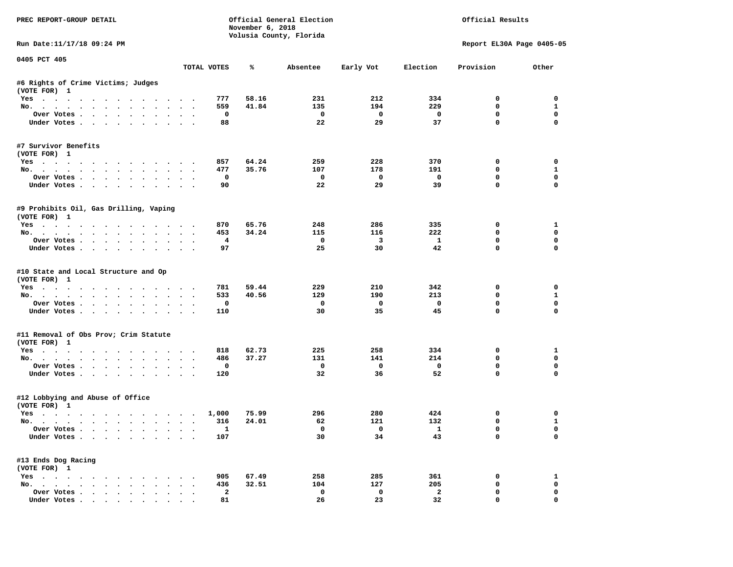| PREC REPORT-GROUP DETAIL                                           |                      |                | November 6, 2018 | Official General Election<br>Volusia County, Florida |                          |                          | Official Results          |                   |
|--------------------------------------------------------------------|----------------------|----------------|------------------|------------------------------------------------------|--------------------------|--------------------------|---------------------------|-------------------|
| Run Date:11/17/18 09:24 PM                                         |                      |                |                  |                                                      |                          |                          | Report EL30A Page 0405-05 |                   |
| 0405 PCT 405                                                       |                      | TOTAL VOTES    | ℁                | Absentee                                             | Early Vot                | Election                 | Provision                 | Other             |
| #6 Rights of Crime Victims; Judges                                 |                      |                |                  |                                                      |                          |                          |                           |                   |
| (VOTE FOR) 1                                                       |                      |                |                  |                                                      |                          |                          |                           |                   |
| Yes                                                                |                      | 777            | 58.16            | 231                                                  | 212                      | 334                      | $^{\circ}$                | $^{\circ}$        |
| No.                                                                |                      | 559            | 41.84            | 135                                                  | 194                      | 229                      | 0                         | $\mathbf{1}$      |
| Over Votes                                                         |                      | 0              |                  | $\overline{\phantom{0}}$                             | $\overline{\mathbf{0}}$  | $\overline{\mathbf{0}}$  | 0                         | $\mathbf 0$       |
| Under Votes                                                        |                      | 88             |                  | 22                                                   | 29                       | 37                       | $\mathbf{0}$              | $\mathbf 0$       |
| #7 Survivor Benefits<br>(VOTE FOR) 1                               |                      |                |                  |                                                      |                          |                          |                           |                   |
| Yes                                                                |                      | 857            | 64.24            | 259                                                  | 228                      | 370                      | 0                         | 0                 |
| No.                                                                |                      | 477            | 35.76            | 107                                                  | 178                      | 191                      | $\mathbf 0$               | 1                 |
| Over Votes                                                         |                      | 0              |                  | $\overline{\mathbf{0}}$                              | $\overline{\phantom{0}}$ | $\overline{\phantom{0}}$ | $\mathbf 0$               | $\mathbf 0$       |
| Under Votes                                                        |                      | 90             |                  | 22                                                   | 29                       | 39                       | $\mathbf 0$               | 0                 |
| #9 Prohibits Oil, Gas Drilling, Vaping<br>(VOTE FOR) 1             |                      |                |                  |                                                      |                          |                          |                           |                   |
| Yes                                                                |                      | 870            | 65.76            | 248                                                  | 286                      | 335                      | 0                         | 1                 |
| No.                                                                |                      | 453            | 34.24            | 115                                                  | 116                      | 222                      | $\mathbf 0$               | $\mathbf 0$       |
| Over Votes                                                         |                      | $\overline{4}$ |                  | $\mathbf 0$                                          | $\overline{\mathbf{3}}$  | $\mathbf{1}$             | $\mathbf 0$               | $\mathbf 0$       |
| Under Votes                                                        |                      | 97             |                  | 25                                                   | 30                       | 42                       | $\Omega$                  | $\Omega$          |
| #10 State and Local Structure and Op<br>(VOTE FOR) 1<br>Yes<br>No. |                      | 781<br>533     | 59.44<br>40.56   | 229<br>129                                           | 210<br>190               | 342<br>213               | 0<br>0                    | 0<br>$\mathbf{1}$ |
| Over Votes                                                         |                      | $\mathbf 0$    |                  | $\mathbf{o}$                                         | $\mathbf{o}$             | $\mathbf{o}$             | $\mathbf 0$               | $\mathbf 0$       |
| Under Votes                                                        |                      | 110            |                  | 30                                                   | 35                       | 45                       | $\mathbf 0$               | $\Omega$          |
| #11 Removal of Obs Prov; Crim Statute                              |                      |                |                  |                                                      |                          |                          |                           |                   |
| (VOTE FOR) 1                                                       |                      |                |                  |                                                      |                          |                          |                           |                   |
| Yes                                                                |                      | 818            | 62.73            | 225                                                  | 258<br>141               | 334<br>214               | 0<br>$\Omega$             | 1<br>$\mathbf{0}$ |
| No.<br>Over Votes                                                  |                      | 486<br>0       | 37.27            | 131<br>$\mathbf 0$                                   | $\overline{\mathbf{0}}$  | $\overline{\mathbf{0}}$  | 0                         | 0                 |
| Under Votes                                                        |                      | 120            |                  | 32                                                   | 36                       | 52                       | $\mathbf{0}$              | 0                 |
| #12 Lobbying and Abuse of Office                                   |                      |                |                  |                                                      |                          |                          |                           |                   |
| (VOTE FOR) 1                                                       |                      | 1,000          | 75.99            | 296                                                  | 280                      | 424                      | 0                         | 0                 |
| Yes<br>No.                                                         |                      | 316            | 24.01            | 62                                                   | 121                      | 132                      | $\mathbf 0$               | $\mathbf{1}$      |
| Over Votes                                                         |                      | $\mathbf{1}$   |                  | $\overline{0}$                                       | $\overline{0}$           | $\mathbf{1}$             | $\mathbf{0}$              | $\mathbf 0$       |
| Under Votes                                                        |                      | 107            |                  | 30                                                   | 34                       | 43                       | $\mathbf 0$               | $\Omega$          |
| #13 Ends Dog Racing                                                |                      |                |                  |                                                      |                          |                          |                           |                   |
| (VOTE FOR) 1                                                       |                      | 905            | 67.49            | 258                                                  | 285                      |                          | 0                         | 1                 |
| Yes<br>No.                                                         |                      | 436            | 32.51            | 104                                                  | 127                      | 361<br>205               | $\mathbf 0$               | $\mathbf 0$       |
| Over Votes                                                         | $\ddot{\phantom{0}}$ | $\mathbf{2}$   |                  | $\mathbf 0$                                          | $\mathbf 0$              | $\mathbf{2}$             | $\mathbf 0$               | 0                 |
| Under Votes                                                        |                      | 81             |                  | 26                                                   | 23                       | 32                       | $\mathbf{0}$              | 0                 |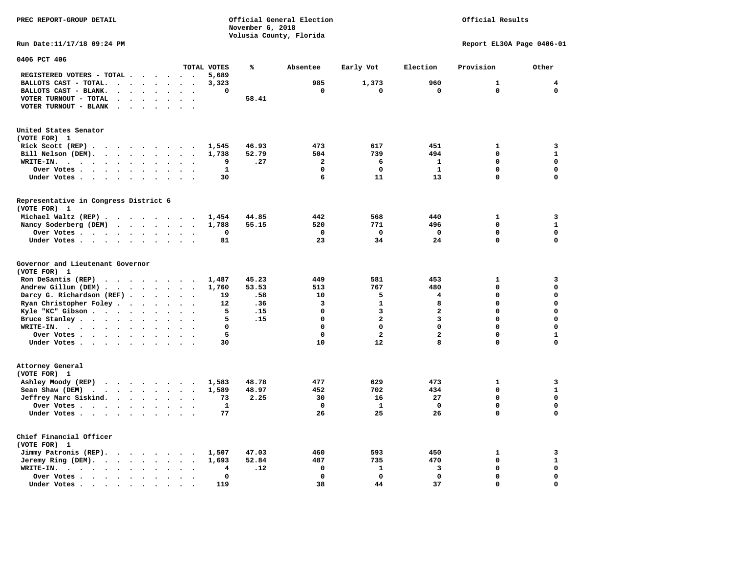**PREC REPORT-GROUP DETAIL COMPUTER CONSUMING A CONSUMING CONSUMING A CONSUMING A CONSUMING A CONSUMING A CONSUMING A CONSUMING A CONSUMING A CONSUMING A CONSUMING A CONSUMING A CONSUMING A CONSUMING A CONSUMING A CONSUMING November 6, 2018 Volusia County, Florida** 

## Official Results

**Run Date:11/17/18 09:24 PM Report EL30A Page 0406-01** 

| 0406 PCT 406                                                                                                      |                                                        |              |       |                |                         |                         |              |              |
|-------------------------------------------------------------------------------------------------------------------|--------------------------------------------------------|--------------|-------|----------------|-------------------------|-------------------------|--------------|--------------|
|                                                                                                                   |                                                        | TOTAL VOTES  | ℁     | Absentee       | Early Vot               | Election                | Provision    | Other        |
| REGISTERED VOTERS - TOTAL .<br>$\sim$<br>$\ddot{\phantom{a}}$                                                     | $\sim$<br>$\ddot{\phantom{0}}$<br>$\ddot{\phantom{a}}$ | 5,689        |       |                |                         |                         |              |              |
| BALLOTS CAST - TOTAL.<br>$\sim$<br>$\bullet$<br>$\ddot{\phantom{a}}$                                              | $\ddot{\phantom{a}}$                                   | 3,323        |       | 985            | 1,373                   | 960                     | $\mathbf{1}$ | 4            |
| BALLOTS CAST - BLANK.<br>$\ddot{\phantom{a}}$<br>$\ddot{\phantom{a}}$<br>$\ddot{\phantom{1}}$                     | $\bullet$<br>$\ddot{\phantom{a}}$<br>$\bullet$         | 0            |       | 0              | 0                       | 0                       | $\mathbf 0$  | $\mathbf 0$  |
| VOTER TURNOUT - TOTAL<br>$\ddot{\phantom{a}}$<br>$\ddot{\phantom{a}}$<br>$\ddot{\phantom{1}}$                     |                                                        |              | 58.41 |                |                         |                         |              |              |
| VOTER TURNOUT - BLANK<br>$\ddot{\phantom{a}}$                                                                     |                                                        |              |       |                |                         |                         |              |              |
|                                                                                                                   |                                                        |              |       |                |                         |                         |              |              |
|                                                                                                                   |                                                        |              |       |                |                         |                         |              |              |
| United States Senator                                                                                             |                                                        |              |       |                |                         |                         |              |              |
| (VOTE FOR) 1                                                                                                      |                                                        |              |       |                |                         |                         |              |              |
| Rick Scott (REP).<br>$\ddot{\phantom{0}}$<br>$\cdots$<br>$\sim$ $\sim$ $\sim$ $\sim$ $\sim$                       | $\sim$                                                 | 1,545        | 46.93 | 473            | 617                     | 451                     | $\mathbf{1}$ | 3            |
| Bill Nelson (DEM).<br>$\cdots$                                                                                    |                                                        | 1,738        | 52.79 | 504            | 739                     | 494                     | 0            | ${\bf 1}$    |
| WRITE-IN.<br>$\cdots$<br>$\cdot$ $\cdot$ $\cdot$ $\cdot$<br>$\bullet$                                             | $\ddot{\phantom{a}}$                                   | 9            | .27   | $\overline{a}$ | 6                       | $\mathbf{1}$            | $\Omega$     | $\mathbf{0}$ |
| Over Votes<br>$\ddot{\phantom{0}}$<br>$\sim$                                                                      | $\bullet$                                              | $\mathbf{1}$ |       | $\Omega$       | $\mathbf 0$             | $\mathbf{1}$            | 0            | $\mathbf 0$  |
| Under Votes<br>$\bullet$                                                                                          | $\blacksquare$<br>$\bullet$<br>$\cdot$                 | 30           |       | 6              | 11                      | 13                      | 0            | $\mathbf 0$  |
|                                                                                                                   |                                                        |              |       |                |                         |                         |              |              |
|                                                                                                                   |                                                        |              |       |                |                         |                         |              |              |
| Representative in Congress District 6<br>(VOTE FOR) 1                                                             |                                                        |              |       |                |                         |                         |              |              |
|                                                                                                                   |                                                        |              |       |                |                         |                         |              |              |
| Michael Waltz (REP)                                                                                               |                                                        | 1,454        | 44.85 | 442            | 568                     | 440                     | $\mathbf{1}$ | 3            |
| Nancy Soderberg (DEM)                                                                                             | $\bullet$                                              | 1,788        | 55.15 | 520            | 771                     | 496                     | $\mathbf 0$  | $\mathbf{1}$ |
| Over Votes<br>$\bullet$                                                                                           | $\bullet$<br>$\bullet$                                 | 0            |       | $\mathbf 0$    | $\mathbf 0$             | $\mathbf 0$             | 0            | $\mathbf 0$  |
| Under Votes<br>$\cdot$                                                                                            | $\ddot{\phantom{a}}$<br>$\cdot$                        | 81           |       | 23             | 34                      | 24                      | 0            | $\mathbf 0$  |
| Governor and Lieutenant Governor<br>(VOTE FOR) 1                                                                  |                                                        |              |       |                |                         |                         |              |              |
| Ron DeSantis (REP)<br>.                                                                                           |                                                        | 1,487        | 45.23 | 449            | 581                     | 453                     | 1            | 3            |
| Andrew Gillum (DEM)                                                                                               | $\ddot{\phantom{a}}$<br>$\bullet$                      | 1,760        | 53.53 | 513            | 767                     | 480                     | 0            | $\mathbf 0$  |
| Darcy G. Richardson (REF).<br>$\bullet$                                                                           | $\ddot{\phantom{a}}$                                   | 19           | .58   | 10             | 5                       | 4                       | 0            | $\mathbf 0$  |
| Ryan Christopher Foley.<br>$\ddot{\phantom{1}}$<br>$\bullet$                                                      | $\bullet$                                              | 12           | .36   | 3              | $\mathbf{1}$            | 8                       | $\mathbf 0$  | $\mathbf 0$  |
| Kyle "KC" Gibson<br>$\bullet$<br>$\bullet$                                                                        | $\bullet$<br>$\bullet$<br>$\overline{\phantom{a}}$     | 5            | .15   | $\mathbf 0$    | 3                       | $\overline{\mathbf{2}}$ | 0            | $\mathbf 0$  |
| Bruce Stanley                                                                                                     | $\overline{\phantom{a}}$<br>$\overline{\phantom{a}}$   | 5            | .15   | $\mathbf 0$    | $\overline{\mathbf{2}}$ | 3                       | $\mathbf 0$  | $\mathbf 0$  |
| WRITE-IN.<br>$\mathbf{r}$ , $\mathbf{r}$ , $\mathbf{r}$ , $\mathbf{r}$ , $\mathbf{r}$ , $\mathbf{r}$<br>$\bullet$ |                                                        | $\mathbf 0$  |       | $\Omega$       | $\Omega$                | $\Omega$                | $\mathbf 0$  | $\mathbf 0$  |
| Over Votes<br>$\ddot{\phantom{a}}$                                                                                | $\bullet$<br>$\ddot{\phantom{a}}$                      | 5            |       | $\mathbf 0$    | $\overline{\mathbf{c}}$ | $\overline{\mathbf{2}}$ | 0            | $\mathbf 1$  |
| Under Votes                                                                                                       | $\ddot{\phantom{a}}$<br>$\bullet$                      | 30           |       | 10             | 12                      | 8                       | 0            | $\mathbf 0$  |
|                                                                                                                   |                                                        |              |       |                |                         |                         |              |              |
| Attorney General<br>(VOTE FOR) 1                                                                                  |                                                        |              |       |                |                         |                         |              |              |
| Ashley Moody (REP)<br>$\cdots$                                                                                    |                                                        | 1,583        | 48.78 | 477            | 629                     | 473                     | 1            | 3            |
| Sean Shaw (DEM)<br>$\cdot$ $\cdot$ $\cdot$ $\cdot$ $\cdot$ $\cdot$<br>$\sim$                                      | $\ddot{\phantom{a}}$                                   | 1,589        | 48.97 | 452            | 702                     | 434                     | 0            | $\mathbf{1}$ |
| Jeffrey Marc Siskind.<br>$\sim$ $\sim$ $\sim$ $\sim$ $\sim$<br>$\ddot{\phantom{a}}$                               | $\bullet$<br>$\bullet$<br>$\bullet$                    | 73           | 2.25  | 30             | 16                      | 27                      | 0            | $\mathbf 0$  |
| Over Votes<br>$\ddot{\phantom{0}}$                                                                                | $\ddot{\phantom{a}}$                                   | $\mathbf{1}$ |       | $\mathbf 0$    | $\mathbf{1}$            | $\mathbf 0$             | 0            | $\mathbf 0$  |
| Under Votes                                                                                                       |                                                        | 77           |       | 26             | 25                      | 26                      | 0            | $\mathbf 0$  |
| Chief Financial Officer<br>(VOTE FOR) 1                                                                           |                                                        |              |       |                |                         |                         |              |              |
| Jimmy Patronis (REP).<br>$\sim$ $\sim$<br>$\sim$ $\sim$                                                           | $\cdot$                                                | 1,507        | 47.03 | 460            | 593                     | 450                     | $\mathbf{1}$ | 3            |
| Jeremy Ring (DEM).<br>$\cdot$ $\cdot$ $\cdot$ $\cdot$<br>$\ddot{\phantom{0}}$                                     | $\bullet$ .<br>$\bullet$<br>$\bullet$                  | 1,693        | 52.84 | 487            | 735                     | 470                     | 0            | ${\bf 1}$    |
| WRITE-IN.<br>$\cdot$ $\cdot$ $\cdot$ $\cdot$ $\cdot$ $\cdot$<br>$\bullet$                                         |                                                        | 4            | .12   | $\mathbf 0$    | 1                       | 3                       | 0            | $\mathbf 0$  |
| Over Votes<br>$\bullet$                                                                                           |                                                        | 0            |       | $\Omega$       | $\Omega$                | $\mathbf 0$             | $\mathbf 0$  | $\mathbf 0$  |
| Under Votes.<br>$\cdot$ $\cdot$<br>$\sim$ $\sim$<br>$\sim$<br>$\bullet$                                           |                                                        | 119          |       | 38             | 44                      | 37                      | 0            | $\mathbf 0$  |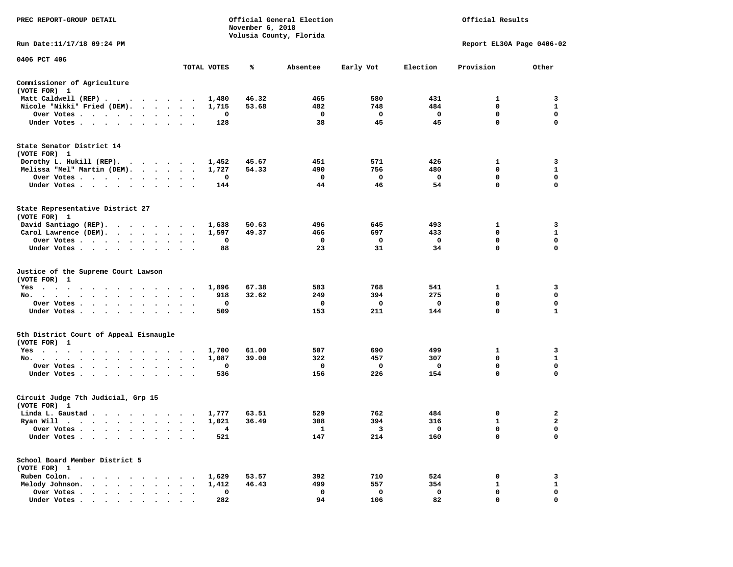| PREC REPORT-GROUP DETAIL                                                                                                                  |                                               |             | November 6, 2018 | Official General Election<br>Volusia County, Florida |             |                         | Official Results          |                         |
|-------------------------------------------------------------------------------------------------------------------------------------------|-----------------------------------------------|-------------|------------------|------------------------------------------------------|-------------|-------------------------|---------------------------|-------------------------|
| Run Date: 11/17/18 09:24 PM                                                                                                               |                                               |             |                  |                                                      |             |                         | Report EL30A Page 0406-02 |                         |
| 0406 PCT 406                                                                                                                              |                                               | TOTAL VOTES | ℁                | Absentee                                             | Early Vot   | Election                | Provision                 | Other                   |
| Commissioner of Agriculture                                                                                                               |                                               |             |                  |                                                      |             |                         |                           |                         |
| (VOTE FOR) 1                                                                                                                              |                                               |             |                  |                                                      |             |                         |                           |                         |
| Matt Caldwell (REP)                                                                                                                       |                                               | 1,480       | 46.32            | 465                                                  | 580         | 431                     | 1                         | $\overline{\mathbf{3}}$ |
| Nicole "Nikki" Fried (DEM).                                                                                                               |                                               | 1,715       | 53.68            | 482                                                  | 748         | 484                     | 0                         | 1                       |
| Over Votes                                                                                                                                |                                               | 0           |                  | $\mathbf 0$                                          | $\mathbf 0$ | $\mathbf 0$             | 0                         | 0                       |
| Under Votes                                                                                                                               |                                               | 128         |                  | 38                                                   | 45          | 45                      | $\mathbf 0$               | $\mathbf 0$             |
| State Senator District 14<br>(VOTE FOR) 1                                                                                                 |                                               |             |                  |                                                      |             |                         |                           |                         |
| Dorothy L. Hukill (REP).                                                                                                                  |                                               | 1,452       | 45.67            | 451                                                  | 571         | 426                     | 1                         | 3                       |
| Melissa "Mel" Martin (DEM).                                                                                                               |                                               | 1,727       | 54.33            | 490                                                  | 756         | 480                     | 0                         | $\mathbf{1}$            |
| Over Votes                                                                                                                                |                                               | 0           |                  | $\mathbf{o}$                                         | $\mathbf 0$ | $\overline{\mathbf{0}}$ | $\mathbf 0$               | $\mathbf 0$             |
| Under Votes                                                                                                                               | $\sim$ $\sim$                                 | 144         |                  | 44                                                   | 46          | 54                      | $\mathbf 0$               | $\mathbf 0$             |
| State Representative District 27<br>(VOTE FOR) 1                                                                                          |                                               |             |                  |                                                      |             |                         |                           |                         |
| David Santiago (REP).                                                                                                                     |                                               | 1,638       | 50.63            | 496                                                  | 645         | 493                     | 1                         | 3                       |
| Carol Lawrence (DEM).                                                                                                                     |                                               | 1,597       | 49.37            | 466                                                  | 697         | 433                     | $\mathbf 0$               | $\mathbf{1}$            |
| Over Votes                                                                                                                                | $\bullet$<br>$\ddot{\phantom{1}}$<br>$\Delta$ | 0           |                  | 0                                                    | 0           | 0                       | 0                         | 0                       |
| Under Votes                                                                                                                               |                                               | 88          |                  | 23                                                   | 31          | 34                      | $\mathbf 0$               | $\mathbf 0$             |
| Justice of the Supreme Court Lawson<br>(VOTE FOR) 1                                                                                       |                                               |             |                  |                                                      |             |                         |                           |                         |
| Yes                                                                                                                                       |                                               | 1,896       | 67.38            | 583                                                  | 768         | 541                     | 1                         | 3                       |
| No.<br>$\cdot$ $\cdot$ $\cdot$                                                                                                            |                                               | 918         | 32.62            | 249                                                  | 394         | 275                     | 0                         | 0                       |
| Over Votes                                                                                                                                | $\cdot$<br>$\sim$<br>$\bullet$                | 0           |                  | 0                                                    | 0           | $\mathbf 0$             | $\mathbf 0$               | 0                       |
| Under Votes                                                                                                                               | $\sim$<br>$\cdot$ $\cdot$                     | 509         |                  | 153                                                  | 211         | 144                     | $\mathbf 0$               | $\mathbf{1}$            |
| 5th District Court of Appeal Eisnaugle<br>(VOTE FOR) 1                                                                                    |                                               |             |                  |                                                      |             |                         |                           |                         |
| Yes                                                                                                                                       |                                               | 1,700       | 61.00            | 507                                                  | 690         | 499                     | 1                         | $\overline{\mathbf{3}}$ |
| No.                                                                                                                                       |                                               | 1,087       | 39.00            | 322                                                  | 457         | 307                     | $\mathbf 0$               | $\mathbf{1}$            |
| Over Votes<br>$\sim$<br>$\sim$<br>$\sim$                                                                                                  |                                               | 0           |                  | $\mathbf 0$                                          | 0           | - 0                     | $\mathbf 0$               | $\mathbf 0$             |
| Under Votes                                                                                                                               |                                               | 536         |                  | 156                                                  | 226         | 154                     | $\mathbf 0$               | $\Omega$                |
| Circuit Judge 7th Judicial, Grp 15<br>(VOTE FOR) 1                                                                                        |                                               |             |                  |                                                      |             |                         |                           |                         |
| Linda L. Gaustad                                                                                                                          |                                               | 1,777       | 63.51            | 529                                                  | 762         | 484                     | 0                         | 2                       |
| Ryan Will $\cdots$ , $\cdots$ , $\cdots$ , $\cdots$                                                                                       |                                               | 1,021       | 36.49            | 308                                                  | 394         | 316                     | 1                         | $\mathbf{2}$            |
| Over Votes                                                                                                                                |                                               | 4           |                  | 1                                                    | 3           | $\mathbf{0}$            | $\mathbf 0$               | $\mathbf 0$             |
| Under Votes<br>$\sim$<br>$\cdot$<br>$\bullet$                                                                                             |                                               | 521         |                  | 147                                                  | 214         | 160                     | $\mathbf 0$               | $\mathbf 0$             |
| School Board Member District 5<br>(VOTE FOR) 1                                                                                            |                                               |             |                  |                                                      |             |                         |                           |                         |
| Ruben Colon.<br>$\mathcal{A}=\mathcal{A}=\mathcal{A}=\mathcal{A}=\mathcal{A}=\mathcal{A}=\mathcal{A}=\mathcal{A}=\mathcal{A}=\mathcal{A}$ |                                               | 1,629       | 53.57            | 392                                                  | 710         | 524                     | 0                         | 3                       |
| Melody Johnson.                                                                                                                           |                                               | 1,412       | 46.43            | 499                                                  | 557         | 354                     | $\mathbf{1}$              | $\mathbf{1}$            |
| Over Votes<br>$\ddot{\phantom{1}}$                                                                                                        | $\cdot$<br>$\cdot$                            | 0           |                  | $\mathbf 0$                                          | 0           | $\mathbf 0$             | $\mathbf 0$               | 0                       |
| Under Votes                                                                                                                               |                                               | 282         |                  | 94                                                   | 106         | 82                      | $\Omega$                  | $\Omega$                |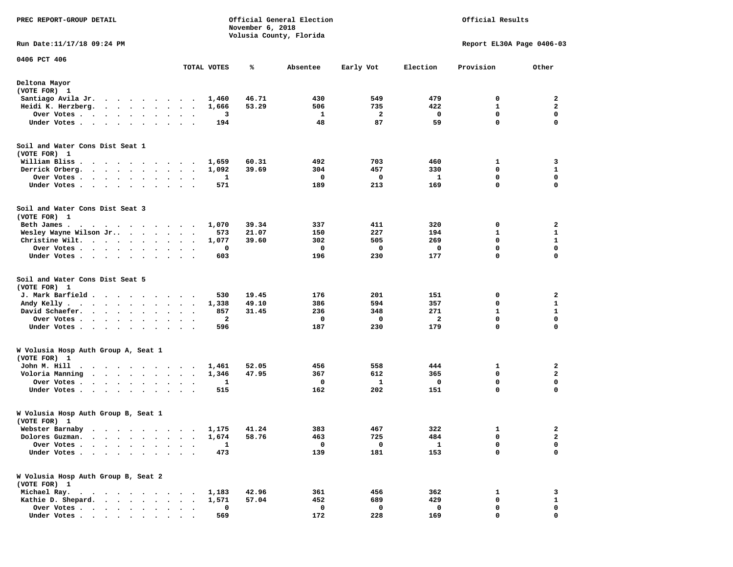| PREC REPORT-GROUP DETAIL                                                                                                                                                                          |                         |                      |                   | Official General Election<br>November 6, 2018<br>Volusia County, Florida |                   |               | Official Results  |                           |
|---------------------------------------------------------------------------------------------------------------------------------------------------------------------------------------------------|-------------------------|----------------------|-------------------|--------------------------------------------------------------------------|-------------------|---------------|-------------------|---------------------------|
| Run Date: 11/17/18 09:24 PM                                                                                                                                                                       |                         |                      |                   |                                                                          |                   |               |                   | Report EL30A Page 0406-03 |
| 0406 PCT 406                                                                                                                                                                                      |                         | TOTAL VOTES          | ℁                 | Absentee                                                                 | Early Vot         | Election      | Provision         | Other                     |
| Deltona Mayor                                                                                                                                                                                     |                         |                      |                   |                                                                          |                   |               |                   |                           |
| (VOTE FOR) 1                                                                                                                                                                                      |                         |                      |                   |                                                                          |                   |               |                   |                           |
| Santiago Avila Jr.                                                                                                                                                                                |                         |                      | 46.71<br>1,460    |                                                                          | 549<br>430        | 479           | 0                 | 2                         |
| Heidi K. Herzberg.                                                                                                                                                                                |                         |                      | 53.29<br>1,666    |                                                                          | 506<br>735        | 422           | 1                 | $\mathbf{2}$              |
| Over Votes .<br>$\sim$ $\sim$<br>$\cdot$ $\cdot$ $\cdot$ $\cdot$                                                                                                                                  |                         |                      | 3                 |                                                                          | 1                 | 2<br>0        | 0                 | 0                         |
| Under Votes                                                                                                                                                                                       |                         |                      | 194               |                                                                          | 48                | 59<br>87      | $\mathbf 0$       | $\mathbf 0$               |
| Soil and Water Cons Dist Seat 1<br>(VOTE FOR) 1                                                                                                                                                   |                         |                      |                   |                                                                          |                   |               |                   |                           |
| William Bliss.<br>$\begin{array}{cccccccccccccccccc} \bullet & \bullet & \bullet & \bullet & \bullet & \bullet & \bullet & \bullet & \bullet & \bullet & \bullet & \bullet & \bullet \end{array}$ |                         |                      | 60.31<br>1,659    |                                                                          | 492<br>703        | 460           | 1                 | 3                         |
| Derrick Orberg.                                                                                                                                                                                   |                         |                      | 39.69<br>1,092    |                                                                          | 304<br>457        | 330           | 0                 | 1                         |
| Over Votes                                                                                                                                                                                        | $\bullet$<br>$\bullet$  |                      | 1                 |                                                                          | 0                 | 1<br>0        | $\mathbf 0$       | $\mathbf 0$               |
| Under Votes                                                                                                                                                                                       | $\cdot$ $\cdot$ $\cdot$ |                      | 571               |                                                                          | 189<br>213        | 169           | 0                 | 0                         |
| Soil and Water Cons Dist Seat 3<br>(VOTE FOR) 1                                                                                                                                                   |                         |                      |                   |                                                                          |                   |               |                   |                           |
| Beth James.<br>.                                                                                                                                                                                  |                         |                      | 1,070<br>39.34    |                                                                          | 337<br>411        | 320           | 0                 | 2                         |
| Wesley Wayne Wilson Jr                                                                                                                                                                            |                         |                      | 573<br>21.07      |                                                                          | 150<br>227        | 194           | 1                 | 1                         |
| Christine Wilt.                                                                                                                                                                                   |                         |                      | 39.60<br>1,077    |                                                                          | 302<br>505        | 269           | 0                 | 1                         |
| Over Votes<br>$\ddot{\phantom{0}}$<br>$\sim$                                                                                                                                                      |                         |                      | 0                 |                                                                          | 0                 | 0<br>0        | $\mathbf 0$       | $\mathbf 0$               |
| Under Votes                                                                                                                                                                                       |                         |                      | 603               |                                                                          | 196<br>230        | 177           | $\mathbf 0$       | $\mathbf 0$               |
| Soil and Water Cons Dist Seat 5                                                                                                                                                                   |                         |                      |                   |                                                                          |                   |               |                   |                           |
| (VOTE FOR) 1                                                                                                                                                                                      |                         |                      |                   |                                                                          |                   |               |                   |                           |
| J. Mark Barfield                                                                                                                                                                                  |                         |                      | 19.45<br>530      |                                                                          | 176<br>201        | 151           | 0                 | 2                         |
| Andy Kelly.<br>$\cdots$                                                                                                                                                                           | $\ddot{\phantom{a}}$    | $\ddot{\phantom{1}}$ | 1,338<br>49.10    |                                                                          | 386<br>594<br>348 | 357           | 0<br>$\mathbf{1}$ | 1<br>$\mathbf{1}$         |
| David Schaefer.<br>$\cdots$<br>Over Votes                                                                                                                                                         | $\cdot$                 |                      | 31.45<br>857<br>2 |                                                                          | 236<br>0          | 271<br>2<br>0 | $\mathbf 0$       | $\mathbf 0$               |
| Under Votes<br>$\ddot{\phantom{0}}$                                                                                                                                                               | $\cdot$<br>$\bullet$    |                      | 596               |                                                                          | 187<br>230        | 179           | 0                 | 0                         |
|                                                                                                                                                                                                   |                         |                      |                   |                                                                          |                   |               |                   |                           |
| W Volusia Hosp Auth Group A, Seat 1<br>(VOTE FOR) 1                                                                                                                                               |                         |                      |                   |                                                                          |                   |               |                   |                           |
| John M. Hill                                                                                                                                                                                      |                         |                      | 52.05<br>1,461    |                                                                          | 456<br>558        | 444           | 1                 | 2                         |
| Voloria Manning                                                                                                                                                                                   |                         | $\ddot{\phantom{1}}$ | 1,346<br>47.95    |                                                                          | 612<br>367        | 365           | 0                 | $\mathbf{2}$              |
| Over Votes                                                                                                                                                                                        | $\bullet$               |                      | 1                 |                                                                          | 0                 | 1<br>0        | 0                 | 0                         |
| Under Votes<br>$\sim$                                                                                                                                                                             | $\bullet$               | $\ddot{\phantom{1}}$ | 515               |                                                                          | 162<br>202        | 151           | $\mathbf 0$       | $\mathbf 0$               |
| W Volusia Hosp Auth Group B, Seat 1<br>(VOTE FOR) 1                                                                                                                                               |                         |                      |                   |                                                                          |                   |               |                   |                           |
| Webster Barnaby                                                                                                                                                                                   |                         |                      | 1,175<br>41.24    |                                                                          | 383<br>467        | 322           | 1                 | $\mathbf{2}$              |
| Dolores Guzman.                                                                                                                                                                                   |                         |                      | 1,674<br>58.76    |                                                                          | 725<br>463        | 484           | 0                 | $\mathbf{2}$              |
| Over Votes .                                                                                                                                                                                      |                         |                      | 1                 |                                                                          | 0                 | 0<br>1        | 0                 | 0                         |
| Under Votes.<br>$\ddot{\phantom{a}}$<br>$\ddot{\phantom{a}}$<br>$\bullet$<br>$\bullet$<br>$\ddot{\phantom{a}}$                                                                                    | $\bullet$               |                      | 473               |                                                                          | 181<br>139        | 153           | $\mathbf 0$       | $\mathbf 0$               |
| W Volusia Hosp Auth Group B, Seat 2<br>(VOTE FOR) 1                                                                                                                                               |                         |                      |                   |                                                                          |                   |               |                   |                           |
| Michael Ray.<br>$\begin{array}{cccccccccccccc} \bullet & \bullet & \bullet & \bullet & \bullet & \bullet & \bullet & \bullet & \bullet & \bullet \end{array}$                                     |                         |                      | 42.96<br>1,183    |                                                                          | 361<br>456        | 362           | 1                 | 3                         |
| Kathie D. Shepard.                                                                                                                                                                                |                         |                      | 1,571<br>57.04    |                                                                          | 452<br>689        | 429           | 0                 | $\mathbf{1}$              |
| Over Votes<br>$\cdots$<br>$\bullet$                                                                                                                                                               |                         |                      | 0                 |                                                                          | 0                 | 0<br>0        | 0                 | 0                         |
| Under Votes                                                                                                                                                                                       |                         |                      | 569               |                                                                          | 172<br>228        | 169           | $\mathbf 0$       | $\mathbf 0$               |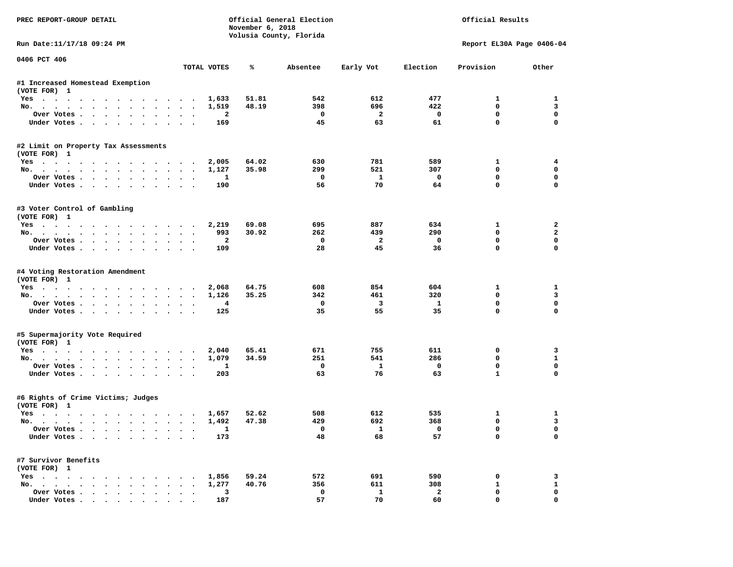| PREC REPORT-GROUP DETAIL                       |                                              |                | November 6, 2018 | Official General Election<br>Volusia County, Florida |                         | Official Results        |                             |                |  |
|------------------------------------------------|----------------------------------------------|----------------|------------------|------------------------------------------------------|-------------------------|-------------------------|-----------------------------|----------------|--|
| Run Date:11/17/18 09:24 PM                     |                                              |                |                  |                                                      |                         |                         | Report EL30A Page 0406-04   |                |  |
| 0406 PCT 406                                   |                                              | TOTAL VOTES    | ℁                | Absentee                                             | Early Vot               | Election                | Provision                   | Other          |  |
| #1 Increased Homestead Exemption               |                                              |                |                  |                                                      |                         |                         |                             |                |  |
| (VOTE FOR) 1                                   |                                              |                |                  |                                                      |                         |                         |                             |                |  |
| Yes                                            |                                              | 1,633          | 51.81            | 542                                                  | 612                     | 477                     | 1                           | 1              |  |
| No.                                            |                                              | 1,519          | 48.19            | 398                                                  | 696                     | 422                     | $\mathbf{0}$                | 3              |  |
| Over Votes                                     |                                              | $\mathbf{2}$   |                  | 0                                                    | $\overline{2}$          | 0                       | $\mathbf 0$                 | $\mathbf 0$    |  |
| Under Votes                                    |                                              | 169            |                  | 45                                                   | 63                      | 61                      | $\mathbf 0$                 | $\Omega$       |  |
| #2 Limit on Property Tax Assessments           |                                              |                |                  |                                                      |                         |                         |                             |                |  |
| (VOTE FOR) 1                                   |                                              |                |                  |                                                      |                         |                         |                             |                |  |
| Yes                                            |                                              | 2,005          | 64.02            | 630                                                  | 781                     | 589                     | 1                           | 4              |  |
| No.                                            |                                              | 1,127          | 35.98            | 299                                                  | 521                     | 307                     | $\mathbf 0$                 | 0              |  |
| Over Votes.                                    |                                              | 1              |                  | $\Omega$                                             | <b>1</b>                | $\mathbf 0$             | $\mathbf 0$                 | $\mathbf 0$    |  |
| Under Votes                                    |                                              | 190            |                  | 56                                                   | 70                      | 64                      | $\Omega$                    | $\Omega$       |  |
| #3 Voter Control of Gambling                   |                                              |                |                  |                                                      |                         |                         |                             |                |  |
| (VOTE FOR) 1                                   |                                              |                |                  |                                                      |                         |                         |                             |                |  |
| Yes                                            |                                              | 2,219          | 69.08            | 695                                                  | 887                     | 634                     | 1                           | $\mathbf{2}$   |  |
| No.                                            |                                              | 993            | 30.92            | 262                                                  | 439                     | 290                     | $\Omega$                    | $\overline{a}$ |  |
| Over Votes                                     |                                              | $\overline{a}$ |                  | $^{\circ}$                                           | $\overline{a}$          | $\mathbf 0$             | $\mathbf 0$<br>$\mathbf{0}$ | 0<br>$\Omega$  |  |
| Under Votes                                    |                                              | 109            |                  | 28                                                   | 45                      | 36                      |                             |                |  |
| #4 Voting Restoration Amendment                |                                              |                |                  |                                                      |                         |                         |                             |                |  |
| (VOTE FOR) 1                                   |                                              |                |                  |                                                      |                         |                         |                             |                |  |
| Yes                                            |                                              | 2,068          | 64.75            | 608                                                  | 854                     | 604                     | 1                           | 1              |  |
| No.                                            |                                              | 1,126          | 35.25            | 342                                                  | 461                     | 320                     | $\mathbf 0$                 | 3              |  |
| Over Votes                                     |                                              | 4              |                  | 0                                                    | $\overline{\mathbf{3}}$ | 1                       | $\mathbf 0$                 | $\mathbf 0$    |  |
| Under Votes                                    |                                              | 125            |                  | 35                                                   | 55                      | 35                      | $\mathbf 0$                 | $\Omega$       |  |
| #5 Supermajority Vote Required                 |                                              |                |                  |                                                      |                         |                         |                             |                |  |
| (VOTE FOR) 1                                   |                                              |                |                  |                                                      |                         |                         |                             |                |  |
| Yes                                            |                                              | 2,040          | 65.41            | 671                                                  | 755                     | 611                     | 0                           | 3              |  |
| No.                                            |                                              | 1,079          | 34.59            | 251                                                  | 541                     | 286                     | 0                           | $\mathbf{1}$   |  |
| Over Votes                                     |                                              | 1              |                  | $\mathbf 0$                                          | 1                       | $\mathbf 0$             | $\mathbf 0$                 | $\mathbf 0$    |  |
| Under Votes                                    |                                              | 203            |                  | 63                                                   | 76                      | 63                      | $\mathbf{1}$                | $\Omega$       |  |
| #6 Rights of Crime Victims; Judges             |                                              |                |                  |                                                      |                         |                         |                             |                |  |
| (VOTE FOR) 1                                   |                                              |                |                  |                                                      |                         |                         |                             |                |  |
| Yes                                            |                                              | 1,657          | 52.62            | 508                                                  | 612                     | 535                     | 1                           | 1              |  |
| No.                                            |                                              | 1,492          | 47.38            | 429                                                  | 692                     | 368                     | 0                           | 3              |  |
| Over votes $\cdots$ $\cdots$ $\cdots$ $\cdots$ |                                              | ᆠ              |                  |                                                      | $\mathbf{1}$            | $\overline{\mathbf{0}}$ | 0                           | 0              |  |
| Under Votes                                    |                                              | 173            |                  | 48                                                   | 68                      | 57                      | 0                           | 0              |  |
| #7 Survivor Benefits                           |                                              |                |                  |                                                      |                         |                         |                             |                |  |
| (VOTE FOR) 1                                   |                                              |                |                  |                                                      |                         |                         |                             |                |  |
| Yes                                            |                                              | 1,856          | 59.24            | 572                                                  | 691                     | 590                     | 0                           | 3              |  |
| No.                                            |                                              | 1,277          | 40.76            | 356                                                  | 611                     | 308                     | 1                           | $\mathbf{1}$   |  |
| Over Votes                                     | $\ddot{\phantom{a}}$<br>$\ddot{\phantom{a}}$ | 3              |                  | 0                                                    | $\mathbf{1}$            | $\overline{\mathbf{2}}$ | 0                           | 0              |  |
| Under Votes                                    |                                              | 187            |                  | 57                                                   | 70                      | 60                      | 0                           | 0              |  |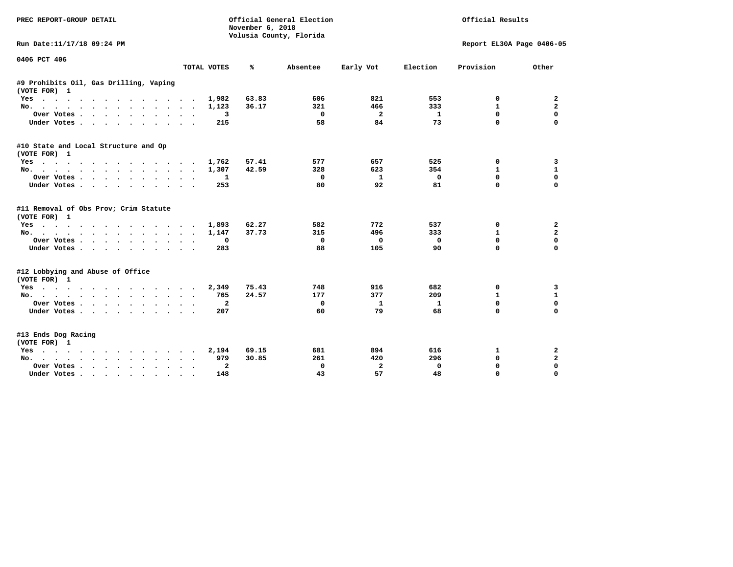| PREC REPORT-GROUP DETAIL                                                                                         |                                  | November 6, 2018 | Official General Election<br>Volusia County, Florida |              |             | Official Results          |                   |
|------------------------------------------------------------------------------------------------------------------|----------------------------------|------------------|------------------------------------------------------|--------------|-------------|---------------------------|-------------------|
| Run Date:11/17/18 09:24 PM                                                                                       |                                  |                  |                                                      |              |             | Report EL30A Page 0406-05 |                   |
| 0406 PCT 406                                                                                                     |                                  |                  |                                                      |              |             |                           |                   |
|                                                                                                                  | TOTAL VOTES                      | ℁                | Absentee                                             | Early Vot    | Election    | Provision                 | Other             |
| #9 Prohibits Oil, Gas Drilling, Vaping<br>(VOTE FOR) 1                                                           |                                  |                  |                                                      |              |             |                           |                   |
| $Yes \t . \t .$<br>$\cdots$                                                                                      | 1,982                            | 63.83            | 606                                                  | 821          | 553         | 0                         | 2                 |
| No.                                                                                                              | 1,123                            | 36.17            | 321                                                  | 466          | 333         | $\mathbf{1}$              | $\overline{a}$    |
| Over Votes                                                                                                       | 3                                |                  | 0                                                    | $\mathbf{2}$ | 1           | 0                         | $\mathbf 0$       |
| Under Votes                                                                                                      | 215<br>$\sim$ $\sim$             |                  | 58                                                   | 84           | 73          | $\Omega$                  | $\Omega$          |
| #10 State and Local Structure and Op                                                                             |                                  |                  |                                                      |              |             |                           |                   |
| (VOTE FOR) 1                                                                                                     |                                  |                  | 577                                                  | 657          | 525         | 0                         |                   |
| Yes                                                                                                              | 1,762<br>1,307                   | 57.41<br>42.59   | 328                                                  | 623          | 354         | $\mathbf{1}$              | 3<br>$\mathbf{1}$ |
| No.                                                                                                              |                                  |                  | 0                                                    | 1            | $^{\circ}$  | 0                         | $\Omega$          |
| Over Votes<br>Under Votes.                                                                                       | 1<br>$\ddot{\phantom{1}}$<br>253 |                  | 80                                                   | 92           | 81          | $\Omega$                  | $\Omega$          |
|                                                                                                                  |                                  |                  |                                                      |              |             |                           |                   |
| #11 Removal of Obs Prov; Crim Statute<br>(VOTE FOR) 1                                                            |                                  |                  |                                                      |              |             |                           |                   |
| Yes                                                                                                              | 1,893                            | 62.27            | 582                                                  | 772          | 537         | 0                         | 2                 |
| No.                                                                                                              | 1,147                            | 37.73            | 315                                                  | 496          | 333         | $\mathbf{1}$              | $\overline{a}$    |
| Over Votes                                                                                                       | 0                                |                  | 0                                                    | 0            | $\mathbf 0$ | 0                         | $\mathbf 0$       |
| Under Votes                                                                                                      | 283<br>$\sim$ $\sim$             |                  | 88                                                   | 105          | 90          | $\Omega$                  | $\Omega$          |
| #12 Lobbying and Abuse of Office<br>(VOTE FOR) 1                                                                 |                                  |                  |                                                      |              |             |                           |                   |
| Yes                                                                                                              | 2,349                            | 75.43            | 748                                                  | 916          | 682         | 0                         | 3                 |
| $No.$<br>.                                                                                                       | 765                              | 24.57            | 177                                                  | 377          | 209         | $\mathbf{1}$              | $\mathbf{1}$      |
| Over Votes                                                                                                       | $\mathbf{2}$                     |                  | 0                                                    | 1            | 1           | $\Omega$                  | $\mathbf 0$       |
| Under Votes                                                                                                      | 207                              |                  | 60                                                   | 79           | 68          | $\Omega$                  | $\Omega$          |
| #13 Ends Dog Racing<br>(VOTE FOR) 1                                                                              |                                  |                  |                                                      |              |             |                           |                   |
| Yes<br>. As the set of the set of the set of the set of the set of the set of the set of the set of the $\alpha$ | 2,194                            | 69.15            | 681                                                  | 894          | 616         | 1                         | 2                 |
| $NO.$ $.$ $.$ $.$<br>$\cdot$ $\cdot$ $\cdot$ $\cdot$ $\cdot$ $\cdot$ $\cdot$ $\cdot$                             | 979                              | 30.85            | 261                                                  | 420          | 296         | 0                         | $\mathbf{2}$      |
| Over Votes .<br>$\cdots$                                                                                         | $\mathbf{2}$                     |                  | 0                                                    | $\mathbf{2}$ | 0           | 0                         | 0                 |
| Under Votes                                                                                                      | 148                              |                  | 43                                                   | 57           | 48          | $\Omega$                  | $\Omega$          |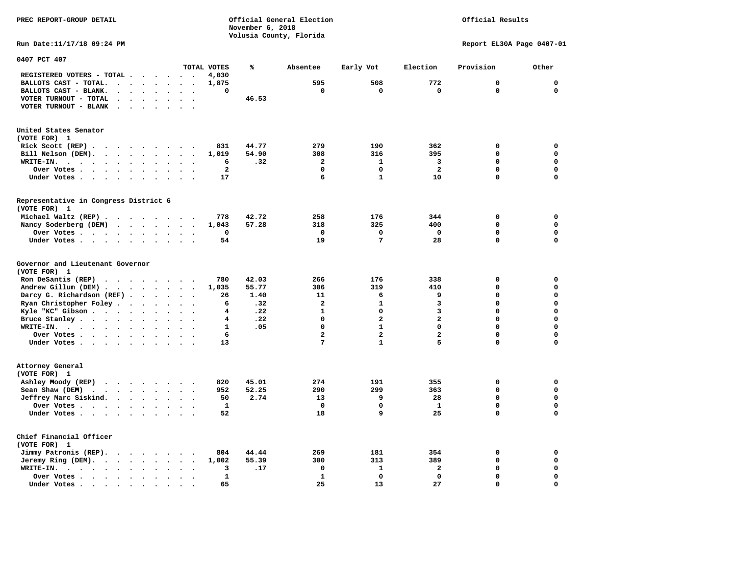**November 6, 2018 Volusia County, Florida Run Date:11/17/18 09:24 PM Report EL30A Page 0407-01 0407 PCT 407 TOTAL VOTES % Absentee Early Vot Election Provision Other REGISTERED VOTERS - TOTAL . . . . . . 4,030 BALLOTS CAST - TOTAL. . . . . . . . 1,875 595 508 772 0 0 BALLOTS CAST - BLANK. . . . . . . . 0 0 0 0 0 0 VOTER TURNOUT - TOTAL . . . . . . . 46.53 VOTER TURNOUT - BLANK . . . . . . . United States Senator (VOTE FOR) 1 Rick Scott (REP) . . . . . . . . 831 44.77** 279 190 362 0 0  **Bill Nelson (DEM). . . . . . . . . 1,019 54.90 308 316 395 0 0 WRITE-IN. . . . . . . . . . . . 6 .32 2 1 3 0 0 Over Votes . . . . . . . . . . 2 0 0 2 0 0 Under Votes . . . . . . . . . . 17** 5 1 10 0 0 0 **Representative in Congress District 6 (VOTE FOR) 1 Michael Waltz (REP) . . . . . . . . 778 42.72 258 176 344 0 0 Nancy Soderberg (DEM) . . . . . . . 1,043 57.28 318 325 400 0 0 Over Votes . . . . . . . . . . 0 0 0 0 0 0**  $\Omega$  **Under Votes . . . . . . . . . . 54** 19 7 28 0 **Governor and Lieutenant Governor (VOTE FOR) 1 Ron DeSantis (REP) . . . . . . . . 780 42.03 266 176 338 0 0 Andrew Gillum (DEM) . . . . . . . . 1,035 55.77 306 319 410 0 0 Darcy G. Richardson (REF) . . . . . 26 1.40 11 6 9 0 0 0**<br>**Ryan Christopher Foley** . . . . . . . 6 .32 2 1 3 0 0  **Ryan Christopher Foley . . . . . . . 6 .32 2 1 3 0 0 Kyle "KC" Gibson . . . . . . . . . . 4 Bruce Stanley . . . . . . . . . . 4 .22** 0 2 2 0 0 0  **WRITE-IN. . . . . . . . . . . . 1 .05 0 1 0 0 0**  $\mathbf{0}$ **Over Votes . . . . . . . . . . . 6** 2 2 2 0  $\mathbf{0}$  **Under Votes . . . . . . . . . . 13** 7 1 5 0 **Attorney General (VOTE FOR) 1 Ashley Moody (REP) . . . . . . . . 820 45.01 274 191 355 0 0 Sean Shaw (DEM)** . . . . . . . . 952 52.25 290 299 363 0 0  **Jeffrey Marc Siskind. . . . . . . . 50 2.74 13 9 28 0 0 Over Votes . . . . . . . . . . . 1** 0 0 1 1  $\mathbf 0$  **Under Votes . . . . . . . . . . 52 18 9 25 0 0 Chief Financial Officer (VOTE FOR) 1 Jimmy Patronis (REP). . . . . . . . 804 44.44 269 181 354 0 0 Jeremy Ring (DEM).** . . . . . . . 1,002 55.39 300 313 389 0 0 0  **WRITE-IN. . . . . . . . . . . . 3 .17 0 1 2 0 0 0ver Votes . . . . . . . . . . 1** 1 0 0 0 0 0 0

 **Under Votes . . . . . . . . . . . 65** 25 13 27 0

 $\mathbf{o}$ 

**PREC REPORT-GROUP DETAIL Official General Election Official Results**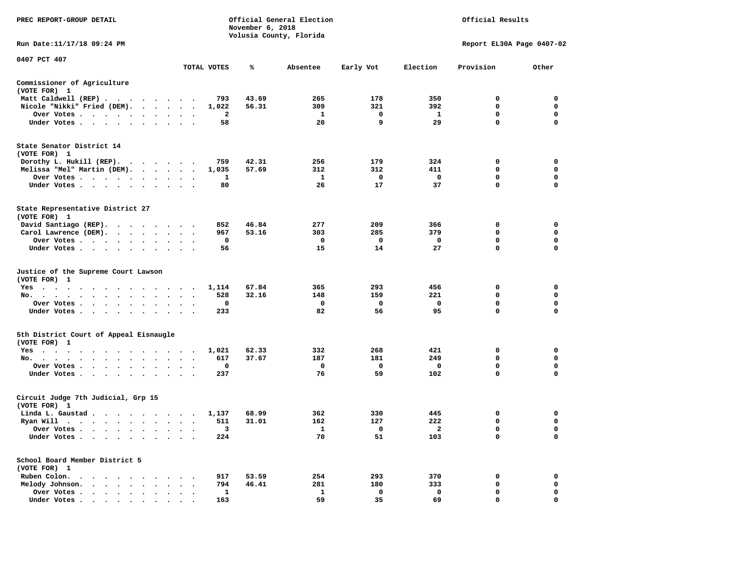| PREC REPORT-GROUP DETAIL                                                                                                           |                                               |             | November 6, 2018 | Official General Election<br>Volusia County, Florida |             |                     | Official Results            |                           |
|------------------------------------------------------------------------------------------------------------------------------------|-----------------------------------------------|-------------|------------------|------------------------------------------------------|-------------|---------------------|-----------------------------|---------------------------|
| Run Date:11/17/18 09:24 PM                                                                                                         |                                               |             |                  |                                                      |             |                     | Report EL30A Page 0407-02   |                           |
| 0407 PCT 407                                                                                                                       |                                               | TOTAL VOTES | ℁                | Absentee                                             | Early Vot   | Election            | Provision                   | Other                     |
| Commissioner of Agriculture                                                                                                        |                                               |             |                  |                                                      |             |                     |                             |                           |
| (VOTE FOR) 1                                                                                                                       |                                               |             |                  |                                                      |             |                     |                             |                           |
| Matt Caldwell (REP)                                                                                                                |                                               | 793         | 43.69            | 265                                                  | 178<br>321  | 350                 | $\Omega$<br>$\mathbf 0$     | $^{\circ}$<br>$\mathbf 0$ |
| Nicole "Nikki" Fried (DEM).<br>Over Votes                                                                                          |                                               | 1,022<br>2  | 56.31            | 309<br>$\mathbf{1}$                                  | 0           | 392<br>$\mathbf{1}$ | 0                           | 0                         |
| Under Votes                                                                                                                        |                                               | 58          |                  | 20                                                   | 9           | 29                  | $\mathbf{0}$                | $\Omega$                  |
| State Senator District 14                                                                                                          |                                               |             |                  |                                                      |             |                     |                             |                           |
| (VOTE FOR) 1<br>Dorothy L. Hukill (REP).                                                                                           |                                               | 759         | 42.31            | 256                                                  | 179         | 324                 | 0                           | $\mathbf 0$               |
| Melissa "Mel" Martin (DEM).                                                                                                        |                                               | 1,035       | 57.69            | 312                                                  | 312         | 411                 | 0                           | 0                         |
| Over Votes                                                                                                                         |                                               | 1           |                  | $\mathbf{1}$                                         | 0           | $\mathbf 0$         | 0                           | 0                         |
| Under Votes<br>$\ddot{\phantom{a}}$                                                                                                |                                               | 80          |                  | 26                                                   | 17          | 37                  | $\mathbf 0$                 | $\mathbf 0$               |
| State Representative District 27<br>(VOTE FOR) 1                                                                                   |                                               |             |                  |                                                      |             |                     |                             |                           |
| David Santiago (REP).                                                                                                              |                                               | 852         | 46.84            | 277                                                  | 209         | 366                 | 0                           | $\mathbf 0$               |
| Carol Lawrence (DEM).                                                                                                              |                                               | 967         | 53.16            | 303                                                  | 285         | 379                 | 0                           | $\mathbf 0$               |
| Over Votes                                                                                                                         | $\sim$ $\sim$<br>$\cdot$                      | 0           |                  | $\mathbf{o}$                                         | 0           | $\mathbf{o}$        | $\mathbf 0$                 | $\mathbf 0$               |
| Under Votes                                                                                                                        |                                               | 56          |                  | 15                                                   | 14          | 27                  | $\Omega$                    | $\Omega$                  |
| Justice of the Supreme Court Lawson<br>(VOTE FOR) 1                                                                                |                                               |             |                  |                                                      |             |                     |                             |                           |
| $Yes \t . \t .$<br>the contract of the contract of the contract of the contract of the contract of the contract of the contract of |                                               | 1,114       | 67.84            | 365                                                  | 293         | 456                 | 0                           | 0                         |
| No.<br>$\sim$ $\sim$ $\sim$<br>$\bullet$<br>$\bullet$                                                                              |                                               | 528         | 32.16            | 148                                                  | 159         | 221                 | 0                           | 0<br>$\mathbf 0$          |
| Over Votes<br>$\sim$ $\sim$                                                                                                        |                                               | 0           |                  | 0                                                    | 0           | $\mathbf 0$<br>95   | $\mathbf 0$<br>$\mathbf{0}$ | $\Omega$                  |
| Under Votes<br>$\bullet$                                                                                                           | $\cdot$                                       | 233         |                  | 82                                                   | 56          |                     |                             |                           |
| 5th District Court of Appeal Eisnaugle<br>(VOTE FOR) 1                                                                             |                                               |             |                  |                                                      |             |                     |                             |                           |
| Yes                                                                                                                                |                                               | 1,021       | 62.33            | 332                                                  | 268         | 421                 | 0                           | $\mathbf 0$               |
| No.                                                                                                                                |                                               | 617         | 37.67            | 187                                                  | 181         | 249                 | $\Omega$                    | 0                         |
| Over Votes<br>$\ddot{\phantom{1}}$<br>$\bullet$                                                                                    |                                               | 0           |                  | $\mathbf{o}$                                         | $\mathbf 0$ | $\mathbf 0$         | 0                           | 0                         |
| Under Votes<br>$\ddot{\phantom{1}}$                                                                                                | $\bullet$ , $\bullet$ , $\bullet$ , $\bullet$ | 237         |                  | 76                                                   | 59          | 102                 | 0                           | $\mathbf 0$               |
| Circuit Judge 7th Judicial, Grp 15<br>(VOTE FOR) 1                                                                                 |                                               |             |                  |                                                      |             |                     |                             |                           |
| Linda L. Gaustad                                                                                                                   |                                               | 1,137       | 68.99            | 362                                                  | 330         | 445                 | 0                           | 0                         |
| Ryan Will $\cdots$ $\cdots$ $\cdots$ $\cdots$                                                                                      |                                               | 511         | 31.01            | 162                                                  | 127         | 222                 | $\mathbf 0$                 | $\mathbf 0$               |
| Over Votes                                                                                                                         | $\cdot$<br>$\cdot$ .                          | -3          |                  | $\mathbf{1}$                                         | $\Omega$    | $\overline{2}$      | $\mathbf 0$                 | $\Omega$                  |
| Under Votes<br>$\ddot{\phantom{1}}$<br>$\bullet$                                                                                   |                                               | 224         |                  | 70                                                   | 51          | 103                 | $\mathbf 0$                 | 0                         |
| School Board Member District 5<br>(VOTE FOR) 1                                                                                     |                                               |             |                  |                                                      |             |                     |                             |                           |
| Ruben Colon.                                                                                                                       |                                               | 917         | 53.59            | 254                                                  | 293         | 370                 | 0                           | 0                         |
| Melody Johnson.                                                                                                                    | $\bullet$ , $\bullet$ , $\bullet$ , $\bullet$ | 794         | 46.41            | 281                                                  | 180         | 333                 | $\mathbf 0$                 | 0                         |
| Over Votes<br>$\ddot{\phantom{a}}$                                                                                                 | $\bullet$                                     | 1           |                  | $\mathbf{1}$                                         | $\mathbf 0$ | $\mathbf 0$         | $\mathbf 0$                 | $\mathbf 0$               |
| Under Votes                                                                                                                        |                                               | 163         |                  | 59                                                   | 35          | 69                  | $\mathbf 0$                 | $\mathbf 0$               |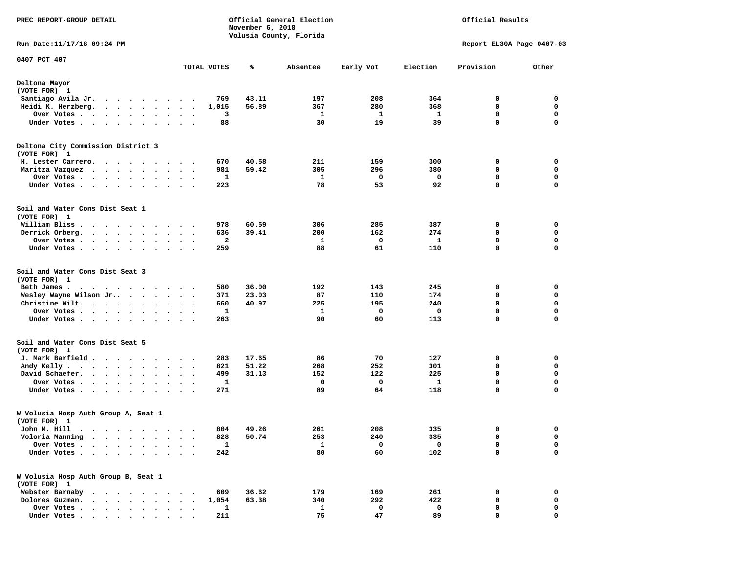| PREC REPORT-GROUP DETAIL                                                                                                       |                                     |              | November 6, 2018 | Official General Election |             |          | Official Results          |             |
|--------------------------------------------------------------------------------------------------------------------------------|-------------------------------------|--------------|------------------|---------------------------|-------------|----------|---------------------------|-------------|
| Run Date: 11/17/18 09:24 PM                                                                                                    |                                     |              |                  | Volusia County, Florida   |             |          | Report EL30A Page 0407-03 |             |
| 0407 PCT 407                                                                                                                   |                                     | TOTAL VOTES  | ℁                | Absentee                  | Early Vot   | Election | Provision                 | Other       |
|                                                                                                                                |                                     |              |                  |                           |             |          |                           |             |
| Deltona Mayor<br>(VOTE FOR) 1                                                                                                  |                                     |              |                  |                           |             |          |                           |             |
| Santiago Avila Jr.<br>$\mathbf{r}$ , and $\mathbf{r}$ , and $\mathbf{r}$ , and $\mathbf{r}$                                    | $\cdot$                             | 769          | 43.11            | 197                       | 208         | 364      | 0                         | 0           |
| Heidi K. Herzberg.<br>$\cdots$                                                                                                 |                                     | 1,015        | 56.89            | 367                       | 280         | 368      | 0                         | 0           |
| Over Votes .<br>$\sim$ $\sim$<br>$\sim$<br>$\ddot{\phantom{0}}$<br>$\bullet$                                                   | $\bullet$<br>$\bullet$              | 3            |                  | 1                         | 1           | 1        | $\mathbf 0$               | $\mathbf 0$ |
| Under Votes<br>$\ddot{\phantom{a}}$<br>$\sim$ $\sim$                                                                           |                                     | 88           |                  | 30                        | 19          | 39       | 0                         | $\mathbf 0$ |
| Deltona City Commission District 3<br>(VOTE FOR) 1                                                                             |                                     |              |                  |                           |             |          |                           |             |
| H. Lester Carrero.                                                                                                             |                                     | 670          | 40.58            | 211                       | 159         | 300      | 0                         | 0           |
| Maritza Vazquez                                                                                                                | $\bullet$<br>$\ddot{\phantom{1}}$   | 981          | 59.42            | 305                       | 296         | 380      | 0                         | 0           |
| Over Votes.<br>$\cdot$ $\cdot$ $\cdot$ $\cdot$<br>$\sim$                                                                       |                                     | 1            |                  | 1                         | 0           | 0        | 0                         | 0           |
| Under Votes<br>$\bullet$                                                                                                       | $\bullet$ .<br>$\ddot{\phantom{1}}$ | 223          |                  | 78                        | 53          | 92       | $\mathbf 0$               | $\mathbf 0$ |
| Soil and Water Cons Dist Seat 1<br>(VOTE FOR) 1                                                                                |                                     |              |                  |                           |             |          |                           |             |
| William Bliss.<br>$\bullet$<br>.                                                                                               |                                     | 978          | 60.59            | 306                       | 285         | 387      | 0                         | 0           |
| Derrick Orberg.<br>$\cdots$<br>$\cdot$                                                                                         | $\ddot{\phantom{1}}$                | 636          | 39.41            | 200                       | 162         | 274      | 0                         | 0           |
| Over Votes .<br>.                                                                                                              |                                     | 2            |                  | 1                         | 0           | 1        | 0                         | 0           |
| Under Votes.<br>.                                                                                                              | $\ddot{\phantom{0}}$                | 259          |                  | 88                        | 61          | 110      | 0                         | 0           |
| Soil and Water Cons Dist Seat 3<br>(VOTE FOR) 1                                                                                |                                     |              |                  |                           |             |          |                           |             |
| Beth James.<br>.                                                                                                               |                                     | 580          | 36.00            | 192                       | 143         | 245      | 0                         | 0           |
| Wesley Wayne Wilson Jr                                                                                                         |                                     | 371          | 23.03            | 87                        | 110         | 174      | 0                         | 0           |
| Christine Wilt.<br>$\mathcal{A}$ . The set of the set of the set of $\mathcal{A}$                                              | $\ddot{\phantom{1}}$                | 660          | 40.97            | 225                       | 195         | 240      | $\mathbf 0$               | $\mathbf 0$ |
| Over Votes.                                                                                                                    | $\bullet$<br>$\ddot{\phantom{0}}$   | 1            |                  | 1                         | 0           | 0        | 0<br>0                    | 0<br>0      |
| Under Votes<br>$\bullet$                                                                                                       | $\bullet$<br>$\ddot{\phantom{1}}$   | 263          |                  | 90                        | 60          | 113      |                           |             |
| Soil and Water Cons Dist Seat 5<br>(VOTE FOR) 1                                                                                |                                     |              |                  |                           |             |          |                           |             |
| J. Mark Barfield .                                                                                                             | $\ddot{\phantom{1}}$                | 283          | 17.65            | 86                        | 70          | 127      | 0                         | 0           |
| Andy Kelly.<br>the contract of the contract of the contract of the contract of the contract of the contract of the contract of |                                     | 821          | 51.22            | 268                       | 252         | 301      | 0                         | 0           |
| David Schaefer.<br>$\cdots$<br>$\bullet$                                                                                       | $\bullet$<br>$\bullet$              | 499          | 31.13            | 152                       | 122         | 225      | $\mathbf 0$               | $\mathbf 0$ |
| Over Votes .<br>$\ddot{\phantom{a}}$<br>$\sim$<br>$\bullet$<br>$\cdot$<br>$\cdot$                                              |                                     | 1            |                  | 0                         | $\mathbf 0$ | 1        | $\mathbf 0$               | 0           |
| Under Votes.<br>$\cdots$<br>$\bullet$<br>$\bullet$                                                                             |                                     | 271          |                  | 89                        | 64          | 118      | 0                         | $\mathbf 0$ |
| W Volusia Hosp Auth Group A, Seat 1<br>(VOTE FOR) 1                                                                            |                                     |              |                  |                           |             |          |                           |             |
| John M. Hill                                                                                                                   |                                     | 804          | 49.26            | 261                       | 208         | 335      | 0                         | 0           |
| Voloria Manning                                                                                                                |                                     | 828          | 50.74            | 253                       | 240         | 335      | 0                         | 0           |
| Over Votes .                                                                                                                   |                                     | $\mathbf{1}$ |                  | $\mathbf{1}$              | 0           | 0        | 0                         | 0           |
| Under Votes.<br>$\ddot{\phantom{a}}$<br>$\ddot{\phantom{a}}$<br>$\ddot{\phantom{a}}$<br>$\ddot{\phantom{a}}$                   | $\bullet$<br>$\bullet$ .<br>$\cdot$ | 242          |                  | 80                        | 60          | 102      | 0                         | $\mathbf 0$ |
| W Volusia Hosp Auth Group B, Seat 1<br>(VOTE FOR) 1                                                                            |                                     |              |                  |                           |             |          |                           |             |
| Webster Barnaby<br>$\cdots$                                                                                                    |                                     | 609          | 36.62            | 179                       | 169         | 261      | 0                         | 0           |
| Dolores Guzman.                                                                                                                |                                     | 1,054        | 63.38            | 340                       | 292         | 422      | 0                         | 0           |
| Over Votes<br>$\bullet$<br>$\sim$ $\sim$ $\sim$<br>$\bullet$                                                                   |                                     | 1            |                  | $\mathbf{1}$              | 0           | 0        | 0                         | 0           |
| Under Votes                                                                                                                    |                                     | 211          |                  | 75                        | 47          | 89       | 0                         | 0           |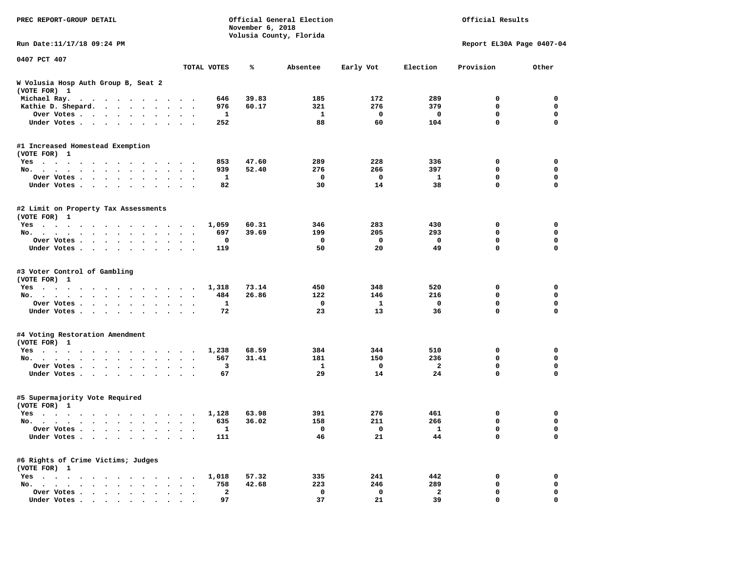| PREC REPORT-GROUP DETAIL                                                                                          | Official General Election<br>November 6, 2018<br>Volusia County, Florida |       |          |              |                         | Official Results          |             |  |
|-------------------------------------------------------------------------------------------------------------------|--------------------------------------------------------------------------|-------|----------|--------------|-------------------------|---------------------------|-------------|--|
| Run Date: 11/17/18 09:24 PM                                                                                       |                                                                          |       |          |              |                         | Report EL30A Page 0407-04 |             |  |
| 0407 PCT 407                                                                                                      | TOTAL VOTES                                                              | ℁     | Absentee | Early Vot    | Election                | Provision                 | Other       |  |
| W Volusia Hosp Auth Group B, Seat 2<br>(VOTE FOR) 1                                                               |                                                                          |       |          |              |                         |                           |             |  |
| Michael Ray.<br>$\mathcal{A}=\mathcal{A}=\mathcal{A}=\mathcal{A}=\mathcal{A}=\mathcal{A}=\mathcal{A}=\mathcal{A}$ | 646<br>$\sim$ $\sim$                                                     | 39.83 | 185      | 172          | 289                     | 0                         | 0           |  |
| Kathie D. Shepard.                                                                                                | 976<br>$\sim$                                                            | 60.17 | 321      | 276          | 379                     | 0                         | 0           |  |
| Over Votes<br>$\ddot{\phantom{0}}$                                                                                | 1                                                                        |       | 1        | 0            | 0                       | 0                         | $\mathbf 0$ |  |
| Under Votes                                                                                                       | 252                                                                      |       | 88       | 60           | 104                     | $\mathbf 0$               | $\mathbf 0$ |  |
| #1 Increased Homestead Exemption                                                                                  |                                                                          |       |          |              |                         |                           |             |  |
| (VOTE FOR) 1                                                                                                      |                                                                          |       |          |              |                         |                           |             |  |
| Yes                                                                                                               | 853                                                                      | 47.60 | 289      | 228          | 336                     | 0                         | 0           |  |
| No.<br>$\sim$ $\sim$                                                                                              | 939<br>$\ddot{\phantom{1}}$                                              | 52.40 | 276      | 266          | 397                     | $\mathbf 0$               | 0           |  |
| Over Votes<br>$\ddot{\phantom{0}}$<br>$\cdot$                                                                     | 1                                                                        |       | 0        | 0            | 1                       | 0                         | 0           |  |
| Under Votes                                                                                                       | 82<br>$\sim$                                                             |       | 30       | 14           | 38                      | 0                         | $\mathbf 0$ |  |
| #2 Limit on Property Tax Assessments                                                                              |                                                                          |       |          |              |                         |                           |             |  |
| (VOTE FOR) 1                                                                                                      |                                                                          | 60.31 | 346      | 283          | 430                     | 0                         | 0           |  |
| Yes<br>No.                                                                                                        | 1,059<br>697<br>$\sim$ $\sim$                                            | 39.69 | 199      | 205          | 293                     | 0                         | $\mathbf 0$ |  |
| Over Votes                                                                                                        | 0                                                                        |       | 0        | $\mathbf 0$  | 0                       | 0                         | 0           |  |
| Under Votes                                                                                                       | 119                                                                      |       | 50       | 20           | 49                      | 0                         | $\mathbf 0$ |  |
|                                                                                                                   |                                                                          |       |          |              |                         |                           |             |  |
| #3 Voter Control of Gambling                                                                                      |                                                                          |       |          |              |                         |                           |             |  |
| (VOTE FOR) 1                                                                                                      |                                                                          | 73.14 | 450      | 348          | 520                     | 0                         |             |  |
| Yes<br>No.                                                                                                        | 1,318<br>484                                                             | 26.86 | 122      | 146          | 216                     | 0                         | 0<br>0      |  |
| Over Votes.                                                                                                       | $\ddot{\phantom{1}}$<br>1<br>$\cdot$                                     |       | 0        | $\mathbf{1}$ | 0                       | $\mathbf 0$               | 0           |  |
| Under Votes                                                                                                       | 72                                                                       |       | 23       | 13           | 36                      | $\mathbf 0$               | $\mathbf 0$ |  |
|                                                                                                                   |                                                                          |       |          |              |                         |                           |             |  |
| #4 Voting Restoration Amendment<br>(VOTE FOR) 1                                                                   |                                                                          |       |          |              |                         |                           |             |  |
| Yes                                                                                                               | 1,238                                                                    | 68.59 | 384      | 344          | 510                     | 0                         | 0           |  |
| No.<br>$\sim$ $\sim$                                                                                              | 567<br>$\ddot{\phantom{1}}$                                              | 31.41 | 181      | 150          | 236                     | 0                         | 0           |  |
| Over Votes.                                                                                                       | 3                                                                        |       | 1        | 0            | 2                       | 0                         | 0           |  |
| Under Votes                                                                                                       | 67                                                                       |       | 29       | 14           | 24                      | $\mathbf 0$               | $\mathbf 0$ |  |
| #5 Supermajority Vote Required                                                                                    |                                                                          |       |          |              |                         |                           |             |  |
| (VOTE FOR) 1                                                                                                      |                                                                          |       |          |              |                         |                           |             |  |
| Yes                                                                                                               | 1,128                                                                    | 63.98 | 391      | 276          | 461                     | 0                         | 0           |  |
| No.                                                                                                               | 635                                                                      | 36.02 | 158      | 211          | 266                     | $\mathbf 0$               | $\mathbf 0$ |  |
| Over Votes $\cdots$ $\cdots$ $\cdots$ $\cdots$                                                                    | ı,                                                                       |       | 0        | 0            | 1                       | 0                         | 0           |  |
| Under Votes                                                                                                       | 111                                                                      |       | 46       | 21           | 44                      | 0                         | $\mathbf 0$ |  |
| #6 Rights of Crime Victims; Judges<br>(VOTE FOR) 1                                                                |                                                                          |       |          |              |                         |                           |             |  |
| $Yes \cdot \cdot \cdot \cdot$<br>$\cdots$                                                                         | 1,018                                                                    | 57.32 | 335      | 241          | 442                     | 0                         | 0           |  |
| No.                                                                                                               | 758                                                                      | 42.68 | 223      | 246          | 289                     | 0                         | 0           |  |
| Over Votes<br>$\bullet$                                                                                           | $\mathbf{2}$                                                             |       | 0        | 0            | $\overline{\mathbf{2}}$ | 0                         | 0           |  |
| Under Votes                                                                                                       | 97                                                                       |       | 37       | 21           | 39                      | 0                         | $\mathbf 0$ |  |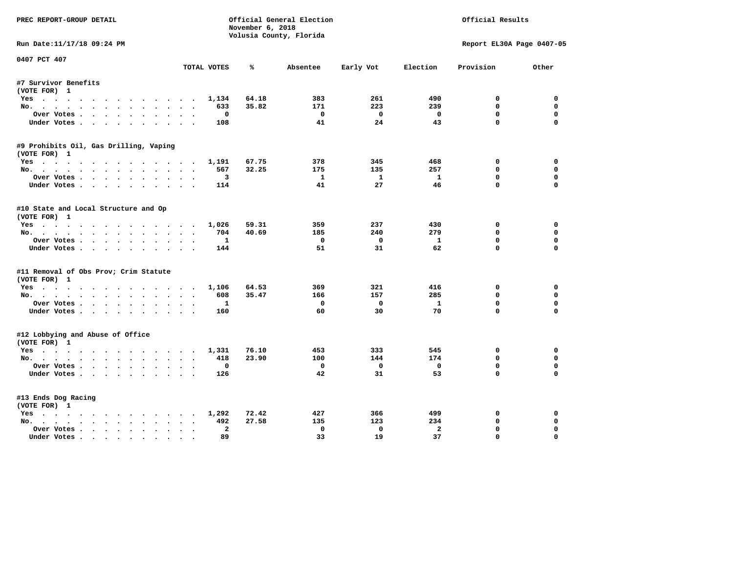| PREC REPORT-GROUP DETAIL               |             |                  | Official General Election |                         | Official Results |                           |             |
|----------------------------------------|-------------|------------------|---------------------------|-------------------------|------------------|---------------------------|-------------|
|                                        |             | November 6, 2018 | Volusia County, Florida   |                         |                  |                           |             |
| Run Date:11/17/18 09:24 PM             |             |                  |                           |                         |                  | Report EL30A Page 0407-05 |             |
| 0407 PCT 407                           |             |                  |                           |                         |                  |                           |             |
|                                        | TOTAL VOTES | ℁                | Absentee                  | Early Vot               | Election         | Provision                 | Other       |
| #7 Survivor Benefits                   |             |                  |                           |                         |                  |                           |             |
| (VOTE FOR) 1                           |             |                  |                           |                         |                  |                           |             |
| Yes                                    | 1,134       | 64.18            | 383                       | 261                     | 490              | 0                         | 0           |
| No.                                    | 633         | 35.82            | 171                       | 223                     | 239              | $\mathbf{0}$              | $\mathbf 0$ |
| Over Votes                             |             | $^{\circ}$       | $\mathbf{o}$              | $\Omega$                | $\mathbf 0$      | $\mathbf 0$               | 0           |
| Under Votes                            | 108         |                  | 41                        | 24                      | 43               | $\mathbf 0$               | $\mathbf 0$ |
| #9 Prohibits Oil, Gas Drilling, Vaping |             |                  |                           |                         |                  |                           |             |
| (VOTE FOR) 1                           |             |                  |                           |                         |                  |                           |             |
| Yes                                    | 1,191       | 67.75            | 378                       | 345                     | 468              | 0                         | 0           |
| No.                                    | 567         | 32.25            | 175                       | 135                     | 257              | 0                         | 0           |
| Over Votes                             |             | 3                | $\mathbf{1}$              | $\mathbf{1}$            | $\mathbf{1}$     | $\mathbf{0}$              | 0           |
| Under Votes                            | 114         |                  | 41                        | 27                      | 46               | $\mathbf{0}$              | $\mathbf 0$ |
| #10 State and Local Structure and Op   |             |                  |                           |                         |                  |                           |             |
| (VOTE FOR) 1                           |             |                  |                           |                         |                  |                           |             |
| Yes                                    | 1,026       | 59.31            | 359                       | 237                     | 430              | $\Omega$                  | $\Omega$    |
| No.                                    | 704         | 40.69            | 185                       | 240                     | 279              | $\mathbf 0$               | $\mathbf 0$ |
| Over Votes                             |             | $\mathbf{1}$     | $^{\circ}$                | $\mathbf{0}$            | $\mathbf{1}$     | $\mathbf{0}$              | $\mathbf 0$ |
| Under Votes                            | 144         |                  | 51                        | 31                      | 62               | $\Omega$                  | $\Omega$    |
| #11 Removal of Obs Prov; Crim Statute  |             |                  |                           |                         |                  |                           |             |
| (VOTE FOR) 1                           |             |                  |                           |                         |                  |                           |             |
| Yes                                    | 1,106       | 64.53            | 369                       | 321                     | 416              | 0                         | $\Omega$    |
| No.                                    | 608         | 35.47            | 166                       | 157                     | 285              | $\mathbf 0$               | 0           |
| Over Votes                             |             | 1                | 0                         | $\mathbf{0}$            | $\mathbf{1}$     | $\mathbf 0$               | $\mathbf 0$ |
| Under Votes                            | 160         |                  | 60                        | 30                      | 70               | $\mathbf 0$               | $\mathbf 0$ |
| #12 Lobbying and Abuse of Office       |             |                  |                           |                         |                  |                           |             |
| (VOTE FOR) 1                           |             |                  |                           |                         |                  |                           |             |
| Yes                                    | 1,331       | 76.10            | 453                       | 333                     | 545              | 0                         | 0           |
| No.                                    | 418         | 23.90            | 100                       | 144                     | 174              | $\mathbf{0}$              | $\mathbf 0$ |
| Over Votes                             |             | 0                | 0                         | $\overline{\mathbf{0}}$ | $\mathbf 0$      | $\mathbf 0$               | $\mathbf 0$ |
| Under Votes                            | 126         |                  | 42                        | 31                      | 53               | $\Omega$                  | $\Omega$    |
| #13 Ends Dog Racing                    |             |                  |                           |                         |                  |                           |             |
| (VOTE FOR) 1                           |             |                  |                           |                         |                  |                           |             |
| Yes                                    | 1,292       | 72.42            | 427                       | 366                     | 499              | 0                         | 0           |
| No.                                    | 492         | 27.58            | 135                       | 123                     | 234              | $\mathbf 0$               | 0           |
| Over Votes                             | $\bullet$   | $\overline{a}$   | $\Omega$                  | $\Omega$                | $\overline{a}$   | 0                         | $\Omega$    |
| Under Votes                            |             | 89               | 33                        | 19                      | 37               | $\mathbf{0}$              | $\Omega$    |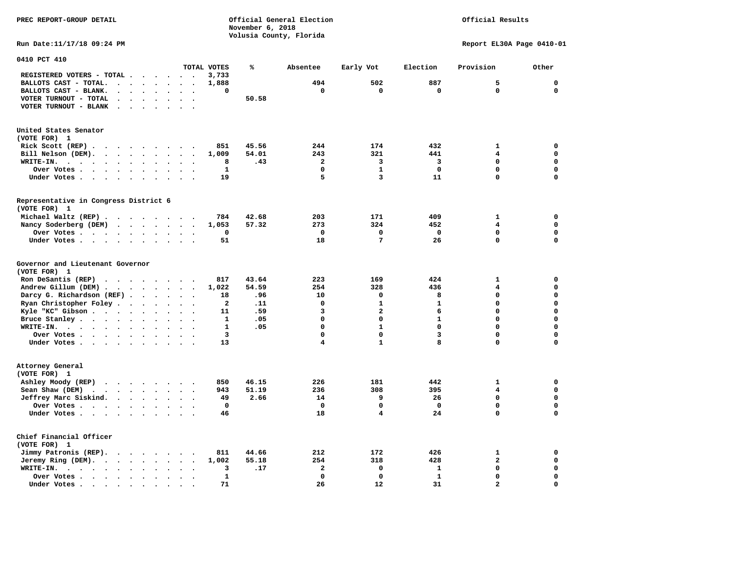**PREC REPORT-GROUP DETAIL COMPUTER CONSUMING A CONSUMING CONSUMING A CONSUMING A CONSUMING A CONSUMING A CONSUMING A CONSUMING A CONSUMING A CONSUMING A CONSUMING A CONSUMING A CONSUMING A CONSUMING A CONSUMING A CONSUMING** *November 6, 2018 November 6, 2018* 

 **Volusia County, Florida** 

## Official Results

**Run Date:11/17/18 09:24 PM Report EL30A Page 0410-01** 

| 0410 PCT 410                                                                                                                                    |                                              |              |       |                         |                         |              |                |              |
|-------------------------------------------------------------------------------------------------------------------------------------------------|----------------------------------------------|--------------|-------|-------------------------|-------------------------|--------------|----------------|--------------|
|                                                                                                                                                 |                                              | TOTAL VOTES  | ℁     | Absentee                | Early Vot               | Election     | Provision      | Other        |
| REGISTERED VOTERS - TOTAL .<br>$\overline{\phantom{a}}$<br>$\ddot{\phantom{1}}$                                                                 | $\overline{\phantom{a}}$                     | 3,733        |       |                         |                         |              |                |              |
| BALLOTS CAST - TOTAL.<br>$\ddot{\phantom{a}}$<br>$\sim$<br>$\sim$<br>$\sim$                                                                     |                                              | 1,888        |       | 494                     | 502                     | 887          | 5              | $\mathbf 0$  |
| BALLOTS CAST - BLANK.<br>$\bullet$<br>$\ddot{\phantom{0}}$<br>$\bullet$<br>$\ddot{\phantom{a}}$                                                 | $\cdot$<br>$\bullet$                         | 0            |       | $\mathbf 0$             | $\mathbf 0$             | $\mathbf 0$  | $\Omega$       | $\mathbf{0}$ |
| VOTER TURNOUT - TOTAL<br>$\ddot{\phantom{a}}$<br>$\ddot{\phantom{a}}$                                                                           |                                              |              | 50.58 |                         |                         |              |                |              |
| VOTER TURNOUT - BLANK<br>$\ddot{\phantom{a}}$<br>$\bullet$                                                                                      |                                              |              |       |                         |                         |              |                |              |
|                                                                                                                                                 |                                              |              |       |                         |                         |              |                |              |
|                                                                                                                                                 |                                              |              |       |                         |                         |              |                |              |
| United States Senator                                                                                                                           |                                              |              |       |                         |                         |              |                |              |
| (VOTE FOR) 1                                                                                                                                    |                                              |              |       |                         |                         |              |                |              |
| Rick Scott (REP).<br>$\ddot{\phantom{1}}$<br>$\cdot$ $\cdot$<br>$\sim$ $\sim$<br>$\bullet$<br>$\ddot{\phantom{1}}$                              |                                              | 851          | 45.56 | 244                     | 174                     | 432          | $\mathbf{1}$   | 0            |
| Bill Nelson (DEM).                                                                                                                              |                                              | 1,009        | 54.01 | 243                     | 321                     | 441          | 4              | $\mathbf 0$  |
| WRITE-IN.<br>$\cdots$<br>$\bullet$ , $\bullet$ , $\bullet$ , $\bullet$ , $\bullet$<br>$\ddot{\phantom{a}}$<br>$\ddot{\phantom{a}}$<br>$\bullet$ |                                              | 8            | .43   | $\overline{2}$          | 3                       | 3            | $\mathbf 0$    | $\mathbf 0$  |
| Over Votes<br>$\sim$ $\sim$ $\sim$ $\sim$<br>$\ddot{\phantom{1}}$<br>$\bullet$                                                                  |                                              | $\mathbf 1$  |       | $\mathbf 0$             | $\mathbf{1}$            | $\mathbf 0$  | $\mathbf 0$    | 0            |
| Under Votes<br>$\bullet$<br>$\ddot{\phantom{0}}$                                                                                                | $\sim$<br>$\blacksquare$ .                   | 19           |       | 5                       | 3                       | 11           | $\Omega$       | $\mathbf 0$  |
|                                                                                                                                                 |                                              |              |       |                         |                         |              |                |              |
| Representative in Congress District 6                                                                                                           |                                              |              |       |                         |                         |              |                |              |
| (VOTE FOR) 1                                                                                                                                    |                                              |              |       |                         |                         |              |                |              |
| Michael Waltz (REP)                                                                                                                             |                                              | 784          | 42.68 | 203                     | 171                     | 409          | 1              | 0            |
| Nancy Soderberg (DEM)<br>$\mathbf{r}$ , $\mathbf{r}$ , $\mathbf{r}$ , $\mathbf{r}$<br>$\sim$<br>$\ddot{\phantom{a}}$                            | $\ddot{\phantom{1}}$                         | 1,053        | 57.32 | 273                     | 324                     | 452          | 4              | $\mathbf 0$  |
| Over Votes<br>$\ddot{\phantom{a}}$<br>$\sim$                                                                                                    |                                              | 0            |       | $\mathbf 0$             | $\Omega$                | 0            | $\Omega$       | 0            |
| Under Votes<br>$\ddot{\phantom{a}}$                                                                                                             |                                              | 51           |       | 18                      | 7                       | 26           | $\mathbf 0$    | $\mathbf 0$  |
|                                                                                                                                                 |                                              |              |       |                         |                         |              |                |              |
| Governor and Lieutenant Governor<br>(VOTE FOR) 1                                                                                                |                                              |              |       |                         |                         |              |                |              |
| Ron DeSantis (REP)                                                                                                                              |                                              | 817          | 43.64 | 223                     | 169                     | 424          | $\mathbf{1}$   | $\mathbf 0$  |
| $\cdot$ $\cdot$ $\cdot$ $\cdot$ $\cdot$<br>$\sim$                                                                                               | $\sim$                                       |              |       | 254                     | 328                     | 436          | 4              | $\mathbf 0$  |
| Andrew Gillum (DEM)                                                                                                                             |                                              | 1,022        | 54.59 |                         | 0                       | 8            | $\Omega$       | $\mathbf 0$  |
| Darcy G. Richardson (REF).<br>$\ddot{\phantom{a}}$<br>$\bullet$<br>$\ddot{\phantom{a}}$                                                         |                                              | 18           | .96   | 10                      |                         | $\mathbf{1}$ | $\mathbf 0$    | $\mathbf 0$  |
| Ryan Christopher Foley.<br>$\sim$<br>$\bullet$<br>$\ddot{\phantom{a}}$                                                                          |                                              | $\mathbf{2}$ | .11   | $\mathbf 0$             | $\mathbf{1}$            |              |                |              |
| Kyle "KC" Gibson<br>$\ddot{\phantom{a}}$<br>$\bullet$<br>$\bullet$                                                                              | $\ddot{\phantom{a}}$<br>$\ddot{\phantom{0}}$ | 11           | .59   | 3                       | $\overline{a}$          | 6            | $\Omega$       | $\mathbf 0$  |
| Bruce Stanley<br>$\overline{\phantom{a}}$                                                                                                       |                                              | $\mathbf{1}$ | .05   | $\Omega$                | $\Omega$                | $\mathbf{1}$ | 0              | $\mathbf 0$  |
| WRITE-IN.<br>$\cdots$<br>$\ddot{\phantom{a}}$                                                                                                   |                                              | $\mathbf{1}$ | .05   | $\Omega$                | $\mathbf{1}$            | $\mathbf 0$  | $\Omega$       | $\mathbf 0$  |
| Over Votes .<br>$\ddot{\phantom{0}}$<br>$\bullet$<br>$\bullet$                                                                                  | $\ddot{\phantom{a}}$                         | 3            |       | $\mathbf 0$             | $\mathbf 0$             | 3            | $\mathbf 0$    | $\mathbf 0$  |
| Under Votes<br>$\ddot{\phantom{a}}$                                                                                                             | $\sim$<br>$\sim$                             | 13           |       | $\overline{\mathbf{4}}$ | $\mathbf{1}$            | 8            | 0              | $\mathbf 0$  |
|                                                                                                                                                 |                                              |              |       |                         |                         |              |                |              |
| Attorney General                                                                                                                                |                                              |              |       |                         |                         |              |                |              |
| (VOTE FOR) 1                                                                                                                                    |                                              |              |       |                         |                         |              |                |              |
| Ashley Moody (REP)<br>$\cdots$                                                                                                                  |                                              | 850          | 46.15 | 226                     | 181                     | 442          | $\mathbf{1}$   | $\mathbf 0$  |
| Sean Shaw (DEM)<br>$\ddot{\phantom{a}}$<br>$\ddot{\phantom{a}}$                                                                                 |                                              | 943          | 51.19 | 236                     | 308                     | 395          | 4              | $\mathbf 0$  |
| Jeffrey Marc Siskind.<br>$\ddot{\phantom{a}}$                                                                                                   |                                              | 49           | 2.66  | 14                      | 9                       | 26           | $\mathbf 0$    | $\mathbf 0$  |
| Over Votes .<br>$\cdot \cdot \cdot \cdot$<br>$\bullet$                                                                                          |                                              | $\mathbf 0$  |       | $\mathbf 0$             | $\mathbf 0$             | $\mathbf 0$  | $\mathbf 0$    | $\mathbf 0$  |
| Under Votes<br>$\ddot{\phantom{0}}$                                                                                                             |                                              | 46           |       | 18                      | $\overline{\mathbf{4}}$ | 24           | $\mathbf 0$    | 0            |
|                                                                                                                                                 |                                              |              |       |                         |                         |              |                |              |
| Chief Financial Officer                                                                                                                         |                                              |              |       |                         |                         |              |                |              |
| (VOTE FOR) 1                                                                                                                                    |                                              |              |       |                         |                         |              |                |              |
| Jimmy Patronis (REP).<br>$\cdot$ $\cdot$ $\cdot$ $\cdot$<br>$\sim$                                                                              | $\overline{\phantom{a}}$                     | 811          | 44.66 | 212                     | 172                     | 426          | 1              | 0            |
| Jeremy Ring (DEM).<br>$\cdot$ $\cdot$ $\cdot$<br>$\ddot{\phantom{a}}$<br>$\bullet$                                                              | $\bullet$                                    | 1,002        | 55.18 | 254                     | 318                     | 428          | $\overline{a}$ | $\mathbf 0$  |
| WRITE-IN.<br>$\cdot$ $\cdot$ $\cdot$ $\cdot$ $\cdot$ $\cdot$<br>$\ddot{\phantom{a}}$<br>$\ddot{\phantom{a}}$<br>$\ddot{\phantom{a}}$            | $\ddot{\phantom{a}}$                         | 3            | .17   | $\mathbf{2}$            | $\mathbf 0$             | $\mathbf{1}$ | $\mathbf 0$    | $\mathbf 0$  |
| Over Votes .<br>$\cdots$<br>$\ddot{\phantom{a}}$<br>$\ddot{\phantom{a}}$                                                                        |                                              | 1            |       | $\mathbf 0$             | $\mathbf 0$             | $\mathbf{1}$ | $\mathbf 0$    | 0            |
| Under Votes<br>$\overline{\phantom{a}}$                                                                                                         |                                              | 71           |       | 26                      | 12                      | 31           | $\overline{a}$ | $\mathbf 0$  |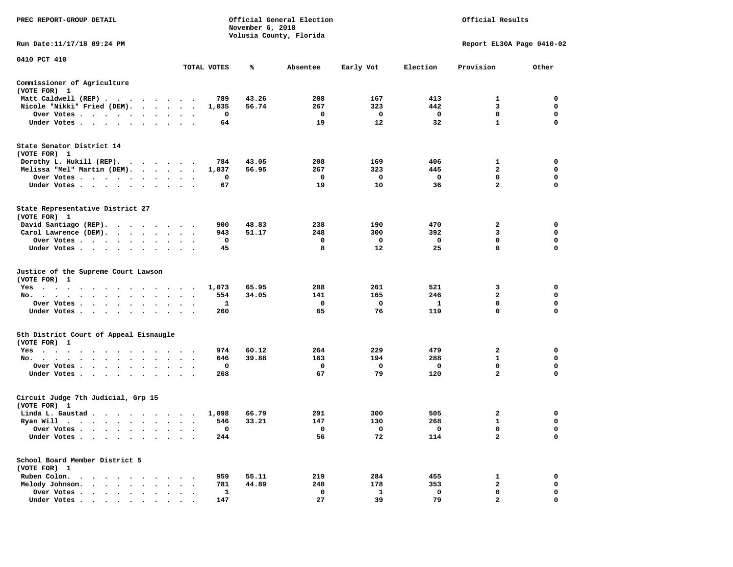| PREC REPORT-GROUP DETAIL                                                                                                                                                                                                                      |                                                             |             | November 6, 2018 | Official General Election<br>Volusia County, Florida | Official Results |                         |                           |             |
|-----------------------------------------------------------------------------------------------------------------------------------------------------------------------------------------------------------------------------------------------|-------------------------------------------------------------|-------------|------------------|------------------------------------------------------|------------------|-------------------------|---------------------------|-------------|
| Run Date: 11/17/18 09:24 PM                                                                                                                                                                                                                   |                                                             |             |                  |                                                      |                  |                         | Report EL30A Page 0410-02 |             |
| 0410 PCT 410                                                                                                                                                                                                                                  |                                                             | TOTAL VOTES | ℁                | Absentee                                             | Early Vot        | Election                | Provision                 | Other       |
|                                                                                                                                                                                                                                               |                                                             |             |                  |                                                      |                  |                         |                           |             |
| Commissioner of Agriculture<br>(VOTE FOR) 1                                                                                                                                                                                                   |                                                             |             |                  |                                                      |                  |                         |                           |             |
| Matt Caldwell (REP)                                                                                                                                                                                                                           |                                                             | 789         | 43.26            | 208                                                  | 167              | 413                     | 1                         | $\mathbf 0$ |
| Nicole "Nikki" Fried (DEM).                                                                                                                                                                                                                   |                                                             | 1,035       | 56.74            | 267                                                  | 323              | 442                     | 3                         | 0           |
| Over Votes                                                                                                                                                                                                                                    | $\cdots$                                                    | 0           |                  | $\mathbf 0$                                          | $\mathbf 0$      | $\mathbf{o}$            | $\mathbf{0}$              | $\mathbf 0$ |
| Under Votes                                                                                                                                                                                                                                   |                                                             | 64          |                  | 19                                                   | 12               | 32                      | $\mathbf{1}$              | 0           |
| State Senator District 14<br>(VOTE FOR) 1                                                                                                                                                                                                     |                                                             |             |                  |                                                      |                  |                         |                           |             |
| Dorothy L. Hukill (REP).                                                                                                                                                                                                                      |                                                             | 784         | 43.05            | 208                                                  | 169              | 406                     | 1                         | 0           |
| Melissa "Mel" Martin (DEM).                                                                                                                                                                                                                   |                                                             | 1,037       | 56.95            | 267                                                  | 323              | 445                     | $\overline{2}$            | $\mathbf 0$ |
| Over Votes                                                                                                                                                                                                                                    | $\cdot$                                                     | 0           |                  | $\mathbf 0$                                          | $\mathbf 0$      | $\mathbf{o}$            | $\mathbf 0$               | $\mathbf 0$ |
| Under Votes                                                                                                                                                                                                                                   | $\cdot$ $\cdot$ $\cdot$                                     | 67          |                  | 19                                                   | 10               | 36                      | $\overline{2}$            | $\mathbf 0$ |
| State Representative District 27<br>(VOTE FOR) 1                                                                                                                                                                                              |                                                             |             |                  |                                                      |                  |                         |                           |             |
| David Santiago (REP).                                                                                                                                                                                                                         |                                                             | 900         | 48.83            | 238                                                  | 190              | 470                     | 2                         | $\mathbf 0$ |
| Carol Lawrence (DEM).                                                                                                                                                                                                                         |                                                             | 943         | 51.17            | 248                                                  | 300              | 392                     | 3                         | $\mathbf 0$ |
| Over Votes                                                                                                                                                                                                                                    | $\ddot{\phantom{1}}$<br>$\bullet$                           | 0           |                  | 0                                                    | 0                | $\mathbf 0$             | $\mathbf 0$               | $\mathbf 0$ |
| Under Votes                                                                                                                                                                                                                                   |                                                             | 45          |                  | 8                                                    | 12               | 25                      | $\mathbf 0$               | $\mathbf 0$ |
| Justice of the Supreme Court Lawson<br>(VOTE FOR) 1                                                                                                                                                                                           |                                                             |             |                  |                                                      |                  |                         |                           |             |
| $Yes \t . \t .$<br>$\ddot{\phantom{1}}$<br>$\sim$ $\sim$<br>.                                                                                                                                                                                 | $\sim$ $\sim$                                               | 1,073       | 65.95            | 288                                                  | 261              | 521                     | 3                         | $\mathbf 0$ |
| No.<br>$\cdot$ $\cdot$ $\cdot$                                                                                                                                                                                                                | $\mathbf{A}$<br>$\ddot{\phantom{a}}$                        | 554         | 34.05            | 141                                                  | 165              | 246                     | $\overline{2}$            | $\mathbf 0$ |
| Over Votes                                                                                                                                                                                                                                    | $\cdot$<br>$\overline{\phantom{a}}$<br>$\ddot{\phantom{0}}$ | 1           |                  | $\mathbf 0$                                          | $\mathbf 0$      | $\mathbf{1}$            | $\mathbf 0$               | $\mathbf 0$ |
| Under Votes                                                                                                                                                                                                                                   | $\ddot{\phantom{0}}$<br>$\ddot{\phantom{1}}$                | 260         |                  | 65                                                   | 76               | 119                     | 0                         | 0           |
| 5th District Court of Appeal Eisnaugle<br>(VOTE FOR) 1                                                                                                                                                                                        |                                                             |             |                  |                                                      |                  |                         |                           |             |
| Yes                                                                                                                                                                                                                                           |                                                             | 974         | 60.12            | 264                                                  | 229              | 479                     | $\overline{a}$            | 0           |
| No.                                                                                                                                                                                                                                           |                                                             | 646         | 39.88            | 163                                                  | 194              | 288                     | $\mathbf{1}$              | $\mathbf 0$ |
| Over Votes<br>$\ddot{\phantom{0}}$<br>$\ddot{\phantom{0}}$<br>$\bullet$                                                                                                                                                                       |                                                             | 0           |                  | 0                                                    | 0                | 0                       | 0                         | 0           |
| Under Votes                                                                                                                                                                                                                                   |                                                             | 268         |                  | 67                                                   | 79               | 120                     | $\overline{a}$            | $\mathbf 0$ |
| Circuit Judge 7th Judicial, Grp 15<br>(VOTE FOR) 1                                                                                                                                                                                            |                                                             |             |                  |                                                      |                  |                         |                           |             |
| Linda L. Gaustad                                                                                                                                                                                                                              |                                                             | 1,098       | 66.79            | 291                                                  | 300              | 505                     | $\mathbf{2}$              | $\mathbf 0$ |
| Ryan Will $\cdots$ , $\cdots$ , $\cdots$ , $\cdots$                                                                                                                                                                                           |                                                             | 546         | 33.21            | 147                                                  | 130              | 268                     | $\mathbf{1}$              | 0           |
| Over Votes                                                                                                                                                                                                                                    |                                                             | 0           |                  | $\mathbf{o}$                                         | 0                | $\overline{\mathbf{0}}$ | 0                         | $\mathbf 0$ |
| Under Votes<br>$\ddot{\phantom{1}}$<br>$\bullet$<br>$\bullet$                                                                                                                                                                                 |                                                             | 244         |                  | 56                                                   | 72               | 114                     | $\overline{a}$            | $\mathbf 0$ |
| School Board Member District 5<br>(VOTE FOR) 1                                                                                                                                                                                                |                                                             |             |                  |                                                      |                  |                         |                           |             |
| Ruben Colon.<br>. As the state of the state of the state of the state of the state of the state of the state of the state of the state of the state of the state of the state of the state of the state of the state of the state of the stat |                                                             | 959         | 55.11            | 219                                                  | 284              | 455                     | 1                         | $\mathbf 0$ |
| Melody Johnson.                                                                                                                                                                                                                               |                                                             | 781         | 44.89            | 248                                                  | 178              | 353                     | $\mathbf{2}$              | 0           |
| Over Votes<br>$\sim$<br>$\sim$<br>$\cdot$                                                                                                                                                                                                     | $\ddot{\phantom{a}}$<br>$\cdot$                             | 1           |                  | $\mathbf 0$                                          | 1                | $\mathbf 0$             | $\mathbf 0$               | $\mathbf 0$ |
| Under Votes                                                                                                                                                                                                                                   |                                                             | 147         |                  | 27                                                   | 39               | 79                      | $\overline{a}$            | $\Omega$    |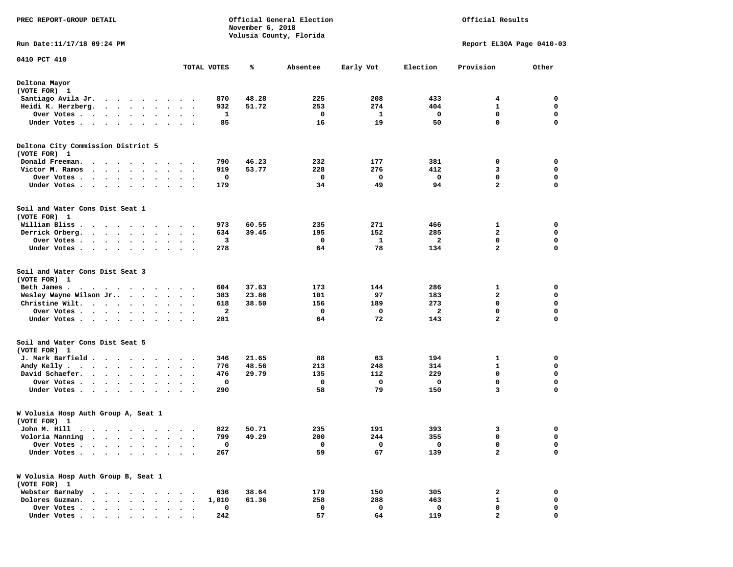| PREC REPORT-GROUP DETAIL                                                                                                                                              |                                   |             | November 6, 2018 | Official General Election<br>Volusia County, Florida |            | Official Results |                           |             |
|-----------------------------------------------------------------------------------------------------------------------------------------------------------------------|-----------------------------------|-------------|------------------|------------------------------------------------------|------------|------------------|---------------------------|-------------|
| Run Date: 11/17/18 09:24 PM                                                                                                                                           |                                   |             |                  |                                                      |            |                  | Report EL30A Page 0410-03 |             |
| 0410 PCT 410                                                                                                                                                          |                                   | TOTAL VOTES | ℁                | Absentee                                             | Early Vot  | Election         | Provision                 | Other       |
| Deltona Mayor                                                                                                                                                         |                                   |             |                  |                                                      |            |                  |                           |             |
| (VOTE FOR) 1                                                                                                                                                          |                                   |             |                  |                                                      |            |                  |                           |             |
| Santiago Avila Jr.<br>$\cdots$<br>$\blacksquare$<br>Heidi K. Herzberg.                                                                                                |                                   | 870         | 48.28            | 225<br>253                                           | 208<br>274 | 433<br>404       | 4<br>1                    | 0<br>0      |
| Over Votes .<br>$\bullet$<br>$\ddot{\phantom{0}}$<br>$\bullet$<br>$\ddot{\phantom{1}}$                                                                                |                                   | 932<br>1    | 51.72            | 0                                                    | 1          | 0                | $\mathbf 0$               | 0           |
| Under Votes                                                                                                                                                           |                                   | 85          |                  | 16                                                   | 19         | 50               | 0                         | $\mathbf 0$ |
| Deltona City Commission District 5<br>(VOTE FOR) 1                                                                                                                    |                                   |             |                  |                                                      |            |                  |                           |             |
| Donald Freeman.<br>$\ddotsc$<br>$\sim$<br>.                                                                                                                           |                                   | 790         | 46.23            | 232                                                  | 177        | 381              | 0                         | 0           |
| Victor M. Ramos<br>$\mathbf{a}$ , and $\mathbf{a}$ , and $\mathbf{a}$<br>$\bullet$ .<br>$\bullet$ , $\bullet$ , $\bullet$                                             | $\bullet$<br>$\ddot{\phantom{1}}$ | 919         | 53.77            | 228                                                  | 276        | 412              | з                         | 0           |
| Over Votes .<br>$\cdots$<br>$\bullet$ . $\bullet$<br>$\bullet$                                                                                                        | $\bullet$                         | 0           |                  | 0                                                    | 0          | 0                | $\mathbf 0$               | $\mathbf 0$ |
| Under Votes<br>$\sim$ $\sim$<br>$\bullet$<br>$\sim$                                                                                                                   | $\ddot{\phantom{1}}$              | 179         |                  | 34                                                   | 49         | 94               | $\mathbf{2}$              | 0           |
| Soil and Water Cons Dist Seat 1<br>(VOTE FOR) 1                                                                                                                       |                                   |             |                  |                                                      |            |                  |                           |             |
| William Bliss.<br>.                                                                                                                                                   |                                   | 973         | 60.55            | 235                                                  | 271        | 466              | 1                         | 0           |
| Derrick Orberg.<br>$\ddot{\phantom{1}}$<br>$\ddot{\phantom{0}}$<br>$\ddot{\phantom{0}}$<br>$\bullet$<br>$\ddot{\phantom{0}}$<br>$\bullet$                             |                                   | 634         | 39.45            | 195                                                  | 152        | 285              | 2                         | 0           |
| Over Votes .<br>$\begin{array}{cccccccccccccc} \bullet & \bullet & \bullet & \bullet & \bullet & \bullet & \bullet & \bullet & \bullet \end{array}$<br>$\blacksquare$ |                                   | 3           |                  | 0                                                    | 1          | $\mathbf{2}$     | $\mathbf 0$               | 0           |
| Under Votes.<br>$\mathbf{r}$ , and $\mathbf{r}$ , and $\mathbf{r}$ , and $\mathbf{r}$                                                                                 |                                   | 278         |                  | 64                                                   | 78         | 134              | $\mathbf{2}$              | $\mathbf 0$ |
| Soil and Water Cons Dist Seat 3<br>(VOTE FOR) 1                                                                                                                       |                                   |             |                  |                                                      |            |                  |                           |             |
| Beth James.<br>$\cdots$<br>$\bullet$                                                                                                                                  |                                   | 604         | 37.63            | 173                                                  | 144        | 286              | 1                         | 0           |
| Wesley Wayne Wilson Jr                                                                                                                                                |                                   | 383         | 23.86            | 101                                                  | 97         | 183              | $\mathbf{2}$              | 0           |
| Christine Wilt.<br>$\bullet$<br>$\bullet$                                                                                                                             |                                   | 618         | 38.50            | 156                                                  | 189        | 273              | 0                         | 0           |
| Over Votes .<br>$\sim$ , and $\sim$ , and $\sim$ , and $\sim$<br>$\bullet$                                                                                            |                                   | 2           |                  | 0                                                    | 0          | 2                | $\mathbf 0$               | $\mathbf 0$ |
| Under Votes                                                                                                                                                           | $\ddot{\phantom{0}}$ .            | 281         |                  | 64                                                   | 72         | 143              | $\mathbf{2}$              | $\mathbf 0$ |
| Soil and Water Cons Dist Seat 5<br>(VOTE FOR) 1                                                                                                                       |                                   |             |                  |                                                      |            |                  |                           |             |
| J. Mark Barfield                                                                                                                                                      |                                   | 346         | 21.65            | 88                                                   | 63         | 194              | 1                         | 0           |
| Andy Kelly.<br>$\cdot$ $\cdot$ $\cdot$ $\cdot$<br>$\ddot{\phantom{a}}$<br>$\bullet$                                                                                   | $\bullet$                         | 776         | 48.56            | 213                                                  | 248        | 314              | $\mathbf{1}$              | 0           |
| David Schaefer.<br>$\cdots$<br>$\bullet$<br>$\bullet$<br>$\bullet$                                                                                                    | $\bullet$<br>$\cdot$              | 476         | 29.79            | 135                                                  | 112        | 229              | 0                         | 0           |
| Over Votes.<br>$\ddot{\phantom{0}}$<br>$\sim$<br>$\bullet$<br>$\cdot$<br>$\bullet$                                                                                    |                                   | 0           |                  | 0                                                    | 0          | 0                | 0                         | 0           |
| Under Votes.<br><b>Contract Contract Contract Contract</b><br>$\bullet$<br>$\bullet$<br>$\bullet$                                                                     | $\bullet$                         | 290         |                  | 58                                                   | 79         | 150              | 3                         | $\mathbf 0$ |
| W Volusia Hosp Auth Group A, Seat 1<br>(VOTE FOR) 1                                                                                                                   |                                   |             |                  |                                                      |            |                  |                           |             |
| John M. Hill                                                                                                                                                          |                                   | 822         | 50.71            | 235                                                  | 191        | 393              | з                         | 0           |
| Voloria Manning                                                                                                                                                       |                                   | 799         | 49.29            | 200                                                  | 244        | 355              | 0                         | 0           |
| Over Votes .                                                                                                                                                          |                                   | 0           |                  | 0                                                    | 0          | 0                | 0                         | 0           |
| Under Votes.<br>$\bullet$<br>$\bullet$                                                                                                                                |                                   | 267         |                  | 59                                                   | 67         | 139              | $\mathbf{2}$              | $\mathbf 0$ |
| W Volusia Hosp Auth Group B, Seat 1<br>(VOTE FOR) 1                                                                                                                   |                                   |             |                  |                                                      |            |                  |                           |             |
| Webster Barnaby                                                                                                                                                       |                                   | 636         | 38.64            | 179                                                  | 150        | 305              | 2                         | 0           |
| Dolores Guzman.                                                                                                                                                       |                                   | 1,010       | 61.36            | 258                                                  | 288        | 463              | 1                         | 0           |
| Over Votes<br>$\ddot{\phantom{a}}$<br>$\bullet$<br>$\bullet$<br>$\bullet$                                                                                             |                                   | 0           |                  | 0                                                    | 0          | 0                | 0                         | 0           |
| Under Votes                                                                                                                                                           |                                   | 242         |                  | 57                                                   | 64         | 119              | $\overline{a}$            | 0           |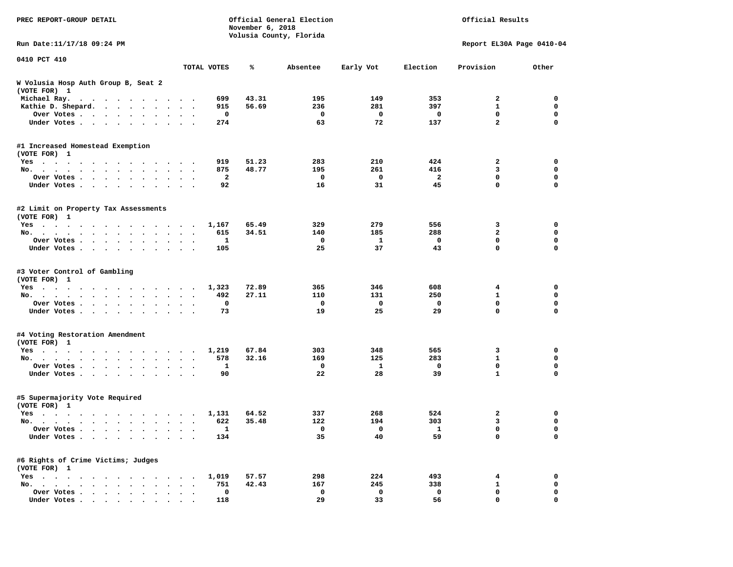| PREC REPORT-GROUP DETAIL                                                                                 | Official General Election<br>November 6, 2018<br>Volusia County, Florida |             |                |              |             | Official Results |                           |             |
|----------------------------------------------------------------------------------------------------------|--------------------------------------------------------------------------|-------------|----------------|--------------|-------------|------------------|---------------------------|-------------|
| Run Date: 11/17/18 09:24 PM                                                                              |                                                                          |             |                |              |             |                  | Report EL30A Page 0410-04 |             |
| 0410 PCT 410                                                                                             |                                                                          | TOTAL VOTES | ℁              | Absentee     | Early Vot   | Election         | Provision                 | Other       |
| W Volusia Hosp Auth Group B, Seat 2<br>(VOTE FOR) 1                                                      |                                                                          |             |                |              |             |                  |                           |             |
| Michael Ray.<br>$\mathbf{a}$ , and $\mathbf{a}$ , and $\mathbf{a}$ , and $\mathbf{a}$ , and $\mathbf{a}$ |                                                                          | 699         | 43.31          | 195          | 149         | 353              | 2                         | 0           |
| Kathie D. Shepard.                                                                                       |                                                                          | 915         | 56.69          | 236          | 281         | 397              | 1                         | 0           |
| Over Votes<br>$\ddot{\phantom{0}}$<br>$\bullet$                                                          |                                                                          | 0           |                | 0            | 0           | 0                | $\mathbf 0$               | $\mathbf 0$ |
| Under Votes<br>$\sim$                                                                                    |                                                                          | 274         |                | 63           | 72          | 137              | $\overline{a}$            | $\mathbf 0$ |
| #1 Increased Homestead Exemption                                                                         |                                                                          |             |                |              |             |                  |                           |             |
| (VOTE FOR) 1                                                                                             |                                                                          |             |                |              |             | 424              |                           | 0           |
| Yes<br>No.<br>$\ddot{\phantom{a}}$                                                                       | $\ddot{\phantom{1}}$                                                     | 919<br>875  | 51.23<br>48.77 | 283<br>195   | 210<br>261  | 416              | 2<br>3                    | $\mathbf 0$ |
| Over Votes<br>$\ddot{\phantom{1}}$                                                                       |                                                                          | 2           |                | 0            | 0           | 2                | 0                         | 0           |
| Under Votes<br>$\bullet$                                                                                 |                                                                          | 92          |                | 16           | 31          | 45               | 0                         | $\mathbf 0$ |
|                                                                                                          |                                                                          |             |                |              |             |                  |                           |             |
| #2 Limit on Property Tax Assessments<br>(VOTE FOR) 1                                                     |                                                                          |             |                |              |             |                  |                           |             |
| Yes                                                                                                      |                                                                          | 1,167       | 65.49          | 329          | 279         | 556              | 3                         | 0           |
| No.                                                                                                      |                                                                          | 615         | 34.51          | 140          | 185         | 288              | $\overline{a}$            | $\mathbf 0$ |
| Over Votes                                                                                               |                                                                          | 1           |                | 0            | 1           | 0                | 0                         | 0           |
| Under Votes                                                                                              | $\ddot{\phantom{0}}$                                                     | 105         |                | 25           | 37          | 43               | 0                         | 0           |
| #3 Voter Control of Gambling<br>(VOTE FOR) 1                                                             |                                                                          |             |                |              |             |                  |                           |             |
| Yes                                                                                                      |                                                                          | 1,323       | 72.89          | 365          | 346         | 608              | 4                         | 0           |
| No.<br>$\sim$ $\sim$                                                                                     | $\sim$ $\sim$                                                            | 492         | 27.11          | 110          | 131         | 250              | 1                         | 0           |
| Over Votes<br>$\bullet$<br>$\bullet$                                                                     | $\bullet$                                                                | 0           |                | 0            | $\mathbf 0$ | $\mathbf 0$      | 0                         | $\mathbf 0$ |
| Under Votes<br>$\ddot{\phantom{a}}$                                                                      |                                                                          | 73          |                | 19           | 25          | 29               | 0                         | $\mathbf 0$ |
| #4 Voting Restoration Amendment<br>(VOTE FOR) 1                                                          |                                                                          |             |                |              |             |                  |                           |             |
| Yes                                                                                                      |                                                                          | 1,219       | 67.84          | 303          | 348         | 565              | 3                         | 0           |
| No.<br>$\bullet$                                                                                         | $\bullet$                                                                | 578         | 32.16          | 169          | 125         | 283              | $\mathbf{1}$              | $\mathbf 0$ |
| Over Votes<br>$\bullet$<br>$\bullet$                                                                     |                                                                          | 1           |                | 0            | 1           | 0                | 0                         | 0           |
| Under Votes<br>$\sim$ $\sim$                                                                             |                                                                          | 90          |                | 22           | 28          | 39               | $\mathbf{1}$              | 0           |
| #5 Supermajority Vote Required<br>(VOTE FOR) 1                                                           |                                                                          |             |                |              |             |                  |                           |             |
| Yes                                                                                                      |                                                                          | 1,131       | 64.52          | 337          | 268         | 524              | 2                         | 0           |
| No.                                                                                                      | $\ddot{\phantom{1}}$                                                     | 622         | 35.48          | 122          | 194         | 303              | 3                         | 0           |
| Over Votes                                                                                               |                                                                          | 1           |                | $\mathbf{0}$ | 0           | ı,               | 0                         | 0           |
| Under Votes                                                                                              |                                                                          | 134         |                | 35           | 40          | 59               | 0                         | $\mathbf 0$ |
| #6 Rights of Crime Victims; Judges<br>(VOTE FOR) 1                                                       |                                                                          |             |                |              |             |                  |                           |             |
| $Yes \t . \t . \t .$                                                                                     |                                                                          | 1,019       | 57.57          | 298          | 224         | 493              | 4                         | 0           |
| No.                                                                                                      |                                                                          | 751         | 42.43          | 167          | 245         | 338              | 1                         | 0           |
| Over Votes                                                                                               |                                                                          | $\mathbf 0$ |                | 0            | 0           | 0                | 0                         | 0           |
| Under Votes.                                                                                             |                                                                          | 118         |                | 29           | 33          | 56               | 0                         | $\mathbf 0$ |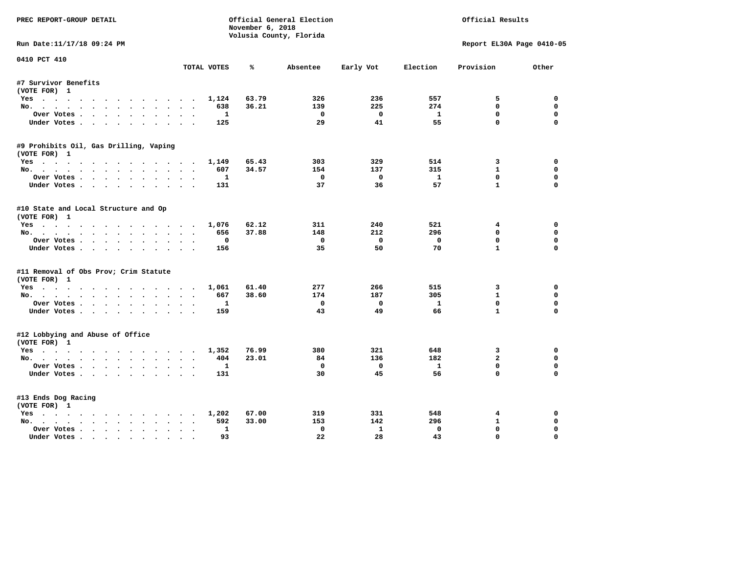| PREC REPORT-GROUP DETAIL               |                | November 6, 2018 | Official General Election |                | Official Results |                           |             |
|----------------------------------------|----------------|------------------|---------------------------|----------------|------------------|---------------------------|-------------|
|                                        |                |                  | Volusia County, Florida   |                |                  |                           |             |
| Run Date:11/17/18 09:24 PM             |                |                  |                           |                |                  | Report EL30A Page 0410-05 |             |
| 0410 PCT 410                           | TOTAL VOTES    | ℁                | Absentee                  | Early Vot      | Election         | Provision                 | Other       |
| #7 Survivor Benefits                   |                |                  |                           |                |                  |                           |             |
| (VOTE FOR) 1                           |                |                  |                           |                |                  |                           |             |
| Yes                                    | 1,124          | 63.79            | 326                       | 236            | 557              | 5                         | 0           |
| No.                                    | 638            | 36.21            | 139                       | 225            | 274              | $\mathbf{0}$              | $\mathbf 0$ |
| Over Votes                             | $\mathbf{1}$   |                  | $^{\circ}$                | $\Omega$       | $\mathbf{1}$     | $\mathbf{0}$              | 0           |
| Under Votes                            | 125            |                  | 29                        | 41             | 55               | $\mathbf 0$               | $\Omega$    |
| #9 Prohibits Oil, Gas Drilling, Vaping |                |                  |                           |                |                  |                           |             |
| (VOTE FOR) 1                           |                |                  |                           |                |                  |                           |             |
| Yes                                    | 1,149          | 65.43            | 303                       | 329            | 514              | 3                         | 0           |
| No.                                    | 607            | 34.57            | 154                       | 137            | 315              | $\mathbf{1}$              | $\Omega$    |
| Over Votes                             | 1              |                  | $\mathbf 0$               | $\mathbf{o}$   | $\mathbf{1}$     | $\mathbf 0$               | $\mathbf 0$ |
| Under Votes                            | 131            |                  | 37                        | 36             | 57               | $\mathbf{1}$              | $\Omega$    |
| #10 State and Local Structure and Op   |                |                  |                           |                |                  |                           |             |
| (VOTE FOR) 1                           |                |                  |                           |                |                  |                           |             |
| Yes                                    | 1,076          | 62.12            | 311                       | 240            | 521              | $4\overline{ }$           | $\Omega$    |
| No.                                    | 656            | 37.88            | 148                       | 212            | 296              | 0                         | 0           |
| Over Votes                             | 0              |                  | $\Omega$                  | $\overline{0}$ | $\mathbf 0$      | $\mathbf{0}$              | $\Omega$    |
| Under Votes                            | 156            |                  | 35                        | 50             | 70               | $\mathbf{1}$              | $\Omega$    |
| #11 Removal of Obs Prov; Crim Statute  |                |                  |                           |                |                  |                           |             |
| (VOTE FOR) 1                           |                |                  |                           |                |                  |                           |             |
| Yes                                    | 1,061          | 61.40            | 277                       | 266            | 515              | 3                         | 0           |
| No.                                    | 667            | 38.60            | 174                       | 187            | 305              | $\mathbf{1}$              | 0           |
| Over Votes                             | 1<br>$\bullet$ |                  | $\mathbf 0$               | $\mathbf 0$    | $\mathbf{1}$     | $\mathbf 0$               | $\mathbf 0$ |
| Under Votes                            | 159            |                  | 43                        | 49             | 66               | $\mathbf{1}$              | $\Omega$    |
| #12 Lobbying and Abuse of Office       |                |                  |                           |                |                  |                           |             |
| (VOTE FOR) 1                           |                |                  |                           |                |                  |                           |             |
| Yes                                    | 1,352          | 76.99            | 380                       | 321            | 648              | 3                         | $\Omega$    |
| No.                                    | 404            | 23.01            | 84                        | 136            | 182              | $\overline{a}$            | 0           |
| Over Votes                             | 1              |                  | $^{\circ}$                | $\Omega$       | 1                | $\mathbf{0}$              | $\Omega$    |
| Under Votes                            | 131            |                  | 30                        | 45             | 56               | $\Omega$                  | $\Omega$    |
| #13 Ends Dog Racing                    |                |                  |                           |                |                  |                           |             |
| (VOTE FOR) 1                           |                |                  |                           |                |                  |                           |             |
| Yes                                    | 1,202          | 67.00            | 319                       | 331            | 548              | 4                         | 0           |
| No.                                    | 592            | 33.00            | 153                       | 142            | 296              | $\mathbf{1}$              | $\Omega$    |
| Over Votes                             | 1              |                  | $\mathbf{0}$              | $\mathbf{1}$   | $\mathbf 0$      | $\mathbf{0}$              | $\mathbf 0$ |
| Under Votes                            | 93             |                  | 22                        | 28             | 43               | $\mathbf{0}$              | $\Omega$    |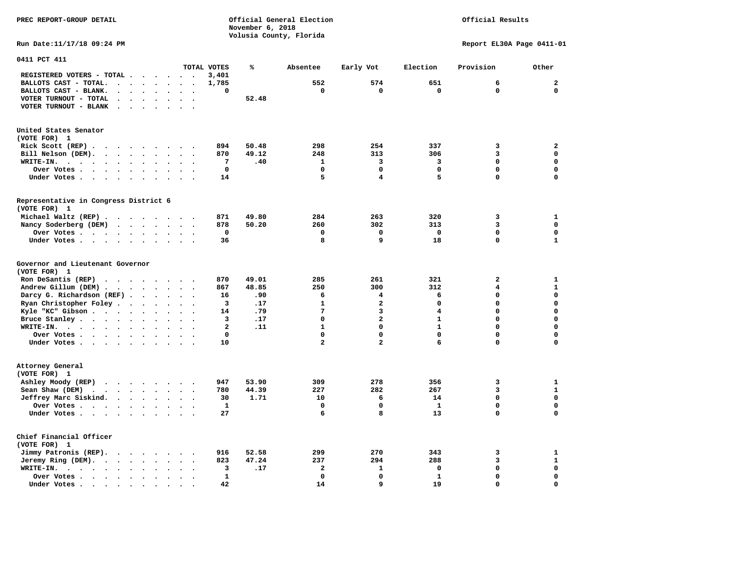**PREC REPORT-GROUP DETAIL Official General Election Official Results November 6, 2018 Volusia County, Florida Run Date:11/17/18 09:24 PM Report EL30A Page 0411-01 0411 PCT 411 TOTAL VOTES % Absentee Early Vot Election Provision Other REGISTERED VOTERS - TOTAL . . . . . . 3,401 BALLOTS CAST - TOTAL. . . . . . . . 1,785 552 574 651 6 2 BALLOTS CAST - BLANK. . . . . . . . 0 0 0 0 0 0 VOTER TURNOUT - TOTAL . . . . . . . 52.48 VOTER TURNOUT - BLANK . . . . . . . United States Senator (VOTE FOR) 1 Rick Scott (REP) . . . . . . . . . 894 50.48 298 254 337 3 2 Bill Nelson (DEM). . . . . . . . . 870 49.12 248 313 306 3 0 WRITE-IN. . . . . . . . . . . . 7 .40 1 3 3 0 0 Over Votes . . . . . . . . . . 0 0 0 0 0 0 Under Votes . . . . . . . . . . 14** 5 4 5 0 0 0 **Representative in Congress District 6 (VOTE FOR) 1 Michael Waltz (REP) . . . . . . . . 871 49.80 284 263 320 3 1 Nancy Soderberg (DEM)** . . . . . . 878 50.20 260 302 313 3 302 313  **Over Votes . . . . . . . . . . 0 0 0 0 0 0 Under Votes . . . . . . . . . . 36 8 9 18 0 1 Governor and Lieutenant Governor (VOTE FOR) 1 Ron DeSantis (REP) . . . . . . . 870 49.01 285 261 321 2** 1  **Andrew Gillum (DEM) . . . . . . . . 867 48.85 250 300 312 4 1 Darcy G. Richardson (REF) . . . . . . 16 .90 6 4 6 0 0 Ryan Christopher Foley . . . . . . . 3 .17** 1 2 0 0 0 0<br> **14 .79 7 3 4 0** 0 0 **Kyle "KC" Gibson . . . . . . . . . . 14 Bruce Stanley . . . . . . . . . . 3 .17** 0 2 1 0 0  **WRITE-IN. . . . . . . . . . . . 2 .11 1 0 1 0 0 Over Votes . . . . . . . . . . 0 0 0 0 0 0 Under Votes . . . . . . . . . . 10 2 2 3 6 0** 0 **Attorney General (VOTE FOR) 1 Ashley Moody (REP)** . . . . . . 947 53.90 309 278 356 3 1  **Sean Shaw (DEM)** . . . . . . . . 780 44.39 227 282 267 3 1  **Jeffrey Marc Siskind. . . . . . . . 30 1.71 10 6 14 0 0 Over Votes . . . . . . . . . . . 1** 0 0 0 1  **Under Votes . . . . . . . . . . 27** 6 8 13 0

 $\mathbf{1}$ 

 $\mathbf{0}$ 

 $\mathbf{0}$ 

 $\mathbf 0$ 

 $\mathbf{o}$ 

**Chief Financial Officer (VOTE FOR) 1 Jimmy Patronis (REP). . . . . . . . 916 52.58 299 270 343 3 1 Jeremy Ring (DEM).** . . . . . . . 823 47.24 237 294 288 3 1  **WRITE-IN. . . . . . . . . . . . 3 .17 2 1 0 0 0 Over Votes . . . . . . . . . . 1 0 0 1 0 0 Under Votes . . . . . . . . . . 42** 14 9 19 0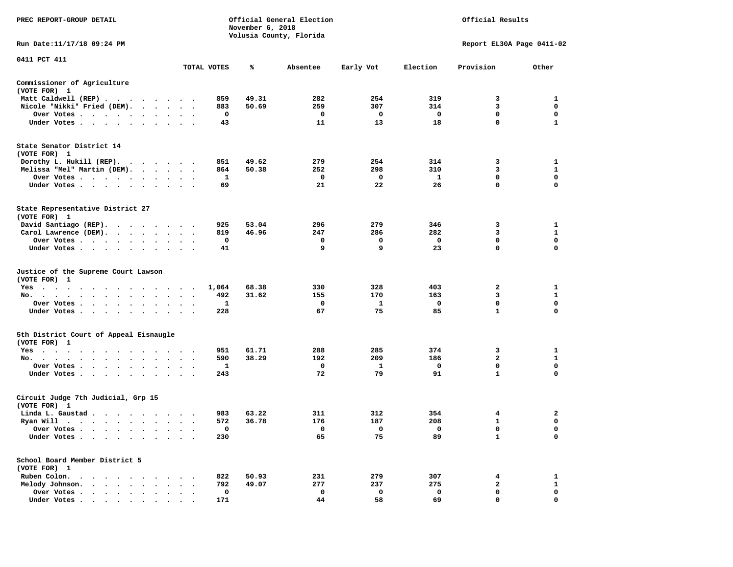| PREC REPORT-GROUP DETAIL                                                                                                                                                                                                                      |                                                        |              | November 6, 2018 | Official General Election<br>Volusia County, Florida | Official Results  |                    |                             |               |
|-----------------------------------------------------------------------------------------------------------------------------------------------------------------------------------------------------------------------------------------------|--------------------------------------------------------|--------------|------------------|------------------------------------------------------|-------------------|--------------------|-----------------------------|---------------|
| Run Date: 11/17/18 09:24 PM                                                                                                                                                                                                                   |                                                        |              |                  |                                                      |                   |                    | Report EL30A Page 0411-02   |               |
| 0411 PCT 411                                                                                                                                                                                                                                  |                                                        | TOTAL VOTES  | ℁                | Absentee                                             | Early Vot         | Election           | Provision                   | Other         |
|                                                                                                                                                                                                                                               |                                                        |              |                  |                                                      |                   |                    |                             |               |
| Commissioner of Agriculture<br>(VOTE FOR) 1                                                                                                                                                                                                   |                                                        |              |                  |                                                      |                   |                    |                             |               |
| Matt Caldwell (REP)                                                                                                                                                                                                                           |                                                        | 859          | 49.31            | 282                                                  | 254               | 319                | 3                           | 1             |
| Nicole "Nikki" Fried (DEM).                                                                                                                                                                                                                   |                                                        | 883          | 50.69            | 259                                                  | 307               | 314                | 3                           | $\mathbf 0$   |
| Over Votes                                                                                                                                                                                                                                    | $\cdot$ $\cdot$ $\cdot$                                | $\mathbf 0$  |                  | $\mathbf 0$<br>11                                    | $\mathbf 0$<br>13 | $\mathbf{o}$<br>18 | $\mathbf 0$<br>$\mathbf 0$  | 0<br>1        |
| Under Votes                                                                                                                                                                                                                                   |                                                        | 43           |                  |                                                      |                   |                    |                             |               |
| State Senator District 14<br>(VOTE FOR) 1                                                                                                                                                                                                     |                                                        |              |                  |                                                      |                   |                    |                             |               |
| Dorothy L. Hukill (REP).                                                                                                                                                                                                                      |                                                        | 851          | 49.62            | 279                                                  | 254               | 314                | 3                           | 1             |
| Melissa "Mel" Martin (DEM).                                                                                                                                                                                                                   |                                                        | 864          | 50.38            | 252                                                  | 298               | 310                | 3                           | $\mathbf{1}$  |
| Over Votes                                                                                                                                                                                                                                    |                                                        | $\mathbf{1}$ |                  | $\mathbf 0$                                          | $\mathbf 0$       | $\mathbf{1}$       | $\mathbf 0$                 | $\mathbf 0$   |
| Under Votes                                                                                                                                                                                                                                   | $\cdot$ $\cdot$ $\cdot$                                | 69           |                  | 21                                                   | 22                | 26                 | $\mathbf 0$                 | $\mathbf 0$   |
| State Representative District 27<br>(VOTE FOR) 1                                                                                                                                                                                              |                                                        |              |                  |                                                      |                   |                    |                             |               |
| David Santiago (REP).                                                                                                                                                                                                                         |                                                        | 925          | 53.04            | 296                                                  | 279               | 346                | 3                           | 1             |
| Carol Lawrence (DEM).                                                                                                                                                                                                                         |                                                        | 819          | 46.96            | 247                                                  | 286               | 282                | 3                           | $\mathbf{1}$  |
| Over Votes<br>$\bullet$                                                                                                                                                                                                                       | $\bullet$                                              | 0            |                  | 0                                                    | 0                 | $\mathbf 0$        | $\mathbf 0$                 | $\mathbf 0$   |
| Under Votes                                                                                                                                                                                                                                   |                                                        | 41           |                  | 9                                                    | 9                 | 23                 | $\mathbf 0$                 | $\mathbf 0$   |
| Justice of the Supreme Court Lawson<br>(VOTE FOR) 1                                                                                                                                                                                           |                                                        |              |                  |                                                      |                   |                    |                             |               |
| $Yes \t . \t .$<br>$\ddot{\phantom{1}}$<br>$\sim$ $\sim$<br>.                                                                                                                                                                                 | $\sim$ $\sim$                                          | 1,064        | 68.38            | 330                                                  | 328               | 403                | 2                           | 1             |
| No.<br>$\cdots$<br>$\cdot$ $\cdot$ $\cdot$                                                                                                                                                                                                    | $\cdot$<br>$\cdot$                                     | 492          | 31.62            | 155                                                  | 170               | 163                | 3                           | $\mathbf{1}$  |
| Over Votes                                                                                                                                                                                                                                    | $\ddot{\phantom{a}}$<br>$\sim$<br>$\ddot{\phantom{0}}$ | 1            |                  | $\mathbf 0$                                          | $\mathbf{1}$      | $\mathbf 0$        | $\mathbf 0$<br>$\mathbf{1}$ | $\mathbf 0$   |
| Under Votes                                                                                                                                                                                                                                   | $\ddot{\phantom{0}}$<br>$\ddot{\phantom{1}}$           | 228          |                  | 67                                                   | 75                | 85                 |                             | 0             |
| 5th District Court of Appeal Eisnaugle<br>(VOTE FOR) 1                                                                                                                                                                                        |                                                        |              |                  |                                                      |                   |                    |                             |               |
| Yes                                                                                                                                                                                                                                           |                                                        | 951          | 61.71            | 288                                                  | 285               | 374                | 3                           | 1             |
| No.                                                                                                                                                                                                                                           |                                                        | 590          | 38.29            | 192                                                  | 209               | 186                | $\overline{2}$              | $\mathbf{1}$  |
| Over Votes<br>$\ddot{\phantom{0}}$<br>$\ddot{\phantom{1}}$<br>$\bullet$                                                                                                                                                                       |                                                        | 1            |                  | 0                                                    | 1                 | 0                  | 0<br>$\mathbf{1}$           | 0<br>$\Omega$ |
| Under Votes                                                                                                                                                                                                                                   |                                                        | 243          |                  | 72                                                   | 79                | 91                 |                             |               |
| Circuit Judge 7th Judicial, Grp 15<br>(VOTE FOR) 1                                                                                                                                                                                            |                                                        |              |                  |                                                      |                   |                    |                             |               |
| Linda L. Gaustad                                                                                                                                                                                                                              |                                                        | 983          | 63.22            | 311                                                  | 312               | 354                | 4                           | $\mathbf{2}$  |
| Ryan Will $\cdots$ , $\cdots$ , $\cdots$ , $\cdots$                                                                                                                                                                                           |                                                        | 572          | 36.78            | 176                                                  | 187               | 208                | $\mathbf{1}$                | 0             |
| Over Votes                                                                                                                                                                                                                                    |                                                        | 0            |                  | 0                                                    | 0                 | $\mathbf 0$        | $\mathbf 0$                 | $\mathbf 0$   |
| Under Votes<br>$\ddot{\phantom{1}}$<br>$\bullet$<br>$\bullet$                                                                                                                                                                                 |                                                        | 230          |                  | 65                                                   | 75                | 89                 | $\mathbf{1}$                | $\mathbf 0$   |
| School Board Member District 5<br>(VOTE FOR) 1                                                                                                                                                                                                |                                                        |              |                  |                                                      |                   |                    |                             |               |
| Ruben Colon.<br>. As the state of the state of the state of the state of the state of the state of the state of the state of the state of the state of the state of the state of the state of the state of the state of the state of the stat |                                                        | 822          | 50.93            | 231                                                  | 279               | 307                | 4                           | 1             |
| Melody Johnson.                                                                                                                                                                                                                               |                                                        | 792          | 49.07            | 277                                                  | 237               | 275                | $\mathbf{2}$                | $\mathbf{1}$  |
| Over Votes<br>$\ddot{\phantom{a}}$<br>$\sim$<br>$\cdot$<br>$\cdot$                                                                                                                                                                            | $\ddot{\phantom{a}}$                                   | 0            |                  | $\mathbf 0$                                          | $\mathbf{o}$      | $\mathbf 0$        | $\mathbf 0$                 | $\mathbf 0$   |
| Under Votes                                                                                                                                                                                                                                   |                                                        | 171          |                  | 44                                                   | 58                | 69                 | $\Omega$                    | $\Omega$      |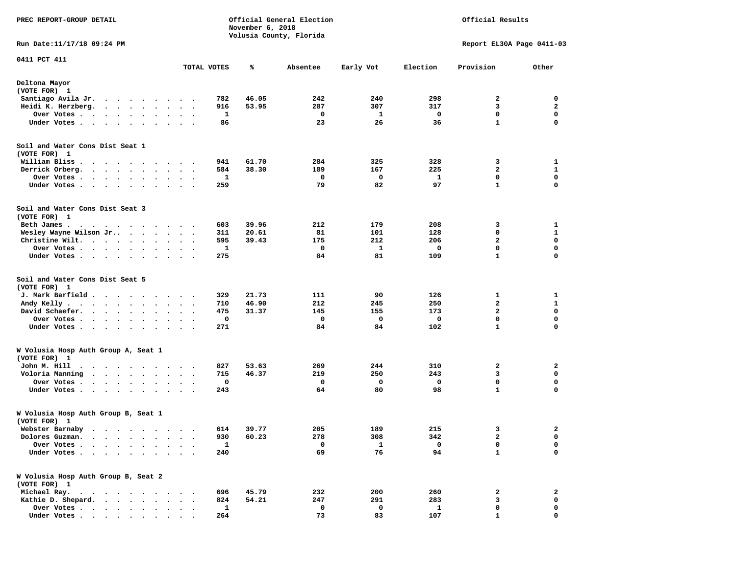| PREC REPORT-GROUP DETAIL                                                                                                                                        |                        |                      |              | November 6, 2018 | Official General Election<br>Volusia County, Florida |             | Official Results |                           |                  |  |
|-----------------------------------------------------------------------------------------------------------------------------------------------------------------|------------------------|----------------------|--------------|------------------|------------------------------------------------------|-------------|------------------|---------------------------|------------------|--|
| Run Date: 11/17/18 09:24 PM                                                                                                                                     |                        |                      |              |                  |                                                      |             |                  | Report EL30A Page 0411-03 |                  |  |
| 0411 PCT 411                                                                                                                                                    |                        |                      | TOTAL VOTES  | ℁                | Absentee                                             | Early Vot   | Election         | Provision                 | Other            |  |
| Deltona Mayor<br>(VOTE FOR) 1                                                                                                                                   |                        |                      |              |                  |                                                      |             |                  |                           |                  |  |
| Santiago Avila Jr.<br>$\cdot$ $\cdot$ $\cdot$ $\cdot$ $\cdot$                                                                                                   | $\cdot$                |                      | 782          | 46.05            | 242                                                  | 240         | 298              | 2                         | 0                |  |
| Heidi K. Herzberg.<br>$\sim$ $\sim$ $\sim$ $\sim$ $\sim$<br>$\bullet$<br>$\bullet$                                                                              |                        |                      | 916          | 53.95            | 287                                                  | 307         | 317              | 3                         | 2                |  |
| Over Votes<br>$\cdots$<br>$\bullet$                                                                                                                             | $\bullet$<br>$\bullet$ |                      | 1            |                  | 0                                                    | 1           | 0                | $\mathbf 0$               | $\mathbf 0$      |  |
| Under Votes<br>$\ddot{\phantom{1}}$<br>$\ddot{\phantom{a}}$                                                                                                     |                        |                      | 86           |                  | 23                                                   | 26          | 36               | $\mathbf{1}$              | 0                |  |
| Soil and Water Cons Dist Seat 1                                                                                                                                 |                        |                      |              |                  |                                                      |             |                  |                           |                  |  |
| (VOTE FOR) 1                                                                                                                                                    |                        |                      |              |                  |                                                      |             |                  |                           |                  |  |
| William Bliss<br>$\ddot{\phantom{1}}$<br>$\overline{\phantom{a}}$<br>$\cdot$<br>$\cdot$<br>$\cdot$                                                              |                        |                      | 941          | 61.70            | 284                                                  | 325         | 328              | 3                         | 1                |  |
| Derrick Orberg.<br>$\ddotsc$<br>$\bullet$<br>$\bullet$<br>$\bullet$<br>$\bullet$                                                                                | $\bullet$<br>$\bullet$ | $\cdot$              | 584          | 38.30            | 189                                                  | 167         | 225              | $\mathbf{2}$              | 1                |  |
| Over Votes .<br>$\ddot{\phantom{0}}$<br>$\ddot{\phantom{0}}$<br>$\bullet$<br>$\sim$<br>Under Votes.<br>$\cdots$<br>$\bullet$<br>$\bullet$                       | $\bullet$              |                      | 1<br>259     |                  | 0<br>79                                              | 0<br>82     | 1<br>97          | 0<br>$\mathbf{1}$         | 0<br>$\mathbf 0$ |  |
| Soil and Water Cons Dist Seat 3<br>(VOTE FOR) 1                                                                                                                 |                        |                      |              |                  |                                                      |             |                  |                           |                  |  |
| Beth James.<br>$\cdots$                                                                                                                                         |                        |                      | 603          | 39.96            | 212                                                  | 179         | 208              | 3                         | 1                |  |
| Wesley Wayne Wilson Jr<br>$\bullet$<br>$\bullet$ .<br><br><br><br><br><br>$\cdot$                                                                               |                        | $\bullet$            | 311          | 20.61            | 81                                                   | 101         | 128              | 0                         | $\mathbf{1}$     |  |
| Christine Wilt.<br>$\bullet$ . $\bullet$ .<br>$\sim$ 100 $\sim$<br>$\bullet$ .<br><br><br><br><br><br>$\bullet$                                                 |                        |                      | 595          | 39.43            | 175                                                  | 212         | 206              | $\mathbf{2}$              | $\mathbf 0$      |  |
| Over Votes<br>$\bullet$<br>$\bullet$<br>$\bullet$                                                                                                               | $\bullet$<br>$\bullet$ |                      | 1            |                  | 0                                                    | 1           | 0                | $\mathbf 0$               | $\mathbf 0$      |  |
| Under Votes<br>$\ddot{\phantom{1}}$                                                                                                                             |                        |                      | 275          |                  | 84                                                   | 81          | 109              | $\mathbf{1}$              | 0                |  |
| Soil and Water Cons Dist Seat 5<br>(VOTE FOR) 1                                                                                                                 |                        |                      |              |                  |                                                      |             |                  |                           |                  |  |
| J. Mark Barfield .<br>$\ddot{\phantom{1}}$<br>$\cdot$ $\cdot$ $\cdot$ $\cdot$                                                                                   | $\bullet$              |                      | 329          | 21.73            | 111                                                  | 90          | 126              | 1                         | 1                |  |
| Andy Kelly.<br>$\begin{array}{cccccccccccccc} \bullet & \bullet & \bullet & \bullet & \bullet & \bullet & \bullet & \bullet & \bullet \end{array}$<br>$\bullet$ | $\bullet$              | $\ddot{\phantom{1}}$ | 710          | 46.90            | 212                                                  | 245         | 250              | $\mathbf{2}$              | $\mathbf{1}$     |  |
| David Schaefer.<br>$\sim$ $\sim$<br>$\ddot{\phantom{a}}$<br>$\bullet$                                                                                           |                        |                      | 475          | 31.37            | 145                                                  | 155         | 173              | $\mathbf{2}$              | 0                |  |
| Over Votes .<br>$\sim$ $\sim$<br>$\bullet$<br>$\bullet$<br>$\bullet$<br>$\bullet$                                                                               | $\bullet$<br>$\bullet$ |                      | 0            |                  | 0                                                    | 0           | 0                | $\mathbf 0$               | $\mathbf 0$      |  |
| Under Votes<br>$\ddot{\phantom{a}}$                                                                                                                             | $\ddot{\phantom{1}}$   | $\sim$ $\sim$        | 271          |                  | 84                                                   | 84          | 102              | $\mathbf{1}$              | $\mathbf 0$      |  |
| W Volusia Hosp Auth Group A, Seat 1<br>(VOTE FOR) 1                                                                                                             |                        |                      |              |                  |                                                      |             |                  |                           |                  |  |
| John M. Hill<br>$\bullet$<br>$\ddot{\phantom{0}}$<br>$\sim$<br>$\ddot{\phantom{1}}$<br>$\bullet$<br>$\bullet$<br>$\bullet$                                      | $\bullet$              |                      | 827          | 53.63            | 269                                                  | 244         | 310              | 2                         | 2                |  |
| Voloria Manning<br>$\cdot$ $\cdot$ $\cdot$ $\cdot$<br>$\ddot{\phantom{a}}$<br>$\bullet$                                                                         |                        |                      | 715          | 46.37            | 219                                                  | 250         | 243              | 3                         | 0                |  |
| Over Votes .<br>$\ddot{\phantom{1}}$<br>$\ddot{\phantom{a}}$<br>$\cdot$<br>$\bullet$                                                                            |                        |                      | 0            |                  | 0                                                    | 0           | 0                | $\mathbf 0$               | 0                |  |
| Under Votes<br>$\bullet$ .<br>$\bullet$<br>$\bullet$                                                                                                            |                        |                      | 243          |                  | 64                                                   | 80          | 98               | $\mathbf{1}$              | 0                |  |
| W Volusia Hosp Auth Group B, Seat 1<br>(VOTE FOR) 1                                                                                                             |                        |                      |              |                  |                                                      |             |                  |                           |                  |  |
| Webster Barnaby<br>.<br>$\ddot{\phantom{0}}$                                                                                                                    |                        |                      | 614          | 39.77            | 205                                                  | 189         | 215              | 3                         | 2                |  |
| Dolores Guzman.                                                                                                                                                 |                        |                      | 930          | 60.23            | 278                                                  | 308         | 342              | 2                         | 0                |  |
| Over Votes .                                                                                                                                                    |                        |                      | $\mathbf 1$  |                  | 0                                                    | $\mathbf 1$ | $\mathbf 0$      | 0                         | 0                |  |
| Under Votes.<br>$\bullet$<br>$\ddot{\phantom{0}}$                                                                                                               |                        |                      | 240          |                  | 69                                                   | 76          | 94               | $\mathbf{1}$              | $\mathbf 0$      |  |
| W Volusia Hosp Auth Group B, Seat 2<br>(VOTE FOR) 1                                                                                                             |                        |                      |              |                  |                                                      |             |                  |                           |                  |  |
| Michael Ray.<br>$\cdot$ $\cdot$ $\cdot$ $\cdot$ $\cdot$ $\cdot$ $\cdot$                                                                                         |                        |                      | 696          | 45.79            | 232                                                  | 200         | 260              | 2                         | 2                |  |
| Kathie D. Shepard.<br>$\sim$<br>$\sim$<br>$\ddot{\phantom{0}}$<br>$\ddot{\phantom{a}}$                                                                          |                        |                      | 824          | 54.21            | 247                                                  | 291         | 283              | 3                         | 0                |  |
| Over Votes<br>$\bullet$                                                                                                                                         |                        |                      | $\mathbf{1}$ |                  | 0                                                    | 0           | 1                | 0                         | 0                |  |
| Under Votes                                                                                                                                                     |                        |                      | 264          |                  | 73                                                   | 83          | 107              |                           | $\Omega$         |  |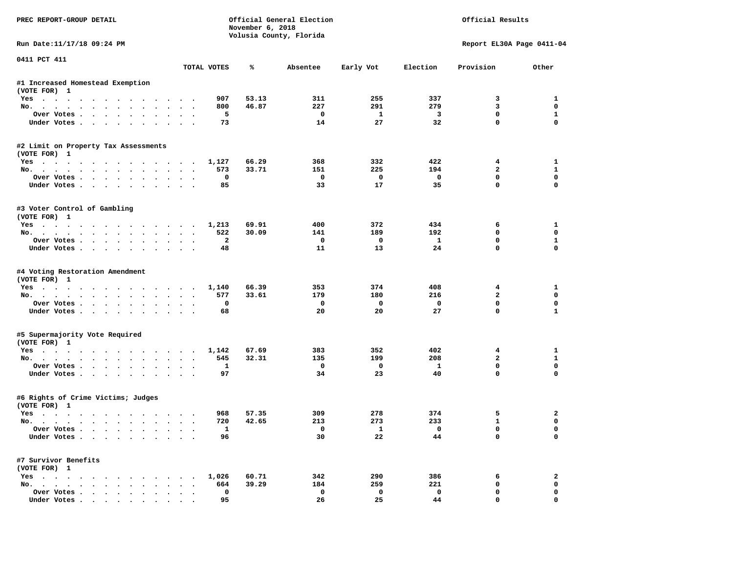| PREC REPORT-GROUP DETAIL             |                | November 6, 2018 | Official General Election<br>Volusia County, Florida |                 |                         | Official Results            |                          |
|--------------------------------------|----------------|------------------|------------------------------------------------------|-----------------|-------------------------|-----------------------------|--------------------------|
| Run Date:11/17/18 09:24 PM           |                |                  |                                                      |                 |                         | Report EL30A Page 0411-04   |                          |
| 0411 PCT 411                         | TOTAL VOTES    | ℁                | Absentee                                             | Early Vot       | Election                | Provision                   | Other                    |
| #1 Increased Homestead Exemption     |                |                  |                                                      |                 |                         |                             |                          |
| (VOTE FOR) 1                         |                |                  |                                                      |                 |                         |                             |                          |
| Yes                                  | 907            | 53.13            | 311                                                  | 255             | 337                     | 3                           | 1                        |
| No.                                  | 800            | 46.87            | 227                                                  | 291             | 279                     | 3                           | 0                        |
| Over Votes                           | 5              |                  | 0                                                    | $\mathbf{1}$    | 3                       | $\mathbf 0$                 | $\mathbf{1}$             |
| Under Votes                          | 73             |                  | 14                                                   | 27              | 32                      | $\mathbf 0$                 | $\Omega$                 |
| #2 Limit on Property Tax Assessments |                |                  |                                                      |                 |                         |                             |                          |
| (VOTE FOR) 1                         |                |                  |                                                      |                 |                         |                             |                          |
| Yes                                  | 1,127          | 66.29            | 368                                                  | 332             | 422                     | 4                           | 1                        |
| No.                                  | 573            | 33.71            | 151                                                  | 225             | 194                     | $\overline{a}$              | $\mathbf{1}$             |
| Over Votes.                          | 0              |                  | $\mathbf 0$                                          | $\mathbf 0$     | $\mathbf 0$             | $\mathbf{0}$                | $\mathbf 0$              |
| Under Votes                          | 85             |                  | 33                                                   | 17              | 35                      | $\Omega$                    | $\Omega$                 |
| #3 Voter Control of Gambling         |                |                  |                                                      |                 |                         |                             |                          |
| (VOTE FOR) 1                         |                |                  |                                                      |                 |                         |                             |                          |
| Yes                                  | 1,213          | 69.91            | 400                                                  | 372             | 434<br>192              | 6<br>$\Omega$               | 1<br>0                   |
| No.                                  | 522            | 30.09            | 141                                                  | 189<br>$\Omega$ |                         |                             |                          |
| Over Votes                           | $\overline{a}$ |                  | $^{\circ}$<br>11                                     | 13              | $\mathbf{1}$<br>24      | $\mathbf 0$<br>$\mathbf{0}$ | $\mathbf{1}$<br>$\Omega$ |
| Under Votes                          | 48             |                  |                                                      |                 |                         |                             |                          |
| #4 Voting Restoration Amendment      |                |                  |                                                      |                 |                         |                             |                          |
| (VOTE FOR) 1                         |                |                  |                                                      |                 |                         |                             |                          |
| Yes                                  | 1,140          | 66.39            | 353                                                  | 374             | 408                     | 4                           | 1                        |
| No.                                  | 577            | 33.61            | 179                                                  | 180             | 216                     | $\overline{a}$              | 0                        |
| Over Votes                           | 0              |                  | 0                                                    | $\mathbf 0$     | 0                       | $\mathbf 0$                 | $\mathbf 0$              |
| Under Votes                          | 68             |                  | 20                                                   | 20              | 27                      | $\mathbf 0$                 | $\mathbf{1}$             |
| #5 Supermajority Vote Required       |                |                  |                                                      |                 |                         |                             |                          |
| (VOTE FOR) 1                         |                |                  |                                                      |                 |                         |                             |                          |
| Yes                                  | 1,142          | 67.69            | 383                                                  | 352             | 402                     | 4                           | 1                        |
| No.                                  | 545            | 32.31            | 135                                                  | 199             | 208                     | $\overline{a}$              | $\mathbf{1}$             |
| Over Votes                           | 1              |                  | $\mathbf 0$                                          | $\mathbf 0$     | $\mathbf{1}$            | $\mathbf{0}$                | $\mathbf 0$              |
| Under Votes                          | 97             |                  | 34                                                   | 23              | 40                      | $\Omega$                    | $\Omega$                 |
| #6 Rights of Crime Victims; Judges   |                |                  |                                                      |                 |                         |                             |                          |
| (VOTE FOR) 1                         |                |                  |                                                      |                 |                         |                             |                          |
| Yes                                  | 968            | 57.35            | 309                                                  | 278             | 374                     | 5                           | 2                        |
| No.                                  | 720            | 42.65            | 213                                                  | 273             | 233                     | $\mathbf{1}$                | 0                        |
| Over Votes                           | 1              |                  |                                                      | $\mathbf{1}$    | $\overline{\mathbf{0}}$ | 0                           | 0                        |
| Under Votes                          | 96             |                  | 30                                                   | 22              | 44                      | 0                           | 0                        |
| #7 Survivor Benefits                 |                |                  |                                                      |                 |                         |                             |                          |
| (VOTE FOR) 1                         |                |                  |                                                      |                 |                         |                             |                          |
| Yes                                  | 1,026          | 60.71            | 342                                                  | 290             | 386                     | 6                           | 2                        |
| No.                                  | 664            | 39.29            | 184                                                  | 259             | 221                     | 0                           | 0                        |
| Over Votes                           | 0              |                  | 0                                                    | 0               | $\mathbf 0$             | 0                           | 0                        |
| Under Votes                          | 95             |                  | 26                                                   | 25              | 44                      | $\mathbf 0$                 | 0                        |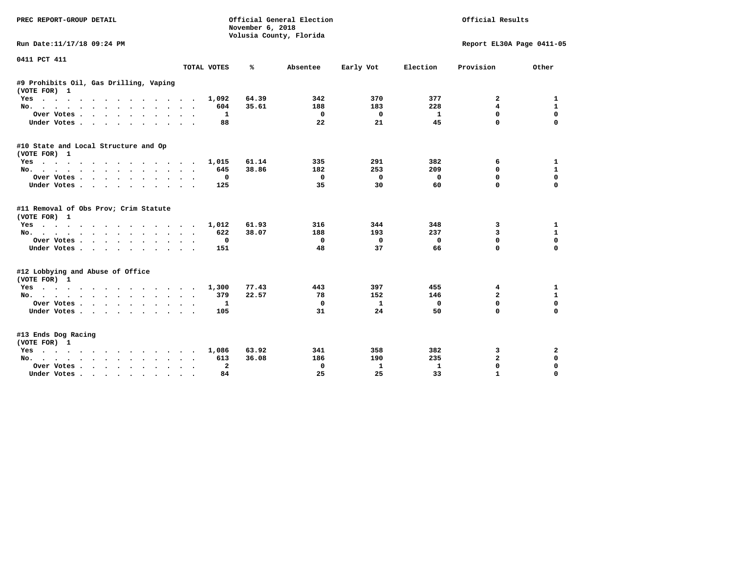| PREC REPORT-GROUP DETAIL                               |                    | November 6, 2018<br>Volusia County, Florida | Official General Election |              | Official Results |                           |              |
|--------------------------------------------------------|--------------------|---------------------------------------------|---------------------------|--------------|------------------|---------------------------|--------------|
| Run Date:11/17/18 09:24 PM                             |                    |                                             |                           |              |                  | Report EL30A Page 0411-05 |              |
| 0411 PCT 411                                           | TOTAL VOTES        | ℁                                           | Absentee                  | Early Vot    | Election         | Provision                 | Other        |
|                                                        |                    |                                             |                           |              |                  |                           |              |
| #9 Prohibits Oil, Gas Drilling, Vaping<br>(VOTE FOR) 1 |                    |                                             |                           |              |                  |                           |              |
| Yes                                                    | 1,092              | 64.39                                       | 342                       | 370          | 377              | 2                         | 1            |
| No.                                                    | 604                | 35.61                                       | 188                       | 183          | 228              | 4                         | 1            |
| Over Votes                                             | 1                  |                                             | 0                         | 0            | -1               | $\mathbf{0}$              | $\mathbf 0$  |
| Under Votes<br>$\cdot$<br>$\sim$                       | 88                 |                                             | 22                        | 21           | 45               | 0                         | $\mathbf 0$  |
| #10 State and Local Structure and Op                   |                    |                                             |                           |              |                  |                           |              |
| (VOTE FOR) 1                                           |                    |                                             |                           |              |                  |                           |              |
| Yes                                                    | 1,015              | 61.14                                       | 335                       | 291          | 382              | 6                         | 1            |
| No.                                                    | 645                | 38.86                                       | 182                       | 253          | 209              | 0                         | 1            |
| Over Votes                                             | 0<br>$\sim$        |                                             | 0                         | 0            | 0                | $\mathbf 0$               | $\mathbf 0$  |
| Under Votes                                            | 125                |                                             | 35                        | 30           | 60               | 0                         | 0            |
| #11 Removal of Obs Prov; Crim Statute<br>(VOTE FOR) 1  |                    |                                             |                           |              |                  |                           |              |
| Yes                                                    | 1,012              | 61.93                                       | 316                       | 344          | 348              | 3                         | 1            |
| No.                                                    | 622                | 38.07                                       | 188                       | 193          | 237              | 3                         | 1            |
| Over Votes                                             | 0                  |                                             | 0                         | 0            | 0                | 0                         | $\mathbf 0$  |
| Under Votes                                            | $\bullet$ .<br>151 |                                             | 48                        | 37           | 66               | 0                         | $\mathbf 0$  |
|                                                        |                    |                                             |                           |              |                  |                           |              |
| #12 Lobbying and Abuse of Office<br>(VOTE FOR) 1       |                    |                                             |                           |              |                  |                           |              |
| Yes                                                    | 1,300              | 77.43                                       | 443                       | 397          | 455              | 4                         | 1            |
| No.                                                    | 379<br>$\sim$      | 22.57                                       | 78                        | 152          | 146              | $\overline{a}$            | $\mathbf{1}$ |
| Over Votes                                             | 1                  |                                             | 0                         | $\mathbf{1}$ | $\Omega$         | 0                         | $\Omega$     |
| Under Votes                                            | 105                |                                             | 31                        | 24           | 50               | $\Omega$                  | $\Omega$     |
| #13 Ends Dog Racing<br>(VOTE FOR) 1                    |                    |                                             |                           |              |                  |                           |              |
| Yes                                                    | 1,086              | 63.92                                       | 341                       | 358          | 382              | 3                         | 2            |
| No.                                                    | 613                | 36.08                                       | 186                       | 190          | 235              | $\mathbf{2}$              | $\mathbf 0$  |
| Over Votes.<br>$\cdots$<br>$\ddot{\phantom{a}}$        | $\mathbf{2}$       |                                             | 0                         | $\mathbf{1}$ | $\mathbf{1}$     | $\Omega$                  | $\mathbf 0$  |
| Under Votes<br>$\sim$ 100 $\sim$                       | 84                 |                                             | 25                        | 25           | 33               | $\mathbf{1}$              | $\Omega$     |
|                                                        |                    |                                             |                           |              |                  |                           |              |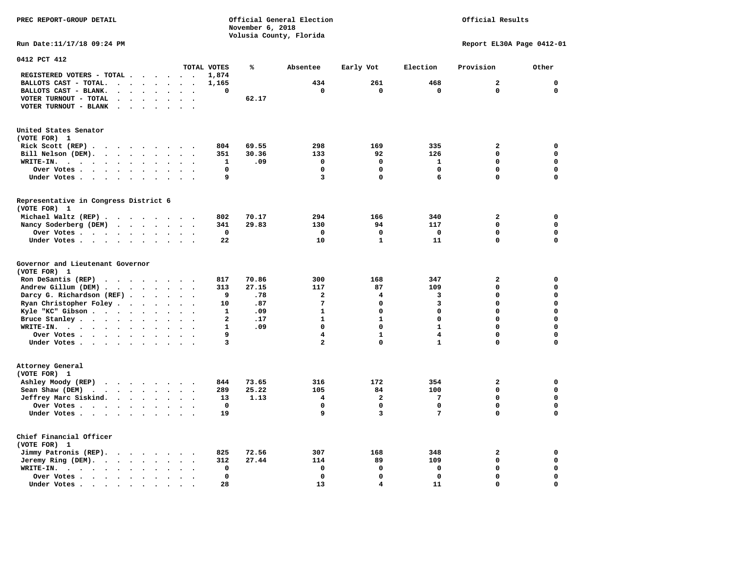|                                                                                                                                                                                                                                                           |                               | November 6, 2018        |                |                         |              |                           |             |  |  |
|-----------------------------------------------------------------------------------------------------------------------------------------------------------------------------------------------------------------------------------------------------------|-------------------------------|-------------------------|----------------|-------------------------|--------------|---------------------------|-------------|--|--|
|                                                                                                                                                                                                                                                           |                               | Volusia County, Florida |                |                         |              |                           |             |  |  |
| Run Date: 11/17/18 09:24 PM                                                                                                                                                                                                                               |                               |                         |                |                         |              | Report EL30A Page 0412-01 |             |  |  |
| 0412 PCT 412                                                                                                                                                                                                                                              |                               |                         |                |                         |              |                           |             |  |  |
|                                                                                                                                                                                                                                                           | TOTAL VOTES                   | ℁                       | Absentee       | Early Vot               | Election     | Provision                 | Other       |  |  |
| REGISTERED VOTERS - TOTAL<br>$\sim$ $\sim$                                                                                                                                                                                                                | 1,874<br>$\ddot{\phantom{1}}$ |                         |                |                         |              |                           |             |  |  |
| BALLOTS CAST - TOTAL.<br>$\cdots$                                                                                                                                                                                                                         | 1,165                         |                         | 434            | 261                     | 468          | 2                         | 0           |  |  |
| BALLOTS CAST - BLANK.<br>$\bullet$ .<br>$\cdot$                                                                                                                                                                                                           | 0                             |                         | $\mathbf 0$    | $\mathbf 0$             | $\mathbf 0$  | $\mathbf 0$               | $\mathbf 0$ |  |  |
| VOTER TURNOUT - TOTAL<br>$\ddot{\phantom{0}}$<br>$\ddot{\phantom{1}}$                                                                                                                                                                                     | $\sim$ $\sim$                 | 62.17                   |                |                         |              |                           |             |  |  |
| VOTER TURNOUT - BLANK<br>$\ddot{\phantom{1}}$<br>$\ddot{\phantom{a}}$<br>$\ddot{\phantom{1}}$                                                                                                                                                             | $\sim$ $\sim$                 |                         |                |                         |              |                           |             |  |  |
| United States Senator<br>(VOTE FOR) 1                                                                                                                                                                                                                     |                               |                         |                |                         |              |                           |             |  |  |
| Rick Scott $(REP)$                                                                                                                                                                                                                                        | 804                           | 69.55                   | 298            | 169                     | 335          | 2                         | 0           |  |  |
| Bill Nelson (DEM).                                                                                                                                                                                                                                        | 351<br>$\sim$ $\sim$          | 30.36                   | 133            | 92                      | 126          | 0                         | 0           |  |  |
| WRITE-IN.<br>$\ddot{\phantom{a}}$                                                                                                                                                                                                                         | $\mathbf{1}$                  | .09                     | 0              | 0                       | $\mathbf{1}$ | 0                         | $\mathbf 0$ |  |  |
| Over Votes<br>$\sim$                                                                                                                                                                                                                                      | 0                             |                         | 0              | $\mathbf 0$             | $\mathbf 0$  | $\mathbf 0$               | $\mathbf 0$ |  |  |
| Under Votes                                                                                                                                                                                                                                               | 9                             |                         | 3              | $\mathbf 0$             | 6            | $\Omega$                  | $\mathbf 0$ |  |  |
| Representative in Congress District 6<br>(VOTE FOR) 1                                                                                                                                                                                                     |                               |                         |                |                         |              |                           |             |  |  |
| Michael Waltz (REP)                                                                                                                                                                                                                                       | 802                           | 70.17                   | 294            | 166                     | 340          | 2                         | 0           |  |  |
| Nancy Soderberg (DEM)<br>$\cdots$                                                                                                                                                                                                                         | 341                           | 29.83                   | 130            | 94                      | 117          | 0                         | $\mathbf 0$ |  |  |
| Over Votes                                                                                                                                                                                                                                                | 0                             |                         | 0              | 0                       | 0            | $\mathbf 0$               | $\mathbf 0$ |  |  |
| Under Votes                                                                                                                                                                                                                                               | 22                            |                         | 10             | $\mathbf{1}$            | 11           | $\Omega$                  | $\mathbf 0$ |  |  |
| Governor and Lieutenant Governor<br>(VOTE FOR) 1                                                                                                                                                                                                          |                               |                         |                |                         |              |                           |             |  |  |
| Ron DeSantis (REP)<br>$\cdots$                                                                                                                                                                                                                            | 817                           | 70.86                   | 300            | 168                     | 347          | 2                         | $\mathbf 0$ |  |  |
| Andrew Gillum (DEM)                                                                                                                                                                                                                                       | 313                           | 27.15                   | 117            | 87                      | 109          | 0                         | $\mathbf 0$ |  |  |
| Darcy G. Richardson (REF)                                                                                                                                                                                                                                 | 9                             | .78                     | $\overline{a}$ | 4                       | 3            | 0                         | $\mathbf 0$ |  |  |
| Ryan Christopher Foley                                                                                                                                                                                                                                    | 10<br>$\ddot{\phantom{1}}$    | .87                     | 7              | 0                       | 3            | 0                         | $\Omega$    |  |  |
| Kyle "KC" Gibson<br>$\bullet$<br>$\bullet$                                                                                                                                                                                                                | 1                             | .09                     | 1              | 0                       | $\mathbf 0$  | 0                         | $\mathbf 0$ |  |  |
| Bruce Stanley<br>$\ddot{\phantom{a}}$                                                                                                                                                                                                                     | $\mathbf{2}$                  | .17                     | $\mathbf{1}$   | $\mathbf{1}$            | $\mathbf 0$  | 0                         | $\mathbf 0$ |  |  |
| WRITE-IN.<br>$\mathbf{r}$ . The contract of the contract of the contract of the contract of the contract of the contract of the contract of the contract of the contract of the contract of the contract of the contract of the contract of th<br>$\cdot$ | $\mathbf{1}$                  | .09                     | $\mathbf{0}$   | $\mathbf 0$             | $\mathbf{1}$ | 0                         | $\Omega$    |  |  |
| Over Votes                                                                                                                                                                                                                                                | 9                             |                         | 4              | $\mathbf{1}$            | 4            | $\Omega$                  | $\Omega$    |  |  |
| Under Votes<br>$\ddot{\phantom{a}}$                                                                                                                                                                                                                       | 3<br>$\ddot{\phantom{0}}$     |                         | $\overline{a}$ | $\Omega$                | $\mathbf{1}$ | 0                         | $\Omega$    |  |  |
| Attorney General                                                                                                                                                                                                                                          |                               |                         |                |                         |              |                           |             |  |  |
| (VOTE FOR) 1                                                                                                                                                                                                                                              |                               |                         |                |                         |              |                           |             |  |  |
| Ashley Moody (REP)                                                                                                                                                                                                                                        | 844                           | 73.65                   | 316            | 172                     | 354          | 2                         | 0           |  |  |
| Sean Shaw (DEM)<br>$\cdot$ $\cdot$ $\cdot$ $\cdot$ $\cdot$ $\cdot$ $\cdot$                                                                                                                                                                                | 289<br>$\ddot{\phantom{0}}$   | 25.22                   | 105            | 84                      | 100          | 0                         | 0           |  |  |
| Jeffrey Marc Siskind.                                                                                                                                                                                                                                     | 13                            | 1.13                    | 4              | $\overline{\mathbf{2}}$ | 7            | 0                         | $\mathbf 0$ |  |  |
| Over Votes<br>$\sim$ $\sim$                                                                                                                                                                                                                               | 0<br>$\bullet$                |                         | 0              | $\mathbf 0$             | $\mathbf 0$  | $\mathbf 0$               | $\mathbf 0$ |  |  |
| Under Votes                                                                                                                                                                                                                                               | 19                            |                         | 9              | 3                       | 7            | 0                         | $\Omega$    |  |  |
| Chief Financial Officer<br>(VOTE FOR) 1                                                                                                                                                                                                                   |                               |                         |                |                         |              |                           |             |  |  |
| Jimmy Patronis (REP).                                                                                                                                                                                                                                     | 825                           | 72.56                   | 307            | 168                     | 348          | $\mathbf{z}$              | 0           |  |  |

 **Jeremy Ring (DEM). . . . . . . . 312 27.44** 114 114 89 109 0 0  **WRITE-IN. . . . . . . . . . . . 0 0 0 0 0 0** 

 **Over Votes . . . . . . . . . . 0 0 0 0 0 0** 

 **Under Votes . . . . . . . . . . 28 13 11 11 11 10 0** 

### Official Results

 $\mathbf 0$ 

 $\mathbf 0$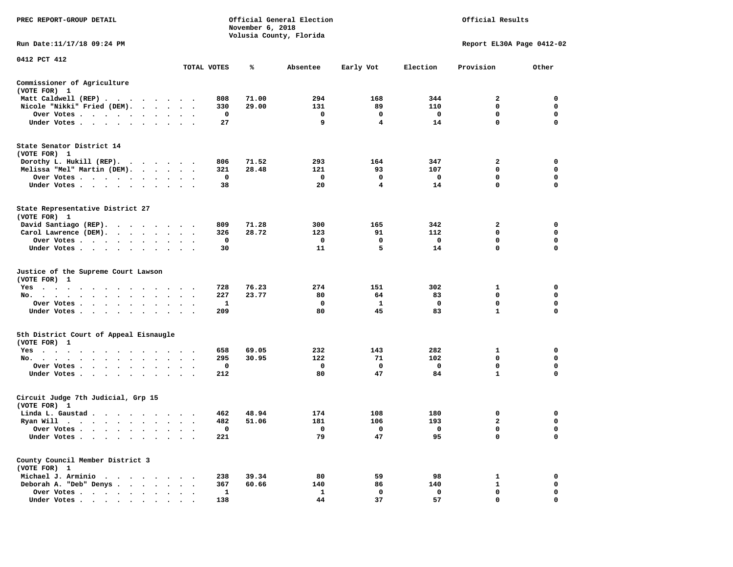| PREC REPORT-GROUP DETAIL                                                     |                      |                               | November 6, 2018 | Official General Election<br>Volusia County, Florida |                         | Official Results        |                           |             |  |
|------------------------------------------------------------------------------|----------------------|-------------------------------|------------------|------------------------------------------------------|-------------------------|-------------------------|---------------------------|-------------|--|
| Run Date:11/17/18 09:24 PM                                                   |                      |                               |                  |                                                      |                         |                         | Report EL30A Page 0412-02 |             |  |
| 0412 PCT 412                                                                 |                      | TOTAL VOTES                   | ℁                | Absentee                                             | Early Vot               | Election                | Provision                 | Other       |  |
|                                                                              |                      |                               |                  |                                                      |                         |                         |                           |             |  |
| Commissioner of Agriculture<br>(VOTE FOR) 1                                  |                      |                               |                  |                                                      |                         |                         |                           |             |  |
| Matt Caldwell (REP)                                                          |                      | 808                           | 71.00            | 294                                                  | 168                     | 344                     | 2                         | $\mathbf 0$ |  |
| Nicole "Nikki" Fried (DEM).                                                  |                      | 330                           | 29.00            | 131                                                  | 89                      | 110                     | $\mathbf 0$               | 0           |  |
| Over Votes                                                                   |                      | $\mathbf 0$                   |                  | $\mathbf 0$                                          | $\Omega$                | $\overline{\mathbf{0}}$ | $\mathbf{0}$              | $\mathbf 0$ |  |
| Under Votes                                                                  |                      | 27                            |                  | 9                                                    | $\overline{\mathbf{4}}$ | 14                      | $\mathbf 0$               | 0           |  |
| State Senator District 14<br>(VOTE FOR) 1                                    |                      |                               |                  |                                                      |                         |                         |                           |             |  |
| Dorothy L. Hukill (REP).                                                     |                      | 806                           | 71.52            | 293                                                  | 164                     | 347                     | 2                         | 0           |  |
| Melissa "Mel" Martin (DEM).                                                  |                      | 321                           | 28.48            | 121                                                  | 93                      | 107                     | $\mathbf{0}$              | $\mathbf 0$ |  |
| Over Votes                                                                   |                      | $\mathbf 0$                   |                  | $\mathbf 0$                                          | $\mathbf 0$             | $\mathbf 0$             | $\mathbf 0$               | $\mathbf 0$ |  |
| Under Votes                                                                  |                      | 38                            |                  | 20                                                   | $\overline{4}$          | 14                      | $\mathbf 0$               | $\mathbf 0$ |  |
| State Representative District 27<br>(VOTE FOR) 1                             |                      |                               |                  |                                                      |                         |                         |                           |             |  |
| David Santiago (REP).                                                        |                      | 809                           | 71.28            | 300                                                  | 165                     | 342                     | $\mathbf{2}$              | $\mathbf 0$ |  |
| Carol Lawrence (DEM).                                                        |                      | 326                           | 28.72            | 123                                                  | 91                      | 112                     | $\mathbf 0$               | $\mathbf 0$ |  |
| Over Votes                                                                   |                      | $\mathbf 0$                   |                  | $\mathbf 0$                                          | 0                       | $\mathbf{o}$            | $\mathbf 0$               | $\mathbf 0$ |  |
| Under Votes                                                                  |                      | 30                            |                  | 11                                                   | 5                       | 14                      | 0                         | $\mathbf 0$ |  |
| Justice of the Supreme Court Lawson<br>(VOTE FOR) 1                          |                      |                               |                  |                                                      |                         |                         |                           |             |  |
| $Yes \cdot \cdot \cdot$<br>$\ddot{\phantom{1}}$<br>$\sim$ $\sim$<br>$\cdots$ |                      | 728                           | 76.23            | 274                                                  | 151                     | 302                     | 1                         | 0           |  |
| No.                                                                          |                      | 227                           | 23.77            | 80                                                   | 64                      | 83                      | $\mathbf 0$               | $\mathbf 0$ |  |
| Over Votes                                                                   | $\sim$ $\sim$        | 1<br>$\overline{\phantom{a}}$ |                  | 0                                                    | $\mathbf{1}$            | $\mathbf 0$             | $\mathbf 0$               | $\mathbf 0$ |  |
| Under Votes                                                                  | $\ddot{\phantom{a}}$ | 209                           |                  | 80                                                   | 45                      | 83                      | $\mathbf{1}$              | 0           |  |
| 5th District Court of Appeal Eisnaugle<br>(VOTE FOR) 1                       |                      |                               |                  |                                                      |                         |                         |                           |             |  |
| Yes                                                                          |                      | 658                           | 69.05            | 232                                                  | 143                     | 282                     | 1                         | 0           |  |
| No.                                                                          |                      | 295                           | 30.95            | 122                                                  | 71                      | 102                     | $\mathbf 0$               | $\mathbf 0$ |  |
| Over Votes                                                                   |                      | 0                             |                  | 0                                                    | 0                       | $\mathbf{o}$            | 0                         | 0           |  |
| Under Votes                                                                  |                      | 212                           |                  | 80                                                   | 47                      | 84                      | $\mathbf{1}$              | $\mathbf 0$ |  |
| Circuit Judge 7th Judicial, Grp 15<br>(VOTE FOR) 1                           |                      |                               |                  |                                                      |                         |                         |                           |             |  |
| Linda L. Gaustad                                                             |                      | 462                           | 48.94            | 174                                                  | 108                     | 180                     | 0                         | 0           |  |
| Ryan Will $\cdots$ , $\cdots$ , $\cdots$ , $\cdots$                          |                      | 482                           | 51.06            | 181                                                  | 106                     | 193                     | $\overline{a}$            | 0           |  |
| Over Votes                                                                   | $\cdot$ .            | 0                             |                  | $\mathbf 0$                                          | 0                       | $\overline{\mathbf{0}}$ | 0                         | $\mathbf 0$ |  |
| Under Votes<br>$\ddot{\phantom{0}}$<br>$\cdot$<br>$\bullet$                  |                      | 221                           |                  | 79                                                   | 47                      | 95                      | $\mathbf 0$               | $\mathbf 0$ |  |
| County Council Member District 3<br>(VOTE FOR) 1                             |                      |                               |                  |                                                      |                         |                         |                           |             |  |
| Michael J. Arminio                                                           |                      | 238                           | 39.34            | 80                                                   | 59                      | 98                      | 1                         | $\mathbf 0$ |  |
| Deborah A. "Deb" Denys                                                       |                      | 367                           | 60.66            | 140                                                  | 86                      | 140                     | $\mathbf{1}$              | 0           |  |
| Over Votes<br>$\ddot{\phantom{1}}$                                           | $\cdot$<br>$\cdot$   | 1                             |                  | 1                                                    | $\mathbf 0$             | $\mathbf 0$             | $\mathbf 0$               | $\mathbf 0$ |  |
| Under Votes                                                                  |                      | 138                           |                  | 44                                                   | 37                      | 57                      | $\Omega$                  | $\Omega$    |  |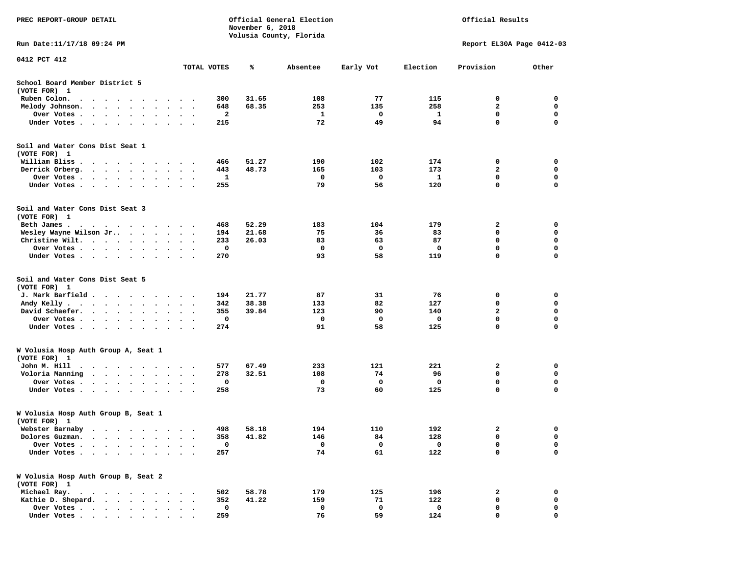| PREC REPORT-GROUP DETAIL                                                                                                                                                  |                        |           | November 6, 2018 | Official General Election<br>Volusia County, Florida |          |           | Official Results |                           |             |
|---------------------------------------------------------------------------------------------------------------------------------------------------------------------------|------------------------|-----------|------------------|------------------------------------------------------|----------|-----------|------------------|---------------------------|-------------|
| Run Date:11/17/18 09:24 PM                                                                                                                                                |                        |           |                  |                                                      |          |           |                  | Report EL30A Page 0412-03 |             |
| 0412 PCT 412                                                                                                                                                              |                        |           | TOTAL VOTES      | ℁                                                    | Absentee | Early Vot | Election         | Provision                 | Other       |
| School Board Member District 5<br>(VOTE FOR) 1                                                                                                                            |                        |           |                  |                                                      |          |           |                  |                           |             |
| Ruben Colon.<br>$\bullet$<br>$\cdot$                                                                                                                                      |                        |           | 300              | 31.65                                                | 108      | 77        | 115              | 0                         | 0           |
| Melody Johnson.<br>$\ddotsc$<br>$\cdot$<br>$\bullet$<br>$\bullet$                                                                                                         |                        |           | 648              | 68.35                                                | 253      | 135       | 258              | $\mathbf{2}$              | 0           |
| Over Votes .<br>$\sim$ $\sim$<br>$\sim$<br>$\bullet$<br>$\bullet$<br>$\ddot{\phantom{a}}$                                                                                 | $\cdot$<br>$\bullet$   |           | 2                |                                                      | 1        | 0         | 1                | $\mathbf 0$               | $\mathbf 0$ |
| Under Votes.<br>$\ddot{\phantom{0}}$<br>$\ddot{\phantom{1}}$<br>$\cdot$<br>$\bullet$                                                                                      |                        |           | 215              |                                                      | 72       | 49        | 94               | $\mathbf 0$               | 0           |
| Soil and Water Cons Dist Seat 1<br>(VOTE FOR) 1<br>William Bliss                                                                                                          |                        |           | 466              | 51.27                                                | 190      | 102       | 174              | 0                         | 0           |
| $\ddot{\phantom{1}}$<br>$\cdot$<br>$\cdot$<br>$\cdot$<br>$\overline{\phantom{a}}$<br>$\cdot$<br>Derrick Orberg.                                                           |                        |           | 443              | 48.73                                                | 165      | 103       | 173              | $\mathbf{2}$              | 0           |
| $\sim$ $\sim$<br>$\ddot{\phantom{0}}$<br>$\bullet$<br>Over Votes .<br>$\bullet$                                                                                           | $\bullet$<br>$\bullet$ |           | 1                |                                                      | 0        | 0         | 1                | 0                         | 0           |
| $\ddot{\phantom{0}}$<br>$\sim$<br>$\bullet$<br>Under Votes.<br>$\cdots$<br>$\bullet$<br>$\cdot$                                                                           |                        | $\bullet$ | 255              |                                                      | 79       | 56        | 120              | $\mathbf 0$               | $\mathbf 0$ |
| Soil and Water Cons Dist Seat 3<br>(VOTE FOR) 1                                                                                                                           |                        |           |                  |                                                      |          |           |                  |                           |             |
| Beth James.<br>. As a set of the set of the set of the set of the set of the set of the set of the $\alpha$                                                               |                        |           | 468              | 52.29                                                | 183      | 104       | 179              | 2                         | 0           |
| Wesley Wayne Wilson Jr<br>$\bullet$<br>$\ddot{\phantom{0}}$<br>$\cdot$                                                                                                    |                        | $\cdot$ . | 194              | 21.68                                                | 75       | 36        | 83               | 0                         | 0           |
| Christine Wilt.<br>$\ddot{\phantom{1}}$<br>$\sim$<br>$\bullet$<br>$\bullet$ .                                                                                             |                        |           | 233              | 26.03                                                | 83       | 63        | 87               | $\mathbf 0$               | $\mathbf 0$ |
| Over Votes<br>$\bullet$<br>$\bullet$<br>$\bullet$                                                                                                                         | $\bullet$              |           | 0                |                                                      | 0        | 0         | 0                | $\mathbf 0$               | $\mathbf 0$ |
| Under Votes<br>$\cdot$                                                                                                                                                    |                        |           | 270              |                                                      | 93       | 58        | 119              | 0                         | $\mathbf 0$ |
| Soil and Water Cons Dist Seat 5<br>(VOTE FOR) 1                                                                                                                           |                        |           |                  |                                                      |          |           |                  |                           |             |
| J. Mark Barfield.<br>$\sim$                                                                                                                                               | $\bullet$              |           | 194              | 21.77                                                | 87       | 31        | 76               | 0                         | 0           |
| Andy Kelly.<br>$\begin{array}{cccccccccccccc} \bullet & \bullet & \bullet & \bullet & \bullet & \bullet & \bullet & \bullet & \bullet & \bullet \end{array}$<br>$\bullet$ | $\bullet$              | $\bullet$ | 342              | 38.38                                                | 133      | 82        | 127              | $\mathbf 0$               | $\mathbf 0$ |
| David Schaefer.<br>$\ddot{\phantom{0}}$<br>$\ddot{\phantom{a}}$<br>$\ddot{\phantom{0}}$<br>$\bullet$                                                                      |                        |           | 355              | 39.84                                                | 123      | 90        | 140              | 2                         | 0           |
| Over Votes .<br>$\ddot{\phantom{0}}$<br>$\cdot$<br>$\bullet$<br>$\bullet$<br>$\bullet$                                                                                    | $\bullet$<br>$\bullet$ |           | 0                |                                                      | 0        | 0         | 0                | $\mathbf 0$               | $\mathbf 0$ |
| Under Votes<br>$\bullet$<br>$\ddot{\phantom{0}}$<br>$\ddot{\phantom{a}}$                                                                                                  | $\bullet$              | $\cdot$ . | 274              |                                                      | 91       | 58        | 125              | $\mathbf 0$               | $\mathbf 0$ |
| W Volusia Hosp Auth Group A, Seat 1<br>(VOTE FOR) 1                                                                                                                       |                        |           |                  |                                                      |          |           |                  |                           |             |
| John M. Hill<br>$\bullet$<br>$\overline{\phantom{a}}$<br>$\ddot{\phantom{1}}$<br>$\sim$<br>$\bullet$<br>$\cdot$<br>$\bullet$                                              | $\bullet$              |           | 577              | 67.49                                                | 233      | 121       | 221              | 2                         | 0           |
| Voloria Manning<br>$\cdot$ $\cdot$ $\cdot$ $\cdot$<br>$\ddot{\phantom{0}}$<br>$\cdot$                                                                                     |                        |           | 278              | 32.51                                                | 108      | 74        | 96               | $\mathbf 0$               | 0           |
| Over Votes.<br>$\sim$<br>$\bullet$<br>$\cdot$<br>$\cdot$                                                                                                                  |                        |           | 0                |                                                      | 0        | 0         | 0                | 0                         | 0           |
| Under Votes<br>$\bullet$<br>$\bullet$                                                                                                                                     |                        |           | 258              |                                                      | 73       | 60        | 125              | $\mathbf 0$               | $\mathbf 0$ |
| W Volusia Hosp Auth Group B, Seat 1<br>(VOTE FOR) 1                                                                                                                       |                        |           |                  |                                                      |          |           |                  |                           |             |
| Webster Barnaby<br>.                                                                                                                                                      |                        |           | 498              | 58.18                                                | 194      | 110       | 192              | 2                         | 0           |
| Dolores Guzman.                                                                                                                                                           |                        |           | 358              | 41.82                                                | 146      | 84        | 128              | 0                         | 0           |
| Over Votes .                                                                                                                                                              |                        |           | $\mathbf 0$      |                                                      | 0        | 0         | 0                | 0                         | 0           |
| Under Votes.<br>$\bullet$<br>$\bullet$<br>$\ddot{\phantom{a}}$                                                                                                            |                        |           | 257              |                                                      | 74       | 61        | 122              | 0                         | $\Omega$    |
| W Volusia Hosp Auth Group B, Seat 2<br>(VOTE FOR) 1                                                                                                                       |                        |           |                  |                                                      |          |           |                  |                           |             |
| Michael Ray.<br>$\cdot$ $\cdot$ $\cdot$ $\cdot$<br>$\cdot$ $\cdot$ $\cdot$                                                                                                |                        |           | 502              | 58.78                                                | 179      | 125       | 196              | 2                         | 0           |
| Kathie D. Shepard.<br>$\cdot$ $\cdot$<br>$\cdot$<br>$\ddot{\phantom{a}}$                                                                                                  |                        |           | 352              | 41.22                                                | 159      | 71        | 122              | 0                         | 0           |
| Over Votes .<br>$\cdots$                                                                                                                                                  |                        |           | 0                |                                                      | 0        | 0         | 0                | 0                         | 0           |
| Under Votes                                                                                                                                                               |                        |           | 259              |                                                      | 76       | 59        | 124              | $\Omega$                  | $\Omega$    |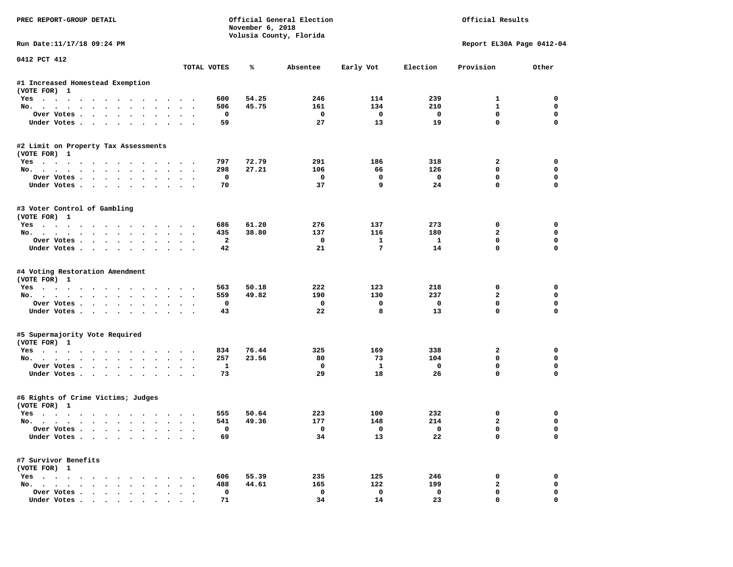| PREC REPORT-GROUP DETAIL                                                |                       | November 6, 2018 | Official General Election<br>Volusia County, Florida |                         | Official Results        |                           |                         |  |
|-------------------------------------------------------------------------|-----------------------|------------------|------------------------------------------------------|-------------------------|-------------------------|---------------------------|-------------------------|--|
| Run Date:11/17/18 09:24 PM                                              |                       |                  |                                                      |                         |                         | Report EL30A Page 0412-04 |                         |  |
| 0412 PCT 412                                                            | TOTAL VOTES           | ℁                | Absentee                                             | Early Vot               | Election                | Provision                 | Other                   |  |
| #1 Increased Homestead Exemption                                        |                       |                  |                                                      |                         |                         |                           |                         |  |
| (VOTE FOR) 1                                                            |                       |                  |                                                      |                         |                         |                           |                         |  |
| Yes                                                                     | 600                   | 54.25            | 246                                                  | 114                     | 239                     | 1                         | 0                       |  |
| No.                                                                     | 506                   | 45.75            | 161                                                  | 134                     | 210                     | $\mathbf{1}$              | 0                       |  |
| Over Votes                                                              | 0                     |                  | 0                                                    | $\mathbf 0$             | $\mathbf 0$             | $\mathbf 0$               | $\mathbf 0$             |  |
| Under Votes                                                             | 59                    |                  | 27                                                   | 13                      | 19                      | $\mathbf 0$               | $\Omega$                |  |
| #2 Limit on Property Tax Assessments                                    |                       |                  |                                                      |                         |                         |                           |                         |  |
| (VOTE FOR) 1                                                            |                       |                  |                                                      |                         |                         |                           |                         |  |
| Yes                                                                     | 797                   | 72.79            | 291                                                  | 186                     | 318                     | 2                         | 0                       |  |
| No.                                                                     | 298                   | 27.21            | 106                                                  | 66                      | 126                     | 0                         | $\mathbf 0$             |  |
| Over Votes<br>Under Votes                                               | $\mathbf 0$<br>70     |                  | 0<br>37                                              | $\mathbf 0$<br>9        | $\mathbf 0$<br>24       | $\mathbf 0$<br>$\Omega$   | $\mathbf 0$<br>$\Omega$ |  |
|                                                                         |                       |                  |                                                      |                         |                         |                           |                         |  |
| #3 Voter Control of Gambling                                            |                       |                  |                                                      |                         |                         |                           |                         |  |
| (VOTE FOR) 1                                                            |                       |                  |                                                      |                         |                         |                           |                         |  |
| Yes                                                                     | 686                   | 61.20            | 276<br>137                                           | 137<br>116              | 273                     | 0<br>$\mathbf{2}$         | 0<br>0                  |  |
| No.<br>Over Votes                                                       | 435<br>$\overline{a}$ | 38.80            | $^{\circ}$                                           | $\mathbf{1}$            | 180<br>$\mathbf{1}$     | $\mathbf 0$               | $\mathbf 0$             |  |
| Under Votes                                                             | 42                    |                  | 21                                                   | 7                       | 14                      | $\mathbf{0}$              | $\Omega$                |  |
|                                                                         |                       |                  |                                                      |                         |                         |                           |                         |  |
| #4 Voting Restoration Amendment<br>(VOTE FOR) 1                         |                       |                  |                                                      |                         |                         |                           |                         |  |
| Yes                                                                     | 563                   | 50.18            | 222                                                  | 123                     | 218                     | 0                         | 0                       |  |
| No.                                                                     | 559                   | 49.82            | 190                                                  | 130                     | 237                     | $\overline{a}$            | 0                       |  |
| Over Votes                                                              | 0                     |                  | 0                                                    | 0                       | $\mathbf 0$             | $\mathbf 0$               | $\mathbf 0$             |  |
| Under Votes                                                             | 43                    |                  | 22                                                   | 8                       | 13                      | $\mathbf 0$               | $\Omega$                |  |
|                                                                         |                       |                  |                                                      |                         |                         |                           |                         |  |
| #5 Supermajority Vote Required<br>(VOTE FOR) 1                          |                       |                  |                                                      |                         |                         |                           |                         |  |
| Yes                                                                     | 834                   | 76.44            | 325                                                  | 169                     | 338                     | 2                         | 0                       |  |
| No.                                                                     | 257                   | 23.56            | 80                                                   | 73                      | 104                     | $\mathbf 0$               | $\mathbf 0$             |  |
| Over Votes                                                              | 1                     |                  | 0                                                    | 1                       | $\mathbf 0$             | $\mathbf 0$               | $\mathbf 0$             |  |
| Under Votes                                                             | 73                    |                  | 29                                                   | 18                      | 26                      | $\Omega$                  | $\Omega$                |  |
| #6 Rights of Crime Victims; Judges                                      |                       |                  |                                                      |                         |                         |                           |                         |  |
| (VOTE FOR) 1                                                            |                       |                  |                                                      |                         |                         |                           |                         |  |
| Yes                                                                     | 555                   | 50.64            | 223                                                  | 100                     | 232                     | 0                         | 0                       |  |
| No.                                                                     | 541                   | 49.36            | 177                                                  | 148                     | 214                     | 2                         | 0                       |  |
| Over Votes $\cdots$                                                     | 0                     |                  |                                                      | $\overline{\mathbf{0}}$ | $\overline{\mathbf{0}}$ | 0                         | 0                       |  |
| Under Votes                                                             | 69                    |                  | 34                                                   | 13                      | 22                      | 0                         | 0                       |  |
| #7 Survivor Benefits                                                    |                       |                  |                                                      |                         |                         |                           |                         |  |
| (VOTE FOR) 1                                                            |                       |                  |                                                      |                         |                         |                           |                         |  |
| $Yes \cdot \cdot \cdot \cdot \cdot \cdot \cdot \cdot \cdot \cdot \cdot$ | 606                   | 55.39            | 235                                                  | 125                     | 246                     | 0                         | 0                       |  |
| No.                                                                     | 488                   | 44.61            | 165                                                  | 122                     | 199                     | $\mathbf{2}$              | 0                       |  |
| Over Votes                                                              | 0                     |                  | 0                                                    | $\mathbf 0$             | $\mathbf 0$             | 0                         | 0                       |  |
| Under Votes                                                             | 71                    |                  | 34                                                   | 14                      | 23                      | $\mathbf 0$               | 0                       |  |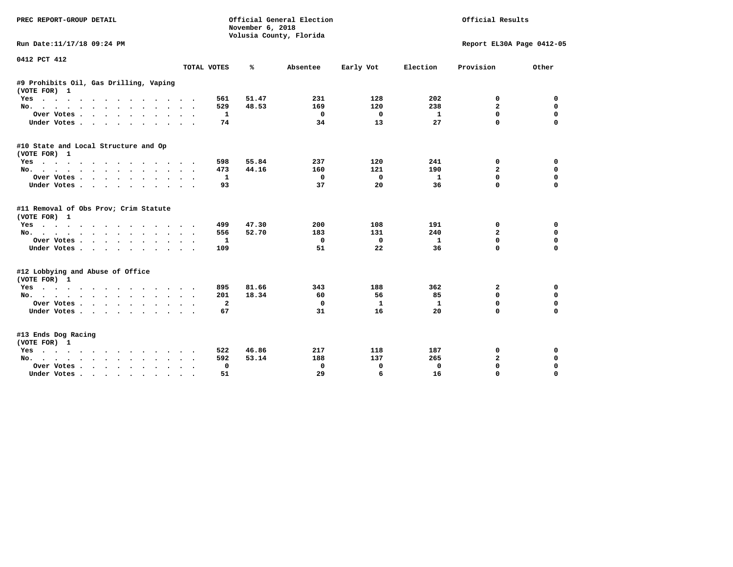| <b>PREC REPORT-GROUP DETAIL</b>                        |                             | November 6, 2018<br>Volusia County, Florida | Official General Election |           | Official Results |                           |             |  |
|--------------------------------------------------------|-----------------------------|---------------------------------------------|---------------------------|-----------|------------------|---------------------------|-------------|--|
| Run Date:11/17/18 09:24 PM                             |                             |                                             |                           |           |                  | Report EL30A Page 0412-05 |             |  |
| 0412 PCT 412                                           | TOTAL VOTES                 | ℁                                           | Absentee                  | Early Vot | Election         | Provision                 | Other       |  |
|                                                        |                             |                                             |                           |           |                  |                           |             |  |
| #9 Prohibits Oil, Gas Drilling, Vaping<br>(VOTE FOR) 1 |                             |                                             |                           |           |                  |                           |             |  |
| Yes                                                    | 561                         | 51.47                                       | 231                       | 128       | 202              | 0                         | 0           |  |
| No.                                                    | 529                         | 48.53                                       | 169                       | 120       | 238              | $\overline{a}$            | $\Omega$    |  |
| Over Votes                                             | 1                           |                                             | 0                         | 0         | $\mathbf{1}$     | 0                         | $\mathbf 0$ |  |
| Under Votes<br>$\sim$ $\sim$                           | 74<br>$\sim$ $\sim$         |                                             | 34                        | 13        | 27               | $\Omega$                  | $\Omega$    |  |
| #10 State and Local Structure and Op<br>(VOTE FOR) 1   |                             |                                             |                           |           |                  |                           |             |  |
| Yes                                                    | 598                         | 55.84                                       | 237                       | 120       | 241              | 0                         | 0           |  |
| No.                                                    | 473                         | 44.16                                       | 160                       | 121       | 190              | $\overline{a}$            | $\Omega$    |  |
| Over Votes                                             | 1                           |                                             | 0                         | 0         | 1                | 0                         | $\mathbf 0$ |  |
| Under Votes                                            | 93                          |                                             | 37                        | 20        | 36               | $\Omega$                  | $\Omega$    |  |
| #11 Removal of Obs Prov; Crim Statute<br>(VOTE FOR) 1  |                             |                                             |                           |           |                  |                           |             |  |
| Yes                                                    | 499                         | 47.30                                       | 200                       | 108       | 191              | 0                         | 0           |  |
| No.                                                    | 556<br>$\ddot{\phantom{a}}$ | 52.70                                       | 183                       | 131       | 240              | $\overline{a}$            | $\mathbf 0$ |  |
| Over Votes<br>$\ddot{\phantom{0}}$                     | 1                           |                                             | 0                         | 0         | 1                | $\Omega$                  | $\mathbf 0$ |  |
| Under Votes                                            | 109                         |                                             | 51                        | 22        | 36               | 0                         | $\Omega$    |  |
| #12 Lobbying and Abuse of Office<br>(VOTE FOR) 1       |                             |                                             |                           |           |                  |                           |             |  |
| Yes                                                    | 895                         | 81.66                                       | 343                       | 188       | 362              | $\mathbf{2}$              | 0           |  |
| No.                                                    | 201                         | 18.34                                       | 60                        | 56        | 85               | 0                         | 0           |  |
| Over Votes                                             | $\mathbf{2}$<br>$\sim$      |                                             | 0                         | 1         | 1                | $\Omega$                  | $\Omega$    |  |
| Under Votes                                            | 67                          |                                             | 31                        | 16        | 20               | 0                         | $\Omega$    |  |
| #13 Ends Dog Racing<br>(VOTE FOR) 1                    |                             |                                             |                           |           |                  |                           |             |  |
| Yes                                                    | 522                         | 46.86                                       | 217                       | 118       | 187              | 0                         | 0           |  |
| No.                                                    | 592                         | 53.14                                       | 188                       | 137       | 265              | $\mathbf{2}$              | $\mathbf 0$ |  |
| Over Votes .<br>$\cdots$<br>$\ddot{\phantom{a}}$       | 0                           |                                             | 0                         | 0         | $\Omega$         | $\Omega$                  | $\mathbf 0$ |  |
| Under Votes<br>$\sim$ $\sim$                           | 51                          |                                             | 29                        | 6         | 16               | $\Omega$                  | $\Omega$    |  |
|                                                        |                             |                                             |                           |           |                  |                           |             |  |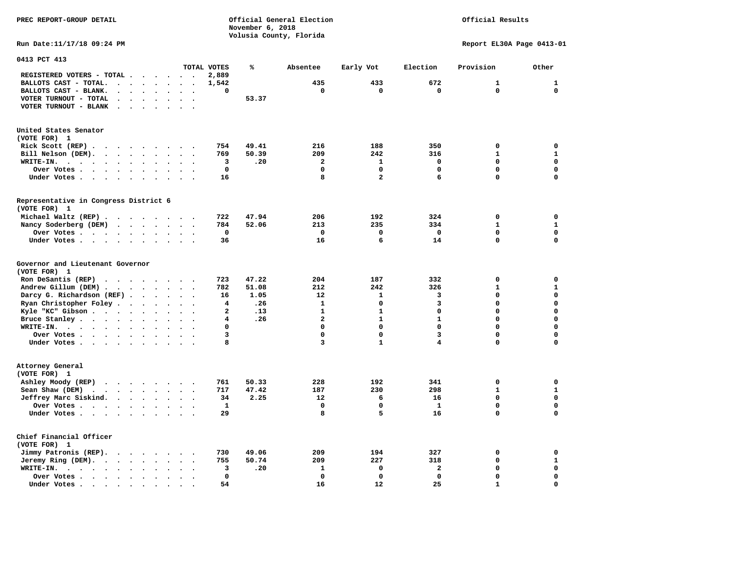**PREC REPORT-GROUP DETAIL COMPUTER CONSUMING A CONSUMING CONSUMING A CONSUMING A CONSUMING A CONSUMING A CONSUMING A CONSUMING A CONSUMING A CONSUMING A CONSUMING A CONSUMING A CONSUMING A CONSUMING A CONSUMING A CONSUMING** *November 6, 2018 November 6, 2018*  **Volusia County, Florida Run Date:11/17/18 09:24 PM Report EL30A Page 0413-01** 

| 0413 PCT 413                                                                                                                                              |                                              |                      |                          |              |       |                |                         |              |              |              |
|-----------------------------------------------------------------------------------------------------------------------------------------------------------|----------------------------------------------|----------------------|--------------------------|--------------|-------|----------------|-------------------------|--------------|--------------|--------------|
|                                                                                                                                                           |                                              |                      |                          | TOTAL VOTES  | ℁     | Absentee       | Early Vot               | Election     | Provision    | Other        |
| REGISTERED VOTERS - TOTAL .                                                                                                                               |                                              | $\sim$               |                          | 2,889        |       |                |                         |              |              |              |
| BALLOTS CAST - TOTAL.<br>$\overline{a}$<br>$\bullet$                                                                                                      | $\bullet$<br>$\bullet$                       | $\bullet$            | $\ddot{\phantom{a}}$     | 1,542        |       | 435            | 433                     | 672          | 1            | $\mathbf{1}$ |
| BALLOTS CAST - BLANK.<br>$\ddot{\phantom{a}}$                                                                                                             |                                              |                      |                          | 0            |       | 0              | $\mathbf 0$             | $\mathbf 0$  | $\mathbf 0$  | $\mathbf 0$  |
| VOTER TURNOUT - TOTAL<br>$\ddot{\phantom{a}}$<br>$\ddot{\phantom{a}}$                                                                                     | $\ddot{\phantom{a}}$<br>$\Delta$             | $\ddot{\phantom{a}}$ | $\overline{\phantom{a}}$ |              | 53.37 |                |                         |              |              |              |
| VOTER TURNOUT - BLANK<br>$\bullet$                                                                                                                        |                                              |                      |                          |              |       |                |                         |              |              |              |
| United States Senator<br>(VOTE FOR) 1                                                                                                                     |                                              |                      |                          |              |       |                |                         |              |              |              |
| Rick Scott (REP).<br>$\cdots$                                                                                                                             |                                              | $\sim$               |                          | 754          | 49.41 | 216            | 188                     | 350          | $\mathbf 0$  | $\mathbf 0$  |
| Bill Nelson (DEM).<br><b><i>Charles Committee Committee States</i></b><br>$\ddot{\phantom{a}}$                                                            | $\cdot$                                      | $\sim$               |                          | 769          | 50.39 | 209            | 242                     | 316          | 1            | $\mathbf{1}$ |
| WRITE-IN.<br>$\ddot{\phantom{a}}$<br>$\ddot{\phantom{a}}$<br>$\sim$ $\sim$<br>$\ddot{\phantom{a}}$<br>$\ddot{\phantom{a}}$                                |                                              |                      |                          | 3            | .20   | $\overline{2}$ | $\mathbf{1}$            | $\mathbf 0$  | $\mathbf 0$  | $\mathbf 0$  |
| Over Votes .<br>$\bullet$<br>$\sim$ $\sim$<br>$\bullet$<br>$\bullet$                                                                                      | $\bullet$<br>$\bullet$                       | $\bullet$            |                          | $\mathbf 0$  |       | 0              | 0                       | $\mathbf 0$  | 0            | $\mathbf 0$  |
| Under Votes.<br>$\ddot{\phantom{1}}$<br>$\sim$<br>$\ddot{\phantom{0}}$<br>$\ddot{\phantom{a}}$<br>$\ddot{\phantom{1}}$<br>$\ddot{\phantom{1}}$            | $\ddot{\phantom{a}}$                         |                      |                          | 16           |       | 8              | $\overline{\mathbf{2}}$ | 6            | 0            | $\mathbf 0$  |
| Representative in Congress District 6                                                                                                                     |                                              |                      |                          |              |       |                |                         |              |              |              |
| (VOTE FOR) 1                                                                                                                                              |                                              |                      |                          |              |       |                |                         |              |              |              |
| Michael Waltz (REP).<br>$\cdots$                                                                                                                          |                                              | $\sim$ $\sim$        |                          | 722          | 47.94 | 206            | 192                     | 324          | $\mathbf 0$  | 0            |
| Nancy Soderberg (DEM)<br>$\mathbf{r}$ , and $\mathbf{r}$ , and $\mathbf{r}$                                                                               | $\bullet$                                    | $\sim$               |                          | 784          | 52.06 | 213            | 235                     | 334          | $\mathbf{1}$ | ${\bf 1}$    |
| Over Votes<br>$\ddot{\phantom{0}}$                                                                                                                        | $\ddot{\phantom{a}}$<br>$\bullet$            | $\bullet$            | $\overline{\phantom{a}}$ | $\mathbf 0$  |       | $\mathbf 0$    | $\mathbf 0$             | $\mathbf 0$  | $\mathbf 0$  | $\mathbf 0$  |
| Under Votes                                                                                                                                               | $\sim$                                       | $\sim$               |                          | 36           |       | 16             | 6                       | 14           | 0            | $\mathbf 0$  |
| Governor and Lieutenant Governor                                                                                                                          |                                              |                      |                          |              |       |                |                         |              |              |              |
| (VOTE FOR) 1                                                                                                                                              |                                              |                      |                          |              |       |                |                         |              |              |              |
| Ron DeSantis (REP)<br>$\cdot$                                                                                                                             |                                              |                      |                          | 723          | 47.22 | 204            | 187                     | 332          | 0            | $\mathbf 0$  |
| Andrew Gillum (DEM).<br>$\ddot{\phantom{a}}$<br>$\ddot{\phantom{a}}$                                                                                      | $\ddot{\phantom{a}}$<br>$\ddot{\phantom{a}}$ |                      |                          | 782          | 51.08 | 212            | 242                     | 326          | $\mathbf{1}$ | ${\bf 1}$    |
| Darcy G. Richardson (REF).<br>$\sim$ $\sim$ $\sim$ $\sim$                                                                                                 |                                              | $\ddot{\phantom{1}}$ | $\bullet$                | 16           | 1.05  | 12             | 1                       | 3            | 0            | $\mathbf 0$  |
| Ryan Christopher Foley.<br>$\bullet$<br>$\bullet$                                                                                                         | $\ddot{\phantom{1}}$                         |                      |                          | 4            | .26   | $\mathbf{1}$   | 0                       | 3            | $\Omega$     | $\mathbf 0$  |
| Kyle "KC" Gibson<br>$\ddot{\phantom{1}}$<br>$\bullet$                                                                                                     |                                              |                      |                          | $\mathbf{2}$ | .13   | $\mathbf{1}$   | $\mathbf{1}$            | $\mathbf 0$  | $\Omega$     | $\mathbf 0$  |
| Bruce Stanley                                                                                                                                             |                                              | $\bullet$            | $\ddot{\phantom{0}}$     | 4            | .26   | $\overline{a}$ | $\mathbf{1}$            | $\mathbf{1}$ | 0            | $\mathbf 0$  |
| $\bullet$<br>WRITE-IN.                                                                                                                                    | $\bullet$<br>$\bullet$                       |                      |                          | 0            |       | $\mathbf 0$    | $\Omega$                | $\Omega$     | $\Omega$     | $\mathbf 0$  |
| $\cdots$<br>$\ddot{\phantom{a}}$                                                                                                                          |                                              |                      |                          |              |       |                |                         |              |              |              |
| Over Votes .<br>$\cdot$ $\cdot$ $\cdot$ $\cdot$ $\cdot$                                                                                                   | $\bullet$<br>$\ddot{\phantom{a}}$            |                      |                          | 3            |       | $\mathbf 0$    | 0                       | 3            | 0            | $\mathbf 0$  |
| Under Votes                                                                                                                                               | $\ddot{\phantom{a}}$<br>$\cdot$              | $\cdot$              | $\ddot{\phantom{a}}$     | 8            |       | 3              | $\mathbf{1}$            | 4            | 0            | $\mathbf 0$  |
| Attorney General<br>(VOTE FOR) 1                                                                                                                          |                                              |                      |                          |              |       |                |                         |              |              |              |
| Ashley Moody (REP)<br>$\begin{array}{cccccccccccccc} \bullet & \bullet & \bullet & \bullet & \bullet & \bullet & \bullet & \bullet & \bullet \end{array}$ |                                              | $\sim$               |                          | 761          | 50.33 | 228            | 192                     | 341          | 0            | 0            |
| Sean Shaw (DEM)<br>$\bullet$<br>$\ddot{\phantom{a}}$<br>$\ddot{\phantom{a}}$<br>$\bullet$<br>$\ddot{\phantom{0}}$                                         | $\ddot{\phantom{a}}$<br>$\ddot{\phantom{a}}$ |                      |                          | 717          | 47.42 | 187            | 230                     | 298          | $\mathbf{1}$ | $\mathbf{1}$ |
| Jeffrey Marc Siskind.<br>$\sim 100$ km s $^{-1}$                                                                                                          | $\bullet$                                    |                      |                          | 34           | 2.25  | 12             | 6                       | 16           | $\mathbf 0$  | $\mathbf 0$  |
| $\bullet$                                                                                                                                                 |                                              |                      |                          | ${\bf 1}$    |       | 0              | $\mathbf 0$             | $\mathbf{1}$ | 0            | $\mathbf 0$  |
| Over Votes.<br>$\mathcal{L}(\mathcal{A})$ . The contract of $\mathcal{A}(\mathcal{A})$<br>$\sim$ $\sim$                                                   | $\ddot{\phantom{a}}$<br>$\bullet$            | $\bullet$            |                          |              |       |                |                         |              |              | $\mathbf 0$  |
| Under Votes                                                                                                                                               | $\ddot{\phantom{1}}$                         | $\ddot{\phantom{a}}$ |                          | 29           |       | 8              | 5                       | 16           | 0            |              |
| Chief Financial Officer<br>(VOTE FOR) 1                                                                                                                   |                                              |                      |                          |              |       |                |                         |              |              |              |
| Jimmy Patronis (REP).<br>$\ddot{\phantom{a}}$                                                                                                             | $\ddot{\phantom{1}}$                         | $\bullet$ .          |                          | 730          | 49.06 | 209            | 194                     | 327          | $\mathbf 0$  | 0            |
| Jeremy Ring (DEM).<br>$\bullet$<br>$\bullet$ .<br>$\bullet$                                                                                               |                                              |                      |                          | 755          | 50.74 | 209            | 227                     | 318          | 0            | ${\bf 1}$    |
| WRITE-IN.<br>$\sim$ $\sim$ $\sim$ $\sim$ $\sim$<br>$\bullet$<br>$\sim$ $\sim$<br>$\bullet$                                                                | $\bullet$                                    |                      |                          | 3            | .20   | 1              | 0                       | $\mathbf{z}$ | 0            | $\pmb{0}$    |
| Over Votes.<br>$\sim$ $\sim$ $\sim$ $\sim$<br>$\ddot{\phantom{a}}$<br>$\ddot{\phantom{a}}$                                                                |                                              |                      |                          | $\mathbf{0}$ |       | $\Omega$       | $\mathbf 0$             | $\mathbf 0$  | 0            | $\mathbf 0$  |
| Under Votes<br>$\ddot{\phantom{a}}$                                                                                                                       |                                              |                      |                          | 54           |       | 16             | 12                      | 25           | $\mathbf{1}$ | $\mathbf 0$  |
|                                                                                                                                                           |                                              |                      |                          |              |       |                |                         |              |              |              |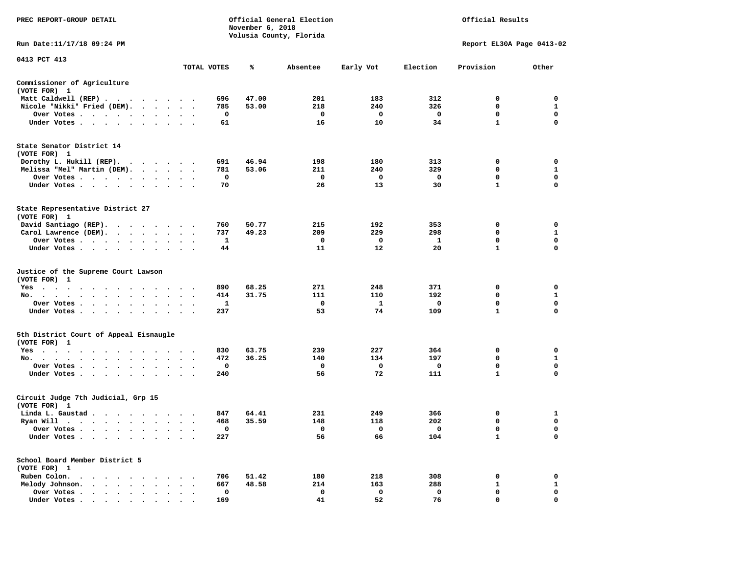| PREC REPORT-GROUP DETAIL                                                                                                                                                                                                                          |                                                  |              | November 6, 2018 | Official General Election<br>Volusia County, Florida |             | Official Results        |                           |                            |  |
|---------------------------------------------------------------------------------------------------------------------------------------------------------------------------------------------------------------------------------------------------|--------------------------------------------------|--------------|------------------|------------------------------------------------------|-------------|-------------------------|---------------------------|----------------------------|--|
| Run Date: 11/17/18 09:24 PM                                                                                                                                                                                                                       |                                                  |              |                  |                                                      |             |                         | Report EL30A Page 0413-02 |                            |  |
| 0413 PCT 413                                                                                                                                                                                                                                      |                                                  |              |                  |                                                      |             |                         |                           |                            |  |
|                                                                                                                                                                                                                                                   |                                                  | TOTAL VOTES  | ℁                | Absentee                                             | Early Vot   | Election                | Provision                 | Other                      |  |
| Commissioner of Agriculture<br>(VOTE FOR) 1                                                                                                                                                                                                       |                                                  |              |                  |                                                      |             |                         |                           |                            |  |
| Matt Caldwell (REP)                                                                                                                                                                                                                               |                                                  | 696          | 47.00            | 201                                                  | 183         | 312                     | 0                         | 0                          |  |
| Nicole "Nikki" Fried (DEM).                                                                                                                                                                                                                       |                                                  | 785          | 53.00            | 218                                                  | 240         | 326                     | $\mathbf 0$               | $\mathbf{1}$               |  |
| Over Votes                                                                                                                                                                                                                                        |                                                  | 0            |                  | 0                                                    | 0           | $\overline{\mathbf{0}}$ | 0<br>$\mathbf{1}$         | 0<br>$\mathbf 0$           |  |
| Under Votes                                                                                                                                                                                                                                       |                                                  | 61           |                  | 16                                                   | 10          | 34                      |                           |                            |  |
| State Senator District 14<br>(VOTE FOR) 1                                                                                                                                                                                                         |                                                  |              |                  |                                                      |             |                         |                           |                            |  |
| Dorothy L. Hukill $(REP)$ .                                                                                                                                                                                                                       |                                                  | 691          | 46.94            | 198                                                  | 180         | 313                     | 0                         | 0                          |  |
| Melissa "Mel" Martin (DEM).                                                                                                                                                                                                                       |                                                  | 781          | 53.06            | 211                                                  | 240         | 329                     | $\mathbf 0$               | $\mathbf{1}$               |  |
| Over Votes<br>$\ddot{\phantom{0}}$                                                                                                                                                                                                                |                                                  | 0            |                  | $\mathbf{o}$                                         | 0           | 0                       | $\mathbf 0$               | $\mathbf 0$                |  |
| Under Votes                                                                                                                                                                                                                                       |                                                  | 70           |                  | 26                                                   | 13          | 30                      | $\mathbf{1}$              | $\Omega$                   |  |
| State Representative District 27<br>(VOTE FOR) 1                                                                                                                                                                                                  |                                                  |              |                  |                                                      |             |                         |                           |                            |  |
| David Santiago (REP).                                                                                                                                                                                                                             |                                                  | 760          | 50.77            | 215                                                  | 192         | 353                     | 0                         | 0                          |  |
| Carol Lawrence (DEM).                                                                                                                                                                                                                             | $\overline{\phantom{a}}$                         | 737          | 49.23            | 209                                                  | 229         | 298                     | $\mathbf 0$               | $\mathbf{1}$               |  |
| Over Votes                                                                                                                                                                                                                                        | $\bullet$                                        | $\mathbf{1}$ |                  | $\mathbf 0$                                          | $\Omega$    | $\mathbf{1}$            | $\mathbf{0}$              | $\mathbf 0$                |  |
| Under Votes                                                                                                                                                                                                                                       |                                                  | 44           |                  | 11                                                   | 12          | 20                      | $\mathbf{1}$              | $\mathbf 0$                |  |
| Justice of the Supreme Court Lawson<br>(VOTE FOR) 1                                                                                                                                                                                               |                                                  |              |                  |                                                      |             |                         |                           |                            |  |
| $Yes \cdot \cdot \cdot \cdot$<br>$\ddot{\phantom{1}}$<br>$\sim$<br>$\sim$ $\sim$<br>$\sim$ $\sim$                                                                                                                                                 |                                                  | 890          | 68.25            | 271                                                  | 248         | 371                     | 0                         | 0                          |  |
| No.<br>$\mathbf{r}$ , and $\mathbf{r}$ , and $\mathbf{r}$ , and $\mathbf{r}$ , and $\mathbf{r}$<br>$\cdot$ $\cdot$ $\cdot$                                                                                                                        | $\ddot{\phantom{a}}$<br>$\sim$ $\sim$            | 414          | 31.75            | 111                                                  | 110         | 192                     | 0                         | 1                          |  |
| Over Votes<br>$\sim$<br>$\bullet$                                                                                                                                                                                                                 | $\ddot{\phantom{0}}$<br>$\overline{\phantom{a}}$ | 1            |                  | 0                                                    | 1           | 0                       | $\mathbf 0$               | $\mathbf 0$<br>$\mathbf 0$ |  |
| Under Votes<br>$\sim$                                                                                                                                                                                                                             | $\cdot$ $\cdot$ $\cdot$                          | 237          |                  | 53                                                   | 74          | 109                     | $\mathbf{1}$              |                            |  |
| 5th District Court of Appeal Eisnaugle<br>(VOTE FOR) 1                                                                                                                                                                                            |                                                  |              |                  |                                                      |             |                         |                           |                            |  |
| Yes                                                                                                                                                                                                                                               |                                                  | 830          | 63.75            | 239                                                  | 227         | 364                     | $\mathbf 0$               | $\mathbf 0$                |  |
| No.<br>$\bullet$                                                                                                                                                                                                                                  | $\sim$                                           | 472          | 36.25            | 140                                                  | 134         | 197                     | 0                         | 1                          |  |
| Over Votes<br>$\sim$<br>$\bullet$<br>$\ddot{\phantom{1}}$<br>Under Votes                                                                                                                                                                          | $\cdots$                                         | 0<br>240     |                  | 0<br>56                                              | 0<br>72     | 0<br>111                | 0<br>$\mathbf{1}$         | 0<br>$\mathbf 0$           |  |
|                                                                                                                                                                                                                                                   |                                                  |              |                  |                                                      |             |                         |                           |                            |  |
| Circuit Judge 7th Judicial, Grp 15<br>(VOTE FOR) 1                                                                                                                                                                                                |                                                  |              |                  |                                                      |             |                         |                           |                            |  |
| Linda L. Gaustad                                                                                                                                                                                                                                  |                                                  | 847          | 64.41            | 231                                                  | 249         | 366                     | 0                         | 1                          |  |
| Ryan Will $\cdots$                                                                                                                                                                                                                                | $\sim$ $\sim$ $\sim$                             | 468          | 35.59            | 148                                                  | 118         | 202                     | $\mathbf 0$               | $\mathbf 0$                |  |
| Over Votes<br>$\ddot{\phantom{1}}$                                                                                                                                                                                                                | $\sim$ $\sim$                                    | 0            |                  | 0                                                    | 0           | 0                       | 0                         | 0                          |  |
| Under Votes<br>$\ddot{\phantom{1}}$<br>$\bullet$                                                                                                                                                                                                  |                                                  | 227          |                  | 56                                                   | 66          | 104                     | $\mathbf{1}$              | $\mathbf 0$                |  |
| School Board Member District 5<br>(VOTE FOR) 1                                                                                                                                                                                                    |                                                  |              |                  |                                                      |             |                         |                           |                            |  |
| Ruben Colon.<br>$\mathbf{A}$ . The contribution of the contribution of the contribution of the contribution of the contribution of the contribution of the contribution of the contribution of the contribution of the contribution of the contri |                                                  | 706          | 51.42            | 180                                                  | 218         | 308                     | 0                         | 0                          |  |
| Melody Johnson.                                                                                                                                                                                                                                   | $\cdot$ $\cdot$ $\cdot$                          | 667          | 48.58            | 214                                                  | 163         | 288                     | 1                         | $\mathbf{1}$               |  |
| Over Votes<br>$\sim$<br>$\ddot{\phantom{a}}$<br>$\cdot$<br>$\cdot$                                                                                                                                                                                | $\ddot{\phantom{a}}$                             | 0            |                  | $\mathbf 0$                                          | $\mathbf 0$ | $\mathbf 0$             | $\mathbf 0$               | $\mathbf 0$                |  |
| Under Votes                                                                                                                                                                                                                                       |                                                  | 169          |                  | 41                                                   | 52          | 76                      | $\Omega$                  | $\Omega$                   |  |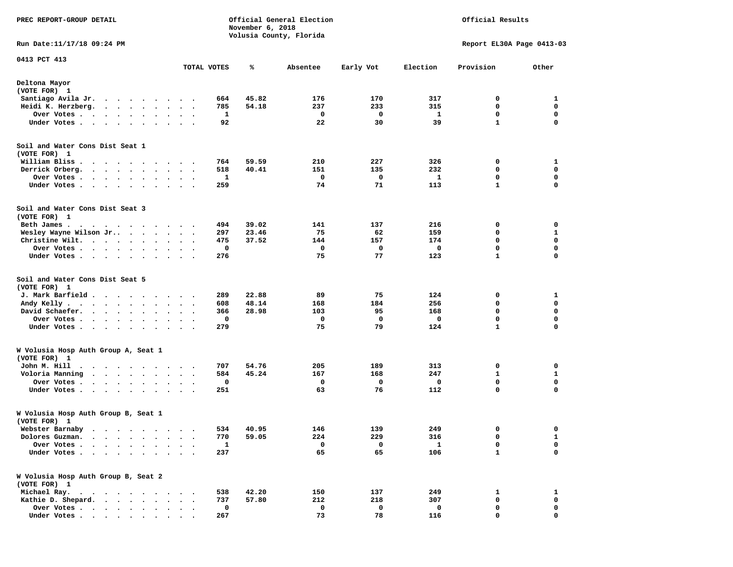| PREC REPORT-GROUP DETAIL                                                                                                                                                                                                                          |                         |                      | November 6, 2018 | Official General Election<br>Volusia County, Florida |          |           | Official Results |                           |             |
|---------------------------------------------------------------------------------------------------------------------------------------------------------------------------------------------------------------------------------------------------|-------------------------|----------------------|------------------|------------------------------------------------------|----------|-----------|------------------|---------------------------|-------------|
| Run Date: 11/17/18 09:24 PM                                                                                                                                                                                                                       |                         |                      |                  |                                                      |          |           |                  | Report EL30A Page 0413-03 |             |
| 0413 PCT 413                                                                                                                                                                                                                                      |                         |                      | TOTAL VOTES      | ℁                                                    | Absentee | Early Vot | Election         | Provision                 | Other       |
| Deltona Mayor<br>(VOTE FOR) 1                                                                                                                                                                                                                     |                         |                      |                  |                                                      |          |           |                  |                           |             |
| Santiago Avila Jr.<br>$\cdots$                                                                                                                                                                                                                    | $\cdot$<br>$\cdot$      |                      | 664              | 45.82                                                | 176      | 170       | 317              | 0                         | 1           |
| Heidi K. Herzberg.<br>$\mathbf{a}$ , and $\mathbf{a}$ , and $\mathbf{a}$                                                                                                                                                                          |                         |                      | 785              | 54.18                                                | 237      | 233       | 315              | 0                         | 0           |
| Over Votes<br>$\bullet$                                                                                                                                                                                                                           | $\bullet$               |                      | 1                |                                                      | 0        | 0         | 1                | 0                         | 0           |
| Under Votes<br>$\ddot{\phantom{1}}$                                                                                                                                                                                                               |                         |                      | 92               |                                                      | 22       | 30        | 39               | $\mathbf{1}$              | $\mathbf 0$ |
| Soil and Water Cons Dist Seat 1<br>(VOTE FOR) 1                                                                                                                                                                                                   |                         |                      |                  |                                                      |          |           |                  |                           |             |
| William Bliss.<br>$\ddot{\phantom{1}}$<br>$\cdots$                                                                                                                                                                                                |                         |                      | 764              | 59.59                                                | 210      | 227       | 326              | 0                         | 1           |
| Derrick Orberg.<br>$\cdot$ $\cdot$ $\cdot$ $\cdot$ $\cdot$ $\cdot$                                                                                                                                                                                | $\bullet$               | $\ddot{\phantom{1}}$ | 518              | 40.41                                                | 151      | 135       | 232              | $\mathbf 0$               | $\mathbf 0$ |
| Over Votes .<br>$\cdot$ $\cdot$ $\cdot$ $\cdot$<br>$\ddot{\phantom{0}}$                                                                                                                                                                           |                         |                      | 1                |                                                      | 0        | 0         | 1                | 0                         | 0           |
| Under Votes<br>$\bullet$                                                                                                                                                                                                                          | $\bullet$               | $\ddot{\phantom{1}}$ | 259              |                                                      | 74       | 71        | 113              | $\mathbf{1}$              | $\mathbf 0$ |
| Soil and Water Cons Dist Seat 3<br>(VOTE FOR) 1                                                                                                                                                                                                   |                         |                      |                  |                                                      |          |           |                  |                           |             |
| Beth James.<br>$\mathcal{A}=\mathcal{A}=\mathcal{A}=\mathcal{A}=\mathcal{A}=\mathcal{A}=\mathcal{A}=\mathcal{A}$                                                                                                                                  |                         |                      | 494              | 39.02                                                | 141      | 137       | 216              | 0                         | 0           |
| Wesley Wayne Wilson Jr<br>$\sim$ $\sim$ $\sim$ $\sim$<br>$\ddot{\phantom{1}}$                                                                                                                                                                     |                         | $\sim$ $\sim$        | 297              | 23.46                                                | 75       | 62        | 159              | 0                         | 1           |
| Christine Wilt.                                                                                                                                                                                                                                   |                         | $\cdot$ $\cdot$      | 475              | 37.52                                                | 144      | 157       | 174              | $\mathbf 0$               | $\mathbf 0$ |
| Over Votes<br>$\bullet$ .<br>$\bullet$                                                                                                                                                                                                            |                         |                      | 0                |                                                      | 0        | 0         | 0                | 0                         | 0           |
| Under Votes<br>$\bullet$                                                                                                                                                                                                                          |                         |                      | 276              |                                                      | 75       | 77        | 123              | $\mathbf{1}$              | $\mathbf 0$ |
| Soil and Water Cons Dist Seat 5<br>(VOTE FOR) 1                                                                                                                                                                                                   |                         |                      |                  |                                                      |          |           |                  |                           |             |
| J. Mark Barfield .<br>.                                                                                                                                                                                                                           | $\cdot$ $\cdot$ $\cdot$ |                      | 289              | 22.88                                                | 89       | 75        | 124              | 0                         | 1           |
| Andy Kelly.<br>$\mathcal{A}$ . The set of the set of the set of the set of the set of the set of the set of the set of the set of the set of the set of the set of the set of the set of the set of the set of the set of the set of the set of t | $\bullet$               | $\ddot{\phantom{1}}$ | 608              | 48.14                                                | 168      | 184       | 256              | $\mathbf 0$               | $\mathbf 0$ |
| David Schaefer.<br>$\cdot$ $\cdot$ $\cdot$ $\cdot$<br>$\bullet$<br>$\ddot{\phantom{a}}$                                                                                                                                                           |                         |                      | 366              | 28.98                                                | 103      | 95        | 168              | 0                         | 0           |
| Over Votes<br>$\bullet$<br>$\bullet$                                                                                                                                                                                                              | $\bullet$<br>$\bullet$  |                      | 0                |                                                      | 0        | 0         | 0                | 0                         | 0           |
| Under Votes                                                                                                                                                                                                                                       | $\ddot{\phantom{a}}$    |                      | 279              |                                                      | 75       | 79        | 124              | $\mathbf{1}$              | $\mathbf 0$ |
| W Volusia Hosp Auth Group A, Seat 1<br>(VOTE FOR) 1                                                                                                                                                                                               |                         |                      |                  |                                                      |          |           |                  |                           |             |
| John M. Hill<br>$\bullet$<br>$\ddot{\phantom{0}}$<br>$\sim$ $\sim$ $\sim$<br>$\ddot{\phantom{1}}$<br>$\blacksquare$                                                                                                                               | $\cdot$                 |                      | 707              | 54.76                                                | 205      | 189       | 313              | 0                         | 0           |
| Voloria Manning<br>$\sim$ , and $\sim$ , and $\sim$<br>$\bullet$                                                                                                                                                                                  |                         | $\ddot{\phantom{0}}$ | 584              | 45.24                                                | 167      | 168       | 247              | 1                         | 1           |
| Over Votes .<br>$\sim$ $\sim$ $\sim$ $\sim$<br>$\cdot$<br>$\cdot$<br>$\bullet$                                                                                                                                                                    | $\bullet$               |                      | 0                |                                                      | 0        | 0         | 0                | $\mathbf 0$               | $\mathbf 0$ |
| Under Votes<br>$\bullet$<br>$\bullet$                                                                                                                                                                                                             |                         |                      | 251              |                                                      | 63       | 76        | 112              | $\mathbf 0$               | 0           |
| W Volusia Hosp Auth Group B, Seat 1<br>(VOTE FOR) 1                                                                                                                                                                                               |                         |                      |                  |                                                      |          |           |                  |                           |             |
| Webster Barnaby<br>. The contract of the contract of the contract of the contract of the contract of the contract of the contract of the contract of the contract of the contract of the contract of the contract of the contract of the contrac  |                         |                      | 534              | 40.95                                                | 146      | 139       | 249              | 0                         | 0           |
| Dolores Guzman.                                                                                                                                                                                                                                   |                         |                      | 770              | 59.05                                                | 224      | 229       | 316              | 0                         | 1           |
| Over Votes .                                                                                                                                                                                                                                      |                         |                      | $\mathbf{1}$     |                                                      | 0        | 0         | $\mathbf{1}$     | 0                         | 0           |
| Under Votes.                                                                                                                                                                                                                                      |                         |                      | 237              |                                                      | 65       | 65        | 106              | $\mathbf{1}$              | $\mathbf 0$ |
| W Volusia Hosp Auth Group B, Seat 2<br>(VOTE FOR) 1                                                                                                                                                                                               |                         |                      |                  |                                                      |          |           |                  |                           |             |
| Michael Ray.<br>$\sim$<br>$\ddot{\phantom{1}}$<br>$\cdot$ $\cdot$ $\cdot$<br>$\ddot{\phantom{0}}$                                                                                                                                                 |                         |                      | 538              | 42.20                                                | 150      | 137       | 249              | 1                         | 1           |
| Kathie D. Shepard.<br>$\sim$<br>$\ddot{\phantom{a}}$<br>$\cdot$<br>$\cdot$                                                                                                                                                                        |                         |                      | 737              | 57.80                                                | 212      | 218       | 307              | 0                         | 0           |
| Over Votes.<br>$\cdots$<br>$\bullet$                                                                                                                                                                                                              |                         |                      | 0                |                                                      | 0        | 0         | 0                | 0                         | 0           |
| Under Votes                                                                                                                                                                                                                                       |                         |                      | 267              |                                                      | 73       | 78        | 116              | $\mathbf 0$               | $\mathbf 0$ |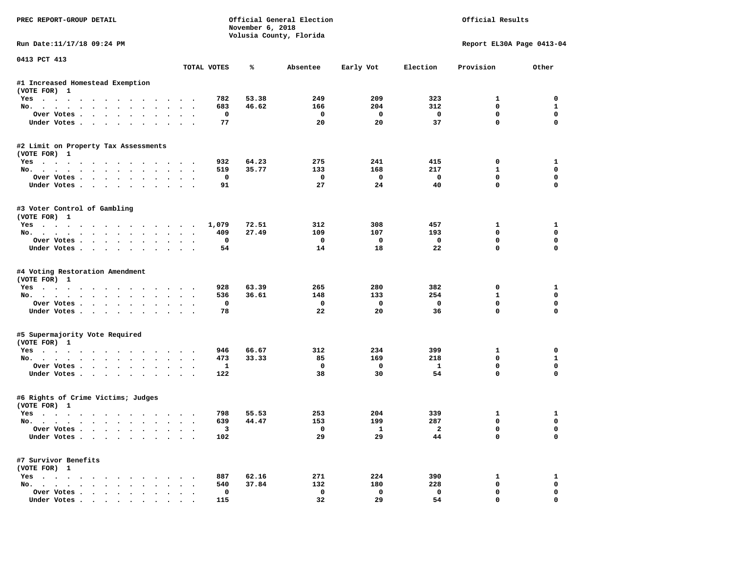| PREC REPORT-GROUP DETAIL                                                |                         | November 6, 2018 | Official General Election<br>Volusia County, Florida |                | Official Results        |                             |                  |  |
|-------------------------------------------------------------------------|-------------------------|------------------|------------------------------------------------------|----------------|-------------------------|-----------------------------|------------------|--|
| Run Date:11/17/18 09:24 PM                                              |                         |                  |                                                      |                |                         | Report EL30A Page 0413-04   |                  |  |
| 0413 PCT 413                                                            | TOTAL VOTES             | ℁                | Absentee                                             | Early Vot      | Election                | Provision                   | Other            |  |
| #1 Increased Homestead Exemption                                        |                         |                  |                                                      |                |                         |                             |                  |  |
| (VOTE FOR) 1                                                            |                         |                  |                                                      |                |                         |                             |                  |  |
| Yes                                                                     | 782                     | 53.38            | 249                                                  | 209            | 323                     | 1                           | 0                |  |
| No.                                                                     | 683                     | 46.62            | 166                                                  | 204            | 312                     | $\mathbf{0}$                | $\mathbf{1}$     |  |
| Over Votes                                                              | 0                       |                  | 0                                                    | $\mathbf 0$    | $\mathbf 0$             | $\mathbf 0$                 | $\mathbf 0$      |  |
| Under Votes                                                             | 77                      |                  | 20                                                   | 20             | 37                      | $\mathbf 0$                 | $\mathbf 0$      |  |
| #2 Limit on Property Tax Assessments                                    |                         |                  |                                                      |                |                         |                             |                  |  |
| (VOTE FOR) 1                                                            |                         |                  |                                                      |                |                         |                             |                  |  |
| Yes                                                                     | 932                     | 64.23            | 275                                                  | 241            | 415                     | 0                           | 1                |  |
| No.                                                                     | 519                     | 35.77            | 133                                                  | 168            | 217                     | $\mathbf{1}$                | 0                |  |
| Over Votes                                                              | $\mathbf 0$             |                  | 0                                                    | $\Omega$       | $\mathbf 0$             | $\mathbf{0}$                | $\mathbf 0$      |  |
| Under Votes                                                             | 91                      |                  | 27                                                   | 24             | 40                      | $\Omega$                    | $\Omega$         |  |
| #3 Voter Control of Gambling                                            |                         |                  |                                                      |                |                         |                             |                  |  |
| (VOTE FOR) 1                                                            |                         |                  |                                                      |                |                         |                             |                  |  |
| Yes                                                                     | 1,079                   | 72.51            | 312                                                  | 308            | 457                     | 1<br>$\Omega$               | 1<br>0           |  |
| No.                                                                     | 409                     | 27.49            | 109                                                  | 107            | 193                     |                             |                  |  |
| Over Votes                                                              | 0                       |                  | $^{\circ}$<br>14                                     | $\Omega$<br>18 | $\mathbf 0$<br>22       | $\mathbf 0$<br>$\mathbf{0}$ | 0<br>$\mathbf 0$ |  |
| Under Votes                                                             | 54                      |                  |                                                      |                |                         |                             |                  |  |
| #4 Voting Restoration Amendment                                         |                         |                  |                                                      |                |                         |                             |                  |  |
| (VOTE FOR) 1                                                            |                         |                  |                                                      |                |                         |                             |                  |  |
| Yes                                                                     | 928                     | 63.39            | 265                                                  | 280            | 382                     | 0                           | 1                |  |
| No.                                                                     | 536                     | 36.61            | 148                                                  | 133            | 254                     | $\mathbf{1}$                | 0                |  |
| Over Votes                                                              | 0                       |                  | 0                                                    | $\mathbf 0$    | $\mathbf 0$             | $\mathbf 0$                 | $\mathbf 0$      |  |
| Under Votes                                                             | 78                      |                  | 22                                                   | 20             | 36                      | $\mathbf 0$                 | $\Omega$         |  |
| #5 Supermajority Vote Required                                          |                         |                  |                                                      |                |                         |                             |                  |  |
| (VOTE FOR) 1                                                            |                         |                  |                                                      |                |                         |                             |                  |  |
| Yes                                                                     | 946                     | 66.67            | 312                                                  | 234            | 399                     | 1                           | 0                |  |
| No.                                                                     | 473                     | 33.33            | 85                                                   | 169            | 218                     | $\mathbf 0$                 | $\mathbf{1}$     |  |
| Over Votes                                                              | $\mathbf{1}$            |                  | 0                                                    | $\mathbf 0$    | $\mathbf{1}$            | $\mathbf 0$                 | $\mathbf 0$      |  |
| Under Votes                                                             | 122                     |                  | 38                                                   | 30             | 54                      | $\Omega$                    | $\Omega$         |  |
| #6 Rights of Crime Victims; Judges                                      |                         |                  |                                                      |                |                         |                             |                  |  |
| (VOTE FOR) 1                                                            |                         |                  |                                                      |                |                         |                             |                  |  |
| Yes                                                                     | 798                     | 55.53            | 253                                                  | 204            | 339                     | 1                           | 1                |  |
| No.                                                                     | 639                     | 44.47            | 153                                                  | 199            | 287                     | 0                           | 0                |  |
| Over votes $\cdots$ $\cdots$ $\cdots$ $\cdots$                          | $\overline{\mathbf{3}}$ |                  |                                                      | $\mathbf{1}$   | $\overline{\mathbf{2}}$ | 0                           | 0                |  |
| Under Votes                                                             | 102                     |                  | 29                                                   | 29             | 44                      | 0                           | 0                |  |
| #7 Survivor Benefits                                                    |                         |                  |                                                      |                |                         |                             |                  |  |
| (VOTE FOR) 1                                                            |                         |                  |                                                      |                |                         |                             |                  |  |
| $Yes \cdot \cdot \cdot \cdot \cdot \cdot \cdot \cdot \cdot \cdot \cdot$ | 887                     | 62.16            | 271                                                  | 224            | 390                     | 1                           | $\mathbf{1}$     |  |
| No.                                                                     | 540                     | 37.84            | 132                                                  | 180            | 228                     | 0                           | 0                |  |
| Over Votes                                                              | 0                       |                  | 0                                                    | 0              | $\mathbf 0$             | 0                           | 0                |  |
| Under Votes                                                             | 115                     |                  | 32                                                   | 29             | 54                      | $\mathbf 0$                 | 0                |  |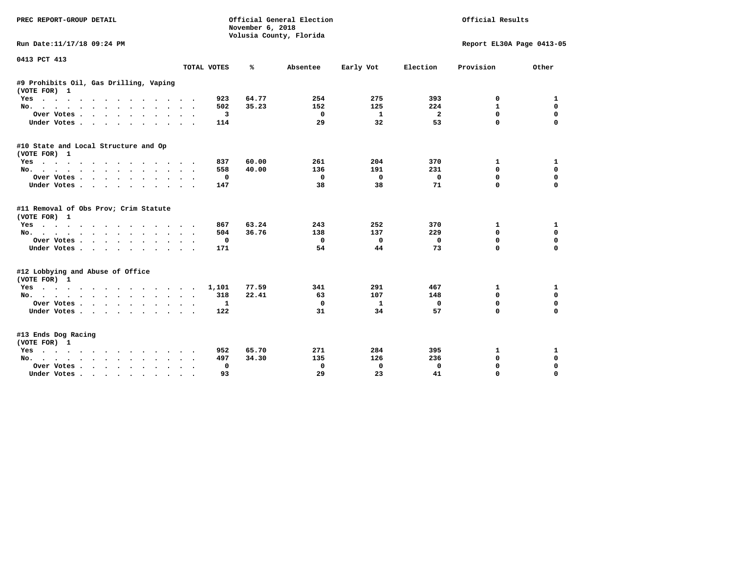| PREC REPORT-GROUP DETAIL                                                                                      |                                          | November 6, 2018 | Official General Election<br>Volusia County, Florida |                       | Official Results        |                           |                                      |  |
|---------------------------------------------------------------------------------------------------------------|------------------------------------------|------------------|------------------------------------------------------|-----------------------|-------------------------|---------------------------|--------------------------------------|--|
| Run Date:11/17/18 09:24 PM                                                                                    |                                          |                  |                                                      |                       |                         | Report EL30A Page 0413-05 |                                      |  |
| 0413 PCT 413                                                                                                  | TOTAL VOTES                              | ℁                | Absentee                                             | Early Vot             | Election                | Provision                 | Other                                |  |
|                                                                                                               |                                          |                  |                                                      |                       |                         |                           |                                      |  |
| #9 Prohibits Oil, Gas Drilling, Vaping<br>(VOTE FOR) 1                                                        |                                          |                  |                                                      |                       |                         |                           |                                      |  |
| Yes                                                                                                           | 923                                      | 64.77            | 254                                                  | 275                   | 393                     | 0                         | 1                                    |  |
| No.                                                                                                           | 502<br>$\overline{\phantom{a}}$          | 35.23            | 152                                                  | 125                   | 224                     | 1                         | 0                                    |  |
| Over Votes<br>$\ddot{\phantom{0}}$                                                                            | 3                                        |                  | 0                                                    | 1                     | $\overline{\mathbf{2}}$ | $\mathbf{0}$              | $\mathbf 0$                          |  |
| Under Votes<br>$\cdot$<br>$\sim$                                                                              | 114                                      |                  | 29                                                   | 32                    | 53                      | 0                         | 0                                    |  |
| #10 State and Local Structure and Op                                                                          |                                          |                  |                                                      |                       |                         |                           |                                      |  |
| (VOTE FOR) 1<br>Yes                                                                                           | 837                                      | 60.00            | 261                                                  | 204                   | 370                     | 1                         | 1                                    |  |
| No.                                                                                                           | 558                                      | 40.00            | 136                                                  | 191                   | 231                     | 0                         | 0                                    |  |
| Over Votes                                                                                                    | 0                                        |                  | 0                                                    | 0                     | 0                       | $\mathbf 0$               | $\mathbf 0$                          |  |
| Under Votes                                                                                                   | $\bullet$<br>147                         |                  | 38                                                   | 38                    | 71                      | 0                         | 0                                    |  |
| #11 Removal of Obs Prov; Crim Statute<br>(VOTE FOR) 1<br>Yes<br>No.<br>Over Votes<br>$\bullet$<br>Under Votes | 867<br>504<br>0<br>171                   | 63.24<br>36.76   | 243<br>138<br>0<br>54                                | 252<br>137<br>0<br>44 | 370<br>229<br>0<br>73   | 1<br>0<br>0<br>0          | 1<br>0<br>$\mathbf 0$<br>$\mathbf 0$ |  |
| #12 Lobbying and Abuse of Office<br>(VOTE FOR) 1                                                              |                                          |                  |                                                      |                       |                         |                           |                                      |  |
| Yes                                                                                                           | 1,101                                    | 77.59            | 341                                                  | 291                   | 467                     | 1                         | 1                                    |  |
| No.                                                                                                           | 318<br>$\cdot$<br>$\sim$                 | 22.41            | 63                                                   | 107                   | 148                     | 0                         | $\mathbf 0$                          |  |
| Over Votes                                                                                                    | 1<br>$\bullet$ .<br><br><br><br><br><br> |                  | 0                                                    | $\mathbf{1}$          | 0                       | $\mathbf 0$               | 0                                    |  |
| Under Votes                                                                                                   | 122                                      |                  | 31                                                   | 34                    | 57                      | $\Omega$                  | $\mathbf 0$                          |  |
| #13 Ends Dog Racing<br>(VOTE FOR) 1                                                                           |                                          |                  |                                                      |                       |                         |                           |                                      |  |
| Yes                                                                                                           | 952                                      | 65.70            | 271                                                  | 284                   | 395                     | 1                         | 1                                    |  |
| No.                                                                                                           | 497                                      | 34.30            | 135                                                  | 126                   | 236                     | $\mathbf 0$               | $\mathbf 0$                          |  |
| Over Votes .<br>$\cdot$ $\cdot$ $\cdot$ $\cdot$ $\cdot$<br>$\ddot{\phantom{a}}$                               | 0                                        |                  | 0                                                    | 0                     | 0                       | $\mathbf 0$               | $\mathbf 0$                          |  |
| Under Votes<br>$\sim$                                                                                         | 93                                       |                  | 29                                                   | 23                    | 41                      | $\mathbf 0$               | $\mathbf 0$                          |  |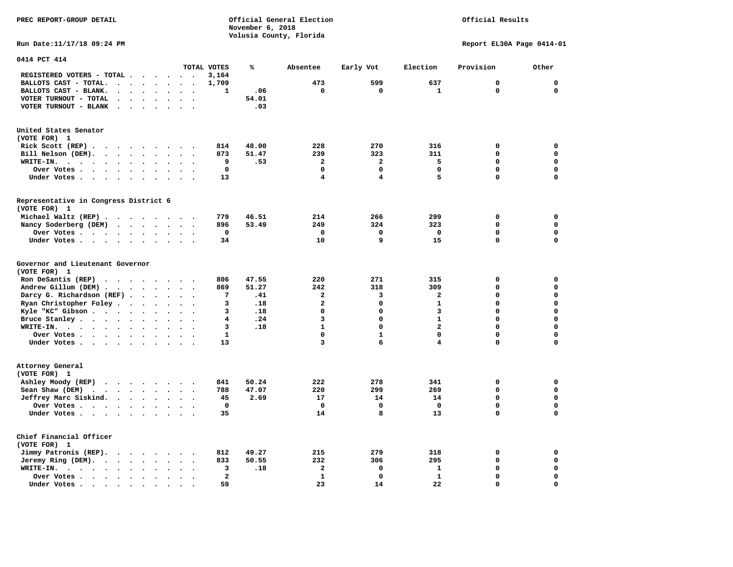**PREC REPORT-GROUP DETAIL COMPUTER CONSUMING A CONSUMING CONSUMING A CONSUMING A CONSUMING A CONSUMING A CONSUMING A CONSUMING A CONSUMING A CONSUMING A CONSUMING A CONSUMING A CONSUMING A CONSUMING A CONSUMING A CONSUMING** *November 6, 2018 November 6, 2018*  **Volusia County, Florida** 

# Official Results

**Run Date:11/17/18 09:24 PM Report EL30A Page 0414-01** 

| 0414 PCT 414                                                                  |             |                      |                      |                          |                      |                      |              |       |                         |                         |                         |             |             |
|-------------------------------------------------------------------------------|-------------|----------------------|----------------------|--------------------------|----------------------|----------------------|--------------|-------|-------------------------|-------------------------|-------------------------|-------------|-------------|
|                                                                               |             |                      |                      |                          |                      |                      | TOTAL VOTES  | ℁     | Absentee                | Early Vot               | Election                | Provision   | Other       |
| REGISTERED VOTERS - TOTAL .                                                   |             |                      |                      | $\overline{\phantom{a}}$ | $\ddot{\phantom{a}}$ |                      | 3,164        |       |                         |                         |                         |             |             |
| BALLOTS CAST - TOTAL.                                                         | $\bullet$   | $\ddot{\phantom{a}}$ | $\ddot{\phantom{a}}$ | $\bullet$                | $\ddot{\phantom{a}}$ | $\bullet$            | 1,709        |       | 473                     | 599                     | 637                     | 0           | $\mathbf 0$ |
| BALLOTS CAST - BLANK.<br>$\bullet$                                            |             | $\ddot{\phantom{a}}$ |                      |                          |                      |                      | 1            | .06   | $\mathbf 0$             | $\mathbf 0$             | 1                       | $\mathbf 0$ | 0           |
| VOTER TURNOUT - TOTAL<br>$\ddot{\phantom{a}}$                                 | $\cdot$     | $\ddot{\phantom{a}}$ | $\ddot{\phantom{a}}$ | $\ddot{\phantom{a}}$     | $\ddot{\phantom{1}}$ | $\ddot{\phantom{a}}$ |              | 54.01 |                         |                         |                         |             |             |
| VOTER TURNOUT - BLANK<br>$\bullet$                                            |             |                      |                      |                          |                      |                      |              | .03   |                         |                         |                         |             |             |
| United States Senator                                                         |             |                      |                      |                          |                      |                      |              |       |                         |                         |                         |             |             |
| (VOTE FOR) 1                                                                  |             |                      |                      |                          |                      |                      |              |       |                         |                         |                         |             |             |
| Rick Scott (REP).<br>$\cdots$                                                 |             |                      |                      |                          |                      |                      | 814          | 48.00 | 228                     | 270                     | 316                     | 0           | $\mathbf 0$ |
| Bill Nelson (DEM).<br>$\cdot$ $\cdot$ $\cdot$ $\cdot$ $\cdot$ $\cdot$         |             |                      |                      |                          | $\sim$               |                      | 873          | 51.47 | 239                     | 323                     | 311                     | 0           | 0           |
| WRITE-IN.<br>$\ddot{\phantom{a}}$<br>$\sim$ $\sim$<br>$\sim$                  |             | $\ddot{\phantom{0}}$ | $\bullet$            | $\bullet$                |                      |                      | 9            | .53   | $\overline{\mathbf{2}}$ | $\overline{\mathbf{2}}$ | 5                       | $\Omega$    | $\mathbf 0$ |
| Over Votes .<br>$\ddot{\phantom{0}}$<br>$\bullet$<br>$\sim 100$ km s $^{-1}$  | $\bullet$ . | $\bullet$            |                      | $\bullet$                |                      |                      | $\mathbf 0$  |       | $\mathbf 0$             | 0                       | $\mathbf 0$             | 0           | $\mathbf 0$ |
| Under Votes                                                                   |             | $\ddot{\phantom{a}}$ |                      |                          |                      |                      | 13           |       | 4                       | 4                       | 5                       | $\Omega$    | $\mathbf 0$ |
|                                                                               |             |                      |                      |                          |                      |                      |              |       |                         |                         |                         |             |             |
| Representative in Congress District 6<br>(VOTE FOR) 1                         |             |                      |                      |                          |                      |                      |              |       |                         |                         |                         |             |             |
| Michael Waltz (REP).<br>$\cdot$ $\cdot$                                       |             | $\sim$ $\sim$ $\sim$ |                      |                          | $\sim$ $\sim$        |                      | 779          | 46.51 | 214                     | 266                     | 299                     | 0           | 0           |
| Nancy Soderberg (DEM)<br>$\mathbf{r}$ , $\mathbf{r}$                          |             |                      |                      | $\sim$ $\sim$            |                      |                      | 896          | 53.49 | 249                     | 324                     | 323                     | 0           | $\mathbf 0$ |
| Over Votes                                                                    |             |                      | $\ddot{\phantom{a}}$ | $\bullet$                | $\bullet$            | $\bullet$            | $\mathbf 0$  |       | $\mathbf 0$             | $\mathbf 0$             | $\mathbf 0$             | $\mathbf 0$ | $\mathbf 0$ |
| Under Votes                                                                   |             | $\ddot{\phantom{0}}$ | $\ddot{\phantom{1}}$ | $\ddot{\phantom{0}}$     |                      |                      | 34           |       | 10                      | 9                       | 15                      | 0           | 0           |
|                                                                               |             |                      |                      |                          |                      |                      |              |       |                         |                         |                         |             |             |
| Governor and Lieutenant Governor<br>(VOTE FOR) 1                              |             |                      |                      |                          |                      |                      |              |       |                         |                         |                         |             |             |
|                                                                               |             |                      |                      |                          |                      |                      |              |       | 220                     |                         |                         |             | $\mathbf 0$ |
| Ron DeSantis (REP)<br>$\cdot$ $\cdot$ $\cdot$ $\cdot$ $\cdot$ $\cdot$ $\cdot$ |             |                      |                      |                          |                      |                      | 806          | 47.55 |                         | 271                     | 315                     | 0           |             |
| Andrew Gillum (DEM).<br>$\sim$ $\sim$ $\sim$ $\sim$                           |             |                      |                      | $\sim$ $\sim$            |                      |                      | 869          | 51.27 | 242                     | 318                     | 309                     | 0           | $\mathbf 0$ |
| Darcy G. Richardson (REF).                                                    |             | $\bullet$            | $\ddot{\phantom{a}}$ | $\bullet$                | $\bullet$            | $\ddot{\phantom{0}}$ | 7            | .41   | $\overline{\mathbf{2}}$ | 3                       | $\overline{\mathbf{2}}$ | 0           | $\mathbf 0$ |
| Ryan Christopher Foley                                                        |             | $\bullet$            | $\bullet$            | $\ddot{\phantom{a}}$     | $\sim$               |                      | 3            | .18   | $\overline{\mathbf{2}}$ | 0                       | $\mathbf{1}$            | 0           | $\mathbf 0$ |
| Kyle "KC" Gibson                                                              |             | $\ddot{\phantom{a}}$ | $\ddot{\phantom{a}}$ | $\ddot{\phantom{a}}$     |                      |                      | 3            | .18   | $\Omega$                | $\Omega$                | 3                       | $\Omega$    | $\mathbf 0$ |
| Bruce Stanley                                                                 |             | $\bullet$            |                      | $\bullet$                | $\ddot{\phantom{1}}$ |                      | 4            | .24   | 3                       | 0                       | $\mathbf{1}$            | 0           | $\mathbf 0$ |
| WRITE-IN.<br>$\cdots$                                                         |             | $\bullet$            |                      |                          |                      |                      | 3            | .18   | $\mathbf{1}$            | 0                       | $\overline{a}$          | 0           | $\mathbf 0$ |
| Over Votes                                                                    |             |                      | $\ddot{\phantom{0}}$ | $\bullet$                | $\bullet$            | $\ddot{\phantom{a}}$ | $\mathbf{1}$ |       | $\mathbf 0$             | $\mathbf{1}$            | $\mathbf 0$             | 0           | $\mathbf 0$ |
| Under Votes                                                                   |             |                      |                      | $\sim$ $\sim$            |                      |                      | 13           |       | 3                       | 6                       | 4                       | 0           | $\mathbf 0$ |
| Attorney General                                                              |             |                      |                      |                          |                      |                      |              |       |                         |                         |                         |             |             |
| (VOTE FOR) 1                                                                  |             |                      |                      |                          |                      |                      |              |       |                         |                         |                         |             |             |
|                                                                               |             |                      |                      |                          |                      |                      | 841          | 50.24 | 222                     | 278                     | 341                     | 0           | 0           |
| Ashley Moody (REP)                                                            |             |                      |                      |                          |                      |                      |              |       | 220                     | 299                     |                         |             | $\mathbf 0$ |
| Sean Shaw (DEM)<br>$\cdots$                                                   |             |                      |                      | $\ddot{\phantom{a}}$     | $\ddot{\phantom{a}}$ |                      | 788          | 47.07 |                         |                         | 269                     | 0           | $\mathbf 0$ |
| Jeffrey Marc Siskind.                                                         |             |                      |                      | $\bullet$                | $\sim$               |                      | 45           | 2.69  | 17                      | 14                      | 14                      | 0           |             |
| Over Votes .                                                                  |             | $\bullet$            |                      | $\bullet$                |                      |                      | $\mathbf 0$  |       | $\mathbf 0$             | $\mathbf 0$             | $\mathbf 0$             | 0           | $\mathbf 0$ |
| Under Votes                                                                   |             |                      |                      |                          |                      |                      | 35           |       | 14                      | 8                       | 13                      | $\Omega$    | $\mathbf 0$ |
| Chief Financial Officer                                                       |             |                      |                      |                          |                      |                      |              |       |                         |                         |                         |             |             |
| (VOTE FOR) 1                                                                  |             |                      |                      |                          |                      |                      |              |       |                         |                         |                         |             |             |
| Jimmy Patronis (REP).<br>$\sim$ $\sim$                                        |             | $\sim$ $\sim$        |                      | $\bullet$                |                      |                      | 812          | 49.27 | 215                     | 279                     | 318                     | 0           | 0           |
| Jeremy Ring (DEM).<br>$\cdot$ $\cdot$ $\cdot$ $\cdot$                         |             | $\bullet$            | $\bullet$            | $\bullet$                |                      |                      | 833          | 50.55 | 232                     | 306                     | 295                     | 0           | $\mathbf 0$ |
| WRITE-IN.<br>$\cdot$ $\cdot$ $\cdot$ $\cdot$ $\cdot$                          | $\bullet$   | $\bullet$            |                      |                          |                      |                      | 3            | .18   | $\mathbf{2}$            | 0                       | $\mathbf{1}$            | 0           | $\mathbf 0$ |
| Over Votes .<br>$\sim$ $\sim$ $\sim$ $\sim$ $\sim$                            | $\bullet$   | $\bullet$            |                      |                          |                      |                      | 2            |       | $\mathbf{1}$            | $\mathbf 0$             | ${\bf 1}$               | 0           | $\mathbf 0$ |
| Under Votes.<br>$\ddot{\phantom{1}}$                                          |             | $\cdot$              |                      |                          |                      |                      | 59           |       | 23                      | 14                      | 22                      | 0           | $\mathbf 0$ |
| $\sim$ $\sim$<br>$\sim$                                                       | $\bullet$   |                      |                      |                          |                      |                      |              |       |                         |                         |                         |             |             |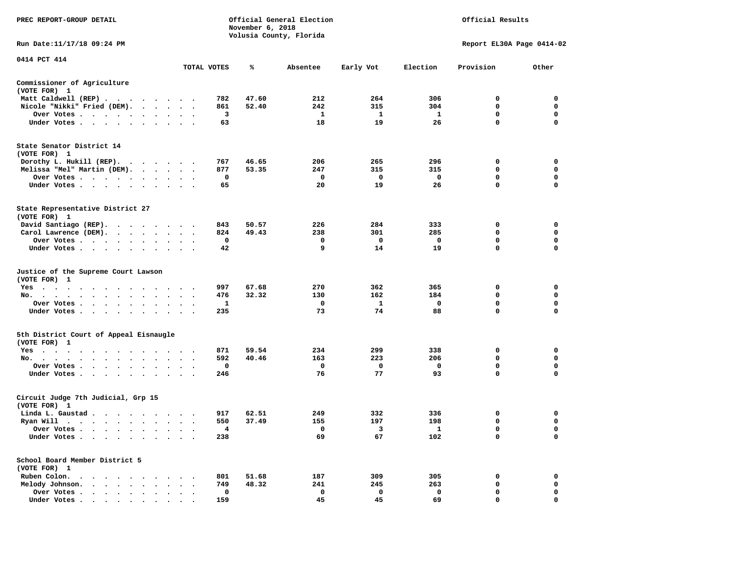| PREC REPORT-GROUP DETAIL                                                                                                                                                                                                                          |                                              |             | November 6, 2018 | Official General Election<br>Volusia County, Florida |              |              | Official Results          |             |
|---------------------------------------------------------------------------------------------------------------------------------------------------------------------------------------------------------------------------------------------------|----------------------------------------------|-------------|------------------|------------------------------------------------------|--------------|--------------|---------------------------|-------------|
| Run Date: 11/17/18 09:24 PM                                                                                                                                                                                                                       |                                              |             |                  |                                                      |              |              | Report EL30A Page 0414-02 |             |
| 0414 PCT 414                                                                                                                                                                                                                                      |                                              |             |                  |                                                      |              |              |                           |             |
|                                                                                                                                                                                                                                                   |                                              | TOTAL VOTES | ℁                | Absentee                                             | Early Vot    | Election     | Provision                 | Other       |
| Commissioner of Agriculture<br>(VOTE FOR) 1                                                                                                                                                                                                       |                                              |             |                  |                                                      |              |              |                           |             |
| Matt Caldwell (REP)                                                                                                                                                                                                                               |                                              | 782         | 47.60            | 212                                                  | 264          | 306          | 0                         | $\mathbf 0$ |
| Nicole "Nikki" Fried (DEM).                                                                                                                                                                                                                       |                                              | 861         | 52.40            | 242                                                  | 315          | 304          | $\mathbf 0$               | 0           |
| Over Votes                                                                                                                                                                                                                                        | $\cdot$ $\cdot$ $\cdot$                      | 3           |                  | $\mathbf{1}$                                         | $\mathbf{1}$ | $\mathbf{1}$ | $\mathbf 0$               | $\mathbf 0$ |
| Under Votes                                                                                                                                                                                                                                       |                                              | 63          |                  | 18                                                   | 19           | 26           | $\mathbf 0$               | 0           |
| State Senator District 14<br>(VOTE FOR) 1                                                                                                                                                                                                         |                                              |             |                  |                                                      |              |              |                           |             |
| Dorothy L. Hukill (REP).                                                                                                                                                                                                                          |                                              | 767         | 46.65            | 206                                                  | 265          | 296          | 0                         | 0           |
| Melissa "Mel" Martin (DEM).                                                                                                                                                                                                                       |                                              | 877         | 53.35            | 247                                                  | 315          | 315          | $\mathbf 0$               | $\mathbf 0$ |
| Over Votes                                                                                                                                                                                                                                        |                                              | 0           |                  | $\mathbf 0$                                          | 0            | 0            | $\mathbf 0$               | $\mathbf 0$ |
| Under Votes                                                                                                                                                                                                                                       | $\cdot$ $\cdot$ $\cdot$                      | 65          |                  | 20                                                   | 19           | 26           | $\mathbf 0$               | $\mathbf 0$ |
| State Representative District 27<br>(VOTE FOR) 1                                                                                                                                                                                                  |                                              |             |                  |                                                      |              |              |                           |             |
| David Santiago (REP).                                                                                                                                                                                                                             |                                              | 843         | 50.57            | 226                                                  | 284          | 333          | 0                         | $\mathbf 0$ |
| Carol Lawrence (DEM).                                                                                                                                                                                                                             |                                              | 824         | 49.43            | 238                                                  | 301          | 285          | $\mathbf 0$               | $\mathbf 0$ |
| Over Votes<br>$\bullet$                                                                                                                                                                                                                           | $\bullet$                                    | 0           |                  | 0                                                    | 0            | 0            | $\mathbf 0$               | $\mathbf 0$ |
| Under Votes                                                                                                                                                                                                                                       |                                              | 42          |                  | 9                                                    | 14           | 19           | $\mathbf 0$               | $\mathbf 0$ |
| Justice of the Supreme Court Lawson<br>(VOTE FOR) 1                                                                                                                                                                                               |                                              |             |                  |                                                      |              |              |                           |             |
| $Yes \t . \t .$<br>$\sim$<br>$\ddot{\phantom{1}}$<br>$\sim$ $\sim$<br>$\sim$ $\sim$                                                                                                                                                               |                                              | 997         | 67.68            | 270                                                  | 362          | 365          | 0                         | $\mathbf 0$ |
| No.<br>$\cdots$<br>$\ddot{\phantom{a}}$                                                                                                                                                                                                           | $\sim$<br>$\cdot$                            | 476         | 32.32            | 130                                                  | 162          | 184          | $\mathbf 0$               | $\mathbf 0$ |
| Over Votes                                                                                                                                                                                                                                        | $\cdot$ $\cdot$ $\cdot$                      | 1           |                  | 0                                                    | $\mathbf{1}$ | $\mathbf 0$  | $\mathbf 0$               | $\mathbf 0$ |
| Under Votes                                                                                                                                                                                                                                       | $\ddot{\phantom{0}}$<br>$\ddot{\phantom{1}}$ | 235         |                  | 73                                                   | 74           | 88           | 0                         | 0           |
| 5th District Court of Appeal Eisnaugle<br>(VOTE FOR) 1                                                                                                                                                                                            |                                              |             |                  |                                                      |              |              |                           |             |
| Yes                                                                                                                                                                                                                                               |                                              | 871         | 59.54            | 234                                                  | 299          | 338          | 0                         | 0           |
| No.                                                                                                                                                                                                                                               |                                              | 592         | 40.46            | 163                                                  | 223          | 206          | $\mathbf 0$               | $\mathbf 0$ |
| Over Votes<br>$\ddot{\phantom{1}}$<br>$\bullet$<br>$\cdot$                                                                                                                                                                                        |                                              | 0           |                  | 0                                                    | 0            | 0            | 0                         | 0           |
| Under Votes                                                                                                                                                                                                                                       |                                              | 246         |                  | 76                                                   | 77           | 93           | $\mathbf 0$               | $\mathbf 0$ |
| Circuit Judge 7th Judicial, Grp 15<br>(VOTE FOR) 1                                                                                                                                                                                                |                                              |             |                  |                                                      |              |              |                           |             |
| Linda L. Gaustad                                                                                                                                                                                                                                  |                                              | 917         | 62.51            | 249                                                  | 332          | 336          | 0                         | $\mathbf 0$ |
| Ryan Will $\cdots$ , $\cdots$ , $\cdots$ , $\cdots$                                                                                                                                                                                               |                                              | 550         | 37.49            | 155                                                  | 197          | 198          | 0                         | 0           |
| Over Votes                                                                                                                                                                                                                                        | $\cdot$ .                                    | 4           |                  | 0                                                    | 3            | $\mathbf{1}$ | 0                         | $\mathbf 0$ |
| Under Votes<br>$\ddot{\phantom{1}}$<br>$\bullet$<br>$\bullet$                                                                                                                                                                                     |                                              | 238         |                  | 69                                                   | 67           | 102          | $\mathbf 0$               | $\mathbf 0$ |
| School Board Member District 5<br>(VOTE FOR) 1                                                                                                                                                                                                    |                                              |             |                  |                                                      |              |              |                           |             |
| Ruben Colon.<br>$\mathbf{A}$ . The contribution of the contribution of the contribution of the contribution of the contribution of the contribution of the contribution of the contribution of the contribution of the contribution of the contri |                                              | 801         | 51.68            | 187                                                  | 309          | 305          | 0                         | $\mathbf 0$ |
| Melody Johnson.                                                                                                                                                                                                                                   | $\cdot$ $\cdot$ $\cdot$                      | 749         | 48.32            | 241                                                  | 245          | 263          | 0                         | 0           |
| Over Votes<br>$\ddot{\phantom{0}}$<br>$\cdot$<br>$\sim$<br>$\cdot$<br>$\bullet$                                                                                                                                                                   | $\ddot{\phantom{a}}$                         | 0           |                  | $\mathbf 0$                                          | $\mathbf 0$  | $\mathbf 0$  | $\mathbf 0$               | $\mathbf 0$ |
| Under Votes                                                                                                                                                                                                                                       |                                              | 159         |                  | 45                                                   | 45           | 69           | $\Omega$                  | $\Omega$    |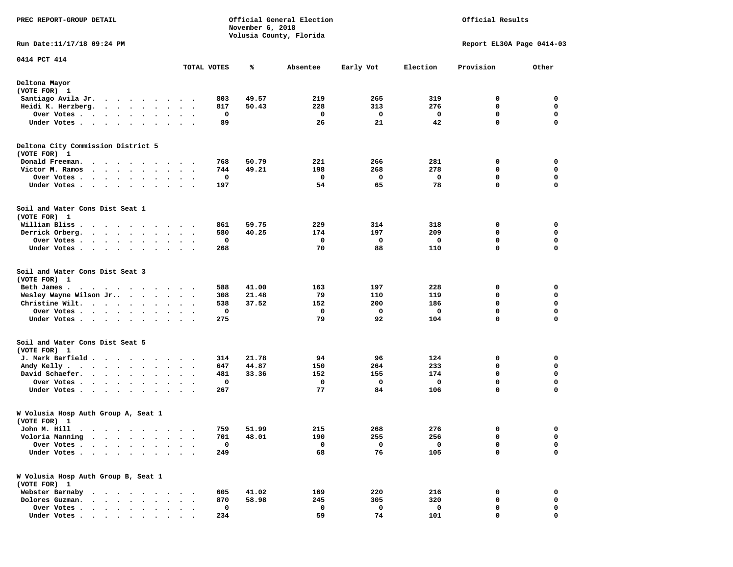| PREC REPORT-GROUP DETAIL                                                                                                                                                                                                                            |                                          | November 6, 2018 | Official General Election |           |          | Official Results          |                            |
|-----------------------------------------------------------------------------------------------------------------------------------------------------------------------------------------------------------------------------------------------------|------------------------------------------|------------------|---------------------------|-----------|----------|---------------------------|----------------------------|
| Run Date:11/17/18 09:24 PM                                                                                                                                                                                                                          |                                          |                  | Volusia County, Florida   |           |          | Report EL30A Page 0414-03 |                            |
| 0414 PCT 414                                                                                                                                                                                                                                        |                                          |                  |                           |           |          |                           |                            |
|                                                                                                                                                                                                                                                     | TOTAL VOTES                              | ℁                | Absentee                  | Early Vot | Election | Provision                 | Other                      |
| Deltona Mayor<br>(VOTE FOR) 1                                                                                                                                                                                                                       |                                          |                  |                           |           |          |                           |                            |
| Santiago Avila Jr.<br>. The contract of the contract of the contract of the contract of the contract of the contract of the contract of the contract of the contract of the contract of the contract of the contract of the contract of the contrac | 803                                      | 49.57            | 219                       | 265       | 319      | 0                         | 0                          |
| Heidi K. Herzberg.                                                                                                                                                                                                                                  | 817                                      | 50.43            | 228                       | 313       | 276      | 0                         | 0                          |
| Over Votes<br>$\sim$ $\sim$ $\sim$ $\sim$ $\sim$ $\sim$<br>$\bullet$                                                                                                                                                                                | $\bullet$<br>$\bullet$<br>$\bullet$      | 0                | 0                         | 0         | 0        | 0                         | 0                          |
| Under Votes                                                                                                                                                                                                                                         | 89<br>$\cdot$ .                          |                  | 26                        | 21        | 42       | $\mathbf 0$               | $\mathbf 0$                |
| Deltona City Commission District 5<br>(VOTE FOR) 1                                                                                                                                                                                                  |                                          |                  |                           |           |          |                           |                            |
| Donald Freeman.<br>$\bullet$<br>$\cdot$<br>$\bullet$<br>$\blacksquare$ .<br>$\sim$                                                                                                                                                                  | 768<br>$\cdot$ $\cdot$ $\cdot$           | 50.79            | 221                       | 266       | 281      | 0                         | 0                          |
| Victor M. Ramos<br>$\cdots$<br>$\ddot{\phantom{0}}$                                                                                                                                                                                                 | 744<br>$\ddot{\phantom{1}}$              | 49.21            | 198                       | 268       | 278      | 0                         | 0                          |
| Over Votes<br>$\ddot{\phantom{1}}$<br>$\cdot$                                                                                                                                                                                                       |                                          | 0                | 0                         | 0         | 0        | 0                         | $\mathbf 0$                |
| Under Votes<br>$\sim$ $\sim$<br>$\cdot$<br>$\sim$                                                                                                                                                                                                   | 197                                      |                  | 54                        | 65        | 78       | $\mathbf 0$               | 0                          |
| Soil and Water Cons Dist Seat 1<br>(VOTE FOR) 1                                                                                                                                                                                                     |                                          |                  |                           |           |          |                           |                            |
| William Bliss.<br>.                                                                                                                                                                                                                                 | 861                                      | 59.75            | 229                       | 314       | 318      | 0                         | 0                          |
| Derrick Orberg.<br>$\begin{array}{cccccccccccccc} \bullet & \bullet & \bullet & \bullet & \bullet & \bullet & \bullet & \bullet & \bullet & \bullet \end{array}$                                                                                    | 580                                      | 40.25            | 174                       | 197       | 209      | 0                         | 0                          |
| Over Votes                                                                                                                                                                                                                                          |                                          | 0                | 0                         | 0         | 0        | $\mathbf 0$               | 0                          |
| Under Votes                                                                                                                                                                                                                                         | 268<br>$\ddot{\phantom{a}}$              |                  | 70                        | 88        | 110      | 0                         | $\mathbf 0$                |
| Soil and Water Cons Dist Seat 3<br>(VOTE FOR) 1                                                                                                                                                                                                     |                                          |                  |                           |           |          |                           |                            |
| Beth James.<br>. As the set of the set of the set of the set of the set of the set of the set of the set of the $\alpha$                                                                                                                            | 588                                      | 41.00            | 163                       | 197       | 228      | 0                         | 0                          |
| Wesley Wayne Wilson Jr                                                                                                                                                                                                                              | 308                                      | 21.48            | 79                        | 110       | 119      | 0                         | 0                          |
| Christine Wilt.<br>$\ddot{\phantom{0}}$                                                                                                                                                                                                             | 538<br>$\ddot{\phantom{0}}$<br>$\bullet$ | 37.52            | 152                       | 200       | 186      | 0                         | $\mathbf 0$                |
| Over Votes<br>$\ddot{\phantom{1}}$<br>$\bullet$                                                                                                                                                                                                     | 275                                      | 0                | 0<br>79                   | 0<br>92   | 0<br>104 | 0<br>0                    | $\mathbf 0$<br>$\mathbf 0$ |
| Under Votes<br>$\bullet$                                                                                                                                                                                                                            | $\ddot{\phantom{1}}$<br>$\bullet$        |                  |                           |           |          |                           |                            |
| Soil and Water Cons Dist Seat 5<br>(VOTE FOR) 1                                                                                                                                                                                                     |                                          |                  |                           |           |          |                           |                            |
| J. Mark Barfield                                                                                                                                                                                                                                    | 314                                      | 21.78            | 94                        | 96        | 124      | 0                         | 0                          |
| Andy Kelly                                                                                                                                                                                                                                          | 647<br>$\sim$ $\sim$                     | 44.87            | 150                       | 264       | 233      | 0                         | 0                          |
| David Schaefer.<br>$\cdots$                                                                                                                                                                                                                         | 481                                      | 33.36            | 152                       | 155       | 174      | $\mathbf 0$               | 0                          |
| Over Votes<br>Under Votes                                                                                                                                                                                                                           | $\bullet$<br>267                         | 0                | 0<br>77                   | 0<br>84   | 0<br>106 | $\mathbf 0$<br>0          | $\mathbf 0$<br>$\mathbf 0$ |
|                                                                                                                                                                                                                                                     |                                          |                  |                           |           |          |                           |                            |
| W Volusia Hosp Auth Group A, Seat 1<br>(VOTE FOR) 1                                                                                                                                                                                                 |                                          |                  |                           |           |          |                           |                            |
| John M. Hill                                                                                                                                                                                                                                        |                                          | 759 51.99        | 215                       | 268       | 276      | 0                         | 0                          |
| Voloria Manning<br>$\cdot$ $\cdot$ $\cdot$ $\cdot$ $\cdot$ $\cdot$                                                                                                                                                                                  | 701<br>$\bullet$<br>$\cdot$              | 48.01            | 190                       | 255       | 256      | 0                         | 0                          |
| Over Votes .<br>$\ddot{\phantom{a}}$<br>$\sim$<br>$\ddot{\phantom{0}}$<br>$\ddot{\phantom{1}}$<br>$\ddot{\phantom{0}}$<br>$\overline{\phantom{a}}$                                                                                                  |                                          | 0                | 0                         | 0         | 0        | 0                         | 0                          |
| Under Votes                                                                                                                                                                                                                                         | 249                                      |                  | 68                        | 76        | 105      | $\mathbf 0$               | 0                          |
| W Volusia Hosp Auth Group B, Seat 1<br>(VOTE FOR) 1                                                                                                                                                                                                 |                                          |                  |                           |           |          |                           |                            |
| Webster Barnaby<br>$\ddot{\phantom{1}}$<br>$\cdots$                                                                                                                                                                                                 | 605                                      | 41.02            | 169                       | 220       | 216      | 0                         | 0                          |
| Dolores Guzman.<br>$\cdot$ $\cdot$ $\cdot$                                                                                                                                                                                                          | 870                                      | 58.98            | 245                       | 305       | 320      | 0                         | 0                          |
| Over Votes .<br>.                                                                                                                                                                                                                                   |                                          | 0                | 0                         | 0         | 0        | 0                         | 0                          |
| Under Votes                                                                                                                                                                                                                                         | 234                                      |                  | 59                        | 74        | 101      | 0                         | 0                          |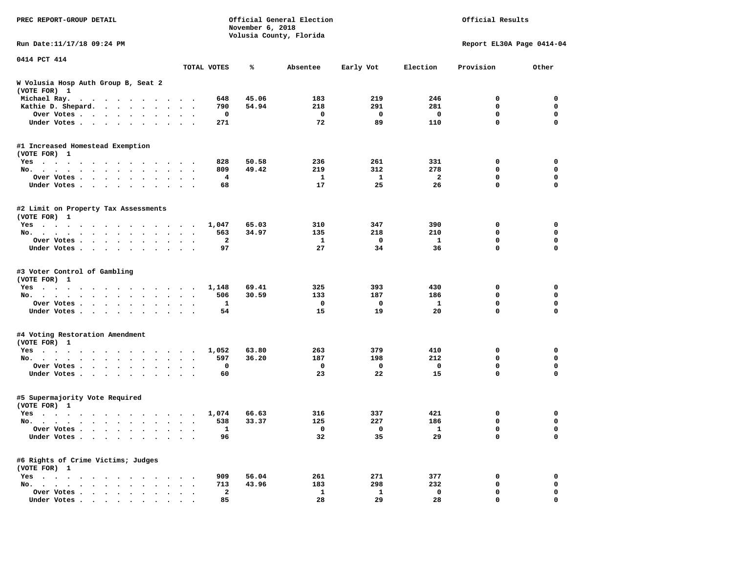| PREC REPORT-GROUP DETAIL                             |                          |                         | November 6, 2018 | Official General Election<br>Volusia County, Florida |              |              | Official Results          |                  |
|------------------------------------------------------|--------------------------|-------------------------|------------------|------------------------------------------------------|--------------|--------------|---------------------------|------------------|
| Run Date:11/17/18 09:24 PM                           |                          |                         |                  |                                                      |              |              | Report EL30A Page 0414-04 |                  |
| 0414 PCT 414                                         |                          | TOTAL VOTES             | ℁                | Absentee                                             | Early Vot    | Election     | Provision                 | Other            |
| W Volusia Hosp Auth Group B, Seat 2<br>(VOTE FOR) 1  |                          |                         |                  |                                                      |              |              |                           |                  |
| Michael Ray.                                         |                          | 648                     | 45.06            | 183                                                  | 219          | 246          | 0                         | 0                |
| Kathie D. Shepard.                                   |                          | 790                     | 54.94            | 218                                                  | 291          | 281          | $\mathbf 0$               | 0                |
| Over Votes<br>$\bullet$                              |                          | 0                       |                  | 0                                                    | 0            | 0            | 0                         | $\mathbf 0$      |
| Under Votes<br>$\sim$                                |                          | 271                     |                  | 72                                                   | 89           | 110          | 0                         | $\mathbf 0$      |
| #1 Increased Homestead Exemption                     |                          |                         |                  |                                                      |              |              |                           |                  |
| (VOTE FOR) 1                                         |                          |                         |                  |                                                      |              |              |                           |                  |
| Yes                                                  |                          | 828                     | 50.58<br>49.42   | 236                                                  | 261          | 331<br>278   | 0<br>0                    | 0<br>$\mathbf 0$ |
| No.<br>$\ddot{\phantom{a}}$                          | $\ddot{\phantom{1}}$     | 809                     |                  | 219                                                  | 312          |              | 0                         | 0                |
| Over Votes<br>$\bullet$                              |                          | 4<br>68                 |                  | 1<br>17                                              | 1<br>25      | 2<br>26      | 0                         | $\mathbf 0$      |
| Under Votes<br>$\bullet$                             |                          |                         |                  |                                                      |              |              |                           |                  |
| #2 Limit on Property Tax Assessments<br>(VOTE FOR) 1 |                          |                         |                  |                                                      |              |              |                           |                  |
| Yes                                                  |                          | 1,047                   | 65.03            | 310                                                  | 347          | 390          | 0                         | 0                |
| No.                                                  |                          | 563                     | 34.97            | 135                                                  | 218          | 210          | 0                         | $\mathbf 0$      |
| Over Votes                                           |                          | $\mathbf{2}$            |                  | 1                                                    | 0            | $\mathbf{1}$ | 0                         | 0                |
| Under Votes                                          |                          | 97                      |                  | 27                                                   | 34           | 36           | 0                         | 0                |
| #3 Voter Control of Gambling<br>(VOTE FOR) 1         |                          |                         |                  |                                                      |              |              |                           |                  |
| Yes                                                  |                          | 1,148                   | 69.41            | 325                                                  | 393          | 430          | 0                         | 0                |
| No.                                                  | $\sim$ $\sim$            | 506                     | 30.59            | 133                                                  | 187          | 186          | 0                         | 0                |
| Over Votes<br>$\bullet$<br>$\bullet$                 | $\bullet$                | 1                       |                  | 0                                                    | $\mathbf 0$  | $\mathbf{1}$ | 0                         | $\mathbf 0$      |
| Under Votes<br>$\ddot{\phantom{0}}$                  |                          | 54                      |                  | 15                                                   | 19           | 20           | 0                         | $\mathbf 0$      |
| #4 Voting Restoration Amendment                      |                          |                         |                  |                                                      |              |              |                           |                  |
| (VOTE FOR) 1                                         |                          |                         |                  |                                                      |              |              |                           |                  |
| Yes                                                  |                          | 1,052                   | 63.80<br>36.20   | 263                                                  | 379          | 410<br>212   | 0<br>0                    | 0<br>$\mathbf 0$ |
| No.<br>$\bullet$                                     | $\overline{\phantom{a}}$ | 597<br>0                |                  | 187<br>0                                             | 198<br>0     | 0            | 0                         | 0                |
| Over Votes<br>$\bullet$<br>$\bullet$<br>Under Votes  | $\cdot$ .                | 60                      |                  | 23                                                   | 22           | 15           | 0                         | 0                |
| #5 Supermajority Vote Required<br>(VOTE FOR) 1       |                          |                         |                  |                                                      |              |              |                           |                  |
| Yes                                                  |                          | 1,074                   | 66.63            | 316                                                  | 337          | 421          | 0                         | 0                |
| No.                                                  | $\ddotsc$                | 538                     | 33.37            | 125                                                  | 227          | 186          | 0                         | 0                |
| Over Votes                                           |                          | 1                       |                  | 0                                                    | 0            | ı,           | 0                         | 0                |
| Under Votes                                          |                          | 96                      |                  | 32                                                   | 35           | 29           | 0                         | $\mathbf 0$      |
| #6 Rights of Crime Victims; Judges<br>(VOTE FOR) 1   |                          |                         |                  |                                                      |              |              |                           |                  |
| $Yes \cdot \cdot \cdot \cdot$                        |                          | 909                     | 56.04            | 261                                                  | 271          | 377          | 0                         | 0                |
| No.                                                  |                          | 713                     | 43.96            | 183                                                  | 298          | 232          | 0                         | 0                |
| Over Votes                                           |                          | $\overline{\mathbf{2}}$ |                  | $\mathbf{1}$                                         | $\mathbf{1}$ | 0            | 0                         | 0                |
| Under Votes                                          |                          | 85                      |                  | 28                                                   | 29           | 28           | 0                         | 0                |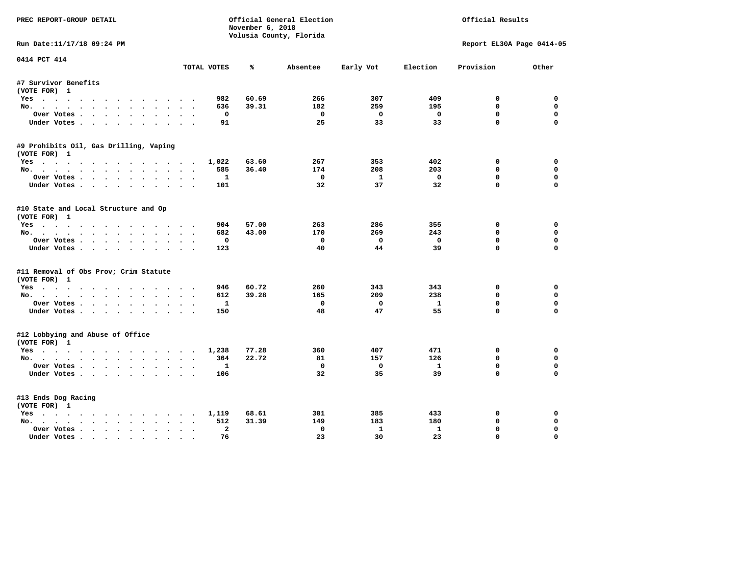|                                        |                             | November 6, 2018 | Official General Election |                         |              | Official Results          |             |
|----------------------------------------|-----------------------------|------------------|---------------------------|-------------------------|--------------|---------------------------|-------------|
|                                        |                             |                  | Volusia County, Florida   |                         |              |                           |             |
| Run Date:11/17/18 09:24 PM             |                             |                  |                           |                         |              | Report EL30A Page 0414-05 |             |
| 0414 PCT 414                           | TOTAL VOTES                 | ℁                | Absentee                  | Early Vot               | Election     | Provision                 | Other       |
| #7 Survivor Benefits                   |                             |                  |                           |                         |              |                           |             |
| (VOTE FOR) 1                           |                             |                  |                           |                         |              |                           |             |
| Yes                                    | 982                         | 60.69            | 266                       | 307                     | 409          | 0                         | 0           |
| No.                                    | 636                         | 39.31            | 182                       | 259                     | 195          | $\mathbf{0}$              | $\Omega$    |
| Over Votes                             | $^{\circ}$                  |                  | $^{\circ}$                | $\mathbf{0}$            | $\mathbf 0$  | $\Omega$                  | $\Omega$    |
| Under Votes                            | 91                          |                  | 25                        | 33                      | 33           | $\Omega$                  | $\Omega$    |
| #9 Prohibits Oil, Gas Drilling, Vaping |                             |                  |                           |                         |              |                           |             |
| (VOTE FOR) 1                           |                             |                  |                           |                         |              |                           |             |
| Yes                                    | 1,022                       | 63.60            | 267                       | 353                     | 402          | 0                         | 0           |
| No.                                    | 585                         | 36.40            | 174                       | 208                     | 203          | 0                         | $\Omega$    |
| Over Votes                             | 1                           |                  | 0                         | 1                       | $\mathbf 0$  | $\mathbf 0$               | $\mathbf 0$ |
| Under Votes                            | 101                         |                  | 32                        | 37                      | 32           | $\Omega$                  | $\Omega$    |
| #10 State and Local Structure and Op   |                             |                  |                           |                         |              |                           |             |
| (VOTE FOR) 1                           |                             |                  |                           |                         |              |                           |             |
| Yes                                    | 904                         | 57.00            | 263                       | 286                     | 355          | 0                         | 0           |
| No.                                    | 682                         | 43.00            | 170                       | 269                     | 243          | $\mathbf{0}$              | $\mathbf 0$ |
| Over Votes                             | $\mathbf 0$                 |                  | $\Omega$                  | $\mathbf{0}$            | $\mathbf 0$  | $\mathbf 0$               | $\mathbf 0$ |
| Under Votes                            | 123                         |                  | 40                        | 44                      | 39           | $\Omega$                  | $\Omega$    |
| #11 Removal of Obs Prov; Crim Statute  |                             |                  |                           |                         |              |                           |             |
| (VOTE FOR) 1                           |                             |                  |                           |                         |              |                           |             |
| Yes                                    | 946                         | 60.72            | 260                       | 343                     | 343          | 0                         | $\mathbf 0$ |
| No.                                    | 612                         | 39.28            | 165                       | 209                     | 238          | $\Omega$                  | 0           |
| Over Votes                             | $\mathbf{1}$                |                  | $\mathbf 0$               | $\mathbf 0$             | $\mathbf{1}$ | $\mathbf 0$               | $\mathbf 0$ |
| Under Votes.                           | 150                         |                  | 48                        | 47                      | 55           | $\Omega$                  | $\Omega$    |
| #12 Lobbying and Abuse of Office       |                             |                  |                           |                         |              |                           |             |
| (VOTE FOR) 1                           |                             |                  |                           |                         |              |                           |             |
| Yes                                    | 1,238                       | 77.28            | 360                       | 407                     | 471          | $\mathbf 0$               | $\mathbf 0$ |
| No.                                    | 364                         | 22.72            | 81                        | 157                     | 126          | $\Omega$                  | $\Omega$    |
| Over Votes                             | $\mathbf{1}$                |                  | $\mathbf 0$               | $\overline{\mathbf{0}}$ | $\mathbf{1}$ | $\mathbf 0$               | $\mathbf 0$ |
| Under Votes                            | 106                         |                  | 32                        | 35                      | 39           | $\Omega$                  | $\Omega$    |
| #13 Ends Dog Racing                    |                             |                  |                           |                         |              |                           |             |
| (VOTE FOR) 1                           |                             |                  |                           |                         |              |                           |             |
| Yes                                    | 1,119                       | 68.61            | 301                       | 385                     | 433          | 0                         | 0           |
|                                        | 512                         | 31.39            | 149                       | 183                     | 180          | $\mathbf 0$               | 0           |
| No.                                    |                             |                  |                           |                         |              |                           |             |
| Over Votes                             | $\overline{a}$<br>$\bullet$ |                  | $\mathbf 0$               | $\mathbf{1}$            | $\mathbf{1}$ | $\mathbf{0}$              | $\Omega$    |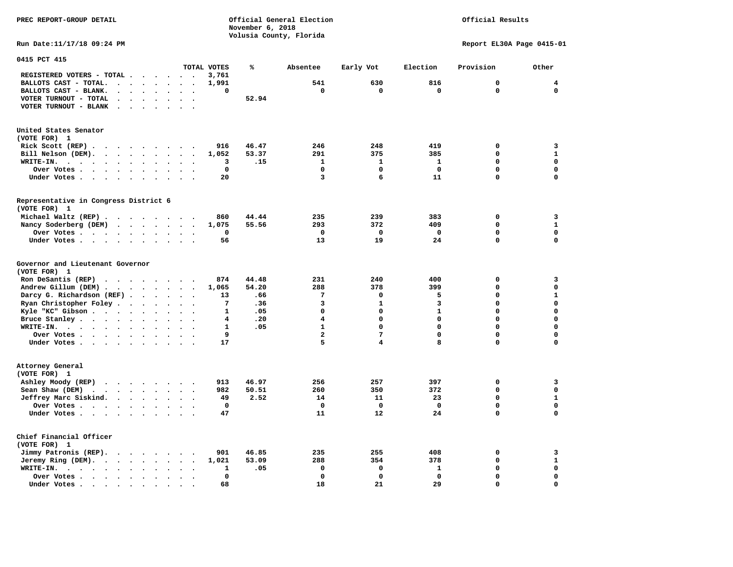**PREC REPORT-GROUP DETAIL Official General Election Official Results November 6, 2018 Volusia County, Florida Run Date:11/17/18 09:24 PM Report EL30A Page 0415-01 0415 PCT 415 TOTAL VOTES % Absentee Early Vot Election Provision Other REGISTERED VOTERS - TOTAL . . . . . . 3,761 BALLOTS CAST - TOTAL. . . . . . . . 1,991 541 630 816 0 4 BALLOTS CAST - BLANK. . . . . . . . 0 0 0 0 0 0 VOTER TURNOUT - TOTAL . . . . . . . 52.94 VOTER TURNOUT - BLANK . . . . . . .** 

**United States Senator (VOTE FOR) 1** 

| Rick Scott $(REP)$                                    |  |  |  |  | 916   | 46.47 | 246 | 248 | 419 |  |
|-------------------------------------------------------|--|--|--|--|-------|-------|-----|-----|-----|--|
| Bill Nelson (DEM).                                    |  |  |  |  | 1,052 | 53.37 | 291 | 375 | 385 |  |
| WRITE-IN.                                             |  |  |  |  |       | .15   |     |     |     |  |
| Over Votes                                            |  |  |  |  |       |       |     |     |     |  |
| Under Votes.                                          |  |  |  |  | 20    |       |     |     |     |  |
| Representative in Congress District 6<br>(VOTE FOR) 1 |  |  |  |  |       |       |     |     |     |  |
| Michael Waltz (REP)                                   |  |  |  |  | 860   | 44.44 | 235 | 239 | 383 |  |
| Nancy Soderberg (DEM)                                 |  |  |  |  | 1,075 | 55.56 | 293 | 372 | 409 |  |
|                                                       |  |  |  |  |       |       |     |     |     |  |
| Under Votes                                           |  |  |  |  | 56    |       |     |     |     |  |

**Governor and Lieutenant Governor** 

| (VOTE FOR) 1                                                                              |  |  |  |       |       |     |     |     |  |
|-------------------------------------------------------------------------------------------|--|--|--|-------|-------|-----|-----|-----|--|
| Ron DeSantis (REP) $\cdots$ $\cdots$ $\cdots$                                             |  |  |  | 874   | 44.48 | 231 | 240 | 400 |  |
| Andrew Gillum (DEM)                                                                       |  |  |  | 1,065 | 54.20 | 288 | 378 | 399 |  |
| Darcy G. Richardson (REF)                                                                 |  |  |  | 13    | .66   |     |     |     |  |
| Ryan Christopher Foley                                                                    |  |  |  |       | .36   |     |     |     |  |
| Kyle "KC" Gibson                                                                          |  |  |  |       | .05   |     |     |     |  |
| Bruce Stanley.                                                                            |  |  |  |       | .20   |     |     |     |  |
| WRITE-IN.                                                                                 |  |  |  |       | .05   |     |     |     |  |
| Over Votes                                                                                |  |  |  |       |       |     |     |     |  |
| Under Votes                                                                               |  |  |  | 17    |       |     |     |     |  |
| Attorney General                                                                          |  |  |  |       |       |     |     |     |  |
| (VOTE FOR) 1                                                                              |  |  |  |       |       |     |     |     |  |
| Ashley Moody (REP)                                                                        |  |  |  | 913   | 46.97 | 256 | 257 | 397 |  |
| Sean Shaw (DEM) $\cdot \cdot \cdot \cdot \cdot \cdot \cdot \cdot$                         |  |  |  | 982   | 50.51 | 260 | 350 | 372 |  |
| Jeffrey Marc Siskind.                                                                     |  |  |  | 49    | 2.52  | 14  | 11  | 23  |  |
| Over Votes, $\cdot$ , $\cdot$ , $\cdot$ , $\cdot$ , $\cdot$ , $\cdot$ , $\cdot$ , $\cdot$ |  |  |  |       |       |     |     |     |  |

| Under Votes<br>47                                                                                                                                        |     |     | 24  |          |
|----------------------------------------------------------------------------------------------------------------------------------------------------------|-----|-----|-----|----------|
| Chief Financial Officer<br>(VOTE FOR) 1                                                                                                                  |     |     |     |          |
| Jimmy Patronis (REP).<br>46.85<br>901                                                                                                                    | 235 | 255 | 408 |          |
| Jeremy Ring (DEM). 1,021<br>53.09                                                                                                                        | 288 | 354 | 378 |          |
| $\mathbf{r}$ , $\mathbf{r}$ , $\mathbf{r}$ , $\mathbf{r}$ , $\mathbf{r}$ , $\mathbf{r}$ , $\mathbf{r}$ , $\mathbf{r}$ , $\mathbf{r}$<br>.05<br>WRITE-IN. |     |     |     | 0        |
|                                                                                                                                                          |     |     |     | 0        |
| Under Votes.<br>68                                                                                                                                       |     |     | 29  | $\Omega$ |
|                                                                                                                                                          |     |     |     |          |

 $\mathbf 0$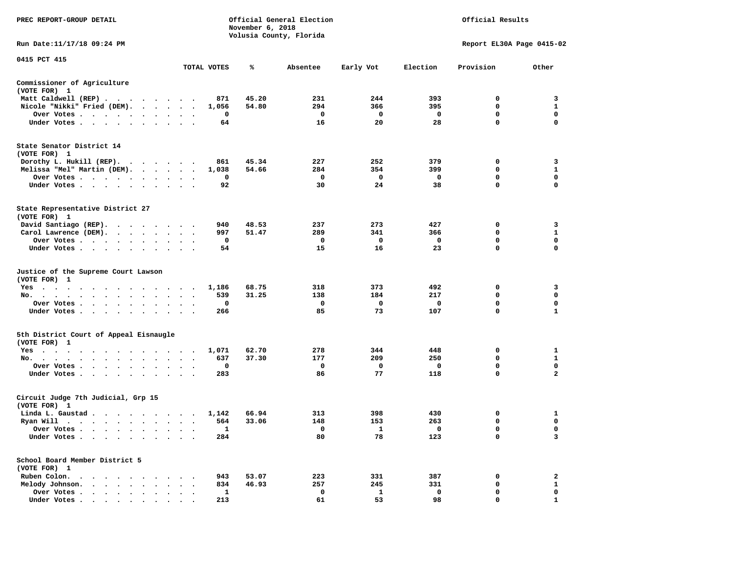| PREC REPORT-GROUP DETAIL                                                                                                            |                                                           |             | November 6, 2018 | Official General Election<br>Volusia County, Florida |              |              | Official Results          |                   |
|-------------------------------------------------------------------------------------------------------------------------------------|-----------------------------------------------------------|-------------|------------------|------------------------------------------------------|--------------|--------------|---------------------------|-------------------|
| Run Date:11/17/18 09:24 PM                                                                                                          |                                                           |             |                  |                                                      |              |              | Report EL30A Page 0415-02 |                   |
| 0415 PCT 415                                                                                                                        |                                                           | TOTAL VOTES | ℁                | Absentee                                             | Early Vot    | Election     | Provision                 | Other             |
|                                                                                                                                     |                                                           |             |                  |                                                      |              |              |                           |                   |
| Commissioner of Agriculture<br>(VOTE FOR) 1                                                                                         |                                                           |             |                  |                                                      |              |              |                           |                   |
| Matt Caldwell (REP)                                                                                                                 |                                                           | 871         | 45.20            | 231                                                  | 244          | 393          | $\Omega$                  | 3                 |
| Nicole "Nikki" Fried (DEM).                                                                                                         |                                                           | 1,056       | 54.80            | 294                                                  | 366          | 395          | $\mathbf 0$               | $\mathbf{1}$      |
| Over Votes<br>$\ddot{\phantom{1}}$                                                                                                  |                                                           | 0           |                  | $\mathbf 0$                                          | $\mathbf{o}$ | $\mathbf{o}$ | $\mathbf 0$               | $\mathbf 0$       |
| Under Votes                                                                                                                         |                                                           | 64          |                  | 16                                                   | 20           | 28           | 0                         | $\Omega$          |
| State Senator District 14                                                                                                           |                                                           |             |                  |                                                      |              |              |                           |                   |
| (VOTE FOR) 1                                                                                                                        |                                                           |             |                  |                                                      |              |              |                           |                   |
| Dorothy L. Hukill $(REP)$ .                                                                                                         |                                                           | 861         | 45.34<br>54.66   | 227<br>284                                           | 252<br>354   | 379<br>399   | 0<br>$\mathbf{0}$         | 3<br>$\mathbf{1}$ |
| Melissa "Mel" Martin (DEM).                                                                                                         |                                                           | 1,038<br>0  |                  | $^{\circ}$                                           | 0            | 0            | $\mathbf{0}$              | $\mathbf{0}$      |
| Over Votes<br>Under Votes<br>$\cdot$                                                                                                |                                                           | 92          |                  | 30                                                   | 24           | 38           | 0                         | $\mathbf 0$       |
|                                                                                                                                     |                                                           |             |                  |                                                      |              |              |                           |                   |
| State Representative District 27<br>(VOTE FOR) 1                                                                                    |                                                           |             |                  |                                                      |              |              |                           |                   |
| David Santiago (REP).                                                                                                               |                                                           | 940         | 48.53            | 237                                                  | 273          | 427          | 0                         | 3                 |
| Carol Lawrence (DEM).                                                                                                               |                                                           | 997         | 51.47            | 289                                                  | 341          | 366          | 0                         | $\mathbf{1}$      |
| Over Votes                                                                                                                          | $\ddot{\phantom{1}}$<br>$\cdot$                           | $\mathbf 0$ |                  | $\mathbf 0$                                          | $\mathbf 0$  | $\mathbf{o}$ | $\mathbf 0$               | $\mathbf 0$       |
| Under Votes                                                                                                                         |                                                           | 54          |                  | 15                                                   | 16           | 23           | 0                         | $\Omega$          |
| Justice of the Supreme Court Lawson<br>(VOTE FOR) 1                                                                                 |                                                           |             |                  |                                                      |              |              |                           |                   |
| $Yes \t . \t .$<br>$\cdot$ $\cdot$<br>$\mathbf{r}$ , and $\mathbf{r}$ , and $\mathbf{r}$ , and $\mathbf{r}$<br>$\ddot{\phantom{1}}$ | $\cdot$ .                                                 | 1,186       | 68.75            | 318                                                  | 373          | 492          | 0                         | 3                 |
| No.<br>$\mathcal{A}=\mathcal{A}=\mathcal{A}=\mathcal{A}=\mathcal{A}=\mathcal{A}=\mathcal{A}$ .<br>$\sim$<br>$\cdots$                | $\overline{a}$                                            | 539         | 31.25            | 138                                                  | 184          | 217          | $\mathbf 0$               | $\mathbf 0$       |
| Over Votes                                                                                                                          | $\ddot{\phantom{a}}$<br>$\ddot{\phantom{0}}$<br>$\bullet$ | 0           |                  | 0                                                    | 0            | $\mathbf{o}$ | 0                         | $\mathbf 0$       |
| Under Votes<br>$\sim$                                                                                                               | $\cdot$<br>$\cdot$ $\cdot$                                | 266         |                  | 85                                                   | 73           | 107          | $\mathbf 0$               | 1                 |
| 5th District Court of Appeal Eisnaugle<br>(VOTE FOR) 1                                                                              |                                                           |             |                  |                                                      |              |              |                           |                   |
| Yes                                                                                                                                 |                                                           | 1,071       | 62.70            | 278                                                  | 344          | 448          | 0                         | 1                 |
| No.                                                                                                                                 |                                                           | 637         | 37.30            | 177                                                  | 209          | 250          | $\mathbf 0$               | $\mathbf{1}$      |
| Over Votes<br>$\sim$ $\sim$<br>$\cdot$                                                                                              |                                                           | 0           |                  | 0                                                    | 0            | $\mathbf{o}$ | $\mathbf 0$               | 0                 |
| Under Votes                                                                                                                         |                                                           | 283         |                  | 86                                                   | 77           | 118          | $\mathbf 0$               | $\overline{a}$    |
| Circuit Judge 7th Judicial, Grp 15<br>(VOTE FOR) 1                                                                                  |                                                           |             |                  |                                                      |              |              |                           |                   |
| Linda L. Gaustad                                                                                                                    |                                                           | 1,142       | 66.94            | 313                                                  | 398          | 430          | 0                         | 1                 |
| Ryan Will $\cdots$ , $\cdots$ , $\cdots$ , $\cdots$                                                                                 |                                                           | 564         | 33.06            | 148                                                  | 153          | 263          | 0                         | 0                 |
| Over Votes                                                                                                                          | $\ddotsc$<br>$\cdot$ .                                    | 1           |                  | 0                                                    | $\mathbf{1}$ | $\mathbf 0$  | 0                         | $\mathbf 0$       |
| Under Votes<br>$\ddot{\phantom{1}}$<br>$\cdot$<br>$\bullet$                                                                         |                                                           | 284         |                  | 80                                                   | 78           | 123          | $\mathbf 0$               | 3                 |
| School Board Member District 5                                                                                                      |                                                           |             |                  |                                                      |              |              |                           |                   |
| (VOTE FOR) 1<br>Ruben Colon.                                                                                                        |                                                           | 943         | 53.07            | 223                                                  | 331          | 387          | 0                         | $\mathbf{2}$      |
| the contract of the contract of the contract of the contract of the contract of the contract of the contract of<br>Melody Johnson.  |                                                           | 834         | 46.93            | 257                                                  | 245          | 331          | 0                         | $\mathbf{1}$      |
| Over Votes<br>$\bullet$<br>$\sim$                                                                                                   | $\ddot{\phantom{a}}$<br>$\cdot$                           | 1           |                  | $\mathbf 0$                                          | 1            | $\mathbf 0$  | $\mathbf 0$               | 0                 |
| Under Votes                                                                                                                         |                                                           | 213         |                  | 61                                                   | 53           | 98           | $\Omega$                  | 1                 |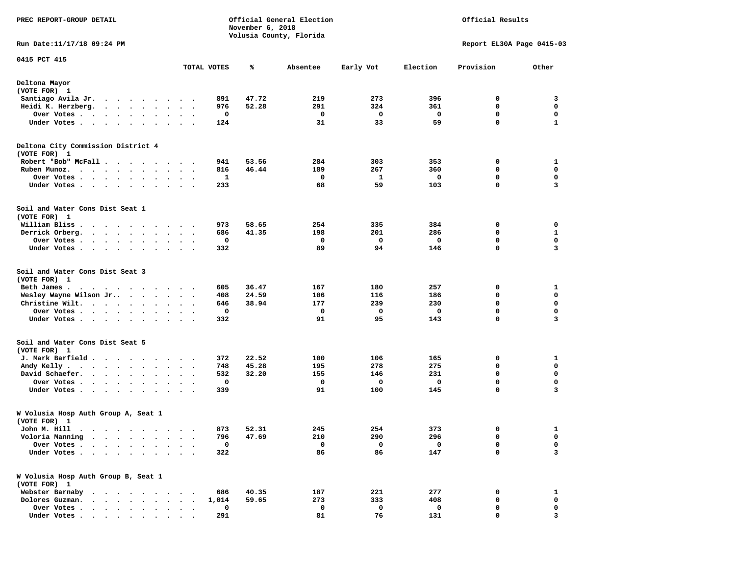| PREC REPORT-GROUP DETAIL                                                                                                                                                           |                                   |             | November 6, 2018 | Official General Election |           |             | Official Results          |              |
|------------------------------------------------------------------------------------------------------------------------------------------------------------------------------------|-----------------------------------|-------------|------------------|---------------------------|-----------|-------------|---------------------------|--------------|
| Run Date: 11/17/18 09:24 PM                                                                                                                                                        |                                   |             |                  | Volusia County, Florida   |           |             | Report EL30A Page 0415-03 |              |
| 0415 PCT 415                                                                                                                                                                       |                                   |             |                  |                           |           |             |                           |              |
|                                                                                                                                                                                    |                                   | TOTAL VOTES | ℁                | Absentee                  | Early Vot | Election    | Provision                 | Other        |
| Deltona Mayor<br>(VOTE FOR) 1                                                                                                                                                      |                                   |             |                  |                           |           |             |                           |              |
| Santiago Avila Jr.                                                                                                                                                                 |                                   | 891         | 47.72            | 219                       | 273       | 396         | 0                         | 3            |
| Heidi K. Herzberg.<br>$\cdot$ $\cdot$ $\cdot$ $\cdot$ $\cdot$<br>$\ddot{\phantom{1}}$                                                                                              | $\bullet$                         | 976         | 52.28            | 291                       | 324       | 361         | 0                         | 0            |
| Over Votes.<br>$\mathcal{A}=\mathcal{A}=\mathcal{A}=\mathcal{A}=\mathcal{A}=\mathcal{A}$ .<br>$\blacksquare$                                                                       | $\ddot{\phantom{1}}$              | 0           |                  | 0                         | 0         | 0           | 0                         | $\mathbf 0$  |
| Under Votes.<br>.                                                                                                                                                                  |                                   | 124         |                  | 31                        | 33        | 59          | $\mathbf 0$               | $\mathbf{1}$ |
| Deltona City Commission District 4<br>(VOTE FOR) 1                                                                                                                                 |                                   |             |                  |                           |           |             |                           |              |
| Robert "Bob" McFall                                                                                                                                                                |                                   | 941         | 53.56            | 284                       | 303       | 353         | 0                         | 1            |
| Ruben Munoz                                                                                                                                                                        | $\bullet$                         | 816         | 46.44            | 189                       | 267       | 360         | 0                         | 0            |
| Over Votes.<br>$\cdot$ $\cdot$ $\cdot$ $\cdot$<br>$\bullet$<br>$\sim$<br>$\bullet$                                                                                                 |                                   | 1           |                  | 0                         | 1         | 0           | 0                         | 0            |
| Under Votes<br>$\bullet$<br>$\bullet$                                                                                                                                              | $\cdot$                           | 233         |                  | 68                        | 59        | 103         | 0                         | 3            |
| Soil and Water Cons Dist Seat 1<br>(VOTE FOR) 1                                                                                                                                    |                                   |             |                  |                           |           |             |                           |              |
| William Bliss.<br>.                                                                                                                                                                |                                   | 973         | 58.65            | 254                       | 335       | 384         | 0                         | 0            |
| Derrick Orberg.                                                                                                                                                                    | $\ddot{\phantom{1}}$              | 686         | 41.35            | 198                       | 201       | 286         | 0                         | 1            |
| Over Votes.<br>$\cdots$                                                                                                                                                            |                                   | 0           |                  | 0                         | 0         | 0           | 0                         | 0            |
| Under Votes<br>$\ddot{\phantom{1}}$                                                                                                                                                | $\ddot{\phantom{1}}$              | 332         |                  | 89                        | 94        | 146         | 0                         | 3            |
| Soil and Water Cons Dist Seat 3<br>(VOTE FOR) 1                                                                                                                                    |                                   |             |                  |                           |           |             |                           |              |
| Beth James.<br>. As the state of the state of the state of the state $\alpha$                                                                                                      |                                   | 605         | 36.47            | 167                       | 180       | 257         | 0                         | 1            |
| Wesley Wayne Wilson Jr<br>$\cdot$                                                                                                                                                  | $\ddot{\phantom{1}}$              | 408         | 24.59            | 106                       | 116       | 186         | 0                         | 0            |
| Christine Wilt.<br>$\sim$                                                                                                                                                          | $\ddot{\phantom{1}}$              | 646         | 38.94            | 177                       | 239       | 230         | $\mathbf 0$               | $\mathbf 0$  |
| Over Votes.<br>$\ddot{\phantom{0}}$<br>$\bullet$                                                                                                                                   |                                   | $\mathbf 0$ |                  | $\mathbf 0$               | 0         | 0           | 0                         | $\mathbf 0$  |
| Under Votes<br>$\bullet$<br>$\bullet$                                                                                                                                              |                                   | 332         |                  | 91                        | 95        | 143         | 0                         | 3            |
| Soil and Water Cons Dist Seat 5<br>(VOTE FOR) 1                                                                                                                                    |                                   |             |                  |                           |           |             |                           |              |
| J. Mark Barfield                                                                                                                                                                   |                                   | 372         | 22.52            | 100                       | 106       | 165         | 0                         | 1            |
| Andy Kelly.<br>$\mathbf{r}$ , and $\mathbf{r}$ , and $\mathbf{r}$ , and $\mathbf{r}$                                                                                               | $\ddot{\phantom{1}}$<br>$\bullet$ | 748         | 45.28            | 195                       | 278       | 275         | 0                         | 0            |
| David Schaefer.                                                                                                                                                                    |                                   | 532         | 32.20            | 155                       | 146       | 231         | $\mathbf 0$               | $\mathbf 0$  |
| Over Votes .<br>$\begin{array}{cccccccccccccc} \bullet & \bullet & \bullet & \bullet & \bullet & \bullet & \bullet & \bullet & \bullet \end{array}$<br>$\blacksquare$              | $\bullet$ .<br>$\cdot$            | 0           |                  | 0                         | 0         | $\mathbf 0$ | $\mathbf 0$               | 0            |
| Under Votes<br>$\sim$                                                                                                                                                              | $\ddot{\phantom{1}}$              | 339         |                  | 91                        | 100       | 145         | 0                         | 3            |
| W Volusia Hosp Auth Group A, Seat 1<br>(VOTE FOR) 1                                                                                                                                |                                   |             |                  |                           |           |             |                           |              |
| John M. Hill                                                                                                                                                                       |                                   |             | 873 52.31        | 245                       | 254       | 373         | $\Omega$                  | 1            |
| Voloria Manning<br>$\sim$<br>$\sim$<br>$\bullet$ . $\bullet$<br>$\cdot$<br>$\ddot{\phantom{1}}$                                                                                    |                                   | 796         | 47.69            | 210                       | 290       | 296         | 0                         | 0            |
| Over Votes .<br>$\sim$<br>$\ddot{\phantom{a}}$                                                                                                                                     |                                   | 0           |                  | 0                         | 0         | 0           | 0                         | 0            |
| Under Votes .<br>$\begin{array}{cccccccccccccc} \bullet & \bullet & \bullet & \bullet & \bullet & \bullet & \bullet & \bullet & \bullet & \bullet & \bullet & \bullet \end{array}$ |                                   | 322         |                  | 86                        | 86        | 147         | $\mathbf 0$               | 3            |
| W Volusia Hosp Auth Group B, Seat 1<br>(VOTE FOR) 1                                                                                                                                |                                   |             |                  |                           |           |             |                           |              |
| Webster Barnaby<br>$\cdot$ $\cdot$ $\cdot$ $\cdot$ $\cdot$ $\cdot$ $\cdot$                                                                                                         |                                   | 686         | 40.35            | 187                       | 221       | 277         | 0                         | 1            |
| Dolores Guzman.                                                                                                                                                                    |                                   | 1,014       | 59.65            | 273                       | 333       | 408         | 0                         | 0            |
| Over Votes .<br>$\cdot$ $\cdot$ $\cdot$ $\cdot$                                                                                                                                    |                                   | 0           |                  | 0                         | 0         | 0           | 0                         | 0            |
| Under Votes                                                                                                                                                                        |                                   | 291         |                  | 81                        | 76        | 131         | 0                         | 3            |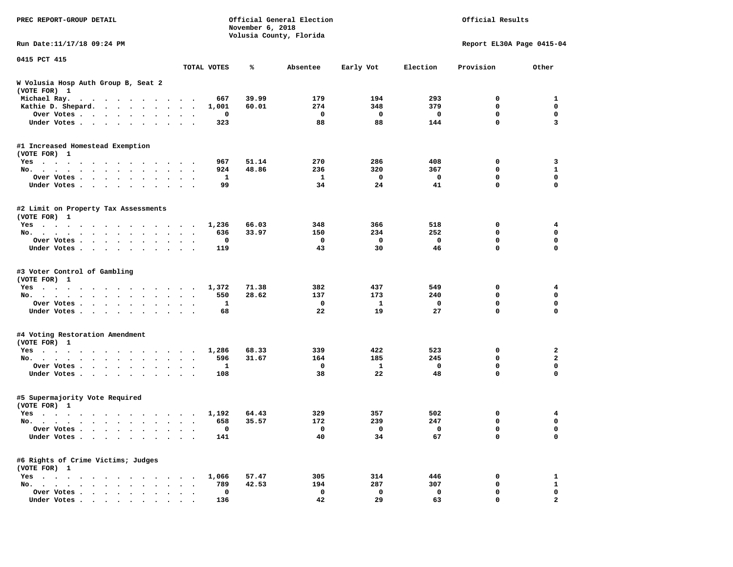| PREC REPORT-GROUP DETAIL                                                                                                                                                                                                                          |                      |             | November 6, 2018 | Official General Election<br>Volusia County, Florida |              |          | Official Results          |                   |
|---------------------------------------------------------------------------------------------------------------------------------------------------------------------------------------------------------------------------------------------------|----------------------|-------------|------------------|------------------------------------------------------|--------------|----------|---------------------------|-------------------|
| Run Date: 11/17/18 09:24 PM                                                                                                                                                                                                                       |                      |             |                  |                                                      |              |          | Report EL30A Page 0415-04 |                   |
| 0415 PCT 415                                                                                                                                                                                                                                      |                      | TOTAL VOTES | ℁                | Absentee                                             | Early Vot    | Election | Provision                 | Other             |
| W Volusia Hosp Auth Group B, Seat 2<br>(VOTE FOR) 1                                                                                                                                                                                               |                      |             |                  |                                                      |              |          |                           |                   |
| Michael Ray.<br>$\mathbf{a}$ . The contribution of the contribution of the contribution of the contribution of the contribution of the contribution of the contribution of the contribution of the contribution of the contribution of the contri |                      | 667         | 39.99            | 179                                                  | 194          | 293      | 0                         | 1                 |
| Kathie D. Shepard.                                                                                                                                                                                                                                | $\ddot{\phantom{a}}$ | 1,001       | 60.01            | 274                                                  | 348          | 379      | $\mathbf 0$               | 0                 |
| Over Votes<br>$\sim$ $\sim$<br>$\bullet$<br>$\bullet$                                                                                                                                                                                             | $\bullet$            | 0           |                  | 0                                                    | 0            | 0        | 0                         | $\mathbf 0$       |
| Under Votes<br>$\ddot{\phantom{0}}$                                                                                                                                                                                                               |                      | 323         |                  | 88                                                   | 88           | 144      | 0                         | 3                 |
| #1 Increased Homestead Exemption                                                                                                                                                                                                                  |                      |             |                  |                                                      |              |          |                           |                   |
| (VOTE FOR) 1                                                                                                                                                                                                                                      |                      |             |                  |                                                      |              |          |                           |                   |
| Yes                                                                                                                                                                                                                                               |                      | 967         | 51.14<br>48.86   | 270                                                  | 286          | 408      | 0<br>0                    | 3<br>$\mathbf{1}$ |
| No.<br>$\ddot{\phantom{a}}$                                                                                                                                                                                                                       | $\ddot{\phantom{1}}$ | 924         |                  | 236                                                  | 320          | 367      |                           |                   |
| Over Votes                                                                                                                                                                                                                                        |                      | 1<br>99     |                  | 1<br>34                                              | 0<br>24      | 0<br>41  | 0<br>0                    | 0<br>$\Omega$     |
| Under Votes<br>$\bullet$                                                                                                                                                                                                                          |                      |             |                  |                                                      |              |          |                           |                   |
| #2 Limit on Property Tax Assessments<br>(VOTE FOR) 1                                                                                                                                                                                              |                      |             |                  |                                                      |              |          |                           |                   |
| Yes                                                                                                                                                                                                                                               |                      | 1,236       | 66.03            | 348                                                  | 366          | 518      | 0                         | 4                 |
| No.                                                                                                                                                                                                                                               |                      | 636         | 33.97            | 150                                                  | 234          | 252      | 0                         | $\mathbf 0$       |
| Over Votes                                                                                                                                                                                                                                        |                      | 0           |                  | 0                                                    | 0            | 0        | 0                         | 0                 |
| Under Votes                                                                                                                                                                                                                                       | $\sim$ $\sim$        | 119         |                  | 43                                                   | 30           | 46       | 0                         | 0                 |
| #3 Voter Control of Gambling<br>(VOTE FOR) 1                                                                                                                                                                                                      |                      |             |                  |                                                      |              |          |                           |                   |
| Yes                                                                                                                                                                                                                                               |                      | 1,372       | 71.38            | 382                                                  | 437          | 549      | 0                         | 4                 |
| No.                                                                                                                                                                                                                                               | $\sim$ $\sim$        | 550         | 28.62            | 137                                                  | 173          | 240      | 0                         | 0                 |
| Over Votes<br>$\bullet$<br>$\bullet$                                                                                                                                                                                                              | $\bullet$            | 1           |                  | 0                                                    | $\mathbf{1}$ | 0        | 0                         | $\mathbf 0$       |
| Under Votes<br>$\ddot{\phantom{0}}$                                                                                                                                                                                                               |                      | 68          |                  | 22                                                   | 19           | 27       | 0                         | $\mathbf 0$       |
| #4 Voting Restoration Amendment                                                                                                                                                                                                                   |                      |             |                  |                                                      |              |          |                           |                   |
| (VOTE FOR) 1                                                                                                                                                                                                                                      |                      |             |                  |                                                      |              |          |                           |                   |
| Yes                                                                                                                                                                                                                                               |                      | 1,286       | 68.33            | 339                                                  | 422          | 523      | 0                         | 2                 |
| No.<br>$\bullet$                                                                                                                                                                                                                                  | $\bullet$            | 596         | 31.67            | 164                                                  | 185          | 245      | 0                         | $\mathbf{2}$      |
| Over Votes<br>$\bullet$<br>$\bullet$                                                                                                                                                                                                              |                      | 1           |                  | 0                                                    | 1            | 0        | 0                         | 0                 |
| Under Votes                                                                                                                                                                                                                                       |                      | 108         |                  | 38                                                   | 22           | 48       | 0                         | 0                 |
| #5 Supermajority Vote Required<br>(VOTE FOR) 1                                                                                                                                                                                                    |                      |             |                  |                                                      |              |          |                           |                   |
| Yes                                                                                                                                                                                                                                               |                      | 1,192       | 64.43            | 329                                                  | 357          | 502      | 0                         | 4                 |
| No.                                                                                                                                                                                                                                               | $\ddot{\phantom{1}}$ | 658         | 35.57            | 172                                                  | 239          | 247      | 0                         | 0                 |
| Over Votes                                                                                                                                                                                                                                        |                      | 0           |                  | $\mathbf{0}$                                         | 0            | 0        | 0                         | 0                 |
| Under Votes                                                                                                                                                                                                                                       |                      | 141         |                  | 40                                                   | 34           | 67       | 0                         | $\mathbf 0$       |
| #6 Rights of Crime Victims; Judges<br>(VOTE FOR) 1                                                                                                                                                                                                |                      |             |                  |                                                      |              |          |                           |                   |
| $Yes \cdot \cdot \cdot \cdot$                                                                                                                                                                                                                     |                      | 1,066       | 57.47            | 305                                                  | 314          | 446      | 0                         | $\mathbf{1}$      |
| No.                                                                                                                                                                                                                                               |                      | 789         | 42.53            | 194                                                  | 287          | 307      | 0                         | $\mathbf{1}$      |
| Over Votes                                                                                                                                                                                                                                        |                      | $\mathbf 0$ |                  | 0                                                    | 0            | 0        | 0                         | 0                 |
| Under Votes                                                                                                                                                                                                                                       |                      | 136         |                  | 42                                                   | 29           | 63       | 0                         | $\mathbf{2}$      |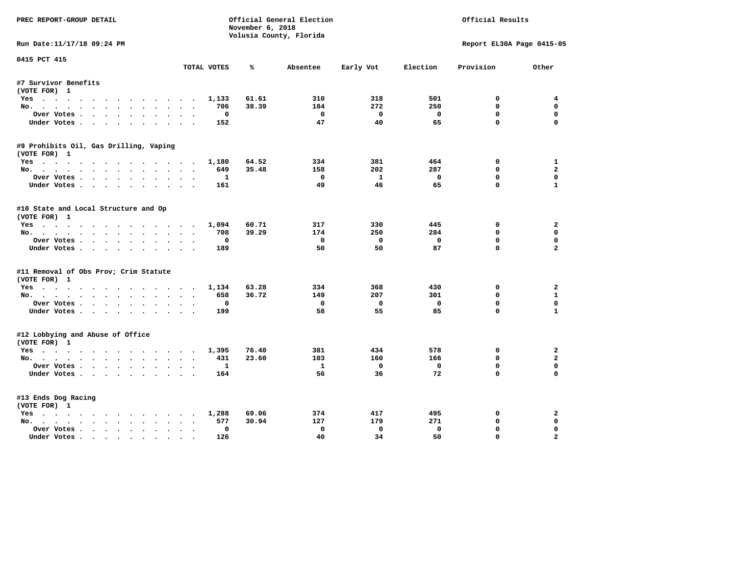| PREC REPORT-GROUP DETAIL               |             |                  | Official General Election |                |             | Official Results          |                         |
|----------------------------------------|-------------|------------------|---------------------------|----------------|-------------|---------------------------|-------------------------|
|                                        |             | November 6, 2018 | Volusia County, Florida   |                |             |                           |                         |
| Run Date:11/17/18 09:24 PM             |             |                  |                           |                |             | Report EL30A Page 0415-05 |                         |
| 0415 PCT 415                           |             |                  |                           |                | Election    |                           |                         |
|                                        | TOTAL VOTES | ℁                | Absentee                  | Early Vot      |             | Provision                 | Other                   |
| #7 Survivor Benefits                   |             |                  |                           |                |             |                           |                         |
| (VOTE FOR) 1                           |             |                  |                           |                |             |                           |                         |
| Yes                                    | 1,133       | 61.61            | 310                       | 318            | 501         | 0                         | $\overline{4}$          |
| No.                                    | 706         | 38.39            | 184                       | 272            | 250         | $\mathbf{0}$              | $\Omega$                |
| Over Votes                             |             | $^{\circ}$       | $\mathbf{o}$              | $\Omega$       | $\mathbf 0$ | $\mathbf 0$               | 0                       |
| Under Votes                            | 152         |                  | 47                        | 40             | 65          | $\mathbf 0$               | $\Omega$                |
| #9 Prohibits Oil, Gas Drilling, Vaping |             |                  |                           |                |             |                           |                         |
| (VOTE FOR) 1                           |             |                  |                           |                |             |                           |                         |
| Yes                                    | 1,180       | 64.52            | 334                       | 381            | 464         | 0                         | 1                       |
| No.                                    | 649         | 35.48            | 158                       | 202            | 287         | 0                         | $\overline{a}$          |
| Over Votes                             |             | 1                | $\Omega$                  | $\mathbf{1}$   | $\Omega$    | $\mathbf{0}$              | $\mathbf{0}$            |
| Under Votes                            | 161         |                  | 49                        | 46             | 65          | $\Omega$                  | $\mathbf{1}$            |
| #10 State and Local Structure and Op   |             |                  |                           |                |             |                           |                         |
| (VOTE FOR) 1                           |             |                  |                           |                |             |                           |                         |
| Yes                                    | 1,094       | 60.71            | 317                       | 330            | 445         | $^{\circ}$                | $\mathbf{2}$            |
| No.                                    | 708         | 39.29            | 174                       | 250            | 284         | $\mathbf 0$               | 0                       |
| Over Votes                             |             | $\Omega$         | $^{\circ}$                | $\overline{0}$ | $\Omega$    | $\mathbf{0}$              | $\mathbf 0$             |
| Under Votes                            | 189         |                  | 50                        | 50             | 87          | $\Omega$                  | $\overline{a}$          |
| #11 Removal of Obs Prov; Crim Statute  |             |                  |                           |                |             |                           |                         |
| (VOTE FOR) 1                           |             |                  |                           |                |             |                           |                         |
| Yes                                    | 1,134       | 63.28            | 334                       | 368            | 430         | 0                         | 2                       |
| No.                                    | 658         | 36.72            | 149                       | 207            | 301         | $\mathbf 0$               | $\mathbf{1}$            |
| Over Votes                             |             | 0                | 0                         | $\mathbf 0$    | $\mathbf 0$ | $\mathbf{0}$              | $\Omega$                |
| Under Votes                            | 199         |                  | 58                        | 55             | 85          | $\mathbf 0$               | $\mathbf{1}$            |
| #12 Lobbying and Abuse of Office       |             |                  |                           |                |             |                           |                         |
| (VOTE FOR) 1                           |             |                  |                           |                |             |                           |                         |
| Yes                                    | 1,395       | 76.40            | 381                       | 434            | 578         | 0                         | $\mathbf{2}$            |
| No.                                    | 431         | 23.60            | 103                       | 160            | 166         | $\mathbf{0}$              | $\overline{a}$          |
| Over Votes                             |             | 1                | $\mathbf{1}$              | $\mathbf{o}$   | $\mathbf 0$ | $\mathbf 0$               | $\mathbf 0$             |
| Under Votes                            | 164         |                  | 56                        | 36             | 72          | $\Omega$                  | $\Omega$                |
| #13 Ends Dog Racing                    |             |                  |                           |                |             |                           |                         |
| (VOTE FOR) 1                           |             |                  |                           |                |             |                           |                         |
| Yes                                    | 1,288       | 69.06            | 374                       | 417            | 495         | $\mathbf{o}$              | 2                       |
| No.                                    | 577         | 30.94            | 127                       | 179            | 271         | $\mathbf 0$               | 0                       |
| Over Votes                             | $\bullet$   | $\Omega$         | 0                         | $\Omega$       | $^{\circ}$  | 0                         | $\Omega$                |
| Under Votes                            | 126         |                  | 40                        | 34             | 50          | $\mathbf{0}$              | $\overline{\mathbf{2}}$ |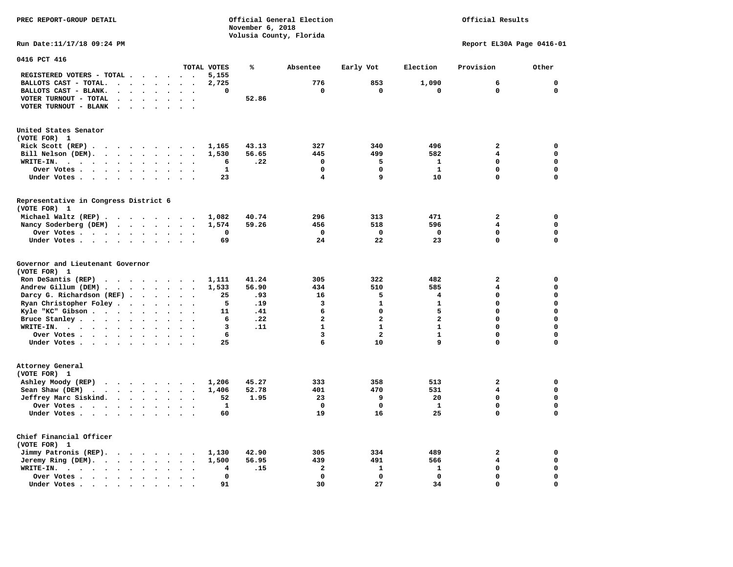**PREC REPORT-GROUP DETAIL COMPUTER CONSUMING A CONSUMING CONSUMING A CONSUMING A CONSUMING A CONSUMING A CONSUMING A CONSUMING A CONSUMING A CONSUMING A CONSUMING A CONSUMING A CONSUMING A CONSUMING A CONSUMING A CONSUMING** *November 6, 2018 November 6, 2018*  **Volusia County, Florida Run Date:11/17/18 09:24 PM Report EL30A Page 0416-01** 

| 0416 PCT 416                                                                                                                              |                      |                      |                             |                      |                      |                          |              |       |                         |                         |                |                         |              |
|-------------------------------------------------------------------------------------------------------------------------------------------|----------------------|----------------------|-----------------------------|----------------------|----------------------|--------------------------|--------------|-------|-------------------------|-------------------------|----------------|-------------------------|--------------|
|                                                                                                                                           |                      |                      |                             |                      |                      |                          | TOTAL VOTES  | ℁     | Absentee                | Early Vot               | Election       | Provision               | Other        |
| REGISTERED VOTERS - TOTAL .                                                                                                               |                      |                      |                             |                      | $\ddot{\phantom{0}}$ |                          | 5,155        |       |                         |                         |                |                         |              |
| BALLOTS CAST - TOTAL.                                                                                                                     | $\sim$               | $\ddot{\phantom{a}}$ | $\ddot{\phantom{a}}$        | $\bullet$            | $\bullet$            | $\ddot{\phantom{a}}$     | 2,725        |       | 776                     | 853                     | 1,090          | 6                       | $\mathbf{0}$ |
| BALLOTS CAST - BLANK.<br>$\ddot{\phantom{0}}$                                                                                             |                      |                      |                             |                      |                      |                          | 0            |       | $\mathbf 0$             | $\mathbf 0$             | $\mathbf 0$    | $\mathbf 0$             | $\mathbf 0$  |
| VOTER TURNOUT - TOTAL<br>$\ddot{\phantom{a}}$                                                                                             |                      | $\ddot{\phantom{a}}$ | $\Delta$                    | $\ddot{\phantom{a}}$ | $\ddot{\phantom{a}}$ | $\overline{\phantom{a}}$ |              | 52.86 |                         |                         |                |                         |              |
| VOTER TURNOUT - BLANK<br>$\bullet$                                                                                                        |                      |                      |                             |                      |                      |                          |              |       |                         |                         |                |                         |              |
| United States Senator<br>(VOTE FOR) 1                                                                                                     |                      |                      |                             |                      |                      |                          |              |       |                         |                         |                |                         |              |
| Rick Scott (REP).                                                                                                                         |                      |                      |                             |                      |                      |                          |              | 43.13 | 327                     | 340                     | 496            | $\overline{\mathbf{2}}$ | $\mathbf 0$  |
| $\cdots$                                                                                                                                  |                      |                      |                             |                      |                      |                          | 1,165        |       |                         |                         |                |                         | $\mathbf 0$  |
| Bill Nelson (DEM).<br>$\cdot$ $\cdot$ $\cdot$ $\cdot$ $\cdot$ $\cdot$                                                                     |                      |                      |                             |                      | $\sim$               | $\cdot$                  | 1,530        | 56.65 | 445                     | 499                     | 582            | 4                       |              |
| WRITE-IN.<br>$\sim$ $\sim$<br>$\ddot{\phantom{a}}$<br>$\sim$                                                                              | $\ddot{\phantom{a}}$ | $\bullet$            | $\bullet$                   |                      |                      |                          | 6            | .22   | $\mathbf 0$             | 5                       | 1              | $\mathbf 0$             | $\mathbf 0$  |
| Over Votes .<br>$\blacksquare$<br>$\sim$ $\sim$ $\sim$                                                                                    | $\cdot$              | $\bullet$            | $\bullet$                   | $\bullet$            |                      |                          | $\mathbf{1}$ |       | 0                       | $\mathbf 0$             | $\mathbf{1}$   | $\Omega$                | $\mathbf 0$  |
| Under Votes.<br>$\sim$<br>$\sim$<br>$\ddot{\phantom{0}}$                                                                                  | $\ddot{\phantom{a}}$ | $\ddot{\phantom{a}}$ | $\ddot{\phantom{a}}$        |                      |                      |                          | 23           |       | $\overline{\mathbf{4}}$ | 9                       | 10             | 0                       | $\mathbf 0$  |
| Representative in Congress District 6<br>(VOTE FOR) 1                                                                                     |                      |                      |                             |                      |                      |                          |              |       |                         |                         |                |                         |              |
| Michael Waltz (REP).<br>$\cdots$                                                                                                          |                      |                      |                             |                      |                      |                          | 1,082        | 40.74 | 296                     | 313                     | 471            | $\mathbf{z}$            | $\mathbf 0$  |
| Nancy Soderberg (DEM)<br>$\mathbf{r}$ , $\mathbf{r}$ , $\mathbf{r}$ , $\mathbf{r}$ , $\mathbf{r}$                                         |                      |                      |                             |                      |                      |                          | 1,574        | 59.26 | 456                     | 518                     | 596            | 4                       | $\mathbf 0$  |
| Over Votes                                                                                                                                |                      | $\sim$ $\sim$        | $\ddot{\phantom{a}}$        | $\bullet$            | $\bullet$            | $\ddot{\phantom{a}}$     | 0            |       | $\mathbf 0$             | $\mathbf 0$             | $\mathbf 0$    | $\mathbf 0$             | $\mathbf 0$  |
| Under Votes                                                                                                                               |                      |                      |                             |                      | $\ddot{\phantom{a}}$ |                          | 69           |       | 24                      | 22                      | 23             | 0                       | $\mathbf 0$  |
| Governor and Lieutenant Governor<br>(VOTE FOR) 1<br>Ron DeSantis (REP)<br>$\cdot$ $\cdot$ $\cdot$ $\cdot$ $\cdot$ $\cdot$ $\cdot$ $\cdot$ |                      |                      |                             |                      |                      |                          | 1,111        | 41.24 | 305                     | 322                     | 482            | 2                       | 0            |
| Andrew Gillum (DEM).<br>$\ddot{\phantom{a}}$                                                                                              | $\ddot{\phantom{a}}$ | $\sim$               | $\ddot{\phantom{a}}$        | $\sim$               | $\ddot{\phantom{a}}$ |                          | 1,533        | 56.90 | 434                     | 510                     | 585            | 4                       | $\mathbf 0$  |
| Darcy G. Richardson (REF).                                                                                                                |                      |                      | $\sim$ $\sim$ $\sim$ $\sim$ |                      | $\ddot{\phantom{a}}$ | $\bullet$                | 25           | .93   | 16                      | 5                       | 4              | 0                       | $\mathbf 0$  |
| Ryan Christopher Foley.                                                                                                                   | $\sim$               | $\ddot{\phantom{a}}$ | $\ddot{\phantom{a}}$        | $\cdot$              | $\sim$               |                          | 5            | .19   | 3                       | $\mathbf{1}$            | $\mathbf{1}$   | $\Omega$                | $\mathbf 0$  |
| Kyle "KC" Gibson                                                                                                                          |                      | $\ddot{\phantom{a}}$ |                             | $\bullet$            | $\ddot{\phantom{a}}$ |                          | 11           | .41   | 6                       | $\mathbf 0$             | 5              | 0                       | $\mathbf 0$  |
| Bruce Stanley                                                                                                                             |                      | $\bullet$            | $\bullet$                   | $\bullet$            | $\bullet$            | $\overline{\phantom{a}}$ | 6            | .22   | $\overline{a}$          | $\overline{\mathbf{c}}$ | $\overline{a}$ | 0                       | $\mathbf 0$  |
| WRITE-IN.<br>$\cdots$                                                                                                                     |                      | $\bullet$            | $\overline{\phantom{a}}$    |                      |                      |                          | 3            | .11   | $\mathbf{1}$            | $\mathbf{1}$            | $\mathbf{1}$   | 0                       | $\mathbf 0$  |
| Over Votes.                                                                                                                               |                      |                      | $\ddot{\phantom{a}}$        | $\bullet$            |                      |                          | 6            |       | 3                       | $\overline{\mathbf{2}}$ | $\mathbf{1}$   | 0                       | $\mathbf 0$  |
| Under Votes                                                                                                                               |                      |                      | $\ddot{\phantom{1}}$        | $\ddot{\phantom{a}}$ | $\sim$               |                          | 25           |       | 6                       | 10                      | 9              | 0                       | $\mathbf 0$  |
| Attorney General<br>(VOTE FOR) 1                                                                                                          |                      |                      |                             |                      |                      |                          |              |       |                         |                         |                |                         |              |
| Ashley Moody (REP)<br>$\cdot$ $\cdot$ $\cdot$ $\cdot$ $\cdot$ $\cdot$                                                                     |                      |                      |                             |                      | $\ddot{\phantom{0}}$ |                          | 1,206        | 45.27 | 333                     | 358                     | 513            | $\mathbf{2}$            | 0            |
| Sean Shaw (DEM)<br>$\mathbf{r}$ . The set of the set of $\mathbf{r}$<br>$\cdot$ $\cdot$                                                   |                      |                      |                             |                      | $\sim$               | $\ddot{\phantom{a}}$     | 1,406        | 52.78 | 401                     | 470                     | 531            | $\overline{\mathbf{4}}$ | $\mathbf 0$  |
| Jeffrey Marc Siskind.                                                                                                                     |                      |                      | $\ddot{\phantom{a}}$        | $\ddot{\phantom{a}}$ |                      |                          | 52           | 1.95  | 23                      | 9                       | 20             | 0                       | $\mathbf 0$  |
| Over Votes.<br>$\mathcal{A}=\mathcal{A}=\mathcal{A}=\mathcal{A}=\mathcal{A}$ .                                                            |                      |                      | $\bullet$                   | $\bullet$            | $\bullet$            | $\bullet$                | 1            |       | $\mathbf 0$             | $\mathbf 0$             | $\mathbf{1}$   | 0                       | $\mathbf 0$  |
| Under Votes                                                                                                                               |                      |                      |                             |                      | $\bullet$            |                          | 60           |       | 19                      | 16                      | 25             | 0                       | $\mathbf 0$  |
| Chief Financial Officer<br>(VOTE FOR) 1                                                                                                   |                      |                      |                             |                      |                      |                          |              |       |                         |                         |                |                         |              |
| Jimmy Patronis (REP).<br>$\cdot$ $\cdot$ $\cdot$ $\cdot$ $\cdot$                                                                          |                      |                      |                             |                      | $\sim$               |                          | 1,130        | 42.90 | 305                     | 334                     | 489            | $\mathbf{2}$            | $\mathbf 0$  |
| Jeremy Ring (DEM).<br>$\ddotsc$                                                                                                           | $\ddot{\phantom{a}}$ | $\bullet$            |                             | $\ddot{\phantom{a}}$ |                      |                          | 1,500        | 56.95 | 439                     | 491                     | 566            | 4                       | $\mathbf 0$  |
| WRITE-IN.<br>$\cdots$                                                                                                                     | $\ddot{\phantom{1}}$ | $\bullet$            | $\bullet$                   | $\bullet$            | $\bullet$            |                          | 4            | .15   | 2                       | $\mathbf{1}$            | ${\bf 1}$      | 0                       | $\mathbf 0$  |
| Over Votes .<br>$\cdots$                                                                                                                  |                      | $\cdot$              | $\ddot{\phantom{a}}$        | $\ddot{\phantom{a}}$ |                      |                          | 0            |       | $\Omega$                | $\mathbf 0$             | 0              | 0                       | $\mathbf 0$  |
| Under Votes                                                                                                                               |                      | $\bullet$            |                             |                      |                      |                          | 91           |       | 30                      | 27                      | 34             | 0                       | $\mathbf 0$  |
|                                                                                                                                           |                      |                      |                             |                      |                      |                          |              |       |                         |                         |                |                         |              |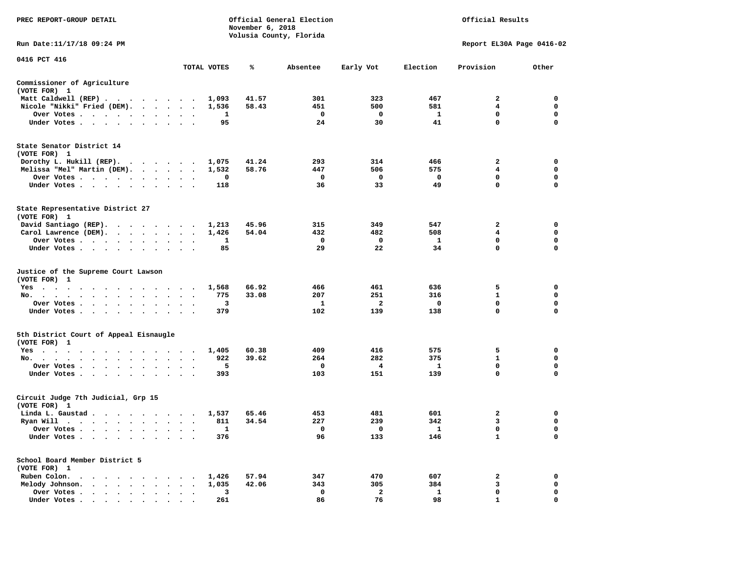| PREC REPORT-GROUP DETAIL                                                                                                                  |                                             |                         | November 6, 2018 | Official General Election<br>Volusia County, Florida |                   |                     | Official Results<br>Report EL30A Page 0416-02<br>Provision<br>Other<br>2<br>0<br>4<br>0<br>$\mathbf 0$<br>$\mathbf 0$<br>$\mathbf{0}$<br>$\mathbf 0$<br>$\mathbf 0$<br>$\mathbf{2}$<br>$\overline{4}$<br>$\mathbf{0}$ |                         |  |  |
|-------------------------------------------------------------------------------------------------------------------------------------------|---------------------------------------------|-------------------------|------------------|------------------------------------------------------|-------------------|---------------------|-----------------------------------------------------------------------------------------------------------------------------------------------------------------------------------------------------------------------|-------------------------|--|--|
| Run Date: 11/17/18 09:24 PM                                                                                                               |                                             |                         |                  |                                                      |                   |                     |                                                                                                                                                                                                                       |                         |  |  |
| 0416 PCT 416                                                                                                                              |                                             | TOTAL VOTES             | ℁                | Absentee                                             | Early Vot         | Election            |                                                                                                                                                                                                                       |                         |  |  |
|                                                                                                                                           |                                             |                         |                  |                                                      |                   |                     |                                                                                                                                                                                                                       |                         |  |  |
| Commissioner of Agriculture<br>(VOTE FOR) 1                                                                                               |                                             |                         |                  |                                                      |                   |                     |                                                                                                                                                                                                                       |                         |  |  |
| Matt Caldwell (REP)                                                                                                                       |                                             | 1,093                   | 41.57            | 301                                                  | 323               | 467                 |                                                                                                                                                                                                                       |                         |  |  |
| Nicole "Nikki" Fried (DEM).                                                                                                               |                                             | 1,536                   | 58.43            | 451                                                  | 500               | 581                 |                                                                                                                                                                                                                       |                         |  |  |
| Over Votes<br>Under Votes                                                                                                                 | $\cdot$ $\cdot$                             | 1<br>95                 |                  | $\mathbf{o}$<br>24                                   | $\mathbf 0$<br>30 | $\mathbf{1}$<br>41  |                                                                                                                                                                                                                       |                         |  |  |
|                                                                                                                                           |                                             |                         |                  |                                                      |                   |                     |                                                                                                                                                                                                                       |                         |  |  |
| State Senator District 14<br>(VOTE FOR) 1                                                                                                 |                                             |                         |                  |                                                      |                   |                     |                                                                                                                                                                                                                       |                         |  |  |
| Dorothy L. Hukill (REP).                                                                                                                  |                                             | 1,075                   | 41.24            | 293                                                  | 314               | 466                 |                                                                                                                                                                                                                       |                         |  |  |
| Melissa "Mel" Martin (DEM).                                                                                                               |                                             | 1,532                   | 58.76            | 447                                                  | 506               | 575                 |                                                                                                                                                                                                                       |                         |  |  |
| Over Votes                                                                                                                                |                                             | 0                       |                  | $^{\circ}$                                           | 0                 | $\mathbf 0$         | $\mathbf{0}$                                                                                                                                                                                                          | $\mathbf{0}$            |  |  |
| Under Votes                                                                                                                               | $\cdot$ $\cdot$                             | 118                     |                  | 36                                                   | 33                | 49                  | 0                                                                                                                                                                                                                     | $\mathbf 0$             |  |  |
| State Representative District 27<br>(VOTE FOR) 1                                                                                          |                                             |                         |                  |                                                      |                   |                     |                                                                                                                                                                                                                       |                         |  |  |
| David Santiago (REP).                                                                                                                     |                                             | 1,213                   | 45.96            | 315                                                  | 349               | 547                 | 2                                                                                                                                                                                                                     | 0                       |  |  |
| Carol Lawrence (DEM).                                                                                                                     |                                             | 1,426                   | 54.04            | 432                                                  | 482               | 508                 | 4                                                                                                                                                                                                                     | $\mathbf 0$             |  |  |
| Over Votes                                                                                                                                | $\bullet$                                   | $\mathbf{1}$<br>$\cdot$ |                  | $\mathbf 0$                                          | $\mathbf 0$       | $\mathbf{1}$        | $\mathbf 0$                                                                                                                                                                                                           | $\mathbf 0$             |  |  |
| Under Votes                                                                                                                               |                                             | 85                      |                  | 29                                                   | 22                | 34                  | $\mathbf 0$                                                                                                                                                                                                           | $\Omega$                |  |  |
| Justice of the Supreme Court Lawson<br>(VOTE FOR) 1                                                                                       |                                             |                         |                  |                                                      |                   |                     |                                                                                                                                                                                                                       |                         |  |  |
| $Yes \t . \t .$<br>the contract of the contract of the contract of the contract of the contract of the contract of the contract of        |                                             | 1,568                   | 66.92            | 466                                                  | 461               | 636                 | 5                                                                                                                                                                                                                     | $\mathbf 0$             |  |  |
| No.<br>$\cdot$ $\cdot$ $\cdot$                                                                                                            | $\sim$<br>$\sim$                            | 775                     | 33.08            | 207                                                  | 251               | 316                 | $\mathbf{1}$                                                                                                                                                                                                          | $\mathbf 0$             |  |  |
| Over Votes                                                                                                                                | $\bullet$<br>$\sim$<br>$\ddot{\phantom{1}}$ | з                       |                  | 1                                                    | 2                 | 0                   | 0                                                                                                                                                                                                                     | 0                       |  |  |
| Under Votes                                                                                                                               | $\sim$<br>$\ddot{\phantom{1}}$              | 379                     |                  | 102                                                  | 139               | 138                 | $\mathbf 0$                                                                                                                                                                                                           | 0                       |  |  |
| 5th District Court of Appeal Eisnaugle<br>(VOTE FOR) 1                                                                                    |                                             |                         |                  |                                                      |                   |                     |                                                                                                                                                                                                                       |                         |  |  |
| Yes                                                                                                                                       |                                             | 1,405                   | 60.38            | 409                                                  | 416               | 575                 | 5                                                                                                                                                                                                                     | 0                       |  |  |
| No.                                                                                                                                       |                                             | 922                     | 39.62            | 264                                                  | 282               | 375                 | $\mathbf{1}$                                                                                                                                                                                                          | $\mathbf 0$             |  |  |
| Over Votes<br>$\sim$<br>$\ddot{\phantom{1}}$<br>$\cdot$                                                                                   | $\cdot$                                     | 5<br>393                |                  | 0                                                    | 4<br>151          | $\mathbf{1}$<br>139 | $\mathbf 0$<br>$\mathbf 0$                                                                                                                                                                                            | $\mathbf 0$<br>$\Omega$ |  |  |
| Under Votes                                                                                                                               |                                             |                         |                  | 103                                                  |                   |                     |                                                                                                                                                                                                                       |                         |  |  |
| Circuit Judge 7th Judicial, Grp 15<br>(VOTE FOR) 1                                                                                        |                                             |                         |                  |                                                      |                   |                     |                                                                                                                                                                                                                       |                         |  |  |
| Linda L. Gaustad                                                                                                                          |                                             | 1,537                   | 65.46            | 453                                                  | 481               | 601                 | $\overline{2}$                                                                                                                                                                                                        | $\mathbf 0$             |  |  |
| Ryan Will $\cdots$ $\cdots$ $\cdots$ $\cdots$                                                                                             |                                             | 811                     | 34.54            | 227                                                  | 239               | 342                 | 3                                                                                                                                                                                                                     | 0                       |  |  |
| Over Votes                                                                                                                                |                                             | 1                       |                  | $\mathbf 0$                                          | 0                 | - 1                 | $\mathbf 0$                                                                                                                                                                                                           | $\mathbf 0$             |  |  |
| Under Votes<br>$\sim$<br>$\bullet$<br>$\blacksquare$                                                                                      |                                             | 376                     |                  | 96                                                   | 133               | 146                 | $\mathbf{1}$                                                                                                                                                                                                          | $\mathbf 0$             |  |  |
| School Board Member District 5<br>(VOTE FOR) 1                                                                                            |                                             |                         |                  |                                                      |                   |                     |                                                                                                                                                                                                                       |                         |  |  |
| Ruben Colon.<br>$\mathcal{A}=\mathcal{A}=\mathcal{A}=\mathcal{A}=\mathcal{A}=\mathcal{A}=\mathcal{A}=\mathcal{A}=\mathcal{A}=\mathcal{A}$ |                                             | 1,426                   | 57.94            | 347                                                  | 470               | 607                 | 2                                                                                                                                                                                                                     | $\mathbf 0$             |  |  |
| Melody Johnson.                                                                                                                           |                                             | 1,035                   | 42.06            | 343                                                  | 305               | 384                 | 3                                                                                                                                                                                                                     | 0                       |  |  |
| Over Votes<br>$\ddot{\phantom{1}}$                                                                                                        | $\cdot$<br>$\cdot$                          | 3                       |                  | $\mathbf 0$                                          | $\overline{a}$    | $\mathbf{1}$        | $\mathbf 0$                                                                                                                                                                                                           | $\mathbf 0$             |  |  |
| Under Votes                                                                                                                               |                                             | 261                     |                  | 86                                                   | 76                | 98                  | 1                                                                                                                                                                                                                     | $\Omega$                |  |  |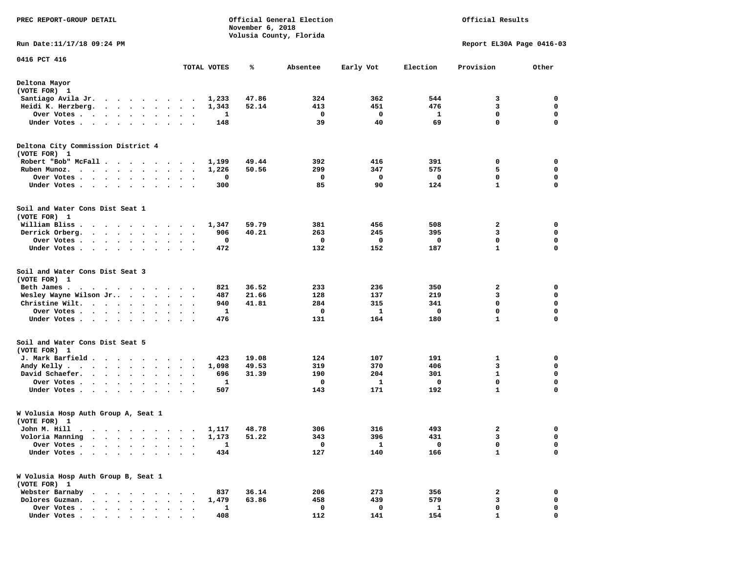| PREC REPORT-GROUP DETAIL                                                                                                                                                                          |                                              |             | November 6, 2018 | Official General Election<br>Volusia County, Florida |             |                           | Official Results |             |  |  |  |
|---------------------------------------------------------------------------------------------------------------------------------------------------------------------------------------------------|----------------------------------------------|-------------|------------------|------------------------------------------------------|-------------|---------------------------|------------------|-------------|--|--|--|
| Run Date:11/17/18 09:24 PM                                                                                                                                                                        |                                              |             |                  |                                                      |             | Report EL30A Page 0416-03 |                  |             |  |  |  |
| 0416 PCT 416                                                                                                                                                                                      |                                              | TOTAL VOTES | %                | Absentee                                             | Early Vot   | Election                  | Provision        | Other       |  |  |  |
| Deltona Mayor<br>(VOTE FOR) 1                                                                                                                                                                     |                                              |             |                  |                                                      |             |                           |                  |             |  |  |  |
| Santiago Avila Jr.<br>$\cdot$                                                                                                                                                                     | $\sim$                                       | 1,233       | 47.86            | 324                                                  | 362         | 544                       | 3                | 0           |  |  |  |
| Heidi K. Herzberg.<br>$\cdot$ $\cdot$ $\cdot$ $\cdot$ $\cdot$ $\cdot$                                                                                                                             |                                              | 1,343       | 52.14            | 413                                                  | 451         | 476                       | 3                | 0           |  |  |  |
| Over Votes .<br>$\cdot$ $\cdot$ $\cdot$ $\cdot$ $\cdot$                                                                                                                                           | $\cdot$<br>$\cdot$<br>$\bullet$              | 1           |                  | 0                                                    | 0           | 1                         | 0                | 0           |  |  |  |
| Under Votes<br>$\ddot{\phantom{1}}$<br>$\bullet$<br>$\sim$ $\sim$<br>$\ddot{\phantom{1}}$                                                                                                         |                                              | 148         |                  | 39                                                   | 40          | 69                        | 0                | 0           |  |  |  |
| Deltona City Commission District 4<br>(VOTE FOR) 1                                                                                                                                                |                                              |             |                  |                                                      |             |                           |                  |             |  |  |  |
| Robert "Bob" McFall.<br>$\cdots$                                                                                                                                                                  |                                              | 1,199       | 49.44            | 392                                                  | 416         | 391                       | 0                | 0           |  |  |  |
| Ruben Munoz.                                                                                                                                                                                      | $\bullet$<br>$\bullet$                       | 1,226       | 50.56            | 299                                                  | 347         | 575                       | 5                | 0           |  |  |  |
| Over Votes<br>$\ddot{\phantom{1}}$<br>$\cdot$                                                                                                                                                     |                                              | 0           |                  | 0                                                    | 0           | 0                         | 0                | 0           |  |  |  |
| Under Votes                                                                                                                                                                                       |                                              | 300         |                  | 85                                                   | 90          | 124                       | $\mathbf{1}$     | $\mathbf 0$ |  |  |  |
| Soil and Water Cons Dist Seat 1<br>(VOTE FOR) 1                                                                                                                                                   |                                              |             |                  |                                                      |             |                           |                  |             |  |  |  |
| William Bliss.<br>$\begin{array}{cccccccccccccccccc} \bullet & \bullet & \bullet & \bullet & \bullet & \bullet & \bullet & \bullet & \bullet & \bullet & \bullet & \bullet & \bullet \end{array}$ |                                              | 1,347       | 59.79            | 381                                                  | 456         | 508                       | 2                | 0           |  |  |  |
| Derrick Orberg.<br>$\cdot$ $\cdot$ $\cdot$ $\cdot$ $\cdot$ $\cdot$ $\cdot$                                                                                                                        | $\sim$ $\sim$<br>$\ddot{\phantom{0}}$        | 906         | 40.21            | 263                                                  | 245         | 395                       | 3                | 0           |  |  |  |
| Over Votes .                                                                                                                                                                                      |                                              | 0           |                  | 0                                                    | 0           | 0                         | $\mathbf 0$      | 0           |  |  |  |
| Under Votes                                                                                                                                                                                       | $\bullet$ .<br><br><br><br><br><br>$\cdot$ . | 472         |                  | 132                                                  | 152         | 187                       | $\mathbf{1}$     | 0           |  |  |  |
| Soil and Water Cons Dist Seat 3<br>(VOTE FOR) 1                                                                                                                                                   |                                              |             |                  |                                                      |             |                           |                  |             |  |  |  |
| Beth James.<br>$\sim$ $\sim$<br>$\sim$ $\sim$<br>.                                                                                                                                                |                                              | 821         | 36.52            | 233                                                  | 236         | 350                       | 2                | 0           |  |  |  |
| Wesley Wayne Wilson Jr                                                                                                                                                                            |                                              | 487         | 21.66            | 128                                                  | 137         | 219                       | 3                | 0           |  |  |  |
| Christine Wilt.                                                                                                                                                                                   | $\bullet$<br>$\sim$ $\sim$                   | 940         | 41.81            | 284                                                  | 315         | 341                       | $\mathbf 0$      | 0           |  |  |  |
| Over Votes<br>$\blacksquare$                                                                                                                                                                      |                                              | 1           |                  | 0                                                    | 1           | 0                         | 0                | 0           |  |  |  |
| Under Votes<br>$\bullet$                                                                                                                                                                          |                                              | 476         |                  | 131                                                  | 164         | 180                       | 1                | $\mathbf 0$ |  |  |  |
| Soil and Water Cons Dist Seat 5<br>(VOTE FOR) 1                                                                                                                                                   |                                              |             |                  |                                                      |             |                           |                  |             |  |  |  |
| J. Mark Barfield                                                                                                                                                                                  |                                              | 423         | 19.08            | 124                                                  | 107         | 191                       | 1                | 0           |  |  |  |
| Andy Kelly.<br>$\cdot$ $\cdot$ $\cdot$ $\cdot$ $\cdot$ $\cdot$ $\cdot$                                                                                                                            | $\bullet$<br>$\ddot{\phantom{1}}$            | 1,098       | 49.53            | 319                                                  | 370         | 406                       | 3                | 0           |  |  |  |
| David Schaefer.                                                                                                                                                                                   |                                              | 696         | 31.39            | 190                                                  | 204         | 301                       | $\mathbf{1}$     | $\mathbf 0$ |  |  |  |
| Over Votes .<br>$\sim$ $\sim$ $\sim$<br>$\sim$ $\sim$<br>$\overline{\phantom{a}}$<br>$\cdot$                                                                                                      |                                              | 1           |                  | 0                                                    | 1           | 0                         | $\mathbf 0$      | 0           |  |  |  |
| Under Votes<br>$\sim$ $\sim$                                                                                                                                                                      |                                              | 507         |                  | 143                                                  | 171         | 192                       | $\mathbf{1}$     | 0           |  |  |  |
| W Volusia Hosp Auth Group A, Seat 1<br>(VOTE FOR)<br>- 1                                                                                                                                          |                                              |             |                  |                                                      |             |                           |                  |             |  |  |  |
| John M. Hill                                                                                                                                                                                      |                                              | 1,117       | 48.78            | 306                                                  | 316         | 493                       | 2                | 0           |  |  |  |
| Voloria Manning                                                                                                                                                                                   |                                              | 1,173       | 51.22            | 343                                                  | 396         | 431                       | 3                | 0           |  |  |  |
| Over Votes                                                                                                                                                                                        |                                              | 1           |                  | 0                                                    | $\mathbf 1$ | 0                         | 0                | 0           |  |  |  |
| Under Votes .<br>$\bullet$<br>$\ddot{\phantom{a}}$                                                                                                                                                |                                              | 434         |                  | 127                                                  | 140         | 166                       | $\mathbf{1}$     | 0           |  |  |  |
| W Volusia Hosp Auth Group B, Seat 1<br>(VOTE FOR) 1                                                                                                                                               |                                              |             |                  |                                                      |             |                           |                  |             |  |  |  |
| Webster Barnaby<br>$\sim$<br>$\sim$                                                                                                                                                               |                                              | 837         | 36.14            | 206                                                  | 273         | 356                       | 2                | 0           |  |  |  |
| Dolores Guzman.<br>$\sim$                                                                                                                                                                         |                                              | 1,479       | 63.86            | 458                                                  | 439         | 579                       | 3                | 0           |  |  |  |
| Over Votes .<br>$\cdots$<br>$\bullet$                                                                                                                                                             |                                              | 1           |                  | 0                                                    | 0           | 1                         | 0                | 0           |  |  |  |
| Under Votes                                                                                                                                                                                       |                                              | 408         |                  | 112                                                  | 141         | 154                       |                  | O           |  |  |  |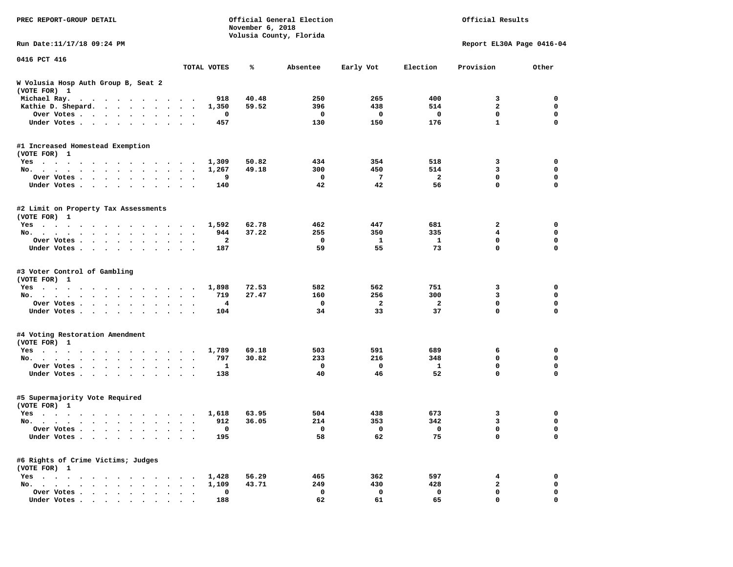| PREC REPORT-GROUP DETAIL                                                                                                                                                                                                             |                      |             | November 6, 2018 | Official General Election<br>Volusia County, Florida |                          |                          | Official Results          |             |
|--------------------------------------------------------------------------------------------------------------------------------------------------------------------------------------------------------------------------------------|----------------------|-------------|------------------|------------------------------------------------------|--------------------------|--------------------------|---------------------------|-------------|
| Run Date:11/17/18 09:24 PM                                                                                                                                                                                                           |                      |             |                  |                                                      |                          |                          | Report EL30A Page 0416-04 |             |
| 0416 PCT 416                                                                                                                                                                                                                         |                      |             |                  |                                                      |                          |                          |                           |             |
|                                                                                                                                                                                                                                      |                      | TOTAL VOTES | ℁                | Absentee                                             | Early Vot                | Election                 | Provision                 | Other       |
| W Volusia Hosp Auth Group B, Seat 2<br>(VOTE FOR) 1                                                                                                                                                                                  |                      |             |                  |                                                      |                          |                          |                           |             |
| Michael Ray.                                                                                                                                                                                                                         |                      | 918         | 40.48            | 250                                                  | 265                      | 400                      | 3                         | 0           |
| Kathie D. Shepard.                                                                                                                                                                                                                   |                      | 1,350       | 59.52            | 396                                                  | 438                      | 514                      | $\overline{a}$            | 0           |
| Over Votes                                                                                                                                                                                                                           |                      | 0           |                  | $\mathbf{o}$                                         | 0                        | 0                        | $\mathbf 0$               | $\mathbf 0$ |
| Under Votes                                                                                                                                                                                                                          |                      | 457         |                  | 130                                                  | 150                      | 176                      | $\mathbf{1}$              | $\mathbf 0$ |
| #1 Increased Homestead Exemption<br>(VOTE FOR) 1                                                                                                                                                                                     |                      |             |                  |                                                      |                          |                          |                           |             |
| Yes                                                                                                                                                                                                                                  |                      | 1,309       | 50.82            | 434                                                  | 354                      | 518                      | 3                         | 0           |
| No.                                                                                                                                                                                                                                  |                      | 1,267       | 49.18            | 300                                                  | 450                      | 514                      | 3                         | $\mathbf 0$ |
| Over Votes                                                                                                                                                                                                                           | $\ddot{\phantom{1}}$ | 9           |                  | $\mathbf{o}$                                         | $7\phantom{.0}$          | $\overline{a}$           | $\mathbf 0$               | $\mathbf 0$ |
| Under Votes                                                                                                                                                                                                                          |                      | 140         |                  | 42                                                   | 42                       | 56                       | 0                         | 0           |
| #2 Limit on Property Tax Assessments<br>(VOTE FOR) 1                                                                                                                                                                                 |                      |             |                  |                                                      |                          |                          |                           |             |
| Yes                                                                                                                                                                                                                                  |                      | 1,592       | 62.78            | 462                                                  | 447                      | 681                      | $\mathbf{2}$              | 0           |
| No.                                                                                                                                                                                                                                  |                      | 944         | 37.22            | 255                                                  | 350                      | 335                      | $\overline{\mathbf{4}}$   | $\mathbf 0$ |
| Over Votes                                                                                                                                                                                                                           |                      | 2           |                  | $\mathbf{o}$                                         | 1                        | $\mathbf{1}$             | $\mathbf 0$               | 0           |
| Under Votes                                                                                                                                                                                                                          |                      | 187         |                  | 59                                                   | 55                       | 73                       | 0                         | $\mathbf 0$ |
| #3 Voter Control of Gambling<br>(VOTE FOR) 1                                                                                                                                                                                         |                      |             |                  |                                                      |                          |                          |                           |             |
| Yes                                                                                                                                                                                                                                  |                      | 1,898       | 72.53            | 582                                                  | 562                      | 751                      | 3                         | 0           |
| No.                                                                                                                                                                                                                                  |                      | 719         | 27.47            | 160                                                  | 256                      | 300                      | 3                         | 0           |
| Over Votes                                                                                                                                                                                                                           |                      | 4           |                  | $\mathbf 0$                                          | 2                        | $\overline{\mathbf{2}}$  | $\mathbf 0$               | $\mathbf 0$ |
| Under Votes                                                                                                                                                                                                                          |                      | 104         |                  | 34                                                   | 33                       | 37                       | $\mathbf 0$               | 0           |
| #4 Voting Restoration Amendment<br>(VOTE FOR) 1                                                                                                                                                                                      |                      |             |                  |                                                      |                          |                          |                           |             |
| Yes                                                                                                                                                                                                                                  |                      | 1,789       | 69.18            | 503                                                  | 591                      | 689                      | 6                         | 0           |
| No.                                                                                                                                                                                                                                  | $\ddot{\phantom{1}}$ | 797         | 30.82            | 233                                                  | 216                      | 348                      | 0                         | $\mathbf 0$ |
| Over Votes                                                                                                                                                                                                                           | $\ddot{\phantom{1}}$ | 1           |                  | $\mathbf{o}$                                         | 0                        | 1                        | $\mathbf 0$               | $\mathbf 0$ |
| Under Votes                                                                                                                                                                                                                          |                      | 138         |                  | 40                                                   | 46                       | 52                       | $\mathbf 0$               | 0           |
| #5 Supermajority Vote Required<br>(VOTE FOR) 1                                                                                                                                                                                       |                      |             |                  |                                                      |                          |                          |                           |             |
| Yes<br>. The contract of the contract of the contract of the contract of the contract of the contract of the contract of the contract of the contract of the contract of the contract of the contract of the contract of the contrac |                      | 1,618       | 63.95            | 504                                                  | 438                      | 673                      | 3                         | 0           |
| No.                                                                                                                                                                                                                                  |                      | 912         | 36.05            | 214                                                  | 353                      | 342                      | 3                         | $\mathbf 0$ |
| Over Votes                                                                                                                                                                                                                           |                      | $\Omega$    |                  | $\overline{\phantom{0}}$                             | $\overline{\phantom{0}}$ | $\overline{\phantom{0}}$ | $\Omega$                  | 0           |
| Under Votes                                                                                                                                                                                                                          |                      | 195         |                  | 58                                                   | 62                       | 75                       | 0                         | 0           |
| #6 Rights of Crime Victims; Judges<br>(VOTE FOR) 1                                                                                                                                                                                   |                      |             |                  |                                                      |                          |                          |                           |             |
| $Yes \cdot \cdot \cdot \cdot \cdot \cdot \cdot$<br>$\cdots$<br>$\sim 100$ km s $^{-1}$                                                                                                                                               | $\cdot$              | 1,428       | 56.29            | 465                                                  | 362                      | 597                      | 4                         | 0           |
| No.<br>$\ddot{\phantom{0}}$                                                                                                                                                                                                          |                      | 1,109       | 43.71            | 249                                                  | 430                      | 428                      | 2                         | 0           |
| Over Votes                                                                                                                                                                                                                           |                      | 0           |                  | 0                                                    | 0                        | 0                        | 0                         | 0           |
| Under Votes.                                                                                                                                                                                                                         |                      | 188         |                  | 62                                                   | 61                       | 65                       | 0                         |             |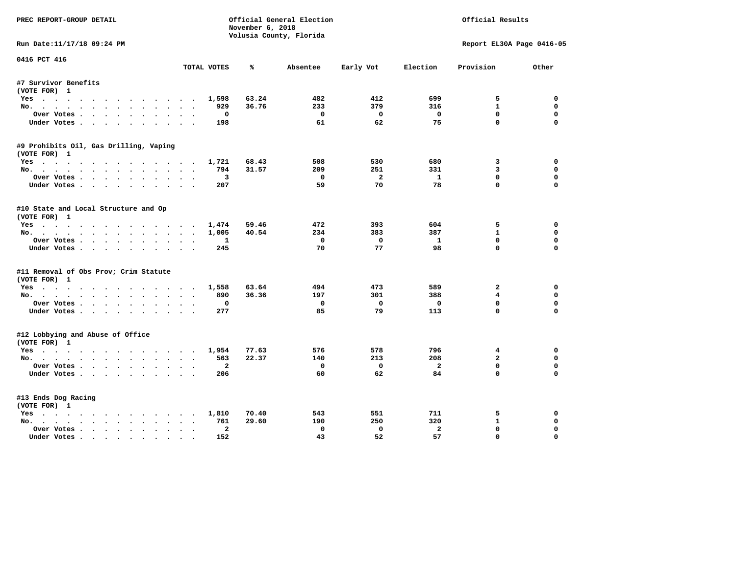| PREC REPORT-GROUP DETAIL               |                                        |                  | Official General Election |                |                | Official Results          |             |
|----------------------------------------|----------------------------------------|------------------|---------------------------|----------------|----------------|---------------------------|-------------|
|                                        |                                        | November 6, 2018 | Volusia County, Florida   |                |                |                           |             |
| Run Date:11/17/18 09:24 PM             |                                        |                  |                           |                |                | Report EL30A Page 0416-05 |             |
| 0416 PCT 416                           |                                        |                  |                           |                |                |                           |             |
|                                        | TOTAL VOTES                            | ℁                | Absentee                  | Early Vot      | Election       | Provision                 | Other       |
| #7 Survivor Benefits                   |                                        |                  |                           |                |                |                           |             |
| (VOTE FOR) 1                           |                                        |                  |                           |                |                |                           |             |
| Yes                                    | 1,598                                  | 63.24            | 482                       | 412            | 699            | 5                         | 0           |
| No.                                    | 929                                    | 36.76            | 233                       | 379            | 316            | $\mathbf{1}$              | $\mathbf 0$ |
| Over Votes                             | $\Omega$                               |                  | $\mathbf{o}$              | $\Omega$       | $\mathbf 0$    | $\mathbf{0}$              | 0           |
| Under Votes                            | 198                                    |                  | 61                        | 62             | 75             | $\mathbf 0$               | $\mathbf 0$ |
| #9 Prohibits Oil, Gas Drilling, Vaping |                                        |                  |                           |                |                |                           |             |
| (VOTE FOR) 1                           |                                        |                  |                           |                |                |                           |             |
| Yes                                    | 1,721                                  | 68.43            | 508                       | 530            | 680            | 3                         | 0           |
| No.                                    | 794                                    | 31.57            | 209                       | 251            | 331            | $\overline{3}$            | 0           |
| Over Votes                             | 3                                      |                  | $^{\circ}$                | $\overline{2}$ | $\mathbf{1}$   | $\mathbf{0}$              | $\mathbf 0$ |
| Under Votes                            | 207                                    |                  | 59                        | 70             | 78             | $\mathbf{0}$              | $\mathbf 0$ |
| #10 State and Local Structure and Op   |                                        |                  |                           |                |                |                           |             |
| (VOTE FOR) 1                           |                                        |                  |                           |                |                |                           |             |
| Yes                                    | 1,474                                  | 59.46            | 472                       | 393            | 604            | 5                         | $\Omega$    |
| No.                                    | 1,005                                  | 40.54            | 234                       | 383            | 387            | $\mathbf{1}$              | $\mathbf 0$ |
| Over Votes                             | 1                                      |                  | $^{\circ}$                | $\mathbf{0}$   | $\mathbf{1}$   | $\Omega$                  | $\mathbf 0$ |
| Under Votes                            | 245                                    |                  | 70                        | 77             | 98             | $\Omega$                  | $\Omega$    |
| #11 Removal of Obs Prov; Crim Statute  |                                        |                  |                           |                |                |                           |             |
| (VOTE FOR) 1                           |                                        |                  |                           |                |                |                           |             |
| Yes                                    | 1,558                                  | 63.64            | 494                       | 473            | 589            | 2                         | $\Omega$    |
| No.                                    | 890                                    | 36.36            | 197                       | 301            | 388            | 4                         | 0           |
| Over Votes                             | 0                                      |                  | 0                         | $\mathbf 0$    | 0              | $\mathbf{0}$              | $\Omega$    |
| Under Votes                            | 277                                    |                  | 85                        | 79             | 113            | $\mathbf 0$               | $\Omega$    |
| #12 Lobbying and Abuse of Office       |                                        |                  |                           |                |                |                           |             |
| (VOTE FOR) 1                           |                                        |                  |                           |                |                |                           |             |
| Yes                                    | 1,954                                  | 77.63            | 576                       | 578            | 796            | $4\overline{ }$           | 0           |
| No.                                    | 563                                    | 22.37            | 140                       | 213            | 208            | $\overline{a}$            | $\mathbf 0$ |
| Over Votes                             | $\overline{a}$                         |                  | 0                         | $\mathbf 0$    | $\overline{a}$ | $\mathbf 0$               | $\mathbf 0$ |
| Under Votes                            | 206                                    |                  | 60                        | 62             | 84             | $\Omega$                  | $\Omega$    |
| #13 Ends Dog Racing                    |                                        |                  |                           |                |                |                           |             |
| (VOTE FOR) 1                           |                                        |                  |                           |                |                |                           |             |
| Yes                                    | 1,810                                  | 70.40            | 543                       | 551            | 711            | 5                         | 0           |
|                                        |                                        |                  |                           |                |                |                           |             |
| No.                                    | 761                                    | 29.60            | 190                       | 250            | 320            | $\mathbf{1}$              | 0           |
| Over Votes                             | $\overline{a}$<br>$\ddot{\phantom{0}}$ |                  | $\Omega$                  | $\Omega$       | $\overline{a}$ | 0                         | $\Omega$    |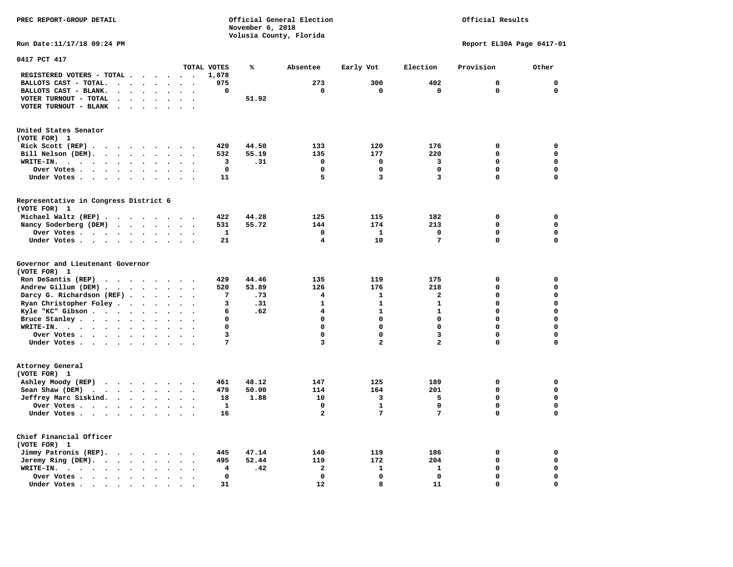**PREC REPORT-GROUP DETAIL COMPUTER CONSUMING A CONSUMING CONSUMING A CONSUMING A CONSUMING A CONSUMING A CONSUMING A CONSUMING A CONSUMING A CONSUMING A CONSUMING A CONSUMING A CONSUMING A CONSUMING A CONSUMING A CONSUMING** *November 6, 2018 November 6, 2018*  **Volusia County, Florida** 

### Official Results

**Run Date:11/17/18 09:24 PM Report EL30A Page 0417-01** 

| 0417 PCT 417                                                                                                          |                                              |              |       |                         |                         |                         |                            |                            |
|-----------------------------------------------------------------------------------------------------------------------|----------------------------------------------|--------------|-------|-------------------------|-------------------------|-------------------------|----------------------------|----------------------------|
|                                                                                                                       |                                              | TOTAL VOTES  | ℁     | Absentee                | Early Vot               | Election                | Provision                  | Other                      |
| REGISTERED VOTERS - TOTAL .<br>$\sim$<br>$\overline{\phantom{a}}$                                                     | $\sim$ $\sim$                                | 1,878        |       |                         |                         |                         |                            |                            |
| BALLOTS CAST - TOTAL.<br>$\ddot{\phantom{a}}$<br>$\sim$<br>$\ddot{\phantom{a}}$<br>$\sim$<br>$\ddot{\phantom{a}}$     |                                              | 975          |       | 273                     | 300                     | 402                     | 0                          | $\mathbf 0$                |
| BALLOTS CAST - BLANK.<br>$\ddot{\phantom{a}}$<br>$\sim$<br>$\ddot{\phantom{a}}$<br>$\bullet$                          | $\ddot{\phantom{a}}$<br>$\ddot{\phantom{0}}$ | 0            |       | 0                       | 0                       | $\mathbf 0$             | $\Omega$                   | $\mathbf 0$                |
| VOTER TURNOUT - TOTAL<br>$\ddot{\phantom{a}}$<br>$\ddot{\phantom{a}}$                                                 |                                              |              | 51.92 |                         |                         |                         |                            |                            |
| VOTER TURNOUT - BLANK<br>$\ddot{\phantom{a}}$                                                                         |                                              |              |       |                         |                         |                         |                            |                            |
| $\bullet$                                                                                                             |                                              |              |       |                         |                         |                         |                            |                            |
|                                                                                                                       |                                              |              |       |                         |                         |                         |                            |                            |
| United States Senator                                                                                                 |                                              |              |       |                         |                         |                         |                            |                            |
| (VOTE FOR) 1                                                                                                          |                                              |              |       |                         |                         |                         |                            |                            |
| Rick Scott (REP).<br>$\cdot$ $\cdot$ $\cdot$ $\cdot$<br>$\cdot$<br>$\overline{\phantom{a}}$                           |                                              | 429          | 44.50 | 133                     | 120                     | 176                     | 0                          | 0                          |
| Bill Nelson (DEM).<br>$\cdots$                                                                                        |                                              | 532          | 55.19 | 135                     | 177                     | 220                     | $\mathbf 0$                | $\mathbf 0$                |
| WRITE-IN.<br>$\cdots$ $\cdots$<br>$\cdot$<br>$\ddot{\phantom{a}}$<br>$\ddot{\phantom{a}}$                             |                                              | 3            | .31   | $\mathbf{0}$            | 0                       | 3                       | $\Omega$                   | $\mathbf 0$                |
| Over Votes<br>$\ddot{\phantom{a}}$<br>$\ddot{\phantom{a}}$                                                            |                                              | $\mathbf 0$  |       | $\Omega$                | $\mathbf 0$             | $\mathbf 0$             | $\Omega$                   | $\mathbf 0$                |
| Under Votes<br>$\ddot{\phantom{1}}$<br>$\bullet$                                                                      | $\ddot{\phantom{0}}$<br>$\cdot$              | 11           |       | 5                       | 3                       | 3                       | $\mathbf 0$                | $\mathbf 0$                |
|                                                                                                                       |                                              |              |       |                         |                         |                         |                            |                            |
| Representative in Congress District 6                                                                                 |                                              |              |       |                         |                         |                         |                            |                            |
| (VOTE FOR) 1                                                                                                          |                                              |              |       |                         |                         |                         |                            |                            |
| Michael Waltz (REP)                                                                                                   |                                              | 422          | 44.28 | 125                     | 115                     | 182                     | $\mathbf 0$                | $\mathbf 0$                |
| Nancy Soderberg (DEM)<br>$\cdots$                                                                                     |                                              | 531          | 55.72 | 144                     | 174                     | 213                     | $\Omega$                   | $\mathbf 0$                |
| Over Votes<br>$\sim$<br>$\ddot{\phantom{a}}$<br>$\ddot{\phantom{a}}$                                                  |                                              | $\mathbf{1}$ |       | $\mathbf 0$             | 1                       | $\mathbf 0$             | $\mathbf 0$                | 0                          |
|                                                                                                                       |                                              | 21           |       | $\overline{\mathbf{4}}$ | 10                      | 7                       | $\mathbf 0$                | $\mathbf 0$                |
| Under Votes<br>$\bullet$<br>$\cdot$                                                                                   |                                              |              |       |                         |                         |                         |                            |                            |
| Governor and Lieutenant Governor                                                                                      |                                              |              |       |                         |                         |                         |                            |                            |
| (VOTE FOR) 1                                                                                                          |                                              |              |       |                         |                         |                         |                            |                            |
| Ron DeSantis (REP)<br>$\cdot$                                                                                         |                                              | 429          | 44.46 | 135                     | 119                     | 175                     | 0                          | $\mathbf 0$                |
| Andrew Gillum (DEM)                                                                                                   |                                              | 520          | 53.89 | 126                     | 176                     | 218                     | $\mathbf 0$                | $\mathbf 0$                |
| Darcy G. Richardson (REF).<br>$\bullet$<br>$\ddot{\phantom{a}}$                                                       |                                              | 7            | .73   | 4                       | 1                       | $\mathbf{2}$            | 0                          | $\mathbf 0$                |
| Ryan Christopher Foley.<br>$\sim$<br>$\overline{\phantom{a}}$<br>$\bullet$<br>$\bullet$                               |                                              | 3            | .31   | $\mathbf{1}$            | $\mathbf{1}$            | $\mathbf{1}$            | $\Omega$                   | $\mathbf 0$                |
| Kyle "KC" Gibson<br>$\ddot{\phantom{1}}$<br>$\bullet$<br>$\bullet$                                                    | $\cdot$<br>$\bullet$                         | 6            | .62   | $\overline{\mathbf{4}}$ | $\mathbf{1}$            | $\mathbf{1}$            | $\mathbf 0$                | $\mathbf 0$                |
| Bruce Stanley<br>$\ddot{\phantom{a}}$<br>$\cdot$                                                                      |                                              | $\mathbf 0$  |       | $\Omega$                | $\Omega$                | 0                       | 0                          | $\mathbf 0$                |
| WRITE-IN.                                                                                                             |                                              | $\mathbf 0$  |       | $\Omega$                | $\Omega$                | $\Omega$                | $\Omega$                   | $\mathbf 0$                |
| $\cdots$                                                                                                              |                                              | 3            |       | $\mathbf 0$             | $\mathbf 0$             | 3                       | $\mathbf 0$                | $\mathbf 0$                |
| Over Votes<br>$\bullet$<br>$\cdot$                                                                                    | $\bullet$                                    |              |       |                         |                         |                         |                            |                            |
| Under Votes                                                                                                           | $\bullet$                                    | 7            |       | 3                       | $\overline{\mathbf{2}}$ | $\overline{\mathbf{2}}$ | $\mathbf 0$                | 0                          |
| Attorney General                                                                                                      |                                              |              |       |                         |                         |                         |                            |                            |
| (VOTE FOR) 1                                                                                                          |                                              |              |       |                         |                         |                         |                            |                            |
|                                                                                                                       |                                              |              |       |                         |                         |                         |                            |                            |
| Ashley Moody (REP)                                                                                                    |                                              | 461          | 48.12 | 147                     | 125                     | 189                     | $\mathbf 0$<br>$\mathbf 0$ | $\mathbf 0$<br>$\mathbf 0$ |
| Sean Shaw (DEM)<br>$\ddot{\phantom{a}}$<br>$\ddot{\phantom{a}}$                                                       |                                              | 479          | 50.00 | 114                     | 164                     | 201                     |                            |                            |
| Jeffrey Marc Siskind.<br>$\ddot{\phantom{a}}$                                                                         | $\ddot{\phantom{a}}$<br>$\bullet$            | 18           | 1.88  | 10                      | 3                       | 5                       | $\mathbf 0$                | $\mathbf 0$                |
| Over Votes<br>$\sim$<br>$\ddot{\phantom{a}}$                                                                          |                                              | $\mathbf{1}$ |       | $\mathbf 0$             | $\mathbf{1}$            | 0                       | $\mathbf 0$                | $\mathbf 0$                |
| Under Votes<br>$\bullet$<br>$\overline{\phantom{a}}$                                                                  |                                              | 16           |       | $\overline{a}$          | 7                       | 7                       | $\Omega$                   | $\mathbf 0$                |
|                                                                                                                       |                                              |              |       |                         |                         |                         |                            |                            |
| Chief Financial Officer<br>(VOTE FOR) 1                                                                               |                                              |              |       |                         |                         |                         |                            |                            |
| Jimmy Patronis (REP).<br>$\cdot$                                                                                      |                                              | 445          | 47.14 | 140                     | 119                     | 186                     | 0                          | 0                          |
| Jeremy Ring (DEM).<br>$\ddot{\phantom{a}}$                                                                            | $\bullet$<br>$\ddot{\phantom{0}}$            | 495          | 52.44 | 119                     | 172                     | 204                     | $\mathbf 0$                | $\mathbf 0$                |
| WRITE-IN.                                                                                                             |                                              | 4            | .42   | $\mathbf{2}$            | 1                       | 1                       | $\mathbf 0$                | $\mathbf 0$                |
| $\cdots$<br>$\bullet$                                                                                                 |                                              | $\mathbf 0$  |       | $\mathbf 0$             | $\Omega$                | $\mathbf 0$             | 0                          | $\mathbf 0$                |
| Over Votes.<br>$\mathcal{L}(\mathbf{z})$ , and $\mathcal{L}(\mathbf{z})$ , and $\mathcal{L}(\mathbf{z})$<br>$\bullet$ |                                              |              |       |                         |                         |                         |                            |                            |
| Under Votes.<br>$\sim$ $\sim$<br>$\sim$ $\sim$<br>$\bullet$<br>$\bullet$                                              |                                              | 31           |       | 12                      | 8                       | 11                      | 0                          | $\mathbf 0$                |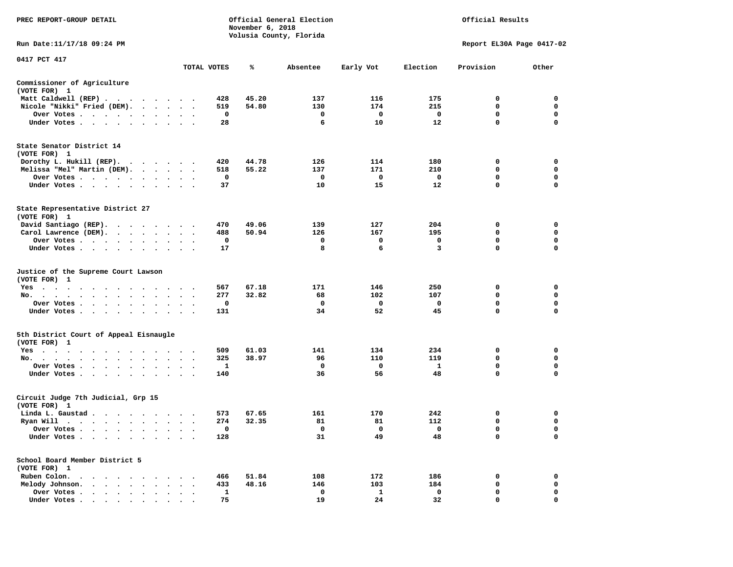| PREC REPORT-GROUP DETAIL                                                                                                        |                                                            |                   | November 6, 2018 | Official General Election<br>Volusia County, Florida |                   |                         | Official Results            |                  |
|---------------------------------------------------------------------------------------------------------------------------------|------------------------------------------------------------|-------------------|------------------|------------------------------------------------------|-------------------|-------------------------|-----------------------------|------------------|
| Run Date:11/17/18 09:24 PM                                                                                                      |                                                            |                   |                  |                                                      |                   |                         | Report EL30A Page 0417-02   |                  |
| 0417 PCT 417                                                                                                                    |                                                            | TOTAL VOTES       | ℁                | Absentee                                             | Early Vot         | Election                | Provision                   | Other            |
|                                                                                                                                 |                                                            |                   |                  |                                                      |                   |                         |                             |                  |
| Commissioner of Agriculture<br>(VOTE FOR) 1                                                                                     |                                                            |                   |                  |                                                      |                   |                         |                             |                  |
| Matt Caldwell (REP)                                                                                                             |                                                            | 428               | 45.20            | 137                                                  | 116               | 175                     | 0                           | $\mathbf 0$      |
| Nicole "Nikki" Fried (DEM).                                                                                                     |                                                            | 519               | 54.80            | 130                                                  | 174               | 215                     | $\mathbf 0$                 | 0                |
| Over Votes                                                                                                                      |                                                            | $\mathbf 0$<br>28 |                  | $\mathbf 0$<br>6                                     | $\mathbf 0$<br>10 | $\mathbf 0$<br>12       | $\mathbf{0}$<br>$\mathbf 0$ | $\mathbf 0$<br>0 |
| Under Votes                                                                                                                     |                                                            |                   |                  |                                                      |                   |                         |                             |                  |
| State Senator District 14<br>(VOTE FOR) 1                                                                                       |                                                            |                   |                  |                                                      |                   |                         |                             |                  |
| Dorothy L. Hukill (REP).                                                                                                        |                                                            | 420               | 44.78            | 126                                                  | 114               | 180                     | 0                           | 0                |
| Melissa "Mel" Martin (DEM).                                                                                                     |                                                            | 518               | 55.22            | 137                                                  | 171               | 210                     | $\mathbf{0}$                | $\mathbf 0$      |
| Over Votes                                                                                                                      |                                                            | $\mathbf 0$       |                  | $\mathbf 0$                                          | $\mathbf 0$       | $\mathbf 0$             | $\mathbf 0$                 | $\mathbf 0$      |
| Under Votes                                                                                                                     |                                                            | 37                |                  | 10                                                   | 15                | 12                      | 0                           | $\mathbf 0$      |
| State Representative District 27<br>(VOTE FOR) 1                                                                                |                                                            |                   |                  |                                                      |                   |                         |                             |                  |
| David Santiago (REP).                                                                                                           |                                                            | 470               | 49.06            | 139                                                  | 127               | 204                     | 0                           | $\mathbf 0$      |
| Carol Lawrence (DEM).                                                                                                           |                                                            | 488               | 50.94            | 126                                                  | 167               | 195                     | $\mathbf 0$                 | $\mathbf 0$      |
| Over Votes                                                                                                                      | $\bullet$                                                  | $\mathbf 0$       |                  | 0                                                    | 0                 | $\mathbf 0$             | $\mathbf 0$                 | $\mathbf 0$      |
| Under Votes                                                                                                                     |                                                            | 17                |                  | 8                                                    | 6                 | 3                       | 0                           | $\mathbf 0$      |
| Justice of the Supreme Court Lawson<br>(VOTE FOR) 1                                                                             |                                                            |                   |                  |                                                      |                   |                         |                             |                  |
| $Yes \cdot \cdot \cdot$<br>$\cdot$<br>$\cdot$<br>$\blacksquare$                                                                 |                                                            | 567               | 67.18            | 171                                                  | 146               | 250                     | 0                           | $\mathbf 0$      |
| No.<br>$\sim$ $\sim$<br>$\ddot{\phantom{0}}$                                                                                    |                                                            | 277               | 32.82            | 68                                                   | 102               | 107                     | $\mathbf 0$                 | $\mathbf 0$      |
| Over Votes                                                                                                                      | $\sim$<br>$\overline{\phantom{a}}$<br>$\ddot{\phantom{a}}$ | 0                 |                  | $\mathbf 0$                                          | $\mathbf 0$<br>52 | $\mathbf 0$             | 0<br>0                      | $\mathbf 0$<br>0 |
| Under Votes<br>$\sim$                                                                                                           | $\ddot{\phantom{a}}$                                       | 131               |                  | 34                                                   |                   | 45                      |                             |                  |
| 5th District Court of Appeal Eisnaugle<br>(VOTE FOR) 1                                                                          |                                                            |                   |                  |                                                      |                   |                         |                             |                  |
| Yes                                                                                                                             |                                                            | 509               | 61.03            | 141                                                  | 134               | 234                     | $\Omega$                    | 0                |
| No.                                                                                                                             |                                                            | 325               | 38.97            | 96                                                   | 110               | 119                     | $\mathbf 0$                 | $\mathbf 0$      |
| Over Votes<br>$\sim$ $\sim$<br>$\ddot{\phantom{1}}$                                                                             |                                                            | 1                 |                  | 0                                                    | 0                 | <b>1</b>                | 0                           | 0                |
| Under Votes.                                                                                                                    |                                                            | 140               |                  | 36                                                   | 56                | 48                      | 0                           | $\mathbf 0$      |
| Circuit Judge 7th Judicial, Grp 15<br>(VOTE FOR) 1                                                                              |                                                            |                   |                  |                                                      |                   |                         |                             |                  |
| Linda L. Gaustad                                                                                                                |                                                            | 573               | 67.65            | 161                                                  | 170               | 242                     | 0                           | $\mathbf 0$      |
| Ryan Will $\cdots$ $\cdots$ $\cdots$                                                                                            | $\sim$<br>$\bullet$ . $\bullet$                            | 274               | 32.35            | 81                                                   | 81                | 112                     | 0                           | 0                |
| Over Votes                                                                                                                      | $\cdot$ .                                                  | 0                 |                  | $\mathbf 0$                                          | 0                 | $\overline{\mathbf{0}}$ | 0                           | $\mathbf 0$      |
| Under Votes<br>$\ddot{\phantom{a}}$<br>$\cdot$<br>$\bullet$                                                                     |                                                            | 128               |                  | 31                                                   | 49                | 48                      | 0                           | $\mathbf 0$      |
| School Board Member District 5<br>(VOTE FOR) 1                                                                                  |                                                            |                   |                  |                                                      |                   |                         |                             |                  |
| Ruben Colon.<br>the contract of the contract of the contract of the contract of the contract of the contract of the contract of |                                                            | 466               | 51.84            | 108                                                  | 172               | 186                     | 0                           | $\mathbf 0$      |
| Melody Johnson.                                                                                                                 | $\cdot$ $\cdot$ $\cdot$                                    | 433               | 48.16            | 146                                                  | 103               | 184                     | 0                           | 0                |
| Over Votes<br>$\bullet$<br>$\cdot$                                                                                              | $\cdot$<br>$\cdot$                                         | 1                 |                  | 0                                                    | 1                 | $\mathbf 0$             | $\mathbf 0$                 | $\mathbf 0$      |
| Under Votes                                                                                                                     |                                                            | 75                |                  | 19                                                   | 2.4               | 32                      | $\Omega$                    | $\Omega$         |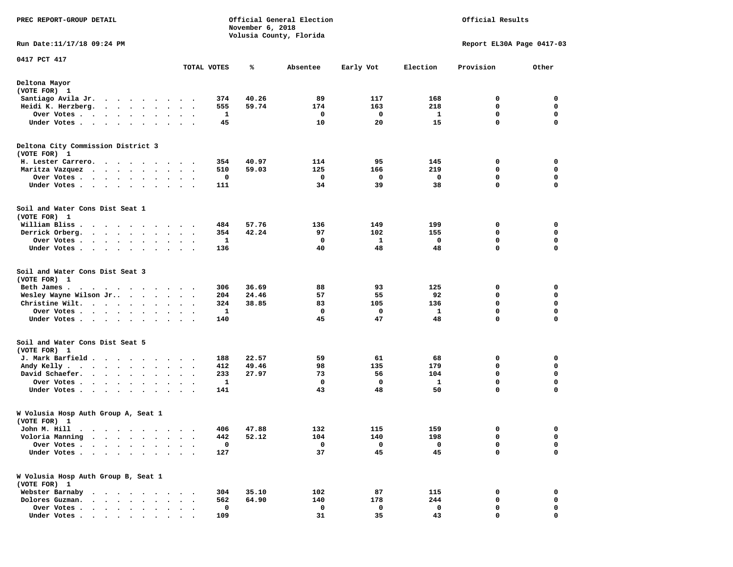| PREC REPORT-GROUP DETAIL                                                                                                                                                                                                                                       |                      |     | November 6, 2018 | Official General Election<br>Volusia County, Florida |           |          | Official Results          |             |
|----------------------------------------------------------------------------------------------------------------------------------------------------------------------------------------------------------------------------------------------------------------|----------------------|-----|------------------|------------------------------------------------------|-----------|----------|---------------------------|-------------|
| Run Date: 11/17/18 09:24 PM                                                                                                                                                                                                                                    |                      |     |                  |                                                      |           |          | Report EL30A Page 0417-03 |             |
| 0417 PCT 417                                                                                                                                                                                                                                                   |                      |     |                  |                                                      |           |          |                           |             |
|                                                                                                                                                                                                                                                                | TOTAL VOTES          |     | ℁                | Absentee                                             | Early Vot | Election | Provision                 | Other       |
| Deltona Mayor<br>(VOTE FOR) 1                                                                                                                                                                                                                                  |                      |     |                  |                                                      |           |          |                           |             |
| Santiago Avila Jr.                                                                                                                                                                                                                                             |                      | 374 | 40.26            | 89                                                   | 117       | 168      | 0                         | 0           |
| Heidi K. Herzberg.<br>$\cdot$ $\cdot$ $\cdot$ $\cdot$ $\cdot$<br>$\ddot{\phantom{1}}$                                                                                                                                                                          | $\bullet$            | 555 | 59.74            | 174                                                  | 163       | 218      | 0                         | 0           |
| Over Votes.<br>$\mathcal{A}=\mathcal{A}=\mathcal{A}=\mathcal{A}=\mathcal{A}=\mathcal{A}$ .<br>$\blacksquare$                                                                                                                                                   | $\ddot{\phantom{1}}$ | 1   |                  | 0                                                    | 0         | 1        | 0                         | $\mathbf 0$ |
| Under Votes.<br>$\mathbf{r}$ , and $\mathbf{r}$ , and $\mathbf{r}$ , and $\mathbf{r}$ , and $\mathbf{r}$                                                                                                                                                       |                      | 45  |                  | 10                                                   | 20        | 15       | $\mathbf 0$               | $\mathbf 0$ |
| Deltona City Commission District 3<br>(VOTE FOR) 1                                                                                                                                                                                                             |                      |     |                  |                                                      |           |          |                           |             |
| H. Lester Carrero.                                                                                                                                                                                                                                             | $\cdots$             | 354 | 40.97            | 114                                                  | 95        | 145      | 0                         | 0           |
| Maritza Vazquez                                                                                                                                                                                                                                                | $\cdot$<br>$\cdot$ . | 510 | 59.03            | 125                                                  | 166       | 219      | 0                         | 0           |
| Over Votes .<br>$\cdots$<br>$\bullet$                                                                                                                                                                                                                          |                      | 0   |                  | 0                                                    | 0         | 0        | 0                         | 0           |
| Under Votes                                                                                                                                                                                                                                                    | $\ddot{\phantom{0}}$ | 111 |                  | 34                                                   | 39        | 38       | 0                         | $\mathbf 0$ |
| Soil and Water Cons Dist Seat 1<br>(VOTE FOR) 1                                                                                                                                                                                                                |                      |     |                  |                                                      |           |          |                           |             |
| William Bliss.<br>.                                                                                                                                                                                                                                            |                      | 484 | 57.76            | 136                                                  | 149       | 199      | 0                         | 0           |
| Derrick Orberg.<br>$\begin{array}{cccccccccccccc} \bullet & \bullet & \bullet & \bullet & \bullet & \bullet & \bullet & \bullet & \bullet & \bullet & \bullet \end{array}$                                                                                     | $\ddot{\phantom{1}}$ | 354 | 42.24            | 97                                                   | 102       | 155      | 0                         | 0           |
| Over Votes.<br>. The contract of the contract of the contract of the contract of the contract of the contract of the contract of the contract of the contract of the contract of the contract of the contract of the contract of the contrac                   |                      | 1   |                  | 0                                                    | 1         | 0        | 0                         | 0           |
| Under Votes<br>$\ddot{\phantom{1}}$                                                                                                                                                                                                                            | $\ddot{\phantom{1}}$ | 136 |                  | 40                                                   | 48        | 48       | 0                         | $\mathbf 0$ |
| Soil and Water Cons Dist Seat 3<br>(VOTE FOR) 1                                                                                                                                                                                                                |                      |     |                  |                                                      |           |          |                           |             |
| Beth James.<br>. As the state of the state of the state of the state $\alpha$                                                                                                                                                                                  |                      | 306 | 36.69            | 88                                                   | 93        | 125      | 0                         | 0           |
| Wesley Wayne Wilson Jr<br>$\cdot$                                                                                                                                                                                                                              | $\sim$               | 204 | 24.46            | 57                                                   | 55        | 92       | 0                         | 0           |
| Christine Wilt.<br>$\bullet$                                                                                                                                                                                                                                   | $\ddot{\phantom{0}}$ | 324 | 38.85            | 83                                                   | 105       | 136      | $\mathbf 0$               | $\mathbf 0$ |
| Over Votes.<br>$\ddot{\phantom{0}}$<br>$\bullet$                                                                                                                                                                                                               |                      | 1   |                  | $\mathbf 0$                                          | 0         | 1        | 0                         | $\mathbf 0$ |
| Under Votes<br>$\bullet$<br>$\bullet$                                                                                                                                                                                                                          |                      | 140 |                  | 45                                                   | 47        | 48       | 0                         | 0           |
| Soil and Water Cons Dist Seat 5<br>(VOTE FOR) 1                                                                                                                                                                                                                |                      |     |                  |                                                      |           |          |                           |             |
| J. Mark Barfield                                                                                                                                                                                                                                               |                      | 188 | 22.57            | 59                                                   | 61        | 68       | 0                         | 0           |
| Andy Kelly.<br>$\mathcal{A}$ . The set of the set of the set of the set of the set of the set of the set of the set of the set of the set of the set of the set of the set of the set of the set of the set of the set of the set of the set of t<br>$\bullet$ | $\ddot{\phantom{1}}$ | 412 | 49.46            | 98                                                   | 135       | 179      | 0                         | 0           |
| David Schaefer.<br>$\cdot$ $\cdot$ $\cdot$ $\cdot$ $\cdot$                                                                                                                                                                                                     |                      | 233 | 27.97            | 73                                                   | 56        | 104      | $\mathbf 0$               | $\mathbf 0$ |
| Over Votes .<br>$\mathbf{u} = \mathbf{u} + \mathbf{u} + \mathbf{u} + \mathbf{u} + \mathbf{u}$<br>$\bullet$<br>$\bullet$                                                                                                                                        | $\bullet$<br>$\cdot$ | 1   |                  | 0                                                    | 0         | 1        | $\mathbf 0$               | $\mathbf 0$ |
| Under Votes<br>$\sim$                                                                                                                                                                                                                                          | $\ddot{\phantom{1}}$ | 141 |                  | 43                                                   | 48        | 50       | 0                         | 0           |
| W Volusia Hosp Auth Group A, Seat 1<br>(VOTE FOR) 1                                                                                                                                                                                                            |                      |     |                  |                                                      |           |          |                           |             |
| John M. Hill                                                                                                                                                                                                                                                   |                      |     | 406 47.88        | 132                                                  | 115       | 159      | $\sim$                    | $\mathbf 0$ |
| Voloria Manning<br>$\bullet$<br>$\ddot{\phantom{1}}$<br>$\bullet$ . $\bullet$<br>$\cdot$<br>$\ddot{\phantom{1}}$<br>$\bullet$                                                                                                                                  |                      | 442 | 52.12            | 104                                                  | 140       | 198      | 0                         | 0           |
| Over Votes .<br>$\ddot{\phantom{a}}$<br>$\sim$<br>$\sim$                                                                                                                                                                                                       |                      | 0   |                  | 0                                                    | 0         | 0        | 0                         | 0           |
| Under Votes .<br>.                                                                                                                                                                                                                                             |                      | 127 |                  | 37                                                   | 45        | 45       | $\mathbf 0$               | $\mathbf 0$ |
| W Volusia Hosp Auth Group B, Seat 1<br>(VOTE FOR) 1                                                                                                                                                                                                            |                      |     |                  |                                                      |           |          |                           |             |
| Webster Barnaby                                                                                                                                                                                                                                                |                      | 304 | 35.10            | 102                                                  | 87        | 115      | 0                         | 0           |
| Dolores Guzman.<br>$\ddot{\phantom{a}}$                                                                                                                                                                                                                        |                      | 562 | 64.90            | 140                                                  | 178       | 244      | 0                         | 0           |
| Over Votes .<br>$\cdot$ $\cdot$ $\cdot$ $\cdot$ $\cdot$                                                                                                                                                                                                        |                      | 0   |                  | 0                                                    | 0         | 0        | 0                         | 0           |
| Under Votes                                                                                                                                                                                                                                                    |                      | 109 |                  | 31                                                   | 35        | 43       | 0                         | 0           |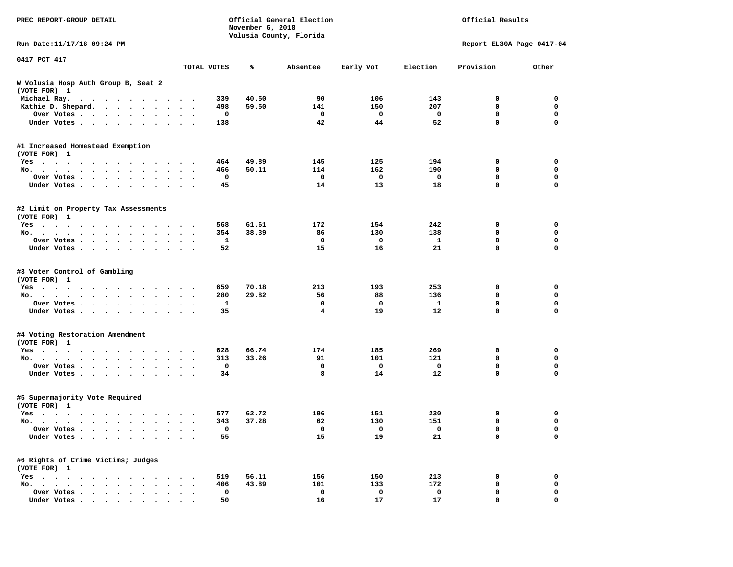| PREC REPORT-GROUP DETAIL                                                                                 |                      | Official General Election<br>November 6, 2018<br>Volusia County, Florida |                |             |             |                   | Official Results          |                  |  |
|----------------------------------------------------------------------------------------------------------|----------------------|--------------------------------------------------------------------------|----------------|-------------|-------------|-------------------|---------------------------|------------------|--|
| Run Date: 11/17/18 09:24 PM                                                                              |                      |                                                                          |                |             |             |                   | Report EL30A Page 0417-04 |                  |  |
| 0417 PCT 417                                                                                             |                      | TOTAL VOTES                                                              | ℁              | Absentee    | Early Vot   | Election          | Provision                 | Other            |  |
| W Volusia Hosp Auth Group B, Seat 2<br>(VOTE FOR) 1                                                      |                      |                                                                          |                |             |             |                   |                           |                  |  |
| Michael Ray.<br>$\mathbf{a}$ , and $\mathbf{a}$ , and $\mathbf{a}$ , and $\mathbf{a}$ , and $\mathbf{a}$ |                      | 339                                                                      | 40.50          | 90          | 106         | 143               | 0                         | 0                |  |
| Kathie D. Shepard.                                                                                       |                      | 498                                                                      | 59.50          | 141         | 150         | 207               | 0                         | 0                |  |
| Over Votes<br>$\bullet$<br>$\bullet$                                                                     |                      | 0                                                                        |                | 0           | 0           | 0                 | 0                         | $\mathbf 0$      |  |
| Under Votes<br>$\sim$                                                                                    |                      | 138                                                                      |                | 42          | 44          | 52                | 0                         | $\mathbf 0$      |  |
| #1 Increased Homestead Exemption                                                                         |                      |                                                                          |                |             |             |                   |                           |                  |  |
| (VOTE FOR) 1                                                                                             |                      |                                                                          |                |             |             |                   |                           |                  |  |
| Yes                                                                                                      |                      | 464<br>466                                                               | 49.89<br>50.11 | 145<br>114  | 125<br>162  | 194<br>190        | 0<br>0                    | 0<br>$\mathbf 0$ |  |
| No.<br>$\bullet$<br>$\bullet$                                                                            | $\ddot{\phantom{a}}$ |                                                                          |                | 0           |             |                   | 0                         | 0                |  |
| Over Votes<br>$\ddot{\phantom{1}}$                                                                       |                      | 0<br>45                                                                  |                | 14          | 0<br>13     | 0<br>18           | 0                         | $\mathbf 0$      |  |
| Under Votes<br>$\sim$<br>$\bullet$                                                                       |                      |                                                                          |                |             |             |                   |                           |                  |  |
| #2 Limit on Property Tax Assessments<br>(VOTE FOR) 1                                                     |                      |                                                                          |                |             |             |                   |                           |                  |  |
| $Yes \cdot \cdot \cdot \cdot \cdot \cdot \cdot$<br>.                                                     |                      | 568                                                                      | 61.61          | 172         | 154         | 242               | 0                         | 0                |  |
| No.                                                                                                      |                      | 354                                                                      | 38.39          | 86          | 130         | 138               | 0                         | $\mathbf 0$      |  |
| Over Votes                                                                                               |                      | 1                                                                        |                | 0           | 0           | 1                 | 0                         | 0                |  |
| Under Votes                                                                                              |                      | 52                                                                       |                | 15          | 16          | 21                | 0                         | 0                |  |
| #3 Voter Control of Gambling<br>(VOTE FOR) 1                                                             |                      |                                                                          |                |             |             |                   |                           |                  |  |
| Yes                                                                                                      |                      | 659                                                                      | 70.18          | 213         | 193         | 253               | 0                         | 0                |  |
| No.<br>$\ddot{\phantom{1}}$                                                                              |                      | 280                                                                      | 29.82          | 56          | 88          | 136               | 0                         | 0                |  |
| Over Votes<br>$\bullet$<br>$\bullet$                                                                     |                      | $\mathbf{1}$                                                             |                | $\mathbf 0$ | $\mathbf 0$ | $\mathbf{1}$      | 0                         | $\mathbf 0$      |  |
| Under Votes                                                                                              |                      | 35                                                                       |                | 4           | 19          | $12 \overline{ }$ | 0                         | $\mathbf 0$      |  |
| #4 Voting Restoration Amendment                                                                          |                      |                                                                          |                |             |             |                   |                           |                  |  |
| (VOTE FOR) 1<br>Yes                                                                                      |                      | 628                                                                      | 66.74          | 174         | 185         | 269               | 0                         | 0                |  |
| $\sim$ $\sim$<br>No.<br>$\bullet$<br>$\bullet$                                                           | $\ddot{\phantom{1}}$ | 313                                                                      | 33.26          | 91          | 101         | 121               | 0                         | 0                |  |
| Over Votes<br>$\bullet$<br>$\bullet$                                                                     |                      | 0                                                                        |                | 0           | 0           | 0                 | 0                         | 0                |  |
| Under Votes<br>$\bullet$ .                                                                               |                      | 34                                                                       |                | 8           | 14          | 12                | 0                         | 0                |  |
| #5 Supermajority Vote Required<br>(VOTE FOR) 1                                                           |                      |                                                                          |                |             |             |                   |                           |                  |  |
| Yes                                                                                                      |                      | 577                                                                      | 62.72          | 196         | 151         | 230               | 0                         | 0                |  |
| No.                                                                                                      | $\ddot{\phantom{1}}$ | 343                                                                      | 37.28          | 62          | 130         | 151               | 0                         | 0                |  |
| Over Votes $\cdots$ $\cdots$ $\cdots$ $\cdots$                                                           |                      | 0                                                                        |                | $\mathbf 0$ | 0           | $\mathbf 0$       | 0                         | 0                |  |
| Under Votes                                                                                              |                      | 55                                                                       |                | 15          | 19          | 21                | 0                         | $\mathbf 0$      |  |
| #6 Rights of Crime Victims; Judges<br>(VOTE FOR) 1                                                       |                      |                                                                          |                |             |             |                   |                           |                  |  |
| $Yes \cdot \cdot \cdot \cdot$                                                                            |                      | 519                                                                      | 56.11          | 156         | 150         | 213               | 0                         | 0                |  |
| No.                                                                                                      |                      | 406                                                                      | 43.89          | 101         | 133         | 172               | 0                         | 0                |  |
| Over Votes                                                                                               |                      | $\mathbf 0$                                                              |                | 0           | 0           | 0                 | 0                         | 0                |  |
| Under Votes                                                                                              |                      | 50                                                                       |                | 16          | 17          | 17                | 0                         | 0                |  |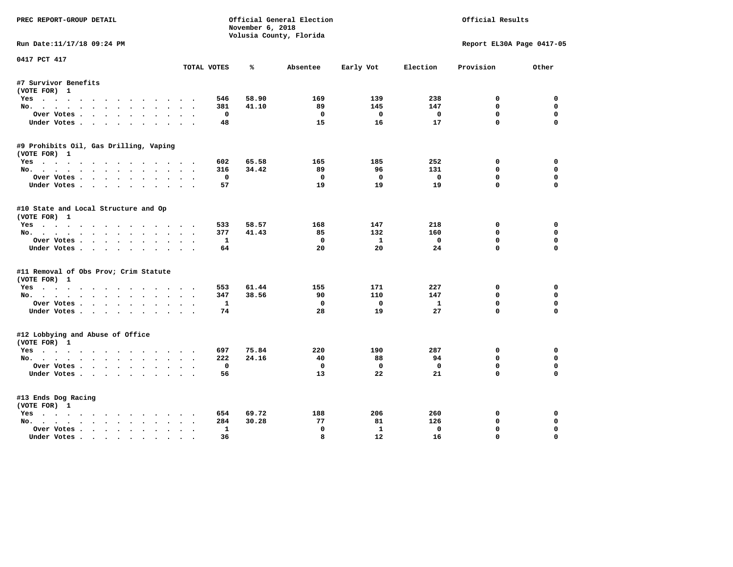| PREC REPORT-GROUP DETAIL                             |                 | November 6, 2018 | Official General Election<br>Volusia County, Florida |                   | Official Results |                           |             |
|------------------------------------------------------|-----------------|------------------|------------------------------------------------------|-------------------|------------------|---------------------------|-------------|
| Run Date:11/17/18 09:24 PM                           |                 |                  |                                                      |                   |                  | Report EL30A Page 0417-05 |             |
| 0417 PCT 417                                         | TOTAL VOTES     | ℁                | Absentee                                             | Early Vot         | Election         | Provision                 | Other       |
| #7 Survivor Benefits                                 |                 |                  |                                                      |                   |                  |                           |             |
| (VOTE FOR) 1                                         |                 |                  |                                                      |                   |                  |                           |             |
| Yes                                                  | 546             | 58.90            | 169                                                  | 139               | 238              | 0                         | 0           |
| No.                                                  | 381             | 41.10            | 89                                                   | 145               | 147              | $\mathbf{0}$              | $\mathbf 0$ |
| Over Votes                                           | 0               |                  | $^{\circ}$                                           | $\mathbf{0}$      | $\mathbf 0$      | $\mathbf 0$               | 0           |
| Under Votes                                          | 48              |                  | 15                                                   | 16                | 17               | $\mathbf 0$               | $\Omega$    |
| #9 Prohibits Oil, Gas Drilling, Vaping               |                 |                  |                                                      |                   |                  |                           |             |
| (VOTE FOR) 1                                         |                 |                  |                                                      |                   |                  |                           |             |
| Yes                                                  | 602             | 65.58            | 165                                                  | 185               | 252              | 0                         | 0           |
| No.                                                  | 316             | 34.42            | 89                                                   | 96                | 131              | $\mathbf 0$               | $\mathbf 0$ |
| Over Votes                                           | 0               |                  | $\Omega$                                             | $\Omega$          | $\mathbf 0$      | $\mathbf{0}$              | $\mathbf 0$ |
| Under Votes                                          | 57              |                  | 19                                                   | 19                | 19               | $\Omega$                  | $\Omega$    |
| #10 State and Local Structure and Op<br>(VOTE FOR) 1 |                 |                  |                                                      |                   |                  |                           |             |
| Yes                                                  | 533             | 58.57            | 168                                                  | 147               | 218              | 0                         | $\Omega$    |
| No.                                                  | 377             | 41.43            | 85                                                   | 132               | 160              | 0                         | 0           |
| Over Votes                                           | 1               |                  | $\Omega$                                             | $\mathbf{1}$      | $\mathbf 0$      | $\mathbf{0}$              | $\Omega$    |
| Under Votes                                          | 64              |                  | 20                                                   | 20                | 24               | $\Omega$                  | $\mathbf 0$ |
| #11 Removal of Obs Prov; Crim Statute                |                 |                  |                                                      |                   |                  |                           |             |
| (VOTE FOR) 1                                         |                 |                  |                                                      |                   |                  |                           |             |
| Yes                                                  | 553             | 61.44            | 155                                                  | 171               | 227              | 0                         | 0           |
| No.                                                  | 347             | 38.56            | 90                                                   | 110               | 147              | 0                         | 0           |
| Over Votes                                           | $\mathbf{1}$    |                  | $\mathbf 0$                                          | $\Omega$          | $\mathbf{1}$     | $\mathbf{0}$              | $\Omega$    |
| Under Votes                                          | 74              |                  | 28                                                   | 19                | 27               | $\mathbf 0$               | $\Omega$    |
| #12 Lobbying and Abuse of Office<br>(VOTE FOR) 1     |                 |                  |                                                      |                   |                  |                           |             |
|                                                      | 697             | 75.84            | 220                                                  | 190               | 287              | 0                         | $\mathbf 0$ |
| Yes<br>No.                                           | 222             | 24.16            | 40                                                   | 88                | 94               | $\Omega$                  | 0           |
| Over Votes                                           | 0               |                  | $\mathbf 0$                                          | $\mathbf{o}$      | $\mathbf 0$      | $\mathbf 0$               | $\mathbf 0$ |
| Under Votes                                          | 56              |                  | 13                                                   | 22                | 21               | $\Omega$                  | $\Omega$    |
|                                                      |                 |                  |                                                      |                   |                  |                           |             |
| #13 Ends Dog Racing                                  |                 |                  |                                                      |                   |                  |                           |             |
| (VOTE FOR) 1                                         |                 |                  |                                                      |                   |                  |                           |             |
| Yes                                                  | 654<br>284      | 69.72<br>30.28   | 188<br>77                                            | 206<br>81         | 260<br>126       | 0<br>$\mathbf 0$          | 0<br>0      |
| No.<br>Over Votes.                                   | $\mathbf{1}$    |                  | $\mathbf{0}$                                         | $\mathbf{1}$      | $\mathbf 0$      | $\mathbf{0}$              | $\mathbf 0$ |
| $\cdots$<br>Under Votes                              | $\bullet$<br>36 |                  | 8                                                    | $12 \overline{ }$ | 16               | $\mathbf{0}$              | $\Omega$    |
|                                                      |                 |                  |                                                      |                   |                  |                           |             |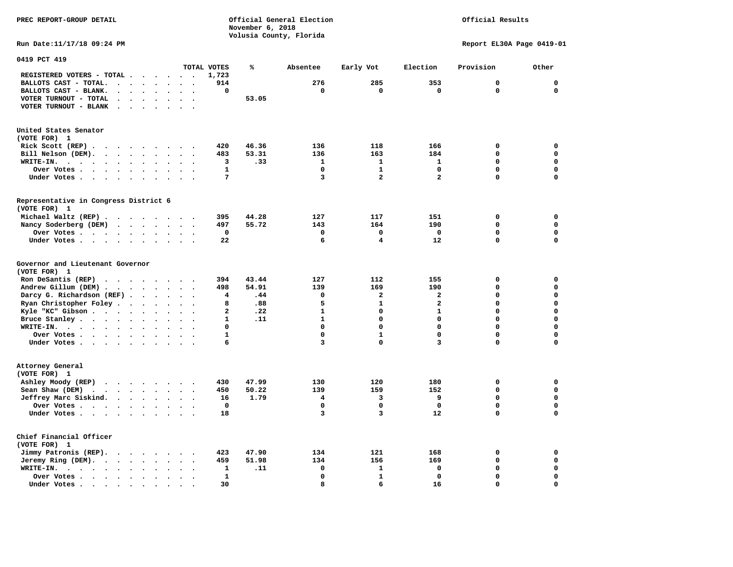#### **PREC REPORT-GROUP DETAIL COMPUTER CONSUMING A CONSUMING CONSUMING A CONSUMING A CONSUMING A CONSUMING A CONSUMING A CONSUMING A CONSUMING A CONSUMING A CONSUMING A CONSUMING A CONSUMING A CONSUMING A CONSUMING A CONSUMING** *November 6, 2018 November 6, 2018*  **Volusia County, Florida**

## Official Results

**Run Date:11/17/18 09:24 PM Report EL30A Page 0419-01** 

| 0419 PCT 419                                                                          |                                                  |                                              |                |       |              |                         |                         |              |                            |
|---------------------------------------------------------------------------------------|--------------------------------------------------|----------------------------------------------|----------------|-------|--------------|-------------------------|-------------------------|--------------|----------------------------|
|                                                                                       |                                                  |                                              | TOTAL VOTES    | ℁     | Absentee     | Early Vot               | Election                | Provision    | Other                      |
| REGISTERED VOTERS - TOTAL .<br>$\ddot{\phantom{a}}$                                   | $\sim$                                           | $\sim$<br>$\cdot$                            | 1,723          |       |              |                         |                         |              |                            |
| BALLOTS CAST - TOTAL.<br>$\sim$<br>$\ddot{\phantom{a}}$<br>$\ddot{\phantom{a}}$       | $\bullet$                                        |                                              | 914            |       | 276          | 285                     | 353                     | $\mathbf{0}$ | $\mathbf 0$                |
| BALLOTS CAST - BLANK.<br>$\ddot{\phantom{a}}$<br>$\bullet$                            | $\bullet$                                        | $\ddot{\phantom{a}}$<br>$\bullet$            | 0              |       | 0            | 0                       | $\mathbf 0$             | $\mathbf 0$  | $\mathbf 0$                |
| VOTER TURNOUT - TOTAL<br>$\ddot{\phantom{a}}$<br>$\Delta$<br>$\overline{\phantom{a}}$ |                                                  |                                              |                | 53.05 |              |                         |                         |              |                            |
| VOTER TURNOUT - BLANK<br>$\overline{\phantom{a}}$                                     |                                                  |                                              |                |       |              |                         |                         |              |                            |
|                                                                                       |                                                  |                                              |                |       |              |                         |                         |              |                            |
| United States Senator                                                                 |                                                  |                                              |                |       |              |                         |                         |              |                            |
| (VOTE FOR) 1                                                                          |                                                  |                                              |                |       |              |                         |                         |              |                            |
| Rick Scott (REP).<br>$\ddot{\phantom{0}}$<br>$\sim$ $\sim$<br>$\cdots$                | $\overline{\phantom{a}}$<br>$\ddot{\phantom{a}}$ |                                              | 420            | 46.36 | 136          | 118                     | 166                     | 0            | 0                          |
| Bill Nelson (DEM).<br>$\cdots$                                                        |                                                  | $\ddot{\phantom{a}}$                         | 483            | 53.31 | 136          | 163                     | 184                     | 0            | $\mathbf 0$                |
| WRITE-IN.<br>$\cdots$                                                                 |                                                  |                                              | 3              | .33   | 1            | $\mathbf{1}$            | $\mathbf{1}$            | $\Omega$     | $\mathbf 0$                |
| $\cdot$ $\cdot$ $\cdot$ $\cdot$<br>$\bullet$                                          | $\bullet$                                        |                                              | $\mathbf{1}$   |       | $\mathbf 0$  | $\mathbf{1}$            | $\mathbf 0$             | 0            | $\mathbf 0$                |
| Over Votes<br>$\bullet$                                                               | $\bullet$                                        |                                              |                |       |              |                         |                         |              |                            |
| Under Votes<br>$\sim$<br>$\ddot{\phantom{a}}$                                         | $\blacksquare$                                   | $\ddot{\phantom{1}}$<br>$\cdot$              | 7              |       | 3            | $\mathbf{z}$            | $\overline{a}$          | 0            | $\mathbf 0$                |
| Representative in Congress District 6                                                 |                                                  |                                              |                |       |              |                         |                         |              |                            |
| (VOTE FOR) 1                                                                          |                                                  |                                              |                |       |              |                         |                         |              |                            |
| Michael Waltz (REP) .                                                                 |                                                  |                                              | 395            | 44.28 | 127          | 117                     | 151                     | 0            | 0                          |
|                                                                                       |                                                  |                                              |                |       |              |                         |                         | $\Omega$     | $\mathbf 0$                |
| Nancy Soderberg (DEM)<br>$\cdots$                                                     |                                                  | $\ddot{\phantom{0}}$<br>$\bullet$            | 497            | 55.72 | 143          | 164                     | 190                     |              |                            |
| Over Votes .<br>$\ddot{\phantom{0}}$                                                  | $\bullet$                                        | $\cdot$                                      | 0              |       | $\mathbf 0$  | 0                       | $\mathbf 0$             | 0            | 0                          |
| Under Votes<br>$\ddot{\phantom{0}}$<br>$\cdot$                                        | $\bullet$                                        | $\cdot$                                      | 22             |       | 6            | $\overline{\mathbf{4}}$ | 12                      | 0            | $\mathbf 0$                |
| Governor and Lieutenant Governor                                                      |                                                  |                                              |                |       |              |                         |                         |              |                            |
| (VOTE FOR) 1                                                                          |                                                  |                                              |                |       |              |                         |                         |              |                            |
| Ron DeSantis (REP)<br>$\cdot$ $\cdot$ $\cdot$ $\cdot$ $\cdot$ $\cdot$                 | $\sim$                                           |                                              | 394            | 43.44 | 127          | 112                     | 155                     | 0            | $\mathbf 0$                |
| Andrew Gillum (DEM)                                                                   |                                                  | $\sim$<br>$\bullet$                          | 498            | 54.91 | 139          | 169                     | 190                     | 0            | $\mathbf 0$                |
| Darcy G. Richardson (REF).<br>$\bullet$                                               | $\ddot{\phantom{a}}$                             |                                              | 4              | .44   | $\mathbf 0$  | $\overline{\mathbf{2}}$ | $\mathbf{2}$            | 0            | $\mathbf 0$                |
| Ryan Christopher Foley.<br>$\sim$<br>$\bullet$                                        | $\bullet$                                        |                                              | 8              | .88   | 5            | $\mathbf{1}$            | $\overline{\mathbf{2}}$ | $\Omega$     | $\mathbf 0$                |
| Kyle "KC" Gibson<br>$\bullet$<br>$\bullet$                                            | $\bullet$                                        | $\bullet$<br>$\overline{\phantom{a}}$        | $\overline{a}$ | .22   | $\mathbf{1}$ | 0                       | $\mathbf{1}$            | 0            | $\mathbf 0$                |
| Bruce Stanley<br>$\ddot{\phantom{a}}$                                                 | $\ddot{\phantom{a}}$<br>$\overline{\phantom{a}}$ |                                              | $\mathbf{1}$   | .11   | $\mathbf{1}$ | 0                       | 0                       | 0            | $\mathbf 0$                |
| WRITE-IN.<br>$\cdots$<br>$\bullet$                                                    |                                                  |                                              | $\Omega$       |       | $\Omega$     | $\mathbf 0$             | $\mathbf 0$             | $\Omega$     | $\mathbf 0$                |
| Over Votes<br>$\ddot{\phantom{a}}$                                                    | $\bullet$                                        | $\ddot{\phantom{a}}$<br>$\ddot{\phantom{0}}$ | $\mathbf{1}$   |       | $\mathbf 0$  | $\mathbf{1}$            | 0                       | 0            | $\mathbf 0$                |
| Under Votes                                                                           | $\ddot{\phantom{a}}$                             | $\ddot{\phantom{a}}$                         | 6              |       | 3            | 0                       | 3                       | 0            | $\mathbf 0$                |
|                                                                                       |                                                  |                                              |                |       |              |                         |                         |              |                            |
| Attorney General<br>(VOTE FOR) 1                                                      |                                                  |                                              |                |       |              |                         |                         |              |                            |
|                                                                                       |                                                  |                                              |                |       |              |                         |                         |              |                            |
| Ashley Moody (REP)                                                                    |                                                  | $\sim$ $\sim$                                | 430            | 47.99 | 130          | 120                     | 180                     | 0<br>0       | $\mathbf 0$<br>$\mathbf 0$ |
| Sean Shaw (DEM)<br>$\sim$ $\sim$ $\sim$ $\sim$ $\sim$                                 | $\ddot{\phantom{a}}$                             |                                              | 450            | 50.22 | 139          | 159                     | 152                     |              |                            |
| Jeffrey Marc Siskind.<br>$\cdots$ $\cdots$                                            | $\ddot{\phantom{0}}$                             | $\ddot{\phantom{0}}$                         | 16             | 1.79  | 4            | з                       | 9                       | 0            | $\mathbf 0$                |
| Over Votes<br>$\sim$                                                                  | $\ddot{\phantom{a}}$                             |                                              | 0              |       | $\mathbf 0$  | 0                       | $\mathbf 0$             | 0            | $\mathbf 0$                |
| Under Votes<br>$\bullet$                                                              |                                                  |                                              | 18             |       | 3            | 3                       | 12                      | 0            | $\mathbf 0$                |
| Chief Financial Officer                                                               |                                                  |                                              |                |       |              |                         |                         |              |                            |
| (VOTE FOR) 1                                                                          |                                                  |                                              |                |       |              |                         |                         |              |                            |
| Jimmy Patronis (REP).<br>$\sim$ $\sim$<br>$\sim$ $\sim$                               | $\ddot{\phantom{0}}$                             |                                              | 423            | 47.90 | 134          | 121                     | 168                     | 0            | 0                          |
| Jeremy Ring (DEM).<br>$\cdot$ $\cdot$ $\cdot$ $\cdot$<br>$\sim$                       | $\bullet$                                        | $\sim$                                       | 459            | 51.98 | 134          | 156                     | 169                     | 0            | $\mathbf 0$                |
| WRITE-IN.<br>$\bullet$<br>$\bullet$                                                   |                                                  |                                              | 1              | .11   | 0            | 1                       | 0                       | 0            | $\mathbf 0$                |
| Over Votes.<br>$\sim$ $\sim$ $\sim$ $\sim$<br>$\ddot{\phantom{a}}$                    |                                                  |                                              | $\mathbf{1}$   |       | $\mathbf 0$  | $\mathbf{1}$            | $\mathbf 0$             | $\Omega$     | $\mathbf 0$                |
| $\bullet$<br>Under Votes.                                                             |                                                  |                                              | 30             |       | 8            | 6                       | 16                      | 0            | $\mathbf 0$                |
| $\sim$ $\sim$<br>$\sim$<br>$\sim$<br>$\bullet$                                        |                                                  |                                              |                |       |              |                         |                         |              |                            |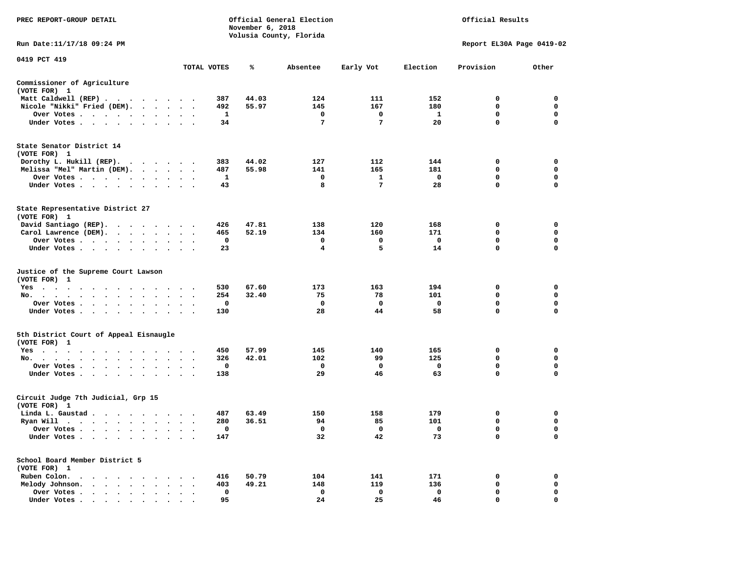| PREC REPORT-GROUP DETAIL                                                                                                        |                         |             | November 6, 2018 | Official General Election<br>Volusia County, Florida |                      |                    | Official Results           |                         |
|---------------------------------------------------------------------------------------------------------------------------------|-------------------------|-------------|------------------|------------------------------------------------------|----------------------|--------------------|----------------------------|-------------------------|
| Run Date:11/17/18 09:24 PM                                                                                                      |                         |             |                  |                                                      |                      |                    | Report EL30A Page 0419-02  |                         |
| 0419 PCT 419                                                                                                                    |                         |             |                  |                                                      |                      |                    |                            |                         |
|                                                                                                                                 |                         | TOTAL VOTES | ℁                | Absentee                                             | Early Vot            | Election           | Provision                  | Other                   |
| Commissioner of Agriculture<br>(VOTE FOR) 1                                                                                     |                         |             |                  |                                                      |                      |                    |                            |                         |
| Matt Caldwell (REP)                                                                                                             |                         | 387         | 44.03            | 124                                                  | 111                  | 152                | 0                          | 0                       |
| Nicole "Nikki" Fried (DEM).                                                                                                     | $\sim$                  | 492         | 55.97            | 145                                                  | 167                  | 180                | 0                          | 0                       |
| Over Votes<br>Under Votes<br>$\sim$                                                                                             |                         | 1<br>34     |                  | 0<br>$7\phantom{.0}$                                 | 0<br>$7\phantom{.0}$ | $\mathbf{1}$<br>20 | $\mathbf 0$<br>$\mathbf 0$ | 0<br>$\Omega$           |
| State Senator District 14                                                                                                       |                         |             |                  |                                                      |                      |                    |                            |                         |
| (VOTE FOR) 1                                                                                                                    |                         | 383         | 44.02            | 127                                                  | 112                  | 144                | 0                          | $\mathbf 0$             |
| Dorothy L. Hukill (REP).<br>Melissa "Mel" Martin (DEM).                                                                         |                         | 487         | 55.98            | 141                                                  | 165                  | 181                | 0                          | 0                       |
| Over Votes<br>$\sim$                                                                                                            |                         | 1           |                  | 0                                                    | 1                    | $\mathbf 0$        | 0                          | 0                       |
| Under Votes                                                                                                                     | $\cdot$ .               | 43          |                  | 8                                                    | $\overline{7}$       | 28                 | $\mathbf 0$                | $\mathbf 0$             |
| State Representative District 27<br>(VOTE FOR) 1                                                                                |                         |             |                  |                                                      |                      |                    |                            |                         |
| David Santiago (REP).                                                                                                           |                         | 426         | 47.81            | 138                                                  | 120                  | 168                | 0                          | $\mathbf 0$             |
| Carol Lawrence (DEM).                                                                                                           | $\cdot$                 | 465         | 52.19            | 134                                                  | 160                  | 171                | 0                          | 0                       |
| Over Votes                                                                                                                      |                         | $\mathbf 0$ |                  | $\mathbf 0$                                          | $\mathbf 0$          | $\mathbf 0$        | $\mathbf 0$                | $\mathbf 0$             |
| Under Votes                                                                                                                     |                         | 23          |                  | $\overline{\mathbf{4}}$                              | 5                    | 14                 | $\mathbf 0$                | $\mathbf 0$             |
| Justice of the Supreme Court Lawson<br>(VOTE FOR) 1                                                                             |                         |             |                  |                                                      |                      |                    |                            |                         |
| $Yes \cdot \cdot \cdot$<br>$\sim$ 100 $\pm$<br>$\cdot$<br>$\sim$<br>$\sim$ $\sim$ $\sim$ $\sim$<br>$\bullet$                    |                         | 530         | 67.60            | 173                                                  | 163                  | 194                | 0                          | $\mathbf 0$             |
| No.                                                                                                                             | $\cdot$ $\cdot$ $\cdot$ | 254         | 32.40            | 75                                                   | 78                   | 101                | $\mathbf{0}$               | $\mathbf 0$             |
| Over Votes<br>$\blacksquare$<br>$\bullet$                                                                                       | $\bullet$<br>$\cdot$ .  | 0           |                  | $\mathbf{o}$                                         | 0                    | 0                  | $\mathbf 0$                | $\mathbf 0$             |
| Under Votes                                                                                                                     | $\cdot$ $\cdot$ $\cdot$ | 130         |                  | 28                                                   | 44                   | 58                 | $\mathbf 0$                | $\mathbf 0$             |
| 5th District Court of Appeal Eisnaugle<br>(VOTE FOR) 1                                                                          |                         |             |                  |                                                      |                      |                    |                            |                         |
| Yes                                                                                                                             |                         | 450         | 57.99            | 145                                                  | 140                  | 165                | 0                          | $\mathbf 0$             |
| No.<br>$\sim$ $\sim$ $\sim$                                                                                                     | $\sim$ $\sim$           | 326         | 42.01            | 102                                                  | 99                   | 125                | $\mathbf 0$                | $\mathbf 0$<br>0        |
| Over Votes<br>$\ddot{\phantom{0}}$<br>$\ddot{\phantom{1}}$<br>$\bullet$<br>Under Votes                                          |                         | 0<br>138    |                  | 0<br>29                                              | 0<br>46              | 0<br>63            | 0<br>$\mathbf 0$           | $\mathbf 0$             |
| Circuit Judge 7th Judicial, Grp 15<br>(VOTE FOR) 1                                                                              |                         |             |                  |                                                      |                      |                    |                            |                         |
| Linda L. Gaustad                                                                                                                |                         | 487         | 63.49            | 150                                                  | 158                  | 179                | 0                          | 0                       |
| Ryan Will $\cdots$ , $\cdots$ , $\cdots$ , $\cdots$                                                                             |                         | 280         | 36.51            | 94                                                   | 85                   | 101                | $\mathbf 0$                | $\mathbf 0$             |
| Over Votes                                                                                                                      |                         | 0           |                  | $\mathbf{o}$                                         | 0                    | $\mathbf 0$        | 0                          | 0                       |
| Under Votes<br>$\ddot{\phantom{0}}$<br>$\bullet$                                                                                |                         | 147         |                  | 32                                                   | 42                   | 73                 | $\mathbf 0$                | 0                       |
| School Board Member District 5<br>(VOTE FOR) 1                                                                                  |                         |             |                  |                                                      |                      |                    |                            |                         |
| Ruben Colon.<br>the contract of the contract of the contract of the contract of the contract of the contract of the contract of |                         | 416         | 50.79            | 104                                                  | 141                  | 171                | 0                          | 0                       |
| Melody Johnson.                                                                                                                 |                         | 403         | 49.21            | 148                                                  | 119                  | 136                | 0                          | 0                       |
| Over Votes<br>$\sim$ $\sim$<br>$\bullet$<br>$\sim$<br>$\cdot$<br>$\cdot$<br>Under Votes                                         | $\cdot$                 | 0<br>95     |                  | $\mathbf 0$<br>2.4                                   | $\mathbf 0$<br>25    | $\mathbf 0$<br>46  | $\mathbf 0$<br>$\Omega$    | $\mathbf 0$<br>$\Omega$ |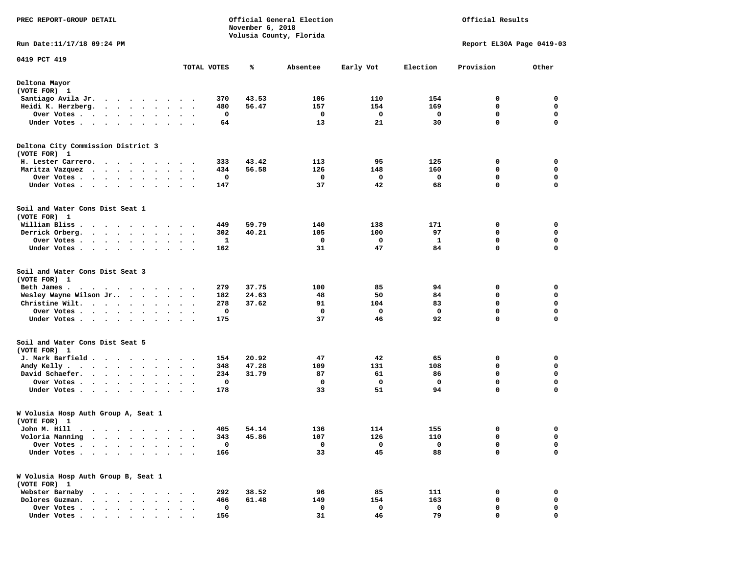| PREC REPORT-GROUP DETAIL                                                                                                                                                                                                                            |                          |                     | November 6, 2018 | Official General Election<br>Volusia County, Florida | Official Results |           |                           |                  |
|-----------------------------------------------------------------------------------------------------------------------------------------------------------------------------------------------------------------------------------------------------|--------------------------|---------------------|------------------|------------------------------------------------------|------------------|-----------|---------------------------|------------------|
| Run Date: 11/17/18 09:24 PM                                                                                                                                                                                                                         |                          |                     |                  |                                                      |                  |           | Report EL30A Page 0419-03 |                  |
| 0419 PCT 419                                                                                                                                                                                                                                        | TOTAL VOTES              |                     | ℁                | Absentee                                             | Early Vot        | Election  | Provision                 | Other            |
| Deltona Mayor<br>(VOTE FOR) 1                                                                                                                                                                                                                       |                          |                     |                  |                                                      |                  |           |                           |                  |
| Santiago Avila Jr.<br>. The contract of the contract of the contract of the contract of the contract of the contract of the contract of the contract of the contract of the contract of the contract of the contract of the contract of the contrac |                          | 370                 | 43.53            | 106                                                  | 110              | 154       | 0                         | 0                |
| Heidi K. Herzberg.<br>$\cdots$                                                                                                                                                                                                                      |                          | 480                 | 56.47            | 157                                                  | 154              | 169       | 0                         | 0                |
| Over Votes<br>$\sim$ $\sim$                                                                                                                                                                                                                         |                          | 0                   |                  | 0                                                    | 0                | 0         | $\mathbf 0$               | $\mathbf 0$      |
| Under Votes                                                                                                                                                                                                                                         |                          | 64                  |                  | 13                                                   | 21               | 30        | 0                         | $\mathbf 0$      |
| Deltona City Commission District 3<br>(VOTE FOR) 1                                                                                                                                                                                                  |                          |                     |                  |                                                      |                  |           |                           |                  |
| H. Lester Carrero.                                                                                                                                                                                                                                  |                          | 333                 | 43.42            | 113                                                  | 95               | 125       | 0                         | 0                |
| Maritza Vazquez                                                                                                                                                                                                                                     | $\sim$ $\sim$            | 434                 | 56.58            | 126                                                  | 148              | 160       | 0                         | 0                |
| Over Votes<br>$\cdot$                                                                                                                                                                                                                               | $\overline{\phantom{a}}$ | 0                   |                  | 0                                                    | 0                | 0         | 0                         | 0                |
| Under Votes<br>$\sim$                                                                                                                                                                                                                               |                          | 147                 |                  | 37                                                   | 42               | 68        | 0                         | $\mathbf 0$      |
| Soil and Water Cons Dist Seat 1<br>(VOTE FOR) 1                                                                                                                                                                                                     |                          |                     |                  |                                                      |                  |           |                           |                  |
| William Bliss.<br>$\mathbf{r}$ . The set of the set of the set of the set of the set of the set of the set of the set of the set of the set of the set of the set of the set of the set of the set of the set of the set of the set of the set of t |                          | 449                 | 59.79            | 140                                                  | 138              | 171       | 0                         | 0                |
| Derrick Orberg.                                                                                                                                                                                                                                     | $\ddot{\phantom{1}}$     | 302                 | 40.21            | 105                                                  | 100              | 97        | 0                         | $\mathbf 0$      |
| Over Votes                                                                                                                                                                                                                                          |                          | $\mathbf{1}$<br>162 |                  | 0<br>31                                              | 0<br>47          | 1<br>84   | 0<br>0                    | 0<br>$\mathbf 0$ |
| Under Votes                                                                                                                                                                                                                                         |                          |                     |                  |                                                      |                  |           |                           |                  |
| Soil and Water Cons Dist Seat 3<br>(VOTE FOR) 1                                                                                                                                                                                                     |                          |                     |                  |                                                      |                  |           |                           |                  |
| Beth James.                                                                                                                                                                                                                                         |                          | 279                 | 37.75            | 100                                                  | 85               | 94        | 0                         | 0                |
| Wesley Wayne Wilson Jr                                                                                                                                                                                                                              | $\ddot{\phantom{0}}$     | 182                 | 24.63            | 48                                                   | 50               | 84        | 0<br>$\mathbf 0$          | 0<br>$\mathbf 0$ |
| Christine Wilt.<br>Over Votes<br>$\cdot$                                                                                                                                                                                                            | $\bullet$                | 278<br>$\mathbf 0$  | 37.62            | 91<br>$\mathbf 0$                                    | 104<br>0         | 83<br>0   | 0                         | $\mathbf 0$      |
| Under Votes<br>$\sim$ $\sim$                                                                                                                                                                                                                        |                          | 175                 |                  | 37                                                   | 46               | 92        | 0                         | 0                |
| Soil and Water Cons Dist Seat 5                                                                                                                                                                                                                     |                          |                     |                  |                                                      |                  |           |                           |                  |
| (VOTE FOR) 1<br>J. Mark Barfield                                                                                                                                                                                                                    |                          |                     | 20.92            | 47                                                   | 42               |           |                           | 0                |
| Andy Kelly                                                                                                                                                                                                                                          | $\ddotsc$                | 154<br>348          | 47.28            | 109                                                  | 131              | 65<br>108 | 0<br>0                    | 0                |
| David Schaefer.                                                                                                                                                                                                                                     |                          | 234                 | 31.79            | 87                                                   | 61               | 86        | $\mathbf 0$               | $\mathbf 0$      |
| Over Votes                                                                                                                                                                                                                                          | $\ddotsc$                | $\mathbf 0$         |                  | 0                                                    | $\mathbf 0$      | 0         | 0                         | $\mathbf 0$      |
| Under Votes                                                                                                                                                                                                                                         |                          | 178                 |                  | 33                                                   | 51               | 94        | 0                         | $\mathbf 0$      |
| W Volusia Hosp Auth Group A, Seat 1<br>(VOTE FOR) 1                                                                                                                                                                                                 |                          |                     |                  |                                                      |                  |           |                           |                  |
| John M. Hill                                                                                                                                                                                                                                        |                          |                     | 405 54.14        | 136                                                  | 114              | 155       | $\sim$                    | $\mathbf 0$      |
| Voloria Manning<br>$\sim$ $\sim$<br>$\ddot{\phantom{0}}$<br>$\sim$<br>$\sim$<br>$\blacksquare$ .<br>$\bullet$                                                                                                                                       |                          | 343                 | 45.86            | 107                                                  | 126              | 110       | 0                         | 0                |
| Over Votes .<br>$\ddot{\phantom{a}}$<br>$\sim$<br>$\ddot{\phantom{a}}$<br>$\sim$                                                                                                                                                                    |                          | 0                   |                  | 0                                                    | 0                | 0         | 0                         | 0                |
| Under Votes.<br>$\cdots$                                                                                                                                                                                                                            |                          | 166                 |                  | 33                                                   | 45               | 88        | 0                         | 0                |
| W Volusia Hosp Auth Group B, Seat 1<br>(VOTE FOR) 1                                                                                                                                                                                                 |                          |                     |                  |                                                      |                  |           |                           |                  |
| Webster Barnaby                                                                                                                                                                                                                                     |                          | 292                 | 38.52            | 96                                                   | 85               | 111       | 0                         | 0                |
| Dolores Guzman.<br>$\cdot$ $\cdot$ $\cdot$ $\cdot$                                                                                                                                                                                                  |                          | 466                 | 61.48            | 149                                                  | 154              | 163       | 0                         | 0                |
| Over Votes .<br>.<br>Under Votes                                                                                                                                                                                                                    |                          | 0<br>156            |                  | 0<br>31                                              | 0<br>46          | 0<br>79   | 0<br>0                    | 0<br>0           |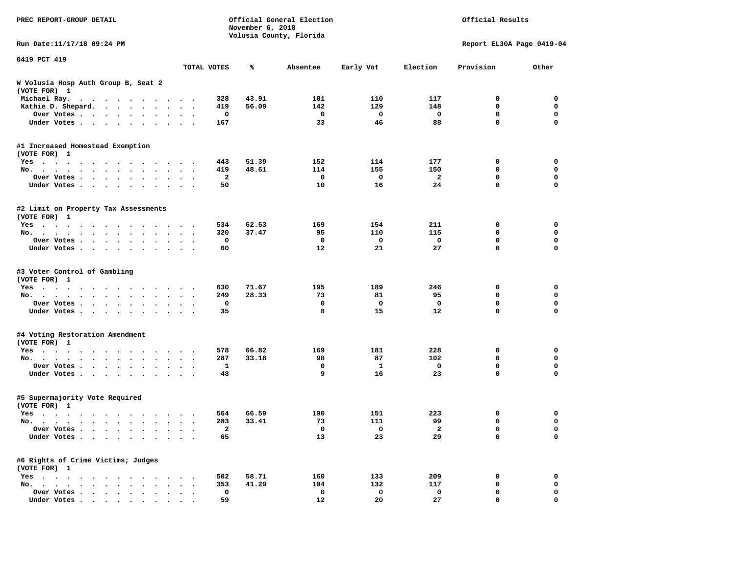| PREC REPORT-GROUP DETAIL                                                                                 |                      | Official General Election<br>November 6, 2018<br>Volusia County, Florida |       |             |             |          | Official Results          |             |  |
|----------------------------------------------------------------------------------------------------------|----------------------|--------------------------------------------------------------------------|-------|-------------|-------------|----------|---------------------------|-------------|--|
| Run Date: 11/17/18 09:24 PM                                                                              |                      |                                                                          |       |             |             |          | Report EL30A Page 0419-04 |             |  |
| 0419 PCT 419                                                                                             |                      | TOTAL VOTES                                                              | ℁     | Absentee    | Early Vot   | Election | Provision                 | Other       |  |
| W Volusia Hosp Auth Group B, Seat 2<br>(VOTE FOR) 1                                                      |                      |                                                                          |       |             |             |          |                           |             |  |
| Michael Ray.<br>$\mathbf{a}$ , and $\mathbf{a}$ , and $\mathbf{a}$ , and $\mathbf{a}$ , and $\mathbf{a}$ |                      | 328                                                                      | 43.91 | 101         | 110         | 117      | 0                         | 0           |  |
| Kathie D. Shepard.                                                                                       |                      | 419                                                                      | 56.09 | 142         | 129         | 148      | 0                         | 0           |  |
| Over Votes<br>$\ddot{\phantom{0}}$<br>$\bullet$                                                          | $\cdot$              | 0                                                                        |       | 0           | 0           | 0        | 0                         | $\mathbf 0$ |  |
| Under Votes<br>$\sim$                                                                                    |                      | 167                                                                      |       | 33          | 46          | 88       | 0                         | $\mathbf 0$ |  |
| #1 Increased Homestead Exemption<br>(VOTE FOR) 1                                                         |                      |                                                                          |       |             |             |          |                           |             |  |
| Yes                                                                                                      |                      | 443                                                                      | 51.39 | 152         | 114         | 177      | 0                         | 0           |  |
| No.<br>$\ddot{\phantom{0}}$<br>$\ddot{\phantom{a}}$                                                      | $\ddot{\phantom{1}}$ | 419                                                                      | 48.61 | 114         | 155         | 150      | 0                         | $\mathbf 0$ |  |
| Over Votes<br>$\ddot{\phantom{1}}$<br>$\bullet$                                                          |                      | $\mathbf{2}$                                                             |       | 0           | 0           | 2        | 0                         | 0           |  |
| Under Votes<br>$\bullet$                                                                                 |                      | 50                                                                       |       | 10          | 16          | 24       | 0                         | $\Omega$    |  |
| #2 Limit on Property Tax Assessments<br>(VOTE FOR) 1                                                     |                      |                                                                          |       |             |             |          |                           |             |  |
| $Yes \cdot \cdot \cdot \cdot \cdot \cdot \cdot$<br>.                                                     |                      | 534                                                                      | 62.53 | 169         | 154         | 211      | 0                         | 0           |  |
| No.                                                                                                      |                      | 320                                                                      | 37.47 | 95          | 110         | 115      | 0                         | $\mathbf 0$ |  |
| Over Votes                                                                                               |                      | 0                                                                        |       | 0           | 0           | 0        | 0                         | 0           |  |
| Under Votes                                                                                              |                      | 60                                                                       |       | 12          | 21          | 27       | 0                         | 0           |  |
| #3 Voter Control of Gambling<br>(VOTE FOR) 1                                                             |                      |                                                                          |       |             |             |          |                           |             |  |
| Yes                                                                                                      |                      | 630                                                                      | 71.67 | 195         | 189         | 246      | 0                         | 0           |  |
| No.<br>$\ddot{\phantom{1}}$                                                                              |                      | 249                                                                      | 28.33 | 73          | 81          | 95       | 0                         | 0           |  |
| Over Votes<br>$\bullet$<br>$\bullet$                                                                     |                      | 0                                                                        |       | $\mathbf 0$ | $\mathbf 0$ | 0        | 0                         | $\mathbf 0$ |  |
| Under Votes                                                                                              |                      | 35                                                                       |       | 8           | 15          | 12       | 0                         | $\mathbf 0$ |  |
| #4 Voting Restoration Amendment<br>(VOTE FOR) 1                                                          |                      |                                                                          |       |             |             |          |                           |             |  |
| Yes                                                                                                      |                      | 578                                                                      | 66.82 | 169         | 181         | 228      | 0                         | 0           |  |
| No.<br>$\bullet$<br>$\bullet$                                                                            | $\ddot{\phantom{1}}$ | 287                                                                      | 33.18 | 98          | 87          | 102      | 0                         | $\mathbf 0$ |  |
| Over Votes<br>$\bullet$<br>$\bullet$                                                                     |                      | 1                                                                        |       | 0           | 1           | 0        | 0                         | 0           |  |
| Under Votes<br>$\sim$ $\sim$                                                                             |                      | 48                                                                       |       | 9           | 16          | 23       | 0                         | 0           |  |
| #5 Supermajority Vote Required<br>(VOTE FOR) 1                                                           |                      |                                                                          |       |             |             |          |                           |             |  |
| Yes                                                                                                      |                      | 564                                                                      | 66.59 | 190         | 151         | 223      | 0                         | 0           |  |
| No.                                                                                                      | $\ddot{\phantom{1}}$ | 283                                                                      | 33.41 | 73          | 111         | 99       | 0                         | 0           |  |
| Over Votes                                                                                               |                      | 2                                                                        |       | $\mathbf 0$ | 0           | 2        | 0                         | 0           |  |
| Under Votes                                                                                              |                      | 65                                                                       |       | 13          | 23          | 29       | 0                         | $\mathbf 0$ |  |
| #6 Rights of Crime Victims; Judges<br>(VOTE FOR) 1                                                       |                      |                                                                          |       |             |             |          |                           |             |  |
| $Yes \cdot \cdot \cdot \cdot$                                                                            |                      | 502                                                                      | 58.71 | 160         | 133         | 209      | 0                         | 0           |  |
| No.                                                                                                      |                      | 353                                                                      | 41.29 | 104         | 132         | 117      | 0                         | 0           |  |
| Over Votes                                                                                               |                      | $\mathbf 0$                                                              |       | 0           | 0           | 0        | 0                         | 0           |  |
| Under Votes.                                                                                             |                      | 59                                                                       |       | 12          | 20          | 27       | 0                         | $\mathbf 0$ |  |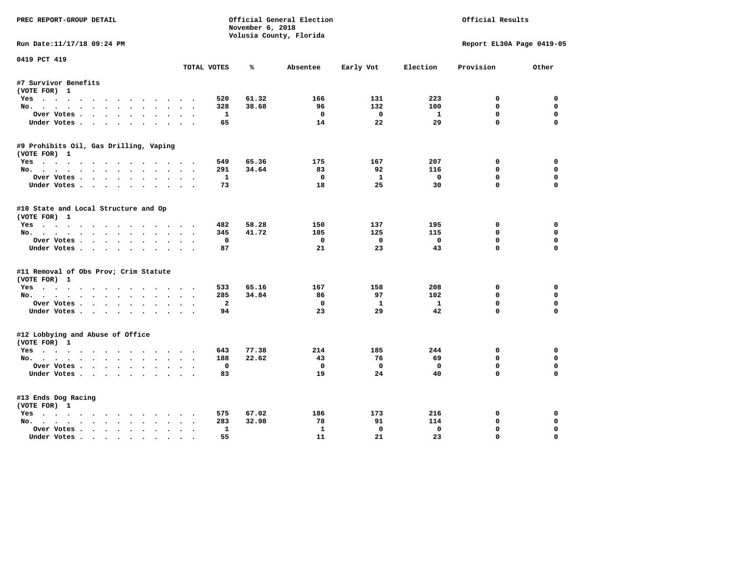| PREC REPORT-GROUP DETAIL               |                                      | November 6, 2018 | Official General Election |              |              | Official Results          |             |
|----------------------------------------|--------------------------------------|------------------|---------------------------|--------------|--------------|---------------------------|-------------|
|                                        |                                      |                  | Volusia County, Florida   |              |              |                           |             |
| Run Date:11/17/18 09:24 PM             |                                      |                  |                           |              |              | Report EL30A Page 0419-05 |             |
| 0419 PCT 419                           | TOTAL VOTES                          | ℁                | Absentee                  | Early Vot    | Election     | Provision                 | Other       |
| #7 Survivor Benefits                   |                                      |                  |                           |              |              |                           |             |
| (VOTE FOR) 1                           |                                      |                  |                           |              |              |                           |             |
| Yes                                    | 520                                  | 61.32            | 166                       | 131          | 223          | 0                         | 0           |
| No.                                    | 328                                  | 38.68            | 96                        | 132          | 100          | $\mathbf{0}$              | $\Omega$    |
| Over Votes                             | $\mathbf{1}$                         |                  | $^{\circ}$                | $\Omega$     | $\mathbf{1}$ | $\Omega$                  | $\Omega$    |
| Under Votes                            | 65                                   |                  | 14                        | 22           | 29           | $\Omega$                  | $\Omega$    |
| #9 Prohibits Oil, Gas Drilling, Vaping |                                      |                  |                           |              |              |                           |             |
| (VOTE FOR) 1                           |                                      |                  |                           |              |              |                           |             |
| Yes                                    | 549                                  | 65.36            | 175                       | 167          | 207          | 0                         | 0           |
| No.                                    | 291                                  | 34.64            | 83                        | 92           | 116          | 0                         | $\Omega$    |
| Over Votes                             | -1                                   |                  | $\Omega$                  | <b>1</b>     | $\mathbf 0$  | $\mathbf 0$               | $\mathbf 0$ |
| Under Votes                            | 73                                   |                  | 18                        | 25           | 30           | $\Omega$                  | $\Omega$    |
| #10 State and Local Structure and Op   |                                      |                  |                           |              |              |                           |             |
| (VOTE FOR) 1                           |                                      |                  |                           |              |              |                           |             |
| Yes                                    | 482                                  | 58.28            | 150                       | 137          | 195          | 0                         | 0           |
| No.                                    | 345                                  | 41.72            | 105                       | 125          | 115          | $\mathbf{0}$              | $\mathbf 0$ |
| Over Votes                             | $\mathbf 0$                          |                  | $^{\circ}$                | $\mathbf{0}$ | $\mathbf 0$  | $\mathbf 0$               | $\mathbf 0$ |
| Under Votes                            | 87                                   |                  | 21                        | 23           | 43           | $\Omega$                  | $\Omega$    |
| #11 Removal of Obs Prov; Crim Statute  |                                      |                  |                           |              |              |                           |             |
| (VOTE FOR) 1                           |                                      |                  |                           |              |              |                           |             |
| Yes                                    | 533                                  | 65.16            | 167                       | 158          | 208          | 0                         | $\mathbf 0$ |
| No.                                    | 285                                  | 34.84            | 86                        | 97           | 102          | $\mathbf{0}$              | 0           |
| Over Votes                             | $\overline{a}$                       |                  | $\mathbf 0$               | $\mathbf{1}$ | $\mathbf{1}$ | $\mathbf 0$               | $\mathbf 0$ |
| Under Votes.                           | 94                                   |                  | 23                        | 29           | 42           | $\Omega$                  | $\mathbf 0$ |
| #12 Lobbying and Abuse of Office       |                                      |                  |                           |              |              |                           |             |
| (VOTE FOR) 1                           |                                      | 77.38            | 214                       | 185          | 244          | $\mathbf 0$               | $\mathbf 0$ |
| Yes                                    | 643<br>188                           | 22.62            | 43                        | 76           | 69           | $\mathbf{0}$              | 0           |
| No.<br>Over Votes                      | $\mathbf 0$                          |                  | $\mathbf{o}$              | $\mathbf{o}$ | $\mathbf 0$  | $\mathbf 0$               | $\mathbf 0$ |
| Under Votes                            | 83                                   |                  | 19                        | 24           | 40           | $\Omega$                  | $\Omega$    |
|                                        |                                      |                  |                           |              |              |                           |             |
| #13 Ends Dog Racing                    |                                      |                  |                           |              |              |                           |             |
| (VOTE FOR) 1                           |                                      |                  |                           |              |              |                           |             |
| Yes                                    | 575                                  | 67.02            | 186                       | 173          | 216          | 0                         | 0           |
| No.                                    | 283                                  | 32.98            | 78                        | 91           | 114          | $\mathbf 0$               | 0           |
| Over Votes .<br>$\cdots$               | $\mathbf{1}$<br>$\ddot{\phantom{a}}$ |                  | $\mathbf{1}$              | $\mathbf 0$  | $\mathbf 0$  | $\mathbf{0}$              | $\Omega$    |
| Under Votes                            | 55                                   |                  | 11                        | 21           | 23           | $\mathbf{0}$              | $\Omega$    |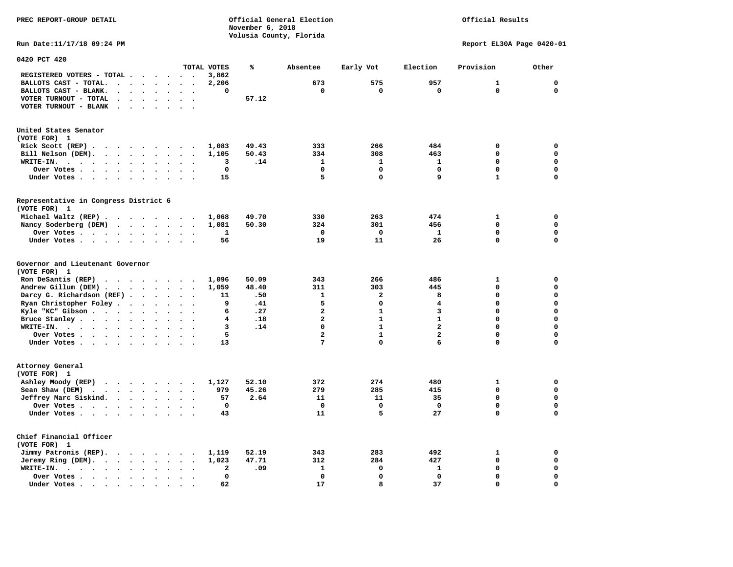**PREC REPORT-GROUP DETAIL Official General Election Official Results November 6, 2018 Volusia County, Florida Run Date:11/17/18 09:24 PM Report EL30A Page 0420-01 0420 PCT 420 TOTAL VOTES % Absentee Early Vot Election Provision Other REGISTERED VOTERS - TOTAL . . . . . . 3,862 BALLOTS CAST - TOTAL. . . . . . . . 2,206 673 575 957 1 0 BALLOTS CAST - BLANK. . . . . . . . 0 0 0 0 0 0 VOTER TURNOUT - TOTAL . . . . . . . 57.12 VOTER TURNOUT - BLANK . . . . . . . United States Senator (VOTE FOR) 1 Rick Scott (REP) . . . . . . . . . 1,083 49.43 333 266 484 0 0 Bill Nelson (DEM). . . . . . . . . 1,105 50.43 334 308 463 0 0 WRITE-IN. . . . . . . . . . . . 3 .14 1 1 1 0 0** 

| MRITE-IN.<br>$\bullet$<br>$\sim$ $\sim$ $\sim$                                                          | ۍ<br>.⊥4            | ᆠ                       | Ŧ.           | Ŧ.<br>U                    | U            |
|---------------------------------------------------------------------------------------------------------|---------------------|-------------------------|--------------|----------------------------|--------------|
| Over Votes.                                                                                             | 0                   | $\mathbf 0$             | $\mathbf 0$  | $\mathbf 0$<br>$\mathbf 0$ | $\mathbf 0$  |
| Under Votes.                                                                                            | 15                  | 5                       | $\mathbf 0$  | 9<br>1                     | $\mathbf 0$  |
| Representative in Congress District 6                                                                   |                     |                         |              |                            |              |
| (VOTE FOR) 1                                                                                            |                     |                         |              |                            |              |
| Michael Waltz (REP)<br>$\cdot$ .                                                                        | 49.70<br>1,068      | 330                     | 263          | 474<br>1                   | 0            |
| Nancy Soderberg (DEM)                                                                                   | 1,081<br>50.30      | 324                     | 301          | 456<br>$\Omega$            | $\mathbf{0}$ |
| Over Votes                                                                                              | 1                   | $\Omega$                | $^{\circ}$   | 0<br>$\mathbf{1}$          | $\mathbf 0$  |
| Under Votes.<br>$\sim$ $\sim$ $\sim$                                                                    | 56                  | 19                      | 11           | 26<br>0                    | $\mathbf 0$  |
| Governor and Lieutenant Governor                                                                        |                     |                         |              |                            |              |
| (VOTE FOR) 1                                                                                            |                     |                         |              |                            |              |
| Ron DeSantis (REP)<br>$\cdot$ $\cdot$ $\cdot$ $\cdot$ $\cdot$ $\cdot$ $\cdot$                           | 50.09<br>1,096      | 343                     | 266          | 486<br>1                   | 0            |
| Andrew Gillum (DEM)                                                                                     | 48.40<br>1,059      | 311                     | 303          | $\Omega$<br>445            | $\mathbf 0$  |
| Darcy G. Richardson (REF)                                                                               | 11<br>.50           | 1                       | $\mathbf{2}$ | 8<br>$\Omega$              | $\mathbf 0$  |
| Ryan Christopher Foley                                                                                  | .41<br>9            | 5                       | 0            | 4<br>O                     | $\mathbf 0$  |
| Kyle "KC" Gibson                                                                                        | .27<br>6            | $\overline{\mathbf{2}}$ | 1            | 3<br>O                     | $\mathbf 0$  |
| Bruce Stanley                                                                                           | .18<br>4            | $\overline{a}$          | $\mathbf{1}$ | $\mathbf{1}$<br>$\Omega$   | 0            |
| WRITE-IN.<br>$\cdots$                                                                                   | .14<br>3            | 0                       | $\mathbf{1}$ | $\mathbf{z}$<br>$\Omega$   | $\mathbf 0$  |
| Over Votes                                                                                              | 5                   | $\overline{\mathbf{2}}$ | $\mathbf{1}$ | $\overline{a}$<br>0        | $\mathbf 0$  |
| Under Votes.<br>$\sim$ $\sim$ $\sim$ $\sim$                                                             | 13                  | 7                       | $\Omega$     | 6<br>0                     | $\mathbf 0$  |
| Attorney General                                                                                        |                     |                         |              |                            |              |
| (VOTE FOR) 1                                                                                            |                     |                         |              |                            |              |
| Ashley Moody (REP)                                                                                      | 1,127<br>52.10      | 372                     | 274          | 480<br>1                   | 0            |
| Sean Shaw (DEM)<br>.                                                                                    | 979<br>45.26        | 279                     | 285          | 415<br>$\Omega$            | $\mathbf 0$  |
| Jeffrey Marc Siskind.                                                                                   | 2.64<br>57          | 11                      | 11           | 35<br>0                    | $\mathbf{0}$ |
| Over Votes                                                                                              | 0                   | $\Omega$                | 0            | 0<br>0                     | $\mathbf 0$  |
| Under Votes                                                                                             | 43                  | 11                      | 5            | 27<br>0                    | $\mathbf 0$  |
| Chief Financial Officer                                                                                 |                     |                         |              |                            |              |
| (VOTE FOR) 1                                                                                            |                     |                         |              |                            |              |
| Jimmy Patronis (REP).                                                                                   | 52.19<br>1,119      | 343                     | 283          | 492<br>1                   | 0            |
| Jeremy Ring (DEM).                                                                                      | 1,023<br>47.71      | 312                     | 284          | 427<br>$\Omega$            | $\mathbf 0$  |
| WRITE-IN.<br>.                                                                                          | $\mathbf{2}$<br>.09 | $\mathbf{1}$            | 0            | 0<br>1                     | $\mathbf{0}$ |
| Over Votes .<br>$\mathbf{r}$ , $\mathbf{r}$ , $\mathbf{r}$ , $\mathbf{r}$ , $\mathbf{r}$ , $\mathbf{r}$ | 0                   | 0                       | $\mathbf 0$  | $\mathbf 0$<br>0           | $\mathbf 0$  |
| Under Votes<br>$\sim$ $\sim$ $\sim$ $\sim$<br>$\sim$                                                    | 62                  | 17                      | 8            | 37<br>0                    | $\mathbf 0$  |
|                                                                                                         |                     |                         |              |                            |              |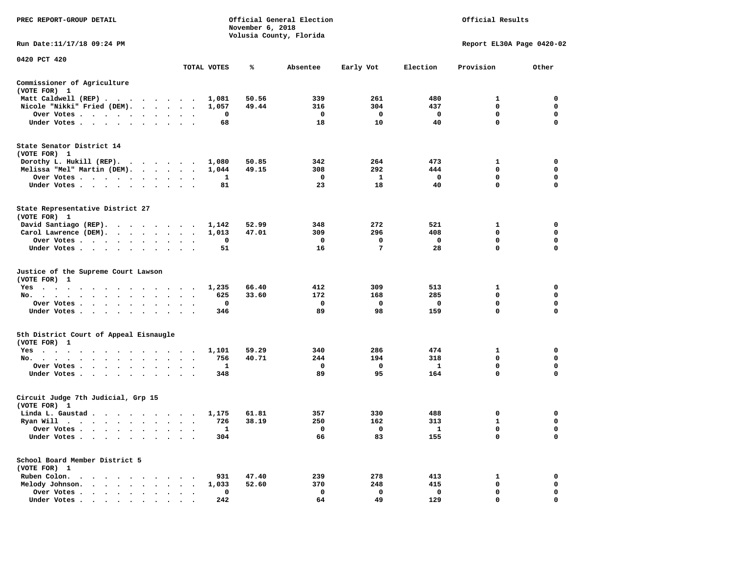| PREC REPORT-GROUP DETAIL                                                                       |                                              |             | November 6, 2018 | Official General Election<br>Volusia County, Florida |                |                     | Official Results           |                  |
|------------------------------------------------------------------------------------------------|----------------------------------------------|-------------|------------------|------------------------------------------------------|----------------|---------------------|----------------------------|------------------|
| Run Date: 11/17/18 09:24 PM                                                                    |                                              |             |                  |                                                      |                |                     | Report EL30A Page 0420-02  |                  |
| 0420 PCT 420                                                                                   |                                              | TOTAL VOTES | ℁                |                                                      |                | Election            | Provision                  |                  |
|                                                                                                |                                              |             |                  | Absentee                                             | Early Vot      |                     |                            | Other            |
| Commissioner of Agriculture<br>(VOTE FOR) 1                                                    |                                              |             |                  |                                                      |                |                     |                            |                  |
| Matt Caldwell (REP)                                                                            |                                              | 1,081       | 50.56            | 339                                                  | 261            | 480                 | 1                          | $\mathbf 0$      |
| Nicole "Nikki" Fried (DEM).                                                                    |                                              | 1,057       | 49.44            | 316                                                  | 304            | 437                 | $\mathbf 0$                | 0                |
| Over Votes                                                                                     |                                              | 0           |                  | $\mathbf{o}$                                         | $\mathbf 0$    | $\mathbf{o}$        | $\mathbf{0}$               | $\mathbf 0$      |
| Under Votes                                                                                    |                                              | 68          |                  | 18                                                   | 10             | 40                  | $\mathbf 0$                | 0                |
| State Senator District 14<br>(VOTE FOR) 1                                                      |                                              |             |                  |                                                      |                |                     |                            |                  |
| Dorothy L. Hukill (REP).                                                                       |                                              | 1,080       | 50.85            | 342                                                  | 264            | 473                 | 1                          | 0                |
| Melissa "Mel" Martin (DEM).                                                                    |                                              | 1,044       | 49.15            | 308                                                  | 292            | 444                 | $\mathbf{0}$               | $\mathbf 0$      |
| Over Votes                                                                                     |                                              | 1           |                  | $\mathbf 0$                                          | $\mathbf{1}$   | $\mathbf{o}$        | $\mathbf 0$                | $\mathbf 0$      |
| Under Votes                                                                                    | $\cdot$ $\cdot$ $\cdot$                      | 81          |                  | 23                                                   | 18             | 40                  | $\mathbf 0$                | $\mathbf 0$      |
| State Representative District 27<br>(VOTE FOR) 1                                               |                                              |             |                  |                                                      |                |                     |                            |                  |
| David Santiago (REP).                                                                          |                                              | 1,142       | 52.99            | 348                                                  | 272            | 521                 | 1                          | $\mathbf 0$      |
| Carol Lawrence (DEM).                                                                          |                                              | 1,013       | 47.01            | 309                                                  | 296            | 408                 | $\mathbf{0}$               | $\mathbf 0$      |
| Over Votes<br>$\ddot{\phantom{1}}$                                                             | $\bullet$<br>$\cdot$                         | 0           |                  | $\mathbf 0$                                          | 0              | $\mathbf 0$         | $\mathbf 0$                | $\mathbf 0$      |
| Under Votes                                                                                    |                                              | 51          |                  | 16                                                   | $\overline{7}$ | 28                  | $\mathbf 0$                | $\mathbf 0$      |
| Justice of the Supreme Court Lawson<br>(VOTE FOR) 1                                            |                                              |             |                  |                                                      |                |                     |                            |                  |
| $Yes \t . \t .$<br>$\sim$<br>$\sim$ $\sim$<br>$\cdots$                                         | $\sim$ $\sim$                                | 1,235       | 66.40            | 412                                                  | 309            | 513                 | 1                          | 0                |
| No.                                                                                            | $\sim$<br>$\cdot$ $\cdot$                    | 625         | 33.60            | 172                                                  | 168            | 285                 | $\mathbf 0$                | $\mathbf 0$      |
| Over Votes                                                                                     | $\cdot$ $\cdot$<br>$\bullet$                 | 0           |                  | $\mathbf 0$                                          | 0              | $\mathbf 0$         | $\mathbf 0$                | $\mathbf 0$      |
| Under Votes                                                                                    | $\ddot{\phantom{0}}$<br>$\ddot{\phantom{1}}$ | 346         |                  | 89                                                   | 98             | 159                 | 0                          | 0                |
| 5th District Court of Appeal Eisnaugle<br>(VOTE FOR) 1                                         |                                              |             |                  |                                                      |                |                     |                            |                  |
| Yes                                                                                            |                                              | 1,101       | 59.29            | 340                                                  | 286            | 474                 | 1                          | 0                |
| No.                                                                                            |                                              | 756         | 40.71            | 244                                                  | 194            | 318                 | $\mathbf 0$<br>$\mathbf 0$ | $\mathbf 0$<br>0 |
| Over Votes<br>$\ddot{\phantom{0}}$<br>$\cdot$<br>Under Votes                                   | $\bullet$                                    | 1<br>348    |                  | 0<br>89                                              | 0<br>95        | $\mathbf{1}$<br>164 | $\mathbf 0$                | $\Omega$         |
| Circuit Judge 7th Judicial, Grp 15<br>(VOTE FOR) 1                                             |                                              |             |                  |                                                      |                |                     |                            |                  |
| Linda L. Gaustad                                                                               |                                              | 1,175       | 61.81            | 357                                                  | 330            | 488                 | 0                          | $\mathbf 0$      |
| Ryan Will $\cdots$ $\cdots$ $\cdots$ $\cdots$                                                  |                                              | 726         | 38.19            | 250                                                  | 162            | 313                 | 1                          | 0                |
| Over Votes                                                                                     |                                              | 1           |                  | 0                                                    | 0              | $\mathbf{1}$        | 0                          | $\mathbf 0$      |
| Under Votes<br>$\ddot{\phantom{1}}$<br>$\bullet$<br>$\blacksquare$                             |                                              | 304         |                  | 66                                                   | 83             | 155                 | $\mathbf 0$                | $\mathbf 0$      |
| School Board Member District 5<br>(VOTE FOR) 1                                                 |                                              |             |                  |                                                      |                |                     |                            |                  |
| Ruben Colon.<br>. An expected the second contribution of the second contribution $\mathcal{A}$ |                                              | 931         | 47.40            | 239                                                  | 278            | 413                 | 1                          | $\mathbf 0$      |
| Melody Johnson.                                                                                |                                              | 1,033       | 52.60            | 370                                                  | 248            | 415                 | 0                          | 0                |
| Over Votes<br>$\bullet$<br>$\cdot$<br>$\cdot$                                                  | $\cdot$<br>$\bullet$                         | 0           |                  | $\mathbf 0$                                          | $\mathbf 0$    | $\mathbf 0$         | $\mathbf 0$                | $\mathbf 0$      |
| Under Votes                                                                                    |                                              | 2.42        |                  | 64                                                   | 49             | 129                 | $\Omega$                   | $\Omega$         |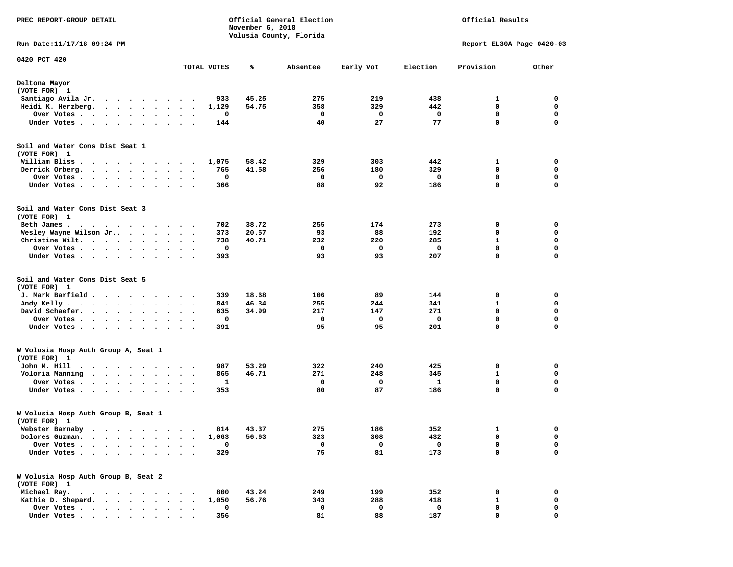| PREC REPORT-GROUP DETAIL                                                                                                                                                                                                                            |                                     |             | November 6, 2018 | Official General Election |           |          | Official Results          |             |
|-----------------------------------------------------------------------------------------------------------------------------------------------------------------------------------------------------------------------------------------------------|-------------------------------------|-------------|------------------|---------------------------|-----------|----------|---------------------------|-------------|
| Run Date:11/17/18 09:24 PM                                                                                                                                                                                                                          |                                     |             |                  | Volusia County, Florida   |           |          | Report EL30A Page 0420-03 |             |
| 0420 PCT 420                                                                                                                                                                                                                                        |                                     |             |                  |                           | Early Vot |          |                           |             |
|                                                                                                                                                                                                                                                     |                                     | TOTAL VOTES | ℁                | Absentee                  |           | Election | Provision                 | Other       |
| Deltona Mayor<br>(VOTE FOR) 1                                                                                                                                                                                                                       |                                     |             |                  |                           |           |          |                           |             |
| Santiago Avila Jr.<br>. The contract of the contract of the contract of the contract of the contract of the contract of the contract of the contract of the contract of the contract of the contract of the contract of the contract of the contrac |                                     | 933         | 45.25            | 275                       | 219       | 438      | 1                         | 0           |
| Heidi K. Herzberg.<br>$\cdots$                                                                                                                                                                                                                      | $\ddot{\phantom{0}}$                | 1,129       | 54.75            | 358                       | 329       | 442      | 0                         | 0           |
| Over Votes<br>$\cdots$                                                                                                                                                                                                                              | $\bullet$<br>$\bullet$<br>$\bullet$ | 0           |                  | 0                         | 0         | 0        | 0                         | 0           |
| Under Votes                                                                                                                                                                                                                                         | $\ddot{\phantom{1}}$                | 144         |                  | 40                        | 27        | 77       | 0                         | $\mathbf 0$ |
| Soil and Water Cons Dist Seat 1<br>(VOTE FOR) 1                                                                                                                                                                                                     |                                     |             |                  |                           |           |          |                           |             |
| William Bliss.<br>$\ddot{\phantom{1}}$<br>.                                                                                                                                                                                                         | $\overline{\phantom{a}}$            | 1,075       | 58.42            | 329                       | 303       | 442      | 1                         | 0           |
| Derrick Orberg.                                                                                                                                                                                                                                     | $\ddot{\phantom{1}}$<br>$\bullet$   | 765         | 41.58            | 256                       | 180       | 329      | 0                         | 0           |
| Over Votes                                                                                                                                                                                                                                          | $\bullet$                           | 0           |                  | 0                         | 0         | 0        | 0                         | $\mathbf 0$ |
| Under Votes                                                                                                                                                                                                                                         |                                     | 366         |                  | 88                        | 92        | 186      | 0                         | 0           |
| Soil and Water Cons Dist Seat 3<br>(VOTE FOR) 1                                                                                                                                                                                                     |                                     |             |                  |                           |           |          |                           |             |
| Beth James.                                                                                                                                                                                                                                         |                                     | 702         | 38.72            | 255                       | 174       | 273      | 0                         | 0           |
| Wesley Wayne Wilson Jr                                                                                                                                                                                                                              |                                     | 373         | 20.57            | 93                        | 88        | 192      | 0                         | 0           |
| Christine Wilt.                                                                                                                                                                                                                                     |                                     | 738         | 40.71            | 232                       | 220       | 285      | $\mathbf{1}$              | $\mathbf 0$ |
| Over Votes                                                                                                                                                                                                                                          | $\sim$ $\sim$<br>$\bullet$          | 0           |                  | 0                         | 0         | 0        | 0                         | $\mathbf 0$ |
| Under Votes                                                                                                                                                                                                                                         |                                     | 393         |                  | 93                        | 93        | 207      | $\mathbf 0$               | 0           |
| Soil and Water Cons Dist Seat 5<br>(VOTE FOR) 1                                                                                                                                                                                                     |                                     |             |                  |                           |           |          |                           |             |
| J. Mark Barfield                                                                                                                                                                                                                                    | $\cdot$ $\cdot$                     | 339         | 18.68            | 106                       | 89        | 144      | 0                         | 0           |
| Andy Kelly                                                                                                                                                                                                                                          | $\ddot{\phantom{0}}$<br>$\bullet$   | 841         | 46.34            | 255                       | 244       | 341      | 1                         | 0           |
| David Schaefer.<br>$\cdots$                                                                                                                                                                                                                         |                                     | 635         | 34.99            | 217                       | 147       | 271      | 0                         | 0           |
| Over Votes                                                                                                                                                                                                                                          |                                     | 0           |                  | 0                         | 0         | 0        | 0                         | $\mathbf 0$ |
| Under Votes                                                                                                                                                                                                                                         |                                     | 391         |                  | 95                        | 95        | 201      | 0                         | 0           |
| W Volusia Hosp Auth Group A, Seat 1<br>(VOTE FOR) 1                                                                                                                                                                                                 |                                     |             |                  |                           |           |          |                           |             |
| John M. Hill                                                                                                                                                                                                                                        |                                     | 987         | 53.29            | 322                       | 240       | 425      | 0                         | 0           |
| Voloria Manning                                                                                                                                                                                                                                     |                                     | 865         | 46.71            | 271                       | 248       | 345      | 1                         | 0           |
| Over Votes                                                                                                                                                                                                                                          | $\bullet$                           | 1           |                  | 0                         | 0         | 1        | 0                         | $\mathbf 0$ |
| Under Votes<br>$\ddot{\phantom{1}}$                                                                                                                                                                                                                 |                                     | 353         |                  | 80                        | 87        | 186      | 0                         | $\mathbf 0$ |
| W Volusia Hosp Auth Group B, Seat 1<br>(VOTE FOR) 1                                                                                                                                                                                                 |                                     |             |                  |                           |           |          |                           |             |
| Webster Barnaby                                                                                                                                                                                                                                     |                                     |             | 814 43.37        | 275                       | 186       | 352      |                           | 0           |
| Dolores Guzman.<br>$\bullet$<br>$\bullet$<br>$\ddot{\phantom{a}}$<br>$\sim$<br>$\sim$                                                                                                                                                               | $\bullet$                           | 1,063       | 56.63            | 323                       | 308       | 432      | 0                         | 0           |
| Over Votes .<br>$\cdot$<br>$\ddot{\phantom{a}}$                                                                                                                                                                                                     |                                     | 0           |                  | 0                         | 0         | 0        | 0                         | 0           |
| Under Votes                                                                                                                                                                                                                                         | $\ddotsc$ $\ddotsc$                 | 329         |                  | 75                        | 81        | 173      | $\mathbf 0$               | $\mathbf 0$ |
| W Volusia Hosp Auth Group B, Seat 2<br>(VOTE FOR) 1                                                                                                                                                                                                 |                                     |             |                  |                           |           |          |                           |             |
| Michael Ray.<br>$\begin{array}{cccccccccccccc} \bullet & \bullet & \bullet & \bullet & \bullet & \bullet & \bullet & \bullet & \bullet & \bullet & \bullet \end{array}$                                                                             |                                     | 800         | 43.24            | 249                       | 199       | 352      | 0                         | 0           |
| Kathie D. Shepard.<br>$\cdots$ $\cdots$                                                                                                                                                                                                             |                                     | 1,050       | 56.76            | 343                       | 288       | 418      | 1                         | 0           |
| Over Votes                                                                                                                                                                                                                                          |                                     | 0           |                  | 0                         | 0         | 0        | 0                         | 0           |
| Under Votes                                                                                                                                                                                                                                         |                                     | 356         |                  | 81                        | 88        | 187      | 0                         | 0           |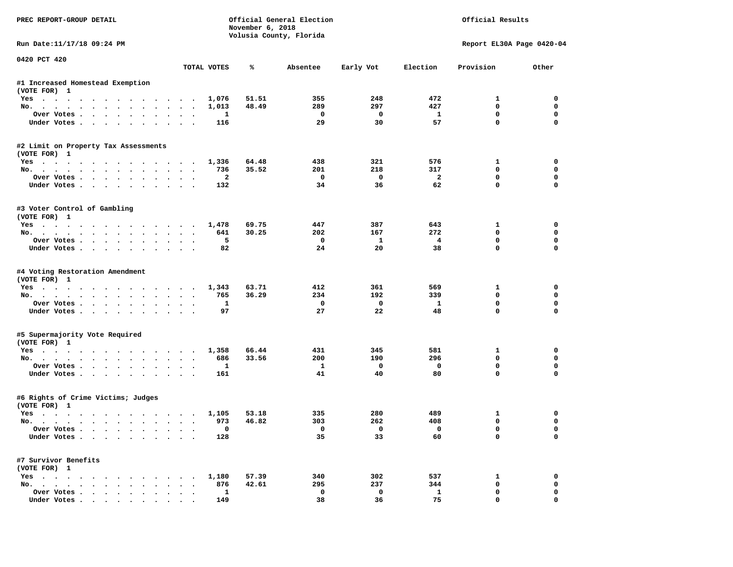| PREC REPORT-GROUP DETAIL                                      |             | November 6, 2018               | Official General Election<br>Volusia County, Florida |                         |                      | Official Results          |                         |
|---------------------------------------------------------------|-------------|--------------------------------|------------------------------------------------------|-------------------------|----------------------|---------------------------|-------------------------|
| Run Date:11/17/18 09:24 PM                                    |             |                                |                                                      |                         |                      | Report EL30A Page 0420-04 |                         |
| 0420 PCT 420                                                  | TOTAL VOTES | ℁                              | Absentee                                             | Early Vot               | Election             | Provision                 | Other                   |
| #1 Increased Homestead Exemption                              |             |                                |                                                      |                         |                      |                           |                         |
| (VOTE FOR) 1                                                  |             |                                |                                                      |                         |                      |                           |                         |
| Yes                                                           |             | 51.51<br>1,076                 | 355                                                  | 248                     | 472                  | 1                         | 0                       |
| No.                                                           |             | 48.49<br>1,013                 | 289                                                  | 297                     | 427                  | $\Omega$                  | 0                       |
| Over Votes                                                    |             | 1                              | 0                                                    | $\mathbf{o}$            | 1                    | $\mathbf 0$               | $\mathbf 0$             |
| Under Votes                                                   |             | 116                            | 29                                                   | 30                      | 57                   | $\mathbf 0$               | $\mathbf 0$             |
| #2 Limit on Property Tax Assessments                          |             |                                |                                                      |                         |                      |                           |                         |
| (VOTE FOR) 1                                                  |             |                                |                                                      |                         |                      |                           |                         |
| Yes                                                           |             | 64.48<br>1,336                 | 438                                                  | 321                     | 576                  | 1                         | 0                       |
| No.                                                           |             | 736<br>35.52                   | 201                                                  | 218                     | 317                  | 0                         | $\mathbf 0$             |
| Over Votes.<br>Under Votes                                    |             | $\overline{a}$<br>132          | $\Omega$<br>34                                       | $\Omega$<br>36          | $\overline{2}$<br>62 | $\mathbf 0$<br>$\Omega$   | $\mathbf 0$<br>$\Omega$ |
|                                                               |             |                                |                                                      |                         |                      |                           |                         |
| #3 Voter Control of Gambling                                  |             |                                |                                                      |                         |                      |                           |                         |
| (VOTE FOR) 1                                                  |             |                                |                                                      |                         |                      |                           |                         |
| Yes<br>No.                                                    |             | 69.75<br>1,478<br>30.25<br>641 | 447<br>202                                           | 387<br>167              | 643<br>272           | 1<br>$\Omega$             | 0<br>0                  |
| Over Votes                                                    |             | 5                              | $^{\circ}$                                           | $\mathbf{1}$            | $\overline{4}$       | $\mathbf 0$               | $\mathbf 0$             |
| Under Votes                                                   |             | 82                             | 24                                                   | 20                      | 38                   | $\mathbf{0}$              | $\Omega$                |
| #4 Voting Restoration Amendment<br>(VOTE FOR) 1               |             |                                |                                                      |                         |                      |                           |                         |
| Yes                                                           |             | 63.71<br>1,343                 | 412                                                  | 361                     | 569                  | 1                         | 0                       |
| No.                                                           |             | 36.29<br>765                   | 234                                                  | 192                     | 339                  | $\mathbf 0$               | 0                       |
| Over Votes                                                    |             | 1                              | 0                                                    | $\mathbf 0$             | 1                    | $\mathbf 0$               | $\mathbf 0$             |
| Under Votes                                                   |             | 97                             | 27                                                   | 22                      | 48                   | $\mathbf 0$               | $\Omega$                |
| #5 Supermajority Vote Required                                |             |                                |                                                      |                         |                      |                           |                         |
| (VOTE FOR) 1                                                  |             |                                |                                                      |                         |                      |                           |                         |
| Yes                                                           |             | 66.44<br>1,358                 | 431                                                  | 345                     | 581                  | 1                         | 0                       |
| No.                                                           |             | 686<br>33.56                   | 200                                                  | 190                     | 296                  | $\mathbf 0$               | $\mathbf 0$             |
| Over Votes                                                    |             | 1                              | 1                                                    | $\mathbf 0$             | $\mathbf 0$          | $\mathbf 0$               | $\mathbf 0$             |
| Under Votes                                                   |             | 161                            | 41                                                   | 40                      | 80                   | $\Omega$                  | $\Omega$                |
| #6 Rights of Crime Victims; Judges                            |             |                                |                                                      |                         |                      |                           |                         |
| (VOTE FOR) 1                                                  |             |                                |                                                      |                         |                      |                           |                         |
| Yes<br>No.                                                    |             | 1,105<br>53.18<br>46.82        | 335<br>303                                           | 280<br>262              | 489<br>408           | 1<br>0                    | 0<br>$\mathbf 0$        |
|                                                               |             | 973                            |                                                      | $\overline{\mathbf{0}}$ | $\mathbf{o}$         | 0                         | 0                       |
| Over votes $\cdots$ $\cdots$ $\cdots$ $\cdots$<br>Under Votes |             | 128                            | 35                                                   | 33                      | 60                   | 0                         | 0                       |
| #7 Survivor Benefits                                          |             |                                |                                                      |                         |                      |                           |                         |
| (VOTE FOR) 1                                                  |             |                                |                                                      |                         |                      |                           |                         |
| Yes                                                           |             | 1,180<br>57.39                 | 340                                                  | 302                     | 537                  | 1                         | 0                       |
| No.                                                           |             | 42.61<br>876                   | 295                                                  | 237                     | 344                  | 0                         | 0                       |
| Over Votes                                                    |             | $\mathbf{1}$                   | 0                                                    | $\mathbf 0$             | $\mathbf{1}$         | 0                         | 0<br>0                  |
| Under Votes                                                   |             | 149                            | 38                                                   | 36                      | 75                   | $\mathbf 0$               |                         |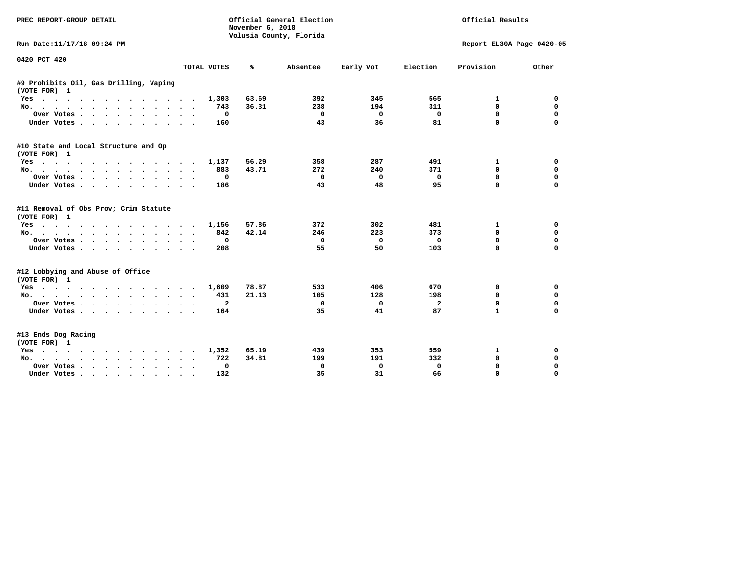| PREC REPORT-GROUP DETAIL                                                                |                | November 6, 2018 | Official General Election<br>Volusia County, Florida |           | Official Results        |                           |                  |
|-----------------------------------------------------------------------------------------|----------------|------------------|------------------------------------------------------|-----------|-------------------------|---------------------------|------------------|
| Run Date:11/17/18 09:24 PM                                                              |                |                  |                                                      |           |                         | Report EL30A Page 0420-05 |                  |
| 0420 PCT 420                                                                            |                |                  |                                                      |           |                         |                           |                  |
|                                                                                         | TOTAL VOTES    | ℁                | Absentee                                             | Early Vot | Election                | Provision                 | Other            |
| #9 Prohibits Oil, Gas Drilling, Vaping<br>(VOTE FOR) 1                                  |                |                  |                                                      |           |                         |                           |                  |
| $Yes \cdot \cdot \cdot$<br>.<br>$\sim$ $\sim$                                           | 1,303          | 63.69            | 392                                                  | 345       | 565                     | 1                         | 0                |
| No.                                                                                     | 743            | 36.31            | 238                                                  | 194       | 311                     | 0                         | 0                |
| Over Votes                                                                              | 0<br>$\bullet$ |                  | 0                                                    | 0         | $\mathbf 0$             | $\mathbf 0$               | $\mathbf 0$      |
| Under Votes<br>$\ddot{\phantom{1}}$                                                     | 160            |                  | 43                                                   | 36        | 81                      | 0                         | $\Omega$         |
| #10 State and Local Structure and Op                                                    |                |                  |                                                      |           |                         |                           |                  |
| (VOTE FOR) 1                                                                            |                | 56.29            | 358                                                  | 287       | 491                     | 1                         | 0                |
| Yes<br>No.                                                                              | 1,137<br>883   | 43.71            | 272                                                  | 240       | 371                     | 0                         | 0                |
| Over Votes                                                                              | 0              |                  | 0                                                    | $\Omega$  | $\Omega$                | 0                         | $\Omega$         |
| Under Votes                                                                             | 186            |                  | 43                                                   | 48        | 95                      | $\Omega$                  | $\Omega$         |
| $\ddot{\phantom{0}}$                                                                    |                |                  |                                                      |           |                         |                           |                  |
| #11 Removal of Obs Prov; Crim Statute<br>(VOTE FOR) 1                                   |                |                  |                                                      |           |                         |                           |                  |
| Yes                                                                                     | 1,156          | 57.86            | 372                                                  | 302       | 481                     | 1                         | 0                |
| No.                                                                                     | 842            | 42.14            | 246                                                  | 223       | 373                     | 0                         | 0                |
| Over Votes<br>$\cdot$ $\cdot$ $\cdot$                                                   | 0<br>$\bullet$ |                  | $\mathbf{0}$                                         | $\Omega$  | $\Omega$                | 0                         | $\Omega$         |
| Under Votes                                                                             | 208            |                  | 55                                                   | 50        | 103                     | $\mathbf 0$               | $\Omega$         |
| #12 Lobbying and Abuse of Office                                                        |                |                  |                                                      |           |                         |                           |                  |
| (VOTE FOR) 1                                                                            |                |                  |                                                      |           |                         |                           |                  |
| Yes                                                                                     | 1,609          | 78.87            | 533                                                  | 406       | 670                     | 0                         | 0<br>$\mathbf 0$ |
| $No.$<br>$\cdots$                                                                       | 431            | 21.13            | 105                                                  | 128       | 198                     | 0                         |                  |
| Over Votes                                                                              | $\mathbf{2}$   |                  | 0                                                    | 0         | $\overline{\mathbf{2}}$ | 0<br>$\mathbf{1}$         | 0<br>$\Omega$    |
| Under Votes                                                                             | 164            |                  | 35                                                   | 41        | 87                      |                           |                  |
| #13 Ends Dog Racing<br>(VOTE FOR) 1                                                     |                |                  |                                                      |           |                         |                           |                  |
| Yes                                                                                     | 1,352          | 65.19            | 439                                                  | 353       | 559                     | 1                         | 0                |
| $No.$<br>$\cdot$ $\cdot$ $\cdot$ $\cdot$ $\cdot$ $\cdot$ $\cdot$ $\cdot$<br>$\sim$      | 722            | 34.81            | 199                                                  | 191       | 332                     | 0                         | 0                |
| Over Votes .<br>$\cdot$ $\cdot$ $\cdot$ $\cdot$ $\cdot$ $\cdot$<br>$\ddot{\phantom{1}}$ | 0<br>$\bullet$ |                  | 0                                                    | 0         | 0                       | 0                         | 0                |
| Under Votes<br>$\sim$ $\sim$                                                            | 132            |                  | 35                                                   | 31        | 66                      | $\Omega$                  | $\Omega$         |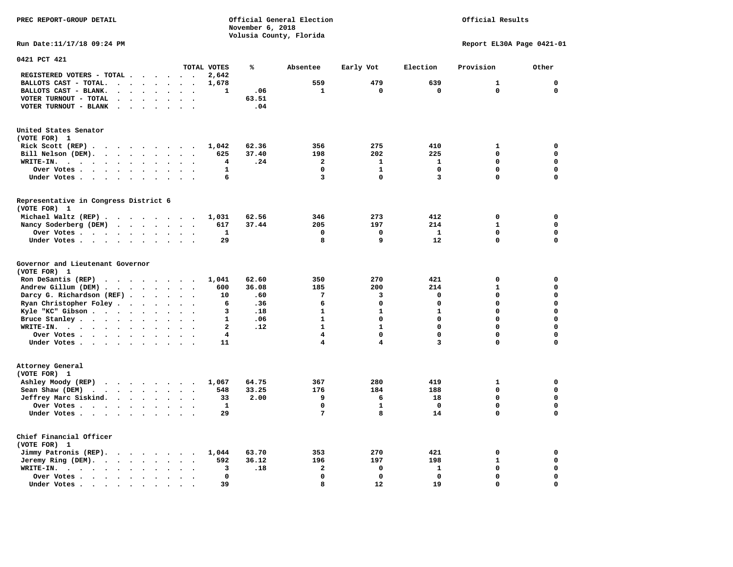**PREC REPORT-GROUP DETAIL COMPUTER CONSUMING A CONSUMING CONSUMING A LIGACION CONSUMING A LIGACION** *November 6, 2018 November 6, 2018*  **Volusia County, Florida** 

## Official Results

**Run Date:11/17/18 09:24 PM Report EL30A Page 0421-01** 

| 0421 PCT 421                                                                                                                 |                                              |                      |                                   |                                   |              |       |              |                         |              |              |             |
|------------------------------------------------------------------------------------------------------------------------------|----------------------------------------------|----------------------|-----------------------------------|-----------------------------------|--------------|-------|--------------|-------------------------|--------------|--------------|-------------|
|                                                                                                                              |                                              |                      |                                   |                                   | TOTAL VOTES  | ℁     | Absentee     | Early Vot               | Election     | Provision    | Other       |
| REGISTERED VOTERS - TOTAL .                                                                                                  | $\ddot{\phantom{a}}$<br>$\ddot{\phantom{a}}$ | $\sim$               |                                   | $\sim$<br>$\ddot{\phantom{a}}$    | 2,642        |       |              |                         |              |              |             |
| BALLOTS CAST - TOTAL.<br>$\sim$<br>$\ddot{\phantom{a}}$                                                                      | $\ddot{\phantom{a}}$                         |                      | $\bullet$                         |                                   | 1,678        |       | 559          | 479                     | 639          | $\mathbf{1}$ | $\mathbf 0$ |
| BALLOTS CAST - BLANK.<br>$\bullet$                                                                                           | $\ddot{\phantom{a}}$                         |                      | $\bullet$                         | $\ddot{\phantom{a}}$<br>$\bullet$ | 1            | .06   | 1            | 0                       | $\mathbf 0$  | $\mathbf 0$  | $\mathbf 0$ |
| VOTER TURNOUT - TOTAL<br>$\ddot{\phantom{a}}$<br>$\blacksquare$                                                              | $\Delta$                                     |                      |                                   |                                   |              | 63.51 |              |                         |              |              |             |
| VOTER TURNOUT - BLANK<br>$\sim$                                                                                              |                                              |                      |                                   |                                   |              | .04   |              |                         |              |              |             |
|                                                                                                                              |                                              |                      |                                   |                                   |              |       |              |                         |              |              |             |
| United States Senator                                                                                                        |                                              |                      |                                   |                                   |              |       |              |                         |              |              |             |
| (VOTE FOR) 1                                                                                                                 |                                              |                      |                                   |                                   |              |       |              |                         |              |              |             |
| Rick Scott (REP).<br>$\bullet$<br>$\sim$ $\sim$                                                                              | $\sim$ $\sim$ $\sim$                         |                      | $\cdot$                           |                                   | 1,042        | 62.36 | 356          | 275                     | 410          | $\mathbf{1}$ | 0           |
| Bill Nelson (DEM).<br>$\mathbf{r}$ , $\mathbf{r}$ , $\mathbf{r}$ , $\mathbf{r}$ , $\mathbf{r}$ , $\mathbf{r}$ , $\mathbf{r}$ |                                              |                      |                                   | $\bullet$                         | 625          | 37.40 | 198          | 202                     | 225          | 0            | $\mathbf 0$ |
| WRITE-IN.<br>$\cdots$<br>$\ddot{\phantom{0}}$<br>$\sim$                                                                      | $\ddot{\phantom{a}}$                         |                      | $\bullet$                         |                                   | 4            | .24   | $\mathbf{2}$ | $\mathbf{1}$            | $\mathbf{1}$ | $\Omega$     | $\mathbf 0$ |
| Over Votes                                                                                                                   |                                              |                      | $\bullet$                         |                                   | $\mathbf{1}$ |       | $\Omega$     | $\mathbf{1}$            | $\mathbf 0$  | $\Omega$     | $\mathbf 0$ |
| Under Votes                                                                                                                  | $\bullet$                                    |                      |                                   |                                   | 6            |       | 3            | 0                       | 3            | 0            | $\mathbf 0$ |
|                                                                                                                              | $\sim$<br>$\ddot{\phantom{a}}$               | $\blacksquare$       |                                   | $\ddot{\phantom{0}}$<br>$\cdot$   |              |       |              |                         |              |              |             |
| Representative in Congress District 6                                                                                        |                                              |                      |                                   |                                   |              |       |              |                         |              |              |             |
| (VOTE FOR) 1                                                                                                                 |                                              |                      |                                   |                                   |              |       |              |                         |              |              |             |
|                                                                                                                              |                                              |                      |                                   |                                   | 1,031        | 62.56 | 346          | 273                     | 412          | $\mathbf 0$  | 0           |
| Michael Waltz (REP) .<br>$\cdots$                                                                                            |                                              |                      |                                   |                                   |              |       |              |                         |              | $\mathbf{1}$ | $\mathbf 0$ |
| Nancy Soderberg (DEM)<br>$\sim$ $\sim$ $\sim$ $\sim$ $\sim$                                                                  |                                              |                      |                                   | $\sim$<br>$\bullet$               | 617          | 37.44 | 205          | 197                     | 214          |              |             |
| Over Votes .<br>$\cdots$                                                                                                     | $\bullet$                                    |                      | $\bullet$                         | $\cdot$                           | 1            |       | $\mathbf 0$  | 0                       | $\mathbf{1}$ | 0            | 0           |
| Under Votes                                                                                                                  | $\ddot{\phantom{0}}$<br>$\cdot$              |                      | $\bullet$                         | $\cdot$                           | 29           |       | 8            | 9                       | 12           | 0            | $\mathbf 0$ |
| Governor and Lieutenant Governor                                                                                             |                                              |                      |                                   |                                   |              |       |              |                         |              |              |             |
| (VOTE FOR) 1                                                                                                                 |                                              |                      |                                   |                                   |              |       |              |                         |              |              |             |
| Ron DeSantis (REP)<br>.                                                                                                      |                                              |                      |                                   |                                   | 1,041        | 62.60 | 350          | 270                     | 421          | 0            | $\mathbf 0$ |
| Andrew Gillum (DEM)                                                                                                          |                                              |                      |                                   | $\sim$<br>$\bullet$               | 600          | 36.08 | 185          | 200                     | 214          | $\mathbf{1}$ | $\mathbf 0$ |
| Darcy G. Richardson (REF).                                                                                                   | $\bullet$                                    |                      | $\ddot{\phantom{a}}$              |                                   | 10           | .60   | 7            | 3                       | $\mathbf 0$  | 0            | $\mathbf 0$ |
| Ryan Christopher Foley.<br>$\sim$                                                                                            | $\bullet$                                    |                      |                                   |                                   | 6            | .36   | 6            | $\mathbf 0$             | 0            | $\Omega$     | $\mathbf 0$ |
| Kyle "KC" Gibson                                                                                                             |                                              |                      | $\bullet$                         |                                   | 3            | .18   | $\mathbf{1}$ | $\mathbf{1}$            | $\mathbf{1}$ | 0            | $\mathbf 0$ |
|                                                                                                                              | $\bullet$<br>$\bullet$                       |                      | $\bullet$<br>$\ddot{\phantom{a}}$ | $\bullet$                         | $\mathbf{1}$ | .06   | $\mathbf{1}$ | 0                       | 0            | 0            | $\mathbf 0$ |
| Bruce Stanley                                                                                                                | $\ddot{\phantom{a}}$                         |                      |                                   | $\overline{\phantom{a}}$          | $\mathbf{2}$ |       | $\mathbf{1}$ | $\mathbf{1}$            | $\mathbf 0$  | $\Omega$     | $\mathbf 0$ |
| WRITE-IN.<br>$\cdots$                                                                                                        | $\bullet$                                    |                      |                                   |                                   |              | .12   |              | $\mathbf 0$             | $\mathbf 0$  |              |             |
| Over Votes                                                                                                                   | $\ddot{\phantom{a}}$                         |                      | $\bullet$                         | $\bullet$<br>$\ddot{\phantom{0}}$ | 4            |       | 4            |                         |              | 0            | $\mathbf 0$ |
| Under Votes                                                                                                                  |                                              | $\ddot{\phantom{a}}$ |                                   | $\ddot{\phantom{a}}$              | 11           |       | 4            | $\overline{\mathbf{4}}$ | 3            | 0            | $\mathbf 0$ |
| Attorney General                                                                                                             |                                              |                      |                                   |                                   |              |       |              |                         |              |              |             |
| (VOTE FOR) 1                                                                                                                 |                                              |                      |                                   |                                   |              |       |              |                         |              |              |             |
| Ashley Moody (REP)                                                                                                           |                                              |                      |                                   |                                   | 1,067        | 64.75 | 367          | 280                     | 419          | 1            | $\mathbf 0$ |
|                                                                                                                              |                                              |                      |                                   |                                   |              | 33.25 | 176          | 184                     | 188          | 0            | $\mathbf 0$ |
| Sean Shaw (DEM)<br>$\cdot$ $\cdot$ $\cdot$ $\cdot$                                                                           | $\ddot{\phantom{0}}$                         |                      | $\ddot{\phantom{a}}$              |                                   | 548          |       |              |                         |              | 0            | $\mathbf 0$ |
| Jeffrey Marc Siskind.<br>$\cdot \cdot \cdot \cdot$                                                                           |                                              | $\ddot{\phantom{0}}$ |                                   | $\bullet$<br>$\bullet$            | 33           | 2.00  | 9            | 6                       | 18           |              |             |
| Over Votes                                                                                                                   | $\sim$                                       |                      | $\ddot{\phantom{a}}$              |                                   | 1            |       | $\mathbf 0$  | $\mathbf{1}$            | $\mathbf 0$  | 0            | $\mathbf 0$ |
| Under Votes                                                                                                                  | $\ddot{\phantom{a}}$                         |                      |                                   |                                   | 29           |       | 7            | 8                       | 14           | 0            | $\mathbf 0$ |
| Chief Financial Officer                                                                                                      |                                              |                      |                                   |                                   |              |       |              |                         |              |              |             |
| (VOTE FOR) 1                                                                                                                 |                                              |                      |                                   |                                   |              |       |              |                         |              |              |             |
|                                                                                                                              |                                              |                      |                                   |                                   |              | 63.70 | 353          | 270                     | 421          | 0            | 0           |
| Jimmy Patronis (REP).<br>$\sim$ $\sim$                                                                                       | $\cdot$ $\cdot$                              | $\ddot{\phantom{1}}$ |                                   | $\sim$                            | 1,044        |       | 196          | 197                     | 198          | $\mathbf{1}$ | $\mathbf 0$ |
| Jeremy Ring (DEM).<br>$\cdot$ $\cdot$ $\cdot$ $\cdot$                                                                        |                                              | $\ddot{\phantom{0}}$ | $\bullet$                         | $\bullet$                         | 592          | 36.12 |              |                         |              | 0            |             |
| WRITE-IN.<br>$\sim$<br>$\cdots$<br>$\bullet$                                                                                 | $\bullet$                                    |                      | $\bullet$                         |                                   | 3            | .18   | $\mathbf{2}$ | 0                       | 1            |              | $\mathbf 0$ |
| Over Votes.<br>$\bullet$                                                                                                     | $\ddot{\phantom{a}}$                         |                      |                                   |                                   | $\mathbf 0$  |       | $\Omega$     | $\mathbf 0$             | $\mathbf 0$  | $\Omega$     | $\mathbf 0$ |
| Under Votes.<br>$\sim$ $\sim$<br>$\sim$<br>$\bullet$                                                                         | $\bullet$                                    |                      |                                   |                                   | 39           |       | 8            | 12                      | 19           | 0            | $\mathbf 0$ |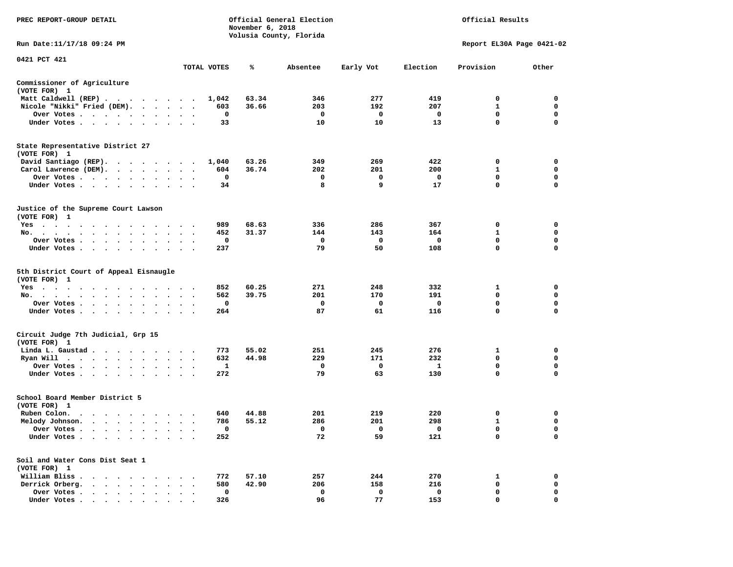| PREC REPORT-GROUP DETAIL                                                                                                                   |                                               |             | November 6, 2018 | Official General Election<br>Volusia County, Florida |              |              | Official Results          |             |
|--------------------------------------------------------------------------------------------------------------------------------------------|-----------------------------------------------|-------------|------------------|------------------------------------------------------|--------------|--------------|---------------------------|-------------|
| Run Date:11/17/18 09:24 PM                                                                                                                 |                                               |             |                  |                                                      |              |              | Report EL30A Page 0421-02 |             |
| 0421 PCT 421                                                                                                                               |                                               | TOTAL VOTES | ℁                | Absentee                                             | Early Vot    | Election     | Provision                 | Other       |
| Commissioner of Agriculture                                                                                                                |                                               |             |                  |                                                      |              |              |                           |             |
| (VOTE FOR) 1                                                                                                                               |                                               |             |                  |                                                      |              |              |                           |             |
| Matt Caldwell (REP)                                                                                                                        |                                               | 1,042       | 63.34            | 346                                                  | 277          | 419          | $\mathbf 0$               | $\mathbf 0$ |
| Nicole "Nikki" Fried (DEM).                                                                                                                |                                               | 603         | 36.66            | 203                                                  | 192          | 207          | 1                         | 0           |
| Over Votes<br>$\sim$                                                                                                                       |                                               | 0           |                  | $\mathbf{o}$                                         | $\mathbf{o}$ | $\mathbf{o}$ | 0                         | 0           |
| Under Votes                                                                                                                                |                                               | 33          |                  | 10                                                   | 10           | 13           | $\mathbf 0$               | $\mathbf 0$ |
| State Representative District 27<br>(VOTE FOR) 1                                                                                           |                                               |             |                  |                                                      |              |              |                           |             |
| David Santiago (REP).                                                                                                                      |                                               | 1,040       | 63.26            | 349                                                  | 269          | 422          | 0                         | 0           |
| Carol Lawrence (DEM).                                                                                                                      |                                               | 604         | 36.74            | 202                                                  | 201          | 200          | $\mathbf{1}$              | $\mathbf 0$ |
| Over Votes                                                                                                                                 |                                               | $\mathbf 0$ |                  | $\mathbf 0$                                          | $\mathbf 0$  | $\mathbf{o}$ | $\mathbf 0$               | $\mathbf 0$ |
| Under Votes<br>$\sim$                                                                                                                      |                                               | 34          |                  | 8                                                    | 9            | 17           | $\mathbf 0$               | $\mathbf 0$ |
| Justice of the Supreme Court Lawson<br>(VOTE FOR) 1                                                                                        |                                               |             |                  |                                                      |              |              |                           |             |
| $Yes \cdot \cdot \cdot$<br>the contract of the contract of the contract of the contract of the contract of the contract of the contract of |                                               | 989         | 68.63            | 336                                                  | 286          | 367          | $\mathbf 0$               | $\mathbf 0$ |
| No.                                                                                                                                        |                                               | 452         | 31.37            | 144                                                  | 143          | 164          | $\mathbf{1}$              | $\mathbf 0$ |
| Over Votes<br>$\bullet$ .<br>$\bullet$                                                                                                     | $\bullet$<br>$\cdot$                          | 0           |                  | 0                                                    | 0            | 0            | 0                         | 0           |
| Under Votes                                                                                                                                |                                               | 237         |                  | 79                                                   | 50           | 108          | $\mathbf 0$               | $\mathbf 0$ |
| 5th District Court of Appeal Eisnaugle<br>(VOTE FOR) 1                                                                                     |                                               |             |                  |                                                      |              |              |                           |             |
| Yes<br>No.                                                                                                                                 |                                               | 852<br>562  | 60.25<br>39.75   | 271<br>201                                           | 248<br>170   | 332<br>191   | 1<br>0                    | 0<br>0      |
| $\sim$<br>Over Votes                                                                                                                       |                                               | 0           |                  | 0                                                    | 0            | $\mathbf{o}$ | 0                         | 0           |
| Under Votes                                                                                                                                |                                               | 264         |                  | 87                                                   | 61           | 116          | $\mathbf 0$               | $\mathbf 0$ |
| Circuit Judge 7th Judicial, Grp 15                                                                                                         |                                               |             |                  |                                                      |              |              |                           |             |
| (VOTE FOR) 1                                                                                                                               |                                               |             |                  |                                                      |              |              |                           |             |
| Linda L. Gaustad                                                                                                                           |                                               | 773         | 55.02            | 251                                                  | 245          | 276          | $\mathbf{1}$              | $\mathbf 0$ |
| Ryan Will $\cdots$ , $\cdots$ , $\cdots$ , $\cdots$                                                                                        |                                               | 632         | 44.98            | 229                                                  | 171          | 232          | $\mathbf 0$               | $\mathbf 0$ |
| Over Votes<br>$\sim$                                                                                                                       |                                               | 1           |                  | 0                                                    | 0            | 1            | $\mathbf 0$               | $\mathbf 0$ |
| Under Votes                                                                                                                                | $\cdots$                                      | 272         |                  | 79                                                   | 63           | 130          | $\mathbf 0$               | $\mathbf 0$ |
| School Board Member District 5<br>(VOTE FOR) 1                                                                                             |                                               |             |                  |                                                      |              |              |                           |             |
| Ruben Colon.                                                                                                                               |                                               | 640         | 44.88            | 201                                                  | 219          | 220          | 0                         | 0           |
| Melody Johnson.                                                                                                                            | $\bullet$ , $\bullet$ , $\bullet$ , $\bullet$ | 786         | 55.12            | 286                                                  | 201          | 298          | 1                         | 0           |
| Over Votes                                                                                                                                 |                                               | $\mathbf 0$ |                  | $\mathbf 0$                                          | 0            | $\mathbf 0$  | $\mathbf 0$               | $\mathbf 0$ |
| Under Votes<br>$\sim$<br>$\cdot$<br>$\cdot$                                                                                                |                                               | 252         |                  | 72                                                   | 59           | 121          | $\mathbf 0$               | $\mathbf 0$ |
| Soil and Water Cons Dist Seat 1<br>(VOTE FOR) 1                                                                                            |                                               |             |                  |                                                      |              |              |                           |             |
| William Bliss.<br>$\cdots$                                                                                                                 |                                               | 772         | 57.10            | 257                                                  | 244          | 270          | 1                         | 0           |
| Derrick Orberg.<br>. The contract of the contract of the contract of the contract of the contract of the contract of the $\alpha$          |                                               | 580         | 42.90            | 206                                                  | 158          | 216          | 0                         | 0           |
| Over Votes<br>$\ddot{\phantom{0}}$<br>$\bullet$<br>$\cdot$                                                                                 | $\cdot$                                       | 0           |                  | 0                                                    | $\mathbf 0$  | $\mathbf 0$  | $\mathbf 0$               | $\mathbf 0$ |
| Under Votes,                                                                                                                               |                                               | 326         |                  | 96                                                   | 77           | 153          | $\Omega$                  | $\Omega$    |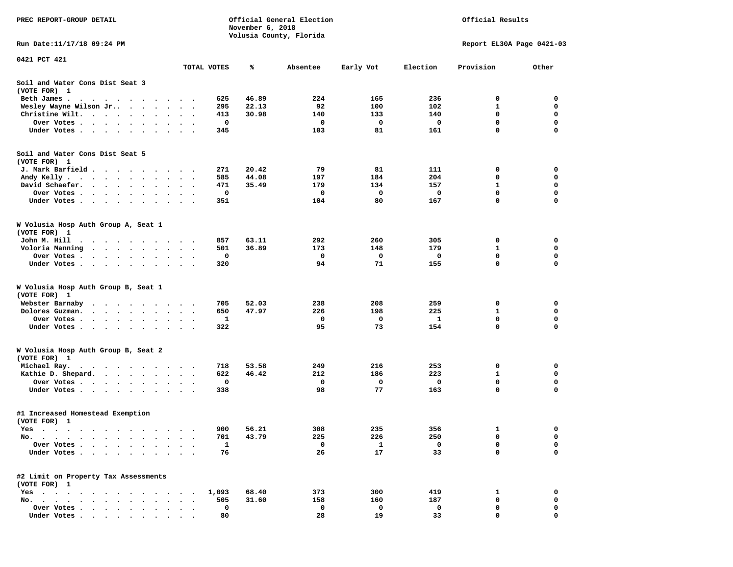| PREC REPORT-GROUP DETAIL                                                                                                                                                                                                                       |                                   |              | November 6, 2018 | Official General Election |            | Official Results |                           |                  |
|------------------------------------------------------------------------------------------------------------------------------------------------------------------------------------------------------------------------------------------------|-----------------------------------|--------------|------------------|---------------------------|------------|------------------|---------------------------|------------------|
| Run Date:11/17/18 09:24 PM                                                                                                                                                                                                                     |                                   |              |                  | Volusia County, Florida   |            |                  | Report EL30A Page 0421-03 |                  |
| 0421 PCT 421                                                                                                                                                                                                                                   |                                   |              |                  |                           |            |                  |                           |                  |
|                                                                                                                                                                                                                                                |                                   | TOTAL VOTES  | %ะ               | Absentee                  | Early Vot  | Election         | Provision                 | Other            |
| Soil and Water Cons Dist Seat 3<br>(VOTE FOR) 1                                                                                                                                                                                                |                                   |              |                  |                           |            |                  |                           |                  |
| Beth James.<br>. The contract of the contract of the contract of the contract of the contract of the contract of the contract of the contract of the contract of the contract of the contract of the contract of the contract of the contrac   |                                   | 625          | 46.89            | 224                       | 165        | 236              | 0                         | 0                |
| Wesley Wayne Wilson Jr<br>$\bullet$                                                                                                                                                                                                            | $\ddot{\phantom{0}}$<br>$\bullet$ | 295          | 22.13            | 92                        | 100        | 102              | 1                         | 0                |
| Christine Wilt.                                                                                                                                                                                                                                |                                   | 413          | 30.98            | 140                       | 133        | 140              | 0                         | 0                |
| Over Votes .<br>. The contract of the contract of the contract of the contract of the contract of the $\alpha$                                                                                                                                 |                                   | 0            |                  | 0                         | 0          | 0                | $\mathbf 0$               | $\mathbf 0$      |
| Under Votes                                                                                                                                                                                                                                    |                                   | 345          |                  | 103                       | 81         | 161              | 0                         | 0                |
| Soil and Water Cons Dist Seat 5                                                                                                                                                                                                                |                                   |              |                  |                           |            |                  |                           |                  |
| (VOTE FOR) 1                                                                                                                                                                                                                                   |                                   |              |                  |                           |            |                  |                           |                  |
| J. Mark Barfield                                                                                                                                                                                                                               |                                   | 271          | 20.42            | 79                        | 81         | 111              | 0                         | 0                |
| Andy Kelly<br>David Schaefer.                                                                                                                                                                                                                  |                                   | 585<br>471   | 44.08<br>35.49   | 197<br>179                | 184<br>134 | 204<br>157       | 0<br>1                    | 0<br>$\mathbf 0$ |
| $\cdot$ $\cdot$ $\cdot$ $\cdot$ $\cdot$ $\cdot$<br>$\bullet$<br>Over Votes .                                                                                                                                                                   | $\bullet$<br>$\bullet$            | 0            |                  | 0                         | 0          | 0                | 0                         | 0                |
| Under Votes                                                                                                                                                                                                                                    |                                   | 351          |                  | 104                       | 80         | 167              | 0                         | 0                |
|                                                                                                                                                                                                                                                |                                   |              |                  |                           |            |                  |                           |                  |
| W Volusia Hosp Auth Group A, Seat 1<br>(VOTE FOR) 1                                                                                                                                                                                            |                                   |              |                  |                           |            |                  |                           |                  |
| John M. Hill                                                                                                                                                                                                                                   |                                   | 857          | 63.11            | 292                       | 260        | 305              | 0                         | 0                |
| Voloria Manning<br>$\cdots$                                                                                                                                                                                                                    |                                   | 501          | 36.89            | 173                       | 148        | 179              | 1                         | 0                |
| Over Votes .<br>and the contract of the contract of the contract of the contract of the contract of the contract of the contract of the contract of the contract of the contract of the contract of the contract of the contract of the contra |                                   | 0            |                  | 0                         | 0          | 0                | 0                         | 0                |
| Under Votes                                                                                                                                                                                                                                    |                                   | 320          |                  | 94                        | 71         | 155              | 0                         | $\mathbf 0$      |
| W Volusia Hosp Auth Group B, Seat 1<br>(VOTE FOR) 1                                                                                                                                                                                            |                                   |              |                  |                           |            |                  |                           |                  |
| Webster Barnaby<br>$\ddot{\phantom{a}}$<br>.                                                                                                                                                                                                   |                                   | 705          | 52.03            | 238                       | 208        | 259              | 0                         | 0                |
| Dolores Guzman.<br>.                                                                                                                                                                                                                           |                                   | 650          | 47.97            | 226                       | 198        | 225              | 1                         | 0                |
| Over Votes .<br>$\begin{array}{cccccccccccccc} \bullet & \bullet & \bullet & \bullet & \bullet & \bullet & \bullet & \bullet & \bullet & \bullet & \bullet \end{array}$                                                                        |                                   | 1            |                  | 0                         | 0          | 1                | 0                         | 0                |
| Under Votes                                                                                                                                                                                                                                    |                                   | 322          |                  | 95                        | 73         | 154              | 0                         | $\mathbf 0$      |
| W Volusia Hosp Auth Group B, Seat 2<br>(VOTE FOR) 1                                                                                                                                                                                            |                                   |              |                  |                           |            |                  |                           |                  |
| Michael Ray.<br>. The contract of the contract of the contract of the contract of the contract of the contract of the contract of the contract of the contract of the contract of the contract of the contract of the contract of the contrac  |                                   | 718          | 53.58            | 249                       | 216        | 253              | 0                         | 0                |
| Kathie D. Shepard.                                                                                                                                                                                                                             |                                   | 622          | 46.42            | 212                       | 186        | 223              | 1                         | 0                |
| Over Votes                                                                                                                                                                                                                                     |                                   | 0            |                  | 0                         | 0          | 0                | 0                         | 0                |
| Under Votes                                                                                                                                                                                                                                    | $\sim$ $\sim$ $\sim$              | 338          |                  | 98                        | 77         | 163              | 0                         | 0                |
| #1 Increased Homestead Exemption<br>(VOTE FOR) 1                                                                                                                                                                                               |                                   |              |                  |                           |            |                  |                           |                  |
| Yes                                                                                                                                                                                                                                            |                                   | 900          | 56.21            | 308                       | 235        | 356              | 1                         | 0                |
| No.<br>$\ddot{\phantom{1}}$                                                                                                                                                                                                                    |                                   | 701          | 43.79            | 225                       | 226        | 250              | 0                         | 0                |
| Over Votes                                                                                                                                                                                                                                     |                                   | $\mathbf{1}$ |                  | 0                         | 1          | 0                | 0                         | 0                |
| Under Votes .                                                                                                                                                                                                                                  |                                   | 76           |                  | 26                        | 17         | 33               | 0                         | $\mathbf 0$      |
| #2 Limit on Property Tax Assessments                                                                                                                                                                                                           |                                   |              |                  |                           |            |                  |                           |                  |
| (VOTE FOR) 1                                                                                                                                                                                                                                   |                                   |              |                  |                           |            |                  |                           |                  |
| $Yes \t . \t .$                                                                                                                                                                                                                                |                                   | 1,093        | 68.40            | 373                       | 300        | 419              | 1                         | 0                |
| $No.$ $\cdot$ $\cdot$ $\cdot$                                                                                                                                                                                                                  |                                   | 505          | 31.60            | 158                       | 160        | 187              | 0                         | 0                |
| Over Votes<br>$\ddot{\phantom{a}}$<br>$\overline{\phantom{a}}$<br>Under Votes                                                                                                                                                                  |                                   | 0<br>80      |                  | 0<br>28                   | 0<br>19    | 0<br>33          | 0<br>0                    | 0<br>$\Omega$    |
|                                                                                                                                                                                                                                                |                                   |              |                  |                           |            |                  |                           |                  |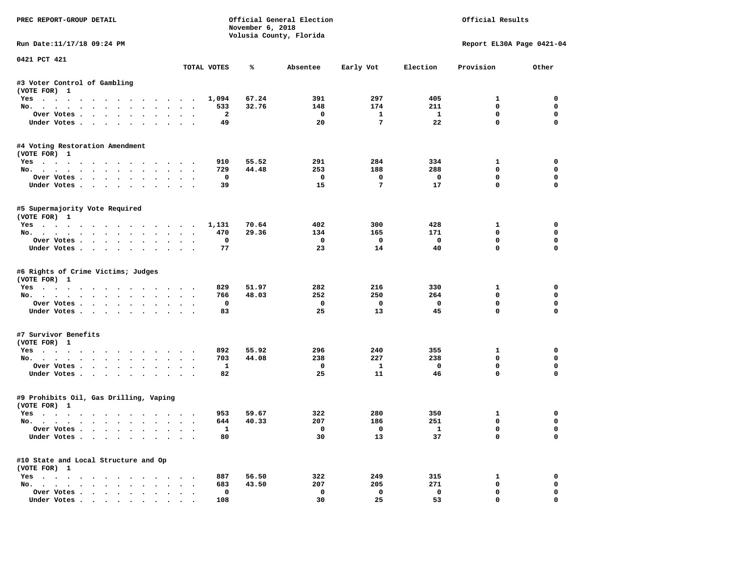| PREC REPORT-GROUP DETAIL                                  |                                              |                      | November 6, 2018 | Official General Election<br>Volusia County, Florida |                                 |                         | Official Results           |                            |
|-----------------------------------------------------------|----------------------------------------------|----------------------|------------------|------------------------------------------------------|---------------------------------|-------------------------|----------------------------|----------------------------|
| Run Date:11/17/18 09:24 PM                                |                                              |                      |                  |                                                      |                                 |                         | Report EL30A Page 0421-04  |                            |
| 0421 PCT 421                                              |                                              | TOTAL VOTES          | ℁                | Absentee                                             | Early Vot                       | Election                | Provision                  | Other                      |
| #3 Voter Control of Gambling                              |                                              |                      |                  |                                                      |                                 |                         |                            |                            |
| (VOTE FOR) 1                                              |                                              |                      |                  |                                                      |                                 |                         |                            |                            |
| Yes                                                       |                                              | 1,094                | 67.24            | 391                                                  | 297                             | 405                     | $\mathbf{1}$               | $\Omega$                   |
| No.                                                       |                                              | 533                  | 32.76            | 148                                                  | 174                             | 211                     | $\mathbf 0$                | $\mathbf 0$                |
| Over Votes<br>Under Votes                                 |                                              | $\overline{a}$<br>49 |                  | $\overline{\phantom{0}}$<br>20                       | $\mathbf{1}$<br>$7\phantom{.0}$ | $\mathbf{1}$<br>22      | 0<br>$\mathbf 0$           | $\mathbf 0$<br>$\mathbf 0$ |
|                                                           |                                              |                      |                  |                                                      |                                 |                         |                            |                            |
| #4 Voting Restoration Amendment<br>(VOTE FOR) 1           |                                              |                      |                  |                                                      |                                 |                         |                            |                            |
| Yes                                                       |                                              | 910                  | 55.52            | 291                                                  | 284                             | 334                     | $\mathbf{1}$               | 0                          |
| No.                                                       |                                              | 729                  | 44.48            | 253                                                  | 188                             | 288                     | $^{\circ}$                 | 0                          |
| Over Votes                                                |                                              | 0                    |                  | $\overline{\phantom{0}}$                             | $\mathbf 0$                     | $\mathbf 0$             | $\mathbf 0$                | 0                          |
| Under Votes                                               |                                              | 39                   |                  | 15                                                   | 7                               | 17                      | $\mathbf 0$                | 0                          |
| #5 Supermajority Vote Required<br>(VOTE FOR) 1            |                                              |                      |                  |                                                      |                                 |                         |                            |                            |
| Yes 1,131                                                 |                                              |                      | 70.64            | 402                                                  | 300                             | 428                     | $\mathbf{1}$               | $\mathbf 0$                |
| No.                                                       |                                              | 470                  | 29.36            | 134                                                  | 165                             | 171                     | $\mathbf 0$                | $\mathbf 0$                |
| Over Votes                                                |                                              | $\mathbf 0$          |                  | $\mathbf{o}$                                         | $\overline{\mathbf{0}}$         | $\overline{\mathbf{0}}$ | $\mathbf 0$                | $\mathbf 0$                |
| Under Votes                                               |                                              | 77                   |                  | 23                                                   | 14                              | 40                      | $\Omega$                   | $\Omega$                   |
| #6 Rights of Crime Victims; Judges<br>(VOTE FOR) 1<br>Yes |                                              | 829                  | 51.97            | 282                                                  | 216                             | 330                     | $\mathbf{1}$               | 0                          |
| No.                                                       |                                              | 766                  | 48.03            | 252                                                  | 250                             | 264                     | $\mathbf 0$                | 0                          |
| Over Votes                                                |                                              | $\mathbf 0$          |                  | $\mathbf{o}$                                         | $\mathbf{o}$                    | $\mathbf 0$             | $\mathbf 0$                | 0                          |
| Under Votes                                               |                                              | 83                   |                  | 25                                                   | 13                              | 45                      | $\mathbf 0$                | $\Omega$                   |
| #7 Survivor Benefits                                      |                                              |                      |                  |                                                      |                                 |                         |                            |                            |
| (VOTE FOR) 1                                              |                                              |                      | 55.92            | 296                                                  | 240                             | 355                     | 1                          | 0                          |
| Yes<br>No.                                                |                                              | 892<br>703           | 44.08            | 238                                                  | 227                             | 238                     | $\Omega$                   | $\mathbf 0$                |
| Over Votes                                                |                                              | $\mathbf{1}$         |                  | $\mathbf{o}$                                         | $\mathbf{1}$                    | $\mathbf 0$             | 0                          | 0                          |
| Under Votes                                               |                                              | 82                   |                  | 25                                                   | 11                              | 46                      | $\mathbf{0}$               | $\Omega$                   |
| #9 Prohibits Oil, Gas Drilling, Vaping                    |                                              |                      |                  |                                                      |                                 |                         |                            |                            |
| (VOTE FOR) 1                                              |                                              |                      |                  |                                                      |                                 |                         |                            |                            |
| Yes                                                       |                                              | 953                  | 59.67            | 322                                                  | 280                             | 350                     | 1                          | 0                          |
| No.                                                       |                                              | 644                  | 40.33            | 207                                                  | 186                             | 251                     | $\mathbf 0$                | 0                          |
| Over Votes                                                |                                              | $\mathbf{1}$         |                  | $\overline{\mathbf{0}}$                              | $\overline{0}$                  | $\overline{\mathbf{1}}$ | $\mathbf{0}$               | $\Omega$                   |
| Under Votes                                               |                                              | 80                   |                  | 30                                                   | 13                              | 37                      | $\mathbf 0$                | 0                          |
| #10 State and Local Structure and Op                      |                                              |                      |                  |                                                      |                                 |                         |                            |                            |
| (VOTE FOR) 1                                              |                                              |                      |                  |                                                      |                                 |                         |                            |                            |
| Yes                                                       |                                              | 887                  | 56.50            | 322                                                  | 249                             | 315                     | 1                          | 0                          |
| No.                                                       | $\sim$ $\sim$                                | 683<br>$\mathbf 0$   | 43.50            | 207<br>$\mathbf 0$                                   | 205<br>$\mathbf 0$              | 271<br>$\mathbf 0$      | $\mathbf 0$<br>$\mathbf 0$ | $\mathbf 0$<br>$\Omega$    |
| Over Votes<br>Under Votes                                 | $\ddot{\phantom{0}}$<br>$\ddot{\phantom{0}}$ | 108                  |                  | 30                                                   | 25                              | 53                      | $\mathbf 0$                | 0                          |
|                                                           |                                              |                      |                  |                                                      |                                 |                         |                            |                            |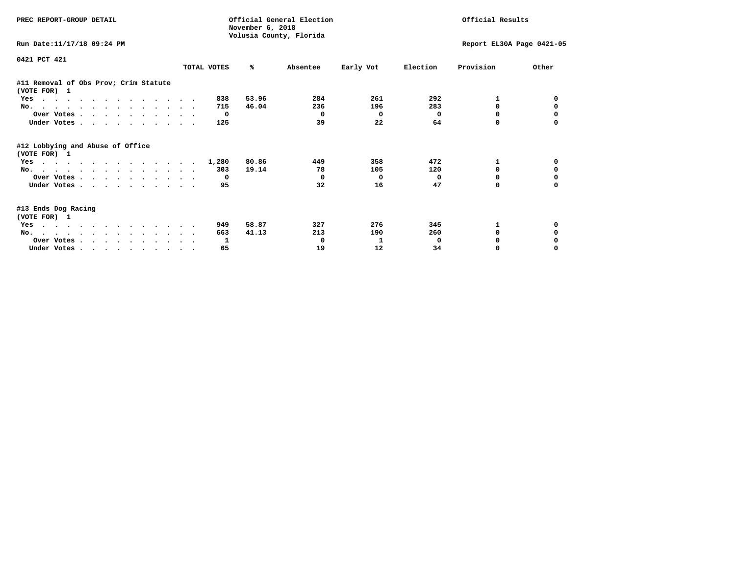| PREC REPORT-GROUP DETAIL                              |             | November 6, 2018 | Official General Election<br>Volusia County, Florida |           |          | Official Results          |          |
|-------------------------------------------------------|-------------|------------------|------------------------------------------------------|-----------|----------|---------------------------|----------|
| Run Date: 11/17/18 09:24 PM                           |             |                  |                                                      |           |          | Report EL30A Page 0421-05 |          |
| 0421 PCT 421                                          | TOTAL VOTES | ℁                | Absentee                                             | Early Vot | Election | Provision                 | Other    |
| #11 Removal of Obs Prov; Crim Statute<br>(VOTE FOR) 1 |             |                  |                                                      |           |          |                           |          |
| Yes                                                   | 838         | 53.96            | 284                                                  | 261       | 292      | 1                         |          |
| No.                                                   | 715         | 46.04            | 236                                                  | 196       | 283      | 0                         | 0        |
| Over Votes                                            | 0           |                  | 0                                                    | 0         | 0        | $\Omega$                  |          |
| Under Votes.                                          | 125         |                  | 39                                                   | 22        | 64       | 0                         |          |
| #12 Lobbying and Abuse of Office<br>(VOTE FOR) 1      |             |                  |                                                      |           |          |                           |          |
| Yes                                                   | 1,280       | 80.86            | 449                                                  | 358       | 472      | $\mathbf{1}$              | 0        |
| No.                                                   | 303         | 19.14            | 78                                                   | 105       | 120      | $\Omega$                  | $\Omega$ |
| Over Votes                                            | 0           |                  | $^{\circ}$                                           | 0         | 0        | 0                         | 0        |
| Under Votes.                                          | 95          |                  | 32                                                   | 16        | 47       | 0                         |          |
| #13 Ends Dog Racing<br>(VOTE FOR) 1                   |             |                  |                                                      |           |          |                           |          |
| Yes                                                   | 949         | 58.87            | 327                                                  | 276       | 345      | 1                         | 0        |
| No.                                                   | 663         | 41.13            | 213                                                  | 190       | 260      | $\Omega$                  | 0        |
| Over Votes                                            | 1           |                  | 0                                                    | 1         | 0        |                           |          |
| Under Votes                                           | 65          |                  | 19                                                   | 12        | 34       | 0                         |          |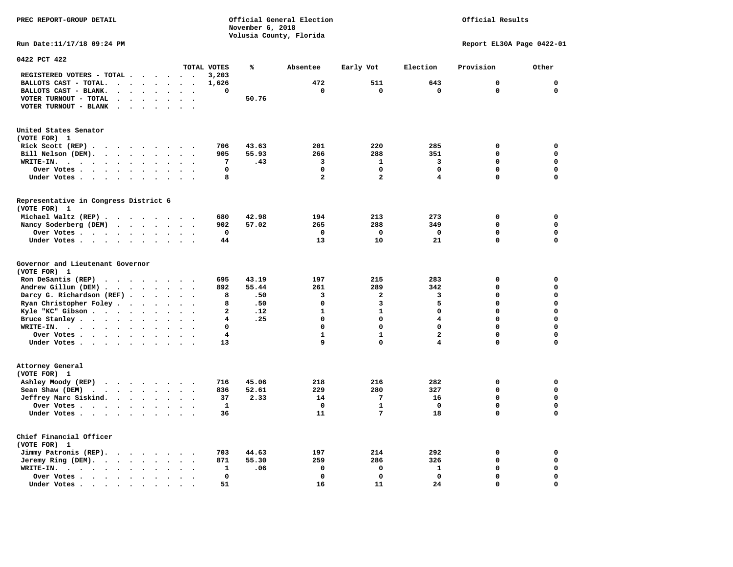**November 6, 2018 Volusia County, Florida Run Date:11/17/18 09:24 PM Report EL30A Page 0422-01 0422 PCT 422 TOTAL VOTES % Absentee Early Vot Election Provision Other REGISTERED VOTERS - TOTAL . . . . . . 3,203 BALLOTS CAST - TOTAL. . . . . . . . 1,626 472 511 643 0 0 BALLOTS CAST - BLANK. . . . . . . . 0 0 0 0 0 0 VOTER TURNOUT - TOTAL . . . . . . . . 50.76 VOTER TURNOUT - BLANK . . . . . . . United States Senator (VOTE FOR) 1 Rick Scott (REP) . . . . . . . . . 706 43.63 201 220 285 0 0 Bill Nelson (DEM). . . . . . . . . 905 55.93 266 288 351 0 0 WRITE-IN. . . . . . . . . . . . 7 .43 3 1 3 0 0 Over Votes . . . . . . . . . . 0 0 0 0 0 0 Under Votes . . . . . . . . . . 8 2 2 4 0 0 Representative in Congress District 6 (VOTE FOR) 1 Michael Waltz (REP) . . . . . . . . 680 42.98 194 213 273 0 0 Nancy Soderberg (DEM) . . . . . . . 902 57.02 265 288 349 0 0 Over Votes . . . . . . . . . . 0 0 0 0 0 0 Under Votes . . . . . . . . . 44 13 10 21 0 Governor and Lieutenant Governor (VOTE FOR) 1 Ron DeSantis (REP) . . . . . . . . 695 43.19 197 215 283 0 0 Andrew Gillum (DEM) . . . . . . . . 892 55.44 261 289 342 0 0 Darcy G. Richardson (REF) . . . . . 8 .50** 3 2 3 0 0 0<br>**Ryan Christopher Foley** . . . . . . 8 .50 0 3 5 0 0  **Ryan Christopher Foley . . . . . . . 8 .50 0 3 5 0 0 Kyle "KC" Gibson . . . . . . . . . . 2 .12 Bruce Stanley . . . . . . . . . . 4 .25** 0 0 4 0 0 0 0  **WRITE-IN. . . . . . . . . . . . 0 0 0 0 0 0 Over Votes . . . . . . . . . . 4 1 1 2 0 0 Under Votes . . . . . . . . . . 13** 9 0 4 0 0 **Attorney General (VOTE FOR) 1 Ashley Moody (REP) . . . . . . . . 716 45.06 218 216 282 0 0 Sean Shaw (DEM)** . . . . . . . . 836 52.61 229 280 327 0 0  **Jeffrey Marc Siskind. . . . . . . . 37 2.33 14 7 16 0 0 Over Votes . . . . . . . . . . 1 0 1 0 0 0 Under Votes . . . . . . . . . . 36 11 7 18 0 0 Chief Financial Officer (VOTE FOR) 1 Jimmy Patronis (REP). . . . . . . . 703 44.63 197 214 292 0 0 Jeremy Ring (DEM).** . . . . . . . 871 55.30 299 286 326 0 0 0

 **WRITE-IN. . . . . . . . . . . . 1 .06 0 0 1 0 0 Over Votes . . . . . . . . . . 0 0 0 0 0 0** 

 **Under Votes . . . . . . . . . . 51** 16 11 24 0

 $\Omega$ 

 $\mathbf{0}$ 

 $\mathbf{0}$ 

 $\mathbf 0$ 

 $\mathbf{o}$ 

**PREC REPORT-GROUP DETAIL Official General Election Official Results**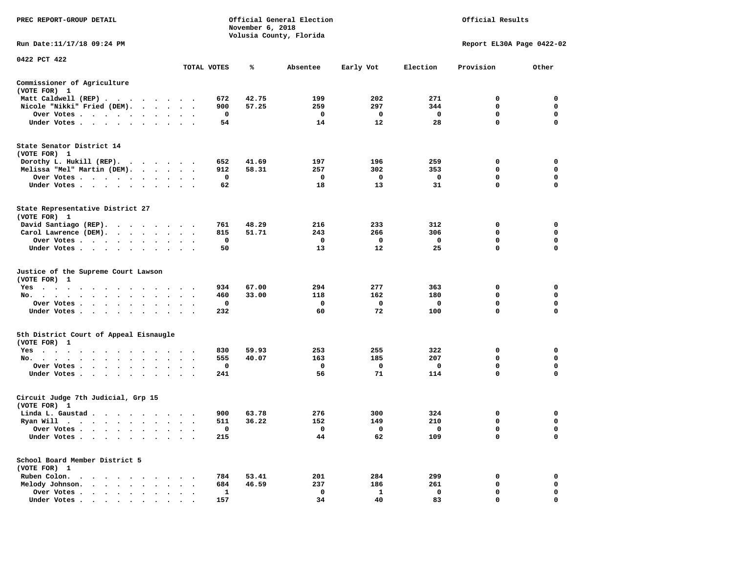| PREC REPORT-GROUP DETAIL                                                                                                                                                                                                                          |                         |                                 | November 6, 2018 | Official General Election<br>Volusia County, Florida |           |                         | Official Results          |             |
|---------------------------------------------------------------------------------------------------------------------------------------------------------------------------------------------------------------------------------------------------|-------------------------|---------------------------------|------------------|------------------------------------------------------|-----------|-------------------------|---------------------------|-------------|
| Run Date: 11/17/18 09:24 PM                                                                                                                                                                                                                       |                         |                                 |                  |                                                      |           |                         | Report EL30A Page 0422-02 |             |
| 0422 PCT 422                                                                                                                                                                                                                                      |                         |                                 |                  |                                                      |           |                         |                           |             |
|                                                                                                                                                                                                                                                   |                         | TOTAL VOTES                     | ℁                | Absentee                                             | Early Vot | Election                | Provision                 | Other       |
| Commissioner of Agriculture<br>(VOTE FOR) 1                                                                                                                                                                                                       |                         |                                 |                  |                                                      |           |                         |                           |             |
| Matt Caldwell (REP)                                                                                                                                                                                                                               |                         | 672                             | 42.75            | 199                                                  | 202       | 271                     | 0                         | $\mathbf 0$ |
| Nicole "Nikki" Fried (DEM).                                                                                                                                                                                                                       |                         | 900                             | 57.25            | 259                                                  | 297       | 344                     | $\mathbf 0$               | $\mathbf 0$ |
| Over Votes                                                                                                                                                                                                                                        |                         | 0                               |                  | 0                                                    | 0         | $\overline{\mathbf{0}}$ | $\mathbf 0$               | 0           |
| Under Votes                                                                                                                                                                                                                                       |                         | 54                              |                  | 14                                                   | 12        | 28                      | $\mathbf 0$               | $\Omega$    |
| State Senator District 14<br>(VOTE FOR) 1                                                                                                                                                                                                         |                         |                                 |                  |                                                      |           |                         |                           |             |
| Dorothy L. Hukill $(REP)$ .                                                                                                                                                                                                                       |                         | 652                             | 41.69            | 197                                                  | 196       | 259                     | 0                         | $\mathbf 0$ |
| Melissa "Mel" Martin (DEM).                                                                                                                                                                                                                       |                         | 912                             | 58.31            | 257                                                  | 302       | 353                     | $\mathbf{0}$              | $\mathbf 0$ |
| Over Votes<br>$\sim$                                                                                                                                                                                                                              |                         | $\mathbf 0$                     |                  | $\mathbf 0$                                          | 0         | 0                       | $\mathbf 0$               | $\mathbf 0$ |
| Under Votes                                                                                                                                                                                                                                       | $\sim$ $\sim$           | 62                              |                  | 18                                                   | 13        | 31                      | $\mathbf 0$               | $\Omega$    |
| State Representative District 27<br>(VOTE FOR) 1                                                                                                                                                                                                  |                         |                                 |                  |                                                      |           |                         |                           |             |
| David Santiago (REP).                                                                                                                                                                                                                             |                         | 761                             | 48.29            | 216                                                  | 233       | 312                     | 0                         | 0           |
| Carol Lawrence (DEM).                                                                                                                                                                                                                             |                         | 815<br>$\overline{\phantom{a}}$ | 51.71            | 243                                                  | 266       | 306                     | $\mathbf 0$               | $\mathbf 0$ |
| Over Votes<br>$\bullet$                                                                                                                                                                                                                           |                         | $\Omega$                        |                  | $\mathbf 0$                                          | $\Omega$  | $\Omega$                | $\mathbf{0}$              | $\mathbf 0$ |
| Under Votes                                                                                                                                                                                                                                       |                         | 50                              |                  | 13                                                   | 12        | 25                      | $\mathbf 0$               | $\Omega$    |
| Justice of the Supreme Court Lawson<br>(VOTE FOR) 1                                                                                                                                                                                               |                         |                                 |                  |                                                      |           |                         |                           |             |
| $Yes \cdot \cdot \cdot \cdot$<br>$\ddot{\phantom{1}}$<br>$\ddot{\phantom{1}}$<br>$\sim$ $\sim$<br>$\cdot$ $\cdot$                                                                                                                                 |                         | 934                             | 67.00            | 294                                                  | 277       | 363                     | 0                         | 0           |
| No.<br>$\mathbf{r}$ , and $\mathbf{r}$ , and $\mathbf{r}$ , and $\mathbf{r}$ , and $\mathbf{r}$<br>$\ddot{\phantom{a}}$                                                                                                                           | $\cdot$ $\cdot$ $\cdot$ | 460                             | 33.00            | 118                                                  | 162       | 180                     | 0                         | $\mathbf 0$ |
| Over Votes<br>$\sim$<br>$\bullet$                                                                                                                                                                                                                 | $\ddot{\phantom{0}}$    | 0<br>$\overline{\phantom{a}}$   |                  | 0                                                    | 0         | 0                       | $\mathbf 0$               | $\mathbf 0$ |
| Under Votes<br>$\sim$                                                                                                                                                                                                                             | $\cdot$ $\cdot$ $\cdot$ | 232                             |                  | 60                                                   | 72        | 100                     | $\mathbf 0$               | $\Omega$    |
| 5th District Court of Appeal Eisnaugle<br>(VOTE FOR) 1                                                                                                                                                                                            |                         |                                 |                  |                                                      |           |                         |                           |             |
| Yes                                                                                                                                                                                                                                               |                         | 830                             | 59.93            | 253                                                  | 255       | 322                     | $\mathbf 0$               | $\mathbf 0$ |
| No.<br>$\bullet$                                                                                                                                                                                                                                  | $\sim$                  | 555                             | 40.07            | 163                                                  | 185       | 207                     | 0                         | 0           |
| Over Votes<br>$\ddot{\phantom{1}}$<br>$\bullet$<br>$\ddot{\phantom{1}}$                                                                                                                                                                           |                         | 0                               |                  | 0                                                    | 0         | $\mathbf 0$             | 0                         | 0           |
| Under Votes                                                                                                                                                                                                                                       | $\cdots$                | 241                             |                  | 56                                                   | 71        | 114                     | $\mathbf 0$               | $\mathbf 0$ |
| Circuit Judge 7th Judicial, Grp 15<br>(VOTE FOR) 1                                                                                                                                                                                                |                         |                                 |                  |                                                      |           |                         |                           |             |
| Linda L. Gaustad                                                                                                                                                                                                                                  |                         | 900                             | 63.78            | 276                                                  | 300       | 324                     | 0                         | 0           |
| Ryan Will $\cdots$ , $\cdots$ , $\cdots$ , $\cdots$                                                                                                                                                                                               |                         | 511                             | 36.22            | 152                                                  | 149       | 210                     | $\mathbf 0$               | $\mathbf 0$ |
| Over Votes<br>$\ddot{\phantom{1}}$                                                                                                                                                                                                                | $\sim$ $\sim$           | 0                               |                  | 0                                                    | 0         | 0                       | 0                         | 0           |
| Under Votes<br>$\ddot{\phantom{1}}$<br>$\bullet$                                                                                                                                                                                                  |                         | 215                             |                  | 44                                                   | 62        | 109                     | $\mathbf 0$               | $\mathbf 0$ |
| School Board Member District 5<br>(VOTE FOR) 1                                                                                                                                                                                                    |                         |                                 |                  |                                                      |           |                         |                           |             |
| Ruben Colon.<br>$\mathbf{A}$ . The contribution of the contribution of the contribution of the contribution of the contribution of the contribution of the contribution of the contribution of the contribution of the contribution of the contri |                         | 784                             | 53.41            | 201                                                  | 284       | 299                     | 0                         | 0           |
| Melody Johnson.                                                                                                                                                                                                                                   | $\cdot$ $\cdot$ $\cdot$ | 684                             | 46.59            | 237                                                  | 186       | 261                     | 0                         | 0           |
| Over Votes<br>$\sim$<br>$\cdot$<br>$\sim$<br>$\cdot$<br>$\cdot$                                                                                                                                                                                   | $\ddot{\phantom{a}}$    | 1                               |                  | $\mathbf 0$                                          | 1         | $\mathbf 0$             | $\mathbf 0$               | $\mathbf 0$ |
| Under Votes                                                                                                                                                                                                                                       |                         | 157                             |                  | 34                                                   | 40        | 83                      | $\Omega$                  | $\Omega$    |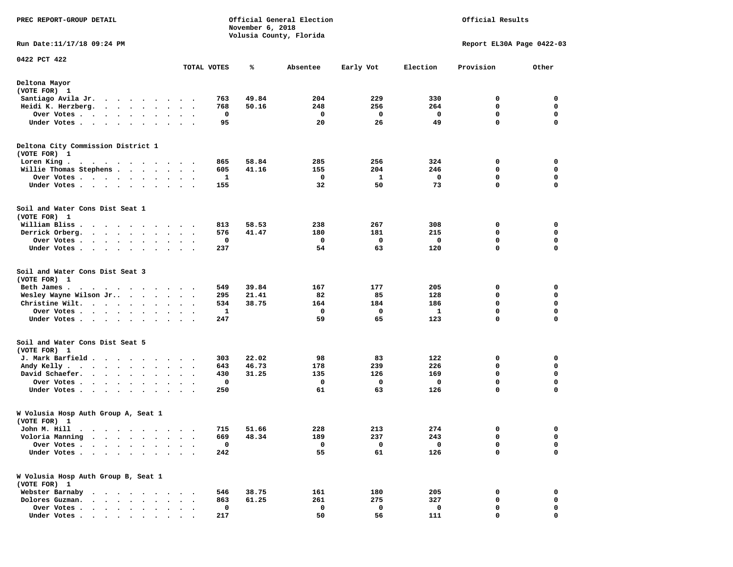| PREC REPORT-GROUP DETAIL                                                                                                                                                                                                                     | Official General Election<br>November 6, 2018<br>Volusia County, Florida |             |       |          |             | Official Results |                           |             |  |
|----------------------------------------------------------------------------------------------------------------------------------------------------------------------------------------------------------------------------------------------|--------------------------------------------------------------------------|-------------|-------|----------|-------------|------------------|---------------------------|-------------|--|
| Run Date: 11/17/18 09:24 PM                                                                                                                                                                                                                  |                                                                          |             |       |          |             |                  | Report EL30A Page 0422-03 |             |  |
| 0422 PCT 422                                                                                                                                                                                                                                 |                                                                          | TOTAL VOTES | ℁     | Absentee | Early Vot   | Election         | Provision                 | Other       |  |
|                                                                                                                                                                                                                                              |                                                                          |             |       |          |             |                  |                           |             |  |
| Deltona Mayor<br>(VOTE FOR) 1                                                                                                                                                                                                                |                                                                          |             |       |          |             |                  |                           |             |  |
| Santiago Avila Jr.<br>$\mathcal{A}=\mathcal{A}=\mathcal{A}=\mathcal{A}=\mathcal{A}=\mathcal{A}=\mathcal{A}$                                                                                                                                  |                                                                          | 763         | 49.84 | 204      | 229         | 330              | 0                         | 0           |  |
| Heidi K. Herzberg.<br>$\cdots$                                                                                                                                                                                                               |                                                                          | 768         | 50.16 | 248      | 256         | 264              | 0                         | 0           |  |
| Over Votes .<br>$\bullet$<br>$\bullet$                                                                                                                                                                                                       | $\bullet$<br>$\bullet$                                                   | 0           |       | 0        | 0           | 0                | $\mathbf 0$               | $\mathbf 0$ |  |
| Under Votes                                                                                                                                                                                                                                  |                                                                          | 95          |       | 20       | 26          | 49               | 0                         | $\mathbf 0$ |  |
| Deltona City Commission District 1<br>(VOTE FOR) 1                                                                                                                                                                                           |                                                                          |             |       |          |             |                  |                           |             |  |
| Loren King.<br>$\mathbf{a}$ . The second contribution of the second contribution of the second contribution of the $\mathbf{a}$                                                                                                              |                                                                          | 865         | 58.84 | 285      | 256         | 324              | 0                         | 0           |  |
| Willie Thomas Stephens                                                                                                                                                                                                                       | $\sim$ $\sim$                                                            | 605         | 41.16 | 155      | 204         | 246              | 0                         | 0           |  |
| Over Votes<br>$\sim$ $\sim$                                                                                                                                                                                                                  | $\cdot$                                                                  | 1           |       | 0        | 1           | 0                | 0                         | 0           |  |
| Under Votes                                                                                                                                                                                                                                  |                                                                          | 155         |       | 32       | 50          | 73               | $\mathbf 0$               | $\Omega$    |  |
| Soil and Water Cons Dist Seat 1<br>(VOTE FOR) 1                                                                                                                                                                                              |                                                                          |             |       |          |             |                  |                           |             |  |
| William Bliss.<br>$\bullet$<br>.                                                                                                                                                                                                             |                                                                          | 813         | 58.53 | 238      | 267         | 308              | 0                         | 0           |  |
| Derrick Orberg.<br>$\cdots$<br>$\cdot$                                                                                                                                                                                                       | $\sim$ $\sim$                                                            | 576         | 41.47 | 180      | 181         | 215              | 0                         | 0           |  |
| Over Votes .<br>.                                                                                                                                                                                                                            |                                                                          | 0           |       | 0        | 0           | 0                | 0                         | 0           |  |
| Under Votes.<br>$\cdots$                                                                                                                                                                                                                     | $\ddot{\phantom{1}}$                                                     | 237         |       | 54       | 63          | 120              | 0                         | 0           |  |
| Soil and Water Cons Dist Seat 3<br>(VOTE FOR) 1                                                                                                                                                                                              |                                                                          |             |       |          |             |                  |                           |             |  |
| Beth James.<br>.                                                                                                                                                                                                                             |                                                                          | 549         | 39.84 | 167      | 177         | 205              | 0                         | 0           |  |
| Wesley Wayne Wilson Jr                                                                                                                                                                                                                       |                                                                          | 295         | 21.41 | 82       | 85          | 128              | 0                         | 0           |  |
| Christine Wilt.<br>$\mathcal{A}$ . The set of the set of the set of $\mathcal{A}$                                                                                                                                                            | $\ddot{\phantom{1}}$                                                     | 534         | 38.75 | 164      | 184         | 186              | $\mathbf 0$               | $\mathbf 0$ |  |
| Over Votes.<br>. The contract of the contract of the contract of the contract of the contract of the contract of the contract of the contract of the contract of the contract of the contract of the contract of the contract of the contrac | $\bullet$<br>$\ddot{\phantom{0}}$                                        | 1           |       | 0        | 0           | 1                | 0                         | 0           |  |
| Under Votes<br>$\bullet$                                                                                                                                                                                                                     | $\sim$<br>$\ddot{\phantom{1}}$                                           | 247         |       | 59       | 65          | 123              | 0                         | 0           |  |
| Soil and Water Cons Dist Seat 5<br>(VOTE FOR) 1                                                                                                                                                                                              |                                                                          |             |       |          |             |                  |                           |             |  |
| J. Mark Barfield                                                                                                                                                                                                                             | $\ddot{\phantom{1}}$                                                     | 303         | 22.02 | 98       | 83          | 122              | 0                         | 0           |  |
| Andy Kelly.<br>$\bullet$                                                                                                                                                                                                                     | $\cdot$                                                                  | 643         | 46.73 | 178      | 239         | 226              | 0                         | 0           |  |
| David Schaefer.<br>$\cdots$<br>$\bullet$                                                                                                                                                                                                     | $\bullet$<br>$\bullet$ .<br><br><br><br><br>                             | 430         | 31.25 | 135      | 126         | 169              | $\mathbf 0$               | $\mathbf 0$ |  |
| Over Votes .<br>$\ddot{\phantom{0}}$<br>$\sim$<br>$\ddot{\phantom{0}}$<br>$\cdot$<br>$\bullet$                                                                                                                                               |                                                                          | $\mathbf 0$ |       | 0        | $\mathbf 0$ | $\mathbf 0$      | 0                         | $\mathbf 0$ |  |
| Under Votes.<br>$\cdots$ $\cdots$<br>$\bullet$<br>$\bullet$                                                                                                                                                                                  |                                                                          | 250         |       | 61       | 63          | 126              | 0                         | $\mathbf 0$ |  |
| W Volusia Hosp Auth Group A, Seat 1<br>(VOTE FOR) 1                                                                                                                                                                                          |                                                                          |             |       |          |             |                  |                           |             |  |
| John M. Hill                                                                                                                                                                                                                                 |                                                                          | 715         | 51.66 | 228      | 213         | 274              | o                         | 0           |  |
| Voloria Manning                                                                                                                                                                                                                              |                                                                          | 669         | 48.34 | 189      | 237         | 243              | 0                         | 0           |  |
| Over Votes .                                                                                                                                                                                                                                 |                                                                          | 0           |       | 0        | 0           | 0                | 0                         | 0           |  |
| Under Votes.<br>$\bullet$<br>$\ddot{\phantom{a}}$<br>$\ddot{\phantom{a}}$<br>$\bullet$<br>$\ddot{\phantom{a}}$                                                                                                                               | $\bullet$<br>$\ddot{\phantom{0}}$                                        | 242         |       | 55       | 61          | 126              | 0                         | 0           |  |
| W Volusia Hosp Auth Group B, Seat 1<br>(VOTE FOR) 1                                                                                                                                                                                          |                                                                          |             |       |          |             |                  |                           |             |  |
| Webster Barnaby<br>.                                                                                                                                                                                                                         |                                                                          | 546         | 38.75 | 161      | 180         | 205              | 0                         | 0           |  |
| Dolores Guzman.                                                                                                                                                                                                                              |                                                                          | 863         | 61.25 | 261      | 275         | 327              | 0                         | 0           |  |
| Over Votes<br>$\ddot{\phantom{0}}$<br>$\sim$ $\sim$ $\sim$ $\sim$<br>$\bullet$                                                                                                                                                               |                                                                          | 0           |       | 0        | 0           | 0                | 0                         | 0           |  |
| Under Votes                                                                                                                                                                                                                                  |                                                                          | 217         |       | 50       | 56          | 111              | 0                         | 0           |  |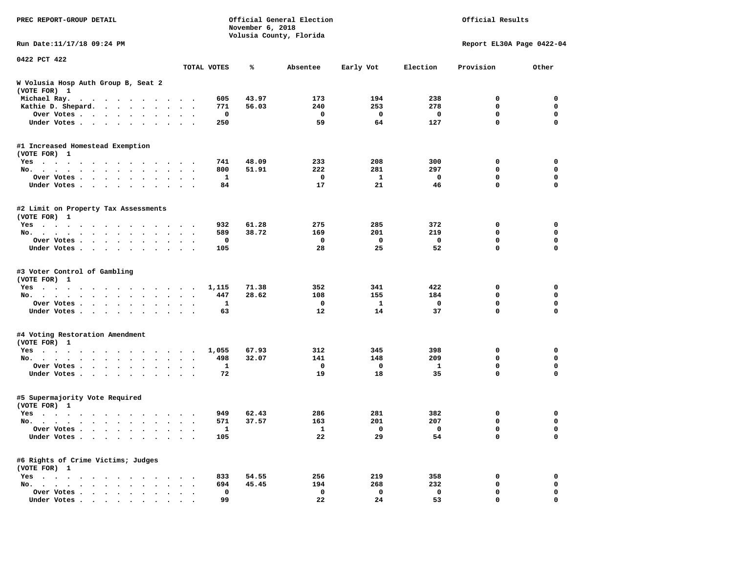| PREC REPORT-GROUP DETAIL                                                                                                                                                                                                                                 |                                                             | November 6, 2018 | Official General Election<br>Volusia County, Florida | Official Results |          |                           |                  |
|----------------------------------------------------------------------------------------------------------------------------------------------------------------------------------------------------------------------------------------------------------|-------------------------------------------------------------|------------------|------------------------------------------------------|------------------|----------|---------------------------|------------------|
| Run Date:11/17/18 09:24 PM                                                                                                                                                                                                                               |                                                             |                  |                                                      |                  |          | Report EL30A Page 0422-04 |                  |
| 0422 PCT 422                                                                                                                                                                                                                                             | TOTAL VOTES                                                 | ℁                | Absentee                                             | Early Vot        | Election | Provision                 | Other            |
| W Volusia Hosp Auth Group B, Seat 2                                                                                                                                                                                                                      |                                                             |                  |                                                      |                  |          |                           |                  |
| (VOTE FOR) 1                                                                                                                                                                                                                                             |                                                             |                  |                                                      |                  |          |                           |                  |
| Michael Ray.                                                                                                                                                                                                                                             | 605                                                         | 43.97            | 173                                                  | 194              | 238      | 0                         | 0                |
| Kathie D. Shepard.                                                                                                                                                                                                                                       | 771                                                         | 56.03            | 240                                                  | 253              | 278      | 0                         | 0                |
| Over Votes                                                                                                                                                                                                                                               | 0<br>$\cdot$                                                |                  | 0                                                    | 0                | 0        | 0                         | 0                |
| Under Votes                                                                                                                                                                                                                                              | 250                                                         |                  | 59                                                   | 64               | 127      | 0                         | $\mathbf 0$      |
| #1 Increased Homestead Exemption                                                                                                                                                                                                                         |                                                             |                  |                                                      |                  |          |                           |                  |
| (VOTE FOR) 1                                                                                                                                                                                                                                             |                                                             |                  |                                                      |                  |          |                           |                  |
| $Yes \cdot \cdot \cdot$<br>. The contract of the contract of the contract of the contract of the contract of the contract of the contract of the contract of the contract of the contract of the contract of the contract of the contract of the contrac | 741                                                         | 48.09            | 233                                                  | 208              | 300      | 0                         | 0                |
| No.                                                                                                                                                                                                                                                      | 800<br>$\ddot{\phantom{1}}$                                 | 51.91            | 222                                                  | 281              | 297      | 0                         | 0                |
| Over Votes<br>$\ddot{\phantom{1}}$                                                                                                                                                                                                                       | 1                                                           |                  | 0                                                    | 1                | 0        | 0<br>0                    | $\mathbf 0$<br>0 |
| Under Votes<br>$\sim 100$ km s $^{-1}$<br>$\blacksquare$                                                                                                                                                                                                 | 84                                                          |                  | 17                                                   | 21               | 46       |                           |                  |
| #2 Limit on Property Tax Assessments<br>(VOTE FOR) 1                                                                                                                                                                                                     |                                                             |                  |                                                      |                  |          |                           |                  |
| Yes                                                                                                                                                                                                                                                      | 932                                                         | 61.28            | 275                                                  | 285              | 372      | 0                         | 0                |
| No.                                                                                                                                                                                                                                                      | 589                                                         | 38.72            | 169                                                  | 201              | 219      | 0                         | 0                |
| Over Votes                                                                                                                                                                                                                                               | 0                                                           |                  | 0                                                    | 0                | 0        | $\mathbf 0$               | 0                |
| Under Votes                                                                                                                                                                                                                                              | 105<br>$\ddot{\phantom{a}}$                                 |                  | 28                                                   | 25               | 52       | $\mathbf 0$               | $\mathbf 0$      |
| #3 Voter Control of Gambling                                                                                                                                                                                                                             |                                                             |                  |                                                      |                  |          |                           |                  |
| (VOTE FOR) 1                                                                                                                                                                                                                                             |                                                             |                  |                                                      |                  |          |                           |                  |
| Yes                                                                                                                                                                                                                                                      | 1,115                                                       | 71.38            | 352                                                  | 341              | 422      | 0                         | 0                |
| No.<br>$\mathbf{r}$ , $\mathbf{r}$ , $\mathbf{r}$ , $\mathbf{r}$ , $\mathbf{r}$<br>$\cdot$ $\cdot$ $\cdot$ $\cdot$                                                                                                                                       | 447                                                         | 28.62            | 108                                                  | 155              | 184      | 0                         | 0                |
| Over Votes<br>$\ddot{\phantom{0}}$<br>$\bullet$                                                                                                                                                                                                          | 1<br>$\cdot$<br>$\cdot$<br>63                               |                  | 0<br>12                                              | 1<br>14          | 0<br>37  | 0<br>$\mathbf 0$          | 0<br>$\mathbf 0$ |
| Under Votes                                                                                                                                                                                                                                              |                                                             |                  |                                                      |                  |          |                           |                  |
| #4 Voting Restoration Amendment                                                                                                                                                                                                                          |                                                             |                  |                                                      |                  |          |                           |                  |
| (VOTE FOR) 1                                                                                                                                                                                                                                             |                                                             | 67.93            | 312                                                  |                  | 398      | 0                         | 0                |
| $Yes \cdot \cdot \cdot$<br>$\cdots$<br>.<br>No.<br>$\bullet$                                                                                                                                                                                             | 1,055<br>$\sim$<br>498<br>$\bullet$<br>$\ddot{\phantom{1}}$ | 32.07            | 141                                                  | 345<br>148       | 209      | 0                         | 0                |
| Over Votes<br>$\ddot{\phantom{0}}$                                                                                                                                                                                                                       | 1                                                           |                  | 0                                                    | 0                | 1        | 0                         | $\mathbf 0$      |
| Under Votes                                                                                                                                                                                                                                              | 72                                                          |                  | 19                                                   | 18               | 35       | 0                         | 0                |
| #5 Supermajority Vote Required<br>(VOTE FOR) 1                                                                                                                                                                                                           |                                                             |                  |                                                      |                  |          |                           |                  |
| Yes                                                                                                                                                                                                                                                      | 949                                                         | 62.43            | 286                                                  | 281              | 382      | 0                         | 0                |
| No.<br>$\sim$ $\sim$<br>$\sim$                                                                                                                                                                                                                           | 571<br>$\ddot{\phantom{1}}$                                 | 37.57            | 163                                                  | 201              | 207      | 0                         | 0                |
| Over votes $\cdots$                                                                                                                                                                                                                                      | щ.                                                          |                  | $\mathbf{1}$                                         |                  | 0        | 0                         | 0                |
| Under Votes                                                                                                                                                                                                                                              | 105                                                         |                  | 22                                                   | 29               | 54       | 0                         | 0                |
| #6 Rights of Crime Victims; Judges<br>(VOTE FOR) 1                                                                                                                                                                                                       |                                                             |                  |                                                      |                  |          |                           |                  |
| $Yes \cdot \cdot \cdot \cdot \cdot$                                                                                                                                                                                                                      | 833                                                         | 54.55            | 256                                                  | 219              | 358      | 0                         | 0                |
| $No.$ $\cdot$ $\cdot$ $\cdot$<br>$\ddot{\phantom{a}}$                                                                                                                                                                                                    | 694                                                         | 45.45            | 194                                                  | 268              | 232      | 0                         | 0                |
| Over Votes                                                                                                                                                                                                                                               | 0                                                           |                  | 0                                                    | 0                | 0        | 0                         | 0                |
| Under Votes.                                                                                                                                                                                                                                             | 99                                                          |                  | 22                                                   | 24               | 53       | 0                         | 0                |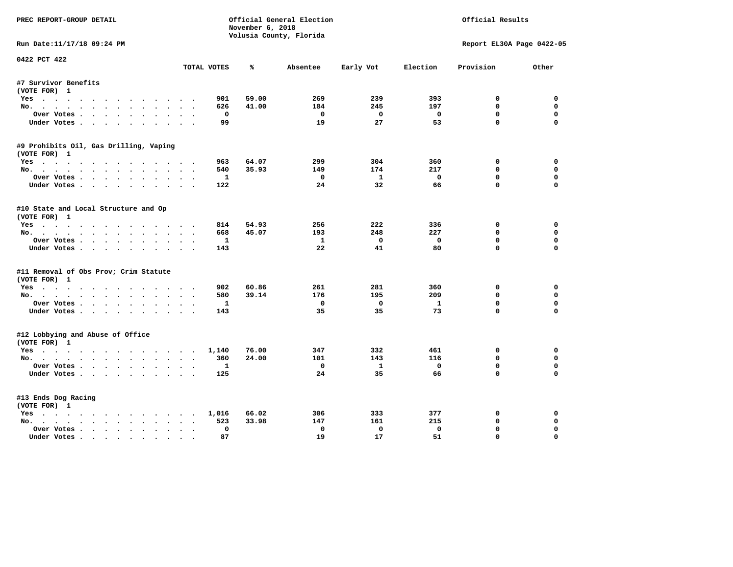| PREC REPORT-GROUP DETAIL                         |                 | November 6, 2018             | Official General Election<br>Volusia County, Florida | Official Results   |                   |                           |                         |
|--------------------------------------------------|-----------------|------------------------------|------------------------------------------------------|--------------------|-------------------|---------------------------|-------------------------|
| Run Date: 11/17/18 09:24 PM                      |                 |                              |                                                      |                    |                   | Report EL30A Page 0422-05 |                         |
| 0422 PCT 422                                     | TOTAL VOTES     | ℁                            | Absentee                                             | Early Vot          | Election          | Provision                 | Other                   |
| #7 Survivor Benefits                             |                 |                              |                                                      |                    |                   |                           |                         |
| (VOTE FOR) 1                                     |                 |                              |                                                      |                    |                   |                           |                         |
| Yes                                              |                 | 59.00<br>901                 | 269                                                  | 239                | 393               | 0                         | 0                       |
| No.                                              |                 | 41.00<br>626                 | 184                                                  | 245                | 197               | $\mathbf{0}$              | $\mathbf 0$             |
| Over Votes                                       |                 | 0                            | 0                                                    | $\mathbf{0}$       | $\mathbf 0$       | $\mathbf 0$               | 0                       |
| Under Votes                                      |                 | 99                           | 19                                                   | 27                 | 53                | $\mathbf 0$               | $\Omega$                |
| #9 Prohibits Oil, Gas Drilling, Vaping           |                 |                              |                                                      |                    |                   |                           |                         |
| (VOTE FOR) 1                                     |                 |                              |                                                      |                    |                   |                           |                         |
| Yes                                              |                 | 64.07<br>963                 | 299                                                  | 304                | 360               | 0                         | 0                       |
| No.                                              |                 | 35.93<br>540                 | 149                                                  | 174                | 217               | $\mathbf 0$               | $\mathbf 0$             |
| Over Votes                                       |                 | -1                           | $^{\circ}$                                           | $\mathbf{1}$       | $^{\circ}$        | $\mathbf{0}$              | $\mathbf 0$             |
| Under Votes                                      |                 | 122                          | 24                                                   | 32                 | 66                | $\Omega$                  | $\Omega$                |
| #10 State and Local Structure and Op             |                 |                              |                                                      |                    |                   |                           |                         |
| (VOTE FOR) 1                                     |                 |                              |                                                      |                    |                   |                           |                         |
| Yes                                              |                 | 814<br>54.93                 | 256                                                  | 222                | 336               | 0                         | $\Omega$                |
| No.                                              |                 | 45.07<br>668                 | 193                                                  | 248                | 227               | 0                         | 0                       |
| Over Votes                                       |                 | $\mathbf{1}$                 | $\mathbf{1}$<br>22                                   | $\mathbf{0}$<br>41 | $\mathbf 0$<br>80 | $\mathbf{0}$<br>$\Omega$  | $\Omega$<br>$\mathbf 0$ |
| Under Votes                                      |                 | 143                          |                                                      |                    |                   |                           |                         |
| #11 Removal of Obs Prov; Crim Statute            |                 |                              |                                                      |                    |                   |                           |                         |
| (VOTE FOR) 1                                     |                 |                              |                                                      |                    |                   |                           |                         |
| Yes                                              |                 | 902<br>60.86<br>580<br>39.14 | 261<br>176                                           | 281<br>195         | 360<br>209        | 0<br>0                    | $\Omega$<br>0           |
| No.<br>Over Votes                                |                 | $\mathbf{1}$                 | $\mathbf 0$                                          | $\mathbf 0$        | $\mathbf{1}$      | $\mathbf{0}$              | $\mathbf 0$             |
| Under Votes                                      |                 | 143                          | 35                                                   | 35                 | 73                | $\mathbf 0$               | $\Omega$                |
|                                                  |                 |                              |                                                      |                    |                   |                           |                         |
| #12 Lobbying and Abuse of Office<br>(VOTE FOR) 1 |                 |                              |                                                      |                    |                   |                           |                         |
| Yes                                              | 1,140           | 76.00                        | 347                                                  | 332                | 461               | 0                         | 0                       |
| No.                                              |                 | 360<br>24.00                 | 101                                                  | 143                | 116               | $\Omega$                  | 0                       |
| Over Votes                                       |                 | 1                            | $\mathbf 0$                                          | $\mathbf{1}$       | $\mathbf 0$       | $\mathbf 0$               | $\mathbf 0$             |
| Under Votes                                      |                 | 125                          | 24                                                   | 35                 | 66                | $\Omega$                  | $\Omega$                |
| #13 Ends Dog Racing                              |                 |                              |                                                      |                    |                   |                           |                         |
| (VOTE FOR) 1                                     |                 |                              |                                                      |                    |                   |                           |                         |
| Yes                                              | 1,016           | 66.02                        | 306                                                  | 333                | 377               | 0                         | 0                       |
| No.                                              | $\cdot$ $\cdot$ | 33.98<br>523                 | 147                                                  | 161                | 215               | $\mathbf 0$               | 0                       |
| Over Votes                                       | $\bullet$       | $\Omega$                     | $\mathbf{0}$                                         | $\mathbf{0}$       | $\mathbf 0$       | $\mathbf{0}$              | $\mathbf 0$             |
| Under Votes                                      |                 | 87                           | 19                                                   | 17                 | 51                | $\mathbf{0}$              | $\Omega$                |
|                                                  |                 |                              |                                                      |                    |                   |                           |                         |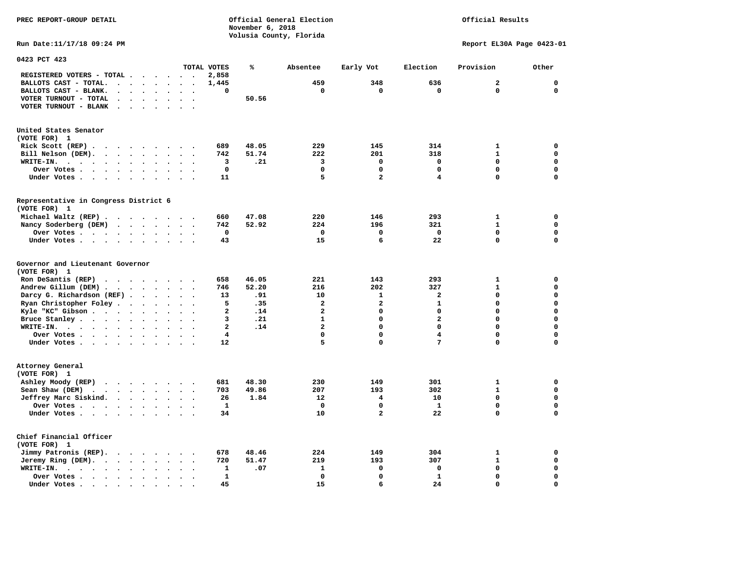**PREC REPORT-GROUP DETAIL COMPUTER CONSUMING A CONSUMING CONSUMING A LIGACION CONSUMING A LIGACION** 

*November 6, 2018 November 6, 2018*  **Volusia County, Florida**  Official Results

**Run Date:11/17/18 09:24 PM Report EL30A Page 0423-01** 

| 0423 PCT 423                                                                                                                                  |                                                  |                         |       |                         |                         |                         |                |             |
|-----------------------------------------------------------------------------------------------------------------------------------------------|--------------------------------------------------|-------------------------|-------|-------------------------|-------------------------|-------------------------|----------------|-------------|
|                                                                                                                                               |                                                  | TOTAL VOTES             | ℁     | Absentee                | Early Vot               | Election                | Provision      | Other       |
| REGISTERED VOTERS - TOTAL .<br>$\overline{\phantom{a}}$<br>$\ddot{\phantom{a}}$                                                               | $\ddot{\phantom{a}}$                             | 2,858                   |       |                         |                         |                         |                |             |
| BALLOTS CAST - TOTAL.<br>$\ddot{\phantom{a}}$<br>$\sim$<br>$\ddot{\phantom{a}}$<br>$\ddot{\phantom{a}}$<br>$\ddot{\phantom{a}}$               |                                                  | 1,445                   |       | 459                     | 348                     | 636                     | $\overline{a}$ | $\mathbf 0$ |
| BALLOTS CAST - BLANK.<br>$\ddot{\phantom{0}}$<br>$\bullet$<br>$\bullet$<br>$\bullet$                                                          | $\cdot$<br>$\bullet$                             | 0                       |       | 0                       | 0                       | $\mathbf 0$             | $\mathbf 0$    | $\mathbf 0$ |
| VOTER TURNOUT - TOTAL<br>$\ddot{\phantom{a}}$<br>$\Delta$                                                                                     |                                                  |                         | 50.56 |                         |                         |                         |                |             |
| VOTER TURNOUT - BLANK                                                                                                                         |                                                  |                         |       |                         |                         |                         |                |             |
| $\ddot{\phantom{a}}$<br>$\bullet$                                                                                                             |                                                  |                         |       |                         |                         |                         |                |             |
|                                                                                                                                               |                                                  |                         |       |                         |                         |                         |                |             |
| United States Senator                                                                                                                         |                                                  |                         |       |                         |                         |                         |                |             |
| (VOTE FOR) 1                                                                                                                                  |                                                  |                         |       |                         |                         |                         |                |             |
| Rick Scott (REP).<br>$\ddot{\phantom{0}}$<br>$\sim$ $\sim$<br>$\sim$ $\sim$<br>$\cdot$<br>$\overline{\phantom{a}}$                            |                                                  | 689                     | 48.05 | 229                     | 145                     | 314                     | $\mathbf{1}$   | 0           |
| Bill Nelson (DEM).                                                                                                                            |                                                  | 742                     | 51.74 | 222                     | 201                     | 318                     | $\mathbf{1}$   | $\mathbf 0$ |
| WRITE-IN.<br>$\cdot$ $\cdot$ $\cdot$<br>$\cdots$<br>$\bullet$<br>$\ddot{\phantom{a}}$                                                         |                                                  | 3                       | .21   | 3                       | $\mathbf 0$             | $\mathbf 0$             | $\Omega$       | $\mathbf 0$ |
| Over Votes<br>$\ddot{\phantom{a}}$<br>$\ddot{\phantom{a}}$                                                                                    |                                                  | $\mathbf 0$             |       | $\Omega$                | $\Omega$                | 0                       | $\Omega$       | $\mathbf 0$ |
| Under Votes<br>$\bullet$<br>$\bullet$                                                                                                         | $\ddot{\phantom{0}}$<br>$\overline{\phantom{a}}$ | 11                      |       | 5                       | $\overline{a}$          | 4                       | $\Omega$       | $\mathbf 0$ |
|                                                                                                                                               |                                                  |                         |       |                         |                         |                         |                |             |
| Representative in Congress District 6                                                                                                         |                                                  |                         |       |                         |                         |                         |                |             |
| (VOTE FOR) 1                                                                                                                                  |                                                  |                         |       |                         |                         |                         |                |             |
| Michael Waltz (REP)                                                                                                                           |                                                  | 660                     | 47.08 | 220                     | 146                     | 293                     | $\mathbf{1}$   | $\mathbf 0$ |
|                                                                                                                                               |                                                  | 742                     | 52.92 | 224                     | 196                     | 321                     | $\mathbf{1}$   | $\mathbf 0$ |
| Nancy Soderberg (DEM)<br>$\mathcal{A}$ . The set of the set of the set of $\mathcal{A}$                                                       |                                                  |                         |       |                         |                         |                         |                |             |
| Over Votes<br>$\bullet$<br>$\bullet$<br>$\ddot{\phantom{a}}$                                                                                  |                                                  | $\mathbf 0$             |       | $\mathbf 0$             | $\mathbf 0$             | $\mathbf 0$             | 0              | 0           |
| Under Votes<br>$\bullet$<br>$\cdot$                                                                                                           |                                                  | 43                      |       | 15                      | 6                       | 22                      | 0              | $\mathbf 0$ |
|                                                                                                                                               |                                                  |                         |       |                         |                         |                         |                |             |
| Governor and Lieutenant Governor<br>(VOTE FOR) 1                                                                                              |                                                  |                         |       |                         |                         |                         |                |             |
| Ron DeSantis (REP)<br>$\cdot$ $\cdot$ $\cdot$ $\cdot$ $\cdot$ $\cdot$ $\cdot$                                                                 |                                                  | 658                     | 46.05 | 221                     | 143                     | 293                     | $\mathbf{1}$   | 0           |
| Andrew Gillum (DEM)                                                                                                                           | $\ddot{\phantom{1}}$                             | 746                     | 52.20 | 216                     | 202                     | 327                     | $\mathbf{1}$   | $\mathbf 0$ |
| Darcy G. Richardson (REF) .<br>$\bullet$<br>$\ddot{\phantom{a}}$                                                                              |                                                  | 13                      | .91   | 10                      | $\mathbf{1}$            | $\mathbf{z}$            | 0              | $\mathbf 0$ |
| Ryan Christopher Foley.<br>$\sim$<br>$\bullet$<br>$\bullet$                                                                                   |                                                  | 5                       | .35   | $\overline{\mathbf{2}}$ | $\overline{\mathbf{2}}$ | $\mathbf{1}$            | $\Omega$       | $\mathbf 0$ |
| Kyle "KC" Gibson                                                                                                                              |                                                  | $\overline{\mathbf{2}}$ | .14   | $\overline{a}$          | $\mathbf 0$             | 0                       | $\mathbf 0$    | $\mathbf 0$ |
| $\bullet$<br>$\bullet$<br>$\bullet$<br>$\ddot{\phantom{a}}$                                                                                   | $\ddot{\phantom{0}}$                             | 3                       | .21   | $\mathbf{1}$            | $\mathbf 0$             | $\overline{\mathbf{2}}$ | 0              | $\mathbf 0$ |
| Bruce Stanley<br>$\ddot{\phantom{a}}$                                                                                                         | $\overline{\phantom{a}}$                         |                         |       | $\overline{a}$          | $\Omega$                | $\Omega$                | $\Omega$       | $\mathbf 0$ |
| WRITE-IN.<br>$\cdot$ $\cdot$ $\cdot$ $\cdot$ $\cdot$ $\cdot$ $\cdot$<br>$\sim$                                                                |                                                  | $\overline{a}$          | .14   |                         |                         |                         |                |             |
| Over Votes<br>$\bullet$<br>$\ddot{\phantom{a}}$                                                                                               | $\bullet$                                        | 4                       |       | $\mathbf 0$             | $\mathbf 0$             | $\overline{\mathbf{4}}$ | $\mathbf 0$    | $\mathbf 0$ |
| Under Votes<br>$\ddot{\phantom{a}}$                                                                                                           | $\bullet$                                        | 12                      |       | 5                       | $\mathbf 0$             | 7                       | $\mathbf 0$    | 0           |
|                                                                                                                                               |                                                  |                         |       |                         |                         |                         |                |             |
| Attorney General                                                                                                                              |                                                  |                         |       |                         |                         |                         |                |             |
| (VOTE FOR) 1                                                                                                                                  |                                                  |                         |       |                         |                         |                         |                |             |
| Ashley Moody (REP)<br>$\cdots$                                                                                                                |                                                  | 681                     | 48.30 | 230                     | 149                     | 301                     | 1              | $\mathbf 0$ |
| Sean Shaw (DEM)<br>$\cdot$ $\cdot$ $\cdot$ $\cdot$ $\cdot$<br>$\ddot{\phantom{a}}$<br>$\ddot{\phantom{a}}$                                    |                                                  | 703                     | 49.86 | 207                     | 193                     | 302                     | $\mathbf{1}$   | $\mathbf 0$ |
| Jeffrey Marc Siskind.<br>$\bullet$                                                                                                            | $\bullet$<br>$\bullet$                           | 26                      | 1.84  | 12                      | 4                       | 10                      | 0              | $\mathbf 0$ |
| Over Votes<br>$\ddot{\phantom{a}}$<br>$\sim$                                                                                                  |                                                  | $\mathbf{1}$            |       | $\mathbf 0$             | $\mathbf 0$             | $\mathbf{1}$            | $\mathbf 0$    | $\mathbf 0$ |
| Under Votes<br>$\bullet$                                                                                                                      |                                                  | 34                      |       | 10                      | $\overline{\mathbf{2}}$ | 22                      | $\mathbf 0$    | $\mathbf 0$ |
|                                                                                                                                               |                                                  |                         |       |                         |                         |                         |                |             |
| Chief Financial Officer                                                                                                                       |                                                  |                         |       |                         |                         |                         |                |             |
| (VOTE FOR) 1                                                                                                                                  |                                                  |                         |       |                         |                         |                         |                |             |
| Jimmy Patronis (REP).<br>$\sim$ $\sim$<br>$\sim$ $\sim$<br>$\bullet$                                                                          |                                                  | 678                     | 48.46 | 224                     | 149                     | 304                     | $\mathbf{1}$   | 0           |
| Jeremy Ring (DEM).<br>$\cdot \cdot \cdot \cdot$<br>$\ddot{\phantom{a}}$<br>$\ddot{\phantom{a}}$                                               | $\sim$ $\sim$                                    | 720                     | 51.47 | 219                     | 193                     | 307                     | $\mathbf{1}$   | $\mathbf 0$ |
| WRITE-IN.<br>$\cdots$<br>$\bullet$                                                                                                            |                                                  | 1                       | .07   | 1                       | 0                       | 0                       | $\mathbf 0$    | $\mathbf 0$ |
| Over Votes.<br>$\mathcal{L}(\mathbf{z})$ , and $\mathcal{L}(\mathbf{z})$ , and $\mathcal{L}(\mathbf{z})$<br>$\bullet$<br>$\ddot{\phantom{1}}$ |                                                  | $\mathbf{1}$            |       | $\mathbf 0$             | $\Omega$                | $\mathbf{1}$            | 0              | $\mathbf 0$ |
| Under Votes.<br>$\sim$ $\sim$<br>$\sim$ $\sim$<br>$\bullet$<br>$\bullet$                                                                      |                                                  | 45                      |       | 15                      | 6                       | 24                      | 0              | $\mathbf 0$ |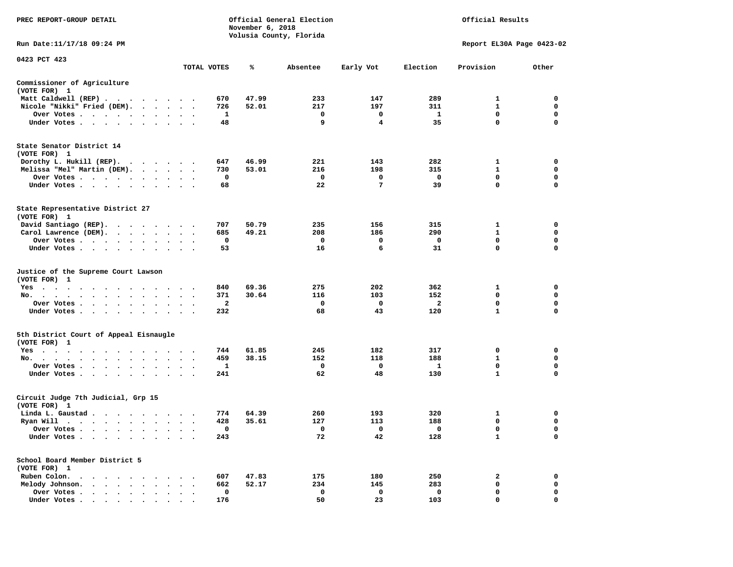| PREC REPORT-GROUP DETAIL                                                                                                                                                                                                                          | Official General Election<br>November 6, 2018<br>Volusia County, Florida |                |       |              |                | Official Results |                           |             |  |  |
|---------------------------------------------------------------------------------------------------------------------------------------------------------------------------------------------------------------------------------------------------|--------------------------------------------------------------------------|----------------|-------|--------------|----------------|------------------|---------------------------|-------------|--|--|
| Run Date: 11/17/18 09:24 PM                                                                                                                                                                                                                       |                                                                          |                |       |              |                |                  | Report EL30A Page 0423-02 |             |  |  |
| 0423 PCT 423                                                                                                                                                                                                                                      |                                                                          |                |       |              |                |                  |                           |             |  |  |
|                                                                                                                                                                                                                                                   |                                                                          | TOTAL VOTES    | ℁     | Absentee     | Early Vot      | Election         | Provision                 | Other       |  |  |
| Commissioner of Agriculture<br>(VOTE FOR) 1                                                                                                                                                                                                       |                                                                          |                |       |              |                |                  |                           |             |  |  |
| Matt Caldwell (REP)                                                                                                                                                                                                                               |                                                                          | 670            | 47.99 | 233          | 147            | 289              | 1                         | $\mathbf 0$ |  |  |
| Nicole "Nikki" Fried (DEM).                                                                                                                                                                                                                       |                                                                          | 726            | 52.01 | 217          | 197            | 311              | $\mathbf{1}$              | 0           |  |  |
| Over Votes                                                                                                                                                                                                                                        | $\sim$ $\sim$ $\sim$                                                     | 1              |       | $\mathbf 0$  | $\mathbf 0$    | $\mathbf{1}$     | $\mathbf{0}$              | $\mathbf 0$ |  |  |
| Under Votes                                                                                                                                                                                                                                       |                                                                          | 48             |       | 9            | $\overline{4}$ | 35               | $\mathbf 0$               | 0           |  |  |
| State Senator District 14<br>(VOTE FOR) 1                                                                                                                                                                                                         |                                                                          |                |       |              |                |                  |                           |             |  |  |
| Dorothy L. Hukill (REP).                                                                                                                                                                                                                          |                                                                          | 647            | 46.99 | 221          | 143            | 282              | 1                         | 0           |  |  |
| Melissa "Mel" Martin (DEM).                                                                                                                                                                                                                       |                                                                          | 730            | 53.01 | 216          | 198            | 315              | $\mathbf{1}$              | $\mathbf 0$ |  |  |
| Over Votes                                                                                                                                                                                                                                        |                                                                          | 0              |       | $\mathbf 0$  | $\mathbf 0$    | $\mathbf 0$      | $\mathbf 0$               | $\mathbf 0$ |  |  |
| Under Votes                                                                                                                                                                                                                                       | $\cdot$ $\cdot$ $\cdot$                                                  | 68             |       | 22           | $\overline{7}$ | 39               | $\mathbf 0$               | $\mathbf 0$ |  |  |
| State Representative District 27<br>(VOTE FOR) 1                                                                                                                                                                                                  |                                                                          |                |       |              |                |                  |                           |             |  |  |
| David Santiago (REP).                                                                                                                                                                                                                             |                                                                          | 707            | 50.79 | 235          | 156            | 315              | 1                         | $\mathbf 0$ |  |  |
| Carol Lawrence (DEM).                                                                                                                                                                                                                             |                                                                          | 685            | 49.21 | 208          | 186            | 290              | $\mathbf{1}$              | $\mathbf 0$ |  |  |
| Over Votes                                                                                                                                                                                                                                        | $\ddot{\phantom{1}}$<br>$\bullet$                                        | 0              |       | 0            | 0              | 0                | $\mathbf 0$               | $\mathbf 0$ |  |  |
| Under Votes                                                                                                                                                                                                                                       |                                                                          | 53             |       | 16           | 6              | 31               | $\mathbf 0$               | $\mathbf 0$ |  |  |
| Justice of the Supreme Court Lawson<br>(VOTE FOR) 1                                                                                                                                                                                               |                                                                          |                |       |              |                |                  |                           |             |  |  |
| $Yes \t . \t .$<br>$\sim$<br>$\sim$ $\sim$<br>$\cdot$ $\cdot$<br>$\ddot{\phantom{0}}$                                                                                                                                                             |                                                                          | 840            | 69.36 | 275          | 202            | 362              | 1                         | $\mathbf 0$ |  |  |
| No.<br>$\cdots$<br>$\ddot{\phantom{a}}$                                                                                                                                                                                                           | $\sim$<br>$\ddot{\phantom{0}}$                                           | 371            | 30.64 | 116          | 103            | 152              | $\mathbf 0$               | $\mathbf 0$ |  |  |
| Over Votes                                                                                                                                                                                                                                        | $\cdot$ $\cdot$ $\cdot$                                                  | $\overline{a}$ |       | $\mathbf 0$  | $\mathbf 0$    | $\overline{a}$   | $\mathbf 0$               | $\mathbf 0$ |  |  |
| Under Votes                                                                                                                                                                                                                                       | $\cdot$ $\cdot$ $\cdot$                                                  | 232            |       | 68           | 43             | 120              | ${\bf 1}$                 | 0           |  |  |
| 5th District Court of Appeal Eisnaugle<br>(VOTE FOR) 1                                                                                                                                                                                            |                                                                          |                |       |              |                |                  |                           |             |  |  |
| Yes                                                                                                                                                                                                                                               |                                                                          | 744            | 61.85 | 245          | 182            | 317              | 0                         | 0           |  |  |
| No.                                                                                                                                                                                                                                               |                                                                          | 459            | 38.15 | 152          | 118            | 188              | $\mathbf{1}$              | $\mathbf 0$ |  |  |
| Over Votes<br>$\ddot{\phantom{0}}$<br>$\bullet$<br>$\cdot$                                                                                                                                                                                        |                                                                          | 1              |       | 0            | 0              | $\mathbf{1}$     | 0                         | 0           |  |  |
| Under Votes                                                                                                                                                                                                                                       |                                                                          | 241            |       | 62           | 48             | 130              | $\mathbf{1}$              | $\mathbf 0$ |  |  |
| Circuit Judge 7th Judicial, Grp 15<br>(VOTE FOR) 1                                                                                                                                                                                                |                                                                          |                |       |              |                |                  |                           |             |  |  |
| Linda L. Gaustad                                                                                                                                                                                                                                  |                                                                          | 774            | 64.39 | 260          | 193            | 320              | 1                         | $\mathbf 0$ |  |  |
| Ryan Will $\cdots$ , $\cdots$ , $\cdots$ , $\cdots$                                                                                                                                                                                               |                                                                          | 428            | 35.61 | 127          | 113            | 188              | 0                         | 0           |  |  |
| Over Votes                                                                                                                                                                                                                                        |                                                                          | 0              |       | $\mathbf{o}$ | 0              | $\mathbf{o}$     | $\mathbf 0$               | $\mathbf 0$ |  |  |
| Under Votes<br>$\ddot{\phantom{0}}$<br>$\bullet$<br>$\bullet$                                                                                                                                                                                     |                                                                          | 243            |       | 72           | 42             | 128              | $\mathbf{1}$              | $\mathbf 0$ |  |  |
| School Board Member District 5<br>(VOTE FOR) 1                                                                                                                                                                                                    |                                                                          |                |       |              |                |                  |                           |             |  |  |
| Ruben Colon.<br>$\mathbf{A}$ . The contribution of the contribution of the contribution of the contribution of the contribution of the contribution of the contribution of the contribution of the contribution of the contribution of the contri |                                                                          | 607            | 47.83 | 175          | 180            | 250              | 2                         | $\mathbf 0$ |  |  |
| Melody Johnson.                                                                                                                                                                                                                                   | $\cdot$ $\cdot$ $\cdot$                                                  | 662            | 52.17 | 234          | 145            | 283              | 0                         | 0           |  |  |
| Over Votes<br>$\sim$ $\sim$<br>$\ddot{\phantom{a}}$<br>$\ddot{\phantom{1}}$<br>$\ddot{\phantom{a}}$                                                                                                                                               | $\ddot{\phantom{a}}$<br>$\cdot$                                          | 0              |       | $\mathbf 0$  | $\mathbf 0$    | $\mathbf 0$      | $\mathbf 0$               | $\mathbf 0$ |  |  |
| Under Votes                                                                                                                                                                                                                                       |                                                                          | 176            |       | 50           | 23             | 103              | $\Omega$                  | $\Omega$    |  |  |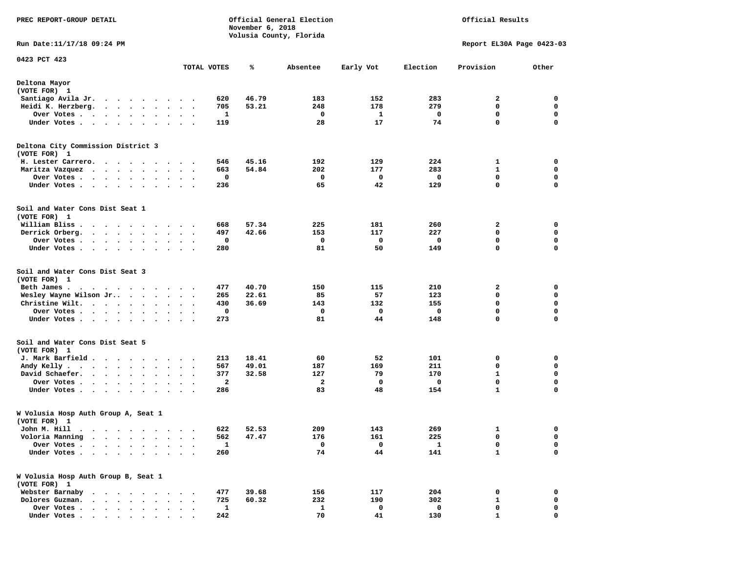| PREC REPORT-GROUP DETAIL                                                                                                                  |                         |              | November 6, 2018 | Official General Election<br>Volusia County, Florida | Official Results |              |                             |                  |
|-------------------------------------------------------------------------------------------------------------------------------------------|-------------------------|--------------|------------------|------------------------------------------------------|------------------|--------------|-----------------------------|------------------|
| Run Date: 11/17/18 09:24 PM                                                                                                               |                         |              |                  |                                                      |                  |              | Report EL30A Page 0423-03   |                  |
| 0423 PCT 423                                                                                                                              |                         | TOTAL VOTES  | ℁                | Absentee                                             | Early Vot        | Election     | Provision                   | Other            |
| Deltona Mayor<br>(VOTE FOR) 1                                                                                                             |                         |              |                  |                                                      |                  |              |                             |                  |
| Santiago Avila Jr.<br>$\sim$                                                                                                              |                         | 620          | 46.79            | 183                                                  | 152              | 283          | 2                           | 0                |
| Heidi K. Herzberg.<br>.                                                                                                                   |                         | 705          | 53.21            | 248                                                  | 178              | 279          | 0                           | $\mathbf 0$      |
| Over Votes .<br>$\sim$<br>$\begin{array}{cccccccccccccc} \bullet & \bullet & \bullet & \bullet & \bullet & \bullet & \bullet \end{array}$ |                         | 1            |                  | 0                                                    | 1                | 0            | 0                           | 0                |
| Under Votes<br>$\cdot$                                                                                                                    |                         | 119          |                  | 28                                                   | 17               | 74           | 0                           | $\mathbf 0$      |
| Deltona City Commission District 3<br>(VOTE FOR) 1                                                                                        |                         |              |                  |                                                      |                  |              |                             |                  |
| H. Lester Carrero.                                                                                                                        |                         | 546          | 45.16            | 192                                                  | 129              | 224          | 1                           | 0                |
| Maritza Vazquez<br>.                                                                                                                      |                         | 663          | 54.84            | 202                                                  | 177              | 283          | 1                           | 0                |
| Over Votes                                                                                                                                |                         | 0            |                  | 0                                                    | 0                | 0            | $\mathbf 0$                 | $\mathbf 0$      |
| Under Votes<br>$\sim$                                                                                                                     | $\ddot{\phantom{1}}$    | 236          |                  | 65                                                   | 42               | 129          | 0                           | 0                |
| Soil and Water Cons Dist Seat 1<br>(VOTE FOR) 1                                                                                           |                         |              |                  |                                                      |                  |              |                             |                  |
| William Bliss.<br>.                                                                                                                       |                         | 668          | 57.34            | 225                                                  | 181              | 260          | 2                           | 0                |
| Derrick Orberg.<br>$\cdots$<br>$\bullet$<br>$\ddot{\phantom{a}}$                                                                          |                         | 497          | 42.66            | 153                                                  | 117              | 227          | 0                           | 0                |
| Over Votes .<br>$\cdots$<br>$\bullet$                                                                                                     | $\bullet$ .             | 0            |                  | 0                                                    | 0                | 0            | 0                           | 0                |
| Under Votes                                                                                                                               |                         | 280          |                  | 81                                                   | 50               | 149          | 0                           | $\mathbf 0$      |
| Soil and Water Cons Dist Seat 3<br>(VOTE FOR) 1                                                                                           |                         |              |                  |                                                      |                  |              |                             |                  |
| Beth James.<br>$\cdot$                                                                                                                    |                         | 477          | 40.70            | 150                                                  | 115              | 210          | 2                           | 0                |
| Wesley Wayne Wilson Jr                                                                                                                    | $\cdot$ $\cdot$ $\cdot$ | 265          | 22.61            | 85                                                   | 57               | 123          | 0                           | 0                |
| Christine Wilt.<br>$\sim$ $\sim$                                                                                                          |                         | 430          | 36.69            | 143                                                  | 132              | 155          | 0                           | 0                |
| Over Votes                                                                                                                                |                         | 0            |                  | 0                                                    | 0                | 0            | $\mathbf 0$                 | $\mathbf 0$<br>0 |
| Under Votes                                                                                                                               |                         | 273          |                  | 81                                                   | 44               | 148          | 0                           |                  |
| Soil and Water Cons Dist Seat 5<br>(VOTE FOR) 1                                                                                           |                         |              |                  |                                                      |                  |              |                             |                  |
| J. Mark Barfield                                                                                                                          |                         | 213          | 18.41            | 60                                                   | 52               | 101          | 0                           | 0                |
| Andy Kelly<br>$\bullet$<br>$\bullet$                                                                                                      |                         | 567          | 49.01            | 187                                                  | 169              | 211          | 0                           | 0                |
| David Schaefer.<br>$\bullet$<br>$\bullet$                                                                                                 | $\bullet$<br>$\bullet$  | 377          | 32.58            | 127                                                  | 79               | 170          | $\mathbf{1}$                | 0                |
| Over Votes<br>$\ddot{\phantom{a}}$<br>$\bullet$<br>Under Votes<br>$\bullet$<br>$\cdot$                                                    |                         | 2<br>286     |                  | 2<br>83                                              | 0<br>48          | 0<br>154     | $\mathbf 0$<br>$\mathbf{1}$ | 0<br>$\mathbf 0$ |
|                                                                                                                                           |                         |              |                  |                                                      |                  |              |                             |                  |
| W Volusia Hosp Auth Group A, Seat 1<br>(VOTE FOR) 1                                                                                       |                         |              |                  |                                                      |                  |              |                             |                  |
| John M. Hill<br>$\blacksquare$                                                                                                            |                         | 622          | 52.53            | 209                                                  | 143              | 269          | 1                           | 0                |
| Voloria Manning<br>$\ddot{\phantom{a}}$                                                                                                   |                         | 562          | 47.47            | 176                                                  | 161              | 225          | 0                           | 0                |
| Over Votes .<br>$\bullet$                                                                                                                 |                         | $\mathbf{1}$ |                  | 0                                                    | 0                | $\mathbf{1}$ | 0                           | 0                |
| Under Votes.<br>$\ddot{\phantom{a}}$<br>$\cdot$ $\cdot$ $\cdot$ $\cdot$<br>$\ddot{\phantom{0}}$                                           |                         | 260          |                  | 74                                                   | 44               | 141          | $\mathbf{1}$                | $\mathbf 0$      |
| W Volusia Hosp Auth Group B, Seat 1<br>(VOTE FOR) 1                                                                                       |                         |              |                  |                                                      |                  |              |                             |                  |
| Webster Barnaby<br>$\sim$<br>$\sim$ $\sim$ $\sim$                                                                                         |                         | 477          | 39.68            | 156                                                  | 117              | 204          | 0                           | 0                |
| Dolores Guzman.<br>$\sim$ $\sim$<br>$\ddot{\phantom{0}}$                                                                                  |                         | 725          | 60.32            | 232                                                  | 190              | 302          | 1                           | 0                |
| Over Votes .<br>$\sim$ $\sim$ $\sim$ $\sim$ $\sim$<br>$\bullet$<br>$\bullet$                                                              |                         | 1            |                  | $\mathbf{1}$                                         | 0                | 0            | 0                           | 0                |
| Under Votes                                                                                                                               |                         | 242          |                  | 70                                                   | 41               | 130          | $\mathbf{1}$                | $\Omega$         |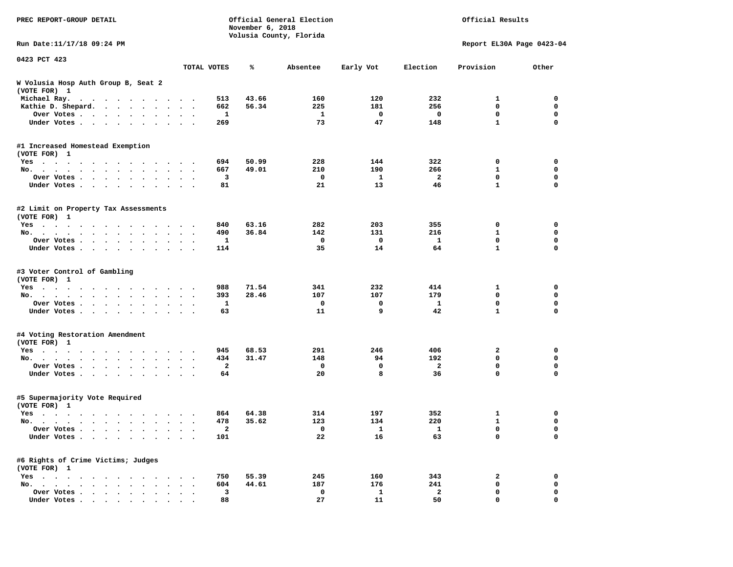| PREC REPORT-GROUP DETAIL                                                                                                                                                                                                                                    |                                                                | November 6, 2018 | Official General Election<br>Volusia County, Florida | Official Results |                |                           |             |
|-------------------------------------------------------------------------------------------------------------------------------------------------------------------------------------------------------------------------------------------------------------|----------------------------------------------------------------|------------------|------------------------------------------------------|------------------|----------------|---------------------------|-------------|
| Run Date:11/17/18 09:24 PM                                                                                                                                                                                                                                  |                                                                |                  |                                                      |                  |                | Report EL30A Page 0423-04 |             |
| 0423 PCT 423                                                                                                                                                                                                                                                | TOTAL VOTES                                                    | ℁                | Absentee                                             | Early Vot        | Election       | Provision                 | Other       |
| W Volusia Hosp Auth Group B, Seat 2                                                                                                                                                                                                                         |                                                                |                  |                                                      |                  |                |                           |             |
| (VOTE FOR) 1                                                                                                                                                                                                                                                |                                                                |                  |                                                      |                  |                |                           |             |
| Michael Ray.                                                                                                                                                                                                                                                | 513                                                            | 43.66            | 160                                                  | 120              | 232            | 1                         | 0           |
| Kathie D. Shepard.                                                                                                                                                                                                                                          | 662                                                            | 56.34            | 225                                                  | 181              | 256            | 0                         | 0           |
| Over Votes                                                                                                                                                                                                                                                  | 1<br>$\blacksquare$                                            |                  | 1                                                    | 0                | 0              | 0                         | 0           |
| Under Votes                                                                                                                                                                                                                                                 | 269                                                            |                  | 73                                                   | 47               | 148            | $\mathbf{1}$              | $\mathbf 0$ |
| #1 Increased Homestead Exemption                                                                                                                                                                                                                            |                                                                |                  |                                                      |                  |                |                           |             |
| (VOTE FOR) 1                                                                                                                                                                                                                                                |                                                                |                  |                                                      |                  |                |                           |             |
| $Yes \cdot \cdot \cdot$<br>$\mathbf{r}$ , and the set of the set of the set of the set of the set of the set of the set of the set of the set of the set of the set of the set of the set of the set of the set of the set of the set of the set of the set | 694                                                            | 50.99            | 228                                                  | 144              | 322            | 0                         | 0           |
| No.                                                                                                                                                                                                                                                         | 667<br>$\ddot{\phantom{1}}$<br>$\bullet$ .<br><br><br><br><br> | 49.01            | 210                                                  | 190              | 266            | 1                         | 0           |
| Over Votes<br>$\cdot$                                                                                                                                                                                                                                       | 3                                                              |                  | $\mathbf 0$                                          | 1                | $\overline{a}$ | 0                         | $\mathbf 0$ |
| Under Votes<br>$\blacksquare$ .                                                                                                                                                                                                                             | 81                                                             |                  | 21                                                   | 13               | 46             | $\mathbf{1}$              | 0           |
| #2 Limit on Property Tax Assessments<br>(VOTE FOR) 1                                                                                                                                                                                                        |                                                                |                  |                                                      |                  |                |                           |             |
| Yes                                                                                                                                                                                                                                                         | 840                                                            | 63.16            | 282                                                  | 203              | 355            | 0                         | 0           |
| No.                                                                                                                                                                                                                                                         | 490                                                            | 36.84            | 142                                                  | 131              | 216            | 1                         | 0           |
| Over Votes                                                                                                                                                                                                                                                  | 1                                                              |                  | 0                                                    | 0                | 1              | 0                         | 0           |
| Under Votes                                                                                                                                                                                                                                                 | 114<br>$\cdot$ $\cdot$ $\cdot$                                 |                  | 35                                                   | 14               | 64             | $\mathbf{1}$              | $\mathbf 0$ |
| #3 Voter Control of Gambling<br>(VOTE FOR) 1<br>Yes                                                                                                                                                                                                         | 988                                                            | 71.54            | 341                                                  | 232              | 414            | 1                         | 0           |
| No.<br>$\cdot$<br>$\cdot$ $\cdot$ $\cdot$ $\cdot$                                                                                                                                                                                                           | 393                                                            | 28.46            | 107                                                  | 107              | 179            | 0                         | 0           |
| Over Votes<br>$\sim$<br>$\bullet$                                                                                                                                                                                                                           | 1<br>$\cdot$                                                   |                  | 0                                                    | 0                | 1              | $\mathbf 0$               | 0           |
| Under Votes                                                                                                                                                                                                                                                 | 63                                                             |                  | 11                                                   | 9                | 42             | $\mathbf{1}$              | $\mathbf 0$ |
| #4 Voting Restoration Amendment<br>(VOTE FOR) 1                                                                                                                                                                                                             |                                                                |                  |                                                      |                  |                |                           |             |
| $Yes \cdot \cdot \cdot$<br>$\cdots$<br>$\cdots$                                                                                                                                                                                                             | 945                                                            | 68.53            | 291                                                  | 246              | 406            | 2                         | 0           |
| No.                                                                                                                                                                                                                                                         | 434<br>$\ddot{\phantom{1}}$                                    | 31.47            | 148                                                  | 94               | 192            | 0                         | 0           |
| Over Votes<br>$\cdot$                                                                                                                                                                                                                                       | $\mathbf{2}$                                                   |                  | 0                                                    | 0                | $\mathbf{2}$   | 0                         | $\mathbf 0$ |
| Under Votes                                                                                                                                                                                                                                                 | 64                                                             |                  | 20                                                   | 8                | 36             | 0                         | 0           |
| #5 Supermajority Vote Required<br>(VOTE FOR) 1                                                                                                                                                                                                              |                                                                |                  |                                                      |                  |                |                           |             |
| Yes                                                                                                                                                                                                                                                         | 864                                                            | 64.38            | 314                                                  | 197              | 352            | 1                         | 0           |
| No.<br>$\ddot{\phantom{0}}$<br>$\sim$                                                                                                                                                                                                                       | 478<br>$\ddot{\phantom{0}}$                                    | 35.62            | 123                                                  | 134              | 220            | 1                         | 0           |
| Over votes $\cdots$                                                                                                                                                                                                                                         | 2                                                              |                  | 0                                                    | 1                | 1              | 0                         | 0           |
| Under Votes                                                                                                                                                                                                                                                 | 101                                                            |                  | 22                                                   | 16               | 63             | 0                         | 0           |
| #6 Rights of Crime Victims; Judges<br>(VOTE FOR) 1                                                                                                                                                                                                          |                                                                |                  |                                                      |                  |                |                           |             |
| $Yes \cdot \cdot \cdot \cdot \cdot$                                                                                                                                                                                                                         | 750                                                            | 55.39            | 245                                                  | 160              | 343            | 2                         | 0           |
| No. $\cdot$ $\cdot$ $\cdot$<br>$\cdot$ $\cdot$ $\cdot$<br>$\bullet$                                                                                                                                                                                         | 604                                                            | 44.61            | 187                                                  | 176              | 241            | 0                         | 0           |
| Over Votes                                                                                                                                                                                                                                                  | 3                                                              |                  | 0                                                    | 1                | $\mathbf{2}$   | 0                         | 0           |
| Under Votes                                                                                                                                                                                                                                                 | 88                                                             |                  | 27                                                   | 11               | 50             | 0                         | 0           |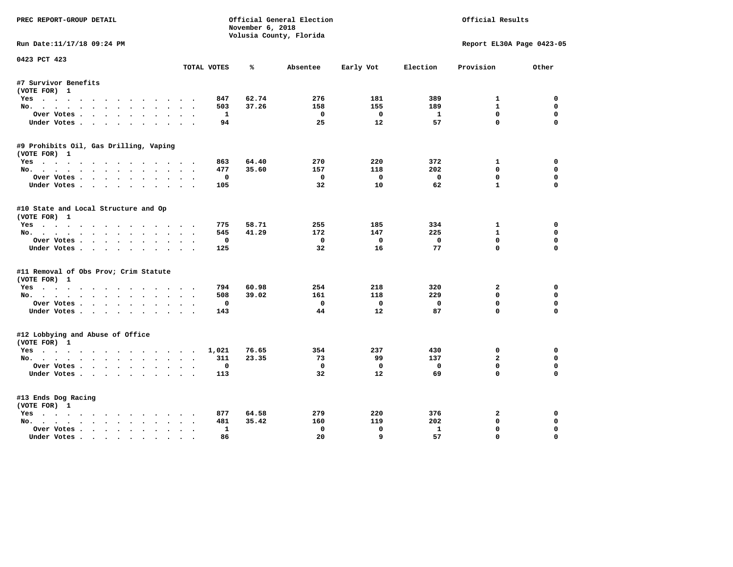| PREC REPORT-GROUP DETAIL               | Official General Election<br>November 6, 2018 |       |                         |                   | Official Results |                           |             |
|----------------------------------------|-----------------------------------------------|-------|-------------------------|-------------------|------------------|---------------------------|-------------|
|                                        |                                               |       | Volusia County, Florida |                   |                  |                           |             |
| Run Date:11/17/18 09:24 PM             |                                               |       |                         |                   |                  | Report EL30A Page 0423-05 |             |
| 0423 PCT 423                           | TOTAL VOTES                                   | ℁     | Absentee                | Early Vot         | Election         | Provision                 | Other       |
| #7 Survivor Benefits                   |                                               |       |                         |                   |                  |                           |             |
| (VOTE FOR) 1                           |                                               |       |                         |                   |                  |                           |             |
| Yes                                    | 847                                           | 62.74 | 276                     | 181               | 389              | $\mathbf{1}$              | 0           |
| No.                                    | 503                                           | 37.26 | 158                     | 155               | 189              | $\mathbf{1}$              | $\mathbf 0$ |
| Over Votes                             | $\mathbf{1}$                                  |       | 0                       | $\Omega$          | $\mathbf{1}$     | $^{\circ}$                | $\Omega$    |
| Under Votes                            | 94                                            |       | 25                      | 12                | 57               | $\Omega$                  | $\Omega$    |
| #9 Prohibits Oil, Gas Drilling, Vaping |                                               |       |                         |                   |                  |                           |             |
| (VOTE FOR) 1                           |                                               |       |                         |                   |                  |                           |             |
| Yes                                    | 863                                           | 64.40 | 270                     | 220               | 372              | 1                         | 0           |
| No.                                    | 477                                           | 35.60 | 157                     | 118               | 202              | 0                         | $\mathbf 0$ |
| Over Votes                             | 0                                             |       | $\Omega$                | $\mathbf 0$       | $\mathbf 0$      | $\mathbf 0$               | $\mathbf 0$ |
| Under Votes                            | 105                                           |       | 32                      | 10                | 62               | $\mathbf{1}$              | $\Omega$    |
| #10 State and Local Structure and Op   |                                               |       |                         |                   |                  |                           |             |
| (VOTE FOR) 1                           |                                               |       |                         |                   |                  |                           |             |
| Yes                                    | 775                                           | 58.71 | 255                     | 185               | 334              | $\mathbf{1}$              | 0           |
| No.                                    | 545                                           | 41.29 | 172                     | 147               | 225              | $\mathbf{1}$              | $\mathbf 0$ |
| Over Votes                             | $\mathbf 0$                                   |       | $^{\circ}$              | $\mathbf{0}$      | $\mathbf 0$      | $\mathbf{0}$              | $\mathbf 0$ |
| Under Votes                            | 125                                           |       | 32                      | 16                | 77               | $\Omega$                  | $\Omega$    |
| #11 Removal of Obs Prov; Crim Statute  |                                               |       |                         |                   |                  |                           |             |
| (VOTE FOR) 1                           |                                               |       |                         |                   |                  |                           |             |
| Yes                                    | 794                                           | 60.98 | 254                     | 218               | 320              | $\mathbf{2}$              | $\mathbf 0$ |
| No.                                    | 508                                           | 39.02 | 161                     | 118               | 229              | $\mathbf{0}$              | 0           |
| Over Votes                             | $\mathbf 0$                                   |       | $\mathbf 0$             | $\mathbf 0$       | $\mathbf 0$      | $\mathbf 0$               | $\mathbf 0$ |
| Under Votes.                           | 143                                           |       | 44                      | 12                | 87               | $\Omega$                  | $\mathbf 0$ |
| #12 Lobbying and Abuse of Office       |                                               |       |                         |                   |                  |                           |             |
| (VOTE FOR) 1                           |                                               |       |                         |                   |                  |                           |             |
| Yes                                    | 1,021                                         | 76.65 | 354                     | 237               | 430              | $\mathbf 0$               | $\mathbf 0$ |
| No.                                    | 311                                           | 23.35 | 73                      | 99                | 137              | $\overline{a}$            | 0           |
| Over Votes                             | $\mathbf 0$                                   |       | $\mathbf{o}$            | $\mathbf{o}$      | $\mathbf 0$      | $\mathbf 0$               | $\mathbf 0$ |
| Under Votes                            | 113                                           |       | 32                      | $12 \overline{ }$ | 69               | $\Omega$                  | $\Omega$    |
| #13 Ends Dog Racing                    |                                               |       |                         |                   |                  |                           |             |
| (VOTE FOR) 1                           |                                               |       |                         |                   |                  |                           |             |
| Yes                                    | 877                                           | 64.58 | 279                     | 220               | 376              | 2                         | 0           |
| No.                                    | 481                                           | 35.42 | 160                     | 119               | 202              | $\mathbf{0}$              | 0           |
| Over Votes                             | $\mathbf{1}$<br>$\ddot{\phantom{a}}$          |       | $\mathbf{0}$            | $\Omega$          | $\mathbf{1}$     | $\mathbf{0}$              | $\Omega$    |
| Under Votes                            | 86                                            |       | 20                      | 9                 | 57               | $\mathbf{0}$              | $\Omega$    |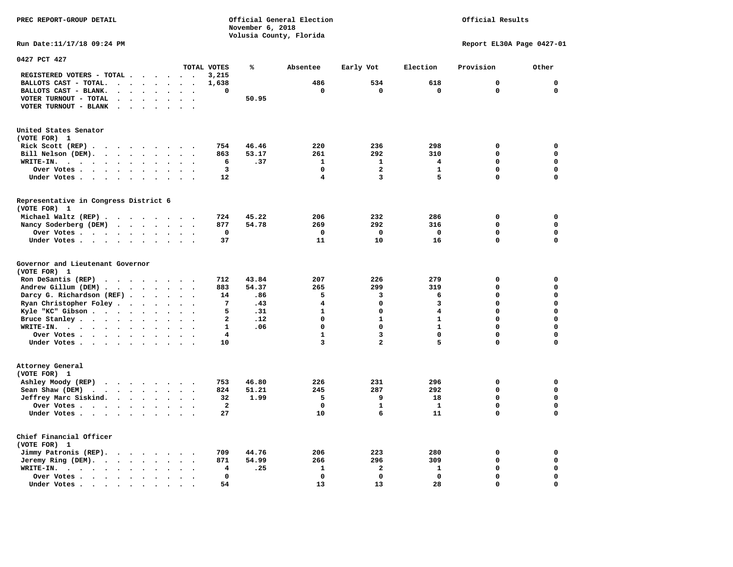**PREC REPORT-GROUP DETAIL COMPUTER CONSUMING A CONSUMING CONSUMING A LIGACION CONSUMING A LIGACION** *November 6, 2018 November 6, 2018* 

 **Volusia County, Florida** 

Official Results

**Run Date:11/17/18 09:24 PM Report EL30A Page 0427-01** 

| 0427 PCT 427                                                                                                                        |                                   |                         |       |              |                         |                         |              |             |
|-------------------------------------------------------------------------------------------------------------------------------------|-----------------------------------|-------------------------|-------|--------------|-------------------------|-------------------------|--------------|-------------|
|                                                                                                                                     |                                   | TOTAL VOTES             | ℁     | Absentee     | Early Vot               | Election                | Provision    | Other       |
| REGISTERED VOTERS - TOTAL.<br>$\ddot{\phantom{a}}$<br>$\ddot{\phantom{a}}$<br>$\ddot{\phantom{a}}$                                  | $\sim$<br>$\ddot{\phantom{a}}$    | 3,215                   |       |              |                         |                         |              |             |
| BALLOTS CAST - TOTAL.<br>$\sim$<br>$\ddot{\phantom{a}}$<br>$\ddot{\phantom{a}}$<br>$\ddot{\phantom{a}}$                             |                                   | 1,638                   |       | 486          | 534                     | 618                     | 0            | $\Omega$    |
| BALLOTS CAST - BLANK.<br>$\bullet$<br>$\bullet$<br>$\bullet$<br>$\bullet$                                                           | $\bullet$<br>$\bullet$            | 0                       |       | 0            | 0                       | 0                       | $\Omega$     | $\mathbf 0$ |
| VOTER TURNOUT - TOTAL<br>$\ddot{\phantom{a}}$<br>$\Delta$                                                                           |                                   |                         | 50.95 |              |                         |                         |              |             |
| $\blacksquare$                                                                                                                      |                                   |                         |       |              |                         |                         |              |             |
| VOTER TURNOUT - BLANK<br>$\cdot$<br>$\ddot{\phantom{a}}$                                                                            |                                   |                         |       |              |                         |                         |              |             |
|                                                                                                                                     |                                   |                         |       |              |                         |                         |              |             |
| United States Senator                                                                                                               |                                   |                         |       |              |                         |                         |              |             |
| (VOTE FOR) 1                                                                                                                        |                                   |                         |       |              |                         |                         |              |             |
| Rick Scott (REP).<br>$\ddot{\phantom{0}}$<br>$\sim$ $\sim$<br>$\sim$ $\sim$<br>$\cdot$<br>$\overline{\phantom{a}}$                  |                                   | 754                     | 46.46 | 220          | 236                     | 298                     | 0            | 0           |
| Bill Nelson (DEM).<br>$\cdots$                                                                                                      | $\ddot{\phantom{a}}$              | 863                     | 53.17 | 261          | 292                     | 310                     | 0            | $\mathbf 0$ |
| WRITE-IN.<br>$\sim$ $\sim$ $\sim$<br>$\cdot$ $\cdot$ $\cdot$ $\cdot$<br>$\bullet$                                                   |                                   | 6                       | .37   | $\mathbf{1}$ | $\mathbf{1}$            | 4                       | $\Omega$     | $\mathbf 0$ |
|                                                                                                                                     |                                   | 3                       |       | $\mathbf 0$  | $\overline{a}$          | $\mathbf{1}$            | 0            | $\mathbf 0$ |
| Over Votes<br>$\bullet$<br>$\ddot{\phantom{a}}$                                                                                     |                                   |                         |       |              |                         |                         |              |             |
| Under Votes<br>$\ddot{\phantom{0}}$<br>$\ddot{\phantom{0}}$<br>$\bullet$                                                            | $\ddot{\phantom{1}}$<br>$\cdot$   | 12                      |       | 4            | 3                       | 5                       | 0            | $\mathbf 0$ |
|                                                                                                                                     |                                   |                         |       |              |                         |                         |              |             |
| Representative in Congress District 6                                                                                               |                                   |                         |       |              |                         |                         |              |             |
| (VOTE FOR) 1                                                                                                                        |                                   |                         |       |              |                         |                         |              |             |
| Michael Waltz (REP)<br>$\sim$ $\sim$<br>$\sim$ $\sim$ $\sim$                                                                        |                                   | 724                     | 45.22 | 206          | 232                     | 286                     | 0            | $\mathbf 0$ |
| Nancy Soderberg (DEM)<br>$\sim$ $\sim$ $\sim$ $\sim$<br>$\bullet$ . $\bullet$ .                                                     | $\ddot{\phantom{a}}$<br>$\bullet$ | 877                     | 54.78 | 269          | 292                     | 316                     | $\Omega$     | $\mathbf 0$ |
| Over Votes .<br>$\mathcal{L}(\mathbf{z})$ , and $\mathcal{L}(\mathbf{z})$ , and $\mathcal{L}(\mathbf{z})$<br>$\bullet$<br>$\bullet$ |                                   | 0                       |       | $\mathbf 0$  | $\mathbf 0$             | 0                       | 0            | 0           |
| Under Votes<br>$\cdot$<br>$\ddot{\phantom{a}}$                                                                                      | $\cdot$                           | 37                      |       | 11           | 10                      | 16                      | 0            | $\mathbf 0$ |
|                                                                                                                                     |                                   |                         |       |              |                         |                         |              |             |
|                                                                                                                                     |                                   |                         |       |              |                         |                         |              |             |
| Governor and Lieutenant Governor                                                                                                    |                                   |                         |       |              |                         |                         |              |             |
| (VOTE FOR) 1                                                                                                                        |                                   |                         |       |              |                         |                         |              |             |
| Ron DeSantis (REP)<br>$\cdot$ $\cdot$ $\cdot$ $\cdot$<br>$\sim$ $\sim$ $\sim$                                                       |                                   | 712                     | 43.84 | 207          | 226                     | 279                     | 0            | 0           |
| Andrew Gillum (DEM)<br>$\ddot{\phantom{0}}$                                                                                         | $\cdot$<br>$\bullet$              | 883                     | 54.37 | 265          | 299                     | 319                     | 0            | $\mathbf 0$ |
| Darcy G. Richardson (REF).<br>$\bullet$                                                                                             |                                   | 14                      | .86   | 5            | 3                       | 6                       | 0            | $\mathbf 0$ |
| Ryan Christopher Foley.<br>$\ddot{\phantom{1}}$<br>$\bullet$                                                                        |                                   | 7                       | .43   | 4            | $\mathbf 0$             | 3                       | 0            | $\mathbf 0$ |
| Kyle "KC" Gibson.<br>$\sim$ $\sim$ $\sim$ $\sim$<br>$\bullet$<br>$\bullet$<br>$\bullet$                                             | $\bullet$                         | 5                       | .31   | $\mathbf{1}$ | $\mathbf 0$             | $\overline{\mathbf{4}}$ | 0            | $\mathbf 0$ |
| Bruce Stanley<br>$\bullet$<br>$\ddot{\phantom{a}}$                                                                                  |                                   | $\overline{a}$          | .12   | 0            | $\mathbf{1}$            | $\mathbf{1}$            | 0            | $\mathbf 0$ |
| WRITE-IN.<br>$\cdots$<br>$\bullet$                                                                                                  |                                   | $\mathbf{1}$            | .06   | $\mathbf 0$  | $\mathbf 0$             | $\mathbf{1}$            | $\Omega$     | $\mathbf 0$ |
| Over Votes<br>$\ddot{\phantom{1}}$<br>$\ddot{\phantom{a}}$<br>$\ddot{\phantom{a}}$                                                  | $\ddot{\phantom{0}}$              | $\overline{\mathbf{4}}$ |       | $\mathbf{1}$ | 3                       | $\mathbf 0$             | 0            | $\mathbf 0$ |
| Under Votes<br>$\ddot{\phantom{a}}$                                                                                                 | $\bullet$                         | 10                      |       | 3            | $\overline{\mathbf{2}}$ | 5                       | 0            | $\mathbf 0$ |
|                                                                                                                                     |                                   |                         |       |              |                         |                         |              |             |
| Attorney General                                                                                                                    |                                   |                         |       |              |                         |                         |              |             |
| (VOTE FOR) 1                                                                                                                        |                                   |                         |       |              |                         |                         |              |             |
|                                                                                                                                     |                                   | 753                     | 46.80 | 226          | 231                     | 296                     | $\mathbf{0}$ | $\mathbf 0$ |
| Ashley Moody (REP)                                                                                                                  | $\sim$ $\sim$                     |                         |       |              |                         |                         | 0            |             |
| Sean Shaw (DEM)<br>$\cdot$ $\cdot$ $\cdot$ $\cdot$ $\cdot$<br>$\ddot{\phantom{a}}$                                                  |                                   | 824                     | 51.21 | 245          | 287                     | 292                     |              | $\mathbf 0$ |
| Jeffrey Marc Siskind.<br>$\bullet$<br>$\bullet$                                                                                     | $\bullet$                         | 32                      | 1.99  | 5            | 9                       | 18                      | 0            | $\mathbf 0$ |
| Over Votes<br>$\sim$<br>$\ddot{\phantom{a}}$<br>$\ddot{\phantom{a}}$                                                                |                                   | $\overline{a}$          |       | $\mathbf 0$  | 1                       | 1                       | 0            | $\mathbf 0$ |
| Under Votes<br>$\ddot{\phantom{0}}$                                                                                                 |                                   | 27                      |       | 10           | 6                       | 11                      | 0            | $\mathbf 0$ |
|                                                                                                                                     |                                   |                         |       |              |                         |                         |              |             |
| Chief Financial Officer                                                                                                             |                                   |                         |       |              |                         |                         |              |             |
| (VOTE FOR) 1                                                                                                                        |                                   |                         |       |              |                         |                         |              |             |
| Jimmy Patronis (REP).<br>$\sim$ $\sim$<br>$\sim$ $\sim$<br>$\ddot{\phantom{a}}$                                                     |                                   | 709                     | 44.76 | 206          | 223                     | 280                     | 0            | 0           |
| Jeremy Ring (DEM).<br>$\cdot$ $\cdot$ $\cdot$ $\cdot$<br>$\sim$                                                                     |                                   | 871                     | 54.99 | 266          | 296                     | 309                     | 0            | 0           |
| WRITE-IN.<br>$\cdots$<br>$\bullet$                                                                                                  |                                   | 4                       | .25   | 1            | $\overline{\mathbf{2}}$ | 1                       | 0            | $\mathbf 0$ |
| Over Votes.                                                                                                                         |                                   | $\Omega$                |       | $\mathbf 0$  | $\mathbf 0$             | $\mathbf 0$             | $\Omega$     | $\mathbf 0$ |
| $\sim$ $\sim$ $\sim$ $\sim$<br>$\ddot{\phantom{1}}$<br>$\bullet$<br>Under Votes.                                                    |                                   | 54                      |       | 13           | 13                      | 28                      | $\Omega$     | $\mathbf 0$ |
| $\sim$ $\sim$<br>$\sim$ $\sim$<br>$\blacksquare$ .<br>$\bullet$                                                                     |                                   |                         |       |              |                         |                         |              |             |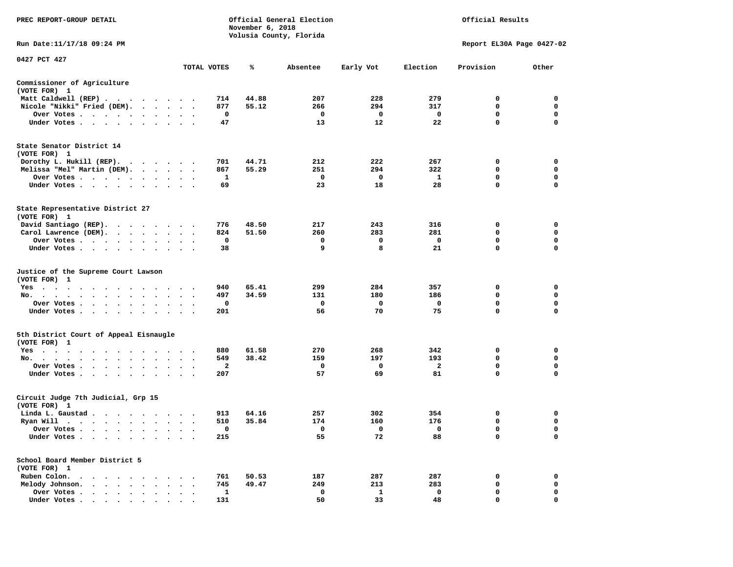| PREC REPORT-GROUP DETAIL                                                                                                                                                                                                                          | Official General Election<br>November 6, 2018<br>Volusia County, Florida |             |       |             |             |              | Official Results          |             |  |  |  |
|---------------------------------------------------------------------------------------------------------------------------------------------------------------------------------------------------------------------------------------------------|--------------------------------------------------------------------------|-------------|-------|-------------|-------------|--------------|---------------------------|-------------|--|--|--|
| Run Date: 11/17/18 09:24 PM                                                                                                                                                                                                                       |                                                                          |             |       |             |             |              | Report EL30A Page 0427-02 |             |  |  |  |
| 0427 PCT 427                                                                                                                                                                                                                                      |                                                                          |             |       |             |             |              |                           |             |  |  |  |
|                                                                                                                                                                                                                                                   |                                                                          | TOTAL VOTES | ℁     | Absentee    | Early Vot   | Election     | Provision                 | Other       |  |  |  |
| Commissioner of Agriculture<br>(VOTE FOR) 1                                                                                                                                                                                                       |                                                                          |             |       |             |             |              |                           |             |  |  |  |
| Matt Caldwell (REP)                                                                                                                                                                                                                               |                                                                          | 714         | 44.88 | 207         | 228         | 279          | 0                         | $\mathbf 0$ |  |  |  |
| Nicole "Nikki" Fried (DEM).                                                                                                                                                                                                                       |                                                                          | 877         | 55.12 | 266         | 294         | 317          | $\mathbf 0$               | 0           |  |  |  |
| Over Votes                                                                                                                                                                                                                                        | $\sim$ $\sim$                                                            | $\mathbf 0$ |       | $\mathbf 0$ | $\mathbf 0$ | $\mathbf{o}$ | $\mathbf 0$               | $\mathbf 0$ |  |  |  |
| Under Votes                                                                                                                                                                                                                                       |                                                                          | 47          |       | 13          | 12          | 22           | $\mathbf 0$               | 0           |  |  |  |
| State Senator District 14<br>(VOTE FOR) 1                                                                                                                                                                                                         |                                                                          |             |       |             |             |              |                           |             |  |  |  |
| Dorothy L. Hukill (REP).                                                                                                                                                                                                                          |                                                                          | 701         | 44.71 | 212         | 222         | 267          | 0                         | 0           |  |  |  |
| Melissa "Mel" Martin (DEM).                                                                                                                                                                                                                       |                                                                          | 867         | 55.29 | 251         | 294         | 322          | $\mathbf 0$               | $\mathbf 0$ |  |  |  |
| Over Votes                                                                                                                                                                                                                                        |                                                                          | 1           |       | $\mathbf 0$ | $\mathbf 0$ | $\mathbf{1}$ | $\mathbf 0$               | $\mathbf 0$ |  |  |  |
| Under Votes                                                                                                                                                                                                                                       | $\cdot$ $\cdot$ $\cdot$                                                  | 69          |       | 23          | 18          | 28           | $\mathbf 0$               | $\mathbf 0$ |  |  |  |
| State Representative District 27<br>(VOTE FOR) 1                                                                                                                                                                                                  |                                                                          |             |       |             |             |              |                           |             |  |  |  |
| David Santiago (REP).                                                                                                                                                                                                                             |                                                                          | 776         | 48.50 | 217         | 243         | 316          | 0                         | $\mathbf 0$ |  |  |  |
| Carol Lawrence (DEM).                                                                                                                                                                                                                             |                                                                          | 824         | 51.50 | 260         | 283         | 281          | $\mathbf 0$               | $\mathbf 0$ |  |  |  |
| Over Votes<br>$\ddot{\phantom{1}}$                                                                                                                                                                                                                |                                                                          | 0           |       | 0           | 0           | $\mathbf 0$  | $\mathbf 0$               | $\mathbf 0$ |  |  |  |
| Under Votes                                                                                                                                                                                                                                       |                                                                          | 38          |       | 9           | 8           | 21           | $\mathbf 0$               | $\mathbf 0$ |  |  |  |
| Justice of the Supreme Court Lawson<br>(VOTE FOR) 1                                                                                                                                                                                               |                                                                          |             |       |             |             |              |                           |             |  |  |  |
| $Yes \t . \t .$<br>$\ddot{\phantom{1}}$<br>$\sim$ $\sim$<br>$\ddotsc$<br>$\ddotsc$                                                                                                                                                                |                                                                          | 940         | 65.41 | 299         | 284         | 357          | 0                         | $\mathbf 0$ |  |  |  |
| No.<br>$\cdots$<br>$\ddot{\phantom{a}}$                                                                                                                                                                                                           | $\sim$<br>$\cdot$                                                        | 497         | 34.59 | 131         | 180         | 186          | $\mathbf 0$               | $\mathbf 0$ |  |  |  |
| Over Votes                                                                                                                                                                                                                                        | $\cdot$ $\cdot$ $\cdot$                                                  | 0           |       | $\mathbf 0$ | 0           | $\mathbf 0$  | $\mathbf 0$               | $\mathbf 0$ |  |  |  |
| Under Votes                                                                                                                                                                                                                                       | $\ddot{\phantom{0}}$<br>$\ddot{\phantom{1}}$                             | 201         |       | 56          | 70          | 75           | 0                         | 0           |  |  |  |
| 5th District Court of Appeal Eisnaugle<br>(VOTE FOR) 1                                                                                                                                                                                            |                                                                          |             |       |             |             |              |                           |             |  |  |  |
| Yes                                                                                                                                                                                                                                               |                                                                          | 880         | 61.58 | 270         | 268         | 342          | 0                         | 0           |  |  |  |
| No.                                                                                                                                                                                                                                               |                                                                          | 549         | 38.42 | 159         | 197         | 193          | $\mathbf 0$               | $\mathbf 0$ |  |  |  |
| Over Votes<br>$\ddot{\phantom{0}}$<br>$\cdot$<br>$\cdot$                                                                                                                                                                                          |                                                                          | 2           |       | 0           | 0           | $\mathbf{2}$ | 0                         | 0           |  |  |  |
| Under Votes                                                                                                                                                                                                                                       |                                                                          | 207         |       | 57          | 69          | 81           | $\mathbf 0$               | $\Omega$    |  |  |  |
| Circuit Judge 7th Judicial, Grp 15<br>(VOTE FOR) 1                                                                                                                                                                                                |                                                                          |             |       |             |             |              |                           |             |  |  |  |
| Linda L. Gaustad                                                                                                                                                                                                                                  |                                                                          | 913         | 64.16 | 257         | 302         | 354          | 0                         | $\mathbf 0$ |  |  |  |
| Ryan Will $\cdots$ , $\cdots$ , $\cdots$ , $\cdots$                                                                                                                                                                                               |                                                                          | 510         | 35.84 | 174         | 160         | 176          | 0                         | 0           |  |  |  |
| Over Votes                                                                                                                                                                                                                                        | $\cdot$ .                                                                | 0           |       | 0           | 0           | $\mathbf 0$  | 0                         | $\mathbf 0$ |  |  |  |
| Under Votes<br>$\ddot{\phantom{1}}$<br>$\bullet$<br>$\bullet$                                                                                                                                                                                     |                                                                          | 215         |       | 55          | 72          | 88           | $\mathbf 0$               | $\mathbf 0$ |  |  |  |
| School Board Member District 5<br>(VOTE FOR) 1                                                                                                                                                                                                    |                                                                          |             |       |             |             |              |                           |             |  |  |  |
| Ruben Colon.<br>$\mathbf{A}$ . The contribution of the contribution of the contribution of the contribution of the contribution of the contribution of the contribution of the contribution of the contribution of the contribution of the contri |                                                                          | 761         | 50.53 | 187         | 287         | 287          | 0                         | $\mathbf 0$ |  |  |  |
| Melody Johnson.                                                                                                                                                                                                                                   | $\cdot$ $\cdot$ $\cdot$                                                  | 745         | 49.47 | 249         | 213         | 283          | 0                         | 0           |  |  |  |
| Over Votes<br>$\ddot{\phantom{0}}$<br>$\ddot{\phantom{a}}$<br>$\sim$<br>$\cdot$<br>$\cdot$                                                                                                                                                        | $\ddot{\phantom{a}}$                                                     | 1           |       | $\mathbf 0$ | 1           | $\mathbf 0$  | $\mathbf 0$               | $\mathbf 0$ |  |  |  |
| Under Votes,                                                                                                                                                                                                                                      |                                                                          | 131         |       | 50          | 33          | 48           | $\Omega$                  | $\Omega$    |  |  |  |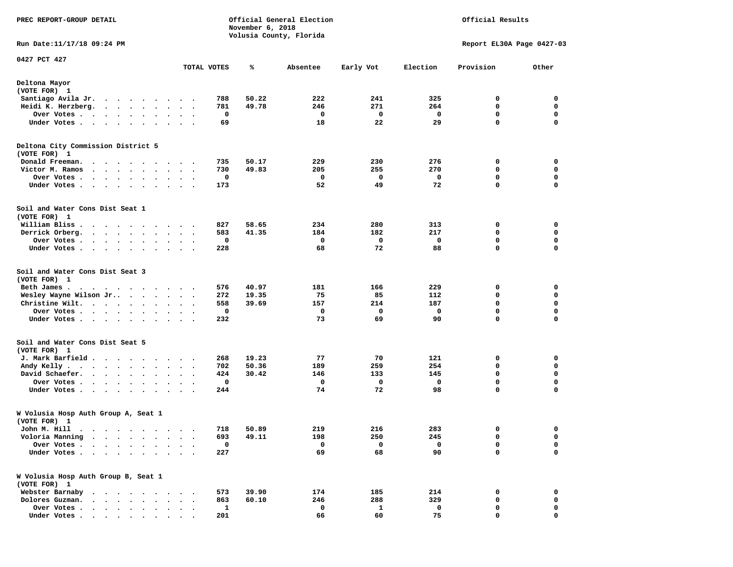| PREC REPORT-GROUP DETAIL                                                                                                                                                                                                         |                                              |             | November 6, 2018 | Official General Election | Official Results |             |                           |                            |
|----------------------------------------------------------------------------------------------------------------------------------------------------------------------------------------------------------------------------------|----------------------------------------------|-------------|------------------|---------------------------|------------------|-------------|---------------------------|----------------------------|
| Run Date: 11/17/18 09:24 PM                                                                                                                                                                                                      |                                              |             |                  | Volusia County, Florida   |                  |             | Report EL30A Page 0427-03 |                            |
| 0427 PCT 427                                                                                                                                                                                                                     |                                              | TOTAL VOTES | ℁                | Absentee                  | Early Vot        | Election    | Provision                 | Other                      |
|                                                                                                                                                                                                                                  |                                              |             |                  |                           |                  |             |                           |                            |
| Deltona Mayor<br>(VOTE FOR) 1                                                                                                                                                                                                    |                                              |             |                  |                           |                  |             |                           |                            |
| Santiago Avila Jr.                                                                                                                                                                                                               |                                              | 788         | 50.22            | 222                       | 241              | 325         | 0                         | 0                          |
| Heidi K. Herzberg.<br>$\cdot$ $\cdot$ $\cdot$ $\cdot$ $\cdot$<br>$\ddot{\phantom{1}}$                                                                                                                                            | $\bullet$                                    | 781         | 49.78            | 246                       | 271              | 264         | 0                         | 0                          |
| Over Votes .<br>$\mathcal{A}=\mathcal{A}=\mathcal{A}=\mathcal{A}=\mathcal{A}$ .<br>$\ddot{\phantom{1}}$<br>$\bullet$<br>Under Votes.<br>$\mathbf{r}$ , and $\mathbf{r}$ , and $\mathbf{r}$ , and $\mathbf{r}$ , and $\mathbf{r}$ | $\ddot{\phantom{0}}$                         | 0<br>69     |                  | 0<br>18                   | 0<br>22          | 0<br>29     | 0<br>$\mathbf 0$          | $\mathbf 0$<br>$\mathbf 0$ |
| Deltona City Commission District 5                                                                                                                                                                                               |                                              |             |                  |                           |                  |             |                           |                            |
| (VOTE FOR) 1                                                                                                                                                                                                                     |                                              | 735         | 50.17            | 229                       | 230              | 276         | 0                         | 0                          |
| Donald Freeman.<br>$\bullet$<br>$\bullet$<br>$\bullet$<br>$\bullet$<br>$\cdot$ .<br>Victor M. Ramos<br>$\cdot$ $\cdot$ $\cdot$ $\cdot$<br>$\bullet$ .<br><br><br><br><br><br>$\cdot$                                             | $\sim$ $\sim$ $\sim$<br>$\cdot$ .            | 730         | 49.83            | 205                       | 255              | 270         | 0                         | 0                          |
| Over Votes .<br>$\sim$<br>$\cdot$<br>$\bullet$                                                                                                                                                                                   |                                              | 0           |                  | 0                         | 0                | 0           | 0                         | 0                          |
| $\bullet$<br>$\bullet$<br>Under Votes.<br>$\cdot$ $\cdot$<br>$\bullet$<br>$\bullet$<br>$\bullet$                                                                                                                                 | $\bullet$                                    | 173         |                  | 52                        | 49               | 72          | 0                         | $\mathbf 0$                |
|                                                                                                                                                                                                                                  |                                              |             |                  |                           |                  |             |                           |                            |
| Soil and Water Cons Dist Seat 1<br>(VOTE FOR) 1                                                                                                                                                                                  |                                              |             |                  |                           |                  |             |                           |                            |
| William Bliss.<br>.                                                                                                                                                                                                              |                                              | 827         | 58.65            | 234                       | 280              | 313         | 0                         | 0                          |
| Derrick Orberg.<br>$\begin{array}{cccccccccccccccccc} \bullet & \bullet & \bullet & \bullet & \bullet & \bullet & \bullet & \bullet & \bullet & \bullet & \bullet & \bullet \end{array}$                                         | $\ddot{\phantom{1}}$                         | 583         | 41.35            | 184                       | 182              | 217         | 0                         | $\mathbf 0$                |
| Over Votes.<br>. As a set of the set of the set of $\mathcal{A}$                                                                                                                                                                 |                                              | 0           |                  | 0                         | 0                | 0           | 0                         | 0                          |
| Under Votes<br>$\sim$ $\sim$<br>$\cdot$                                                                                                                                                                                          | $\ddot{\phantom{1}}$                         | 228         |                  | 68                        | 72               | 88          | 0                         | $\mathbf 0$                |
| Soil and Water Cons Dist Seat 3<br>(VOTE FOR) 1                                                                                                                                                                                  |                                              |             |                  |                           |                  |             |                           |                            |
| Beth James.<br>. As the state of the state of the state of the state $\alpha$                                                                                                                                                    |                                              | 576         | 40.97            | 181                       | 166              | 229         | 0                         | 0                          |
| Wesley Wayne Wilson Jr<br>$\cdot$                                                                                                                                                                                                | $\bullet$                                    | 272         | 19.35            | 75                        | 85               | 112         | 0                         | 0                          |
| Christine Wilt.<br>$\bullet$                                                                                                                                                                                                     | $\ddot{\phantom{1}}$                         | 558         | 39.69            | 157                       | 214              | 187         | $\mathbf 0$               | $\mathbf 0$                |
| Over Votes.<br>$\cdots$<br>$\ddot{\phantom{0}}$<br>$\bullet$                                                                                                                                                                     |                                              | 0           |                  | $\mathbf 0$               | 0                | 0           | 0                         | $\mathbf 0$                |
| Under Votes<br>$\bullet$<br>$\bullet$                                                                                                                                                                                            |                                              | 232         |                  | 73                        | 69               | 90          | 0                         | 0                          |
| Soil and Water Cons Dist Seat 5                                                                                                                                                                                                  |                                              |             |                  |                           |                  |             |                           |                            |
| (VOTE FOR) 1                                                                                                                                                                                                                     |                                              |             |                  |                           |                  |             |                           |                            |
| J. Mark Barfield<br>Andy Kelly.<br>$\mathcal{A}=\mathcal{A}=\mathcal{A}=\mathcal{A}=\mathcal{A}=\mathcal{A}=\mathcal{A}=\mathcal{A}$<br>$\bullet$                                                                                | $\ddot{\phantom{1}}$                         | 268<br>702  | 19.23<br>50.36   | 77<br>189                 | 70<br>259        | 121<br>254  | 0<br>0                    | 0<br>0                     |
| David Schaefer.<br>$\cdot$ $\cdot$ $\cdot$ $\cdot$ $\cdot$                                                                                                                                                                       |                                              | 424         | 30.42            | 146                       | 133              | 145         | $\mathbf 0$               | $\mathbf 0$                |
| Over Votes .<br>$\bullet$ .<br><br><br><br><br><br><br><br><br><br><br><br><br><br>                                                                                                                                              |                                              | 0           |                  | 0                         | 0                | $\mathbf 0$ | $\mathbf 0$               | $\mathbf 0$                |
| $\bullet$<br>$\bullet$<br>Under Votes<br>$\sim$                                                                                                                                                                                  | $\bullet$<br>$\cdot$<br>$\ddot{\phantom{1}}$ | 244         |                  | 74                        | 72               | 98          | 0                         | 0                          |
| W Volusia Hosp Auth Group A, Seat 1<br>(VOTE FOR) 1                                                                                                                                                                              |                                              |             |                  |                           |                  |             |                           |                            |
| John M. Hill                                                                                                                                                                                                                     |                                              |             | 718 50.89        | 219                       | 216              | 283         | $\sim$                    | $\mathbf 0$                |
| Voloria Manning<br>$\ddot{\phantom{1}}$<br>$\sim$<br>$\bullet$ . $\bullet$<br>$\cdot$<br>$\ddot{\phantom{1}}$<br>$\bullet$                                                                                                       |                                              | 693         | 49.11            | 198                       | 250              | 245         | 0                         | 0                          |
| Over Votes .<br>$\ddot{\phantom{a}}$<br>$\sim$<br>$\sim$                                                                                                                                                                         |                                              | 0           |                  | 0                         | 0                | 0           | 0                         | 0                          |
| Under Votes .<br>.                                                                                                                                                                                                               |                                              | 227         |                  | 69                        | 68               | 90          | $\mathbf 0$               | 0                          |
| W Volusia Hosp Auth Group B, Seat 1<br>(VOTE FOR) 1                                                                                                                                                                              |                                              |             |                  |                           |                  |             |                           |                            |
| Webster Barnaby                                                                                                                                                                                                                  |                                              | 573         | 39.90            | 174                       | 185              | 214         | 0                         | 0                          |
| Dolores Guzman.<br>$\ddot{\phantom{a}}$                                                                                                                                                                                          |                                              | 863         | 60.10            | 246                       | 288              | 329         | 0                         | 0                          |
| Over Votes .<br>$\cdot$ $\cdot$ $\cdot$ $\cdot$ $\cdot$                                                                                                                                                                          |                                              | 1           |                  | 0                         | 1                | 0           | 0                         | 0                          |
| Under Votes                                                                                                                                                                                                                      |                                              | 201         |                  | 66                        | 60               | 75          | 0                         | 0                          |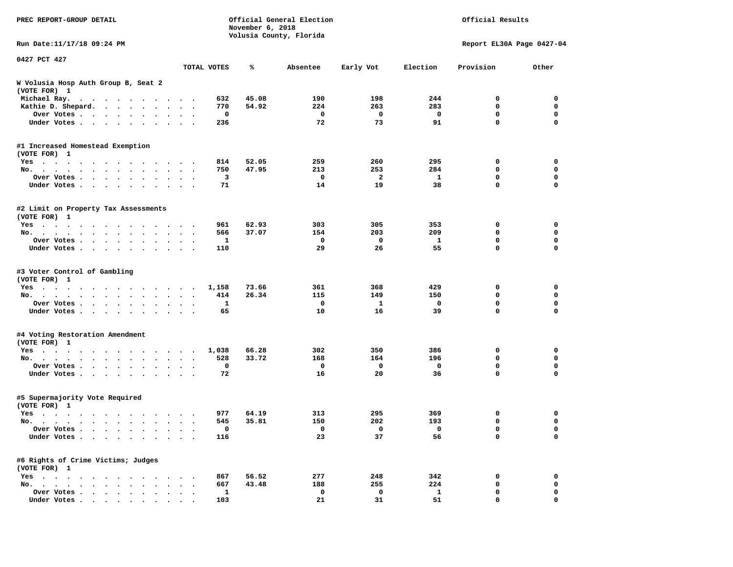| PREC REPORT-GROUP DETAIL                                                                                                                                                                                                                                 |                                          |       |          |                | Official General Election<br>November 6, 2018<br>Volusia County, Florida |                           |             |  |  |  |
|----------------------------------------------------------------------------------------------------------------------------------------------------------------------------------------------------------------------------------------------------------|------------------------------------------|-------|----------|----------------|--------------------------------------------------------------------------|---------------------------|-------------|--|--|--|
| Run Date:11/17/18 09:24 PM                                                                                                                                                                                                                               |                                          |       |          |                |                                                                          | Report EL30A Page 0427-04 |             |  |  |  |
| 0427 PCT 427                                                                                                                                                                                                                                             | TOTAL VOTES                              | ℁     | Absentee | Early Vot      | Election                                                                 | Provision                 | Other       |  |  |  |
| W Volusia Hosp Auth Group B, Seat 2                                                                                                                                                                                                                      |                                          |       |          |                |                                                                          |                           |             |  |  |  |
| (VOTE FOR) 1                                                                                                                                                                                                                                             |                                          |       |          |                |                                                                          |                           |             |  |  |  |
| Michael Ray.                                                                                                                                                                                                                                             | 632                                      | 45.08 | 190      | 198            | 244                                                                      | 0                         | 0           |  |  |  |
| Kathie D. Shepard.                                                                                                                                                                                                                                       | 770                                      | 54.92 | 224      | 263            | 283                                                                      | 0                         | 0           |  |  |  |
| Over Votes                                                                                                                                                                                                                                               | 0                                        |       | 0        | 0              | 0                                                                        | 0                         | 0           |  |  |  |
| Under Votes                                                                                                                                                                                                                                              | 236                                      |       | 72       | 73             | 91                                                                       | 0                         | $\mathbf 0$ |  |  |  |
| #1 Increased Homestead Exemption                                                                                                                                                                                                                         |                                          |       |          |                |                                                                          |                           |             |  |  |  |
| (VOTE FOR) 1                                                                                                                                                                                                                                             |                                          |       |          |                |                                                                          |                           |             |  |  |  |
| $Yes \cdot \cdot \cdot$<br>. The contract of the contract of the contract of the contract of the contract of the contract of the contract of the contract of the contract of the contract of the contract of the contract of the contract of the contrac | 814                                      | 52.05 | 259      | 260            | 295                                                                      | 0                         | 0           |  |  |  |
| No.                                                                                                                                                                                                                                                      | 750<br>$\ddot{\phantom{a}}$              | 47.95 | 213      | 253            | 284                                                                      | 0                         | 0           |  |  |  |
| Over Votes<br>$\ddot{\phantom{1}}$                                                                                                                                                                                                                       | 3                                        |       | 0        | $\overline{a}$ | 1                                                                        | 0                         | $\mathbf 0$ |  |  |  |
| Under Votes<br>$\sim$                                                                                                                                                                                                                                    | 71                                       |       | 14       | 19             | 38                                                                       | 0                         | 0           |  |  |  |
| #2 Limit on Property Tax Assessments<br>(VOTE FOR) 1                                                                                                                                                                                                     |                                          |       |          |                |                                                                          |                           |             |  |  |  |
| Yes                                                                                                                                                                                                                                                      | 961                                      | 62.93 | 303      | 305            | 353                                                                      | 0                         | 0           |  |  |  |
| No.<br>$\sim$ $\sim$ $\sim$                                                                                                                                                                                                                              | 566                                      | 37.07 | 154      | 203            | 209                                                                      | 0                         | 0           |  |  |  |
| Over Votes                                                                                                                                                                                                                                               | 1                                        |       | 0        | 0              | 1                                                                        | $\mathbf 0$               | 0           |  |  |  |
| Under Votes                                                                                                                                                                                                                                              | 110<br>$\sim$ $\sim$ $\sim$              |       | 29       | 26             | 55                                                                       | $\mathbf 0$               | $\mathbf 0$ |  |  |  |
| #3 Voter Control of Gambling<br>(VOTE FOR) 1<br>Yes                                                                                                                                                                                                      | 1,158                                    | 73.66 | 361      | 368            | 429                                                                      | 0                         | 0           |  |  |  |
| No.<br>$\mathbf{r}$ , $\mathbf{r}$ , $\mathbf{r}$ , $\mathbf{r}$ , $\mathbf{r}$<br>$\cdot$ $\cdot$ $\cdot$ $\cdot$                                                                                                                                       | 414                                      | 26.34 | 115      | 149            | 150                                                                      | 0                         | 0           |  |  |  |
| Over Votes<br>$\ddot{\phantom{0}}$<br>$\bullet$                                                                                                                                                                                                          | 1<br>$\cdot$<br>$\cdot$                  |       | 0        | 1              | 0                                                                        | $\mathbf 0$               | 0           |  |  |  |
| Under Votes                                                                                                                                                                                                                                              | 65                                       |       | 10       | 16             | 39                                                                       | $\mathbf 0$               | $\mathbf 0$ |  |  |  |
| #4 Voting Restoration Amendment                                                                                                                                                                                                                          |                                          |       |          |                |                                                                          |                           |             |  |  |  |
| (VOTE FOR) 1                                                                                                                                                                                                                                             |                                          |       |          |                |                                                                          |                           |             |  |  |  |
| $Yes \cdot \cdot \cdot$<br>$\cdots$<br>.                                                                                                                                                                                                                 | 1,038                                    | 66.28 | 302      | 350            | 386                                                                      | 0                         | 0           |  |  |  |
| No.<br>$\bullet$                                                                                                                                                                                                                                         | 528<br>$\bullet$<br>$\ddot{\phantom{1}}$ | 33.72 | 168      | 164            | 196                                                                      | 0                         | 0           |  |  |  |
| Over Votes<br>$\ddot{\phantom{0}}$                                                                                                                                                                                                                       | 0                                        |       | 0        | 0              | 0                                                                        | 0                         | $\mathbf 0$ |  |  |  |
| Under Votes                                                                                                                                                                                                                                              | 72                                       |       | 16       | 20             | 36                                                                       | 0                         | 0           |  |  |  |
| #5 Supermajority Vote Required<br>(VOTE FOR) 1                                                                                                                                                                                                           |                                          |       |          |                |                                                                          |                           |             |  |  |  |
| Yes                                                                                                                                                                                                                                                      | 977                                      | 64.19 | 313      | 295            | 369                                                                      | 0                         | 0           |  |  |  |
| No.<br>$\ddot{\phantom{0}}$<br>$\sim$ $\sim$                                                                                                                                                                                                             | 545<br>$\bullet$                         | 35.81 | 150      | 202            | 193                                                                      | 0                         | 0           |  |  |  |
| Over votes $\cdots$                                                                                                                                                                                                                                      |                                          |       | 0        | 0              | $\mathbf 0$                                                              | 0                         | 0           |  |  |  |
| Under Votes                                                                                                                                                                                                                                              | 116                                      |       | 23       | 37             | 56                                                                       | 0                         | 0           |  |  |  |
| #6 Rights of Crime Victims; Judges<br>(VOTE FOR) 1                                                                                                                                                                                                       |                                          |       |          |                |                                                                          |                           |             |  |  |  |
| $Yes \cdot \cdot \cdot \cdot \cdot$                                                                                                                                                                                                                      | 867                                      | 56.52 | 277      | 248            | 342                                                                      | 0                         | 0           |  |  |  |
| No. $\cdot$ $\cdot$ $\cdot$<br>$\cdot$ $\cdot$ $\cdot$<br>$\ddot{\phantom{a}}$                                                                                                                                                                           | 667                                      | 43.48 | 188      | 255            | 224                                                                      | 0                         | 0           |  |  |  |
| Over Votes                                                                                                                                                                                                                                               | 1                                        |       | 0        | 0              | $\mathbf{1}$                                                             | 0                         | 0           |  |  |  |
| Under Votes                                                                                                                                                                                                                                              | 103                                      |       | 21       | 31             | 51                                                                       | 0                         | 0           |  |  |  |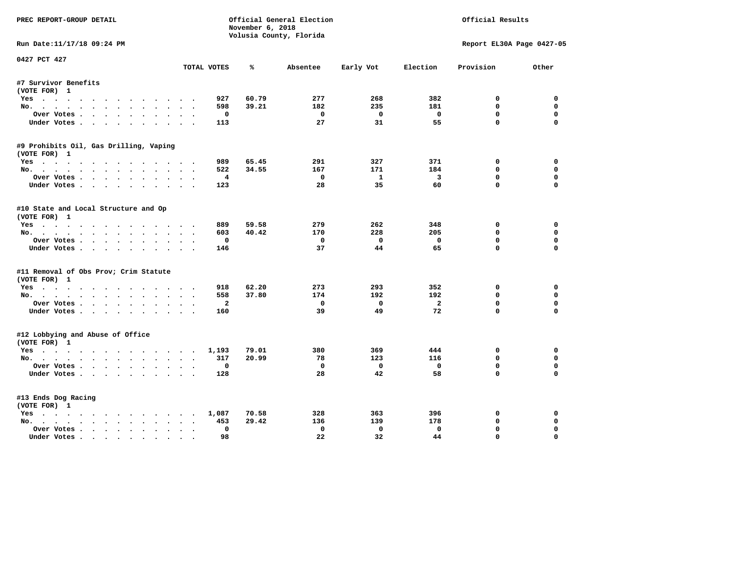| PREC REPORT-GROUP DETAIL                              |                           | November 6, 2018 | Official General Election<br>Volusia County, Florida | Official Results |                         |                           |              |
|-------------------------------------------------------|---------------------------|------------------|------------------------------------------------------|------------------|-------------------------|---------------------------|--------------|
| Run Date:11/17/18 09:24 PM                            |                           |                  |                                                      |                  |                         | Report EL30A Page 0427-05 |              |
| 0427 PCT 427                                          | TOTAL VOTES               | ℁                | Absentee                                             | Early Vot        | Election                | Provision                 | Other        |
|                                                       |                           |                  |                                                      |                  |                         |                           |              |
| #7 Survivor Benefits<br>(VOTE FOR) 1                  |                           |                  |                                                      |                  |                         |                           |              |
| Yes                                                   | 927                       | 60.79            | 277                                                  | 268              | 382                     | 0                         | 0            |
| No.                                                   | 598                       | 39.21            | 182                                                  | 235              | 181                     | $\mathbf 0$               | $\mathbf 0$  |
| Over Votes                                            | $\mathbf 0$               |                  | $\mathbf 0$                                          | $\mathbf{o}$     | $\mathbf 0$             | 0                         | $\mathbf 0$  |
| Under Votes                                           | 113                       |                  | 27                                                   | 31               | 55                      | $\mathbf 0$               | $\mathbf 0$  |
| #9 Prohibits Oil, Gas Drilling, Vaping                |                           |                  |                                                      |                  |                         |                           |              |
| (VOTE FOR) 1                                          |                           |                  |                                                      |                  |                         |                           |              |
| Yes                                                   | 989                       | 65.45            | 291                                                  | 327              | 371                     | 0                         | $\mathbf 0$  |
| No.                                                   | 522                       | 34.55            | 167                                                  | 171              | 184                     | 0                         | $\mathbf 0$  |
| Over Votes.                                           | $\overline{\mathbf{4}}$   |                  | $\mathbf 0$                                          | $\mathbf{1}$     | $\overline{\mathbf{3}}$ | $\mathbf 0$               | $\mathbf 0$  |
| Under Votes                                           | 123                       |                  | 28                                                   | 35               | 60                      | $\mathbf 0$               | $\mathbf 0$  |
| #10 State and Local Structure and Op<br>(VOTE FOR) 1  |                           |                  |                                                      |                  |                         |                           |              |
| Yes                                                   | 889                       | 59.58            | 279                                                  | 262              | 348                     | 0                         | $\mathbf{0}$ |
| No.                                                   | 603                       | 40.42            | 170                                                  | 228              | 205                     | 0                         | 0            |
| Over Votes                                            | $\mathbf 0$               |                  | $\mathbf{0}$                                         | $\Omega$         | $\mathbf{0}$            | 0                         | $\mathbf 0$  |
| Under Votes                                           | 146                       |                  | 37                                                   | 44               | 65                      | $\mathbf 0$               | $\mathbf 0$  |
| #11 Removal of Obs Prov; Crim Statute<br>(VOTE FOR) 1 |                           |                  |                                                      |                  |                         |                           |              |
| Yes                                                   | 918                       | 62.20            | 273                                                  | 293              | 352                     | 0                         | $\mathbf 0$  |
| No.                                                   | 558                       | 37.80            | 174                                                  | 192              | 192                     | 0                         | 0            |
| Over Votes                                            | $\overline{\mathbf{2}}$   |                  | 0                                                    | $\mathbf{o}$     | $\overline{a}$          | 0                         | $\mathbf 0$  |
| Under Votes.                                          | 160                       |                  | 39                                                   | 49               | 72                      | $\mathbf 0$               | $\mathbf 0$  |
| #12 Lobbying and Abuse of Office<br>(VOTE FOR) 1      |                           |                  |                                                      |                  |                         |                           |              |
| Yes                                                   | 1,193                     | 79.01            | 380                                                  | 369              | 444                     | 0                         | $\mathbf 0$  |
| No.                                                   | 317                       | 20.99            | 78                                                   | 123              | 116                     | $\mathbf 0$               | $\mathbf{0}$ |
| Over Votes                                            | 0                         |                  | $\mathbf 0$                                          | $\mathbf 0$      | $\mathbf 0$             | 0                         | 0            |
| Under Votes.                                          | 128                       |                  | 28                                                   | 42               | 58                      | $\mathbf 0$               | $\Omega$     |
| #13 Ends Dog Racing<br>(VOTE FOR) 1                   |                           |                  |                                                      |                  |                         |                           |              |
| Yes                                                   | 1,087                     | 70.58            | 328                                                  | 363              | 396                     | 0                         | 0            |
| No.                                                   | 453<br>$\sim$ $\sim$      | 29.42            | 136                                                  | 139              | 178                     | $\mathbf 0$               | 0            |
| Over Votes                                            | 0<br>$\ddot{\phantom{1}}$ |                  | $\Omega$                                             | $\mathbf 0$      | $\Omega$                | $\mathbf 0$               | $\mathbf 0$  |
| Under Votes                                           | 98<br>$\sim$              |                  | 22                                                   | 32               | 44                      | $\mathbf 0$               | $\mathbf 0$  |
|                                                       |                           |                  |                                                      |                  |                         |                           |              |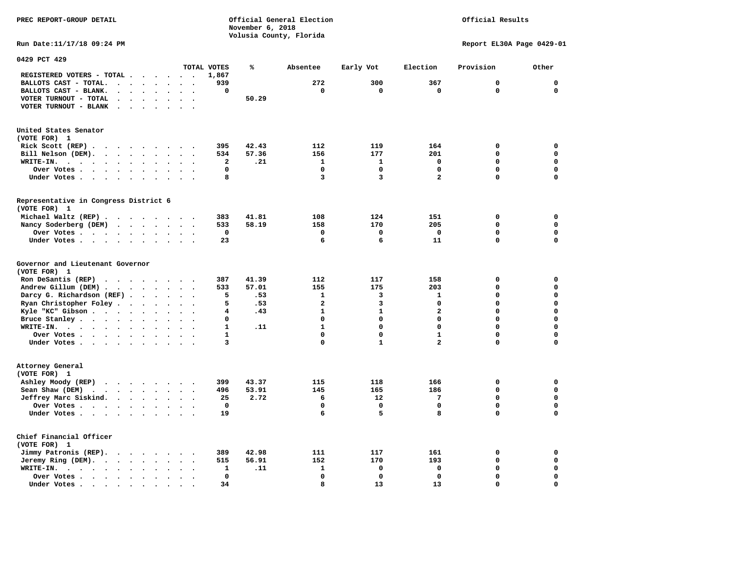**PREC REPORT-GROUP DETAIL COMPUTER CONSUMING A CONSUMING CONSUMING A LIGACION CONSUMING A LIGACION** *November 6, 2018 November 6, 2018*  **Volusia County, Florida** 

Official Results

**Run Date:11/17/18 09:24 PM Report EL30A Page 0429-01** 

| 0429 PCT 429                                                                                                                                           |                                   |              |       |                |              |                         |             |             |
|--------------------------------------------------------------------------------------------------------------------------------------------------------|-----------------------------------|--------------|-------|----------------|--------------|-------------------------|-------------|-------------|
|                                                                                                                                                        |                                   | TOTAL VOTES  | ℁     | Absentee       | Early Vot    | Election                | Provision   | Other       |
| REGISTERED VOTERS - TOTAL .<br>$\sim$<br>$\ddot{\phantom{a}}$                                                                                          | $\sim$<br>$\cdot$                 | 1,867        |       |                |              |                         |             |             |
| BALLOTS CAST - TOTAL.<br>$\sim$<br>$\ddot{\phantom{a}}$<br>$\ddot{\phantom{a}}$<br>$\ddot{\phantom{a}}$                                                |                                   | 939          |       | 272            | 300          | 367                     | $\mathbf 0$ | $\mathbf 0$ |
| BALLOTS CAST - BLANK.<br>$\bullet$<br>$\ddot{\phantom{a}}$<br>$\bullet$<br>$\ddot{\phantom{1}}$<br>$\bullet$                                           | $\ddot{\phantom{a}}$<br>$\bullet$ | 0            |       | $\mathbf 0$    | $\mathbf 0$  | $\mathbf 0$             | $\mathbf 0$ | $\mathbf 0$ |
| VOTER TURNOUT - TOTAL<br>$\ddot{\phantom{a}}$<br>$\ddot{\phantom{a}}$<br>$\ddot{\phantom{a}}$                                                          |                                   |              | 50.29 |                |              |                         |             |             |
| VOTER TURNOUT - BLANK<br>$\bullet$                                                                                                                     |                                   |              |       |                |              |                         |             |             |
|                                                                                                                                                        |                                   |              |       |                |              |                         |             |             |
| United States Senator                                                                                                                                  |                                   |              |       |                |              |                         |             |             |
| (VOTE FOR) 1                                                                                                                                           |                                   |              |       |                |              |                         |             |             |
| Rick Scott (REP).<br>$\cdot$ $\cdot$ $\cdot$ $\cdot$<br>$\ddot{\phantom{1}}$                                                                           | $\sim$                            | 395          | 42.43 | 112            | 119          | 164                     | 0           | $\mathbf 0$ |
| Bill Nelson (DEM).<br>$\cdot$                                                                                                                          |                                   | 534          | 57.36 | 156            | 177          | 201                     | 0           | $\mathbf 0$ |
| WRITE-IN.<br>$\cdot$ $\cdot$ $\cdot$<br>$\cdot$ $\cdot$ $\cdot$ $\cdot$<br>$\ddot{\phantom{a}}$                                                        |                                   | 2            | .21   | $\mathbf{1}$   | $\mathbf{1}$ | $\mathbf 0$             | $\mathbf 0$ | $\mathbf 0$ |
| Over Votes<br>$\bullet$<br>$\ddot{\phantom{a}}$                                                                                                        |                                   | 0            |       | $\mathbf 0$    | $\mathbf 0$  | $\mathbf 0$             | 0           | $\mathbf 0$ |
|                                                                                                                                                        |                                   | 8            |       | 3              | 3            | $\overline{\mathbf{2}}$ | 0           | $\mathbf 0$ |
| Under Votes<br>$\bullet$<br>$\ddot{\phantom{1}}$                                                                                                       | $\bullet$<br>$\cdot$              |              |       |                |              |                         |             |             |
| Representative in Congress District 6                                                                                                                  |                                   |              |       |                |              |                         |             |             |
| (VOTE FOR) 1                                                                                                                                           |                                   |              |       |                |              |                         |             |             |
| Michael Waltz (REP)                                                                                                                                    |                                   | 383          | 41.81 | 108            | 124          | 151                     | 0           | $\mathbf 0$ |
| Nancy Soderberg (DEM)                                                                                                                                  |                                   | 533          | 58.19 | 158            | 170          | 205                     | $\mathbf 0$ | $\mathbf 0$ |
| Over Votes<br>$\ddot{\phantom{a}}$<br>$\bullet$                                                                                                        |                                   | 0            |       | $\mathbf 0$    | 0            | 0                       | 0           | $\mathbf 0$ |
| Under Votes<br>$\bullet$<br>$\bullet$                                                                                                                  | $\sim$<br>$\bullet$               | 23           |       | 6              | 6            | 11                      | 0           | $\mathbf 0$ |
|                                                                                                                                                        |                                   |              |       |                |              |                         |             |             |
| Governor and Lieutenant Governor                                                                                                                       |                                   |              |       |                |              |                         |             |             |
| (VOTE FOR) 1                                                                                                                                           |                                   |              |       |                |              |                         |             |             |
| Ron DeSantis (REP)                                                                                                                                     |                                   | 387          | 41.39 | 112            | 117          | 158                     | 0           | 0           |
| Andrew Gillum (DEM)<br>$\sim$                                                                                                                          | $\ddot{\phantom{a}}$<br>$\bullet$ | 533          | 57.01 | 155            | 175          | 203                     | 0           | $\mathbf 0$ |
| Darcy G. Richardson (REF).<br>$\bullet$ .<br>$\sim$                                                                                                    | $\cdot$ $\cdot$                   | 5            | .53   | $\mathbf{1}$   | 3            | $\mathbf{1}$            | $\mathbf 0$ | $\mathbf 0$ |
| Ryan Christopher Foley.<br>$\sim$<br>$\ddot{\phantom{a}}$<br>$\ddot{\phantom{a}}$<br>$\ddot{\phantom{a}}$                                              |                                   | 5            | .53   | $\overline{a}$ | 3            | $\mathbf 0$             | $\mathbf 0$ | $\mathbf 0$ |
| Kyle "KC" Gibson.<br>$\mathcal{L}(\mathcal{A})$ , and $\mathcal{A}(\mathcal{A})$ , and $\mathcal{A}(\mathcal{A})$<br>$\bullet$<br>$\ddot{\phantom{a}}$ | $\bullet$<br>$\ddot{\phantom{a}}$ | 4            | .43   | $\mathbf{1}$   | $\mathbf{1}$ | $\overline{\mathbf{2}}$ | $\mathbf 0$ | $\mathbf 0$ |
| Bruce Stanley<br>$\bullet$                                                                                                                             | $\ddot{\phantom{1}}$              | 0            |       | $\Omega$       | $\mathbf 0$  | 0                       | 0           | $\mathbf 0$ |
| WRITE-IN.<br>$\cdots$<br>$\ddot{\phantom{a}}$                                                                                                          | $\ddot{\phantom{a}}$              | $\mathbf{1}$ | .11   | $\mathbf{1}$   | $\mathbf 0$  | 0                       | 0           | $\mathbf 0$ |
| Over Votes<br>$\bullet$<br>$\sim$                                                                                                                      |                                   | $\mathbf{1}$ |       | $\Omega$       | $\Omega$     | $\mathbf{1}$            | $\Omega$    | 0           |
| Under Votes<br>$\ddot{\phantom{a}}$<br>$\cdot$                                                                                                         |                                   | 3            |       | 0              | $\mathbf{1}$ | $\overline{\mathbf{2}}$ | 0           | $\mathbf 0$ |
|                                                                                                                                                        |                                   |              |       |                |              |                         |             |             |
| Attorney General                                                                                                                                       |                                   |              |       |                |              |                         |             |             |
| (VOTE FOR) 1                                                                                                                                           |                                   |              |       |                |              |                         |             |             |
| Ashley Moody (REP)                                                                                                                                     |                                   | 399          | 43.37 | 115            | 118          | 166                     | 0           | $\mathbf 0$ |
| Sean Shaw (DEM)<br>$\mathbf{r}$ , $\mathbf{r}$ , $\mathbf{r}$ , $\mathbf{r}$ , $\mathbf{r}$                                                            | $\ddotsc$                         | 496          | 53.91 | 145            | 165          | 186                     | 0           | $\mathbf 0$ |
| Jeffrey Marc Siskind.<br>$\bullet$<br>$\bullet$                                                                                                        | $\bullet$<br>$\ddot{\phantom{a}}$ | 25           | 2.72  | 6              | 12           | 7                       | 0           | $\mathbf 0$ |
| Over Votes<br>$\bullet$                                                                                                                                |                                   | 0            |       | $\Omega$       | 0            | 0                       | 0           | 0           |
| Under Votes<br>$\ddot{\phantom{a}}$                                                                                                                    |                                   | 19           |       | 6              | 5            | 8                       | 0           | $\mathbf 0$ |
|                                                                                                                                                        |                                   |              |       |                |              |                         |             |             |
| Chief Financial Officer                                                                                                                                |                                   |              |       |                |              |                         |             |             |
| (VOTE FOR) 1                                                                                                                                           |                                   |              |       |                |              |                         |             |             |
| Jimmy Patronis (REP).<br><b>Contract Contract Contract</b><br>$\sim$<br>$\ddot{\phantom{a}}$                                                           |                                   | 389          | 42.98 | 111            | 117          | 161                     | 0           | $\mathbf 0$ |
| Jeremy Ring $(DEM)$ .<br>$\bullet$<br>$\bullet$                                                                                                        | $\bullet$<br>$\bullet$            | 515          | 56.91 | 152            | 170          | 193                     | 0           | $\mathbf 0$ |
| WRITE-IN.<br>$\cdot$ $\cdot$ $\cdot$ $\cdot$ $\cdot$<br>$\bullet$                                                                                      |                                   | 1            | .11   | $\mathbf{1}$   | 0            | $\mathbf 0$             | 0           | $\mathbf 0$ |
| Over Votes .<br><b>Contract Contract Contract</b><br>$\bullet$<br>$\bullet$                                                                            |                                   | $\Omega$     |       | $\Omega$       | $\mathbf 0$  | $\mathbf 0$             | $\Omega$    | $\mathbf 0$ |
| Under Votes.<br>$\bullet$<br>$\bullet$                                                                                                                 |                                   | 34           |       | 8              | 13           | 13                      | 0           | $\mathbf 0$ |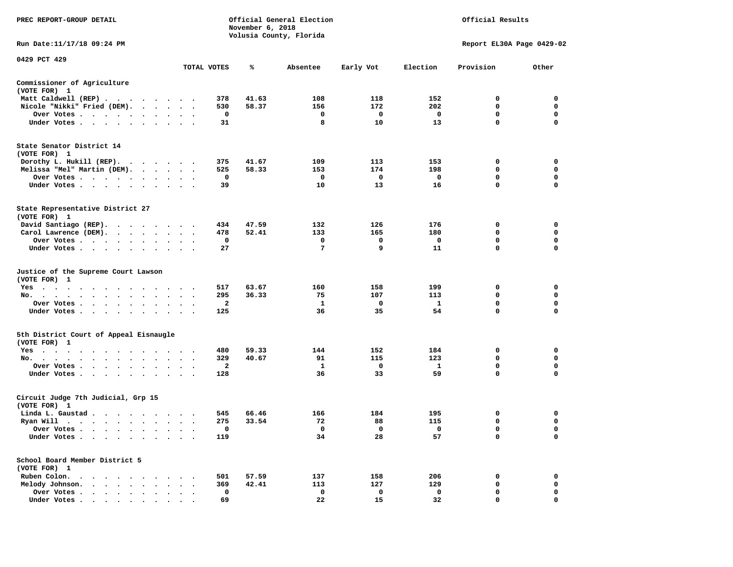| PREC REPORT-GROUP DETAIL                                                                                                                                                                                                                          |                                 |                          | November 6, 2018 | Official General Election<br>Volusia County, Florida |              |                    | Official Results          |                  |
|---------------------------------------------------------------------------------------------------------------------------------------------------------------------------------------------------------------------------------------------------|---------------------------------|--------------------------|------------------|------------------------------------------------------|--------------|--------------------|---------------------------|------------------|
| Run Date:11/17/18 09:24 PM                                                                                                                                                                                                                        |                                 |                          |                  |                                                      |              |                    | Report EL30A Page 0429-02 |                  |
| 0429 PCT 429                                                                                                                                                                                                                                      |                                 |                          |                  |                                                      |              |                    |                           |                  |
|                                                                                                                                                                                                                                                   |                                 | TOTAL VOTES              | ℁                | Absentee                                             | Early Vot    | Election           | Provision                 | Other            |
| Commissioner of Agriculture<br>(VOTE FOR) 1                                                                                                                                                                                                       |                                 |                          |                  |                                                      |              |                    |                           |                  |
| Matt Caldwell (REP)                                                                                                                                                                                                                               |                                 | 378                      | 41.63            | 108                                                  | 118          | 152                | 0                         | $\mathbf 0$      |
| Nicole "Nikki" Fried (DEM).                                                                                                                                                                                                                       |                                 | 530                      | 58.37            | 156                                                  | 172          | 202                | $\mathbf 0$               | 0                |
| Over Votes                                                                                                                                                                                                                                        |                                 | $\mathbf 0$              |                  | $\mathbf 0$                                          | $\mathbf 0$  | $\mathbf 0$        | $\mathbf 0$               | $\mathbf 0$      |
| Under Votes                                                                                                                                                                                                                                       |                                 | 31                       |                  | 8                                                    | 10           | 13                 | $\Omega$                  | 0                |
| State Senator District 14<br>(VOTE FOR) 1                                                                                                                                                                                                         |                                 |                          |                  |                                                      |              |                    |                           |                  |
| Dorothy L. Hukill (REP).                                                                                                                                                                                                                          |                                 | 375                      | 41.67            | 109                                                  | 113          | 153                | 0                         | 0                |
| Melissa "Mel" Martin (DEM).                                                                                                                                                                                                                       |                                 | 525                      | 58.33            | 153                                                  | 174          | 198                | $\mathbf 0$               | $\mathbf 0$      |
| Over Votes                                                                                                                                                                                                                                        |                                 | $\mathbf 0$              |                  | $\mathbf 0$                                          | 0            | $\mathbf 0$        | $\mathbf 0$               | $\mathbf 0$      |
| Under Votes                                                                                                                                                                                                                                       |                                 | 39                       |                  | 10                                                   | 13           | 16                 | 0                         | $\mathbf 0$      |
| State Representative District 27<br>(VOTE FOR) 1                                                                                                                                                                                                  |                                 |                          |                  |                                                      |              |                    |                           |                  |
| David Santiago (REP).                                                                                                                                                                                                                             |                                 | 434                      | 47.59            | 132                                                  | 126          | 176                | 0                         | $\mathbf 0$      |
| Carol Lawrence (DEM).                                                                                                                                                                                                                             |                                 | 478                      | 52.41            | 133                                                  | 165          | 180                | $\mathbf 0$               | $\mathbf 0$      |
| Over Votes                                                                                                                                                                                                                                        | $\bullet$                       | 0                        |                  | 0                                                    | 0            | $\mathbf 0$        | $\mathbf 0$               | $\mathbf 0$      |
| Under Votes                                                                                                                                                                                                                                       |                                 | 27                       |                  | 7                                                    | 9            | 11                 | 0                         | $\mathbf 0$      |
| Justice of the Supreme Court Lawson<br>(VOTE FOR) 1                                                                                                                                                                                               |                                 |                          |                  |                                                      |              |                    |                           |                  |
| $Yes \cdot \cdot \cdot$<br>$\cdot$<br>$\cdot$<br>$\blacksquare$                                                                                                                                                                                   |                                 | 517                      | 63.67            | 160                                                  | 158          | 199                | 0                         | $\mathbf 0$      |
| No.<br>$\sim$ $\sim$<br>$\ddot{\phantom{0}}$                                                                                                                                                                                                      |                                 | 295                      | 36.33            | 75                                                   | 107          | 113                | $\mathbf 0$               | $\mathbf 0$      |
| Over Votes                                                                                                                                                                                                                                        | $\cdot$<br>$\ddot{\phantom{1}}$ | $\overline{a}$<br>$\sim$ |                  | $\mathbf{1}$                                         | $\mathbf 0$  | $\mathbf{1}$<br>54 | 0<br>0                    | $\mathbf 0$<br>0 |
| Under Votes<br>$\ddot{\phantom{0}}$                                                                                                                                                                                                               | $\ddot{\phantom{a}}$            | 125                      |                  | 36                                                   | 35           |                    |                           |                  |
| 5th District Court of Appeal Eisnaugle<br>(VOTE FOR) 1                                                                                                                                                                                            |                                 |                          |                  |                                                      |              |                    |                           |                  |
| Yes                                                                                                                                                                                                                                               |                                 | 480                      | 59.33            | 144                                                  | 152          | 184                | $\Omega$                  | 0                |
| No.                                                                                                                                                                                                                                               |                                 | 329                      | 40.67            | 91                                                   | 115          | 123                | $\mathbf 0$               | $\mathbf 0$      |
| Over Votes<br>$\ddot{\phantom{0}}$<br>$\cdot$                                                                                                                                                                                                     |                                 | 2                        |                  | 1                                                    | 0            | <b>1</b>           | 0                         | 0                |
| Under Votes<br>$\sim$                                                                                                                                                                                                                             | $\cdot$ $\cdot$ $\cdot$         | 128                      |                  | 36                                                   | 33           | 59                 | 0                         | $\mathbf 0$      |
| Circuit Judge 7th Judicial, Grp 15<br>(VOTE FOR) 1                                                                                                                                                                                                |                                 |                          |                  |                                                      |              |                    |                           |                  |
| Linda L. Gaustad                                                                                                                                                                                                                                  |                                 | 545                      | 66.46            | 166                                                  | 184          | 195                | 0                         | $\mathbf 0$      |
| Ryan Will $\cdots$ , $\cdots$ , $\cdots$                                                                                                                                                                                                          | $\sim$<br>$\bullet$ . $\bullet$ | 275                      | 33.54            | 72                                                   | 88           | 115                | 0                         | 0                |
| Over Votes                                                                                                                                                                                                                                        | $\cdot$ .                       | 0                        |                  | $\mathbf{o}$                                         | 0            | $\mathbf 0$        | 0                         | $\mathbf 0$      |
| Under Votes<br>$\ddot{\phantom{a}}$<br>$\cdot$<br>$\bullet$                                                                                                                                                                                       |                                 | 119                      |                  | 34                                                   | 28           | 57                 | 0                         | $\mathbf 0$      |
| School Board Member District 5<br>(VOTE FOR) 1                                                                                                                                                                                                    |                                 |                          |                  |                                                      |              |                    |                           |                  |
| Ruben Colon.<br>$\mathbf{A}$ . The contribution of the contribution of the contribution of the contribution of the contribution of the contribution of the contribution of the contribution of the contribution of the contribution of the contri |                                 | 501                      | 57.59            | 137                                                  | 158          | 206                | 0                         | $\mathbf 0$      |
| Melody Johnson.<br>$\sim$                                                                                                                                                                                                                         | $\cdot$ $\cdot$ $\cdot$         | 369                      | 42.41            | 113                                                  | 127          | 129                | 0                         | 0                |
| Over Votes .<br>$\sim$ $\sim$ $\sim$ $\sim$<br>$\sim$ $\sim$<br>$\bullet$<br>$\cdot$                                                                                                                                                              | $\cdot$<br>$\ddot{\phantom{a}}$ | 0                        |                  | $\mathbf 0$                                          | $\mathbf{o}$ | $\mathbf 0$        | $\mathbf 0$               | $\mathbf 0$      |
| Under Votes                                                                                                                                                                                                                                       |                                 | 69                       |                  | 22.                                                  | 15           | 32                 | $\Omega$                  | $\Omega$         |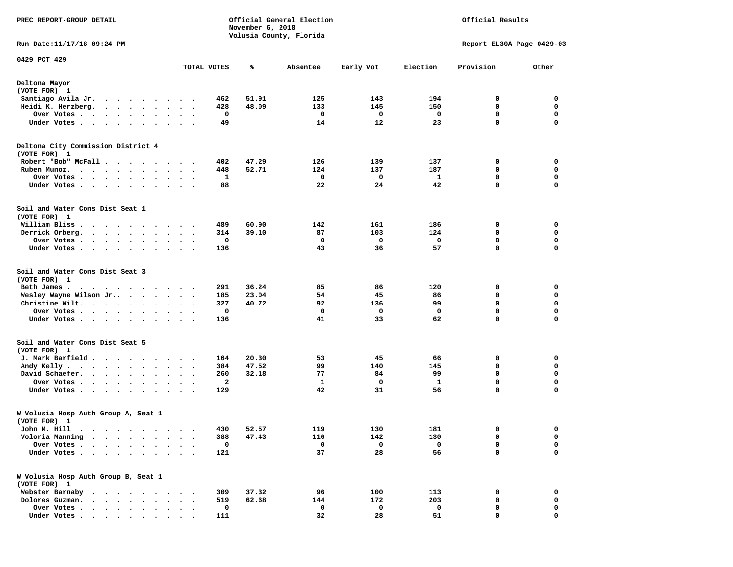| PREC REPORT-GROUP DETAIL                                                                                                                                                                                                                        |                                                 | November 6, 2018 | Official General Election<br>Volusia County, Florida |           |          | Official Results          |             |  |  |
|-------------------------------------------------------------------------------------------------------------------------------------------------------------------------------------------------------------------------------------------------|-------------------------------------------------|------------------|------------------------------------------------------|-----------|----------|---------------------------|-------------|--|--|
| Run Date:11/17/18 09:24 PM                                                                                                                                                                                                                      |                                                 |                  |                                                      |           |          | Report EL30A Page 0429-03 |             |  |  |
| 0429 PCT 429                                                                                                                                                                                                                                    | TOTAL VOTES                                     | ℁                | Absentee                                             | Early Vot | Election | Provision                 | Other       |  |  |
| Deltona Mayor                                                                                                                                                                                                                                   |                                                 |                  |                                                      |           |          |                           |             |  |  |
| (VOTE FOR) 1                                                                                                                                                                                                                                    |                                                 |                  |                                                      |           |          |                           |             |  |  |
| Santiago Avila Jr.                                                                                                                                                                                                                              | 462                                             | 51.91            | 125                                                  | 143       | 194      | 0                         | 0           |  |  |
| Heidi K. Herzberg.                                                                                                                                                                                                                              | 428                                             | 48.09            | 133                                                  | 145       | 150      | 0                         | 0           |  |  |
| Over Votes .<br>$\sim$<br>$\cdots$                                                                                                                                                                                                              |                                                 | 0                | 0                                                    | 0         | 0        | 0                         | 0           |  |  |
| Under Votes                                                                                                                                                                                                                                     |                                                 | 49               | 14                                                   | 12        | 23       | 0                         | $\mathbf 0$ |  |  |
| Deltona City Commission District 4<br>(VOTE FOR) 1                                                                                                                                                                                              |                                                 |                  |                                                      |           |          |                           |             |  |  |
| Robert "Bob" McFall                                                                                                                                                                                                                             | 402                                             | 47.29            | 126                                                  | 139       | 137      | 0                         | 0           |  |  |
| Ruben Munoz.                                                                                                                                                                                                                                    | 448                                             | 52.71            | 124                                                  | 137       | 187      | 0                         | 0           |  |  |
| Over Votes                                                                                                                                                                                                                                      |                                                 | 1                | 0                                                    | 0         | 1        | $\mathbf 0$               | $\mathbf 0$ |  |  |
| Under Votes                                                                                                                                                                                                                                     |                                                 | 88               | 22                                                   | 24        | 42       | 0                         | 0           |  |  |
| Soil and Water Cons Dist Seat 1<br>(VOTE FOR) 1                                                                                                                                                                                                 |                                                 |                  |                                                      |           |          |                           |             |  |  |
| William Bliss.<br>. The contract of the contract of the contract of the contract of the contract of the contract of the contract of the contract of the contract of the contract of the contract of the contract of the contract of the contrac | 489                                             | 60.90            | 142                                                  | 161       | 186      | 0                         | 0           |  |  |
| Derrick Orberg.                                                                                                                                                                                                                                 | 314                                             | 39.10            | 87                                                   | 103       | 124      | 0                         | 0           |  |  |
| Over Votes                                                                                                                                                                                                                                      |                                                 | 0                | 0                                                    | 0         | 0        | 0                         | 0           |  |  |
| Under Votes                                                                                                                                                                                                                                     | 136                                             |                  | 43                                                   | 36        | 57       | 0                         | 0           |  |  |
| Soil and Water Cons Dist Seat 3<br>(VOTE FOR) 1                                                                                                                                                                                                 |                                                 |                  |                                                      |           |          |                           |             |  |  |
| Beth James.                                                                                                                                                                                                                                     | 291                                             | 36.24            | 85                                                   | 86        | 120      | 0                         | 0           |  |  |
| Wesley Wayne Wilson Jr                                                                                                                                                                                                                          | 185                                             | 23.04            | 54                                                   | 45        | 86       | 0                         | 0           |  |  |
| Christine Wilt.                                                                                                                                                                                                                                 | 327                                             | 40.72            | 92                                                   | 136       | 99       | 0                         | 0           |  |  |
| Over Votes                                                                                                                                                                                                                                      |                                                 | 0                | 0                                                    | 0         | 0        | 0                         | 0           |  |  |
| Under Votes                                                                                                                                                                                                                                     | 136                                             |                  | 41                                                   | 33        | 62       | 0                         | 0           |  |  |
| Soil and Water Cons Dist Seat 5<br>(VOTE FOR) 1                                                                                                                                                                                                 |                                                 |                  |                                                      |           |          |                           |             |  |  |
| J. Mark Barfield                                                                                                                                                                                                                                | 164                                             | 20.30            | 53                                                   | 45        | 66       | 0                         | 0           |  |  |
| Andy Kelly                                                                                                                                                                                                                                      | 384                                             | 47.52            | 99                                                   | 140       | 145      | 0                         | 0           |  |  |
| David Schaefer.                                                                                                                                                                                                                                 | 260<br>$\bullet$<br>$\bullet$<br>$\blacksquare$ | 32.18            | 77                                                   | 84        | 99       | 0                         | 0           |  |  |
| Over Votes                                                                                                                                                                                                                                      |                                                 | 2                | 1                                                    | 0         | 1        | 0                         | 0           |  |  |
| Under Votes<br>$\bullet$ .                                                                                                                                                                                                                      | 129<br>$\bullet$                                |                  | 42                                                   | 31        | 56       | $\mathbf 0$               | $\mathbf 0$ |  |  |
| W Volusia Hosp Auth Group A, Seat 1<br>(VOTE FOR) 1                                                                                                                                                                                             |                                                 |                  |                                                      |           |          |                           |             |  |  |
| John M. Hill                                                                                                                                                                                                                                    | 430                                             | 52.57            | 119                                                  | 130       | 181      | 0                         | 0           |  |  |
| Voloria Manning<br>$\bullet$<br>$\ddot{\phantom{0}}$<br>$\ddot{\phantom{a}}$                                                                                                                                                                    | 388                                             | 47.43            | 116                                                  | 142       | 130      | 0                         | 0           |  |  |
| Over Votes .                                                                                                                                                                                                                                    |                                                 | 0                | 0                                                    | 0         | 0        | 0                         | 0           |  |  |
| Under Votes.<br>$\ddot{\phantom{0}}$<br>$\sim$ $\sim$ $\sim$<br>$\ddot{\phantom{1}}$<br>$\bullet$                                                                                                                                               | 121<br>$\ddot{\phantom{1}}$                     |                  | 37                                                   | 28        | 56       | 0                         | 0           |  |  |
| W Volusia Hosp Auth Group B, Seat 1<br>(VOTE FOR) 1                                                                                                                                                                                             |                                                 |                  |                                                      |           |          |                           |             |  |  |
| Webster Barnaby                                                                                                                                                                                                                                 | 309                                             | 37.32            | 96                                                   | 100       | 113      | 0                         | 0           |  |  |
| Dolores Guzman.<br>$\bullet$ .<br><br><br><br><br>                                                                                                                                                                                              | 519                                             | 62.68            | 144                                                  | 172       | 203      | 0                         | 0           |  |  |
| Over Votes.<br>$\bullet$ .<br><br><br><br><br><br>$\ddot{\phantom{0}}$<br>$\ddot{\phantom{a}}$                                                                                                                                                  |                                                 | 0                | 0                                                    | 0         | 0        | 0                         | 0           |  |  |
| Under Votes                                                                                                                                                                                                                                     | 111                                             |                  | 32                                                   | 28        | 51       | 0                         | 0           |  |  |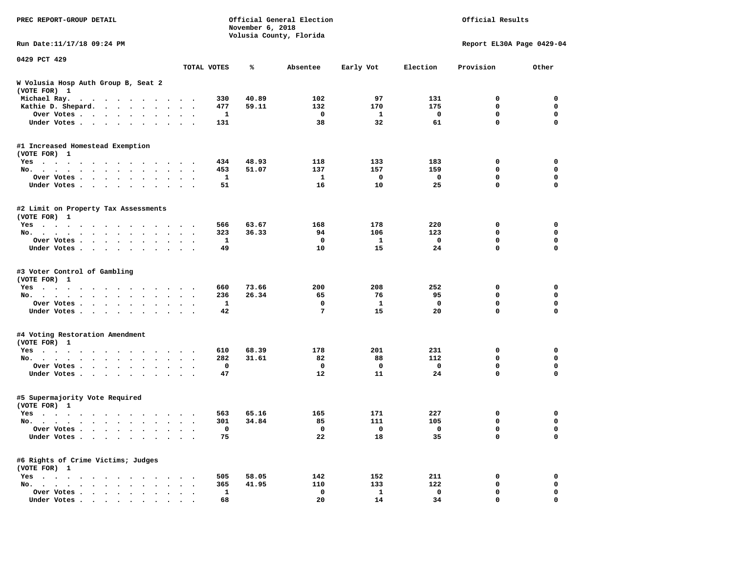| PREC REPORT-GROUP DETAIL                                                                                                                                                                                                                                    |                                  | November 6, 2018 | Official General Election<br>Volusia County, Florida |           |          | Official Results          |                  |
|-------------------------------------------------------------------------------------------------------------------------------------------------------------------------------------------------------------------------------------------------------------|----------------------------------|------------------|------------------------------------------------------|-----------|----------|---------------------------|------------------|
| Run Date:11/17/18 09:24 PM                                                                                                                                                                                                                                  |                                  |                  |                                                      |           |          | Report EL30A Page 0429-04 |                  |
| 0429 PCT 429                                                                                                                                                                                                                                                | TOTAL VOTES                      | ℁                | Absentee                                             | Early Vot | Election | Provision                 | Other            |
| W Volusia Hosp Auth Group B, Seat 2                                                                                                                                                                                                                         |                                  |                  |                                                      |           |          |                           |                  |
| (VOTE FOR) 1                                                                                                                                                                                                                                                |                                  |                  |                                                      |           |          |                           |                  |
| Michael Ray.                                                                                                                                                                                                                                                | 330                              | 40.89            | 102                                                  | 97        | 131      | 0                         | 0                |
| Kathie D. Shepard.                                                                                                                                                                                                                                          | 477                              | 59.11            | 132                                                  | 170       | 175      | 0                         | 0                |
| Over Votes                                                                                                                                                                                                                                                  | 1<br>$\bullet$<br>$\blacksquare$ |                  | 0                                                    | 1         | 0        | 0                         | 0                |
| Under Votes                                                                                                                                                                                                                                                 | 131                              |                  | 38                                                   | 32        | 61       | $\mathbf 0$               | $\mathbf 0$      |
| #1 Increased Homestead Exemption                                                                                                                                                                                                                            |                                  |                  |                                                      |           |          |                           |                  |
| (VOTE FOR) 1                                                                                                                                                                                                                                                |                                  |                  |                                                      |           |          |                           |                  |
| $Yes \cdot \cdot \cdot$<br>$\mathbf{r}$ , and the set of the set of the set of the set of the set of the set of the set of the set of the set of the set of the set of the set of the set of the set of the set of the set of the set of the set of the set | 434                              | 48.93            | 118                                                  | 133       | 183      | 0                         | 0                |
| No.                                                                                                                                                                                                                                                         | 453<br>$\ddot{\phantom{1}}$<br>1 | 51.07            | 137<br>1                                             | 157<br>0  | 159<br>0 | 0<br>0                    | 0<br>$\mathbf 0$ |
| Over Votes<br>$\cdot$<br>Under Votes<br>$\sim$<br>$\bullet$                                                                                                                                                                                                 | 51                               |                  | 16                                                   | 10        | 25       | 0                         | 0                |
|                                                                                                                                                                                                                                                             |                                  |                  |                                                      |           |          |                           |                  |
| #2 Limit on Property Tax Assessments<br>(VOTE FOR) 1                                                                                                                                                                                                        |                                  |                  |                                                      |           |          |                           |                  |
| $Yes \t . \t .$<br>.                                                                                                                                                                                                                                        | 566                              | 63.67            | 168                                                  | 178       | 220      | 0                         | 0                |
| No.<br>$\cdot$ $\cdot$ $\cdot$                                                                                                                                                                                                                              | 323                              | 36.33            | 94                                                   | 106       | 123      | 0                         | 0                |
| Over Votes                                                                                                                                                                                                                                                  | 1                                |                  | 0                                                    | 1         | 0        | $\mathbf 0$               | 0                |
| Under Votes                                                                                                                                                                                                                                                 | 49<br>$\sim$<br>$\cdot$ .        |                  | 10                                                   | 15        | 24       | $\mathbf 0$               | $\mathbf 0$      |
| #3 Voter Control of Gambling                                                                                                                                                                                                                                |                                  |                  |                                                      |           |          |                           |                  |
| (VOTE FOR) 1                                                                                                                                                                                                                                                |                                  |                  |                                                      |           |          |                           |                  |
| Yes                                                                                                                                                                                                                                                         | 660                              | 73.66            | 200                                                  | 208       | 252      | 0                         | 0                |
| No.<br>$\cdots$<br>$\ddot{\phantom{a}}$                                                                                                                                                                                                                     | 236<br>1                         | 26.34            | 65<br>0                                              | 76<br>1   | 95<br>0  | 0<br>$\mathbf 0$          | 0<br>0           |
| Over Votes<br>$\ddot{\phantom{0}}$<br>$\bullet$<br>Under Votes                                                                                                                                                                                              | $\cdot$<br>42                    |                  | 7                                                    | 15        | 20       | $\mathbf 0$               | $\mathbf 0$      |
|                                                                                                                                                                                                                                                             |                                  |                  |                                                      |           |          |                           |                  |
| #4 Voting Restoration Amendment<br>(VOTE FOR) 1                                                                                                                                                                                                             |                                  |                  |                                                      |           |          |                           |                  |
| $Yes \cdot \cdot \cdot$<br>$\cdots$<br>$\cdot$                                                                                                                                                                                                              | 610                              | 68.39            | 178                                                  | 201       | 231      | 0                         | 0                |
| No.                                                                                                                                                                                                                                                         | 282                              | 31.61            | 82                                                   | 88        | 112      | 0                         | 0                |
| Over Votes<br>$\cdot$                                                                                                                                                                                                                                       | 0                                |                  | 0                                                    | 0         | 0        | 0                         | $\mathbf 0$      |
| Under Votes                                                                                                                                                                                                                                                 | 47                               |                  | 12                                                   | 11        | 24       | 0                         | 0                |
| #5 Supermajority Vote Required<br>(VOTE FOR) 1                                                                                                                                                                                                              |                                  |                  |                                                      |           |          |                           |                  |
| Yes                                                                                                                                                                                                                                                         | 563                              | 65.16            | 165                                                  | 171       | 227      | 0                         | 0                |
| No.<br>$\ddot{\phantom{0}}$<br>$\sim$                                                                                                                                                                                                                       | 301<br>$\ddot{\phantom{0}}$      | 34.84            | 85                                                   | 111       | 105      | 0                         | 0                |
| Over votes $\cdots$                                                                                                                                                                                                                                         |                                  |                  | 0                                                    |           | 0        | 0                         | 0                |
| Under Votes                                                                                                                                                                                                                                                 | 75                               |                  | 22                                                   | 18        | 35       | 0                         | 0                |
| #6 Rights of Crime Victims; Judges<br>(VOTE FOR) 1                                                                                                                                                                                                          |                                  |                  |                                                      |           |          |                           |                  |
| $Yes \cdot \cdot \cdot \cdot \cdot$                                                                                                                                                                                                                         | 505                              | 58.05            | 142                                                  | 152       | 211      | 0                         | 0                |
| No. $\cdot$ $\cdot$ $\cdot$<br>$\cdot$ $\cdot$ $\cdot$<br>$\ddot{\phantom{a}}$                                                                                                                                                                              | 365                              | 41.95            | 110                                                  | 133       | 122      | 0                         | 0                |
| Over Votes                                                                                                                                                                                                                                                  | 1                                |                  | 0                                                    | 1         | 0        | 0                         | 0                |
| Under Votes.                                                                                                                                                                                                                                                | 68                               |                  | 20                                                   | 14        | 34       | $\mathbf 0$               | $\mathbf 0$      |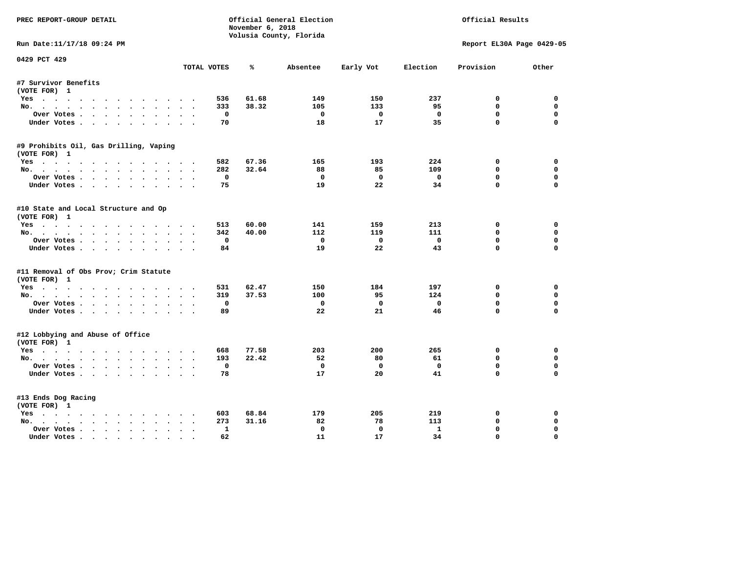| PREC REPORT-GROUP DETAIL                             |             | November 6, 2018             | Official General Election<br>Volusia County, Florida |                         | Official Results    |                             |                  |
|------------------------------------------------------|-------------|------------------------------|------------------------------------------------------|-------------------------|---------------------|-----------------------------|------------------|
| Run Date:11/17/18 09:24 PM                           |             |                              |                                                      |                         |                     | Report EL30A Page 0429-05   |                  |
| 0429 PCT 429                                         | TOTAL VOTES | ℁                            | Absentee                                             | Early Vot               | Election            | Provision                   | Other            |
| #7 Survivor Benefits                                 |             |                              |                                                      |                         |                     |                             |                  |
| (VOTE FOR) 1                                         |             |                              |                                                      |                         |                     |                             |                  |
| Yes                                                  |             | 61.68<br>536                 | 149                                                  | 150                     | 237                 | 0                           | 0                |
| No.                                                  |             | 38.32<br>333                 | 105                                                  | 133                     | 95                  | $\mathbf{0}$                | $\mathbf 0$      |
| Over Votes.                                          |             | 0                            | $\mathbf{o}$                                         | $\overline{\mathbf{0}}$ | $\mathbf 0$         | $\mathbf 0$                 | $\mathbf 0$      |
| Under Votes                                          |             | 70                           | 18                                                   | 17                      | 35                  | $\Omega$                    | $\Omega$         |
| #9 Prohibits Oil, Gas Drilling, Vaping               |             |                              |                                                      |                         |                     |                             |                  |
| (VOTE FOR) 1                                         |             |                              |                                                      |                         |                     |                             |                  |
| Yes                                                  |             | 67.36<br>582                 | 165                                                  | 193                     | 224                 | $\mathbf{o}$                | 0                |
| No.                                                  |             | 282<br>32.64                 | 88                                                   | 85                      | 109                 | $\mathbf{0}$                | $\mathbf 0$      |
| Over Votes                                           |             | 0                            | $\Omega$                                             | $\Omega$                | $\mathbf 0$         | $\mathbf 0$                 | $\mathbf 0$      |
| Under Votes                                          |             | 75                           | 19                                                   | 22                      | 34                  | $\Omega$                    | $\Omega$         |
| #10 State and Local Structure and Op<br>(VOTE FOR) 1 |             |                              |                                                      |                         |                     |                             |                  |
| Yes                                                  |             | 60.00<br>513                 | 141                                                  | 159                     | 213                 | 0                           | 0                |
| No.                                                  |             | 40.00<br>342                 | 112                                                  | 119                     | 111                 | $\mathbf{0}$                | 0                |
| Over Votes                                           |             | 0                            | 0                                                    | $\overline{\mathbf{0}}$ | $\mathbf 0$         | $\mathbf 0$                 | $\mathbf 0$      |
| Under Votes.                                         |             | 84                           | 19                                                   | 22                      | 43                  | $\Omega$                    | $\mathbf 0$      |
| #11 Removal of Obs Prov; Crim Statute                |             |                              |                                                      |                         |                     |                             |                  |
| (VOTE FOR) 1                                         |             |                              |                                                      |                         |                     |                             |                  |
| Yes                                                  |             | 62.47<br>531                 | 150                                                  | 184                     | 197                 | 0                           | 0                |
| No.                                                  |             | 319<br>37.53                 | 100                                                  | 95                      | 124                 | $\Omega$                    | 0                |
| Over Votes                                           | $\cdot$     | 0                            | $\mathbf 0$                                          | $\mathbf 0$             | $\mathbf 0$         | $\mathbf 0$                 | $\mathbf 0$      |
| Under Votes                                          |             | 89                           | 22                                                   | 21                      | 46                  | $\Omega$                    | $\Omega$         |
| #12 Lobbying and Abuse of Office<br>(VOTE FOR) 1     |             |                              |                                                      |                         |                     |                             |                  |
| Yes                                                  |             | 77.58<br>668                 | 203                                                  | 200                     | 265                 | $\mathbf{o}$                | $\mathbf 0$      |
| No.                                                  |             | 22.42<br>193                 | 52                                                   | 80                      | 61                  | $\mathbf{0}$                | 0                |
| Over Votes                                           |             | $\mathbf 0$                  | $\mathbf 0$                                          | $\mathbf 0$             | $\mathbf 0$         | $\mathbf 0$                 | $\mathbf 0$      |
| Under Votes                                          |             | 78                           | 17                                                   | 20                      | 41                  | $\Omega$                    | $\Omega$         |
| #13 Ends Dog Racing                                  |             |                              |                                                      |                         |                     |                             |                  |
| (VOTE FOR) 1                                         |             |                              |                                                      |                         |                     |                             |                  |
| Yes                                                  |             | 68.84<br>603                 | 179                                                  | 205                     | 219                 | 0                           | 0                |
| No.                                                  |             | 273<br>31.16<br>$\mathbf{1}$ | 82<br>$\mathbf 0$                                    | 78<br>$\mathbf{0}$      | 113<br>$\mathbf{1}$ | $\mathbf 0$<br>$\mathbf{0}$ | 0<br>$\mathbf 0$ |
| Over Votes<br>Under Votes                            |             | 62                           | 11                                                   | 17                      | 34                  | 0                           | $\Omega$         |
|                                                      |             |                              |                                                      |                         |                     |                             |                  |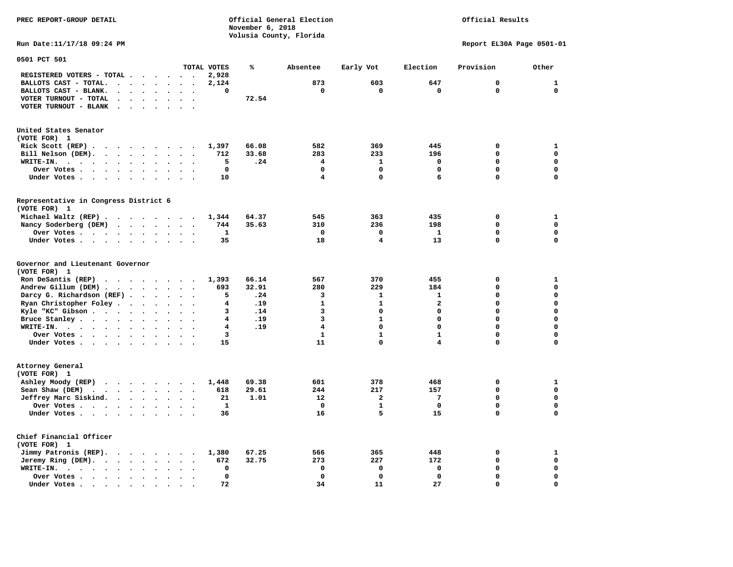**PREC REPORT-GROUP DETAIL Official General Election Official Results November 6, 2018 Volusia County, Florida Run Date:11/17/18 09:24 PM Report EL30A Page 0501-01 0501 PCT 501 TOTAL VOTES % Absentee Early Vot Election Provision Other REGISTERED VOTERS - TOTAL . . . . . . 2,928 BALLOTS CAST - TOTAL. . . . . . . . 2,124 873 603 647 0 1 BALLOTS CAST - BLANK. . . . . . . . 0 0 0 0 0 0 VOTER TURNOUT - TOTAL . . . . . . . 72.54 VOTER TURNOUT - BLANK . . . . . . . United States Senator (VOTE FOR) 1 Rick Scott (REP) . . . . . . . . . 1,397 66.08 582 369 445 0 1 Bill Nelson (DEM). . . . . . . . . 712 33.68 283 233 196 0 0 WRITE-IN. . . . . . . . . . . . 5 .24 4 1 0 0 0 Over Votes . . . . . . . . . . 0 0 0 0 0 0 Under Votes . . . . . . . . . . 10** 4 0 6 0 0 0 **Representative in Congress District 6 (VOTE FOR) 1 Michael Waltz (REP) . . . . . . . . 1,344 64.37 545 363 435 0 1 Nancy Soderberg (DEM) . . . . . . . 744 35.63 310 236 198 0 0 Over Votes . . . . . . . . . . 1 0 0 1 0 0** 

 **Under Votes . . . . . . . . . . 35 18 18 13** 13 0

**Governor and Lieutenant Governor (VOTE FOR) 1 Ron DeSantis (REP) . . . . . . . . 1,393 66.14 567 370 455 0 1 Andrew Gillum (DEM) . . . . . . . . 693 32.91 280 229 184 0 0 Darcy G. Richardson (REF) . . . . . . 5 . 24 3** 1 1 1 0 0 0<br>**Ryan Christopher Foley . . . . . . 4 . 19** 1 1 2 0 0  **Ryan Christopher Foley . . . . . . . 4 .19 1 1 2 0 0 Kyle "KC" Gibson . . . . . . . . . . 3 .14** 3 **Bruce Stanley . . . . . . . . . . 4 .19** 3 1 0 0 0 0  **WRITE-IN. . . . . . . . . . . . 4 .19 4 0 0 0 0 0ver Votes . . . . . . . . . . 3** 1 1 1 0  **Under Votes . . . . . . . . . . 15 11 0 4 0 0 Attorney General (VOTE FOR) 1 Ashley Moody (REP) . . . . . . . . 1,448 69.38 601 378 468 0 1 Sean Shaw (DEM)** . . . . . . . . 618 29.61 244 217 157 0 0 0  **Jeffrey Marc Siskind. . . . . . . . 21 1.01 12 2 7 0 0 Over Votes . . . . . . . . . . 1 0 1 0 0 0 Under Votes . . . . . . . . . . 36 16 5 15 0 0 Chief Financial Officer (VOTE FOR) 1 Jimmy Patronis (REP). . . . . . . . 1,380 67.25 566 365 448 0 1** 

 **Jeremy Ring (DEM).** . . . . . . . 672 32.75 273 227 172 0 0 0  **WRITE-IN. . . . . . . . . . . . 0 0 0 0 0 0 Over Votes . . . . . . . . . . 0 0 0 0 0 0** 

 **Under Votes . . . . . . . . . . 72** 34 11 27 0

 $\Omega$ 

 $\mathbf{0}$ 

 $\mathbf{0}$ 

 $\mathbf 0$ 

 $\mathbf{o}$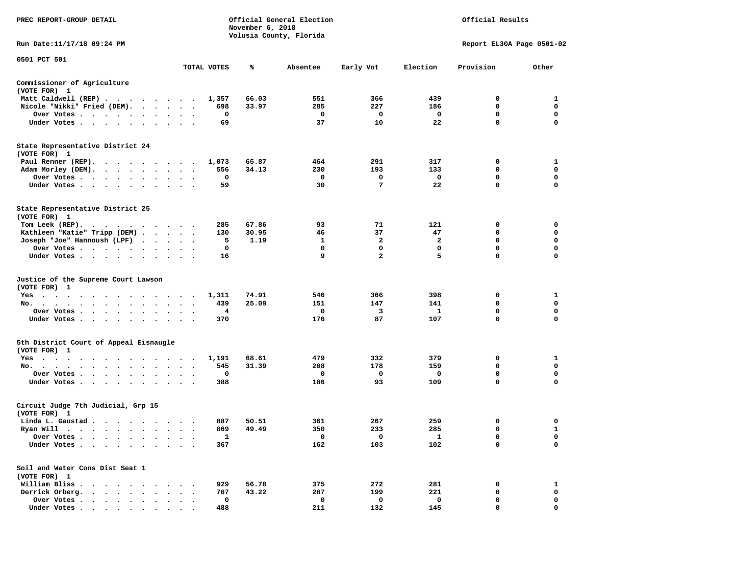| PREC REPORT-GROUP DETAIL                                                                                                                                                                                                                                             |                                   |             | November 6, 2018 | Official General Election<br>Volusia County, Florida | Official Results |              |                           |                  |
|----------------------------------------------------------------------------------------------------------------------------------------------------------------------------------------------------------------------------------------------------------------------|-----------------------------------|-------------|------------------|------------------------------------------------------|------------------|--------------|---------------------------|------------------|
| Run Date: 11/17/18 09:24 PM                                                                                                                                                                                                                                          |                                   |             |                  |                                                      |                  |              | Report EL30A Page 0501-02 |                  |
| 0501 PCT 501                                                                                                                                                                                                                                                         |                                   | TOTAL VOTES | ℁                | Absentee                                             | Early Vot        | Election     | Provision                 | Other            |
| Commissioner of Agriculture<br>(VOTE FOR) 1                                                                                                                                                                                                                          |                                   |             |                  |                                                      |                  |              |                           |                  |
| Matt Caldwell (REP)                                                                                                                                                                                                                                                  |                                   | 1,357       | 66.03            | 551                                                  | 366              | 439          | 0                         | 1                |
| Nicole "Nikki" Fried (DEM).                                                                                                                                                                                                                                          |                                   | 698         | 33.97            | 285                                                  | 227              | 186          | 0                         | 0                |
| Over Votes                                                                                                                                                                                                                                                           | $\sim$ $\sim$                     | 0           |                  | 0                                                    | 0                | 0            | $\mathbf 0$               | $\mathbf 0$      |
| Under Votes                                                                                                                                                                                                                                                          |                                   | 69          |                  | 37                                                   | 10               | 22           | $\mathbf 0$               | 0                |
| State Representative District 24<br>(VOTE FOR) 1                                                                                                                                                                                                                     |                                   |             |                  |                                                      |                  |              |                           |                  |
| Paul Renner (REP).                                                                                                                                                                                                                                                   |                                   | 1,073       | 65.87            | 464                                                  | 291              | 317          | 0                         | 1                |
| Adam Morley (DEM).                                                                                                                                                                                                                                                   |                                   | 556         | 34.13            | 230                                                  | 193              | 133          | 0                         | 0                |
| Over Votes                                                                                                                                                                                                                                                           | $\cdot$                           | 0           |                  | 0                                                    | 0                | 0            | 0                         | 0                |
| Under Votes                                                                                                                                                                                                                                                          | $\sim$ $\sim$                     | 59          |                  | 30                                                   | 7                | 22           | $\mathbf 0$               | $\mathbf 0$      |
| State Representative District 25<br>(VOTE FOR) 1                                                                                                                                                                                                                     |                                   |             |                  |                                                      |                  |              |                           |                  |
| Tom Leek $(REP)$ .                                                                                                                                                                                                                                                   |                                   | 285         | 67.86            | 93                                                   | 71               | 121          | 0                         | 0                |
| Kathleen "Katie" Tripp (DEM)                                                                                                                                                                                                                                         |                                   | 130         | 30.95            | 46                                                   | 37               | 47           | 0                         | 0                |
| Joseph "Joe" Hannoush (LPF)                                                                                                                                                                                                                                          |                                   | 5           | 1.19             | 1                                                    | 2                | $\mathbf{2}$ | $\mathbf 0$               | $\mathbf 0$      |
| Over Votes                                                                                                                                                                                                                                                           | $\ddot{\phantom{1}}$<br>$\bullet$ | 0           |                  | $\mathbf 0$                                          | 0                | $\mathbf 0$  | $\mathbf 0$               | 0                |
| Under Votes                                                                                                                                                                                                                                                          |                                   | 16          |                  | 9                                                    | $\overline{a}$   | 5            | $\mathbf 0$               | 0                |
| Justice of the Supreme Court Lawson<br>(VOTE FOR) 1                                                                                                                                                                                                                  |                                   |             |                  |                                                      |                  |              |                           |                  |
| $Yes \cdot \cdot \cdot$<br>$\cdots$<br>. The contract of the contract of the contract of the contract of the contract of the contract of the contract of the contract of the contract of the contract of the contract of the contract of the contract of the contrac |                                   | 1,311       | 74.91            | 546                                                  | 366              | 398          | 0                         | 1                |
| No.                                                                                                                                                                                                                                                                  | $\ddot{\phantom{1}}$              | 439         | 25.09            | 151                                                  | 147              | 141          | 0                         | $\mathbf 0$      |
| Over Votes<br>$\sim$                                                                                                                                                                                                                                                 |                                   | 4           |                  | 0                                                    | 3                | 1            | 0<br>$\mathbf 0$          | 0<br>$\mathbf 0$ |
| Under Votes<br>$\sim$                                                                                                                                                                                                                                                | $\bullet$<br>$\ddot{\phantom{1}}$ | 370         |                  | 176                                                  | 87               | 107          |                           |                  |
| 5th District Court of Appeal Eisnaugle<br>(VOTE FOR) 1                                                                                                                                                                                                               |                                   |             |                  |                                                      |                  |              |                           |                  |
| Yes                                                                                                                                                                                                                                                                  |                                   | 1,191       | 68.61            | 479                                                  | 332              | 379          | 0                         | 1                |
| No.                                                                                                                                                                                                                                                                  | $\bullet$                         | 545<br>0    | 31.39            | 208                                                  | 178              | 159          | 0<br>0                    | 0<br>0           |
| Over Votes<br>Under Votes                                                                                                                                                                                                                                            | $\ddot{\phantom{1}}$<br>$\bullet$ | 388         |                  | 0<br>186                                             | 0<br>93          | 0<br>109     | 0                         | 0                |
|                                                                                                                                                                                                                                                                      |                                   |             |                  |                                                      |                  |              |                           |                  |
| Circuit Judge 7th Judicial, Grp 15<br>(VOTE FOR) 1                                                                                                                                                                                                                   |                                   |             |                  |                                                      |                  |              |                           |                  |
| Linda L. Gaustad                                                                                                                                                                                                                                                     |                                   | 887         | 50.51            | 361                                                  | 267              | 259          | 0                         | 0                |
| Ryan Will $\cdots$ , $\cdots$ , $\cdots$                                                                                                                                                                                                                             |                                   | 869         | 49.49            | 350                                                  | 233              | 285          | $\mathbf 0$               | $\mathbf{1}$     |
| Over Votes.<br>$\bullet$<br>$\bullet$                                                                                                                                                                                                                                |                                   | 1           |                  | 0                                                    | 0                | 1            | 0                         | 0                |
| Under Votes.<br>$\ddot{\phantom{a}}$<br>$\ddot{\phantom{0}}$<br>$\sim$                                                                                                                                                                                               |                                   | 367         |                  | 162                                                  | 103              | 102          | 0                         | 0                |
| Soil and Water Cons Dist Seat 1<br>(VOTE FOR) 1                                                                                                                                                                                                                      |                                   |             |                  |                                                      |                  |              |                           |                  |
| William Bliss.<br>$\sim$<br>$\ddot{\phantom{0}}$                                                                                                                                                                                                                     |                                   | 929         | 56.78            | 375                                                  | 272              | 281          | 0                         | 1                |
| Derrick Orberg.<br>$\cdot$ $\cdot$ $\cdot$ $\cdot$ $\cdot$                                                                                                                                                                                                           |                                   | 707         | 43.22            | 287                                                  | 199              | 221          | 0                         | 0                |
| Over Votes .<br>$\cdot$ $\cdot$ $\cdot$ $\cdot$ $\cdot$                                                                                                                                                                                                              |                                   | 0           |                  | 0                                                    | 0                | $\mathbf 0$  | 0                         | 0                |
| Under Votes                                                                                                                                                                                                                                                          |                                   | 488         |                  | 211                                                  | 132              | 145          | 0                         | $\mathbf 0$      |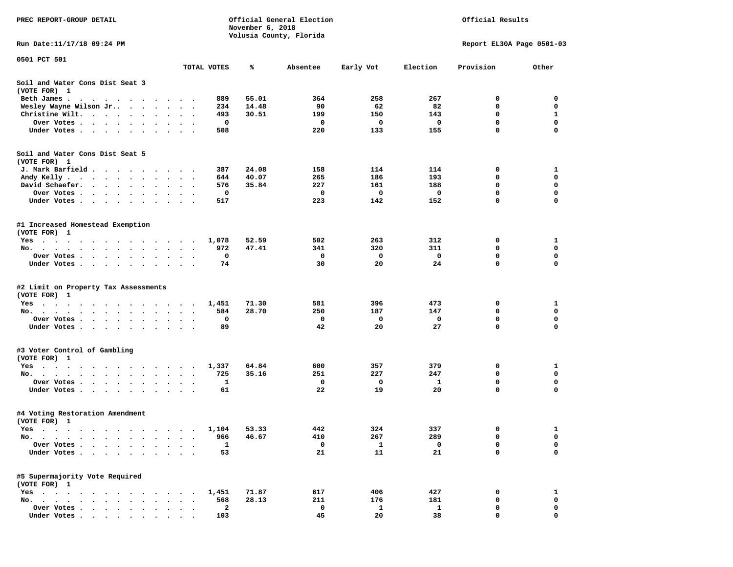| PREC REPORT-GROUP DETAIL                                                                                                                                                    |                                    |                         | November 6, 2018 | Official General Election | Official Results |              |                           |             |
|-----------------------------------------------------------------------------------------------------------------------------------------------------------------------------|------------------------------------|-------------------------|------------------|---------------------------|------------------|--------------|---------------------------|-------------|
| Run Date: 11/17/18 09:24 PM                                                                                                                                                 |                                    |                         |                  | Volusia County, Florida   |                  |              | Report EL30A Page 0501-03 |             |
| 0501 PCT 501                                                                                                                                                                |                                    |                         |                  |                           |                  |              |                           |             |
|                                                                                                                                                                             | TOTAL VOTES                        |                         | %ะ               | Absentee                  | Early Vot        | Election     | Provision                 | Other       |
| Soil and Water Cons Dist Seat 3<br>(VOTE FOR) 1                                                                                                                             |                                    |                         |                  |                           |                  |              |                           |             |
| Beth James.                                                                                                                                                                 |                                    | 889                     | 55.01            | 364                       | 258              | 267          | 0                         | 0           |
| Wesley Wayne Wilson Jr<br>$\cdot$                                                                                                                                           | $\ddot{\phantom{1}}$               | 234                     | 14.48            | 90                        | 62               | 82           | 0                         | 0           |
| Christine Wilt.                                                                                                                                                             |                                    | 493                     | 30.51            | 199                       | 150              | 143          | 0                         | 1           |
| Over Votes .<br>$\cdots$                                                                                                                                                    |                                    | 0                       |                  | 0                         | 0                | 0            | $\mathbf 0$               | $\mathbf 0$ |
| Under Votes                                                                                                                                                                 |                                    | 508                     |                  | 220                       | 133              | 155          | 0                         | 0           |
| Soil and Water Cons Dist Seat 5                                                                                                                                             |                                    |                         |                  |                           |                  |              |                           |             |
| (VOTE FOR) 1                                                                                                                                                                |                                    | 387                     | 24.08            | 158                       | 114              | 114          | 0                         | 1           |
| J. Mark Barfield<br>Andy Kelly                                                                                                                                              |                                    | 644                     | 40.07            | 265                       | 186              | 193          | 0                         | 0           |
| David Schaefer.<br>$\cdot$ $\cdot$ $\cdot$ $\cdot$<br>$\sim$ $\sim$<br>$\bullet$                                                                                            | $\bullet$                          | 576                     | 35.84            | 227                       | 161              | 188          | 0                         | $\mathbf 0$ |
| Over Votes                                                                                                                                                                  |                                    | 0                       |                  | 0                         | 0                | 0            | 0                         | 0           |
| Under Votes                                                                                                                                                                 |                                    | 517                     |                  | 223                       | 142              | 152          | 0                         | 0           |
| #1 Increased Homestead Exemption<br>(VOTE FOR) 1                                                                                                                            |                                    |                         |                  |                           |                  |              |                           |             |
| Yes                                                                                                                                                                         |                                    | 1,078                   | 52.59            | 502                       | 263              | 312          | 0                         | 1           |
| No.                                                                                                                                                                         |                                    | 972                     | 47.41            | 341                       | 320              | 311          | 0                         | 0           |
| Over Votes                                                                                                                                                                  |                                    | 0                       |                  | 0                         | $\mathbf{o}$     | 0            | 0                         | $\mathbf 0$ |
| Under Votes                                                                                                                                                                 |                                    | 74                      |                  | 30                        | 20               | 24           | 0                         | $\mathbf 0$ |
| #2 Limit on Property Tax Assessments<br>(VOTE FOR) 1                                                                                                                        |                                    |                         |                  |                           |                  |              |                           |             |
| Yes                                                                                                                                                                         |                                    | 1,451                   | 71.30            | 581                       | 396              | 473          | 0                         | 1           |
| No.                                                                                                                                                                         |                                    | 584                     | 28.70            | 250                       | 187              | 147          | 0                         | 0           |
| Over Votes .<br>$\begin{array}{cccccccccccccccccc} \bullet & \bullet & \bullet & \bullet & \bullet & \bullet & \bullet & \bullet & \bullet & \bullet & \bullet \end{array}$ | $\bullet$                          | 0                       |                  | 0                         | $\mathbf{o}$     | 0            | 0                         | 0           |
| Under Votes                                                                                                                                                                 |                                    | 89                      |                  | 42                        | 20               | 27           | 0                         | $\mathbf 0$ |
| #3 Voter Control of Gambling<br>(VOTE FOR) 1                                                                                                                                |                                    |                         |                  |                           |                  |              |                           |             |
| Yes                                                                                                                                                                         |                                    | 1,337                   | 64.84            | 600                       | 357              | 379          | 0                         | 1           |
| No.                                                                                                                                                                         |                                    | 725                     | 35.16            | 251                       | 227              | 247          | 0                         | $\mathbf 0$ |
| Over Votes .                                                                                                                                                                |                                    | 1                       |                  | 0                         | 0                | 1            | 0                         | 0           |
| Under Votes                                                                                                                                                                 | $\sim$ $\sim$ $\sim$ $\sim$ $\sim$ | 61                      |                  | 22                        | 19               | 20           | 0                         | 0           |
| #4 Voting Restoration Amendment<br>(VOTE FOR) 1                                                                                                                             |                                    |                         |                  |                           |                  |              |                           |             |
| Yes 1,104                                                                                                                                                                   |                                    |                         | 53.33            | 442                       | 324              | 337          | 0                         | 1           |
| No.<br>$\ddot{\phantom{1}}$                                                                                                                                                 |                                    | 966                     | 46.67            | 410                       | 267              | 289          | 0                         | 0           |
| Over Votes                                                                                                                                                                  |                                    | 1                       |                  | 0                         | 1                | 0            | 0                         | 0           |
| Under Votes.                                                                                                                                                                |                                    | 53                      |                  | 21                        | 11               | 21           | 0                         | $\mathbf 0$ |
| #5 Supermajority Vote Required<br>(VOTE FOR) 1                                                                                                                              |                                    |                         |                  |                           |                  |              |                           |             |
| Yes                                                                                                                                                                         |                                    | 1,451                   | 71.87            | 617                       | 406              | 427          | 0                         | 1           |
| $No. \t . \t .$                                                                                                                                                             |                                    | 568                     | 28.13            | 211                       | 176              | 181          | 0                         | 0           |
| Over Votes                                                                                                                                                                  |                                    | $\overline{\mathbf{2}}$ |                  | 0                         | $\mathbf{1}$     | $\mathbf{1}$ | 0                         | 0           |
| Under Votes                                                                                                                                                                 |                                    | 103                     |                  | 45                        | 20               | 38           | 0                         | $\Omega$    |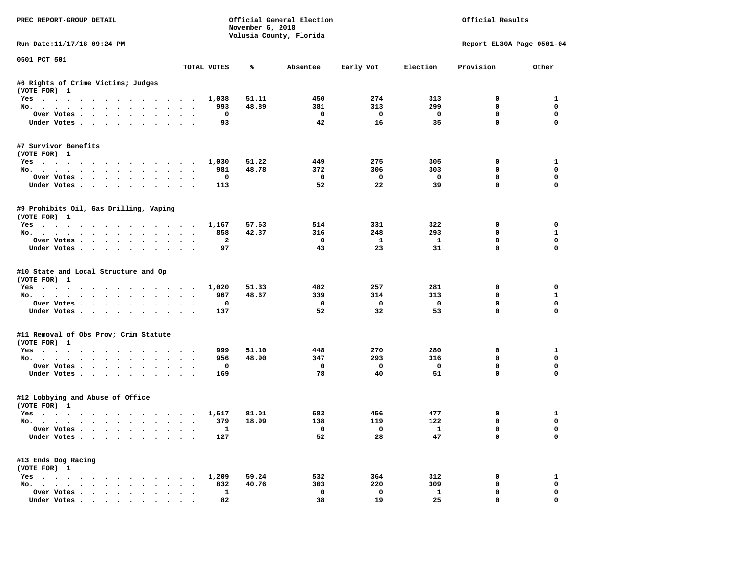| PREC REPORT-GROUP DETAIL                                    |                      | November 6, 2018               | Official General Election<br>Volusia County, Florida | Official Results         |                               |                             |                         |
|-------------------------------------------------------------|----------------------|--------------------------------|------------------------------------------------------|--------------------------|-------------------------------|-----------------------------|-------------------------|
| Run Date:11/17/18 09:24 PM                                  |                      |                                |                                                      |                          |                               | Report EL30A Page 0501-04   |                         |
| 0501 PCT 501                                                | TOTAL VOTES          | ℁                              | Absentee                                             | Early Vot                | Election                      | Provision                   | Other                   |
| #6 Rights of Crime Victims; Judges                          |                      |                                |                                                      |                          |                               |                             |                         |
| (VOTE FOR) 1                                                |                      |                                |                                                      |                          |                               |                             |                         |
| Yes 1,038                                                   |                      | 51.11                          | 450                                                  | 274                      | 313                           | $^{\circ}$                  | 1                       |
| No.                                                         |                      | 48.89<br>993                   | 381                                                  | 313                      | 299                           | 0                           | $\mathbf 0$             |
| Over Votes                                                  |                      | $\mathbf 0$                    | $\overline{\phantom{0}}$                             | $\overline{\mathbf{0}}$  | $\overline{\mathbf{0}}$       | 0                           | $\mathbf 0$             |
| Under Votes                                                 |                      | 93                             | 42                                                   | 16                       | 35                            | $\mathbf{0}$                | $\mathbf 0$             |
| #7 Survivor Benefits<br>(VOTE FOR) 1                        |                      |                                |                                                      |                          |                               |                             |                         |
| Yes                                                         | 1,030                | 51.22                          | 449                                                  | 275                      | 305                           | 0                           | 1                       |
| No.                                                         |                      | 981<br>48.78                   | 372                                                  | 306                      | 303                           | $\mathbf 0$                 | $\mathbf{0}$            |
| Over Votes                                                  |                      | 0                              | $\overline{\phantom{0}}$                             | $\overline{\phantom{0}}$ | $\overline{\phantom{0}}$      | $\mathbf 0$                 | 0                       |
| Under Votes                                                 |                      | 113                            | 52                                                   | 22                       | 39                            | $\mathbf 0$                 | 0                       |
| #9 Prohibits Oil, Gas Drilling, Vaping<br>(VOTE FOR) 1      |                      |                                |                                                      |                          |                               |                             |                         |
| Yes 1,167                                                   |                      | 57.63                          | 514                                                  | 331                      | 322                           | 0                           | 0                       |
| No.                                                         |                      | 858<br>42.37                   | 316                                                  | 248                      | 293                           | $\mathbf 0$                 | $\mathbf{1}$            |
| Over Votes                                                  |                      | $\overline{a}$                 | $\mathbf{o}$                                         | $\mathbf{1}$             | $\mathbf{1}$                  | $\mathbf 0$                 | $\mathbf 0$             |
| Under Votes                                                 |                      | 97                             | 43                                                   | 23                       | 31                            | $\Omega$                    | $\Omega$                |
| #10 State and Local Structure and Op<br>(VOTE FOR) 1<br>Yes | 1,020                | 51.33                          | 482                                                  | 257                      | 281                           | 0                           | 0                       |
| No.                                                         |                      | 967<br>48.67                   | 339                                                  | 314                      | 313                           | 0                           | $\mathbf{1}$            |
| Over Votes                                                  |                      | 0                              | $\mathbf{o}$                                         | $\overline{\mathbf{0}}$  | $\mathbf 0$                   | $\mathbf 0$                 | $\mathbf 0$             |
| Under Votes                                                 |                      | 137                            | 52                                                   | 32                       | 53                            | $\mathbf 0$                 | $\Omega$                |
| #11 Removal of Obs Prov; Crim Statute<br>(VOTE FOR) 1       |                      |                                |                                                      |                          |                               |                             |                         |
| Yes                                                         |                      | 999<br>51.10                   | 448                                                  | 270                      | 280                           | 0                           | 1                       |
| No.                                                         |                      | 956<br>48.90                   | 347                                                  | 293                      | 316                           | $\Omega$                    | $\mathbf{0}$            |
| Over Votes                                                  |                      | 0                              | $\mathbf 0$                                          | $\overline{\mathbf{0}}$  | $\overline{\mathbf{0}}$       | 0                           | $\mathbf 0$             |
| Under Votes                                                 |                      | 169                            | 78                                                   | 40                       | 51                            | $\Omega$                    | 0                       |
| #12 Lobbying and Abuse of Office<br>(VOTE FOR) 1            |                      |                                |                                                      |                          |                               |                             |                         |
| Yes                                                         | 1,617                | 81.01                          | 683                                                  | 456                      | 477                           | 0                           | 1                       |
| No.                                                         |                      | 379<br>18.99                   | 138                                                  | 119                      | 122                           | $\mathbf 0$                 | $\mathbf 0$             |
| Over Votes<br>Under Votes                                   |                      | $\overline{\mathbf{1}}$<br>127 | $\overline{\mathbf{0}}$<br>52                        | $\overline{0}$<br>28     | $\overline{\mathbf{1}}$<br>47 | $\mathbf{0}$<br>$\mathbf 0$ | $\mathbf 0$<br>$\Omega$ |
| #13 Ends Dog Racing                                         |                      |                                |                                                      |                          |                               |                             |                         |
| (VOTE FOR) 1<br>Yes 1,209                                   |                      | 59.24                          | 532                                                  | 364                      | 312                           | 0                           | 1                       |
| No.                                                         |                      | 832<br>40.76                   | 303                                                  | 220                      | 309                           | $\mathbf 0$                 | $\mathbf 0$             |
| Over Votes                                                  | $\ddot{\phantom{0}}$ | $\mathbf{1}$                   | $\mathbf 0$                                          | $\mathbf 0$              | $\mathbf{1}$                  | $\mathbf 0$                 | $\mathbf 0$             |
| Under Votes.                                                |                      | 82                             | 38                                                   | 19                       | 25                            | $\mathbf 0$                 | 0                       |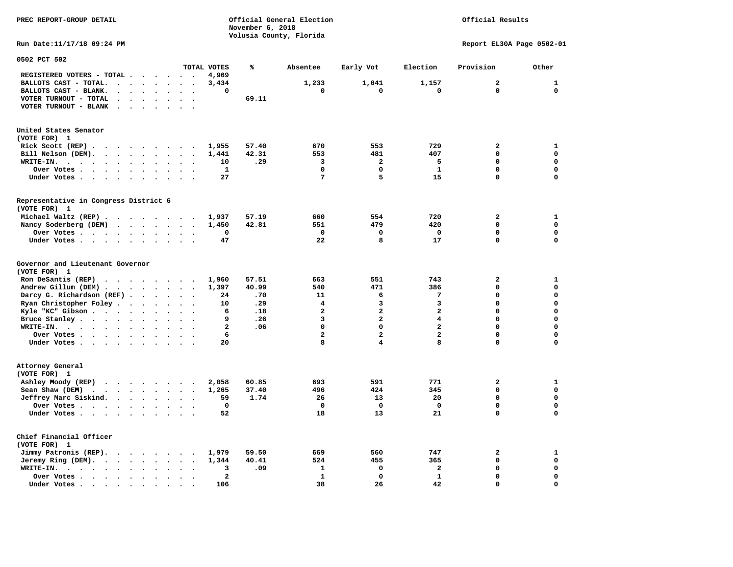**November 6, 2018 Volusia County, Florida Run Date:11/17/18 09:24 PM Report EL30A Page 0502-01 0502 PCT 502 TOTAL VOTES % Absentee Early Vot Election Provision Other REGISTERED VOTERS - TOTAL . . . . . . 4,969 BALLOTS CAST - TOTAL. . . . . . . . 3,434 1,233 1,041 1,157 2 1 BALLOTS CAST - BLANK. . . . . . . . 0 0 0 0 0 0 VOTER TURNOUT - TOTAL . . . . . . . . 69.11 VOTER TURNOUT - BLANK . . . . . . . United States Senator (VOTE FOR) 1 Rick Scott (REP) . . . . . . . . . 1,955 57.40 670 553 729 2 1 Bill Nelson (DEM). . . . . . . . . 1,441 42.31 553 481 407 0 0 WRITE-IN. . . . . . . . . . . . 10 .29 3 2 5 0 0 Over Votes . . . . . . . . . . 1 0 0 1 0 0 Under Votes . . . . . . . . . . 27** 7 5 15 0 0 **Representative in Congress District 6 (VOTE FOR) 1 Michael Waltz (REP) . . . . . . . . 1,937 57.19 660 554 720 2 1 Nancy Soderberg (DEM) . . . . . . . 1,450 42.81 551 479 420 0 0 Over Votes . . . . . . . . . . 0 0 0 0 0 0**  $\Omega$  **Under Votes . . . . . . . . . . 47** 22 8 17 0 **Governor and Lieutenant Governor (VOTE FOR) 1 Ron DeSantis (REP) . . . . . . . . 1,960 57.51 663 551 743 2 1 Andrew Gillum (DEM) . . . . . . . . 1,397 40.99 540 471 386 0 0 Darcy G. Richardson (REF) . . . . . . 24 .70 11 6 7 0 0 Ryan Christopher Foley . . . . . . 10 .29** 4 3 3 0 0 0<br> **Ryle "KC"** Gibson . . . . . . . . . 6 .18 2 2 2 2 0 0  **Kyle "KC" Gibson . . . . . . . . . . 6 .18** 2 2 2 2 2 **Bruce Stanley . . . . . . . . . . 9 .26** 3 2 4 0 0  **WRITE-IN. . . . . . . . . . . . 2 .06 0 0 2 0 0**  $\mathbf{0}$ **Over Votes . . . . . . . . . . . 6** 2 2 2 0  $\mathbf{0}$ **Under Votes . . . . . . . . . . 20** 8 4 8 0 **Attorney General (VOTE FOR) 1 Ashley Moody (REP)** . . . . . . 2,058 60.85 693 591 771 2 1  **Sean Shaw (DEM) . . . . . . . . . 1,265 37.40 496 424 345 0 0 Jeffrey Marc Siskind. . . . . . . . 59 1.74 26 13 20 0 0 Over Votes . . . . . . . . . . 0 0 0 0 0 0**  $\mathbf 0$  **Under Votes . . . . . . . . . . 52** 18 13 21 0 **Chief Financial Officer (VOTE FOR) 1 Jimmy Patronis (REP). . . . . . . . 1,979 59.50 669 560 747 2 1 Jeremy Ring (DEM). . . . . . . . . 1,344 40.41 524 455 365 0 0 WRITE-IN. . . . . . . . . . . . 3 .09 1 0 2 0 0 Over Votes . . . . . . . . . . . 2** 1 0 1 0 0 0  $\mathbf{o}$  **Under Votes . . . . . . . . . . 106** 38 38 36 42 0

**PREC REPORT-GROUP DETAIL Official General Election Official Results**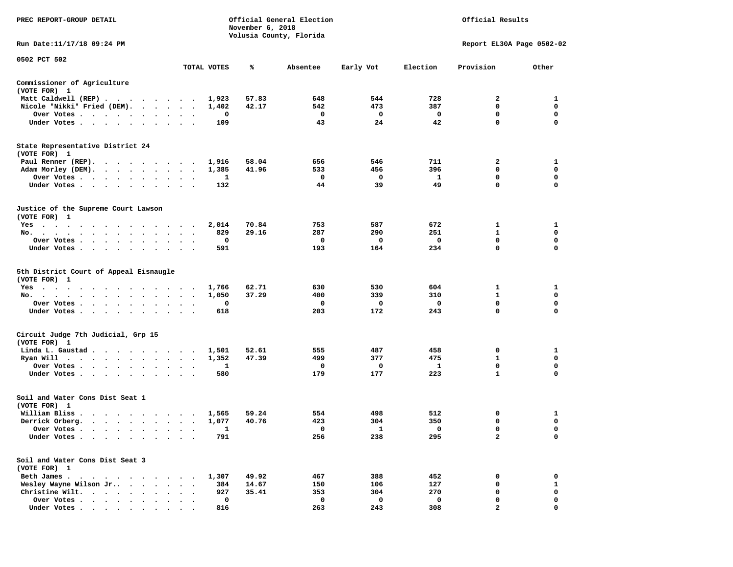| PREC REPORT-GROUP DETAIL                                                                                                                                                                                                                   |                                                             | November 6, 2018 | Official General Election |           |          | Official Results          |             |
|--------------------------------------------------------------------------------------------------------------------------------------------------------------------------------------------------------------------------------------------|-------------------------------------------------------------|------------------|---------------------------|-----------|----------|---------------------------|-------------|
| Run Date:11/17/18 09:24 PM                                                                                                                                                                                                                 |                                                             |                  | Volusia County, Florida   |           |          | Report EL30A Page 0502-02 |             |
| 0502 PCT 502                                                                                                                                                                                                                               | TOTAL VOTES                                                 | ℁                | Absentee                  | Early Vot | Election | Provision                 | Other       |
|                                                                                                                                                                                                                                            |                                                             |                  |                           |           |          |                           |             |
| Commissioner of Agriculture<br>(VOTE FOR) 1                                                                                                                                                                                                |                                                             |                  |                           |           |          |                           |             |
| Matt Caldwell (REP)                                                                                                                                                                                                                        | 1,923                                                       | 57.83            | 648                       | 544       | 728      | 2                         | 1           |
| Nicole "Nikki" Fried (DEM).                                                                                                                                                                                                                | 1,402                                                       | 42.17            | 542                       | 473       | 387      | 0                         | $\mathbf 0$ |
| Over Votes<br>$\bullet$                                                                                                                                                                                                                    | 0<br>$\bullet$<br>$\bullet$<br>$\bullet$                    |                  | 0                         | 0         | 0        | 0                         | 0           |
| Under Votes                                                                                                                                                                                                                                | 109                                                         |                  | 43                        | 24        | 42       | 0                         | $\mathbf 0$ |
| State Representative District 24<br>(VOTE FOR) 1                                                                                                                                                                                           |                                                             |                  |                           |           |          |                           |             |
| Paul Renner (REP).                                                                                                                                                                                                                         | 1,916<br>$\sim$                                             | 58.04            | 656                       | 546       | 711      | 2                         | 1           |
| Adam Morley (DEM).                                                                                                                                                                                                                         | 1,385<br>$\ddotsc$<br>$\bullet$ .                           | 41.96            | 533                       | 456       | 396      | 0                         | 0           |
| Over Votes                                                                                                                                                                                                                                 | 1                                                           |                  | 0                         | 0         | 1        | 0                         | $\mathbf 0$ |
| Under Votes<br>$\ddot{\phantom{a}}$<br>$\blacksquare$ .                                                                                                                                                                                    | 132                                                         |                  | 44                        | 39        | 49       | 0                         | 0           |
| Justice of the Supreme Court Lawson<br>(VOTE FOR) 1                                                                                                                                                                                        |                                                             |                  |                           |           |          |                           |             |
| $Yes \t . \t .$<br>$\cdots$<br>the contract of the contract of the                                                                                                                                                                         | 2,014<br>$\cdot$                                            | 70.84            | 753                       | 587       | 672      | 1                         | 1           |
| No.<br>$\cdots$<br>$\sim$ $\sim$<br>$\sim$ $\sim$<br>$\cdot$                                                                                                                                                                               | 829                                                         | 29.16            | 287                       | 290       | 251      | 1                         | 0           |
| Over Votes                                                                                                                                                                                                                                 | 0                                                           |                  | 0                         | 0         | 0        | 0                         | 0           |
| Under Votes<br>$\sim$                                                                                                                                                                                                                      | 591<br>$\ddot{\phantom{a}}$<br>$\cdot$ $\cdot$              |                  | 193                       | 164       | 234      | 0                         | $\mathbf 0$ |
| 5th District Court of Appeal Eisnaugle<br>(VOTE FOR) 1                                                                                                                                                                                     |                                                             | 62.71            | 630                       | 530       | 604      | 1                         |             |
| Yes<br>No.<br>$\cdot$<br>$\ddot{\phantom{0}}$<br>$\ddot{\phantom{0}}$                                                                                                                                                                      | 1,766<br>1,050<br>$\cdot$                                   | 37.29            | 400                       | 339       | 310      | $\mathbf{1}$              | 1<br>0      |
| Over Votes                                                                                                                                                                                                                                 | 0                                                           |                  | 0                         | 0         | 0        | $\mathbf 0$               | 0           |
| $\bullet$<br>Under Votes                                                                                                                                                                                                                   | $\bullet$<br>$\bullet$<br>$\bullet$<br>618<br>$\sim$ $\sim$ |                  | 203                       | 172       | 243      | 0                         | $\mathbf 0$ |
| Circuit Judge 7th Judicial, Grp 15<br>(VOTE FOR) 1                                                                                                                                                                                         |                                                             |                  |                           |           |          |                           |             |
| Linda L. Gaustad                                                                                                                                                                                                                           | 1,501<br>$\bullet$<br>$\overline{\phantom{a}}$              | 52.61            | 555                       | 487       | 458      | 0                         | 1           |
| Ryan Will<br>. The contract of the contract of the contract of the contract of the contract of the contract of the contract of the contract of the contract of the contract of the contract of the contract of the contract of the contrac | 1,352<br>$\bullet$<br>$\ddot{\phantom{0}}$                  | 47.39            | 499                       | 377       | 475      | 1                         | 0           |
| Over Votes<br>$\bullet$<br>$\bullet$                                                                                                                                                                                                       | 1                                                           |                  | 0                         | 0         | 1        | $\mathbf 0$               | 0           |
| Under Votes<br>$\sim$ 100 $\sim$<br>$\sim$<br>$\bullet$                                                                                                                                                                                    | 580                                                         |                  | 179                       | 177       | 223      | $\mathbf{1}$              | 0           |
| Soil and Water Cons Dist Seat 1<br>(VOTE FOR) 1                                                                                                                                                                                            |                                                             |                  |                           |           |          |                           |             |
| William Bliss.                                                                                                                                                                                                                             | 1,565<br>$\sim$                                             | 59.24            | 554                       | 498       | 512      | 0                         | 1           |
| Derrick Orberg.                                                                                                                                                                                                                            | 1,077<br>$\bullet$<br>$\ddot{\phantom{1}}$                  | 40.76            | 423                       | 304       | 350      | 0                         | $\mathbf 0$ |
| Over Votes                                                                                                                                                                                                                                 | Ŧ.                                                          |                  | 0                         | 1         | 0        | 0                         | 0           |
| Under Votes                                                                                                                                                                                                                                | 791                                                         |                  | 256                       | 238       | 295      | $\mathbf{2}$              | 0           |
| Soil and Water Cons Dist Seat 3<br>(VOTE FOR) 1                                                                                                                                                                                            |                                                             |                  |                           |           |          |                           |             |
| Beth James.<br>$\sim$ $\sim$<br>$\sim$<br>$\ddot{\phantom{0}}$<br>$\sim$                                                                                                                                                                   | 1,307                                                       | 49.92            | 467                       | 388       | 452      | 0                         | 0           |
| Wesley Wayne Wilson Jr                                                                                                                                                                                                                     | 384                                                         | 14.67            | 150                       | 106       | 127      | 0                         | 1           |
| Christine Wilt.<br>$\cdot$                                                                                                                                                                                                                 | 927                                                         | 35.41            | 353                       | 304       | 270      | 0                         | 0           |
| Over Votes                                                                                                                                                                                                                                 | 0                                                           |                  | 0                         | 0         | 0        | 0                         | 0           |
| Under Votes                                                                                                                                                                                                                                | 816                                                         |                  | 263                       | 243       | 308      | $\overline{a}$            | $\mathbf 0$ |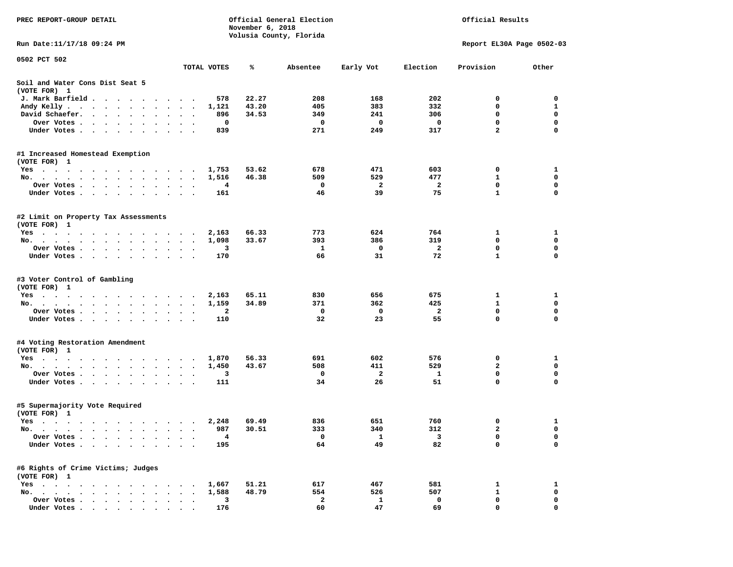| PREC REPORT-GROUP DETAIL                                                                                                                                                                                                                          |                        |                | November 6, 2018 | Official General Election |                       |                       | Official Results          |                  |
|---------------------------------------------------------------------------------------------------------------------------------------------------------------------------------------------------------------------------------------------------|------------------------|----------------|------------------|---------------------------|-----------------------|-----------------------|---------------------------|------------------|
| Run Date: 11/17/18 09:24 PM                                                                                                                                                                                                                       |                        |                |                  | Volusia County, Florida   |                       |                       | Report EL30A Page 0502-03 |                  |
|                                                                                                                                                                                                                                                   |                        |                |                  |                           |                       |                       |                           |                  |
| 0502 PCT 502                                                                                                                                                                                                                                      |                        | TOTAL VOTES    | %ะ               | Absentee                  | Early Vot             | Election              | Provision                 | Other            |
| Soil and Water Cons Dist Seat 5<br>(VOTE FOR) 1                                                                                                                                                                                                   |                        |                |                  |                           |                       |                       |                           |                  |
| J. Mark Barfield                                                                                                                                                                                                                                  |                        | 578            | 22.27            | 208                       | 168                   | 202                   | 0                         | 0                |
| Andy Kelly.<br>$\sim$                                                                                                                                                                                                                             | $\sim$<br>$\bullet$    | 1,121          | 43.20            | 405                       | 383                   | 332                   | 0                         | 1                |
| David Schaefer.<br>$\begin{array}{cccccccccccccc} \bullet & \bullet & \bullet & \bullet & \bullet & \bullet & \bullet & \bullet & \bullet & \bullet \end{array}$                                                                                  |                        | 896            | 34.53            | 349                       | 241                   | 306                   | 0                         | $\mathbf 0$      |
| Over Votes.<br>. The contract of the contract of the contract of the contract of the contract of the contract of the contract of the contract of the contract of the contract of the contract of the contract of the contract of the contrac      |                        | 0              |                  | 0                         | 0                     | 0                     | 0                         | $\mathbf 0$      |
| Under Votes.<br>$\mathbf{r}$ . The contract of the contract of the contract of the contract of the contract of the contract of the contract of the contract of the contract of the contract of the contract of the contract of the contract of th |                        | 839            |                  | 271                       | 249                   | 317                   | $\overline{a}$            | 0                |
| #1 Increased Homestead Exemption                                                                                                                                                                                                                  |                        |                |                  |                           |                       |                       |                           |                  |
| (VOTE FOR) 1                                                                                                                                                                                                                                      |                        |                |                  |                           |                       |                       |                           |                  |
| Yes                                                                                                                                                                                                                                               |                        | 1,753          | 53.62            | 678                       | 471                   | 603                   | 0                         | 1                |
| No.                                                                                                                                                                                                                                               |                        | 1,516          | 46.38            | 509<br>0                  | 529<br>$\overline{a}$ | 477<br>$\overline{2}$ | 1<br>$\mathbf 0$          | 0<br>$\mathbf 0$ |
| Over Votes<br>$\bullet$<br>Under Votes                                                                                                                                                                                                            | $\bullet$              | 4<br>161       |                  | 46                        | 39                    | 75                    | $\mathbf{1}$              | $\mathbf 0$      |
|                                                                                                                                                                                                                                                   |                        |                |                  |                           |                       |                       |                           |                  |
| #2 Limit on Property Tax Assessments<br>(VOTE FOR) 1                                                                                                                                                                                              |                        |                |                  |                           |                       |                       |                           |                  |
| Yes                                                                                                                                                                                                                                               | $\sim$                 | 2,163          | 66.33            | 773                       | 624                   | 764                   | 1                         | 1                |
| No.                                                                                                                                                                                                                                               | $\bullet$<br>$\bullet$ | 1,098          | 33.67            | 393                       | 386                   | 319                   | $\mathbf 0$               | $\mathbf 0$      |
| Over Votes                                                                                                                                                                                                                                        |                        | 3              |                  | 1                         | 0                     | 2                     | 0                         | 0                |
| Under Votes                                                                                                                                                                                                                                       |                        | 170            |                  | 66                        | 31                    | 72                    | $\mathbf{1}$              | $\mathbf 0$      |
| #3 Voter Control of Gambling<br>(VOTE FOR) 1                                                                                                                                                                                                      |                        |                |                  |                           |                       |                       |                           |                  |
| Yes                                                                                                                                                                                                                                               |                        | 2,163          | 65.11            | 830                       | 656                   | 675                   | 1                         | 1                |
| No.                                                                                                                                                                                                                                               |                        | 1,159          | 34.89            | 371                       | 362                   | 425                   | 1                         | 0                |
| Over Votes                                                                                                                                                                                                                                        |                        | 2              |                  | 0                         | 0                     | 2                     | 0                         | 0                |
| Under Votes                                                                                                                                                                                                                                       |                        | 110            |                  | 32                        | 23                    | 55                    | 0                         | 0                |
| #4 Voting Restoration Amendment                                                                                                                                                                                                                   |                        |                |                  |                           |                       |                       |                           |                  |
| (VOTE FOR) 1                                                                                                                                                                                                                                      |                        |                | 56.33            | 691                       | 602                   | 576                   | 0                         | 1                |
| Yes<br>No.                                                                                                                                                                                                                                        | $\sim$                 | 1,870<br>1,450 | 43.67            | 508                       | 411                   | 529                   | $\mathbf{2}$              | 0                |
| Over Votes                                                                                                                                                                                                                                        | $\bullet$<br>$\bullet$ | 3              |                  | 0                         | $\mathbf{2}$          | 1                     | $\mathbf 0$               | $\mathbf 0$      |
| Under Votes                                                                                                                                                                                                                                       |                        | 111            |                  | 34                        | 26                    | 51                    | 0                         | $\mathbf 0$      |
|                                                                                                                                                                                                                                                   |                        |                |                  |                           |                       |                       |                           |                  |
| #5 Supermajority Vote Required<br>(VOTE FOR) 1                                                                                                                                                                                                    |                        |                |                  |                           |                       |                       |                           |                  |
| Yes                                                                                                                                                                                                                                               |                        | 2,248          | 69.49            | 836                       | 651                   | 760                   | 0                         | $\mathbf{1}$     |
| No.<br>the company of the company of the company of the company of the company of the company of the company of the company of the company of the company of the company of the company of the company of the company of the company              |                        | 987            | 30.51            | 333                       | 340                   | 312                   | $\overline{\mathbf{2}}$   | 0                |
| Over Votes                                                                                                                                                                                                                                        |                        | 4              |                  | 0                         | 1                     | 3                     | 0                         | 0                |
| Under Votes.<br>$\overline{\phantom{a}}$                                                                                                                                                                                                          |                        | 195            |                  | 64                        | 49                    | 82                    | 0                         | 0                |
| #6 Rights of Crime Victims; Judges<br>(VOTE FOR) 1                                                                                                                                                                                                |                        |                |                  |                           |                       |                       |                           |                  |
| $Yes \cdot \cdot \cdot$<br>$\sim$<br>$\bullet$<br>$\bullet$                                                                                                                                                                                       |                        | 1,667          | 51.21            | 617                       | 467                   | 581                   | 1                         | 1                |
| No.<br>$\bullet$ .<br>$\sim$<br>$\ddot{\phantom{a}}$<br>$\ddot{\phantom{a}}$                                                                                                                                                                      |                        | 1,588          | 48.79            | 554                       | 526                   | 507                   | 1                         | 0                |
| Over Votes .<br>$\cdots$                                                                                                                                                                                                                          |                        | 3              |                  | $\mathbf{2}$              | 1                     | 0                     | 0                         | 0                |
| Under Votes                                                                                                                                                                                                                                       |                        | 176            |                  | 60                        | 47                    | 69                    | 0                         | $\Omega$         |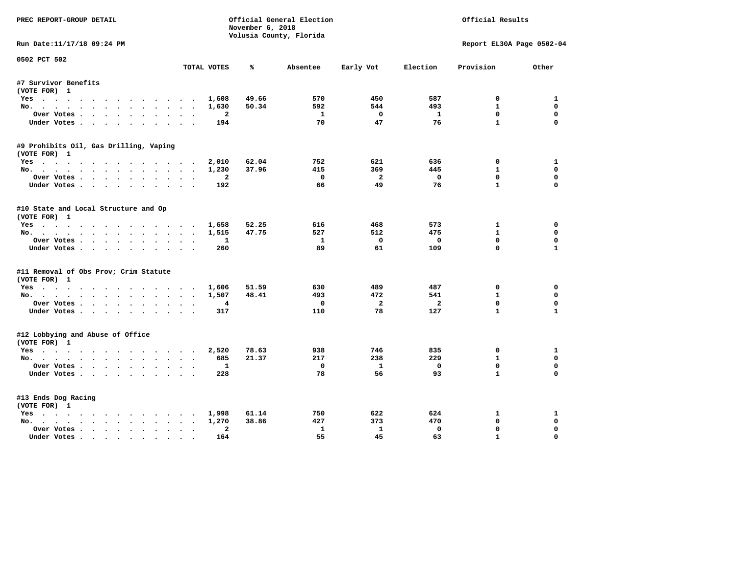| PREC REPORT-GROUP DETAIL               |                                                     | November 6, 2018 | Official General Election<br>Volusia County, Florida |                         |                | Official Results            |                  |
|----------------------------------------|-----------------------------------------------------|------------------|------------------------------------------------------|-------------------------|----------------|-----------------------------|------------------|
| Run Date:11/17/18 09:24 PM             |                                                     |                  |                                                      |                         |                | Report EL30A Page 0502-04   |                  |
| 0502 PCT 502                           | TOTAL VOTES                                         | ℁                | Absentee                                             | Early Vot               | Election       | Provision                   | Other            |
| #7 Survivor Benefits                   |                                                     |                  |                                                      |                         |                |                             |                  |
| (VOTE FOR) 1                           |                                                     |                  |                                                      |                         |                |                             |                  |
| Yes                                    | 1,608                                               | 49.66            | 570                                                  | 450                     | 587            | 0                           | 1                |
| No.                                    | 1,630                                               | 50.34            | 592                                                  | 544                     | 493            | $\mathbf{1}$                | $\mathbf 0$      |
| Over Votes                             | $\overline{a}$                                      |                  | $\mathbf{1}$                                         | $\mathbf{0}$            | $\mathbf{1}$   | $\mathbf{0}$                | 0                |
| Under Votes                            | 194                                                 |                  | 70                                                   | 47                      | 76             | $\mathbf{1}$                | $\Omega$         |
| #9 Prohibits Oil, Gas Drilling, Vaping |                                                     |                  |                                                      |                         |                |                             |                  |
| (VOTE FOR) 1                           |                                                     |                  |                                                      |                         |                |                             |                  |
| Yes                                    | 2,010                                               | 62.04            | 752                                                  | 621                     | 636            | 0                           | 1                |
| No.                                    | 1,230                                               | 37.96            | 415                                                  | 369                     | 445            | $\mathbf{1}$                | $\mathbf 0$      |
| Over Votes                             | $\mathbf{2}$                                        |                  | $^{\circ}$                                           | $\overline{2}$          | $^{\circ}$     | $\Omega$                    | $\Omega$         |
| Under Votes                            | 192                                                 |                  | 66                                                   | 49                      | 76             | $\mathbf{1}$                | $\Omega$         |
| #10 State and Local Structure and Op   |                                                     |                  |                                                      |                         |                |                             |                  |
| (VOTE FOR) 1                           |                                                     |                  |                                                      |                         |                |                             |                  |
| Yes                                    | 1,658                                               | 52.25            | 616                                                  | 468                     | 573            | $\mathbf{1}$                | $\Omega$         |
| No.                                    | 1,515                                               | 47.75            | 527                                                  | 512                     | 475            | $\mathbf{1}$                | 0                |
| Over Votes                             | $\mathbf{1}$                                        |                  | 1                                                    | $\mathbf{0}$            | $\mathbf 0$    | $\mathbf{0}$                | $\Omega$         |
| Under Votes                            | 260                                                 |                  | 89                                                   | 61                      | 109            | $\Omega$                    | $\mathbf{1}$     |
| #11 Removal of Obs Prov; Crim Statute  |                                                     |                  |                                                      |                         |                |                             |                  |
| (VOTE FOR) 1                           |                                                     |                  |                                                      |                         |                |                             |                  |
| Yes                                    | 1,606                                               | 51.59            | 630                                                  | 489                     | 487            | 0                           | $\Omega$         |
| No.                                    | 1,507                                               | 48.41            | 493                                                  | 472                     | 541            | $\mathbf{1}$                | 0                |
| Over Votes.                            | $\overline{4}$                                      |                  | $\Omega$                                             | $\overline{\mathbf{2}}$ | $\overline{a}$ | $\Omega$                    | $\mathbf 0$      |
| Under Votes                            | 317                                                 |                  | 110                                                  | 78                      | 127            | $\mathbf{1}$                | $\mathbf{1}$     |
| #12 Lobbying and Abuse of Office       |                                                     |                  |                                                      |                         |                |                             |                  |
| (VOTE FOR) 1                           |                                                     |                  |                                                      |                         |                |                             |                  |
| Yes                                    | 2,520                                               | 78.63            | 938                                                  | 746                     | 835            | 0                           | 1                |
| No.                                    | 685                                                 | 21.37            | 217                                                  | 238                     | 229            | $\mathbf{1}$<br>$\mathbf 0$ | 0<br>$\mathbf 0$ |
| Over Votes                             | 1                                                   |                  | $\mathbf 0$                                          | $\mathbf{1}$            | $\mathbf 0$    | $\mathbf{1}$                | $\Omega$         |
| Under Votes                            | 228                                                 |                  | 78                                                   | 56                      | 93             |                             |                  |
| #13 Ends Dog Racing                    |                                                     |                  |                                                      |                         |                |                             |                  |
| (VOTE FOR) 1                           |                                                     |                  |                                                      |                         |                |                             |                  |
| Yes                                    | 1,998                                               | 61.14            | 750                                                  | 622                     | 624            | 1                           | 1                |
| No.                                    | 1,270                                               | 38.86            | 427                                                  | 373                     | 470            | $\mathbf{0}$                | 0                |
| Over Votes                             | $\overline{a}$<br>$\ddot{\phantom{a}}$<br>$\bullet$ |                  | $\mathbf{1}$                                         | $\mathbf{1}$            | $\mathbf 0$    | $\mathbf{0}$                | $\Omega$         |
| Under Votes                            | 164<br>$\sim$                                       |                  | 55                                                   | 45                      | 63             | $\mathbf{1}$                | $\mathbf 0$      |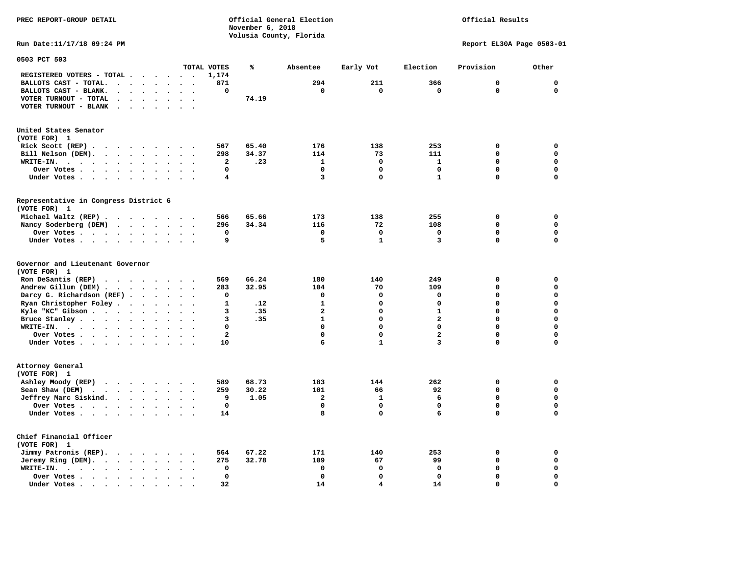**PREC REPORT-GROUP DETAIL Official General Election Official Results** *November 6, 2018 November 6, 2018*  **Volusia County, Florida Run Date:11/17/18 09:24 PM Report EL30A Page 0503-01 0503 PCT 503 TOTAL VOTES % Absentee Early Vot Election Provision Other** 

|                                                                         |                      |                      |                      |                         |                      |                      |                      | TOTAL VOTES  | ℁     | Absentee       | Early Vot    | Election                | Provision   | Other        |
|-------------------------------------------------------------------------|----------------------|----------------------|----------------------|-------------------------|----------------------|----------------------|----------------------|--------------|-------|----------------|--------------|-------------------------|-------------|--------------|
| REGISTERED VOTERS - TOTAL .                                             |                      |                      |                      |                         |                      | $\Delta$             | $\bullet$            | 1,174        |       |                |              |                         |             |              |
| BALLOTS CAST - TOTAL                                                    |                      |                      |                      |                         |                      |                      |                      | 871          |       | 294            | 211          | 366                     | 0           | $\mathbf 0$  |
| BALLOTS CAST - BLANK.                                                   | $\ddot{\phantom{0}}$ | $\ddot{\phantom{a}}$ | $\ddot{\phantom{a}}$ |                         |                      |                      |                      | $\mathbf 0$  |       | $\Omega$       | 0            | 0                       | 0           | $\mathbf{0}$ |
| VOTER TURNOUT - TOTAL                                                   | $\ddot{\phantom{a}}$ |                      | $\ddot{\phantom{a}}$ |                         |                      |                      |                      |              | 74.19 |                |              |                         |             |              |
| VOTER TURNOUT - BLANK                                                   | $\bullet$            | $\bullet$            | $\ddot{\phantom{a}}$ | $\bullet$               |                      | $\bullet$            | $\ddot{\phantom{0}}$ |              |       |                |              |                         |             |              |
| United States Senator                                                   |                      |                      |                      |                         |                      |                      |                      |              |       |                |              |                         |             |              |
| (VOTE FOR) 1                                                            |                      |                      |                      |                         |                      |                      |                      |              |       |                |              |                         |             |              |
| Rick Scott (REP).<br>$\ddot{\phantom{a}}$                               |                      |                      |                      | $\cdots$                |                      | $\sim$               |                      | 567          | 65.40 | 176            | 138          | 253                     | 0           | 0            |
| Bill Nelson (DEM).<br>$\bullet$                                         | $\ddot{\phantom{0}}$ |                      | $\ddot{\phantom{0}}$ | $\sim$                  | $\bullet$            | $\sim$               | $\ddot{\phantom{a}}$ | 298          | 34.37 | 114            | 73           | 111                     | 0           | $\mathbf 0$  |
| WRITE-IN.<br>$\cdots$<br>$\bullet$                                      | $\bullet$            |                      | $\bullet$            |                         |                      |                      |                      | $\mathbf{2}$ | .23   | 1              | $\mathbf 0$  | $\mathbf{1}$            | 0           | $\mathbf 0$  |
| Over Votes .<br>$\ddot{\phantom{a}}$<br>$\bullet$                       | $\bullet$            | $\bullet$            | $\bullet$            | $\bullet$               | $\bullet$            | $\ddot{\phantom{a}}$ |                      | $\mathbf 0$  |       | 0              | $\mathbf 0$  | $\mathbf 0$             | 0           | $\mathbf 0$  |
| Under Votes.<br>$\sim$ $\sim$<br>$\sim$                                 |                      | $\ddot{\phantom{1}}$ | $\ddot{\phantom{a}}$ | $\cdot$                 | $\ddot{\phantom{a}}$ |                      |                      | 4            |       | 3              | $\mathbf 0$  | $\mathbf{1}$            | 0           | $\mathbf 0$  |
| Representative in Congress District 6<br>(VOTE FOR) 1                   |                      |                      |                      |                         |                      |                      |                      |              |       |                |              |                         |             |              |
| Michael Waltz (REP).<br>$\ddot{\phantom{1}}$                            |                      | $\sim$               | $\ddot{\phantom{1}}$ | $\sim$                  | $\sim$               | $\sim$               |                      | 566          | 65.66 | 173            | 138          | 255                     | 0           | $\mathbf 0$  |
| Nancy Soderberg (DEM)                                                   |                      | $\ddot{\phantom{a}}$ |                      |                         |                      |                      |                      | 296          | 34.34 | 116            | 72           | 108                     | 0           | $\mathbf 0$  |
| Over Votes .                                                            | $\sim$               |                      | $\ddot{\phantom{0}}$ | $\bullet$               | $\bullet$            |                      |                      | 0            |       | 0              | $\mathbf 0$  | 0                       | 0           | $\mathbf 0$  |
| $\sim$ $\sim$ $\sim$ $\sim$                                             |                      | $\ddot{\phantom{0}}$ | $\bullet$            | $\bullet$               | $\bullet$            | $\bullet$            |                      | 9            |       | 5              | $\mathbf{1}$ | 3                       | 0           | $\mathbf 0$  |
| Under Votes<br>$\sim$ $\sim$<br>$\cdot$                                 |                      |                      |                      |                         |                      |                      |                      |              |       |                |              |                         |             |              |
| Governor and Lieutenant Governor<br>(VOTE FOR) 1                        |                      |                      |                      |                         |                      |                      |                      |              |       |                |              |                         |             |              |
| Ron DeSantis (REP)<br>$\bullet$<br>$\ddot{\phantom{1}}$                 |                      | $\ddot{\phantom{1}}$ | $\bullet$            | $\bullet$               |                      |                      |                      | 569          | 66.24 | 180            | 140          | 249                     | 0           | 0            |
| Andrew Gillum (DEM)                                                     |                      | $\sim$               |                      | $\cdot$ $\cdot$ $\cdot$ |                      | $\sim$               |                      | 283          | 32.95 | 104            | 70           | 109                     | 0           | $\mathbf 0$  |
| Darcy G. Richardson (REF).                                              |                      |                      | $\ddot{\phantom{a}}$ |                         |                      |                      |                      | $\mathbf 0$  |       | 0              | $\mathbf 0$  | $\mathbf 0$             | 0           | $\mathbf 0$  |
| Ryan Christopher Foley.                                                 |                      | $\bullet$            | $\bullet$            | $\ddot{\phantom{a}}$    | $\bullet$            |                      |                      | $\mathbf{1}$ | .12   | $\mathbf{1}$   | 0            | $\mathbf 0$             | $\Omega$    | $\mathbf 0$  |
| Kyle "KC" Gibson.<br>$\bullet$ , $\bullet$ , $\bullet$ , $\bullet$      |                      |                      | $\bullet$            | $\bullet$               | $\bullet$            | $\bullet$            |                      | 3            | .35   | $\overline{a}$ | 0            | $\mathbf{1}$            | 0           | $\mathbf 0$  |
| Bruce Stanley.<br>$\cdot$ $\cdot$ $\cdot$ $\cdot$                       |                      |                      | $\ddot{\phantom{a}}$ |                         |                      |                      |                      | 3            | .35   | $\mathbf{1}$   | 0            | $\overline{\mathbf{2}}$ | 0           | $\mathbf 0$  |
| WRITE-IN.<br>$\ddot{\phantom{1}}$<br>$\cdot$ $\cdot$ $\cdot$ $\cdot$    |                      |                      | $\ddot{\phantom{a}}$ | $\bullet$               |                      |                      |                      | $\mathbf 0$  |       | $\mathbf 0$    | $\Omega$     | $\mathbf 0$             | $\Omega$    | $\mathbf 0$  |
| Over Votes .<br>$\ddot{\phantom{a}}$<br>$\bullet$                       |                      |                      | $\bullet$            |                         |                      |                      |                      | $\mathbf{2}$ |       | 0              | 0            | $\overline{a}$          | 0           | $\mathbf 0$  |
| Under Votes.<br>$\ddot{\phantom{0}}$<br>$\ddot{\phantom{a}}$            |                      |                      | $\ddot{\phantom{a}}$ |                         |                      |                      |                      | 10           |       | 6              | $\mathbf{1}$ | 3                       | $\Omega$    | $\mathbf 0$  |
| Attorney General<br>(VOTE FOR) 1                                        |                      |                      |                      |                         |                      |                      |                      |              |       |                |              |                         |             |              |
| Ashley Moody (REP)<br>$\cdot$ $\cdot$ $\cdot$ $\cdot$ $\cdot$           |                      |                      |                      |                         |                      |                      |                      | 589          | 68.73 | 183            | 144          | 262                     | 0           | 0            |
| Sean Shaw (DEM)<br>$\cdot$ $\cdot$ $\cdot$ $\cdot$ $\cdot$<br>$\bullet$ |                      |                      |                      |                         | $\bullet$            | $\ddot{\phantom{a}}$ | $\bullet$            | 259          | 30.22 | 101            | 66           | 92                      | 0           | $\mathbf 0$  |
| Jeffrey Marc Siskind.                                                   | $\cdot$ $\cdot$      |                      | $\ddot{\phantom{a}}$ | $\ddot{\phantom{a}}$    | $\ddot{\phantom{a}}$ |                      |                      | 9            | 1.05  | $\overline{a}$ | $\mathbf{1}$ | 6                       | $\Omega$    | $\mathbf 0$  |
| Over Votes.<br>$\cdots$                                                 |                      |                      |                      | $\ddot{\phantom{1}}$    | $\bullet$            |                      |                      | 0            |       | $\mathbf 0$    | $\mathbf 0$  | $\mathbf 0$             | $\mathbf 0$ | $\mathbf 0$  |
| Under Votes                                                             |                      |                      |                      |                         | $\cdot$              | $\ddot{\phantom{a}}$ | $\ddot{\phantom{0}}$ | 14           |       | 8              | $\Omega$     | 6                       | $\Omega$    | $\mathbf 0$  |
| Chief Financial Officer<br>(VOTE FOR) 1                                 |                      |                      |                      |                         |                      |                      |                      |              |       |                |              |                         |             |              |
| Jimmy Patronis (REP).                                                   | $\cdot$              | $\ddot{\phantom{1}}$ |                      | $\bullet$ . $\bullet$   |                      |                      |                      | 564          | 67.22 | 171            | 140          | 253                     | 0           | 0            |
| Jeremy Ring (DEM).<br>$\bullet$                                         | $\bullet$            | $\bullet$            | $\bullet$            |                         |                      |                      |                      | 275          | 32.78 | 109            | 67           | 99                      | 0           | 0            |
| WRITE-IN.<br>$\bullet$ .<br><br><br><br><br><br>$\sim$ $\sim$<br>$\sim$ | $\ddot{\phantom{0}}$ |                      | $\ddot{\phantom{a}}$ |                         |                      |                      |                      | $\mathbf 0$  |       | $\mathbf 0$    | $\mathbf 0$  | $\mathbf 0$             | $\Omega$    | $\mathbf 0$  |
| Over Votes .<br>$\sim$ $\sim$<br>$\ddot{\phantom{a}}$                   |                      | $\ddot{\phantom{a}}$ | $\bullet$            |                         |                      |                      |                      | $\mathbf 0$  |       | $\mathbf 0$    | $\mathbf 0$  | $\mathbf 0$             | 0           | 0            |
| Under Votes                                                             |                      |                      | $\ddot{\phantom{a}}$ | $\overline{a}$          |                      |                      |                      | 32           |       | 14             | 4            | 14                      | $\Omega$    | $\mathbf 0$  |
|                                                                         |                      |                      |                      |                         |                      |                      |                      |              |       |                |              |                         |             |              |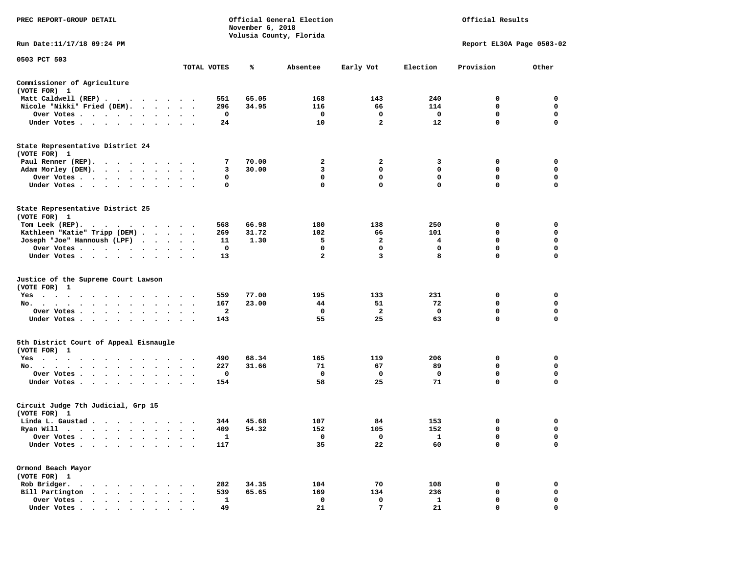| PREC REPORT-GROUP DETAIL                                                     |              | November 6, 2018 | Official General Election<br>Volusia County, Florida |                         |              | Official Results          |                  |
|------------------------------------------------------------------------------|--------------|------------------|------------------------------------------------------|-------------------------|--------------|---------------------------|------------------|
| Run Date: 11/17/18 09:24 PM                                                  |              |                  |                                                      |                         |              | Report EL30A Page 0503-02 |                  |
| 0503 PCT 503                                                                 | TOTAL VOTES  | %                | Absentee                                             | Early Vot               | Election     | Provision                 | Other            |
|                                                                              |              |                  |                                                      |                         |              |                           |                  |
| Commissioner of Agriculture<br>(VOTE FOR) 1                                  |              |                  |                                                      |                         |              |                           |                  |
| Matt Caldwell (REP)                                                          | 551          | 65.05            | 168                                                  | 143                     | 240          | 0                         | 0                |
| Nicole "Nikki" Fried (DEM).                                                  | 296          | 34.95            | 116                                                  | 66                      | 114          | 0                         | 0                |
| Over Votes                                                                   | 0            |                  | 0                                                    | 0                       | $\mathbf{o}$ | 0                         | 0                |
| Under Votes                                                                  | 24           |                  | 10                                                   | $\overline{\mathbf{2}}$ | 12           | 0                         | $\mathbf 0$      |
| State Representative District 24                                             |              |                  |                                                      |                         |              |                           |                  |
| (VOTE FOR) 1                                                                 |              |                  |                                                      |                         |              |                           |                  |
| Paul Renner (REP).                                                           | 7            | 70.00            | 2                                                    | 2                       | 3            | 0                         | 0                |
| Adam Morley (DEM).                                                           | 3            | 30.00            | 3                                                    | 0                       | 0            | 0                         | $\mathbf 0$      |
| Over Votes                                                                   | 0            |                  | 0                                                    | 0                       | 0            | 0                         | $\mathbf 0$      |
| Under Votes                                                                  | 0            |                  | 0                                                    | 0                       | 0            | 0                         | $\Omega$         |
| State Representative District 25                                             |              |                  |                                                      |                         |              |                           |                  |
| (VOTE FOR) 1                                                                 |              |                  |                                                      |                         |              |                           |                  |
| Tom Leek $(REP)$ .                                                           | 568          | 66.98            | 180                                                  | 138                     | 250          | 0                         | 0                |
| Kathleen "Katie" Tripp (DEM)                                                 | 269          | 31.72            | 102                                                  | 66                      | 101          | 0                         | 0                |
| Joseph "Joe" Hannoush (LPF)                                                  | 11           | 1.30             | 5                                                    | $\mathbf{2}$            | 4            | 0                         | $\mathbf 0$      |
| Over Votes                                                                   | 0            |                  | 0                                                    | 0                       | 0            | 0                         | 0                |
| Under Votes                                                                  | 13           |                  | $\mathbf{2}$                                         | 3                       | 8            | 0                         | $\Omega$         |
| Justice of the Supreme Court Lawson                                          |              |                  |                                                      |                         |              |                           |                  |
| (VOTE FOR) 1                                                                 |              |                  |                                                      |                         |              |                           |                  |
| Yes                                                                          | 559          | 77.00            | 195                                                  | 133                     | 231          | 0                         | 0                |
| No.                                                                          | 167          | 23.00            | 44                                                   | 51                      | 72           | 0                         | 0                |
| Over Votes                                                                   | $\mathbf{2}$ |                  | 0                                                    | $\overline{\mathbf{2}}$ | 0            | 0<br>0                    | $\mathbf 0$      |
| Under Votes                                                                  | 143          |                  | 55                                                   | 25                      | 63           |                           | 0                |
| 5th District Court of Appeal Eisnaugle                                       |              |                  |                                                      |                         |              |                           |                  |
| (VOTE FOR) 1                                                                 |              |                  |                                                      |                         |              |                           |                  |
| Yes                                                                          | 490<br>227   | 68.34<br>31.66   | 165                                                  | 119<br>67               | 206<br>89    | 0<br>0                    | 0<br>0           |
| No.                                                                          |              |                  | 71                                                   |                         |              |                           |                  |
| Over Votes                                                                   | 0            |                  | 0                                                    | 0                       | $\mathbf{o}$ | 0<br>0                    | 0<br>$\mathbf 0$ |
| Under Votes                                                                  | 154          |                  | 58                                                   | 25                      | 71           |                           |                  |
| Circuit Judge 7th Judicial, Grp 15                                           |              |                  |                                                      |                         |              |                           |                  |
| (VOTE FOR) 1                                                                 |              |                  |                                                      |                         |              |                           |                  |
| Linda L. Gaustad                                                             | 344          | 45.68            | 107                                                  | 84                      | 153          | 0                         | 0                |
| Ryan Will $\cdots$ , $\cdots$ , $\cdots$ , $\cdots$                          | 409          | 54.32            | 152                                                  | 105                     | 152          | $\mathbf 0$               | $\mathbf 0$      |
| Over Votes .                                                                 | 1            |                  | 0                                                    | 0                       | 1            | 0                         | 0                |
| Under Votes.<br>$\ddot{\phantom{a}}$                                         | 117          |                  | 35                                                   | 22                      | 60           | 0                         | 0                |
| Ormond Beach Mayor                                                           |              |                  |                                                      |                         |              |                           |                  |
| (VOTE FOR) 1                                                                 |              |                  |                                                      |                         |              |                           |                  |
| Rob Bridger.                                                                 | 282          | 34.35            | 104                                                  | 70                      | 108          | 0                         | 0                |
| Bill Partington<br>$\ddot{\phantom{1}}$<br>$\ddot{\phantom{a}}$<br>$\bullet$ | 539          | 65.65            | 169                                                  | 134                     | 236          | 0                         | 0                |
| Over Votes .<br>$\bullet$                                                    | 1            |                  | 0                                                    | 0                       | 1            | 0                         | 0                |
| Under Votes.<br>$\bullet$<br>$\bullet$<br>$\blacksquare$<br>$\bullet$        | 49           |                  | 21                                                   | 7                       | 21           | 0                         | $\mathbf 0$      |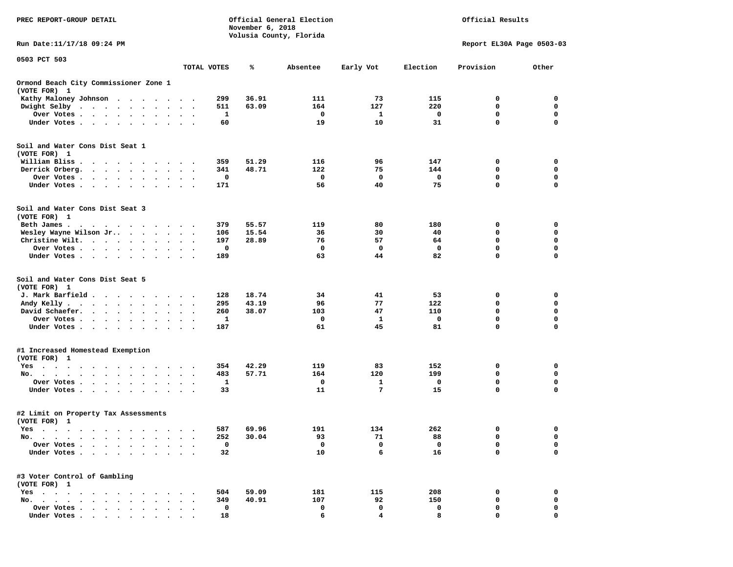| PREC REPORT-GROUP DETAIL                                                                                                                                                                                                                     |                                   |             | November 6, 2018 | Official General Election<br>Volusia County, Florida |           |          | Official Results          |                            |
|----------------------------------------------------------------------------------------------------------------------------------------------------------------------------------------------------------------------------------------------|-----------------------------------|-------------|------------------|------------------------------------------------------|-----------|----------|---------------------------|----------------------------|
| Run Date: 11/17/18 09:24 PM                                                                                                                                                                                                                  |                                   |             |                  |                                                      |           |          | Report EL30A Page 0503-03 |                            |
| 0503 PCT 503                                                                                                                                                                                                                                 |                                   | TOTAL VOTES | ℁                | Absentee                                             | Early Vot | Election | Provision                 | Other                      |
| Ormond Beach City Commissioner Zone 1<br>(VOTE FOR) 1                                                                                                                                                                                        |                                   |             |                  |                                                      |           |          |                           |                            |
| Kathy Maloney Johnson<br>$\blacksquare$ .<br>$\sim$<br>$\cdot$ .<br>$\cdot$                                                                                                                                                                  |                                   | 299         | 36.91            | 111                                                  | 73        | 115      | 0                         | 0                          |
| Dwight Selby<br>$\cdots$<br>$\bullet$<br>$\bullet$                                                                                                                                                                                           |                                   | 511         | 63.09            | 164                                                  | 127       | 220      | 0                         | 0                          |
| Over Votes<br>$\bullet$<br>$\bullet$<br>$\bullet$                                                                                                                                                                                            | $\cdot$<br>$\bullet$              | 1           |                  | 0                                                    | 1         | 0        | $\mathbf 0$               | 0                          |
| Under Votes<br>$\sim$<br>$\ddot{\phantom{1}}$<br>$\bullet$                                                                                                                                                                                   |                                   | 60          |                  | 19                                                   | 10        | 31       | 0                         | 0                          |
| Soil and Water Cons Dist Seat 1                                                                                                                                                                                                              |                                   |             |                  |                                                      |           |          |                           |                            |
| (VOTE FOR) 1                                                                                                                                                                                                                                 |                                   |             |                  |                                                      |           |          |                           |                            |
| William Bliss<br>$\sim$<br>$\cdot$<br>$\cdot$<br>$\cdot$<br>$\cdot$<br>$\sim$ $\sim$                                                                                                                                                         |                                   | 359         | 51.29            | 116                                                  | 96        | 147      | 0                         | 0                          |
| Derrick Orberg.<br>$\bullet$ .<br><br><br><br><br><br><br><br><br><br><br><br><br>$\ddot{\phantom{0}}$<br>$\sim$ $\sim$<br>$\bullet$<br>$\bullet$                                                                                            | $\bullet$<br>$\ddot{\phantom{0}}$ | 341         | 48.71            | 122                                                  | 75        | 144      | 0                         | 0                          |
| Over Votes .<br>$\ddot{\phantom{0}}$<br>$\cdot$<br>$\bullet$<br>Under Votes.<br>$\cdot$ $\cdot$ $\cdot$ $\cdot$<br>$\ddot{\phantom{1}}$<br>$\bullet$<br>$\bullet$                                                                            |                                   | 0<br>171    |                  | 0<br>56                                              | 0<br>40   | 0<br>75  | 0<br>$\mathbf 0$          | 0<br>$\mathbf 0$           |
|                                                                                                                                                                                                                                              |                                   |             |                  |                                                      |           |          |                           |                            |
| Soil and Water Cons Dist Seat 3<br>(VOTE FOR) 1                                                                                                                                                                                              |                                   |             |                  |                                                      |           |          |                           |                            |
| Beth James.<br>. As in the contract of the contract of the contract of the contract of the contract of the contract of the contract of the contract of the contract of the contract of the contract of the contract of the contract of the c |                                   | 379         | 55.57            | 119                                                  | 80        | 180      | 0                         | 0                          |
| Wesley Wayne Wilson Jr<br>$\sim$ $\sim$ $\sim$<br>$\bullet$                                                                                                                                                                                  | $\ddot{\phantom{0}}$              | 106         | 15.54            | 36                                                   | 30        | 40       | 0                         | 0                          |
| Christine Wilt.<br>$\cdot$ $\cdot$ $\cdot$<br>$\bullet$<br>$\bullet$                                                                                                                                                                         |                                   | 197         | 28.89            | 76                                                   | 57        | 64       | $\mathbf 0$               | $\mathbf 0$                |
| Over Votes .<br>$\cdot$ $\cdot$ $\cdot$<br>$\bullet$<br>$\bullet$                                                                                                                                                                            | $\bullet$                         | 0           |                  | 0                                                    | 0         | 0        | 0                         | $\mathbf 0$                |
| Under Votes<br>$\ddot{\phantom{1}}$<br>$\bullet$                                                                                                                                                                                             |                                   | 189         |                  | 63                                                   | 44        | 82       | 0                         | 0                          |
| Soil and Water Cons Dist Seat 5<br>(VOTE FOR) 1                                                                                                                                                                                              |                                   |             |                  |                                                      |           |          |                           |                            |
| J. Mark Barfield.<br>$\ddotsc$<br>$\cdot$ $\cdot$ $\cdot$<br>$\bullet$                                                                                                                                                                       | $\bullet$                         | 128         | 18.74            | 34                                                   | 41        | 53       | 0                         | 0                          |
| Andy Kelly.<br>$\cdot$ $\cdot$ $\cdot$ $\cdot$ $\cdot$ $\cdot$<br>$\ddot{\phantom{0}}$<br>$\bullet$<br>$\bullet$                                                                                                                             | $\bullet$<br>$\cdot$              | 295         | 43.19            | 96                                                   | 77        | 122      | 0                         | $\mathbf 0$                |
| David Schaefer.<br>$\ddot{\phantom{0}}$<br>$\bullet$<br>$\bullet$<br>$\bullet$                                                                                                                                                               |                                   | 260         | 38.07            | 103                                                  | 47        | 110      | 0                         | 0                          |
| Over Votes .<br>$\ddot{\phantom{0}}$<br>$\bullet$<br>$\bullet$<br>$\bullet$<br>$\bullet$<br>$\bullet$                                                                                                                                        | $\bullet$                         | 1           |                  | 0                                                    | 1<br>45   | 0<br>81  | $\mathbf 0$<br>0          | $\mathbf 0$<br>$\mathbf 0$ |
| Under Votes.<br>$\sim$ $\sim$ $\sim$<br>$\ddot{\phantom{1}}$<br>$\ddot{\phantom{0}}$<br>$\ddot{\phantom{1}}$<br>$\sim$                                                                                                                       | $\sim$ $\sim$                     | 187         |                  | 61                                                   |           |          |                           |                            |
| #1 Increased Homestead Exemption                                                                                                                                                                                                             |                                   |             |                  |                                                      |           |          |                           |                            |
| (VOTE FOR) 1                                                                                                                                                                                                                                 |                                   | 354         | 42.29            | 119                                                  | 83        | 152      | 0                         | 0                          |
| $Yes \cdot \cdot \cdot$<br>$\bullet$<br>$\bullet$<br>$\bullet$<br>$\bullet$<br>$\bullet$<br>$\bullet$<br>$\bullet$<br>No.<br>$\bullet$<br>$\cdot$<br>$\cdot$                                                                                 |                                   | 483         | 57.71            | 164                                                  | 120       | 199      | 0                         | 0                          |
| Over Votes .<br>$\bullet$<br>$\ddot{\phantom{a}}$<br>$\ddot{\phantom{a}}$                                                                                                                                                                    |                                   | 1           |                  | 0                                                    | 1         | 0        | 0                         | 0                          |
| Under Votes.<br>$\bullet$                                                                                                                                                                                                                    |                                   | 33          |                  | 11                                                   | 7         | 15       | 0                         | 0                          |
| #2 Limit on Property Tax Assessments<br>(VOTE FOR) 1                                                                                                                                                                                         |                                   |             |                  |                                                      |           |          |                           |                            |
| Yes<br>the contract of the contract of the contract of the contract of the contract of the contract of the contract of                                                                                                                       |                                   | 587         | 69.96            | 191                                                  | 134       | 262      | 0                         | 0                          |
| No.<br>$\sim$<br>$\bullet$                                                                                                                                                                                                                   |                                   | 252         | 30.04            | 93                                                   | 71        | 88       | 0                         | 0                          |
| Over Votes                                                                                                                                                                                                                                   |                                   | 0           |                  | 0                                                    | 0         | 0        | 0                         | 0                          |
| Under Votes.<br>$\bullet$ .<br>$\bullet$<br>$\bullet$<br>$\bullet$                                                                                                                                                                           |                                   | 32          |                  | 10                                                   | 6         | 16       | 0                         | 0                          |
| #3 Voter Control of Gambling<br>(VOTE FOR) 1                                                                                                                                                                                                 |                                   |             |                  |                                                      |           |          |                           |                            |
| $Yes \t . \t .$<br>$\cdots$                                                                                                                                                                                                                  |                                   | 504         | 59.09            | 181                                                  | 115       | 208      | 0                         | 0                          |
| No.<br>$\ddot{\phantom{a}}$<br>$\sim$<br>$\sim$<br>$\ddot{\phantom{a}}$<br>$\ddot{\phantom{a}}$                                                                                                                                              |                                   | 349         | 40.91            | 107                                                  | 92        | 150      | 0                         | 0                          |
| Over Votes .<br>$\cdot \cdot \cdot \cdot$<br>$\cdot$                                                                                                                                                                                         |                                   | 0           |                  | 0                                                    | 0         | 0        | 0                         | 0                          |
| Under Votes                                                                                                                                                                                                                                  |                                   | 18          |                  | 6                                                    | $\Delta$  | 8        | $\Omega$                  | O                          |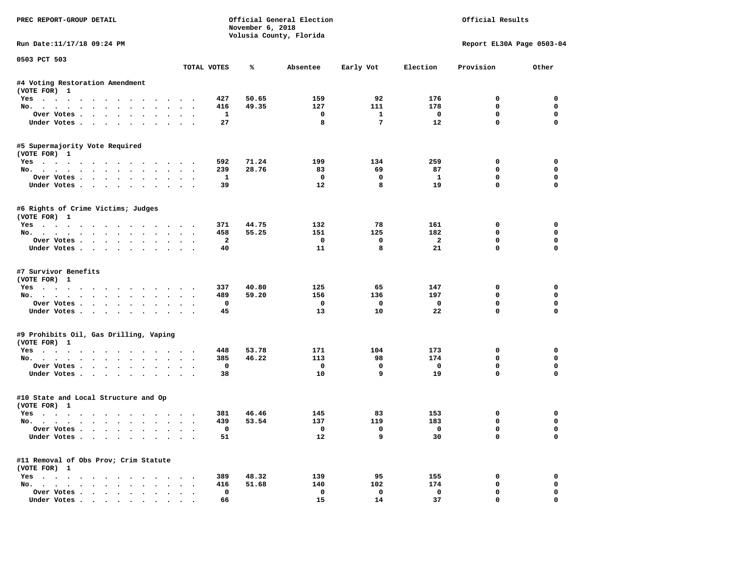| PREC REPORT-GROUP DETAIL                              |                      |                    | November 6, 2018 | Official General Election<br>Volusia County, Florida |                 |                          | Official Results          |                  |
|-------------------------------------------------------|----------------------|--------------------|------------------|------------------------------------------------------|-----------------|--------------------------|---------------------------|------------------|
| Run Date:11/17/18 09:24 PM                            |                      |                    |                  |                                                      |                 |                          | Report EL30A Page 0503-04 |                  |
| 0503 PCT 503                                          |                      | TOTAL VOTES        | ℁                | Absentee                                             | Early Vot       | Election                 | Provision                 | Other            |
| #4 Voting Restoration Amendment                       |                      |                    |                  |                                                      |                 |                          |                           |                  |
| (VOTE FOR) 1                                          |                      |                    |                  |                                                      |                 |                          |                           |                  |
| Yes                                                   |                      | 427                | 50.65            | 159                                                  | 92              | 176                      | $^{\circ}$                | $^{\circ}$       |
| No.                                                   |                      | 416                | 49.35            | 127                                                  | 111             | 178                      | 0                         | $\mathbf 0$      |
| Over Votes                                            |                      | <b>1</b>           |                  | $\overline{\phantom{a}}$                             | <sup>1</sup>    | $\overline{\phantom{0}}$ | 0                         | $\mathbf 0$      |
| Under Votes                                           |                      | 27                 |                  | 8                                                    | $7\phantom{.0}$ | 12                       | $\mathbf 0$               | $\mathbf 0$      |
| #5 Supermajority Vote Required<br>(VOTE FOR) 1        |                      |                    |                  |                                                      |                 |                          |                           |                  |
| Yes                                                   |                      | 592                | 71.24            | 199                                                  | 134             | 259                      | 0                         | 0                |
| No.                                                   |                      | 239                | 28.76            | 83                                                   | 69              | 87                       | $\mathbf 0$               | 0                |
| Over Votes                                            |                      | $\mathbf{1}$       |                  | $\mathbf 0$                                          | $\mathbf 0$     | $\mathbf{1}$             | $\mathbf 0$               | 0                |
| Under Votes                                           |                      | 39                 |                  | 12                                                   | 8               | 19                       | $\mathbf 0$               | 0                |
| #6 Rights of Crime Victims; Judges<br>(VOTE FOR) 1    |                      |                    |                  |                                                      |                 |                          |                           |                  |
| Yes                                                   |                      | 371                | 44.75            | 132                                                  | 78              | 161                      | 0                         | $\mathbf 0$      |
| No.                                                   |                      | 458                | 55.25            | 151                                                  | 125             | 182                      | $\mathbf 0$               | $\mathbf 0$      |
| Over Votes                                            |                      | $\overline{a}$     |                  | $\mathbf{o}$                                         | $\mathbf 0$     | $\overline{2}$           | $\mathbf 0$               | $\mathbf 0$      |
| Under Votes                                           |                      | 40                 |                  | 11                                                   | 8               | 21                       | $\Omega$                  | $\Omega$         |
| #7 Survivor Benefits<br>(VOTE FOR) 1<br>Yes           |                      | 337                | 40.80            | 125                                                  | 65              | 147                      | 0                         | 0                |
| No.                                                   |                      | 489                | 59.20            | 156                                                  | 136             | 197                      | 0                         | 0                |
| Over Votes                                            |                      | $\mathbf 0$        |                  | $\mathbf{o}$                                         | $\mathbf{o}$    | $\mathbf 0$              | $\mathbf 0$               | $\mathbf 0$      |
| Under Votes                                           |                      | 45                 |                  | 13                                                   | 10              | 22                       | $\mathbf 0$               | $\Omega$         |
| #9 Prohibits Oil, Gas Drilling, Vaping                |                      |                    |                  |                                                      |                 |                          |                           |                  |
| (VOTE FOR) 1                                          |                      |                    |                  |                                                      |                 |                          |                           |                  |
| Yes                                                   |                      | 448                | 53.78            | 171                                                  | 104<br>98       | 173<br>174               | 0<br>$\Omega$             | 0<br>$\mathbf 0$ |
| No.<br>Over Votes                                     |                      | 385<br>$\mathbf 0$ | 46.22            | 113<br>$\mathbf 0$                                   | $\mathbf 0$     | $\mathbf 0$              | 0                         | 0                |
| Under Votes                                           |                      | 38                 |                  | 10                                                   | 9               | 19                       | $\mathbf{0}$              | $\mathbf 0$      |
| #10 State and Local Structure and Op<br>(VOTE FOR) 1  |                      |                    |                  |                                                      |                 |                          |                           |                  |
| Yes                                                   |                      | 381                | 46.46            | 145                                                  | 83              | 153                      | 0                         | 0                |
| No.                                                   |                      | 439                | 53.54            | 137                                                  | 119             | 183                      | $\mathbf 0$               | $\mathbf 0$      |
| Over Votes                                            |                      | $\Omega$           |                  | $\overline{\mathbf{0}}$                              | $\mathbf{0}$    | $\overline{\mathbf{0}}$  | $\mathbf 0$               | $\Omega$         |
| Under Votes                                           |                      | 51                 |                  | 12                                                   | 9               | 30                       | $\mathbf 0$               | $\Omega$         |
| #11 Removal of Obs Prov; Crim Statute<br>(VOTE FOR) 1 |                      |                    |                  |                                                      |                 |                          |                           |                  |
| Yes                                                   |                      | 389                | 48.32            | 139                                                  | 95              | 155                      | 0                         | 0                |
| No.                                                   |                      | 416                | 51.68            | 140                                                  | 102             | 174                      | $\mathbf 0$               | $\mathbf 0$      |
| Over Votes                                            | $\ddot{\phantom{0}}$ | $\mathbf 0$        |                  | $\mathbf 0$                                          | $\mathbf 0$     | $\mathbf 0$              | $\mathbf 0$               | 0                |
| Under Votes                                           |                      | 66                 |                  | 15                                                   | 14              | 37                       | $\mathbf{0}$              | 0                |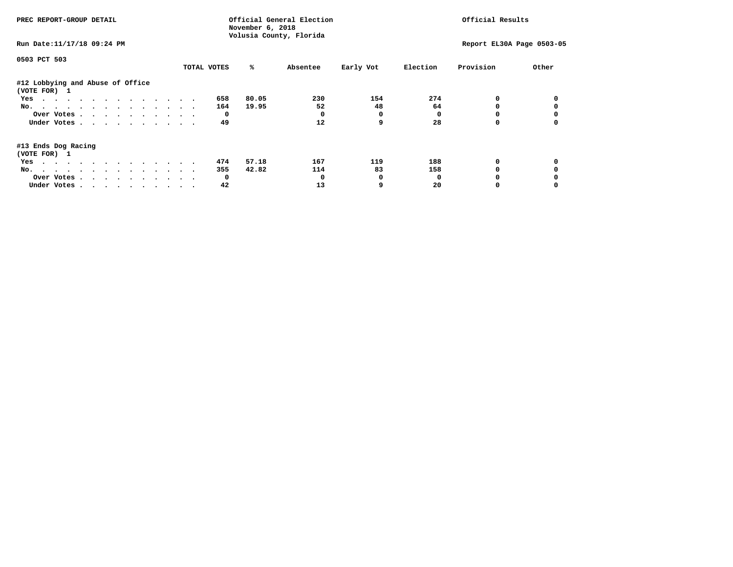| PREC REPORT-GROUP DETAIL                                                                                                                                                                                                              |             | November 6, 2018<br>Volusia County, Florida | Official General Election |              |          | Official Results          |       |
|---------------------------------------------------------------------------------------------------------------------------------------------------------------------------------------------------------------------------------------|-------------|---------------------------------------------|---------------------------|--------------|----------|---------------------------|-------|
| Run Date: 11/17/18 09:24 PM                                                                                                                                                                                                           |             |                                             |                           |              |          | Report EL30A Page 0503-05 |       |
| 0503 PCT 503                                                                                                                                                                                                                          |             |                                             |                           |              |          |                           |       |
|                                                                                                                                                                                                                                       | TOTAL VOTES | %ะ                                          | Absentee                  | Early Vot    | Election | Provision                 | Other |
| #12 Lobbying and Abuse of Office<br>(VOTE FOR) 1                                                                                                                                                                                      |             |                                             |                           |              |          |                           |       |
| Yes                                                                                                                                                                                                                                   | 658         | 80.05                                       | 230                       | 154          | 274      |                           |       |
| No.                                                                                                                                                                                                                                   | 164         | 19.95                                       | 52                        | 48           | 64       |                           |       |
| Over Votes                                                                                                                                                                                                                            |             | $^{\circ}$                                  |                           | 0            |          |                           |       |
| Under Votes                                                                                                                                                                                                                           | 49          |                                             | 12                        | 9            | 28       |                           |       |
| #13 Ends Dog Racing<br>(VOTE FOR) 1                                                                                                                                                                                                   |             |                                             |                           |              |          |                           |       |
| the contract of the contract of the contract of the contract of the contract of the contract of the contract of the contract of the contract of the contract of the contract of the contract of the contract of the contract o<br>Yes | 474         | 57.18                                       | 167                       | 119          | 188      | 0                         |       |
| No.                                                                                                                                                                                                                                   | 355         | 42.82                                       | 114                       | 83           | 158      |                           |       |
| Over Votes                                                                                                                                                                                                                            |             | $\mathbf{o}$                                |                           | <sup>0</sup> | n        |                           |       |
| Under Votes                                                                                                                                                                                                                           | 42          |                                             | 13                        | 9            | 20       |                           |       |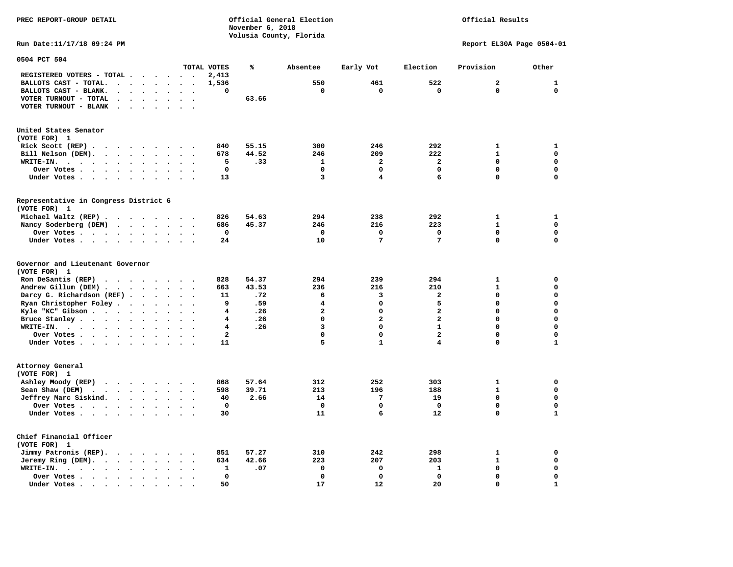**PREC REPORT-GROUP DETAIL COMPUTER CONSUMING A CONSUMING CONSUMING A LIGACION CONSUMING A LIGACION** *November 6, 2018 November 6, 2018*  **Volusia County, Florida** 

Official Results

**Run Date:11/17/18 09:24 PM Report EL30A Page 0504-01** 

| 0504 PCT 504                                                                                           |                                              |                                              |                         |       |                         |                         |                         |                |              |
|--------------------------------------------------------------------------------------------------------|----------------------------------------------|----------------------------------------------|-------------------------|-------|-------------------------|-------------------------|-------------------------|----------------|--------------|
|                                                                                                        |                                              |                                              | TOTAL VOTES             | ℁     | Absentee                | Early Vot               | Election                | Provision      | Other        |
| REGISTERED VOTERS - TOTAL .<br>$\bullet$                                                               | $\ddot{\phantom{1}}$                         | $\ddot{\phantom{a}}$                         | 2,413                   |       |                         |                         |                         |                |              |
| BALLOTS CAST - TOTAL.<br>$\ddot{\phantom{1}}$<br>$\bullet$<br>$\overline{a}$                           | $\ddot{\phantom{a}}$<br>$\bullet$            | $\bullet$<br>$\bullet$                       | 1,536                   |       | 550                     | 461                     | 522                     | $\overline{a}$ | $\mathbf{1}$ |
| BALLOTS CAST - BLANK.<br>$\cdot$<br>$\bullet$<br>$\bullet$                                             | $\ddot{\phantom{a}}$                         |                                              | 0                       |       | 0                       | 0                       | $\mathbf 0$             | 0              | $\mathbf 0$  |
| VOTER TURNOUT - TOTAL<br>$\ddot{\phantom{a}}$<br>$\ddot{\phantom{a}}$<br>$\cdot$                       | $\bullet$<br>$\ddot{\phantom{a}}$            | $\ddot{\phantom{a}}$<br>$\cdot$              |                         | 63.66 |                         |                         |                         |                |              |
| VOTER TURNOUT - BLANK<br>$\bullet$                                                                     |                                              |                                              |                         |       |                         |                         |                         |                |              |
| United States Senator<br>(VOTE FOR) 1                                                                  |                                              |                                              |                         |       |                         |                         |                         |                |              |
| Rick Scott $(REP)$                                                                                     |                                              | $\sim$                                       | 840                     | 55.15 | 300                     | 246                     | 292                     | 1              | 1            |
| Bill Nelson (DEM).<br>$\cdot$ $\cdot$ $\cdot$ $\cdot$ $\cdot$ $\cdot$ $\cdot$ $\cdot$                  |                                              |                                              | 678                     | 44.52 | 246                     | 209                     | 222                     | $\mathbf{1}$   | $\mathbf 0$  |
| WRITE-IN.<br>$\sim$ $\sim$<br>$\bullet$<br>$\ddot{\phantom{1}}$<br>$\ddot{\phantom{a}}$<br>$\bullet$   | $\bullet$                                    |                                              | 5                       | .33   | $\mathbf{1}$            | $\overline{a}$          | $\overline{\mathbf{2}}$ | 0              | $\mathbf 0$  |
| Over Votes.<br>$\ddot{\phantom{0}}$<br>$\sim$ $\sim$<br>$\ddot{\phantom{0}}$<br>$\bullet$<br>$\bullet$ | $\ddot{\phantom{a}}$<br>$\bullet$            |                                              | $\mathbf 0$             |       | $\mathbf 0$             | 0                       | 0                       | $\Omega$       | $\mathbf 0$  |
| Under Votes<br>$\ddot{\phantom{1}}$<br>$\sim$ $\sim$ $\sim$<br>$\ddot{\phantom{a}}$                    | $\sim$<br>$\ddot{\phantom{a}}$               |                                              | 13                      |       | 3                       | $\overline{\mathbf{4}}$ | 6                       | 0              | $\mathbf 0$  |
| Representative in Congress District 6                                                                  |                                              |                                              |                         |       |                         |                         |                         |                |              |
| (VOTE FOR) 1                                                                                           |                                              |                                              |                         |       |                         |                         |                         |                |              |
| Michael Waltz (REP).<br>$\cdot$ $\cdot$<br>$\sim$ $\sim$ $\sim$                                        |                                              | $\sim$ $\sim$                                | 826                     | 54.63 | 294                     | 238                     | 292                     | 1              | 1            |
| Nancy Soderberg (DEM)<br>$\cdot$ $\cdot$ $\cdot$                                                       | $\ddot{\phantom{1}}$                         |                                              | 686                     | 45.37 | 246                     | 216                     | 223                     | $\mathbf{1}$   | $\mathbf 0$  |
| Over Votes.<br>$\cdots$<br>$\sim$ $\sim$                                                               | $\ddot{\phantom{a}}$<br>$\bullet$            | $\bullet$<br>$\bullet$                       | $\mathbf 0$             |       | $\mathbf 0$             | 0                       | $\mathbf 0$             | 0              | $\mathbf 0$  |
| Under Votes                                                                                            | $\bullet$<br>$\ddot{\phantom{a}}$            | $\ddot{\phantom{a}}$                         | 24                      |       | 10                      | $7\phantom{.0}$         | 7                       | 0              | $\mathbf 0$  |
| Governor and Lieutenant Governor<br>(VOTE FOR) 1                                                       |                                              |                                              |                         |       |                         |                         |                         |                |              |
| Ron DeSantis (REP)                                                                                     |                                              |                                              | 828                     | 54.37 | 294                     | 239                     | 294                     | $\mathbf{1}$   | 0            |
| Andrew Gillum (DEM).<br>$\ddot{\phantom{a}}$<br>$\ddot{\phantom{a}}$<br>$\ddot{\phantom{a}}$           | $\ddot{\phantom{a}}$<br>$\ddot{\phantom{0}}$ |                                              | 663                     | 43.53 | 236                     | 216                     | 210                     | $\mathbf{1}$   | $\mathbf 0$  |
| Darcy G. Richardson (REF).                                                                             | $\sim$ $\sim$ $\sim$                         | $\sim$<br>$\bullet$                          | 11                      | .72   | 6                       | 3                       | 2                       | 0              | $\mathbf 0$  |
| Ryan Christopher Foley.<br>$\sim$<br>$\ddot{\phantom{a}}$                                              | $\ddot{\phantom{a}}$                         | $\sim$                                       | 9                       | .59   | 4                       | $\mathbf 0$             | 5                       | $\Omega$       | $\mathbf 0$  |
| Kyle "KC" Gibson<br>$\sim$ $\sim$<br>$\bullet$                                                         | $\bullet$                                    |                                              | 4                       | .26   | $\mathbf{2}$            | 0                       | $\overline{\mathbf{2}}$ | 0              | $\mathbf 0$  |
| Bruce Stanley<br>$\bullet$                                                                             | $\bullet$<br>$\bullet$                       | $\bullet$<br>$\ddot{\phantom{0}}$            | 4                       | .26   | $\mathbf 0$             | $\overline{a}$          | $\overline{\mathbf{2}}$ | 0              | $\mathbf 0$  |
| WRITE-IN.                                                                                              | $\bullet$                                    |                                              | 4                       | .26   | $\overline{\mathbf{3}}$ | 0                       | $\mathbf{1}$            | 0              | $\mathbf 0$  |
| Over Votes                                                                                             | $\ddot{\phantom{a}}$<br>$\ddot{\phantom{a}}$ | $\ddot{\phantom{a}}$<br>$\ddot{\phantom{a}}$ | $\overline{\mathbf{2}}$ |       | $\mathbf 0$             | 0                       | $\overline{\mathbf{2}}$ | 0              | $\mathbf 0$  |
| Under Votes                                                                                            | $\bullet$ . $\bullet$                        | $\sim$<br>$\ddot{\phantom{a}}$               | 11                      |       | 5                       | $\mathbf{1}$            | 4                       | 0              | $\mathbf{1}$ |
| Attorney General<br>(VOTE FOR) 1                                                                       |                                              |                                              |                         |       |                         |                         |                         |                |              |
| Ashley Moody (REP)<br>$\cdot$                                                                          |                                              | $\ddot{\phantom{0}}$                         | 868                     | 57.64 | 312                     | 252                     | 303                     | 1              | 0            |
| Sean Shaw (DEM)<br>$\cdot$ $\cdot$ $\cdot$ $\cdot$ $\cdot$ $\cdot$                                     | $\cdot$<br>$\sim$                            | $\sim$                                       | 598                     | 39.71 | 213                     | 196                     | 188                     | $\mathbf{1}$   | $\mathbf 0$  |
| Jeffrey Marc Siskind.<br>$\sim$ $\sim$ $\sim$<br>$\ddot{\phantom{a}}$                                  | $\bullet$                                    |                                              | 40                      | 2.66  | 14                      | 7                       | 19                      | 0              | $\mathbf 0$  |
| Over Votes                                                                                             | $\ddot{\phantom{a}}$<br>$\bullet$            | $\bullet$<br>$\bullet$                       | $\mathbf 0$             |       | $\mathbf 0$             | 0                       | $\mathbf 0$             | 0              | $\mathbf 0$  |
| Under Votes                                                                                            | $\ddot{\phantom{1}}$                         | $\bullet$                                    | 30                      |       | 11                      | 6                       | 12                      | 0              | ${\bf 1}$    |
| Chief Financial Officer<br>(VOTE FOR) 1                                                                |                                              |                                              |                         |       |                         |                         |                         |                |              |
| Jimmy Patronis (REP).<br>$\cdots$                                                                      |                                              |                                              | 851                     | 57.27 | 310                     | 242                     | 298                     | 1              | 0            |
| Jeremy Ring (DEM).<br>$\sim$ $\sim$ $\sim$<br>$\bullet$<br>$\bullet$                                   |                                              |                                              | 634                     | 42.66 | 223                     | 207                     | 203                     | $\mathbf{1}$   | $\mathbf 0$  |
| WRITE-IN.<br>$\cdot$ $\cdot$ $\cdot$ $\cdot$ $\cdot$ $\cdot$<br>$\bullet$<br>$\bullet$                 |                                              | $\ddot{\phantom{0}}$                         | 1                       | .07   | 0                       | 0                       | $\mathbf{1}$            | 0              | $\mathbf 0$  |
| Over Votes .<br>$\cdots$<br>$\ddot{\phantom{a}}$                                                       | $\ddot{\phantom{a}}$                         |                                              | 0                       |       | $\mathbf 0$             | 0                       | $\mathbf 0$             | 0              | $\mathbf 0$  |
| Under Votes<br>$\bullet$                                                                               |                                              |                                              | 50                      |       | 17                      | 12                      | 20                      | $\Omega$       | $\mathbf{1}$ |
|                                                                                                        |                                              |                                              |                         |       |                         |                         |                         |                |              |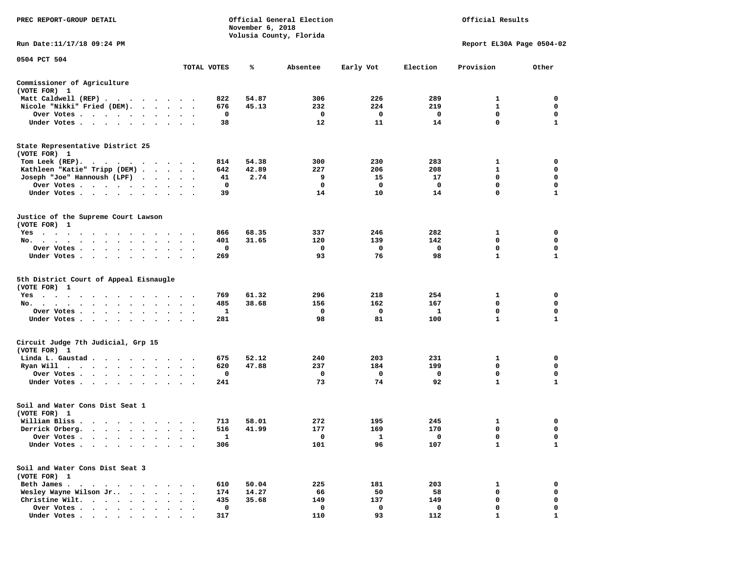| PREC REPORT-GROUP DETAIL                                                                                                                                                                                                             |                                              |             | November 6, 2018 | Official General Election<br>Volusia County, Florida |              |          | Official Results          |              |
|--------------------------------------------------------------------------------------------------------------------------------------------------------------------------------------------------------------------------------------|----------------------------------------------|-------------|------------------|------------------------------------------------------|--------------|----------|---------------------------|--------------|
| Run Date:11/17/18 09:24 PM                                                                                                                                                                                                           |                                              |             |                  |                                                      |              |          | Report EL30A Page 0504-02 |              |
| 0504 PCT 504                                                                                                                                                                                                                         |                                              | TOTAL VOTES | ℁                | Absentee                                             | Early Vot    | Election | Provision                 | Other        |
| Commissioner of Agriculture<br>(VOTE FOR) 1                                                                                                                                                                                          |                                              |             |                  |                                                      |              |          |                           |              |
| Matt Caldwell (REP)                                                                                                                                                                                                                  |                                              | 822         | 54.87            | 306                                                  | 226          | 289      | 1                         | 0            |
| Nicole "Nikki" Fried (DEM).                                                                                                                                                                                                          |                                              | 676         | 45.13            | 232                                                  | 224          | 219      | 1                         | 0            |
| Over Votes<br>$\bullet$                                                                                                                                                                                                              | $\bullet$                                    | 0           |                  | 0                                                    | 0            | 0        | 0                         | 0            |
| Under Votes                                                                                                                                                                                                                          |                                              | 38          |                  | 12                                                   | 11           | 14       | 0                         | $\mathbf{1}$ |
| State Representative District 25<br>(VOTE FOR) 1                                                                                                                                                                                     |                                              |             |                  |                                                      |              |          |                           |              |
| Tom Leek (REP).                                                                                                                                                                                                                      |                                              | 814         | 54.38            | 300                                                  | 230          | 283      | 1                         | 0            |
| Kathleen "Katie" Tripp (DEM)                                                                                                                                                                                                         |                                              | 642         | 42.89            | 227                                                  | 206          | 208      | $\mathbf{1}$              | $\mathbf 0$  |
| Joseph "Joe" Hannoush (LPF)<br>$\ddot{\phantom{1}}$<br>$\sim$                                                                                                                                                                        | $\cdot$ $\cdot$ $\cdot$                      | 41          | 2.74             | 9                                                    | 15           | 17       | 0                         | 0            |
| Over Votes<br>$\bullet$                                                                                                                                                                                                              | $\bullet$                                    | 0           |                  | 0                                                    | $\mathbf 0$  | 0        | 0                         | $\mathbf 0$  |
| Under Votes                                                                                                                                                                                                                          | $\sim$ $\sim$<br>$\sim$                      | 39          |                  | 14                                                   | 10           | 14       | 0                         | $\mathbf{1}$ |
| Justice of the Supreme Court Lawson<br>(VOTE FOR) 1                                                                                                                                                                                  |                                              |             |                  |                                                      |              |          |                           |              |
| $Yes \cdot \cdot \cdot$<br>$\bullet$<br>$\bullet$<br>$\cdot$ $\cdot$<br>$\cdot$ $\cdot$ $\cdot$<br>$\cdot$                                                                                                                           |                                              | 866         | 68.35            | 337                                                  | 246          | 282      | 1                         | 0            |
| No.<br>$\ddot{\phantom{1}}$                                                                                                                                                                                                          |                                              | 401         | 31.65            | 120                                                  | 139          | 142      | 0                         | 0            |
| Over Votes<br>$\blacksquare$ .                                                                                                                                                                                                       |                                              | 0           |                  | 0                                                    | 0            | 0        | 0                         | 0            |
| Under Votes<br>$\ddot{\phantom{0}}$                                                                                                                                                                                                  |                                              | 269         |                  | 93                                                   | 76           | 98       | $\mathbf{1}$              | $\mathbf{1}$ |
| 5th District Court of Appeal Eisnaugle<br>(VOTE FOR) 1                                                                                                                                                                               |                                              |             |                  |                                                      |              |          |                           |              |
| $Yes \cdot \cdot \cdot$<br>$\cdot$ $\cdot$<br>$\sim$<br>.                                                                                                                                                                            |                                              | 769         | 61.32            | 296                                                  | 218          | 254      | 1                         | 0            |
| No.<br>. The contract of the contract of the contract of the contract of the contract of the contract of the contract of the contract of the contract of the contract of the contract of the contract of the contract of the contrac | $\ddot{\phantom{1}}$<br>$\bullet$            | 485         | 38.68            | 156                                                  | 162          | 167      | $\mathbf 0$               | 0            |
| Over Votes                                                                                                                                                                                                                           |                                              | 1           |                  | 0                                                    | 0            | 1        | 0                         | 0            |
| Under Votes<br>$\cdot$                                                                                                                                                                                                               | $\bullet$                                    | 281         |                  | 98                                                   | 81           | 100      | 1                         | 1            |
| Circuit Judge 7th Judicial, Grp 15<br>(VOTE FOR) 1                                                                                                                                                                                   |                                              |             |                  |                                                      |              |          |                           |              |
| Linda L. Gaustad                                                                                                                                                                                                                     |                                              | 675         | 52.12            | 240                                                  | 203          | 231      | 1                         | 0            |
| Ryan Will                                                                                                                                                                                                                            | $\sim$                                       | 620         | 47.88            | 237                                                  | 184          | 199      | 0                         | 0            |
| Over Votes<br>$\bullet$                                                                                                                                                                                                              | $\bullet$                                    | 0           |                  | 0                                                    | 0            | 0        | $\mathbf 0$               | 0            |
| Under Votes                                                                                                                                                                                                                          |                                              | 241         |                  | 73                                                   | 74           | 92       | $\mathbf{1}$              | $\mathbf{1}$ |
| Soil and Water Cons Dist Seat 1<br>(VOTE FOR) 1                                                                                                                                                                                      |                                              |             |                  |                                                      |              |          |                           |              |
| William Bliss.<br>.<br>$\cdot$<br>$\sim$                                                                                                                                                                                             |                                              | 713         | 58.01            | 272                                                  | 195          | 245      | 1                         | 0            |
| Derrick Orberg.<br>$\cdots$                                                                                                                                                                                                          |                                              | 516         | 41.99            | 177                                                  | 169          | 170      | 0                         | $\mathbf 0$  |
| Over Votes.<br>$\overline{\phantom{a}}$                                                                                                                                                                                              |                                              | 1           |                  | 0                                                    | $\mathbf{1}$ | 0        | 0                         | 0            |
| Under Votes<br>$\ddot{\phantom{0}}$<br>$\ddot{\phantom{a}}$                                                                                                                                                                          |                                              | 306         |                  | 101                                                  | 96           | 107      | $\mathbf{1}$              | $\mathbf{1}$ |
| Soil and Water Cons Dist Seat 3<br>(VOTE FOR) 1                                                                                                                                                                                      |                                              |             |                  |                                                      |              |          |                           |              |
| Beth James.<br>$\cdot$ $\cdot$ $\cdot$<br>$\ddot{\phantom{1}}$<br>$\sim$<br>$\bullet$ .                                                                                                                                              |                                              | 610         | 50.04            | 225                                                  | 181          | 203      | 1                         | 0            |
| Wesley Wayne Wilson Jr<br>$\bullet$ . $\bullet$<br>$\bullet$                                                                                                                                                                         | $\ddot{\phantom{0}}$<br>$\ddot{\phantom{0}}$ | 174         | 14.27            | 66                                                   | 50           | 58       | 0                         | 0            |
| Christine Wilt.<br>$\bullet$                                                                                                                                                                                                         |                                              | 435         | 35.68            | 149                                                  | 137          | 149      | 0                         | 0            |
| Over Votes .<br>$\mathcal{A}$ , and $\mathcal{A}$ , and $\mathcal{A}$<br>$\ddot{\phantom{0}}$                                                                                                                                        | $\ddot{\phantom{1}}$                         | 0           |                  | 0                                                    | 0            | 0        | 0                         | 0            |
| Under Votes                                                                                                                                                                                                                          |                                              | 317         |                  | 110                                                  | 93           | 112      | $\mathbf{1}$              | $\mathbf{1}$ |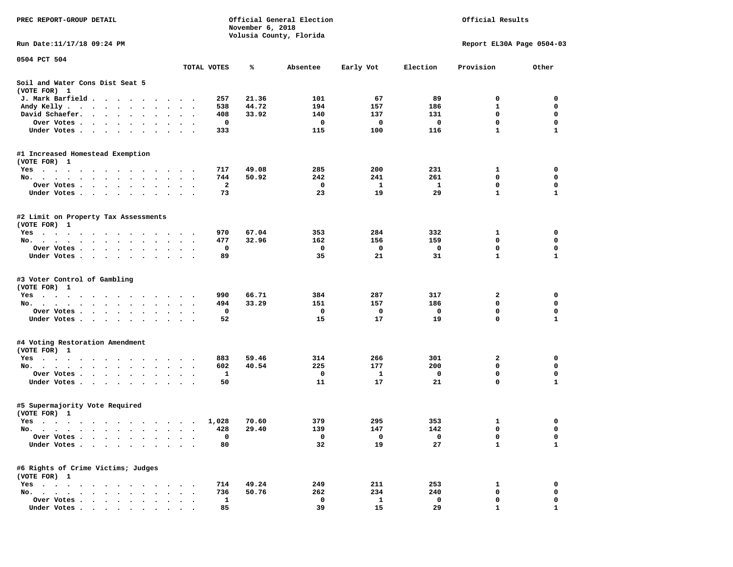| PREC REPORT-GROUP DETAIL                                                                                                    |                          |              | November 6, 2018 | Official General Election |              |              | Official Results          |              |
|-----------------------------------------------------------------------------------------------------------------------------|--------------------------|--------------|------------------|---------------------------|--------------|--------------|---------------------------|--------------|
| Run Date:11/17/18 09:24 PM                                                                                                  |                          |              |                  | Volusia County, Florida   |              |              | Report EL30A Page 0504-03 |              |
| 0504 PCT 504                                                                                                                |                          |              |                  |                           |              |              |                           |              |
|                                                                                                                             | TOTAL VOTES              |              | ℁                | Absentee                  | Early Vot    | Election     | Provision                 | Other        |
| Soil and Water Cons Dist Seat 5<br>(VOTE FOR) 1                                                                             |                          |              |                  |                           |              |              |                           |              |
| J. Mark Barfield<br>$\cdot$                                                                                                 |                          | 257          | 21.36            | 101                       | 67           | 89           | 0                         | 0            |
| Andy Kelly<br>$\bullet$ .                                                                                                   | $\ddot{\phantom{1}}$     | 538          | 44.72            | 194                       | 157          | 186          | 1                         | $\mathbf 0$  |
| David Schaefer.<br>$\cdot$ $\cdot$ $\cdot$ $\cdot$<br>$\bullet$ .                                                           |                          | 408          | 33.92            | 140                       | 137          | 131          | 0                         | $\mathbf 0$  |
| Over Votes .<br>$\cdots$                                                                                                    |                          | 0            |                  | 0                         | 0            | 0            | $\mathbf 0$               | $\mathbf 0$  |
| Under Votes.<br>.                                                                                                           |                          | 333          |                  | 115                       | 100          | 116          | 1                         | 1            |
| #1 Increased Homestead Exemption                                                                                            |                          |              |                  |                           |              |              |                           |              |
| (VOTE FOR) 1                                                                                                                |                          |              |                  |                           |              |              |                           |              |
| $Yes \cdot \cdot \cdot \cdot \cdot \cdot$<br>$\cdot$                                                                        |                          | 717<br>744   | 49.08<br>50.92   | 285<br>242                | 200<br>241   | 231<br>261   | 1<br>0                    | 0<br>0       |
| No.<br>$\cdot$ $\cdot$ $\cdot$ $\cdot$ $\cdot$<br>Over Votes .<br>$\sim$ $\sim$ $\sim$ $\sim$ $\sim$<br>$\sim$<br>$\bullet$ | $\cdot$                  | $\mathbf{2}$ |                  | 0                         | 1            | $\mathbf{1}$ | $\mathbf 0$               | $\mathbf 0$  |
| $\sim$<br>$\bullet$<br>Under Votes<br>$\ddot{\phantom{1}}$                                                                  | $\cdot$                  | 73           |                  | 23                        | 19           | 29           | $\mathbf{1}$              | 1            |
|                                                                                                                             |                          |              |                  |                           |              |              |                           |              |
| #2 Limit on Property Tax Assessments<br>(VOTE FOR) 1                                                                        |                          |              |                  |                           |              |              |                           |              |
| $Yes \cdot \cdot \cdot \cdot$                                                                                               |                          | 970          | 67.04            | 353                       | 284          | 332          | 1                         | 0            |
| No.<br>$\bullet$<br>$\bullet$<br>$\bullet$<br>$\bullet$                                                                     | $\bullet$                | 477          | 32.96            | 162                       | 156          | 159          | 0                         | 0            |
| Over Votes.<br>$\cdots$<br>$\cdot$                                                                                          |                          | 0            |                  | 0                         | 0            | 0            | 0                         | 0            |
| Under Votes.<br>$\cdots$                                                                                                    |                          | 89           |                  | 35                        | 21           | 31           | $\mathbf{1}$              | $\mathbf{1}$ |
| #3 Voter Control of Gambling<br>(VOTE FOR) 1                                                                                |                          |              |                  |                           |              |              |                           |              |
| Yes                                                                                                                         |                          | 990          | 66.71            | 384                       | 287          | 317          | 2                         | 0            |
| No.                                                                                                                         | $\cdot$                  | 494          | 33.29            | 151                       | 157          | 186          | $\mathbf 0$               | $\mathbf 0$  |
| Over Votes .<br>$\cdots$                                                                                                    |                          | 0            |                  | 0                         | 0            | 0            | $\mathbf 0$               | 0            |
| Under Votes.                                                                                                                | $\sim$ $\sim$            | 52           |                  | 15                        | 17           | 19           | 0                         | 1            |
| #4 Voting Restoration Amendment                                                                                             |                          |              |                  |                           |              |              |                           |              |
| (VOTE FOR) 1                                                                                                                |                          |              |                  |                           |              |              |                           |              |
| Yes                                                                                                                         |                          | 883          | 59.46            | 314                       | 266          | 301          | 2                         | 0            |
| No.<br>$\bullet$ , $\bullet$ , $\bullet$ , $\bullet$ , $\bullet$                                                            |                          | 602          | 40.54            | 225                       | 177          | 200          | 0                         | 0            |
| Over Votes                                                                                                                  | $\bullet$ .<br>$\bullet$ | 1            |                  | 0                         | 1            | $\mathbf 0$  | $\mathbf 0$               | $\mathbf 0$  |
| Under Votes<br>$\ddot{\phantom{1}}$                                                                                         |                          | 50           |                  | 11                        | 17           | 21           | 0                         | 1            |
| #5 Supermajority Vote Required<br>(VOTE FOR) 1                                                                              |                          |              |                  |                           |              |              |                           |              |
| Yes                                                                                                                         |                          | 1,028        | 70.60            | 379                       | 295          | 353          | 1                         | 0            |
| No.                                                                                                                         |                          | 428          | 29.40            | 139                       | 147          | 142          | 0                         | $\mathbf 0$  |
| Over Votes .<br>$\cdot$                                                                                                     |                          | 0            |                  | 0                         | 0            | 0            | 0                         | 0            |
| Under Votes .<br>$\ddot{\phantom{a}}$<br>$\sim$<br>$\ddot{\phantom{a}}$                                                     |                          | 80           |                  | 32                        | 19           | 27           | $\mathbf{1}$              | 1            |
| #6 Rights of Crime Victims; Judges<br>(VOTE FOR) 1                                                                          |                          |              |                  |                           |              |              |                           |              |
| $Yes \t . \t .$<br>$\bullet$<br>$\bullet$                                                                                   |                          | 714          | 49.24            | 249                       | 211          | 253          | 1                         | 0            |
| $No.$<br>$\ddot{\phantom{1}}$                                                                                               |                          | 736          | 50.76            | 262                       | 234          | 240          | 0                         | 0            |
| Over Votes .                                                                                                                |                          | 1            |                  | 0                         | $\mathbf{1}$ | 0            | 0                         | 0            |
| Under Votes.<br>$\cdot$<br>$\cdot$<br>$\bullet$<br>$\bullet$                                                                |                          | 85           |                  | 39                        | 15           | 29           | 1                         | 1            |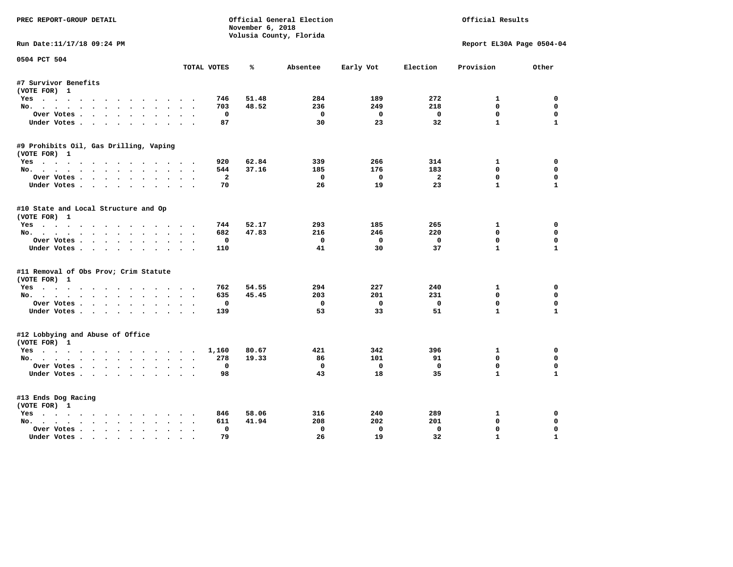| PREC REPORT-GROUP DETAIL               |                          | November 6, 2018 | Official General Election |                         |                | Official Results          |              |
|----------------------------------------|--------------------------|------------------|---------------------------|-------------------------|----------------|---------------------------|--------------|
|                                        |                          |                  | Volusia County, Florida   |                         |                |                           |              |
| Run Date:11/17/18 09:24 PM             |                          |                  |                           |                         |                | Report EL30A Page 0504-04 |              |
| 0504 PCT 504                           | TOTAL VOTES              | ℁                | Absentee                  | Early Vot               | Election       | Provision                 | Other        |
| #7 Survivor Benefits                   |                          |                  |                           |                         |                |                           |              |
| (VOTE FOR) 1                           |                          |                  |                           |                         |                |                           |              |
| Yes                                    | 746                      | 51.48            | 284                       | 189                     | 272            | $\mathbf{1}$              | 0            |
| No.                                    |                          | 703<br>48.52     | 236                       | 249                     | 218            | $\mathbf{0}$              | $\mathbf 0$  |
| Over Votes                             |                          | $\mathbf 0$      | $\mathbf 0$               | $\mathbf 0$             | $\mathbf{o}$   | $\mathbf{0}$              | $\mathbf 0$  |
| Under Votes                            |                          | 87               | 30                        | 23                      | 32             | $\mathbf{1}$              | $\mathbf{1}$ |
| #9 Prohibits Oil, Gas Drilling, Vaping |                          |                  |                           |                         |                |                           |              |
| (VOTE FOR) 1                           |                          |                  |                           |                         |                |                           |              |
| Yes                                    | 920                      | 62.84            | 339                       | 266                     | 314            | 1                         | 0            |
| No.                                    |                          | 544<br>37.16     | 185                       | 176                     | 183            | $\Omega$                  | $\mathbf 0$  |
| Over Votes                             |                          | $\overline{2}$   | $\Omega$                  | $^{\circ}$              | $\overline{a}$ | $\Omega$                  | $\mathbf 0$  |
| Under Votes                            |                          | 70               | 26                        | 19                      | 23             | $\mathbf{1}$              | $\mathbf{1}$ |
| #10 State and Local Structure and Op   |                          |                  |                           |                         |                |                           |              |
| (VOTE FOR) 1                           |                          |                  |                           |                         |                |                           |              |
| Yes                                    |                          | 52.17<br>744     | 293                       | 185                     | 265            | $\mathbf{1}$              | $\Omega$     |
| No.                                    |                          | 47.83<br>682     | 216                       | 246                     | 220            | $\mathbf 0$               | 0            |
| Over Votes                             |                          | 0                | $^{\circ}$                | $\overline{0}$          | $\mathbf 0$    | $\mathbf{0}$              | $\Omega$     |
| Under Votes                            | 110                      |                  | 41                        | 30                      | 37             | $\mathbf{1}$              | $\mathbf{1}$ |
| #11 Removal of Obs Prov; Crim Statute  |                          |                  |                           |                         |                |                           |              |
| (VOTE FOR) 1                           |                          |                  |                           |                         |                |                           |              |
| Yes                                    |                          | 762<br>54.55     | 294                       | 227                     | 240            | 1                         | 0            |
| No.                                    |                          | 45.45<br>635     | 203                       | 201                     | 231            | $\mathbf 0$               | 0            |
| Over Votes                             | $\overline{\phantom{a}}$ | 0                | $\mathbf 0$               | $\mathbf 0$             | $\mathbf 0$    | $\mathbf 0$               | $\mathbf 0$  |
| Under Votes                            | 139                      |                  | 53                        | 33                      | 51             | $\mathbf{1}$              | $\mathbf{1}$ |
| #12 Lobbying and Abuse of Office       |                          |                  |                           |                         |                |                           |              |
| (VOTE FOR) 1                           |                          |                  |                           |                         |                |                           |              |
| Yes                                    | 1,160                    | 80.67            | 421                       | 342                     | 396            | 1                         | 0            |
| No.                                    | 278                      | 19.33            | 86                        | 101                     | 91             | $\Omega$                  | 0            |
| Over Votes                             |                          | 0                | 0                         | $\overline{\mathbf{0}}$ | $\mathbf 0$    | $\mathbf{0}$              | $\mathbf 0$  |
| Under Votes                            |                          | 98               | 43                        | 18                      | 35             | $\mathbf{1}$              | $\mathbf{1}$ |
| #13 Ends Dog Racing                    |                          |                  |                           |                         |                |                           |              |
| (VOTE FOR) 1                           |                          |                  |                           |                         |                |                           |              |
| Yes                                    |                          | 58.06<br>846     | 316                       | 240                     | 289            | 1                         | 0            |
| No.                                    |                          | 41.94<br>611     | 208                       | 202                     | 201            | $\mathbf{0}$              | 0            |
| Over Votes .<br>$\cdots$               |                          | 0                | $\Omega$                  | $\Omega$                | $\Omega$       | 0                         | $\mathbf 0$  |
| Under Votes                            |                          | 79               | 26                        | 19                      | 32             | $\mathbf{1}$              | $\mathbf{1}$ |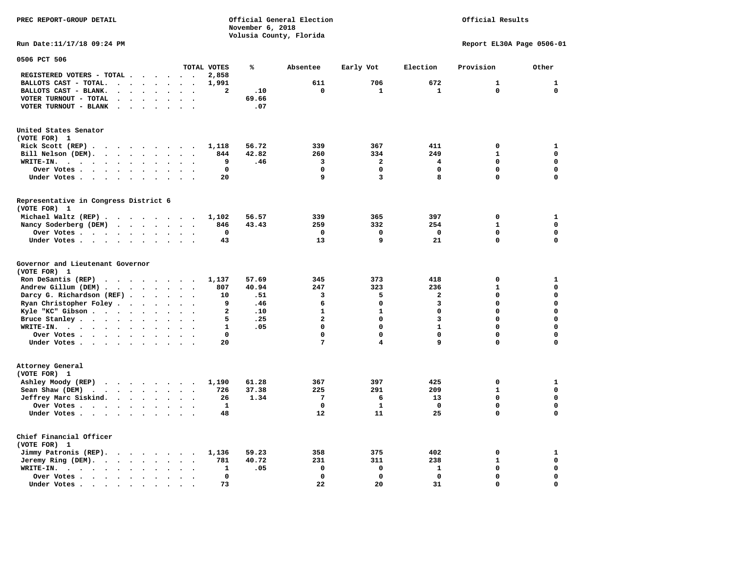**PREC REPORT-GROUP DETAIL COMPUTER CONSUMING A CONSUMING CONSUMING A LIGACION CONSUMING A LIGACION** *November 6, 2018 November 6, 2018*  **Volusia County, Florida** 

## Official Results

**Run Date:11/17/18 09:24 PM Report EL30A Page 0506-01** 

| 0506 PCT 506                                                                                               |                         |                                              |                         |       |                         |                |                         |              |              |
|------------------------------------------------------------------------------------------------------------|-------------------------|----------------------------------------------|-------------------------|-------|-------------------------|----------------|-------------------------|--------------|--------------|
|                                                                                                            |                         |                                              | TOTAL VOTES             | ℁     | Absentee                | Early Vot      | Election                | Provision    | Other        |
| REGISTERED VOTERS - TOTAL .                                                                                | $\cdot$ $\cdot$ $\cdot$ | $\sim$ $\sim$<br>$\ddot{\phantom{a}}$        | 2,858                   |       |                         |                |                         |              |              |
| BALLOTS CAST - TOTAL.<br>$\ddot{\phantom{a}}$<br>$\ddot{\phantom{a}}$<br>$\ddot{\phantom{a}}$              | $\cdot$                 |                                              | 1,991                   |       | 611                     | 706            | 672                     | $\mathbf{1}$ | $\mathbf{1}$ |
| BALLOTS CAST - BLANK.<br>$\ddot{\phantom{a}}$<br>$\sim$<br>$\ddot{\phantom{a}}$                            | $\ddot{\phantom{a}}$    | $\sim$<br>$\ddot{\phantom{a}}$               | $\overline{\mathbf{2}}$ | .10   | $\mathbf 0$             | $\mathbf{1}$   | $\mathbf{1}$            | $\mathbf 0$  | $\mathbf 0$  |
| VOTER TURNOUT - TOTAL                                                                                      |                         |                                              |                         | 69.66 |                         |                |                         |              |              |
| VOTER TURNOUT - BLANK<br>$\ddot{\phantom{a}}$<br>$\cdot$                                                   |                         |                                              |                         | .07   |                         |                |                         |              |              |
|                                                                                                            |                         |                                              |                         |       |                         |                |                         |              |              |
| United States Senator                                                                                      |                         |                                              |                         |       |                         |                |                         |              |              |
| (VOTE FOR) 1                                                                                               |                         |                                              |                         |       |                         |                |                         |              |              |
| Rick Scott (REP).<br>$\cdot$<br>$\ddot{\phantom{0}}$                                                       |                         | $\sim$<br>$\overline{\phantom{a}}$           | 1,118                   | 56.72 | 339                     | 367            | 411                     | 0            | 1            |
| Bill Nelson (DEM).<br>$\cdot$ $\cdot$<br>$\ddot{\phantom{a}}$<br>$\ddot{\phantom{a}}$                      | $\ddot{\phantom{a}}$    |                                              | 844                     | 42.82 | 260                     | 334            | 249                     | $\mathbf{1}$ | $\mathbf 0$  |
| WRITE-IN.<br>$\cdot$ .<br>$\sim$<br>$\ddot{\phantom{0}}$<br>$\ddot{\phantom{1}}$<br>$\bullet$<br>$\bullet$ | $\ddot{\phantom{a}}$    | $\ddot{\phantom{a}}$                         | 9                       | .46   | 3                       | $\overline{a}$ | 4                       | $\Omega$     | $\mathbf 0$  |
| Over Votes .<br>$\sim$ $\sim$<br>$\ddot{\phantom{1}}$<br>$\ddot{\phantom{a}}$<br>$\bullet$                 | $\bullet$               |                                              | $\mathbf 0$             |       | $\mathbf 0$             | 0              | $\mathbf 0$             | 0            | 0            |
| Under Votes<br>$\ddot{\phantom{a}}$                                                                        | $\bullet$<br>$\cdot$    | $\ddot{\phantom{a}}$<br>$\bullet$            | 20                      |       | 9                       | 3              | 8                       | $\Omega$     | $\mathbf 0$  |
|                                                                                                            |                         |                                              |                         |       |                         |                |                         |              |              |
| Representative in Congress District 6<br>(VOTE FOR) 1                                                      |                         |                                              |                         |       |                         |                |                         |              |              |
| Michael Waltz (REP)                                                                                        |                         |                                              | 1,102                   | 56.57 | 339                     | 365            | 397                     | $\mathbf 0$  | $\mathbf{1}$ |
|                                                                                                            |                         |                                              |                         |       |                         |                |                         | $\mathbf{1}$ | $\mathbf 0$  |
| Nancy Soderberg (DEM)                                                                                      |                         | $\sim$<br>$\ddot{\phantom{0}}$               | 846<br>$\mathbf 0$      | 43.43 | 259<br>$\mathbf 0$      | 332<br>0       | 254<br>$\mathbf 0$      | 0            | $\mathbf 0$  |
| Over Votes .<br>$\ddot{\phantom{a}}$                                                                       | $\bullet$               |                                              |                         |       |                         |                |                         | 0            |              |
| Under Votes<br>$\bullet$                                                                                   | $\bullet$               |                                              | 43                      |       | 13                      | 9              | 21                      |              | $\mathbf 0$  |
| Governor and Lieutenant Governor<br>(VOTE FOR) 1                                                           |                         |                                              |                         |       |                         |                |                         |              |              |
| Ron DeSantis (REP).<br>$\sim$ $\sim$ $\sim$<br>$\cdots$                                                    |                         | $\ddot{\phantom{1}}$                         | 1,137                   | 57.69 | 345                     | 373            | 418                     | 0            | 1            |
| Andrew Gillum (DEM)                                                                                        |                         | $\sim$                                       | 807                     | 40.94 | 247                     | 323            | 236                     | $\mathbf{1}$ | $\mathbf 0$  |
| Darcy G. Richardson (REF).<br>$\bullet$                                                                    | $\bullet$               | $\bullet$                                    | 10                      | .51   | 3                       | 5              | $\overline{\mathbf{2}}$ | 0            | $\mathbf 0$  |
| Ryan Christopher Foley.<br>$\ddot{\phantom{a}}$<br>$\bullet$                                               | $\ddot{\phantom{a}}$    |                                              | 9                       | .46   | 6                       | 0              | 3                       | 0            | $\mathbf 0$  |
| Kyle "KC" Gibson<br>$\ddot{\phantom{0}}$                                                                   | $\bullet$<br>$\bullet$  | $\bullet$                                    | $\mathbf{2}$            | .10   | $\mathbf{1}$            | $\mathbf{1}$   | $\mathbf 0$             | $\Omega$     | $\mathbf 0$  |
| Bruce Stanley<br>$\ddot{\phantom{a}}$<br>$\bullet$                                                         |                         |                                              | 5                       | .25   | $\overline{\mathbf{2}}$ | $\mathbf 0$    | 3                       | $\Omega$     | $\mathbf 0$  |
| WRITE-IN.<br>$\ddot{\phantom{a}}$<br>$\cdot$                                                               |                         |                                              | $\mathbf{1}$            | .05   | $\mathbf 0$             | 0              | $\mathbf{1}$            | 0            | $\mathbf 0$  |
| Over Votes .<br>$\cdots$ $\cdots$<br>$\ddot{\phantom{0}}$                                                  | $\bullet$<br>$\bullet$  | $\ddot{\phantom{a}}$<br>$\ddot{\phantom{0}}$ | 0                       |       | $\mathbf 0$             | 0              | $\mathbf 0$             | 0            | 0            |
| Under Votes                                                                                                | $\bullet$               | $\ddot{\phantom{0}}$                         | 20                      |       | 7                       | 4              | 9                       | 0            | 0            |
|                                                                                                            |                         |                                              |                         |       |                         |                |                         |              |              |
| Attorney General<br>(VOTE FOR) 1                                                                           |                         |                                              |                         |       |                         |                |                         |              |              |
| Ashley Moody (REP)                                                                                         |                         |                                              | 1,190                   | 61.28 | 367                     | 397            | 425                     | 0            | 1            |
| Sean Shaw (DEM)<br>$\cdot$ $\cdot$ $\cdot$ $\cdot$ $\cdot$                                                 | $\ddot{\phantom{a}}$    |                                              | 726                     | 37.38 | 225                     | 291            | 209                     | $\mathbf{1}$ | $\mathbf 0$  |
| Jeffrey Marc Siskind.                                                                                      | $\bullet$               | $\ddot{\phantom{a}}$<br>$\ddot{\phantom{a}}$ | 26                      | 1.34  | $7\phantom{.0}$         | 6              | 13                      | 0            | $\mathbf 0$  |
| Over Votes .<br>$\cdots$<br>$\bullet$                                                                      | $\bullet$               |                                              | $\mathbf{1}$            |       | $\mathbf 0$             | $\mathbf{1}$   | $\Omega$                | $\Omega$     | $\mathbf 0$  |
| Under Votes<br>$\bullet$                                                                                   |                         |                                              | 48                      |       | 12                      | 11             | 25                      | 0            | $\mathbf 0$  |
|                                                                                                            |                         |                                              |                         |       |                         |                |                         |              |              |
| Chief Financial Officer<br>(VOTE FOR) 1                                                                    |                         |                                              |                         |       |                         |                |                         |              |              |
| Jimmy Patronis (REP).<br>$\cdot$ $\cdot$ $\cdot$ $\cdot$ $\cdot$                                           |                         | $\cdot$<br>$\ddot{\phantom{a}}$              | 1,136                   | 59.23 | 358                     | 375            | 402                     | 0            | 1            |
| Jeremy Ring (DEM).<br>$\sim$ $\sim$<br>$\bullet$<br>$\ddot{\phantom{a}}$                                   |                         |                                              | 781                     | 40.72 | 231                     | 311            | 238                     | $\mathbf{1}$ | $\mathbf 0$  |
| WRITE-IN.<br>$\cdot$ $\cdot$ $\cdot$ $\cdot$ $\cdot$<br>$\bullet$<br>$\bullet$                             |                         | $\ddot{\phantom{a}}$                         | 1                       | .05   | $\mathbf 0$             | 0              | $\mathbf{1}$            | 0            | $\mathbf 0$  |
| Over Votes.<br>$\cdots$<br>$\bullet$                                                                       |                         |                                              | 0                       |       | $\mathbf 0$             | 0              | $\mathbf 0$             | 0            | 0            |
| Under Votes<br>$\sim$<br>$\ddot{\phantom{a}}$                                                              |                         |                                              | 73                      |       | 22                      | 20             | 31                      | 0            | $\mathbf 0$  |
|                                                                                                            |                         |                                              |                         |       |                         |                |                         |              |              |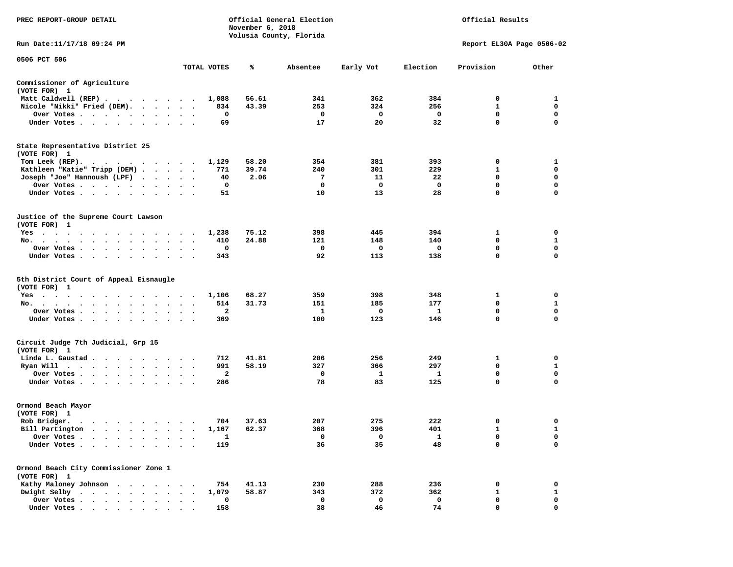| PREC REPORT-GROUP DETAIL                                                                                                                                                                                                                          |                                      | November 6, 2018 | Official General Election<br>Volusia County, Florida | Official Results<br>Report EL30A Page 0506-02 |          |              |              |
|---------------------------------------------------------------------------------------------------------------------------------------------------------------------------------------------------------------------------------------------------|--------------------------------------|------------------|------------------------------------------------------|-----------------------------------------------|----------|--------------|--------------|
| Run Date: 11/17/18 09:24 PM                                                                                                                                                                                                                       |                                      |                  |                                                      |                                               |          |              |              |
| 0506 PCT 506                                                                                                                                                                                                                                      | TOTAL VOTES                          | ℁                | Absentee                                             | Early Vot                                     | Election | Provision    | Other        |
| Commissioner of Agriculture                                                                                                                                                                                                                       |                                      |                  |                                                      |                                               |          |              |              |
| (VOTE FOR) 1                                                                                                                                                                                                                                      |                                      |                  |                                                      |                                               |          |              |              |
| Matt Caldwell (REP)                                                                                                                                                                                                                               | 1,088                                | 56.61            | 341                                                  | 362                                           | 384      | 0            | 1            |
| Nicole "Nikki" Fried (DEM).                                                                                                                                                                                                                       | 834                                  | 43.39            | 253                                                  | 324                                           | 256      | 1            | 0            |
| Over Votes                                                                                                                                                                                                                                        | 0<br>$\bullet$                       |                  | 0                                                    | 0                                             | 0        | $\mathbf 0$  | 0            |
| Under Votes                                                                                                                                                                                                                                       | 69                                   |                  | 17                                                   | 20                                            | 32       | 0            | $\mathbf 0$  |
| State Representative District 25                                                                                                                                                                                                                  |                                      |                  |                                                      |                                               |          |              |              |
| (VOTE FOR) 1                                                                                                                                                                                                                                      |                                      |                  |                                                      |                                               |          |              |              |
| Tom Leek $(REP)$ .                                                                                                                                                                                                                                | 1,129                                | 58.20            | 354                                                  | 381                                           | 393      | 0            | 1            |
| Kathleen "Katie" Tripp (DEM)                                                                                                                                                                                                                      | 771                                  | 39.74            | 240                                                  | 301                                           | 229      | 1            | 0            |
| Joseph "Joe" Hannoush (LPF)                                                                                                                                                                                                                       | 40                                   | 2.06             | 7                                                    | 11                                            | 22       | 0            | 0            |
| Over Votes                                                                                                                                                                                                                                        | 0<br>$\bullet$ .<br><br><br><br><br> |                  | 0                                                    | 0                                             | 0        | 0            | 0            |
| Under Votes                                                                                                                                                                                                                                       | 51                                   |                  | 10                                                   | 13                                            | 28       | 0            | $\mathbf 0$  |
| Justice of the Supreme Court Lawson                                                                                                                                                                                                               |                                      |                  |                                                      |                                               |          |              |              |
| (VOTE FOR) 1                                                                                                                                                                                                                                      |                                      |                  |                                                      |                                               |          |              |              |
| $Yes \cdot \cdot \cdot \cdot$<br>.                                                                                                                                                                                                                | 1,238                                | 75.12            | 398                                                  | 445                                           | 394      | 1            | 0            |
| No.                                                                                                                                                                                                                                               | 410                                  | 24.88            | 121                                                  | 148                                           | 140      | 0            | $\mathbf{1}$ |
| Over Votes<br>$\bullet$<br>$\bullet$                                                                                                                                                                                                              | 0                                    |                  | 0                                                    | 0                                             | 0        | 0            | $\mathbf 0$  |
| Under Votes<br>$\sim$ $\sim$                                                                                                                                                                                                                      | 343                                  |                  | 92                                                   | 113                                           | 138      | 0            | 0            |
| 5th District Court of Appeal Eisnaugle                                                                                                                                                                                                            |                                      |                  |                                                      |                                               |          |              |              |
| (VOTE FOR) 1                                                                                                                                                                                                                                      |                                      |                  |                                                      |                                               |          |              |              |
| Yes                                                                                                                                                                                                                                               | 1,106                                | 68.27            | 359                                                  | 398                                           | 348      | 1            | 0            |
| No.                                                                                                                                                                                                                                               | 514<br>$\bullet$<br>$\cdot$          | 31.73            | 151                                                  | 185                                           | 177      | 0            | $\mathbf{1}$ |
| Over Votes<br>$\cdot$                                                                                                                                                                                                                             | 2                                    |                  | 1                                                    | 0                                             | 1        | 0            | 0            |
| Under Votes                                                                                                                                                                                                                                       | 369                                  |                  | 100                                                  | 123                                           | 146      | 0            | $\mathbf 0$  |
| Circuit Judge 7th Judicial, Grp 15                                                                                                                                                                                                                |                                      |                  |                                                      |                                               |          |              |              |
| (VOTE FOR) 1                                                                                                                                                                                                                                      |                                      |                  |                                                      |                                               |          |              |              |
| Linda L. Gaustad                                                                                                                                                                                                                                  | 712                                  | 41.81            | 206                                                  | 256                                           | 249      | 1            | 0            |
| Ryan Will<br>$\cdots$                                                                                                                                                                                                                             | 991                                  | 58.19            | 327                                                  | 366                                           | 297      | 0            | $\mathbf{1}$ |
| Over Votes.                                                                                                                                                                                                                                       | $\mathbf{2}$                         |                  | 0                                                    | 1                                             | 1        | 0            | 0            |
| Under Votes                                                                                                                                                                                                                                       | 286                                  |                  | 78                                                   | 83                                            | 125      | 0            | $\mathbf 0$  |
| Ormond Beach Mayor                                                                                                                                                                                                                                |                                      |                  |                                                      |                                               |          |              |              |
| (VOTE FOR) 1                                                                                                                                                                                                                                      |                                      |                  |                                                      |                                               |          |              |              |
| Rob Bridger.<br>$\mathbf{a}$ . The contribution of the contribution of the contribution of the contribution of the contribution of the contribution of the contribution of the contribution of the contribution of the contribution of the contri | 704                                  | 37.63            | 207                                                  | 275                                           | 222      | 0            | 0            |
| Bill Partington                                                                                                                                                                                                                                   | 1,167                                | 62.37            | 368                                                  | 396                                           | 401      | 1            | $\mathbf{1}$ |
| Over Votes                                                                                                                                                                                                                                        | 1                                    |                  | 0                                                    | 0                                             | 1        | 0            | 0            |
| Under Votes.                                                                                                                                                                                                                                      | 119                                  |                  | 36                                                   | 35                                            | 48       | 0            | $\mathbf 0$  |
| Ormond Beach City Commissioner Zone 1                                                                                                                                                                                                             |                                      |                  |                                                      |                                               |          |              |              |
| (VOTE FOR) 1                                                                                                                                                                                                                                      |                                      |                  |                                                      |                                               |          |              |              |
| Kathy Maloney Johnson<br>$\sim$                                                                                                                                                                                                                   | 754                                  | 41.13            | 230                                                  | 288                                           | 236      | 0            | 0            |
| Dwight Selby<br>$\cdots$<br>$\ddot{\phantom{a}}$                                                                                                                                                                                                  | 1,079                                | 58.87            | 343                                                  | 372                                           | 362      | $\mathbf{1}$ | $\mathbf 1$  |
| Over Votes .<br>$\mathbf{r} = \mathbf{r} + \mathbf{r} + \mathbf{r} + \mathbf{r}$                                                                                                                                                                  | 0                                    |                  | 0                                                    | 0                                             | 0        | 0            | 0            |
| Under Votes                                                                                                                                                                                                                                       | 158                                  |                  | 38                                                   | 46                                            | 74       | 0            | $\mathbf{0}$ |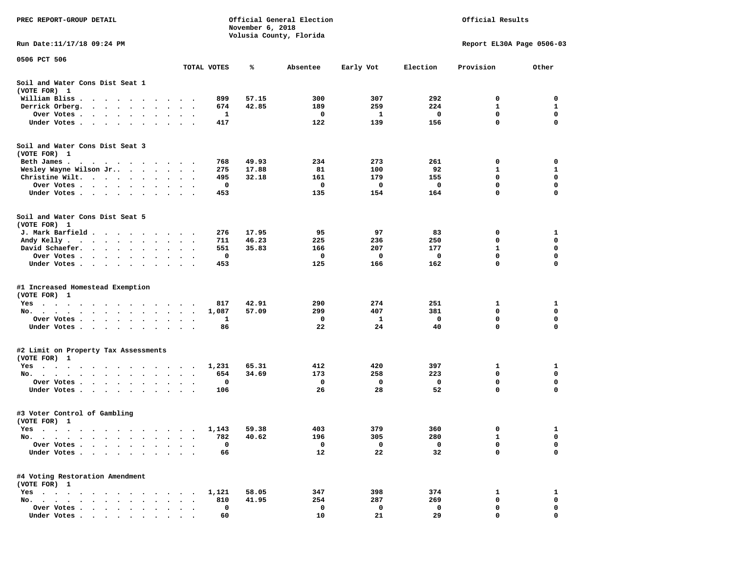| PREC REPORT-GROUP DETAIL                                                                                                                                      |                                              |                                 | November 6, 2018 | Official General Election<br>Volusia County, Florida | Official Results<br>Report EL30A Page 0506-03 |          |           |             |
|---------------------------------------------------------------------------------------------------------------------------------------------------------------|----------------------------------------------|---------------------------------|------------------|------------------------------------------------------|-----------------------------------------------|----------|-----------|-------------|
| Run Date:11/17/18 09:24 PM                                                                                                                                    |                                              |                                 |                  |                                                      |                                               |          |           |             |
| 0506 PCT 506                                                                                                                                                  |                                              | TOTAL VOTES                     | ℁                | Absentee                                             | Early Vot                                     | Election | Provision | Other       |
| Soil and Water Cons Dist Seat 1<br>(VOTE FOR) 1                                                                                                               |                                              |                                 |                  |                                                      |                                               |          |           |             |
| William Bliss.<br>$\bullet$<br>$\sim$<br>$\cdots$                                                                                                             |                                              | 899                             | 57.15            | 300                                                  | 307                                           | 292      | 0         | 0           |
| Derrick Orberg.<br>$\sim 100$ km s $^{-1}$<br>$\sim$ $\sim$<br>$\ddot{\phantom{1}}$<br>$\ddot{\phantom{a}}$                                                   |                                              | 674                             | 42.85            | 189                                                  | 259                                           | 224      | 1         | 1           |
| Over Votes .<br>$\cdot$ $\cdot$ $\cdot$ $\cdot$ $\cdot$<br>$\bullet$                                                                                          | $\bullet$                                    | 1                               |                  | 0                                                    | 1                                             | 0        | 0         | $\mathbf 0$ |
| Under Votes<br>$\ddot{\phantom{1}}$<br>$\ddot{\phantom{1}}$<br>$\ddot{\phantom{1}}$                                                                           |                                              | 417                             |                  | 122                                                  | 139                                           | 156      | 0         | 0           |
| Soil and Water Cons Dist Seat 3<br>(VOTE FOR) 1                                                                                                               |                                              |                                 |                  |                                                      |                                               |          |           |             |
| Beth James.                                                                                                                                                   | $\ddot{\phantom{1}}$                         | 768                             | 49.93            | 234                                                  | 273                                           | 261      | 0         | 0           |
| Wesley Wayne Wilson Jr                                                                                                                                        | $\sim$                                       | 275<br>$\overline{\phantom{a}}$ | 17.88            | 81                                                   | 100                                           | 92       | 1         | 1           |
| Christine Wilt.<br>$\ddot{\phantom{1}}$<br>$\cdot$                                                                                                            |                                              | 495<br>0                        | 32.18            | 161<br>0                                             | 179                                           | 155<br>0 | 0<br>0    | 0<br>0      |
| Over Votes<br>$\bullet$<br>$\bullet$<br>Under Votes                                                                                                           |                                              | 453                             |                  | 135                                                  | 0<br>154                                      | 164      | 0         | 0           |
|                                                                                                                                                               |                                              |                                 |                  |                                                      |                                               |          |           |             |
| Soil and Water Cons Dist Seat 5<br>(VOTE FOR) 1                                                                                                               |                                              |                                 |                  |                                                      |                                               |          |           |             |
| J. Mark Barfield .                                                                                                                                            |                                              | 276                             | 17.95            | 95                                                   | 97                                            | 83       | 0         | 1           |
| Andy Kelly<br>$\cdots$                                                                                                                                        |                                              | 711                             | 46.23            | 225                                                  | 236                                           | 250      | 0         | 0           |
| David Schaefer.<br>$\sim$ $\sim$ $\sim$ $\sim$<br>$\bullet$ . $\bullet$<br>$\bullet$                                                                          | $\bullet$                                    | 551                             | 35.83            | 166                                                  | 207                                           | 177      | 1         | 0           |
| Over Votes.<br>$\sim$ $\sim$<br>$\sim 100$ km s $^{-1}$<br>$\sim$ $\sim$                                                                                      |                                              | 0                               |                  | 0                                                    | 0                                             | 0        | 0         | 0           |
| Under Votes<br>$\ddot{\phantom{0}}$<br>$\bullet$                                                                                                              | $\bullet$<br>$\ddot{\phantom{a}}$            | 453<br>$\cdot$                  |                  | 125                                                  | 166                                           | 162      | 0         | 0           |
| #1 Increased Homestead Exemption<br>(VOTE FOR) 1                                                                                                              |                                              |                                 |                  |                                                      |                                               |          |           |             |
| Yes                                                                                                                                                           |                                              | 817                             | 42.91            | 290                                                  | 274                                           | 251      | 1         | 1           |
| No.<br>$\sim$ $\sim$<br>$\ddot{\phantom{0}}$<br>$\sim$                                                                                                        | $\bullet$                                    | 1,087                           | 57.09            | 299                                                  | 407                                           | 381      | 0         | 0           |
| Over Votes .<br>$\sim$ $\sim$<br>$\sim$<br>$\bullet$<br>$\bullet$<br>$\bullet$                                                                                | $\bullet$<br>$\bullet$                       | 1<br>$\bullet$                  |                  | 0                                                    | 1                                             | 0        | 0         | $\mathbf 0$ |
| Under Votes<br>$\ddot{\phantom{1}}$                                                                                                                           | $\ddot{\phantom{a}}$<br>$\ddot{\phantom{1}}$ | 86                              |                  | 22                                                   | 24                                            | 40       | 0         | $\mathbf 0$ |
| #2 Limit on Property Tax Assessments                                                                                                                          |                                              |                                 |                  |                                                      |                                               |          |           |             |
| (VOTE FOR) 1                                                                                                                                                  |                                              |                                 |                  |                                                      |                                               |          |           |             |
| $Yes \cdot \cdot \cdot$<br>$\blacksquare$<br>. As in the contract of the contract $\alpha$<br>$\ddot{\phantom{1}}$<br>$\bullet$                               |                                              | 1,231<br>$\blacksquare$ .       | 65.31            | 412                                                  | 420                                           | 397      | 1         | 1           |
| No.<br>$\ddot{\phantom{0}}$<br>$\cdot$                                                                                                                        |                                              | 654                             | 34.69            | 173                                                  | 258                                           | 223      | 0         | 0           |
| Over Votes .<br>$\ddot{\phantom{1}}$<br>$\sim$<br>$\ddot{\phantom{1}}$<br>$\blacksquare$<br>$\cdot$<br>Under Votes<br>$\sim$ $\sim$<br>$\bullet$<br>$\bullet$ |                                              | 0<br>106                        |                  | 0<br>26                                              | 0<br>28                                       | 0<br>52  | 0<br>0    | 0<br>0      |
|                                                                                                                                                               |                                              |                                 |                  |                                                      |                                               |          |           |             |
| #3 Voter Control of Gambling<br>(VOTE FOR) 1                                                                                                                  |                                              |                                 |                  |                                                      |                                               |          |           |             |
| Yes<br>$\sim$ $\sim$<br>$\cdots$<br>$\sim$<br>$\cdots$                                                                                                        |                                              | 1,143                           | 59.38            | 403                                                  | 379                                           | 360      | 0         | 1           |
| No.<br>$\blacksquare$                                                                                                                                         |                                              | 782                             | 40.62            | 196                                                  | 305                                           | 280      | 1         | 0           |
| Over Votes<br>$\bullet$                                                                                                                                       |                                              | 0                               |                  | 0                                                    | 0                                             | 0        | 0         | 0           |
| Under Votes.<br>$\sim$<br>$\bullet$<br>$\ddot{\phantom{0}}$<br>$\bullet$<br>$\bullet$                                                                         |                                              | 66                              |                  | 12                                                   | 22                                            | 32       | 0         | 0           |
| #4 Voting Restoration Amendment<br>(VOTE FOR) 1                                                                                                               |                                              |                                 |                  |                                                      |                                               |          |           |             |
| $Yes \t . \t .$<br>$\bullet$ .<br><br><br><br><br><br>$\ddot{\phantom{a}}$<br>$\cdot$                                                                         |                                              | 1,121                           | 58.05            | 347                                                  | 398                                           | 374      | 1         | 1           |
| No.<br>$\sim$                                                                                                                                                 |                                              | 810                             | 41.95            | 254                                                  | 287                                           | 269      | 0         | 0           |
| Over Votes<br>$\ddot{\phantom{a}}$                                                                                                                            |                                              | 0                               |                  | 0                                                    | 0                                             | 0        | 0         | 0           |
| Under Votes                                                                                                                                                   |                                              | 60                              |                  | 10                                                   | 21                                            | 29       | $\Omega$  | O           |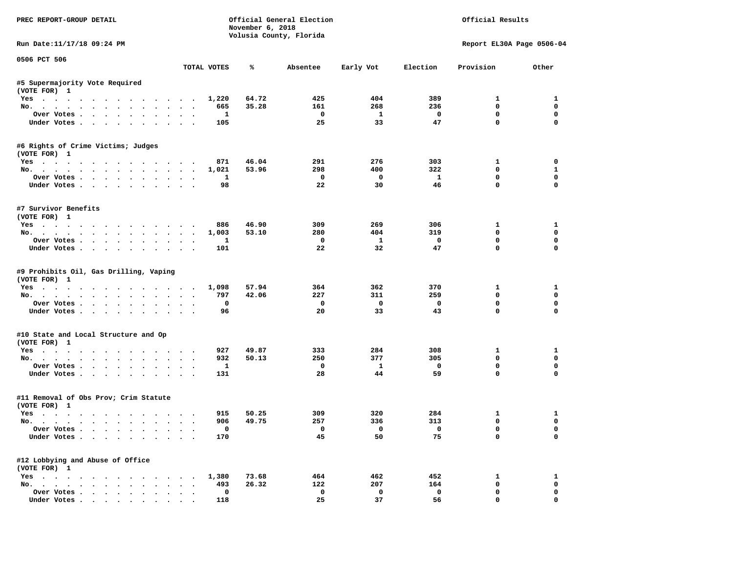| PREC REPORT-GROUP DETAIL                                      |                      |                    | November 6, 2018 | Official General Election<br>Volusia County, Florida | Official Results        |                         |                            |                         |
|---------------------------------------------------------------|----------------------|--------------------|------------------|------------------------------------------------------|-------------------------|-------------------------|----------------------------|-------------------------|
| Run Date:11/17/18 09:24 PM                                    |                      |                    |                  |                                                      |                         |                         | Report EL30A Page 0506-04  |                         |
| 0506 PCT 506                                                  |                      | TOTAL VOTES        | ℁                | Absentee                                             | Early Vot               | Election                | Provision                  | Other                   |
| #5 Supermajority Vote Required                                |                      |                    |                  |                                                      |                         |                         |                            |                         |
| (VOTE FOR) 1                                                  |                      |                    |                  |                                                      |                         |                         |                            |                         |
| Yes                                                           |                      | 1,220              | 64.72            | 425                                                  | 404                     | 389                     | $\mathbf{1}$               | 1                       |
| No.                                                           |                      | 665                | 35.28            | 161                                                  | 268                     | 236                     | 0                          | $\mathbf 0$             |
| Over Votes                                                    |                      | $\mathbf{1}$       |                  | $\overline{\phantom{0}}$                             | $\mathbf{1}$            | $\overline{\mathbf{0}}$ | 0                          | $\mathbf 0$             |
| Under Votes                                                   |                      | 105                |                  | 25                                                   | 33                      | 47                      | $\mathbf{0}$               | $\mathbf 0$             |
| #6 Rights of Crime Victims; Judges<br>(VOTE FOR) 1            |                      |                    |                  |                                                      |                         |                         |                            |                         |
| Yes                                                           |                      | 871                | 46.04            | 291                                                  | 276                     | 303                     | $\mathbf{1}$               | 0                       |
| No.                                                           |                      | 1,021              | 53.96            | 298                                                  | 400                     | 322                     | $^{\circ}$                 | 1                       |
| Over Votes                                                    |                      | $\mathbf{1}$       |                  | $\overline{\phantom{a}}$                             | $\overline{\mathbf{0}}$ | $\mathbf{1}$            | $\mathbf 0$                | $\mathbf 0$             |
| Under Votes                                                   | $\sim$ $\sim$        | 98                 |                  | 22                                                   | 30                      | 46                      | $\mathbf 0$                | 0                       |
| #7 Survivor Benefits<br>(VOTE FOR) 1                          |                      |                    |                  |                                                      |                         |                         |                            |                         |
| Yes                                                           |                      | 886                | 46.90            | 309                                                  | 269                     | 306                     | $\mathbf{1}$               | 1                       |
| No.                                                           |                      | 1,003              | 53.10            | 280                                                  | 404                     | 319                     | $\mathbf 0$                | $\mathbf 0$             |
| Over Votes                                                    | $\ddot{\phantom{0}}$ | 1                  |                  | $\mathbf{o}$                                         | $\mathbf{1}$            | $\mathbf{o}$            | $\mathbf 0$                | $\mathbf 0$             |
| Under Votes                                                   |                      | 101                |                  | 22                                                   | 32                      | 47                      | $\Omega$                   | $\Omega$                |
| #9 Prohibits Oil, Gas Drilling, Vaping<br>(VOTE FOR) 1<br>Yes |                      | 1,098              | 57.94            | 364                                                  | 362                     | 370                     | $\mathbf{1}$               | 1                       |
| No.                                                           |                      | 797                | 42.06            | 227                                                  | 311                     | 259                     | $\mathbf 0$                | $\mathbf 0$             |
| Over Votes                                                    |                      | 0                  |                  | $\mathbf{o}$                                         | $\overline{\mathbf{0}}$ | $\mathbf{o}$            | $\mathbf 0$                | $\mathbf 0$             |
| Under Votes                                                   |                      | 96                 |                  | 20                                                   | 33                      | 43                      | $\mathbf 0$                | $\Omega$                |
| #10 State and Local Structure and Op<br>(VOTE FOR) 1          |                      |                    |                  |                                                      |                         |                         |                            |                         |
| Yes                                                           |                      | 927                | 49.87            | 333                                                  | 284                     | 308                     | 1                          | 1                       |
| No.                                                           |                      | 932                | 50.13            | 250                                                  | 377                     | 305                     | $\Omega$                   | $\mathbf 0$             |
| Over Votes                                                    |                      | <b>1</b>           |                  | $\mathbf{o}$                                         | $\mathbf{1}$            | $\mathbf 0$             | 0                          | 0                       |
| Under Votes                                                   |                      | 131                |                  | 28                                                   | 44                      | 59                      | $\mathbf{0}$               | 0                       |
| #11 Removal of Obs Prov; Crim Statute<br>(VOTE FOR) 1         |                      |                    |                  |                                                      |                         |                         |                            |                         |
| Yes                                                           |                      | 915                | 50.25            | 309                                                  | 320                     | 284                     | $\mathbf{1}$               | 1                       |
| No.                                                           |                      | 906                | 49.75            | 257                                                  | 336                     | 313                     | $\mathbf 0$                | $\mathbf 0$             |
| Over Votes<br>Under Votes                                     |                      | $\mathbf 0$<br>170 |                  | $\Omega$<br>45                                       | $\overline{a}$<br>50    | $\overline{0}$<br>75    | $\mathbf 0$<br>$\mathbf 0$ | $\mathbf 0$<br>$\Omega$ |
|                                                               |                      |                    |                  |                                                      |                         |                         |                            |                         |
| #12 Lobbying and Abuse of Office<br>(VOTE FOR) 1              |                      |                    |                  |                                                      |                         |                         |                            |                         |
| Yes                                                           |                      | 1,380              | 73.68            | 464                                                  | 462                     | 452                     | $\mathbf{1}$               | 1                       |
| No.                                                           |                      | 493                | 26.32            | 122                                                  | 207                     | 164                     | $\mathbf 0$                | $\mathbf 0$             |
| Over Votes                                                    | $\ddot{\phantom{0}}$ | 0                  |                  | $\mathbf 0$                                          | $\mathbf 0$             | $\mathbf 0$<br>56       | $\mathbf 0$<br>$\mathbf 0$ | $\mathbf 0$<br>0        |
| Under Votes                                                   |                      | 118                |                  | 25                                                   | 37                      |                         |                            |                         |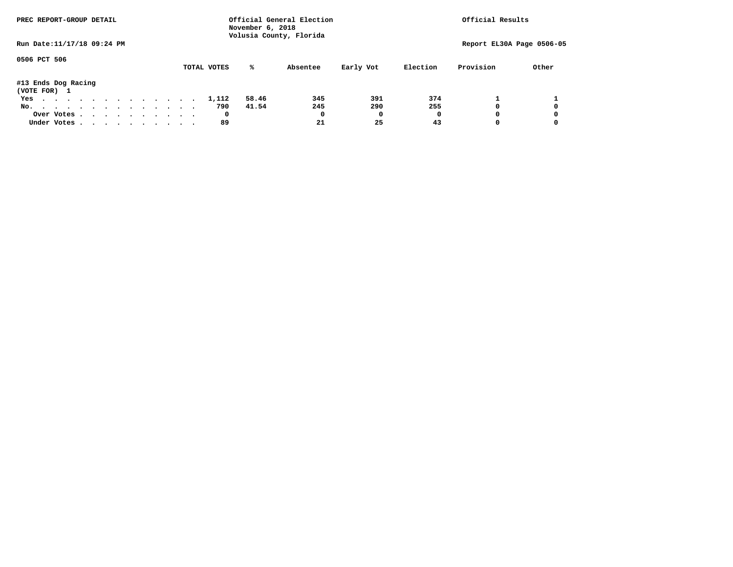| PREC REPORT-GROUP DETAIL            |  |  |  |  | November 6, 2018 | Official General Election<br>Volusia County, Florida | Official Results |          |           |          |                           |       |
|-------------------------------------|--|--|--|--|------------------|------------------------------------------------------|------------------|----------|-----------|----------|---------------------------|-------|
| Run Date: 11/17/18 09:24 PM         |  |  |  |  |                  |                                                      |                  |          |           |          | Report EL30A Page 0506-05 |       |
| 0506 PCT 506                        |  |  |  |  |                  | TOTAL VOTES                                          | %ะ               | Absentee | Early Vot | Election | Provision                 | Other |
| #13 Ends Dog Racing<br>(VOTE FOR) 1 |  |  |  |  |                  |                                                      |                  |          |           |          |                           |       |
| Yes                                 |  |  |  |  |                  | 1,112                                                | 58.46            | 345      | 391       | 374      |                           |       |
| No.                                 |  |  |  |  |                  | 790                                                  | 41.54            | 245      | 290       | 255      |                           | 0     |
| Over Votes                          |  |  |  |  |                  | 0                                                    |                  | 0        | 0         | O        |                           | 0     |
| Under Votes, , , , , , , , , , ,    |  |  |  |  |                  | 89                                                   |                  | 21       | 25        | 43       |                           | 0     |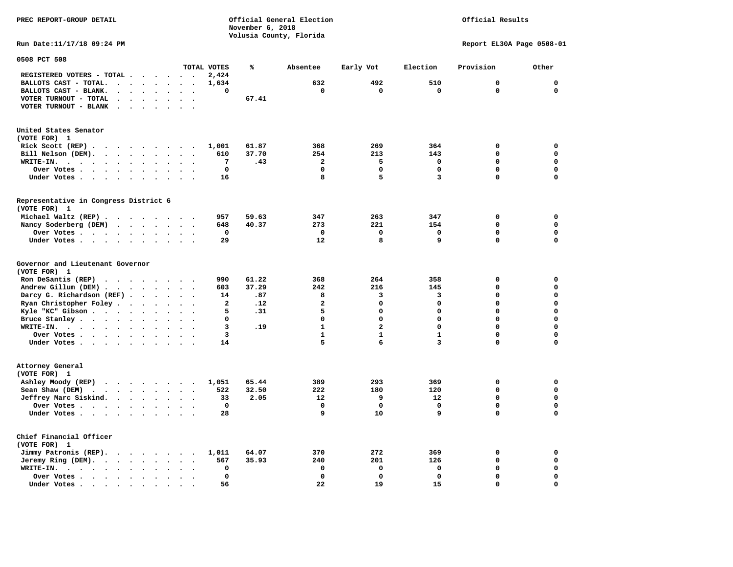**PREC REPORT-GROUP DETAIL COMPUTER CONSUMING A CONSUMING CONSUMING A LIGACION CONSUMING A LIGACION** *November 6, 2018 November 6, 2018*  **Volusia County, Florida Run Date:11/17/18 09:24 PM Report EL30A Page 0508-01** 

| 0508 PCT 508                                                                                                                                                                      |                                         |                      |                             |                         |                                   |        |                |                |                         |                         |              |                  |                  |
|-----------------------------------------------------------------------------------------------------------------------------------------------------------------------------------|-----------------------------------------|----------------------|-----------------------------|-------------------------|-----------------------------------|--------|----------------|----------------|-------------------------|-------------------------|--------------|------------------|------------------|
|                                                                                                                                                                                   |                                         |                      |                             |                         |                                   |        | TOTAL VOTES    | ℁              | Absentee                | Early Vot               | Election     | Provision        | Other            |
| REGISTERED VOTERS - TOTAL .                                                                                                                                                       |                                         |                      |                             |                         | $\ddot{\phantom{a}}$              |        | 2,424          |                |                         |                         |              |                  |                  |
| BALLOTS CAST - TOTAL.                                                                                                                                                             | $\cdot$                                 | $\bullet$            | $\ddot{\phantom{a}}$        | $\bullet$               | $\bullet$                         | $\sim$ | 1,634          |                | 632                     | 492                     | 510          | 0                | $\mathbf 0$      |
| BALLOTS CAST - BLANK.<br>$\ddot{\phantom{a}}$                                                                                                                                     |                                         |                      |                             |                         |                                   |        | 0              |                | $\mathbf 0$             | $\mathbf 0$             | $\mathbf 0$  | $\mathbf 0$      | $\mathbf 0$      |
| VOTER TURNOUT - TOTAL<br>$\ddot{\phantom{a}}$                                                                                                                                     | $\Delta$                                | $\bullet$            | $\ddot{\phantom{a}}$        | $\ddot{\phantom{a}}$    | $\ddot{\phantom{a}}$              |        |                | 67.41          |                         |                         |              |                  |                  |
| VOTER TURNOUT - BLANK<br>$\ddot{\phantom{a}}$                                                                                                                                     |                                         |                      |                             |                         |                                   |        |                |                |                         |                         |              |                  |                  |
| United States Senator<br>(VOTE FOR) 1                                                                                                                                             |                                         |                      |                             |                         |                                   |        |                |                |                         |                         |              |                  |                  |
| Rick Scott $(REP)$                                                                                                                                                                |                                         |                      |                             |                         |                                   |        | 1,001          | 61.87          | 368                     | 269                     | 364          | 0                | $\mathbf 0$      |
| Bill Nelson (DEM).<br>$\cdot$ $\cdot$ $\cdot$ $\cdot$ $\cdot$ $\cdot$                                                                                                             |                                         |                      |                             |                         | $\sim$                            |        | 610            | 37.70          | 254                     | 213                     | 143          | 0                | $\mathbf 0$      |
| WRITE-IN.<br>$\ddotsc$ $\ddotsc$<br>$\bullet$<br>$\ddot{\phantom{0}}$<br>$\ddot{\phantom{a}}$                                                                                     | $\ddot{\phantom{0}}$                    | $\bullet$            | $\bullet$                   |                         |                                   |        | 7              | .43            | $\overline{\mathbf{2}}$ | 5                       | $\mathbf 0$  | $\mathbf 0$      | $\mathbf 0$      |
| Over Votes .<br>$\ddot{\phantom{1}}$<br>$\sim$ $\sim$                                                                                                                             | $\bullet$                               | $\bullet$            | $\bullet$                   | $\bullet$               | $\ddot{\phantom{a}}$              |        | $\mathbf 0$    |                | 0                       | $\mathbf 0$             | 0            | 0                | $\mathbf 0$      |
| Under Votes.<br>$\ddot{\phantom{0}}$<br>$\sim$<br>$\ddot{\phantom{a}}$                                                                                                            | $\ddot{\phantom{1}}$                    | $\cdot$              | $\cdot$                     |                         |                                   |        | 16             |                | 8                       | 5                       | 3            | 0                | $\mathbf 0$      |
| Representative in Congress District 6                                                                                                                                             |                                         |                      |                             |                         |                                   |        |                |                |                         |                         |              |                  |                  |
| (VOTE FOR) 1                                                                                                                                                                      |                                         |                      |                             |                         |                                   |        |                |                |                         |                         |              |                  |                  |
| Michael Waltz (REP).                                                                                                                                                              | $\cdot$ $\cdot$ $\cdot$                 |                      | $\sim$ $\sim$               |                         | <b>Contract Contract Contract</b> |        | 957            | 59.63          | 347                     | 263                     | 347          | 0                | $\mathbf 0$      |
| Nancy Soderberg (DEM)                                                                                                                                                             | $\cdot \cdot \cdot$                     |                      |                             | $\cdot$ $\cdot$ $\cdot$ |                                   |        | 648            | 40.37          | 273                     | 221                     | 154          | $\mathbf 0$      | $\mathbf 0$      |
| Over Votes.<br>$\sim$ $\sim$ $\sim$ $\sim$                                                                                                                                        |                                         | $\bullet$            | $\bullet$                   | $\bullet$               | $\bullet$                         |        | 0              |                | $\mathbf 0$             | $\mathbf 0$             | $\mathbf 0$  | $\mathbf 0$      | $\mathbf 0$      |
| Under Votes                                                                                                                                                                       |                                         |                      | $\ddot{\phantom{a}}$        | $\sim$                  | $\bullet$                         |        | 29             |                | 12                      | 8                       | 9            | $\mathbf 0$      | $\mathbf 0$      |
| Governor and Lieutenant Governor<br>(VOTE FOR) 1<br>Ron DeSantis (REP)<br>$\cdot$ $\cdot$ $\cdot$ $\cdot$ $\cdot$ $\cdot$ $\cdot$ $\cdot$<br>Andrew Gillum (DEM).<br>$\mathbf{r}$ | $\ddot{\phantom{a}}$                    | $\ddot{\phantom{1}}$ | $\ddot{\phantom{a}}$        | $\ddot{\phantom{a}}$    |                                   |        | 990<br>603     | 61.22<br>37.29 | 368<br>242              | 264<br>216              | 358<br>145   | $\mathbf 0$<br>0 | 0<br>$\mathbf 0$ |
| Darcy G. Richardson (REF).                                                                                                                                                        |                                         |                      | $\sim$ $\sim$ $\sim$ $\sim$ |                         | $\sim$                            |        | 14             | .87            | 8                       | 3                       | 3            | $\mathbf 0$      | $\mathbf 0$      |
| Ryan Christopher Foley.                                                                                                                                                           | $\sim$                                  | $\ddot{\phantom{a}}$ | $\ddot{\phantom{a}}$        | $\ddot{\phantom{a}}$    | $\ddot{\phantom{a}}$              |        | $\overline{a}$ | .12            | $\overline{\mathbf{2}}$ | $\mathbf 0$             | 0            | $\Omega$         | $\mathbf 0$      |
| Kyle "KC" Gibson                                                                                                                                                                  | $\sim$                                  | $\bullet$            | $\ddot{\phantom{0}}$        |                         |                                   |        | 5              | .31            | 5                       | $\mathbf 0$             | 0            | 0                | $\mathbf 0$      |
| Bruce Stanley.                                                                                                                                                                    |                                         | $\bullet$            | $\bullet$                   | $\bullet$               | $\bullet$                         |        | 0              |                | 0                       | $\mathbf 0$             | 0            | 0                | $\mathbf 0$      |
| WRITE-IN.<br>$\ddot{\phantom{a}}$<br>$\sim$ $\sim$                                                                                                                                |                                         | $\bullet$            |                             |                         | $\ddot{\phantom{a}}$              |        | 3              | .19            | $\mathbf{1}$            | $\overline{\mathbf{2}}$ | 0            | $\Omega$         | $\mathbf 0$      |
| Over Votes .<br>$\cdot$ $\cdot$ $\cdot$ $\cdot$ $\cdot$                                                                                                                           |                                         |                      | $\cdot$                     | $\cdot$                 | $\ddot{\phantom{a}}$              |        | 3              |                | $\mathbf{1}$            | ${\bf 1}$               | $\mathbf{1}$ | 0                | 0                |
| Under Votes                                                                                                                                                                       |                                         |                      | $\ddot{\phantom{0}}$        | $\bullet$               | $\sim$                            |        | 14             |                | 5                       | 6                       | 3            | 0                | $\mathbf 0$      |
| Attorney General<br>(VOTE FOR) 1                                                                                                                                                  |                                         |                      |                             |                         |                                   |        |                |                |                         |                         |              |                  |                  |
| Ashley Moody (REP)<br>$\cdot$ $\cdot$ $\cdot$ $\cdot$ $\cdot$ $\cdot$                                                                                                             |                                         |                      |                             |                         | $\ddot{\phantom{1}}$              |        | 1,051          | 65.44          | 389                     | 293                     | 369          | 0                | 0                |
| Sean Shaw (DEM)<br>$\ddot{\phantom{0}}$                                                                                                                                           | $\sim$ $\sim$ $\sim$                    |                      | $\sim$                      | $\ddot{\phantom{a}}$    | $\sim$                            |        | 522            | 32.50          | 222                     | 180                     | 120          | 0                | $\mathbf 0$      |
| Jeffrey Marc Siskind.                                                                                                                                                             | $\cdot$ $\cdot$ $\cdot$                 |                      | $\cdot$                     |                         |                                   |        | 33             | 2.05           | 12                      | 9                       | 12           | $\mathbf 0$      | $\mathbf 0$      |
| Over Votes.<br>$\mathbf{r}$ , and $\mathbf{r}$ , and $\mathbf{r}$                                                                                                                 |                                         |                      | $\bullet$                   | $\bullet$               | $\bullet$                         |        | $\mathbf 0$    |                | $\mathbf 0$             | $\mathbf 0$             | $\mathbf 0$  | 0                | $\mathbf 0$      |
| Under Votes                                                                                                                                                                       |                                         |                      | $\ddot{\phantom{a}}$        | $\ddot{\phantom{a}}$    | $\ddot{\phantom{a}}$              |        | 28             |                | 9                       | 10                      | 9            | $\mathbf 0$      | $\mathbf 0$      |
| Chief Financial Officer<br>(VOTE FOR) 1                                                                                                                                           |                                         |                      |                             |                         |                                   |        |                |                |                         |                         |              |                  |                  |
| Jimmy Patronis (REP).                                                                                                                                                             | $\cdot$ $\cdot$ $\cdot$ $\cdot$ $\cdot$ |                      |                             |                         | $\sim$                            |        | 1,011          | 64.07          | 370                     | 272                     | 369          | $\mathbf 0$      | 0                |
| Jeremy Ring (DEM).<br>$\ddot{\phantom{0}}$                                                                                                                                        | $\bullet$                               | $\bullet$            | $\ddot{\phantom{a}}$        |                         |                                   |        | 567            | 35.93          | 240                     | 201                     | 126          | $\mathbf 0$      | $\mathbf 0$      |
| WRITE-IN.<br>$\sim$ $\sim$ $\sim$ $\sim$ $\sim$<br>$\sim$ $\sim$                                                                                                                  | $\bullet$                               | $\bullet$            | $\bullet$                   |                         |                                   |        | 0              |                | 0                       | $\mathbf 0$             | $\mathbf 0$  | 0                | $\mathbf 0$      |
| Over Votes.<br>$\cdots$ $\cdots$                                                                                                                                                  |                                         | $\ddot{\phantom{a}}$ | $\ddot{\phantom{a}}$        |                         |                                   |        | $\mathbf{0}$   |                | $\mathbf 0$             | $\mathbf 0$             | 0            | 0                | $\mathbf 0$      |
| Under Votes                                                                                                                                                                       | $\cdot$                                 | $\bullet$            |                             |                         |                                   |        | 56             |                | 22                      | 19                      | 15           | 0                | $\mathbf 0$      |
|                                                                                                                                                                                   |                                         |                      |                             |                         |                                   |        |                |                |                         |                         |              |                  |                  |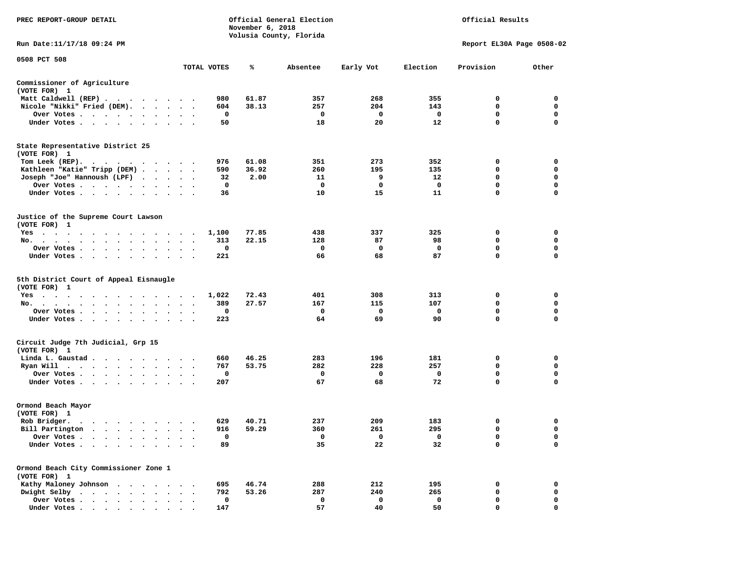| PREC REPORT-GROUP DETAIL                                                                            |                                   |             | November 6, 2018 | Official General Election<br>Volusia County, Florida | Official Results<br>Report EL30A Page 0508-02 |          |                  |                  |
|-----------------------------------------------------------------------------------------------------|-----------------------------------|-------------|------------------|------------------------------------------------------|-----------------------------------------------|----------|------------------|------------------|
| Run Date: 11/17/18 09:24 PM                                                                         |                                   |             |                  |                                                      |                                               |          |                  |                  |
| 0508 PCT 508                                                                                        |                                   | TOTAL VOTES | %                | Absentee                                             | Early Vot                                     | Election | Provision        | Other            |
| Commissioner of Agriculture                                                                         |                                   |             |                  |                                                      |                                               |          |                  |                  |
| (VOTE FOR) 1                                                                                        |                                   |             |                  |                                                      |                                               |          |                  |                  |
| Matt Caldwell (REP)                                                                                 |                                   | 980         | 61.87            | 357                                                  | 268                                           | 355      | 0                | 0                |
| Nicole "Nikki" Fried (DEM).                                                                         |                                   | 604         | 38.13            | 257                                                  | 204                                           | 143      | 0                | 0                |
| Over Votes<br>Under Votes                                                                           |                                   | 0<br>50     |                  | 0<br>18                                              | 0<br>20                                       | 0<br>12  | 0<br>$\mathbf 0$ | 0<br>$\Omega$    |
|                                                                                                     |                                   |             |                  |                                                      |                                               |          |                  |                  |
| State Representative District 25<br>(VOTE FOR) 1                                                    |                                   |             |                  |                                                      |                                               |          |                  |                  |
| Tom Leek (REP).<br>$\cdots$                                                                         |                                   | 976         | 61.08            | 351                                                  | 273                                           | 352      | 0                | 0                |
| Kathleen "Katie" Tripp (DEM)                                                                        |                                   | 590         | 36.92            | 260                                                  | 195                                           | 135      | 0                | 0                |
| Joseph "Joe" Hannoush (LPF)                                                                         |                                   | 32          | 2.00             | 11                                                   | 9                                             | 12       | 0                | $\mathbf 0$      |
| Over Votes                                                                                          | $\ddot{\phantom{1}}$<br>$\bullet$ | 0           |                  | 0                                                    | 0                                             | 0        | 0                | 0                |
| Under Votes                                                                                         |                                   | 36          |                  | 10                                                   | 15                                            | 11       | 0                | $\mathbf 0$      |
| Justice of the Supreme Court Lawson<br>(VOTE FOR) 1                                                 |                                   |             |                  |                                                      |                                               |          |                  |                  |
| $Yes \t . \t .$<br>$\ddot{\phantom{1}}$<br>$\bullet$<br>$\sim$<br>$\bullet$<br>$\sim$ $\sim$ $\sim$ | $\sim$ $\sim$                     | 1,100       | 77.85            | 438                                                  | 337                                           | 325      | 0                | 0                |
| No.<br>$\bullet$ .<br>$\bullet$                                                                     |                                   | 313         | 22.15            | 128                                                  | 87                                            | 98       | 0                | 0                |
| Over Votes.<br>$\cdots$<br>$\cdot$<br>$\cdot$                                                       |                                   | 0           |                  | 0                                                    | 0                                             | 0        | 0                | 0                |
| Under Votes<br>$\bullet$                                                                            |                                   | 221         |                  | 66                                                   | 68                                            | 87       | 0                | 0                |
| 5th District Court of Appeal Eisnaugle<br>(VOTE FOR) 1                                              |                                   |             |                  |                                                      |                                               |          |                  |                  |
| $Yes \t . \t .$<br>$\ddot{\phantom{1}}$<br>$\ddot{\phantom{0}}$<br>$\cdots$                         |                                   | 1,022       | 72.43            | 401                                                  | 308                                           | 313      | 0                | 0                |
| No.                                                                                                 | $\cdot$ .                         | 389         | 27.57            | 167                                                  | 115                                           | 107      | 0                | 0                |
| Over Votes                                                                                          |                                   | 0           |                  | 0                                                    | 0                                             | 0        | $\mathbf 0$      | $\mathbf 0$      |
| Under Votes<br>$\sim$<br>$\cdot$                                                                    | $\bullet$<br>$\ddot{\phantom{0}}$ | 223         |                  | 64                                                   | 69                                            | 90       | 0                | 0                |
| Circuit Judge 7th Judicial, Grp 15<br>(VOTE FOR) 1                                                  |                                   |             |                  |                                                      |                                               |          |                  |                  |
| Linda L. Gaustad                                                                                    |                                   | 660         | 46.25            | 283                                                  | 196                                           | 181      | 0                | 0                |
| Ryan Will                                                                                           | $\ddot{\phantom{a}}$              | 767         | 53.75            | 282                                                  | 228                                           | 257      | 0                | 0                |
| Over Votes                                                                                          | $\bullet$<br>$\ddot{\phantom{1}}$ | 0           |                  | 0                                                    | 0                                             | 0<br>72  | 0<br>$\mathbf 0$ | 0<br>$\mathbf 0$ |
| Under Votes                                                                                         |                                   | 207         |                  | 67                                                   | 68                                            |          |                  |                  |
| Ormond Beach Mayor<br>(VOTE FOR) 1                                                                  |                                   |             |                  |                                                      |                                               |          |                  |                  |
| Rob Bridger.<br>$\bullet$                                                                           |                                   | 629         | 40.71            | 237                                                  | 209                                           | 183      | 0                | 0                |
| Bill Partington                                                                                     |                                   | 916         | 59.29            | 360                                                  | 261                                           | 295      | $\mathbf 0$      | $\mathbf 0$      |
| Over Votes .                                                                                        |                                   | 0           |                  | 0                                                    | 0                                             | 0        | 0                | 0                |
| Under Votes.                                                                                        |                                   | 89          |                  | 35                                                   | 22                                            | 32       | 0                | 0                |
| Ormond Beach City Commissioner Zone 1<br>(VOTE FOR) 1                                               |                                   |             |                  |                                                      |                                               |          |                  |                  |
| Kathy Maloney Johnson.                                                                              |                                   | 695         | 46.74            | 288                                                  | 212                                           | 195      | 0                | 0                |
| Dwight Selby<br>$\bullet$<br>$\bullet$                                                              |                                   | 792         | 53.26            | 287                                                  | 240                                           | 265      | 0                | 0                |
| Over Votes                                                                                          |                                   | $\mathbf 0$ |                  | 0                                                    | 0                                             | 0        | 0                | 0                |
| Under Votes                                                                                         |                                   | 147         |                  | 57                                                   | 40                                            | 50       | 0                | $\mathbf 0$      |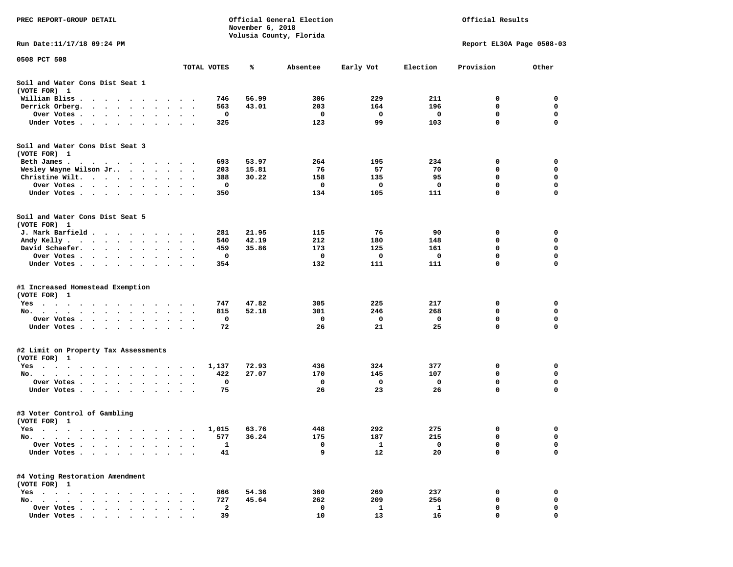| PREC REPORT-GROUP DETAIL                                                                                                                                                                                                                                                                             |                                   |                       | November 6, 2018 | Official General Election<br>Volusia County, Florida | Official Results<br>Report EL30A Page 0508-03 |          |               |             |
|------------------------------------------------------------------------------------------------------------------------------------------------------------------------------------------------------------------------------------------------------------------------------------------------------|-----------------------------------|-----------------------|------------------|------------------------------------------------------|-----------------------------------------------|----------|---------------|-------------|
| Run Date:11/17/18 09:24 PM                                                                                                                                                                                                                                                                           |                                   |                       |                  |                                                      |                                               |          |               |             |
| 0508 PCT 508                                                                                                                                                                                                                                                                                         |                                   | TOTAL VOTES           | ℁                | Absentee                                             | Early Vot                                     | Election | Provision     | Other       |
| Soil and Water Cons Dist Seat 1<br>(VOTE FOR) 1                                                                                                                                                                                                                                                      |                                   |                       |                  |                                                      |                                               |          |               |             |
| William Bliss.<br>$\bullet$<br>$\sim$<br>$\sim$                                                                                                                                                                                                                                                      |                                   | 746                   | 56.99            | 306                                                  | 229                                           | 211      | 0             | 0           |
| Derrick Orberg.<br>$\sim$ $\sim$ $\sim$<br>$\cdot$<br>$\ddot{\phantom{0}}$                                                                                                                                                                                                                           |                                   | 563                   | 43.01            | 203                                                  | 164                                           | 196      | 0             | 0           |
| Over Votes .<br>$\mathcal{A}=\mathcal{A}=\mathcal{A}=\mathcal{A}=\mathcal{A}=\mathcal{A}$ .<br>$\bullet$                                                                                                                                                                                             | $\bullet$                         | 0<br>$\cdot$          |                  | 0                                                    | 0                                             | 0        | 0             | 0           |
| Under Votes<br>$\ddot{\phantom{1}}$<br>$\ddot{\phantom{0}}$<br>$\ddot{\phantom{1}}$                                                                                                                                                                                                                  |                                   | 325                   |                  | 123                                                  | 99                                            | 103      | $\mathbf 0$   | 0           |
| Soil and Water Cons Dist Seat 3<br>(VOTE FOR) 1                                                                                                                                                                                                                                                      |                                   |                       |                  |                                                      |                                               |          |               |             |
| Beth James.                                                                                                                                                                                                                                                                                          | $\sim$ $\sim$                     | 693                   | 53.97            | 264                                                  | 195                                           | 234      | 0             | 0           |
| Wesley Wayne Wilson Jr                                                                                                                                                                                                                                                                               | $\bullet$                         | 203<br>$\blacksquare$ | 15.81            | 76<br>158                                            | 57<br>135                                     | 70<br>95 | 0<br>0        | 0<br>0      |
| Christine Wilt.<br>$\ddot{\phantom{0}}$<br>$\ddot{\phantom{1}}$<br>Over Votes<br>$\ddot{\phantom{a}}$                                                                                                                                                                                                |                                   | 388<br>0              | 30.22            | 0                                                    | 0                                             | 0        | 0             | 0           |
| $\bullet$<br>Under Votes<br>$\cdot$                                                                                                                                                                                                                                                                  |                                   | 350                   |                  | 134                                                  | 105                                           | 111      | 0             | 0           |
| Soil and Water Cons Dist Seat 5<br>(VOTE FOR) 1                                                                                                                                                                                                                                                      |                                   |                       |                  |                                                      |                                               |          |               |             |
| J. Mark Barfield                                                                                                                                                                                                                                                                                     | $\sim$                            | 281                   | 21.95            | 115                                                  | 76                                            | 90       | 0             | 0           |
| Andy Kelly                                                                                                                                                                                                                                                                                           |                                   | 540                   | 42.19            | 212                                                  | 180                                           | 148      | 0             | 0           |
| David Schaefer.<br>$\sim$ , and $\sim$ , and $\sim$<br>$\bullet$                                                                                                                                                                                                                                     |                                   | 459                   | 35.86            | 173                                                  | 125                                           | 161      | 0             | 0           |
| Over Votes.<br>$\cdot$ $\cdot$<br>$\sim 100$ km s $^{-1}$<br>$\sim$ $\sim$                                                                                                                                                                                                                           |                                   | 0                     |                  | 0                                                    | 0                                             | 0        | 0             | 0           |
| Under Votes<br>$\ddot{\phantom{0}}$<br>$\bullet$                                                                                                                                                                                                                                                     | $\bullet$<br>$\bullet$<br>$\cdot$ | 354                   |                  | 132                                                  | 111                                           | 111      | 0             | 0           |
| #1 Increased Homestead Exemption<br>(VOTE FOR) 1                                                                                                                                                                                                                                                     |                                   |                       |                  |                                                      |                                               |          |               |             |
| Yes                                                                                                                                                                                                                                                                                                  |                                   | 747                   | 47.82            | 305                                                  | 225                                           | 217      | 0             | 0           |
| No.<br>$\bullet$<br>$\ddot{\phantom{a}}$<br>$\ddot{\phantom{1}}$                                                                                                                                                                                                                                     |                                   | 815                   | 52.18            | 301                                                  | 246                                           | 268      | 0             | 0           |
| Over Votes .<br>$\sim$ $\sim$<br>$\sim$ $\sim$<br>$\bullet$<br>$\bullet$                                                                                                                                                                                                                             |                                   | 0                     |                  | 0                                                    | 0                                             | 0        | 0             | 0           |
| Under Votes<br>$\sim$                                                                                                                                                                                                                                                                                | $\cdot$ $\cdot$ $\cdot$           | 72                    |                  | 26                                                   | 21                                            | 25       | $\mathbf 0$   | $\mathbf 0$ |
| #2 Limit on Property Tax Assessments<br>(VOTE FOR) 1                                                                                                                                                                                                                                                 |                                   |                       |                  |                                                      |                                               |          |               |             |
| $Yes \cdot \cdot \cdot$<br>$\bullet$<br>$\mathcal{A}$ . The contribution of the contribution of the contribution of the contribution of the contribution of the contribution of the contribution of the contribution of the contribution of the contribution of the contri<br>$\bullet$<br>$\bullet$ | $\blacksquare$ .                  | 1,137                 | 72.93            | 436                                                  | 324                                           | 377      | 0             | 0           |
| No.<br>$\sim$                                                                                                                                                                                                                                                                                        |                                   | 422                   | 27.07            | 170                                                  | 145                                           | 107      | 0             | 0           |
| Over Votes .<br>$\ddot{\phantom{1}}$<br>$\sim$<br>$\bullet$ .<br>$\ddot{\phantom{0}}$<br>$\cdot$                                                                                                                                                                                                     | $\bullet$                         | 0                     |                  | 0                                                    | 0                                             | 0        | 0             | 0           |
| Under Votes.<br>$\sim$ $\sim$ $\sim$<br>$\bullet$<br>$\bullet$                                                                                                                                                                                                                                       |                                   | 75                    |                  | 26                                                   | 23                                            | 26       | 0             | 0           |
| #3 Voter Control of Gambling<br>(VOTE FOR) 1                                                                                                                                                                                                                                                         |                                   |                       |                  |                                                      |                                               |          |               |             |
| Yes<br>$\sim$ $\sim$ $\sim$                                                                                                                                                                                                                                                                          |                                   | 1,015                 | 63.76            | 448                                                  | 292                                           | 275      | 0             | 0           |
| $No. \t .$<br>$\cdot$<br>$\bullet$<br>$\bullet$                                                                                                                                                                                                                                                      |                                   | 577                   | 36.24            | 175                                                  | 187                                           | 215      | 0             | 0           |
| Over Votes .<br>$\ddot{\phantom{a}}$<br>$\ddot{\phantom{a}}$<br>$\cdot$<br>Under Votes.<br>$\ddot{\phantom{0}}$<br>$\sim$ $\sim$<br>$\bullet$<br>$\bullet$                                                                                                                                           |                                   | 1<br>41               |                  | 0<br>9                                               | 1<br>12                                       | 0<br>20  | 0<br>$\Omega$ | 0<br>0      |
|                                                                                                                                                                                                                                                                                                      |                                   |                       |                  |                                                      |                                               |          |               |             |
| #4 Voting Restoration Amendment<br>(VOTE FOR) 1                                                                                                                                                                                                                                                      |                                   |                       |                  |                                                      |                                               |          |               |             |
| $Yes \cdot \cdot \cdot$<br>$\ddot{\phantom{0}}$<br>$\bullet$<br>$\ddot{\phantom{0}}$<br>$\bullet$<br>$\ddot{\phantom{a}}$                                                                                                                                                                            |                                   | 866                   | 54.36            | 360                                                  | 269                                           | 237      | 0             | 0           |
| $No.$<br>$\sim$<br>$\sim$                                                                                                                                                                                                                                                                            |                                   | 727                   | 45.64            | 262                                                  | 209                                           | 256      | 0             | 0           |
| Over Votes .<br>$\cdots$<br>Under Votes                                                                                                                                                                                                                                                              |                                   | 2<br>39               |                  | 0<br>10                                              | $\mathbf{1}$<br>13                            | 1<br>16  | 0<br>$\Omega$ | 0<br>O      |
|                                                                                                                                                                                                                                                                                                      |                                   |                       |                  |                                                      |                                               |          |               |             |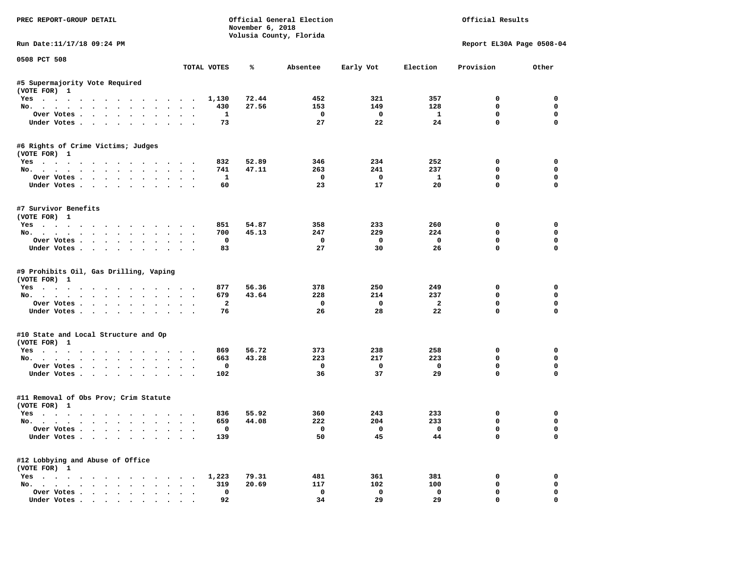| PREC REPORT-GROUP DETAIL                                      |           |                    | November 6, 2018 | Official General Election<br>Volusia County, Florida | Official Results<br>Report EL30A Page 0508-04 |                         |                            |                         |
|---------------------------------------------------------------|-----------|--------------------|------------------|------------------------------------------------------|-----------------------------------------------|-------------------------|----------------------------|-------------------------|
| Run Date:11/17/18 09:24 PM                                    |           |                    |                  |                                                      |                                               |                         |                            |                         |
| 0508 PCT 508                                                  |           | TOTAL VOTES        | ℁                | Absentee                                             | Early Vot                                     | Election                | Provision                  | Other                   |
| #5 Supermajority Vote Required                                |           |                    |                  |                                                      |                                               |                         |                            |                         |
| (VOTE FOR) 1                                                  |           |                    |                  |                                                      |                                               |                         |                            |                         |
| Yes                                                           |           | 1,130              | 72.44            | 452                                                  | 321                                           | 357                     | $^{\circ}$                 | $^{\circ}$              |
| No.                                                           |           | 430                | 27.56            | 153                                                  | 149                                           | 128                     | 0                          | $\mathbf 0$             |
| Over Votes                                                    |           | <b>1</b>           |                  | $\overline{\phantom{0}}$                             | $\overline{\mathbf{0}}$                       | $\mathbf{1}$            | 0                          | $\mathbf 0$             |
| Under Votes                                                   |           | 73                 |                  | 27                                                   | 22                                            | 24                      | $\mathbf 0$                | $\mathbf 0$             |
| #6 Rights of Crime Victims; Judges<br>(VOTE FOR) 1            |           |                    |                  |                                                      |                                               |                         |                            |                         |
| Yes                                                           |           | 832                | 52.89            | 346                                                  | 234                                           | 252                     | 0                          | 0                       |
| No.                                                           |           | 741                | 47.11            | 263                                                  | 241                                           | 237                     | $\mathbf 0$                | 0                       |
| Over Votes                                                    |           | $\mathbf{1}$       |                  | $\overline{\phantom{a}}$                             | $\overline{\phantom{0}}$                      | $\mathbf{1}$            | $\mathbf 0$                | 0                       |
| Under Votes                                                   |           | 60                 |                  | 23                                                   | 17                                            | 20                      | $\mathbf 0$                | 0                       |
| #7 Survivor Benefits<br>(VOTE FOR) 1                          |           |                    |                  |                                                      |                                               |                         |                            |                         |
| Yes                                                           |           | 851                | 54.87            | 358                                                  | 233                                           | 260                     | 0                          | $\mathbf 0$             |
| No.                                                           |           | 700                | 45.13            | 247                                                  | 229                                           | 224                     | $\mathbf 0$                | $\mathbf 0$             |
| Over Votes                                                    |           | $\mathbf{o}$       |                  | $\mathbf 0$                                          | $\overline{\mathbf{0}}$                       | $\overline{\mathbf{0}}$ | $\mathbf 0$                | $\mathbf 0$             |
| Under Votes                                                   |           | 83                 |                  | 27                                                   | 30                                            | 26                      | $\Omega$                   | $\Omega$                |
| #9 Prohibits Oil, Gas Drilling, Vaping<br>(VOTE FOR) 1<br>Yes |           | 877                | 56.36            | 378                                                  | 250                                           | 249                     | 0                          | 0                       |
| No.                                                           |           | 679                | 43.64            | 228                                                  | 214                                           | 237                     | 0                          | 0                       |
| Over Votes                                                    |           | $\mathbf{2}$       |                  | $\mathbf{o}$                                         | $\mathbf{o}$                                  | $\overline{a}$          | $\mathbf 0$<br>$\mathbf 0$ | $\mathbf 0$<br>$\Omega$ |
| Under Votes                                                   |           | 76                 |                  | 26                                                   | 28                                            | 22                      |                            |                         |
| #10 State and Local Structure and Op<br>(VOTE FOR) 1          |           |                    |                  |                                                      |                                               |                         |                            |                         |
| Yes                                                           |           | 869                | 56.72            | 373                                                  | 238                                           | 258                     | 0                          | 0                       |
| No.                                                           |           | 663                | 43.28            | 223                                                  | 217                                           | 223                     | $\Omega$                   | $\mathbf 0$             |
| Over Votes                                                    |           | 0                  |                  | $\mathbf 0$                                          | $\overline{\mathbf{0}}$                       | $\mathbf 0$             | 0                          | 0                       |
| Under Votes                                                   |           | 102                |                  | 36                                                   | 37                                            | 29                      | $\mathbf{0}$               | $\mathbf 0$             |
| #11 Removal of Obs Prov; Crim Statute<br>(VOTE FOR) 1         |           |                    |                  |                                                      |                                               |                         |                            |                         |
| Yes                                                           |           | 836                | 55.92            | 360                                                  | 243                                           | 233                     | 0                          | 0                       |
| No.                                                           |           | 659                | 44.08            | 222                                                  | 204                                           | 233                     | $\mathbf 0$                | 0                       |
| Over Votes<br>Under Votes                                     |           | $\mathbf 0$<br>139 |                  | $\overline{\mathbf{0}}$<br>50                        | $\overline{0}$<br>45                          | $\overline{0}$<br>44    | $\mathbf 0$<br>$\mathbf 0$ | $\Omega$<br>$\Omega$    |
| #12 Lobbying and Abuse of Office                              |           |                    |                  |                                                      |                                               |                         |                            |                         |
| (VOTE FOR) 1<br>Yes 1,223                                     |           |                    | 79.31            | 481                                                  | 361                                           | 381                     | 0                          | 0                       |
| No.                                                           |           | 319                | 20.69            | 117                                                  | 102                                           | 100                     | $\mathbf 0$                | $\mathbf 0$             |
| Over Votes                                                    | $\ddotsc$ | 0                  |                  | $\mathbf 0$                                          | $\mathbf 0$                                   | $\mathbf 0$             | $\mathbf 0$                | 0                       |
| Under Votes                                                   |           | 92                 |                  | 34                                                   | 29                                            | 29                      | $\mathbf 0$                | 0                       |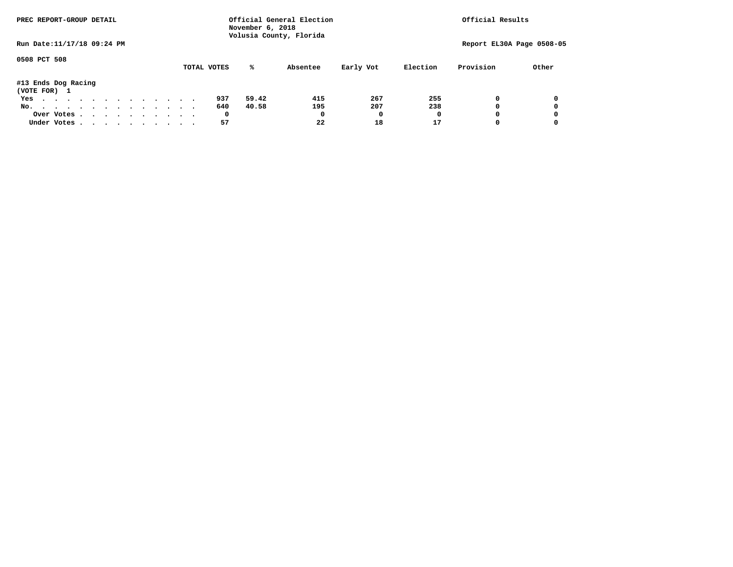|                                     | PREC REPORT-GROUP DETAIL |  |  |  |  | Official General Election<br>November 6, 2018<br>Volusia County, Florida | Official Results |  |             |       |          |           |          |                           |       |
|-------------------------------------|--------------------------|--|--|--|--|--------------------------------------------------------------------------|------------------|--|-------------|-------|----------|-----------|----------|---------------------------|-------|
| Run Date: 11/17/18 09:24 PM         |                          |  |  |  |  |                                                                          |                  |  |             |       |          |           |          | Report EL30A Page 0508-05 |       |
| 0508 PCT 508                        |                          |  |  |  |  |                                                                          |                  |  | TOTAL VOTES | %ะ    | Absentee | Early Vot | Election | Provision                 | Other |
| #13 Ends Dog Racing<br>(VOTE FOR) 1 |                          |  |  |  |  |                                                                          |                  |  |             |       |          |           |          |                           |       |
| Yes                                 |                          |  |  |  |  |                                                                          |                  |  | 937         | 59.42 | 415      | 267       | 255      | 0                         |       |
| No.                                 |                          |  |  |  |  |                                                                          |                  |  | 640         | 40.58 | 195      | 207       | 238      | 0                         |       |
| Over Votes                          |                          |  |  |  |  |                                                                          |                  |  | 0           |       | 0        |           |          | 0                         |       |
| Under Votes                         |                          |  |  |  |  |                                                                          |                  |  | 57          |       | 22       | 18        | 17       | 0                         |       |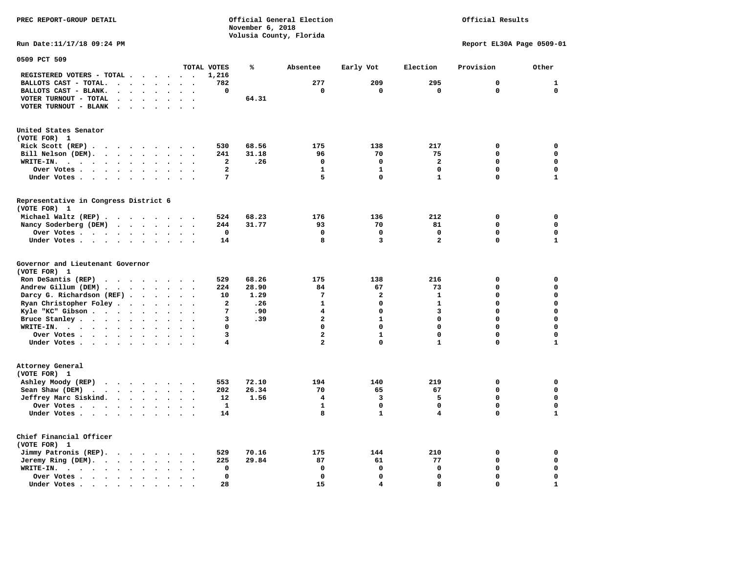**Volusia County, Florida Run Date:11/17/18 09:24 PM Report EL30A Page 0509-01 0509 PCT 509 TOTAL VOTES % Absentee Early Vot Election Provision Other REGISTERED VOTERS - TOTAL . . . . . . 1,216 BALLOTS CAST - TOTAL. . . . . . . . 782 277 209 295 0 1 BALLOTS CAST - BLANK. . . . . . . . 0 0 0 0 0 0 VOTER TURNOUT - TOTAL . . . . . . . . 64.31 VOTER TURNOUT - BLANK . . . . . . . United States Senator (VOTE FOR) 1 Rick Scott (REP) . . . . . . . . 530** 68.56 175 138 217 0 0 0  **Bill Nelson (DEM). . . . . . . . . 241 31.18 96 70 75 0 0 WRITE-IN. . . . . . . . . . . . 2 .26 0 0 2 0 0 Over Votes . . . . . . . . . . 2** 1 1 0 0 0 0 **Under Votes . . . . . . . . . . 7** 5 0 1 0 1 **Representative in Congress District 6 (VOTE FOR) 1 Michael Waltz (REP) . . . . . . . . 524 68.23 176 136 212 0 0 Nancy Soderberg (DEM) . . . . . . . 244 31.77 93 70 81 0 0 Over Votes . . . . . . . . . . 0 0 0 0 0 0 Under Votes . . . . . . . . . . 14 8 3 3 2 0 Governor and Lieutenant Governor (VOTE FOR) 1 Ron DeSantis (REP) . . . . . . . . 529 68.26 175 138 216 0 0 Andrew Gillum (DEM) . . . . . . . . 224 28.90 84 67 73 0 0 Darcy G. Richardson (REF) . . . . . 10** 1.29 7 2 1 0 0<br>**Ryan Christopher Foley . . . . . . 2 .26** 1 0 1 0 0  **Ryan Christopher Foley . . . . . . . 2 .26 1 0 1 0 0 Kyle "KC" Gibson . . . . . . . . . . 7 .90** 4 **Bruce Stanley . . . . . . . . . . 3 .39 2** 1 0 0 0 0  **WRITE-IN. . . . . . . . . . . . 0 0 0 0 0 0 Over Votes . . . . . . . . . . 3** 2 1 0 0 0  **Under Votes . . . . . . . . . . 4** 2 0 1 0 **Attorney General (VOTE FOR) 1 Ashley Moody (REP) . . . . . . . . 553 72.10 194 140 219 0 0 Sean Shaw (DEM)** . . . . . . . . 202 26.34 70 65 67 0 0 0  **Jeffrey Marc Siskind. . . . . . . . 12 1.56 4 3 5 0 0 Over Votes . . . . . . . . . . . 1** 1 0 0 0  **Under Votes . . . . . . . . . . 14** 8 1 4 0 **Chief Financial Officer (VOTE FOR) 1 Jimmy Patronis (REP). . . . . . . . 529 70.16 175 144 210 0 0** 

 **Jeremy Ring (DEM).** . . . . . . . 225 29.84 87 61 77 0 0 0  **WRITE-IN. . . . . . . . . . . . 0 0 0 0 0 0 Over Votes . . . . . . . . . . 0 0 0 0 0 0** 

 **Under Votes . . . . . . . . . . 28 15 4 8 0 1** 

**PREC REPORT-GROUP DETAIL Official General Election Official Results** 

 **November 6, 2018** 

 $\mathbf{1}$ 

 $\mathbf{0}$ 

 $\mathbf 1$ 

 $\mathbf 1$ 

 $\mathbf{1}$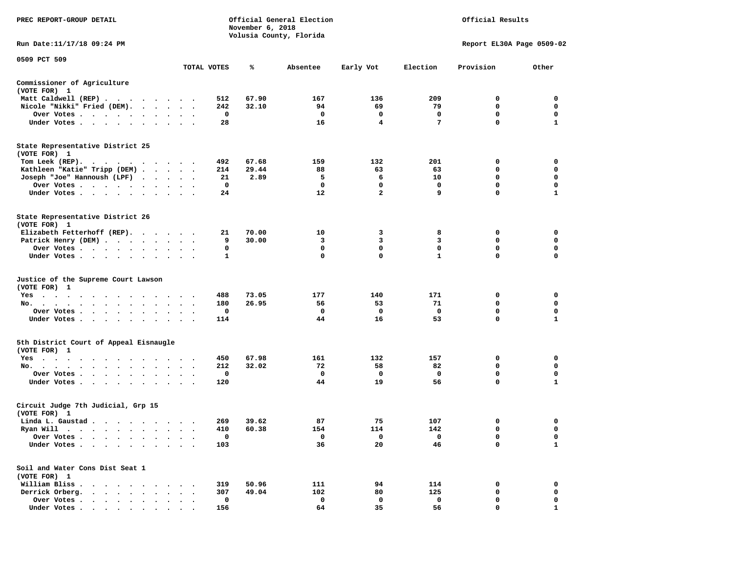| PREC REPORT-GROUP DETAIL                                                         |               |                                 |             | November 6, 2018 | Official General Election<br>Volusia County, Florida |                |              | Official Results          |              |
|----------------------------------------------------------------------------------|---------------|---------------------------------|-------------|------------------|------------------------------------------------------|----------------|--------------|---------------------------|--------------|
| Run Date: 11/17/18 09:24 PM                                                      |               |                                 |             |                  |                                                      |                |              | Report EL30A Page 0509-02 |              |
| 0509 PCT 509                                                                     |               |                                 | TOTAL VOTES | ℁                | Absentee                                             | Early Vot      | Election     | Provision                 | Other        |
|                                                                                  |               |                                 |             |                  |                                                      |                |              |                           |              |
| Commissioner of Agriculture<br>(VOTE FOR) 1                                      |               |                                 |             |                  |                                                      |                |              |                           |              |
| Matt Caldwell (REP)                                                              |               |                                 | 512         | 67.90            | 167                                                  | 136            | 209          | 0                         | 0            |
| Nicole "Nikki" Fried (DEM).                                                      |               |                                 | 242         | 32.10            | 94                                                   | 69             | 79           | 0                         | 0            |
| Over Votes                                                                       |               | $\bullet$ .<br><br><br><br><br> | 0           |                  | 0                                                    | 0              | 0            | 0                         | 0            |
| Under Votes                                                                      |               |                                 | 28          |                  | 16                                                   | 4              | 7            | $\mathbf 0$               | $\mathbf{1}$ |
| State Representative District 25<br>(VOTE FOR) 1                                 |               |                                 |             |                  |                                                      |                |              |                           |              |
| Tom Leek (REP).<br>.                                                             |               |                                 | 492         | 67.68            | 159                                                  | 132            | 201          | 0                         | 0            |
| Kathleen "Katie" Tripp (DEM)                                                     |               |                                 | 214         | 29.44            | 88                                                   | 63             | 63           | 0                         | 0            |
| Joseph "Joe" Hannoush (LPF)                                                      |               |                                 | 21          | 2.89             | 5                                                    | 6              | 10           | $\mathbf 0$               | $\mathbf 0$  |
| Over Votes.                                                                      |               |                                 | 0           |                  | 0                                                    | 0              | 0            | 0                         | 0            |
| Under Votes                                                                      |               |                                 | 24          |                  | 12                                                   | $\overline{a}$ | 9            | $\mathbf 0$               | $\mathbf{1}$ |
| State Representative District 26<br>(VOTE FOR) 1                                 |               |                                 |             |                  |                                                      |                |              |                           |              |
| Elizabeth Fetterhoff (REP).                                                      |               |                                 | 21          | 70.00            | 10                                                   | 3              | 8            | 0                         | 0            |
| Patrick Henry (DEM)                                                              |               |                                 | 9           | 30.00            | 3                                                    | 3              | 3            | 0                         | 0            |
| Over Votes                                                                       |               |                                 | 0           |                  | 0                                                    | $\Omega$       | 0            | 0                         | 0            |
| Under Votes                                                                      |               |                                 | 1           |                  | 0                                                    | $\mathbf{0}$   | $\mathbf{1}$ | $\mathbf 0$               | 0            |
| Justice of the Supreme Court Lawson<br>(VOTE FOR) 1                              |               |                                 |             |                  |                                                      |                |              |                           |              |
| $Yes \t . \t .$<br>.                                                             |               |                                 | 488         | 73.05            | 177                                                  | 140            | 171          | 0                         | 0            |
| No.                                                                              |               | $\ddot{\phantom{1}}$            | 180         | 26.95            | 56                                                   | 53             | 71           | 0                         | 0            |
| Over Votes                                                                       |               |                                 | 0           |                  | 0                                                    | 0              | $\mathbf 0$  | $\mathbf 0$               | $\mathbf 0$  |
| Under Votes                                                                      | $\sim$        | $\ddot{\phantom{1}}$            | 114         |                  | 44                                                   | 16             | 53           | 0                         | 1            |
| 5th District Court of Appeal Eisnaugle<br>(VOTE FOR) 1                           |               |                                 |             |                  |                                                      |                |              |                           |              |
| Yes                                                                              |               |                                 | 450         | 67.98            | 161                                                  | 132            | 157          | 0                         | 0            |
| No.                                                                              | $\sim$ $\sim$ |                                 | 212         | 32.02            | 72                                                   | 58             | 82           | 0                         | 0            |
| Over Votes                                                                       |               |                                 | 0           |                  | 0                                                    | 0              | 0            | $\mathbf 0$               | 0            |
| Under Votes                                                                      |               |                                 | 120         |                  | 44                                                   | 19             | 56           | $\mathbf 0$               | $\mathbf{1}$ |
| Circuit Judge 7th Judicial, Grp 15<br>(VOTE FOR) 1                               |               |                                 |             |                  |                                                      |                |              |                           |              |
| Linda L. Gaustad                                                                 |               |                                 | 269         | 39.62            | 87                                                   | 75             | 107          | 0                         | 0            |
| Ryan Will $\cdots$ , $\cdots$ , $\cdots$ , $\cdots$                              |               |                                 | 410         | 60.38            | 154                                                  | 114            | 142          | $\mathbf 0$               | $\mathbf 0$  |
| Over Votes                                                                       |               |                                 | 0           |                  | 0                                                    | 0              | 0            | 0                         | 0            |
| Under Votes.<br>$\ddot{\phantom{0}}$                                             |               |                                 | 103         |                  | 36                                                   | 20             | 46           | 0                         | $\mathbf{1}$ |
| Soil and Water Cons Dist Seat 1<br>(VOTE FOR) 1                                  |               |                                 |             |                  |                                                      |                |              |                           |              |
| William Bliss.<br>$\ddot{\phantom{1}}$<br>$\bullet$                              |               |                                 | 319         | 50.96            | 111                                                  | 94             | 114          | 0                         | 0            |
| Derrick Orberg.<br>$\ddot{\phantom{0}}$<br>$\sim$ $\sim$<br>$\ddot{\phantom{a}}$ |               |                                 | 307         | 49.04            | 102                                                  | 80             | 125          | 0                         | 0            |
| Over Votes .<br>$\cdot$ $\cdot$ $\cdot$ $\cdot$ $\cdot$                          |               |                                 | $\mathbf 0$ |                  | $\mathbf 0$                                          | $\mathbf 0$    | $\mathbf 0$  | $\mathbf 0$               | 0            |
| Under Votes                                                                      |               |                                 | 156         |                  | 64                                                   | 35             | 56           | $\mathbf 0$               | 1            |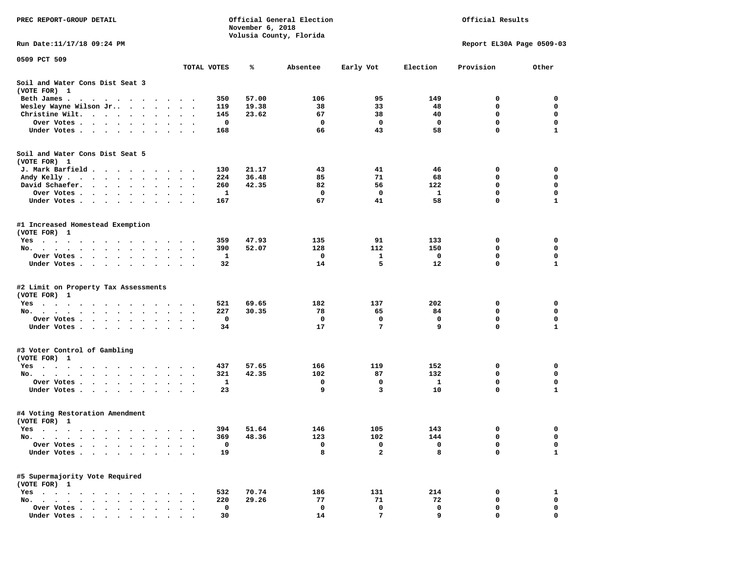| PREC REPORT-GROUP DETAIL                                                                                                   |                        | November 6, 2018 | Official General Election<br>Volusia County, Florida |                         | Official Results |                           |              |  |
|----------------------------------------------------------------------------------------------------------------------------|------------------------|------------------|------------------------------------------------------|-------------------------|------------------|---------------------------|--------------|--|
| Run Date: 11/17/18 09:24 PM                                                                                                |                        |                  |                                                      |                         |                  | Report EL30A Page 0509-03 |              |  |
| 0509 PCT 509                                                                                                               |                        |                  |                                                      |                         |                  |                           |              |  |
|                                                                                                                            | TOTAL VOTES            | ℁                | Absentee                                             | Early Vot               | Election         | Provision                 | Other        |  |
| Soil and Water Cons Dist Seat 3<br>(VOTE FOR) 1                                                                            |                        |                  |                                                      |                         |                  |                           |              |  |
| Beth James.                                                                                                                |                        | 57.00<br>350     | 106                                                  | 95                      | 149              | 0                         | 0            |  |
| Wesley Wayne Wilson Jr                                                                                                     |                        | 19.38<br>119     | 38                                                   | 33                      | 48               | $\mathbf 0$               | $\mathbf 0$  |  |
| Christine Wilt.<br>$\sim$                                                                                                  |                        | 145<br>23.62     | 67                                                   | 38                      | 40               | 0                         | 0            |  |
| Over Votes                                                                                                                 |                        | 0                | 0                                                    | 0                       | 0                | $\mathbf 0$               | 0            |  |
| Under Votes                                                                                                                | $\sim$ $\sim$          | 168              | 66                                                   | 43                      | 58               | $\mathbf 0$               | $\mathbf{1}$ |  |
| Soil and Water Cons Dist Seat 5<br>(VOTE FOR) 1                                                                            |                        |                  |                                                      |                         |                  |                           |              |  |
| J. Mark Barfield                                                                                                           |                        | 21.17<br>130     | 43                                                   | 41                      | 46               | 0                         | 0            |  |
| Andy Kelly                                                                                                                 |                        | 36.48<br>224     | 85                                                   | 71                      | 68               | 0                         | 0            |  |
| David Schaefer.<br>$\sim$<br>$\ddot{\phantom{1}}$                                                                          |                        | 260<br>42.35     | 82                                                   | 56                      | 122              | 0                         | $\mathbf 0$  |  |
| Over Votes                                                                                                                 |                        | 1                | 0                                                    | 0                       | $\mathbf{1}$     | $\mathbf 0$               | 0            |  |
| Under Votes                                                                                                                |                        | 167              | 67                                                   | 41                      | 58               | $\Omega$                  | $\mathbf{1}$ |  |
| #1 Increased Homestead Exemption<br>(VOTE FOR) 1                                                                           |                        |                  |                                                      |                         |                  |                           |              |  |
| Yes                                                                                                                        |                        | 47.93<br>359     | 135                                                  | 91                      | 133              | 0                         | 0            |  |
| No.                                                                                                                        |                        | 390<br>52.07     | 128                                                  | 112                     | 150              | 0                         | 0            |  |
| Over Votes                                                                                                                 | $\ddot{\phantom{1}}$   | 1                | 0                                                    | 1                       | $\mathbf 0$      | 0                         | 0            |  |
| Under Votes                                                                                                                |                        | 32               | 14                                                   | 5                       | 12               | $\Omega$                  | $\mathbf{1}$ |  |
| #2 Limit on Property Tax Assessments<br>(VOTE FOR) 1                                                                       |                        |                  |                                                      |                         |                  |                           |              |  |
| $Yes \cdot \cdot \cdot \cdot \cdot \cdot \cdot \cdot$<br>$\sim$ $\sim$ $\sim$ $\sim$                                       |                        | 521<br>69.65     | 182                                                  | 137                     | 202              | 0                         | 0            |  |
| No.                                                                                                                        | $\ddot{\phantom{1}}$   | 227<br>30.35     | 78                                                   | 65                      | 84               | 0                         | 0            |  |
| Over Votes                                                                                                                 |                        | 0                | 0                                                    | 0                       | 0                | $\mathbf 0$               | 0            |  |
| Under Votes                                                                                                                |                        | 34               | 17                                                   | 7                       | 9                | $\mathbf{0}$              | $\mathbf{1}$ |  |
| #3 Voter Control of Gambling<br>(VOTE FOR) 1                                                                               |                        |                  |                                                      |                         |                  |                           |              |  |
| Yes                                                                                                                        |                        | 437<br>57.65     | 166                                                  | 119                     | 152              | 0                         | 0            |  |
| No.                                                                                                                        | $\bullet$<br>$\bullet$ | 321<br>42.35     | 102                                                  | 87                      | 132              | 0                         | 0            |  |
| Over Votes                                                                                                                 |                        | 1                | 0                                                    | 0                       | $\mathbf{1}$     | $\mathbf 0$               | 0            |  |
| Under Votes                                                                                                                |                        | 23               | 9                                                    | $\overline{\mathbf{3}}$ | 10               | $\mathbf 0$               | $\mathbf{1}$ |  |
| #4 Voting Restoration Amendment<br>(VOTE FOR) 1                                                                            |                        |                  |                                                      |                         |                  |                           |              |  |
| Yes                                                                                                                        |                        | 394<br>51.64     | 146                                                  | 105                     | 143              | 0                         | 0            |  |
| No. $\cdot$ $\cdot$ $\cdot$                                                                                                |                        | 48.36<br>369     | 123                                                  | 102                     | 144              | 0                         | $\mathbf 0$  |  |
| Over Votes .                                                                                                               |                        | 0                | 0                                                    | 0                       | 0                | $\mathbf 0$               | 0            |  |
| Under Votes.<br>$\sim$<br>$\ddot{\phantom{a}}$<br>$\ddot{\phantom{a}}$                                                     |                        | 19               | 8                                                    | $\mathbf{2}$            | 8                | 0                         | $\mathbf{1}$ |  |
| #5 Supermajority Vote Required<br>(VOTE FOR) 1                                                                             |                        |                  |                                                      |                         |                  |                           |              |  |
| Yes<br>$\sim$ $\sim$ $\sim$<br>$\bullet$                                                                                   |                        | 532<br>70.74     | 186                                                  | 131                     | 214              | 0                         | 1            |  |
| No.<br>$\ddot{\phantom{a}}$<br>$\bullet$<br>$\ddot{\phantom{1}}$<br>$\sim$<br>$\ddot{\phantom{1}}$<br>$\ddot{\phantom{a}}$ |                        | 220<br>29.26     | 77                                                   | 71                      | 72               | 0                         | 0            |  |
| Over Votes                                                                                                                 |                        | 0                | 0                                                    | 0                       | 0                | 0                         | 0            |  |
| Under Votes.<br>$\cdots$                                                                                                   |                        | 30               | 14                                                   | 7                       | 9                | 0                         | 0            |  |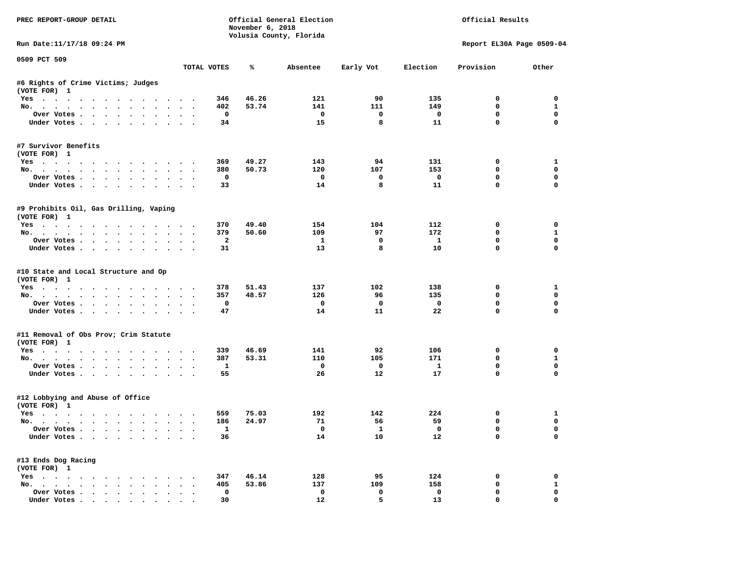| PREC REPORT-GROUP DETAIL                                                         |           |                     | November 6, 2018 | Official General Election<br>Volusia County, Florida |                                | Official Results              |                           |                             |  |
|----------------------------------------------------------------------------------|-----------|---------------------|------------------|------------------------------------------------------|--------------------------------|-------------------------------|---------------------------|-----------------------------|--|
| Run Date:11/17/18 09:24 PM                                                       |           |                     |                  |                                                      |                                |                               | Report EL30A Page 0509-04 |                             |  |
| 0509 PCT 509                                                                     |           | TOTAL VOTES         | ℁                | Absentee                                             | Early Vot                      | Election                      | Provision                 | Other                       |  |
| #6 Rights of Crime Victims; Judges                                               |           |                     |                  |                                                      |                                |                               |                           |                             |  |
| (VOTE FOR) 1                                                                     |           |                     |                  |                                                      |                                |                               |                           |                             |  |
| Yes                                                                              |           | 346                 | 46.26            | 121                                                  | 90                             | 135                           | $\mathbf 0$               | $\mathbf 0$                 |  |
| No.                                                                              |           | 402                 | 53.74            | 141                                                  | 111                            | 149                           | $\mathbf 0$               | $\mathbf{1}$                |  |
| Over Votes                                                                       |           | $\mathbf{o}$        |                  | $\overline{\mathbf{0}}$                              | $\mathbf{o}$                   | $\overline{\mathbf{0}}$       | $\mathbf 0$               | $\mathbf 0$                 |  |
| Under Votes                                                                      |           | 34                  |                  | 15                                                   | 8                              | 11                            | $\mathbf 0$               | $\Omega$                    |  |
| #7 Survivor Benefits                                                             |           |                     |                  |                                                      |                                |                               |                           |                             |  |
| (VOTE FOR) 1                                                                     |           |                     |                  |                                                      |                                |                               |                           |                             |  |
| Yes                                                                              |           | 369                 | 49.27            | 143                                                  | 94                             | 131                           | $\mathbf 0$               | $\mathbf{1}$                |  |
| No.                                                                              |           | 380                 | 50.73            | 120                                                  | 107                            | 153                           | 0                         | 0                           |  |
| Over Votes                                                                       |           | 0                   |                  | $\overline{\mathbf{0}}$                              | $\mathbf 0$                    | $\overline{\phantom{0}}$      | $\mathbf 0$               | 0                           |  |
| Under Votes                                                                      |           | 33                  |                  | 14                                                   | 8                              | 11                            | $\mathbf 0$               | 0                           |  |
| #9 Prohibits Oil, Gas Drilling, Vaping<br>(VOTE FOR) 1                           |           |                     |                  |                                                      |                                |                               |                           |                             |  |
| Yes                                                                              |           | 370                 | 49.40            | 154                                                  | 104                            | 112                           | $\Omega$                  | $\Omega$                    |  |
| No.                                                                              |           | 379                 | 50.60            | 109                                                  | 97                             | 172                           | $\mathbf 0$               | $\mathbf{1}$                |  |
| Over Votes                                                                       |           | $\overline{a}$      |                  | $\mathbf{1}$                                         | 0                              | $\mathbf{1}$                  | $^{\circ}$                | $\mathbf 0$                 |  |
| Under Votes                                                                      |           | 31                  |                  | 13                                                   | 8                              | 10                            | $\Omega$                  | $\Omega$                    |  |
| #10 State and Local Structure and Op<br>(VOTE FOR) 1<br>Yes                      |           | 378                 | 51.43            | 137                                                  | 102                            | 138                           | 0                         | 1                           |  |
| No.                                                                              |           | 357                 | 48.57            | 126                                                  | 96                             | 135                           | 0                         | $\mathbf 0$                 |  |
| Over Votes                                                                       |           | $\mathbf 0$         |                  | $\mathbf{o}$                                         | $\mathbf{o}$                   | $\mathbf{o}$                  | $\mathbf 0$               | $\mathbf 0$                 |  |
| Under Votes                                                                      |           | 47                  |                  | 14                                                   | 11                             | 22                            | $\mathbf 0$               | $\Omega$                    |  |
| #11 Removal of Obs Prov; Crim Statute                                            |           |                     |                  |                                                      |                                |                               |                           |                             |  |
| (VOTE FOR) 1                                                                     |           |                     |                  |                                                      |                                |                               |                           |                             |  |
| Yes                                                                              |           | 339                 | 46.69            | 141                                                  | 92                             | 106                           | $\mathbf 0$               | $\mathbf 0$                 |  |
| No.<br>Over Votes                                                                |           | 387<br>$\mathbf{1}$ | 53.31            | 110<br>$\mathbf 0$                                   | 105<br>$\overline{\mathbf{0}}$ | 171<br>$\mathbf{1}$           | 0<br>0                    | $\mathbf{1}$<br>$\mathbf 0$ |  |
| Under Votes                                                                      |           | 55                  |                  | 26                                                   | 12                             | 17                            | $\mathbf 0$               | $\Omega$                    |  |
|                                                                                  |           |                     |                  |                                                      |                                |                               |                           |                             |  |
| #12 Lobbying and Abuse of Office<br>(VOTE FOR) 1                                 |           |                     |                  |                                                      |                                |                               |                           |                             |  |
| Yes                                                                              |           | 559                 | 75.03            | 192                                                  | 142                            | 224                           | 0                         | 1                           |  |
| No.                                                                              |           | 186                 | 24.97            | 71                                                   | 56                             | 59                            | $\mathbf 0$               | $\mathbf 0$                 |  |
| Over Votes<br>Under Votes                                                        |           | $\mathbf{1}$<br>36  |                  | $\overline{0}$<br>14                                 | $\mathbf{1}$<br>10             | $\overline{\mathbf{0}}$<br>12 | $\mathbf 0$<br>$\Omega$   | $\mathbf 0$<br>$\Omega$     |  |
| #13 Ends Dog Racing                                                              |           |                     |                  |                                                      |                                |                               |                           |                             |  |
| (VOTE FOR) 1                                                                     |           |                     |                  |                                                      |                                |                               |                           |                             |  |
| Yes                                                                              |           | 347<br>405          | 46.14<br>53.86   | 128<br>137                                           | 95<br>109                      | 124<br>158                    | 0<br>0                    | 0<br>$\mathbf{1}$           |  |
| No.<br>Over Votes                                                                | $\bullet$ | $\mathbf 0$         |                  | $\mathbf 0$                                          | $\mathbf 0$                    | $\mathbf 0$                   | $\mathbf 0$               | $\mathbf{0}$                |  |
| Under Votes, $\cdot$ , $\cdot$ , $\cdot$ , $\cdot$ , $\cdot$ , $\cdot$ , $\cdot$ |           | 30                  |                  | 12                                                   | 5                              | 13                            | $\Omega$                  | $\Omega$                    |  |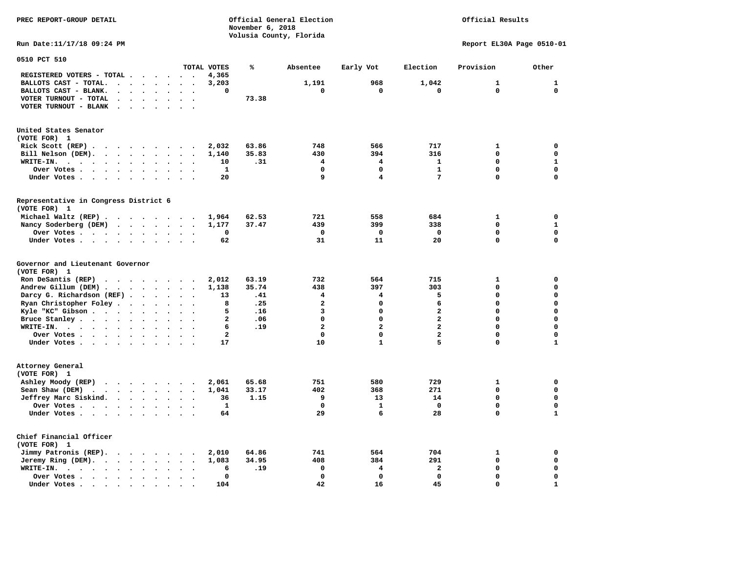**November 6, 2018 Volusia County, Florida Run Date:11/17/18 09:24 PM Report EL30A Page 0510-01 0510 PCT 510 TOTAL VOTES % Absentee Early Vot Election Provision Other REGISTERED VOTERS - TOTAL . . . . . . 4,365 BALLOTS CAST - TOTAL.** . . . . . . 3,203 1,191 968 1,042 1 1 1  **BALLOTS CAST - BLANK. . . . . . . . 0 0 0 0 0 0 VOTER TURNOUT - TOTAL . . . . . . . 73.38 VOTER TURNOUT - BLANK . . . . . . . United States Senator (VOTE FOR) 1 Rick Scott (REP) . . . . . . . . 2,032** 63.86 748 566 717 1 0  **Bill Nelson (DEM). . . . . . . . . 1,140 35.83 430 394 316 0 0 WRITE-IN.** . . . . . . . . . . . 10 .31 4 4 1 0 1  **Over Votes . . . . . . . . . . 1 0 0 1 0 0 Under Votes . . . . . . . . . . 20** 9 4 7 0 0 0 **Representative in Congress District 6 (VOTE FOR) 1 Michael Waltz (REP) . . . . . . . . 1,964 62.53 721 558 684 1 0 Nancy Soderberg (DEM) . . . . . . . 1,177 37.47 439 399 338 0 1 Over Votes . . . . . . . . . . 0 0 0 0 0 0**  $\Omega$  **Under Votes . . . . . . . . . . 62** 31 1 1 20 0 0 **Governor and Lieutenant Governor (VOTE FOR) 1 Ron DeSantis (REP) . . . . . . . . 2,012 63.19 732 564 715 1 0 Andrew Gillum (DEM) . . . . . . . . 1,138 35.74 438 397 303 0 0 Darcy G. Richardson (REF) . . . . . . 13 .41 4 4 5 0 0 Ryan Christopher Foley . . . . . . . 8 .25 2 0 6 0 0 Kyle "KC" Gibson . . . . . . . . . . 5 .16** 3 **Bruce Stanley . . . . . . . . . . 2** .06 0 0 0 2 0 0 0 0  **WRITE-IN. . . . . . . . . . . . 6 .19 2 2 2 0 0**  $\mathbf{0}$ **Over Votes . . . . . . . . . . . 2** 0 0 0 2 0 0  $\mathbf 1$  **Under Votes . . . . . . . . . . 17** 10 1 5 0 **Attorney General (VOTE FOR) 1 Ashley Moody (REP) . . . . . . . . 2,061 65.68 751 580 729 1 0 Sean Shaw (DEM)** . . . . . . . . 1,041 33.17 402 368 271 0 0  **Jeffrey Marc Siskind.** . . . . . . 36 1.15 9 13 14 0 0 0<br>Over Votes  **Over Votes . . . . . . . . . . 1 0 1 0 0 0**  $\mathbf 1$  **Under Votes . . . . . . . . . . . 64** 29 6 28 0 **Chief Financial Officer (VOTE FOR) 1 Jimmy Patronis (REP). . . . . . . . 2,010 64.86 741 564 704 1 0 Jeremy Ring (DEM).** . . . . . . . 1,083 34.95 408 384 291 0 0 0  **WRITE-IN. . . . . . . . . . . . 6 .19 0 4 2 0 0 Over Votes . . . . . . . . . . 0 0 0 0 0 0**  $\mathbf{1}$  **Under Votes . . . . . . . . . . 104** 42 16 45 0

**PREC REPORT-GROUP DETAIL Official General Election Official Results**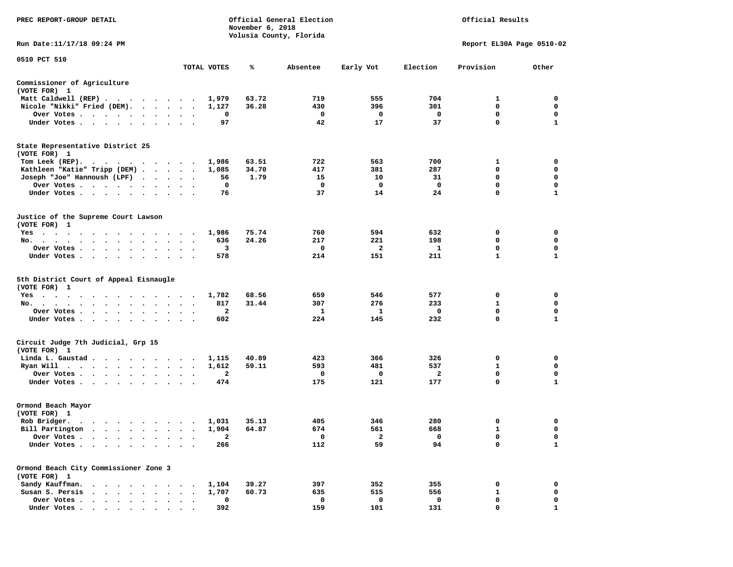| PREC REPORT-GROUP DETAIL                                                                                                                                                                                                                    |                                  |                | November 6, 2018 | Official General Election<br>Volusia County, Florida |              | Official Results |                           |              |  |
|---------------------------------------------------------------------------------------------------------------------------------------------------------------------------------------------------------------------------------------------|----------------------------------|----------------|------------------|------------------------------------------------------|--------------|------------------|---------------------------|--------------|--|
| Run Date:11/17/18 09:24 PM                                                                                                                                                                                                                  |                                  |                |                  |                                                      |              |                  | Report EL30A Page 0510-02 |              |  |
| 0510 PCT 510                                                                                                                                                                                                                                |                                  | TOTAL VOTES    | ℁                | Absentee                                             | Early Vot    | Election         | Provision                 | Other        |  |
| Commissioner of Agriculture<br>(VOTE FOR) 1                                                                                                                                                                                                 |                                  |                |                  |                                                      |              |                  |                           |              |  |
| Matt Caldwell (REP)                                                                                                                                                                                                                         |                                  | 1,979          | 63.72            | 719                                                  | 555          | 704              | 1                         | 0            |  |
| Nicole "Nikki" Fried (DEM).                                                                                                                                                                                                                 |                                  | 1,127          | 36.28            | 430                                                  | 396          | 301              | 0                         | 0            |  |
| Over Votes                                                                                                                                                                                                                                  | $\ddot{\phantom{0}}$             | 0              |                  | 0                                                    | 0            | 0                | $\mathbf 0$               | 0            |  |
| Under Votes<br>$\ddot{\phantom{1}}$                                                                                                                                                                                                         |                                  | 97             |                  | 42                                                   | 17           | 37               | 0                         | 1            |  |
| State Representative District 25<br>(VOTE FOR) 1                                                                                                                                                                                            |                                  |                |                  |                                                      |              |                  |                           |              |  |
| Tom Leek (REP).                                                                                                                                                                                                                             |                                  | 1,986          | 63.51            | 722                                                  | 563          | 700              | 1                         | 0            |  |
| Kathleen "Katie" Tripp (DEM)                                                                                                                                                                                                                |                                  | 1,085          | 34.70            | 417                                                  | 381          | 287              | 0                         | 0            |  |
| Joseph "Joe" Hannoush (LPF)<br>.                                                                                                                                                                                                            |                                  | 56             | 1.79             | 15                                                   | 10           | 31               | 0                         | 0            |  |
| Over Votes                                                                                                                                                                                                                                  | $\sim$ $\sim$<br>$\bullet$ .     | 0              |                  | 0                                                    | 0            | 0                | $\mathbf 0$               | 0            |  |
| Under Votes                                                                                                                                                                                                                                 |                                  | 76             |                  | 37                                                   | 14           | 24               | 0                         | 1            |  |
| Justice of the Supreme Court Lawson<br>(VOTE FOR) 1                                                                                                                                                                                         |                                  |                |                  |                                                      |              |                  |                           |              |  |
| $Yes \t . \t .$<br>$\cdot$ $\cdot$ $\cdot$ $\cdot$ $\cdot$ $\cdot$<br>$\ddot{\phantom{1}}$<br>$\blacksquare$<br>$\cdot$                                                                                                                     |                                  | 1,986          | 75.74            | 760                                                  | 594          | 632              | 0                         | 0            |  |
| No.<br>$\bullet$<br>$\cdot$                                                                                                                                                                                                                 |                                  | 636            | 24.26            | 217                                                  | 221          | 198              | 0                         | 0            |  |
| Over Votes<br>$\bullet$<br>$\bullet$<br>$\bullet$<br>$\bullet$                                                                                                                                                                              |                                  | 3              |                  | 0                                                    | $\mathbf{2}$ | 1                | 0                         | 0            |  |
| Under Votes<br>$\sim$<br>$\cdot$<br>$\bullet$                                                                                                                                                                                               |                                  | 578            |                  | 214                                                  | 151          | 211              | $\mathbf{1}$              | $\mathbf{1}$ |  |
| 5th District Court of Appeal Eisnaugle<br>(VOTE FOR) 1                                                                                                                                                                                      |                                  |                |                  |                                                      |              |                  |                           |              |  |
| $Yes \t . \t .$<br>$\sim$ 100 $\sim$                                                                                                                                                                                                        |                                  | 1,782          | 68.56            | 659                                                  | 546          | 577              | 0                         | 0            |  |
| No.                                                                                                                                                                                                                                         | $\cdot$ .                        | 817            | 31.44            | 307                                                  | 276          | 233              | 1                         | $\mathbf 0$  |  |
| Over Votes<br>$\bullet$                                                                                                                                                                                                                     |                                  | 2              |                  | 1                                                    | 1            | 0                | 0                         | 0            |  |
| Under Votes<br>$\cdot$<br>$\bullet$                                                                                                                                                                                                         | $\ddot{\phantom{1}}$             | 602            |                  | 224                                                  | 145          | 232              | $\mathbf 0$               | $\mathbf{1}$ |  |
| Circuit Judge 7th Judicial, Grp 15                                                                                                                                                                                                          |                                  |                |                  |                                                      |              |                  |                           |              |  |
| (VOTE FOR) 1                                                                                                                                                                                                                                |                                  |                | 40.89            | 423                                                  | 366          | 326              | 0                         | 0            |  |
| Linda L. Gaustad<br>Ryan Will                                                                                                                                                                                                               | $\overline{\phantom{a}}$         | 1,115<br>1,612 | 59.11            | 593                                                  | 481          | 537              | 1                         | 0            |  |
| . The contract of the contract of the contract of the contract of the contract of the contract of the contract of the contract of the contract of the contract of the contract of the contract of the contract of the contrac<br>Over Votes | $\sim$<br>$\bullet$ .<br>$\cdot$ | 2              |                  | 0                                                    | 0            | 2                | 0                         | 0            |  |
| Under Votes                                                                                                                                                                                                                                 |                                  | 474            |                  | 175                                                  | 121          | 177              | 0                         | 1            |  |
| Ormond Beach Mayor                                                                                                                                                                                                                          |                                  |                |                  |                                                      |              |                  |                           |              |  |
| (VOTE FOR) 1                                                                                                                                                                                                                                |                                  |                |                  |                                                      |              |                  |                           |              |  |
| Rob Bridger.                                                                                                                                                                                                                                |                                  | 1,031          | 35.13            | 405                                                  | 346          | 280              | 0                         | 0            |  |
| Bill Partington                                                                                                                                                                                                                             |                                  | 1,904          | 64.87            | 674                                                  | 561          | 668              | $\mathbf{1}$              | $\mathbf 0$  |  |
| Over Votes.                                                                                                                                                                                                                                 |                                  | 2              |                  | 0                                                    | 2            | 0                | 0                         | 0            |  |
| Under Votes.                                                                                                                                                                                                                                |                                  | 266            |                  | 112                                                  | 59           | 94               | 0                         | $\mathbf{1}$ |  |
| Ormond Beach City Commissioner Zone 3<br>(VOTE FOR) 1                                                                                                                                                                                       |                                  |                |                  |                                                      |              |                  |                           |              |  |
| Sandy Kauffman.                                                                                                                                                                                                                             |                                  |                | 39.27            | 397                                                  | 352          | 355              | 0                         | 0            |  |
| Susan S. Persis                                                                                                                                                                                                                             |                                  | 1,104<br>1,707 | 60.73            | 635                                                  | 515          | 556              | $\mathbf{1}$              | 0            |  |
| Over Votes .                                                                                                                                                                                                                                |                                  | 0              |                  | 0                                                    | 0            | 0                | 0                         | 0            |  |
| Under Votes .                                                                                                                                                                                                                               |                                  | 392            |                  | 159                                                  | 101          | 131              | 0                         | 1            |  |
|                                                                                                                                                                                                                                             |                                  |                |                  |                                                      |              |                  |                           |              |  |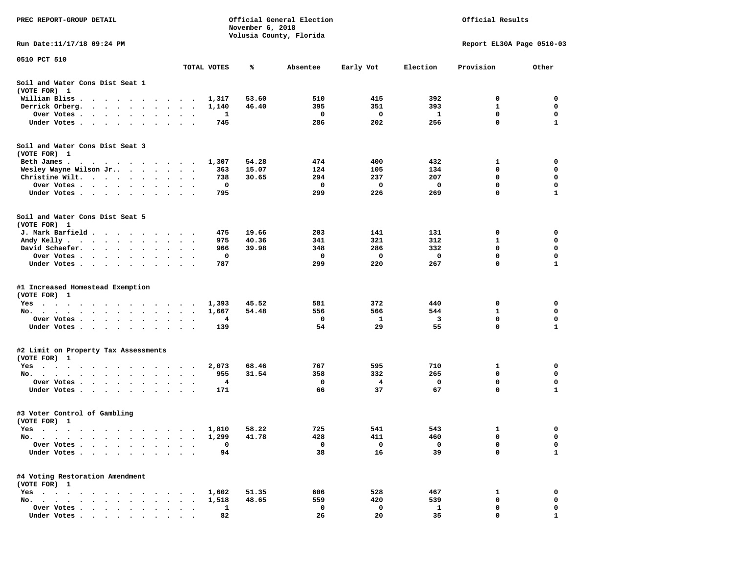| PREC REPORT-GROUP DETAIL                                                                           |                                                      |             | November 6, 2018 | Official General Election<br>Volusia County, Florida |           |             | Official Results          |              |
|----------------------------------------------------------------------------------------------------|------------------------------------------------------|-------------|------------------|------------------------------------------------------|-----------|-------------|---------------------------|--------------|
| Run Date:11/17/18 09:24 PM                                                                         |                                                      |             |                  |                                                      |           |             | Report EL30A Page 0510-03 |              |
| 0510 PCT 510                                                                                       |                                                      | TOTAL VOTES | ℁                | Absentee                                             | Early Vot | Election    | Provision                 | Other        |
| Soil and Water Cons Dist Seat 1<br>(VOTE FOR) 1                                                    |                                                      |             |                  |                                                      |           |             |                           |              |
| William Bliss.<br>$\bullet$<br>$\ddot{\phantom{1}}$<br>$\cdots$                                    | $\overline{\phantom{a}}$<br>$\overline{\phantom{a}}$ | 1,317       | 53.60            | 510                                                  | 415       | 392         | 0                         | 0            |
| Derrick Orberg.<br>$\sim$ $\sim$<br>$\ddot{\phantom{1}}$<br>$\sim$ $\sim$                          |                                                      | 1,140       | 46.40            | 395                                                  | 351       | 393         | 1                         | 0            |
| Over Votes .<br>$\cdots$<br>$\bullet$ . $\bullet$<br>$\sim$<br>$\bullet$                           | $\cdot$<br>$\bullet$                                 | 1           |                  | 0                                                    | 0         | 1           | 0                         | 0            |
| Under Votes<br>$\ddot{\phantom{0}}$<br>$\bullet$<br>$\bullet$                                      |                                                      | 745         |                  | 286                                                  | 202       | 256         | 0                         | $\mathbf{1}$ |
| Soil and Water Cons Dist Seat 3<br>(VOTE FOR) 1                                                    |                                                      |             |                  |                                                      |           |             |                           |              |
| Beth James.                                                                                        |                                                      | 1,307       | 54.28            | 474                                                  | 400       | 432         | 1                         | 0            |
| Wesley Wayne Wilson Jr                                                                             |                                                      | 363         | 15.07            | 124                                                  | 105       | 134         | $\mathbf 0$               | 0            |
| Christine Wilt.<br>$\sim$<br>$\bullet$<br>$\bullet$                                                |                                                      | 738         | 30.65            | 294                                                  | 237       | 207         | 0                         | 0            |
| Over Votes<br>$\blacksquare$ .<br>$\bullet$                                                        | $\bullet$                                            | 0           |                  | 0                                                    | 0         | 0           | 0                         | $\mathbf 0$  |
| Under Votes<br>$\ddot{\phantom{1}}$                                                                | $\cdot$ $\cdot$ $\cdot$                              | 795         |                  | 299                                                  | 226       | 269         | 0                         | $\mathbf{1}$ |
| Soil and Water Cons Dist Seat 5<br>(VOTE FOR) 1                                                    |                                                      |             |                  |                                                      |           |             |                           |              |
| J. Mark Barfield.<br>$\cdots$                                                                      | $\cdot$                                              | 475         | 19.66            | 203                                                  | 141       | 131         | 0                         | 0            |
| Andy Kelly<br>$\ddot{\phantom{0}}$                                                                 |                                                      | 975         | 40.36            | 341                                                  | 321       | 312         | 1                         | 0            |
| David Schaefer.<br>$\sim$ $\sim$ $\sim$ $\sim$<br>$\ddot{\bullet}$ $\ddot{\bullet}$                |                                                      | 966         | 39.98            | 348                                                  | 286       | 332         | 0                         | 0            |
| Over Votes                                                                                         |                                                      | 0           |                  | 0                                                    | 0         | $\mathbf 0$ | 0                         | $\mathbf 0$  |
| Under Votes<br>$\cdot$                                                                             | $\cdot$<br>$\cdot$ .                                 | 787         |                  | 299                                                  | 220       | 267         | 0                         | $\mathbf{1}$ |
| #1 Increased Homestead Exemption                                                                   |                                                      |             |                  |                                                      |           |             |                           |              |
| (VOTE FOR) 1                                                                                       |                                                      |             |                  |                                                      |           |             |                           |              |
| Yes                                                                                                |                                                      | 1,393       | 45.52            | 581                                                  | 372       | 440         | 0                         | 0            |
| No.<br>$\bullet$ , $\bullet$ , $\bullet$ , $\bullet$ , $\bullet$                                   | $\cdot$                                              | 1,667       | 54.48            | 556                                                  | 566       | 544         | $\mathbf{1}$              | 0            |
| Over Votes .<br>$\blacksquare$ .<br>$\bullet$                                                      | $\bullet$<br>$\bullet$<br>$\bullet$                  | 4           |                  | 0                                                    | 1         | 3           | 0                         | 0            |
| Under Votes<br>$\ddot{\phantom{0}}$                                                                | $\ddot{\phantom{a}}$<br>$\ddot{\phantom{1}}$         | 139         |                  | 54                                                   | 29        | 55          | 0                         | $\mathbf{1}$ |
| #2 Limit on Property Tax Assessments<br>(VOTE FOR) 1                                               |                                                      |             |                  |                                                      |           |             |                           |              |
| $Yes \t . \t .$<br>$\bullet$<br>$\cdot$<br>$\cdots$<br>$\sim$ 100 $\sim$                           | $\overline{\phantom{a}}$<br>$\blacksquare$           | 2,073       | 68.46            | 767                                                  | 595       | 710         | 1                         | 0            |
| No.<br>$\bullet$                                                                                   |                                                      | 955         | 31.54            | 358                                                  | 332       | 265         | 0                         | 0            |
| Over Votes .<br>$\sim$ $\sim$<br><b>Contract Contract</b><br>$\bullet$<br>$\bullet$                |                                                      | 4           |                  | 0                                                    | 4         | 0           | 0                         | 0            |
| Under Votes<br>$\bullet$ .<br>$\bullet$                                                            |                                                      | 171         |                  | 66                                                   | 37        | 67          | 0                         | 1            |
| #3 Voter Control of Gambling<br>(VOTE FOR) 1                                                       |                                                      |             |                  |                                                      |           |             |                           |              |
| Yes                                                                                                |                                                      | 1,810       | 58.22            | 725                                                  | 541       | 543         | 1                         | $\mathbf 0$  |
| No. .                                                                                              |                                                      | 1,299       | 41.78            | 428                                                  | 411       | 460         | 0                         | 0            |
| Over Votes                                                                                         |                                                      | 0           |                  | 0                                                    | 0         | 0           | $\mathbf 0$               | 0            |
| Under Votes<br>$\bullet$<br>$\bullet$                                                              |                                                      | 94          |                  | 38                                                   | 16        | 39          | $\mathbf 0$               | 1            |
| #4 Voting Restoration Amendment<br>(VOTE FOR) 1                                                    |                                                      |             |                  |                                                      |           |             |                           |              |
| $Yes \cdot \cdot \cdot$<br>$\overline{\phantom{a}}$<br>$\sim$ $\sim$<br>$\sim$<br>$\sim$<br>$\sim$ |                                                      | 1,602       | 51.35            | 606                                                  | 528       | 467         | 1                         | 0            |
| No.<br>$\bullet$ .<br>$\ddot{\phantom{a}}$                                                         |                                                      | 1,518       | 48.65            | 559                                                  | 420       | 539         | 0                         | 0            |
| Over Votes<br>$\blacksquare$                                                                       |                                                      | 1           |                  | 0                                                    | 0         | 1           | 0                         | 0            |
| Under Votes                                                                                        |                                                      | 82          |                  | 26                                                   | 20        | 35          | 0                         |              |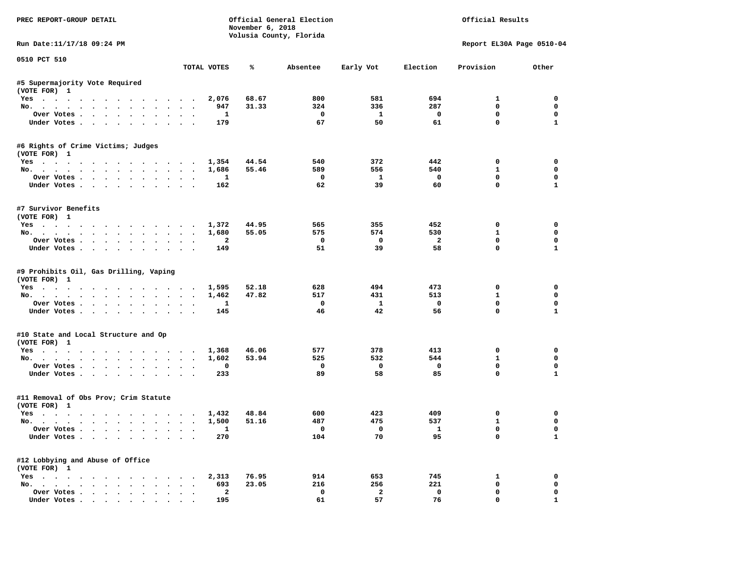| PREC REPORT-GROUP DETAIL                              |              | November 6, 2018 | Official General Election<br>Volusia County, Florida |              | Official Results |                           |              |  |
|-------------------------------------------------------|--------------|------------------|------------------------------------------------------|--------------|------------------|---------------------------|--------------|--|
| Run Date: 11/17/18 09:24 PM                           |              |                  |                                                      |              |                  | Report EL30A Page 0510-04 |              |  |
| 0510 PCT 510                                          | TOTAL VOTES  | ℁                | Absentee                                             | Early Vot    | Election         | Provision                 | Other        |  |
| #5 Supermajority Vote Required                        |              |                  |                                                      |              |                  |                           |              |  |
| (VOTE FOR) 1                                          |              |                  |                                                      |              |                  |                           |              |  |
| Yes                                                   | 2,076        | 68.67            | 800                                                  | 581          | 694              | 1                         | 0            |  |
| No.                                                   | 947          | 31.33            | 324                                                  | 336          | 287              | 0                         | 0            |  |
| Over Votes                                            | 1            |                  | 0                                                    | $\mathbf{1}$ | 0                | 0                         | 0            |  |
| Under Votes.                                          | 179          |                  | 67                                                   | 50           | 61               | $\mathbf 0$               | $\mathbf{1}$ |  |
| #6 Rights of Crime Victims; Judges                    |              |                  |                                                      |              |                  |                           |              |  |
| (VOTE FOR) 1                                          |              |                  |                                                      |              |                  |                           |              |  |
| Yes 1,354                                             |              | 44.54            | 540                                                  | 372          | 442              | 0                         | 0            |  |
| No.                                                   | 1,686        | 55.46            | 589                                                  | 556          | 540              | $\mathbf{1}$              | 0            |  |
| Over Votes                                            | 1            |                  | 0                                                    | 1            | $\mathbf 0$      | 0                         | 0            |  |
| Under Votes                                           | 162          |                  | 62                                                   | 39           | 60               | $\mathbf 0$               | $\mathbf{1}$ |  |
| #7 Survivor Benefits                                  |              |                  |                                                      |              |                  |                           |              |  |
| (VOTE FOR) 1                                          |              |                  |                                                      |              |                  |                           |              |  |
| Yes                                                   | 1,372        | 44.95            | 565                                                  | 355          | 452              | 0                         | 0            |  |
| No.                                                   | 1,680        | 55.05            | 575                                                  | 574          | 530              | $\mathbf{1}$              | 0            |  |
| Over Votes.                                           | $\mathbf{2}$ |                  | 0                                                    | $\mathbf 0$  | $\overline{a}$   | 0                         | 0            |  |
| Under Votes                                           | 149          |                  | 51                                                   | 39           | 58               | $\mathbf 0$               | $\mathbf{1}$ |  |
| #9 Prohibits Oil, Gas Drilling, Vaping                |              |                  |                                                      |              |                  |                           |              |  |
| (VOTE FOR) 1                                          |              |                  |                                                      |              |                  |                           |              |  |
| Yes.                                                  | 1,595        | 52.18            | 628                                                  | 494          | 473              | 0                         | 0            |  |
| No.                                                   | 1,462        | 47.82            | 517                                                  | 431          | 513              | 1                         | 0            |  |
| Over Votes                                            | $\mathbf{1}$ |                  | 0                                                    | $\mathbf{1}$ | 0                | 0                         | 0            |  |
| Under Votes                                           | 145          |                  | 46                                                   | 42           | 56               | $\mathbf 0$               | $\mathbf{1}$ |  |
| #10 State and Local Structure and Op                  |              |                  |                                                      |              |                  |                           |              |  |
| (VOTE FOR) 1                                          |              |                  |                                                      |              |                  |                           |              |  |
| Yes 1,368                                             |              | 46.06            | 577                                                  | 378          | 413              | 0                         | 0            |  |
| No.                                                   | 1,602        | 53.94            | 525                                                  | 532          | 544              | $\mathbf{1}$              | 0            |  |
| Over Votes                                            | 0            |                  | 0                                                    | 0            | 0                | 0                         | 0            |  |
| Under Votes                                           | 233          |                  | 89                                                   | 58           | 85               | $\mathbf 0$               | $\mathbf{1}$ |  |
| #11 Removal of Obs Prov; Crim Statute<br>(VOTE FOR) 1 |              |                  |                                                      |              |                  |                           |              |  |
| Yes                                                   | 1,432        | 48.84            | 600                                                  | 423          | 409              | 0                         | 0            |  |
| No.                                                   | 1,500        | 51.16            | 487                                                  | 475          | 537              | $\mathbf{1}$              | 0            |  |
|                                                       |              |                  |                                                      |              |                  |                           |              |  |
| Over Votes<br>Under Votes                             | ı<br>270     |                  | 0<br>104                                             | 0<br>70      | 1<br>95          | 0<br>0                    | 0<br>1       |  |
|                                                       |              |                  |                                                      |              |                  |                           |              |  |
| #12 Lobbying and Abuse of Office<br>(VOTE FOR) 1      |              |                  |                                                      |              |                  |                           |              |  |
| $Yes \cdot \cdot \cdot \cdot \cdot \cdot \cdot$       | 2,313        | 76.95            | 914                                                  | 653          | 745              | 1                         | 0            |  |
| No.                                                   | 693          | 23.05            | 216                                                  | 256          | 221              | 0                         | 0            |  |
| Over Votes                                            | $\mathbf{2}$ |                  | 0                                                    | $\mathbf{2}$ | $\mathbf 0$      | 0                         | 0            |  |
| Under Votes                                           | 195          |                  | 61                                                   | 57           | 76               | 0                         | 1            |  |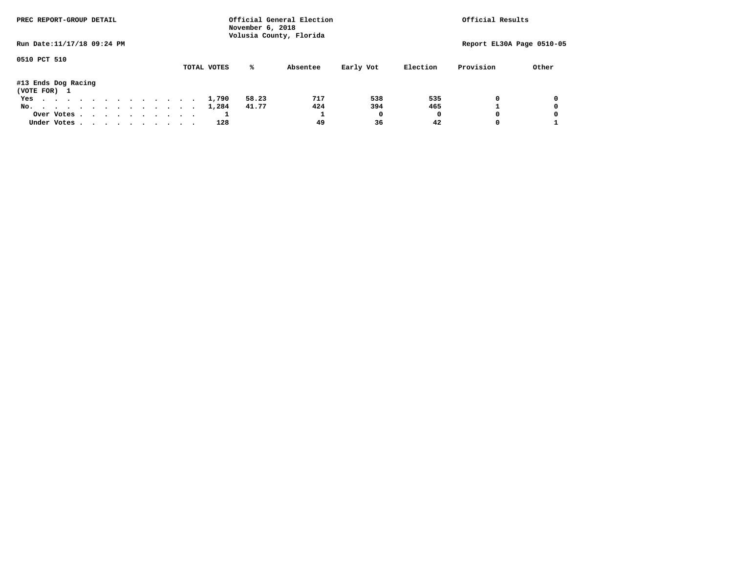| PREC REPORT-GROUP DETAIL            | November 6, 2018<br>Volusia County, Florida | Official General Election |          | Official Results          |  |  |
|-------------------------------------|---------------------------------------------|---------------------------|----------|---------------------------|--|--|
| Run Date: 11/17/18 09:24 PM         |                                             |                           |          | Report EL30A Page 0510-05 |  |  |
| 0510 PCT 510                        | %ะ<br>TOTAL VOTES                           | Early Vot<br>Absentee     | Election | Provision<br>Other        |  |  |
| #13 Ends Dog Racing<br>(VOTE FOR) 1 |                                             |                           |          |                           |  |  |
| Yes                                 | 58.23<br>1,790                              | 717<br>538                | 535      | 0<br>0                    |  |  |
| No.                                 | 41.77<br>1,284                              | 424<br>394                | 465      |                           |  |  |
| Over Votes                          |                                             | O                         | o        | $\Omega$<br>0             |  |  |
| Under Votes                         | 128                                         | 36<br>49                  | 42       | 0                         |  |  |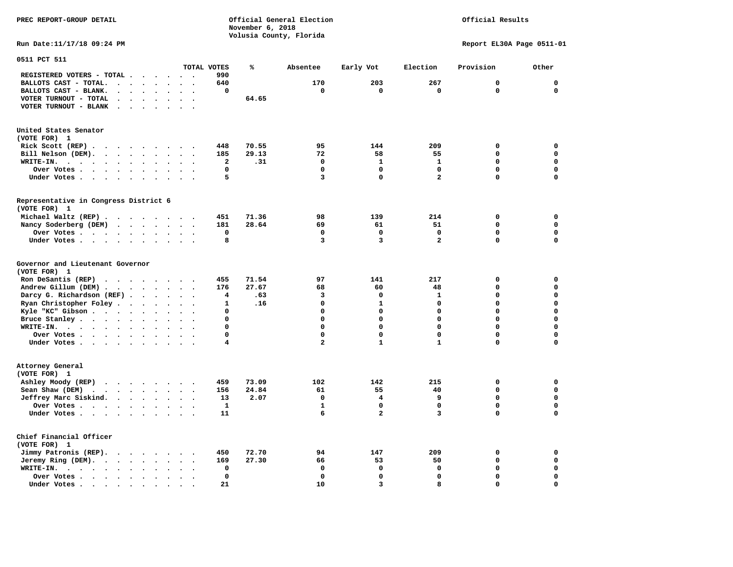**PREC REPORT-GROUP DETAIL COMPUTER CONSUMING A CONSUMING CONSUMING A LIGACION CONSUMING A LIGACION** *November 6, 2018 November 6, 2018*  **Volusia County, Florida** 

## Official Results

**Run Date:11/17/18 09:24 PM Report EL30A Page 0511-01** 

| 0511 PCT 511                                                                                                      |                                              |              |       |              |                         |                         |             |             |
|-------------------------------------------------------------------------------------------------------------------|----------------------------------------------|--------------|-------|--------------|-------------------------|-------------------------|-------------|-------------|
|                                                                                                                   |                                              | TOTAL VOTES  | ℁     | Absentee     | Early Vot               | Election                | Provision   | Other       |
| REGISTERED VOTERS - TOTAL .<br>$\overline{\phantom{a}}$                                                           | $\ddot{\phantom{0}}$                         | 990          |       |              |                         |                         |             |             |
| BALLOTS CAST - TOTAL.<br>$\sim$<br>$\ddot{\phantom{a}}$<br>$\ddot{\phantom{a}}$<br>$\ddot{\phantom{a}}$           |                                              | 640          |       | 170          | 203                     | 267                     | $\mathbf 0$ | $\mathbf 0$ |
| BALLOTS CAST - BLANK.<br>$\ddot{\phantom{a}}$<br>$\ddot{\phantom{a}}$<br>$\bullet$<br>$\bullet$<br>$\bullet$      | $\bullet$<br>$\bullet$                       | 0            |       | 0            | 0                       | $\mathbf 0$             | $\mathbf 0$ | $\mathbf 0$ |
| VOTER TURNOUT - TOTAL<br>$\ddot{\phantom{a}}$<br>$\ddot{\phantom{a}}$<br>$\ddot{\phantom{1}}$                     |                                              |              | 64.65 |              |                         |                         |             |             |
| VOTER TURNOUT - BLANK<br>$\ddot{\phantom{a}}$                                                                     |                                              |              |       |              |                         |                         |             |             |
|                                                                                                                   |                                              |              |       |              |                         |                         |             |             |
| United States Senator                                                                                             |                                              |              |       |              |                         |                         |             |             |
| (VOTE FOR) 1                                                                                                      |                                              |              |       |              |                         |                         |             |             |
| Rick Scott (REP).<br>$\ddot{\phantom{0}}$<br>$\sim$ $\sim$ $\sim$<br>$\sim 100$<br>$\cdot$<br>$\sim$              |                                              | 448          | 70.55 | 95           | 144                     | 209                     | 0           | 0           |
| Bill Nelson (DEM).                                                                                                | $\overline{\phantom{a}}$                     | 185          | 29.13 | 72           | 58                      | 55                      | 0           | $\mathbf 0$ |
| $\cdots$<br>WRITE-IN.<br>$\cdot \cdot \cdot$ .<br>$\cdot$ $\cdot$ $\cdot$ $\cdot$                                 |                                              | 2            | .31   | $\mathbf 0$  | $\mathbf{1}$            | $\mathbf{1}$            | $\Omega$    | $\mathbf 0$ |
| $\ddot{\phantom{a}}$<br>$\bullet$                                                                                 |                                              | 0            |       | $\Omega$     | $\mathbf 0$             | $\mathbf 0$             | 0           | $\mathbf 0$ |
| Over Votes<br>$\cdot$<br>$\sim$<br>$\bullet$                                                                      |                                              |              |       |              |                         |                         |             |             |
| Under Votes<br>$\bullet$<br>$\bullet$                                                                             | $\bullet$<br>$\cdot$                         | 5            |       | 3            | $\mathbf 0$             | $\overline{a}$          | 0           | $\mathbf 0$ |
|                                                                                                                   |                                              |              |       |              |                         |                         |             |             |
| Representative in Congress District 6<br>(VOTE FOR) 1                                                             |                                              |              |       |              |                         |                         |             |             |
|                                                                                                                   |                                              |              |       |              |                         |                         |             |             |
| Michael Waltz (REP)                                                                                               |                                              | 451          | 71.36 | 98           | 139                     | 214                     | $\mathbf 0$ | $\mathbf 0$ |
| Nancy Soderberg (DEM)                                                                                             |                                              | 181          | 28.64 | 69           | 61                      | 51                      | $\mathbf 0$ | $\mathbf 0$ |
| Over Votes<br>$\bullet$<br>$\bullet$<br>$\cdot$                                                                   | $\cdot$                                      | $\mathbf 0$  |       | 0            | $\mathbf 0$             | $\mathbf 0$             | 0           | 0           |
| Under Votes<br>$\ddot{\phantom{a}}$<br>$\ddot{\phantom{a}}$                                                       |                                              | 8            |       | 3            | 3                       | $\overline{\mathbf{2}}$ | 0           | $\mathbf 0$ |
| Governor and Lieutenant Governor<br>(VOTE FOR) 1                                                                  |                                              |              |       |              |                         |                         |             |             |
| Ron DeSantis (REP)                                                                                                |                                              | 455          | 71.54 | 97           | 141                     | 217                     | 0           | $\mathbf 0$ |
| $\cdot$ $\cdot$ $\cdot$ $\cdot$ $\cdot$ $\cdot$ $\cdot$ $\cdot$                                                   |                                              |              |       |              |                         |                         | 0           | $\mathbf 0$ |
| Andrew Gillum (DEM)                                                                                               | $\sim$<br>$\bullet$                          | 176          | 27.67 | 68           | 60<br>$\mathbf 0$       | 48                      | 0           |             |
| Darcy G. Richardson (REF).<br>$\bullet$<br>$\ddot{\phantom{a}}$                                                   |                                              | 4            | .63   | 3            |                         | $\mathbf{1}$            |             | $\mathbf 0$ |
| Ryan Christopher Foley.<br>$\ddot{\phantom{1}}$<br>$\bullet$<br>$\bullet$                                         |                                              | $\mathbf{1}$ | .16   | $\Omega$     | $\mathbf{1}$            | 0                       | $\mathbf 0$ | $\mathbf 0$ |
| Kyle "KC" Gibson<br>$\ddot{\phantom{1}}$<br>$\bullet$<br>$\bullet$                                                | $\bullet$<br>$\ddot{\phantom{a}}$            | 0            |       | $\mathbf 0$  | $\mathbf 0$             | 0                       | 0           | $\mathbf 0$ |
| Bruce Stanley<br>$\overline{\phantom{a}}$                                                                         |                                              | 0            |       | $\Omega$     | $\mathbf 0$             | 0                       | 0           | $\mathbf 0$ |
| WRITE-IN.<br>$\mathbf{r}$ , $\mathbf{r}$ , $\mathbf{r}$ , $\mathbf{r}$ , $\mathbf{r}$ , $\mathbf{r}$<br>$\bullet$ |                                              | 0            |       | $\Omega$     | $\Omega$                | $\Omega$                | $\mathbf 0$ | $\mathbf 0$ |
| Over Votes<br>$\cdot$<br>$\bullet$                                                                                | $\ddot{\phantom{a}}$<br>$\ddot{\phantom{a}}$ | 0            |       | $\mathbf 0$  | $\mathbf 0$             | 0                       | 0           | $\mathbf 0$ |
| Under Votes<br>$\bullet$                                                                                          | $\cdot$                                      | 4            |       | 2            | $\mathbf 1$             | $\mathbf{1}$            | 0           | 0           |
| Attorney General<br>(VOTE FOR) 1                                                                                  |                                              |              |       |              |                         |                         |             |             |
| Ashley Moody (REP)<br>.                                                                                           |                                              | 459          | 73.09 | 102          | 142                     | 215                     | 0           | $\mathbf 0$ |
| Sean Shaw (DEM)<br>$\sim$ $\sim$ $\sim$ $\sim$ $\sim$<br>$\ddot{\phantom{a}}$                                     |                                              | 156          | 24.84 | 61           | 55                      | 40                      | 0           | $\mathbf 0$ |
| Jeffrey Marc Siskind.<br>$\bullet$                                                                                | $\bullet$<br>$\ddot{\phantom{a}}$            | 13           | 2.07  | 0            | 4                       | 9                       | 0           | $\mathbf 0$ |
| Over Votes<br>$\ddot{\phantom{0}}$<br>$\ddot{\phantom{a}}$<br>$\ddot{\phantom{a}}$                                |                                              | 1            |       | $\mathbf{1}$ | $\mathbf 0$             | $\mathbf 0$             | 0           | $\mathbf 0$ |
| Under Votes                                                                                                       |                                              | 11           |       | 6            | $\overline{\mathbf{2}}$ | 3                       | 0           | $\mathbf 0$ |
|                                                                                                                   |                                              |              |       |              |                         |                         |             |             |
| Chief Financial Officer<br>(VOTE FOR) 1                                                                           |                                              |              |       |              |                         |                         |             |             |
| Jimmy Patronis (REP).<br>$\sim$ $\sim$<br>$\sim$ $\sim$ $\sim$<br>$\ddot{\phantom{0}}$                            |                                              | 450          | 72.70 | 94           | 147                     | 209                     | $\mathbf 0$ | 0           |
| Jeremy Ring (DEM).<br>$\cdots$ $\cdots$<br>$\bullet$                                                              | $\bullet$ .<br>$\overline{\phantom{a}}$      | 169          | 27.30 | 66           | 53                      | 50                      | 0           | $\mathbf 0$ |
| WRITE-IN.<br>$\cdot$ $\cdot$ $\cdot$ $\cdot$ $\cdot$ $\cdot$<br>$\bullet$                                         |                                              | 0            |       | $\mathbf 0$  | $\mathbf 0$             | $\mathbf 0$             | 0           | $\mathbf 0$ |
| Over Votes.<br>$\bullet$                                                                                          |                                              | 0            |       | $\Omega$     | $\mathbf 0$             | $\mathbf 0$             | $\mathbf 0$ | $\mathbf 0$ |
| Under Votes.<br>$\sim$<br>$\blacksquare$ .<br>$\sim$ $\sim$<br>$\sim$<br>$\bullet$                                |                                              | 21           |       | 10           | $\overline{\mathbf{3}}$ | 8                       | 0           | $\mathbf 0$ |
|                                                                                                                   |                                              |              |       |              |                         |                         |             |             |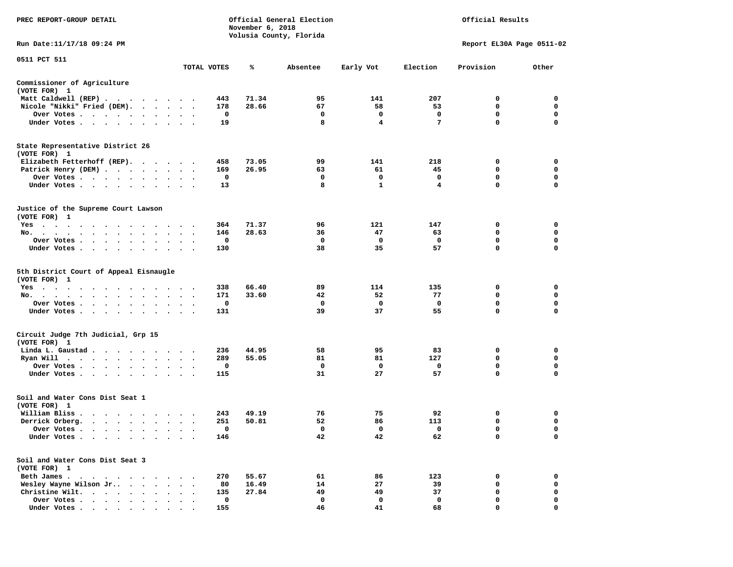| PREC REPORT-GROUP DETAIL                                                                                            |                      |             | November 6, 2018 | Official General Election<br>Volusia County, Florida |              |                 | Official Results          |             |
|---------------------------------------------------------------------------------------------------------------------|----------------------|-------------|------------------|------------------------------------------------------|--------------|-----------------|---------------------------|-------------|
| Run Date:11/17/18 09:24 PM                                                                                          |                      |             |                  |                                                      |              |                 | Report EL30A Page 0511-02 |             |
| 0511 PCT 511                                                                                                        |                      | TOTAL VOTES | ℁                | Absentee                                             | Early Vot    | Election        | Provision                 | Other       |
| Commissioner of Agriculture                                                                                         |                      |             |                  |                                                      |              |                 |                           |             |
| (VOTE FOR) 1                                                                                                        |                      |             |                  |                                                      |              |                 |                           |             |
| Matt Caldwell (REP)                                                                                                 |                      | 443         | 71.34            | 95                                                   | 141          | 207             | 0                         | 0           |
| Nicole "Nikki" Fried (DEM).                                                                                         |                      | 178         | 28.66            | 67                                                   | 58           | 53              | 0                         | 0           |
| Over Votes                                                                                                          |                      | 0           |                  | 0                                                    | 0            | 0               | 0                         | 0           |
| Under Votes                                                                                                         |                      | 19          |                  | 8                                                    | 4            | $7\phantom{.0}$ | 0                         | $\mathbf 0$ |
| State Representative District 26<br>(VOTE FOR) 1                                                                    |                      |             |                  |                                                      |              |                 |                           |             |
| Elizabeth Fetterhoff (REP).                                                                                         |                      | 458         | 73.05            | 99                                                   | 141          | 218             | 0                         | 0           |
| Patrick Henry (DEM)                                                                                                 |                      | 169         | 26.95            | 63                                                   | 61           | 45              | 0                         | $\mathbf 0$ |
| Over Votes                                                                                                          |                      | 0           |                  | 0                                                    | 0            | 0               | 0                         | 0           |
| Under Votes                                                                                                         | $\ddot{\phantom{1}}$ | 13          |                  | 8                                                    | $\mathbf{1}$ | 4               | 0                         | $\mathbf 0$ |
| Justice of the Supreme Court Lawson<br>(VOTE FOR) 1                                                                 |                      |             |                  |                                                      |              |                 |                           |             |
| Yes                                                                                                                 |                      | 364         | 71.37            | 96                                                   | 121          | 147             | 0                         | 0           |
| No.                                                                                                                 |                      | 146         | 28.63            | 36                                                   | 47           | 63              | 0                         | 0           |
| Over Votes                                                                                                          | $\bullet$            | 0           |                  | $\mathbf 0$                                          | 0            | 0               | $\mathbf 0$               | $\mathbf 0$ |
| Under Votes                                                                                                         |                      | 130         |                  | 38                                                   | 35           | 57              | 0                         | 0           |
| 5th District Court of Appeal Eisnaugle<br>(VOTE FOR) 1                                                              |                      |             |                  |                                                      |              |                 |                           |             |
| Yes                                                                                                                 |                      | 338         | 66.40            | 89                                                   | 114          | 135             | 0                         | 0           |
| No.                                                                                                                 |                      | 171         | 33.60            | 42                                                   | 52           | 77              | 0                         | 0           |
| Over Votes                                                                                                          |                      | 0           |                  | 0                                                    | 0            | $\mathbf 0$     | 0                         | 0           |
| Under Votes<br>$\cdot$                                                                                              |                      | 131         |                  | 39                                                   | 37           | 55              | 0                         | $\mathbf 0$ |
| Circuit Judge 7th Judicial, Grp 15<br>(VOTE FOR) 1                                                                  |                      |             |                  |                                                      |              |                 |                           |             |
| Linda L. Gaustad.<br>. The contract of the contract of the contract of the contract of the contract of the $\alpha$ |                      | 236         | 44.95            | 58                                                   | 95           | 83              | 0                         | 0           |
| Ryan Will $\cdots$ , $\cdots$ , $\cdots$                                                                            | $\ddot{\phantom{1}}$ | 289         | 55.05            | 81                                                   | 81           | 127             | $\mathbf 0$               | $\mathbf 0$ |
| Over Votes                                                                                                          |                      | 0           |                  | 0                                                    | 0            | 0               | 0                         | 0           |
| Under Votes                                                                                                         | $\bullet$            | 115         |                  | 31                                                   | 27           | 57              | 0                         | $\mathbf 0$ |
| Soil and Water Cons Dist Seat 1<br>(VOTE FOR) 1                                                                     |                      |             |                  |                                                      |              |                 |                           |             |
| William Bliss.<br>$\mathbf{r}$ , and $\mathbf{r}$ , and $\mathbf{r}$ , and $\mathbf{r}$                             |                      | 243         | 49.19            | 76                                                   | 75           | 92              | 0                         | 0           |
| Derrick Orberg.                                                                                                     |                      | 251         | 50.81            | 52                                                   | 86           | 113             | 0                         | 0           |
| Over Votes                                                                                                          |                      | $\mathbf 0$ |                  | $\mathbf 0$                                          | $\mathbf 0$  | $\mathbf 0$     | 0                         | $\mathbf 0$ |
| Under Votes                                                                                                         |                      | 146         |                  | 42                                                   | 42           | 62              | 0                         | 0           |
| Soil and Water Cons Dist Seat 3<br>(VOTE FOR) 1                                                                     |                      |             |                  |                                                      |              |                 |                           |             |
| Beth James                                                                                                          |                      | 270         | 55.67            | 61                                                   | 86           | 123             | 0                         | 0           |
| Wesley Wayne Wilson Jr<br>$\cdots$                                                                                  |                      | 80          | 16.49            | 14                                                   | 27           | 39              | 0                         | 0           |
| Christine Wilt.<br>$\cdots$                                                                                         |                      | 135         | 27.84            | 49                                                   | 49           | 37              | 0                         | 0           |
| Over Votes                                                                                                          |                      | $\mathbf 0$ |                  | 0                                                    | 0            | $\mathbf 0$     | 0                         | $\mathbf 0$ |
| Under Votes                                                                                                         |                      | 155         |                  | 46                                                   | 41           | 68              | $\Omega$                  | 0           |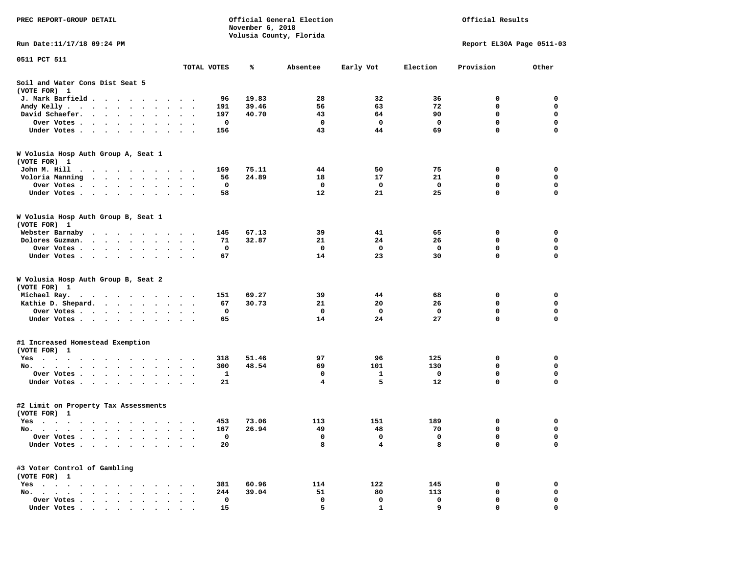| PREC REPORT-GROUP DETAIL                                                                                                                                                                                                                         |             | November 6, 2018             | Official General Election<br>Volusia County, Florida |             |            | Official Results          |             |
|--------------------------------------------------------------------------------------------------------------------------------------------------------------------------------------------------------------------------------------------------|-------------|------------------------------|------------------------------------------------------|-------------|------------|---------------------------|-------------|
| Run Date: 11/17/18 09:24 PM                                                                                                                                                                                                                      |             |                              |                                                      |             |            | Report EL30A Page 0511-03 |             |
| 0511 PCT 511                                                                                                                                                                                                                                     |             |                              |                                                      |             |            |                           |             |
|                                                                                                                                                                                                                                                  | TOTAL VOTES | ℁                            | Absentee                                             | Early Vot   | Election   | Provision                 | Other       |
| Soil and Water Cons Dist Seat 5<br>(VOTE FOR) 1                                                                                                                                                                                                  |             |                              |                                                      |             |            |                           |             |
| J. Mark Barfield                                                                                                                                                                                                                                 |             | 19.83<br>96                  | 28                                                   | 32          | 36         | 0                         | 0           |
| Andy Kelly                                                                                                                                                                                                                                       |             | 39.46<br>191                 | 56                                                   | 63          | 72         | $\mathbf 0$               | $\mathbf 0$ |
| David Schaefer.                                                                                                                                                                                                                                  |             | 197<br>40.70                 | 43                                                   | 64          | 90         | 0                         | $\mathbf 0$ |
| Over Votes                                                                                                                                                                                                                                       |             | 0                            | $\mathbf{o}$                                         | $\mathbf 0$ | 0          | $\mathbf 0$               | $\mathbf 0$ |
| Under Votes                                                                                                                                                                                                                                      |             | 156                          | 43                                                   | 44          | 69         | $\mathbf 0$               | $\mathbf 0$ |
| W Volusia Hosp Auth Group A, Seat 1<br>(VOTE FOR) 1                                                                                                                                                                                              |             |                              |                                                      |             |            |                           |             |
| John M. Hill<br>$\cdots$                                                                                                                                                                                                                         |             | 75.11<br>169                 | 44                                                   | 50          | 75         | 0                         | 0           |
| Voloria Manning                                                                                                                                                                                                                                  |             | 24.89<br>56                  | 18                                                   | 17          | 21         | 0                         | $\mathbf 0$ |
| Over Votes .<br>$\cdots$                                                                                                                                                                                                                         |             | 0                            | 0                                                    | 0           | 0          | 0                         | 0           |
| Under Votes                                                                                                                                                                                                                                      |             | 58                           | 12                                                   | 21          | 25         | $\mathbf 0$               | $\mathbf 0$ |
| W Volusia Hosp Auth Group B, Seat 1<br>(VOTE FOR) 1                                                                                                                                                                                              |             |                              |                                                      |             |            |                           |             |
| Webster Barnaby<br>$\cdots$                                                                                                                                                                                                                      |             | 145<br>67.13                 | 39                                                   | 41          | 65         | 0                         | 0           |
| Dolores Guzman.<br>. The contract of the contract of the contract of the contract of the contract of the contract of the contract of the contract of the contract of the contract of the contract of the contract of the contract of the contrac |             | 32.87<br>71                  | 21                                                   | 24          | 26         | 0                         | $\mathbf 0$ |
| Over Votes                                                                                                                                                                                                                                       |             | 0                            | $\mathbf 0$                                          | 0           | 0          | 0                         | 0           |
| Under Votes                                                                                                                                                                                                                                      |             | 67                           | 14                                                   | 23          | 30         | $\mathbf 0$               | 0           |
| W Volusia Hosp Auth Group B, Seat 2<br>(VOTE FOR) 1                                                                                                                                                                                              |             |                              |                                                      |             |            |                           |             |
| Michael Ray.                                                                                                                                                                                                                                     |             | 69.27<br>151                 | 39                                                   | 44          | 68         | 0                         | 0           |
| Kathie D. Shepard.                                                                                                                                                                                                                               |             | 67<br>30.73                  | 21                                                   | 20          | 26         | 0                         | 0           |
| Over Votes                                                                                                                                                                                                                                       |             | 0                            | $\mathbf{o}$                                         | 0           | 0          | $\mathbf 0$               | $\mathbf 0$ |
| Under Votes                                                                                                                                                                                                                                      |             | 65                           | 14                                                   | 24          | 27         | $\mathbf 0$               | $\mathbf 0$ |
| #1 Increased Homestead Exemption<br>(VOTE FOR) 1                                                                                                                                                                                                 |             |                              |                                                      |             |            |                           |             |
| Yes                                                                                                                                                                                                                                              |             | 51.46<br>318                 | 97                                                   | 96          | 125        | 0                         | 0           |
| No.                                                                                                                                                                                                                                              |             | 48.54<br>300                 | 69                                                   | 101         | 130        | 0                         | 0           |
| Over Votes                                                                                                                                                                                                                                       | $\sim$      | 1                            | 0                                                    | 1           | 0          | 0                         | $\mathbf 0$ |
| Under Votes                                                                                                                                                                                                                                      |             | 21                           | 4                                                    | 5           | 12         | 0                         | $\mathbf 0$ |
| #2 Limit on Property Tax Assessments<br>(VOTE FOR) 1                                                                                                                                                                                             |             |                              |                                                      |             |            |                           |             |
| Yes                                                                                                                                                                                                                                              |             | 73.06<br>453                 | 113                                                  | 151         | 189        | 0                         | 0           |
| No.                                                                                                                                                                                                                                              |             | 167<br>26.94                 | 49                                                   | 48          | 70         | 0                         | 0           |
| Over Votes .<br>$\cdot$ $\cdot$ $\cdot$ $\cdot$                                                                                                                                                                                                  |             | $\mathbf 0$                  | 0                                                    | 0           | 0          | 0                         | 0           |
| Under Votes.<br>$\mathbf{r} = \mathbf{r} + \mathbf{r}$ .<br>$\ddot{\phantom{0}}$<br>$\bullet$                                                                                                                                                    |             | 20                           | 8                                                    | 4           | 8          | 0                         | 0           |
| #3 Voter Control of Gambling                                                                                                                                                                                                                     |             |                              |                                                      |             |            |                           |             |
| (VOTE FOR) 1                                                                                                                                                                                                                                     |             |                              |                                                      |             |            |                           |             |
| $Yes \cdot \cdot \cdot \cdot \cdot \cdot \cdot \cdot$<br>$\cdots$<br>No.                                                                                                                                                                         |             | 381<br>60.96<br>39.04<br>244 | 114<br>51                                            | 122<br>80   | 145<br>113 | 0<br>0                    | 0<br>0      |
| Over Votes<br>$\bullet$                                                                                                                                                                                                                          |             | 0                            | 0                                                    | 0           | 0          | 0                         | 0           |
| Under Votes                                                                                                                                                                                                                                      |             | 15                           | 5                                                    |             | q          |                           |             |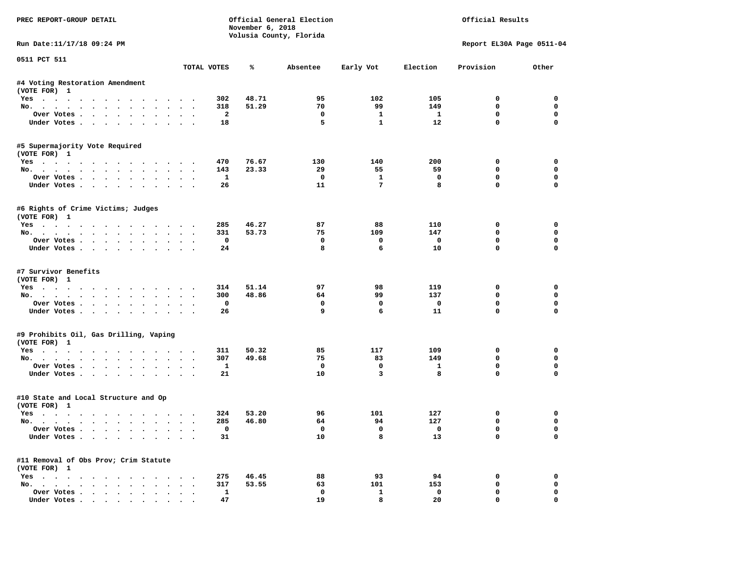| PREC REPORT-GROUP DETAIL                                                                                                                                                                                                             |               |              | November 6, 2018 | Official General Election<br>Volusia County, Florida |              |          | Official Results          |             |
|--------------------------------------------------------------------------------------------------------------------------------------------------------------------------------------------------------------------------------------|---------------|--------------|------------------|------------------------------------------------------|--------------|----------|---------------------------|-------------|
| Run Date:11/17/18 09:24 PM                                                                                                                                                                                                           |               |              |                  |                                                      |              |          | Report EL30A Page 0511-04 |             |
| 0511 PCT 511                                                                                                                                                                                                                         |               | TOTAL VOTES  | ℁                | Absentee                                             | Early Vot    | Election | Provision                 | Other       |
| #4 Voting Restoration Amendment<br>(VOTE FOR) 1                                                                                                                                                                                      |               |              |                  |                                                      |              |          |                           |             |
| Yes                                                                                                                                                                                                                                  |               | 302          | 48.71            | 95                                                   | 102          | 105      | 0                         | 0           |
| No.                                                                                                                                                                                                                                  |               | 318          | 51.29            | 70                                                   | 99           | 149      | $\mathbf 0$               | $\mathbf 0$ |
| Over Votes<br>$\bullet$                                                                                                                                                                                                              | $\bullet$     | 2            |                  | 0                                                    | 1            | 1        | 0                         | 0           |
| Under Votes                                                                                                                                                                                                                          |               | 18           |                  | 5                                                    | $\mathbf{1}$ | 12       | $\mathbf 0$               | 0           |
| #5 Supermajority Vote Required<br>(VOTE FOR) 1                                                                                                                                                                                       |               |              |                  |                                                      |              |          |                           |             |
| $Yes \cdot \cdot \cdot$<br>.                                                                                                                                                                                                         |               | 470          | 76.67            | 130                                                  | 140          | 200      | 0                         | 0           |
| No.                                                                                                                                                                                                                                  |               | 143          | 23.33            | 29                                                   | 55           | 59       | 0                         | $\mathbf 0$ |
| Over Votes                                                                                                                                                                                                                           |               | $\mathbf{1}$ |                  | $\mathbf 0$                                          | $\mathbf{1}$ | 0        | $\mathbf 0$               | $\mathbf 0$ |
| Under Votes<br>$\ddot{\phantom{0}}$                                                                                                                                                                                                  |               | 26           |                  | 11                                                   | 7            | 8        | $\mathbf 0$               | 0           |
| #6 Rights of Crime Victims; Judges<br>(VOTE FOR) 1                                                                                                                                                                                   |               |              |                  |                                                      |              |          |                           |             |
| Yes                                                                                                                                                                                                                                  |               | 285          | 46.27            | 87                                                   | 88           | 110      | 0                         | 0           |
| No.                                                                                                                                                                                                                                  | $\sim$ $\sim$ | 331          | 53.73            | 75                                                   | 109          | 147      | 0                         | 0           |
| Over Votes                                                                                                                                                                                                                           |               | 0            |                  | $\mathbf 0$                                          | 0            | 0        | $\mathbf 0$               | 0           |
| Under Votes                                                                                                                                                                                                                          | $\sim$ $\sim$ | 24           |                  | 8                                                    | 6            | 10       | $\mathbf 0$               | $\mathbf 0$ |
| #7 Survivor Benefits<br>(VOTE FOR) 1                                                                                                                                                                                                 |               |              |                  |                                                      |              |          |                           |             |
| Yes                                                                                                                                                                                                                                  |               | 314          | 51.14            | 97                                                   | 98           | 119      | 0                         | 0           |
| No.                                                                                                                                                                                                                                  |               | 300          | 48.86            | 64                                                   | 99           | 137      | $\mathbf 0$               | 0           |
| Over Votes                                                                                                                                                                                                                           | $\bullet$     | 0            |                  | 0                                                    | 0            | 0        | 0                         | 0           |
| Under Votes                                                                                                                                                                                                                          |               | 26           |                  | 9                                                    | 6            | 11       | $\mathbf 0$               | 0           |
| #9 Prohibits Oil, Gas Drilling, Vaping<br>(VOTE FOR) 1                                                                                                                                                                               |               |              |                  |                                                      |              |          |                           |             |
| Yes                                                                                                                                                                                                                                  |               | 311          | 50.32            | 85                                                   | 117          | 109      | 0                         | 0           |
| No.                                                                                                                                                                                                                                  |               | 307          | 49.68            | 75                                                   | 83           | 149      | 0                         | $\mathbf 0$ |
| Over Votes                                                                                                                                                                                                                           |               | 1            |                  | $\mathbf 0$                                          | 0            | 1        | $\mathbf 0$               | $\mathbf 0$ |
| Under Votes<br>$\ddot{\phantom{0}}$<br>$\ddot{\phantom{0}}$                                                                                                                                                                          |               | 21           |                  | 10                                                   | 3            | 8        | $\Omega$                  | 0           |
| #10 State and Local Structure and Op<br>(VOTE FOR) 1                                                                                                                                                                                 |               |              |                  |                                                      |              |          |                           |             |
| Yes<br>. The contract of the contract of the contract of the contract of the contract of the contract of the contract of the contract of the contract of the contract of the contract of the contract of the contract of the contrac |               | 324          | 53.20            | 96                                                   | 101          | 127      | 0                         | 0           |
| No.                                                                                                                                                                                                                                  | $\bullet$     | 285          | 46.80            | 64                                                   | 94           | 127      | $\mathbf 0$               | 0           |
| Over votes $\cdots$ $\cdots$ $\cdots$ $\cdots$                                                                                                                                                                                       |               | 0            |                  | $\mathbf{o}$                                         |              | 0        | 0                         | 0           |
| Under Votes                                                                                                                                                                                                                          |               | 31           |                  | 10                                                   | 8            | 13       | $\mathbf 0$               | 0           |
| #11 Removal of Obs Prov; Crim Statute<br>(VOTE FOR) 1                                                                                                                                                                                |               |              |                  |                                                      |              |          |                           |             |
| $Yes \cdot \cdot \cdot \cdot \cdot \cdot$<br>$\sim$                                                                                                                                                                                  |               | 275          | 46.45            | 88                                                   | 93           | 94       | 0                         | 0           |
| No.<br>$\ddot{\phantom{0}}$                                                                                                                                                                                                          |               | 317          | 53.55            | 63                                                   | 101          | 153      | 0                         | 0           |
| Over Votes                                                                                                                                                                                                                           |               | $\mathbf{1}$ |                  | 0                                                    | 1            | 0        | 0                         | 0           |
| Under Votes.<br>$\mathbf{r}$ , $\mathbf{r}$ , $\mathbf{r}$ , $\mathbf{r}$                                                                                                                                                            |               | 47           |                  | 19                                                   | 8            | 20       | 0                         | $\mathbf 0$ |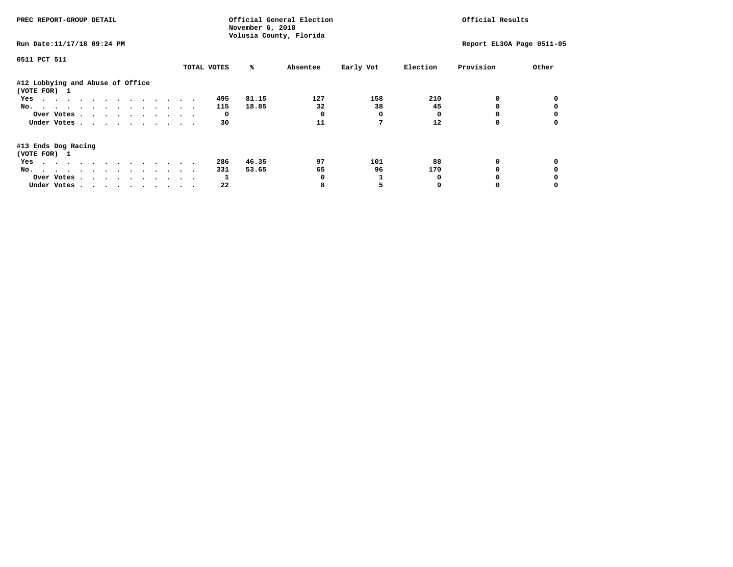| PREC REPORT-GROUP DETAIL                                                                                                                                                                                                             |             | November 6, 2018<br>Volusia County, Florida | Official General Election |           |          | Official Results          |       |
|--------------------------------------------------------------------------------------------------------------------------------------------------------------------------------------------------------------------------------------|-------------|---------------------------------------------|---------------------------|-----------|----------|---------------------------|-------|
| Run Date: 11/17/18 09:24 PM                                                                                                                                                                                                          |             |                                             |                           |           |          | Report EL30A Page 0511-05 |       |
| 0511 PCT 511                                                                                                                                                                                                                         |             |                                             |                           |           |          |                           |       |
|                                                                                                                                                                                                                                      | TOTAL VOTES | %ะ                                          | Absentee                  | Early Vot | Election | Provision                 | Other |
| #12 Lobbying and Abuse of Office<br>(VOTE FOR) 1                                                                                                                                                                                     |             |                                             |                           |           |          |                           |       |
| Yes                                                                                                                                                                                                                                  | 495         | 81.15                                       | 127                       | 158       | 210      |                           |       |
| No.                                                                                                                                                                                                                                  | 115         | 18.85                                       | 32                        | 38        | 45       |                           |       |
| Over Votes                                                                                                                                                                                                                           |             | $\mathbf{o}$                                |                           | 0         |          |                           |       |
| Under Votes                                                                                                                                                                                                                          |             | 30                                          | 11                        |           | 12       |                           |       |
| #13 Ends Dog Racing<br>(VOTE FOR) 1                                                                                                                                                                                                  |             |                                             |                           |           |          |                           |       |
| . The contract of the contract of the contract of the contract of the contract of the contract of the contract of the contract of the contract of the contract of the contract of the contract of the contract of the contrac<br>Yes | 286         | 46.35                                       | 97                        | 101       | 88       | 0                         |       |
| No.                                                                                                                                                                                                                                  | 331         | 53.65                                       | 65                        | 96        | 170      |                           |       |
| Over Votes                                                                                                                                                                                                                           |             |                                             |                           |           |          |                           |       |
| Under Votes                                                                                                                                                                                                                          |             | 22                                          |                           |           |          |                           |       |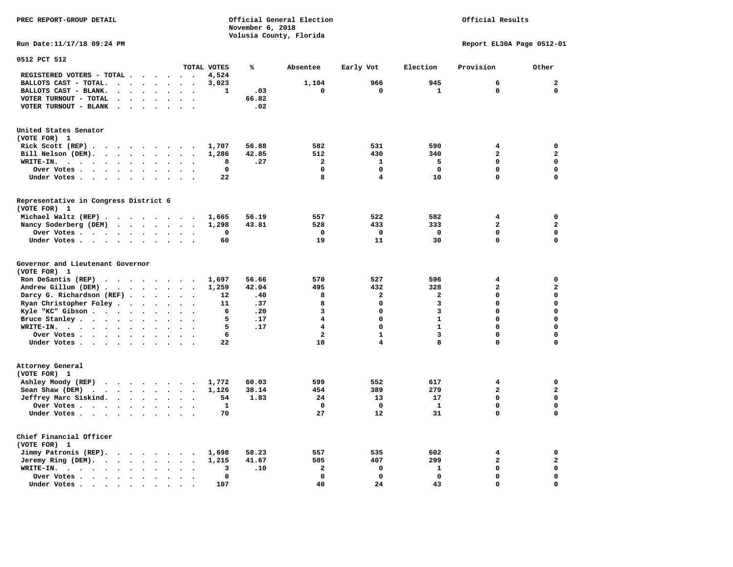**PREC REPORT-GROUP DETAIL COMPUTER CONSUMING A CONSUMING CONSUMING A LIGACION CONSUMING A LIGACION** *November 6, 2018 November 6, 2018*  **Volusia County, Florida** 

# Official Results

**Run Date:11/17/18 09:24 PM Report EL30A Page 0512-01** 

| 0512 PCT 512                                                                                            |                      |                      |                          |                      |                          |              |       |                         |                         |                |                         |              |
|---------------------------------------------------------------------------------------------------------|----------------------|----------------------|--------------------------|----------------------|--------------------------|--------------|-------|-------------------------|-------------------------|----------------|-------------------------|--------------|
|                                                                                                         |                      |                      |                          |                      |                          | TOTAL VOTES  | ℁     | Absentee                | Early Vot               | Election       | Provision               | Other        |
| REGISTERED VOTERS - TOTAL .                                                                             | $\ddot{\phantom{a}}$ |                      | $\sim$                   | $\sim$               |                          | 4,524        |       |                         |                         |                |                         |              |
| BALLOTS CAST - TOTAL.<br>$\sim$                                                                         | $\ddot{\phantom{a}}$ | $\ddot{\phantom{1}}$ |                          | $\ddot{\phantom{a}}$ | $\bullet$                | 3,023        |       | 1,104                   | 966                     | 945            | 6                       | $\mathbf{2}$ |
| BALLOTS CAST - BLANK.<br>$\bullet$<br>$\bullet$                                                         | $\cdot$              |                      | $\ddot{\phantom{a}}$     |                      |                          | $\mathbf{1}$ | .03   | $\mathbf 0$             | 0                       | $\mathbf{1}$   | $\mathbf 0$             | $\mathbf 0$  |
| VOTER TURNOUT - TOTAL<br>$\ddot{\phantom{a}}$<br>$\cdot$                                                | $\ddot{\phantom{a}}$ | $\cdot$              | $\bullet$                | $\ddot{\phantom{a}}$ | $\cdot$                  |              | 66.82 |                         |                         |                |                         |              |
| VOTER TURNOUT - BLANK                                                                                   |                      |                      |                          |                      |                          |              | .02   |                         |                         |                |                         |              |
| United States Senator                                                                                   |                      |                      |                          |                      |                          |              |       |                         |                         |                |                         |              |
| (VOTE FOR) 1                                                                                            |                      |                      |                          |                      |                          |              |       |                         |                         |                |                         |              |
| Rick Scott $(REP)$                                                                                      |                      |                      |                          |                      |                          | 1,707        | 56.88 | 582                     | 531                     | 590            | 4                       | $\mathbf 0$  |
| Bill Nelson (DEM).<br>$\cdot$ $\cdot$ $\cdot$ $\cdot$ $\cdot$ $\cdot$ $\cdot$                           |                      |                      |                          | $\sim$               |                          | 1,286        | 42.85 | 512                     | 430                     | 340            | $\overline{\mathbf{2}}$ | $\mathbf{2}$ |
| WRITE-IN.<br>$\cdot$ $\cdot$ $\cdot$ $\cdot$ $\cdot$<br>$\sim$ $\sim$<br>$\ddot{\phantom{a}}$<br>$\sim$ |                      | $\bullet$ .          | $\bullet$                |                      |                          | 8            | .27   | $\overline{a}$          | $\mathbf{1}$            | 5              | 0                       | $\mathbf 0$  |
| Over Votes .<br>the contract of the contract of the                                                     | $\ddot{\phantom{a}}$ |                      | $\bullet$                |                      |                          | $\mathbf{0}$ |       | $\Omega$                | $\Omega$                | $\Omega$       | $\Omega$                | $\mathbf 0$  |
| Under Votes                                                                                             | $\ddot{\phantom{a}}$ |                      | $\ddot{\phantom{a}}$     |                      |                          | 22           |       | 8                       | 4                       | 10             | $\Omega$                | $\mathbf 0$  |
| Representative in Congress District 6                                                                   |                      |                      |                          |                      |                          |              |       |                         |                         |                |                         |              |
| (VOTE FOR) 1                                                                                            |                      |                      |                          |                      |                          |              |       |                         |                         |                |                         |              |
| Michael Waltz (REP)                                                                                     |                      |                      |                          |                      |                          | 1,665        | 56.19 | 557                     | 522                     | 582            | 4                       | 0            |
| Nancy Soderberg (DEM)                                                                                   |                      |                      |                          |                      |                          | 1,298        | 43.81 | 528                     | 433                     | 333            | $\overline{a}$          | $\mathbf{2}$ |
| Over Votes                                                                                              |                      | $\bullet$ .          | $\bullet$                |                      | $\ddot{\phantom{a}}$     | 0            |       | 0                       | $\mathbf 0$             | 0              | 0                       | $\mathbf 0$  |
| Under Votes                                                                                             | $\sim$ $\sim$        |                      | $\ddot{\phantom{a}}$     |                      |                          | 60           |       | 19                      | 11                      | 30             | 0                       | $\mathbf 0$  |
|                                                                                                         |                      |                      |                          |                      |                          |              |       |                         |                         |                |                         |              |
| Governor and Lieutenant Governor<br>(VOTE FOR) 1                                                        |                      |                      |                          |                      |                          |              |       |                         |                         |                |                         |              |
| Ron DeSantis (REP) $\cdot \cdot \cdot \cdot \cdot \cdot$                                                |                      |                      |                          |                      | $\overline{\phantom{a}}$ | 1,697        | 56.66 | 570                     | 527                     | 596            | 4                       | $\mathbf 0$  |
| Andrew Gillum (DEM)                                                                                     |                      |                      |                          |                      |                          | 1,259        | 42.04 | 495                     | 432                     | 328            | $\overline{\mathbf{2}}$ | $\mathbf{2}$ |
| Darcy G. Richardson (REF).                                                                              | $\bullet$ .          | $\ddotsc$            |                          | $\ddot{\phantom{a}}$ | $\ddot{\phantom{a}}$     | 12           | .40   | 8                       | $\overline{a}$          | $\overline{a}$ | $\Omega$                | $\mathbf 0$  |
| Ryan Christopher Foley                                                                                  | $\ddot{\phantom{a}}$ | $\ddot{\phantom{a}}$ | $\ddot{\phantom{a}}$     | $\ddot{\phantom{a}}$ |                          | 11           | .37   | 8                       | 0                       | 3              | 0                       | $\mathbf 0$  |
| Kyle "KC" Gibson                                                                                        |                      |                      |                          | $\sim$               | $\ddot{\phantom{a}}$     | 6            | .20   | 3                       | $\mathbf 0$             | 3              | $\mathbf 0$             | $\mathbf 0$  |
|                                                                                                         |                      | $\ddot{\phantom{0}}$ | $\bullet$                |                      |                          | 5            | .17   | 4                       | 0                       | $\mathbf{1}$   | 0                       | $\mathbf 0$  |
| Bruce Stanley                                                                                           | $\bullet$            |                      | $\bullet$                |                      |                          | 5            |       | $\overline{\mathbf{4}}$ | $\mathbf 0$             | $\mathbf{1}$   | $\Omega$                | $\mathbf 0$  |
| WRITE-IN.<br>$\cdots$                                                                                   | $\ddot{\phantom{a}}$ |                      |                          |                      |                          |              | .17   |                         |                         |                |                         |              |
| Over Votes                                                                                              |                      | $\ddot{\phantom{a}}$ | $\bullet$                | $\ddot{\phantom{a}}$ |                          | 6            |       | $\overline{a}$          | $\mathbf{1}$            | 3              | 0                       | $\mathbf 0$  |
| Under Votes                                                                                             |                      | $\ddotsc$            |                          |                      |                          | 22           |       | 10                      | $\overline{\mathbf{4}}$ | 8              | 0                       | $\mathbf 0$  |
| Attorney General<br>(VOTE FOR) 1                                                                        |                      |                      |                          |                      |                          |              |       |                         |                         |                |                         |              |
| Ashley Moody (REP)                                                                                      |                      |                      |                          |                      |                          | 1,772        | 60.03 | 599                     | 552                     | 617            | 4                       | $\mathbf 0$  |
| Sean Shaw (DEM)<br>$\mathbf{r}$ , $\mathbf{r}$ , $\mathbf{r}$ , $\mathbf{r}$ , $\mathbf{r}$             |                      | $\sim$               | $\ddot{\phantom{a}}$     | $\sim$               |                          | 1,126        | 38.14 | 454                     | 389                     | 279            | $\mathbf{z}$            | $\mathbf{2}$ |
| Jeffrey Marc Siskind.                                                                                   |                      |                      |                          | $\sim$               | $\cdot$                  | 54           | 1.83  | 24                      | 13                      | 17             | 0                       | $\mathbf 0$  |
| Over Votes                                                                                              | $\ddot{\phantom{a}}$ |                      | $\ddot{\phantom{a}}$     |                      |                          | $\mathbf{1}$ |       | $\mathbf 0$             | $\mathbf 0$             | $\mathbf{1}$   | 0                       | $\mathbf 0$  |
| Under Votes                                                                                             |                      |                      |                          |                      |                          | 70           |       | 27                      | 12                      | 31             | 0                       | $\mathbf 0$  |
|                                                                                                         |                      |                      |                          |                      |                          |              |       |                         |                         |                |                         |              |
| Chief Financial Officer<br>(VOTE FOR) 1                                                                 |                      |                      |                          |                      |                          |              |       |                         |                         |                |                         |              |
| Jimmy Patronis (REP).                                                                                   |                      |                      | $\overline{\phantom{a}}$ |                      |                          | 1,698        | 58.23 | 557                     | 535                     | 602            | 4                       | $\mathbf 0$  |
| Jeremy Ring (DEM).<br>$\cdots$                                                                          |                      |                      |                          | $\sim$               | $\cdot$                  | 1,215        | 41.67 | 505                     | 407                     | 299            | $\mathbf{z}$            | $\mathbf{z}$ |
| WRITE-IN.<br>$\cdots$<br>$\bullet$<br>$\sim$                                                            | $\bullet$            |                      | $\ddot{\phantom{a}}$     |                      |                          | 3            | .10   | $\mathbf{2}$            | 0                       | $\mathbf{1}$   | 0                       | $\mathbf 0$  |
| Over Votes<br>$\bullet$                                                                                 | $\bullet$            |                      | $\bullet$                |                      |                          | 0            |       | $\mathbf 0$             | 0                       | $\mathbf 0$    | 0                       | $\mathbf 0$  |
| Under Votes.<br>$\bullet$<br>$\bullet$<br>$\bullet$                                                     | $\bullet$            |                      |                          |                      |                          | 107          |       | 40                      | 24                      | 43             | $\Omega$                | $\mathbf 0$  |
|                                                                                                         |                      |                      |                          |                      |                          |              |       |                         |                         |                |                         |              |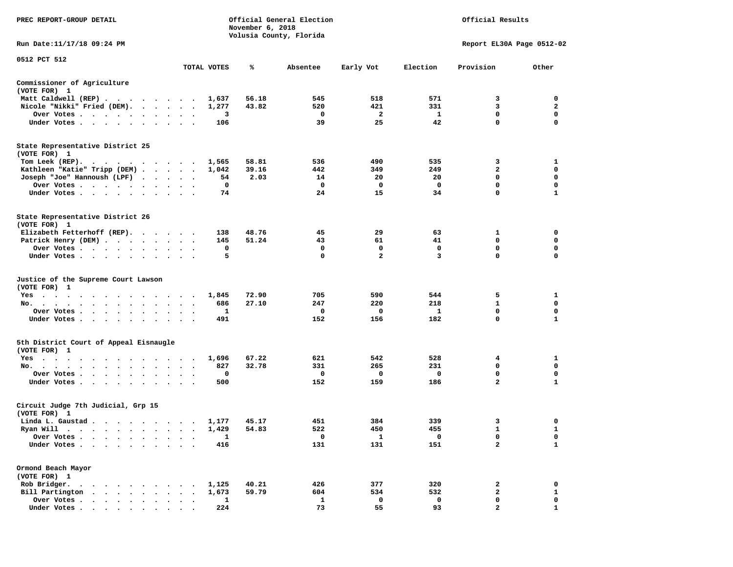| PREC REPORT-GROUP DETAIL                                                                                               |                      |              | November 6, 2018 | Official General Election<br>Volusia County, Florida | Official Results |              |                           |                  |
|------------------------------------------------------------------------------------------------------------------------|----------------------|--------------|------------------|------------------------------------------------------|------------------|--------------|---------------------------|------------------|
| Run Date: 11/17/18 09:24 PM                                                                                            |                      |              |                  |                                                      |                  |              | Report EL30A Page 0512-02 |                  |
| 0512 PCT 512                                                                                                           |                      | TOTAL VOTES  | ℁                | Absentee                                             | Early Vot        | Election     | Provision                 | Other            |
| Commissioner of Agriculture<br>(VOTE FOR) 1                                                                            |                      |              |                  |                                                      |                  |              |                           |                  |
| Matt Caldwell (REP)                                                                                                    |                      | 1,637        | 56.18            | 545                                                  | 518              | 571          | 3                         | 0                |
| Nicole "Nikki" Fried (DEM).                                                                                            |                      | 1,277        | 43.82            | 520                                                  | 421              | 331          | 3                         | $\mathbf{2}$     |
| Over Votes                                                                                                             |                      | 3            |                  | 0                                                    | 2                | $\mathbf{1}$ | 0                         | 0                |
| Under Votes                                                                                                            |                      | 106          |                  | 39                                                   | 25               | 42           | $\mathbf 0$               | $\mathbf 0$      |
| State Representative District 25                                                                                       |                      |              |                  |                                                      |                  |              |                           |                  |
| (VOTE FOR) 1                                                                                                           |                      |              |                  |                                                      |                  |              |                           |                  |
| Tom Leek (REP).<br>$\cdots$                                                                                            |                      | 1,565        | 58.81            | 536                                                  | 490              | 535          | 3                         | 1                |
| Kathleen "Katie" Tripp (DEM)                                                                                           |                      | 1,042        | 39.16            | 442                                                  | 349              | 249          | 2<br>$\mathbf 0$          | 0<br>$\mathbf 0$ |
| Joseph "Joe" Hannoush (LPF)                                                                                            |                      | 54           | 2.03             | 14                                                   | 20               | 20           | $\mathbf 0$               |                  |
| Over Votes                                                                                                             |                      | 0<br>74      |                  | 0<br>24                                              | 0<br>15          | 0<br>34      | $\mathbf 0$               | 0<br>1           |
| Under Votes                                                                                                            |                      |              |                  |                                                      |                  |              |                           |                  |
| State Representative District 26<br>(VOTE FOR) 1                                                                       |                      |              |                  |                                                      |                  |              |                           |                  |
| Elizabeth Fetterhoff (REP).                                                                                            |                      | 138          | 48.76            | 45                                                   | 29               | 63           | 1                         | 0                |
| Patrick Henry (DEM)                                                                                                    |                      | 145          | 51.24            | 43                                                   | 61               | 41           | 0                         | 0                |
| Over Votes                                                                                                             |                      | 0            |                  | 0                                                    | 0                | 0            | $\mathbf 0$               | 0                |
| Under Votes                                                                                                            |                      | 5            |                  | 0                                                    | $\overline{2}$   | 3            | $\mathbf 0$               | 0                |
| Justice of the Supreme Court Lawson<br>(VOTE FOR) 1                                                                    |                      |              |                  |                                                      |                  |              |                           |                  |
| Yes                                                                                                                    |                      | 1,845        | 72.90            | 705                                                  | 590              | 544          | 5                         | 1                |
| No.                                                                                                                    |                      | 686          | 27.10            | 247                                                  | 220              | 218          | 1                         | 0                |
| Over Votes                                                                                                             |                      | 1            |                  | 0                                                    | 0                | 1            | $\mathbf 0$               | 0                |
| Under Votes                                                                                                            |                      | 491          |                  | 152                                                  | 156              | 182          | $\mathbf 0$               | $\mathbf{1}$     |
| 5th District Court of Appeal Eisnaugle                                                                                 |                      |              |                  |                                                      |                  |              |                           |                  |
| (VOTE FOR) 1                                                                                                           |                      |              |                  |                                                      |                  |              |                           |                  |
| Yes                                                                                                                    |                      | 1,696<br>827 | 67.22<br>32.78   | 621<br>331                                           | 542<br>265       | 528<br>231   | 4<br>0                    | 1<br>0           |
| No.<br>Over Votes                                                                                                      |                      | 0            |                  | 0                                                    | 0                | 0            | 0                         | 0                |
| Under Votes                                                                                                            | $\ddot{\phantom{1}}$ | 500          |                  | 152                                                  | 159              | 186          | $\overline{a}$            | 1                |
| Circuit Judge 7th Judicial, Grp 15<br>(VOTE FOR) 1                                                                     |                      |              |                  |                                                      |                  |              |                           |                  |
| Linda L. Gaustad                                                                                                       |                      | 1,177        | 45.17            | 451                                                  | 384              | 339          | 3                         | 0                |
| Ryan Will                                                                                                              |                      | 1,429        | 54.83            | 522                                                  | 450              | 455          | $\mathbf{1}$              | $\mathbf{1}$     |
| . As the contribution of the contribution of the contribution of the contribution of the $\mathcal{A}$<br>Over Votes . |                      | 1            |                  | 0                                                    | 1                | 0            | 0                         | 0                |
| Under Votes.<br>$\bullet$                                                                                              |                      | 416          |                  | 131                                                  | 131              | 151          | $\mathbf{2}$              | 1                |
|                                                                                                                        |                      |              |                  |                                                      |                  |              |                           |                  |
| Ormond Beach Mayor<br>(VOTE FOR) 1                                                                                     |                      |              |                  |                                                      |                  |              |                           |                  |
| Rob Bridger.<br>$\bullet$<br>$\ddot{\phantom{1}}$<br>$\ddot{\phantom{a}}$<br>$\sim$                                    |                      | 1,125        | 40.21            | 426                                                  | 377              | 320          | 2                         | 0                |
| Bill Partington<br>$\sim$<br>$\bullet$<br>$\ddot{\phantom{a}}$<br>$\ddot{\phantom{a}}$                                 |                      | 1,673        | 59.79            | 604                                                  | 534              | 532          | $\mathbf{2}$              | 1                |
| Over Votes .<br>$\bullet$ .<br>$\bullet$<br>$\bullet$                                                                  |                      | 1            |                  | 1                                                    | 0                | 0            | 0                         | 0                |
| Under Votes.<br>$\ddot{\phantom{0}}$<br>$\sim$<br>$\bullet$<br>$\bullet$                                               |                      | 224          |                  | 73                                                   | 55               | 93           | $\overline{a}$            | $\mathbf{1}$     |
|                                                                                                                        |                      |              |                  |                                                      |                  |              |                           |                  |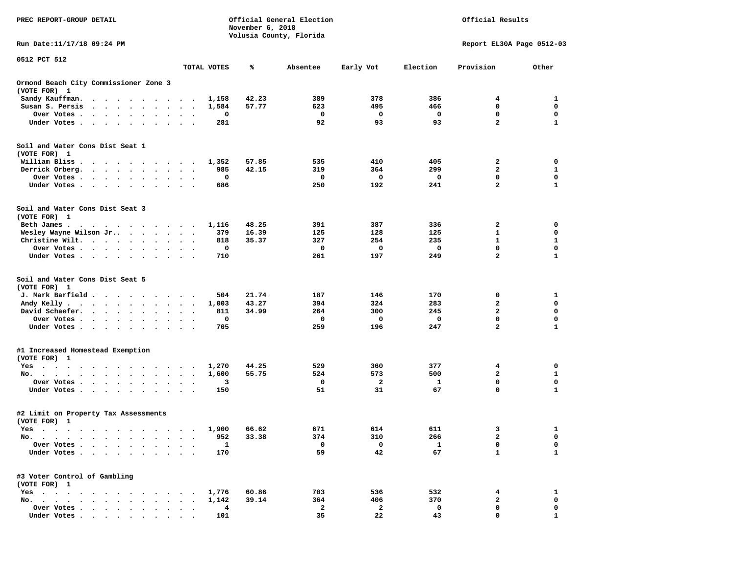| PREC REPORT-GROUP DETAIL                                                                                                                                                                                                                     |                                      | November 6, 2018 | Official General Election<br>Volusia County, Florida | Official Results |            |                                        |                   |
|----------------------------------------------------------------------------------------------------------------------------------------------------------------------------------------------------------------------------------------------|--------------------------------------|------------------|------------------------------------------------------|------------------|------------|----------------------------------------|-------------------|
| Run Date: 11/17/18 09:24 PM                                                                                                                                                                                                                  |                                      |                  |                                                      |                  |            | Report EL30A Page 0512-03              |                   |
| 0512 PCT 512                                                                                                                                                                                                                                 | TOTAL VOTES                          | ℁                | Absentee                                             | Early Vot        | Election   | Provision                              | Other             |
| Ormond Beach City Commissioner Zone 3<br>(VOTE FOR) 1                                                                                                                                                                                        |                                      |                  |                                                      |                  |            |                                        |                   |
| Sandy Kauffman.<br>$\ddot{\phantom{0}}$<br>$\ddot{\phantom{1}}$<br>$\cdot$<br>$\sim$ $\sim$<br>$\cdot$                                                                                                                                       | 1,158<br>$\ddot{\phantom{a}}$        | 42.23            | 389                                                  | 378              | 386        | 4                                      | 1                 |
| Susan S. Persis<br>$\ddot{\phantom{0}}$<br>$\sim$<br>$\ddot{\phantom{a}}$<br>$\bullet$                                                                                                                                                       | 1,584                                | 57.77            | 623                                                  | 495              | 466        | 0                                      | 0                 |
| Over Votes.<br>$\sim$<br>$\sim$ $\sim$<br>$\bullet$<br>$\bullet$<br>$\bullet$<br>$\bullet$                                                                                                                                                   | 0<br>$\ddot{\phantom{a}}$<br>$\cdot$ |                  | 0                                                    | 0                | 0          | $\mathbf 0$                            | 0                 |
| Under Votes<br>$\cdot$                                                                                                                                                                                                                       | 281                                  |                  | 92                                                   | 93               | 93         | $\mathbf{2}$                           | $\mathbf{1}$      |
| Soil and Water Cons Dist Seat 1                                                                                                                                                                                                              |                                      |                  |                                                      |                  |            |                                        |                   |
| (VOTE FOR) 1                                                                                                                                                                                                                                 |                                      |                  |                                                      |                  |            |                                        |                   |
| William Bliss.<br>.<br>Derrick Orberg.<br>$\cdot$ $\cdot$ $\cdot$ $\cdot$ $\cdot$ $\cdot$ $\cdot$                                                                                                                                            | 1,352<br>985                         | 57.85<br>42.15   | 535<br>319                                           | 410<br>364       | 405<br>299 | 2<br>$\mathbf{2}$                      | 0<br>1            |
| $\bullet$<br>Over Votes .<br>$\cdot$ $\cdot$ $\cdot$ $\cdot$<br>$\ddot{\phantom{0}}$<br>$\bullet$                                                                                                                                            | $\ddot{\phantom{1}}$<br>0            |                  | 0                                                    | 0                | 0          | 0                                      | 0                 |
| Under Votes<br>$\bullet$<br>$\bullet$                                                                                                                                                                                                        | 686<br>$\ddot{\phantom{0}}$          |                  | 250                                                  | 192              | 241        | $\mathbf{2}$                           | $\mathbf{1}$      |
| Soil and Water Cons Dist Seat 3<br>(VOTE FOR) 1                                                                                                                                                                                              |                                      |                  |                                                      |                  |            |                                        |                   |
| Beth James.<br>. The contract of the contract of the contract of the contract of the contract of the contract of the contract of the contract of the contract of the contract of the contract of the contract of the contract of the contrac | 1,116                                | 48.25            | 391                                                  | 387              | 336        | 2                                      | 0                 |
| Wesley Wayne Wilson Jr<br>$\sim$ $\sim$ $\sim$ $\sim$ $\sim$<br>$\ddot{\phantom{a}}$                                                                                                                                                         | 379<br>$\sim$                        | 16.39            | 125                                                  | 128              | 125        | 1                                      | 0                 |
| Christine Wilt.<br>$\cdot$                                                                                                                                                                                                                   | 818                                  | 35.37            | 327                                                  | 254              | 235        | $\mathbf{1}$                           | $\mathbf{1}$      |
| Over Votes<br>$\bullet$<br>$\bullet$                                                                                                                                                                                                         | 0                                    |                  | 0                                                    | 0                | 0          | 0                                      | 0                 |
| Under Votes<br>$\bullet$                                                                                                                                                                                                                     | 710                                  |                  | 261                                                  | 197              | 249        | $\overline{\mathbf{2}}$                | $\mathbf{1}$      |
| Soil and Water Cons Dist Seat 5<br>(VOTE FOR) 1                                                                                                                                                                                              |                                      |                  |                                                      |                  |            |                                        |                   |
| J. Mark Barfield.<br>$\sim$ $\sim$ $\sim$ $\sim$ $\sim$<br>$\cdot$                                                                                                                                                                           | 504<br>$\cdot$                       | 21.74            | 187                                                  | 146              | 170        | 0                                      | 1                 |
| Andy Kelly.<br>$\mathcal{A}=\mathcal{A}=\mathcal{A}=\mathcal{A}=\mathcal{A}=\mathcal{A}=\mathcal{A}=\mathcal{A}$<br>$\bullet$ .                                                                                                              | 1,003<br>$\ddot{\phantom{1}}$        | 43.27            | 394                                                  | 324              | 283        | $\overline{\mathbf{2}}$                | $\mathbf 0$       |
| David Schaefer.<br>$\sim$ $\sim$ $\sim$ $\sim$<br>$\bullet$<br>$\ddot{\phantom{0}}$                                                                                                                                                          | 811                                  | 34.99            | 264                                                  | 300              | 245        | $\mathbf{2}$                           | 0                 |
| Over Votes<br>$\sim$ $\sim$<br>$\bullet$<br>$\bullet$<br>$\bullet$                                                                                                                                                                           | 0<br>$\bullet$                       |                  | 0                                                    | 0                | 0          | $\mathbf 0$<br>$\overline{\mathbf{2}}$ | 0<br>$\mathbf{1}$ |
| Under Votes                                                                                                                                                                                                                                  | 705                                  |                  | 259                                                  | 196              | 247        |                                        |                   |
| #1 Increased Homestead Exemption<br>(VOTE FOR) 1                                                                                                                                                                                             |                                      |                  |                                                      |                  |            |                                        |                   |
| $Yes \t . \t .$<br>$\ddot{\phantom{1}}$<br>$\cdot$<br>$\blacksquare$<br>$\sim$<br>$\bullet$<br>$\cdot$ $\cdot$                                                                                                                               | 1,270<br>$\cdot$                     | 44.25            | 529                                                  | 360              | 377        | 4                                      | 0                 |
| No.<br>$\bullet$<br>$\bullet$                                                                                                                                                                                                                | 1,600<br>$\bullet$<br>$\cdot$        | 55.75            | 524                                                  | 573              | 500        | $\mathbf{2}$                           | 1                 |
| Over Votes .<br>$\ddot{\phantom{1}}$<br>$\bullet$<br>$\ddot{\phantom{a}}$<br>$\bullet$                                                                                                                                                       | з                                    |                  | 0                                                    | $\mathbf{2}$     | 1          | $\mathbf 0$                            | $\mathbf 0$       |
| Under Votes.<br>$\ddot{\phantom{1}}$<br>$\cdot$                                                                                                                                                                                              | 150                                  |                  | 51                                                   | 31               | 67         | $\mathbf 0$                            | 1                 |
| #2 Limit on Property Tax Assessments<br>(VOTE FOR) 1                                                                                                                                                                                         |                                      |                  |                                                      |                  |            |                                        |                   |
| Yes                                                                                                                                                                                                                                          | 1,900                                | 66.62            | 671                                                  | 614              | 611        | 3                                      | 1                 |
| No.<br>$\bullet$                                                                                                                                                                                                                             | 952                                  | 33.38            | 374                                                  | 310              | 266        | 2                                      | 0                 |
| Over Votes .<br>$\bullet$<br>$\overline{\phantom{a}}$                                                                                                                                                                                        | 1                                    |                  | 0                                                    | 0                | 1          | 0<br>$\mathbf{1}$                      | 0                 |
| Under Votes.<br>$\sim$<br>$\sim$<br>$\ddot{\phantom{0}}$<br>$\cdot$<br>$\bullet$                                                                                                                                                             | 170<br>$\sim$                        |                  | 59                                                   | 42               | 67         |                                        | $\mathbf{1}$      |
| #3 Voter Control of Gambling<br>(VOTE FOR) 1                                                                                                                                                                                                 |                                      |                  |                                                      |                  |            |                                        |                   |
| $Yes \cdot \cdot \cdot$<br>$\cdot$ $\cdot$ $\cdot$ $\cdot$ $\cdot$<br>$\sim$ 100 $\sim$<br>$\sim$ $\sim$                                                                                                                                     | 1,776                                | 60.86            | 703                                                  | 536              | 532        | 4                                      | 1                 |
| No.<br>$\sim$ $\sim$<br>$\ddot{\phantom{a}}$<br>$\ddot{\phantom{a}}$<br>$\ddot{\phantom{1}}$                                                                                                                                                 | 1,142                                | 39.14            | 364                                                  | 406              | 370        | $\mathbf{2}$                           | 0                 |
| Over Votes .<br>$\bullet$ .<br><br><br><br><br><br><br><br><br><br><br><br><br>$\bullet$<br>Under Votes.<br>$\ddot{\phantom{a}}$<br>$\sim$<br>$\sim$<br>$\sim$                                                                               | 4<br>101                             |                  | 2<br>35                                              | 2<br>22          | 0<br>43    | 0<br>$\mathbf 0$                       | 0<br>$\mathbf{1}$ |
|                                                                                                                                                                                                                                              |                                      |                  |                                                      |                  |            |                                        |                   |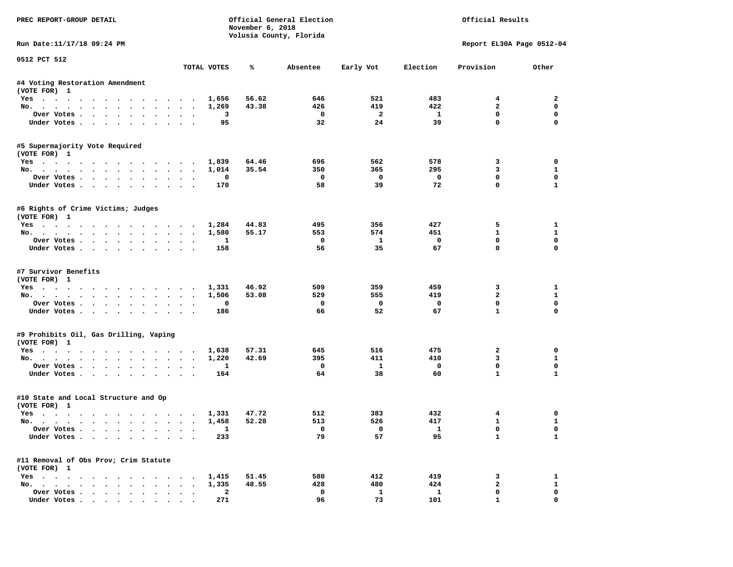| PREC REPORT-GROUP DETAIL                              |                      |                          | November 6, 2018 | Official General Election<br>Volusia County, Florida |                          |                          | Official Results          |                             |
|-------------------------------------------------------|----------------------|--------------------------|------------------|------------------------------------------------------|--------------------------|--------------------------|---------------------------|-----------------------------|
| Run Date:11/17/18 09:24 PM                            |                      |                          |                  |                                                      |                          |                          | Report EL30A Page 0512-04 |                             |
| 0512 PCT 512                                          |                      | TOTAL VOTES              | ℁                | Absentee                                             | Early Vot                | Election                 | Provision                 | Other                       |
|                                                       |                      |                          |                  |                                                      |                          |                          |                           |                             |
| #4 Voting Restoration Amendment<br>(VOTE FOR) 1       |                      |                          |                  |                                                      |                          |                          |                           |                             |
| Yes 1,656                                             |                      |                          | 56.62            | 646                                                  | 521                      | 483                      | $4^{\circ}$               | $\overline{2}$              |
| No.                                                   |                      | 1,269                    | 43.38            | 426                                                  | 419                      | 422                      | $\overline{a}$            | $\mathbf 0$                 |
| Over Votes                                            |                      | 3                        |                  | $\overline{\mathbf{0}}$                              | $\overline{\mathbf{2}}$  | $\mathbf{1}$             | $\mathbf 0$               | $\mathbf 0$                 |
| Under Votes                                           |                      | 95                       |                  | 32                                                   | 24                       | 39                       | $\mathbf 0$               | $\mathbf 0$                 |
| #5 Supermajority Vote Required<br>(VOTE FOR) 1        |                      |                          |                  |                                                      |                          |                          |                           |                             |
| Yes                                                   |                      | 1,839                    | 64.46            | 696                                                  | 562                      | 578                      | 3                         | 0                           |
| No.                                                   |                      | 1,014                    | 35.54            | 350                                                  | 365                      | 295                      | 3                         | 1                           |
| Over Votes                                            |                      | 0                        |                  | $\overline{\phantom{0}}$                             | $\overline{\phantom{0}}$ | $\overline{\phantom{0}}$ | 0                         | $\mathbf 0$                 |
| Under Votes                                           |                      | 170                      |                  | 58                                                   | 39                       | 72                       | $\mathbf 0$               | $\mathbf{1}$                |
| #6 Rights of Crime Victims; Judges<br>(VOTE FOR) 1    |                      |                          |                  |                                                      |                          |                          |                           |                             |
| Yes 1,284                                             |                      |                          | 44.83            | 495                                                  | 356                      | 427                      | 5                         | 1                           |
| No.                                                   |                      | 1,580                    | 55.17            | 553                                                  | 574                      | 451                      | $\mathbf{1}$              | $\mathbf{1}$                |
| Over Votes.                                           |                      | -1                       |                  | $\mathbf{o}$                                         | $\mathbf{1}$             | $\overline{\mathbf{0}}$  | $\mathbf 0$               | $\mathbf 0$                 |
| Under Votes                                           |                      | 158                      |                  | 56                                                   | 35                       | 67                       | $\Omega$                  | $\Omega$                    |
| #7 Survivor Benefits<br>(VOTE FOR) 1                  |                      |                          | 46.92            | 509                                                  | 359                      | 459                      | 3                         | 1                           |
| Yes 1,331<br>No. 1,506                                |                      |                          | 53.08            | 529                                                  | 555                      | 419                      | $\overline{a}$            | $\mathbf{1}$                |
| Over Votes                                            |                      | 0                        |                  | $\mathbf{o}$                                         | $\overline{\mathbf{0}}$  | $\mathbf 0$              | $\mathbf 0$               | $\mathbf{0}$                |
| Under Votes                                           |                      | 186                      |                  | 66                                                   | 52                       | 67                       | $\mathbf{1}$              | $\Omega$                    |
| #9 Prohibits Oil, Gas Drilling, Vaping                |                      |                          |                  |                                                      |                          |                          |                           |                             |
| (VOTE FOR) 1                                          |                      |                          |                  |                                                      |                          |                          |                           |                             |
| Yes                                                   |                      | 1,638                    | 57.31            | 645<br>395                                           | 516<br>411               | 475<br>410               | $\overline{a}$<br>3       | $\mathbf 0$<br>$\mathbf{1}$ |
| No.<br>Over Votes                                     |                      | 1,220<br>1               | 42.69            | $\mathbf 0$                                          | $\mathbf{1}$             | $\mathbf 0$              | 0                         | $\mathbf 0$                 |
| Under Votes                                           |                      | 164                      |                  | 64                                                   | 38                       | 60                       | $\mathbf{1}$              | $\mathbf{1}$                |
| #10 State and Local Structure and Op<br>(VOTE FOR) 1  |                      |                          |                  |                                                      |                          |                          |                           |                             |
| Yes 1,331                                             |                      |                          | 47.72            | 512                                                  | 383                      | 432                      | $\overline{4}$            | 0                           |
| No.                                                   |                      | 1,458                    | 52.28            | 513                                                  | 526                      | 417                      | $\mathbf{1}$              | $\mathbf{1}$                |
| Over Votes                                            |                      | $\overline{\phantom{a}}$ |                  | $\overline{\mathbf{0}}$                              | $\overline{0}$           | $\overline{\mathbf{1}}$  | $\mathbf{0}$              | $\mathbf{0}$                |
| Under Votes                                           |                      | 233                      |                  | 79                                                   | 57                       | 95                       | $\mathbf{1}$              | $\mathbf{1}$                |
| #11 Removal of Obs Prov; Crim Statute<br>(VOTE FOR) 1 |                      |                          |                  |                                                      |                          |                          |                           |                             |
| Yes 1,415                                             |                      |                          | 51.45            | 580                                                  | 412                      | 419                      | 3                         | 1                           |
| No.                                                   |                      | 1,335                    | 48.55            | 428                                                  | 480                      | 424                      | $\mathbf{2}$              | $\mathbf{1}$                |
| Over Votes                                            | $\ddot{\phantom{0}}$ | $\mathbf{2}$             |                  | $\mathbf 0$                                          | $\mathbf{1}$             | 1                        | $\mathbf 0$               | $\mathbf 0$                 |
| Under Votes                                           |                      | 271                      |                  | 96                                                   | 73                       | 101                      | $\mathbf{1}$              | 0                           |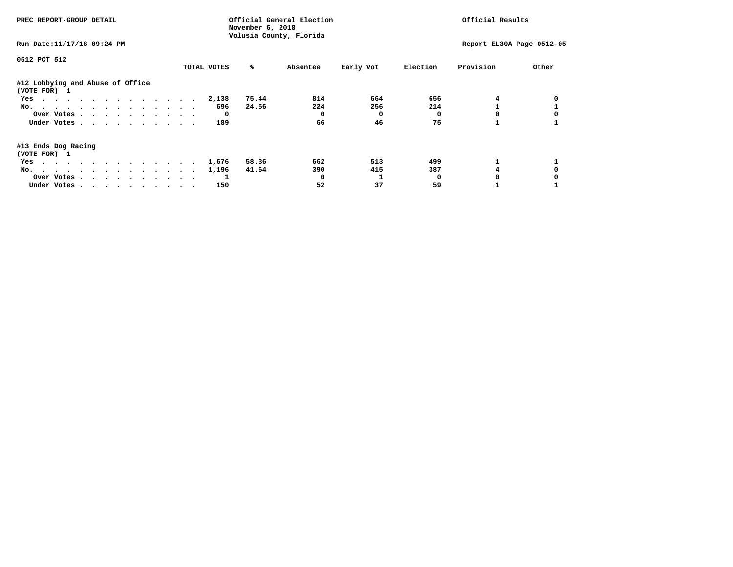| PREC REPORT-GROUP DETAIL                         |             | November 6, 2018 | Official General Election<br>Volusia County, Florida |           | Official Results |                           |       |
|--------------------------------------------------|-------------|------------------|------------------------------------------------------|-----------|------------------|---------------------------|-------|
| Run Date: 11/17/18 09:24 PM                      |             |                  |                                                      |           |                  | Report EL30A Page 0512-05 |       |
| 0512 PCT 512                                     |             |                  |                                                      |           |                  |                           |       |
|                                                  | TOTAL VOTES | %ะ               | Absentee                                             | Early Vot | Election         | Provision                 | Other |
| #12 Lobbying and Abuse of Office<br>(VOTE FOR) 1 |             |                  |                                                      |           |                  |                           |       |
| Yes                                              | 2,138       | 75.44            | 814                                                  | 664       | 656              |                           |       |
| No.                                              | 696         | 24.56            | 224                                                  | 256       | 214              |                           |       |
| Over Votes                                       | $^{\circ}$  |                  |                                                      | 0         |                  |                           |       |
| Under Votes                                      | 189         |                  | 66                                                   | 46        | 75               |                           |       |
| #13 Ends Dog Racing<br>(VOTE FOR) 1              |             |                  |                                                      |           |                  |                           |       |
| Yes                                              | 1,676       | 58.36            | 662                                                  | 513       | 499              |                           |       |
| No.                                              | 1,196       | 41.64            | 390                                                  | 415       | 387              |                           |       |
| Over Votes                                       |             |                  |                                                      |           | n                |                           |       |
| Under Votes                                      | 150         |                  | 52                                                   | 37        | 59               |                           |       |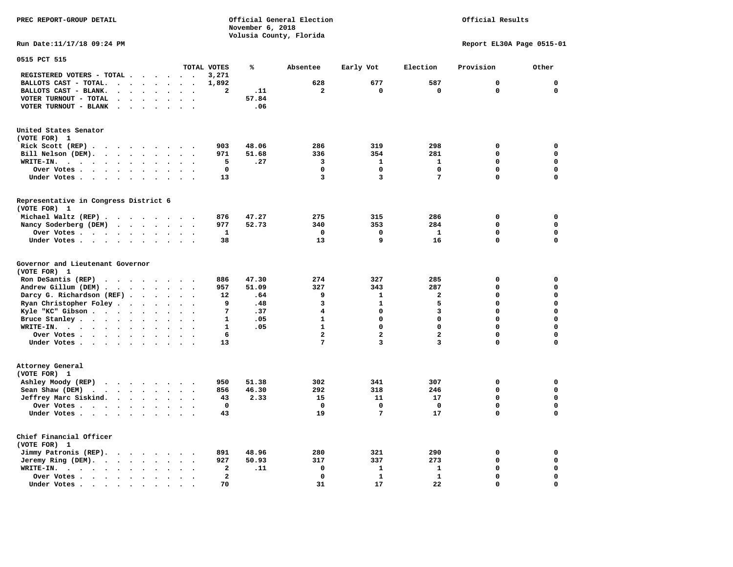**PREC REPORT-GROUP DETAIL COMPUTER CONSUMING A CONSUMING CONSUMING A LIGACION CONSUMING A LIGACION** *November 6, 2018 November 6, 2018*  **Volusia County, Florida** 

### Official Results

**Run Date:11/17/18 09:24 PM Report EL30A Page 0515-01** 

| 0515 PCT 515                                                                                                                     |                                   |                         |       |                         |                |                         |             |             |
|----------------------------------------------------------------------------------------------------------------------------------|-----------------------------------|-------------------------|-------|-------------------------|----------------|-------------------------|-------------|-------------|
|                                                                                                                                  |                                   | TOTAL VOTES             | ℁     | Absentee                | Early Vot      | Election                | Provision   | Other       |
| REGISTERED VOTERS - TOTAL .<br>$\cdot$ $\cdot$ $\cdot$ $\cdot$ $\cdot$                                                           |                                   | 3,271                   |       |                         |                |                         |             |             |
| BALLOTS CAST - TOTAL.<br>$\cdot$<br>$\cdot$<br>$\ddot{\phantom{a}}$<br>$\cdot$<br>$\ddot{\phantom{a}}$                           |                                   | 1,892                   |       | 628                     | 677            | 587                     | 0           | $\mathbf 0$ |
| BALLOTS CAST - BLANK.<br>$\ddot{\phantom{a}}$<br>$\bullet$<br>$\mathbf{r}$<br>$\ddot{\phantom{a}}$<br>$\ddot{\phantom{a}}$       | $\overline{a}$<br>$\overline{a}$  | $\mathbf{z}$            | .11   | $\overline{a}$          | $\mathbf 0$    | $\mathbf 0$             | 0           | $\mathbf 0$ |
| VOTER TURNOUT - TOTAL                                                                                                            |                                   |                         | 57.84 |                         |                |                         |             |             |
| VOTER TURNOUT - BLANK<br>$\ddot{\phantom{1}}$                                                                                    |                                   |                         | .06   |                         |                |                         |             |             |
|                                                                                                                                  |                                   |                         |       |                         |                |                         |             |             |
| United States Senator                                                                                                            |                                   |                         |       |                         |                |                         |             |             |
| (VOTE FOR) 1                                                                                                                     |                                   |                         |       |                         |                |                         |             |             |
| Rick Scott (REP).<br>$\cdots$<br>$\ddot{\phantom{1}}$                                                                            | $\overline{\phantom{a}}$          | 903                     | 48.06 | 286                     | 319            | 298                     | 0           | 0           |
| Bill Nelson (DEM).<br>$\cdot$ $\cdot$ $\cdot$ $\cdot$ $\cdot$<br>$\sim$                                                          | $\cdot$ $\cdot$                   | 971                     | 51.68 | 336                     | 354            | 281                     | $\mathbf 0$ | $\mathbf 0$ |
| WRITE-IN.<br>$\cdot$ $\cdot$ $\cdot$<br>$\sim$<br>$\sim$ $\sim$<br>$\bullet$<br>$\ddot{\phantom{a}}$<br>$\overline{\phantom{a}}$ | $\overline{\phantom{a}}$          | 5                       | .27   | 3                       | $\mathbf{1}$   | $\mathbf{1}$            | 0           | $\mathbf 0$ |
| Over Votes.<br>$\ddot{\phantom{a}}$<br>$\sim$ $\sim$ $\sim$ $\sim$<br>$\bullet$                                                  |                                   | 0                       |       | $\mathbf 0$             | $\mathbf 0$    | $\mathbf 0$             | 0           | 0           |
| Under Votes<br>$\sim$<br>$\bullet$<br>$\bullet$                                                                                  | $\ddot{\phantom{a}}$<br>$\bullet$ | 13                      |       | 3                       | 3              | 7                       | 0           | $\mathbf 0$ |
|                                                                                                                                  |                                   |                         |       |                         |                |                         |             |             |
| Representative in Congress District 6<br>(VOTE FOR) 1                                                                            |                                   |                         |       |                         |                |                         |             |             |
|                                                                                                                                  |                                   |                         |       |                         |                |                         |             |             |
| Michael Waltz (REP)                                                                                                              |                                   | 876                     | 47.27 | 275                     | 315            | 286                     | 0           | 0           |
| Nancy Soderberg (DEM)                                                                                                            | $\ddot{\phantom{0}}$<br>$\bullet$ | 977                     | 52.73 | 340                     | 353            | 284                     | 0           | $\mathbf 0$ |
| Over Votes<br>$\sim$<br>$\overline{\phantom{a}}$                                                                                 |                                   | 1                       |       | $\mathbf 0$             | $\mathbf 0$    | $\mathbf{1}$            | 0           | $\mathbf 0$ |
| Under Votes<br>$\ddot{\phantom{a}}$                                                                                              |                                   | 38                      |       | 13                      | 9              | 16                      | $\mathbf 0$ | $\mathbf 0$ |
| Governor and Lieutenant Governor<br>(VOTE FOR) 1                                                                                 |                                   |                         |       |                         |                |                         |             |             |
| Ron DeSantis (REP)<br>$\cdot$ $\cdot$ $\cdot$<br>$\cdots$                                                                        | $\sim$                            | 886                     | 47.30 | 274                     | 327            | 285                     | 0           | $\mathbf 0$ |
| Andrew Gillum (DEM)                                                                                                              |                                   | 957                     | 51.09 | 327                     | 343            | 287                     | 0           | $\mathbf 0$ |
| Darcy G. Richardson (REF).<br>$\bullet$<br>$\bullet$                                                                             |                                   | 12                      | .64   | 9                       | $\mathbf{1}$   | $\mathbf{2}$            | 0           | $\mathbf 0$ |
| Ryan Christopher Foley.<br>$\sim$<br>$\bullet$                                                                                   |                                   | 9                       | .48   | 3                       | $\mathbf{1}$   | 5                       | 0           | $\mathbf 0$ |
| Kyle "KC" Gibson<br>$\bullet$<br>$\bullet$<br>$\bullet$                                                                          | $\bullet$                         | 7                       | .37   | $\overline{\mathbf{4}}$ | $\mathbf 0$    | 3                       | 0           | $\mathbf 0$ |
| Bruce Stanley<br>$\bullet$                                                                                                       |                                   | $\mathbf{1}$            | .05   | $\mathbf{1}$            | $\mathbf 0$    | 0                       | 0           | $\mathbf 0$ |
| WRITE-IN.<br>$\cdot$<br>$\bullet$                                                                                                |                                   | $\mathbf{1}$            | .05   | $\mathbf{1}$            | $\mathbf 0$    | $\Omega$                | $\Omega$    | $\mathbf 0$ |
| Over Votes<br>$\ddot{\phantom{a}}$<br>$\bullet$                                                                                  | $\ddot{\phantom{a}}$              | 6                       |       | $\overline{a}$          | $\overline{a}$ | $\overline{\mathbf{2}}$ | $\mathbf 0$ | $\mathbf 0$ |
| Under Votes<br>$\ddot{\phantom{a}}$                                                                                              | $\sim$                            | 13                      |       | 7                       | 3              | 3                       | 0           | $\mathbf 0$ |
|                                                                                                                                  |                                   |                         |       |                         |                |                         |             |             |
| Attorney General<br>(VOTE FOR) 1                                                                                                 |                                   |                         |       |                         |                |                         |             |             |
| Ashley Moody (REP)<br>$\cdot$                                                                                                    |                                   | 950                     | 51.38 | 302                     | 341            | 307                     | 0           | 0           |
| Sean Shaw (DEM)<br>$\cdot$ $\cdot$ $\cdot$ $\cdot$<br>$\bullet$                                                                  |                                   | 856                     | 46.30 | 292                     | 318            | 246                     | 0           | $\mathbf 0$ |
| Jeffrey Marc Siskind.<br>$\bullet$<br>$\bullet$                                                                                  | $\bullet$                         | 43                      | 2.33  | 15                      | 11             | 17                      | 0           | $\mathbf 0$ |
| Over Votes<br>$\ddot{\phantom{a}}$                                                                                               |                                   | $\mathbf 0$             |       | $\Omega$                | $\mathbf 0$    | $\mathbf 0$             | $\mathbf 0$ | $\mathbf 0$ |
| Under Votes                                                                                                                      |                                   | 43                      |       | 19                      | 7              | 17                      | 0           | $\mathbf 0$ |
|                                                                                                                                  |                                   |                         |       |                         |                |                         |             |             |
| Chief Financial Officer<br>(VOTE FOR) 1                                                                                          |                                   |                         |       |                         |                |                         |             |             |
| Jimmy Patronis (REP).<br>$\sim$ $\sim$<br>$\ddot{\phantom{1}}$<br>$\bullet$                                                      |                                   | 891                     | 48.96 | 280                     | 321            | 290                     | $\mathbf 0$ | 0           |
| Jeremy Ring (DEM).<br>$\sim$ $\sim$ $\sim$<br>$\sim$<br>$\bullet$<br>$\bullet$                                                   |                                   | 927                     | 50.93 | 317                     | 337            | 273                     | 0           | $\mathbf 0$ |
| WRITE-IN.<br>$\cdot$ $\cdot$ $\cdot$ $\cdot$ $\cdot$<br>$\bullet$<br>$\bullet$                                                   |                                   | 2                       | .11   | $\mathbf 0$             | 1              | 1                       | 0           | 0           |
| Over Votes.<br>$\sim$ $\sim$ $\sim$ $\sim$ $\sim$<br>$\ddot{\phantom{1}}$<br>$\bullet$                                           |                                   | $\overline{\mathbf{2}}$ |       | $\Omega$                | $\mathbf{1}$   | $\mathbf{1}$            | $\mathbf 0$ | $\mathbf 0$ |
| Under Votes.<br>$\sim$ $\sim$<br>$\blacksquare$<br>$\bullet$<br>$\bullet$                                                        |                                   | 70                      |       | 31                      | 17             | 22                      | 0           | $\mathbf 0$ |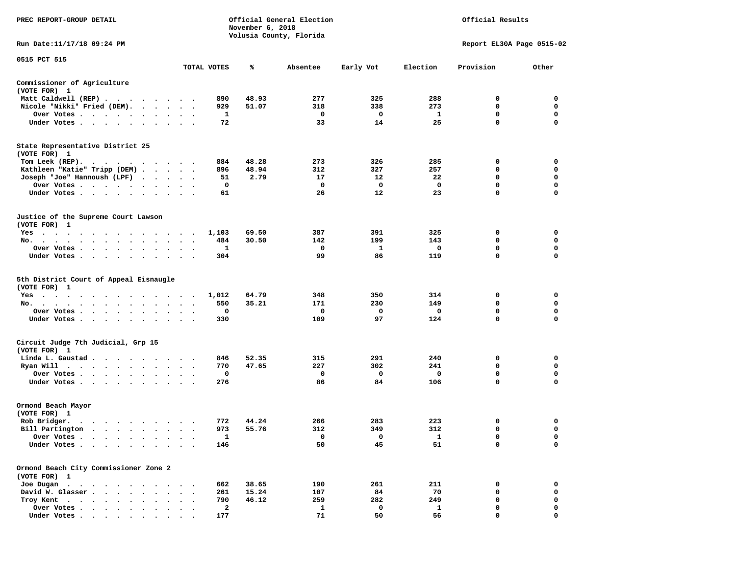| PREC REPORT-GROUP DETAIL                                                                                                                                                                                                                         |                                     |             | November 6, 2018 | Official General Election<br>Volusia County, Florida | Official Results |              |                           |             |  |
|--------------------------------------------------------------------------------------------------------------------------------------------------------------------------------------------------------------------------------------------------|-------------------------------------|-------------|------------------|------------------------------------------------------|------------------|--------------|---------------------------|-------------|--|
| Run Date: 11/17/18 09:24 PM                                                                                                                                                                                                                      |                                     |             |                  |                                                      |                  |              | Report EL30A Page 0515-02 |             |  |
| 0515 PCT 515                                                                                                                                                                                                                                     |                                     | TOTAL VOTES | %ะ               | Absentee                                             | Early Vot        | Election     | Provision                 | Other       |  |
| Commissioner of Agriculture<br>(VOTE FOR) 1                                                                                                                                                                                                      |                                     |             |                  |                                                      |                  |              |                           |             |  |
| Matt Caldwell (REP)                                                                                                                                                                                                                              |                                     | 890         | 48.93            | 277                                                  | 325              | 288          | 0                         | 0           |  |
| Nicole "Nikki" Fried (DEM).                                                                                                                                                                                                                      |                                     | 929         | 51.07            | 318                                                  | 338              | 273          | 0                         | 0           |  |
| Over Votes<br>$\ddot{\phantom{1}}$                                                                                                                                                                                                               | $\bullet$<br>$\bullet$              | 1           |                  | 0                                                    | 0                | 1            | 0                         | 0           |  |
| Under Votes                                                                                                                                                                                                                                      |                                     | 72          |                  | 33                                                   | 14               | 25           | $\mathbf 0$               | $\mathbf 0$ |  |
| State Representative District 25<br>(VOTE FOR) 1                                                                                                                                                                                                 |                                     |             |                  |                                                      |                  |              |                           |             |  |
| Tom Leek (REP).<br>. The contract of the contract of the contract of the contract of the contract of the contract of the contract of the contract of the contract of the contract of the contract of the contract of the contract of the contrac |                                     | 884         | 48.28            | 273                                                  | 326              | 285          | 0                         | 0           |  |
| Kathleen "Katie" Tripp (DEM)                                                                                                                                                                                                                     |                                     | 896         | 48.94            | 312                                                  | 327              | 257          | 0                         | $\mathbf 0$ |  |
| Joseph "Joe" Hannoush (LPF) .                                                                                                                                                                                                                    | $\cdot$ $\cdot$ $\cdot$ $\cdot$     | 51          | 2.79             | 17                                                   | 12               | 22           | 0                         | 0           |  |
| Over Votes                                                                                                                                                                                                                                       | $\bullet$<br>$\ddot{\phantom{1}}$   | 0           |                  | 0                                                    | 0                | 0            | 0                         | $\mathbf 0$ |  |
| Under Votes                                                                                                                                                                                                                                      |                                     | 61          |                  | 26                                                   | 12               | 23           | $\mathbf 0$               | $\mathbf 0$ |  |
| Justice of the Supreme Court Lawson<br>(VOTE FOR) 1                                                                                                                                                                                              |                                     |             |                  |                                                      |                  |              |                           |             |  |
| $Yes \t . \t .$<br>$\ddot{\phantom{1}}$<br>$\ddot{\phantom{1}}$<br>$\cdots$                                                                                                                                                                      | $\sim$                              | 1,103       | 69.50            | 387                                                  | 391              | 325          | 0                         | 0           |  |
| No.                                                                                                                                                                                                                                              | $\cdot$                             | 484         | 30.50            | 142                                                  | 199              | 143          | 0                         | 0           |  |
| Over Votes<br>$\bullet$ .<br>$\bullet$                                                                                                                                                                                                           |                                     | 1           |                  | 0                                                    | 1                | 0            | 0                         | 0           |  |
| Under Votes<br>$\bullet$                                                                                                                                                                                                                         |                                     | 304         |                  | 99                                                   | 86               | 119          | $\mathbf 0$               | $\mathbf 0$ |  |
| 5th District Court of Appeal Eisnaugle<br>(VOTE FOR) 1                                                                                                                                                                                           |                                     |             |                  |                                                      |                  |              |                           |             |  |
| $Yes \t . \t .$<br>$\sim$ 100 $\sim$<br>.                                                                                                                                                                                                        |                                     | 1,012       | 64.79            | 348                                                  | 350              | 314          | 0                         | 0           |  |
| No.<br>. The contract of the contract of the contract of the contract of the contract of the contract of the contract of the contract of the contract of the contract of the contract of the contract of the contract of the contrac             | $\bullet$ .<br>$\ddot{\phantom{1}}$ | 550         | 35.21            | 171                                                  | 230              | 149          | $\mathbf 0$               | $\mathbf 0$ |  |
| Over Votes                                                                                                                                                                                                                                       |                                     | 0           |                  | 0                                                    | 0                | 0            | 0                         | 0           |  |
| Under Votes<br>$\ddot{\phantom{0}}$                                                                                                                                                                                                              | $\bullet$<br>$\bullet$              | 330         |                  | 109                                                  | 97               | 124          | 0                         | 0           |  |
| Circuit Judge 7th Judicial, Grp 15<br>(VOTE FOR) 1                                                                                                                                                                                               |                                     |             |                  |                                                      |                  |              |                           |             |  |
| Linda L. Gaustad                                                                                                                                                                                                                                 |                                     | 846         | 52.35            | 315                                                  | 291              | 240          | 0                         | 0           |  |
| Ryan Will<br>$\cdots$                                                                                                                                                                                                                            | $\bullet$ .<br><br><br><br><br><br> | 770         | 47.65            | 227                                                  | 302              | 241          | 0                         | 0           |  |
| Over Votes                                                                                                                                                                                                                                       | $\ddot{\phantom{1}}$<br>$\bullet$   | 0           |                  | 0                                                    | 0                | 0            | $\mathbf 0$               | $\mathbf 0$ |  |
| Under Votes                                                                                                                                                                                                                                      |                                     | 276         |                  | 86                                                   | 84               | 106          | $\mathbf 0$               | 0           |  |
| Ormond Beach Mayor                                                                                                                                                                                                                               |                                     |             |                  |                                                      |                  |              |                           |             |  |
| (VOTE FOR) 1                                                                                                                                                                                                                                     |                                     |             |                  |                                                      |                  |              |                           |             |  |
| Rob Bridger.                                                                                                                                                                                                                                     |                                     | 772         | 44.24            | 266                                                  | 283              | 223          | 0                         | 0           |  |
| Bill Partington                                                                                                                                                                                                                                  |                                     | 973         | 55.76            | 312                                                  | 349              | 312          | $\mathbf 0$               | $\mathbf 0$ |  |
| Over Votes .                                                                                                                                                                                                                                     |                                     | 1           |                  | 0                                                    | 0                | $\mathbf{1}$ | 0<br>$\mathbf 0$          | 0<br>0      |  |
| Under Votes.                                                                                                                                                                                                                                     |                                     | 146         |                  | 50                                                   | 45               | 51           |                           |             |  |
| Ormond Beach City Commissioner Zone 2<br>(VOTE FOR) 1                                                                                                                                                                                            |                                     |             |                  |                                                      |                  |              |                           |             |  |
| Joe Dugan.<br>$\sim$ $\sim$                                                                                                                                                                                                                      |                                     | 662         | 38.65            | 190                                                  | 261              | 211          | 0                         | 0           |  |
| David W. Glasser.<br>$\sim$<br>$\ddot{\phantom{a}}$                                                                                                                                                                                              |                                     | 261         | 15.24            | 107                                                  | 84               | 70           | $\mathbf 0$               | 0           |  |
| Troy Kent<br>$\sim$<br>$\sim$ $\sim$                                                                                                                                                                                                             |                                     | 790         | 46.12            | 259                                                  | 282              | 249          | 0                         | 0           |  |
| Over Votes<br>$\bullet$                                                                                                                                                                                                                          | $\bullet$                           | 2           |                  | 1                                                    | 0                | 1            | 0                         | 0           |  |
| Under Votes                                                                                                                                                                                                                                      |                                     | 177         |                  | 71                                                   | 50               | 56           | $\mathbf 0$               | $\Omega$    |  |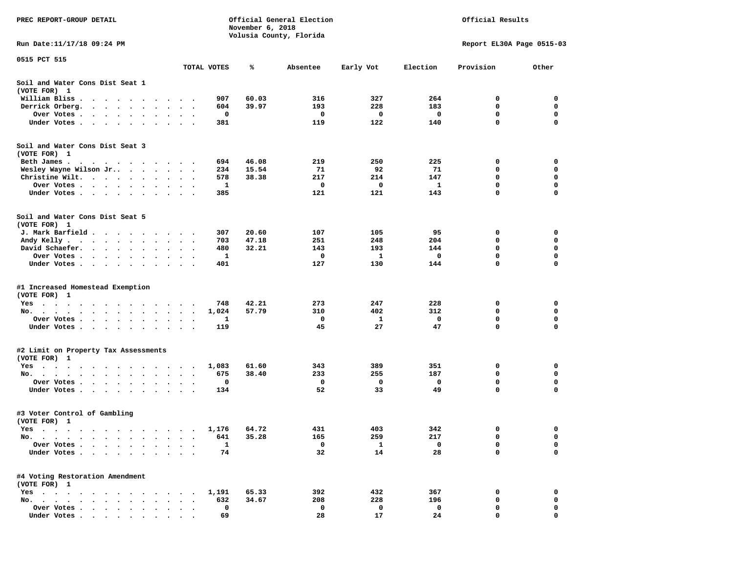| PREC REPORT-GROUP DETAIL                                                                                                            | November 6, 2018                                 | Official General Election<br>Volusia County, Florida | Official Results |          |           |              |                           |             |
|-------------------------------------------------------------------------------------------------------------------------------------|--------------------------------------------------|------------------------------------------------------|------------------|----------|-----------|--------------|---------------------------|-------------|
| Run Date:11/17/18 09:24 PM                                                                                                          |                                                  |                                                      |                  |          |           |              | Report EL30A Page 0515-03 |             |
| 0515 PCT 515                                                                                                                        |                                                  | TOTAL VOTES                                          | ℁                | Absentee | Early Vot | Election     | Provision                 | Other       |
| Soil and Water Cons Dist Seat 1<br>(VOTE FOR) 1                                                                                     |                                                  |                                                      |                  |          |           |              |                           |             |
| William Bliss.<br>$\bullet$<br>$\sim$<br>$\sim$ $\sim$ $\sim$ $\sim$<br>$\sim$                                                      |                                                  | 907                                                  | 60.03            | 316      | 327       | 264          | 0                         | 0           |
| Derrick Orberg.<br>$\sim 100$ km s $^{-1}$<br>$\sim$ $\sim$<br>$\ddot{\phantom{1}}$<br>$\ddot{\phantom{a}}$                         |                                                  | 604                                                  | 39.97            | 193      | 228       | 183          | 0                         | 0           |
| Over Votes .<br>$\cdot$ $\cdot$ $\cdot$ $\cdot$ $\cdot$<br>$\bullet$                                                                | $\bullet$                                        | 0                                                    |                  | 0        | 0         | 0            | 0                         | $\mathbf 0$ |
| Under Votes<br>$\sim$<br>$\ddot{\phantom{1}}$<br>$\ddot{\phantom{1}}$                                                               |                                                  | 381                                                  |                  | 119      | 122       | 140          | $\mathbf 0$               | 0           |
| Soil and Water Cons Dist Seat 3<br>(VOTE FOR) 1                                                                                     |                                                  |                                                      |                  |          |           |              |                           |             |
| Beth James.                                                                                                                         | $\sim$                                           | 694                                                  | 46.08            | 219      | 250       | 225          | 0                         | 0           |
| Wesley Wayne Wilson Jr                                                                                                              | $\ddot{\phantom{0}}$<br>$\cdot$                  | 234                                                  | 15.54            | 71       | 92        | 71           | 0                         | 0           |
| Christine Wilt.<br>$\sim$<br>$\cdot$                                                                                                |                                                  | 578                                                  | 38.38            | 217      | 214       | 147          | 0                         | 0           |
| Over Votes<br>$\bullet$<br>$\cdot$                                                                                                  |                                                  | 1                                                    |                  | 0        | 0         | 1            | 0<br>0                    | 0<br>0      |
| Under Votes                                                                                                                         |                                                  | 385                                                  |                  | 121      | 121       | 143          |                           |             |
| Soil and Water Cons Dist Seat 5<br>(VOTE FOR) 1                                                                                     |                                                  |                                                      |                  |          |           |              |                           |             |
| J. Mark Barfield.                                                                                                                   |                                                  | 307                                                  | 20.60            | 107      | 105       | 95           | 0                         | 0           |
| Andy Kelly<br>$\cdots$                                                                                                              |                                                  | 703                                                  | 47.18            | 251      | 248       | 204          | 0                         | 0           |
| David Schaefer.<br><b>Contract Contract Contract</b><br>$\bullet$ . $\bullet$<br>$\bullet$                                          | $\bullet$                                        | 480                                                  | 32.21            | 143      | 193       | 144          | 0                         | 0           |
| Over Votes.<br>$\sim$ $\sim$<br>$\sim 100$ km s $^{-1}$<br>$\sim$ $\sim$                                                            |                                                  | 1                                                    |                  | 0        | 1         | 0            | 0                         | 0           |
| Under Votes<br>$\ddot{\phantom{1}}$<br>$\bullet$                                                                                    | $\bullet$<br>$\cdot$<br>$\overline{\phantom{a}}$ | 401                                                  |                  | 127      | 130       | 144          | 0                         | 0           |
| #1 Increased Homestead Exemption<br>(VOTE FOR) 1                                                                                    |                                                  |                                                      |                  |          |           |              |                           |             |
| Yes                                                                                                                                 |                                                  | 748                                                  | 42.21            | 273      | 247       | 228          | 0                         | 0           |
| No.<br>$\sim$ $\sim$<br>$\ddot{\phantom{1}}$<br>$\ddot{\phantom{0}}$                                                                |                                                  | 1,024                                                | 57.79            | 310      | 402       | 312          | 0                         | 0           |
| Over Votes .<br>$\sim$ $\sim$<br>$\sim$<br>$\bullet$<br>$\bullet$<br>$\bullet$                                                      | $\bullet$                                        | 1                                                    |                  | 0        | 1         | $\mathbf{o}$ | 0                         | $\mathbf 0$ |
| Under Votes<br>$\ddot{\phantom{0}}$                                                                                                 | $\ddot{\phantom{a}}$<br>$\ddot{\phantom{1}}$     | 119                                                  |                  | 45       | 27        | 47           | 0                         | $\mathbf 0$ |
| #2 Limit on Property Tax Assessments                                                                                                |                                                  |                                                      |                  |          |           |              |                           |             |
| (VOTE FOR) 1                                                                                                                        |                                                  |                                                      |                  |          |           |              |                           |             |
| $Yes \cdot \cdot \cdot$<br>$\blacksquare$<br>. As in the contribution of the state $\mathcal{A}$<br>$\ddot{\phantom{1}}$<br>$\cdot$ | $\blacksquare$ .                                 | 1,083                                                | 61.60            | 343      | 389       | 351          | 0                         | 0           |
| No.<br>$\sim$ $\sim$<br>$\ddot{\phantom{0}}$                                                                                        |                                                  | 675                                                  | 38.40            | 233      | 255       | 187          | 0                         | 0           |
| Over Votes .<br>$\ddot{\phantom{1}}$<br>$\sim$<br>$\ddot{\phantom{0}}$<br>$\ddot{\phantom{1}}$<br>$\cdot$                           |                                                  | 0                                                    |                  | 0        | 0         | 0            | 0                         | 0           |
| Under Votes<br>$\sim$ $\sim$<br>$\bullet$<br>$\cdot$                                                                                |                                                  | 134                                                  |                  | 52       | 33        | 49           | 0                         | 0           |
| #3 Voter Control of Gambling<br>(VOTE FOR) 1                                                                                        |                                                  |                                                      |                  |          |           |              |                           |             |
| Yes<br>$\sim$ $\sim$<br>.<br>$\sim$<br>$\cdots$                                                                                     |                                                  | 1,176                                                | 64.72            | 431      | 403       | 342          | 0                         | 0           |
| No.<br>$\blacksquare$                                                                                                               |                                                  | 641                                                  | 35.28            | 165      | 259       | 217          | 0                         | 0           |
| Over Votes<br>$\bullet$                                                                                                             |                                                  | $\mathbf 1$                                          |                  | 0        | 1         | 0            | 0                         | 0           |
| Under Votes.<br>$\sim$ $\sim$ $\sim$<br>$\bullet$<br>$\ddot{\phantom{1}}$<br>$\bullet$                                              |                                                  | 74                                                   |                  | 32       | 14        | 28           | 0                         | 0           |
| #4 Voting Restoration Amendment<br>(VOTE FOR) 1                                                                                     |                                                  |                                                      |                  |          |           |              |                           |             |
| $Yes \cdot \cdot \cdot$<br>$\ddot{\phantom{1}}$<br>$\sim$<br>$\bullet$<br>$\cdot$                                                   |                                                  | 1,191                                                | 65.33            | 392      | 432       | 367          | 0                         | 0           |
| No.<br>$\ddot{\phantom{a}}$                                                                                                         |                                                  | 632                                                  | 34.67            | 208      | 228       | 196          | 0                         | 0           |
| Over Votes<br>$\cdot$                                                                                                               |                                                  | 0                                                    |                  | 0        | 0         | 0            | 0                         | 0           |
| Under Votes                                                                                                                         |                                                  | 69                                                   |                  | 28       | 17        | 24           | U                         | O           |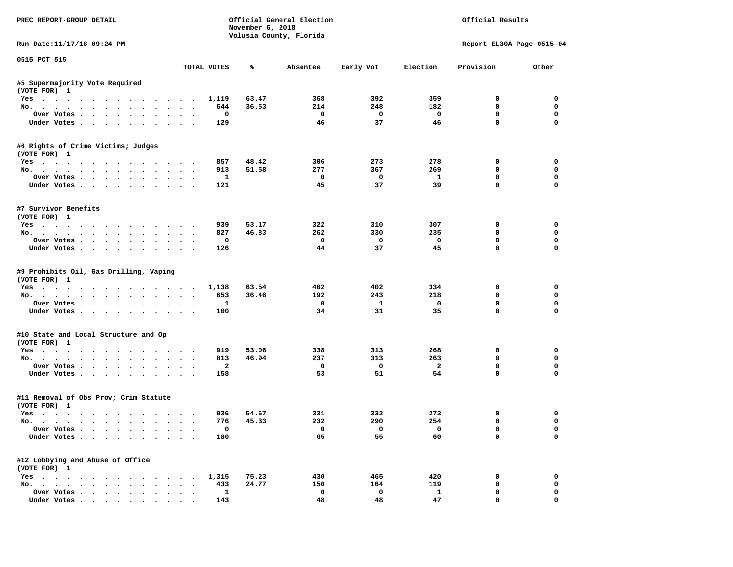| PREC REPORT-GROUP DETAIL                                             |                      |                    | November 6, 2018 | Official General Election<br>Volusia County, Florida |                         |                               | Official Results            |                      |
|----------------------------------------------------------------------|----------------------|--------------------|------------------|------------------------------------------------------|-------------------------|-------------------------------|-----------------------------|----------------------|
| Run Date:11/17/18 09:24 PM                                           |                      |                    |                  |                                                      |                         |                               | Report EL30A Page 0515-04   |                      |
| 0515 PCT 515                                                         |                      | TOTAL VOTES        | ℁                | Absentee                                             | Early Vot               | Election                      | Provision                   | Other                |
| #5 Supermajority Vote Required                                       |                      |                    |                  |                                                      |                         |                               |                             |                      |
| (VOTE FOR) 1                                                         |                      |                    |                  |                                                      |                         |                               |                             |                      |
| Yes                                                                  |                      | 1,119              | 63.47            | 368                                                  | 392                     | 359                           | $^{\circ}$                  | $^{\circ}$           |
| No.                                                                  |                      | 644                | 36.53            | 214                                                  | 248                     | 182                           | 0                           | $\mathbf 0$          |
| Over Votes                                                           |                      | 0                  |                  | $\overline{\phantom{0}}$                             | $\overline{\mathbf{0}}$ | $\overline{\phantom{0}}$      | 0                           | $\mathbf 0$          |
| Under Votes                                                          |                      | 129                |                  | 46                                                   | 37                      | 46                            | $\mathbf{0}$                | $\mathbf 0$          |
| #6 Rights of Crime Victims; Judges<br>(VOTE FOR) 1                   |                      |                    |                  |                                                      |                         |                               |                             |                      |
| Yes                                                                  |                      | 857                | 48.42            | 306                                                  | 273                     | 278                           | 0                           | 0                    |
| No.                                                                  |                      | 913                | 51.58            | 277                                                  | 367                     | 269                           | $\mathbf 0$                 | 0                    |
| Over Votes                                                           |                      | $\mathbf{1}$       |                  | $\overline{\phantom{0}}$                             | $\overline{\mathbf{0}}$ | $\mathbf{1}$                  | $\mathbf 0$                 | 0                    |
| Under Votes                                                          |                      | 121                |                  | 45                                                   | 37                      | 39                            | $\mathbf 0$                 | 0                    |
| #7 Survivor Benefits<br>(VOTE FOR) 1                                 |                      |                    |                  |                                                      |                         |                               |                             |                      |
| Yes                                                                  |                      | 939                | 53.17            | 322                                                  | 310                     | 307                           | 0                           | $\mathbf 0$          |
| No.                                                                  |                      | 827                | 46.83            | 262                                                  | 330                     | 235                           | $\mathbf 0$                 | $\mathbf 0$          |
| Over Votes                                                           |                      | 0                  |                  | $\overline{\mathbf{0}}$                              | $\overline{\mathbf{0}}$ | $\overline{\mathbf{0}}$       | $\mathbf 0$                 | $\mathbf 0$          |
| Under Votes                                                          |                      | 126                |                  | 44                                                   | 37                      | 45                            | $\Omega$                    | $\Omega$             |
| #9 Prohibits Oil, Gas Drilling, Vaping<br>(VOTE FOR) 1<br>Yes<br>No. |                      | 1,138<br>653       | 63.54<br>36.46   | 402<br>192                                           | 402<br>243              | 334<br>218                    | 0<br>0                      | 0<br>0               |
| Over Votes                                                           |                      | $\mathbf{1}$       |                  | $\mathbf{o}$                                         | $\mathbf{1}$            | $\mathbf 0$                   | $\mathbf 0$                 | $\mathbf 0$          |
| Under Votes                                                          |                      | 100                |                  | 34                                                   | 31                      | 35                            | $\mathbf 0$                 | $\Omega$             |
| #10 State and Local Structure and Op                                 |                      |                    |                  |                                                      |                         |                               |                             |                      |
| (VOTE FOR) 1                                                         |                      |                    |                  |                                                      |                         |                               |                             |                      |
| Yes                                                                  |                      | 919<br>813         | 53.06<br>46.94   | 338<br>237                                           | 313<br>313              | 268<br>263                    | 0<br>$\Omega$               | 0<br>$\mathbf 0$     |
| No.<br>Over Votes                                                    |                      | $\overline{a}$     |                  | $\mathbf 0$                                          | $\overline{\mathbf{0}}$ | $\overline{a}$                | 0                           | 0                    |
| Under Votes                                                          |                      | 158                |                  | 53                                                   | 51                      | 54                            | $\mathbf{0}$                | $\mathbf 0$          |
| #11 Removal of Obs Prov; Crim Statute<br>(VOTE FOR) 1                |                      |                    |                  |                                                      |                         |                               |                             |                      |
| Yes                                                                  |                      | 936                | 54.67            | 331                                                  | 332                     | 273                           | 0                           | 0                    |
| No.                                                                  |                      | 776                | 45.33            | 232                                                  | 290                     | 254                           | $\mathbf 0$                 | $\mathbf 0$          |
| Over Votes<br>Under Votes                                            |                      | $\mathbf 0$<br>180 |                  | $\overline{\mathbf{0}}$<br>65                        | $\overline{0}$<br>55    | $\overline{\mathbf{0}}$<br>60 | $\mathbf{0}$<br>$\mathbf 0$ | $\Omega$<br>$\Omega$ |
| #12 Lobbying and Abuse of Office                                     |                      |                    |                  |                                                      |                         |                               |                             |                      |
| (VOTE FOR) 1<br>Yes 1,315                                            |                      |                    | 75.23            | 430                                                  | 465                     | 420                           | 0                           | 0                    |
| No.                                                                  |                      | 433                | 24.77            | 150                                                  | 164                     | 119                           | $\mathbf 0$                 | $\mathbf 0$          |
| Over Votes                                                           | $\ddot{\phantom{0}}$ | $\mathbf{1}$       |                  | $\mathbf 0$                                          | $\Omega$                | $\mathbf{1}$                  | $\mathbf 0$                 | 0                    |
| Under Votes.                                                         |                      | 143                |                  | 48                                                   | 48                      | 47                            | $\mathbf{0}$                | 0                    |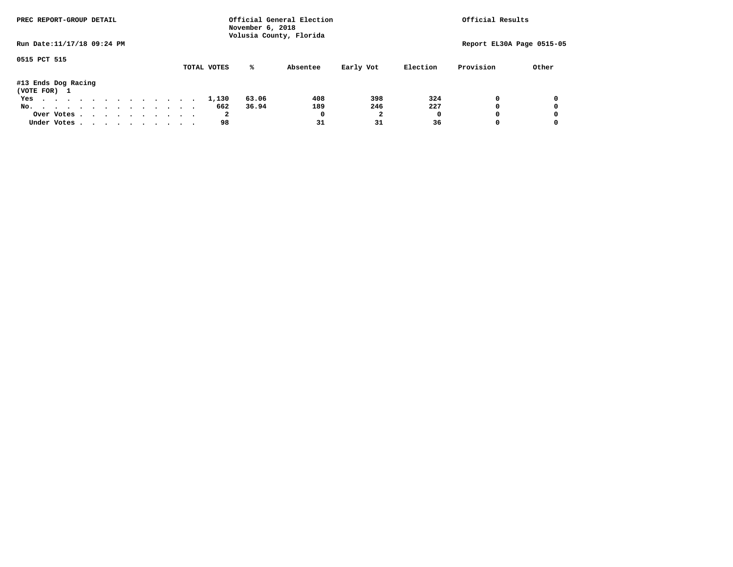|                                     | PREC REPORT-GROUP DETAIL |  |  |  | Official General Election<br>November 6, 2018<br>Volusia County, Florida | Official Results |  |             |       |          |                |          |           |                           |
|-------------------------------------|--------------------------|--|--|--|--------------------------------------------------------------------------|------------------|--|-------------|-------|----------|----------------|----------|-----------|---------------------------|
| Run Date: 11/17/18 09:24 PM         |                          |  |  |  |                                                                          |                  |  |             |       |          |                |          |           | Report EL30A Page 0515-05 |
| 0515 PCT 515                        |                          |  |  |  |                                                                          |                  |  | TOTAL VOTES | %ะ    | Absentee | Early Vot      | Election | Provision | Other                     |
| #13 Ends Dog Racing<br>(VOTE FOR) 1 |                          |  |  |  |                                                                          |                  |  |             |       |          |                |          |           |                           |
| Yes                                 |                          |  |  |  |                                                                          |                  |  | 1,130       | 63.06 | 408      | 398            | 324      |           | 0                         |
| No.                                 |                          |  |  |  |                                                                          |                  |  | 662         | 36.94 | 189      | 246            | 227      |           | 0                         |
| Over Votes.                         |                          |  |  |  |                                                                          |                  |  | 2           |       | 0        | $\overline{2}$ | O        |           | 0                         |
| Under Votes                         |                          |  |  |  |                                                                          |                  |  | 98          |       | 31       | 31             | 36       |           | 0                         |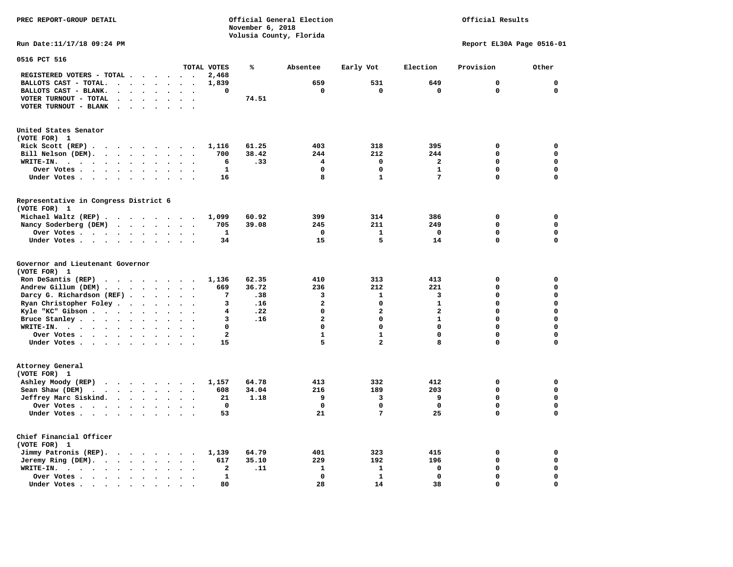**November 6, 2018 Volusia County, Florida Run Date:11/17/18 09:24 PM Report EL30A Page 0516-01 0516 PCT 516 TOTAL VOTES % Absentee Early Vot Election Provision Other REGISTERED VOTERS - TOTAL . . . . . . 2,468 BALLOTS CAST - TOTAL. . . . . . . . 1,839 659 531 649 0 0 BALLOTS CAST - BLANK. . . . . . . . 0 0 0 0 0 0 VOTER TURNOUT - TOTAL . . . . . . . 74.51 VOTER TURNOUT - BLANK . . . . . . . United States Senator (VOTE FOR) 1 Rick Scott (REP) . . . . . . . . . 1,116 61.25 403 318 395 0 0 Bill Nelson (DEM). . . . . . . . . 700 38.42 244 212 244 0 0 WRITE-IN. . . . . . . . . . . . 6 .33 4 0 2 0 0 Over Votes . . . . . . . . . . 1 0 0 1 0 0 Under Votes . . . . . . . . . . 16** 8 1 7 0 0 0 **Representative in Congress District 6 (VOTE FOR) 1 Michael Waltz (REP) . . . . . . . . 1,099 60.92 399 314 386 0 0 Nancy Soderberg (DEM) . . . . . . . 705 39.08 245 211 249 0 0 Over Votes . . . . . . . . . . 1 0 1 0 0 0**  $\Omega$  **Under Votes . . . . . . . . . . 34 15 5 14 0 Governor and Lieutenant Governor (VOTE FOR) 1 Ron DeSantis (REP) . . . . . . . . 1,136 62.35 410 313 413 0 0 Andrew Gillum (DEM) . . . . . . . . 669 36.72 236 212 221 0 0 Darcy G. Richardson (REF) . . . . . . 7 .38** 3 1 3 0 0 0<br>**Ryan Christopher Foley . . . . . . 3 .16** 2 0 1 0 0  **Ryan Christopher Foley . . . . . . . 3 .16 2 0 1 0 0 Kyle "KC" Gibson . . . . . . . . . . 4 .22** 0 **Bruce Stanley . . . . . . . . . . 3 .16** 2 0 1 0 0  **WRITE-IN. . . . . . . . . . . . 0 0 0 0 0 0**  $\mathbf{0}$ **Over Votes . . . . . . . . . . . 2** 1 1 0 0 0  $\mathbf{0}$ **Under Votes . . . . . . . . . . . 15** 5 2 8 0 **Attorney General (VOTE FOR) 1 Ashley Moody (REP) . . . . . . . . 1,157 64.78 413 332 412 0 0 Sean Shaw (DEM)** . . . . . . . . 608 34.04 216 189 203 0 0  **Jeffrey Marc Siskind. . . . . . . . 21 1.18 9 3 9 0 0 Over Votes . . . . . . . . . . 0 0 0 0 0 0**  $\mathbf 0$  **Under Votes . . . . . . . . . . 53 21 7 25 0 0 Chief Financial Officer (VOTE FOR) 1 Jimmy Patronis (REP). . . . . . . . 1,139 64.79 401 323 415 0 0 Jeremy Ring (DEM).** . . . . . . . 617 35.10 229 192 196 0 0 0  **WRITE-IN. . . . . . . . . . . . 2 .11 1 1 0 0 0 Over Votes . . . . . . . . . . 1 0 1 0 0 0**  $\mathbf{o}$  **Under Votes . . . . . . . . . . 80** 28 14 38 0

**PREC REPORT-GROUP DETAIL Official General Election Official Results**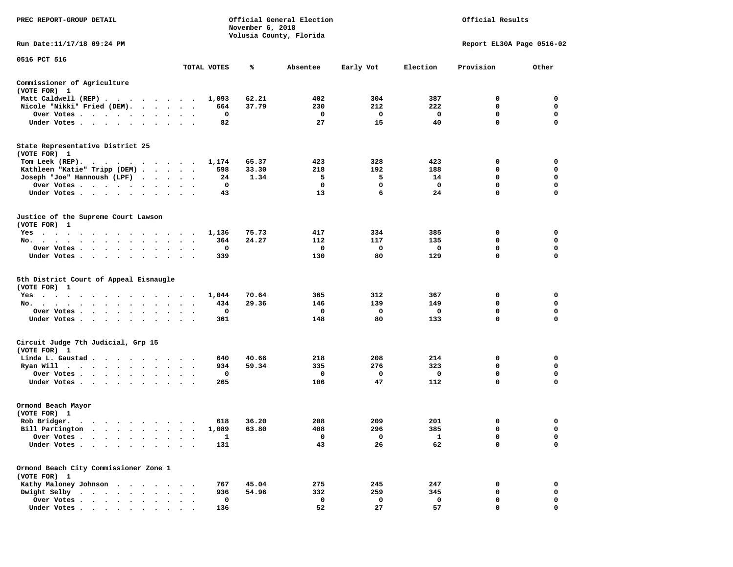| PREC REPORT-GROUP DETAIL                                                                                                                                                                                                                   |                                     |             | November 6, 2018 | Official General Election<br>Volusia County, Florida | Official Results |          |                           |             |  |
|--------------------------------------------------------------------------------------------------------------------------------------------------------------------------------------------------------------------------------------------|-------------------------------------|-------------|------------------|------------------------------------------------------|------------------|----------|---------------------------|-------------|--|
| Run Date: 11/17/18 09:24 PM                                                                                                                                                                                                                |                                     |             |                  |                                                      |                  |          | Report EL30A Page 0516-02 |             |  |
| 0516 PCT 516                                                                                                                                                                                                                               |                                     | TOTAL VOTES | ℁                | Absentee                                             | Early Vot        | Election | Provision                 | Other       |  |
| Commissioner of Agriculture<br>(VOTE FOR) 1                                                                                                                                                                                                |                                     |             |                  |                                                      |                  |          |                           |             |  |
| Matt Caldwell (REP)                                                                                                                                                                                                                        |                                     | 1,093       | 62.21            | 402                                                  | 304              | 387      | 0                         | 0           |  |
| Nicole "Nikki" Fried (DEM).                                                                                                                                                                                                                |                                     | 664         | 37.79            | 230                                                  | 212              | 222      | 0                         | 0           |  |
| Over Votes                                                                                                                                                                                                                                 | $\cdot$<br>$\bullet$                | 0           |                  | 0                                                    | 0                | 0        | 0                         | 0           |  |
| Under Votes                                                                                                                                                                                                                                |                                     | 82          |                  | 27                                                   | 15               | 40       | $\mathbf 0$               | 0           |  |
| State Representative District 25<br>(VOTE FOR) 1                                                                                                                                                                                           |                                     |             |                  |                                                      |                  |          |                           |             |  |
| Tom Leek (REP).                                                                                                                                                                                                                            |                                     | 1,174       | 65.37            | 423                                                  | 328              | 423      | 0                         | 0           |  |
| Kathleen "Katie" Tripp (DEM)                                                                                                                                                                                                               |                                     | 598         | 33.30            | 218                                                  | 192              | 188      | 0                         | 0           |  |
| Joseph "Joe" Hannoush (LPF)                                                                                                                                                                                                                |                                     | 24          | 1.34             | 5                                                    | 5                | 14       | 0                         | 0           |  |
| Over Votes                                                                                                                                                                                                                                 | $\ddot{\phantom{1}}$<br>$\bullet$ . | 0           |                  | 0                                                    | $\mathbf 0$      | 0        | $\mathbf 0$               | $\mathbf 0$ |  |
| Under Votes                                                                                                                                                                                                                                | $\sim$ $\sim$                       | 43          |                  | 13                                                   | 6                | 24       | $\mathbf 0$               | 0           |  |
| Justice of the Supreme Court Lawson<br>(VOTE FOR) 1                                                                                                                                                                                        |                                     |             |                  |                                                      |                  |          |                           |             |  |
| $Yes \t . \t .$<br>$\bullet$<br>$\cdot$                                                                                                                                                                                                    |                                     | 1,136       | 75.73            | 417                                                  | 334              | 385      | 0                         | 0           |  |
| No.<br>$\bullet$                                                                                                                                                                                                                           |                                     | 364         | 24.27            | 112                                                  | 117              | 135      | 0                         | 0           |  |
| Over Votes<br>$\bullet$<br>$\bullet$<br>$\bullet$                                                                                                                                                                                          | $\bullet$                           | 0           |                  | 0                                                    | 0                | 0        | 0                         | 0           |  |
| Under Votes<br>$\bullet$ .                                                                                                                                                                                                                 |                                     | 339         |                  | 130                                                  | 80               | 129      | $\mathbf 0$               | $\mathbf 0$ |  |
| 5th District Court of Appeal Eisnaugle<br>(VOTE FOR) 1                                                                                                                                                                                     |                                     |             |                  |                                                      |                  |          |                           |             |  |
| $Yes \cdot \cdot \cdot$<br>$\sim$<br>$\sim$<br>the contract of the contract of the contract of the contract of the contract of the contract of the contract of                                                                             |                                     | 1,044       | 70.64            | 365                                                  | 312              | 367      | 0                         | 0           |  |
| No.                                                                                                                                                                                                                                        | $\ddot{\phantom{1}}$                | 434         | 29.36            | 146                                                  | 139              | 149      | 0                         | $\mathbf 0$ |  |
| Over Votes<br>$\bullet$                                                                                                                                                                                                                    |                                     | 0           |                  | 0                                                    | 0                | 0        | 0                         | 0           |  |
| Under Votes<br>$\bullet$                                                                                                                                                                                                                   | $\bullet$<br>$\bullet$              | 361         |                  | 148                                                  | 80               | 133      | 0                         | $\mathbf 0$ |  |
| Circuit Judge 7th Judicial, Grp 15<br>(VOTE FOR) 1                                                                                                                                                                                         |                                     |             |                  |                                                      |                  |          |                           |             |  |
| Linda L. Gaustad                                                                                                                                                                                                                           |                                     | 640         | 40.66            | 218                                                  | 208              | 214      | 0                         | 0           |  |
| Ryan Will<br>. The contract of the contract of the contract of the contract of the contract of the contract of the contract of the contract of the contract of the contract of the contract of the contract of the contract of the contrac | $\sim$ $\sim$                       | 934         | 59.34            | 335                                                  | 276              | 323      | 0                         | 0           |  |
| Over Votes                                                                                                                                                                                                                                 | $\sim$ $\sim$                       | 0           |                  | 0                                                    | 0                | 0        | 0                         | 0           |  |
| Under Votes                                                                                                                                                                                                                                |                                     | 265         |                  | 106                                                  | 47               | 112      | 0                         | 0           |  |
| Ormond Beach Mayor<br>(VOTE FOR) 1                                                                                                                                                                                                         |                                     |             |                  |                                                      |                  |          |                           |             |  |
| Rob Bridger.                                                                                                                                                                                                                               |                                     | 618         | 36.20            | 208                                                  | 209              | 201      | 0                         | 0           |  |
| Bill Partington                                                                                                                                                                                                                            |                                     | 1,089       | 63.80            | 408                                                  | 296              | 385      | $\mathbf 0$               | $\mathbf 0$ |  |
| Over Votes .                                                                                                                                                                                                                               |                                     | 1           |                  | 0                                                    | 0                | 1        | 0                         | 0           |  |
| Under Votes.                                                                                                                                                                                                                               |                                     | 131         |                  | 43                                                   | 26               | 62       | 0                         | 0           |  |
| Ormond Beach City Commissioner Zone 1<br>(VOTE FOR) 1                                                                                                                                                                                      |                                     |             |                  |                                                      |                  |          |                           |             |  |
| Kathy Maloney Johnson<br>$\ddot{\phantom{a}}$                                                                                                                                                                                              |                                     | 767         | 45.04            | 275                                                  | 245              | 247      | 0                         | 0           |  |
| Dwight Selby<br>$\sim$ $\sim$ $\sim$ $\sim$<br>$\sim$<br>$\bullet$                                                                                                                                                                         |                                     | 936         | 54.96            | 332                                                  | 259              | 345      | 0                         | 0           |  |
| Over Votes.<br>$\cdot$ $\cdot$ $\cdot$ $\cdot$                                                                                                                                                                                             |                                     | 0           |                  | 0                                                    | 0                | 0        | 0                         | 0           |  |
| Under Votes                                                                                                                                                                                                                                |                                     | 136         |                  | 52                                                   | 27               | 57       | $\mathbf{0}$              | $\mathbf 0$ |  |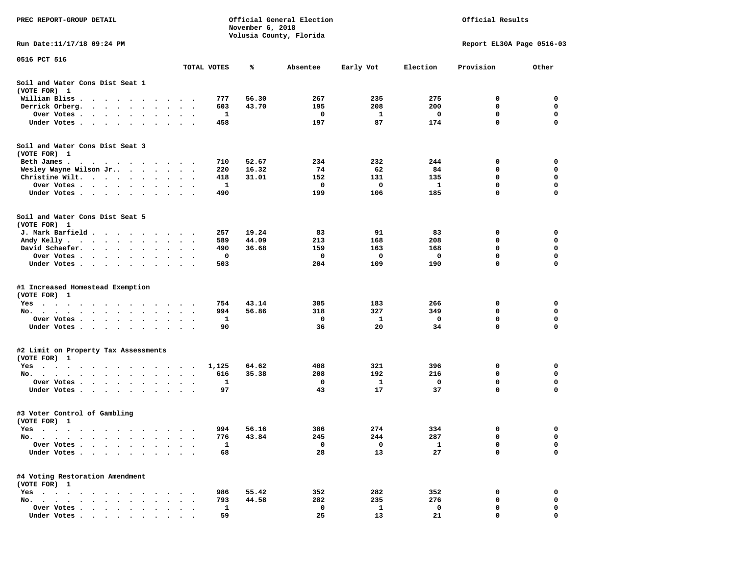| PREC REPORT-GROUP DETAIL                                                                                       | Official General Election<br>Official Results<br>November 6, 2018<br>Volusia County, Florida |             |       |          |           |                           |             |             |
|----------------------------------------------------------------------------------------------------------------|----------------------------------------------------------------------------------------------|-------------|-------|----------|-----------|---------------------------|-------------|-------------|
| Run Date:11/17/18 09:24 PM                                                                                     |                                                                                              |             |       |          |           | Report EL30A Page 0516-03 |             |             |
| 0516 PCT 516                                                                                                   |                                                                                              | TOTAL VOTES | %     | Absentee | Early Vot | Election                  | Provision   | Other       |
| Soil and Water Cons Dist Seat 1<br>(VOTE FOR) 1                                                                |                                                                                              |             |       |          |           |                           |             |             |
| William Bliss.<br>$\bullet$<br>$\sim$<br>$\sim$ $\sim$ $\sim$ $\sim$<br>$\sim$                                 |                                                                                              | 777         | 56.30 | 267      | 235       | 275                       | 0           | 0           |
| Derrick Orberg.<br>$\sim 100$ km s $^{-1}$<br>$\sim$ $\sim$<br>$\sim$ $\sim$<br>$\ddot{\phantom{a}}$           |                                                                                              | 603         | 43.70 | 195      | 208       | 200                       | 0           | 0           |
| Over Votes .<br>$\cdot$ $\cdot$ $\cdot$ $\cdot$ $\cdot$<br>$\bullet$                                           | $\bullet$<br>$\bullet$                                                                       | 1           |       | 0        | 1         | 0                         | 0           | $\mathbf 0$ |
| Under Votes<br>$\sim$<br>$\ddot{\phantom{1}}$<br>$\ddot{\phantom{1}}$                                          |                                                                                              | 458         |       | 197      | 87        | 174                       | $\mathbf 0$ | 0           |
| Soil and Water Cons Dist Seat 3<br>(VOTE FOR) 1                                                                |                                                                                              |             |       |          |           |                           |             |             |
| Beth James.                                                                                                    | $\sim$                                                                                       | 710         | 52.67 | 234      | 232       | 244                       | 0           | 0           |
| Wesley Wayne Wilson Jr                                                                                         | $\ddot{\phantom{0}}$                                                                         | 220         | 16.32 | 74       | 62        | 84                        | 0           | 0           |
| Christine Wilt.<br>$\bullet$ .<br>$\ddot{\phantom{1}}$<br>$\cdot$<br>Over Votes                                |                                                                                              | 418<br>1    | 31.01 | 152<br>0 | 131<br>0  | 135<br>1                  | 0<br>0      | 0<br>0      |
| $\bullet$<br>$\cdot$<br>Under Votes                                                                            |                                                                                              | 490         |       | 199      | 106       | 185                       | 0           | 0           |
|                                                                                                                |                                                                                              |             |       |          |           |                           |             |             |
| Soil and Water Cons Dist Seat 5<br>(VOTE FOR) 1                                                                |                                                                                              |             |       |          |           |                           |             |             |
| J. Mark Barfield.                                                                                              | $\cdot$                                                                                      | 257         | 19.24 | 83       | 91        | 83                        | 0           | 0           |
| Andy Kelly<br>$\cdots$                                                                                         |                                                                                              | 589         | 44.09 | 213      | 168       | 208                       | 0           | 0           |
| David Schaefer.<br><b>Contract Contract Contract</b><br>$\bullet$ . $\bullet$<br>$\bullet$                     | $\bullet$                                                                                    | 490         | 36.68 | 159      | 163       | 168                       | 0           | 0           |
| Over Votes.<br>$\sim$ $\sim$<br>$\sim 100$ km s $^{-1}$<br>$\sim$ $\sim$                                       |                                                                                              | 0           |       | 0        | 0         | 0                         | 0           | 0           |
| Under Votes<br>$\ddot{\phantom{0}}$<br>$\bullet$                                                               | $\bullet$<br>$\cdot$<br>$\cdot$                                                              | 503         |       | 204      | 109       | 190                       | 0           | 0           |
| #1 Increased Homestead Exemption<br>(VOTE FOR) 1                                                               |                                                                                              |             |       |          |           |                           |             |             |
| Yes                                                                                                            |                                                                                              | 754         | 43.14 | 305      | 183       | 266                       | 0           | 0           |
| No.<br>$\sim$<br>$\cdot$<br>$\cdot$                                                                            |                                                                                              | 994         | 56.86 | 318      | 327       | 349                       | 0           | 0           |
| Over Votes .<br>$\sim$ $\sim$<br>$\sim$<br>$\bullet$<br>$\blacksquare$<br>$\bullet$                            | $\bullet$                                                                                    | 1           |       | 0        | 1         | 0                         | 0           | $\mathbf 0$ |
| Under Votes<br>$\ddot{\phantom{1}}$                                                                            | $\ddot{\phantom{0}}$<br>$\cdot$ .                                                            | 90          |       | 36       | 20        | 34                        | 0           | $\mathbf 0$ |
| #2 Limit on Property Tax Assessments                                                                           |                                                                                              |             |       |          |           |                           |             |             |
| (VOTE FOR) 1                                                                                                   |                                                                                              |             |       |          |           |                           |             |             |
| $Yes \t . \t .$<br>$\blacksquare$<br>. As in the contribution of the state $\mathcal{A}$<br>$\cdot$<br>$\cdot$ | $\sim$                                                                                       | 1,125       | 64.62 | 408      | 321       | 396                       | 0           | 0           |
| No.<br>$\sim$ $\sim$<br>$\ddot{\phantom{0}}$                                                                   |                                                                                              | 616         | 35.38 | 208      | 192       | 216                       | 0           | 0           |
| Over Votes .<br>$\ddot{\phantom{1}}$<br>$\sim$<br>$\sim$<br>$\cdot$<br>$\sim$<br>$\cdot$                       | $\ddot{\phantom{0}}$                                                                         | 1           |       | 0        | 1         | 0                         | 0           | 0           |
| Under Votes<br>$\sim$ $\sim$<br>$\bullet$<br>$\bullet$                                                         |                                                                                              | 97          |       | 43       | 17        | 37                        | 0           | 0           |
| #3 Voter Control of Gambling<br>(VOTE FOR) 1                                                                   |                                                                                              |             |       |          |           |                           |             |             |
| Yes<br>$\cdots$<br>.<br>$\cdots$                                                                               |                                                                                              | 994         | 56.16 | 386      | 274       | 334                       | 0           | 0           |
| $No. \t .$<br>$\sim$<br>$\ddot{\phantom{0}}$<br>$\bullet$<br>$\bullet$                                         |                                                                                              | 776         | 43.84 | 245      | 244       | 287                       | 0           | 0           |
| Over Votes .<br>$\ddot{\phantom{a}}$<br>$\bullet$<br>$\ddot{\phantom{1}}$                                      |                                                                                              | 1           |       | 0        | 0         | 1                         | 0           | 0           |
| Under Votes<br>$\cdots$<br>$\bullet$                                                                           |                                                                                              | 68          |       | 28       | 13        | 27                        | 0           | 0           |
| #4 Voting Restoration Amendment<br>(VOTE FOR) 1                                                                |                                                                                              |             |       |          |           |                           |             |             |
| $Yes \cdot \cdot \cdot$<br>$\cdot$ $\cdot$ $\cdot$ $\cdot$<br>$\ddot{\phantom{0}}$<br>$\bullet$                |                                                                                              | 986         | 55.42 | 352      | 282       | 352                       | 0           | 0           |
| No.<br>$\ddot{\phantom{0}}$<br>$\cdot$<br>$\ddot{\phantom{0}}$<br>$\cdots$<br>$\ddot{\phantom{a}}$             |                                                                                              | 793         | 44.58 | 282      | 235       | 276                       | 0           | 0           |
| Over Votes<br>$\bullet$                                                                                        |                                                                                              | 1           |       | 0        | 1         | 0                         | 0           | 0           |
| Under Votes                                                                                                    |                                                                                              | 59          |       | 25       | 13        | 21                        | 0           | $\mathbf 0$ |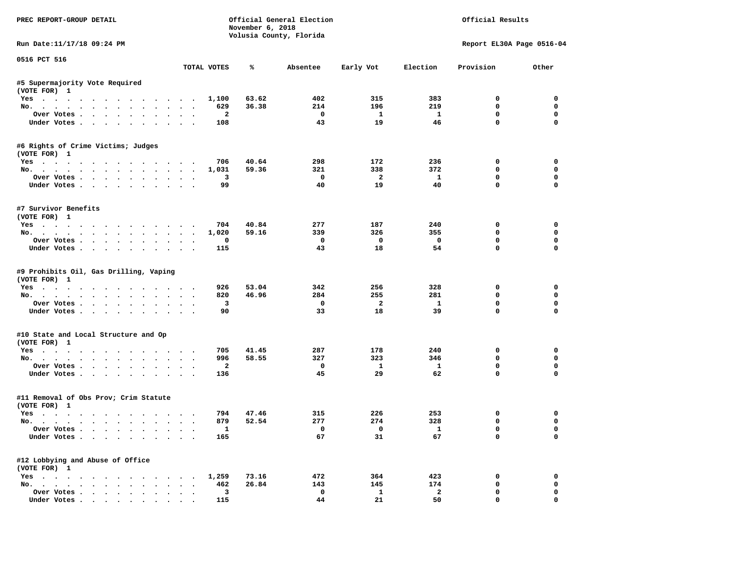| PREC REPORT-GROUP DETAIL                                      |                      |                         | November 6, 2018 | Official General Election<br>Volusia County, Florida |                         |                         | Official Results          |             |
|---------------------------------------------------------------|----------------------|-------------------------|------------------|------------------------------------------------------|-------------------------|-------------------------|---------------------------|-------------|
| Run Date:11/17/18 09:24 PM                                    |                      |                         |                  |                                                      |                         |                         | Report EL30A Page 0516-04 |             |
| 0516 PCT 516                                                  |                      | TOTAL VOTES             | ℁                | Absentee                                             | Early Vot               | Election                | Provision                 | Other       |
| #5 Supermajority Vote Required                                |                      |                         |                  |                                                      |                         |                         |                           |             |
| (VOTE FOR) 1                                                  |                      |                         |                  |                                                      |                         |                         |                           |             |
| Yes                                                           |                      | 1,100                   | 63.62            | 402                                                  | 315                     | 383                     | $^{\circ}$                | $^{\circ}$  |
| No.                                                           |                      | 629                     | 36.38            | 214                                                  | 196                     | 219                     | 0                         | $\mathbf 0$ |
| Over Votes                                                    |                      | $\overline{\mathbf{2}}$ |                  | $\overline{\phantom{0}}$                             | $\mathbf{1}$            | $\mathbf{1}$            | 0                         | $\mathbf 0$ |
| Under Votes                                                   |                      | 108                     |                  | 43                                                   | 19                      | 46                      | $\mathbf{0}$              | $\mathbf 0$ |
| #6 Rights of Crime Victims; Judges<br>(VOTE FOR) 1            |                      |                         |                  |                                                      |                         |                         |                           |             |
| Yes                                                           |                      | 706                     | 40.64            | 298                                                  | 172                     | 236                     | 0                         | 0           |
| No.                                                           |                      | 1,031                   | 59.36            | 321                                                  | 338                     | 372                     | $\mathbf 0$               | 0           |
| Over Votes                                                    |                      | $\overline{\mathbf{3}}$ |                  | $\overline{\phantom{0}}$                             | $\overline{\mathbf{2}}$ | $\mathbf{1}$            | $\mathbf 0$               | 0           |
| Under Votes                                                   |                      | 99                      |                  | 40                                                   | 19                      | 40                      | $\mathbf 0$               | 0           |
| #7 Survivor Benefits<br>(VOTE FOR) 1                          |                      |                         |                  |                                                      |                         |                         |                           |             |
| Yes                                                           |                      | 704                     | 40.84            | 277                                                  | 187                     | 240                     | 0                         | $\mathbf 0$ |
| No.                                                           |                      | 1,020                   | 59.16            | 339                                                  | 326                     | 355                     | $\mathbf 0$               | $\mathbf 0$ |
| Over Votes                                                    | $\ddot{\phantom{0}}$ | 0                       |                  | $\mathbf{o}$                                         | $\overline{\mathbf{0}}$ | $\overline{\mathbf{0}}$ | $\mathbf 0$               | $\mathbf 0$ |
| Under Votes                                                   |                      | 115                     |                  | 43                                                   | 18                      | 54                      | $\Omega$                  | $\Omega$    |
| #9 Prohibits Oil, Gas Drilling, Vaping<br>(VOTE FOR) 1<br>Yes |                      | 926                     | 53.04            | 342                                                  | 256                     | 328                     | 0                         | 0           |
| No.                                                           |                      | 820                     | 46.96            | 284                                                  | 255                     | 281                     | $\mathbf 0$               | 0           |
| Over Votes                                                    |                      | 3                       |                  | $\mathbf{o}$                                         | $\overline{2}$          | $\mathbf{1}$            | $\mathbf 0$               | $\mathbf 0$ |
| Under Votes                                                   |                      | 90                      |                  | 33                                                   | 18                      | 39                      | $\mathbf 0$               | $\Omega$    |
| #10 State and Local Structure and Op<br>(VOTE FOR) 1          |                      |                         |                  |                                                      |                         |                         |                           |             |
| Yes                                                           |                      | 705                     | 41.45            | 287                                                  | 178                     | 240                     | 0                         | 0           |
| No.                                                           |                      | 996                     | 58.55            | 327                                                  | 323                     | 346                     | $\Omega$                  | $\mathbf 0$ |
| Over Votes                                                    |                      | $\overline{a}$          |                  | $\mathbf 0$                                          | $\mathbf{1}$            | $\mathbf{1}$            | 0                         | 0           |
| Under Votes                                                   |                      | 136                     |                  | 45                                                   | 29                      | 62                      | $\mathbf{0}$              | $\mathbf 0$ |
| #11 Removal of Obs Prov; Crim Statute<br>(VOTE FOR) 1         |                      |                         |                  |                                                      |                         |                         |                           |             |
| Yes                                                           |                      | 794                     | 47.46            | 315                                                  | 226                     | 253                     | 0                         | 0           |
| No.                                                           |                      | 879                     | 52.54            | 277                                                  | 274                     | 328                     | $\mathbf 0$               | $\mathbf 0$ |
| Over Votes                                                    |                      | $\mathbf{1}$            |                  | $\overline{\mathbf{0}}$                              | $\overline{0}$          | $\mathbf{1}$            | $\mathbf{0}$              | $\Omega$    |
| Under Votes                                                   |                      | 165                     |                  | 67                                                   | 31                      | 67                      | $\mathbf 0$               | $\Omega$    |
| #12 Lobbying and Abuse of Office<br>(VOTE FOR) 1              |                      |                         |                  |                                                      |                         |                         |                           |             |
| Yes 1,259                                                     |                      |                         | 73.16            | 472                                                  | 364                     | 423                     | 0                         | 0           |
| No.                                                           |                      | 462                     | 26.84            | 143                                                  | 145                     | 174                     | $\mathbf 0$               | $\mathbf 0$ |
| Over Votes                                                    | $\ddot{\phantom{0}}$ | 3                       |                  | $\mathbf 0$                                          | $\mathbf{1}$            | $\mathbf{2}$            | $\mathbf 0$               | 0           |
| Under Votes.                                                  |                      | 115                     |                  | 44                                                   | 21                      | 50                      | $\mathbf{0}$              | 0           |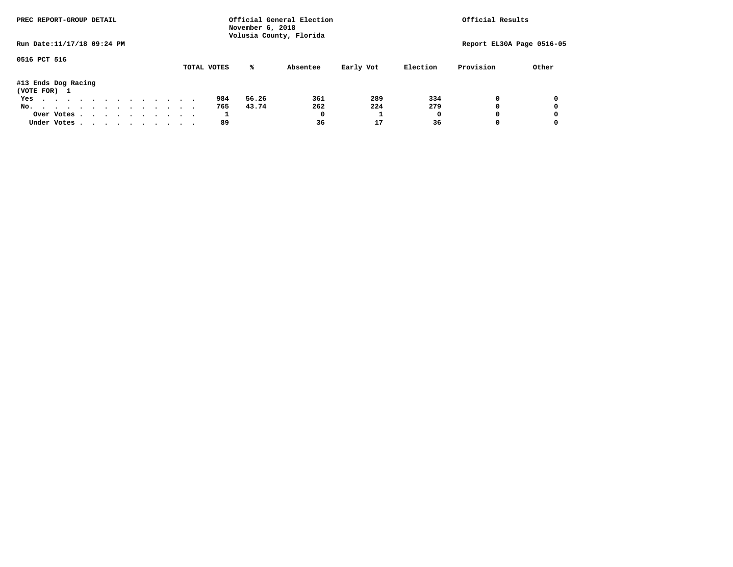| PREC REPORT-GROUP DETAIL            |  |  |  |  | Official General Election<br>November 6, 2018<br>Volusia County, Florida |  | Official Results |  |             |       |          |           |          |                           |       |
|-------------------------------------|--|--|--|--|--------------------------------------------------------------------------|--|------------------|--|-------------|-------|----------|-----------|----------|---------------------------|-------|
| Run Date: 11/17/18 09:24 PM         |  |  |  |  |                                                                          |  |                  |  |             |       |          |           |          | Report EL30A Page 0516-05 |       |
| 0516 PCT 516                        |  |  |  |  |                                                                          |  |                  |  | TOTAL VOTES | %ะ    | Absentee | Early Vot | Election | Provision                 | Other |
| #13 Ends Dog Racing<br>(VOTE FOR) 1 |  |  |  |  |                                                                          |  |                  |  |             |       |          |           |          |                           |       |
| Yes                                 |  |  |  |  |                                                                          |  |                  |  | 984         | 56.26 | 361      | 289       | 334      | 0                         |       |
| No.                                 |  |  |  |  |                                                                          |  |                  |  | 765         | 43.74 | 262      | 224       | 279      | 0                         |       |
| Over Votes                          |  |  |  |  |                                                                          |  |                  |  | Τ.          |       | 0        |           |          | 0                         |       |
| Under Votes                         |  |  |  |  |                                                                          |  |                  |  | 89          |       | 36       | 17        | 36       | 0                         |       |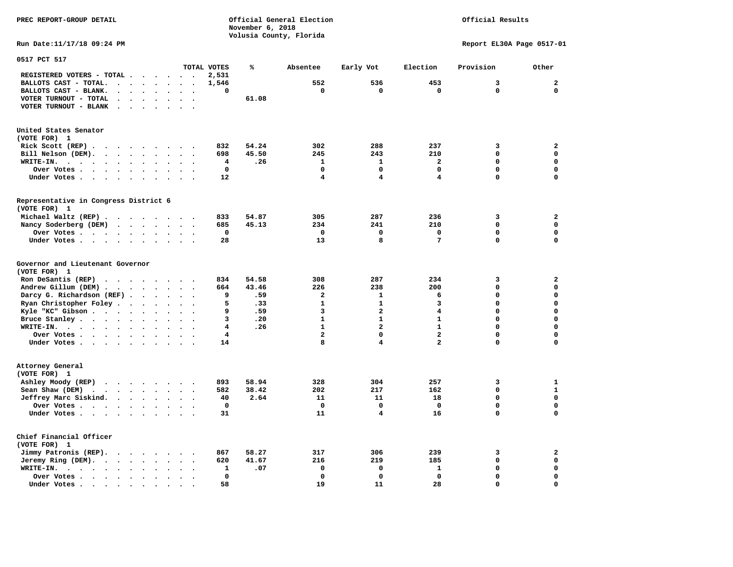**November 6, 2018 Volusia County, Florida Run Date:11/17/18 09:24 PM Report EL30A Page 0517-01 0517 PCT 517 TOTAL VOTES % Absentee Early Vot Election Provision Other REGISTERED VOTERS - TOTAL . . . . . . 2,531 BALLOTS CAST - TOTAL. . . . . . . . 1,546 552 536 453 3 2 BALLOTS CAST - BLANK. . . . . . . . 0 0 0 0 0 0 VOTER TURNOUT - TOTAL . . . . . . . 61.08 VOTER TURNOUT - BLANK . . . . . . . United States Senator (VOTE FOR) 1 Rick Scott (REP) . . . . . . . . . 832 54.24 302 288 237 3 2 Bill Nelson (DEM). . . . . . . . . 698 45.50 245 243 210 0 0 WRITE-IN. . . . . . . . . . . . 4 .26 1 1 2 0 0 Over Votes . . . . . . . . . . 0 0 0 0 0 0 Under Votes . . . . . . . . . 12** 4 4 4 0 0 0 **Representative in Congress District 6 (VOTE FOR) 1 Michael Waltz (REP) . . . . . . . . 833 54.87 305 287 236 3 2 Nancy Soderberg (DEM) . . . . . . . 685 45.13 234 241 210 0 0 Over Votes . . . . . . . . . . 0 0 0 0 0 0**  $\Omega$  **Under Votes . . . . . . . . . . 28 13 8 7 0 Governor and Lieutenant Governor (VOTE FOR) 1 Ron DeSantis (REP) . . . . . . . . 834 54.58 308 287 234 3 2 Andrew Gillum (DEM) . . . . . . . . 664 43.46 226 238 200 0 0 Darcy G. Richardson (REF) . . . . . . 9 .59 2 1 6 0 0 Ryan Christopher Foley . . . . . . . 5 .33 1 1 3 0 0 Kyle "KC" Gibson . . . . . . . . . 9 .59** 3 2 2 **Bruce Stanley . . . . . . . . . . 3 .20** 1 1 1 0 0 0  **WRITE-IN. . . . . . . . . . . . 4 .26 1 2 1 0 0**  $\mathbf{0}$ **Over Votes . . . . . . . . . . 4** 2 0 2 0 2 0  $\mathbf{0}$  **Under Votes . . . . . . . . . . 14** 8 4 2 0 **Attorney General (VOTE FOR) 1 Ashley Moody (REP) . . . . . . . . 893 58.94 328 304 257 3 1 Sean Shaw (DEM)** . . . . . . . . 582 38.42 202 217 162 0 1  **Jeffrey Marc Siskind. . . . . . . . 40 2.64 11 11 18 0 0 Over Votes . . . . . . . . . . 0 0 0 0 0 0**  $\mathbf 0$  **Under Votes . . . . . . . . . . 31 11 4 16 0 0 Chief Financial Officer (VOTE FOR) 1 Jimmy Patronis (REP). . . . . . . . 867 58.27 317 306 239 3 2 Jeremy Ring (DEM).** . . . . . . . 620 41.67 216 219 185 0 0 0  **WRITE-IN. . . . . . . . . . . . 1 .07 0 0 1 0 0 Over Votes . . . . . . . . . . 0 0 0 0 0 0**  $\mathbf{o}$  **Under Votes . . . . . . . . . . 58 19 11 28 0** 

**PREC REPORT-GROUP DETAIL Official General Election Official Results**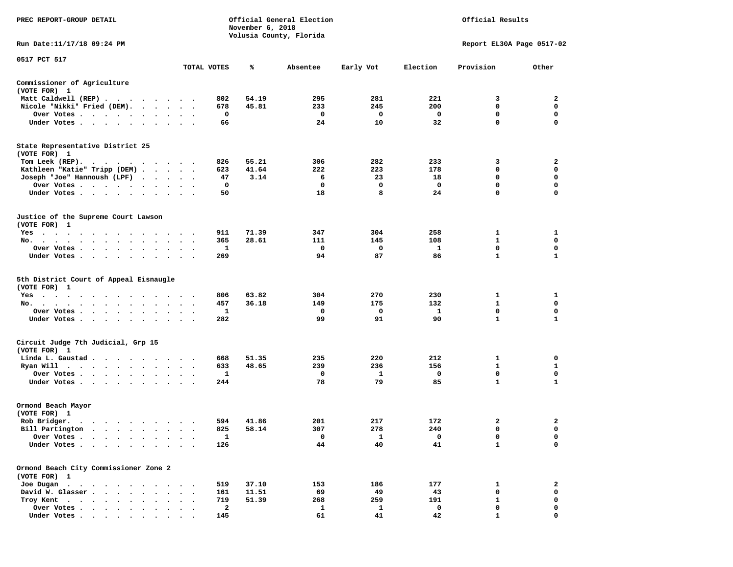| PREC REPORT-GROUP DETAIL                                                                                                  |                                                                 | November 6, 2018 | Official General Election |                       |                       | Official Results          |                                                 |
|---------------------------------------------------------------------------------------------------------------------------|-----------------------------------------------------------------|------------------|---------------------------|-----------------------|-----------------------|---------------------------|-------------------------------------------------|
|                                                                                                                           |                                                                 |                  | Volusia County, Florida   |                       |                       |                           |                                                 |
| Run Date:11/17/18 09:24 PM                                                                                                |                                                                 |                  |                           |                       |                       | Report EL30A Page 0517-02 |                                                 |
| 0517 PCT 517                                                                                                              | TOTAL VOTES                                                     | ℁                | Absentee                  | Early Vot             | Election              | Provision                 | Other                                           |
| Commissioner of Agriculture                                                                                               |                                                                 |                  |                           |                       |                       |                           |                                                 |
| (VOTE FOR) 1                                                                                                              |                                                                 |                  |                           |                       |                       |                           |                                                 |
| Matt Caldwell (REP)                                                                                                       | 802                                                             | 54.19            | 295                       | 281                   | 221                   | 3                         | 2                                               |
| Nicole "Nikki" Fried (DEM).                                                                                               | 678                                                             | 45.81            | 233                       | 245                   | 200                   | 0                         | 0                                               |
| Over Votes                                                                                                                | 0                                                               |                  | 0                         | 0                     | 0                     | 0                         | $\mathbf 0$                                     |
| Under Votes                                                                                                               | 66                                                              |                  | 24                        | 10                    | 32                    | 0                         | $\mathbf 0$                                     |
| State Representative District 25                                                                                          |                                                                 |                  |                           |                       |                       |                           |                                                 |
| (VOTE FOR) 1                                                                                                              |                                                                 |                  |                           |                       |                       |                           |                                                 |
| Tom Leek $(REP)$ .                                                                                                        | 826                                                             | 55.21            | 306                       | 282                   | 233                   | 3                         | 2                                               |
| Kathleen "Katie" Tripp (DEM)                                                                                              | 623                                                             | 41.64            | 222                       | 223                   | 178                   | 0                         | $\mathbf 0$                                     |
| Joseph "Joe" Hannoush (LPF)                                                                                               | 47                                                              | 3.14             | 6                         | 23                    | 18                    | 0                         | $\mathbf 0$                                     |
| Over Votes                                                                                                                | 0                                                               |                  | 0                         | 0                     | 0                     | $\mathbf 0$               | $\mathbf 0$                                     |
| Under Votes                                                                                                               | 50                                                              |                  | 18                        | 8                     | 24                    | 0                         | $\mathbf 0$                                     |
|                                                                                                                           |                                                                 |                  |                           |                       |                       |                           |                                                 |
| Justice of the Supreme Court Lawson<br>(VOTE FOR) 1                                                                       |                                                                 |                  |                           |                       |                       |                           |                                                 |
|                                                                                                                           | 911                                                             | 71.39            | 347                       | 304                   | 258                   | 1                         | 1                                               |
| Yes                                                                                                                       |                                                                 |                  |                           |                       |                       |                           |                                                 |
| No.<br>$\bullet$                                                                                                          | 365                                                             | 28.61            | 111                       | 145                   | 108                   | 1                         | 0                                               |
| Over Votes<br>$\cdot$                                                                                                     | 1<br>$\cdot$                                                    |                  | 0                         | 0                     | 1                     | 0                         | 0                                               |
| Under Votes                                                                                                               | 269                                                             |                  | 94                        | 87                    | 86                    | 1                         | $\mathbf{1}$                                    |
| 5th District Court of Appeal Eisnaugle<br>(VOTE FOR) 1<br>Yes<br>No.<br>Over Votes<br>$\ddot{\phantom{a}}$<br>Under Votes | 806<br>457<br>$\sim$ $\sim$<br>1<br>282<br>$\ddot{\phantom{1}}$ | 63.82<br>36.18   | 304<br>149<br>0<br>99     | 270<br>175<br>0<br>91 | 230<br>132<br>1<br>90 | 1<br>1<br>0<br>1          | 1<br>$\mathbf 0$<br>$\mathbf 0$<br>$\mathbf{1}$ |
| Circuit Judge 7th Judicial, Grp 15                                                                                        |                                                                 |                  |                           |                       |                       |                           |                                                 |
| (VOTE FOR) 1                                                                                                              |                                                                 |                  |                           |                       |                       |                           |                                                 |
| Linda L. Gaustad                                                                                                          | 668                                                             | 51.35            | 235                       | 220                   | 212                   | 1                         | 0                                               |
| Ryan Will $\cdots$ , $\cdots$ , $\cdots$                                                                                  | 633<br>$\sim$ $\sim$                                            | 48.65            | 239                       | 236                   | 156                   | 1                         | 1                                               |
| Over Votes                                                                                                                | 1                                                               |                  | 0                         | 1                     | 0                     | 0                         | $\mathbf 0$                                     |
| Under Votes                                                                                                               | 244                                                             |                  | 78                        | 79                    | 85                    | 1                         | 1                                               |
| Ormond Beach Mayor                                                                                                        |                                                                 |                  |                           |                       |                       |                           |                                                 |
| (VOTE FOR) 1                                                                                                              |                                                                 |                  |                           |                       |                       |                           |                                                 |
| Rob Bridger.                                                                                                              | 594                                                             | 41.86            | 201                       | 217                   | 172                   | 2                         | 2                                               |
| Bill Partington                                                                                                           | 825                                                             | 58.14            | 307                       | 278                   | 240                   | $\mathbf 0$               | $\mathbf 0$                                     |
| Over Votes                                                                                                                | 1                                                               |                  | 0                         | 1                     | 0                     | 0                         | 0                                               |
| Under Votes.                                                                                                              | 126                                                             |                  | 44                        | 40                    | 41                    | $\mathbf{1}$              | 0                                               |
| Ormond Beach City Commissioner Zone 2                                                                                     |                                                                 |                  |                           |                       |                       |                           |                                                 |
| (VOTE FOR) 1                                                                                                              |                                                                 |                  |                           |                       |                       |                           |                                                 |
| Joe Dugan<br>$\cdot$                                                                                                      | 519                                                             | 37.10            | 153                       | 186                   | 177                   | 1                         | $\mathbf{2}$                                    |
| David W. Glasser<br>$\sim$<br>$\bullet$                                                                                   | 161                                                             | 11.51            | 69                        | 49                    | 43                    | $\mathbf 0$               | 0                                               |
| Troy Kent.<br>$\ddot{\phantom{0}}$<br>$\cdot$ $\cdot$ $\cdot$ $\cdot$                                                     | 719                                                             | 51.39            | 268                       | 259                   | 191                   | 1                         | $\mathbf 0$                                     |
| Over Votes                                                                                                                | 2<br>145                                                        |                  | 1<br>61                   | 1<br>41               | 0<br>42               | 0                         | 0                                               |
| Under Votes                                                                                                               |                                                                 |                  |                           |                       |                       |                           |                                                 |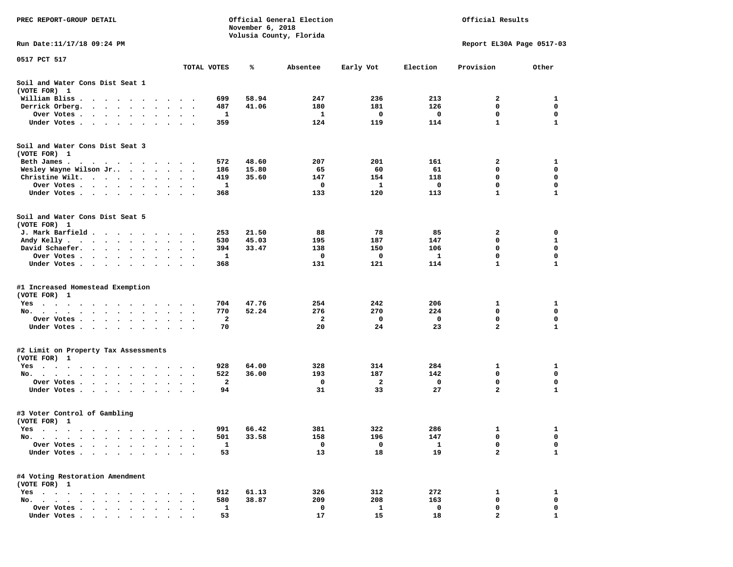| PREC REPORT-GROUP DETAIL                                                                                                                  |           |                                        |             | November 6, 2018 | Official General Election<br>Volusia County, Florida |            |              | Official Results          |              |
|-------------------------------------------------------------------------------------------------------------------------------------------|-----------|----------------------------------------|-------------|------------------|------------------------------------------------------|------------|--------------|---------------------------|--------------|
| Run Date:11/17/18 09:24 PM                                                                                                                |           |                                        |             |                  |                                                      |            |              | Report EL30A Page 0517-03 |              |
| 0517 PCT 517                                                                                                                              |           |                                        | TOTAL VOTES | ℁                | Absentee                                             | Early Vot  | Election     | Provision                 | Other        |
| Soil and Water Cons Dist Seat 1                                                                                                           |           |                                        |             |                  |                                                      |            |              |                           |              |
| (VOTE FOR) 1<br>William Bliss.                                                                                                            |           |                                        | 699         | 58.94            | 247                                                  | 236        | 213          | 2                         | 1            |
| $\bullet$<br>$\ddot{\phantom{1}}$<br>$\cdots$<br>$\ddot{\phantom{1}}$<br>Derrick Orberg.<br>$\bullet$<br>$\sim$                           |           |                                        | 487         | 41.06            | 180                                                  | 181        | 126          | 0                         | 0            |
| $\ddot{\phantom{0}}$<br>Over Votes .<br>$\cdots$<br>$\cdot$<br>$\sim$<br>$\bullet$                                                        | $\bullet$ |                                        | 1           |                  | 1                                                    | 0          | 0            | 0                         | 0            |
| Under Votes.<br>$\ddot{\phantom{1}}$<br>$\ddot{\phantom{1}}$<br>$\ddot{\phantom{0}}$<br>$\cdot$                                           |           |                                        | 359         |                  | 124                                                  | 119        | 114          | $\mathbf{1}$              | 1            |
| Soil and Water Cons Dist Seat 3<br>(VOTE FOR) 1                                                                                           |           |                                        |             |                  |                                                      |            |              |                           |              |
| Beth James.                                                                                                                               | $\bullet$ |                                        | 572         | 48.60            | 207                                                  | 201        | 161          | 2                         | 1            |
| Wesley Wayne Wilson Jr                                                                                                                    | $\bullet$ | $\ddot{\phantom{0}}$<br>$\blacksquare$ | 186         | 15.80            | 65                                                   | 60         | 61           | 0                         | 0            |
| Christine Wilt.<br>$\sim$ $\sim$<br>$\bullet$<br>$\bullet$                                                                                |           |                                        | 419         | 35.60            | 147                                                  | 154        | 118          | 0                         | 0            |
| Over Votes<br>$\bullet$ .<br>$\bullet$<br>$\bullet$                                                                                       |           |                                        | 1           |                  | 0                                                    | 1          | 0            | 0                         | 0            |
| Under Votes<br>$\cdot$                                                                                                                    |           |                                        | 368         |                  | 133                                                  | 120        | 113          | 1                         | 1            |
| Soil and Water Cons Dist Seat 5<br>(VOTE FOR) 1                                                                                           |           |                                        |             |                  |                                                      |            |              |                           |              |
| J. Mark Barfield.<br>$\cdots$                                                                                                             | $\cdot$   |                                        | 253         | 21.50            | 88                                                   | 78         | 85           | 2                         | 0            |
| Andy Kelly<br>$\sim$ $\sim$ $\sim$ $\sim$<br>$\sim$ $\sim$                                                                                |           |                                        | 530         | 45.03            | 195                                                  | 187        | 147          | 0                         | 1            |
| David Schaefer.<br>$\sim$ $\sim$ $\sim$ $\sim$<br>$\bullet$ . $\bullet$<br>$\bullet$                                                      | $\bullet$ |                                        | 394         | 33.47            | 138                                                  | 150        | 106          | 0                         | 0            |
| Over Votes.<br>$\sim$ $\sim$<br>$\sim$ 100 $\sim$<br>$\blacksquare$ .                                                                     |           |                                        | 1           |                  | 0                                                    | 0          | 1            | 0                         | 0            |
| Under Votes<br>$\ddot{\phantom{0}}$<br>$\bullet$                                                                                          | $\bullet$ | $\cdot$<br>$\blacksquare$              | 368         |                  | 131                                                  | 121        | 114          | 1                         | 1            |
| #1 Increased Homestead Exemption<br>(VOTE FOR) 1                                                                                          |           |                                        |             |                  |                                                      |            |              |                           |              |
| Yes                                                                                                                                       |           |                                        | 704         | 47.76            | 254                                                  | 242        | 206          | 1                         | 1            |
| No. $\cdots$ $\cdots$<br>$\ddot{\phantom{a}}$<br>$\ddot{\phantom{a}}$<br>$\bullet$<br>$\bullet$                                           |           |                                        | 770         | 52.24            | 276                                                  | 270        | 224          | 0                         | 0            |
| Over Votes .<br>$\sim$ $\sim$<br>$\bullet$<br>$\bullet$<br>$\bullet$<br>$\bullet$                                                         | $\bullet$ |                                        | 2           |                  | 2                                                    | 0          | 0            | 0                         | 0            |
| Under Votes<br>$\bullet$                                                                                                                  | $\cdot$   | $\sim$ $\sim$                          | 70          |                  | 20                                                   | 24         | 23           | $\overline{a}$            | $\mathbf{1}$ |
| #2 Limit on Property Tax Assessments                                                                                                      |           |                                        |             |                  |                                                      |            |              |                           |              |
| (VOTE FOR) 1                                                                                                                              |           |                                        |             |                  |                                                      |            |              |                           |              |
| $Yes \cdot \cdot \cdot$<br>$\bullet$<br>$\bullet$<br>$\bullet$<br>$\bullet$<br>$\blacksquare$<br>$\cdot$<br>No.<br>$\bullet$<br>$\bullet$ |           |                                        | 928<br>522  | 64.00<br>36.00   | 328<br>193                                           | 314<br>187 | 284<br>142   | 1<br>0                    | 1<br>0       |
| Over Votes .<br>$\ddot{\phantom{1}}$<br>$\ddot{\phantom{1}}$<br>$\bullet$<br>$\bullet$                                                    |           |                                        | 2           |                  | 0                                                    | 2          | 0            | 0                         | 0            |
| Under Votes.<br>$\sim$<br>$\bullet$<br>$\bullet$<br>$\bullet$                                                                             |           |                                        | 94          |                  | 31                                                   | 33         | 27           | $\overline{\mathbf{2}}$   | 1            |
| #3 Voter Control of Gambling<br>(VOTE FOR) 1                                                                                              |           |                                        |             |                  |                                                      |            |              |                           |              |
| Yes<br>$\sim$ $\sim$<br>$\sim$<br>$\cdots$<br>.                                                                                           |           |                                        | 991         | 66.42            | 381                                                  | 322        | 286          | 1                         | 1            |
| $No. \t .$<br>$\blacksquare$ .<br>$\bullet$<br>$\bullet$<br>$\bullet$                                                                     |           |                                        | 501         | 33.58            | 158                                                  | 196        | 147          | 0                         | 0            |
| Over Votes .<br>$\ddot{\phantom{a}}$<br>$\ddot{\phantom{a}}$<br>$\ddot{\phantom{a}}$                                                      |           |                                        | $\mathbf 1$ |                  | 0                                                    | 0          | $\mathbf{1}$ | 0                         | 0            |
| Under Votes.<br>$\sim$ $\sim$ $\sim$ $\sim$<br>$\ddot{\phantom{1}}$<br>$\cdot$                                                            |           |                                        | 53          |                  | 13                                                   | 18         | 19           | $\mathbf{z}$              | $\mathbf{1}$ |
| #4 Voting Restoration Amendment<br>(VOTE FOR) 1                                                                                           |           |                                        |             |                  |                                                      |            |              |                           |              |
| $Yes \cdot \cdot \cdot$<br>$\cdot$ $\cdot$ $\cdot$<br>$\cdot$                                                                             |           |                                        | 912         | 61.13            | 326                                                  | 312        | 272          | 1                         | 1            |
| No.<br>$\ddot{\phantom{1}}$<br>$\ddot{\phantom{a}}$<br>$\ddot{\phantom{a}}$<br>$\overline{\phantom{a}}$<br>$\sim$                         |           |                                        | 580         | 38.87            | 209                                                  | 208        | 163          | 0                         | 0            |
| Over Votes                                                                                                                                |           |                                        | 1           |                  | 0                                                    | 1          | 0            | 0                         | 0            |
| Under Votes                                                                                                                               |           |                                        | 53          |                  | 17                                                   | 15         | 18           |                           |              |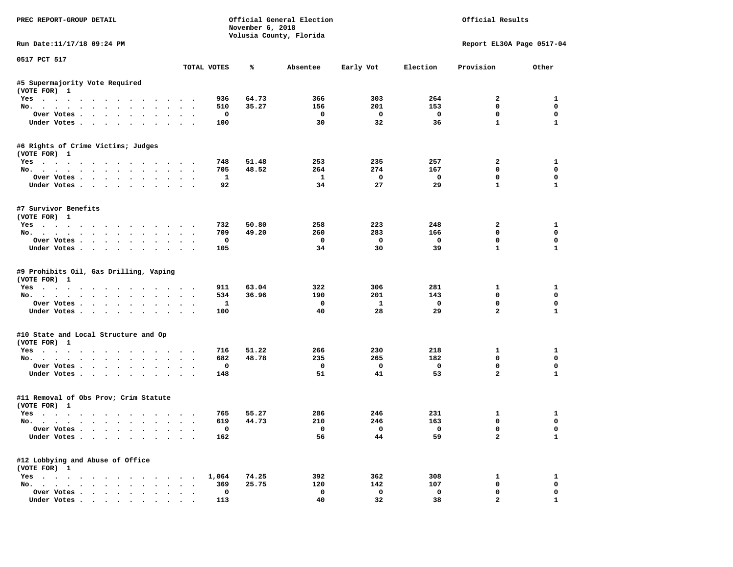| PREC REPORT-GROUP DETAIL                                             |                                     | November 6, 2018 | Official General Election<br>Volusia County, Florida |                    |                    | Official Results             |                            |
|----------------------------------------------------------------------|-------------------------------------|------------------|------------------------------------------------------|--------------------|--------------------|------------------------------|----------------------------|
| Run Date: 11/17/18 09:24 PM                                          |                                     |                  |                                                      |                    |                    |                              | Report EL30A Page 0517-04  |
| 0517 PCT 517                                                         | TOTAL VOTES                         | ℁                | Absentee                                             | Early Vot          | Election           | Provision                    | Other                      |
| #5 Supermajority Vote Required                                       |                                     |                  |                                                      |                    |                    |                              |                            |
| (VOTE FOR) 1                                                         |                                     |                  |                                                      |                    |                    |                              |                            |
| Yes                                                                  | 936                                 | 64.73            | 366                                                  | 303                | 264                | $\mathbf{2}$                 | 1                          |
| No.                                                                  | 510                                 | 35.27            | 156                                                  | 201                | 153                | 0                            | $\mathbf 0$                |
| Over Votes                                                           | $\mathbf 0$                         |                  | $\mathbf 0$                                          | $\mathbf{o}$       | $\mathbf{o}$       | $\mathbf 0$                  | $\mathbf 0$                |
| Under Votes                                                          | 100                                 |                  | 30                                                   | 32                 | 36                 | $\mathbf{1}$                 | $\mathbf{1}$               |
| #6 Rights of Crime Victims; Judges                                   |                                     |                  |                                                      |                    |                    |                              |                            |
| (VOTE FOR) 1                                                         |                                     |                  |                                                      |                    |                    |                              |                            |
| Yes                                                                  | 748                                 | 51.48            | 253                                                  | 235<br>274         | 257                | $\overline{2}$<br>$^{\circ}$ | $\mathbf{1}$<br>$^{\circ}$ |
| No.                                                                  | 705                                 | 48.52            | 264                                                  |                    | 167                |                              | $\mathbf 0$                |
| Over Votes.                                                          | $\mathbf{1}$<br>92                  |                  | $\mathbf{1}$<br>34                                   | $\mathbf{o}$<br>27 | $\mathbf{o}$<br>29 | $\mathbf 0$<br>$\mathbf{1}$  | $\mathbf{1}$               |
| Under Votes                                                          |                                     |                  |                                                      |                    |                    |                              |                            |
| #7 Survivor Benefits                                                 |                                     |                  |                                                      |                    |                    |                              |                            |
| (VOTE FOR) 1                                                         |                                     |                  |                                                      |                    |                    |                              |                            |
| Yes                                                                  | 732                                 | 50.80            | 258                                                  | 223                | 248                | $\overline{2}$               | $\mathbf{1}$               |
| No.                                                                  | 709                                 | 49.20            | 260                                                  | 283                | 166                | $\mathbf 0$                  | $\mathbf 0$                |
| Over Votes                                                           | $\mathbf 0$                         |                  | $\mathbf 0$                                          | $\mathbf 0$        | $\mathbf 0$        | $\mathbf 0$                  | $\mathbf 0$                |
| Under Votes                                                          | 105                                 |                  | 34                                                   | 30                 | 39                 | $\mathbf{1}$                 | $\mathbf{1}$               |
| #9 Prohibits Oil, Gas Drilling, Vaping<br>(VOTE FOR) 1<br>Yes<br>No. | 911<br>534                          | 63.04<br>36.96   | 322<br>190                                           | 306<br>201         | 281<br>143         | 1<br>$\mathbf 0$             | 1<br>$\mathbf 0$           |
| Over Votes                                                           | $\mathbf{1}$                        |                  | $\mathbf{0}$                                         | $\mathbf{1}$       | $\mathbf 0$        | $\mathbf 0$                  | $\mathbf 0$                |
| Under Votes                                                          | 100                                 |                  | 40                                                   | 28                 | 29                 | $\overline{a}$               | $\mathbf{1}$               |
| #10 State and Local Structure and Op                                 |                                     |                  |                                                      |                    |                    |                              |                            |
| (VOTE FOR) 1                                                         | 716                                 | 51.22            | 266                                                  | 230                | 218                |                              | $\mathbf{1}$               |
| Yes                                                                  | 682                                 | 48.78            | 235                                                  | 265                | 182                | 1<br>$\Omega$                | $\mathbf{0}$               |
| No.<br>Over Votes                                                    | $\mathbf 0$                         |                  | 0                                                    | $\mathbf{o}$       | $\mathbf{o}$       | $\mathbf 0$                  | $\mathbf 0$                |
|                                                                      | 148                                 |                  | 51                                                   | 41                 | 53                 | $\overline{a}$               | $\mathbf{1}$               |
| Under Votes                                                          |                                     |                  |                                                      |                    |                    |                              |                            |
| #11 Removal of Obs Prov; Crim Statute<br>(VOTE FOR) 1                |                                     |                  |                                                      |                    |                    |                              |                            |
| Yes                                                                  | 765                                 | 55.27            | 286                                                  | 246                | 231                | $\mathbf{1}$                 | 1                          |
| No.                                                                  | 619                                 | 44.73            | 210                                                  | 246                | 163                | $\mathbf 0$                  | $\mathbf 0$                |
| Over Votes                                                           | $\Omega$                            |                  | $\Omega$                                             | $\Omega$           | $\Omega$           | $\mathbf 0$                  | $\mathbf{0}$               |
| Under Votes                                                          | 162                                 |                  | 56                                                   | 44                 | 59                 | $\overline{a}$               | $\mathbf{1}$               |
| #12 Lobbying and Abuse of Office                                     |                                     |                  |                                                      |                    |                    |                              |                            |
| (VOTE FOR) 1                                                         |                                     |                  |                                                      |                    |                    |                              |                            |
| Yes                                                                  | 1,064                               | 74.25            | 392                                                  | 362                | 308                | 1                            | $\mathbf{1}$               |
| No.                                                                  | 369                                 | 25.75            | 120                                                  | 142                | 107                | $\mathbf 0$                  | $\mathbf 0$                |
| Over Votes                                                           | $\mathbf 0$<br>$\ddot{\phantom{1}}$ |                  | $\mathbf 0$                                          | $\mathbf{o}$       | $\mathbf{0}$       | $\mathbf 0$                  | $\mathbf 0$                |
| Under Votes.                                                         | 113                                 |                  | 40                                                   | 32                 | 38                 | $\overline{a}$               | $\mathbf{1}$               |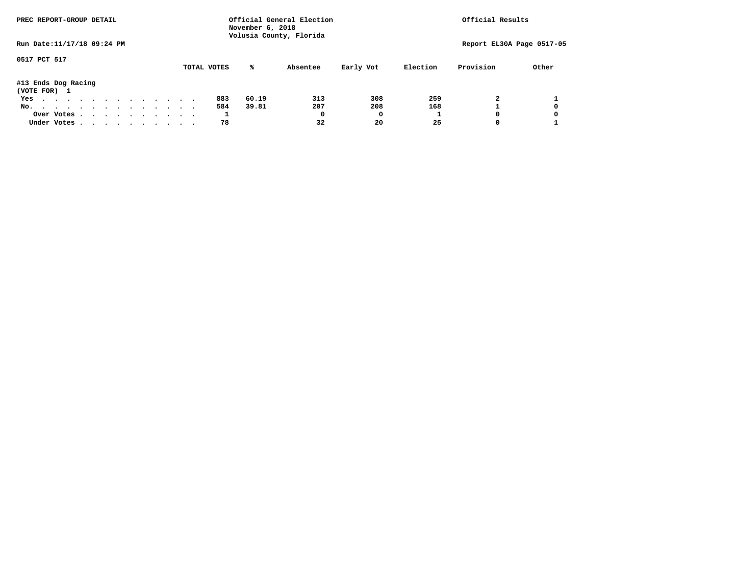| PREC REPORT-GROUP DETAIL            |  |  |  |  | Official General Election<br>November 6, 2018<br>Volusia County, Florida |  | Official Results |  |             |       |          |           |          |           |                           |
|-------------------------------------|--|--|--|--|--------------------------------------------------------------------------|--|------------------|--|-------------|-------|----------|-----------|----------|-----------|---------------------------|
| Run Date: 11/17/18 09:24 PM         |  |  |  |  |                                                                          |  |                  |  |             |       |          |           |          |           | Report EL30A Page 0517-05 |
| 0517 PCT 517                        |  |  |  |  |                                                                          |  |                  |  | TOTAL VOTES | %ะ    | Absentee | Early Vot | Election | Provision | Other                     |
| #13 Ends Dog Racing<br>(VOTE FOR) 1 |  |  |  |  |                                                                          |  |                  |  |             |       |          |           |          |           |                           |
| Yes                                 |  |  |  |  |                                                                          |  |                  |  | 883         | 60.19 | 313      | 308       | 259      |           |                           |
| No.                                 |  |  |  |  |                                                                          |  |                  |  | 584         | 39.81 | 207      | 208       | 168      |           | 0                         |
| Over Votes.                         |  |  |  |  |                                                                          |  |                  |  | ÷.          |       | 0        | 0         |          |           | 0                         |
| Under Votes                         |  |  |  |  |                                                                          |  |                  |  | 78          |       | 32       | 20        | 25       |           |                           |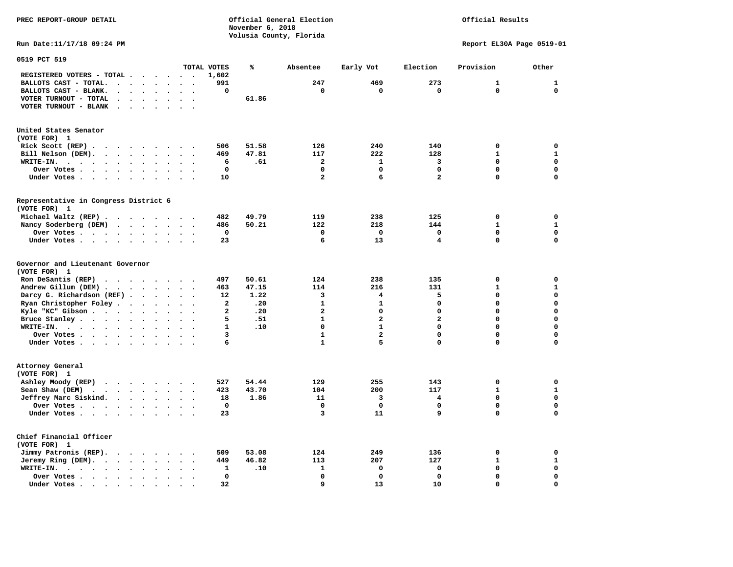**PREC REPORT-GROUP DETAIL COMPUTER CONSUMING A CONSUMING CONSUMING A LIGACION CONSUMING A LIGACION** *November 6, 2018 November 6, 2018* 

 **Volusia County, Florida** 

### Official Results

**Run Date:11/17/18 09:24 PM Report EL30A Page 0519-01** 

| 0519 PCT 519                                                                                                |                      |              |       |                |                         |                         |              |              |
|-------------------------------------------------------------------------------------------------------------|----------------------|--------------|-------|----------------|-------------------------|-------------------------|--------------|--------------|
|                                                                                                             |                      | TOTAL VOTES  | ℁     | Absentee       | Early Vot               | Election                | Provision    | Other        |
| REGISTERED VOTERS - TOTAL .<br>$\ddot{\phantom{1}}$<br>$\overline{\phantom{a}}$<br>$\overline{\phantom{a}}$ | $\sim$               | 1,602        |       |                |                         |                         |              |              |
| BALLOTS CAST - TOTAL.<br>$\sim$<br>$\ddot{\phantom{a}}$<br>$\mathbf{r}$<br>$\ddot{\phantom{a}}$             |                      | 991          |       | 247            | 469                     | 273                     | 1            | 1            |
| BALLOTS CAST - BLANK.<br>$\bullet$<br>$\bullet$<br>$\bullet$<br>$\bullet$<br>$\ddot{\phantom{a}}$           | $\ddot{\phantom{a}}$ | 0            |       | 0              | 0                       | 0                       | $\Omega$     | $\mathbf 0$  |
| VOTER TURNOUT - TOTAL<br>$\ddot{\phantom{a}}$                                                               |                      |              | 61.86 |                |                         |                         |              |              |
| VOTER TURNOUT - BLANK<br>$\ddot{\phantom{a}}$                                                               |                      |              |       |                |                         |                         |              |              |
|                                                                                                             |                      |              |       |                |                         |                         |              |              |
| United States Senator                                                                                       |                      |              |       |                |                         |                         |              |              |
| (VOTE FOR) 1                                                                                                |                      |              |       |                |                         |                         |              |              |
| Rick Scott (REP).<br>$\bullet$<br>$\sim$ $\sim$ $\sim$<br>$\ddot{\phantom{0}}$<br>$\sim$                    |                      | 506          | 51.58 | 126            | 240                     | 140                     | $\mathbf 0$  | $\mathbf 0$  |
| Bill Nelson (DEM).<br>$\cdot$ $\cdot$ $\cdot$ $\cdot$ $\cdot$ $\cdot$ $\cdot$ $\cdot$                       |                      | 469          | 47.81 | 117            | 222                     | 128                     | $\mathbf{1}$ | $\mathbf{1}$ |
| WRITE-IN.<br>$\sim$ $\sim$ $\sim$ $\sim$<br>$\sim$ $\sim$<br>$\ddot{\phantom{0}}$<br>$\bullet$<br>$\bullet$ | $\bullet$            | 6            | .61   | $\overline{a}$ | $\mathbf{1}$            | 3                       | $\mathbf 0$  | $\mathbf 0$  |
| Over Votes .<br>$\sim$<br>$\sim$ $\sim$ $\sim$ $\sim$<br>$\bullet$<br>$\bullet$                             |                      | $\mathbf 0$  |       | $\mathbf 0$    | $\mathbf 0$             | $\mathbf 0$             | 0            | $\mathbf 0$  |
| Under Votes                                                                                                 |                      | 10           |       | $\overline{a}$ | 6                       | $\overline{a}$          | 0            | $\mathbf 0$  |
| $\ddot{\phantom{0}}$<br>$\bullet$<br>$\bullet$                                                              | $\ddot{\phantom{a}}$ |              |       |                |                         |                         |              |              |
| Representative in Congress District 6<br>(VOTE FOR) 1                                                       |                      |              |       |                |                         |                         |              |              |
|                                                                                                             |                      |              |       |                |                         |                         |              |              |
| Michael Waltz (REP).<br>$\cdots$<br>$\sim$                                                                  | $\sim$ $\sim$        | 482          | 49.79 | 119            | 238                     | 125                     | $\mathbf 0$  | 0            |
| Nancy Soderberg (DEM)<br>$\cdots$<br>$\ddot{\phantom{a}}$                                                   | $\ddot{\phantom{a}}$ | 486          | 50.21 | 122            | 218                     | 144                     | $\mathbf{1}$ | $\mathbf{1}$ |
| Over Votes .<br>$\sim$ $\sim$ $\sim$ $\sim$<br>$\bullet$<br>$\ddot{\phantom{a}}$<br>$\ddot{\phantom{a}}$    |                      | 0            |       | $\Omega$       | $\mathbf 0$             | 0                       | 0            | $\mathbf 0$  |
| Under Votes<br>$\bullet$<br>$\ddot{\phantom{a}}$                                                            |                      | 23           |       | 6              | 13                      | 4                       | $\mathbf 0$  | $\mathbf 0$  |
| Governor and Lieutenant Governor<br>(VOTE FOR) 1                                                            |                      |              |       |                |                         |                         |              |              |
| Ron DeSantis (REP)<br>$\cdot$ $\cdot$ $\cdot$ $\cdot$ $\cdot$<br>$\sim$                                     |                      | 497          | 50.61 | 124            | 238                     | 135                     | $\mathbf 0$  | $\mathbf 0$  |
| Andrew Gillum (DEM)                                                                                         | $\sim$               | 463          | 47.15 | 114            | 216                     | 131                     | $\mathbf{1}$ | $\mathbf{1}$ |
| Darcy G. Richardson (REF).<br>$\bullet$                                                                     |                      | 12           | 1.22  | 3              | 4                       | 5                       | $\Omega$     | $\mathbf 0$  |
| Ryan Christopher Foley.<br>$\sim$<br>$\bullet$<br>$\ddot{\phantom{a}}$                                      |                      | $\mathbf{2}$ | .20   | $\mathbf{1}$   | $\mathbf{1}$            | 0                       | $\mathbf 0$  | $\mathbf 0$  |
| Kyle "KC" Gibson<br>$\bullet$<br>$\bullet$<br>$\bullet$                                                     | $\bullet$            | $\mathbf{2}$ | .20   | $\overline{a}$ | $\mathbf 0$             | 0                       | 0            | $\mathbf 0$  |
| Bruce Stanley<br>$\bullet$                                                                                  |                      | 5            | .51   | $\mathbf{1}$   | $\overline{\mathbf{2}}$ | $\overline{\mathbf{2}}$ | $\Omega$     | $\mathbf 0$  |
| WRITE-IN.<br>$\bullet$                                                                                      |                      | $\mathbf{1}$ | .10   | $\mathbf 0$    | $\mathbf{1}$            | $\Omega$                | 0            | $\mathbf 0$  |
| Over Votes .<br>$\cdot$ $\cdot$ $\cdot$ $\cdot$ $\cdot$<br>$\bullet$<br>$\bullet$                           | $\bullet$            | 3            |       | $\mathbf{1}$   | $\overline{a}$          | $\mathbf 0$             | 0            | $\mathbf 0$  |
| Under Votes<br>$\ddot{\phantom{a}}$                                                                         | $\sim$               | 6            |       | $\mathbf{1}$   | 5                       | $\mathbf 0$             | 0            | $\mathbf 0$  |
|                                                                                                             |                      |              |       |                |                         |                         |              |              |
| Attorney General<br>(VOTE FOR) 1                                                                            |                      |              |       |                |                         |                         |              |              |
| Ashley Moody (REP)<br>$\mathbf{a}$ , and $\mathbf{a}$ , and $\mathbf{a}$ , and $\mathbf{a}$                 |                      | 527          | 54.44 | 129            | 255                     | 143                     | $\mathbf 0$  | $\mathbf 0$  |
| Sean Shaw (DEM)<br>$\sim$ $\sim$<br>$\sim$ $\sim$<br>$\ddot{\phantom{1}}$<br>$\bullet$<br>$\bullet$         |                      | 423          | 43.70 | 104            | 200                     | 117                     | $\mathbf{1}$ | $\mathbf{1}$ |
| Jeffrey Marc Siskind.<br>$\bullet$                                                                          | $\sim$               | 18           | 1.86  | 11             | 3                       | 4                       | $\mathbf 0$  | $\mathbf 0$  |
| Over Votes .<br>$\cdots$<br>$\bullet$<br>$\ddot{\phantom{a}}$                                               |                      | $\mathbf 0$  |       | $\mathbf{0}$   | $\mathbf 0$             | $\mathbf 0$             | $\mathbf 0$  | 0            |
| Under Votes<br>$\bullet$                                                                                    |                      | 23           |       | 3              | 11                      | 9                       | 0            | $\mathbf 0$  |
| Chief Financial Officer                                                                                     |                      |              |       |                |                         |                         |              |              |
| (VOTE FOR) 1                                                                                                |                      |              |       |                |                         |                         |              |              |
| Jimmy Patronis (REP).<br>$\cdots$<br>$\sim$<br>$\overline{\phantom{a}}$                                     |                      | 509          | 53.08 | 124            | 249                     | 136                     | 0            | $\Omega$     |
| Jeremy Ring (DEM).<br>$\sim$<br>$\bullet$<br>$\ddot{\phantom{a}}$                                           |                      | 449          | 46.82 | 113            | 207                     | 127                     | 1            | $\mathbf{1}$ |
| WRITE-IN.<br>$\cdot$ $\cdot$ $\cdot$ $\cdot$ $\cdot$<br>$\ddot{\phantom{a}}$<br>$\bullet$                   |                      | 1            | .10   | 1              | $\mathbf 0$             | 0                       | $\mathbf 0$  | $\mathbf 0$  |
| Over Votes.                                                                                                 |                      | 0            |       | $\mathbf 0$    | $\mathbf 0$             | 0                       | 0            | 0            |
| $\cdot$ $\cdot$ $\cdot$<br>$\ddot{\phantom{a}}$<br>$\bullet$                                                |                      | 32           |       | 9              | 13                      | 10                      | $\Omega$     | $\mathbf 0$  |
| Under Votes<br>$\bullet$                                                                                    |                      |              |       |                |                         |                         |              |              |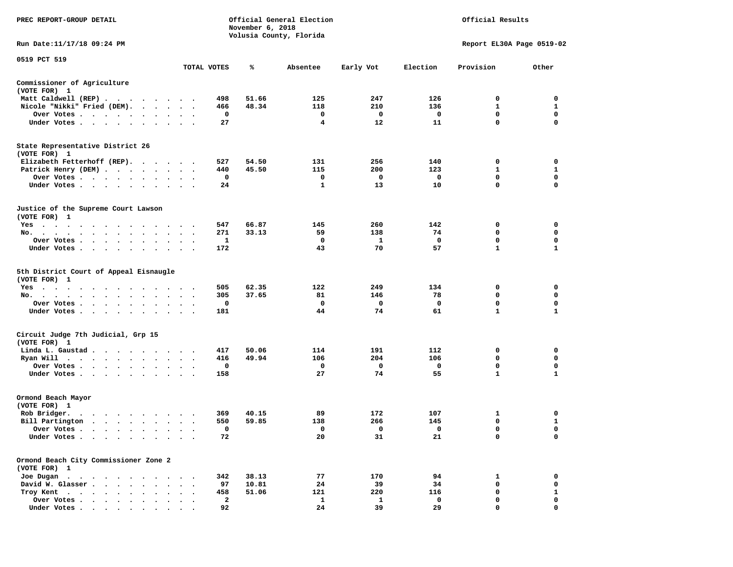| <b>PREC REPORT-GROUP DETAIL</b>                                                                                                                                                                                                               |                      |              | November 6, 2018 | Official General Election<br>Volusia County, Florida |             |             | Official Results          |             |
|-----------------------------------------------------------------------------------------------------------------------------------------------------------------------------------------------------------------------------------------------|----------------------|--------------|------------------|------------------------------------------------------|-------------|-------------|---------------------------|-------------|
| Run Date:11/17/18 09:24 PM                                                                                                                                                                                                                    |                      |              |                  |                                                      |             |             | Report EL30A Page 0519-02 |             |
| 0519 PCT 519                                                                                                                                                                                                                                  |                      | TOTAL VOTES  | ℁                | Absentee                                             | Early Vot   | Election    | Provision                 | Other       |
| Commissioner of Agriculture                                                                                                                                                                                                                   |                      |              |                  |                                                      |             |             |                           |             |
| (VOTE FOR) 1                                                                                                                                                                                                                                  |                      |              |                  |                                                      |             |             |                           |             |
| Matt Caldwell (REP)                                                                                                                                                                                                                           |                      | 498          | 51.66            | 125                                                  | 247         | 126         | 0                         | 0           |
| Nicole "Nikki" Fried (DEM).                                                                                                                                                                                                                   |                      | 466          | 48.34            | 118                                                  | 210         | 136         | 1                         | 1           |
| Over Votes<br>$\sim$                                                                                                                                                                                                                          |                      | 0            |                  | 0                                                    | 0           | $\mathbf 0$ | 0                         | 0           |
| Under Votes                                                                                                                                                                                                                                   |                      | 27           |                  | 4                                                    | 12          | 11          | $\mathbf 0$               | $\mathbf 0$ |
| State Representative District 26<br>(VOTE FOR) 1                                                                                                                                                                                              |                      |              |                  |                                                      |             |             |                           |             |
| Elizabeth Fetterhoff (REP).                                                                                                                                                                                                                   |                      | 527          | 54.50            | 131                                                  | 256         | 140         | 0                         | 0           |
| Patrick Henry (DEM)                                                                                                                                                                                                                           |                      | 440          | 45.50            | 115                                                  | 200         | 123         | 1                         | 1           |
| Over Votes                                                                                                                                                                                                                                    |                      | 0            |                  | 0                                                    | 0           | 0           | 0                         | 0           |
| Under Votes                                                                                                                                                                                                                                   | $\ddot{\phantom{1}}$ | 24           |                  | 1                                                    | 13          | 10          | 0                         | $\mathbf 0$ |
| Justice of the Supreme Court Lawson<br>(VOTE FOR) 1                                                                                                                                                                                           |                      |              |                  |                                                      |             |             |                           |             |
| Yes                                                                                                                                                                                                                                           |                      | 547          | 66.87            | 145                                                  | 260         | 142         | 0                         | 0           |
| No.                                                                                                                                                                                                                                           |                      | 271          | 33.13            | 59                                                   | 138         | 74          | 0                         | 0           |
| Over Votes                                                                                                                                                                                                                                    | $\bullet$            | 1            |                  | 0                                                    | 1           | $\mathbf 0$ | $\mathbf 0$               | 0           |
| Under Votes<br>$\sim 10^{-11}$                                                                                                                                                                                                                | $\ddot{\phantom{a}}$ | 172          |                  | 43                                                   | 70          | 57          | 1                         | 1           |
| 5th District Court of Appeal Eisnaugle<br>(VOTE FOR) 1                                                                                                                                                                                        |                      |              |                  |                                                      |             |             |                           |             |
| Yes                                                                                                                                                                                                                                           |                      | 505          | 62.35            | 122                                                  | 249         | 134         | 0                         | 0           |
| No.                                                                                                                                                                                                                                           |                      | 305          | 37.65            | 81                                                   | 146         | 78          | 0                         | 0           |
| Over Votes<br>$\ddot{\phantom{1}}$                                                                                                                                                                                                            |                      | 0            |                  | 0                                                    | 0           | 0           | 0                         | 0           |
| Under Votes<br>$\bullet$                                                                                                                                                                                                                      |                      | 181          |                  | 44                                                   | 74          | 61          | $\mathbf{1}$              | 1           |
| Circuit Judge 7th Judicial, Grp 15<br>(VOTE FOR) 1                                                                                                                                                                                            |                      |              |                  |                                                      |             |             |                           |             |
| Linda L. Gaustad.<br>.                                                                                                                                                                                                                        |                      | 417          | 50.06            | 114                                                  | 191         | 112         | 0                         | 0           |
| Ryan Will $\cdots$                                                                                                                                                                                                                            |                      | 416          | 49.94            | 106                                                  | 204         | 106         | $\mathbf 0$               | $\mathbf 0$ |
| Over Votes                                                                                                                                                                                                                                    |                      | 0            |                  | 0                                                    | 0           | 0           | 0                         | 0           |
| Under Votes                                                                                                                                                                                                                                   |                      | 158          |                  | 27                                                   | 74          | 55          | $\mathbf{1}$              | 1           |
| Ormond Beach Mayor<br>(VOTE FOR) 1                                                                                                                                                                                                            |                      |              |                  |                                                      |             |             |                           |             |
| Rob Bridger.<br>. The contract of the contract of the contract of the contract of the contract of the contract of the contract of the contract of the contract of the contract of the contract of the contract of the contract of the contrac |                      | 369          | 40.15            | 89                                                   | 172         | 107         | 1                         | 0           |
| Bill Partington                                                                                                                                                                                                                               |                      | 550          | 59.85            | 138                                                  | 266         | 145         | 0                         | 1           |
| Over Votes .<br>. The contract of the contract of the $\mathcal{A}_\mathcal{A}$                                                                                                                                                               |                      | 0            |                  | $\mathbf 0$                                          | $\mathbf 0$ | $\mathbf 0$ | 0                         | $\mathbf 0$ |
| Under Votes                                                                                                                                                                                                                                   |                      | 72           |                  | 20                                                   | 31          | 21          | 0                         | 0           |
| Ormond Beach City Commissioner Zone 2                                                                                                                                                                                                         |                      |              |                  |                                                      |             |             |                           |             |
| (VOTE FOR) 1<br>Joe Dugan                                                                                                                                                                                                                     |                      | 342          | 38.13            | 77                                                   | 170         | 94          | 1                         | 0           |
| David W. Glasser.<br>$\sim$<br>$\ddot{\phantom{a}}$                                                                                                                                                                                           |                      | 97           | 10.81            | 24                                                   | 39          | 34          | 0                         | 0           |
| Troy Kent<br>$\ddot{\phantom{0}}$<br>$\bullet$                                                                                                                                                                                                |                      | 458          | 51.06            | 121                                                  | 220         | 116         | 0                         | 1           |
| Over Votes .<br>$\cdots$                                                                                                                                                                                                                      |                      | $\mathbf{2}$ |                  | $\mathbf{1}$                                         | 1           | $\mathbf 0$ | 0                         | 0           |
| Under Votes,                                                                                                                                                                                                                                  |                      | 92           |                  | 24                                                   | 39          | 29          | 0                         | $\Omega$    |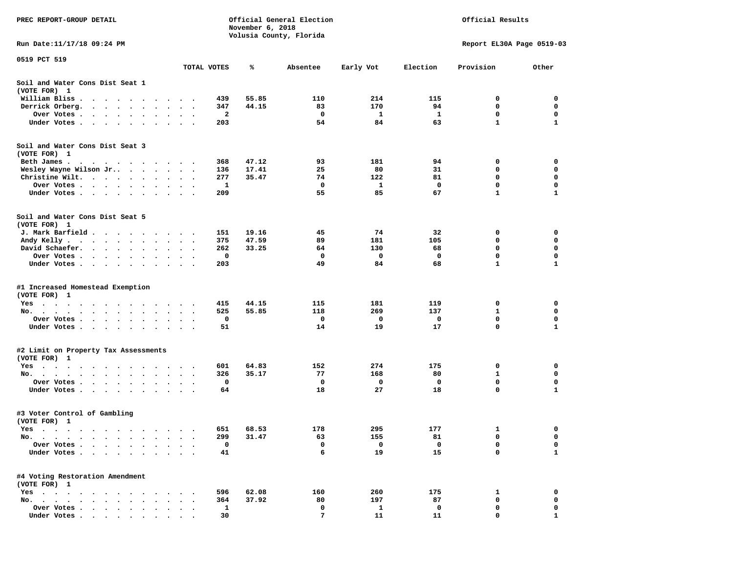| PREC REPORT-GROUP DETAIL                                                                                                                    |                                     |          | November 6, 2018 | Official General Election<br>Volusia County, Florida |           | Official Results<br>Report EL30A Page 0519-03 |                  |                   |  |  |
|---------------------------------------------------------------------------------------------------------------------------------------------|-------------------------------------|----------|------------------|------------------------------------------------------|-----------|-----------------------------------------------|------------------|-------------------|--|--|
| Run Date: 11/17/18 09:24 PM                                                                                                                 |                                     |          |                  |                                                      |           |                                               |                  |                   |  |  |
| 0519 PCT 519                                                                                                                                | TOTAL VOTES                         |          | ℁                | Absentee                                             | Early Vot | Election                                      | Provision        | Other             |  |  |
| Soil and Water Cons Dist Seat 1<br>(VOTE FOR) 1                                                                                             |                                     |          |                  |                                                      |           |                                               |                  |                   |  |  |
| William Bliss.<br>$\ddot{\phantom{1}}$<br>$\cdots$<br>$\bullet$                                                                             | $\sim$ $\sim$<br>$\bullet$          | 439      | 55.85            | 110                                                  | 214       | 115                                           | 0                | 0                 |  |  |
| Derrick Orberg.<br>$\sim$ $\sim$ $\sim$ $\sim$ $\sim$<br>$\ddot{\phantom{a}}$<br>$\cdot$                                                    | $\bullet$                           | 347      | 44.15            | 83                                                   | 170       | 94                                            | 0                | 0                 |  |  |
| Over Votes .<br>$\cdot$ $\cdot$ $\cdot$ $\cdot$<br>$\bullet$<br>$\bullet$                                                                   |                                     | 2        |                  | 0                                                    | 1         | 1                                             | 0                | 0                 |  |  |
| Under Votes                                                                                                                                 | $\bullet$                           | 203      |                  | 54                                                   | 84        | 63                                            | $\mathbf{1}$     | 1                 |  |  |
| Soil and Water Cons Dist Seat 3<br>(VOTE FOR) 1                                                                                             |                                     |          |                  |                                                      |           |                                               |                  |                   |  |  |
| Beth James.                                                                                                                                 |                                     | 368      | 47.12            | 93                                                   | 181       | 94                                            | 0                | 0                 |  |  |
| Wesley Wayne Wilson Jr                                                                                                                      |                                     | 136      | 17.41            | 25                                                   | 80        | 31                                            | 0                | $\mathbf 0$       |  |  |
| Christine Wilt.<br>$\ddot{\phantom{1}}$                                                                                                     | $\bullet$                           | 277      | 35.47            | 74                                                   | 122       | 81                                            | 0                | 0                 |  |  |
| Over Votes<br>$\bullet$                                                                                                                     | $\bullet$<br>$\bullet$              | 1        |                  | 0                                                    | 1         | 0                                             | 0                | 0                 |  |  |
| Under Votes                                                                                                                                 |                                     | 209      |                  | 55                                                   | 85        | 67                                            | $\mathbf{1}$     | $\mathbf{1}$      |  |  |
| Soil and Water Cons Dist Seat 5<br>(VOTE FOR) 1                                                                                             |                                     |          |                  |                                                      |           |                                               |                  |                   |  |  |
| J. Mark Barfield                                                                                                                            | $\ddot{\phantom{1}}$                | 151      | 19.16            | 45                                                   | 74        | 32                                            | 0                | 0                 |  |  |
| Andy Kelly<br>$\bullet$                                                                                                                     | $\ddot{\phantom{1}}$<br>$\bullet$   | 375      | 47.59            | 89                                                   | 181       | 105                                           | 0                | 0                 |  |  |
| David Schaefer.<br>$\mathbf{r} = \mathbf{r} + \mathbf{r}$ , where $\mathbf{r} = \mathbf{r}$<br>$\bullet$ .<br><br><br><br><br><br>$\bullet$ |                                     | 262      | 33.25            | 64                                                   | 130       | 68                                            | 0                | 0                 |  |  |
| Over Votes                                                                                                                                  |                                     | 0        |                  | 0                                                    | 0         | 0                                             | $\mathbf 0$      | 0                 |  |  |
| Under Votes                                                                                                                                 | $\bullet$<br>$\sim$ $\sim$ $\sim$   | 203      |                  | 49                                                   | 84        | 68                                            | $\mathbf{1}$     | $\mathbf{1}$      |  |  |
| #1 Increased Homestead Exemption<br>(VOTE FOR) 1                                                                                            |                                     |          |                  |                                                      |           |                                               |                  |                   |  |  |
| Yes<br>$\cdots$                                                                                                                             |                                     | 415      | 44.15            | 115                                                  | 181       | 119                                           | 0                | 0                 |  |  |
| No.<br>$\bullet$                                                                                                                            |                                     | 525      | 55.85            | 118                                                  | 269       | 137                                           | $\mathbf{1}$     | 0                 |  |  |
| Over Votes<br>$\bullet$                                                                                                                     | $\bullet$<br>$\bullet$<br>$\bullet$ | 0        |                  | 0                                                    | 0         | 0                                             | 0                | 0                 |  |  |
| Under Votes                                                                                                                                 | $\sim$ $\sim$                       | 51       |                  | 14                                                   | 19        | 17                                            | 0                | 1                 |  |  |
| #2 Limit on Property Tax Assessments<br>(VOTE FOR) 1                                                                                        |                                     |          |                  |                                                      |           |                                               |                  |                   |  |  |
| $Yes \t . \t .$<br>$\sim$ $\sim$<br>$\cdot$<br>$\blacksquare$<br>$\sim$<br>$\bullet$<br>$\cdot$ $\cdot$<br>$\bullet$                        |                                     | 601      | 64.83            | 152                                                  | 274       | 175                                           | 0                | 0                 |  |  |
| No.<br>$\bullet$<br>$\bullet$                                                                                                               | $\bullet$                           | 326      | 35.17            | 77                                                   | 168       | 80                                            | 1                | 0                 |  |  |
| Over Votes<br>$\bullet$<br>$\bullet$                                                                                                        | $\bullet$                           | 0        |                  | 0                                                    | 0         | 0                                             | 0                | 0                 |  |  |
| Under Votes<br>$\sim$ $\sim$<br>$\bullet$<br>$\bullet$<br>$\bullet$                                                                         |                                     | 64       |                  | 18                                                   | 27        | 18                                            | 0                | 1                 |  |  |
| #3 Voter Control of Gambling<br>(VOTE FOR) 1                                                                                                |                                     |          |                  |                                                      |           |                                               |                  |                   |  |  |
| Yes                                                                                                                                         |                                     | 651      | 68.53            | 178                                                  | 295       | 177                                           | 1                | 0                 |  |  |
| No. $\cdot$ $\cdot$ $\cdot$<br>$\cdot$                                                                                                      |                                     | 299      | 31.47            | 63                                                   | 155       | 81                                            | 0                | 0                 |  |  |
| Over Votes .<br>Under Votes.<br>$\ddot{\phantom{0}}$<br>$\bullet$<br>$\bullet$<br>$\bullet$                                                 |                                     | 0<br>41  |                  | 0<br>6                                               | 0<br>19   | 0<br>15                                       | 0<br>0           | 0<br>$\mathbf{1}$ |  |  |
| #4 Voting Restoration Amendment                                                                                                             |                                     |          |                  |                                                      |           |                                               |                  |                   |  |  |
| (VOTE FOR) 1                                                                                                                                |                                     |          |                  |                                                      |           |                                               |                  |                   |  |  |
| $Yes \cdot \cdot \cdot$<br>$\bullet$                                                                                                        |                                     | 596      | 62.08            | 160                                                  | 260       | 175                                           | 1                | 0                 |  |  |
| No.<br>$\sim$<br>$\ddot{\phantom{a}}$<br>Over Votes .                                                                                       |                                     | 364<br>1 | 37.92            | 80<br>0                                              | 197       | 87<br>0                                       | $\mathbf 0$<br>0 | 0<br>0            |  |  |
| $\ddot{\phantom{0}}$<br>$\sim$ $\sim$<br>$\bullet$<br>$\bullet$<br>Under Votes.<br>$\cdot$ $\cdot$ $\cdot$ $\cdot$ $\cdot$                  |                                     | 30       |                  | 7                                                    | 1<br>11   | 11                                            | 0                | 1                 |  |  |
| $\bullet$                                                                                                                                   | $\bullet$                           |          |                  |                                                      |           |                                               |                  |                   |  |  |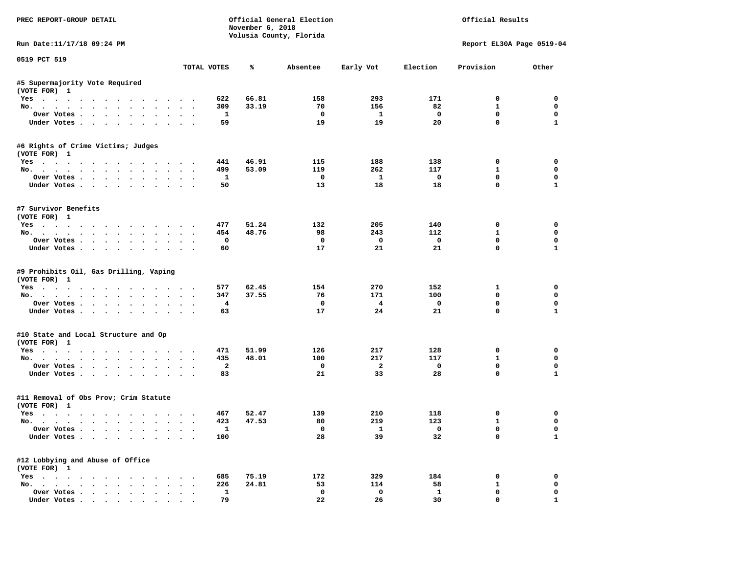| PREC REPORT-GROUP DETAIL                                      |                      |                         | November 6, 2018 | Official General Election<br>Volusia County, Florida |                         |                               | Official Results           |                          |
|---------------------------------------------------------------|----------------------|-------------------------|------------------|------------------------------------------------------|-------------------------|-------------------------------|----------------------------|--------------------------|
| Run Date:11/17/18 09:24 PM                                    |                      |                         |                  |                                                      |                         |                               | Report EL30A Page 0519-04  |                          |
| 0519 PCT 519                                                  |                      | TOTAL VOTES             | ℁                | Absentee                                             | Early Vot               | Election                      | Provision                  | Other                    |
| #5 Supermajority Vote Required                                |                      |                         |                  |                                                      |                         |                               |                            |                          |
| (VOTE FOR) 1                                                  |                      |                         |                  |                                                      |                         |                               |                            |                          |
| Yes                                                           |                      | 622                     | 66.81            | 158                                                  | 293                     | 171                           | $^{\circ}$                 | $^{\circ}$               |
| No.                                                           |                      | 309                     | 33.19            | 70                                                   | 156                     | 82                            | $\mathbf{1}$               | $\mathbf 0$              |
| Over Votes                                                    |                      | <b>1</b>                |                  | $\mathbf 0$                                          | $\mathbf{1}$            | $\mathbf{o}$                  | $\mathbf 0$                | $\mathbf 0$              |
| Under Votes                                                   |                      | 59                      |                  | 19                                                   | 19                      | 20                            | $\mathbf 0$                | $\mathbf{1}$             |
| #6 Rights of Crime Victims; Judges<br>(VOTE FOR) 1            |                      |                         |                  |                                                      |                         |                               |                            |                          |
| Yes                                                           |                      | 441                     | 46.91            | 115                                                  | 188                     | 138                           | 0                          | 0                        |
| No.                                                           |                      | 499                     | 53.09            | 119                                                  | 262                     | 117                           | $\mathbf{1}$               | 0                        |
| Over Votes                                                    |                      | $\mathbf{1}$            |                  | $\overline{\phantom{0}}$                             | $\mathbf{1}$            | $\overline{\phantom{0}}$      | 0                          | 0                        |
| Under Votes                                                   |                      | 50                      |                  | 13                                                   | 18                      | 18                            | $\mathbf 0$                | $\mathbf{1}$             |
| #7 Survivor Benefits<br>(VOTE FOR) 1                          |                      |                         |                  |                                                      |                         |                               |                            |                          |
| Yes                                                           |                      | 477                     | 51.24            | 132                                                  | 205                     | 140                           | 0                          | $\mathbf 0$              |
| No.                                                           |                      | 454                     | 48.76            | 98                                                   | 243                     | 112                           | $\mathbf{1}$               | $\mathbf 0$              |
| Over Votes                                                    |                      | $\mathbf 0$             |                  | $\mathbf 0$                                          | $\overline{\mathbf{0}}$ | $\overline{\mathbf{0}}$       | $\mathbf 0$                | $\mathbf 0$              |
| Under Votes                                                   |                      | 60                      |                  | 17                                                   | 21                      | 21                            | $\Omega$                   | $\mathbf{1}$             |
| #9 Prohibits Oil, Gas Drilling, Vaping<br>(VOTE FOR) 1<br>Yes |                      | 577                     | 62.45            | 154                                                  | 270                     | 152                           | $\mathbf{1}$               | 0                        |
| No.                                                           |                      | 347                     | 37.55            | 76                                                   | 171                     | 100                           | $\mathbf 0$                | 0                        |
| Over Votes                                                    |                      | $\overline{\mathbf{4}}$ |                  | $\mathbf{o}$                                         | $\overline{4}$          | $\mathbf 0$                   | $\mathbf 0$                | $\mathbf 0$              |
| Under Votes                                                   |                      | 63                      |                  | 17                                                   | 24                      | 21                            | $\mathbf 0$                | $\mathbf{1}$             |
| #10 State and Local Structure and Op<br>(VOTE FOR) 1          |                      |                         |                  |                                                      |                         |                               |                            |                          |
| Yes                                                           |                      | 471                     | 51.99            | 126                                                  | 217                     | 128                           | 0                          | $\mathbf 0$              |
| No.                                                           |                      | 435                     | 48.01            | 100                                                  | 217                     | 117                           | $\mathbf{1}$               | $\mathbf 0$              |
| Over Votes                                                    |                      | $\overline{a}$          |                  | $\mathbf{o}$                                         | $\overline{\mathbf{2}}$ | $\overline{\mathbf{0}}$       | 0                          | 0                        |
| Under Votes                                                   |                      | 83                      |                  | 21                                                   | 33                      | 28                            | $\mathbf{0}$               | $\mathbf{1}$             |
| #11 Removal of Obs Prov; Crim Statute<br>(VOTE FOR) 1         |                      |                         |                  |                                                      |                         |                               |                            |                          |
| Yes                                                           |                      | 467                     | 52.47            | 139                                                  | 210                     | 118                           | 0                          | 0                        |
| No.                                                           |                      | 423                     | 47.53            | 80                                                   | 219                     | 123                           | $\mathbf{1}$               | $\mathbf 0$              |
| Over Votes<br>Under Votes                                     |                      | $\mathbf{1}$<br>100     |                  | $\overline{0}$<br>28                                 | $\mathbf{1}$<br>39      | $\overline{\mathbf{0}}$<br>32 | $\mathbf 0$<br>$\mathbf 0$ | $\Omega$<br>$\mathbf{1}$ |
| #12 Lobbying and Abuse of Office                              |                      |                         |                  |                                                      |                         |                               |                            |                          |
| (VOTE FOR) 1                                                  |                      |                         | 75.19            | 172                                                  | 329                     | 184                           | 0                          | 0                        |
| Yes<br>No.                                                    |                      | 685<br>226              | 24.81            | 53                                                   | 114                     | 58                            | $\mathbf{1}$               | $\mathbf 0$              |
| Over Votes                                                    | $\ddot{\phantom{0}}$ | $\mathbf{1}$            |                  | $^{\circ}$                                           | $\mathbf{0}$            | $\mathbf{1}$                  | $\mathbf 0$                | 0                        |
| Under Votes                                                   |                      | 79                      |                  | 22                                                   | 26                      | 30                            | $\mathbf{0}$               | $\mathbf{1}$             |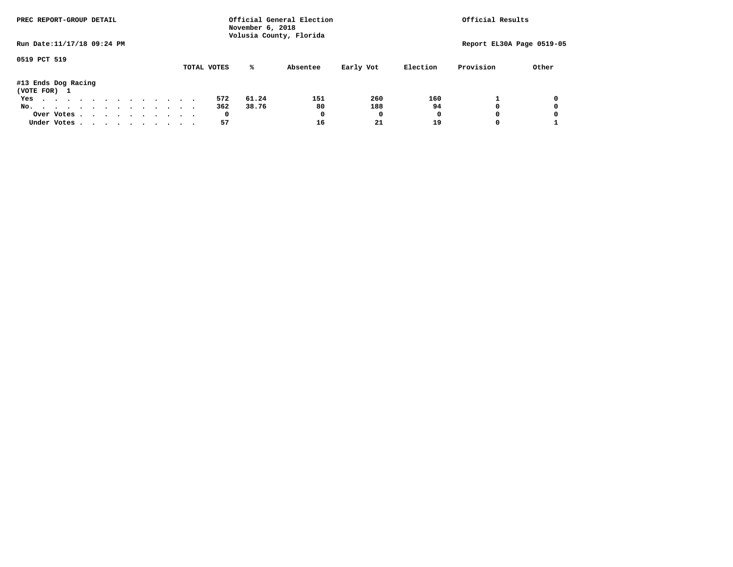| PREC REPORT-GROUP DETAIL            |  |  |  |  |  | Official General Election<br>November 6, 2018<br>Volusia County, Florida |  | Official Results |             |       |          |           |          |              |                           |
|-------------------------------------|--|--|--|--|--|--------------------------------------------------------------------------|--|------------------|-------------|-------|----------|-----------|----------|--------------|---------------------------|
| Run Date: 11/17/18 09:24 PM         |  |  |  |  |  |                                                                          |  |                  |             |       |          |           |          |              | Report EL30A Page 0519-05 |
| 0519 PCT 519                        |  |  |  |  |  |                                                                          |  |                  | TOTAL VOTES | ℁     | Absentee | Early Vot | Election | Provision    | Other                     |
| #13 Ends Dog Racing<br>(VOTE FOR) 1 |  |  |  |  |  |                                                                          |  |                  |             |       |          |           |          |              |                           |
| Yes                                 |  |  |  |  |  |                                                                          |  |                  | 572         | 61.24 | 151      | 260       | 160      |              | 0                         |
| No.                                 |  |  |  |  |  |                                                                          |  |                  | 362         | 38.76 | 80       | 188       | 94       | 0            | 0                         |
| Over Votes                          |  |  |  |  |  |                                                                          |  |                  | 0           |       | 0        | 0         |          | <sup>0</sup> | 0                         |
| Under Votes                         |  |  |  |  |  |                                                                          |  |                  | 57          |       | 16       | 21        | 19       |              |                           |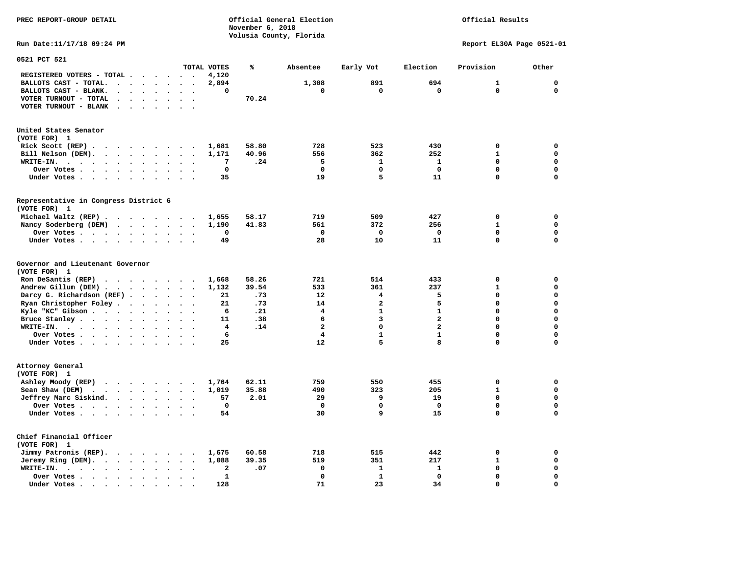**November 6, 2018 Volusia County, Florida Run Date:11/17/18 09:24 PM Report EL30A Page 0521-01 0521 PCT 521 TOTAL VOTES % Absentee Early Vot Election Provision Other REGISTERED VOTERS - TOTAL . . . . . . 4,120 BALLOTS CAST - TOTAL.** . . . . . 2,894 1,308 891 694 1 0  **BALLOTS CAST - BLANK. . . . . . . . 0 0 0 0 0 0 VOTER TURNOUT - TOTAL . . . . . . . 70.24 VOTER TURNOUT - BLANK . . . . . . . United States Senator (VOTE FOR) 1 Rick Scott (REP) . . . . . . . . . 1,681 58.80 728 523 430 0 0 Bill Nelson (DEM). . . . . . . . . 1,171 40.96 556 362 252 1 0 WRITE-IN. . . . . . . . . . . . 7 .24 5 1 1 0 0 Over Votes . . . . . . . . . . 0 0 0 0 0 0 Under Votes . . . . . . . . . . 35** 19 5 11 0 0 0 **Representative in Congress District 6 (VOTE FOR) 1 Michael Waltz (REP) . . . . . . . . 1,655 58.17 719 509 427 0 0 Nancy Soderberg (DEM) . . . . . . . 1,190 41.83 561 372 256 1 0 Over Votes . . . . . . . . . . 0 0 0 0 0 0**  $\Omega$  **Under Votes . . . . . . . . . . 49 28 10 11 0 0 Governor and Lieutenant Governor (VOTE FOR) 1 Ron DeSantis (REP) . . . . . . . . 1,668 58.26 721 514 433 0 0 Andrew Gillum (DEM) . . . . . . . . 1,132 39.54 533 361 237 1 0 Darcy G. Richardson (REF) . . . . . 21 .73 12** 4 5 0 0 0<br>**Ryan Christopher Foley . . . . . . 21 .73** 14 2 5 0 0 **Ryan Christopher Foley . . . . . . 21 .73 14 2 5 0 0** 0<br> **Ryle "KC"** Gibson . . . . . . . . . 6 .21 4 1 1 0 0  **Kyle "KC" Gibson . . . . . . . . . . 6 .21** 4 **Bruce Stanley . . . . . . . . . . 11 .38** 6 3 2 0 0  **WRITE-IN. . . . . . . . . . . . 4 .14 2 0 2 0 0**  $\mathbf{0}$ **Over Votes . . . . . . . . . . 6** 1 1 1 0  $\mathbf{0}$ **Under Votes . . . . . . . . . . 25** 12 5 8 0 **Attorney General (VOTE FOR) 1 Ashley Moody (REP) . . . . . . . . 1,764 62.11 759 550 455 0 0 Sean Shaw (DEM) . . . . . . . . . 1,019 35.88 490 323 205 1 0 Jeffrey Marc Siskind.** . . . . . . 57 2.01 29 9 19 0 0 0<br>Over Votes  **Over Votes . . . . . . . . . . 0 0 0 0 0 0**  $\mathbf 0$  **Under Votes . . . . . . . . . . 54 30 9 15 0 0 Chief Financial Officer (VOTE FOR) 1 Jimmy Patronis (REP). . . . . . . . 1,675 60.58 718 515 442 0 0 Jeremy Ring (DEM).** . . . . . . . 1,088 39.35 519 351 217 1 0 **WRITE-IN.** . . . . . . . . . . . . 2 .07 0 1 1 0 0 0  **Over Votes . . . . . . . . . . 1 0 1 0 0 0**  $\mathbf{o}$  **Under Votes . . . . . . . . . . 128 71 23 34 0 0** 

**PREC REPORT-GROUP DETAIL Official General Election Official Results**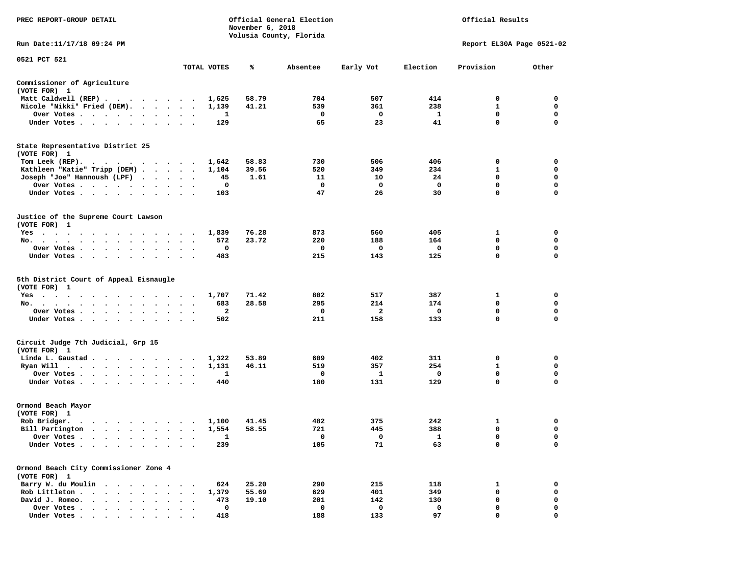| PREC REPORT-GROUP DETAIL                                                                                                                                                                                                                                                            |                                     |                | November 6, 2018 | Official General Election<br>Volusia County, Florida |            |          | Official Results          |             |
|-------------------------------------------------------------------------------------------------------------------------------------------------------------------------------------------------------------------------------------------------------------------------------------|-------------------------------------|----------------|------------------|------------------------------------------------------|------------|----------|---------------------------|-------------|
| Run Date: 11/17/18 09:24 PM                                                                                                                                                                                                                                                         |                                     |                |                  |                                                      |            |          | Report EL30A Page 0521-02 |             |
| 0521 PCT 521                                                                                                                                                                                                                                                                        |                                     | TOTAL VOTES    | ℁                | Absentee                                             | Early Vot  | Election | Provision                 | Other       |
| Commissioner of Agriculture<br>(VOTE FOR) 1                                                                                                                                                                                                                                         |                                     |                |                  |                                                      |            |          |                           |             |
| Matt Caldwell (REP)                                                                                                                                                                                                                                                                 |                                     | 1,625          | 58.79            | 704                                                  | 507        | 414      | 0                         | 0           |
| Nicole "Nikki" Fried (DEM).                                                                                                                                                                                                                                                         |                                     | 1,139          | 41.21            | 539                                                  | 361        | 238      | 1                         | 0           |
| Over Votes<br>$\bullet$                                                                                                                                                                                                                                                             | $\cdot$                             | 1              |                  | 0                                                    | 0          | 1        | $\mathbf 0$               | 0           |
| Under Votes<br>$\ddot{\phantom{1}}$                                                                                                                                                                                                                                                 |                                     | 129            |                  | 65                                                   | 23         | 41       | $\mathbf 0$               | 0           |
| State Representative District 25<br>(VOTE FOR) 1                                                                                                                                                                                                                                    |                                     |                |                  |                                                      |            |          |                           |             |
| Tom Leek $(REP)$ .                                                                                                                                                                                                                                                                  |                                     | 1,642          | 58.83            | 730                                                  | 506        | 406      | 0                         | 0           |
| Kathleen "Katie" Tripp (DEM)                                                                                                                                                                                                                                                        |                                     | 1,104          | 39.56            | 520                                                  | 349        | 234      | 1                         | 0           |
| Joseph "Joe" Hannoush (LPF)                                                                                                                                                                                                                                                         | $\cdot$ $\cdot$                     | 45             | 1.61             | 11                                                   | 10         | 24       | 0                         | 0           |
| Over Votes                                                                                                                                                                                                                                                                          | $\ddot{\phantom{1}}$<br>$\bullet$ . | 0              |                  | 0                                                    | 0          | 0        | $\mathbf 0$               | $\mathbf 0$ |
| Under Votes                                                                                                                                                                                                                                                                         |                                     | 103            |                  | 47                                                   | 26         | 30       | $\Omega$                  | 0           |
| Justice of the Supreme Court Lawson<br>(VOTE FOR) 1                                                                                                                                                                                                                                 |                                     |                |                  |                                                      |            |          |                           |             |
| $Yes \cdot \cdot \cdot$<br>$\sim$<br>$\cdot$ $\cdot$                                                                                                                                                                                                                                |                                     | 1,839          | 76.28            | 873                                                  | 560        | 405      | 1                         | 0           |
| No.<br>$\bullet$<br>$\sim$                                                                                                                                                                                                                                                          |                                     | 572            | 23.72            | 220                                                  | 188        | 164      | 0                         | 0           |
| Over Votes<br>$\bullet$<br>$\bullet$<br>$\bullet$                                                                                                                                                                                                                                   | $\bullet$                           | 0              |                  | 0                                                    | 0          | 0        | 0                         | 0           |
| Under Votes                                                                                                                                                                                                                                                                         |                                     | 483            |                  | 215                                                  | 143        | 125      | $\mathbf 0$               | $\mathbf 0$ |
| 5th District Court of Appeal Eisnaugle<br>(VOTE FOR) 1                                                                                                                                                                                                                              |                                     |                |                  |                                                      |            |          |                           |             |
| $Yes \cdot \cdot \cdot$<br>$\sim$ $\sim$<br>$\sim$<br>. The contract of the contract of the contract of the contract of the contract of the contract of the contract of the contract of the contract of the contract of the contract of the contract of the contract of the contrac |                                     | 1,707          | 71.42            | 802                                                  | 517        | 387      | 1                         | 0           |
| No.                                                                                                                                                                                                                                                                                 | $\ddot{\phantom{1}}$                | 683            | 28.58            | 295                                                  | 214        | 174      | $\mathbf 0$               | $\mathbf 0$ |
| Over Votes<br>$\cdot$                                                                                                                                                                                                                                                               |                                     | 2              |                  | 0                                                    | 2          | 0        | 0                         | 0           |
| Under Votes<br>$\ddot{\phantom{0}}$                                                                                                                                                                                                                                                 | $\bullet$<br>$\ddot{\phantom{0}}$   | 502            |                  | 211                                                  | 158        | 133      | $\mathbf 0$               | $\mathbf 0$ |
| Circuit Judge 7th Judicial, Grp 15<br>(VOTE FOR) 1                                                                                                                                                                                                                                  |                                     |                |                  |                                                      |            |          |                           |             |
| Linda L. Gaustad                                                                                                                                                                                                                                                                    |                                     | 1,322          | 53.89            | 609                                                  | 402        | 311      | 0                         | 0           |
| Ryan Will<br>. The contract of the contract of the contract of the contract of the contract of the contract of the contract of the contract of the contract of the contract of the contract of the contract of the contract of the contrac                                          | $\bullet$<br>$\ddot{\phantom{1}}$   | 1,131          | 46.11            | 519                                                  | 357        | 254      | 1                         | 0           |
| Over Votes                                                                                                                                                                                                                                                                          | $\bullet$<br>$\bullet$              | 1              |                  | 0                                                    | 1          | 0        | $\mathbf 0$               | 0           |
| Under Votes                                                                                                                                                                                                                                                                         |                                     | 440            |                  | 180                                                  | 131        | 129      | 0                         | 0           |
| Ormond Beach Mayor<br>(VOTE FOR) 1                                                                                                                                                                                                                                                  |                                     |                |                  |                                                      |            |          |                           |             |
|                                                                                                                                                                                                                                                                                     |                                     |                |                  | 482                                                  |            | 242      |                           | 0           |
| Rob Bridger.<br>Bill Partington                                                                                                                                                                                                                                                     |                                     | 1,100<br>1,554 | 41.45<br>58.55   | 721                                                  | 375<br>445 | 388      | 1<br>$\mathbf 0$          | $\mathbf 0$ |
| Over Votes                                                                                                                                                                                                                                                                          |                                     | 1              |                  | 0                                                    | 0          | 1        | 0                         | 0           |
| Under Votes.                                                                                                                                                                                                                                                                        |                                     | 239            |                  | 105                                                  | 71         | 63       | 0                         | 0           |
|                                                                                                                                                                                                                                                                                     |                                     |                |                  |                                                      |            |          |                           |             |
| Ormond Beach City Commissioner Zone 4<br>(VOTE FOR) 1                                                                                                                                                                                                                               |                                     |                |                  |                                                      |            |          |                           |             |
| Barry W. du Moulin                                                                                                                                                                                                                                                                  |                                     | 624            | 25.20            | 290                                                  | 215        | 118      | 1                         | 0           |
| Rob Littleton.<br>$\ddot{\phantom{a}}$                                                                                                                                                                                                                                              |                                     | 1,379          | 55.69            | 629                                                  | 401        | 349      | $\mathbf 0$               | 0           |
| David J. Romeo.                                                                                                                                                                                                                                                                     |                                     | 473            | 19.10            | 201                                                  | 142        | 130      | 0                         | 0           |
| Over Votes .<br>$\ddot{\phantom{0}}$<br>$\ddot{\phantom{0}}$                                                                                                                                                                                                                        |                                     | 0              |                  | 0                                                    | 0          | 0        | 0                         | 0           |
| Under Votes                                                                                                                                                                                                                                                                         |                                     | 418            |                  | 188                                                  | 133        | 97       | $\Omega$                  |             |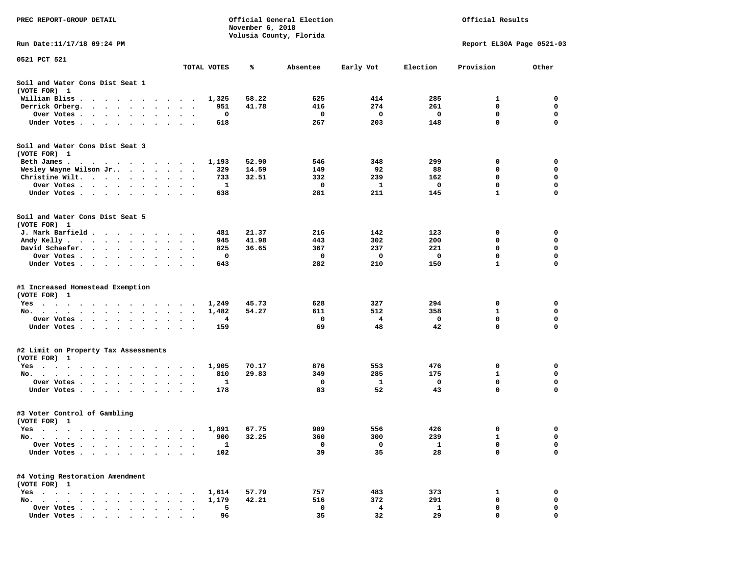| PREC REPORT-GROUP DETAIL                                                                                                                                                                                                                             |                                            | November 6, 2018 | Official General Election<br>Volusia County, Florida | Official Results |              |                           |             |
|------------------------------------------------------------------------------------------------------------------------------------------------------------------------------------------------------------------------------------------------------|--------------------------------------------|------------------|------------------------------------------------------|------------------|--------------|---------------------------|-------------|
| Run Date:11/17/18 09:24 PM                                                                                                                                                                                                                           |                                            |                  |                                                      |                  |              | Report EL30A Page 0521-03 |             |
| 0521 PCT 521                                                                                                                                                                                                                                         |                                            |                  |                                                      |                  |              |                           |             |
|                                                                                                                                                                                                                                                      | TOTAL VOTES                                | ℁                | Absentee                                             | Early Vot        | Election     | Provision                 | Other       |
| Soil and Water Cons Dist Seat 1<br>(VOTE FOR) 1                                                                                                                                                                                                      |                                            |                  |                                                      |                  |              |                           |             |
| William Bliss.<br>$\cdots$                                                                                                                                                                                                                           | 1,325                                      | 58.22            | 625                                                  | 414              | 285          | 1                         | 0           |
| Derrick Orberg.<br>$\mathbf{r}$ . The set of the set of the set of the set of the set of the set of the set of the set of the set of the set of the set of the set of the set of the set of the set of the set of the set of the set of the set of t | 951<br>$\ddot{\phantom{a}}$                | 41.78            | 416                                                  | 274              | 261          | 0                         | 0           |
| Over Votes .<br>. The contract of the contract of the contract of the contract of the contract of the contract of the contract of the contract of the contract of the contract of the contract of the contract of the contract of the contrac        | 0<br>$\bullet$<br>$\bullet$<br>$\bullet$   |                  | 0                                                    | 0                | 0            | 0                         | 0           |
| Under Votes                                                                                                                                                                                                                                          | 618                                        |                  | 267                                                  | 203              | 148          | 0                         | 0           |
| Soil and Water Cons Dist Seat 3<br>(VOTE FOR) 1                                                                                                                                                                                                      |                                            |                  |                                                      |                  |              |                           |             |
| Beth James.                                                                                                                                                                                                                                          | 1,193<br>$\overline{\phantom{a}}$          | 52.90            | 546                                                  | 348              | 299          | 0                         | 0           |
| Wesley Wayne Wilson Jr                                                                                                                                                                                                                               | 329                                        | 14.59            | 149                                                  | 92               | 88           | 0                         | 0           |
| Christine Wilt.                                                                                                                                                                                                                                      | 733                                        | 32.51            | 332                                                  | 239              | 162          | 0                         | $\mathbf 0$ |
| Over Votes                                                                                                                                                                                                                                           | 1                                          |                  | 0                                                    | 1                | $\mathbf 0$  | 0                         | 0           |
| Under Votes                                                                                                                                                                                                                                          | 638                                        |                  | 281                                                  | 211              | 145          | 1                         | 0           |
| Soil and Water Cons Dist Seat 5<br>(VOTE FOR) 1                                                                                                                                                                                                      |                                            |                  |                                                      |                  |              |                           |             |
| J. Mark Barfield                                                                                                                                                                                                                                     | 481                                        | 21.37            | 216                                                  | 142              | 123          | 0                         | 0           |
| Andy Kelly                                                                                                                                                                                                                                           | 945                                        | 41.98            | 443                                                  | 302              | 200          | 0                         | 0           |
| David Schaefer.                                                                                                                                                                                                                                      | 825<br>$\bullet$ .<br>$\ddot{\phantom{1}}$ | 36.65            | 367                                                  | 237              | 221          | 0                         | $\mathbf 0$ |
| Over Votes<br>$\ddot{\phantom{0}}$                                                                                                                                                                                                                   | 0                                          |                  | 0                                                    | 0                | 0            | 0                         | 0           |
| Under Votes                                                                                                                                                                                                                                          | 643                                        |                  | 282                                                  | 210              | 150          | 1                         | $\Omega$    |
| #1 Increased Homestead Exemption<br>(VOTE FOR) 1                                                                                                                                                                                                     |                                            |                  |                                                      |                  |              |                           |             |
| $Yes \t . \t .$<br>. The contract of the contract of the contract of the contract of the contract of the contract of the contract of the contract of the contract of the contract of the contract of the contract of the contract of the contrac     | 1,249                                      | 45.73            | 628                                                  | 327              | 294          | 0                         | 0           |
| No.<br>.                                                                                                                                                                                                                                             | 1,482                                      | 54.27            | 611                                                  | 512              | 358          | 1                         | 0           |
| Over Votes                                                                                                                                                                                                                                           | 4<br>$\sim$ $\sim$                         |                  | 0                                                    | 4                | 0            | 0                         | 0           |
| Under Votes                                                                                                                                                                                                                                          | 159                                        |                  | 69                                                   | 48               | 42           | 0                         | 0           |
| #2 Limit on Property Tax Assessments<br>(VOTE FOR) 1                                                                                                                                                                                                 |                                            |                  |                                                      |                  |              |                           |             |
| Yes                                                                                                                                                                                                                                                  | 1,905                                      | 70.17            | 876                                                  | 553              | 476          | 0                         | 0           |
| No.                                                                                                                                                                                                                                                  | 810                                        | 29.83            | 349                                                  | 285              | 175          | 1                         | 0           |
| Over Votes .                                                                                                                                                                                                                                         | 1<br>$\bullet$                             |                  | 0                                                    | 1                | 0            | 0                         | 0           |
| Under Votes                                                                                                                                                                                                                                          | 178                                        |                  | 83                                                   | 52               | 43           | 0                         | 0           |
| #3 Voter Control of Gambling<br>(VOTE FOR) 1                                                                                                                                                                                                         |                                            |                  |                                                      |                  |              |                           |             |
| <b>Yes</b>                                                                                                                                                                                                                                           |                                            | 1,891 67.75      | 909                                                  | 556              | 426          |                           | 0           |
| No.<br>$\bullet$<br>$\cdots$<br>$\sim$ $\sim$<br>$\ddot{\phantom{0}}$<br>$\bullet$                                                                                                                                                                   | 900<br>$\bullet$                           | 32.25            | 360                                                  | 300              | 239          | 1                         | 0           |
| Over Votes .<br>$\ddot{\phantom{1}}$<br>$\ddot{\phantom{a}}$<br>$\sim$<br>$\sim$                                                                                                                                                                     | $\mathbf{1}$                               |                  | 0                                                    | 0                | $\mathbf{1}$ | 0                         | 0           |
| Under Votes                                                                                                                                                                                                                                          | 102                                        |                  | 39                                                   | 35               | 28           | 0                         | $\mathbf 0$ |
| #4 Voting Restoration Amendment<br>(VOTE FOR) 1                                                                                                                                                                                                      |                                            |                  |                                                      |                  |              |                           |             |
| $Yes \cdot \cdot \cdot$                                                                                                                                                                                                                              | 1,614                                      | 57.79            | 757                                                  | 483              | 373          | 1                         | 0           |
| No.                                                                                                                                                                                                                                                  | 1,179                                      | 42.21            | 516                                                  | 372              | 291          | 0                         | 0           |
| Over Votes                                                                                                                                                                                                                                           | 5                                          |                  | 0                                                    | 4                | $\mathbf{1}$ | 0                         | 0           |
| Under Votes.                                                                                                                                                                                                                                         | 96                                         |                  | 35                                                   | 32               | 29           | 0                         | 0           |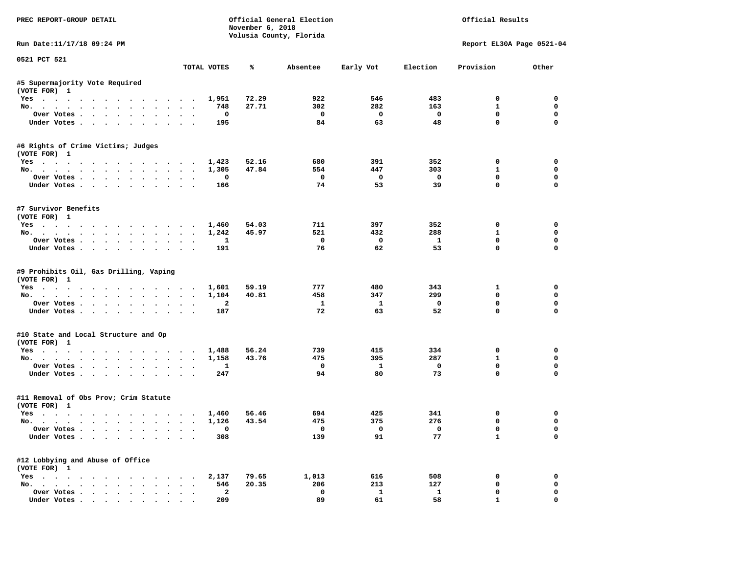| PREC REPORT-GROUP DETAIL                                         |                                         | November 6, 2018 | Official General Election<br>Volusia County, Florida |              |              | Official Results          |             |
|------------------------------------------------------------------|-----------------------------------------|------------------|------------------------------------------------------|--------------|--------------|---------------------------|-------------|
| Run Date: 11/17/18 09:24 PM                                      |                                         |                  |                                                      |              |              | Report EL30A Page 0521-04 |             |
| 0521 PCT 521                                                     | TOTAL VOTES                             | ℁                | Absentee                                             | Early Vot    | Election     | Provision                 | Other       |
| #5 Supermajority Vote Required                                   |                                         |                  |                                                      |              |              |                           |             |
| (VOTE FOR) 1                                                     |                                         |                  |                                                      |              |              |                           |             |
| Yes                                                              | 1,951                                   | 72.29            | 922                                                  | 546          | 483          | 0                         | 0           |
| No.                                                              | 748                                     | 27.71            | 302                                                  | 282          | 163          | 1                         | 0           |
| Over Votes                                                       | $\mathbf 0$<br>$\overline{\phantom{a}}$ |                  | 0                                                    | $\mathbf 0$  | 0            | 0                         | 0           |
| Under Votes.                                                     | 195                                     |                  | 84                                                   | 63           | 48           | $\mathbf 0$               | 0           |
| #6 Rights of Crime Victims; Judges                               |                                         |                  |                                                      |              |              |                           |             |
| (VOTE FOR) 1                                                     |                                         |                  |                                                      |              |              |                           |             |
| Yes 1,423                                                        |                                         | 52.16            | 680                                                  | 391          | 352          | 0                         | 0           |
| No.                                                              | 1,305                                   | 47.84            | 554                                                  | 447          | 303          | $\mathbf{1}$              | 0           |
| Over Votes                                                       | 0                                       |                  | $\mathbf 0$                                          | $\mathbf 0$  | $\mathbf 0$  | 0                         | 0           |
| Under Votes                                                      | 166                                     |                  | 74                                                   | 53           | 39           | $\mathbf 0$               | 0           |
| #7 Survivor Benefits                                             |                                         |                  |                                                      |              |              |                           |             |
| (VOTE FOR) 1                                                     |                                         |                  |                                                      |              |              |                           |             |
| Yes                                                              | 1,460                                   | 54.03            | 711                                                  | 397          | 352          | 0                         | 0           |
| No.                                                              | 1,242                                   | 45.97            | 521                                                  | 432          | 288          | $\mathbf{1}$              | 0           |
| Over Votes.                                                      | 1                                       |                  | 0                                                    | $\mathbf 0$  | $\mathbf{1}$ | 0                         | 0           |
| Under Votes                                                      | 191                                     |                  | 76                                                   | 62           | 53           | $\mathbf 0$               | $\mathbf 0$ |
| #9 Prohibits Oil, Gas Drilling, Vaping                           |                                         |                  |                                                      |              |              |                           |             |
| (VOTE FOR) 1                                                     | 1,601                                   | 59.19            | 777                                                  | 480          | 343          | 1                         | 0           |
| Yes.<br>No.                                                      | 1,104                                   | 40.81            | 458                                                  | 347          | 299          | 0                         | 0           |
| Over Votes.                                                      | $\overline{a}$                          |                  | $\mathbf{1}$                                         | $\mathbf{1}$ | $\mathbf 0$  | 0                         | 0           |
| Under Votes                                                      | 187                                     |                  | 72                                                   | 63           | 52           | $\mathbf 0$               | 0           |
|                                                                  |                                         |                  |                                                      |              |              |                           |             |
| #10 State and Local Structure and Op                             |                                         |                  |                                                      |              |              |                           |             |
| (VOTE FOR) 1<br>Yes 1,488                                        |                                         | 56.24            | 739                                                  | 415          | 334          | 0                         | 0           |
| No.                                                              | 1,158                                   | 43.76            | 475                                                  | 395          | 287          | $\mathbf{1}$              | 0           |
| Over Votes                                                       | 1                                       |                  | 0                                                    | 1            | 0            | 0                         | 0           |
| Under Votes                                                      | 247                                     |                  | 94                                                   | 80           | 73           | $\mathbf 0$               | $\mathbf 0$ |
|                                                                  |                                         |                  |                                                      |              |              |                           |             |
| #11 Removal of Obs Prov; Crim Statute<br>(VOTE FOR) 1            |                                         |                  |                                                      |              |              |                           |             |
| Yes                                                              | 1,460                                   | 56.46            | 694                                                  | 425          | 341          | 0                         | 0           |
| No.                                                              | 1,126                                   | 43.54            | 475                                                  | 375          | 276          | 0                         | 0           |
| Over Votes                                                       | 0                                       |                  | 0                                                    | 0            | 0            | 0                         | 0           |
| Under Votes                                                      | 308                                     |                  | 139                                                  | 91           | 77           | 1                         | 0           |
| #12 Lobbying and Abuse of Office                                 |                                         |                  |                                                      |              |              |                           |             |
| (VOTE FOR) 1                                                     |                                         |                  |                                                      |              |              |                           |             |
| $Yes \cdot \cdot \cdot \cdot \cdot \cdot \cdot$<br>$\sim$ $\sim$ | 2,137                                   | 79.65            | 1,013                                                | 616          | 508          | 0                         | 0           |
| No.                                                              | 546                                     | 20.35            | 206                                                  | 213          | 127          | 0                         | 0           |
| Over Votes                                                       | $\mathbf{2}$                            |                  | $\mathbf 0$                                          | $\mathbf{1}$ | $\mathbf{1}$ | 0                         | 0           |
| Under Votes                                                      | 209                                     |                  | 89                                                   | 61           | 58           | $\mathbf{1}$              | 0           |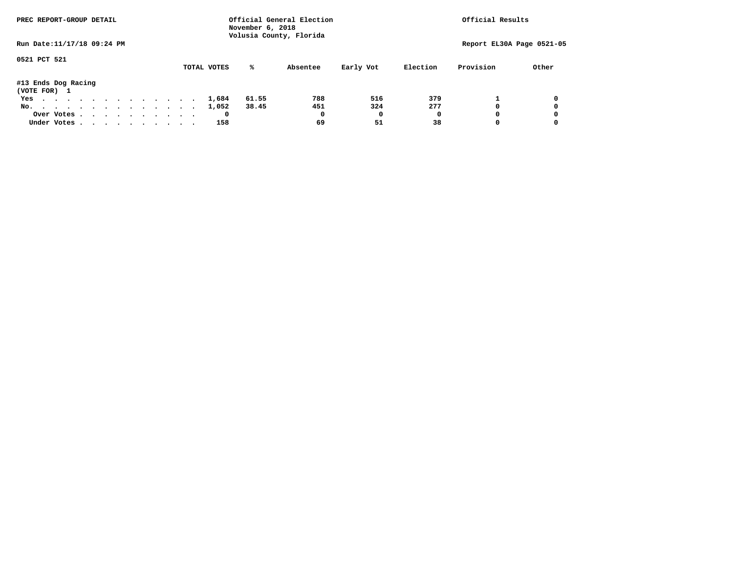| PREC REPORT-GROUP DETAIL            |  |  |  |  | November 6, 2018 | Official General Election<br>Volusia County, Florida |  | Official Results |             |       |          |           |          |              |                           |
|-------------------------------------|--|--|--|--|------------------|------------------------------------------------------|--|------------------|-------------|-------|----------|-----------|----------|--------------|---------------------------|
| Run Date: 11/17/18 09:24 PM         |  |  |  |  |                  |                                                      |  |                  |             |       |          |           |          |              | Report EL30A Page 0521-05 |
| 0521 PCT 521                        |  |  |  |  |                  |                                                      |  |                  | TOTAL VOTES | ℁     | Absentee | Early Vot | Election | Provision    | Other                     |
| #13 Ends Dog Racing<br>(VOTE FOR) 1 |  |  |  |  |                  |                                                      |  |                  |             |       |          |           |          |              |                           |
| Yes                                 |  |  |  |  |                  |                                                      |  |                  | 1,684       | 61.55 | 788      | 516       | 379      |              | 0                         |
| No.                                 |  |  |  |  |                  |                                                      |  |                  | 1,052       | 38.45 | 451      | 324       | 277      | <sup>0</sup> | 0                         |
| Over Votes                          |  |  |  |  |                  |                                                      |  |                  |             |       | 0        | 0         |          | <sup>0</sup> | 0                         |
| Under Votes                         |  |  |  |  |                  |                                                      |  |                  | 158         |       | 69       | 51        | 38       |              |                           |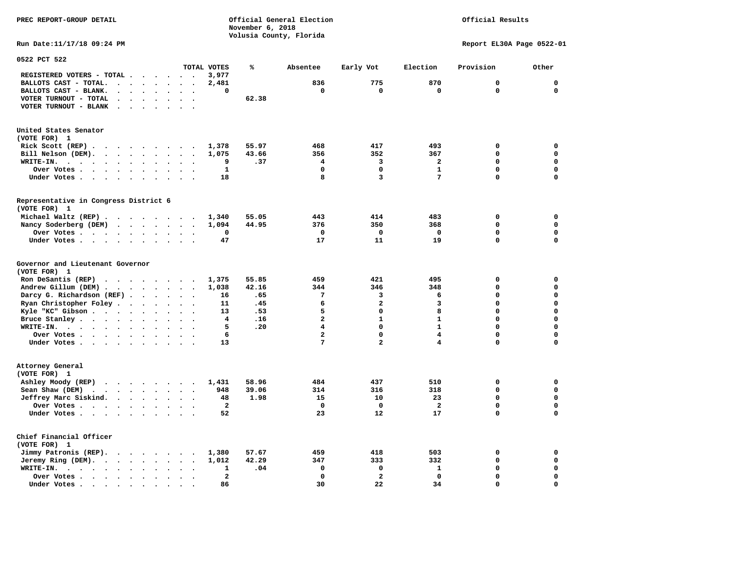**PREC REPORT-GROUP DETAIL COMPUTER CONSUMING A CONSUMING CONSUMING A LIGACION CONSUMING A LIGACION** *November 6, 2018 November 6, 2018* 

 **Volusia County, Florida** 

Official Results

**Run Date:11/17/18 09:24 PM Report EL30A Page 0522-01** 

| 0522 PCT 522                                                                                     |                             |                      |                          |                      |                          |                         |       |                         |                |                         |             |              |
|--------------------------------------------------------------------------------------------------|-----------------------------|----------------------|--------------------------|----------------------|--------------------------|-------------------------|-------|-------------------------|----------------|-------------------------|-------------|--------------|
|                                                                                                  |                             |                      |                          |                      |                          | TOTAL VOTES             | ℁     | Absentee                | Early Vot      | Election                | Provision   | Other        |
| REGISTERED VOTERS - TOTAL .                                                                      | $\ddot{\phantom{a}}$        |                      |                          | $\sim$ $\sim$        | $\ddot{\phantom{a}}$     | 3,977                   |       |                         |                |                         |             |              |
| BALLOTS CAST - TOTAL.<br>$\cdot$<br>$\ddot{\phantom{a}}$                                         | $\sim$                      |                      | $\ddot{\phantom{a}}$     |                      |                          | 2,481                   |       | 836                     | 775            | 870                     | 0           | $\mathbf 0$  |
| BALLOTS CAST - BLANK.<br>$\sim$ $\sim$                                                           | $\sim$                      | $\sim$               | $\ddot{\phantom{a}}$     | $\ddot{\phantom{a}}$ | $\overline{\phantom{a}}$ | 0                       |       | $\mathbf 0$             | $\mathbf 0$    | $\mathbf 0$             | $\mathbf 0$ | $\mathbf 0$  |
| VOTER TURNOUT - TOTAL                                                                            |                             |                      |                          |                      |                          |                         | 62.38 |                         |                |                         |             |              |
| VOTER TURNOUT - BLANK<br>$\sim$<br>$\cdot$                                                       |                             |                      |                          |                      |                          |                         |       |                         |                |                         |             |              |
|                                                                                                  |                             |                      |                          |                      |                          |                         |       |                         |                |                         |             |              |
| United States Senator                                                                            |                             |                      |                          |                      |                          |                         |       |                         |                |                         |             |              |
| (VOTE FOR) 1                                                                                     |                             |                      |                          |                      |                          |                         |       |                         |                |                         |             |              |
| Rick Scott (REP).<br>$\sim$                                                                      |                             |                      |                          |                      | $\overline{\phantom{a}}$ | 1,378                   | 55.97 | 468                     | 417            | 493                     | 0           | 0            |
| Bill Nelson (DEM).<br>$\mathbf{L} = \mathbf{L} \times \mathbf{L} = \mathbf{L} \times \mathbf{L}$ |                             | $\ddot{\phantom{0}}$ |                          |                      |                          | 1,075                   | 43.66 | 356                     | 352            | 367                     | $\mathbf 0$ | $\mathbf 0$  |
| WRITE-IN.<br>$\cdots$<br>$\ddot{\bullet}$ $\ddot{\bullet}$<br>$\bullet$                          | $\ddot{\phantom{a}}$        |                      | $\ddot{\phantom{a}}$     | $\ddot{\phantom{a}}$ | $\ddot{\phantom{a}}$     | 9                       | .37   | 4                       | 3              | $\overline{\mathbf{2}}$ | 0           | $\mathbf 0$  |
| Over Votes.<br>$\ddot{\phantom{1}}$<br>$\sim$ $\sim$ $\sim$<br>$\bullet$                         | $\bullet$                   |                      | $\bullet$                |                      |                          | $\mathbf{1}$            |       | $\mathbf 0$             | $\mathbf 0$    | $\mathbf{1}$            | $\mathbf 0$ | $\mathbf 0$  |
|                                                                                                  |                             |                      |                          |                      |                          | 18                      |       | 8                       | 3              | $7\phantom{.0}$         | $\mathbf 0$ | $\Omega$     |
| Under Votes                                                                                      | $\ddot{\phantom{a}}$        | $\cdot$              | $\ddot{\phantom{1}}$     | $\ddot{\phantom{0}}$ | $\bullet$                |                         |       |                         |                |                         |             |              |
| Representative in Congress District 6                                                            |                             |                      |                          |                      |                          |                         |       |                         |                |                         |             |              |
| (VOTE FOR) 1                                                                                     |                             |                      |                          |                      |                          |                         |       |                         |                |                         |             |              |
| Michael Waltz $(REP)$                                                                            |                             |                      |                          |                      | $\ddot{\phantom{a}}$     | 1,340                   | 55.05 | 443                     | 414            | 483                     | 0           | $\mathbf 0$  |
| Nancy Soderberg (DEM)<br>$\cdots$                                                                |                             |                      |                          | $\ddot{\phantom{a}}$ | $\ddot{\phantom{a}}$     | 1,094                   | 44.95 | 376                     | 350            | 368                     | $\mathbf 0$ | $\mathbf 0$  |
| Over Votes.<br>$\cdots$                                                                          | $\sim$                      |                      | $\ddot{\phantom{a}}$     |                      |                          | 0                       |       | 0                       | 0              | 0                       | 0           | $\mathbf 0$  |
| Under Votes                                                                                      | $\bullet$                   |                      | $\bullet$                |                      |                          | 47                      |       | 17                      | 11             | 19                      | $\mathbf 0$ | $\mathbf{0}$ |
|                                                                                                  |                             |                      |                          |                      |                          |                         |       |                         |                |                         |             |              |
| Governor and Lieutenant Governor                                                                 |                             |                      |                          |                      |                          |                         |       |                         |                |                         |             |              |
| (VOTE FOR) 1                                                                                     |                             |                      |                          |                      |                          |                         |       |                         |                |                         |             |              |
| Ron DeSantis (REP)                                                                               | $\sim$ $\sim$ $\sim$ $\sim$ |                      |                          | $\ddot{\phantom{0}}$ |                          | 1,375                   | 55.85 | 459                     | 421            | 495                     | 0           | $\mathbf 0$  |
| Andrew Gillum (DEM)                                                                              |                             |                      |                          | $\ddot{\phantom{a}}$ | $\overline{\phantom{a}}$ | 1,038                   | 42.16 | 344                     | 346            | 348                     | $\mathbf 0$ | $\mathbf 0$  |
| Darcy G. Richardson (REF).                                                                       | $\bullet$                   |                      | $\bullet$                | $\bullet$            |                          | 16                      | .65   | 7                       | 3              | 6                       | $\Omega$    | 0            |
| Ryan Christopher Foley.<br>$\sim$                                                                | $\ddot{\phantom{a}}$        |                      | $\ddot{\phantom{a}}$     |                      |                          | 11                      | .45   | 6                       | $\overline{a}$ | 3                       | $\mathbf 0$ | $\mathbf 0$  |
| Kyle "KC" Gibson                                                                                 | $\bullet$                   | $\bullet$            | $\bullet$                | $\bullet$            |                          | 13                      | .53   | 5                       | 0              | 8                       | $\mathbf 0$ | $\mathbf 0$  |
| Bruce Stanley                                                                                    | $\overline{\phantom{a}}$    |                      | $\ddot{\phantom{a}}$     |                      |                          | 4                       | .16   | $\overline{\mathbf{2}}$ | $\mathbf{1}$   | $\mathbf{1}$            | $\Omega$    | $\mathbf 0$  |
| WRITE-IN.                                                                                        |                             |                      |                          |                      |                          | 5                       | .20   | 4                       | 0              | $\mathbf{1}$            | $\mathbf 0$ | $\mathbf 0$  |
|                                                                                                  |                             |                      |                          |                      |                          | 6                       |       | $\overline{\mathbf{2}}$ | 0              | $\overline{\mathbf{4}}$ | $\mathbf 0$ | $\mathbf 0$  |
| Over Votes.<br>$\cdot$                                                                           |                             | $\bullet$            | $\bullet$                | $\bullet$            | $\ddot{\phantom{a}}$     |                         |       | 7                       | $\overline{a}$ | 4                       | $\mathbf 0$ | 0            |
| Under Votes                                                                                      |                             |                      |                          | $\sim$               | $\sim$                   | 13                      |       |                         |                |                         |             |              |
| Attorney General                                                                                 |                             |                      |                          |                      |                          |                         |       |                         |                |                         |             |              |
| (VOTE FOR) 1                                                                                     |                             |                      |                          |                      |                          |                         |       |                         |                |                         |             |              |
| Ashley Moody (REP)                                                                               |                             |                      |                          |                      |                          | 1,431                   | 58.96 | 484                     | 437            | 510                     | $\Omega$    | 0            |
| Sean Shaw (DEM)<br>$\cdot$ $\cdot$<br>$\sim$ $\sim$                                              | $\ddot{\phantom{a}}$        |                      | $\ddot{\phantom{a}}$     |                      |                          | 948                     | 39.06 | 314                     | 316            | 318                     | $\mathbf 0$ | $\mathbf 0$  |
| Jeffrey Marc Siskind.                                                                            |                             |                      | $\ddot{\phantom{1}}$     | $\sim$               | $\overline{\phantom{a}}$ | 48                      | 1.98  | 15                      | 10             | 23                      | $\mathbf 0$ | $\mathbf 0$  |
| Over Votes.<br>$\cdots$                                                                          | $\overline{\phantom{a}}$    |                      | $\ddot{\phantom{a}}$     |                      |                          | $\overline{\mathbf{2}}$ |       | $\mathbf 0$             | $\Omega$       | $\overline{\mathbf{2}}$ | $\mathbf 0$ | $\mathbf 0$  |
| Under Votes                                                                                      |                             |                      |                          |                      |                          | 52                      |       | 23                      | 12             | 17                      | 0           | 0            |
|                                                                                                  |                             |                      |                          |                      |                          |                         |       |                         |                |                         |             |              |
| Chief Financial Officer                                                                          |                             |                      |                          |                      |                          |                         |       |                         |                |                         |             |              |
| (VOTE FOR) 1                                                                                     |                             |                      |                          |                      |                          |                         |       |                         |                |                         |             |              |
| Jimmy Patronis (REP).<br>$\cdot$                                                                 |                             |                      |                          | $\cdot$              |                          | 1,380                   | 57.67 | 459                     | 418            | 503                     | 0           | 0            |
| Jeremy Ring (DEM).<br>$\mathbf{r}$ , and $\mathbf{r}$ , and $\mathbf{r}$                         | $\bullet$                   |                      | $\bullet$                |                      |                          | 1,012                   | 42.29 | 347                     | 333            | 332                     | $\mathbf 0$ | 0            |
| WRITE-IN.<br>$\cdot$ $\cdot$ $\cdot$ $\cdot$ $\cdot$ $\cdot$<br>$\bullet$                        | $\bullet$                   |                      | $\ddot{\phantom{a}}$     |                      |                          | 1                       | .04   | 0                       | 0              | 1                       | $\mathbf 0$ | $\mathbf 0$  |
| Over Votes.<br>$\cdots$                                                                          | $\ddot{\phantom{a}}$        |                      |                          |                      |                          | $\mathbf{z}$            |       | $\mathbf 0$             | $\overline{a}$ | $\mathbf 0$             | $\mathbf 0$ | $\mathbf 0$  |
| Under Votes                                                                                      | $\ddot{\phantom{a}}$        |                      | $\overline{\phantom{a}}$ |                      |                          | 86                      |       | 30                      | 22             | 34                      | $\mathbf 0$ | $\Omega$     |
|                                                                                                  |                             |                      |                          |                      |                          |                         |       |                         |                |                         |             |              |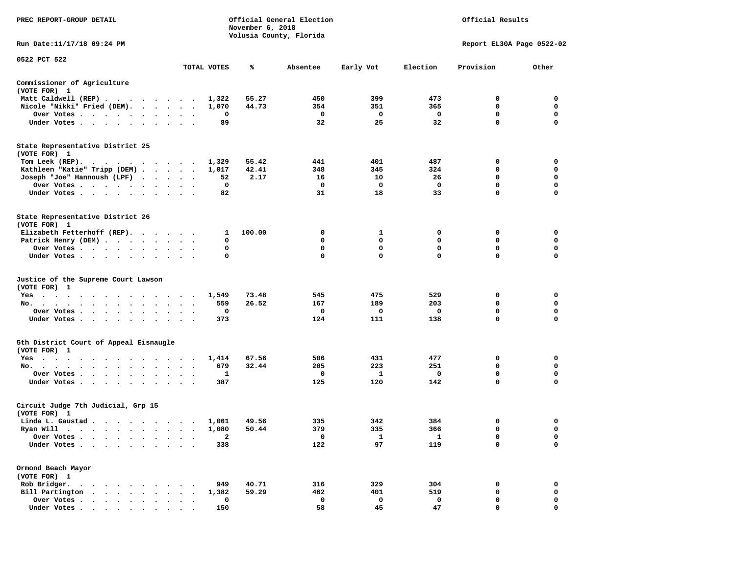| PREC REPORT-GROUP DETAIL                                                                                                                                                                                                                                       |              | November 6, 2018 | Official General Election | Official Results |                           |             |             |
|----------------------------------------------------------------------------------------------------------------------------------------------------------------------------------------------------------------------------------------------------------------|--------------|------------------|---------------------------|------------------|---------------------------|-------------|-------------|
| Run Date: 11/17/18 09:24 PM                                                                                                                                                                                                                                    |              |                  | Volusia County, Florida   |                  | Report EL30A Page 0522-02 |             |             |
| 0522 PCT 522                                                                                                                                                                                                                                                   |              |                  |                           |                  |                           |             |             |
|                                                                                                                                                                                                                                                                | TOTAL VOTES  | %                | Absentee                  | Early Vot        | Election                  | Provision   | Other       |
| Commissioner of Agriculture<br>(VOTE FOR) 1                                                                                                                                                                                                                    |              |                  |                           |                  |                           |             |             |
| Matt Caldwell (REP)                                                                                                                                                                                                                                            | 1,322        | 55.27            | 450                       | 399              | 473                       | 0           | 0           |
| Nicole "Nikki" Fried (DEM).                                                                                                                                                                                                                                    | 1,070        | 44.73            | 354                       | 351              | 365                       | 0           | 0           |
| Over Votes                                                                                                                                                                                                                                                     | 0            |                  | $\mathbf 0$               | $\mathbf 0$      | $\mathbf 0$               | 0           | 0           |
| Under Votes                                                                                                                                                                                                                                                    | 89           |                  | 32                        | 25               | 32                        | $\mathbf 0$ | $\mathbf 0$ |
| State Representative District 25<br>(VOTE FOR) 1                                                                                                                                                                                                               |              |                  |                           |                  |                           |             |             |
| Tom Leek (REP).<br>$\cdots$                                                                                                                                                                                                                                    | 1,329        | 55.42            | 441                       | 401              | 487                       | 0           | 0           |
| Kathleen "Katie" Tripp (DEM)                                                                                                                                                                                                                                   | 1,017        | 42.41            | 348                       | 345              | 324                       | 0           | 0           |
| Joseph "Joe" Hannoush (LPF)                                                                                                                                                                                                                                    | 52           | 2.17             | 16                        | 10               | 26                        | $\mathbf 0$ | $\mathbf 0$ |
| Over Votes                                                                                                                                                                                                                                                     | 0            |                  | 0                         | 0                | 0                         | 0           | 0           |
| Under Votes                                                                                                                                                                                                                                                    | 82           |                  | 31                        | 18               | 33                        | 0           | $\mathbf 0$ |
| State Representative District 26<br>(VOTE FOR) 1                                                                                                                                                                                                               |              |                  |                           |                  |                           |             |             |
| Elizabeth Fetterhoff (REP).                                                                                                                                                                                                                                    | 1            | 100.00           | 0                         | 1                | 0                         | 0           | 0           |
| Patrick Henry (DEM)                                                                                                                                                                                                                                            | 0            |                  | 0                         | 0                | 0                         | 0           | 0           |
| Over Votes                                                                                                                                                                                                                                                     | 0            |                  | 0                         | $\mathbf 0$      | $\mathbf 0$               | 0           | 0           |
| Under Votes                                                                                                                                                                                                                                                    | 0            |                  | $\mathbf{0}$              | $\Omega$         | $\Omega$                  | $\Omega$    | 0           |
| Justice of the Supreme Court Lawson<br>(VOTE FOR) 1                                                                                                                                                                                                            |              |                  |                           |                  |                           |             |             |
| Yes                                                                                                                                                                                                                                                            | 1,549        | 73.48            | 545                       | 475              | 529                       | 0           | 0           |
| No.                                                                                                                                                                                                                                                            | 559          | 26.52            | 167                       | 189              | 203                       | 0           | 0           |
| Over Votes                                                                                                                                                                                                                                                     | 0            |                  | 0                         | 0                | 0                         | $\mathbf 0$ | $\mathbf 0$ |
| Under Votes                                                                                                                                                                                                                                                    | 373          |                  | 124                       | 111              | 138                       | $\mathbf 0$ | $\mathbf 0$ |
|                                                                                                                                                                                                                                                                |              |                  |                           |                  |                           |             |             |
| 5th District Court of Appeal Eisnaugle<br>(VOTE FOR) 1                                                                                                                                                                                                         |              |                  |                           |                  |                           |             |             |
| Yes                                                                                                                                                                                                                                                            | 1,414        | 67.56            | 506                       | 431              | 477                       | 0           | 0           |
| No.                                                                                                                                                                                                                                                            | 679          | 32.44            | 205                       | 223              | 251                       | 0           | 0           |
| Over Votes                                                                                                                                                                                                                                                     | 1            |                  | 0                         | 1                | 0                         | 0           | 0           |
| Under Votes.                                                                                                                                                                                                                                                   | 387          |                  | 125                       | 120              | 142                       | $\mathbf 0$ | 0           |
| Circuit Judge 7th Judicial, Grp 15<br>(VOTE FOR) 1                                                                                                                                                                                                             |              |                  |                           |                  |                           |             |             |
| Linda L. Gaustad                                                                                                                                                                                                                                               | 1,061        | 49.56            | 335                       | 342              | 384                       | 0           | 0           |
| Ryan Will<br>$\blacksquare$ .<br>. The contract of the contract of the contract of the contract of the contract of the contract of the contract of the contract of the contract of the contract of the contract of the contract of the contract of the contrac | 1,080        | 50.44            | 379                       | 335              | 366                       | 0           | $\Omega$    |
| Over Votes                                                                                                                                                                                                                                                     | $\mathbf{2}$ |                  | 0                         | 1                | 1                         | 0           | 0           |
| Under Votes.                                                                                                                                                                                                                                                   | 338          |                  | 122                       | 97               | 119                       | 0           | 0           |
| Ormond Beach Mayor<br>(VOTE FOR) 1                                                                                                                                                                                                                             |              |                  |                           |                  |                           |             |             |
| Rob Bridger.                                                                                                                                                                                                                                                   | 949          | 40.71            | 316                       | 329              | 304                       | 0           | 0           |
| Bill Partington                                                                                                                                                                                                                                                | 1,382        | 59.29            | 462                       | 401              | 519                       | 0           | 0           |
| Over Votes                                                                                                                                                                                                                                                     | 0            |                  | 0                         | 0                | 0                         | 0           | 0           |
| Under Votes                                                                                                                                                                                                                                                    | 150          |                  | 58                        | 45               | 47                        | O           | $\Omega$    |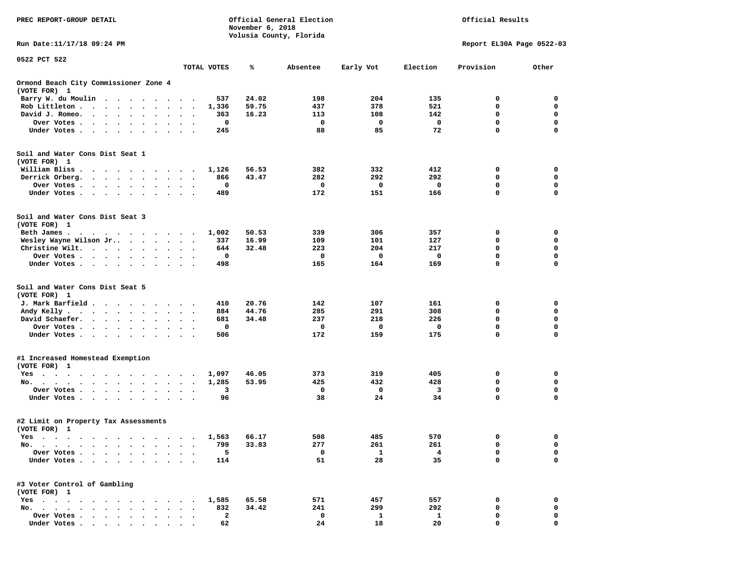| PREC REPORT-GROUP DETAIL                                                                                                                                                                                                                                     |                                                             |                     | November 6, 2018 | Official General Election | Official Results   |          |                            |                         |
|--------------------------------------------------------------------------------------------------------------------------------------------------------------------------------------------------------------------------------------------------------------|-------------------------------------------------------------|---------------------|------------------|---------------------------|--------------------|----------|----------------------------|-------------------------|
| Run Date: 11/17/18 09:24 PM                                                                                                                                                                                                                                  |                                                             |                     |                  | Volusia County, Florida   |                    |          | Report EL30A Page 0522-03  |                         |
| 0522 PCT 522                                                                                                                                                                                                                                                 |                                                             |                     |                  |                           |                    |          |                            |                         |
|                                                                                                                                                                                                                                                              |                                                             | TOTAL VOTES         | ℁                | Absentee                  | Early Vot          | Election | Provision                  | Other                   |
| Ormond Beach City Commissioner Zone 4<br>(VOTE FOR) 1                                                                                                                                                                                                        |                                                             |                     |                  |                           |                    |          |                            |                         |
| Barry W. du Moulin<br>$\sim$ $\sim$                                                                                                                                                                                                                          |                                                             | 537                 | 24.02            | 198                       | 204                | 135      | 0                          | 0                       |
| Rob Littleton.<br>$\begin{array}{cccccccccccccc} \bullet & \bullet & \bullet & \bullet & \bullet & \bullet & \bullet & \bullet & \bullet \end{array}$<br>$\bullet$                                                                                           | $\ddot{\phantom{0}}$<br>$\bullet$                           | 1,336               | 59.75            | 437                       | 378                | 521      | 0                          | 0                       |
| David J. Romeo.<br>$\cdot$ $\cdot$ $\cdot$ $\cdot$<br>$\bullet$<br>$\bullet$                                                                                                                                                                                 |                                                             | 363                 | 16.23            | 113                       | 108                | 142      | 0                          | 0                       |
| Over Votes.<br>$\mathcal{A}=\mathcal{A}=\mathcal{A}=\mathcal{A}=\mathcal{A}=\mathcal{A}$ .<br>$\bullet$<br>Under Votes.                                                                                                                                      |                                                             | 0                   |                  | 0<br>88                   | 0                  | 0        | $\mathbf 0$<br>$\mathbf 0$ | $\mathbf 0$<br>$\Omega$ |
| <u>in the contract of the contract of the contract of the contract of the contract of the contract of the contract of the contract of the contract of the contract of the contract of the contract of the contract of the contra</u><br>$\ddot{\phantom{1}}$ |                                                             | 245                 |                  |                           | 85                 | 72       |                            |                         |
| Soil and Water Cons Dist Seat 1<br>(VOTE FOR) 1                                                                                                                                                                                                              |                                                             |                     |                  |                           |                    |          |                            |                         |
| William Bliss.<br>.                                                                                                                                                                                                                                          |                                                             | 1,126               | 56.53            | 382                       | 332                | 412      | 0                          | 0                       |
| Derrick Orberg.<br>$\cdot$ $\cdot$ $\cdot$ $\cdot$ $\cdot$ $\cdot$ $\cdot$                                                                                                                                                                                   | $\bullet$ .<br><br><br><br><br><br><br>$\ddot{\phantom{0}}$ | 866                 | 43.47            | 282                       | 292                | 292      | 0                          | 0                       |
| Over Votes .<br>$\cdot$ $\cdot$ $\cdot$ $\cdot$<br>$\bullet$ $\bullet$                                                                                                                                                                                       |                                                             | 0                   |                  | 0                         | 0                  | 0        | 0                          | 0                       |
| Under Votes                                                                                                                                                                                                                                                  |                                                             | 489                 |                  | 172                       | 151                | 166      | $\mathbf 0$                | $\mathbf 0$             |
| Soil and Water Cons Dist Seat 3<br>(VOTE FOR) 1                                                                                                                                                                                                              |                                                             |                     |                  |                           |                    |          |                            |                         |
| Beth James.<br>the contract of the contract of the contract of the contract of the contract of the contract of the contract of                                                                                                                               |                                                             | 1,002               | 50.53            | 339                       | 306                | 357      | 0                          | 0                       |
| Wesley Wayne Wilson Jr                                                                                                                                                                                                                                       | $\ddot{\phantom{1}}$                                        | 337                 | 16.99            | 109                       | 101                | 127      | 0                          | $\mathbf 0$             |
| Christine Wilt.<br>$\ddot{\phantom{0}}$                                                                                                                                                                                                                      |                                                             | 644                 | 32.48            | 223                       | 204                | 217      | 0                          | 0                       |
| Over Votes                                                                                                                                                                                                                                                   |                                                             | 0                   |                  | 0                         | 0                  | 0        | $\mathbf 0$                | $\mathbf 0$             |
| Under Votes                                                                                                                                                                                                                                                  |                                                             | 498                 |                  | 165                       | 164                | 169      | $\mathbf 0$                | 0                       |
| Soil and Water Cons Dist Seat 5<br>(VOTE FOR) 1                                                                                                                                                                                                              |                                                             |                     |                  |                           |                    |          |                            |                         |
| J. Mark Barfield<br>$\cdots$<br>$\sim$                                                                                                                                                                                                                       |                                                             | 410                 | 20.76            | 142                       | 107                | 161      | 0                          | 0                       |
| Andy Kelly                                                                                                                                                                                                                                                   | $\ddot{\phantom{0}}$                                        | 884                 | 44.76            | 285                       | 291                | 308      | 0                          | $\mathbf 0$             |
| David Schaefer.<br>$\sim$ $\sim$ $\sim$ $\sim$<br>$\ddot{\phantom{0}}$                                                                                                                                                                                       |                                                             | 681                 | 34.48            | 237                       | 218                | 226      | 0                          | 0                       |
| Over Votes                                                                                                                                                                                                                                                   |                                                             | 0                   |                  | 0                         | 0                  | 0        | $\mathbf 0$                | $\mathbf 0$             |
| Under Votes                                                                                                                                                                                                                                                  |                                                             | 506                 |                  | 172                       | 159                | 175      | $\mathbf 0$                | 0                       |
| #1 Increased Homestead Exemption<br>(VOTE FOR) 1                                                                                                                                                                                                             |                                                             |                     |                  |                           |                    |          |                            |                         |
| Yes                                                                                                                                                                                                                                                          |                                                             | 1,097               | 46.05            | 373                       | 319                | 405      | 0                          | 0                       |
| No.<br>$\cdots$                                                                                                                                                                                                                                              | $\ddot{\phantom{0}}$                                        | 1,285               | 53.95            | 425                       | 432                | 428      | $\mathbf 0$                | $\mathbf 0$             |
| Over Votes<br>$\ddot{\phantom{0}}$                                                                                                                                                                                                                           | $\bullet$<br>$\sim$                                         | 3                   |                  | 0                         | 0                  | 3        | 0                          | 0<br>0                  |
| Under Votes                                                                                                                                                                                                                                                  |                                                             | 96                  |                  | 38                        | 24                 | 34       | $\mathbf 0$                |                         |
| #2 Limit on Property Tax Assessments<br>(VOTE FOR) 1                                                                                                                                                                                                         |                                                             |                     |                  |                           |                    |          |                            |                         |
| Yes                                                                                                                                                                                                                                                          |                                                             | 1,563               | 66.17            | 508                       | 485                | 570      | 0                          | 0                       |
| No. .<br>$\bullet$<br>$\ddot{\phantom{a}}$<br>$\bullet$<br>$\cdot$<br>$\cdot$<br>$\overline{\phantom{a}}$                                                                                                                                                    |                                                             | 799                 | 33.83            | 277                       | 261                | 261      | 0                          | $\mathbf 0$             |
| Over Votes .                                                                                                                                                                                                                                                 |                                                             | 5                   |                  | 0                         | $\mathbf{1}$       | 4        | 0                          | 0                       |
| Under Votes.                                                                                                                                                                                                                                                 |                                                             | 114                 |                  | 51                        | 28                 | 35       | 0                          | 0                       |
| #3 Voter Control of Gambling<br>(VOTE FOR) 1                                                                                                                                                                                                                 |                                                             |                     |                  |                           |                    |          |                            |                         |
| $Yes \cdot \cdot \cdot \cdot$<br>and a contract and<br>$\sim$<br>$\sim$<br>$\sim$ $\sim$                                                                                                                                                                     |                                                             | 1,585               | 65.58            | 571                       | 457                | 557      | 0                          | 0                       |
| No.<br>$\bullet$<br>$\bullet$                                                                                                                                                                                                                                |                                                             | 832<br>$\mathbf{2}$ | 34.42            | 241<br>0                  | 299                | 292      | 0<br>0                     | 0<br>0                  |
| Over Votes .<br>$\mathbf{r}$ , $\mathbf{r}$ , $\mathbf{r}$<br>$\bullet$<br>Under Votes.<br>$\cdot$ $\cdot$ $\cdot$ $\cdot$ $\cdot$                                                                                                                           |                                                             | 62                  |                  | 24                        | $\mathbf{1}$<br>18 | 1<br>20  | $\mathbf 0$                | 0                       |
|                                                                                                                                                                                                                                                              |                                                             |                     |                  |                           |                    |          |                            |                         |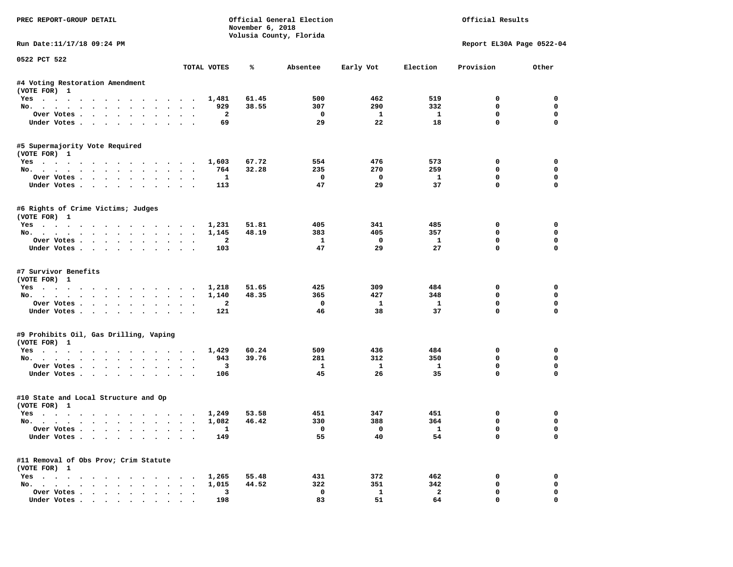| PREC REPORT-GROUP DETAIL                             |                      |                                 | November 6, 2018 | Official General Election<br>Volusia County, Florida | Official Results        |                           |                             |                      |  |
|------------------------------------------------------|----------------------|---------------------------------|------------------|------------------------------------------------------|-------------------------|---------------------------|-----------------------------|----------------------|--|
| Run Date:11/17/18 09:24 PM                           |                      |                                 |                  |                                                      |                         | Report EL30A Page 0522-04 |                             |                      |  |
| 0522 PCT 522                                         |                      | TOTAL VOTES                     | ℁                | Absentee                                             | Early Vot               | Election                  | Provision                   | Other                |  |
| #4 Voting Restoration Amendment                      |                      |                                 |                  |                                                      |                         |                           |                             |                      |  |
| (VOTE FOR) 1                                         |                      |                                 |                  |                                                      |                         |                           |                             |                      |  |
| Yes 1,481                                            |                      |                                 | 61.45            | 500                                                  | 462                     | 519                       | $^{\circ}$                  | $^{\circ}$           |  |
| No.                                                  |                      | 929                             | 38.55            | 307                                                  | 290                     | 332                       | 0                           | $\mathbf 0$          |  |
| Over Votes                                           |                      | $\overline{a}$                  |                  | $\overline{\phantom{0}}$                             | $\mathbf{1}$            | $\mathbf{1}$              | 0                           | $\mathbf 0$          |  |
| Under Votes                                          |                      | 69                              |                  | 29                                                   | 22                      | 18                        | $\mathbf 0$                 | $\mathbf 0$          |  |
| #5 Supermajority Vote Required<br>(VOTE FOR) 1       |                      |                                 |                  |                                                      |                         |                           |                             |                      |  |
| Yes 1,603                                            |                      |                                 | 67.72            | 554                                                  | 476                     | 573                       | 0                           | 0                    |  |
| No.                                                  |                      | 764                             | 32.28            | 235                                                  | 270                     | 259                       | $\mathbf 0$                 | 0                    |  |
| Over Votes                                           |                      | $\mathbf{1}$                    |                  | $\overline{\phantom{a}}$                             | $\overline{\mathbf{0}}$ | $\mathbf{1}$              | 0                           | 0                    |  |
| Under Votes                                          |                      | 113                             |                  | 47                                                   | 29                      | 37                        | $\mathbf 0$                 | 0                    |  |
| #6 Rights of Crime Victims; Judges<br>(VOTE FOR) 1   |                      |                                 |                  |                                                      |                         |                           |                             |                      |  |
| Yes 1,231                                            |                      |                                 | 51.81            | 405                                                  | 341                     | 485                       | 0                           | $\mathbf 0$          |  |
| No.                                                  |                      | 1,145                           | 48.19            | 383                                                  | 405                     | 357                       | $\mathbf 0$                 | $\mathbf 0$          |  |
| Over Votes.                                          |                      | 2                               |                  | -1                                                   | $\overline{\mathbf{0}}$ | $\mathbf{1}$              | $\mathbf 0$                 | $\mathbf 0$          |  |
| Under Votes                                          |                      | 103                             |                  | 47                                                   | 29                      | 27                        | $\Omega$                    | $\Omega$             |  |
| #7 Survivor Benefits<br>(VOTE FOR) 1<br>Yes 1,218    |                      |                                 | 51.65            | 425                                                  | 309                     | 484                       | 0                           | 0                    |  |
| No.                                                  |                      | 1,140                           | 48.35            | 365                                                  | 427                     | 348                       | $\mathbf 0$                 | 0                    |  |
| Over Votes                                           |                      | $\overline{a}$                  |                  | $\mathbf{o}$                                         | $\mathbf{1}$            | $\mathbf{1}$              | $\mathbf 0$                 | $\mathbf 0$          |  |
| Under Votes                                          |                      | 121                             |                  | 46                                                   | 38                      | 37                        | $\mathbf 0$                 | $\Omega$             |  |
| #9 Prohibits Oil, Gas Drilling, Vaping               |                      |                                 |                  |                                                      |                         |                           |                             |                      |  |
| (VOTE FOR) 1                                         |                      |                                 |                  |                                                      |                         |                           |                             |                      |  |
| Yes                                                  |                      | 1,429                           | 60.24<br>39.76   | 509<br>281                                           | 436<br>312              | 484<br>350                | 0<br>$\Omega$               | 0<br>$\mathbf 0$     |  |
| No.<br>Over Votes                                    |                      | 943<br>$\overline{\mathbf{3}}$  |                  | $\mathbf{1}$                                         | $\mathbf{1}$            | $\mathbf{1}$              | 0                           | 0                    |  |
| Under Votes                                          |                      | 106                             |                  | 45                                                   | 26                      | 35                        | $\Omega$                    | $\mathbf 0$          |  |
| #10 State and Local Structure and Op<br>(VOTE FOR) 1 |                      |                                 |                  |                                                      |                         |                           |                             |                      |  |
| Yes 1,249                                            |                      |                                 | 53.58            | 451                                                  | 347                     | 451                       | 0                           | 0                    |  |
| No.                                                  |                      | 1,082                           | 46.42            | 330                                                  | 388                     | 364                       | $\mathbf 0$                 | $\mathbf 0$          |  |
| Over Votes<br>Under Votes                            |                      | $\overline{\phantom{a}}$<br>149 |                  | $\overline{\mathbf{0}}$<br>55                        | $\overline{0}$<br>40    | $\mathbf{1}$<br>54        | $\mathbf{0}$<br>$\mathbf 0$ | $\Omega$<br>$\Omega$ |  |
| #11 Removal of Obs Prov; Crim Statute                |                      |                                 |                  |                                                      |                         |                           |                             |                      |  |
| (VOTE FOR) 1<br>Yes 1,265                            |                      |                                 | 55.48            | 431                                                  | 372                     | 462                       | 0                           | 0                    |  |
| No.                                                  |                      | 1,015                           | 44.52            | 322                                                  | 351                     | 342                       | $\mathbf 0$                 | $\mathbf 0$          |  |
| Over Votes                                           | $\ddot{\phantom{0}}$ | $\overline{\mathbf{3}}$         |                  | $\mathbf 0$                                          | $\mathbf{1}$            | $\mathbf{2}$              | $\mathbf 0$                 | 0                    |  |
| Under Votes.                                         |                      | 198                             |                  | 83                                                   | 51                      | 64                        | $\mathbf{0}$                | 0                    |  |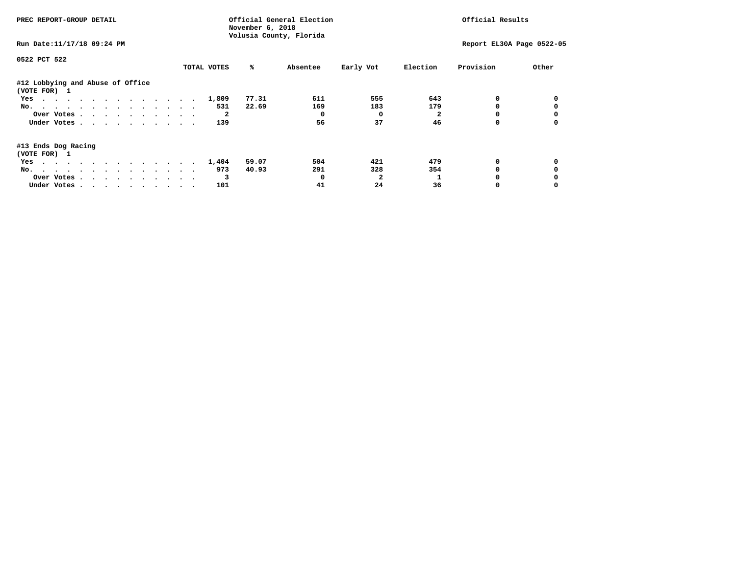| PREC REPORT-GROUP DETAIL                         |             | November 6, 2018 | Official General Election |           | Official Results |                           |       |  |
|--------------------------------------------------|-------------|------------------|---------------------------|-----------|------------------|---------------------------|-------|--|
| Run Date: 11/17/18 09:24 PM                      |             |                  | Volusia County, Florida   |           |                  | Report EL30A Page 0522-05 |       |  |
| 0522 PCT 522                                     |             |                  |                           |           |                  |                           |       |  |
|                                                  | TOTAL VOTES | ℁                | Absentee                  | Early Vot | Election         | Provision                 | Other |  |
| #12 Lobbying and Abuse of Office<br>(VOTE FOR) 1 |             |                  |                           |           |                  |                           |       |  |
| Yes                                              | 1,809       | 77.31            | 611                       | 555       | 643              |                           |       |  |
| No.                                              | 531         | 22.69            | 169                       | 183       | 179              |                           |       |  |
| Over Votes.                                      |             |                  |                           | $\Omega$  |                  |                           |       |  |
| Under Votes                                      | 139         |                  | 56                        | 37        | 46               |                           |       |  |
| #13 Ends Dog Racing<br>(VOTE FOR) 1              |             |                  |                           |           |                  |                           |       |  |
| Yes                                              | 1,404       | 59.07            | 504                       | 421       | 479              | 0                         |       |  |
| No.                                              | 973         | 40.93            | 291                       | 328       | 354              |                           |       |  |
| Over Votes                                       |             | 3                |                           |           |                  |                           |       |  |
| Under Votes                                      | 101         |                  | 41                        | 24        | 36               |                           |       |  |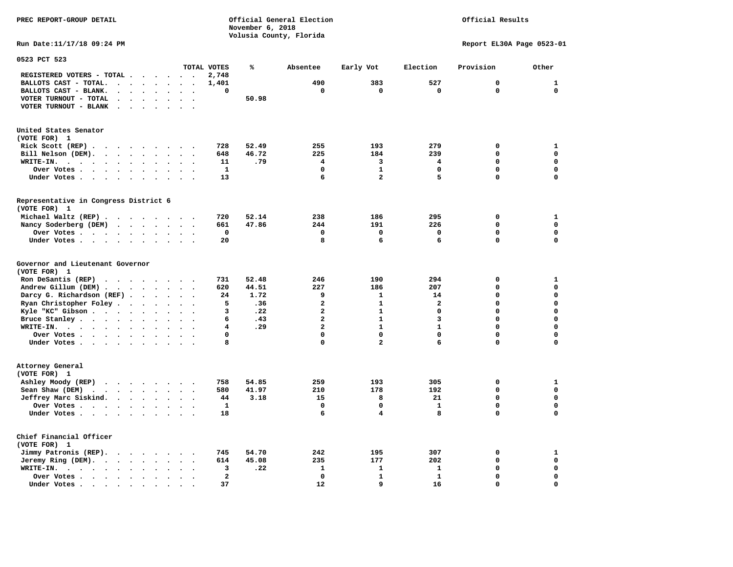### **PREC REPORT-GROUP DETAIL COMPUTER CONSUMING A CONSUMING CONSUMING A LIGACION CONSUMING A LIGACION** *November 6, 2018 November 6, 2018*  **Volusia County, Florida**

## Official Results

**Run Date:11/17/18 09:24 PM Report EL30A Page 0523-01** 

| 0523 PCT 523                                                                                                                                                        |                                                                      |                |       |                |                         |                |             |              |
|---------------------------------------------------------------------------------------------------------------------------------------------------------------------|----------------------------------------------------------------------|----------------|-------|----------------|-------------------------|----------------|-------------|--------------|
|                                                                                                                                                                     |                                                                      | TOTAL VOTES    | %     | Absentee       | Early Vot               | Election       | Provision   | Other        |
| REGISTERED VOTERS - TOTAL .<br>$\ddot{\phantom{a}}$                                                                                                                 | $\sim$<br>$\overline{\phantom{a}}$<br>$\overline{\phantom{a}}$       | 2,748          |       |                |                         |                |             |              |
| BALLOTS CAST - TOTAL.<br>$\sim$<br>$\bullet$<br>$\ddot{\phantom{a}}$                                                                                                | $\bullet$                                                            | 1,401          |       | 490            | 383                     | 527            | $\mathbf 0$ | $\mathbf{1}$ |
| BALLOTS CAST - BLANK.<br>$\ddot{\phantom{a}}$<br>$\bullet$                                                                                                          | $\bullet$<br>$\ddot{\phantom{a}}$<br>$\bullet$                       | $\mathbf 0$    |       | $\mathbf 0$    | 0                       | $\mathbf 0$    | $\Omega$    | $\mathbf 0$  |
| VOTER TURNOUT - TOTAL<br>$\ddot{\phantom{a}}$<br>$\Delta$<br>$\ddot{\phantom{1}}$                                                                                   |                                                                      |                | 50.98 |                |                         |                |             |              |
| VOTER TURNOUT - BLANK<br>$\overline{\phantom{a}}$                                                                                                                   |                                                                      |                |       |                |                         |                |             |              |
|                                                                                                                                                                     |                                                                      |                |       |                |                         |                |             |              |
|                                                                                                                                                                     |                                                                      |                |       |                |                         |                |             |              |
| United States Senator<br>(VOTE FOR) 1                                                                                                                               |                                                                      |                |       |                |                         |                |             |              |
| Rick Scott (REP).<br>$\ddot{\phantom{1}}$<br>$\sim$ $\sim$<br>$\cdot$ $\cdot$                                                                                       | $\sim$<br>$\sim$                                                     | 728            | 52.49 | 255            | 193                     | 279            | 0           | $\mathbf{1}$ |
|                                                                                                                                                                     |                                                                      | 648            | 46.72 | 225            | 184                     | 239            | 0           | $\mathbf 0$  |
| Bill Nelson (DEM).<br>$\cdots$                                                                                                                                      | $\ddot{\phantom{a}}$                                                 |                |       |                |                         |                |             |              |
| WRITE-IN.<br>$\sim$ $\sim$ $\sim$<br>$\cdot$ $\cdot$<br>$\bullet$<br>$\bullet$                                                                                      | $\bullet$                                                            | 11             | .79   | 4              | 3                       | 4              | 0           | $\mathbf 0$  |
| Over Votes<br>$\cdot$                                                                                                                                               | $\bullet$                                                            | 1              |       | $\mathbf 0$    | $\mathbf{1}$            | $\mathbf 0$    | 0           | $\mathbf 0$  |
| Under Votes<br>$\ddot{\phantom{0}}$<br>$\bullet$                                                                                                                    | $\blacksquare$<br>$\ddot{\phantom{0}}$<br>$\bullet$                  | 13             |       | 6              | $\overline{a}$          | 5              | $\Omega$    | $\mathbf 0$  |
|                                                                                                                                                                     |                                                                      |                |       |                |                         |                |             |              |
| Representative in Congress District 6                                                                                                                               |                                                                      |                |       |                |                         |                |             |              |
| (VOTE FOR) 1                                                                                                                                                        |                                                                      |                |       |                |                         |                |             |              |
| Michael Waltz (REP).                                                                                                                                                |                                                                      | 720            | 52.14 | 238            | 186                     | 295            | 0           | $\mathbf{1}$ |
| Nancy Soderberg (DEM)<br>$\mathcal{A}$ , and $\mathcal{A}$ , and $\mathcal{A}$ , and $\mathcal{A}$                                                                  | $\bullet$                                                            | 661            | 47.86 | 244            | 191                     | 226            | 0           | $\mathbf 0$  |
| Over Votes .<br>$\sim$ $\sim$ $\sim$ $\sim$<br>$\bullet$<br>$\ddot{\phantom{a}}$                                                                                    | $\bullet$                                                            | 0              |       | 0              | $\mathbf 0$             | 0              | 0           | 0            |
| Under Votes<br>$\ddot{\phantom{a}}$                                                                                                                                 | $\bullet$<br>$\sim$                                                  | 20             |       | 8              | 6                       | 6              | $\Omega$    | $\mathbf 0$  |
| Governor and Lieutenant Governor                                                                                                                                    |                                                                      |                |       |                |                         |                |             |              |
| (VOTE FOR) 1                                                                                                                                                        |                                                                      |                |       |                |                         |                |             |              |
| Ron DeSantis (REP)<br>$\begin{array}{cccccccccccccc} \bullet & \bullet & \bullet & \bullet & \bullet & \bullet & \bullet & \bullet & \bullet & \bullet \end{array}$ | $\sim$                                                               | 731            | 52.48 | 246            | 190                     | 294            | 0           | $\mathbf{1}$ |
| Andrew Gillum (DEM)                                                                                                                                                 | $\ddot{\phantom{1}}$<br>$\ddot{\phantom{a}}$<br>$\ddot{\phantom{1}}$ | 620            | 44.51 | 227            | 186                     | 207            | 0           | $\mathbf 0$  |
| Darcy G. Richardson (REF).<br>$\bullet$                                                                                                                             | $\bullet$<br>$\sim$                                                  | 24             | 1.72  | 9              | $\mathbf{1}$            | 14             | 0           | 0            |
| Ryan Christopher Foley.<br>$\bullet$<br>$\bullet$                                                                                                                   | $\bullet$                                                            | 5              | .36   | $\overline{a}$ | $\mathbf{1}$            | $\overline{a}$ | $\Omega$    | $\mathbf 0$  |
| Kyle "KC" Gibson.<br>$\sim$ $\sim$ $\sim$ $\sim$ $\sim$<br>$\bullet$<br>$\ddot{\phantom{a}}$                                                                        | $\bullet$<br>$\ddot{\phantom{a}}$<br>$\ddot{\phantom{a}}$            | 3              | .22   | $\overline{a}$ | $\mathbf{1}$            | $\mathbf 0$    | $\Omega$    | $\mathbf 0$  |
| Bruce Stanley                                                                                                                                                       | $\bullet$<br>$\overline{\phantom{a}}$                                | 6              | .43   | $\overline{a}$ | $\mathbf{1}$            | 3              | 0           | $\mathbf 0$  |
| WRITE-IN.<br>$\cdots$<br>$\cdot$                                                                                                                                    |                                                                      | 4              | .29   | $\overline{a}$ | $\mathbf{1}$            | $\mathbf{1}$   | 0           | $\mathbf 0$  |
| Over Votes .                                                                                                                                                        |                                                                      | 0              |       | $\mathbf 0$    | 0                       | 0              | 0           | $\mathbf 0$  |
| $\cdots$<br>$\ddot{\phantom{a}}$                                                                                                                                    | $\bullet$                                                            | 8              |       | $\mathbf 0$    | $\overline{a}$          |                | 0           | $\mathbf 0$  |
| Under Votes<br>$\sim$                                                                                                                                               | $\ddot{\phantom{a}}$<br>$\ddot{\phantom{0}}$                         |                |       |                |                         | 6              |             |              |
| Attorney General<br>(VOTE FOR) 1                                                                                                                                    |                                                                      |                |       |                |                         |                |             |              |
|                                                                                                                                                                     |                                                                      |                |       |                |                         |                |             |              |
| Ashley Moody (REP)                                                                                                                                                  | $\sim$ $\sim$                                                        | 758            | 54.85 | 259            | 193                     | 305            | 0           | 1            |
| Sean Shaw (DEM)<br>$\mathbf{r}$ , $\mathbf{r}$ , $\mathbf{r}$ , $\mathbf{r}$ , $\mathbf{r}$                                                                         | $\ddot{\phantom{a}}$                                                 | 580            | 41.97 | 210            | 178                     | 192            | 0           | $\mathbf 0$  |
| Jeffrey Marc Siskind.<br><b>Contract Contract Street</b><br>$\bullet$                                                                                               | $\bullet$<br>$\ddot{\phantom{a}}$<br>$\overline{\phantom{a}}$        | 44             | 3.18  | 15             | 8                       | 21             | 0           | $\mathbf 0$  |
| Over Votes<br>$\bullet$                                                                                                                                             | $\ddot{\phantom{a}}$                                                 | 1              |       | 0              | 0                       | $\mathbf{1}$   | 0           | $\mathbf 0$  |
| Under Votes<br>$\bullet$                                                                                                                                            |                                                                      | 18             |       | 6              | $\overline{\mathbf{4}}$ | 8              | 0           | $\mathbf 0$  |
|                                                                                                                                                                     |                                                                      |                |       |                |                         |                |             |              |
| Chief Financial Officer<br>(VOTE FOR) 1                                                                                                                             |                                                                      |                |       |                |                         |                |             |              |
|                                                                                                                                                                     |                                                                      |                | 54.70 | 242            | 195                     | 307            | 0           | $\mathbf{1}$ |
| Jimmy Patronis (REP).<br>$\cdot$ $\cdot$ $\cdot$ $\cdot$<br>$\sim$                                                                                                  | $\ddot{\phantom{a}}$                                                 | 745            |       |                |                         |                |             | $\mathbf 0$  |
| Jeremy Ring (DEM).                                                                                                                                                  | $\bullet$<br>$\ddot{\phantom{1}}$<br>$\bullet$                       | 614            | 45.08 | 235            | 177                     | 202            | 0           |              |
| WRITE-IN.<br>$\sim$<br>$\sim$ $\sim$<br>$\ddot{\phantom{0}}$<br>$\sim$<br>$\ddot{\phantom{a}}$<br>$\bullet$                                                         |                                                                      | 3              | .22   | $\mathbf 1$    | $\mathbf 1$             | $\mathbf{1}$   | 0           | $\mathbf 0$  |
| Over Votes.<br>$\cdots$<br>$\bullet$<br>$\bullet$                                                                                                                   |                                                                      | $\overline{a}$ |       | $\mathbf 0$    | $\mathbf{1}$            | $\mathbf{1}$   | $\Omega$    | $\mathbf 0$  |
| Under Votes.<br>$\bullet$<br>$\bullet$<br>$\bullet$<br>$\bullet$                                                                                                    |                                                                      | 37             |       | 12             | 9                       | 16             | $\Omega$    | $\mathbf 0$  |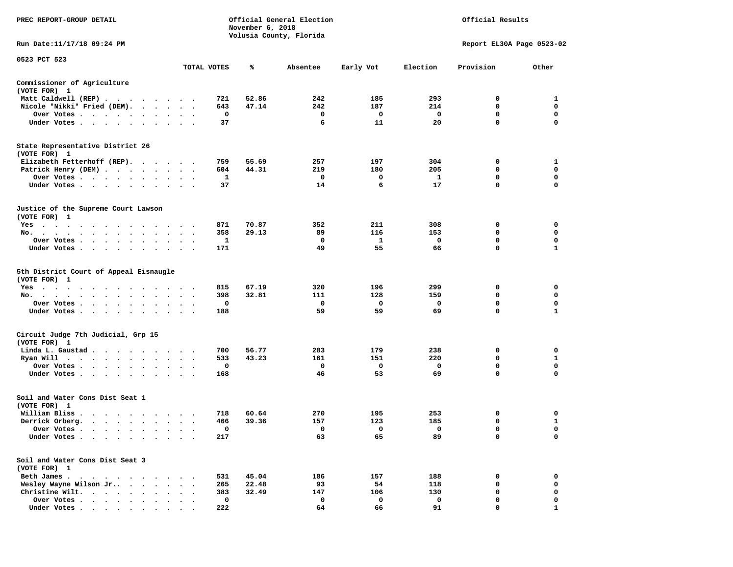| PREC REPORT-GROUP DETAIL                                                                                                                                                      |                                 |             | November 6, 2018 | Official General Election<br>Volusia County, Florida | Official Results |             |                           |              |  |
|-------------------------------------------------------------------------------------------------------------------------------------------------------------------------------|---------------------------------|-------------|------------------|------------------------------------------------------|------------------|-------------|---------------------------|--------------|--|
| Run Date:11/17/18 09:24 PM                                                                                                                                                    |                                 |             |                  |                                                      |                  |             | Report EL30A Page 0523-02 |              |  |
| 0523 PCT 523                                                                                                                                                                  |                                 | TOTAL VOTES | ℁                | Absentee                                             | Early Vot        | Election    | Provision                 | Other        |  |
| Commissioner of Agriculture                                                                                                                                                   |                                 |             |                  |                                                      |                  |             |                           |              |  |
| (VOTE FOR) 1                                                                                                                                                                  |                                 |             |                  |                                                      |                  |             |                           |              |  |
| Matt Caldwell (REP)                                                                                                                                                           |                                 | 721         | 52.86            | 242                                                  | 185              | 293         | 0                         | 1            |  |
| Nicole "Nikki" Fried (DEM).                                                                                                                                                   |                                 | 643         | 47.14            | 242                                                  | 187              | 214         | 0                         | 0            |  |
| Over Votes<br>$\cdot$                                                                                                                                                         | $\bullet$<br>$\bullet$          | 0           |                  | 0                                                    | 0                | 0           | 0                         | 0            |  |
| Under Votes                                                                                                                                                                   |                                 | 37          |                  | 6                                                    | 11               | 20          | 0                         | $\mathbf 0$  |  |
| State Representative District 26<br>(VOTE FOR) 1                                                                                                                              |                                 |             |                  |                                                      |                  |             |                           |              |  |
| Elizabeth Fetterhoff (REP).                                                                                                                                                   |                                 | 759         | 55.69            | 257                                                  | 197              | 304         | 0                         | 1            |  |
| Patrick Henry (DEM)                                                                                                                                                           |                                 | 604         | 44.31            | 219                                                  | 180              | 205         | 0                         | $\mathbf 0$  |  |
| Over Votes                                                                                                                                                                    |                                 | 1           |                  | 0                                                    | 0                | 1           | 0                         | 0            |  |
| Under Votes<br>$\sim$                                                                                                                                                         | $\bullet$<br>$\bullet$          | 37          |                  | 14                                                   | 6                | 17          | 0                         | $\mathbf 0$  |  |
| Justice of the Supreme Court Lawson<br>(VOTE FOR) 1                                                                                                                           |                                 |             |                  |                                                      |                  |             |                           |              |  |
| Yes                                                                                                                                                                           |                                 | 871         | 70.87            | 352                                                  | 211              | 308         | 0                         | 0            |  |
| No.                                                                                                                                                                           |                                 | 358         | 29.13            | 89                                                   | 116              | 153         | 0                         | 0            |  |
| Over Votes.<br>$\mathbf{r}$ , and $\mathbf{r}$ , and $\mathbf{r}$ , and $\mathbf{r}$                                                                                          | $\cdot$ $\cdot$<br>$\bullet$    | 1           |                  | 0                                                    | 1                | 0           | 0                         | 0            |  |
| Under Votes                                                                                                                                                                   | $\bullet$                       | 171         |                  | 49                                                   | 55               | 66          | 0                         | 1            |  |
| 5th District Court of Appeal Eisnaugle<br>(VOTE FOR) 1                                                                                                                        |                                 |             |                  |                                                      |                  |             |                           |              |  |
| $Yes \t . \t .$<br>$\cdot$ $\cdot$<br>$\cdots$<br>$\sim$<br>$\sim$ $\sim$                                                                                                     |                                 | 815         | 67.19            | 320                                                  | 196              | 299         | 0                         | 0            |  |
| No.<br>$\ddot{\phantom{0}}$                                                                                                                                                   |                                 | 398         | 32.81            | 111                                                  | 128              | 159         | 0                         | 0            |  |
| Over Votes<br>$\cdot$                                                                                                                                                         | $\bullet$                       | 0           |                  | 0                                                    | 0                | 0           | $\mathbf 0$               | 0            |  |
| Under Votes<br>$\sim$                                                                                                                                                         |                                 | 188         |                  | 59                                                   | 59               | 69          | 0                         | $\mathbf{1}$ |  |
| Circuit Judge 7th Judicial, Grp 15<br>(VOTE FOR) 1                                                                                                                            |                                 |             |                  |                                                      |                  |             |                           |              |  |
| Linda L. Gaustad                                                                                                                                                              |                                 | 700         | 56.77            | 283                                                  | 179              | 238         | 0                         | 0            |  |
| Ryan Will<br>$\mathcal{A}$ . The second contribution of the second contribution $\mathcal{A}$                                                                                 | $\cdot$<br>$\ddot{\phantom{1}}$ | 533         | 43.23            | 161                                                  | 151              | 220         | 0                         | 1            |  |
| Over Votes<br>$\cdot$                                                                                                                                                         |                                 | 0           |                  | 0                                                    | 0                | 0           | 0                         | 0            |  |
| Under Votes<br>$\bullet$                                                                                                                                                      | $\bullet$                       | 168         |                  | 46                                                   | 53               | 69          | 0                         | $\mathbf 0$  |  |
| Soil and Water Cons Dist Seat 1<br>(VOTE FOR) 1                                                                                                                               |                                 |             |                  |                                                      |                  |             |                           |              |  |
| William Bliss.<br>$\begin{array}{cccccccccccccccccc} \bullet & \bullet & \bullet & \bullet & \bullet & \bullet & \bullet & \bullet & \bullet & \bullet & \bullet \end{array}$ |                                 | 718         | 60.64            | 270                                                  | 195              | 253         | 0                         | 0            |  |
| Derrick Orberg.                                                                                                                                                               | $\ddot{\phantom{1}}$            | 466         | 39.36            | 157                                                  | 123              | 185         | 0                         | 1            |  |
| Over Votes .<br>$\cdots$                                                                                                                                                      |                                 | 0           |                  | $\mathbf 0$                                          | 0                | $\mathbf 0$ | 0                         | $\mathbf 0$  |  |
| Under Votes                                                                                                                                                                   |                                 | 217         |                  | 63                                                   | 65               | 89          | 0                         | 0            |  |
| Soil and Water Cons Dist Seat 3<br>(VOTE FOR) 1                                                                                                                               |                                 |             |                  |                                                      |                  |             |                           |              |  |
| Beth James.<br>$\overline{\phantom{a}}$                                                                                                                                       |                                 | 531         | 45.04            | 186                                                  | 157              | 188         | 0                         | 0            |  |
| Wesley Wayne Wilson Jr                                                                                                                                                        |                                 | 265         | 22.48            | 93                                                   | 54               | 118         | 0                         | 0            |  |
| Christine Wilt.<br>$\cdots$<br>$\ddot{\phantom{a}}$                                                                                                                           |                                 | 383         | 32.49            | 147                                                  | 106              | 130         | 0                         | 0            |  |
| Over Votes.<br>$\cdot$ $\cdot$ $\cdot$ $\cdot$ $\cdot$                                                                                                                        |                                 | $\mathbf 0$ |                  | 0                                                    | 0                | 0           | 0                         | $\mathbf 0$  |  |
| Under Votes                                                                                                                                                                   |                                 | 222         |                  | 64                                                   | 66               | 91          | $\Omega$                  |              |  |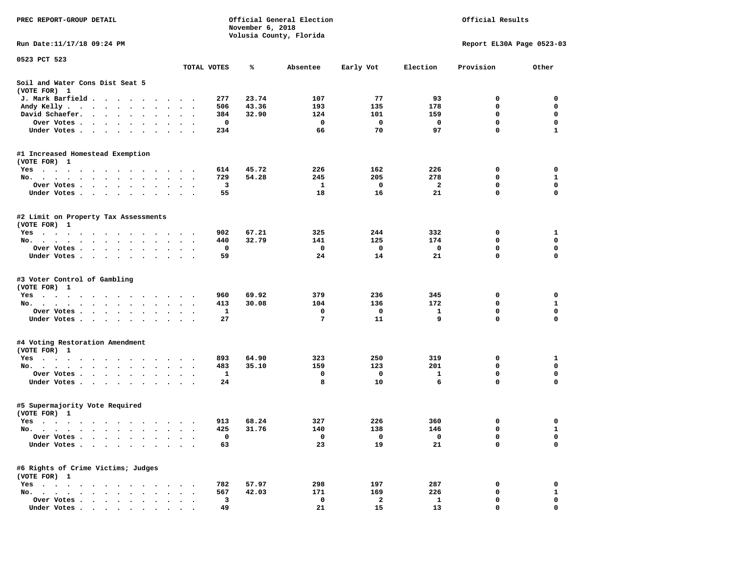| PREC REPORT-GROUP DETAIL                                                                                                                                                                                                             |                             | Official Results |                         |           |              |                           |              |
|--------------------------------------------------------------------------------------------------------------------------------------------------------------------------------------------------------------------------------------|-----------------------------|------------------|-------------------------|-----------|--------------|---------------------------|--------------|
| Run Date:11/17/18 09:24 PM                                                                                                                                                                                                           |                             |                  | Volusia County, Florida |           |              | Report EL30A Page 0523-03 |              |
| 0523 PCT 523                                                                                                                                                                                                                         |                             |                  |                         |           |              |                           |              |
|                                                                                                                                                                                                                                      | TOTAL VOTES                 | ℁                | Absentee                | Early Vot | Election     | Provision                 | Other        |
| Soil and Water Cons Dist Seat 5<br>(VOTE FOR) 1                                                                                                                                                                                      |                             |                  |                         |           |              |                           |              |
| J. Mark Barfield                                                                                                                                                                                                                     | 277<br>$\sim$ $\sim$        | 23.74            | 107                     | 77        | 93           | 0                         | 0            |
| Andy Kelly                                                                                                                                                                                                                           | 506                         | 43.36            | 193                     | 135       | 178          | 0                         | 0            |
| David Schaefer.                                                                                                                                                                                                                      | 384<br>$\bullet$            | 32.90            | 124                     | 101       | 159          | 0                         | 0            |
| Over Votes                                                                                                                                                                                                                           | 0                           |                  | $\mathbf{o}$            | 0         | 0            | 0                         | $\mathbf 0$  |
| Under Votes                                                                                                                                                                                                                          | 234                         |                  | 66                      | 70        | 97           | 0                         | 1            |
| #1 Increased Homestead Exemption                                                                                                                                                                                                     |                             |                  |                         |           |              |                           |              |
| (VOTE FOR) 1                                                                                                                                                                                                                         |                             |                  |                         |           |              |                           |              |
| Yes                                                                                                                                                                                                                                  | 614                         | 45.72            | 226                     | 162       | 226          | 0                         | 0            |
| No.                                                                                                                                                                                                                                  | 729                         | 54.28            | 245                     | 205       | 278          | 0                         | 1            |
| Over Votes<br>$\bullet$                                                                                                                                                                                                              | з<br>$\ddot{\phantom{1}}$   |                  | 1                       | 0         | 2            | 0                         | 0            |
| Under Votes                                                                                                                                                                                                                          | 55                          |                  | 18                      | 16        | 21           | 0                         | 0            |
| #2 Limit on Property Tax Assessments<br>(VOTE FOR) 1                                                                                                                                                                                 |                             |                  |                         |           |              |                           |              |
| Yes                                                                                                                                                                                                                                  | 902                         | 67.21            | 325                     | 244       | 332          | 0                         | $\mathbf{1}$ |
| No.<br>$\bullet$<br>$\bullet$                                                                                                                                                                                                        | 440<br>$\ddot{\phantom{1}}$ | 32.79            | 141                     | 125       | 174          | 0                         | $\mathbf 0$  |
| Over Votes                                                                                                                                                                                                                           | 0                           |                  | 0                       | 0         | 0            | 0                         | 0            |
| Under Votes                                                                                                                                                                                                                          | 59                          |                  | 24                      | 14        | 21           | $\mathbf 0$               | 0            |
| #3 Voter Control of Gambling                                                                                                                                                                                                         |                             |                  |                         |           |              |                           |              |
| (VOTE FOR) 1                                                                                                                                                                                                                         | 960                         | 69.92            | 379                     | 236       | 345          | 0                         | 0            |
| Yes                                                                                                                                                                                                                                  |                             | 30.08            | 104                     |           | 172          | 0                         | $\mathbf{1}$ |
| No.                                                                                                                                                                                                                                  | 413<br>1                    |                  | 0                       | 136<br>0  | 1            | 0                         | $\mathbf 0$  |
| Over Votes<br>Under Votes                                                                                                                                                                                                            | 27                          |                  | 7                       | 11        | 9            | $\mathbf 0$               | 0            |
|                                                                                                                                                                                                                                      |                             |                  |                         |           |              |                           |              |
| #4 Voting Restoration Amendment<br>(VOTE FOR) 1                                                                                                                                                                                      |                             |                  |                         |           |              |                           |              |
| Yes<br>.                                                                                                                                                                                                                             | 893                         | 64.90            | 323                     | 250       | 319          | 0                         | 1            |
| No.                                                                                                                                                                                                                                  | 483                         | 35.10            | 159                     | 123       | 201          | 0                         | $\mathbf 0$  |
| Over Votes                                                                                                                                                                                                                           | 1<br>$\ddot{\phantom{1}}$   |                  | 0                       | 0         | $\mathbf{1}$ | 0                         | 0            |
| Under Votes.                                                                                                                                                                                                                         | 24                          |                  | 8                       | 10        | 6            | 0                         | 0            |
| #5 Supermajority Vote Required<br>(VOTE FOR) 1                                                                                                                                                                                       |                             |                  |                         |           |              |                           |              |
| Yes                                                                                                                                                                                                                                  | 913                         | 68.24            | 327                     | 226       | 360          | 0                         | 0            |
| No.<br>. The contract of the contract of the contract of the contract of the contract of the contract of the contract of the contract of the contract of the contract of the contract of the contract of the contract of the contrac | 425                         | 31.76            | 140                     | 138       | 146          | $\mathbf 0$               | $\mathbf{1}$ |
| Over Votes .<br>$\ddot{\phantom{1}}$<br>$\ddot{\phantom{0}}$<br>$\cdot$                                                                                                                                                              | 0                           |                  | 0                       | 0         | 0            | 0                         | 0            |
| Under Votes.<br>$\ddot{\phantom{1}}$<br>$\ddot{\phantom{0}}$<br>$\bullet$                                                                                                                                                            | 63                          |                  | 23                      | 19        | 21           | 0                         | 0            |
| #6 Rights of Crime Victims; Judges<br>(VOTE FOR) 1                                                                                                                                                                                   |                             |                  |                         |           |              |                           |              |
| $Yes \t . \t .$<br>$\bullet$<br>$\blacksquare$<br>$\ddot{\phantom{a}}$                                                                                                                                                               | 782                         | 57.97            | 298                     | 197       | 287          | 0                         | 0            |
| $No.$ $\cdot$ $\cdot$ $\cdot$                                                                                                                                                                                                        | 567                         | 42.03            | 171                     | 169       | 226          | 0                         | $\mathbf{1}$ |
| Over Votes .<br>$\bullet$<br>$\ddot{\phantom{a}}$                                                                                                                                                                                    | 3                           |                  | 0                       | 2         | 1            | 0                         | 0            |
| Under Votes.<br>$\bullet$<br>$\ddot{\phantom{0}}$<br>$\ddot{\phantom{0}}$<br>$\ddot{\phantom{1}}$<br>$\bullet$                                                                                                                       | 49                          |                  | 21                      | 15        | 13           | 0                         | 0            |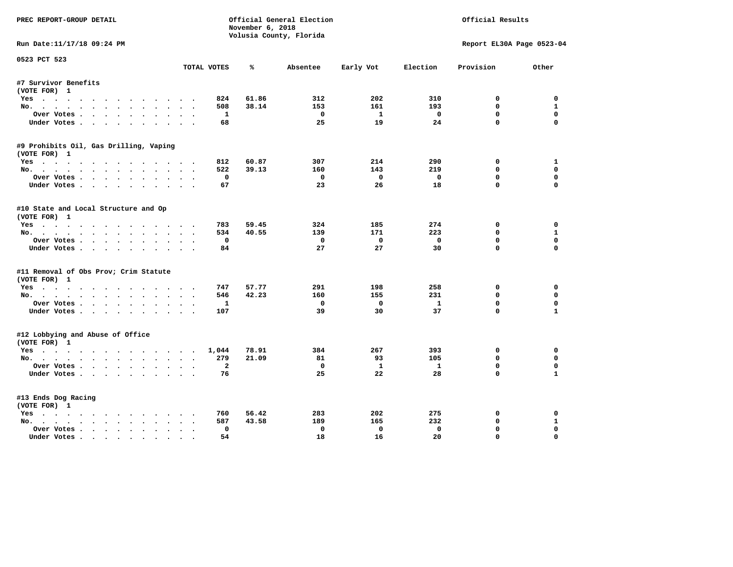| PREC REPORT-GROUP DETAIL<br>Official General Election<br>November 6, 2018 |                       |       |                         |              |              | Official Results          |              |
|---------------------------------------------------------------------------|-----------------------|-------|-------------------------|--------------|--------------|---------------------------|--------------|
|                                                                           |                       |       | Volusia County, Florida |              |              |                           |              |
| Run Date:11/17/18 09:24 PM                                                |                       |       |                         |              |              | Report EL30A Page 0523-04 |              |
| 0523 PCT 523                                                              | TOTAL VOTES           | ℁     | Absentee                | Early Vot    | Election     | Provision                 | Other        |
| #7 Survivor Benefits                                                      |                       |       |                         |              |              |                           |              |
| (VOTE FOR) 1                                                              |                       |       |                         |              |              |                           |              |
| Yes                                                                       | 824                   | 61.86 | 312                     | 202          | 310          | 0                         | 0            |
| No.                                                                       | 508                   | 38.14 | 153                     | 161          | 193          | $\mathbf{0}$              | $\mathbf{1}$ |
| Over Votes                                                                | $\mathbf{1}$          |       | $^{\circ}$              | $\mathbf{1}$ | $\Omega$     | $\Omega$                  | $\mathbf 0$  |
| Under Votes                                                               | 68                    |       | 25                      | 19           | 24           | $\Omega$                  | $\Omega$     |
| #9 Prohibits Oil, Gas Drilling, Vaping                                    |                       |       |                         |              |              |                           |              |
| (VOTE FOR) 1                                                              |                       |       |                         |              |              |                           |              |
| Yes                                                                       | 812                   | 60.87 | 307                     | 214          | 290          | 0                         | 1            |
| No.                                                                       | 522                   | 39.13 | 160                     | 143          | 219          | 0                         | $\mathbf 0$  |
| Over Votes                                                                | 0                     |       | $\Omega$                | $\mathbf 0$  | $\mathbf 0$  | $\mathbf 0$               | 0            |
| Under Votes                                                               | 67                    |       | 23                      | 26           | 18           | $\Omega$                  | $\Omega$     |
| #10 State and Local Structure and Op                                      |                       |       |                         |              |              |                           |              |
| (VOTE FOR) 1                                                              |                       |       |                         |              |              |                           |              |
| Yes                                                                       | 783                   | 59.45 | 324                     | 185          | 274          | 0                         | $\Omega$     |
| No.                                                                       | 534                   | 40.55 | 139                     | 171          | 223          | $\mathbf{0}$              | $\mathbf{1}$ |
| Over Votes                                                                | $\mathbf 0$           |       | $\Omega$                | $\mathbf{0}$ | $\mathbf 0$  | $\mathbf 0$               | $\mathbf 0$  |
| Under Votes                                                               | 84                    |       | 27                      | 27           | 30           | $\Omega$                  | $\Omega$     |
| #11 Removal of Obs Prov; Crim Statute                                     |                       |       |                         |              |              |                           |              |
| (VOTE FOR) 1                                                              |                       |       |                         |              |              |                           |              |
| Yes                                                                       | 747                   | 57.77 | 291                     | 198          | 258          | 0                         | $\mathbf 0$  |
| No.                                                                       | 546                   | 42.23 | 160                     | 155          | 231          | $\mathbf{0}$              | 0            |
| Over Votes                                                                | 1                     |       | $\mathbf 0$             | $\mathbf 0$  | $\mathbf{1}$ | $\mathbf 0$               | $\mathbf 0$  |
| Under Votes.                                                              | 107                   |       | 39                      | 30           | 37           | $\Omega$                  | $\mathbf{1}$ |
| #12 Lobbying and Abuse of Office                                          |                       |       |                         |              |              |                           |              |
| (VOTE FOR) 1                                                              |                       |       |                         |              |              |                           |              |
| Yes                                                                       | 1,044                 | 78.91 | 384                     | 267          | 393          | $\mathbf 0$               | $\mathbf 0$  |
| No.                                                                       | 279                   | 21.09 | 81                      | 93           | 105          | $\Omega$                  | 0            |
| Over Votes                                                                | $\overline{a}$        |       | $\mathbf 0$             | $\mathbf{1}$ | $\mathbf{1}$ | $\mathbf 0$               | $\mathbf 0$  |
| Under Votes                                                               | 76                    |       | 25                      | 22           | 28           | $\Omega$                  | $\mathbf{1}$ |
| #13 Ends Dog Racing                                                       |                       |       |                         |              |              |                           |              |
| (VOTE FOR) 1                                                              |                       |       |                         |              |              |                           |              |
| Yes                                                                       | 760                   | 56.42 | 283                     | 202          | 275          | 0                         | 0            |
| No.                                                                       | 587                   | 43.58 | 189                     | 165          | 232          | $\mathbf 0$               | $\mathbf{1}$ |
| Over Votes                                                                | $\Omega$<br>$\bullet$ |       | $\mathbf{0}$            | $\mathbf{0}$ | $\mathbf 0$  | $\mathbf{0}$              | $\Omega$     |
| Under Votes                                                               | 54                    |       | 18                      | 16           | 20           | $\mathbf{0}$              | $\mathbf 0$  |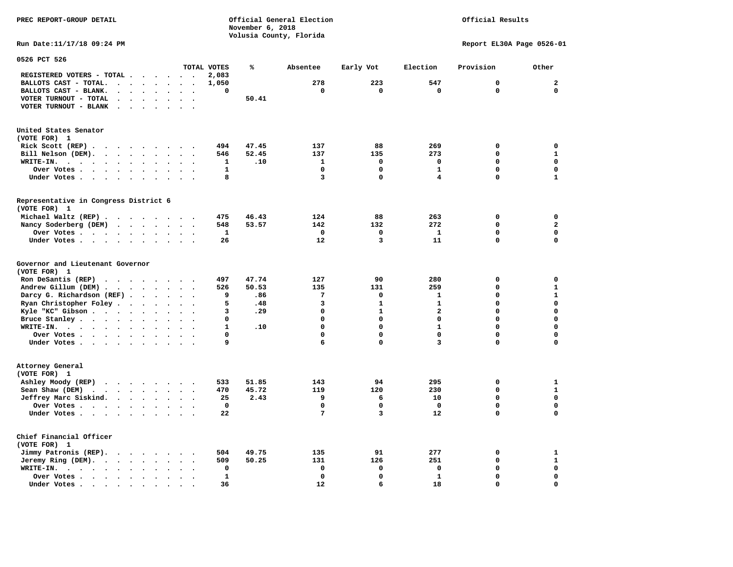## Official Results

**Run Date:11/17/18 09:24 PM Report EL30A Page 0526-01** 

| 0526 PCT 526                                                                                 |                                                                                                                                                                                                                                      |                                   |              |       |              |              |              |              |              |
|----------------------------------------------------------------------------------------------|--------------------------------------------------------------------------------------------------------------------------------------------------------------------------------------------------------------------------------------|-----------------------------------|--------------|-------|--------------|--------------|--------------|--------------|--------------|
|                                                                                              |                                                                                                                                                                                                                                      |                                   | TOTAL VOTES  | ℁     | Absentee     | Early Vot    | Election     | Provision    | Other        |
| REGISTERED VOTERS - TOTAL .<br>$\bullet$                                                     | $\ddot{\phantom{1}}$                                                                                                                                                                                                                 | $\ddot{\phantom{0}}$              | 2,083        |       |              |              |              |              |              |
| BALLOTS CAST - TOTAL.<br>$\sim$<br>$\bullet$<br>$\overline{a}$                               | $\ddot{\phantom{a}}$<br>$\bullet$                                                                                                                                                                                                    | $\bullet$<br>$\bullet$            | 1,050        |       | 278          | 223          | 547          | $\mathbf{0}$ | $\mathbf 2$  |
| BALLOTS CAST - BLANK.<br>$\ddot{\phantom{a}}$<br>$\bullet$<br>$\bullet$                      | $\ddot{\phantom{a}}$                                                                                                                                                                                                                 | $\ddot{\phantom{a}}$              | 0            |       | $\mathbf 0$  | 0            | $\mathbf 0$  | $\mathbf 0$  | $\mathbf 0$  |
| VOTER TURNOUT - TOTAL<br>$\ddot{\phantom{a}}$<br>$\ddot{\phantom{a}}$<br>$\cdot$             | $\bullet$<br>$\sim$                                                                                                                                                                                                                  | $\ddot{\phantom{a}}$<br>$\cdot$   |              | 50.41 |              |              |              |              |              |
| VOTER TURNOUT - BLANK<br>$\bullet$                                                           |                                                                                                                                                                                                                                      |                                   |              |       |              |              |              |              |              |
| United States Senator<br>(VOTE FOR) 1                                                        |                                                                                                                                                                                                                                      |                                   |              |       |              |              |              |              |              |
| Rick Scott $(REP)$                                                                           |                                                                                                                                                                                                                                      | $\sim$ $\sim$                     | 494          | 47.45 | 137          | 88           | 269          | 0            | $\mathbf 0$  |
| Bill Nelson (DEM).<br>$\cdot$ $\cdot$ $\cdot$ $\cdot$ $\cdot$ $\cdot$ $\cdot$ $\cdot$        |                                                                                                                                                                                                                                      |                                   | 546          | 52.45 | 137          | 135          | 273          | 0            | ${\bf 1}$    |
| WRITE-IN.<br>$\sim$<br>$\sim$ $\sim$<br>$\bullet$<br>$\sim$ $\sim$<br>$\ddot{\phantom{0}}$   | $\bullet$                                                                                                                                                                                                                            |                                   | 1            | .10   | $\mathbf{1}$ | 0            | $\mathbf 0$  | 0            | $\mathbf 0$  |
| Over Votes.<br>$\ddot{\phantom{0}}$<br>$\sim$ $\sim$<br>$\sim 100$ km s $^{-1}$<br>$\bullet$ | $\ddot{\phantom{a}}$<br>$\bullet$                                                                                                                                                                                                    | $\ddot{\phantom{a}}$              | $\mathbf{1}$ |       | $\Omega$     | $\mathbf 0$  | $\mathbf{1}$ | 0            | $\mathbf 0$  |
| Under Votes<br>$\ddot{\phantom{1}}$<br>$\sim$ $\sim$ $\sim$<br>$\ddot{\phantom{a}}$          | $\sim$<br>$\ddot{\phantom{a}}$                                                                                                                                                                                                       |                                   | 8            |       | 3            | 0            | 4            | 0            | $\mathbf{1}$ |
| Representative in Congress District 6                                                        |                                                                                                                                                                                                                                      |                                   |              |       |              |              |              |              |              |
| (VOTE FOR) 1                                                                                 |                                                                                                                                                                                                                                      |                                   |              |       |              |              |              |              |              |
| Michael Waltz (REP).<br>$\sim$ $\sim$                                                        | <u>in the second second and the second second and the second second second and second and second and second and second and second and second and second and second and second and second and second and second and second and se</u> |                                   | 475          | 46.43 | 124          | 88           | 263          | 0            | $\mathbf 0$  |
| Nancy Soderberg (DEM)<br>$\cdot$ $\cdot$ $\cdot$                                             | $\sim$ $\sim$                                                                                                                                                                                                                        |                                   | 548          | 53.57 | 142          | 132          | 272          | $\mathbf{0}$ | $\mathbf{z}$ |
| Over Votes.                                                                                  | $\ddot{\phantom{a}}$<br>$\bullet$                                                                                                                                                                                                    | $\bullet$<br>$\cdot$              | ${\bf 1}$    |       | $\mathbf 0$  | 0            | $\mathbf{1}$ | 0            | $\mathbf 0$  |
| Under Votes                                                                                  | $\ddot{\phantom{a}}$                                                                                                                                                                                                                 | $\ddot{\phantom{a}}$              | 26           |       | 12           | 3            | 11           | 0            | $\mathbf 0$  |
| Governor and Lieutenant Governor<br>(VOTE FOR) 1                                             |                                                                                                                                                                                                                                      |                                   |              |       |              |              |              |              |              |
| Ron DeSantis (REP)                                                                           |                                                                                                                                                                                                                                      |                                   | 497          | 47.74 | 127          | 90           | 280          | 0            | 0            |
| Andrew Gillum (DEM).<br>$\ddot{\phantom{a}}$<br>$\ddot{\phantom{a}}$<br>$\ddot{\phantom{a}}$ | $\ddotsc$                                                                                                                                                                                                                            |                                   | 526          | 50.53 | 135          | 131          | 259          | 0            | $\mathbf{1}$ |
| Darcy G. Richardson (REF)                                                                    |                                                                                                                                                                                                                                      | $\sim$<br>$\bullet$               | 9            | .86   | 7            | 0            | 1            | 0            | $\mathbf{1}$ |
| Ryan Christopher Foley.<br>$\sim$<br>$\ddot{\phantom{a}}$                                    | $\ddot{\phantom{a}}$                                                                                                                                                                                                                 | $\sim$                            | 5            | .48   | 3            | $\mathbf{1}$ | $\mathbf{1}$ | $\Omega$     | $\mathbf 0$  |
| Kyle "KC" Gibson<br>$\sim$ $\sim$<br>$\bullet$                                               | $\bullet$                                                                                                                                                                                                                            |                                   | 3            | .29   | $\mathbf 0$  | $\mathbf{1}$ | $\mathbf{2}$ | $\Omega$     | $\mathbf 0$  |
| Bruce Stanley<br>$\bullet$                                                                   | $\bullet$<br>$\bullet$                                                                                                                                                                                                               | $\bullet$<br>$\ddot{\phantom{a}}$ | 0            |       | $\mathbf 0$  | 0            | 0            | 0            | $\mathbf 0$  |
| WRITE-IN.                                                                                    | $\bullet$                                                                                                                                                                                                                            |                                   | $\mathbf{1}$ | .10   | $\mathbf 0$  | 0            | $\mathbf{1}$ | 0            | $\mathbf 0$  |
| Over Votes                                                                                   | $\bullet$<br>$\cdot$                                                                                                                                                                                                                 | $\sim$<br>$\ddot{\phantom{a}}$    | 0            |       | $\mathbf 0$  | 0            | $\mathbf 0$  | 0            | $\mathbf 0$  |
| Under Votes                                                                                  | $\ddot{\phantom{0}}$                                                                                                                                                                                                                 | $\ddot{\phantom{a}}$              | 9            |       | 6            | $\mathbf 0$  | 3            | 0            | $\mathbf 0$  |
| Attorney General<br>(VOTE FOR) 1                                                             |                                                                                                                                                                                                                                      |                                   |              |       |              |              |              |              |              |
| Ashley Moody (REP)<br>$\cdot$ $\cdot$ $\cdot$ $\cdot$ $\cdot$ $\cdot$                        |                                                                                                                                                                                                                                      | $\ddot{\phantom{0}}$              | 533          | 51.85 | 143          | 94           | 295          | 0            | $\mathbf{1}$ |
| Sean Shaw (DEM)<br>$\cdot$ $\cdot$ $\cdot$ $\cdot$ $\cdot$ $\cdot$                           | $\ddot{\phantom{a}}$<br>$\sim$                                                                                                                                                                                                       | $\sim$<br>$\sim$                  | 470          | 45.72 | 119          | 120          | 230          | 0            | $\mathbf{1}$ |
| Jeffrey Marc Siskind.<br>$\cdots$                                                            | $\bullet$                                                                                                                                                                                                                            |                                   | 25           | 2.43  | 9            | 6            | 10           | 0            | $\mathbf 0$  |
| Over Votes                                                                                   | $\ddot{\phantom{a}}$<br>$\bullet$                                                                                                                                                                                                    | $\bullet$<br>$\bullet$            | $\mathbf 0$  |       | $\mathbf 0$  | 0            | $\mathbf 0$  | 0            | $\mathbf 0$  |
| Under Votes                                                                                  | $\ddot{\phantom{1}}$                                                                                                                                                                                                                 | $\bullet$                         | 22           |       | 7            | 3            | 12           | 0            | $\mathbf 0$  |
| Chief Financial Officer<br>(VOTE FOR) 1                                                      |                                                                                                                                                                                                                                      |                                   |              |       |              |              |              |              |              |
| Jimmy Patronis (REP).<br>$\cdots$                                                            |                                                                                                                                                                                                                                      | $\sim$                            | 504          | 49.75 | 135          | 91           | 277          | 0            | $\mathbf{1}$ |
| Jeremy Ring (DEM).<br>$\sim 100$ $\sim$<br>$\bullet$<br>$\bullet$                            |                                                                                                                                                                                                                                      |                                   | 509          | 50.25 | 131          | 126          | 251          | 0            | $\mathbf 1$  |
| WRITE-IN.<br>$\cdot$ $\cdot$ $\cdot$ $\cdot$ $\cdot$<br>$\ddot{\phantom{0}}$<br>$\bullet$    |                                                                                                                                                                                                                                      | $\ddot{\phantom{a}}$              | 0            |       | $\mathbf 0$  | 0            | $\mathbf 0$  | 0            | $\mathbf 0$  |
| Over Votes .<br>$\ddot{\phantom{a}}$                                                         | $\ddot{\phantom{a}}$                                                                                                                                                                                                                 |                                   | $\mathbf{1}$ |       | $\mathbf 0$  | $\mathbf 0$  | $\mathbf{1}$ | 0            | $\mathbf 0$  |
| Under Votes<br>$\bullet$                                                                     |                                                                                                                                                                                                                                      |                                   | 36           |       | 12           | 6            | 18           | $\Omega$     | $\mathbf 0$  |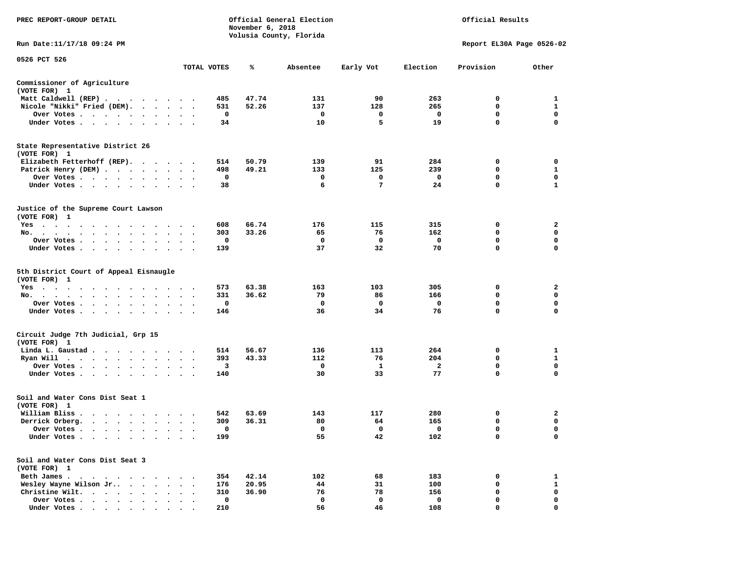| PREC REPORT-GROUP DETAIL                                                                                                                                                                |                                   |             | November 6, 2018 | Official General Election<br>Volusia County, Florida | Official Results |             |                           |              |  |
|-----------------------------------------------------------------------------------------------------------------------------------------------------------------------------------------|-----------------------------------|-------------|------------------|------------------------------------------------------|------------------|-------------|---------------------------|--------------|--|
| Run Date:11/17/18 09:24 PM                                                                                                                                                              |                                   |             |                  |                                                      |                  |             | Report EL30A Page 0526-02 |              |  |
| 0526 PCT 526                                                                                                                                                                            |                                   | TOTAL VOTES | ℁                | Absentee                                             | Early Vot        | Election    | Provision                 | Other        |  |
| Commissioner of Agriculture                                                                                                                                                             |                                   |             |                  |                                                      |                  |             |                           |              |  |
| (VOTE FOR) 1                                                                                                                                                                            |                                   |             |                  |                                                      |                  |             |                           |              |  |
| Matt Caldwell (REP)                                                                                                                                                                     |                                   | 485         | 47.74            | 131                                                  | 90               | 263         | 0                         | 1            |  |
| Nicole "Nikki" Fried (DEM).                                                                                                                                                             |                                   | 531         | 52.26            | 137                                                  | 128              | 265         | 0                         | 1            |  |
| Over Votes<br>$\sim$                                                                                                                                                                    | $\bullet$<br>$\bullet$            | 0           |                  | 0                                                    | 0                | $\mathbf 0$ | 0                         | $\mathbf 0$  |  |
| Under Votes                                                                                                                                                                             |                                   | 34          |                  | 10                                                   | 5                | 19          | 0                         | $\mathbf 0$  |  |
| State Representative District 26<br>(VOTE FOR) 1                                                                                                                                        |                                   |             |                  |                                                      |                  |             |                           |              |  |
| Elizabeth Fetterhoff (REP).                                                                                                                                                             |                                   | 514         | 50.79            | 139                                                  | 91               | 284         | 0                         | 0            |  |
| Patrick Henry (DEM)                                                                                                                                                                     |                                   | 498         | 49.21            | 133                                                  | 125              | 239         | 0                         | 1            |  |
| Over Votes                                                                                                                                                                              |                                   | 0           |                  | 0                                                    | 0                | 0           | 0                         | 0            |  |
| Under Votes                                                                                                                                                                             | $\bullet$<br>$\ddot{\phantom{0}}$ | 38          |                  | 6                                                    | 7                | 24          | 0                         | $\mathbf{1}$ |  |
| Justice of the Supreme Court Lawson<br>(VOTE FOR) 1                                                                                                                                     |                                   |             |                  |                                                      |                  |             |                           |              |  |
| Yes                                                                                                                                                                                     |                                   | 608         | 66.74            | 176                                                  | 115              | 315         | 0                         | 2            |  |
| No.                                                                                                                                                                                     |                                   | 303         | 33.26            | 65                                                   | 76               | 162         | 0                         | 0            |  |
| Over Votes                                                                                                                                                                              | $\bullet$                         | 0           |                  | 0                                                    | 0                | 0           | 0                         | 0            |  |
| Under Votes                                                                                                                                                                             | $\bullet$ .                       | 139         |                  | 37                                                   | 32               | 70          | 0                         | 0            |  |
| 5th District Court of Appeal Eisnaugle<br>(VOTE FOR) 1                                                                                                                                  |                                   |             |                  |                                                      |                  |             |                           |              |  |
| Yes                                                                                                                                                                                     |                                   | 573         | 63.38            | 163                                                  | 103              | 305         | 0                         | 2            |  |
| No.<br>$\ddot{\phantom{0}}$                                                                                                                                                             |                                   | 331         | 36.62            | 79                                                   | 86               | 166         | 0                         | 0            |  |
| Over Votes                                                                                                                                                                              | $\bullet$<br>$\bullet$            | 0           |                  | 0                                                    | 0                | 0           | $\mathbf 0$               | 0            |  |
| Under Votes                                                                                                                                                                             |                                   | 146         |                  | 36                                                   | 34               | 76          | 0                         | $\mathbf 0$  |  |
| Circuit Judge 7th Judicial, Grp 15<br>(VOTE FOR) 1                                                                                                                                      |                                   |             |                  |                                                      |                  |             |                           |              |  |
| Linda L. Gaustad                                                                                                                                                                        |                                   | 514         | 56.67            | 136                                                  | 113              | 264         | 0                         | 1            |  |
| Ryan Will                                                                                                                                                                               | $\ddot{\phantom{1}}$<br>$\cdot$   | 393         | 43.33            | 112                                                  | 76               | 204         | 0                         | $\mathbf{1}$ |  |
| Over Votes                                                                                                                                                                              |                                   | 3           |                  | 0                                                    | 1                | 2           | 0                         | 0            |  |
| Under Votes<br>$\cdot$                                                                                                                                                                  | $\bullet$                         | 140         |                  | 30                                                   | 33               | 77          | 0                         | $\mathbf 0$  |  |
| Soil and Water Cons Dist Seat 1<br>(VOTE FOR) 1                                                                                                                                         |                                   |             |                  |                                                      |                  |             |                           |              |  |
| William Bliss.<br>$\begin{array}{cccccccccccccccccc} \bullet & \bullet & \bullet & \bullet & \bullet & \bullet & \bullet & \bullet & \bullet & \bullet & \bullet & \bullet \end{array}$ |                                   | 542         | 63.69            | 143                                                  | 117              | 280         | 0                         | 2            |  |
| Derrick Orberg.                                                                                                                                                                         | $\ddot{\phantom{1}}$              | 309         | 36.31            | 80                                                   | 64               | 165         | 0                         | $\mathbf 0$  |  |
| Over Votes .<br>$\cdots$                                                                                                                                                                |                                   | 0           |                  | $\mathbf 0$                                          | $\mathbf 0$      | $\mathbf 0$ | 0                         | $\mathbf 0$  |  |
| Under Votes                                                                                                                                                                             |                                   | 199         |                  | 55                                                   | 42               | 102         | 0                         | 0            |  |
| Soil and Water Cons Dist Seat 3<br>(VOTE FOR) 1                                                                                                                                         |                                   |             |                  |                                                      |                  |             |                           |              |  |
| Beth James.<br>$\cdot$ $\cdot$ $\cdot$ $\cdot$                                                                                                                                          |                                   | 354         | 42.14            | 102                                                  | 68               | 183         | 0                         | 1            |  |
| Wesley Wayne Wilson Jr                                                                                                                                                                  |                                   | 176         | 20.95            | 44                                                   | 31               | 100         | 0                         | 1            |  |
| Christine Wilt.<br>$\cdot$ $\cdot$ $\cdot$ $\cdot$ $\cdot$                                                                                                                              |                                   | 310         | 36.90            | 76                                                   | 78               | 156         | 0                         | $\mathbf 0$  |  |
| Over Votes .<br>$\cdot$ $\cdot$ $\cdot$ $\cdot$ $\cdot$                                                                                                                                 |                                   | $\mathbf 0$ |                  | 0                                                    | 0                | 0           | 0                         | 0            |  |
| Under Votes                                                                                                                                                                             |                                   | 210         |                  | 56                                                   | 46               | 108         | 0                         | $\mathbf 0$  |  |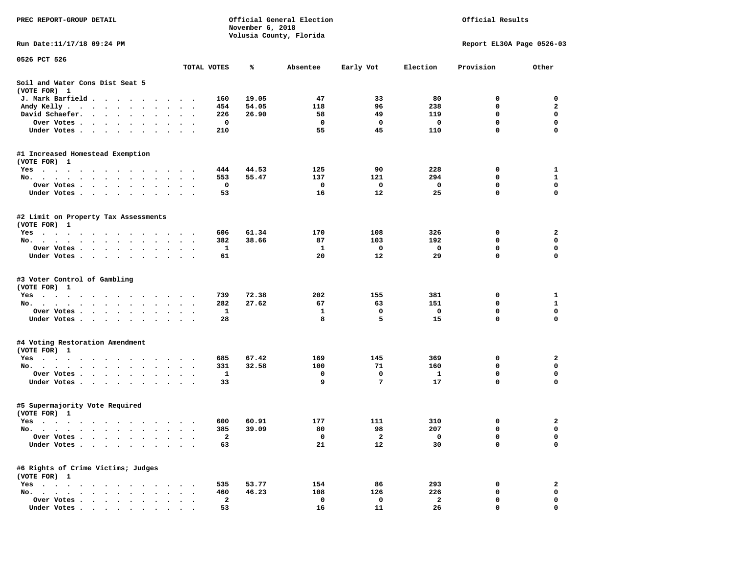| PREC REPORT-GROUP DETAIL                                                                                   |                      |                         | November 6, 2018 | Official General Election | Official Results        |                           |             |              |
|------------------------------------------------------------------------------------------------------------|----------------------|-------------------------|------------------|---------------------------|-------------------------|---------------------------|-------------|--------------|
| Run Date: 11/17/18 09:24 PM                                                                                |                      |                         |                  | Volusia County, Florida   |                         | Report EL30A Page 0526-03 |             |              |
| 0526 PCT 526                                                                                               |                      |                         |                  |                           |                         |                           |             |              |
|                                                                                                            | TOTAL VOTES          |                         | ℁                | Absentee                  | Early Vot               | Election                  | Provision   | Other        |
| Soil and Water Cons Dist Seat 5<br>(VOTE FOR) 1                                                            |                      |                         |                  |                           |                         |                           |             |              |
| J. Mark Barfield                                                                                           |                      | 160                     | 19.05            | 47                        | 33                      | 80                        | 0           | 0            |
| Andy Kelly<br>$\bullet$                                                                                    | $\ddotsc$            | 454                     | 54.05            | 118                       | 96                      | 238                       | 0           | $\mathbf{2}$ |
| David Schaefer.<br>$\bullet$                                                                               |                      | 226                     | 26.90            | 58                        | 49                      | 119                       | 0           | $\mathbf 0$  |
| Over Votes<br>$\ddot{\phantom{0}}$                                                                         |                      | 0                       |                  | $\mathbf 0$               | $\mathbf 0$             | 0                         | $\mathbf 0$ | $\mathbf 0$  |
| Under Votes                                                                                                |                      | 210                     |                  | 55                        | 45                      | 110                       | 0           | $\mathbf 0$  |
| #1 Increased Homestead Exemption                                                                           |                      |                         |                  |                           |                         |                           |             |              |
| (VOTE FOR) 1                                                                                               |                      |                         |                  |                           |                         |                           |             |              |
| Yes                                                                                                        |                      | 444                     | 44.53            | 125                       | 90                      | 228                       | 0           | 1            |
| No.                                                                                                        |                      | 553                     | 55.47            | 137                       | 121                     | 294                       | 0           | $\mathbf{1}$ |
| Over Votes .<br><b>Contract Contract Contract</b><br>$\cdot$ $\cdot$ $\cdot$<br>$\bullet$                  |                      | 0                       |                  | 0                         | 0                       | 0                         | $\mathbf 0$ | $\mathbf 0$  |
| Under Votes                                                                                                |                      | 53                      |                  | 16                        | 12                      | 25                        | 0           | $\mathbf 0$  |
| #2 Limit on Property Tax Assessments<br>(VOTE FOR) 1                                                       |                      |                         |                  |                           |                         |                           |             |              |
| Yes                                                                                                        |                      | 606                     | 61.34            | 170                       | 108                     | 326                       | 0           | 2            |
| No.                                                                                                        | $\ddot{\phantom{1}}$ | 382                     | 38.66            | 87                        | 103                     | 192                       | $\mathbf 0$ | $\mathbf 0$  |
| Over Votes                                                                                                 |                      | 1                       |                  | 1                         | 0                       | 0                         | 0           | 0            |
| Under Votes                                                                                                |                      | 61                      |                  | 20                        | 12                      | 29                        | 0           | 0            |
| #3 Voter Control of Gambling                                                                               |                      |                         |                  |                           |                         |                           |             |              |
| (VOTE FOR) 1                                                                                               |                      |                         |                  |                           |                         |                           |             |              |
| Yes                                                                                                        |                      | 739                     | 72.38            | 202                       | 155                     | 381                       | 0           | 1            |
| No.                                                                                                        | $\cdot$ .            | 282                     | 27.62            | 67                        | 63                      | 151                       | 0           | 1            |
| Over Votes                                                                                                 |                      | 1                       |                  | 1                         | 0                       | 0                         | $\mathbf 0$ | $\mathbf 0$  |
| Under Votes                                                                                                |                      | 28                      |                  | 8                         | 5                       | 15                        | 0           | 0            |
| #4 Voting Restoration Amendment<br>(VOTE FOR) 1                                                            |                      |                         |                  |                           |                         |                           |             |              |
| Yes                                                                                                        |                      | 685                     | 67.42            | 169                       | 145                     | 369                       | 0           | 2            |
| No.<br>$\bullet$                                                                                           |                      | 331                     | 32.58            | 100                       | 71                      | 160                       | 0           | 0            |
| Over Votes .<br>$\bullet$                                                                                  | $\bullet$            | $\mathbf{1}$            |                  | 0                         | 0                       | 1                         | 0           | $\mathbf 0$  |
| Under Votes                                                                                                |                      | 33                      |                  | 9                         | 7                       | 17                        | 0           | $\mathbf 0$  |
| #5 Supermajority Vote Required<br>(VOTE FOR) 1                                                             |                      |                         |                  |                           |                         |                           |             |              |
| Yes                                                                                                        |                      | 600                     | 60.91            | 177                       | 111                     | 310                       | 0           | 2            |
| No.                                                                                                        |                      | 385                     | 39.09            | 80                        | 98                      | 207                       | 0           | 0            |
| Over Votes .<br>$\sim$ $\sim$ $\sim$                                                                       |                      | $\mathbf{2}$            |                  | 0                         | $\overline{\mathbf{2}}$ | 0                         | 0           | 0            |
| Under Votes<br>$\bullet$                                                                                   |                      | 63                      |                  | 21                        | 12                      | 30                        | 0           | 0            |
| #6 Rights of Crime Victims; Judges                                                                         |                      |                         |                  |                           |                         |                           |             |              |
| (VOTE FOR) 1                                                                                               |                      |                         |                  |                           |                         |                           |             |              |
| $Yes \t . \t .$<br>$\sim$<br>$\sim$<br>$\bullet$<br>No.<br>$\sim$<br>$\sim$                                |                      | 535<br>460              | 53.77            | 154<br>108                | 86<br>126               | 293<br>226                | 0<br>0      | 2<br>0       |
| $\sim$ $\sim$<br>$\sim$<br>$\ddot{\phantom{a}}$                                                            |                      | $\overline{\mathbf{2}}$ | 46.23            | 0                         | 0                       | 2                         | 0           | 0            |
| Over Votes .<br>$\sim$ $\sim$<br>$\bullet$<br>$\cdot$<br>Under Votes.<br>$\sim$ $\sim$ $\sim$<br>$\bullet$ |                      | 53                      |                  | 16                        | 11                      | 26                        | 0           | 0            |
| $\bullet$                                                                                                  |                      |                         |                  |                           |                         |                           |             |              |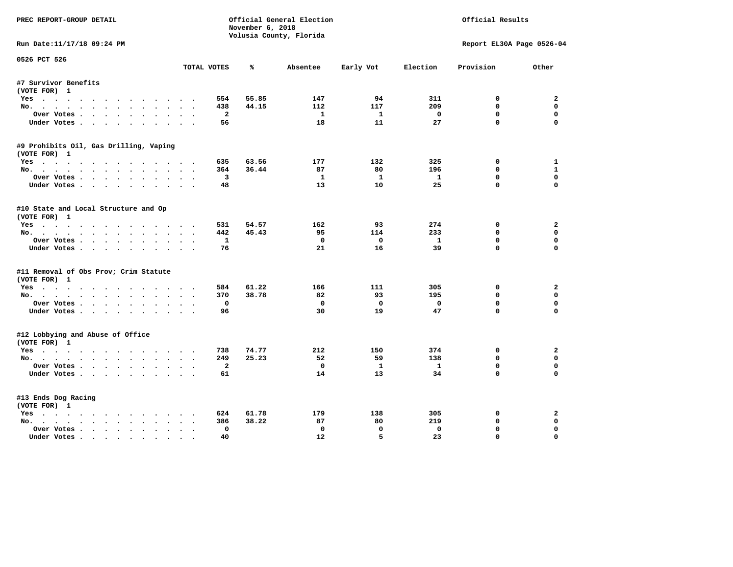| PREC REPORT-GROUP DETAIL                              |                         | November 6, 2018 | Official General Election<br>Volusia County, Florida |              | Official Results |             |                           |  |
|-------------------------------------------------------|-------------------------|------------------|------------------------------------------------------|--------------|------------------|-------------|---------------------------|--|
| Run Date:11/17/18 09:24 PM                            |                         |                  |                                                      |              |                  |             | Report EL30A Page 0526-04 |  |
| 0526 PCT 526                                          |                         | ℁                |                                                      |              | Election         |             | Other                     |  |
|                                                       | TOTAL VOTES             |                  | Absentee                                             | Early Vot    |                  | Provision   |                           |  |
| #7 Survivor Benefits<br>(VOTE FOR) 1                  |                         |                  |                                                      |              |                  |             |                           |  |
| Yes                                                   | 554                     | 55.85            | 147                                                  | 94           | 311              | 0           | $\mathbf{2}$              |  |
| No.                                                   | 438                     | 44.15            | 112                                                  | 117          | 209              | $\mathbf 0$ | $\mathbf 0$               |  |
| Over Votes                                            | $\mathbf{2}$            |                  | $\mathbf{1}$                                         | $\mathbf{1}$ | $\mathbf{o}$     | $\mathbf 0$ | 0                         |  |
| Under Votes                                           | 56                      |                  | 18                                                   | 11           | 27               | $\mathbf 0$ | $\mathbf 0$               |  |
|                                                       |                         |                  |                                                      |              |                  |             |                           |  |
| #9 Prohibits Oil, Gas Drilling, Vaping                |                         |                  |                                                      |              |                  |             |                           |  |
| (VOTE FOR) 1<br>Yes                                   | 635                     | 63.56            | 177                                                  | 132          | 325              | 0           | $\mathbf{1}$              |  |
|                                                       | 364                     | 36.44            | 87                                                   | 80           | 196              | $\mathbf 0$ | $\mathbf{1}$              |  |
| No.<br>Over Votes.                                    | $\overline{\mathbf{3}}$ |                  | $\mathbf{1}$                                         | $\mathbf{1}$ | $\mathbf{1}$     | $\mathbf 0$ | 0                         |  |
|                                                       | 48                      |                  | 13                                                   | 10           | 25               | $\mathbf 0$ | $\mathbf 0$               |  |
| Under Votes                                           |                         |                  |                                                      |              |                  |             |                           |  |
| #10 State and Local Structure and Op<br>(VOTE FOR) 1  |                         |                  |                                                      |              |                  |             |                           |  |
| Yes                                                   | 531                     | 54.57            | 162                                                  | 93           | 274              | $\mathbf 0$ | $\overline{a}$            |  |
| No.                                                   | 442                     | 45.43            | 95                                                   | 114          | 233              | $\mathbf 0$ | 0                         |  |
| Over Votes.                                           | $\mathbf{1}$            |                  | $\Omega$                                             | $\Omega$     | $\mathbf{1}$     | $\mathbf 0$ | 0                         |  |
| Under Votes                                           | 76                      |                  | 21                                                   | 16           | 39               | $\mathbf 0$ | $\mathbf 0$               |  |
| #11 Removal of Obs Prov; Crim Statute<br>(VOTE FOR) 1 |                         |                  |                                                      |              |                  |             |                           |  |
| Yes                                                   | 584                     | 61.22            | 166                                                  | 111          | 305              | 0           | $\overline{a}$            |  |
| No.                                                   | 370                     | 38.78            | 82                                                   | 93           | 195              | $\mathbf 0$ | 0                         |  |
| Over Votes                                            | 0                       |                  | $^{\circ}$                                           | $\mathbf{o}$ | $\mathbf 0$      | 0           | 0                         |  |
| Under Votes.                                          | 96                      |                  | 30                                                   | 19           | 47               | $\mathbf 0$ | $\mathbf 0$               |  |
|                                                       |                         |                  |                                                      |              |                  |             |                           |  |
| #12 Lobbying and Abuse of Office<br>(VOTE FOR) 1      |                         |                  |                                                      |              |                  |             |                           |  |
| Yes                                                   | 738                     | 74.77            | 212                                                  | 150          | 374              | 0           | $\overline{a}$            |  |
| No.                                                   | 249                     | 25.23            | 52                                                   | 59           | 138              | $\mathbf 0$ | 0                         |  |
| Over Votes                                            | $\overline{a}$          |                  | $\mathbf{o}$                                         | $\mathbf{1}$ | $\mathbf{1}$     | 0           | 0                         |  |
| Under Votes.                                          | 61                      |                  | 14                                                   | 13           | 34               | $\mathbf 0$ | $\mathbf 0$               |  |
|                                                       |                         |                  |                                                      |              |                  |             |                           |  |
| #13 Ends Dog Racing<br>(VOTE FOR) 1                   |                         |                  |                                                      |              |                  |             |                           |  |
| Yes                                                   | 624                     | 61.78            | 179                                                  | 138          | 305              | 0           | $\mathbf{2}$              |  |
| No.                                                   | 386                     | 38.22            | 87                                                   | 80           | 219              | $\mathbf 0$ | 0                         |  |
| Over Votes                                            | $\Omega$                |                  | $^{\circ}$                                           | $\mathbf 0$  | $\Omega$         | $\mathbf 0$ | $\mathbf 0$               |  |
| Under Votes                                           | 40<br>$\sim$            |                  | $12 \overline{ }$                                    | 5            | 23               | $\mathbf 0$ | 0                         |  |
|                                                       |                         |                  |                                                      |              |                  |             |                           |  |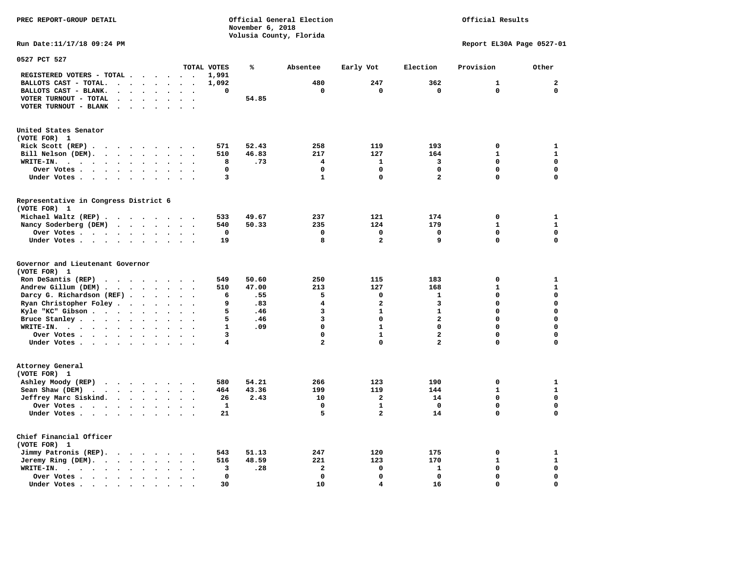**PREC REPORT-GROUP DETAIL COMPUTER CONSUMING A CONSUMING CONSUMING A LIGACION CONSUMING A LIGACION** *November 6, 2018 November 6, 2018*  **Volusia County, Florida Run Date:11/17/18 09:24 PM Report EL30A Page 0527-01** 

| 0527 PCT 527                                                                                                 |                                    |                      |                      |                      |                          |              |       |                         |                         |                         |              |              |
|--------------------------------------------------------------------------------------------------------------|------------------------------------|----------------------|----------------------|----------------------|--------------------------|--------------|-------|-------------------------|-------------------------|-------------------------|--------------|--------------|
|                                                                                                              |                                    |                      |                      |                      |                          | TOTAL VOTES  | ℁     | Absentee                | Early Vot               | Election                | Provision    | Other        |
| REGISTERED VOTERS - TOTAL .                                                                                  |                                    |                      |                      | $\ddot{\phantom{0}}$ |                          | 1,991        |       |                         |                         |                         |              |              |
| BALLOTS CAST - TOTAL.<br>$\ddot{\phantom{a}}$                                                                | $\ddot{\phantom{a}}$               | $\bullet$            | $\bullet$            | $\bullet$            | $\bullet$                | 1,092        |       | 480                     | 247                     | 362                     | 1            | $\mathbf 2$  |
| BALLOTS CAST - BLANK.<br>$\ddot{\phantom{a}}$                                                                |                                    |                      |                      | $\sim$               |                          | 0            |       | 0                       | 0                       | 0                       | $\mathbf 0$  | 0            |
| VOTER TURNOUT - TOTAL<br>$\ddot{\phantom{a}}$                                                                | $\ddot{\phantom{a}}$               | $\Delta$             | $\ddot{\phantom{a}}$ | $\sim$               | $\overline{\phantom{a}}$ |              | 54.85 |                         |                         |                         |              |              |
| VOTER TURNOUT - BLANK<br>$\bullet$                                                                           |                                    |                      |                      |                      |                          |              |       |                         |                         |                         |              |              |
| United States Senator<br>(VOTE FOR) 1                                                                        |                                    |                      |                      |                      |                          |              |       |                         |                         |                         |              |              |
| Rick Scott (REP).<br>$\cdots$                                                                                | $\sim$ $\sim$ $\sim$ $\sim$ $\sim$ |                      |                      |                      |                          | 571          | 52.43 | 258                     | 119                     | 193                     | 0            | $\mathbf{1}$ |
| Bill Nelson (DEM).<br>$\sim$ $\sim$ $\sim$ $\sim$ $\sim$<br>$\ddot{\phantom{a}}$                             |                                    |                      |                      | $\sim$               |                          | 510          | 46.83 | 217                     | 127                     | 164                     | $\mathbf{1}$ | ${\bf 1}$    |
| WRITE-IN.<br>$\sim$ $\sim$<br>$\ddot{\phantom{a}}$<br>$\ddot{\phantom{a}}$<br>$\sim$<br>$\ddot{\phantom{0}}$ | $\ddot{\phantom{a}}$               | $\bullet$            |                      |                      |                          | 8            | .73   | 4                       | $\mathbf{1}$            | 3                       | 0            | $\mathbf 0$  |
| Over Votes.<br>$\ddot{\phantom{1}}$<br>$\ddot{\phantom{0}}$<br>$\ddot{\phantom{a}}$                          | $\bullet$                          | $\bullet$            | $\bullet$            | $\bullet$            |                          | $\mathbf 0$  |       | $\mathbf 0$             | $\Omega$                | $\Omega$                | $\Omega$     | $\mathbf 0$  |
| Under Votes.<br>$\cdot$ $\cdot$ $\cdot$ $\cdot$                                                              | $\ddot{\phantom{0}}$               | $\ddot{\phantom{a}}$ | $\cdot$              | $\sim$               |                          | 3            |       | 1                       | $\mathbf 0$             | $\overline{a}$          | 0            | $\mathbf 0$  |
| Representative in Congress District 6                                                                        |                                    |                      |                      |                      |                          |              |       |                         |                         |                         |              |              |
| (VOTE FOR) 1                                                                                                 |                                    |                      |                      |                      |                          |              |       |                         |                         |                         |              |              |
| Michael Waltz (REP).<br>$\sim$ $\sim$                                                                        | $\cdots$                           |                      |                      |                      |                          | 533          | 49.67 | 237                     | 121                     | 174                     | $\mathbf 0$  | 1            |
| Nancy Soderberg (DEM)<br>$\cdot$ $\cdot$ $\cdot$                                                             |                                    | $\ddot{\phantom{0}}$ | $\cdot$              |                      |                          | 540          | 50.33 | 235                     | 124                     | 179                     | $\mathbf{1}$ | $\mathbf{1}$ |
| Over Votes.<br>$\cdots$                                                                                      | $\bullet$                          | $\bullet$            | $\bullet$            | $\ddot{\phantom{0}}$ | $\ddot{\phantom{0}}$     | 0            |       | 0                       | $\mathbf 0$             | 0                       | $\mathbf 0$  | 0            |
| Under Votes                                                                                                  |                                    | $\sim$ $\sim$        |                      | $\sim$               |                          | 19           |       | 8                       | $\overline{\mathbf{c}}$ | 9                       | 0            | $\mathbf 0$  |
| Governor and Lieutenant Governor<br>(VOTE FOR) 1                                                             |                                    |                      |                      |                      |                          |              |       |                         |                         |                         |              |              |
| Ron DeSantis (REP)<br>.                                                                                      |                                    |                      |                      |                      |                          | 549          | 50.60 | 250                     | 115                     | 183                     | 0            | 1            |
| Andrew Gillum (DEM) .<br>$\ddot{\phantom{a}}$<br>$\ddot{\phantom{a}}$                                        | $\ddot{\phantom{a}}$               | $\sim$ $\sim$        |                      | $\sim$               |                          | 510          | 47.00 | 213                     | 127                     | 168                     | $\mathbf{1}$ | ${\bf 1}$    |
| Darcy G. Richardson (REF).                                                                                   | $\cdots$                           |                      |                      | $\sim$               |                          | 6            | .55   | 5                       | 0                       | 1                       | 0            | $\mathbf 0$  |
| Ryan Christopher Foley.<br>$\bullet$                                                                         | $\bullet$                          |                      | $\bullet$            |                      |                          | 9            | .83   | $\overline{\mathbf{4}}$ | $\overline{a}$          | 3                       | $\Omega$     | $\mathbf 0$  |
| Kyle "KC" Gibson                                                                                             | $\bullet$                          |                      |                      |                      |                          | 5            | .46   | 3                       | $\mathbf{1}$            | $\mathbf{1}$            | 0            | $\mathbf 0$  |
| Bruce Stanley                                                                                                | $\ddot{\phantom{0}}$               | $\bullet$            | $\bullet$            | $\ddot{\phantom{a}}$ |                          | 5            | .46   | 3                       | 0                       | $\overline{\mathbf{2}}$ | 0            | $\mathbf 0$  |
| WRITE-IN.<br>$\cdot$                                                                                         | $\bullet$                          |                      |                      |                      |                          | $\mathbf{1}$ | .09   | 0                       | $\mathbf{1}$            | 0                       | 0            | 0            |
| Over Votes .<br>$\cdot$ $\cdot$ $\cdot$ $\cdot$                                                              | $\bullet$                          | $\bullet$            |                      |                      |                          | 3            |       | 0                       | $\mathbf{1}$            | $\mathbf{2}$            | 0            | $\mathbf 0$  |
| Under Votes                                                                                                  | $\ddot{\phantom{0}}$               | $\bullet$            | $\bullet$            | $\bullet$            | $\overline{\phantom{a}}$ | 4            |       | $\mathbf{z}$            | 0                       | $\mathbf{z}$            | 0            | $\mathbf 0$  |
| Attorney General<br>(VOTE FOR) 1                                                                             |                                    |                      |                      |                      |                          |              |       |                         |                         |                         |              |              |
| Ashley Moody (REP)<br>$\cdot$ $\cdot$ $\cdot$ $\cdot$ $\cdot$ $\cdot$                                        |                                    |                      |                      | $\sim$               |                          | 580          | 54.21 | 266                     | 123                     | 190                     | 0            | 1            |
| Sean Shaw (DEM)<br><b>Contract Contract Contract</b>                                                         | $\bullet$                          | $\ddot{\phantom{0}}$ | $\bullet$            | $\bullet$            | $\bullet$                | 464          | 43.36 | 199                     | 119                     | 144                     | $\mathbf{1}$ | $\mathbf{1}$ |
| Jeffrey Marc Siskind.<br>$\sim$ $\sim$                                                                       | $\bullet$                          | $\bullet$            |                      |                      |                          | 26           | 2.43  | 10                      | 2                       | 14                      | $\Omega$     | $\mathbf 0$  |
| Over Votes                                                                                                   | $\ddot{\phantom{0}}$               | $\bullet$            | $\bullet$            | $\ddot{\phantom{0}}$ |                          | $\mathbf{1}$ |       | $\mathbf 0$             | $\mathbf{1}$            | $\mathbf{0}$            | $\mathbf 0$  | $\mathbf 0$  |
| Under Votes                                                                                                  |                                    | $\ddot{\phantom{0}}$ | $\ddot{\phantom{a}}$ |                      |                          | 21           |       | 5                       | $\mathbf{z}$            | 14                      | 0            | $\mathbf 0$  |
| Chief Financial Officer<br>(VOTE FOR) 1                                                                      |                                    |                      |                      |                      |                          |              |       |                         |                         |                         |              |              |
| Jimmy Patronis (REP).<br>$\mathbf{r}$ , and $\mathbf{r}$ , and $\mathbf{r}$                                  |                                    |                      | $\sim$               |                      |                          | 543          | 51.13 | 247                     | 120                     | 175                     | 0            | 1            |
| Jeremy Ring (DEM).<br>$\sim$ $\sim$<br>$\ddot{\phantom{a}}$                                                  | $\bullet$                          | $\ddot{\phantom{a}}$ |                      |                      |                          | 516          | 48.59 | 221                     | 123                     | 170                     | $\mathbf{1}$ | ${\bf 1}$    |
| WRITE-IN.<br>$\sim$ $\sim$<br>$\cdots$ $\cdots$<br>$\cdot$                                                   | $\ddot{\phantom{a}}$               | $\ddot{\phantom{a}}$ |                      |                      |                          | 3            | .28   | $\overline{\mathbf{2}}$ | $\mathbf 0$             | $\mathbf{1}$            | 0            | $\mathbf 0$  |
| Over Votes .<br>$\cdots$<br>$\ddot{\phantom{a}}$                                                             | $\bullet$                          |                      |                      |                      |                          | $\mathbf{0}$ |       | $\mathbf 0$             | $\mathbf 0$             | $\mathbf{0}$            | 0            | $\mathbf 0$  |
| Under Votes                                                                                                  | $\ddot{\phantom{a}}$               |                      |                      |                      |                          | 30           |       | 10                      | 4                       | 16                      | 0            | $\mathbf 0$  |
|                                                                                                              |                                    |                      |                      |                      |                          |              |       |                         |                         |                         |              |              |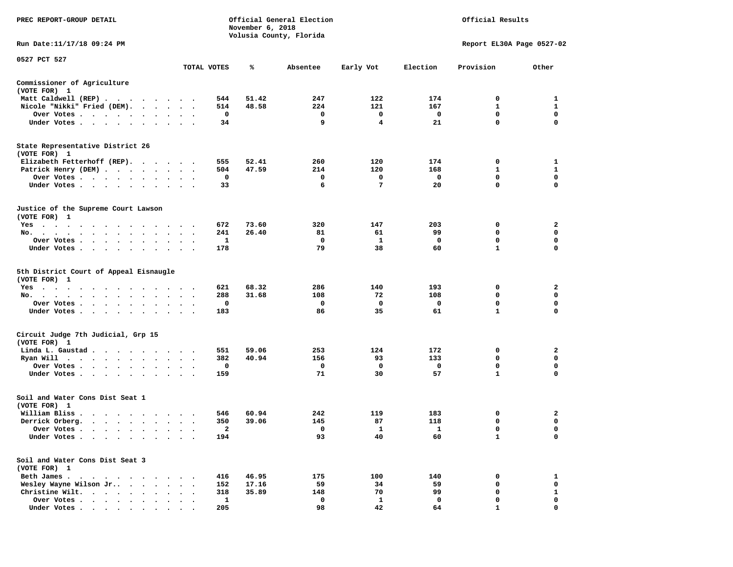| PREC REPORT-GROUP DETAIL                                                                                                                                                                                                                                 |                                              |              | November 6, 2018 | Official General Election<br>Volusia County, Florida | Official Results |          |                           |             |  |
|----------------------------------------------------------------------------------------------------------------------------------------------------------------------------------------------------------------------------------------------------------|----------------------------------------------|--------------|------------------|------------------------------------------------------|------------------|----------|---------------------------|-------------|--|
| Run Date:11/17/18 09:24 PM                                                                                                                                                                                                                               |                                              |              |                  |                                                      |                  |          | Report EL30A Page 0527-02 |             |  |
| 0527 PCT 527                                                                                                                                                                                                                                             |                                              | TOTAL VOTES  | ℁                | Absentee                                             | Early Vot        | Election | Provision                 | Other       |  |
| Commissioner of Agriculture                                                                                                                                                                                                                              |                                              |              |                  |                                                      |                  |          |                           |             |  |
| (VOTE FOR) 1                                                                                                                                                                                                                                             |                                              |              |                  |                                                      |                  |          |                           |             |  |
| Matt Caldwell (REP)                                                                                                                                                                                                                                      |                                              | 544          | 51.42            | 247                                                  | 122              | 174      | 0                         | 1           |  |
| Nicole "Nikki" Fried (DEM).                                                                                                                                                                                                                              |                                              | 514          | 48.58            | 224                                                  | 121              | 167      | 1                         | 1           |  |
| Over Votes<br>$\sim$ $\sim$                                                                                                                                                                                                                              | $\bullet$<br>$\bullet$                       | 0            |                  | 0                                                    | 0                | 0        | 0                         | $\mathbf 0$ |  |
| Under Votes<br>$\ddot{\phantom{1}}$                                                                                                                                                                                                                      |                                              | 34           |                  | 9                                                    | 4                | 21       | 0                         | 0           |  |
| State Representative District 26<br>(VOTE FOR) 1                                                                                                                                                                                                         |                                              |              |                  |                                                      |                  |          |                           |             |  |
| Elizabeth Fetterhoff (REP).                                                                                                                                                                                                                              |                                              | 555          | 52.41            | 260                                                  | 120              | 174      | 0                         | 1           |  |
| Patrick Henry (DEM)                                                                                                                                                                                                                                      |                                              | 504          | 47.59            | 214                                                  | 120              | 168      | 1                         | 1           |  |
| Over Votes                                                                                                                                                                                                                                               |                                              | 0            |                  | 0                                                    | 0                | 0        | 0                         | 0           |  |
| Under Votes<br>$\cdot$ .                                                                                                                                                                                                                                 |                                              | 33           |                  | 6                                                    | 7                | 20       | 0                         | $\mathbf 0$ |  |
| Justice of the Supreme Court Lawson<br>(VOTE FOR) 1                                                                                                                                                                                                      |                                              |              |                  |                                                      |                  |          |                           |             |  |
| $Yes \cdot \cdot \cdot$<br>the company of the company of the company of the company of the company of the company of the company of the company of the company of the company of the company of the company of the company of the company of the company |                                              | 672          | 73.60            | 320                                                  | 147              | 203      | 0                         | 2           |  |
| No.<br>$\cdot$ $\cdot$ $\cdot$ $\cdot$                                                                                                                                                                                                                   |                                              | 241          | 26.40            | 81                                                   | 61               | 99       | 0                         | 0           |  |
| Over Votes .<br>$\cdots$<br>$\cdot$                                                                                                                                                                                                                      |                                              | 1            |                  | 0                                                    | 1                | 0        | $\mathbf 0$               | 0           |  |
| Under Votes<br>$\ddot{\phantom{0}}$                                                                                                                                                                                                                      | $\bullet$<br>$\ddot{\phantom{0}}$            | 178          |                  | 79                                                   | 38               | 60       | $\mathbf{1}$              | 0           |  |
| 5th District Court of Appeal Eisnaugle<br>(VOTE FOR) 1                                                                                                                                                                                                   |                                              |              |                  |                                                      |                  |          |                           |             |  |
| $Yes \cdot \cdot \cdot$<br>$\cdots$<br>$\sim$ $\sim$<br>$\overline{\phantom{a}}$<br>$\sim$ $\sim$                                                                                                                                                        | $\cdots$                                     | 621          | 68.32            | 286                                                  | 140              | 193      | 0                         | 2           |  |
| No.<br>$\ddot{\phantom{0}}$                                                                                                                                                                                                                              |                                              | 288          | 31.68            | 108                                                  | 72               | 108      | 0                         | $\mathbf 0$ |  |
| Over Votes                                                                                                                                                                                                                                               | $\bullet$                                    | 0            |                  | 0                                                    | 0                | 0        | 0                         | 0           |  |
| Under Votes<br>$\cdot$<br>$\bullet$                                                                                                                                                                                                                      |                                              | 183          |                  | 86                                                   | 35               | 61       | 1                         | 0           |  |
| Circuit Judge 7th Judicial, Grp 15<br>(VOTE FOR) 1                                                                                                                                                                                                       |                                              |              |                  |                                                      |                  |          |                           |             |  |
| Linda L. Gaustad                                                                                                                                                                                                                                         | $\cdot$ $\cdot$                              | 551          | 59.06            | 253                                                  | 124              | 172      | 0                         | 2           |  |
| Ryan Will<br>$\cdots$<br>$\ddot{\phantom{0}}$                                                                                                                                                                                                            | $\cdot$<br>$\cdot$                           | 382          | 40.94            | 156                                                  | 93               | 133      | 0                         | 0           |  |
| Over Votes<br>$\ddot{\phantom{1}}$                                                                                                                                                                                                                       |                                              | 0            |                  | 0                                                    | 0                | 0        | 0                         | 0           |  |
| Under Votes                                                                                                                                                                                                                                              |                                              | 159          |                  | 71                                                   | 30               | 57       | $\mathbf{1}$              | $\mathbf 0$ |  |
| Soil and Water Cons Dist Seat 1<br>(VOTE FOR) 1                                                                                                                                                                                                          |                                              |              |                  |                                                      |                  |          |                           |             |  |
| William Bliss.<br>$\cdot$ $\cdot$ $\cdot$ $\cdot$ $\cdot$ $\cdot$ $\cdot$ $\cdot$                                                                                                                                                                        |                                              | 546          | 60.94            | 242                                                  | 119              | 183      | 0                         | 2           |  |
| Derrick Orberg.                                                                                                                                                                                                                                          | $\ddot{\phantom{a}}$<br>$\ddot{\phantom{0}}$ | 350          | 39.06            | 145                                                  | 87               | 118      | 0                         | 0           |  |
| Over Votes .<br>$\cdots$                                                                                                                                                                                                                                 |                                              | $\mathbf{2}$ |                  | 0                                                    | 1                | 1        | 0                         | $\mathbf 0$ |  |
| Under Votes                                                                                                                                                                                                                                              |                                              | 194          |                  | 93                                                   | 40               | 60       | 1                         | 0           |  |
| Soil and Water Cons Dist Seat 3<br>(VOTE FOR) 1                                                                                                                                                                                                          |                                              |              |                  |                                                      |                  |          |                           |             |  |
| Beth James                                                                                                                                                                                                                                               |                                              | 416          | 46.95            | 175                                                  | 100              | 140      | 0                         | 1           |  |
| Wesley Wayne Wilson Jr<br>$\cdot$ $\cdot$                                                                                                                                                                                                                |                                              | 152          | 17.16            | 59                                                   | 34               | 59       | 0                         | 0           |  |
| Christine Wilt.<br>$\cdot$ $\cdot$ $\cdot$ $\cdot$ $\cdot$                                                                                                                                                                                               |                                              | 318          | 35.89            | 148                                                  | 70               | 99       | 0                         | 1           |  |
| Over Votes                                                                                                                                                                                                                                               |                                              | 1            |                  | 0                                                    | 1                | 0        | 0                         | 0           |  |
| Under Votes                                                                                                                                                                                                                                              |                                              | 205          |                  | 98                                                   | 42               | 64       | -1                        | $\mathbf 0$ |  |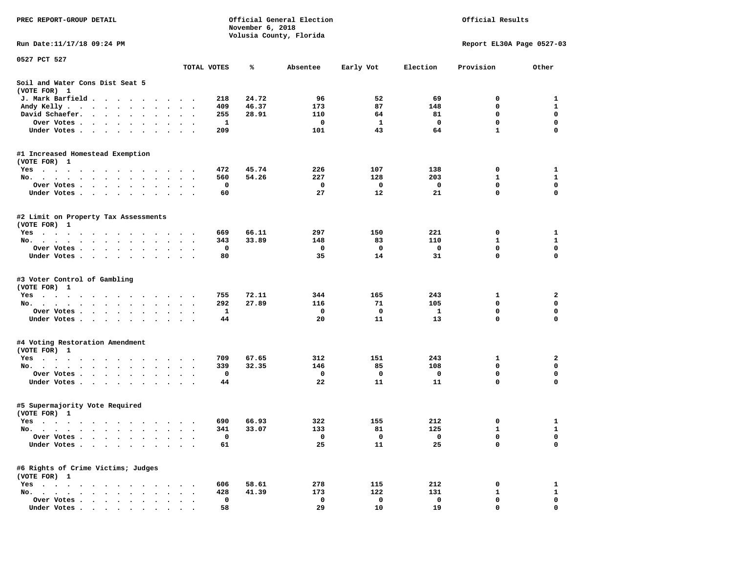| PREC REPORT-GROUP DETAIL                                                                   |                      | November 6, 2018                        | Official General Election | Official Results<br>Report EL30A Page 0527-03 |                                  |                            |                            |
|--------------------------------------------------------------------------------------------|----------------------|-----------------------------------------|---------------------------|-----------------------------------------------|----------------------------------|----------------------------|----------------------------|
| Run Date: 11/17/18 09:24 PM                                                                |                      |                                         | Volusia County, Florida   |                                               |                                  |                            |                            |
| 0527 PCT 527                                                                               |                      |                                         |                           |                                               |                                  |                            |                            |
|                                                                                            | TOTAL VOTES          | ℁                                       | Absentee                  | Early Vot                                     | Election                         | Provision                  | Other                      |
| Soil and Water Cons Dist Seat 5<br>(VOTE FOR) 1                                            |                      |                                         |                           |                                               |                                  |                            |                            |
| J. Mark Barfield                                                                           |                      | 24.72<br>218                            | 96                        | 52                                            | 69                               | 0                          | 1                          |
| Andy Kelly<br>$\bullet$                                                                    | $\ddotsc$            | 46.37<br>409                            | 173                       | 87                                            | 148                              | 0                          | $\mathbf{1}$               |
| David Schaefer.<br>$\cdot$ $\cdot$ $\cdot$ $\cdot$ $\cdot$ $\cdot$<br>$\ddot{\phantom{0}}$ |                      | 255<br>28.91                            | 110                       | 64                                            | 81                               | 0                          | 0                          |
| Over Votes                                                                                 |                      | 1                                       | 0                         | 1                                             | 0                                | $\mathbf 0$                | $\mathbf 0$                |
| Under Votes.                                                                               |                      | 209                                     | 101                       | 43                                            | 64                               | $\mathbf{1}$               | $\mathbf 0$                |
| #1 Increased Homestead Exemption<br>(VOTE FOR) 1                                           |                      |                                         |                           |                                               |                                  |                            |                            |
| Yes                                                                                        |                      | 472<br>45.74                            | 226                       | 107                                           | 138                              | 0                          | 1                          |
| No.                                                                                        | $\cdot$ .            | 560<br>54.26                            | 227                       | 128                                           | 203                              | 1                          | $\mathbf{1}$               |
| Over Votes<br>$\bullet$                                                                    |                      | 0                                       | 0                         | 0                                             | 0                                | 0                          | $\mathbf 0$                |
| Under Votes                                                                                |                      | 60                                      | 27                        | 12                                            | 21                               | 0                          | $\mathbf 0$                |
| #2 Limit on Property Tax Assessments                                                       |                      |                                         |                           |                                               |                                  |                            |                            |
| (VOTE FOR) 1<br>Yes                                                                        |                      | 66.11<br>669                            | 297                       | 150                                           | 221                              | 0                          | 1                          |
| No.                                                                                        |                      | 33.89<br>343                            | 148                       | 83                                            | 110                              | $\mathbf{1}$               | $\mathbf{1}$               |
| Over Votes<br>$\sim$                                                                       | $\ddot{\phantom{1}}$ | 0                                       | 0                         | 0                                             | 0                                | 0                          | 0                          |
| Under Votes                                                                                |                      | 80                                      | 35                        | 14                                            | 31                               | 0                          | 0                          |
| #3 Voter Control of Gambling<br>(VOTE FOR) 1<br>Yes<br>No.<br>Over Votes<br>Under Votes    | $\sim$ $\sim$        | 72.11<br>755<br>292<br>27.89<br>1<br>44 | 344<br>116<br>0<br>20     | 165<br>71<br>$\mathbf 0$<br>11                | 243<br>105<br>$\mathbf{1}$<br>13 | 1<br>0<br>$\mathbf 0$<br>0 | 2<br>0<br>$\mathbf 0$<br>0 |
| #4 Voting Restoration Amendment<br>(VOTE FOR) 1                                            |                      |                                         |                           |                                               |                                  |                            |                            |
| Yes                                                                                        |                      | 709<br>67.65                            | 312                       | 151                                           | 243                              | 1                          | 2                          |
| No.                                                                                        |                      | 339<br>32.35                            | 146                       | 85                                            | 108                              | 0                          | 0                          |
| Over Votes                                                                                 | $\bullet$            | 0                                       | 0                         | 0                                             | 0                                | 0                          | $\mathbf 0$                |
| Under Votes                                                                                |                      | 44                                      | 22                        | 11                                            | 11                               | 0                          | $\mathbf 0$                |
| #5 Supermajority Vote Required<br>(VOTE FOR) 1                                             |                      |                                         |                           |                                               |                                  |                            |                            |
| Yes                                                                                        |                      | 66.93<br>690                            | 322                       | 155                                           | 212                              | 0                          | $\mathbf{1}$               |
| No.                                                                                        |                      | 33.07<br>341                            | 133                       | 81                                            | 125                              | $\mathbf{1}$               | 1                          |
| Over Votes                                                                                 |                      | 0                                       | 0                         | 0                                             | 0                                | 0                          | 0                          |
| Under Votes<br>$\bullet$                                                                   |                      | 61                                      | 25                        | 11                                            | 25                               | 0                          | 0                          |
| #6 Rights of Crime Victims; Judges<br>(VOTE FOR) 1                                         |                      |                                         |                           |                                               |                                  |                            |                            |
| $Yes \cdot \cdot \cdot \cdot \cdot \cdot \cdot$                                            |                      | 58.61<br>606                            | 278                       | 115                                           | 212                              | 0                          | 1                          |
| $No.$ $\cdot$ $\cdot$ $\cdot$<br>$\sim$<br>$\sim$<br>$\sim$                                |                      | 428<br>41.39                            | 173                       | 122                                           | 131                              | 1                          | $\mathbf{1}$               |
| Over Votes.<br>$\cdot$ $\cdot$ $\cdot$ $\cdot$<br>$\cdot$                                  |                      | 0                                       | 0                         | 0                                             | 0                                | 0                          | 0                          |
| Under Votes.<br>$\sim$ $\sim$ $\sim$ $\sim$ $\sim$<br>$\bullet$                            |                      | 58                                      | 29                        | 10                                            | 19                               | 0                          | 0                          |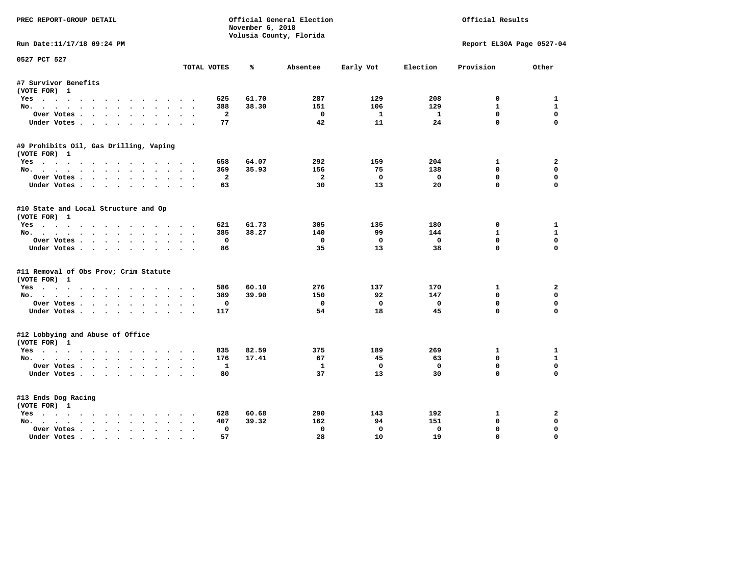| PREC REPORT-GROUP DETAIL<br>Official General Election<br>November 6, 2018 |                                     |       |                         |              |              | Official Results          |              |
|---------------------------------------------------------------------------|-------------------------------------|-------|-------------------------|--------------|--------------|---------------------------|--------------|
|                                                                           |                                     |       | Volusia County, Florida |              |              |                           |              |
| Run Date:11/17/18 09:24 PM                                                |                                     |       |                         |              |              | Report EL30A Page 0527-04 |              |
| 0527 PCT 527                                                              | TOTAL VOTES                         | ℁     | Absentee                | Early Vot    | Election     | Provision                 | Other        |
| #7 Survivor Benefits                                                      |                                     |       |                         |              |              |                           |              |
| (VOTE FOR) 1                                                              |                                     |       |                         |              |              |                           |              |
| Yes                                                                       | 625                                 | 61.70 | 287                     | 129          | 208          | 0                         | 1            |
| No.                                                                       | 388                                 | 38.30 | 151                     | 106          | 129          | $\mathbf{1}$              | $\mathbf{1}$ |
| Over Votes                                                                | $\overline{a}$                      |       | $^{\circ}$              | <b>1</b>     | $\mathbf{1}$ | $\Omega$                  | $\mathbf 0$  |
| Under Votes                                                               | 77                                  |       | 42                      | 11           | 24           | $\Omega$                  | $\Omega$     |
| #9 Prohibits Oil, Gas Drilling, Vaping                                    |                                     |       |                         |              |              |                           |              |
| (VOTE FOR) 1                                                              |                                     |       |                         |              |              |                           |              |
| Yes                                                                       | 658                                 | 64.07 | 292                     | 159          | 204          | 1                         | $\mathbf{2}$ |
| No.                                                                       | 369                                 | 35.93 | 156                     | 75           | 138          | $\Omega$                  | $\mathbf 0$  |
| Over Votes                                                                | $\overline{a}$                      |       | $\overline{a}$          | $\Omega$     | $\mathbf 0$  | $\mathbf 0$               | 0            |
| Under Votes                                                               | 63                                  |       | 30                      | 13           | 20           | $\Omega$                  | $\Omega$     |
| #10 State and Local Structure and Op                                      |                                     |       |                         |              |              |                           |              |
| (VOTE FOR) 1                                                              |                                     |       |                         |              |              |                           |              |
| Yes                                                                       | 621                                 | 61.73 | 305                     | 135          | 180          | 0                         | 1            |
| No.                                                                       | 385                                 | 38.27 | 140                     | 99           | 144          | $\mathbf{1}$              | $\mathbf{1}$ |
| Over Votes                                                                | $\mathbf 0$                         |       | $\mathbf{0}$            | $\Omega$     | $\mathbf 0$  | $\mathbf{0}$              | 0            |
| Under Votes                                                               | 86                                  |       | 35                      | 13           | 38           | $\Omega$                  | $\Omega$     |
| #11 Removal of Obs Prov; Crim Statute                                     |                                     |       |                         |              |              |                           |              |
| (VOTE FOR) 1                                                              |                                     |       |                         |              |              |                           |              |
| Yes                                                                       | 586                                 | 60.10 | 276                     | 137          | 170          | 1                         | $\mathbf{2}$ |
| No.                                                                       | 389                                 | 39.90 | 150                     | 92           | 147          | $\mathbf{0}$              | 0            |
| Over Votes                                                                | $\mathbf{o}$                        |       | $\mathbf 0$             | $\mathbf 0$  | $\mathbf 0$  | $\mathbf 0$               | $\mathbf 0$  |
| Under Votes.                                                              | 117                                 |       | 54                      | 18           | 45           | $\Omega$                  | $\Omega$     |
| #12 Lobbying and Abuse of Office                                          |                                     |       |                         |              |              |                           |              |
| (VOTE FOR) 1                                                              |                                     |       |                         |              |              |                           |              |
| Yes                                                                       | 835                                 | 82.59 | 375                     | 189          | 269          | 1                         | 1            |
| No.                                                                       | 176                                 | 17.41 | 67                      | 45           | 63           | $\mathbf{0}$              | $\mathbf{1}$ |
| Over Votes                                                                | $\mathbf{1}$                        |       | $\mathbf{1}$            | $\mathbf{o}$ | $\mathbf 0$  | $\mathbf 0$               | $\mathbf 0$  |
| Under Votes                                                               | 80                                  |       | 37                      | 13           | 30           | $\Omega$                  | $\Omega$     |
| #13 Ends Dog Racing                                                       |                                     |       |                         |              |              |                           |              |
| (VOTE FOR) 1                                                              |                                     |       |                         |              |              |                           |              |
| Yes                                                                       | 628                                 | 60.68 | 290                     | 143          | 192          | 1                         | $\mathbf{2}$ |
| No.                                                                       | 407                                 | 39.32 | 162                     | 94           | 151          | $\mathbf{0}$              | 0            |
| Over Votes .<br>$\cdots$                                                  | $\mathbf 0$<br>$\ddot{\phantom{a}}$ |       | $\mathbf{0}$            | $\mathbf{0}$ | $\mathbf 0$  | $\mathbf{0}$              | $\Omega$     |
| Under Votes                                                               | 57                                  |       | 28                      | 10           | 19           | $\mathbf{0}$              | $\mathbf 0$  |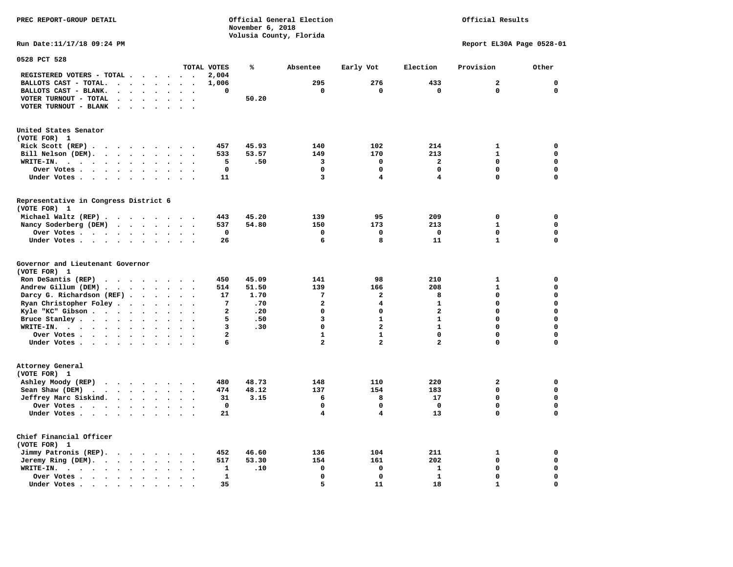## Official Results

**Run Date:11/17/18 09:24 PM Report EL30A Page 0528-01** 

| 0528 PCT 528                                                                                                      |                                   |                                              |                         |       |                |                         |                         |                         |              |
|-------------------------------------------------------------------------------------------------------------------|-----------------------------------|----------------------------------------------|-------------------------|-------|----------------|-------------------------|-------------------------|-------------------------|--------------|
|                                                                                                                   |                                   |                                              | TOTAL VOTES             | ℁     | Absentee       | Early Vot               | Election                | Provision               | Other        |
| REGISTERED VOTERS - TOTAL .<br>$\overline{\phantom{a}}$                                                           | $\ddot{\phantom{a}}$              | $\sim$                                       | 2,004                   |       |                |                         |                         |                         |              |
| BALLOTS CAST - TOTAL.<br>$\cdot$<br>$\ddot{\phantom{a}}$<br>$\sim$                                                | $\ddot{\phantom{a}}$              |                                              | 1,006                   |       | 295            | 276                     | 433                     | $\overline{a}$          | $\mathbf 0$  |
| BALLOTS CAST - BLANK.<br>$\bullet$<br>$\ddot{\phantom{a}}$                                                        | $\ddot{\phantom{a}}$<br>$\bullet$ | $\ddot{\phantom{a}}$<br>$\ddot{\phantom{a}}$ | 0                       |       | $\mathbf 0$    | $\mathbf 0$             | $\mathbf 0$             | 0                       | $\mathbf{0}$ |
| VOTER TURNOUT - TOTAL<br>$\ddot{\phantom{1}}$<br>$\ddot{\phantom{a}}$                                             |                                   |                                              |                         | 50.20 |                |                         |                         |                         |              |
| VOTER TURNOUT - BLANK<br>$\ddot{\phantom{a}}$                                                                     |                                   |                                              |                         |       |                |                         |                         |                         |              |
|                                                                                                                   |                                   |                                              |                         |       |                |                         |                         |                         |              |
|                                                                                                                   |                                   |                                              |                         |       |                |                         |                         |                         |              |
| United States Senator                                                                                             |                                   |                                              |                         |       |                |                         |                         |                         |              |
| (VOTE FOR) 1                                                                                                      |                                   |                                              |                         |       |                |                         |                         |                         |              |
| Rick Scott (REP).<br>$\cdot$<br>$\ddot{\phantom{1}}$<br>$\sim$<br>$\cdot$                                         | $\ddot{\phantom{1}}$              |                                              | 457                     | 45.93 | 140            | 102                     | 214                     | $\mathbf{1}$            | 0            |
| Bill Nelson (DEM).<br>$\mathbf{r}$ , $\mathbf{r}$ , $\mathbf{r}$ , $\mathbf{r}$                                   | $\sim$<br>$\ddot{\phantom{1}}$    | $\ddot{\phantom{a}}$                         | 533                     | 53.57 | 149            | 170                     | 213                     | $\mathbf{1}$            | $\mathbf 0$  |
| WRITE-IN.<br>$\sim$ $\sim$ $\sim$ $\sim$<br>$\bullet$ .<br>$\sim$ $\sim$ $\sim$<br>$\bullet$                      |                                   |                                              | 5                       | .50   | 3              | $\Omega$                | $\mathbf{z}$            | 0                       | $\mathbf 0$  |
| Over Votes .<br>$\cdots$<br>$\bullet$<br>$\ddot{\phantom{a}}$                                                     |                                   |                                              | $\mathbf 0$             |       | $\mathbf 0$    | $\mathbf 0$             | 0                       | 0                       | $\mathbf 0$  |
| Under Votes                                                                                                       | $\bullet$<br>$\bullet$            | $\ddot{\phantom{0}}$                         | 11                      |       | 3              | 4                       | 4                       | 0                       | $\mathbf 0$  |
|                                                                                                                   |                                   |                                              |                         |       |                |                         |                         |                         |              |
| Representative in Congress District 6                                                                             |                                   |                                              |                         |       |                |                         |                         |                         |              |
| (VOTE FOR) 1                                                                                                      |                                   |                                              |                         |       |                |                         |                         |                         |              |
| Michael Waltz (REP).<br>.                                                                                         |                                   |                                              | 443                     | 45.20 | 139            | 95                      | 209                     | $\mathbf 0$             | 0            |
| Nancy Soderberg (DEM)<br><b>Contract Contract Contract</b>                                                        | $\sim$<br>$\bullet$               | $\ddot{\phantom{0}}$<br>$\bullet$            | 537                     | 54.80 | 150            | 173                     | 213                     | $\mathbf{1}$            | $\mathbf 0$  |
| Over Votes .<br>$\ddot{\phantom{a}}$                                                                              | $\bullet$                         |                                              | 0                       |       | $\mathbf 0$    | 0                       | $\Omega$                | 0                       | 0            |
| Under Votes<br>$\ddot{\phantom{a}}$                                                                               |                                   |                                              | 26                      |       | 6              | 8                       | 11                      | $\mathbf{1}$            | $\mathbf 0$  |
| Governor and Lieutenant Governor<br>(VOTE FOR) 1<br>Ron DeSantis (REP)<br>$\ddot{\phantom{a}}$<br>$\cdot$ $\cdot$ | $\sim$                            |                                              | 450                     | 45.09 | 141            | 98                      | 210                     | $\mathbf{1}$            | $\mathbf 0$  |
| Andrew Gillum (DEM)                                                                                               |                                   |                                              | 514                     | 51.50 | 139            | 166                     | 208                     | $\mathbf{1}$            | $\mathbf 0$  |
| Darcy G. Richardson (REF).<br>$\bullet$                                                                           | $\bullet$                         |                                              | 17                      | 1.70  | 7              | $\mathbf{2}$            | 8                       | 0                       | $\mathbf 0$  |
| Ryan Christopher Foley.<br>$\sim$<br>$\bullet$                                                                    |                                   |                                              | 7                       | .70   | $\overline{a}$ | 4                       | $\mathbf{1}$            | $\mathbf 0$             | $\mathbf 0$  |
| Kyle "KC" Gibson<br>$\ddot{\phantom{1}}$<br>$\bullet$                                                             | $\bullet$                         | $\bullet$                                    | 2                       | .20   | $\mathbf 0$    | $\mathbf 0$             | $\mathbf{z}$            | 0                       | $\mathbf 0$  |
| Bruce Stanley<br>$\bullet$                                                                                        |                                   |                                              | 5                       | .50   | 3              | $\mathbf{1}$            | $\mathbf{1}$            | 0                       | $\mathbf 0$  |
| WRITE-IN.<br>$\cdots$<br>$\bullet$                                                                                |                                   |                                              | 3                       | .30   | $\Omega$       | $\overline{\mathbf{2}}$ | $\mathbf{1}$            | $\mathbf 0$             | $\mathbf 0$  |
| Over Votes .<br>$\cdot$<br>$\bullet$                                                                              | $\bullet$                         | $\bullet$<br>$\ddot{\phantom{a}}$            | $\overline{\mathbf{2}}$ |       | $\mathbf{1}$   | $\mathbf{1}$            | 0                       | 0                       | $\mathbf 0$  |
| Under Votes                                                                                                       | $\sim$                            | $\sim$                                       | 6                       |       | $\overline{a}$ | $\overline{\mathbf{2}}$ | $\overline{\mathbf{2}}$ | 0                       | $\mathbf 0$  |
|                                                                                                                   |                                   |                                              |                         |       |                |                         |                         |                         |              |
| Attorney General<br>(VOTE FOR) 1                                                                                  |                                   |                                              |                         |       |                |                         |                         |                         |              |
| Ashley Moody (REP)                                                                                                |                                   |                                              | 480                     | 48.73 | 148            | 110                     | 220                     | $\overline{\mathbf{2}}$ | $\mathbf 0$  |
| Sean Shaw (DEM)<br>$\cdots$                                                                                       | $\bullet$<br>$\ddot{\phantom{a}}$ |                                              | 474                     | 48.12 | 137            | 154                     | 183                     | 0                       | $\mathbf 0$  |
| Jeffrey Marc Siskind.                                                                                             | $\ddot{\phantom{a}}$<br>$\bullet$ | $\sim$                                       | 31                      | 3.15  | 6              | 8                       | 17                      | 0                       | $\mathbf 0$  |
| Over Votes .<br>$\cdots$<br>$\bullet$                                                                             |                                   |                                              | $\mathbf 0$             |       | $\mathbf 0$    | $\mathbf 0$             | $\mathbf 0$             | 0                       | $\mathbf 0$  |
| Under Votes<br>$\ddot{\phantom{a}}$                                                                               |                                   |                                              | 21                      |       | 4              | $\overline{\mathbf{4}}$ | 13                      | 0                       | 0            |
| Chief Financial Officer<br>(VOTE FOR) 1                                                                           |                                   |                                              |                         |       |                |                         |                         |                         |              |
| Jimmy Patronis (REP).<br>$\sim$ $\sim$<br>$\sim$ $\sim$                                                           | $\ddot{\phantom{a}}$              |                                              | 452                     | 46.60 | 136            | 104                     | 211                     | 1                       | 0            |
| Jeremy Ring (DEM).<br>$\bullet$<br>$\sim$ $\sim$<br>$\ddot{\phantom{a}}$                                          |                                   |                                              | 517                     | 53.30 | 154            | 161                     | 202                     | 0                       | $\mathbf 0$  |
| WRITE-IN.<br>$\bullet$<br>$\bullet$                                                                               |                                   |                                              | 1                       | .10   | $\Omega$       | $\mathbf 0$             | $\mathbf{1}$            | $\mathbf 0$             | $\mathbf 0$  |
| Over Votes.<br>$\cdots$<br>$\bullet$                                                                              |                                   |                                              | 1                       |       | $\mathbf 0$    | $\mathbf 0$             | $\mathbf{1}$            | 0                       | 0            |
| Under Votes<br>$\overline{\phantom{a}}$                                                                           |                                   |                                              | 35                      |       | 5              | 11                      | 18                      | $\mathbf{1}$            | $\mathbf 0$  |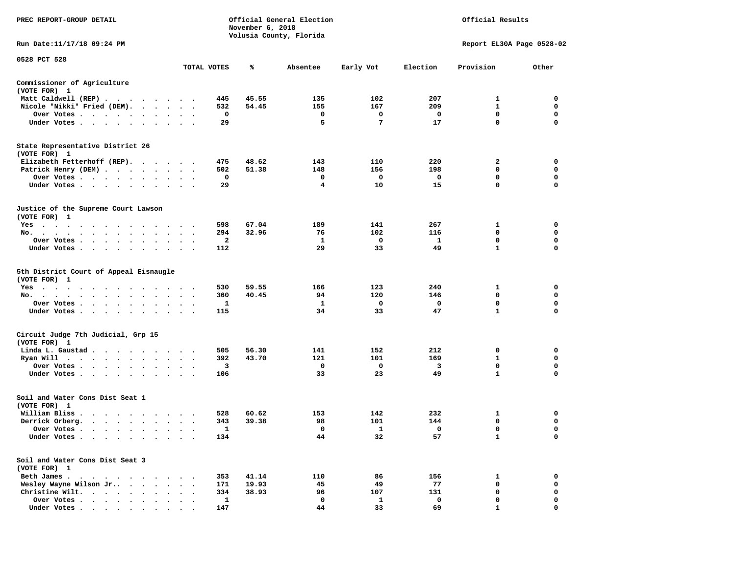| PREC REPORT-GROUP DETAIL                                                                                            |                      |              | November 6, 2018 | Official General Election<br>Volusia County, Florida | Official Results |             |                           |             |
|---------------------------------------------------------------------------------------------------------------------|----------------------|--------------|------------------|------------------------------------------------------|------------------|-------------|---------------------------|-------------|
| Run Date:11/17/18 09:24 PM                                                                                          |                      |              |                  |                                                      |                  |             | Report EL30A Page 0528-02 |             |
| 0528 PCT 528                                                                                                        |                      | TOTAL VOTES  | ℁                | Absentee                                             | Early Vot        | Election    | Provision                 | Other       |
| Commissioner of Agriculture                                                                                         |                      |              |                  |                                                      |                  |             |                           |             |
| (VOTE FOR) 1                                                                                                        |                      |              |                  |                                                      |                  |             |                           |             |
| Matt Caldwell (REP)                                                                                                 |                      | 445          | 45.55            | 135                                                  | 102              | 207         | 1                         | 0           |
| Nicole "Nikki" Fried (DEM).                                                                                         |                      | 532          | 54.45            | 155                                                  | 167              | 209         | $\mathbf{1}$              | 0           |
| Over Votes                                                                                                          |                      | 0            |                  | 0                                                    | 0                | 0           | 0                         | 0           |
| Under Votes<br>$\cdot$                                                                                              |                      | 29           |                  | 5                                                    | 7                | 17          | 0                         | $\mathbf 0$ |
| State Representative District 26<br>(VOTE FOR) 1                                                                    |                      |              |                  |                                                      |                  |             |                           |             |
| Elizabeth Fetterhoff (REP).                                                                                         |                      | 475          | 48.62            | 143                                                  | 110              | 220         | 2                         | 0           |
| Patrick Henry (DEM)                                                                                                 |                      | 502          | 51.38            | 148                                                  | 156              | 198         | 0                         | $\mathbf 0$ |
| Over Votes                                                                                                          |                      | 0            |                  | 0                                                    | 0                | 0           | 0                         | 0           |
| Under Votes                                                                                                         | $\cdot$<br>$\cdot$   | 29           |                  | 4                                                    | 10               | 15          | 0                         | $\mathbf 0$ |
| Justice of the Supreme Court Lawson<br>(VOTE FOR) 1                                                                 |                      |              |                  |                                                      |                  |             |                           |             |
| Yes                                                                                                                 |                      | 598          | 67.04            | 189                                                  | 141              | 267         | 1                         | 0           |
| No.                                                                                                                 |                      | 294          | 32.96            | 76                                                   | 102              | 116         | 0                         | 0           |
| Over Votes                                                                                                          | $\bullet$            | $\mathbf{2}$ |                  | 1                                                    | 0                | -1          | $\mathbf 0$               | $\mathbf 0$ |
| Under Votes<br>$\ddot{\phantom{1}}$                                                                                 |                      | 112          |                  | 29                                                   | 33               | 49          | 1                         | 0           |
| 5th District Court of Appeal Eisnaugle<br>(VOTE FOR) 1                                                              |                      |              |                  |                                                      |                  |             |                           |             |
| Yes                                                                                                                 |                      | 530          | 59.55            | 166                                                  | 123              | 240         | 1                         | 0           |
| No.<br>$\ddot{\phantom{0}}$                                                                                         |                      | 360          | 40.45            | 94                                                   | 120              | 146         | 0                         | 0           |
| Over Votes                                                                                                          |                      | 1            |                  | 1                                                    | 0                | 0           | 0                         | 0           |
| Under Votes<br>$\cdot$                                                                                              |                      | 115          |                  | 34                                                   | 33               | 47          | $\mathbf{1}$              | $\mathbf 0$ |
| Circuit Judge 7th Judicial, Grp 15<br>(VOTE FOR) 1                                                                  |                      |              |                  |                                                      |                  |             |                           |             |
| Linda L. Gaustad.<br>. The contract of the contract of the contract of the contract of the contract of the $\alpha$ |                      | 505          | 56.30            | 141                                                  | 152              | 212         | 0                         | 0           |
| Ryan Will $\cdots$ , $\cdots$ , $\cdots$                                                                            | $\ddot{\phantom{1}}$ | 392          | 43.70            | 121                                                  | 101              | 169         | 1                         | $\mathbf 0$ |
| Over Votes                                                                                                          |                      | 3            |                  | 0                                                    | 0                | 3           | 0                         | 0           |
| Under Votes                                                                                                         | $\bullet$            | 106          |                  | 33                                                   | 23               | 49          | $\mathbf{1}$              | $\mathbf 0$ |
| Soil and Water Cons Dist Seat 1<br>(VOTE FOR) 1                                                                     |                      |              |                  |                                                      |                  |             |                           |             |
| William Bliss.                                                                                                      |                      | 528          | 60.62            | 153                                                  | 142              | 232         | 1                         | 0           |
| Derrick Orberg.<br>$\cdots$                                                                                         | $\ddot{\phantom{0}}$ | 343          | 39.38            | 98                                                   | 101              | 144         | 0                         | 0           |
| Over Votes<br>$\sim$                                                                                                |                      | 1            |                  | $\mathbf 0$                                          | 1                | $\mathbf 0$ | 0                         | $\mathbf 0$ |
| Under Votes                                                                                                         |                      | 134          |                  | 44                                                   | 32               | 57          | 1                         | 0           |
| Soil and Water Cons Dist Seat 3<br>(VOTE FOR) 1                                                                     |                      |              |                  |                                                      |                  |             |                           |             |
| Beth James                                                                                                          |                      | 353          | 41.14            | 110                                                  | 86               | 156         | 1                         | 0           |
| Wesley Wayne Wilson Jr<br>$\sim$ $\sim$                                                                             |                      | 171          | 19.93            | 45                                                   | 49               | 77          | 0                         | 0           |
| Christine Wilt.<br>$\cdots$                                                                                         |                      | 334          | 38.93            | 96                                                   | 107              | 131         | 0                         | 0           |
| Over Votes                                                                                                          |                      | 1            |                  | $\mathbf 0$                                          | 1                | 0           | 0                         | $\mathbf 0$ |
| Under Votes                                                                                                         |                      | 147          |                  | 44                                                   | 33               | 69          |                           | $\Omega$    |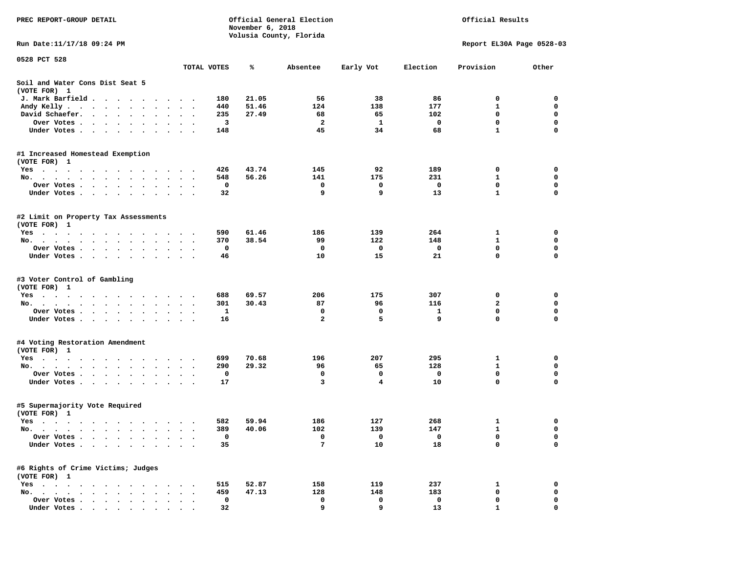| PREC REPORT-GROUP DETAIL                                                                                                                                                                                                                         |                      |             | November 6, 2018 | Official General Election |           | Official Results |                           |             |  |
|--------------------------------------------------------------------------------------------------------------------------------------------------------------------------------------------------------------------------------------------------|----------------------|-------------|------------------|---------------------------|-----------|------------------|---------------------------|-------------|--|
| Run Date: 11/17/18 09:24 PM                                                                                                                                                                                                                      |                      |             |                  | Volusia County, Florida   |           |                  | Report EL30A Page 0528-03 |             |  |
| 0528 PCT 528                                                                                                                                                                                                                                     |                      |             |                  |                           |           |                  |                           |             |  |
|                                                                                                                                                                                                                                                  |                      | TOTAL VOTES | ℁                | Absentee                  | Early Vot | Election         | Provision                 | Other       |  |
| Soil and Water Cons Dist Seat 5<br>(VOTE FOR) 1                                                                                                                                                                                                  |                      |             |                  |                           |           |                  |                           |             |  |
| J. Mark Barfield<br>$\ddot{\phantom{1}}$                                                                                                                                                                                                         |                      | 180         | 21.05            | 56                        | 38        | 86               | 0                         | 0           |  |
| Andy Kelly<br>$\ddot{\phantom{0}}$                                                                                                                                                                                                               | $\ddot{\phantom{1}}$ | 440         | 51.46            | 124                       | 138       | 177              | 1                         | 0           |  |
| David Schaefer.<br>the contract of the contract of the contract of the contract of the contract of<br>$\bullet$                                                                                                                                  |                      | 235         | 27.49            | 68                        | 65        | 102              | 0                         | $\mathbf 0$ |  |
| Over Votes .<br>$\cdots$                                                                                                                                                                                                                         |                      | 3           |                  | 2                         | 1         | 0                | $\mathbf 0$               | $\mathbf 0$ |  |
| Under Votes                                                                                                                                                                                                                                      |                      | 148         |                  | 45                        | 34        | 68               | $\mathbf{1}$              | 0           |  |
| #1 Increased Homestead Exemption                                                                                                                                                                                                                 |                      |             |                  |                           |           |                  |                           |             |  |
| (VOTE FOR) 1<br>Yes                                                                                                                                                                                                                              |                      | 426         | 43.74            | 145                       | 92        | 189              | 0                         | 0           |  |
| No.                                                                                                                                                                                                                                              |                      | 548         | 56.26            | 141                       | 175       | 231              | 1                         | 0           |  |
| Over Votes .<br>$\cdots$<br>$\bullet$<br>$\bullet$                                                                                                                                                                                               | $\bullet$            | 0           |                  | $\mathbf 0$               | 0         | $\mathbf 0$      | $\mathbf 0$               | $\mathbf 0$ |  |
| Under Votes<br>$\ddot{\phantom{1}}$                                                                                                                                                                                                              |                      | 32          |                  | 9                         | 9         | 13               | $\mathbf{1}$              | 0           |  |
| #2 Limit on Property Tax Assessments<br>(VOTE FOR) 1                                                                                                                                                                                             |                      |             |                  |                           |           |                  |                           |             |  |
| Yes                                                                                                                                                                                                                                              |                      | 590         | 61.46            | 186                       | 139       | 264              | 1                         | 0           |  |
| No.<br>$\bullet$<br>$\bullet$                                                                                                                                                                                                                    | $\bullet$            | 370         | 38.54            | 99                        | 122       | 148              | $\mathbf{1}$              | 0           |  |
| Over Votes<br>$\cdot$<br>$\cdot$                                                                                                                                                                                                                 |                      | 0           |                  | 0                         | 0         | 0                | 0                         | 0           |  |
| Under Votes<br>$\cdot$<br>$\bullet$                                                                                                                                                                                                              |                      | 46          |                  | 10                        | 15        | 21               | 0                         | $\Omega$    |  |
| #3 Voter Control of Gambling<br>(VOTE FOR) 1                                                                                                                                                                                                     |                      |             |                  |                           |           |                  |                           |             |  |
| Yes                                                                                                                                                                                                                                              |                      | 688         | 69.57            | 206                       | 175       | 307              | 0                         | 0           |  |
| No.                                                                                                                                                                                                                                              | $\sim$ $\sim$        | 301         | 30.43            | 87                        | 96        | 116              | $\overline{a}$            | $\mathbf 0$ |  |
| Over Votes.<br>$\mathbf{r}$ . The contract of the contract of the contract of the contract of the contract of the contract of the contract of the contract of the contract of the contract of the contract of the contract of the contract of th |                      | 1           |                  | 0                         | 0         | 1                | 0                         | 0           |  |
| Under Votes                                                                                                                                                                                                                                      |                      | 16          |                  | $\overline{a}$            | 5         | 9                | 0                         | $\Omega$    |  |
| #4 Voting Restoration Amendment<br>(VOTE FOR) 1                                                                                                                                                                                                  |                      |             |                  |                           |           |                  |                           |             |  |
| Yes                                                                                                                                                                                                                                              |                      | 699         | 70.68            | 196                       | 207       | 295              | 1                         | 0           |  |
| No.                                                                                                                                                                                                                                              |                      | 290         | 29.32            | 96                        | 65        | 128              | 1                         | 0           |  |
| Over Votes                                                                                                                                                                                                                                       | $\bullet$<br>$\cdot$ | 0           |                  | 0                         | 0         | $\mathbf 0$      | $\mathbf 0$               | $\mathbf 0$ |  |
| Under Votes<br>$\sim$                                                                                                                                                                                                                            |                      | 17          |                  | 3                         | 4         | 10               | 0                         | 0           |  |
| #5 Supermajority Vote Required<br>(VOTE FOR) 1                                                                                                                                                                                                   |                      |             |                  |                           |           |                  |                           |             |  |
| Yes                                                                                                                                                                                                                                              |                      | 582         | 59.94            | 186                       | 127       | 268              | 1                         | 0           |  |
| No.                                                                                                                                                                                                                                              |                      | 389         | 40.06            | 102                       | 139       | 147              | $\mathbf{1}$              | $\mathbf 0$ |  |
| Over Votes                                                                                                                                                                                                                                       |                      | 0           |                  | 0                         | 0         | 0                | 0                         | 0           |  |
| Under Votes.                                                                                                                                                                                                                                     |                      | 35          |                  | 7                         | 10        | 18               | 0                         | 0           |  |
| #6 Rights of Crime Victims; Judges<br>(VOTE FOR) 1                                                                                                                                                                                               |                      |             |                  |                           |           |                  |                           |             |  |
| $Yes \t . \t .$<br>$\bullet$<br>$\bullet$                                                                                                                                                                                                        |                      | 515         | 52.87            | 158                       | 119       | 237              | 1                         | 0           |  |
| No.<br>$\ddot{\phantom{0}}$                                                                                                                                                                                                                      |                      | 459         | 47.13            | 128                       | 148       | 183              | 0                         | 0           |  |
| Over Votes .<br>$\cdot$ $\cdot$ $\cdot$                                                                                                                                                                                                          |                      | 0           |                  | 0                         | 0         | 0                | 0                         | 0           |  |
| Under Votes                                                                                                                                                                                                                                      |                      | 32          |                  | 9                         | 9         | 13               | 1                         | 0           |  |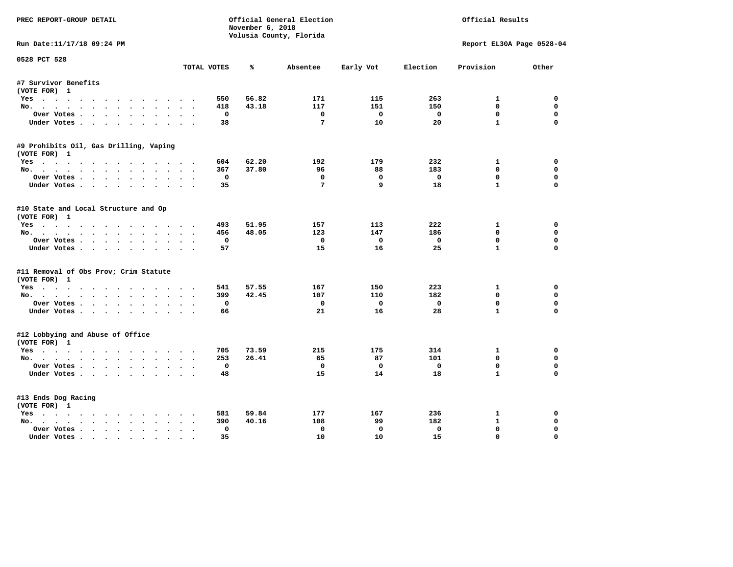| PREC REPORT-GROUP DETAIL               |                     | November 6, 2018 | Official General Election<br>Official Results |              |             |              |                           |
|----------------------------------------|---------------------|------------------|-----------------------------------------------|--------------|-------------|--------------|---------------------------|
| Run Date:11/17/18 09:24 PM             |                     |                  | Volusia County, Florida                       |              |             |              | Report EL30A Page 0528-04 |
| 0528 PCT 528                           |                     |                  |                                               |              |             |              |                           |
|                                        | TOTAL VOTES         | ℁                | Absentee                                      | Early Vot    | Election    | Provision    | Other                     |
| #7 Survivor Benefits                   |                     |                  |                                               |              |             |              |                           |
| (VOTE FOR) 1                           |                     |                  |                                               |              |             |              |                           |
| Yes                                    | 550                 | 56.82            | 171                                           | 115          | 263         | 1            | 0                         |
| No.                                    | 418                 | 43.18            | 117                                           | 151          | 150         | $\mathbf 0$  | 0                         |
| Over Votes                             | $\Omega$            |                  | $\mathbf{0}$                                  | $\mathbf{0}$ | $\Omega$    | $\mathbf 0$  | $\mathbf 0$               |
| Under Votes.                           | 38                  |                  | $7\phantom{.0}$                               | 10           | 20          | $\mathbf{1}$ | $\mathbf 0$               |
| #9 Prohibits Oil, Gas Drilling, Vaping |                     |                  |                                               |              |             |              |                           |
| (VOTE FOR) 1                           |                     |                  |                                               |              |             |              |                           |
| Yes                                    | 604                 | 62.20            | 192                                           | 179          | 232         | 1            | 0                         |
| No.                                    | 367                 | 37.80            | 96                                            | 88           | 183         | $\mathbf{0}$ | 0                         |
| Over Votes.                            | 0                   |                  | $\mathbf 0$                                   | $\mathbf 0$  | $\mathbf 0$ | $\mathbf 0$  | 0                         |
| Under Votes.                           | 35                  |                  | 7                                             | 9            | 18          | $\mathbf{1}$ | $\Omega$                  |
|                                        |                     |                  |                                               |              |             |              |                           |
| #10 State and Local Structure and Op   |                     |                  |                                               |              |             |              |                           |
| (VOTE FOR) 1                           |                     |                  |                                               |              |             |              |                           |
| Yes                                    | 493                 | 51.95            | 157                                           | 113          | 222         | 1            | 0                         |
| No.                                    | 456                 | 48.05            | 123                                           | 147          | 186         | $\mathbf{0}$ | 0                         |
| Over Votes.                            | $\mathbf 0$         |                  | $\mathbf{o}$                                  | $\mathbf 0$  | $\mathbf 0$ | $\mathbf 0$  | $\mathbf 0$               |
| Under Votes.                           | 57                  |                  | 15                                            | 16           | 25          | $\mathbf{1}$ | $\Omega$                  |
| #11 Removal of Obs Prov; Crim Statute  |                     |                  |                                               |              |             |              |                           |
| (VOTE FOR) 1                           |                     |                  |                                               |              |             |              |                           |
| Yes                                    | 541                 | 57.55            | 167                                           | 150          | 223         | $\mathbf{1}$ | $\mathbf 0$               |
| No.                                    | 399                 | 42.45            | 107                                           | 110          | 182         | $\mathbf 0$  | 0                         |
| Over Votes                             | $\mathbf 0$         |                  | $\mathbf 0$                                   | $\mathbf 0$  | $\mathbf 0$ | $\mathbf 0$  | 0                         |
| Under Votes                            | 66                  |                  | 21                                            | 16           | 28          | $\mathbf{1}$ | $\mathbf 0$               |
|                                        |                     |                  |                                               |              |             |              |                           |
| #12 Lobbying and Abuse of Office       |                     |                  |                                               |              |             |              |                           |
| (VOTE FOR) 1                           |                     |                  | 215                                           |              |             |              | $\mathbf 0$               |
| Yes                                    | 705                 | 73.59            |                                               | 175          | 314         | $\mathbf{1}$ |                           |
| No.                                    | 253                 | 26.41            | 65                                            | 87           | 101         | $\mathbf{0}$ | 0                         |
| Over Votes                             | $\mathbf 0$         |                  | $\mathbf 0$                                   | $\mathbf 0$  | $\mathbf 0$ | $\mathbf 0$  | 0                         |
| Under Votes.                           | 48                  |                  | 15                                            | 14           | 18          | $\mathbf{1}$ | 0                         |
| #13 Ends Dog Racing                    |                     |                  |                                               |              |             |              |                           |
| (VOTE FOR) 1                           |                     |                  |                                               |              |             |              |                           |
| Yes                                    | 581                 | 59.84            | 177                                           | 167          | 236         | 1            | $\mathbf 0$               |
| No.                                    | 390                 | 40.16            | 108                                           | 99           | 182         | $\mathbf{1}$ | 0                         |
| Over Votes                             | $\mathbf 0$         |                  | $\Omega$                                      | $\mathbf 0$  | $\mathbf 0$ | $\mathbf 0$  | $\mathbf 0$               |
| Under Votes                            | 35<br>$\sim$ $\sim$ |                  | 10                                            | 10           | 15          | $\mathbf 0$  | $\mathbf 0$               |
|                                        |                     |                  |                                               |              |             |              |                           |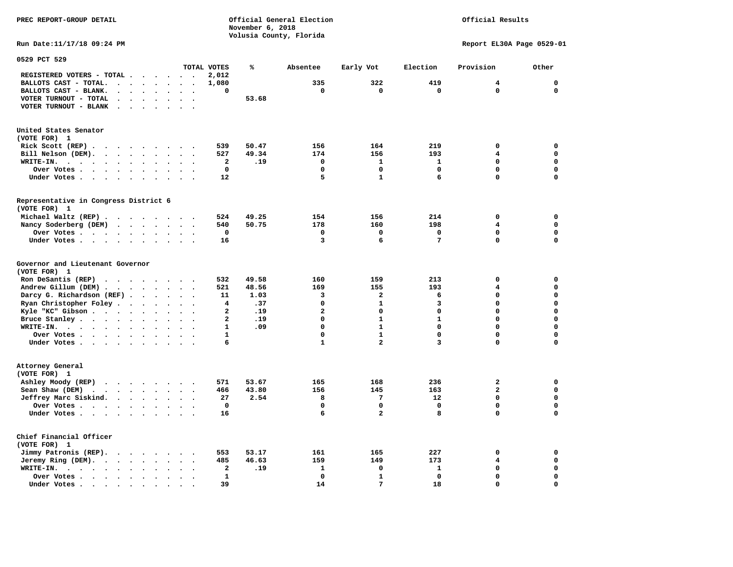Official Results

**Run Date:11/17/18 09:24 PM Report EL30A Page 0529-01** 

| 0529 PCT 529                                                                                                 |                                        |                                              |                         |       |                |                         |                 |                         |             |
|--------------------------------------------------------------------------------------------------------------|----------------------------------------|----------------------------------------------|-------------------------|-------|----------------|-------------------------|-----------------|-------------------------|-------------|
|                                                                                                              |                                        |                                              | TOTAL VOTES             | %     | Absentee       | Early Vot               | Election        | Provision               | Other       |
| REGISTERED VOTERS - TOTAL .<br>$\ddot{\phantom{a}}$<br>$\ddot{\phantom{a}}$                                  | $\overline{\phantom{a}}$               | $\sim$<br>$\overline{\phantom{a}}$           | 2,012                   |       |                |                         |                 |                         |             |
| BALLOTS CAST - TOTAL.<br>$\sim$<br>$\bullet$<br>$\ddot{\phantom{a}}$                                         | $\bullet$                              |                                              | 1,080                   |       | 335            | 322                     | 419             | 4                       | $\mathbf 0$ |
| BALLOTS CAST - BLANK.<br>$\ddot{\phantom{a}}$<br>$\bullet$                                                   | $\bullet$                              | $\ddot{\phantom{a}}$<br>$\bullet$            | 0                       |       | 0              | $\mathbf 0$             | 0               | $\mathbf 0$             | $\mathbf 0$ |
| VOTER TURNOUT - TOTAL<br>$\ddot{\phantom{a}}$<br>$\Delta$<br>$\overline{\phantom{a}}$                        |                                        |                                              |                         | 53.68 |                |                         |                 |                         |             |
| VOTER TURNOUT - BLANK<br>$\overline{\phantom{a}}$                                                            |                                        |                                              |                         |       |                |                         |                 |                         |             |
|                                                                                                              |                                        |                                              |                         |       |                |                         |                 |                         |             |
| United States Senator                                                                                        |                                        |                                              |                         |       |                |                         |                 |                         |             |
| (VOTE FOR) 1                                                                                                 |                                        |                                              |                         |       |                |                         |                 |                         |             |
| Rick Scott (REP).<br>$\bullet$<br>$\sim$ $\sim$<br>$\cdots$                                                  | $\overline{\phantom{a}}$               | $\cdot$                                      | 539                     | 50.47 | 156            | 164                     | 219             | 0                       | 0           |
| Bill Nelson (DEM).                                                                                           |                                        | $\ddot{\phantom{a}}$                         | 527                     | 49.34 | 174            | 156                     | 193             | 4                       | $\mathbf 0$ |
| WRITE-IN.<br>$\sim$ $\sim$ $\sim$<br>$\cdot$ $\cdot$<br>$\bullet$<br>$\ddot{\phantom{a}}$                    | $\bullet$                              |                                              | $\mathbf{2}$            | .19   | 0              | $\mathbf{1}$            | 1               | $\Omega$                | $\mathbf 0$ |
| Over Votes.                                                                                                  |                                        |                                              | $\mathbf 0$             |       | $\Omega$       | 0                       | $\mathbf 0$     | 0                       | $\mathbf 0$ |
| $\cdots$<br>$\bullet$                                                                                        | $\bullet$                              |                                              | 12                      |       | 5              | $\mathbf{1}$            | 6               | 0                       | $\mathbf 0$ |
| Under Votes<br>$\sim$                                                                                        | $\ddot{\phantom{0}}$<br>$\blacksquare$ | $\ddot{\phantom{1}}$<br>$\cdot$              |                         |       |                |                         |                 |                         |             |
| Representative in Congress District 6                                                                        |                                        |                                              |                         |       |                |                         |                 |                         |             |
| (VOTE FOR) 1                                                                                                 |                                        |                                              |                         |       |                |                         |                 |                         |             |
| Michael Waltz (REP) .<br>$\cdots$                                                                            |                                        |                                              | 524                     | 49.25 | 154            | 156                     | 214             | 0                       | 0           |
| Nancy Soderberg (DEM)<br>$\sim$ $\sim$ $\sim$ $\sim$ $\sim$                                                  |                                        | $\ddot{\phantom{0}}$<br>$\cdot$              | 540                     | 50.75 | 178            | 160                     | 198             | $\overline{\mathbf{4}}$ | $\mathbf 0$ |
| Over Votes .<br>$\bullet$                                                                                    | $\bullet$                              |                                              | 0                       |       | 0              | 0                       | $\mathbf 0$     | 0                       | 0           |
| Under Votes<br>$\ddot{\phantom{0}}$                                                                          | $\cdot$<br>$\bullet$                   | $\cdot$                                      | 16                      |       | 3              | 6                       | $7\phantom{.0}$ | 0                       | $\mathbf 0$ |
|                                                                                                              |                                        |                                              |                         |       |                |                         |                 |                         |             |
| Governor and Lieutenant Governor                                                                             |                                        |                                              |                         |       |                |                         |                 |                         |             |
| (VOTE FOR) 1                                                                                                 |                                        |                                              |                         |       |                |                         |                 |                         |             |
| Ron DeSantis (REP)<br>$\cdot$ $\cdot$ $\cdot$ $\cdot$ $\cdot$ $\cdot$ $\cdot$                                |                                        |                                              | 532                     | 49.58 | 160            | 159                     | 213             | 0                       | $\mathbf 0$ |
| Andrew Gillum (DEM)                                                                                          |                                        | $\sim$<br>$\bullet$                          | 521                     | 48.56 | 169            | 155                     | 193             | 4                       | $\mathbf 0$ |
| Darcy G. Richardson (REF).<br>$\bullet$                                                                      | $\ddot{\phantom{a}}$                   |                                              | 11                      | 1.03  | 3              | $\overline{\mathbf{2}}$ | 6               | 0                       | $\mathbf 0$ |
| Ryan Christopher Foley.<br>$\sim$<br>$\bullet$                                                               | $\bullet$                              |                                              | 4                       | .37   | $\mathbf 0$    | $\mathbf{1}$            | 3               | $\Omega$                | $\mathbf 0$ |
| Kyle "KC" Gibson<br>$\sim$ $\sim$<br>$\bullet$                                                               | $\bullet$<br>$\bullet$                 | $\bullet$<br>$\overline{\phantom{a}}$        | $\overline{a}$          | .19   | $\overline{a}$ | 0                       | 0               | 0                       | $\mathbf 0$ |
| Bruce Stanley<br>$\ddot{\phantom{a}}$                                                                        | $\overline{a}$                         | $\overline{\phantom{a}}$                     | $\overline{\mathbf{2}}$ | .19   | $\mathbf 0$    | $\mathbf{1}$            | $\mathbf{1}$    | 0                       | $\mathbf 0$ |
| WRITE-IN.                                                                                                    |                                        |                                              | $\mathbf{1}$            | .09   | $\Omega$       | $\mathbf{1}$            | $\mathbf 0$     | $\Omega$                | $\mathbf 0$ |
| $\cdots$<br>$\bullet$                                                                                        |                                        |                                              | $\mathbf{1}$            |       | $\mathbf 0$    | $\mathbf{1}$            | 0               | 0                       | $\mathbf 0$ |
| Over Votes                                                                                                   | $\bullet$<br>$\ddot{\phantom{a}}$      | $\ddot{\phantom{a}}$<br>$\ddot{\phantom{a}}$ |                         |       |                | $\overline{a}$          |                 |                         |             |
| Under Votes                                                                                                  | $\ddot{\phantom{a}}$                   | $\ddot{\phantom{a}}$                         | 6                       |       | $\mathbf{1}$   |                         | 3               | 0                       | 0           |
| Attorney General                                                                                             |                                        |                                              |                         |       |                |                         |                 |                         |             |
| (VOTE FOR) 1                                                                                                 |                                        |                                              |                         |       |                |                         |                 |                         |             |
| Ashley Moody (REP)                                                                                           |                                        | $\sim$ $\sim$                                | 571                     | 53.67 | 165            | 168                     | 236             | $\mathbf{2}$            | $\mathbf 0$ |
| Sean Shaw (DEM)<br>$\cdot$ $\cdot$ $\cdot$ $\cdot$ $\cdot$ $\cdot$                                           | $\ddot{\phantom{a}}$                   |                                              | 466                     | 43.80 | 156            | 145                     | 163             | $\overline{\mathbf{2}}$ | $\mathbf 0$ |
| Jeffrey Marc Siskind.<br>$\cdot \cdot \cdot \cdot$                                                           | $\bullet$                              | $\ddot{\phantom{0}}$<br>$\bullet$            | 27                      | 2.54  | 8              | 7                       | 12              | 0                       | 0           |
| $\sim$                                                                                                       | $\ddot{\phantom{a}}$                   |                                              | 0                       |       | $\mathbf 0$    | 0                       | $\mathbf 0$     | 0                       | $\mathbf 0$ |
| Over Votes<br>Under Votes                                                                                    |                                        |                                              | 16                      |       | 6              | $\overline{a}$          | 8               | 0                       | $\mathbf 0$ |
| $\ddot{\phantom{a}}$                                                                                         |                                        |                                              |                         |       |                |                         |                 |                         |             |
| Chief Financial Officer                                                                                      |                                        |                                              |                         |       |                |                         |                 |                         |             |
| (VOTE FOR) 1                                                                                                 |                                        |                                              |                         |       |                |                         |                 |                         |             |
| Jimmy Patronis (REP).<br>$\sim$ $\sim$<br>$\sim$ $\sim$                                                      | $\cdot$                                |                                              | 553                     | 53.17 | 161            | 165                     | 227             | 0                       | 0           |
| Jeremy Ring (DEM).<br>$\mathcal{A}=\mathcal{A}=\mathcal{A}=\mathcal{A}$ .<br>$\bullet$ .<br><br><br><br><br> | $\bullet$<br>$\sim$                    | $\sim$<br>$\ddot{\phantom{a}}$               | 485                     | 46.63 | 159            | 149                     | 173             | 4                       | $\mathbf 0$ |
| WRITE-IN.<br>$\sim$<br>$\cdots$<br>$\bullet$<br>$\bullet$                                                    |                                        |                                              | $\mathbf{2}$            | .19   | 1              | 0                       | 1               | 0                       | $\mathbf 0$ |
| Over Votes.<br>$\sim$ $\sim$ $\sim$ $\sim$<br>$\ddot{\phantom{a}}$                                           |                                        |                                              | $\mathbf{1}$            |       | $\mathbf 0$    | $\mathbf{1}$            | $\mathbf 0$     | $\Omega$                | $\mathbf 0$ |
| $\bullet$<br>Under Votes.                                                                                    |                                        |                                              | 39                      |       | 14             | 7                       | 18              | 0                       | $\mathbf 0$ |
| $\sim$ $\sim$<br>$\sim$<br>$\bullet$<br>$\bullet$                                                            |                                        |                                              |                         |       |                |                         |                 |                         |             |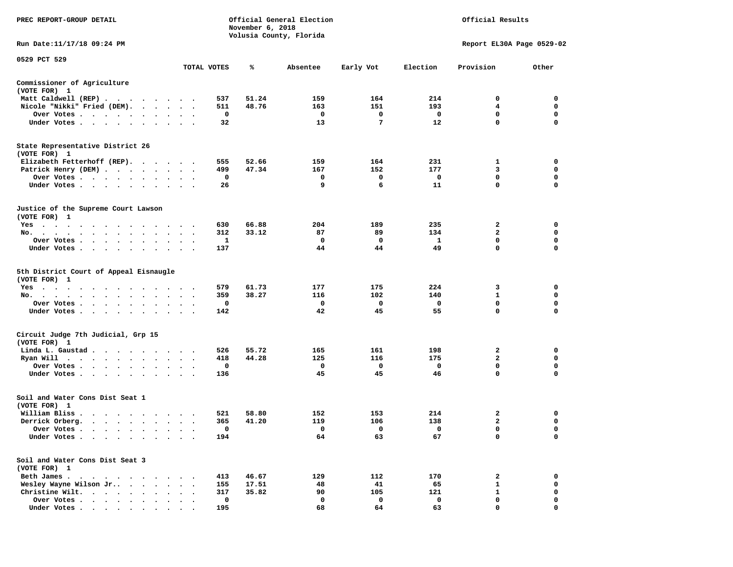| PREC REPORT-GROUP DETAIL                               |                                     |             | November 6, 2018 | Official General Election<br>Volusia County, Florida | Official Results |             |                           |             |
|--------------------------------------------------------|-------------------------------------|-------------|------------------|------------------------------------------------------|------------------|-------------|---------------------------|-------------|
| Run Date:11/17/18 09:24 PM                             |                                     |             |                  |                                                      |                  |             | Report EL30A Page 0529-02 |             |
| 0529 PCT 529                                           |                                     | TOTAL VOTES | ℁                | Absentee                                             | Early Vot        | Election    | Provision                 | Other       |
| Commissioner of Agriculture                            |                                     |             |                  |                                                      |                  |             |                           |             |
| (VOTE FOR) 1                                           |                                     |             |                  |                                                      |                  |             |                           |             |
| Matt Caldwell (REP)                                    |                                     | 537         | 51.24            | 159                                                  | 164              | 214         | 0                         | 0           |
| Nicole "Nikki" Fried (DEM).                            |                                     | 511         | 48.76            | 163                                                  | 151              | 193         | 4                         | 0           |
| Over Votes                                             |                                     | 0           |                  | 0                                                    | 0                | $\mathbf 0$ | 0                         | 0           |
| Under Votes<br>$\cdot$                                 |                                     | 32          |                  | 13                                                   | 7                | 12          | 0                         | $\mathbf 0$ |
| State Representative District 26<br>(VOTE FOR) 1       |                                     |             |                  |                                                      |                  |             |                           |             |
| Elizabeth Fetterhoff (REP).                            |                                     | 555         | 52.66            | 159                                                  | 164              | 231         | 1                         | 0           |
| Patrick Henry (DEM)                                    |                                     | 499         | 47.34            | 167                                                  | 152              | 177         | 3                         | $\mathbf 0$ |
| Over Votes                                             |                                     | 0           |                  | 0                                                    | 0                | 0           | 0                         | 0           |
| Under Votes                                            | $\bullet$<br>$\bullet$              | 26          |                  | 9                                                    | 6                | 11          | 0                         | $\mathbf 0$ |
| Justice of the Supreme Court Lawson<br>(VOTE FOR) 1    |                                     |             |                  |                                                      |                  |             |                           |             |
| Yes                                                    |                                     | 630         | 66.88            | 204                                                  | 189              | 235         | 2                         | 0           |
| No.                                                    |                                     | 312         | 33.12            | 87                                                   | 89               | 134         | 2                         | 0           |
| Over Votes                                             | $\bullet$                           | 1           |                  | 0                                                    | 0                | 1           | $\mathbf 0$               | 0           |
| Under Votes<br>$\ddot{\phantom{1}}$                    |                                     | 137         |                  | 44                                                   | 44               | 49          | 0                         | 0           |
| 5th District Court of Appeal Eisnaugle<br>(VOTE FOR) 1 |                                     |             |                  |                                                      |                  |             |                           |             |
| Yes                                                    |                                     | 579         | 61.73            | 177                                                  | 175              | 224         | 3                         | 0           |
| No.<br>$\ddot{\phantom{0}}$                            |                                     | 359         | 38.27            | 116                                                  | 102              | 140         | 1                         | 0           |
| Over Votes                                             |                                     | 0           |                  | 0                                                    | 0                | $\mathbf 0$ | 0                         | 0           |
| Under Votes                                            |                                     | 142         |                  | 42                                                   | 45               | 55          | 0                         | $\mathbf 0$ |
| Circuit Judge 7th Judicial, Grp 15<br>(VOTE FOR) 1     |                                     |             |                  |                                                      |                  |             |                           |             |
| Linda L. Gaustad.<br>.                                 |                                     | 526         | 55.72            | 165                                                  | 161              | 198         | 2                         | 0           |
| Ryan Will $\cdots$                                     | $\bullet$ .<br>$\ddot{\phantom{1}}$ | 418         | 44.28            | 125                                                  | 116              | 175         | $\overline{a}$            | $\mathbf 0$ |
| Over Votes<br>$\ddot{\phantom{1}}$                     |                                     | 0           |                  | 0                                                    | 0                | 0           | 0                         | 0           |
| Under Votes                                            | $\bullet$                           | 136         |                  | 45                                                   | 45               | 46          | $\mathbf 0$               | $\mathbf 0$ |
| Soil and Water Cons Dist Seat 1<br>(VOTE FOR) 1        |                                     |             |                  |                                                      |                  |             |                           |             |
| William Bliss.                                         |                                     | 521         | 58.80            | 152                                                  | 153              | 214         | 2                         | 0           |
| Derrick Orberg.<br>$\cdots$                            | $\bullet$                           | 365         | 41.20            | 119                                                  | 106              | 138         | $\mathbf{2}$              | 0           |
| Over Votes<br>$\blacksquare$                           |                                     | $\mathbf 0$ |                  | $\Omega$                                             | $\mathbf 0$      | $\mathbf 0$ | 0                         | $\Omega$    |
| Under Votes                                            |                                     | 194         |                  | 64                                                   | 63               | 67          | 0                         | 0           |
| Soil and Water Cons Dist Seat 3<br>(VOTE FOR) 1        |                                     |             |                  |                                                      |                  |             |                           |             |
| Beth James.                                            |                                     | 413         | 46.67            | 129                                                  | 112              | 170         | 2                         | 0           |
| Wesley Wayne Wilson Jr                                 |                                     | 155         | 17.51            | 48                                                   | 41               | 65          | 1                         | 0           |
| Christine Wilt.<br>$\cdots$                            |                                     | 317         | 35.82            | 90                                                   | 105              | 121         | 1                         | 0           |
| Over Votes                                             |                                     | $\mathbf 0$ |                  | $\mathbf 0$                                          | $\mathbf 0$      | $\mathbf 0$ | 0                         | $\mathbf 0$ |
| Under Votes                                            |                                     | 195         |                  | 68                                                   | 64               | 63          | 0                         | $\Omega$    |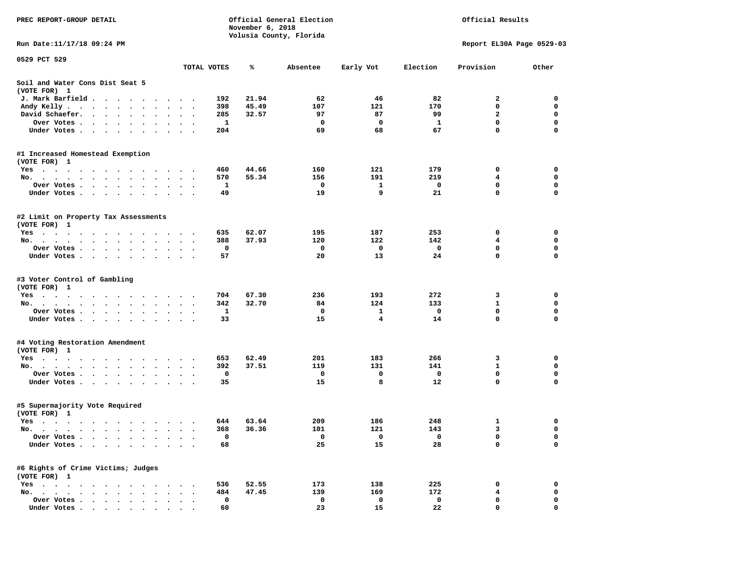| Official General Election<br>PREC REPORT-GROUP DETAIL<br>November 6, 2018                                                                                                                                                                        |                      |            |                |                         |             | Official Results |                           |             |  |  |
|--------------------------------------------------------------------------------------------------------------------------------------------------------------------------------------------------------------------------------------------------|----------------------|------------|----------------|-------------------------|-------------|------------------|---------------------------|-------------|--|--|
| Run Date: 11/17/18 09:24 PM                                                                                                                                                                                                                      |                      |            |                | Volusia County, Florida |             |                  | Report EL30A Page 0529-03 |             |  |  |
| 0529 PCT 529                                                                                                                                                                                                                                     |                      |            |                |                         |             |                  |                           |             |  |  |
|                                                                                                                                                                                                                                                  | TOTAL VOTES          |            | ℁              | Absentee                | Early Vot   | Election         | Provision                 | Other       |  |  |
| Soil and Water Cons Dist Seat 5<br>(VOTE FOR) 1                                                                                                                                                                                                  |                      |            |                |                         |             |                  |                           |             |  |  |
| J. Mark Barfield                                                                                                                                                                                                                                 |                      | 192        | 21.94          | 62                      | 46          | 82               | $\mathbf{2}$              | 0           |  |  |
| Andy Kelly<br>$\bullet$<br>$\bullet$                                                                                                                                                                                                             | $\ddot{\phantom{0}}$ | 398        | 45.49          | 107                     | 121         | 170              | 0                         | 0           |  |  |
| David Schaefer.<br>$\cdot$ $\cdot$ $\cdot$ $\cdot$ $\cdot$<br>$\ddot{\phantom{0}}$<br>$\cdot$                                                                                                                                                    |                      | 285        | 32.57          | 97                      | 87          | 99               | $\mathbf{z}$              | $\mathbf 0$ |  |  |
| Over Votes.<br>$\mathbf{r}$ . The contract of the contract of the contract of the contract of the contract of the contract of the contract of the contract of the contract of the contract of the contract of the contract of the contract of th |                      | 1          |                | 0                       | $\mathbf 0$ | 1                | $\mathbf 0$               | $\mathbf 0$ |  |  |
| Under Votes                                                                                                                                                                                                                                      |                      | 204        |                | 69                      | 68          | 67               | 0                         | 0           |  |  |
| #1 Increased Homestead Exemption                                                                                                                                                                                                                 |                      |            |                |                         |             |                  |                           |             |  |  |
| (VOTE FOR) 1                                                                                                                                                                                                                                     |                      |            |                |                         |             |                  |                           |             |  |  |
| Yes                                                                                                                                                                                                                                              |                      | 460        | 44.66          | 160                     | 121         | 179              | 0                         | 0           |  |  |
| No.                                                                                                                                                                                                                                              |                      | 570        | 55.34          | 156                     | 191         | 219              | 4                         | 0           |  |  |
| Over Votes.<br>$\cdot$ $\cdot$ $\cdot$ $\cdot$<br>$\sim$<br>$\bullet$<br>$\bullet$                                                                                                                                                               |                      | 1          |                | 0                       | 1           | 0                | 0                         | $\mathbf 0$ |  |  |
| Under Votes<br>$\ddot{\phantom{1}}$                                                                                                                                                                                                              |                      | 49         |                | 19                      | 9           | 21               | 0                         | $\mathbf 0$ |  |  |
| #2 Limit on Property Tax Assessments<br>(VOTE FOR) 1                                                                                                                                                                                             |                      |            |                |                         |             |                  |                           |             |  |  |
| Yes                                                                                                                                                                                                                                              |                      | 635        | 62.07          | 195                     | 187         | 253              | 0                         | 0           |  |  |
| No.<br>$\bullet$<br>$\bullet$                                                                                                                                                                                                                    | $\cdot$ .            | 388        | 37.93          | 120                     | 122         | 142              | 4                         | 0           |  |  |
| Over Votes<br>$\bullet$<br>$\bullet$                                                                                                                                                                                                             |                      | 0          |                | 0                       | 0           | 0                | 0                         | 0           |  |  |
| Under Votes                                                                                                                                                                                                                                      |                      | 57         |                | 20                      | 13          | 24               | 0                         | $\Omega$    |  |  |
| #3 Voter Control of Gambling                                                                                                                                                                                                                     |                      |            |                |                         |             |                  |                           |             |  |  |
| (VOTE FOR) 1                                                                                                                                                                                                                                     |                      |            |                |                         |             |                  |                           |             |  |  |
| Yes                                                                                                                                                                                                                                              |                      | 704        | 67.30          | 236                     | 193         | 272              | 3                         | 0           |  |  |
| No.                                                                                                                                                                                                                                              | $\cdot$ $\cdot$      | 342        | 32.70          | 84                      | 124         | 133              | 1                         | $\mathbf 0$ |  |  |
| Over Votes                                                                                                                                                                                                                                       |                      | 1          |                | $\mathbf 0$             | 1           | 0                | $\mathbf 0$<br>0          | 0<br>0      |  |  |
| Under Votes                                                                                                                                                                                                                                      | $\cdot$ .            | 33         |                | 15                      | 4           | 14               |                           |             |  |  |
| #4 Voting Restoration Amendment<br>(VOTE FOR) 1                                                                                                                                                                                                  |                      |            |                |                         |             |                  |                           |             |  |  |
| Yes<br><u>in the second contract of the second contract of the second contract of the second contract of the second contract of the second contract of the second contract of the second contract of the second contract of the second </u>      |                      | 653        | 62.49          | 201                     | 183         | 266              | 3                         | 0           |  |  |
| No.                                                                                                                                                                                                                                              |                      | 392        | 37.51          | 119                     | 131         | 141              | 1                         | 0           |  |  |
| Over Votes                                                                                                                                                                                                                                       | $\bullet$ $\bullet$  | 0          |                | 0                       | $\mathbf 0$ | $\mathbf 0$      | $\mathbf 0$               | $\mathbf 0$ |  |  |
| Under Votes<br>$\sim$ $\sim$                                                                                                                                                                                                                     |                      | 35         |                | 15                      | 8           | 12               | 0                         | $\mathbf 0$ |  |  |
| #5 Supermajority Vote Required<br>(VOTE FOR) 1                                                                                                                                                                                                   |                      |            |                |                         |             |                  |                           |             |  |  |
| Yes                                                                                                                                                                                                                                              |                      | 644        | 63.64          | 209                     | 186         | 248              | 1                         | 0           |  |  |
| No.<br>. As the state of the state of the state of the state of the state of the state of the state of the state of the state of the state of the state of the state of the state of the state of the state of the state of the stat             |                      | 368        | 36.36          | 101                     | 121         | 143              | 3                         | $\mathbf 0$ |  |  |
| Over Votes .<br>$\ddot{\phantom{1}}$<br>$\ddot{\phantom{0}}$                                                                                                                                                                                     |                      | 0          |                | 0                       | 0           | 0                | 0                         | 0           |  |  |
| Under Votes<br>$\bullet$<br>$\bullet$<br>$\bullet$                                                                                                                                                                                               |                      | 68         |                | 25                      | 15          | 28               | 0                         | $\mathbf 0$ |  |  |
| #6 Rights of Crime Victims; Judges                                                                                                                                                                                                               |                      |            |                |                         |             |                  |                           |             |  |  |
| (VOTE FOR) 1                                                                                                                                                                                                                                     |                      |            |                |                         |             |                  |                           |             |  |  |
| $Yes \t . \t .$<br>$\bullet$<br>$\bullet$<br>No.<br>$\sim$ $\sim$<br>$\sim$                                                                                                                                                                      |                      | 536<br>484 | 52.55<br>47.45 | 173<br>139              | 138         | 225<br>172       | 0<br>4                    | 0<br>0      |  |  |
| Over Votes<br>$\ddot{\phantom{a}}$                                                                                                                                                                                                               |                      | 0          |                | 0                       | 169<br>0    | 0                | 0                         | 0           |  |  |
| Under Votes.<br>$\bullet$<br>$\bullet$<br>$\bullet$                                                                                                                                                                                              |                      | 60         |                | 23                      | 15          | 22               | 0                         | 0           |  |  |
|                                                                                                                                                                                                                                                  |                      |            |                |                         |             |                  |                           |             |  |  |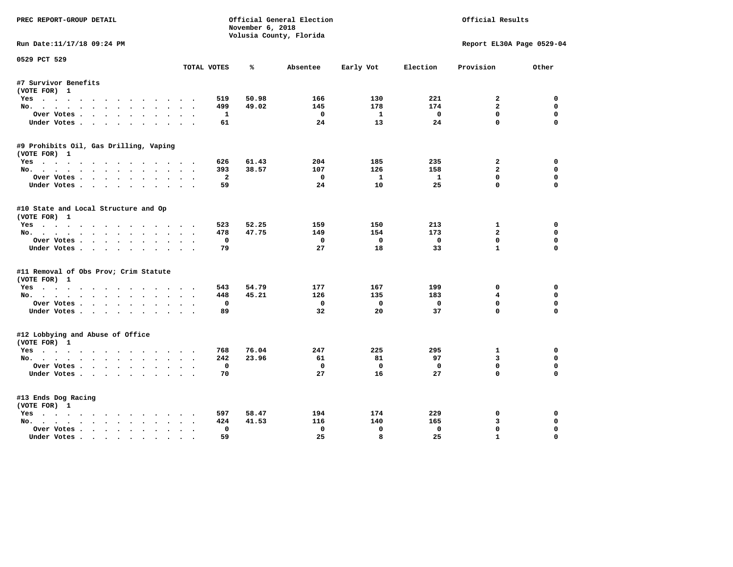| PREC REPORT-GROUP DETAIL                              | November 6, 2018<br>Volusia County, Florida |       |              |              |              | Official General Election<br>Official Results |                           |  |  |  |
|-------------------------------------------------------|---------------------------------------------|-------|--------------|--------------|--------------|-----------------------------------------------|---------------------------|--|--|--|
| Run Date:11/17/18 09:24 PM                            |                                             |       |              |              |              |                                               | Report EL30A Page 0529-04 |  |  |  |
| 0529 PCT 529                                          |                                             |       |              |              |              |                                               |                           |  |  |  |
|                                                       | TOTAL VOTES                                 | ℁     | Absentee     | Early Vot    | Election     | Provision                                     | Other                     |  |  |  |
| #7 Survivor Benefits<br>(VOTE FOR) 1                  |                                             |       |              |              |              |                                               |                           |  |  |  |
| Yes                                                   | 519                                         | 50.98 | 166          | 130          | 221          | $\overline{2}$                                | 0                         |  |  |  |
| No.                                                   | 499                                         | 49.02 | 145          | 178          | 174          | $\overline{a}$                                | 0                         |  |  |  |
| Over Votes                                            | 1                                           |       | $\mathbf{0}$ | $\mathbf{1}$ | $^{\circ}$   | $\mathbf 0$                                   | 0                         |  |  |  |
| Under Votes.                                          | 61                                          |       | 24           | 13           | 24           | $\Omega$                                      | $\Omega$                  |  |  |  |
| #9 Prohibits Oil, Gas Drilling, Vaping                |                                             |       |              |              |              |                                               |                           |  |  |  |
| (VOTE FOR) 1                                          | 626                                         | 61.43 | 204          | 185          | 235          | $\mathbf{2}$                                  | 0                         |  |  |  |
| Yes<br>No.                                            | 393                                         | 38.57 | 107          | 126          | 158          | $\overline{2}$                                | 0                         |  |  |  |
| Over Votes                                            | $\overline{a}$                              |       | $^{\circ}$   | 1            | 1            | 0                                             | 0                         |  |  |  |
| Under Votes.                                          | 59                                          |       | 24           | 10           | 25           | $\Omega$                                      | $\Omega$                  |  |  |  |
|                                                       |                                             |       |              |              |              |                                               |                           |  |  |  |
| #10 State and Local Structure and Op<br>(VOTE FOR) 1  |                                             |       |              |              |              |                                               |                           |  |  |  |
| Yes                                                   | 523                                         | 52.25 | 159          | 150          | 213          | 1                                             | 0                         |  |  |  |
| No.                                                   | 478                                         | 47.75 | 149          | 154          | 173          | $\overline{a}$                                | 0                         |  |  |  |
| Over Votes                                            | 0                                           |       | $^{\circ}$   | $\mathbf{o}$ | $\mathbf 0$  | $\mathbf 0$                                   | 0                         |  |  |  |
| Under Votes                                           | 79                                          |       | 27           | 18           | 33           | $\mathbf{1}$                                  | $\mathbf 0$               |  |  |  |
| #11 Removal of Obs Prov; Crim Statute<br>(VOTE FOR) 1 |                                             |       |              |              |              |                                               |                           |  |  |  |
| Yes                                                   | 543                                         | 54.79 | 177          | 167          | 199          | 0                                             | 0                         |  |  |  |
| No.                                                   | 448                                         | 45.21 | 126          | 135          | 183          | 4                                             | 0                         |  |  |  |
| Over Votes                                            | $\mathbf 0$                                 |       | $\mathbf 0$  | $\mathbf 0$  | $\mathbf 0$  | $\mathbf 0$                                   | 0                         |  |  |  |
| Under Votes.                                          | 89                                          |       | 32           | 20           | 37           | $\Omega$                                      | $\mathbf 0$               |  |  |  |
| #12 Lobbying and Abuse of Office<br>(VOTE FOR) 1      |                                             |       |              |              |              |                                               |                           |  |  |  |
| Yes                                                   | 768                                         | 76.04 | 247          | 225          | 295          | $\mathbf{1}$                                  | $\mathbf 0$               |  |  |  |
| No.                                                   | 242                                         | 23.96 | 61           | 81           | 97           | 3                                             | 0                         |  |  |  |
| Over Votes                                            | $\mathbf 0$                                 |       | $\mathbf 0$  | $\mathbf 0$  | $\mathbf{o}$ | $\mathbf 0$                                   | 0                         |  |  |  |
| Under Votes.                                          | 70                                          |       | 27           | 16           | 27           | $\Omega$                                      | $\Omega$                  |  |  |  |
| #13 Ends Dog Racing<br>(VOTE FOR) 1                   |                                             |       |              |              |              |                                               |                           |  |  |  |
| Yes                                                   | 597                                         | 58.47 | 194          | 174          | 229          | 0                                             | $\mathbf 0$               |  |  |  |
| No.                                                   | 424                                         | 41.53 | 116          | 140          | 165          | 3                                             | 0                         |  |  |  |
| Over Votes                                            | $\Omega$                                    |       | $\Omega$     | $\mathbf 0$  | $\mathbf 0$  | $\mathbf 0$                                   | 0                         |  |  |  |
| Under Votes                                           | 59                                          |       | 25           | 8            | 25           | $\mathbf{1}$                                  | $\mathbf 0$               |  |  |  |
|                                                       |                                             |       |              |              |              |                                               |                           |  |  |  |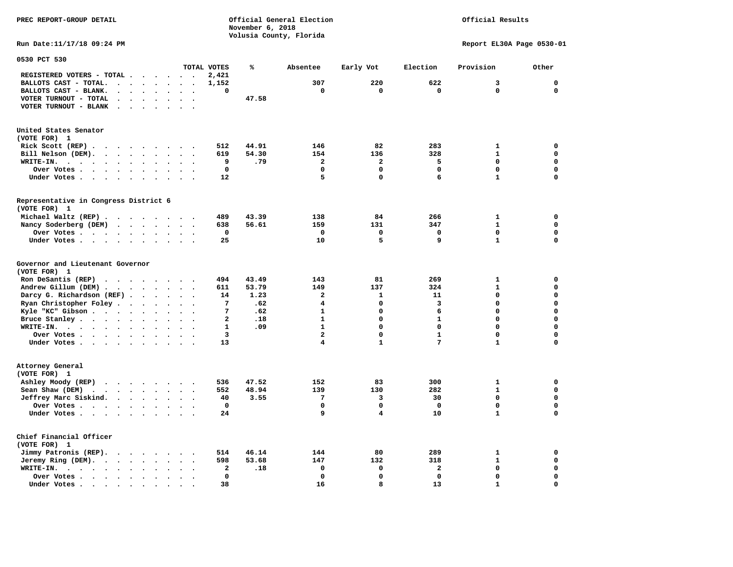**PREC REPORT-GROUP DETAIL COMPUTER CONSUMING A CONSUMING CONSUMING A LIGACION CONSUMING A LIGACION** *November 6, 2018 November 6, 2018*  **Volusia County, Florida Run Date:11/17/18 09:24 PM Report EL30A Page 0530-01** 

## Official Results

| 0530 PCT 530                                                                                                                                                                                                                                                                                                                                               |                                                               |                                                                                                |                                                                                                                                       |                                                                                   |                                                                                                                               |                      |                                                                         |                                                    |                                                                                                                                       |                                                                                                           |                                                                      |                                                                                             |                                                                                                                 |
|------------------------------------------------------------------------------------------------------------------------------------------------------------------------------------------------------------------------------------------------------------------------------------------------------------------------------------------------------------|---------------------------------------------------------------|------------------------------------------------------------------------------------------------|---------------------------------------------------------------------------------------------------------------------------------------|-----------------------------------------------------------------------------------|-------------------------------------------------------------------------------------------------------------------------------|----------------------|-------------------------------------------------------------------------|----------------------------------------------------|---------------------------------------------------------------------------------------------------------------------------------------|-----------------------------------------------------------------------------------------------------------|----------------------------------------------------------------------|---------------------------------------------------------------------------------------------|-----------------------------------------------------------------------------------------------------------------|
|                                                                                                                                                                                                                                                                                                                                                            |                                                               |                                                                                                |                                                                                                                                       |                                                                                   |                                                                                                                               |                      | TOTAL VOTES                                                             | ℁                                                  | Absentee                                                                                                                              | Early Vot                                                                                                 | Election                                                             | Provision                                                                                   | Other                                                                                                           |
| REGISTERED VOTERS - TOTAL .                                                                                                                                                                                                                                                                                                                                |                                                               | $\ddot{\phantom{a}}$                                                                           |                                                                                                                                       |                                                                                   | $\ddot{\phantom{a}}$                                                                                                          |                      | 2,421                                                                   |                                                    |                                                                                                                                       |                                                                                                           |                                                                      |                                                                                             |                                                                                                                 |
| BALLOTS CAST - TOTAL.                                                                                                                                                                                                                                                                                                                                      | $\cdot$                                                       | $\bullet$                                                                                      | $\ddot{\phantom{a}}$                                                                                                                  | $\bullet$                                                                         | $\bullet$                                                                                                                     | $\ddot{\phantom{a}}$ | 1,152                                                                   |                                                    | 307                                                                                                                                   | 220                                                                                                       | 622                                                                  | 3                                                                                           | $\mathbf 0$                                                                                                     |
| BALLOTS CAST - BLANK.<br>$\ddot{\phantom{a}}$                                                                                                                                                                                                                                                                                                              |                                                               |                                                                                                |                                                                                                                                       |                                                                                   |                                                                                                                               |                      | 0                                                                       |                                                    | $\mathbf 0$                                                                                                                           | $\mathbf 0$                                                                                               | $\mathbf 0$                                                          | $\mathbf 0$                                                                                 | $\mathbf 0$                                                                                                     |
| VOTER TURNOUT - TOTAL<br>$\ddot{\phantom{a}}$                                                                                                                                                                                                                                                                                                              | $\Delta$                                                      | $\bullet$                                                                                      | $\ddot{\phantom{a}}$                                                                                                                  | $\ddot{\phantom{a}}$                                                              | $\ddot{\phantom{a}}$                                                                                                          |                      |                                                                         | 47.58                                              |                                                                                                                                       |                                                                                                           |                                                                      |                                                                                             |                                                                                                                 |
| VOTER TURNOUT - BLANK<br>$\ddot{\phantom{a}}$                                                                                                                                                                                                                                                                                                              |                                                               |                                                                                                |                                                                                                                                       |                                                                                   |                                                                                                                               |                      |                                                                         |                                                    |                                                                                                                                       |                                                                                                           |                                                                      |                                                                                             |                                                                                                                 |
| United States Senator<br>(VOTE FOR) 1                                                                                                                                                                                                                                                                                                                      |                                                               |                                                                                                |                                                                                                                                       |                                                                                   |                                                                                                                               |                      |                                                                         |                                                    |                                                                                                                                       |                                                                                                           |                                                                      |                                                                                             |                                                                                                                 |
| Rick Scott $(REP)$                                                                                                                                                                                                                                                                                                                                         |                                                               |                                                                                                |                                                                                                                                       |                                                                                   | $\ddot{\phantom{0}}$                                                                                                          |                      | 512                                                                     | 44.91                                              | 146                                                                                                                                   | 82                                                                                                        | 283                                                                  | 1                                                                                           | 0                                                                                                               |
| Bill Nelson (DEM).<br>$\cdot$ $\cdot$ $\cdot$ $\cdot$ $\cdot$ $\cdot$                                                                                                                                                                                                                                                                                      |                                                               |                                                                                                |                                                                                                                                       |                                                                                   | $\sim$                                                                                                                        |                      | 619                                                                     | 54.30                                              | 154                                                                                                                                   | 136                                                                                                       | 328                                                                  | $\mathbf{1}$                                                                                | $\mathbf 0$                                                                                                     |
| WRITE-IN.<br>$\ddotsc$<br>$\bullet$<br>$\ddot{\phantom{0}}$<br>$\ddot{\phantom{a}}$                                                                                                                                                                                                                                                                        | $\bullet$                                                     | $\bullet$                                                                                      | $\bullet$                                                                                                                             |                                                                                   |                                                                                                                               |                      | 9                                                                       | .79                                                | $\overline{\mathbf{2}}$                                                                                                               | $\overline{\mathbf{2}}$                                                                                   | 5                                                                    | $\mathbf 0$                                                                                 | $\mathbf 0$                                                                                                     |
| Over Votes .<br>$\bullet$ .<br>$\sim$ $\sim$ $\sim$                                                                                                                                                                                                                                                                                                        | $\bullet$ .                                                   | $\bullet$                                                                                      | $\bullet$                                                                                                                             | $\bullet$                                                                         |                                                                                                                               |                      | $\mathbf{0}$                                                            |                                                    | $\mathbf 0$                                                                                                                           | $\mathbf 0$                                                                                               | 0                                                                    | $\Omega$                                                                                    | $\mathbf 0$                                                                                                     |
| Under Votes.<br>$\sim$ $\sim$ $\sim$<br>$\ddot{\phantom{1}}$                                                                                                                                                                                                                                                                                               | $\ddot{\phantom{0}}$                                          | $\ddot{\phantom{a}}$                                                                           | $\cdot$                                                                                                                               |                                                                                   |                                                                                                                               |                      | 12                                                                      |                                                    | 5                                                                                                                                     | $\mathbf 0$                                                                                               | 6                                                                    | $\mathbf{1}$                                                                                | $\mathbf 0$                                                                                                     |
| Representative in Congress District 6                                                                                                                                                                                                                                                                                                                      |                                                               |                                                                                                |                                                                                                                                       |                                                                                   |                                                                                                                               |                      |                                                                         |                                                    |                                                                                                                                       |                                                                                                           |                                                                      |                                                                                             |                                                                                                                 |
| (VOTE FOR) 1                                                                                                                                                                                                                                                                                                                                               |                                                               |                                                                                                |                                                                                                                                       |                                                                                   |                                                                                                                               |                      |                                                                         |                                                    |                                                                                                                                       |                                                                                                           |                                                                      |                                                                                             |                                                                                                                 |
| Michael Waltz (REP).                                                                                                                                                                                                                                                                                                                                       | $\cdot$ $\cdot$ $\cdot$                                       |                                                                                                | $\sim$ $\sim$                                                                                                                         |                                                                                   | $\sim$ $\sim$                                                                                                                 |                      | 489                                                                     | 43.39                                              | 138                                                                                                                                   | 84                                                                                                        | 266                                                                  | 1                                                                                           | $\mathbf 0$                                                                                                     |
| Nancy Soderberg (DEM)                                                                                                                                                                                                                                                                                                                                      | $\cdot \cdot \cdot$                                           |                                                                                                | $\ddot{\phantom{a}}$                                                                                                                  | $\sim$ $\sim$                                                                     |                                                                                                                               |                      | 638                                                                     | 56.61                                              | 159                                                                                                                                   | 131                                                                                                       | 347                                                                  | $\mathbf{1}$                                                                                | $\mathbf 0$                                                                                                     |
| Over Votes.<br>$\cdot$ $\cdot$ $\cdot$ $\cdot$                                                                                                                                                                                                                                                                                                             |                                                               | $\ddot{\phantom{a}}$                                                                           | $\bullet$                                                                                                                             | $\bullet$                                                                         | $\bullet$                                                                                                                     |                      | 0                                                                       |                                                    | $\mathbf 0$                                                                                                                           | $\mathbf 0$                                                                                               | $\mathbf 0$                                                          | $\mathbf 0$                                                                                 | $\mathbf 0$                                                                                                     |
| Under Votes                                                                                                                                                                                                                                                                                                                                                |                                                               |                                                                                                |                                                                                                                                       | $\sim$                                                                            | $\bullet$                                                                                                                     |                      | 25                                                                      |                                                    | 10                                                                                                                                    | 5                                                                                                         | 9                                                                    | $\mathbf{1}$                                                                                | $\mathbf 0$                                                                                                     |
| Governor and Lieutenant Governor<br>(VOTE FOR) 1<br>Ron DeSantis (REP)<br>.<br>Andrew Gillum (DEM).<br>$\sim$<br>Darcy G. Richardson (REF)<br>Ryan Christopher Foley.<br>Kyle "KC" Gibson<br>Bruce Stanley<br>WRITE-IN.<br>$\cdot \cdot \cdot \cdot$<br>$\sim$ $\sim$<br>Over Votes .<br>$\mathbf{a}$ , and $\mathbf{a}$ , and $\mathbf{a}$<br>Under Votes | $\ddot{\phantom{0}}$<br>$\sim$                                | $\ddot{\phantom{a}}$<br>$\ddot{\phantom{a}}$<br>$\bullet$<br>$\bullet$<br>$\ddot{\phantom{1}}$ | $\ddot{\phantom{a}}$<br>$\ddot{\phantom{a}}$<br>$\bullet$<br>$\bullet$<br>$\overline{\phantom{a}}$<br>$\cdot$<br>$\ddot{\phantom{0}}$ | $\ddot{\phantom{a}}$<br>$\ddot{\phantom{a}}$<br>$\bullet$<br>$\cdot$<br>$\bullet$ | $\sim$<br>$\ddot{\phantom{a}}$<br>$\ddot{\phantom{a}}$<br>$\bullet$<br>$\ddot{\phantom{a}}$<br>$\ddot{\phantom{a}}$<br>$\sim$ |                      | 494<br>611<br>14<br>7<br>7<br>$\overline{a}$<br>$\mathbf{1}$<br>3<br>13 | 43.49<br>53.79<br>1.23<br>.62<br>.62<br>.18<br>.09 | 143<br>149<br>$\mathbf{2}$<br>$\overline{\mathbf{4}}$<br>$\mathbf{1}$<br>$\mathbf{1}$<br>$\mathbf{1}$<br>$\overline{\mathbf{2}}$<br>4 | 81<br>137<br>1<br>$\mathbf 0$<br>$\mathbf 0$<br>$\mathbf 0$<br>$\mathbf 0$<br>$\mathbf 0$<br>$\mathbf{1}$ | 269<br>324<br>11<br>3<br>6<br>$\mathbf{1}$<br>0<br>$\mathbf{1}$<br>7 | $\mathbf{1}$<br>$\mathbf{1}$<br>$\mathbf 0$<br>$\Omega$<br>0<br>0<br>0<br>0<br>$\mathbf{1}$ | 0<br>$\mathbf 0$<br>$\mathbf 0$<br>$\mathbf 0$<br>$\mathbf 0$<br>$\mathbf 0$<br>$\mathbf 0$<br>0<br>$\mathbf 0$ |
| Attorney General<br>(VOTE FOR) 1<br>Ashley Moody (REP)<br>$\cdot$ $\cdot$ $\cdot$ $\cdot$ $\cdot$ $\cdot$<br>Sean Shaw (DEM)<br>$\ddot{\phantom{0}}$<br>Jeffrey Marc Siskind.<br>Over Votes.<br>$\begin{array}{cccccccccccccc} \bullet & \bullet & \bullet & \bullet & \bullet & \bullet & \bullet & \bullet \end{array}$<br>Under Votes                   | $\sim$ $\sim$ $\sim$ $\sim$ $\sim$<br>$\cdot$ $\cdot$ $\cdot$ |                                                                                                | $\ddot{\phantom{a}}$<br>$\bullet$                                                                                                     | $\cdot$<br>$\bullet$<br>$\ddot{\phantom{a}}$                                      | $\sim$<br>$\cdot$<br>$\ddot{\phantom{a}}$                                                                                     |                      | 536<br>552<br>40<br>$\mathbf 0$<br>24                                   | 47.52<br>48.94<br>3.55                             | 152<br>139<br>$7\phantom{.0}$<br>$\mathbf 0$<br>9                                                                                     | 83<br>130<br>3<br>$\mathbf 0$<br>4                                                                        | 300<br>282<br>30<br>$\mathbf 0$<br>10                                | $\mathbf{1}$<br>$\mathbf{1}$<br>$\mathbf 0$<br>0<br>$\mathbf{1}$                            | 0<br>$\mathbf 0$<br>$\mathbf 0$<br>$\mathbf 0$<br>$\mathbf 0$                                                   |
| Chief Financial Officer<br>(VOTE FOR) 1<br>Jimmy Patronis (REP).<br>Jeremy Ring (DEM).<br>$\ddot{\phantom{0}}$<br>WRITE-IN.<br>$\sim$ $\sim$<br>$\sim$ $\sim$ $\sim$ $\sim$ $\sim$<br>Over Votes.<br>and the second control of the second                                                                                                                  | $\cdot$ $\cdot$ $\cdot$ $\cdot$<br>$\bullet$<br>$\bullet$     | $\bullet$<br>$\bullet$<br>$\ddot{\phantom{1}}$                                                 | $\bullet$<br>$\ddot{\phantom{1}}$                                                                                                     | $\sim$                                                                            | $\sim$<br>$\bullet$                                                                                                           |                      | 514<br>598<br>$\mathbf{2}$<br>$\mathbf{0}$                              | 46.14<br>53.68<br>.18                              | 144<br>147<br>0<br>$\mathbf 0$                                                                                                        | 80<br>132<br>0<br>$\mathbf 0$<br>8                                                                        | 289<br>318<br>$\mathbf{z}$<br>0                                      | 1<br>$\mathbf{1}$<br>0<br>0<br>$\mathbf{1}$                                                 | 0<br>$\mathbf 0$<br>$\mathbf 0$<br>$\mathbf 0$<br>$\mathbf 0$                                                   |
| Under Votes                                                                                                                                                                                                                                                                                                                                                | $\cdot$                                                       | $\bullet$                                                                                      |                                                                                                                                       |                                                                                   |                                                                                                                               |                      | 38                                                                      |                                                    | 16                                                                                                                                    |                                                                                                           | 13                                                                   |                                                                                             |                                                                                                                 |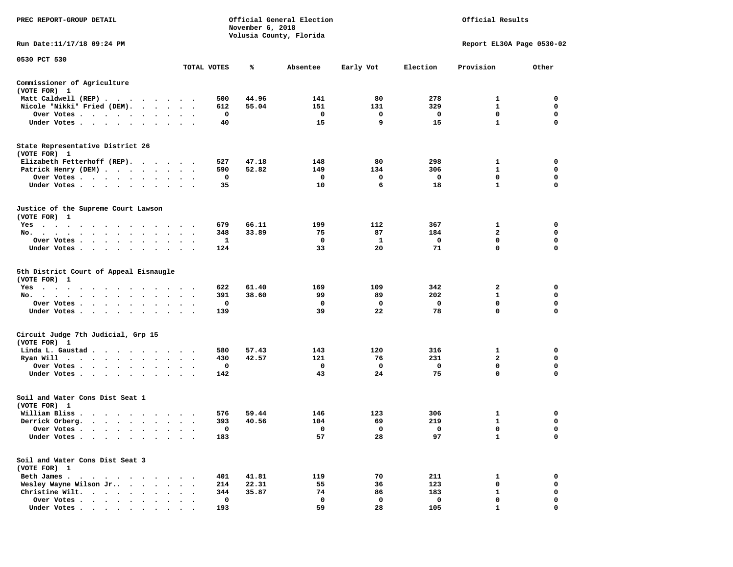| PREC REPORT-GROUP DETAIL                                                                                                                                                                                                                   |                                   |             | November 6, 2018 | Official General Election<br>Volusia County, Florida | Official Results |             |                           |             |
|--------------------------------------------------------------------------------------------------------------------------------------------------------------------------------------------------------------------------------------------|-----------------------------------|-------------|------------------|------------------------------------------------------|------------------|-------------|---------------------------|-------------|
| Run Date:11/17/18 09:24 PM                                                                                                                                                                                                                 |                                   |             |                  |                                                      |                  |             | Report EL30A Page 0530-02 |             |
| 0530 PCT 530                                                                                                                                                                                                                               |                                   | TOTAL VOTES | ℁                | Absentee                                             | Early Vot        | Election    | Provision                 | Other       |
| Commissioner of Agriculture                                                                                                                                                                                                                |                                   |             |                  |                                                      |                  |             |                           |             |
| (VOTE FOR) 1                                                                                                                                                                                                                               |                                   |             |                  |                                                      |                  |             |                           |             |
| Matt Caldwell (REP)                                                                                                                                                                                                                        |                                   | 500         | 44.96            | 141                                                  | 80               | 278         | 1                         | 0           |
| Nicole "Nikki" Fried (DEM).                                                                                                                                                                                                                |                                   | 612         | 55.04            | 151                                                  | 131              | 329         | $\mathbf{1}$              | 0           |
| Over Votes                                                                                                                                                                                                                                 |                                   | 0           |                  | 0                                                    | 0                | $\mathbf 0$ | 0                         | 0           |
| Under Votes<br>$\cdot$                                                                                                                                                                                                                     |                                   | 40          |                  | 15                                                   | 9                | 15          | $\mathbf{1}$              | $\mathbf 0$ |
| State Representative District 26<br>(VOTE FOR) 1                                                                                                                                                                                           |                                   |             |                  |                                                      |                  |             |                           |             |
| Elizabeth Fetterhoff (REP).                                                                                                                                                                                                                |                                   | 527         | 47.18            | 148                                                  | 80               | 298         | 1                         | 0           |
| Patrick Henry (DEM)                                                                                                                                                                                                                        |                                   | 590         | 52.82            | 149                                                  | 134              | 306         | $\mathbf{1}$              | $\mathbf 0$ |
| Over Votes                                                                                                                                                                                                                                 |                                   | 0           |                  | 0                                                    | 0                | 0           | 0                         | 0           |
| Under Votes                                                                                                                                                                                                                                | $\bullet$<br>$\bullet$            | 35          |                  | 10                                                   | 6                | 18          | $\mathbf{1}$              | $\mathbf 0$ |
| Justice of the Supreme Court Lawson<br>(VOTE FOR) 1                                                                                                                                                                                        |                                   |             |                  |                                                      |                  |             |                           |             |
| Yes                                                                                                                                                                                                                                        |                                   | 679         | 66.11            | 199                                                  | 112              | 367         | 1                         | 0           |
| No.                                                                                                                                                                                                                                        |                                   | 348         | 33.89            | 75                                                   | 87               | 184         | 2                         | 0           |
| Over Votes                                                                                                                                                                                                                                 | $\bullet$                         | 1           |                  | 0                                                    | 1                | 0           | $\mathbf 0$               | $\mathbf 0$ |
| Under Votes<br>$\ddot{\phantom{1}}$                                                                                                                                                                                                        |                                   | 124         |                  | 33                                                   | 20               | 71          | 0                         | 0           |
| 5th District Court of Appeal Eisnaugle<br>(VOTE FOR) 1                                                                                                                                                                                     |                                   |             |                  |                                                      |                  |             |                           |             |
| $Yes \cdot \cdot \cdot \cdot \cdot \cdot$<br>$\cdots$                                                                                                                                                                                      |                                   | 622         | 61.40            | 169                                                  | 109              | 342         | 2                         | 0           |
| No.<br>$\ddot{\phantom{0}}$                                                                                                                                                                                                                |                                   | 391         | 38.60            | 99                                                   | 89               | 202         | 1                         | 0           |
| Over Votes<br>$\sim$                                                                                                                                                                                                                       |                                   | 0           |                  | 0                                                    | $\Omega$         | 0           | 0                         | 0           |
| Under Votes                                                                                                                                                                                                                                |                                   | 139         |                  | 39                                                   | 22               | 78          | 0                         | $\mathbf 0$ |
| Circuit Judge 7th Judicial, Grp 15<br>(VOTE FOR) 1                                                                                                                                                                                         |                                   |             |                  |                                                      |                  |             |                           |             |
| Linda L. Gaustad.<br>.                                                                                                                                                                                                                     |                                   | 580         | 57.43            | 143                                                  | 120              | 316         | 1                         | 0           |
| Ryan Will<br>. The contract of the contract of the contract of the contract of the contract of the contract of the contract of the contract of the contract of the contract of the contract of the contract of the contract of the contrac | $\bullet$<br>$\ddot{\phantom{1}}$ | 430         | 42.57            | 121                                                  | 76               | 231         | $\overline{a}$            | $\mathbf 0$ |
| Over Votes<br>$\cdot$                                                                                                                                                                                                                      |                                   | 0           |                  | 0                                                    | 0                | 0           | 0                         | 0           |
| Under Votes<br>$\sim$                                                                                                                                                                                                                      | $\bullet$                         | 142         |                  | 43                                                   | 24               | 75          | 0                         | $\mathbf 0$ |
| Soil and Water Cons Dist Seat 1<br>(VOTE FOR) 1                                                                                                                                                                                            |                                   |             |                  |                                                      |                  |             |                           |             |
| William Bliss.<br>$\cdot$ $\cdot$ $\cdot$ $\cdot$ $\cdot$ $\cdot$                                                                                                                                                                          |                                   | 576         | 59.44            | 146                                                  | 123              | 306         | 1                         | 0           |
| Derrick Orberg.                                                                                                                                                                                                                            | $\ddot{\phantom{a}}$              | 393         | 40.56            | 104                                                  | 69               | 219         | $\mathbf{1}$              | 0           |
| Over Votes<br>$\blacksquare$                                                                                                                                                                                                               |                                   | 0           |                  | $\mathbf 0$                                          | $\mathbf 0$      | $\mathbf 0$ | 0                         | $\mathbf 0$ |
| Under Votes                                                                                                                                                                                                                                |                                   | 183         |                  | 57                                                   | 28               | 97          | 1                         | 0           |
| Soil and Water Cons Dist Seat 3<br>(VOTE FOR) 1                                                                                                                                                                                            |                                   |             |                  |                                                      |                  |             |                           |             |
| Beth James                                                                                                                                                                                                                                 |                                   | 401         | 41.81            | 119                                                  | 70               | 211         | 1                         | 0           |
| Wesley Wayne Wilson Jr                                                                                                                                                                                                                     |                                   | 214         | 22.31            | 55                                                   | 36               | 123         | 0                         | 0           |
| Christine Wilt.<br>$\cdots$                                                                                                                                                                                                                |                                   | 344         | 35.87            | 74                                                   | 86               | 183         | 1                         | 0           |
| Over Votes                                                                                                                                                                                                                                 |                                   | $\mathbf 0$ |                  | $\mathbf 0$                                          | 0                | 0           | 0                         | $\mathbf 0$ |
| Under Votes                                                                                                                                                                                                                                |                                   | 193         |                  | 59                                                   | 28               | 105         |                           | 0           |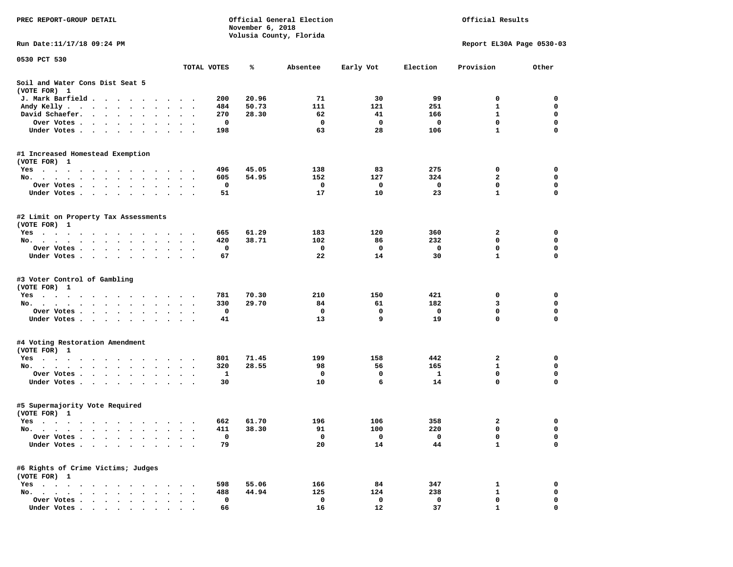| PREC REPORT-GROUP DETAIL                                                                                                                                                                                                                                                                                                              |                               | Official Results |                         |           |          |                           |             |
|---------------------------------------------------------------------------------------------------------------------------------------------------------------------------------------------------------------------------------------------------------------------------------------------------------------------------------------|-------------------------------|------------------|-------------------------|-----------|----------|---------------------------|-------------|
| Run Date:11/17/18 09:24 PM                                                                                                                                                                                                                                                                                                            |                               |                  | Volusia County, Florida |           |          | Report EL30A Page 0530-03 |             |
| 0530 PCT 530                                                                                                                                                                                                                                                                                                                          |                               |                  |                         |           |          |                           |             |
|                                                                                                                                                                                                                                                                                                                                       | TOTAL VOTES                   | ℁                | Absentee                | Early Vot | Election | Provision                 | Other       |
| Soil and Water Cons Dist Seat 5<br>(VOTE FOR) 1                                                                                                                                                                                                                                                                                       |                               |                  |                         |           |          |                           |             |
| J. Mark Barfield                                                                                                                                                                                                                                                                                                                      | 200<br>$\cdot$ .              | 20.96            | 71                      | 30        | 99       | 0                         | 0           |
| Andy Kelly                                                                                                                                                                                                                                                                                                                            | 484                           | 50.73            | 111                     | 121       | 251      | 1                         | 0           |
| David Schaefer.                                                                                                                                                                                                                                                                                                                       | 270<br>$\bullet$              | 28.30            | 62                      | 41        | 166      | $\mathbf{1}$              | 0           |
| Over Votes                                                                                                                                                                                                                                                                                                                            | 0                             |                  | $\mathbf{o}$            | 0         | 0        | 0                         | $\mathbf 0$ |
| Under Votes                                                                                                                                                                                                                                                                                                                           | 198                           |                  | 63                      | 28        | 106      | $\mathbf{1}$              | 0           |
| #1 Increased Homestead Exemption                                                                                                                                                                                                                                                                                                      |                               |                  |                         |           |          |                           |             |
| (VOTE FOR) 1                                                                                                                                                                                                                                                                                                                          |                               |                  |                         |           |          |                           |             |
| Yes                                                                                                                                                                                                                                                                                                                                   | 496                           | 45.05            | 138                     | 83        | 275      | 0                         | 0           |
| No.                                                                                                                                                                                                                                                                                                                                   | 605                           | 54.95            | 152                     | 127       | 324      | 2                         | 0           |
| Over Votes<br>$\ddot{\phantom{0}}$<br>$\bullet$                                                                                                                                                                                                                                                                                       | 0<br>$\bullet$ .<br>$\bullet$ |                  | 0                       | 0         | 0        | 0                         | 0           |
| Under Votes<br>$\ddot{\phantom{0}}$                                                                                                                                                                                                                                                                                                   | 51                            |                  | 17                      | 10        | 23       | $\mathbf{1}$              | 0           |
| #2 Limit on Property Tax Assessments<br>(VOTE FOR) 1                                                                                                                                                                                                                                                                                  |                               |                  |                         |           |          |                           |             |
|                                                                                                                                                                                                                                                                                                                                       | 665                           | 61.29            | 183                     | 120       | 360      | $\mathbf{2}$              | 0           |
| Yes<br>No.<br>$\bullet$<br>$\ddot{\phantom{0}}$                                                                                                                                                                                                                                                                                       | 420                           | 38.71            | 102                     | 86        | 232      | 0                         | $\mathbf 0$ |
| Over Votes                                                                                                                                                                                                                                                                                                                            | $\ddot{\phantom{1}}$<br>0     |                  | 0                       | 0         | 0        | 0                         | 0           |
| Under Votes                                                                                                                                                                                                                                                                                                                           | 67                            |                  | 22                      | 14        | 30       | $\mathbf{1}$              | 0           |
|                                                                                                                                                                                                                                                                                                                                       |                               |                  |                         |           |          |                           |             |
| #3 Voter Control of Gambling<br>(VOTE FOR) 1                                                                                                                                                                                                                                                                                          |                               |                  |                         |           |          |                           |             |
| Yes                                                                                                                                                                                                                                                                                                                                   | 781                           | 70.30            | 210                     | 150       | 421      | 0                         | 0           |
| No.                                                                                                                                                                                                                                                                                                                                   | 330                           | 29.70            | 84                      | 61        | 182      | 3                         | $\mathbf 0$ |
| Over Votes                                                                                                                                                                                                                                                                                                                            | 0                             |                  | 0                       | 0         | 0        | 0                         | $\mathbf 0$ |
| Under Votes                                                                                                                                                                                                                                                                                                                           | 41                            |                  | 13                      | 9         | 19       | 0                         | 0           |
|                                                                                                                                                                                                                                                                                                                                       |                               |                  |                         |           |          |                           |             |
| #4 Voting Restoration Amendment<br>(VOTE FOR) 1                                                                                                                                                                                                                                                                                       |                               |                  |                         |           |          |                           |             |
| Yes                                                                                                                                                                                                                                                                                                                                   | 801                           | 71.45            | 199                     | 158       | 442      | 2                         | 0           |
| No.                                                                                                                                                                                                                                                                                                                                   | 320                           | 28.55            | 98                      | 56        | 165      | 1                         | $\mathbf 0$ |
| Over Votes                                                                                                                                                                                                                                                                                                                            | 1<br>$\ddot{\phantom{1}}$     |                  | 0                       | 0         | 1        | 0                         | 0           |
| Under Votes                                                                                                                                                                                                                                                                                                                           | 30                            |                  | 10                      | 6         | 14       | 0                         | 0           |
| #5 Supermajority Vote Required<br>(VOTE FOR) 1                                                                                                                                                                                                                                                                                        |                               |                  |                         |           |          |                           |             |
| Yes                                                                                                                                                                                                                                                                                                                                   | 662                           | 61.70            | 196                     | 106       | 358      | $\mathbf{2}$              | 0           |
| No.<br>$\mathbf{a} \cdot \mathbf{a} \cdot \mathbf{a} \cdot \mathbf{a} \cdot \mathbf{a} \cdot \mathbf{a} \cdot \mathbf{a} \cdot \mathbf{a} \cdot \mathbf{a} \cdot \mathbf{a} \cdot \mathbf{a} \cdot \mathbf{a} \cdot \mathbf{a} \cdot \mathbf{a} \cdot \mathbf{a} \cdot \mathbf{a} \cdot \mathbf{a} \cdot \mathbf{a} \cdot \mathbf{a}$ | 411                           | 38.30            | 91                      | 100       | 220      | $\mathbf{0}$              | 0           |
| Over Votes.<br>$\sim$<br>$\sim$ $\sim$ $\sim$                                                                                                                                                                                                                                                                                         | 0                             |                  | 0                       | 0         | 0        | 0                         | 0           |
| Under Votes<br>$\bullet$                                                                                                                                                                                                                                                                                                              | 79                            |                  | 20                      | 14        | 44       | $\mathbf{1}$              | 0           |
| #6 Rights of Crime Victims; Judges<br>(VOTE FOR) 1                                                                                                                                                                                                                                                                                    |                               |                  |                         |           |          |                           |             |
| $Yes \cdot \cdot \cdot$<br>$\bullet$<br>$\sim$<br>$\cdot$ $\cdot$                                                                                                                                                                                                                                                                     | 598                           | 55.06            | 166                     | 84        | 347      | 1                         | 0           |
| $No.$ $\cdot$ $\cdot$ $\cdot$<br>$\ddot{\phantom{a}}$                                                                                                                                                                                                                                                                                 | 488                           | 44.94            | 125                     | 124       | 238      | $\mathbf{1}$              | 0           |
| Over Votes .<br>$\ddot{\phantom{1}}$<br>$\sim$ $\sim$                                                                                                                                                                                                                                                                                 | 0                             |                  | 0                       | 0         | 0        | 0                         | 0           |
| Under Votes.<br>$\cdots$<br>$\sim$<br>$\bullet$                                                                                                                                                                                                                                                                                       | 66                            |                  | 16                      | 12        | 37       | $\mathbf{1}$              | 0           |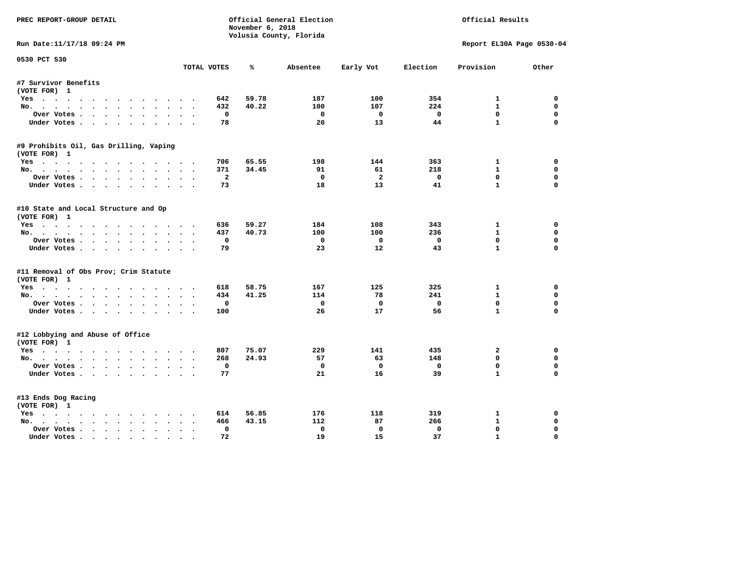| PREC REPORT-GROUP DETAIL               | Official General Election<br>Official Results<br>November 6, 2018 |       |                         |                    |                    |                                     |                  |
|----------------------------------------|-------------------------------------------------------------------|-------|-------------------------|--------------------|--------------------|-------------------------------------|------------------|
|                                        |                                                                   |       | Volusia County, Florida |                    |                    |                                     |                  |
| Run Date:11/17/18 09:24 PM             |                                                                   |       |                         |                    |                    | Report EL30A Page 0530-04           |                  |
| 0530 PCT 530                           | TOTAL VOTES                                                       | ℁     | Absentee                | Early Vot          | Election           | Provision                           | Other            |
| #7 Survivor Benefits                   |                                                                   |       |                         |                    |                    |                                     |                  |
| (VOTE FOR) 1                           |                                                                   |       |                         |                    |                    |                                     |                  |
| Yes                                    | 642                                                               | 59.78 | 187                     | 100                | 354                | $\mathbf{1}$                        | 0                |
| No.                                    | 432                                                               | 40.22 | 100                     | 107                | 224                | $\mathbf{1}$                        | $\mathbf 0$      |
| Over Votes                             | $\mathbf 0$                                                       |       | $\mathbf 0$             | $^{\circ}$         | $\mathbf{o}$       | $\Omega$                            | $\mathbf 0$      |
| Under Votes                            | 78                                                                |       | 20                      | 13                 | 44                 | $\mathbf{1}$                        | $\mathbf 0$      |
| #9 Prohibits Oil, Gas Drilling, Vaping |                                                                   |       |                         |                    |                    |                                     |                  |
| (VOTE FOR) 1                           |                                                                   |       |                         |                    |                    |                                     |                  |
| Yes                                    | 706                                                               | 65.55 | 198                     | 144                | 363                | $\mathbf{1}$                        | 0                |
| No.                                    | 371                                                               | 34.45 | 91                      | 61                 | 218                | $\mathbf{1}$                        | 0                |
| Over Votes                             | $\overline{a}$                                                    |       | $^{\circ}$              | $\overline{a}$     | $\Omega$           | $\Omega$                            | $\mathbf 0$      |
| Under Votes                            | 73                                                                |       | 18                      | 13                 | 41                 | $\mathbf{1}$                        | $\Omega$         |
| #10 State and Local Structure and Op   |                                                                   |       |                         |                    |                    |                                     |                  |
| (VOTE FOR) 1                           |                                                                   |       |                         |                    |                    |                                     |                  |
| Yes                                    | 636                                                               | 59.27 | 184                     | 108                | 343                | $\mathbf{1}$                        | $\Omega$         |
| No.                                    | 437                                                               | 40.73 | 100                     | 100                | 236                | $\mathbf{1}$                        | 0                |
| Over Votes                             | 0                                                                 |       | $\Omega$                | $\mathbf{0}$       | $\mathbf 0$        | $\Omega$                            | $\Omega$         |
| Under Votes                            | 79                                                                |       | 23                      | 12                 | 43                 | $\mathbf{1}$                        | $\Omega$         |
| #11 Removal of Obs Prov; Crim Statute  |                                                                   |       |                         |                    |                    |                                     |                  |
| (VOTE FOR) 1                           |                                                                   |       |                         |                    |                    |                                     |                  |
| Yes                                    | 618                                                               | 58.75 | 167                     | 125                | 325                | 1                                   | 0                |
| No.                                    | 434                                                               | 41.25 | 114                     | 78                 | 241                | $\mathbf{1}$                        | 0                |
| Over Votes                             | 0<br>$\overline{\phantom{a}}$                                     |       | $\mathbf 0$             | $\mathbf 0$        | $\mathbf 0$        | $\mathbf 0$                         | $\mathbf 0$      |
| Under Votes                            | 100                                                               |       | 26                      | 17                 | 56                 | $\mathbf{1}$                        | $\Omega$         |
| #12 Lobbying and Abuse of Office       |                                                                   |       |                         |                    |                    |                                     |                  |
| (VOTE FOR) 1                           |                                                                   |       |                         |                    |                    |                                     |                  |
| Yes                                    | 807                                                               | 75.07 | 229                     | 141                | 435                | $\overline{\mathbf{2}}$<br>$\Omega$ | 0                |
| No.                                    | 268<br>$\mathbf{o}$                                               | 24.93 | 57<br>$^{\circ}$        | 63<br>$\mathbf{o}$ | 148<br>$\mathbf 0$ | $\mathbf 0$                         | 0<br>$\mathbf 0$ |
| Over Votes                             | 77                                                                |       | 21                      | 16                 | 39                 | $\mathbf{1}$                        | $\Omega$         |
| Under Votes                            |                                                                   |       |                         |                    |                    |                                     |                  |
| #13 Ends Dog Racing                    |                                                                   |       |                         |                    |                    |                                     |                  |
| (VOTE FOR) 1                           |                                                                   |       |                         |                    |                    |                                     |                  |
| Yes                                    | 614                                                               | 56.85 | 176                     | 118                | 319                | 1                                   | 0                |
| No.                                    | 466                                                               | 43.15 | 112                     | 87                 | 266                | $\mathbf{1}$                        | 0                |
| Over Votes .<br>$\cdots$               | 0                                                                 |       | $\Omega$                | $\Omega$           | $\mathbf 0$        | 0                                   | $\mathbf 0$      |
| Under Votes                            | 72                                                                |       | 19                      | 15                 | 37                 | $\mathbf{1}$                        | $\Omega$         |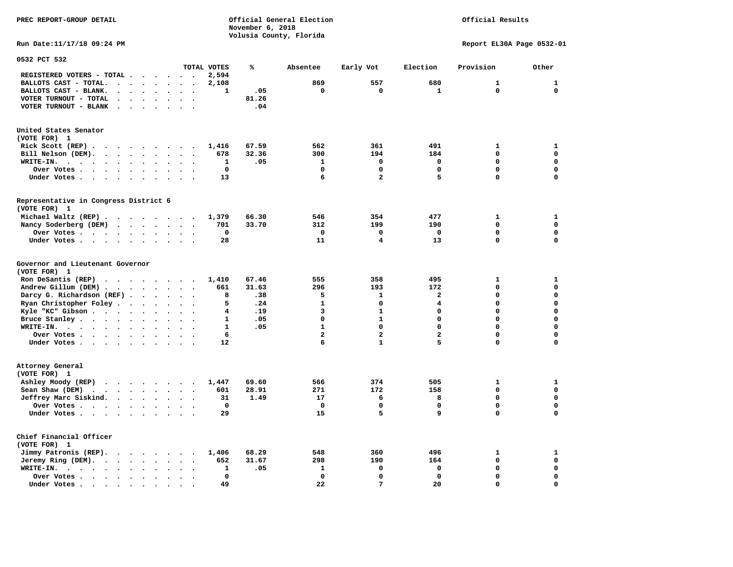## Official Results

**Run Date:11/17/18 09:24 PM Report EL30A Page 0532-01** 

| 0532 PCT 532                                                                                   |                      |                      |                                              |              |       |                |                |                         |              |              |
|------------------------------------------------------------------------------------------------|----------------------|----------------------|----------------------------------------------|--------------|-------|----------------|----------------|-------------------------|--------------|--------------|
|                                                                                                |                      |                      |                                              | TOTAL VOTES  | ℁     | Absentee       | Early Vot      | Election                | Provision    | Other        |
| REGISTERED VOTERS - TOTAL .<br>$\ddot{\phantom{a}}$                                            |                      | $\cdot$              | $\sim$                                       | 2,594        |       |                |                |                         |              |              |
| BALLOTS CAST - TOTAL.<br>$\sim$<br>$\bullet$                                                   | $\ddot{\phantom{0}}$ | $\ddot{\phantom{a}}$ | $\ddot{\phantom{0}}$<br>$\bullet$            | 2,108        |       | 869            | 557            | 680                     | 1            | $\mathbf{1}$ |
| BALLOTS CAST - BLANK.<br>$\ddot{\phantom{a}}$<br>$\bullet$                                     |                      | $\ddot{\phantom{a}}$ |                                              | $\mathbf{1}$ | .05   | $\mathbf 0$    | $\mathbf 0$    | $\mathbf{1}$            | 0            | $\mathbf 0$  |
| VOTER TURNOUT - TOTAL<br>$\bullet$<br>$\ddot{\phantom{a}}$<br>$\cdot$                          | $\cdot$              | $\bullet$            | $\sim$<br>$\bullet$                          |              | 81.26 |                |                |                         |              |              |
| VOTER TURNOUT - BLANK<br>$\ddot{\phantom{a}}$                                                  |                      |                      |                                              |              | .04   |                |                |                         |              |              |
| United States Senator                                                                          |                      |                      |                                              |              |       |                |                |                         |              |              |
| (VOTE FOR) 1                                                                                   |                      |                      |                                              |              |       |                |                |                         |              |              |
| Rick Scott $(REP)$ .                                                                           |                      |                      |                                              | 1,416        | 67.59 | 562            | 361            | 491                     | 1            | 1            |
| Bill Nelson (DEM).<br>$\mathbf{r}$ , $\mathbf{r}$ , $\mathbf{r}$ , $\mathbf{r}$ , $\mathbf{r}$ |                      |                      | $\sim$                                       | 678          | 32.36 | 300            | 194            | 184                     | $\mathbf 0$  | $\mathbf 0$  |
| WRITE-IN.<br>$\cdot$ $\cdot$ $\cdot$ $\cdot$<br>$\sim$<br>$\ddot{\phantom{1}}$                 | $\bullet$            | $\ddot{\phantom{0}}$ | $\ddot{\phantom{a}}$                         | 1            | .05   | $\mathbf{1}$   | $\mathbf 0$    | $\mathbf 0$             | 0            | $\mathbf 0$  |
| Over Votes<br>$\ddot{\phantom{a}}$                                                             | $\bullet$            | $\bullet$            |                                              | $\mathbf 0$  |       | $\Omega$       | $\Omega$       | $\Omega$                | $\Omega$     | $\mathbf 0$  |
| Under Votes<br>$\ddot{\phantom{a}}$                                                            |                      | $\cdot$              |                                              | 13           |       | 6              | $\overline{a}$ | 5                       | $\mathbf 0$  | $\mathbf 0$  |
| Representative in Congress District 6<br>(VOTE FOR) 1                                          |                      |                      |                                              |              |       |                |                |                         |              |              |
| Michael Waltz (REP)                                                                            |                      |                      |                                              | 1,379        | 66.30 | 546            | 354            | 477                     | $\mathbf{1}$ | $\mathbf{1}$ |
| Nancy Soderberg (DEM)                                                                          |                      |                      |                                              | 701          | 33.70 | 312            | 199            | 190                     | 0            | $\mathbf 0$  |
| Over Votes                                                                                     | $\ddot{\phantom{a}}$ | $\bullet$            | $\bullet$                                    | $\mathbf 0$  |       | $\mathbf 0$    | $\mathbf 0$    | $\mathbf 0$             | 0            | $\mathbf 0$  |
| Under Votes                                                                                    |                      | $\ddot{\phantom{a}}$ |                                              | 28           |       | 11             | 4              | 13                      | 0            | $\mathbf 0$  |
|                                                                                                |                      |                      |                                              |              |       |                |                |                         |              |              |
| Governor and Lieutenant Governor<br>(VOTE FOR) 1                                               |                      |                      |                                              |              |       |                |                |                         |              |              |
| Ron DeSantis (REP)<br>$\cdots$                                                                 |                      |                      | $\sim$                                       | 1,410        | 67.46 | 555            | 358            | 495                     | 1            | $\mathbf{1}$ |
| Andrew Gillum (DEM)                                                                            | $\ddotsc$            |                      |                                              | 661          | 31.63 | 296            | 193            | 172                     | 0            | $\mathbf 0$  |
| Darcy G. Richardson (REF).<br>$\bullet$                                                        | $\ddot{\phantom{a}}$ | $\ddot{\phantom{a}}$ | $\ddot{\phantom{a}}$<br>$\ddot{\phantom{a}}$ | 8            | .38   | 5              | $\mathbf{1}$   | $\overline{\mathbf{2}}$ | $\mathbf 0$  | $\mathbf 0$  |
| Ryan Christopher Foley<br>$\bullet$                                                            | $\ddot{\phantom{a}}$ | $\ddot{\phantom{a}}$ | $\ddot{\phantom{a}}$                         | 5            | .24   | $\mathbf{1}$   | $\mathbf 0$    | 4                       | 0            | $\mathbf 0$  |
| Kyle "KC" Gibson                                                                               | $\ddot{\phantom{a}}$ | $\ddot{\phantom{a}}$ | $\ddot{\phantom{a}}$<br>$\ddot{\phantom{a}}$ | 4            | .19   | 3              | $\mathbf{1}$   | 0                       | $\mathbf 0$  | $\mathbf 0$  |
| Bruce Stanley<br>$\ddot{\phantom{1}}$                                                          |                      | $\bullet$            |                                              | $\mathbf{1}$ | .05   | $\Omega$       | $\mathbf{1}$   | 0                       | 0            | $\mathbf 0$  |
| WRITE-IN.<br>$\ddot{\phantom{a}}$                                                              |                      |                      |                                              | $\mathbf{1}$ | .05   | $\mathbf{1}$   | $\Omega$       | $\Omega$                | 0            | $\mathbf 0$  |
| Over Votes                                                                                     | $\bullet$            | $\bullet$            | $\bullet$                                    | 6            |       | $\overline{2}$ | $\overline{a}$ | $\overline{\mathbf{2}}$ | 0            | $\mathbf 0$  |
| Under Votes                                                                                    | $\sim$ 100 $\mu$     | $\ddot{\phantom{a}}$ |                                              | 12           |       | 6              | $\mathbf{1}$   | 5                       | 0            | $\mathbf 0$  |
|                                                                                                |                      |                      |                                              |              |       |                |                |                         |              |              |
| Attorney General<br>(VOTE FOR) 1                                                               |                      |                      |                                              |              |       |                |                |                         |              |              |
| Ashley Moody (REP)                                                                             |                      |                      |                                              | 1,447        | 69.60 | 566            | 374            | 505                     | $\mathbf{1}$ | $\mathbf{1}$ |
| Sean Shaw (DEM)                                                                                | $\cdot$              | $\ddot{\phantom{a}}$ |                                              | 601          | 28.91 | 271            | 172            | 158                     | 0            | $\mathbf 0$  |
| Jeffrey Marc Siskind.                                                                          |                      | $\sim$ $\sim$        | $\bullet$                                    | 31           | 1.49  | 17             | 6              | 8                       | 0            | $\mathbf 0$  |
| Over Votes<br>$\ddot{\phantom{a}}$                                                             |                      |                      |                                              | $\mathbf 0$  |       | $\mathbf 0$    | $\mathbf 0$    | $\mathbf 0$             | 0            | $\mathbf 0$  |
| Under Votes                                                                                    |                      |                      |                                              | 29           |       | 15             | 5              | 9                       | 0            | $\mathbf 0$  |
| Chief Financial Officer<br>(VOTE FOR) 1                                                        |                      |                      |                                              |              |       |                |                |                         |              |              |
| Jimmy Patronis (REP).<br>$\sim$ $\sim$<br>$\cdot$ $\cdot$                                      |                      | $\sim$               |                                              | 1,406        | 68.29 | 548            | 360            | 496                     | $\mathbf{1}$ | $\mathbf{1}$ |
| Jeremy Ring (DEM).<br>$\cdots$ $\cdots$                                                        | $\ddot{\phantom{0}}$ | $\cdot$              | $\ddot{\phantom{a}}$<br>$\cdot$              | 652          | 31.67 | 298            | 190            | 164                     | 0            | $\mathbf 0$  |
| WRITE-IN.<br>$\ddot{\phantom{a}}$<br>$\bullet$                                                 |                      |                      |                                              | 1            | .05   | $\mathbf{1}$   | $\mathbf 0$    | $\mathbf 0$             | 0            | $\mathbf 0$  |
| Over Votes .<br>$\cdots$<br>$\bullet$                                                          |                      |                      |                                              | 0            |       | $\mathbf 0$    | $\mathbf 0$    | $\mathbf 0$             | 0            | $\mathbf 0$  |
| Under Votes.<br>$\bullet$<br>$\bullet$<br>$\bullet$<br>$\bullet$<br>$\bullet$                  |                      |                      |                                              | 49           |       | 22             | 7              | 20                      | $\Omega$     | $\mathbf 0$  |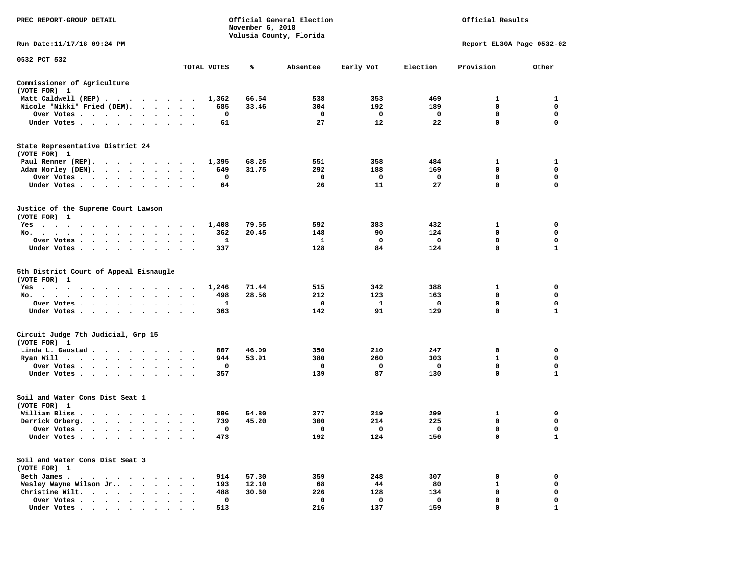| PREC REPORT-GROUP DETAIL                                                                                                                     |                                   |             | November 6, 2018 | Official General Election<br>Volusia County, Florida |           | Official Results |                           |              |  |  |
|----------------------------------------------------------------------------------------------------------------------------------------------|-----------------------------------|-------------|------------------|------------------------------------------------------|-----------|------------------|---------------------------|--------------|--|--|
| Run Date:11/17/18 09:24 PM                                                                                                                   |                                   |             |                  |                                                      |           |                  | Report EL30A Page 0532-02 |              |  |  |
| 0532 PCT 532                                                                                                                                 |                                   | TOTAL VOTES | ℁                | Absentee                                             | Early Vot | Election         | Provision                 | Other        |  |  |
| Commissioner of Agriculture<br>(VOTE FOR) 1                                                                                                  |                                   |             |                  |                                                      |           |                  |                           |              |  |  |
| Matt Caldwell (REP)                                                                                                                          |                                   | 1,362       | 66.54            | 538                                                  | 353       | 469              | 1                         | 1            |  |  |
| Nicole "Nikki" Fried (DEM).                                                                                                                  |                                   | 685         | 33.46            | 304                                                  | 192       | 189              | 0                         | 0            |  |  |
| Over Votes<br>$\sim$ $\sim$                                                                                                                  | $\cdot$<br>$\bullet$              | 0           |                  | 0                                                    | 0         | 0                | $\mathbf 0$               | 0            |  |  |
| Under Votes<br>$\ddot{\phantom{1}}$                                                                                                          |                                   | 61          |                  | 27                                                   | 12        | 22               | 0                         | 0            |  |  |
| State Representative District 24<br>(VOTE FOR) 1                                                                                             |                                   |             |                  |                                                      |           |                  |                           |              |  |  |
| Paul Renner (REP).                                                                                                                           |                                   | 1,395       | 68.25            | 551                                                  | 358       | 484              | 1                         | 1            |  |  |
| Adam Morley (DEM).                                                                                                                           | $\ddot{\phantom{1}}$              | 649         | 31.75            | 292                                                  | 188       | 169              | 0                         | 0            |  |  |
| Over Votes                                                                                                                                   |                                   | 0           |                  | 0                                                    | 0         | 0                | 0                         | 0            |  |  |
| Under Votes<br>$\sim$                                                                                                                        | $\bullet$                         | 64          |                  | 26                                                   | 11        | 27               | 0                         | $\mathbf 0$  |  |  |
| Justice of the Supreme Court Lawson<br>(VOTE FOR) 1                                                                                          |                                   |             |                  |                                                      |           |                  |                           |              |  |  |
| $Yes \cdot \cdot \cdot$<br>.                                                                                                                 |                                   | 1,408       | 79.55            | 592                                                  | 383       | 432              | 1                         | 0            |  |  |
| No.<br>$\cdot$ $\cdot$ $\cdot$ $\cdot$                                                                                                       |                                   | 362         | 20.45            | 148                                                  | 90        | 124              | 0                         | 0            |  |  |
| Over Votes .<br>.<br>$\cdot$                                                                                                                 |                                   | -1          |                  | 1                                                    | 0         | 0                | 0                         | 0            |  |  |
| Under Votes<br>$\cdot$                                                                                                                       | $\bullet$<br>$\ddot{\phantom{0}}$ | 337         |                  | 128                                                  | 84        | 124              | 0                         | 1            |  |  |
| 5th District Court of Appeal Eisnaugle<br>(VOTE FOR) 1                                                                                       |                                   |             |                  |                                                      |           |                  |                           |              |  |  |
| $Yes \cdot \cdot \cdot$<br>$\cdot$ $\cdot$ $\cdot$ $\cdot$ $\cdot$ $\cdot$<br>$\cdots$<br>$\sim$ $\sim$<br><b>Contract Contract Contract</b> |                                   | 1,246       | 71.44            | 515                                                  | 342       | 388              | 1                         | 0            |  |  |
| No.<br>$\ddot{\phantom{0}}$<br>$\cdot$                                                                                                       |                                   | 498         | 28.56            | 212                                                  | 123       | 163              | 0                         | 0            |  |  |
| Over Votes                                                                                                                                   | $\cdot$<br>$\bullet$              | 1           |                  | 0                                                    | 1         | 0                | $\mathbf 0$               | 0            |  |  |
| Under Votes<br>$\sim$ $\sim$<br>$\cdot$<br>$\cdot$                                                                                           |                                   | 363         |                  | 142                                                  | 91        | 129              | 0                         | 1            |  |  |
| Circuit Judge 7th Judicial, Grp 15<br>(VOTE FOR) 1                                                                                           |                                   |             |                  |                                                      |           |                  |                           |              |  |  |
| Linda L. Gaustad                                                                                                                             | $\sim$ $\sim$                     | 807         | 46.09            | 350                                                  | 210       | 247              | 0                         | 0            |  |  |
| Ryan Will<br>$\cdots$<br>$\cdot$                                                                                                             | $\cdot$                           | 944         | 53.91            | 380                                                  | 260       | 303              | 1                         | 0            |  |  |
| Over Votes<br>$\ddot{\phantom{1}}$                                                                                                           |                                   | 0           |                  | 0                                                    | 0         | 0                | 0                         | 0            |  |  |
| Under Votes                                                                                                                                  |                                   | 357         |                  | 139                                                  | 87        | 130              | 0                         | $\mathbf{1}$ |  |  |
| Soil and Water Cons Dist Seat 1<br>(VOTE FOR) 1                                                                                              |                                   |             |                  |                                                      |           |                  |                           |              |  |  |
| William Bliss.                                                                                                                               |                                   | 896         | 54.80            | 377                                                  | 219       | 299              | 1                         | 0            |  |  |
| Derrick Orberg.<br>$\begin{array}{cccccccccccccccccc} . & . & . & . & . & . & . & . & . \end{array}$                                         | $\ddot{\phantom{1}}$              | 739         | 45.20            | 300                                                  | 214       | 225              | 0                         | 0            |  |  |
| Over Votes .<br>$\cdots$                                                                                                                     |                                   | 0           |                  | 0                                                    | 0         | 0                | 0                         | $\mathbf 0$  |  |  |
| Under Votes                                                                                                                                  |                                   | 473         |                  | 192                                                  | 124       | 156              | 0                         | $\mathbf{1}$ |  |  |
| Soil and Water Cons Dist Seat 3<br>(VOTE FOR) 1                                                                                              |                                   |             |                  |                                                      |           |                  |                           |              |  |  |
| Beth James.<br>$\sim$ $\sim$ $\sim$ $\sim$<br>$\bullet$                                                                                      |                                   | 914         | 57.30            | 359                                                  | 248       | 307              | 0                         | 0            |  |  |
| Wesley Wayne Wilson Jr<br>$\cdot$ $\cdot$                                                                                                    |                                   | 193         | 12.10            | 68                                                   | 44        | 80               | $\mathbf{1}$              | 0            |  |  |
| Christine Wilt.<br>$\cdots$                                                                                                                  |                                   | 488         | 30.60            | 226                                                  | 128       | 134              | 0                         | 0            |  |  |
| Over Votes .<br>$\cdot$                                                                                                                      |                                   | 0           |                  | 0                                                    | 0         | 0                | 0                         | 0            |  |  |
| Under Votes.                                                                                                                                 |                                   | 513         |                  | 216                                                  | 137       | 159              | 0                         | 1            |  |  |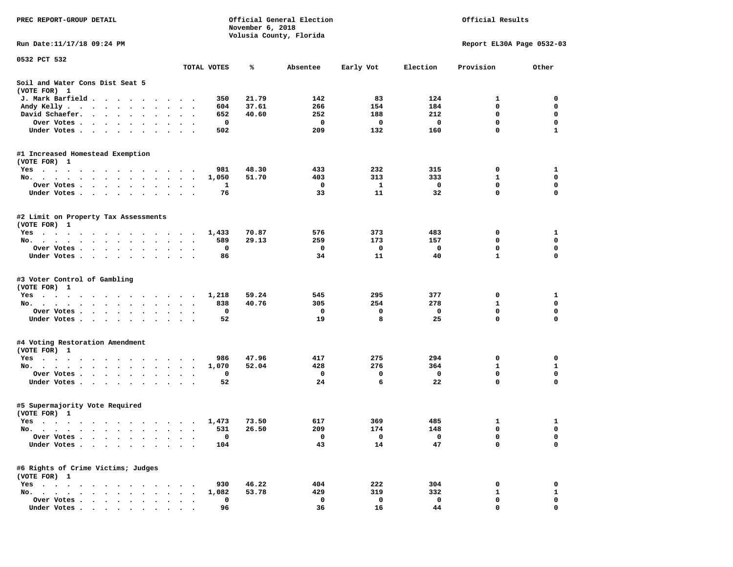| PREC REPORT-GROUP DETAIL                                                            | Official General Election<br>November 6, 2018<br>Volusia County, Florida |             |       |          |           | Official Results        |                           |              |
|-------------------------------------------------------------------------------------|--------------------------------------------------------------------------|-------------|-------|----------|-----------|-------------------------|---------------------------|--------------|
| Run Date: 11/17/18 09:24 PM                                                         |                                                                          |             |       |          |           |                         | Report EL30A Page 0532-03 |              |
| 0532 PCT 532                                                                        |                                                                          |             |       |          |           |                         |                           |              |
|                                                                                     |                                                                          | TOTAL VOTES | %     | Absentee | Early Vot | Election                | Provision                 | Other        |
| Soil and Water Cons Dist Seat 5<br>(VOTE FOR) 1                                     |                                                                          |             |       |          |           |                         |                           |              |
| J. Mark Barfield                                                                    |                                                                          | 350         | 21.79 | 142      | 83        | 124                     | 1                         | 0            |
| Andy Kelly<br>$\ddot{\phantom{0}}$                                                  | $\ddot{\phantom{0}}$<br>$\bullet$                                        | 604         | 37.61 | 266      | 154       | 184                     | $\mathbf 0$               | 0            |
| David Schaefer.<br>$\cdots$<br>$\sim$                                               |                                                                          | 652         | 40.60 | 252      | 188       | 212                     | 0                         | 0            |
| Over Votes .<br>. The contract of the contract of the contract of $\mathcal{A}$     |                                                                          | 0           |       | 0        | 0         | $\overline{\mathbf{0}}$ | $\mathbf 0$               | $\mathbf 0$  |
| Under Votes.                                                                        |                                                                          | 502         |       | 209      | 132       | 160                     | 0                         | $\mathbf{1}$ |
| #1 Increased Homestead Exemption<br>(VOTE FOR) 1                                    |                                                                          |             |       |          |           |                         |                           |              |
| Yes                                                                                 |                                                                          | 981         | 48.30 | 433      | 232       | 315                     | $\mathbf{o}$              | 1            |
| No.                                                                                 |                                                                          | 1,050       | 51.70 | 403      | 313       | 333                     | 1                         | 0            |
| Over Votes .<br>$\cdots$<br>$\bullet$                                               | $\bullet$                                                                | 1           |       | 0        | 1         | 0                       | 0                         | 0            |
| Under Votes                                                                         | $\ddot{\phantom{a}}$                                                     | 76          |       | 33       | 11        | 32                      | 0                         | $\mathbf 0$  |
| #2 Limit on Property Tax Assessments<br>(VOTE FOR) 1                                |                                                                          |             |       |          |           |                         |                           |              |
| Yes                                                                                 |                                                                          | 1,433       | 70.87 | 576      | 373       | 483                     | 0                         | 1            |
| No.                                                                                 |                                                                          | 589         | 29.13 | 259      | 173       | 157                     | $\mathbf 0$               | $\mathbf 0$  |
| Over Votes                                                                          |                                                                          | 0           |       | 0        | 0         | 0                       | 0                         | 0            |
| Under Votes                                                                         |                                                                          | 86          |       | 34       | 11        | 40                      | $\mathbf{1}$              | $\Omega$     |
| #3 Voter Control of Gambling<br>(VOTE FOR) 1                                        |                                                                          |             |       |          |           |                         |                           |              |
| Yes                                                                                 |                                                                          | 1,218       | 59.24 | 545      | 295       | 377                     | 0                         | 1            |
| No.                                                                                 |                                                                          | 838         | 40.76 | 305      | 254       | 278                     | 1                         | 0            |
| Over Votes                                                                          |                                                                          | 0           |       | 0        | 0         | 0                       | $\mathbf 0$               | $\mathbf 0$  |
| Under Votes                                                                         |                                                                          | 52          |       | 19       | 8         | 25                      | 0                         | 0            |
| #4 Voting Restoration Amendment<br>(VOTE FOR) 1                                     |                                                                          |             |       |          |           |                         |                           |              |
| Yes                                                                                 |                                                                          | 986         | 47.96 | 417      | 275       | 294                     | 0                         | 0            |
| No.                                                                                 |                                                                          | 1,070       | 52.04 | 428      | 276       | 364                     | 1                         | 1            |
| Over Votes .<br>the contract of the contract of the<br>$\bullet$                    | $\bullet$                                                                | 0           |       | 0        | 0         | $\mathbf 0$             | $\mathbf 0$               | $\mathbf 0$  |
| Under Votes                                                                         |                                                                          | 52          |       | 24       | 6         | 22                      | 0                         | $\mathbf 0$  |
| #5 Supermajority Vote Required<br>(VOTE FOR) 1                                      |                                                                          |             |       |          |           |                         |                           |              |
| Yes 1,473                                                                           |                                                                          |             | 73.50 | 617      | 369       | 485                     | 1                         | $\mathbf{1}$ |
| No.                                                                                 |                                                                          | 531         | 26.50 | 209      | 174       | 148                     | 0                         | $\mathbf 0$  |
| Over Votes .                                                                        |                                                                          | 0           |       | 0        | 0         | 0                       | 0                         | 0            |
| Under Votes.<br>$\bullet$ .<br><br><br>$\bullet$ .<br>$\bullet$<br>$\bullet$        |                                                                          | 104         |       | 43       | 14        | 47                      | 0                         | 0            |
| #6 Rights of Crime Victims; Judges<br>(VOTE FOR) 1                                  |                                                                          |             |       |          |           |                         |                           |              |
| $Yes \t . \t .$<br>$\sim$ $\sim$<br>$\ddot{\phantom{1}}$                            |                                                                          | 930         | 46.22 | 404      | 222       | 304                     | 0                         | 0            |
| No.<br>$\mathbf{r}$ , $\mathbf{r}$ , $\mathbf{r}$<br>$\sim$<br>$\ddot{\phantom{a}}$ |                                                                          | 1,082       | 53.78 | 429      | 319       | 332                     | 1                         | 1            |
| Over Votes<br>Under Votes                                                           |                                                                          | 0<br>96     |       | 0<br>36  | 0<br>16   | 0<br>44                 | 0<br>0                    | 0<br>0       |
|                                                                                     |                                                                          |             |       |          |           |                         |                           |              |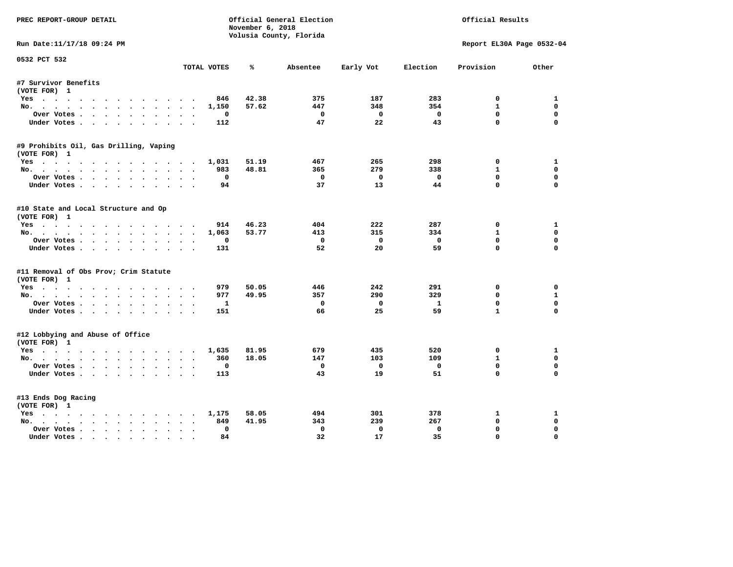| PREC REPORT-GROUP DETAIL<br>Official General Election<br>November 6, 2018 |                       |                         |              |              |              | Official Results          |              |  |
|---------------------------------------------------------------------------|-----------------------|-------------------------|--------------|--------------|--------------|---------------------------|--------------|--|
|                                                                           |                       | Volusia County, Florida |              |              |              |                           |              |  |
| Run Date:11/17/18 09:24 PM                                                |                       |                         |              |              |              | Report EL30A Page 0532-04 |              |  |
| 0532 PCT 532                                                              | TOTAL VOTES           | ℁                       | Absentee     | Early Vot    | Election     | Provision                 | Other        |  |
| #7 Survivor Benefits                                                      |                       |                         |              |              |              |                           |              |  |
| (VOTE FOR) 1                                                              |                       |                         |              |              |              |                           |              |  |
| Yes                                                                       | 846                   | 42.38                   | 375          | 187          | 283          | 0                         | 1            |  |
| No.                                                                       | 1,150                 | 57.62                   | 447          | 348          | 354          | $\mathbf{1}$              | $\Omega$     |  |
| Over Votes.                                                               | $\Omega$              |                         | $^{\circ}$   | $\Omega$     | $^{\circ}$   | $^{\circ}$                | $\mathbf 0$  |  |
| Under Votes                                                               | 112                   |                         | 47           | 22           | 43           | $\Omega$                  | $\Omega$     |  |
| #9 Prohibits Oil, Gas Drilling, Vaping                                    |                       |                         |              |              |              |                           |              |  |
| (VOTE FOR) 1                                                              |                       |                         |              |              |              |                           |              |  |
| Yes                                                                       | 1,031                 | 51.19                   | 467          | 265          | 298          | 0                         | 1            |  |
| No.                                                                       | 983                   | 48.81                   | 365          | 279          | 338          | $\mathbf{1}$              | $\Omega$     |  |
| Over Votes                                                                | 0                     |                         | 0            | $\mathbf 0$  | $\mathbf 0$  | $\mathbf 0$               | 0            |  |
| Under Votes                                                               | 94                    |                         | 37           | 13           | 44           | $\Omega$                  | $\Omega$     |  |
| #10 State and Local Structure and Op                                      |                       |                         |              |              |              |                           |              |  |
| (VOTE FOR) 1                                                              |                       |                         |              |              |              |                           |              |  |
| Yes                                                                       | 914                   | 46.23                   | 404          | 222          | 287          | 0                         | 1            |  |
| No.                                                                       | 1,063                 | 53.77                   | 413          | 315          | 334          | $\mathbf{1}$              | 0            |  |
| Over Votes                                                                | 0                     |                         | $^{\circ}$   | $\mathbf{0}$ | $\mathbf{o}$ | $\mathbf{0}$              | $\mathbf 0$  |  |
| Under Votes                                                               | 131                   |                         | 52           | 20           | 59           | $\Omega$                  | $\Omega$     |  |
| #11 Removal of Obs Prov; Crim Statute                                     |                       |                         |              |              |              |                           |              |  |
| (VOTE FOR) 1                                                              |                       |                         |              |              |              |                           |              |  |
| Yes                                                                       | 979                   | 50.05                   | 446          | 242          | 291          | 0                         | $\mathbf 0$  |  |
| No.                                                                       | 977                   | 49.95                   | 357          | 290          | 329          | $\Omega$                  | $\mathbf{1}$ |  |
| Over Votes                                                                | $\mathbf{1}$          |                         | $\mathbf 0$  | $\mathbf 0$  | $\mathbf{1}$ | $\mathbf 0$               | $\mathbf 0$  |  |
| Under Votes.                                                              | 151                   |                         | 66           | 25           | 59           | $\mathbf{1}$              | $\Omega$     |  |
| #12 Lobbying and Abuse of Office                                          |                       |                         |              |              |              |                           |              |  |
| (VOTE FOR) 1                                                              |                       |                         |              |              |              |                           |              |  |
| Yes                                                                       | 1,635                 | 81.95                   | 679          | 435          | 520          | 0                         | 1            |  |
| No.                                                                       | 360                   | 18.05                   | 147          | 103          | 109          | $\mathbf{1}$              | 0            |  |
| Over Votes                                                                | $\mathbf 0$           |                         | $\mathbf 0$  | $\mathbf{0}$ | $\mathbf 0$  | $\mathbf 0$               | $\mathbf 0$  |  |
| Under Votes                                                               | 113                   |                         | 43           | 19           | 51           | $\Omega$                  | $\Omega$     |  |
| #13 Ends Dog Racing                                                       |                       |                         |              |              |              |                           |              |  |
| (VOTE FOR) 1                                                              |                       |                         |              |              |              |                           |              |  |
| Yes                                                                       | 1,175                 | 58.05                   | 494          | 301          | 378          | 1                         | 1            |  |
| No.                                                                       | 849                   | 41.95                   | 343          | 239          | 267          | $\mathbf{0}$              | 0            |  |
| Over Votes                                                                | $\Omega$<br>$\bullet$ |                         | $\mathbf{0}$ | $\mathbf{0}$ | $\Omega$     | $\mathbf{0}$              | $\Omega$     |  |
| Under Votes                                                               | 84                    |                         | 32           | 17           | 35           | $\mathbf{0}$              | $\Omega$     |  |
|                                                                           |                       |                         |              |              |              |                           |              |  |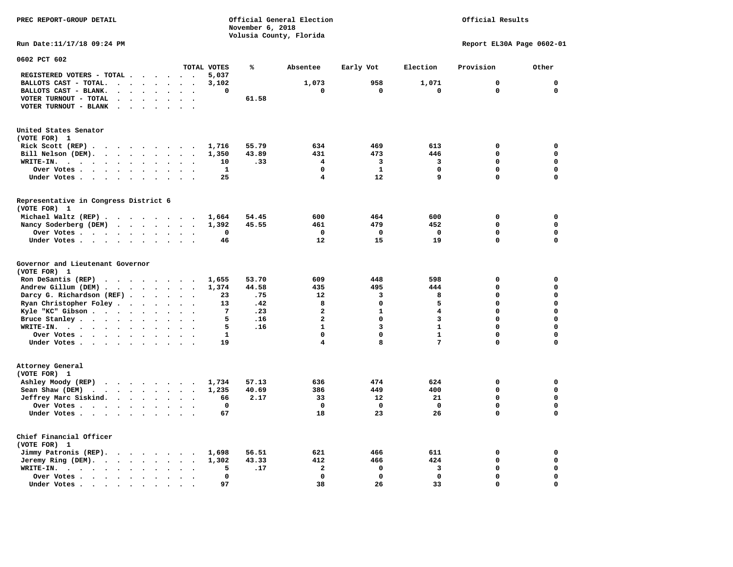| PREC REPORT-GROUP DETAIL                                                                                                                | Official General Election<br>Official Results<br>November 6, 2018 |                         |              |                 |                           |             |
|-----------------------------------------------------------------------------------------------------------------------------------------|-------------------------------------------------------------------|-------------------------|--------------|-----------------|---------------------------|-------------|
| Run Date: 11/17/18 09:24 PM                                                                                                             |                                                                   | Volusia County, Florida |              |                 | Report EL30A Page 0602-01 |             |
| 0602 PCT 602                                                                                                                            |                                                                   |                         |              |                 |                           |             |
| TOTAL VOTES                                                                                                                             | ℁                                                                 | Absentee                | Early Vot    | Election        | Provision                 | Other       |
| REGISTERED VOTERS - TOTAL .<br>5,037<br>$\overline{\phantom{a}}$                                                                        |                                                                   |                         |              |                 |                           |             |
| BALLOTS CAST - TOTAL.<br>3,102<br>$\cdot$ $\cdot$<br>$\mathbf{r}$ , $\mathbf{r}$<br>$\overline{\phantom{a}}$                            |                                                                   | 1,073                   | 958          | 1,071           | $\mathbf 0$               | $\mathbf 0$ |
| BALLOTS CAST - BLANK.<br>$\ddot{\phantom{a}}$<br>$\mathbf{r}$                                                                           | 0                                                                 | 0                       | 0            | 0               | 0                         | $\mathbf 0$ |
| VOTER TURNOUT - TOTAL<br>$\cdot$ $\cdot$ $\cdot$ $\cdot$ $\cdot$ $\cdot$<br>$\ddot{\phantom{1}}$                                        | 61.58                                                             |                         |              |                 |                           |             |
| VOTER TURNOUT - BLANK<br>$\sim 100$ km s $^{-1}$<br>$\sim$<br>$\sim$<br>$\sim$<br>$\sim$                                                |                                                                   |                         |              |                 |                           |             |
| United States Senator<br>(VOTE FOR) 1                                                                                                   |                                                                   |                         |              |                 |                           |             |
| Rick Scott (REP) $\cdots$ $\cdots$ $\cdots$ $\cdots$<br>1,716                                                                           | 55.79                                                             | 634                     | 469          | 613             | 0                         | $\mathbf 0$ |
| Bill Nelson (DEM).<br>$\cdot$ $\cdot$ $\cdot$<br>1,350<br>$\ddot{\phantom{1}}$<br>$\sim$<br>$\overline{\phantom{a}}$                    | 43.89                                                             | 431                     | 473          | 446             | $\mathbf 0$               | $\mathbf 0$ |
| WRITE-IN.<br>$\cdots$<br>$\ddot{\phantom{1}}$                                                                                           | 10<br>.33                                                         | 4                       | 3            | 3               | 0                         | 0           |
| Over Votes.<br><b>Contract Contract Contract</b><br>$\bullet$<br>$\bullet$<br>$\bullet$<br>$\ddot{\phantom{a}}$<br>$\ddot{\phantom{0}}$ | $\mathbf{1}$                                                      | $\mathbf 0$             | $\mathbf{1}$ | $\mathbf 0$     | 0                         | $\mathbf 0$ |
| Under Votes<br>$\sim$ $\sim$ $\sim$ $\sim$                                                                                              | 25                                                                | 4                       | 12           | 9               | $\mathbf 0$               | $\mathbf 0$ |
| Representative in Congress District 6<br>(VOTE FOR) 1                                                                                   |                                                                   |                         |              |                 |                           |             |
| Michael Waltz (REP) .<br>1,664<br>$\cdots$                                                                                              | 54.45                                                             | 600                     | 464          | 600             | 0                         | $\mathbf 0$ |
| Nancy Soderberg (DEM)<br>1,392                                                                                                          | 45.55                                                             | 461                     | 479          | 452             | $\mathbf 0$               | $\mathbf 0$ |
| Over Votes<br>$\sim$ $\sim$ $\sim$<br>$\ddot{\phantom{a}}$                                                                              | 0                                                                 | 0                       | 0            | 0               | $\mathbf 0$               | $\mathbf 0$ |
| Under Votes                                                                                                                             | 46                                                                | 12                      | 15           | 19              | $\Omega$                  | $\Omega$    |
| Governor and Lieutenant Governor<br>(VOTE FOR) 1                                                                                        |                                                                   |                         |              |                 |                           |             |
| Ron DeSantis (REP) $\cdot \cdot \cdot \cdot \cdot \cdot \cdot$<br>1,655                                                                 | 53.70                                                             | 609                     | 448          | 598             | $\mathbf 0$               | $\mathbf 0$ |
| Andrew Gillum (DEM)<br>1,374                                                                                                            | 44.58                                                             | 435                     | 495          | 444             | $\Omega$                  | $\mathbf 0$ |
| Darcy G. Richardson (REF)                                                                                                               | 23<br>.75                                                         | 12                      | 3            | 8               | $\Omega$                  | $\mathbf 0$ |
| Ryan Christopher Foley<br>$\ddot{\phantom{a}}$<br>$\cdots$                                                                              | 13<br>.42                                                         | 8                       | 0            | 5               | $\Omega$                  | $\Omega$    |
| Kyle "KC" Gibson                                                                                                                        | 7<br>.23                                                          | $\overline{a}$          | $\mathbf{1}$ | 4               | $\mathbf 0$               | $\Omega$    |
| Bruce Stanley<br>$\bullet$<br>$\ddot{\phantom{a}}$<br>$\ddot{\phantom{0}}$                                                              | 5<br>.16                                                          | $\overline{a}$          | 0            | 3               | $\mathbf 0$               | $\mathbf 0$ |
| WRITE-IN.<br>$\ddot{\phantom{a}}$<br>$\sim$ $\sim$                                                                                      | 5<br>.16                                                          | $\mathbf{1}$            | 3            | $\mathbf{1}$    | $\mathbf 0$               | $\mathbf 0$ |
| Over Votes<br>$\bullet$<br>$\bullet$<br>$\cdot$                                                                                         | $\mathbf{1}$                                                      | $\mathbf 0$             | $\mathbf{0}$ | $\mathbf{1}$    | $\Omega$                  | $\Omega$    |
| Under Votes                                                                                                                             | 19                                                                | 4                       | 8            | $7\phantom{.0}$ | 0                         | 0           |
| Attorney General<br>(VOTE FOR) 1                                                                                                        |                                                                   |                         |              |                 |                           |             |
| Ashley Moody (REP)<br>1,734<br>$\mathbf{r}$ , and $\mathbf{r}$ , and $\mathbf{r}$ , and $\mathbf{r}$                                    | 57.13                                                             | 636                     | 474          | 624             | 0                         | $\mathbf 0$ |
| 1,235<br>Sean Shaw (DEM)                                                                                                                | 40.69                                                             | 386                     | 449          | 400             | 0                         | $\mathbf 0$ |
| Jeffrey Marc Siskind.<br>$\bullet$<br>$\bullet$                                                                                         | 66<br>2.17                                                        | 33                      | 12           | 21              | $\mathbf 0$               | $\Omega$    |
| Over Votes                                                                                                                              | $\mathbf 0$                                                       | $\mathbf 0$             | $\mathbf 0$  | $\mathbf 0$     | $\mathbf 0$               | $\mathbf 0$ |
| Under Votes<br>$\ddot{\phantom{a}}$<br>$\ddot{\phantom{a}}$                                                                             | 67                                                                | 18                      | 23           | 26              | 0                         | 0           |
| Chief Financial Officer<br>(VOTE FOR) 1                                                                                                 |                                                                   |                         |              |                 |                           |             |
| Jimmy Patronis (REP).<br>1,698                                                                                                          | 56.51                                                             | 621                     | 466          | 611             | 0                         | 0           |
| Jeremy Ring (DEM).<br>1,302<br>$\ddot{\phantom{1}}$                                                                                     | 43.33                                                             | 412                     | 466          | 424             | 0                         | $\mathbf 0$ |
| WRITE-IN.<br>$\cdot$ $\cdot$ $\cdot$ $\cdot$ $\cdot$ $\cdot$ $\cdot$<br>$\sim$ $\sim$                                                   | 5<br>.17                                                          | $\overline{\mathbf{2}}$ | $\mathbf 0$  | 3               | $\mathbf 0$               | $\mathbf 0$ |
| Over Votes<br>$\ddot{\phantom{a}}$<br>$\cdot$                                                                                           | 0                                                                 | $\mathbf 0$             | $\mathbf 0$  | $\mathbf 0$     | $\mathbf 0$               | $\mathbf 0$ |
| Under Votes<br>$\sim$<br>$\ddot{\phantom{a}}$                                                                                           | 97                                                                | 38                      | 26           | 33              | $\mathbf 0$               | $\Omega$    |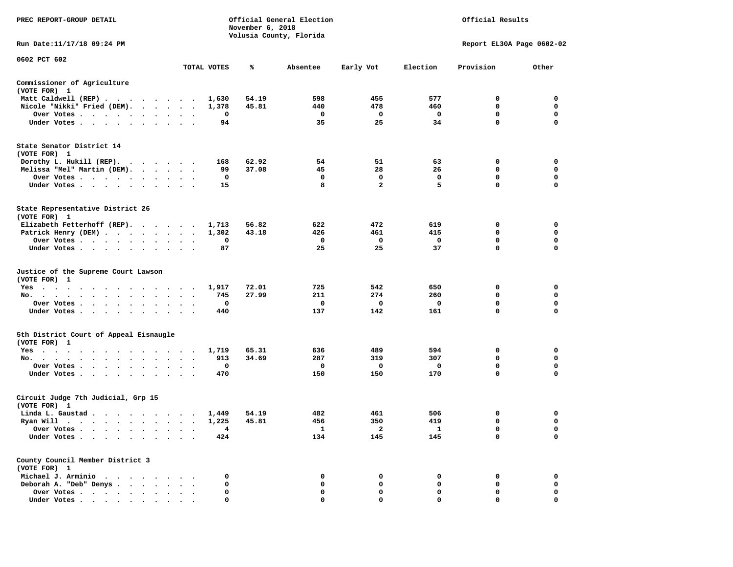| PREC REPORT-GROUP DETAIL<br>Official General Election<br>November 6, 2018<br>Volusia County, Florida |                                   |             |       |              |                |              | Official Results          |             |  |
|------------------------------------------------------------------------------------------------------|-----------------------------------|-------------|-------|--------------|----------------|--------------|---------------------------|-------------|--|
| Run Date: 11/17/18 09:24 PM                                                                          |                                   |             |       |              |                |              | Report EL30A Page 0602-02 |             |  |
| 0602 PCT 602                                                                                         |                                   |             |       |              |                |              |                           |             |  |
|                                                                                                      |                                   | TOTAL VOTES | ℁     | Absentee     | Early Vot      | Election     | Provision                 | Other       |  |
| Commissioner of Agriculture<br>(VOTE FOR) 1                                                          |                                   |             |       |              |                |              |                           |             |  |
| Matt Caldwell (REP)                                                                                  |                                   | 1,630       | 54.19 | 598          | 455            | 577          | 0                         | 0           |  |
| Nicole "Nikki" Fried (DEM).                                                                          |                                   | 1,378       | 45.81 | 440          | 478            | 460          | $\mathbf 0$               | 0           |  |
| Over Votes                                                                                           |                                   | 0           |       | $\mathbf 0$  | $\mathbf 0$    | $\mathbf{o}$ | $\mathbf 0$               | $\mathbf 0$ |  |
| Under Votes                                                                                          |                                   | 94          |       | 35           | 25             | 34           | 0                         | 0           |  |
| State Senator District 14<br>(VOTE FOR) 1                                                            |                                   |             |       |              |                |              |                           |             |  |
| Dorothy L. Hukill (REP).                                                                             |                                   | 168         | 62.92 | 54           | 51             | 63           | 0                         | 0           |  |
| Melissa "Mel" Martin (DEM).                                                                          |                                   | 99          | 37.08 | 45           | 28             | 26           | $\mathbf 0$               | $\mathbf 0$ |  |
| Over Votes                                                                                           |                                   | 0           |       | $\mathbf 0$  | $\mathbf 0$    | $\mathbf 0$  | $\mathbf 0$               | $\mathbf 0$ |  |
| Under Votes                                                                                          |                                   | 15          |       | 8            | $\overline{a}$ | 5            | $\mathbf 0$               | $\mathbf 0$ |  |
| State Representative District 26<br>(VOTE FOR) 1                                                     |                                   |             |       |              |                |              |                           |             |  |
| Elizabeth Fetterhoff (REP).                                                                          |                                   | 1,713       | 56.82 | 622          | 472            | 619          | 0                         | $\mathbf 0$ |  |
| Patrick Henry (DEM)                                                                                  |                                   | 1,302       | 43.18 | 426          | 461            | 415          | $\mathbf 0$               | $\mathbf 0$ |  |
| Over Votes                                                                                           | $\bullet$<br>$\ddot{\phantom{1}}$ | 0           |       | $\mathbf{o}$ | $\mathbf 0$    | $\mathbf 0$  | $\mathbf 0$               | $\mathbf 0$ |  |
| Under Votes                                                                                          |                                   | 87          |       | 25           | 25             | 37           | $\mathbf 0$               | $\mathbf 0$ |  |
| Justice of the Supreme Court Lawson<br>(VOTE FOR) 1                                                  |                                   |             |       |              |                |              |                           |             |  |
| $Yes \cdot \cdot \cdot$<br>$\sim$ $\sim$<br>.                                                        |                                   | 1,917       | 72.01 | 725          | 542            | 650          | 0                         | 0           |  |
| No.                                                                                                  | $\cdot$ $\cdot$ $\cdot$           | 745         | 27.99 | 211          | 274            | 260          | $\mathbf 0$               | $\mathbf 0$ |  |
| Over Votes                                                                                           |                                   | 0           |       | 0            | 0              | $\mathbf 0$  | $\mathbf 0$               | $\mathbf 0$ |  |
| Under Votes                                                                                          | $\cdot$ $\cdot$ $\cdot$           | 440         |       | 137          | 142            | 161          | 0                         | 0           |  |
| 5th District Court of Appeal Eisnaugle<br>(VOTE FOR) 1                                               |                                   |             |       |              |                |              |                           |             |  |
| Yes                                                                                                  |                                   | 1,719       | 65.31 | 636          | 489            | 594          | 0                         | 0           |  |
| No.                                                                                                  |                                   | 913         | 34.69 | 287          | 319            | 307          | 0                         | $\mathbf 0$ |  |
| Over Votes<br>$\sim$ $\sim$<br>$\cdot$                                                               | $\cdot$                           | 0           |       | 0            | 0              | $\mathbf 0$  | 0                         | 0           |  |
| Under Votes                                                                                          |                                   | 470         |       | 150          | 150            | 170          | $\mathbf 0$               | $\mathbf 0$ |  |
| Circuit Judge 7th Judicial, Grp 15<br>(VOTE FOR) 1                                                   |                                   |             |       |              |                |              |                           |             |  |
| Linda L. Gaustad                                                                                     |                                   | 1,449       | 54.19 | 482          | 461            | 506          | 0                         | 0           |  |
| Ryan Will $\cdots$ , $\cdots$ , $\cdots$ , $\cdots$                                                  |                                   | 1,225       | 45.81 | 456          | 350            | 419          | 0                         | 0           |  |
| Over Votes                                                                                           |                                   | 4           |       | <b>1</b>     | 2              | $\mathbf{1}$ | 0                         | $\mathbf 0$ |  |
| Under Votes<br>$\sim$<br>$\cdot$<br>$\bullet$<br>$\bullet$                                           |                                   | 424         |       | 134          | 145            | 145          | $\mathbf 0$               | $\mathbf 0$ |  |
| County Council Member District 3<br>(VOTE FOR) 1                                                     |                                   |             |       |              |                |              |                           |             |  |
| Michael J. Arminio                                                                                   |                                   | 0           |       | 0            | 0              | 0            | 0                         | $\mathbf 0$ |  |
| Deborah A. "Deb" Denys                                                                               |                                   | 0           |       | 0            | 0              | 0            | 0                         | 0           |  |
| Over Votes                                                                                           | $\ddot{\phantom{a}}$<br>$\bullet$ | 0           |       | 0            | $\mathbf 0$    | $\mathbf 0$  | $\mathbf 0$               | $\mathbf 0$ |  |
| Under Votes,                                                                                         |                                   | 0           |       | $\Omega$     | $\Omega$       | $\Omega$     | $\Omega$                  | $\Omega$    |  |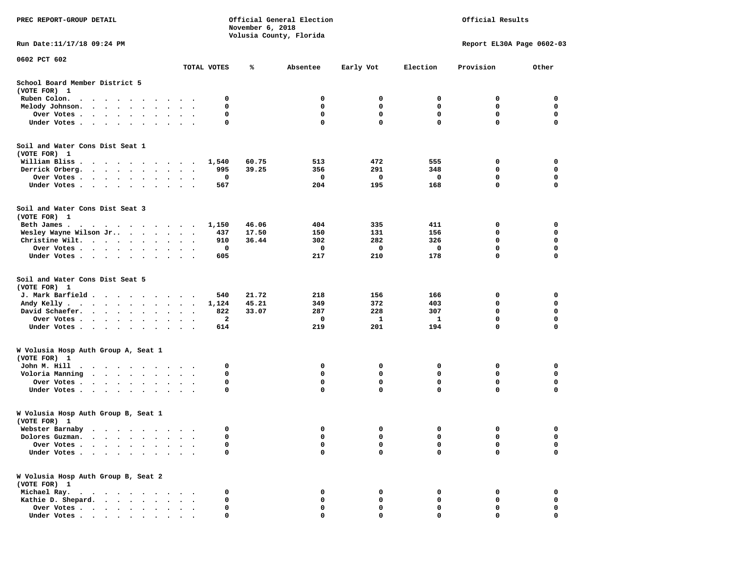| PREC REPORT-GROUP DETAIL                            | Official General Election<br>Official Results<br>November 6, 2018<br>Volusia County, Florida |       |              |              |              |                           |              |
|-----------------------------------------------------|----------------------------------------------------------------------------------------------|-------|--------------|--------------|--------------|---------------------------|--------------|
| Run Date: 11/17/18 09:24 PM                         |                                                                                              |       |              |              |              | Report EL30A Page 0602-03 |              |
| 0602 PCT 602<br>TOTAL VOTES                         |                                                                                              | ℁     | Absentee     | Early Vot    | Election     | Provision                 | Other        |
| School Board Member District 5<br>(VOTE FOR) 1      |                                                                                              |       |              |              |              |                           |              |
| Ruben Colon.                                        | 0                                                                                            |       | 0            | 0            | 0            | 0                         | 0            |
| Melody Johnson.                                     | 0                                                                                            |       | 0            | 0            | 0            | 0                         | 0            |
| Over Votes                                          | 0                                                                                            |       | 0            | 0            | 0            | 0                         | $\mathbf 0$  |
| Under Votes                                         | 0                                                                                            |       | $\mathbf 0$  | $\mathbf{0}$ | $\mathbf 0$  | 0                         | $\mathbf 0$  |
| Soil and Water Cons Dist Seat 1<br>(VOTE FOR) 1     |                                                                                              |       |              |              |              |                           |              |
| William Bliss                                       | 1,540                                                                                        | 60.75 | 513          | 472          | 555          | 0                         | $\mathbf{o}$ |
| Derrick Orberg.                                     | 995                                                                                          | 39.25 | 356          | 291          | 348          | 0                         | 0            |
| Over Votes<br>$\ddot{\phantom{1}}$                  | 0                                                                                            |       | $\mathbf{o}$ | 0            | 0            | 0                         | 0            |
| Under Votes                                         | 567                                                                                          |       | 204          | 195          | 168          | 0                         | $\mathbf 0$  |
| Soil and Water Cons Dist Seat 3<br>(VOTE FOR) 1     |                                                                                              |       |              |              |              |                           |              |
| Beth James.                                         | 1,150                                                                                        | 46.06 | 404          | 335          | 411          | 0                         | 0            |
| Wesley Wayne Wilson Jr                              | 437                                                                                          | 17.50 | 150          | 131          | 156          | 0                         | $\mathbf 0$  |
| Christine Wilt.                                     | 910                                                                                          | 36.44 | 302          | 282          | 326          | $\mathbf 0$               | 0            |
| Over Votes                                          | 0                                                                                            |       | 0            | 0            | 0            | $\mathbf 0$               | 0            |
| Under Votes                                         | 605                                                                                          |       | 217          | 210          | 178          | $\mathbf 0$               | $\mathbf 0$  |
| Soil and Water Cons Dist Seat 5<br>(VOTE FOR) 1     |                                                                                              |       |              |              |              |                           |              |
| J. Mark Barfield                                    | 540                                                                                          | 21.72 | 218          | 156          | 166          | 0                         | 0            |
| Andy Kelly                                          | 1,124                                                                                        | 45.21 | 349          | 372          | 403          | 0                         | $\mathbf 0$  |
| David Schaefer.<br>$\ddot{\phantom{1}}$             | 822                                                                                          | 33.07 | 287          | 228          | 307          | $\mathbf 0$               | $\mathbf 0$  |
| Over Votes                                          | 2                                                                                            |       | 0            | 1            | $\mathbf{1}$ | 0                         | $\mathbf 0$  |
| Under Votes                                         | 614                                                                                          |       | 219          | 201          | 194          | 0                         | $\mathbf 0$  |
| W Volusia Hosp Auth Group A, Seat 1<br>(VOTE FOR) 1 |                                                                                              |       |              |              |              |                           |              |
| John M. Hill                                        | 0                                                                                            |       | 0            | 0            | 0            | 0                         | 0            |
| Voloria Manning                                     | 0                                                                                            |       | 0            | 0            | 0            | $\mathbf 0$               | 0            |
| Over Votes                                          | 0                                                                                            |       | 0            | 0            | $\mathbf 0$  | 0                         | $\mathbf 0$  |
| Under Votes                                         | 0                                                                                            |       | $\mathbf 0$  | 0            | $\mathbf{0}$ | $\mathbf 0$               | $\mathbf 0$  |
| W Volusia Hosp Auth Group B, Seat 1<br>(VOTE FOR) 1 |                                                                                              |       |              |              |              |                           |              |
| Webster Barnaby                                     |                                                                                              |       | $\sim$       | $^{\circ}$   | $\mathbf 0$  | $\Omega$                  |              |
| Dolores Guzman.<br>$\cdots$<br>$\sim$               | 0                                                                                            |       | 0            | 0            | 0            | 0                         | 0            |
| Over Votes .                                        | 0                                                                                            |       | 0            | 0            | $\mathbf 0$  | $\mathbf 0$               | 0            |
| Under Votes.<br>$\cdot$ $\cdot$ $\cdot$<br>$\sim$   | 0                                                                                            |       | $\mathbf 0$  | 0            | $\mathbf 0$  | 0                         | 0            |
| W Volusia Hosp Auth Group B, Seat 2<br>(VOTE FOR) 1 |                                                                                              |       |              |              |              |                           |              |
| Michael Ray.                                        | 0                                                                                            |       | 0            | 0            | 0            | 0                         | 0            |
| Kathie D. Shepard.                                  | 0                                                                                            |       | 0            | 0            | 0            | 0                         | 0            |
| Over Votes                                          | 0                                                                                            |       | 0            | 0            | 0            | 0                         | 0            |
| Under Votes                                         | 0                                                                                            |       |              |              | $\Omega$     | $\Omega$                  | 0            |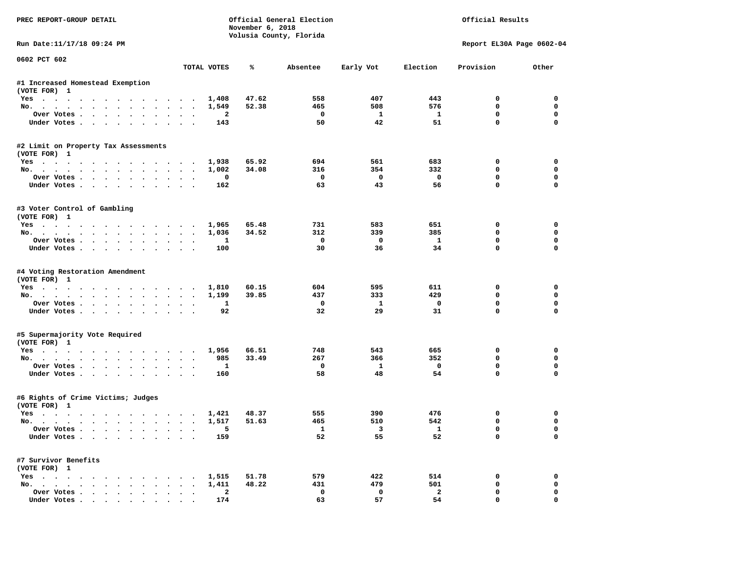| PREC REPORT-GROUP DETAIL                       | Official General Election<br>Official Results<br>November 6, 2018<br>Volusia County, Florida |                |                  |                         |                    |                             |                         |
|------------------------------------------------|----------------------------------------------------------------------------------------------|----------------|------------------|-------------------------|--------------------|-----------------------------|-------------------------|
| Run Date:11/17/18 09:24 PM                     |                                                                                              |                |                  |                         |                    | Report EL30A Page 0602-04   |                         |
| 0602 PCT 602                                   | TOTAL VOTES                                                                                  | ℁              | Absentee         | Early Vot               | Election           | Provision                   | Other                   |
| #1 Increased Homestead Exemption               |                                                                                              |                |                  |                         |                    |                             |                         |
| (VOTE FOR) 1                                   |                                                                                              |                |                  |                         |                    |                             |                         |
| Yes                                            |                                                                                              | 47.62<br>1,408 | 558              | 407                     | 443                | 0                           | 0                       |
| No.                                            |                                                                                              | 52.38<br>1,549 | 465              | 508                     | 576                | 0                           | 0                       |
| Over Votes                                     |                                                                                              | $\mathbf{2}$   | 0                | $\mathbf{1}$            | 1                  | $\mathbf 0$                 | $\mathbf 0$             |
| Under Votes                                    |                                                                                              | 143            | 50               | 42                      | 51                 | $\mathbf 0$                 | $\Omega$                |
| #2 Limit on Property Tax Assessments           |                                                                                              |                |                  |                         |                    |                             |                         |
| (VOTE FOR) 1                                   |                                                                                              |                |                  |                         |                    |                             |                         |
| Yes                                            |                                                                                              | 65.92<br>1,938 | 694              | 561                     | 683                | 0                           | 0                       |
| No.                                            |                                                                                              | 1,002<br>34.08 | 316              | 354                     | 332                | 0                           | $\mathbf 0$             |
| Over Votes.                                    |                                                                                              | 0              | $\mathbf 0$      | $\overline{\mathbf{0}}$ | $\mathbf{o}$       | $\mathbf 0$                 | $\mathbf 0$             |
| Under Votes                                    |                                                                                              | 162            | 63               | 43                      | 56                 | $\Omega$                    | $\Omega$                |
| #3 Voter Control of Gambling                   |                                                                                              |                |                  |                         |                    |                             |                         |
| (VOTE FOR) 1                                   |                                                                                              |                |                  |                         |                    |                             |                         |
| Yes                                            |                                                                                              | 65.48<br>1,965 | 731              | 583<br>339              | 651                | 0<br>$\Omega$               | 0                       |
| No.                                            |                                                                                              | 34.52<br>1,036 | 312              |                         | 385                |                             | 0                       |
| Over Votes                                     |                                                                                              | 1              | $^{\circ}$<br>30 | $\mathbf{0}$<br>36      | $\mathbf{1}$<br>34 | $\mathbf 0$<br>$\mathbf{0}$ | $\mathbf 0$<br>$\Omega$ |
| Under Votes                                    |                                                                                              | 100            |                  |                         |                    |                             |                         |
| #4 Voting Restoration Amendment                |                                                                                              |                |                  |                         |                    |                             |                         |
| (VOTE FOR) 1                                   |                                                                                              |                |                  |                         |                    |                             |                         |
| Yes                                            |                                                                                              | 60.15<br>1,810 | 604              | 595                     | 611                | 0                           | 0                       |
| No.                                            |                                                                                              | 39.85<br>1,199 | 437              | 333                     | 429                | 0                           | 0                       |
| Over Votes                                     |                                                                                              | 1              | 0                | $\mathbf{1}$            | 0                  | $\mathbf 0$                 | $\mathbf 0$             |
| Under Votes                                    |                                                                                              | 92             | 32               | 29                      | 31                 | $\mathbf 0$                 | $\Omega$                |
| #5 Supermajority Vote Required                 |                                                                                              |                |                  |                         |                    |                             |                         |
| (VOTE FOR) 1                                   |                                                                                              |                |                  |                         |                    |                             |                         |
| Yes                                            |                                                                                              | 66.51<br>1,956 | 748              | 543                     | 665                | 0                           | 0                       |
| No.                                            |                                                                                              | 985<br>33.49   | 267              | 366                     | 352                | 0                           | $\mathbf 0$             |
| Over Votes                                     |                                                                                              | 1              | 0                | <b>1</b>                | $\mathbf{o}$       | 0                           | $\mathbf 0$             |
| Under Votes                                    |                                                                                              | 160            | 58               | 48                      | 54                 | $\Omega$                    | $\Omega$                |
| #6 Rights of Crime Victims; Judges             |                                                                                              |                |                  |                         |                    |                             |                         |
| (VOTE FOR) 1                                   |                                                                                              |                |                  |                         |                    |                             |                         |
| Yes                                            |                                                                                              | 1,421<br>48.37 | 555              | 390                     | 476                | 0                           | 0                       |
| No.                                            |                                                                                              | 1,517<br>51.63 | 465              | 510                     | 542                | 0                           | 0                       |
| Over votes $\cdots$ $\cdots$ $\cdots$ $\cdots$ |                                                                                              |                | 1                | $\overline{\mathbf{3}}$ | $\mathbf{1}$       | 0                           | 0                       |
| Under Votes                                    |                                                                                              | 159            | 52               | 55                      | 52                 | 0                           | 0                       |
| #7 Survivor Benefits                           |                                                                                              |                |                  |                         |                    |                             |                         |
| (VOTE FOR) 1                                   |                                                                                              |                |                  |                         |                    |                             |                         |
| Yes                                            |                                                                                              | 1,515<br>51.78 | 579              | 422                     | 514                | 0                           | 0                       |
| No.                                            |                                                                                              | 48.22<br>1,411 | 431              | 479                     | 501                | 0                           | 0                       |
| Over Votes                                     | $\ddot{\phantom{0}}$<br>$\ddot{\phantom{a}}$                                                 | 2              | 0                | 0                       | $\overline{a}$     | 0                           | 0                       |
| Under Votes                                    |                                                                                              | 174            | 63               | 57                      | 54                 | $\mathbf{0}$                | 0                       |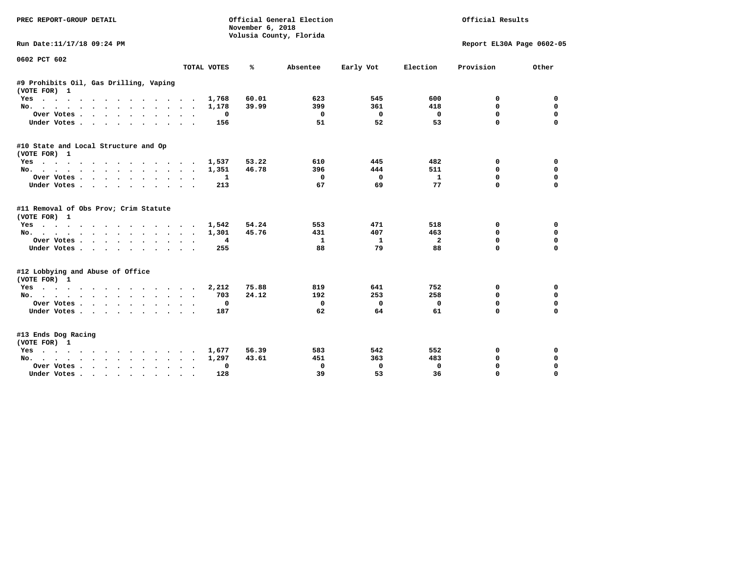| PREC REPORT-GROUP DETAIL                               | November 6, 2018 | Official General Election<br>Volusia County, Florida |            | Official Results<br>Report EL30A Page 0602-05 |             |             |  |
|--------------------------------------------------------|------------------|------------------------------------------------------|------------|-----------------------------------------------|-------------|-------------|--|
| Run Date:11/17/18 09:24 PM                             |                  |                                                      |            |                                               |             |             |  |
| 0602 PCT 602<br>TOTAL VOTES                            | ℁                | Absentee                                             | Early Vot  | Election                                      | Provision   | Other       |  |
|                                                        |                  |                                                      |            |                                               |             |             |  |
| #9 Prohibits Oil, Gas Drilling, Vaping<br>(VOTE FOR) 1 |                  |                                                      |            |                                               |             |             |  |
| Yes                                                    | 1,768<br>60.01   | 623                                                  | 545        | 600                                           | 0           | 0           |  |
| No.                                                    | 39.99<br>1,178   | 399                                                  | 361        | 418                                           | 0           | $\mathbf 0$ |  |
| Over Votes<br>$\sim$ $\sim$                            | 0                | $\mathbf 0$                                          | 0          | $\mathbf 0$                                   | 0           | $\mathbf 0$ |  |
| Under Votes                                            | 156              | 51                                                   | 52         | 53                                            | 0           | $\mathbf 0$ |  |
| #10 State and Local Structure and Op<br>(VOTE FOR) 1   |                  |                                                      |            |                                               |             |             |  |
| Yes                                                    | 53.22<br>1,537   | 610                                                  | 445        | 482                                           | 0           | 0           |  |
| No.                                                    | 46.78<br>1,351   | 396                                                  | 444        | 511                                           | 0           | 0           |  |
| Over Votes.                                            | 1                | 0                                                    | $\Omega$   | $\mathbf{1}$                                  | 0           | $\mathbf 0$ |  |
| Under Votes                                            | 213              | 67                                                   | 69         | 77                                            | 0           | 0           |  |
|                                                        |                  |                                                      |            |                                               |             |             |  |
| #11 Removal of Obs Prov; Crim Statute<br>(VOTE FOR) 1  |                  |                                                      |            |                                               |             |             |  |
| Yes                                                    | 54.24<br>1,542   | 553                                                  | 471        | 518                                           | 0           | 0           |  |
| No.                                                    | 45.76<br>1,301   | 431                                                  | 407        | 463                                           | 0           | 0           |  |
| Over Votes                                             | 4                | 1                                                    | 1          | $\overline{2}$                                | 0           | $\mathbf 0$ |  |
| Under Votes                                            | 255              | 88                                                   | 79         | 88                                            | 0           | $\mathbf 0$ |  |
| #12 Lobbying and Abuse of Office<br>(VOTE FOR) 1       |                  |                                                      |            |                                               |             |             |  |
| Yes                                                    | 75.88<br>2,212   | 819                                                  | 641        | 752                                           | 0           | 0           |  |
| No.                                                    | 24.12<br>703     | 192                                                  | 253        | 258                                           | 0           | 0           |  |
| Over Votes                                             | 0                | 0                                                    | $^{\circ}$ | $\mathbf 0$                                   | 0           | $\mathbf 0$ |  |
| Under Votes.                                           | 187              | 62                                                   | 64         | 61                                            | $\Omega$    | $\mathbf 0$ |  |
| #13 Ends Dog Racing<br>(VOTE FOR) 1                    |                  |                                                      |            |                                               |             |             |  |
| Yes                                                    | 56.39<br>1,677   | 583                                                  | 542        | 552                                           | 0           | 0           |  |
| No.                                                    | 43.61<br>1,297   | 451                                                  | 363        | 483                                           | $\mathbf 0$ | $\mathbf 0$ |  |
| Over Votes.<br>$\ddot{\phantom{0}}$                    | 0                | 0                                                    | 0          | 0                                             | $\mathbf 0$ | $\mathbf 0$ |  |
| Under Votes                                            | 128              | 39                                                   | 53         | 36                                            | $\mathbf 0$ | $\mathbf 0$ |  |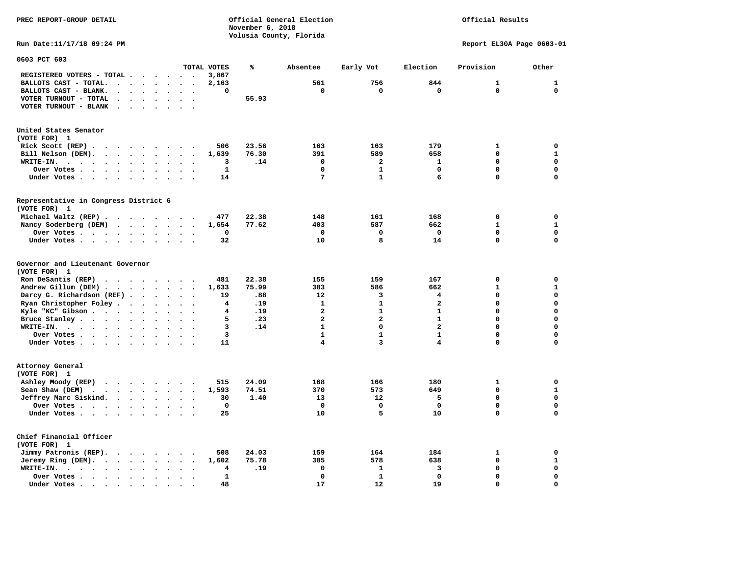**PREC REPORT-GROUP DETAIL Official General Election Official Results November 6, 2018 Volusia County, Florida Run Date:11/17/18 09:24 PM Report EL30A Page 0603-01 0603 PCT 603 TOTAL VOTES % Absentee Early Vot Election Provision Other REGISTERED VOTERS - TOTAL . . . . . . 3,867 BALLOTS CAST - TOTAL.** . . . . . 2,163 561 756 844 1 1 1  **BALLOTS CAST - BLANK. . . . . . . . 0 0 0 0 0 0 VOTER TURNOUT - TOTAL . . . . . . . 55.93 VOTER TURNOUT - BLANK . . . . . . . United States Senator (VOTE FOR) 1 Rick Scott (REP) . . . . . . . . 506** 23.56 163 163 179 1 0  **Bill Nelson (DEM). . . . . . . . . 1,639 76.30 391 589 658 0 1 WRITE-IN. . . . . . . . . . . . 3 .14 0 2 1 0 0 Over Votes . . . . . . . . . . 1 0 1 0 0 0 Under Votes . . . . . . . . . . 14** 7 1 6 0 0 0 **Representative in Congress District 6 (VOTE FOR) 1 Michael Waltz (REP) . . . . . . . . 477 22.38 148 161 168 0 0 Nancy Soderberg (DEM) . . . . . . . 1,654 77.62 403 587 662 1 1 Over Votes . . . . . . . . . . 0 0 0 0 0 0 Under Votes . . . . . . . . . . 32** 10 8 14 0 **Governor and Lieutenant Governor (VOTE FOR) 1 Ron DeSantis (REP) . . . . . . . . 481 22.38 155 159 167 0 0 Andrew Gillum (DEM) . . . . . . . . 1,633 75.99 383 586 662 1 1 Darcy G. Richardson (REF) . . . . . 19** .88 12 3 4 0 0 0<br>**Ryan Christopher Foley** . . . . . . 4 .19 1 1 2 0 0  **Ryan Christopher Foley . . . . . . . 4 .19 1 1 2 0 0 Kyle "KC" Gibson . . . . . . . . . . 4 .19** 2 **Bruce Stanley . . . . . . . . . . 5 .23** 2 2 1 0 0

 $\Omega$ 

 **WRITE-IN. . . . . . . . . . . . 3 .14 1 0 2 0 0**  $\mathbf{0}$ **0ver Votes . . . . . . . . . . 3** 1 1 1 0  $\mathbf{0}$  **Under Votes . . . . . . . . . . 11 4 3 4 0 0 Attorney General (VOTE FOR) 1 Ashley Moody (REP)** . . . . . . 515 24.09 168 166 180 180 1 0  **Sean Shaw (DEM) . . . . . . . . . 1,593 74.51 370 573 649 0 1 Jeffrey Marc Siskind. . . . . . . . 30 1.40 13 12 5 0 0 Over Votes . . . . . . . . . . 0 0 0 0 0 0**  $\mathbf 0$  **Under Votes . . . . . . . . . . 25 10 5 10 0 0 Chief Financial Officer (VOTE FOR) 1 Jimmy Patronis (REP). . . . . . . . 508 24.03 159 164 184 1 0 Jeremy Ring (DEM).** . . . . . . . 1,602 75.78 385 578 638 0 1  **WRITE-IN. . . . . . . . . . . . 4 .19 0 1 3 0 0 Over Votes . . . . . . . . . . 1 0 1 0 0 0**  $\mathbf{o}$  **Under Votes . . . . . . . . . . 48** 17 12 19 0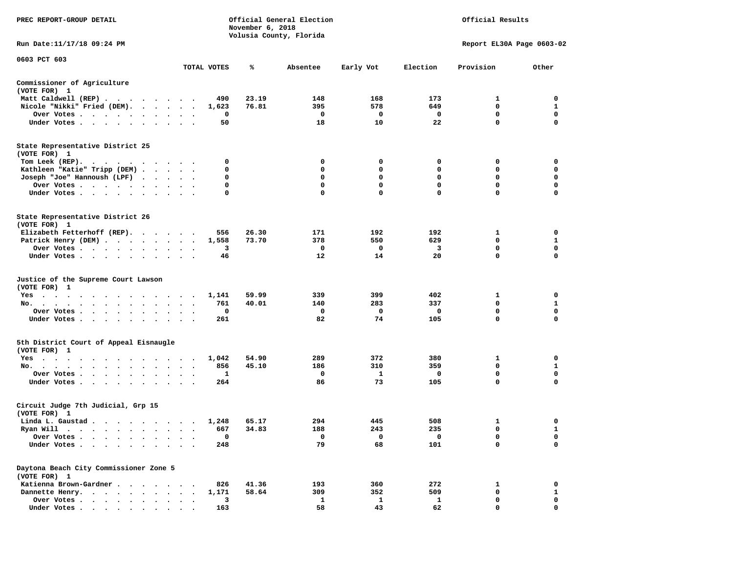| PREC REPORT-GROUP DETAIL<br>Official General Election<br>November 6, 2018<br>Volusia County, Florida |                      |                      |       |             |              | Official Results  |                           |                  |  |  |
|------------------------------------------------------------------------------------------------------|----------------------|----------------------|-------|-------------|--------------|-------------------|---------------------------|------------------|--|--|
| Run Date: 11/17/18 09:24 PM                                                                          |                      |                      |       |             |              |                   | Report EL30A Page 0603-02 |                  |  |  |
| 0603 PCT 603                                                                                         |                      | TOTAL VOTES          | ℁     | Absentee    | Early Vot    | Election          | Provision                 | Other            |  |  |
|                                                                                                      |                      |                      |       |             |              |                   |                           |                  |  |  |
| Commissioner of Agriculture<br>(VOTE FOR) 1                                                          |                      |                      |       |             |              |                   |                           |                  |  |  |
| Matt Caldwell (REP)                                                                                  |                      | 490                  | 23.19 | 148         | 168          | 173               | 1                         | 0                |  |  |
| Nicole "Nikki" Fried (DEM).                                                                          |                      | 1,623                | 76.81 | 395         | 578          | 649               | 0                         | 1                |  |  |
| Over Votes<br>Under Votes                                                                            |                      | 0<br>$\bullet$<br>50 |       | 0<br>18     | 0<br>10      | $\mathbf 0$<br>22 | 0<br>$\mathbf 0$          | 0<br>$\mathbf 0$ |  |  |
| State Representative District 25                                                                     |                      |                      |       |             |              |                   |                           |                  |  |  |
| (VOTE FOR) 1                                                                                         |                      |                      |       |             |              |                   |                           |                  |  |  |
| Tom Leek (REP).<br>.<br>Kathleen "Katie" Tripp (DEM)                                                 |                      | 0<br>0               |       | 0<br>0      | 0<br>0       | 0<br>0            | 0<br>0                    | 0<br>0           |  |  |
| Joseph "Joe" Hannoush (LPF)                                                                          |                      | 0                    |       | 0           | 0            | $\mathbf 0$       | $\mathbf 0$               | $\mathbf 0$      |  |  |
| Over Votes                                                                                           | $\sim$ $\sim$ $\sim$ | 0                    |       | 0           | 0            | $\mathbf 0$       | 0                         | $\mathbf 0$      |  |  |
| Under Votes                                                                                          |                      | 0                    |       | $\mathbf 0$ | $\mathbf 0$  | $\mathbf 0$       | 0                         | $\mathbf 0$      |  |  |
| State Representative District 26                                                                     |                      |                      |       |             |              |                   |                           |                  |  |  |
| (VOTE FOR) 1                                                                                         |                      |                      |       |             |              |                   |                           |                  |  |  |
| Elizabeth Fetterhoff (REP).                                                                          |                      | 556                  | 26.30 | 171<br>378  | 192<br>550   | 192<br>629        | 1<br>0                    | 0<br>1           |  |  |
| Patrick Henry (DEM)<br>Over Votes                                                                    |                      | 1,558<br>3           | 73.70 | 0           | 0            | 3                 | 0                         | 0                |  |  |
| Under Votes                                                                                          |                      | 46                   |       | 12          | 14           | 20                | 0                         | 0                |  |  |
| Justice of the Supreme Court Lawson<br>(VOTE FOR) 1                                                  |                      |                      |       |             |              |                   |                           |                  |  |  |
| $Yes \t . \t .$<br>.                                                                                 |                      | 1,141                | 59.99 | 339         | 399          | 402               | 1                         | 0                |  |  |
| No.                                                                                                  |                      | 761                  | 40.01 | 140         | 283          | 337               | 0                         | 1                |  |  |
| Over Votes                                                                                           |                      | 0                    |       | 0           | 0            | 0                 | $\mathbf 0$               | $\mathbf 0$      |  |  |
| Under Votes                                                                                          | $\sim$ $\sim$        | 261                  |       | 82          | 74           | 105               | 0                         | 0                |  |  |
| 5th District Court of Appeal Eisnaugle<br>(VOTE FOR) 1                                               |                      |                      |       |             |              |                   |                           |                  |  |  |
| Yes                                                                                                  |                      | 1,042                | 54.90 | 289         | 372          | 380               | 1                         | 0                |  |  |
| No.                                                                                                  | $\ddot{\phantom{1}}$ | 856                  | 45.10 | 186         | 310          | 359               | 0                         | 1                |  |  |
| Over Votes                                                                                           |                      | 1                    |       | 0           | 1            | 0                 | $\mathbf 0$               | 0                |  |  |
| Under Votes                                                                                          |                      | 264                  |       | 86          | 73           | 105               | $\mathbf 0$               | $\mathbf 0$      |  |  |
| Circuit Judge 7th Judicial, Grp 15<br>(VOTE FOR) 1                                                   |                      |                      |       |             |              |                   |                           |                  |  |  |
| Linda L. Gaustad                                                                                     |                      | 1,248                | 65.17 | 294         | 445          | 508               | 1                         | 0                |  |  |
| Ryan Will $\cdots$ , $\cdots$ , $\cdots$ , $\cdots$                                                  |                      | 667                  | 34.83 | 188         | 243          | 235               | $\mathbf 0$               | $\mathbf{1}$     |  |  |
| Over Votes                                                                                           |                      | 0                    |       | 0           | 0            | 0                 | 0                         | 0                |  |  |
| Under Votes.                                                                                         |                      | 248                  |       | 79          | 68           | 101               | 0                         | 0                |  |  |
| Daytona Beach City Commissioner Zone 5<br>(VOTE FOR) 1                                               |                      |                      |       |             |              |                   |                           |                  |  |  |
| Katienna Brown-Gardner.                                                                              |                      | 826                  | 41.36 | 193         | 360          | 272               | 1                         | 0                |  |  |
| Dannette Henry.<br>$\sim$ $\sim$                                                                     |                      | 1,171                | 58.64 | 309         | 352          | 509               | 0                         | 1                |  |  |
| Over Votes .<br>$\sim$ $\sim$ $\sim$                                                                 |                      | 3                    |       | 1           | $\mathbf{1}$ | 1                 | 0                         | 0                |  |  |
| Under Votes                                                                                          |                      | 163                  |       | 58          | 43           | 62                | 0                         | $\mathbf 0$      |  |  |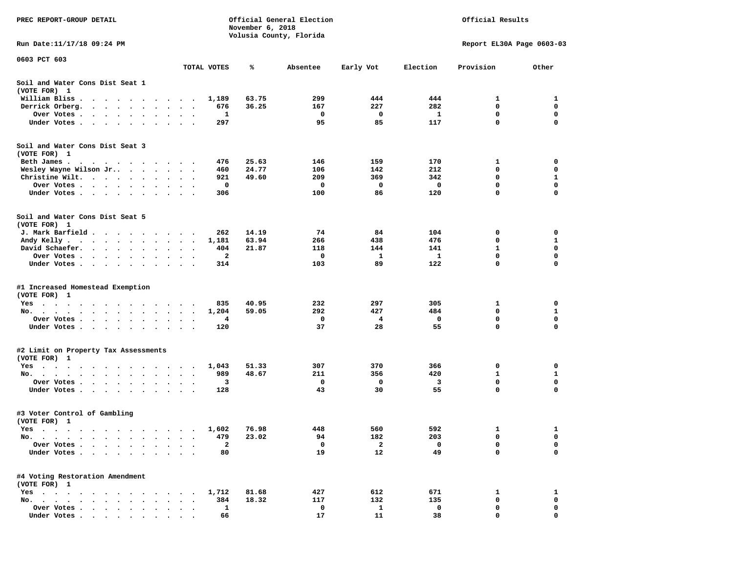| PREC REPORT-GROUP DETAIL                                                                                                                       |                                          |              | November 6, 2018 | Official General Election<br>Volusia County, Florida | Official Results |              |                           |              |  |
|------------------------------------------------------------------------------------------------------------------------------------------------|------------------------------------------|--------------|------------------|------------------------------------------------------|------------------|--------------|---------------------------|--------------|--|
| Run Date:11/17/18 09:24 PM                                                                                                                     |                                          |              |                  |                                                      |                  |              | Report EL30A Page 0603-03 |              |  |
| 0603 PCT 603                                                                                                                                   |                                          | TOTAL VOTES  | %                | Absentee                                             | Early Vot        | Election     | Provision                 | Other        |  |
| Soil and Water Cons Dist Seat 1<br>(VOTE FOR) 1                                                                                                |                                          |              |                  |                                                      |                  |              |                           |              |  |
| William Bliss.<br>$\bullet$<br>$\cdots$                                                                                                        |                                          | 1,189        | 63.75            | 299                                                  | 444              | 444          | 1                         | 1            |  |
| Derrick Orberg.<br>$\cdots$<br>$\cdot$                                                                                                         |                                          | 676          | 36.25            | 167                                                  | 227              | 282          | 0                         | 0            |  |
| Over Votes .<br>$\mathcal{A}=\mathcal{A}=\mathcal{A}=\mathcal{A}=\mathcal{A}=\mathcal{A}$ .<br>$\sim$                                          | $\bullet$<br>$\bullet$                   | 1            |                  | 0                                                    | 0                | 1            | 0                         | 0            |  |
| Under Votes<br>$\ddot{\phantom{0}}$<br>$\ddot{\phantom{1}}$<br>$\ddot{\phantom{1}}$                                                            |                                          | 297          |                  | 95                                                   | 85               | 117          | $\mathbf 0$               | 0            |  |
| Soil and Water Cons Dist Seat 3<br>(VOTE FOR) 1                                                                                                |                                          |              |                  |                                                      |                  |              |                           |              |  |
| Beth James.                                                                                                                                    |                                          | 476          | 25.63            | 146                                                  | 159              | 170          | 1                         | 0            |  |
| Wesley Wayne Wilson Jr                                                                                                                         | $\cdot$                                  | 460          | 24.77            | 106                                                  | 142              | 212          | 0                         | 0            |  |
| Christine Wilt.                                                                                                                                |                                          | 921          | 49.60            | 209                                                  | 369              | 342          | 0                         | 1            |  |
| Over Votes<br>$\cdot$                                                                                                                          |                                          | 0            |                  | 0                                                    | 0                | 0            | $\mathbf 0$<br>0          | 0<br>0       |  |
| Under Votes<br>$\ddot{\phantom{0}}$                                                                                                            |                                          | 306          |                  | 100                                                  | 86               | 120          |                           |              |  |
| Soil and Water Cons Dist Seat 5<br>(VOTE FOR) 1                                                                                                |                                          |              |                  |                                                      |                  |              |                           |              |  |
| J. Mark Barfield                                                                                                                               |                                          | 262          | 14.19            | 74                                                   | 84               | 104          | 0                         | 0            |  |
| Andy Kelly                                                                                                                                     |                                          | 1,181        | 63.94            | 266                                                  | 438              | 476          | 0                         | 1            |  |
| David Schaefer.<br>$\mathcal{A}=\mathcal{A}=\mathcal{A}=\mathcal{A}=\mathcal{A}$ .<br>$\bullet$                                                | $\cdot$<br>$\bullet$<br>$\bullet$        | 404          | 21.87            | 118                                                  | 144              | 141          | 1                         | 0            |  |
| Over Votes<br>$\sim$ $\sim$                                                                                                                    |                                          | $\mathbf{2}$ |                  | 0                                                    | 1                | 1            | 0                         | 0            |  |
| Under Votes<br>$\ddot{\phantom{0}}$<br>$\bullet$                                                                                               | $\bullet$<br>$\bullet$<br>$\blacksquare$ | 314          |                  | 103                                                  | 89               | 122          | 0                         | 0            |  |
| #1 Increased Homestead Exemption<br>(VOTE FOR) 1                                                                                               |                                          |              |                  |                                                      |                  |              |                           |              |  |
| Yes                                                                                                                                            |                                          | 835          | 40.95            | 232                                                  | 297              | 305          | 1                         | 0            |  |
| No.                                                                                                                                            |                                          | 1,204        | 59.05            | 292                                                  | 427              | 484          | 0                         | 1            |  |
| Over Votes .<br>$\sim$ $\sim$<br>$\sim$ $\sim$<br>$\bullet$<br>$\bullet$                                                                       | $\bullet$<br>$\bullet$                   | 4            |                  | 0                                                    | 4                | $\mathbf{o}$ | 0                         | 0            |  |
| Under Votes<br>$\sim$                                                                                                                          | $\bullet$ .<br><br><br><br><br><br>      | 120          |                  | 37                                                   | 28               | 55           | $\mathbf 0$               | $\mathbf 0$  |  |
| #2 Limit on Property Tax Assessments                                                                                                           |                                          |              |                  |                                                      |                  |              |                           |              |  |
| (VOTE FOR) 1                                                                                                                                   |                                          |              |                  |                                                      |                  |              |                           |              |  |
| $Yes \cdot \cdot \cdot$<br>$\cdot$<br>$\cdots$<br>$\bullet$<br>$\cdot$ $\cdot$                                                                 | $\sim$                                   | 1,043        | 51.33            | 307                                                  | 370              | 366          | 0                         | 0            |  |
| No.                                                                                                                                            |                                          | 989          | 48.67            | 211                                                  | 356              | 420          | 1                         | 1            |  |
| Over Votes .<br>$\sim$ $\sim$ $\sim$ $\sim$<br>$\ddot{\phantom{0}}$<br>$\cdot$<br>Under Votes                                                  |                                          | з            |                  | 0<br>43                                              | 0<br>30          | 3<br>55      | 0<br>0                    | 0<br>0       |  |
| $\bullet$<br>$\cdot$                                                                                                                           |                                          | 128          |                  |                                                      |                  |              |                           |              |  |
| #3 Voter Control of Gambling<br>(VOTE FOR) 1                                                                                                   |                                          |              |                  |                                                      |                  |              |                           |              |  |
| Yes<br>$\cdots$                                                                                                                                |                                          | 1,602        | 76.98            | 448                                                  | 560              | 592          | 1                         | 1            |  |
| $No. \t .$<br>$\bullet$<br>$\bullet$<br>$\bullet$<br>$\bullet$                                                                                 |                                          | 479          | 23.02            | 94                                                   | 182              | 203          | 0                         | 0            |  |
| Over Votes .<br>$\ddot{\phantom{a}}$<br>$\bullet$<br>$\ddot{\phantom{a}}$                                                                      |                                          | 2            |                  | $\mathbf 0$                                          | $\mathbf{2}$     | 0            | 0                         | 0            |  |
| Under Votes.<br>$\bullet$<br>$\bullet$                                                                                                         |                                          | 80           |                  | 19                                                   | 12               | 49           | $\mathbf 0$               | 0            |  |
| #4 Voting Restoration Amendment<br>(VOTE FOR) 1                                                                                                |                                          |              |                  |                                                      |                  |              |                           |              |  |
| $Yes \cdot \cdot \cdot$<br>$\bullet$ .<br><br><br><br><br><br>$\sim$<br>$\bullet$<br>$\bullet$<br>$\ddot{\phantom{0}}$<br>$\ddot{\phantom{1}}$ |                                          | 1,712        | 81.68            | 427                                                  | 612              | 671          | 1                         | 1            |  |
| No.<br>$\sim$<br>$\overline{\phantom{a}}$<br>$\sim$<br>$\sim$                                                                                  |                                          | 384          | 18.32            | 117                                                  | 132              | 135          | 0                         | 0            |  |
| Over Votes                                                                                                                                     |                                          | $\mathbf{1}$ |                  | 0                                                    | 1                | 0            | 0                         | 0            |  |
| Under Votes                                                                                                                                    |                                          | 66           |                  | 17                                                   | 11               | 38           | $\Omega$                  | <sup>n</sup> |  |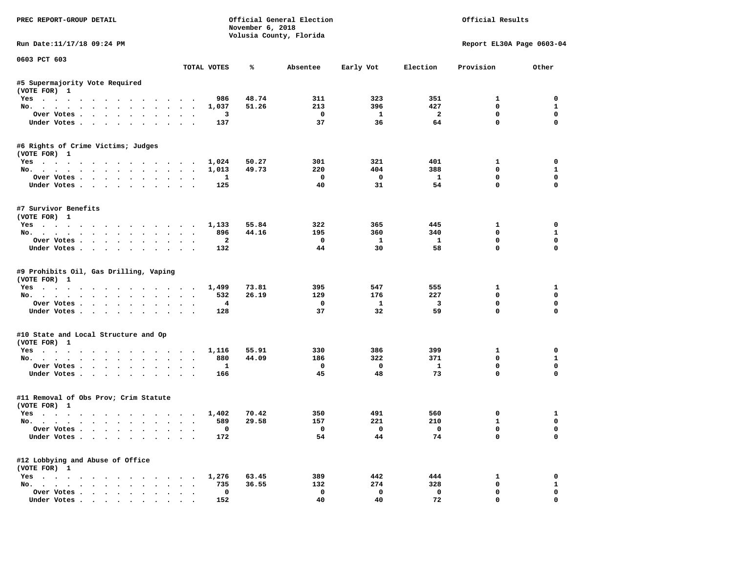| PREC REPORT-GROUP DETAIL                              |                                | November 6, 2018 | Official General Election<br>Volusia County, Florida | Official Results   |                               |                         |                             |
|-------------------------------------------------------|--------------------------------|------------------|------------------------------------------------------|--------------------|-------------------------------|-------------------------|-----------------------------|
| Run Date: 11/17/18 09:24 PM                           |                                |                  |                                                      |                    |                               |                         | Report EL30A Page 0603-04   |
| 0603 PCT 603                                          | TOTAL VOTES                    | ℁                | Absentee                                             | Early Vot          | Election                      | Provision               | Other                       |
| #5 Supermajority Vote Required                        |                                |                  |                                                      |                    |                               |                         |                             |
| (VOTE FOR) 1                                          |                                |                  |                                                      |                    |                               |                         |                             |
| Yes                                                   | 986                            | 48.74            | 311                                                  | 323                | 351                           | $\mathbf{1}$            | $\Omega$                    |
| No.                                                   | 1,037                          | 51.26            | 213                                                  | 396                | 427                           | 0                       | $\mathbf{1}$                |
| Over Votes                                            | 3                              |                  | $\mathbf 0$                                          | $\mathbf{1}$       | $\overline{a}$                | $\mathbf 0$             | $\mathbf 0$                 |
| Under Votes                                           | 137                            |                  | 37                                                   | 36                 | 64                            | $\mathbf 0$             | $\mathbf 0$                 |
| #6 Rights of Crime Victims; Judges                    |                                |                  |                                                      |                    |                               |                         |                             |
| (VOTE FOR) 1                                          |                                | 50.27            | 301                                                  | 321                | 401                           | $\mathbf{1}$            | $\mathbf 0$                 |
| Yes<br>No.                                            | 1,024<br>1,013                 | 49.73            | 220                                                  | 404                | 388                           | $^{\circ}$              | $\mathbf{1}$                |
| Over Votes.                                           | 1                              |                  | $\mathbf 0$                                          | $\mathbf{o}$       | $\mathbf{1}$                  | $\mathbf 0$             | $\mathbf 0$                 |
| Under Votes                                           | 125                            |                  | 40                                                   | 31                 | 54                            | $\mathbf 0$             | $\mathbf 0$                 |
|                                                       |                                |                  |                                                      |                    |                               |                         |                             |
| #7 Survivor Benefits                                  |                                |                  |                                                      |                    |                               |                         |                             |
| (VOTE FOR) 1                                          |                                | 55.84            | 322                                                  | 365                | 445                           | $\mathbf{1}$            | $\mathbf 0$                 |
| Yes 1,133<br>No.                                      | 896                            | 44.16            | 195                                                  | 360                | 340                           | $\mathbf 0$             | $\mathbf{1}$                |
| Over Votes                                            | $\overline{a}$                 |                  | $\mathbf 0$                                          | $\mathbf{1}$       | $\mathbf{1}$                  | $\mathbf 0$             | $\mathbf 0$                 |
| Under Votes                                           | 132                            |                  | 44                                                   | 30                 | 58                            | $\Omega$                | $\Omega$                    |
|                                                       |                                |                  |                                                      |                    |                               |                         |                             |
| #9 Prohibits Oil, Gas Drilling, Vaping                |                                |                  |                                                      |                    |                               |                         |                             |
| (VOTE FOR) 1                                          |                                |                  |                                                      |                    |                               |                         |                             |
| Yes                                                   | 1,499                          | 73.81            | 395                                                  | 547                | 555                           | 1                       | 1                           |
| No.                                                   | 532                            | 26.19            | 129                                                  | 176                | 227                           | $\mathbf 0$             | $\mathbf 0$                 |
| Over Votes                                            | $\overline{\mathbf{4}}$<br>128 |                  | $\mathbf 0$<br>37                                    | $\mathbf{1}$<br>32 | $\overline{\mathbf{3}}$<br>59 | $\mathbf 0$<br>$\Omega$ | $\mathbf 0$<br>$\mathbf 0$  |
| Under Votes                                           |                                |                  |                                                      |                    |                               |                         |                             |
| #10 State and Local Structure and Op                  |                                |                  |                                                      |                    |                               |                         |                             |
| (VOTE FOR) 1                                          |                                |                  |                                                      |                    |                               |                         |                             |
| Yes                                                   | 1,116                          | 55.91            | 330                                                  | 386<br>322         | 399                           | 1<br>$\mathbf 0$        | $\mathbf 0$                 |
| No.                                                   | 880<br>$\mathbf{1}$            | 44.09            | 186<br>$\mathbf 0$                                   | $\mathbf{o}$       | 371<br>$\mathbf{1}$           | $\mathbf 0$             | $\mathbf{1}$<br>$\mathbf 0$ |
| Over Votes<br>Under Votes                             | 166                            |                  | 45                                                   | 48                 | 73                            | $\mathbf 0$             | $\mathbf{0}$                |
|                                                       |                                |                  |                                                      |                    |                               |                         |                             |
| #11 Removal of Obs Prov; Crim Statute<br>(VOTE FOR) 1 |                                |                  |                                                      |                    |                               |                         |                             |
| Yes                                                   | 1,402                          | 70.42            | 350                                                  | 491                | 560                           | $\mathbf 0$             | 1                           |
| No.                                                   | 589<br>$\ddot{\phantom{1}}$    | 29.58            | 157                                                  | 221                | 210                           | $\mathbf{1}$            | $\mathbf 0$                 |
| Over Votes                                            | $\mathbf{0}$                   |                  | $\Omega$                                             | $\Omega$           | $\Omega$                      | $\mathbf 0$             | $\mathbf{0}$                |
| Under Votes                                           | 172                            |                  | 54                                                   | 44                 | 74                            | $\Omega$                | $\mathbf 0$                 |
| #12 Lobbying and Abuse of Office                      |                                |                  |                                                      |                    |                               |                         |                             |
| (VOTE FOR) 1                                          |                                |                  |                                                      |                    |                               |                         |                             |
| Yes                                                   | 1,276                          | 63.45            | 389                                                  | 442                | 444                           | 1                       | $\mathbf 0$                 |
| No.                                                   | 735                            | 36.55            | 132                                                  | 274                | 328                           | $\mathbf 0$             | $\mathbf{1}$                |
| Over Votes                                            | $\mathbf 0$                    |                  | $\mathbf 0$                                          | $\mathbf{o}$       | $\mathbf{0}$                  | $\mathbf 0$             | $\mathbf 0$                 |
| Under Votes.                                          | 152                            |                  | 40                                                   | 40                 | 72                            | $\mathbf{0}$            | $\mathbf 0$                 |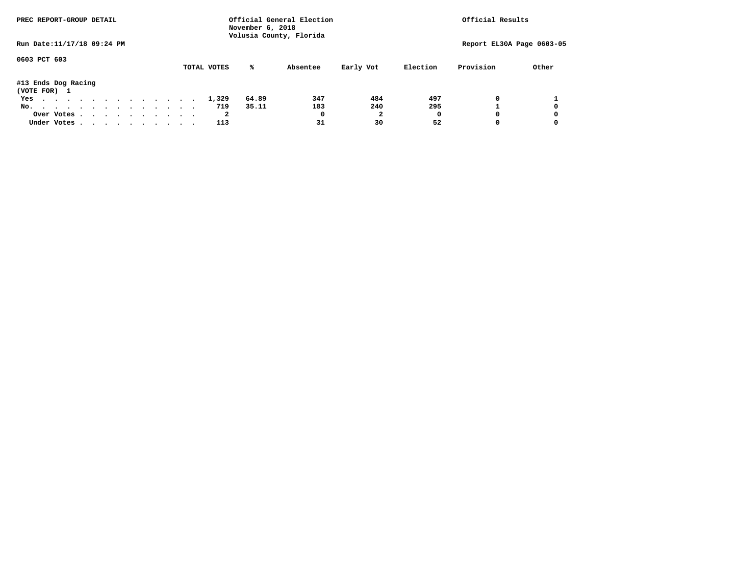| PREC REPORT-GROUP DETAIL            |  |  |  |  | November 6, 2018 | Official General Election<br>Volusia County, Florida | Official Results |          |           |          |                           |       |
|-------------------------------------|--|--|--|--|------------------|------------------------------------------------------|------------------|----------|-----------|----------|---------------------------|-------|
| Run Date: 11/17/18 09:24 PM         |  |  |  |  |                  |                                                      |                  |          |           |          | Report EL30A Page 0603-05 |       |
| 0603 PCT 603                        |  |  |  |  |                  | TOTAL VOTES                                          | %ะ               | Absentee | Early Vot | Election | Provision                 | Other |
| #13 Ends Dog Racing<br>(VOTE FOR) 1 |  |  |  |  |                  |                                                      |                  |          |           |          |                           |       |
| Yes                                 |  |  |  |  |                  | 1,329                                                | 64.89            | 347      | 484       | 497      |                           |       |
| No.                                 |  |  |  |  |                  | 719                                                  | 35.11            | 183      | 240       | 295      |                           | 0     |
| Over Votes                          |  |  |  |  |                  | 2                                                    |                  |          |           |          |                           | 0     |
| Under Votes, , , , , , , , , , ,    |  |  |  |  |                  |                                                      |                  | 31       | 30        | 52       |                           | 0     |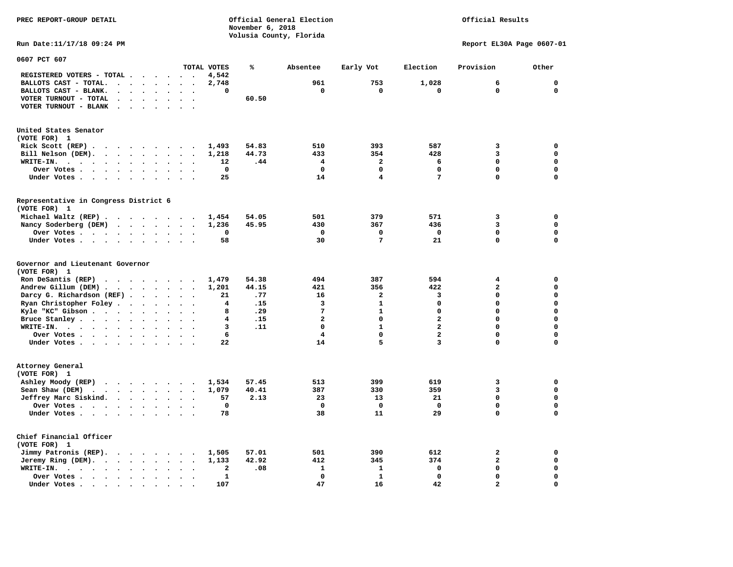**PREC REPORT-GROUP DETAIL Official General Election Official Results November 6, 2018 Volusia County, Florida Run Date:11/17/18 09:24 PM Report EL30A Page 0607-01 0607 PCT 607 TOTAL VOTES % Absentee Early Vot Election Provision Other REGISTERED VOTERS - TOTAL . . . . . . 4,542 BALLOTS CAST - TOTAL. . . . . . . . 2,748 961 753 1,028 6 0 BALLOTS CAST - BLANK. . . . . . . . 0 0 0 0 0 0 VOTER TURNOUT - TOTAL . . . . . . . 60.50 VOTER TURNOUT - BLANK . . . . . . . United States Senator (VOTE FOR) 1 Rick Scott (REP) . . . . . . . . . 1,493 54.83 510 393 587 3 0 Bill Nelson (DEM). . . . . . . . . 1,218 44.73 433 354 428 3 0 WRITE-IN. . . . . . . . . . . . 12 .44 4 2 6 0 0 Over Votes . . . . . . . . . . 0 0 0 0 0 0 Under Votes . . . . . . . . . . 25 14 14 1** 7 0

**Representative in Congress District 6 (VOTE FOR) 1 Michael Waltz (REP) . . . . . . . . 1,454 54.05 501 379 571 3 0 Nancy Soderberg (DEM)** . . . . . 1,236 45.95 430 367 436 3 3 0  **Over Votes . . . . . . . . . . 0 0 0 0 0 0 Under Votes . . . . . . . . . . 58** 30 30 7 21 0

| Governor and Lieutenant Governor                               |  |  |  |              |       |     |     |          |              |  |
|----------------------------------------------------------------|--|--|--|--------------|-------|-----|-----|----------|--------------|--|
| (VOTE FOR) 1                                                   |  |  |  |              |       |     |     |          |              |  |
| Ron DeSantis (REP) $\cdot \cdot \cdot \cdot \cdot \cdot \cdot$ |  |  |  | 1,479        | 54.38 | 494 | 387 | 594      |              |  |
| Andrew Gillum (DEM)                                            |  |  |  | 1,201        | 44.15 | 421 | 356 | 422      |              |  |
| Darcy G. Richardson (REF)                                      |  |  |  | 21           | .77   | 16  | 2   | 3        |              |  |
| Ryan Christopher Foley                                         |  |  |  | 4            | .15   | 3   |     |          |              |  |
| Kyle "KC" Gibson                                               |  |  |  |              | .29   |     |     |          |              |  |
| Bruce Stanley                                                  |  |  |  |              | .15   | 2   |     | 2        |              |  |
| WRITE-IN.                                                      |  |  |  | 3            | .11   |     |     | 2        |              |  |
| Over Votes.                                                    |  |  |  | 6            |       |     |     |          |              |  |
| Under Votes.                                                   |  |  |  | 22           |       | 14  |     |          |              |  |
| Attorney General                                               |  |  |  |              |       |     |     |          |              |  |
| (VOTE FOR) 1                                                   |  |  |  |              |       |     |     |          |              |  |
| Ashley Moody (REP)                                             |  |  |  | 1,534        | 57.45 | 513 | 399 | 619      |              |  |
| Sean Shaw (DEM) $\cdots$ $\cdots$ $\cdots$                     |  |  |  | 1,079        | 40.41 | 387 | 330 | 359      |              |  |
| Jeffrey Marc Siskind.                                          |  |  |  | 57           | 2.13  | 23  | 13  | 21       |              |  |
| Over Votes                                                     |  |  |  | $\mathbf{o}$ |       | 0   | 0   | 0        |              |  |
| Under Votes                                                    |  |  |  | 78           |       | 38  | 11  | 29       | <sup>n</sup> |  |
| Chief Financial Officer                                        |  |  |  |              |       |     |     |          |              |  |
| (VOTE FOR) 1                                                   |  |  |  |              |       |     |     |          |              |  |
| Jimmy Patronis (REP).                                          |  |  |  | 1,505        | 57.01 | 501 | 390 | 612      |              |  |
| Jeremy Ring (DEM).                                             |  |  |  | 1,133        | 42.92 | 412 | 345 | 374      |              |  |
|                                                                |  |  |  | 2            | .08   |     |     | $\Omega$ |              |  |

 **Over Votes . . . . . . . . . . 1 0 1 0 0 0** 

 **Under Votes . . . . . . . . . . 107** 47 16 42 2

 $\mathbf 0$ 

 $\mathbf 0$ 

 $\mathbf{o}$ 

 $\mathbf 0$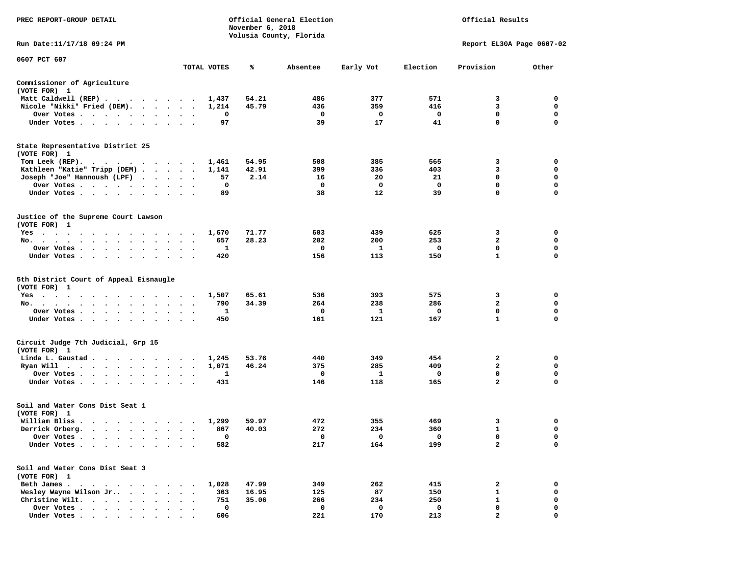| PREC REPORT-GROUP DETAIL                                                                                   |                                                  | November 6, 2018 | Official General Election<br>Volusia County, Florida |                        |                        | Official Results            |                                      |
|------------------------------------------------------------------------------------------------------------|--------------------------------------------------|------------------|------------------------------------------------------|------------------------|------------------------|-----------------------------|--------------------------------------|
| Run Date:11/17/18 09:24 PM                                                                                 |                                                  |                  |                                                      |                        |                        | Report EL30A Page 0607-02   |                                      |
| 0607 PCT 607                                                                                               | TOTAL VOTES                                      | ℁                | Absentee                                             | Early Vot              | Election               | Provision                   | Other                                |
|                                                                                                            |                                                  |                  |                                                      |                        |                        |                             |                                      |
| Commissioner of Agriculture<br>(VOTE FOR) 1                                                                |                                                  |                  |                                                      |                        |                        |                             |                                      |
| Matt Caldwell (REP)                                                                                        | 1,437                                            | 54.21            | 486                                                  | 377                    | 571                    | 3                           | 0                                    |
| Nicole "Nikki" Fried (DEM).                                                                                | 1,214                                            | 45.79            | 436                                                  | 359                    | 416                    | 3                           | $\mathbf 0$                          |
| Over Votes<br>$\sim$                                                                                       | 0                                                |                  | 0                                                    | 0                      | 0                      | 0                           | 0                                    |
| Under Votes                                                                                                | 97                                               |                  | 39                                                   | 17                     | 41                     | 0                           | $\mathbf 0$                          |
| State Representative District 25<br>(VOTE FOR) 1                                                           |                                                  |                  |                                                      |                        |                        |                             |                                      |
| Tom Leek $(REP)$ .                                                                                         | 1,461                                            | 54.95            | 508                                                  | 385                    | 565                    | 3                           | 0                                    |
| Kathleen "Katie" Tripp (DEM)                                                                               | 1,141                                            | 42.91            | 399                                                  | 336                    | 403                    | 3                           | 0                                    |
| Joseph "Joe" Hannoush (LPF)                                                                                | 57                                               | 2.14             | 16                                                   | 20                     | 21                     | $\mathbf 0$                 | $\mathbf 0$                          |
| Over Votes                                                                                                 | 0                                                |                  | 0                                                    | 0                      | 0                      | 0                           | $\mathbf 0$                          |
| Under Votes.                                                                                               | 89                                               |                  | 38                                                   | 12                     | 39                     | 0                           | $\mathbf 0$                          |
|                                                                                                            |                                                  |                  |                                                      |                        |                        |                             |                                      |
| Justice of the Supreme Court Lawson<br>(VOTE FOR) 1                                                        |                                                  |                  |                                                      |                        |                        |                             |                                      |
| $Yes \t . \t . \t .$<br>$\sim$ $\sim$<br>$\overline{\phantom{a}}$<br>$\overline{\phantom{a}}$<br>$\bullet$ | 1,670                                            | 71.77            | 603                                                  | 439                    | 625                    | 3                           | 0                                    |
| No.                                                                                                        | 657<br>$\bullet$<br>$\cdot$                      | 28.23            | 202                                                  | 200                    | 253                    | 2                           | 0                                    |
| Over Votes<br>$\sim$ $\sim$                                                                                | 1                                                |                  | 0                                                    | 1                      | 0                      | 0                           | $\mathbf 0$                          |
| Under Votes                                                                                                | 420<br>$\sim$ $\sim$                             |                  | 156                                                  | 113                    | 150                    | $\mathbf{1}$                | $\mathbf 0$                          |
| 5th District Court of Appeal Eisnaugle<br>(VOTE FOR) 1<br>Yes<br>No.<br>Over Votes<br>Under Votes          | 1,507<br>790<br>$\ddot{\phantom{1}}$<br>1<br>450 | 65.61<br>34.39   | 536<br>264<br>0<br>161                               | 393<br>238<br>1<br>121 | 575<br>286<br>0<br>167 | 3<br>2<br>0<br>$\mathbf{1}$ | 0<br>0<br>$\mathbf 0$<br>$\mathbf 0$ |
| Circuit Judge 7th Judicial, Grp 15<br>(VOTE FOR) 1                                                         |                                                  |                  |                                                      |                        |                        |                             |                                      |
| Linda L. Gaustad                                                                                           | 1,245                                            | 53.76            | 440                                                  | 349                    | 454                    | 2                           | 0                                    |
| Ryan Will $\cdots$ , $\cdots$ , $\cdots$                                                                   | 1,071                                            | 46.24            | 375                                                  | 285                    | 409                    | $\mathbf{2}$                | $\mathbf 0$                          |
| Over Votes.                                                                                                | 1<br>$\sim$                                      |                  | 0                                                    | 1                      | 0                      | 0                           | $\mathbf 0$                          |
| Under Votes                                                                                                | 431                                              |                  | 146                                                  | 118                    | 165                    | $\overline{a}$              | $\mathbf 0$                          |
| Soil and Water Cons Dist Seat 1<br>(VOTE FOR) 1                                                            |                                                  |                  |                                                      |                        |                        |                             |                                      |
| William Bliss                                                                                              | 1,299                                            | 59.97            | 472                                                  | 355                    | 469                    | з                           | 0                                    |
| Derrick Orberg.<br>$\sim$<br>$\bullet$<br>$\bullet$<br>$\blacksquare$<br>$\bullet$                         | 867                                              | 40.03            | 272                                                  | 234                    | 360                    | 1                           | 0                                    |
| Over Votes .<br>$\sim$<br>$\sim$ $\sim$<br>$\bullet$                                                       | 0                                                |                  | 0                                                    | $\mathbf 0$            | 0                      | 0                           | 0                                    |
| Under Votes.                                                                                               | 582                                              |                  | 217                                                  | 164                    | 199                    | $\overline{a}$              | $\mathbf 0$                          |
| Soil and Water Cons Dist Seat 3                                                                            |                                                  |                  |                                                      |                        |                        |                             |                                      |
| (VOTE FOR) 1                                                                                               |                                                  |                  |                                                      |                        |                        |                             |                                      |
| Beth James.                                                                                                | 1,028<br>$\ddot{\phantom{0}}$                    | 47.99            | 349                                                  | 262                    | 415                    | 2<br>1                      | 0<br>0                               |
| Wesley Wayne Wilson Jr<br>Christine Wilt.                                                                  | 363<br>$\ddot{\phantom{a}}$<br>751               | 16.95<br>35.06   | 125<br>266                                           | 87<br>234              | 150<br>250             | $\mathbf{1}$                | $\mathbf 0$                          |
| Over Votes                                                                                                 | 0<br>$\ddot{\phantom{a}}$                        |                  | 0                                                    | 0                      | 0                      | 0                           | $\mathbf 0$                          |
| Under Votes                                                                                                | 606                                              |                  | 221                                                  | 170                    | 213                    | C                           | $\Omega$                             |
|                                                                                                            |                                                  |                  |                                                      |                        |                        |                             |                                      |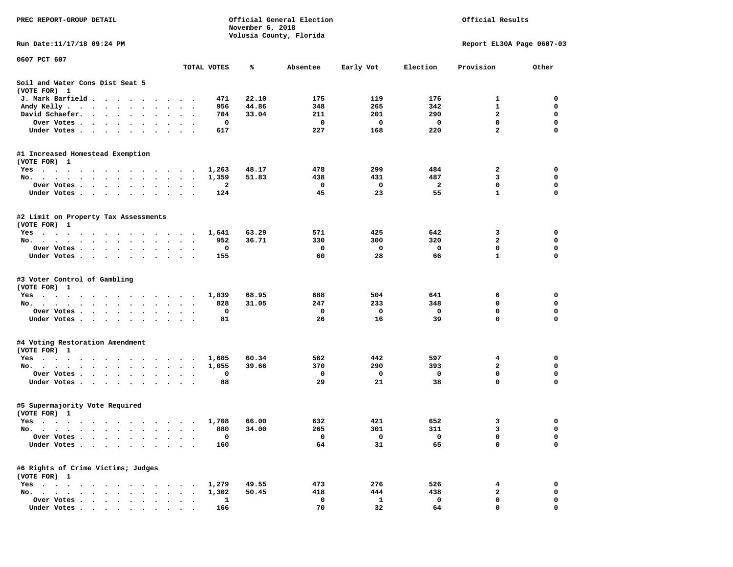| PREC REPORT-GROUP DETAIL                                              |                                                       | November 6, 2018 | Official General Election |           |            | Official Results        |                           |
|-----------------------------------------------------------------------|-------------------------------------------------------|------------------|---------------------------|-----------|------------|-------------------------|---------------------------|
| Run Date: 11/17/18 09:24 PM                                           |                                                       |                  | Volusia County, Florida   |           |            |                         | Report EL30A Page 0607-03 |
| 0607 PCT 607                                                          |                                                       |                  |                           |           |            |                         |                           |
|                                                                       | TOTAL VOTES                                           | %                | Absentee                  | Early Vot | Election   | Provision               | Other                     |
| Soil and Water Cons Dist Seat 5<br>(VOTE FOR) 1                       |                                                       |                  |                           |           |            |                         |                           |
| J. Mark Barfield                                                      |                                                       | 22.10<br>471     | 175                       | 119       | 176        | 1                       | 0                         |
| Andy Kelly                                                            |                                                       | 44.86<br>956     | 348                       | 265       | 342        | $\mathbf{1}$            | $\mathbf 0$               |
| David Schaefer.<br>$\sim$ $\sim$ $\sim$ $\sim$<br>$\bullet$           |                                                       | 33.04<br>704     | 211                       | 201       | 290        | $\overline{a}$          | 0                         |
| Over Votes .<br>.                                                     |                                                       | 0                | 0                         | 0         | 0          | $\mathbf 0$             | $\mathbf 0$               |
| Under Votes                                                           | $\sim$ $\sim$                                         | 617              | 227                       | 168       | 220        | $\overline{\mathbf{2}}$ | $\Omega$                  |
| #1 Increased Homestead Exemption                                      |                                                       |                  |                           |           |            |                         |                           |
| (VOTE FOR) 1                                                          |                                                       |                  |                           |           |            |                         |                           |
| Yes                                                                   | 1,263                                                 | 48.17            | 478                       | 299       | 484<br>487 | 2<br>3                  | 0<br>$\mathbf 0$          |
| No.<br>Over Votes                                                     | 1,359<br>$\ddot{\phantom{a}}$<br>$\bullet$<br>$\cdot$ | 51.83<br>2       | 438<br>0                  | 431<br>0  | 2          | $\mathbf 0$             | 0                         |
| $\sim$ $\sim$<br>$\ddot{\phantom{0}}$<br>$\bullet$<br>Under Votes     |                                                       | 124              | 45                        | 23        | 55         | $\mathbf{1}$            | $\mathbf 0$               |
|                                                                       |                                                       |                  |                           |           |            |                         |                           |
| #2 Limit on Property Tax Assessments<br>(VOTE FOR) 1                  |                                                       |                  |                           |           |            |                         |                           |
| $Yes \t . \t .$<br>$\bullet$<br>$\sim$<br>$\cdots$                    | 1,641<br>$\overline{\phantom{a}}$                     | 63.29            | 571                       | 425       | 642        | 3                       | 0                         |
| No.<br>$\bullet$                                                      | $\bullet$<br>$\overline{\phantom{a}}$                 | 36.71<br>952     | 330                       | 300       | 320        | $\overline{a}$          | $\mathbf 0$               |
| Over Votes .<br>$\sim$ $\sim$<br>$\cdot$                              |                                                       | 0                | 0                         | 0         | 0          | $\mathbf 0$             | $\mathbf 0$               |
| Under Votes.<br>$\cdots$<br>$\bullet$<br>$\sim$                       |                                                       | 155              | 60                        | 28        | 66         | $\mathbf{1}$            | 0                         |
| #3 Voter Control of Gambling                                          |                                                       |                  |                           |           |            |                         |                           |
| (VOTE FOR) 1<br>Yes                                                   | 1,839                                                 | 68.95            | 688                       | 504       | 641        | 6                       | 0                         |
| No.                                                                   |                                                       | 828<br>31.05     | 247                       | 233       | 348        | 0                       | 0                         |
| Over Votes .<br>$\cdots$                                              |                                                       | 0                | 0                         | 0         | 0          | $\mathbf 0$             | 0                         |
| Under Votes                                                           | $\ddot{\phantom{1}}$                                  | 81               | 26                        | 16        | 39         | $\mathbf 0$             | $\mathbf 0$               |
| #4 Voting Restoration Amendment                                       |                                                       |                  |                           |           |            |                         |                           |
| (VOTE FOR) 1                                                          |                                                       |                  |                           |           |            |                         |                           |
| Yes                                                                   | 1,605                                                 | 60.34            | 562                       | 442       | 597        | 4                       | 0                         |
| No.<br>$\cdot$ $\cdot$ $\cdot$ $\cdot$                                | 1,055<br>$\bullet$                                    | 39.66            | 370                       | 290       | 393        | $\mathbf{2}$            | 0                         |
| Over Votes                                                            | $\bullet$<br>$\bullet$                                | 0                | 0                         | 0         | 0          | $\mathbf 0$             | 0                         |
| Under Votes.                                                          |                                                       | 88               | 29                        | 21        | 38         | 0                       | $\mathbf 0$               |
| #5 Supermajority Vote Required<br>(VOTE FOR) 1                        |                                                       |                  |                           |           |            |                         |                           |
| Yes                                                                   | 1,708                                                 | 66.00            | 632                       | 421       | 652        | 3                       | 0                         |
| No.                                                                   |                                                       | 880<br>34.00     | 265                       | 301       | 311        | 3                       | $\mathbf 0$               |
| Over Votes                                                            |                                                       | 0                | 0                         | 0         | 0          | 0                       | 0                         |
| Under Votes .                                                         |                                                       | 160              | 64                        | 31        | 65         | 0                       | 0                         |
| #6 Rights of Crime Victims; Judges                                    |                                                       |                  |                           |           |            |                         |                           |
| (VOTE FOR) 1                                                          |                                                       |                  |                           |           |            |                         |                           |
| $Yes \t . \t .$<br>$\sim$<br>$\sim$ $\sim$                            | 1,279                                                 | 49.55            | 473                       | 276       | 526        | 4                       | 0                         |
| $\sim$ $\sim$<br>No.<br>$\sim$<br>$\bullet$<br>$\ddot{\phantom{a}}$   | 1,302                                                 | 50.45            | 418                       | 444       | 438        | $\mathbf{2}$            | 0                         |
| Over Votes<br>$\cdot$ $\cdot$ $\cdot$ $\cdot$<br>$\ddot{\phantom{0}}$ |                                                       | $\mathbf{1}$     | 0                         | 1         | 0          | 0                       | 0                         |
| Under Votes                                                           |                                                       | 166              | 70                        | 32        | 64         | $\Omega$                | $\Omega$                  |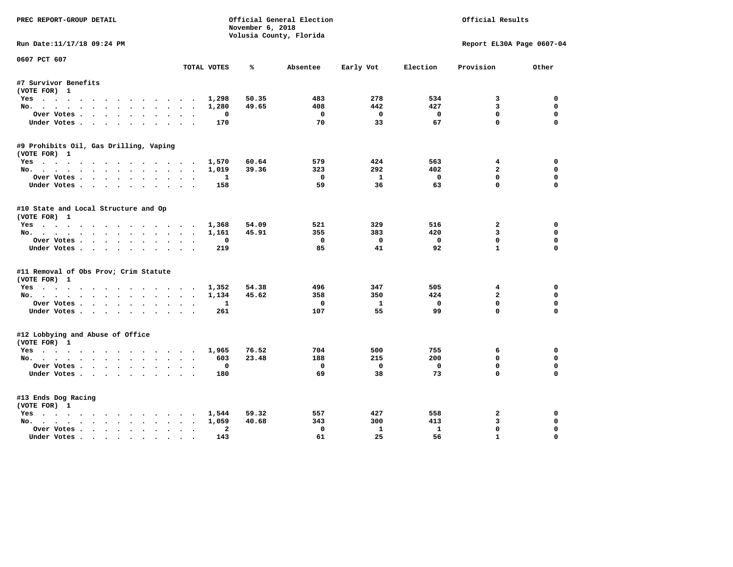| PREC REPORT-GROUP DETAIL                         |                                      | November 6, 2018 | Official General Election<br>Volusia County, Florida |              |              | Official Results          |              |
|--------------------------------------------------|--------------------------------------|------------------|------------------------------------------------------|--------------|--------------|---------------------------|--------------|
| Run Date:11/17/18 09:24 PM                       |                                      |                  |                                                      |              |              | Report EL30A Page 0607-04 |              |
| 0607 PCT 607                                     |                                      |                  |                                                      |              |              |                           |              |
|                                                  | TOTAL VOTES                          | ℁                | Absentee                                             | Early Vot    | Election     | Provision                 | Other        |
| #7 Survivor Benefits                             |                                      |                  |                                                      |              |              |                           |              |
| (VOTE FOR) 1                                     |                                      |                  |                                                      |              |              |                           |              |
| Yes                                              | 1,298                                | 50.35            | 483                                                  | 278          | 534          | 3                         | 0            |
| No.                                              | 1,280                                | 49.65            | 408                                                  | 442          | 427          | $\overline{\mathbf{3}}$   | 0            |
| Over Votes                                       | 0                                    |                  | $\Omega$                                             | $\mathbf 0$  | $\mathbf{o}$ | $\mathbf 0$               | 0            |
| Under Votes                                      | 170                                  |                  | 70                                                   | 33           | 67           | $\mathbf 0$               | $\mathbf 0$  |
| #9 Prohibits Oil, Gas Drilling, Vaping           |                                      |                  |                                                      |              |              |                           |              |
| (VOTE FOR) 1                                     |                                      |                  |                                                      |              |              |                           |              |
| Yes                                              | 1,570                                | 60.64            | 579                                                  | 424          | 563          | 4                         | $\mathbf 0$  |
| No.                                              | 1,019                                | 39.36            | 323                                                  | 292          | 402          | $\overline{2}$            | 0            |
| Over Votes                                       | $\mathbf{1}$                         |                  | $\Omega$                                             | $\mathbf{1}$ | $\mathbf{0}$ | $\mathbf 0$               | 0            |
| Under Votes                                      | 158                                  |                  | 59                                                   | 36           | 63           | $\mathbf 0$               | $\mathbf 0$  |
|                                                  |                                      |                  |                                                      |              |              |                           |              |
| #10 State and Local Structure and Op             |                                      |                  |                                                      |              |              |                           |              |
| (VOTE FOR) 1                                     |                                      |                  |                                                      |              |              |                           |              |
| Yes                                              | 1,368                                | 54.09            | 521                                                  | 329          | 516          | $\overline{2}$            | $\mathbf{0}$ |
| No.                                              | 1,161                                | 45.91            | 355                                                  | 383          | 420          | 3                         | 0            |
| Over Votes.                                      | $\Omega$                             |                  | $\Omega$                                             | $\Omega$     | $\Omega$     | $\mathbf 0$               | $\mathbf 0$  |
| Under Votes.                                     | 219                                  |                  | 85                                                   | 41           | 92           | $\mathbf{1}$              | $\mathbf 0$  |
| #11 Removal of Obs Prov; Crim Statute            |                                      |                  |                                                      |              |              |                           |              |
| (VOTE FOR) 1                                     |                                      |                  |                                                      |              |              |                           |              |
| Yes                                              | 1,352                                | 54.38            | 496                                                  | 347          | 505          | 4                         | 0            |
| No.                                              | 1,134                                | 45.62            | 358                                                  | 350          | 424          | $\mathbf{z}$              | 0            |
| Over Votes                                       | 1                                    |                  | $^{\circ}$                                           | <b>1</b>     | $\mathbf 0$  | $\mathbf 0$               | 0            |
| Under Votes.                                     | 261                                  |                  | 107                                                  | 55           | 99           | $\mathbf 0$               | $\mathbf 0$  |
|                                                  |                                      |                  |                                                      |              |              |                           |              |
| #12 Lobbying and Abuse of Office<br>(VOTE FOR) 1 |                                      |                  |                                                      |              |              |                           |              |
| Yes                                              | 1,965                                | 76.52            | 704                                                  | 500          | 755          | 6                         | $\mathbf 0$  |
| No.                                              | 603                                  | 23.48            | 188                                                  | 215          | 200          | $\mathbf 0$               | 0            |
| Over Votes.                                      | 0                                    |                  | $\mathbf 0$                                          | $\mathbf 0$  | $\mathbf 0$  | 0                         | 0            |
| Under Votes.                                     | 180                                  |                  | 69                                                   | 38           | 73           | $\Omega$                  | $\Omega$     |
|                                                  |                                      |                  |                                                      |              |              |                           |              |
| #13 Ends Dog Racing                              |                                      |                  |                                                      |              |              |                           |              |
|                                                  |                                      |                  |                                                      |              |              |                           |              |
|                                                  |                                      |                  |                                                      |              |              |                           |              |
| Yes                                              | 1,544                                | 59.32            | 557                                                  | 427          | 558          | 2                         | 0            |
| No.                                              | 1,059                                | 40.68            | 343                                                  | 300          | 413          | 3                         | 0            |
| (VOTE FOR) 1<br>Over Votes                       | $\mathbf{2}$<br>$\ddot{\phantom{0}}$ |                  | $^{\circ}$                                           | 1            | $\mathbf{1}$ | $\mathbf 0$               | 0            |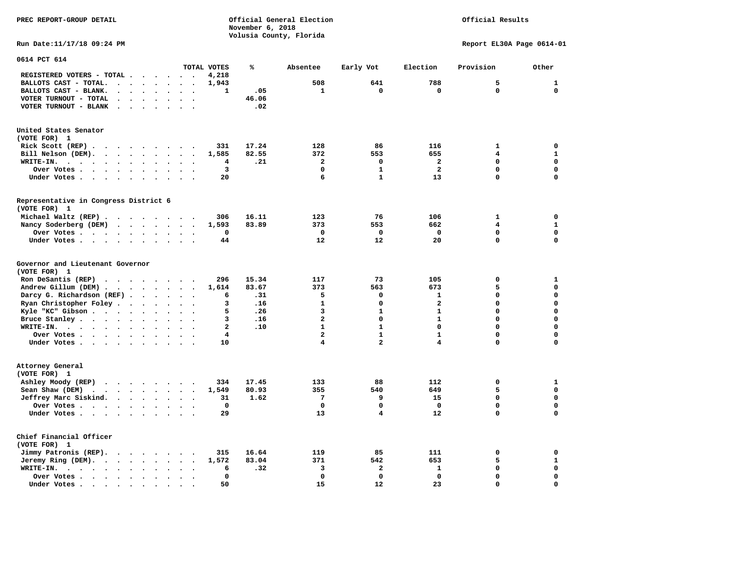## Official Results

**Run Date:11/17/18 09:24 PM Report EL30A Page 0614-01** 

| 0614 PCT 614                                                                                                                                                                                                                                            |                                                                                                                                                                                                                                   |                      |                      |                      |                          |                      |                          |              |       |                         |              |                         |             |              |
|---------------------------------------------------------------------------------------------------------------------------------------------------------------------------------------------------------------------------------------------------------|-----------------------------------------------------------------------------------------------------------------------------------------------------------------------------------------------------------------------------------|----------------------|----------------------|----------------------|--------------------------|----------------------|--------------------------|--------------|-------|-------------------------|--------------|-------------------------|-------------|--------------|
|                                                                                                                                                                                                                                                         |                                                                                                                                                                                                                                   |                      |                      |                      |                          |                      |                          | TOTAL VOTES  | ℁     | Absentee                | Early Vot    | Election                | Provision   | Other        |
| REGISTERED VOTERS - TOTAL .                                                                                                                                                                                                                             |                                                                                                                                                                                                                                   |                      |                      |                      | $\overline{\phantom{a}}$ | $\ddot{\phantom{a}}$ |                          | 4,218        |       |                         |              |                         |             |              |
| BALLOTS CAST - TOTAL.                                                                                                                                                                                                                                   | $\bullet$                                                                                                                                                                                                                         | $\ddot{\phantom{a}}$ |                      | $\ddot{\phantom{a}}$ | $\bullet$                | $\ddot{\phantom{a}}$ | $\bullet$                | 1,943        |       | 508                     | 641          | 788                     | 5           | $\mathbf{1}$ |
| BALLOTS CAST - BLANK.<br>$\bullet$                                                                                                                                                                                                                      |                                                                                                                                                                                                                                   |                      |                      |                      |                          |                      |                          | 1            | .05   | 1                       | 0            | $\mathbf 0$             | $\mathbf 0$ | $\mathbf 0$  |
| VOTER TURNOUT - TOTAL<br>$\ddot{\phantom{a}}$                                                                                                                                                                                                           | $\cdot$                                                                                                                                                                                                                           | $\ddot{\phantom{a}}$ |                      | $\cdot$              | $\ddot{\phantom{a}}$     | $\ddot{\phantom{a}}$ | $\ddot{\phantom{a}}$     |              | 46.06 |                         |              |                         |             |              |
| VOTER TURNOUT - BLANK<br>$\ddot{\phantom{0}}$                                                                                                                                                                                                           |                                                                                                                                                                                                                                   |                      |                      |                      |                          |                      |                          |              | .02   |                         |              |                         |             |              |
| United States Senator                                                                                                                                                                                                                                   |                                                                                                                                                                                                                                   |                      |                      |                      |                          |                      |                          |              |       |                         |              |                         |             |              |
| (VOTE FOR) 1                                                                                                                                                                                                                                            |                                                                                                                                                                                                                                   |                      |                      |                      |                          |                      |                          |              |       |                         |              |                         |             |              |
| Rick Scott (REP).<br>$\mathcal{A}$ . The contract of the contract of the contract of the contract of the contract of the contract of the contract of the contract of the contract of the contract of the contract of the contract of the contract of th |                                                                                                                                                                                                                                   |                      |                      |                      |                          |                      | $\overline{\phantom{a}}$ | 331          | 17.24 | 128                     | 86           | 116                     | 1           | $\mathbf 0$  |
| Bill Nelson (DEM).<br>$\mathbf{r}$ , $\mathbf{r}$ , $\mathbf{r}$ , $\mathbf{r}$ , $\mathbf{r}$ , $\mathbf{r}$                                                                                                                                           |                                                                                                                                                                                                                                   |                      |                      |                      |                          | $\sim$               |                          | 1,585        | 82.55 | 372                     | 553          | 655                     | 4           | $\mathbf{1}$ |
| WRITE-IN.<br>$\ddot{\phantom{a}}$<br>$\ddotsc$<br>$\sim$                                                                                                                                                                                                |                                                                                                                                                                                                                                   | $\ddot{\phantom{a}}$ |                      | $\bullet$            | $\bullet$                |                      |                          | 4            | .21   | $\overline{a}$          | $\mathbf 0$  | $\overline{a}$          | $\Omega$    | $\mathbf 0$  |
| Over Votes .<br>$\ddot{\phantom{0}}$<br>$\bullet$<br>$\sim$                                                                                                                                                                                             | $\ddot{\phantom{0}}$                                                                                                                                                                                                              | $\bullet$            |                      |                      | $\bullet$                |                      |                          | 3            |       | $\mathbf 0$             | $\mathbf{1}$ | $\overline{\mathbf{2}}$ | 0           | $\mathbf 0$  |
| Under Votes<br>$\sim$<br>$\sim$ $\sim$                                                                                                                                                                                                                  |                                                                                                                                                                                                                                   | $\ddot{\phantom{a}}$ |                      |                      |                          |                      |                          | 20           |       | 6                       | $\mathbf{1}$ | 13                      | $\Omega$    | $\mathbf 0$  |
|                                                                                                                                                                                                                                                         |                                                                                                                                                                                                                                   |                      |                      |                      |                          |                      |                          |              |       |                         |              |                         |             |              |
| Representative in Congress District 6<br>(VOTE FOR) 1                                                                                                                                                                                                   |                                                                                                                                                                                                                                   |                      |                      |                      |                          |                      |                          |              |       |                         |              |                         |             |              |
| Michael Waltz (REP).<br>$\cdots$                                                                                                                                                                                                                        |                                                                                                                                                                                                                                   |                      |                      |                      |                          | $\sim$               |                          | 306          | 16.11 | 123                     | 76           | 106                     | 1           | 0            |
| Nancy Soderberg (DEM)                                                                                                                                                                                                                                   | $\mathbf{r}$ . The set of the set of the set of the set of the set of the set of the set of the set of the set of the set of the set of the set of the set of the set of the set of the set of the set of the set of the set of t |                      |                      |                      |                          |                      |                          | 1,593        | 83.89 | 373                     | 553          | 662                     | 4           | $\mathbf{1}$ |
| Over Votes                                                                                                                                                                                                                                              |                                                                                                                                                                                                                                   | $\bullet$            |                      | $\bullet$            | $\ddot{\phantom{a}}$     | $\ddot{\phantom{a}}$ | $\ddot{\phantom{a}}$     | 0            |       | $\mathbf 0$             | $\mathbf 0$  | $\mathbf 0$             | 0           | $\mathbf 0$  |
| Under Votes                                                                                                                                                                                                                                             |                                                                                                                                                                                                                                   | $\ddot{\phantom{a}}$ | $\ddot{\phantom{0}}$ |                      | $\bullet$                | $\ddot{\phantom{a}}$ |                          | 44           |       | 12                      | 12           | 20                      | 0           | 0            |
|                                                                                                                                                                                                                                                         |                                                                                                                                                                                                                                   |                      |                      |                      |                          |                      |                          |              |       |                         |              |                         |             |              |
| Governor and Lieutenant Governor                                                                                                                                                                                                                        |                                                                                                                                                                                                                                   |                      |                      |                      |                          |                      |                          |              |       |                         |              |                         |             |              |
| (VOTE FOR) 1                                                                                                                                                                                                                                            |                                                                                                                                                                                                                                   |                      |                      |                      |                          |                      |                          |              |       |                         |              |                         |             |              |
| Ron DeSantis (REP)<br>$\cdot$ $\cdot$ $\cdot$ $\cdot$ $\cdot$ $\cdot$                                                                                                                                                                                   |                                                                                                                                                                                                                                   |                      |                      |                      |                          | $\sim$               |                          | 296          | 15.34 | 117                     | 73           | 105                     | 0           | 1            |
| Andrew Gillum (DEM).<br>$\cdots$                                                                                                                                                                                                                        |                                                                                                                                                                                                                                   |                      |                      |                      |                          | $\ddot{\phantom{a}}$ |                          | 1,614        | 83.67 | 373                     | 563          | 673                     | 5           | $\mathbf 0$  |
| Darcy G. Richardson (REF).                                                                                                                                                                                                                              |                                                                                                                                                                                                                                   | $\bullet$            |                      | $\ddot{\phantom{a}}$ | $\ddot{\phantom{a}}$     | $\bullet$            | $\bullet$                | 6            | .31   | 5                       | 0            | $\mathbf{1}$            | 0           | $\mathbf 0$  |
| Ryan Christopher Foley.                                                                                                                                                                                                                                 | $\sim$ $\sim$                                                                                                                                                                                                                     | $\bullet$            |                      | $\bullet$            | $\ddot{\phantom{a}}$     | $\ddot{\phantom{a}}$ |                          | 3            | .16   | $\mathbf{1}$            | 0            | $\mathbf{2}$            | 0           | $\mathbf 0$  |
| Kyle "KC" Gibson                                                                                                                                                                                                                                        |                                                                                                                                                                                                                                   | $\ddot{\phantom{a}}$ |                      | $\ddot{\phantom{a}}$ | $\ddot{\phantom{a}}$     |                      |                          | 5            | .26   | 3                       | $\mathbf{1}$ | $\mathbf{1}$            | $\Omega$    | $\mathbf 0$  |
| Bruce Stanley                                                                                                                                                                                                                                           |                                                                                                                                                                                                                                   | $\bullet$            |                      |                      | $\bullet$                | $\ddot{\phantom{a}}$ |                          | 3            | .16   | $\overline{a}$          | 0            | $\mathbf{1}$            | 0           | $\mathbf 0$  |
| WRITE-IN.<br>$\cdots$                                                                                                                                                                                                                                   |                                                                                                                                                                                                                                   | $\bullet$            |                      |                      |                          |                      |                          | $\mathbf{2}$ | .10   | $\mathbf{1}$            | $\mathbf{1}$ | $\mathbf 0$             | 0           | $\mathbf 0$  |
| Over Votes                                                                                                                                                                                                                                              |                                                                                                                                                                                                                                   |                      |                      | $\bullet$            | $\bullet$                | $\bullet$            | $\ddot{\phantom{0}}$     | 4            |       | $\overline{\mathbf{2}}$ | $\mathbf{1}$ | $\mathbf{1}$            | 0           | $\mathbf 0$  |
| Under Votes                                                                                                                                                                                                                                             |                                                                                                                                                                                                                                   |                      |                      | $\ddot{\phantom{a}}$ | $\ddot{\phantom{0}}$     |                      |                          | 10           |       | 4                       | 2            | 4                       | 0           | $\mathbf 0$  |
| Attorney General                                                                                                                                                                                                                                        |                                                                                                                                                                                                                                   |                      |                      |                      |                          |                      |                          |              |       |                         |              |                         |             |              |
| (VOTE FOR) 1                                                                                                                                                                                                                                            |                                                                                                                                                                                                                                   |                      |                      |                      |                          |                      |                          |              |       |                         |              |                         |             |              |
| Ashley Moody (REP)<br>$\cdot$                                                                                                                                                                                                                           |                                                                                                                                                                                                                                   |                      |                      |                      |                          |                      |                          | 334          | 17.45 | 133                     | 88           | 112                     | 0           | 1            |
| Sean Shaw (DEM)<br>$\cdot$ $\cdot$ $\cdot$ $\cdot$ $\cdot$ $\cdot$ $\cdot$                                                                                                                                                                              |                                                                                                                                                                                                                                   |                      |                      |                      |                          | $\sim$               | $\overline{\phantom{a}}$ | 1,549        | 80.93 | 355                     | 540          | 649                     | 5           | $\mathbf 0$  |
| Jeffrey Marc Siskind.                                                                                                                                                                                                                                   |                                                                                                                                                                                                                                   |                      |                      |                      |                          | $\sim$               | $\ddot{\phantom{a}}$     | 31           | 1.62  | $7\phantom{.0}$         | 9            | 15                      | 0           | $\mathbf 0$  |
| Over Votes .<br>$\cdots$                                                                                                                                                                                                                                |                                                                                                                                                                                                                                   | $\bullet$            |                      |                      | $\bullet$                |                      |                          | $\mathbf 0$  |       | $\mathbf 0$             | $\mathbf 0$  | $\mathbf 0$             | 0           | $\mathbf 0$  |
| Under Votes                                                                                                                                                                                                                                             |                                                                                                                                                                                                                                   | $\sim$               |                      |                      |                          |                      |                          | 29           |       | 13                      | 4            | 12                      | $\Omega$    | $\mathbf 0$  |
|                                                                                                                                                                                                                                                         |                                                                                                                                                                                                                                   |                      |                      |                      |                          |                      |                          |              |       |                         |              |                         |             |              |
| Chief Financial Officer                                                                                                                                                                                                                                 |                                                                                                                                                                                                                                   |                      |                      |                      |                          |                      |                          |              |       |                         |              |                         |             |              |
| (VOTE FOR) 1                                                                                                                                                                                                                                            |                                                                                                                                                                                                                                   |                      |                      |                      |                          |                      |                          |              |       |                         |              |                         |             |              |
| Jimmy Patronis (REP).                                                                                                                                                                                                                                   | $\sim$ $\sim$                                                                                                                                                                                                                     |                      | $\sim$ $\sim$        |                      | $\bullet$                |                      |                          | 315          | 16.64 | 119                     | 85           | 111                     | 0           | 0            |
| Jeremy Ring (DEM).<br>$\ddot{\phantom{a}}$                                                                                                                                                                                                              |                                                                                                                                                                                                                                   | $\ddot{\phantom{0}}$ |                      | $\bullet$            | $\bullet$                |                      |                          | 1,572        | 83.04 | 371                     | 542          | 653                     | 5           | $\mathbf{1}$ |
| WRITE-IN.<br>$\ddot{\phantom{0}}$<br><b>Contract Contract Contract</b>                                                                                                                                                                                  | $\bullet$                                                                                                                                                                                                                         | $\bullet$            |                      |                      | $\ddot{\phantom{0}}$     |                      |                          | 6            | .32   | 3                       | $\mathbf{z}$ | $\mathbf{1}$            | 0           | $\mathbf 0$  |
| Over Votes .<br>$\sim$ $\sim$ $\sim$ $\sim$ $\sim$                                                                                                                                                                                                      | $\bullet$                                                                                                                                                                                                                         | $\bullet$            |                      |                      |                          |                      |                          | 0            |       | $\mathbf 0$             | $\mathbf 0$  | $\mathbf 0$             | 0           | $\mathbf 0$  |
| Under Votes.<br>$\ddot{\phantom{1}}$<br>$\sim$ $\sim$<br>$\sim$                                                                                                                                                                                         | $\bullet$                                                                                                                                                                                                                         | $\cdot$              |                      |                      |                          |                      |                          | 50           |       | 15                      | 12           | 23                      | 0           | $\mathbf 0$  |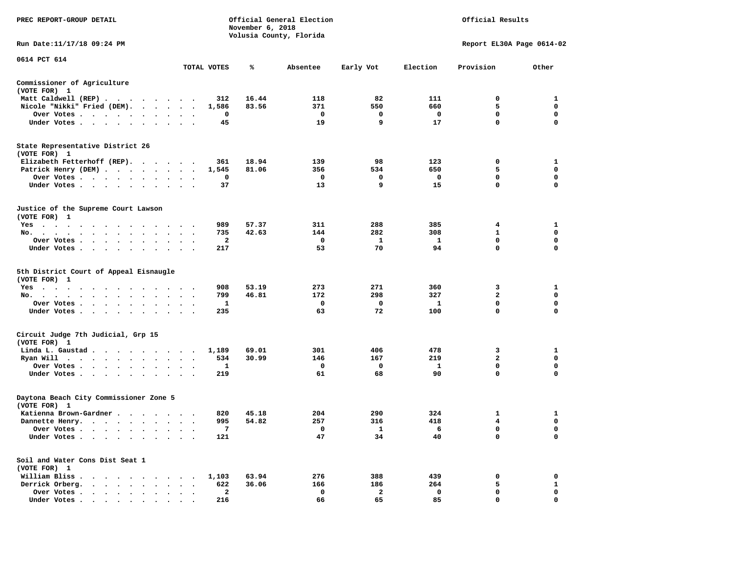| PREC REPORT-GROUP DETAIL                                                                                                                                                                                                  |                                                  |             | November 6, 2018 | Official General Election<br>Volusia County, Florida |                         |              | Official Results          |              |
|---------------------------------------------------------------------------------------------------------------------------------------------------------------------------------------------------------------------------|--------------------------------------------------|-------------|------------------|------------------------------------------------------|-------------------------|--------------|---------------------------|--------------|
| Run Date:11/17/18 09:24 PM                                                                                                                                                                                                |                                                  |             |                  |                                                      |                         |              | Report EL30A Page 0614-02 |              |
| 0614 PCT 614                                                                                                                                                                                                              |                                                  | TOTAL VOTES | ℁                | Absentee                                             | Early Vot               | Election     | Provision                 | Other        |
|                                                                                                                                                                                                                           |                                                  |             |                  |                                                      |                         |              |                           |              |
| Commissioner of Agriculture<br>(VOTE FOR) 1                                                                                                                                                                               |                                                  |             |                  |                                                      |                         |              |                           |              |
| Matt Caldwell (REP)                                                                                                                                                                                                       |                                                  | 312         | 16.44            | 118                                                  | 82                      | 111          | 0                         | 1            |
| Nicole "Nikki" Fried (DEM).                                                                                                                                                                                               |                                                  | 1,586       | 83.56            | 371                                                  | 550                     | 660          | 5                         | $\mathbf 0$  |
| Over Votes<br>$\cdot$                                                                                                                                                                                                     |                                                  | 0           |                  | $\mathbf 0$                                          | $\mathbf 0$             | $\mathbf{o}$ | $\mathbf 0$               | $\mathbf 0$  |
| Under Votes                                                                                                                                                                                                               | $\bullet$ , $\bullet$ , $\bullet$ , $\bullet$    | 45          |                  | 19                                                   | 9                       | 17           | $\mathbf{0}$              | $\Omega$     |
| State Representative District 26<br>(VOTE FOR) 1                                                                                                                                                                          |                                                  |             |                  |                                                      |                         |              |                           |              |
| Elizabeth Fetterhoff (REP).                                                                                                                                                                                               |                                                  | 361         | 18.94            | 139                                                  | 98                      | 123          | $\mathbf 0$               | 1            |
| Patrick Henry (DEM)                                                                                                                                                                                                       |                                                  | 1,545       | 81.06            | 356                                                  | 534                     | 650          | 5                         | $\mathbf 0$  |
| Over Votes                                                                                                                                                                                                                |                                                  | 0           |                  | $\mathbf 0$                                          | 0                       | $\mathbf 0$  | $\mathbf 0$               | $\mathbf 0$  |
| Under Votes                                                                                                                                                                                                               |                                                  | 37          |                  | 13                                                   | 9                       | 15           | $\mathbf 0$               | $\mathbf 0$  |
| Justice of the Supreme Court Lawson<br>(VOTE FOR) 1                                                                                                                                                                       |                                                  |             |                  |                                                      |                         |              |                           |              |
| $Yes \cdot \cdot \cdot$<br>$\cdot$ $\cdot$<br>$\sim$ $\sim$<br>.                                                                                                                                                          |                                                  | 989         | 57.37            | 311                                                  | 288                     | 385          | 4                         | 1            |
| No.                                                                                                                                                                                                                       |                                                  | 735         | 42.63            | 144                                                  | 282                     | 308          | $\mathbf{1}$              | $\mathbf 0$  |
| Over Votes<br>$\bullet$<br>$\bullet$                                                                                                                                                                                      | $\bullet$<br>$\bullet$                           | 2           |                  | 0                                                    | 1                       | 1            | 0                         | 0            |
| Under Votes                                                                                                                                                                                                               |                                                  | 217         |                  | 53                                                   | 70                      | 94           | 0                         | $\mathbf 0$  |
| 5th District Court of Appeal Eisnaugle<br>(VOTE FOR) 1<br>$Yes \cdot \cdot \cdot \cdot \cdot$<br>$\sim$<br>.<br>No.<br>$\mathbf{a}$ . The second contribution of $\mathbf{a}$<br>$\sim$<br>$\sim$<br>$\ddot{\phantom{1}}$ |                                                  | 908<br>799  | 53.19<br>46.81   | 273<br>172                                           | 271<br>298              | 360<br>327   | 3<br>$\mathbf{2}$         | 1<br>0       |
| Over Votes                                                                                                                                                                                                                | $\sim$                                           | 1           |                  | $\mathbf 0$                                          | 0                       | 1            | $\mathbf 0$               | 0            |
| Under Votes<br>$\sim$                                                                                                                                                                                                     | $\cdot$ $\cdot$ $\cdot$                          | 235         |                  | 63                                                   | 72                      | 100          | $\mathbf 0$               | $\mathbf 0$  |
| Circuit Judge 7th Judicial, Grp 15<br>(VOTE FOR) 1                                                                                                                                                                        |                                                  |             |                  |                                                      |                         |              |                           |              |
| Linda L. Gaustad                                                                                                                                                                                                          |                                                  | 1,189       | 69.01            | 301                                                  | 406                     | 478          | 3                         | $\mathbf{1}$ |
| Ryan Will $\cdots$ $\cdots$ $\cdots$                                                                                                                                                                                      | $\ddot{\phantom{1}}$                             | 534         | 30.99            | 146                                                  | 167                     | 219          | $\mathbf{2}$              | 0            |
| Over Votes<br>$\cdot$<br>$\ddot{\phantom{1}}$<br>$\cdot$                                                                                                                                                                  |                                                  | 1           |                  | 0                                                    | 0                       | 1            | 0                         | 0            |
| Under Votes<br>$\sim$                                                                                                                                                                                                     |                                                  | 219         |                  | 61                                                   | 68                      | 90           | $\mathbf 0$               | $\Omega$     |
| Daytona Beach City Commissioner Zone 5<br>(VOTE FOR) 1                                                                                                                                                                    |                                                  |             |                  |                                                      |                         |              |                           |              |
| Katienna Brown-Gardner.                                                                                                                                                                                                   |                                                  | 820         | 45.18            | 204                                                  | 290                     | 324          | 1                         | 1            |
| Dannette Henry.                                                                                                                                                                                                           |                                                  | 995         | 54.82            | 257                                                  | 316                     | 418          | $\overline{\mathbf{4}}$   | $\mathbf 0$  |
| Over Votes.                                                                                                                                                                                                               | $\sim$ $\sim$                                    | 7           |                  | $\mathbf 0$                                          | $\mathbf{1}$            | - 6          | 0                         | 0            |
| Under Votes                                                                                                                                                                                                               |                                                  | 121         |                  | 47                                                   | 34                      | 40           | 0                         | $\mathbf 0$  |
| Soil and Water Cons Dist Seat 1<br>(VOTE FOR) 1                                                                                                                                                                           |                                                  |             |                  |                                                      |                         |              |                           |              |
| William Bliss.<br>.                                                                                                                                                                                                       |                                                  | 1,103       | 63.94            | 276                                                  | 388                     | 439          | 0                         | 0            |
| Derrick Orberg.                                                                                                                                                                                                           | $\ddot{\phantom{1}}$<br>$\overline{\phantom{a}}$ | 622         | 36.06            | 166                                                  | 186                     | 264          | 5                         | $\mathbf{1}$ |
| Over Votes<br>$\sim$ $\sim$<br>$\ddot{\phantom{0}}$<br>$\ddot{\phantom{a}}$<br>$\ddot{\phantom{a}}$                                                                                                                       | $\ddot{\phantom{a}}$                             | 2           |                  | 0                                                    | $\overline{\mathbf{2}}$ | 0            | $\mathbf 0$               | $\mathbf 0$  |
| Under Votes, , , , , , ,                                                                                                                                                                                                  | $\sim$                                           | 216         |                  | 66                                                   | 65                      | 85           | $\Omega$                  | $\mathbf 0$  |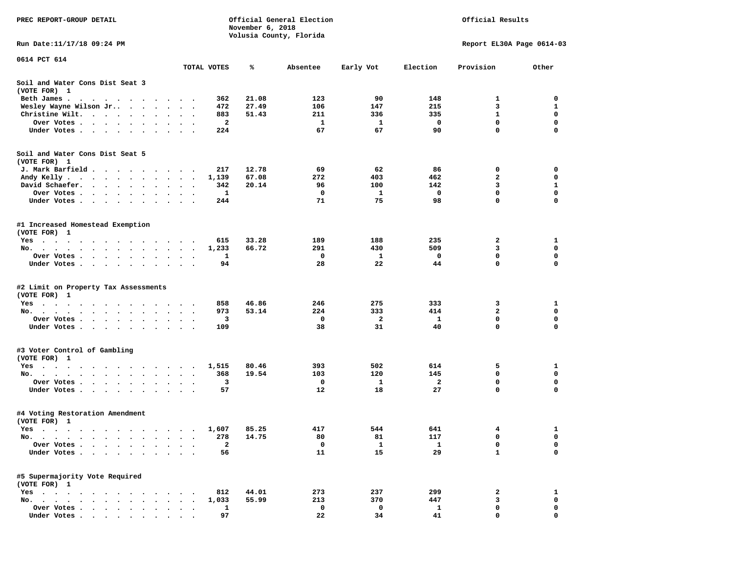| PREC REPORT-GROUP DETAIL                                                                                                         |                             | November 6, 2018 | Official General Election | Official Results |          |                            |                  |
|----------------------------------------------------------------------------------------------------------------------------------|-----------------------------|------------------|---------------------------|------------------|----------|----------------------------|------------------|
| Run Date:11/17/18 09:24 PM                                                                                                       |                             |                  | Volusia County, Florida   |                  |          | Report EL30A Page 0614-03  |                  |
| 0614 PCT 614                                                                                                                     |                             |                  |                           |                  |          |                            |                  |
|                                                                                                                                  | TOTAL VOTES                 | ℁                | Absentee                  | Early Vot        | Election | Provision                  | Other            |
| Soil and Water Cons Dist Seat 3<br>(VOTE FOR) 1                                                                                  |                             |                  |                           |                  |          |                            |                  |
| Beth James.<br>the contract of the contract of the contract of the contract of the contract of the contract of the contract of   | 362                         | 21.08            | 123                       | 90               | 148      | 1                          | 0                |
| Wesley Wayne Wilson Jr                                                                                                           | 472<br>$\ddot{\phantom{1}}$ | 27.49            | 106                       | 147              | 215      | 3                          | 1                |
| Christine Wilt.<br>$\ddot{\phantom{1}}$                                                                                          | 883                         | 51.43            | 211                       | 336              | 335      | $\mathbf{1}$               | 0                |
| Over Votes                                                                                                                       | 2                           |                  | 1                         | 1                | 0        | $\mathbf 0$                | $\mathbf 0$      |
| Under Votes                                                                                                                      | 224                         |                  | 67                        | 67               | 90       | $\mathbf 0$                | $\mathbf 0$      |
| Soil and Water Cons Dist Seat 5<br>(VOTE FOR) 1                                                                                  |                             |                  |                           |                  |          |                            |                  |
| J. Mark Barfield                                                                                                                 | 217                         | 12.78            | 69                        | 62               | 86       | 0                          | 0                |
| Andy Kelly                                                                                                                       | 1,139                       | 67.08            | 272                       | 403              | 462      | $\overline{a}$             | $\mathbf 0$      |
| David Schaefer.<br>$\cdot$                                                                                                       | 342<br>$\bullet$            | 20.14            | 96                        | 100              | 142      | 3                          | 1                |
| Over Votes<br>$\sim$ $\sim$                                                                                                      | 1                           |                  | 0                         | 1                | 0        | $\mathbf 0$                | $\mathbf 0$      |
| Under Votes                                                                                                                      | 244                         |                  | 71                        | 75               | 98       | $\mathbf 0$                | $\mathbf 0$      |
| #1 Increased Homestead Exemption<br>(VOTE FOR) 1                                                                                 |                             |                  |                           |                  |          |                            |                  |
| Yes                                                                                                                              | 615                         | 33.28            | 189                       | 188              | 235      | 2                          | 1                |
| No.                                                                                                                              | 1,233<br>$\sim$ $\sim$      | 66.72            | 291                       | 430              | 509      | 3                          | 0                |
| Over Votes                                                                                                                       | 1<br>$\ddot{\phantom{1}}$   |                  | 0                         | 1                | 0        | 0                          | 0                |
| Under Votes                                                                                                                      | 94                          |                  | 28                        | 22               | 44       | $\mathbf 0$                | 0                |
| #2 Limit on Property Tax Assessments<br>(VOTE FOR) 1                                                                             |                             |                  |                           |                  |          |                            |                  |
| $Yes \cdot \cdot \cdot$<br>$\cdots$<br>$\sim$ $\sim$ $\sim$<br>$\sim$                                                            | 858                         | 46.86            | 246                       | 275              | 333      | 3                          | 1                |
| No.                                                                                                                              | 973                         | 53.14            | 224                       | 333              | 414      | $\overline{2}$             | 0                |
| Over Votes.<br>$\cdots$                                                                                                          | 3                           |                  | 0                         | $\mathbf{2}$     | <b>1</b> | $\mathbf 0$                | 0                |
| Under Votes                                                                                                                      | 109                         |                  | 38                        | 31               | 40       | $\mathbf 0$                | $\mathbf 0$      |
| #3 Voter Control of Gambling<br>(VOTE FOR) 1                                                                                     |                             |                  |                           |                  |          |                            |                  |
| Yes                                                                                                                              | 1,515                       | 80.46            | 393                       | 502              | 614      | 5                          | 1                |
| No.                                                                                                                              | 368<br>$\ddot{\phantom{1}}$ | 19.54            | 103                       | 120              | 145      | 0                          | 0                |
| Over Votes .<br>$\mathcal{A}=\mathcal{A}=\mathcal{A}=\mathcal{A}=\mathcal{A}=\mathcal{A}=\mathcal{A}=\mathcal{A}$<br>Under Votes | 3<br>57                     |                  | 0<br>12                   | 1<br>18          | 2<br>27  | $\mathbf 0$<br>$\mathbf 0$ | 0<br>$\mathbf 0$ |
| #4 Voting Restoration Amendment<br>(VOTE FOR) 1                                                                                  |                             |                  |                           |                  |          |                            |                  |
| Yes. 1,607                                                                                                                       |                             | 85.25            | 417                       | 544              | 641      | 4                          | $\mathbf{1}$     |
| No.                                                                                                                              | 278                         | 14.75            | 80                        | 81               | 117      | 0                          | 0                |
| Over Votes .<br>$\ddot{\phantom{a}}$<br>$\ddot{\phantom{0}}$<br>$\bullet$<br>$\bullet$                                           | $\mathbf{2}$                |                  | 0                         | 1                | 1        | $\mathbf 0$                | 0                |
| Under Votes.<br>$\sim$<br>$\sim$ $\sim$<br>$\ddot{\phantom{a}}$<br>$\ddot{\phantom{a}}$                                          | 56                          |                  | 11                        | 15               | 29       | $\mathbf{1}$               | 0                |
| #5 Supermajority Vote Required<br>(VOTE FOR) 1                                                                                   |                             |                  |                           |                  |          |                            |                  |
| $Yes \t . \t .$                                                                                                                  | 812                         | 44.01            | 273                       | 237              | 299      | 2                          | 1                |
| No.<br>$\ddot{\phantom{1}}$<br>$\ddot{\phantom{a}}$<br>$\bullet$                                                                 | 1,033                       | 55.99            | 213                       | 370              | 447      | 3                          | 0                |
| Over Votes .                                                                                                                     | $\mathbf{1}$                |                  | 0                         | 0                | 1        | 0                          | 0                |
| Under Votes.<br>$\cdots$                                                                                                         | 97                          |                  | 22                        | 34               | 41       | 0                          | 0                |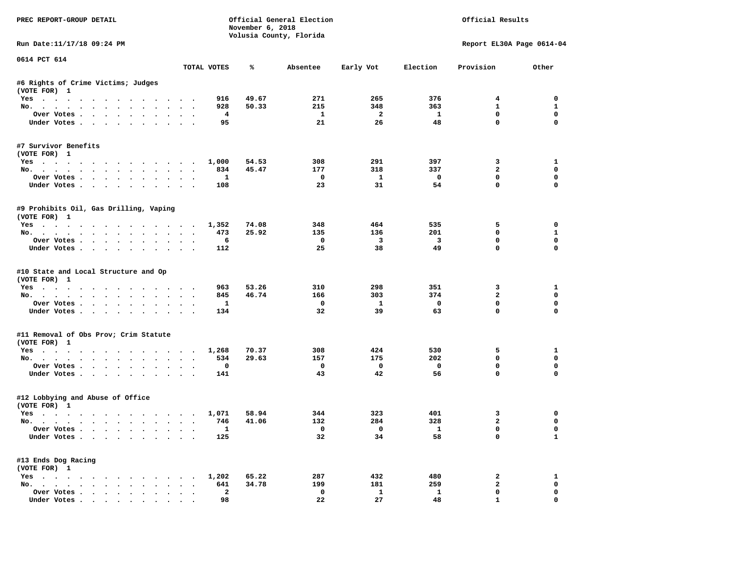| PREC REPORT-GROUP DETAIL                                    |           |                                | November 6, 2018 | Official General Election<br>Volusia County, Florida |                         |                          | Official Results           |                          |
|-------------------------------------------------------------|-----------|--------------------------------|------------------|------------------------------------------------------|-------------------------|--------------------------|----------------------------|--------------------------|
| Run Date:11/17/18 09:24 PM                                  |           |                                |                  |                                                      |                         |                          | Report EL30A Page 0614-04  |                          |
| 0614 PCT 614                                                |           | TOTAL VOTES                    | ℁                | Absentee                                             | Early Vot               | Election                 | Provision                  | Other                    |
| #6 Rights of Crime Victims; Judges                          |           |                                |                  |                                                      |                         |                          |                            |                          |
| (VOTE FOR) 1                                                |           |                                |                  |                                                      |                         |                          |                            |                          |
| Yes                                                         |           | 916                            | 49.67            | 271                                                  | 265                     | 376                      | $\overline{4}$             | $^{\circ}$               |
| No.                                                         |           | 928                            | 50.33            | 215                                                  | 348                     | 363                      | $\mathbf{1}$               | $\mathbf{1}$             |
| Over Votes                                                  |           | $\overline{4}$                 |                  | $\mathbf{1}$                                         | $\overline{\mathbf{2}}$ | $\mathbf{1}$             | $\mathbf 0$                | $\mathbf 0$              |
| Under Votes                                                 |           | 95                             |                  | 21                                                   | 26                      | 48                       | $\mathbf 0$                | $\mathbf 0$              |
| #7 Survivor Benefits<br>(VOTE FOR) 1                        |           |                                |                  |                                                      |                         |                          |                            |                          |
| Yes                                                         |           | 1,000                          | 54.53            | 308                                                  | 291                     | 397                      | 3                          | 1                        |
| No.                                                         |           | 834                            | 45.47            | 177                                                  | 318                     | 337                      | $\overline{2}$             | 0                        |
| Over Votes                                                  |           | $\mathbf{1}$                   |                  | $\overline{\phantom{0}}$                             | $\mathbf{1}$            | $\overline{\phantom{0}}$ | $\mathbf 0$                | 0                        |
| Under Votes                                                 |           | 108                            |                  | 23                                                   | 31                      | 54                       | $\mathbf 0$                | 0                        |
| #9 Prohibits Oil, Gas Drilling, Vaping<br>(VOTE FOR) 1      |           |                                |                  |                                                      |                         |                          |                            |                          |
| Yes 1,352                                                   |           |                                | 74.08            | 348                                                  | 464                     | 535                      | 5                          | 0                        |
| No.                                                         |           | 473                            | 25.92            | 135                                                  | 136                     | 201                      | $\mathbf 0$                | $\mathbf{1}$             |
| Over Votes                                                  |           | 6                              |                  | $\mathbf 0$                                          | $\overline{\mathbf{3}}$ | $\overline{\mathbf{3}}$  | $\mathbf 0$                | $\mathbf 0$              |
| Under Votes                                                 |           | 112                            |                  | 25                                                   | 38                      | 49                       | $\Omega$                   | $\Omega$                 |
| #10 State and Local Structure and Op<br>(VOTE FOR) 1<br>Yes |           | 963                            | 53.26            | 310                                                  | 298                     | 351                      | 3                          | 1                        |
| No.                                                         |           | 845                            | 46.74            | 166                                                  | 303                     | 374                      | $\overline{a}$             | $\mathbf 0$              |
| Over Votes                                                  |           | $\mathbf{1}$                   |                  | $\mathbf{o}$                                         | $\mathbf{1}$            | $\mathbf 0$              | $\mathbf 0$                | $\mathbf 0$              |
| Under Votes                                                 |           | 134                            |                  | 32                                                   | 39                      | 63                       | $\mathbf 0$                | $\Omega$                 |
| #11 Removal of Obs Prov; Crim Statute<br>(VOTE FOR) 1       |           |                                |                  |                                                      |                         |                          |                            |                          |
| Yes                                                         |           | 1,268                          | 70.37            | 308                                                  | 424                     | 530                      | 5                          | 1                        |
| No.                                                         |           | 534                            | 29.63            | 157                                                  | 175                     | 202                      | $\Omega$                   | $\mathbf 0$              |
| Over Votes                                                  |           | 0                              |                  | $\mathbf 0$                                          | $\overline{\mathbf{0}}$ | $\mathbf 0$              | 0                          | $\mathbf 0$              |
| Under Votes                                                 |           | 141                            |                  | 43                                                   | 42                      | 56                       | $\Omega$                   | 0                        |
| #12 Lobbying and Abuse of Office<br>(VOTE FOR) 1            |           |                                |                  |                                                      |                         |                          |                            |                          |
| Yes                                                         |           | 1,071                          | 58.94            | 344                                                  | 323                     | 401                      | $\mathbf{3}$               | 0                        |
| No.                                                         |           | 746                            | 41.06            | 132                                                  | 284                     | 328                      | $\overline{a}$             | $\mathbf 0$              |
| Over Votes<br>Under Votes                                   |           | $\overline{\mathbf{1}}$<br>125 |                  | $\overline{\mathbf{0}}$<br>32                        | $\overline{0}$<br>34    | $\mathbf{1}$<br>58       | $\mathbf 0$<br>$\mathbf 0$ | $\Omega$<br>$\mathbf{1}$ |
| #13 Ends Dog Racing                                         |           |                                |                  |                                                      |                         |                          |                            |                          |
| (VOTE FOR) 1<br>Yes 1,202                                   |           |                                | 65.22            | 287                                                  | 432                     | 480                      | $\mathbf{2}$               | 1                        |
| No.                                                         |           | 641                            | 34.78            | 199                                                  | 181                     | 259                      | $\mathbf{2}$               | $\mathbf 0$              |
| Over Votes                                                  | $\ddotsc$ | $\mathbf{2}$                   |                  | $\mathbf 0$                                          | $\mathbf{1}$            | $\mathbf{1}$             | $\mathbf 0$                | 0                        |
| Under Votes.                                                |           | 98                             |                  | 22                                                   | 27                      | 48                       | $\mathbf{1}$               | 0                        |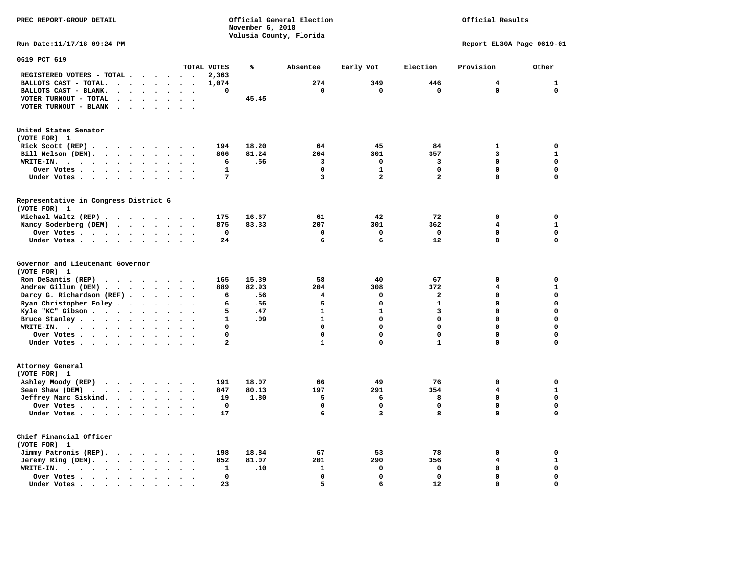### Official Results

**Run Date:11/17/18 09:24 PM Report EL30A Page 0619-01** 

| 0619 PCT 619                                                                                                           |                                   |              |       |                         |                |                |                         |              |
|------------------------------------------------------------------------------------------------------------------------|-----------------------------------|--------------|-------|-------------------------|----------------|----------------|-------------------------|--------------|
|                                                                                                                        |                                   | TOTAL VOTES  | ℁     | Absentee                | Early Vot      | Election       | Provision               | Other        |
| REGISTERED VOTERS - TOTAL .<br>$\overline{\phantom{a}}$<br>$\ddot{\phantom{a}}$<br>$\ddot{\phantom{a}}$                | $\sim$<br>$\ddot{\phantom{a}}$    | 2,363        |       |                         |                |                |                         |              |
| BALLOTS CAST - TOTAL.<br>$\sim$<br>$\ddot{\phantom{a}}$<br>$\ddot{\phantom{a}}$<br>$\ddot{\phantom{a}}$                |                                   | 1,074        |       | 274                     | 349            | 446            | 4                       | $\mathbf{1}$ |
| BALLOTS CAST - BLANK.<br>$\bullet$<br>$\bullet$<br>$\bullet$<br>$\bullet$                                              | $\bullet$<br>$\bullet$            | 0            |       | $\mathbf 0$             | 0              | $\mathbf 0$    | $\mathbf 0$             | $\mathbf 0$  |
| VOTER TURNOUT - TOTAL<br>$\ddot{\phantom{a}}$<br>$\ddot{\phantom{a}}$<br>$\ddot{\phantom{1}}$                          |                                   |              | 45.45 |                         |                |                |                         |              |
| VOTER TURNOUT - BLANK<br>$\ddot{\phantom{a}}$                                                                          |                                   |              |       |                         |                |                |                         |              |
|                                                                                                                        |                                   |              |       |                         |                |                |                         |              |
|                                                                                                                        |                                   |              |       |                         |                |                |                         |              |
| United States Senator                                                                                                  |                                   |              |       |                         |                |                |                         |              |
| (VOTE FOR) 1                                                                                                           |                                   |              |       |                         |                |                |                         |              |
| Rick Scott (REP).<br>$\ddot{\phantom{1}}$<br>$\sim$ $\sim$<br>$\sim$ 100 $\sim$<br>$\cdot$<br>$\overline{\phantom{a}}$ |                                   | 194          | 18.20 | 64                      | 45             | 84             | $\mathbf{1}$            | 0            |
| Bill Nelson (DEM).<br>$\mathbf{r}$ , $\mathbf{r}$ , $\mathbf{r}$ , $\mathbf{r}$ , $\mathbf{r}$ , $\mathbf{r}$          | $\overline{\phantom{a}}$          | 866          | 81.24 | 204                     | 301            | 357            | 3                       | ${\bf 1}$    |
| WRITE-IN.<br>$\ddotsc$ $\ddotsc$<br>$\ddot{\phantom{a}}$<br>$\bullet$<br>$\bullet$                                     |                                   | 6            | .56   | 3                       | $\mathbf 0$    | 3              | $\Omega$                | $\mathbf 0$  |
| Over Votes<br>$\bullet$<br>$\ddot{\phantom{a}}$<br>$\bullet$                                                           |                                   | $\mathbf{1}$ |       | $\Omega$                | $\mathbf{1}$   | $\mathbf 0$    | 0                       | $\mathbf 0$  |
| Under Votes<br>$\bullet$<br>$\bullet$                                                                                  | $\ddot{\phantom{a}}$<br>$\cdot$   | 7            |       | $\overline{\mathbf{3}}$ | $\overline{a}$ | $\overline{a}$ | 0                       | $\mathbf 0$  |
|                                                                                                                        |                                   |              |       |                         |                |                |                         |              |
| Representative in Congress District 6                                                                                  |                                   |              |       |                         |                |                |                         |              |
| (VOTE FOR) 1                                                                                                           |                                   |              |       |                         |                |                |                         |              |
| Michael Waltz (REP)                                                                                                    |                                   | 175          | 16.67 | 61                      | 42             | 72             | 0                       | $\mathbf 0$  |
| Nancy Soderberg (DEM)<br>$\cdots$<br>$\bullet$ .<br><br><br><br><br><br><br><br><br><br><br>                           | $\bullet$                         | 875          | 83.33 | 207                     | 301            | 362            | 4                       | $\mathbf{1}$ |
| Over Votes<br>$\ddot{\phantom{1}}$<br>$\bullet$                                                                        |                                   | 0            |       | 0                       | $\mathbf 0$    | 0              | 0                       | $\mathbf 0$  |
| Under Votes<br>$\cdot$<br>$\ddot{\phantom{a}}$                                                                         | $\cdot$<br>$\ddot{\phantom{a}}$   | 24           |       | 6                       | 6              | 12             | 0                       | $\mathbf 0$  |
| Governor and Lieutenant Governor<br>(VOTE FOR) 1                                                                       |                                   |              |       |                         |                |                |                         |              |
| Ron DeSantis (REP)<br>.                                                                                                |                                   | 165          | 15.39 | 58                      | 40             | 67             | 0                       | $\mathbf 0$  |
| Andrew Gillum (DEM)<br>$\ddot{\phantom{0}}$                                                                            | $\ddot{\phantom{a}}$<br>$\bullet$ | 889          | 82.93 | 204                     | 308            | 372            | 4                       | ${\bf 1}$    |
| Darcy G. Richardson (REF).<br>$\bullet$                                                                                |                                   | 6            | .56   | 4                       | $\mathbf 0$    | $\mathbf{z}$   | 0                       | $\mathbf 0$  |
| Ryan Christopher Foley.<br>$\ddot{\phantom{1}}$<br>$\bullet$                                                           |                                   | 6            | .56   | 5                       | $\Omega$       | $\mathbf{1}$   | $\mathbf 0$             | $\mathbf 0$  |
| Kyle "KC" Gibson.<br>$\cdot$ $\cdot$ $\cdot$<br>$\bullet$<br>$\bullet$<br>$\bullet$                                    | $\bullet$<br>$\ddot{\phantom{a}}$ | 5            | .47   | $\mathbf{1}$            | $\mathbf{1}$   | 3              | 0                       | $\mathbf 0$  |
| Bruce Stanley<br>$\bullet$<br>$\overline{\phantom{a}}$                                                                 |                                   | $\mathbf{1}$ | .09   | $\mathbf{1}$            | $\mathbf 0$    | 0              | 0                       | $\mathbf 0$  |
| WRITE-IN.<br>$\cdots$<br>$\bullet$                                                                                     |                                   | 0            |       | $\Omega$                | $\Omega$       | $\Omega$       | $\mathbf 0$             | $\mathbf 0$  |
| Over Votes<br>$\cdot$<br>$\bullet$                                                                                     | $\ddot{\phantom{0}}$              | 0            |       | $\mathbf 0$             | $\mathbf 0$    | 0              | 0                       | $\mathbf 0$  |
| Under Votes<br>$\bullet$                                                                                               | $\ddot{\phantom{a}}$              | $\mathbf{z}$ |       | $\mathbf{1}$            | $\mathbf 0$    | $\mathbf{1}$   | 0                       | 0            |
|                                                                                                                        |                                   |              |       |                         |                |                |                         |              |
| Attorney General<br>(VOTE FOR) 1                                                                                       |                                   |              |       |                         |                |                |                         |              |
| Ashley Moody (REP)<br>$\cdot$                                                                                          | $\sim$<br>$\sim$                  | 191          | 18.07 | 66                      | 49             | 76             | 0                       | $\mathbf 0$  |
| Sean Shaw (DEM)<br>$\cdot$ $\cdot$ $\cdot$ $\cdot$<br>$\ddot{\phantom{a}}$                                             |                                   | 847          | 80.13 | 197                     | 291            | 354            | 4                       | $\mathbf{1}$ |
| Jeffrey Marc Siskind.<br>$\sim$ $\sim$ $\sim$ $\sim$ $\sim$<br>$\bullet$<br>$\bullet$                                  | $\bullet$                         | 19           | 1.80  | 5                       | 6              | 8              | $\mathbf 0$             | $\mathbf 0$  |
| Over Votes<br>$\ddot{\phantom{a}}$<br>$\ddot{\phantom{a}}$                                                             |                                   | $\mathbf 0$  |       | $\mathbf 0$             | $\mathbf 0$    | $\mathbf 0$    | 0                       | $\mathbf 0$  |
| Under Votes<br>$\ddot{\phantom{a}}$                                                                                    |                                   | 17           |       | 6                       | 3              | 8              | 0                       | $\mathbf 0$  |
|                                                                                                                        |                                   |              |       |                         |                |                |                         |              |
| Chief Financial Officer<br>(VOTE FOR) 1                                                                                |                                   |              |       |                         |                |                |                         |              |
| Jimmy Patronis (REP).<br>$\cdot$                                                                                       |                                   | 198          | 18.84 | 67                      | 53             | 78             | 0                       | 0            |
| $\sim$ $\sim$<br>$\sim$                                                                                                |                                   |              |       | 201                     | 290            |                | $\overline{\mathbf{4}}$ | ${\bf 1}$    |
| Jeremy Ring (DEM).<br><b>Contract Contract Contract</b><br>$\ddot{\phantom{0}}$<br>$\sim$<br>$\ddot{\phantom{a}}$      | $\ddot{\phantom{a}}$              | 852          | 81.07 |                         |                | 356            |                         |              |
| WRITE-IN.<br>$\cdot$ $\cdot$ $\cdot$ $\cdot$<br>$\bullet$<br>$\bullet$                                                 |                                   | 1            | .10   | 1                       | 0              | 0              | 0                       | $\mathbf 0$  |
| Over Votes.<br>$\mathcal{L}(\mathcal{A})$ , and $\mathcal{L}(\mathcal{A})$<br>$\ddot{\phantom{1}}$<br>$\bullet$        |                                   | 0            |       | $\Omega$                | $\mathbf 0$    | $\mathbf 0$    | 0                       | $\mathbf 0$  |
| Under Votes.<br>$\sim$<br>$\blacksquare$ .<br>$\blacksquare$<br>$\bullet$<br>$\bullet$                                 |                                   | 23           |       | 5                       | 6              | 12             | 0                       | $\mathbf 0$  |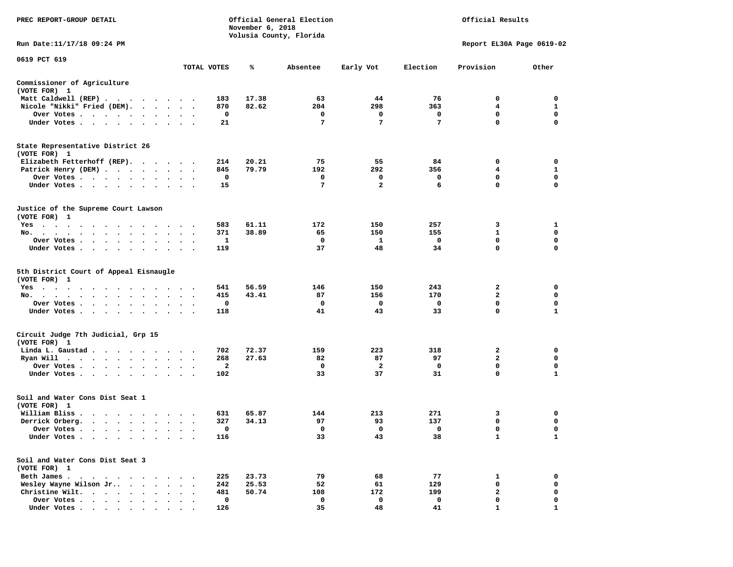| PREC REPORT-GROUP DETAIL                                                                                                                                                                          |                                   |             | November 6, 2018 | Official General Election<br>Volusia County, Florida |                |                 | Official Results          |              |
|---------------------------------------------------------------------------------------------------------------------------------------------------------------------------------------------------|-----------------------------------|-------------|------------------|------------------------------------------------------|----------------|-----------------|---------------------------|--------------|
| Run Date:11/17/18 09:24 PM                                                                                                                                                                        |                                   |             |                  |                                                      |                |                 | Report EL30A Page 0619-02 |              |
| 0619 PCT 619                                                                                                                                                                                      |                                   | TOTAL VOTES | ℁                | Absentee                                             | Early Vot      | Election        | Provision                 | Other        |
| Commissioner of Agriculture                                                                                                                                                                       |                                   |             |                  |                                                      |                |                 |                           |              |
| (VOTE FOR) 1                                                                                                                                                                                      |                                   |             |                  |                                                      |                |                 |                           |              |
| Matt Caldwell (REP)                                                                                                                                                                               |                                   | 183         | 17.38            | 63                                                   | 44             | 76              | 0                         | 0            |
| Nicole "Nikki" Fried (DEM).                                                                                                                                                                       |                                   | 870         | 82.62            | 204                                                  | 298            | 363             | $\overline{4}$            | 1            |
| Over Votes                                                                                                                                                                                        |                                   | 0           |                  | 0                                                    | 0              | 0               | 0                         | 0            |
| Under Votes<br>$\cdot$                                                                                                                                                                            |                                   | 21          |                  | 7                                                    | 7              | $7\phantom{.0}$ | 0                         | $\mathbf 0$  |
| State Representative District 26<br>(VOTE FOR) 1                                                                                                                                                  |                                   |             |                  |                                                      |                |                 |                           |              |
| Elizabeth Fetterhoff (REP).                                                                                                                                                                       |                                   | 214         | 20.21            | 75                                                   | 55             | 84              | 0                         | 0            |
| Patrick Henry (DEM)                                                                                                                                                                               |                                   | 845         | 79.79            | 192                                                  | 292            | 356             | 4                         | 1            |
| Over Votes                                                                                                                                                                                        |                                   | 0           |                  | 0                                                    | 0              | 0               | 0                         | 0            |
| Under Votes                                                                                                                                                                                       | $\ddot{\phantom{0}}$              | 15          |                  | 7                                                    | $\overline{a}$ | 6               | 0                         | $\mathbf 0$  |
| Justice of the Supreme Court Lawson<br>(VOTE FOR) 1                                                                                                                                               |                                   |             |                  |                                                      |                |                 |                           |              |
| Yes                                                                                                                                                                                               |                                   | 583         | 61.11            | 172                                                  | 150            | 257             | 3                         | 1            |
| No.                                                                                                                                                                                               |                                   | 371         | 38.89            | 65                                                   | 150            | 155             | 1                         | 0            |
| Over Votes                                                                                                                                                                                        | $\bullet$<br>$\ddot{\phantom{1}}$ | -1          |                  | 0                                                    | -1             | $\mathbf 0$     | $\mathbf 0$               | $\mathbf 0$  |
| Under Votes<br>$\sim$                                                                                                                                                                             |                                   | 119         |                  | 37                                                   | 48             | 34              | 0                         | 0            |
| 5th District Court of Appeal Eisnaugle<br>(VOTE FOR) 1                                                                                                                                            |                                   |             |                  |                                                      |                |                 |                           |              |
| Yes                                                                                                                                                                                               |                                   | 541         | 56.59            | 146                                                  | 150            | 243             | 2                         | 0            |
| No.<br>$\ddot{\phantom{1}}$                                                                                                                                                                       |                                   | 415         | 43.41            | 87                                                   | 156            | 170             | 2                         | 0            |
| Over Votes                                                                                                                                                                                        |                                   | 0           |                  | 0                                                    | 0              | $\mathbf 0$     | 0                         | 0            |
| Under Votes                                                                                                                                                                                       |                                   | 118         |                  | 41                                                   | 43             | 33              | 0                         | $\mathbf{1}$ |
| Circuit Judge 7th Judicial, Grp 15<br>(VOTE FOR) 1                                                                                                                                                |                                   |             |                  |                                                      |                |                 |                           |              |
| Linda L. Gaustad.<br>.                                                                                                                                                                            |                                   | 702         | 72.37            | 159                                                  | 223            | 318             | 2                         | 0            |
| Ryan Will $\cdots$ , $\cdots$ , $\cdots$                                                                                                                                                          | $\ddot{\phantom{1}}$              | 268         | 27.63            | 82                                                   | 87             | 97              | $\overline{\mathbf{2}}$   | $\mathbf 0$  |
| Over Votes                                                                                                                                                                                        |                                   | 2           |                  | 0                                                    | 2              | 0               | 0                         | 0            |
| Under Votes                                                                                                                                                                                       | $\bullet$                         | 102         |                  | 33                                                   | 37             | 31              | 0                         | 1            |
| Soil and Water Cons Dist Seat 1<br>(VOTE FOR) 1                                                                                                                                                   |                                   |             |                  |                                                      |                |                 |                           |              |
| William Bliss.<br>$\begin{array}{cccccccccccccccccc} \bullet & \bullet & \bullet & \bullet & \bullet & \bullet & \bullet & \bullet & \bullet & \bullet & \bullet & \bullet & \bullet \end{array}$ |                                   | 631         | 65.87            | 144                                                  | 213            | 271             | 3                         | 0            |
| Derrick Orberg.                                                                                                                                                                                   |                                   | 327         | 34.13            | 97                                                   | 93             | 137             | 0                         | 0            |
| Over Votes<br>$\sim$ 100 $\pm$                                                                                                                                                                    |                                   | $\Omega$    |                  | $\Omega$                                             | $\mathbf 0$    | $\mathbf 0$     | 0                         | $\Omega$     |
| Under Votes                                                                                                                                                                                       |                                   | 116         |                  | 33                                                   | 43             | 38              | 1                         | 1            |
| Soil and Water Cons Dist Seat 3<br>(VOTE FOR) 1                                                                                                                                                   |                                   |             |                  |                                                      |                |                 |                           |              |
| Beth James                                                                                                                                                                                        |                                   | 225         | 23.73            | 79                                                   | 68             | 77              | 1                         | 0            |
| Wesley Wayne Wilson Jr<br>$\cdot$ $\cdot$                                                                                                                                                         |                                   | 242         | 25.53            | 52                                                   | 61             | 129             | 0                         | 0            |
| Christine Wilt.<br>$\cdot$ $\cdot$ $\cdot$ $\cdot$ $\cdot$                                                                                                                                        |                                   | 481         | 50.74            | 108                                                  | 172            | 199             | 2                         | 0            |
| Over Votes                                                                                                                                                                                        |                                   | $\mathbf 0$ |                  | 0                                                    | $\mathbf 0$    | 0               | 0                         | $\mathbf 0$  |
| Under Votes                                                                                                                                                                                       |                                   | 126         |                  | 35                                                   | 48             | 41              |                           | $\mathbf{1}$ |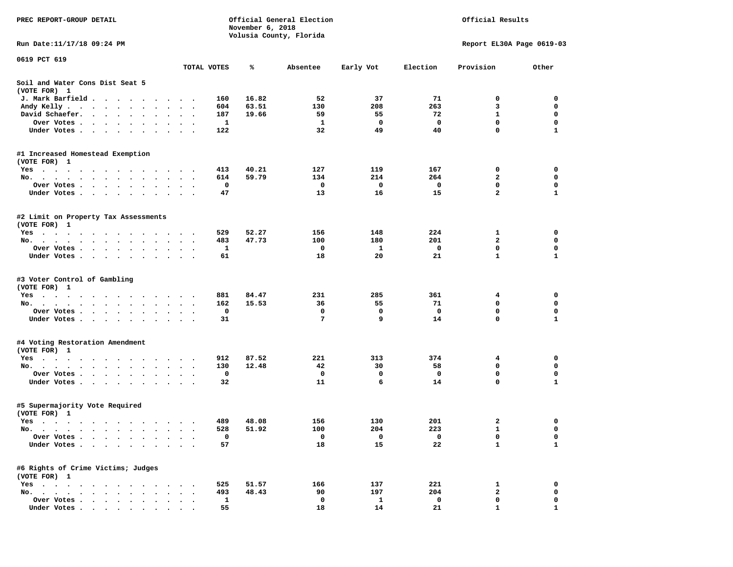| PREC REPORT-GROUP DETAIL                                                                                                        |                                   | November 6, 2018  | Official General Election | Official Results |             |                             |                  |
|---------------------------------------------------------------------------------------------------------------------------------|-----------------------------------|-------------------|---------------------------|------------------|-------------|-----------------------------|------------------|
| Run Date:11/17/18 09:24 PM                                                                                                      |                                   |                   | Volusia County, Florida   |                  |             | Report EL30A Page 0619-03   |                  |
| 0619 PCT 619                                                                                                                    |                                   |                   |                           |                  |             |                             |                  |
|                                                                                                                                 | TOTAL VOTES                       | ℁                 | Absentee                  | Early Vot        | Election    | Provision                   | Other            |
| Soil and Water Cons Dist Seat 5<br>(VOTE FOR) 1                                                                                 |                                   |                   |                           |                  |             |                             |                  |
| J. Mark Barfield<br>$\cdot$                                                                                                     |                                   | 16.82<br>160      | 52                        | 37               | 71          | 0                           | 0                |
| Andy Kelly<br>$\bullet$                                                                                                         | $\ddot{\phantom{1}}$              | 63.51<br>604      | 130                       | 208              | 263         | 3                           | 0                |
| David Schaefer.<br>$\cdot$ $\cdot$ $\cdot$ $\cdot$<br>$\ddot{\phantom{0}}$                                                      |                                   | 19.66<br>187      | 59                        | 55               | 72          | 1                           | $\mathbf 0$      |
| Over Votes .<br>$\cdots$<br>$\sim$                                                                                              |                                   | 1                 | 1                         | 0                | 0           | $\mathbf 0$                 | $\mathbf 0$      |
| Under Votes.<br>$\cdots$                                                                                                        | $\sim$ $\sim$                     | 122               | 32                        | 49               | 40          | 0                           | 1                |
| #1 Increased Homestead Exemption                                                                                                |                                   |                   |                           |                  |             |                             |                  |
| (VOTE FOR) 1                                                                                                                    |                                   |                   |                           |                  |             |                             |                  |
| $Yes \cdot \cdot \cdot \cdot \cdot \cdot$<br>$\bullet$                                                                          |                                   | 40.21<br>413      | 127                       | 119              | 167         | 0                           | 0                |
| No.<br>$\cdot$ $\cdot$ $\cdot$ $\cdot$                                                                                          |                                   | 59.79<br>614<br>0 | 134<br>0                  | 214<br>0         | 264<br>0    | $\mathbf{2}$<br>$\mathbf 0$ | 0<br>$\mathbf 0$ |
| Over Votes.<br>$\sim$ $\sim$ $\sim$ $\sim$<br>$\bullet$ .<br>$\ddot{\phantom{0}}$<br>$\bullet$<br>$\bullet$                     | $\bullet$<br>$\cdot$              | 47                | 13                        | 16               | 15          | 2                           | 1                |
| Under Votes<br>$\cdot$                                                                                                          |                                   |                   |                           |                  |             |                             |                  |
| #2 Limit on Property Tax Assessments<br>(VOTE FOR) 1                                                                            |                                   |                   |                           |                  |             |                             |                  |
| $Yes \cdot \cdot \cdot \cdot$                                                                                                   | $\sim$ $\sim$                     | 529<br>52.27      | 156                       | 148              | 224         | 1                           | 0                |
| No.<br>$\bullet$<br>$\bullet$<br>$\bullet$<br>$\bullet$                                                                         | $\ddot{\phantom{0}}$              | 483<br>47.73      | 100                       | 180              | 201         | $\mathbf{2}$                | 0                |
| Over Votes.<br>$\cdots$<br>$\cdot$                                                                                              |                                   | 1                 | 0                         | 1                | 0           | 0                           | 0                |
| Under Votes<br>$\ddot{\phantom{a}}$                                                                                             | $\bullet$                         | 61                | 18                        | 20               | 21          | $\mathbf{1}$                | $\mathbf{1}$     |
| #3 Voter Control of Gambling<br>(VOTE FOR) 1                                                                                    |                                   |                   |                           |                  |             |                             |                  |
| Yes                                                                                                                             |                                   | 881<br>84.47      | 231                       | 285              | 361         | 4                           | 0                |
| No.                                                                                                                             | $\cdot$                           | 162<br>15.53      | 36                        | 55               | 71          | 0                           | $\mathbf 0$      |
| Over Votes .<br>the contract of the contract of the contract of the contract of the contract of the contract of the contract of |                                   | 0                 | 0                         | 0                | 0           | $\mathbf 0$                 | 0                |
| Under Votes.                                                                                                                    | $\sim$ $\sim$                     | 31                | 7                         | 9                | 14          | 0                           | 1                |
| #4 Voting Restoration Amendment                                                                                                 |                                   |                   |                           |                  |             |                             |                  |
| (VOTE FOR) 1                                                                                                                    |                                   |                   |                           |                  |             |                             |                  |
| Yes                                                                                                                             |                                   | 912<br>87.52      | 221                       | 313              | 374         | 4                           | 0                |
| No.<br>$\begin{array}{cccccccccccccc} \bullet & \bullet & \bullet & \bullet & \bullet & \bullet \end{array}$                    |                                   | 12.48<br>130      | 42                        | 30               | 58          | 0                           | $\mathbf 0$      |
| Over Votes<br>$\sim$                                                                                                            | $\ddot{\phantom{0}}$<br>$\bullet$ | 0                 | 0                         | 0                | $\mathbf 0$ | $\mathbf 0$                 | $\mathbf 0$      |
| Under Votes<br>$\ddot{\phantom{0}}$                                                                                             |                                   | 32                | 11                        | 6                | 14          | 0                           | 1                |
| #5 Supermajority Vote Required<br>(VOTE FOR) 1                                                                                  |                                   |                   |                           |                  |             |                             |                  |
| Yes                                                                                                                             |                                   | 489<br>48.08      | 156                       | 130              | 201         | 2                           | 0                |
| No.                                                                                                                             |                                   | 528<br>51.92      | 100                       | 204              | 223         | $\mathbf{1}$                | $\mathbf 0$      |
| Over Votes .<br>$\cdot$                                                                                                         |                                   | 0                 | 0                         | 0                | 0           | 0                           | 0                |
| Under Votes .<br>$\sim$<br>$\ddot{\phantom{0}}$<br>$\ddot{\phantom{0}}$                                                         |                                   | 57                | 18                        | 15               | 22          | $\mathbf{1}$                | 1                |
| #6 Rights of Crime Victims; Judges<br>(VOTE FOR) 1                                                                              |                                   |                   |                           |                  |             |                             |                  |
| $Yes \t . \t .$<br>$\bullet$<br>$\bullet$                                                                                       |                                   | 51.57<br>525      | 166                       | 137              | 221         | 1                           | 0                |
| $No.$<br>$\ddot{\phantom{a}}$                                                                                                   |                                   | 48.43<br>493      | 90                        | 197              | 204         | 2                           | 0                |
| Over Votes .                                                                                                                    |                                   | 1                 | 0                         | $\mathbf{1}$     | 0           | 0                           | 0                |
| Under Votes.<br>$\cdot$<br>$\cdot$<br>$\bullet$<br>$\cdot$                                                                      |                                   | 55                | 18                        | 14               | 21          | $\mathbf{1}$                | 1                |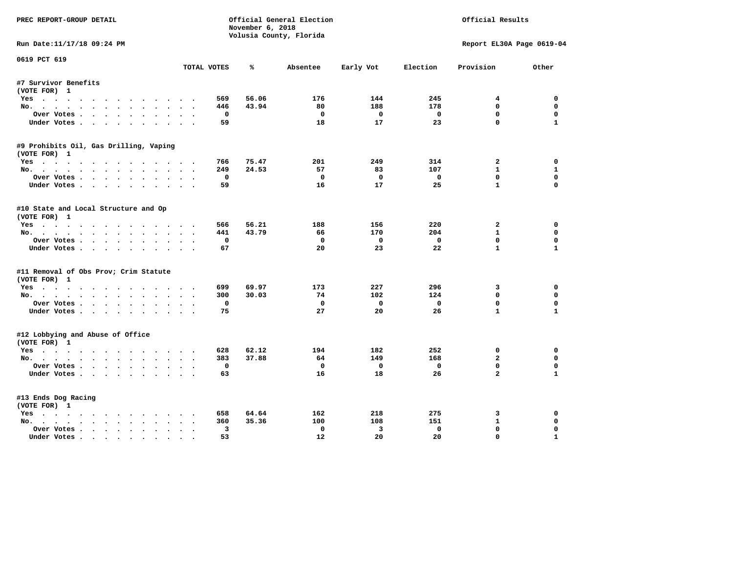| PREC REPORT-GROUP DETAIL                              |             | November 6, 2018 | Official General Election<br>Volusia County, Florida | Official Results        |              |                           |              |
|-------------------------------------------------------|-------------|------------------|------------------------------------------------------|-------------------------|--------------|---------------------------|--------------|
| Run Date:11/17/18 09:24 PM                            |             |                  |                                                      |                         |              | Report EL30A Page 0619-04 |              |
| 0619 PCT 619                                          | TOTAL VOTES | ℁                | Absentee                                             | Early Vot               | Election     | Provision                 | Other        |
|                                                       |             |                  |                                                      |                         |              |                           |              |
| #7 Survivor Benefits<br>(VOTE FOR) 1                  |             |                  |                                                      |                         |              |                           |              |
| Yes                                                   | 569         | 56.06            | 176                                                  | 144                     | 245          | 4                         | $\mathbf 0$  |
| No.                                                   | 446         | 43.94            | 80                                                   | 188                     | 178          | $\mathbf{0}$              | 0            |
| Over Votes                                            | 0           |                  | $\Omega$                                             | $\mathbf 0$             | $\mathbf{o}$ | 0                         | 0            |
| Under Votes.                                          | 59          |                  | 18                                                   | 17                      | 23           | $\Omega$                  | $\mathbf{1}$ |
| #9 Prohibits Oil, Gas Drilling, Vaping                |             |                  |                                                      |                         |              |                           |              |
| (VOTE FOR) 1                                          | 766         | 75.47            | 201                                                  | 249                     | 314          | $\mathbf{2}$              | 0            |
| Yes<br>No.                                            | 249         | 24.53            | 57                                                   | 83                      | 107          | $\mathbf{1}$              | $\mathbf{1}$ |
| Over Votes                                            | 0           |                  | $^{\circ}$                                           | 0                       | $\mathbf{o}$ | 0                         | $\mathbf 0$  |
| Under Votes.                                          | 59          |                  | 16                                                   | 17                      | 25           | $\mathbf{1}$              | $\Omega$     |
|                                                       |             |                  |                                                      |                         |              |                           |              |
| #10 State and Local Structure and Op<br>(VOTE FOR) 1  |             |                  |                                                      |                         |              |                           |              |
| Yes                                                   | 566         | 56.21            | 188                                                  | 156                     | 220          | $\mathbf{2}$              | 0            |
| No.                                                   | 441         | 43.79            | 66                                                   | 170                     | 204          | $\mathbf{1}$              | 0            |
| Over Votes                                            | 0           |                  | $\mathbf 0$                                          | $\mathbf 0$             | $\mathbf 0$  | $\mathbf 0$               | 0            |
| Under Votes                                           | 67          |                  | 20                                                   | 23                      | 22           | $\mathbf{1}$              | $\mathbf{1}$ |
| #11 Removal of Obs Prov; Crim Statute<br>(VOTE FOR) 1 |             |                  |                                                      |                         |              |                           |              |
| Yes                                                   | 699         | 69.97            | 173                                                  | 227                     | 296          | 3                         | 0            |
| No.                                                   | 300         | 30.03            | 74                                                   | 102                     | 124          | $\mathbf{0}$              | 0            |
| Over Votes                                            | $\mathbf 0$ |                  | $\mathbf 0$                                          | $\mathbf 0$             | $\mathbf 0$  | $\mathbf 0$               | 0            |
| Under Votes.                                          | 75          |                  | 27                                                   | 20                      | 26           | $\mathbf{1}$              | $\mathbf{1}$ |
| #12 Lobbying and Abuse of Office<br>(VOTE FOR) 1      |             |                  |                                                      |                         |              |                           |              |
| Yes                                                   | 628         | 62.12            | 194                                                  | 182                     | 252          | $\mathbf 0$               | $\mathbf 0$  |
| No.                                                   | 383         | 37.88            | 64                                                   | 149                     | 168          | $\overline{2}$            | 0            |
| Over Votes                                            | $\mathbf 0$ |                  | $\mathbf 0$                                          | $\mathbf 0$             | $\mathbf 0$  | $\mathbf 0$               | $\mathbf 0$  |
| Under Votes.                                          | 63          |                  | 16                                                   | 18                      | 26           | $\overline{2}$            | $\mathbf{1}$ |
| #13 Ends Dog Racing<br>(VOTE FOR) 1                   |             |                  |                                                      |                         |              |                           |              |
| Yes                                                   | 658         | 64.64            | 162                                                  | 218                     | 275          | 3                         | $\mathbf 0$  |
| No.                                                   | 360         | 35.36            | 100                                                  | 108                     | 151          | $\mathbf{1}$              | 0            |
| Over Votes                                            | 3           |                  | $\Omega$                                             | $\overline{\mathbf{3}}$ | $\mathbf 0$  | $\mathbf 0$               | 0            |
| Under Votes                                           | 53          |                  | 12                                                   | 20                      | 20           | $\mathbf 0$               | $\mathbf{1}$ |
|                                                       |             |                  |                                                      |                         |              |                           |              |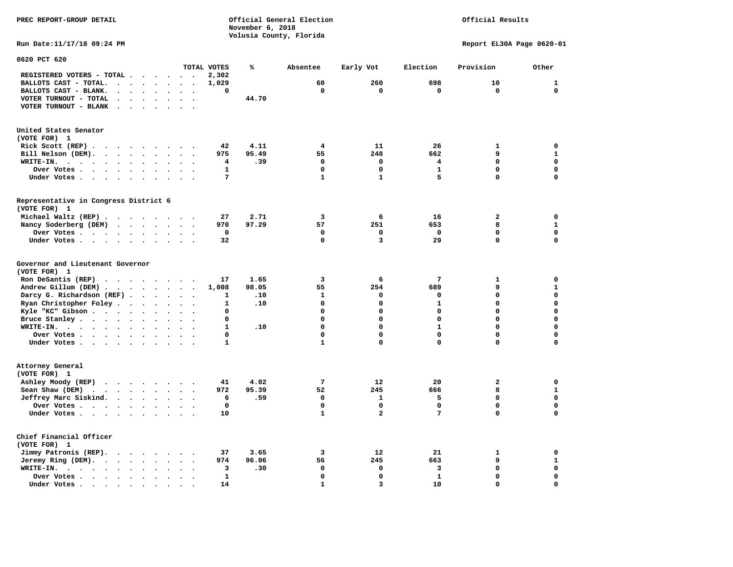### Official Results

**Run Date:11/17/18 09:24 PM Report EL30A Page 0620-01** 

| 0620 PCT 620                                                                                                                      |                                                  |                                              |              |       |              |                         |                 |                         |              |
|-----------------------------------------------------------------------------------------------------------------------------------|--------------------------------------------------|----------------------------------------------|--------------|-------|--------------|-------------------------|-----------------|-------------------------|--------------|
|                                                                                                                                   |                                                  |                                              | TOTAL VOTES  | ℁     | Absentee     | Early Vot               | Election        | Provision               | Other        |
| REGISTERED VOTERS - TOTAL .<br>$\overline{\phantom{a}}$                                                                           | $\ddot{\phantom{a}}$                             | $\overline{\phantom{a}}$<br>$\sim$           | 2,302        |       |              |                         |                 |                         |              |
| BALLOTS CAST - TOTAL.<br>$\ddot{\phantom{a}}$<br>$\ddot{\phantom{a}}$<br>$\sim$                                                   | $\ddot{\phantom{a}}$                             |                                              | 1,029        |       | 60           | 260                     | 698             | 10                      | $\mathbf{1}$ |
| BALLOTS CAST - BLANK.<br>$\ddot{\phantom{a}}$<br>$\bullet$                                                                        | $\ddot{\phantom{a}}$<br>$\bullet$                | $\ddot{\phantom{a}}$<br>$\ddot{\phantom{0}}$ | 0            |       | $\mathbf 0$  | $\mathbf 0$             | $\mathbf 0$     | $\mathbf 0$             | $\mathbf{0}$ |
| VOTER TURNOUT - TOTAL<br>$\ddot{\phantom{1}}$<br>$\ddot{\phantom{a}}$                                                             |                                                  |                                              |              | 44.70 |              |                         |                 |                         |              |
| VOTER TURNOUT - BLANK<br>$\ddot{\phantom{a}}$                                                                                     |                                                  |                                              |              |       |              |                         |                 |                         |              |
|                                                                                                                                   |                                                  |                                              |              |       |              |                         |                 |                         |              |
|                                                                                                                                   |                                                  |                                              |              |       |              |                         |                 |                         |              |
| United States Senator                                                                                                             |                                                  |                                              |              |       |              |                         |                 |                         |              |
| (VOTE FOR) 1                                                                                                                      |                                                  |                                              |              |       |              |                         |                 |                         |              |
| Rick Scott (REP).<br>$\bullet$<br>$\ddot{\phantom{1}}$<br>$\sim$                                                                  | $\cdot$<br>$\cdot$                               |                                              | 42           | 4.11  | 4            | 11                      | 26              | $\mathbf{1}$            | 0            |
| Bill Nelson (DEM).<br>$\cdot$ $\cdot$ $\cdot$ $\cdot$                                                                             | $\sim$<br>$\ddot{\phantom{1}}$                   | $\ddot{\phantom{a}}$                         | 975          | 95.49 | 55           | 248                     | 662             | 9                       | $\mathbf{1}$ |
| WRITE-IN.<br>$\sim$ $\sim$ $\sim$ $\sim$<br>$\mathcal{L}(\mathcal{A})$ . The $\mathcal{A}(\mathcal{A})$<br>$\bullet$<br>$\bullet$ |                                                  |                                              | 4            | .39   | $\Omega$     | $\Omega$                | 4               | 0                       | $\mathbf 0$  |
| Over Votes.<br>$\sim$<br>$\sim$ $\sim$ $\sim$ $\sim$<br>$\bullet$                                                                 | $\ddot{\phantom{a}}$                             |                                              | $\mathbf{1}$ |       | $\mathbf 0$  | $\mathbf 0$             | $\mathbf{1}$    | 0                       | $\mathbf 0$  |
| Under Votes                                                                                                                       | $\bullet$<br>$\bullet$                           | $\ddot{\phantom{0}}$                         | 7            |       | $\mathbf{1}$ | $\mathbf{1}$            | 5               | 0                       | $\mathbf 0$  |
|                                                                                                                                   |                                                  |                                              |              |       |              |                         |                 |                         |              |
| Representative in Congress District 6<br>(VOTE FOR) 1                                                                             |                                                  |                                              |              |       |              |                         |                 |                         |              |
|                                                                                                                                   |                                                  |                                              |              |       |              |                         | 16              | $\overline{a}$          | 0            |
| Michael Waltz (REP).                                                                                                              |                                                  |                                              | 27           | 2.71  | 3            | 6                       |                 |                         |              |
| Nancy Soderberg (DEM)<br><b>Contract Contract Contract</b>                                                                        | $\sim$<br>$\bullet$                              | $\ddot{\phantom{a}}$<br>$\ddot{\phantom{1}}$ | 970          | 97.29 | 57           | 251                     | 653             | 8                       | ${\bf 1}$    |
| Over Votes .<br>$\cdot$ $\cdot$ $\cdot$ $\cdot$<br>$\ddot{\phantom{a}}$                                                           | $\bullet$                                        |                                              | 0            |       | 0            | 0                       | $\Omega$        | 0                       | $\mathbf 0$  |
| Under Votes<br>$\ddot{\phantom{a}}$                                                                                               |                                                  |                                              | 32           |       | $\Omega$     | 3                       | 29              | $\mathbf 0$             | $\mathbf 0$  |
| Governor and Lieutenant Governor<br>(VOTE FOR) 1                                                                                  |                                                  |                                              |              |       |              |                         |                 |                         |              |
| Ron DeSantis (REP)<br>$\cdot$ $\cdot$ $\cdot$<br>$\sim$ $\sim$                                                                    | $\overline{\phantom{a}}$<br>$\ddot{\phantom{1}}$ | $\ddot{\phantom{a}}$                         | 17           | 1.65  | 3            | 6                       | $7\phantom{.0}$ | $\mathbf{1}$            | $\mathbf 0$  |
| Andrew Gillum (DEM)                                                                                                               |                                                  | $\sim$<br>$\cdot$                            | 1,008        | 98.05 | 55           | 254                     | 689             | 9                       | $\mathbf{1}$ |
| Darcy G. Richardson (REF).<br>$\bullet$                                                                                           | $\bullet$                                        |                                              | 1            | .10   | 1            | 0                       | 0               | 0                       | $\mathbf 0$  |
| Ryan Christopher Foley.<br>$\ddot{\phantom{1}}$<br>$\bullet$                                                                      |                                                  |                                              | 1            | .10   | $\Omega$     | $\mathbf 0$             | $\mathbf{1}$    | $\mathbf 0$             | $\mathbf 0$  |
| Kyle "KC" Gibson<br>$\bullet$                                                                                                     | $\bullet$<br>$\bullet$                           | $\bullet$                                    | 0            |       | $\Omega$     | $\mathbf 0$             | 0               | 0                       | $\mathbf 0$  |
| Bruce Stanley<br>$\bullet$                                                                                                        |                                                  |                                              | $\Omega$     |       | 0            | $\Omega$                | $\Omega$        | 0                       | $\mathbf 0$  |
| WRITE-IN.<br>$\cdots$<br>$\sim$<br>$\bullet$                                                                                      |                                                  |                                              | $\mathbf{1}$ | .10   | $\mathbf 0$  | $\mathbf 0$             | $\mathbf{1}$    | $\mathbf 0$             | $\mathbf 0$  |
| Over Votes .<br>$\cdot$ $\cdot$ $\cdot$ $\cdot$<br>$\ddot{\phantom{1}}$                                                           | $\bullet$<br>$\bullet$                           | $\bullet$<br>$\ddot{\phantom{a}}$            | 0            |       | $\mathbf 0$  | $\mathbf 0$             | 0               | 0                       | $\mathbf 0$  |
| Under Votes                                                                                                                       | $\ddot{\phantom{a}}$                             | $\sim$                                       | $\mathbf{1}$ |       | $\mathbf{1}$ | $\mathbf 0$             | 0               | 0                       | $\mathbf 0$  |
|                                                                                                                                   |                                                  |                                              |              |       |              |                         |                 |                         |              |
| Attorney General<br>(VOTE FOR) 1                                                                                                  |                                                  |                                              |              |       |              |                         |                 |                         |              |
| Ashley Moody (REP)                                                                                                                |                                                  |                                              | 41           | 4.02  | 7            | 12                      | 20              | $\overline{\mathbf{2}}$ | $\mathbf 0$  |
| Sean Shaw (DEM)<br>$\cdots$                                                                                                       | $\bullet$<br>$\ddot{\phantom{a}}$                |                                              | 972          | 95.39 | 52           | 245                     | 666             | 8                       | ${\bf 1}$    |
| Jeffrey Marc Siskind.                                                                                                             | $\ddot{\phantom{a}}$<br>$\bullet$                | $\ddot{\phantom{a}}$                         | 6            | .59   | $\mathbf 0$  | $\mathbf{1}$            | 5               | 0                       | $\mathbf 0$  |
| Over Votes .<br>$\cdots$ $\cdots$<br>$\bullet$                                                                                    |                                                  |                                              | $\mathbf 0$  |       | $\mathbf 0$  | $\mathbf 0$             | $\mathbf 0$     | 0                       | $\mathbf 0$  |
| Under Votes<br>$\bullet$                                                                                                          |                                                  |                                              | 10           |       | $\mathbf{1}$ | $\overline{\mathbf{2}}$ | 7               | 0                       | 0            |
|                                                                                                                                   |                                                  |                                              |              |       |              |                         |                 |                         |              |
| Chief Financial Officer<br>(VOTE FOR) 1                                                                                           |                                                  |                                              |              |       |              |                         |                 |                         |              |
| Jimmy Patronis (REP).                                                                                                             |                                                  |                                              | 37           | 3.65  | 3            | 12                      | 21              | 1                       | 0            |
| $\sim$ $\sim$<br>$\sim$ $\sim$                                                                                                    |                                                  |                                              |              |       | 56           | 245                     | 663             | 9                       | ${\bf 1}$    |
| Jeremy Ring (DEM).<br>$\bullet$<br>$\sim$ $\sim$<br>$\ddot{\phantom{a}}$                                                          |                                                  |                                              | 974          | 96.06 |              |                         |                 |                         |              |
| WRITE-IN.<br>$\bullet$<br>$\cdot$ $\cdot$ $\cdot$<br>$\sim$ $\sim$<br>$\bullet$                                                   |                                                  |                                              | 3            | .30   | $\mathbf 0$  | $\mathbf 0$             | 3               | $\mathbf 0$             | $\mathbf 0$  |
| Over Votes.<br>$\bullet$<br>$\bullet$                                                                                             |                                                  |                                              | 1            |       | $\mathbf 0$  | $\mathbf 0$             | $\mathbf{1}$    | 0                       | 0            |
| Under Votes<br>$\overline{\phantom{a}}$                                                                                           |                                                  |                                              | 14           |       | $\mathbf{1}$ | 3                       | 10              | 0                       | $\mathbf 0$  |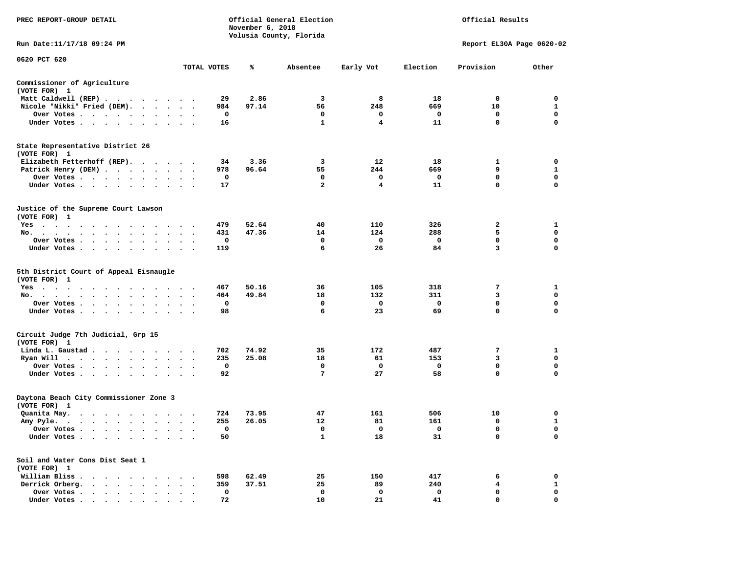| PREC REPORT-GROUP DETAIL                                                                                                                                                                                                                                                    |                                                        |             | November 6, 2018 | Official General Election<br>Volusia County, Florida |             |              | Official Results          |              |
|-----------------------------------------------------------------------------------------------------------------------------------------------------------------------------------------------------------------------------------------------------------------------------|--------------------------------------------------------|-------------|------------------|------------------------------------------------------|-------------|--------------|---------------------------|--------------|
| Run Date:11/17/18 09:24 PM                                                                                                                                                                                                                                                  |                                                        |             |                  |                                                      |             |              | Report EL30A Page 0620-02 |              |
| 0620 PCT 620                                                                                                                                                                                                                                                                |                                                        | TOTAL VOTES | ℁                | Absentee                                             | Early Vot   | Election     | Provision                 | Other        |
|                                                                                                                                                                                                                                                                             |                                                        |             |                  |                                                      |             |              |                           |              |
| Commissioner of Agriculture<br>(VOTE FOR) 1                                                                                                                                                                                                                                 |                                                        |             |                  |                                                      |             |              |                           |              |
| Matt Caldwell (REP)                                                                                                                                                                                                                                                         |                                                        | 29          | 2.86             | 3                                                    | 8           | 18           | 0                         | $\mathbf 0$  |
| Nicole "Nikki" Fried (DEM).                                                                                                                                                                                                                                                 |                                                        | 984         | 97.14            | 56                                                   | 248         | 669          | 10                        | $\mathbf{1}$ |
| Over Votes<br>$\blacksquare$                                                                                                                                                                                                                                                |                                                        | $\mathbf 0$ |                  | $\mathbf 0$                                          | $\Omega$    | $\mathbf{o}$ | $\mathbf{0}$              | $\mathbf 0$  |
| Under Votes                                                                                                                                                                                                                                                                 |                                                        | 16          |                  | $\mathbf{1}$                                         | 4           | 11           | $\mathbf 0$               | $\mathbf 0$  |
| State Representative District 26<br>(VOTE FOR) 1                                                                                                                                                                                                                            |                                                        |             |                  |                                                      |             |              |                           |              |
| Elizabeth Fetterhoff (REP).                                                                                                                                                                                                                                                 |                                                        | 34          | 3.36             | 3                                                    | 12          | 18           | 1                         | 0            |
| Patrick Henry (DEM)                                                                                                                                                                                                                                                         |                                                        | 978         | 96.64            | 55                                                   | 244         | 669          | 9                         | $\mathbf{1}$ |
| Over Votes                                                                                                                                                                                                                                                                  | $\ddot{\phantom{1}}$                                   | $\mathbf 0$ |                  | $\mathbf 0$                                          | $\mathbf 0$ | $\mathbf 0$  | $\mathbf 0$               | $\mathbf 0$  |
| Under Votes<br>$\sim$                                                                                                                                                                                                                                                       |                                                        | 17          |                  | $\overline{a}$                                       | 4           | 11           | 0                         | $\mathbf 0$  |
| Justice of the Supreme Court Lawson<br>(VOTE FOR) 1                                                                                                                                                                                                                         |                                                        |             |                  |                                                      |             |              |                           |              |
| $Yes \t . \t .$<br>$\sim$ $\sim$<br>$\sim$<br>. The contract of the contract of the contract of the contract of the contract of the contract of the contract of the contract of the contract of the contract of the contract of the contract of the contract of the contrac |                                                        | 479         | 52.64            | 40                                                   | 110         | 326          | 2                         | 1            |
| No.<br>$\sim$<br>$\sim$ $\sim$ $\sim$ $\sim$<br>$\sim$ $\sim$<br>$\ddot{\phantom{1}}$                                                                                                                                                                                       | $\ddot{\phantom{1}}$<br>$\ddot{\phantom{1}}$           | 431         | 47.36            | 14                                                   | 124         | 288          | 5                         | $\mathbf 0$  |
| Over Votes<br>$\ddot{\phantom{a}}$<br>$\bullet$<br>$\bullet$<br>$\bullet$                                                                                                                                                                                                   |                                                        | $\mathbf 0$ |                  | $\mathbf 0$                                          | $\mathbf 0$ | $\mathbf 0$  | $\mathbf 0$               | $\mathbf 0$  |
| Under Votes                                                                                                                                                                                                                                                                 |                                                        | 119         |                  | 6                                                    | 26          | 84           | 3                         | $\Omega$     |
| 5th District Court of Appeal Eisnaugle<br>(VOTE FOR) 1                                                                                                                                                                                                                      |                                                        |             |                  |                                                      |             |              |                           |              |
| $Yes \t . \t .$<br>$\blacksquare$ .<br>$\sim$<br>$\sim$ $\sim$<br>$\sim$<br>$\overline{\phantom{a}}$<br>No.<br>$\sim$<br>$\ddot{\phantom{a}}$                                                                                                                               |                                                        | 467<br>464  | 50.16<br>49.84   | 36<br>18                                             | 105<br>132  | 318<br>311   | 7<br>3                    | 1<br>0       |
| $\mathbf{u} = \mathbf{u} + \mathbf{u} + \mathbf{u} + \mathbf{u} + \mathbf{u}$<br>$\sim$<br>Over Votes<br>$\sim 100$                                                                                                                                                         |                                                        | 0           |                  | 0                                                    | 0           | 0            | 0                         | 0            |
| $\ddot{\phantom{1}}$<br>Under Votes<br>$\ddot{\phantom{0}}$                                                                                                                                                                                                                 | $\cdot$ $\cdot$ $\cdot$                                | 98          |                  | 6                                                    | 23          | 69           | 0                         | $\mathbf 0$  |
|                                                                                                                                                                                                                                                                             |                                                        |             |                  |                                                      |             |              |                           |              |
| Circuit Judge 7th Judicial, Grp 15<br>(VOTE FOR) 1                                                                                                                                                                                                                          |                                                        |             |                  |                                                      |             |              |                           |              |
| Linda L. Gaustad                                                                                                                                                                                                                                                            |                                                        | 702         | 74.92            | 35                                                   | 172         | 487          | 7                         | 1            |
| Ryan Will $\cdots$                                                                                                                                                                                                                                                          |                                                        | 235         | 25.08            | 18                                                   | 61          | 153          | 3                         | $\mathbf 0$  |
| Over Votes<br>$\sim$<br>$\ddot{\phantom{1}}$                                                                                                                                                                                                                                |                                                        | 0           |                  | 0                                                    | 0           | 0            | 0                         | 0            |
| Under Votes<br>$\sim$ $\sim$                                                                                                                                                                                                                                                | $\cdot$ $\cdot$                                        | 92          |                  | 7                                                    | 27          | 58           | $\mathbf{0}$              | $\mathbf 0$  |
| Daytona Beach City Commissioner Zone 3<br>(VOTE FOR) 1                                                                                                                                                                                                                      |                                                        |             |                  |                                                      |             |              |                           |              |
| Quanita May.                                                                                                                                                                                                                                                                |                                                        | 724         | 73.95            | 47                                                   | 161         | 506          | 10                        | 0            |
| Amy Pyle.<br>$\mathbf{r}$ , and $\mathbf{r}$ , and $\mathbf{r}$ , and $\mathbf{r}$                                                                                                                                                                                          | $\ddot{\phantom{0}}$<br>$\sim$<br>$\ddot{\phantom{0}}$ | 255         | 26.05            | 12                                                   | 81          | 161          | $\mathbf 0$               | $\mathbf{1}$ |
| Over Votes                                                                                                                                                                                                                                                                  | $\sim$                                                 | $\mathbf 0$ |                  | $\mathbf 0$                                          | $\mathbf 0$ | $\mathbf{o}$ | $\mathbf 0$               | $\mathbf 0$  |
| Under Votes<br>$\bullet$<br>$\bullet$<br>$\bullet$                                                                                                                                                                                                                          |                                                        | 50          |                  | $\mathbf{1}$                                         | 18          | 31           | $\mathbf 0$               | $\Omega$     |
| Soil and Water Cons Dist Seat 1<br>(VOTE FOR) 1                                                                                                                                                                                                                             |                                                        |             |                  |                                                      |             |              |                           |              |
| William Bliss.<br>$\cdot$                                                                                                                                                                                                                                                   | $\cdot$ $\cdot$ $\cdot$                                | 598         | 62.49            | 25                                                   | 150         | 417          | 6                         | 0            |
| Derrick Orberg.<br>$\cdots$<br>$\sim$                                                                                                                                                                                                                                       | $\ddot{\phantom{a}}$                                   | 359         | 37.51            | 25                                                   | 89          | 240          | 4                         | $\mathbf{1}$ |
| Over Votes<br>$\ddot{\phantom{0}}$<br>$\ddot{\phantom{a}}$<br>$\blacksquare$<br>$\ddot{\phantom{a}}$<br>$\cdot$                                                                                                                                                             |                                                        | 0           |                  | 0                                                    | $\mathbf 0$ | 0            | $\mathbf 0$               | $\mathbf 0$  |
|                                                                                                                                                                                                                                                                             |                                                        | 72          |                  | 10                                                   | 21          | 41           | $\Omega$                  | $\mathbf 0$  |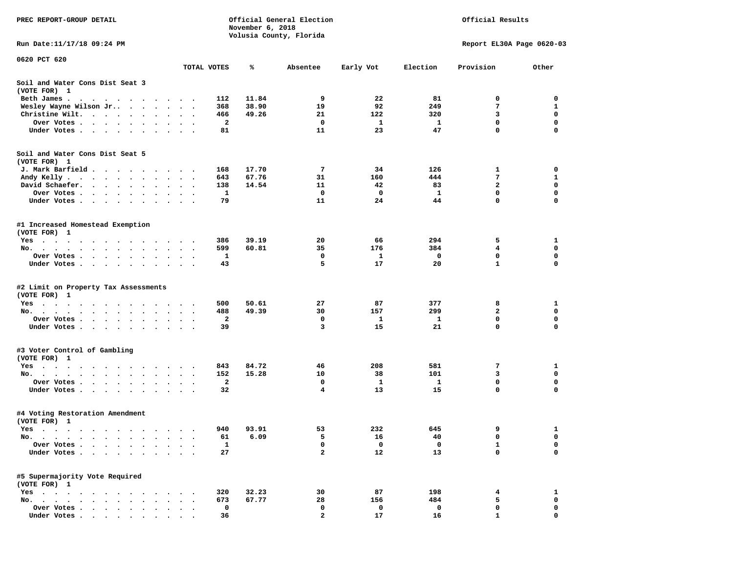| PREC REPORT-GROUP DETAIL                                                                                                                                                                                                                     |                      |                         | November 6, 2018 | Official General Election<br>Volusia County, Florida |           |              | Official Results          |                  |
|----------------------------------------------------------------------------------------------------------------------------------------------------------------------------------------------------------------------------------------------|----------------------|-------------------------|------------------|------------------------------------------------------|-----------|--------------|---------------------------|------------------|
| Run Date: 11/17/18 09:24 PM                                                                                                                                                                                                                  |                      |                         |                  |                                                      |           |              | Report EL30A Page 0620-03 |                  |
| 0620 PCT 620                                                                                                                                                                                                                                 | TOTAL VOTES          |                         | ℁                | Absentee                                             | Early Vot | Election     | Provision                 | Other            |
| Soil and Water Cons Dist Seat 3<br>(VOTE FOR) 1                                                                                                                                                                                              |                      |                         |                  |                                                      |           |              |                           |                  |
| Beth James.<br>. The contract of the contract of the contract of the contract of the contract of the contract of the contract of the contract of the contract of the contract of the contract of the contract of the contract of the contrac |                      | 112                     | 11.84            | 9                                                    | 22        | 81           | 0                         | 0                |
| Wesley Wayne Wilson Jr<br>$\bullet$                                                                                                                                                                                                          | $\ddot{\phantom{0}}$ | 368                     | 38.90            | 19                                                   | 92        | 249          | 7                         | 1                |
| Christine Wilt.                                                                                                                                                                                                                              |                      | 466                     | 49.26            | 21                                                   | 122       | 320          | 3                         | 0                |
| Over Votes                                                                                                                                                                                                                                   |                      | $\mathbf{2}$            |                  | $\mathbf 0$                                          | 1         | $\mathbf{1}$ | $\mathbf 0$               | $\mathbf 0$      |
| Under Votes<br>$\sim$                                                                                                                                                                                                                        |                      | 81                      |                  | 11                                                   | 23        | 47           | 0                         | 0                |
| Soil and Water Cons Dist Seat 5                                                                                                                                                                                                              |                      |                         |                  |                                                      |           |              |                           |                  |
| (VOTE FOR) 1                                                                                                                                                                                                                                 |                      |                         |                  |                                                      |           |              |                           |                  |
| J. Mark Barfield                                                                                                                                                                                                                             |                      | 168                     | 17.70            | 7                                                    | 34        | 126          | 1<br>7                    | 0                |
| Andy Kelly<br>David Schaefer.<br>$\mathbf{r}$ , and $\mathbf{r}$ , and $\mathbf{r}$ , and $\mathbf{r}$                                                                                                                                       |                      | 643<br>138              | 67.76<br>14.54   | 31<br>11                                             | 160<br>42 | 444<br>83    | $\mathbf{z}$              | 1<br>$\mathbf 0$ |
| $\bullet$<br>Over Votes<br>$\cdot$                                                                                                                                                                                                           | $\ddot{\phantom{1}}$ | 1                       |                  | 0                                                    | 0         | 1            | 0                         | 0                |
| Under Votes<br>$\sim$                                                                                                                                                                                                                        | $\ddot{\phantom{1}}$ | 79                      |                  | 11                                                   | 24        | 44           | 0                         | 0                |
| #1 Increased Homestead Exemption<br>(VOTE FOR) 1                                                                                                                                                                                             |                      |                         |                  |                                                      |           |              |                           |                  |
| Yes                                                                                                                                                                                                                                          |                      | 386                     | 39.19            | 20                                                   | 66        | 294          | 5                         | 1                |
| No.<br>$\bullet$                                                                                                                                                                                                                             |                      | 599                     | 60.81            | 35                                                   | 176       | 384          | 4                         | 0                |
| Over Votes<br>$\bullet$                                                                                                                                                                                                                      |                      | 1                       |                  | 0                                                    | 1         | 0            | $\mathbf 0$               | $\mathbf 0$      |
| Under Votes                                                                                                                                                                                                                                  |                      | 43                      |                  | 5                                                    | 17        | 20           | $\mathbf{1}$              | $\mathbf 0$      |
| #2 Limit on Property Tax Assessments<br>(VOTE FOR) 1                                                                                                                                                                                         |                      |                         |                  |                                                      |           |              |                           |                  |
| $Yes \cdot \cdot \cdot \cdot \cdot \cdot \cdot$                                                                                                                                                                                              |                      | 500                     | 50.61            | 27                                                   | 87        | 377          | 8                         | 1                |
| No.                                                                                                                                                                                                                                          |                      | 488                     | 49.39            | 30                                                   | 157       | 299          | $\mathbf{2}$              | 0                |
| Over Votes .<br>$\cdots$<br>$\bullet$<br>$\bullet$                                                                                                                                                                                           |                      | 2                       |                  | $\mathbf 0$                                          | 1         | 1            | 0                         | 0                |
| Under Votes                                                                                                                                                                                                                                  |                      | 39                      |                  | 3                                                    | 15        | 21           | 0                         | $\mathbf 0$      |
| #3 Voter Control of Gambling<br>(VOTE FOR) 1                                                                                                                                                                                                 |                      |                         |                  |                                                      |           |              |                           |                  |
| Yes                                                                                                                                                                                                                                          |                      | 843                     | 84.72            | 46                                                   | 208       | 581          | 7                         | 1                |
| No.<br>$\ddot{\phantom{0}}$                                                                                                                                                                                                                  | $\ddot{\phantom{1}}$ | 152                     | 15.28            | 10                                                   | 38        | 101          | 3                         | $\mathbf 0$      |
| Over Votes .<br>$\mathbf{r}$ , and $\mathbf{r}$ , and $\mathbf{r}$<br>$\bullet$                                                                                                                                                              |                      | $\overline{\mathbf{2}}$ |                  | 0                                                    | 1         | 1            | 0                         | 0                |
| Under Votes                                                                                                                                                                                                                                  |                      | 32                      |                  | $\overline{\mathbf{4}}$                              | 13        | 15           | 0                         | 0                |
| #4 Voting Restoration Amendment<br>(VOTE FOR) 1                                                                                                                                                                                              |                      |                         |                  |                                                      |           |              |                           |                  |
| Yes                                                                                                                                                                                                                                          |                      | 940                     | 93.91            | 53                                                   | 232       | 645          | 9                         | 1                |
| No.                                                                                                                                                                                                                                          |                      | 61                      | 6.09             | 5                                                    | 16        | 40           | 0                         | 0                |
| Over Votes .                                                                                                                                                                                                                                 |                      | $\mathbf{1}$            |                  | 0                                                    | 0         | 0            | $\mathbf{1}$              | 0                |
| Under Votes.                                                                                                                                                                                                                                 |                      | 27                      |                  | $\mathbf{2}$                                         | 12        | 13           | 0                         | $\mathbf 0$      |
| #5 Supermajority Vote Required<br>(VOTE FOR) 1                                                                                                                                                                                               |                      |                         |                  |                                                      |           |              |                           |                  |
| Yes<br>$\Delta$                                                                                                                                                                                                                              |                      | 320                     | 32.23            | 30                                                   | 87        | 198          | 4                         | 1                |
| $No.$ $\cdot$ $\cdot$ $\cdot$<br>$\Delta$                                                                                                                                                                                                    |                      | 673                     | 67.77            | 28                                                   | 156       | 484          | 5                         | 0                |
| Over Votes .                                                                                                                                                                                                                                 |                      | 0                       |                  | 0                                                    | 0         | 0            | 0                         | 0                |
| Under Votes.<br>$\sim$                                                                                                                                                                                                                       |                      | 36                      |                  | $\mathbf{2}$                                         | 17        | 16           | $\mathbf{1}$              | $\mathbf 0$      |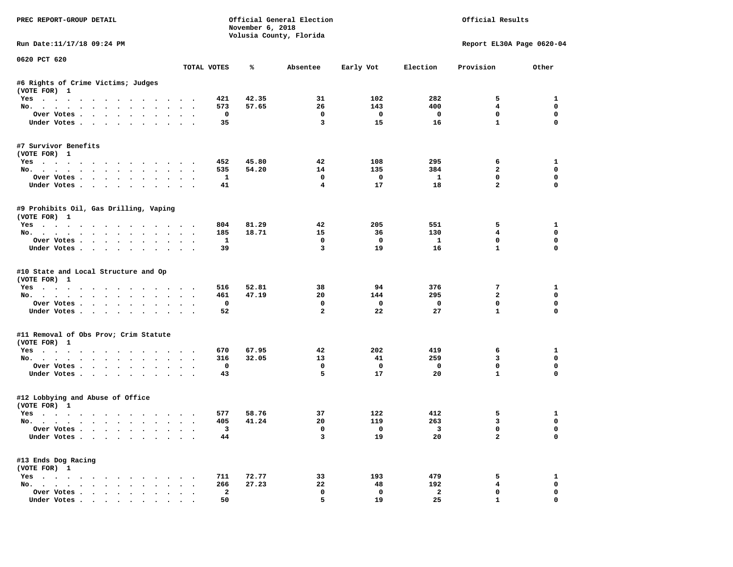| PREC REPORT-GROUP DETAIL                                                                                                                                                                                                                                                                                                                                                                                                                                                                   |        |                         | November 6, 2018 | Official General Election<br>Volusia County, Florida |                                |                          | Official Results            |                            |
|--------------------------------------------------------------------------------------------------------------------------------------------------------------------------------------------------------------------------------------------------------------------------------------------------------------------------------------------------------------------------------------------------------------------------------------------------------------------------------------------|--------|-------------------------|------------------|------------------------------------------------------|--------------------------------|--------------------------|-----------------------------|----------------------------|
| Run Date: 11/17/18 09:24 PM                                                                                                                                                                                                                                                                                                                                                                                                                                                                |        |                         |                  |                                                      |                                |                          | Report EL30A Page 0620-04   |                            |
| 0620 PCT 620                                                                                                                                                                                                                                                                                                                                                                                                                                                                               |        | TOTAL VOTES             | %                | Absentee                                             | Early Vot                      | Election                 | Provision                   | Other                      |
|                                                                                                                                                                                                                                                                                                                                                                                                                                                                                            |        |                         |                  |                                                      |                                |                          |                             |                            |
| #6 Rights of Crime Victims; Judges<br>(VOTE FOR) 1                                                                                                                                                                                                                                                                                                                                                                                                                                         |        |                         |                  |                                                      |                                |                          |                             |                            |
| Yes                                                                                                                                                                                                                                                                                                                                                                                                                                                                                        |        | 421                     | 42.35            | 31                                                   | 102                            | 282                      | 5                           | 1                          |
| No.                                                                                                                                                                                                                                                                                                                                                                                                                                                                                        |        | 573                     | 57.65            | 26                                                   | 143                            | 400                      | 4                           | $\mathbf 0$                |
| Over Votes                                                                                                                                                                                                                                                                                                                                                                                                                                                                                 |        | $\mathbf 0$             |                  | $\mathbf 0$                                          | $\overline{\phantom{0}}$       | $\overline{\phantom{0}}$ | $\mathbf 0$                 | $\mathbf 0$                |
| Under Votes                                                                                                                                                                                                                                                                                                                                                                                                                                                                                |        | 35                      |                  | 3                                                    | 15                             | 16                       | $\mathbf{1}$                | 0                          |
| #7 Survivor Benefits                                                                                                                                                                                                                                                                                                                                                                                                                                                                       |        |                         |                  |                                                      |                                |                          |                             |                            |
| (VOTE FOR) 1                                                                                                                                                                                                                                                                                                                                                                                                                                                                               |        |                         |                  |                                                      |                                |                          |                             |                            |
| Yes                                                                                                                                                                                                                                                                                                                                                                                                                                                                                        |        | 452                     | 45.80            | 42                                                   | 108                            | 295                      | 6                           | 1                          |
| No.                                                                                                                                                                                                                                                                                                                                                                                                                                                                                        |        | 535                     | 54.20            | 14                                                   | 135                            | 384                      | $\overline{a}$              | $\mathbf 0$                |
| Over Votes                                                                                                                                                                                                                                                                                                                                                                                                                                                                                 |        | $\mathbf{1}$            |                  | $\mathbf{o}$                                         | $\overline{\mathbf{0}}$        | $\mathbf{1}$             | $\mathbf 0$                 | 0                          |
| Under Votes                                                                                                                                                                                                                                                                                                                                                                                                                                                                                |        | 41                      |                  | $\overline{4}$                                       | 17                             | 18                       | $\overline{a}$              | 0                          |
| #9 Prohibits Oil, Gas Drilling, Vaping<br>(VOTE FOR) 1                                                                                                                                                                                                                                                                                                                                                                                                                                     |        |                         |                  |                                                      |                                |                          |                             |                            |
| Yes                                                                                                                                                                                                                                                                                                                                                                                                                                                                                        |        | 804                     | 81.29            | 42                                                   | 205                            | 551                      | 5                           | 1                          |
| No.                                                                                                                                                                                                                                                                                                                                                                                                                                                                                        |        | 185                     | 18.71            | 15                                                   | 36                             | 130                      | $\overline{4}$              | $\mathbf 0$                |
| Over Votes                                                                                                                                                                                                                                                                                                                                                                                                                                                                                 |        | $\mathbf{1}$            |                  | $^{\circ}$                                           | $\overline{\mathbf{0}}$        | $\mathbf{1}$             | $^{\circ}$                  | 0                          |
| Under Votes                                                                                                                                                                                                                                                                                                                                                                                                                                                                                |        | 39                      |                  | $\overline{\mathbf{3}}$                              | 19                             | 16                       | $\mathbf{1}$                | $\Omega$                   |
| #10 State and Local Structure and Op<br>(VOTE FOR) 1<br>Yes                                                                                                                                                                                                                                                                                                                                                                                                                                |        | 516                     | 52.81            | 38                                                   | 94                             | 376                      | 7                           | 1                          |
| No.                                                                                                                                                                                                                                                                                                                                                                                                                                                                                        |        | 461                     | 47.19            | 20                                                   | 144<br>$\overline{\mathbf{0}}$ | 295                      | $\mathbf{2}$<br>$\mathbf 0$ | $\mathbf 0$<br>$\mathbf 0$ |
| Over Votes                                                                                                                                                                                                                                                                                                                                                                                                                                                                                 |        | 0<br>52                 |                  | $\mathbf{o}$<br>$\overline{a}$                       | 22                             | $\mathbf 0$<br>27        | $\mathbf{1}$                | $\Omega$                   |
| Under Votes                                                                                                                                                                                                                                                                                                                                                                                                                                                                                |        |                         |                  |                                                      |                                |                          |                             |                            |
| #11 Removal of Obs Prov; Crim Statute<br>(VOTE FOR) 1                                                                                                                                                                                                                                                                                                                                                                                                                                      |        |                         |                  |                                                      |                                |                          |                             |                            |
| Yes                                                                                                                                                                                                                                                                                                                                                                                                                                                                                        |        | 670                     | 67.95            | 42                                                   | 202                            | 419                      | 6                           | 1                          |
| No.                                                                                                                                                                                                                                                                                                                                                                                                                                                                                        |        | 316                     | 32.05            | 13                                                   | 41                             | 259                      | 3                           | $\mathbf 0$                |
| Over Votes                                                                                                                                                                                                                                                                                                                                                                                                                                                                                 |        | $\mathbf{o}$            |                  | $\mathbf{o}$                                         | $\overline{\mathbf{0}}$        | $\overline{\mathbf{0}}$  | $\mathbf 0$                 | $\mathbf 0$                |
| Under Votes                                                                                                                                                                                                                                                                                                                                                                                                                                                                                |        | 43                      |                  | 5                                                    | 17                             | 20                       | $\mathbf{1}$                | $\Omega$                   |
| #12 Lobbying and Abuse of Office<br>(VOTE FOR) 1                                                                                                                                                                                                                                                                                                                                                                                                                                           |        |                         |                  |                                                      |                                |                          |                             |                            |
| Yes                                                                                                                                                                                                                                                                                                                                                                                                                                                                                        |        | 577                     | 58.76            | 37                                                   | 122                            | 412                      | 5                           | 1                          |
| No.                                                                                                                                                                                                                                                                                                                                                                                                                                                                                        |        | 405                     | 41.24            | 20                                                   | 119                            | 263                      | 3                           | 0                          |
| Over Votes                                                                                                                                                                                                                                                                                                                                                                                                                                                                                 |        | $\overline{\mathbf{3}}$ |                  | $\mathbf{o}$                                         | $\overline{\mathbf{0}}$        | $\overline{\mathbf{3}}$  | $\mathbf 0$                 | $\mathbf 0$                |
| Under Votes                                                                                                                                                                                                                                                                                                                                                                                                                                                                                |        | 44                      |                  | $\overline{\mathbf{3}}$                              | 19                             | 20                       | $\overline{a}$              | $\mathbf 0$                |
| #13 Ends Dog Racing<br>(VOTE FOR) 1                                                                                                                                                                                                                                                                                                                                                                                                                                                        |        |                         |                  |                                                      |                                |                          |                             |                            |
| Yes                                                                                                                                                                                                                                                                                                                                                                                                                                                                                        |        | 711                     | 72.77            | 33                                                   | 193                            | 479                      | 5                           | 1                          |
| No.                                                                                                                                                                                                                                                                                                                                                                                                                                                                                        |        | 266                     | 27.23            | 22                                                   | 48                             | 192                      | $\overline{4}$              | $\mathbf 0$                |
| Over Votes                                                                                                                                                                                                                                                                                                                                                                                                                                                                                 | $\sim$ | $\overline{a}$          |                  | $\mathbf 0$                                          | $\mathbf 0$                    | $\overline{2}$           | $\mathbf 0$                 | $\mathbf 0$                |
| $\blacksquare$ $\blacksquare$ $\blacksquare$ $\blacksquare$ $\blacksquare$ $\blacksquare$ $\blacksquare$ $\blacksquare$ $\blacksquare$ $\blacksquare$ $\blacksquare$ $\blacksquare$ $\blacksquare$ $\blacksquare$ $\blacksquare$ $\blacksquare$ $\blacksquare$ $\blacksquare$ $\blacksquare$ $\blacksquare$ $\blacksquare$ $\blacksquare$ $\blacksquare$ $\blacksquare$ $\blacksquare$ $\blacksquare$ $\blacksquare$ $\blacksquare$ $\blacksquare$ $\blacksquare$ $\blacksquare$ $\blacks$ |        | 50.                     |                  | 5.                                                   | <b>19</b>                      | 25                       | $\mathbf{1}$                | $\Omega$                   |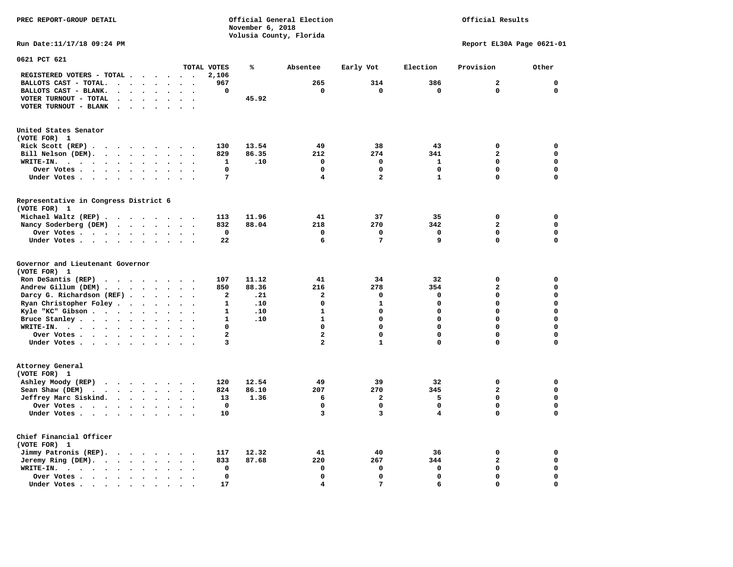# Official Results

**Run Date:11/17/18 09:24 PM Report EL30A Page 0621-01** 

| 0621 PCT 621                                                                                                    |                                                  |                |       |                         |                         |              |                         |             |
|-----------------------------------------------------------------------------------------------------------------|--------------------------------------------------|----------------|-------|-------------------------|-------------------------|--------------|-------------------------|-------------|
|                                                                                                                 |                                                  | TOTAL VOTES    | ℁     | Absentee                | Early Vot               | Election     | Provision               | Other       |
| REGISTERED VOTERS - TOTAL .<br>$\cdots$                                                                         |                                                  | 2,106          |       |                         |                         |              |                         |             |
| BALLOTS CAST - TOTAL.<br>$\ddot{\phantom{a}}$<br>$\ddot{\phantom{a}}$<br>$\cdot$<br>$\ddot{\phantom{a}}$        |                                                  | 967            |       | 265                     | 314                     | 386          | $\overline{\mathbf{2}}$ | $\mathbf 0$ |
| BALLOTS CAST - BLANK.<br>$\sim$<br>$\ddot{\phantom{a}}$<br>$\sim$<br>$\sim$<br>$\ddot{\phantom{a}}$             | $\ddot{\phantom{a}}$<br>$\overline{\phantom{a}}$ | 0              |       | $\mathbf 0$             | $\mathbf 0$             | $\mathbf 0$  | $\mathbf 0$             | $\mathbf 0$ |
|                                                                                                                 |                                                  |                |       |                         |                         |              |                         |             |
| VOTER TURNOUT - TOTAL                                                                                           |                                                  |                | 45.92 |                         |                         |              |                         |             |
| VOTER TURNOUT - BLANK<br>$\sim$ $\sim$<br>$\ddot{\phantom{a}}$                                                  |                                                  |                |       |                         |                         |              |                         |             |
| United States Senator                                                                                           |                                                  |                |       |                         |                         |              |                         |             |
| (VOTE FOR) 1                                                                                                    |                                                  |                |       |                         |                         |              |                         |             |
| Rick Scott (REP).<br>$\sim$ $\sim$<br>.                                                                         |                                                  | 130            | 13.54 | 49                      | 38                      | 43           | 0                       | 0           |
| Bill Nelson (DEM).<br>$\mathbf{r}$ , $\mathbf{r}$ , $\mathbf{r}$ , $\mathbf{r}$<br>$\cdot$ $\cdot$ $\cdot$      |                                                  | 829            | 86.35 | 212                     | 274                     | 341          | $\overline{\mathbf{2}}$ | $\mathbf 0$ |
| WRITE-IN.<br>$\cdot$ $\cdot$ $\cdot$<br>$\sim$ $\sim$ $\sim$ $\sim$ $\sim$<br>$\bullet$<br>$\cdot$<br>$\bullet$ | $\overline{\phantom{a}}$<br>$\ddot{\phantom{a}}$ | 1              | .10   | $\mathbf 0$             | $\mathbf 0$             | $\mathbf{1}$ | $\mathbf 0$             | $\mathbf 0$ |
|                                                                                                                 |                                                  | $\mathbf 0$    |       | $\mathbf 0$             | $\mathbf 0$             | $\mathbf 0$  | $\mathbf 0$             | 0           |
| Over Votes .<br>$\sim$<br>$\sim$ $\sim$ $\sim$ $\sim$<br>$\bullet$<br>$\bullet$                                 |                                                  |                |       |                         |                         |              |                         |             |
| Under Votes<br>$\bullet$<br>$\ddot{\phantom{0}}$                                                                | $\sim$<br>$\bullet$                              | 7              |       | 4                       | $\overline{\mathbf{2}}$ | $\mathbf{1}$ | $\mathbf 0$             | $\mathbf 0$ |
| Representative in Congress District 6<br>(VOTE FOR) 1                                                           |                                                  |                |       |                         |                         |              |                         |             |
|                                                                                                                 |                                                  |                |       |                         |                         |              |                         |             |
| Michael Waltz (REP)                                                                                             |                                                  | 113            | 11.96 | 41                      | 37                      | 35           | 0                       | 0           |
| Nancy Soderberg (DEM)                                                                                           | $\bullet$                                        | 832            | 88.04 | 218                     | 270                     | 342          | $\overline{\mathbf{2}}$ | $\mathbf 0$ |
| Over Votes<br>$\overline{\phantom{a}}$                                                                          | $\ddot{\phantom{a}}$                             | $\mathbf 0$    |       | $\mathbf 0$             | 0                       | $\mathbf 0$  | $\mathbf 0$             | 0           |
| Under Votes                                                                                                     |                                                  | 22             |       | 6                       | 7                       | 9            | $\mathbf 0$             | $\mathbf 0$ |
| Governor and Lieutenant Governor<br>(VOTE FOR) 1                                                                |                                                  |                |       |                         |                         |              |                         |             |
| Ron DeSantis (REP)<br>$\cdots$                                                                                  | $\sim$                                           | 107            | 11.12 | 41                      | 34                      | 32           | $\mathbf 0$             | 0           |
| Andrew Gillum (DEM)                                                                                             |                                                  | 850            | 88.36 | 216                     | 278                     | 354          | $\overline{a}$          | $\mathbf 0$ |
| Darcy G. Richardson (REF).<br>$\ddot{\phantom{a}}$<br>$\bullet$                                                 |                                                  | $\mathbf{2}$   | .21   | $\mathbf{2}$            | 0                       | 0            | $\mathbf 0$             | 0           |
| Ryan Christopher Foley<br>$\bullet$<br>$\bullet$                                                                |                                                  | $\mathbf{1}$   | .10   | $\mathbf 0$             | $\mathbf{1}$            | 0            | $\mathbf 0$             | $\mathbf 0$ |
| Kyle "KC" Gibson<br>$\bullet$<br>$\bullet$                                                                      | $\bullet$                                        | $\mathbf{1}$   | .10   | $\mathbf{1}$            | 0                       | 0            | $\mathbf 0$             | 0           |
| Bruce Stanley<br>$\bullet$                                                                                      |                                                  | $\mathbf{1}$   | .10   | $\mathbf{1}$            | 0                       | 0            | $\Omega$                | 0           |
| WRITE-IN.<br>$\cdots$                                                                                           |                                                  | $\Omega$       |       | $\Omega$                | $\Omega$                | $\Omega$     | $\Omega$                | $\mathbf 0$ |
| Over Votes<br>$\ddot{\phantom{a}}$<br>$\bullet$                                                                 | $\ddot{\phantom{a}}$<br>$\overline{\phantom{a}}$ | $\overline{a}$ |       | $\overline{a}$          | $\Omega$                | $\mathbf 0$  | $\mathbf 0$             | $\mathbf 0$ |
| Under Votes                                                                                                     | $\sim$                                           | 3              |       | $\overline{\mathbf{2}}$ | $\mathbf{1}$            | 0            | 0                       | $\mathbf 0$ |
|                                                                                                                 |                                                  |                |       |                         |                         |              |                         |             |
| Attorney General<br>(VOTE FOR) 1                                                                                |                                                  |                |       |                         |                         |              |                         |             |
| Ashley Moody (REP)<br>$\cdots$                                                                                  |                                                  | 120            | 12.54 | 49                      | 39                      | 32           | $\mathbf 0$             | 0           |
| Sean Shaw (DEM)<br>$\cdot$ $\cdot$ $\cdot$ $\cdot$ $\cdot$                                                      |                                                  | 824            | 86.10 | 207                     | 270                     | 345          | $\mathbf{2}$            | $\mathbf 0$ |
| Jeffrey Marc Siskind.<br>$\bullet$                                                                              | $\bullet$                                        | 13             | 1.36  | 6                       | 2                       | 5            | $\mathbf 0$             | 0           |
| Over Votes<br>$\ddot{\phantom{a}}$                                                                              |                                                  | $\mathbf 0$    |       | $\Omega$                | $\mathbf 0$             | $\mathbf 0$  | $\mathbf 0$             | 0           |
| Under Votes                                                                                                     |                                                  | 10             |       | 3                       | 3                       | 4            | $\mathbf 0$             | $\mathbf 0$ |
|                                                                                                                 |                                                  |                |       |                         |                         |              |                         |             |
| Chief Financial Officer<br>(VOTE FOR) 1                                                                         |                                                  |                |       |                         |                         |              |                         |             |
| Jimmy Patronis (REP).<br>$\cdot$ $\cdot$ $\cdot$ $\cdot$<br>$\overline{\phantom{a}}$                            |                                                  | 117            | 12.32 | 41                      | 40                      | 36           | $\mathbf 0$             | 0           |
| Jeremy Ring (DEM).<br>$\ddot{\phantom{0}}$<br>$\ddot{\phantom{a}}$                                              |                                                  | 833            | 87.68 | 220                     | 267                     | 344          | $\overline{\mathbf{2}}$ | $\mathbf 0$ |
| WRITE-IN.<br>$\cdot$ $\cdot$ $\cdot$ $\cdot$ $\cdot$ $\cdot$<br>$\bullet$                                       |                                                  | $\mathbf 0$    |       | 0                       | 0                       | 0            | $\mathbf 0$             | 0           |
| Over Votes<br>$\ddot{\phantom{1}}$<br>$\bullet$                                                                 |                                                  | $\mathbf 0$    |       | $\Omega$                | 0                       | $\mathbf 0$  | $\mathbf 0$             | $\mathbf 0$ |
| Under Votes.<br>$\sim$ $\sim$<br>$\sim$ $\sim$<br>$\sim$<br>$\bullet$                                           |                                                  | 17             |       | 4                       | 7                       | 6            | $\mathbf 0$             | $\mathbf 0$ |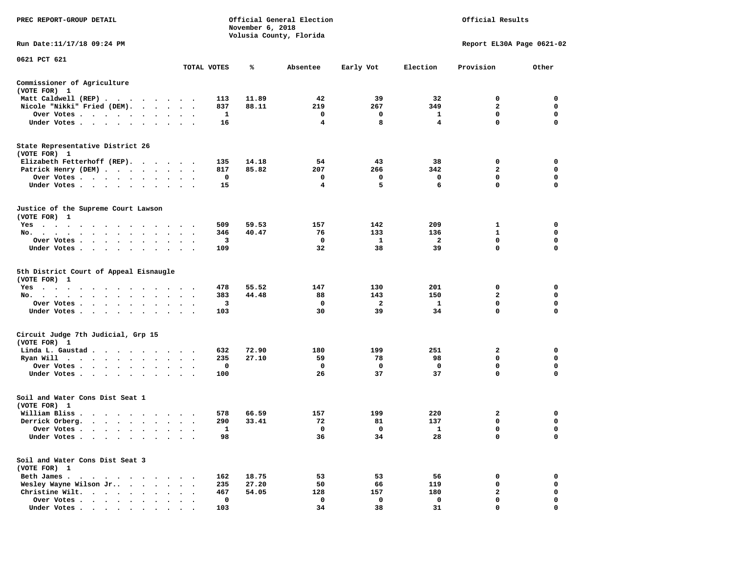| PREC REPORT-GROUP DETAIL                                                                                                                                                                          |                      |             | November 6, 2018 | Official General Election<br>Volusia County, Florida |             |                         | Official Results          |             |
|---------------------------------------------------------------------------------------------------------------------------------------------------------------------------------------------------|----------------------|-------------|------------------|------------------------------------------------------|-------------|-------------------------|---------------------------|-------------|
| Run Date:11/17/18 09:24 PM                                                                                                                                                                        |                      |             |                  |                                                      |             |                         | Report EL30A Page 0621-02 |             |
| 0621 PCT 621                                                                                                                                                                                      |                      | TOTAL VOTES | ℁                | Absentee                                             | Early Vot   | Election                | Provision                 | Other       |
| Commissioner of Agriculture                                                                                                                                                                       |                      |             |                  |                                                      |             |                         |                           |             |
| (VOTE FOR) 1                                                                                                                                                                                      |                      |             |                  |                                                      |             |                         |                           |             |
| Matt Caldwell (REP)                                                                                                                                                                               |                      | 113         | 11.89            | 42                                                   | 39          | 32                      | 0                         | 0           |
| Nicole "Nikki" Fried (DEM).                                                                                                                                                                       |                      | 837         | 88.11            | 219                                                  | 267         | 349                     | $\overline{2}$            | 0           |
| Over Votes                                                                                                                                                                                        |                      | 1           |                  | 0                                                    | 0           | 1                       | 0                         | 0           |
| Under Votes                                                                                                                                                                                       |                      | 16          |                  | 4                                                    | 8           | 4                       | 0                         | $\mathbf 0$ |
| State Representative District 26<br>(VOTE FOR) 1                                                                                                                                                  |                      |             |                  |                                                      |             |                         |                           |             |
| Elizabeth Fetterhoff (REP).                                                                                                                                                                       |                      | 135         | 14.18            | 54                                                   | 43          | 38                      | 0                         | 0           |
| Patrick Henry (DEM)                                                                                                                                                                               |                      | 817         | 85.82            | 207                                                  | 266         | 342                     | $\overline{a}$            | $\mathbf 0$ |
| Over Votes                                                                                                                                                                                        |                      | 0           |                  | 0                                                    | 0           | 0                       | 0                         | 0           |
| Under Votes                                                                                                                                                                                       | $\ddot{\phantom{a}}$ | 15          |                  | 4                                                    | 5           | 6                       | 0                         | $\mathbf 0$ |
| Justice of the Supreme Court Lawson<br>(VOTE FOR) 1                                                                                                                                               |                      |             |                  |                                                      |             |                         |                           |             |
| Yes                                                                                                                                                                                               |                      | 509         | 59.53            | 157                                                  | 142         | 209                     | 1                         | 0           |
| No.                                                                                                                                                                                               |                      | 346         | 40.47            | 76                                                   | 133         | 136                     | 1                         | 0           |
| Over Votes                                                                                                                                                                                        | $\bullet$            | 3           |                  | 0                                                    | -1          | $\overline{\mathbf{2}}$ | $\mathbf 0$               | $\mathbf 0$ |
| Under Votes<br>$\sim$                                                                                                                                                                             |                      | 109         |                  | 32                                                   | 38          | 39                      | 0                         | 0           |
| 5th District Court of Appeal Eisnaugle<br>(VOTE FOR) 1                                                                                                                                            |                      |             |                  |                                                      |             |                         |                           |             |
| Yes                                                                                                                                                                                               |                      | 478         | 55.52            | 147                                                  | 130         | 201                     | 0                         | 0           |
| No.<br>$\ddot{\phantom{1}}$                                                                                                                                                                       |                      | 383         | 44.48            | 88                                                   | 143         | 150                     | 2                         | 0           |
| Over Votes                                                                                                                                                                                        |                      | 3           |                  | 0                                                    | 2           | 1                       | 0                         | 0           |
| Under Votes                                                                                                                                                                                       |                      | 103         |                  | 30                                                   | 39          | 34                      | 0                         | $\Omega$    |
| Circuit Judge 7th Judicial, Grp 15<br>(VOTE FOR) 1                                                                                                                                                |                      |             |                  |                                                      |             |                         |                           |             |
| Linda L. Gaustad.<br>.                                                                                                                                                                            |                      | 632         | 72.90            | 180                                                  | 199         | 251                     | 2                         | 0           |
| Ryan Will $\cdots$ , $\cdots$ , $\cdots$                                                                                                                                                          | $\ddot{\phantom{1}}$ | 235         | 27.10            | 59                                                   | 78          | 98                      | 0                         | $\mathbf 0$ |
| Over Votes                                                                                                                                                                                        |                      | 0           |                  | 0                                                    | 0           | 0                       | 0                         | 0           |
| Under Votes                                                                                                                                                                                       | $\bullet$            | 100         |                  | 26                                                   | 37          | 37                      | 0                         | $\Omega$    |
| Soil and Water Cons Dist Seat 1<br>(VOTE FOR) 1                                                                                                                                                   |                      |             |                  |                                                      |             |                         |                           |             |
| William Bliss.<br>$\begin{array}{cccccccccccccccccc} \bullet & \bullet & \bullet & \bullet & \bullet & \bullet & \bullet & \bullet & \bullet & \bullet & \bullet & \bullet & \bullet \end{array}$ |                      | 578         | 66.59            | 157                                                  | 199         | 220                     | 2                         | 0           |
| Derrick Orberg.                                                                                                                                                                                   | $\ddot{\phantom{1}}$ | 290         | 33.41            | 72                                                   | 81          | 137                     | 0                         | 0           |
| Over Votes<br>$\blacksquare$                                                                                                                                                                      |                      | 1           |                  | $\Omega$                                             | $\mathbf 0$ | 1                       | 0                         | $\Omega$    |
| Under Votes                                                                                                                                                                                       |                      | 98          |                  | 36                                                   | 34          | 28                      | 0                         | 0           |
| Soil and Water Cons Dist Seat 3<br>(VOTE FOR) 1                                                                                                                                                   |                      |             |                  |                                                      |             |                         |                           |             |
| Beth James                                                                                                                                                                                        |                      | 162         | 18.75            | 53                                                   | 53          | 56                      | 0                         | 0           |
| Wesley Wayne Wilson Jr<br>$\cdot$ $\cdot$                                                                                                                                                         |                      | 235         | 27.20            | 50                                                   | 66          | 119                     | 0                         | 0           |
| Christine Wilt.<br>$\cdot$ $\cdot$ $\cdot$ $\cdot$ $\cdot$                                                                                                                                        |                      | 467         | 54.05            | 128                                                  | 157         | 180                     | 2                         | 0           |
| Over Votes.<br>$\cdots$                                                                                                                                                                           |                      | $\mathbf 0$ |                  | 0                                                    | 0           | 0                       | 0                         | $\mathbf 0$ |
| Under Votes                                                                                                                                                                                       |                      | 103         |                  | 34                                                   | 38          | 31                      | $\Omega$                  | 0           |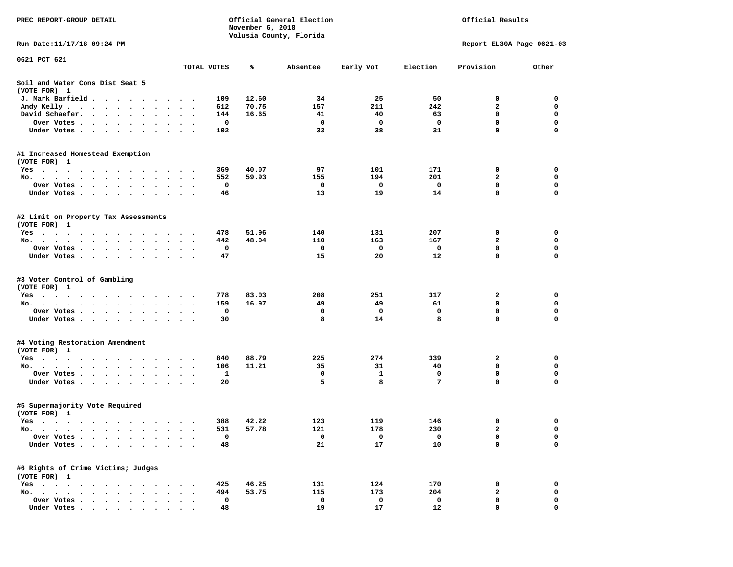| PREC REPORT-GROUP DETAIL                                                                                                                              |                        |             | November 6, 2018 | Official General Election<br>Volusia County, Florida |              |                  | Official Results          |             |
|-------------------------------------------------------------------------------------------------------------------------------------------------------|------------------------|-------------|------------------|------------------------------------------------------|--------------|------------------|---------------------------|-------------|
| Run Date:11/17/18 09:24 PM                                                                                                                            |                        |             |                  |                                                      |              |                  | Report EL30A Page 0621-03 |             |
| 0621 PCT 621                                                                                                                                          |                        |             |                  |                                                      |              |                  |                           |             |
|                                                                                                                                                       |                        | TOTAL VOTES | ℁                | Absentee                                             | Early Vot    | Election         | Provision                 | Other       |
| Soil and Water Cons Dist Seat 5<br>(VOTE FOR) 1                                                                                                       |                        |             |                  |                                                      |              |                  |                           |             |
| J. Mark Barfield<br>$\cdot$                                                                                                                           |                        | 109         | 12.60            | 34                                                   | 25           | 50               | 0                         | 0           |
| Andy Kelly<br>$\bullet$                                                                                                                               | $\ddot{\phantom{1}}$   | 612         | 70.75            | 157                                                  | 211          | 242              | $\mathbf{2}$              | 0           |
| David Schaefer.<br>$\cdot$ $\cdot$ $\cdot$ $\cdot$<br>$\ddot{\phantom{0}}$                                                                            |                        | 144         | 16.65            | 41                                                   | 40           | 63               | $\mathbf 0$               | $\mathbf 0$ |
| Over Votes .<br>$\cdots$                                                                                                                              |                        | 0           |                  | 0                                                    | 0            | 0                | $\mathbf 0$               | $\mathbf 0$ |
| Under Votes.<br>$\cdots$                                                                                                                              | $\sim$ $\sim$          | 102         |                  | 33                                                   | 38           | 31               | 0                         | 0           |
| #1 Increased Homestead Exemption                                                                                                                      |                        |             |                  |                                                      |              |                  |                           |             |
| (VOTE FOR) 1                                                                                                                                          |                        |             |                  |                                                      |              |                  |                           |             |
| $Yes \cdot \cdot \cdot \cdot \cdot \cdot$<br>$\cdots$<br>$\bullet$                                                                                    |                        | 369<br>552  | 40.07            | 97<br>155                                            | 101<br>194   | 171<br>201       | 0<br>$\mathbf{2}$         | 0<br>0      |
| No.<br>$\cdot$ $\cdot$ $\cdot$ $\cdot$ $\cdot$<br>Over Votes.                                                                                         |                        | 0           | 59.93            | 0                                                    | 0            | 0                | 0                         | $\mathbf 0$ |
| $\mathbf{a}$ , and $\mathbf{a}$ , and $\mathbf{a}$<br>$\ddot{\phantom{0}}$<br>$\sim$<br>$\bullet$<br>$\bullet$<br>Under Votes<br>$\ddot{\phantom{1}}$ | $\bullet$<br>$\bullet$ | 46          |                  | 13                                                   | 19           | 14               | 0                         | 0           |
|                                                                                                                                                       |                        |             |                  |                                                      |              |                  |                           |             |
| #2 Limit on Property Tax Assessments<br>(VOTE FOR) 1                                                                                                  |                        |             |                  |                                                      |              |                  |                           |             |
| $Yes \cdot \cdot \cdot \cdot$                                                                                                                         | $\bullet$              | 478         | 51.96            | 140                                                  | 131          | 207              | 0                         | 0           |
| No.<br>$\bullet$<br>$\bullet$<br>$\bullet$<br>$\bullet$                                                                                               | $\ddot{\phantom{0}}$   | 442         | 48.04            | 110                                                  | 163          | 167              | 2                         | 0           |
| Over Votes.<br>$\cdots$<br>$\cdot$                                                                                                                    |                        | 0           |                  | 0                                                    | $\mathbf{o}$ | 0                | 0                         | 0           |
| Under Votes<br>$\sim$ $\sim$                                                                                                                          |                        | 47          |                  | 15                                                   | 20           | 12               | 0                         | $\Omega$    |
| #3 Voter Control of Gambling<br>(VOTE FOR) 1                                                                                                          |                        |             |                  |                                                      |              |                  |                           |             |
| Yes                                                                                                                                                   |                        | 778         | 83.03            | 208                                                  | 251          | 317              | 2                         | 0           |
| No.                                                                                                                                                   | $\cdot$                | 159         | 16.97            | 49                                                   | 49           | 61               | $\mathbf 0$               | $\mathbf 0$ |
| Over Votes.<br>the contract of the contract of the contract of the contract of the contract of the contract of the contract of                        |                        | 0           |                  | 0                                                    | 0            | 0                | $\mathbf 0$               | 0           |
| Under Votes.                                                                                                                                          | $\sim$ $\sim$          | 30          |                  | 8                                                    | 14           | 8                | 0                         | $\Omega$    |
| #4 Voting Restoration Amendment                                                                                                                       |                        |             |                  |                                                      |              |                  |                           |             |
| (VOTE FOR) 1                                                                                                                                          |                        |             |                  |                                                      |              |                  |                           |             |
| Yes                                                                                                                                                   |                        | 840         | 88.79            | 225                                                  | 274          | 339              | 2                         | 0           |
| No.<br>$\mathbf{r} = \mathbf{r} + \mathbf{r}$ .                                                                                                       |                        | 106         | 11.21            | 35                                                   | 31           | 40               | $\mathbf 0$               | 0           |
| Over Votes                                                                                                                                            | $\sim$<br>$\bullet$    | 1           |                  | 0                                                    | 1<br>8       | $\mathbf 0$<br>7 | $\mathbf 0$<br>0          | $\mathbf 0$ |
| Under Votes<br>$\ddot{\phantom{1}}$                                                                                                                   |                        | 20          |                  | 5                                                    |              |                  |                           | 0           |
| #5 Supermajority Vote Required<br>(VOTE FOR) 1                                                                                                        |                        |             |                  |                                                      |              |                  |                           |             |
| Yes                                                                                                                                                   |                        | 388         | 42.22            | 123                                                  | 119          | 146              | 0                         | 0           |
| No.                                                                                                                                                   |                        | 531         | 57.78            | 121                                                  | 178          | 230              | $\overline{a}$            | $\mathbf 0$ |
| Over Votes .                                                                                                                                          |                        | 0           |                  | 0                                                    | 0            | 0                | 0                         | 0           |
| Under Votes.                                                                                                                                          |                        | 48          |                  | 21                                                   | 17           | 10               | 0                         | 0           |
| #6 Rights of Crime Victims; Judges                                                                                                                    |                        |             |                  |                                                      |              |                  |                           |             |
| (VOTE FOR) 1                                                                                                                                          |                        |             |                  |                                                      |              |                  |                           |             |
| $Yes \t . \t .$<br>$\bullet$<br>$\bullet$                                                                                                             |                        | 425<br>494  | 46.25            | 131                                                  | 124          | 170              | 0<br>$\mathbf{2}$         | 0           |
| No.<br>$\ddot{\phantom{1}}$<br>Over Votes .<br>$\cdot$ $\cdot$ $\cdot$                                                                                |                        | 0           | 53.75            | 115<br>0                                             | 173<br>0     | 204<br>0         | 0                         | 0<br>0      |
| Under Votes                                                                                                                                           |                        | 48          |                  | 19                                                   | 17           | 12               | 0                         | 0           |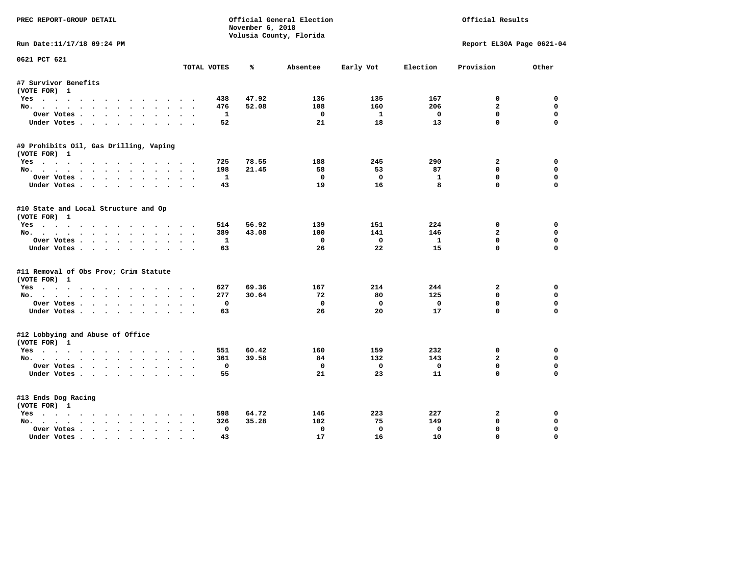| PREC REPORT-GROUP DETAIL               |                       | November 6, 2018        | Official General Election |                         |              | Official Results              |                  |
|----------------------------------------|-----------------------|-------------------------|---------------------------|-------------------------|--------------|-------------------------------|------------------|
|                                        |                       | Volusia County, Florida |                           |                         |              |                               |                  |
| Run Date:11/17/18 09:24 PM             |                       |                         |                           |                         |              | Report EL30A Page 0621-04     |                  |
| 0621 PCT 621                           | TOTAL VOTES           | ℁                       | Absentee                  | Early Vot               | Election     | Provision                     | Other            |
| #7 Survivor Benefits                   |                       |                         |                           |                         |              |                               |                  |
| (VOTE FOR) 1                           |                       |                         |                           |                         |              |                               |                  |
| Yes                                    | 438                   | 47.92                   | 136                       | 135                     | 167          | 0                             | 0                |
| No.                                    | 476                   | 52.08                   | 108                       | 160                     | 206          | $\overline{a}$                | $\mathbf 0$      |
| Over Votes                             | 1                     |                         | $^{\circ}$                | 1                       | $\mathbf{o}$ | $\Omega$                      | $\Omega$         |
| Under Votes                            | 52                    |                         | 21                        | 18                      | 13           | $\Omega$                      | $\Omega$         |
| #9 Prohibits Oil, Gas Drilling, Vaping |                       |                         |                           |                         |              |                               |                  |
| (VOTE FOR) 1                           |                       |                         |                           |                         |              |                               |                  |
| Yes                                    | 725                   | 78.55                   | 188                       | 245                     | 290          | $\mathbf{2}$                  | 0                |
| No.                                    | 198                   | 21.45                   | 58                        | 53                      | 87           | $\mathbf{0}$                  | $\mathbf 0$      |
| Over Votes                             | -1                    |                         | $\Omega$                  | $^{\circ}$              | 1            | $\mathbf 0$                   | $\mathbf 0$      |
| Under Votes                            | 43                    |                         | 19                        | 16                      | 8            | $\Omega$                      | $\Omega$         |
| #10 State and Local Structure and Op   |                       |                         |                           |                         |              |                               |                  |
| (VOTE FOR) 1                           |                       |                         |                           |                         |              |                               |                  |
| Yes                                    | 514                   | 56.92                   | 139                       | 151                     | 224          | 0                             | 0                |
| No.                                    | 389                   | 43.08                   | 100                       | 141                     | 146          | $\overline{a}$                | $\mathbf 0$      |
| Over Votes                             | $\mathbf{1}$          |                         | $^{\circ}$                | $\overline{0}$          | $\mathbf{1}$ | $\mathbf 0$                   | $\mathbf 0$      |
| Under Votes                            | 63                    |                         | 26                        | 22                      | 15           | $\Omega$                      | $\Omega$         |
| #11 Removal of Obs Prov; Crim Statute  |                       |                         |                           |                         |              |                               |                  |
| (VOTE FOR) 1                           |                       |                         |                           |                         |              |                               |                  |
| Yes                                    | 627                   | 69.36                   | 167                       | 214                     | 244          | $\mathbf{2}$                  | $\mathbf 0$      |
| No.                                    | 277                   | 30.64                   | 72                        | 80                      | 125          | $\mathbf{0}$                  | 0                |
| Over Votes                             | $\mathbf 0$           |                         | $\mathbf 0$               | $\mathbf 0$             | $\mathbf 0$  | $\mathbf 0$                   | $\mathbf 0$      |
| Under Votes.                           | 63                    |                         | 26                        | 20                      | 17           | $\Omega$                      | $\Omega$         |
| #12 Lobbying and Abuse of Office       |                       |                         |                           |                         |              |                               |                  |
| (VOTE FOR) 1                           |                       |                         |                           |                         |              |                               |                  |
| Yes                                    | 551<br>361            | 60.42<br>39.58          | 160<br>84                 | 159<br>132              | 232<br>143   | $\mathbf 0$<br>$\overline{a}$ | $\mathbf 0$<br>0 |
| No.<br>Over Votes                      | $\mathbf 0$           |                         | $\mathbf{o}$              | $\overline{\mathbf{0}}$ | $\mathbf 0$  | $\mathbf 0$                   | $\mathbf 0$      |
| Under Votes                            | 55                    |                         | 21                        | 23                      | 11           | $\Omega$                      | $\Omega$         |
|                                        |                       |                         |                           |                         |              |                               |                  |
| #13 Ends Dog Racing                    |                       |                         |                           |                         |              |                               |                  |
| (VOTE FOR) 1                           |                       |                         |                           |                         |              |                               |                  |
| Yes                                    | 598                   | 64.72                   | 146                       | 223                     | 227          | 2                             | 0                |
| No.                                    | 326                   | 35.28                   | 102                       | 75                      | 149          | $\mathbf{0}$                  | 0                |
| Over Votes                             | $\Omega$<br>$\bullet$ |                         | $\mathbf 0$               | $\mathbf 0$             | $\mathbf 0$  | $\mathbf{0}$                  | $\Omega$         |
| Under Votes                            | 43                    |                         | 17                        | 16                      | 10           | $\mathbf{0}$                  | $\Omega$         |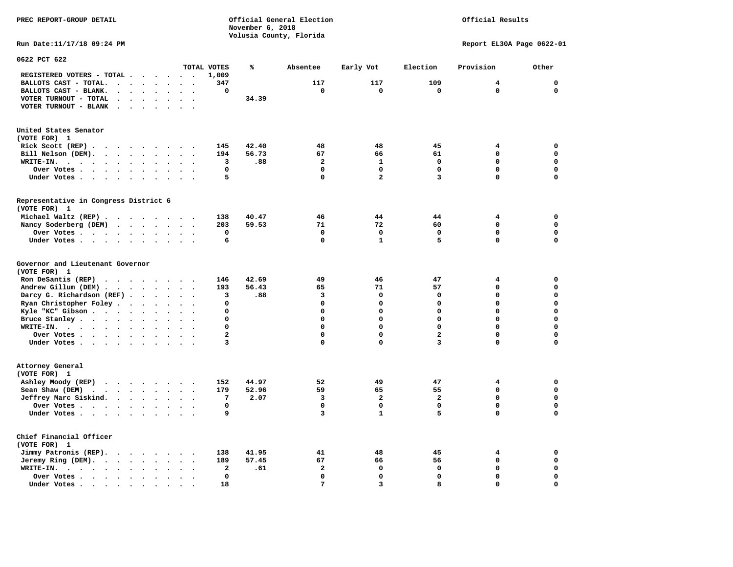## Official Results

**Run Date:11/17/18 09:24 PM Report EL30A Page 0622-01** 

| 0622 PCT 622                                                                                                                         |                                              |                         |       |                |                         |                         |             |             |
|--------------------------------------------------------------------------------------------------------------------------------------|----------------------------------------------|-------------------------|-------|----------------|-------------------------|-------------------------|-------------|-------------|
|                                                                                                                                      |                                              | TOTAL VOTES             | ℁     | Absentee       | Early Vot               | Election                | Provision   | Other       |
| REGISTERED VOTERS - TOTAL .<br>$\sim$<br>$\ddot{\phantom{a}}$<br>$\ddot{\phantom{a}}$                                                | $\sim$<br>$\cdot$                            | 1,009                   |       |                |                         |                         |             |             |
| BALLOTS CAST - TOTAL.<br>$\sim$<br>$\ddot{\phantom{a}}$<br>$\ddot{\phantom{a}}$<br>$\ddot{\phantom{a}}$                              |                                              | 347                     |       | 117            | 117                     | 109                     | 4           | $\mathbf 0$ |
| BALLOTS CAST - BLANK.<br>$\ddot{\phantom{a}}$<br>$\ddot{\phantom{a}}$<br>$\bullet$<br>$\bullet$                                      | $\ddot{\phantom{a}}$<br>$\bullet$            | 0                       |       | 0              | $\Omega$                | $\mathbf 0$             | $\Omega$    | $\mathbf 0$ |
| VOTER TURNOUT - TOTAL<br>$\ddot{\phantom{a}}$<br>$\ddot{\phantom{a}}$<br>$\ddot{\phantom{1}}$                                        |                                              |                         | 34.39 |                |                         |                         |             |             |
| VOTER TURNOUT - BLANK<br>$\ddot{\phantom{a}}$                                                                                        |                                              |                         |       |                |                         |                         |             |             |
|                                                                                                                                      |                                              |                         |       |                |                         |                         |             |             |
|                                                                                                                                      |                                              |                         |       |                |                         |                         |             |             |
| United States Senator                                                                                                                |                                              |                         |       |                |                         |                         |             |             |
| (VOTE FOR) 1                                                                                                                         |                                              |                         |       |                |                         |                         |             |             |
| Rick Scott (REP).<br>$\ddot{\phantom{1}}$<br>$\sim$ $\sim$ $\sim$<br>$\cdots$<br>$\sim$                                              | $\ddot{\phantom{0}}$                         | 145                     | 42.40 | 48             | 48                      | 45                      | 4           | 0           |
| Bill Nelson (DEM).<br>$\mathbf{r}$ , $\mathbf{r}$ , $\mathbf{r}$ , $\mathbf{r}$ , $\mathbf{r}$ , $\mathbf{r}$                        |                                              | 194                     | 56.73 | 67             | 66                      | 61                      | 0           | $\mathbf 0$ |
| WRITE-IN.<br>$\cdot$ $\cdot$ $\cdot$<br>$\cdot$ $\cdot$ $\cdot$ $\cdot$<br>$\ddot{\phantom{a}}$<br>$\bullet$<br>$\ddot{\phantom{0}}$ |                                              | з                       | .88   | $\overline{a}$ | $\mathbf{1}$            | $\mathbf 0$             | $\Omega$    | $\mathbf 0$ |
| Over Votes<br>$\ddot{\phantom{0}}$<br>$\sim$<br>$\bullet$                                                                            |                                              | 0                       |       | $\Omega$       | $\mathbf 0$             | $\mathbf 0$             | 0           | $\mathbf 0$ |
| Under Votes<br>$\bullet$<br>$\blacksquare$                                                                                           | $\bullet$<br>$\cdot$                         | 5                       |       | $\Omega$       | $\overline{a}$          | 3                       | 0           | $\mathbf 0$ |
|                                                                                                                                      |                                              |                         |       |                |                         |                         |             |             |
| Representative in Congress District 6                                                                                                |                                              |                         |       |                |                         |                         |             |             |
| (VOTE FOR) 1                                                                                                                         |                                              |                         |       |                |                         |                         |             |             |
| Michael Waltz (REP)                                                                                                                  |                                              | 138                     | 40.47 | 46             | 44                      | 44                      | 4           | 0           |
| Nancy Soderberg (DEM)                                                                                                                |                                              | 203                     | 59.53 | 71             | 72                      | 60                      | 0           | $\mathbf 0$ |
| Over Votes<br>$\bullet$<br>$\bullet$<br>$\cdot$                                                                                      | $\ddot{\phantom{a}}$                         | $\mathbf 0$             |       | $\mathbf 0$    | 0                       | $\mathbf 0$             | 0           | 0           |
| Under Votes<br>$\ddot{\phantom{a}}$<br>$\ddot{\phantom{a}}$                                                                          |                                              | 6                       |       | $\mathbf 0$    | $\mathbf{1}$            | 5                       | 0           | $\mathbf 0$ |
|                                                                                                                                      |                                              |                         |       |                |                         |                         |             |             |
| Governor and Lieutenant Governor<br>(VOTE FOR) 1                                                                                     |                                              |                         |       |                |                         |                         |             |             |
| Ron DeSantis (REP)<br>$\cdot$ $\cdot$ $\cdot$ $\cdot$ $\cdot$ $\cdot$ $\cdot$ $\cdot$                                                |                                              | 146                     | 42.69 | 49             | 46                      | 47                      | 4           | 0           |
| Andrew Gillum (DEM)                                                                                                                  | $\sim$<br>$\bullet$                          | 193                     | 56.43 | 65             | 71                      | 57                      | 0           | $\mathbf 0$ |
| Darcy G. Richardson (REF).<br>$\bullet$<br>$\ddot{\phantom{a}}$                                                                      |                                              | 3                       | .88   | 3              | $\mathbf 0$             | 0                       | 0           | $\mathbf 0$ |
| Ryan Christopher Foley.<br>$\ddot{\phantom{1}}$<br>$\bullet$<br>$\bullet$                                                            |                                              | 0                       |       | $\Omega$       | $\Omega$                | 0                       | $\mathbf 0$ | $\mathbf 0$ |
| Kyle "KC" Gibson<br>$\ddot{\phantom{1}}$<br>$\bullet$<br>$\bullet$                                                                   | $\bullet$<br>$\ddot{\phantom{a}}$            | 0                       |       | $\Omega$       | $\mathbf 0$             | 0                       | 0           | $\mathbf 0$ |
| Bruce Stanley<br>$\overline{\phantom{a}}$                                                                                            |                                              | 0                       |       | $\mathbf 0$    | $\mathbf 0$             | 0                       | 0           | $\mathbf 0$ |
| WRITE-IN.<br>$\mathbf{r}$ , $\mathbf{r}$ , $\mathbf{r}$ , $\mathbf{r}$ , $\mathbf{r}$ , $\mathbf{r}$<br>$\sim$                       |                                              | 0                       |       | $\Omega$       | $\Omega$                | $\Omega$                | $\mathbf 0$ | $\mathbf 0$ |
|                                                                                                                                      |                                              | $\overline{\mathbf{2}}$ |       | $\mathbf 0$    | $\mathbf 0$             | $\overline{\mathbf{2}}$ | 0           | $\mathbf 0$ |
| Over Votes<br>$\cdot$<br>$\bullet$                                                                                                   | $\ddot{\phantom{a}}$<br>$\ddot{\phantom{a}}$ |                         |       | $\mathbf 0$    | $\mathbf 0$             | 3                       | 0           |             |
| Under Votes<br>$\bullet$                                                                                                             | $\cdot$                                      | 3                       |       |                |                         |                         |             | 0           |
| Attorney General                                                                                                                     |                                              |                         |       |                |                         |                         |             |             |
| (VOTE FOR) 1                                                                                                                         |                                              |                         |       |                |                         |                         |             |             |
| Ashley Moody (REP)<br>.                                                                                                              |                                              | 152                     | 44.97 | 52             | 49                      | 47                      | 4           | $\mathbf 0$ |
|                                                                                                                                      |                                              | 179                     |       | 59             | 65                      | 55                      | 0           | $\mathbf 0$ |
| Sean Shaw (DEM)<br>$\sim$ $\sim$ $\sim$ $\sim$ $\sim$<br>$\cdot$<br>$\sim$                                                           |                                              |                         | 52.96 |                |                         |                         |             |             |
| Jeffrey Marc Siskind.<br>$\sim$ $\sim$ $\sim$ $\sim$ $\sim$ $\sim$<br>$\ddot{\phantom{a}}$<br>$\bullet$                              | $\ddot{\phantom{1}}$<br>$\bullet$            | 7                       | 2.07  | 3              | $\overline{\mathbf{2}}$ | $\overline{\mathbf{2}}$ | 0           | $\mathbf 0$ |
| Over Votes<br>$\ddot{\phantom{1}}$<br>$\ddot{\phantom{a}}$                                                                           |                                              | 0                       |       | $\mathbf 0$    | $\mathbf 0$             | $\mathbf 0$             | 0           | $\mathbf 0$ |
| Under Votes                                                                                                                          |                                              | 9                       |       | 3              | $\mathbf{1}$            | 5                       | 0           | $\mathbf 0$ |
|                                                                                                                                      |                                              |                         |       |                |                         |                         |             |             |
| Chief Financial Officer<br>(VOTE FOR) 1                                                                                              |                                              |                         |       |                |                         |                         |             |             |
|                                                                                                                                      |                                              |                         |       |                |                         |                         |             |             |
| Jimmy Patronis (REP).<br>$\sim$ $\sim$<br>$\sim$ 100 $\sim$<br>$\bullet$<br>$\ddot{\phantom{a}}$                                     |                                              | 138                     | 41.95 | 41             | 48                      | 45                      | 4           | 0           |
| Jeremy Ring (DEM).<br>$\cdots$ $\cdots$<br>$\bullet$<br>$\bullet$ .                                                                  | $\bullet$                                    | 189                     | 57.45 | 67             | 66                      | 56                      | 0           | $\mathbf 0$ |
| WRITE-IN.<br>$\cdot$ $\cdot$ $\cdot$ $\cdot$ $\cdot$ $\cdot$<br>$\bullet$                                                            |                                              | 2                       | .61   | $\mathbf{2}$   | $\Omega$                | 0                       | 0           | $\mathbf 0$ |
| Over Votes.<br>$\bullet$                                                                                                             |                                              | 0                       |       | $\Omega$       | $\mathbf 0$             | 0                       | $\mathbf 0$ | $\mathbf 0$ |
| Under Votes.<br>$\sim$<br>$\blacksquare$ .<br>$\sim$ $\sim$<br>$\sim$<br>$\bullet$                                                   |                                              | 18                      |       | $\overline{7}$ | $\overline{\mathbf{3}}$ | 8                       | 0           | $\mathbf 0$ |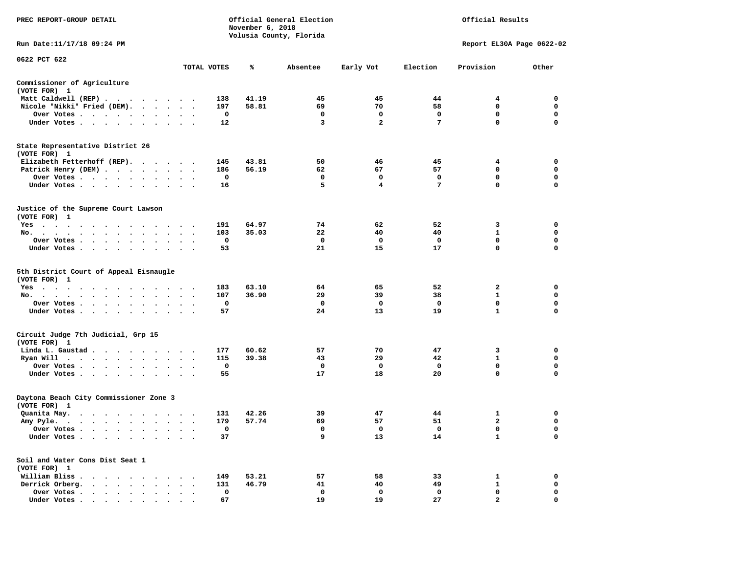| PREC REPORT-GROUP DETAIL                                                                                                                                                                                                                      |                                   |             | November 6, 2018 | Official General Election<br>Volusia County, Florida |                |                 | Official Results            |             |
|-----------------------------------------------------------------------------------------------------------------------------------------------------------------------------------------------------------------------------------------------|-----------------------------------|-------------|------------------|------------------------------------------------------|----------------|-----------------|-----------------------------|-------------|
| Run Date: 11/17/18 09:24 PM                                                                                                                                                                                                                   |                                   |             |                  |                                                      |                |                 | Report EL30A Page 0622-02   |             |
| 0622 PCT 622                                                                                                                                                                                                                                  |                                   |             |                  |                                                      |                |                 |                             |             |
|                                                                                                                                                                                                                                               |                                   | TOTAL VOTES | ℁                | Absentee                                             | Early Vot      | Election        | Provision                   | Other       |
| Commissioner of Agriculture<br>(VOTE FOR) 1                                                                                                                                                                                                   |                                   |             |                  |                                                      |                |                 |                             |             |
| Matt Caldwell (REP)                                                                                                                                                                                                                           |                                   | 138         | 41.19            | 45                                                   | 45             | 44              | 4                           | $\mathbf 0$ |
| Nicole "Nikki" Fried (DEM).                                                                                                                                                                                                                   |                                   | 197         | 58.81            | 69                                                   | 70             | 58              | $\mathbf 0$                 | 0           |
| Over Votes                                                                                                                                                                                                                                    | $\cdot$ $\cdot$ $\cdot$           | 0           |                  | $\mathbf 0$                                          | $\mathbf 0$    | $\mathbf 0$     | $\mathbf 0$                 | $\mathbf 0$ |
| Under Votes                                                                                                                                                                                                                                   |                                   | 12          |                  | 3                                                    | $\overline{a}$ | $7\phantom{.0}$ | $\mathbf 0$                 | $\Omega$    |
| State Representative District 26<br>(VOTE FOR) 1                                                                                                                                                                                              |                                   |             |                  |                                                      |                |                 |                             |             |
| Elizabeth Fetterhoff (REP).                                                                                                                                                                                                                   |                                   | 145         | 43.81            | 50                                                   | 46             | 45              | 4                           | 0           |
| Patrick Henry (DEM)                                                                                                                                                                                                                           |                                   | 186         | 56.19            | 62                                                   | 67             | 57              | $\mathbf 0$                 | $\mathbf 0$ |
| Over Votes                                                                                                                                                                                                                                    |                                   | 0           |                  | $\mathbf 0$                                          | $\mathbf 0$    | $\mathbf 0$     | $\mathbf 0$                 | $\mathbf 0$ |
| Under Votes                                                                                                                                                                                                                                   | $\sim$ $\sim$ $\sim$              | 16          |                  | 5                                                    | 4              | $7\phantom{.0}$ | $\mathbf 0$                 | $\mathbf 0$ |
| Justice of the Supreme Court Lawson<br>(VOTE FOR) 1                                                                                                                                                                                           |                                   |             |                  |                                                      |                |                 |                             |             |
| $Yes \t . \t .$<br>the contract of the contract of the contract of the contract of the contract of the contract of the contract of                                                                                                            |                                   | 191         | 64.97            | 74                                                   | 62             | 52              | 3                           | $\mathbf 0$ |
| No.<br>$\mathbf{r}$ , and $\mathbf{r}$ , and $\mathbf{r}$                                                                                                                                                                                     | $\sim$ $\sim$<br>$\blacksquare$ . | 103         | 35.03            | 22                                                   | 40             | 40              | $\mathbf{1}$                | $\mathbf 0$ |
| Over Votes<br>$\ddot{\phantom{1}}$<br>$\bullet$<br>$\bullet$<br>$\bullet$                                                                                                                                                                     | $\bullet$                         | 0           |                  | $\mathbf{o}$                                         | 0              | $\mathbf 0$     | $\mathbf 0$                 | $\mathbf 0$ |
| Under Votes                                                                                                                                                                                                                                   |                                   | 53          |                  | 21                                                   | 15             | 17              | $\mathbf 0$                 | $\mathbf 0$ |
| 5th District Court of Appeal Eisnaugle<br>(VOTE FOR) 1                                                                                                                                                                                        |                                   |             |                  |                                                      |                |                 |                             |             |
| $Yes \t . \t .$<br>$\sim$<br>$\ddot{\phantom{1}}$<br>$\ddot{\phantom{1}}$<br>$\ddot{\phantom{1}}$<br>$\ddot{\phantom{1}}$<br>$\sim$<br>$\ddot{\phantom{0}}$                                                                                   |                                   | 183         | 63.10            | 64                                                   | 65             | 52              | $\overline{2}$              | 0           |
| No.<br>$\cdot$ $\cdot$ $\cdot$                                                                                                                                                                                                                | $\cdot$ $\cdot$ $\cdot$           | 107         | 36.90            | 29                                                   | 39             | 38              | $\mathbf{1}$                | $\mathbf 0$ |
| Over Votes                                                                                                                                                                                                                                    |                                   | 0           |                  | $\mathbf 0$                                          | $\mathbf 0$    | $\mathbf 0$     | $\mathbf 0$<br>$\mathbf{1}$ | $\mathbf 0$ |
| Under Votes                                                                                                                                                                                                                                   |                                   | 57          |                  | 24                                                   | 13             | 19              |                             | 0           |
| Circuit Judge 7th Judicial, Grp 15<br>(VOTE FOR) 1                                                                                                                                                                                            |                                   |             |                  |                                                      |                |                 |                             |             |
| Linda L. Gaustad                                                                                                                                                                                                                              |                                   | 177         | 60.62            | 57                                                   | 70             | 47              | 3                           | 0           |
| Ryan Will $\cdots$ , $\cdots$ , $\cdots$ , $\cdots$                                                                                                                                                                                           |                                   | 115         | 39.38            | 43                                                   | 29             | 42              | $\mathbf{1}$                | $\mathbf 0$ |
| Over Votes<br>$\ddot{\phantom{1}}$                                                                                                                                                                                                            |                                   | 0           |                  | 0                                                    | 0              | 0               | 0                           | 0           |
| Under Votes                                                                                                                                                                                                                                   |                                   | 55          |                  | 17                                                   | 18             | 20              | $\mathbf 0$                 | $\Omega$    |
| Daytona Beach City Commissioner Zone 3<br>(VOTE FOR) 1                                                                                                                                                                                        |                                   |             |                  |                                                      |                |                 |                             |             |
| Quanita May.<br>. The contract of the contract of the contract of the contract of the contract of the contract of the contract of the contract of the contract of the contract of the contract of the contract of the contract of the contrac |                                   | 131         | 42.26            | 39                                                   | 47             | 44              | 1                           | 0           |
| Amy Pyle.<br>. The contract of the contract of the contract of the contract of the contract of the contract of the contract of the contract of the contract of the contract of the contract of the contract of the contract of the contrac    | $\sim$<br>$\bullet$ . $\bullet$   | 179         | 57.74            | 69                                                   | 57             | 51              | $\overline{\mathbf{2}}$     | 0           |
| Over Votes                                                                                                                                                                                                                                    | $\cdot$ .                         | 0           |                  | 0                                                    | 0              | 0               | $\mathbf 0$                 | 0           |
| Under Votes<br>$\ddot{\phantom{1}}$<br>$\bullet$<br>$\blacksquare$                                                                                                                                                                            |                                   | 37          |                  | 9                                                    | 13             | 14              | $\mathbf{1}$                | $\mathbf 0$ |
| Soil and Water Cons Dist Seat 1<br>(VOTE FOR) 1                                                                                                                                                                                               |                                   |             |                  |                                                      |                |                 |                             |             |
| William Bliss.<br>.                                                                                                                                                                                                                           |                                   | 149         | 53.21            | 57                                                   | 58             | 33              | 1                           | $\mathbf 0$ |
| Derrick Orberg.                                                                                                                                                                                                                               | $\cdot$ $\cdot$ $\cdot$           | 131         | 46.79            | 41                                                   | 40             | 49              | $\mathbf{1}$                | 0           |
| Over Votes<br>$\ddot{\phantom{1}}$<br>$\cdot$                                                                                                                                                                                                 | $\cdot$                           | 0           |                  | $\mathbf 0$                                          | $\mathbf 0$    | $\mathbf 0$     | $\mathbf 0$                 | $\mathbf 0$ |
| Under Votes                                                                                                                                                                                                                                   |                                   | 67          |                  | 19                                                   | 19             | 27              | $\overline{2}$              | $\Omega$    |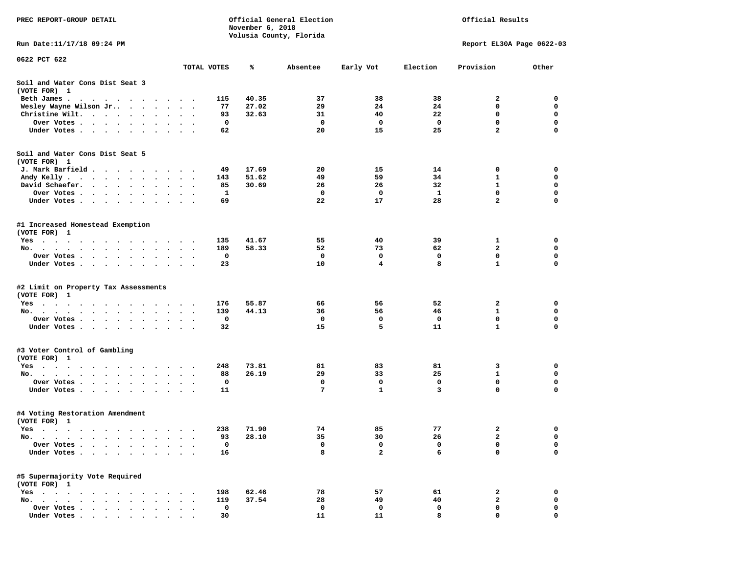| PREC REPORT-GROUP DETAIL                                                                                                       |              | November 6, 2018 | Official General Election |                         |              | Official Results          |             |
|--------------------------------------------------------------------------------------------------------------------------------|--------------|------------------|---------------------------|-------------------------|--------------|---------------------------|-------------|
|                                                                                                                                |              |                  | Volusia County, Florida   |                         |              |                           |             |
| Run Date: 11/17/18 09:24 PM                                                                                                    |              |                  |                           |                         |              | Report EL30A Page 0622-03 |             |
| 0622 PCT 622                                                                                                                   |              |                  |                           |                         |              |                           |             |
|                                                                                                                                | TOTAL VOTES  | ℁                | Absentee                  | Early Vot               | Election     | Provision                 | Other       |
| Soil and Water Cons Dist Seat 3                                                                                                |              |                  |                           |                         |              |                           |             |
| (VOTE FOR) 1                                                                                                                   |              |                  |                           |                         |              |                           |             |
| Beth James.<br>the contract of the contract of the contract of the contract of the contract of the contract of the contract of | 115          | 40.35            | 37                        | 38                      | 38           | 2                         | 0           |
| Wesley Wayne Wilson Jr<br>$\ddot{\phantom{1}}$                                                                                 | 77           | 27.02            | 29                        | 24                      | 24           | 0                         | 0           |
| Christine Wilt.                                                                                                                | 93           | 32.63            | 31                        | 40                      | 22           | 0                         | $\mathbf 0$ |
| Over Votes                                                                                                                     | 0            |                  | $\mathbf{o}$              | 0                       | 0            | 0                         | 0           |
| Under Votes                                                                                                                    | 62           |                  | 20                        | 15                      | 25           | $\overline{2}$            | $\Omega$    |
| Soil and Water Cons Dist Seat 5                                                                                                |              |                  |                           |                         |              |                           |             |
| (VOTE FOR) 1                                                                                                                   |              |                  |                           |                         |              |                           |             |
| J. Mark Barfield                                                                                                               | 49           | 17.69            | 20                        | 15                      | 14           | 0                         | 0           |
| Andy Kelly                                                                                                                     | 143          | 51.62            | 49                        | 59                      | 34           | 1                         | 0           |
| David Schaefer.<br>$\bullet$<br>$\bullet$                                                                                      | 85           | 30.69            | 26                        | 26                      | 32           | $\mathbf{1}$              | $\mathbf 0$ |
| Over Votes                                                                                                                     | $\mathbf{1}$ |                  | $\mathbf 0$               | 0                       | $\mathbf{1}$ | $\mathbf 0$               | 0           |
| Under Votes                                                                                                                    | 69           |                  | 22                        | 17                      | 28           | $\overline{a}$            | $\Omega$    |
| #1 Increased Homestead Exemption<br>(VOTE FOR) 1                                                                               |              |                  |                           |                         |              |                           |             |
| Yes                                                                                                                            | 135          | 41.67            | 55                        | 40                      | 39           | 1                         | 0           |
| No.<br>$\ddot{\phantom{0}}$                                                                                                    | 189          | 58.33            | 52                        | 73                      | 62           | 2                         | 0           |
| Over Votes                                                                                                                     | 0            |                  | $\mathbf{o}$              | $\mathbf 0$             | 0            | 0                         | 0           |
| Under Votes                                                                                                                    | 23           |                  | 10                        | $\overline{\mathbf{4}}$ | 8            | $\mathbf{1}$              | $\mathbf 0$ |
|                                                                                                                                |              |                  |                           |                         |              |                           |             |
| #2 Limit on Property Tax Assessments                                                                                           |              |                  |                           |                         |              |                           |             |
| (VOTE FOR) 1                                                                                                                   |              |                  |                           |                         |              |                           |             |
| Yes                                                                                                                            | 176          | 55.87            | 66                        | 56                      | 52           | 2                         | 0           |
| No.                                                                                                                            | 139<br>0     | 44.13            | 36<br>$\mathbf 0$         | 56<br>0                 | 46<br>0      | 1<br>0                    | 0<br>0      |
| Over Votes<br>$\bullet$                                                                                                        | 32           |                  | 15                        | 5                       | 11           | $\mathbf{1}$              | $\mathbf 0$ |
| Under Votes                                                                                                                    |              |                  |                           |                         |              |                           |             |
| #3 Voter Control of Gambling                                                                                                   |              |                  |                           |                         |              |                           |             |
| (VOTE FOR) 1                                                                                                                   |              |                  |                           |                         |              |                           |             |
| Yes                                                                                                                            | 248          | 73.81            | 81                        | 83                      | 81           | 3                         | 0           |
| No.<br>$\ddot{\phantom{1}}$                                                                                                    | 88           | 26.19            | 29                        | 33                      | 25           | $\mathbf{1}$              | 0           |
| Over Votes                                                                                                                     | 0            |                  | 0                         | 0                       | 0            | 0                         | 0           |
| Under Votes<br>$\ddot{\phantom{1}}$                                                                                            | 11           |                  | $\overline{7}$            | $\mathbf{1}$            | 3            | $\mathbf 0$               | $\Omega$    |
| #4 Voting Restoration Amendment                                                                                                |              |                  |                           |                         |              |                           |             |
| (VOTE FOR) 1                                                                                                                   |              |                  |                           |                         |              |                           |             |
| Yes                                                                                                                            | 238          | 71.90            | 74                        | 85                      | 77           | $\mathbf{2}$              | 0           |
| No.<br>$\sim$ $\sim$ $\sim$                                                                                                    | 93           | 28.10            | 35                        | 30                      | 26           | 2                         | 0           |
| Over Votes .                                                                                                                   | $\mathbf 0$  |                  | 0                         | $\mathbf 0$             | 0            | $\mathbf 0$               | 0           |
| Under Votes.                                                                                                                   | 16           |                  | 8                         | $\overline{a}$          | 6            | $\mathbf 0$               | $\mathbf 0$ |
| #5 Supermajority Vote Required                                                                                                 |              |                  |                           |                         |              |                           |             |
|                                                                                                                                |              |                  |                           |                         |              |                           |             |
| (VOTE FOR) 1<br>Yes                                                                                                            | 198          | 62.46            | 78                        | 57                      | 61           | 2                         | 0           |
| $\sim$ $\sim$ $\sim$ $\sim$<br>$No.$ $\cdot$ $\cdot$ $\cdot$<br>$\bullet$ .<br><br><br><br><br><br><br>$\sim$ $\sim$           | 119          | 37.54            | 28                        | 49                      | 40           | $\mathbf{2}$              | 0           |
| Over Votes .                                                                                                                   | 0            |                  | 0                         | 0                       | 0            | 0                         | 0           |
| Under Votes                                                                                                                    | 30           |                  | 11                        | 11                      | 8            | $\mathbf{0}$              | 0           |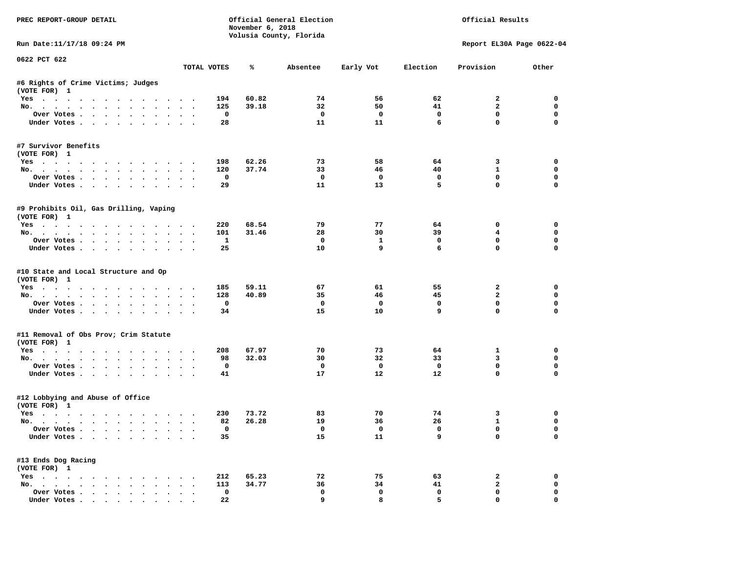| PREC REPORT-GROUP DETAIL                                                                                                                                                                                                                                                                                                                                                                                                                                                                   |                                |                          | November 6, 2018 | Official General Election<br>Volusia County, Florida |                         |                   | Official Results               |                  |
|--------------------------------------------------------------------------------------------------------------------------------------------------------------------------------------------------------------------------------------------------------------------------------------------------------------------------------------------------------------------------------------------------------------------------------------------------------------------------------------------|--------------------------------|--------------------------|------------------|------------------------------------------------------|-------------------------|-------------------|--------------------------------|------------------|
| Run Date: 11/17/18 09:24 PM                                                                                                                                                                                                                                                                                                                                                                                                                                                                |                                |                          |                  |                                                      |                         |                   | Report EL30A Page 0622-04      |                  |
| 0622 PCT 622                                                                                                                                                                                                                                                                                                                                                                                                                                                                               |                                | TOTAL VOTES              | %                | Absentee                                             | Early Vot               | Election          | Provision                      | Other            |
| #6 Rights of Crime Victims; Judges                                                                                                                                                                                                                                                                                                                                                                                                                                                         |                                |                          |                  |                                                      |                         |                   |                                |                  |
| (VOTE FOR) 1                                                                                                                                                                                                                                                                                                                                                                                                                                                                               |                                |                          |                  |                                                      |                         |                   |                                |                  |
| Yes                                                                                                                                                                                                                                                                                                                                                                                                                                                                                        |                                | 194                      | 60.82            | 74                                                   | 56                      | 62                | $\overline{2}$                 | $\Omega$         |
| No.                                                                                                                                                                                                                                                                                                                                                                                                                                                                                        |                                | 125                      | 39.18            | 32                                                   | 50                      | 41                | $\overline{a}$                 | $\mathbf 0$      |
| Over Votes                                                                                                                                                                                                                                                                                                                                                                                                                                                                                 |                                | $\overline{\phantom{0}}$ |                  | $\mathbf{0}$                                         | $\overline{\mathbf{0}}$ | $\mathbf 0$       | $\mathbf 0$                    | 0                |
| Under Votes                                                                                                                                                                                                                                                                                                                                                                                                                                                                                |                                | 28                       |                  | 11                                                   | 11                      | 6                 | $\mathbf 0$                    | $\Omega$         |
| #7 Survivor Benefits                                                                                                                                                                                                                                                                                                                                                                                                                                                                       |                                |                          |                  |                                                      |                         |                   |                                |                  |
| (VOTE FOR) 1                                                                                                                                                                                                                                                                                                                                                                                                                                                                               |                                |                          |                  |                                                      |                         |                   |                                |                  |
| Yes                                                                                                                                                                                                                                                                                                                                                                                                                                                                                        |                                | 198                      | 62.26            | 73                                                   | 58                      | 64                | $\mathbf{3}$                   | 0                |
| No.                                                                                                                                                                                                                                                                                                                                                                                                                                                                                        |                                | 120<br>$\mathbf{o}$      | 37.74            | 33<br>$\mathbf{o}$                                   | 46<br>$\mathbf{o}$      | 40<br>$\mathbf 0$ | $\mathbf{1}$<br>$\mathbf 0$    | 0<br>$\mathbf 0$ |
| Over Votes<br>Under Votes                                                                                                                                                                                                                                                                                                                                                                                                                                                                  |                                | 29                       |                  | 11                                                   | 13                      | 5                 | $\mathbf 0$                    | $\mathbf 0$      |
|                                                                                                                                                                                                                                                                                                                                                                                                                                                                                            |                                |                          |                  |                                                      |                         |                   |                                |                  |
| #9 Prohibits Oil, Gas Drilling, Vaping<br>(VOTE FOR) 1                                                                                                                                                                                                                                                                                                                                                                                                                                     |                                |                          |                  |                                                      |                         |                   |                                |                  |
| Yes                                                                                                                                                                                                                                                                                                                                                                                                                                                                                        |                                | 220                      | 68.54            | 79                                                   | 77                      | 64                | $\mathbf 0$                    | $\Omega$         |
| No.                                                                                                                                                                                                                                                                                                                                                                                                                                                                                        |                                | 101                      | 31.46            | 28                                                   | 30                      | 39                | $4\overline{ }$                | $\mathbf 0$      |
| Over Votes                                                                                                                                                                                                                                                                                                                                                                                                                                                                                 |                                | $\mathbf{1}$             |                  | $\mathbf{0}$                                         | $\mathbf{1}$            | $\mathbf 0$       | $\mathbf 0$                    | 0                |
| Under Votes                                                                                                                                                                                                                                                                                                                                                                                                                                                                                |                                | 25                       |                  | 10                                                   | 9                       | 6                 | $\Omega$                       | $\Omega$         |
| #10 State and Local Structure and Op<br>(VOTE FOR) 1<br>Yes<br>No.                                                                                                                                                                                                                                                                                                                                                                                                                         |                                | 185<br>128               | 59.11<br>40.89   | 67<br>35                                             | 61<br>46                | 55<br>45          | $\mathbf{2}$<br>$\overline{a}$ | 0<br>0           |
| Over Votes                                                                                                                                                                                                                                                                                                                                                                                                                                                                                 |                                | 0                        |                  | $\mathbf{o}$                                         | $\mathbf{o}$            | 0                 | $\mathbf 0$                    | $\mathbf 0$      |
| Under Votes                                                                                                                                                                                                                                                                                                                                                                                                                                                                                |                                | 34                       |                  | 15                                                   | 10                      | 9                 | $\mathbf 0$                    | $\Omega$         |
| #11 Removal of Obs Prov; Crim Statute                                                                                                                                                                                                                                                                                                                                                                                                                                                      |                                |                          |                  |                                                      |                         |                   |                                |                  |
| (VOTE FOR) 1                                                                                                                                                                                                                                                                                                                                                                                                                                                                               |                                |                          |                  |                                                      |                         |                   |                                |                  |
| Yes                                                                                                                                                                                                                                                                                                                                                                                                                                                                                        |                                | 208                      | 67.97            | 70                                                   | 73                      | 64                | $\mathbf{1}$                   | 0                |
| No.                                                                                                                                                                                                                                                                                                                                                                                                                                                                                        |                                | 98                       | 32.03            | 30                                                   | 32                      | 33                | 3                              | $\mathbf 0$      |
| Over Votes                                                                                                                                                                                                                                                                                                                                                                                                                                                                                 |                                | $\mathbf 0$              |                  | $\mathbf 0$                                          | $\overline{\mathbf{0}}$ | $\mathbf 0$       | $\mathbf 0$                    | $\mathbf 0$      |
| Under Votes                                                                                                                                                                                                                                                                                                                                                                                                                                                                                |                                | 41                       |                  | 17                                                   | 12                      | 12                | $\Omega$                       | $\Omega$         |
| #12 Lobbying and Abuse of Office<br>(VOTE FOR) 1                                                                                                                                                                                                                                                                                                                                                                                                                                           |                                |                          |                  |                                                      |                         |                   |                                |                  |
| Yes                                                                                                                                                                                                                                                                                                                                                                                                                                                                                        |                                | 230                      | 73.72            | 83                                                   | 70                      | 74                | 3                              | 0                |
| No.                                                                                                                                                                                                                                                                                                                                                                                                                                                                                        |                                | 82                       | 26.28            | 19                                                   | 36                      | 26                | $\mathbf{1}$                   | 0                |
| Over Votes                                                                                                                                                                                                                                                                                                                                                                                                                                                                                 |                                | $\mathbf{o}$             |                  | $\overline{\mathbf{0}}$                              | $\overline{\mathbf{0}}$ | $\mathbf 0$       | $\mathbf 0$                    | $\mathbf 0$      |
| Under Votes                                                                                                                                                                                                                                                                                                                                                                                                                                                                                |                                | 35                       |                  | 15                                                   | 11                      | 9                 | $\mathbf 0$                    | $\mathbf 0$      |
| #13 Ends Dog Racing<br>(VOTE FOR) 1                                                                                                                                                                                                                                                                                                                                                                                                                                                        |                                |                          |                  |                                                      |                         |                   |                                |                  |
| Yes                                                                                                                                                                                                                                                                                                                                                                                                                                                                                        |                                | 212                      | 65.23            | 72                                                   | 75                      | 63                | $\overline{a}$                 | $\mathbf 0$      |
| No.                                                                                                                                                                                                                                                                                                                                                                                                                                                                                        |                                | 113                      | 34.77            | 36                                                   | 34                      | 41                | $\mathbf{2}$                   | $\mathbf 0$      |
| Over Votes                                                                                                                                                                                                                                                                                                                                                                                                                                                                                 | $\sim$<br>$\ddot{\phantom{a}}$ | $\mathbf 0$              |                  | $\mathbf 0$                                          | $\mathbf 0$             | $\mathbf 0$       | $\mathbf 0$                    | $\mathbf 0$      |
| $\blacksquare$ $\blacksquare$ $\blacksquare$ $\blacksquare$ $\blacksquare$ $\blacksquare$ $\blacksquare$ $\blacksquare$ $\blacksquare$ $\blacksquare$ $\blacksquare$ $\blacksquare$ $\blacksquare$ $\blacksquare$ $\blacksquare$ $\blacksquare$ $\blacksquare$ $\blacksquare$ $\blacksquare$ $\blacksquare$ $\blacksquare$ $\blacksquare$ $\blacksquare$ $\blacksquare$ $\blacksquare$ $\blacksquare$ $\blacksquare$ $\blacksquare$ $\blacksquare$ $\blacksquare$ $\blacksquare$ $\blacks$ |                                | 22.                      |                  | $\mathbf{Q}$                                         | 8                       | 5.                | $\Omega$                       | $\Omega$         |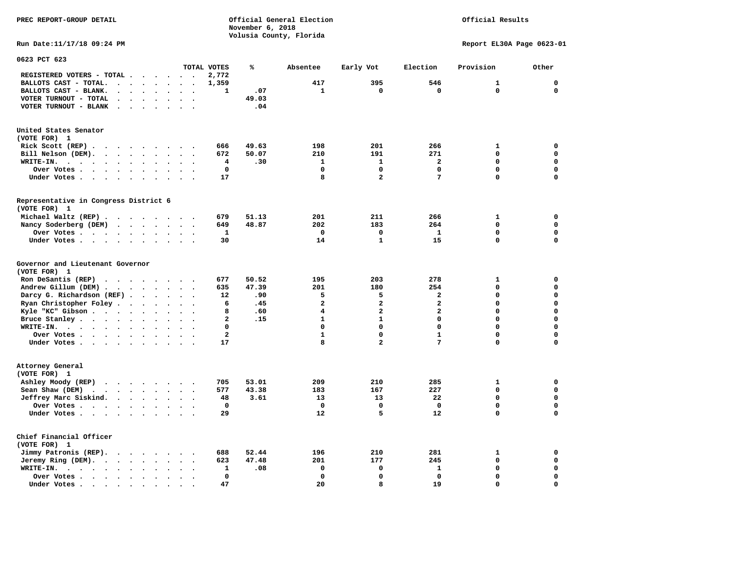# Official Results

**Run Date:11/17/18 09:24 PM Report EL30A Page 0623-01** 

| 0623 PCT 623                                                                                                                                                     |                                 |                      |               |                      |                                              |                                                           |                          |                         |                       |                 |                         |                            |                       |                       |
|------------------------------------------------------------------------------------------------------------------------------------------------------------------|---------------------------------|----------------------|---------------|----------------------|----------------------------------------------|-----------------------------------------------------------|--------------------------|-------------------------|-----------------------|-----------------|-------------------------|----------------------------|-----------------------|-----------------------|
|                                                                                                                                                                  |                                 |                      |               |                      |                                              |                                                           |                          | TOTAL VOTES             | ℁                     | Absentee        | Early Vot               | Election                   | Provision             | Other                 |
| REGISTERED VOTERS - TOTAL .                                                                                                                                      |                                 |                      |               |                      |                                              | $\bullet$                                                 |                          | 2,772                   |                       |                 |                         |                            |                       |                       |
| BALLOTS CAST - TOTAL.                                                                                                                                            | $\cdot$                         | $\ddot{\phantom{a}}$ |               | $\bullet$            | $\ddot{\phantom{a}}$                         | $\ddot{\phantom{a}}$                                      | $\bullet$                | 1,359                   |                       | 417             | 395                     | 546                        | 1                     | $\mathbf 0$           |
| BALLOTS CAST - BLANK.<br>$\bullet$                                                                                                                               | $\ddot{\phantom{a}}$            |                      |               |                      |                                              |                                                           |                          | 1                       | .07                   | 1               | $\mathbf 0$             | 0                          | 0                     | $\mathbf 0$           |
| VOTER TURNOUT - TOTAL<br>$\ddot{\phantom{a}}$                                                                                                                    | $\cdot$                         | $\cdot$              |               | $\ddot{\phantom{a}}$ | $\ddot{\phantom{a}}$                         | $\Delta$                                                  | $\ddot{\phantom{a}}$     |                         | 49.03                 |                 |                         |                            |                       |                       |
| VOTER TURNOUT - BLANK<br>$\ddot{\phantom{a}}$                                                                                                                    | $\ddot{\phantom{a}}$            |                      |               |                      |                                              |                                                           |                          |                         | .04                   |                 |                         |                            |                       |                       |
| United States Senator                                                                                                                                            |                                 |                      |               |                      |                                              |                                                           |                          |                         |                       |                 |                         |                            |                       |                       |
| (VOTE FOR) 1                                                                                                                                                     |                                 |                      |               |                      |                                              |                                                           |                          |                         |                       |                 |                         |                            |                       |                       |
| Rick Scott (REP).<br>$\cdots$                                                                                                                                    |                                 |                      |               |                      |                                              |                                                           |                          | 666                     | 49.63                 | 198             | 201                     | 266                        | 1                     | 0                     |
| Bill Nelson (DEM).<br>$\mathbf{r}$ , $\mathbf{r}$ , $\mathbf{r}$ , $\mathbf{r}$ , $\mathbf{r}$                                                                   |                                 |                      |               |                      | $\cdot$                                      | $\sim$                                                    |                          | 672                     | 50.07                 | 210             | 191                     | 271                        | $\mathbf 0$           | 0                     |
| WRITE-IN.<br>$\cdot$ $\cdot$<br>$\bullet$<br>$\sim$ $\sim$<br>$\overline{\phantom{a}}$                                                                           | $\ddot{\phantom{a}}$            | $\ddot{\phantom{a}}$ |               | $\bullet$            | $\ddot{\phantom{a}}$                         |                                                           |                          | 4                       | .30                   | $\mathbf{1}$    | $\mathbf{1}$            | $\overline{a}$             | $\mathbf{0}$          | $\mathbf 0$           |
| Over Votes.<br>$\ddot{\phantom{0}}$<br>$\langle \cdot \rangle$<br>$\sim$ 100 $\sim$                                                                              | $\bullet$                       | $\bullet$            |               | $\bullet$            | $\bullet$                                    |                                                           |                          | $\mathbf 0$             |                       | 0               | $\Omega$                | $\mathbf 0$                | $\mathbf 0$           | $\mathbf 0$           |
| Under Votes.<br>$\ddot{\phantom{1}}$<br>$\ddot{\phantom{1}}$                                                                                                     |                                 | $\ddot{\phantom{a}}$ |               |                      |                                              |                                                           |                          | 17                      |                       | 8               | $\overline{\mathbf{2}}$ | 7                          | 0                     | $\mathbf 0$           |
|                                                                                                                                                                  |                                 |                      |               |                      |                                              |                                                           |                          |                         |                       |                 |                         |                            |                       |                       |
| Representative in Congress District 6<br>(VOTE FOR) 1                                                                                                            |                                 |                      |               |                      |                                              |                                                           |                          |                         |                       |                 |                         |                            |                       |                       |
| Michael Waltz (REP).<br>$\sim$ $\sim$                                                                                                                            |                                 |                      | $\sim$ $\sim$ |                      | $\sim$                                       | $\sim$                                                    |                          | 679                     | 51.13                 | 201             | 211                     | 266                        | 1                     | 0                     |
| Nancy Soderberg (DEM)<br>$\cdot$ $\cdot$                                                                                                                         |                                 | $\sim$               |               | $\sim$ $\sim$        |                                              |                                                           |                          | 649                     | 48.87                 | 202             | 183                     | 264                        | $\mathbf{0}$          | $\mathbf 0$           |
| Over Votes                                                                                                                                                       |                                 | $\bullet$            |               | $\bullet$            | $\bullet$                                    | $\ddot{\phantom{a}}$                                      | $\overline{\phantom{a}}$ | 1                       |                       | $\mathbf 0$     | $\mathbf 0$             | 1                          | $\mathbf 0$           | $\mathbf 0$           |
| Under Votes                                                                                                                                                      |                                 | $\ddot{\phantom{1}}$ |               | $\ddot{\phantom{1}}$ | $\ddot{\phantom{a}}$                         | $\sim$                                                    |                          | 30                      |                       | 14              | $\mathbf{1}$            | 15                         | 0                     | $\mathbf 0$           |
| Governor and Lieutenant Governor<br>(VOTE FOR) 1<br>Ron DeSantis (REP)<br>$\cdots$<br>Andrew Gillum (DEM).<br>$\sim$ $\sim$ $\sim$<br>Darcy G. Richardson (REF). |                                 | $\ddot{\phantom{0}}$ | $\ddotsc$     | $\blacksquare$       | $\ddot{\phantom{a}}$<br>$\ddot{\phantom{1}}$ | <b>Contract Contract Contract</b><br>$\ddot{\phantom{1}}$ | $\ddot{\phantom{a}}$     | 677<br>635<br>12        | 50.52<br>47.39<br>.90 | 195<br>201<br>5 | 203<br>180<br>5         | 278<br>254<br>$\mathbf{2}$ | 1<br>0<br>$\mathbf 0$ | 0<br>0<br>$\mathbf 0$ |
| Ryan Christopher Foley                                                                                                                                           |                                 | $\ddot{\phantom{a}}$ |               | $\ddot{\phantom{a}}$ | $\ddot{\phantom{a}}$                         | $\sim$                                                    |                          | 6                       | .45                   | $\overline{a}$  | $\overline{\mathbf{2}}$ | $\mathbf{z}$               | $\mathbf 0$           | $\mathbf 0$           |
| Kyle "KC" Gibson                                                                                                                                                 |                                 | $\bullet$            |               | $\ddot{\phantom{a}}$ | $\ddot{\phantom{a}}$                         |                                                           |                          | 8                       | .60                   | 4               | $\mathbf{2}$            | $\mathbf{z}$               | 0                     | $\mathbf 0$           |
| Bruce Stanley                                                                                                                                                    |                                 | $\bullet$            |               | $\bullet$            | $\bullet$                                    | $\bullet$                                                 |                          | $\overline{\mathbf{2}}$ | .15                   | $\mathbf{1}$    | $\mathbf{1}$            | 0                          | 0                     | $\mathbf 0$           |
| WRITE-IN.                                                                                                                                                        |                                 | $\bullet$            |               |                      |                                              |                                                           |                          | $\mathbf 0$             |                       | 0               | 0                       | 0                          | 0                     | 0                     |
| Over Votes                                                                                                                                                       |                                 |                      |               | $\ddot{\phantom{1}}$ | $\bullet$                                    | $\ddot{\phantom{a}}$                                      | $\ddot{\phantom{a}}$     | $\overline{a}$          |                       | $\mathbf{1}$    | $\mathbf 0$             | $\mathbf{1}$               | $\mathbf 0$           | $\mathbf 0$           |
| Under Votes                                                                                                                                                      |                                 |                      |               | $\bullet$            | $\ddot{\phantom{0}}$                         |                                                           |                          | 17                      |                       | 8               | $\overline{\mathbf{2}}$ | 7                          | 0                     | $\mathbf 0$           |
|                                                                                                                                                                  |                                 |                      |               |                      |                                              |                                                           |                          |                         |                       |                 |                         |                            |                       |                       |
| Attorney General<br>(VOTE FOR) 1                                                                                                                                 |                                 |                      |               |                      |                                              |                                                           |                          |                         |                       |                 |                         |                            |                       |                       |
| Ashley Moody (REP)<br>$\cdot$ $\cdot$ $\cdot$ $\cdot$ $\cdot$ $\cdot$ $\cdot$ $\cdot$                                                                            |                                 |                      |               |                      |                                              |                                                           | $\cdot$                  | 705                     | 53.01                 | 209             | 210                     | 285                        | 1                     | 0                     |
| Sean Shaw (DEM)<br>$\cdots$ $\cdots$<br>$\sim$ $\sim$                                                                                                            |                                 |                      |               |                      | $\ddot{\phantom{a}}$                         | $\sim$                                                    |                          | 577                     | 43.38                 | 183             | 167                     | 227                        | 0                     | 0                     |
| Jeffrey Marc Siskind.<br>$\cdot$ $\cdot$ $\cdot$ $\cdot$                                                                                                         |                                 |                      |               |                      | $\ddot{\phantom{a}}$                         |                                                           |                          | 48                      | 3.61                  | 13              | 13                      | 22                         | $\mathbf 0$           | $\mathbf 0$           |
| Over Votes                                                                                                                                                       |                                 | $\bullet$            |               | $\bullet$            | $\bullet$                                    |                                                           |                          | $\mathbf{0}$            |                       | $\mathbf 0$     | $\Omega$                | $\Omega$                   | $\mathbf 0$           | $\mathbf 0$           |
| Under Votes                                                                                                                                                      |                                 | $\sim$               |               | $\ddot{\phantom{a}}$ |                                              |                                                           |                          | 29                      |                       | 12              | 5                       | 12                         | 0                     | $\mathbf 0$           |
| Chief Financial Officer<br>(VOTE FOR) 1                                                                                                                          |                                 |                      |               |                      |                                              |                                                           |                          |                         |                       |                 |                         |                            |                       |                       |
| Jimmy Patronis (REP).                                                                                                                                            | $\cdot$ $\cdot$ $\cdot$ $\cdot$ |                      |               |                      | $\ddot{\phantom{1}}$                         |                                                           |                          | 688                     | 52.44                 | 196             | 210                     | 281                        | 1                     | 0                     |
| Jeremy Ring (DEM).<br>$\sim$ $\sim$<br>$\bullet$                                                                                                                 | $\ddot{\phantom{a}}$            | $\bullet$            |               |                      |                                              |                                                           |                          | 623                     | 47.48                 | 201             | 177                     | 245                        | $\mathbf{0}$          | $\mathbf 0$           |
| WRITE-IN.<br>$\cdot$ $\cdot$ $\cdot$ $\cdot$ $\cdot$                                                                                                             | $\bullet$                       | $\bullet$            |               |                      | $\bullet$                                    | $\ddot{\phantom{a}}$                                      |                          | 1                       | .08                   | 0               | $\mathbf 0$             | 1                          | $\mathbf 0$           | $\mathbf 0$           |
| Over Votes .<br>$\sim$ $\sim$<br>$\sim$                                                                                                                          | $\ddot{\phantom{a}}$            | $\bullet$            |               |                      |                                              |                                                           |                          | $\mathbf 0$             |                       | 0               | 0                       | 0                          | $\Omega$              | 0                     |
| Under Votes                                                                                                                                                      |                                 | $\ddot{\phantom{a}}$ |               |                      |                                              |                                                           |                          | 47                      |                       | 20              | 8                       | 19                         | $\mathbf 0$           | $\mathbf 0$           |
|                                                                                                                                                                  |                                 |                      |               |                      |                                              |                                                           |                          |                         |                       |                 |                         |                            |                       |                       |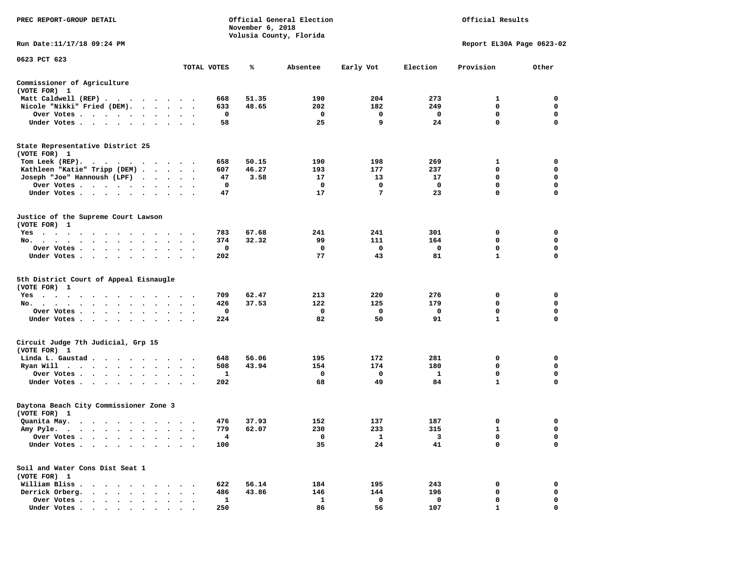| PREC REPORT-GROUP DETAIL                                                                                      |                                   |              | November 6, 2018 | Official General Election<br>Volusia County, Florida | Official Results |             |                           |             |
|---------------------------------------------------------------------------------------------------------------|-----------------------------------|--------------|------------------|------------------------------------------------------|------------------|-------------|---------------------------|-------------|
| Run Date: 11/17/18 09:24 PM                                                                                   |                                   |              |                  |                                                      |                  |             | Report EL30A Page 0623-02 |             |
| 0623 PCT 623                                                                                                  |                                   | TOTAL VOTES  | ℁                | Absentee                                             | Early Vot        | Election    | Provision                 | Other       |
| Commissioner of Agriculture<br>(VOTE FOR) 1                                                                   |                                   |              |                  |                                                      |                  |             |                           |             |
| Matt Caldwell (REP)                                                                                           |                                   | 668          | 51.35            | 190                                                  | 204              | 273         | 1                         | 0           |
| Nicole "Nikki" Fried (DEM).                                                                                   |                                   | 633          | 48.65            | 202                                                  | 182              | 249         | 0                         | 0           |
| Over Votes<br>$\sim$<br>$\bullet$                                                                             | $\cdot$                           | 0            |                  | 0                                                    | 0                | 0           | $\mathbf 0$               | 0           |
| Under Votes<br>$\ddot{\phantom{1}}$                                                                           |                                   | 58           |                  | 25                                                   | 9                | 24          | $\mathbf 0$               | 0           |
| State Representative District 25<br>(VOTE FOR) 1                                                              |                                   |              |                  |                                                      |                  |             |                           |             |
| Tom Leek (REP).                                                                                               |                                   | 658          | 50.15            | 190                                                  | 198              | 269         | 1                         | 0           |
| Kathleen "Katie" Tripp (DEM)                                                                                  |                                   | 607          | 46.27            | 193                                                  | 177              | 237         | 0                         | 0           |
| Joseph "Joe" Hannoush (LPF) .<br>$\cdot$ $\cdot$                                                              | $\ddotsc$ $\ddotsc$               | 47           | 3.58             | 17                                                   | 13               | 17          | 0                         | 0           |
| Over Votes                                                                                                    | $\bullet$ .<br>$\bullet$          | 0            |                  | 0                                                    | 0                | 0           | $\mathbf 0$               | $\mathbf 0$ |
| Under Votes                                                                                                   |                                   | 47           |                  | 17                                                   | 7                | 23          | $\Omega$                  | 0           |
| Justice of the Supreme Court Lawson<br>(VOTE FOR) 1                                                           |                                   |              |                  |                                                      |                  |             |                           |             |
| $Yes \cdot \cdot \cdot$<br>$\bullet$<br>$\bullet$<br>$\bullet$<br>$\cdot$ $\cdot$ $\cdot$ $\cdot$             | $\sim$ $\sim$                     | 783          | 67.68            | 241                                                  | 241              | 301         | 0                         | 0           |
| No.<br>$\bullet$                                                                                              |                                   | 374          | 32.32            | 99                                                   | 111              | 164         | 0                         | 0           |
| Over Votes<br>$\bullet$<br>$\bullet$<br>$\bullet$<br>$\bullet$                                                |                                   | 0            |                  | 0                                                    | 0                | 0           | 0                         | 0           |
| Under Votes<br>$\sim$                                                                                         |                                   | 202          |                  | 77                                                   | 43               | 81          | $\mathbf{1}$              | $\mathbf 0$ |
| 5th District Court of Appeal Eisnaugle<br>(VOTE FOR) 1                                                        |                                   |              |                  |                                                      |                  |             |                           |             |
| $Yes \cdot \cdot \cdot$<br>$\sim$ 100 $\sim$<br>$\sim$<br>$\overline{\phantom{a}}$<br>$\cdot$ $\cdot$ $\cdot$ | $\cdot$ $\cdot$ $\cdot$           | 709          | 62.47            | 213                                                  | 220              | 276         | 0                         | 0           |
| No.<br>$\bullet$                                                                                              | $\ddot{\phantom{1}}$              | 426          | 37.53            | 122                                                  | 125              | 179         | $\mathbf 0$               | $\mathbf 0$ |
| Over Votes<br>$\bullet$                                                                                       |                                   | 0            |                  | 0                                                    | 0                | 0           | 0                         | 0           |
| Under Votes<br>$\bullet$                                                                                      | $\bullet$<br>$\ddot{\phantom{0}}$ | 224          |                  | 82                                                   | 50               | 91          | $\mathbf{1}$              | $\Omega$    |
| Circuit Judge 7th Judicial, Grp 15<br>(VOTE FOR) 1                                                            |                                   |              |                  |                                                      |                  |             |                           |             |
| Linda L. Gaustad                                                                                              |                                   | 648          | 56.06            | 195                                                  | 172              | 281         | 0                         | 0           |
| Ryan Will                                                                                                     | $\cdot$                           | 508          | 43.94            | 154                                                  | 174              | 180         | 0                         | 0           |
| Over Votes<br>$\sim$                                                                                          | $\cdot$                           | 1            |                  | 0                                                    | 0                | 1           | 0                         | 0           |
| Under Votes<br>$\ddot{\phantom{1}}$                                                                           | $\sim$ $\sim$                     | 202          |                  | 68                                                   | 49               | 84          | 1                         | 0           |
| Daytona Beach City Commissioner Zone 3<br>(VOTE FOR) 1                                                        |                                   |              |                  |                                                      |                  |             |                           |             |
| Quanita May.                                                                                                  |                                   | 476          | 37.93            | 152                                                  | 137              | 187         | 0                         | 0           |
| Amy Pyle.<br>$\cdots$<br>$\overline{\phantom{a}}$                                                             |                                   | 779          | 62.07            | 230                                                  | 233              | 315         | $\mathbf{1}$              | $\mathbf 0$ |
| Over Votes.<br>$\bullet$ . $\bullet$<br>$\bullet$                                                             |                                   | 4            |                  | 0                                                    | 1                | 3           | 0                         | 0           |
| Under Votes                                                                                                   |                                   | 100          |                  | 35                                                   | 24               | 41          | 0                         | 0           |
| Soil and Water Cons Dist Seat 1<br>(VOTE FOR) 1                                                               |                                   |              |                  |                                                      |                  |             |                           |             |
| William Bliss.<br>$\ddot{\phantom{0}}$<br>$\cdot$ $\cdot$ $\cdot$                                             |                                   | 622          | 56.14            | 184                                                  | 195              | 243         | 0                         | 0           |
| Derrick Orberg.<br>$\cdot$ $\cdot$ $\cdot$ $\cdot$ $\cdot$ $\cdot$                                            |                                   | 486          | 43.86            | 146                                                  | 144              | 196         | 0                         | 0           |
| Over Votes .<br>$\mathbf{r}$ , $\mathbf{r}$ , $\mathbf{r}$ , $\mathbf{r}$                                     |                                   | $\mathbf{1}$ |                  | $\mathbf{1}$                                         | 0                | $\mathbf 0$ | 0                         | 0           |
| Under Votes                                                                                                   |                                   | 250          |                  | 86                                                   | 56               | 107         | $\mathbf{1}$              | $\mathbf 0$ |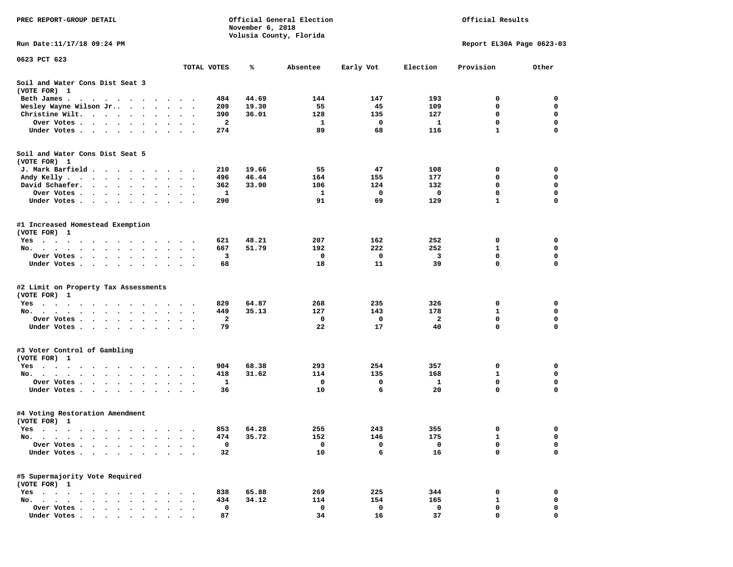| PREC REPORT-GROUP DETAIL                                                                                                                                                                                                                     |                          | November 6, 2018 | Official General Election |                         | Official Results |                           |              |             |
|----------------------------------------------------------------------------------------------------------------------------------------------------------------------------------------------------------------------------------------------|--------------------------|------------------|---------------------------|-------------------------|------------------|---------------------------|--------------|-------------|
| Run Date: 11/17/18 09:24 PM                                                                                                                                                                                                                  |                          |                  |                           | Volusia County, Florida |                  | Report EL30A Page 0623-03 |              |             |
| 0623 PCT 623                                                                                                                                                                                                                                 |                          |                  |                           |                         |                  |                           |              |             |
|                                                                                                                                                                                                                                              |                          | TOTAL VOTES      | ℁                         | Absentee                | Early Vot        | Election                  | Provision    | Other       |
| Soil and Water Cons Dist Seat 3<br>(VOTE FOR) 1                                                                                                                                                                                              |                          |                  |                           |                         |                  |                           |              |             |
| Beth James.<br>. The contract of the contract of the contract of the contract of the contract of the contract of the contract of the contract of the contract of the contract of the contract of the contract of the contract of the contrac |                          | 484              | 44.69                     | 144                     | 147              | 193                       | 0            | 0           |
| Wesley Wayne Wilson Jr<br>$\bullet$                                                                                                                                                                                                          | $\bullet$ .<br>$\bullet$ | 209              | 19.30                     | 55                      | 45               | 109                       | 0            | 0           |
| Christine Wilt.<br>the contract of the contract of the contract of the contract of the contract of the contract of the contract of                                                                                                           |                          | 390              | 36.01                     | 128                     | 135              | 127                       | 0            | 0           |
| Over Votes.<br>$\cdots$                                                                                                                                                                                                                      |                          | 2                |                           | 1                       | 0                | <b>1</b>                  | $\mathbf 0$  | $\mathbf 0$ |
| Under Votes.<br>$\cdots$<br>$\ddot{\phantom{0}}$                                                                                                                                                                                             |                          | 274              |                           | 89                      | 68               | 116                       | 1            | 0           |
| Soil and Water Cons Dist Seat 5                                                                                                                                                                                                              |                          |                  |                           |                         |                  |                           |              |             |
| (VOTE FOR) 1                                                                                                                                                                                                                                 |                          |                  |                           |                         |                  |                           |              |             |
| J. Mark Barfield<br>Andy Kelly                                                                                                                                                                                                               |                          | 210<br>496       | 19.66<br>46.44            | 55<br>164               | 47<br>155        | 108<br>177                | 0<br>0       | 0<br>0      |
| David Schaefer.<br>$\bullet$ , $\bullet$ , $\bullet$ , $\bullet$ , $\bullet$<br>$\bullet$<br>$\ddot{\phantom{a}}$<br>$\bullet$                                                                                                               |                          | 362              | 33.90                     | 106                     | 124              | 132                       | 0            | $\mathbf 0$ |
| $\bullet$<br>Over Votes .                                                                                                                                                                                                                    | $\bullet$                | 1                |                           | 1                       | 0                | 0                         | 0            | 0           |
| Under Votes<br>$\sim$ $\sim$                                                                                                                                                                                                                 | $\ddot{\phantom{1}}$     | 290              |                           | 91                      | 69               | 129                       | $\mathbf{1}$ | 0           |
| #1 Increased Homestead Exemption<br>(VOTE FOR) 1                                                                                                                                                                                             |                          |                  |                           |                         |                  |                           |              |             |
| Yes                                                                                                                                                                                                                                          |                          | 621              | 48.21                     | 207                     | 162              | 252                       | 0            | 0           |
| No.<br>$\bullet$                                                                                                                                                                                                                             |                          | 667              | 51.79                     | 192                     | 222              | 252                       | 1            | 0           |
| Over Votes<br>$\sim$ $\sim$                                                                                                                                                                                                                  |                          | 3                |                           | 0                       | 0                | 3                         | 0            | 0           |
| Under Votes                                                                                                                                                                                                                                  |                          | 68               |                           | 18                      | 11               | 39                        | 0            | $\mathbf 0$ |
| #2 Limit on Property Tax Assessments<br>(VOTE FOR) 1                                                                                                                                                                                         |                          |                  |                           |                         |                  |                           |              |             |
| $Yes \cdot \cdot \cdot \cdot \cdot$<br>$\sim$ $\sim$ $\sim$<br>$\sim$                                                                                                                                                                        |                          | 829              | 64.87                     | 268                     | 235              | 326                       | 0            | 0           |
| No.                                                                                                                                                                                                                                          |                          | 449              | 35.13                     | 127                     | 143              | 178                       | 1            | 0           |
| Over Votes .<br>$\sim$ $\sim$ $\sim$<br>$\bullet$ .<br>$\bullet$ .<br>$\bullet$ .<br>$\bullet$<br>$\bullet$                                                                                                                                  |                          | 2                |                           | 0                       | 0                | 2                         | 0            | 0           |
| Under Votes                                                                                                                                                                                                                                  |                          | 79               |                           | 22                      | 17               | 40                        | 0            | $\mathbf 0$ |
| #3 Voter Control of Gambling<br>(VOTE FOR) 1                                                                                                                                                                                                 |                          |                  |                           |                         |                  |                           |              |             |
| Yes                                                                                                                                                                                                                                          |                          | 904              | 68.38                     | 293                     | 254              | 357                       | 0            | 0           |
| No.                                                                                                                                                                                                                                          | $\ddot{\phantom{1}}$     | 418              | 31.62                     | 114                     | 135              | 168                       | 1            | $\mathbf 0$ |
| Over Votes .<br>$\begin{array}{cccccccccccccc} \bullet & \bullet & \bullet & \bullet & \bullet & \bullet & \bullet & \bullet & \bullet \end{array}$                                                                                          |                          | 1                |                           | 0                       | 0                | 1                         | 0            | 0           |
| Under Votes<br>$\sim$ $\sim$                                                                                                                                                                                                                 | $\sim$ $\sim$            | 36               |                           | 10                      | 6                | 20                        | 0            | 0           |
| #4 Voting Restoration Amendment<br>(VOTE FOR) 1                                                                                                                                                                                              |                          |                  |                           |                         |                  |                           |              |             |
| Yes                                                                                                                                                                                                                                          |                          | 853              | 64.28                     | 255                     | 243              | 355                       | 0            | 0           |
| No.<br>$\ddot{\phantom{1}}$                                                                                                                                                                                                                  |                          | 474              | 35.72                     | 152                     | 146              | 175                       | 1            | 0           |
| Over Votes                                                                                                                                                                                                                                   |                          | 0                |                           | 0                       | 0                | 0                         | 0            | 0           |
| Under Votes.                                                                                                                                                                                                                                 |                          | 32               |                           | 10                      | 6                | 16                        | 0            | $\mathbf 0$ |
| #5 Supermajority Vote Required<br>(VOTE FOR) 1                                                                                                                                                                                               |                          |                  |                           |                         |                  |                           |              |             |
| $Yes \t . \t .$                                                                                                                                                                                                                              |                          | 838              | 65.88                     | 269                     | 225              | 344                       | 0            | 0           |
| $No.$ $\ldots$ $\ldots$                                                                                                                                                                                                                      |                          | 434              | 34.12                     | 114                     | 154              | 165                       | 1            | 0           |
| Over Votes<br>$\ddot{\phantom{a}}$                                                                                                                                                                                                           |                          | 0                |                           | 0                       | 0                | 0                         | 0            | 0           |
| Under Votes                                                                                                                                                                                                                                  |                          | 87               |                           | 34                      | 16               | 37                        | 0            | $\mathbf 0$ |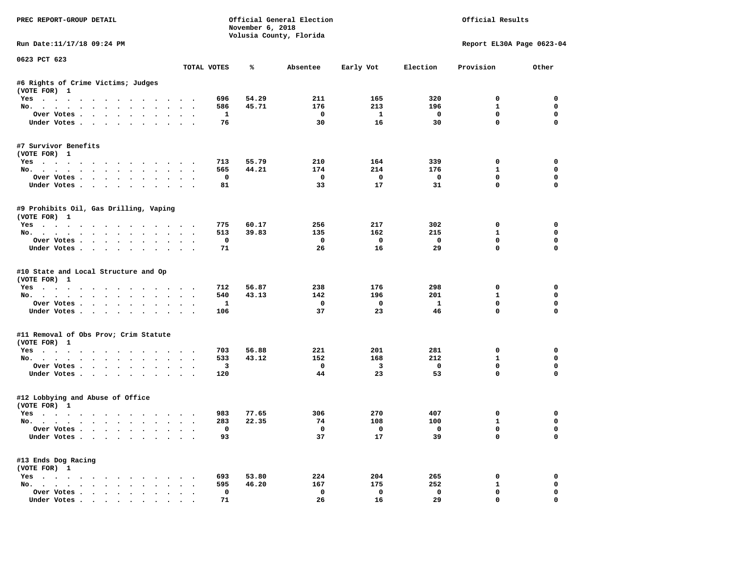| PREC REPORT-GROUP DETAIL                                                                                                                                                                                                                                 |                                    | November 6, 2018 | Official General Election<br>Volusia County, Florida |                               |                   | Official Results           |                            |
|----------------------------------------------------------------------------------------------------------------------------------------------------------------------------------------------------------------------------------------------------------|------------------------------------|------------------|------------------------------------------------------|-------------------------------|-------------------|----------------------------|----------------------------|
| Run Date:11/17/18 09:24 PM                                                                                                                                                                                                                               |                                    |                  |                                                      |                               |                   |                            | Report EL30A Page 0623-04  |
| 0623 PCT 623                                                                                                                                                                                                                                             | TOTAL VOTES                        | ℁                | Absentee                                             | Early Vot                     | Election          | Provision                  | Other                      |
| #6 Rights of Crime Victims; Judges<br>(VOTE FOR) 1                                                                                                                                                                                                       |                                    |                  |                                                      |                               |                   |                            |                            |
| Yes                                                                                                                                                                                                                                                      | 696                                | 54.29            | 211                                                  | 165                           | 320               | $^{\circ}$                 | 0                          |
| No.                                                                                                                                                                                                                                                      | 586                                | 45.71            | 176                                                  | 213                           | 196               | 1                          | $\mathbf 0$                |
| Over Votes                                                                                                                                                                                                                                               |                                    | <b>1</b>         | $\mathbf{o}$                                         | $\mathbf{1}$                  | $\mathbf{o}$      | 0                          | 0                          |
| Under Votes<br>$\sim$                                                                                                                                                                                                                                    | 76                                 |                  | 30                                                   | 16                            | 30                | $\mathbf 0$                | $\Omega$                   |
| #7 Survivor Benefits<br>(VOTE FOR) 1                                                                                                                                                                                                                     |                                    |                  |                                                      |                               |                   |                            |                            |
| Yes                                                                                                                                                                                                                                                      | 713                                | 55.79            | 210                                                  | 164                           | 339               | 0                          | 0                          |
| No.                                                                                                                                                                                                                                                      | 565                                | 44.21            | 174                                                  | 214                           | 176               | 1                          | 0                          |
| Over Votes                                                                                                                                                                                                                                               |                                    | 0                | 0                                                    | 0                             | $\mathbf{o}$      | $\mathbf 0$                | 0                          |
| Under Votes<br>$\ddot{\phantom{a}}$                                                                                                                                                                                                                      | 81                                 |                  | 33                                                   | 17                            | 31                | $\mathbf 0$                | $\mathbf 0$                |
| #9 Prohibits Oil, Gas Drilling, Vaping<br>(VOTE FOR) 1                                                                                                                                                                                                   |                                    |                  |                                                      |                               |                   |                            |                            |
| Yes                                                                                                                                                                                                                                                      | 775                                | 60.17            | 256                                                  | 217                           | 302               | 0                          | $\mathbf 0$                |
| No.                                                                                                                                                                                                                                                      | 513                                | 39.83            | 135                                                  | 162                           | 215               | 1                          | 0                          |
| Over Votes<br>$\bullet$ .<br>$\ddot{\phantom{0}}$                                                                                                                                                                                                        | $\sim$<br>$\overline{\phantom{a}}$ | $\mathbf{o}$     | 0                                                    | 0                             | $\mathbf 0$       | $\mathbf 0$                | $\mathbf 0$                |
| Under Votes                                                                                                                                                                                                                                              | 71                                 |                  | 26                                                   | 16                            | 29                | $\Omega$                   | $\Omega$                   |
| #10 State and Local Structure and Op<br>(VOTE FOR) 1                                                                                                                                                                                                     |                                    |                  |                                                      |                               |                   |                            |                            |
| Yes                                                                                                                                                                                                                                                      | 712                                | 56.87            | 238                                                  | 176                           | 298               | 0                          | 0                          |
| No.<br>$\sim$ $\sim$ $\sim$<br>$\ddot{\phantom{a}}$<br>$\sim$<br>$\cdot$                                                                                                                                                                                 | 540                                | 43.13            | 142                                                  | 196                           | 201               | 1                          | 0                          |
| Over Votes                                                                                                                                                                                                                                               | $\sim$ $\sim$                      | 1                | 0                                                    | 0                             | $\mathbf{1}$      | $\mathbf 0$                | 0                          |
| Under Votes<br>$\sim$<br>$\ddot{\phantom{a}}$                                                                                                                                                                                                            | 106                                |                  | 37                                                   | 23                            | 46                | $\Omega$                   | $\Omega$                   |
| #11 Removal of Obs Prov; Crim Statute<br>(VOTE FOR) 1                                                                                                                                                                                                    |                                    |                  |                                                      |                               |                   |                            |                            |
| Yes                                                                                                                                                                                                                                                      | 703                                | 56.88            | 221                                                  | 201                           | 281               | 0                          | $\mathbf 0$                |
| No.                                                                                                                                                                                                                                                      | 533                                | 43.12            | 152                                                  | 168                           | 212               | 1                          | 0                          |
| Over Votes<br>$\ddot{\phantom{1}}$<br>$\bullet$<br>Under Votes                                                                                                                                                                                           | 120<br>$\cdot$                     | 3                | $\mathbf{o}$<br>44                                   | $\overline{\mathbf{3}}$<br>23 | $\mathbf 0$<br>53 | 0<br>0                     | 0<br>$\mathbf 0$           |
| #12 Lobbying and Abuse of Office<br>(VOTE FOR) 1                                                                                                                                                                                                         |                                    |                  |                                                      |                               |                   |                            |                            |
| Yes                                                                                                                                                                                                                                                      | 983                                | 77.65            | 306                                                  | 270                           | 407               | 0                          | 0                          |
| No.                                                                                                                                                                                                                                                      | 283<br>$\sim$ $\sim$<br>$\cdot$    | 22.35            | 74                                                   | 108                           | 100               | $\mathbf{1}$               | $\mathbf 0$                |
| Over Votes<br>Under Votes<br>$\ddot{\phantom{1}}$<br>$\ddot{\phantom{a}}$                                                                                                                                                                                | $\cdot$ $\cdot$ $\cdot$<br>93      | $\mathbf 0$      | $^{\circ}$<br>37                                     | $\mathbf 0$<br>17             | $\mathbf 0$<br>39 | $\mathbf 0$<br>$\mathbf 0$ | $\mathbf 0$<br>0           |
|                                                                                                                                                                                                                                                          |                                    |                  |                                                      |                               |                   |                            |                            |
| #13 Ends Dog Racing<br>(VOTE FOR) 1                                                                                                                                                                                                                      |                                    |                  |                                                      |                               |                   |                            |                            |
| $Yes \cdot \cdot \cdot$<br>. The contract contract of the contract of the contract of the contract of the contract of the contract of the contract of the contract of the contract of the contract of the contract of the contract of the contract of th | 693                                | 53.80            | 224                                                  | 204                           | 265               | 0                          | 0                          |
| No.                                                                                                                                                                                                                                                      | 595<br>$\bullet$                   | 46.20            | 167                                                  | 175                           | 252               | 1<br>$\mathbf 0$           | 0                          |
| Over Votes<br>$\bullet$<br>Under Votes.                                                                                                                                                                                                                  | 71                                 | 0                | $\mathbf 0$<br>26                                    | $\mathbf 0$<br>16             | $\mathbf 0$<br>29 | $\mathbf 0$                | $\mathbf 0$<br>$\mathbf 0$ |
|                                                                                                                                                                                                                                                          |                                    |                  |                                                      |                               |                   |                            |                            |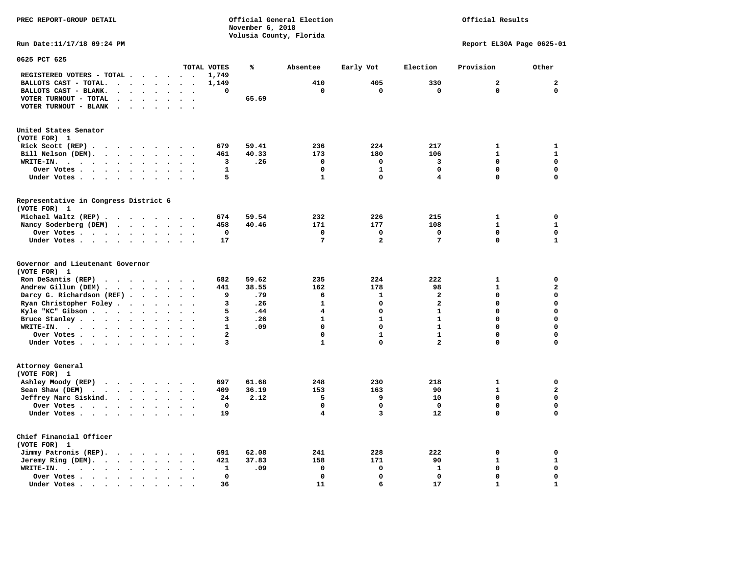Official Results

**Run Date:11/17/18 09:24 PM Report EL30A Page 0625-01** 

| 0625 PCT 625                                                                                                                |                                                  |                |       |                 |                         |                         |                |              |
|-----------------------------------------------------------------------------------------------------------------------------|--------------------------------------------------|----------------|-------|-----------------|-------------------------|-------------------------|----------------|--------------|
|                                                                                                                             |                                                  | TOTAL VOTES    | ℁     | Absentee        | Early Vot               | Election                | Provision      | Other        |
| REGISTERED VOTERS - TOTAL .<br>$\sim$<br>$\ddot{\phantom{a}}$<br>$\ddot{\phantom{a}}$                                       | $\sim$<br>$\ddot{\phantom{0}}$                   | 1,749          |       |                 |                         |                         |                |              |
| BALLOTS CAST - TOTAL.<br>$\sim$<br>$\ddot{\phantom{a}}$<br>$\bullet$<br>$\ddot{\phantom{a}}$                                |                                                  | 1,149          |       | 410             | 405                     | 330                     | $\overline{a}$ | $\mathbf{2}$ |
| BALLOTS CAST - BLANK.<br>$\ddot{\phantom{a}}$<br>$\ddot{\phantom{a}}$<br>$\bullet$<br>$\bullet$<br>$\bullet$                | $\bullet$<br>$\bullet$                           | 0              |       | $\mathbf 0$     | $\mathbf 0$             | $\mathbf 0$             | $\mathbf 0$    | $\mathbf 0$  |
| VOTER TURNOUT - TOTAL<br>$\bullet$<br>$\ddot{\phantom{a}}$<br>$\ddot{\phantom{1}}$                                          |                                                  |                | 65.69 |                 |                         |                         |                |              |
| VOTER TURNOUT - BLANK<br>$\overline{\phantom{a}}$                                                                           |                                                  |                |       |                 |                         |                         |                |              |
|                                                                                                                             |                                                  |                |       |                 |                         |                         |                |              |
|                                                                                                                             |                                                  |                |       |                 |                         |                         |                |              |
| United States Senator                                                                                                       |                                                  |                |       |                 |                         |                         |                |              |
| (VOTE FOR) 1                                                                                                                |                                                  |                |       |                 |                         |                         |                |              |
| Rick Scott (REP).<br>$\ddot{\phantom{a}}$<br>$\sim$ $\sim$ $\sim$<br>$\sim$ $\sim$<br>$\sim$                                | $\overline{\phantom{a}}$                         | 679            | 59.41 | 236             | 224                     | 217                     | 1              | $\mathbf{1}$ |
| Bill Nelson (DEM).<br>$\cdots$                                                                                              |                                                  | 461            | 40.33 | 173             | 180                     | 106                     | $\mathbf{1}$   | $\mathbf{1}$ |
| WRITE-IN.<br>$\cdot$ $\cdot$ $\cdot$<br>$\cdot$ $\cdot$ $\cdot$ $\cdot$<br>$\ddot{\phantom{a}}$<br>$\bullet$                |                                                  | з              | .26   | $\mathbf 0$     | 0                       | 3                       | $\Omega$       | $\mathbf{0}$ |
| Over Votes<br>$\bullet$<br>$\sim$                                                                                           |                                                  | 1              |       | $\Omega$        | $\mathbf{1}$            | $\mathbf 0$             | 0              | $\mathbf 0$  |
| Under Votes<br>$\bullet$<br>$\bullet$                                                                                       | $\cdot$<br>$\cdot$                               | 5              |       | $\mathbf{1}$    | $\Omega$                | 4                       | $\mathbf 0$    | $\mathbf 0$  |
|                                                                                                                             |                                                  |                |       |                 |                         |                         |                |              |
| Representative in Congress District 6                                                                                       |                                                  |                |       |                 |                         |                         |                |              |
| (VOTE FOR) 1                                                                                                                |                                                  |                |       |                 |                         |                         |                |              |
| Michael Waltz (REP)                                                                                                         |                                                  | 674            | 59.54 | 232             | 226                     | 215                     | 1              | 0            |
| Nancy Soderberg (DEM)                                                                                                       | $\bullet$                                        | 458            | 40.46 | 171             | 177                     | 108                     | $\mathbf{1}$   | $\mathbf{1}$ |
| Over Votes .<br>$\sim$ $\sim$ $\sim$ $\sim$<br>$\ddot{\phantom{a}}$<br>$\bullet$                                            |                                                  | 0              |       | 0               | 0                       | $\mathbf 0$             | 0              | $\mathbf 0$  |
| Under Votes<br>$\ddot{\phantom{a}}$<br>$\bullet$                                                                            | $\sim$<br>$\ddot{\phantom{a}}$                   | 17             |       | $7\phantom{.0}$ | $\overline{\mathbf{2}}$ | 7                       | $\mathbf 0$    | $\mathbf{1}$ |
| Governor and Lieutenant Governor                                                                                            |                                                  |                |       |                 |                         |                         |                |              |
| (VOTE FOR) 1                                                                                                                |                                                  |                |       |                 |                         |                         |                |              |
| Ron DeSantis (REP)<br>$\cdot$ $\cdot$ $\cdot$ $\cdot$ $\cdot$ $\cdot$ $\cdot$                                               |                                                  | 682            | 59.62 | 235             | 224                     | 222                     | $\mathbf{1}$   | $\mathbf 0$  |
| Andrew Gillum (DEM)<br>$\ddot{\phantom{1}}$                                                                                 | $\ddot{\phantom{1}}$<br>$\bullet$                | 441            | 38.55 | 162             | 178                     | 98                      | $\mathbf{1}$   | $\mathbf{z}$ |
| Darcy G. Richardson (REF).<br>$\ddot{\phantom{a}}$<br>$\ddot{\phantom{a}}$                                                  |                                                  | 9              | .79   | 6               | $\mathbf{1}$            | 2                       | 0              | 0            |
| Ryan Christopher Foley.<br>$\sim$ $\sim$<br>$\bullet$<br>$\bullet$                                                          |                                                  | з              | .26   | $\mathbf{1}$    | $\Omega$                | $\overline{a}$          | $\Omega$       | $\mathbf 0$  |
| Kyle "KC" Gibson.<br>$\mathcal{A}=\mathcal{A}=\mathcal{A}$ .<br>$\bullet$<br>$\ddot{\phantom{a}}$<br>$\bullet$              | $\ddot{\phantom{a}}$<br>$\overline{\phantom{a}}$ | 5              | .44   | $\overline{4}$  | $\Omega$                | $\mathbf{1}$            | $\mathbf 0$    | $\mathbf 0$  |
| Bruce Stanley<br>$\ddot{\phantom{a}}$                                                                                       |                                                  | 3              | .26   | $\mathbf{1}$    | $\mathbf{1}$            | $\mathbf{1}$            | 0              | $\mathbf 0$  |
| WRITE-IN.<br>$\cdots$<br>$\sim$                                                                                             |                                                  | $\mathbf{1}$   | .09   | $\mathbf 0$     | $\Omega$                | $\mathbf{1}$            | 0              | $\mathbf 0$  |
| Over Votes<br>$\ddot{\phantom{0}}$<br>$\bullet$                                                                             |                                                  | $\overline{a}$ |       | $\Omega$        | $\mathbf{1}$            | $\mathbf{1}$            | 0              | $\mathbf 0$  |
| Under Votes<br>$\cdot$                                                                                                      | $\ddot{\phantom{a}}$                             | 3              |       | $\mathbf{1}$    | $\mathbf 0$             | $\overline{\mathbf{2}}$ | 0              | $\mathbf 0$  |
|                                                                                                                             |                                                  |                |       |                 |                         |                         |                |              |
| Attorney General                                                                                                            |                                                  |                |       |                 |                         |                         |                |              |
| (VOTE FOR) 1                                                                                                                |                                                  |                |       |                 |                         |                         |                |              |
| Ashley Moody (REP)                                                                                                          | $\sim$                                           | 697            | 61.68 | 248             | 230                     | 218                     | 1              | 0            |
| Sean Shaw (DEM)<br>$\cdots$<br>$\ddot{\phantom{a}}$                                                                         |                                                  | 409            | 36.19 | 153             | 163                     | 90                      | $\mathbf{1}$   | $\mathbf 2$  |
| Jeffrey Marc Siskind.<br>$\sim$ $\sim$ $\sim$ $\sim$<br>$\ddot{\phantom{a}}$<br>$\bullet$                                   | $\ddot{\phantom{a}}$<br>$\ddot{\phantom{a}}$     | 24             | 2.12  | 5               | 9                       | 10                      | 0              | $\mathbf 0$  |
| Over Votes<br>$\ddot{\phantom{0}}$                                                                                          |                                                  | $\Omega$       |       | $\Omega$        | $\mathbf 0$             | $\mathbf 0$             | 0              | $\mathbf 0$  |
| Under Votes<br>$\ddot{\phantom{0}}$                                                                                         |                                                  | 19             |       | 4               | 3                       | 12                      | 0              | $\mathbf 0$  |
|                                                                                                                             |                                                  |                |       |                 |                         |                         |                |              |
| Chief Financial Officer                                                                                                     |                                                  |                |       |                 |                         |                         |                |              |
| (VOTE FOR) 1                                                                                                                |                                                  |                |       |                 |                         |                         |                |              |
| Jimmy Patronis (REP).<br>$\mathbf{r}$ , and $\mathbf{r}$ , and $\mathbf{r}$<br>$\ddot{\phantom{a}}$<br>$\ddot{\phantom{a}}$ |                                                  | 691            | 62.08 | 241             | 228                     | 222                     | 0              | 0            |
| Jeremy Ring (DEM).<br>$\bullet$<br>$\bullet$                                                                                | $\ddot{\phantom{1}}$<br>$\bullet$                | 421            | 37.83 | 158             | 171                     | 90                      | $\mathbf{1}$   | ${\bf 1}$    |
| WRITE-IN.<br>$\bullet$<br>$\bullet$<br>$\bullet$<br>$\sim$<br>$\ddot{\phantom{1}}$                                          |                                                  | 1              | .09   | $\mathbf 0$     | $\mathbf 0$             | $\mathbf{1}$            | 0              | $\mathbf 0$  |
| Over Votes .<br>$\sim$ $\sim$ $\sim$ $\sim$ $\sim$<br>$\bullet$                                                             |                                                  | $\Omega$       |       | $\Omega$        | $\Omega$                | $\mathbf 0$             | $\mathbf 0$    | $\mathbf 0$  |
| Under Votes .<br>$\bullet$<br>$\bullet$ .<br>$\bullet$<br>$\bullet$<br>$\bullet$                                            |                                                  | 36             |       | 11              | 6                       | 17                      | $\mathbf{1}$   | $\mathbf{1}$ |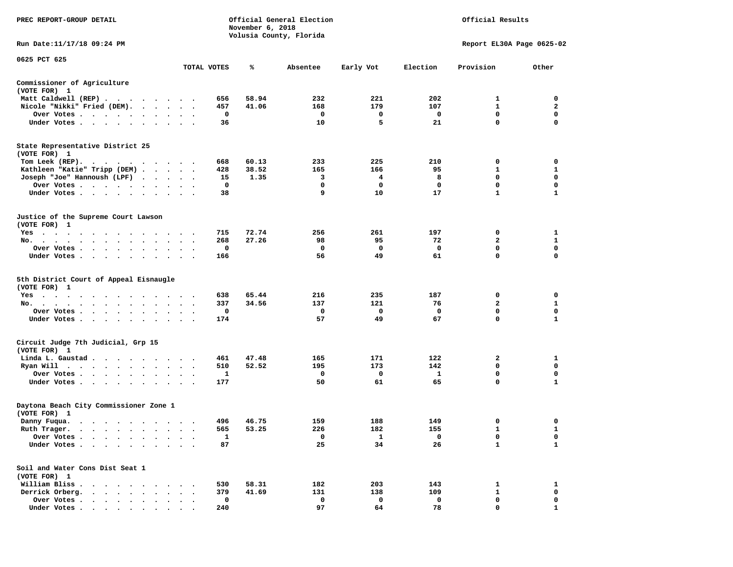| PREC REPORT-GROUP DETAIL                                                                                                |                      |              | Official General Election<br>November 6, 2018<br>Volusia County, Florida |             |             |             | Official Results          |              |  |
|-------------------------------------------------------------------------------------------------------------------------|----------------------|--------------|--------------------------------------------------------------------------|-------------|-------------|-------------|---------------------------|--------------|--|
| Run Date: 11/17/18 09:24 PM                                                                                             |                      |              |                                                                          |             |             |             | Report EL30A Page 0625-02 |              |  |
| 0625 PCT 625                                                                                                            |                      |              |                                                                          |             |             |             |                           |              |  |
|                                                                                                                         |                      | TOTAL VOTES  | ℁                                                                        | Absentee    | Early Vot   | Election    | Provision                 | Other        |  |
| Commissioner of Agriculture<br>(VOTE FOR) 1                                                                             |                      |              |                                                                          |             |             |             |                           |              |  |
| Matt Caldwell (REP)                                                                                                     |                      | 656          | 58.94                                                                    | 232         | 221         | 202         | 1                         | 0            |  |
| Nicole "Nikki" Fried (DEM).                                                                                             |                      | 457          | 41.06                                                                    | 168         | 179         | 107         | 1                         | $\mathbf{2}$ |  |
| Over Votes<br><b>Contract Contract Contract</b>                                                                         |                      | 0            |                                                                          | 0           | 0           | 0           | 0                         | 0            |  |
| Under Votes                                                                                                             |                      | 36           |                                                                          | 10          | 5           | 21          | $\mathbf 0$               | $\mathbf 0$  |  |
| State Representative District 25<br>(VOTE FOR) 1                                                                        |                      |              |                                                                          |             |             |             |                           |              |  |
| Tom Leek (REP).<br>$\cdots$                                                                                             |                      | 668          | 60.13                                                                    | 233         | 225         | 210         | 0                         | 0            |  |
| Kathleen "Katie" Tripp (DEM)                                                                                            |                      | 428          | 38.52                                                                    | 165         | 166         | 95          | 1                         | 1            |  |
| Joseph "Joe" Hannoush (LPF)                                                                                             |                      | 15           | 1.35                                                                     | з           | 4           | 8           | $\mathbf 0$               | $\mathbf 0$  |  |
| Over Votes<br>$\bullet$                                                                                                 | $\bullet$            | 0            |                                                                          | 0           | 0           | 0           | $\mathbf 0$               | 0            |  |
| Under Votes                                                                                                             |                      | 38           |                                                                          | 9           | 10          | 17          | $\mathbf{1}$              | 1            |  |
| Justice of the Supreme Court Lawson<br>(VOTE FOR) 1                                                                     |                      |              |                                                                          |             |             |             |                           |              |  |
| $Yes \t . \t .$<br>$\cdot$<br>$\bullet$<br>$\bullet$<br>$\bullet$<br>$\overline{\phantom{a}}$<br>$\bullet$<br>$\bullet$ |                      | 715          | 72.74                                                                    | 256         | 261         | 197         | 0                         | 1            |  |
| No.<br>$\bullet$<br>$\bullet$                                                                                           |                      | 268          | 27.26                                                                    | 98          | 95          | 72          | 2                         | 1            |  |
| Over Votes<br>$\cdot$<br>$\bullet$                                                                                      |                      | 0            |                                                                          | 0           | 0           | 0           | $\mathbf 0$               | $\mathbf 0$  |  |
| Under Votes<br>$\sim$ $\sim$<br>$\bullet$<br>$\bullet$                                                                  |                      | 166          |                                                                          | 56          | 49          | 61          | $\mathbf 0$               | 0            |  |
| 5th District Court of Appeal Eisnaugle<br>(VOTE FOR) 1                                                                  |                      |              |                                                                          |             |             |             |                           |              |  |
| $Yes \cdot \cdot \cdot$<br>.                                                                                            |                      | 638          | 65.44                                                                    | 216         | 235         | 187         | 0                         | 0            |  |
| No.<br>$\sim$<br>$\sim$ $\sim$<br>$\sim$<br>$\cdot$                                                                     |                      | 337          | 34.56                                                                    | 137         | 121         | 76          | 2                         | 1            |  |
| Over Votes                                                                                                              |                      | 0            |                                                                          | 0           | 0           | 0           | $\mathbf 0$               | 0            |  |
| Under Votes                                                                                                             |                      | 174          |                                                                          | 57          | 49          | 67          | $\mathbf 0$               | $\mathbf{1}$ |  |
| Circuit Judge 7th Judicial, Grp 15<br>(VOTE FOR) 1                                                                      |                      |              |                                                                          |             |             |             |                           |              |  |
| Linda L. Gaustad                                                                                                        |                      | 461          | 47.48                                                                    | 165         | 171         | 122         | 2                         | 1            |  |
| Ryan Will<br>$\cdot$ $\cdot$ $\cdot$ $\cdot$ $\cdot$<br>$\cdot$ $\cdot$ $\cdot$ $\cdot$                                 | $\bullet$            | 510          | 52.52                                                                    | 195         | 173         | 142         | 0                         | 0            |  |
| Over Votes<br>$\bullet$                                                                                                 | $\ddot{\phantom{1}}$ | 1            |                                                                          | 0           | 0           | 1           | 0                         | 0            |  |
| Under Votes                                                                                                             |                      | 177          |                                                                          | 50          | 61          | 65          | 0                         | 1            |  |
| Daytona Beach City Commissioner Zone 1<br>(VOTE FOR) 1                                                                  |                      |              |                                                                          |             |             |             |                           |              |  |
| Danny Fuqua.                                                                                                            |                      | 496          | 46.75                                                                    | 159         | 188         | 149         | 0                         | 0            |  |
| Ruth Trager.<br>$\sim$ $\sim$                                                                                           |                      | 565          | 53.25                                                                    | 226         | 182         | 155         | $\mathbf{1}$              | $\mathbf{1}$ |  |
| Over Votes .                                                                                                            |                      | $\mathbf{1}$ |                                                                          | 0           | 1           | 0           | 0                         | 0            |  |
| Under Votes.<br>$\ddot{\phantom{a}}$<br>$\sim$                                                                          |                      | 87           |                                                                          | 25          | 34          | 26          | $\mathbf{1}$              | 1            |  |
| Soil and Water Cons Dist Seat 1<br>(VOTE FOR) 1                                                                         |                      |              |                                                                          |             |             |             |                           |              |  |
| William Bliss.<br>$\cdot$ $\cdot$ $\cdot$ $\cdot$ $\cdot$                                                               |                      | 530          | 58.31                                                                    | 182         | 203         | 143         | 1                         | 1            |  |
| Derrick Orberg.<br>$\sim$ $\sim$<br>$\ddot{\phantom{0}}$                                                                |                      | 379          | 41.69                                                                    | 131         | 138         | 109         | 1                         | 0            |  |
| Over Votes .<br>$\cdot$ $\cdot$ $\cdot$ $\cdot$ $\cdot$                                                                 |                      | $\mathbf 0$  |                                                                          | $\mathbf 0$ | $\mathbf 0$ | $\mathbf 0$ | 0                         | 0            |  |
| Under Votes                                                                                                             |                      | 240          |                                                                          | 97          | 64          | 78          | $\Omega$                  | 1            |  |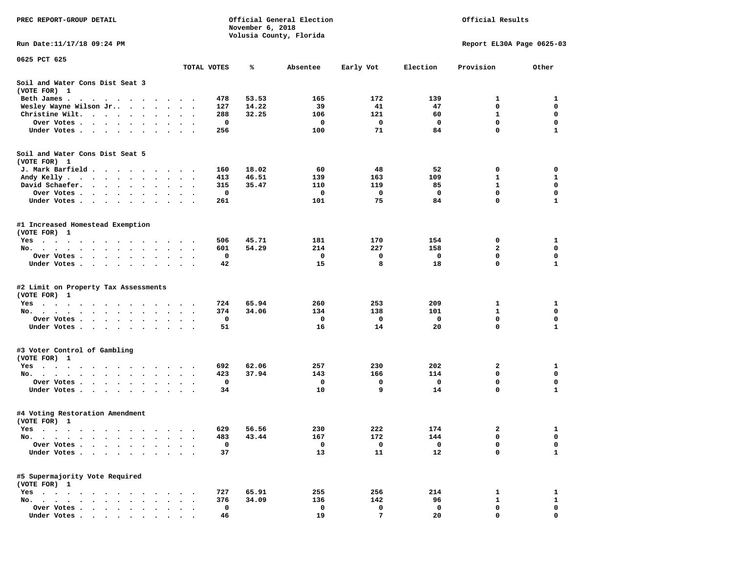| PREC REPORT-GROUP DETAIL                                                                                                                                                                                                                     |                      |            | November 6, 2018 | Official General Election | Official Results |                           |              |              |  |
|----------------------------------------------------------------------------------------------------------------------------------------------------------------------------------------------------------------------------------------------|----------------------|------------|------------------|---------------------------|------------------|---------------------------|--------------|--------------|--|
| Run Date: 11/17/18 09:24 PM                                                                                                                                                                                                                  |                      |            |                  | Volusia County, Florida   |                  | Report EL30A Page 0625-03 |              |              |  |
| 0625 PCT 625                                                                                                                                                                                                                                 |                      |            |                  |                           |                  |                           |              |              |  |
|                                                                                                                                                                                                                                              | TOTAL VOTES          |            | ℁                | Absentee                  | Early Vot        | Election                  | Provision    | Other        |  |
| Soil and Water Cons Dist Seat 3<br>(VOTE FOR) 1                                                                                                                                                                                              |                      |            |                  |                           |                  |                           |              |              |  |
| Beth James.<br>. The contract of the contract of the contract of the contract of the contract of the contract of the contract of the contract of the contract of the contract of the contract of the contract of the contract of the contrac |                      | 478        | 53.53            | 165                       | 172              | 139                       | 1            | 1            |  |
| Wesley Wayne Wilson Jr<br>$\ddot{\phantom{0}}$                                                                                                                                                                                               | $\ddot{\phantom{1}}$ | 127        | 14.22            | 39                        | 41               | 47                        | $\mathbf 0$  | $\mathbf 0$  |  |
| Christine Wilt.<br>$\bullet$                                                                                                                                                                                                                 |                      | 288        | 32.25            | 106                       | 121              | 60                        | 1            | 0            |  |
| Over Votes<br>$\bullet$                                                                                                                                                                                                                      |                      | 0          |                  | 0                         | 0                | 0                         | $\mathbf 0$  | $\mathbf 0$  |  |
| Under Votes                                                                                                                                                                                                                                  |                      | 256        |                  | 100                       | 71               | 84                        | $\mathbf 0$  | $\mathbf{1}$ |  |
| Soil and Water Cons Dist Seat 5                                                                                                                                                                                                              |                      |            |                  |                           |                  |                           |              |              |  |
| (VOTE FOR) 1                                                                                                                                                                                                                                 |                      |            |                  |                           |                  |                           |              |              |  |
| J. Mark Barfield                                                                                                                                                                                                                             |                      | 160        | 18.02            | 60                        | 48               | 52                        | 0            | 0            |  |
| Andy Kelly<br>David Schaefer.                                                                                                                                                                                                                |                      | 413<br>315 | 46.51<br>35.47   | 139<br>110                | 163<br>119       | 109<br>85                 | 1<br>1       | 1<br>0       |  |
| $\sim$ $\sim$ $\sim$ $\sim$ $\sim$<br>$\sim$<br>$\bullet$ $\bullet$<br>$\ddot{\phantom{0}}$                                                                                                                                                  |                      | 0          |                  | 0                         | 0                | 0                         | $\mathbf 0$  | $\mathbf 0$  |  |
| Over Votes                                                                                                                                                                                                                                   |                      | 261        |                  | 101                       | 75               | 84                        | $\mathbf 0$  | $\mathbf{1}$ |  |
| Under Votes                                                                                                                                                                                                                                  |                      |            |                  |                           |                  |                           |              |              |  |
| #1 Increased Homestead Exemption<br>(VOTE FOR) 1                                                                                                                                                                                             |                      |            |                  |                           |                  |                           |              |              |  |
| Yes                                                                                                                                                                                                                                          |                      | 506        | 45.71            | 181                       | 170              | 154                       | 0            | 1            |  |
| No.<br>$\cdots$<br>$\sim$<br>$\ddot{\phantom{a}}$<br>$\ddot{\phantom{1}}$<br>$\bullet$                                                                                                                                                       |                      | 601        | 54.29            | 214                       | 227              | 158                       | 2            | 0            |  |
| Over Votes<br>$\bullet$                                                                                                                                                                                                                      |                      | 0          |                  | 0                         | 0                | 0                         | 0            | 0            |  |
| Under Votes                                                                                                                                                                                                                                  |                      | 42         |                  | 15                        | 8                | 18                        | $\mathbf 0$  | 1            |  |
| #2 Limit on Property Tax Assessments<br>(VOTE FOR) 1                                                                                                                                                                                         |                      |            |                  |                           |                  |                           |              |              |  |
| $Yes \cdot \cdot \cdot \cdot$<br>$\sim$ $\sim$ $\sim$ $\sim$<br>$\cdots$<br>$\sim$ $\sim$                                                                                                                                                    |                      | 724        | 65.94            | 260                       | 253              | 209                       | 1            | 1            |  |
| No.                                                                                                                                                                                                                                          |                      | 374        | 34.06            | 134                       | 138              | 101                       | 1            | $\mathbf 0$  |  |
| Over Votes .<br>$\ddot{\phantom{0}}$<br>$\ddot{\phantom{0}}$                                                                                                                                                                                 |                      | 0          |                  | 0                         | 0                | 0                         | 0            | 0            |  |
| Under Votes                                                                                                                                                                                                                                  |                      | 51         |                  | 16                        | 14               | 20                        | $\mathbf 0$  | 1            |  |
| #3 Voter Control of Gambling                                                                                                                                                                                                                 |                      |            |                  |                           |                  |                           |              |              |  |
| (VOTE FOR) 1                                                                                                                                                                                                                                 |                      |            |                  |                           |                  |                           |              |              |  |
| Yes                                                                                                                                                                                                                                          |                      | 692        | 62.06            | 257                       | 230              | 202                       | 2            | 1            |  |
| No.                                                                                                                                                                                                                                          | $\ddot{\phantom{1}}$ | 423        | 37.94            | 143                       | 166              | 114                       | 0            | 0            |  |
| Over Votes.<br>$\mathcal{A}=\mathcal{A}=\mathcal{A}=\mathcal{A}=\mathcal{A}=\mathcal{A}=\mathcal{A}=\mathcal{A}$                                                                                                                             |                      | 0          |                  | 0                         | 0                | 0                         | $\mathbf 0$  | 0            |  |
| Under Votes                                                                                                                                                                                                                                  |                      | 34         |                  | 10                        | 9                | 14                        | $\mathbf 0$  | 1            |  |
| #4 Voting Restoration Amendment<br>(VOTE FOR) 1                                                                                                                                                                                              |                      |            |                  |                           |                  |                           |              |              |  |
| Yes                                                                                                                                                                                                                                          |                      | 629        | 56.56            | 230                       | 222              | 174                       | 2            | 1            |  |
| $No.$ $\cdot$ $\cdot$ $\cdot$                                                                                                                                                                                                                |                      | 483        | 43.44            | 167                       | 172              | 144                       | 0            | 0            |  |
| Over Votes .                                                                                                                                                                                                                                 |                      | 0          |                  | 0                         | 0                | 0                         | $\mathbf 0$  | 0            |  |
| Under Votes.<br>$\ddot{\phantom{a}}$<br>$\ddot{\phantom{a}}$<br>$\ddot{\phantom{a}}$                                                                                                                                                         |                      | 37         |                  | 13                        | 11               | 12                        | $\mathbf 0$  | 1            |  |
| #5 Supermajority Vote Required                                                                                                                                                                                                               |                      |            |                  |                           |                  |                           |              |              |  |
| (VOTE FOR) 1                                                                                                                                                                                                                                 |                      |            |                  |                           |                  |                           |              |              |  |
| $Yes \t . \t .$<br>$\ddot{\phantom{a}}$<br>$\bullet$                                                                                                                                                                                         |                      | 727        | 65.91            | 255                       | 256              | 214                       | 1            | $\mathbf{1}$ |  |
| No.<br>$\sim$                                                                                                                                                                                                                                |                      | 376        | 34.09            | 136                       | 142              | 96                        | $\mathbf{1}$ | $\mathbf{1}$ |  |
| Over Votes.<br>$\cdot$ $\cdot$ $\cdot$                                                                                                                                                                                                       |                      | 0          |                  | 0                         | 0                | 0                         | 0            | 0            |  |
| Under Votes                                                                                                                                                                                                                                  |                      | 46         |                  | 19                        | 7                | 20                        | 0            | $\Omega$     |  |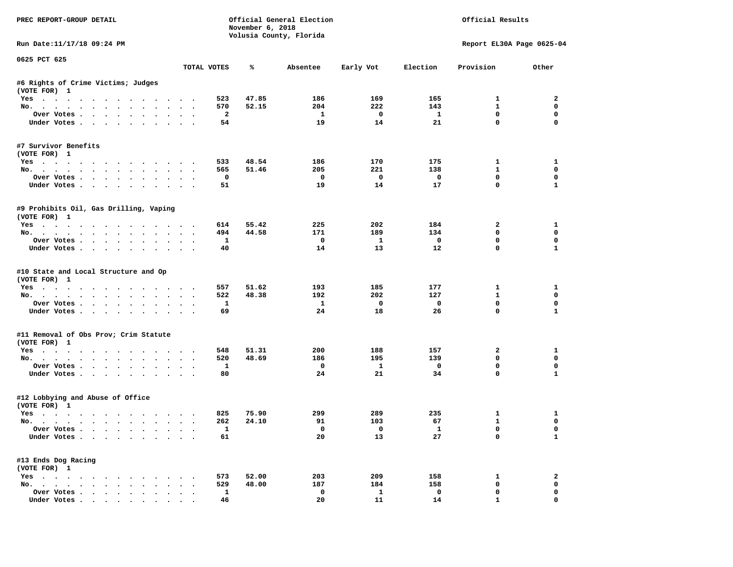| PREC REPORT-GROUP DETAIL                                    |                      |                         | November 6, 2018 | Official General Election<br>Volusia County, Florida |                          |                          | Official Results                    |                  |
|-------------------------------------------------------------|----------------------|-------------------------|------------------|------------------------------------------------------|--------------------------|--------------------------|-------------------------------------|------------------|
| Run Date:11/17/18 09:24 PM                                  |                      |                         |                  |                                                      |                          |                          | Report EL30A Page 0625-04           |                  |
| 0625 PCT 625                                                |                      | TOTAL VOTES             | ℁                | Absentee                                             | Early Vot                | Election                 | Provision                           | Other            |
|                                                             |                      |                         |                  |                                                      |                          |                          |                                     |                  |
| #6 Rights of Crime Victims; Judges<br>(VOTE FOR) 1          |                      |                         |                  |                                                      |                          |                          |                                     |                  |
| Yes                                                         |                      | 523                     | 47.85            | 186                                                  | 169                      | 165                      | $\mathbf{1}$                        | 2                |
| No.                                                         |                      | 570                     | 52.15            | 204                                                  | 222                      | 143                      | $\mathbf{1}$                        | $\mathbf 0$      |
| Over Votes                                                  |                      | $\overline{\mathbf{2}}$ |                  | $\mathbf{1}$                                         | $\overline{\mathbf{0}}$  | $\mathbf{1}$             | $\mathbf 0$                         | $\mathbf 0$      |
| Under Votes                                                 |                      | 54                      |                  | 19                                                   | 14                       | 21                       | $\mathbf 0$                         | $\mathbf 0$      |
| #7 Survivor Benefits<br>(VOTE FOR) 1                        |                      |                         |                  |                                                      |                          |                          |                                     |                  |
| Yes                                                         |                      | 533                     | 48.54            | 186                                                  | 170                      | 175                      | $\mathbf{1}$                        | 1                |
| No.                                                         |                      | 565                     | 51.46            | 205                                                  | 221                      | 138                      | $\mathbf{1}$                        | 0                |
| Over Votes                                                  |                      | 0                       |                  | $\overline{\phantom{0}}$                             | $\overline{\phantom{0}}$ | $\overline{\phantom{0}}$ | 0                                   | 0                |
| Under Votes                                                 |                      | 51                      |                  | 19                                                   | 14                       | 17                       | $\mathbf 0$                         | $\mathbf{1}$     |
|                                                             |                      |                         |                  |                                                      |                          |                          |                                     |                  |
| #9 Prohibits Oil, Gas Drilling, Vaping<br>(VOTE FOR) 1      |                      |                         |                  |                                                      |                          |                          |                                     |                  |
| Yes                                                         |                      | 614                     | 55.42            | 225                                                  | 202                      | 184                      | $\overline{a}$                      | 1                |
| No.                                                         |                      | 494                     | 44.58            | 171                                                  | 189                      | 134                      | $\mathbf 0$                         | $\mathbf 0$      |
| Over Votes                                                  |                      | $\mathbf{1}$            |                  | $\mathbf{o}$                                         | $\mathbf{1}$             | $\mathbf 0$              | $\mathbf 0$                         | $\mathbf 0$      |
| Under Votes                                                 |                      | 40                      |                  | 14                                                   | 13                       | 12                       | $\Omega$                            | $\mathbf{1}$     |
| #10 State and Local Structure and Op<br>(VOTE FOR) 1<br>Yes |                      | 557                     | 51.62            | 193                                                  | 185                      | 177                      | $\mathbf{1}$                        | 1                |
| No.                                                         |                      | 522                     | 48.38            | 192                                                  | 202                      | 127                      | $\mathbf{1}$                        | $\mathbf 0$      |
| Over Votes                                                  |                      | $\mathbf{1}$            |                  | $\mathbf{1}$                                         | $\mathbf{o}$             | $\mathbf 0$              | $\mathbf 0$                         | $\mathbf 0$      |
| Under Votes                                                 |                      | 69                      |                  | 24                                                   | 18                       | 26                       | $\mathbf 0$                         | $\mathbf{1}$     |
| #11 Removal of Obs Prov; Crim Statute                       |                      |                         |                  |                                                      |                          |                          |                                     |                  |
| (VOTE FOR) 1                                                |                      |                         |                  |                                                      |                          |                          |                                     |                  |
| Yes                                                         |                      | 548                     | 51.31            | 200                                                  | 188<br>195               | 157<br>139               | $\overline{\mathbf{2}}$<br>$\Omega$ | 1<br>$\mathbf 0$ |
| No.<br>Over Votes                                           |                      | 520<br>$\mathbf{1}$     | 48.69            | 186<br>$\mathbf 0$                                   | $\mathbf{1}$             | $\mathbf 0$              | 0                                   | $\mathbf 0$      |
| Under Votes                                                 |                      | 80                      |                  | 24                                                   | 21                       | 34                       | $\mathbf{0}$                        | $\mathbf{1}$     |
|                                                             |                      |                         |                  |                                                      |                          |                          |                                     |                  |
| #12 Lobbying and Abuse of Office<br>(VOTE FOR) 1            |                      |                         |                  |                                                      |                          |                          |                                     |                  |
| Yes                                                         |                      | 825                     | 75.90            | 299                                                  | 289                      | 235                      | $\mathbf{1}$                        | 1                |
| No.                                                         |                      | 262                     | 24.10            | 91                                                   | 103                      | 67                       | $\mathbf{1}$                        | $\mathbf 0$      |
| Over Votes                                                  |                      | $\mathbf{1}$            |                  | $\Omega$                                             | $\overline{0}$           | $\mathbf{1}$             | $\mathbf 0$                         | $\mathbf 0$      |
| Under Votes                                                 |                      | 61                      |                  | 20                                                   | 13                       | 27                       | $\mathbf 0$                         | $\mathbf{1}$     |
| #13 Ends Dog Racing                                         |                      |                         |                  |                                                      |                          |                          |                                     |                  |
| (VOTE FOR) 1                                                |                      |                         | 52.00            | 203                                                  | 209                      |                          | 1                                   | 2                |
| Yes<br>No.                                                  |                      | 573<br>529              | 48.00            | 187                                                  | 184                      | 158<br>158               | 0                                   | $\mathbf 0$      |
| Over Votes                                                  | $\ddot{\phantom{0}}$ | $\mathbf{1}$            |                  | $\mathbf 0$                                          | $\mathbf{1}$             | $\mathbf 0$              | $\mathbf 0$                         | $\mathbf 0$      |
|                                                             |                      |                         |                  |                                                      |                          |                          | $\mathbf{1}$                        | 0                |
| Under Votes                                                 |                      | 46                      |                  | 20                                                   | 11                       | 14                       |                                     |                  |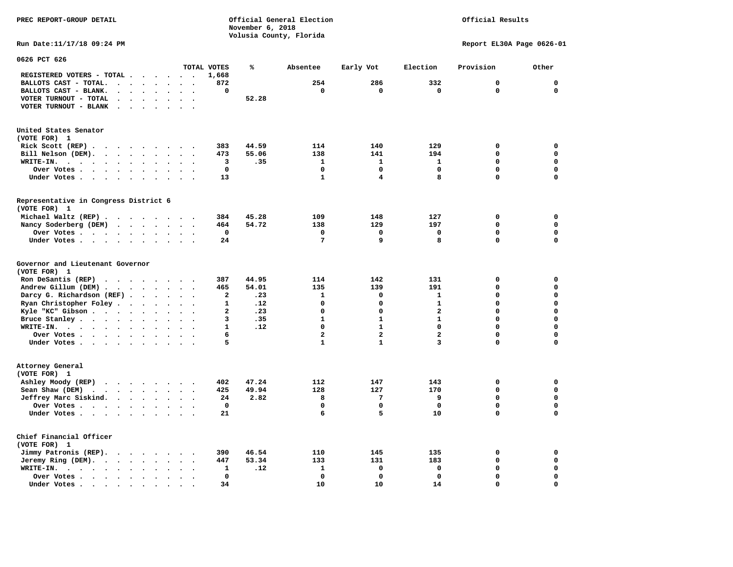Official Results

**Run Date:11/17/18 09:24 PM Report EL30A Page 0626-01** 

| 0626 PCT 626                                                                                                                                                                                                                                   |                                                                          |              |       |                 |                         |                |             |              |
|------------------------------------------------------------------------------------------------------------------------------------------------------------------------------------------------------------------------------------------------|--------------------------------------------------------------------------|--------------|-------|-----------------|-------------------------|----------------|-------------|--------------|
|                                                                                                                                                                                                                                                |                                                                          | TOTAL VOTES  | ℁     | Absentee        | Early Vot               | Election       | Provision   | Other        |
| REGISTERED VOTERS - TOTAL .<br>.                                                                                                                                                                                                               |                                                                          | 1,668        |       |                 |                         |                |             |              |
| BALLOTS CAST - TOTAL.<br>$\ddot{\phantom{a}}$<br>$\ddot{\phantom{a}}$<br>$\ddot{\phantom{a}}$<br>$\ddot{\phantom{a}}$                                                                                                                          |                                                                          | 872          |       | 254             | 286                     | 332            | $\mathbf 0$ | $\mathbf 0$  |
| BALLOTS CAST - BLANK.<br>$\ddotsc$<br>$\sim$ $\sim$<br>$\sim$ 100 $\mu$                                                                                                                                                                        | $\ddot{\phantom{a}}$<br>$\ddot{\phantom{a}}$<br>$\overline{\phantom{a}}$ | 0            |       | $\mathbf 0$     | $\mathbf 0$             | $\mathbf 0$    | $\Omega$    | $\mathbf 0$  |
| VOTER TURNOUT - TOTAL                                                                                                                                                                                                                          |                                                                          |              | 52.28 |                 |                         |                |             |              |
| VOTER TURNOUT - BLANK<br>$\sim$ $\sim$<br>$\ddot{\phantom{a}}$                                                                                                                                                                                 |                                                                          |              |       |                 |                         |                |             |              |
|                                                                                                                                                                                                                                                |                                                                          |              |       |                 |                         |                |             |              |
| United States Senator                                                                                                                                                                                                                          |                                                                          |              |       |                 |                         |                |             |              |
| (VOTE FOR) 1                                                                                                                                                                                                                                   |                                                                          |              |       |                 |                         |                |             |              |
| Rick Scott (REP).<br>$\cdots$                                                                                                                                                                                                                  |                                                                          | 383          | 44.59 | 114             | 140                     | 129            | $\mathbf 0$ | $\mathbf 0$  |
| Bill Nelson (DEM).<br>$\mathbf{r}$ , $\mathbf{r}$ , $\mathbf{r}$ , $\mathbf{r}$                                                                                                                                                                | $\mathbf{r}$ , $\mathbf{r}$ , $\mathbf{r}$                               | 473          | 55.06 | 138             | 141                     | 194            | $\Omega$    | $\mathbf 0$  |
| WRITE-IN.<br>$\cdots$<br>$\ddot{\phantom{a}}$<br>$\bullet$                                                                                                                                                                                     | $\ddot{\phantom{a}}$<br>$\ddot{\phantom{a}}$                             | 3            | .35   | $\mathbf{1}$    | $\mathbf{1}$            | 1              | $\mathbf 0$ | $\mathbf 0$  |
| Over Votes<br>$\mathcal{L}(\mathcal{A})$ , and $\mathcal{A}(\mathcal{A})$<br>$\sim$<br>$\bullet$                                                                                                                                               |                                                                          | $\mathbf 0$  |       | 0               | 0                       | $\mathbf{0}$   | $\mathbf 0$ | $\mathbf 0$  |
| Under Votes                                                                                                                                                                                                                                    | $\sim$ $\sim$                                                            | 13           |       | $\mathbf{1}$    | 4                       | 8              | $\Omega$    | $\Omega$     |
|                                                                                                                                                                                                                                                |                                                                          |              |       |                 |                         |                |             |              |
| Representative in Congress District 6<br>(VOTE FOR) 1                                                                                                                                                                                          |                                                                          |              |       |                 |                         |                |             |              |
| Michael Waltz (REP)                                                                                                                                                                                                                            |                                                                          | 384          | 45.28 | 109             | 148                     | 127            | $\mathbf 0$ | $\mathbf 0$  |
|                                                                                                                                                                                                                                                |                                                                          |              |       |                 |                         |                | $\mathbf 0$ | $\mathbf 0$  |
| Nancy Soderberg (DEM)                                                                                                                                                                                                                          | $\overline{\phantom{a}}$                                                 | 464          | 54.72 | 138<br>0        | 129                     | 197            | $\Omega$    | $\mathbf 0$  |
| Over Votes<br>$\ddot{\phantom{a}}$                                                                                                                                                                                                             | $\sim$                                                                   | 0            |       |                 | 0                       | $\Omega$       |             |              |
| Under Votes<br>$\sim$ $\sim$                                                                                                                                                                                                                   |                                                                          | 24           |       | $7\phantom{.0}$ | 9                       | 8              | $\Omega$    | 0            |
| Governor and Lieutenant Governor<br>(VOTE FOR) 1                                                                                                                                                                                               |                                                                          |              |       |                 |                         |                |             |              |
| Ron DeSantis (REP)<br>$\cdot$ $\cdot$ $\cdot$ $\cdot$ $\cdot$ $\cdot$ $\cdot$                                                                                                                                                                  |                                                                          | 387          | 44.95 | 114             | 142                     | 131            | $\mathbf 0$ | $\mathbf 0$  |
| Andrew Gillum (DEM)                                                                                                                                                                                                                            |                                                                          | 465          | 54.01 | 135             | 139                     | 191            | $\Omega$    | $\mathbf 0$  |
| Darcy G. Richardson (REF).<br>$\ddot{\phantom{a}}$<br>$\ddot{\phantom{a}}$                                                                                                                                                                     |                                                                          | $\mathbf{2}$ | .23   | $\mathbf{1}$    | 0                       | $\mathbf{1}$   | $\Omega$    | $\mathbf{0}$ |
| Ryan Christopher Foley<br>$\ddot{\phantom{1}}$<br>$\bullet$                                                                                                                                                                                    |                                                                          | 1            | .12   | 0               | 0                       | $\mathbf{1}$   | $\Omega$    | $\mathbf 0$  |
| Kyle "KC" Gibson<br>$\ddot{\phantom{a}}$<br>$\bullet$                                                                                                                                                                                          | $\ddot{\phantom{a}}$                                                     | $\mathbf{z}$ | .23   | $\mathbf 0$     | 0                       | $\overline{a}$ | $\Omega$    | $\mathbf 0$  |
| Bruce Stanley                                                                                                                                                                                                                                  | $\cdot$ $\cdot$                                                          | 3            | .35   | $\mathbf{1}$    | $\mathbf{1}$            | $\mathbf{1}$   | $\Omega$    | $\mathbf 0$  |
| WRITE-IN.<br>$\mathbf{r}$ . The contract of the contract of the contract of the contract of the contract of the contract of the contract of the contract of the contract of the contract of the contract of the contract of the contract of th |                                                                          | $\mathbf{1}$ | .12   | $\mathbf 0$     | $\mathbf{1}$            | $\mathbf 0$    | $\Omega$    | $\mathbf 0$  |
| Over Votes<br>$\ddot{\phantom{a}}$<br>$\bullet$                                                                                                                                                                                                | $\bullet$<br>$\ddot{\phantom{a}}$                                        | 6            |       | $\overline{a}$  | $\overline{\mathbf{2}}$ | $\overline{a}$ | $\mathbf 0$ | $\mathbf 0$  |
| Under Votes                                                                                                                                                                                                                                    | $\ddot{\phantom{0}}$                                                     | 5            |       | $\mathbf{1}$    | $\mathbf{1}$            | 3              | $\mathbf 0$ | $\mathbf 0$  |
|                                                                                                                                                                                                                                                |                                                                          |              |       |                 |                         |                |             |              |
| Attorney General<br>(VOTE FOR) 1                                                                                                                                                                                                               |                                                                          |              |       |                 |                         |                |             |              |
| Ashley Moody (REP)                                                                                                                                                                                                                             |                                                                          | 402          | 47.24 | 112             | 147                     | 143            | 0           | $\mathbf 0$  |
| Sean Shaw (DEM)<br>$\cdot$ $\cdot$ $\cdot$ $\cdot$ $\cdot$                                                                                                                                                                                     | $\cdot$ $\cdot$ $\cdot$                                                  | 425          | 49.94 | 128             | 127                     | 170            | $\mathbf 0$ | $\mathbf 0$  |
| Jeffrey Marc Siskind.<br>$\ddot{\phantom{a}}$                                                                                                                                                                                                  | $\ddot{\phantom{1}}$                                                     | 24           | 2.82  | 8               | 7                       | 9              | $\mathbf 0$ | $\mathbf 0$  |
| Over Votes<br>$\sim$                                                                                                                                                                                                                           |                                                                          | $\mathbf 0$  |       | 0               | $\mathbf 0$             | $\mathbf 0$    | $\mathbf 0$ | 0            |
| Under Votes<br>$\ddot{\phantom{a}}$                                                                                                                                                                                                            |                                                                          | 21           |       | 6               | 5                       | 10             | $\Omega$    | $\Omega$     |
|                                                                                                                                                                                                                                                |                                                                          |              |       |                 |                         |                |             |              |
| Chief Financial Officer<br>(VOTE FOR) 1                                                                                                                                                                                                        |                                                                          |              |       |                 |                         |                |             |              |
| Jimmy Patronis (REP).<br>$\cdots$                                                                                                                                                                                                              |                                                                          | 390          | 46.54 | 110             | 145                     | 135            | $\mathbf 0$ | $\mathbf 0$  |
| Jeremy Ring (DEM).                                                                                                                                                                                                                             | $\ddot{\phantom{1}}$                                                     | 447          | 53.34 | 133             | 131                     | 183            | $\mathbf 0$ | $\mathbf 0$  |
| WRITE-IN.<br>$\cdots$<br>$\ddot{\phantom{a}}$                                                                                                                                                                                                  |                                                                          | 1            | .12   | $\mathbf{1}$    | 0                       | $\mathbf 0$    | $\mathbf 0$ | $\mathbf 0$  |
| Over Votes<br>$\bullet$                                                                                                                                                                                                                        |                                                                          | $\Omega$     |       | $\mathbf 0$     | $\mathbf 0$             | $\mathbf{0}$   | $\Omega$    | $\Omega$     |
| Under Votes.<br>$\ddot{\phantom{0}}$<br>$\bullet$ .<br>$\bullet$<br>$\bullet$<br>$\bullet$                                                                                                                                                     |                                                                          | 34           |       | 10              | 10                      | 14             | $\Omega$    | $\Omega$     |
|                                                                                                                                                                                                                                                |                                                                          |              |       |                 |                         |                |             |              |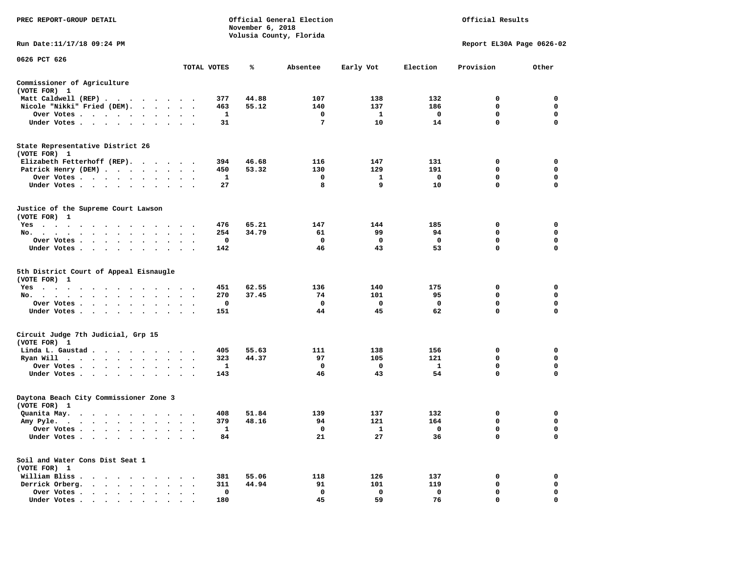| Official General Election<br>PREC REPORT-GROUP DETAIL<br>November 6, 2018<br>Volusia County, Florida                                                                                                                                                     |                                                           |             |       |                   |                    | Official Results  |                           |                            |
|----------------------------------------------------------------------------------------------------------------------------------------------------------------------------------------------------------------------------------------------------------|-----------------------------------------------------------|-------------|-------|-------------------|--------------------|-------------------|---------------------------|----------------------------|
| Run Date:11/17/18 09:24 PM                                                                                                                                                                                                                               |                                                           |             |       |                   |                    |                   | Report EL30A Page 0626-02 |                            |
| 0626 PCT 626                                                                                                                                                                                                                                             |                                                           |             |       |                   |                    |                   |                           |                            |
|                                                                                                                                                                                                                                                          |                                                           | TOTAL VOTES | ℁     | Absentee          | Early Vot          | Election          | Provision                 | Other                      |
| Commissioner of Agriculture<br>(VOTE FOR) 1                                                                                                                                                                                                              |                                                           |             |       |                   |                    |                   |                           |                            |
| Matt Caldwell (REP)                                                                                                                                                                                                                                      |                                                           | 377         | 44.88 | 107               | 138                | 132               | 0                         | $\mathbf 0$                |
| Nicole "Nikki" Fried (DEM). .<br>$\sim$ $\sim$                                                                                                                                                                                                           |                                                           | 463         | 55.12 | 140               | 137                | 186               | $\mathbf 0$               | 0                          |
| Over Votes<br>$\blacksquare$                                                                                                                                                                                                                             |                                                           | 1           |       | $\mathbf 0$       | $\mathbf{1}$       | $\mathbf 0$       | $\mathbf 0$               | $\mathbf 0$                |
| Under Votes                                                                                                                                                                                                                                              | $\sim$ $\sim$<br>$\ddot{\phantom{1}}$                     | 31          |       | 7                 | 10                 | 14                | $\Omega$                  | $\Omega$                   |
| State Representative District 26<br>(VOTE FOR) 1                                                                                                                                                                                                         |                                                           |             |       |                   |                    |                   |                           |                            |
| Elizabeth Fetterhoff (REP).                                                                                                                                                                                                                              |                                                           | 394         | 46.68 | 116               | 147                | 131               | 0                         | 0                          |
| Patrick Henry (DEM)                                                                                                                                                                                                                                      |                                                           | 450         | 53.32 | 130               | 129                | 191               | $\mathbf 0$               | $\mathbf 0$                |
| Over Votes                                                                                                                                                                                                                                               |                                                           | 1           |       | $\mathbf 0$       | $\mathbf{1}$       | $\mathbf 0$       | $\mathbf 0$               | $\mathbf 0$                |
| Under Votes<br>$\ddot{\phantom{1}}$                                                                                                                                                                                                                      |                                                           | 27          |       | 8                 | 9                  | 10                | 0                         | $\mathbf 0$                |
| Justice of the Supreme Court Lawson<br>(VOTE FOR) 1                                                                                                                                                                                                      |                                                           |             |       |                   |                    |                   |                           |                            |
| $Yes \cdot \cdot \cdot$<br>. The contract of the contract of the contract of the contract of the contract of the contract of the contract of the contract of the contract of the contract of the contract of the contract of the contract of the contrac |                                                           | 476         | 65.21 | 147               | 144                | 185               | $\mathbf 0$               | $\mathbf 0$                |
| No.<br>$\sim$<br>$\sim$<br>$\sim$<br>$\blacksquare$ .<br>$\sim$<br>$\blacksquare$ .                                                                                                                                                                      | $\bullet$<br>$\bullet$<br>$\bullet$                       | 254         | 34.79 | 61                | 99                 | 94                | $\mathbf 0$               | $\mathbf 0$                |
| Over Votes<br>$\bullet$<br>$\bullet$<br>$\bullet$                                                                                                                                                                                                        | $\bullet$                                                 | $\mathbf 0$ |       | $\mathbf 0$       | 0                  | $\mathbf 0$       | $\mathbf 0$               | $\mathbf 0$                |
| Under Votes<br>$\cdot$                                                                                                                                                                                                                                   | $\cdot$ .<br>$\sim$                                       | 142         |       | 46                | 43                 | 53                | 0                         | $\mathbf 0$                |
| 5th District Court of Appeal Eisnaugle<br>(VOTE FOR) 1                                                                                                                                                                                                   |                                                           |             |       |                   |                    |                   |                           |                            |
| $Yes \t . \t .$<br>$\cdot$<br>$\cdot$                                                                                                                                                                                                                    |                                                           | 451         | 62.55 | 136               | 140                | 175               | 0                         | $\mathbf 0$                |
| No.<br>$\cdot$ $\cdot$ $\cdot$ $\cdot$ $\cdot$<br>$\sim$ $\sim$ $\sim$<br>$\sim$ $\sim$<br>$\ddot{\phantom{1}}$                                                                                                                                          |                                                           | 270<br>0    | 37.45 | 74<br>$\mathbf 0$ | 101<br>$\mathbf 0$ | 95<br>$\mathbf 0$ | $\mathbf 0$<br>0          | $\mathbf 0$<br>$\mathbf 0$ |
| Over Votes                                                                                                                                                                                                                                               | $\bullet$ , $\bullet$ , $\bullet$ , $\bullet$             | 151         |       | 44                | 45                 | 62                | 0                         | 0                          |
| Under Votes<br>$\ddot{\phantom{0}}$                                                                                                                                                                                                                      | $\cdot$ $\cdot$ $\cdot$                                   |             |       |                   |                    |                   |                           |                            |
| Circuit Judge 7th Judicial, Grp 15<br>(VOTE FOR) 1                                                                                                                                                                                                       |                                                           |             |       |                   |                    |                   |                           |                            |
| Linda L. Gaustad                                                                                                                                                                                                                                         |                                                           | 405         | 55.63 | 111               | 138                | 156               | $\Omega$                  | 0                          |
| Ryan Will $\cdots$ , $\cdots$ , $\cdots$                                                                                                                                                                                                                 | $\sim$<br>$\overline{\phantom{a}}$                        | 323         | 44.37 | 97                | 105                | 121               | $\mathbf 0$               | $\mathbf 0$                |
| Over Votes<br>$\ddot{\phantom{1}}$<br>$\cdot$                                                                                                                                                                                                            |                                                           | 1           |       | 0                 | 0                  | <b>1</b>          | 0                         | 0                          |
| Under Votes                                                                                                                                                                                                                                              | $\cdot$ $\cdot$ $\cdot$                                   | 143         |       | 46                | 43                 | 54                | 0                         | $\Omega$                   |
| Daytona Beach City Commissioner Zone 3<br>(VOTE FOR) 1                                                                                                                                                                                                   |                                                           |             |       |                   |                    |                   |                           |                            |
| Quanita May.<br>$\mathbf{u} = \mathbf{u} + \mathbf{u} + \mathbf{u} + \mathbf{u} + \mathbf{u} + \mathbf{u} + \mathbf{u} + \mathbf{u} + \mathbf{u}$                                                                                                        |                                                           | 408         | 51.84 | 139               | 137                | 132               | 0                         | $\mathbf 0$                |
| Amy Pyle.                                                                                                                                                                                                                                                | $\bullet$<br>$\ddot{\phantom{a}}$<br>$\ddot{\phantom{0}}$ | 379         | 48.16 | 94                | 121                | 164               | 0                         | 0                          |
| Over Votes<br>$\sim$                                                                                                                                                                                                                                     | $\ddot{\phantom{a}}$<br>$\cdot$                           | 1           |       | 0                 | 1                  | $\mathbf{o}$      | 0                         | 0                          |
| Under Votes<br>$\ddot{\phantom{1}}$<br>$\ddot{\phantom{a}}$<br>$\ddot{\phantom{a}}$<br>$\bullet$                                                                                                                                                         |                                                           | 84          |       | 21                | 27                 | 36                | 0                         | $\mathbf 0$                |
| Soil and Water Cons Dist Seat 1<br>(VOTE FOR) 1                                                                                                                                                                                                          |                                                           |             |       |                   |                    |                   |                           |                            |
| William Bliss.<br>.                                                                                                                                                                                                                                      |                                                           | 381         | 55.06 | 118               | 126                | 137               | 0                         | $\mathbf 0$                |
| Derrick Orberg.<br>$\mathcal{A}$ , and $\mathcal{A}$ , and $\mathcal{A}$<br>$\sim$                                                                                                                                                                       | $\cdot$ $\cdot$ $\cdot$                                   | 311         | 44.94 | 91                | 101                | 119               | 0                         | 0                          |
| Over Votes<br>$\bullet$<br>$\bullet$<br>$\bullet$<br>$\ddot{\phantom{a}}$                                                                                                                                                                                | $\cdot$<br>$\ddot{\phantom{a}}$<br>$\ddot{\phantom{a}}$   | 0           |       | $\mathbf 0$       | $\mathbf 0$        | $\mathbf 0$       | $\mathbf 0$               | $\mathbf 0$                |
| Under Votes                                                                                                                                                                                                                                              |                                                           | 180         |       | 45                | 59                 | 76                | $\Omega$                  | $\Omega$                   |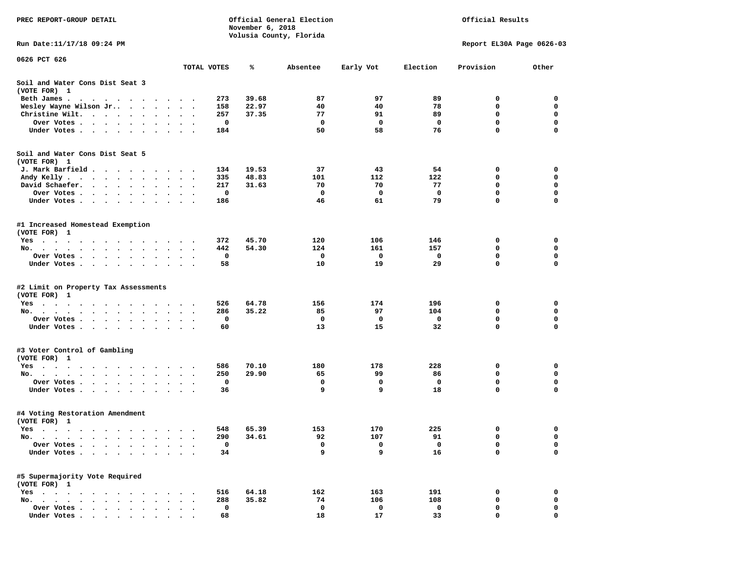| PREC REPORT-GROUP DETAIL                                                                                                       |                      |     | November 6, 2018 | Official General Election |             | Official Results |                           |              |  |
|--------------------------------------------------------------------------------------------------------------------------------|----------------------|-----|------------------|---------------------------|-------------|------------------|---------------------------|--------------|--|
|                                                                                                                                |                      |     |                  | Volusia County, Florida   |             |                  |                           |              |  |
| Run Date: 11/17/18 09:24 PM                                                                                                    |                      |     |                  |                           |             |                  | Report EL30A Page 0626-03 |              |  |
| 0626 PCT 626                                                                                                                   |                      |     |                  |                           |             |                  |                           |              |  |
|                                                                                                                                | TOTAL VOTES          |     | ℁                | Absentee                  | Early Vot   | Election         | Provision                 | Other        |  |
| Soil and Water Cons Dist Seat 3<br>(VOTE FOR) 1                                                                                |                      |     |                  |                           |             |                  |                           |              |  |
| Beth James.<br>the contract of the contract of the contract of the contract of the contract of the contract of the contract of |                      | 273 | 39.68            | 87                        | 97          | 89               | 0                         | 0            |  |
| Wesley Wayne Wilson Jr                                                                                                         | $\ddot{\phantom{1}}$ | 158 | 22.97            | 40                        | 40          | 78               | 0                         | $\mathbf 0$  |  |
| Christine Wilt.                                                                                                                |                      | 257 | 37.35            | 77                        | 91          | 89               | 0                         | 0            |  |
| Over Votes<br>$\ddot{\phantom{1}}$                                                                                             | $\bullet$ .          | 0   |                  | $\mathbf{o}$              | $\mathbf 0$ | 0                | $\mathbf 0$               | $\mathbf 0$  |  |
| Under Votes                                                                                                                    | $\sim$ $\sim$        | 184 |                  | 50                        | 58          | 76               | 0                         | $\mathbf 0$  |  |
| Soil and Water Cons Dist Seat 5                                                                                                |                      |     |                  |                           |             |                  |                           |              |  |
| (VOTE FOR) 1                                                                                                                   |                      |     |                  |                           |             |                  |                           |              |  |
| J. Mark Barfield                                                                                                               |                      | 134 | 19.53            | 37                        | 43          | 54               | 0                         | 0            |  |
| Andy Kelly                                                                                                                     | $\cdot$              | 335 | 48.83            | 101                       | 112         | 122              | 0                         | 0            |  |
| David Schaefer.<br>$\sim$ $\sim$<br>$\bullet$ .                                                                                | $\bullet$            | 217 | 31.63            | 70                        | 70          | 77               | 0                         | 0            |  |
| Over Votes<br>$\begin{array}{cccccccccccccc} \bullet & \bullet & \bullet & \bullet & \bullet \end{array}$                      |                      | 0   |                  | $\mathbf 0$               | 0           | 0                | $\mathbf 0$               | $\mathbf 0$  |  |
| Under Votes                                                                                                                    |                      | 186 |                  | 46                        | 61          | 79               | $\mathbf 0$               | $\mathbf 0$  |  |
|                                                                                                                                |                      |     |                  |                           |             |                  |                           |              |  |
| #1 Increased Homestead Exemption<br>(VOTE FOR) 1                                                                               |                      |     |                  |                           |             |                  |                           |              |  |
| Yes                                                                                                                            |                      | 372 | 45.70            | 120                       | 106         | 146              | 0                         | $\mathbf{o}$ |  |
| No. .<br>$\cdot$ $\cdot$ $\cdot$ $\cdot$ $\cdot$ $\cdot$ $\cdot$<br>$\sim$<br>$\bullet$<br>$\ddot{\phantom{0}}$<br>$\sim$      |                      | 442 | 54.30            | 124                       | 161         | 157              | 0                         | 0            |  |
| Over Votes                                                                                                                     | $\ddot{\phantom{1}}$ | 0   |                  | 0                         | 0           | 0                | 0                         | 0            |  |
| Under Votes.                                                                                                                   |                      | 58  |                  | 10                        | 19          | 29               | 0                         | $\mathbf 0$  |  |
|                                                                                                                                |                      |     |                  |                           |             |                  |                           |              |  |
| #2 Limit on Property Tax Assessments<br>(VOTE FOR) 1                                                                           |                      |     |                  |                           |             |                  |                           |              |  |
| $Yes \cdot \cdot \cdot \cdot \cdot \cdot \cdot$<br>$\cdot$ $\cdot$ $\cdot$                                                     |                      | 526 | 64.78            | 156                       | 174         | 196              | 0                         | 0            |  |
| No.                                                                                                                            |                      | 286 | 35.22            | 85                        | 97          | 104              | 0                         | $\mathbf 0$  |  |
| Over Votes .<br>$\cdot$ $\cdot$ $\cdot$ $\cdot$ $\cdot$<br>$\sim$ $\sim$<br>$\bullet$                                          |                      | 0   |                  | 0                         | 0           | 0                | 0                         | 0            |  |
| Under Votes                                                                                                                    |                      | 60  |                  | 13                        | 15          | 32               | 0                         | 0            |  |
|                                                                                                                                |                      |     |                  |                           |             |                  |                           |              |  |
| #3 Voter Control of Gambling<br>(VOTE FOR) 1                                                                                   |                      |     |                  |                           |             |                  |                           |              |  |
| Yes                                                                                                                            |                      | 586 | 70.10            | 180                       | 178         | 228              | 0                         | 0            |  |
| No.                                                                                                                            |                      | 250 | 29.90            | 65                        | 99          | 86               | 0                         | 0            |  |
| Over Votes                                                                                                                     | $\ddot{\phantom{1}}$ | 0   |                  | $\mathbf 0$               | 0           | 0                | $\mathbf 0$               | $\mathbf 0$  |  |
| Under Votes                                                                                                                    |                      | 36  |                  | 9                         | 9           | 18               | $\mathbf 0$               | 0            |  |
|                                                                                                                                |                      |     |                  |                           |             |                  |                           |              |  |
| #4 Voting Restoration Amendment<br>(VOTE FOR) 1                                                                                |                      |     |                  |                           |             |                  |                           |              |  |
| Yes                                                                                                                            |                      | 548 | 65.39            | 153                       | 170         | 225              | 0                         | 0            |  |
| $No.$ $\cdot$ $\cdot$ $\cdot$                                                                                                  |                      | 290 | 34.61            | 92                        | 107         | 91               | 0                         | 0            |  |
| Over Votes .<br>$\sim$<br>$\ddot{\phantom{a}}$                                                                                 |                      | 0   |                  | 0                         | 0           | 0                | $\mathbf 0$               | $\mathbf 0$  |  |
| Under Votes.<br>$\ddot{\phantom{a}}$<br>$\ddot{\phantom{a}}$<br>$\ddot{\phantom{a}}$                                           |                      | 34  |                  | 9                         | 9           | 16               | 0                         | 0            |  |
|                                                                                                                                |                      |     |                  |                           |             |                  |                           |              |  |
| #5 Supermajority Vote Required<br>(VOTE FOR) 1                                                                                 |                      |     |                  |                           |             |                  |                           |              |  |
| $Yes \cdot \cdot \cdot$<br>$\bullet$<br>$\cdot$                                                                                |                      | 516 | 64.18            | 162                       | 163         | 191              | 0                         | 0            |  |
| No.                                                                                                                            |                      | 288 | 35.82            | 74                        | 106         | 108              | 0                         | 0            |  |
| Over Votes .                                                                                                                   |                      | 0   |                  | 0                         | 0           | 0                | 0                         | 0            |  |
| Under Votes                                                                                                                    |                      | 68  |                  | 18                        | 17          | 33               | 0                         | $\Omega$     |  |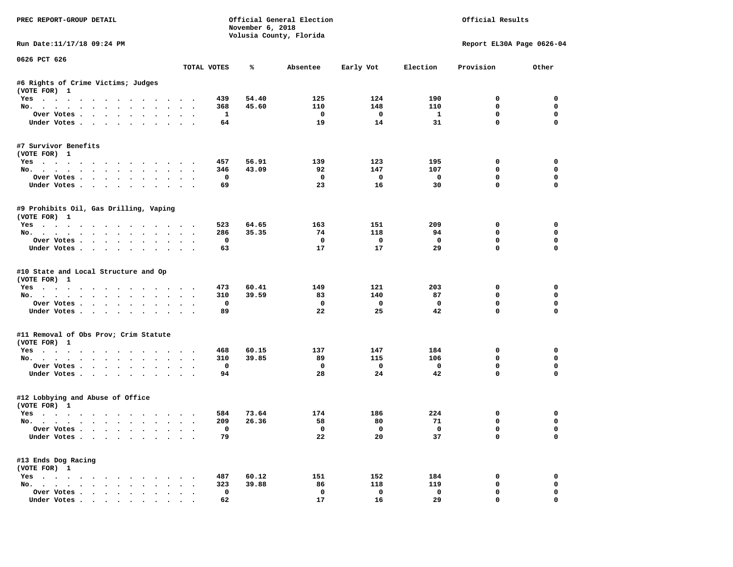| PREC REPORT-GROUP DETAIL                                                                                                                                                                                                                                                                                                                                                                                                                                                                   |        |              | November 6, 2018 | Official General Election<br>Volusia County, Florida |                         | Official Results        |                           |              |  |
|--------------------------------------------------------------------------------------------------------------------------------------------------------------------------------------------------------------------------------------------------------------------------------------------------------------------------------------------------------------------------------------------------------------------------------------------------------------------------------------------|--------|--------------|------------------|------------------------------------------------------|-------------------------|-------------------------|---------------------------|--------------|--|
| Run Date:11/17/18 09:24 PM                                                                                                                                                                                                                                                                                                                                                                                                                                                                 |        |              |                  |                                                      |                         |                         | Report EL30A Page 0626-04 |              |  |
| 0626 PCT 626                                                                                                                                                                                                                                                                                                                                                                                                                                                                               |        | TOTAL VOTES  | ℁                | Absentee                                             | Early Vot               | Election                | Provision                 | Other        |  |
| #6 Rights of Crime Victims; Judges                                                                                                                                                                                                                                                                                                                                                                                                                                                         |        |              |                  |                                                      |                         |                         |                           |              |  |
| (VOTE FOR) 1                                                                                                                                                                                                                                                                                                                                                                                                                                                                               |        |              |                  |                                                      |                         |                         |                           |              |  |
| Yes                                                                                                                                                                                                                                                                                                                                                                                                                                                                                        |        | 439          | 54.40            | 125                                                  | 124                     | 190                     | 0                         | 0            |  |
| No.                                                                                                                                                                                                                                                                                                                                                                                                                                                                                        |        | 368          | 45.60            | 110                                                  | 148                     | 110                     | $\mathbf 0$               | $\mathbf 0$  |  |
| Over Votes                                                                                                                                                                                                                                                                                                                                                                                                                                                                                 |        | $\mathbf{1}$ |                  | $\overline{\mathbf{0}}$                              | $\overline{a}$          | $\mathbf{1}$            | $\Omega$                  | $\mathbf{0}$ |  |
| Under Votes                                                                                                                                                                                                                                                                                                                                                                                                                                                                                |        | 64           |                  | 19                                                   | 14                      | 31                      | $\mathbf 0$               | $\Omega$     |  |
| #7 Survivor Benefits                                                                                                                                                                                                                                                                                                                                                                                                                                                                       |        |              |                  |                                                      |                         |                         |                           |              |  |
| (VOTE FOR) 1                                                                                                                                                                                                                                                                                                                                                                                                                                                                               |        |              |                  |                                                      |                         |                         |                           |              |  |
| Yes                                                                                                                                                                                                                                                                                                                                                                                                                                                                                        |        | 457          | 56.91            | 139                                                  | 123                     | 195                     | 0                         | 0            |  |
| No.                                                                                                                                                                                                                                                                                                                                                                                                                                                                                        |        | 346          | 43.09            | 92                                                   | 147                     | 107                     | $\mathbf{0}$              | 0            |  |
| Over Votes                                                                                                                                                                                                                                                                                                                                                                                                                                                                                 |        | $\mathbf 0$  |                  | $^{\circ}$                                           | $\mathbf{O}$            | $\mathbf{o}$            | $\mathbf 0$               | $\mathbf 0$  |  |
| Under Votes                                                                                                                                                                                                                                                                                                                                                                                                                                                                                |        | 69           |                  | 23                                                   | 16                      | 30                      | $\Omega$                  | 0            |  |
| #9 Prohibits Oil, Gas Drilling, Vaping<br>(VOTE FOR) 1                                                                                                                                                                                                                                                                                                                                                                                                                                     |        |              |                  |                                                      |                         |                         |                           |              |  |
| Yes                                                                                                                                                                                                                                                                                                                                                                                                                                                                                        |        | 523          | 64.65            | 163                                                  | 151                     | 209                     | $\mathbf 0$               | $\Omega$     |  |
| No.                                                                                                                                                                                                                                                                                                                                                                                                                                                                                        |        | 286          | 35.35            | 74                                                   | 118                     | 94                      | $\Omega$                  | 0            |  |
| Over Votes                                                                                                                                                                                                                                                                                                                                                                                                                                                                                 |        | $\mathbf{o}$ |                  | $\mathbf 0$                                          | $\overline{\mathbf{0}}$ | $\mathbf 0$             | $\mathbf 0$               | 0            |  |
| Under Votes                                                                                                                                                                                                                                                                                                                                                                                                                                                                                |        | 63           |                  | 17                                                   | 17                      | 29                      | $\mathbf 0$               | $\mathbf 0$  |  |
| #10 State and Local Structure and Op<br>(VOTE FOR) 1<br>Yes<br>No.                                                                                                                                                                                                                                                                                                                                                                                                                         |        | 473<br>310   | 60.41<br>39.59   | 149<br>83                                            | 121<br>140              | 203<br>87               | 0<br>$\mathbf 0$          | 0<br>0       |  |
| Over Votes                                                                                                                                                                                                                                                                                                                                                                                                                                                                                 |        | $\mathbf 0$  |                  | $\mathbf{o}$                                         | $\overline{\mathbf{0}}$ | $\mathbf 0$             | $\mathbf 0$               | 0            |  |
| Under Votes                                                                                                                                                                                                                                                                                                                                                                                                                                                                                |        | 89           |                  | 22                                                   | 25                      | 42                      | $\mathbf 0$               | $\Omega$     |  |
| #11 Removal of Obs Prov; Crim Statute                                                                                                                                                                                                                                                                                                                                                                                                                                                      |        |              |                  |                                                      |                         |                         |                           |              |  |
| (VOTE FOR) 1                                                                                                                                                                                                                                                                                                                                                                                                                                                                               |        |              |                  |                                                      |                         |                         |                           |              |  |
| Yes                                                                                                                                                                                                                                                                                                                                                                                                                                                                                        |        | 468          | 60.15            | 137                                                  | 147                     | 184                     | $^{\circ}$                | $\Omega$     |  |
| No.                                                                                                                                                                                                                                                                                                                                                                                                                                                                                        |        | 310          | 39.85            | 89                                                   | 115                     | 106                     | $\mathbf 0$               | $\mathbf 0$  |  |
| Over Votes                                                                                                                                                                                                                                                                                                                                                                                                                                                                                 |        | $\mathbf 0$  |                  | $\mathbf 0$                                          | $\overline{\mathbf{0}}$ | $\overline{\mathbf{0}}$ | 0                         | 0            |  |
| Under Votes                                                                                                                                                                                                                                                                                                                                                                                                                                                                                |        | 94           |                  | 28                                                   | 24                      | 42                      | $\mathbf 0$               | $\Omega$     |  |
| #12 Lobbying and Abuse of Office<br>(VOTE FOR) 1                                                                                                                                                                                                                                                                                                                                                                                                                                           |        |              |                  |                                                      |                         |                         |                           |              |  |
| Yes                                                                                                                                                                                                                                                                                                                                                                                                                                                                                        |        | 584          | 73.64            | 174                                                  | 186                     | 224                     | 0                         | 0            |  |
| No.                                                                                                                                                                                                                                                                                                                                                                                                                                                                                        |        | 209          | 26.36            | 58                                                   | 80                      | 71                      | 0                         | 0            |  |
| Over Votes                                                                                                                                                                                                                                                                                                                                                                                                                                                                                 |        | $\mathbf 0$  |                  | $\overline{\mathbf{0}}$                              | $\overline{\mathbf{0}}$ | $\mathbf{o}$            | $\mathbf 0$               | $\mathbf 0$  |  |
| Under Votes                                                                                                                                                                                                                                                                                                                                                                                                                                                                                |        | 79           |                  | 22                                                   | 20                      | 37                      | $\mathbf{0}$              | $\mathbf 0$  |  |
| #13 Ends Dog Racing<br>(VOTE FOR) 1                                                                                                                                                                                                                                                                                                                                                                                                                                                        |        |              |                  |                                                      |                         |                         |                           |              |  |
| Yes                                                                                                                                                                                                                                                                                                                                                                                                                                                                                        |        | 487          | 60.12            | 151                                                  | 152                     | 184                     | 0                         | 0            |  |
| No.                                                                                                                                                                                                                                                                                                                                                                                                                                                                                        |        | 323          | 39.88            | 86                                                   | 118                     | 119                     | 0                         | 0            |  |
| Over Votes                                                                                                                                                                                                                                                                                                                                                                                                                                                                                 | $\sim$ | $\mathbf 0$  |                  | $\mathbf{o}$                                         | $\mathbf 0$             | $\mathbf 0$             | $\mathbf 0$               | 0            |  |
| $\blacksquare$ $\blacksquare$ $\blacksquare$ $\blacksquare$ $\blacksquare$ $\blacksquare$ $\blacksquare$ $\blacksquare$ $\blacksquare$ $\blacksquare$ $\blacksquare$ $\blacksquare$ $\blacksquare$ $\blacksquare$ $\blacksquare$ $\blacksquare$ $\blacksquare$ $\blacksquare$ $\blacksquare$ $\blacksquare$ $\blacksquare$ $\blacksquare$ $\blacksquare$ $\blacksquare$ $\blacksquare$ $\blacksquare$ $\blacksquare$ $\blacksquare$ $\blacksquare$ $\blacksquare$ $\blacksquare$ $\blacks$ |        | 62           |                  | 17                                                   | -16                     | 29                      | $\Omega$                  | $\Omega$     |  |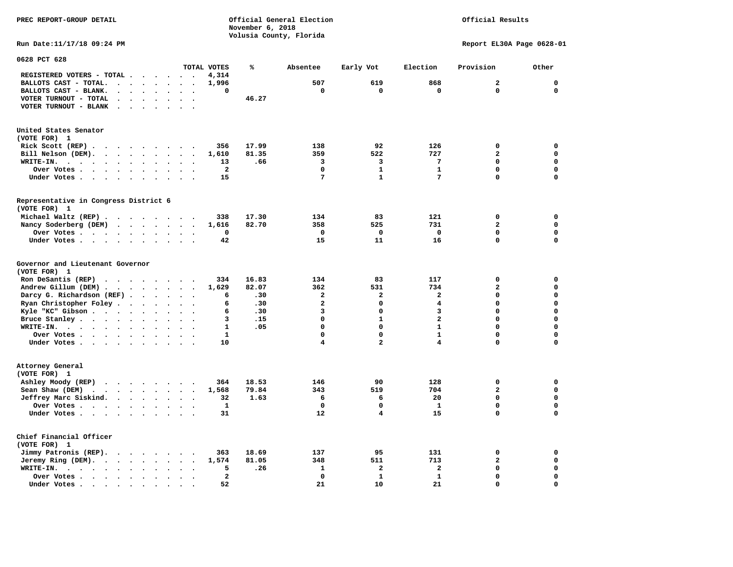**PREC REPORT-GROUP DETAIL COMPUTER CONSUMING A CONSUMING CONSUMING A LIGACION CONSUMING A LIGACION** *November 6, 2018 November 6, 2018*  **Volusia County, Florida Run Date:11/17/18 09:24 PM Report EL30A Page 0628-01** 

| 0628 PCT 628                                                                                                                                                                                                                                                       |                      |                      |                          |                      |                      |                          |                         |       |                         |                             |                         |                         |             |
|--------------------------------------------------------------------------------------------------------------------------------------------------------------------------------------------------------------------------------------------------------------------|----------------------|----------------------|--------------------------|----------------------|----------------------|--------------------------|-------------------------|-------|-------------------------|-----------------------------|-------------------------|-------------------------|-------------|
|                                                                                                                                                                                                                                                                    |                      |                      |                          |                      |                      |                          | TOTAL VOTES             | ℁     | Absentee                | Early Vot                   | Election                | Provision               | Other       |
| REGISTERED VOTERS - TOTAL .                                                                                                                                                                                                                                        |                      |                      |                          |                      | $\ddot{\phantom{a}}$ |                          | 4,314                   |       |                         |                             |                         |                         |             |
| BALLOTS CAST - TOTAL.                                                                                                                                                                                                                                              | $\ddot{\phantom{a}}$ | $\bullet$            | $\bullet$                | $\bullet$            | $\ddot{\phantom{a}}$ | $\ddot{\phantom{a}}$     | 1,996                   |       | 507                     | 619                         | 868                     | $\mathbf{z}$            | $\mathbf 0$ |
| BALLOTS CAST - BLANK.<br>$\ddot{\phantom{a}}$                                                                                                                                                                                                                      |                      |                      |                          |                      |                      |                          | 0                       |       | 0                       | $\mathbf 0$                 | $\mathbf 0$             | 0                       | $\mathbf 0$ |
| VOTER TURNOUT - TOTAL<br>$\ddot{\phantom{a}}$                                                                                                                                                                                                                      | $\overline{a}$       | $\bullet$            | $\cdot$                  | $\ddot{\phantom{a}}$ | $\ddot{\phantom{a}}$ | $\overline{\phantom{a}}$ |                         | 46.27 |                         |                             |                         |                         |             |
| VOTER TURNOUT - BLANK<br>$\bullet$                                                                                                                                                                                                                                 |                      |                      |                          |                      |                      |                          |                         |       |                         |                             |                         |                         |             |
| United States Senator                                                                                                                                                                                                                                              |                      |                      |                          |                      |                      |                          |                         |       |                         |                             |                         |                         |             |
| (VOTE FOR) 1                                                                                                                                                                                                                                                       |                      |                      |                          |                      |                      |                          |                         |       |                         |                             |                         |                         |             |
| Rick Scott $(REP)$                                                                                                                                                                                                                                                 |                      |                      |                          |                      | $\sim$ $\sim$        |                          | 356                     | 17.99 | 138                     | 92                          | 126                     | $\mathbf 0$             | 0           |
| Bill Nelson (DEM).<br>$\cdot$ $\cdot$ $\cdot$ $\cdot$ $\cdot$ $\cdot$                                                                                                                                                                                              |                      |                      |                          |                      | $\sim$               |                          | 1,610                   | 81.35 | 359                     | 522                         | 727                     | 2                       | 0           |
| WRITE-IN.<br>$\cdot$ $\cdot$<br>$\sim$ $\sim$                                                                                                                                                                                                                      | $\cdot$              | $\ddot{\phantom{a}}$ | $\ddot{\phantom{a}}$     |                      |                      |                          | 13                      | .66   | 3                       | 3                           | 7                       | 0                       | $\mathbf 0$ |
| Over Votes .<br>$\ddot{\phantom{1}}$<br>$\sim$ $\sim$                                                                                                                                                                                                              | $\ddot{\phantom{a}}$ | $\bullet$            | $\bullet$                | $\bullet$            |                      |                          | $\overline{\mathbf{2}}$ |       | 0                       | $\mathbf{1}$                | $\mathbf{1}$            | 0                       | $\mathbf 0$ |
| Under Votes<br>$\sim$                                                                                                                                                                                                                                              | $\ddot{\phantom{1}}$ | $\ddot{\phantom{a}}$ | $\cdot$                  |                      |                      |                          | 15                      |       | $\overline{7}$          | $\mathbf{1}$                | 7                       | 0                       | $\mathbf 0$ |
| Representative in Congress District 6                                                                                                                                                                                                                              |                      |                      |                          |                      |                      |                          |                         |       |                         |                             |                         |                         |             |
| (VOTE FOR) 1                                                                                                                                                                                                                                                       |                      |                      |                          |                      |                      |                          |                         |       |                         |                             |                         |                         |             |
| Michael Waltz (REP).<br>$\cdots$                                                                                                                                                                                                                                   |                      |                      |                          |                      | $\sim$ $\sim$        |                          | 338                     | 17.30 | 134                     | 83                          | 121                     | 0                       | 0           |
| Nancy Soderberg (DEM)                                                                                                                                                                                                                                              | $\cdots$             |                      |                          |                      | $\sim$               |                          | 1,616                   | 82.70 | 358                     | 525                         | 731                     | 2                       | $\mathbf 0$ |
| Over Votes.<br>$\cdots$                                                                                                                                                                                                                                            |                      | $\ddot{\phantom{0}}$ | $\ddot{\phantom{1}}$     | $\bullet$            | $\bullet$            | $\ddot{\phantom{a}}$     | 0                       |       | $\mathbf 0$             | 0                           | $\mathbf 0$             | 0                       | $\mathbf 0$ |
| Under Votes                                                                                                                                                                                                                                                        |                      | $\sim$               | $\sim$ $\sim$            |                      | $\ddot{\phantom{a}}$ |                          | 42                      |       | 15                      | 11                          | 16                      | 0                       | $\mathbf 0$ |
| Governor and Lieutenant Governor<br>(VOTE FOR) 1<br>Ron DeSantis (REP)                                                                                                                                                                                             |                      |                      |                          |                      | $\sim$ $\sim$        |                          | 334                     | 16.83 | 134                     | 83                          | 117                     | $\mathbf 0$             | $\mathbf 0$ |
| $\cdot$ $\cdot$ $\cdot$ $\cdot$ $\cdot$ $\cdot$                                                                                                                                                                                                                    |                      |                      |                          |                      |                      |                          |                         |       | 362                     | 531                         |                         | $\overline{\mathbf{2}}$ | $\mathbf 0$ |
| Andrew Gillum (DEM).<br>$\sim$                                                                                                                                                                                                                                     | $\sim$               | $\cdot$ .            |                          | $\sim$               | $\ddot{\phantom{a}}$ |                          | 1,629                   | 82.07 | $\overline{a}$          |                             | 734                     |                         | $\mathbf 0$ |
| Darcy G. Richardson (REF).                                                                                                                                                                                                                                         |                      | $\sim$               | $\sim$ $\sim$            |                      | $\ddot{\phantom{a}}$ |                          | 6                       | .30   | $\overline{a}$          | $\mathbf{2}$<br>0           | 2<br>4                  | 0<br>0                  | $\mathbf 0$ |
| Ryan Christopher Foley.                                                                                                                                                                                                                                            | $\sim$               | $\bullet$            | $\bullet$                | $\ddot{\phantom{a}}$ | $\ddot{\phantom{a}}$ |                          | 6                       | .30   |                         |                             |                         |                         |             |
| Kyle "KC" Gibson                                                                                                                                                                                                                                                   | $\ddot{\phantom{a}}$ | $\bullet$            | $\ddot{\phantom{a}}$     |                      |                      |                          | 6                       | .30   | 3<br>$\mathbf 0$        | $\mathbf 0$<br>$\mathbf{1}$ | 3<br>$\overline{a}$     | 0<br>$\Omega$           | $\mathbf 0$ |
| Bruce Stanley                                                                                                                                                                                                                                                      |                      | $\bullet$            | $\ddot{\phantom{a}}$     | $\ddot{\phantom{a}}$ | $\ddot{\phantom{a}}$ |                          | 3                       | .15   |                         |                             |                         |                         | $\mathbf 0$ |
| WRITE-IN.<br>$\cdots$<br>$\cdot$ .                                                                                                                                                                                                                                 |                      | $\bullet$            |                          |                      |                      |                          | 1                       | .05   | 0                       | $\mathbf 0$                 | $\mathbf{1}$            | 0                       | $\mathbf 0$ |
| Over Votes.<br>$\cdot$                                                                                                                                                                                                                                             |                      |                      | $\bullet$                | $\bullet$            | $\mathbf{A}$         | $\bullet$                | 1                       |       | 0                       | $\mathbf 0$                 | $\mathbf{1}$            | 0                       | $\mathbf 0$ |
| Under Votes                                                                                                                                                                                                                                                        |                      |                      |                          | $\bullet$            | $\bullet$            |                          | 10                      |       | $\overline{\mathbf{4}}$ | $\overline{\mathbf{2}}$     | 4                       | 0                       | $\mathbf 0$ |
| Attorney General<br>(VOTE FOR) 1                                                                                                                                                                                                                                   |                      |                      |                          |                      |                      |                          |                         |       |                         |                             |                         |                         |             |
| Ashley Moody (REP)<br>.                                                                                                                                                                                                                                            |                      |                      |                          |                      | $\ddot{\phantom{0}}$ | $\ddot{\phantom{0}}$     | 364                     | 18.53 | 146                     | 90                          | 128                     | $\mathbf 0$             | 0           |
| Sean Shaw (DEM)<br>and the contract of the contract of the contract of the contract of the contract of the contract of the contract of the contract of the contract of the contract of the contract of the contract of the contract of the contra<br>$\sim$ $\sim$ |                      |                      |                          |                      | $\sim$ $\sim$        |                          | 1,568                   | 79.84 | 343                     | 519                         | 704                     | $\overline{\mathbf{2}}$ | $\mathbf 0$ |
| Jeffrey Marc Siskind.                                                                                                                                                                                                                                              | $\sim$ $\sim$ $\sim$ |                      | $\ddot{\phantom{a}}$     |                      |                      |                          | 32                      | 1.63  | 6                       | 6                           | 20                      | $\mathbf 0$             | $\mathbf 0$ |
| Over Votes.<br>and the second control of the second                                                                                                                                                                                                                |                      |                      | $\bullet$                | $\bullet$            | $\bullet$            |                          | $\mathbf{1}$            |       | $\mathbf 0$             | 0                           | $\mathbf{1}$            | 0                       | $\mathbf 0$ |
| Under Votes                                                                                                                                                                                                                                                        |                      | $\ddot{\phantom{0}}$ | $\sim$                   | $\cdot$              | $\ddot{\phantom{a}}$ |                          | 31                      |       | 12                      | 4                           | 15                      | 0                       | $\mathbf 0$ |
| Chief Financial Officer<br>(VOTE FOR) 1                                                                                                                                                                                                                            |                      |                      |                          |                      |                      |                          |                         |       |                         |                             |                         |                         |             |
| Jimmy Patronis (REP).                                                                                                                                                                                                                                              |                      |                      | $\ddot{\phantom{1}}$     | $\bullet$            |                      |                          | 363                     | 18.69 | 137                     | 95                          | 131                     | 0                       | 0           |
| Jeremy Ring (DEM).<br>$\ddotsc$                                                                                                                                                                                                                                    | $\bullet$            | $\bullet$            |                          |                      |                      |                          | 1,574                   | 81.05 | 348                     | 511                         | 713                     | $\mathbf{z}$            | $\mathbf 0$ |
| WRITE-IN.<br>$\cdot$ $\cdot$ $\cdot$<br>$\ddotsc$                                                                                                                                                                                                                  | $\bullet$            | $\ddot{\phantom{a}}$ | $\bullet$                | $\ddot{\phantom{0}}$ | $\bullet$            |                          | 5                       | .26   | 1                       | $\overline{\mathbf{2}}$     | $\overline{\mathbf{2}}$ | 0                       | $\mathbf 0$ |
| Over Votes.<br>$\sim$ $\sim$ $\sim$ $\sim$                                                                                                                                                                                                                         | $\ddot{\phantom{a}}$ | $\bullet$            | $\overline{\phantom{a}}$ |                      |                      |                          | $\mathbf{2}$            |       | $\mathbf 0$             | $\mathbf{1}$                | $\mathbf{1}$            | 0                       | $\mathbf 0$ |
| Under Votes                                                                                                                                                                                                                                                        |                      | $\ddot{\phantom{a}}$ |                          |                      |                      |                          | 52                      |       | 21                      | 10                          | 21                      | 0                       | $\mathbf 0$ |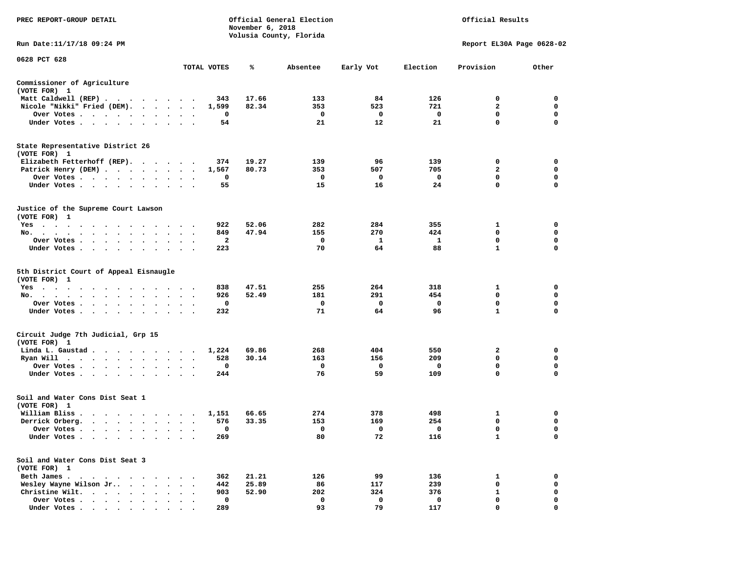| PREC REPORT-GROUP DETAIL                                                                                                                                                            |                                                                                                    | November 6, 2018 | Official General Election<br>Volusia County, Florida | Official Results |          |                           |             |
|-------------------------------------------------------------------------------------------------------------------------------------------------------------------------------------|----------------------------------------------------------------------------------------------------|------------------|------------------------------------------------------|------------------|----------|---------------------------|-------------|
| Run Date:11/17/18 09:24 PM                                                                                                                                                          |                                                                                                    |                  |                                                      |                  |          | Report EL30A Page 0628-02 |             |
| 0628 PCT 628                                                                                                                                                                        | TOTAL VOTES                                                                                        | ℁                | Absentee                                             | Early Vot        | Election | Provision                 | Other       |
| Commissioner of Agriculture<br>(VOTE FOR) 1                                                                                                                                         |                                                                                                    |                  |                                                      |                  |          |                           |             |
| Matt Caldwell (REP)                                                                                                                                                                 | 343                                                                                                | 17.66            | 133                                                  | 84               | 126      | 0                         | 0           |
| Nicole "Nikki" Fried (DEM).                                                                                                                                                         | 1,599                                                                                              | 82.34            | 353                                                  | 523              | 721      | $\mathbf{2}$              | 0           |
| Over Votes                                                                                                                                                                          | 0<br>$\bullet$<br>$\cdot$<br>$\bullet$                                                             |                  | 0                                                    | 0                | 0        | 0                         | 0           |
| Under Votes<br>$\ddot{\phantom{1}}$                                                                                                                                                 | 54                                                                                                 |                  | 21                                                   | 12               | 21       | 0                         | 0           |
| State Representative District 26<br>(VOTE FOR) 1                                                                                                                                    |                                                                                                    |                  |                                                      |                  |          |                           |             |
| Elizabeth Fetterhoff (REP).                                                                                                                                                         | 374                                                                                                | 19.27            | 139                                                  | 96               | 139      | 0                         | 0           |
| Patrick Henry (DEM)                                                                                                                                                                 | 1,567<br>$\cdot$                                                                                   | 80.73            | 353                                                  | 507              | 705      | 2                         | 0           |
| Over Votes                                                                                                                                                                          | 0                                                                                                  |                  | 0                                                    | 0                | 0        | 0                         | 0           |
| Under Votes<br>$\cdot$ .                                                                                                                                                            | 55<br>$\bullet$                                                                                    |                  | 15                                                   | 16               | 24       | 0                         | $\mathbf 0$ |
| Justice of the Supreme Court Lawson<br>(VOTE FOR) 1                                                                                                                                 |                                                                                                    |                  |                                                      |                  |          |                           |             |
| Yes                                                                                                                                                                                 | 922                                                                                                | 52.06            | 282                                                  | 284              | 355      | 1                         | 0           |
| No.                                                                                                                                                                                 | 849                                                                                                | 47.94            | 155                                                  | 270              | 424      | 0                         | 0           |
| Over Votes .<br>$\cdot$                                                                                                                                                             | 2                                                                                                  |                  | 0                                                    | 1                | 1        | 0                         | 0           |
| Under Votes<br>$\sim$                                                                                                                                                               | 223<br>$\ddot{\phantom{1}}$                                                                        |                  | 70                                                   | 64               | 88       | 1                         | 0           |
| 5th District Court of Appeal Eisnaugle<br>(VOTE FOR) 1                                                                                                                              |                                                                                                    |                  |                                                      |                  |          |                           |             |
| Yes                                                                                                                                                                                 | 838                                                                                                | 47.51            | 255                                                  | 264              | 318      | 1                         | 0           |
| No.                                                                                                                                                                                 | 926                                                                                                | 52.49            | 181                                                  | 291              | 454      | 0                         | 0           |
| Over Votes                                                                                                                                                                          | 0<br>$\bullet$<br>$\cdot$<br>$\bullet$                                                             |                  | 0                                                    | 0                | 0        | 0                         | 0           |
| Under Votes<br>$\ddot{\phantom{0}}$                                                                                                                                                 | 232                                                                                                |                  | 71                                                   | 64               | 96       | 1                         | 0           |
| Circuit Judge 7th Judicial, Grp 15<br>(VOTE FOR) 1                                                                                                                                  |                                                                                                    |                  |                                                      |                  |          |                           |             |
| Linda L. Gaustad                                                                                                                                                                    | 1,224                                                                                              | 69.86            | 268                                                  | 404              | 550      | 2                         | 0           |
| Ryan Will $\cdots$ $\cdots$ $\cdots$                                                                                                                                                | 528<br>$\bullet$<br>$\bullet$<br>$\bullet$                                                         | 30.14            | 163                                                  | 156              | 209      | 0                         | 0           |
| Over Votes<br>$\bullet$                                                                                                                                                             | 0                                                                                                  |                  | 0                                                    | 0                | 0        | 0                         | 0           |
| Under Votes<br>$\ddot{\phantom{0}}$                                                                                                                                                 | 244                                                                                                |                  | 76                                                   | 59               | 109      | 0                         | $\mathbf 0$ |
| Soil and Water Cons Dist Seat 1<br>(VOTE FOR) 1                                                                                                                                     |                                                                                                    |                  |                                                      |                  |          |                           |             |
| William Bliss.<br>$\begin{array}{cccccccccccccc} \bullet & \bullet & \bullet & \bullet & \bullet & \bullet & \bullet & \bullet & \bullet & \bullet & \bullet & \bullet \end{array}$ | 1,151                                                                                              | 66.65            | 274                                                  | 378              | 498      | 1                         | 0           |
| Derrick Orberg.<br>$\cdot$ $\cdot$ $\cdot$ $\cdot$ $\cdot$ $\cdot$ $\cdot$                                                                                                          | 576<br>$\ddot{\phantom{0}}$<br>$\ddot{\phantom{1}}$                                                | 33.35            | 153                                                  | 169              | 254      | 0                         | 0           |
| Over Votes .                                                                                                                                                                        | 0                                                                                                  |                  | 0                                                    | 0                | 0        | $\mathbf 0$               | $\mathbf 0$ |
| Under Votes                                                                                                                                                                         | 269<br>$\begin{array}{cccccccccccccc} \bullet & \bullet & \bullet & \bullet & \bullet \end{array}$ |                  | 80                                                   | 72               | 116      | 1                         | 0           |
| Soil and Water Cons Dist Seat 3<br>(VOTE FOR) 1                                                                                                                                     |                                                                                                    |                  |                                                      |                  |          |                           |             |
| Beth James.<br>$\sim$ $\sim$ $\sim$ $\sim$<br>$\bullet$                                                                                                                             | 362                                                                                                | 21.21            | 126                                                  | 99               | 136      | 1                         | 0           |
| Wesley Wayne Wilson Jr<br>$\cdot$ $\cdot$                                                                                                                                           | 442                                                                                                | 25.89            | 86                                                   | 117              | 239      | 0                         | 0           |
| Christine Wilt.<br>$\mathbf{r}$ , $\mathbf{r}$ , $\mathbf{r}$ , $\mathbf{r}$<br>$\bullet$                                                                                           | 903                                                                                                | 52.90            | 202                                                  | 324              | 376      | 1                         | 0           |
| Over Votes .<br>$\mathbf{r}$ . The set of the set of $\mathbf{r}$                                                                                                                   | 0                                                                                                  |                  | 0                                                    | 0                | 0        | 0                         | 0           |
| Under Votes                                                                                                                                                                         | 289                                                                                                |                  | 93                                                   | 79               | 117      | $\mathbf{0}$              | $\mathbf 0$ |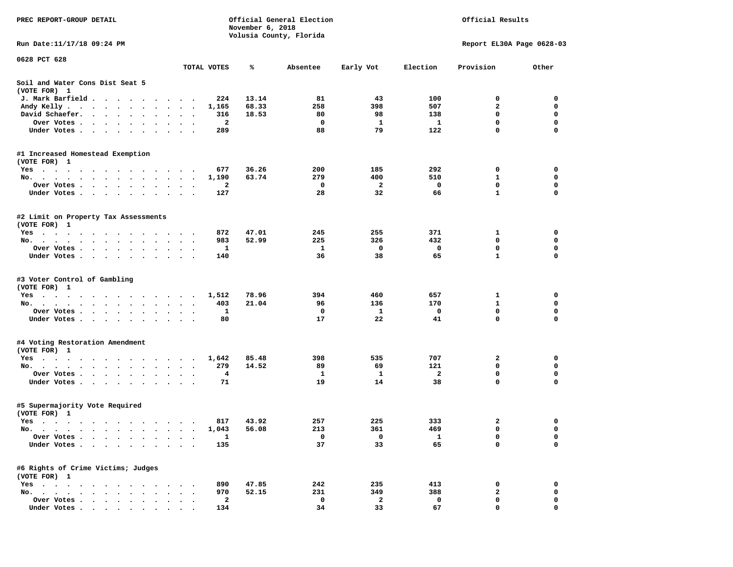| PREC REPORT-GROUP DETAIL                                                                 |                      |         | November 6, 2018 | Official General Election<br>Volusia County, Florida |           | Official Results |                            |                            |  |
|------------------------------------------------------------------------------------------|----------------------|---------|------------------|------------------------------------------------------|-----------|------------------|----------------------------|----------------------------|--|
| Run Date: 11/17/18 09:24 PM                                                              |                      |         |                  |                                                      |           |                  | Report EL30A Page 0628-03  |                            |  |
| 0628 PCT 628                                                                             |                      |         |                  |                                                      |           |                  |                            |                            |  |
|                                                                                          | TOTAL VOTES          |         | ℁                | Absentee                                             | Early Vot | Election         | Provision                  | Other                      |  |
| Soil and Water Cons Dist Seat 5<br>(VOTE FOR) 1                                          |                      |         |                  |                                                      |           |                  |                            |                            |  |
| J. Mark Barfield                                                                         |                      | 224     | 13.14            | 81                                                   | 43        | 100              | 0                          | 0                          |  |
| Andy Kelly                                                                               | $\ddot{\phantom{1}}$ | 1,165   | 68.33            | 258                                                  | 398       | 507              | $\overline{a}$             | $\mathbf 0$                |  |
| David Schaefer.<br>$\cdot$                                                               |                      | 316     | 18.53            | 80                                                   | 98        | 138              | 0                          | 0                          |  |
| Over Votes                                                                               |                      | 2       |                  | 0                                                    | 1         | $\mathbf{1}$     | $\mathbf 0$                | $\mathbf 0$                |  |
| Under Votes                                                                              |                      | 289     |                  | 88                                                   | 79        | 122              | $\mathbf 0$                | $\mathbf 0$                |  |
| #1 Increased Homestead Exemption<br>(VOTE FOR) 1                                         |                      |         |                  |                                                      |           |                  |                            |                            |  |
| Yes                                                                                      |                      | 677     | 36.26            | 200                                                  | 185       | 292              | 0                          | 0                          |  |
| No.                                                                                      | $\cdot$              | 1,190   | 63.74            | 279                                                  | 400       | 510              | 1                          | 0                          |  |
| Over Votes.<br>$\cdot$<br>$\bullet$ , $\bullet$ , $\bullet$<br>$\cdot$                   | $\bullet$            | 2       |                  | 0                                                    | 2         | 0                | 0                          | 0                          |  |
| Under Votes                                                                              |                      | 127     |                  | 28                                                   | 32        | 66               | $\mathbf{1}$               | $\mathbf 0$                |  |
| #2 Limit on Property Tax Assessments<br>(VOTE FOR) 1                                     |                      |         |                  |                                                      |           |                  |                            |                            |  |
| Yes                                                                                      |                      | 872     | 47.01            | 245                                                  | 255       | 371              | 1                          | 0                          |  |
| No.                                                                                      | $\ddot{\phantom{1}}$ | 983     | 52.99            | 225                                                  | 326       | 432              | $\mathbf 0$                | $\mathbf 0$                |  |
| Over Votes                                                                               |                      | 1       |                  | 1                                                    | 0         | 0                | 0                          | 0                          |  |
| Under Votes                                                                              |                      | 140     |                  | 36                                                   | 38        | 65               | $\mathbf{1}$               | 0                          |  |
| #3 Voter Control of Gambling<br>(VOTE FOR) 1                                             |                      |         |                  |                                                      |           |                  |                            |                            |  |
| Yes                                                                                      |                      | 1,512   | 78.96            | 394                                                  | 460       | 657              | 1                          | 0                          |  |
| No.                                                                                      | $\ddot{\phantom{1}}$ | 403     | 21.04            | 96                                                   | 136       | 170              | $\mathbf{1}$               | 0                          |  |
| Over Votes                                                                               |                      | 1       |                  | $\mathbf 0$                                          | 1         | 0                | $\mathbf 0$                | $\mathbf 0$                |  |
| Under Votes                                                                              |                      | 80      |                  | 17                                                   | 22        | 41               | 0                          | 0                          |  |
| #4 Voting Restoration Amendment<br>(VOTE FOR) 1                                          |                      |         |                  |                                                      |           |                  |                            |                            |  |
| Yes<br>.                                                                                 |                      | 1,642   | 85.48            | 398                                                  | 535       | 707              | 2                          | 0                          |  |
| No.                                                                                      | $\bullet$            | 279     | 14.52            | 89                                                   | 69        | 121              | 0                          | 0                          |  |
| Over Votes<br>Under Votes                                                                | $\bullet$            | 4<br>71 |                  | 1<br>19                                              | 1<br>14   | 2<br>38          | $\mathbf 0$<br>$\mathbf 0$ | $\mathbf 0$<br>$\mathbf 0$ |  |
|                                                                                          |                      |         |                  |                                                      |           |                  |                            |                            |  |
| #5 Supermajority Vote Required<br>(VOTE FOR) 1                                           |                      |         |                  |                                                      |           |                  |                            |                            |  |
| Yes                                                                                      |                      | 817     | 43.92            | 257                                                  | 225       | 333              | 2                          | 0                          |  |
| No.<br>.                                                                                 |                      | 1,043   | 56.08            | 213                                                  | 361       | 469              | 0                          | 0                          |  |
| Over Votes .<br>$\cdots$<br>$\ddot{\phantom{1}}$                                         |                      | 1       |                  | 0                                                    | 0         | $\mathbf{1}$     | 0                          | 0                          |  |
| Under Votes<br>$\ddot{\phantom{1}}$<br>$\bullet$                                         |                      | 135     |                  | 37                                                   | 33        | 65               | $\mathbf 0$                | 0                          |  |
| #6 Rights of Crime Victims; Judges<br>(VOTE FOR) 1                                       |                      |         |                  |                                                      |           |                  |                            |                            |  |
| $Yes \cdot \cdot \cdot \cdot \cdot \cdot \cdot$                                          |                      | 890     | 47.85            | 242                                                  | 235       | 413              | 0                          | 0                          |  |
| No.<br>$\cdot$ $\cdot$<br>$\sim$<br>$\sim$<br>$\sim$                                     |                      | 970     | 52.15            | 231                                                  | 349       | 388              | 2                          | 0                          |  |
| Over Votes .<br>$\cdot$ $\cdot$ $\cdot$ $\cdot$<br>$\bullet$                             |                      | 2       |                  | 0                                                    | 2         | 0                | 0                          | 0                          |  |
| Under Votes.<br>$\bullet$ .<br><br><br><br><br><br><br><br><br><br><br><br><br>$\bullet$ |                      | 134     |                  | 34                                                   | 33        | 67               | 0                          | 0                          |  |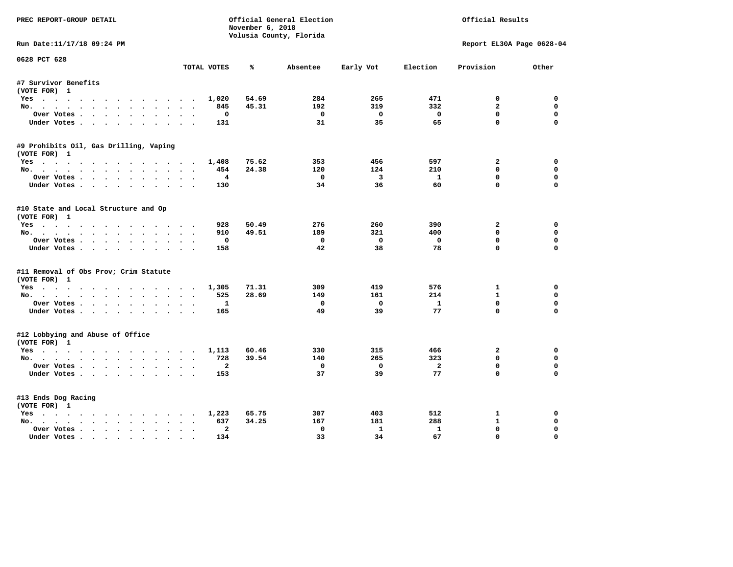| PREC REPORT-GROUP DETAIL                                                                                                                                                                                                                          |                               | November 6, 2018 | Official General Election |                         | Official Results |                           |             |
|---------------------------------------------------------------------------------------------------------------------------------------------------------------------------------------------------------------------------------------------------|-------------------------------|------------------|---------------------------|-------------------------|------------------|---------------------------|-------------|
|                                                                                                                                                                                                                                                   |                               |                  | Volusia County, Florida   |                         |                  |                           |             |
| Run Date:11/17/18 09:24 PM                                                                                                                                                                                                                        |                               |                  |                           |                         |                  | Report EL30A Page 0628-04 |             |
| 0628 PCT 628                                                                                                                                                                                                                                      | TOTAL VOTES                   | ℁                | Absentee                  | Early Vot               | Election         | Provision                 | Other       |
| #7 Survivor Benefits                                                                                                                                                                                                                              |                               |                  |                           |                         |                  |                           |             |
| (VOTE FOR) 1                                                                                                                                                                                                                                      |                               |                  |                           |                         |                  |                           |             |
| Yes                                                                                                                                                                                                                                               | 1,020                         | 54.69            | 284                       | 265                     | 471              | 0                         | 0           |
| No.                                                                                                                                                                                                                                               | 845                           | 45.31            | 192                       | 319                     | 332              | $\overline{a}$            | $\Omega$    |
| Over Votes                                                                                                                                                                                                                                        | 0                             |                  | $\mathbf 0$               | $\mathbf{o}$            | $\mathbf{o}$     | $\mathbf{0}$              | $\mathbf 0$ |
| Under Votes                                                                                                                                                                                                                                       | 131                           |                  | 31                        | 35                      | 65               | $\mathbf{0}$              | $\Omega$    |
| #9 Prohibits Oil, Gas Drilling, Vaping                                                                                                                                                                                                            |                               |                  |                           |                         |                  |                           |             |
| (VOTE FOR) 1                                                                                                                                                                                                                                      |                               |                  |                           |                         |                  |                           |             |
| Yes                                                                                                                                                                                                                                               | 1,408                         | 75.62            | 353                       | 456                     | 597              | $\mathbf{2}$              | 0           |
| No.                                                                                                                                                                                                                                               | 454                           | 24.38            | 120                       | 124                     | 210              | $\Omega$                  | $\mathbf 0$ |
| Over Votes                                                                                                                                                                                                                                        | $\overline{4}$                |                  | $\Omega$                  | $\overline{\mathbf{3}}$ | $\mathbf{1}$     | $\mathbf{0}$              | $\Omega$    |
| Under Votes                                                                                                                                                                                                                                       | 130                           |                  | 34                        | 36                      | 60               | $\Omega$                  | $\Omega$    |
| #10 State and Local Structure and Op                                                                                                                                                                                                              |                               |                  |                           |                         |                  |                           |             |
| (VOTE FOR) 1                                                                                                                                                                                                                                      |                               |                  |                           |                         |                  |                           |             |
| Yes                                                                                                                                                                                                                                               | 928                           | 50.49            | 276                       | 260                     | 390              | $\mathbf{2}$              | $\Omega$    |
| No.                                                                                                                                                                                                                                               | 910                           | 49.51            | 189                       | 321                     | 400              | 0                         | $\mathbf 0$ |
| Over Votes                                                                                                                                                                                                                                        | 0                             |                  | $^{\circ}$                | $\mathbf{0}$            | $\mathbf 0$      | $\mathbf{0}$              | $\Omega$    |
| Under Votes                                                                                                                                                                                                                                       | 158                           |                  | 42                        | 38                      | 78               | $\Omega$                  | $\Omega$    |
| #11 Removal of Obs Prov; Crim Statute                                                                                                                                                                                                             |                               |                  |                           |                         |                  |                           |             |
| (VOTE FOR) 1                                                                                                                                                                                                                                      |                               |                  |                           |                         |                  |                           |             |
| Yes                                                                                                                                                                                                                                               | 1,305                         | 71.31            | 309                       | 419                     | 576              | 1                         | 0           |
| No.                                                                                                                                                                                                                                               | 525                           | 28.69            | 149                       | 161                     | 214              | $\mathbf{1}$              | 0           |
| Over Votes                                                                                                                                                                                                                                        | 1<br>$\overline{\phantom{a}}$ |                  | 0                         | $\mathbf{o}$            | $\mathbf{1}$     | $\Omega$                  | $\mathbf 0$ |
| Under Votes                                                                                                                                                                                                                                       | 165                           |                  | 49                        | 39                      | 77               | $\mathbf 0$               | $\Omega$    |
| #12 Lobbying and Abuse of Office                                                                                                                                                                                                                  |                               |                  |                           |                         |                  |                           |             |
| (VOTE FOR) 1                                                                                                                                                                                                                                      |                               |                  |                           |                         |                  |                           |             |
| Yes                                                                                                                                                                                                                                               | 1,113                         | 60.46            | 330                       | 315                     | 466              | $\mathbf{2}$              | 0           |
| No.                                                                                                                                                                                                                                               | 728                           | 39.54            | 140                       | 265                     | 323              | $\Omega$                  | 0           |
| Over Votes.                                                                                                                                                                                                                                       | $\mathbf{2}$                  |                  | 0                         | $\overline{\mathbf{0}}$ | $\overline{a}$   | $\mathbf 0$               | $\mathbf 0$ |
| Under Votes                                                                                                                                                                                                                                       | 153                           |                  | 37                        | 39                      | 77               | $\Omega$                  | $\Omega$    |
| #13 Ends Dog Racing                                                                                                                                                                                                                               |                               |                  |                           |                         |                  |                           |             |
| (VOTE FOR) 1                                                                                                                                                                                                                                      |                               |                  |                           |                         |                  |                           |             |
| Yes                                                                                                                                                                                                                                               | 1,223                         | 65.75            | 307                       | 403                     | 512              | 1                         | 0           |
| No.                                                                                                                                                                                                                                               | $\sim$ $\sim$<br>637          | 34.25            | 167                       | 181                     | 288              | $\mathbf{1}$              | 0           |
| Over Votes .<br>$\mathbf{r}$ . The contract of the contract of the contract of the contract of the contract of the contract of the contract of the contract of the contract of the contract of the contract of the contract of the contract of th | $\overline{a}$                |                  | 0                         | $\mathbf{1}$            | $\mathbf{1}$     | 0                         | $\Omega$    |
| Under Votes                                                                                                                                                                                                                                       | 134                           |                  | 33                        | 34                      | 67               | 0                         | $\Omega$    |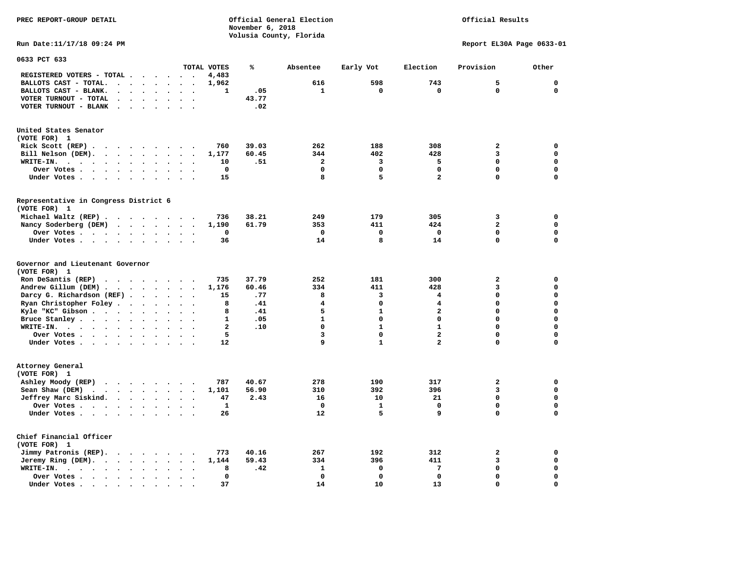**PREC REPORT-GROUP DETAIL COMPUTER CONSUMING A CONSUMING CONSUMING A LIGACION CONSUMING A LIGACION** *November 6, 2018 November 6, 2018*  **Volusia County, Florida** 

## Official Results

**Run Date:11/17/18 09:24 PM Report EL30A Page 0633-01** 

| 0633 PCT 633                                                                                                                                                                                                                                               |             |                      |                      |                          |                      |                                    |              |       |                         |              |                         |                |             |
|------------------------------------------------------------------------------------------------------------------------------------------------------------------------------------------------------------------------------------------------------------|-------------|----------------------|----------------------|--------------------------|----------------------|------------------------------------|--------------|-------|-------------------------|--------------|-------------------------|----------------|-------------|
|                                                                                                                                                                                                                                                            |             |                      |                      |                          |                      |                                    | TOTAL VOTES  | ℁     | Absentee                | Early Vot    | Election                | Provision      | Other       |
| REGISTERED VOTERS - TOTAL .                                                                                                                                                                                                                                |             |                      |                      | $\overline{\phantom{a}}$ | $\ddot{\phantom{a}}$ |                                    | 4,483        |       |                         |              |                         |                |             |
| BALLOTS CAST - TOTAL.                                                                                                                                                                                                                                      | $\bullet$   | $\ddot{\phantom{a}}$ | $\ddot{\phantom{a}}$ | $\bullet$                | $\ddot{\phantom{a}}$ | $\bullet$                          | 1,962        |       | 616                     | 598          | 743                     | 5              | $\mathbf 0$ |
| BALLOTS CAST - BLANK.<br>$\bullet$                                                                                                                                                                                                                         |             |                      |                      |                          |                      |                                    | 1            | .05   | 1                       | 0            | $\mathbf 0$             | $\mathbf 0$    | 0           |
| VOTER TURNOUT - TOTAL<br>$\ddot{\phantom{a}}$                                                                                                                                                                                                              | $\cdot$     | $\ddot{\phantom{a}}$ | $\ddot{\phantom{a}}$ | $\ddot{\phantom{a}}$     | $\ddot{\phantom{1}}$ | $\ddot{\phantom{a}}$               |              | 43.77 |                         |              |                         |                |             |
| VOTER TURNOUT - BLANK<br>$\ddot{\phantom{0}}$                                                                                                                                                                                                              |             |                      |                      |                          |                      |                                    |              | .02   |                         |              |                         |                |             |
| United States Senator                                                                                                                                                                                                                                      |             |                      |                      |                          |                      |                                    |              |       |                         |              |                         |                |             |
| (VOTE FOR) 1                                                                                                                                                                                                                                               |             |                      |                      |                          |                      |                                    |              |       |                         |              |                         |                |             |
| Rick Scott (REP).<br>$\cdots$                                                                                                                                                                                                                              |             |                      |                      |                          |                      |                                    | 760          | 39.03 | 262                     | 188          | 308                     | $\mathbf{z}$   | $\mathbf 0$ |
| Bill Nelson (DEM).<br>$\cdot$ $\cdot$ $\cdot$ $\cdot$ $\cdot$ $\cdot$ $\cdot$                                                                                                                                                                              |             |                      |                      |                          | $\sim$               |                                    | 1,177        | 60.45 | 344                     | 402          | 428                     | 3              | $\mathbf 0$ |
| WRITE-IN.<br>$\sim$ $\sim$ $\sim$ $\sim$<br>$\sim$ $\sim$<br>$\sim$                                                                                                                                                                                        |             | $\ddot{\phantom{0}}$ | $\bullet$            | $\bullet$                |                      |                                    | 10           | .51   | $\overline{\mathbf{2}}$ | 3            | 5                       | 0              | $\mathbf 0$ |
| Over Votes .<br>$\ddot{\phantom{0}}$<br>$\bullet$<br>$\sim 100$ km s $^{-1}$                                                                                                                                                                               | $\bullet$ . | $\bullet$            |                      | $\bullet$                |                      |                                    | 0            |       | $\Omega$                | 0            | $\Omega$                | 0              | $\mathbf 0$ |
| Under Votes<br>$\sim$ $\sim$                                                                                                                                                                                                                               |             | $\ddot{\phantom{a}}$ |                      |                          |                      |                                    | 15           |       | 8                       | 5            | $\overline{a}$          | $\Omega$       | $\mathbf 0$ |
|                                                                                                                                                                                                                                                            |             |                      |                      |                          |                      |                                    |              |       |                         |              |                         |                |             |
| Representative in Congress District 6<br>(VOTE FOR) 1                                                                                                                                                                                                      |             |                      |                      |                          |                      |                                    |              |       |                         |              |                         |                |             |
| Michael Waltz (REP).<br>$\cdots$                                                                                                                                                                                                                           |             |                      |                      |                          | $\sim$               |                                    | 736          | 38.21 | 249                     | 179          | 305                     | 3              | 0           |
| Nancy Soderberg (DEM)<br>$\mathbf{r}$ . The set of the set of the set of the set of the set of the set of the set of the set of the set of the set of the set of the set of the set of the set of the set of the set of the set of the set of the set of t |             |                      |                      |                          |                      |                                    | 1,190        | 61.79 | 353                     | 411          | 424                     | $\overline{a}$ | $\mathbf 0$ |
| Over Votes                                                                                                                                                                                                                                                 |             | $\ddot{\phantom{0}}$ | $\ddot{\phantom{a}}$ | $\bullet$                | $\ddot{\phantom{a}}$ | $\ddot{\phantom{a}}$               | 0            |       | $\mathbf 0$             | 0            | $\mathbf 0$             | 0              | $\mathbf 0$ |
| Under Votes                                                                                                                                                                                                                                                |             | $\ddot{\phantom{a}}$ | $\ddot{\phantom{0}}$ | $\bullet$                | $\ddot{\phantom{a}}$ |                                    | 36           |       | 14                      | 8            | 14                      | 0              | 0           |
|                                                                                                                                                                                                                                                            |             |                      |                      |                          |                      |                                    |              |       |                         |              |                         |                |             |
| Governor and Lieutenant Governor<br>(VOTE FOR) 1                                                                                                                                                                                                           |             |                      |                      |                          |                      |                                    |              |       |                         |              |                         |                |             |
| Ron DeSantis (REP)<br>$\cdot$ $\cdot$ $\cdot$ $\cdot$ $\cdot$ $\cdot$                                                                                                                                                                                      |             |                      |                      |                          | $\sim$               |                                    | 735          | 37.79 | 252                     | 181          | 300                     | $\mathbf{z}$   | $\mathbf 0$ |
| Andrew Gillum (DEM).<br>$\cdots$                                                                                                                                                                                                                           |             |                      |                      |                          | $\ddot{\phantom{a}}$ |                                    | 1,176        | 60.46 | 334                     | 411          | 428                     | 3              | $\mathbf 0$ |
| Darcy G. Richardson (REF).                                                                                                                                                                                                                                 |             | $\bullet$            | $\ddot{\phantom{a}}$ | $\bullet$                | $\bullet$            | $\bullet$                          | 15           | .77   | 8                       | 3            | 4                       | 0              | $\mathbf 0$ |
| Ryan Christopher Foley                                                                                                                                                                                                                                     |             | $\bullet$            | $\ddot{\phantom{a}}$ | $\ddot{\phantom{a}}$     | $\sim$               |                                    | 8            | .41   | 4                       | 0            | 4                       | 0              | $\mathbf 0$ |
| Kyle "KC" Gibson                                                                                                                                                                                                                                           |             | $\ddot{\phantom{a}}$ | $\ddot{\phantom{a}}$ | $\ddot{\phantom{a}}$     |                      |                                    | 8            | .41   | 5                       | $\mathbf{1}$ | $\overline{a}$          | $\Omega$       | $\mathbf 0$ |
| Bruce Stanley                                                                                                                                                                                                                                              |             |                      |                      |                          | $\ddot{\phantom{a}}$ |                                    | 1            | .05   | $\mathbf{1}$            | 0            | 0                       | 0              | $\mathbf 0$ |
| WRITE-IN.                                                                                                                                                                                                                                                  |             | $\bullet$            |                      | $\bullet$                |                      |                                    | $\mathbf{2}$ | .10   | $\mathbf 0$             | $\mathbf{1}$ | $\mathbf{1}$            | 0              | $\mathbf 0$ |
| $\cdots$                                                                                                                                                                                                                                                   |             | $\bullet$            |                      |                          |                      |                                    |              |       | 3                       | 0            | $\overline{\mathbf{2}}$ | 0              | $\mathbf 0$ |
| Over Votes                                                                                                                                                                                                                                                 |             |                      | $\ddot{\phantom{0}}$ | $\bullet$                | $\bullet$            | $\ddot{\phantom{a}}$               | 5            |       | 9                       |              | 2                       | 0              | $\mathbf 0$ |
| Under Votes                                                                                                                                                                                                                                                |             |                      |                      | $\sim$ $\sim$            |                      |                                    | 12           |       |                         | 1            |                         |                |             |
| Attorney General<br>(VOTE FOR) 1                                                                                                                                                                                                                           |             |                      |                      |                          |                      |                                    |              |       |                         |              |                         |                |             |
| Ashley Moody (REP)                                                                                                                                                                                                                                         |             |                      |                      |                          |                      |                                    | 787          | 40.67 | 278                     | 190          | 317                     | $\overline{a}$ | 0           |
|                                                                                                                                                                                                                                                            |             |                      |                      |                          |                      |                                    |              |       |                         |              |                         | 3              | $\mathbf 0$ |
| Sean Shaw (DEM)<br>$\cdot$                                                                                                                                                                                                                                 |             |                      |                      |                          |                      | $\sim$<br>$\overline{\phantom{a}}$ | 1,101        | 56.90 | 310                     | 392          | 396                     |                | $\mathbf 0$ |
| Jeffrey Marc Siskind.                                                                                                                                                                                                                                      |             |                      |                      |                          | $\ddot{\phantom{a}}$ | $\ddot{\phantom{a}}$               | 47           | 2.43  | 16                      | 10           | 21                      | 0              |             |
| Over Votes .                                                                                                                                                                                                                                               |             | $\bullet$            |                      | $\bullet$                |                      |                                    | $\mathbf{1}$ |       | $\mathbf 0$             | $\mathbf{1}$ | $\mathbf 0$             | $\mathbf 0$    | $\mathbf 0$ |
| Under Votes                                                                                                                                                                                                                                                |             | $\sim$               |                      |                          |                      |                                    | 26           |       | 12                      | 5            | 9                       | $\Omega$       | $\mathbf 0$ |
| Chief Financial Officer                                                                                                                                                                                                                                    |             |                      |                      |                          |                      |                                    |              |       |                         |              |                         |                |             |
| (VOTE FOR) 1                                                                                                                                                                                                                                               |             |                      |                      |                          |                      |                                    |              |       |                         |              |                         |                |             |
| Jimmy Patronis (REP).<br>$\sim$ $\sim$                                                                                                                                                                                                                     |             | $\sim$ $\sim$        |                      | $\bullet$                |                      |                                    | 773          | 40.16 | 267                     | 192          | 312                     | 2              | 0           |
| Jeremy Ring (DEM).<br>$\ddot{\phantom{a}}$                                                                                                                                                                                                                 |             | $\bullet$            | $\bullet$            | $\bullet$                |                      |                                    | 1,144        | 59.43 | 334                     | 396          | 411                     | 3              | $\mathbf 0$ |
| WRITE-IN.<br>$\ddot{\phantom{0}}$<br><b>Contract Contract Contract</b>                                                                                                                                                                                     | $\bullet$   | $\bullet$            |                      | $\ddot{\phantom{0}}$     |                      |                                    | 8            | .42   | 1                       | 0            | 7                       | 0              | $\mathbf 0$ |
| Over Votes .<br>$\sim$ $\sim$ $\sim$ $\sim$ $\sim$                                                                                                                                                                                                         | $\bullet$   | $\bullet$            |                      |                          |                      |                                    | 0            |       | $\mathbf 0$             | $\mathbf 0$  | $\mathbf 0$             | 0              | 0           |
| Under Votes.<br>$\ddot{\phantom{1}}$<br>$\sim$ $\sim$<br>$\blacksquare$ .                                                                                                                                                                                  | $\bullet$   | $\cdot$              |                      |                          |                      |                                    | 37           |       | 14                      | 10           | 13                      | 0              | $\mathbf 0$ |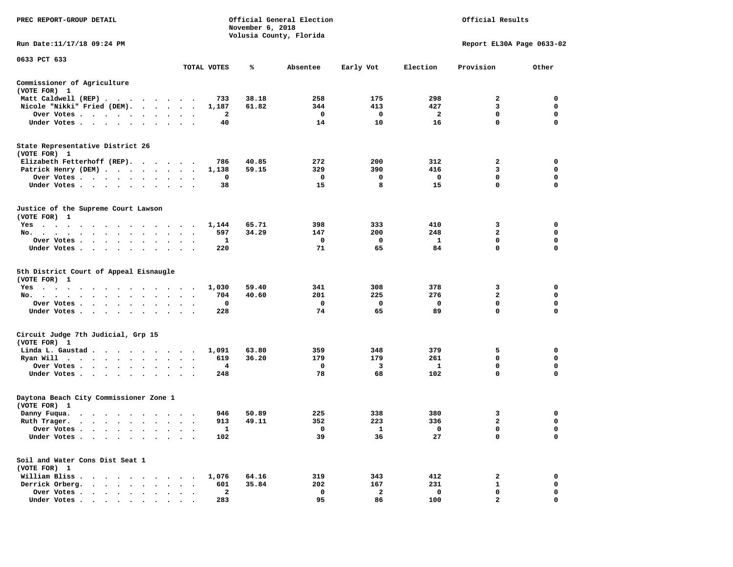| PREC REPORT-GROUP DETAIL                                                                                                                                                                                                                                             |                                                       | November 6, 2018 | Official General Election<br>Volusia County, Florida | Official Results |                         |                           |             |
|----------------------------------------------------------------------------------------------------------------------------------------------------------------------------------------------------------------------------------------------------------------------|-------------------------------------------------------|------------------|------------------------------------------------------|------------------|-------------------------|---------------------------|-------------|
| Run Date:11/17/18 09:24 PM                                                                                                                                                                                                                                           |                                                       |                  |                                                      |                  |                         | Report EL30A Page 0633-02 |             |
| 0633 PCT 633                                                                                                                                                                                                                                                         | TOTAL VOTES                                           | ℁                | Absentee                                             | Early Vot        | Election                | Provision                 | Other       |
| Commissioner of Agriculture                                                                                                                                                                                                                                          |                                                       |                  |                                                      |                  |                         |                           |             |
| (VOTE FOR) 1                                                                                                                                                                                                                                                         |                                                       |                  |                                                      |                  |                         |                           |             |
| Matt Caldwell (REP)                                                                                                                                                                                                                                                  | 733                                                   | 38.18            | 258                                                  | 175              | 298                     | 2                         | $\mathbf 0$ |
| Nicole "Nikki" Fried (DEM).                                                                                                                                                                                                                                          | 1,187                                                 | 61.82            | 344                                                  | 413              | 427                     | 3                         | $\mathbf 0$ |
| Over Votes<br>$\bullet$                                                                                                                                                                                                                                              | 2                                                     |                  | $\mathbf{o}$                                         | $\mathbf{o}$     | $\overline{\mathbf{2}}$ | 0                         | 0           |
| Under Votes.                                                                                                                                                                                                                                                         | 40                                                    |                  | 14                                                   | 10               | 16                      | $\mathbf 0$               | $\Omega$    |
| State Representative District 26<br>(VOTE FOR) 1                                                                                                                                                                                                                     |                                                       |                  |                                                      |                  |                         |                           |             |
| Elizabeth Fetterhoff (REP).                                                                                                                                                                                                                                          | 786                                                   | 40.85            | 272                                                  | 200              | 312                     | $\mathbf{2}$              | $\mathbf 0$ |
| Patrick Henry (DEM)                                                                                                                                                                                                                                                  | 1,138                                                 | 59.15            | 329                                                  | 390              | 416                     | 3                         | 0           |
| Over Votes                                                                                                                                                                                                                                                           | 0                                                     |                  | 0                                                    | 0                | $\mathbf 0$             | 0                         | 0           |
| Under Votes<br>$\ddot{\phantom{a}}$                                                                                                                                                                                                                                  | 38                                                    |                  | 15                                                   | 8                | 15                      | $\mathbf 0$               | $\mathbf 0$ |
| Justice of the Supreme Court Lawson<br>(VOTE FOR) 1                                                                                                                                                                                                                  |                                                       |                  |                                                      |                  |                         |                           |             |
| $Yes \cdot \cdot \cdot \cdot \cdot$<br>. The contract of the contract of the contract of the contract of the contract of the contract of the contract of the contract of the contract of the contract of the contract of the contract of the contract of the contrac | 1,144                                                 | 65.71            | 398                                                  | 333              | 410                     | 3                         | $\mathbf 0$ |
| No.                                                                                                                                                                                                                                                                  | 597                                                   | 34.29            | 147                                                  | 200              | 248                     | $\mathbf{2}$              | 0           |
| Over Votes<br>$\sim$ $\sim$<br>$\ddot{\phantom{a}}$                                                                                                                                                                                                                  | 1<br>$\ddot{\phantom{a}}$<br>$\overline{\phantom{a}}$ |                  | 0                                                    | 0                | $\mathbf{1}$            | $\mathbf 0$               | $\mathbf 0$ |
| Under Votes                                                                                                                                                                                                                                                          | 220                                                   |                  | 71                                                   | 65               | 84                      | $\Omega$                  | $\Omega$    |
| 5th District Court of Appeal Eisnaugle<br>(VOTE FOR) 1                                                                                                                                                                                                               |                                                       |                  |                                                      |                  |                         |                           |             |
| Yes                                                                                                                                                                                                                                                                  | 1,030                                                 | 59.40            | 341                                                  | 308              | 378                     | 3                         | 0           |
| No.<br>$\sim$ $\sim$<br>$\cdot$<br>$\cdot$                                                                                                                                                                                                                           | 704                                                   | 40.60            | 201                                                  | 225              | 276                     | $\mathbf{2}$              | 0           |
| Over Votes                                                                                                                                                                                                                                                           | 0<br>$\bullet$                                        |                  | $\mathbf{o}$                                         | 0                | 0                       | $\mathbf 0$               | 0           |
| Under Votes<br>$\sim$<br>$\sim$                                                                                                                                                                                                                                      | 228                                                   |                  | 74                                                   | 65               | 89                      | $\mathbf 0$               | $\Omega$    |
| Circuit Judge 7th Judicial, Grp 15<br>(VOTE FOR) 1                                                                                                                                                                                                                   |                                                       |                  |                                                      |                  |                         |                           |             |
| Linda L. Gaustad                                                                                                                                                                                                                                                     | 1,091                                                 | 63.80            | 359                                                  | 348              | 379                     | 5                         | 0           |
| Ryan Will $\cdots$ , $\cdots$ , $\cdots$ , $\cdots$                                                                                                                                                                                                                  | 619                                                   | 36.20            | 179                                                  | 179              | 261                     | 0                         | 0           |
| Over Votes<br>$\ddot{\phantom{1}}$<br>$\bullet$                                                                                                                                                                                                                      | 4                                                     |                  | $\mathbf{o}$                                         | 3                | 1                       | 0                         | 0           |
| Under Votes<br>$\sim$                                                                                                                                                                                                                                                | 248                                                   |                  | 78                                                   | 68               | 102                     | 0                         | $\mathbf 0$ |
| Daytona Beach City Commissioner Zone 1<br>(VOTE FOR) 1                                                                                                                                                                                                               |                                                       |                  |                                                      |                  |                         |                           |             |
| Danny Fuqua.                                                                                                                                                                                                                                                         | 946                                                   | 50.89            | 225                                                  | 338              | 380                     | 3                         | 0           |
| Ruth Trager.                                                                                                                                                                                                                                                         | 913<br>$\ddot{\phantom{1}}$                           | 49.11            | 352                                                  | 223              | 336                     | $\mathbf{2}$              | $\mathbf 0$ |
| Over Votes                                                                                                                                                                                                                                                           | $\mathbf{1}$                                          |                  | $\mathbf{o}$                                         | $\mathbf{1}$     | $\mathbf 0$             | $\mathbf 0$               | $\mathbf 0$ |
| Under Votes<br>$\ddot{\phantom{a}}$                                                                                                                                                                                                                                  | 102                                                   |                  | 39                                                   | 36               | 27                      | $\mathbf 0$               | 0           |
| Soil and Water Cons Dist Seat 1<br>(VOTE FOR) 1                                                                                                                                                                                                                      |                                                       |                  |                                                      |                  |                         |                           |             |
| William Bliss.                                                                                                                                                                                                                                                       | 1,076                                                 | 64.16            | 319                                                  | 343              | 412                     | 2                         | 0           |
| Derrick Orberg.                                                                                                                                                                                                                                                      | 601<br>$\bullet$ , $\bullet$ , $\bullet$ , $\bullet$  | 35.84            | 202                                                  | 167              | 231                     | $\mathbf{1}$              | 0           |
| Over Votes<br>$\bullet$                                                                                                                                                                                                                                              | 2<br>$\blacksquare$                                   |                  | $\mathbf 0$                                          | $\mathbf{2}$     | $\mathbf 0$             | $\mathbf 0$               | $\mathbf 0$ |
| Under Votes.                                                                                                                                                                                                                                                         | 283                                                   |                  | 95                                                   | 86               | 100                     | $\overline{a}$            | $\mathbf 0$ |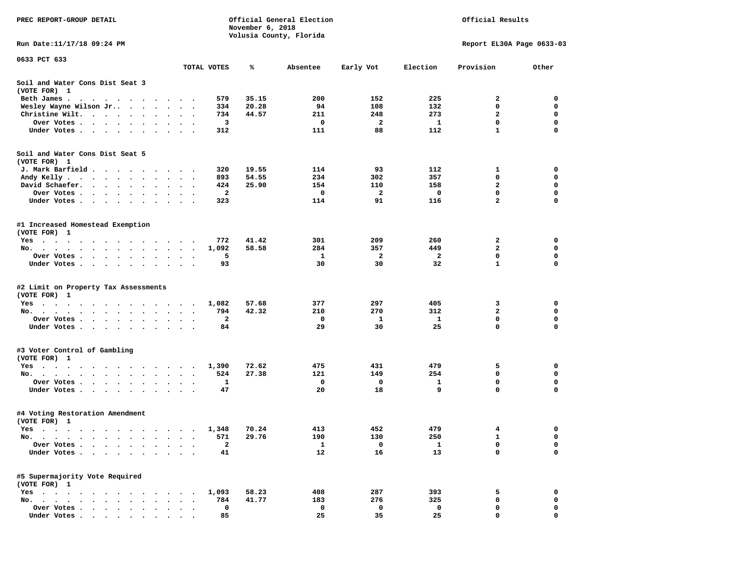| PREC REPORT-GROUP DETAIL                                                                                                          |                      |              | November 6, 2018 | Official General Election |             | Official Results |                             |                  |  |
|-----------------------------------------------------------------------------------------------------------------------------------|----------------------|--------------|------------------|---------------------------|-------------|------------------|-----------------------------|------------------|--|
|                                                                                                                                   |                      |              |                  | Volusia County, Florida   |             |                  |                             |                  |  |
| Run Date: 11/17/18 09:24 PM                                                                                                       |                      |              |                  |                           |             |                  | Report EL30A Page 0633-03   |                  |  |
| 0633 PCT 633                                                                                                                      |                      |              |                  |                           |             |                  |                             |                  |  |
|                                                                                                                                   |                      | TOTAL VOTES  | ℁                | Absentee                  | Early Vot   | Election         | Provision                   | Other            |  |
| Soil and Water Cons Dist Seat 3<br>(VOTE FOR) 1                                                                                   |                      |              |                  |                           |             |                  |                             |                  |  |
| Beth James.                                                                                                                       |                      | 579          | 35.15            | 200                       | 152         | 225              | 2                           | 0                |  |
| Wesley Wayne Wilson Jr                                                                                                            | $\ddot{\phantom{1}}$ | 334          | 20.28            | 94                        | 108         | 132              | 0                           | $\mathbf 0$      |  |
| Christine Wilt.                                                                                                                   |                      | 734          | 44.57            | 211                       | 248         | 273              | 2                           | 0                |  |
| Over Votes                                                                                                                        |                      | 3            |                  | $\mathbf 0$               | 2           | $\mathbf{1}$     | $\mathbf 0$                 | $\mathbf 0$      |  |
| Under Votes                                                                                                                       |                      | 312          |                  | 111                       | 88          | 112              | $\mathbf{1}$                | $\mathbf 0$      |  |
| Soil and Water Cons Dist Seat 5                                                                                                   |                      |              |                  |                           |             |                  |                             |                  |  |
| (VOTE FOR) 1                                                                                                                      |                      |              |                  |                           |             |                  |                             |                  |  |
| J. Mark Barfield                                                                                                                  |                      | 320          | 19.55            | 114                       | 93          | 112              | 1                           | 0                |  |
| Andy Kelly                                                                                                                        |                      | 893          | 54.55            | 234                       | 302         | 357              | 0                           | 0                |  |
| David Schaefer.<br>$\sim$ $\sim$ $\sim$ $\sim$ $\sim$<br>$\bullet$ .<br><br><br><br><br><br><br><br><br><br><br><br><br>$\bullet$ |                      | 424          | 25.90            | 154                       | 110         | 158              | $\mathbf{z}$<br>$\mathbf 0$ | 0<br>$\mathbf 0$ |  |
| Over Votes                                                                                                                        |                      | $\mathbf{2}$ |                  | 0                         | 2           | $\mathbf 0$      |                             | $\mathbf 0$      |  |
| Under Votes                                                                                                                       |                      | 323          |                  | 114                       | 91          | 116              | $\mathbf{z}$                |                  |  |
| #1 Increased Homestead Exemption<br>(VOTE FOR) 1                                                                                  |                      |              |                  |                           |             |                  |                             |                  |  |
| Yes                                                                                                                               |                      | 772          | 41.42            | 301                       | 209         | 260              | 2                           | 0                |  |
| No.                                                                                                                               | $\ddot{\phantom{1}}$ | 1,092        | 58.58            | 284                       | 357         | 449              | 2                           | 0                |  |
| Over Votes                                                                                                                        |                      | 5            |                  | 1                         | 2           | $\overline{a}$   | 0                           | $\mathbf 0$      |  |
| Under Votes                                                                                                                       |                      | 93           |                  | 30                        | 30          | 32               | $\mathbf{1}$                | $\mathbf 0$      |  |
| #2 Limit on Property Tax Assessments<br>(VOTE FOR) 1                                                                              |                      |              |                  |                           |             |                  |                             |                  |  |
| Yes                                                                                                                               |                      | 1,082        | 57.68            | 377                       | 297         | 405              | 3                           | 0                |  |
| No.                                                                                                                               |                      | 794          | 42.32            | 210                       | 270         | 312              | $\overline{a}$              | $\mathbf 0$      |  |
| Over Votes .<br>$\bullet$<br>$\cdots$<br>$\sim$                                                                                   | $\ddot{\phantom{0}}$ | 2            |                  | 0                         | 1           | 1                | 0                           | 0                |  |
| Under Votes                                                                                                                       |                      | 84           |                  | 29                        | 30          | 25               | 0                           | $\mathbf 0$      |  |
|                                                                                                                                   |                      |              |                  |                           |             |                  |                             |                  |  |
| #3 Voter Control of Gambling                                                                                                      |                      |              |                  |                           |             |                  |                             |                  |  |
| (VOTE FOR) 1                                                                                                                      |                      |              | 72.62            | 475                       | 431         | 479              | 5                           | 0                |  |
| Yes                                                                                                                               |                      | 1,390<br>524 | 27.38            | 121                       | 149         | 254              | 0                           | 0                |  |
| No.                                                                                                                               |                      | 1            |                  | 0                         | $\mathbf 0$ | 1                | $\mathbf 0$                 | $\mathbf 0$      |  |
| Over Votes<br>Under Votes                                                                                                         |                      | 47           |                  | 20                        | 18          | 9                | 0                           | 0                |  |
|                                                                                                                                   |                      |              |                  |                           |             |                  |                             |                  |  |
| #4 Voting Restoration Amendment<br>(VOTE FOR) 1                                                                                   |                      |              |                  |                           |             |                  |                             |                  |  |
| Yes 1,348                                                                                                                         |                      |              | 70.24            | 413                       | 452         | 479              | 4                           | 0                |  |
| No.<br>$\sim$ $\sim$<br>$\cdot$                                                                                                   |                      | 571          | 29.76            | 190                       | 130         | 250              | 1                           | 0                |  |
| Over Votes<br>$\overline{\phantom{a}}$                                                                                            |                      | $\mathbf{2}$ |                  | 1                         | 0           | 1                | 0                           | 0                |  |
| Under Votes.                                                                                                                      |                      | 41           |                  | 12                        | 16          | 13               | 0                           | $\mathbf 0$      |  |
| #5 Supermajority Vote Required<br>(VOTE FOR) 1                                                                                    |                      |              |                  |                           |             |                  |                             |                  |  |
| $Yes \t . \t .$                                                                                                                   |                      | 1,093        | 58.23            | 408                       | 287         | 393              | 5                           | 0                |  |
| $No.$ $\ldots$ $\ldots$<br>$\ddot{\phantom{a}}$<br>$\sim$                                                                         |                      | 784          | 41.77            | 183                       | 276         | 325              | 0                           | 0                |  |
| Over Votes .<br>$\ddot{\phantom{a}}$                                                                                              |                      | 0            |                  | 0                         | 0           | 0                | 0                           | 0                |  |
| Under Votes                                                                                                                       |                      | 85           |                  | 25                        | 35          | 25               | 0                           | O                |  |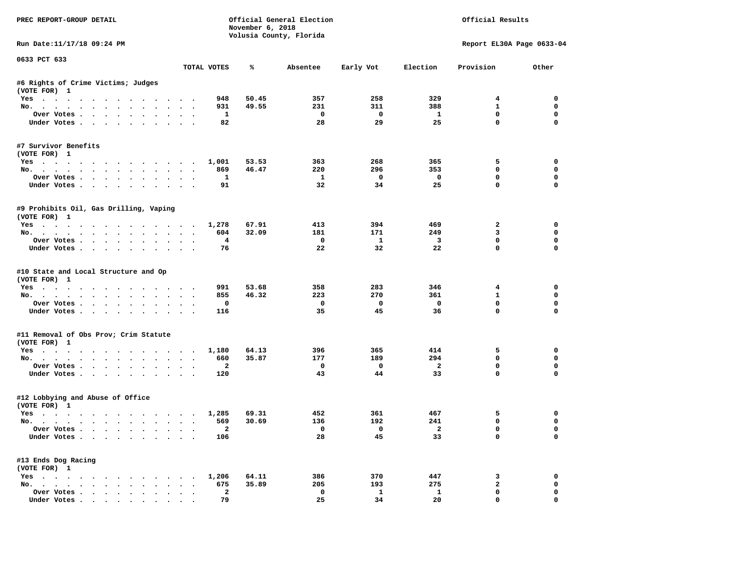| PREC REPORT-GROUP DETAIL                                    |                      |                                 | November 6, 2018 | Official General Election<br>Volusia County, Florida |                          |                                | Official Results           |               |
|-------------------------------------------------------------|----------------------|---------------------------------|------------------|------------------------------------------------------|--------------------------|--------------------------------|----------------------------|---------------|
| Run Date:11/17/18 09:24 PM                                  |                      |                                 |                  |                                                      |                          |                                | Report EL30A Page 0633-04  |               |
| 0633 PCT 633                                                |                      | TOTAL VOTES                     | ℁                | Absentee                                             | Early Vot                | Election                       | Provision                  | Other         |
|                                                             |                      |                                 |                  |                                                      |                          |                                |                            |               |
| #6 Rights of Crime Victims; Judges<br>(VOTE FOR) 1          |                      |                                 |                  |                                                      |                          |                                |                            |               |
| Yes                                                         |                      | 948                             | 50.45            | 357                                                  | 258                      | 329                            | $4\phantom{1}$             | $^{\circ}$    |
| No.                                                         |                      | 931                             | 49.55            | 231                                                  | 311                      | 388                            | $\mathbf{1}$               | $\mathbf 0$   |
| Over Votes                                                  |                      | $\mathbf{1}$                    |                  | $\overline{\phantom{0}}$                             | $\overline{\mathbf{0}}$  | $\mathbf{1}$                   | $\mathbf 0$                | $\mathbf 0$   |
| Under Votes                                                 |                      | 82                              |                  | 28                                                   | 29                       | 25                             | $\mathbf 0$                | $\mathbf 0$   |
| #7 Survivor Benefits<br>(VOTE FOR) 1                        |                      |                                 |                  |                                                      |                          |                                |                            |               |
| Yes 1,001                                                   |                      |                                 | 53.53            | 363                                                  | 268                      | 365                            | 5                          | 0             |
| No.                                                         |                      | 869                             | 46.47            | 220                                                  | 296                      | 353                            | $\mathbf 0$                | 0             |
| Over Votes                                                  |                      | $\mathbf{1}$                    |                  | $\mathbf{1}$                                         | $\overline{\phantom{0}}$ | $\overline{\phantom{0}}$       | $\mathbf 0$                | 0             |
| Under Votes                                                 |                      | 91                              |                  | 32                                                   | 34                       | 25                             | $\mathbf 0$                | 0             |
| #9 Prohibits Oil, Gas Drilling, Vaping<br>(VOTE FOR) 1      |                      |                                 |                  |                                                      |                          |                                |                            |               |
| Yes 1,278                                                   |                      |                                 | 67.91            | 413                                                  | 394                      | 469                            | $\overline{a}$             | $\mathbf 0$   |
| No.                                                         |                      | 604                             | 32.09            | 181                                                  | 171                      | 249                            | $\mathbf{3}$               | $\mathbf 0$   |
| Over Votes                                                  |                      | $\overline{4}$                  |                  | $\mathbf 0$                                          | $\mathbf{1}$             | $\overline{\mathbf{3}}$        | $\mathbf 0$                | $\mathbf 0$   |
| Under Votes                                                 |                      | 76                              |                  | 22                                                   | 32                       | 22                             | $\Omega$                   | $\Omega$      |
| #10 State and Local Structure and Op<br>(VOTE FOR) 1<br>Yes |                      | 991                             | 53.68            | 358                                                  | 283                      | 346                            | $4\phantom{1}$             | 0             |
| No.                                                         |                      | 855                             | 46.32            | 223                                                  | 270                      | 361                            | $\mathbf{1}$               | 0             |
| Over Votes                                                  |                      | 0                               |                  | $\mathbf{o}$                                         | $\mathbf{o}$             | $\mathbf 0$                    | $\mathbf 0$                | $\mathbf 0$   |
| Under Votes                                                 |                      | 116                             |                  | 35                                                   | 45                       | 36                             | $\mathbf 0$                | $\Omega$      |
| #11 Removal of Obs Prov; Crim Statute<br>(VOTE FOR) 1       |                      |                                 |                  |                                                      |                          |                                |                            |               |
| Yes                                                         |                      | 1,180                           | 64.13            | 396                                                  | 365                      | 414                            | 5                          | 0             |
| No.                                                         |                      | 660                             | 35.87            | 177                                                  | 189                      | 294                            | $\Omega$                   | $\mathbf 0$   |
| Over Votes                                                  |                      | $\overline{a}$                  |                  | $\mathbf 0$                                          | $\overline{\mathbf{0}}$  | $\overline{a}$                 | 0                          | 0             |
| Under Votes                                                 |                      | 120                             |                  | 43                                                   | 44                       | 33                             | $\Omega$                   | $\mathbf 0$   |
| #12 Lobbying and Abuse of Office<br>(VOTE FOR) 1            |                      |                                 |                  |                                                      |                          |                                |                            |               |
| Yes 1,285                                                   |                      |                                 | 69.31            | 452                                                  | 361                      | 467                            | 5                          | 0             |
| No.                                                         |                      | 569                             | 30.69            | 136                                                  | 192                      | 241                            | $\mathbf 0$                | $\mathbf 0$   |
| Over Votes<br>Under Votes                                   |                      | $\overline{\phantom{a}}$<br>106 |                  | $\overline{\mathbf{0}}$<br>28                        | $\overline{a}$<br>45     | $\overline{\phantom{a}}$<br>33 | $\mathbf 0$<br>$\mathbf 0$ | $\Omega$<br>0 |
| #13 Ends Dog Racing                                         |                      |                                 |                  |                                                      |                          |                                |                            |               |
| (VOTE FOR) 1<br>Yes 1,206                                   |                      |                                 | 64.11            | 386                                                  | 370                      | 447                            | 3                          | 0             |
| No.                                                         |                      | 675                             | 35.89            | 205                                                  | 193                      | 275                            | $\mathbf{2}$               | $\mathbf 0$   |
| Over Votes                                                  | $\ddot{\phantom{0}}$ | $\mathbf{2}$                    |                  | $\mathbf 0$                                          | $\mathbf{1}$             | 1                              | $\mathbf 0$                | 0             |
| Under Votes.                                                |                      | 79                              |                  | 25                                                   | 34                       | 20                             | $\mathbf{0}$               | 0             |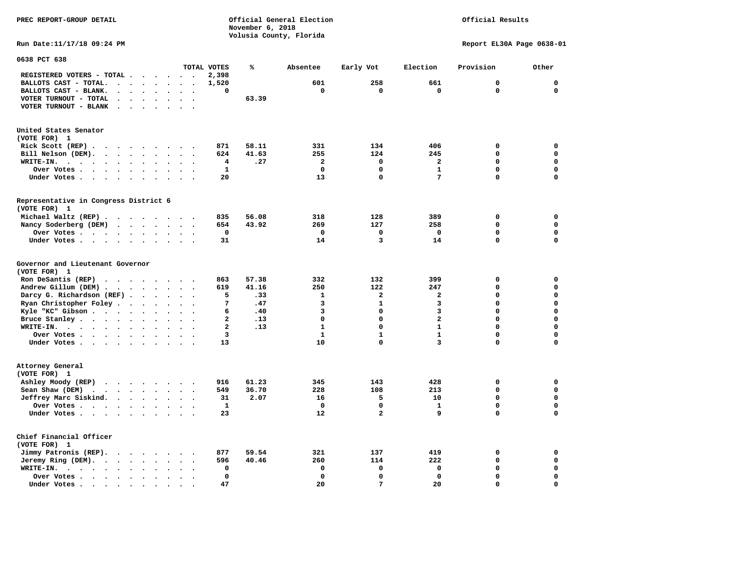**PREC REPORT-GROUP DETAIL COMPUTER CONSUMING A CONSUMING CONSUMING A LIGACION CONSUMING A LIGACION November 6, 2018 Volusia County, Florida** 

## Official Results

**Run Date:11/17/18 09:24 PM Report EL30A Page 0638-01** 

| 0638 PCT 638                                                                                                                       |                                |                         |       |                |              |                         |              |              |
|------------------------------------------------------------------------------------------------------------------------------------|--------------------------------|-------------------------|-------|----------------|--------------|-------------------------|--------------|--------------|
|                                                                                                                                    |                                | TOTAL VOTES             | ℁     | Absentee       | Early Vot    | Election                | Provision    | Other        |
| REGISTERED VOTERS - TOTAL.<br>$\ddot{\phantom{a}}$<br>$\ddot{\phantom{1}}$                                                         | $\overline{\phantom{a}}$       | 2,398                   |       |                |              |                         |              |              |
| BALLOTS CAST - TOTAL.<br>$\ddot{\phantom{a}}$<br>$\sim$<br>$\sim$<br>$\sim$                                                        |                                | 1,520                   |       | 601            | 258          | 661                     | $\mathbf{0}$ | $\mathbf 0$  |
| BALLOTS CAST - BLANK.<br>$\ddot{\phantom{a}}$<br>$\bullet$<br>$\bullet$<br>$\bullet$                                               | $\cdot$<br>$\bullet$           | 0                       |       | $\mathbf 0$    | 0            | $\mathbf 0$             | $\mathbf 0$  | $\mathbf{0}$ |
| VOTER TURNOUT - TOTAL<br>$\ddot{\phantom{a}}$<br>$\ddot{\phantom{a}}$                                                              |                                |                         | 63.39 |                |              |                         |              |              |
| VOTER TURNOUT - BLANK<br>$\ddot{\phantom{a}}$                                                                                      |                                |                         |       |                |              |                         |              |              |
| $\bullet$                                                                                                                          |                                |                         |       |                |              |                         |              |              |
|                                                                                                                                    |                                |                         |       |                |              |                         |              |              |
| United States Senator                                                                                                              |                                |                         |       |                |              |                         |              |              |
| (VOTE FOR) 1                                                                                                                       |                                |                         |       |                |              |                         |              |              |
| Rick Scott (REP).<br>$\cdot$<br>$\cdot$ $\cdot$<br>$\sim$<br>$\bullet$<br>$\overline{\phantom{a}}$                                 |                                | 871                     | 58.11 | 331            | 134          | 406                     | $\mathbf 0$  | 0            |
| Bill Nelson (DEM).<br>$\cdot$ $\cdot$ $\cdot$ $\cdot$ $\cdot$ $\cdot$                                                              | $\cdot$ $\cdot$ $\cdot$        | 624                     | 41.63 | 255            | 124          | 245                     | $\Omega$     | $\mathbf 0$  |
| WRITE-IN.<br>$\cdots$<br>$\bullet$ .<br><br><br><br><br><br><br><br><br><br><br><br>$\ddot{\phantom{a}}$<br>$\bullet$<br>$\bullet$ |                                | 4                       | .27   | $\overline{2}$ | $\Omega$     | $\overline{\mathbf{2}}$ | $\Omega$     | $\mathbf 0$  |
| Over Votes<br>$\sim$ $\sim$ $\sim$ $\sim$ $\sim$<br>$\bullet$<br>$\bullet$                                                         |                                | $\mathbf{1}$            |       | $\mathbf 0$    | $\mathbf 0$  | $\mathbf{1}$            | $\mathbf 0$  | $\mathbf 0$  |
| Under Votes<br>$\bullet$<br>$\bullet$                                                                                              | $\sim$ $\sim$                  | 20                      |       | 13             | $\Omega$     | 7                       | $\Omega$     | $\mathbf 0$  |
|                                                                                                                                    |                                |                         |       |                |              |                         |              |              |
| Representative in Congress District 6                                                                                              |                                |                         |       |                |              |                         |              |              |
| (VOTE FOR) 1                                                                                                                       |                                |                         |       |                |              |                         |              |              |
| Michael Waltz (REP)                                                                                                                |                                | 835                     | 56.08 | 318            | 128          | 389                     | $\mathbf 0$  | 0            |
| Nancy Soderberg (DEM)<br>$\sim$ $\sim$ $\sim$ $\sim$ $\sim$<br>$\sim$<br>$\ddot{\phantom{0}}$                                      | $\ddotsc$                      | 654                     | 43.92 | 269            | 127          | 258                     | $\mathbf 0$  | $\mathbf 0$  |
| Over Votes<br>$\ddot{\phantom{a}}$<br>$\sim$                                                                                       |                                | 0                       |       | $\mathbf 0$    | 0            | 0                       | $\Omega$     | 0            |
| Under Votes<br>$\ddot{\phantom{1}}$                                                                                                |                                | 31                      |       | 14             | 3            | 14                      | 0            | $\mathbf 0$  |
|                                                                                                                                    |                                |                         |       |                |              |                         |              |              |
| Governor and Lieutenant Governor                                                                                                   |                                |                         |       |                |              |                         |              |              |
| (VOTE FOR) 1                                                                                                                       |                                |                         |       |                |              |                         |              |              |
| Ron DeSantis (REP)<br>$\cdot$ $\cdot$ $\cdot$<br>$\sim$ $\sim$ $\sim$<br>$\sim$                                                    |                                | 863                     | 57.38 | 332            | 132          | 399                     | $\mathbf 0$  | $\mathbf 0$  |
| Andrew Gillum (DEM)                                                                                                                |                                | 619                     | 41.16 | 250            | 122          | 247                     | $\Omega$     | $\mathbf 0$  |
| Darcy G. Richardson (REF).<br>$\bullet$<br>$\ddot{\phantom{a}}$                                                                    |                                | 5                       | .33   | 1              | $\mathbf{2}$ | 2                       | $\Omega$     | $\mathbf 0$  |
| Ryan Christopher Foley.<br>$\sim$<br>$\bullet$                                                                                     |                                | 7                       | .47   | 3              | $\mathbf{1}$ | 3                       | $\mathbf 0$  | $\mathbf 0$  |
| Kyle "KC" Gibson<br>$\bullet$<br>$\bullet$<br>$\bullet$                                                                            |                                | 6                       | .40   | 3              | $\mathbf 0$  | 3                       | $\mathbf 0$  | $\mathbf 0$  |
| Bruce Stanley<br>$\overline{\phantom{a}}$                                                                                          |                                | $\overline{\mathbf{2}}$ | .13   | $\Omega$       | $\Omega$     | $\overline{\mathbf{2}}$ | 0            | $\mathbf 0$  |
| WRITE-IN.<br>$\cdots$<br>$\bullet$                                                                                                 |                                | $\overline{\mathbf{2}}$ | .13   | $\mathbf{1}$   | $\Omega$     | $\mathbf{1}$            | $\Omega$     | $\mathbf 0$  |
| Over Votes.                                                                                                                        |                                | 3                       |       | $\mathbf{1}$   | $\mathbf{1}$ | $\mathbf{1}$            | $\mathbf 0$  | $\mathbf 0$  |
| $\cdot$ $\cdot$ $\cdot$ $\cdot$<br>$\ddot{\phantom{1}}$<br>$\bullet$<br>$\bullet$<br>Under Votes<br>$\ddot{\phantom{a}}$           | $\ddot{\phantom{a}}$<br>$\sim$ | 13                      |       | 10             | $\mathbf 0$  | 3                       | 0            | $\mathbf 0$  |
|                                                                                                                                    | $\sim$                         |                         |       |                |              |                         |              |              |
| Attorney General                                                                                                                   |                                |                         |       |                |              |                         |              |              |
| (VOTE FOR) 1                                                                                                                       |                                |                         |       |                |              |                         |              |              |
|                                                                                                                                    |                                |                         | 61.23 | 345            | 143          | 428                     | $\mathbf 0$  | $\mathbf 0$  |
| Ashley Moody (REP)<br>$\cdots$                                                                                                     |                                | 916                     |       |                |              |                         |              |              |
| Sean Shaw (DEM)<br>$\cdot$ $\cdot$ $\cdot$ $\cdot$ $\cdot$<br>$\ddot{\phantom{a}}$<br>$\ddot{\phantom{a}}$                         |                                | 549                     | 36.70 | 228            | 108          | 213                     | $\mathbf 0$  | $\mathbf 0$  |
| Jeffrey Marc Siskind.<br>$\ddot{\phantom{a}}$                                                                                      |                                | 31                      | 2.07  | 16             | 5            | 10                      | $\mathbf 0$  | $\mathbf 0$  |
| Over Votes .<br>$\sim$ $\sim$ $\sim$ $\sim$<br>$\bullet$<br>$\ddot{\phantom{a}}$                                                   |                                | $\mathbf{1}$            |       | $\mathbf 0$    | $\mathbf 0$  | $\mathbf{1}$            | $\mathbf 0$  | $\mathbf 0$  |
| Under Votes<br>$\ddot{\phantom{0}}$                                                                                                |                                | 23                      |       | 12             | $\mathbf{2}$ | 9                       | $\mathbf 0$  | 0            |
|                                                                                                                                    |                                |                         |       |                |              |                         |              |              |
| Chief Financial Officer                                                                                                            |                                |                         |       |                |              |                         |              |              |
| (VOTE FOR) 1                                                                                                                       |                                |                         |       |                |              |                         |              |              |
| Jimmy Patronis (REP).<br>$\cdot$ $\cdot$ $\cdot$ $\cdot$<br>$\sim$                                                                 |                                | 877                     | 59.54 | 321            | 137          | 419                     | 0            | 0            |
| Jeremy Ring (DEM).<br>$\cdots$<br>$\ddot{\phantom{a}}$                                                                             |                                | 596                     | 40.46 | 260            | 114          | 222                     | $\mathbf 0$  | $\mathbf 0$  |
| WRITE-IN.<br>$\sim$ $\sim$ $\sim$ $\sim$ $\sim$<br>$\ddot{\phantom{a}}$<br>$\bullet$<br>$\ddot{\phantom{a}}$                       |                                | 0                       |       | $\mathbf 0$    | $\mathbf 0$  | 0                       | $\mathbf 0$  | $\mathbf 0$  |
| Over Votes.<br>$\cdots$<br>$\bullet$                                                                                               |                                | $\mathbf 0$             |       | $\Omega$       | $\mathbf 0$  | $\mathbf 0$             | $\mathbf 0$  | 0            |
| Under Votes<br>$\overline{\phantom{a}}$                                                                                            |                                | 47                      |       | 20             | 7            | 20                      | 0            | $\mathbf 0$  |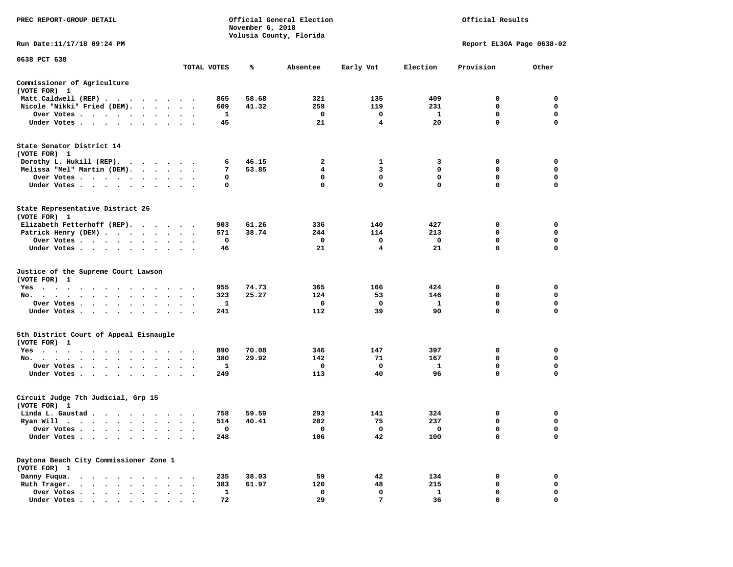| PREC REPORT-GROUP DETAIL                                                   |                                | November 6, 2018 | Official General Election<br>Volusia County, Florida | Official Results   |                    |                    |                            |                         |
|----------------------------------------------------------------------------|--------------------------------|------------------|------------------------------------------------------|--------------------|--------------------|--------------------|----------------------------|-------------------------|
| Run Date: 11/17/18 09:24 PM                                                |                                |                  |                                                      |                    |                    |                    | Report EL30A Page 0638-02  |                         |
| 0638 PCT 638                                                               |                                | TOTAL VOTES      | ℁                                                    | Absentee           | Early Vot          | Election           | Provision                  | Other                   |
|                                                                            |                                |                  |                                                      |                    |                    |                    |                            |                         |
| Commissioner of Agriculture<br>(VOTE FOR) 1                                |                                |                  |                                                      |                    |                    |                    |                            |                         |
| Matt Caldwell (REP)                                                        |                                | 865              | 58.68                                                | 321                | 135                | 409                | 0                          | $\mathbf 0$             |
| Nicole "Nikki" Fried (DEM).                                                |                                | 609              | 41.32                                                | 259<br>$\mathbf 0$ | 119<br>$\mathbf 0$ | 231                | $\mathbf 0$<br>$\mathbf 0$ | 0<br>$\mathbf 0$        |
| Over Votes<br>Under Votes                                                  | $\cdot$ $\cdot$ $\cdot$        | 1<br>45          |                                                      | 21                 | $\overline{\bf 4}$ | $\mathbf{1}$<br>20 | $\mathbf 0$                | 0                       |
| State Senator District 14                                                  |                                |                  |                                                      |                    |                    |                    |                            |                         |
| (VOTE FOR) 1                                                               |                                |                  |                                                      |                    |                    |                    |                            |                         |
| Dorothy L. Hukill (REP).                                                   |                                | 6<br>7           | 46.15<br>53.85                                       | 2<br>4             | 1<br>3             | 3<br>$\mathbf 0$   | 0<br>$\mathbf{0}$          | 0<br>$\mathbf 0$        |
| Melissa "Mel" Martin (DEM).<br>Over Votes                                  |                                | 0                |                                                      | $\mathbf 0$        | $\mathbf 0$        | $\mathbf 0$        | $\mathbf 0$                | $\mathbf 0$             |
| Under Votes                                                                |                                | 0                |                                                      | 0                  | $\mathbf 0$        | $\mathbf 0$        | $\mathbf 0$                | $\mathbf 0$             |
| State Representative District 26<br>(VOTE FOR) 1                           |                                |                  |                                                      |                    |                    |                    |                            |                         |
| Elizabeth Fetterhoff (REP).                                                |                                | 903              | 61.26                                                | 336                | 140                | 427                | 0                          | $\mathbf 0$             |
| Patrick Henry (DEM)                                                        |                                | 571              | 38.74                                                | 244                | 114                | 213                | $\mathbf 0$                | $\mathbf 0$             |
| Over Votes                                                                 | $\ddot{\phantom{1}}$           | 0                |                                                      | $\mathbf{o}$       | 0                  | $\mathbf 0$        | $\mathbf 0$                | $\mathbf 0$             |
| Under Votes                                                                |                                | 46               |                                                      | 21                 | 4                  | 21                 | $\mathbf 0$                | $\mathbf 0$             |
| Justice of the Supreme Court Lawson<br>(VOTE FOR) 1                        |                                |                  |                                                      |                    |                    |                    |                            |                         |
| $Yes \t . \t .$<br>$\sim$<br>$\cdot$ $\cdot$<br>$\ddotsc$<br>$\ddotsc$     |                                | 955              | 74.73                                                | 365                | 166                | 424                | 0                          | 0                       |
| No.<br>$\cdots$<br>$\cdot$ $\cdot$ $\cdot$                                 | $\sim$<br>$\ddot{\phantom{0}}$ | 323              | 25.27                                                | 124                | 53                 | 146                | $\mathbf 0$                | $\mathbf 0$             |
| Over Votes                                                                 | $\cdot$ $\cdot$ $\cdot$        | 1                |                                                      | 0                  | $\mathbf 0$        | $\mathbf{1}$<br>90 | $\mathbf 0$<br>0           | $\mathbf 0$<br>0        |
| Under Votes                                                                | $\cdot$ $\cdot$ $\cdot$        | 241              |                                                      | 112                | 39                 |                    |                            |                         |
| 5th District Court of Appeal Eisnaugle<br>(VOTE FOR) 1                     |                                |                  |                                                      |                    |                    |                    |                            |                         |
| Yes                                                                        |                                | 890              | 70.08                                                | 346                | 147                | 397                | 0                          | 0                       |
| No.<br>Over Votes                                                          |                                | 380<br>1         | 29.92                                                | 142<br>0           | 71<br>0            | 167<br>1           | 0<br>0                     | $\mathbf 0$<br>0        |
| $\ddot{\phantom{0}}$<br>$\ddot{\phantom{1}}$<br>$\bullet$<br>Under Votes   |                                | 249              |                                                      | 113                | 40                 | 96                 | $\mathbf 0$                | $\mathbf 0$             |
| Circuit Judge 7th Judicial, Grp 15<br>(VOTE FOR) 1                         |                                |                  |                                                      |                    |                    |                    |                            |                         |
| Linda L. Gaustad                                                           |                                | 758              | 59.59                                                | 293                | 141                | 324                | 0                          | 0                       |
| Ryan Will $\cdots$ , $\cdots$ , $\cdots$ , $\cdots$                        |                                | 514              | 40.41                                                | 202                | 75                 | 237                | 0                          | 0                       |
| Over Votes                                                                 |                                | 0                |                                                      | 0                  | 0                  | 0                  | 0                          | $\mathbf 0$             |
| Under Votes<br>$\ddot{\phantom{1}}$<br>$\bullet$<br>$\bullet$<br>$\bullet$ |                                | 248              |                                                      | 106                | 42                 | 100                | $\mathbf 0$                | $\mathbf 0$             |
| Daytona Beach City Commissioner Zone 1<br>(VOTE FOR) 1                     |                                |                  |                                                      |                    |                    |                    |                            |                         |
| Danny Fuqua.                                                               |                                | 235              | 38.03                                                | 59                 | 42                 | 134                | 0                          | $\mathbf 0$             |
| Ruth Trager.                                                               |                                | 383              | 61.97                                                | 120                | 48                 | 215                | 0                          | 0                       |
| Over Votes<br>$\cdot$<br>Under Votes                                       | $\cdot$<br>$\cdot$             | 1<br>72          |                                                      | $\mathbf 0$<br>29  | $\mathbf 0$<br>7   | $\mathbf{1}$<br>36 | $\mathbf 0$<br>$\Omega$    | $\mathbf 0$<br>$\Omega$ |
|                                                                            |                                |                  |                                                      |                    |                    |                    |                            |                         |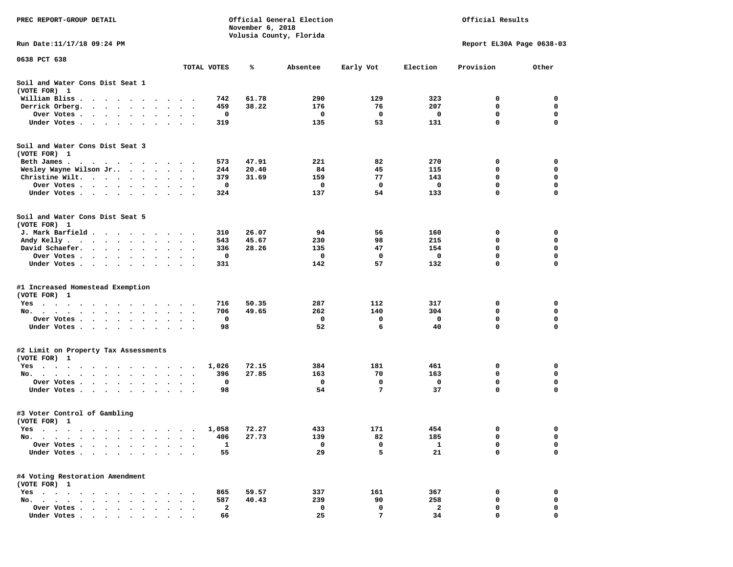| PREC REPORT-GROUP DETAIL                                                                                                                                                                                                                                                                                |                                                     |             | November 6, 2018 | Official General Election<br>Volusia County, Florida |           | Official Results          |           |                  |  |
|---------------------------------------------------------------------------------------------------------------------------------------------------------------------------------------------------------------------------------------------------------------------------------------------------------|-----------------------------------------------------|-------------|------------------|------------------------------------------------------|-----------|---------------------------|-----------|------------------|--|
| Run Date:11/17/18 09:24 PM                                                                                                                                                                                                                                                                              |                                                     |             |                  |                                                      |           | Report EL30A Page 0638-03 |           |                  |  |
| 0638 PCT 638                                                                                                                                                                                                                                                                                            |                                                     | TOTAL VOTES | ℁                | Absentee                                             | Early Vot | Election                  | Provision | Other            |  |
| Soil and Water Cons Dist Seat 1                                                                                                                                                                                                                                                                         |                                                     |             |                  |                                                      |           |                           |           |                  |  |
| (VOTE FOR) 1                                                                                                                                                                                                                                                                                            |                                                     |             |                  |                                                      |           |                           |           |                  |  |
| William Bliss.<br>$\ddot{\phantom{1}}$<br>$\cdots$                                                                                                                                                                                                                                                      |                                                     | 742         | 61.78            | 290                                                  | 129       | 323                       | 0         | 0                |  |
| Derrick Orberg.<br>$\sim$ $\sim$ $\sim$ $\sim$ $\sim$<br>$\begin{array}{cccccccccccccc} \bullet & \bullet & \bullet & \bullet & \bullet \end{array}$<br>$\bullet$                                                                                                                                       |                                                     | 459         | 38.22            | 176                                                  | 76        | 207                       | 0         | 0<br>$\mathbf 0$ |  |
| Over Votes .<br>$\cdot$ $\cdot$ $\cdot$ $\cdot$ $\cdot$<br>$\bullet$<br>Under Votes<br>$\ddot{\phantom{1}}$<br>$\ddot{\phantom{0}}$<br>$\ddot{\phantom{1}}$                                                                                                                                             | $\bullet$                                           | 0<br>319    |                  | 0<br>135                                             | 0<br>53   | 0<br>131                  | 0<br>0    | 0                |  |
| Soil and Water Cons Dist Seat 3                                                                                                                                                                                                                                                                         |                                                     |             |                  |                                                      |           |                           |           |                  |  |
| (VOTE FOR) 1                                                                                                                                                                                                                                                                                            |                                                     |             |                  |                                                      |           |                           |           |                  |  |
| Beth James.                                                                                                                                                                                                                                                                                             | $\ddot{\phantom{1}}$                                | 573         | 47.91            | 221                                                  | 82        | 270                       | 0         | 0                |  |
| Wesley Wayne Wilson Jr                                                                                                                                                                                                                                                                                  | $\ddot{\phantom{1}}$<br>$\blacksquare$ .            | 244         | 20.40            | 84                                                   | 45        | 115                       | 0<br>0    | 0                |  |
| Christine Wilt.<br>$\sim$ $\sim$<br>$\cdot$<br>Over Votes<br>$\cdot$                                                                                                                                                                                                                                    |                                                     | 379<br>0    | 31.69            | 159<br>0                                             | 77<br>0   | 143<br>0                  | 0         | 0<br>0           |  |
| $\bullet$<br>Under Votes                                                                                                                                                                                                                                                                                |                                                     | 324         |                  | 137                                                  | 54        | 133                       | 0         | 0                |  |
|                                                                                                                                                                                                                                                                                                         |                                                     |             |                  |                                                      |           |                           |           |                  |  |
| Soil and Water Cons Dist Seat 5<br>(VOTE FOR) 1                                                                                                                                                                                                                                                         |                                                     |             |                  |                                                      |           |                           |           |                  |  |
| J. Mark Barfield                                                                                                                                                                                                                                                                                        |                                                     | 310         | 26.07            | 94                                                   | 56        | 160                       | 0         | 0                |  |
| Andy Kelly                                                                                                                                                                                                                                                                                              |                                                     | 543         | 45.67            | 230                                                  | 98        | 215                       | 0         | 0                |  |
| David Schaefer.<br>$\cdots$<br>$\bullet$                                                                                                                                                                                                                                                                | $\bullet$                                           | 336         | 28.26            | 135                                                  | 47        | 154                       | 0         | 0                |  |
| Over Votes                                                                                                                                                                                                                                                                                              |                                                     | 0           |                  | 0                                                    | 0         | 0                         | 0         | 0                |  |
| Under Votes<br>$\ddot{\phantom{0}}$<br>$\bullet$                                                                                                                                                                                                                                                        | $\bullet$<br>$\ddot{\phantom{a}}$<br>$\blacksquare$ | 331         |                  | 142                                                  | 57        | 132                       | 0         | 0                |  |
|                                                                                                                                                                                                                                                                                                         |                                                     |             |                  |                                                      |           |                           |           |                  |  |
| #1 Increased Homestead Exemption<br>(VOTE FOR) 1                                                                                                                                                                                                                                                        |                                                     |             |                  |                                                      |           |                           |           |                  |  |
| Yes                                                                                                                                                                                                                                                                                                     |                                                     | 716         | 50.35            | 287                                                  | 112       | 317                       | 0         | 0                |  |
| No.<br>$\cdot$<br>$\ddot{\phantom{1}}$                                                                                                                                                                                                                                                                  |                                                     | 706         | 49.65            | 262                                                  | 140       | 304                       | 0         | 0                |  |
| Over Votes .<br>$\sim$ $\sim$ $\sim$ $\sim$<br>$\bullet$<br>$\blacksquare$<br>$\bullet$                                                                                                                                                                                                                 | $\bullet$                                           | 0           |                  | 0                                                    | 0         | $\mathbf 0$               | 0         | $\mathbf 0$      |  |
| Under Votes<br>$\ddot{\phantom{1}}$                                                                                                                                                                                                                                                                     | $\sim$<br>$\cdot$ .                                 | 98          |                  | 52                                                   | 6         | 40                        | 0         | $\mathbf 0$      |  |
| #2 Limit on Property Tax Assessments                                                                                                                                                                                                                                                                    |                                                     |             |                  |                                                      |           |                           |           |                  |  |
| (VOTE FOR) 1                                                                                                                                                                                                                                                                                            |                                                     |             |                  |                                                      |           |                           |           |                  |  |
| $Yes \cdot \cdot \cdot$<br>$\sim$<br>$\blacksquare$ .<br>$\sim$ $\sim$<br>. The contract of the contract of the contract of the contract of the contract of the contract of the contract of the contract of the contract of the contract of the contract of the contract of the contract of the contrac | $\sim$                                              | 1,026       | 72.15            | 384                                                  | 181       | 461                       | 0         | 0                |  |
| No.                                                                                                                                                                                                                                                                                                     |                                                     | 396         | 27.85            | 163                                                  | 70        | 163                       | 0         | 0                |  |
| Over Votes .<br>$\ddot{\phantom{1}}$<br>$\sim$ $\sim$ $\sim$<br>$\ddot{\phantom{0}}$<br>$\cdot$<br>$\cdot$                                                                                                                                                                                              |                                                     | 0           |                  | 0                                                    | 0         | 0                         | 0         | 0                |  |
| Under Votes<br>$\bullet$ .<br>$\bullet$                                                                                                                                                                                                                                                                 |                                                     | 98          |                  | 54                                                   | 7         | 37                        | 0         | 0                |  |
| #3 Voter Control of Gambling                                                                                                                                                                                                                                                                            |                                                     |             |                  |                                                      |           |                           |           |                  |  |
| (VOTE FOR) 1                                                                                                                                                                                                                                                                                            |                                                     |             |                  |                                                      |           |                           |           |                  |  |
| Yes<br>$\cdots$<br>$\cdots$<br>$\cdots$                                                                                                                                                                                                                                                                 |                                                     | 1,058       | 72.27            | 433                                                  | 171       | 454                       | 0         | 0                |  |
| No.<br>$\blacksquare$                                                                                                                                                                                                                                                                                   |                                                     | 406         | 27.73            | 139                                                  | 82        | 185                       | 0         | 0                |  |
| Over Votes<br>$\ddot{\phantom{a}}$<br>$\bullet$                                                                                                                                                                                                                                                         |                                                     | $\mathbf 1$ |                  | 0                                                    | 0         | $\mathbf{1}$              | 0         | 0                |  |
| Under Votes.<br>$\sim$ $\sim$<br>$\bullet$<br>$\ddot{\phantom{0}}$<br>$\bullet$<br>$\bullet$                                                                                                                                                                                                            |                                                     | 55          |                  | 29                                                   | 5         | 21                        | 0         | 0                |  |
| #4 Voting Restoration Amendment<br>(VOTE FOR) 1                                                                                                                                                                                                                                                         |                                                     |             |                  |                                                      |           |                           |           |                  |  |
| $Yes \t . \t .$<br>$\sim$ $\sim$<br>$\sim$<br>$\cdot$                                                                                                                                                                                                                                                   |                                                     | 865         | 59.57            | 337                                                  | 161       | 367                       | 0         | 0                |  |
| No.<br>$\sim$                                                                                                                                                                                                                                                                                           |                                                     | 587         | 40.43            | 239                                                  | 90        | 258                       | 0         | 0                |  |
| Over Votes .<br>$\bullet$                                                                                                                                                                                                                                                                               |                                                     | 2           |                  | 0                                                    | 0         | 2                         | 0         | 0                |  |
| Under Votes                                                                                                                                                                                                                                                                                             |                                                     | 66          |                  | 25                                                   | 7         | 34                        | 0         | O                |  |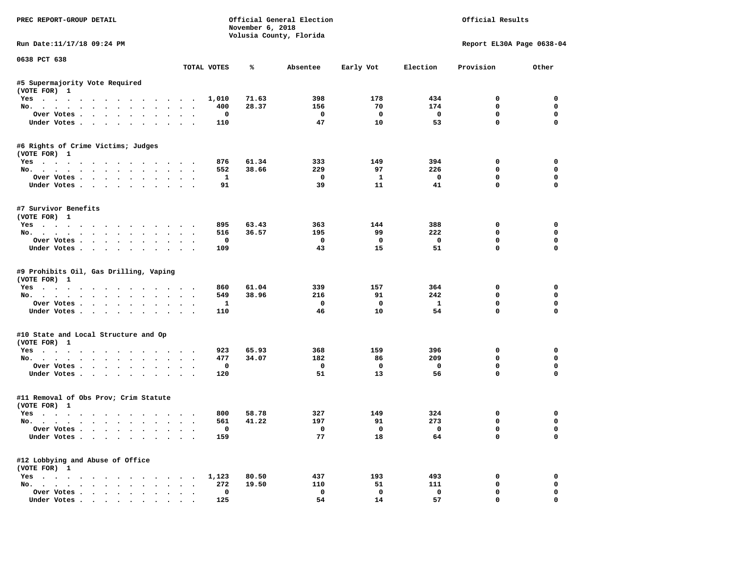| PREC REPORT-GROUP DETAIL                                                                                                                                                                                                                                                                                                                                                                                                                                                                   |                                |                     | November 6, 2018 | Official General Election<br>Volusia County, Florida |                               |                                | Official Results           |                            |
|--------------------------------------------------------------------------------------------------------------------------------------------------------------------------------------------------------------------------------------------------------------------------------------------------------------------------------------------------------------------------------------------------------------------------------------------------------------------------------------------|--------------------------------|---------------------|------------------|------------------------------------------------------|-------------------------------|--------------------------------|----------------------------|----------------------------|
| Run Date:11/17/18 09:24 PM                                                                                                                                                                                                                                                                                                                                                                                                                                                                 |                                |                     |                  |                                                      |                               |                                | Report EL30A Page 0638-04  |                            |
| 0638 PCT 638                                                                                                                                                                                                                                                                                                                                                                                                                                                                               |                                | TOTAL VOTES         | %                | Absentee                                             | Early Vot                     | Election                       | Provision                  | Other                      |
| #5 Supermajority Vote Required                                                                                                                                                                                                                                                                                                                                                                                                                                                             |                                |                     |                  |                                                      |                               |                                |                            |                            |
| (VOTE FOR) 1                                                                                                                                                                                                                                                                                                                                                                                                                                                                               |                                |                     |                  |                                                      |                               |                                |                            |                            |
| Yes                                                                                                                                                                                                                                                                                                                                                                                                                                                                                        |                                | 1,010               | 71.63            | 398                                                  | 178                           | 434                            | $\Omega$                   | $\Omega$                   |
| No.                                                                                                                                                                                                                                                                                                                                                                                                                                                                                        |                                | 400                 | 28.37            | 156                                                  | 70                            | 174                            | $^{\circ}$                 | $\mathbf 0$                |
| Over Votes                                                                                                                                                                                                                                                                                                                                                                                                                                                                                 |                                | 0                   |                  | $\overline{\phantom{0}}$                             | $\mathbf{0}$                  | $\overline{\mathbf{0}}$        | 0                          | 0                          |
| Under Votes                                                                                                                                                                                                                                                                                                                                                                                                                                                                                |                                | 110                 |                  | 47                                                   | 10                            | 53                             | $\mathbf 0$                | $\mathbf 0$                |
| #6 Rights of Crime Victims; Judges                                                                                                                                                                                                                                                                                                                                                                                                                                                         |                                |                     |                  |                                                      |                               |                                |                            |                            |
| (VOTE FOR) 1                                                                                                                                                                                                                                                                                                                                                                                                                                                                               |                                | 876                 | 61.34            | 333                                                  | 149                           | 394                            | 0                          | 0                          |
| Yes                                                                                                                                                                                                                                                                                                                                                                                                                                                                                        |                                | 552                 | 38.66            | 229                                                  | 97                            | 226                            | $\mathbf 0$                | 0                          |
| No.<br>Over Votes                                                                                                                                                                                                                                                                                                                                                                                                                                                                          |                                | $\mathbf{1}$        |                  | $\overline{\phantom{0}}$                             | $\mathbf{1}$                  | $\overline{\phantom{0}}$       | $\mathbf 0$                | 0                          |
| Under Votes                                                                                                                                                                                                                                                                                                                                                                                                                                                                                |                                | 91                  |                  | 39                                                   | 11                            | 41                             | $\mathbf 0$                | 0                          |
|                                                                                                                                                                                                                                                                                                                                                                                                                                                                                            |                                |                     |                  |                                                      |                               |                                |                            |                            |
| #7 Survivor Benefits<br>(VOTE FOR) 1                                                                                                                                                                                                                                                                                                                                                                                                                                                       |                                |                     |                  |                                                      |                               |                                |                            |                            |
| Yes                                                                                                                                                                                                                                                                                                                                                                                                                                                                                        |                                | 895                 | 63.43            | 363                                                  | 144                           | 388                            | $\Omega$                   | $\Omega$                   |
| No.                                                                                                                                                                                                                                                                                                                                                                                                                                                                                        |                                | 516                 | 36.57            | 195                                                  | 99                            | 222                            | $\mathbf 0$                | 0                          |
| Over Votes                                                                                                                                                                                                                                                                                                                                                                                                                                                                                 |                                | $^{\circ}$          |                  | $^{\circ}$                                           | $\overline{\mathbf{0}}$       | $\overline{\mathbf{0}}$        | $^{\circ}$                 | 0                          |
| Under Votes                                                                                                                                                                                                                                                                                                                                                                                                                                                                                |                                | 109                 |                  | 43                                                   | 15                            | 51                             | $\Omega$                   | $\Omega$                   |
| #9 Prohibits Oil, Gas Drilling, Vaping<br>(VOTE FOR) 1                                                                                                                                                                                                                                                                                                                                                                                                                                     |                                |                     |                  |                                                      |                               |                                |                            |                            |
| Yes<br>No.                                                                                                                                                                                                                                                                                                                                                                                                                                                                                 |                                | 860<br>549          | 61.04<br>38.96   | 339<br>216                                           | 157<br>91                     | 364<br>242                     | 0<br>0                     | 0<br>0                     |
| Over Votes                                                                                                                                                                                                                                                                                                                                                                                                                                                                                 |                                | <b>1</b>            |                  | $\mathbf 0$                                          | $\mathbf 0$                   | $\mathbf{1}$                   | $\mathbf 0$                | $\mathbf 0$                |
| Under Votes                                                                                                                                                                                                                                                                                                                                                                                                                                                                                |                                | 110                 |                  | 46                                                   | 10                            | 54                             | $\mathbf 0$                | $\Omega$                   |
|                                                                                                                                                                                                                                                                                                                                                                                                                                                                                            |                                |                     |                  |                                                      |                               |                                |                            |                            |
| #10 State and Local Structure and Op<br>(VOTE FOR) 1                                                                                                                                                                                                                                                                                                                                                                                                                                       |                                |                     |                  |                                                      |                               |                                |                            |                            |
| Yes                                                                                                                                                                                                                                                                                                                                                                                                                                                                                        |                                | 923                 | 65.93            | 368                                                  | 159                           | 396                            | 0                          | $\mathbf 0$                |
| No.                                                                                                                                                                                                                                                                                                                                                                                                                                                                                        |                                | 477                 | 34.07            | 182                                                  | 86                            | 209                            | $\mathbf 0$                | 0                          |
| Over Votes                                                                                                                                                                                                                                                                                                                                                                                                                                                                                 |                                | 0                   |                  | $\mathbf{o}$                                         | $\overline{\mathbf{0}}$       | $\mathbf{o}$                   | $\mathbf 0$                | $\mathbf 0$                |
| Under Votes                                                                                                                                                                                                                                                                                                                                                                                                                                                                                |                                | 120                 |                  | 51                                                   | 13                            | 56                             | $\Omega$                   | $\Omega$                   |
| #11 Removal of Obs Prov; Crim Statute                                                                                                                                                                                                                                                                                                                                                                                                                                                      |                                |                     |                  |                                                      |                               |                                |                            |                            |
| (VOTE FOR) 1                                                                                                                                                                                                                                                                                                                                                                                                                                                                               |                                |                     |                  |                                                      |                               |                                |                            |                            |
| Yes                                                                                                                                                                                                                                                                                                                                                                                                                                                                                        |                                | 800                 | 58.78            | 327                                                  | 149                           | 324                            | 0                          | 0                          |
| No.                                                                                                                                                                                                                                                                                                                                                                                                                                                                                        |                                | 561                 | 41.22            | 197                                                  | 91                            | 273                            | 0                          | 0                          |
| Over Votes<br>Under Votes                                                                                                                                                                                                                                                                                                                                                                                                                                                                  |                                | $\mathbf{o}$<br>159 |                  | $\overline{\phantom{0}}$<br>77                       | $\overline{\mathbf{0}}$<br>18 | $\overline{\phantom{0}}$<br>64 | $\mathbf 0$<br>$\mathbf 0$ | $\mathbf 0$<br>$\mathbf 0$ |
| #12 Lobbying and Abuse of Office                                                                                                                                                                                                                                                                                                                                                                                                                                                           |                                |                     |                  |                                                      |                               |                                |                            |                            |
| (VOTE FOR) 1                                                                                                                                                                                                                                                                                                                                                                                                                                                                               |                                |                     |                  |                                                      |                               |                                |                            |                            |
| Yes                                                                                                                                                                                                                                                                                                                                                                                                                                                                                        |                                | 1,123               | 80.50            | 437                                                  | 193                           | 493                            | 0                          | $\mathbf 0$                |
| No.                                                                                                                                                                                                                                                                                                                                                                                                                                                                                        |                                | 272                 | 19.50            | 110                                                  | 51                            | 111                            | 0                          | 0                          |
| Over Votes                                                                                                                                                                                                                                                                                                                                                                                                                                                                                 | $\sim$<br>$\ddot{\phantom{a}}$ | 0                   |                  | $\mathbf 0$                                          | $\mathbf 0$                   | $\mathbf 0$                    | $\mathbf 0$                | 0                          |
| $\blacksquare$ $\blacksquare$ $\blacksquare$ $\blacksquare$ $\blacksquare$ $\blacksquare$ $\blacksquare$ $\blacksquare$ $\blacksquare$ $\blacksquare$ $\blacksquare$ $\blacksquare$ $\blacksquare$ $\blacksquare$ $\blacksquare$ $\blacksquare$ $\blacksquare$ $\blacksquare$ $\blacksquare$ $\blacksquare$ $\blacksquare$ $\blacksquare$ $\blacksquare$ $\blacksquare$ $\blacksquare$ $\blacksquare$ $\blacksquare$ $\blacksquare$ $\blacksquare$ $\blacksquare$ $\blacksquare$ $\blacks$ |                                | 125                 |                  | 54                                                   | 14                            | 57                             | $\Omega$                   | $\Omega$                   |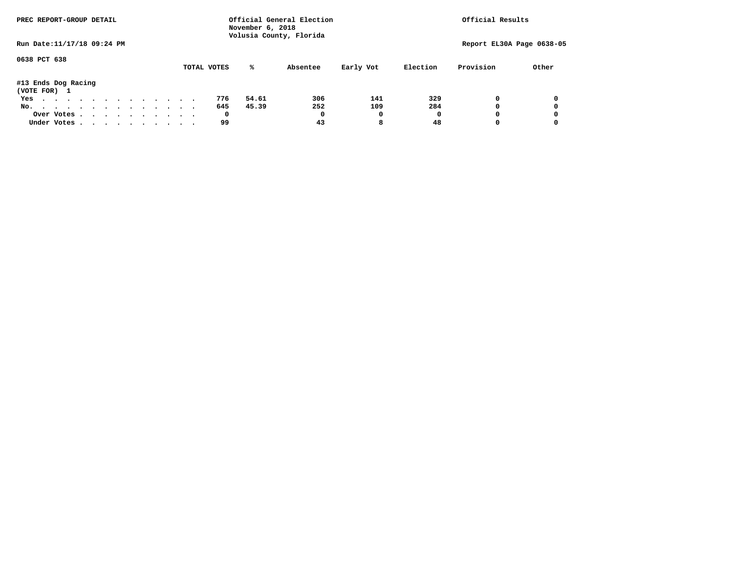| PREC REPORT-GROUP DETAIL            |  |  |  |  | Official General Election<br>November 6, 2018<br>Volusia County, Florida |  |  |  |             |       |          |           |          | Official Results |                           |  |
|-------------------------------------|--|--|--|--|--------------------------------------------------------------------------|--|--|--|-------------|-------|----------|-----------|----------|------------------|---------------------------|--|
| Run Date: 11/17/18 09:24 PM         |  |  |  |  |                                                                          |  |  |  |             |       |          |           |          |                  | Report EL30A Page 0638-05 |  |
| 0638 PCT 638                        |  |  |  |  |                                                                          |  |  |  | TOTAL VOTES | %ะ    | Absentee | Early Vot | Election | Provision        | Other                     |  |
| #13 Ends Dog Racing<br>(VOTE FOR) 1 |  |  |  |  |                                                                          |  |  |  |             |       |          |           |          |                  |                           |  |
| Yes                                 |  |  |  |  |                                                                          |  |  |  | 776         | 54.61 | 306      | 141       | 329      |                  | 0                         |  |
| No.                                 |  |  |  |  |                                                                          |  |  |  | 645         | 45.39 | 252      | 109       | 284      |                  | 0                         |  |
| Over Votes                          |  |  |  |  |                                                                          |  |  |  | 0           |       | 0        | 0         | O        |                  | 0                         |  |
| Under Votes                         |  |  |  |  |                                                                          |  |  |  | 99          |       | 43       | 8         | 48       |                  |                           |  |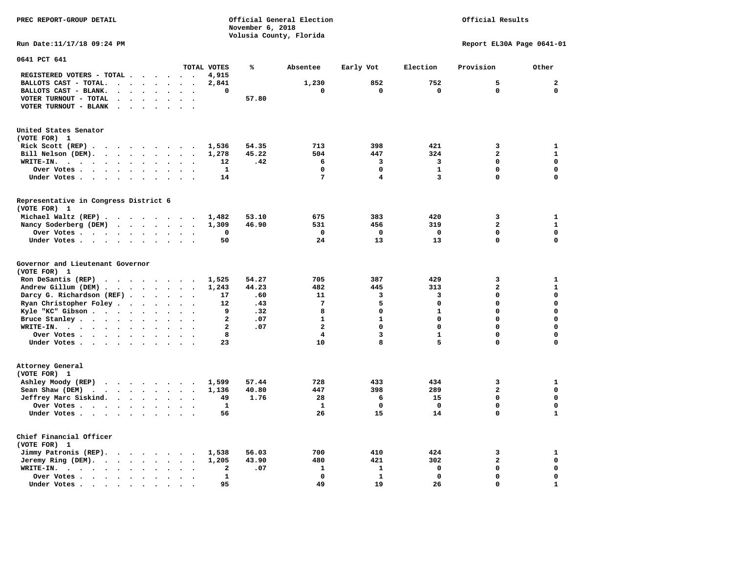|                                                                                                                                                                                                                                                                  | November 6, 2018      |                         |                         |                         |                           |              |
|------------------------------------------------------------------------------------------------------------------------------------------------------------------------------------------------------------------------------------------------------------------|-----------------------|-------------------------|-------------------------|-------------------------|---------------------------|--------------|
|                                                                                                                                                                                                                                                                  |                       | Volusia County, Florida |                         |                         |                           |              |
| Run Date: 11/17/18 09:24 PM                                                                                                                                                                                                                                      |                       |                         |                         |                         | Report EL30A Page 0641-01 |              |
| 0641 PCT 641<br>TOTAL VOTES                                                                                                                                                                                                                                      | ℁                     |                         |                         |                         |                           |              |
|                                                                                                                                                                                                                                                                  |                       | Absentee                | Early Vot               | Election                | Provision                 | Other        |
| REGISTERED VOTERS - TOTAL<br>4,915                                                                                                                                                                                                                               |                       |                         |                         |                         |                           |              |
| BALLOTS CAST - TOTAL.<br>2,841<br>$\cdot$ $\cdot$ $\cdot$ $\cdot$ $\cdot$ $\cdot$ $\cdot$                                                                                                                                                                        |                       | 1,230                   | 852                     | 752                     | 5                         | $\mathbf{2}$ |
| BALLOTS CAST - BLANK.<br>$\ddot{\phantom{a}}$<br>$\sim$<br>$\ddot{\phantom{a}}$<br>$\ddot{\phantom{a}}$                                                                                                                                                          | 0                     | 0                       | 0                       | 0                       | 0                         | $\mathbf 0$  |
| VOTER TURNOUT - TOTAL<br>$\cdot$ $\cdot$ $\cdot$ $\cdot$ $\cdot$<br>$\cdot$ .                                                                                                                                                                                    | 57.80                 |                         |                         |                         |                           |              |
| VOTER TURNOUT - BLANK<br>$\sim$<br>$\sim$<br>$\overline{\phantom{a}}$                                                                                                                                                                                            |                       |                         |                         |                         |                           |              |
|                                                                                                                                                                                                                                                                  |                       |                         |                         |                         |                           |              |
| United States Senator<br>(VOTE FOR) 1                                                                                                                                                                                                                            |                       |                         |                         |                         |                           |              |
| Rick Scott (REP).<br>1,536<br>$\cdots$<br>$\sim$<br>$\overline{\phantom{a}}$                                                                                                                                                                                     | 54.35                 | 713                     | 398                     | 421                     | 3                         | $\mathbf{1}$ |
| Bill Nelson (DEM).<br>$\mathbf{r}$ . The set of the set of the set of the set of the set of the set of the set of the set of the set of the set of the set of the set of the set of the set of the set of the set of the set of the set of the set of t<br>1,278 | 45.22                 | 504                     | 447                     | 324                     | $\overline{a}$            | $\mathbf{1}$ |
|                                                                                                                                                                                                                                                                  | 12<br>.42             | 6                       | 3                       | 3                       | $\mathbf 0$               | $\mathbf 0$  |
| WRITE-IN.<br>$\sim$ $\sim$<br>$\bullet$<br>$\bullet$                                                                                                                                                                                                             |                       | 0                       | $\mathbf 0$             | $\mathbf{1}$            | $\mathbf 0$               | $\Omega$     |
| Over Votes<br>$\ddot{\phantom{a}}$                                                                                                                                                                                                                               | 1                     |                         |                         |                         |                           |              |
| Under Votes<br>$\ddot{\phantom{1}}$                                                                                                                                                                                                                              | 14                    | $\overline{7}$          | $\overline{\mathbf{4}}$ | $\overline{\mathbf{3}}$ | 0                         | 0            |
| Representative in Congress District 6                                                                                                                                                                                                                            |                       |                         |                         |                         |                           |              |
| (VOTE FOR) 1                                                                                                                                                                                                                                                     |                       |                         |                         |                         |                           |              |
| Michael Waltz (REP)<br>1,482                                                                                                                                                                                                                                     | 53.10                 | 675                     | 383                     | 420                     | 3                         | 1            |
| Nancy Soderberg (DEM)<br>1,309                                                                                                                                                                                                                                   | 46.90                 | 531                     | 456                     | 319                     | $\mathbf{2}$              | $\mathbf{1}$ |
| Over Votes                                                                                                                                                                                                                                                       | $\mathbf 0$           | $\mathbf 0$             | $\mathbf 0$             | 0                       | $\mathbf 0$               | $\mathbf 0$  |
| Under Votes                                                                                                                                                                                                                                                      | 50                    | 24                      | 13                      | 13                      | $\Omega$                  | $\mathbf 0$  |
| Governor and Lieutenant Governor                                                                                                                                                                                                                                 |                       |                         |                         |                         |                           |              |
| (VOTE FOR) 1                                                                                                                                                                                                                                                     |                       |                         |                         |                         |                           |              |
| Ron DeSantis (REP) $\cdot \cdot \cdot \cdot \cdot \cdot$<br>1,525                                                                                                                                                                                                | 54.27                 | 705                     | 387                     | 429                     | 3                         | 1            |
| Andrew Gillum (DEM)<br>1,243                                                                                                                                                                                                                                     | 44.23                 | 482                     | 445                     | 313                     | $\mathbf{2}$              | $\mathbf{1}$ |
| Darcy G. Richardson (REF)<br>$\ddot{\phantom{1}}$                                                                                                                                                                                                                | .60<br>17             | 11                      | 3                       | 3                       | 0                         | $\mathbf 0$  |
| Ryan Christopher Foley                                                                                                                                                                                                                                           | 12<br>.43             | $7\phantom{.0}$         | 5                       | 0                       | 0                         | $\mathbf 0$  |
| Kyle "KC" Gibson                                                                                                                                                                                                                                                 | 9<br>.32              | 8                       | $\Omega$                | $\mathbf{1}$            | $\Omega$                  | $\mathbf 0$  |
| Bruce Stanley<br>$\ddot{\phantom{0}}$<br>$\ddot{\phantom{a}}$<br>$\bullet$                                                                                                                                                                                       | $\mathbf{2}$<br>.07   | $\mathbf{1}$            | $\mathbf{1}$            | $\mathbf 0$             | $\mathbf 0$               | $\mathbf 0$  |
| WRITE-IN.<br>$\ddot{\phantom{a}}$                                                                                                                                                                                                                                | $\overline{a}$<br>.07 | $\overline{a}$          | $\mathbf 0$             | $\mathbf 0$             | $\mathbf 0$               | $\Omega$     |
| Over Votes<br>$\sim$<br>$\ddot{\phantom{a}}$                                                                                                                                                                                                                     | 8                     | 4                       | $\overline{\mathbf{3}}$ | $\mathbf{1}$            | 0                         | $\mathbf 0$  |
| Under Votes                                                                                                                                                                                                                                                      | 23                    | 10                      | 8                       | 5                       | $\Omega$                  | $\mathbf 0$  |
|                                                                                                                                                                                                                                                                  |                       |                         |                         |                         |                           |              |
| Attorney General                                                                                                                                                                                                                                                 |                       |                         |                         |                         |                           |              |
| (VOTE FOR) 1                                                                                                                                                                                                                                                     |                       |                         |                         |                         |                           |              |
| Ashley Moody (REP)<br>1,599                                                                                                                                                                                                                                      | 57.44                 | 728                     | 433                     | 434                     | 3                         | 1            |
| $\cdots$<br>1,136<br>Sean Shaw (DEM)                                                                                                                                                                                                                             | 40.80                 | 447                     | 398                     | 289                     | $\mathbf{2}$              | $\mathbf 0$  |
| Jeffrey Marc Siskind.<br>$\ddot{\phantom{0}}$<br>$\sim$                                                                                                                                                                                                          | 49<br>1.76            | 28                      | 6                       | 15                      | $\mathbf 0$               | $\mathbf 0$  |
| Over Votes<br>$\ddot{\phantom{a}}$                                                                                                                                                                                                                               | $\mathbf{1}$          | $\mathbf{1}$            | $\mathbf 0$             | $\mathbf 0$             | 0                         | $\mathbf 0$  |
| Under Votes                                                                                                                                                                                                                                                      | 56                    | 26                      | 15                      | 14                      | 0                         | $\mathbf{1}$ |
| Chief Financial Officer<br>(VOTE FOR) 1                                                                                                                                                                                                                          |                       |                         |                         |                         |                           |              |
| Jimmy Patronis (REP).<br>1,538                                                                                                                                                                                                                                   | 56.03                 | 700                     | 410                     | 424                     | 3                         | $\mathbf{1}$ |
| Jeremy Ring (DEM).<br>1,205<br>$\ddot{\phantom{1}}$                                                                                                                                                                                                              | 43.90                 | 480                     | 421                     | 302                     | $\mathbf{2}$              | $\mathbf 0$  |
| WRITE-IN.<br>$\cdot$ $\cdot$ $\cdot$ $\cdot$ $\cdot$ $\cdot$ $\cdot$<br>$\ddot{\phantom{a}}$                                                                                                                                                                     | $\mathbf{2}$<br>.07   | 1                       | 1                       | 0                       | $\mathbf 0$               | 0            |
| Over Votes<br>$\ddot{\phantom{a}}$<br>$\ddot{\phantom{a}}$                                                                                                                                                                                                       | 1                     | $\mathbf 0$             | $\mathbf{1}$            | $\mathbf 0$             | 0                         | $\mathbf 0$  |
| Under Votes, , , , , , , ,<br>$\sim$ $\sim$                                                                                                                                                                                                                      | 95                    | 49                      | 19                      | 26                      | $\Omega$                  | 1            |

**PREC REPORT-GROUP DETAIL Official General Election Official Results**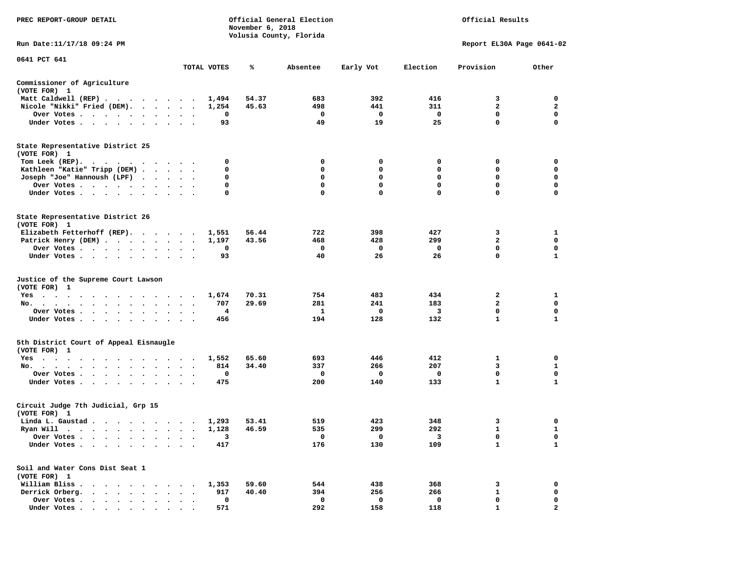| PREC REPORT-GROUP DETAIL                                                    |                      |             | November 6, 2018 | Official General Election<br>Volusia County, Florida |             | Official Results        |                           |                |  |
|-----------------------------------------------------------------------------|----------------------|-------------|------------------|------------------------------------------------------|-------------|-------------------------|---------------------------|----------------|--|
| Run Date: 11/17/18 09:24 PM                                                 |                      |             |                  |                                                      |             |                         | Report EL30A Page 0641-02 |                |  |
| 0641 PCT 641                                                                |                      | TOTAL VOTES | ℁                | Absentee                                             | Early Vot   | Election                | Provision                 | Other          |  |
| Commissioner of Agriculture                                                 |                      |             |                  |                                                      |             |                         |                           |                |  |
| (VOTE FOR) 1                                                                |                      |             |                  |                                                      |             |                         |                           |                |  |
| Matt Caldwell (REP)                                                         |                      | 1,494       | 54.37            | 683                                                  | 392         | 416                     | 3                         | 0              |  |
| Nicole "Nikki" Fried (DEM).                                                 |                      | 1,254       | 45.63            | 498                                                  | 441         | 311                     | $\mathbf{2}$              | $\mathbf{2}$   |  |
| Over Votes                                                                  | $\cdot$              | 0           |                  | 0                                                    | 0           | 0                       | 0                         | 0              |  |
| Under Votes                                                                 |                      | 93          |                  | 49                                                   | 19          | 25                      | $\mathbf 0$               | $\mathbf 0$    |  |
| State Representative District 25<br>(VOTE FOR) 1                            |                      |             |                  |                                                      |             |                         |                           |                |  |
| Tom Leek (REP).<br>.                                                        |                      | 0           |                  | 0                                                    | 0           | 0                       | 0                         | 0              |  |
| Kathleen "Katie" Tripp (DEM)                                                |                      | 0           |                  | 0                                                    | 0           | 0                       | 0                         | 0              |  |
| Joseph "Joe" Hannoush (LPF)                                                 |                      | 0           |                  | 0                                                    | 0           | $\mathbf 0$             | $\mathbf 0$               | $\mathbf 0$    |  |
| Over Votes                                                                  |                      | 0           |                  | 0                                                    | 0           | $\mathbf 0$             | 0                         | 0              |  |
| Under Votes                                                                 |                      | 0           |                  | $\mathbf 0$                                          | $\mathbf 0$ | $\mathbf 0$             | $\mathbf 0$               | $\mathbf 0$    |  |
| State Representative District 26<br>(VOTE FOR) 1                            |                      |             |                  |                                                      |             |                         |                           |                |  |
| Elizabeth Fetterhoff (REP).                                                 |                      | 1,551       | 56.44            | 722                                                  | 398         | 427                     | 3                         | 1              |  |
| Patrick Henry (DEM)                                                         |                      | 1,197       | 43.56            | 468                                                  | 428         | 299                     | $\overline{a}$            | 0              |  |
| Over Votes                                                                  |                      | 0           |                  | 0                                                    | $\mathbf 0$ | $\mathbf{o}$            | 0                         | 0              |  |
| Under Votes                                                                 |                      | 93          |                  | 40                                                   | 26          | 26                      | 0                         | 1              |  |
| Justice of the Supreme Court Lawson                                         |                      |             |                  |                                                      |             |                         |                           |                |  |
| (VOTE FOR) 1                                                                |                      |             |                  |                                                      |             |                         |                           |                |  |
| Yes                                                                         |                      | 1,674       | 70.31            | 754                                                  | 483         | 434                     | 2                         | 1              |  |
| No.                                                                         |                      | 707         | 29.69            | 281                                                  | 241         | 183                     | $\mathbf{2}$              | 0              |  |
| Over Votes                                                                  |                      | 4           |                  | 1                                                    | 0           | $\overline{\mathbf{3}}$ | $\mathbf 0$               | $\mathbf 0$    |  |
| Under Votes                                                                 | $\ddot{\phantom{1}}$ | 456         |                  | 194                                                  | 128         | 132                     | 1                         | 1              |  |
| 5th District Court of Appeal Eisnaugle<br>(VOTE FOR) 1                      |                      |             |                  |                                                      |             |                         |                           |                |  |
| Yes                                                                         |                      | 1,552       | 65.60            | 693                                                  | 446         | 412                     | 1                         | 0              |  |
| No.                                                                         |                      | 814         | 34.40            | 337                                                  | 266         | 207                     | 3                         | 1              |  |
| Over Votes                                                                  |                      | 0           |                  | 0                                                    | 0           | 0                       | $\mathbf 0$               | 0              |  |
| Under Votes                                                                 |                      | 475         |                  | 200                                                  | 140         | 133                     | $\mathbf{1}$              | $\mathbf{1}$   |  |
| Circuit Judge 7th Judicial, Grp 15<br>(VOTE FOR) 1                          |                      |             |                  |                                                      |             |                         |                           |                |  |
| Linda L. Gaustad                                                            |                      | 1,293       | 53.41            | 519                                                  | 423         | 348                     | 3                         | 0              |  |
| Ryan Will $\cdots$ , $\cdots$ , $\cdots$ , $\cdots$                         |                      | 1,128       | 46.59            | 535                                                  | 299         | 292                     | $\mathbf{1}$              | $\mathbf{1}$   |  |
| Over Votes .                                                                |                      | 3           |                  | 0                                                    | 0           | 3                       | 0                         | 0              |  |
| Under Votes.<br>$\sim$ $\sim$<br>$\sim$<br>$\bullet$                        |                      | 417         |                  | 176                                                  | 130         | 109                     | $\mathbf{1}$              | 1              |  |
| Soil and Water Cons Dist Seat 1<br>(VOTE FOR) 1                             |                      |             |                  |                                                      |             |                         |                           |                |  |
| William Bliss.<br>$\sim$ $\sim$                                             |                      | 1,353       | 59.60            | 544                                                  | 438         | 368                     | 3                         | 0              |  |
| Derrick Orberg.<br>$\bullet$<br>$\sim$<br>$\ddot{\phantom{a}}$<br>$\bullet$ |                      | 917         | 40.40            | 394                                                  | 256         | 266                     | 1                         | 0              |  |
| Over Votes .                                                                |                      | $\mathbf 0$ |                  | 0                                                    | 0           | 0                       | 0                         | 0              |  |
| Under Votes.<br>$\cdots$<br>$\sim$ $\sim$<br>$\bullet$                      | $\bullet$            | 571         |                  | 292                                                  | 158         | 118                     | $\mathbf{1}$              | $\overline{a}$ |  |
|                                                                             |                      |             |                  |                                                      |             |                         |                           |                |  |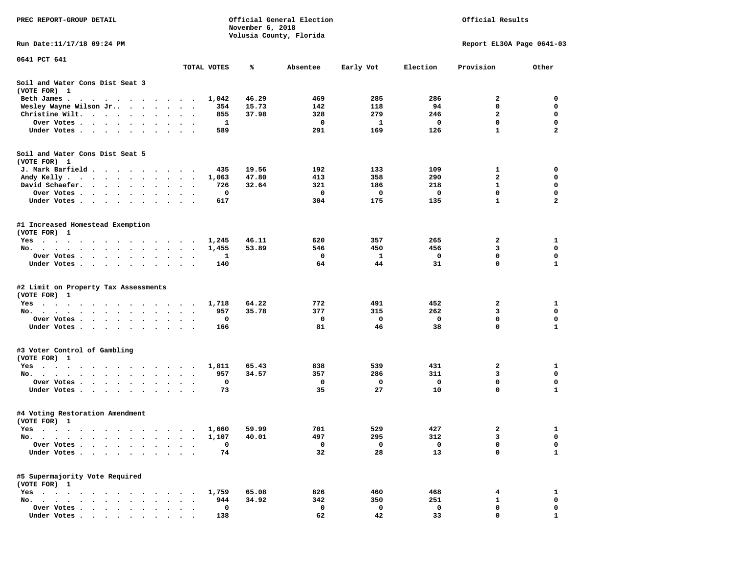| Official Results<br>Official General Election<br>PREC REPORT-GROUP DETAIL<br>November 6, 2018                                                                                                                                                |                                            |       |                         |              |             |                           |                         |
|----------------------------------------------------------------------------------------------------------------------------------------------------------------------------------------------------------------------------------------------|--------------------------------------------|-------|-------------------------|--------------|-------------|---------------------------|-------------------------|
|                                                                                                                                                                                                                                              |                                            |       | Volusia County, Florida |              |             |                           |                         |
| Run Date: 11/17/18 09:24 PM                                                                                                                                                                                                                  |                                            |       |                         |              |             | Report EL30A Page 0641-03 |                         |
| 0641 PCT 641                                                                                                                                                                                                                                 |                                            |       |                         |              |             |                           |                         |
|                                                                                                                                                                                                                                              | TOTAL VOTES                                | ℁     | Absentee                | Early Vot    | Election    | Provision                 | Other                   |
| Soil and Water Cons Dist Seat 3<br>(VOTE FOR) 1                                                                                                                                                                                              |                                            |       |                         |              |             |                           |                         |
| Beth James.                                                                                                                                                                                                                                  | 1,042                                      | 46.29 | 469                     | 285          | 286         | 2                         | 0                       |
| Wesley Wayne Wilson Jr                                                                                                                                                                                                                       | 354<br>$\cdot$                             | 15.73 | 142                     | 118          | 94          | $\mathbf 0$               | $\mathbf 0$             |
| Christine Wilt.                                                                                                                                                                                                                              | 855                                        | 37.98 | 328                     | 279          | 246         | $\mathbf{2}$              | 0                       |
| Over Votes                                                                                                                                                                                                                                   | 1<br>$\cdot$                               |       | $\mathbf 0$             | $\mathbf{1}$ | $\mathbf 0$ | $\mathbf 0$               | $\mathbf 0$             |
| Under Votes                                                                                                                                                                                                                                  | 589                                        |       | 291                     | 169          | 126         | $\mathbf{1}$              | $\overline{2}$          |
| Soil and Water Cons Dist Seat 5<br>(VOTE FOR) 1                                                                                                                                                                                              |                                            |       |                         |              |             |                           |                         |
| J. Mark Barfield                                                                                                                                                                                                                             | 435<br>$\cdot$                             | 19.56 | 192                     | 133          | 109         | 1                         | $\mathbf 0$             |
| Andy Kelly                                                                                                                                                                                                                                   | 1,063<br>$\bullet$                         | 47.80 | 413                     | 358          | 290         | $\mathbf{2}$              | $\mathbf 0$             |
| David Schaefer.                                                                                                                                                                                                                              | 726<br>$\ddot{\phantom{0}}$<br>$\cdot$     | 32.64 | 321                     | 186          | 218         | $\mathbf{1}$              | 0                       |
| Over Votes                                                                                                                                                                                                                                   | 0                                          |       | 0                       | 0            | 0           | $\mathbf 0$               | $\mathbf 0$             |
| Under Votes                                                                                                                                                                                                                                  | 617                                        |       | 304                     | 175          | 135         | $\mathbf{1}$              | $\overline{\mathbf{2}}$ |
| #1 Increased Homestead Exemption<br>(VOTE FOR) 1                                                                                                                                                                                             |                                            |       |                         |              |             |                           |                         |
| Yes                                                                                                                                                                                                                                          | 1,245                                      | 46.11 | 620                     | 357          | 265         | 2                         | 1                       |
| No.                                                                                                                                                                                                                                          | 1,455<br>$\ddot{\phantom{a}}$<br>$\bullet$ | 53.89 | 546                     | 450          | 456         | 3                         | 0                       |
| Over Votes                                                                                                                                                                                                                                   | 1<br>$\bullet$                             |       | 0                       | 1            | 0           | 0                         | $\mathbf 0$             |
| Under Votes                                                                                                                                                                                                                                  | 140                                        |       | 64                      | 44           | 31          | 0                         | $\mathbf{1}$            |
| #2 Limit on Property Tax Assessments<br>(VOTE FOR) 1                                                                                                                                                                                         |                                            |       |                         |              |             |                           |                         |
| Yes                                                                                                                                                                                                                                          | 1,718<br>$\overline{\phantom{a}}$          | 64.22 | 772                     | 491          | 452         | 2                         | 1                       |
| No.                                                                                                                                                                                                                                          | 957<br>$\bullet$                           | 35.78 | 377                     | 315          | 262         | 3                         | $\mathbf 0$             |
| Over Votes.                                                                                                                                                                                                                                  | 0                                          |       | 0                       | 0            | 0           | 0                         | 0                       |
| Under Votes                                                                                                                                                                                                                                  | 166                                        |       | 81                      | 46           | 38          | $\mathbf 0$               | $\mathbf{1}$            |
| #3 Voter Control of Gambling<br>(VOTE FOR) 1                                                                                                                                                                                                 |                                            |       |                         |              |             |                           |                         |
| Yes                                                                                                                                                                                                                                          | 1,811                                      | 65.43 | 838                     | 539          | 431         | 2                         | 1                       |
| No.                                                                                                                                                                                                                                          | 957                                        | 34.57 | 357                     | 286          | 311         | 3                         | 0                       |
| Over Votes.<br>. The contract of the contract of the contract of the contract of the contract of the contract of the contract of the contract of the contract of the contract of the contract of the contract of the contract of the contrac | 0                                          |       | 0                       | 0            | 0           | $\mathbf 0$               | $\mathbf 0$             |
| Under Votes                                                                                                                                                                                                                                  | 73                                         |       | 35                      | 27           | 10          | 0                         | $\mathbf{1}$            |
| #4 Voting Restoration Amendment<br>(VOTE FOR) 1                                                                                                                                                                                              |                                            |       |                         |              |             |                           |                         |
| Yes 1,660                                                                                                                                                                                                                                    |                                            | 59.99 | 701                     | 529          | 427         | 2                         | 1                       |
| No.<br>$\overline{\phantom{a}}$<br>$\bullet$                                                                                                                                                                                                 | 1,107                                      | 40.01 | 497                     | 295          | 312         | 3                         | 0                       |
| Over Votes.<br>$\cdots$<br>$\ddot{\phantom{1}}$                                                                                                                                                                                              | 0<br>$\ddot{\phantom{0}}$<br>$\cdot$       |       | 0                       | 0            | 0           | $\mathbf 0$               | 0                       |
| Under Votes                                                                                                                                                                                                                                  | 74<br>$\sim$<br>$\sim$ $\sim$              |       | 32                      | 28           | 13          | $\mathbf 0$               | $\mathbf{1}$            |
| #5 Supermajority Vote Required<br>(VOTE FOR) 1                                                                                                                                                                                               |                                            |       |                         |              |             |                           |                         |
| $Yes \t . \t .$<br>$\ddot{\phantom{0}}$<br>$\sim$<br>$\sim$ $\sim$<br>$\sim$<br>$\sim$<br>$\overline{\phantom{a}}$                                                                                                                           | 1,759<br>$\sim$                            | 65.08 | 826                     | 460          | 468         | 4                         | 1                       |
| No.<br>$\overline{\phantom{a}}$<br>$\sim$                                                                                                                                                                                                    | 944                                        | 34.92 | 342                     | 350          | 251         | 1                         | $\mathbf 0$             |
| Over Votes .<br>$\sim$ $\sim$ $\sim$ $\sim$<br>$\sim$                                                                                                                                                                                        | 0                                          |       | 0                       | 0            | 0           | 0                         | 0                       |
| Under Votes                                                                                                                                                                                                                                  | 138                                        |       | 62                      | 42           | 33          | $\mathbf 0$               | $\mathbf{1}$            |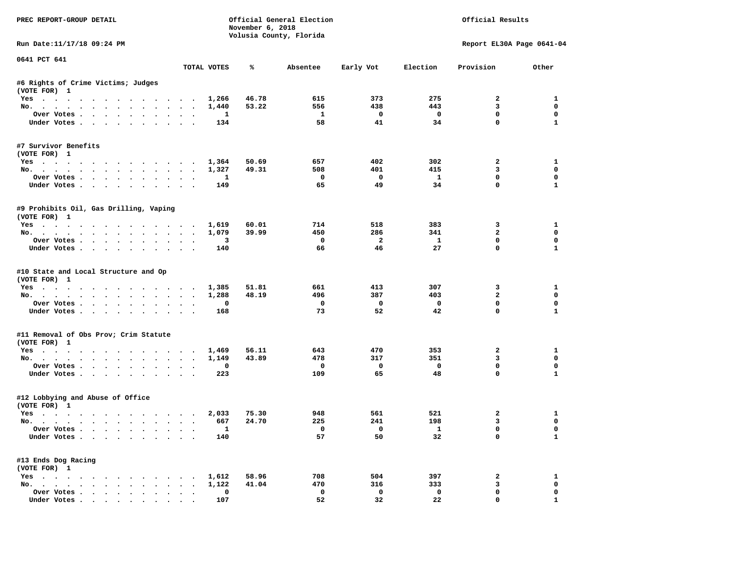| PREC REPORT-GROUP DETAIL                                                                                                                                                                                                                                                                                                                                                                                                                                                                   |                  |                       | November 6, 2018 | Official General Election<br>Volusia County, Florida |                                |                                | Official Results           |                            |
|--------------------------------------------------------------------------------------------------------------------------------------------------------------------------------------------------------------------------------------------------------------------------------------------------------------------------------------------------------------------------------------------------------------------------------------------------------------------------------------------|------------------|-----------------------|------------------|------------------------------------------------------|--------------------------------|--------------------------------|----------------------------|----------------------------|
| Run Date:11/17/18 09:24 PM                                                                                                                                                                                                                                                                                                                                                                                                                                                                 |                  |                       |                  |                                                      |                                |                                | Report EL30A Page 0641-04  |                            |
| 0641 PCT 641                                                                                                                                                                                                                                                                                                                                                                                                                                                                               |                  | TOTAL VOTES           | ℁                | Absentee                                             | Early Vot                      | Election                       | Provision                  | Other                      |
| #6 Rights of Crime Victims; Judges                                                                                                                                                                                                                                                                                                                                                                                                                                                         |                  |                       |                  |                                                      |                                |                                |                            |                            |
| (VOTE FOR) 1                                                                                                                                                                                                                                                                                                                                                                                                                                                                               |                  |                       |                  |                                                      | 373                            | 275                            |                            |                            |
| Yes 1,266                                                                                                                                                                                                                                                                                                                                                                                                                                                                                  |                  |                       | 46.78            | 615                                                  |                                |                                | $\mathbf{2}$               | 1                          |
| No.<br>Over Votes                                                                                                                                                                                                                                                                                                                                                                                                                                                                          |                  | 1,440<br>$\mathbf{1}$ | 53.22            | 556<br>$\mathbf{1}$                                  | 438<br>$\overline{\mathbf{0}}$ | 443<br>$\overline{\mathbf{0}}$ | 3<br>$\mathbf 0$           | $\mathbf 0$<br>$\mathbf 0$ |
| Under Votes                                                                                                                                                                                                                                                                                                                                                                                                                                                                                |                  | 134                   |                  | 58                                                   | 41                             | 34                             | $\Omega$                   | $\mathbf{1}$               |
| #7 Survivor Benefits                                                                                                                                                                                                                                                                                                                                                                                                                                                                       |                  |                       |                  |                                                      |                                |                                |                            |                            |
| (VOTE FOR) 1                                                                                                                                                                                                                                                                                                                                                                                                                                                                               |                  |                       |                  |                                                      |                                |                                |                            |                            |
| Yes 1,364                                                                                                                                                                                                                                                                                                                                                                                                                                                                                  |                  |                       | 50.69            | 657                                                  | 402                            | 302                            | $\mathbf{2}$               | 1                          |
| No.                                                                                                                                                                                                                                                                                                                                                                                                                                                                                        |                  | 1,327                 | 49.31            | 508<br>$\overline{\mathbf{0}}$                       | 401<br>$\overline{\mathbf{0}}$ | 415<br>$\mathbf{1}$            | $\overline{3}$<br>$\Omega$ | $\Omega$<br>$\Omega$       |
| Over Votes<br>Under Votes                                                                                                                                                                                                                                                                                                                                                                                                                                                                  |                  | $\mathbf{1}$<br>149   |                  | 65                                                   | 49                             | 34                             | $\mathbf 0$                | $\mathbf{1}$               |
|                                                                                                                                                                                                                                                                                                                                                                                                                                                                                            |                  |                       |                  |                                                      |                                |                                |                            |                            |
| #9 Prohibits Oil, Gas Drilling, Vaping<br>(VOTE FOR) 1                                                                                                                                                                                                                                                                                                                                                                                                                                     |                  |                       |                  |                                                      |                                |                                |                            |                            |
| Yes 1,619                                                                                                                                                                                                                                                                                                                                                                                                                                                                                  |                  |                       | 60.01            | 714                                                  | 518                            | 383                            | 3                          | 1                          |
| No.                                                                                                                                                                                                                                                                                                                                                                                                                                                                                        |                  | 1,079                 | 39.99            | 450                                                  | 286                            | 341                            | $\overline{2}$             | $\mathbf 0$                |
| Over Votes                                                                                                                                                                                                                                                                                                                                                                                                                                                                                 |                  | 3                     |                  | $\overline{\mathbf{0}}$                              | $\overline{\mathbf{2}}$        | $\mathbf{1}$                   | $\mathbf 0$                | 0                          |
| Under Votes                                                                                                                                                                                                                                                                                                                                                                                                                                                                                |                  | 140                   |                  | 66                                                   | 46                             | 27                             | $\mathbf 0$                | $\mathbf{1}$               |
| #10 State and Local Structure and Op<br>(VOTE FOR) 1<br>Yes                                                                                                                                                                                                                                                                                                                                                                                                                                |                  | 1,385                 | 51.81            | 661                                                  | 413                            | 307                            | 3                          | $\mathbf{1}$               |
| No.                                                                                                                                                                                                                                                                                                                                                                                                                                                                                        |                  | 1,288                 | 48.19            | 496                                                  | 387                            | 403                            | $\overline{a}$             | $\mathbf 0$                |
| Over Votes                                                                                                                                                                                                                                                                                                                                                                                                                                                                                 |                  | 0                     |                  | $\overline{\phantom{0}}$                             | $\overline{\mathbf{0}}$        | $\mathbf 0$                    | 0                          | 0                          |
| Under Votes                                                                                                                                                                                                                                                                                                                                                                                                                                                                                |                  | 168                   |                  | 73                                                   | 52                             | 42                             | $\mathbf 0$                | $\mathbf{1}$               |
| #11 Removal of Obs Prov; Crim Statute                                                                                                                                                                                                                                                                                                                                                                                                                                                      |                  |                       |                  |                                                      |                                |                                |                            |                            |
| (VOTE FOR) 1                                                                                                                                                                                                                                                                                                                                                                                                                                                                               |                  | 1,469                 | 56.11            | 643                                                  | 470                            | 353                            | $\overline{a}$             | 1                          |
| Yes<br>No.                                                                                                                                                                                                                                                                                                                                                                                                                                                                                 |                  | 1,149                 | 43.89            | 478                                                  | 317                            | 351                            | $\overline{\mathbf{3}}$    | 0                          |
| Over Votes                                                                                                                                                                                                                                                                                                                                                                                                                                                                                 |                  | 0                     |                  | $\overline{\mathbf{0}}$                              | $\overline{\mathbf{0}}$        | $\mathbf 0$                    | $\mathbf 0$                | $\mathbf 0$                |
| Under Votes                                                                                                                                                                                                                                                                                                                                                                                                                                                                                |                  | 223                   |                  | 109                                                  | 65                             | 48                             | $\mathbf 0$                | $\mathbf{1}$               |
| #12 Lobbying and Abuse of Office<br>(VOTE FOR) 1                                                                                                                                                                                                                                                                                                                                                                                                                                           |                  |                       |                  |                                                      |                                |                                |                            |                            |
| Yes                                                                                                                                                                                                                                                                                                                                                                                                                                                                                        |                  | 2,033                 | 75.30            | 948                                                  | 561                            | 521                            | $\overline{a}$             | $\mathbf{1}$               |
| No.                                                                                                                                                                                                                                                                                                                                                                                                                                                                                        |                  | 667                   | 24.70            | 225                                                  | 241                            | 198                            | 3                          | $\Omega$                   |
| Over Votes                                                                                                                                                                                                                                                                                                                                                                                                                                                                                 |                  | $\mathbf{1}$          |                  | $\overline{\phantom{a}}$                             | $\overline{\phantom{0}}$       | $\mathbf{1}$                   | $\mathbf 0$                | $\mathbf 0$                |
| Under Votes                                                                                                                                                                                                                                                                                                                                                                                                                                                                                |                  | 140                   |                  | 57                                                   | 50                             | 32                             | $\mathbf 0$                | $\mathbf{1}$               |
| #13 Ends Dog Racing<br>(VOTE FOR) 1                                                                                                                                                                                                                                                                                                                                                                                                                                                        |                  |                       |                  |                                                      |                                |                                |                            |                            |
| Yes 1,612                                                                                                                                                                                                                                                                                                                                                                                                                                                                                  |                  |                       | 58.96            | 708                                                  | 504                            | 397                            | $\overline{a}$             | 1                          |
| No.                                                                                                                                                                                                                                                                                                                                                                                                                                                                                        |                  | 1,122                 | 41.04            | 470                                                  | 316                            | 333                            | 3                          | $\mathbf 0$                |
| Over Votes                                                                                                                                                                                                                                                                                                                                                                                                                                                                                 | $\sim$<br>$\sim$ | 0                     |                  | $\mathbf 0$                                          | $\mathbf 0$                    | $\mathbf 0$                    | $\mathbf 0$                | 0                          |
| $\blacksquare$ $\blacksquare$ $\blacksquare$ $\blacksquare$ $\blacksquare$ $\blacksquare$ $\blacksquare$ $\blacksquare$ $\blacksquare$ $\blacksquare$ $\blacksquare$ $\blacksquare$ $\blacksquare$ $\blacksquare$ $\blacksquare$ $\blacksquare$ $\blacksquare$ $\blacksquare$ $\blacksquare$ $\blacksquare$ $\blacksquare$ $\blacksquare$ $\blacksquare$ $\blacksquare$ $\blacksquare$ $\blacksquare$ $\blacksquare$ $\blacksquare$ $\blacksquare$ $\blacksquare$ $\blacksquare$ $\blacks$ |                  | 107                   |                  | 52                                                   | 32                             | 22.                            | $\Omega$                   | $\mathbf{1}$               |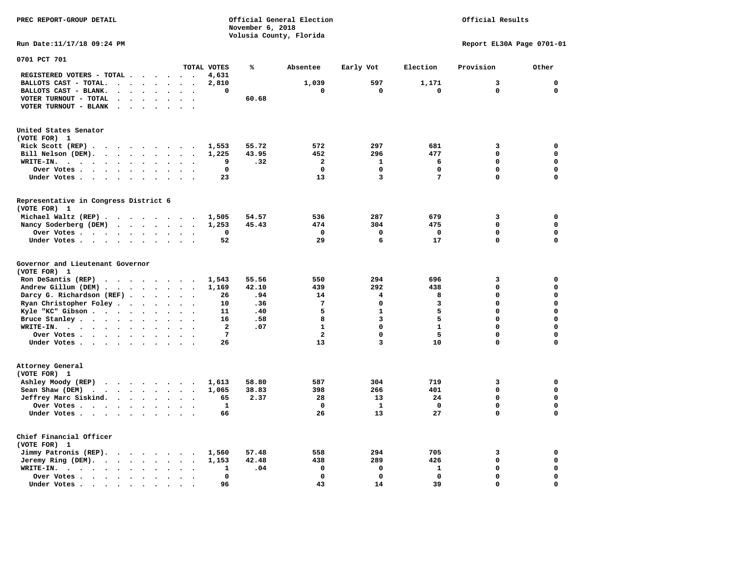|                                                                                                                                                                        |                | November 6, 2018 |                         |              |              |                           |                  |
|------------------------------------------------------------------------------------------------------------------------------------------------------------------------|----------------|------------------|-------------------------|--------------|--------------|---------------------------|------------------|
|                                                                                                                                                                        |                |                  | Volusia County, Florida |              |              |                           |                  |
| Run Date:11/17/18 09:24 PM                                                                                                                                             |                |                  |                         |              |              | Report EL30A Page 0701-01 |                  |
| 0701 PCT 701                                                                                                                                                           |                |                  |                         |              |              |                           |                  |
|                                                                                                                                                                        | TOTAL VOTES    | ℁                | Absentee                | Early Vot    | Election     | Provision                 | Other            |
| REGISTERED VOTERS - TOTAL .<br>$\cdots$                                                                                                                                | 4,631          |                  |                         |              |              |                           |                  |
| BALLOTS CAST - TOTAL.<br>$\begin{array}{cccccccccccccc} \bullet & \bullet & \bullet & \bullet & \bullet & \bullet & \bullet & \bullet & \bullet & \bullet \end{array}$ | 2,810          |                  | 1,039                   | 597          | 1,171        | 3                         | 0                |
| BALLOTS CAST - BLANK.<br>$\mathbf{r}$ , $\mathbf{r}$ , $\mathbf{r}$ , $\mathbf{r}$ , $\mathbf{r}$ , $\mathbf{r}$<br>$\ddot{\phantom{a}}$<br>$\overline{\phantom{a}}$   | 0              |                  | 0                       | 0            | 0            | 0                         | $\Omega$         |
| VOTER TURNOUT - TOTAL<br>$\sim$<br>$\sim$<br>$\bullet$<br>$\ddot{\phantom{a}}$<br>$\bullet$<br>$\cdot$                                                                 |                | 60.68            |                         |              |              |                           |                  |
| VOTER TURNOUT - BLANK                                                                                                                                                  |                |                  |                         |              |              |                           |                  |
| United States Senator                                                                                                                                                  |                |                  |                         |              |              |                           |                  |
| (VOTE FOR) 1                                                                                                                                                           |                |                  |                         |              |              |                           |                  |
| Rick Scott (REP) $\cdots$ $\cdots$ $\cdots$ $\cdots$                                                                                                                   | 1,553          | 55.72            | 572                     | 297          | 681          | 3                         | 0                |
| Bill Nelson (DEM).<br>$\cdot$ $\cdot$ $\cdot$ $\cdot$ $\cdot$ $\cdot$<br>$\cdot$<br>$\overline{\phantom{a}}$                                                           | 1,225          | 43.95            | 452                     | 296          | 477          | 0                         | $\mathbf 0$      |
| WRITE-IN.<br>$\cdots$<br>$\cdots$<br>$\cdot$<br>$\cdot$                                                                                                                | 9              | .32              | $\mathbf{2}$            | 1            | 6            | $\mathbf 0$               | $\mathbf 0$      |
| Over Votes<br>$\bullet$<br>$\cdot$<br>$\bullet$                                                                                                                        | 0              |                  | 0                       | 0            | 0            | 0                         | $\Omega$         |
| Under Votes<br>$\ddot{\phantom{0}}$<br>$\sim$                                                                                                                          | 23             |                  | 13                      | 3            | 7            | 0                         | 0                |
|                                                                                                                                                                        |                |                  |                         |              |              |                           |                  |
| Representative in Congress District 6                                                                                                                                  |                |                  |                         |              |              |                           |                  |
| (VOTE FOR) 1                                                                                                                                                           |                |                  |                         |              |              |                           |                  |
| Michael Waltz (REP)                                                                                                                                                    | 1,505          | 54.57            | 536                     | 287          | 679          | 3                         | $\mathbf 0$      |
| Nancy Soderberg (DEM)<br>$\overline{\phantom{a}}$                                                                                                                      | 1,253          | 45.43            | 474                     | 304          | 475          | $\mathbf 0$               | $\mathbf 0$      |
| Over Votes                                                                                                                                                             | 0              |                  | $\mathbf 0$             | 0            | 0            | 0                         | $\mathbf 0$      |
| Under Votes<br>$\sim$<br>$\sim$                                                                                                                                        | 52             |                  | 29                      | 6            | 17           | 0                         | 0                |
| Governor and Lieutenant Governor                                                                                                                                       |                |                  |                         |              |              |                           |                  |
| (VOTE FOR) 1                                                                                                                                                           |                |                  |                         |              |              |                           |                  |
| Ron DeSantis (REP) $\cdot \cdot \cdot \cdot \cdot \cdot$                                                                                                               | 1,543          | 55.56            | 550                     | 294          | 696          | з                         | 0                |
| Andrew Gillum (DEM)<br>$\ddot{\phantom{0}}$                                                                                                                            | 1,169          | 42.10            | 439                     | 292          | 438          | 0                         | $\mathbf 0$      |
| Darcy G. Richardson (REF)                                                                                                                                              | 26             | .94              | 14                      | 4            | 8            | 0                         | $\mathbf 0$      |
| Ryan Christopher Foley<br>$\sim$                                                                                                                                       | 10             | .36              | $7\phantom{.0}$         | 0            | 3            | 0                         | $\Omega$         |
| Kyle "KC" Gibson<br>$\sim$<br>$\ddot{\phantom{a}}$<br>$\ddot{\phantom{a}}$<br>$\cdot$                                                                                  | 11             | .40              | 5                       | $\mathbf{1}$ | 5            | 0                         | $\mathbf 0$      |
| Bruce Stanley<br>$\cdot$ $\cdot$ $\cdot$                                                                                                                               | 16             | .58              | 8                       | 3            | 5            | 0                         | $\mathbf 0$      |
| WRITE-IN.<br>$\cdot$ $\cdot$ $\cdot$ $\cdot$ $\cdot$ $\cdot$<br>$\sim$<br>$\cdot$                                                                                      | $\overline{a}$ | .07              | $\mathbf{1}$            | 0            | $\mathbf{1}$ | 0                         | $\Omega$         |
| Over Votes<br>$\ddot{\phantom{1}}$<br>$\overline{\phantom{a}}$                                                                                                         | 7              |                  | $\overline{a}$          | $\mathbf 0$  | 5            | 0                         | $\mathbf 0$      |
| Under Votes                                                                                                                                                            | 26             |                  | 13                      | 3            | 10           | 0                         | $\Omega$         |
|                                                                                                                                                                        |                |                  |                         |              |              |                           |                  |
| Attorney General<br>(VOTE FOR) 1                                                                                                                                       |                |                  |                         |              |              |                           |                  |
|                                                                                                                                                                        |                |                  |                         |              |              |                           |                  |
| Ashley Moody (REP)                                                                                                                                                     | 1,613          | 58.80            | 587                     | 304          | 719          | з                         | 0                |
| Sean Shaw (DEM)<br>$\cdots$                                                                                                                                            | 1,065          | 38.83            | 398                     | 266          | 401          | 0                         | $\mathbf 0$      |
| Jeffrey Marc Siskind.<br>$\ddot{\phantom{a}}$<br>$\ddot{\phantom{a}}$<br>$\overline{\phantom{a}}$                                                                      | 65             | 2.37             | 28                      | 13           | 24           | $\mathbf 0$               | $\Omega$         |
| Over Votes                                                                                                                                                             | $\mathbf{1}$   |                  | $\mathbf 0$             | $\mathbf{1}$ | $\mathbf 0$  | 0                         | $\mathbf 0$      |
| Under Votes<br>$\sim$ $\sim$                                                                                                                                           | 66             |                  | 26                      | 13           | 27           | $\mathbf 0$               | 0                |
| Chief Financial Officer<br>(VOTE FOR) 1                                                                                                                                |                |                  |                         |              |              |                           |                  |
|                                                                                                                                                                        | 1,560          | 57.48            | 558                     | 294          | 705          | 3                         | 0                |
| Jimmy Patronis (REP).<br>$\sim$<br>$\overline{\phantom{a}}$                                                                                                            |                | 42.48            | 438                     | 289          | 426          | 0                         | $\mathbf 0$      |
| Jeremy Ring $(DEM)$ .                                                                                                                                                  | 1,153          |                  |                         | $\mathbf 0$  |              | 0                         | $\mathbf 0$      |
| WRITE-IN.<br>$\sim$ $\sim$ $\sim$<br>$\sim$ $\sim$<br>$\cdot$<br>$\Delta$                                                                                              | 1              | .04              | 0                       |              | $\mathbf{1}$ |                           |                  |
| Over Votes<br>$\ddot{\phantom{a}}$<br>$\bullet$<br>$\cdot$                                                                                                             | 0              |                  | 0                       | 0            | $\mathbf 0$  | 0<br>0                    | $\mathbf 0$<br>0 |
| Under Votes.<br>.<br>$\bullet$                                                                                                                                         | 96             |                  | 43                      | 14           | 39           |                           |                  |

Official Results

**PREC REPORT-GROUP DETAIL COMPUTER CONSUMING A CONSUMING CONSUMING A LIGACION CONSUMING A LIGACION**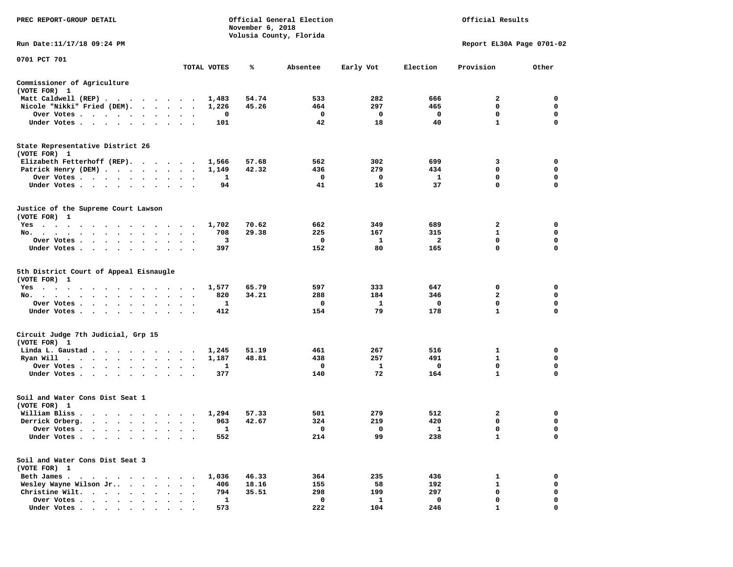| PREC REPORT-GROUP DETAIL                                                                                                                                                                                                                             |                                                | November 6, 2018 | Official General Election |            |            | Official Results          |             |
|------------------------------------------------------------------------------------------------------------------------------------------------------------------------------------------------------------------------------------------------------|------------------------------------------------|------------------|---------------------------|------------|------------|---------------------------|-------------|
| Run Date:11/17/18 09:24 PM                                                                                                                                                                                                                           |                                                |                  | Volusia County, Florida   |            |            | Report EL30A Page 0701-02 |             |
| 0701 PCT 701                                                                                                                                                                                                                                         |                                                |                  |                           |            |            |                           |             |
|                                                                                                                                                                                                                                                      | TOTAL VOTES                                    | ℁                | Absentee                  | Early Vot  | Election   | Provision                 | Other       |
| Commissioner of Agriculture<br>(VOTE FOR) 1                                                                                                                                                                                                          |                                                |                  |                           |            |            |                           |             |
| Matt Caldwell (REP)                                                                                                                                                                                                                                  | 1,483                                          | 54.74            | 533                       | 282        | 666        | 2                         | 0           |
| Nicole "Nikki" Fried (DEM).                                                                                                                                                                                                                          | 1,226                                          | 45.26            | 464                       | 297        | 465        | 0                         | 0           |
| Over Votes<br>$\bullet$                                                                                                                                                                                                                              | 0<br>$\bullet$<br>$\bullet$<br>$\bullet$       |                  | 0                         | 0          | 0          | 0                         | 0           |
| Under Votes                                                                                                                                                                                                                                          | 101<br>$\ddot{\phantom{0}}$                    |                  | 42                        | 18         | 40         | $\mathbf{1}$              | $\mathbf 0$ |
| State Representative District 26<br>(VOTE FOR) 1                                                                                                                                                                                                     |                                                |                  |                           |            |            |                           |             |
| Elizabeth Fetterhoff (REP).                                                                                                                                                                                                                          | 1,566                                          | 57.68            | 562                       | 302        | 699        | 3                         | 0           |
| Patrick Henry (DEM)                                                                                                                                                                                                                                  | 1,149                                          | 42.32            | 436                       | 279        | 434        | 0                         | 0           |
| Over Votes<br>$\ddot{\phantom{1}}$                                                                                                                                                                                                                   | 1                                              |                  | 0                         | 0          | 1          | 0                         | $\mathbf 0$ |
| Under Votes<br>$\ddot{\phantom{a}}$<br>$\blacksquare$ .                                                                                                                                                                                              | 94                                             |                  | 41                        | 16         | 37         | 0                         | 0           |
|                                                                                                                                                                                                                                                      |                                                |                  |                           |            |            |                           |             |
| Justice of the Supreme Court Lawson<br>(VOTE FOR) 1                                                                                                                                                                                                  |                                                |                  |                           |            |            |                           |             |
| $Yes \t . \t .$<br>$\cdots$<br>$\cdots$                                                                                                                                                                                                              | 1,702<br>$\blacksquare$ .                      | 70.62            | 662                       | 349        | 689        | 2                         | 0           |
| No.<br>$\sim$ $\sim$ $\sim$<br>$\sim$<br>$\sim$<br>$\sim$<br>$\ddot{\phantom{0}}$                                                                                                                                                                    | 708                                            | 29.38            | 225                       | 167        | 315        | 1                         | 0           |
| Over Votes                                                                                                                                                                                                                                           | 3                                              |                  | 0                         | 1          | 2          | 0                         | 0           |
| Under Votes<br>$\ddot{\phantom{1}}$                                                                                                                                                                                                                  | 397<br>$\ddot{\phantom{a}}$<br>$\cdot$ $\cdot$ |                  | 152                       | 80         | 165        | $\mathbf 0$               | $\mathbf 0$ |
| 5th District Court of Appeal Eisnaugle<br>(VOTE FOR) 1<br>Yes<br>$\mathcal{A}=\mathcal{A}=\mathcal{A}=\mathcal{A}=\mathcal{A}=\mathcal{A}$<br>$\cdots$<br>No.<br>$\bullet$                                                                           | 1,577<br>820                                   | 65.79<br>34.21   | 597<br>288                | 333<br>184 | 647<br>346 | 0<br>$\mathbf{2}$         | 0<br>0      |
| Over Votes<br>$\bullet$                                                                                                                                                                                                                              | 1<br>$\bullet$<br>$\bullet$<br>$\bullet$       |                  | 0                         | 1          | 0          | $\mathbf 0$               | 0           |
| Under Votes                                                                                                                                                                                                                                          | 412<br>$\sim$ $\sim$                           |                  | 154                       | 79         | 178        | $\mathbf{1}$              | $\mathbf 0$ |
| Circuit Judge 7th Judicial, Grp 15<br>(VOTE FOR) 1                                                                                                                                                                                                   |                                                |                  |                           |            |            |                           |             |
| Linda L. Gaustad<br>$\sim$ $\sim$                                                                                                                                                                                                                    | 1,245<br>$\bullet$<br>$\overline{\phantom{a}}$ | 51.19            | 461                       | 267        | 516        | 1                         | 0           |
| Ryan Will<br>. The contract of the contract of the contract of the contract of the contract of the contract of the contract of the contract of the contract of the contract of the contract of the contract of the contract of the contrac<br>$\sim$ | 1,187<br>$\bullet$<br>$\blacksquare$ .         | 48.81            | 438                       | 257        | 491        | 1                         | 0           |
| Over Votes<br>$\bullet$<br>$\bullet$                                                                                                                                                                                                                 | 1                                              |                  | 0                         | 1          | 0          | $\mathbf 0$               | 0           |
| Under Votes<br>$\sim$ 100 $\sim$<br>$\sim$<br>$\bullet$                                                                                                                                                                                              | 377                                            |                  | 140                       | 72         | 164        | $\mathbf{1}$              | 0           |
| Soil and Water Cons Dist Seat 1<br>(VOTE FOR) 1                                                                                                                                                                                                      |                                                |                  |                           |            |            |                           |             |
| William Bliss.                                                                                                                                                                                                                                       | 1,294                                          | 57.33            | 501                       | 279        | 512        | 2                         | 0           |
| Derrick Orberg.                                                                                                                                                                                                                                      | 963<br>$\bullet$<br>$\bullet$                  | 42.67            | 324                       | 219        | 420        | 0                         | 0           |
| Over Votes                                                                                                                                                                                                                                           | Ŧ.                                             |                  | 0                         |            | 1          | 0                         | 0           |
| Under Votes                                                                                                                                                                                                                                          | 552                                            |                  | 214                       | 99         | 238        | $\mathbf{1}$              | 0           |
| Soil and Water Cons Dist Seat 3<br>(VOTE FOR) 1                                                                                                                                                                                                      |                                                |                  |                           |            |            |                           |             |
| Beth James.<br>$\sim$ $\sim$<br>$\sim$<br>$\ddot{\phantom{1}}$<br>$\overline{a}$                                                                                                                                                                     | 1,036                                          | 46.33            | 364                       | 235        | 436        | 1                         | 0           |
| Wesley Wayne Wilson Jr<br>$\sim$<br>$\bullet$                                                                                                                                                                                                        | 406                                            | 18.16            | 155                       | 58         | 192        | $\mathbf{1}$              | 0           |
| Christine Wilt.<br>$\cdot$ $\cdot$ $\cdot$ $\cdot$<br>$\ddot{\phantom{0}}$                                                                                                                                                                           | 794                                            | 35.51            | 298                       | 199        | 297        | 0                         | 0           |
| Over Votes .<br>$\mathbf{r}$ . The set of $\mathbf{r}$<br>$\ddot{\phantom{a}}$                                                                                                                                                                       | 1                                              |                  | 0                         | 1          | 0          | 0                         | 0           |
| Under Votes                                                                                                                                                                                                                                          | 573                                            |                  | 222                       | 104        | 246        |                           | O           |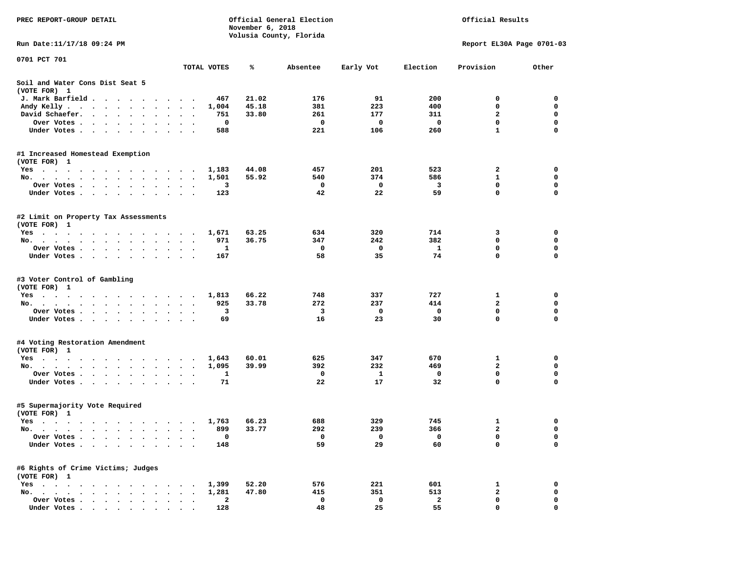| PREC REPORT-GROUP DETAIL                                                                                                                                                                                                                                 |                          |             | November 6, 2018 | Official General Election |            |              | Official Results          |             |
|----------------------------------------------------------------------------------------------------------------------------------------------------------------------------------------------------------------------------------------------------------|--------------------------|-------------|------------------|---------------------------|------------|--------------|---------------------------|-------------|
| Run Date: 11/17/18 09:24 PM                                                                                                                                                                                                                              |                          |             |                  | Volusia County, Florida   |            |              | Report EL30A Page 0701-03 |             |
| 0701 PCT 701                                                                                                                                                                                                                                             |                          |             |                  |                           |            |              |                           |             |
|                                                                                                                                                                                                                                                          |                          | TOTAL VOTES | ℁                | Absentee                  | Early Vot  | Election     | Provision                 | Other       |
| Soil and Water Cons Dist Seat 5<br>(VOTE FOR) 1                                                                                                                                                                                                          |                          |             |                  |                           |            |              |                           |             |
| J. Mark Barfield<br>$\cdot$                                                                                                                                                                                                                              |                          | 467         | 21.02            | 176                       | 91         | 200          | 0                         | 0           |
| Andy Kelly.<br>the contract of the contract of the contract of the contract of the contract of the contract of the contract of                                                                                                                           |                          | 1,004       | 45.18            | 381                       | 223        | 400          | 0                         | 0           |
| David Schaefer.<br>$\cdot$ $\cdot$ $\cdot$ $\cdot$ $\cdot$<br>$\bullet$ .<br><br><br><br><br><br><br>$\bullet$                                                                                                                                           |                          | 751         | 33.80            | 261                       | 177        | 311          | $\mathbf{2}$              | $\mathbf 0$ |
| Over Votes .<br>$\cdots$<br>$\sim$                                                                                                                                                                                                                       |                          | 0           |                  | 0                         | 0          | $\mathbf{o}$ | $\mathbf 0$               | $\mathbf 0$ |
| Under Votes.<br>$\cdots$                                                                                                                                                                                                                                 | . .                      | 588         |                  | 221                       | 106        | 260          | $\mathbf{1}$              | 0           |
| #1 Increased Homestead Exemption                                                                                                                                                                                                                         |                          |             |                  |                           |            |              |                           |             |
| (VOTE FOR) 1                                                                                                                                                                                                                                             |                          |             |                  |                           |            |              |                           |             |
| Yes                                                                                                                                                                                                                                                      |                          | 1,183       | 44.08<br>55.92   | 457<br>540                | 201<br>374 | 523<br>586   | 2<br>1                    | 0<br>0      |
| No.<br>Over Votes .<br>$\mathbf{r}$ . The contract of the contract of the contract of the contract of the contract of the contract of the contract of the contract of the contract of the contract of the contract of the contract of the contract of th | $\cdot$<br>$\cdot$       | 1,501<br>3  |                  | 0                         | 0          | 3            | $\mathbf 0$               | 0           |
| $\bullet$<br>Under Votes<br>$\ddot{\phantom{1}}$                                                                                                                                                                                                         |                          | 123         |                  | 42                        | 22         | 59           | 0                         | 0           |
|                                                                                                                                                                                                                                                          |                          |             |                  |                           |            |              |                           |             |
| #2 Limit on Property Tax Assessments<br>(VOTE FOR) 1                                                                                                                                                                                                     |                          |             |                  |                           |            |              |                           |             |
| $Yes \t . \t .$<br>the contract of the contract of the contract of the contract of the contract of the contract of the contract of                                                                                                                       |                          | 1,671       | 63.25            | 634                       | 320        | 714          | 3                         | 0           |
| No.<br>$\bullet$<br>$\bullet$<br>$\bullet$<br>$\bullet$                                                                                                                                                                                                  | $\bullet$<br>$\cdot$     | 971         | 36.75            | 347                       | 242        | 382          | 0                         | $\mathbf 0$ |
| Over Votes.<br><b>Contract Contract Contract</b><br>$\bullet$<br>$\bullet$<br>$\bullet$<br>$\bullet$                                                                                                                                                     |                          | 1           |                  | 0                         | 0          | 1            | 0                         | 0           |
| Under Votes.<br>$\cdots$                                                                                                                                                                                                                                 |                          | 167         |                  | 58                        | 35         | 74           | $\mathbf 0$               | $\Omega$    |
| #3 Voter Control of Gambling<br>(VOTE FOR) 1                                                                                                                                                                                                             |                          |             |                  |                           |            |              |                           |             |
| $Yes \t . \t .$<br>the contract of the contract of the contract of the contract of the contract of the contract of the contract of                                                                                                                       |                          | 1,813       | 66.22            | 748                       | 337        | 727          | 1                         | 0           |
| No.                                                                                                                                                                                                                                                      | $\sim$ $\sim$            | 925         | 33.78            | 272                       | 237        | 414          | $\mathbf{2}$              | 0           |
| Over Votes .<br>$\cdots$                                                                                                                                                                                                                                 |                          | 3           |                  | 3                         | 0          | 0            | $\mathbf 0$               | 0           |
| Under Votes.<br>$\cdots$                                                                                                                                                                                                                                 | $\ddot{\phantom{1}}$     | 69          |                  | 16                        | 23         | 30           | 0                         | 0           |
| #4 Voting Restoration Amendment                                                                                                                                                                                                                          |                          |             |                  |                           |            |              |                           |             |
| (VOTE FOR) 1                                                                                                                                                                                                                                             |                          |             |                  |                           |            |              |                           |             |
| Yes                                                                                                                                                                                                                                                      | $\overline{\phantom{a}}$ | 1,643       | 60.01            | 625                       | 347        | 670          | 1                         | 0           |
| No.                                                                                                                                                                                                                                                      | $\bullet$                | 1,095       | 39.99            | 392                       | 232        | 469          | $\mathbf{2}$              | 0           |
| Over Votes                                                                                                                                                                                                                                               | $\bullet$<br>$\bullet$   | 1           |                  | 0                         | 1          | 0            | $\mathbf 0$               | $\mathbf 0$ |
| Under Votes<br>$\ddot{\phantom{0}}$                                                                                                                                                                                                                      | $\ddot{\phantom{0}}$     | 71          |                  | 22                        | 17         | 32           | 0                         | 0           |
| #5 Supermajority Vote Required<br>(VOTE FOR) 1                                                                                                                                                                                                           |                          |             |                  |                           |            |              |                           |             |
| Yes                                                                                                                                                                                                                                                      |                          | 1,763       | 66.23            | 688                       | 329        | 745          | 1                         | 0           |
| No.                                                                                                                                                                                                                                                      |                          | 899         | 33.77            | 292                       | 239        | 366          | $\overline{a}$            | $\mathbf 0$ |
| Over Votes                                                                                                                                                                                                                                               |                          | 0           |                  | 0                         | 0          | 0            | 0                         | 0           |
| Under Votes.                                                                                                                                                                                                                                             |                          | 148         |                  | 59                        | 29         | 60           | 0                         | 0           |
| #6 Rights of Crime Victims; Judges                                                                                                                                                                                                                       |                          |             |                  |                           |            |              |                           |             |
| (VOTE FOR) 1                                                                                                                                                                                                                                             |                          |             |                  |                           |            |              |                           |             |
| $Yes \t . \t .$<br>$\bullet$                                                                                                                                                                                                                             |                          | 1,399       | 52.20            | 576                       | 221        | 601          | 1                         | 0           |
| No.<br>$\ddot{\phantom{0}}$                                                                                                                                                                                                                              |                          | 1,281       | 47.80            | 415                       | 351        | 513          | 2                         | 0           |
| Over Votes<br>$\cdot$ $\cdot$ $\cdot$<br>$\overline{\phantom{a}}$                                                                                                                                                                                        |                          | 2           |                  | 0                         | 0          | $\mathbf{2}$ | 0                         | 0           |
| Under Votes                                                                                                                                                                                                                                              |                          | 128         |                  | 48                        | 25         | 55           | 0                         | 0           |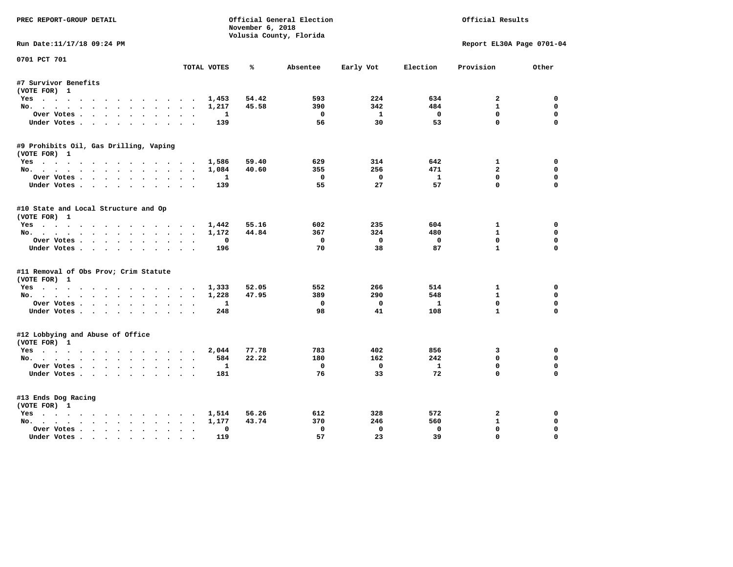| PREC REPORT-GROUP DETAIL               |                                         |                  | Official General Election |                         |              | Official Results          |             |
|----------------------------------------|-----------------------------------------|------------------|---------------------------|-------------------------|--------------|---------------------------|-------------|
|                                        |                                         | November 6, 2018 | Volusia County, Florida   |                         |              |                           |             |
| Run Date:11/17/18 09:24 PM             |                                         |                  |                           |                         |              | Report EL30A Page 0701-04 |             |
| 0701 PCT 701                           | TOTAL VOTES                             | ℁                | Absentee                  |                         | Election     | Provision                 | Other       |
|                                        |                                         |                  |                           | Early Vot               |              |                           |             |
| #7 Survivor Benefits                   |                                         |                  |                           |                         |              |                           |             |
| (VOTE FOR) 1                           |                                         |                  |                           |                         |              |                           |             |
| Yes                                    | 1,453                                   | 54.42            | 593                       | 224                     | 634          | $\overline{a}$            | 0           |
| No.                                    | 1,217                                   | 45.58            | 390                       | 342                     | 484          | $\mathbf{1}$              | $\mathbf 0$ |
| Over Votes                             |                                         | 1                | $\mathbf{o}$              | $\mathbf{1}$            | $\mathbf 0$  | $\Omega$                  | 0           |
| Under Votes                            |                                         | 139              | 56                        | 30                      | 53           | $\mathbf 0$               | $\mathbf 0$ |
| #9 Prohibits Oil, Gas Drilling, Vaping |                                         |                  |                           |                         |              |                           |             |
| (VOTE FOR) 1                           |                                         |                  |                           |                         |              |                           |             |
| Yes                                    | 1,586                                   | 59.40            | 629                       | 314                     | 642          | $\mathbf{1}$              | 0           |
| No.                                    | 1,084                                   | 40.60            | 355                       | 256                     | 471          | $\overline{a}$            | 0           |
| Over Votes                             |                                         | 1                | $\Omega$                  | $\mathbf{0}$            | $\mathbf{1}$ | $\mathbf{0}$              | $\Omega$    |
| Under Votes                            |                                         | 139              | 55                        | 27                      | 57           | $\Omega$                  | $\mathbf 0$ |
| #10 State and Local Structure and Op   |                                         |                  |                           |                         |              |                           |             |
| (VOTE FOR) 1                           |                                         |                  |                           |                         |              |                           |             |
| Yes                                    | 1,442                                   | 55.16            | 602                       | 235                     | 604          | $\mathbf{1}$              | $\Omega$    |
| No.                                    | 1,172                                   | 44.84            | 367                       | 324                     | 480          | $\mathbf{1}$              | $\mathbf 0$ |
| Over Votes                             |                                         | $\Omega$         | $^{\circ}$                | $\mathbf{0}$            | $\Omega$     | $\Omega$                  | $\mathbf 0$ |
| Under Votes                            |                                         | 196              | 70                        | 38                      | 87           | $\mathbf{1}$              | $\Omega$    |
| #11 Removal of Obs Prov; Crim Statute  |                                         |                  |                           |                         |              |                           |             |
| (VOTE FOR) 1                           |                                         |                  |                           |                         |              |                           |             |
| Yes                                    | 1,333                                   | 52.05            | 552                       | 266                     | 514          | $\mathbf{1}$              | $\Omega$    |
| No.                                    | 1,228                                   | 47.95            | 389                       | 290                     | 548          | $\mathbf{1}$              | 0           |
| Over Votes                             |                                         | 1                | 0                         | $^{\circ}$              | 1            | $\Omega$                  | $\Omega$    |
| Under Votes                            |                                         | 248              | 98                        | 41                      | 108          | $\mathbf{1}$              | $\mathbf 0$ |
| #12 Lobbying and Abuse of Office       |                                         |                  |                           |                         |              |                           |             |
| (VOTE FOR) 1                           |                                         |                  |                           |                         |              |                           |             |
| Yes                                    | 2,044                                   | 77.78            | 783                       | 402                     | 856          | 3                         | 0           |
| No.                                    |                                         | 22.22<br>584     | 180                       | 162                     | 242          | $\mathbf{0}$              | $\mathbf 0$ |
| Over Votes                             |                                         | 1                | 0                         | $\overline{\mathbf{0}}$ | $\mathbf{1}$ | $\mathbf 0$               | $\mathbf 0$ |
| Under Votes                            |                                         | 181              | 76                        | 33                      | 72           | $\Omega$                  | $\Omega$    |
| #13 Ends Dog Racing                    |                                         |                  |                           |                         |              |                           |             |
| (VOTE FOR) 1                           |                                         |                  |                           |                         |              |                           |             |
| Yes                                    | 1,514                                   | 56.26            | 612                       | 328                     | 572          | 2                         | 0           |
| No.                                    | 1,177                                   | 43.74            | 370                       | 246                     | 560          | $\mathbf{1}$              | 0           |
| Over Votes                             | $\bullet$ .<br>$\overline{\phantom{a}}$ | $\Omega$         | $\Omega$                  | $\Omega$                | $^{\circ}$   | 0                         | $\Omega$    |
| Under Votes                            | $\sim$                                  | 119              | 57                        | 23                      | 39           | $\mathbf{0}$              | $\Omega$    |
|                                        |                                         |                  |                           |                         |              |                           |             |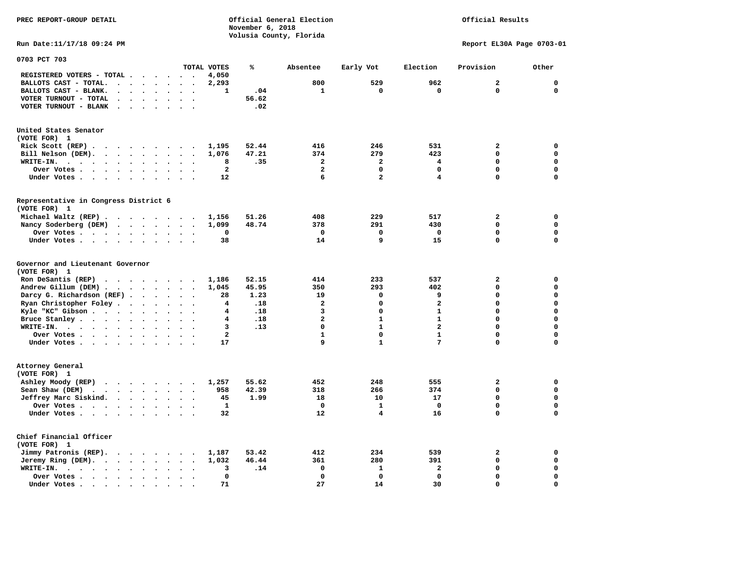**PREC REPORT-GROUP DETAIL COMPUTER CONSUMING A CONSUMING CONSUMING A LIGACION CONSUMING A LIGACION** *November 6, 2018 November 6, 2018*  **Volusia County, Florida** 

Official Results

**Run Date:11/17/18 09:24 PM Report EL30A Page 0703-01** 

| 0703 PCT 703                                                                                                                 |                                                                      |                         |       |                         |                |                         |                         |             |
|------------------------------------------------------------------------------------------------------------------------------|----------------------------------------------------------------------|-------------------------|-------|-------------------------|----------------|-------------------------|-------------------------|-------------|
|                                                                                                                              |                                                                      | TOTAL VOTES             | ℁     | Absentee                | Early Vot      | Election                | Provision               | Other       |
| REGISTERED VOTERS - TOTAL .<br>$\sim$ $\sim$ $\sim$                                                                          | $\sim$ $\sim$<br>$\overline{\phantom{a}}$                            | 4,050                   |       |                         |                |                         |                         |             |
| BALLOTS CAST - TOTAL.<br>$\ddot{\phantom{a}}$<br>$\sim$<br>$\ddot{\phantom{a}}$<br>$\Delta$<br>$\ddot{\phantom{a}}$          |                                                                      | 2,293                   |       | 800                     | 529            | 962                     | $\overline{a}$          | $\mathbf 0$ |
| BALLOTS CAST - BLANK.<br>$\sim$<br>$\ddot{\phantom{0}}$<br>$\sim$                                                            | $\ddot{\phantom{a}}$<br>$\ddot{\phantom{a}}$<br>$\ddot{\phantom{a}}$ | 1                       | .04   | $\mathbf{1}$            | $\mathbf 0$    | $\mathbf 0$             | $\mathbf 0$             | $\mathbf 0$ |
| VOTER TURNOUT - TOTAL                                                                                                        |                                                                      |                         | 56.62 |                         |                |                         |                         |             |
| VOTER TURNOUT - BLANK<br>$\sim$ $\sim$                                                                                       |                                                                      |                         | .02   |                         |                |                         |                         |             |
|                                                                                                                              |                                                                      |                         |       |                         |                |                         |                         |             |
| United States Senator                                                                                                        |                                                                      |                         |       |                         |                |                         |                         |             |
| (VOTE FOR) 1                                                                                                                 |                                                                      |                         |       |                         |                |                         |                         |             |
| Rick Scott (REP).<br>$\cdots$<br>$\sim$ $\sim$                                                                               |                                                                      | 1,195                   | 52.44 | 416                     | 246            | 531                     | $\mathbf{z}$            | $\mathbf 0$ |
| Bill Nelson (DEM).<br>$\mathbf{r}$ , $\mathbf{r}$ , $\mathbf{r}$ , $\mathbf{r}$ , $\mathbf{r}$ , $\mathbf{r}$ , $\mathbf{r}$ | $\ddot{\phantom{1}}$                                                 | 1,076                   | 47.21 | 374                     | 279            | 423                     | 0                       | $\mathbf 0$ |
| WRITE-IN.<br>$\cdots$<br><b>Contract Contract Contract</b><br>$\ddot{\phantom{a}}$<br>$\bullet$                              | $\bullet$<br>$\ddot{\phantom{a}}$                                    | 8                       | .35   | $\overline{a}$          | $\overline{a}$ | 4                       | 0                       | $\mathbf 0$ |
| Over Votes .<br>$\sim$ $\sim$ $\sim$ $\sim$<br>$\bullet$                                                                     | $\bullet$                                                            | $\mathbf{2}$            |       | $\mathbf{2}$            | 0              | 0                       | 0                       | 0           |
| Under Votes                                                                                                                  | $\sim$<br>$\cdot$                                                    | 12                      |       | 6                       | $\overline{a}$ | 4                       | 0                       | $\mathbf 0$ |
|                                                                                                                              |                                                                      |                         |       |                         |                |                         |                         |             |
| Representative in Congress District 6                                                                                        |                                                                      |                         |       |                         |                |                         |                         |             |
| (VOTE FOR) 1                                                                                                                 |                                                                      |                         |       |                         |                |                         |                         |             |
| Michael Waltz (REP)                                                                                                          |                                                                      | 1,156                   | 51.26 | 408                     | 229            | 517                     | $\mathbf{z}$            | $\mathbf 0$ |
| Nancy Soderberg (DEM)                                                                                                        | $\overline{\phantom{a}}$                                             | 1,099                   | 48.74 | 378                     | 291            | 430                     | 0                       | $\mathbf 0$ |
| Over Votes                                                                                                                   | $\ddot{\phantom{a}}$<br>$\sim$                                       | 0                       |       | $\Omega$                | 0              | 0                       | 0                       | $\mathbf 0$ |
| Under Votes<br>$\ddot{\phantom{a}}$<br>$\ddot{\phantom{a}}$                                                                  |                                                                      | 38                      |       | 14                      | 9              | 15                      | 0                       | $\mathbf 0$ |
| Governor and Lieutenant Governor<br>(VOTE FOR) 1                                                                             |                                                                      |                         |       |                         |                |                         |                         |             |
| Ron DeSantis (REP)<br>$\cdot$ $\cdot$ $\cdot$ $\cdot$ $\cdot$ $\cdot$ $\cdot$                                                |                                                                      | 1,186                   | 52.15 | 414                     | 233            | 537                     | $\overline{\mathbf{2}}$ | 0           |
| Andrew Gillum (DEM)                                                                                                          | $\ddot{\phantom{a}}$                                                 | 1,045                   | 45.95 | 350                     | 293            | 402                     | 0                       | $\mathbf 0$ |
| Darcy G. Richardson (REF).<br>$\ddot{\phantom{0}}$                                                                           | $\ddot{\phantom{a}}$                                                 | 28                      | 1.23  | 19                      | 0              | 9                       | 0                       | $\mathbf 0$ |
| Ryan Christopher Foley.<br>$\sim$<br>$\bullet$                                                                               | $\bullet$                                                            | 4                       | .18   | $\overline{a}$          | 0              | $\overline{a}$          | $\Omega$                | $\mathbf 0$ |
| Kyle "KC" Gibson<br>$\ddot{\phantom{a}}$<br>$\bullet$                                                                        | $\bullet$<br>$\ddot{\phantom{a}}$                                    | 4                       | .18   | 3                       | 0              | $\mathbf{1}$            | 0                       | $\mathbf 0$ |
| Bruce Stanley<br>$\ddot{\phantom{a}}$                                                                                        | $\ddot{\phantom{a}}$<br>$\sim$                                       | 4                       | .18   | $\overline{\mathbf{2}}$ | $\mathbf{1}$   | $\mathbf{1}$            | 0                       | $\mathbf 0$ |
| WRITE-IN.<br>$\bullet$                                                                                                       |                                                                      | 3                       | .13   | $\Omega$                | $\mathbf{1}$   | $\overline{\mathbf{2}}$ | $\Omega$                | $\mathbf 0$ |
| Over Votes<br>$\mathbf{r}$                                                                                                   | $\bullet$<br>$\overline{\phantom{a}}$<br>$\ddot{\phantom{a}}$        | $\overline{\mathbf{2}}$ |       | $\mathbf{1}$            | $\mathbf 0$    | $\mathbf{1}$            | 0                       | $\mathbf 0$ |
| Under Votes                                                                                                                  | $\ddot{\phantom{a}}$                                                 | 17                      |       | 9                       | $\mathbf{1}$   | 7                       | 0                       | $\mathbf 0$ |
|                                                                                                                              |                                                                      |                         |       |                         |                |                         |                         |             |
| Attorney General<br>(VOTE FOR) 1                                                                                             |                                                                      |                         |       |                         |                |                         |                         |             |
| Ashley Moody (REP)                                                                                                           |                                                                      | 1,257                   | 55.62 | 452                     | 248            | 555                     | $\overline{\mathbf{2}}$ | $\mathbf 0$ |
| Sean Shaw (DEM)<br>$\cdot$ $\cdot$ $\cdot$ $\cdot$ $\cdot$ $\cdot$                                                           | $\ddot{\phantom{a}}$<br>$\ddot{\phantom{a}}$                         | 958                     | 42.39 | 318                     | 266            | 374                     | 0                       | $\mathbf 0$ |
| Jeffrey Marc Siskind.<br>$\cdots$<br>$\ddot{\phantom{1}}$                                                                    | $\ddot{\phantom{a}}$<br>$\bullet$                                    | 45                      | 1.99  | 18                      | 10             | 17                      | 0                       | $\mathbf 0$ |
| Over Votes                                                                                                                   | $\bullet$                                                            | $\mathbf{1}$            |       | $\mathbf 0$             | $\mathbf{1}$   | $\mathbf 0$             | 0                       | $\mathbf 0$ |
| Under Votes<br>$\bullet$                                                                                                     |                                                                      | 32                      |       | 12                      | 4              | 16                      | $\Omega$                | $\mathbf 0$ |
| Chief Financial Officer                                                                                                      |                                                                      |                         |       |                         |                |                         |                         |             |
| (VOTE FOR) 1                                                                                                                 |                                                                      |                         |       |                         |                |                         |                         |             |
| Jimmy Patronis (REP).<br>$\cdot$ $\cdot$ $\cdot$ $\cdot$ $\cdot$                                                             | $\sim$<br>$\overline{\phantom{a}}$                                   | 1,187                   | 53.42 | 412                     | 234            | 539                     | $\overline{\mathbf{2}}$ | 0           |
| Jeremy Ring $(DEM)$ .                                                                                                        | $\ddot{\phantom{0}}$<br>$\bullet$                                    | 1,032                   | 46.44 | 361                     | 280            | 391                     | 0                       | $\mathbf 0$ |
| WRITE-IN.<br>$\cdots$<br>$\bullet$<br>$\bullet$<br>$\sim$                                                                    |                                                                      | 3                       | .14   | $\mathbf 0$             | $\mathbf{1}$   | $\mathbf{2}$            | 0                       | $\mathbf 0$ |
| Over Votes<br>$\bullet$<br>$\bullet$                                                                                         |                                                                      | 0                       |       | $\Omega$                | $\mathbf 0$    | $\Omega$                | $\Omega$                | $\mathbf 0$ |
| Under Votes.<br>$\bullet$<br>$\bullet$<br>$\bullet$<br>$\bullet$                                                             |                                                                      | 71                      |       | 27                      | 14             | 30                      | $\Omega$                | $\mathbf 0$ |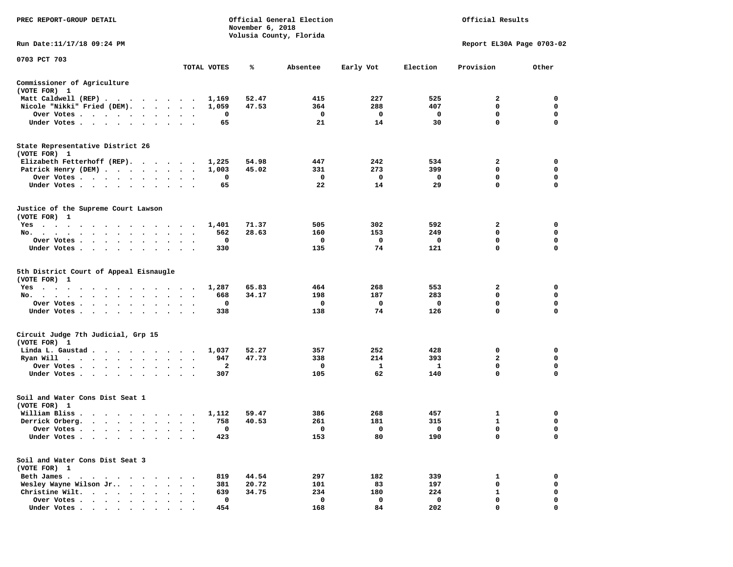| PREC REPORT-GROUP DETAIL                                                                                                                                                                                                                                         |                                                | November 6, 2018 | Official General Election |           |          | Official Results          |                  |
|------------------------------------------------------------------------------------------------------------------------------------------------------------------------------------------------------------------------------------------------------------------|------------------------------------------------|------------------|---------------------------|-----------|----------|---------------------------|------------------|
| Run Date:11/17/18 09:24 PM                                                                                                                                                                                                                                       |                                                |                  | Volusia County, Florida   |           |          | Report EL30A Page 0703-02 |                  |
| 0703 PCT 703                                                                                                                                                                                                                                                     |                                                |                  |                           |           |          |                           |                  |
|                                                                                                                                                                                                                                                                  | TOTAL VOTES                                    | ℁                | Absentee                  | Early Vot | Election | Provision                 | Other            |
| Commissioner of Agriculture<br>(VOTE FOR) 1                                                                                                                                                                                                                      |                                                |                  |                           |           |          |                           |                  |
| Matt Caldwell (REP)                                                                                                                                                                                                                                              | 1,169                                          | 52.47            | 415                       | 227       | 525      | 2                         | 0                |
| Nicole "Nikki" Fried (DEM).                                                                                                                                                                                                                                      | 1,059                                          | 47.53            | 364                       | 288       | 407      | 0                         | 0                |
| Over Votes<br>$\bullet$                                                                                                                                                                                                                                          | 0<br>$\bullet$<br>$\bullet$<br>$\bullet$       |                  | 0                         | 0         | 0        | 0                         | 0                |
| Under Votes                                                                                                                                                                                                                                                      | 65                                             |                  | 21                        | 14        | 30       | 0                         | $\mathbf 0$      |
| State Representative District 26<br>(VOTE FOR) 1                                                                                                                                                                                                                 |                                                |                  |                           |           |          |                           |                  |
| Elizabeth Fetterhoff (REP).                                                                                                                                                                                                                                      | 1,225                                          | 54.98            | 447                       | 242       | 534      | 2                         | 0                |
| Patrick Henry (DEM)                                                                                                                                                                                                                                              | 1,003                                          | 45.02            | 331                       | 273       | 399      | 0                         | 0                |
| Over Votes                                                                                                                                                                                                                                                       | 0<br>$\ddot{\phantom{a}}$                      |                  | 0                         | 0         | 0        | 0                         | $\mathbf 0$      |
| Under Votes<br>$\ddot{\phantom{a}}$<br>$\blacksquare$ .                                                                                                                                                                                                          | 65                                             |                  | 22                        | 14        | 29       | 0                         | 0                |
| Justice of the Supreme Court Lawson<br>(VOTE FOR) 1                                                                                                                                                                                                              |                                                |                  |                           |           |          |                           |                  |
| $Yes \t . \t .$<br>$\cdots$<br>$\cdots$                                                                                                                                                                                                                          | 1,401<br>$\blacksquare$ .                      | 71.37            | 505                       | 302       | 592      | 2                         | 0                |
| No.<br>$\sim$ $\sim$ $\sim$<br>$\sim$<br>$\ddot{\phantom{0}}$<br>$\sim$<br>$\ddot{\phantom{1}}$                                                                                                                                                                  | 562                                            | 28.63            | 160                       | 153       | 249      | 0                         | 0                |
| Over Votes                                                                                                                                                                                                                                                       | 0                                              |                  | 0                         | 0         | 0        | 0                         | 0                |
| Under Votes<br>$\ddot{\phantom{1}}$                                                                                                                                                                                                                              | 330<br>$\ddot{\phantom{a}}$<br>$\cdot$ $\cdot$ |                  | 135                       | 74        | 121      | $\mathbf 0$               | $\mathbf 0$      |
| 5th District Court of Appeal Eisnaugle<br>(VOTE FOR) 1                                                                                                                                                                                                           |                                                |                  |                           |           |          |                           |                  |
| Yes<br>$\mathcal{A}=\mathcal{A}=\mathcal{A}=\mathcal{A}=\mathcal{A}=\mathcal{A}$<br>$\begin{array}{cccccccccccccccccc} \bullet & \bullet & \bullet & \bullet & \bullet & \bullet & \bullet & \bullet & \bullet & \bullet & \bullet \end{array}$<br>$\sim$ $\sim$ | 1,287                                          | 65.83            | 464                       | 268       | 553      | 2                         | 0                |
| No.<br>$\bullet$                                                                                                                                                                                                                                                 | 668                                            | 34.17            | 198                       | 187       | 283      | 0                         | 0                |
| Over Votes<br>$\bullet$                                                                                                                                                                                                                                          | 0<br>$\bullet$<br>$\bullet$<br>$\bullet$       |                  | 0                         | 0         | 0        | 0                         | 0<br>$\mathbf 0$ |
| Under Votes                                                                                                                                                                                                                                                      | 338                                            |                  | 138                       | 74        | 126      | 0                         |                  |
| Circuit Judge 7th Judicial, Grp 15<br>(VOTE FOR) 1                                                                                                                                                                                                               |                                                |                  |                           |           |          |                           |                  |
| Linda L. Gaustad                                                                                                                                                                                                                                                 | 1,037<br>$\cdot$<br>$\overline{\phantom{a}}$   | 52.27            | 357                       | 252       | 428      | 0                         | 0                |
| Ryan Will<br>the contract of the contract of the contract of the contract of the contract of the contract of the contract of the contract of the contract of the contract of the contract of the contract of the contract of the contract o<br>$\bullet$         | 947<br>$\bullet$                               | 47.73            | 338                       | 214       | 393      | 2                         | 0                |
| Over Votes<br>$\bullet$                                                                                                                                                                                                                                          | 2                                              |                  | 0                         | 1         | 1        | $\mathbf 0$               | 0                |
| Under Votes<br>$\sim$ 100 $\sim$<br>$\sim$<br>$\bullet$                                                                                                                                                                                                          | 307                                            |                  | 105                       | 62        | 140      | 0                         | 0                |
| Soil and Water Cons Dist Seat 1<br>(VOTE FOR) 1                                                                                                                                                                                                                  |                                                |                  |                           |           |          |                           |                  |
| William Bliss.                                                                                                                                                                                                                                                   | 1,112                                          | 59.47            | 386                       | 268       | 457      | 1                         | 0                |
| Derrick Orberg.<br>$\cdots$                                                                                                                                                                                                                                      | 758<br>$\bullet$<br>$\bullet$                  | 40.53            | 261                       | 181       | 315      | 1                         | 0                |
| Over Votes                                                                                                                                                                                                                                                       | υ                                              |                  | 0                         | 0         | 0        | 0                         | 0                |
| Under Votes                                                                                                                                                                                                                                                      | 423                                            |                  | 153                       | 80        | 190      | 0                         | 0                |
| Soil and Water Cons Dist Seat 3<br>(VOTE FOR) 1                                                                                                                                                                                                                  |                                                |                  |                           |           |          |                           |                  |
| Beth James.<br>$\sim$ $\sim$<br>$\sim$<br>$\ddot{\phantom{1}}$<br>$\ddot{\phantom{a}}$                                                                                                                                                                           | 819                                            | 44.54            | 297                       | 182       | 339      | 1                         | 0                |
| Wesley Wayne Wilson Jr                                                                                                                                                                                                                                           | 381                                            | 20.72            | 101                       | 83        | 197      | 0                         | 0                |
| Christine Wilt.                                                                                                                                                                                                                                                  | 639                                            | 34.75            | 234                       | 180       | 224      | 1                         | 0                |
| Over Votes                                                                                                                                                                                                                                                       | $\mathbf 0$                                    |                  | 0                         | 0         | 0        | 0                         | 0                |
| Under Votes                                                                                                                                                                                                                                                      | 454                                            |                  | 168                       | 84        | 202      | 0                         | $\mathbf 0$      |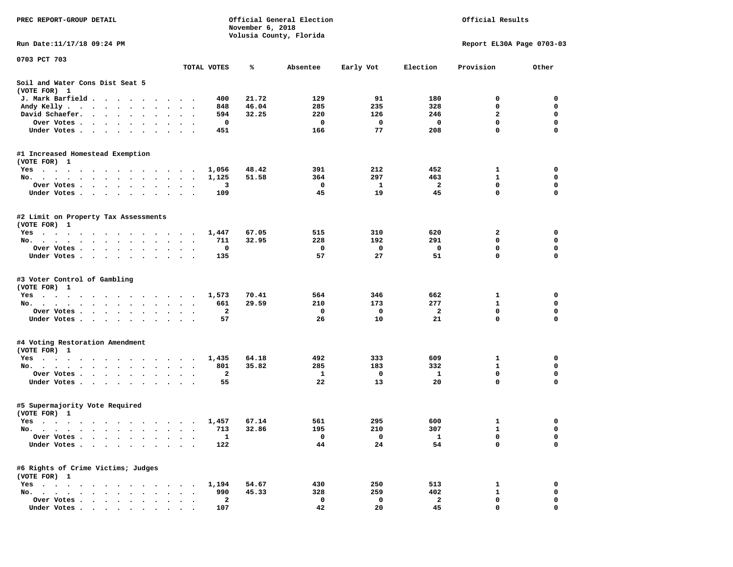| PREC REPORT-GROUP DETAIL                                                                                                           |                        |                                | November 6, 2018 | Official General Election<br>Volusia County, Florida | Official Results |                     |                           |             |  |  |
|------------------------------------------------------------------------------------------------------------------------------------|------------------------|--------------------------------|------------------|------------------------------------------------------|------------------|---------------------|---------------------------|-------------|--|--|
| Run Date: 11/17/18 09:24 PM                                                                                                        |                        |                                |                  |                                                      |                  |                     | Report EL30A Page 0703-03 |             |  |  |
| 0703 PCT 703                                                                                                                       |                        |                                |                  |                                                      |                  |                     |                           |             |  |  |
|                                                                                                                                    |                        | TOTAL VOTES                    | ℁                | Absentee                                             | Early Vot        | Election            | Provision                 | Other       |  |  |
| Soil and Water Cons Dist Seat 5<br>(VOTE FOR) 1                                                                                    |                        |                                |                  |                                                      |                  |                     |                           |             |  |  |
| J. Mark Barfield<br>$\ddot{\phantom{1}}$                                                                                           |                        | 400                            | 21.72            | 129                                                  | 91               | 180                 | 0                         | 0           |  |  |
| Andy Kelly.<br>$\cdots$<br>$\bullet$                                                                                               | $\ddot{\phantom{1}}$   | 848                            | 46.04            | 285                                                  | 235              | 328                 | 0                         | 0           |  |  |
| David Schaefer.<br>$\cdot$ $\cdot$ $\cdot$ $\cdot$ $\cdot$<br>$\bullet$                                                            |                        | 594                            | 32.25            | 220                                                  | 126              | 246                 | $\mathbf{2}$              | $\mathbf 0$ |  |  |
| Over Votes .<br>$\cdots$<br>$\sim$                                                                                                 |                        | 0                              |                  | 0                                                    | 0                | 0                   | $\mathbf 0$               | $\mathbf 0$ |  |  |
| Under Votes.<br>$\cdots$                                                                                                           | . .                    | 451                            |                  | 166                                                  | 77               | 208                 | 0                         | 0           |  |  |
| #1 Increased Homestead Exemption                                                                                                   |                        |                                |                  |                                                      |                  |                     |                           |             |  |  |
| (VOTE FOR) 1                                                                                                                       |                        |                                |                  |                                                      |                  |                     |                           |             |  |  |
| Yes                                                                                                                                |                        | 1,056                          | 48.42            | 391                                                  | 212              | 452                 | 1                         | 0<br>0      |  |  |
| No.<br>Over Votes .                                                                                                                |                        | 1,125<br>з                     | 51.58            | 364<br>0                                             | 297<br>1         | 463<br>$\mathbf{2}$ | 1<br>$\mathbf 0$          | 0           |  |  |
| .<br>$\bullet$<br>Under Votes<br>$\ddot{\phantom{1}}$                                                                              | $\cdot$<br>$\cdot$     | 109                            |                  | 45                                                   | 19               | 45                  | 0                         | 0           |  |  |
|                                                                                                                                    |                        |                                |                  |                                                      |                  |                     |                           |             |  |  |
| #2 Limit on Property Tax Assessments<br>(VOTE FOR) 1                                                                               |                        |                                |                  |                                                      |                  |                     |                           |             |  |  |
| $Yes \t . \t .$<br>the contract of the contract of the contract of the contract of the contract of the contract of the contract of |                        | 1,447                          | 67.05            | 515                                                  | 310              | 620                 | 2                         | 0           |  |  |
| No.<br>$\bullet$<br>$\bullet$<br>$\bullet$<br>$\bullet$                                                                            | $\bullet$<br>$\cdot$   | 711                            | 32.95            | 228                                                  | 192              | 291                 | 0                         | $\mathbf 0$ |  |  |
| Over Votes.<br><b>Contract Contract Contract</b><br>$\bullet$<br>$\bullet$<br>$\sim$<br>$\bullet$                                  |                        | 0                              |                  | 0                                                    | 0                | 0                   | 0                         | 0           |  |  |
| Under Votes.<br>$\cdots$                                                                                                           |                        | 135                            |                  | 57                                                   | 27               | 51                  | $\mathbf 0$               | $\mathbf 0$ |  |  |
| #3 Voter Control of Gambling                                                                                                       |                        |                                |                  |                                                      |                  |                     |                           |             |  |  |
| (VOTE FOR) 1<br>$Yes \t . \t .$                                                                                                    |                        | 1,573                          | 70.41            | 564                                                  | 346              | 662                 | 1                         | 0           |  |  |
| the contract of the contract of the contract of the contract of the contract of the contract of the contract of<br>No.             | $\ddot{\phantom{1}}$   | 661                            | 29.59            | 210                                                  | 173              | 277                 | 1                         | $\mathbf 0$ |  |  |
| Over Votes .<br>$\cdots$                                                                                                           |                        | 2                              |                  | 0                                                    | 0                | $\overline{a}$      | $\mathbf 0$               | 0           |  |  |
| Under Votes.<br>$\cdots$                                                                                                           | $\sim$ $\sim$          | 57                             |                  | 26                                                   | 10               | 21                  | 0                         | 0           |  |  |
|                                                                                                                                    |                        |                                |                  |                                                      |                  |                     |                           |             |  |  |
| #4 Voting Restoration Amendment<br>(VOTE FOR) 1                                                                                    |                        |                                |                  |                                                      |                  |                     |                           |             |  |  |
| Yes                                                                                                                                |                        | 1,435                          | 64.18            | 492                                                  | 333              | 609                 | 1                         | 0           |  |  |
| No.<br>$\begin{array}{cccccccccccccc} \bullet & \bullet & \bullet & \bullet & \bullet & \bullet & \bullet \end{array}$             | $\bullet$              | 801                            | 35.82            | 285                                                  | 183              | 332                 | $\mathbf{1}$              | 0           |  |  |
| Over Votes.<br>$\cdots$                                                                                                            | $\bullet$ .<br>$\cdot$ | $\mathbf{2}$                   |                  | 1                                                    | 0                | 1                   | $\mathbf 0$               | $\mathbf 0$ |  |  |
| Under Votes                                                                                                                        | $\ddot{\phantom{1}}$   | 55                             |                  | 22                                                   | 13               | 20                  | 0                         | 0           |  |  |
| #5 Supermajority Vote Required<br>(VOTE FOR) 1                                                                                     |                        |                                |                  |                                                      |                  |                     |                           |             |  |  |
| Yes                                                                                                                                |                        | 1,457                          | 67.14            | 561                                                  | 295              | 600                 | 1                         | 0           |  |  |
| No.                                                                                                                                |                        | 713                            | 32.86            | 195                                                  | 210              | 307                 | $\mathbf{1}$              | $\mathbf 0$ |  |  |
| Over Votes                                                                                                                         |                        | $\mathbf{1}$                   |                  | 0                                                    | 0                | 1                   | 0                         | 0           |  |  |
| Under Votes .                                                                                                                      |                        | 122                            |                  | 44                                                   | 24               | 54                  | 0                         | 0           |  |  |
| #6 Rights of Crime Victims; Judges                                                                                                 |                        |                                |                  |                                                      |                  |                     |                           |             |  |  |
| (VOTE FOR) 1                                                                                                                       |                        |                                |                  |                                                      |                  |                     |                           |             |  |  |
| $Yes \t . \t .$<br>$\bullet$<br>$\bullet$                                                                                          |                        | 1,194                          | 54.67            | 430                                                  | 250              | 513                 | 1                         | 0           |  |  |
| No.<br>$\ddot{\phantom{0}}$                                                                                                        |                        | 990                            | 45.33            | 328                                                  | 259              | 402                 | 1                         | 0           |  |  |
| Over Votes<br>$\cdot$ $\cdot$ $\cdot$<br>$\overline{\phantom{a}}$<br>Under Votes                                                   |                        | $\overline{\mathbf{2}}$<br>107 |                  | 0<br>42                                              | 0<br>20          | 2<br>45             | 0<br>0                    | 0<br>0      |  |  |
|                                                                                                                                    |                        |                                |                  |                                                      |                  |                     |                           |             |  |  |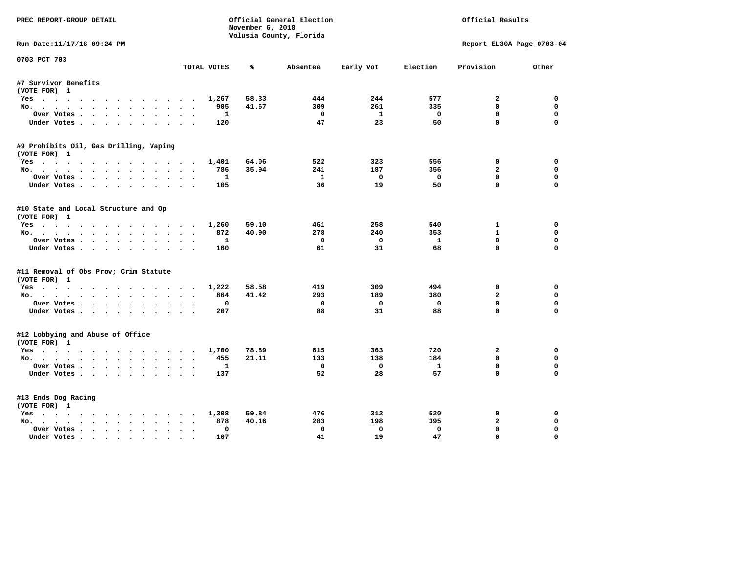| PREC REPORT-GROUP DETAIL                         |                               | November 6, 2018 | Official General Election | Official Results |              |                |                           |
|--------------------------------------------------|-------------------------------|------------------|---------------------------|------------------|--------------|----------------|---------------------------|
| Run Date:11/17/18 09:24 PM                       |                               |                  | Volusia County, Florida   |                  |              |                | Report EL30A Page 0703-04 |
| 0703 PCT 703                                     |                               |                  |                           |                  |              |                |                           |
|                                                  | TOTAL VOTES                   | ℁                | Absentee                  | Early Vot        | Election     | Provision      | Other                     |
| #7 Survivor Benefits                             |                               |                  |                           |                  |              |                |                           |
| (VOTE FOR) 1                                     |                               |                  |                           |                  |              |                |                           |
| Yes                                              | 1,267                         | 58.33            | 444                       | 244              | 577          | $\mathbf{2}$   | 0                         |
| No.                                              | 905                           | 41.67            | 309                       | 261              | 335          | $\mathbf 0$    | 0                         |
| Over Votes                                       | 1                             |                  | $\Omega$                  | $\mathbf{1}$     | $\Omega$     | $\mathbf 0$    | 0                         |
| Under Votes.                                     | 120                           |                  | 47                        | 23               | 50           | $\mathbf 0$    | $\mathbf 0$               |
| #9 Prohibits Oil, Gas Drilling, Vaping           |                               |                  |                           |                  |              |                |                           |
| (VOTE FOR) 1                                     |                               |                  |                           |                  |              |                |                           |
| Yes                                              | 1,401                         | 64.06            | 522                       | 323              | 556          | 0              | 0                         |
| No.                                              | 786                           | 35.94            | 241                       | 187              | 356          | $\overline{a}$ | 0                         |
| Over Votes.                                      | -1                            |                  | $\mathbf{1}$              | $\mathbf 0$      | $\mathbf 0$  | $\mathbf 0$    | 0                         |
| Under Votes.                                     | 105                           |                  | 36                        | 19               | 50           | $\Omega$       | $\Omega$                  |
|                                                  |                               |                  |                           |                  |              |                |                           |
| #10 State and Local Structure and Op             |                               |                  |                           |                  |              |                |                           |
| (VOTE FOR) 1                                     |                               |                  |                           |                  |              |                |                           |
| Yes                                              | 1,260                         | 59.10            | 461                       | 258              | 540          | 1              | 0                         |
| No.                                              | 872                           | 40.90            | 278                       | 240              | 353          | $\mathbf{1}$   | 0                         |
| Over Votes                                       | $\mathbf{1}$                  |                  | $\Omega$                  | $\mathbf 0$      | $\mathbf{1}$ | $\mathbf 0$    | $\mathbf 0$               |
| Under Votes.                                     | 160                           |                  | 61                        | 31               | 68           | $\Omega$       | $\Omega$                  |
| #11 Removal of Obs Prov; Crim Statute            |                               |                  |                           |                  |              |                |                           |
| (VOTE FOR) 1                                     |                               |                  |                           |                  |              |                |                           |
| Yes                                              | 1,222                         | 58.58            | 419                       | 309              | 494          | $\mathbf 0$    | $\mathbf 0$               |
| No.                                              | 864                           | 41.42            | 293                       | 189              | 380          | $\overline{a}$ | 0                         |
| Over Votes                                       | $\mathbf 0$                   |                  | $\mathbf 0$               | 0                | $\mathbf 0$  | $\mathbf 0$    | 0                         |
| Under Votes                                      | 207                           |                  | 88                        | 31               | 88           | $\Omega$       | $\mathbf 0$               |
|                                                  |                               |                  |                           |                  |              |                |                           |
| #12 Lobbying and Abuse of Office<br>(VOTE FOR) 1 |                               |                  |                           |                  |              |                |                           |
| Yes                                              | 1,700                         | 78.89            | 615                       | 363              | 720          | $\mathbf{2}$   | $\mathbf 0$               |
| No.                                              | 455                           | 21.11            | 133                       | 138              | 184          | $\mathbf{0}$   | 0                         |
|                                                  | $\mathbf{1}$                  |                  | $\mathbf 0$               | $\mathbf 0$      | $\mathbf{1}$ | $\mathbf 0$    | 0                         |
| Over Votes                                       |                               |                  | 52                        |                  | 57           | $\mathbf 0$    | $\Omega$                  |
| Under Votes.                                     | 137                           |                  |                           | 28               |              |                |                           |
| #13 Ends Dog Racing                              |                               |                  |                           |                  |              |                |                           |
| (VOTE FOR) 1                                     |                               |                  |                           |                  |              |                |                           |
| Yes                                              | 1,308                         | 59.84            | 476                       | 312              | 520          | 0              | $\mathbf 0$               |
| No.                                              | 878<br>$\sim$ $\sim$          | 40.16            | 283                       | 198              | 395          | $\mathbf{2}$   | 0                         |
| Over Votes                                       | $\mathbf{0}$<br>$\sim$ $\sim$ |                  | $\mathbf 0$               | $\mathbf 0$      | $\mathbf 0$  | $\mathbf 0$    | 0                         |
| Under Votes                                      | 107<br>$\sim$                 |                  | 41                        | 19               | 47           | $\mathbf 0$    | $\mathbf 0$               |
|                                                  |                               |                  |                           |                  |              |                |                           |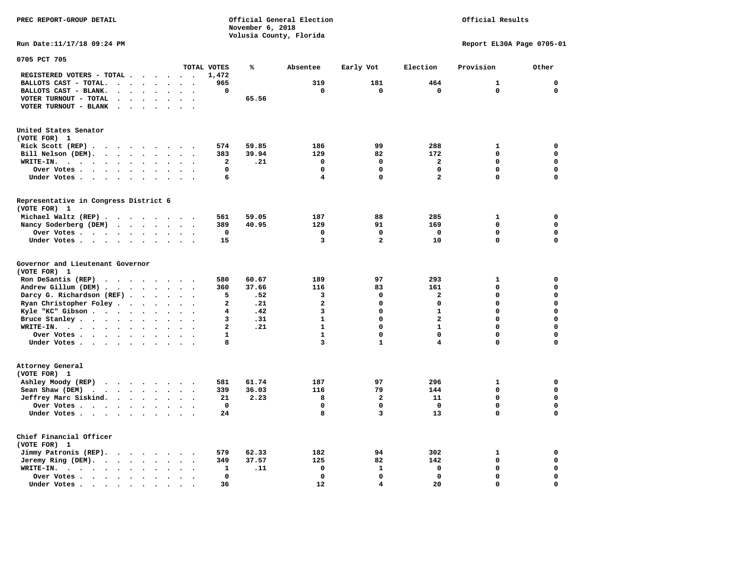**PREC REPORT-GROUP DETAIL COMPUTER CONSUMING A CONSUMING CONSUMING A LIGACION CONSUMING A LIGACION** *November 6, 2018 November 6, 2018*  **Volusia County, Florida** 

Official Results

**Run Date:11/17/18 09:24 PM Report EL30A Page 0705-01** 

| 0705 PCT 705                                                                                            |                                                     |                          |                |       |                |                |                         |              |             |
|---------------------------------------------------------------------------------------------------------|-----------------------------------------------------|--------------------------|----------------|-------|----------------|----------------|-------------------------|--------------|-------------|
|                                                                                                         |                                                     |                          | TOTAL VOTES    | ℁     | Absentee       | Early Vot      | Election                | Provision    | Other       |
| REGISTERED VOTERS - TOTAL .                                                                             | $\ddot{\phantom{a}}$<br>$\overline{\phantom{a}}$    | $\ddot{\phantom{a}}$     | 1,472          |       |                |                |                         |              |             |
| BALLOTS CAST - TOTAL.<br>$\ddot{\phantom{a}}$<br>$\ddot{\phantom{a}}$                                   | $\overline{\phantom{a}}$                            |                          | 965            |       | 319            | 181            | 464                     | $\mathbf{1}$ | $\mathbf 0$ |
| BALLOTS CAST - BLANK.<br>$\bullet$<br>$\bullet$                                                         | $\bullet$<br>$\ddot{\phantom{a}}$                   | $\bullet$                | 0              |       | $\mathbf 0$    | $\mathbf 0$    | $\mathbf 0$             | $\Omega$     | $\mathbf 0$ |
| VOTER TURNOUT - TOTAL<br>$\ddot{\phantom{0}}$<br>$\ddot{\phantom{1}}$                                   |                                                     |                          |                | 65.56 |                |                |                         |              |             |
| VOTER TURNOUT - BLANK<br>$\ddot{\phantom{a}}$                                                           |                                                     |                          |                |       |                |                |                         |              |             |
|                                                                                                         |                                                     |                          |                |       |                |                |                         |              |             |
|                                                                                                         |                                                     |                          |                |       |                |                |                         |              |             |
| United States Senator<br>(VOTE FOR) 1                                                                   |                                                     |                          |                |       |                |                |                         |              |             |
|                                                                                                         |                                                     |                          | 574            | 59.85 | 186            | 99             | 288                     | $\mathbf{1}$ | 0           |
| Rick Scott (REP).<br>$\bullet$<br>$\sim$ $\sim$<br>$\ddot{\phantom{1}}$<br>$\cdot$                      | $\overline{\phantom{a}}$                            |                          |                |       |                |                |                         | $\mathbf 0$  | $\mathbf 0$ |
| Bill Nelson (DEM).<br>$\cdot$ $\cdot$ $\cdot$ $\cdot$ $\cdot$ $\cdot$                                   | $\ddot{\phantom{1}}$                                | $\ddot{\phantom{a}}$     | 383            | 39.94 | 129            | 82             | 172                     |              |             |
| WRITE-IN.<br>$\sim$ $\sim$ $\sim$<br>$\blacksquare$<br>$\ddot{\phantom{a}}$<br>$\bullet$<br>$\bullet$   | $\bullet$                                           |                          | 2              | .21   | $\mathbf 0$    | $\mathbf 0$    | $\mathbf{z}$            | $\mathbf 0$  | 0           |
| Over Votes .<br>$\sim$<br>$\cdot$ $\cdot$ $\cdot$<br>$\bullet$                                          | $\bullet$                                           |                          | 0              |       | $\mathbf 0$    | $\mathbf 0$    | 0                       | $\mathbf 0$  | 0           |
| Under Votes<br>$\sim$<br>$\bullet$                                                                      | $\ddot{\phantom{1}}$<br>$\ddot{\phantom{0}}$        |                          | 6              |       | 4              | 0              | $\overline{\mathbf{2}}$ | $\mathbf 0$  | $\mathbf 0$ |
|                                                                                                         |                                                     |                          |                |       |                |                |                         |              |             |
| Representative in Congress District 6<br>(VOTE FOR) 1                                                   |                                                     |                          |                |       |                |                |                         |              |             |
|                                                                                                         |                                                     |                          |                |       | 187            | 88             | 285                     | 1            | 0           |
| Michael Waltz (REP).<br>$\sim$ $\sim$<br>$\cdots$                                                       |                                                     |                          | 561            | 59.05 |                |                |                         |              |             |
| Nancy Soderberg (DEM)<br><b>Contract Contract Contract</b>                                              | $\mathbf{z} = \mathbf{z}$ .<br>$\ddot{\phantom{0}}$ | $\bullet$                | 389            | 40.95 | 129            | 91             | 169                     | $\mathbf 0$  | $\mathbf 0$ |
| Over Votes<br>$\ddot{\phantom{a}}$<br>$\ddot{\phantom{a}}$                                              | $\bullet$                                           |                          | 0              |       | 0              | 0              | $\Omega$                | $\mathbf 0$  | 0           |
| Under Votes<br>$\bullet$                                                                                | $\ddot{\phantom{a}}$                                |                          | 15             |       | 3              | $\overline{a}$ | 10                      | $\mathbf 0$  | $\mathbf 0$ |
| Governor and Lieutenant Governor<br>(VOTE FOR) 1                                                        |                                                     |                          |                |       |                |                |                         |              |             |
| Ron DeSantis (REP)<br>$\cdot$ $\cdot$ $\cdot$<br>$\cdot$ $\cdot$                                        | $\sim$                                              |                          | 580            | 60.67 | 189            | 97             | 293                     | $\mathbf{1}$ | $\mathbf 0$ |
| Andrew Gillum (DEM)                                                                                     | $\sim$                                              | $\ddot{\phantom{a}}$     | 360            | 37.66 | 116            | 83             | 161                     | $\mathbf 0$  | $\mathbf 0$ |
| Darcy G. Richardson (REF).<br>$\bullet$                                                                 | $\bullet$                                           |                          | 5              | .52   | 3              | 0              | $\mathbf{z}$            | $\Omega$     | 0           |
| Ryan Christopher Foley.<br>$\ddot{\phantom{1}}$<br>$\ddot{\phantom{a}}$                                 | $\ddot{\phantom{a}}$                                |                          | 2              | .21   | $\overline{a}$ | 0              | 0                       | $\mathbf 0$  | $\mathbf 0$ |
| Kyle "KC" Gibson<br>$\bullet$<br>$\bullet$                                                              | $\bullet$<br>$\bullet$                              |                          | 4              | .42   | 3              | 0              | $\mathbf{1}$            | $\mathbf 0$  | $\mathbf 0$ |
| Bruce Stanley<br>$\overline{\phantom{a}}$                                                               | $\ddot{\phantom{a}}$                                |                          | 3              | .31   | $\mathbf{1}$   | $\Omega$       | $\overline{a}$          | $\mathbf 0$  | $\mathbf 0$ |
| WRITE-IN.<br>$\cdots$<br>$\sim$ $\sim$<br>$\cdot$                                                       |                                                     |                          | $\overline{a}$ | .21   | $\mathbf{1}$   | $\Omega$       | $\mathbf{1}$            | $\mathbf 0$  | $\mathbf 0$ |
| Over Votes .<br>$\cdot$ $\cdot$ $\cdot$ $\cdot$ $\cdot$<br>$\bullet$                                    | $\bullet$<br>$\bullet$                              | $\ddot{\phantom{0}}$     | $\mathbf{1}$   |       | $\mathbf{1}$   | 0              | 0                       | $\mathbf 0$  | 0           |
| Under Votes                                                                                             | $\ddot{\phantom{1}}$<br>$\sim$                      |                          | 8              |       | 3              | $\mathbf{1}$   | 4                       | 0            | $\mathbf 0$ |
|                                                                                                         |                                                     |                          |                |       |                |                |                         |              |             |
| Attorney General<br>(VOTE FOR) 1                                                                        |                                                     |                          |                |       |                |                |                         |              |             |
| Ashley Moody (REP)                                                                                      |                                                     |                          | 581            | 61.74 | 187            | 97             | 296                     | $\mathbf{1}$ | $\mathbf 0$ |
| Sean Shaw (DEM)<br>$\sim$ $\sim$ $\sim$<br>$\sim 100$ km s $^{-1}$<br>$\ddot{\phantom{a}}$<br>$\bullet$ | $\bullet$                                           |                          | 339            | 36.03 | 116            | 79             | 144                     | $\mathbf 0$  | $\mathbf 0$ |
| Jeffrey Marc Siskind.                                                                                   | $\ddot{\phantom{1}}$<br>$\mathbf{r}$                | $\ddot{\phantom{a}}$     | 21             | 2.23  | 8              | $\mathbf{2}$   | 11                      | $\mathbf 0$  | $\mathbf 0$ |
| Over Votes .<br>$\sim$ $\sim$ $\sim$ $\sim$<br>$\bullet$                                                | $\ddot{\phantom{a}}$                                |                          | $\mathbf 0$    |       | $\mathbf 0$    | $\mathbf 0$    | $\mathbf 0$             | $\mathbf 0$  | $\mathbf 0$ |
| Under Votes<br>$\ddot{\phantom{a}}$                                                                     |                                                     |                          | 24             |       | 8              | 3              | 13                      | $\mathbf 0$  | 0           |
| Chief Financial Officer<br>(VOTE FOR) 1                                                                 |                                                     |                          |                |       |                |                |                         |              |             |
| Jimmy Patronis (REP).<br>$\cdot$ $\cdot$ $\cdot$ $\cdot$                                                | $\ddot{\phantom{1}}$<br>$\ddot{\phantom{a}}$        |                          | 579            | 62.33 | 182            | 94             | 302                     | 1            | 0           |
| Jeremy Ring (DEM).<br>$\ddot{\phantom{a}}$<br>$\sim$<br>$\ddot{\phantom{a}}$<br>$\bullet$               | $\bullet$                                           |                          | 349            | 37.57 | 125            | 82             | 142                     | $\mathbf 0$  | 0           |
| WRITE-IN.<br>$\bullet$<br>$\cdot$ $\cdot$ $\cdot$ $\cdot$ $\cdot$<br>$\bullet$                          |                                                     | $\overline{\phantom{a}}$ | 1              | .11   | 0              | $\mathbf{1}$   | $\mathbf 0$             | $\mathbf 0$  | $\mathbf 0$ |
| Over Votes.<br>$\cdot$ $\cdot$ $\cdot$ $\cdot$<br>$\ddot{\phantom{a}}$<br>$\bullet$                     |                                                     |                          | 0              |       | $\mathbf 0$    | $\mathbf 0$    | $\mathbf 0$             | $\mathbf 0$  | 0           |
| Under Votes<br>$\overline{\phantom{a}}$                                                                 |                                                     |                          | 36             |       | 12             | 4              | 20                      | $\Omega$     | $\mathbf 0$ |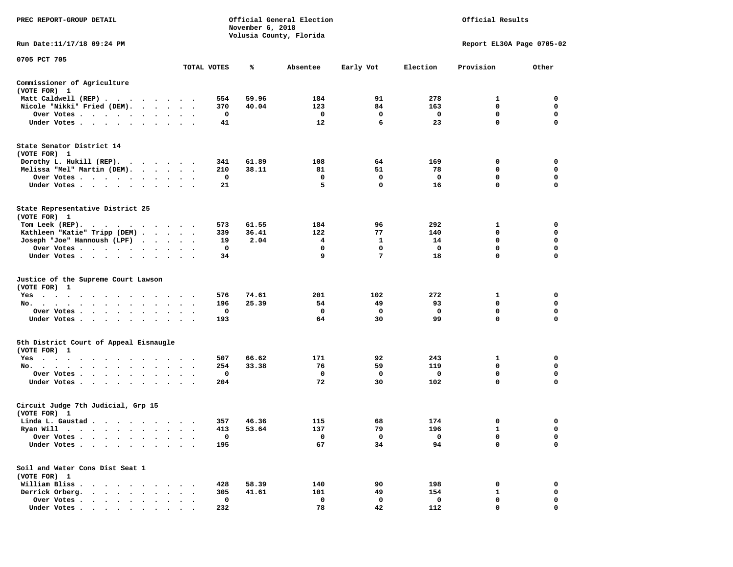| PREC REPORT-GROUP DETAIL                                                                                                                                                                                                                   |             | November 6, 2018 | Official General Election | Official Results |          |                           |             |  |  |
|--------------------------------------------------------------------------------------------------------------------------------------------------------------------------------------------------------------------------------------------|-------------|------------------|---------------------------|------------------|----------|---------------------------|-------------|--|--|
| Run Date: 11/17/18 09:24 PM                                                                                                                                                                                                                |             |                  | Volusia County, Florida   |                  |          | Report EL30A Page 0705-02 |             |  |  |
| 0705 PCT 705                                                                                                                                                                                                                               |             |                  |                           |                  |          |                           |             |  |  |
|                                                                                                                                                                                                                                            | TOTAL VOTES | ℁                | Absentee                  | Early Vot        | Election | Provision                 | Other       |  |  |
| Commissioner of Agriculture<br>(VOTE FOR) 1                                                                                                                                                                                                |             |                  |                           |                  |          |                           |             |  |  |
| Matt Caldwell (REP)                                                                                                                                                                                                                        | 554         | 59.96            | 184                       | 91               | 278      | 1                         | 0           |  |  |
| Nicole "Nikki" Fried (DEM).                                                                                                                                                                                                                | 370         | 40.04            | 123                       | 84               | 163      | 0                         | 0           |  |  |
| Over Votes                                                                                                                                                                                                                                 | 0           |                  | 0                         | 0                | 0        | 0                         | 0           |  |  |
| Under Votes                                                                                                                                                                                                                                | 41          |                  | 12                        | 6                | 23       | $\mathbf 0$               | $\mathbf 0$ |  |  |
| State Senator District 14<br>(VOTE FOR) 1                                                                                                                                                                                                  |             |                  |                           |                  |          |                           |             |  |  |
| Dorothy L. Hukill $(REP)$ .                                                                                                                                                                                                                | 341         | 61.89            | 108                       | 64               | 169      | 0                         | 0           |  |  |
| Melissa "Mel" Martin (DEM).                                                                                                                                                                                                                | 210         | 38.11            | 81                        | 51               | 78       | 0                         | 0           |  |  |
| Over Votes                                                                                                                                                                                                                                 | 0           |                  | 0                         | 0                | 0        | 0                         | 0           |  |  |
| Under Votes                                                                                                                                                                                                                                | 21          |                  | 5                         | $\mathbf 0$      | 16       | 0                         | 0           |  |  |
| State Representative District 25<br>(VOTE FOR) 1                                                                                                                                                                                           |             |                  |                           |                  |          |                           |             |  |  |
| Tom Leek $(REP)$ .                                                                                                                                                                                                                         | 573         | 61.55            | 184                       | 96               | 292      | 1                         | 0           |  |  |
| Kathleen "Katie" Tripp (DEM)                                                                                                                                                                                                               | 339         | 36.41            | 122                       | 77               | 140      | 0                         | 0           |  |  |
| Joseph "Joe" Hannoush (LPF)                                                                                                                                                                                                                | 19          | 2.04             | 4                         | 1                | 14       | $\mathbf 0$               | $\mathbf 0$ |  |  |
| Over Votes                                                                                                                                                                                                                                 | 0           |                  | 0                         | 0                | 0        | 0                         | 0           |  |  |
| Under Votes                                                                                                                                                                                                                                | 34          |                  | 9                         | 7                | 18       | $\mathbf 0$               | $\mathbf 0$ |  |  |
| Justice of the Supreme Court Lawson<br>(VOTE FOR) 1                                                                                                                                                                                        |             |                  |                           |                  |          |                           |             |  |  |
| Yes                                                                                                                                                                                                                                        | 576         | 74.61            | 201                       | 102              | 272      | 1                         | 0           |  |  |
| No.                                                                                                                                                                                                                                        | 196         | 25.39            | 54                        | 49               | 93       | 0                         | 0           |  |  |
| Over Votes                                                                                                                                                                                                                                 | 0           |                  | 0                         | 0                | 0        | $\mathbf 0$               | 0           |  |  |
| Under Votes                                                                                                                                                                                                                                | 193         |                  | 64                        | 30               | 99       | 0                         | 0           |  |  |
| 5th District Court of Appeal Eisnaugle<br>(VOTE FOR) 1                                                                                                                                                                                     |             |                  |                           |                  |          |                           |             |  |  |
| Yes<br>.                                                                                                                                                                                                                                   | 507         | 66.62            | 171                       | 92               | 243      | 1                         | 0           |  |  |
| No.                                                                                                                                                                                                                                        | 254         | 33.38            | 76                        | 59               | 119      | 0                         | 0           |  |  |
| Over Votes                                                                                                                                                                                                                                 | 0           |                  | $\mathbf 0$               | 0                | 0        | $\mathbf 0$               | $\mathbf 0$ |  |  |
| Under Votes                                                                                                                                                                                                                                | 204         |                  | 72                        | 30               | 102      | $\mathbf 0$               | $\mathbf 0$ |  |  |
| Circuit Judge 7th Judicial, Grp 15<br>(VOTE FOR) 1                                                                                                                                                                                         |             |                  |                           |                  |          |                           |             |  |  |
| Linda L. Gaustad                                                                                                                                                                                                                           | 357         | 46.36            | 115                       | 68               | 174      | 0                         | 0           |  |  |
| Ryan Will<br>. The contract of the contract of the contract of the contract of the contract of the contract of the contract of the contract of the contract of the contract of the contract of the contract of the contract of the contrac | 413         | 53.64            | 137                       | 79               | 196      | $\mathbf{1}$              | $\mathbf 0$ |  |  |
| Over Votes<br>$\bullet$                                                                                                                                                                                                                    | 0           |                  | 0                         | 0                | 0        | 0                         | 0           |  |  |
| Under Votes.<br>$\ddot{\phantom{0}}$<br>$\ddot{\phantom{1}}$<br>$\bullet$<br>$\cdot$                                                                                                                                                       | 195         |                  | 67                        | 34               | 94       | 0                         | $\mathbf 0$ |  |  |
| Soil and Water Cons Dist Seat 1                                                                                                                                                                                                            |             |                  |                           |                  |          |                           |             |  |  |
| (VOTE FOR) 1                                                                                                                                                                                                                               | 428         | 58.39            | 140                       |                  | 198      |                           | 0           |  |  |
| William Bliss.<br>$\ddot{\phantom{0}}$<br>$\sim$ 100 $\sim$<br>$\cdot$<br>Derrick Orberg.<br>$\ddot{\phantom{a}}$<br>$\sim$                                                                                                                | 305         | 41.61            | 101                       | 90<br>49         | 154      | 0<br>1                    | 0           |  |  |
| Over Votes .<br>$\cdot$ $\cdot$ $\cdot$ $\cdot$ $\cdot$                                                                                                                                                                                    | $\mathbf 0$ |                  | $\mathbf 0$               | 0                | 0        | 0                         | 0           |  |  |
| Under Votes                                                                                                                                                                                                                                | 232         |                  | 78                        | 42               | 112      | $\Omega$                  | $\Omega$    |  |  |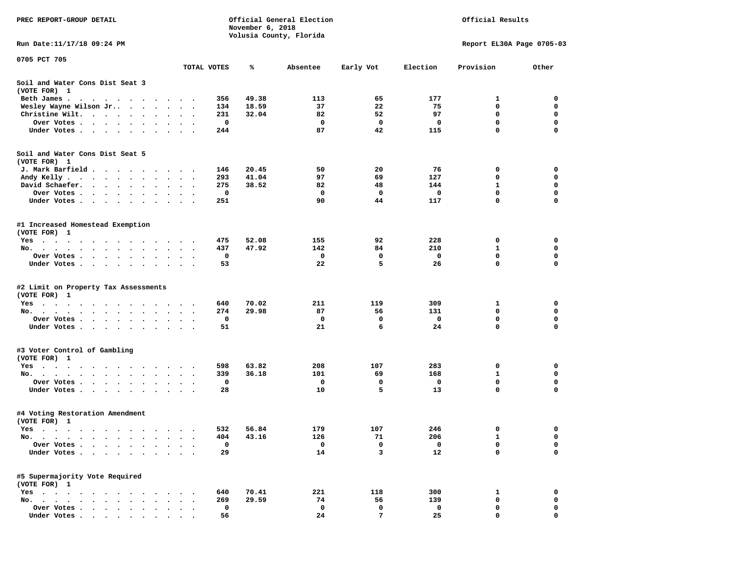| PREC REPORT-GROUP DETAIL                                                                                                                                                                                                                     |                       | November 6, 2018 | Official General Election<br>Volusia County, Florida | Official Results |          |                           |             |
|----------------------------------------------------------------------------------------------------------------------------------------------------------------------------------------------------------------------------------------------|-----------------------|------------------|------------------------------------------------------|------------------|----------|---------------------------|-------------|
| Run Date: 11/17/18 09:24 PM                                                                                                                                                                                                                  |                       |                  |                                                      |                  |          | Report EL30A Page 0705-03 |             |
| 0705 PCT 705                                                                                                                                                                                                                                 |                       |                  |                                                      |                  |          |                           |             |
|                                                                                                                                                                                                                                              | TOTAL VOTES           | ℁                | Absentee                                             | Early Vot        | Election | Provision                 | Other       |
| Soil and Water Cons Dist Seat 3<br>(VOTE FOR) 1                                                                                                                                                                                              |                       |                  |                                                      |                  |          |                           |             |
| Beth James.<br>. The contract of the contract of the contract of the contract of the contract of the contract of the contract of the contract of the contract of the contract of the contract of the contract of the contract of the contrac | $\cdot$ .             | 49.38<br>356     | 113                                                  | 65               | 177      | 1                         | 0           |
| Wesley Wayne Wilson Jr                                                                                                                                                                                                                       | $\ddot{\phantom{1}}$  | 18.59<br>134     | 37                                                   | 22               | 75       | 0                         | 0           |
| Christine Wilt.                                                                                                                                                                                                                              |                       | 32.04<br>231     | 82                                                   | 52               | 97       | 0                         | 0           |
| Over Votes                                                                                                                                                                                                                                   |                       | 0                | 0                                                    | $\mathbf 0$      | 0        | $\mathbf 0$               | $\mathbf 0$ |
| Under Votes<br>$\sim$                                                                                                                                                                                                                        |                       | 244              | 87                                                   | 42               | 115      | $\mathbf 0$               | 0           |
| Soil and Water Cons Dist Seat 5<br>(VOTE FOR) 1                                                                                                                                                                                              |                       |                  |                                                      |                  |          |                           |             |
| J. Mark Barfield                                                                                                                                                                                                                             |                       | 20.45<br>146     | 50                                                   | 20               | 76       | 0                         | 0           |
| Andy Kelly                                                                                                                                                                                                                                   |                       | 293<br>41.04     | 97                                                   | 69               | 127      | 0                         | 0           |
| David Schaefer.<br>$\cdot$ $\cdot$ $\cdot$ $\cdot$<br>$\bullet$ . $\bullet$ .<br>$\ddot{\phantom{0}}$                                                                                                                                        | $\bullet$             | 38.52<br>275     | 82                                                   | 48               | 144      | $\mathbf{1}$              | $\mathbf 0$ |
| Over Votes<br>$\sim$ $\sim$                                                                                                                                                                                                                  |                       | 0                | 0                                                    | $\mathbf 0$      | 0        | 0                         | 0           |
| Under Votes                                                                                                                                                                                                                                  | $\ddot{\phantom{1}}$  | 251              | 90                                                   | 44               | 117      | $\mathbf 0$               | 0           |
| #1 Increased Homestead Exemption<br>(VOTE FOR) 1                                                                                                                                                                                             |                       |                  |                                                      |                  |          |                           |             |
| Yes                                                                                                                                                                                                                                          |                       | 475<br>52.08     | 155                                                  | 92               | 228      | 0                         | 0           |
| No.                                                                                                                                                                                                                                          |                       | 47.92<br>437     | 142                                                  | 84               | 210      | 1                         | 0           |
| Over Votes                                                                                                                                                                                                                                   |                       | 0                | $\mathbf{o}$                                         | 0                | 0        | 0                         | $\mathbf 0$ |
| Under Votes                                                                                                                                                                                                                                  |                       | 53               | 22                                                   | 5                | 26       | $\mathbf 0$               | $\mathbf 0$ |
| #2 Limit on Property Tax Assessments<br>(VOTE FOR) 1                                                                                                                                                                                         |                       |                  |                                                      |                  |          |                           |             |
| $Yes \cdot \cdot \cdot \cdot \cdot \cdot \cdot$                                                                                                                                                                                              |                       | 640<br>70.02     | 211                                                  | 119              | 309      | 1                         | 0           |
| No.                                                                                                                                                                                                                                          |                       | 274<br>29.98     | 87                                                   | 56               | 131      | 0                         | 0           |
| Over Votes.<br>$\cdot$ $\cdot$ $\cdot$ $\cdot$ $\cdot$<br>$\begin{array}{cccccccccccccc} \bullet & \bullet & \bullet & \bullet & \bullet \end{array}$                                                                                        |                       | 0                | $\mathbf 0$                                          | 0                | 0        | 0                         | 0           |
| Under Votes                                                                                                                                                                                                                                  |                       | 51               | 21                                                   | 6                | 24       | $\mathbf 0$               | $\mathbf 0$ |
| #3 Voter Control of Gambling<br>(VOTE FOR) 1                                                                                                                                                                                                 |                       |                  |                                                      |                  |          |                           |             |
| Yes                                                                                                                                                                                                                                          |                       | 63.82<br>598     | 208                                                  | 107              | 283      | 0                         | 0           |
| No.                                                                                                                                                                                                                                          | $\ddot{\phantom{1}}$  | 36.18<br>339     | 101                                                  | 69               | 168      | $\mathbf{1}$              | $\mathbf 0$ |
| Over Votes.<br>$\begin{array}{cccccccccccccc} \bullet & \bullet & \bullet & \bullet & \bullet & \bullet & \bullet & \bullet & \bullet & \bullet \end{array}$<br>$\sim$                                                                       |                       | 0                | 0                                                    | 0                | 0        | 0                         | 0           |
| Under Votes                                                                                                                                                                                                                                  | $\bullet$ . $\bullet$ | 28               | 10                                                   | 5                | 13       | $\Omega$                  | 0           |
| #4 Voting Restoration Amendment<br>(VOTE FOR) 1                                                                                                                                                                                              |                       |                  |                                                      |                  |          |                           |             |
| Yes                                                                                                                                                                                                                                          |                       | 56.84<br>532     | 179                                                  | 107              | 246      | $\mathbf 0$               | 0           |
| No.<br>$\cdots$                                                                                                                                                                                                                              |                       | 43.16<br>404     | 126                                                  | 71               | 206      | 1                         | 0           |
| Over Votes .                                                                                                                                                                                                                                 |                       | 0                | 0                                                    | 0                | 0        | $\mathbf 0$               | 0           |
| Under Votes.<br>$\bullet$<br>$\cdot$                                                                                                                                                                                                         |                       | 29               | 14                                                   | 3                | 12       | $\mathbf 0$               | $\mathbf 0$ |
| #5 Supermajority Vote Required<br>(VOTE FOR) 1                                                                                                                                                                                               |                       |                  |                                                      |                  |          |                           |             |
| Yes<br>$\cdots$<br>$\ddot{\phantom{a}}$                                                                                                                                                                                                      |                       | 70.41<br>640     | 221                                                  | 118              | 300      | 1                         | 0           |
| No.<br>$\sim$<br>$\ddot{\phantom{a}}$                                                                                                                                                                                                        |                       | 269<br>29.59     | 74                                                   | 56               | 139      | 0                         | 0           |
| Over Votes .<br>$\ddot{\phantom{a}}$                                                                                                                                                                                                         |                       | 0                | 0                                                    | 0                | 0        | 0                         | 0           |
| Under Votes.<br>$\begin{array}{cccccccccccccc} \bullet & \bullet & \bullet & \bullet & \bullet & \bullet & \bullet & \bullet & \bullet & \bullet \end{array}$                                                                                |                       | 56               | 24                                                   | 7                | 25       | 0                         | $\mathbf 0$ |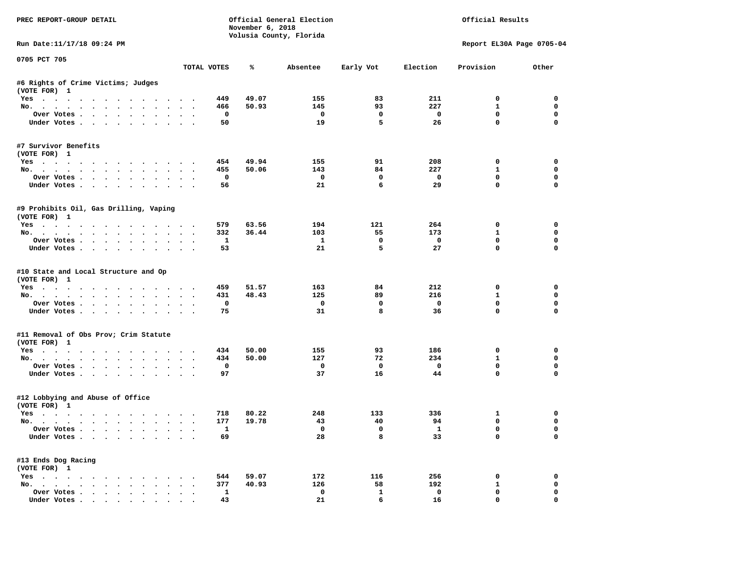| PREC REPORT-GROUP DETAIL                                                                                                                                                                                                                                                                                                                                                                                                                                                                   |        |                         | November 6, 2018 | Official General Election<br>Volusia County, Florida |                         |                          | Official Results          |             |
|--------------------------------------------------------------------------------------------------------------------------------------------------------------------------------------------------------------------------------------------------------------------------------------------------------------------------------------------------------------------------------------------------------------------------------------------------------------------------------------------|--------|-------------------------|------------------|------------------------------------------------------|-------------------------|--------------------------|---------------------------|-------------|
| Run Date:11/17/18 09:24 PM                                                                                                                                                                                                                                                                                                                                                                                                                                                                 |        |                         |                  |                                                      |                         |                          | Report EL30A Page 0705-04 |             |
| 0705 PCT 705                                                                                                                                                                                                                                                                                                                                                                                                                                                                               |        | TOTAL VOTES             | %                | Absentee                                             | Early Vot               | Election                 | Provision                 | Other       |
| #6 Rights of Crime Victims; Judges                                                                                                                                                                                                                                                                                                                                                                                                                                                         |        |                         |                  |                                                      |                         |                          |                           |             |
| (VOTE FOR) 1                                                                                                                                                                                                                                                                                                                                                                                                                                                                               |        |                         |                  |                                                      |                         |                          |                           |             |
| Yes                                                                                                                                                                                                                                                                                                                                                                                                                                                                                        |        | 449                     | 49.07            | 155                                                  | 83                      | 211                      | $\mathbf 0$               | $\Omega$    |
| No.                                                                                                                                                                                                                                                                                                                                                                                                                                                                                        |        | 466                     | 50.93            | 145                                                  | 93                      | 227                      | $\mathbf{1}$              | $\mathbf 0$ |
| Over Votes                                                                                                                                                                                                                                                                                                                                                                                                                                                                                 |        | $\overline{\mathbf{0}}$ |                  | $\overline{\phantom{0}}$                             | $\mathbf 0$             | $\overline{\phantom{0}}$ | $\mathbf 0$               | 0           |
| Under Votes                                                                                                                                                                                                                                                                                                                                                                                                                                                                                |        | 50                      |                  | 19                                                   | 5                       | 26                       | $\mathbf 0$               | $\mathbf 0$ |
| #7 Survivor Benefits                                                                                                                                                                                                                                                                                                                                                                                                                                                                       |        |                         |                  |                                                      |                         |                          |                           |             |
| (VOTE FOR) 1                                                                                                                                                                                                                                                                                                                                                                                                                                                                               |        | 454                     | 49.94            | 155                                                  | 91                      | 208                      | 0                         | 0           |
| Yes<br>No.                                                                                                                                                                                                                                                                                                                                                                                                                                                                                 |        | 455                     | 50.06            | 143                                                  | 84                      | 227                      | $\mathbf{1}$              | 0           |
| Over Votes                                                                                                                                                                                                                                                                                                                                                                                                                                                                                 |        | $\mathbf{o}$            |                  | $\overline{\phantom{0}}$                             | $\mathbf 0$             | $\overline{\phantom{0}}$ | $\mathbf 0$               | 0           |
| Under Votes                                                                                                                                                                                                                                                                                                                                                                                                                                                                                |        | 56                      |                  | 21                                                   | 6                       | 29                       | $\Omega$                  | $\mathbf 0$ |
|                                                                                                                                                                                                                                                                                                                                                                                                                                                                                            |        |                         |                  |                                                      |                         |                          |                           |             |
| #9 Prohibits Oil, Gas Drilling, Vaping<br>(VOTE FOR) 1                                                                                                                                                                                                                                                                                                                                                                                                                                     |        |                         |                  |                                                      |                         |                          |                           |             |
| Yes                                                                                                                                                                                                                                                                                                                                                                                                                                                                                        |        | 579                     | 63.56            | 194                                                  | 121                     | 264                      | $\Omega$                  | $\Omega$    |
| No.                                                                                                                                                                                                                                                                                                                                                                                                                                                                                        |        | 332                     | 36.44            | 103                                                  | 55                      | 173                      | $\mathbf{1}$              | $\mathbf 0$ |
| Over Votes                                                                                                                                                                                                                                                                                                                                                                                                                                                                                 |        | $\mathbf{1}$            |                  | $\mathbf{1}$                                         | 0                       | $\overline{\phantom{0}}$ | $^{\circ}$                | 0           |
| Under Votes                                                                                                                                                                                                                                                                                                                                                                                                                                                                                |        | 53                      |                  | 21                                                   | 5                       | 27                       | $\Omega$                  | $\Omega$    |
| #10 State and Local Structure and Op<br>(VOTE FOR) 1<br>Yes                                                                                                                                                                                                                                                                                                                                                                                                                                |        | 459                     | 51.57            | 163                                                  | 84                      | 212                      | 0                         | 0           |
| No.                                                                                                                                                                                                                                                                                                                                                                                                                                                                                        |        | 431                     | 48.43            | 125                                                  | 89                      | 216                      | $\mathbf{1}$              | 0           |
| Over Votes                                                                                                                                                                                                                                                                                                                                                                                                                                                                                 |        | 0                       |                  | $\mathbf 0$                                          | $\mathbf 0$             | $\overline{\mathbf{0}}$  | $\mathbf 0$               | $\mathbf 0$ |
| Under Votes                                                                                                                                                                                                                                                                                                                                                                                                                                                                                |        | 75                      |                  | 31                                                   | 8                       | 36                       | $\mathbf 0$               | $\Omega$    |
| #11 Removal of Obs Prov; Crim Statute<br>(VOTE FOR) 1                                                                                                                                                                                                                                                                                                                                                                                                                                      |        |                         |                  |                                                      |                         |                          |                           |             |
| Yes                                                                                                                                                                                                                                                                                                                                                                                                                                                                                        |        | 434                     | 50.00            | 155                                                  | 93                      | 186                      | 0                         | $\mathbf 0$ |
| No.                                                                                                                                                                                                                                                                                                                                                                                                                                                                                        |        | 434                     | 50.00            | 127                                                  | 72                      | 234                      | $\mathbf{1}$              | 0           |
| Over Votes                                                                                                                                                                                                                                                                                                                                                                                                                                                                                 |        | $\mathbf{o}$            |                  | $\overline{\phantom{0}}$                             | $\overline{\mathbf{0}}$ | $\overline{\mathbf{0}}$  | $\mathbf 0$               | $\mathbf 0$ |
| Under Votes                                                                                                                                                                                                                                                                                                                                                                                                                                                                                |        | 97                      |                  | 37                                                   | 16                      | 44                       | $\Omega$                  | $\Omega$    |
| #12 Lobbying and Abuse of Office<br>(VOTE FOR) 1                                                                                                                                                                                                                                                                                                                                                                                                                                           |        |                         |                  |                                                      |                         |                          |                           |             |
| Yes                                                                                                                                                                                                                                                                                                                                                                                                                                                                                        |        | 718                     | 80.22            | 248                                                  | 133                     | 336                      | 1                         | 0           |
| No.                                                                                                                                                                                                                                                                                                                                                                                                                                                                                        |        | 177                     | 19.78            | 43                                                   | 40                      | 94                       | $\mathbf 0$               | 0           |
| Over Votes                                                                                                                                                                                                                                                                                                                                                                                                                                                                                 |        | $\mathbf{1}$            |                  | $\overline{\mathbf{0}}$                              | $\mathbf 0$             | $\mathbf{1}$             | $\mathbf 0$               | $\mathbf 0$ |
| Under Votes                                                                                                                                                                                                                                                                                                                                                                                                                                                                                |        | 69                      |                  | 28                                                   | 8                       | 33                       | $\mathbf 0$               | $\mathbf 0$ |
| #13 Ends Dog Racing<br>(VOTE FOR) 1                                                                                                                                                                                                                                                                                                                                                                                                                                                        |        |                         |                  |                                                      |                         |                          |                           |             |
| Yes                                                                                                                                                                                                                                                                                                                                                                                                                                                                                        |        | 544                     | 59.07            | 172                                                  | 116                     | 256                      | $\mathbf 0$               | $\mathbf 0$ |
| No.                                                                                                                                                                                                                                                                                                                                                                                                                                                                                        |        | 377                     | 40.93            | 126                                                  | 58                      | 192                      | 1                         | $\mathbf 0$ |
| Over Votes                                                                                                                                                                                                                                                                                                                                                                                                                                                                                 | $\sim$ | $\mathbf{1}$            |                  | $\mathbf 0$                                          | $\mathbf{1}$            | $\mathbf 0$              | $\mathbf 0$               | 0           |
| $\blacksquare$ $\blacksquare$ $\blacksquare$ $\blacksquare$ $\blacksquare$ $\blacksquare$ $\blacksquare$ $\blacksquare$ $\blacksquare$ $\blacksquare$ $\blacksquare$ $\blacksquare$ $\blacksquare$ $\blacksquare$ $\blacksquare$ $\blacksquare$ $\blacksquare$ $\blacksquare$ $\blacksquare$ $\blacksquare$ $\blacksquare$ $\blacksquare$ $\blacksquare$ $\blacksquare$ $\blacksquare$ $\blacksquare$ $\blacksquare$ $\blacksquare$ $\blacksquare$ $\blacksquare$ $\blacksquare$ $\blacks$ |        | 43                      |                  | 21                                                   | б.                      | -16                      | $\Omega$                  | $\Omega$    |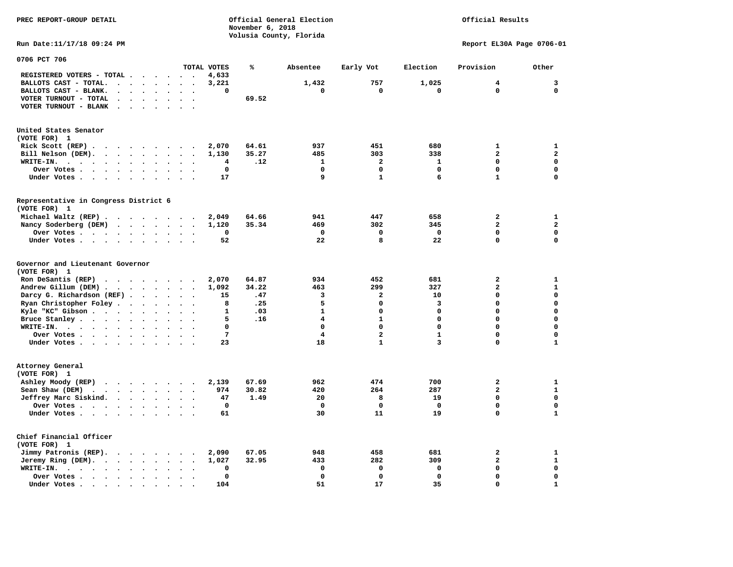**November 6, 2018 Volusia County, Florida Run Date:11/17/18 09:24 PM Report EL30A Page 0706-01 0706 PCT 706 TOTAL VOTES % Absentee Early Vot Election Provision Other REGISTERED VOTERS - TOTAL . . . . . . 4,633 BALLOTS CAST - TOTAL. . . . . . . . 3,221 1,432 757 1,025 4 3 BALLOTS CAST - BLANK. . . . . . . . 0 0 0 0 0 0 VOTER TURNOUT - TOTAL . . . . . . . 69.52 VOTER TURNOUT - BLANK . . . . . . . United States Senator (VOTE FOR) 1 Rick Scott (REP) . . . . . . . . 2,070 64.61** 937 451 680 1 1 1  **Bill Nelson (DEM). . . . . . . . . 1,130 35.27 485 303 338 2 2 WRITE-IN. . . . . . . . . . . . 4 .12 1 2 1 0 0 Over Votes . . . . . . . . . . 0 0 0 0 0 0 Under Votes . . . . . . . . . . 17** 9 1 6 1 0 **Representative in Congress District 6 (VOTE FOR) 1 Michael Waltz (REP) . . . . . . . . 2,049 64.66 941 447 658 2 1 Nancy Soderberg (DEM) . . . . . . . 1,120 35.34 469 302 345 2 2 Over Votes . . . . . . . . . . 0 0 0 0 0 0**  $\Omega$  **Under Votes . . . . . . . . . . 52** 22 8 22 0 **Governor and Lieutenant Governor (VOTE FOR) 1 Ron DeSantis (REP) . . . . . . . . 2,070 64.87 934 452 681 2 1 Andrew Gillum (DEM) . . . . . . . . 1,092 34.22 463 299 327 2 1 Darcy G. Richardson (REF) . . . . . 15 .47** 3 3 2 10 0 0 0<br>**Ryan Christopher Foley . . . . . . 8 .25** 5 0 3 0 0  **Ryan Christopher Foley . . . . . . . 8 .25 5 0 3 0 0 Kyle "KC" Gibson . . . . . . . . . 1 .03** 1 **Bruce Stanley . . . . . . . . . . 5 .16** 4 1 0 0 0 0  **WRITE-IN. . . . . . . . . . . . 0 0 0 0 0 0**  $\mathbf{0}$ **Over Votes . . . . . . . . . . 7** 4 2 1 0  $\mathbf 1$  **Under Votes . . . . . . . . . . 23** 18 1 3 0 **Attorney General (VOTE FOR) 1 Ashley Moody (REP) . . . . . . . . 2,139 67.69 962 474 700 2 1 Sean Shaw (DEM)** . . . . . . . . 974 30.82 420 264 287 2 1  **Jeffrey Marc Siskind. . . . . . . . 47 1.49 20 8 19 0 0 Over Votes . . . . . . . . . . 0 0 0 0 0 0**  $\mathbf 1$  **Under Votes . . . . . . . . . . 61** 30 11 19 0 **Chief Financial Officer (VOTE FOR) 1 Jimmy Patronis (REP). . . . . . . . 2,090 67.05 948 458 681 2 1 Jeremy Ring (DEM). . . . . . . . . 1,027 32.95 433 282 309 2 1 WRITE-IN. . . . . . . . . . . . 0 0 0 0 0 0 Over Votes . . . . . . . . . . 0 0 0 0 0 0**  $\mathbf{1}$  **Under Votes . . . . . . . . . . 104** 51 17 35 0

**PREC REPORT-GROUP DETAIL Official General Election Official Results**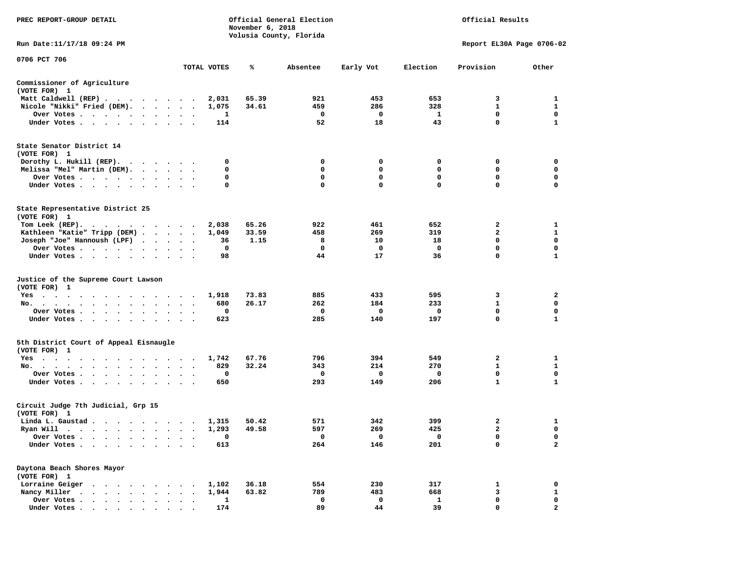| PREC REPORT-GROUP DETAIL                                                                                                                                                                                                                             |                                |              | November 6, 2018 | Official General Election<br>Volusia County, Florida | Official Results |              |                           |              |
|------------------------------------------------------------------------------------------------------------------------------------------------------------------------------------------------------------------------------------------------------|--------------------------------|--------------|------------------|------------------------------------------------------|------------------|--------------|---------------------------|--------------|
| Run Date: 11/17/18 09:24 PM                                                                                                                                                                                                                          |                                |              |                  |                                                      |                  |              | Report EL30A Page 0706-02 |              |
| 0706 PCT 706                                                                                                                                                                                                                                         |                                | TOTAL VOTES  | %                | Absentee                                             | Early Vot        | Election     | Provision                 | Other        |
|                                                                                                                                                                                                                                                      |                                |              |                  |                                                      |                  |              |                           |              |
| Commissioner of Agriculture<br>(VOTE FOR) 1                                                                                                                                                                                                          |                                |              |                  |                                                      |                  |              |                           |              |
| Matt Caldwell (REP)                                                                                                                                                                                                                                  |                                | 2,031        | 65.39            | 921                                                  | 453              | 653          | 3                         | 1            |
| Nicole "Nikki" Fried (DEM).                                                                                                                                                                                                                          |                                | 1,075        | 34.61            | 459                                                  | 286              | 328          | $\mathbf{1}$              | 1            |
| Over Votes                                                                                                                                                                                                                                           |                                | 1            |                  | 0                                                    | 0                | 1            | 0<br>$\mathbf 0$          | 0            |
| Under Votes                                                                                                                                                                                                                                          |                                | 114          |                  | 52                                                   | 18               | 43           |                           | 1            |
| State Senator District 14<br>(VOTE FOR) 1                                                                                                                                                                                                            |                                |              |                  |                                                      |                  |              |                           |              |
| Dorothy L. Hukill $(REP)$ .                                                                                                                                                                                                                          |                                | 0            |                  | 0                                                    | 0                | 0            | 0                         | 0            |
| Melissa "Mel" Martin (DEM).                                                                                                                                                                                                                          |                                | 0            |                  | 0                                                    | 0                | 0            | 0                         | 0            |
| Over Votes                                                                                                                                                                                                                                           |                                | 0            |                  | 0                                                    | 0                | $\mathbf 0$  | $\mathbf 0$               | $\mathbf 0$  |
| Under Votes                                                                                                                                                                                                                                          | $\sim$<br>$\ddot{\phantom{1}}$ | 0            |                  | 0                                                    | $\mathbf 0$      | $\Omega$     | 0                         | 0            |
| State Representative District 25<br>(VOTE FOR) 1                                                                                                                                                                                                     |                                |              |                  |                                                      |                  |              |                           |              |
| Tom Leek $(REP)$ .                                                                                                                                                                                                                                   |                                | 2,038        | 65.26            | 922                                                  | 461              | 652          | 2                         | 1            |
| Kathleen "Katie" Tripp (DEM)                                                                                                                                                                                                                         |                                | 1,049        | 33.59            | 458                                                  | 269              | 319          | 2                         | 1            |
| Joseph "Joe" Hannoush (LPF)                                                                                                                                                                                                                          |                                | 36           | 1.15             | 8                                                    | 10               | 18           | 0                         | $\mathbf 0$  |
| Over Votes                                                                                                                                                                                                                                           |                                | 0            |                  | 0                                                    | 0                | $\mathbf{o}$ | $\mathbf 0$               | $\mathbf 0$  |
| Under Votes                                                                                                                                                                                                                                          |                                | 98           |                  | 44                                                   | 17               | 36           | $\Omega$                  | 1            |
| Justice of the Supreme Court Lawson<br>(VOTE FOR) 1                                                                                                                                                                                                  |                                |              |                  |                                                      |                  |              |                           |              |
| Yes                                                                                                                                                                                                                                                  |                                | 1,918        | 73.83            | 885                                                  | 433              | 595          | 3                         | 2            |
| No.                                                                                                                                                                                                                                                  |                                | 680          | 26.17            | 262                                                  | 184              | 233          | $\mathbf{1}$              | 0            |
| Over Votes                                                                                                                                                                                                                                           |                                | 0            |                  | 0                                                    | 0                | 0            | $\mathbf 0$               | $\mathbf 0$  |
| Under Votes                                                                                                                                                                                                                                          |                                | 623          |                  | 285                                                  | 140              | 197          | $\mathbf 0$               | 1            |
| 5th District Court of Appeal Eisnaugle<br>(VOTE FOR) 1                                                                                                                                                                                               |                                |              |                  |                                                      |                  |              |                           |              |
| Yes                                                                                                                                                                                                                                                  |                                | 1,742        | 67.76            | 796                                                  | 394              | 549          | 2                         | 1            |
| No.                                                                                                                                                                                                                                                  |                                | 829          | 32.24            | 343                                                  | 214              | 270          | 1                         | 1            |
| Over Votes                                                                                                                                                                                                                                           | $\ddot{\phantom{1}}$           | 0            |                  | 0                                                    | 0                | 0            | 0                         | 0            |
| Under Votes                                                                                                                                                                                                                                          |                                | 650          |                  | 293                                                  | 149              | 206          | $\mathbf{1}$              | 1            |
| Circuit Judge 7th Judicial, Grp 15<br>(VOTE FOR) 1                                                                                                                                                                                                   |                                |              |                  |                                                      |                  |              |                           |              |
| Linda L. Gaustad                                                                                                                                                                                                                                     |                                | 1,315        | 50.42            | 571                                                  | 342              | 399          | 2                         | 1            |
| Ryan Will<br>$\sim$<br>. The contract of the contract of the contract of the contract of the contract of the contract of the contract of the contract of the contract of the contract of the contract of the contract of the contract of the contrac |                                | 1,293        | 49.58            | 597                                                  | 269              | 425          | $\overline{a}$            | $\mathbf 0$  |
| Over Votes                                                                                                                                                                                                                                           |                                | 0            |                  | 0                                                    | 0                | 0            | 0                         | 0            |
| Under Votes.                                                                                                                                                                                                                                         |                                | 613          |                  | 264                                                  | 146              | 201          | 0                         | $\mathbf{2}$ |
| Daytona Beach Shores Mayor<br>(VOTE FOR) 1                                                                                                                                                                                                           |                                |              |                  |                                                      |                  |              |                           |              |
| Lorraine Geiger                                                                                                                                                                                                                                      |                                | 1,102        | 36.18            | 554                                                  | 230              | 317          | 1                         | 0            |
| Nancy Miller                                                                                                                                                                                                                                         |                                | 1,944        | 63.82            | 789                                                  | 483              | 668          | 3                         | 1            |
| Over Votes .<br>$\sim$                                                                                                                                                                                                                               |                                | $\mathbf{1}$ |                  | 0                                                    | 0                | 1            | 0                         | 0            |
| Under Votes                                                                                                                                                                                                                                          |                                | 174          |                  | 89                                                   | 44               | 39           | $\Omega$                  | າ            |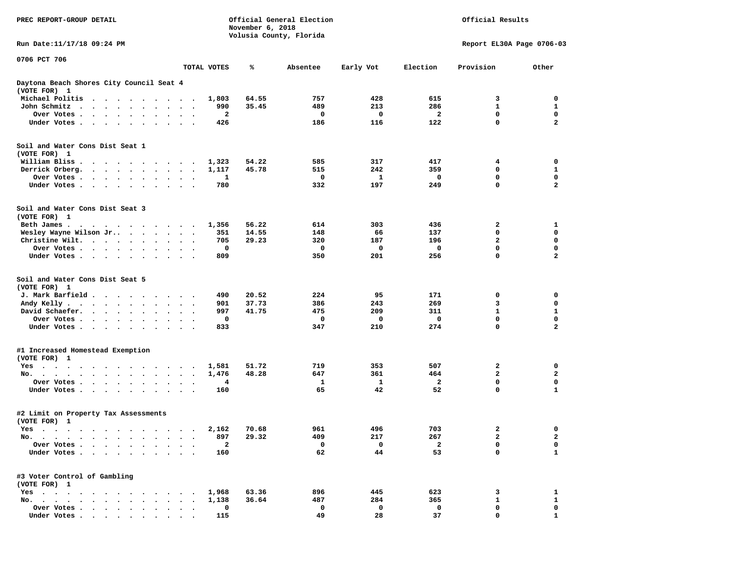| PREC REPORT-GROUP DETAIL                                                                                                                                                                                                                     |                                                  |              | November 6, 2018 | Official General Election | Official Results |                           |                         |              |
|----------------------------------------------------------------------------------------------------------------------------------------------------------------------------------------------------------------------------------------------|--------------------------------------------------|--------------|------------------|---------------------------|------------------|---------------------------|-------------------------|--------------|
| Run Date:11/17/18 09:24 PM                                                                                                                                                                                                                   |                                                  |              |                  | Volusia County, Florida   |                  | Report EL30A Page 0706-03 |                         |              |
| 0706 PCT 706                                                                                                                                                                                                                                 |                                                  | TOTAL VOTES  | ℁                | Absentee                  | Early Vot        | Election                  | Provision               | Other        |
|                                                                                                                                                                                                                                              |                                                  |              |                  |                           |                  |                           |                         |              |
| Daytona Beach Shores City Council Seat 4<br>(VOTE FOR) 1                                                                                                                                                                                     |                                                  |              |                  |                           |                  |                           |                         |              |
| Michael Politis                                                                                                                                                                                                                              |                                                  | 1,803        | 64.55            | 757                       | 428              | 615                       | 3                       | 0            |
| John Schmitz<br><b>Contract Contract Contract Contract</b>                                                                                                                                                                                   |                                                  | 990          | 35.45            | 489                       | 213              | 286                       | $\mathbf{1}$            | 1            |
| Over Votes<br>$\bullet$                                                                                                                                                                                                                      | $\bullet$<br>$\bullet$<br>$\blacksquare$         | 2            |                  | 0                         | 0                | 2                         | 0                       | 0            |
| Under Votes.                                                                                                                                                                                                                                 |                                                  | 426          |                  | 186                       | 116              | 122                       | 0                       | $\mathbf{2}$ |
| Soil and Water Cons Dist Seat 1<br>(VOTE FOR) 1                                                                                                                                                                                              |                                                  |              |                  |                           |                  |                           |                         |              |
| William Bliss.<br>$\bullet$<br>$\sim$ $\sim$<br>$\cdots$                                                                                                                                                                                     | $\overline{\phantom{a}}$                         | 1,323        | 54.22            | 585                       | 317              | 417                       | 4                       | 0            |
| Derrick Orberg.                                                                                                                                                                                                                              | $\bullet$<br>$\bullet$<br>$\ddot{\phantom{0}}$   | 1,117        | 45.78            | 515                       | 242              | 359                       | 0                       | 1            |
| Over Votes<br>$\ddot{\phantom{0}}$                                                                                                                                                                                                           |                                                  | 1            |                  | 0                         | 1                | 0                         | 0                       | $\mathbf 0$  |
| Under Votes                                                                                                                                                                                                                                  |                                                  | 780          |                  | 332                       | 197              | 249                       | 0                       | $\mathbf{2}$ |
| Soil and Water Cons Dist Seat 3<br>(VOTE FOR) 1                                                                                                                                                                                              |                                                  |              |                  |                           |                  |                           |                         |              |
| Beth James.<br>. The contract of the contract of the contract of the contract of the contract of the contract of the contract of the contract of the contract of the contract of the contract of the contract of the contract of the contrac | $\sim$                                           | 1,356        | 56.22            | 614                       | 303              | 436                       | 2                       | 1            |
| Wesley Wayne Wilson Jr                                                                                                                                                                                                                       | $\sim$<br>$\ddot{\phantom{1}}$                   | 351          | 14.55            | 148                       | 66               | 137                       | 0                       | 0            |
| Christine Wilt.                                                                                                                                                                                                                              |                                                  | 705          | 29.23            | 320                       | 187              | 196                       | $\mathbf{2}$            | $\mathbf 0$  |
| Over Votes<br>$\ddot{\phantom{0}}$                                                                                                                                                                                                           | $\cdot$<br>$\bullet$<br>$\overline{\phantom{a}}$ | 0            |                  | 0                         | 0                | 0                         | 0                       | $\mathbf 0$  |
| Under Votes<br>$\sim$                                                                                                                                                                                                                        |                                                  | 809          |                  | 350                       | 201              | 256                       | $\mathbf 0$             | $\mathbf{2}$ |
| Soil and Water Cons Dist Seat 5<br>(VOTE FOR) 1                                                                                                                                                                                              |                                                  |              |                  |                           |                  |                           |                         |              |
| J. Mark Barfield                                                                                                                                                                                                                             | $\sim$ $\sim$                                    | 490          | 20.52            | 224                       | 95               | 171                       | 0                       | 0            |
| Andy Kelly<br>$\ddot{\phantom{0}}$                                                                                                                                                                                                           | $\bullet$<br>$\ddot{\phantom{1}}$                | 901          | 37.73            | 386                       | 243              | 269                       | 3                       | 0            |
| David Schaefer.<br>$\cdots$                                                                                                                                                                                                                  |                                                  | 997          | 41.75            | 475                       | 209              | 311                       | 1                       | 1            |
| Over Votes                                                                                                                                                                                                                                   |                                                  | 0            |                  | 0                         | 0                | 0                         | 0                       | 0            |
| Under Votes                                                                                                                                                                                                                                  |                                                  | 833          |                  | 347                       | 210              | 274                       | 0                       | $\mathbf{2}$ |
| #1 Increased Homestead Exemption<br>(VOTE FOR) 1                                                                                                                                                                                             |                                                  |              |                  |                           |                  |                           |                         |              |
| Yes                                                                                                                                                                                                                                          | $\cdot$                                          | 1,581        | 51.72            | 719                       | 353              | 507                       | 2                       | 0            |
| No.                                                                                                                                                                                                                                          |                                                  | 1,476        | 48.28            | 647                       | 361              | 464                       | $\mathbf{2}$            | $\mathbf{2}$ |
| Over Votes .<br>$\sim$ $\sim$ $\sim$ $\sim$<br>$\ddot{\bullet}$ $\ddot{\bullet}$<br>$\ddot{\phantom{0}}$                                                                                                                                     | $\bullet$                                        | 4            |                  | 1                         | 1                | $\overline{a}$            | 0                       | $\mathbf 0$  |
| Under Votes<br>$\sim$ $\sim$                                                                                                                                                                                                                 |                                                  | 160          |                  | 65                        | 42               | 52                        | 0                       | $\mathbf 1$  |
| #2 Limit on Property Tax Assessments<br>(VOTE FOR) 1                                                                                                                                                                                         |                                                  |              |                  |                           |                  |                           |                         |              |
| res.                                                                                                                                                                                                                                         |                                                  |              | 2,162 70.68      | 961                       | 496              | 703                       | $\overline{\mathbf{2}}$ | 0            |
| No.                                                                                                                                                                                                                                          | $\ddot{\phantom{0}}$                             | 897          | 29.32            | 409                       | 217              | 267                       | 2                       | 2            |
| Over Votes .<br><b><i>Contract Contract</i></b><br>$\ddot{\phantom{0}}$<br>$\cdot$                                                                                                                                                           |                                                  | $\mathbf{2}$ |                  | 0                         | 0                | $\mathbf{2}$              | 0                       | 0            |
| Under Votes                                                                                                                                                                                                                                  |                                                  | 160          |                  | 62                        | 44               | 53                        | 0                       | $\mathbf{1}$ |
| #3 Voter Control of Gambling<br>(VOTE FOR) 1                                                                                                                                                                                                 |                                                  |              |                  |                           |                  |                           |                         |              |
| $Yes \cdot \cdot \cdot$<br>$\cdots$                                                                                                                                                                                                          |                                                  | 1,968        | 63.36            | 896                       | 445              | 623                       | 3                       | 1            |
| No.                                                                                                                                                                                                                                          |                                                  | 1,138        | 36.64            | 487                       | 284              | 365                       | 1                       | 1            |
| Over Votes                                                                                                                                                                                                                                   |                                                  | 0            |                  | 0                         | 0                | 0                         | 0                       | 0            |
| Under Votes                                                                                                                                                                                                                                  |                                                  | 115          |                  | 49                        | 28               | 37                        | 0                       |              |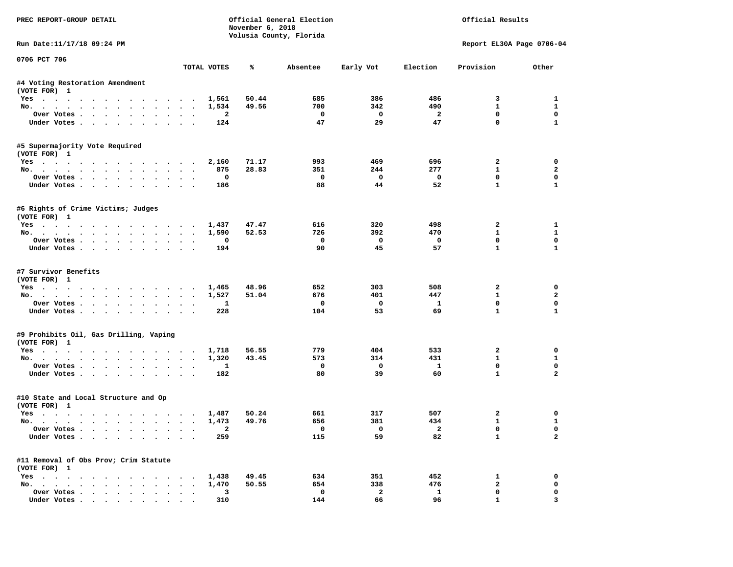| PREC REPORT-GROUP DETAIL                       |                                              |              | November 6, 2018 | Official General Election<br>Volusia County, Florida |                          |                         | Official Results             |                             |
|------------------------------------------------|----------------------------------------------|--------------|------------------|------------------------------------------------------|--------------------------|-------------------------|------------------------------|-----------------------------|
| Run Date: 11/17/18 09:24 PM                    |                                              |              |                  |                                                      |                          |                         | Report EL30A Page 0706-04    |                             |
| 0706 PCT 706                                   |                                              | TOTAL VOTES  | ℁                | Absentee                                             | Early Vot                | Election                | Provision                    | Other                       |
| #4 Voting Restoration Amendment                |                                              |              |                  |                                                      |                          |                         |                              |                             |
| (VOTE FOR) 1                                   |                                              |              |                  |                                                      |                          |                         |                              |                             |
| Yes                                            |                                              | 1,561        | 50.44            | 685                                                  | 386                      | 486                     | 3                            | 1                           |
| No.                                            |                                              | 1,534        | 49.56            | 700                                                  | 342                      | 490                     | $\mathbf{1}$                 | $\mathbf{1}$                |
| Over Votes                                     |                                              | $\mathbf{2}$ |                  | 0                                                    | $\mathbf 0$              | $\mathbf{2}$            | $\mathbf 0$                  | $\mathbf 0$                 |
| Under Votes                                    |                                              | 124          |                  | 47                                                   | 29                       | 47                      | $\mathbf 0$                  | $\mathbf{1}$                |
| #5 Supermajority Vote Required                 |                                              |              |                  |                                                      |                          |                         |                              |                             |
| (VOTE FOR) 1                                   |                                              |              |                  |                                                      |                          |                         |                              |                             |
| Yes                                            |                                              | 2,160        | 71.17            | 993                                                  | 469                      | 696                     | 2                            | 0                           |
| No.                                            |                                              | 875          | 28.83            | 351                                                  | 244                      | 277                     | $\mathbf{1}$                 | $\overline{a}$              |
| Over Votes                                     |                                              | 0            |                  | 0<br>88                                              | $\Omega$<br>44           | $\mathbf{o}$<br>52      | $\mathbf 0$<br>$\mathbf{1}$  | $\mathbf 0$<br>$\mathbf{1}$ |
| Under Votes                                    |                                              | 186          |                  |                                                      |                          |                         |                              |                             |
| #6 Rights of Crime Victims; Judges             |                                              |              |                  |                                                      |                          |                         |                              |                             |
| (VOTE FOR) 1                                   |                                              |              |                  |                                                      |                          |                         |                              |                             |
| Yes                                            |                                              | 1,437        | 47.47            | 616                                                  | 320                      | 498                     | $\mathbf{2}$                 | 1                           |
| No.                                            |                                              | 1,590        | 52.53            | 726                                                  | 392<br>$\mathbf{0}$      | 470                     | $\mathbf{1}$<br>$\mathbf{0}$ | $\mathbf{1}$<br>0           |
| Over Votes<br>Under Votes                      |                                              | 0<br>194     |                  | $\Omega$<br>90                                       | 45                       | 0<br>57                 | $\mathbf{1}$                 | $\mathbf{1}$                |
|                                                |                                              |              |                  |                                                      |                          |                         |                              |                             |
| #7 Survivor Benefits                           |                                              |              |                  |                                                      |                          |                         |                              |                             |
| (VOTE FOR) 1                                   |                                              |              |                  |                                                      |                          |                         |                              |                             |
| Yes                                            |                                              | 1,465        | 48.96            | 652                                                  | 303                      | 508                     | 2                            | 0                           |
| No.                                            |                                              | 1,527        | 51.04            | 676                                                  | 401                      | 447                     | $\mathbf{1}$                 | $\mathbf{2}$                |
| Over Votes                                     |                                              | 1            |                  | 0                                                    | $\mathbf 0$              | 1                       | $\mathbf 0$                  | $\mathbf 0$                 |
| Under Votes                                    |                                              | 228          |                  | 104                                                  | 53                       | 69                      | $\mathbf{1}$                 | $\mathbf{1}$                |
| #9 Prohibits Oil, Gas Drilling, Vaping         |                                              |              |                  |                                                      |                          |                         |                              |                             |
| (VOTE FOR) 1                                   |                                              |              |                  |                                                      |                          |                         |                              |                             |
| Yes                                            |                                              | 1,718        | 56.55            | 779                                                  | 404                      | 533                     | 2                            | 0                           |
| No.                                            |                                              | 1,320        | 43.45            | 573                                                  | 314                      | 431                     | $\mathbf{1}$                 | $\mathbf{1}$                |
| Over Votes                                     |                                              | 1            |                  | 0                                                    | $\mathbf 0$              | $\mathbf{1}$            | $\mathbf 0$                  | $\mathbf 0$                 |
| Under Votes                                    |                                              | 182          |                  | 80                                                   | 39                       | 60                      | $\mathbf{1}$                 | $\overline{a}$              |
| #10 State and Local Structure and Op           |                                              |              |                  |                                                      |                          |                         |                              |                             |
| (VOTE FOR) 1                                   |                                              |              |                  |                                                      |                          |                         |                              |                             |
| Yes                                            |                                              | 1,487        | 50.24            | 661                                                  | 317                      | 507                     | 2                            | 0                           |
| No.                                            |                                              | 1,473        | 49.76            | 656                                                  | 381                      | 434                     | $\mathbf{1}$                 | $\mathbf{1}$                |
| Over votes $\cdots$ $\cdots$ $\cdots$ $\cdots$ |                                              |              |                  |                                                      | $\overline{\phantom{0}}$ | $\overline{\mathbf{2}}$ | 0                            | 0                           |
| Under Votes                                    |                                              | 259          |                  | 115                                                  | 59                       | 82                      | $\mathbf{1}$                 | $\mathbf{2}$                |
| #11 Removal of Obs Prov; Crim Statute          |                                              |              |                  |                                                      |                          |                         |                              |                             |
| (VOTE FOR) 1                                   |                                              |              |                  |                                                      |                          |                         |                              |                             |
| Yes                                            |                                              | 1,438        | 49.45            | 634                                                  | 351                      | 452                     | 1                            | 0                           |
| No.                                            |                                              | 1,470        | 50.55            | 654                                                  | 338                      | 476                     | $\mathbf{2}$                 | 0                           |
| Over Votes                                     | $\ddot{\phantom{a}}$<br>$\ddot{\phantom{a}}$ | 3            |                  | 0                                                    | $\overline{\mathbf{2}}$  | $\mathbf{1}$            | 0                            | 0                           |
| Under Votes                                    |                                              | 310          |                  | 144                                                  | 66                       | 96                      | $\mathbf{1}$                 | 3                           |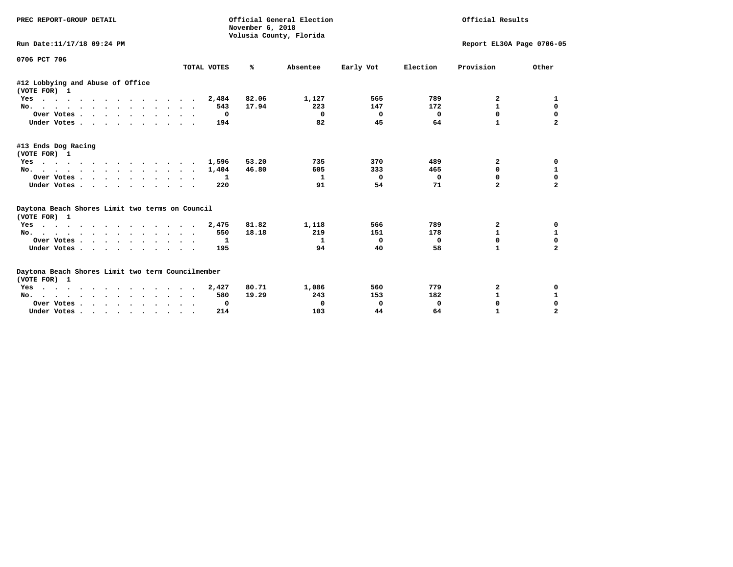| PREC REPORT-GROUP DETAIL                                          |              | November 6, 2018 | Official General Election<br>Volusia County, Florida |             |            | Official Results          |                |
|-------------------------------------------------------------------|--------------|------------------|------------------------------------------------------|-------------|------------|---------------------------|----------------|
| Run Date:11/17/18 09:24 PM                                        |              |                  |                                                      |             |            | Report EL30A Page 0706-05 |                |
| 0706 PCT 706                                                      | TOTAL VOTES  | %ะ               | Absentee                                             | Early Vot   | Election   | Provision                 | Other          |
| #12 Lobbying and Abuse of Office<br>(VOTE FOR) 1                  |              |                  |                                                      |             |            |                           |                |
| Yes                                                               | 2,484        | 82.06            | 1,127                                                | 565         | 789        | 2                         | 1              |
| No.                                                               | 543          | 17.94            | 223                                                  | 147         | 172        | $\mathbf{1}$              | $\mathbf 0$    |
| Over Votes.                                                       | 0            |                  | $\mathbf 0$                                          | $\mathbf 0$ | $^{\circ}$ | 0                         | $\mathbf 0$    |
| Under Votes                                                       | 194          |                  | 82                                                   | 45          | 64         | $\mathbf{1}$              | $\mathbf{2}$   |
| #13 Ends Dog Racing<br>(VOTE FOR) 1                               |              |                  |                                                      |             |            |                           |                |
| $\frac{1}{2}$<br>Yes                                              | 1,596        | 53.20            | 735                                                  | 370         | 489        | $\mathbf{2}$              | 0              |
| No.                                                               | 1,404        | 46.80            | 605                                                  | 333         | 465        | 0                         | 1              |
| Over Votes.                                                       | 1            |                  | 1                                                    | $\Omega$    | $\Omega$   | 0                         | $\mathbf 0$    |
| Under Votes                                                       | 220          |                  | 91                                                   | 54          | 71         | $\mathbf{z}$              | $\overline{a}$ |
| Daytona Beach Shores Limit two terms on Council<br>(VOTE FOR) 1   |              |                  |                                                      |             |            |                           |                |
| Yes                                                               | 2,475        | 81.82            | 1,118                                                | 566         | 789        | 2                         | 0              |
| No.                                                               | 550          | 18.18            | 219                                                  | 151         | 178        | $\mathbf{1}$              | $\mathbf{1}$   |
| Over Votes.                                                       | 1            |                  | $\mathbf{1}$                                         | 0           | 0          | $\Omega$                  | $\mathbf 0$    |
| Under Votes                                                       | 195          |                  | 94                                                   | 40          | 58         | $\mathbf{1}$              | $\overline{a}$ |
| Daytona Beach Shores Limit two term Councilmember<br>(VOTE FOR) 1 |              |                  |                                                      |             |            |                           |                |
| Yes                                                               | 2,427        | 80.71            | 1,086                                                | 560         | 779        | 2                         | 0              |
| No.                                                               | 580          | 19.29            | 243                                                  | 153         | 182        | $\mathbf{1}$              | $\mathbf{1}$   |
| Over Votes                                                        | $\mathbf{o}$ |                  | 0                                                    | 0           | 0          | 0                         | $\mathbf 0$    |
| Under Votes                                                       | 214          |                  | 103                                                  | 44          | 64         | $\mathbf{1}$              | $\overline{a}$ |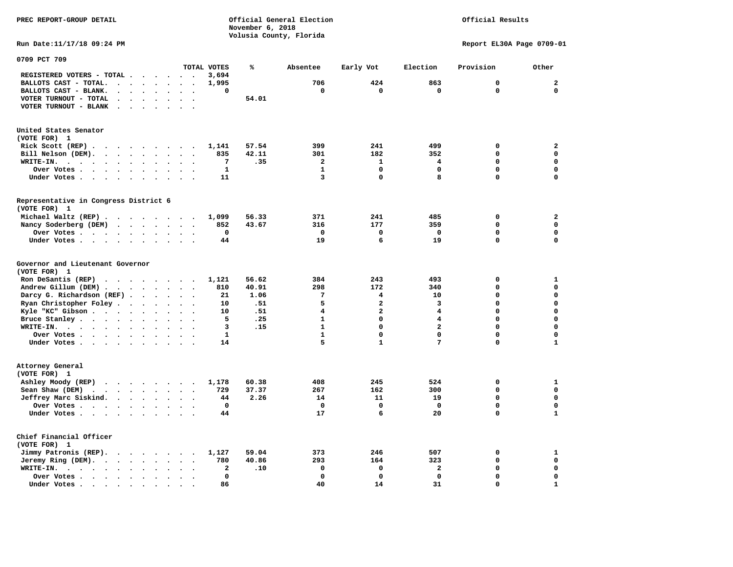**PREC REPORT-GROUP DETAIL Official General Election Official Results November 6, 2018 Volusia County, Florida Run Date:11/17/18 09:24 PM Report EL30A Page 0709-01 0709 PCT 709 TOTAL VOTES % Absentee Early Vot Election Provision Other REGISTERED VOTERS - TOTAL . . . . . . 3,694 BALLOTS CAST - TOTAL. . . . . . . . 1,995 706 424 863 0 2 BALLOTS CAST - BLANK. . . . . . . . 0 0 0 0 0 0 VOTER TURNOUT - TOTAL . . . . . . .** 54.01  **VOTER TURNOUT - BLANK . . . . . . .** 

| (VOTE FOR) 1                          |  |  |  |  |       |       |     |     |     |  |
|---------------------------------------|--|--|--|--|-------|-------|-----|-----|-----|--|
| Rick Scott $(REP)$                    |  |  |  |  | 1,141 | 57.54 | 399 | 241 | 499 |  |
| Bill Nelson (DEM).                    |  |  |  |  | 835   | 42.11 | 301 | 182 | 352 |  |
| WRITE-IN.                             |  |  |  |  |       | .35   |     |     |     |  |
| Over Votes                            |  |  |  |  |       |       |     |     |     |  |
| Under Votes.                          |  |  |  |  | 11    |       |     |     |     |  |
|                                       |  |  |  |  |       |       |     |     |     |  |
| Representative in Congress District 6 |  |  |  |  |       |       |     |     |     |  |
| (VOTE FOR) 1                          |  |  |  |  |       |       |     |     |     |  |
| Michael Waltz (REP)                   |  |  |  |  | 1,099 | 56.33 | 371 | 241 | 485 |  |
| Nancy Soderberg (DEM)                 |  |  |  |  | 852   | 43.67 | 316 | 177 | 359 |  |
| Over Votes                            |  |  |  |  |       |       |     |     |     |  |
| Under Votes                           |  |  |  |  | 44    |       |     |     |     |  |

| (VOTE FOR) 1              |       |       |     |     |     |  |
|---------------------------|-------|-------|-----|-----|-----|--|
| Ron DeSantis (REP)        | 1,121 | 56.62 | 384 | 243 | 493 |  |
| Andrew Gillum (DEM)       | 810   | 40.91 | 298 | 172 | 340 |  |
| Darcy G. Richardson (REF) | 21    | 1.06  |     |     | 10  |  |
| Ryan Christopher Foley    | 10    | .51   |     |     |     |  |
| Kyle "KC" Gibson          | 10    | .51   |     |     |     |  |
| Bruce Stanley.            |       | .25   |     |     |     |  |
| WRITE-IN.                 |       | .15   |     |     |     |  |
| Over Votes                |       |       |     |     |     |  |
| Under Votes.              | 14    |       |     |     |     |  |

| Attorney General        |  |  |  |  |  |                 |               |                 |           |                 |  |  |
|-------------------------|--|--|--|--|--|-----------------|---------------|-----------------|-----------|-----------------|--|--|
| (VOTE FOR) 1            |  |  |  |  |  |                 |               |                 |           |                 |  |  |
| Ashley Moody (REP)      |  |  |  |  |  | 1,178           | 60.38         | 408             | 245       | 524             |  |  |
| Sean Shaw (DEM)         |  |  |  |  |  | 729<br>44<br>44 | 37.37<br>2.26 | 267<br>14<br>17 | 162<br>11 | 300<br>19<br>20 |  |  |
| Jeffrey Marc Siskind.   |  |  |  |  |  |                 |               |                 |           |                 |  |  |
| Over Votes              |  |  |  |  |  |                 |               |                 |           |                 |  |  |
| Under Votes.            |  |  |  |  |  |                 |               |                 |           |                 |  |  |
| Chief Financial Officer |  |  |  |  |  |                 |               |                 |           |                 |  |  |
| (VOTE FOR) 1            |  |  |  |  |  |                 |               |                 |           |                 |  |  |
| Jimmy Patronis (REP).   |  |  |  |  |  | 1,127           | 59.04         | 373             | 246       | 507             |  |  |
| Jeremy Ring (DEM).      |  |  |  |  |  | 780             | 40.86         | 293             | 164       | 323             |  |  |
| WRITE-IN.               |  |  |  |  |  |                 | .10           |                 |           |                 |  |  |
| Over Votes              |  |  |  |  |  |                 |               |                 |           |                 |  |  |
| Under Votes             |  |  |  |  |  | 86              |               |                 | 14        | 31              |  |  |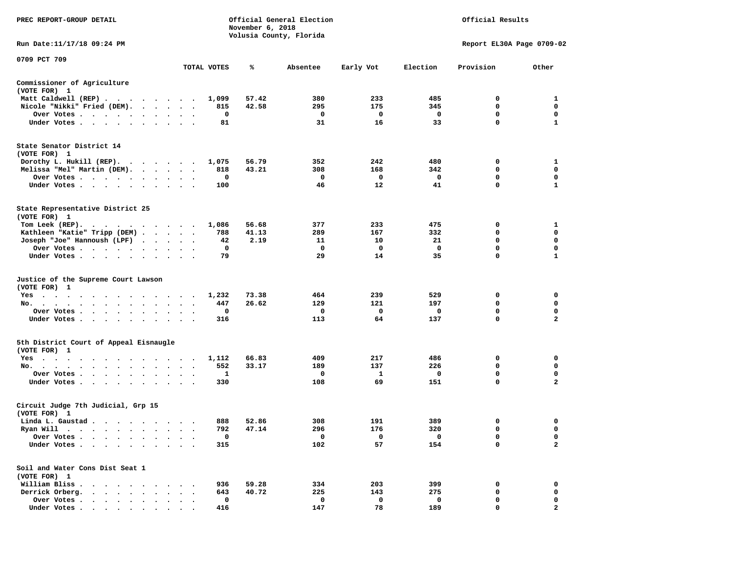| PREC REPORT-GROUP DETAIL                                                                               |                                              |              | November 6, 2018 | Official General Election<br>Volusia County, Florida |            |            | Official Results          |                              |
|--------------------------------------------------------------------------------------------------------|----------------------------------------------|--------------|------------------|------------------------------------------------------|------------|------------|---------------------------|------------------------------|
| Run Date: 11/17/18 09:24 PM                                                                            |                                              |              |                  |                                                      |            |            | Report EL30A Page 0709-02 |                              |
| 0709 PCT 709                                                                                           |                                              | TOTAL VOTES  | ℁                | Absentee                                             | Early Vot  | Election   | Provision                 | Other                        |
| Commissioner of Agriculture                                                                            |                                              |              |                  |                                                      |            |            |                           |                              |
| (VOTE FOR) 1                                                                                           |                                              |              |                  |                                                      |            |            |                           |                              |
| Matt Caldwell (REP)                                                                                    |                                              | 1,099        | 57.42            | 380                                                  | 233        | 485        | 0                         | 1                            |
| Nicole "Nikki" Fried (DEM).                                                                            |                                              | 815          | 42.58            | 295                                                  | 175        | 345        | 0                         | 0                            |
| Over Votes                                                                                             | $\bullet$ .                                  | 0            |                  | 0                                                    | 0          | 0          | 0                         | 0                            |
| Under Votes                                                                                            |                                              | 81           |                  | 31                                                   | 16         | 33         | $\mathbf 0$               | $\mathbf{1}$                 |
| State Senator District 14<br>(VOTE FOR) 1<br>Dorothy L. Hukill $(REP)$ .                               |                                              | 1,075        | 56.79            | 352                                                  | 242        | 480        | 0                         | 1                            |
| Melissa "Mel" Martin (DEM).                                                                            |                                              | 818          | 43.21            | 308                                                  | 168        | 342        | 0                         | $\mathbf 0$                  |
| Over Votes                                                                                             |                                              | 0            |                  | 0                                                    | 0          | 0          | 0                         | 0                            |
| Under Votes                                                                                            |                                              | 100          |                  | 46                                                   | 12         | 41         | 0                         | 1                            |
| State Representative District 25<br>(VOTE FOR) 1<br>Tom Leek $(REP)$ .<br>Kathleen "Katie" Tripp (DEM) |                                              | 1,086<br>788 | 56.68<br>41.13   | 377<br>289                                           | 233<br>167 | 475<br>332 | 0<br>0                    | 1<br>0                       |
| Joseph "Joe" Hannoush (LPF)                                                                            |                                              | 42           | 2.19             | 11                                                   | 10         | 21         | 0                         | $\mathbf 0$                  |
| Over Votes<br>$\sim$ $\sim$                                                                            |                                              | 0            |                  | 0                                                    | 0          | 0          | 0                         | 0                            |
| Under Votes                                                                                            |                                              | 79           |                  | 29                                                   | 14         | 35         | 0                         | 1                            |
| Justice of the Supreme Court Lawson<br>(VOTE FOR) 1                                                    |                                              |              |                  |                                                      |            |            |                           |                              |
| $Yes \t . \t .$<br>$\cdots$<br>.                                                                       |                                              | 1,232        | 73.38            | 464                                                  | 239        | 529        | 0                         | 0                            |
| No.                                                                                                    | $\cdot$ $\cdot$                              | 447          | 26.62            | 129                                                  | 121        | 197        | 0                         | 0                            |
| Over Votes                                                                                             |                                              | 0            |                  | 0                                                    | 0          | 0          | $\mathbf 0$               | $\mathbf 0$                  |
| Under Votes                                                                                            | $\ddot{\phantom{0}}$<br>$\ddot{\phantom{1}}$ | 316          |                  | 113                                                  | 64         | 137        | 0                         | $\mathbf{2}$                 |
| 5th District Court of Appeal Eisnaugle<br>(VOTE FOR) 1                                                 |                                              |              |                  |                                                      |            |            |                           |                              |
| Yes                                                                                                    |                                              | 1,112        | 66.83            | 409                                                  | 217        | 486        | 0                         | 0                            |
| No.                                                                                                    | $\bullet$<br>$\cdot$                         | 552          | 33.17            | 189                                                  | 137        | 226        | 0<br>0                    | 0                            |
| Over Votes<br>Under Votes                                                                              | $\ddot{\phantom{1}}$                         | 1<br>330     |                  | 0<br>108                                             | 1<br>69    | 0<br>151   | $\mathbf 0$               | 0<br>$\overline{\mathbf{2}}$ |
| Circuit Judge 7th Judicial, Grp 15<br>(VOTE FOR) 1                                                     |                                              |              |                  |                                                      |            |            |                           |                              |
| Linda L. Gaustad                                                                                       |                                              | 888          | 52.86            | 308                                                  | 191        | 389        | 0                         | 0                            |
| Ryan Will $\cdots$ , $\cdots$ , $\cdots$ , $\cdots$                                                    |                                              | 792          | 47.14            | 296                                                  | 176        | 320        | $\mathbf 0$               | $\mathbf 0$                  |
| Over Votes                                                                                             |                                              | 0            |                  | 0                                                    | 0          | 0          | 0                         | 0                            |
| Under Votes.<br>$\bullet$                                                                              |                                              | 315          |                  | 102                                                  | 57         | 154        | 0                         | $\mathbf{2}$                 |
| Soil and Water Cons Dist Seat 1<br>(VOTE FOR) 1                                                        |                                              |              |                  |                                                      |            |            |                           |                              |
| William Bliss.<br>$\bullet$                                                                            |                                              | 936          | 59.28            | 334                                                  | 203        | 399        | 0                         | 0                            |
| Derrick Orberg.<br>$\sim$<br>$\ddot{\phantom{0}}$<br>$\ddot{\phantom{a}}$<br>$\ddot{\phantom{a}}$      |                                              | 643          | 40.72            | 225                                                  | 143        | 275        | 0                         | 0                            |
| Over Votes .                                                                                           |                                              | 0            |                  | 0                                                    | 0          | 0          | $\mathbf 0$               | 0                            |
| Under Votes                                                                                            |                                              | 416          |                  | 147                                                  | 78         | 189        | $\mathbf 0$               | $\overline{2}$               |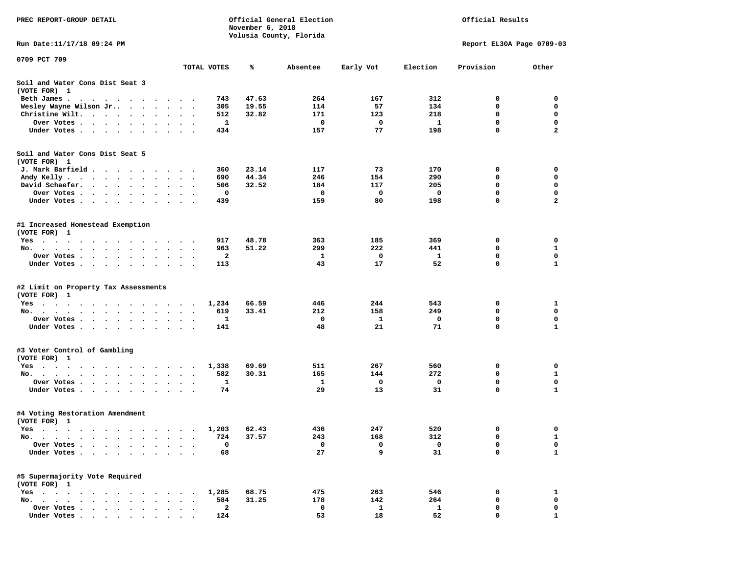| PREC REPORT-GROUP DETAIL                                                                                                                                                                                                                     |                                   |                         | November 6, 2018 | Official General Election | Official Results |              |                           |                         |
|----------------------------------------------------------------------------------------------------------------------------------------------------------------------------------------------------------------------------------------------|-----------------------------------|-------------------------|------------------|---------------------------|------------------|--------------|---------------------------|-------------------------|
| Run Date: 11/17/18 09:24 PM                                                                                                                                                                                                                  |                                   |                         |                  | Volusia County, Florida   |                  |              | Report EL30A Page 0709-03 |                         |
| 0709 PCT 709                                                                                                                                                                                                                                 |                                   |                         |                  |                           |                  |              |                           |                         |
|                                                                                                                                                                                                                                              | TOTAL VOTES                       |                         | ℁                | Absentee                  | Early Vot        | Election     | Provision                 | Other                   |
| Soil and Water Cons Dist Seat 3<br>(VOTE FOR) 1                                                                                                                                                                                              |                                   |                         |                  |                           |                  |              |                           |                         |
| Beth James.<br>. The contract of the contract of the contract of the contract of the contract of the contract of the contract of the contract of the contract of the contract of the contract of the contract of the contract of the contrac |                                   | 743                     | 47.63            | 264                       | 167              | 312          | 0                         | 0                       |
| Wesley Wayne Wilson Jr                                                                                                                                                                                                                       | $\ddot{\phantom{0}}$<br>$\bullet$ | 305                     | 19.55            | 114                       | 57               | 134          | 0                         | 0                       |
| Christine Wilt.                                                                                                                                                                                                                              |                                   | 512                     | 32.82            | 171                       | 123              | 218          | 0                         | 0                       |
| Over Votes.<br>$\sim$                                                                                                                                                                                                                        |                                   | 1                       |                  | 0                         | 0                | 1            | $\mathbf 0$               | $\mathbf 0$             |
| Under Votes.                                                                                                                                                                                                                                 |                                   | 434                     |                  | 157                       | 77               | 198          | 0                         | $\overline{\mathbf{2}}$ |
| Soil and Water Cons Dist Seat 5                                                                                                                                                                                                              |                                   |                         |                  |                           |                  |              |                           |                         |
| (VOTE FOR) 1                                                                                                                                                                                                                                 |                                   |                         |                  |                           |                  |              |                           |                         |
| J. Mark Barfield                                                                                                                                                                                                                             |                                   | 360<br>690              | 23.14<br>44.34   | 117<br>246                | 73<br>154        | 170<br>290   | 0<br>0                    | 0<br>0                  |
| Andy Kelly<br>David Schaefer.<br>$\sim$ $\sim$ $\sim$ $\sim$ $\sim$<br>$\bullet$ .<br>$\bullet$ . $\bullet$<br>$\bullet$<br>$\bullet$                                                                                                        |                                   | 506                     | 32.52            | 184                       | 117              | 205          | 0                         | 0                       |
| Over Votes.<br>.                                                                                                                                                                                                                             |                                   | 0                       |                  | 0                         | $\mathbf{o}$     | 0            | $\mathbf 0$               | $\mathbf 0$             |
| Under Votes                                                                                                                                                                                                                                  |                                   | 439                     |                  | 159                       | 80               | 198          | 0                         | $\mathbf{2}$            |
|                                                                                                                                                                                                                                              |                                   |                         |                  |                           |                  |              |                           |                         |
| #1 Increased Homestead Exemption<br>(VOTE FOR) 1                                                                                                                                                                                             |                                   |                         |                  |                           |                  |              |                           |                         |
| Yes                                                                                                                                                                                                                                          |                                   | 917                     | 48.78            | 363                       | 185              | 369          | 0                         | 0                       |
| No.<br>$\bullet$<br>$\cdot$ $\cdot$<br>$\bullet$                                                                                                                                                                                             |                                   | 963                     | 51.22            | 299                       | 222              | 441          | 0                         | 1                       |
| Over Votes<br>$\sim$                                                                                                                                                                                                                         |                                   | 2                       |                  | 1                         | 0                | 1            | 0                         | 0                       |
| Under Votes                                                                                                                                                                                                                                  |                                   | 113                     |                  | 43                        | 17               | 52           | 0                         | $\mathbf{1}$            |
| #2 Limit on Property Tax Assessments<br>(VOTE FOR) 1                                                                                                                                                                                         |                                   |                         |                  |                           |                  |              |                           |                         |
| Yes                                                                                                                                                                                                                                          |                                   | 1,234                   | 66.59            | 446                       | 244              | 543          | 0                         | 1                       |
| No.                                                                                                                                                                                                                                          |                                   | 619                     | 33.41            | 212                       | 158              | 249          | 0                         | $\mathbf 0$             |
| Over Votes .<br>$\cdot$ $\cdot$ $\cdot$ $\cdot$ $\cdot$<br>$\cdot$                                                                                                                                                                           |                                   | 1                       |                  | 0                         | 1                | 0            | 0                         | 0                       |
| Under Votes<br>$\sim$                                                                                                                                                                                                                        |                                   | 141                     |                  | 48                        | 21               | 71           | 0                         | $\mathbf{1}$            |
|                                                                                                                                                                                                                                              |                                   |                         |                  |                           |                  |              |                           |                         |
| #3 Voter Control of Gambling                                                                                                                                                                                                                 |                                   |                         |                  |                           |                  |              |                           |                         |
| (VOTE FOR) 1                                                                                                                                                                                                                                 |                                   |                         |                  |                           |                  |              |                           |                         |
| Yes                                                                                                                                                                                                                                          |                                   | 1,338                   | 69.69<br>30.31   | 511<br>165                | 267<br>144       | 560<br>272   | 0<br>0                    | 0                       |
| No.                                                                                                                                                                                                                                          |                                   | 582<br>1                |                  | 1                         | $\mathbf{o}$     | 0            | $\mathbf 0$               | 1<br>$\mathbf 0$        |
| Over Votes .<br>$\mathbf{a}$ . The second contribution of the second contribution $\mathbf{a}$<br>Under Votes                                                                                                                                |                                   | 74                      |                  | 29                        | 13               | 31           | 0                         | 1                       |
|                                                                                                                                                                                                                                              |                                   |                         |                  |                           |                  |              |                           |                         |
| #4 Voting Restoration Amendment<br>(VOTE FOR) 1                                                                                                                                                                                              |                                   |                         |                  |                           |                  |              |                           |                         |
| Yes 1,203                                                                                                                                                                                                                                    |                                   |                         | 62.43            | 436                       | 247              | 520          | 0                         | 0                       |
| No.<br>$\sim$ $\sim$                                                                                                                                                                                                                         |                                   | 724                     | 37.57            | 243                       | 168              | 312          | 0                         | 1                       |
| Over Votes<br>$\overline{\phantom{a}}$                                                                                                                                                                                                       |                                   | 0                       |                  | 0                         | 0                | 0            | 0                         | 0                       |
| Under Votes.                                                                                                                                                                                                                                 |                                   | 68                      |                  | 27                        | 9                | 31           | 0                         | 1                       |
| #5 Supermajority Vote Required<br>(VOTE FOR) 1                                                                                                                                                                                               |                                   |                         |                  |                           |                  |              |                           |                         |
| $Yes \cdot \cdot \cdot$                                                                                                                                                                                                                      |                                   | 1,285                   | 68.75            | 475                       | 263              | 546          | 0                         | 1                       |
| $No.$ $\ldots$ $\ldots$<br>$\ddot{\phantom{a}}$<br>$\ddot{\phantom{a}}$                                                                                                                                                                      |                                   | 584                     | 31.25            | 178                       | 142              | 264          | 0                         | 0                       |
| Over Votes<br>$\ddot{\phantom{a}}$                                                                                                                                                                                                           |                                   | $\overline{\mathbf{2}}$ |                  | 0                         | $\mathbf{1}$     | $\mathbf{1}$ | 0                         | 0                       |
| Under Votes                                                                                                                                                                                                                                  |                                   | 124                     |                  | 53                        | 18               | 52           | 0                         |                         |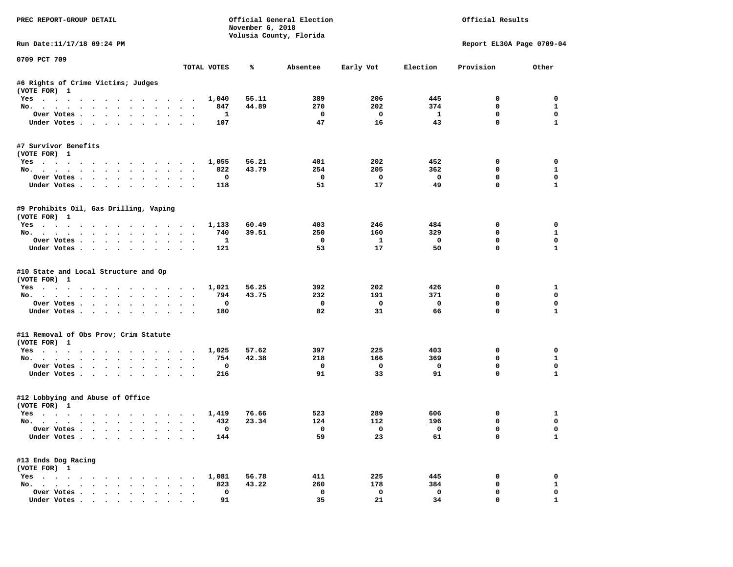| PREC REPORT-GROUP DETAIL                                                         |           |              | November 6, 2018 | Official General Election<br>Volusia County, Florida |                                | Official Results               |                            |                   |  |
|----------------------------------------------------------------------------------|-----------|--------------|------------------|------------------------------------------------------|--------------------------------|--------------------------------|----------------------------|-------------------|--|
| Run Date:11/17/18 09:24 PM                                                       |           |              |                  |                                                      |                                |                                | Report EL30A Page 0709-04  |                   |  |
| 0709 PCT 709                                                                     |           | TOTAL VOTES  | ℁                | Absentee                                             | Early Vot                      | Election                       | Provision                  | Other             |  |
| #6 Rights of Crime Victims; Judges                                               |           |              |                  |                                                      |                                |                                |                            |                   |  |
| (VOTE FOR) 1                                                                     |           |              |                  |                                                      |                                |                                |                            |                   |  |
| Yes                                                                              |           | 1,040        | 55.11            | 389                                                  | 206                            | 445                            | 0                          | $\mathbf 0$       |  |
| No.                                                                              |           | 847          | 44.89            | 270                                                  | 202                            | 374                            | $\mathbf 0$                | $\mathbf{1}$      |  |
| Over Votes                                                                       |           | $\mathbf{1}$ |                  | $\overline{\phantom{0}}$                             | $\overline{\mathbf{0}}$        | $\mathbf{1}$                   | $\mathbf 0$                | $\mathbf 0$       |  |
| Under Votes                                                                      |           | 107          |                  | 47                                                   | 16                             | 43                             | $\mathbf 0$                | $\mathbf{1}$      |  |
| #7 Survivor Benefits                                                             |           |              |                  |                                                      |                                |                                |                            |                   |  |
| (VOTE FOR) 1                                                                     |           |              |                  |                                                      |                                |                                |                            |                   |  |
| Yes                                                                              |           | 1,055        | 56.21            | 401                                                  | 202                            | 452                            | $\mathbf 0$                | $\mathbf 0$       |  |
| No.                                                                              |           | 822          | 43.79            | 254                                                  | 205                            | 362                            | 0                          | $\mathbf{1}$      |  |
| Over Votes                                                                       |           | $\mathbf{o}$ |                  | $\overline{\phantom{0}}$<br>51                       | $\overline{\mathbf{0}}$<br>17  | $\overline{\phantom{0}}$<br>49 | $\mathbf 0$<br>$\mathbf 0$ | 0<br>$\mathbf{1}$ |  |
| Under Votes                                                                      |           | 118          |                  |                                                      |                                |                                |                            |                   |  |
| #9 Prohibits Oil, Gas Drilling, Vaping<br>(VOTE FOR) 1                           |           |              |                  |                                                      |                                |                                |                            |                   |  |
| Yes                                                                              |           | 1,133        | 60.49            | 403                                                  | 246                            | 484                            | $\Omega$                   | $\Omega$          |  |
| No.                                                                              |           | 740          | 39.51            | 250                                                  | 160                            | 329                            | $\mathbf 0$                | $\mathbf{1}$      |  |
| Over Votes                                                                       |           | $\mathbf{1}$ |                  | $^{\circ}$                                           | $\mathbf{1}$                   | $\overline{\mathbf{0}}$        | 0                          | $\mathbf 0$       |  |
| Under Votes                                                                      |           | 121          |                  | 53                                                   | 17                             | 50                             | $\Omega$                   | $\mathbf{1}$      |  |
| #10 State and Local Structure and Op<br>(VOTE FOR) 1<br>Yes                      |           | 1,021        | 56.25            | 392                                                  | 202                            | 426                            | 0<br>0                     | 1<br>$\mathbf 0$  |  |
| No.<br>Over Votes.                                                               |           | 794<br>0     | 43.75            | 232<br>$\mathbf{o}$                                  | 191<br>$\overline{\mathbf{0}}$ | 371<br>$\mathbf{o}$            | $\mathbf 0$                | $\mathbf 0$       |  |
| Under Votes                                                                      |           | 180          |                  | 82                                                   | 31                             | 66                             | $\mathbf 0$                | $\mathbf{1}$      |  |
|                                                                                  |           |              |                  |                                                      |                                |                                |                            |                   |  |
| #11 Removal of Obs Prov; Crim Statute<br>(VOTE FOR) 1                            |           |              |                  |                                                      |                                |                                |                            |                   |  |
| Yes                                                                              |           | 1,025        | 57.62            | 397                                                  | 225                            | 403                            | $\mathbf 0$                | $\mathbf 0$       |  |
| No.                                                                              |           | 754          | 42.38            | 218                                                  | 166                            | 369                            | 0                          | $\mathbf{1}$      |  |
| Over Votes                                                                       |           | 0            |                  | $\mathbf{o}$                                         | $\overline{\mathbf{0}}$        | $\mathbf 0$                    | 0                          | $\mathbf 0$       |  |
| Under Votes                                                                      |           | 216          |                  | 91                                                   | 33                             | 91                             | $\mathbf 0$                | $\mathbf{1}$      |  |
| #12 Lobbying and Abuse of Office<br>(VOTE FOR) 1                                 |           |              |                  |                                                      |                                |                                |                            |                   |  |
| Yes                                                                              |           | 1,419        | 76.66            | 523                                                  | 289                            | 606                            | 0                          | 1                 |  |
| No.                                                                              |           | 432          | 23.34            | 124                                                  | 112                            | 196                            | $\mathbf 0$                | $\mathbf 0$       |  |
| Over Votes.                                                                      |           | 0            |                  | $\overline{\phantom{0}}$                             | $\overline{\mathbf{0}}$        | $\overline{\phantom{0}}$       | $\mathbf 0$                | $\mathbf{0}$      |  |
| Under Votes                                                                      |           | 144          |                  | 59                                                   | 23                             | 61                             | $\Omega$                   | $\mathbf{1}$      |  |
| #13 Ends Dog Racing<br>(VOTE FOR) 1                                              |           |              |                  |                                                      |                                |                                |                            |                   |  |
| Yes 1,081                                                                        |           |              | 56.78            | 411                                                  | 225                            | 445                            | 0                          | 0                 |  |
| No.                                                                              |           | 823          | 43.22            | 260                                                  | 178                            | 384                            | 0                          | $\mathbf{1}$      |  |
| Over Votes                                                                       | $\bullet$ | $\mathbf 0$  |                  | $\mathbf 0$                                          | $\mathbf 0$                    | $\mathbf 0$                    | $\mathbf 0$                | $\mathbf{0}$      |  |
| Under Votes, $\cdot$ , $\cdot$ , $\cdot$ , $\cdot$ , $\cdot$ , $\cdot$ , $\cdot$ |           | 91           |                  | 35                                                   | 21                             | 34                             | $\Omega$                   | $\mathbf{1}$      |  |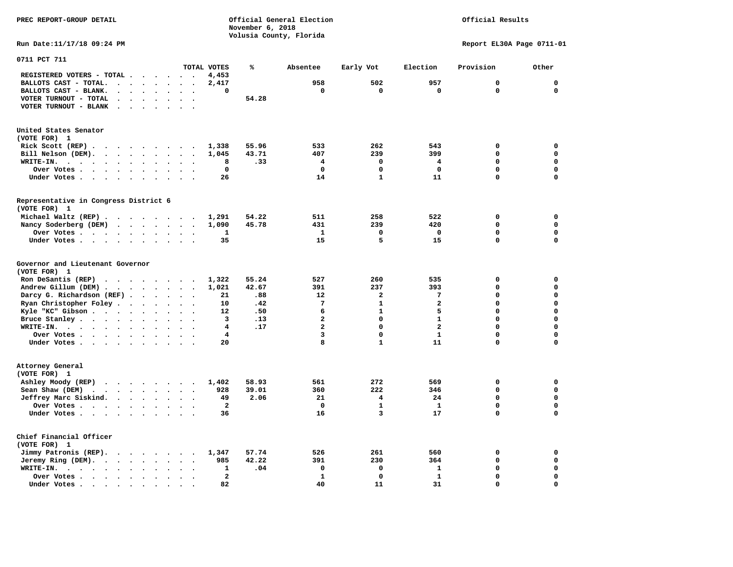**PREC REPORT-GROUP DETAIL COMPUTER CONSUMING A CONSUMING CONSUMING A LIGACION CONSUMING A LIGACION** *November 6, 2018 November 6, 2018*  **Volusia County, Florida Run Date:11/17/18 09:24 PM Report EL30A Page 0711-01** 

| 0711 PCT 711                                                                          |                                              |                             |                          |                                   |                               |                          |                         |       |                         |              |                         |             |             |
|---------------------------------------------------------------------------------------|----------------------------------------------|-----------------------------|--------------------------|-----------------------------------|-------------------------------|--------------------------|-------------------------|-------|-------------------------|--------------|-------------------------|-------------|-------------|
|                                                                                       |                                              |                             |                          |                                   |                               |                          | TOTAL VOTES             | ℁     | Absentee                | Early Vot    | Election                | Provision   | Other       |
| REGISTERED VOTERS - TOTAL .                                                           |                                              |                             |                          |                                   | $\ddot{\phantom{0}}$          |                          | 4,453                   |       |                         |              |                         |             |             |
| BALLOTS CAST - TOTAL.                                                                 | $\overline{a}$                               | $\ddot{\phantom{a}}$        | $\ddot{\phantom{a}}$     | $\bullet$                         | $\ddot{\phantom{a}}$          | $\ddot{\phantom{a}}$     | 2,417                   |       | 958                     | 502          | 957                     | $\mathbf 0$ | $\mathbf 0$ |
| BALLOTS CAST - BLANK.<br>$\ddot{\phantom{a}}$                                         |                                              |                             |                          |                                   |                               |                          | 0                       |       | 0                       | $\mathbf 0$  | $\mathbf 0$             | $\mathbf 0$ | $\mathbf 0$ |
| VOTER TURNOUT - TOTAL<br>$\ddot{\phantom{a}}$                                         |                                              | $\bullet$                   | $\ddot{\phantom{a}}$     | $\ddot{\phantom{a}}$              | $\ddot{\phantom{a}}$          | $\overline{\phantom{a}}$ |                         | 54.28 |                         |              |                         |             |             |
| VOTER TURNOUT - BLANK<br>$\bullet$                                                    |                                              |                             |                          |                                   |                               |                          |                         |       |                         |              |                         |             |             |
| United States Senator                                                                 |                                              |                             |                          |                                   |                               |                          |                         |       |                         |              |                         |             |             |
| (VOTE FOR) 1                                                                          |                                              |                             |                          |                                   |                               |                          |                         |       |                         |              |                         |             |             |
| Rick Scott $(REP)$                                                                    |                                              |                             |                          |                                   |                               |                          | 1,338                   | 55.96 | 533                     | 262          | 543                     | $\mathbf 0$ | 0           |
| Bill Nelson (DEM).<br>$\cdot$ $\cdot$ $\cdot$ $\cdot$ $\cdot$ $\cdot$                 |                                              |                             |                          |                                   | $\sim$                        |                          | 1,045                   | 43.71 | 407                     | 239          | 399                     | 0           | 0           |
| WRITE-IN.<br>$\cdot$ $\cdot$<br>$\sim$ $\sim$                                         | $\cdot$                                      | $\ddot{\phantom{a}}$        | $\ddot{\phantom{a}}$     |                                   |                               |                          | 8                       | .33   | $\overline{\mathbf{4}}$ | $\mathbf 0$  | 4                       | 0           | $\mathbf 0$ |
| Over Votes .<br>$\ddot{\phantom{1}}$<br>$\sim$ $\sim$ $\sim$                          | $\ddot{\phantom{a}}$<br>$\bullet$            |                             | $\bullet$                | $\bullet$                         |                               |                          | 0                       |       | $\mathbf 0$             | 0            | 0                       | 0           | $\mathbf 0$ |
| Under Votes<br>$\sim$                                                                 | $\ddot{\phantom{1}}$<br>$\ddot{\phantom{a}}$ |                             | $\cdot$                  |                                   |                               |                          | 26                      |       | 14                      | $\mathbf{1}$ | 11                      | 0           | $\mathbf 0$ |
|                                                                                       |                                              |                             |                          |                                   |                               |                          |                         |       |                         |              |                         |             |             |
| Representative in Congress District 6<br>(VOTE FOR) 1                                 |                                              |                             |                          |                                   |                               |                          |                         |       |                         |              |                         |             |             |
| Michael Waltz (REP).<br>$\cdots$                                                      |                                              |                             |                          |                                   |                               |                          | 1,291                   | 54.22 | 511                     | 258          | 522                     | 0           | 0           |
| Nancy Soderberg (DEM)                                                                 |                                              |                             |                          |                                   |                               |                          | 1,090                   | 45.78 | 431                     | 239          | 420                     | $\mathbf 0$ | $\mathbf 0$ |
| Over Votes                                                                            | $\sim$ $\sim$                                |                             | $\bullet$                | $\bullet$                         | $\ddot{\phantom{a}}$          | $\ddot{\phantom{a}}$     | 1                       |       | $\mathbf{1}$            | 0            | $\mathbf 0$             | $\mathbf 0$ | $\mathbf 0$ |
| Under Votes                                                                           |                                              | $\cdot$ $\cdot$ $\cdot$     |                          |                                   | $\ddot{\phantom{a}}$          |                          | 35                      |       | 15                      | 5            | 15                      | 0           | $\mathbf 0$ |
|                                                                                       |                                              |                             |                          |                                   |                               |                          |                         |       |                         |              |                         |             |             |
| Governor and Lieutenant Governor<br>(VOTE FOR) 1                                      |                                              |                             |                          |                                   |                               |                          |                         |       |                         |              |                         |             |             |
| Ron DeSantis (REP)<br>$\cdot$ $\cdot$ $\cdot$ $\cdot$ $\cdot$ $\cdot$ $\cdot$ $\cdot$ |                                              |                             |                          |                                   |                               |                          | 1,322                   | 55.24 | 527                     | 260          | 535                     | $\mathbf 0$ | $\mathbf 0$ |
| Andrew Gillum (DEM).<br>$\sim$<br>$\sim$                                              |                                              | $\cdot$ .                   | $\sim$                   |                                   | $\ddot{\phantom{a}}$          |                          | 1,021                   | 42.67 | 391                     | 237          | 393                     | 0           | $\mathbf 0$ |
| Darcy G. Richardson (REF).                                                            |                                              | $\sim$ $\sim$ $\sim$ $\sim$ |                          |                                   | $\ddot{\phantom{a}}$          |                          | 21                      | .88   | 12                      | $\mathbf{2}$ | 7                       | 0           | $\mathbf 0$ |
| Ryan Christopher Foley.<br>$\sim$                                                     |                                              | $\bullet$                   | $\bullet$                | $\mathbf{r}$                      | $\sim$                        |                          | 10                      | .42   | $\overline{7}$          | $\mathbf{1}$ | $\overline{\mathbf{2}}$ | 0           | $\mathbf 0$ |
| Kyle "KC" Gibson                                                                      | $\ddot{\phantom{a}}$                         | $\bullet$                   | $\ddot{\phantom{a}}$     |                                   |                               |                          | 12                      | .50   | 6                       | $\mathbf{1}$ | 5                       | 0           | $\mathbf 0$ |
| Bruce Stanley                                                                         |                                              | $\ddot{\phantom{a}}$        | $\ddot{\phantom{a}}$     | $\ddot{\phantom{a}}$              | $\ddot{\phantom{a}}$          |                          | 3                       | .13   | $\overline{a}$          | $\Omega$     | $\mathbf{1}$            | $\Omega$    | $\mathbf 0$ |
| WRITE-IN.<br>$\cdots$<br>$\cdot$ $\cdot$                                              |                                              | $\bullet$                   |                          |                                   |                               |                          | 4                       | .17   | $\overline{a}$          | 0            | $\overline{a}$          | 0           | $\mathbf 0$ |
| Over Votes.                                                                           |                                              |                             |                          |                                   | $\sim$                        |                          | 4                       |       | 3                       | $\mathbf 0$  | $\mathbf{1}$            | 0           | $\mathbf 0$ |
| $\cdot$<br>Under Votes                                                                |                                              | $\ddot{\phantom{1}}$        | $\bullet$                | $\ddot{\phantom{a}}$<br>$\bullet$ |                               | $\bullet$                | 20                      |       | 8                       | $\mathbf{1}$ | 11                      | 0           | $\mathbf 0$ |
|                                                                                       |                                              |                             |                          |                                   |                               |                          |                         |       |                         |              |                         |             |             |
| Attorney General<br>(VOTE FOR) 1                                                      |                                              |                             |                          |                                   |                               |                          |                         |       |                         |              |                         |             |             |
| Ashley Moody (REP)                                                                    |                                              |                             |                          |                                   |                               |                          | 1,402                   | 58.93 | 561                     | 272          | 569                     | $\mathbf 0$ | 0           |
| $\cdot$ $\cdot$ $\cdot$ $\cdot$ $\cdot$ $\cdot$                                       |                                              | $\sim$                      |                          | $\ddot{\phantom{a}}$              | $\sim$ $\sim$<br>$\mathbf{r}$ |                          | 928                     | 39.01 | 360                     | 222          | 346                     | 0           | $\mathbf 0$ |
| Sean Shaw (DEM)<br>$\cdots$ $\cdots$<br>$\sim$ $\sim$                                 |                                              |                             |                          |                                   |                               |                          |                         |       |                         |              |                         | $\mathbf 0$ | $\mathbf 0$ |
| Jeffrey Marc Siskind.<br>$\sim$ $\sim$                                                |                                              | $\ddot{\phantom{a}}$        |                          |                                   |                               |                          | 49                      | 2.06  | 21                      | 4            | 24                      |             |             |
| Over Votes.<br>$\cdots$                                                               |                                              |                             | $\bullet$                | $\bullet$                         | $\bullet$                     |                          | $\overline{\mathbf{2}}$ |       | $\Omega$                | $\mathbf{1}$ | $\mathbf{1}$            | 0           | $\mathbf 0$ |
| Under Votes                                                                           | $\ddot{\phantom{0}}$                         |                             | $\sim$                   | $\ddot{\phantom{a}}$              | $\sim$                        |                          | 36                      |       | 16                      | 3            | 17                      | 0           | $\mathbf 0$ |
| Chief Financial Officer<br>(VOTE FOR) 1                                               |                                              |                             |                          |                                   |                               |                          |                         |       |                         |              |                         |             |             |
| Jimmy Patronis (REP).<br>$\cdot$ $\cdot$ $\cdot$ $\cdot$                              |                                              |                             | $\sim$                   |                                   | $\sim$                        |                          | 1,347                   | 57.74 | 526                     | 261          | 560                     | 0           | 0           |
| Jeremy Ring (DEM).<br>$\ddot{\phantom{0}}$                                            | $\bullet$                                    | $\bullet$                   |                          |                                   |                               |                          | 985                     | 42.22 | 391                     | 230          | 364                     | $\mathbf 0$ | $\mathbf 0$ |
| WRITE-IN.<br>$\cdot$ $\cdot$ $\cdot$<br>$\ddot{\phantom{0}}$                          | $\bullet$                                    | $\ddot{\phantom{a}}$        | $\bullet$                |                                   | $\cdot$                       |                          | 1                       | .04   | 0                       | $\mathbf 0$  | ${\bf 1}$               | 0           | $\mathbf 0$ |
| Over Votes.<br>$\sim$ $\sim$ $\sim$ $\sim$ $\sim$                                     | $\ddot{\phantom{a}}$                         | $\ddot{\phantom{a}}$        | $\overline{\phantom{a}}$ |                                   |                               |                          | $\overline{\mathbf{2}}$ |       | $\mathbf{1}$            | $\mathbf 0$  | $\mathbf{1}$            | 0           | $\mathbf 0$ |
| Under Votes                                                                           | $\ddot{\phantom{a}}$                         |                             |                          |                                   |                               |                          | 82                      |       | 40                      | 11           | 31                      | 0           | $\mathbf 0$ |
|                                                                                       |                                              |                             |                          |                                   |                               |                          |                         |       |                         |              |                         |             |             |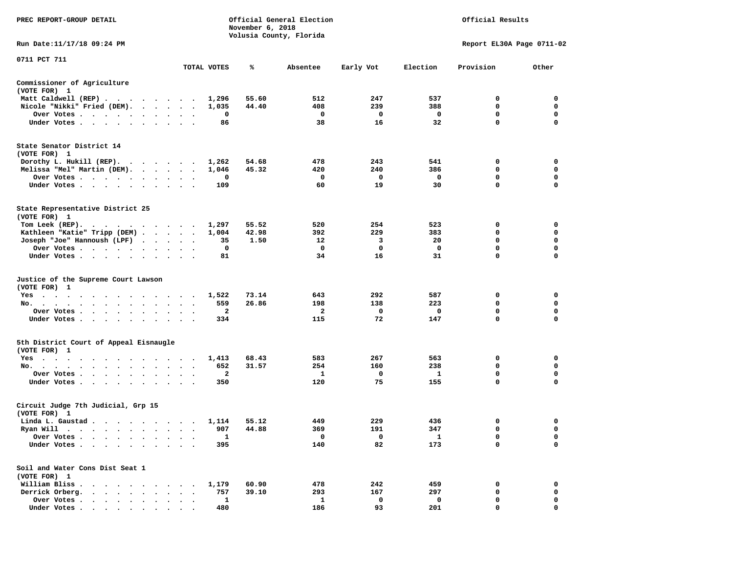| PREC REPORT-GROUP DETAIL                                                               |               |              | November 6, 2018 | Official General Election<br>Volusia County, Florida |             |          | Official Results          |                  |
|----------------------------------------------------------------------------------------|---------------|--------------|------------------|------------------------------------------------------|-------------|----------|---------------------------|------------------|
| Run Date: 11/17/18 09:24 PM                                                            |               |              |                  |                                                      |             |          | Report EL30A Page 0711-02 |                  |
| 0711 PCT 711                                                                           |               | TOTAL VOTES  | ℁                | Absentee                                             | Early Vot   | Election | Provision                 | Other            |
| Commissioner of Agriculture                                                            |               |              |                  |                                                      |             |          |                           |                  |
| (VOTE FOR) 1                                                                           |               |              |                  |                                                      |             |          |                           |                  |
| Matt Caldwell (REP)                                                                    |               | 1,296        | 55.60            | 512                                                  | 247         | 537      | 0                         | 0                |
| Nicole "Nikki" Fried (DEM).                                                            |               | 1,035        | 44.40            | 408                                                  | 239         | 388      | 0                         | 0                |
| Over Votes                                                                             | $\bullet$     | 0            |                  | 0                                                    | 0           | 0        | 0                         | 0                |
| Under Votes                                                                            |               | 86           |                  | 38                                                   | 16          | 32       | $\mathbf 0$               | $\mathbf 0$      |
| State Senator District 14<br>(VOTE FOR) 1                                              |               |              |                  |                                                      |             |          |                           |                  |
| Dorothy L. Hukill $(REP)$ .                                                            |               | 1,262        | 54.68            | 478                                                  | 243         | 541      | 0                         | 0                |
| Melissa "Mel" Martin (DEM).                                                            |               | 1,046        | 45.32            | 420                                                  | 240         | 386      | 0                         | 0<br>$\mathbf 0$ |
| Over Votes<br>Under Votes                                                              |               | 0<br>109     |                  | 0<br>60                                              | 0<br>19     | 0<br>30  | 0<br>0                    | $\mathbf 0$      |
|                                                                                        |               |              |                  |                                                      |             |          |                           |                  |
| State Representative District 25<br>(VOTE FOR) 1                                       |               |              |                  |                                                      |             |          |                           |                  |
| Tom Leek $(REP)$ .                                                                     |               | 1,297        | 55.52            | 520                                                  | 254         | 523      | 0                         | 0                |
| Kathleen "Katie" Tripp (DEM)                                                           |               | 1,004        | 42.98            | 392                                                  | 229         | 383      | 0                         | 0                |
| Joseph "Joe" Hannoush (LPF)                                                            |               | 35           | 1.50             | 12                                                   | 3           | 20       | 0                         | $\mathbf 0$      |
| Over Votes                                                                             |               | 0            |                  | 0                                                    | $\Omega$    | 0        | 0                         | 0                |
| Under Votes                                                                            |               | 81           |                  | 34                                                   | 16          | 31       | 0                         | 0                |
| Justice of the Supreme Court Lawson<br>(VOTE FOR) 1                                    |               |              |                  |                                                      |             |          |                           |                  |
| $Yes \t . \t .$<br>.                                                                   |               | 1,522        | 73.14            | 643                                                  | 292         | 587      | 0                         | 0                |
| No.                                                                                    |               | 559          | 26.86            | 198                                                  | 138         | 223      | 0                         | 0                |
| Over Votes                                                                             |               | 2            |                  | 2                                                    | 0           | 0        | $\mathbf 0$               | $\mathbf 0$      |
| Under Votes                                                                            | $\sim$ $\sim$ | 334          |                  | 115                                                  | 72          | 147      | 0                         | 0                |
| 5th District Court of Appeal Eisnaugle<br>(VOTE FOR) 1                                 |               |              |                  |                                                      |             |          |                           |                  |
| Yes                                                                                    |               | 1,413        | 68.43            | 583                                                  | 267         | 563      | 0                         | 0                |
| No.                                                                                    |               | 652          | 31.57            | 254                                                  | 160         | 238      | 0                         | 0                |
| Over Votes                                                                             |               | 2            |                  | 1                                                    | 0           | 1        | 0                         | 0                |
| Under Votes                                                                            |               | 350          |                  | 120                                                  | 75          | 155      | $\mathbf 0$               | $\mathbf 0$      |
| Circuit Judge 7th Judicial, Grp 15<br>(VOTE FOR) 1                                     |               |              |                  |                                                      |             |          |                           |                  |
| Linda L. Gaustad                                                                       |               | 1,114        | 55.12            | 449                                                  | 229         | 436      | 0                         | 0                |
| Ryan Will $\cdots$ , $\cdots$ , $\cdots$ , $\cdots$                                    |               | 907          | 44.88            | 369                                                  | 191         | 347      | $\mathbf 0$               | $\mathbf 0$      |
| Over Votes                                                                             |               | 1            |                  | 0                                                    | 0           | 1        | 0                         | 0                |
| Under Votes .<br>$\bullet$                                                             |               | 395          |                  | 140                                                  | 82          | 173      | 0                         | $\mathbf 0$      |
| Soil and Water Cons Dist Seat 1<br>(VOTE FOR) 1                                        |               |              |                  |                                                      |             |          |                           |                  |
| William Bliss.<br>$\bullet$                                                            |               | 1,179        | 60.90            | 478                                                  | 242         | 459      | 0                         | 0                |
| Derrick Orberg.<br>$\sim$<br>$\sim$<br>$\langle \cdot \rangle$<br>$\ddot{\phantom{a}}$ |               | 757          | 39.10            | 293                                                  | 167         | 297      | 0                         | 0                |
| Over Votes .<br>$\cdot$                                                                |               | $\mathbf{1}$ |                  | $\mathbf{1}$                                         | $\mathbf 0$ | 0        | $\mathbf 0$               | 0                |
| Under Votes                                                                            |               | 480          |                  | 186                                                  | 93          | 201      | $\mathbf 0$               | $\Omega$         |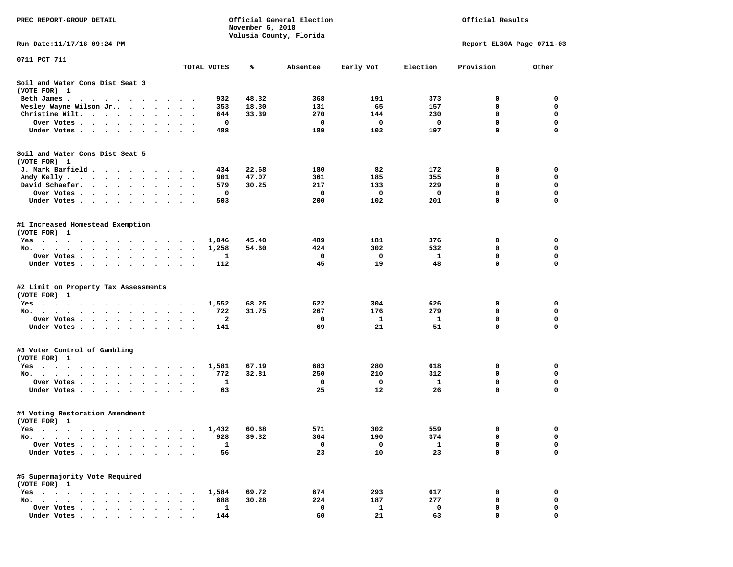| PREC REPORT-GROUP DETAIL                                                                                                                                                                                                                                             |                                    |                    | November 6, 2018 | Official General Election | Official Results          |            |             |             |  |
|----------------------------------------------------------------------------------------------------------------------------------------------------------------------------------------------------------------------------------------------------------------------|------------------------------------|--------------------|------------------|---------------------------|---------------------------|------------|-------------|-------------|--|
| Run Date: 11/17/18 09:24 PM                                                                                                                                                                                                                                          |                                    |                    |                  | Volusia County, Florida   | Report EL30A Page 0711-03 |            |             |             |  |
| 0711 PCT 711                                                                                                                                                                                                                                                         |                                    |                    |                  |                           |                           |            |             |             |  |
|                                                                                                                                                                                                                                                                      | TOTAL VOTES                        |                    | %ะ               | Absentee                  | Early Vot                 | Election   | Provision   | Other       |  |
| Soil and Water Cons Dist Seat 3<br>(VOTE FOR) 1                                                                                                                                                                                                                      |                                    |                    |                  |                           |                           |            |             |             |  |
| Beth James.                                                                                                                                                                                                                                                          |                                    | 932                | 48.32            | 368                       | 191                       | 373        | 0           | 0           |  |
| Wesley Wayne Wilson Jr<br>$\bullet$                                                                                                                                                                                                                                  | $\ddot{\phantom{1}}$               | 353                | 18.30            | 131                       | 65                        | 157        | 0           | 0           |  |
| Christine Wilt.                                                                                                                                                                                                                                                      |                                    | 644                | 33.39            | 270                       | 144                       | 230        | 0           | 0           |  |
| Over Votes .<br>$\cdots$                                                                                                                                                                                                                                             |                                    | 0                  |                  | 0                         | 0                         | 0          | $\mathbf 0$ | $\mathbf 0$ |  |
| Under Votes.<br>$\cdots$                                                                                                                                                                                                                                             |                                    | 488                |                  | 189                       | 102                       | 197        | 0           | 0           |  |
| Soil and Water Cons Dist Seat 5                                                                                                                                                                                                                                      |                                    |                    |                  |                           |                           |            |             |             |  |
| (VOTE FOR) 1                                                                                                                                                                                                                                                         |                                    |                    |                  |                           |                           |            |             |             |  |
| J. Mark Barfield                                                                                                                                                                                                                                                     |                                    | 434                | 22.68            | 180                       | 82<br>185                 | 172<br>355 | 0<br>0      | 0<br>0      |  |
| Andy Kelly<br>David Schaefer.                                                                                                                                                                                                                                        |                                    | 901<br>579         | 47.07<br>30.25   | 361<br>217                | 133                       | 229        | 0           | $\mathbf 0$ |  |
| $\bullet$ , $\bullet$ , $\bullet$ , $\bullet$ , $\bullet$<br>$\ddot{\phantom{0}}$<br>$\bullet$<br>$\bullet$<br>$\bullet$<br>Over Votes .<br>.                                                                                                                        | $\ddot{\phantom{0}}$               | 0                  |                  | 0                         | 0                         | 0          | 0           | 0           |  |
| Under Votes                                                                                                                                                                                                                                                          |                                    | 503                |                  | 200                       | 102                       | 201        | 0           | 0           |  |
| $\sim$ $\sim$                                                                                                                                                                                                                                                        | $\ddot{\phantom{1}}$               |                    |                  |                           |                           |            |             |             |  |
| #1 Increased Homestead Exemption<br>(VOTE FOR) 1                                                                                                                                                                                                                     |                                    |                    |                  |                           |                           |            |             |             |  |
| Yes                                                                                                                                                                                                                                                                  |                                    | 1,046              | 45.40            | 489                       | 181                       | 376        | 0           | 0           |  |
| No.                                                                                                                                                                                                                                                                  | $\cdot$<br>$\bullet$               | 1,258              | 54.60            | 424                       | 302                       | 532        | 0           | 0           |  |
| Over Votes                                                                                                                                                                                                                                                           |                                    | 1                  |                  | 0                         | $\mathbf{o}$              | -1         | 0           | 0           |  |
| Under Votes                                                                                                                                                                                                                                                          |                                    | 112                |                  | 45                        | 19                        | 48         | 0           | $\mathbf 0$ |  |
| #2 Limit on Property Tax Assessments<br>(VOTE FOR) 1                                                                                                                                                                                                                 |                                    |                    |                  |                           |                           |            |             |             |  |
| $Yes \cdot \cdot \cdot \cdot \cdot$<br>. The contract of the contract of the contract of the contract of the contract of the contract of the contract of the contract of the contract of the contract of the contract of the contract of the contract of the contrac |                                    | 1,552              | 68.25            | 622                       | 304                       | 626        | 0           | 0           |  |
| No.                                                                                                                                                                                                                                                                  |                                    | 722                | 31.75            | 267                       | 176                       | 279        | 0           | 0           |  |
| Over Votes .<br>$\sim$<br>$\cdot$ $\cdot$ $\cdot$                                                                                                                                                                                                                    | $\bullet$                          | 2                  |                  | 0                         | $\mathbf{1}$              | 1          | 0           | 0           |  |
| Under Votes                                                                                                                                                                                                                                                          |                                    | 141                |                  | 69                        | 21                        | 51         | 0           | $\mathbf 0$ |  |
|                                                                                                                                                                                                                                                                      |                                    |                    |                  |                           |                           |            |             |             |  |
| #3 Voter Control of Gambling                                                                                                                                                                                                                                         |                                    |                    |                  |                           |                           |            |             |             |  |
| (VOTE FOR) 1                                                                                                                                                                                                                                                         |                                    |                    |                  |                           |                           |            |             | 0           |  |
| Yes<br>No.                                                                                                                                                                                                                                                           |                                    | 1,581<br>772       | 67.19<br>32.81   | 683<br>250                | 280<br>210                | 618<br>312 | 0<br>0      | $\mathbf 0$ |  |
| Over Votes .<br>$\begin{array}{cccccccccccccc} \bullet & \bullet & \bullet & \bullet & \bullet & \bullet & \bullet & \bullet & \bullet \end{array}$                                                                                                                  | $\sim$                             | 1                  |                  | 0                         | 0                         | 1          | 0           | 0           |  |
| $\sim$ 100 $\sim$<br>Under Votes                                                                                                                                                                                                                                     | $\sim$ $\sim$ $\sim$ $\sim$ $\sim$ | 63                 |                  | 25                        | 12                        | 26         | 0           | 0           |  |
| #4 Voting Restoration Amendment                                                                                                                                                                                                                                      |                                    |                    |                  |                           |                           |            |             |             |  |
| (VOTE FOR) 1                                                                                                                                                                                                                                                         |                                    |                    |                  |                           |                           |            |             |             |  |
| Yes 1,432                                                                                                                                                                                                                                                            |                                    |                    | 60.68            | 571                       | 302                       | 559        | 0           | 0           |  |
| No.<br>$\ddot{\phantom{1}}$                                                                                                                                                                                                                                          |                                    | 928<br>$\mathbf 1$ | 39.32            | 364<br>0                  | 190<br>0                  | 374        | 0<br>0      | 0<br>0      |  |
| Over Votes<br>Under Votes.                                                                                                                                                                                                                                           |                                    | 56                 |                  | 23                        | 10                        | 1<br>23    | 0           | $\mathbf 0$ |  |
|                                                                                                                                                                                                                                                                      |                                    |                    |                  |                           |                           |            |             |             |  |
| #5 Supermajority Vote Required<br>(VOTE FOR) 1                                                                                                                                                                                                                       |                                    |                    |                  |                           |                           |            |             |             |  |
| Yes                                                                                                                                                                                                                                                                  |                                    | 1,584              | 69.72            | 674                       | 293                       | 617        | 0           | 0           |  |
| $No. \t . \t .$                                                                                                                                                                                                                                                      |                                    | 688                | 30.28            | 224                       | 187                       | 277        | 0           | 0           |  |
| Over Votes                                                                                                                                                                                                                                                           |                                    | 1                  |                  | 0                         | $\mathbf{1}$              | 0          | 0           | 0           |  |
| Under Votes                                                                                                                                                                                                                                                          |                                    | 144                |                  | 60                        | 21                        | 63         | 0           | $\mathbf 0$ |  |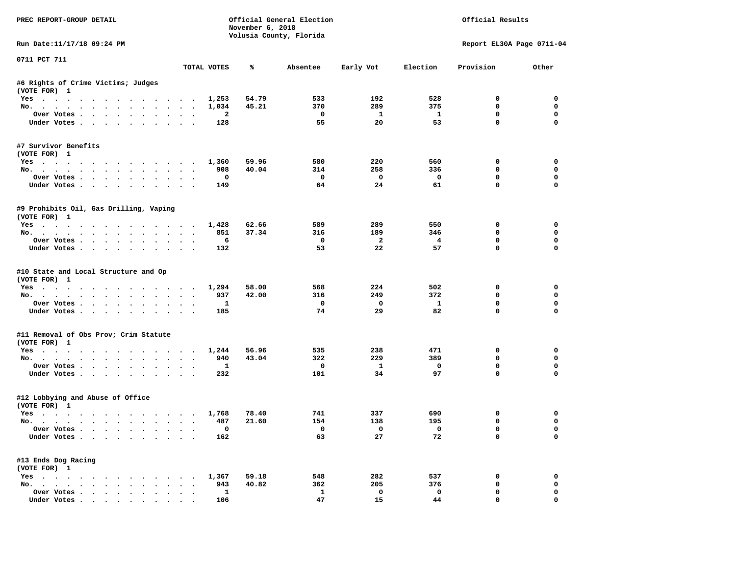| PREC REPORT-GROUP DETAIL                                                                                                                                                                                                                         |                                                                        | November 6, 2018 | Official General Election<br>Volusia County, Florida |                               |                    | Official Results           |               |
|--------------------------------------------------------------------------------------------------------------------------------------------------------------------------------------------------------------------------------------------------|------------------------------------------------------------------------|------------------|------------------------------------------------------|-------------------------------|--------------------|----------------------------|---------------|
| Run Date:11/17/18 09:24 PM                                                                                                                                                                                                                       |                                                                        |                  |                                                      |                               |                    | Report EL30A Page 0711-04  |               |
| 0711 PCT 711                                                                                                                                                                                                                                     | TOTAL VOTES                                                            | ℁                | Absentee                                             | Early Vot                     | Election           | Provision                  | Other         |
| #6 Rights of Crime Victims; Judges<br>(VOTE FOR) 1                                                                                                                                                                                               |                                                                        |                  |                                                      |                               |                    |                            |               |
| Yes                                                                                                                                                                                                                                              | 1,253                                                                  | 54.79            | 533                                                  | 192                           | 528                | $\Omega$                   | $\mathbf 0$   |
| No.                                                                                                                                                                                                                                              | 1,034                                                                  | 45.21            | 370                                                  | 289                           | 375                | $\mathbf 0$                | $\mathbf 0$   |
| Over Votes                                                                                                                                                                                                                                       | 2                                                                      |                  | $\mathbf{o}$                                         | $\mathbf{1}$                  | $\mathbf{1}$       | 0                          | 0             |
| Under Votes<br>$\sim$                                                                                                                                                                                                                            | 128<br>$\sim$ $\sim$<br>$\sim$                                         |                  | 55                                                   | 20                            | 53                 | $\mathbf{0}$               | $\Omega$      |
| #7 Survivor Benefits<br>(VOTE FOR) 1                                                                                                                                                                                                             |                                                                        |                  |                                                      |                               |                    |                            |               |
| Yes                                                                                                                                                                                                                                              | 1,360                                                                  | 59.96            | 580                                                  | 220                           | 560                | 0                          | $\mathbf 0$   |
| No.                                                                                                                                                                                                                                              | 908                                                                    | 40.04            | 314                                                  | 258                           | 336                | 0                          | 0             |
| Over Votes                                                                                                                                                                                                                                       | 0                                                                      |                  | $\mathbf 0$                                          | 0                             | $\mathbf{o}$       | 0                          | 0             |
| Under Votes<br>$\sim$                                                                                                                                                                                                                            | 149                                                                    |                  | 64                                                   | 24                            | 61                 | $\mathbf 0$                | $\mathbf 0$   |
| #9 Prohibits Oil, Gas Drilling, Vaping<br>(VOTE FOR) 1                                                                                                                                                                                           |                                                                        |                  |                                                      |                               |                    |                            |               |
| Yes                                                                                                                                                                                                                                              | 1,428                                                                  | 62.66            | 589                                                  | 289                           | 550                | 0                          | $\mathbf 0$   |
| No.                                                                                                                                                                                                                                              | 851                                                                    | 37.34            | 316                                                  | 189                           | 346                | 0                          | $\mathbf 0$   |
| Over Votes<br>$\sim$                                                                                                                                                                                                                             | 6<br>$\sim$<br>$\ddot{\phantom{a}}$<br>$\overline{\phantom{a}}$        |                  | 0                                                    | $\overline{a}$                | 4                  | $\mathbf 0$                | $\mathbf 0$   |
| Under Votes                                                                                                                                                                                                                                      | 132                                                                    |                  | 53                                                   | 22                            | 57                 | $\mathbf 0$                | $\Omega$      |
| #10 State and Local Structure and Op<br>(VOTE FOR) 1                                                                                                                                                                                             |                                                                        |                  |                                                      |                               |                    |                            |               |
| Yes                                                                                                                                                                                                                                              | 1,294                                                                  | 58.00            | 568                                                  | 224                           | 502                | 0                          | 0             |
| No.<br>$\sim$ $\sim$ $\sim$<br>$\ddot{\phantom{a}}$<br>$\ddot{\phantom{a}}$<br>$\sim$<br>$\cdot$                                                                                                                                                 | 937                                                                    | 42.00            | 316                                                  | 249                           | 372                | 0                          | 0             |
| Over Votes                                                                                                                                                                                                                                       | 1<br>$\cdot$                                                           |                  | $\mathbf{o}$                                         | $\mathbf 0$                   | $\mathbf{1}$       | $\mathbf 0$                | 0             |
| Under Votes<br>$\bullet$                                                                                                                                                                                                                         | 185<br>$\ddot{\phantom{a}}$                                            |                  | 74                                                   | 29                            | 82                 | $\Omega$                   | $\Omega$      |
| #11 Removal of Obs Prov; Crim Statute<br>(VOTE FOR) 1                                                                                                                                                                                            |                                                                        |                  |                                                      |                               |                    |                            |               |
| Yes                                                                                                                                                                                                                                              | 1,244                                                                  | 56.96            | 535                                                  | 238                           | 471                | 0                          | $\mathbf 0$   |
| No.                                                                                                                                                                                                                                              | 940<br>$\sim$                                                          | 43.04            | 322                                                  | 229                           | 389                | 0                          | 0             |
| Over Votes<br>$\ddot{\phantom{1}}$                                                                                                                                                                                                               | 1                                                                      |                  | $\mathbf{o}$                                         | $\mathbf{1}$                  | $\mathbf 0$        | 0                          | 0             |
| Under Votes<br>$\ddot{\phantom{1}}$                                                                                                                                                                                                              | 232<br>$\cdot$ $\cdot$ $\cdot$                                         |                  | 101                                                  | 34                            | 97                 | $\mathbf{0}$               | $\mathbf 0$   |
| #12 Lobbying and Abuse of Office<br>(VOTE FOR) 1                                                                                                                                                                                                 |                                                                        |                  |                                                      |                               |                    |                            |               |
| Yes                                                                                                                                                                                                                                              | 1,768                                                                  | 78.40            | 741                                                  | 337                           | 690                | 0                          | 0             |
| No.                                                                                                                                                                                                                                              | 487                                                                    | 21.60            | 154                                                  | 138                           | 195                | $\mathbf 0$                | $\mathbf 0$   |
| Over Votes<br>Under Votes<br>$\ddot{\phantom{a}}$                                                                                                                                                                                                | $\mathbf 0$<br>$\cdot$ $\cdot$ $\cdot$<br>162                          |                  | $^{\circ}$<br>63                                     | $\overline{\mathbf{0}}$<br>27 | $\mathbf{0}$<br>72 | $\mathbf 0$<br>$\mathbf 0$ | $\Omega$<br>0 |
|                                                                                                                                                                                                                                                  |                                                                        |                  |                                                      |                               |                    |                            |               |
| #13 Ends Dog Racing<br>(VOTE FOR) 1                                                                                                                                                                                                              |                                                                        |                  |                                                      |                               |                    |                            |               |
| $Yes \t . \t .$<br>. The contract of the contract of the contract of the contract of the contract of the contract of the contract of the contract of the contract of the contract of the contract of the contract of the contract of the contrac | 1,367                                                                  | 59.18            | 548                                                  | 282                           | 537                | 0                          | 0             |
| No.                                                                                                                                                                                                                                              | 943<br>$\bullet$ .<br><br><br><br><br><br><br><br><br><br><br><br><br> | 40.82            | 362                                                  | 205                           | 376                | $\mathbf 0$                | 0             |
| Over Votes<br>$\ddot{\phantom{0}}$                                                                                                                                                                                                               | 1<br>$\blacksquare$<br>$\bullet$                                       |                  | 1                                                    | $\mathbf 0$                   | $\mathbf 0$        | $\mathbf 0$                | $\mathbf 0$   |
| Under Votes.                                                                                                                                                                                                                                     | 106                                                                    |                  | 47                                                   | 15                            | 44                 | $\mathbf 0$                | $\mathbf 0$   |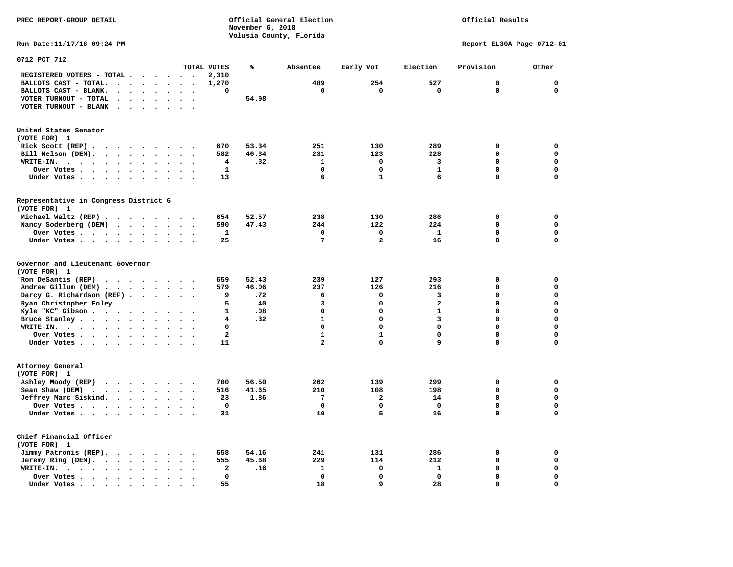**November 6, 2018 Volusia County, Florida Run Date:11/17/18 09:24 PM Report EL30A Page 0712-01 0712 PCT 712 TOTAL VOTES % Absentee Early Vot Election Provision Other REGISTERED VOTERS - TOTAL . . . . . . 2,310 BALLOTS CAST - TOTAL. . . . . . . . 1,270 489 254 527 0 0 BALLOTS CAST - BLANK. . . . . . . . 0 0 0 0 0 0 VOTER TURNOUT - TOTAL . . . . . . . 54.98 VOTER TURNOUT - BLANK . . . . . . . United States Senator (VOTE FOR) 1 Rick Scott (REP) . . . . . . . . . 670 53.34 251 130 289 0 0 Bill Nelson (DEM). . . . . . . . . 582 46.34 231 123 228 0 0 WRITE-IN. . . . . . . . . . . . 4 .32 1 0 3 0 0 Over Votes . . . . . . . . . . 1 0 0 1 0 0 Under Votes . . . . . . . . . . 13** 6 1 6 0 0 0 **Representative in Congress District 6 (VOTE FOR) 1 Michael Waltz (REP) . . . . . . . . 654 52.57 238 130 286 0 0 Nancy Soderberg (DEM) . . . . . . . 590 47.43 244 122 224 0 0 Over Votes . . . . . . . . . . 1 0 0 1 0 0 Under Votes . . . . . . . . . . 25 7 2 16 0 0 Governor and Lieutenant Governor (VOTE FOR) 1 Ron DeSantis (REP) . . . . . . . . 659 52.43 239 127 293 0 0 Andrew Gillum (DEM) . . . . . . . . 579 46.06 237 126 216 0 0 Darcy G. Richardson (REF) . . . . . 9 .72** 6 0 3 0 0 0<br>**Ryan Christopher Foley** . . . . . . 5 .40 3 0 2 0 0  **Ryan Christopher Foley . . . . . . . 5 .40 3 0 2 0 0 Kyle "KC" Gibson . . . . . . . . . . 1 .08** 0 0 **Bruce Stanley . . . . . . . . . . 4 .32** 1 0 3 0 0  **WRITE-IN. . . . . . . . . . . . 0 0 0 0 0 0 Over Votes . . . . . . . . . . . 2** 1 1 0 0 0 **Under Votes . . . . . . . . . . 11 2 0 9 0 0 Attorney General (VOTE FOR) 1 Ashley Moody (REP) . . . . . . . . 700 56.50 262 139 299 0 0 Sean Shaw (DEM)** . . . . . . . . 516 41.65 210 108 198 0 0  **Jeffrey Marc Siskind. . . . . . . . 23 1.86 7 2 14 0 0 Over Votes . . . . . . . . . . 0 0 0 0 0 0 Under Votes . . . . . . . . . . 31 10 5 16 0 0 Chief Financial Officer (VOTE FOR) 1 Jimmy Patronis (REP). . . . . . . . 658 54.16 241 131 286 0 0 Jeremy Ring (DEM).** . . . . . . . 555 45.68 229 114 212 0 0 0

 **WRITE-IN. . . . . . . . . . . . 2 .16 1 0 1 0 0 Over Votes . . . . . . . . . . 0 0 0 0 0 0** 

 **Under Votes . . . . . . . . . . . 55** 18 9 28 0

 $\Omega$ 

 $\mathbf{0}$ 

 $\mathbf{0}$ 

 $\mathbf 0$ 

 $\mathbf{o}$ 

**PREC REPORT-GROUP DETAIL Official General Election Official Results**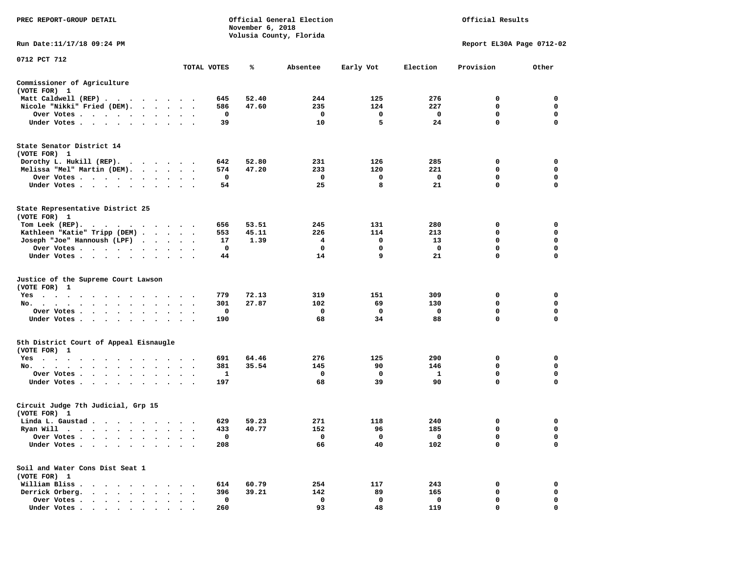| PREC REPORT-GROUP DETAIL                                                  |                      |                      |             | November 6, 2018 | Official General Election<br>Volusia County, Florida | Official Results |          |                           |                  |
|---------------------------------------------------------------------------|----------------------|----------------------|-------------|------------------|------------------------------------------------------|------------------|----------|---------------------------|------------------|
| Run Date: 11/17/18 09:24 PM                                               |                      |                      |             |                  |                                                      |                  |          | Report EL30A Page 0712-02 |                  |
| 0712 PCT 712                                                              |                      |                      | TOTAL VOTES | %                | Absentee                                             | Early Vot        | Election | Provision                 | Other            |
| Commissioner of Agriculture                                               |                      |                      |             |                  |                                                      |                  |          |                           |                  |
| (VOTE FOR) 1                                                              |                      |                      |             |                  |                                                      |                  |          |                           |                  |
| Matt Caldwell (REP)                                                       |                      |                      | 645         | 52.40            | 244                                                  | 125              | 276      | 0                         | 0                |
| Nicole "Nikki" Fried (DEM).                                               |                      |                      | 586         | 47.60            | 235                                                  | 124              | 227      | 0                         | 0                |
| Over Votes                                                                |                      | $\bullet$ .          | 0           |                  | 0                                                    | 0                | 0        | 0                         | 0                |
| Under Votes                                                               |                      |                      | 39          |                  | 10                                                   | 5                | 24       | $\mathbf 0$               | $\mathbf 0$      |
| State Senator District 14<br>(VOTE FOR) 1                                 |                      |                      |             |                  |                                                      |                  |          |                           |                  |
| Dorothy L. Hukill (REP).<br>.                                             |                      |                      | 642         | 52.80            | 231                                                  | 126              | 285      | 0                         | 0                |
| Melissa "Mel" Martin (DEM).                                               |                      |                      | 574         | 47.20            | 233                                                  | 120              | 221      | 0                         | 0                |
| Over Votes                                                                |                      |                      | 0           |                  | 0<br>25                                              | 0<br>8           | 0<br>21  | 0<br>0                    | 0<br>$\mathbf 0$ |
| Under Votes                                                               | $\cdots$             |                      | 54          |                  |                                                      |                  |          |                           |                  |
| State Representative District 25<br>(VOTE FOR) 1                          |                      |                      |             |                  |                                                      |                  |          |                           |                  |
| Tom Leek $(REP)$ .                                                        |                      |                      | 656         | 53.51            | 245                                                  | 131              | 280      | 0                         | 0                |
| Kathleen "Katie" Tripp (DEM)                                              |                      |                      | 553         | 45.11            | 226                                                  | 114              | 213      | 0                         | 0                |
| Joseph "Joe" Hannoush (LPF)                                               |                      |                      | 17          | 1.39             | 4                                                    | 0                | 13       | 0                         | $\mathbf 0$      |
| Over Votes<br>$\sim$ $\sim$                                               |                      |                      | 0           |                  | 0                                                    | 0                | 0        | 0                         | 0                |
| Under Votes                                                               |                      |                      | 44          |                  | 14                                                   | 9                | 21       | 0                         | 0                |
| Justice of the Supreme Court Lawson<br>(VOTE FOR) 1                       |                      |                      |             |                  |                                                      |                  |          |                           |                  |
| $Yes \t . \t .$<br>$\cdots$<br>$\cdots$                                   |                      |                      | 779         | 72.13            | 319                                                  | 151              | 309      | 0                         | 0                |
| No.                                                                       |                      | $\ddot{\phantom{1}}$ | 301         | 27.87            | 102                                                  | 69               | 130      | 0                         | 0                |
| Over Votes                                                                |                      |                      | 0           |                  | $\mathbf 0$                                          | 0                | 0        | $\mathbf 0$               | $\mathbf 0$      |
| Under Votes                                                               | $\sim$               | $\ddot{\phantom{1}}$ | 190         |                  | 68                                                   | 34               | 88       | 0                         | 0                |
| 5th District Court of Appeal Eisnaugle<br>(VOTE FOR) 1                    |                      |                      |             |                  |                                                      |                  |          |                           |                  |
| Yes                                                                       |                      |                      | 691         | 64.46            | 276                                                  | 125              | 290      | 0                         | 0                |
| No.<br>$\ddot{\phantom{0}}$<br>$\sim$                                     | $\ddot{\phantom{a}}$ |                      | 381         | 35.54            | 145                                                  | 90               | 146      | 0                         | 0                |
| Over Votes                                                                |                      | $\ddot{\phantom{1}}$ | 1           |                  | 0                                                    | 0                | 1        | $\mathbf 0$               | 0                |
| Under Votes                                                               |                      |                      | 197         |                  | 68                                                   | 39               | 90       | $\mathbf 0$               | $\mathbf 0$      |
| Circuit Judge 7th Judicial, Grp 15<br>(VOTE FOR) 1                        |                      |                      |             |                  |                                                      |                  |          |                           |                  |
| Linda L. Gaustad                                                          |                      |                      | 629         | 59.23            | 271                                                  | 118              | 240      | 0                         | 0                |
| Ryan Will $\cdots$ , $\cdots$ , $\cdots$ , $\cdots$                       |                      |                      | 433         | 40.77            | 152                                                  | 96               | 185      | $\mathbf 0$               | $\mathbf 0$      |
| Over Votes .                                                              |                      |                      | 0           |                  | 0                                                    | 0                | 0        | 0                         | 0                |
| Under Votes.<br>$\ddotsc$<br>$\ddot{\phantom{a}}$                         |                      |                      | 208         |                  | 66                                                   | 40               | 102      | 0                         | $\mathbf 0$      |
| Soil and Water Cons Dist Seat 1<br>(VOTE FOR) 1                           |                      |                      |             |                  |                                                      |                  |          |                           |                  |
| William Bliss.<br>$\ddot{\phantom{1}}$<br>$\cdot$<br>$\sim$ $\sim$        |                      |                      | 614         | 60.79            | 254                                                  | 117              | 243      | 0                         | 0                |
| Derrick Orberg.<br>$\cdot$ $\cdot$ $\cdot$ $\cdot$ $\cdot$                |                      |                      | 396         | 39.21            | 142                                                  | 89               | 165      | 0                         | 0                |
| Over Votes .<br>$\mathbf{r}$ , $\mathbf{r}$ , $\mathbf{r}$ , $\mathbf{r}$ |                      |                      | $\mathbf 0$ |                  | 0                                                    | 0                | 0        | 0                         | 0                |
| Under Votes.<br>$\cdot$ $\cdot$ $\cdot$                                   |                      |                      | 260         |                  | 93                                                   | 48               | 119      | 0                         | $\mathbf 0$      |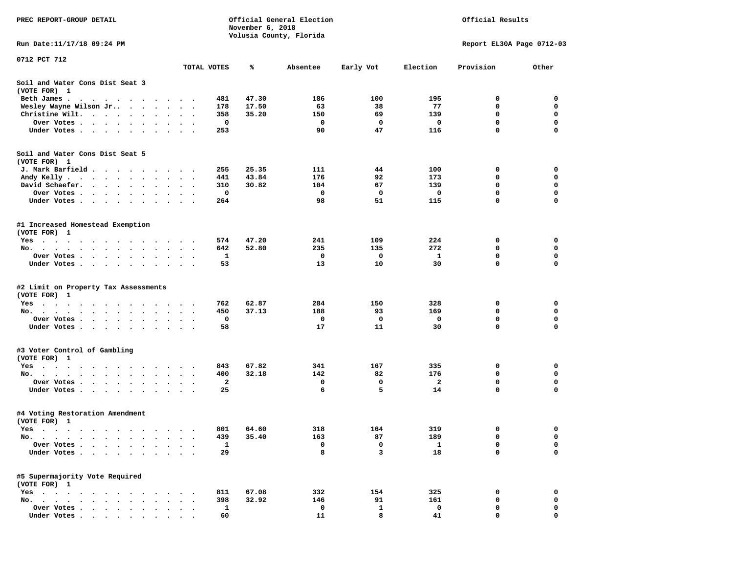| PREC REPORT-GROUP DETAIL                                                                                                                                                                                                                           |                                   |              | November 6, 2018 | Official General Election | Official Results |                           |             |             |  |
|----------------------------------------------------------------------------------------------------------------------------------------------------------------------------------------------------------------------------------------------------|-----------------------------------|--------------|------------------|---------------------------|------------------|---------------------------|-------------|-------------|--|
|                                                                                                                                                                                                                                                    |                                   |              |                  | Volusia County, Florida   |                  | Report EL30A Page 0712-03 |             |             |  |
| Run Date: 11/17/18 09:24 PM                                                                                                                                                                                                                        |                                   |              |                  |                           |                  |                           |             |             |  |
| 0712 PCT 712                                                                                                                                                                                                                                       |                                   | TOTAL VOTES  | ℁                | Absentee                  | Early Vot        | Election                  | Provision   | Other       |  |
|                                                                                                                                                                                                                                                    |                                   |              |                  |                           |                  |                           |             |             |  |
| Soil and Water Cons Dist Seat 3<br>(VOTE FOR) 1                                                                                                                                                                                                    |                                   |              |                  |                           |                  |                           |             |             |  |
| Beth James.<br>the contract of the contract of the contract of the contract of the contract of the contract of the contract of                                                                                                                     |                                   | 481          | 47.30            | 186                       | 100              | 195                       | 0           | 0           |  |
| Wesley Wayne Wilson Jr                                                                                                                                                                                                                             | $\ddot{\phantom{0}}$<br>$\bullet$ | 178          | 17.50            | 63                        | 38               | 77                        | 0           | 0           |  |
| Christine Wilt. $\cdot \cdot \cdot \cdot \cdot$<br>$\bullet$                                                                                                                                                                                       |                                   | 358          | 35.20            | 150                       | 69               | 139                       | 0           | 0           |  |
| Over Votes<br>$\sim$                                                                                                                                                                                                                               |                                   | 0            |                  | 0                         | 0                | 0                         | $\mathbf 0$ | $\mathbf 0$ |  |
| Under Votes                                                                                                                                                                                                                                        |                                   | 253          |                  | 90                        | 47               | 116                       | 0           | $\mathbf 0$ |  |
| Soil and Water Cons Dist Seat 5                                                                                                                                                                                                                    |                                   |              |                  |                           |                  |                           |             |             |  |
| (VOTE FOR) 1                                                                                                                                                                                                                                       |                                   |              |                  |                           |                  |                           |             |             |  |
| J. Mark Barfield                                                                                                                                                                                                                                   |                                   | 255          | 25.35            | 111                       | 44               | 100                       | 0           | 0           |  |
| Andy Kelly                                                                                                                                                                                                                                         |                                   | 441          | 43.84            | 176                       | 92               | 173                       | 0           | 0           |  |
| David Schaefer.<br>$\cdot$ $\cdot$ $\cdot$ $\cdot$ $\cdot$ $\cdot$<br>$\bullet$                                                                                                                                                                    |                                   | 310          | 30.82            | 104                       | 67               | 139                       | 0           | 0           |  |
| Over Votes .                                                                                                                                                                                                                                       |                                   | 0            |                  | 0                         | 0                | 0                         | $\mathbf 0$ | $\mathbf 0$ |  |
| Under Votes                                                                                                                                                                                                                                        |                                   | 264          |                  | 98                        | 51               | 115                       | 0           | $\mathbf 0$ |  |
| #1 Increased Homestead Exemption<br>(VOTE FOR) 1                                                                                                                                                                                                   |                                   |              |                  |                           |                  |                           |             |             |  |
| Yes                                                                                                                                                                                                                                                |                                   | 574          | 47.20            | 241                       | 109              | 224                       | 0           | 0           |  |
| No.<br>$\cdots$<br>$\ddot{\phantom{0}}$                                                                                                                                                                                                            |                                   | 642          | 52.80            | 235                       | 135              | 272                       | 0           | 0           |  |
| Over Votes                                                                                                                                                                                                                                         | $\ddot{\phantom{1}}$              | 1            |                  | 0                         | 0                | 1                         | 0           | 0           |  |
| Under Votes                                                                                                                                                                                                                                        |                                   | 53           |                  | 13                        | 10               | 30                        | 0           | $\Omega$    |  |
| #2 Limit on Property Tax Assessments                                                                                                                                                                                                               |                                   |              |                  |                           |                  |                           |             |             |  |
| (VOTE FOR) 1                                                                                                                                                                                                                                       |                                   |              |                  |                           |                  |                           |             |             |  |
| $Yes \cdot \cdot \cdot \cdot \cdot$<br>$\sim$ $\sim$<br>$\cdots$                                                                                                                                                                                   |                                   | 762          | 62.87            | 284                       | 150              | 328                       | 0           | 0           |  |
| No.                                                                                                                                                                                                                                                |                                   | 450          | 37.13            | 188                       | 93               | 169                       | 0           | 0           |  |
| Over Votes .<br>$\bullet$<br>$\cdots$<br>$\cdot$                                                                                                                                                                                                   |                                   | 0            |                  | 0                         | 0                | 0                         | 0           | 0           |  |
| Under Votes                                                                                                                                                                                                                                        |                                   | 58           |                  | 17                        | 11               | 30                        | 0           | $\mathbf 0$ |  |
| #3 Voter Control of Gambling                                                                                                                                                                                                                       |                                   |              |                  |                           |                  |                           |             |             |  |
| (VOTE FOR) 1                                                                                                                                                                                                                                       |                                   |              |                  |                           |                  |                           |             |             |  |
| Yes                                                                                                                                                                                                                                                |                                   | 843          | 67.82            | 341                       | 167              | 335                       | 0           | 0           |  |
| No.                                                                                                                                                                                                                                                |                                   | 400          | 32.18            | 142                       | 82               | 176                       | 0           | 0           |  |
| Over Votes .<br>$\mathcal{A}$ . The set of the set of the set of the set of the set of the set of the set of the set of the set of the set of the set of the set of the set of the set of the set of the set of the set of the set of the set of t |                                   | $\mathbf{2}$ |                  | 0                         | 0                | $\mathbf{2}$              | $\mathbf 0$ | $\mathbf 0$ |  |
| Under Votes                                                                                                                                                                                                                                        |                                   | 25           |                  | 6                         | 5                | 14                        | 0           | 0           |  |
| #4 Voting Restoration Amendment                                                                                                                                                                                                                    |                                   |              |                  |                           |                  |                           |             |             |  |
| (VOTE FOR) 1                                                                                                                                                                                                                                       |                                   |              |                  |                           |                  |                           | 0           | 0           |  |
| Yes<br>No.<br>$\sim$ $\sim$                                                                                                                                                                                                                        |                                   | 801<br>439   | 64.60<br>35.40   | 318<br>163                | 164<br>87        | 319<br>189                | 0           | 0           |  |
| Over Votes<br>$\overline{\phantom{a}}$                                                                                                                                                                                                             |                                   | $\mathbf{1}$ |                  | 0                         | 0                | 1                         | 0           | 0           |  |
| Under Votes.                                                                                                                                                                                                                                       |                                   | 29           |                  | 8                         | 3                | 18                        | 0           | $\mathbf 0$ |  |
|                                                                                                                                                                                                                                                    |                                   |              |                  |                           |                  |                           |             |             |  |
| #5 Supermajority Vote Required<br>(VOTE FOR) 1                                                                                                                                                                                                     |                                   |              |                  |                           |                  |                           |             |             |  |
| $Yes \t . \t .$                                                                                                                                                                                                                                    |                                   | 811          | 67.08            | 332                       | 154              | 325                       | 0           | 0           |  |
| $No. \t . \t .$<br>$\sim$<br>$\ddot{\phantom{a}}$<br>$\sim$                                                                                                                                                                                        |                                   | 398          | 32.92            | 146                       | 91               | 161                       | 0           | 0           |  |
| Over Votes .<br>$\ddot{\phantom{a}}$                                                                                                                                                                                                               |                                   | $\mathbf{1}$ |                  | 0                         | 1                | 0                         | 0           | 0           |  |
| Under Votes                                                                                                                                                                                                                                        |                                   | 60           |                  | 11                        | 8                | 41                        | 0           | $\Omega$    |  |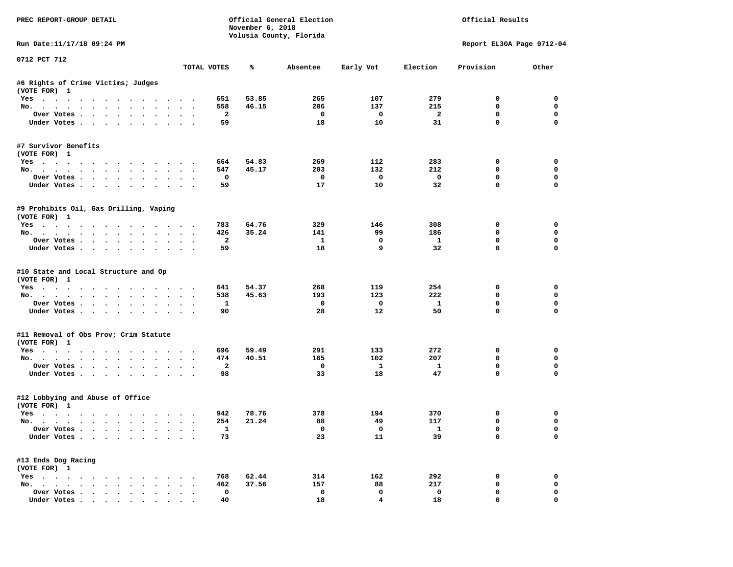| PREC REPORT-GROUP DETAIL                                                                                                                                                                                                                         |                                                      | November 6, 2018 | Official General Election<br>Volusia County, Florida |                    |                         | Official Results           |                  |
|--------------------------------------------------------------------------------------------------------------------------------------------------------------------------------------------------------------------------------------------------|------------------------------------------------------|------------------|------------------------------------------------------|--------------------|-------------------------|----------------------------|------------------|
| Run Date:11/17/18 09:24 PM                                                                                                                                                                                                                       |                                                      |                  |                                                      |                    |                         | Report EL30A Page 0712-04  |                  |
| 0712 PCT 712                                                                                                                                                                                                                                     | TOTAL VOTES                                          | ℁                | Absentee                                             | Early Vot          | Election                | Provision                  | Other            |
| #6 Rights of Crime Victims; Judges<br>(VOTE FOR) 1                                                                                                                                                                                               |                                                      |                  |                                                      |                    |                         |                            |                  |
| Yes                                                                                                                                                                                                                                              | 651                                                  | 53.85            | 265                                                  | 107                | 279                     | $\Omega$                   | $\mathbf 0$      |
| No.                                                                                                                                                                                                                                              | 558                                                  | 46.15            | 206                                                  | 137                | 215                     | $\mathbf 0$                | $\mathbf 0$      |
| Over Votes                                                                                                                                                                                                                                       | $\overline{\mathbf{2}}$                              |                  | $\mathbf{o}$                                         | $\mathbf{o}$       | $\overline{\mathbf{2}}$ | 0                          | 0                |
| Under Votes<br>$\sim$ $\sim$                                                                                                                                                                                                                     | 59                                                   |                  | 18                                                   | 10                 | 31                      | $\mathbf{0}$               | $\Omega$         |
| #7 Survivor Benefits<br>(VOTE FOR) 1                                                                                                                                                                                                             |                                                      |                  |                                                      |                    |                         |                            |                  |
| Yes                                                                                                                                                                                                                                              | 664                                                  | 54.83            | 269                                                  | 112                | 283                     | 0                          | $\mathbf 0$      |
| No.                                                                                                                                                                                                                                              | 547                                                  | 45.17            | 203                                                  | 132                | 212                     | 0                          | 0                |
| Over Votes                                                                                                                                                                                                                                       | 0                                                    |                  | 0                                                    | 0                  | $\mathbf 0$             | 0                          | 0                |
| Under Votes<br>$\sim$                                                                                                                                                                                                                            | 59                                                   |                  | 17                                                   | 10                 | 32                      | $\mathbf 0$                | $\mathbf 0$      |
| #9 Prohibits Oil, Gas Drilling, Vaping<br>(VOTE FOR) 1                                                                                                                                                                                           |                                                      |                  |                                                      |                    |                         |                            |                  |
| Yes                                                                                                                                                                                                                                              | 783                                                  | 64.76            | 329                                                  | 146                | 308                     | 0                          | $\mathbf 0$      |
| No.                                                                                                                                                                                                                                              | 426                                                  | 35.24            | 141                                                  | 99                 | 186                     | 0                          | 0                |
| Over Votes<br>$\sim$<br>$\ddot{\phantom{0}}$                                                                                                                                                                                                     | $\overline{a}$<br>$\sim$<br>$\overline{\phantom{a}}$ |                  | $\mathbf{1}$                                         | $\mathbf 0$        | $\mathbf{1}$            | $\mathbf 0$                | $\mathbf 0$      |
| Under Votes                                                                                                                                                                                                                                      | 59                                                   |                  | 18                                                   | 9                  | 32                      | $\Omega$                   | $\Omega$         |
| #10 State and Local Structure and Op<br>(VOTE FOR) 1                                                                                                                                                                                             |                                                      |                  |                                                      |                    |                         |                            |                  |
| Yes                                                                                                                                                                                                                                              | 641                                                  | 54.37            | 268                                                  | 119                | 254                     | 0                          | 0                |
| No.<br>$\ddot{\phantom{a}}$<br>$\sim$ $\sim$ $\sim$<br>$\ddot{\phantom{a}}$<br>$\sim$                                                                                                                                                            | 538                                                  | 45.63            | 193                                                  | 123                | 222                     | 0                          | 0                |
| Over Votes                                                                                                                                                                                                                                       | 1<br>$\ddot{\phantom{1}}$                            |                  | 0                                                    | $\mathbf 0$        | $\mathbf{1}$            | $\mathbf 0$<br>$\Omega$    | 0<br>$\Omega$    |
| Under Votes<br>$\sim$<br>$\ddot{\phantom{a}}$                                                                                                                                                                                                    | 90                                                   |                  | 28                                                   | 12                 | 50                      |                            |                  |
| #11 Removal of Obs Prov; Crim Statute<br>(VOTE FOR) 1                                                                                                                                                                                            |                                                      |                  |                                                      |                    |                         |                            |                  |
| Yes                                                                                                                                                                                                                                              | 696                                                  | 59.49            | 291                                                  | 133                | 272                     | 0                          | $\mathbf 0$      |
| No.                                                                                                                                                                                                                                              | 474                                                  | 40.51            | 165                                                  | 102                | 207                     | 0                          | 0                |
| Over Votes<br>Under Votes                                                                                                                                                                                                                        | $\overline{\mathbf{2}}$<br>98<br>.                   |                  | $\mathbf{o}$<br>33                                   | $\mathbf{1}$<br>18 | 1<br>47                 | 0<br>0                     | 0<br>$\mathbf 0$ |
| #12 Lobbying and Abuse of Office<br>(VOTE FOR) 1                                                                                                                                                                                                 |                                                      |                  |                                                      |                    |                         |                            |                  |
| Yes                                                                                                                                                                                                                                              | 942                                                  | 78.76            | 378                                                  | 194                | 370                     | 0                          | 0                |
| No.                                                                                                                                                                                                                                              | 254<br>$\cdot$                                       | 21.24            | 88                                                   | 49                 | 117                     | $\mathbf 0$                | $\mathbf 0$      |
| Over Votes<br>Under Votes<br>$\ddot{\phantom{a}}$                                                                                                                                                                                                | $\mathbf{1}$<br>73                                   |                  | $^{\circ}$<br>23                                     | $\Omega$<br>11     | $\mathbf{1}$<br>39      | $\mathbf 0$<br>$\mathbf 0$ | $\mathbf 0$<br>0 |
| #13 Ends Dog Racing                                                                                                                                                                                                                              |                                                      |                  |                                                      |                    |                         |                            |                  |
| (VOTE FOR) 1                                                                                                                                                                                                                                     |                                                      |                  |                                                      |                    |                         |                            |                  |
| $Yes \t . \t .$<br>. The contract contract of the contract of the contract of the contract of the contract of the contract of the contract of the contract of the contract of the contract of the contract of the contract of the contract of th | 768<br>462                                           | 62.44<br>37.56   | 314<br>157                                           | 162<br>88          | 292<br>217              | 0<br>$\mathbf 0$           | 0<br>0           |
| No.<br>Over Votes<br>$\ddot{\phantom{0}}$                                                                                                                                                                                                        | $\cdot$ $\cdot$ $\cdot$<br>0                         |                  | $\mathbf 0$                                          | $\mathbf 0$        | $\mathbf 0$             | $\mathbf 0$                | $\mathbf 0$      |
| Under Votes.                                                                                                                                                                                                                                     | 40                                                   |                  | 18                                                   | $\overline{4}$     | 18                      | $\mathbf 0$                | $\mathbf 0$      |
|                                                                                                                                                                                                                                                  |                                                      |                  |                                                      |                    |                         |                            |                  |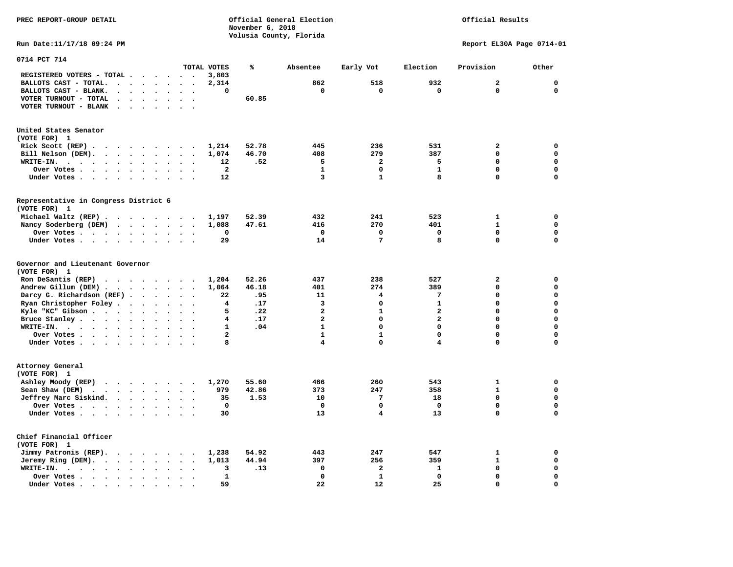**PREC REPORT-GROUP DETAIL COMPUTER CONSUMING A CONSUMING CONSUMING A LIGACION CONSUMING A LIGACION** *November 6, 2018 November 6, 2018*  **Volusia County, Florida Run Date:11/17/18 09:24 PM Report EL30A Page 0714-01** 

| 0714 PCT 714                                                                                                                                                                                                                                                                                                                                          |                                                           |                                                                                 |                                                                                                             |                                                                                     |                                                                                                                                                        |                                   |                                                               |                                                   |                                                                                                                      |                                                                            |                                                                                            |                                                             |                                                                                                                                     |
|-------------------------------------------------------------------------------------------------------------------------------------------------------------------------------------------------------------------------------------------------------------------------------------------------------------------------------------------------------|-----------------------------------------------------------|---------------------------------------------------------------------------------|-------------------------------------------------------------------------------------------------------------|-------------------------------------------------------------------------------------|--------------------------------------------------------------------------------------------------------------------------------------------------------|-----------------------------------|---------------------------------------------------------------|---------------------------------------------------|----------------------------------------------------------------------------------------------------------------------|----------------------------------------------------------------------------|--------------------------------------------------------------------------------------------|-------------------------------------------------------------|-------------------------------------------------------------------------------------------------------------------------------------|
|                                                                                                                                                                                                                                                                                                                                                       |                                                           |                                                                                 |                                                                                                             |                                                                                     |                                                                                                                                                        |                                   | TOTAL VOTES                                                   | ℁                                                 | Absentee                                                                                                             | Early Vot                                                                  | Election                                                                                   | Provision                                                   | Other                                                                                                                               |
| REGISTERED VOTERS - TOTAL .                                                                                                                                                                                                                                                                                                                           |                                                           |                                                                                 |                                                                                                             |                                                                                     | $\ddot{\phantom{a}}$                                                                                                                                   |                                   | 3,803                                                         |                                                   |                                                                                                                      |                                                                            |                                                                                            |                                                             |                                                                                                                                     |
| BALLOTS CAST - TOTAL.                                                                                                                                                                                                                                                                                                                                 | $\ddot{\phantom{a}}$                                      | $\bullet$                                                                       | $\bullet$                                                                                                   | $\bullet$                                                                           | $\ddot{\phantom{a}}$                                                                                                                                   | $\bullet$                         | 2,314                                                         |                                                   | 862                                                                                                                  | 518                                                                        | 932                                                                                        | $\mathbf{z}$                                                | $\mathbf{0}$                                                                                                                        |
| BALLOTS CAST - BLANK.<br>$\ddot{\phantom{a}}$                                                                                                                                                                                                                                                                                                         |                                                           |                                                                                 |                                                                                                             |                                                                                     |                                                                                                                                                        |                                   | 0                                                             |                                                   | 0                                                                                                                    | $\mathbf 0$                                                                | $\mathbf 0$                                                                                | 0                                                           | $\mathbf 0$                                                                                                                         |
| VOTER TURNOUT - TOTAL<br>$\ddot{\phantom{a}}$                                                                                                                                                                                                                                                                                                         |                                                           | $\bullet$                                                                       | $\cdot$                                                                                                     | $\ddot{\phantom{a}}$                                                                | $\ddot{\phantom{a}}$                                                                                                                                   | $\overline{\phantom{a}}$          |                                                               | 60.85                                             |                                                                                                                      |                                                                            |                                                                                            |                                                             |                                                                                                                                     |
| VOTER TURNOUT - BLANK<br>$\bullet$                                                                                                                                                                                                                                                                                                                    |                                                           |                                                                                 |                                                                                                             |                                                                                     |                                                                                                                                                        |                                   |                                                               |                                                   |                                                                                                                      |                                                                            |                                                                                            |                                                             |                                                                                                                                     |
| United States Senator                                                                                                                                                                                                                                                                                                                                 |                                                           |                                                                                 |                                                                                                             |                                                                                     |                                                                                                                                                        |                                   |                                                               |                                                   |                                                                                                                      |                                                                            |                                                                                            |                                                             |                                                                                                                                     |
| (VOTE FOR) 1                                                                                                                                                                                                                                                                                                                                          |                                                           |                                                                                 |                                                                                                             |                                                                                     |                                                                                                                                                        |                                   |                                                               |                                                   |                                                                                                                      |                                                                            |                                                                                            |                                                             |                                                                                                                                     |
| Rick Scott $(REP)$                                                                                                                                                                                                                                                                                                                                    |                                                           |                                                                                 |                                                                                                             |                                                                                     |                                                                                                                                                        |                                   | 1,214                                                         | 52.78                                             | 445                                                                                                                  | 236                                                                        | 531                                                                                        | $\mathbf{2}$                                                | 0                                                                                                                                   |
| Bill Nelson (DEM).<br>$\cdot$ $\cdot$ $\cdot$ $\cdot$ $\cdot$ $\cdot$                                                                                                                                                                                                                                                                                 |                                                           |                                                                                 |                                                                                                             |                                                                                     | $\sim$                                                                                                                                                 |                                   | 1,074                                                         | 46.70                                             | 408                                                                                                                  | 279                                                                        | 387                                                                                        | 0                                                           | 0                                                                                                                                   |
| WRITE-IN.<br>$\sim$ $\sim$<br>$\ddot{\phantom{0}}$<br>$\cdot$ $\cdot$                                                                                                                                                                                                                                                                                 | $\ddot{\phantom{a}}$                                      | $\ddot{\phantom{a}}$                                                            | $\ddot{\phantom{a}}$                                                                                        |                                                                                     |                                                                                                                                                        |                                   | 12                                                            | .52                                               | 5                                                                                                                    | $\overline{a}$                                                             | 5                                                                                          | 0                                                           | $\mathbf 0$                                                                                                                         |
| Over Votes .<br>$\ddot{\phantom{1}}$<br>$\bullet$ , $\bullet$ , $\bullet$ , $\bullet$ , $\bullet$                                                                                                                                                                                                                                                     |                                                           | $\bullet$                                                                       | $\bullet$                                                                                                   | $\bullet$                                                                           |                                                                                                                                                        |                                   | $\overline{\mathbf{2}}$                                       |                                                   | $\mathbf{1}$                                                                                                         | 0                                                                          | $\mathbf{1}$                                                                               | 0                                                           | $\mathbf 0$                                                                                                                         |
| Under Votes<br>$\sim$                                                                                                                                                                                                                                                                                                                                 | $\ddot{\phantom{0}}$                                      | $\ddot{\phantom{a}}$                                                            | $\cdot$                                                                                                     |                                                                                     |                                                                                                                                                        |                                   | 12                                                            |                                                   | 3                                                                                                                    | $\mathbf{1}$                                                               | 8                                                                                          | 0                                                           | $\mathbf 0$                                                                                                                         |
|                                                                                                                                                                                                                                                                                                                                                       |                                                           |                                                                                 |                                                                                                             |                                                                                     |                                                                                                                                                        |                                   |                                                               |                                                   |                                                                                                                      |                                                                            |                                                                                            |                                                             |                                                                                                                                     |
| Representative in Congress District 6<br>(VOTE FOR) 1                                                                                                                                                                                                                                                                                                 |                                                           |                                                                                 |                                                                                                             |                                                                                     |                                                                                                                                                        |                                   |                                                               |                                                   |                                                                                                                      |                                                                            |                                                                                            |                                                             |                                                                                                                                     |
| Michael Waltz (REP)                                                                                                                                                                                                                                                                                                                                   |                                                           |                                                                                 |                                                                                                             |                                                                                     |                                                                                                                                                        |                                   | 1,197                                                         | 52.39                                             | 432                                                                                                                  | 241                                                                        | 523                                                                                        | 1                                                           | 0                                                                                                                                   |
| Nancy Soderberg (DEM)<br>$\mathbf{r}$ . The set of the set of the set of the set of the set of the set of the set of the set of the set of the set of the set of the set of the set of the set of the set of the set of the set of the set of the set of t                                                                                            |                                                           |                                                                                 |                                                                                                             |                                                                                     |                                                                                                                                                        |                                   | 1,088                                                         | 47.61                                             | 416                                                                                                                  | 270                                                                        | 401                                                                                        | $\mathbf{1}$                                                | $\mathbf 0$                                                                                                                         |
| Over Votes                                                                                                                                                                                                                                                                                                                                            |                                                           |                                                                                 | $\bullet$                                                                                                   | $\bullet$                                                                           | $\ddot{\phantom{a}}$                                                                                                                                   | $\ddot{\phantom{a}}$              | 0                                                             |                                                   | $\mathbf 0$                                                                                                          | $\mathbf 0$                                                                | $\mathbf 0$                                                                                | $\mathbf 0$                                                 | $\mathbf 0$                                                                                                                         |
| Under Votes                                                                                                                                                                                                                                                                                                                                           |                                                           |                                                                                 |                                                                                                             |                                                                                     | $\ddot{\phantom{a}}$                                                                                                                                   |                                   | 29                                                            |                                                   | 14                                                                                                                   | 7                                                                          | 8                                                                                          | 0                                                           | $\mathbf 0$                                                                                                                         |
| Governor and Lieutenant Governor<br>(VOTE FOR) 1<br>Ron DeSantis (REP)<br>$\cdot$ $\cdot$ $\cdot$ $\cdot$ $\cdot$ $\cdot$ $\cdot$ $\cdot$<br>Andrew Gillum (DEM).<br>$\cdots$<br>Darcy G. Richardson (REF).<br>Ryan Christopher Foley.<br>Kyle "KC" Gibson<br>Bruce Stanley<br>WRITE-IN.<br>$\cdot$ $\cdot$<br>Over Votes.<br>$\cdots$<br>Under Votes | $\sim$                                                    | $\sim$ $\sim$ $\sim$ $\sim$<br>$\bullet$<br>$\bullet$<br>$\bullet$<br>$\bullet$ | $\bullet$<br>$\bullet$<br>$\ddot{\phantom{a}}$<br>$\ddot{\phantom{a}}$<br>$\bullet$<br>$\ddot{\phantom{1}}$ | $\ddot{\phantom{a}}$<br>$\bullet$<br>$\ddot{\phantom{a}}$<br>$\bullet$<br>$\bullet$ | $\ddot{\phantom{a}}$<br>$\ddot{\phantom{a}}$<br>$\ddot{\phantom{a}}$<br>$\ddot{\phantom{a}}$<br>$\ddot{\phantom{a}}$<br>$\sim$<br>$\ddot{\phantom{0}}$ | $\bullet$<br>$\ddot{\phantom{a}}$ | 1,204<br>1,064<br>22<br>4<br>5<br>4<br>1<br>$\mathbf{2}$<br>8 | 52.26<br>46.18<br>.95<br>.17<br>.22<br>.17<br>.04 | 437<br>401<br>11<br>3<br>$\overline{a}$<br>$\overline{a}$<br>$\mathbf{1}$<br>$\mathbf{1}$<br>$\overline{\mathbf{4}}$ | 238<br>274<br>4<br>0<br>$\mathbf{1}$<br>$\Omega$<br>0<br>$\mathbf{1}$<br>0 | 527<br>389<br>7<br>$\mathbf{1}$<br>$\mathbf{2}$<br>$\overline{a}$<br>0<br>$\mathbf 0$<br>4 | $\mathbf{z}$<br>0<br>0<br>0<br>0<br>$\Omega$<br>0<br>0<br>0 | $\mathbf 0$<br>$\mathbf 0$<br>$\mathbf 0$<br>$\mathbf 0$<br>$\mathbf 0$<br>$\mathbf 0$<br>$\mathbf 0$<br>$\mathbf 0$<br>$\mathbf 0$ |
| Attorney General<br>(VOTE FOR) 1<br>Ashley Moody (REP)<br>$\cdot$ $\cdot$ $\cdot$ $\cdot$ $\cdot$ $\cdot$ $\cdot$<br>Sean Shaw (DEM)<br>$\cdots$<br>$\sim$ $\sim$<br>Jeffrey Marc Siskind.<br>$\sim$ $\sim$ $\sim$<br>Over Votes.<br>Under Votes                                                                                                      |                                                           | $\sim$                                                                          | $\ddot{\phantom{a}}$<br>$\bullet$<br>$\ddot{\phantom{a}}$                                                   | $\mathbf{r}$<br>$\bullet$<br>$\cdot$                                                | $\sim$<br>$\bullet$<br>$\bullet$                                                                                                                       |                                   | 1,270<br>979<br>35<br>0<br>30                                 | 55.60<br>42.86<br>1.53                            | 466<br>373<br>10<br>$\mathbf 0$<br>13                                                                                | 260<br>247<br>7<br>0<br>4                                                  | 543<br>358<br>18<br>$\mathbf{0}$<br>13                                                     | $\mathbf{1}$<br>$\mathbf{1}$<br>$\mathbf 0$<br>0<br>0       | 0<br>$\mathbf 0$<br>$\mathbf 0$<br>$\mathbf 0$<br>$\mathbf 0$                                                                       |
| Chief Financial Officer<br>(VOTE FOR) 1<br>Jimmy Patronis (REP).<br>$\cdot$ $\cdot$ $\cdot$ $\cdot$<br>Jeremy Ring (DEM).<br>$\sim$ $\sim$<br>WRITE-IN.<br>$\mathbf{r}$ , $\mathbf{r}$ , $\mathbf{r}$<br>$\sim$ $\sim$<br>Over Votes.<br><b>Contract Contract Contract Contract</b>                                                                   | $\ddot{\phantom{0}}$<br>$\bullet$<br>$\ddot{\phantom{a}}$ | $\bullet$<br>$\bullet$<br>$\bullet$                                             | $\ddot{\phantom{0}}$<br>$\bullet$<br>$\ddot{\phantom{a}}$                                                   | $\sim$<br>$\ddot{\phantom{0}}$                                                      | $\sim$<br>$\ddot{\phantom{a}}$                                                                                                                         |                                   | 1,238<br>1,013<br>3<br>$\mathbf{1}$                           | 54.92<br>44.94<br>.13                             | 443<br>397<br>0<br>$\mathbf 0$                                                                                       | 247<br>256<br>$\overline{\mathbf{2}}$<br>$\mathbf{1}$                      | 547<br>359<br>${\bf 1}$<br>$\mathbf 0$                                                     | 1<br>$\mathbf{1}$<br>0<br>0                                 | 0<br>$\mathbf 0$<br>$\mathbf 0$<br>$\mathbf 0$                                                                                      |
| Under Votes                                                                                                                                                                                                                                                                                                                                           |                                                           | $\ddot{\phantom{a}}$                                                            | $\ddot{\phantom{a}}$                                                                                        |                                                                                     |                                                                                                                                                        |                                   | 59                                                            |                                                   | 22                                                                                                                   | 12                                                                         | 25                                                                                         | 0                                                           | $\mathbf 0$                                                                                                                         |
|                                                                                                                                                                                                                                                                                                                                                       |                                                           |                                                                                 |                                                                                                             |                                                                                     |                                                                                                                                                        |                                   |                                                               |                                                   |                                                                                                                      |                                                                            |                                                                                            |                                                             |                                                                                                                                     |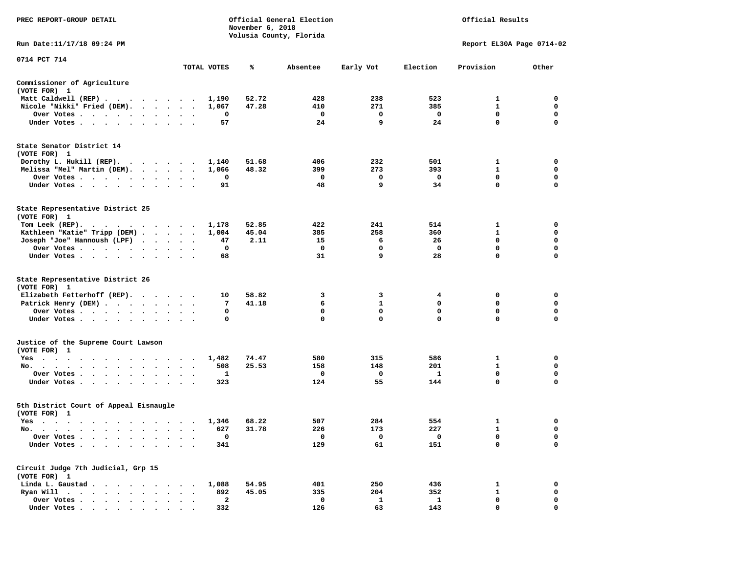| PREC REPORT-GROUP DETAIL                                                                                                                                                                                                             |               |              | November 6, 2018 | Official General Election<br>Volusia County, Florida | Official Results            |                  |                           |                  |
|--------------------------------------------------------------------------------------------------------------------------------------------------------------------------------------------------------------------------------------|---------------|--------------|------------------|------------------------------------------------------|-----------------------------|------------------|---------------------------|------------------|
| Run Date: 11/17/18 09:24 PM                                                                                                                                                                                                          |               |              |                  |                                                      |                             |                  | Report EL30A Page 0714-02 |                  |
| 0714 PCT 714                                                                                                                                                                                                                         |               | TOTAL VOTES  | ℁                | Absentee                                             | Early Vot                   | Election         | Provision                 | Other            |
| Commissioner of Agriculture                                                                                                                                                                                                          |               |              |                  |                                                      |                             |                  |                           |                  |
| (VOTE FOR) 1                                                                                                                                                                                                                         |               |              |                  |                                                      |                             |                  |                           |                  |
| Matt Caldwell (REP)                                                                                                                                                                                                                  |               | 1,190        | 52.72            | 428                                                  | 238                         | 523              | 1                         | 0                |
| Nicole "Nikki" Fried (DEM).                                                                                                                                                                                                          |               | 1,067        | 47.28            | 410                                                  | 271                         | 385              | $\mathbf{1}$              | 0                |
| Over Votes                                                                                                                                                                                                                           | $\cdot$       | 0            |                  | 0                                                    | 0                           | $\mathbf{o}$     | 0                         | 0                |
| Under Votes                                                                                                                                                                                                                          |               | 57           |                  | 24                                                   | 9                           | 24               | $\mathbf 0$               | $\mathbf 0$      |
| State Senator District 14<br>(VOTE FOR) 1                                                                                                                                                                                            |               |              |                  |                                                      |                             |                  |                           |                  |
| Dorothy L. Hukill $(REP)$ .                                                                                                                                                                                                          |               | 1,140        | 51.68            | 406                                                  | 232                         | 501              | 1                         | 0                |
| Melissa "Mel" Martin (DEM).                                                                                                                                                                                                          |               | 1,066        | 48.32            | 399                                                  | 273                         | 393              | 1                         | 0                |
| Over Votes                                                                                                                                                                                                                           |               | 0            |                  | 0                                                    | 0                           | 0                | $\mathbf 0$               | $\mathbf 0$      |
| Under Votes                                                                                                                                                                                                                          |               | 91           |                  | 48                                                   | 9                           | 34               | 0                         | $\mathbf 0$      |
| State Representative District 25<br>(VOTE FOR) 1                                                                                                                                                                                     |               |              |                  |                                                      |                             |                  |                           |                  |
| Tom Leek $(REP)$ .                                                                                                                                                                                                                   |               | 1,178        | 52.85            | 422                                                  | 241                         | 514              | 1                         | 0                |
| Kathleen "Katie" Tripp (DEM)                                                                                                                                                                                                         |               | 1,004        | 45.04            | 385                                                  | 258                         | 360              | $\mathbf{1}$              | 0                |
| Joseph "Joe" Hannoush (LPF)                                                                                                                                                                                                          |               | 47           | 2.11             | 15                                                   | 6                           | 26               | $\mathbf 0$               | $\mathbf 0$      |
| Over Votes                                                                                                                                                                                                                           |               | 0            |                  | 0                                                    | 0                           | $\mathbf{o}$     | 0                         | 0                |
| Under Votes.                                                                                                                                                                                                                         |               | 68           |                  | 31                                                   | 9                           | 28               | 0                         | 0                |
| State Representative District 26                                                                                                                                                                                                     |               |              |                  |                                                      |                             |                  |                           |                  |
| (VOTE FOR) 1                                                                                                                                                                                                                         |               |              |                  |                                                      |                             |                  |                           |                  |
| Elizabeth Fetterhoff (REP).                                                                                                                                                                                                          |               | 10           | 58.82            | 3                                                    | 3                           | 4                | 0                         | 0                |
| Patrick Henry (DEM)                                                                                                                                                                                                                  |               | 7            | 41.18            | 6                                                    | $\mathbf{1}$<br>$\mathbf 0$ | 0<br>$\mathbf 0$ | 0<br>$\mathbf 0$          | 0<br>$\mathbf 0$ |
| Over Votes<br>Under Votes                                                                                                                                                                                                            |               | 0<br>0       |                  | 0<br>0                                               | $\mathbf 0$                 | $\mathbf 0$      | 0                         | 0                |
|                                                                                                                                                                                                                                      | $\sim$ $\sim$ |              |                  |                                                      |                             |                  |                           |                  |
| Justice of the Supreme Court Lawson<br>(VOTE FOR) 1                                                                                                                                                                                  |               |              |                  |                                                      |                             |                  |                           |                  |
| Yes<br>the contract of the contract of the contract of the contract of the contract of the contract of the contract of                                                                                                               |               | 1,482        | 74.47            | 580                                                  | 315                         | 586              | 1                         | 0                |
| No.                                                                                                                                                                                                                                  |               | 508          | 25.53            | 158                                                  | 148                         | 201              | 1                         | 0                |
| Over Votes                                                                                                                                                                                                                           |               | 1            |                  | 0                                                    | 0                           | 1                | $\mathbf 0$               | $\mathbf 0$      |
| Under Votes                                                                                                                                                                                                                          |               | 323          |                  | 124                                                  | 55                          | 144              | $\mathbf 0$               | $\Omega$         |
| 5th District Court of Appeal Eisnaugle<br>(VOTE FOR) 1                                                                                                                                                                               |               |              |                  |                                                      |                             |                  |                           |                  |
| Yes                                                                                                                                                                                                                                  |               | 1,346        | 68.22            | 507                                                  | 284                         | 554              | 1                         | 0                |
| No.<br>. The contract of the contract of the contract of the contract of the contract of the contract of the contract of the contract of the contract of the contract of the contract of the contract of the contract of the contrac |               | 627          | 31.78            | 226                                                  | 173                         | 227              | $\mathbf{1}$              | $\Omega$         |
| Over Votes                                                                                                                                                                                                                           |               | 0            |                  | 0                                                    | 0                           | 0                | 0                         | 0                |
| Under Votes.                                                                                                                                                                                                                         |               | 341          |                  | 129                                                  | 61                          | 151              | 0                         | $\mathbf 0$      |
| Circuit Judge 7th Judicial, Grp 15<br>(VOTE FOR) 1                                                                                                                                                                                   |               |              |                  |                                                      |                             |                  |                           |                  |
| Linda L. Gaustad.<br>$\ddot{\phantom{a}}$<br>$\ddot{\phantom{a}}$                                                                                                                                                                    |               | 1,088        | 54.95            | 401                                                  | 250                         | 436              | 1                         | 0                |
| Ryan Will .<br>$\sim$ $\sim$<br>$\bullet$<br>$\bullet$<br>$\ddot{\phantom{a}}$                                                                                                                                                       |               | 892          | 45.05            | 335                                                  | 204                         | 352              | $\mathbf{1}$              | 0                |
| Over Votes .<br>$\ddot{\phantom{a}}$                                                                                                                                                                                                 |               | $\mathbf{2}$ |                  | 0                                                    | $\mathbf{1}$                | $\mathbf{1}$     | 0                         | 0                |
| Under Votes                                                                                                                                                                                                                          |               | 332          |                  | 126                                                  | 63                          | 143              | 0                         | $\Omega$         |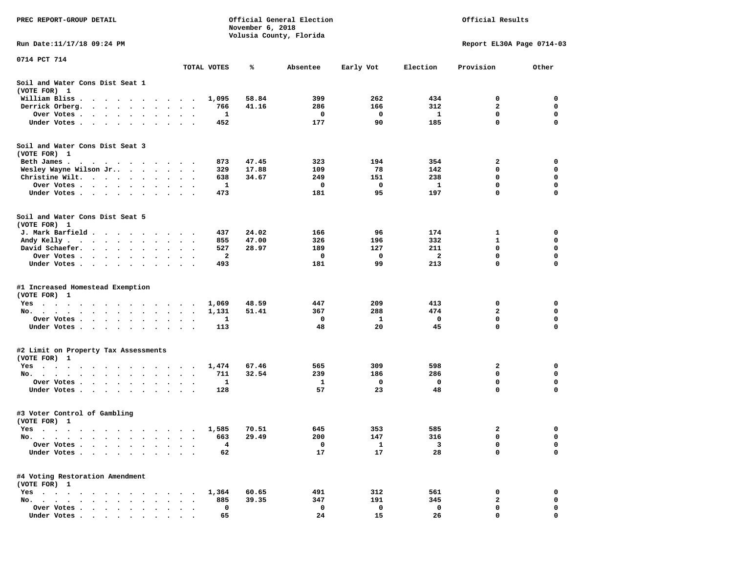| PREC REPORT-GROUP DETAIL                                                                                                                           |                                              |              | November 6, 2018 | Official General Election<br>Volusia County, Florida |            |              | Official Results          |             |
|----------------------------------------------------------------------------------------------------------------------------------------------------|----------------------------------------------|--------------|------------------|------------------------------------------------------|------------|--------------|---------------------------|-------------|
| Run Date:11/17/18 09:24 PM                                                                                                                         |                                              |              |                  |                                                      |            |              | Report EL30A Page 0714-03 |             |
| 0714 PCT 714                                                                                                                                       |                                              | TOTAL VOTES  | %                | Absentee                                             | Early Vot  | Election     | Provision                 | Other       |
| Soil and Water Cons Dist Seat 1<br>(VOTE FOR) 1                                                                                                    |                                              |              |                  |                                                      |            |              |                           |             |
| William Bliss.<br>$\bullet$<br>$\cdots$                                                                                                            |                                              | 1,095        | 58.84            | 399                                                  | 262        | 434          | 0                         | 0           |
| Derrick Orberg.<br>$\cdots$<br>$\bullet$                                                                                                           |                                              | 766          | 41.16            | 286                                                  | 166        | 312          | $\mathbf{2}$              | 0           |
| Over Votes .<br>$\cdots$<br>$\ddot{\phantom{0}}$                                                                                                   | $\cdot$<br>$\bullet$                         | 1            |                  | 0                                                    | 0          | 1            | 0                         | $\mathbf 0$ |
| Under Votes<br>$\sim$<br>$\ddot{\phantom{0}}$<br>$\ddot{\phantom{0}}$<br>$\ddot{\phantom{1}}$<br>$\cdot$                                           |                                              | 452          |                  | 177                                                  | 90         | 185          | 0                         | 0           |
| Soil and Water Cons Dist Seat 3<br>(VOTE FOR) 1                                                                                                    |                                              |              |                  |                                                      |            |              |                           |             |
| Beth James.                                                                                                                                        | $\ddot{\phantom{1}}$                         | 873          | 47.45            | 323                                                  | 194        | 354          | 2                         | 0           |
| Wesley Wayne Wilson Jr                                                                                                                             | $\cdot$ .                                    | 329          | 17.88            | 109                                                  | 78         | 142          | 0                         | 0           |
| Christine Wilt.<br>$\sim$ $\sim$<br>$\cdot$                                                                                                        |                                              | 638          | 34.67            | 249                                                  | 151        | 238          | 0                         | 0           |
| Over Votes<br>$\cdot$                                                                                                                              |                                              | 1            |                  | 0                                                    | 0<br>95    | 1            | 0<br>$\Omega$             | 0<br>0      |
| Under Votes                                                                                                                                        |                                              | 473          |                  | 181                                                  |            | 197          |                           |             |
| Soil and Water Cons Dist Seat 5<br>(VOTE FOR) 1                                                                                                    |                                              |              |                  |                                                      |            |              |                           |             |
| J. Mark Barfield                                                                                                                                   |                                              | 437          | 24.02            | 166                                                  | 96         | 174          | 1                         | 0           |
| Andy Kelly                                                                                                                                         |                                              | 855          | 47.00            | 326                                                  | 196        | 332          | 1                         | 0           |
| David Schaefer.<br>$\mathcal{A}$ , and $\mathcal{A}$ , and $\mathcal{A}$<br>$\bullet$                                                              | $\bullet$                                    | 527          | 28.97            | 189                                                  | 127        | 211          | 0                         | 0           |
| Over Votes<br>$\sim$ $\sim$                                                                                                                        |                                              | $\mathbf{z}$ |                  | 0                                                    | 0          | $\mathbf{2}$ | 0                         | 0           |
| Under Votes<br>$\ddot{\phantom{0}}$<br>$\bullet$                                                                                                   | $\cdot$<br>$\ddot{\phantom{0}}$<br>$\cdot$   | 493          |                  | 181                                                  | 99         | 213          | 0                         | 0           |
| #1 Increased Homestead Exemption<br>(VOTE FOR) 1                                                                                                   |                                              |              |                  |                                                      |            |              |                           |             |
| Yes                                                                                                                                                |                                              | 1,069        | 48.59            | 447                                                  | 209        | 413          | 0                         | 0           |
| No.<br>$\sim$ $\sim$                                                                                                                               |                                              | 1,131        | 51.41            | 367                                                  | 288        | 474          | $\mathbf{2}$              | 0           |
| Over Votes .<br>$\mathcal{L}(\mathcal{A})$ , and $\mathcal{A}(\mathcal{A})$ , and $\mathcal{A}(\mathcal{A})$<br>$\bullet$<br>$\blacksquare$        | $\bullet$<br>$\bullet$                       | 1            |                  | 0                                                    | 1          | 0            | $\mathbf 0$               | $\mathbf 0$ |
| Under Votes<br>$\sim$                                                                                                                              | $\ddot{\phantom{0}}$<br>$\ddot{\phantom{1}}$ | 113          |                  | 48                                                   | 20         | 45           | 0                         | $\mathbf 0$ |
| #2 Limit on Property Tax Assessments                                                                                                               |                                              |              |                  |                                                      |            |              |                           |             |
| (VOTE FOR) 1                                                                                                                                       |                                              |              |                  |                                                      |            |              |                           |             |
| $Yes \cdot \cdot \cdot$<br>$\sim$<br>$\blacksquare$ .<br>$\sim$ $\sim$<br>$\cdots$                                                                 | $\sim$                                       | 1,474        | 67.46            | 565                                                  | 309        | 598          | 2                         | 0           |
| No.                                                                                                                                                |                                              | 711          | 32.54            | 239                                                  | 186        | 286          | 0                         | 0           |
| Over Votes .<br>$\ddot{\phantom{1}}$<br>$\sim$ $\sim$ $\sim$<br>$\ddot{\bullet}$ $\ddot{\bullet}$<br>$\cdot$<br>Under Votes<br>$\bullet$<br>$\sim$ |                                              | 1<br>128     |                  | 1<br>57                                              | 0<br>23    | 0<br>48      | 0<br>0                    | 0<br>0      |
| #3 Voter Control of Gambling                                                                                                                       |                                              |              |                  |                                                      |            |              |                           |             |
| (VOTE FOR) 1                                                                                                                                       |                                              |              |                  |                                                      |            |              |                           |             |
| Yes<br>$\cdots$<br>$\cdots$<br>$\cdots$<br>No.                                                                                                     |                                              | 1,585<br>663 | 70.51<br>29.49   | 645<br>200                                           | 353<br>147 | 585<br>316   | 2<br>0                    | 0<br>0      |
| $\blacksquare$<br>Over Votes<br>$\ddot{\phantom{a}}$<br>$\bullet$<br>$\ddot{\phantom{a}}$                                                          |                                              | 4            |                  | 0                                                    | 1          | 3            | 0                         | 0           |
| Under Votes.<br>$\sim$ $\sim$ $\sim$ $\sim$<br>$\bullet$<br>$\bullet$                                                                              |                                              | 62           |                  | 17                                                   | 17         | 28           | 0                         | 0           |
| #4 Voting Restoration Amendment<br>(VOTE FOR) 1                                                                                                    |                                              |              |                  |                                                      |            |              |                           |             |
| $Yes \cdot \cdot \cdot$<br>$\sim$ $\sim$<br>$\sim$<br>$\ddot{\phantom{a}}$<br>$\bullet$<br>$\bullet$                                               |                                              | 1,364        | 60.65            | 491                                                  | 312        | 561          | 0                         | 0           |
| No.<br>$\sim$<br>$\sim$<br>$\overline{\phantom{a}}$<br>$\sim$                                                                                      |                                              | 885          | 39.35            | 347                                                  | 191        | 345          | $\mathbf{2}$              | 0           |
| Over Votes<br>$\bullet$                                                                                                                            |                                              | 0            |                  | 0                                                    | 0          | 0            | 0                         | 0           |
| Under Votes                                                                                                                                        |                                              | 65           |                  | 24                                                   | 15         | 26           | $\Omega$                  | O           |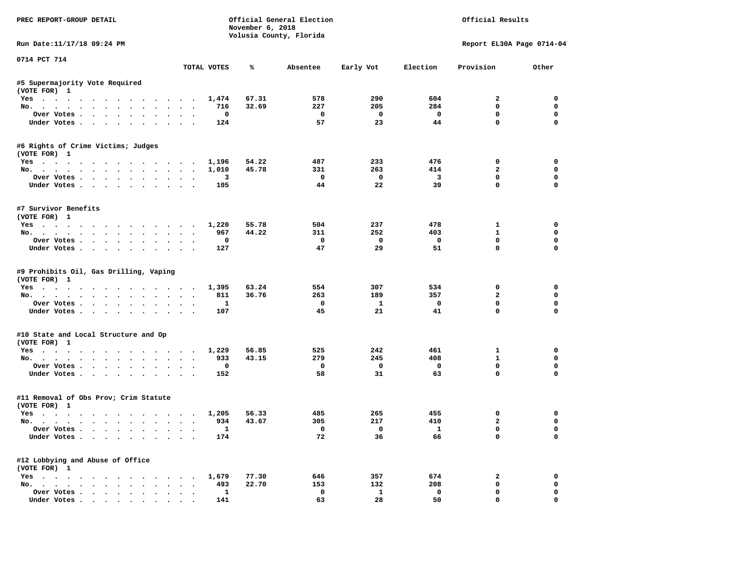| PREC REPORT-GROUP DETAIL                                      |                      |                     | November 6, 2018 | Official General Election<br>Volusia County, Florida |                          |                         | Official Results            |                      |
|---------------------------------------------------------------|----------------------|---------------------|------------------|------------------------------------------------------|--------------------------|-------------------------|-----------------------------|----------------------|
| Run Date:11/17/18 09:24 PM                                    |                      |                     |                  |                                                      |                          |                         | Report EL30A Page 0714-04   |                      |
| 0714 PCT 714                                                  |                      | TOTAL VOTES         | ℁                | Absentee                                             | Early Vot                | Election                | Provision                   | Other                |
| #5 Supermajority Vote Required                                |                      |                     |                  |                                                      |                          |                         |                             |                      |
| (VOTE FOR) 1                                                  |                      |                     |                  |                                                      |                          |                         |                             |                      |
| Yes 1,474                                                     |                      |                     | 67.31            | 578                                                  | 290                      | 604                     | $\overline{a}$              | $^{\circ}$           |
| No.                                                           |                      | 716                 | 32.69            | 227                                                  | 205                      | 284                     | $\mathbf 0$                 | $\mathbf 0$          |
| Over Votes                                                    |                      | $\mathbf 0$         |                  | $\overline{\phantom{0}}$                             | $\overline{\mathbf{0}}$  | $\overline{\mathbf{0}}$ | 0                           | $\mathbf 0$          |
| Under Votes                                                   |                      | 124                 |                  | 57                                                   | 23                       | 44                      | $\mathbf{0}$                | $\mathbf 0$          |
| #6 Rights of Crime Victims; Judges<br>(VOTE FOR) 1            |                      |                     |                  |                                                      |                          |                         |                             |                      |
| Yes                                                           |                      | 1,196               | 54.22            | 487                                                  | 233                      | 476                     | 0                           | 0                    |
| No.                                                           |                      | 1,010               | 45.78            | 331                                                  | 263                      | 414                     | $\overline{a}$              | 0                    |
| Over Votes                                                    |                      | 3                   |                  | $\overline{\phantom{a}}$                             | $\overline{\phantom{0}}$ | $\overline{\mathbf{3}}$ | $\mathbf 0$                 | 0                    |
| Under Votes                                                   | $\cdot$ $\cdot$      | 105                 |                  | 44                                                   | 22                       | 39                      | $\mathbf 0$                 | 0                    |
| #7 Survivor Benefits<br>(VOTE FOR) 1                          |                      |                     |                  |                                                      |                          |                         |                             |                      |
| Yes 1,220                                                     |                      |                     | 55.78            | 504                                                  | 237                      | 478                     | $\mathbf{1}$                | $\mathbf 0$          |
| No.                                                           |                      | 967                 | 44.22            | 311                                                  | 252                      | 403                     | $\mathbf{1}$                | $\mathbf 0$          |
| Over Votes                                                    |                      | 0                   |                  | $\mathbf{o}$                                         | $\overline{\mathbf{0}}$  | $\overline{\mathbf{0}}$ | $\mathbf 0$                 | $\mathbf 0$          |
| Under Votes                                                   |                      | 127                 |                  | 47                                                   | 29                       | 51                      | $\Omega$                    | $\Omega$             |
| #9 Prohibits Oil, Gas Drilling, Vaping<br>(VOTE FOR) 1<br>Yes |                      | 1,395<br>811        | 63.24<br>36.76   | 554<br>263                                           | 307<br>189               | 534<br>357              | 0<br>$\overline{a}$         | 0<br>0               |
| No.<br>Over Votes                                             |                      | $\mathbf{1}$        |                  | $\mathbf{o}$                                         | $\mathbf{1}$             | $\mathbf{o}$            | $\mathbf 0$                 | $\mathbf 0$          |
| Under Votes                                                   |                      | 107                 |                  | 45                                                   | 21                       | 41                      | $\mathbf 0$                 | $\Omega$             |
|                                                               |                      |                     |                  |                                                      |                          |                         |                             |                      |
| #10 State and Local Structure and Op<br>(VOTE FOR) 1          |                      |                     |                  |                                                      |                          |                         |                             |                      |
| Yes                                                           |                      | 1,229               | 56.85            | 525                                                  | 242                      | 461                     | $\mathbf{1}$                | 0                    |
| No.                                                           |                      | 933                 | 43.15            | 279                                                  | 245                      | 408                     | $\mathbf{1}$                | $\mathbf 0$          |
| Over Votes                                                    |                      | 0                   |                  | $\mathbf{o}$                                         | $\overline{\mathbf{0}}$  | $\overline{\mathbf{0}}$ | $\mathbf 0$                 | 0                    |
| Under Votes                                                   |                      | 152                 |                  | 58                                                   | 31                       | 63                      | $\Omega$                    | $\Omega$             |
| #11 Removal of Obs Prov; Crim Statute<br>(VOTE FOR) 1         |                      |                     |                  |                                                      |                          |                         |                             |                      |
| Yes 1,205                                                     |                      |                     | 56.33            | 485                                                  | 265                      | 455                     | 0                           | 0                    |
| No.                                                           |                      | 934                 | 43.67            | 305                                                  | 217                      | 410                     | $\overline{a}$              | $\mathbf 0$          |
| Over Votes<br>Under Votes                                     |                      | $\mathbf{1}$<br>174 |                  | $\overline{\mathbf{0}}$<br>72                        | $\overline{a}$<br>36     | $\mathbf{1}$<br>66      | $\mathbf{0}$<br>$\mathbf 0$ | $\Omega$<br>$\Omega$ |
| #12 Lobbying and Abuse of Office                              |                      |                     |                  |                                                      |                          |                         |                             |                      |
| (VOTE FOR) 1<br>Yes 1,679                                     |                      |                     | 77.30            | 646                                                  | 357                      | 674                     | 2                           | 0                    |
| No.                                                           |                      | 493                 | 22.70            | 153                                                  | 132                      | 208                     | $\mathbf 0$                 | $\mathbf 0$          |
| Over Votes                                                    | $\ddot{\phantom{0}}$ | $\mathbf{1}$        |                  | $\mathbf 0$                                          | $\mathbf{1}$             | $\mathbf 0$             | $\mathbf 0$                 | 0                    |
| Under Votes.                                                  |                      | 141                 |                  | 63                                                   | 28                       | 50                      | $\mathbf{0}$                | 0                    |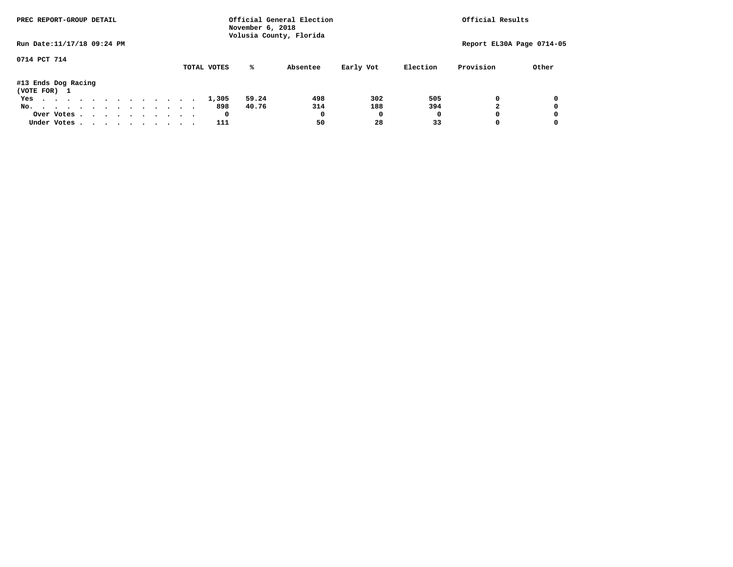| PREC REPORT-GROUP DETAIL            |            |  |  |  |  |  |             | November 6, 2018 | Official General Election<br>Volusia County, Florida |           |          | Official Results |                           |
|-------------------------------------|------------|--|--|--|--|--|-------------|------------------|------------------------------------------------------|-----------|----------|------------------|---------------------------|
| Run Date: 11/17/18 09:24 PM         |            |  |  |  |  |  |             |                  |                                                      |           |          |                  | Report EL30A Page 0714-05 |
| 0714 PCT 714                        |            |  |  |  |  |  | TOTAL VOTES | %ะ               | Absentee                                             | Early Vot | Election | Provision        | Other                     |
| #13 Ends Dog Racing<br>(VOTE FOR) 1 |            |  |  |  |  |  |             |                  |                                                      |           |          |                  |                           |
| Yes                                 |            |  |  |  |  |  | 1,305       | 59.24            | 498                                                  | 302       | 505      | 0                | 0                         |
| No.                                 |            |  |  |  |  |  | 898         | 40.76            | 314                                                  | 188       | 394      |                  | 0                         |
|                                     | Over Votes |  |  |  |  |  | 0           |                  | 0                                                    |           | O        |                  | 0                         |
| Under Votes, , , , , , , , , , ,    |            |  |  |  |  |  | 111         |                  | 50                                                   | 28        | 33       |                  | 0                         |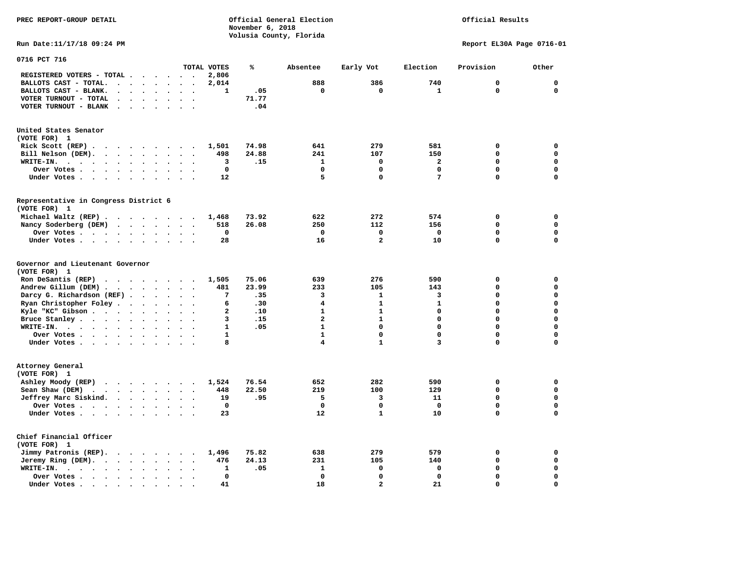## Official Results

**Run Date:11/17/18 09:24 PM Report EL30A Page 0716-01** 

| 0716 PCT 716                                                                                                       |                                                  |                         |       |                         |                |                         |             |             |
|--------------------------------------------------------------------------------------------------------------------|--------------------------------------------------|-------------------------|-------|-------------------------|----------------|-------------------------|-------------|-------------|
|                                                                                                                    |                                                  | TOTAL VOTES             | ℁     | Absentee                | Early Vot      | Election                | Provision   | Other       |
| REGISTERED VOTERS - TOTAL .<br>$\cdots$                                                                            | $\sim$ $\sim$<br>$\overline{\phantom{a}}$        | 2,806                   |       |                         |                |                         |             |             |
| BALLOTS CAST - TOTAL.<br>$\ddot{\phantom{a}}$<br>$\ddot{\phantom{a}}$<br>$\cdot$<br>$\sim$<br>$\ddot{\phantom{a}}$ |                                                  | 2,014                   |       | 888                     | 386            | 740                     | $\mathbf 0$ | $\mathbf 0$ |
| BALLOTS CAST - BLANK.<br>$\sim$ 100 $\mu$<br>$\ddot{\phantom{a}}$<br>$\ddot{\phantom{0}}$<br>$\sim$                | $\ddot{\phantom{a}}$<br>$\overline{\phantom{a}}$ | 1                       | .05   | $\mathbf 0$             | $\mathbf 0$    | $\mathbf{1}$            | $\mathbf 0$ | $\mathbf 0$ |
| VOTER TURNOUT - TOTAL                                                                                              |                                                  |                         | 71.77 |                         |                |                         |             |             |
| VOTER TURNOUT - BLANK<br>$\sim$ $\sim$                                                                             |                                                  |                         | .04   |                         |                |                         |             |             |
|                                                                                                                    |                                                  |                         |       |                         |                |                         |             |             |
| United States Senator                                                                                              |                                                  |                         |       |                         |                |                         |             |             |
| (VOTE FOR) 1                                                                                                       |                                                  |                         |       |                         |                |                         |             |             |
| Rick Scott (REP).<br>.<br>$\sim$ $\sim$                                                                            | $\sim$ $\sim$                                    | 1,501                   | 74.98 | 641                     | 279            | 581                     | 0           | 0           |
| Bill Nelson (DEM).<br>$\cdot$ $\cdot$ $\cdot$ $\cdot$<br>$\ddot{\phantom{1}}$                                      |                                                  | 498                     | 24.88 | 241                     | 107            | 150                     | $\Omega$    | $\mathbf 0$ |
| WRITE-IN.<br>$\cdots$<br>$\mathbf{r}$ , and $\mathbf{r}$ , and $\mathbf{r}$<br>$\bullet$<br>$\ddot{\phantom{a}}$   | $\ddot{\phantom{a}}$<br>$\ddot{\phantom{a}}$     | 3                       | .15   | $\mathbf{1}$            | 0              | $\overline{\mathbf{2}}$ | 0           | $\mathbf 0$ |
| Over Votes .<br>$\sim$<br>$\sim$ $\sim$ $\sim$ $\sim$<br>$\bullet$<br>$\bullet$                                    |                                                  | $\mathbf 0$             |       | $\mathbf 0$             | 0              | $\mathbf 0$             | 0           | 0           |
| Under Votes<br>$\sim$<br>$\ddot{\phantom{0}}$<br>$\ddot{\phantom{0}}$                                              | $\ddot{\phantom{0}}$<br>$\bullet$                | 12                      |       | 5                       | 0              | 7                       | 0           | $\mathbf 0$ |
|                                                                                                                    |                                                  |                         |       |                         |                |                         |             |             |
| Representative in Congress District 6                                                                              |                                                  |                         |       |                         |                |                         |             |             |
| (VOTE FOR) 1                                                                                                       |                                                  |                         |       |                         |                |                         |             |             |
| Michael Waltz (REP)                                                                                                |                                                  | 1,468                   | 73.92 | 622                     | 272            | 574                     | 0           | 0           |
| Nancy Soderberg (DEM)<br>$\cdots$                                                                                  | $\ddot{\phantom{1}}$<br>$\ddot{\phantom{1}}$     | 518                     | 26.08 | 250                     | 112            | 156                     | 0           | $\mathbf 0$ |
| Over Votes<br>$\sim$<br>$\ddot{\phantom{a}}$                                                                       | $\ddot{\phantom{a}}$                             | $\mathbf 0$             |       | $\mathbf 0$             | 0              | 0                       | 0           | $\mathbf 0$ |
| Under Votes<br>$\ddot{\phantom{0}}$                                                                                |                                                  | 28                      |       | 16                      | $\overline{a}$ | 10                      | $\Omega$    | $\mathbf 0$ |
| Governor and Lieutenant Governor<br>(VOTE FOR) 1                                                                   |                                                  |                         |       |                         |                |                         |             |             |
| Ron DeSantis (REP)<br>$\cdot$ $\cdot$ $\cdot$ $\cdot$ $\cdot$ $\cdot$                                              | $\sim$                                           | 1,505                   | 75.06 | 639                     | 276            | 590                     | 0           | $\mathbf 0$ |
| Andrew Gillum (DEM)                                                                                                |                                                  | 481                     | 23.99 | 233                     | 105            | 143                     | 0           | $\mathbf 0$ |
| Darcy G. Richardson (REF).<br>$\bullet$<br>$\ddot{\phantom{a}}$                                                    |                                                  | 7                       | .35   | 3                       | $\mathbf{1}$   | 3                       | 0           | $\mathbf 0$ |
| Ryan Christopher Foley.<br>$\sim$<br>$\bullet$<br>$\bullet$                                                        |                                                  | 6                       | .30   | 4                       | $\mathbf{1}$   | $\mathbf{1}$            | 0           | $\mathbf 0$ |
| Kyle "KC" Gibson<br>$\ddot{\phantom{0}}$<br>$\bullet$<br>$\bullet$                                                 | $\ddot{\phantom{a}}$                             | $\overline{\mathbf{2}}$ | .10   | $\mathbf{1}$            | $\mathbf{1}$   | $\mathbf 0$             | 0           | $\mathbf 0$ |
| Bruce Stanley<br>$\ddot{\phantom{a}}$<br>$\bullet$                                                                 | $\ddot{\phantom{a}}$                             | 3                       | .15   | $\overline{\mathbf{2}}$ | $\mathbf{1}$   | 0                       | 0           | $\mathbf 0$ |
| WRITE-IN.<br>$\bullet$<br>$\ddot{\phantom{a}}$                                                                     |                                                  | 1                       | .05   | $\mathbf{1}$            | $\Omega$       | $\Omega$                | $\Omega$    | $\mathbf 0$ |
| Over Votes.<br>$\ddot{\phantom{a}}$<br>$\bullet$                                                                   | $\ddot{\phantom{a}}$<br>$\overline{\phantom{a}}$ | $\mathbf{1}$            |       | $\mathbf{1}$            | $\mathbf 0$    | $\mathbf 0$             | $\Omega$    | $\mathbf 0$ |
| Under Votes<br>$\sim$                                                                                              | $\sim$                                           | 8                       |       | 4                       | $\mathbf{1}$   | 3                       | 0           | $\mathbf 0$ |
| Attorney General                                                                                                   |                                                  |                         |       |                         |                |                         |             |             |
| (VOTE FOR) 1                                                                                                       |                                                  |                         |       |                         |                |                         |             |             |
| Ashley Moody (REP)                                                                                                 |                                                  | 1,524                   | 76.54 | 652                     | 282            | 590                     | $\mathbf 0$ | 0           |
| Sean Shaw (DEM)<br>$\ddot{\phantom{1}}$<br>$\sim$ $\sim$<br>$\ddot{\phantom{a}}$                                   |                                                  | 448                     | 22.50 | 219                     | 100            | 129                     | 0           | $\mathbf 0$ |
| Jeffrey Marc Siskind.<br>$\cdots$<br>$\bullet$                                                                     | $\ddot{\phantom{a}}$<br>$\bullet$                | 19                      | .95   | 5                       | 3              | 11                      | 0           | $\mathbf 0$ |
| Over Votes.<br>$\ddot{\phantom{a}}$<br>$\ddot{\phantom{a}}$                                                        |                                                  | $\mathbf 0$             |       | $\mathbf 0$             | $\mathbf 0$    | $\mathbf{0}$            | $\Omega$    | $\mathbf 0$ |
| Under Votes                                                                                                        |                                                  | 23                      |       | 12                      | $\mathbf{1}$   | 10                      | 0           | $\mathbf 0$ |
|                                                                                                                    |                                                  |                         |       |                         |                |                         |             |             |
| Chief Financial Officer<br>(VOTE FOR) 1                                                                            |                                                  |                         |       |                         |                |                         |             |             |
| Jimmy Patronis (REP).<br>$\sim$ $\sim$<br>$\sim$ $\sim$<br>$\ddot{\phantom{1}}$                                    |                                                  | 1,496                   | 75.82 | 638                     | 279            | 579                     | 0           | 0           |
| Jeremy Ring (DEM).<br>$\cdot$ $\cdot$ $\cdot$ $\cdot$ $\cdot$<br>$\bullet$<br>$\bullet$                            | $\sim$<br>$\ddot{\phantom{a}}$                   | 476                     | 24.13 | 231                     | 105            | 140                     | 0           | $\mathbf 0$ |
| WRITE-IN.<br>$\cdot$ $\cdot$ $\cdot$ $\cdot$ $\cdot$<br>$\bullet$<br>$\bullet$<br>$\bullet$                        |                                                  | 1                       | .05   | 1                       | 0              | 0                       | 0           | 0           |
| Over Votes.<br>$\sim$ $\sim$ $\sim$ $\sim$<br>$\ddot{\phantom{a}}$<br>$\cdot$                                      |                                                  | $\Omega$                |       | $\Omega$                | 0              | $\Omega$                | $\Omega$    | $\mathbf 0$ |
| Under Votes.<br>$\cdot$ $\cdot$<br>$\sim$<br>$\sim$<br>$\bullet$                                                   |                                                  | 41                      |       | 18                      | $\overline{a}$ | 21                      | 0           | $\mathbf 0$ |
|                                                                                                                    |                                                  |                         |       |                         |                |                         |             |             |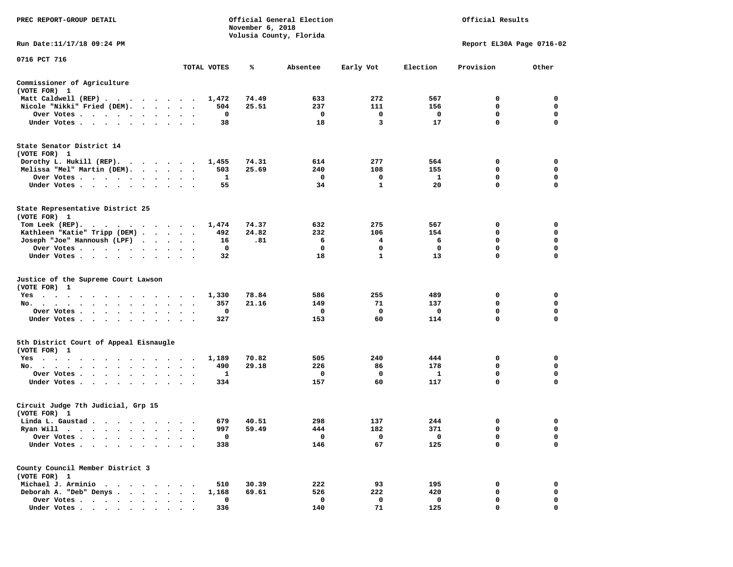| PREC REPORT-GROUP DETAIL                                    |                                 |             | November 6, 2018 | Official General Election<br>Volusia County, Florida |              |          | Official Results          |                  |
|-------------------------------------------------------------|---------------------------------|-------------|------------------|------------------------------------------------------|--------------|----------|---------------------------|------------------|
| Run Date: 11/17/18 09:24 PM                                 |                                 |             |                  |                                                      |              |          | Report EL30A Page 0716-02 |                  |
| 0716 PCT 716                                                |                                 | TOTAL VOTES | ℁                | Absentee                                             | Early Vot    | Election | Provision                 | Other            |
| Commissioner of Agriculture<br>(VOTE FOR) 1                 |                                 |             |                  |                                                      |              |          |                           |                  |
| Matt Caldwell (REP)                                         |                                 | 1,472       | 74.49            | 633                                                  | 272          | 567      | 0                         | 0                |
| Nicole "Nikki" Fried (DEM).                                 |                                 | 504         | 25.51            | 237                                                  | 111          | 156      | 0                         | 0                |
| Over Votes                                                  | $\bullet$ .<br><br><br><br><br> | 0           |                  | 0                                                    | 0            | 0        | 0                         | 0                |
| Under Votes                                                 |                                 | 38          |                  | 18                                                   | 3            | 17       | $\mathbf 0$               | $\Omega$         |
| State Senator District 14<br>(VOTE FOR) 1                   |                                 |             |                  |                                                      |              |          |                           |                  |
| Dorothy L. Hukill $(REP)$ .                                 |                                 | 1,455       | 74.31            | 614                                                  | 277          | 564      | 0                         | 0                |
| Melissa "Mel" Martin (DEM).                                 |                                 | 503         | 25.69            | 240                                                  | 108          | 155      | 0                         | 0<br>$\mathbf 0$ |
| Over Votes<br>Under Votes                                   |                                 | 1<br>55     |                  | 0<br>34                                              | 0<br>1       | 1<br>20  | 0<br>0                    | $\Omega$         |
|                                                             |                                 |             |                  |                                                      |              |          |                           |                  |
| State Representative District 25<br>(VOTE FOR) 1            |                                 |             |                  |                                                      |              |          |                           |                  |
| Tom Leek $(REP)$ .                                          |                                 | 1,474       | 74.37            | 632                                                  | 275          | 567      | 0                         | 0                |
| Kathleen "Katie" Tripp (DEM)                                |                                 | 492         | 24.82            | 232                                                  | 106          | 154      | 0                         | 0                |
| Joseph "Joe" Hannoush (LPF)                                 |                                 | 16          | .81              | 6                                                    | 4            | 6        | 0                         | $\mathbf 0$      |
| Over Votes<br>$\sim$ $\sim$ $\sim$                          |                                 | 0           |                  | 0                                                    | 0            | 0        | 0                         | 0                |
| Under Votes                                                 |                                 | 32          |                  | 18                                                   | $\mathbf{1}$ | 13       | 0                         | 0                |
| Justice of the Supreme Court Lawson<br>(VOTE FOR) 1         |                                 |             |                  |                                                      |              |          |                           |                  |
| $Yes \t . \t .$<br>.                                        |                                 | 1,330       | 78.84            | 586                                                  | 255          | 489      | 0                         | 0                |
| No.                                                         |                                 | 357         | 21.16            | 149                                                  | 71           | 137      | 0                         | 0                |
| Over Votes                                                  |                                 | 0           |                  | 0                                                    | 0            | 0        | $\mathbf 0$               | $\mathbf 0$      |
| Under Votes                                                 | $\sim$<br>$\ddot{\phantom{1}}$  | 327         |                  | 153                                                  | 60           | 114      | 0                         | 0                |
| 5th District Court of Appeal Eisnaugle<br>(VOTE FOR) 1      |                                 |             |                  |                                                      |              |          |                           |                  |
| Yes                                                         |                                 | 1,189       | 70.82            | 505                                                  | 240          | 444      | 0                         | 0                |
| No.                                                         | $\bullet$<br>$\cdot$            | 490         | 29.18            | 226                                                  | 86           | 178      | 0                         | 0                |
| Over Votes                                                  |                                 | 1           |                  | 0                                                    | 0            | 1        | 0                         | 0                |
| Under Votes                                                 |                                 | 334         |                  | 157                                                  | 60           | 117      | $\mathbf 0$               | $\mathbf 0$      |
| Circuit Judge 7th Judicial, Grp 15<br>(VOTE FOR) 1          |                                 |             |                  |                                                      |              |          |                           |                  |
| Linda L. Gaustad                                            |                                 | 679         | 40.51            | 298                                                  | 137          | 244      | 0                         | 0                |
| Ryan Will $\cdots$ , $\cdots$ , $\cdots$ , $\cdots$         |                                 | 997         | 59.49            | 444                                                  | 182          | 371      | $\mathbf 0$               | $\mathbf 0$      |
| Over Votes .                                                |                                 | 0           |                  | 0                                                    | 0            | 0        | 0                         | 0                |
| Under Votes.<br>$\bullet$                                   |                                 | 338         |                  | 146                                                  | 67           | 125      | $\Omega$                  | $\mathbf 0$      |
| County Council Member District 3<br>(VOTE FOR) 1            |                                 |             |                  |                                                      |              |          |                           |                  |
| Michael J. Arminio<br>$\ddot{\phantom{1}}$<br>$\sim$ $\sim$ |                                 | 510         | 30.39            | 222                                                  | 93           | 195      | 0                         | 0                |
| Deborah A. "Deb" Denys.<br>$\cdot$ $\cdot$ $\cdot$          |                                 | 1,168       | 69.61            | 526                                                  | 222          | 420      | 0                         | 0                |
| Over Votes                                                  |                                 | $\mathbf 0$ |                  | $\mathbf 0$                                          | 0            | 0        | 0                         | 0                |
| Under Votes                                                 |                                 | 336         |                  | 140                                                  | 71           | 125      | $\Omega$                  | $\Omega$         |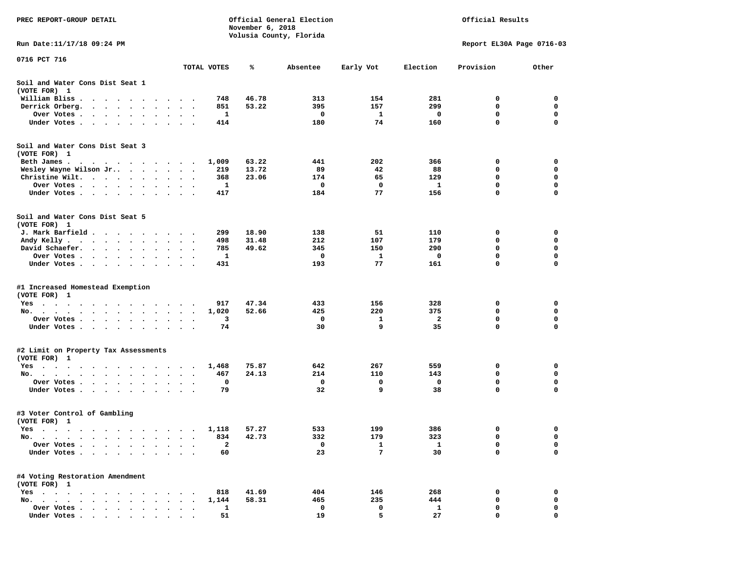| PREC REPORT-GROUP DETAIL                                                                                                                                                                                                                      |                                                                | November 6, 2018 | Official General Election<br>Volusia County, Florida |           |              | Official Results          |             |
|-----------------------------------------------------------------------------------------------------------------------------------------------------------------------------------------------------------------------------------------------|----------------------------------------------------------------|------------------|------------------------------------------------------|-----------|--------------|---------------------------|-------------|
| Run Date:11/17/18 09:24 PM                                                                                                                                                                                                                    |                                                                |                  |                                                      |           |              | Report EL30A Page 0716-03 |             |
| 0716 PCT 716                                                                                                                                                                                                                                  |                                                                |                  |                                                      |           |              |                           |             |
|                                                                                                                                                                                                                                               | TOTAL VOTES                                                    | ℁                | Absentee                                             | Early Vot | Election     | Provision                 | Other       |
| Soil and Water Cons Dist Seat 1<br>(VOTE FOR) 1                                                                                                                                                                                               |                                                                |                  |                                                      |           |              |                           |             |
| William Bliss.<br>.                                                                                                                                                                                                                           | 748                                                            | 46.78            | 313                                                  | 154       | 281          | 0                         | 0           |
| Derrick Orberg.                                                                                                                                                                                                                               | 851                                                            | 53.22            | 395                                                  | 157       | 299          | 0                         | 0           |
| Over Votes .<br>. The contract of the contract of the contract of the contract of the contract of the contract of the contract of the contract of the contract of the contract of the contract of the contract of the contract of the contrac | 1<br>$\bullet$<br>$\bullet$<br>$\bullet$                       |                  | 0                                                    | 1         | 0            | 0                         | 0           |
| Under Votes                                                                                                                                                                                                                                   | 414                                                            |                  | 180                                                  | 74        | 160          | 0                         | 0           |
| Soil and Water Cons Dist Seat 3<br>(VOTE FOR) 1                                                                                                                                                                                               |                                                                |                  |                                                      |           |              |                           |             |
| Beth James.                                                                                                                                                                                                                                   | 1,009<br>$\overline{\phantom{a}}$                              | 63.22            | 441                                                  | 202       | 366          | 0                         | 0           |
| Wesley Wayne Wilson Jr                                                                                                                                                                                                                        | 219                                                            | 13.72            | 89                                                   | 42        | 88           | 0                         | 0           |
| Christine Wilt.                                                                                                                                                                                                                               | 368                                                            | 23.06            | 174                                                  | 65        | 129          | 0                         | $\mathbf 0$ |
| Over Votes                                                                                                                                                                                                                                    | 1                                                              |                  | 0                                                    | 0         | <b>1</b>     | 0                         | 0           |
| Under Votes                                                                                                                                                                                                                                   | 417                                                            |                  | 184                                                  | 77        | 156          | 0                         | 0           |
| Soil and Water Cons Dist Seat 5<br>(VOTE FOR) 1                                                                                                                                                                                               |                                                                |                  |                                                      |           |              |                           |             |
| J. Mark Barfield                                                                                                                                                                                                                              | 299                                                            | 18.90            | 138                                                  | 51        | 110          | 0                         | 0           |
| Andy Kelly                                                                                                                                                                                                                                    | 498                                                            | 31.48            | 212                                                  | 107       | 179          | 0                         | 0           |
| David Schaefer.                                                                                                                                                                                                                               | 785<br>$\bullet$ .<br><br><br><br><br><br>$\ddot{\phantom{1}}$ | 49.62            | 345                                                  | 150       | 290          | 0                         | $\mathbf 0$ |
| Over Votes<br>$\ddot{\phantom{0}}$                                                                                                                                                                                                            | 1                                                              |                  | 0                                                    | 1         | 0            | 0                         | 0           |
| Under Votes                                                                                                                                                                                                                                   | 431                                                            |                  | 193                                                  | 77        | 161          | 0                         | $\Omega$    |
| #1 Increased Homestead Exemption<br>(VOTE FOR) 1                                                                                                                                                                                              |                                                                |                  |                                                      |           |              |                           |             |
| $Yes \t . \t .$<br>the contract of the contract of the contract of the contract of the contract of the contract of the contract of                                                                                                            | 917                                                            | 47.34            | 433                                                  | 156       | 328          | 0                         | 0           |
| No.                                                                                                                                                                                                                                           | 1,020                                                          | 52.66            | 425                                                  | 220       | 375          | 0                         | 0           |
| Over Votes                                                                                                                                                                                                                                    | 3<br>$\sim$ $\sim$                                             |                  | 0                                                    | 1         | 2            | 0                         | 0           |
| Under Votes                                                                                                                                                                                                                                   | 74                                                             |                  | 30                                                   | 9         | 35           | 0                         | 0           |
| #2 Limit on Property Tax Assessments<br>(VOTE FOR) 1                                                                                                                                                                                          |                                                                |                  |                                                      |           |              |                           |             |
| Yes                                                                                                                                                                                                                                           | 1,468                                                          | 75.87            | 642                                                  | 267       | 559          | 0                         | 0           |
| No.                                                                                                                                                                                                                                           | 467                                                            | 24.13            | 214                                                  | 110       | 143          | 0                         | 0           |
| Over Votes .                                                                                                                                                                                                                                  | 0<br>$\bullet$                                                 |                  | 0                                                    | 0         | 0            | $\mathbf 0$               | 0           |
| Under Votes<br>$\cdot$ $\cdot$                                                                                                                                                                                                                | 79                                                             |                  | 32                                                   | 9         | 38           | $\mathbf 0$               | 0           |
| #3 Voter Control of Gambling<br>(VOTE FOR) 1                                                                                                                                                                                                  |                                                                |                  |                                                      |           |              |                           |             |
| res                                                                                                                                                                                                                                           |                                                                | 1,118 57.27      | 533                                                  | 199       | 386          |                           | 0           |
| No.                                                                                                                                                                                                                                           | 834<br>$\ddot{\phantom{0}}$                                    | 42.73            | 332                                                  | 179       | 323          | 0                         | 0           |
| Over Votes .<br>$\cdot$ $\cdot$ $\cdot$ $\cdot$ $\cdot$<br>$\sim$                                                                                                                                                                             | $\mathbf{2}$                                                   |                  | 0                                                    | 1         | $\mathbf{1}$ | 0                         | 0           |
| Under Votes                                                                                                                                                                                                                                   | 60                                                             |                  | 23                                                   | 7         | 30           | $\mathbf 0$               | 0           |
| #4 Voting Restoration Amendment<br>(VOTE FOR) 1                                                                                                                                                                                               |                                                                |                  |                                                      |           |              |                           |             |
| $Yes \cdot \cdot \cdot$<br>$\cdots$                                                                                                                                                                                                           | 818                                                            | 41.69            | 404                                                  | 146       | 268          | 0                         | 0           |
| No.                                                                                                                                                                                                                                           | 1,144                                                          | 58.31            | 465                                                  | 235       | 444          | 0                         | 0           |
| Over Votes                                                                                                                                                                                                                                    | 1                                                              |                  | 0                                                    | 0         | 1            | 0                         | 0           |
| Under Votes.                                                                                                                                                                                                                                  | 51                                                             |                  | 19                                                   | 5         | 27           | 0                         | 0           |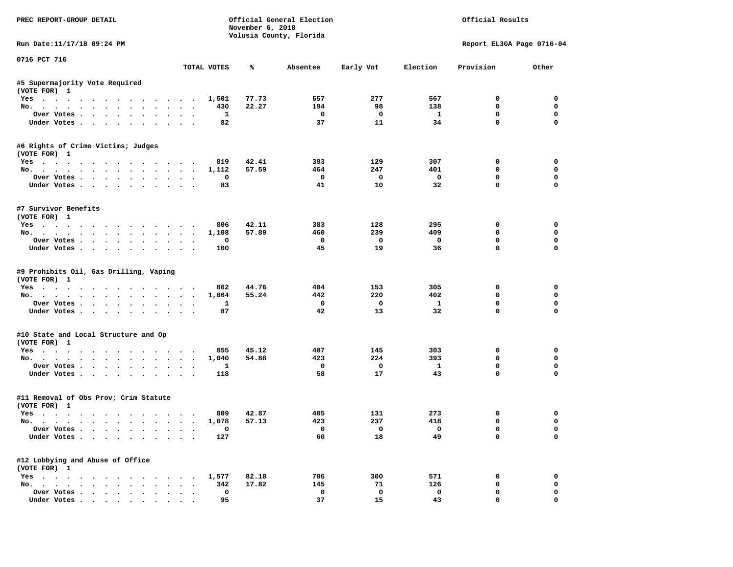| PREC REPORT-GROUP DETAIL                                             |                    | November 6, 2018 | Official General Election<br>Volusia County, Florida |              |                         | Official Results |                            |
|----------------------------------------------------------------------|--------------------|------------------|------------------------------------------------------|--------------|-------------------------|------------------|----------------------------|
| Run Date: 11/17/18 09:24 PM                                          |                    |                  |                                                      |              |                         |                  | Report EL30A Page 0716-04  |
| 0716 PCT 716                                                         | TOTAL VOTES        | ℁                | Absentee                                             | Early Vot    | Election                | Provision        | Other                      |
|                                                                      |                    |                  |                                                      |              |                         |                  |                            |
| #5 Supermajority Vote Required<br>(VOTE FOR) 1                       |                    |                  |                                                      |              |                         |                  |                            |
| Yes                                                                  | 1,501              | 77.73            | 657                                                  | 277          | 567                     | 0                | $\Omega$                   |
| No.                                                                  | 430                | 22.27            | 194                                                  | 98           | 138                     | $\mathbf 0$      | $\mathbf 0$                |
| Over Votes                                                           | 1                  |                  | $\mathbf 0$                                          | $\mathbf{o}$ | $\mathbf{1}$            | $\mathbf 0$      | $\mathbf 0$                |
| Under Votes                                                          | 82                 |                  | 37                                                   | 11           | 34                      | $\mathbf 0$      | $\mathbf{0}$               |
| #6 Rights of Crime Victims; Judges                                   |                    |                  |                                                      |              |                         |                  |                            |
| (VOTE FOR) 1                                                         |                    |                  |                                                      |              |                         |                  |                            |
| Yes                                                                  | 819                | 42.41            | 383                                                  | 129          | 307                     | $\mathbf 0$      | $\mathbf 0$                |
| No.                                                                  | 1,112              | 57.59            | 464                                                  | 247          | 401                     | 0                | 0                          |
| Over Votes.                                                          | $\mathbf 0$        |                  | $\mathbf 0$                                          | $\mathbf{o}$ | $\overline{\mathbf{0}}$ | $\mathbf 0$      | $\mathbf 0$                |
| Under Votes                                                          | 83                 |                  | 41                                                   | 10           | 32                      | $\mathbf 0$      | $\mathbf 0$                |
| #7 Survivor Benefits<br>(VOTE FOR) 1                                 |                    |                  |                                                      |              |                         |                  |                            |
|                                                                      | 806                | 42.11            | 383                                                  | 128          | 295                     | 0                | $\mathbf 0$                |
| Yes<br>No.                                                           | 1,108              | 57.89            | 460                                                  | 239          | 409                     | $\mathbf 0$      | $\mathbf 0$                |
|                                                                      |                    |                  | $\mathbf 0$                                          | $\mathbf 0$  | $\mathbf 0$             | $\mathbf 0$      | $\mathbf 0$                |
| Over Votes                                                           | $\mathbf 0$        |                  | 45                                                   | 19           | 36                      | $\Omega$         | $\Omega$                   |
| Under Votes                                                          | 100                |                  |                                                      |              |                         |                  |                            |
| #9 Prohibits Oil, Gas Drilling, Vaping<br>(VOTE FOR) 1<br>Yes<br>No. | 862<br>1,064       | 44.76<br>55.24   | 404<br>442                                           | 153<br>220   | 305<br>402              | 0<br>0           | 0<br>$\mathbf 0$           |
| Over Votes                                                           | $\mathbf{1}$       |                  | $\mathbf 0$                                          | $\mathbf 0$  | $\mathbf{1}$            | $\mathbf 0$      | $\mathbf 0$                |
| Under Votes                                                          | 87                 |                  | 42                                                   | 13           | 32                      | $\Omega$         | $\mathbf 0$                |
| #10 State and Local Structure and Op<br>(VOTE FOR) 1                 |                    |                  |                                                      |              |                         |                  |                            |
| Yes                                                                  | 855                | 45.12            | 407                                                  | 145          | 303                     | $\mathbf 0$      | $\mathbf 0$                |
| No.                                                                  | 1,040              | 54.88            | 423                                                  | 224          | 393                     | $\mathbf 0$      | $\mathbf{0}$               |
| Over Votes                                                           | $\mathbf{1}$       |                  | $\mathbf 0$                                          | $\mathbf{o}$ | $\mathbf{1}$            | $\mathbf 0$      | $\mathbf 0$                |
| Under Votes                                                          | 118                |                  | 58                                                   | 17           | 43                      | $\mathbf{0}$     | $\mathbf{0}$               |
|                                                                      |                    |                  |                                                      |              |                         |                  |                            |
| #11 Removal of Obs Prov; Crim Statute<br>(VOTE FOR) 1                |                    |                  |                                                      |              |                         |                  |                            |
| Yes                                                                  | 809                | 42.87            | 405                                                  | 131          | 273                     | 0                | $\mathbf 0$                |
| No.                                                                  | 1,078              | 57.13            | 423                                                  | 237          | 418                     | $\mathbf 0$      | $\mathbf 0$                |
| Over Votes                                                           | $\Omega$           |                  | $\Omega$                                             | $\Omega$     | $\mathbf 0$             | $\mathbf 0$      | $\mathbf{0}$               |
| Under Votes                                                          | 127                |                  | 60                                                   | 18           | 49                      | $\mathbf 0$      | $\mathbf 0$                |
| #12 Lobbying and Abuse of Office                                     |                    |                  |                                                      |              |                         |                  |                            |
| (VOTE FOR) 1                                                         |                    |                  |                                                      |              |                         |                  |                            |
| Yes                                                                  | 1,577              | 82.18<br>17.82   | 706<br>145                                           | 300<br>71    | 571<br>126              | 0<br>$\mathbf 0$ | $\mathbf 0$<br>$\mathbf 0$ |
| No.                                                                  | 342<br>$\mathbf 0$ |                  | $\mathbf 0$                                          | $\mathbf{o}$ | $\mathbf{0}$            | $\mathbf 0$      | $\mathbf 0$                |
| Over Votes<br>Under Votes                                            | 95                 |                  | 37                                                   | 15           | 43                      | $\mathbf 0$      | $\mathbf 0$                |
|                                                                      |                    |                  |                                                      |              |                         |                  |                            |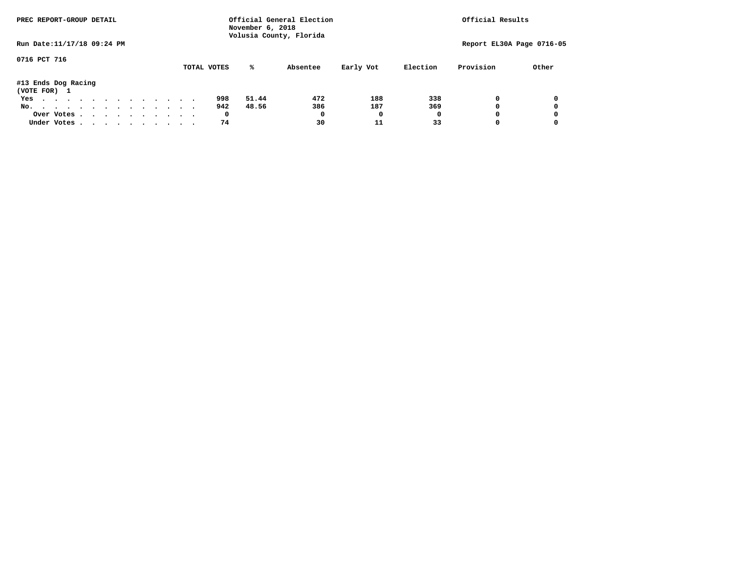| PREC REPORT-GROUP DETAIL            |  |  |  |  |  |  |             | November 6, 2018 | Official General Election<br>Volusia County, Florida |           |          | Official Results          |       |
|-------------------------------------|--|--|--|--|--|--|-------------|------------------|------------------------------------------------------|-----------|----------|---------------------------|-------|
| Run Date: 11/17/18 09:24 PM         |  |  |  |  |  |  |             |                  |                                                      |           |          | Report EL30A Page 0716-05 |       |
| 0716 PCT 716                        |  |  |  |  |  |  | TOTAL VOTES | %ะ               | Absentee                                             | Early Vot | Election | Provision                 | Other |
| #13 Ends Dog Racing<br>(VOTE FOR) 1 |  |  |  |  |  |  |             |                  |                                                      |           |          |                           |       |
| Yes                                 |  |  |  |  |  |  | 998         | 51.44            | 472                                                  | 188       | 338      | 0                         |       |
| No.                                 |  |  |  |  |  |  | 942         | 48.56            | 386                                                  | 187       | 369      | 0                         |       |
| Over Votes                          |  |  |  |  |  |  | 0           |                  | 0                                                    |           |          | 0                         |       |
| Under Votes                         |  |  |  |  |  |  | 74          |                  | 30                                                   | 11        | 33       | 0                         |       |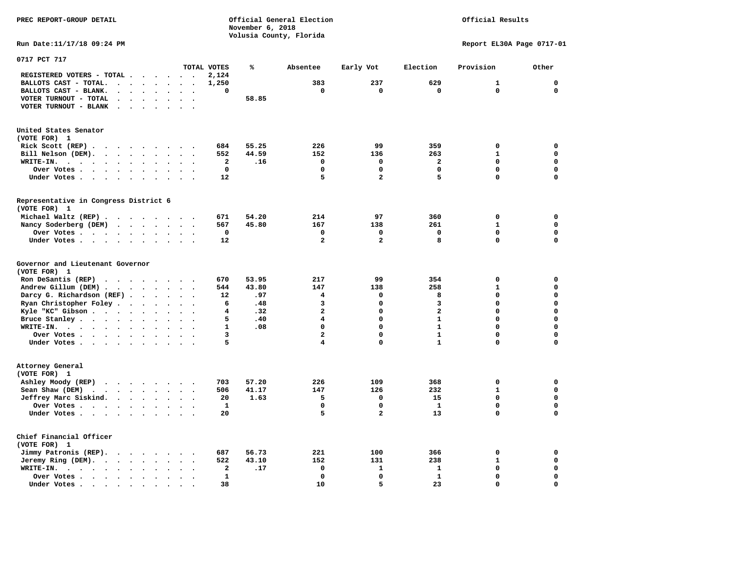## Official Results

**Run Date:11/17/18 09:24 PM Report EL30A Page 0717-01** 

| 0717 PCT 717                                                                                                                                                        |                      |                                              |              |       |                         |              |                         |              |             |
|---------------------------------------------------------------------------------------------------------------------------------------------------------------------|----------------------|----------------------------------------------|--------------|-------|-------------------------|--------------|-------------------------|--------------|-------------|
|                                                                                                                                                                     |                      |                                              | TOTAL VOTES  | ℁     | Absentee                | Early Vot    | Election                | Provision    | Other       |
| REGISTERED VOTERS - TOTAL .                                                                                                                                         | $\ddot{\phantom{a}}$ | $\ddot{\phantom{a}}$                         | 2,124        |       |                         |              |                         |              |             |
| BALLOTS CAST - TOTAL.<br>$\cdot$<br>$\ddot{\phantom{a}}$<br>$\ddot{\phantom{a}}$                                                                                    | $\bullet$            | $\bullet$<br>$\bullet$                       | 1,250        |       | 383                     | 237          | 629                     | 1            | $\mathbf 0$ |
| BALLOTS CAST - BLANK.<br>$\bullet$                                                                                                                                  |                      |                                              | 0            |       | $\mathbf 0$             | 0            | $\mathbf 0$             | 0            | $\mathbf 0$ |
| VOTER TURNOUT - TOTAL<br>$\ddot{\phantom{a}}$<br>$\Delta$<br>$\overline{a}$                                                                                         | $\ddot{\phantom{a}}$ | $\ddot{\phantom{a}}$<br>$\ddot{\phantom{a}}$ |              | 58.85 |                         |              |                         |              |             |
| VOTER TURNOUT - BLANK<br>$\cdot$                                                                                                                                    |                      |                                              |              |       |                         |              |                         |              |             |
| United States Senator                                                                                                                                               |                      |                                              |              |       |                         |              |                         |              |             |
| (VOTE FOR) 1                                                                                                                                                        |                      |                                              |              |       |                         |              |                         |              |             |
| Rick Scott (REP).<br>.                                                                                                                                              |                      | $\cdot$                                      | 684          | 55.25 | 226                     | 99           | 359                     | 0            | $\mathbf 0$ |
| Bill Nelson (DEM).<br>$\cdots$<br>$\ddot{\phantom{a}}$                                                                                                              |                      | $\sim$                                       | 552          | 44.59 | 152                     | 136          | 263                     | $\mathbf{1}$ | $\mathbf 0$ |
| WRITE-IN.<br>$\ddotsc$<br>$\ddot{\phantom{a}}$<br>$\bullet$<br>$\ddot{\phantom{a}}$<br>$\bullet$                                                                    | $\bullet$            |                                              | $\mathbf{2}$ | .16   | $\mathbf 0$             | $\mathbf 0$  | $\overline{\mathbf{2}}$ | $\mathbf 0$  | $\mathbf 0$ |
| Over Votes .<br>$\ddot{\phantom{0}}$<br>$\ddot{\phantom{1}}$<br>$\sim$ $\sim$<br>$\bullet$<br>$\bullet$<br>$\bullet$                                                | $\bullet$            |                                              | $\mathbf{0}$ |       | $\Omega$                | $\Omega$     | $\mathbf 0$             | 0            | $\mathbf 0$ |
| Under Votes.<br>$\ddot{\phantom{0}}$<br>$\ddot{\phantom{a}}$<br>$\ddot{\phantom{a}}$<br>$\sim$<br>$\sim$<br>$\cdot$                                                 | $\cdot$              |                                              | 12           |       | 5                       | $\mathbf{z}$ | 5                       | 0            | $\mathbf 0$ |
| Representative in Congress District 6                                                                                                                               |                      |                                              |              |       |                         |              |                         |              |             |
| (VOTE FOR) 1                                                                                                                                                        |                      |                                              |              |       |                         |              |                         |              |             |
| Michael Waltz (REP).<br>$\sim$ $\sim$<br>$\sim$                                                                                                                     | $\sim$ $\sim$        | $\sim$                                       | 671          | 54.20 | 214                     | 97           | 360                     | 0            | $\mathbf 0$ |
| Nancy Soderberg (DEM)<br>$\sim$<br>$\langle \rangle$<br>$\ddot{\phantom{a}}$                                                                                        | $\bullet$            |                                              | 567          | 45.80 | 167                     | 138          | 261                     | $\mathbf{1}$ | $\mathbf 0$ |
| Over Votes<br>$\bullet$<br>$\ddot{\phantom{0}}$                                                                                                                     | $\bullet$            | $\bullet$<br>$\cdot$                         | 0            |       | $\mathbf 0$             | 0            | $\mathbf 0$             | $\mathbf 0$  | $\mathbf 0$ |
| Under Votes<br>$\bullet$<br>$\ddot{\phantom{a}}$                                                                                                                    | $\ddot{\phantom{1}}$ | $\bullet$                                    | 12           |       | $\mathbf{2}$            | 2            | 8                       | 0            | $\mathbf 0$ |
| Governor and Lieutenant Governor<br>(VOTE FOR) 1                                                                                                                    |                      |                                              |              |       |                         |              |                         |              |             |
| Ron DeSantis (REP)                                                                                                                                                  |                      |                                              | 670          | 53.95 | 217                     | 99           | 354                     | $\mathbf 0$  | 0           |
| Andrew Gillum (DEM).<br>$\bullet$<br>$\overline{\phantom{a}}$<br>$\ddot{\phantom{a}}$<br>$\bullet$                                                                  | $\bullet$            |                                              | 544          | 43.80 | 147                     | 138          | 258                     | $\mathbf{1}$ | $\mathbf 0$ |
| Darcy G. Richardson (REF).<br>$\bullet$<br>$\sim$                                                                                                                   | $\ddot{\phantom{1}}$ | $\ddot{\phantom{a}}$<br>$\bullet$            | 12           | .97   | 4                       | 0            | 8                       | $\mathbf 0$  | $\mathbf 0$ |
| Ryan Christopher Foley.<br>$\ddot{\phantom{1}}$<br>$\ddot{\phantom{a}}$                                                                                             | $\ddot{\phantom{a}}$ | $\sim$                                       | 6            | .48   | 3                       | 0            | 3                       | $\Omega$     | $\mathbf 0$ |
| Kyle "KC" Gibson<br>$\bullet$<br>$\bullet$                                                                                                                          | $\ddot{\phantom{a}}$ |                                              | 4            | .32   | $\overline{a}$          | 0            | $\mathbf{2}$            | 0            | $\mathbf 0$ |
| Bruce Stanley<br>$\bullet$<br>$\bullet$                                                                                                                             | $\bullet$            | $\bullet$<br>$\ddot{\phantom{a}}$            | 5            | .40   | $\overline{\mathbf{4}}$ | 0            | $\mathbf{1}$            | 0            | $\mathbf 0$ |
| WRITE-IN.<br>$\cdots$<br>$\bullet$                                                                                                                                  |                      |                                              | $\mathbf{1}$ | .08   | $\mathbf 0$             | 0            | $\mathbf{1}$            | 0            | $\mathbf 0$ |
| Over Votes .<br>$\cdots$<br>$\cdot$                                                                                                                                 | $\ddot{\phantom{a}}$ | $\cdot$                                      | 3            |       | $\overline{\mathbf{2}}$ | 0            | $\mathbf{1}$            | 0            | 0           |
| Under Votes<br>$\bullet$                                                                                                                                            | $\bullet$            | $\bullet$<br>$\cdot$                         | 5            |       | 4                       | 0            | $\mathbf{1}$            | 0            | $\mathbf 0$ |
| Attorney General<br>(VOTE FOR) 1                                                                                                                                    |                      |                                              |              |       |                         |              |                         |              |             |
| Ashley Moody (REP)<br>$\begin{array}{cccccccccccccc} \bullet & \bullet & \bullet & \bullet & \bullet & \bullet & \bullet & \bullet & \bullet & \bullet \end{array}$ |                      |                                              | 703          | 57.20 | 226                     | 109          | 368                     | 0            | 0           |
| Sean Shaw (DEM)<br>$\ddotsc$<br>$\sim$ $\sim$<br>$\sim$<br>$\sim$                                                                                                   | $\cdot$              | $\sim$<br>$\overline{\phantom{a}}$           | 506          | 41.17 | 147                     | 126          | 232                     | $\mathbf{1}$ | $\mathbf 0$ |
| Jeffrey Marc Siskind.<br>$\sim$ $\sim$ $\sim$<br>$\ddot{\phantom{a}}$                                                                                               |                      |                                              | 20           | 1.63  | 5                       | $\mathbf 0$  | 15                      | 0            | $\mathbf 0$ |
| Over Votes .<br>$\mathcal{A}=\mathcal{A}=\mathcal{A}=\mathcal{A}=\mathcal{A}$ .<br>$\bullet$                                                                        | $\bullet$            | $\cdot$<br>$\bullet$                         | 1            |       | $\mathbf 0$             | 0            | $\mathbf{1}$            | 0            | $\mathbf 0$ |
| Under Votes<br>$\ddot{\phantom{0}}$<br>$\ddot{\phantom{0}}$                                                                                                         | $\bullet$            | $\bullet$                                    | 20           |       | 5                       | 2            | 13                      | 0            | 0           |
| Chief Financial Officer<br>(VOTE FOR) 1                                                                                                                             |                      |                                              |              |       |                         |              |                         |              |             |
| Jimmy Patronis (REP).<br>$\sim$ $\sim$ $\sim$ $\sim$<br>$\bullet$                                                                                                   | $\ddot{\phantom{1}}$ |                                              | 687          | 56.73 | 221                     | 100          | 366                     | 0            | 0           |
| Jeremy Ring (DEM).<br>$\sim$ $\sim$<br>$\bullet$<br>$\bullet$                                                                                                       |                      |                                              | 522          | 43.10 | 152                     | 131          | 238                     | $\mathbf{1}$ | $\mathbf 0$ |
| WRITE-IN.<br>$\sim$<br>$\ddot{\phantom{a}}$<br>$\sim$ $\sim$<br>$\bullet$<br>$\bullet$<br>$\sim$ $\sim$<br>$\bullet$                                                |                      | $\ddot{\phantom{a}}$<br>$\ddot{\phantom{a}}$ | $\mathbf{2}$ | .17   | 0                       | 1            | ${\bf 1}$               | 0            | $\mathbf 0$ |
| Over Votes .<br>$\cdots$<br>$\ddot{\phantom{a}}$                                                                                                                    |                      |                                              | $\mathbf{1}$ |       | $\Omega$                | 0            | $\mathbf{1}$            | 0            | $\mathbf 0$ |
| Under Votes<br>$\bullet$                                                                                                                                            |                      |                                              | 38           |       | 10                      | 5            | 23                      | 0            | $\mathbf 0$ |
|                                                                                                                                                                     |                      |                                              |              |       |                         |              |                         |              |             |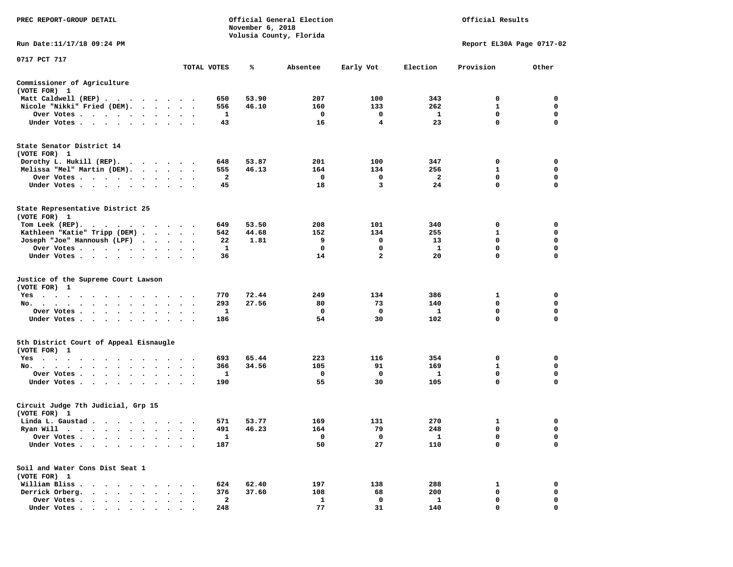| PREC REPORT-GROUP DETAIL                                                                                                                                                                                                                                                                       |                      |                         | November 6, 2018 | Official General Election<br>Volusia County, Florida |                |             | Official Results          |             |
|------------------------------------------------------------------------------------------------------------------------------------------------------------------------------------------------------------------------------------------------------------------------------------------------|----------------------|-------------------------|------------------|------------------------------------------------------|----------------|-------------|---------------------------|-------------|
| Run Date:11/17/18 09:24 PM                                                                                                                                                                                                                                                                     |                      |                         |                  |                                                      |                |             | Report EL30A Page 0717-02 |             |
| 0717 PCT 717                                                                                                                                                                                                                                                                                   |                      |                         |                  |                                                      |                |             |                           |             |
|                                                                                                                                                                                                                                                                                                |                      | TOTAL VOTES             | ℁                | Absentee                                             | Early Vot      | Election    | Provision                 | Other       |
| Commissioner of Agriculture<br>(VOTE FOR) 1                                                                                                                                                                                                                                                    |                      |                         |                  |                                                      |                |             |                           |             |
| Matt Caldwell (REP)                                                                                                                                                                                                                                                                            |                      | 650                     | 53.90            | 207                                                  | 100            | 343         | 0                         | 0           |
| Nicole "Nikki" Fried (DEM).                                                                                                                                                                                                                                                                    |                      | 556                     | 46.10            | 160                                                  | 133            | 262         | 1                         | 0           |
| Over Votes                                                                                                                                                                                                                                                                                     | $\sim$               | 1                       |                  | 0                                                    | 0              | 1           | 0                         | 0           |
| Under Votes                                                                                                                                                                                                                                                                                    |                      | 43                      |                  | 16                                                   | 4              | 23          | $\mathbf 0$               | 0           |
| State Senator District 14<br>(VOTE FOR) 1                                                                                                                                                                                                                                                      |                      |                         |                  |                                                      |                |             |                           |             |
| Dorothy L. Hukill $(REP)$ .                                                                                                                                                                                                                                                                    |                      | 648                     | 53.87            | 201                                                  | 100            | 347         | 0                         | 0           |
| Melissa "Mel" Martin (DEM).                                                                                                                                                                                                                                                                    |                      | 555                     | 46.13            | 164                                                  | 134            | 256         | 1                         | 0           |
| Over Votes                                                                                                                                                                                                                                                                                     |                      | 2                       |                  | 0                                                    | 0              | 2           | $\mathbf 0$               | 0           |
| Under Votes                                                                                                                                                                                                                                                                                    |                      | 45                      |                  | 18                                                   | 3              | 24          | $\mathbf 0$               | $\mathbf 0$ |
| State Representative District 25<br>(VOTE FOR) 1                                                                                                                                                                                                                                               |                      |                         |                  |                                                      |                |             |                           |             |
| Tom Leek $(REP)$ .                                                                                                                                                                                                                                                                             |                      | 649                     | 53.50            | 208                                                  | 101            | 340         | 0                         | 0           |
| Kathleen "Katie" Tripp (DEM)                                                                                                                                                                                                                                                                   |                      | 542                     | 44.68            | 152                                                  | 134            | 255         | 1                         | 0           |
| Joseph "Joe" Hannoush (LPF)                                                                                                                                                                                                                                                                    |                      | 22                      | 1.81             | 9                                                    | 0              | 13          | 0                         | 0           |
| Over Votes                                                                                                                                                                                                                                                                                     |                      | 1                       |                  | 0                                                    | 0              | 1           | 0                         | $\mathbf 0$ |
| Under Votes                                                                                                                                                                                                                                                                                    |                      | 36                      |                  | 14                                                   | $\overline{a}$ | 20          | $\mathbf 0$               | $\mathbf 0$ |
| Justice of the Supreme Court Lawson<br>(VOTE FOR) 1                                                                                                                                                                                                                                            |                      |                         |                  |                                                      |                |             |                           |             |
| $Yes \cdot \cdot \cdot$<br>$\sim$ $\sim$ $\sim$ $\sim$ $\sim$<br>. The contract of the contract of the contract of the contract of the contract of the contract of the contract of the contract of the contract of the contract of the contract of the contract of the contract of the contrac |                      | 770                     | 72.44            | 249                                                  | 134            | 386         | 1                         | 0           |
| No.                                                                                                                                                                                                                                                                                            | $\sim$ $\sim$        | 293                     | 27.56            | 80                                                   | 73             | 140         | 0                         | 0           |
| Over Votes                                                                                                                                                                                                                                                                                     |                      | 1                       |                  | 0                                                    | 0              | 1           | 0                         | 0           |
| Under Votes                                                                                                                                                                                                                                                                                    |                      | 186                     |                  | 54                                                   | 30             | 102         | 0                         | 0           |
| 5th District Court of Appeal Eisnaugle<br>(VOTE FOR) 1                                                                                                                                                                                                                                         |                      |                         |                  |                                                      |                |             |                           |             |
| Yes<br>.                                                                                                                                                                                                                                                                                       |                      | 693                     | 65.44            | 223                                                  | 116            | 354         | 0                         | 0           |
| No.<br>$\cdot$                                                                                                                                                                                                                                                                                 |                      | 366                     | 34.56            | 105                                                  | 91             | 169         | 1                         | 0           |
| Over Votes                                                                                                                                                                                                                                                                                     | $\ddot{\phantom{1}}$ | 1                       |                  | 0                                                    | 0              | 1           | $\mathbf 0$               | 0           |
| Under Votes                                                                                                                                                                                                                                                                                    |                      | 190                     |                  | 55                                                   | 30             | 105         | 0                         | 0           |
| Circuit Judge 7th Judicial, Grp 15<br>(VOTE FOR) 1                                                                                                                                                                                                                                             |                      |                         |                  |                                                      |                |             |                           |             |
| Linda L. Gaustad                                                                                                                                                                                                                                                                               |                      | 571                     | 53.77            | 169                                                  | 131            | 270         | 1                         | 0           |
| Ryan Will<br>$\bullet$<br>. The contract of the contract of the contract of the contract of the contract of the contract of the contract of the contract of the contract of the contract of the contract of the contract of the contract of the contrac                                        |                      | 491                     | 46.23            | 164                                                  | 79             | 248         | $\mathbf 0$               | $\mathbf 0$ |
| Over Votes                                                                                                                                                                                                                                                                                     |                      | $\mathbf{1}$            |                  | 0                                                    | 0              | $\mathbf 1$ | 0                         | 0           |
| Under Votes.                                                                                                                                                                                                                                                                                   |                      | 187                     |                  | 50                                                   | 27             | 110         | 0                         | 0           |
| Soil and Water Cons Dist Seat 1<br>(VOTE FOR) 1                                                                                                                                                                                                                                                |                      |                         |                  |                                                      |                |             |                           |             |
| William Bliss.<br>$\ddot{\phantom{1}}$<br>$\ddot{\phantom{1}}$                                                                                                                                                                                                                                 |                      | 624                     | 62.40            | 197                                                  | 138            | 288         | 1                         | 0           |
| Derrick Orberg.                                                                                                                                                                                                                                                                                |                      | 376                     | 37.60            | 108                                                  | 68             | 200         | 0                         | 0           |
| Over Votes .<br>$\sim$<br>$\ddot{\phantom{1}}$                                                                                                                                                                                                                                                 |                      | $\overline{\mathbf{2}}$ |                  | 1                                                    | 0              | 1           | 0                         | 0           |
| Under Votes                                                                                                                                                                                                                                                                                    |                      | 248                     |                  | 77                                                   | 31             | 140         | 0                         | 0           |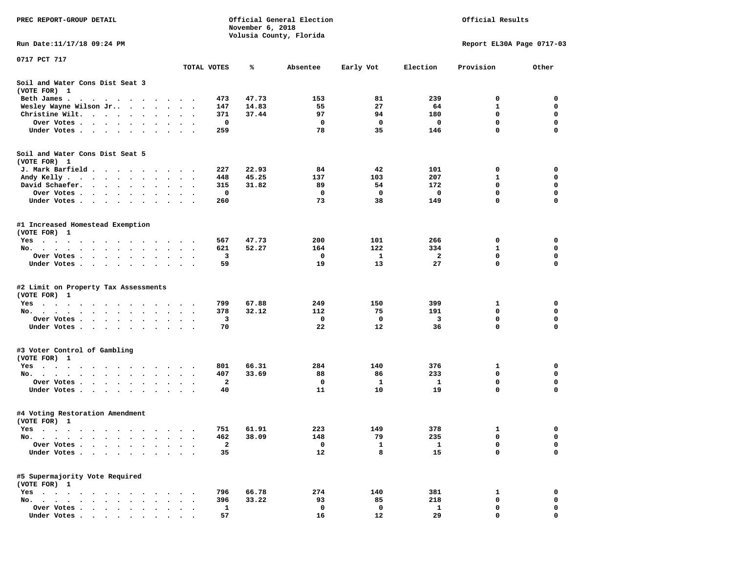| PREC REPORT-GROUP DETAIL                                                                                                                                                                                                                     |                      |                    | November 6, 2018 | Official General Election |             |          | Official Results           |                  |
|----------------------------------------------------------------------------------------------------------------------------------------------------------------------------------------------------------------------------------------------|----------------------|--------------------|------------------|---------------------------|-------------|----------|----------------------------|------------------|
| Run Date: 11/17/18 09:24 PM                                                                                                                                                                                                                  |                      |                    |                  | Volusia County, Florida   |             |          | Report EL30A Page 0717-03  |                  |
| 0717 PCT 717                                                                                                                                                                                                                                 |                      |                    |                  |                           |             |          |                            |                  |
|                                                                                                                                                                                                                                              | TOTAL VOTES          |                    | ℁                | Absentee                  | Early Vot   | Election | Provision                  | Other            |
| Soil and Water Cons Dist Seat 3<br>(VOTE FOR) 1                                                                                                                                                                                              |                      |                    |                  |                           |             |          |                            |                  |
| Beth James.<br>. The contract of the contract of the contract of the contract of the contract of the contract of the contract of the contract of the contract of the contract of the contract of the contract of the contract of the contrac |                      | 473                | 47.73            | 153                       | 81          | 239      | 0                          | 0                |
| Wesley Wayne Wilson Jr<br>$\ddot{\phantom{0}}$                                                                                                                                                                                               | $\ddot{\phantom{1}}$ | 147                | 14.83            | 55                        | 27          | 64       | 1                          | 0                |
| Christine Wilt.<br>$\bullet$                                                                                                                                                                                                                 |                      | 371                | 37.44            | 97                        | 94          | 180      | 0                          | 0                |
| Over Votes<br>$\bullet$                                                                                                                                                                                                                      |                      | 0                  |                  | 0                         | $\mathbf 0$ | 0        | $\mathbf 0$                | $\mathbf 0$      |
| Under Votes                                                                                                                                                                                                                                  |                      | 259                |                  | 78                        | 35          | 146      | $\mathbf 0$                | $\mathbf 0$      |
| Soil and Water Cons Dist Seat 5<br>(VOTE FOR) 1                                                                                                                                                                                              |                      |                    |                  |                           |             |          |                            |                  |
| J. Mark Barfield                                                                                                                                                                                                                             |                      | 227                | 22.93            | 84                        | 42          | 101      | 0                          | 0                |
| Andy Kelly                                                                                                                                                                                                                                   |                      | 448                | 45.25            | 137                       | 103         | 207      | 1                          | 0                |
| David Schaefer.<br>$\sim$ $\sim$ $\sim$ $\sim$ $\sim$<br>$\bullet$ .<br>$\bullet$ $\bullet$<br>$\ddot{\phantom{0}}$                                                                                                                          |                      | 315                | 31.82            | 89                        | 54          | 172      | 0                          | 0                |
| Over Votes                                                                                                                                                                                                                                   |                      | 0                  |                  | 0                         | 0           | 0        | $\mathbf 0$                | $\mathbf 0$      |
| Under Votes                                                                                                                                                                                                                                  |                      | 260                |                  | 73                        | 38          | 149      | $\mathbf 0$                | $\mathbf 0$      |
| #1 Increased Homestead Exemption<br>(VOTE FOR) 1                                                                                                                                                                                             |                      |                    |                  |                           |             |          |                            |                  |
| Yes                                                                                                                                                                                                                                          |                      | 567                | 47.73            | 200                       | 101         | 266      | 0                          | 0                |
| No.<br>$\cdots$<br>$\sim$<br>$\ddot{\phantom{0}}$<br>$\sim$<br>$\bullet$                                                                                                                                                                     |                      | 621                | 52.27            | 164                       | 122         | 334      | 1                          | 0                |
| Over Votes                                                                                                                                                                                                                                   |                      | 3                  |                  | 0                         | 1           | 2        | 0                          | 0                |
| Under Votes                                                                                                                                                                                                                                  |                      | 59                 |                  | 19                        | 13          | 27       | $\mathbf 0$                | $\mathbf 0$      |
| #2 Limit on Property Tax Assessments<br>(VOTE FOR) 1                                                                                                                                                                                         |                      |                    |                  |                           |             |          |                            |                  |
| $Yes \cdot \cdot \cdot \cdot \cdot \cdot \cdot$                                                                                                                                                                                              |                      | 799                | 67.88            | 249                       | 150         | 399      | 1                          | 0                |
| No.                                                                                                                                                                                                                                          |                      | 378                | 32.12            | 112                       | 75          | 191      | 0                          | 0                |
| Over Votes .<br>$\cdot$ $\cdot$ $\cdot$ $\cdot$ $\cdot$<br>$\ddot{\phantom{0}}$<br>$\ddot{\phantom{0}}$                                                                                                                                      |                      | 3                  |                  | 0                         | 0           | 3        | 0                          | 0                |
| Under Votes                                                                                                                                                                                                                                  |                      | 70                 |                  | 22                        | 12          | 36       | $\mathbf 0$                | $\mathbf 0$      |
| #3 Voter Control of Gambling<br>(VOTE FOR) 1                                                                                                                                                                                                 |                      |                    |                  |                           |             |          |                            |                  |
| Yes                                                                                                                                                                                                                                          |                      | 801                | 66.31            | 284                       | 140         | 376      | 1                          | 0                |
| No.                                                                                                                                                                                                                                          | $\ddot{\phantom{1}}$ | 407                | 33.69            | 88                        | 86          | 233      | 0                          | 0                |
| Over Votes .<br>$\mathcal{A}=\mathcal{A}=\mathcal{A}=\mathcal{A}=\mathcal{A}=\mathcal{A}=\mathcal{A}=\mathcal{A}$<br>Under Votes                                                                                                             |                      | $\mathbf{2}$<br>40 |                  | 0<br>11                   | 1<br>10     | 1<br>19  | $\mathbf 0$<br>$\mathbf 0$ | $\mathbf 0$<br>0 |
| #4 Voting Restoration Amendment<br>(VOTE FOR) 1                                                                                                                                                                                              |                      |                    |                  |                           |             |          |                            |                  |
| Yes                                                                                                                                                                                                                                          |                      | 751                | 61.91            | 223                       | 149         | 378      | 1                          | 0                |
| No.                                                                                                                                                                                                                                          |                      | 462                | 38.09            | 148                       | 79          | 235      | 0                          | 0                |
| Over Votes .<br>$\sim$<br>$\ddot{\phantom{a}}$<br>$\bullet$                                                                                                                                                                                  |                      | $\mathbf{2}$       |                  | 0                         | 1           | 1        | $\mathbf 0$                | 0                |
| Under Votes.<br>$\ddot{\phantom{a}}$<br>$\ddot{\phantom{a}}$<br>$\sim$                                                                                                                                                                       |                      | 35                 |                  | 12                        | 8           | 15       | $\mathbf 0$                | $\mathbf 0$      |
| #5 Supermajority Vote Required<br>(VOTE FOR) 1                                                                                                                                                                                               |                      |                    |                  |                           |             |          |                            |                  |
| $Yes \t . \t .$<br>$\bullet$                                                                                                                                                                                                                 |                      | 796                | 66.78            | 274                       | 140         | 381      | 1                          | 0                |
| No.<br>$\sim$ $\sim$<br>$\ddot{\phantom{a}}$<br>$\ddot{\phantom{a}}$                                                                                                                                                                         |                      | 396                | 33.22            | 93                        | 85          | 218      | 0                          | 0                |
| Over Votes .                                                                                                                                                                                                                                 |                      | $\mathbf{1}$       |                  | 0                         | 0           | 1        | 0                          | 0                |
| Under Votes.<br>$\cdot$ $\cdot$ $\cdot$ $\cdot$ $\cdot$                                                                                                                                                                                      |                      | 57                 |                  | 16                        | 12          | 29       | 0                          | 0                |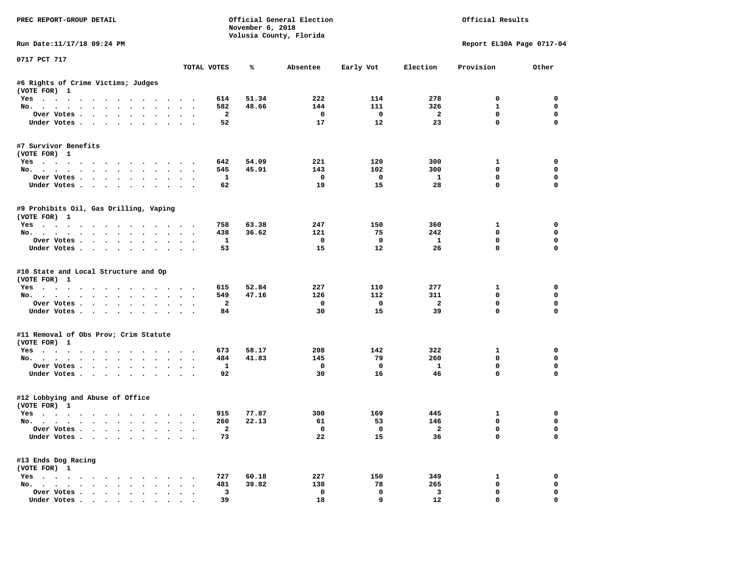| PREC REPORT-GROUP DETAIL                                           |                      |                         | November 6, 2018 | Official General Election<br>Volusia County, Florida |                         |                         | Official Results            |             |
|--------------------------------------------------------------------|----------------------|-------------------------|------------------|------------------------------------------------------|-------------------------|-------------------------|-----------------------------|-------------|
| Run Date:11/17/18 09:24 PM                                         |                      |                         |                  |                                                      |                         |                         | Report EL30A Page 0717-04   |             |
| 0717 PCT 717                                                       |                      | TOTAL VOTES             | ℁                | Absentee                                             | Early Vot               | Election                | Provision                   | Other       |
|                                                                    |                      |                         |                  |                                                      |                         |                         |                             |             |
| #6 Rights of Crime Victims; Judges<br>(VOTE FOR) 1                 |                      |                         |                  |                                                      |                         |                         |                             |             |
| Yes                                                                |                      | 614                     | 51.34            | 222                                                  | 114                     | 278                     | $^{\circ}$                  | $^{\circ}$  |
| No.                                                                |                      | 582                     | 48.66            | 144                                                  | 111                     | 326                     | $\mathbf{1}$                | $\mathbf 0$ |
| Over Votes                                                         |                      | $\overline{\mathbf{2}}$ |                  | $\overline{\phantom{0}}$                             | $\overline{\mathbf{0}}$ | $\overline{\mathbf{2}}$ | $\mathbf 0$                 | $\mathbf 0$ |
| Under Votes                                                        |                      | 52                      |                  | 17                                                   | 12                      | 23                      | $\mathbf 0$                 | $\mathbf 0$ |
| #7 Survivor Benefits<br>(VOTE FOR) 1                               |                      |                         |                  |                                                      |                         |                         |                             |             |
| Yes                                                                |                      | 642                     | 54.09            | 221                                                  | 120                     | 300                     | $\mathbf{1}$                | 0           |
| No.                                                                |                      | 545                     | 45.91            | 143                                                  | 102                     | 300                     | $\mathbf 0$                 | 0           |
| Over Votes                                                         |                      | $\mathbf{1}$            |                  | $\overline{\phantom{0}}$                             | $\overline{\mathbf{0}}$ | $\mathbf{1}$            | $\mathbf 0$                 | $\mathbf 0$ |
| Under Votes                                                        |                      | 62                      |                  | 19                                                   | 15                      | 28                      | $\mathbf 0$                 | 0           |
| #9 Prohibits Oil, Gas Drilling, Vaping<br>(VOTE FOR) 1             |                      |                         |                  |                                                      |                         |                         |                             |             |
| Yes                                                                |                      | 758                     | 63.38            | 247                                                  | 150                     | 360                     | $\mathbf{1}$                | $\mathbf 0$ |
| No.                                                                |                      | 438                     | 36.62            | 121                                                  | 75                      | 242                     | $\mathbf 0$                 | $\mathbf 0$ |
| Over Votes                                                         |                      | $\mathbf{1}$            |                  | $\mathbf{o}$                                         | $\overline{\mathbf{0}}$ | $\mathbf{1}$            | $\mathbf 0$                 | $\mathbf 0$ |
| Under Votes                                                        |                      | 53                      |                  | 15                                                   | 12                      | 26                      | $\Omega$                    | $\Omega$    |
| #10 State and Local Structure and Op<br>(VOTE FOR) 1<br>Yes<br>No. |                      | 615<br>549              | 52.84<br>47.16   | 227<br>126                                           | 110<br>112              | 277<br>311              | $\mathbf{1}$<br>$\mathbf 0$ | 0<br>0      |
| Over Votes                                                         |                      | $\overline{a}$          |                  | $\mathbf{o}$                                         | $\overline{\mathbf{0}}$ | $\overline{a}$          | $\mathbf 0$                 | $\mathbf 0$ |
| Under Votes                                                        |                      | 84                      |                  | 30                                                   | 15                      | 39                      | $\mathbf 0$                 | $\Omega$    |
|                                                                    |                      |                         |                  |                                                      |                         |                         |                             |             |
| #11 Removal of Obs Prov; Crim Statute<br>(VOTE FOR) 1              |                      |                         |                  |                                                      |                         |                         |                             |             |
| Yes                                                                |                      | 673                     | 58.17            | 208                                                  | 142                     | 322                     | 1                           | 0           |
| No.                                                                |                      | 484                     | 41.83            | 145                                                  | 79                      | 260                     | $\Omega$                    | $\mathbf 0$ |
| Over Votes                                                         |                      | $\mathbf{1}$            |                  | $\mathbf{o}$                                         | $\overline{\mathbf{0}}$ | $\mathbf{1}$            | 0                           | 0           |
| Under Votes                                                        |                      | 92                      |                  | 30                                                   | 16                      | 46                      | $\Omega$                    | 0           |
| #12 Lobbying and Abuse of Office<br>(VOTE FOR) 1                   |                      |                         |                  |                                                      |                         |                         |                             |             |
| Yes                                                                |                      | 915                     | 77.87            | 300                                                  | 169                     | 445                     | $\mathbf{1}$                | 0           |
| No.                                                                |                      | 260                     | 22.13            | 61                                                   | 53                      | 146                     | $\mathbf 0$                 | $\mathbf 0$ |
| Over Votes                                                         |                      | $\overline{\mathbf{2}}$ |                  | $\overline{0}$                                       | $\mathbf{0}$            | $\overline{\mathbf{2}}$ | $\mathbf 0$                 | $\Omega$    |
| Under Votes                                                        |                      | 73                      |                  | 22                                                   | 15                      | 36                      | $\mathbf 0$                 | $\Omega$    |
| #13 Ends Dog Racing<br>(VOTE FOR) 1                                |                      |                         |                  |                                                      |                         |                         |                             |             |
| Yes                                                                |                      | 727                     | 60.18            | 227                                                  | 150                     | 349                     | 1                           | 0           |
| No.                                                                |                      | 481                     | 39.82            | 138                                                  | 78                      | 265                     | $\mathbf 0$                 | $\mathbf 0$ |
| Over Votes                                                         | $\ddot{\phantom{0}}$ | 3                       |                  | $\mathbf 0$                                          | $\mathbf 0$             | $\overline{\mathbf{3}}$ | $\mathbf 0$                 | $\mathbf 0$ |
| Under Votes                                                        |                      | 39                      |                  | 18                                                   | 9                       | 12                      | $\mathbf 0$                 | $\mathbf 0$ |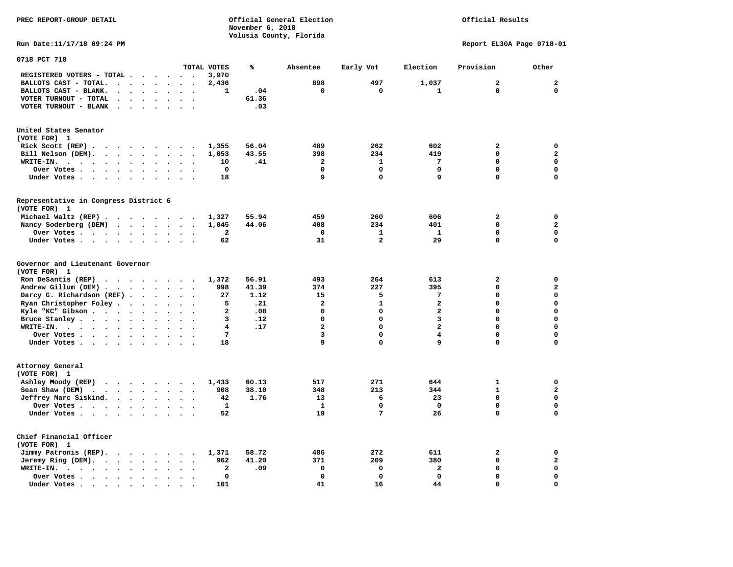Official Results

**Run Date:11/17/18 09:24 PM Report EL30A Page 0718-01** 

| 0718 PCT 718                                                                                                                                                                                                                                                                                                                                                                                                                                                                          |                                                                                                                                                  |                                                          |                                                    |                                                                                                             |                                                                                                   |                                                                                                      |                                                                                                 |                                                                                                                  |
|---------------------------------------------------------------------------------------------------------------------------------------------------------------------------------------------------------------------------------------------------------------------------------------------------------------------------------------------------------------------------------------------------------------------------------------------------------------------------------------|--------------------------------------------------------------------------------------------------------------------------------------------------|----------------------------------------------------------|----------------------------------------------------|-------------------------------------------------------------------------------------------------------------|---------------------------------------------------------------------------------------------------|------------------------------------------------------------------------------------------------------|-------------------------------------------------------------------------------------------------|------------------------------------------------------------------------------------------------------------------|
|                                                                                                                                                                                                                                                                                                                                                                                                                                                                                       |                                                                                                                                                  | TOTAL VOTES                                              | ℁                                                  | Absentee                                                                                                    | Early Vot                                                                                         | Election                                                                                             | Provision                                                                                       | Other                                                                                                            |
| REGISTERED VOTERS - TOTAL .<br>$\sim$ $\sim$ $\sim$ $\sim$ $\sim$                                                                                                                                                                                                                                                                                                                                                                                                                     |                                                                                                                                                  | 3,970                                                    |                                                    |                                                                                                             |                                                                                                   |                                                                                                      |                                                                                                 |                                                                                                                  |
| BALLOTS CAST - TOTAL.<br>$\ddot{\phantom{a}}$<br>$\ddot{\phantom{a}}$<br>$\ddot{\phantom{a}}$<br>$\ddot{\phantom{a}}$                                                                                                                                                                                                                                                                                                                                                                 |                                                                                                                                                  | 2,436                                                    |                                                    | 898                                                                                                         | 497                                                                                               | 1,037                                                                                                | $\mathbf{2}$                                                                                    | $\mathbf{2}$                                                                                                     |
| BALLOTS CAST - BLANK.<br>$\sim$<br>$\sim$<br>$\ddot{\phantom{a}}$<br>$\ddot{\phantom{a}}$<br>$\bullet$                                                                                                                                                                                                                                                                                                                                                                                | $\sim$<br>$\ddot{\phantom{1}}$                                                                                                                   | 1                                                        | .04                                                | $\mathbf 0$                                                                                                 | $\mathbf 0$                                                                                       | $\mathbf{1}$                                                                                         | $\mathbf 0$                                                                                     | $\mathbf 0$                                                                                                      |
| VOTER TURNOUT - TOTAL                                                                                                                                                                                                                                                                                                                                                                                                                                                                 |                                                                                                                                                  |                                                          | 61.36                                              |                                                                                                             |                                                                                                   |                                                                                                      |                                                                                                 |                                                                                                                  |
| $\ddot{\phantom{a}}$                                                                                                                                                                                                                                                                                                                                                                                                                                                                  |                                                                                                                                                  |                                                          |                                                    |                                                                                                             |                                                                                                   |                                                                                                      |                                                                                                 |                                                                                                                  |
| VOTER TURNOUT - BLANK<br>$\sim$ $\sim$                                                                                                                                                                                                                                                                                                                                                                                                                                                |                                                                                                                                                  |                                                          | .03                                                |                                                                                                             |                                                                                                   |                                                                                                      |                                                                                                 |                                                                                                                  |
| United States Senator                                                                                                                                                                                                                                                                                                                                                                                                                                                                 |                                                                                                                                                  |                                                          |                                                    |                                                                                                             |                                                                                                   |                                                                                                      |                                                                                                 |                                                                                                                  |
| (VOTE FOR) 1                                                                                                                                                                                                                                                                                                                                                                                                                                                                          |                                                                                                                                                  |                                                          |                                                    |                                                                                                             |                                                                                                   |                                                                                                      |                                                                                                 |                                                                                                                  |
| Rick Scott (REP).<br>$\cdots$                                                                                                                                                                                                                                                                                                                                                                                                                                                         |                                                                                                                                                  | 1,355                                                    | 56.04                                              | 489                                                                                                         | 262                                                                                               | 602                                                                                                  | $\mathbf{2}$                                                                                    | 0                                                                                                                |
| Bill Nelson (DEM).                                                                                                                                                                                                                                                                                                                                                                                                                                                                    |                                                                                                                                                  | 1,053                                                    | 43.55                                              | 398                                                                                                         | 234                                                                                               | 419                                                                                                  | $\mathbf 0$                                                                                     | $\overline{a}$                                                                                                   |
| WRITE-IN.<br>$\sim$ $\sim$ $\sim$<br>$\sim$ $\sim$ $\sim$ $\sim$ $\sim$<br>$\ddot{\phantom{0}}$<br>$\bullet$<br>$\ddot{\phantom{a}}$                                                                                                                                                                                                                                                                                                                                                  | $\bullet$                                                                                                                                        | 10                                                       | .41                                                | $\mathbf{2}$                                                                                                | 1                                                                                                 | 7                                                                                                    | $\mathbf 0$                                                                                     | $\mathbf 0$                                                                                                      |
|                                                                                                                                                                                                                                                                                                                                                                                                                                                                                       |                                                                                                                                                  | $\mathbf 0$                                              |                                                    | $\mathbf 0$                                                                                                 | $\mathbf 0$                                                                                       | 0                                                                                                    | $\mathbf 0$                                                                                     | 0                                                                                                                |
| Over Votes<br>$\ddot{\phantom{1}}$<br>$\bullet$<br>$\bullet$                                                                                                                                                                                                                                                                                                                                                                                                                          |                                                                                                                                                  |                                                          |                                                    | 9                                                                                                           | $\Omega$                                                                                          | 9                                                                                                    | $\mathbf 0$                                                                                     | $\mathbf 0$                                                                                                      |
| Under Votes<br>$\bullet$<br>$\ddot{\phantom{0}}$                                                                                                                                                                                                                                                                                                                                                                                                                                      | $\sim$ $\sim$                                                                                                                                    | 18                                                       |                                                    |                                                                                                             |                                                                                                   |                                                                                                      |                                                                                                 |                                                                                                                  |
| Representative in Congress District 6                                                                                                                                                                                                                                                                                                                                                                                                                                                 |                                                                                                                                                  |                                                          |                                                    |                                                                                                             |                                                                                                   |                                                                                                      |                                                                                                 |                                                                                                                  |
| (VOTE FOR) 1                                                                                                                                                                                                                                                                                                                                                                                                                                                                          |                                                                                                                                                  |                                                          |                                                    |                                                                                                             |                                                                                                   |                                                                                                      |                                                                                                 |                                                                                                                  |
| Michael Waltz (REP)                                                                                                                                                                                                                                                                                                                                                                                                                                                                   |                                                                                                                                                  | 1,327                                                    | 55.94                                              | 459                                                                                                         | 260                                                                                               | 606                                                                                                  | $\overline{a}$                                                                                  | 0                                                                                                                |
| Nancy Soderberg (DEM)<br>$\cdots$                                                                                                                                                                                                                                                                                                                                                                                                                                                     |                                                                                                                                                  | 1,045                                                    | 44.06                                              | 408                                                                                                         | 234                                                                                               | 401                                                                                                  | $\Omega$                                                                                        | $\overline{\mathbf{2}}$                                                                                          |
| Over Votes<br>$\sim$<br>$\ddot{\phantom{a}}$<br>$\bullet$                                                                                                                                                                                                                                                                                                                                                                                                                             |                                                                                                                                                  | $\mathbf{2}$                                             |                                                    | $\mathbf 0$                                                                                                 | $\mathbf{1}$                                                                                      | $\mathbf{1}$                                                                                         | $\mathbf 0$                                                                                     | $\mathbf 0$                                                                                                      |
| Under Votes<br>$\bullet$<br>$\bullet$                                                                                                                                                                                                                                                                                                                                                                                                                                                 | $\sim$                                                                                                                                           | 62                                                       |                                                    | 31                                                                                                          | $\overline{a}$                                                                                    | 29                                                                                                   | $\Omega$                                                                                        | $\mathbf 0$                                                                                                      |
| Governor and Lieutenant Governor<br>(VOTE FOR) 1<br>Ron DeSantis (REP)<br>Andrew Gillum (DEM)<br>Darcy G. Richardson (REF).<br>$\ddot{\phantom{a}}$<br>$\ddot{\phantom{a}}$<br>Ryan Christopher Foley<br>$\ddot{\phantom{a}}$<br>$\ddot{\phantom{a}}$<br>$\ddot{\phantom{a}}$<br>Kyle "KC" Gibson<br>$\bullet$<br>$\ddot{\phantom{a}}$<br>Bruce Stanley<br>$\ddot{\phantom{a}}$<br>$\bullet$<br>WRITE-IN.<br>$\cdots$<br>$\ddot{\phantom{a}}$<br>Over Votes<br>$\bullet$<br>$\bullet$ | $\ddot{\phantom{a}}$<br>$\ddot{\phantom{1}}$<br>$\Delta \sim 10^{-11}$<br>$\cdot$ .<br>$\bullet$<br>$\ddot{\phantom{a}}$<br>$\ddot{\phantom{a}}$ | 1,372<br>998<br>27<br>5<br>$\overline{a}$<br>3<br>4<br>7 | 56.91<br>41.39<br>1.12<br>.21<br>.08<br>.12<br>.17 | 493<br>374<br>15<br>$\overline{\mathbf{2}}$<br>$\Omega$<br>$\mathbf 0$<br>$\overline{\mathbf{2}}$<br>3<br>9 | 264<br>227<br>5<br>$\mathbf{1}$<br>$\mathbf 0$<br>$\Omega$<br>$\mathbf 0$<br>$\Omega$<br>$\Omega$ | 613<br>395<br>7<br>$\mathbf{z}$<br>$\overline{\mathbf{2}}$<br>3<br>$\overline{\mathbf{2}}$<br>4<br>9 | $\overline{a}$<br>$\mathbf 0$<br>0<br>$\Omega$<br>$\mathbf 0$<br>$\Omega$<br>0<br>$\Omega$<br>0 | 0<br>$\mathbf{z}$<br>$\mathbf 0$<br>$\mathbf 0$<br>$\mathbf 0$<br>$\mathbf 0$<br>$\mathbf 0$<br>0<br>$\mathbf 0$ |
| Under Votes<br>$\ddot{\phantom{a}}$<br>$\ddot{\phantom{a}}$<br>Attorney General<br>(VOTE FOR) 1                                                                                                                                                                                                                                                                                                                                                                                       |                                                                                                                                                  | 18                                                       |                                                    |                                                                                                             |                                                                                                   |                                                                                                      |                                                                                                 |                                                                                                                  |
| Ashley Moody (REP)                                                                                                                                                                                                                                                                                                                                                                                                                                                                    |                                                                                                                                                  | 1,433                                                    | 60.13                                              | 517                                                                                                         | 271                                                                                               | 644                                                                                                  | 1                                                                                               | 0                                                                                                                |
| Sean Shaw (DEM)<br>$\ddot{\phantom{a}}$<br>$\bullet$ .                                                                                                                                                                                                                                                                                                                                                                                                                                | $\cdot$ $\cdot$                                                                                                                                  | 908                                                      | 38.10                                              | 348                                                                                                         | 213                                                                                               | 344                                                                                                  | $\mathbf{1}$                                                                                    | $\mathbf{z}$                                                                                                     |
| Jeffrey Marc Siskind.<br>$\ddot{\phantom{a}}$<br>$\ddot{\phantom{a}}$                                                                                                                                                                                                                                                                                                                                                                                                                 | $\cdot$<br>$\ddot{\phantom{a}}$                                                                                                                  | 42                                                       | 1.76                                               | 13                                                                                                          | 6                                                                                                 | 23                                                                                                   | $\Omega$                                                                                        | $\mathbf 0$                                                                                                      |
| Over Votes<br>$\ddot{\phantom{a}}$<br>$\ddot{\phantom{0}}$                                                                                                                                                                                                                                                                                                                                                                                                                            |                                                                                                                                                  | 1                                                        |                                                    | 1                                                                                                           | $\mathbf 0$                                                                                       | $\mathbf 0$                                                                                          | $\mathbf 0$                                                                                     | 0                                                                                                                |
| Under Votes<br>$\ddot{\phantom{a}}$<br>$\bullet$<br>$\overline{a}$                                                                                                                                                                                                                                                                                                                                                                                                                    | $\ddot{\phantom{a}}$                                                                                                                             | 52                                                       |                                                    | 19                                                                                                          | 7                                                                                                 | 26                                                                                                   | $\Omega$                                                                                        | $\mathbf 0$                                                                                                      |
| Chief Financial Officer<br>(VOTE FOR) 1                                                                                                                                                                                                                                                                                                                                                                                                                                               |                                                                                                                                                  |                                                          |                                                    |                                                                                                             |                                                                                                   |                                                                                                      |                                                                                                 |                                                                                                                  |
| Jimmy Patronis (REP).<br>$\cdots$                                                                                                                                                                                                                                                                                                                                                                                                                                                     | $\cdot$                                                                                                                                          | 1,371                                                    | 58.72                                              | 486                                                                                                         | 272                                                                                               | 611                                                                                                  | $\overline{\mathbf{2}}$                                                                         | 0                                                                                                                |
| Jeremy Ring (DEM).<br>$\bullet$<br>$\bullet$                                                                                                                                                                                                                                                                                                                                                                                                                                          | $\ddot{\phantom{a}}$<br>$\ddot{\phantom{a}}$                                                                                                     | 962                                                      | 41.20                                              | 371                                                                                                         | 209                                                                                               | 380                                                                                                  | $\mathbf 0$                                                                                     | $\mathbf{2}$                                                                                                     |
| WRITE-IN.<br>$\sim$ $\sim$ $\sim$ $\sim$<br>$\ddot{\phantom{a}}$<br>$\ddot{\phantom{0}}$<br>$\overline{a}$                                                                                                                                                                                                                                                                                                                                                                            |                                                                                                                                                  | $\overline{a}$                                           | .09                                                | $\mathbf 0$                                                                                                 | $\mathbf 0$                                                                                       | $\mathbf{z}$                                                                                         | $\mathbf 0$                                                                                     | $\mathbf 0$                                                                                                      |
| Over Votes.<br>$\cdots$<br>$\bullet$<br>$\ddot{\phantom{a}}$<br>$\ddot{\phantom{a}}$                                                                                                                                                                                                                                                                                                                                                                                                  | $\ddot{\phantom{a}}$                                                                                                                             | $\mathbf 0$                                              |                                                    | $\mathbf 0$                                                                                                 | $\mathbf 0$                                                                                       | $\mathbf 0$                                                                                          | $\mathbf 0$                                                                                     | $\mathbf 0$                                                                                                      |
| Under Votes.<br>$\cdots$<br>$\cdot$                                                                                                                                                                                                                                                                                                                                                                                                                                                   |                                                                                                                                                  | 101                                                      |                                                    | 41                                                                                                          | 16                                                                                                | 44                                                                                                   | $\Omega$                                                                                        | $\mathbf 0$                                                                                                      |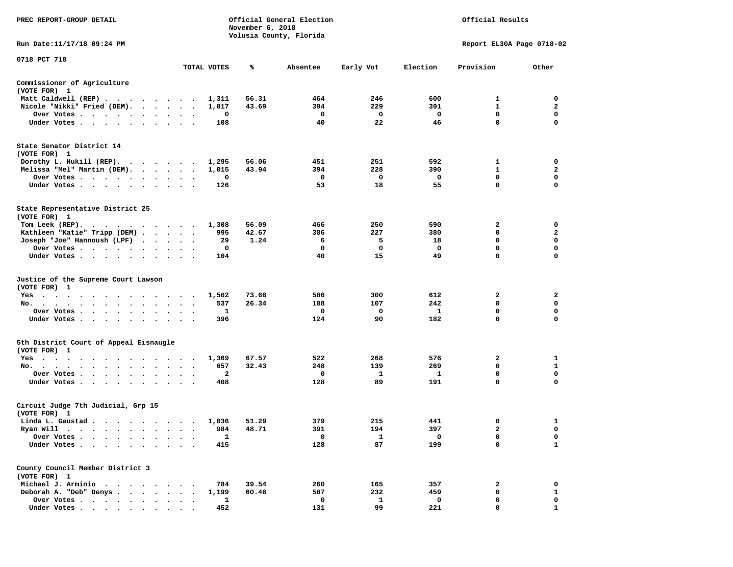| PREC REPORT-GROUP DETAIL                                                                                                                                                                                                                     |                                       |              | November 6, 2018 | Official General Election<br>Volusia County, Florida |              |          | Official Results          |              |
|----------------------------------------------------------------------------------------------------------------------------------------------------------------------------------------------------------------------------------------------|---------------------------------------|--------------|------------------|------------------------------------------------------|--------------|----------|---------------------------|--------------|
| Run Date:11/17/18 09:24 PM                                                                                                                                                                                                                   |                                       |              |                  |                                                      |              |          | Report EL30A Page 0718-02 |              |
| 0718 PCT 718                                                                                                                                                                                                                                 |                                       | TOTAL VOTES  | ℁                | Absentee                                             | Early Vot    | Election | Provision                 | Other        |
| Commissioner of Agriculture                                                                                                                                                                                                                  |                                       |              |                  |                                                      |              |          |                           |              |
| (VOTE FOR) 1                                                                                                                                                                                                                                 |                                       |              |                  |                                                      |              |          |                           |              |
| Matt Caldwell (REP)                                                                                                                                                                                                                          |                                       | 1,311        | 56.31            | 464                                                  | 246          | 600      | 1                         | 0            |
| Nicole "Nikki" Fried (DEM).                                                                                                                                                                                                                  |                                       | 1,017        | 43.69            | 394                                                  | 229          | 391      | $\mathbf{1}$              | 2            |
| Over Votes                                                                                                                                                                                                                                   | $\bullet$<br>$\bullet$                | 0            |                  | 0                                                    | 0            | 0        | $\mathbf 0$               | 0            |
| Under Votes<br>$\cdots$                                                                                                                                                                                                                      |                                       | 108          |                  | 40                                                   | 22           | 46       | $\mathbf 0$               | $\mathbf 0$  |
| State Senator District 14<br>(VOTE FOR) 1                                                                                                                                                                                                    |                                       |              |                  |                                                      |              |          |                           |              |
| Dorothy L. Hukill (REP).                                                                                                                                                                                                                     |                                       | 1,295        | 56.06            | 451                                                  | 251          | 592      | 1                         | 0            |
| Melissa "Mel" Martin (DEM).                                                                                                                                                                                                                  |                                       | 1,015        | 43.94            | 394                                                  | 228          | 390      | $\mathbf{1}$              | $\mathbf{2}$ |
| Over Votes<br>$\cdots$                                                                                                                                                                                                                       |                                       | 0            |                  | 0                                                    | 0            | 0        | 0                         | 0            |
| Under Votes                                                                                                                                                                                                                                  | $\sim$ $\sim$<br>$\ddot{\phantom{1}}$ | 126          |                  | 53                                                   | 18           | 55       | $\mathbf 0$               | $\mathbf 0$  |
| State Representative District 25<br>(VOTE FOR) 1                                                                                                                                                                                             |                                       |              |                  |                                                      |              |          |                           |              |
| Tom Leek (REP).<br>$\mathbf{r}$ , and $\mathbf{r}$ , and $\mathbf{r}$ , and $\mathbf{r}$ , and $\mathbf{r}$                                                                                                                                  |                                       | 1,308        | 56.09            | 466                                                  | 250          | 590      | 2                         | 0            |
| Kathleen "Katie" Tripp (DEM)                                                                                                                                                                                                                 |                                       | 995          | 42.67            | 386                                                  | 227          | 380      | 0                         | 2            |
| Joseph "Joe" Hannoush (LPF)<br>$\cdots$                                                                                                                                                                                                      |                                       | 29           | 1.24             | 6                                                    | 5            | 18       | $\mathbf 0$               | $\mathbf 0$  |
| Over Votes                                                                                                                                                                                                                                   |                                       | 0            |                  | 0<br>40                                              | 0<br>15      | 0        | 0<br>0                    | 0<br>0       |
| Under Votes                                                                                                                                                                                                                                  |                                       | 104          |                  |                                                      |              | 49       |                           |              |
| Justice of the Supreme Court Lawson<br>(VOTE FOR) 1                                                                                                                                                                                          |                                       |              |                  |                                                      |              |          |                           |              |
| $Yes \t . \t .$<br>the contract of the contract of the contract of the contract of the contract of the contract of the contract of                                                                                                           |                                       | 1,502        | 73.66            | 586                                                  | 300          | 612      | 2                         | 2            |
| No.                                                                                                                                                                                                                                          |                                       | 537          | 26.34            | 188                                                  | 107          | 242      | $\mathbf 0$               | $\mathbf 0$  |
| Over Votes                                                                                                                                                                                                                                   |                                       | 1            |                  | 0                                                    | 0            | 1        | 0                         | 0            |
| Under Votes                                                                                                                                                                                                                                  | $\sim$<br>$\ddot{\phantom{1}}$        | 396          |                  | 124                                                  | 90           | 182      | 0                         | $\mathbf 0$  |
| 5th District Court of Appeal Eisnaugle<br>(VOTE FOR) 1                                                                                                                                                                                       |                                       |              |                  |                                                      |              |          |                           |              |
| Yes<br>. The contract of the contract of the contract of the contract of the contract of the contract of the contract of the contract of the contract of the contract of the contract of the contract of the contract of the contrac         |                                       | 1,369        | 67.57            | 522                                                  | 268          | 576      | 2                         | 1            |
| No.                                                                                                                                                                                                                                          | $\bullet$                             | 657          | 32.43            | 248                                                  | 139          | 269      | 0                         | 1            |
| Over Votes.<br>. The contract of the contract of the contract of the contract of the contract of the contract of the contract of the contract of the contract of the contract of the contract of the contract of the contract of the contrac | $\bullet$ . $\bullet$                 | 2            |                  | 0                                                    | 1            | -1       | $\mathbf 0$               | $\mathbf 0$  |
| Under Votes                                                                                                                                                                                                                                  |                                       | 408          |                  | 128                                                  | 89           | 191      | $\mathbf 0$               | $\mathbf 0$  |
| Circuit Judge 7th Judicial, Grp 15<br>(VOTE FOR) 1                                                                                                                                                                                           |                                       |              |                  |                                                      |              |          |                           |              |
| Linda L. Gaustad                                                                                                                                                                                                                             |                                       | 1,036        | 51.29            | 379                                                  | 215          | 441      | 0                         | 1            |
| Ryan Will $\cdots$ , $\cdots$ , $\cdots$ , $\cdots$                                                                                                                                                                                          |                                       | 984          | 48.71            | 391                                                  | 194          | 397      | $\overline{a}$            | 0            |
| Over Votes .                                                                                                                                                                                                                                 |                                       | 1            |                  | 0                                                    | 1            | 0        | 0                         | 0            |
| Under Votes.                                                                                                                                                                                                                                 |                                       | 415          |                  | 128                                                  | 87           | 199      | 0                         | $\mathbf{1}$ |
| County Council Member District 3<br>(VOTE FOR) 1                                                                                                                                                                                             |                                       |              |                  |                                                      |              |          |                           |              |
| Michael J. Arminio<br>$\sim$<br>$\sim$ $\sim$                                                                                                                                                                                                |                                       | 784          | 39.54            | 260                                                  | 165          | 357      | 2                         | 0            |
| Deborah A. "Deb" Denys.<br>$\ddot{\phantom{a}}$<br>$\sim$ 100 $\sim$<br>$\ddot{\phantom{a}}$                                                                                                                                                 |                                       | 1,199        | 60.46            | 507                                                  | 232          | 459      | 0                         | $\mathbf{1}$ |
| Over Votes<br>$\ddot{\phantom{a}}$                                                                                                                                                                                                           |                                       | $\mathbf{1}$ |                  | 0                                                    | $\mathbf{1}$ | 0        | 0                         | 0            |
| Under Votes                                                                                                                                                                                                                                  |                                       | 452          |                  | 131                                                  | 99           | 221      | 0                         | 1            |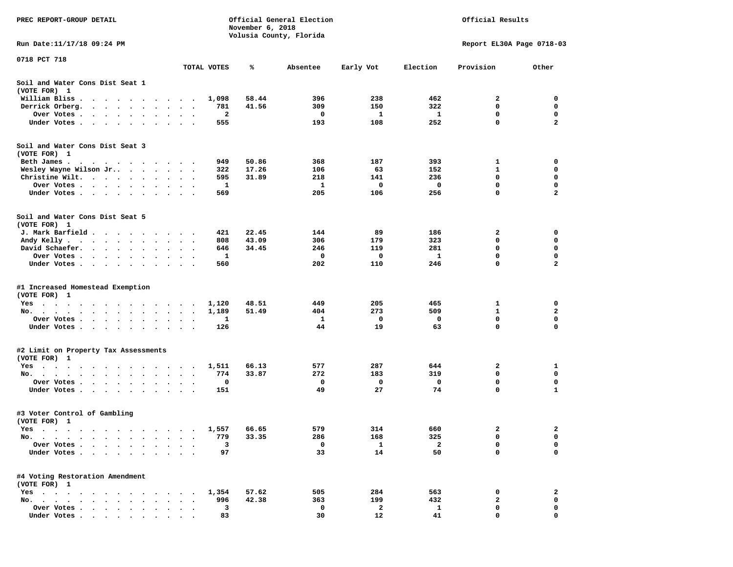| PREC REPORT-GROUP DETAIL                                                                                                                                                                                                                                                                             |                                                |              | November 6, 2018 | Official General Election<br>Volusia County, Florida |            |              | Official Results          |                         |
|------------------------------------------------------------------------------------------------------------------------------------------------------------------------------------------------------------------------------------------------------------------------------------------------------|------------------------------------------------|--------------|------------------|------------------------------------------------------|------------|--------------|---------------------------|-------------------------|
| Run Date:11/17/18 09:24 PM                                                                                                                                                                                                                                                                           |                                                |              |                  |                                                      |            |              | Report EL30A Page 0718-03 |                         |
| 0718 PCT 718                                                                                                                                                                                                                                                                                         |                                                | TOTAL VOTES  | ℁                | Absentee                                             | Early Vot  | Election     | Provision                 | Other                   |
| Soil and Water Cons Dist Seat 1                                                                                                                                                                                                                                                                      |                                                |              |                  |                                                      |            |              |                           |                         |
| (VOTE FOR) 1                                                                                                                                                                                                                                                                                         |                                                |              |                  | 396                                                  | 238        | 462          | 2                         | 0                       |
| William Bliss.<br>$\bullet$<br>$\cdots$<br>Derrick Orberg.<br>$\sim$ $\sim$ $\sim$ $\sim$ $\sim$<br>$\sim$ $\sim$<br>$\ddot{\phantom{a}}$                                                                                                                                                            |                                                | 1,098<br>781 | 58.44<br>41.56   | 309                                                  | 150        | 322          | 0                         | 0                       |
| Over Votes .<br>$\cdot$ $\cdot$ $\cdot$ $\cdot$ $\cdot$ $\cdot$<br>$\cdot$                                                                                                                                                                                                                           | $\cdot$<br>$\bullet$                           | 2            |                  | 0                                                    | 1          | 1            | $\mathbf 0$               | 0                       |
| Under Votes<br>$\ddot{\phantom{1}}$<br>$\ddot{\phantom{1}}$<br>$\ddot{\phantom{1}}$<br>$\cdot$                                                                                                                                                                                                       |                                                | 555          |                  | 193                                                  | 108        | 252          | 0                         | $\mathbf{2}$            |
| Soil and Water Cons Dist Seat 3<br>(VOTE FOR) 1                                                                                                                                                                                                                                                      |                                                |              |                  |                                                      |            |              |                           |                         |
| Beth James.                                                                                                                                                                                                                                                                                          | $\sim$                                         | 949          | 50.86            | 368                                                  | 187        | 393          | 1                         | 0                       |
| Wesley Wayne Wilson Jr                                                                                                                                                                                                                                                                               | $\ddot{\phantom{0}}$                           | 322          | 17.26            | 106                                                  | 63         | 152          | 1                         | 0                       |
| Christine Wilt.<br>$\sim$ $\sim$<br>$\ddot{\phantom{a}}$                                                                                                                                                                                                                                             |                                                | 595          | 31.89            | 218                                                  | 141        | 236          | 0                         | 0                       |
| Over Votes<br>$\bullet$<br>$\cdot$                                                                                                                                                                                                                                                                   |                                                | 1            |                  | 1                                                    | 0          | 0            | 0                         | 0                       |
| Under Votes                                                                                                                                                                                                                                                                                          |                                                | 569          |                  | 205                                                  | 106        | 256          | $\mathbf 0$               | $\overline{\mathbf{2}}$ |
| Soil and Water Cons Dist Seat 5<br>(VOTE FOR) 1                                                                                                                                                                                                                                                      |                                                |              |                  |                                                      |            |              |                           |                         |
| J. Mark Barfield                                                                                                                                                                                                                                                                                     |                                                | 421          | 22.45            | 144                                                  | 89         | 186          | 2                         | 0                       |
| Andy Kelly                                                                                                                                                                                                                                                                                           |                                                | 808          | 43.09            | 306                                                  | 179        | 323          | 0                         | 0                       |
| David Schaefer.<br><b>Contract Contract Contract</b><br>$\bullet$ . $\bullet$<br>$\bullet$                                                                                                                                                                                                           | $\bullet$                                      | 646          | 34.45            | 246                                                  | 119        | 281          | 0                         | 0                       |
| Over Votes<br>$\sim$ $\sim$                                                                                                                                                                                                                                                                          |                                                | 1            |                  | 0                                                    | 0          | $\mathbf{1}$ | 0                         | 0                       |
| Under Votes<br>$\ddot{\phantom{0}}$<br>$\bullet$                                                                                                                                                                                                                                                     | $\cdot$<br>$\cdot$<br>$\overline{\phantom{a}}$ | 560          |                  | 202                                                  | 110        | 246          | 0                         | $\mathbf{2}$            |
| #1 Increased Homestead Exemption<br>(VOTE FOR) 1                                                                                                                                                                                                                                                     |                                                |              |                  |                                                      |            |              |                           |                         |
| Yes                                                                                                                                                                                                                                                                                                  |                                                | 1,120        | 48.51            | 449                                                  | 205        | 465          | 1                         | 0                       |
| No.<br>$\sim$ $\sim$<br>$\ddot{\phantom{0}}$                                                                                                                                                                                                                                                         |                                                | 1,189        | 51.49            | 404                                                  | 273        | 509          | 1                         | 2                       |
| Over Votes .<br>$\sim$ $\sim$<br>$\sim$<br>$\bullet$<br>$\bullet$<br>$\bullet$                                                                                                                                                                                                                       | $\bullet$<br>$\bullet$                         | 1            |                  | 1                                                    | 0          | 0            | 0                         | $\mathbf 0$             |
| Under Votes<br>$\ddot{\phantom{1}}$                                                                                                                                                                                                                                                                  | $\ddot{\phantom{a}}$<br>$\ddot{\phantom{1}}$   | 126          |                  | 44                                                   | 19         | 63           | 0                         | $\mathbf 0$             |
| #2 Limit on Property Tax Assessments                                                                                                                                                                                                                                                                 |                                                |              |                  |                                                      |            |              |                           |                         |
| (VOTE FOR) 1                                                                                                                                                                                                                                                                                         |                                                |              |                  |                                                      |            |              |                           |                         |
| $Yes \cdot \cdot \cdot$<br>$\sim$<br>$\sim$<br>$\sim$ $\sim$<br>. The contract of the contract of the contract of the contract of the contract of the contract of the contract of the contract of the contract of the contract of the contract of the contract of the contract of the contrac<br>No. | $\sim$                                         | 1,511<br>774 | 66.13<br>33.87   | 577<br>272                                           | 287<br>183 | 644<br>319   | 2<br>0                    | 1<br>0                  |
| Over Votes .<br>$\ddot{\phantom{1}}$<br>$\sim$<br>$\sim$ 100 $\pm$<br>$\ddot{\phantom{0}}$<br>$\cdot$<br>$\cdot$                                                                                                                                                                                     |                                                | 0            |                  | 0                                                    | 0          | 0            | 0                         | 0                       |
| Under Votes<br>$\sim$ $\sim$<br>$\bullet$ .<br>$\blacksquare$                                                                                                                                                                                                                                        |                                                | 151          |                  | 49                                                   | 27         | 74           | 0                         | 1                       |
| #3 Voter Control of Gambling<br>(VOTE FOR) 1                                                                                                                                                                                                                                                         |                                                |              |                  |                                                      |            |              |                           |                         |
| Yes<br>$\sim$ $\sim$<br>$\cdots$<br>$\cdots$                                                                                                                                                                                                                                                         |                                                | 1,557        | 66.65            | 579                                                  | 314        | 660          | 2                         | 2                       |
| No.<br>$\blacksquare$ .<br>$\bullet$<br>$\bullet$                                                                                                                                                                                                                                                    |                                                | 779          | 33.35            | 286                                                  | 168        | 325          | 0                         | 0                       |
| Over Votes .<br>$\ddot{\phantom{a}}$<br>$\ddot{\phantom{a}}$<br>$\ddot{\phantom{a}}$                                                                                                                                                                                                                 |                                                | з            |                  | 0                                                    | 1          | $\mathbf{2}$ | 0                         | 0                       |
| Under Votes.<br>$\ddot{\phantom{1}}$<br>$\cdot$                                                                                                                                                                                                                                                      |                                                | 97           |                  | 33                                                   | 14         | 50           | 0                         | 0                       |
| #4 Voting Restoration Amendment<br>(VOTE FOR) 1                                                                                                                                                                                                                                                      |                                                |              |                  |                                                      |            |              |                           |                         |
| $Yes \cdot \cdot \cdot$<br>$\sim$ $\sim$<br>$\sim$<br>$\ddot{\phantom{a}}$<br>$\bullet$<br>$\ddot{\phantom{0}}$                                                                                                                                                                                      |                                                | 1,354        | 57.62            | 505                                                  | 284        | 563          | 0                         | 2                       |
| No.<br>$\ddot{\phantom{1}}$<br>$\sim$<br>$\overline{\phantom{a}}$<br>$\sim$                                                                                                                                                                                                                          |                                                | 996          | 42.38            | 363                                                  | 199        | 432          | $\mathbf{2}$              | 0                       |
| Over Votes<br>$\bullet$                                                                                                                                                                                                                                                                              |                                                | 3            |                  | 0                                                    | 2          | $\mathbf{1}$ | 0                         | 0                       |
| Under Votes                                                                                                                                                                                                                                                                                          |                                                | 83           |                  | 30                                                   | 12         | 41           | $\Omega$                  | $\Omega$                |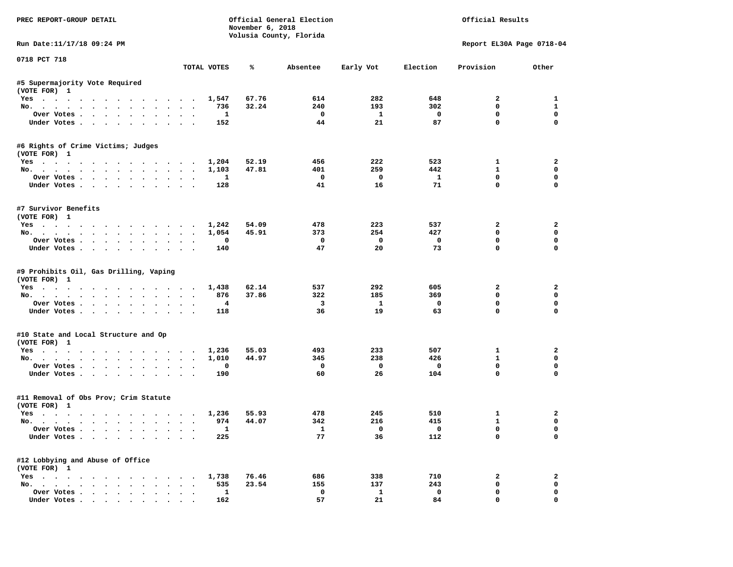| PREC REPORT-GROUP DETAIL                                      |                | November 6, 2018 | Official General Election<br>Volusia County, Florida |                    |                    | Official Results             |                  |
|---------------------------------------------------------------|----------------|------------------|------------------------------------------------------|--------------------|--------------------|------------------------------|------------------|
| Run Date:11/17/18 09:24 PM                                    |                |                  |                                                      |                    |                    | Report EL30A Page 0718-04    |                  |
| 0718 PCT 718                                                  | TOTAL VOTES    | ℁                | Absentee                                             | Early Vot          | Election           | Provision                    | Other            |
|                                                               |                |                  |                                                      |                    |                    |                              |                  |
| #5 Supermajority Vote Required<br>(VOTE FOR) 1                |                |                  |                                                      |                    |                    |                              |                  |
| Yes                                                           | 1,547          | 67.76            | 614                                                  | 282                | 648                | $\overline{a}$               | 1                |
| No.                                                           | 736            | 32.24            | 240                                                  | 193                | 302                | 0                            | $\mathbf{1}$     |
| Over Votes                                                    | $\mathbf{1}$   |                  | $\mathbf 0$                                          | $\mathbf{1}$       | $\mathbf{o}$       | $\mathbf 0$                  | $\mathbf 0$      |
| Under Votes                                                   | 152            |                  | 44                                                   | 21                 | 87                 | $\mathbf 0$                  | $\mathbf 0$      |
| #6 Rights of Crime Victims; Judges                            |                |                  |                                                      |                    |                    |                              |                  |
| (VOTE FOR) 1                                                  |                |                  |                                                      |                    |                    |                              |                  |
| Yes                                                           | 1,204          | 52.19            | 456                                                  | 222                | 523                | $\mathbf{1}$<br>$\mathbf{1}$ | $\overline{a}$   |
| No.                                                           | 1,103          | 47.81            | 401                                                  | 259                | 442                | $\mathbf 0$                  | 0<br>$\mathbf 0$ |
| Over Votes.<br>Under Votes                                    | 1              |                  | $\mathbf 0$<br>41                                    | $\mathbf{o}$<br>16 | $\mathbf{1}$<br>71 | $\mathbf 0$                  | $\mathbf 0$      |
|                                                               | 128            |                  |                                                      |                    |                    |                              |                  |
| #7 Survivor Benefits<br>(VOTE FOR) 1                          |                |                  |                                                      |                    |                    |                              |                  |
|                                                               |                | 54.09            | 478                                                  | 223                | 537                | $\overline{2}$               | $\overline{a}$   |
| Yes. 1,242<br>No.                                             | 1,054          | 45.91            | 373                                                  | 254                | 427                | $\mathbf 0$                  | $\mathbf 0$      |
|                                                               | $\mathbf 0$    |                  | $\mathbf 0$                                          | $\mathbf 0$        | $\mathbf 0$        | $\mathbf 0$                  | $\mathbf 0$      |
| Over Votes                                                    | 140            |                  | 47                                                   | 20                 | 73                 | $\Omega$                     | $\Omega$         |
| Under Votes                                                   |                |                  |                                                      |                    |                    |                              |                  |
| #9 Prohibits Oil, Gas Drilling, Vaping<br>(VOTE FOR) 1<br>Yes | 1,438          | 62.14            | 537                                                  | 292                | 605                | $\mathbf{2}$                 | 2                |
| No.                                                           | 876            | 37.86            | 322                                                  | 185                | 369                | $\mathbf 0$                  | $\mathbf 0$      |
| Over Votes                                                    | $\overline{4}$ |                  | $\overline{\mathbf{3}}$                              | $\mathbf{1}$       | $\mathbf 0$        | $\mathbf 0$                  | $\mathbf 0$      |
| Under Votes                                                   | 118            |                  | 36                                                   | 19                 | 63                 | $\Omega$                     | $\mathbf 0$      |
| #10 State and Local Structure and Op<br>(VOTE FOR) 1          |                |                  |                                                      |                    |                    |                              |                  |
| Yes                                                           | 1,236          | 55.03            | 493                                                  | 233                | 507                | 1                            | $\overline{a}$   |
| No.                                                           | 1,010          | 44.97            | 345                                                  | 238                | 426                | $\mathbf{1}$                 | $\mathbf{0}$     |
| Over Votes                                                    | $\mathbf 0$    |                  | $\mathbf 0$                                          | $\mathbf{o}$       | $\mathbf{o}$       | $\mathbf 0$                  | $\mathbf 0$      |
| Under Votes                                                   | 190            |                  | 60                                                   | 26                 | 104                | $\mathbf{0}$                 | $\mathbf{0}$     |
| #11 Removal of Obs Prov; Crim Statute                         |                |                  |                                                      |                    |                    |                              |                  |
| (VOTE FOR) 1                                                  |                |                  |                                                      |                    |                    |                              |                  |
| Yes                                                           | 1,236          | 55.93            | 478                                                  | 245                | 510                | $\mathbf{1}$                 | $\mathbf{2}$     |
| No.                                                           | 974            | 44.07            | 342                                                  | 216                | 415                | $\mathbf{1}$                 | $\mathbf 0$      |
| Over Votes                                                    | $\mathbf{1}$   |                  | $\mathbf{1}$                                         | $\Omega$           | $\Omega$           | $\mathbf{0}$                 | $\mathbf{0}$     |
| Under Votes                                                   | 225            |                  | 77                                                   | 36                 | 112                | $\Omega$                     | $\mathbf 0$      |
| #12 Lobbying and Abuse of Office<br>(VOTE FOR) 1              |                |                  |                                                      |                    |                    |                              |                  |
| Yes                                                           | 1,738          | 76.46            | 686                                                  | 338                | 710                | 2                            | $\mathbf{2}$     |
| No.                                                           | 535            | 23.54            | 155                                                  | 137                | 243                | $\mathbf 0$                  | $\mathbf 0$      |
| Over Votes                                                    | $\mathbf{1}$   |                  | $\mathbf 0$                                          | $\mathbf{1}$       | $\mathbf{0}$       | $\mathbf 0$                  | $\mathbf 0$      |
| Under Votes.                                                  | 162            |                  | 57                                                   | 21                 | 84                 | $\mathbf{0}$                 | $\mathbf 0$      |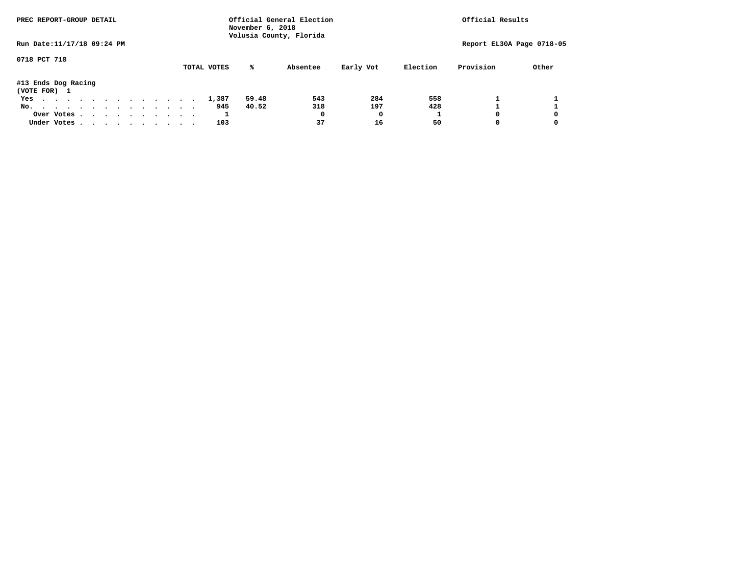| PREC REPORT-GROUP DETAIL            |  |  |  |             | November 6, 2018 | Official General Election<br>Volusia County, Florida |           |          | Official Results          |       |
|-------------------------------------|--|--|--|-------------|------------------|------------------------------------------------------|-----------|----------|---------------------------|-------|
| Run Date: 11/17/18 09:24 PM         |  |  |  |             |                  |                                                      |           |          | Report EL30A Page 0718-05 |       |
| 0718 PCT 718                        |  |  |  | TOTAL VOTES | %ะ               | Absentee                                             | Early Vot | Election | Provision                 | Other |
| #13 Ends Dog Racing<br>(VOTE FOR) 1 |  |  |  |             |                  |                                                      |           |          |                           |       |
| Yes                                 |  |  |  | 1,387       | 59.48            | 543                                                  | 284       | 558      |                           |       |
| No.                                 |  |  |  | 945         | 40.52            | 318                                                  | 197       | 428      |                           |       |
| Over Votes                          |  |  |  |             |                  | 0                                                    | 0         |          |                           | 0     |
| Under Votes, , , , , , , , , , ,    |  |  |  | 103         |                  | 37                                                   | 16        | 50       |                           | 0     |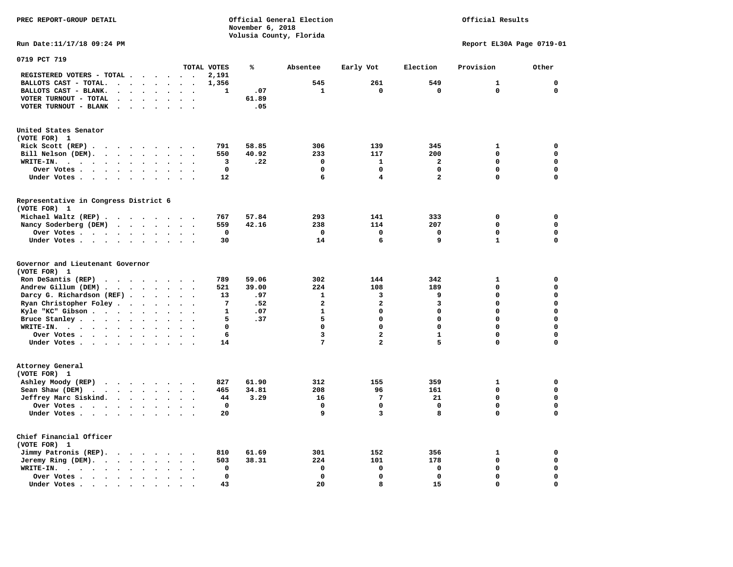Official Results

**Run Date:11/17/18 09:24 PM Report EL30A Page 0719-01** 

| 0719 PCT 719                                                                                                                 |                                              |                                              |              |       |                         |                         |                         |              |              |
|------------------------------------------------------------------------------------------------------------------------------|----------------------------------------------|----------------------------------------------|--------------|-------|-------------------------|-------------------------|-------------------------|--------------|--------------|
|                                                                                                                              |                                              |                                              | TOTAL VOTES  | ℁     | Absentee                | Early Vot               | Election                | Provision    | Other        |
| REGISTERED VOTERS - TOTAL .<br>$\bullet$                                                                                     | $\bullet$                                    | $\ddot{\phantom{0}}$<br>$\ddot{\phantom{a}}$ | 2,191        |       |                         |                         |                         |              |              |
| BALLOTS CAST - TOTAL.<br>$\sim$<br>$\ddot{\phantom{a}}$                                                                      | $\ddot{\phantom{a}}$<br>$\ddot{\phantom{a}}$ | $\ddot{\phantom{1}}$                         | 1,356        |       | 545                     | 261                     | 549                     | $\mathbf{1}$ | $\mathbf{0}$ |
| BALLOTS CAST - BLANK.<br>$\ddot{\phantom{a}}$<br>$\ddot{\phantom{a}}$                                                        | $\ddot{\phantom{a}}$                         |                                              | 1            | .07   | $\mathbf{1}$            | $\mathbf 0$             | $\mathbf 0$             | 0            | $\mathbf 0$  |
| VOTER TURNOUT - TOTAL<br>$\ddot{\phantom{a}}$<br>$\bullet$<br>$\sim$                                                         | $\bullet$<br>$\bullet$                       | $\ddot{\phantom{1}}$                         |              | 61.89 |                         |                         |                         |              |              |
| VOTER TURNOUT - BLANK<br>$\bullet$                                                                                           |                                              |                                              |              | .05   |                         |                         |                         |              |              |
| United States Senator                                                                                                        |                                              |                                              |              |       |                         |                         |                         |              |              |
| (VOTE FOR) 1                                                                                                                 |                                              |                                              |              |       |                         |                         |                         |              |              |
| Rick Scott (REP).<br>.                                                                                                       |                                              |                                              | 791          | 58.85 | 306                     | 139                     | 345                     | $\mathbf{1}$ | 0            |
| Bill Nelson (DEM).<br>$\cdot$ $\cdot$ $\cdot$ $\cdot$ $\cdot$ $\cdot$ $\cdot$ $\cdot$                                        |                                              |                                              | 550          | 40.92 | 233                     | 117                     | 200                     | $\mathbf 0$  | 0            |
| WRITE-IN.<br>$\cdot$ $\cdot$ $\cdot$<br>$\ddot{\phantom{a}}$<br>$\ddot{\phantom{a}}$                                         | $\ddot{\phantom{a}}$                         |                                              | 3            | .22   | $\mathbf 0$             | $\mathbf{1}$            | $\mathbf{2}$            | $\Omega$     | $\mathbf 0$  |
| Over Votes .<br>$\cdots$<br>$\bullet$                                                                                        | $\bullet$<br>$\bullet$                       |                                              | $\mathbf 0$  |       | $\Omega$                | $\Omega$                | 0                       | $\Omega$     | $\mathbf 0$  |
| Under Votes<br>$\sim$ $\sim$<br>$\ddot{\phantom{0}}$<br>$\ddot{\phantom{a}}$                                                 | $\ddot{\phantom{a}}$                         |                                              | 12           |       | 6                       | $\overline{\mathbf{4}}$ | $\overline{\mathbf{2}}$ | $\mathbf 0$  | $\mathbf 0$  |
| Representative in Congress District 6                                                                                        |                                              |                                              |              |       |                         |                         |                         |              |              |
| (VOTE FOR) 1                                                                                                                 |                                              |                                              |              |       |                         |                         |                         |              |              |
| Michael Waltz (REP)                                                                                                          |                                              |                                              | 767          | 57.84 | 293                     | 141                     | 333                     | 0            | 0            |
| Nancy Soderberg (DEM)<br>$\cdot$ $\cdot$ $\cdot$                                                                             | $\cdot$ $\cdot$ $\cdot$ $\cdot$              |                                              | 559          | 42.16 | 238                     | 114                     | 207                     | $\mathbf 0$  | $\mathbf 0$  |
| Over Votes<br>$\sim$                                                                                                         | $\bullet$<br>$\bullet$                       | $\ddot{\phantom{a}}$<br>$\ddot{\phantom{a}}$ | 0            |       | $\mathbf 0$             | $\mathbf 0$             | 0                       | $\mathbf 0$  | $\mathbf 0$  |
| Under Votes                                                                                                                  | $\sim$                                       | $\sim$                                       | 30           |       | 14                      | 6                       | 9                       | $\mathbf{1}$ | $\mathbf 0$  |
|                                                                                                                              |                                              |                                              |              |       |                         |                         |                         |              |              |
| Governor and Lieutenant Governor                                                                                             |                                              |                                              |              |       |                         |                         |                         |              |              |
| (VOTE FOR) 1                                                                                                                 |                                              |                                              |              |       |                         |                         |                         |              |              |
| Ron DeSantis (REP)<br>.                                                                                                      |                                              |                                              | 789          | 59.06 | 302                     | 144                     | 342                     | 1            | $\mathbf 0$  |
| Andrew Gillum (DEM)<br>$\ddot{\phantom{0}}$                                                                                  | $\sim$ $\sim$ $\sim$                         |                                              | 521          | 39.00 | 224                     | 108                     | 189                     | $\mathbf 0$  | $\mathbf 0$  |
| Darcy G. Richardson (REF).<br>$\sim$ $\sim$                                                                                  | $\sim$                                       | $\ddot{\phantom{0}}$<br>$\cdot$              | 13           | .97   | $\mathbf{1}$            | з                       | 9                       | $\mathbf 0$  | $\mathbf 0$  |
| Ryan Christopher Foley<br>$\bullet$                                                                                          | $\ddot{\phantom{a}}$<br>$\ddot{\phantom{a}}$ |                                              | 7            | .52   | $\overline{\mathbf{2}}$ | $\overline{\mathbf{2}}$ | 3                       | $\mathbf 0$  | $\mathbf 0$  |
| Kyle "KC" Gibson                                                                                                             | $\ddot{\phantom{a}}$<br>$\bullet$            |                                              | $\mathbf{1}$ | .07   | $\mathbf{1}$            | $\Omega$                | $\Omega$                | $\Omega$     | $\mathbf 0$  |
| Bruce Stanley<br>$\ddot{\phantom{a}}$                                                                                        | $\ddot{\phantom{a}}$<br>$\ddot{\phantom{a}}$ | $\ddot{\phantom{a}}$                         | 5            | .37   | 5                       | $\Omega$                | $\Omega$                | $\Omega$     | $\mathbf 0$  |
| WRITE-IN.<br>$\mathbf{r}$ , $\mathbf{r}$ , $\mathbf{r}$ , $\mathbf{r}$ , $\mathbf{r}$ , $\mathbf{r}$<br>$\ddot{\phantom{0}}$ | $\ddot{\phantom{a}}$                         |                                              | $\mathbf 0$  |       | $\mathbf 0$             | $\mathbf 0$             | 0                       | $\mathbf 0$  | $\mathbf 0$  |
| Over Votes                                                                                                                   | $\bullet$<br>$\bullet$                       | $\cdot$                                      | 6            |       | $\overline{\mathbf{3}}$ | $\overline{\mathbf{c}}$ | $\mathbf{1}$            | $\mathbf 0$  | $\mathbf 0$  |
| Under Votes                                                                                                                  | $\bullet$<br>$\ddot{\phantom{a}}$            | $\ddotsc$                                    | 14           |       | 7                       | $\overline{\mathbf{2}}$ | 5                       | 0            | $\mathbf 0$  |
| Attorney General                                                                                                             |                                              |                                              |              |       |                         |                         |                         |              |              |
| (VOTE FOR) 1                                                                                                                 |                                              |                                              |              |       |                         |                         |                         |              |              |
| Ashley Moody (REP)                                                                                                           |                                              |                                              | 827          | 61.90 | 312                     | 155                     | 359                     | $\mathbf{1}$ | 0            |
| Sean Shaw (DEM)<br>$\cdots$                                                                                                  |                                              | $\cdots$                                     | 465          | 34.81 | 208                     | 96                      | 161                     | $\mathbf 0$  | $\mathbf 0$  |
| Jeffrey Marc Siskind.                                                                                                        | $\ddot{\phantom{a}}$<br>$\ddot{\phantom{a}}$ |                                              | 44           | 3.29  | 16                      | 7                       | 21                      | 0            | $\mathbf 0$  |
| Over Votes                                                                                                                   | $\bullet$<br>$\bullet$                       |                                              | $\mathbf 0$  |       | $\Omega$                | $\mathbf 0$             | 0                       | $\Omega$     | $\mathbf 0$  |
| Under Votes                                                                                                                  | $\bullet$                                    |                                              | 20           |       | 9                       | 3                       | 8                       | $\mathbf 0$  | $\mathbf 0$  |
|                                                                                                                              |                                              |                                              |              |       |                         |                         |                         |              |              |
| Chief Financial Officer<br>(VOTE FOR) 1                                                                                      |                                              |                                              |              |       |                         |                         |                         |              |              |
| Jimmy Patronis (REP).<br>$\cdot$ $\cdot$ $\cdot$ $\cdot$                                                                     | $\sim$                                       | $\sim$                                       | 810          | 61.69 | 301                     | 152                     | 356                     | 1            | 0            |
| Jeremy Ring (DEM).<br>$\sim$ $\sim$ $\sim$ $\sim$<br>$\ddot{\phantom{a}}$                                                    |                                              |                                              | 503          | 38.31 | 224                     | 101                     | 178                     | $\mathbf 0$  | $\mathbf 0$  |
| WRITE-IN.<br>$\mathbf{r}$ , and $\mathbf{r}$ , and $\mathbf{r}$ , and $\mathbf{r}$<br>$\ddot{\phantom{a}}$                   | $\bullet$<br>$\bullet$                       | $\ddot{\phantom{0}}$                         | 0            |       | $\mathbf 0$             | $\mathbf 0$             | 0                       | $\mathbf 0$  | $\mathbf 0$  |
| Over Votes<br>$\ddot{\phantom{a}}$                                                                                           | $\ddot{\phantom{a}}$                         |                                              | $\mathbf 0$  |       | $\Omega$                | $\mathbf 0$             | $\mathbf 0$             | $\mathbf 0$  | $\mathbf 0$  |
| Under Votes<br>$\overline{\phantom{a}}$                                                                                      |                                              |                                              | 43           |       | 20                      | 8                       | 15                      | 0            | $\mathbf 0$  |
|                                                                                                                              |                                              |                                              |              |       |                         |                         |                         |              |              |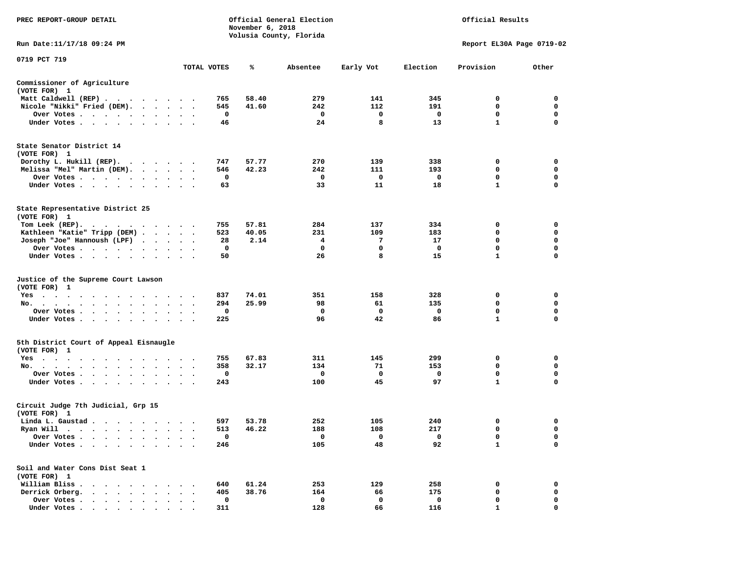| PREC REPORT-GROUP DETAIL                                                                                                                                                                                                                             |                     |                      |             | November 6, 2018 | Official General Election<br>Volusia County, Florida |           |          | Official Results          |             |
|------------------------------------------------------------------------------------------------------------------------------------------------------------------------------------------------------------------------------------------------------|---------------------|----------------------|-------------|------------------|------------------------------------------------------|-----------|----------|---------------------------|-------------|
| Run Date: 11/17/18 09:24 PM                                                                                                                                                                                                                          |                     |                      |             |                  |                                                      |           |          | Report EL30A Page 0719-02 |             |
| 0719 PCT 719                                                                                                                                                                                                                                         |                     |                      | TOTAL VOTES | ℁                | Absentee                                             | Early Vot | Election | Provision                 | Other       |
|                                                                                                                                                                                                                                                      |                     |                      |             |                  |                                                      |           |          |                           |             |
| Commissioner of Agriculture<br>(VOTE FOR) 1                                                                                                                                                                                                          |                     |                      |             |                  |                                                      |           |          |                           |             |
| Matt Caldwell (REP)                                                                                                                                                                                                                                  |                     |                      | 765         | 58.40            | 279                                                  | 141       | 345      | 0                         | 0           |
| Nicole "Nikki" Fried (DEM).                                                                                                                                                                                                                          |                     |                      | 545         | 41.60            | 242                                                  | 112       | 191      | 0                         | 0           |
| Over Votes                                                                                                                                                                                                                                           |                     |                      | 0           |                  | 0                                                    | 0         | 0        | 0                         | 0           |
| Under Votes                                                                                                                                                                                                                                          |                     |                      | 46          |                  | 24                                                   | 8         | 13       | $\mathbf{1}$              | 0           |
| State Senator District 14<br>(VOTE FOR) 1                                                                                                                                                                                                            |                     |                      |             |                  |                                                      |           |          |                           |             |
| Dorothy L. Hukill $(REP)$ .                                                                                                                                                                                                                          |                     |                      | 747         | 57.77            | 270                                                  | 139       | 338      | 0                         | 0           |
| Melissa "Mel" Martin (DEM).                                                                                                                                                                                                                          |                     |                      | 546         | 42.23            | 242                                                  | 111       | 193      | 0                         | 0           |
| Over Votes                                                                                                                                                                                                                                           |                     |                      | 0           |                  | 0                                                    | 0         | 0        | $\mathbf 0$               | $\mathbf 0$ |
| Under Votes<br>$\sim$                                                                                                                                                                                                                                | $\bullet$           | $\sim$ $\sim$        | 63          |                  | 33                                                   | 11        | 18       | $\mathbf{1}$              | 0           |
| State Representative District 25<br>(VOTE FOR) 1                                                                                                                                                                                                     |                     |                      |             |                  |                                                      |           |          |                           |             |
| Tom Leek $(REP)$ .                                                                                                                                                                                                                                   |                     |                      | 755         | 57.81            | 284                                                  | 137       | 334      | 0                         | 0           |
| Kathleen "Katie" Tripp (DEM)                                                                                                                                                                                                                         |                     |                      | 523         | 40.05            | 231                                                  | 109       | 183      | 0                         | 0           |
| Joseph "Joe" Hannoush (LPF)                                                                                                                                                                                                                          |                     |                      | 28          | 2.14             | 4                                                    | 7         | 17       | 0                         | $\mathbf 0$ |
| Over Votes                                                                                                                                                                                                                                           |                     |                      | 0           |                  | 0                                                    | 0         | 0        | $\mathbf 0$               | $\mathbf 0$ |
| Under Votes                                                                                                                                                                                                                                          |                     |                      | 50          |                  | 26                                                   | 8         | 15       | $\mathbf{1}$              | 0           |
| Justice of the Supreme Court Lawson<br>(VOTE FOR) 1                                                                                                                                                                                                  |                     |                      |             |                  |                                                      |           |          |                           |             |
| $Yes \cdot \cdot \cdot \cdot \cdot$<br>.                                                                                                                                                                                                             |                     |                      | 837         | 74.01            | 351                                                  | 158       | 328      | 0                         | 0           |
| No.<br>$\cdot$ $\cdot$ $\cdot$ $\cdot$                                                                                                                                                                                                               |                     |                      | 294         | 25.99            | 98                                                   | 61        | 135      | 0                         | 0           |
| Over Votes                                                                                                                                                                                                                                           |                     |                      | 0           |                  | 0                                                    | 0         | 0        | $\mathbf 0$               | 0           |
| Under Votes                                                                                                                                                                                                                                          |                     |                      | 225         |                  | 96                                                   | 42        | 86       | $\mathbf{1}$              | $\mathbf 0$ |
| 5th District Court of Appeal Eisnaugle<br>(VOTE FOR) 1                                                                                                                                                                                               |                     |                      |             |                  |                                                      |           |          |                           |             |
| Yes<br>the contract of the contract of the contract of the contract of the contract of the contract of the contract of                                                                                                                               |                     |                      | 755         | 67.83            | 311                                                  | 145       | 299      | 0                         | 0           |
| No.<br>$\cdot$ $\cdot$ $\cdot$ $\cdot$                                                                                                                                                                                                               | $\bullet$<br>$\sim$ |                      | 358         | 32.17            | 134                                                  | 71        | 153      | 0                         | 0           |
| Over Votes                                                                                                                                                                                                                                           |                     | $\ddot{\phantom{1}}$ | 0           |                  | 0                                                    | 0         | 0        | 0                         | 0           |
| Under Votes                                                                                                                                                                                                                                          |                     |                      | 243         |                  | 100                                                  | 45        | 97       | $\mathbf{1}$              | 0           |
| Circuit Judge 7th Judicial, Grp 15<br>(VOTE FOR) 1                                                                                                                                                                                                   |                     |                      |             |                  |                                                      |           |          |                           |             |
| Linda L. Gaustad                                                                                                                                                                                                                                     |                     |                      | 597         | 53.78            | 252                                                  | 105       | 240      | 0                         | 0           |
| Ryan Will<br>. The contract of the contract of the contract of the contract of the contract of the contract of the contract of the contract of the contract of the contract of the contract of the contract of the contract of the contrac<br>$\sim$ |                     |                      | 513         | 46.22            | 188                                                  | 108       | 217      | $\mathbf 0$               | $\mathbf 0$ |
| Over Votes .                                                                                                                                                                                                                                         |                     |                      | $\mathbf 0$ |                  | 0                                                    | 0         | 0        | 0                         | 0           |
| Under Votes.<br>$\ddot{\phantom{a}}$                                                                                                                                                                                                                 |                     |                      | 246         |                  | 105                                                  | 48        | 92       | $\mathbf{1}$              | 0           |
| Soil and Water Cons Dist Seat 1<br>(VOTE FOR) 1                                                                                                                                                                                                      |                     |                      |             |                  |                                                      |           |          |                           |             |
| William Bliss.<br>$\ddot{\phantom{1}}$<br>$\sim$ $\sim$                                                                                                                                                                                              |                     |                      | 640         | 61.24            | 253                                                  | 129       | 258      | 0                         | 0           |
| Derrick Orberg.<br>$\ddot{\phantom{a}}$<br>$\sim$<br>$\ddot{\phantom{a}}$                                                                                                                                                                            |                     |                      | 405         | 38.76            | 164                                                  | 66        | 175      | 0                         | 0           |
| Over Votes .<br>$\cdot$ $\cdot$ $\cdot$ $\cdot$ $\cdot$                                                                                                                                                                                              |                     |                      | $\mathbf 0$ |                  | 0                                                    | 0         | 0        | 0                         | 0           |
| Under Votes                                                                                                                                                                                                                                          |                     |                      | 311         |                  | 128                                                  | 66        | 116      |                           | $\Omega$    |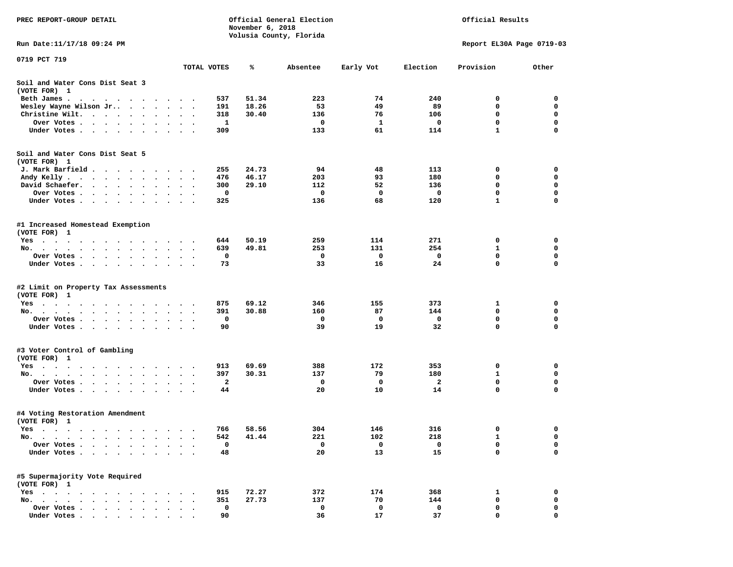| PREC REPORT-GROUP DETAIL                                                                                                                                                                                                                     |                      |                         | November 6, 2018 | Official General Election |             |          | Official Results          |             |
|----------------------------------------------------------------------------------------------------------------------------------------------------------------------------------------------------------------------------------------------|----------------------|-------------------------|------------------|---------------------------|-------------|----------|---------------------------|-------------|
| Run Date: 11/17/18 09:24 PM                                                                                                                                                                                                                  |                      |                         |                  | Volusia County, Florida   |             |          | Report EL30A Page 0719-03 |             |
| 0719 PCT 719                                                                                                                                                                                                                                 |                      |                         |                  |                           |             |          |                           |             |
|                                                                                                                                                                                                                                              | TOTAL VOTES          |                         | ℁                | Absentee                  | Early Vot   | Election | Provision                 | Other       |
| Soil and Water Cons Dist Seat 3<br>(VOTE FOR) 1                                                                                                                                                                                              |                      |                         |                  |                           |             |          |                           |             |
| Beth James.<br>. The contract of the contract of the contract of the contract of the contract of the contract of the contract of the contract of the contract of the contract of the contract of the contract of the contract of the contrac |                      | 537                     | 51.34            | 223                       | 74          | 240      | 0                         | 0           |
| Wesley Wayne Wilson Jr<br>$\ddot{\phantom{0}}$                                                                                                                                                                                               | $\ddot{\phantom{1}}$ | 191                     | 18.26            | 53                        | 49          | 89       | $\mathbf 0$               | 0           |
| Christine Wilt.<br>$\bullet$                                                                                                                                                                                                                 |                      | 318                     | 30.40            | 136                       | 76          | 106      | 0                         | 0           |
| Over Votes<br>$\bullet$                                                                                                                                                                                                                      |                      | -1                      |                  | 0                         | 1           | 0        | $\mathbf 0$               | $\mathbf 0$ |
| Under Votes                                                                                                                                                                                                                                  |                      | 309                     |                  | 133                       | 61          | 114      | $\mathbf{1}$              | $\mathbf 0$ |
| Soil and Water Cons Dist Seat 5                                                                                                                                                                                                              |                      |                         |                  |                           |             |          |                           |             |
| (VOTE FOR) 1                                                                                                                                                                                                                                 |                      | 255                     | 24.73            | 94                        | 48          | 113      | 0                         | 0           |
| J. Mark Barfield<br>Andy Kelly                                                                                                                                                                                                               |                      | 476                     | 46.17            | 203                       | 93          | 180      | 0                         | 0           |
| David Schaefer.<br>$\sim$ $\sim$ $\sim$ $\sim$ $\sim$<br>$\bullet$ .<br>$\bullet$ $\bullet$<br>$\ddot{\phantom{0}}$                                                                                                                          |                      | 300                     | 29.10            | 112                       | 52          | 136      | 0                         | 0           |
| Over Votes                                                                                                                                                                                                                                   |                      | 0                       |                  | 0                         | $\mathbf 0$ | 0        | $\mathbf 0$               | $\mathbf 0$ |
| Under Votes                                                                                                                                                                                                                                  |                      | 325                     |                  | 136                       | 68          | 120      | $\mathbf{1}$              | $\mathbf 0$ |
| #1 Increased Homestead Exemption<br>(VOTE FOR) 1                                                                                                                                                                                             |                      |                         |                  |                           |             |          |                           |             |
| Yes                                                                                                                                                                                                                                          |                      | 644                     | 50.19            | 259                       | 114         | 271      | 0                         | 0           |
| No.<br>$\cdots$<br>$\sim$<br>$\ddot{\phantom{1}}$<br>$\ddot{\phantom{0}}$                                                                                                                                                                    |                      | 639                     | 49.81            | 253                       | 131         | 254      | 1                         | 0           |
| Over Votes                                                                                                                                                                                                                                   |                      | 0                       |                  | 0                         | 0           | 0        | 0                         | 0           |
| Under Votes                                                                                                                                                                                                                                  |                      | 73                      |                  | 33                        | 16          | 24       | $\mathbf 0$               | $\mathbf 0$ |
| #2 Limit on Property Tax Assessments<br>(VOTE FOR) 1                                                                                                                                                                                         |                      |                         |                  |                           |             |          |                           |             |
| $Yes \cdot \cdot \cdot \cdot \cdot \cdot \cdot$<br>$\cdots$<br>$\sim$                                                                                                                                                                        |                      | 875                     | 69.12            | 346                       | 155         | 373      | 1                         | 0           |
| No.                                                                                                                                                                                                                                          |                      | 391                     | 30.88            | 160                       | 87          | 144      | 0                         | 0           |
| Over Votes .<br>$\cdot$ $\cdot$ $\cdot$ $\cdot$ $\cdot$<br>$\ddot{\phantom{0}}$<br>$\cdot$                                                                                                                                                   |                      | 0                       |                  | 0                         | 0           | 0        | 0                         | 0           |
| Under Votes                                                                                                                                                                                                                                  |                      | 90                      |                  | 39                        | 19          | 32       | $\mathbf 0$               | $\mathbf 0$ |
| #3 Voter Control of Gambling<br>(VOTE FOR) 1                                                                                                                                                                                                 |                      |                         |                  |                           |             |          |                           |             |
| Yes                                                                                                                                                                                                                                          |                      | 913                     | 69.69            | 388                       | 172         | 353      | 0                         | 0           |
| No.                                                                                                                                                                                                                                          | $\ddot{\phantom{1}}$ | 397                     | 30.31            | 137                       | 79          | 180      | 1                         | 0           |
| Over Votes .<br>$\mathbf{r}$ , and $\mathbf{r}$ , and $\mathbf{r}$ , and $\mathbf{r}$                                                                                                                                                        |                      | $\overline{\mathbf{2}}$ |                  | 0                         | 0           | 2        | $\mathbf 0$               | $\mathbf 0$ |
| Under Votes                                                                                                                                                                                                                                  |                      | 44                      |                  | 20                        | 10          | 14       | $\mathbf 0$               | 0           |
| #4 Voting Restoration Amendment<br>(VOTE FOR) 1                                                                                                                                                                                              |                      |                         |                  |                           |             |          |                           |             |
| Yes                                                                                                                                                                                                                                          |                      | 766                     | 58.56            | 304                       | 146         | 316      | 0                         | 0           |
| No.                                                                                                                                                                                                                                          |                      | 542                     | 41.44            | 221                       | 102         | 218      | 1                         | 0           |
| Over Votes .<br>$\overline{a}$<br>$\ddot{\phantom{a}}$<br>$\bullet$<br>$\bullet$                                                                                                                                                             |                      | 0                       |                  | 0                         | 0           | 0        | $\mathbf 0$               | 0           |
| Under Votes.<br>$\ddot{\phantom{a}}$<br>$\cdot$<br>$\ddot{\phantom{a}}$<br>$\ddot{\phantom{a}}$                                                                                                                                              |                      | 48                      |                  | 20                        | 13          | 15       | $\mathbf 0$               | $\mathbf 0$ |
| #5 Supermajority Vote Required<br>(VOTE FOR) 1                                                                                                                                                                                               |                      |                         |                  |                           |             |          |                           |             |
| $Yes \t . \t .$<br>$\ddot{\phantom{a}}$<br>$\overline{\phantom{a}}$<br>$\bullet$                                                                                                                                                             |                      | 915                     | 72.27            | 372                       | 174         | 368      | 1                         | 0           |
| No.<br>$\sim$ $\sim$ $\sim$<br>$\sim$<br>$\ddot{\phantom{a}}$                                                                                                                                                                                |                      | 351                     | 27.73            | 137                       | 70          | 144      | 0                         | 0           |
| Over Votes .                                                                                                                                                                                                                                 |                      | 0                       |                  | 0                         | 0           | 0        | 0                         | 0           |
| Under Votes.<br>$\bullet$<br>$\cdots$                                                                                                                                                                                                        |                      | 90                      |                  | 36                        | 17          | 37       | 0                         | $\mathbf 0$ |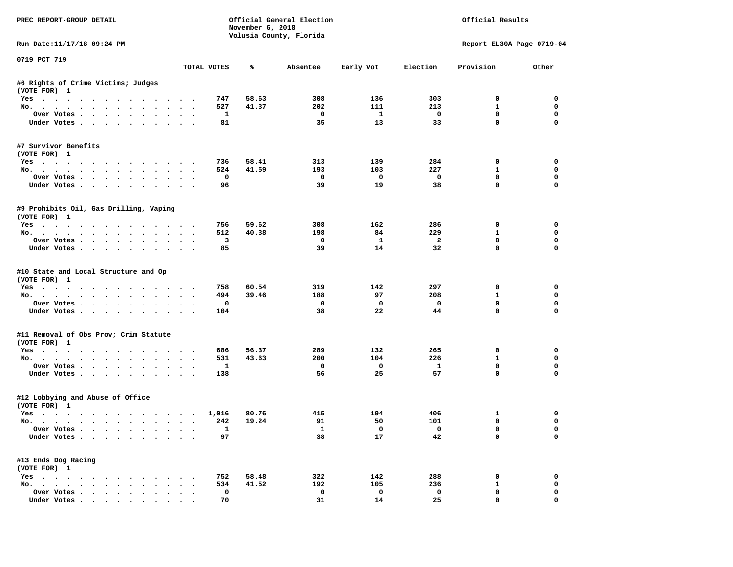| PREC REPORT-GROUP DETAIL                                                                                                                                                                                                                                                                                                                                                                                                                                                                   |        |              | November 6, 2018 | Official General Election<br>Volusia County, Florida |                         |                               | Official Results            |                            |
|--------------------------------------------------------------------------------------------------------------------------------------------------------------------------------------------------------------------------------------------------------------------------------------------------------------------------------------------------------------------------------------------------------------------------------------------------------------------------------------------|--------|--------------|------------------|------------------------------------------------------|-------------------------|-------------------------------|-----------------------------|----------------------------|
| Run Date:11/17/18 09:24 PM                                                                                                                                                                                                                                                                                                                                                                                                                                                                 |        |              |                  |                                                      |                         |                               | Report EL30A Page 0719-04   |                            |
| 0719 PCT 719                                                                                                                                                                                                                                                                                                                                                                                                                                                                               |        | TOTAL VOTES  | ℁                | Absentee                                             | Early Vot               | Election                      | Provision                   | Other                      |
| #6 Rights of Crime Victims; Judges                                                                                                                                                                                                                                                                                                                                                                                                                                                         |        |              |                  |                                                      |                         |                               |                             |                            |
| (VOTE FOR) 1                                                                                                                                                                                                                                                                                                                                                                                                                                                                               |        |              |                  |                                                      |                         |                               |                             |                            |
| Yes                                                                                                                                                                                                                                                                                                                                                                                                                                                                                        |        | 747          | 58.63            | 308                                                  | 136                     | 303                           | $^{\circ}$                  | $^{\circ}$                 |
| No.                                                                                                                                                                                                                                                                                                                                                                                                                                                                                        |        | 527          | 41.37            | 202                                                  | 111                     | 213                           | $\mathbf{1}$                | $\mathbf 0$                |
| Over Votes<br>Under Votes                                                                                                                                                                                                                                                                                                                                                                                                                                                                  |        | 1<br>81      |                  | $\overline{\phantom{0}}$<br>35                       | $\mathbf{1}$<br>13      | $\overline{\mathbf{0}}$<br>33 | $\mathbf 0$<br>$\mathbf 0$  | $\mathbf 0$<br>$\Omega$    |
|                                                                                                                                                                                                                                                                                                                                                                                                                                                                                            |        |              |                  |                                                      |                         |                               |                             |                            |
| #7 Survivor Benefits<br>(VOTE FOR) 1                                                                                                                                                                                                                                                                                                                                                                                                                                                       |        |              |                  |                                                      |                         |                               |                             |                            |
| Yes                                                                                                                                                                                                                                                                                                                                                                                                                                                                                        |        | 736          | 58.41            | 313                                                  | 139                     | 284                           | $\mathbf 0$                 | 0                          |
| No.                                                                                                                                                                                                                                                                                                                                                                                                                                                                                        |        | 524          | 41.59            | 193                                                  | 103                     | 227                           | $\mathbf{1}$                | 0                          |
| Over Votes                                                                                                                                                                                                                                                                                                                                                                                                                                                                                 |        | $^{\circ}$   |                  | $^{\circ}$                                           | $\overline{\mathbf{0}}$ | $\overline{\mathbf{0}}$       | $\Omega$                    | $\mathbf 0$                |
| Under Votes                                                                                                                                                                                                                                                                                                                                                                                                                                                                                |        | 96           |                  | 39                                                   | 19                      | 38                            | $\mathbf 0$                 | 0                          |
| #9 Prohibits Oil, Gas Drilling, Vaping<br>(VOTE FOR) 1                                                                                                                                                                                                                                                                                                                                                                                                                                     |        |              |                  |                                                      |                         |                               |                             |                            |
| Yes                                                                                                                                                                                                                                                                                                                                                                                                                                                                                        |        | 756          | 59.62            | 308                                                  | 162                     | 286                           | 0                           | 0                          |
| No.                                                                                                                                                                                                                                                                                                                                                                                                                                                                                        |        | 512          | 40.38            | 198                                                  | 84                      | 229                           | $\mathbf{1}$                | 0                          |
| Over Votes                                                                                                                                                                                                                                                                                                                                                                                                                                                                                 |        | 3            |                  | $\mathbf{o}$                                         | $\mathbf{1}$            | $\overline{\mathbf{2}}$       | $\mathbf 0$                 | 0                          |
| Under Votes                                                                                                                                                                                                                                                                                                                                                                                                                                                                                |        | 85           |                  | 39                                                   | 14                      | 32                            | $\mathbf 0$                 | $\Omega$                   |
| #10 State and Local Structure and Op<br>(VOTE FOR) 1<br>Yes<br>No.                                                                                                                                                                                                                                                                                                                                                                                                                         |        | 758<br>494   | 60.54<br>39.46   | 319<br>188                                           | 142<br>97               | 297<br>208                    | $\mathbf 0$<br>$\mathbf{1}$ | $\mathbf 0$<br>$\mathbf 0$ |
| Over Votes                                                                                                                                                                                                                                                                                                                                                                                                                                                                                 |        | 0            |                  | $\mathbf{o}$                                         | $\mathbf{o}$            | $\mathbf 0$                   | 0                           | 0                          |
| Under Votes                                                                                                                                                                                                                                                                                                                                                                                                                                                                                |        | 104          |                  | 38                                                   | 22                      | 44                            | $\mathbf 0$                 | $\mathbf 0$                |
| #11 Removal of Obs Prov; Crim Statute                                                                                                                                                                                                                                                                                                                                                                                                                                                      |        |              |                  |                                                      |                         |                               |                             |                            |
| (VOTE FOR) 1                                                                                                                                                                                                                                                                                                                                                                                                                                                                               |        |              |                  |                                                      |                         |                               |                             |                            |
| Yes                                                                                                                                                                                                                                                                                                                                                                                                                                                                                        |        | 686          | 56.37            | 289                                                  | 132                     | 265                           | 0                           | 0                          |
| No.                                                                                                                                                                                                                                                                                                                                                                                                                                                                                        |        | 531          | 43.63            | 200                                                  | 104                     | 226                           | $\mathbf{1}$                | $\mathbf 0$                |
| Over Votes                                                                                                                                                                                                                                                                                                                                                                                                                                                                                 |        | $\mathbf{1}$ |                  | $\mathbf 0$                                          | $\overline{\mathbf{0}}$ | $\mathbf{1}$                  | $\mathbf 0$<br>$\mathbf 0$  | $\mathbf 0$<br>$\Omega$    |
| Under Votes                                                                                                                                                                                                                                                                                                                                                                                                                                                                                |        | 138          |                  | 56                                                   | 25                      | 57                            |                             |                            |
| #12 Lobbying and Abuse of Office<br>(VOTE FOR) 1                                                                                                                                                                                                                                                                                                                                                                                                                                           |        |              |                  |                                                      |                         |                               |                             |                            |
| Yes                                                                                                                                                                                                                                                                                                                                                                                                                                                                                        |        | 1,016        | 80.76            | 415                                                  | 194                     | 406                           | 1                           | $\mathbf 0$                |
| No.                                                                                                                                                                                                                                                                                                                                                                                                                                                                                        |        | 242          | 19.24            | 91                                                   | 50                      | 101                           | $^{\circ}$                  | 0                          |
| Over Votes                                                                                                                                                                                                                                                                                                                                                                                                                                                                                 |        | $\mathbf{1}$ |                  | $\mathbf{1}$                                         | $\overline{\mathbf{0}}$ | $\overline{\phantom{0}}$      | $\mathbf 0$                 | $\mathbf 0$                |
| Under Votes                                                                                                                                                                                                                                                                                                                                                                                                                                                                                |        | 97           |                  | 38                                                   | 17                      | 42                            | $\mathbf{0}$                | 0                          |
| #13 Ends Dog Racing<br>(VOTE FOR) 1                                                                                                                                                                                                                                                                                                                                                                                                                                                        |        |              |                  |                                                      |                         |                               |                             |                            |
| Yes                                                                                                                                                                                                                                                                                                                                                                                                                                                                                        |        | 752          | 58.48            | 322                                                  | 142                     | 288                           | $\mathbf 0$                 | $\mathbf 0$                |
| No.                                                                                                                                                                                                                                                                                                                                                                                                                                                                                        |        | 534          | 41.52            | 192                                                  | 105                     | 236                           | 1                           | 0                          |
| Over Votes                                                                                                                                                                                                                                                                                                                                                                                                                                                                                 | $\sim$ | $\mathbf 0$  |                  | 0                                                    | $\mathbf 0$             | $\mathbf 0$                   | $\mathbf 0$                 | 0                          |
| $\blacksquare$ $\blacksquare$ $\blacksquare$ $\blacksquare$ $\blacksquare$ $\blacksquare$ $\blacksquare$ $\blacksquare$ $\blacksquare$ $\blacksquare$ $\blacksquare$ $\blacksquare$ $\blacksquare$ $\blacksquare$ $\blacksquare$ $\blacksquare$ $\blacksquare$ $\blacksquare$ $\blacksquare$ $\blacksquare$ $\blacksquare$ $\blacksquare$ $\blacksquare$ $\blacksquare$ $\blacksquare$ $\blacksquare$ $\blacksquare$ $\blacksquare$ $\blacksquare$ $\blacksquare$ $\blacksquare$ $\blacks$ |        | 70           |                  | 31                                                   | 14                      | 25                            | $\Omega$                    | $\Omega$                   |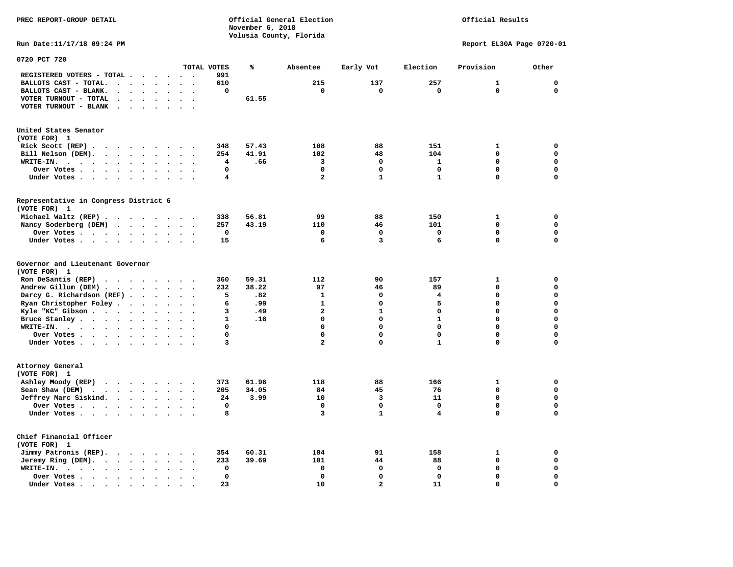## Official Results

**Run Date:11/17/18 09:24 PM Report EL30A Page 0720-01** 

| 0720 PCT 720                                                                                                                       |                                                                      |              |       |                         |                |                         |              |             |
|------------------------------------------------------------------------------------------------------------------------------------|----------------------------------------------------------------------|--------------|-------|-------------------------|----------------|-------------------------|--------------|-------------|
|                                                                                                                                    |                                                                      | TOTAL VOTES  | ℁     | Absentee                | Early Vot      | Election                | Provision    | Other       |
| REGISTERED VOTERS - TOTAL .<br>$\cdot$<br>$\sim$                                                                                   | $\ddot{\phantom{1}}$<br>$\ddot{\phantom{0}}$                         | 991          |       |                         |                |                         |              |             |
| BALLOTS CAST - TOTAL.<br>$\ddot{\phantom{a}}$<br>$\overline{a}$<br>$\ddot{\phantom{a}}$                                            |                                                                      | 610          |       | 215                     | 137            | 257                     | $\mathbf{1}$ | 0           |
| BALLOTS CAST - BLANK.<br>$\ddot{\phantom{a}}$<br>$\sim$<br>$\ddot{\phantom{a}}$                                                    | $\ddot{\phantom{a}}$<br>$\ddot{\phantom{a}}$<br>$\ddot{\phantom{a}}$ | $\mathbf 0$  |       | $\mathbf 0$             | $\mathbf 0$    | $\mathbf 0$             | $\mathbf 0$  | $\mathbf 0$ |
| VOTER TURNOUT - TOTAL                                                                                                              |                                                                      |              | 61.55 |                         |                |                         |              |             |
| VOTER TURNOUT - BLANK<br>$\sim$<br>$\cdot$                                                                                         |                                                                      |              |       |                         |                |                         |              |             |
|                                                                                                                                    |                                                                      |              |       |                         |                |                         |              |             |
| United States Senator                                                                                                              |                                                                      |              |       |                         |                |                         |              |             |
| (VOTE FOR) 1                                                                                                                       |                                                                      |              |       |                         |                |                         |              |             |
| Rick Scott (REP).<br>$\cdot$<br>$\ddot{\phantom{0}}$                                                                               | $\sim$                                                               | 348          | 57.43 | 108                     | 88             | 151                     | 1            | 0           |
| Bill Nelson (DEM).<br>$\sim$ $\sim$<br>$\ddot{\phantom{a}}$<br>$\sim$<br>$\cdot$ $\cdot$                                           |                                                                      | 254          | 41.91 | 102                     | 48             | 104                     | 0            | $\mathbf 0$ |
| WRITE-IN.<br>$\cdot$ .<br>$\sim$<br>$\ddot{\phantom{0}}$<br>$\ddot{\phantom{a}}$<br>$\bullet$<br>$\bullet$<br>$\ddot{\phantom{a}}$ | $\ddot{\phantom{a}}$<br>$\ddot{\phantom{a}}$<br>$\ddot{\phantom{a}}$ | 4            | .66   | 3                       | 0              | $\mathbf{1}$            | $\Omega$     | $\mathbf 0$ |
| Over Votes .<br>$\sim$<br>$\ddot{\phantom{a}}$<br>$\ddot{\phantom{a}}$<br>$\ddot{\phantom{a}}$<br>$\bullet$                        | $\bullet$                                                            | $\mathbf 0$  |       | $\mathbf 0$             | 0              | $\mathbf 0$             | 0            | 0           |
| Under Votes<br>$\ddot{\phantom{0}}$<br>$\cdot$                                                                                     | $\bullet$<br>$\ddot{\phantom{a}}$<br>$\bullet$                       | 4            |       | $\mathbf{2}$            | $\mathbf{1}$   | $\mathbf{1}$            | 0            | $\mathbf 0$ |
| Representative in Congress District 6                                                                                              |                                                                      |              |       |                         |                |                         |              |             |
| (VOTE FOR) 1                                                                                                                       |                                                                      |              |       |                         |                |                         |              |             |
| Michael Waltz (REP)                                                                                                                | $\overline{\phantom{a}}$                                             | 338          | 56.81 | 99                      | 88             | 150                     | 1            | $\mathbf 0$ |
|                                                                                                                                    |                                                                      |              |       |                         |                |                         | 0            | $\mathbf 0$ |
| Nancy Soderberg (DEM)                                                                                                              | $\sim$<br>$\bullet$                                                  | 257          | 43.19 | 110<br>$\mathbf 0$      | 46<br>0        | 101<br>$\mathbf 0$      | 0            | $\mathbf 0$ |
| Over Votes .<br>$\ddot{\phantom{0}}$                                                                                               | $\bullet$                                                            | $\mathbf 0$  |       |                         |                |                         |              |             |
| Under Votes<br>$\ddot{\phantom{0}}$                                                                                                | $\bullet$                                                            | 15           |       | 6                       | 3              | 6                       | 0            | $\mathbf 0$ |
| Governor and Lieutenant Governor<br>(VOTE FOR) 1                                                                                   |                                                                      |              |       |                         |                |                         |              |             |
| Ron DeSantis (REP).<br>$\sim$ $\sim$<br>$\cdots$                                                                                   | $\sim$                                                               | 360          | 59.31 | 112                     | 90             | 157                     | 1            | 0           |
| Andrew Gillum (DEM)                                                                                                                | $\sim$                                                               | 232          | 38.22 | 97                      | 46             | 89                      | 0            | $\mathbf 0$ |
| Darcy G. Richardson (REF).<br>$\bullet$                                                                                            | $\bullet$<br>$\bullet$                                               | 5            | .82   | $\mathbf{1}$            | 0              | 4                       | 0            | $\mathbf 0$ |
| Ryan Christopher Foley.<br>$\ddot{\phantom{a}}$<br>$\bullet$                                                                       | $\ddot{\phantom{a}}$                                                 | 6            | .99   | $\mathbf{1}$            | 0              | 5                       | 0            | $\mathbf 0$ |
| Kyle "KC" Gibson<br>$\ddot{\phantom{0}}$<br>$\bullet$                                                                              | $\bullet$<br>$\bullet$                                               | 3            | .49   | $\overline{\mathbf{2}}$ | $\mathbf{1}$   | $\mathbf 0$             | $\Omega$     | $\mathbf 0$ |
| Bruce Stanley<br>$\ddot{\phantom{a}}$<br>$\bullet$                                                                                 |                                                                      | $\mathbf{1}$ | .16   | $\mathbf 0$             | $\mathbf 0$    | $\mathbf{1}$            | $\Omega$     | $\mathbf 0$ |
| WRITE-IN.<br>$\cdots$<br>$\cdot$                                                                                                   |                                                                      | 0            |       | $\mathbf 0$             | 0              | 0                       | 0            | $\mathbf 0$ |
| Over Votes .<br>$\cdots$ $\cdots$<br>$\sim$<br>$\bullet$                                                                           | $\bullet$<br>$\bullet$<br>$\ddot{\phantom{0}}$                       | 0            |       | $\mathbf 0$             | 0              | 0                       | 0            | 0           |
| Under Votes<br>$\bullet$ .                                                                                                         | $\bullet$<br>$\sim$                                                  | 3            |       | $\mathbf{2}$            | 0              | $\mathbf{1}$            | 0            | 0           |
|                                                                                                                                    |                                                                      |              |       |                         |                |                         |              |             |
| Attorney General<br>(VOTE FOR) 1                                                                                                   |                                                                      |              |       |                         |                |                         |              |             |
| Ashley Moody (REP)                                                                                                                 |                                                                      | 373          | 61.96 | 118                     | 88             | 166                     | 1            | 0           |
| Sean Shaw (DEM)<br>$\cdot$ $\cdot$ $\cdot$ $\cdot$ $\cdot$ $\cdot$<br>$\sim$                                                       | $\bullet$<br>$\sim$                                                  | 205          | 34.05 | 84                      | 45             | 76                      | 0            | $\mathbf 0$ |
| Jeffrey Marc Siskind.                                                                                                              | $\bullet$<br>$\sim$<br>$\ddot{\phantom{a}}$                          | 24           | 3.99  | 10                      | 3              | 11                      | 0            | $\mathbf 0$ |
| Over Votes .<br>$\cdots$<br>$\bullet$                                                                                              | $\bullet$                                                            | $\mathbf 0$  |       | $\Omega$                | $\mathbf 0$    | $\mathbf 0$             | 0            | $\mathbf 0$ |
| Under Votes<br>$\bullet$                                                                                                           |                                                                      | 8            |       | 3                       | $\mathbf{1}$   | $\overline{\mathbf{4}}$ | 0            | $\mathbf 0$ |
|                                                                                                                                    |                                                                      |              |       |                         |                |                         |              |             |
| Chief Financial Officer                                                                                                            |                                                                      |              |       |                         |                |                         |              |             |
| (VOTE FOR) 1                                                                                                                       |                                                                      |              |       |                         |                |                         |              |             |
| Jimmy Patronis (REP).<br>$\mathbf{r}$ , and $\mathbf{r}$ , and $\mathbf{r}$<br>$\sim$                                              | $\sim$                                                               | 354          | 60.31 | 104                     | 91             | 158                     | 1            | 0           |
| Jeremy Ring (DEM).<br>$\sim$ $\sim$<br>$\bullet$<br>$\ddot{\phantom{a}}$                                                           | $\bullet$                                                            | 233          | 39.69 | 101                     | 44             | 88                      | 0            | $\mathbf 0$ |
| WRITE-IN.<br>$\cdot$ $\cdot$ $\cdot$ $\cdot$ $\cdot$<br>$\bullet$<br>$\bullet$                                                     |                                                                      | $\mathbf 0$  |       | $\mathbf 0$             | 0              | $\mathbf 0$             | $\Omega$     | $\mathbf 0$ |
| Over Votes.<br>$\cdots$<br>$\bullet$                                                                                               |                                                                      | $\mathbf 0$  |       | $\mathbf 0$             | 0              | $\mathbf 0$             | 0            | 0           |
| Under Votes<br>$\sim$<br>$\ddot{\phantom{a}}$                                                                                      |                                                                      | 23           |       | 10                      | $\overline{a}$ | 11                      | 0            | $\mathbf 0$ |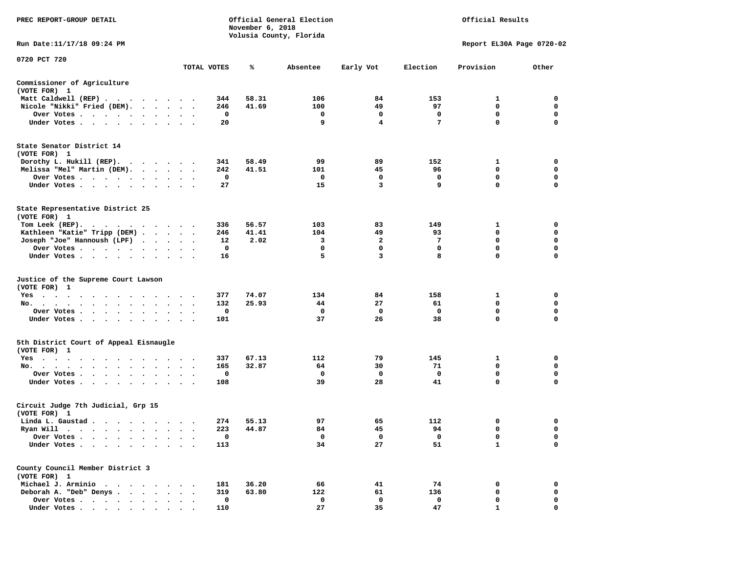| PREC REPORT-GROUP DETAIL                                                                                                                                                                                                                   |         |             | November 6, 2018 | Official General Election |              |                 | Official Results          |             |
|--------------------------------------------------------------------------------------------------------------------------------------------------------------------------------------------------------------------------------------------|---------|-------------|------------------|---------------------------|--------------|-----------------|---------------------------|-------------|
| Run Date: 11/17/18 09:24 PM                                                                                                                                                                                                                |         |             |                  | Volusia County, Florida   |              |                 | Report EL30A Page 0720-02 |             |
| 0720 PCT 720                                                                                                                                                                                                                               |         |             |                  |                           |              |                 |                           |             |
|                                                                                                                                                                                                                                            |         | TOTAL VOTES | ℁                | Absentee                  | Early Vot    | Election        | Provision                 | Other       |
| Commissioner of Agriculture<br>(VOTE FOR) 1                                                                                                                                                                                                |         |             |                  |                           |              |                 |                           |             |
| Matt Caldwell (REP)                                                                                                                                                                                                                        |         | 344         | 58.31            | 106                       | 84           | 153             | 1                         | 0           |
| Nicole "Nikki" Fried (DEM).                                                                                                                                                                                                                |         | 246         | 41.69            | 100                       | 49           | 97              | 0                         | 0           |
| Over Votes                                                                                                                                                                                                                                 |         | 0           |                  | 0                         | 0            | 0               | 0                         | $\mathbf 0$ |
| Under Votes                                                                                                                                                                                                                                |         | 20          |                  | 9                         | 4            | $7\phantom{.0}$ | $\mathbf{0}$              | $\mathbf 0$ |
| State Senator District 14                                                                                                                                                                                                                  |         |             |                  |                           |              |                 |                           |             |
| (VOTE FOR) 1                                                                                                                                                                                                                               |         |             |                  |                           |              |                 |                           |             |
| Dorothy L. Hukill $(REP)$ .                                                                                                                                                                                                                |         | 341         | 58.49            | 99                        | 89           | 152             | 1                         | 0           |
| Melissa "Mel" Martin (DEM).                                                                                                                                                                                                                |         | 242         | 41.51            | 101                       | 45           | 96              | 0                         | 0           |
| Over Votes                                                                                                                                                                                                                                 |         | 0<br>27     |                  | 0<br>15                   | 0<br>3       | 0<br>9          | 0<br>$\Omega$             | 0<br>0      |
| Under Votes                                                                                                                                                                                                                                |         |             |                  |                           |              |                 |                           |             |
| State Representative District 25<br>(VOTE FOR) 1                                                                                                                                                                                           |         |             |                  |                           |              |                 |                           |             |
| Tom Leek $(REP)$ .                                                                                                                                                                                                                         |         | 336         | 56.57            | 103                       | 83           | 149             | 1                         | 0           |
| Kathleen "Katie" Tripp (DEM)                                                                                                                                                                                                               |         | 246         | 41.41            | 104                       | 49           | 93              | 0                         | 0           |
| Joseph "Joe" Hannoush (LPF)                                                                                                                                                                                                                |         | 12          | 2.02             | 3                         | $\mathbf{2}$ | 7               | $\mathbf 0$               | 0           |
| Over Votes                                                                                                                                                                                                                                 |         | 0           |                  | 0                         | 0            | 0               | 0                         | 0           |
| Under Votes                                                                                                                                                                                                                                |         | 16          |                  | 5                         | 3            | 8               | $\mathbf 0$               | $\mathbf 0$ |
| Justice of the Supreme Court Lawson                                                                                                                                                                                                        |         |             |                  |                           |              |                 |                           |             |
| (VOTE FOR) 1                                                                                                                                                                                                                               |         |             |                  |                           |              |                 |                           |             |
| Yes                                                                                                                                                                                                                                        |         | 377         | 74.07            | 134                       | 84           | 158             | 1                         | 0           |
| No.                                                                                                                                                                                                                                        |         | 132         | 25.93            | 44                        | 27           | 61              | 0                         | 0           |
| Over Votes                                                                                                                                                                                                                                 |         | 0           |                  | 0                         | 0            | 0               | 0                         | 0           |
| Under Votes                                                                                                                                                                                                                                |         | 101         |                  | 37                        | 26           | 38              | 0                         | 0           |
| 5th District Court of Appeal Eisnaugle<br>(VOTE FOR) 1                                                                                                                                                                                     |         |             |                  |                           |              |                 |                           |             |
| Yes                                                                                                                                                                                                                                        |         | 337         | 67.13            | 112                       | 79           | 145             | 1                         | 0           |
| No.                                                                                                                                                                                                                                        |         | 165         | 32.87            | 64                        | 30           | 71              | 0                         | 0           |
| Over Votes                                                                                                                                                                                                                                 |         | 0           |                  | 0                         | 0            | 0               | 0                         | $\mathbf 0$ |
| Under Votes                                                                                                                                                                                                                                |         | 108         |                  | 39                        | 28           | 41              | 0                         | $\mathbf 0$ |
| Circuit Judge 7th Judicial, Grp 15<br>(VOTE FOR) 1                                                                                                                                                                                         |         |             |                  |                           |              |                 |                           |             |
| Linda L. Gaustad                                                                                                                                                                                                                           |         | 274         | 55.13            | 97                        | 65           | 112             | 0                         | 0           |
| Ryan Will<br>. As the state of the state of the state of the state of the state of the state of the state of the state of the state of the state of the state of the state of the state of the state of the state of the state of the stat |         | 223         | 44.87            | 84                        | 45           | 94              | $\mathbf 0$               | $\mathbf 0$ |
| Over Votes                                                                                                                                                                                                                                 |         | 0           |                  | 0                         | 0            | 0               | 0                         | 0           |
| Under Votes                                                                                                                                                                                                                                | $\cdot$ | 113         |                  | 34                        | 27           | 51              | $\mathbf{1}$              | $\mathbf 0$ |
| County Council Member District 3<br>(VOTE FOR) 1                                                                                                                                                                                           |         |             |                  |                           |              |                 |                           |             |
| Michael J. Arminio                                                                                                                                                                                                                         |         | 181         | 36.20            | 66                        | 41           | 74              | 0                         | 0           |
| Deborah A. "Deb" Denys.<br>$\ddot{\phantom{a}}$<br>$\cdot$ $\cdot$                                                                                                                                                                         |         | 319         | 63.80            | 122                       | 61           | 136             | $\mathbf 0$               | $\mathbf 0$ |
| Over Votes                                                                                                                                                                                                                                 |         | 0           |                  | 0                         | 0            | 0               | 0                         | 0           |
| Under Votes                                                                                                                                                                                                                                |         | 110         |                  | 27                        | 35           | 47              | $\mathbf{1}$              | 0           |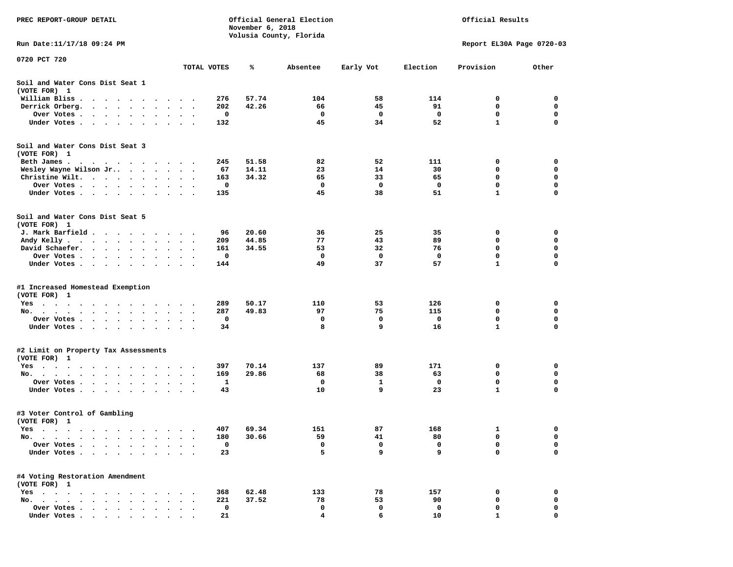| PREC REPORT-GROUP DETAIL                                                                                                                                                                                                                     |                         |                      | November 6, 2018 | Official General Election<br>Volusia County, Florida |          |             | Official Results |                           |             |
|----------------------------------------------------------------------------------------------------------------------------------------------------------------------------------------------------------------------------------------------|-------------------------|----------------------|------------------|------------------------------------------------------|----------|-------------|------------------|---------------------------|-------------|
| Run Date: 11/17/18 09:24 PM                                                                                                                                                                                                                  |                         |                      |                  |                                                      |          |             |                  | Report EL30A Page 0720-03 |             |
| 0720 PCT 720                                                                                                                                                                                                                                 |                         |                      | TOTAL VOTES      | %ะ                                                   | Absentee | Early Vot   | Election         | Provision                 | Other       |
| Soil and Water Cons Dist Seat 1<br>(VOTE FOR) 1                                                                                                                                                                                              |                         |                      |                  |                                                      |          |             |                  |                           |             |
| William Bliss.<br>$\ddot{\phantom{0}}$                                                                                                                                                                                                       |                         | $\cdot$              | 276              | 57.74                                                | 104      | 58          | 114              | 0                         | 0           |
| Derrick Orberg.<br>$\ddotsc$<br>$\sim$<br>$\bullet$<br>$\sim$                                                                                                                                                                                |                         |                      | 202              | 42.26                                                | 66       | 45          | 91               | 0                         | 0           |
| Over Votes .<br>$\sim$ $\sim$ $\sim$ $\sim$<br>$\bullet$<br>$\bullet$<br>$\bullet$                                                                                                                                                           |                         |                      | 0                |                                                      | 0        | 0           | 0                | 0                         | 0           |
| Under Votes<br>$\ddot{\phantom{0}}$                                                                                                                                                                                                          |                         |                      | 132              |                                                      | 45       | 34          | 52               | $\mathbf{1}$              | $\mathbf 0$ |
| Soil and Water Cons Dist Seat 3<br>(VOTE FOR) 1                                                                                                                                                                                              |                         |                      |                  |                                                      |          |             |                  |                           |             |
| Beth James.<br>. The contract of the contract of the contract of the contract of the contract of the contract of the contract of the contract of the contract of the contract of the contract of the contract of the contract of the contrac | $\cdot$ $\cdot$         |                      | 245              | 51.58                                                | 82       | 52          | 111              | 0                         | 0           |
| Wesley Wayne Wilson Jr                                                                                                                                                                                                                       | $\bullet$ .             | $\ddot{\phantom{1}}$ | 67               | 14.11                                                | 23       | 14          | 30               | 0                         | $\mathbf 0$ |
| Christine Wilt.<br>$\sim$ 100 $\pm$<br>$\bullet$<br>$\bullet$                                                                                                                                                                                |                         |                      | 163              | 34.32                                                | 65       | 33          | 65               | 0                         | 0           |
| Over Votes<br>$\bullet$<br>$\bullet$                                                                                                                                                                                                         | $\bullet$               | $\bullet$            | 0                |                                                      | 0        | 0           | 0                | 0                         | $\mathbf 0$ |
| Under Votes                                                                                                                                                                                                                                  | $\sim$                  | $\ddot{\phantom{1}}$ | 135              |                                                      | 45       | 38          | 51               | $\mathbf{1}$              | $\mathbf 0$ |
| Soil and Water Cons Dist Seat 5<br>(VOTE FOR) 1                                                                                                                                                                                              |                         |                      |                  |                                                      |          |             |                  |                           |             |
| J. Mark Barfield                                                                                                                                                                                                                             | $\bullet$               |                      | 96               | 20.60                                                | 36       | 25          | 35               | 0                         | 0           |
| Andy Kelly                                                                                                                                                                                                                                   |                         | $\ddot{\phantom{1}}$ | 209              | 44.85                                                | 77       | 43          | 89               | 0                         | 0           |
| David Schaefer.<br>$\sim$ $\sim$ $\sim$ $\sim$<br>$\bullet$ .<br>$\bullet$                                                                                                                                                                   |                         |                      | 161              | 34.55                                                | 53       | 32          | 76               | 0                         | 0           |
| Over Votes                                                                                                                                                                                                                                   |                         |                      | 0                |                                                      | 0        | 0           | 0                | $\mathbf 0$               | $\mathbf 0$ |
| Under Votes<br>$\ddot{\phantom{0}}$                                                                                                                                                                                                          | $\bullet$               | $\ddot{\phantom{1}}$ | 144              |                                                      | 49       | 37          | 57               | $\mathbf{1}$              | $\mathbf 0$ |
| #1 Increased Homestead Exemption                                                                                                                                                                                                             |                         |                      |                  |                                                      |          |             |                  |                           |             |
| (VOTE FOR) 1                                                                                                                                                                                                                                 |                         |                      |                  |                                                      |          |             |                  |                           |             |
| Yes<br>$\cdot$ $\cdot$ $\cdot$                                                                                                                                                                                                               | $\bullet$               |                      | 289              | 50.17                                                | 110      | 53          | 126              | 0                         | 0           |
| No.<br>$\cdot$<br>$\ddot{\phantom{a}}$<br>$\bullet$                                                                                                                                                                                          |                         |                      | 287              | 49.83                                                | 97       | 75          | 115              | 0                         | 0           |
| Over Votes<br>$\blacksquare$ .<br>$\bullet$                                                                                                                                                                                                  | $\bullet$               | $\bullet$            | 0                |                                                      | 0        | 0           | 0                | 0                         | 0           |
| Under Votes                                                                                                                                                                                                                                  | $\cdot$ $\cdot$ $\cdot$ |                      | 34               |                                                      | 8        | 9           | 16               | $\mathbf{1}$              | $\mathbf 0$ |
| #2 Limit on Property Tax Assessments<br>(VOTE FOR) 1                                                                                                                                                                                         |                         |                      |                  |                                                      |          |             |                  |                           |             |
| $Yes \t . \t .$<br>$\bullet$<br>$\bullet$<br>$\blacksquare$<br>$\sim$<br>$\bullet$<br>$\blacksquare$<br>$\bullet$                                                                                                                            |                         |                      | 397              | 70.14                                                | 137      | 89          | 171              | 0                         | 0           |
| No.<br>$\bullet$ .<br>$\bullet$                                                                                                                                                                                                              |                         |                      | 169              | 29.86                                                | 68       | 38          | 63               | 0                         | 0           |
| Over Votes<br>$\cdot$<br>$\bullet$<br>$\bullet$                                                                                                                                                                                              |                         | $\bullet$            | 1                |                                                      | 0        | 1           | 0                | 0                         | 0           |
| Under Votes<br>$\bullet$<br>$\bullet$                                                                                                                                                                                                        |                         |                      | 43               |                                                      | 10       | 9           | 23               | $\mathbf{1}$              | 0           |
| #3 Voter Control of Gambling<br>(VOTE FOR) 1                                                                                                                                                                                                 |                         |                      |                  |                                                      |          |             |                  |                           |             |
| Yes                                                                                                                                                                                                                                          |                         |                      | 407              | 69.34                                                | 151      | 87          | 168              | 1                         | $\mathbf 0$ |
| No.<br>$\sim$ $\sim$<br>$\bullet$                                                                                                                                                                                                            |                         |                      | 180              | 30.66                                                | 59       | 41          | 80               | 0                         | 0           |
| Over Votes                                                                                                                                                                                                                                   |                         |                      | 0                |                                                      | 0        | $\mathbf 0$ | 0                | 0                         | 0           |
| Under Votes<br>$\ddot{\phantom{a}}$<br>$\bullet$                                                                                                                                                                                             |                         |                      | 23               |                                                      | 5        | 9           | 9                | 0                         | 0           |
| #4 Voting Restoration Amendment<br>(VOTE FOR) 1                                                                                                                                                                                              |                         |                      |                  |                                                      |          |             |                  |                           |             |
|                                                                                                                                                                                                                                              |                         |                      | 368              | 62.48                                                | 133      | 78          | 157              | 0                         | 0           |
| $Yes \t . \t .$<br>$\bullet$<br>No.<br>$\sim$ $\sim$                                                                                                                                                                                         |                         |                      | 221              | 37.52                                                | 78       | 53          | 90               | 0                         | 0           |
| Over Votes<br>$\bullet$                                                                                                                                                                                                                      |                         |                      | 0                |                                                      | 0        | 0           | 0                | 0                         | 0           |
| Under Votes                                                                                                                                                                                                                                  |                         |                      | 21               |                                                      | 4        | 6           | 10               |                           | $\Omega$    |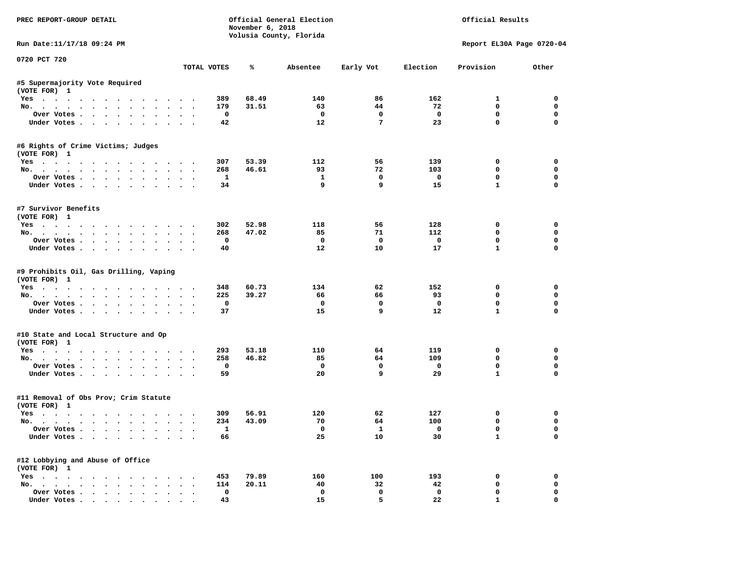| PREC REPORT-GROUP DETAIL                                      |                                     | November 6, 2018 | Official General Election<br>Volusia County, Florida |                             |                    | Official Results          |                  |
|---------------------------------------------------------------|-------------------------------------|------------------|------------------------------------------------------|-----------------------------|--------------------|---------------------------|------------------|
| Run Date: 11/17/18 09:24 PM                                   |                                     |                  |                                                      |                             |                    | Report EL30A Page 0720-04 |                  |
| 0720 PCT 720                                                  | TOTAL VOTES                         | ℁                | Absentee                                             | Early Vot                   | Election           | Provision                 | Other            |
| #5 Supermajority Vote Required                                |                                     |                  |                                                      |                             |                    |                           |                  |
| (VOTE FOR) 1                                                  |                                     |                  |                                                      |                             |                    |                           |                  |
| Yes                                                           | 389                                 | 68.49            | 140                                                  | 86                          | 162                | $\mathbf{1}$              | 0                |
| No.                                                           | 179                                 | 31.51            | 63                                                   | 44                          | 72                 | $\mathbf 0$               | $\mathbf 0$      |
| Over Votes                                                    | $\mathbf 0$                         |                  | $^{\circ}$                                           | $\mathbf 0$                 | $\mathbf{o}$       | 0                         | 0                |
| Under Votes                                                   | 42                                  |                  | 12                                                   | $7\phantom{.0}$             | 23                 | $\mathbf 0$               | 0                |
| #6 Rights of Crime Victims; Judges<br>(VOTE FOR) 1            |                                     |                  |                                                      |                             |                    |                           |                  |
| Yes                                                           | 307                                 | 53.39            | 112                                                  | 56                          | 139                | 0                         | 0                |
| No.                                                           | 268                                 | 46.61            | 93                                                   | 72                          | 103                | $\mathbf 0$               | 0                |
| Over Votes                                                    | $\mathbf{1}$                        |                  | $\mathbf{1}$                                         | $\mathbf 0$                 | $\mathbf{o}$       | $\mathbf 0$               | 0                |
| Under Votes                                                   | 34                                  |                  | 9                                                    | 9                           | 15                 | $\mathbf{1}$              | 0                |
|                                                               |                                     |                  |                                                      |                             |                    |                           |                  |
| #7 Survivor Benefits<br>(VOTE FOR) 1                          |                                     |                  |                                                      |                             |                    |                           |                  |
|                                                               | 302                                 | 52.98            | 118                                                  | 56                          | 128                | $\mathbf{0}$              | 0                |
| Yes<br>No.                                                    | 268                                 | 47.02            | 85                                                   | 71                          | 112                | $\mathbf 0$               | 0                |
|                                                               | $\mathbf{0}$                        |                  | $^{\circ}$                                           | $\Omega$                    | $^{\circ}$         | 0                         | $\mathbf 0$      |
| Over Votes<br>Under Votes                                     | 40                                  |                  | 12                                                   | 10                          | 17                 | $\mathbf{1}$              | $\Omega$         |
|                                                               |                                     |                  |                                                      |                             |                    |                           |                  |
| #9 Prohibits Oil, Gas Drilling, Vaping<br>(VOTE FOR) 1<br>Yes | 348                                 | 60.73            | 134                                                  | 62                          | 152                | 0                         | $\mathbf 0$      |
| No.                                                           | 225                                 | 39.27            | 66                                                   | 66                          | 93                 | 0                         | 0                |
| Over Votes.                                                   | $\mathbf 0$                         |                  | $\mathbf{o}$                                         | $\mathbf 0$                 | $\mathbf{o}$       | $\mathbf 0$               | 0                |
| Under Votes                                                   | 37                                  |                  | 15                                                   | 9                           | 12                 | $\mathbf{1}$              | $\mathbf 0$      |
| #10 State and Local Structure and Op                          |                                     |                  |                                                      |                             |                    |                           |                  |
| (VOTE FOR) 1                                                  |                                     |                  |                                                      |                             |                    |                           |                  |
| Yes                                                           | 293                                 | 53.18            | 110                                                  | 64                          | 119                | 0                         | 0                |
| No.                                                           | 258                                 | 46.82            | 85                                                   | 64                          | 109                | $\mathbf 0$               | 0                |
| Over Votes                                                    | $\mathbf 0$                         |                  | $\mathbf 0$                                          | $\mathbf 0$<br>$\mathbf{q}$ | $\mathbf{o}$       | $\mathbf 0$               | 0<br>$\Omega$    |
| Under Votes                                                   | 59                                  |                  | 20                                                   |                             | 29                 | $\mathbf{1}$              |                  |
| #11 Removal of Obs Prov; Crim Statute<br>(VOTE FOR) 1         |                                     |                  |                                                      |                             |                    |                           |                  |
| Yes                                                           | 309                                 | 56.91            | 120                                                  | 62                          | 127                | 0                         | 0                |
| No.                                                           | 234                                 | 43.09            | 70                                                   | 64                          | 100                | $\mathbf 0$               | 0                |
| Over Votes                                                    | $\mathbf{1}$                        |                  | $\mathbf{o}$                                         | $\mathbf{1}$                | $\mathbf{o}$       | $\mathbf 0$               | 0                |
| Under Votes                                                   | 66                                  |                  | 25                                                   | 10                          | 30                 | $\mathbf{1}$              | $\mathbf 0$      |
| #12 Lobbying and Abuse of Office                              |                                     |                  |                                                      |                             |                    |                           |                  |
| (VOTE FOR) 1                                                  |                                     |                  |                                                      |                             |                    |                           |                  |
| Yes                                                           | 453                                 | 79.89            | 160                                                  | 100                         | 193                | 0                         | $\mathbf 0$      |
| No.                                                           | 114                                 | 20.11            | 40                                                   | 32                          | 42                 | 0<br>$\mathbf 0$          | 0<br>$\mathbf 0$ |
| Over Votes                                                    | $\mathbf 0$<br>$\ddot{\phantom{1}}$ |                  | $\mathbf 0$<br>15                                    | $\mathbf 0$<br>5.           | $\mathbf 0$<br>22. | $\mathbf{1}$              | $\Omega$         |
| Under Votes, , , , , , , ,                                    | 43                                  |                  |                                                      |                             |                    |                           |                  |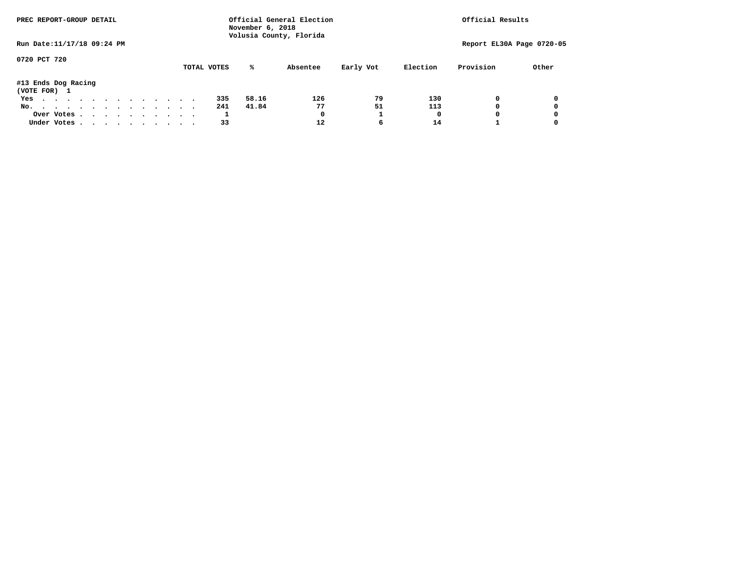| PREC REPORT-GROUP DETAIL            |  |  |  |  |  | Official General Election<br>November 6, 2018<br>Volusia County, Florida | Official Results |  |             |       |          |           |          |           |                           |
|-------------------------------------|--|--|--|--|--|--------------------------------------------------------------------------|------------------|--|-------------|-------|----------|-----------|----------|-----------|---------------------------|
| Run Date: 11/17/18 09:24 PM         |  |  |  |  |  |                                                                          |                  |  |             |       |          |           |          |           | Report EL30A Page 0720-05 |
| 0720 PCT 720                        |  |  |  |  |  |                                                                          |                  |  | TOTAL VOTES | %ะ    | Absentee | Early Vot | Election | Provision | Other                     |
| #13 Ends Dog Racing<br>(VOTE FOR) 1 |  |  |  |  |  |                                                                          |                  |  |             |       |          |           |          |           |                           |
| Yes                                 |  |  |  |  |  |                                                                          |                  |  | 335         | 58.16 | 126      | 79        | 130      | 0         | 0                         |
| No.                                 |  |  |  |  |  |                                                                          |                  |  | 241         | 41.84 | 77       | 51        | 113      | 0         | 0                         |
| Over Votes                          |  |  |  |  |  |                                                                          |                  |  |             |       | 0        |           | O        |           | 0                         |
| Under Votes.                        |  |  |  |  |  |                                                                          |                  |  | 33          |       | 12       | 6         | 14       |           |                           |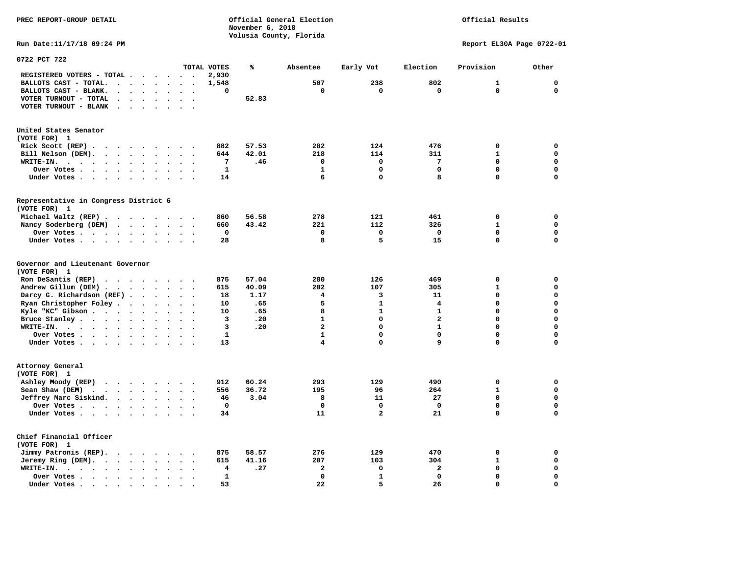**November 6, 2018 Volusia County, Florida Run Date:11/17/18 09:24 PM Report EL30A Page 0722-01 0722 PCT 722 TOTAL VOTES % Absentee Early Vot Election Provision Other REGISTERED VOTERS - TOTAL . . . . . . 2,930 BALLOTS CAST - TOTAL. . . . . . . . 1,548 507 238 802 1 0 BALLOTS CAST - BLANK. . . . . . . . 0 0 0 0 0 0 VOTER TURNOUT - TOTAL . . . . . . . 52.83 VOTER TURNOUT - BLANK . . . . . . . United States Senator (VOTE FOR) 1 Rick Scott (REP) . . . . . . . . . 882 57.53 282 124 476 0 0 Bill Nelson (DEM).** . . . . . . . 644 42.01 218 114 311 1 0  **WRITE-IN. . . . . . . . . . . . 7 .46 0 0 7 0 0 Over Votes . . . . . . . . . . 1** 1 0 0 0 0 0 0 **Under Votes . . . . . . . . . . 14** 6 0 8 0 0 0 **Representative in Congress District 6 (VOTE FOR) 1 Michael Waltz (REP) . . . . . . . . 860 56.58 278 121 461 0 0 Nancy Soderberg (DEM) . . . . . . . 660 43.42 221 112 326 1 0 Over Votes . . . . . . . . . . 0 0 0 0 0 0**  $\Omega$  **Under Votes . . . . . . . . . . 28 8 5 15 0 Governor and Lieutenant Governor (VOTE FOR) 1 Ron DeSantis (REP) . . . . . . . . 875 57.04 280 126 469 0 0 Andrew Gillum (DEM) . . . . . . . . 615 40.09 202 107 305 1 0 Darcy G. Richardson (REF) . . . . . 18** 1.17 4 3 11 0 0 0<br>**Ryan Christopher Foley . . . . . . 10 .65** 5 1 4 0 0  **Ryan Christopher Foley . . . . . . . 10 .65 5 1 4 0 0 Kyle "KC" Gibson . . . . . . . . . . 10 .65** 8 **Bruce Stanley . . . . . . . . . . 3 .20** 1 0 2 0 0  **WRITE-IN. . . . . . . . . . . . 3 .20 2 0 1 0 0**  $\mathbf{0}$ **Over Votes . . . . . . . . . . 1** 1 0 0 0 0 0  $\mathbf{0}$ **Under Votes . . . . . . . . . . 13** 4 0 9 0 0 **Attorney General (VOTE FOR) 1 Ashley Moody (REP) . . . . . . . . 912 60.24 293 129 490 0 0 Sean Shaw (DEM)** . . . . . . . . 556 36.72 195 96 264 1 0  **Jeffrey Marc Siskind. . . . . . . . 46 3.04 8 11 27 0 0 Over Votes . . . . . . . . . . 0 0 0 0 0 0**  $\mathbf 0$  **Under Votes . . . . . . . . . . 34 11 2 21 0 Chief Financial Officer (VOTE FOR) 1 Jimmy Patronis (REP). . . . . . . . 875 58.57 276 129 470 0 0 Jeremy Ring (DEM).** . . . . . . . 615 41.16 207 103 304 1 0  **WRITE-IN. . . . . . . . . . . . 4 .27 2 0 2 0 0 Over Votes . . . . . . . . . . 1 0 1 0 0 0**  $\mathbf{o}$ **Under Votes . . . . . . . . . . 53** 22 5 26 0

**PREC REPORT-GROUP DETAIL Official General Election Official Results**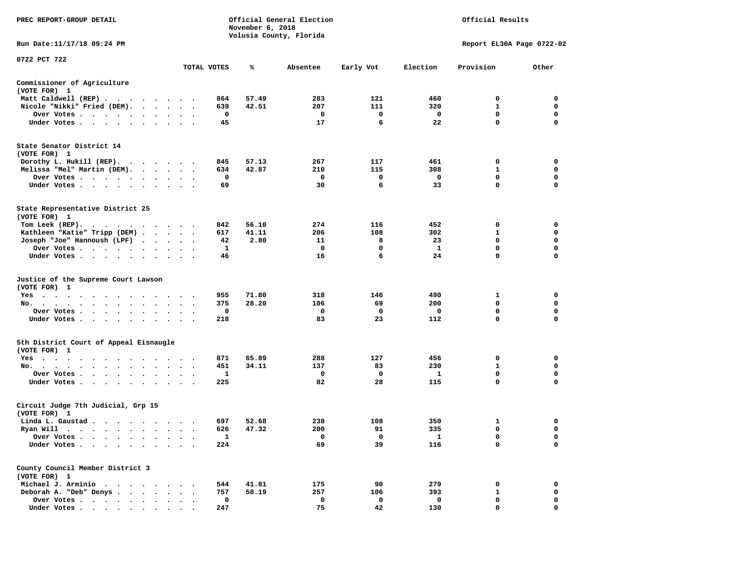| PREC REPORT-GROUP DETAIL                                                                                                                                                                                                                                    |                      |              | November 6, 2018 | Official General Election<br>Volusia County, Florida |             |              | Official Results          |             |
|-------------------------------------------------------------------------------------------------------------------------------------------------------------------------------------------------------------------------------------------------------------|----------------------|--------------|------------------|------------------------------------------------------|-------------|--------------|---------------------------|-------------|
| Run Date: 11/17/18 09:24 PM                                                                                                                                                                                                                                 |                      |              |                  |                                                      |             |              | Report EL30A Page 0722-02 |             |
| 0722 PCT 722                                                                                                                                                                                                                                                |                      |              | ℁                |                                                      |             |              |                           |             |
|                                                                                                                                                                                                                                                             |                      | TOTAL VOTES  |                  | Absentee                                             | Early Vot   | Election     | Provision                 | Other       |
| Commissioner of Agriculture<br>(VOTE FOR) 1                                                                                                                                                                                                                 |                      |              |                  |                                                      |             |              |                           |             |
| Matt Caldwell (REP)                                                                                                                                                                                                                                         |                      | 864          | 57.49            | 283                                                  | 121         | 460          | 0                         | 0           |
| Nicole "Nikki" Fried (DEM).                                                                                                                                                                                                                                 |                      | 639          | 42.51            | 207                                                  | 111         | 320          | 1                         | 0           |
| Over Votes                                                                                                                                                                                                                                                  |                      | 0            |                  | 0                                                    | 0           | 0            | 0                         | 0           |
| Under Votes                                                                                                                                                                                                                                                 |                      | 45           |                  | 17                                                   | 6           | 22           | $\mathbf 0$               | $\Omega$    |
| State Senator District 14<br>(VOTE FOR) 1                                                                                                                                                                                                                   |                      |              |                  |                                                      |             |              |                           |             |
| Dorothy L. Hukill $(REP)$ .                                                                                                                                                                                                                                 |                      | 845          | 57.13            | 267                                                  | 117         | 461          | 0                         | 0           |
| Melissa "Mel" Martin (DEM).                                                                                                                                                                                                                                 |                      | 634          | 42.87            | 210                                                  | 115         | 308          | 1                         | 0           |
| Over Votes                                                                                                                                                                                                                                                  |                      | 0            |                  | 0                                                    | 0           | 0            | $\mathbf 0$               | $\mathbf 0$ |
| Under Votes<br>$\sim$<br>$\bullet$                                                                                                                                                                                                                          |                      | 69           |                  | 30                                                   | 6           | 33           | 0                         | 0           |
| State Representative District 25<br>(VOTE FOR) 1                                                                                                                                                                                                            |                      |              |                  |                                                      |             |              |                           |             |
| Tom Leek $(REP)$ .                                                                                                                                                                                                                                          |                      | 842          | 56.10            | 274                                                  | 116         | 452          | 0                         | 0           |
| Kathleen "Katie" Tripp (DEM)                                                                                                                                                                                                                                |                      | 617          | 41.11            | 206                                                  | 108         | 302          | 1                         | 0           |
| Joseph "Joe" Hannoush (LPF)                                                                                                                                                                                                                                 |                      | 42           | 2.80             | 11                                                   | 8           | 23           | 0                         | $\mathbf 0$ |
| Over Votes                                                                                                                                                                                                                                                  |                      | 1            |                  | 0                                                    | 0           | $\mathbf{1}$ | $\mathbf 0$               | $\mathbf 0$ |
| Under Votes                                                                                                                                                                                                                                                 |                      | 46           |                  | 16                                                   | 6           | 24           | $\mathbf 0$               | 0           |
| Justice of the Supreme Court Lawson<br>(VOTE FOR) 1                                                                                                                                                                                                         |                      |              |                  |                                                      |             |              |                           |             |
| Yes                                                                                                                                                                                                                                                         |                      | 955          | 71.80            | 318                                                  | 146         | 490          | 1                         | 0           |
| No.<br>$\cdot$ $\cdot$ $\cdot$ $\cdot$                                                                                                                                                                                                                      |                      | 375          | 28.20            | 106                                                  | 69          | 200          | 0                         | 0           |
| Over Votes                                                                                                                                                                                                                                                  |                      | 0            |                  | 0                                                    | 0           | 0            | $\mathbf 0$               | $\mathbf 0$ |
| Under Votes                                                                                                                                                                                                                                                 |                      | 218          |                  | 83                                                   | 23          | 112          | $\mathbf 0$               | $\mathbf 0$ |
| 5th District Court of Appeal Eisnaugle<br>(VOTE FOR) 1                                                                                                                                                                                                      |                      |              |                  |                                                      |             |              |                           |             |
| Yes<br>the contract of the contract of the contract of the contract of the contract of the contract of the contract of                                                                                                                                      |                      | 871          | 65.89            | 288                                                  | 127         | 456          | 0                         | 0           |
| No.<br>$\sim$ $\sim$ $\sim$ $\sim$                                                                                                                                                                                                                          | $\bullet$<br>$\sim$  | 451          | 34.11            | 137                                                  | 83          | 230          | 1                         | 0           |
| Over Votes                                                                                                                                                                                                                                                  | $\ddot{\phantom{1}}$ | 1            |                  | 0                                                    | 0           | 1            | 0                         | 0           |
| Under Votes                                                                                                                                                                                                                                                 |                      | 225          |                  | 82                                                   | 28          | 115          | 0                         | 0           |
| Circuit Judge 7th Judicial, Grp 15<br>(VOTE FOR) 1                                                                                                                                                                                                          |                      |              |                  |                                                      |             |              |                           |             |
| Linda L. Gaustad                                                                                                                                                                                                                                            |                      | 697          | 52.68            | 238                                                  | 108         | 350          | 1                         | 0           |
| Ryan Will<br>$\sim$ $\sim$<br>. The contract of the contract of the contract of the contract of the contract of the contract of the contract of the contract of the contract of the contract of the contract of the contract of the contract of the contrac |                      | 626          | 47.32            | 200                                                  | 91          | 335          | $\mathbf 0$               | $\mathbf 0$ |
| Over Votes .                                                                                                                                                                                                                                                |                      | $\mathbf{1}$ |                  | 0                                                    | 0           | $\mathbf{1}$ | 0                         | 0           |
| Under Votes.<br>$\sim$<br>$\ddot{\phantom{1}}$                                                                                                                                                                                                              |                      | 224          |                  | 69                                                   | 39          | 116          | 0                         | 0           |
| County Council Member District 3<br>(VOTE FOR) 1                                                                                                                                                                                                            |                      |              |                  |                                                      |             |              |                           |             |
| Michael J. Arminio.<br>$\sim$ $\sim$ $\sim$                                                                                                                                                                                                                 |                      | 544          | 41.81            | 175                                                  | 90          | 279          | 0                         | 0           |
| Deborah A. "Deb" Denys.<br>$\ddot{\phantom{a}}$                                                                                                                                                                                                             |                      | 757          | 58.19            | 257                                                  | 106         | 393          | $\mathbf{1}$              | 0           |
| Over Votes                                                                                                                                                                                                                                                  |                      | $\mathbf 0$  |                  | 0                                                    | $\mathbf 0$ | 0            | 0                         | 0           |
| Under Votes.                                                                                                                                                                                                                                                |                      | 247          |                  | 75                                                   | 42          | 130          | $\Omega$                  | $\Omega$    |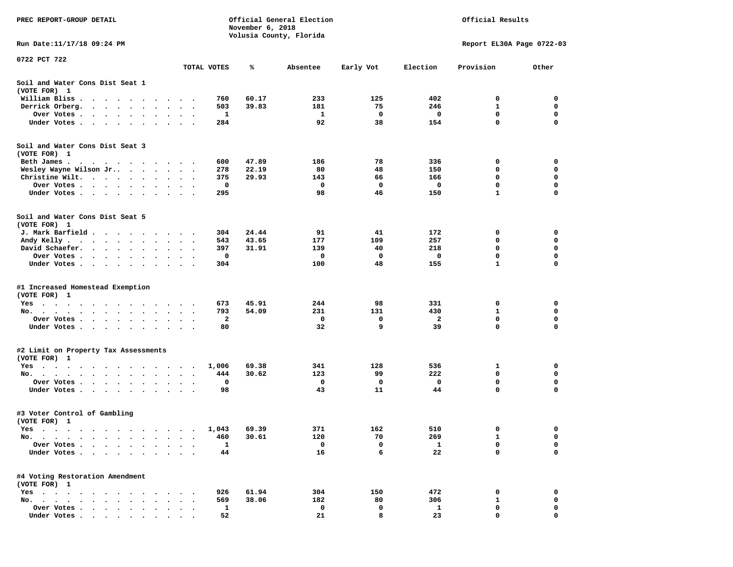| PREC REPORT-GROUP DETAIL                                                                                                                                                                                                                     |                                            | November 6, 2018 | Official General Election<br>Volusia County, Florida |           |              | Official Results          |             |
|----------------------------------------------------------------------------------------------------------------------------------------------------------------------------------------------------------------------------------------------|--------------------------------------------|------------------|------------------------------------------------------|-----------|--------------|---------------------------|-------------|
| Run Date:11/17/18 09:24 PM                                                                                                                                                                                                                   |                                            |                  |                                                      |           |              | Report EL30A Page 0722-03 |             |
| 0722 PCT 722                                                                                                                                                                                                                                 | TOTAL VOTES                                | ℁                | Absentee                                             | Early Vot | Election     | Provision                 | Other       |
| Soil and Water Cons Dist Seat 1                                                                                                                                                                                                              |                                            |                  |                                                      |           |              |                           |             |
| (VOTE FOR) 1                                                                                                                                                                                                                                 |                                            |                  |                                                      |           |              |                           |             |
| William Bliss.<br>$\cdot$<br>$\sim$                                                                                                                                                                                                          | 760                                        | 60.17            | 233                                                  | 125       | 402          | 0                         | 0           |
| Derrick Orberg.<br>$\cdot$ $\cdot$ $\cdot$ $\cdot$ $\cdot$<br>$\ddot{\phantom{0}}$                                                                                                                                                           | 503<br>$\bullet$<br>$\bullet$<br>$\bullet$ | 39.83            | 181                                                  | 75        | 246          | 1                         | 0           |
| Over Votes .<br>$\cdot$ $\cdot$ $\cdot$ $\cdot$ $\cdot$<br>$\cdot$                                                                                                                                                                           | 1                                          |                  | 1                                                    | 0         | 0            | 0                         | 0           |
| Under Votes<br>$\cdot$                                                                                                                                                                                                                       | 284                                        |                  | 92                                                   | 38        | 154          | 0                         | $\mathbf 0$ |
| Soil and Water Cons Dist Seat 3<br>(VOTE FOR) 1                                                                                                                                                                                              |                                            |                  |                                                      |           |              |                           |             |
| Beth James.<br>. As the state of the state of the state of the state of the state of the state of the state of the state of the state of the state of the state of the state of the state of the state of the state of the state of the stat | 600                                        | 47.89            | 186                                                  | 78        | 336          | 0                         | 0           |
| Wesley Wayne Wilson Jr                                                                                                                                                                                                                       | 278<br>$\sim$ $\sim$ $\sim$                | 22.19            | 80                                                   | 48        | 150          | 0                         | 0           |
| Christine Wilt.<br>$\cdot$                                                                                                                                                                                                                   | 375                                        | 29.93            | 143                                                  | 66        | 166          | 0                         | 0           |
| Over Votes<br>$\bullet$                                                                                                                                                                                                                      | 0<br>$\bullet$<br>$\cdot$                  |                  | 0                                                    | 0         | 0            | 0                         | 0           |
| Under Votes                                                                                                                                                                                                                                  | 295                                        |                  | 98                                                   | 46        | 150          | $\mathbf{1}$              | 0           |
| Soil and Water Cons Dist Seat 5<br>(VOTE FOR) 1                                                                                                                                                                                              |                                            |                  |                                                      |           |              |                           |             |
| J. Mark Barfield .<br>$\cdots$                                                                                                                                                                                                               | 304                                        | 24.44            | 91                                                   | 41        | 172          | 0                         | 0           |
| Andy Kelly.<br>$\begin{array}{cccccccccccccc} \bullet & \bullet & \bullet & \bullet & \bullet & \bullet & \bullet & \bullet & \bullet & \bullet & \bullet \end{array}$                                                                       | 543<br>$\ddot{\phantom{1}}$<br>$\bullet$ . | 43.65            | 177                                                  | 109       | 257          | 0                         | 0           |
| David Schaefer.<br>$\cdot$ $\cdot$ $\cdot$ $\cdot$<br>$\bullet$<br>$\ddot{\phantom{0}}$                                                                                                                                                      | 397                                        | 31.91            | 139                                                  | 40        | 218          | 0                         | 0           |
| Over Votes .<br>$\cdots$<br>$\bullet$                                                                                                                                                                                                        | 0<br>$\bullet$                             |                  | 0                                                    | 0         | 0            | $\mathbf 0$               | $\mathbf 0$ |
| Under Votes                                                                                                                                                                                                                                  | 304                                        |                  | 100                                                  | 48        | 155          | $\mathbf{1}$              | $\mathbf 0$ |
| #1 Increased Homestead Exemption<br>(VOTE FOR) 1                                                                                                                                                                                             |                                            |                  |                                                      |           |              |                           |             |
| $Yes \cdot \cdot \cdot$<br>$\sim$ $\sim$ $\sim$ $\sim$<br>$\cdots$                                                                                                                                                                           | 673<br>$\overline{\phantom{a}}$<br>$\sim$  | 45.91            | 244                                                  | 98        | 331          | 0                         | 0           |
| No.<br>$\sim$                                                                                                                                                                                                                                | 793                                        | 54.09            | 231                                                  | 131       | 430          | 1                         | 0           |
| Over Votes<br>$\bullet$ .<br>$\bullet$                                                                                                                                                                                                       | 2                                          |                  | 0                                                    | 0         | 2            | 0                         | 0           |
| Under Votes                                                                                                                                                                                                                                  | 80                                         |                  | 32                                                   | 9         | 39           | 0                         | 0           |
| #2 Limit on Property Tax Assessments<br>(VOTE FOR) 1                                                                                                                                                                                         |                                            |                  |                                                      |           |              |                           |             |
| $Yes \t . \t .$<br>$\cdot$ $\cdot$<br>the contract of the contract of the contract of the contract of the contract of the contract of the contract of                                                                                        | 1,006                                      | 69.38            | 341                                                  | 128       | 536          | 1                         | 0           |
| No.<br>. The contract of the contract of the contract of the contract of the contract of the contract of the contract of the contract of the contract of the contract of the contract of the contract of the contract of the contrac         | 444<br>$\bullet$ .<br>$\bullet$<br>$\sim$  | 30.62            | 123                                                  | 99        | 222          | $\mathbf 0$               | $\mathbf 0$ |
| Over Votes<br>$\bullet$                                                                                                                                                                                                                      | 0                                          |                  | 0                                                    | 0         | 0            | $\mathbf 0$               | 0           |
| Under Votes<br>$\bullet$                                                                                                                                                                                                                     | 98<br>$\bullet$<br>$\bullet$               |                  | 43                                                   | 11        | 44           | 0                         | 0           |
| #3 Voter Control of Gambling<br>(VOTE FOR) 1                                                                                                                                                                                                 |                                            |                  |                                                      |           |              |                           |             |
| Yes                                                                                                                                                                                                                                          | 1,043                                      | 69.39            | 371                                                  | 162       | 510          | 0                         | 0           |
| No.                                                                                                                                                                                                                                          | 460                                        | 30.61            | 120                                                  | 70        | 269          | 1                         | 0           |
| Over Votes<br>$\bullet$<br>$\cdot$                                                                                                                                                                                                           | 1                                          |                  | 0                                                    | 0         | $\mathbf{1}$ | 0                         | 0           |
| Under Votes .                                                                                                                                                                                                                                | 44                                         |                  | 16                                                   | 6         | 22           | 0                         | $\mathbf 0$ |
| #4 Voting Restoration Amendment<br>(VOTE FOR) 1                                                                                                                                                                                              |                                            |                  |                                                      |           |              |                           |             |
| $Yes \cdot \cdot \cdot$                                                                                                                                                                                                                      | 926                                        | 61.94            | 304                                                  | 150       | 472          | 0                         | 0           |
| No. .                                                                                                                                                                                                                                        | 569                                        | 38.06            | 182                                                  | 80        | 306          | 1                         | 0           |
| Over Votes<br>$\ddot{\phantom{a}}$<br>$\ddot{\phantom{a}}$                                                                                                                                                                                   | 1                                          |                  | 0                                                    | 0         | 1            | 0                         | 0           |
| Under Votes                                                                                                                                                                                                                                  | 52                                         |                  | 21                                                   | 8         | 23           | 0                         | 0           |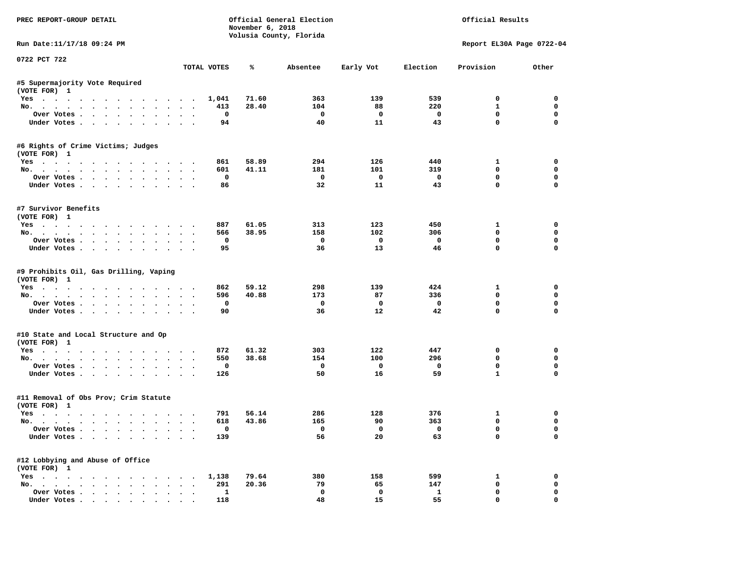| PREC REPORT-GROUP DETAIL                                             |           |              | November 6, 2018 | Official General Election<br>Volusia County, Florida |                         |                          | Official Results          |             |
|----------------------------------------------------------------------|-----------|--------------|------------------|------------------------------------------------------|-------------------------|--------------------------|---------------------------|-------------|
| Run Date: 11/17/18 09:24 PM                                          |           |              |                  |                                                      |                         |                          | Report EL30A Page 0722-04 |             |
| 0722 PCT 722                                                         |           | TOTAL VOTES  | ℁                | Absentee                                             | Early Vot               | Election                 | Provision                 | Other       |
| #5 Supermajority Vote Required                                       |           |              |                  |                                                      |                         |                          |                           |             |
| (VOTE FOR) 1                                                         |           |              |                  |                                                      |                         |                          |                           |             |
| Yes                                                                  |           | 1,041        | 71.60            | 363                                                  | 139                     | 539                      | $^{\circ}$                | $^{\circ}$  |
| No.                                                                  |           | 413          | 28.40            | 104                                                  | 88                      | 220                      | $\mathbf{1}$              | $\mathbf 0$ |
| Over Votes                                                           |           | $\mathbf 0$  |                  | $\overline{\phantom{0}}$                             | $\overline{\mathbf{0}}$ | $\overline{\mathbf{0}}$  | $\mathbf 0$               | $\mathbf 0$ |
| Under Votes                                                          |           | 94           |                  | 40                                                   | 11                      | 43                       | $\mathbf 0$               | $\mathbf 0$ |
| #6 Rights of Crime Victims; Judges<br>(VOTE FOR) 1                   |           |              |                  |                                                      |                         |                          |                           |             |
| Yes                                                                  |           | 861          | 58.89            | 294                                                  | 126                     | 440                      | $\mathbf{1}$              | 0           |
| No.                                                                  |           | 601          | 41.11            | 181                                                  | 101                     | 319                      | $^{\circ}$                | 0           |
| Over Votes                                                           |           | 0            |                  | $\overline{\phantom{a}}$                             | $\overline{\mathbf{0}}$ | $\overline{\phantom{0}}$ | $\mathbf 0$               | 0           |
| Under Votes                                                          |           | 86           |                  | 32                                                   | 11                      | 43                       | $\mathbf 0$               | 0           |
| #7 Survivor Benefits<br>(VOTE FOR) 1                                 |           |              |                  |                                                      |                         |                          |                           |             |
| Yes                                                                  |           | 887          | 61.05            | 313                                                  | 123                     | 450                      | $\mathbf{1}$              | $\mathbf 0$ |
| No.                                                                  |           | 566          | 38.95            | 158                                                  | 102                     | 306                      | $\mathbf 0$               | $\mathbf 0$ |
| Over Votes                                                           |           | $\mathbf{o}$ |                  | $\mathbf{o}$                                         | $\overline{\mathbf{0}}$ | $\overline{\mathbf{0}}$  | $\mathbf 0$               | $\mathbf 0$ |
| Under Votes                                                          |           | 95           |                  | 36                                                   | 13                      | 46                       | $\Omega$                  | $\Omega$    |
| #9 Prohibits Oil, Gas Drilling, Vaping<br>(VOTE FOR) 1<br>Yes<br>No. |           | 862<br>596   | 59.12<br>40.88   | 298<br>173                                           | 139<br>87               | 424<br>336               | $\mathbf{1}$<br>0         | 0<br>0      |
| Over Votes                                                           |           | $\mathbf 0$  |                  | $\mathbf{o}$                                         | $\mathbf{o}$            | $\mathbf{o}$             | $\mathbf 0$               | $\mathbf 0$ |
| Under Votes                                                          |           | 90           |                  | 36                                                   | 12                      | 42                       | $\mathbf 0$               | $\Omega$    |
|                                                                      |           |              |                  |                                                      |                         |                          |                           |             |
| #10 State and Local Structure and Op<br>(VOTE FOR) 1                 |           |              |                  |                                                      |                         |                          |                           |             |
| Yes                                                                  |           | 872          | 61.32            | 303                                                  | 122                     | 447                      | 0                         | 0           |
| No.                                                                  |           | 550          | 38.68            | 154                                                  | 100                     | 296                      | $\Omega$                  | $\mathbf 0$ |
| Over Votes                                                           |           | 0            |                  | $\mathbf 0$                                          | $\overline{\mathbf{0}}$ | $\mathbf 0$              | 0                         | 0           |
| Under Votes                                                          |           | 126          |                  | 50                                                   | 16                      | 59                       | $\mathbf{1}$              | $\mathbf 0$ |
| #11 Removal of Obs Prov; Crim Statute<br>(VOTE FOR) 1                |           |              |                  |                                                      |                         |                          |                           |             |
| Yes                                                                  |           | 791          | 56.14            | 286                                                  | 128                     | 376                      | $\mathbf{1}$              | 0           |
| No.                                                                  |           | 618          | 43.86            | 165                                                  | 90                      | 363                      | $\mathbf 0$               | 0           |
| Over Votes                                                           |           | $\mathbf 0$  |                  | $\overline{\mathbf{0}}$                              | $\Omega$                | $\overline{0}$           | $\mathbf 0$               | $\Omega$    |
| Under Votes                                                          |           | 139          |                  | 56                                                   | 20                      | 63                       | $\mathbf 0$               | $\Omega$    |
| #12 Lobbying and Abuse of Office<br>(VOTE FOR) 1                     |           |              |                  |                                                      |                         |                          |                           |             |
| Yes 1,138                                                            |           |              | 79.64            | 380                                                  | 158                     | 599                      | $\mathbf{1}$              | 0           |
| No.                                                                  |           | 291          | 20.36            | 79                                                   | 65                      | 147                      | $\mathbf 0$               | $\mathbf 0$ |
| Over Votes                                                           | $\ddotsc$ | $\mathbf{1}$ |                  | $\mathbf{o}$                                         | $\mathbf 0$             | $\mathbf{1}$             | $\mathbf 0$               | $\mathbf 0$ |
| Under Votes                                                          |           | 118          |                  | 48                                                   | 15                      | 55                       | $\mathbf{0}$              | $\mathbf 0$ |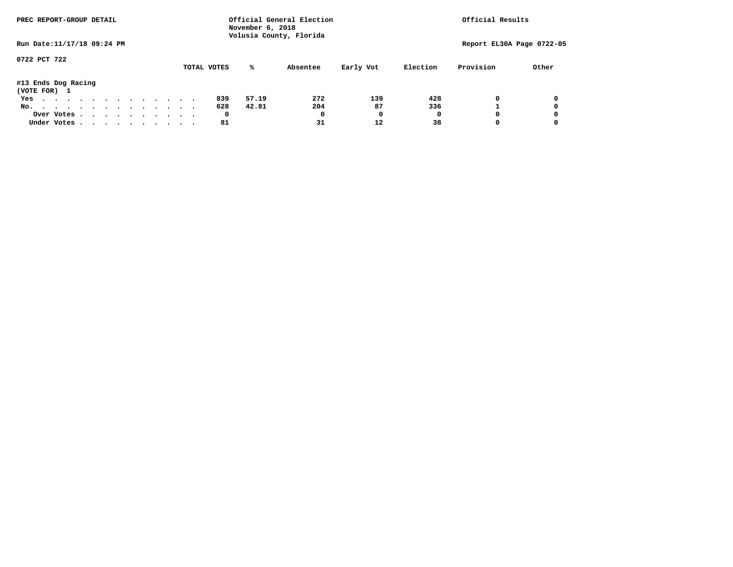| PREC REPORT-GROUP DETAIL            |  |  |  |  |  | Official General Election<br>November 6, 2018<br>Volusia County, Florida | Official Results |  |             |       |          |           |          |                           |       |
|-------------------------------------|--|--|--|--|--|--------------------------------------------------------------------------|------------------|--|-------------|-------|----------|-----------|----------|---------------------------|-------|
| Run Date: 11/17/18 09:24 PM         |  |  |  |  |  |                                                                          |                  |  |             |       |          |           |          | Report EL30A Page 0722-05 |       |
| 0722 PCT 722                        |  |  |  |  |  |                                                                          |                  |  | TOTAL VOTES | %ะ    | Absentee | Early Vot | Election | Provision                 | Other |
| #13 Ends Dog Racing<br>(VOTE FOR) 1 |  |  |  |  |  |                                                                          |                  |  |             |       |          |           |          |                           |       |
| Yes                                 |  |  |  |  |  |                                                                          |                  |  | 839         | 57.19 | 272      | 139       | 428      | 0                         | 0     |
| No.                                 |  |  |  |  |  |                                                                          |                  |  | 628         | 42.81 | 204      | 87        | 336      |                           | 0     |
| Over Votes                          |  |  |  |  |  |                                                                          |                  |  | 0           |       | 0        |           | 0        |                           | 0     |
| Under Votes                         |  |  |  |  |  |                                                                          |                  |  | 81          |       | 31       | 12        | 38       |                           | 0     |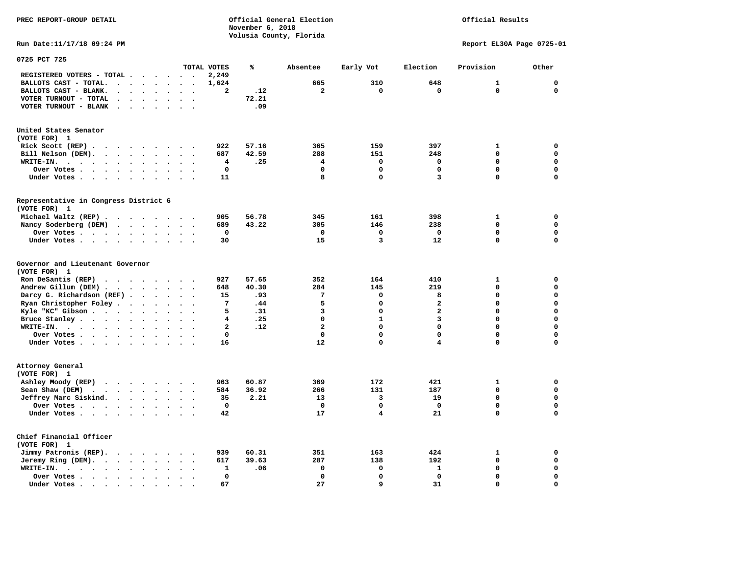**PREC REPORT-GROUP DETAIL COMPUTER CONSUMING A CONSUMING CONSUMING A LIGACION CONSUMING A LIGACION** *November 6, 2018 November 6, 2018*  **Volusia County, Florida** 

## Official Results

**Run Date:11/17/18 09:24 PM Report EL30A Page 0725-01** 

| 0725 PCT 725                                                                                      |                                   |                          |                          |                         |       |                         |                         |                         |              |              |
|---------------------------------------------------------------------------------------------------|-----------------------------------|--------------------------|--------------------------|-------------------------|-------|-------------------------|-------------------------|-------------------------|--------------|--------------|
|                                                                                                   |                                   |                          |                          | TOTAL VOTES             | ℁     | Absentee                | Early Vot               | Election                | Provision    | Other        |
| REGISTERED VOTERS - TOTAL .                                                                       | $\ddot{\phantom{a}}$              | $\sim$ $\sim$            | $\overline{\phantom{a}}$ | 2,249                   |       |                         |                         |                         |              |              |
| BALLOTS CAST - TOTAL.<br>$\ddot{\phantom{a}}$<br>$\ddot{\phantom{a}}$<br>$\ddot{\phantom{a}}$     | $\cdot$                           |                          |                          | 1,624                   |       | 665                     | 310                     | 648                     | $\mathbf{1}$ | $\mathbf 0$  |
| BALLOTS CAST - BLANK.<br>$\ddot{\phantom{a}}$<br>$\sim$<br>$\ddot{\phantom{a}}$                   | $\sim$<br>$\ddot{\phantom{a}}$    | $\sim$                   | $\ddot{\phantom{a}}$     | $\overline{\mathbf{2}}$ | .12   | $\overline{\mathbf{2}}$ | $\mathbf 0$             | $\mathbf 0$             | $\mathbf 0$  | $\mathbf 0$  |
| VOTER TURNOUT - TOTAL                                                                             |                                   |                          |                          |                         | 72.21 |                         |                         |                         |              |              |
| VOTER TURNOUT - BLANK<br>$\sim$<br>$\cdot$                                                        |                                   |                          |                          |                         | .09   |                         |                         |                         |              |              |
|                                                                                                   |                                   |                          |                          |                         |       |                         |                         |                         |              |              |
| United States Senator                                                                             |                                   |                          |                          |                         |       |                         |                         |                         |              |              |
| (VOTE FOR) 1                                                                                      |                                   |                          |                          |                         |       |                         |                         |                         |              |              |
| Rick Scott (REP).<br>$\cdots$<br>$\sim$                                                           |                                   | $\sim$                   |                          | 922                     | 57.16 | 365                     | 159                     | 397                     | 1            | 0            |
| Bill Nelson (DEM).<br>$\cdot$ $\cdot$ $\cdot$ $\cdot$ $\cdot$                                     | $\cdot$ $\cdot$                   |                          |                          | 687                     | 42.59 | 288                     | 151                     | 248                     | 0            | $\mathbf 0$  |
| WRITE-IN.<br>$\cdots$<br>$\bullet$ .<br>$\ddot{\phantom{1}}$<br>$\bullet$<br>$\bullet$            | $\ddot{\phantom{a}}$<br>$\bullet$ | $\ddot{\phantom{a}}$     | $\ddot{\phantom{a}}$     | 4                       | .25   | 4                       | 0                       | $\mathbf 0$             | 0            | $\mathbf 0$  |
| Over Votes.<br>$\ddot{\phantom{0}}$<br>$\sim$ $\sim$ $\sim$<br>$\bullet$<br>$\bullet$             | $\bullet$                         |                          |                          | $\mathbf 0$             |       | $\mathbf 0$             | 0                       | $\mathbf 0$             | 0            | $\mathbf 0$  |
| Under Votes<br>$\ddot{\phantom{0}}$                                                               | $\ddot{\phantom{1}}$<br>$\cdot$   | $\cdot$                  | $\bullet$                | 11                      |       | 8                       | $\mathbf 0$             | 3                       | $\Omega$     | $\mathbf 0$  |
|                                                                                                   |                                   |                          |                          |                         |       |                         |                         |                         |              |              |
| Representative in Congress District 6<br>(VOTE FOR) 1                                             |                                   |                          |                          |                         |       |                         |                         |                         |              |              |
| Michael Waltz (REP)                                                                               |                                   |                          | $\sim$                   | 905                     | 56.78 | 345                     | 161                     | 398                     | $\mathbf{1}$ | 0            |
| Nancy Soderberg (DEM)<br>$\cdots$                                                                 |                                   | $\sim$                   | $\bullet$                | 689                     | 43.22 | 305                     | 146                     | 238                     | 0            | $\mathbf 0$  |
| Over Votes.<br>$\cdots$<br>$\sim$                                                                 | $\ddot{\phantom{a}}$              |                          |                          | 0                       |       | 0                       | 0                       | 0                       | 0            | $\mathbf 0$  |
| Under Votes<br>$\ddot{\phantom{0}}$                                                               |                                   |                          |                          | 30                      |       | 15                      | 3                       | 12                      | 0            | $\mathbf 0$  |
|                                                                                                   |                                   |                          |                          |                         |       |                         |                         |                         |              |              |
| Governor and Lieutenant Governor<br>(VOTE FOR) 1                                                  |                                   |                          |                          |                         |       |                         |                         |                         |              |              |
| Ron DeSantis (REP)                                                                                | $\cdots$                          | $\ddot{\phantom{0}}$     |                          | 927                     | 57.65 | 352                     | 164                     | 410                     | $\mathbf{1}$ | 0            |
| Andrew Gillum (DEM)                                                                               |                                   | $\sim$                   | $\ddot{\phantom{a}}$     | 648                     | 40.30 | 284                     | 145                     | 219                     | 0            | $\mathbf 0$  |
| Darcy G. Richardson (REF).<br>$\bullet$                                                           | $\bullet$                         |                          |                          | 15                      | .93   | 7                       | $\Omega$                | 8                       | $\Omega$     | $\mathbf{0}$ |
| Ryan Christopher Foley.<br>$\sim$<br>$\ddot{\phantom{a}}$                                         |                                   |                          |                          | 7                       | .44   | 5                       | $\mathbf 0$             | $\overline{\mathbf{2}}$ | $\Omega$     | $\mathbf 0$  |
| Kyle "KC" Gibson                                                                                  |                                   |                          |                          | 5                       | .31   | 3                       | 0                       | $\overline{a}$          | 0            | $\mathbf 0$  |
| $\bullet$                                                                                         | $\bullet$<br>$\bullet$            | $\ddot{\phantom{a}}$     |                          | 4                       | .25   | $\mathbf 0$             | $\mathbf{1}$            | 3                       | 0            | $\mathbf 0$  |
| Bruce Stanley<br>$\ddot{\phantom{a}}$                                                             |                                   |                          |                          |                         |       | $\overline{\mathbf{2}}$ | $\mathbf 0$             | 0                       | $\Omega$     | $\mathbf 0$  |
| WRITE-IN.<br>$\cdots$<br>$\bullet$                                                                |                                   |                          |                          | $\mathbf{2}$            | .12   |                         |                         |                         |              |              |
| Over Votes.<br>$\sim$ $\sim$ $\sim$ $\sim$ $\sim$ $\sim$                                          | $\bullet$<br>$\bullet$            | $\bullet$                | $\ddot{\phantom{0}}$     | $\mathbf 0$             |       | $\mathbf 0$             | 0                       | 0                       | 0            | $\mathbf 0$  |
| Under Votes                                                                                       | $\ddot{\phantom{a}}$              | $\sim$                   | $\bullet$                | 16                      |       | 12                      | 0                       | 4                       | 0            | $\mathbf 0$  |
| Attorney General                                                                                  |                                   |                          |                          |                         |       |                         |                         |                         |              |              |
| (VOTE FOR) 1                                                                                      |                                   |                          |                          |                         |       |                         |                         |                         |              |              |
| Ashley Moody (REP)                                                                                |                                   |                          |                          | 963                     | 60.87 | 369                     | 172                     | 421                     | 1            | 0            |
| Sean Shaw (DEM)<br>$\cdot$ $\cdot$<br>$\sim$ $\sim$<br>$\ddot{\phantom{a}}$                       |                                   |                          |                          | 584                     | 36.92 | 266                     | 131                     | 187                     | 0            | $\mathbf 0$  |
| Jeffrey Marc Siskind.<br>$\cdots$                                                                 | $\bullet$                         | $\overline{\phantom{a}}$ |                          | 35                      | 2.21  | 13                      | 3                       | 19                      | 0            | $\mathbf 0$  |
| Over Votes.<br>$\cdots$<br>$\bullet$                                                              | $\ddot{\phantom{a}}$              |                          |                          | $\mathbf 0$             |       | $\mathbf 0$             | 0                       | $\mathbf 0$             | 0            | $\mathbf 0$  |
| Under Votes                                                                                       |                                   |                          |                          | 42                      |       | 17                      | $\overline{\mathbf{4}}$ | 21                      | 0            | $\mathbf 0$  |
|                                                                                                   |                                   |                          |                          |                         |       |                         |                         |                         |              |              |
| Chief Financial Officer<br>(VOTE FOR) 1                                                           |                                   |                          |                          |                         |       |                         |                         |                         |              |              |
| Jimmy Patronis (REP).<br>$\sim$ $\sim$<br>$\sim$ $\sim$ $\sim$                                    | $\bullet$                         |                          |                          | 939                     | 60.31 | 351                     | 163                     | 424                     | 1            | 0            |
| Jeremy Ring (DEM).<br>$\sim$ $\sim$ $\sim$ $\sim$<br>$\ddot{\phantom{a}}$<br>$\ddot{\phantom{a}}$ | $\ddot{\phantom{a}}$              |                          |                          | 617                     | 39.63 | 287                     | 138                     | 192                     | 0            | $\mathbf 0$  |
| WRITE-IN.<br>$\cdot$ $\cdot$ $\cdot$ $\cdot$ $\cdot$<br>$\bullet$<br>$\bullet$                    |                                   |                          |                          | 1                       | .06   | 0                       | 0                       | 1                       | 0            | $\mathbf 0$  |
| Over Votes.<br>$\ddot{\phantom{a}}$                                                               |                                   |                          |                          | $\mathbf 0$             |       | $\mathbf 0$             | 0                       | $\mathbf 0$             | 0            | $\mathbf 0$  |
| Under Votes<br>$\ddot{\phantom{a}}$                                                               |                                   |                          |                          | 67                      |       | 27                      | 9                       | 31                      | 0            | $\mathbf 0$  |
|                                                                                                   |                                   |                          |                          |                         |       |                         |                         |                         |              |              |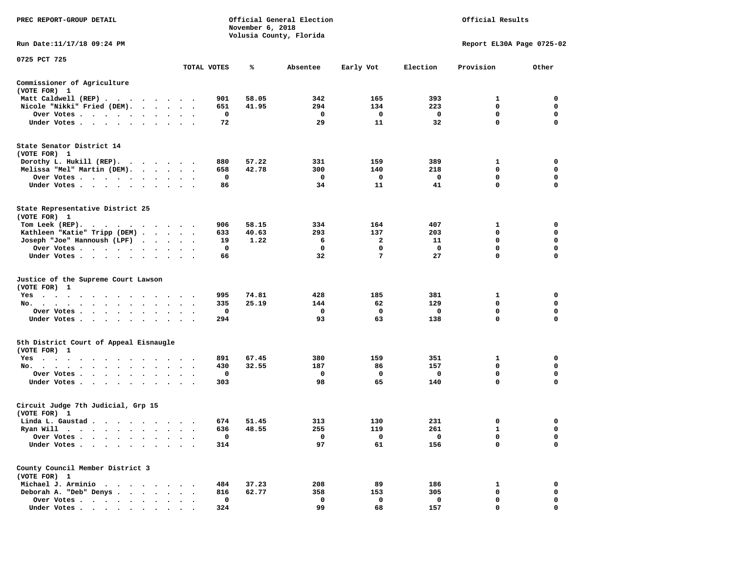| PREC REPORT-GROUP DETAIL                                                                                                                                                                                                                             |                      |             | November 6, 2018 | Official General Election<br>Volusia County, Florida |           |          | Official Results          |             |
|------------------------------------------------------------------------------------------------------------------------------------------------------------------------------------------------------------------------------------------------------|----------------------|-------------|------------------|------------------------------------------------------|-----------|----------|---------------------------|-------------|
| Run Date: 11/17/18 09:24 PM                                                                                                                                                                                                                          |                      |             |                  |                                                      |           |          | Report EL30A Page 0725-02 |             |
| 0725 PCT 725                                                                                                                                                                                                                                         |                      |             |                  |                                                      |           |          |                           |             |
|                                                                                                                                                                                                                                                      |                      | TOTAL VOTES | ℁                | Absentee                                             | Early Vot | Election | Provision                 | Other       |
| Commissioner of Agriculture<br>(VOTE FOR) 1                                                                                                                                                                                                          |                      |             |                  |                                                      |           |          |                           |             |
| Matt Caldwell (REP)                                                                                                                                                                                                                                  |                      | 901         | 58.05            | 342                                                  | 165       | 393      | 1                         | 0           |
| Nicole "Nikki" Fried (DEM).                                                                                                                                                                                                                          |                      | 651         | 41.95            | 294                                                  | 134       | 223      | 0                         | 0           |
| Over Votes                                                                                                                                                                                                                                           |                      | 0           |                  | 0                                                    | 0         | 0        | 0                         | 0           |
| Under Votes                                                                                                                                                                                                                                          |                      | 72          |                  | 29                                                   | 11        | 32       | $\mathbf 0$               | $\Omega$    |
| State Senator District 14<br>(VOTE FOR) 1                                                                                                                                                                                                            |                      |             |                  |                                                      |           |          |                           |             |
| Dorothy L. Hukill $(REP)$ .                                                                                                                                                                                                                          |                      | 880         | 57.22            | 331                                                  | 159       | 389      | 1                         | 0           |
| Melissa "Mel" Martin (DEM).                                                                                                                                                                                                                          |                      | 658         | 42.78            | 300                                                  | 140       | 218      | 0                         | 0           |
| Over Votes                                                                                                                                                                                                                                           |                      | 0           |                  | 0                                                    | 0         | 0        | $\mathbf 0$               | $\mathbf 0$ |
| Under Votes<br>$\sim$                                                                                                                                                                                                                                | $\bullet$            | 86          |                  | 34                                                   | 11        | 41       | 0                         | 0           |
| State Representative District 25<br>(VOTE FOR) 1                                                                                                                                                                                                     |                      |             |                  |                                                      |           |          |                           |             |
| Tom Leek $(REP)$ .                                                                                                                                                                                                                                   |                      | 906         | 58.15            | 334                                                  | 164       | 407      | 1                         | 0           |
| Kathleen "Katie" Tripp (DEM)                                                                                                                                                                                                                         |                      | 633         | 40.63            | 293                                                  | 137       | 203      | 0                         | 0           |
| Joseph "Joe" Hannoush (LPF)                                                                                                                                                                                                                          |                      | 19          | 1.22             | 6                                                    | 2         | 11       | 0                         | $\mathbf 0$ |
| Over Votes                                                                                                                                                                                                                                           |                      | 0           |                  | 0                                                    | 0         | 0        | $\mathbf 0$               | $\mathbf 0$ |
| Under Votes                                                                                                                                                                                                                                          |                      | 66          |                  | 32                                                   | 7         | 27       | $\mathbf 0$               | 0           |
| Justice of the Supreme Court Lawson<br>(VOTE FOR) 1                                                                                                                                                                                                  |                      |             |                  |                                                      |           |          |                           |             |
| Yes                                                                                                                                                                                                                                                  |                      | 995         | 74.81            | 428                                                  | 185       | 381      | 1                         | 0           |
| No.<br>$\cdot$ $\cdot$ $\cdot$ $\cdot$                                                                                                                                                                                                               |                      | 335         | 25.19            | 144                                                  | 62        | 129      | 0                         | 0           |
| Over Votes                                                                                                                                                                                                                                           |                      | 0           |                  | 0                                                    | 0         | 0        | $\mathbf 0$               | $\mathbf 0$ |
| Under Votes                                                                                                                                                                                                                                          |                      | 294         |                  | 93                                                   | 63        | 138      | $\mathbf 0$               | $\mathbf 0$ |
| 5th District Court of Appeal Eisnaugle<br>(VOTE FOR) 1                                                                                                                                                                                               |                      |             |                  |                                                      |           |          |                           |             |
| Yes<br>the contract of the contract of the contract of the contract of the contract of the contract of the contract of                                                                                                                               |                      | 891         | 67.45            | 380                                                  | 159       | 351      | 1                         | 0           |
| No.<br>$\cdot$ $\cdot$ $\cdot$ $\cdot$                                                                                                                                                                                                               | $\bullet$            | 430         | 32.55            | 187                                                  | 86        | 157      | 0                         | 0           |
| Over Votes                                                                                                                                                                                                                                           | $\ddot{\phantom{1}}$ | 0           |                  | 0                                                    | 0         | 0        | 0                         | 0           |
| Under Votes                                                                                                                                                                                                                                          |                      | 303         |                  | 98                                                   | 65        | 140      | 0                         | 0           |
| Circuit Judge 7th Judicial, Grp 15<br>(VOTE FOR) 1                                                                                                                                                                                                   |                      |             |                  |                                                      |           |          |                           |             |
| Linda L. Gaustad                                                                                                                                                                                                                                     |                      | 674         | 51.45            | 313                                                  | 130       | 231      | 0                         | 0           |
| Ryan Will<br>. The contract of the contract of the contract of the contract of the contract of the contract of the contract of the contract of the contract of the contract of the contract of the contract of the contract of the contrac<br>$\sim$ |                      | 636         | 48.55            | 255                                                  | 119       | 261      | $\mathbf{1}$              | $\Omega$    |
| Over Votes .                                                                                                                                                                                                                                         |                      | $\mathbf 0$ |                  | 0                                                    | 0         | 0        | 0                         | 0           |
| Under Votes.<br>$\cdot$                                                                                                                                                                                                                              |                      | 314         |                  | 97                                                   | 61        | 156      | 0                         | 0           |
| County Council Member District 3<br>(VOTE FOR) 1                                                                                                                                                                                                     |                      |             |                  |                                                      |           |          |                           |             |
| Michael J. Arminio<br>$\ddot{\phantom{1}}$<br>$\sim$ $\sim$ $\sim$                                                                                                                                                                                   |                      | 484         | 37.23            | 208                                                  | 89        | 186      | 1                         | 0           |
| Deborah A. "Deb" Denys.<br>$\ddot{\phantom{a}}$                                                                                                                                                                                                      |                      | 816         | 62.77            | 358                                                  | 153       | 305      | 0                         | 0           |
| Over Votes<br>$\bullet$ , $\bullet$ , $\bullet$ , $\bullet$                                                                                                                                                                                          |                      | $\mathbf 0$ |                  | 0                                                    | 0         | 0        | 0                         | 0           |
| Under Votes,                                                                                                                                                                                                                                         |                      | 324         |                  | 99                                                   | 68        | 157      | $\Omega$                  | $\Omega$    |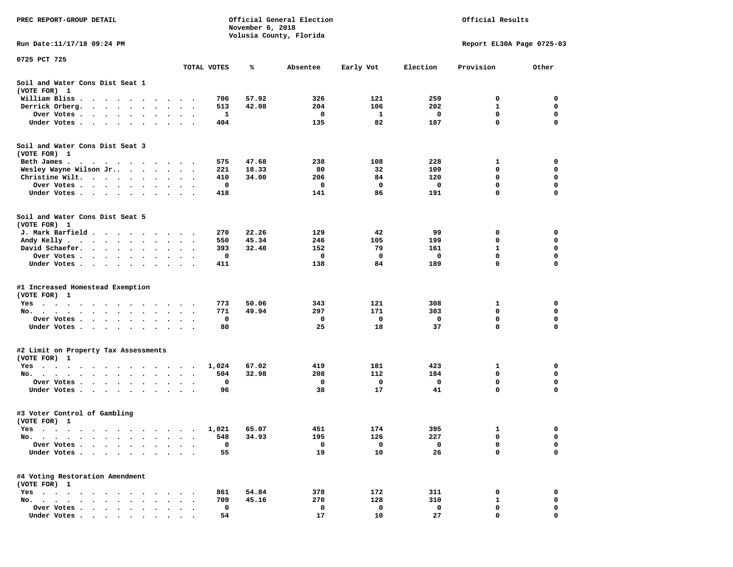| PREC REPORT-GROUP DETAIL                                                                                                                           |                                   | Official General Election<br>Official Results<br>November 6, 2018<br>Volusia County, Florida |       |          |           |          |                           |             |
|----------------------------------------------------------------------------------------------------------------------------------------------------|-----------------------------------|----------------------------------------------------------------------------------------------|-------|----------|-----------|----------|---------------------------|-------------|
| Run Date:11/17/18 09:24 PM                                                                                                                         |                                   |                                                                                              |       |          |           |          | Report EL30A Page 0725-03 |             |
| 0725 PCT 725                                                                                                                                       |                                   | TOTAL VOTES                                                                                  | ℁     | Absentee | Early Vot | Election | Provision                 | Other       |
| Soil and Water Cons Dist Seat 1<br>(VOTE FOR) 1                                                                                                    |                                   |                                                                                              |       |          |           |          |                           |             |
| William Bliss.<br>$\bullet$<br>$\sim$<br>$\sim$                                                                                                    |                                   | 706                                                                                          | 57.92 | 326      | 121       | 259      | 0                         | 0           |
| Derrick Orberg.<br>$\sim$ $\sim$ $\sim$<br>$\ddot{\phantom{1}}$<br>$\cdot$                                                                         |                                   | 513                                                                                          | 42.08 | 204      | 106       | 202      | 1                         | 0           |
| Over Votes .<br>$\mathbf{r}$ , and $\mathbf{r}$ , and $\mathbf{r}$ , and $\mathbf{r}$<br>$\bullet$                                                 | $\cdot$<br>$\bullet$              | 1                                                                                            |       | 0        | 1         | 0        | $\mathbf 0$               | 0           |
| Under Votes<br>$\sim$ $\sim$<br>$\ddot{\phantom{1}}$                                                                                               |                                   | 404                                                                                          |       | 135      | 82        | 187      | $\mathbf 0$               | 0           |
| Soil and Water Cons Dist Seat 3<br>(VOTE FOR) 1                                                                                                    |                                   |                                                                                              |       |          |           |          |                           |             |
| Beth James.                                                                                                                                        |                                   | 575                                                                                          | 47.68 | 238      | 108       | 228      | 1                         | 0           |
| Wesley Wayne Wilson Jr                                                                                                                             | $\sim$ $\sim$<br>$\cdot$          | 221                                                                                          | 18.33 | 80       | 32        | 109      | 0                         | 0           |
| Christine Wilt.<br>$\ddot{\phantom{a}}$                                                                                                            |                                   | 410<br>0                                                                                     | 34.00 | 206      | 84<br>0   | 120<br>0 | 0<br>0                    | 0<br>0      |
| Over Votes<br>$\bullet$<br>$\cdot$<br>Under Votes                                                                                                  |                                   | 418                                                                                          |       | 0<br>141 | 86        | 191      | 0                         | 0           |
| $\cdot$                                                                                                                                            |                                   |                                                                                              |       |          |           |          |                           |             |
| Soil and Water Cons Dist Seat 5<br>(VOTE FOR) 1                                                                                                    |                                   |                                                                                              |       |          |           |          |                           |             |
| J. Mark Barfield                                                                                                                                   |                                   | 270                                                                                          | 22.26 | 129      | 42        | 99       | 0                         | 0           |
| Andy Kelly                                                                                                                                         |                                   | 550                                                                                          | 45.34 | 246      | 105       | 199      | 0                         | 0           |
| David Schaefer.<br>$\mathcal{A}=\mathcal{A}=\mathcal{A}=\mathcal{A}=\mathcal{A}$ .<br>$\bullet$                                                    |                                   | 393                                                                                          | 32.40 | 152      | 79        | 161      | 1                         | 0           |
| Over Votes.<br>$\cdot$ $\cdot$<br>$\sim$ $\sim$<br>$\sim$ $\sim$                                                                                   |                                   | 0                                                                                            |       | 0        | 0         | 0        | 0                         | 0           |
| Under Votes<br>$\ddot{\phantom{0}}$<br>$\bullet$                                                                                                   | $\bullet$<br>$\bullet$<br>$\cdot$ | 411                                                                                          |       | 138      | 84        | 189      | 0                         | 0           |
| #1 Increased Homestead Exemption<br>(VOTE FOR) 1                                                                                                   |                                   |                                                                                              |       |          |           |          |                           |             |
| Yes                                                                                                                                                |                                   | 773                                                                                          | 50.06 | 343      | 121       | 308      | 1                         | 0           |
| No.<br>$\bullet$<br>$\ddot{\phantom{a}}$<br>$\bullet$                                                                                              |                                   | 771                                                                                          | 49.94 | 297      | 171       | 303      | 0                         | 0           |
| Over Votes .<br>$\sim$ $\sim$<br>$\sim$ $\sim$<br>$\bullet$<br>$\bullet$                                                                           |                                   | 0                                                                                            |       | 0        | 0         | 0        | 0                         | 0           |
| Under Votes<br>$\sim$                                                                                                                              | $\cdot$ $\cdot$ $\cdot$           | 80                                                                                           |       | 25       | 18        | 37       | $\mathbf 0$               | $\mathbf 0$ |
| #2 Limit on Property Tax Assessments                                                                                                               |                                   |                                                                                              |       |          |           |          |                           |             |
| (VOTE FOR) 1                                                                                                                                       |                                   |                                                                                              |       |          |           |          |                           |             |
| $Yes \cdot \cdot \cdot$<br>$\bullet$<br>$\mathcal{A}$ . The second contribution of the second contribution $\mathcal{A}$<br>$\bullet$<br>$\bullet$ | $\blacksquare$ .                  | 1,024                                                                                        | 67.02 | 419      | 181       | 423      | 1                         | 0           |
| No.<br>$\ddot{\phantom{0}}$                                                                                                                        |                                   | 504                                                                                          | 32.98 | 208      | 112       | 184      | 0                         | 0           |
| Over Votes .<br>$\ddot{\phantom{1}}$<br>$\sim$<br>$\bullet$ .<br><br><br><br><br><br>$\ddot{\phantom{0}}$<br>$\cdot$                               | $\bullet$                         | 0                                                                                            |       | 0        | 0         | 0        | 0                         | 0           |
| Under Votes.<br>$\sim$ $\sim$ $\sim$<br>$\bullet$ .<br>$\cdot$                                                                                     |                                   | 96                                                                                           |       | 38       | 17        | 41       | 0                         | 0           |
| #3 Voter Control of Gambling<br>(VOTE FOR) 1                                                                                                       |                                   |                                                                                              |       |          |           |          |                           |             |
| Yes<br>$\sim$ $\sim$ $\sim$<br>$\cdots$<br>$\sim$ $\sim$                                                                                           |                                   | 1,021                                                                                        | 65.07 | 451      | 174       | 395      | 1                         | 0           |
| $No. \t .$<br>$\blacksquare$ .<br>$\bullet$<br>$\bullet$<br>$\bullet$                                                                              |                                   | 548                                                                                          | 34.93 | 195      | 126       | 227      | 0                         | 0           |
| Over Votes .<br>$\bullet$<br>$\ddot{\phantom{a}}$<br>$\bullet$                                                                                     |                                   | 0                                                                                            |       | 0        | 0         | 0        | 0                         | 0           |
| Under Votes.<br>$\cdot$ $\cdot$ $\cdot$<br>$\bullet$<br>$\bullet$                                                                                  |                                   | 55                                                                                           |       | 19       | 10        | 26       | $\Omega$                  | 0           |
| #4 Voting Restoration Amendment<br>(VOTE FOR) 1                                                                                                    |                                   |                                                                                              |       |          |           |          |                           |             |
| $Yes \cdot \cdot \cdot$<br>$\cdot$ $\cdot$ $\cdot$<br>$\ddot{\phantom{0}}$<br>$\ddot{\phantom{1}}$<br>$\ddot{\phantom{1}}$                         |                                   | 861                                                                                          | 54.84 | 378      | 172       | 311      | 0                         | 0           |
| No.<br>$\ddot{\phantom{a}}$<br>$\ddot{\phantom{a}}$<br>$\sim$ $\sim$<br>$\sim$<br>$\overline{\phantom{a}}$<br>$\ddot{\phantom{a}}$                 |                                   | 709                                                                                          | 45.16 | 270      | 128       | 310      | 1                         | 0           |
| Over Votes                                                                                                                                         |                                   | 0                                                                                            |       | 0        | 0         | 0        | 0                         | 0           |
| Under Votes                                                                                                                                        |                                   | 54                                                                                           |       | 17       | 10        | 27       | $\Omega$                  | O           |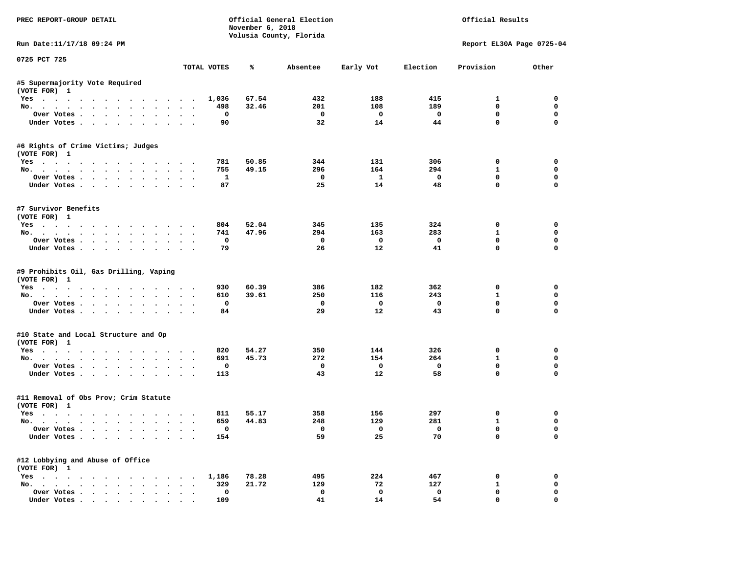| PREC REPORT-GROUP DETAIL                                                           |                                     | November 6, 2018 | Official General Election<br>Volusia County, Florida |                           |                            | Official Results                 |                                 |
|------------------------------------------------------------------------------------|-------------------------------------|------------------|------------------------------------------------------|---------------------------|----------------------------|----------------------------------|---------------------------------|
| Run Date: 11/17/18 09:24 PM                                                        |                                     |                  |                                                      |                           |                            |                                  | Report EL30A Page 0725-04       |
| 0725 PCT 725                                                                       | TOTAL VOTES                         | ℁                | Absentee                                             | Early Vot                 | Election                   | Provision                        | Other                           |
|                                                                                    |                                     |                  |                                                      |                           |                            |                                  |                                 |
| #5 Supermajority Vote Required<br>(VOTE FOR) 1                                     |                                     |                  |                                                      |                           |                            |                                  |                                 |
| Yes                                                                                | 1,036                               | 67.54            | 432                                                  | 188                       | 415                        | 1                                | $\Omega$                        |
| No.                                                                                | 498                                 | 32.46            | 201                                                  | 108                       | 189                        | $\mathbf 0$                      | $\mathbf 0$                     |
| Over Votes                                                                         | $\mathbf 0$                         |                  | $\mathbf{o}$                                         | $\mathbf{o}$              | $\mathbf{o}$               | $\mathbf 0$                      | $\mathbf 0$                     |
| Under Votes                                                                        | 90                                  |                  | 32                                                   | 14                        | 44                         | $\mathbf 0$                      | $\mathbf{0}$                    |
| #6 Rights of Crime Victims; Judges                                                 |                                     |                  |                                                      |                           |                            |                                  |                                 |
| (VOTE FOR) 1                                                                       |                                     |                  |                                                      |                           |                            |                                  |                                 |
| Yes                                                                                | 781                                 | 50.85            | 344                                                  | 131                       | 306                        | $\mathbf 0$                      | $\mathbf 0$                     |
| No.                                                                                | 755                                 | 49.15            | 296                                                  | 164                       | 294                        | 1                                | 0                               |
| Over Votes.                                                                        | 1                                   |                  | 0                                                    | $\mathbf{1}$              | $\mathbf 0$                | $\mathbf 0$                      | $\mathbf 0$                     |
| Under Votes                                                                        | 87                                  |                  | 25                                                   | 14                        | 48                         | $\mathbf 0$                      | $\mathbf 0$                     |
| #7 Survivor Benefits                                                               |                                     |                  |                                                      |                           |                            |                                  |                                 |
| (VOTE FOR) 1                                                                       |                                     |                  |                                                      |                           |                            |                                  |                                 |
| Yes                                                                                | 804                                 | 52.04            | 345                                                  | 135                       | 324                        | $\mathbf 0$                      | $\mathbf 0$                     |
| No.                                                                                | 741                                 | 47.96            | 294                                                  | 163                       | 283                        | $\mathbf{1}$                     | $\mathbf 0$                     |
| Over Votes                                                                         | $\mathbf 0$                         |                  | $\mathbf 0$                                          | $\mathbf 0$               | $\mathbf 0$                | $\mathbf 0$                      | $\mathbf 0$                     |
| Under Votes                                                                        | 79                                  |                  | 26                                                   | 12                        | 41                         | $\Omega$                         | $\Omega$                        |
| #9 Prohibits Oil, Gas Drilling, Vaping<br>(VOTE FOR) 1<br>Yes<br>No.<br>Over Votes | 930<br>610<br>$\mathbf 0$           | 60.39<br>39.61   | 386<br>250<br>$\mathbf 0$                            | 182<br>116<br>$\mathbf 0$ | 362<br>243<br>$\mathbf{0}$ | 0<br>$\mathbf{1}$<br>$\mathbf 0$ | 0<br>$\mathbf 0$<br>$\mathbf 0$ |
|                                                                                    | 84                                  |                  | 29                                                   | 12                        | 43                         | $\Omega$                         | $\mathbf 0$                     |
| Under Votes                                                                        |                                     |                  |                                                      |                           |                            |                                  |                                 |
| #10 State and Local Structure and Op<br>(VOTE FOR) 1                               |                                     |                  |                                                      |                           |                            |                                  |                                 |
| Yes                                                                                | 820                                 | 54.27            | 350                                                  | 144                       | 326                        | $\mathbf 0$                      | $\mathbf 0$                     |
| No.                                                                                | 691                                 | 45.73            | 272                                                  | 154                       | 264                        | $\mathbf{1}$                     | $\mathbf{0}$                    |
| Over Votes                                                                         | $\mathbf 0$                         |                  | 0                                                    | $\mathbf{o}$              | $\mathbf{o}$               | $\mathbf 0$                      | $\mathbf 0$                     |
| Under Votes                                                                        | 113                                 |                  | 43                                                   | 12                        | 58                         | $\mathbf 0$                      | $\mathbf{0}$                    |
|                                                                                    |                                     |                  |                                                      |                           |                            |                                  |                                 |
| #11 Removal of Obs Prov; Crim Statute<br>(VOTE FOR) 1                              |                                     |                  |                                                      |                           |                            |                                  |                                 |
| Yes                                                                                | 811                                 | 55.17            | 358                                                  | 156                       | 297                        | $\mathbf 0$                      | $\mathbf 0$                     |
| No.                                                                                | 659                                 | 44.83            | 248                                                  | 129                       | 281                        | $\mathbf{1}$                     | $\mathbf 0$                     |
| Over Votes                                                                         | $\mathbf 0$                         |                  | $\Omega$                                             | $\Omega$                  | $\Omega$                   | $\mathbf 0$                      | $\mathbf{0}$                    |
| Under Votes                                                                        | 154                                 |                  | 59                                                   | 25                        | 70                         | $\mathbf 0$                      | $\mathbf 0$                     |
| #12 Lobbying and Abuse of Office                                                   |                                     |                  |                                                      |                           |                            |                                  |                                 |
| (VOTE FOR) 1                                                                       |                                     |                  |                                                      |                           |                            |                                  |                                 |
| Yes                                                                                | 1,186                               | 78.28            | 495                                                  | 224                       | 467                        | 0                                | $\mathbf 0$                     |
| No.                                                                                | 329                                 | 21.72            | 129                                                  | 72                        | 127                        | $\mathbf{1}$                     | $\mathbf 0$                     |
| Over Votes                                                                         | $\mathbf 0$<br>$\ddot{\phantom{1}}$ |                  | $\mathbf 0$                                          | $\mathbf{o}$              | $\mathbf{0}$               | $\mathbf 0$                      | $\mathbf 0$                     |
| Under Votes                                                                        | 109                                 |                  | 41                                                   | 14                        | 54                         | $\mathbf{0}$                     | $\mathbf 0$                     |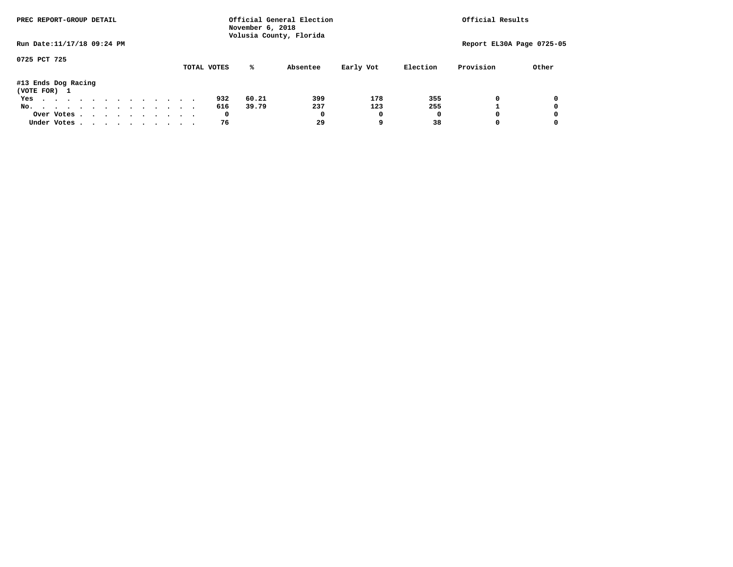| PREC REPORT-GROUP DETAIL            |  |  |  |  |  | Official General Election<br>November 6, 2018<br>Volusia County, Florida | Official Results |  |             |       |          |           |          |           |                           |
|-------------------------------------|--|--|--|--|--|--------------------------------------------------------------------------|------------------|--|-------------|-------|----------|-----------|----------|-----------|---------------------------|
| Run Date: 11/17/18 09:24 PM         |  |  |  |  |  |                                                                          |                  |  |             |       |          |           |          |           | Report EL30A Page 0725-05 |
| 0725 PCT 725                        |  |  |  |  |  |                                                                          |                  |  | TOTAL VOTES | %ะ    | Absentee | Early Vot | Election | Provision | Other                     |
| #13 Ends Dog Racing<br>(VOTE FOR) 1 |  |  |  |  |  |                                                                          |                  |  |             |       |          |           |          |           |                           |
| Yes                                 |  |  |  |  |  |                                                                          |                  |  | 932         | 60.21 | 399      | 178       | 355      | 0         | 0                         |
| No.                                 |  |  |  |  |  |                                                                          |                  |  | 616         | 39.79 | 237      | 123       | 255      |           | 0                         |
| Over Votes                          |  |  |  |  |  |                                                                          |                  |  | 0           |       | 0        | 0         | 0        |           | 0                         |
| Under Votes                         |  |  |  |  |  |                                                                          |                  |  | 76          |       | 29       |           | 38       |           | 0                         |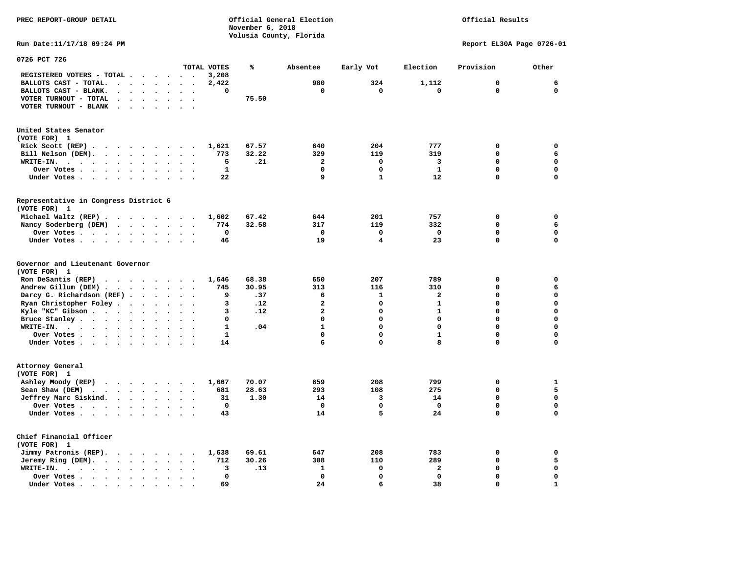**PREC REPORT-GROUP DETAIL Official General Election Official Results November 6, 2018 Volusia County, Florida Run Date:11/17/18 09:24 PM Report EL30A Page 0726-01 0726 PCT 726 TOTAL VOTES % Absentee Early Vot Election Provision Other REGISTERED VOTERS - TOTAL . . . . . . 3,208 BALLOTS CAST - TOTAL. . . . . . . . 2,422 980 324 1,112 0 6 BALLOTS CAST - BLANK. . . . . . . . 0 0 0 0 0 0 VOTER TURNOUT - TOTAL . . . . . . . 75.50 VOTER TURNOUT - BLANK . . . . . . . United States Senator (VOTE FOR) 1 Rick Scott (REP) . . . . . . . . 1,621 67.57** 640 204 777 0 0 0  **Bill Nelson (DEM). . . . . . . . . 773 32.22 329 119 319 0 6 WRITE-IN. . . . . . . . . . . . 5 .21 2 0 3 0 0 Over Votes . . . . . . . . . . 1 0 0 1 0 0 Under Votes . . . . . . . . . . 22** 9 1 12 0 0 **Representative in Congress District 6 (VOTE FOR) 1 Michael Waltz (REP) . . . . . . . . 1,602 67.42 644 201 757 0 0 Nancy Soderberg (DEM) . . . . . . . 774 32.58 317 119 332 0 6 Over Votes . . . . . . . . . . 0 0 0 0 0 0 Under Votes . . . . . . . . . . 46** 19 4 23 0 **Governor and Lieutenant Governor (VOTE FOR) 1 Ron DeSantis (REP) . . . . . . . . 1,646 68.38 650 207 789 0 0 Andrew Gillum (DEM) . . . . . . . . 745 30.95 313 116 310 0 6 Darcy G. Richardson (REF) . . . . . 9 .37** 6 1 2 0 0 0<br>**Ryan Christopher Foley . . . . . . 3 .12** 2 0 1 0 0 **Ryan Christopher Foley . . . . . . . 3 .12** 2 0 1 0 0 0<br> **Ryle "KC"** Gibson . . . . . . . . . 3 .12 2 0 1 0 0  **Kyle "KC" Gibson . . . . . . . . . . 3 .12** 2  **Bruce Stanley . . . . . . . . . . 0 0 0 0 0 0 WRITE-IN. . . . . . . . . . . . 1 .04 1 0 0 0 0 Over Votes . . . . . . . . . . 1 0 0 1 0 0 Under Votes . . . . . . . . . . 14** 6 0 8 0 0 **Attorney General (VOTE FOR) 1 Ashley Moody (REP) . . . . . . . . 1,667 70.07 659 208 799 0 1 Sean Shaw (DEM) . . . . . . . . . 681 28.63 293 108 275 0 5** 

 $\Omega$ 

 $\mathbf{0}$ 

 $\mathbf{0}$ 

 $\mathbf 0$ 

 $\mathbf{1}$ 

 **Jeffrey Marc Siskind. . . . . . . . 31 1.30 14 3 14 0 0 Over Votes . . . . . . . . . . 0 0 0 0 0 0 Under Votes . . . . . . . . . . 43** 14 5 24 0 **Chief Financial Officer (VOTE FOR) 1 Jimmy Patronis (REP). . . . . . . 1,638 69.61** 647 208 783 0 0  **Jeremy Ring (DEM).** . . . . . . . 712 30.26 308 110 289 0 5  **WRITE-IN. . . . . . . . . . . . 3 .13 1 0 2 0 0 Over Votes . . . . . . . . . . 0 0 0 0 0 0 Under Votes . . . . . . . . . . 69 24 6 38 0 1**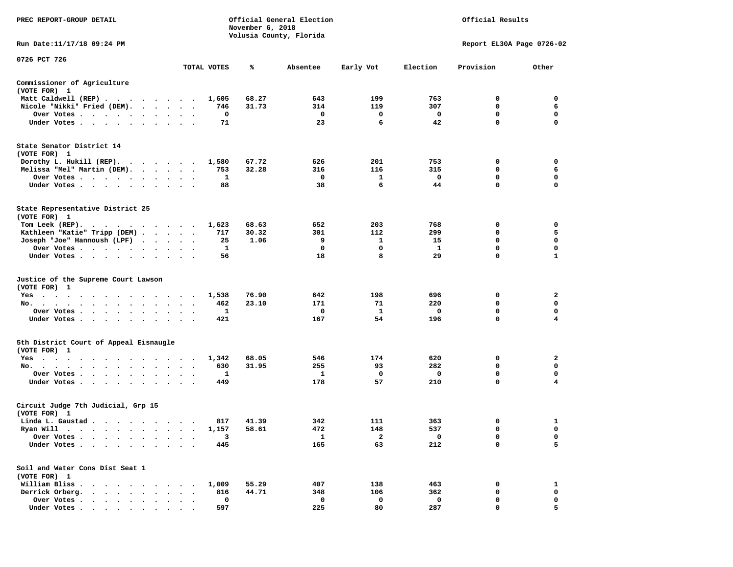| PREC REPORT-GROUP DETAIL                                                 |                      |              | November 6, 2018 | Official General Election<br>Volusia County, Florida |            |              | Official Results          |              |
|--------------------------------------------------------------------------|----------------------|--------------|------------------|------------------------------------------------------|------------|--------------|---------------------------|--------------|
| Run Date: 11/17/18 09:24 PM                                              |                      |              |                  |                                                      |            |              | Report EL30A Page 0726-02 |              |
| 0726 PCT 726                                                             |                      | TOTAL VOTES  | ℁                | Absentee                                             | Early Vot  | Election     | Provision                 | Other        |
| Commissioner of Agriculture                                              |                      |              |                  |                                                      |            |              |                           |              |
| (VOTE FOR) 1                                                             |                      |              |                  |                                                      |            |              |                           |              |
| Matt Caldwell (REP)<br>Nicole "Nikki" Fried (DEM).                       |                      | 1,605<br>746 | 68.27<br>31.73   | 643<br>314                                           | 199<br>119 | 763<br>307   | 0<br>0                    | 0<br>6       |
| Over Votes                                                               | $\ddot{\phantom{1}}$ | 0            |                  | 0                                                    | 0          | 0            | 0                         | 0            |
| Under Votes                                                              |                      | 71           |                  | 23                                                   | 6          | 42           | $\mathbf 0$               | $\mathbf 0$  |
| State Senator District 14<br>(VOTE FOR) 1<br>Dorothy L. Hukill $(REP)$ . |                      | 1,580        | 67.72            | 626                                                  | 201        | 753          | 0                         | 0            |
| Melissa "Mel" Martin (DEM).                                              |                      | 753          | 32.28            | 316                                                  | 116        | 315          | 0                         | 6            |
| Over Votes                                                               |                      | 1            |                  | 0                                                    | 1          | 0            | 0                         | 0            |
| Under Votes                                                              |                      | 88           |                  | 38                                                   | 6          | 44           | $\mathbf 0$               | $\mathbf 0$  |
| State Representative District 25<br>(VOTE FOR) 1                         |                      |              |                  |                                                      |            |              |                           |              |
| Tom Leek $(REP)$ .                                                       |                      | 1,623        | 68.63            | 652                                                  | 203        | 768          | 0                         | 0            |
| Kathleen "Katie" Tripp (DEM)                                             |                      | 717          | 30.32            | 301                                                  | 112        | 299          | 0                         | 5            |
| Joseph "Joe" Hannoush (LPF)                                              |                      | 25           | 1.06             | 9                                                    | 1          | 15           | $\mathbf 0$               | $\mathbf 0$  |
| Over Votes                                                               | $\ddot{\phantom{1}}$ | 1            |                  | 0                                                    | 0          | $\mathbf{1}$ | 0                         | 0            |
| Under Votes                                                              |                      | 56           |                  | 18                                                   | 8          | 29           | $\mathbf 0$               | $\mathbf{1}$ |
| Justice of the Supreme Court Lawson<br>(VOTE FOR) 1                      |                      |              |                  |                                                      |            |              |                           |              |
| Yes                                                                      |                      | 1,538        | 76.90            | 642                                                  | 198        | 696          | 0                         | 2            |
| No.                                                                      |                      | 462          | 23.10            | 171                                                  | 71         | 220          | 0                         | $\mathbf 0$  |
| Over Votes                                                               |                      | 1            |                  | 0                                                    | 1          | 0            | 0                         | 0            |
| Under Votes                                                              |                      | 421          |                  | 167                                                  | 54         | 196          | 0                         | 4            |
| 5th District Court of Appeal Eisnaugle<br>(VOTE FOR) 1                   |                      |              |                  |                                                      |            |              |                           |              |
| Yes                                                                      |                      | 1,342        | 68.05            | 546                                                  | 174        | 620          | 0                         | 2            |
| No.                                                                      |                      | 630          | 31.95            | 255                                                  | 93<br>0    | 282<br>0     | 0<br>$\mathbf 0$          | 0<br>0       |
| Over Votes<br>Under Votes                                                |                      | 1<br>449     |                  | 1<br>178                                             | 57         | 210          | $\mathbf 0$               | 4            |
| Circuit Judge 7th Judicial, Grp 15<br>(VOTE FOR) 1                       |                      |              |                  |                                                      |            |              |                           |              |
| Linda L. Gaustad                                                         |                      | 817          | 41.39            | 342                                                  | 111        | 363          | 0                         | 1            |
| Ryan Will $\cdots$ , $\cdots$ , $\cdots$ , $\cdots$                      |                      | 1,157        | 58.61            | 472                                                  | 148        | 537          | $\mathbf 0$               | 0            |
| Over Votes<br>$\bullet$                                                  |                      | 3            |                  | 1                                                    | 2          | 0            | 0                         | 0            |
| Under Votes.<br>$\ddot{\phantom{a}}$                                     |                      | 445          |                  | 165                                                  | 63         | 212          | 0                         | 5            |
| Soil and Water Cons Dist Seat 1<br>(VOTE FOR) 1                          |                      |              |                  |                                                      |            |              |                           |              |
| William Bliss.<br>$\ddot{\phantom{a}}$                                   |                      | 1,009        | 55.29            | 407                                                  | 138        | 463          | 0                         | 1            |
| Derrick Orberg.<br>$\sim$<br>$\sim$<br>$\cdot$                           |                      | 816          | 44.71            | 348                                                  | 106        | 362          | $\mathbf 0$               | $\mathbf 0$  |
| Over Votes .<br>$\sim$ $\sim$ $\sim$                                     |                      | 0            |                  | 0                                                    | 0          | $\mathbf 0$  | 0                         | 0            |
| Under Votes                                                              |                      | 597          |                  | 225                                                  | 80         | 287          | 0                         | 5            |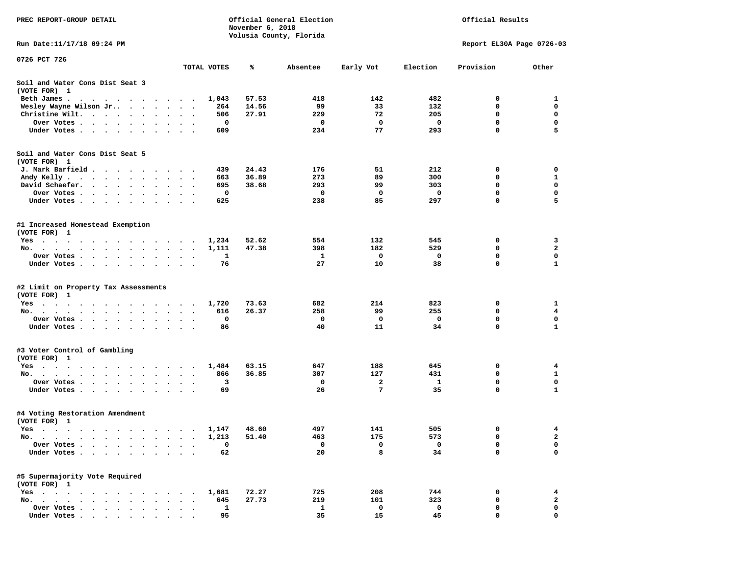| PREC REPORT-GROUP DETAIL                                                                                                         |                      |              | November 6, 2018 | Official General Election | Official Results |                         |                           |                         |
|----------------------------------------------------------------------------------------------------------------------------------|----------------------|--------------|------------------|---------------------------|------------------|-------------------------|---------------------------|-------------------------|
| Run Date: 11/17/18 09:24 PM                                                                                                      |                      |              |                  | Volusia County, Florida   |                  |                         | Report EL30A Page 0726-03 |                         |
| 0726 PCT 726                                                                                                                     |                      |              |                  |                           |                  |                         |                           |                         |
|                                                                                                                                  |                      | TOTAL VOTES  | ℁                | Absentee                  | Early Vot        | Election                | Provision                 | Other                   |
| Soil and Water Cons Dist Seat 3<br>(VOTE FOR) 1                                                                                  |                      |              |                  |                           |                  |                         |                           |                         |
| Beth James.                                                                                                                      |                      | 1,043        | 57.53            | 418                       | 142              | 482                     | 0                         | 1                       |
| Wesley Wayne Wilson Jr                                                                                                           | $\ddot{\phantom{1}}$ | 264          | 14.56            | 99                        | 33               | 132                     | 0                         | $\mathbf 0$             |
| Christine Wilt.                                                                                                                  |                      | 506          | 27.91            | 229                       | 72               | 205                     | 0                         | 0                       |
| Over Votes                                                                                                                       |                      | 0            |                  | $\mathbf 0$               | $\mathbf 0$      | $\overline{\mathbf{0}}$ | $\mathbf 0$               | $\mathbf 0$             |
| Under Votes                                                                                                                      |                      | 609          |                  | 234                       | 77               | 293                     | 0                         | 5                       |
| Soil and Water Cons Dist Seat 5                                                                                                  |                      |              |                  |                           |                  |                         |                           |                         |
| (VOTE FOR) 1                                                                                                                     |                      | 439          | 24.43            | 176                       | 51               | 212                     | 0                         | 0                       |
| J. Mark Barfield<br>Andy Kelly                                                                                                   |                      | 663          | 36.89            | 273                       | 89               | 300                     | 0                         | 1                       |
| David Schaefer.<br><b>Contract Contract Contract</b><br>$\bullet$ .<br><br><br><br><br><br><br><br><br><br><br><br><br>$\bullet$ |                      | 695          | 38.68            | 293                       | 99               | 303                     | 0                         | 0                       |
| Over Votes                                                                                                                       |                      | 0            |                  | 0                         | $\mathbf 0$      | 0                       | $\mathbf 0$               | $\mathbf 0$             |
| Under Votes                                                                                                                      |                      | 625          |                  | 238                       | 85               | 297                     | 0                         | 5                       |
| #1 Increased Homestead Exemption<br>(VOTE FOR) 1                                                                                 |                      |              |                  |                           |                  |                         |                           |                         |
| Yes                                                                                                                              |                      | 1,234        | 52.62            | 554                       | 132              | 545                     | 0                         | 3                       |
| No.                                                                                                                              |                      | 1,111        | 47.38            | 398                       | 182              | 529                     | 0                         | $\mathbf{2}$            |
| Over Votes                                                                                                                       |                      | 1            |                  | $\mathbf{1}$              | 0                | 0                       | 0                         | $\mathbf 0$             |
| Under Votes                                                                                                                      |                      | 76           |                  | 27                        | 10               | 38                      | 0                         | $\mathbf{1}$            |
| #2 Limit on Property Tax Assessments<br>(VOTE FOR) 1                                                                             |                      |              |                  |                           |                  |                         |                           |                         |
| Yes                                                                                                                              |                      | 1,720        | 73.63            | 682                       | 214              | 823                     | 0                         | 1                       |
| No.                                                                                                                              |                      | 616          | 26.37            | 258                       | 99               | 255                     | 0                         | $\overline{\mathbf{4}}$ |
| Over Votes .                                                                                                                     | $\sim$               | 0            |                  | $\mathbf 0$               | 0                | 0                       | 0                         | 0                       |
| Under Votes                                                                                                                      |                      | 86           |                  | 40                        | 11               | 34                      | 0                         | $\mathbf{1}$            |
| #3 Voter Control of Gambling<br>(VOTE FOR) 1                                                                                     |                      |              |                  |                           |                  |                         |                           |                         |
| Yes                                                                                                                              |                      | 1,484        | 63.15            | 647                       | 188              | 645                     | 0                         | 4                       |
| No.                                                                                                                              | $\ddot{\phantom{0}}$ | 866          | 36.85            | 307                       | 127              | 431                     | 0                         | $\mathbf{1}$            |
| Over Votes                                                                                                                       |                      | 3            |                  | 0                         | $\mathbf{2}$     | 1                       | $\mathbf 0$               | $\mathbf 0$             |
| Under Votes                                                                                                                      |                      | 69           |                  | 26                        | 7                | 35                      | 0                         | 1                       |
| #4 Voting Restoration Amendment<br>(VOTE FOR) 1                                                                                  |                      |              |                  |                           |                  |                         |                           |                         |
| Yes 1,147                                                                                                                        |                      |              | 48.60            | 497                       | 141              | 505                     | 0                         | 4                       |
| No.<br>$\sim$ $\sim$ $\sim$ $\sim$                                                                                               |                      | 1,213        | 51.40            | 463                       | 175              | 573                     | 0                         | 2                       |
| Over Votes .<br>$\sim$<br>$\ddot{\phantom{a}}$<br>$\bullet$<br>$\bullet$                                                         |                      | 0            |                  | 0                         | 0                | 0                       | 0                         | 0                       |
| Under Votes.<br>$\ddot{\phantom{a}}$<br>$\sim$<br>$\sim$<br>$\ddot{\phantom{0}}$<br>$\sim$<br>$\ddot{\phantom{a}}$               |                      | 62           |                  | 20                        | 8                | 34                      | 0                         | $\mathbf 0$             |
| #5 Supermajority Vote Required<br>(VOTE FOR) 1                                                                                   |                      |              |                  |                           |                  |                         |                           |                         |
| $Yes \cdot \cdot \cdot$                                                                                                          |                      | 1,681        | 72.27            | 725                       | 208              | 744                     | 0                         | 4                       |
| $No.$ $\cdot$ $\cdot$ $\cdot$<br>$\sim$<br>$\ddot{\phantom{a}}$<br>$\sim$<br>$\sim$                                              |                      | 645          | 27.73            | 219                       | 101              | 323                     | 0                         | $\mathbf{2}$            |
| Over Votes                                                                                                                       |                      | $\mathbf{1}$ |                  | 1                         | 0                | 0                       | 0                         | 0                       |
| Under Votes.<br>$\cdot$ $\cdot$ $\cdot$ $\cdot$<br>$\cdot$                                                                       |                      | 95           |                  | 35                        | 15               | 45                      | 0                         | $\mathbf 0$             |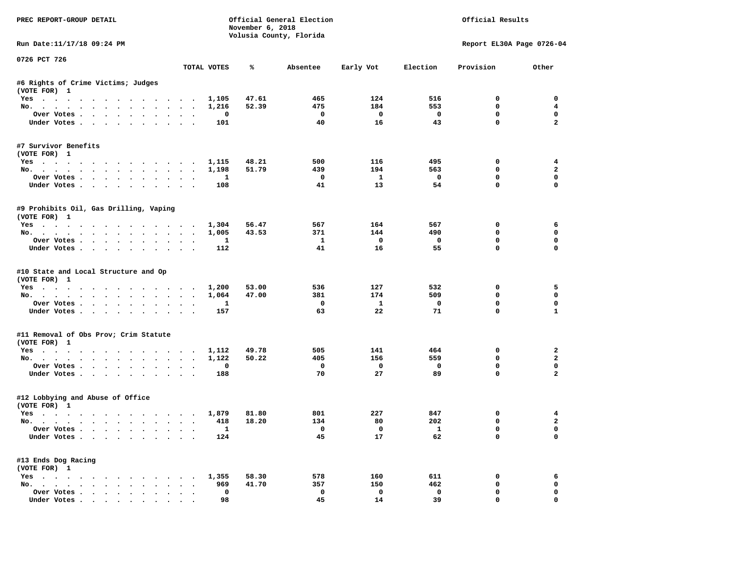| PREC REPORT-GROUP DETAIL                                          |           |                     | November 6, 2018 | Official General Election<br>Volusia County, Florida |                         |                          | Official Results           |                             |
|-------------------------------------------------------------------|-----------|---------------------|------------------|------------------------------------------------------|-------------------------|--------------------------|----------------------------|-----------------------------|
| Run Date: 11/17/18 09:24 PM                                       |           |                     |                  |                                                      |                         |                          | Report EL30A Page 0726-04  |                             |
| 0726 PCT 726                                                      |           | TOTAL VOTES         | ℁                | Absentee                                             | Early Vot               | Election                 | Provision                  | Other                       |
|                                                                   |           |                     |                  |                                                      |                         |                          |                            |                             |
| #6 Rights of Crime Victims; Judges<br>(VOTE FOR) 1                |           |                     |                  |                                                      |                         |                          |                            |                             |
| Yes 1,105                                                         |           |                     | 47.61            | 465                                                  | 124                     | 516                      | $^{\circ}$                 | $^{\circ}$                  |
| No.                                                               |           | 1,216               | 52.39            | 475                                                  | 184                     | 553                      | 0                          | $\overline{4}$              |
| Over Votes                                                        | $\sim$    | 0                   |                  | $\overline{\phantom{0}}$                             | $\overline{\mathbf{0}}$ | $\overline{\mathbf{0}}$  | 0                          | $\mathbf 0$                 |
| Under Votes                                                       |           | 101                 |                  | 40                                                   | 16                      | 43                       | $\mathbf 0$                | $\overline{a}$              |
| #7 Survivor Benefits<br>(VOTE FOR) 1                              |           |                     |                  |                                                      |                         |                          |                            |                             |
| Yes 1,115                                                         |           |                     | 48.21            | 500                                                  | 116                     | 495                      | 0                          | $\overline{4}$              |
| No.                                                               |           | 1,198               | 51.79            | 439                                                  | 194                     | 563                      | $\mathbf 0$                | $\overline{\mathbf{2}}$     |
| Over Votes                                                        |           | $\mathbf{1}$        |                  | $\overline{\phantom{a}}$                             | $\mathbf{1}$            | $\overline{\phantom{0}}$ | $\mathbf 0$                | $\mathbf 0$                 |
| Under Votes                                                       |           | 108                 |                  | 41                                                   | 13                      | 54                       | $\mathbf 0$                | $\mathbf 0$                 |
| #9 Prohibits Oil, Gas Drilling, Vaping<br>(VOTE FOR) 1            |           |                     |                  |                                                      |                         |                          |                            |                             |
| Yes 1,304                                                         |           |                     | 56.47            | 567                                                  | 164                     | 567                      | 0                          | 6                           |
| No.                                                               |           | 1,005               | 43.53            | 371                                                  | 144                     | 490                      | $\mathbf 0$                | $\mathbf 0$                 |
| Over Votes.                                                       |           | 1                   |                  | $\mathbf{1}$                                         | $\overline{\mathbf{0}}$ | $\overline{\mathbf{0}}$  | $\mathbf 0$                | $\mathbf 0$                 |
| Under Votes                                                       |           | 112                 |                  | 41                                                   | 16                      | 55                       | $\Omega$                   | $\Omega$                    |
| #10 State and Local Structure and Op<br>(VOTE FOR) 1<br>Yes 1,200 |           |                     | 53.00            | 536                                                  | 127                     | 532                      | 0                          | 5                           |
| No.                                                               |           | 1,064               | 47.00            | 381                                                  | 174                     | 509                      | $\mathbf 0$                | $\mathbf 0$                 |
| Over Votes                                                        |           | $\mathbf{1}$        |                  | $\mathbf{o}$                                         | $\mathbf{1}$<br>22      | $\mathbf 0$              | $\mathbf 0$<br>$\mathbf 0$ | $\mathbf 0$<br>$\mathbf{1}$ |
| Under Votes                                                       |           | 157                 |                  | 63                                                   |                         | 71                       |                            |                             |
| #11 Removal of Obs Prov; Crim Statute<br>(VOTE FOR) 1             |           |                     |                  |                                                      |                         |                          |                            |                             |
| Yes                                                               |           | 1,112               | 49.78            | 505                                                  | 141                     | 464                      | 0                          | $\overline{a}$              |
| No.                                                               |           | 1,122               | 50.22            | 405                                                  | 156                     | 559                      | $\Omega$                   | $\overline{\mathbf{2}}$     |
| Over Votes                                                        |           | 0                   |                  | $\mathbf 0$                                          | $\overline{\mathbf{0}}$ | $\overline{\mathbf{0}}$  | 0                          | $\mathbf 0$                 |
| Under Votes                                                       |           | 188                 |                  | 70                                                   | 27                      | 89                       | $\Omega$                   | $\overline{a}$              |
| #12 Lobbying and Abuse of Office<br>(VOTE FOR) 1                  |           |                     |                  |                                                      |                         |                          |                            |                             |
| Yes                                                               |           | 1,879               | 81.80            | 801                                                  | 227                     | 847                      | 0                          | 4                           |
| No.                                                               |           | 418                 | 18.20            | 134                                                  | 80                      | 202                      | $\mathbf 0$                | $\overline{a}$              |
| Over Votes<br>Under Votes                                         |           | $\mathbf{1}$<br>124 |                  | $\overline{\mathbf{0}}$<br>45                        | $\mathbf{O}$<br>17      | $\mathbf{1}$<br>62       | $\mathbf 0$<br>$\mathbf 0$ | $\mathbf 0$<br>$\Omega$     |
| #13 Ends Dog Racing                                               |           |                     |                  |                                                      |                         |                          |                            |                             |
| (VOTE FOR) 1                                                      |           |                     | 58.30            | 578                                                  | 160                     | 611                      | 0                          | 6                           |
| Yes 1,355<br>No.                                                  |           | 969                 | 41.70            | 357                                                  | 150                     | 462                      | $\mathbf 0$                | $\mathbf 0$                 |
| Over Votes                                                        | $\ddotsc$ | 0                   |                  | $\mathbf 0$                                          | $\mathbf 0$             | $\mathbf 0$              | $\mathbf 0$                | $\mathbf 0$                 |
| Under Votes                                                       |           | 98                  |                  | 45                                                   | 14                      | 39                       | $\mathbf 0$                | $\mathbf 0$                 |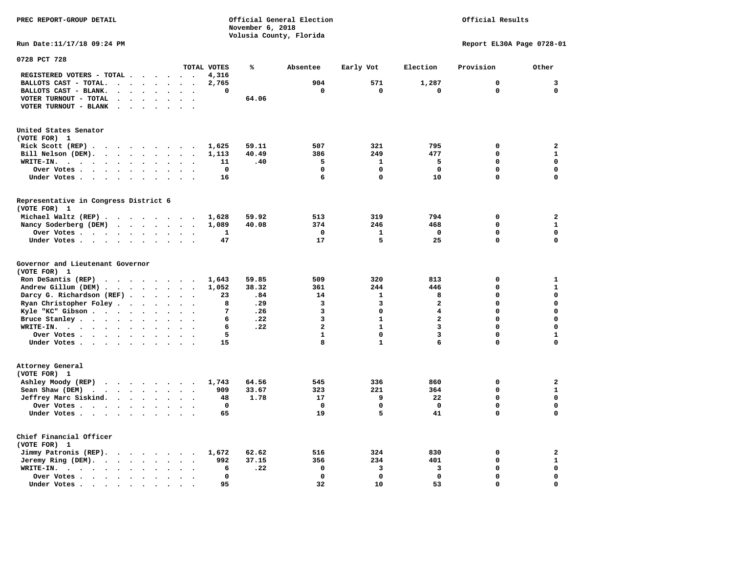**November 6, 2018 Volusia County, Florida Run Date:11/17/18 09:24 PM Report EL30A Page 0728-01 0728 PCT 728 TOTAL VOTES % Absentee Early Vot Election Provision Other REGISTERED VOTERS - TOTAL . . . . . . 4,316 BALLOTS CAST - TOTAL. . . . . . . . 2,765 904 571 1,287 0 3 BALLOTS CAST - BLANK. . . . . . . . 0 0 0 0 0 0 VOTER TURNOUT - TOTAL . . . . . . . 64.06 VOTER TURNOUT - BLANK . . . . . . . United States Senator (VOTE FOR) 1 Rick Scott (REP) . . . . . . . . . 1,625 59.11 507 321 795 0 2 Bill Nelson (DEM). . . . . . . . . 1,113 40.49 386 249 477 0 1 WRITE-IN. . . . . . . . . . . . 11 .40 5 1 5 0 0 Over Votes . . . . . . . . . . 0 0 0 0 0 0 Under Votes . . . . . . . . . . 16** 6 0 10 0 0 0 **Representative in Congress District 6 (VOTE FOR) 1 Michael Waltz (REP) . . . . . . . . 1,628 59.92 513 319 794 0 2 Nancy Soderberg (DEM) . . . . . . . 1,089 40.08 374 246 468 0 1 Over Votes . . . . . . . . . . 1 0 1 0 0 0**  $\Omega$  **Under Votes . . . . . . . . . . 47** 17 5 25 0 **Governor and Lieutenant Governor (VOTE FOR) 1 Ron DeSantis (REP) . . . . . . . . 1,643 59.85 509 320 813 0 1 Andrew Gillum (DEM) . . . . . . . . 1,052 38.32 361 244 446 0 1 Darcy G. Richardson (REF) . . . . . . 23 .84 14 1 8 0 0 Ryan Christopher Foley . . . . . . 8 .29** 3 3 2 0 0<br> **1** Ryle "KC" Gibson . . . . . . . . . 7 .26 3 0 4 0 0  **Kyle "KC" Gibson . . . . . . . . . . 7 .26** 3 **Bruce Stanley . . . . . . . . . . 6 .22** 3 1 2 0 0  **WRITE-IN. . . . . . . . . . . . 6 .22 2 1 3 0 0**  $\mathbf{1}$ **Over Votes . . . . . . . . . . . 5** 1 0 3 0  $\mathbf{0}$  **Under Votes . . . . . . . . . . . 15** 8 1 6 0 0 **Attorney General (VOTE FOR) 1 Ashley Moody (REP) . . . . . . . . 1,743 64.56 545 336 860 0 2 Sean Shaw (DEM)** . . . . . . . . 909 33.67 323 221 364 0 1  **Jeffrey Marc Siskind. . . . . . . . 48 1.78 17 9 22 0 0 Over Votes . . . . . . . . . . 0 0 0 0 0 0**  $\mathbf 0$  **Under Votes . . . . . . . . . . 65 19 5 41 0 0 Chief Financial Officer (VOTE FOR) 1 Jimmy Patronis (REP). . . . . . . . 1,672 62.62 516 324 830 0 2 Jeremy Ring (DEM).** . . . . . . . 992 37.15 356 234 401 0 1  **WRITE-IN. . . . . . . . . . . . 6 .22 0 3 3 0 0** 

 **Over Votes . . . . . . . . . . 0 0 0 0 0 0** 

 **Under Votes . . . . . . . . . . 95** 32 32 30 53 0

 $\mathbf{o}$ 

**PREC REPORT-GROUP DETAIL Official General Election Official Results**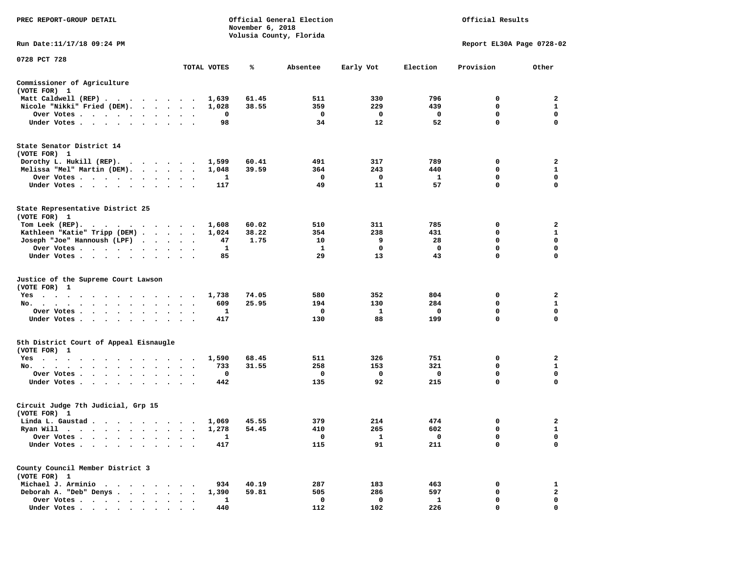| PREC REPORT-GROUP DETAIL                                                                                                                                                                                                                         |                         |              | November 6, 2018 | Official General Election<br>Volusia County, Florida |           |              | Official Results          |                             |
|--------------------------------------------------------------------------------------------------------------------------------------------------------------------------------------------------------------------------------------------------|-------------------------|--------------|------------------|------------------------------------------------------|-----------|--------------|---------------------------|-----------------------------|
| Run Date: 11/17/18 09:24 PM                                                                                                                                                                                                                      |                         |              |                  |                                                      |           |              | Report EL30A Page 0728-02 |                             |
| 0728 PCT 728                                                                                                                                                                                                                                     |                         | TOTAL VOTES  | ℁                | Absentee                                             | Early Vot | Election     | Provision                 | Other                       |
| Commissioner of Agriculture<br>(VOTE FOR) 1                                                                                                                                                                                                      |                         |              |                  |                                                      |           |              |                           |                             |
| Matt Caldwell (REP)                                                                                                                                                                                                                              |                         | 1,639        | 61.45            | 511                                                  | 330       | 796          | 0                         | 2                           |
| Nicole "Nikki" Fried (DEM).                                                                                                                                                                                                                      |                         | 1,028        | 38.55            | 359                                                  | 229       | 439          | 0                         | 1                           |
| Over Votes                                                                                                                                                                                                                                       |                         | 0            |                  | 0                                                    | 0         | 0            | 0                         | 0                           |
| Under Votes                                                                                                                                                                                                                                      |                         | 98           |                  | 34                                                   | 12        | 52           | $\mathbf 0$               | $\mathbf 0$                 |
| State Senator District 14<br>(VOTE FOR) 1                                                                                                                                                                                                        |                         |              |                  |                                                      |           |              |                           |                             |
| Dorothy L. Hukill $(REP)$ .                                                                                                                                                                                                                      |                         | 1,599        | 60.41            | 491                                                  | 317       | 789          | 0                         | 2                           |
| Melissa "Mel" Martin (DEM).                                                                                                                                                                                                                      |                         | 1,048        | 39.59            | 364<br>0                                             | 243       | 440          | 0<br>0                    | $\mathbf{1}$<br>$\mathbf 0$ |
| Over Votes<br>Under Votes                                                                                                                                                                                                                        | $\ddot{\phantom{1}}$    | 1<br>117     |                  | 49                                                   | 0<br>11   | 1<br>57      | 0                         | $\mathbf 0$                 |
|                                                                                                                                                                                                                                                  |                         |              |                  |                                                      |           |              |                           |                             |
| State Representative District 25<br>(VOTE FOR) 1                                                                                                                                                                                                 |                         |              |                  |                                                      |           |              |                           |                             |
| Tom Leek (REP).<br>the company of the company of the company of the company of the company of the company of the company of the company of the company of the company of the company of the company of the company of the company of the company |                         | 1,608        | 60.02            | 510                                                  | 311       | 785          | 0                         | 2                           |
| Kathleen "Katie" Tripp (DEM)                                                                                                                                                                                                                     |                         | 1,024<br>47  | 38.22<br>1.75    | 354<br>10                                            | 238<br>9  | 431<br>28    | 0<br>$\mathbf 0$          | 1<br>$\mathbf 0$            |
| Joseph "Joe" Hannoush (LPF)<br>Over Votes<br>$\sim$ $\sim$ $\sim$                                                                                                                                                                                |                         | 1            |                  | 1                                                    | 0         | 0            | 0                         | 0                           |
| Under Votes                                                                                                                                                                                                                                      |                         | 85           |                  | 29                                                   | 13        | 43           | 0                         | 0                           |
| Justice of the Supreme Court Lawson<br>(VOTE FOR) 1                                                                                                                                                                                              |                         |              |                  |                                                      |           |              |                           |                             |
| $Yes \t . \t .$<br>.                                                                                                                                                                                                                             |                         | 1,738        | 74.05            | 580                                                  | 352       | 804          | 0                         | 2                           |
| No.                                                                                                                                                                                                                                              |                         | 609          | 25.95            | 194                                                  | 130       | 284          | 0                         | 1                           |
| Over Votes                                                                                                                                                                                                                                       |                         | 1            |                  | 0                                                    | 1         | 0            | $\mathbf 0$               | $\mathbf 0$                 |
| Under Votes                                                                                                                                                                                                                                      | $\sim$<br>$\sim$ $\sim$ | 417          |                  | 130                                                  | 88        | 199          | 0                         | 0                           |
| 5th District Court of Appeal Eisnaugle<br>(VOTE FOR) 1                                                                                                                                                                                           |                         |              |                  |                                                      |           |              |                           |                             |
| Yes<br>. The contract of the contract of the contract of the contract of the contract of the contract of the contract of the contract of the contract of the contract of the contract of the contract of the contract of the contrac             |                         | 1,590        | 68.45            | 511                                                  | 326       | 751          | 0                         | 2                           |
| No.                                                                                                                                                                                                                                              | $\bullet$<br>$\cdot$    | 733          | 31.55            | 258                                                  | 153       | 321          | 0<br>0                    | 1                           |
| Over Votes<br>Under Votes                                                                                                                                                                                                                        | $\ddot{\phantom{1}}$    | 0<br>442     |                  | 0<br>135                                             | 0<br>92   | 0<br>215     | 0                         | 0<br>$\mathbf 0$            |
|                                                                                                                                                                                                                                                  |                         |              |                  |                                                      |           |              |                           |                             |
| Circuit Judge 7th Judicial, Grp 15<br>(VOTE FOR) 1                                                                                                                                                                                               |                         |              |                  |                                                      |           |              |                           |                             |
| Linda L. Gaustad                                                                                                                                                                                                                                 |                         | 1,069        | 45.55            | 379                                                  | 214       | 474          | 0                         | 2                           |
| Ryan Will $\cdots$ , $\cdots$ , $\cdots$ , $\cdots$                                                                                                                                                                                              |                         | 1,278        | 54.45            | 410                                                  | 265       | 602          | $\mathbf 0$               | $\mathbf{1}$                |
| Over Votes .                                                                                                                                                                                                                                     |                         | 1            |                  | 0                                                    | 1         | 0            | 0                         | 0                           |
| Under Votes.                                                                                                                                                                                                                                     |                         | 417          |                  | 115                                                  | 91        | 211          | 0                         | $\mathbf 0$                 |
| County Council Member District 3<br>(VOTE FOR) 1                                                                                                                                                                                                 |                         |              |                  |                                                      |           |              |                           |                             |
| Michael J. Arminio<br>$\bullet$                                                                                                                                                                                                                  |                         | 934          | 40.19            | 287                                                  | 183       | 463          | 0                         | 1                           |
| Deborah A. "Deb" Denys.<br>$\ddot{\phantom{a}}$<br>$\ddot{\phantom{a}}$                                                                                                                                                                          |                         | 1,390        | 59.81            | 505                                                  | 286       | 597          | 0                         | $\mathbf{2}$                |
| Over Votes<br>$\sim$ $\sim$ $\sim$                                                                                                                                                                                                               |                         | $\mathbf{1}$ |                  | 0                                                    | 0         | $\mathbf{1}$ | 0<br>$\Omega$             | 0                           |
| Under Votes.                                                                                                                                                                                                                                     |                         | 440          |                  | 112                                                  | 102       | 226          |                           | $\mathbf 0$                 |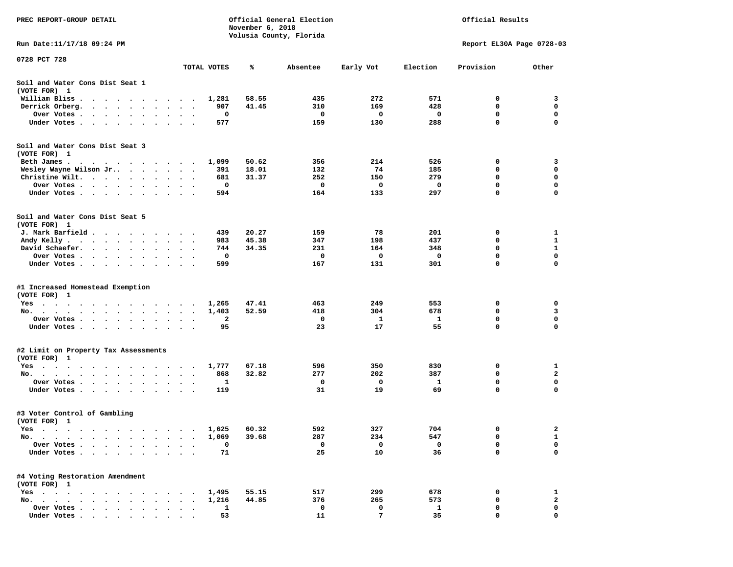| PREC REPORT-GROUP DETAIL                                                                                                                                                                                                                                                                          |                                              |              | November 6, 2018 | Official General Election<br>Volusia County, Florida |           |            | Official Results          |                  |
|---------------------------------------------------------------------------------------------------------------------------------------------------------------------------------------------------------------------------------------------------------------------------------------------------|----------------------------------------------|--------------|------------------|------------------------------------------------------|-----------|------------|---------------------------|------------------|
| Run Date:11/17/18 09:24 PM                                                                                                                                                                                                                                                                        |                                              |              |                  |                                                      |           |            | Report EL30A Page 0728-03 |                  |
| 0728 PCT 728                                                                                                                                                                                                                                                                                      |                                              | TOTAL VOTES  | %                | Absentee                                             | Early Vot | Election   | Provision                 | Other            |
| Soil and Water Cons Dist Seat 1                                                                                                                                                                                                                                                                   |                                              |              |                  |                                                      |           |            |                           |                  |
| (VOTE FOR) 1                                                                                                                                                                                                                                                                                      |                                              |              |                  | 435                                                  | 272       | 571        | 0                         |                  |
| William Bliss.<br>$\bullet$<br>$\cdots$<br>Derrick Orberg.<br>$\cdots$<br>$\ddot{\phantom{a}}$                                                                                                                                                                                                    |                                              | 1,281<br>907 | 58.55<br>41.45   | 310                                                  | 169       | 428        | 0                         | 3<br>0           |
| Over Votes .<br>$\ddot{\phantom{0}}$                                                                                                                                                                                                                                                              | $\bullet$<br>$\bullet$                       | 0            |                  | 0                                                    | 0         | 0          | $\mathbf 0$               | $\mathbf 0$      |
| Under Votes<br>$\ddot{\phantom{1}}$<br>$\ddot{\phantom{1}}$<br>$\ddot{\phantom{1}}$                                                                                                                                                                                                               |                                              | 577          |                  | 159                                                  | 130       | 288        | 0                         | 0                |
| Soil and Water Cons Dist Seat 3                                                                                                                                                                                                                                                                   |                                              |              |                  |                                                      |           |            |                           |                  |
| (VOTE FOR) 1                                                                                                                                                                                                                                                                                      |                                              |              | 50.62            | 356                                                  | 214       | 526        | 0                         | 3                |
| Beth James.<br>Wesley Wayne Wilson Jr                                                                                                                                                                                                                                                             | $\blacksquare$ .                             | 1,099<br>391 | 18.01            | 132                                                  | 74        | 185        | 0                         | 0                |
| Christine Wilt.<br>$\sim$ $\sim$                                                                                                                                                                                                                                                                  |                                              | 681          | 31.37            | 252                                                  | 150       | 279        | 0                         | 0                |
| Over Votes<br>$\bullet$<br>$\cdot$                                                                                                                                                                                                                                                                | $\bullet$                                    | 0            |                  | 0                                                    | 0         | 0          | 0                         | 0                |
| Under Votes                                                                                                                                                                                                                                                                                       |                                              | 594          |                  | 164                                                  | 133       | 297        | 0                         | 0                |
| Soil and Water Cons Dist Seat 5                                                                                                                                                                                                                                                                   |                                              |              |                  |                                                      |           |            |                           |                  |
| (VOTE FOR) 1                                                                                                                                                                                                                                                                                      |                                              |              |                  |                                                      |           |            |                           |                  |
| J. Mark Barfield<br>Andy Kelly                                                                                                                                                                                                                                                                    |                                              | 439<br>983   | 20.27<br>45.38   | 159<br>347                                           | 78<br>198 | 201<br>437 | 0<br>0                    | 1<br>1           |
| David Schaefer.<br>$\sim$ , and $\sim$ , and $\sim$<br>$\bullet$                                                                                                                                                                                                                                  |                                              | 744          | 34.35            | 231                                                  | 164       | 348        | 0                         | $\mathbf 1$      |
| Over Votes<br>$\sim$ $\sim$                                                                                                                                                                                                                                                                       | $\bullet$                                    | 0            |                  | 0                                                    | 0         | 0          | 0                         | 0                |
| Under Votes<br>$\ddot{\phantom{1}}$<br>$\bullet$                                                                                                                                                                                                                                                  | $\bullet$<br>$\cdot$                         | 599          |                  | 167                                                  | 131       | 301        | 0                         | 0                |
| #1 Increased Homestead Exemption                                                                                                                                                                                                                                                                  |                                              |              |                  |                                                      |           |            |                           |                  |
| (VOTE FOR) 1                                                                                                                                                                                                                                                                                      |                                              |              |                  |                                                      |           |            |                           |                  |
| Yes                                                                                                                                                                                                                                                                                               |                                              | 1,265        | 47.41            | 463                                                  | 249       | 553        | 0                         | 0                |
| No.<br>$\sim$ $\sim$ $\sim$                                                                                                                                                                                                                                                                       | $\bullet$<br>$\bullet$                       | 1,403        | 52.59            | 418                                                  | 304       | 678        | 0                         | 3<br>$\mathbf 0$ |
| Over Votes .<br>$\mathcal{L}(\mathcal{A})$ , and $\mathcal{A}(\mathcal{A})$ , and $\mathcal{A}(\mathcal{A})$<br>$\blacksquare$<br>$\bullet$                                                                                                                                                       | $\bullet$<br>$\bullet$                       | 2<br>95      |                  | 0<br>23                                              | 1<br>17   | -1<br>55   | 0<br>0                    | $\mathbf 0$      |
| Under Votes<br>$\ddot{\phantom{1}}$                                                                                                                                                                                                                                                               | $\ddot{\phantom{a}}$<br>$\ddot{\phantom{1}}$ |              |                  |                                                      |           |            |                           |                  |
| #2 Limit on Property Tax Assessments<br>(VOTE FOR) 1                                                                                                                                                                                                                                              |                                              |              |                  |                                                      |           |            |                           |                  |
| $Yes \cdot \cdot \cdot$<br>$\sim$<br>$\blacksquare$ .<br>. The contract of the contract of the contract of the contract of the contract of the contract of the contract of the contract of the contract of the contract of the contract of the contract of the contract of the contrac<br>$\cdot$ | $\blacksquare$ .                             | 1,777        | 67.18            | 596                                                  | 350       | 830        | 0                         | 1                |
| No.                                                                                                                                                                                                                                                                                               |                                              | 868          | 32.82            | 277                                                  | 202       | 387        | 0                         | $\mathbf{2}$     |
| Over Votes .<br>$\ddot{\phantom{1}}$<br>$\sim$ $\sim$ $\sim$<br>$\ddot{\phantom{0}}$<br>$\cdot$                                                                                                                                                                                                   |                                              | 1            |                  | 0                                                    | 0         | 1          | 0                         | 0                |
| Under Votes<br>$\bullet$<br>$\blacksquare$                                                                                                                                                                                                                                                        |                                              | 119          |                  | 31                                                   | 19        | 69         | 0                         | 0                |
| #3 Voter Control of Gambling<br>(VOTE FOR) 1                                                                                                                                                                                                                                                      |                                              |              |                  |                                                      |           |            |                           |                  |
| Yes<br>$\sim$ $\sim$ $\sim$<br>.<br>$\cdots$                                                                                                                                                                                                                                                      |                                              | 1,625        | 60.32            | 592                                                  | 327       | 704        | 0                         | 2                |
| No. .<br>$\bullet$<br>$\bullet$                                                                                                                                                                                                                                                                   |                                              | 1,069        | 39.68            | 287                                                  | 234       | 547        | 0                         | 1                |
| Over Votes<br>$\ddot{\phantom{a}}$                                                                                                                                                                                                                                                                |                                              | 0            |                  | 0                                                    | 0         | 0          | 0                         | 0                |
| Under Votes.<br>$\ddot{\phantom{0}}$<br>$\bullet$<br>$\bullet$<br>$\bullet$                                                                                                                                                                                                                       |                                              | 71           |                  | 25                                                   | 10        | 36         | 0                         | 0                |
| #4 Voting Restoration Amendment<br>(VOTE FOR) 1                                                                                                                                                                                                                                                   |                                              |              |                  |                                                      |           |            |                           |                  |
| $Yes \t . \t .$<br>$\ddot{\phantom{1}}$<br>$\sim$<br>$\ddot{\phantom{a}}$<br>$\ddot{\phantom{0}}$<br>$\ddot{\phantom{1}}$                                                                                                                                                                         |                                              | 1,495        | 55.15            | 517                                                  | 299       | 678        | 0                         | 1                |
| No.<br>$\sim$<br>$\sim$                                                                                                                                                                                                                                                                           |                                              | 1,216        | 44.85            | 376                                                  | 265       | 573        | 0                         | $\mathbf{2}$     |
| Over Votes .<br>and the state of the state of the state<br>$\bullet$                                                                                                                                                                                                                              |                                              | 1            |                  | 0                                                    | 0         | 1          | 0                         | 0                |
| Under Votes                                                                                                                                                                                                                                                                                       |                                              | 53           |                  | 11                                                   | 7         | 35         | n                         | $\Omega$         |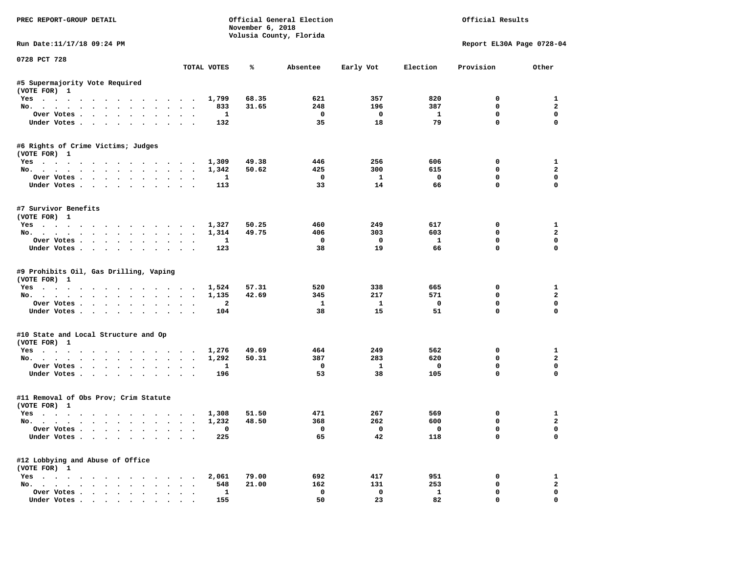| PREC REPORT-GROUP DETAIL                                                         |                                                              | November 6, 2018 | Official General Election<br>Volusia County, Florida |              |              | Official Results          |                         |
|----------------------------------------------------------------------------------|--------------------------------------------------------------|------------------|------------------------------------------------------|--------------|--------------|---------------------------|-------------------------|
| Run Date: 11/17/18 09:24 PM                                                      |                                                              |                  |                                                      |              |              | Report EL30A Page 0728-04 |                         |
| 0728 PCT 728                                                                     | TOTAL VOTES                                                  | ℁                | Absentee                                             | Early Vot    | Election     | Provision                 | Other                   |
| #5 Supermajority Vote Required                                                   |                                                              |                  |                                                      |              |              |                           |                         |
| (VOTE FOR) 1                                                                     |                                                              |                  |                                                      |              |              |                           |                         |
| Yes                                                                              | 1,799                                                        | 68.35            | 621                                                  | 357          | 820          | $^{\circ}$                | 1                       |
| No.                                                                              | 833                                                          | 31.65            | 248                                                  | 196          | 387          | $\mathbf 0$               | $\overline{a}$          |
| Over Votes                                                                       | 1                                                            |                  | $\mathbf 0$                                          | $\mathbf 0$  | $\mathbf{1}$ | $\mathbf 0$               | $\mathbf 0$             |
| Under Votes                                                                      | 132                                                          |                  | 35                                                   | 18           | 79           | $\mathbf 0$               | $\mathbf{0}$            |
| #6 Rights of Crime Victims; Judges                                               |                                                              |                  |                                                      |              |              |                           |                         |
| (VOTE FOR) 1<br>Yes                                                              | 1,309                                                        | 49.38            | 446                                                  | 256          | 606          | 0                         | $\mathbf{1}$            |
| No.                                                                              | 1,342                                                        | 50.62            | 425                                                  | 300          | 615          | $\mathbf{0}$              | $\overline{a}$          |
| Over Votes                                                                       | 1                                                            |                  | $^{\circ}$                                           | 1            | $^{\circ}$   | $\mathbf 0$               | $\mathbf 0$             |
| Under Votes                                                                      | 113                                                          |                  | 33                                                   | 14           | 66           | $\mathbf 0$               | $\mathbf 0$             |
|                                                                                  |                                                              |                  |                                                      |              |              |                           |                         |
| #7 Survivor Benefits<br>(VOTE FOR) 1                                             |                                                              |                  |                                                      |              |              |                           |                         |
|                                                                                  | 1,327                                                        | 50.25            | 460                                                  | 249          | 617          | 0                         | 1                       |
| Yes<br>No.                                                                       | 1,314                                                        | 49.75            | 406                                                  | 303          | 603          | 0                         | $\mathbf{2}$            |
| Over Votes                                                                       | 1                                                            |                  | $\mathbf 0$                                          | $\mathbf{o}$ | $\mathbf{1}$ | $\mathbf 0$               | $\mathbf 0$             |
| Under Votes                                                                      | 123                                                          |                  | 38                                                   | 19           | 66           | $\Omega$                  | $\Omega$                |
|                                                                                  |                                                              |                  |                                                      |              |              |                           |                         |
| #9 Prohibits Oil, Gas Drilling, Vaping<br>(VOTE FOR) 1                           |                                                              |                  |                                                      |              |              |                           |                         |
| Yes                                                                              | 1,524                                                        | 57.31            | 520                                                  | 338          | 665          | 0                         | $\mathbf{1}$            |
| No.                                                                              | 1,135                                                        | 42.69            | 345                                                  | 217          | 571          | $\mathbf 0$               | $\overline{a}$          |
| Over Votes                                                                       | $\overline{\mathbf{2}}$                                      |                  | $\mathbf{1}$                                         | $\mathbf{1}$ | 0            | 0                         | $\mathbf 0$             |
| Under Votes                                                                      | 104                                                          |                  | 38                                                   | 15           | 51           | $\mathbf 0$               | $\mathbf 0$             |
| #10 State and Local Structure and Op                                             |                                                              |                  |                                                      |              |              |                           |                         |
| (VOTE FOR) 1                                                                     |                                                              |                  |                                                      |              |              |                           |                         |
| Yes                                                                              | 1,276                                                        | 49.69            | 464                                                  | 249          | 562          | 0                         | 1                       |
| No.                                                                              | 1,292                                                        | 50.31            | 387                                                  | 283          | 620          | $\mathbf 0$               | $\overline{a}$          |
| Over Votes                                                                       | $\mathbf{1}$<br>$\sim$ $\sim$                                |                  | $\mathbf 0$                                          | $\mathbf{1}$ | $\mathbf{o}$ | $\mathbf 0$               | $\mathbf 0$             |
| Under Votes                                                                      | 196                                                          |                  | 53                                                   | 38           | 105          | $\Omega$                  | $\Omega$                |
| #11 Removal of Obs Prov; Crim Statute                                            |                                                              |                  |                                                      |              |              |                           |                         |
| (VOTE FOR) 1                                                                     |                                                              |                  |                                                      |              |              |                           |                         |
| Yes                                                                              | 1,308                                                        | 51.50            | 471                                                  | 267          | 569          | 0                         | 1                       |
| No.                                                                              | 1,232                                                        | 48.50            | 368                                                  | 262          | 600          | $\mathbf 0$               | $\overline{a}$          |
| Over Votes                                                                       | $\mathbf 0$                                                  |                  | $\mathbf 0$                                          | $\Omega$     | $\mathbf 0$  | $\mathbf 0$               | $\mathbf 0$             |
| Under Votes                                                                      | 225                                                          |                  | 65                                                   | 42           | 118          | $\mathbf 0$               | $\mathbf{0}$            |
| #12 Lobbying and Abuse of Office                                                 |                                                              |                  |                                                      |              |              |                           |                         |
| (VOTE FOR) 1                                                                     |                                                              |                  |                                                      |              |              |                           |                         |
| Yes                                                                              | 2,061                                                        | 79.00            | 692                                                  | 417          | 951          | 0                         | $\mathbf{1}$            |
| No.                                                                              | 548                                                          | 21.00            | 162                                                  | 131          | 253          | 0                         | $\overline{\mathbf{2}}$ |
| Over Votes                                                                       | $\mathbf{1}$<br>$\ddot{\phantom{a}}$<br>$\ddot{\phantom{1}}$ |                  | 0                                                    | $\mathbf 0$  | $\mathbf{1}$ | $\mathbf 0$               | $\mathbf 0$             |
| Under Votes, $\cdot$ , $\cdot$ , $\cdot$ , $\cdot$ , $\cdot$ , $\cdot$ , $\cdot$ | 155                                                          |                  | 50                                                   | 23           | 82           | $\Omega$                  | $\Omega$                |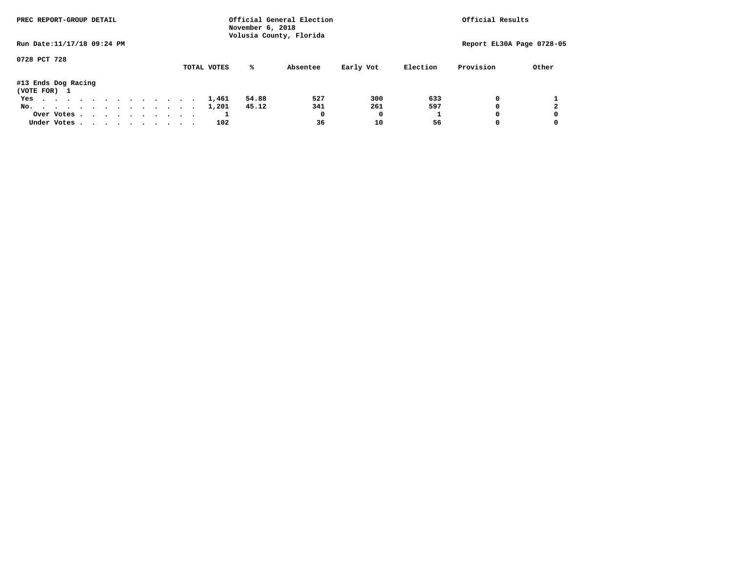| PREC REPORT-GROUP DETAIL            |            |  |  |  |  |  |             | November 6, 2018 | Official General Election<br>Volusia County, Florida |           |          | Official Results |                           |
|-------------------------------------|------------|--|--|--|--|--|-------------|------------------|------------------------------------------------------|-----------|----------|------------------|---------------------------|
| Run Date: 11/17/18 09:24 PM         |            |  |  |  |  |  |             |                  |                                                      |           |          |                  | Report EL30A Page 0728-05 |
| 0728 PCT 728                        |            |  |  |  |  |  | TOTAL VOTES | ℁                | Absentee                                             | Early Vot | Election | Provision        | Other                     |
| #13 Ends Dog Racing<br>(VOTE FOR) 1 |            |  |  |  |  |  |             |                  |                                                      |           |          |                  |                           |
| Yes                                 |            |  |  |  |  |  | 1,461       | 54.88            | 527                                                  | 300       | 633      | 0                |                           |
| No.                                 |            |  |  |  |  |  | 1,201       | 45.12            | 341                                                  | 261       | 597      | <sup>0</sup>     |                           |
|                                     | Over Votes |  |  |  |  |  |             |                  | 0                                                    | 0         |          | <sup>0</sup>     | 0                         |
| Under Votes                         |            |  |  |  |  |  | 102         |                  | 36                                                   | 10        | 56       |                  |                           |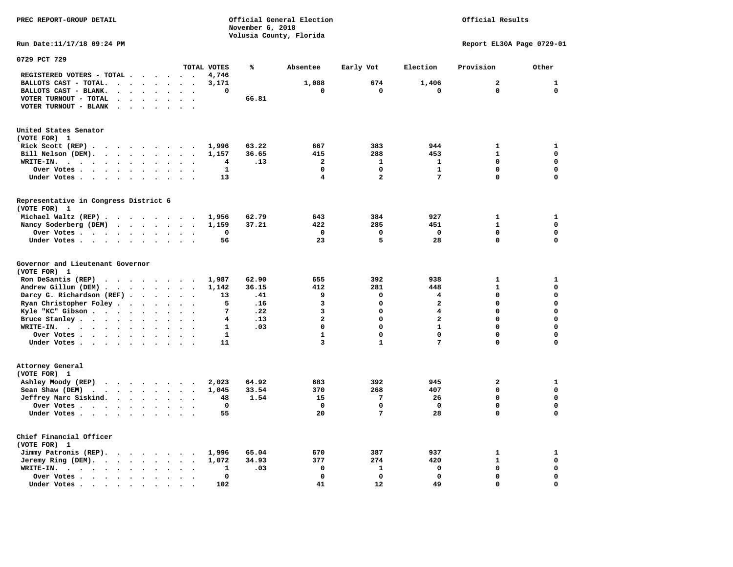**November 6, 2018 Volusia County, Florida Run Date:11/17/18 09:24 PM Report EL30A Page 0729-01 0729 PCT 729 TOTAL VOTES % Absentee Early Vot Election Provision Other REGISTERED VOTERS - TOTAL . . . . . . 4,746 BALLOTS CAST - TOTAL. . . . . . . . 3,171 1,088 674 1,406 2 1 BALLOTS CAST - BLANK. . . . . . . . 0 0 0 0 0 0 VOTER TURNOUT - TOTAL . . . . . . . 66.81 VOTER TURNOUT - BLANK . . . . . . . United States Senator (VOTE FOR) 1 Rick Scott (REP) . . . . . . . . 1,996** 63.22 667 383 944 1 1  **Bill Nelson (DEM). . . . . . . . . 1,157 36.65 415 288 453 1 0 WRITE-IN. . . . . . . . . . . . 4 .13 2 1 1 0 0 Over Votes . . . . . . . . . . 1 0 0 1 0 0 Under Votes . . . . . . . . . . 13** 4 2 7 0 0 **Representative in Congress District 6 (VOTE FOR) 1 Michael Waltz (REP) . . . . . . . . 1,956 62.79 643 384 927 1 1 Nancy Soderberg (DEM) . . . . . . . 1,159 37.21 422 285 451 1 0 Over Votes . . . . . . . . . . 0 0 0 0 0 0**  $\Omega$  **Under Votes . . . . . . . . . . 56 23 5 28 0 0 Governor and Lieutenant Governor (VOTE FOR) 1 Ron DeSantis (REP) . . . . . . . . 1,987 62.90 655 392 938 1 1 Andrew Gillum (DEM) . . . . . . . . 1,142 36.15 412 281 448 1 0 Darcy G. Richardson (REF) . . . . . . 13 .41 9 0 4 0 0 Ryan Christopher Foley . . . . . . . 5 .16** 3 0 2 0 0 0<br> **Ryle "KC"** Gibson . . . . . . . . . 7 .22 3 0 4 0 0  **Kyle "KC" Gibson . . . . . . . . . . 7 .22** 3 **Bruce Stanley . . . . . . . . . . 4 .13** 2 0 2 0 0 0  **WRITE-IN. . . . . . . . . . . . 1 .03 0 0 1 0 0**  $\mathbf{0}$ **Over Votes . . . . . . . . . . 1** 1 0 0 0 0 0  $\mathbf{0}$  **Under Votes . . . . . . . . . . 11 3 1 7 0 0 Attorney General (VOTE FOR) 1 Ashley Moody (REP) . . . . . . . . 2,023 64.92 683 392 945 2 1 Sean Shaw (DEM)** . . . . . . . . 1,045 33.54 370 268 407 0 0 0  **Jeffrey Marc Siskind. . . . . . . . 48 1.54 15 7 26 0 0 Over Votes . . . . . . . . . . 0 0 0 0 0 0**  $\mathbf 0$  **Under Votes . . . . . . . . . . . 55 20 7 28 0 Chief Financial Officer (VOTE FOR) 1 Jimmy Patronis (REP). . . . . . . 1,996 65.04** 670 387 937 1 1 1  **Jeremy Ring (DEM).** . . . . . . . 1,072 34.93 377 274 420 1 0  **WRITE-IN. . . . . . . . . . . . 1 .03 0 1 0 0 0 Over Votes . . . . . . . . . . 0 0 0 0 0 0**  $\mathbf{o}$  **Under Votes . . . . . . . . . . 102** 41 12 49 0

**PREC REPORT-GROUP DETAIL Official General Election Official Results**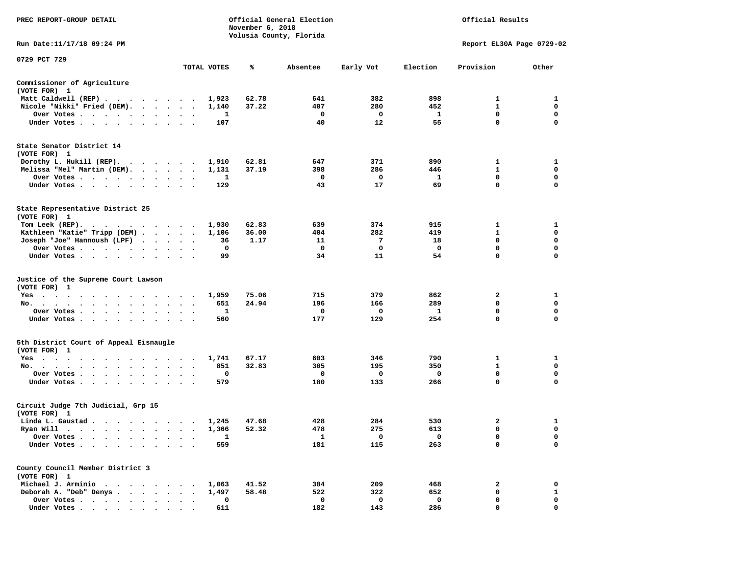| PREC REPORT-GROUP DETAIL                                                                                                                                                                                                                                       |                      |             | November 6, 2018 | Official General Election |           |             | Official Results          |                  |
|----------------------------------------------------------------------------------------------------------------------------------------------------------------------------------------------------------------------------------------------------------------|----------------------|-------------|------------------|---------------------------|-----------|-------------|---------------------------|------------------|
| Run Date: 11/17/18 09:24 PM                                                                                                                                                                                                                                    |                      |             |                  | Volusia County, Florida   |           |             | Report EL30A Page 0729-02 |                  |
| 0729 PCT 729                                                                                                                                                                                                                                                   |                      |             |                  |                           |           |             |                           |                  |
|                                                                                                                                                                                                                                                                |                      | TOTAL VOTES | %                | Absentee                  | Early Vot | Election    | Provision                 | Other            |
| Commissioner of Agriculture<br>(VOTE FOR) 1                                                                                                                                                                                                                    |                      |             |                  |                           |           |             |                           |                  |
| Matt Caldwell (REP)                                                                                                                                                                                                                                            |                      | 1,923       | 62.78            | 641                       | 382       | 898         | 1                         | 1                |
| Nicole "Nikki" Fried (DEM).                                                                                                                                                                                                                                    |                      | 1,140       | 37.22            | 407                       | 280       | 452         | $\mathbf{1}$<br>0         | 0                |
| Over Votes<br>Under Votes                                                                                                                                                                                                                                      |                      | 1<br>107    |                  | 0<br>40                   | 0<br>12   | 1<br>55     | $\mathbf 0$               | 0<br>$\mathbf 0$ |
|                                                                                                                                                                                                                                                                |                      |             |                  |                           |           |             |                           |                  |
| State Senator District 14<br>(VOTE FOR) 1                                                                                                                                                                                                                      |                      |             |                  |                           |           |             |                           |                  |
| Dorothy L. Hukill $(REP)$ .                                                                                                                                                                                                                                    |                      | 1,910       | 62.81            | 647                       | 371       | 890         | 1                         | 1                |
| Melissa "Mel" Martin (DEM).                                                                                                                                                                                                                                    |                      | 1,131       | 37.19            | 398                       | 286       | 446         | $\mathbf{1}$              | 0                |
| Over Votes                                                                                                                                                                                                                                                     |                      | 1           |                  | 0                         | 0         | 1           | $\mathbf 0$               | $\mathbf 0$      |
| Under Votes                                                                                                                                                                                                                                                    | $\ddot{\phantom{1}}$ | 129         |                  | 43                        | 17        | 69          | 0                         | 0                |
| State Representative District 25<br>(VOTE FOR) 1                                                                                                                                                                                                               |                      |             |                  |                           |           |             |                           |                  |
| Tom Leek $(REP)$ .                                                                                                                                                                                                                                             |                      | 1,930       | 62.83            | 639                       | 374       | 915         | 1                         | 1                |
| Kathleen "Katie" Tripp (DEM)                                                                                                                                                                                                                                   |                      | 1,106       | 36.00            | 404                       | 282       | 419         | 1                         | 0                |
| Joseph "Joe" Hannoush (LPF)                                                                                                                                                                                                                                    |                      | 36          | 1.17             | 11                        | 7         | 18          | 0                         | $\mathbf 0$      |
| Over Votes                                                                                                                                                                                                                                                     |                      | 0           |                  | $\mathbf 0$               | 0         | $\mathbf 0$ | $\mathbf 0$               | $\mathbf 0$      |
| Under Votes                                                                                                                                                                                                                                                    |                      | 99          |                  | 34                        | 11        | 54          | $\Omega$                  | 0                |
| Justice of the Supreme Court Lawson<br>(VOTE FOR) 1                                                                                                                                                                                                            |                      |             |                  |                           |           |             |                           |                  |
| Yes                                                                                                                                                                                                                                                            |                      | 1,959       | 75.06            | 715                       | 379       | 862         | 2                         | 1                |
| No.                                                                                                                                                                                                                                                            |                      | 651         | 24.94            | 196                       | 166       | 289         | 0                         | 0                |
| Over Votes                                                                                                                                                                                                                                                     |                      | 1           |                  | 0                         | 0         | 1           | $\mathbf 0$               | $\mathbf 0$      |
| Under Votes                                                                                                                                                                                                                                                    |                      | 560         |                  | 177                       | 129       | 254         | $\mathbf 0$               | $\mathbf 0$      |
| 5th District Court of Appeal Eisnaugle<br>(VOTE FOR) 1                                                                                                                                                                                                         |                      |             |                  |                           |           |             |                           |                  |
| Yes                                                                                                                                                                                                                                                            |                      | 1,741       | 67.17            | 603                       | 346       | 790         | 1                         | 1                |
| No.                                                                                                                                                                                                                                                            |                      | 851         | 32.83            | 305                       | 195       | 350         | 1                         | 0                |
| Over Votes                                                                                                                                                                                                                                                     | $\ddot{\phantom{1}}$ | 0           |                  | 0                         | 0         | 0           | $\mathbf 0$               | 0                |
| Under Votes                                                                                                                                                                                                                                                    |                      | 579         |                  | 180                       | 133       | 266         | $\mathbf 0$               | 0                |
| Circuit Judge 7th Judicial, Grp 15<br>(VOTE FOR) 1                                                                                                                                                                                                             |                      |             |                  |                           |           |             |                           |                  |
| Linda L. Gaustad                                                                                                                                                                                                                                               |                      | 1,245       | 47.68            | 428                       | 284       | 530         | 2                         | 1                |
| Ryan Will<br>$\blacksquare$ .<br>. The contract of the contract of the contract of the contract of the contract of the contract of the contract of the contract of the contract of the contract of the contract of the contract of the contract of the contrac |                      | 1,366       | 52.32            | 478                       | 275       | 613         | 0                         | $\mathbf 0$      |
| Over Votes .                                                                                                                                                                                                                                                   |                      | 1           |                  | 1                         | 0         | 0           | 0                         | 0                |
| Under Votes.                                                                                                                                                                                                                                                   |                      | 559         |                  | 181                       | 115       | 263         | 0                         | 0                |
| County Council Member District 3<br>(VOTE FOR) 1                                                                                                                                                                                                               |                      |             |                  |                           |           |             |                           |                  |
| Michael J. Arminio<br>$\sim$ $\sim$ $\sim$                                                                                                                                                                                                                     |                      | 1,063       | 41.52            | 384                       | 209       | 468         | 2                         | 0                |
| Deborah A. "Deb" Denys.<br>$\ddot{\phantom{a}}$                                                                                                                                                                                                                |                      | 1,497       | 58.48            | 522                       | 322       | 652         | 0                         | 1                |
| Over Votes .<br>$\sim$ $\sim$ $\sim$ $\sim$<br>$\sim 100$ km s $^{-1}$                                                                                                                                                                                         |                      | 0           |                  | 0                         | 0         | 0           | 0                         | 0                |
| Under Votes                                                                                                                                                                                                                                                    |                      | 611         |                  | 182                       | 143       | 286         | O                         | $\Omega$         |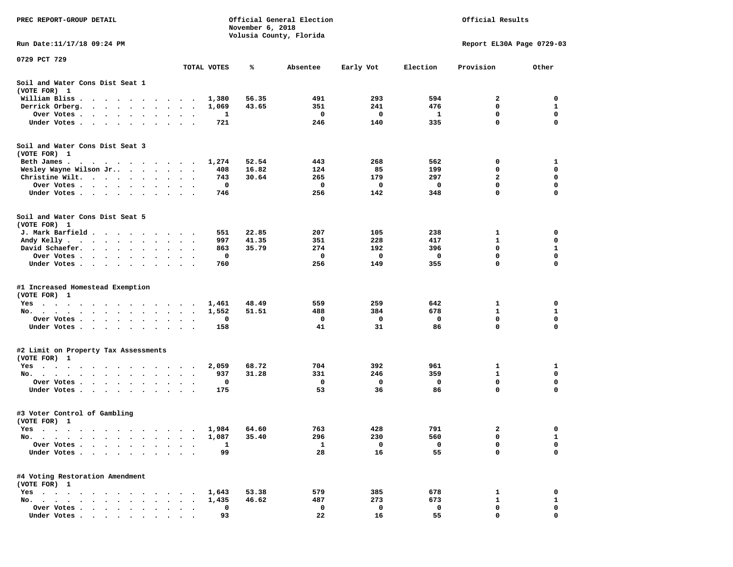| PREC REPORT-GROUP DETAIL                                                                                                                         |                                                               |             | November 6, 2018 | Official General Election<br>Volusia County, Florida |           |              | Official Results          |             |
|--------------------------------------------------------------------------------------------------------------------------------------------------|---------------------------------------------------------------|-------------|------------------|------------------------------------------------------|-----------|--------------|---------------------------|-------------|
| Run Date:11/17/18 09:24 PM                                                                                                                       |                                                               |             |                  |                                                      |           |              | Report EL30A Page 0729-03 |             |
| 0729 PCT 729                                                                                                                                     |                                                               | TOTAL VOTES | %                | Absentee                                             | Early Vot | Election     | Provision                 | Other       |
| Soil and Water Cons Dist Seat 1<br>(VOTE FOR) 1                                                                                                  |                                                               |             |                  |                                                      |           |              |                           |             |
| William Bliss.<br>$\ddot{\phantom{1}}$<br>$\cdots$                                                                                               | $\sim$                                                        | 1,380       | 56.35            | 491                                                  | 293       | 594          | 2                         | 0           |
| Derrick Orberg.<br>$\bullet$                                                                                                                     |                                                               | 1,069       | 43.65            | 351                                                  | 241       | 476          | 0                         | 1           |
| Over Votes .<br>$\cdot$ $\cdot$ $\cdot$ $\cdot$ $\cdot$ $\cdot$ $\cdot$                                                                          | $\cdot$<br>$\cdot$<br>$\bullet$                               | 1           |                  | 0                                                    | 0         | 1            | $\mathbf 0$               | $\mathbf 0$ |
| Under Votes<br>$\ddot{\phantom{1}}$<br>$\ddot{\phantom{1}}$<br>$\ddot{\phantom{0}}$<br>$\ddot{\phantom{1}}$<br>$\cdot$                           |                                                               | 721         |                  | 246                                                  | 140       | 335          | 0                         | 0           |
| Soil and Water Cons Dist Seat 3<br>(VOTE FOR) 1                                                                                                  |                                                               |             |                  |                                                      |           |              |                           |             |
| Beth James.                                                                                                                                      |                                                               | 1,274       | 52.54            | 443                                                  | 268       | 562          | 0                         | 1           |
| Wesley Wayne Wilson Jr                                                                                                                           | $\ddot{\phantom{1}}$                                          | 408         | 16.82            | 124                                                  | 85        | 199          | 0                         | 0           |
| Christine Wilt.<br>$\sim$ $\sim$<br>$\ddot{\phantom{a}}$                                                                                         |                                                               | 743         | 30.64            | 265                                                  | 179       | 297          | $\mathbf{2}$              | 0           |
| Over Votes<br>$\cdot$                                                                                                                            | $\cdot$ $\cdot$<br>$\bullet$                                  | 0           |                  | 0                                                    | 0         | 0            | 0<br>0                    | 0<br>0      |
| Under Votes<br>$\bullet$                                                                                                                         |                                                               | 746         |                  | 256                                                  | 142       | 348          |                           |             |
| Soil and Water Cons Dist Seat 5<br>(VOTE FOR) 1                                                                                                  |                                                               |             |                  |                                                      |           |              |                           |             |
| J. Mark Barfield                                                                                                                                 |                                                               | 551         | 22.85            | 207                                                  | 105       | 238          | 1                         | 0           |
| Andy Kelly                                                                                                                                       |                                                               | 997         | 41.35            | 351                                                  | 228       | 417          | 1                         | 0           |
| David Schaefer.<br>$\sim$ , and $\sim$ , and $\sim$<br>$\bullet$                                                                                 | $\bullet$                                                     | 863         | 35.79            | 274                                                  | 192       | 396          | 0                         | 1           |
| Over Votes<br>$\sim$ $\sim$                                                                                                                      |                                                               | 0           |                  | 0                                                    | 0         | 0            | 0                         | 0           |
| Under Votes<br>$\ddot{\phantom{1}}$<br>$\bullet$                                                                                                 | $\bullet$<br>$\ddot{\phantom{0}}$<br>$\overline{\phantom{a}}$ | 760         |                  | 256                                                  | 149       | 355          | 0                         | 0           |
| #1 Increased Homestead Exemption<br>(VOTE FOR) 1                                                                                                 |                                                               |             |                  |                                                      |           |              |                           |             |
| Yes                                                                                                                                              |                                                               | 1,461       | 48.49            | 559                                                  | 259       | 642          | 1                         | 0           |
| No.<br>$\sim$ $\sim$ $\sim$ $\sim$                                                                                                               | $\bullet$                                                     | 1,552       | 51.51            | 488                                                  | 384       | 678          | 1                         | 1           |
| Over Votes .<br>$\mathcal{A}=\mathcal{A}=\mathcal{A}=\mathcal{A}$ .<br>$\bullet$<br>$\blacksquare$                                               | $\bullet$<br>$\bullet$                                        | 0           |                  | 0                                                    | 0         | $\mathbf{o}$ | 0                         | $\mathbf 0$ |
| Under Votes<br>$\ddot{\phantom{1}}$                                                                                                              | $\ddot{\phantom{a}}$<br>$\ddot{\phantom{1}}$                  | 158         |                  | 41                                                   | 31        | 86           | 0                         | $\mathbf 0$ |
| #2 Limit on Property Tax Assessments                                                                                                             |                                                               |             |                  |                                                      |           |              |                           |             |
| (VOTE FOR) 1                                                                                                                                     |                                                               |             |                  |                                                      |           |              |                           |             |
| $Yes \cdot \cdot \cdot$<br>$\sim$<br>$\blacksquare$ .<br>$\cdots$<br>$\cdot$                                                                     | $\blacksquare$ .                                              | 2,059       | 68.72            | 704                                                  | 392       | 961          | 1                         | 1           |
| No.                                                                                                                                              |                                                               | 937<br>0    | 31.28            | 331<br>0                                             | 246<br>0  | 359<br>0     | 1<br>0                    | 0<br>0      |
| Over Votes .<br>$\ddot{\phantom{1}}$<br>$\sim$<br>$\sim$ 100 $\pm$<br>$\cdot$<br>$\sim$<br>$\cdot$<br>Under Votes<br>$\bullet$<br>$\blacksquare$ |                                                               | 175         |                  | 53                                                   | 36        | 86           | 0                         | 0           |
| #3 Voter Control of Gambling<br>(VOTE FOR) 1                                                                                                     |                                                               |             |                  |                                                      |           |              |                           |             |
| Yes<br>$\sim$ $\sim$ $\sim$<br>.<br>$\cdots$                                                                                                     |                                                               | 1,984       | 64.60            | 763                                                  | 428       | 791          | 2                         | 0           |
| No. .<br>$\bullet$<br>$\bullet$                                                                                                                  |                                                               | 1,087       | 35.40            | 296                                                  | 230       | 560          | 0                         | 1           |
| Over Votes<br>$\bullet$                                                                                                                          |                                                               | 1           |                  | $\mathbf{1}$                                         | 0         | 0            | 0                         | 0           |
| Under Votes.<br>$\ddot{\phantom{0}}$<br>$\bullet$<br>$\ddot{\phantom{0}}$<br>$\bullet$                                                           |                                                               | 99          |                  | 28                                                   | 16        | 55           | 0                         | 0           |
| #4 Voting Restoration Amendment<br>(VOTE FOR) 1                                                                                                  |                                                               |             |                  |                                                      |           |              |                           |             |
| $Yes \cdot \cdot \cdot$<br>$\ddot{\phantom{1}}$<br>$\sim$<br>$\ddot{\phantom{a}}$<br>$\ddot{\phantom{1}}$<br>$\ddot{\phantom{0}}$                |                                                               | 1,643       | 53.38            | 579                                                  | 385       | 678          | 1                         | 0           |
| No.<br>$\sim$                                                                                                                                    |                                                               | 1,435       | 46.62            | 487                                                  | 273       | 673          | $\mathbf{1}$              | 1           |
| Over Votes<br>$\ddot{\phantom{a}}$                                                                                                               |                                                               | 0           |                  | 0                                                    | 0         | 0            | 0                         | 0           |
| Under Votes                                                                                                                                      |                                                               | 93          |                  | 22                                                   | 16        | 55           | $\Omega$                  | $\Omega$    |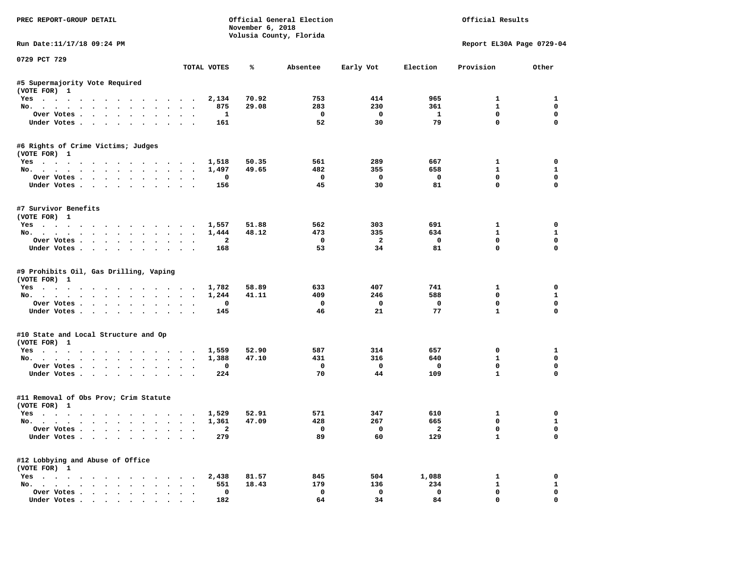| PREC REPORT-GROUP DETAIL                              |              | November 6, 2018 | Official General Election<br>Volusia County, Florida |                |              | Official Results          |                  |
|-------------------------------------------------------|--------------|------------------|------------------------------------------------------|----------------|--------------|---------------------------|------------------|
| Run Date: 11/17/18 09:24 PM                           |              |                  |                                                      |                |              | Report EL30A Page 0729-04 |                  |
| 0729 PCT 729                                          | TOTAL VOTES  | ℁                | Absentee                                             | Early Vot      | Election     | Provision                 | Other            |
| #5 Supermajority Vote Required                        |              |                  |                                                      |                |              |                           |                  |
| (VOTE FOR) 1                                          |              |                  |                                                      |                |              |                           |                  |
| Yes                                                   | 2,134        | 70.92            | 753                                                  | 414            | 965          | $\mathbf{1}$              | 1                |
| No.                                                   | 875          | 29.08            | 283                                                  | 230            | 361          | 1                         | 0                |
| Over Votes                                            | 1            |                  | 0                                                    | $\mathbf 0$    | $\mathbf{1}$ | 0                         | 0                |
| Under Votes.                                          | 161          |                  | 52                                                   | 30             | 79           | $\mathbf 0$               | 0                |
| #6 Rights of Crime Victims; Judges                    |              |                  |                                                      |                |              |                           |                  |
| (VOTE FOR) 1                                          |              |                  |                                                      |                |              |                           |                  |
| Yes 1,518                                             |              | 50.35            | 561                                                  | 289            | 667          | $\mathbf{1}$              | 0                |
| No.                                                   | 1,497        | 49.65            | 482                                                  | 355            | 658          | $\mathbf{1}$              | 1                |
| Over Votes                                            | 0            |                  | $\mathbf 0$                                          | 0              | 0            | 0                         | 0                |
| Under Votes                                           | 156          |                  | 45                                                   | 30             | 81           | $\mathbf 0$               | 0                |
| #7 Survivor Benefits                                  |              |                  |                                                      |                |              |                           |                  |
| (VOTE FOR) 1                                          |              |                  |                                                      |                |              |                           |                  |
| Yes                                                   | 1,557        | 51.88            | 562                                                  | 303            | 691          | 1                         | 0                |
| No.                                                   | 1,444        | 48.12            | 473                                                  | 335            | 634          | $\mathbf{1}$              | $\mathbf{1}$     |
| Over Votes.                                           | $\mathbf{2}$ |                  | 0                                                    | $\overline{a}$ | 0            | 0<br>$\mathbf 0$          | 0<br>$\mathbf 0$ |
| Under Votes                                           | 168          |                  | 53                                                   | 34             | 81           |                           |                  |
| #9 Prohibits Oil, Gas Drilling, Vaping                |              |                  |                                                      |                |              |                           |                  |
| (VOTE FOR) 1                                          |              |                  |                                                      |                |              |                           |                  |
| Yes.                                                  | 1,782        | 58.89            | 633                                                  | 407            | 741          | 1                         | 0                |
| No.                                                   | 1,244        | 41.11            | 409                                                  | 246            | 588          | 0                         | 1                |
| Over Votes                                            | 0            |                  | 0                                                    | $\mathbf 0$    | $\mathbf 0$  | 0                         | 0                |
| Under Votes                                           | 145          |                  | 46                                                   | 21             | 77           | $\mathbf{1}$              | 0                |
| #10 State and Local Structure and Op                  |              |                  |                                                      |                |              |                           |                  |
| (VOTE FOR) 1                                          |              |                  |                                                      |                |              |                           |                  |
| Yes 1,559                                             |              | 52.90            | 587                                                  | 314            | 657          | 0                         | $\mathbf{1}$     |
| No.                                                   | 1,388        | 47.10            | 431                                                  | 316            | 640          | $\mathbf{1}$              | 0                |
| Over Votes                                            | 0            |                  | 0                                                    | 0              | 0            | 0                         | 0                |
| Under Votes                                           | 224          |                  | 70                                                   | 44             | 109          | $\mathbf{1}$              | $\mathbf 0$      |
| #11 Removal of Obs Prov; Crim Statute                 |              |                  |                                                      |                |              |                           |                  |
| (VOTE FOR) 1                                          |              |                  |                                                      |                |              |                           |                  |
| Yes                                                   | 1,529        | 52.91            | 571                                                  | 347            | 610          | 1                         | 0                |
| No.                                                   | 1,361        | 47.09            | 428                                                  | 267            | 665          | 0                         | $\mathbf{1}$     |
| Over Votes                                            | 2            |                  | 0                                                    | 0              | 2            | 0                         | 0                |
| Under Votes                                           | 279          |                  | 89                                                   | 60             | 129          | 1                         | 0                |
| #12 Lobbying and Abuse of Office                      |              |                  |                                                      |                |              |                           |                  |
| (VOTE FOR) 1                                          |              |                  |                                                      |                |              |                           |                  |
| $Yes \cdot \cdot \cdot \cdot \cdot \cdot \cdot \cdot$ | 2,438        | 81.57            | 845                                                  | 504            | 1,088        | 1                         | 0                |
| No.                                                   | 551          | 18.43            | 179                                                  | 136            | 234          | 1                         | $\mathbf{1}$     |
| Over Votes                                            | 0            |                  | 0                                                    | $\mathbf 0$    | $\mathbf 0$  | 0                         | 0                |
| Under Votes                                           | 182          |                  | 64                                                   | 34             | 84           | 0                         | 0                |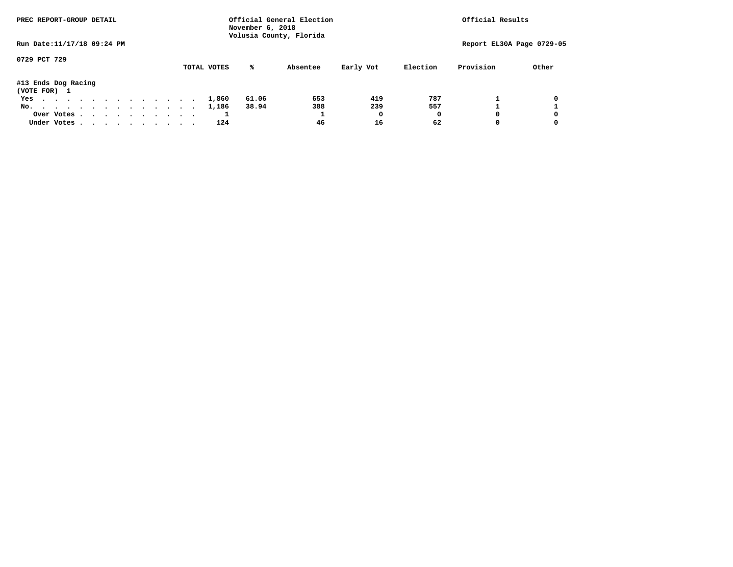| PREC REPORT-GROUP DETAIL            |  |  |  |  |  |             | November 6, 2018 | Official General Election<br>Volusia County, Florida |           |          | Official Results |                           |
|-------------------------------------|--|--|--|--|--|-------------|------------------|------------------------------------------------------|-----------|----------|------------------|---------------------------|
| Run Date: 11/17/18 09:24 PM         |  |  |  |  |  |             |                  |                                                      |           |          |                  | Report EL30A Page 0729-05 |
| 0729 PCT 729                        |  |  |  |  |  | TOTAL VOTES | ℁                | Absentee                                             | Early Vot | Election | Provision        | Other                     |
| #13 Ends Dog Racing<br>(VOTE FOR) 1 |  |  |  |  |  |             |                  |                                                      |           |          |                  |                           |
| Yes                                 |  |  |  |  |  | 1,860       | 61.06            | 653                                                  | 419       | 787      |                  | 0                         |
| No.                                 |  |  |  |  |  | 1,186       | 38.94            | 388                                                  | 239       | 557      |                  |                           |
| Over Votes                          |  |  |  |  |  |             |                  |                                                      | O         |          | <sup>0</sup>     | 0                         |
| Under Votes                         |  |  |  |  |  | 124         |                  | 46                                                   | 16        | 62       |                  |                           |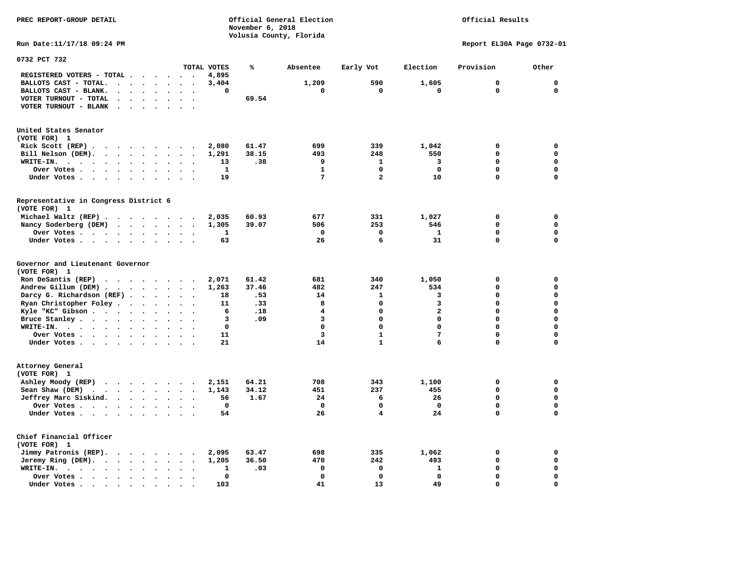| PREC REPORT-GROUP DETAIL                                                                                                                                                                                                                                                        |                | Official General Election<br>November 6, 2018 |                            |                              | Official Results           |                            |
|---------------------------------------------------------------------------------------------------------------------------------------------------------------------------------------------------------------------------------------------------------------------------------|----------------|-----------------------------------------------|----------------------------|------------------------------|----------------------------|----------------------------|
| Run Date: 11/17/18 09:24 PM                                                                                                                                                                                                                                                     |                | Volusia County, Florida                       |                            |                              | Report EL30A Page 0732-01  |                            |
| 0732 PCT 732<br>TOTAL VOTES                                                                                                                                                                                                                                                     | ℁              | Absentee                                      |                            | Election                     | Provision                  | Other                      |
| REGISTERED VOTERS - TOTAL .<br>.                                                                                                                                                                                                                                                | 4,895          |                                               | Early Vot                  |                              |                            |                            |
| BALLOTS CAST - TOTAL.<br>$\mathbf{r}$ , $\mathbf{r}$ , $\mathbf{r}$ , $\mathbf{r}$ , $\mathbf{r}$ , $\mathbf{r}$<br>$\sim$                                                                                                                                                      | 3,404          | 1,209                                         | 590                        | 1,605                        | $\mathbf 0$                | $\mathbf 0$                |
| BALLOTS CAST - BLANK.<br>$\ddot{\phantom{a}}$<br>$\sim$ $\sim$<br>$\mathbf{r}$<br>$\ddot{\phantom{a}}$                                                                                                                                                                          | $\mathbf 0$    | 0                                             | 0                          | 0                            | 0                          | 0                          |
| VOTER TURNOUT - TOTAL<br>$\cdot$ $\cdot$ $\cdot$ $\cdot$ $\cdot$<br>$\sim$ $\sim$                                                                                                                                                                                               | 69.54          |                                               |                            |                              |                            |                            |
| VOTER TURNOUT - BLANK<br>$\sim 100$ km s $^{-1}$<br>$\ddot{\phantom{0}}$<br>$\ddot{\phantom{a}}$<br>$\sim$                                                                                                                                                                      |                |                                               |                            |                              |                            |                            |
|                                                                                                                                                                                                                                                                                 |                |                                               |                            |                              |                            |                            |
| United States Senator                                                                                                                                                                                                                                                           |                |                                               |                            |                              |                            |                            |
| (VOTE FOR) 1                                                                                                                                                                                                                                                                    |                |                                               |                            |                              |                            |                            |
| Rick Scott $(REP)$ .                                                                                                                                                                                                                                                            | 2,080<br>61.47 | 699                                           | 339                        | 1,042                        | 0                          | 0                          |
| Bill Nelson (DEM).<br>$\cdots$<br>$\ddot{\phantom{a}}$<br>$\ddot{\phantom{a}}$                                                                                                                                                                                                  | 38.15<br>1,291 | 493                                           | 248                        | 550                          | 0                          | $\mathbf 0$<br>$\mathbf 0$ |
| WRITE-IN.<br>$\sim$ $\sim$                                                                                                                                                                                                                                                      | 13<br>.38      | 9<br>$\mathbf{1}$                             | 1                          | 3                            | 0<br>$\mathbf 0$           | $\mathbf 0$                |
| Over Votes<br>$\bullet$<br>$\bullet$<br>$\bullet$<br>$\cdot$<br>$\cdot$                                                                                                                                                                                                         | 1<br>19        | $7\phantom{.0}$                               | 0<br>$\overline{a}$        | 0<br>10                      | 0                          | $\mathbf 0$                |
| Under Votes<br>$\sim$ $\sim$                                                                                                                                                                                                                                                    |                |                                               |                            |                              |                            |                            |
| Representative in Congress District 6<br>(VOTE FOR) 1                                                                                                                                                                                                                           |                |                                               |                            |                              |                            |                            |
| Michael Waltz $(REP)$                                                                                                                                                                                                                                                           | 2,035<br>60.93 | 677                                           | 331                        | 1,027                        | 0                          | 0                          |
| Nancy Soderberg (DEM)                                                                                                                                                                                                                                                           | 1,305<br>39.07 | 506                                           | 253                        | 546                          | 0                          | $\mathbf 0$                |
| Over Votes<br>$\ddot{\phantom{0}}$<br>$\cdot$<br>$\bullet$                                                                                                                                                                                                                      | 1              | 0                                             | 0                          | 1                            | $\mathbf 0$                | $\mathbf 0$                |
| Under Votes                                                                                                                                                                                                                                                                     | 63             | 26                                            | 6                          | 31                           | 0                          | 0                          |
| Governor and Lieutenant Governor<br>(VOTE FOR) 1                                                                                                                                                                                                                                |                |                                               |                            |                              |                            | $\mathbf 0$                |
| Ron DeSantis (REP)<br>.                                                                                                                                                                                                                                                         | 2,071<br>61.42 | 681                                           | 340                        | 1,050                        | 0                          |                            |
| Andrew Gillum (DEM)                                                                                                                                                                                                                                                             | 1,263<br>37.46 | 482<br>.53<br>14                              | 247<br>$\mathbf{1}$        | 534<br>3                     | 0<br>$\mathbf 0$           | $\mathbf 0$<br>$\mathbf 0$ |
| Darcy G. Richardson (REF).<br>$\sim$<br>$\ddot{\phantom{a}}$<br>$\ddot{\phantom{a}}$<br>$\overline{\phantom{a}}$                                                                                                                                                                | 18             | 8                                             | $\mathbf 0$                | 3                            | $\mathbf 0$                | $\mathbf 0$                |
| Ryan Christopher Foley                                                                                                                                                                                                                                                          | .33<br>11      |                                               |                            |                              | $\mathbf 0$                | $\mathbf 0$                |
| Kyle "KC" Gibson<br>$\ddot{\phantom{a}}$<br>$\ddot{\phantom{a}}$<br>$\ddot{\phantom{a}}$<br>$\mathbf{r}$<br>$\cdot$                                                                                                                                                             | 6              | 4<br>.18<br>3                                 | $\mathbf 0$<br>$\mathbf 0$ | $\mathbf{2}$<br>$\mathbf{0}$ | 0                          | $\Omega$                   |
| Bruce Stanley.<br>$\sim$                                                                                                                                                                                                                                                        | 3              | .09                                           |                            |                              |                            |                            |
| $W\text{RITE-IN.}$<br>$\ddot{\phantom{a}}$<br>$\ddot{\phantom{a}}$                                                                                                                                                                                                              | $\mathbf 0$    | 0                                             | 0                          | $\mathbf 0$                  | $\mathbf 0$                | $\mathbf 0$                |
| Over Votes                                                                                                                                                                                                                                                                      | 11             | 3                                             | $\mathbf{1}$               | $\overline{7}$               | $\mathbf 0$<br>$\mathbf 0$ | $\mathbf 0$<br>0           |
| Under Votes<br>$\sim$                                                                                                                                                                                                                                                           | 21             | 14                                            | $\mathbf{1}$               | 6                            |                            |                            |
| Attorney General                                                                                                                                                                                                                                                                |                |                                               |                            |                              |                            |                            |
| (VOTE FOR) 1                                                                                                                                                                                                                                                                    |                |                                               |                            |                              |                            |                            |
| Ashley Moody (REP)<br>$\cdots$                                                                                                                                                                                                                                                  | 64.21<br>2,151 | 708                                           | 343                        | 1,100                        | 0                          | $\mathbf 0$                |
| Sean Shaw (DEM)<br>$\mathcal{A}$ . The set of the set of the set of the set of the set of the set of the set of the set of the set of the set of the set of the set of the set of the set of the set of the set of the set of the set of the set of t<br>$\bullet$<br>$\bullet$ | 34.12<br>1,143 | 451                                           | 237                        | 455                          | 0                          | $\mathbf 0$                |
| Jeffrey Marc Siskind.                                                                                                                                                                                                                                                           | 56<br>1.67     | 24                                            | 6                          | 26                           | $\mathbf 0$                | $\Omega$                   |
| Over Votes<br>$\bullet$<br>$\cdot$                                                                                                                                                                                                                                              | $\mathbf 0$    | $\mathbf 0$                                   | $\mathbf 0$                | $\mathbf 0$                  | $\mathbf 0$                | $\mathbf 0$                |
| Under Votes                                                                                                                                                                                                                                                                     | 54             | 26                                            | $\overline{\mathbf{4}}$    | 24                           | $\mathbf 0$                | $\mathbf 0$                |
| Chief Financial Officer<br>(VOTE FOR) 1                                                                                                                                                                                                                                         |                |                                               |                            |                              |                            |                            |
| Jimmy Patronis (REP).<br>$\bullet$                                                                                                                                                                                                                                              | 63.47<br>2,095 | 698                                           | 335                        | 1,062                        | 0                          | 0                          |
| Jeremy Ring (DEM).<br>$\ddot{\phantom{1}}$                                                                                                                                                                                                                                      | 36.50<br>1,205 | 470                                           | 242                        | 493                          | $\mathbf 0$                | $\mathbf 0$                |
| WRITE-IN.<br>$\ddot{\phantom{a}}$<br>$\sim$<br>$\sim$                                                                                                                                                                                                                           | 1              | 0<br>.03                                      | 0                          | 1                            | 0                          | 0                          |
| Over Votes .<br>$\bullet$<br>$\bullet$<br>$\cdot$<br>$\bullet$<br>$\overline{\phantom{a}}$                                                                                                                                                                                      | 0              | $\mathbf 0$                                   | $\mathbf 0$                | $\mathbf 0$                  | $\mathbf 0$                | $\Omega$                   |
| Under Votes.<br>$\bullet$<br>$\bullet$ , $\bullet$ , $\bullet$ , $\bullet$<br>$\bullet$                                                                                                                                                                                         | 103            | 41                                            | 13                         | 49                           | $\mathbf 0$                | $\Omega$                   |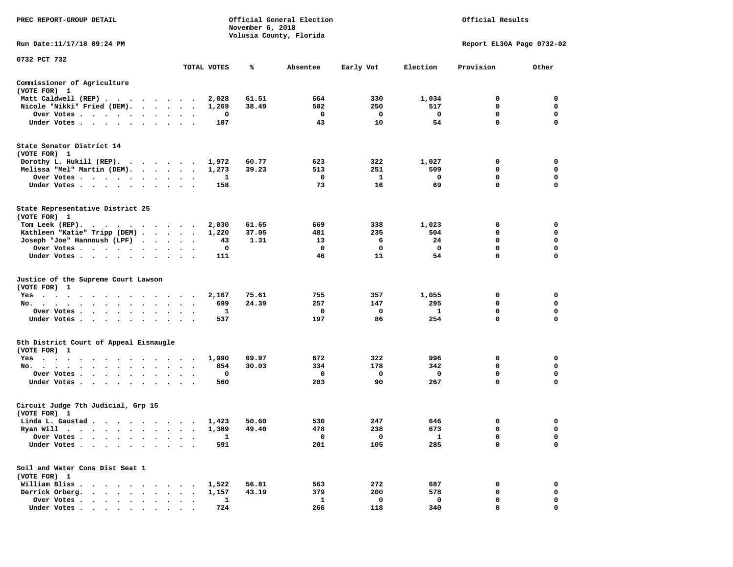| PREC REPORT-GROUP DETAIL                                                                                                                                                                                                                                 |                           |              | November 6, 2018 | Official General Election<br>Volusia County, Florida | Official Results |             |             |             |  |  |  |  |  |  |
|----------------------------------------------------------------------------------------------------------------------------------------------------------------------------------------------------------------------------------------------------------|---------------------------|--------------|------------------|------------------------------------------------------|------------------|-------------|-------------|-------------|--|--|--|--|--|--|
| Run Date:11/17/18 09:24 PM                                                                                                                                                                                                                               | Report EL30A Page 0732-02 |              |                  |                                                      |                  |             |             |             |  |  |  |  |  |  |
| 0732 PCT 732                                                                                                                                                                                                                                             |                           |              |                  |                                                      |                  |             |             |             |  |  |  |  |  |  |
|                                                                                                                                                                                                                                                          |                           | TOTAL VOTES  | ℁                | Absentee                                             | Early Vot        | Election    | Provision   | Other       |  |  |  |  |  |  |
| Commissioner of Agriculture<br>(VOTE FOR) 1                                                                                                                                                                                                              |                           |              |                  |                                                      |                  |             |             |             |  |  |  |  |  |  |
| Matt Caldwell (REP)                                                                                                                                                                                                                                      |                           | 2,028        | 61.51            | 664                                                  | 330              | 1,034       | 0           | 0           |  |  |  |  |  |  |
| Nicole "Nikki" Fried (DEM).                                                                                                                                                                                                                              |                           | 1,269        | 38.49            | 502                                                  | 250              | 517         | 0           | 0           |  |  |  |  |  |  |
| Over Votes                                                                                                                                                                                                                                               |                           | 0            |                  | 0                                                    | 0                | $\mathbf 0$ | 0           | 0           |  |  |  |  |  |  |
| Under Votes                                                                                                                                                                                                                                              |                           | 107          |                  | 43                                                   | 10               | 54          | $\mathbf 0$ | 0           |  |  |  |  |  |  |
| State Senator District 14<br>(VOTE FOR) 1                                                                                                                                                                                                                |                           |              |                  |                                                      |                  |             |             |             |  |  |  |  |  |  |
| Dorothy L. Hukill $(REP)$ .                                                                                                                                                                                                                              |                           | 1,972        | 60.77            | 623                                                  | 322              | 1,027       | 0           | 0           |  |  |  |  |  |  |
| Melissa "Mel" Martin (DEM).                                                                                                                                                                                                                              |                           | 1,273        | 39.23            | 513                                                  | 251              | 509         | 0           | 0           |  |  |  |  |  |  |
| Over Votes                                                                                                                                                                                                                                               |                           | 1            |                  | 0                                                    | 1                | 0           | $\mathbf 0$ | 0           |  |  |  |  |  |  |
| Under Votes                                                                                                                                                                                                                                              |                           | 158          |                  | 73                                                   | 16               | 69          | $\mathbf 0$ | $\mathbf 0$ |  |  |  |  |  |  |
| State Representative District 25<br>(VOTE FOR) 1                                                                                                                                                                                                         |                           |              |                  |                                                      |                  |             |             |             |  |  |  |  |  |  |
| Tom Leek $(REP)$ .                                                                                                                                                                                                                                       |                           | 2,030        | 61.65            | 669                                                  | 338              | 1,023       | 0           | 0           |  |  |  |  |  |  |
| Kathleen "Katie" Tripp (DEM)                                                                                                                                                                                                                             |                           | 1,220        | 37.05            | 481                                                  | 235              | 504         | 0           | 0           |  |  |  |  |  |  |
| Joseph "Joe" Hannoush (LPF)                                                                                                                                                                                                                              |                           | 43           | 1.31             | 13                                                   | 6                | 24          | 0           | $\mathbf 0$ |  |  |  |  |  |  |
| Over Votes                                                                                                                                                                                                                                               |                           | 0            |                  | 0                                                    | 0                | $\mathbf 0$ | 0           | $\mathbf 0$ |  |  |  |  |  |  |
| Under Votes                                                                                                                                                                                                                                              |                           | 111          |                  | 46                                                   | 11               | 54          | $\mathbf 0$ | $\mathbf 0$ |  |  |  |  |  |  |
| Justice of the Supreme Court Lawson<br>(VOTE FOR) 1                                                                                                                                                                                                      |                           |              |                  |                                                      |                  |             |             |             |  |  |  |  |  |  |
| $Yes \cdot \cdot \cdot$<br>. The contract of the contract of the contract of the contract of the contract of the contract of the contract of the contract of the contract of the contract of the contract of the contract of the contract of the contrac |                           | 2,167        | 75.61            | 755                                                  | 357              | 1,055       | 0           | 0           |  |  |  |  |  |  |
| No.                                                                                                                                                                                                                                                      | $\sim$ $\sim$             | 699          | 24.39            | 257                                                  | 147              | 295         | 0           | 0           |  |  |  |  |  |  |
| Over Votes                                                                                                                                                                                                                                               |                           | 1            |                  | 0                                                    | 0                | 1           | 0           | 0           |  |  |  |  |  |  |
| Under Votes                                                                                                                                                                                                                                              |                           | 537          |                  | 197                                                  | 86               | 254         | 0           | 0           |  |  |  |  |  |  |
| 5th District Court of Appeal Eisnaugle<br>(VOTE FOR) 1                                                                                                                                                                                                   |                           |              |                  |                                                      |                  |             |             |             |  |  |  |  |  |  |
| Yes                                                                                                                                                                                                                                                      |                           | 1,990        | 69.97            | 672                                                  | 322              | 996         | 0           | 0           |  |  |  |  |  |  |
| No.                                                                                                                                                                                                                                                      |                           | 854          | 30.03            | 334                                                  | 178              | 342         | 0           | 0           |  |  |  |  |  |  |
| Over Votes                                                                                                                                                                                                                                               |                           | 0            |                  | 0                                                    | 0                | 0           | $\mathbf 0$ | $\mathbf 0$ |  |  |  |  |  |  |
| Under Votes                                                                                                                                                                                                                                              |                           | 560          |                  | 203                                                  | 90               | 267         | 0           | 0           |  |  |  |  |  |  |
| Circuit Judge 7th Judicial, Grp 15<br>(VOTE FOR) 1                                                                                                                                                                                                       |                           |              |                  |                                                      |                  |             |             |             |  |  |  |  |  |  |
| Linda L. Gaustad                                                                                                                                                                                                                                         |                           | 1,423        | 50.60            | 530                                                  | 247              | 646         | 0           | 0           |  |  |  |  |  |  |
| Ryan Will<br>$\bullet$<br>. The contract of the contract of the contract of the contract of the contract of the contract of the contract of the contract of the contract of the contract of the contract of the contract of the contract of the contrac  |                           | 1,389        | 49.40            | 478                                                  | 238              | 673         | 0           | $\mathbf 0$ |  |  |  |  |  |  |
| Over Votes                                                                                                                                                                                                                                               |                           | $\mathbf{1}$ |                  | 0                                                    | 0                | 1           | 0           | 0           |  |  |  |  |  |  |
| Under Votes.                                                                                                                                                                                                                                             |                           | 591          |                  | 201                                                  | 105              | 285         | 0           | $\mathbf 0$ |  |  |  |  |  |  |
| Soil and Water Cons Dist Seat 1<br>(VOTE FOR) 1                                                                                                                                                                                                          |                           |              |                  |                                                      |                  |             |             |             |  |  |  |  |  |  |
| William Bliss.<br>$\sim$<br>$\sim$<br>$\ddot{\phantom{0}}$                                                                                                                                                                                               |                           | 1,522        | 56.81            | 563                                                  | 272              | 687         | 0           | 0           |  |  |  |  |  |  |
| Derrick Orberg.                                                                                                                                                                                                                                          |                           | 1,157        | 43.19            | 379                                                  | 200              | 578         | 0           | 0           |  |  |  |  |  |  |
| Over Votes .<br>$\ddot{\phantom{a}}$<br>$\ddot{\phantom{0}}$                                                                                                                                                                                             |                           | 1            |                  | $\mathbf{1}$                                         | 0                | 0           | 0           | 0           |  |  |  |  |  |  |
| Under Votes                                                                                                                                                                                                                                              |                           | 724          |                  | 266                                                  | 118              | 340         | 0           | 0           |  |  |  |  |  |  |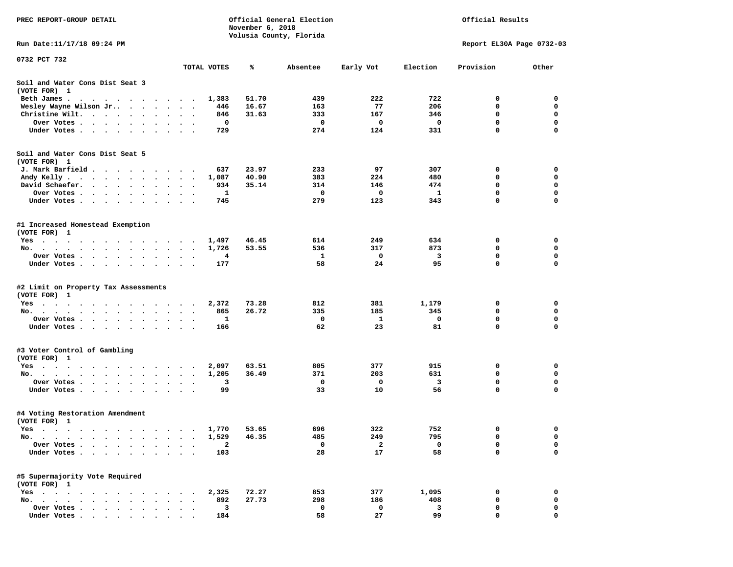| PREC REPORT-GROUP DETAIL                                                                                                                                                                                                                                     |                                   |                | November 6, 2018 | Official General Election | Official Results |                         |                           |             |
|--------------------------------------------------------------------------------------------------------------------------------------------------------------------------------------------------------------------------------------------------------------|-----------------------------------|----------------|------------------|---------------------------|------------------|-------------------------|---------------------------|-------------|
|                                                                                                                                                                                                                                                              |                                   |                |                  | Volusia County, Florida   |                  |                         |                           |             |
| Run Date: 11/17/18 09:24 PM                                                                                                                                                                                                                                  |                                   |                |                  |                           |                  |                         | Report EL30A Page 0732-03 |             |
| 0732 PCT 732                                                                                                                                                                                                                                                 |                                   |                |                  |                           |                  |                         |                           |             |
|                                                                                                                                                                                                                                                              |                                   | TOTAL VOTES    | ℁                | Absentee                  | Early Vot        | Election                | Provision                 | Other       |
| Soil and Water Cons Dist Seat 3<br>(VOTE FOR) 1                                                                                                                                                                                                              |                                   |                |                  |                           |                  |                         |                           |             |
| Beth James.<br>the contract of the contract of the contract of the contract of the contract of the contract of the contract of                                                                                                                               |                                   | 1,383          | 51.70            | 439                       | 222              | 722                     | 0                         | 0           |
| Wesley Wayne Wilson Jr                                                                                                                                                                                                                                       | $\ddot{\phantom{0}}$<br>$\bullet$ | 446            | 16.67            | 163                       | 77               | 206                     | 0                         | 0           |
| Christine Wilt.                                                                                                                                                                                                                                              |                                   | 846            | 31.63            | 333                       | 167              | 346                     | 0                         | 0           |
| Over Votes                                                                                                                                                                                                                                                   |                                   | 0              |                  | 0                         | 0                | $\overline{\mathbf{0}}$ | $\mathbf 0$               | $\mathbf 0$ |
| Under Votes                                                                                                                                                                                                                                                  |                                   | 729            |                  | 274                       | 124              | 331                     | 0                         | $\mathbf 0$ |
| Soil and Water Cons Dist Seat 5                                                                                                                                                                                                                              |                                   |                |                  |                           |                  |                         |                           |             |
| (VOTE FOR) 1                                                                                                                                                                                                                                                 |                                   |                |                  |                           |                  |                         |                           |             |
| J. Mark Barfield                                                                                                                                                                                                                                             |                                   | 637            | 23.97            | 233                       | 97               | 307                     | 0                         | 0           |
| Andy Kelly                                                                                                                                                                                                                                                   |                                   | 1,087          | 40.90            | 383                       | 224              | 480                     | 0                         | 0           |
| David Schaefer.                                                                                                                                                                                                                                              | $\bullet$<br>$\ddotsc$            | 934            | 35.14            | 314                       | 146              | 474                     | 0                         | 0           |
| Over Votes                                                                                                                                                                                                                                                   |                                   | 1              |                  | 0                         | 0                | 1                       | $\mathbf 0$               | $\mathbf 0$ |
| Under Votes                                                                                                                                                                                                                                                  |                                   | 745            |                  | 279                       | 123              | 343                     | 0                         | $\mathbf 0$ |
| #1 Increased Homestead Exemption<br>(VOTE FOR) 1                                                                                                                                                                                                             |                                   |                |                  |                           |                  |                         |                           |             |
| Yes                                                                                                                                                                                                                                                          |                                   | 1,497          | 46.45            | 614                       | 249              | 634                     | 0                         | 0           |
| No.                                                                                                                                                                                                                                                          |                                   | 1,726          | 53.55            | 536                       | 317              | 873                     | 0                         | 0           |
| Over Votes                                                                                                                                                                                                                                                   |                                   | 4              |                  | 1                         | 0                | $\overline{\mathbf{3}}$ | 0                         | 0           |
| Under Votes.                                                                                                                                                                                                                                                 |                                   | 177            |                  | 58                        | 24               | 95                      | 0                         | $\mathbf 0$ |
| #2 Limit on Property Tax Assessments<br>(VOTE FOR) 1                                                                                                                                                                                                         |                                   |                |                  |                           |                  |                         |                           |             |
| Yes                                                                                                                                                                                                                                                          |                                   | 2,372          | 73.28            | 812                       | 381              | 1,179                   | 0                         | 0           |
| No.                                                                                                                                                                                                                                                          |                                   | 865            | 26.72            | 335                       | 185              | 345                     | 0                         | 0           |
| Over Votes .<br>$\cdots$                                                                                                                                                                                                                                     |                                   | 1              |                  | 0                         | 1                | 0                       | 0                         | 0           |
| Under Votes                                                                                                                                                                                                                                                  |                                   | 166            |                  | 62                        | 23               | 81                      | 0                         | $\mathbf 0$ |
|                                                                                                                                                                                                                                                              |                                   |                |                  |                           |                  |                         |                           |             |
| #3 Voter Control of Gambling                                                                                                                                                                                                                                 |                                   |                |                  |                           |                  |                         |                           |             |
| (VOTE FOR) 1                                                                                                                                                                                                                                                 |                                   |                |                  |                           |                  |                         |                           |             |
| Yes                                                                                                                                                                                                                                                          |                                   | 2,097<br>1,205 | 63.51<br>36.49   | 805<br>371                | 377<br>203       | 915<br>631              | 0<br>0                    | 0<br>0      |
| No.                                                                                                                                                                                                                                                          |                                   | 3              |                  | 0                         | 0                | $\overline{\mathbf{3}}$ | $\mathbf 0$               | $\mathbf 0$ |
| Over Votes .<br>. The contract of the contract of the contract of the contract of the contract of the contract of the contract of the contract of the contract of the contract of the contract of the contract of the contract of the contrac<br>Under Votes | $\bullet$                         | 99             |                  | 33                        | 10               | 56                      | 0                         | 0           |
| #4 Voting Restoration Amendment                                                                                                                                                                                                                              |                                   |                |                  |                           |                  |                         |                           |             |
| (VOTE FOR) 1                                                                                                                                                                                                                                                 |                                   |                |                  |                           |                  |                         |                           |             |
| Yes 1,770                                                                                                                                                                                                                                                    |                                   |                | 53.65            | 696                       | 322              | 752                     | 0                         | 0           |
| No.<br>$\sim$                                                                                                                                                                                                                                                |                                   | 1,529          | 46.35            | 485                       | 249              | 795                     | 0                         | 0           |
| Over Votes                                                                                                                                                                                                                                                   |                                   | 2              |                  | 0                         | 2                | 0                       | 0                         | 0           |
| Under Votes.                                                                                                                                                                                                                                                 |                                   | 103            |                  | 28                        | 17               | 58                      | 0                         | $\mathbf 0$ |
|                                                                                                                                                                                                                                                              |                                   |                |                  |                           |                  |                         |                           |             |
| #5 Supermajority Vote Required<br>(VOTE FOR) 1                                                                                                                                                                                                               |                                   |                |                  |                           |                  |                         |                           |             |
| Yes<br>$\bullet$                                                                                                                                                                                                                                             |                                   | 2,325          | 72.27            | 853                       | 377              | 1,095                   | 0                         | 0           |
| No. .<br>$\ddot{\phantom{0}}$<br>$\sim$<br>$\cdot$                                                                                                                                                                                                           |                                   | 892            | 27.73            | 298                       | 186              | 408                     | 0                         | 0           |
| Over Votes .<br>$\cdot$                                                                                                                                                                                                                                      |                                   | 3              |                  | 0                         | 0                | 3                       | 0                         | 0           |
| Under Votes                                                                                                                                                                                                                                                  |                                   | 184            |                  | 58                        | 27               | 99                      | 0                         | n           |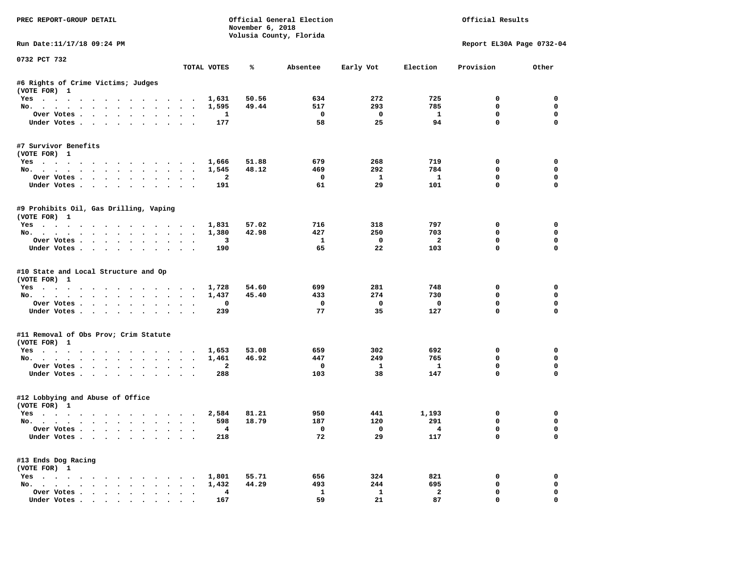| PREC REPORT-GROUP DETAIL                                                                                                                                                                                                                         |                                                                    | November 6, 2018 | Official General Election<br>Volusia County, Florida | Official Results        |                         |                           |             |
|--------------------------------------------------------------------------------------------------------------------------------------------------------------------------------------------------------------------------------------------------|--------------------------------------------------------------------|------------------|------------------------------------------------------|-------------------------|-------------------------|---------------------------|-------------|
| Run Date:11/17/18 09:24 PM                                                                                                                                                                                                                       |                                                                    |                  |                                                      |                         |                         | Report EL30A Page 0732-04 |             |
| 0732 PCT 732                                                                                                                                                                                                                                     | TOTAL VOTES                                                        | ℁                | Absentee                                             | Early Vot               | Election                | Provision                 | Other       |
| #6 Rights of Crime Victims; Judges<br>(VOTE FOR) 1                                                                                                                                                                                               |                                                                    |                  |                                                      |                         |                         |                           |             |
| Yes                                                                                                                                                                                                                                              | 1,631                                                              | 50.56            | 634                                                  | 272                     | 725                     | $\Omega$                  | $\mathbf 0$ |
| No.                                                                                                                                                                                                                                              | 1,595                                                              | 49.44            | 517                                                  | 293                     | 785                     | $\mathbf 0$               | $\mathbf 0$ |
| Over Votes                                                                                                                                                                                                                                       | 1                                                                  |                  | $\mathbf{o}$                                         | $\mathbf{o}$            | $\mathbf{1}$            | 0                         | 0           |
| Under Votes<br>$\sim$                                                                                                                                                                                                                            | 177<br>$\sim$ $\sim$ $\sim$                                        |                  | 58                                                   | 25                      | 94                      | $\mathbf{0}$              | $\Omega$    |
| #7 Survivor Benefits<br>(VOTE FOR) 1                                                                                                                                                                                                             |                                                                    |                  |                                                      |                         |                         |                           |             |
| Yes                                                                                                                                                                                                                                              | 1,666                                                              | 51.88            | 679                                                  | 268                     | 719                     | 0                         | $\mathbf 0$ |
| No.                                                                                                                                                                                                                                              | 1,545                                                              | 48.12            | 469                                                  | 292                     | 784                     | 0                         | 0           |
| Over Votes                                                                                                                                                                                                                                       | 2                                                                  |                  | 0                                                    | $\mathbf{1}$            | $\mathbf{1}$            | 0                         | 0           |
| Under Votes<br>$\sim$                                                                                                                                                                                                                            | 191                                                                |                  | 61                                                   | 29                      | 101                     | $\mathbf 0$               | $\mathbf 0$ |
| #9 Prohibits Oil, Gas Drilling, Vaping<br>(VOTE FOR) 1                                                                                                                                                                                           |                                                                    |                  |                                                      |                         |                         |                           |             |
| Yes                                                                                                                                                                                                                                              | 1,831                                                              | 57.02            | 716                                                  | 318                     | 797                     | 0                         | $\mathbf 0$ |
| No.                                                                                                                                                                                                                                              | 1,380                                                              | 42.98            | 427                                                  | 250                     | 703                     | 0                         | $\mathbf 0$ |
| Over Votes<br>$\sim$                                                                                                                                                                                                                             | 3<br>$\ddot{\phantom{a}}$<br>$\cdot$<br>$\cdot$                    |                  | $\mathbf{1}$                                         | $\mathbf{o}$            | $\overline{a}$          | $\mathbf 0$               | $\mathbf 0$ |
| Under Votes                                                                                                                                                                                                                                      | 190                                                                |                  | 65                                                   | 22                      | 103                     | $\Omega$                  | $\Omega$    |
| #10 State and Local Structure and Op<br>(VOTE FOR) 1                                                                                                                                                                                             |                                                                    |                  |                                                      |                         |                         |                           |             |
| Yes                                                                                                                                                                                                                                              | 1,728                                                              | 54.60            | 699                                                  | 281                     | 748                     | 0                         | 0           |
| No.<br>$\ddot{\phantom{a}}$<br>$\sim$ $\sim$<br>$\ddot{\phantom{a}}$<br>$\sim$<br>$\sim$                                                                                                                                                         | 1,437                                                              | 45.40            | 433                                                  | 274                     | 730                     | 0                         | 0           |
| Over Votes                                                                                                                                                                                                                                       | 0<br>$\ddot{\phantom{a}}$                                          |                  | $\mathbf{o}$                                         | $\mathbf{o}$            | $\mathbf 0$             | $\mathbf 0$               | 0           |
| Under Votes<br>$\sim$                                                                                                                                                                                                                            | 239<br>$\ddot{\phantom{a}}$                                        |                  | 77                                                   | 35                      | 127                     | $\mathbf 0$               | $\Omega$    |
| #11 Removal of Obs Prov; Crim Statute<br>(VOTE FOR) 1                                                                                                                                                                                            |                                                                    |                  |                                                      |                         |                         |                           |             |
| Yes                                                                                                                                                                                                                                              | 1,653                                                              | 53.08            | 659                                                  | 302                     | 692                     | 0                         | $\mathbf 0$ |
| No.                                                                                                                                                                                                                                              | 1,461                                                              | 46.92            | 447                                                  | 249                     | 765                     | 0                         | 0           |
| Over Votes                                                                                                                                                                                                                                       | 2                                                                  |                  | $\mathbf{o}$                                         | $\mathbf{1}$            | $\mathbf{1}$            | 0                         | 0           |
| Under Votes<br>$\sim$                                                                                                                                                                                                                            | 288<br>$\bullet$ .<br><br><br><br><br><br><br><br><br><br><br><br> |                  | 103                                                  | 38                      | 147                     | $\mathbf{0}$              | $\mathbf 0$ |
| #12 Lobbying and Abuse of Office<br>(VOTE FOR) 1                                                                                                                                                                                                 |                                                                    |                  |                                                      |                         |                         |                           |             |
| Yes                                                                                                                                                                                                                                              | 2,584                                                              | 81.21            | 950                                                  | 441                     | 1,193                   | 0                         | 0           |
| No.                                                                                                                                                                                                                                              | 598                                                                | 18.79            | 187                                                  | 120                     | 291                     | $\mathbf 0$               | $\mathbf 0$ |
| Over Votes                                                                                                                                                                                                                                       | $\overline{4}$<br>$\cdot$ $\cdot$ $\cdot$                          |                  | $\overline{0}$                                       | $\overline{\mathbf{0}}$ | $\overline{4}$          | $\mathbf 0$               | $\mathbf 0$ |
| Under Votes<br>$\ddot{\phantom{0}}$<br>$\ddot{\phantom{a}}$                                                                                                                                                                                      | 218                                                                |                  | 72                                                   | 29                      | 117                     | $\mathbf 0$               | 0           |
| #13 Ends Dog Racing<br>(VOTE FOR) 1                                                                                                                                                                                                              |                                                                    |                  |                                                      |                         |                         |                           |             |
| $Yes \t . \t .$<br>. The contract of the contract of the contract of the contract of the contract of the contract of the contract of the contract of the contract of the contract of the contract of the contract of the contract of the contrac | 1,801                                                              | 55.71            | 656                                                  | 324                     | 821                     | 0                         | 0           |
| No.                                                                                                                                                                                                                                              | 1,432                                                              | 44.29            | 493                                                  | 244                     | 695                     | $\mathbf 0$               | 0           |
| Over Votes                                                                                                                                                                                                                                       | 4<br>$\ddot{\phantom{1}}$<br>$\bullet$<br>$\bullet$                |                  | 1                                                    | $\mathbf{1}$            | $\overline{\mathbf{2}}$ | $\mathbf 0$               | $\mathbf 0$ |
| Under Votes.                                                                                                                                                                                                                                     | 167                                                                |                  | 59                                                   | 21                      | 87                      | $\mathbf 0$               | $\mathbf 0$ |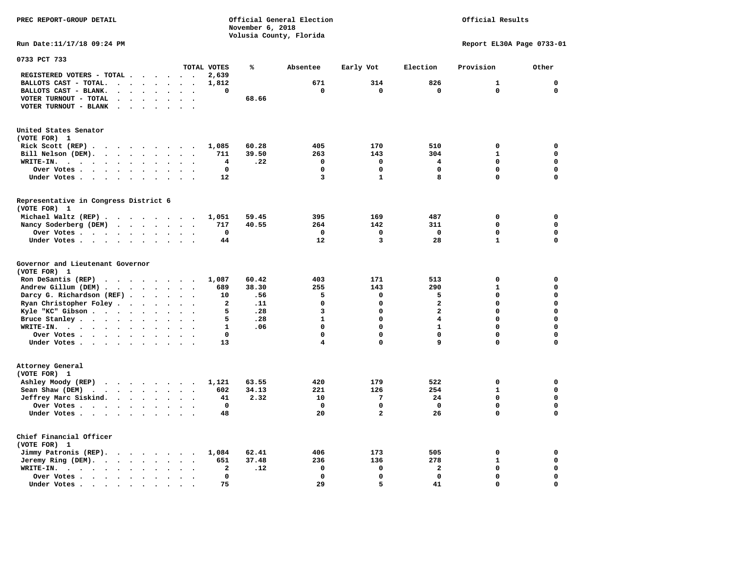**PREC REPORT-GROUP DETAIL Official General Election Official Results November 6, 2018 Volusia County, Florida Run Date:11/17/18 09:24 PM Report EL30A Page 0733-01 0733 PCT 733 TOTAL VOTES % Absentee Early Vot Election Provision Other REGISTERED VOTERS - TOTAL . . . . . . 2,639 BALLOTS CAST - TOTAL. . . . . . . . 1,812 671 314 826 1 0 BALLOTS CAST - BLANK. . . . . . . . 0 0 0 0 0 0 VOTER TURNOUT - TOTAL . . . . . . . 68.66 VOTER TURNOUT - BLANK . . . . . . . United States Senator (VOTE FOR) 1 Rick Scott (REP) . . . . . . . . . 1,085 60.28 405 170 510 0 0 Bill Nelson (DEM). . . . . . . . . 711 39.50 263 143 304 1 0 WRITE-IN. . . . . . . . . . . . 4 .22 0 0 4 0 0 Over Votes . . . . . . . . . . 0 0 0 0 0 0 Under Votes . . . . . . . . . . 12** 3 1 8 0 0 **Representative in Congress District 6 (VOTE FOR) 1 Michael Waltz (REP) . . . . . . . . 1,051 59.45 395 169 487 0 0 Nancy Soderberg (DEM) . . . . . . . 717 40.55 264 142 311 0 0 Over Votes . . . . . . . . . . 0 0 0 0 0 0 Under Votes . . . . . . . . . 44 12** 3 28 1 **Governor and Lieutenant Governor (VOTE FOR) 1 Ron DeSantis (REP) . . . . . . . . 1,087 60.42 403 171 513 0 0 Andrew Gillum (DEM) . . . . . . . . 689 38.30 255 143 290 1 0 Darcy G. Richardson (REF) . . . . . . 10 .56 5 0 5 0 0 Ryan Christopher Foley . . . . . . . 2 .11 0 0 2 0 0 Kyle "KC" Gibson . . . . . . . . . . 5 . 28 3** 3 **Bruce Stanley . . . . . . . . . . 5 .28** 1 0 4 0 0 0  **WRITE-IN. . . . . . . . . . . . 1 .06 0 0 1 0 0 Over Votes . . . . . . . . . . 0 0 0 0 0 0 Under Votes . . . . . . . . . . 13** 4 0 9 0 0

 $\Omega$ 

 $\mathbf{0}$ 

 $\mathbf{0}$ 

**Attorney General (VOTE FOR) 1 Ashley Moody (REP) . . . . . . . . 1,121 63.55 420 179 522 0 0 Sean Shaw (DEM)** . . . . . . . . 602 34.13 221 126 254 1 0  **Jeffrey Marc Siskind. . . . . . . . 41 2.32 10 7 24 0 0 Over Votes . . . . . . . . . . 0 0 0 0 0 0**  $\mathbf 0$  **Under Votes . . . . . . . . . . 48 20 2 26 0 Chief Financial Officer (VOTE FOR) 1 Jimmy Patronis (REP). . . . . . . . 1,084 62.41 406 173 505 0 0 Jeremy Ring (DEM).** . . . . . . . 651 37.48 236 136 278 1 0  **WRITE-IN. . . . . . . . . . . . 2 .12 0 0 2 0 0 Over Votes . . . . . . . . . . 0 0 0 0 0 0**  $\mathbf{o}$  **Under Votes . . . . . . . . . . 75** 29 3 5 41 0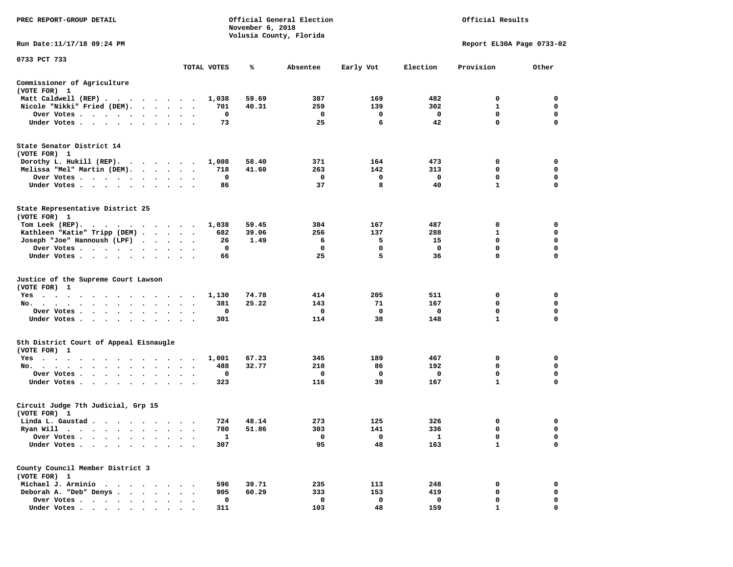| PREC REPORT-GROUP DETAIL                                                                                   |                                              |              | November 6, 2018 | Official General Election<br>Volusia County, Florida | Official Results |                   |                           |                  |
|------------------------------------------------------------------------------------------------------------|----------------------------------------------|--------------|------------------|------------------------------------------------------|------------------|-------------------|---------------------------|------------------|
| Run Date: 11/17/18 09:24 PM                                                                                |                                              |              |                  |                                                      |                  |                   | Report EL30A Page 0733-02 |                  |
| 0733 PCT 733                                                                                               |                                              | TOTAL VOTES  | ℁                | Absentee                                             | Early Vot        | Election          | Provision                 | Other            |
| Commissioner of Agriculture                                                                                |                                              |              |                  |                                                      |                  |                   |                           |                  |
| (VOTE FOR) 1                                                                                               |                                              |              |                  |                                                      |                  |                   |                           |                  |
| Matt Caldwell (REP)                                                                                        |                                              | 1,038        | 59.69            | 387<br>259                                           | 169              | 482<br>302        | 0<br>$\mathbf{1}$         | 0<br>0           |
| Nicole "Nikki" Fried (DEM).<br>Over Votes                                                                  | $\bullet$ .                                  | 701<br>0     | 40.31            | 0                                                    | 139<br>0         | $\mathbf 0$       | 0                         | 0                |
| Under Votes                                                                                                |                                              | 73           |                  | 25                                                   | 6                | 42                | $\mathbf 0$               | $\mathbf 0$      |
| State Senator District 14<br>(VOTE FOR) 1                                                                  |                                              |              | 58.40            | 371                                                  | 164              | 473               | 0                         | 0                |
| Dorothy L. Hukill $(REP)$ .<br>Melissa "Mel" Martin (DEM).                                                 |                                              | 1,008<br>718 | 41.60            | 263                                                  | 142              | 313               | 0                         | 0                |
| Over Votes                                                                                                 |                                              | 0            |                  | 0                                                    | 0                | 0                 | 0                         | $\mathbf 0$      |
| Under Votes                                                                                                |                                              | 86           |                  | 37                                                   | 8                | 40                | 1                         | 0                |
| State Representative District 25<br>(VOTE FOR) 1                                                           |                                              |              |                  |                                                      |                  |                   |                           |                  |
| Tom Leek $(REP)$ .                                                                                         |                                              | 1,038        | 59.45            | 384                                                  | 167              | 487               | 0                         | 0                |
| Kathleen "Katie" Tripp (DEM)                                                                               |                                              | 682          | 39.06            | 256                                                  | 137              | 288               | 1                         | 0                |
| Joseph "Joe" Hannoush (LPF)<br>Over Votes<br>$\sim$ $\sim$                                                 |                                              | 26<br>0      | 1.49             | 6<br>0                                               | 5<br>$\Omega$    | 15<br>$\mathbf 0$ | 0<br>0                    | $\mathbf 0$<br>0 |
| Under Votes                                                                                                |                                              | 66           |                  | 25                                                   | 5                | 36                | 0                         | 0                |
| Justice of the Supreme Court Lawson<br>(VOTE FOR) 1                                                        |                                              |              |                  |                                                      |                  |                   |                           |                  |
| $Yes \t . \t .$<br>$\cdots$<br>.                                                                           |                                              | 1,130        | 74.78            | 414                                                  | 205              | 511               | 0                         | 0                |
| No.                                                                                                        | $\cdot$ $\cdot$                              | 381          | 25.22            | 143                                                  | 71               | 167               | 0                         | 0                |
| Over Votes                                                                                                 |                                              | 0            |                  | 0                                                    | 0                | 0                 | $\mathbf 0$               | $\mathbf 0$      |
| Under Votes                                                                                                | $\sim$<br>$\sim$ $\sim$                      | 301          |                  | 114                                                  | 38               | 148               | 1                         | 0                |
| 5th District Court of Appeal Eisnaugle<br>(VOTE FOR) 1                                                     |                                              |              |                  |                                                      |                  |                   |                           |                  |
| Yes                                                                                                        |                                              | 1,001        | 67.23            | 345                                                  | 189              | 467               | 0                         | 0                |
| No.<br>Over Votes                                                                                          | $\bullet$<br>$\cdot$<br>$\ddot{\phantom{1}}$ | 488<br>0     | 32.77            | 210<br>0                                             | 86<br>0          | 192<br>0          | 0<br>0                    | 0<br>0           |
| Under Votes                                                                                                |                                              | 323          |                  | 116                                                  | 39               | 167               | $\mathbf{1}$              | $\mathbf 0$      |
| Circuit Judge 7th Judicial, Grp 15<br>(VOTE FOR) 1                                                         |                                              |              |                  |                                                      |                  |                   |                           |                  |
| Linda L. Gaustad                                                                                           |                                              | 724          | 48.14            | 273                                                  | 125              | 326               | 0                         | 0                |
| Ryan Will $\cdots$ , $\cdots$ , $\cdots$ , $\cdots$                                                        |                                              | 780          | 51.86            | 303                                                  | 141              | 336               | $\mathbf 0$               | $\mathbf 0$      |
| Over Votes .<br>Under Votes.<br>$\ddot{\phantom{1}}$                                                       |                                              | 1<br>307     |                  | 0<br>95                                              | 0<br>48          | 1<br>163          | 0<br>$\mathbf{1}$         | 0<br>$\mathbf 0$ |
| County Council Member District 3<br>(VOTE FOR) 1                                                           |                                              |              |                  |                                                      |                  |                   |                           |                  |
| Michael J. Arminio<br>$\cdots$<br>$\ddot{\phantom{1}}$<br>$\overline{\phantom{a}}$<br>$\ddot{\phantom{a}}$ |                                              | 596          | 39.71            | 235                                                  | 113              | 248               | 0                         | 0                |
| Deborah A. "Deb" Denys.<br>$\mathbf{L} = \mathbf{L} \times \mathbf{L}$                                     |                                              | 905          | 60.29            | 333                                                  | 153              | 419               | 0                         | 0                |
| Over Votes                                                                                                 |                                              | 0            |                  | 0                                                    | $\mathbf 0$      | $\mathbf 0$       | 0                         | 0                |
| Under Votes                                                                                                |                                              | 311          |                  | 103                                                  | 48               | 159               | 1                         | $\Omega$         |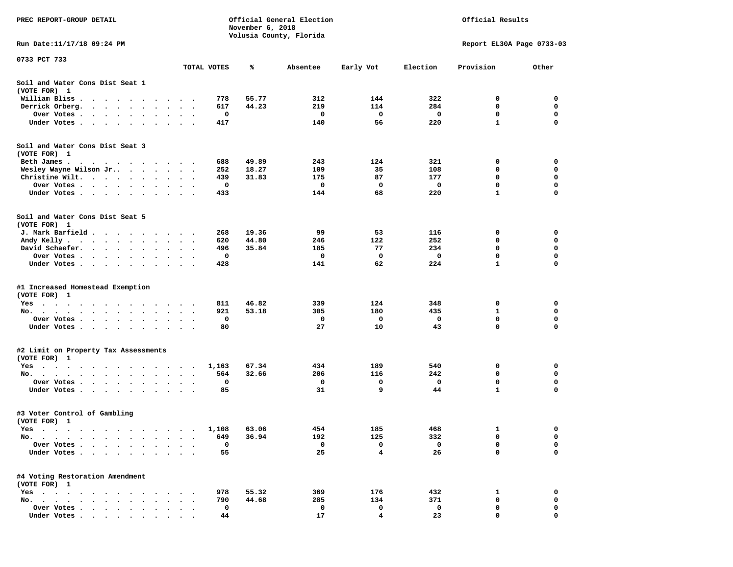| PREC REPORT-GROUP DETAIL                                                                                        |                                                  |             | November 6, 2018 | Official General Election<br>Volusia County, Florida | Official Results |                           |              |             |
|-----------------------------------------------------------------------------------------------------------------|--------------------------------------------------|-------------|------------------|------------------------------------------------------|------------------|---------------------------|--------------|-------------|
| Run Date:11/17/18 09:24 PM                                                                                      |                                                  |             |                  |                                                      |                  | Report EL30A Page 0733-03 |              |             |
| 0733 PCT 733                                                                                                    |                                                  | TOTAL VOTES | ℁                | Absentee                                             | Early Vot        | Election                  | Provision    | Other       |
| Soil and Water Cons Dist Seat 1<br>(VOTE FOR) 1                                                                 |                                                  |             |                  |                                                      |                  |                           |              |             |
| William Bliss.<br>$\ddot{\phantom{1}}$<br>$\sim$<br>$\sim$ $\sim$ $\sim$ $\sim$ $\sim$<br>$\sim$                |                                                  | 778         | 55.77            | 312                                                  | 144              | 322                       | 0            | 0           |
| Derrick Orberg.<br>$\sim 100$ km s $^{-1}$<br>$\sim$ $\sim$<br>$\ddot{\phantom{0}}$<br>$\bullet$                |                                                  | 617         | 44.23            | 219                                                  | 114              | 284                       | 0            | 0           |
| Over Votes .<br>$\cdot$ $\cdot$ $\cdot$ $\cdot$ $\cdot$<br>$\bullet$                                            | $\bullet$                                        | 0           |                  | 0                                                    | 0                | 0                         | $\mathbf 0$  | $\mathbf 0$ |
| Under Votes<br>$\sim$<br>$\ddot{\phantom{1}}$<br>$\ddot{\phantom{1}}$                                           |                                                  | 417         |                  | 140                                                  | 56               | 220                       | $\mathbf{1}$ | 0           |
| Soil and Water Cons Dist Seat 3<br>(VOTE FOR) 1                                                                 |                                                  |             |                  |                                                      |                  |                           |              |             |
| Beth James.                                                                                                     | $\sim$                                           | 688         | 49.89            | 243                                                  | 124              | 321                       | 0            | 0           |
| Wesley Wayne Wilson Jr<br>Christine Wilt.                                                                       | $\ddot{\phantom{1}}$<br>$\overline{\phantom{a}}$ | 252<br>439  | 18.27<br>31.83   | 109<br>175                                           | 35<br>87         | 108<br>177                | 0<br>0       | 0<br>0      |
| $\sim$<br>$\ddot{\phantom{1}}$<br>$\cdot$<br>Over Votes<br>$\cdot$                                              |                                                  | 0           |                  | 0                                                    | 0                | 0                         | 0            | 0           |
| $\bullet$<br>Under Votes                                                                                        |                                                  | 433         |                  | 144                                                  | 68               | 220                       | 1            | 0           |
| Soil and Water Cons Dist Seat 5<br>(VOTE FOR) 1                                                                 |                                                  |             |                  |                                                      |                  |                           |              |             |
| J. Mark Barfield.                                                                                               |                                                  | 268         | 19.36            | 99                                                   | 53               | 116                       | 0            | 0           |
| Andy Kelly                                                                                                      |                                                  | 620         | 44.80            | 246                                                  | 122              | 252                       | 0            | 0           |
| David Schaefer.<br><b>Contract Contract Contract</b><br>$\bullet$ . $\bullet$<br>$\bullet$                      | $\bullet$                                        | 496         | 35.84            | 185                                                  | 77               | 234                       | 0            | 0           |
| Over Votes<br>$\sim$ $\sim$                                                                                     |                                                  | 0           |                  | 0                                                    | 0                | 0                         | 0            | 0           |
| Under Votes<br>$\ddot{\phantom{1}}$<br>$\bullet$                                                                | $\cdot$<br>$\cdot$<br>$\cdot$                    | 428         |                  | 141                                                  | 62               | 224                       | 1            | 0           |
| #1 Increased Homestead Exemption<br>(VOTE FOR) 1                                                                |                                                  |             |                  |                                                      |                  |                           |              |             |
| Yes                                                                                                             |                                                  | 811         | 46.82            | 339                                                  | 124              | 348                       | 0            | 0           |
| No.<br>$\sim$<br>$\ddot{\phantom{1}}$<br>$\cdot$                                                                |                                                  | 921         | 53.18            | 305                                                  | 180              | 435                       | 1            | 0           |
| Over Votes .<br>$\sim$ $\sim$<br>$\sim$ $\sim$<br>$\bullet$<br>$\blacksquare$<br>$\bullet$                      | $\bullet$                                        | 0           |                  | 0                                                    | 0                | 0                         | 0            | $\mathbf 0$ |
| Under Votes<br>$\ddot{\phantom{1}}$                                                                             | $\sim$<br>$\cdot$ .                              | 80          |                  | 27                                                   | 10               | 43                        | 0            | $\mathbf 0$ |
| #2 Limit on Property Tax Assessments<br>(VOTE FOR) 1                                                            |                                                  |             |                  |                                                      |                  |                           |              |             |
| $Yes \cdot \cdot \cdot$<br>$\blacksquare$<br>.<br>$\cdot$<br>$\cdot$                                            | $\sim$                                           | 1,163       | 67.34            | 434                                                  | 189              | 540                       | 0            | 0           |
| No.                                                                                                             |                                                  | 564         | 32.66            | 206                                                  | 116              | 242                       | 0            | 0           |
| Over Votes .<br>$\ddot{\phantom{1}}$<br>$\sim$<br>$\sim$ $\sim$<br>$\ddot{\phantom{1}}$<br>$\cdot$<br>$\cdot$   |                                                  | 0           |                  | 0                                                    | 0                | 0                         | 0            | 0           |
| Under Votes<br>$\sim$ $\sim$<br>$\bullet$<br>$\blacksquare$                                                     |                                                  | 85          |                  | 31                                                   | 9                | 44                        | $\mathbf{1}$ | 0           |
| #3 Voter Control of Gambling<br>(VOTE FOR) 1                                                                    |                                                  |             |                  |                                                      |                  |                           |              |             |
| Yes<br>$\sim$ $\sim$<br>$\cdots$<br>$\cdots$                                                                    |                                                  | 1,108       | 63.06            | 454                                                  | 185              | 468                       | 1            | 0           |
| No.<br>$\blacksquare$ .<br>$\bullet$<br>$\bullet$<br>$\bullet$                                                  |                                                  | 649         | 36.94            | 192                                                  | 125              | 332                       | 0            | 0           |
| Over Votes .<br>$\ddot{\phantom{a}}$<br>$\ddot{\phantom{a}}$<br>$\ddot{\phantom{a}}$                            |                                                  | 0           |                  | 0                                                    | 0                | 0                         | 0            | 0           |
| Under Votes.<br>$\cdots$<br>$\cdot$<br>$\ddot{\phantom{1}}$                                                     |                                                  | 55          |                  | 25                                                   | 4                | 26                        | 0            | 0           |
| #4 Voting Restoration Amendment<br>(VOTE FOR) 1                                                                 |                                                  |             |                  |                                                      |                  |                           |              |             |
| $Yes \cdot \cdot \cdot$<br>$\cdot$ $\cdot$ $\cdot$ $\cdot$<br>$\ddot{\phantom{0}}$<br>$\bullet$                 |                                                  | 978         | 55.32            | 369                                                  | 176              | 432                       | 1            | 0           |
| No.<br>$\ddot{\phantom{0}}$<br>$\ddot{\phantom{a}}$<br>$\ddot{\phantom{a}}$<br>$\cdots$<br>$\ddot{\phantom{a}}$ |                                                  | 790         | 44.68            | 285                                                  | 134              | 371                       | 0            | 0           |
| Over Votes<br>$\overline{\phantom{a}}$                                                                          |                                                  | 0           |                  | 0                                                    | 0                | 0                         | 0            | 0           |
| Under Votes                                                                                                     |                                                  | 44          |                  | 17                                                   | 4                | 23                        | 0            | $\mathbf 0$ |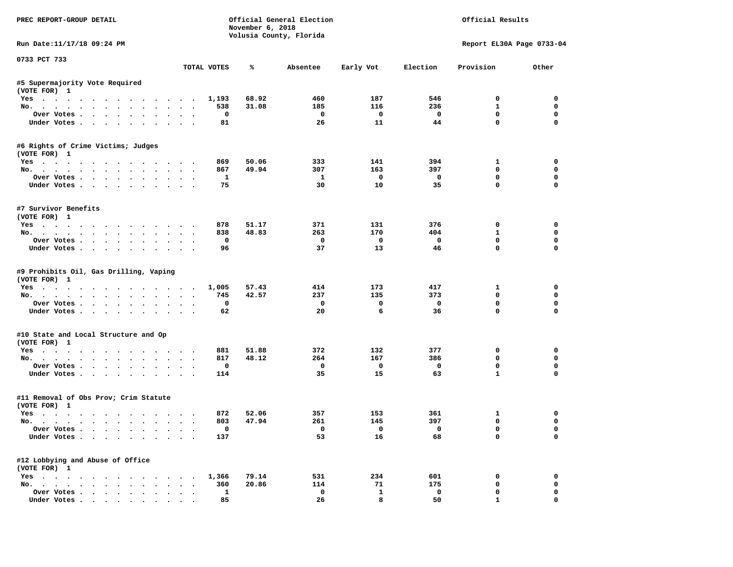| PREC REPORT-GROUP DETAIL                                             |              | November 6, 2018 | Official General Election<br>Volusia County, Florida | Official Results   |                   |                            |                            |
|----------------------------------------------------------------------|--------------|------------------|------------------------------------------------------|--------------------|-------------------|----------------------------|----------------------------|
| Run Date:11/17/18 09:24 PM                                           |              |                  |                                                      |                    |                   | Report EL30A Page 0733-04  |                            |
| 0733 PCT 733                                                         | TOTAL VOTES  | ℁                | Absentee                                             | Early Vot          | Election          | Provision                  | Other                      |
| #5 Supermajority Vote Required                                       |              |                  |                                                      |                    |                   |                            |                            |
| (VOTE FOR) 1                                                         |              |                  |                                                      |                    |                   |                            |                            |
| Yes                                                                  | 1,193        | 68.92            | 460                                                  | 187                | 546               | $\mathbf 0$                | $\mathbf 0$                |
| No.                                                                  | 538          | 31.08            | 185                                                  | 116                | 236               | $\mathbf{1}$               | $\mathbf 0$                |
| Over Votes                                                           | $\mathbf{o}$ |                  | $\mathbf{o}$                                         | $\mathbf{o}$       | $\mathbf{o}$      | $\mathbf 0$                | $\mathbf 0$                |
| Under Votes                                                          | 81           |                  | 26                                                   | 11                 | 44                | $\mathbf 0$                | $\mathbf 0$                |
| #6 Rights of Crime Victims; Judges                                   |              |                  |                                                      |                    |                   |                            |                            |
| (VOTE FOR) 1                                                         |              |                  |                                                      |                    |                   |                            |                            |
| Yes                                                                  | 869          | 50.06            | 333                                                  | 141                | 394               | 1                          | 0                          |
| No.                                                                  | 867          | 49.94            | 307                                                  | 163                | 397               | $\mathbf 0$                | $\mathbf 0$                |
| Over Votes.                                                          | $\mathbf{1}$ |                  | $\mathbf{1}$                                         | $\mathbf{o}$       | $\mathbf 0$       | $\mathbf 0$                | $\mathbf 0$                |
| Under Votes                                                          | 75           |                  | 30                                                   | 10                 | 35                | $\mathbf 0$                | $\mathbf 0$                |
| #7 Survivor Benefits<br>(VOTE FOR) 1                                 |              |                  |                                                      |                    |                   |                            |                            |
|                                                                      | 878          | 51.17            | 371                                                  | 131                | 376               | $\mathbf 0$                | $\mathbf 0$                |
| Yes                                                                  |              |                  |                                                      | 170                | 404               | $\mathbf{1}$               | $\mathbf{0}$               |
| No.                                                                  | 838          | 48.83            | 263                                                  |                    |                   |                            |                            |
| Over Votes                                                           | $\mathbf 0$  |                  | $\mathbf 0$                                          | $\mathbf{o}$<br>13 | $\mathbf 0$<br>46 | $\mathbf 0$<br>$\mathbf 0$ | $\mathbf 0$                |
| Under Votes                                                          | 96           |                  | 37                                                   |                    |                   |                            | $\mathbf{0}$               |
| #9 Prohibits Oil, Gas Drilling, Vaping<br>(VOTE FOR) 1<br>Yes<br>No. | 1,005<br>745 | 57.43<br>42.57   | 414<br>237                                           | 173<br>135         | 417<br>373        | 1<br>$\mathbf 0$           | $\mathbf 0$<br>$\mathbf 0$ |
| Over Votes                                                           | $\mathbf{0}$ |                  | $\mathbf 0$                                          | $\Omega$           | $\Omega$          | $\mathbf 0$                | $\mathbf{0}$               |
| Under Votes                                                          | 62           |                  | 20                                                   | 6                  | 36                | $\mathbf{0}$               | $\mathbf{0}$               |
| #10 State and Local Structure and Op<br>(VOTE FOR) 1                 |              |                  |                                                      |                    |                   |                            |                            |
| Yes                                                                  | 881          | 51.88            | 372                                                  | 132                | 377               | 0                          | $\mathbf 0$                |
| No.                                                                  | 817          | 48.12            | 264                                                  | 167                | 386               | $\mathbf 0$                | $\mathbf{0}$               |
| Over Votes                                                           | $^{\circ}$   |                  | $^{\circ}$                                           | $\Omega$           | $^{\circ}$        | $\mathbf 0$                | $\mathbf 0$                |
| Under Votes                                                          | 114          |                  | 35                                                   | 15                 | 63                | $\mathbf{1}$               | $\mathbf{0}$               |
|                                                                      |              |                  |                                                      |                    |                   |                            |                            |
| #11 Removal of Obs Prov; Crim Statute<br>(VOTE FOR) 1                |              |                  |                                                      |                    |                   |                            |                            |
| Yes                                                                  | 872          | 52.06            | 357                                                  | 153                | 361               | 1                          | $\mathbf 0$                |
| No.                                                                  | 803          | 47.94            | 261                                                  | 145                | 397               | $\mathbf 0$                | $\mathbf 0$                |
| Over Votes                                                           | $\Omega$     |                  | $\Omega$                                             | $\Omega$           | $\Omega$          | $\mathbf 0$                | $\mathbf 0$                |
| Under Votes                                                          | 137          |                  | 53                                                   | 16                 | 68                | $\mathbf 0$                | $\mathbf 0$                |
| #12 Lobbying and Abuse of Office                                     |              |                  |                                                      |                    |                   |                            |                            |
| (VOTE FOR) 1                                                         |              |                  |                                                      |                    |                   |                            |                            |
| Yes                                                                  | 1,366        | 79.14            | 531                                                  | 234                | 601               | 0                          | $\mathbf 0$                |
| No.                                                                  | 360          | 20.86            | 114                                                  | 71                 | 175               | 0                          | $\mathbf 0$                |
| Over Votes.                                                          | $\mathbf{1}$ |                  | $\mathbf 0$                                          | $\mathbf{1}$       | $\mathbf 0$       | $\mathbf 0$                | $\mathbf 0$                |
| Under Votes.                                                         | 85           |                  | 26                                                   | 8                  | 50                | $\mathbf{1}$               | $\mathbf{0}$               |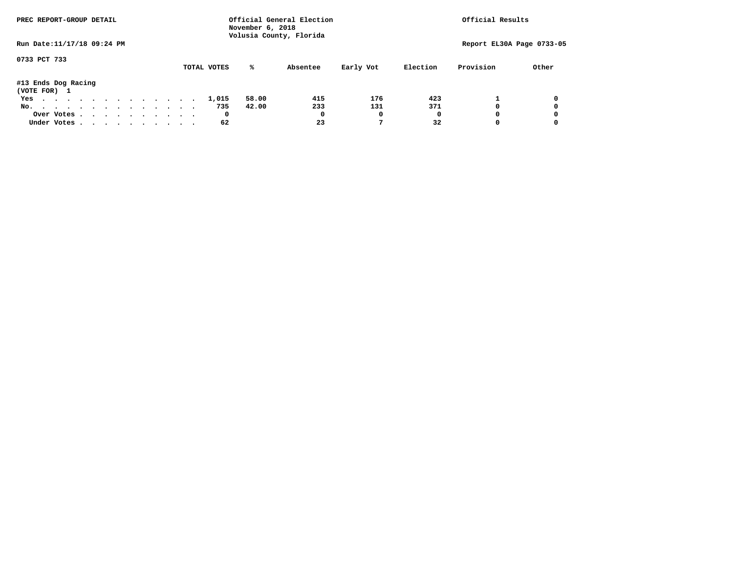| PREC REPORT-GROUP DETAIL            |  |  |  |  |  | November 6, 2018 | Official General Election<br>Volusia County, Florida | Official Results |           |          |                           |       |
|-------------------------------------|--|--|--|--|--|------------------|------------------------------------------------------|------------------|-----------|----------|---------------------------|-------|
| Run Date: 11/17/18 09:24 PM         |  |  |  |  |  |                  |                                                      |                  |           |          | Report EL30A Page 0733-05 |       |
| 0733 PCT 733                        |  |  |  |  |  | TOTAL VOTES      | %ะ                                                   | Absentee         | Early Vot | Election | Provision                 | Other |
| #13 Ends Dog Racing<br>(VOTE FOR) 1 |  |  |  |  |  |                  |                                                      |                  |           |          |                           |       |
| Yes                                 |  |  |  |  |  | 1,015            | 58.00                                                | 415              | 176       | 423      |                           |       |
| No.                                 |  |  |  |  |  | 735              | 42.00                                                | 233              | 131       | 371      |                           |       |
| Over Votes                          |  |  |  |  |  | 0                |                                                      |                  | 0         | 0        |                           |       |
| Under Votes, , , , , , , , , , ,    |  |  |  |  |  | 62               |                                                      | 23               |           | 32       |                           |       |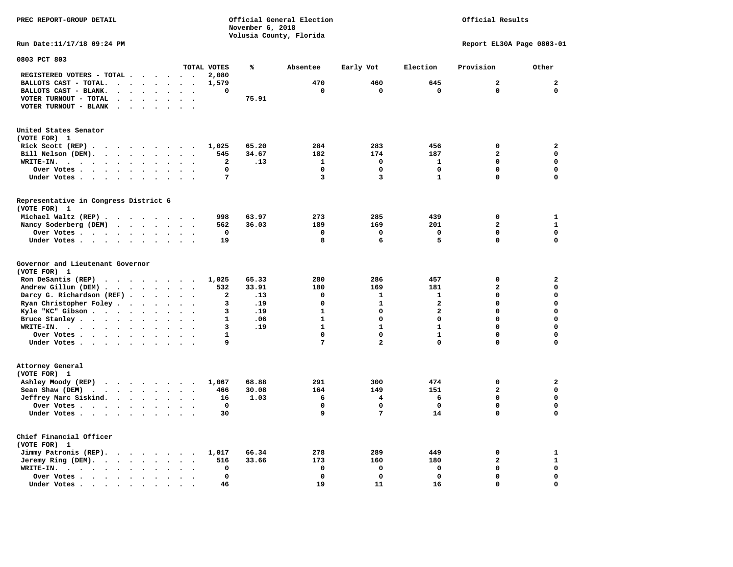**PREC REPORT-GROUP DETAIL Official General Election Official Results November 6, 2018 Volusia County, Florida Run Date:11/17/18 09:24 PM Report EL30A Page 0803-01 0803 PCT 803 TOTAL VOTES % Absentee Early Vot Election Provision Other REGISTERED VOTERS - TOTAL . . . . . . 2,080 BALLOTS CAST - TOTAL. . . . . . . . 1,579 470 460 645 2 2 BALLOTS CAST - BLANK. . . . . . . . 0 0 0 0 0 0 VOTER TURNOUT - TOTAL . . . . . . . 75.91 VOTER TURNOUT - BLANK . . . . . . . United States Senator (VOTE FOR) 1 Rick Scott (REP) . . . . . . . . . 1,025 65.20 284 283 456 0 2 Bill Nelson (DEM). . . . . . . . . 545 34.67 182 174 187 2 0 WRITE-IN.** . . . . . . . . . . . . 2 .13 1 0 1 0 0 0  **Over Votes . . . . . . . . . . 0 0 0 0 0 0 Under Votes . . . . . . . . . . 7** 3 3 1 0 0

**Representative in Congress District 6 (VOTE FOR) 1 Michael Waltz (REP) . . . . . . . . 998 63.97 273 285 439 0 1 Nancy Soderberg (DEM) . . . . . . . 562 36.03 189 169 201 2 1 Over Votes . . . . . . . . . . 0 0 0 0 0 0 Under Votes . . . . . . . . . . 19 8 6 5 0 0** 

**Governor and Lieutenant Governor (VOTE FOR) 1 Ron DeSantis (REP) . . . . . . . . 1,025 65.33 280 286 457 0 2 Andrew Gillum (DEM) . . . . . . . . 532 33.91 180 169 181 2 0 Darcy G. Richardson (REF) . . . . . . 2 .13 0 1 1 0 0 Ryan Christopher Foley . . . . . . . 3 .19 0 1 2 0 0 Kyle "KC" Gibson . . . . . . . . . . 3 .19 Bruce Stanley . . . . . . . . . . 1 .06 1 0 0 0 0 WRITE-IN. . . . . . . . . . . . 3 .19 1 1 1 0 0 Over Votes . . . . . . . . . . 1 0 0 1 0 0 Under Votes . . . . . . . . . . 9 7 2 0 0 0 Attorney General (VOTE FOR) 1 Ashley Moody (REP) . . . . . . . . 1,067 68.88 291 300 474 0 2 Sean Shaw (DEM)** . . . . . . . . 466 30.08 164 149 151 2 0  **Jeffrey Marc Siskind. . . . . . . . 16 1.03 6 4 6 0 0 Over Votes . . . . . . . . . . 0 0 0 0 0 0 Under Votes . . . . . . . . . . 30 9 9 7 14 0** 0 **Chief Financial Officer (VOTE FOR) 1 Jimmy Patronis (REP). . . . . . . . 1,017 66.34 278 289 449 0 1** 

 $\Omega$ 

 $\mathbf{0}$ 

 $\mathbf{0}$ 

 $\mathbf 0$ 

 $\mathbf{o}$ 

 **Jeremy Ring (DEM). . . . . . . . 516 33.66 173 160 180 2** 1  **WRITE-IN. . . . . . . . . . . . 0 0 0 0 0 0 Over Votes . . . . . . . . . . 0 0 0 0 0 0 Under Votes . . . . . . . . . . 46** 19 11 16 0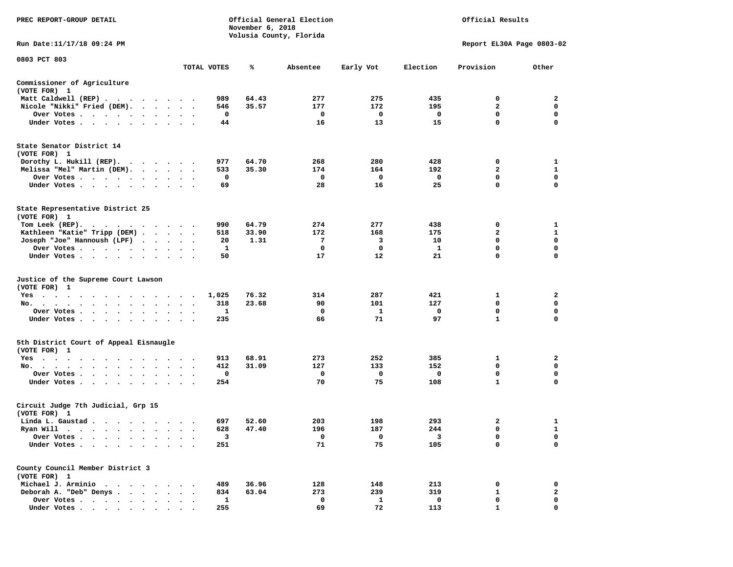| PREC REPORT-GROUP DETAIL                                                                                                                                                                                                                                             |                      |             | November 6, 2018 | Official General Election<br>Volusia County, Florida | Official Results |          |                           |              |
|----------------------------------------------------------------------------------------------------------------------------------------------------------------------------------------------------------------------------------------------------------------------|----------------------|-------------|------------------|------------------------------------------------------|------------------|----------|---------------------------|--------------|
| Run Date:11/17/18 09:24 PM                                                                                                                                                                                                                                           |                      |             |                  |                                                      |                  |          | Report EL30A Page 0803-02 |              |
| 0803 PCT 803                                                                                                                                                                                                                                                         |                      |             |                  |                                                      |                  |          |                           |              |
|                                                                                                                                                                                                                                                                      |                      | TOTAL VOTES | %                | Absentee                                             | Early Vot        | Election | Provision                 | Other        |
| Commissioner of Agriculture<br>(VOTE FOR) 1                                                                                                                                                                                                                          |                      |             |                  |                                                      |                  |          |                           |              |
| Matt Caldwell (REP)                                                                                                                                                                                                                                                  |                      | 989         | 64.43            | 277                                                  | 275              | 435      | 0                         | 2            |
| Nicole "Nikki" Fried (DEM).                                                                                                                                                                                                                                          |                      | 546         | 35.57            | 177                                                  | 172              | 195      | 2                         | 0            |
| Over Votes                                                                                                                                                                                                                                                           | $\sim$               | 0           |                  | 0                                                    | 0                | 0        | 0                         | 0            |
| Under Votes                                                                                                                                                                                                                                                          |                      | 44          |                  | 16                                                   | 13               | 15       | $\mathbf 0$               | 0            |
| State Senator District 14<br>(VOTE FOR) 1                                                                                                                                                                                                                            |                      |             |                  |                                                      |                  |          |                           |              |
| Dorothy L. Hukill $(REP)$ .                                                                                                                                                                                                                                          |                      | 977         | 64.70            | 268                                                  | 280              | 428      | 0                         | 1            |
| Melissa "Mel" Martin (DEM).                                                                                                                                                                                                                                          |                      | 533         | 35.30            | 174                                                  | 164              | 192      | 2                         | $\mathbf{1}$ |
| Over Votes                                                                                                                                                                                                                                                           |                      | 0           |                  | 0                                                    | 0                | 0        | $\mathbf 0$               | 0            |
| Under Votes                                                                                                                                                                                                                                                          |                      | 69          |                  | 28                                                   | 16               | 25       | $\mathbf 0$               | $\mathbf 0$  |
| State Representative District 25<br>(VOTE FOR) 1                                                                                                                                                                                                                     |                      |             |                  |                                                      |                  |          |                           |              |
| Tom Leek $(REP)$ .                                                                                                                                                                                                                                                   |                      | 990         | 64.79            | 274                                                  | 277              | 438      | 0                         | 1            |
| Kathleen "Katie" Tripp (DEM)                                                                                                                                                                                                                                         |                      | 518         | 33.90            | 172                                                  | 168              | 175      | $\mathbf{2}$              | $\mathbf{1}$ |
| Joseph "Joe" Hannoush (LPF)                                                                                                                                                                                                                                          |                      | 20          | 1.31             | 7                                                    | 3                | 10       | 0                         | 0            |
| Over Votes                                                                                                                                                                                                                                                           |                      | 1           |                  | 0                                                    | 0                | 1        | 0                         | $\mathbf 0$  |
| Under Votes                                                                                                                                                                                                                                                          |                      | 50          |                  | 17                                                   | 12               | 21       | $\mathbf 0$               | $\mathbf 0$  |
| Justice of the Supreme Court Lawson<br>(VOTE FOR) 1                                                                                                                                                                                                                  |                      |             |                  |                                                      |                  |          |                           |              |
| $Yes \cdot \cdot \cdot$<br>$\cdots$<br>. The contract of the contract of the contract of the contract of the contract of the contract of the contract of the contract of the contract of the contract of the contract of the contract of the contract of the contrac |                      | 1,025       | 76.32            | 314                                                  | 287              | 421      | 1                         | 2            |
| No.                                                                                                                                                                                                                                                                  | $\cdot$ $\cdot$      | 318         | 23.68            | 90                                                   | 101              | 127      | 0                         | 0            |
| Over Votes                                                                                                                                                                                                                                                           |                      | 1           |                  | 0                                                    | 1                | 0        | 0                         | 0            |
| Under Votes                                                                                                                                                                                                                                                          |                      | 235         |                  | 66                                                   | 71               | 97       | $\mathbf{1}$              | 0            |
| 5th District Court of Appeal Eisnaugle<br>(VOTE FOR) 1                                                                                                                                                                                                               |                      |             |                  |                                                      |                  |          |                           |              |
| Yes<br>.                                                                                                                                                                                                                                                             |                      | 913         | 68.91            | 273                                                  | 252              | 385      | 1                         | 2            |
| No.<br>$\cdot$                                                                                                                                                                                                                                                       |                      | 412         | 31.09            | 127                                                  | 133              | 152      | 0                         | $\mathbf 0$  |
| Over Votes                                                                                                                                                                                                                                                           | $\ddot{\phantom{1}}$ | 0           |                  | 0                                                    | 0                | 0        | $\mathbf 0$               | 0            |
| Under Votes                                                                                                                                                                                                                                                          |                      | 254         |                  | 70                                                   | 75               | 108      | 1                         | 0            |
| Circuit Judge 7th Judicial, Grp 15<br>(VOTE FOR) 1                                                                                                                                                                                                                   |                      |             |                  |                                                      |                  |          |                           |              |
| Linda L. Gaustad                                                                                                                                                                                                                                                     |                      | 697         | 52.60            | 203                                                  | 198              | 293      | 2                         | $\mathbf{1}$ |
| Ryan Will<br>$\bullet$<br>. The contract of the contract of the contract of the contract of the contract of the contract of the contract of the contract of the contract of the contract of the contract of the contract of the contract of the contrac              |                      | 628         | 47.40            | 196                                                  | 187              | 244      | $\mathbf 0$               | $\mathbf{1}$ |
| Over Votes                                                                                                                                                                                                                                                           |                      | 3           |                  | 0                                                    | 0                | 3        | 0                         | 0            |
| Under Votes.                                                                                                                                                                                                                                                         |                      | 251         |                  | 71                                                   | 75               | 105      | 0                         | 0            |
| County Council Member District 3<br>(VOTE FOR) 1                                                                                                                                                                                                                     |                      |             |                  |                                                      |                  |          |                           |              |
| Michael J. Arminio<br>$\sim$                                                                                                                                                                                                                                         |                      | 489         | 36.96            | 128                                                  | 148              | 213      | 0                         | 0            |
| Deborah A. "Deb" Denys                                                                                                                                                                                                                                               |                      | 834         | 63.04            | 273                                                  | 239              | 319      | 1                         | $\mathbf{2}$ |
| Over Votes .<br>$\cdot$ $\cdot$ $\cdot$                                                                                                                                                                                                                              |                      | 1           |                  | 0                                                    | 1                | 0        | 0                         | 0            |
| Under Votes                                                                                                                                                                                                                                                          |                      | 255         |                  | 69                                                   | 72               | 113      |                           | 0            |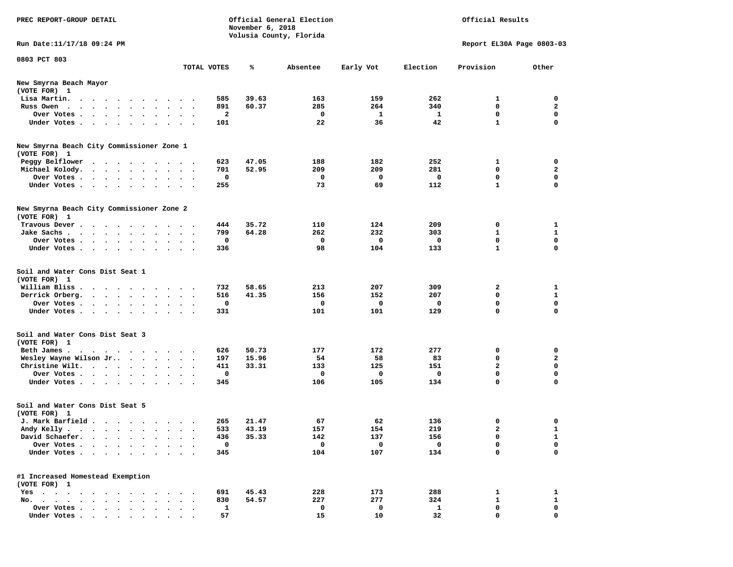| PREC REPORT-GROUP DETAIL                                                                                                        |                             | November 6, 2018 | Official General Election |             |                 | Official Results          |              |
|---------------------------------------------------------------------------------------------------------------------------------|-----------------------------|------------------|---------------------------|-------------|-----------------|---------------------------|--------------|
| Run Date:11/17/18 09:24 PM                                                                                                      |                             |                  | Volusia County, Florida   |             |                 | Report EL30A Page 0803-03 |              |
| 0803 PCT 803                                                                                                                    |                             |                  |                           |             |                 |                           |              |
|                                                                                                                                 | TOTAL VOTES                 | %ะ               | Absentee                  | Early Vot   | Election        | Provision                 | Other        |
| New Smyrna Beach Mayor<br>(VOTE FOR) 1                                                                                          |                             |                  |                           |             |                 |                           |              |
| Lisa Martin.<br>the contract of the contract of the contract of the contract of the contract of the contract of the contract of | 585                         | 39.63            | 163                       | 159         | 262             | 1                         | 0            |
| Russ Owen                                                                                                                       | 891                         | 60.37            | 285                       | 264         | 340             | 0                         | $\mathbf{2}$ |
| Over Votes<br>$\sim$<br>$\bullet$                                                                                               | 2<br>$\bullet$              |                  | 0                         | 1           | 1               | 0                         | 0            |
| Under Votes                                                                                                                     | 101                         |                  | 22                        | 36          | 42              | $\mathbf{1}$              | 0            |
| New Smyrna Beach City Commissioner Zone 1<br>(VOTE FOR) 1                                                                       |                             |                  |                           |             |                 |                           |              |
| Peggy Belflower<br>.                                                                                                            | 623                         | 47.05            | 188                       | 182         | 252             | 1                         | 0            |
| Michael Kolody.<br>$\bullet$ .                                                                                                  | 701<br>$\ddot{\phantom{1}}$ | 52.95            | 209                       | 209         | 281             | 0                         | 2            |
| Over Votes<br>$\bullet$                                                                                                         | 0                           |                  | 0                         | 0           | 0               | 0                         | 0            |
| Under Votes<br>$\sim$                                                                                                           | 255                         |                  | 73                        | 69          | 112             | $\mathbf{1}$              | $\mathbf 0$  |
|                                                                                                                                 |                             |                  |                           |             |                 |                           |              |
| New Smyrna Beach City Commissioner Zone 2<br>(VOTE FOR) 1                                                                       |                             |                  |                           |             |                 |                           |              |
| Travous Dever.                                                                                                                  | 444                         | 35.72            | 110                       | 124         | 209             | 0                         | 1            |
| Jake Sachs.<br>$\cdots$                                                                                                         | 799                         | 64.28            | 262                       | 232         | 303             | $\mathbf{1}$              | 1            |
| Over Votes                                                                                                                      | 0                           |                  | 0                         | 0           | 0               | 0                         | 0            |
| Under Votes                                                                                                                     | 336                         |                  | 98                        | 104         | 133             | $\mathbf{1}$              | 0            |
| Soil and Water Cons Dist Seat 1<br>(VOTE FOR) 1                                                                                 |                             |                  |                           |             |                 |                           |              |
| William Bliss.<br>.                                                                                                             | 732                         | 58.65            | 213                       | 207         | 309             | 2                         | 1            |
| Derrick Orberg.                                                                                                                 | 516                         | 41.35            | 156                       | 152         | 207             | 0                         | 1            |
| Over Votes                                                                                                                      | 0<br>$\cdot$                |                  | 0                         | 0           | 0               | 0                         | 0            |
| Under Votes                                                                                                                     | 331                         |                  | 101                       | 101         | 129             | $\mathbf 0$               | 0            |
| Soil and Water Cons Dist Seat 3<br>(VOTE FOR) 1                                                                                 |                             |                  |                           |             |                 |                           |              |
| Beth James.<br>the contract of the contract of the contract of the contract of the contract of the contract of the contract of  | 626                         | 50.73            | 177                       | 172         | 277             | 0                         | 0            |
| Wesley Wayne Wilson Jr                                                                                                          | 197                         | 15.96            | 54                        | 58          | 83              | 0                         | 2            |
| Christine Wilt.                                                                                                                 | 411                         | 33.31            | 133                       | 125         | 151             | $\mathbf{2}$              | 0            |
| Over Votes                                                                                                                      | 0                           |                  | 0                         | 0           | 0               | 0                         | 0            |
| Under Votes                                                                                                                     | 345                         |                  | 106                       | 105         | 134             | $\mathbf 0$               | $\mathbf 0$  |
| Soil and Water Cons Dist Seat 5<br>(VOTE FOR) 1                                                                                 |                             |                  |                           |             |                 |                           |              |
| J. Mark Barfield                                                                                                                | 265                         | 21.47            | 67                        | 62          | 136             | 0                         | 0            |
| Andy Kelly                                                                                                                      | 533                         | 43.19            | 157                       | 154         | 219             |                           | 1            |
| David Schaefer.                                                                                                                 | 436                         | 35.33            | 142                       | 137         | 156             | 0                         | 1            |
| Over Votes .<br>$\cdot$                                                                                                         | 0                           |                  | 0                         | $\mathbf 0$ | 0               | 0                         | 0            |
| Under Votes                                                                                                                     | 345                         |                  | 104                       | 107         | 134             | 0                         | 0            |
| #1 Increased Homestead Exemption<br>(VOTE FOR) 1                                                                                |                             |                  |                           |             |                 |                           |              |
|                                                                                                                                 | 691                         | 45.43            | 228                       | 173         | 288             | 1                         | 1            |
| Yes<br>No.                                                                                                                      | 830                         | 54.57            | 227                       | 277         | 324             | 1                         | $\mathbf{1}$ |
| Over Votes                                                                                                                      | 1                           |                  | 0                         | 0           | 1               | 0                         | 0            |
| Under Votes.                                                                                                                    | 57                          |                  | 15                        | 10          | 32 <sup>2</sup> | $\mathbf 0$               | $\mathbf 0$  |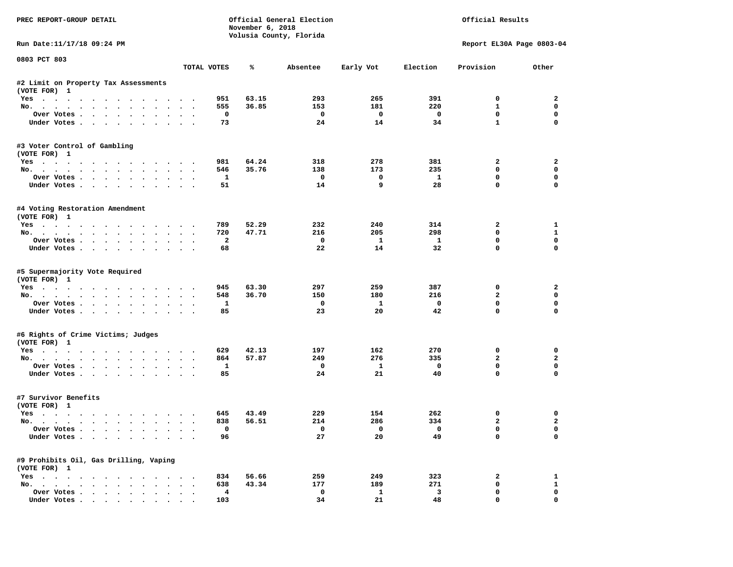| PREC REPORT-GROUP DETAIL                  |                | November 6, 2018 | Official General Election<br>Volusia County, Florida |                         | Official Results        |                           |                |
|-------------------------------------------|----------------|------------------|------------------------------------------------------|-------------------------|-------------------------|---------------------------|----------------|
| Run Date:11/17/18 09:24 PM                |                |                  |                                                      |                         |                         | Report EL30A Page 0803-04 |                |
| 0803 PCT 803                              | TOTAL VOTES    | ℁                | Absentee                                             | Early Vot               | Election                | Provision                 | Other          |
| #2 Limit on Property Tax Assessments      |                |                  |                                                      |                         |                         |                           |                |
| (VOTE FOR) 1                              |                |                  |                                                      |                         |                         |                           |                |
| Yes                                       | 951            | 63.15            | 293                                                  | 265                     | 391                     | 0                         | 2              |
| No.                                       | 555            | 36.85            | 153                                                  | 181                     | 220                     | $\mathbf{1}$              | 0              |
| Over Votes                                | 0              |                  | 0                                                    | $\mathbf 0$             | 0                       | $\mathbf 0$               | $\mathbf 0$    |
| Under Votes                               | 73             |                  | 24                                                   | 14                      | 34                      | $\mathbf{1}$              | $\mathbf 0$    |
| #3 Voter Control of Gambling              |                |                  |                                                      |                         |                         |                           |                |
| (VOTE FOR) 1                              |                |                  |                                                      |                         |                         |                           |                |
| Yes                                       | 981            | 64.24            | 318                                                  | 278                     | 381                     | 2                         | 2              |
| No.                                       | 546            | 35.76            | 138                                                  | 173                     | 235                     | $\Omega$                  | 0              |
| Over Votes                                | $\mathbf{1}$   |                  | $\mathbf 0$                                          | $\mathbf 0$             | $\mathbf{1}$            | $\mathbf 0$               | $\mathbf 0$    |
| Under Votes                               | 51             |                  | 14                                                   | 9                       | 28                      | $\Omega$                  | $\Omega$       |
| #4 Voting Restoration Amendment           |                |                  |                                                      |                         |                         |                           |                |
| (VOTE FOR) 1                              |                |                  |                                                      |                         |                         |                           |                |
| Yes                                       | 789            | 52.29            | 232                                                  | 240                     | 314                     | $\overline{\mathbf{2}}$   | 1              |
| No.                                       | 720            | 47.71            | 216                                                  | 205                     | 298                     | $\Omega$                  | 1              |
| Over Votes                                | $\overline{a}$ |                  | $^{\circ}$                                           | $\mathbf{1}$            | $\mathbf{1}$            | $\mathbf 0$               | 0              |
| Under Votes                               | 68             |                  | 22                                                   | 14                      | 32                      | $\mathbf{0}$              | $\mathbf 0$    |
| #5 Supermajority Vote Required            |                |                  |                                                      |                         |                         |                           |                |
| (VOTE FOR) 1                              |                |                  |                                                      |                         |                         |                           |                |
| Yes                                       | 945            | 63.30            | 297                                                  | 259                     | 387                     | 0                         | 2              |
| No.                                       | 548            | 36.70            | 150                                                  | 180                     | 216                     | $\overline{a}$            | 0              |
| Over Votes                                | 1              |                  | 0                                                    | <b>1</b>                | 0                       | $\mathbf 0$               | $\mathbf 0$    |
| Under Votes                               | 85             |                  | 23                                                   | 20                      | 42                      | $\mathbf 0$               | $\Omega$       |
| #6 Rights of Crime Victims; Judges        |                |                  |                                                      |                         |                         |                           |                |
| (VOTE FOR) 1                              |                |                  |                                                      |                         |                         |                           |                |
| Yes                                       | 629            | 42.13            | 197                                                  | 162                     | 270                     | 0                         | 0              |
| No.                                       | 864            | 57.87            | 249                                                  | 276                     | 335                     | $\overline{a}$            | $\mathbf{2}$   |
| Over Votes                                | 1              |                  | 0                                                    | 1                       | $\mathbf 0$             | $\mathbf 0$               | $\mathbf 0$    |
| Under Votes                               | 85             |                  | 24                                                   | 21                      | 40                      | $\Omega$                  | $\Omega$       |
| #7 Survivor Benefits                      |                |                  |                                                      |                         |                         |                           |                |
| (VOTE FOR) 1                              |                |                  |                                                      |                         |                         |                           |                |
| Yes                                       | 645            | 43.49            | 229                                                  | 154                     | 262                     | 0                         | 0              |
| No.                                       | 838            | 56.51            | 214                                                  | 286                     | 334                     | 2                         | $\overline{a}$ |
| Over Votes                                | 0              |                  |                                                      | $\overline{\mathbf{0}}$ | $\overline{\mathbf{0}}$ | 0                         | 0              |
| Under Votes                               | 96             |                  | 27                                                   | 20                      | 49                      | 0                         | 0              |
| #9 Prohibits Oil, Gas Drilling, Vaping    |                |                  |                                                      |                         |                         |                           |                |
| (VOTE FOR) 1                              |                |                  |                                                      |                         |                         |                           |                |
| $Yes \cdot \cdot \cdot \cdot \cdot \cdot$ | 834            | 56.66            | 259                                                  | 249                     | 323                     | 2                         | $\mathbf{1}$   |
| No.<br>$\sim$                             | 638            | 43.34            | 177                                                  | 189                     | 271                     | 0                         | $\mathbf{1}$   |
| Over Votes                                | 4              |                  | 0                                                    | $\mathbf{1}$            | 3                       | 0                         | 0              |
| Under Votes                               | 103            |                  | 34                                                   | 21                      | 48                      | $\mathbf 0$               | 0              |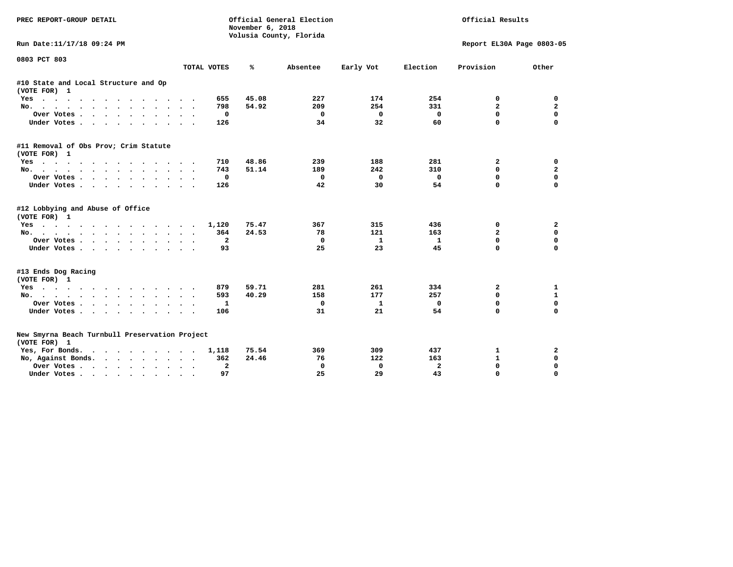| PREC REPORT-GROUP DETAIL                                       |                                                       | November 6, 2018 | Official General Election<br>Volusia County, Florida | Official Results |              |                           |                |
|----------------------------------------------------------------|-------------------------------------------------------|------------------|------------------------------------------------------|------------------|--------------|---------------------------|----------------|
| Run Date:11/17/18 09:24 PM                                     |                                                       |                  |                                                      |                  |              | Report EL30A Page 0803-05 |                |
| 0803 PCT 803                                                   | TOTAL VOTES                                           | %                | Absentee                                             | Early Vot        | Election     | Provision                 | Other          |
| #10 State and Local Structure and Op<br>(VOTE FOR) 1           |                                                       |                  |                                                      |                  |              |                           |                |
| Yes                                                            | 655                                                   | 45.08            | 227                                                  | 174              | 254          | 0                         | 0              |
| No.                                                            | 798                                                   | 54.92            | 209                                                  | 254              | 331          | $\overline{\mathbf{2}}$   | $\mathbf{2}$   |
| Over Votes.                                                    | 0                                                     |                  | 0                                                    | 0                | $\mathbf 0$  | 0                         | $\mathbf 0$    |
| Under Votes                                                    | 126                                                   |                  | 34                                                   | 32               | 60           | $\Omega$                  | $\Omega$       |
| #11 Removal of Obs Prov; Crim Statute                          |                                                       |                  |                                                      |                  |              |                           |                |
| (VOTE FOR) 1                                                   |                                                       |                  |                                                      |                  |              |                           |                |
| $Yes \cdot \cdot \cdot \cdot \cdot$<br>$\cdots$                | 710                                                   | 48.86            | 239                                                  | 188              | 281          | $\overline{\mathbf{2}}$   | 0              |
| No.                                                            | 743                                                   | 51.14            | 189                                                  | 242              | 310          | $\mathbf{0}$              | $\overline{a}$ |
| Over Votes                                                     | 0                                                     |                  | $\Omega$                                             | 0                | $\mathbf 0$  | $\mathbf 0$               | $\mathbf 0$    |
| Under Votes                                                    | 126                                                   |                  | 42                                                   | 30               | 54           | $\Omega$                  | $\Omega$       |
| #12 Lobbying and Abuse of Office<br>(VOTE FOR) 1               |                                                       |                  |                                                      |                  |              |                           |                |
| Yes                                                            | 1,120                                                 | 75.47            | 367                                                  | 315              | 436          | 0                         | 2              |
| No.                                                            | 364                                                   | 24.53            | 78                                                   | 121              | 163          | $\overline{a}$            | 0              |
| Over Votes                                                     | $\overline{a}$                                        |                  | 0                                                    | 1                | $\mathbf{1}$ | $\mathbf 0$               | $\mathbf 0$    |
| Under Votes                                                    | 93                                                    |                  | 25                                                   | 23               | 45           | $\Omega$                  | $\Omega$       |
| #13 Ends Dog Racing                                            |                                                       |                  |                                                      |                  |              |                           |                |
| (VOTE FOR) 1                                                   |                                                       |                  |                                                      |                  |              |                           |                |
| Yes                                                            | 879                                                   | 59.71            | 281                                                  | 261              | 334          | 2                         | 1              |
| No.                                                            | 593                                                   | 40.29            | 158                                                  | 177              | 257          | 0                         | 1              |
| Over Votes                                                     | 1                                                     |                  | 0                                                    | 1                | $\mathbf 0$  | $\mathbf 0$               | $\mathbf 0$    |
| Under Votes                                                    | 106                                                   |                  | 31                                                   | 21               | 54           | $\Omega$                  | 0              |
| New Smyrna Beach Turnbull Preservation Project<br>(VOTE FOR) 1 |                                                       |                  |                                                      |                  |              |                           |                |
| Yes, For Bonds.<br>$\cdots$                                    | 1,118                                                 | 75.54            | 369                                                  | 309              | 437          | 1                         | 2              |
| No, Against Bonds.                                             | 362                                                   | 24.46            | 76                                                   | 122              | 163          | $\mathbf{1}$              | $\mathbf 0$    |
| Over Votes<br>$\bullet$                                        | $\mathbf{z}$<br>$\bullet$<br>$\overline{\phantom{a}}$ |                  | 0                                                    | $\mathbf 0$      | $\mathbf{z}$ | $\Omega$                  | $\Omega$       |
| Under Votes                                                    | 97                                                    |                  | 25                                                   | 29               | 43           | $\Omega$                  | $\Omega$       |
|                                                                |                                                       |                  |                                                      |                  |              |                           |                |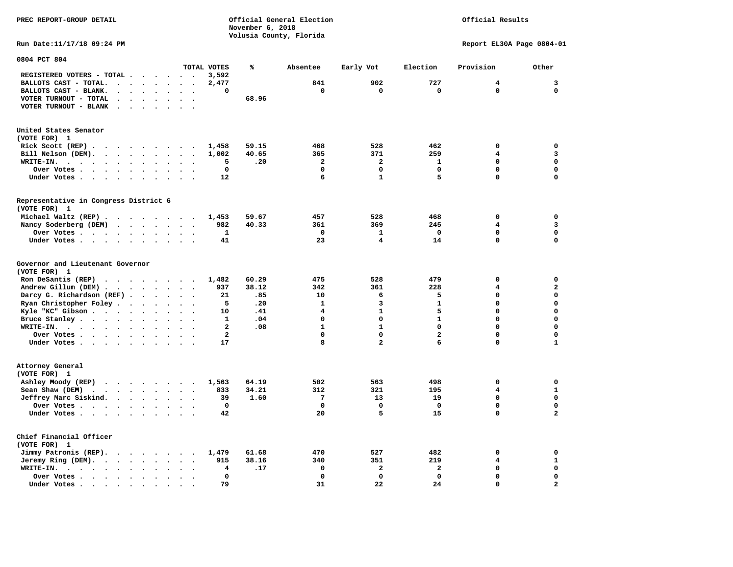**PREC REPORT-GROUP DETAIL COMPUTER CONSUMING A CONSUMING CONSUMING A LIGACION CONSUMING A LIGACION** *November 6, 2018 November 6, 2018*  **Volusia County, Florida Run Date:11/17/18 09:24 PM Report EL30A Page 0804-01** 

**0804 PCT 804** 

|                                                                                                                                                                 |                                                  | TOTAL VOTES                 | ℁     | Absentee     | Early Vot      | Election                | Provision               | Other                   |
|-----------------------------------------------------------------------------------------------------------------------------------------------------------------|--------------------------------------------------|-----------------------------|-------|--------------|----------------|-------------------------|-------------------------|-------------------------|
| REGISTERED VOTERS - TOTAL<br>$\overline{\phantom{a}}$                                                                                                           |                                                  | 3,592                       |       |              |                |                         |                         |                         |
| BALLOTS CAST - TOTAL.<br>$\bullet$<br>$\ddot{\phantom{a}}$<br>$\ddot{\phantom{a}}$                                                                              | $\bullet$<br>$\bullet$                           | 2,477                       |       | 841          | 902            | 727                     | 4                       | 3                       |
| BALLOTS CAST - BLANK.                                                                                                                                           |                                                  | 0                           |       | 0            | $\mathbf 0$    | 0                       | 0                       | $\mathbf 0$             |
| VOTER TURNOUT - TOTAL<br>$\ddot{\phantom{a}}$<br>$\ddot{\phantom{a}}$                                                                                           | $\ddot{\phantom{a}}$<br>$\ddot{\phantom{a}}$     |                             | 68.96 |              |                |                         |                         |                         |
| VOTER TURNOUT - BLANK                                                                                                                                           |                                                  |                             |       |              |                |                         |                         |                         |
|                                                                                                                                                                 |                                                  |                             |       |              |                |                         |                         |                         |
| United States Senator<br>(VOTE FOR) 1                                                                                                                           |                                                  |                             |       |              |                |                         |                         |                         |
| Rick Scott (REP).<br>$\cdots$                                                                                                                                   |                                                  | 1,458                       | 59.15 | 468          | 528            | 462                     | 0                       | 0                       |
| Bill Nelson (DEM).<br>$\ddot{\phantom{a}}$<br>$\ddot{\phantom{a}}$<br>$\ddot{\phantom{a}}$<br>$\ddot{\phantom{1}}$                                              | $\ddot{\phantom{a}}$<br>$\overline{\phantom{a}}$ | 1,002                       | 40.65 | 365          | 371            | 259                     | $\overline{\mathbf{4}}$ | 3                       |
| WRITE-IN.<br>$\sim$ $\sim$<br>$\bullet$<br>$\bullet$<br>$\bullet$<br>$\bullet$<br>$\bullet$<br>$\bullet$                                                        | $\bullet$<br>$\bullet$                           | 5                           | .20   | 2            | 2              | 1                       | 0                       | $\mathbf 0$             |
| Over Votes<br>$\sim$<br>$\ddot{\phantom{a}}$<br>$\Delta$<br>$\ddot{\phantom{a}}$                                                                                |                                                  | $\mathbf 0$                 |       | $\mathbf 0$  | $\mathbf 0$    | $\mathbf 0$             | $\Omega$                | $\mathbf 0$             |
| Under Votes.<br>$\ddot{\phantom{0}}$                                                                                                                            |                                                  | 12                          |       | 6            | $\mathbf{1}$   | 5                       | 0                       | $\mathbf 0$             |
| Representative in Congress District 6                                                                                                                           |                                                  |                             |       |              |                |                         |                         |                         |
| (VOTE FOR) 1                                                                                                                                                    |                                                  |                             |       |              |                |                         |                         |                         |
| Michael Waltz (REP).<br>$\cdot$ $\cdot$ $\cdot$ $\cdot$                                                                                                         | $\ddot{\phantom{0}}$<br>$\sim$                   | 1,453                       | 59.67 | 457          | 528            | 468                     | 0                       | $\mathbf 0$             |
| Nancy Soderberg (DEM)<br>$\ddot{\phantom{1}}$<br>$\ddot{\phantom{a}}$<br>$\bullet$<br>$\bullet$                                                                 | $\bullet$<br>$\bullet$                           | 982                         | 40.33 | 361          | 369            | 245                     | 4                       | 3                       |
| Over Votes .<br>$\ddot{\phantom{1}}$<br>$\ddot{\phantom{a}}$<br>$\bullet$<br>$\bullet$<br>$\cdot$<br>$\cdot$                                                    | $\bullet$<br>$\ddot{\phantom{a}}$                | 1                           |       | $\Omega$     | 1              | $\Omega$                | $\mathbf 0$             | $\mathbf 0$             |
| Under Votes.<br>$\sim$ $\sim$<br>$\bullet$<br>$\cdot$<br>$\ddot{\phantom{a}}$<br>$\ddot{\phantom{a}}$                                                           | $\bullet$<br>$\ddot{\phantom{a}}$                | 41                          |       | 23           | 4              | 14                      | 0                       | $\mathbf 0$             |
| Governor and Lieutenant Governor<br>(VOTE FOR) 1                                                                                                                |                                                  |                             |       |              |                |                         |                         |                         |
| Ron DeSantis (REP)<br>$\sim$<br>$\sim$ $\sim$<br>$\ddot{\phantom{1}}$                                                                                           | $\sim$<br>$\overline{\phantom{a}}$               | 1,482                       | 60.29 | 475          | 528            | 479                     | 0                       | 0                       |
| Andrew Gillum (DEM).<br>$\sim$ $-$<br>$\bullet$<br>$\ddot{\phantom{a}}$<br>$\bullet$                                                                            | $\bullet$<br>$\ddot{\phantom{a}}$                | 937                         | 38.12 | 342          | 361            | 228                     | 4                       | $\mathbf{z}$            |
| Darcy G. Richardson (REF) .<br>$\ddot{\phantom{a}}$<br>$\bullet$                                                                                                | $\ddot{\phantom{a}}$<br>$\ddot{\phantom{a}}$     | 21                          | .85   | 10           | 6              | 5                       | 0                       | 0                       |
| Ryan Christopher Foley.<br>$\bullet$<br>$\bullet$<br>$\bullet$                                                                                                  | $\bullet$<br>$\ddot{\phantom{a}}$                | 5                           | .20   | $\mathbf{1}$ | 3              | $\mathbf{1}$            | 0                       | $\mathbf 0$             |
| Kyle "KC" Gibson.<br>$\ddot{\phantom{0}}$<br>$\ddot{\phantom{a}}$<br>$\bullet$                                                                                  |                                                  | 10                          | .41   | 4            | $\mathbf{1}$   | 5                       | 0                       | $\mathbf 0$             |
| Bruce Stanley.<br>$\sim$<br>$\sim$ $\sim$<br>$\ddot{\phantom{a}}$                                                                                               |                                                  | 1                           | .04   | 0            | $\mathbf 0$    | $\mathbf{1}$            | 0                       | $\mathbf 0$             |
| WRITE-IN.<br>$\sim$ $\sim$<br>$\ddot{\phantom{a}}$<br>$\ddot{\phantom{0}}$<br>$\ddot{\phantom{1}}$<br>$\ddot{\phantom{a}}$<br>$\bullet$<br>$\ddot{\phantom{a}}$ | $\ddot{\phantom{1}}$                             | $\overline{a}$              | .08   | $\mathbf{1}$ | $\mathbf{1}$   | 0                       | $\Omega$                | $\mathbf 0$             |
| Over Votes .<br>$\ddot{\phantom{1}}$<br>$\ddot{\phantom{0}}$<br>$\bullet$<br>$\bullet$<br>$\bullet$                                                             |                                                  | $\overline{a}$              |       | 0            | $\mathbf 0$    | 2                       | 0                       | 0                       |
| Under Votes .<br>$\ddot{\phantom{a}}$<br>$\sim$<br><b>Contract Contract</b><br>$\ddot{\phantom{a}}$<br>$\bullet$                                                |                                                  | 17                          |       | 8            | $\overline{a}$ | 6                       | 0                       | $\mathbf{1}$            |
| Attorney General<br>(VOTE FOR) 1                                                                                                                                |                                                  |                             |       |              |                |                         |                         |                         |
| Ashley Moody (REP)<br>$\cdot$ $\cdot$ $\cdot$ $\cdot$ $\cdot$                                                                                                   | $\sim$<br>$\bullet$                              | 1,563                       | 64.19 | 502          | 563            | 498                     | 0                       | 0                       |
| Sean Shaw (DEM)<br>$\sim$ $\sim$ $\sim$<br>$\ddot{\phantom{1}}$<br>$\sim$ $\sim$<br>$\ddot{\phantom{a}}$<br>$\ddot{\phantom{a}}$                                | $\ddot{\phantom{a}}$<br>$\bullet$                | 833<br>$\ddot{\phantom{a}}$ | 34.21 | 312          | 321            | 195                     | $\overline{\mathbf{4}}$ | ${\bf 1}$               |
| Jeffrey Marc Siskind.<br>$\bullet$<br>$\ddot{\phantom{a}}$<br>$\bullet$<br>$\bullet$                                                                            | $\bullet$                                        | 39                          | 1.60  | 7            | 13             | 19                      | 0                       | 0                       |
| Over Votes.<br>$\ddot{\phantom{1}}$<br>$\sim$ $\sim$<br>$\sim$<br>$\cdot$<br>$\bullet$                                                                          | $\bullet$<br>$\bullet$                           | $\mathbf 0$                 |       | $\mathbf 0$  | $\mathbf 0$    | $\Omega$                | $\mathbf 0$             | $\mathbf 0$             |
| Under Votes.<br>$\cdot$ $\cdot$ $\cdot$ $\cdot$<br>$\bullet$<br>$\bullet$                                                                                       | $\bullet$<br>$\bullet$                           | 42                          |       | 20           | 5              | 15                      | 0                       | $\mathbf{2}$            |
| Chief Financial Officer<br>(VOTE FOR) 1                                                                                                                         |                                                  |                             |       |              |                |                         |                         |                         |
| Jimmy Patronis (REP).<br>$\cdots$<br>$\bullet$                                                                                                                  | $\ddot{\phantom{0}}$<br>$\bullet$                | 1,479                       | 61.68 | 470          | 527            | 482                     | 0                       | $\mathbf 0$             |
| Jeremy Ring (DEM).<br>$\bullet$<br>$\bullet$                                                                                                                    |                                                  | 915                         | 38.16 | 340          | 351            | 219                     | 4                       | $\mathbf 1$             |
| WRITE-IN.<br>$\ddot{\phantom{1}}$<br>$\bullet$<br>$\bullet$<br>$\ddot{\phantom{a}}$<br>$\bullet$<br>$\sim$<br>$\sim$<br>$\bullet$                               |                                                  | 4                           | .17   | $\mathbf 0$  | $\mathbf{2}$   | $\overline{\mathbf{2}}$ | $\mathbf 0$             | $\mathbf 0$             |
| Over Votes.<br>$\ddot{\phantom{0}}$<br>$\ddot{\phantom{a}}$<br>$\sim$<br>$\ddot{\phantom{a}}$<br>$\bullet$                                                      | $\ddot{\phantom{a}}$                             | $\mathbf 0$                 |       | $\mathbf 0$  | $\mathbf 0$    | $\mathbf 0$             | 0                       | 0                       |
| Under Votes.<br>$\sim$ $\sim$ $\sim$<br>$\overline{\phantom{a}}$<br>$\bullet$                                                                                   |                                                  | 79                          |       | 31           | 22             | 24                      | 0                       | $\overline{\mathbf{2}}$ |
|                                                                                                                                                                 |                                                  |                             |       |              |                |                         |                         |                         |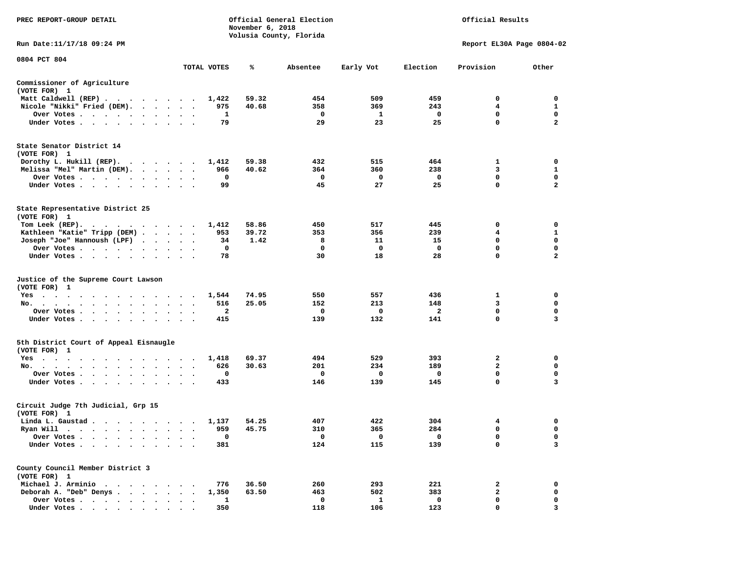| <b>PREC REPORT-GROUP DETAIL</b>                                                                                                                                                                                                                         |              | November 6, 2018 | Official General Election<br>Volusia County, Florida | Official Results |                |                           |                  |
|---------------------------------------------------------------------------------------------------------------------------------------------------------------------------------------------------------------------------------------------------------|--------------|------------------|------------------------------------------------------|------------------|----------------|---------------------------|------------------|
| Run Date:11/17/18 09:24 PM                                                                                                                                                                                                                              |              |                  |                                                      |                  |                | Report EL30A Page 0804-02 |                  |
| 0804 PCT 804                                                                                                                                                                                                                                            |              |                  |                                                      |                  |                |                           |                  |
|                                                                                                                                                                                                                                                         | TOTAL VOTES  | ℁                | Absentee                                             | Early Vot        | Election       | Provision                 | Other            |
| Commissioner of Agriculture<br>(VOTE FOR) 1                                                                                                                                                                                                             |              |                  |                                                      |                  |                |                           |                  |
| Matt Caldwell (REP)                                                                                                                                                                                                                                     | 1,422        | 59.32            | 454                                                  | 509              | 459            | 0                         | 0                |
| Nicole "Nikki" Fried (DEM).                                                                                                                                                                                                                             | 975<br>1     | 40.68            | 358<br>$\mathbf 0$                                   | 369<br>1         | 243<br>0       | 4<br>0                    | 1<br>$\mathbf 0$ |
| Over Votes<br>Under Votes                                                                                                                                                                                                                               | 79           |                  | 29                                                   | 23               | 25             | $\Omega$                  | $\mathbf{2}$     |
| State Senator District 14<br>(VOTE FOR) 1                                                                                                                                                                                                               |              |                  |                                                      |                  |                |                           |                  |
| Dorothy L. Hukill $(REP)$ .                                                                                                                                                                                                                             | 1,412        | 59.38            | 432                                                  | 515              | 464            | 1                         | 0                |
| Melissa "Mel" Martin (DEM).                                                                                                                                                                                                                             | 966<br>0     | 40.62            | 364<br>0                                             | 360<br>0         | 238<br>0       | 3<br>$\mathbf 0$          | 1<br>$\mathbf 0$ |
| Over Votes<br>Under Votes                                                                                                                                                                                                                               | 99           |                  | 45                                                   | 27               | 25             | $\mathbf 0$               | $\mathbf{2}$     |
| State Representative District 25<br>(VOTE FOR) 1                                                                                                                                                                                                        |              |                  |                                                      |                  |                |                           |                  |
| Tom Leek (REP).<br>. The contract of the contract of the contract of the contract of the contract of the contract of the contract of the contract of the contract of the contract of the contract of the contract of the contract of the contrac        | 1,412        | 58.86            | 450                                                  | 517              | 445            | 0                         | 0                |
| Kathleen "Katie" Tripp (DEM)                                                                                                                                                                                                                            | 953          | 39.72            | 353                                                  | 356              | 239            | 4                         | 1                |
| Joseph "Joe" Hannoush (LPF)                                                                                                                                                                                                                             | 34           | 1.42             | 8<br>0                                               | 11<br>0          | 15<br>0        | 0<br>$\mathbf 0$          | 0<br>$\mathbf 0$ |
| Over Votes<br>Under Votes                                                                                                                                                                                                                               | 0<br>78      |                  | 30                                                   | 18               | 28             | $\mathbf 0$               | $\mathbf{2}$     |
| Justice of the Supreme Court Lawson<br>(VOTE FOR) 1<br>$Yes \t . \t .$<br>the contract of the contract of the contract of the contract of the contract of the contract of the contract of<br>No.                                                        | 1,544<br>516 | 74.95<br>25.05   | 550<br>152                                           | 557<br>213       | 436<br>148     | 1<br>3                    | 0<br>0           |
| Over Votes                                                                                                                                                                                                                                              | 2            |                  | 0                                                    | 0                | $\overline{a}$ | $\mathbf 0$               | 0                |
| Under Votes                                                                                                                                                                                                                                             | 415          |                  | 139                                                  | 132              | 141            | $\mathbf 0$               | 3                |
| 5th District Court of Appeal Eisnaugle<br>(VOTE FOR) 1                                                                                                                                                                                                  |              |                  |                                                      |                  |                |                           |                  |
| Yes                                                                                                                                                                                                                                                     | 1,418        | 69.37            | 494                                                  | 529              | 393<br>189     | 2<br>$\mathbf{2}$         | 0<br>0           |
| No.<br>Over Votes                                                                                                                                                                                                                                       | 626<br>0     | 30.63            | 201<br>0                                             | 234<br>0         | 0              | $\mathbf 0$               | 0                |
| Under Votes                                                                                                                                                                                                                                             | 433          |                  | 146                                                  | 139              | 145            | 0                         | 3                |
| Circuit Judge 7th Judicial, Grp 15<br>(VOTE FOR) 1                                                                                                                                                                                                      |              |                  |                                                      |                  |                |                           |                  |
| Linda L. Gaustad                                                                                                                                                                                                                                        | 1,137        | 54.25            | 407                                                  | 422              | 304            | 4                         | 0                |
| Ryan Will<br>$\bullet$<br>. The contract of the contract of the contract of the contract of the contract of the contract of the contract of the contract of the contract of the contract of the contract of the contract of the contract of the contrac | 959          | 45.75            | 310                                                  | 365              | 284            | $\mathbf 0$               | $\mathbf 0$      |
| Over Votes                                                                                                                                                                                                                                              | 0            |                  | 0                                                    | 0                | 0              | 0                         | 0                |
| Under Votes.                                                                                                                                                                                                                                            | 381          |                  | 124                                                  | 115              | 139            | 0                         | 3                |
| County Council Member District 3<br>(VOTE FOR) 1                                                                                                                                                                                                        |              |                  |                                                      |                  |                |                           |                  |
| Michael J. Arminio                                                                                                                                                                                                                                      | 776          | 36.50            | 260                                                  | 293              | 221            | 2                         | 0                |
| Deborah A. "Deb" Denys                                                                                                                                                                                                                                  | 1,350        | 63.50            | 463                                                  | 502              | 383            | $\mathbf{2}$              | 0                |
| Over Votes .<br>$\ddot{\phantom{0}}$<br>Under Votes                                                                                                                                                                                                     | 1<br>350     |                  | 0<br>118                                             | 1<br>106         | 0<br>123       | 0<br>0                    | 0<br>3           |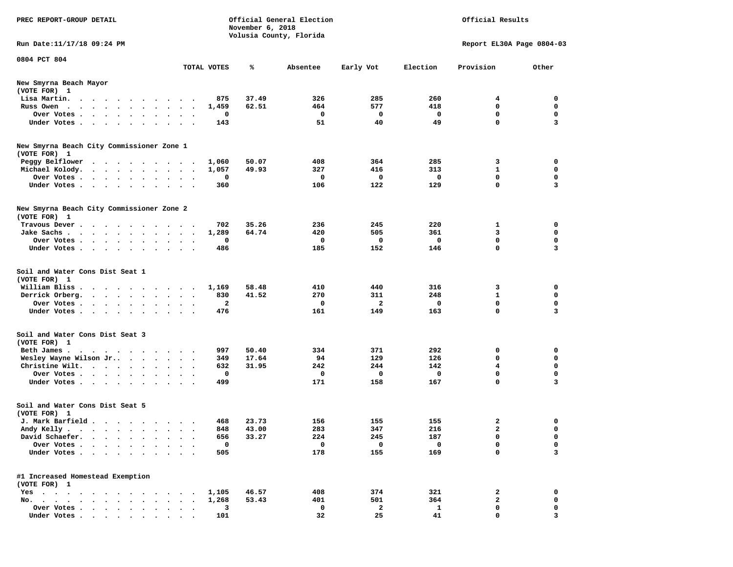| PREC REPORT-GROUP DETAIL                                  |             | November 6, 2018 | Official General Election |                |              | Official Results          |                         |
|-----------------------------------------------------------|-------------|------------------|---------------------------|----------------|--------------|---------------------------|-------------------------|
| Run Date: 11/17/18 09:24 PM                               |             |                  | Volusia County, Florida   |                |              | Report EL30A Page 0804-03 |                         |
|                                                           |             |                  |                           |                |              |                           |                         |
| 0804 PCT 804                                              | TOTAL VOTES | ℁                | Absentee                  | Early Vot      | Election     | Provision                 | Other                   |
| New Smyrna Beach Mayor                                    |             |                  |                           |                |              |                           |                         |
| (VOTE FOR) 1                                              |             |                  |                           |                |              |                           |                         |
| Lisa Martin.<br>$\cdots$                                  | 875         | 37.49            | 326                       | 285            | 260          | 4                         | 0                       |
| Russ Owen                                                 | 1,459       | 62.51            | 464                       | 577            | 418          | 0                         | 0                       |
| Over Votes                                                | 0           |                  | $\mathbf 0$               | $\mathbf{o}$   | 0            | $\mathbf 0$               | 0                       |
| Under Votes.                                              | 143         |                  | 51                        | 40             | 49           | 0                         | 3                       |
| New Smyrna Beach City Commissioner Zone 1                 |             |                  |                           |                |              |                           |                         |
| (VOTE FOR) 1                                              |             |                  |                           |                |              |                           |                         |
| Peggy Belflower                                           | 1,060       | 50.07            | 408                       | 364            | 285          | 3                         | 0                       |
| Michael Kolody.                                           | 1,057       | 49.93            | 327                       | 416            | 313          | $\mathbf{1}$              | 0                       |
| Over Votes                                                | 0           |                  | $\mathbf 0$               | $\Omega$       | 0            | 0                         | 0                       |
| Under Votes                                               | 360         |                  | 106                       | 122            | 129          | 0                         | 3                       |
|                                                           |             |                  |                           |                |              |                           |                         |
| New Smyrna Beach City Commissioner Zone 2<br>(VOTE FOR) 1 |             |                  |                           |                |              |                           |                         |
| Travous Dever                                             | 702         | 35.26            | 236                       | 245            | 220          | 1                         | 0                       |
| Jake Sachs                                                | 1,289       | 64.74            | 420                       | 505            | 361          | 3                         | 0                       |
| Over Votes.                                               | 0           |                  | 0                         | 0              | $\mathbf 0$  | 0                         | 0                       |
| Under Votes                                               | 486         |                  | 185                       | 152            | 146          | 0                         | 3                       |
|                                                           |             |                  |                           |                |              |                           |                         |
| Soil and Water Cons Dist Seat 1<br>(VOTE FOR) 1           |             |                  |                           |                |              |                           |                         |
| William Bliss                                             | 1,169       | 58.48            | 410                       | 440            | 316          | 3                         | 0                       |
| Derrick Orberg.                                           | 830         | 41.52            | 270                       | 311            | 248          | $\mathbf{1}$              | 0                       |
| Over Votes                                                | 2           |                  | $\mathbf 0$               | $\overline{a}$ | 0            | $\mathbf 0$               | 0                       |
| Under Votes                                               | 476         |                  | 161                       | 149            | 163          | 0                         | 3                       |
| Soil and Water Cons Dist Seat 3<br>(VOTE FOR) 1           |             |                  |                           |                |              |                           |                         |
| Beth James.                                               | 997         | 50.40            | 334                       | 371            | 292          | 0                         | 0                       |
| Wesley Wayne Wilson Jr                                    | 349         | 17.64            | 94                        | 129            | 126          | 0                         | 0                       |
| Christine Wilt.                                           | 632         | 31.95            | 242                       | 244            | 142          | 4                         | 0                       |
| Over Votes.                                               | 0           |                  | $\mathbf 0$               | $\mathbf 0$    | $\mathbf 0$  | $\mathbf 0$               | 0                       |
| Under Votes                                               | 499         |                  | 171                       | 158            | 167          | 0                         | 3                       |
| Soil and Water Cons Dist Seat 5<br>(VOTE FOR) 1           |             |                  |                           |                |              |                           |                         |
| J. Mark Barfield                                          | 468         | 23.73            | 156                       | 155            | 155          | 2                         | 0                       |
| Andy Kelly                                                | 848         | 43.00            | 283                       | 347            | 216          | C                         | $\sim$                  |
| David Schaefer.                                           | 656         | 33.27            | 224                       | 245            | 187          | 0                         | 0                       |
| Over Votes                                                | 0           |                  | $\mathbf 0$               | $\mathbf 0$    | 0            | 0                         | 0                       |
| Under Votes.                                              | 505         |                  | 178                       | 155            | 169          | $\mathbf 0$               | 3                       |
|                                                           |             |                  |                           |                |              |                           |                         |
| #1 Increased Homestead Exemption<br>(VOTE FOR) 1          |             |                  |                           |                |              |                           |                         |
| Yes                                                       | 1,105       | 46.57            | 408                       | 374            | 321          | 2                         | 0                       |
| No.                                                       | 1,268       | 53.43            | 401                       | 501            | 364          | $\mathbf{2}$              | 0                       |
| Over Votes                                                | 3           |                  | 0                         | $\overline{a}$ | $\mathbf{1}$ | 0                         | 0                       |
| Under Votes.                                              | 101         |                  | 32                        | 25             | 41           | 0                         | $\overline{\mathbf{3}}$ |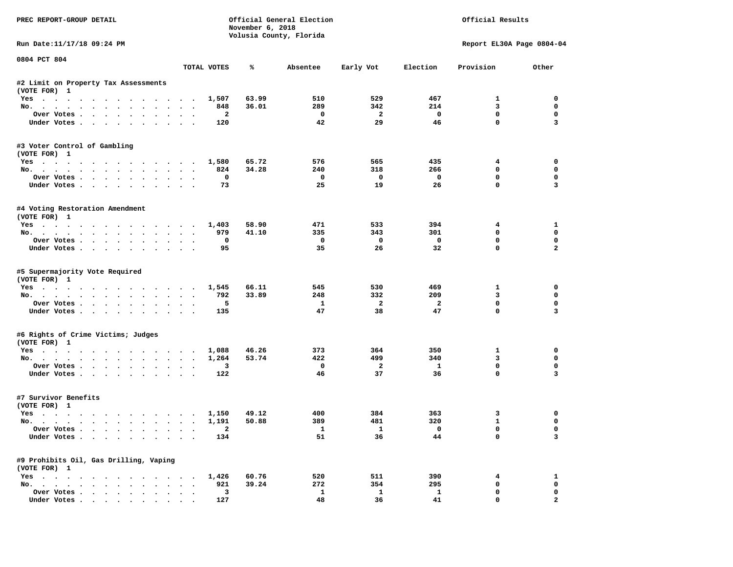| PREC REPORT-GROUP DETAIL                                                                                                                                                                                                                                                                                                                                                                                                                                                                   |                                |                                 | November 6, 2018 | Official General Election<br>Volusia County, Florida |                         | Official Results               |                            |                  |  |
|--------------------------------------------------------------------------------------------------------------------------------------------------------------------------------------------------------------------------------------------------------------------------------------------------------------------------------------------------------------------------------------------------------------------------------------------------------------------------------------------|--------------------------------|---------------------------------|------------------|------------------------------------------------------|-------------------------|--------------------------------|----------------------------|------------------|--|
| Run Date: 11/17/18 09:24 PM                                                                                                                                                                                                                                                                                                                                                                                                                                                                |                                |                                 |                  |                                                      |                         |                                | Report EL30A Page 0804-04  |                  |  |
| 0804 PCT 804                                                                                                                                                                                                                                                                                                                                                                                                                                                                               |                                | TOTAL VOTES                     | %ะ               | Absentee                                             | Early Vot               | Election                       | Provision                  | Other            |  |
|                                                                                                                                                                                                                                                                                                                                                                                                                                                                                            |                                |                                 |                  |                                                      |                         |                                |                            |                  |  |
| #2 Limit on Property Tax Assessments<br>(VOTE FOR) 1                                                                                                                                                                                                                                                                                                                                                                                                                                       |                                |                                 |                  |                                                      |                         |                                |                            |                  |  |
| Yes                                                                                                                                                                                                                                                                                                                                                                                                                                                                                        |                                | 1,507                           | 63.99            | 510                                                  | 529                     | 467                            | $\mathbf{1}$               | $\Omega$         |  |
| No.                                                                                                                                                                                                                                                                                                                                                                                                                                                                                        |                                | 848                             | 36.01            | 289                                                  | 342                     | 214                            | 3                          | $^{\circ}$       |  |
| Over Votes                                                                                                                                                                                                                                                                                                                                                                                                                                                                                 |                                | $\overline{\phantom{a}}$        |                  | $\overline{\phantom{0}}$                             | $\overline{\mathbf{2}}$ | $\overline{\phantom{0}}$       | 0                          | 0                |  |
| Under Votes                                                                                                                                                                                                                                                                                                                                                                                                                                                                                |                                | 120                             |                  | 42                                                   | 29                      | 46                             | $\mathbf 0$                | 3                |  |
| #3 Voter Control of Gambling<br>(VOTE FOR) 1                                                                                                                                                                                                                                                                                                                                                                                                                                               |                                |                                 |                  |                                                      |                         |                                |                            |                  |  |
| Yes. 1,580                                                                                                                                                                                                                                                                                                                                                                                                                                                                                 |                                |                                 | 65.72            | 576                                                  | 565                     | 435                            | $4\phantom{1}$             | 0                |  |
| No.                                                                                                                                                                                                                                                                                                                                                                                                                                                                                        |                                | 824                             | 34.28            | 240                                                  | 318                     | 266                            | $\mathbf 0$                | 0                |  |
| Over Votes                                                                                                                                                                                                                                                                                                                                                                                                                                                                                 |                                | $\mathbf{o}$                    |                  | $\mathbf{o}$                                         | $\overline{\mathbf{0}}$ | $\overline{\phantom{0}}$       | $\mathbf 0$                | 0                |  |
| Under Votes                                                                                                                                                                                                                                                                                                                                                                                                                                                                                |                                | 73                              |                  | 25                                                   | 19                      | 26                             | $\mathbf 0$                | 3                |  |
| #4 Voting Restoration Amendment<br>(VOTE FOR) 1                                                                                                                                                                                                                                                                                                                                                                                                                                            |                                |                                 |                  |                                                      |                         |                                |                            |                  |  |
| Yes 1,403                                                                                                                                                                                                                                                                                                                                                                                                                                                                                  |                                |                                 | 58.90            | 471                                                  | 533                     | 394                            | $4\overline{ }$            | $\mathbf{1}$     |  |
| No.                                                                                                                                                                                                                                                                                                                                                                                                                                                                                        |                                | 979                             | 41.10            | 335                                                  | 343                     | 301                            | $\mathbf 0$                | $\mathbf 0$      |  |
| Over Votes                                                                                                                                                                                                                                                                                                                                                                                                                                                                                 |                                | $\mathbf{o}$                    |                  | $\overline{\mathbf{0}}$                              | $\mathbf{O}$            | $\overline{\mathbf{0}}$        | $^{\circ}$                 | 0                |  |
| Under Votes                                                                                                                                                                                                                                                                                                                                                                                                                                                                                |                                | 95                              |                  | 35                                                   | 26                      | 32                             | $\Omega$                   | $\overline{a}$   |  |
| #5 Supermajority Vote Required<br>(VOTE FOR) 1<br>Yes                                                                                                                                                                                                                                                                                                                                                                                                                                      |                                | 1,545                           | 66.11            | 545                                                  | 530                     | 469                            | $\mathbf{1}$               | 0                |  |
| No.                                                                                                                                                                                                                                                                                                                                                                                                                                                                                        |                                | 792                             | 33.89            | 248                                                  | 332                     | 209                            | 3                          | 0                |  |
| Over Votes                                                                                                                                                                                                                                                                                                                                                                                                                                                                                 |                                | 5                               |                  | $\mathbf{1}$                                         | $\overline{2}$          | $\overline{a}$                 | $\mathbf 0$                | $\mathbf 0$      |  |
| Under Votes                                                                                                                                                                                                                                                                                                                                                                                                                                                                                |                                | 135                             |                  | 47                                                   | 38                      | 47                             | $\mathbf 0$                | 3                |  |
| #6 Rights of Crime Victims; Judges                                                                                                                                                                                                                                                                                                                                                                                                                                                         |                                |                                 |                  |                                                      |                         |                                |                            |                  |  |
| (VOTE FOR) 1                                                                                                                                                                                                                                                                                                                                                                                                                                                                               |                                |                                 |                  |                                                      |                         |                                |                            |                  |  |
| Yes                                                                                                                                                                                                                                                                                                                                                                                                                                                                                        |                                | 1,088<br>1,264                  | 46.26<br>53.74   | 373<br>422                                           | 364<br>499              | 350<br>340                     | $\mathbf{1}$<br>3          | $\mathbf 0$<br>0 |  |
| No.<br>Over Votes                                                                                                                                                                                                                                                                                                                                                                                                                                                                          |                                | 3                               |                  | $\overline{\mathbf{0}}$                              | $\overline{2}$          | $\mathbf{1}$                   | $\mathbf 0$                | $\mathbf 0$      |  |
| Under Votes                                                                                                                                                                                                                                                                                                                                                                                                                                                                                |                                | 122                             |                  | 46                                                   | 37                      | 36                             | $\Omega$                   | 3                |  |
| #7 Survivor Benefits<br>(VOTE FOR) 1                                                                                                                                                                                                                                                                                                                                                                                                                                                       |                                |                                 |                  |                                                      |                         |                                |                            |                  |  |
| Yes                                                                                                                                                                                                                                                                                                                                                                                                                                                                                        |                                | 1,150                           | 49.12            | 400                                                  | 384                     | 363                            | 3                          | 0                |  |
| No.                                                                                                                                                                                                                                                                                                                                                                                                                                                                                        |                                | 1,191                           | 50.88            | 389                                                  | 481                     | 320                            | $\mathbf{1}$               | 0                |  |
| Over Votes<br>Under Votes                                                                                                                                                                                                                                                                                                                                                                                                                                                                  |                                | $\overline{\phantom{a}}$<br>134 |                  | $\mathbf{1}$<br>51                                   | $\mathbf{1}$<br>36      | $\overline{\phantom{0}}$<br>44 | $\mathbf 0$<br>$\mathbf 0$ | $\mathbf 0$<br>3 |  |
| #9 Prohibits Oil, Gas Drilling, Vaping<br>(VOTE FOR) 1                                                                                                                                                                                                                                                                                                                                                                                                                                     |                                |                                 |                  |                                                      |                         |                                |                            |                  |  |
| Yes 1,426                                                                                                                                                                                                                                                                                                                                                                                                                                                                                  |                                |                                 | 60.76            | 520                                                  | 511                     | 390                            | 4                          | 1                |  |
| No.                                                                                                                                                                                                                                                                                                                                                                                                                                                                                        |                                | 921                             | 39.24            | 272                                                  | 354                     | 295                            | 0                          | $\mathbf 0$      |  |
| Over Votes                                                                                                                                                                                                                                                                                                                                                                                                                                                                                 | $\sim$<br>$\ddot{\phantom{a}}$ | 3                               |                  | $\mathbf{1}$                                         | $\mathbf{1}$            | $\mathbf{1}$                   | $\mathbf 0$                | 0                |  |
| $\blacksquare$ $\blacksquare$ $\blacksquare$ $\blacksquare$ $\blacksquare$ $\blacksquare$ $\blacksquare$ $\blacksquare$ $\blacksquare$ $\blacksquare$ $\blacksquare$ $\blacksquare$ $\blacksquare$ $\blacksquare$ $\blacksquare$ $\blacksquare$ $\blacksquare$ $\blacksquare$ $\blacksquare$ $\blacksquare$ $\blacksquare$ $\blacksquare$ $\blacksquare$ $\blacksquare$ $\blacksquare$ $\blacksquare$ $\blacksquare$ $\blacksquare$ $\blacksquare$ $\blacksquare$ $\blacksquare$ $\blacks$ |                                | 127                             |                  | 48                                                   | 36.                     | 41                             | $\Omega$                   | $\mathbf{z}$     |  |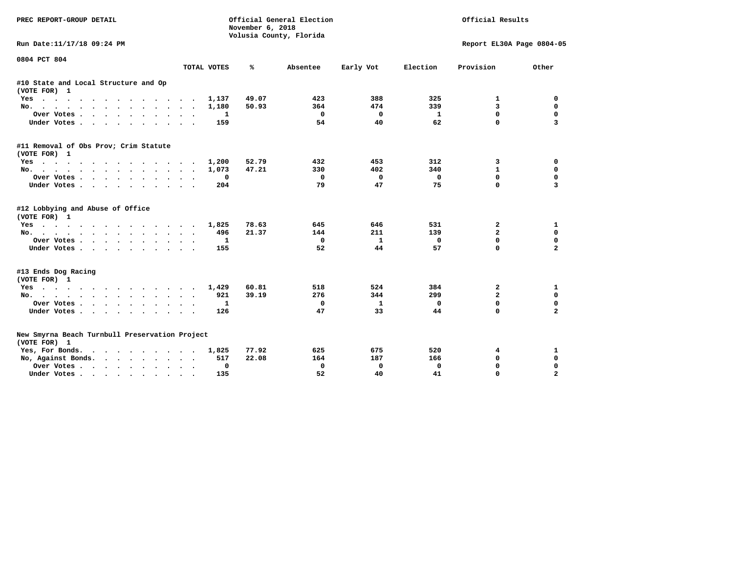| PREC REPORT-GROUP DETAIL                                                                                                                                                                                                                         |                                        | November 6, 2018 | Official General Election<br>Volusia County, Florida | Official Results |             |                           |                         |
|--------------------------------------------------------------------------------------------------------------------------------------------------------------------------------------------------------------------------------------------------|----------------------------------------|------------------|------------------------------------------------------|------------------|-------------|---------------------------|-------------------------|
| Run Date:11/17/18 09:24 PM                                                                                                                                                                                                                       |                                        |                  |                                                      |                  |             | Report EL30A Page 0804-05 |                         |
| 0804 PCT 804                                                                                                                                                                                                                                     |                                        | ℁                |                                                      |                  | Election    | Provision                 |                         |
|                                                                                                                                                                                                                                                  | TOTAL VOTES                            |                  | Absentee                                             | Early Vot        |             |                           | Other                   |
| #10 State and Local Structure and Op<br>(VOTE FOR) 1                                                                                                                                                                                             |                                        |                  |                                                      |                  |             |                           |                         |
| $Yes \cdot \cdot \cdot$<br>$\ddot{\phantom{1}}$<br>.                                                                                                                                                                                             | 1,137<br>$\sim$                        | 49.07            | 423                                                  | 388              | 325         | 1                         | 0                       |
| No.                                                                                                                                                                                                                                              | 1,180<br>$\sim$                        | 50.93            | 364                                                  | 474              | 339         | 3                         | $\mathbf 0$             |
| Over Votes<br>$\ddot{\phantom{1}}$                                                                                                                                                                                                               | 1                                      |                  | 0                                                    | 0                | 1           | $\mathbf 0$               | $\mathbf 0$             |
| Under Votes                                                                                                                                                                                                                                      | 159                                    |                  | 54                                                   | 40               | 62          | $\mathbf 0$               | $\overline{\mathbf{3}}$ |
| #11 Removal of Obs Prov; Crim Statute<br>(VOTE FOR) 1                                                                                                                                                                                            |                                        |                  |                                                      |                  |             |                           |                         |
| Yes                                                                                                                                                                                                                                              | 1,200                                  | 52.79            | 432                                                  | 453              | 312         | 3                         | 0                       |
| No.                                                                                                                                                                                                                                              | 1,073                                  | 47.21            | 330                                                  | 402              | 340         | $\mathbf{1}$              | $\mathbf 0$             |
| Over Votes                                                                                                                                                                                                                                       | 0                                      |                  | $\mathbf{0}$                                         | $\Omega$         | $\mathbf 0$ | $\Omega$                  | $\mathbf 0$             |
| Under Votes<br>$\ddot{\phantom{0}}$                                                                                                                                                                                                              | 204                                    |                  | 79                                                   | 47               | 75          | $\Omega$                  | $\overline{\mathbf{3}}$ |
| #12 Lobbying and Abuse of Office<br>(VOTE FOR) 1                                                                                                                                                                                                 |                                        |                  |                                                      |                  |             |                           |                         |
| Yes                                                                                                                                                                                                                                              | 1,825                                  | 78.63            | 645                                                  | 646              | 531         | 2                         | 1                       |
| No.                                                                                                                                                                                                                                              | 496<br>$\cdot$                         | 21.37            | 144                                                  | 211              | 139         | $\overline{a}$            | 0                       |
| Over Votes                                                                                                                                                                                                                                       | 1                                      |                  | $\mathbf{0}$                                         | $\mathbf{1}$     | $\Omega$    | $\Omega$                  | $\mathbf 0$             |
| Under Votes                                                                                                                                                                                                                                      | 155<br>$\cdot$ .                       |                  | 52                                                   | 44               | 57          | $\mathbf 0$               | $\overline{\mathbf{2}}$ |
| #13 Ends Dog Racing<br>(VOTE FOR) 1                                                                                                                                                                                                              |                                        |                  |                                                      |                  |             |                           |                         |
| Yes                                                                                                                                                                                                                                              | 1,429                                  | 60.81            | 518                                                  | 524              | 384         | 2                         | 1                       |
| $No.$<br>$\cdots$                                                                                                                                                                                                                                | 921                                    | 39.19            | 276                                                  | 344              | 299         | $\overline{a}$            | $\mathbf 0$             |
| Over Votes                                                                                                                                                                                                                                       | 1                                      |                  | 0                                                    | 1                | 0           | $\mathbf 0$               | $\mathbf 0$             |
| Under Votes                                                                                                                                                                                                                                      | 126                                    |                  | 47                                                   | 33               | 44          | $\Omega$                  | $\overline{a}$          |
| New Smyrna Beach Turnbull Preservation Project<br>(VOTE FOR) 1                                                                                                                                                                                   |                                        |                  |                                                      |                  |             |                           |                         |
| Yes, For Bonds.<br>. The contract of the contract of the contract of the contract of the contract of the contract of the contract of the contract of the contract of the contract of the contract of the contract of the contract of the contrac | 1,825                                  | 77.92            | 625                                                  | 675              | 520         | 4                         | $\mathbf{1}$            |
| No, Against Bonds.                                                                                                                                                                                                                               | 517                                    | 22.08            | 164                                                  | 187              | 166         | $\mathbf 0$               | 0                       |
| Over Votes                                                                                                                                                                                                                                       | 0<br>$\bullet$<br>$\ddot{\phantom{1}}$ |                  | 0                                                    | 0                | 0           | 0                         | 0                       |
| Under Votes                                                                                                                                                                                                                                      | 135                                    |                  | 52                                                   | 40               | 41          | $\Omega$                  | $\overline{a}$          |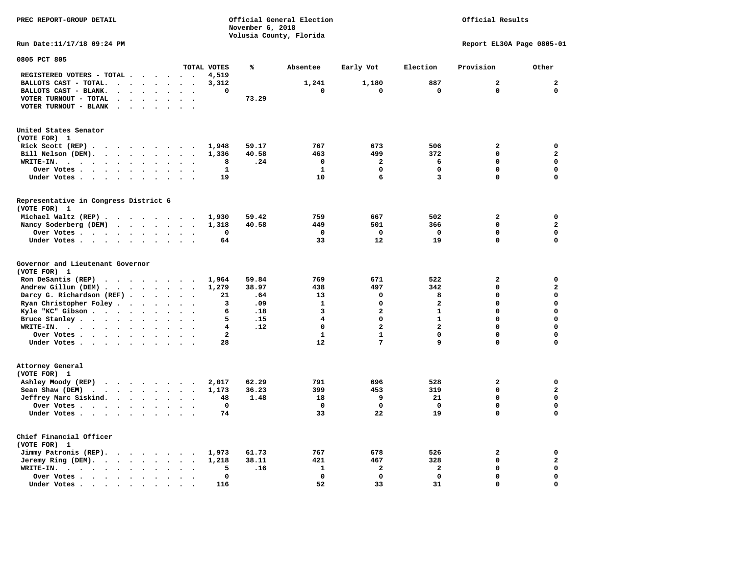**November 6, 2018 Volusia County, Florida Run Date:11/17/18 09:24 PM Report EL30A Page 0805-01 0805 PCT 805 TOTAL VOTES % Absentee Early Vot Election Provision Other REGISTERED VOTERS - TOTAL . . . . . . 4,519 BALLOTS CAST - TOTAL. . . . . . . . 3,312 1,241 1,180 887 2 2 BALLOTS CAST - BLANK. . . . . . . . 0 0 0 0 0 0 VOTER TURNOUT - TOTAL . . . . . . . 73.29 VOTER TURNOUT - BLANK . . . . . . . United States Senator (VOTE FOR) 1 Rick Scott (REP) . . . . . . . . . 1,948 59.17 767 673 506 2 0 Bill Nelson (DEM). . . . . . . . . 1,336 40.58 463 499 372 0 2 WRITE-IN. . . . . . . . . . . . 8 .24 0 2 6 0 0 Over Votes . . . . . . . . . . 1** 1 0 0 0 0 0 0  **Under Votes . . . . . . . . . . 19 10 6 3 0 0 Representative in Congress District 6 (VOTE FOR) 1 Michael Waltz (REP) . . . . . . . . 1,930 59.42 759 667 502 2 0 Nancy Soderberg (DEM) . . . . . . . 1,318 40.58 449 501 366 0 2 Over Votes . . . . . . . . . . 0 0 0 0 0 0**  $\Omega$  **Under Votes . . . . . . . . . . 64 33 12 19 0 0 Governor and Lieutenant Governor (VOTE FOR) 1 Ron DeSantis (REP) . . . . . . . . 1,964 59.84 769 671 522 2 0 Andrew Gillum (DEM) . . . . . . . . 1,279 38.97 438 497 342 0 2 Darcy G. Richardson (REF) . . . . . . 21 .64** 13 0 8 0 0 0<br>**Ryan Christopher Foley** . . . . . . . 3 .09 1 0 2 0 0  **Ryan Christopher Foley . . . . . . . 3 .09 1 0 2 0 0 Kyle "KC" Gibson . . . . . . . . . . 6 .18** 3 **Bruce Stanley . . . . . . . . . . 5 .15** 4 0 1 0 0 0  **WRITE-IN. . . . . . . . . . . . 4 .12 0 2 2 0 0**  $\mathbf{0}$ **Over Votes . . . . . . . . . . . 2** 1 1 0 0 0  $\mathbf{0}$ **Under Votes . . . . . . . . . . 28 12** 7 9 0 **Attorney General (VOTE FOR) 1 Ashley Moody (REP) . . . . . . . . 2,017 62.29 791 696 528 2 0 Sean Shaw (DEM) . . . . . . . . . 1,173 36.23 399 453 319 0 2 Jeffrey Marc Siskind. . . . . . . . 48 1.48 18 9 21 0 0 Over Votes . . . . . . . . . . 0 0 0 0 0 0**  $\mathbf 0$  **Under Votes . . . . . . . . . . 74 33 22 19 0 0 Chief Financial Officer (VOTE FOR) 1 Jimmy Patronis (REP). . . . . . . . 1,973 61.73 767 678 526 2 0 Jeremy Ring (DEM). . . . . . . . . 1,218 38.11 421 467 328 0 2 WRITE-IN. . . . . . . . . . . . 5 .16 1 2 2 0 0 Over Votes . . . . . . . . . . 0 0 0 0 0 0** 

 **Under Votes . . . . . . . . . . 116** 52 33 31 0

 $\mathbf{o}$ 

**PREC REPORT-GROUP DETAIL Official General Election Official Results**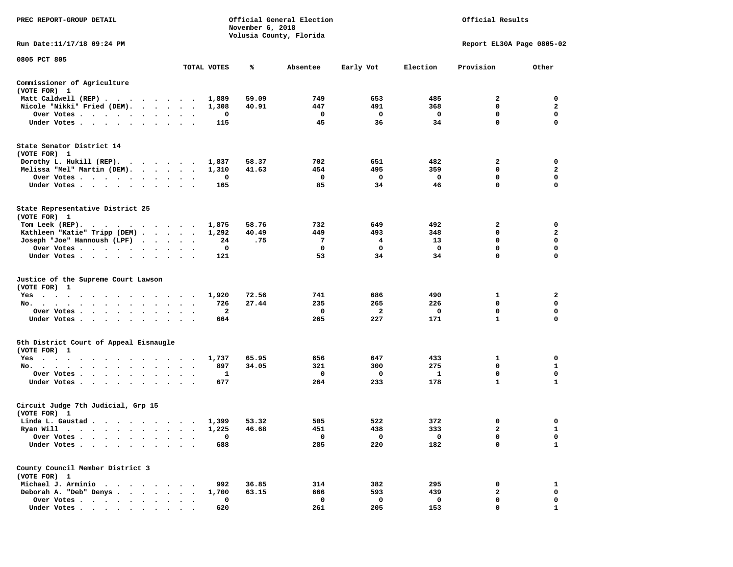| PREC REPORT-GROUP DETAIL                                                                                                                                                                                                                         |                                   |             | November 6, 2018 | Official General Election<br>Volusia County, Florida | Official Results |             |                           |                  |
|--------------------------------------------------------------------------------------------------------------------------------------------------------------------------------------------------------------------------------------------------|-----------------------------------|-------------|------------------|------------------------------------------------------|------------------|-------------|---------------------------|------------------|
| Run Date: 11/17/18 09:24 PM                                                                                                                                                                                                                      |                                   |             |                  |                                                      |                  |             | Report EL30A Page 0805-02 |                  |
| 0805 PCT 805                                                                                                                                                                                                                                     |                                   | TOTAL VOTES | ℁                | Absentee                                             | Early Vot        | Election    | Provision                 | Other            |
| Commissioner of Agriculture                                                                                                                                                                                                                      |                                   |             |                  |                                                      |                  |             |                           |                  |
| (VOTE FOR) 1                                                                                                                                                                                                                                     |                                   |             |                  |                                                      |                  |             |                           |                  |
| Matt Caldwell (REP)                                                                                                                                                                                                                              |                                   | 1,889       | 59.09            | 749                                                  | 653              | 485         | 2                         | 0                |
| Nicole "Nikki" Fried (DEM).                                                                                                                                                                                                                      |                                   | 1,308       | 40.91            | 447                                                  | 491              | 368         | 0                         | $\mathbf{2}$     |
| Over Votes                                                                                                                                                                                                                                       |                                   | 0           |                  | 0                                                    | 0                | 0           | 0                         | 0                |
| Under Votes                                                                                                                                                                                                                                      |                                   | 115         |                  | 45                                                   | 36               | 34          | $\mathbf 0$               | $\mathbf 0$      |
| State Senator District 14<br>(VOTE FOR) 1                                                                                                                                                                                                        |                                   |             |                  |                                                      |                  |             |                           |                  |
| Dorothy L. Hukill $(REP)$ .                                                                                                                                                                                                                      |                                   | 1,837       | 58.37            | 702                                                  | 651              | 482         | 2                         | 0                |
| Melissa "Mel" Martin (DEM).                                                                                                                                                                                                                      |                                   | 1,310       | 41.63            | 454                                                  | 495              | 359         | 0                         | $\mathbf{2}$     |
| Over Votes                                                                                                                                                                                                                                       |                                   | 0           |                  | 0<br>85                                              | 0<br>34          | 0<br>46     | 0<br>0                    | 0<br>$\mathbf 0$ |
| Under Votes                                                                                                                                                                                                                                      | $\sim$<br>$\ddot{\phantom{1}}$    | 165         |                  |                                                      |                  |             |                           |                  |
| State Representative District 25<br>(VOTE FOR) 1                                                                                                                                                                                                 |                                   |             |                  |                                                      |                  |             |                           |                  |
| Tom Leek (REP).<br>the company of the company of the company of the company of the company of the company of the company of the company of the company of the company of the company of the company of the company of the company of the company |                                   | 1,875       | 58.76            | 732                                                  | 649              | 492         | 2                         | 0                |
| Kathleen "Katie" Tripp (DEM)                                                                                                                                                                                                                     |                                   | 1,292       | 40.49            | 449                                                  | 493              | 348         | 0                         | 2                |
| Joseph "Joe" Hannoush (LPF)                                                                                                                                                                                                                      |                                   | 24          | .75              | 7                                                    | 4                | 13          | $\mathbf 0$               | $\mathbf 0$      |
| Over Votes                                                                                                                                                                                                                                       |                                   | 0           |                  | 0                                                    | 0                | $\mathbf 0$ | 0                         | 0                |
| Under Votes                                                                                                                                                                                                                                      |                                   | 121         |                  | 53                                                   | 34               | 34          | 0                         | 0                |
| Justice of the Supreme Court Lawson<br>(VOTE FOR) 1                                                                                                                                                                                              |                                   |             |                  |                                                      |                  |             |                           |                  |
| $Yes \t . \t .$<br>.                                                                                                                                                                                                                             |                                   | 1,920       | 72.56            | 741                                                  | 686              | 490         | 1                         | 2                |
| No.                                                                                                                                                                                                                                              |                                   | 726         | 27.44            | 235                                                  | 265              | 226         | 0                         | 0                |
| Over Votes                                                                                                                                                                                                                                       |                                   | 2           |                  | 0                                                    | $\mathbf{2}$     | 0           | $\mathbf 0$               | $\mathbf 0$      |
| Under Votes                                                                                                                                                                                                                                      | $\sim$<br>$\sim$ $\sim$           | 664         |                  | 265                                                  | 227              | 171         | 1                         | 0                |
| 5th District Court of Appeal Eisnaugle<br>(VOTE FOR) 1                                                                                                                                                                                           |                                   |             |                  |                                                      |                  |             |                           |                  |
| Yes<br>. The contract of the contract of the contract of the contract of the contract of the contract of the contract of the contract of the contract of the contract of the contract of the contract of the contract of the contrac             |                                   | 1,737       | 65.95            | 656                                                  | 647              | 433         | 1                         | 0                |
| No.                                                                                                                                                                                                                                              | $\bullet$<br>$\ddot{\phantom{1}}$ | 897         | 34.05            | 321                                                  | 300              | 275         | 0                         | 1                |
| Over Votes                                                                                                                                                                                                                                       |                                   | 1           |                  | 0                                                    | 0                | 1           | 0                         | 0                |
| Under Votes                                                                                                                                                                                                                                      |                                   | 677         |                  | 264                                                  | 233              | 178         | $\mathbf{1}$              | $\mathbf{1}$     |
| Circuit Judge 7th Judicial, Grp 15<br>(VOTE FOR) 1                                                                                                                                                                                               |                                   |             |                  |                                                      |                  |             |                           |                  |
| Linda L. Gaustad                                                                                                                                                                                                                                 |                                   | 1,399       | 53.32            | 505                                                  | 522              | 372         | 0                         | 0                |
| Ryan Will $\cdots$ , $\cdots$ , $\cdots$ , $\cdots$                                                                                                                                                                                              |                                   | 1,225       | 46.68            | 451                                                  | 438              | 333         | $\overline{\mathbf{2}}$   | $\mathbf{1}$     |
| Over Votes .                                                                                                                                                                                                                                     |                                   | 0           |                  | 0                                                    | 0                | 0           | 0                         | 0                |
| Under Votes .                                                                                                                                                                                                                                    |                                   | 688         |                  | 285                                                  | 220              | 182         | 0                         | 1                |
| County Council Member District 3<br>(VOTE FOR) 1                                                                                                                                                                                                 |                                   |             |                  |                                                      |                  |             |                           |                  |
| Michael J. Arminio<br>$\bullet$                                                                                                                                                                                                                  |                                   | 992         | 36.85            | 314                                                  | 382              | 295         | 0                         | 1                |
| Deborah A. "Deb" Denys.<br>$\bullet$                                                                                                                                                                                                             |                                   | 1,700       | 63.15            | 666                                                  | 593              | 439         | 2                         | 0                |
| Over Votes<br>$\sim$ $\sim$<br>$\ddot{\phantom{a}}$                                                                                                                                                                                              |                                   | 0           |                  | 0                                                    | 0                | 0           | 0                         | 0                |
| Under Votes.                                                                                                                                                                                                                                     |                                   | 620         |                  | 261                                                  | 205              | 153         | 0                         | 1                |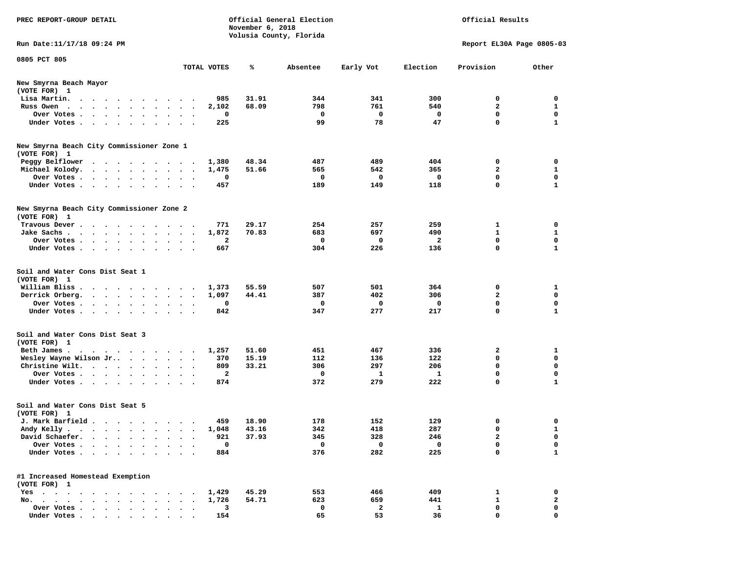| PREC REPORT-GROUP DETAIL                                                                                                        |                            | November 6, 2018 | Official General Election<br>Volusia County, Florida |                                  |                        | Official Results            |                             |
|---------------------------------------------------------------------------------------------------------------------------------|----------------------------|------------------|------------------------------------------------------|----------------------------------|------------------------|-----------------------------|-----------------------------|
| Run Date: 11/17/18 09:24 PM                                                                                                     |                            |                  |                                                      |                                  |                        | Report EL30A Page 0805-03   |                             |
|                                                                                                                                 |                            |                  |                                                      |                                  |                        |                             |                             |
| 0805 PCT 805                                                                                                                    | TOTAL VOTES                | ℁                | Absentee                                             | Early Vot                        | Election               | Provision                   | Other                       |
| New Smyrna Beach Mayor                                                                                                          |                            |                  |                                                      |                                  |                        |                             |                             |
| (VOTE FOR) 1                                                                                                                    |                            |                  |                                                      |                                  |                        |                             |                             |
| Lisa Martin.<br>the contract of the contract of the contract of the contract of the contract of the contract of the contract of | 985                        | 31.91            | 344                                                  | 341                              | 300                    | 0                           | 0                           |
| Russ Owen.                                                                                                                      | 2,102                      | 68.09            | 798                                                  | 761                              | 540                    | 2                           | $\mathbf{1}$                |
| Over Votes                                                                                                                      | 0                          |                  | $\mathbf 0$                                          | $\mathbf{o}$                     | $\mathbf{o}$           | 0                           | 0                           |
| Under Votes                                                                                                                     | 225                        |                  | 99                                                   | 78                               | 47                     | 0                           | $\mathbf{1}$                |
| New Smyrna Beach City Commissioner Zone 1                                                                                       |                            |                  |                                                      |                                  |                        |                             |                             |
| (VOTE FOR) 1                                                                                                                    |                            |                  |                                                      |                                  |                        |                             |                             |
| Peggy Belflower                                                                                                                 | 1,380                      | 48.34            | 487                                                  | 489                              | 404                    | 0                           | 0                           |
| Michael Kolody.                                                                                                                 | 1,475                      | 51.66            | 565                                                  | 542                              | 365                    | $\mathbf{2}$                | $\mathbf{1}$                |
| Over Votes                                                                                                                      | 0                          |                  | 0                                                    | $\mathbf 0$                      | $\Omega$               | 0                           | $\mathbf 0$                 |
| Under Votes                                                                                                                     | 457                        |                  | 189                                                  | 149                              | 118                    | 0                           | $\mathbf{1}$                |
|                                                                                                                                 |                            |                  |                                                      |                                  |                        |                             |                             |
| New Smyrna Beach City Commissioner Zone 2                                                                                       |                            |                  |                                                      |                                  |                        |                             |                             |
| (VOTE FOR) 1                                                                                                                    |                            |                  |                                                      |                                  |                        |                             |                             |
| Travous Dever.                                                                                                                  | 771                        | 29.17            | 254                                                  | 257                              | 259                    | 1                           | 0                           |
| Jake Sachs                                                                                                                      | 1,872                      | 70.83            | 683                                                  | 697                              | 490                    | $\mathbf{1}$                | $\mathbf{1}$                |
| Over Votes                                                                                                                      | 2                          |                  | 0                                                    | 0                                | $\mathbf{2}$           | 0                           | 0                           |
| Under Votes                                                                                                                     | 667                        |                  | 304                                                  | 226                              | 136                    | 0                           | $\mathbf{1}$                |
| Soil and Water Cons Dist Seat 1<br>(VOTE FOR) 1<br>William Bliss<br>Derrick Orberg.<br>Over Votes<br>Under Votes                | 1,373<br>1,097<br>0<br>842 | 55.59<br>44.41   | 507<br>387<br>0<br>347                               | 501<br>402<br>$\mathbf 0$<br>277 | 364<br>306<br>0<br>217 | 0<br>$\mathbf{2}$<br>0<br>0 | 1<br>0<br>0<br>$\mathbf{1}$ |
| Soil and Water Cons Dist Seat 3                                                                                                 |                            |                  |                                                      |                                  |                        |                             |                             |
| (VOTE FOR) 1                                                                                                                    |                            |                  |                                                      |                                  |                        |                             |                             |
| Beth James.                                                                                                                     | 1,257                      | 51.60            | 451                                                  | 467                              | 336                    | 2                           | 1                           |
| Wesley Wayne Wilson Jr                                                                                                          | 370                        | 15.19            | 112                                                  | 136                              | 122                    | 0                           | 0                           |
| Christine Wilt.                                                                                                                 | 809                        | 33.21            | 306                                                  | 297                              | 206                    | 0                           | $\mathbf 0$                 |
| Over Votes                                                                                                                      | $\mathbf{2}$               |                  | 0                                                    | 1                                | 1                      | 0                           | 0                           |
| Under Votes                                                                                                                     | 874                        |                  | 372                                                  | 279                              | 222                    | 0                           | $\mathbf{1}$                |
| Soil and Water Cons Dist Seat 5<br>(VOTE FOR) 1                                                                                 |                            |                  |                                                      |                                  |                        |                             |                             |
| J. Mark Barfield                                                                                                                | 459                        | 18.90            | 178                                                  | 152                              | 129                    | 0                           | 0                           |
| Andy Kelly                                                                                                                      | 1,048                      | 43.16            | 342                                                  | 418                              | 287                    | 0                           |                             |
| David Schaefer.                                                                                                                 | 921                        | 37.93            | 345                                                  | 328                              | 246                    | $\mathbf{2}$                | 0                           |
| Over Votes                                                                                                                      | $\mathbf 0$                |                  | $\mathbf 0$                                          | $\mathbf 0$                      | $\mathbf 0$            | 0                           | 0                           |
| Under Votes                                                                                                                     | 884                        |                  | 376                                                  | 282                              | 225                    | 0                           | $\mathbf{1}$                |
|                                                                                                                                 |                            |                  |                                                      |                                  |                        |                             |                             |
| #1 Increased Homestead Exemption<br>(VOTE FOR) 1                                                                                |                            |                  |                                                      |                                  |                        |                             |                             |
|                                                                                                                                 |                            | 45.29            | 553                                                  |                                  | 409                    | 1                           | 0                           |
| Yes<br>No.                                                                                                                      | 1,429                      |                  | 623                                                  | 466<br>659                       | 441                    | $\mathbf{1}$                | $\overline{\mathbf{2}}$     |
| Over Votes.                                                                                                                     | 1,726<br>3                 | 54.71            | 0                                                    | $\overline{\mathbf{2}}$          | 1                      | 0                           | 0                           |
| Under Votes                                                                                                                     | 154                        |                  | 65                                                   | 53                               | 36                     | $\mathbf{0}$                | $\mathbf 0$                 |
|                                                                                                                                 |                            |                  |                                                      |                                  |                        |                             |                             |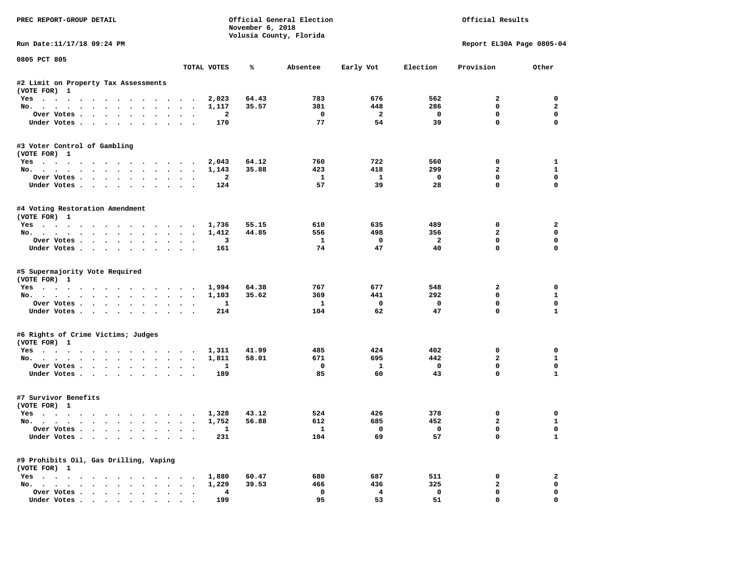| PREC REPORT-GROUP DETAIL                                     |                                      |                | November 6, 2018 | Official General Election<br>Volusia County, Florida |                          | Official Results         |                             |                |  |
|--------------------------------------------------------------|--------------------------------------|----------------|------------------|------------------------------------------------------|--------------------------|--------------------------|-----------------------------|----------------|--|
| Run Date: 11/17/18 09:24 PM                                  |                                      |                |                  |                                                      |                          |                          | Report EL30A Page 0805-04   |                |  |
| 0805 PCT 805                                                 |                                      | TOTAL VOTES    | %ะ               | Absentee                                             | Early Vot                | Election                 | Provision                   | Other          |  |
|                                                              |                                      |                |                  |                                                      |                          |                          |                             |                |  |
| #2 Limit on Property Tax Assessments<br>(VOTE FOR) 1         |                                      |                |                  |                                                      |                          |                          |                             |                |  |
| Yes                                                          |                                      | 2,023          | 64.43            | 783                                                  | 676                      | 562                      | $\overline{a}$              | $\Omega$       |  |
| No.                                                          |                                      | 1,117          | 35.57            | 381                                                  | 448                      | 286                      | $^{\circ}$                  | $\overline{a}$ |  |
| Over Votes                                                   |                                      | $\overline{a}$ |                  | $\overline{\phantom{0}}$                             | $\overline{\mathbf{2}}$  | $\overline{\mathbf{0}}$  | 0                           | $\mathbf 0$    |  |
| Under Votes                                                  |                                      | 170            |                  | 77                                                   | 54                       | 39                       | $\mathbf 0$                 | $\mathbf 0$    |  |
| #3 Voter Control of Gambling<br>(VOTE FOR) 1                 |                                      |                |                  |                                                      |                          |                          |                             |                |  |
| Yes                                                          |                                      | 2,043          | 64.12            | 760                                                  | 722                      | 560                      | 0                           | 1              |  |
| No.                                                          |                                      | 1,143          | 35.88            | 423                                                  | 418                      | 299                      | $\overline{a}$              | $\mathbf{1}$   |  |
| Over Votes                                                   |                                      | $\overline{a}$ |                  | $\mathbf{1}$                                         | $\mathbf{1}$             | $\overline{\phantom{0}}$ | $\mathbf 0$                 | $\mathbf 0$    |  |
| Under Votes                                                  |                                      | 124            |                  | 57                                                   | 39                       | 28                       | $\mathbf 0$                 | $\mathbf 0$    |  |
| #4 Voting Restoration Amendment<br>(VOTE FOR) 1              |                                      |                |                  |                                                      |                          |                          |                             |                |  |
| Yes                                                          |                                      | 1,736          | 55.15            | 610                                                  | 635                      | 489                      | $\Omega$                    | $\overline{a}$ |  |
| No.                                                          |                                      | 1,412          | 44.85            | 556                                                  | 498                      | 356                      | $\overline{a}$              | 0              |  |
| Over Votes                                                   | $\sim$<br>$\sim$                     | 3              |                  | $\mathbf{1}$                                         | $\mathbf{O}$             | $\overline{a}$           | $^{\circ}$                  | 0              |  |
| Under Votes                                                  |                                      | 161            |                  | 74                                                   | 47                       | 40                       | $\Omega$                    | $\Omega$       |  |
| #5 Supermajority Vote Required<br>(VOTE FOR) 1<br>Yes<br>No. |                                      | 1,994<br>1,103 | 64.38<br>35.62   | 767<br>369                                           | 677<br>441               | 548<br>292               | $\mathbf{2}$<br>$\mathbf 0$ | 0<br>1         |  |
| Over Votes                                                   |                                      | $\mathbf{1}$   |                  | $\mathbf{1}$                                         | $\overline{\mathbf{0}}$  | $\mathbf 0$              | $\mathbf 0$                 | $\mathbf 0$    |  |
| Under Votes                                                  |                                      | 214            |                  | 104                                                  | 62                       | 47                       | $\mathbf 0$                 | $\mathbf{1}$   |  |
| #6 Rights of Crime Victims; Judges<br>(VOTE FOR) 1           |                                      |                |                  |                                                      |                          |                          |                             |                |  |
| Yes                                                          |                                      | 1,311          | 41.99            | 485                                                  | 424                      | 402                      | 0                           | $\mathbf 0$    |  |
| No.                                                          |                                      | 1,811          | 58.01            | 671                                                  | 695                      | 442                      | $\overline{a}$              | $\mathbf{1}$   |  |
| Over Votes                                                   |                                      | 1              |                  | $\mathbf 0$                                          | $\mathbf{1}$             | $\mathbf{o}$             | $\mathbf 0$                 | $\mathbf 0$    |  |
| Under Votes                                                  |                                      | 189            |                  | 85                                                   | 60                       | 43                       | $\Omega$                    | $\mathbf{1}$   |  |
| #7 Survivor Benefits<br>(VOTE FOR) 1                         |                                      |                |                  |                                                      |                          |                          |                             |                |  |
| Yes                                                          |                                      | 1,328          | 43.12            | 524                                                  | 426                      | 378                      | 0                           | 0              |  |
| No.                                                          |                                      | 1,752          | 56.88            | 612                                                  | 685                      | 452                      | $\mathbf{2}$                | $\mathbf{1}$   |  |
| Over Votes                                                   |                                      | $\mathbf{1}$   |                  | $\mathbf{1}$                                         | $\overline{\phantom{0}}$ | $\overline{\phantom{0}}$ | $\mathbf 0$                 | $\mathbf 0$    |  |
| Under Votes                                                  |                                      | 231            |                  | 104                                                  | 69                       | 57                       | $\mathbf 0$                 | $\mathbf{1}$   |  |
| #9 Prohibits Oil, Gas Drilling, Vaping<br>(VOTE FOR) 1       |                                      |                |                  |                                                      |                          |                          |                             |                |  |
| Yes 1,880                                                    |                                      |                | 60.47            | 680                                                  | 687                      | 511                      | $\mathbf 0$                 | $\overline{a}$ |  |
| No.                                                          |                                      | 1,229          | 39.53            | 466                                                  | 436                      | 325                      | $\mathbf{2}$                | $\mathbf 0$    |  |
| Over Votes                                                   | $\mathbf{r}$<br>$\ddot{\phantom{a}}$ | 4              |                  | $\mathbf{o}$                                         | $\overline{4}$           | $\mathbf 0$              | $\mathbf 0$                 | 0              |  |
| Inder Votes, , , , , , , ,                                   |                                      | 199            |                  | 95                                                   | 53                       | 51                       | $\Omega$                    | $\Omega$       |  |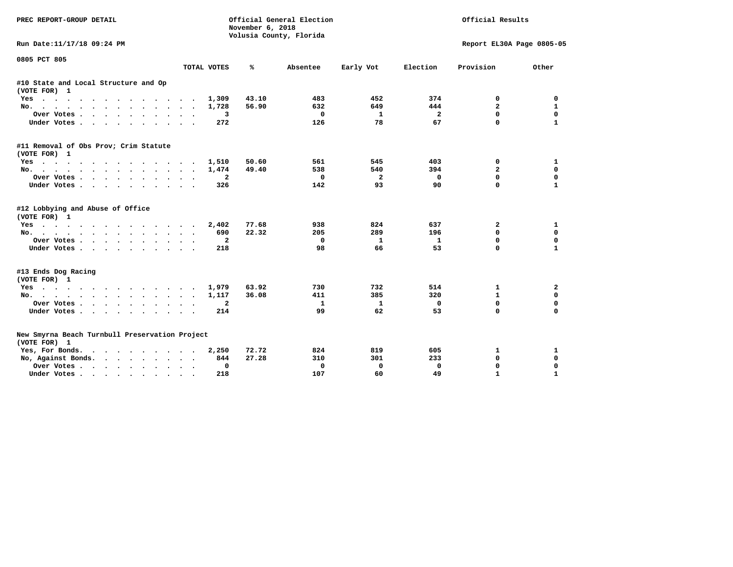| PREC REPORT-GROUP DETAIL                                       |                                   | November 6, 2018<br>Volusia County, Florida | Official General Election |              | Official Results |                           |              |  |
|----------------------------------------------------------------|-----------------------------------|---------------------------------------------|---------------------------|--------------|------------------|---------------------------|--------------|--|
| Run Date:11/17/18 09:24 PM                                     |                                   |                                             |                           |              |                  | Report EL30A Page 0805-05 |              |  |
| 0805 PCT 805                                                   | TOTAL VOTES                       | ℁                                           | Absentee                  | Early Vot    | Election         | Provision                 | Other        |  |
| #10 State and Local Structure and Op                           |                                   |                                             |                           |              |                  |                           |              |  |
| (VOTE FOR) 1                                                   |                                   |                                             |                           |              |                  |                           |              |  |
| Yes                                                            | 1,309                             | 43.10                                       | 483                       | 452          | 374              | 0                         | 0            |  |
| No.                                                            | 1,728                             | 56.90                                       | 632                       | 649          | 444              | $\overline{a}$            | 1            |  |
| Over Votes                                                     | 3                                 |                                             | $^{\circ}$                | 1            | $\overline{2}$   | $\mathbf{0}$              | $\mathbf{0}$ |  |
| Under Votes                                                    | 272                               |                                             | 126                       | 78           | 67               | 0                         | $\mathbf{1}$ |  |
| #11 Removal of Obs Prov; Crim Statute<br>(VOTE FOR) 1          |                                   |                                             |                           |              |                  |                           |              |  |
| Yes                                                            | 1,510                             | 50.60                                       | 561                       | 545          | 403              | 0                         | 1            |  |
| No.                                                            | 1,474                             | 49.40                                       | 538                       | 540          | 394              | $\overline{a}$            | $\mathbf 0$  |  |
| Over Votes                                                     | $\mathbf{2}$                      |                                             | 0                         | $\mathbf{2}$ | 0                | 0                         | $\mathbf 0$  |  |
|                                                                | 326                               |                                             | 142                       | 93           | 90               | $\Omega$                  | $\mathbf{1}$ |  |
| Under Votes                                                    |                                   |                                             |                           |              |                  |                           |              |  |
| #12 Lobbying and Abuse of Office                               |                                   |                                             |                           |              |                  |                           |              |  |
| (VOTE FOR) 1                                                   |                                   |                                             |                           |              |                  |                           |              |  |
| Yes                                                            | 2,402                             | 77.68                                       | 938                       | 824          | 637              | $\overline{\mathbf{2}}$   | 1            |  |
| No.                                                            | 690                               | 22.32                                       | 205                       | 289          | 196              | 0                         | 0            |  |
| Over Votes                                                     | $\mathbf{2}$<br>$\sim$            |                                             | 0                         | 1            | $\mathbf{1}$     | 0                         | $\mathbf 0$  |  |
| Under Votes                                                    | 218                               |                                             | 98                        | 66           | 53               | 0                         | $\mathbf{1}$ |  |
| #13 Ends Dog Racing                                            |                                   |                                             |                           |              |                  |                           |              |  |
| (VOTE FOR) 1                                                   |                                   |                                             |                           |              |                  |                           |              |  |
| Yes                                                            | 1,979                             | 63.92                                       | 730                       | 732          | 514              | $\mathbf{1}$              | 2            |  |
| No.                                                            | 1,117                             | 36.08                                       | 411                       | 385          | 320              | $\mathbf{1}$              | $\mathbf 0$  |  |
| Over Votes                                                     | $\mathbf{2}$                      |                                             | $\mathbf{1}$              | $\mathbf{1}$ | $\mathbf{0}$     | $\Omega$                  | $\mathbf 0$  |  |
| Under Votes                                                    | 214                               |                                             | 99                        | 62           | 53               | 0                         | $\mathbf 0$  |  |
| New Smyrna Beach Turnbull Preservation Project<br>(VOTE FOR) 1 |                                   |                                             |                           |              |                  |                           |              |  |
| Yes, For Bonds.                                                | 2,250                             | 72.72                                       | 824                       | 819          | 605              | 1                         | 1            |  |
| No, Against Bonds.                                             | 844                               | 27.28                                       | 310                       | 301          | 233              | 0                         | 0            |  |
|                                                                | 0                                 |                                             | 0                         | 0            | 0                | 0                         | 0            |  |
| Over Votes                                                     | $\bullet$<br>$\ddot{\phantom{1}}$ |                                             |                           |              |                  | $\mathbf{1}$              | $\mathbf{1}$ |  |
| Under Votes                                                    | 218                               |                                             | 107                       | 60           | 49               |                           |              |  |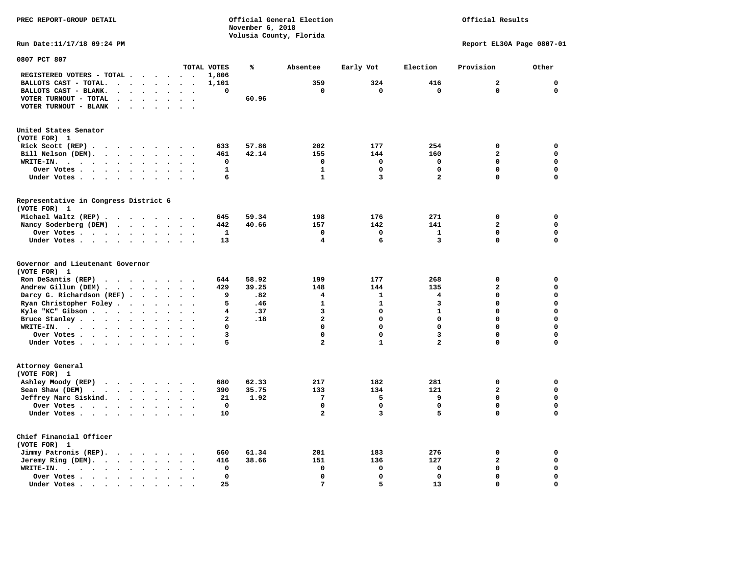**PREC REPORT-GROUP DETAIL Official General Election Official Results November 6, 2018 Volusia County, Florida Run Date:11/17/18 09:24 PM Report EL30A Page 0807-01 0807 PCT 807 TOTAL VOTES % Absentee Early Vot Election Provision Other REGISTERED VOTERS - TOTAL . . . . . . 1,806 BALLOTS CAST - TOTAL. . . . . . . . 1,101 359 324 416 2 0 BALLOTS CAST - BLANK. . . . . . . . 0 0 0 0 0 0 VOTER TURNOUT - TOTAL . . . . . . . 60.96 VOTER TURNOUT - BLANK . . . . . . . United States Senator (VOTE FOR) 1 Rick Scott (REP) . . . . . . . . . 633 57.86** 202 177 254 0 0  **Bill Nelson (DEM). . . . . . . . . 461 42.14 155 144 160 2 0 WRITE-IN. . . . . . . . . . . . 0 0 0 0 0 0 Over Votes . . . . . . . . . . 1 1 0 0 0 0 Under Votes . . . . . . . . . . . 6** 1 3 2 0 0 **Representative in Congress District 6 (VOTE FOR) 1 Michael Waltz (REP) . . . . . . . . 645 59.34 198 176 271 0 0 Nancy Soderberg (DEM) . . . . . . . 442 40.66 157 142 141 2 0 Over Votes . . . . . . . . . . 1 0 0 1 0 0 Under Votes . . . . . . . . . . 13 4 6 3 0 0 Governor and Lieutenant Governor (VOTE FOR) 1** 

 $\mathbf 0$ 

 $\mathbf{o}$ 

 $\overline{0}$ 

| ניטוים בוטי                                                    |  |  |  |                      |                      |     |      |         |  |
|----------------------------------------------------------------|--|--|--|----------------------|----------------------|-----|------|---------|--|
| Ron DeSantis (REP) $\cdot \cdot \cdot \cdot \cdot \cdot \cdot$ |  |  |  | 644                  | 58.92                | 199 | 177  | 268     |  |
| Andrew Gillum (DEM)                                            |  |  |  | 429                  | 39.25                | 148 | 144  | 135     |  |
| Darcy G. Richardson $(REF)$                                    |  |  |  |                      | .82                  |     |      |         |  |
| Ryan Christopher Foley                                         |  |  |  |                      | .46                  |     |      |         |  |
| Kyle "KC" Gibson                                               |  |  |  |                      | .37                  |     |      |         |  |
| Bruce Stanley                                                  |  |  |  |                      | .18                  |     |      |         |  |
| WRITE-IN.                                                      |  |  |  |                      |                      |     |      |         |  |
| Over Votes                                                     |  |  |  |                      |                      |     |      |         |  |
| Under Votes                                                    |  |  |  |                      |                      |     |      |         |  |
| Attorney General<br>(VOTE FOR) 1                               |  |  |  |                      |                      |     |      |         |  |
| Ashley Moody (REP)                                             |  |  |  | 680                  | 62.33                | 217 | 182  | 281     |  |
| Sean Shaw (DEM)                                                |  |  |  | 390                  | 35.75                | 133 | 134  | 121     |  |
| Jeffrey Marc Siskind.                                          |  |  |  | 21                   | 1.92                 |     |      |         |  |
| Over Votes                                                     |  |  |  |                      |                      |     |      |         |  |
| Under Votes                                                    |  |  |  | 10                   |                      |     |      |         |  |
| Chief Financial Officer<br>(VOTE FOR) 1                        |  |  |  |                      |                      |     |      |         |  |
| Jimmy Patronis (REP).                                          |  |  |  | 660                  | 61.34                | 201 | 183  | 276     |  |
| $     -$                                                       |  |  |  | $\sim$ $\sim$ $\sim$ | $\sim$ $\sim$ $\sim$ |     | $ -$ | $- - -$ |  |

 **Jeremy Ring (DEM). . . . . . . . 416 38.66 151 136 127 2** 0  **WRITE-IN. . . . . . . . . . . . 0 0 0 0 0 0 Over Votes . . . . . . . . . . 0 0 0 0 0 0** 

 **Under Votes . . . . . . . . . . 25 7 5 13 0**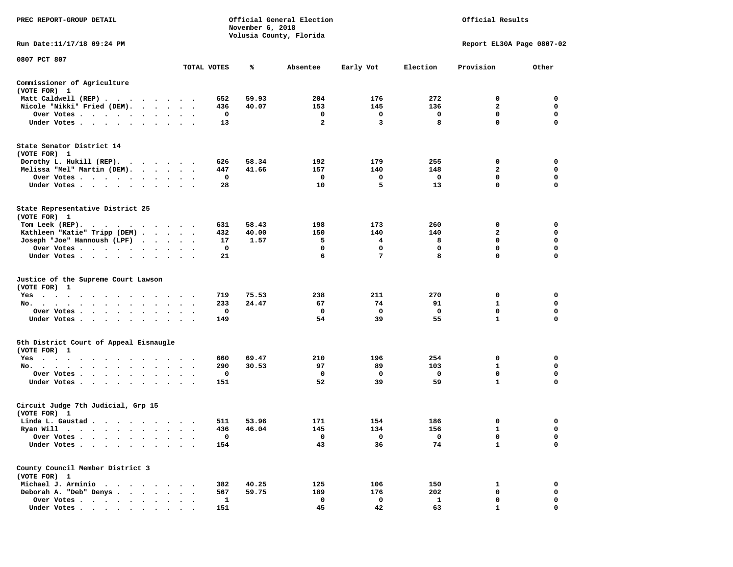| PREC REPORT-GROUP DETAIL                                                                                                                                                                                                                                |             | November 6, 2018 | Official General Election<br>Volusia County, Florida |           |              | Official Results          |             |
|---------------------------------------------------------------------------------------------------------------------------------------------------------------------------------------------------------------------------------------------------------|-------------|------------------|------------------------------------------------------|-----------|--------------|---------------------------|-------------|
| Run Date:11/17/18 09:24 PM                                                                                                                                                                                                                              |             |                  |                                                      |           |              | Report EL30A Page 0807-02 |             |
| 0807 PCT 807                                                                                                                                                                                                                                            |             |                  |                                                      |           |              |                           |             |
|                                                                                                                                                                                                                                                         | TOTAL VOTES | %                | Absentee                                             | Early Vot | Election     | Provision                 | Other       |
| Commissioner of Agriculture<br>(VOTE FOR) 1                                                                                                                                                                                                             |             |                  |                                                      |           |              |                           |             |
| Matt Caldwell (REP)                                                                                                                                                                                                                                     | 652         | 59.93            | 204                                                  | 176       | 272          | 0                         | 0           |
| Nicole "Nikki" Fried (DEM).                                                                                                                                                                                                                             | 436         | 40.07            | 153                                                  | 145       | 136          | 2                         | 0           |
| Over Votes                                                                                                                                                                                                                                              | 0           |                  | 0                                                    | 0         | 0            | 0                         | 0           |
| Under Votes                                                                                                                                                                                                                                             | 13          |                  | $\mathbf{2}$                                         | 3         | 8            | $\mathbf 0$               | 0           |
| State Senator District 14<br>(VOTE FOR) 1                                                                                                                                                                                                               |             |                  |                                                      |           |              |                           |             |
| Dorothy L. Hukill $(REP)$ .                                                                                                                                                                                                                             | 626         | 58.34            | 192                                                  | 179       | 255          | 0                         | 0           |
| Melissa "Mel" Martin (DEM).                                                                                                                                                                                                                             | 447         | 41.66            | 157                                                  | 140       | 148          | 2                         | 0           |
| Over Votes                                                                                                                                                                                                                                              | 0           |                  | 0                                                    | 0         | 0            | $\mathbf 0$               | $\mathbf 0$ |
| Under Votes                                                                                                                                                                                                                                             | 28          |                  | 10                                                   | 5         | 13           | $\mathbf 0$               | $\mathbf 0$ |
| State Representative District 25<br>(VOTE FOR) 1                                                                                                                                                                                                        |             |                  |                                                      |           |              |                           |             |
| Tom Leek $(REP)$ .                                                                                                                                                                                                                                      | 631         | 58.43            | 198                                                  | 173       | 260          | 0                         | 0           |
| Kathleen "Katie" Tripp (DEM)                                                                                                                                                                                                                            | 432         | 40.00            | 150                                                  | 140       | 140          | $\mathbf{2}$              | 0           |
| Joseph "Joe" Hannoush (LPF)                                                                                                                                                                                                                             | 17          | 1.57             | 5                                                    | 4         | 8            | 0                         | 0           |
| Over Votes                                                                                                                                                                                                                                              | 0           |                  | 0                                                    | 0         | 0            | $\mathbf 0$               | $\mathbf 0$ |
| Under Votes                                                                                                                                                                                                                                             | 21          |                  | 6                                                    | 7         | 8            | $\mathbf 0$               | $\mathbf 0$ |
| Justice of the Supreme Court Lawson<br>(VOTE FOR) 1                                                                                                                                                                                                     |             |                  |                                                      |           |              |                           |             |
| $Yes \cdot \cdot \cdot \cdot \cdot \cdot$<br>.                                                                                                                                                                                                          | 719         | 75.53            | 238                                                  | 211       | 270          | 0                         | 0           |
| No.                                                                                                                                                                                                                                                     | 233         | 24.47            | 67                                                   | 74        | 91           | 1                         | 0           |
| Over Votes                                                                                                                                                                                                                                              | 0           |                  | 0                                                    | 0         | 0            | $\mathbf 0$               | 0           |
| Under Votes                                                                                                                                                                                                                                             | 149         |                  | 54                                                   | 39        | 55           | $\mathbf{1}$              | 0           |
| 5th District Court of Appeal Eisnaugle<br>(VOTE FOR) 1                                                                                                                                                                                                  |             |                  |                                                      |           |              |                           |             |
| Yes<br>.                                                                                                                                                                                                                                                | 660         | 69.47            | 210                                                  | 196       | 254          | 0                         | 0           |
| No.                                                                                                                                                                                                                                                     | 290         | 30.53            | 97                                                   | 89        | 103          | 1                         | 0           |
| Over Votes                                                                                                                                                                                                                                              | 0           |                  | 0                                                    | 0         | 0            | $\mathbf 0$               | $\mathbf 0$ |
| Under Votes                                                                                                                                                                                                                                             | 151         |                  | 52                                                   | 39        | 59           | $\mathbf{1}$              | 0           |
| Circuit Judge 7th Judicial, Grp 15<br>(VOTE FOR) 1                                                                                                                                                                                                      |             |                  |                                                      |           |              |                           |             |
| Linda L. Gaustad                                                                                                                                                                                                                                        | 511         | 53.96            | 171                                                  | 154       | 186          | 0                         | 0           |
| Ryan Will<br>$\bullet$<br>. The contract of the contract of the contract of the contract of the contract of the contract of the contract of the contract of the contract of the contract of the contract of the contract of the contract of the contrac | 436         | 46.04            | 145                                                  | 134       | 156          | $\mathbf{1}$              | $\mathbf 0$ |
| Over Votes                                                                                                                                                                                                                                              | 0           |                  | 0                                                    | 0         | 0            | 0                         | 0           |
| Under Votes.                                                                                                                                                                                                                                            | 154         |                  | 43                                                   | 36        | 74           | $\mathbf{1}$              | 0           |
| County Council Member District 3<br>(VOTE FOR) 1                                                                                                                                                                                                        |             |                  |                                                      |           |              |                           |             |
| Michael J. Arminio<br>$\sim$                                                                                                                                                                                                                            | 382         | 40.25            | 125                                                  | 106       | 150          | 1                         | 0           |
| Deborah A. "Deb" Denys                                                                                                                                                                                                                                  | 567         | 59.75            | 189                                                  | 176       | 202          | 0                         | 0           |
| Over Votes .<br>$\ddot{\phantom{1}}$<br>$\sim$                                                                                                                                                                                                          | 1           |                  | 0                                                    | 0         | $\mathbf{1}$ | 0                         | 0           |
| Under Votes                                                                                                                                                                                                                                             | 151         |                  | 45                                                   | 42        | 63           | 1                         | 0           |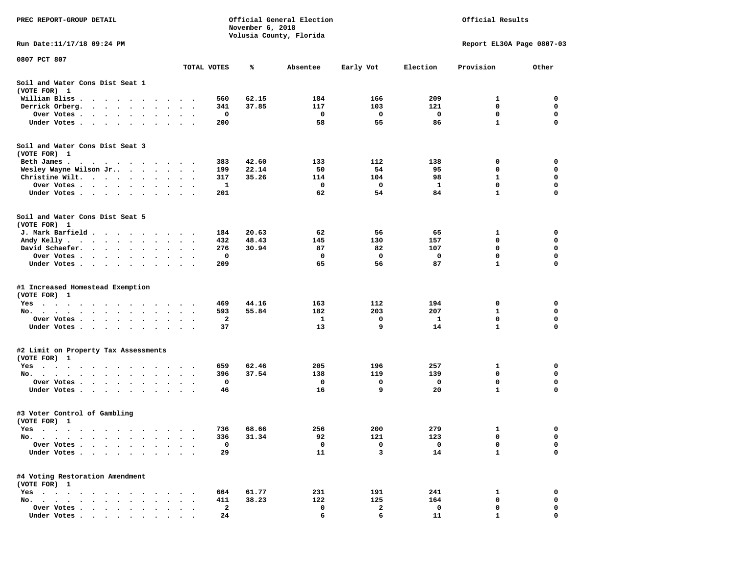| PREC REPORT-GROUP DETAIL                                                                                                          |                                   |             | November 6, 2018 | Official General Election<br>Volusia County, Florida |           | Official Results |                           |             |  |
|-----------------------------------------------------------------------------------------------------------------------------------|-----------------------------------|-------------|------------------|------------------------------------------------------|-----------|------------------|---------------------------|-------------|--|
| Run Date:11/17/18 09:24 PM                                                                                                        |                                   |             |                  |                                                      |           |                  | Report EL30A Page 0807-03 |             |  |
| 0807 PCT 807                                                                                                                      |                                   | TOTAL VOTES | ℁                | Absentee                                             | Early Vot | Election         | Provision                 | Other       |  |
| Soil and Water Cons Dist Seat 1<br>(VOTE FOR) 1                                                                                   |                                   |             |                  |                                                      |           |                  |                           |             |  |
| William Bliss<br>$\sim$<br>$\sim$ $\sim$ $\sim$ $\sim$<br>$\cdot$<br>$\ddot{\phantom{a}}$<br>$\cdot$                              |                                   | 560         | 62.15            | 184                                                  | 166       | 209              | 1                         | 0           |  |
| Derrick Orberg.<br>$\bullet$<br>$\sim$ $\sim$<br>$\ddot{\phantom{a}}$<br>$\ddot{\phantom{0}}$                                     |                                   | 341         | 37.85            | 117                                                  | 103       | 121              | 0                         | 0           |  |
| Over Votes .<br>$\mathbf{r}$ , and $\mathbf{r}$ , and $\mathbf{r}$<br>$\bullet$                                                   | $\cdot$<br>$\bullet$              | 0           |                  | 0                                                    | 0         | 0                | $\mathbf 0$               | 0           |  |
| Under Votes<br>$\ddot{\phantom{0}}$<br>$\ddot{\phantom{0}}$<br>$\cdot$                                                            |                                   | 200         |                  | 58                                                   | 55        | 86               | 1                         | 0           |  |
| Soil and Water Cons Dist Seat 3<br>(VOTE FOR) 1                                                                                   |                                   |             |                  |                                                      |           |                  |                           |             |  |
| Beth James.                                                                                                                       |                                   | 383         | 42.60            | 133                                                  | 112       | 138              | 0                         | 0           |  |
| Wesley Wayne Wilson Jr                                                                                                            | $\bullet$<br>$\cdot$              | 199         | 22.14            | 50                                                   | 54        | 95               | 0                         | 0           |  |
| Christine Wilt.<br>$\ddot{\phantom{0}}$<br>$\ddot{\phantom{1}}$                                                                   |                                   | 317<br>1    | 35.26            | 114<br>0                                             | 104<br>0  | 98<br>1          | 1<br>$\mathbf 0$          | 0<br>0      |  |
| Over Votes<br>$\bullet$<br>$\cdot$<br>Under Votes<br>$\cdot$                                                                      |                                   | 201         |                  | 62                                                   | 54        | 84               | 1                         | 0           |  |
|                                                                                                                                   |                                   |             |                  |                                                      |           |                  |                           |             |  |
| Soil and Water Cons Dist Seat 5<br>(VOTE FOR) 1                                                                                   |                                   |             |                  |                                                      |           |                  |                           |             |  |
| J. Mark Barfield .                                                                                                                | $\sim$<br>$\cdot$ .               | 184         | 20.63            | 62                                                   | 56        | 65               | 1                         | 0           |  |
| Andy Kelly<br>$\sim$ $\sim$ $\sim$ $\sim$ $\sim$                                                                                  |                                   | 432         | 48.43            | 145                                                  | 130       | 157              | 0                         | 0           |  |
| David Schaefer.<br>$\sim$ , and $\sim$ , and $\sim$<br>$\bullet$                                                                  |                                   | 276         | 30.94            | 87                                                   | 82        | 107              | 0                         | 0           |  |
| Over Votes.<br>$\cdot$ $\cdot$<br>$\sim$ 100 $\sim$<br>$\sim$ $\sim$                                                              |                                   | 0           |                  | 0                                                    | 0         | 0                | $\mathbf 0$               | 0           |  |
| Under Votes<br>$\ddot{\phantom{0}}$<br>$\bullet$                                                                                  | $\bullet$<br>$\bullet$<br>$\cdot$ | 209         |                  | 65                                                   | 56        | 87               | 1                         | 0           |  |
| #1 Increased Homestead Exemption<br>(VOTE FOR) 1                                                                                  |                                   |             |                  |                                                      |           |                  |                           |             |  |
| Yes                                                                                                                               |                                   | 469         | 44.16            | 163                                                  | 112       | 194              | 0                         | 0           |  |
| No. $\cdot$ $\cdot$ $\cdot$ $\cdot$<br>$\sim$ $\sim$<br>$\ddot{\phantom{0}}$<br>$\bullet$<br>$\ddot{\phantom{0}}$                 |                                   | 593         | 55.84            | 182                                                  | 203       | 207              | 1                         | 0           |  |
| Over Votes .<br>$\sim$ $\sim$<br>$\sim$<br>$\sim$<br>$\bullet$<br>$\bullet$                                                       | $\bullet$                         | 2           |                  | 1                                                    | 0         | -1               | 0                         | 0           |  |
| Under Votes<br>$\ddot{\phantom{0}}$                                                                                               | $\sim$<br>$\sim$ $\sim$           | 37          |                  | 13                                                   | 9         | 14               | $\mathbf{1}$              | $\mathbf 0$ |  |
| #2 Limit on Property Tax Assessments                                                                                              |                                   |             |                  |                                                      |           |                  |                           |             |  |
| (VOTE FOR) 1                                                                                                                      |                                   |             |                  |                                                      |           |                  |                           |             |  |
| $Yes \t . \t .$<br>$\bullet$<br>$\bullet$<br>$\bullet$<br>$\bullet$<br>$\cdot$<br>$\cdot$ .                                       |                                   | 659         | 62.46            | 205                                                  | 196       | 257              | 1                         | 0           |  |
| No.<br>$\sim$ $\sim$<br>$\sim$                                                                                                    |                                   | 396         | 37.54            | 138                                                  | 119       | 139              | 0                         | 0           |  |
| Over Votes .<br>$\sim$ $\sim$<br>$\bullet$ .<br>$\ddot{\phantom{0}}$<br>$\bullet$                                                 | $\bullet$                         | 0           |                  | 0                                                    | 0         | 0                | 0                         | 0           |  |
| Under Votes.<br>$\sim$ $\sim$ $\sim$<br>$\bullet$<br>$\bullet$                                                                    |                                   | 46          |                  | 16                                                   | 9         | 20               | $\mathbf{1}$              | 0           |  |
| #3 Voter Control of Gambling<br>(VOTE FOR) 1                                                                                      |                                   |             |                  |                                                      |           |                  |                           |             |  |
| Yes<br>$\sim$ $\sim$ $\sim$<br>.<br>$\cdot$ $\cdot$                                                                               |                                   | 736         | 68.66            | 256                                                  | 200       | 279              | 1                         | 0           |  |
| No.<br>$\bullet$<br>$\cdot$<br>$\bullet$                                                                                          |                                   | 336         | 31.34            | 92                                                   | 121       | 123              | 0                         | 0           |  |
| Over Votes .<br>$\ddot{\phantom{a}}$<br>$\ddot{\phantom{a}}$<br>$\ddot{\phantom{a}}$                                              |                                   | 0           |                  | 0                                                    | 0         | 0                | 0                         | 0           |  |
| Under Votes.<br>$\cdots$<br>$\cdot$                                                                                               |                                   | 29          |                  | 11                                                   | 3         | 14               | 1                         | 0           |  |
| #4 Voting Restoration Amendment<br>(VOTE FOR) 1                                                                                   |                                   |             |                  |                                                      |           |                  |                           |             |  |
| $Yes \cdot \cdot \cdot$<br>$\cdot$ $\cdot$ $\cdot$<br>$\bullet$ .<br>$\ddot{\phantom{0}}$<br>$\ddot{\phantom{0}}$                 |                                   | 664         | 61.77            | 231                                                  | 191       | 241              | 1                         | 0           |  |
| No.<br>$\bullet$<br>$\ddot{\phantom{a}}$<br>$\cdot$ .<br>$\ddot{\phantom{a}}$<br>$\overline{\phantom{a}}$<br>$\ddot{\phantom{a}}$ |                                   | 411         | 38.23            | 122                                                  | 125       | 164              | 0                         | 0           |  |
| Over Votes                                                                                                                        |                                   | 2           |                  | 0                                                    | 2         | 0                | 0                         | 0           |  |
| Under Votes                                                                                                                       |                                   | 24          |                  | 6                                                    | 6         | 11               |                           | O           |  |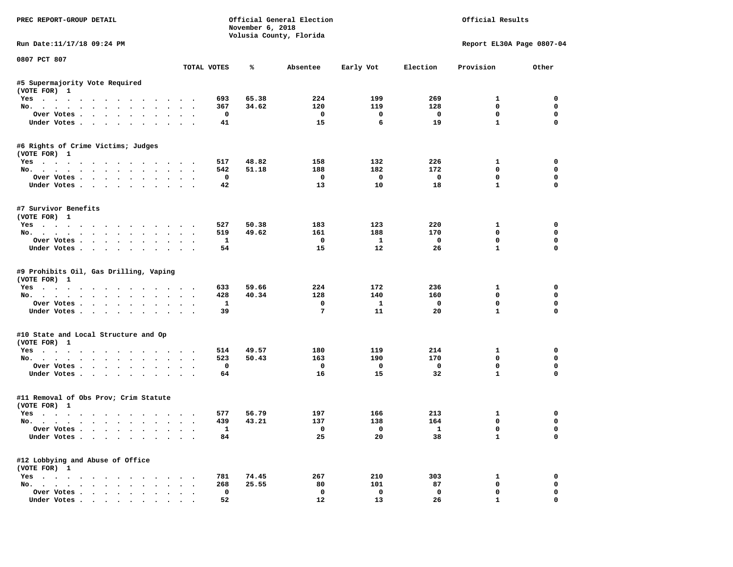| PREC REPORT-GROUP DETAIL                                      |                      |                    | November 6, 2018 | Official General Election<br>Volusia County, Florida |                         |                          | Official Results             |               |
|---------------------------------------------------------------|----------------------|--------------------|------------------|------------------------------------------------------|-------------------------|--------------------------|------------------------------|---------------|
| Run Date: 11/17/18 09:24 PM                                   |                      |                    |                  |                                                      |                         |                          | Report EL30A Page 0807-04    |               |
| 0807 PCT 807                                                  |                      | TOTAL VOTES        | ℁                | Absentee                                             | Early Vot               | Election                 | Provision                    | Other         |
|                                                               |                      |                    |                  |                                                      |                         |                          |                              |               |
| #5 Supermajority Vote Required<br>(VOTE FOR) 1                |                      |                    |                  |                                                      |                         |                          |                              |               |
| Yes                                                           |                      | 693                | 65.38            | 224                                                  | 199                     | 269                      | $\mathbf{1}$                 | $^{\circ}$    |
| No.                                                           |                      | 367                | 34.62            | 120                                                  | 119                     | 128                      | 0                            | $\mathbf 0$   |
| Over Votes                                                    |                      | $\mathbf 0$        |                  | $\overline{\phantom{0}}$                             | $\overline{\mathbf{0}}$ | $\overline{\phantom{0}}$ | 0                            | $\mathbf 0$   |
| Under Votes                                                   |                      | 41                 |                  | 15                                                   | 6                       | 19                       | $\mathbf{1}$                 | $\mathbf 0$   |
| #6 Rights of Crime Victims; Judges<br>(VOTE FOR) 1            |                      |                    |                  |                                                      |                         |                          |                              |               |
| Yes                                                           |                      | 517                | 48.82            | 158                                                  | 132                     | 226                      | $\mathbf{1}$                 | 0             |
| No.                                                           |                      | 542                | 51.18            | 188                                                  | 182                     | 172                      | $^{\circ}$                   | 0             |
| Over Votes                                                    |                      | 0                  |                  | $\overline{\phantom{0}}$                             | $\overline{\mathbf{0}}$ | $\overline{\phantom{0}}$ | 0                            | 0             |
| Under Votes                                                   |                      | 42                 |                  | 13                                                   | 10                      | 18                       | $\mathbf{1}$                 | 0             |
| #7 Survivor Benefits<br>(VOTE FOR) 1                          |                      |                    |                  |                                                      |                         |                          |                              |               |
| Yes                                                           |                      | 527                | 50.38            | 183                                                  | 123                     | 220                      | $\mathbf{1}$                 | $\mathbf 0$   |
| No.                                                           |                      | 519                | 49.62            | 161                                                  | 188                     | 170                      | $\mathbf 0$                  | $\mathbf 0$   |
| Over Votes                                                    |                      | $\mathbf{1}$       |                  | $\mathbf{o}$                                         | $\mathbf{1}$            | $\overline{\mathbf{0}}$  | $\mathbf 0$                  | $\mathbf 0$   |
| Under Votes                                                   |                      | 54                 |                  | 15                                                   | 12                      | 26                       | $\mathbf{1}$                 | $\Omega$      |
| #9 Prohibits Oil, Gas Drilling, Vaping<br>(VOTE FOR) 1<br>Yes |                      | 633                | 59.66            | 224                                                  | 172                     | 236                      | $\mathbf{1}$                 | 0             |
| No.                                                           |                      | 428                | 40.34            | 128                                                  | 140                     | 160                      | $\mathbf 0$                  | 0             |
| Over Votes                                                    |                      | $\mathbf{1}$       |                  | $\mathbf 0$                                          | $\mathbf{1}$            | $\mathbf 0$              | $\mathbf 0$                  | $\mathbf 0$   |
| Under Votes                                                   |                      | 39                 |                  | $7\phantom{.0}$                                      | 11                      | 20                       | $\mathbf{1}$                 | $\Omega$      |
| #10 State and Local Structure and Op<br>(VOTE FOR) 1          |                      |                    |                  |                                                      |                         |                          |                              |               |
| Yes                                                           |                      | 514                | 49.57            | 180                                                  | 119                     | 214                      | $\mathbf{1}$                 | 0             |
| No.                                                           |                      | 523                | 50.43            | 163                                                  | 190                     | 170                      | $\Omega$                     | $\mathbf 0$   |
| Over Votes                                                    |                      | 0                  |                  | $\overline{\mathbf{0}}$                              | $\overline{\mathbf{0}}$ | $\overline{\mathbf{0}}$  | 0                            | 0             |
| Under Votes                                                   |                      | 64                 |                  | 16                                                   | 15                      | 32                       | $\mathbf{1}$                 | $\Omega$      |
| #11 Removal of Obs Prov; Crim Statute<br>(VOTE FOR) 1         |                      |                    |                  |                                                      |                         |                          |                              |               |
| Yes                                                           |                      | 577                | 56.79            | 197                                                  | 166                     | 213                      | $\mathbf{1}$                 | 0             |
| No.                                                           |                      | 439                | 43.21            | 137                                                  | 138                     | 164                      | $\mathbf 0$                  | $\mathbf 0$   |
| Over Votes<br>Under Votes                                     |                      | $\mathbf{1}$<br>84 |                  | $\overline{0}$<br>25                                 | $\overline{a}$<br>20    | $\mathbf{1}$<br>38       | $\mathbf{0}$<br>$\mathbf{1}$ | $\Omega$<br>0 |
| #12 Lobbying and Abuse of Office                              |                      |                    |                  |                                                      |                         |                          |                              |               |
| (VOTE FOR) 1<br>Yes                                           |                      | 781                | 74.45            | 267                                                  | 210                     | 303                      | 1                            | 0             |
| No.                                                           |                      | 268                | 25.55            | 80                                                   | 101                     | 87                       | 0                            | $\mathbf 0$   |
| Over Votes                                                    | $\ddot{\phantom{0}}$ | $\mathbf 0$        |                  | $\mathbf{o}$                                         | $\mathbf 0$             | $\mathbf 0$              | $\mathbf 0$                  | $\mathbf 0$   |
| Under Votes                                                   |                      | 52                 |                  | 12                                                   | 13                      | 26                       | $\mathbf{1}$                 | 0             |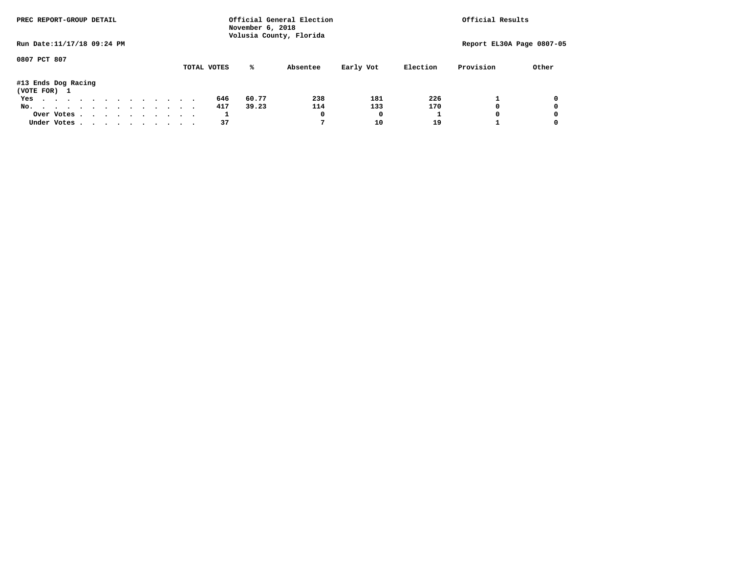| PREC REPORT-GROUP DETAIL            |            |  |  | Official General Election<br>November 6, 2018<br>Volusia County, Florida |  |  |  |  |             | Official Results |          |           |          |                           |       |
|-------------------------------------|------------|--|--|--------------------------------------------------------------------------|--|--|--|--|-------------|------------------|----------|-----------|----------|---------------------------|-------|
| Run Date: 11/17/18 09:24 PM         |            |  |  |                                                                          |  |  |  |  |             |                  |          |           |          | Report EL30A Page 0807-05 |       |
| 0807 PCT 807                        |            |  |  |                                                                          |  |  |  |  | TOTAL VOTES | ℁                | Absentee | Early Vot | Election | Provision                 | Other |
| #13 Ends Dog Racing<br>(VOTE FOR) 1 |            |  |  |                                                                          |  |  |  |  |             |                  |          |           |          |                           |       |
| Yes                                 |            |  |  |                                                                          |  |  |  |  | 646         | 60.77            | 238      | 181       | 226      |                           | 0     |
| No.                                 |            |  |  |                                                                          |  |  |  |  | 417         | 39.23            | 114      | 133       | 170      | 0                         | 0     |
|                                     | Over Votes |  |  |                                                                          |  |  |  |  | ÷.          |                  | 0        | 0         |          | 0                         | 0     |
| Under Votes                         |            |  |  |                                                                          |  |  |  |  | 37          |                  |          | 10        | 19       |                           | 0     |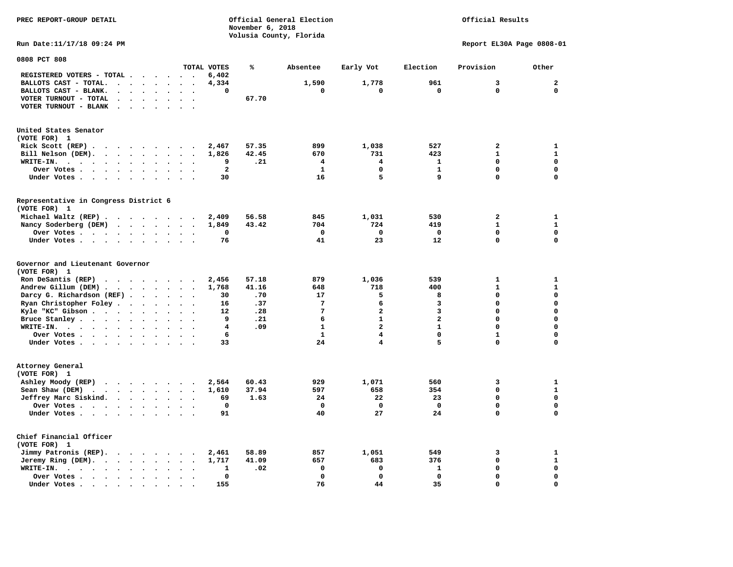| PREC REPORT-GROUP DETAIL                                                                                          |                   | November 6, 2018        | Official General Election | Official Results        |                |                           |              |
|-------------------------------------------------------------------------------------------------------------------|-------------------|-------------------------|---------------------------|-------------------------|----------------|---------------------------|--------------|
| Run Date: 11/17/18 09:24 PM                                                                                       |                   | Volusia County, Florida |                           |                         |                | Report EL30A Page 0808-01 |              |
| 0808 PCT 808                                                                                                      |                   |                         |                           |                         |                |                           |              |
| TOTAL VOTES                                                                                                       |                   | ℁                       | Absentee                  | Early Vot               | Election       | Provision                 | Other        |
| REGISTERED VOTERS - TOTAL                                                                                         | 6,402             |                         |                           |                         |                |                           |              |
| BALLOTS CAST - TOTAL.<br>$\overline{\phantom{a}}$<br>$\ddot{\phantom{0}}$                                         | 4,334             |                         | 1,590                     | 1,778                   | 961            | 3                         | $\mathbf{2}$ |
| BALLOTS CAST - BLANK.<br>$\mathbf{r} = \mathbf{r} + \mathbf{r} + \mathbf{r} + \mathbf{r}$<br>$\ddot{\phantom{a}}$ | 0                 |                         | $\mathbf 0$               | 0                       | $\mathbf 0$    | 0                         | $\mathbf 0$  |
| VOTER TURNOUT - TOTAL<br>$\sim$ $\sim$ $\sim$ $\sim$ $\sim$<br>$\cdot$ $\cdot$                                    |                   | 67.70                   |                           |                         |                |                           |              |
| VOTER TURNOUT - BLANK<br>$\cdot$ $\cdot$ $\cdot$ $\cdot$ $\cdot$                                                  |                   |                         |                           |                         |                |                           |              |
| United States Senator                                                                                             |                   |                         |                           |                         |                |                           |              |
| (VOTE FOR) 1                                                                                                      |                   |                         |                           |                         |                |                           |              |
| Rick Scott $(REP)$<br>$\overline{\phantom{a}}$                                                                    | 2,467             | 57.35                   | 899                       | 1,038                   | 527            | 2                         | 1            |
| Bill Nelson (DEM).<br>$\bullet$<br>$\ddot{\phantom{1}}$                                                           | 1,826             | 42.45                   | 670                       | 731                     | 423            | $\mathbf{1}$              | $\mathbf{1}$ |
| WRITE-IN.<br>$\ddot{\phantom{0}}$<br>$\bullet$                                                                    | 9                 | .21                     | 4                         | $\overline{4}$          | 1              | $\mathbf 0$               | $\mathbf 0$  |
| Over Votes<br>$\bullet$<br>$\bullet$                                                                              | $\overline{a}$    |                         | $\mathbf{1}$              | $\mathbf{0}$            | $\mathbf{1}$   | $\mathbf 0$               | $\Omega$     |
| Under Votes<br>$\ddot{\phantom{a}}$                                                                               | 30                |                         | 16                        | 5                       | 9              | 0                         | $\mathbf 0$  |
| Representative in Congress District 6<br>(VOTE FOR) 1                                                             |                   |                         |                           |                         |                |                           |              |
| Michael Waltz (REP)                                                                                               | 2,409             | 56.58                   | 845                       | 1,031                   | 530            | $\mathbf{2}$              | 1            |
| Nancy Soderberg (DEM)<br>$\ddot{\phantom{a}}$                                                                     | 1,849             | 43.42                   | 704                       | 724                     | 419            | $\mathbf{1}$              | $\mathbf{1}$ |
| Over Votes<br>$\bullet$<br>$\ddot{\phantom{a}}$                                                                   | 0                 |                         | 0                         | 0                       | $\Omega$       | $\mathbf 0$               | $\mathbf 0$  |
| Under Votes<br>$\sim$ $\sim$                                                                                      | 76                |                         | 41                        | 23                      | 12             | 0                         | 0            |
| Governor and Lieutenant Governor<br>(VOTE FOR) 1                                                                  |                   |                         |                           |                         |                |                           |              |
| Ron DeSantis (REP) $\cdots$ $\cdots$ $\cdots$                                                                     | 2,456             | 57.18                   | 879                       | 1,036                   | 539            | $\mathbf{1}$              | 1            |
| Andrew Gillum (DEM)<br>$\ddot{\phantom{a}}$                                                                       | 1,768             | 41.16                   | 648                       | 718                     | 400            | $\mathbf{1}$              | $\mathbf{1}$ |
| Darcy G. Richardson (REF)<br>$\bullet$<br>$\ddot{\phantom{1}}$                                                    | 30                | .70                     | 17                        | 5                       | 8              | $\Omega$                  | $\mathbf 0$  |
| Ryan Christopher Foley                                                                                            | 16                | .37                     | $7\phantom{.0}$           | 6                       | 3              | $\mathbf 0$               | $\mathbf 0$  |
| Kyle "KC" Gibson<br>$\bullet$ . $\bullet$<br>$\cdots$                                                             | $12 \overline{ }$ | .28                     | 7                         | $\mathbf{2}$            | 3              | $\mathbf 0$               | $\mathbf 0$  |
| Bruce Stanley<br>$\ddot{\phantom{1}}$                                                                             | 9                 | .21                     | 6                         | $\mathbf{1}$            | $\overline{a}$ | $\mathbf 0$               | $\Omega$     |
| WRITE-IN.<br>$\cdots$<br>$\sim$                                                                                   | 4                 | .09                     | $\mathbf{1}$              | $\overline{a}$          | $\mathbf{1}$   | $\mathbf 0$               | $\mathbf 0$  |
| Over Votes                                                                                                        | 6                 |                         | $\mathbf{1}$              | $\overline{\mathbf{4}}$ | $\mathbf 0$    | $\mathbf{1}$              | $\mathbf 0$  |
| Under Votes<br>$\cdot$ .                                                                                          | 33                |                         | 24                        | $\overline{4}$          | 5              | $\Omega$                  | $\mathbf 0$  |
| Attorney General                                                                                                  |                   |                         |                           |                         |                |                           |              |
| (VOTE FOR) 1                                                                                                      |                   |                         |                           |                         |                |                           |              |
| Ashley Moody (REP)                                                                                                | 2,564             | 60.43                   | 929                       | 1,071                   | 560            | 3                         | 1            |
| Sean Shaw (DEM)<br>$\mathbf{r}$ , and $\mathbf{r}$ , and $\mathbf{r}$ , and $\mathbf{r}$                          | 1,610             | 37.94                   | 597                       | 658                     | 354            | $\mathbf 0$               | $\mathbf{1}$ |
| Jeffrey Marc Siskind.                                                                                             | 69                | 1.63                    | 24                        | 22                      | 23             | 0                         | 0            |
| Over Votes                                                                                                        | 0                 |                         | $\mathbf 0$               | 0                       | $\Omega$       | $\mathbf 0$               | $\mathbf 0$  |
| Under Votes                                                                                                       | 91                |                         | 40                        | 27                      | 24             | 0                         | 0            |
| Chief Financial Officer<br>(VOTE FOR) 1                                                                           |                   |                         |                           |                         |                |                           |              |
| Jimmy Patronis (REP).                                                                                             | 2,461             | 58.89                   | 857                       | 1,051                   | 549            | 3                         | 1            |
| Jeremy Ring (DEM).<br>$\overline{\phantom{a}}$                                                                    | 1,717             | 41.09                   | 657                       | 683                     | 376            | 0                         | $\mathbf{1}$ |
| WRITE-IN.<br>$\cdot$                                                                                              | 1                 | .02                     | $\mathbf 0$               | $\mathbf 0$             | 1              | $\mathbf 0$               | 0            |
| Over Votes<br>$\ddot{\phantom{0}}$<br>$\ddot{\phantom{a}}$<br>$\ddot{\phantom{a}}$                                | $\mathbf 0$       |                         | $\mathbf 0$               | $\mathbf 0$             | $\mathbf 0$    | 0                         | $\mathbf 0$  |
| Under Votes, , , , , , , ,<br>$\sim$ $\sim$                                                                       | 155               |                         | 76                        | 44                      | 35             | $\Omega$                  | $\Omega$     |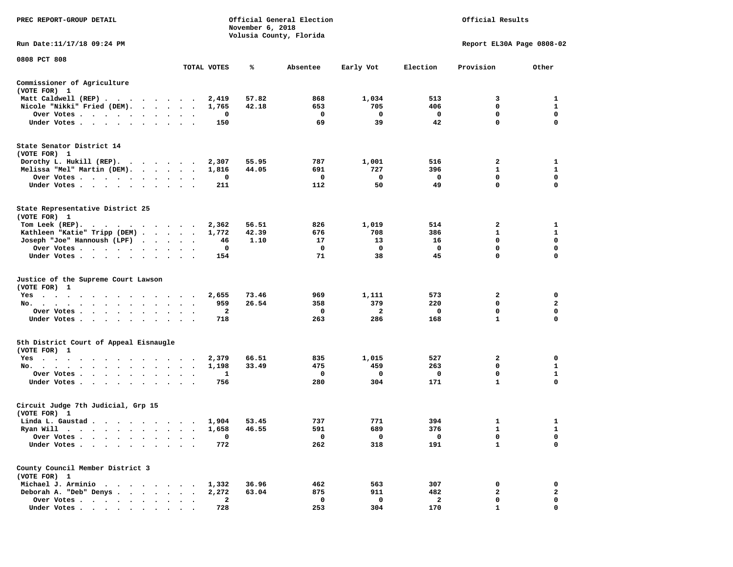| PREC REPORT-GROUP DETAIL                                                                                                                                                                                                                         |                                              |              | November 6, 2018 | Official General Election<br>Volusia County, Florida |                     |                    | Official Results            |                   |
|--------------------------------------------------------------------------------------------------------------------------------------------------------------------------------------------------------------------------------------------------|----------------------------------------------|--------------|------------------|------------------------------------------------------|---------------------|--------------------|-----------------------------|-------------------|
| Run Date: 11/17/18 09:24 PM                                                                                                                                                                                                                      |                                              |              |                  |                                                      |                     |                    | Report EL30A Page 0808-02   |                   |
| 0808 PCT 808                                                                                                                                                                                                                                     |                                              | TOTAL VOTES  | ℁                | Absentee                                             | Early Vot           | Election           | Provision                   | Other             |
| Commissioner of Agriculture<br>(VOTE FOR) 1                                                                                                                                                                                                      |                                              |              |                  |                                                      |                     |                    |                             |                   |
| Matt Caldwell (REP)                                                                                                                                                                                                                              |                                              | 2,419        | 57.82            | 868                                                  | 1,034               | 513                | 3                           | 1                 |
| Nicole "Nikki" Fried (DEM).                                                                                                                                                                                                                      |                                              | 1,765        | 42.18            | 653                                                  | 705                 | 406                | 0                           | 1                 |
| Over Votes                                                                                                                                                                                                                                       |                                              | 0            |                  | 0                                                    | 0                   | $\mathbf 0$        | 0                           | 0                 |
| Under Votes                                                                                                                                                                                                                                      |                                              | 150          |                  | 69                                                   | 39                  | 42                 | $\mathbf 0$                 | $\mathbf 0$       |
| State Senator District 14<br>(VOTE FOR) 1                                                                                                                                                                                                        |                                              |              |                  |                                                      |                     |                    |                             |                   |
| Dorothy L. Hukill $(REP)$ .                                                                                                                                                                                                                      |                                              | 2,307        | 55.95            | 787                                                  | 1,001               | 516                | 2                           | 1<br>$\mathbf{1}$ |
| Melissa "Mel" Martin (DEM).<br>Over Votes                                                                                                                                                                                                        |                                              | 1,816<br>0   | 44.05            | 691<br>0                                             | 727<br>0            | 396<br>0           | 1<br>$\mathbf 0$            | $\mathbf 0$       |
| Under Votes                                                                                                                                                                                                                                      | $\sim$<br>$\ddot{\phantom{1}}$               | 211          |                  | 112                                                  | 50                  | 49                 | 0                           | $\mathbf 0$       |
| State Representative District 25<br>(VOTE FOR) 1                                                                                                                                                                                                 |                                              |              |                  |                                                      |                     |                    |                             |                   |
| Tom Leek (REP).<br>the company of the company of the company of the company of the company of the company of the company of the company of the company of the company of the company of the company of the company of the company of the company |                                              | 2,362        | 56.51            | 826                                                  | 1,019               | 514                | 2                           | 1                 |
| Kathleen "Katie" Tripp (DEM)                                                                                                                                                                                                                     |                                              | 1,772        | 42.39            | 676                                                  | 708                 | 386                | 1                           | 1                 |
| Joseph "Joe" Hannoush (LPF)                                                                                                                                                                                                                      |                                              | 46           | 1.10             | 17                                                   | 13                  | 16                 | $\mathbf 0$                 | $\mathbf 0$       |
| Over Votes<br>$\overline{\phantom{a}}$<br>$\sim$ $\sim$                                                                                                                                                                                          |                                              | 0<br>154     |                  | 0<br>71                                              | $\mathbf 0$<br>38   | $\mathbf{o}$<br>45 | 0<br>0                      | 0<br>0            |
| Under Votes                                                                                                                                                                                                                                      |                                              |              |                  |                                                      |                     |                    |                             |                   |
| Justice of the Supreme Court Lawson<br>(VOTE FOR) 1                                                                                                                                                                                              |                                              |              |                  |                                                      |                     |                    |                             |                   |
| $Yes \t . \t .$<br>.                                                                                                                                                                                                                             |                                              | 2,655        | 73.46            | 969                                                  | 1,111               | 573                | 2<br>0                      | 0                 |
| No.<br>Over Votes                                                                                                                                                                                                                                |                                              | 959<br>2     | 26.54            | 358<br>0                                             | 379<br>$\mathbf{2}$ | 220<br>0           | $\mathbf 0$                 | 2<br>$\mathbf 0$  |
| Under Votes                                                                                                                                                                                                                                      | $\ddot{\phantom{0}}$<br>$\ddot{\phantom{1}}$ | 718          |                  | 263                                                  | 286                 | 168                | 1                           | 0                 |
|                                                                                                                                                                                                                                                  |                                              |              |                  |                                                      |                     |                    |                             |                   |
| 5th District Court of Appeal Eisnaugle<br>(VOTE FOR) 1                                                                                                                                                                                           |                                              |              |                  |                                                      |                     |                    |                             |                   |
| Yes<br>the contract of the contract of the contract of the contract of the contract of the contract of the contract of                                                                                                                           |                                              | 2,379        | 66.51            | 835                                                  | 1,015               | 527                | 2                           | 0                 |
| No.                                                                                                                                                                                                                                              | $\bullet$                                    | 1,198        | 33.49            | 475                                                  | 459                 | 263                | 0                           | 1                 |
| Over Votes<br>Under Votes                                                                                                                                                                                                                        | $\ddot{\phantom{1}}$                         | 1<br>756     |                  | 0<br>280                                             | 0<br>304            | 0<br>171           | $\mathbf 0$<br>$\mathbf{1}$ | 1<br>$\mathbf 0$  |
|                                                                                                                                                                                                                                                  |                                              |              |                  |                                                      |                     |                    |                             |                   |
| Circuit Judge 7th Judicial, Grp 15<br>(VOTE FOR) 1                                                                                                                                                                                               |                                              |              |                  |                                                      |                     |                    |                             |                   |
| Linda L. Gaustad                                                                                                                                                                                                                                 |                                              | 1,904        | 53.45            | 737                                                  | 771                 | 394                | 1                           | 1                 |
| Ryan Will $\cdots$ , $\cdots$ , $\cdots$ , $\cdots$                                                                                                                                                                                              |                                              | 1,658        | 46.55            | 591                                                  | 689                 | 376                | $\mathbf{1}$                | $\mathbf{1}$      |
| Over Votes .                                                                                                                                                                                                                                     |                                              | 0            |                  | 0                                                    | 0                   | 0                  | 0<br>$\mathbf{1}$           | 0<br>$\mathbf 0$  |
| Under Votes .                                                                                                                                                                                                                                    |                                              | 772          |                  | 262                                                  | 318                 | 191                |                             |                   |
| County Council Member District 3<br>(VOTE FOR) 1                                                                                                                                                                                                 |                                              |              |                  |                                                      |                     |                    |                             |                   |
| Michael J. Arminio<br>$\cdots$<br>$\mathbf{r}$                                                                                                                                                                                                   |                                              | 1,332        | 36.96            | 462                                                  | 563                 | 307                | 0                           | 0                 |
| Deborah A. "Deb" Denys.<br>$\mathbf{r} = \mathbf{r} + \mathbf{r} + \mathbf{r} + \mathbf{r}$                                                                                                                                                      |                                              | 2,272        | 63.04            | 875                                                  | 911                 | 482                | 2                           | $\mathbf{2}$      |
| Over Votes                                                                                                                                                                                                                                       |                                              | $\mathbf{2}$ |                  | $\mathbf 0$                                          | $\mathbf 0$         | $\mathbf{2}$       | 0                           | 0                 |
| Under Votes                                                                                                                                                                                                                                      |                                              | 728          |                  | 253                                                  | 304                 | 170                | $\mathbf{1}$                | $\mathbf 0$       |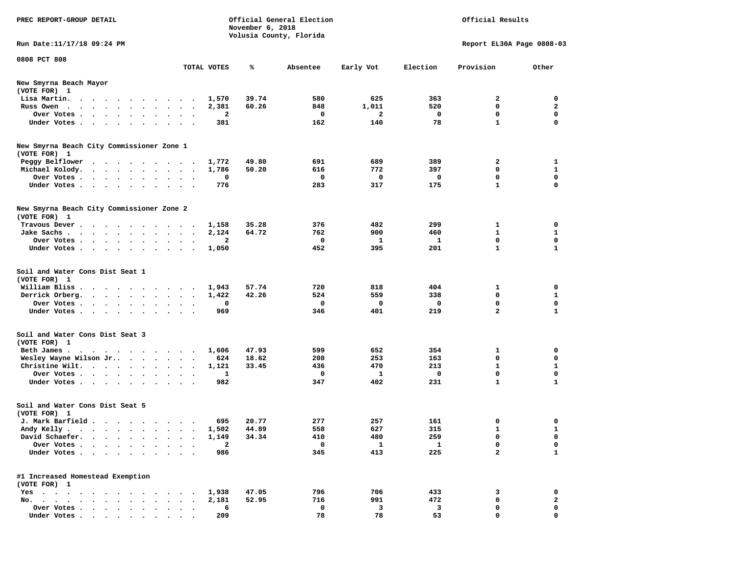| PREC REPORT-GROUP DETAIL                                                                                                                                                                                                                          |                                                                          | November 6, 2018      | Official General Election |              |            | Official Results          |                   |
|---------------------------------------------------------------------------------------------------------------------------------------------------------------------------------------------------------------------------------------------------|--------------------------------------------------------------------------|-----------------------|---------------------------|--------------|------------|---------------------------|-------------------|
| Run Date:11/17/18 09:24 PM                                                                                                                                                                                                                        |                                                                          |                       | Volusia County, Florida   |              |            | Report EL30A Page 0808-03 |                   |
| 0808 PCT 808                                                                                                                                                                                                                                      |                                                                          |                       |                           |              |            |                           |                   |
|                                                                                                                                                                                                                                                   | TOTAL VOTES                                                              | ℁                     | Absentee                  | Early Vot    | Election   | Provision                 | Other             |
| New Smyrna Beach Mayor<br>(VOTE FOR) 1                                                                                                                                                                                                            |                                                                          |                       |                           |              |            |                           |                   |
| Lisa Martin.<br>$\mathbf{a}$ . The contribution of the contribution of the contribution of the contribution of the contribution of the contribution of the contribution of the contribution of the contribution of the contribution of the contri | 1,570                                                                    | 39.74                 | 580                       | 625          | 363        | 2                         | 0                 |
| Russ Owen<br>$\cdots$                                                                                                                                                                                                                             | 2,381                                                                    | 60.26                 | 848                       | 1,011        | 520        | 0                         | $\mathbf{2}$      |
| Over Votes.<br>$\cdot$ $\cdot$ $\cdot$ $\cdot$<br>$\ddot{\phantom{0}}$<br>Under Votes                                                                                                                                                             | $\bullet$<br>$\bullet$<br>$\bullet$<br>$\bullet$<br>$\ddot{\phantom{0}}$ | 2<br>381              | 0<br>162                  | 2<br>140     | 0<br>78    | 0<br>$\mathbf{1}$         | 0<br>$\mathbf 0$  |
|                                                                                                                                                                                                                                                   |                                                                          |                       |                           |              |            |                           |                   |
| New Smyrna Beach City Commissioner Zone 1<br>(VOTE FOR) 1                                                                                                                                                                                         |                                                                          |                       |                           |              |            |                           |                   |
| Peggy Belflower<br>$\ddot{\phantom{1}}$<br>$\cdots$                                                                                                                                                                                               | 1,772<br>$\cdot$                                                         | 49.80                 | 691                       | 689          | 389        | 2                         | 1                 |
| Michael Kolody.<br>$\mathbf{r}$ , and $\mathbf{r}$ , and $\mathbf{r}$ , and $\mathbf{r}$                                                                                                                                                          | 1,786<br>$\bullet$<br>$\bullet$<br>$\bullet$                             | 50.20                 | 616                       | 772          | 397        | 0                         | 1                 |
| Over Votes.<br>$\cdots$<br>$\bullet$                                                                                                                                                                                                              | $\cdot$                                                                  | 0                     | 0                         | 0            | 0          | 0                         | $\mathbf 0$       |
| Under Votes<br>$\sim$ $\sim$<br>$\cdot$<br>$\bullet$                                                                                                                                                                                              |                                                                          | 776                   | 283                       | 317          | 175        | 1                         | 0                 |
| New Smyrna Beach City Commissioner Zone 2<br>(VOTE FOR) 1                                                                                                                                                                                         |                                                                          |                       |                           |              |            |                           |                   |
| Travous Dever.                                                                                                                                                                                                                                    | 1,158                                                                    | 35.28                 | 376                       | 482          | 299        | 1                         | 0                 |
| Jake Sachs.<br>$\sim$ $\sim$ $\sim$<br>$\cdot$ $\cdot$ $\cdot$<br>$\cdot$                                                                                                                                                                         | 2,124                                                                    | 64.72                 | 762                       | 900          | 460        | 1                         | 1                 |
| Over Votes                                                                                                                                                                                                                                        |                                                                          | 2                     | 0                         | 1            | 1          | $\mathbf 0$               | 0                 |
| Under Votes                                                                                                                                                                                                                                       | 1,050<br>$\sim$<br>$\bullet$<br>$\cdot$<br>$\overline{\phantom{a}}$      |                       | 452                       | 395          | 201        | $\mathbf{1}$              | 1                 |
| Soil and Water Cons Dist Seat 1<br>(VOTE FOR) 1                                                                                                                                                                                                   |                                                                          |                       |                           |              |            |                           |                   |
| William Bliss.<br>$\cdots$                                                                                                                                                                                                                        | 1,943                                                                    | 57.74                 | 720                       | 818          | 404        | 1                         | 0                 |
| Derrick Orberg.<br>$\ddot{\phantom{0}}$<br>$\begin{array}{cccccccccccccc} \bullet & \bullet & \bullet & \bullet & \bullet & \bullet & \bullet \end{array}$<br>Over Votes .<br>$\sim$ , and $\sim$ , and $\sim$                                    | 1,422<br>$\bullet$<br>$\bullet$                                          | 42.26<br>0            | 524<br>0                  | 559<br>0     | 338<br>0   | 0<br>0                    | 1<br>0            |
| Under Votes                                                                                                                                                                                                                                       | $\bullet$<br>$\ddot{\phantom{a}}$<br>$\ddot{\phantom{a}}$                | 969                   | 346                       | 401          | 219        | $\overline{a}$            | 1                 |
| Soil and Water Cons Dist Seat 3<br>(VOTE FOR) 1                                                                                                                                                                                                   |                                                                          |                       |                           |              |            |                           |                   |
| Beth James.<br>$\cdots$                                                                                                                                                                                                                           | 1,606                                                                    | 47.93                 | 599                       | 652          | 354        | 1                         | 0                 |
| Wesley Wayne Wilson Jr<br>Christine Wilt.                                                                                                                                                                                                         | $\bullet$<br>$\bullet$<br>$\bullet$<br>1,121                             | 18.62<br>624<br>33.45 | 208<br>436                | 253<br>470   | 163<br>213 | 0<br>1                    | 0<br>$\mathbf{1}$ |
| Over Votes                                                                                                                                                                                                                                        |                                                                          | 1                     | 0                         | 1            | 0          | $\mathbf 0$               | 0                 |
| Under Votes                                                                                                                                                                                                                                       | $\cdot$<br>$\cdot$                                                       | 982                   | 347                       | 402          | 231        | 1                         | 1                 |
| Soil and Water Cons Dist Seat 5<br>(VOTE FOR) 1                                                                                                                                                                                                   |                                                                          |                       |                           |              |            |                           |                   |
| J. Mark Barfield                                                                                                                                                                                                                                  |                                                                          | 695<br>20.77          | 277                       | 257          | 161        | 0                         | 0                 |
| Andy Kelly                                                                                                                                                                                                                                        | 1,502                                                                    | 44.89                 | 558                       | 627          | 315        |                           | 1                 |
| David Schaefer.                                                                                                                                                                                                                                   | 1,149                                                                    | 34.34                 | 410                       | 480          | 259        | 0                         | 0                 |
| Over Votes .<br>$\cdots$<br>$\ddot{\phantom{a}}$<br>$\cdot$                                                                                                                                                                                       |                                                                          | 2                     | 0                         | $\mathbf{1}$ | 1          | 0                         | 0                 |
| Under Votes                                                                                                                                                                                                                                       |                                                                          | 986                   | 345                       | 413          | 225        | $\overline{a}$            | $\mathbf{1}$      |
| #1 Increased Homestead Exemption<br>(VOTE FOR) 1                                                                                                                                                                                                  |                                                                          |                       |                           |              |            |                           |                   |
| Yes                                                                                                                                                                                                                                               | 1,938                                                                    | 47.05                 | 796                       | 706          | 433        | 3                         | 0                 |
| No.                                                                                                                                                                                                                                               | 2,181                                                                    | 52.95                 | 716                       | 991          | 472        | 0                         | 2                 |
| Over Votes<br>Under Votes                                                                                                                                                                                                                         |                                                                          | 6<br>209              | 0<br>78                   | 3<br>78      | 3<br>53    | 0<br>0                    | 0<br>0            |
|                                                                                                                                                                                                                                                   |                                                                          |                       |                           |              |            |                           |                   |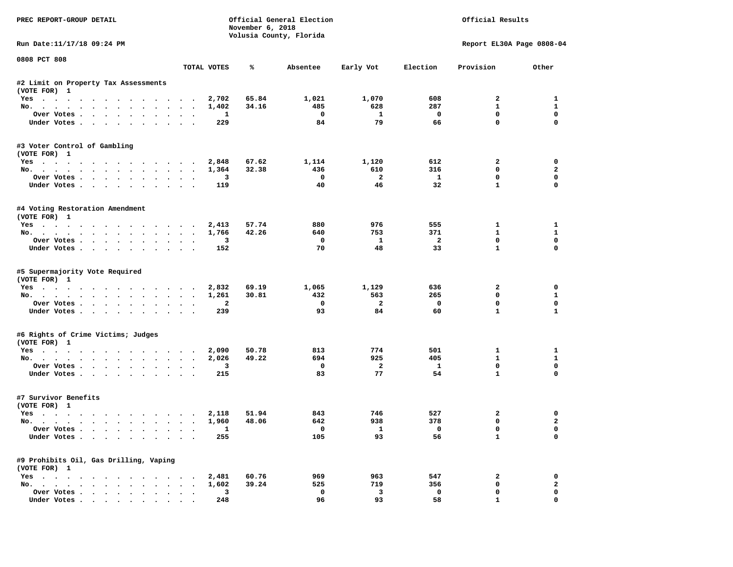| Volusia County, Florida<br>Run Date: 11/17/18 09:24 PM<br>Report EL30A Page 0808-04<br>TOTAL VOTES<br>℁<br>Election<br>Provision<br>Absentee<br>Early Vot<br>65.84<br>1,021<br>1,070<br>608<br>$\overline{a}$<br>Yes<br>2,702<br>34.16<br>485<br>628<br>287<br>$\mathbf{1}$<br>No.<br>1,402        | Other<br>$\mathbf{1}$<br>$\mathbf{1}$<br>$\mathbf 0$<br>$\mathbf 0$<br>$\mathbf 0$<br>$\overline{\mathbf{2}}$<br>$\mathbf 0$ |
|----------------------------------------------------------------------------------------------------------------------------------------------------------------------------------------------------------------------------------------------------------------------------------------------------|------------------------------------------------------------------------------------------------------------------------------|
| 0808 PCT 808<br>#2 Limit on Property Tax Assessments<br>(VOTE FOR) 1                                                                                                                                                                                                                               |                                                                                                                              |
|                                                                                                                                                                                                                                                                                                    |                                                                                                                              |
|                                                                                                                                                                                                                                                                                                    |                                                                                                                              |
|                                                                                                                                                                                                                                                                                                    |                                                                                                                              |
|                                                                                                                                                                                                                                                                                                    |                                                                                                                              |
|                                                                                                                                                                                                                                                                                                    |                                                                                                                              |
| $\mathbf 0$<br>$\mathbf 0$<br>$\mathbf{1}$<br>$\mathbf{0}$<br>Over Votes<br>1                                                                                                                                                                                                                      |                                                                                                                              |
| 79<br>84<br>66<br>$\mathbf 0$<br>Under Votes<br>229                                                                                                                                                                                                                                                |                                                                                                                              |
| #3 Voter Control of Gambling                                                                                                                                                                                                                                                                       |                                                                                                                              |
| (VOTE FOR) 1                                                                                                                                                                                                                                                                                       |                                                                                                                              |
| 67.62<br>1,114<br>1,120<br>612<br>$\overline{2}$<br>Yes<br>2,848<br>$^{\circ}$                                                                                                                                                                                                                     |                                                                                                                              |
| No.<br>1,364<br>32.38<br>436<br>610<br>316<br>$\overline{2}$<br>$\mathbf 0$<br>$\mathbf{1}$<br>$\mathbf 0$<br>3                                                                                                                                                                                    |                                                                                                                              |
| Over Votes.<br>46<br>32<br>$\mathbf{1}$<br>Under Votes<br>40<br>119                                                                                                                                                                                                                                | $\mathbf 0$                                                                                                                  |
|                                                                                                                                                                                                                                                                                                    |                                                                                                                              |
| #4 Voting Restoration Amendment<br>(VOTE FOR) 1                                                                                                                                                                                                                                                    |                                                                                                                              |
| 57.74<br>880<br>976<br>555<br>$\mathbf{1}$<br>Yes<br>2,413                                                                                                                                                                                                                                         | $\mathbf{1}$                                                                                                                 |
| 42.26<br>640<br>753<br>371<br>$\mathbf{1}$<br>No.<br>1,766                                                                                                                                                                                                                                         | $\mathbf{1}$                                                                                                                 |
| $\mathbf 0$<br>$\mathbf{1}$<br>$\overline{2}$<br>$\mathbf 0$<br>3<br>Over Votes                                                                                                                                                                                                                    | $\mathbf 0$                                                                                                                  |
| 33<br>$\mathbf{1}$<br>70<br>48<br>Under Votes<br>152                                                                                                                                                                                                                                               | $\Omega$                                                                                                                     |
| (VOTE FOR) 1<br>Yes<br>2,832<br>69.19<br>1,065<br>1,129<br>636<br>$\mathbf{2}$<br>265<br>563<br>$\mathbf 0$<br>1,261<br>30.81<br>432<br>No.<br>$\overline{a}$<br>$\mathbf 0$<br>$\overline{2}$<br>$\mathbf 0$<br>$\mathbf 0$<br>Over Votes<br>93<br>84<br>60<br>$\mathbf{1}$<br>Under Votes<br>239 | 0<br>$\mathbf{1}$<br>$\mathbf 0$<br>$\mathbf{1}$                                                                             |
| #6 Rights of Crime Victims; Judges                                                                                                                                                                                                                                                                 |                                                                                                                              |
| (VOTE FOR) 1<br>813<br>774                                                                                                                                                                                                                                                                         |                                                                                                                              |
| Yes<br>50.78<br>501<br>2,090<br>1<br>925<br>405<br>$\mathbf{1}$<br>2,026<br>49.22<br>694                                                                                                                                                                                                           | $\mathbf{1}$<br>$\mathbf{1}$                                                                                                 |
| No.<br>$\overline{\mathbf{3}}$<br>$\mathbf 0$<br>$\mathbf{2}$<br>$\mathbf{1}$<br>$\mathbf 0$<br>Over Votes                                                                                                                                                                                         | $\mathbf 0$                                                                                                                  |
| 83<br>77<br>54<br>$\mathbf{1}$<br>Under Votes<br>215                                                                                                                                                                                                                                               | $\mathbf{0}$                                                                                                                 |
|                                                                                                                                                                                                                                                                                                    |                                                                                                                              |
| #7 Survivor Benefits<br>(VOTE FOR) 1                                                                                                                                                                                                                                                               |                                                                                                                              |
| 51.94<br>843<br>746<br>527<br>$\overline{2}$<br>Yes<br>2,118                                                                                                                                                                                                                                       | $\mathbf 0$                                                                                                                  |
| 48.06<br>642<br>938<br>378<br>$\mathbf 0$<br>No.<br>1,960                                                                                                                                                                                                                                          | $\overline{a}$                                                                                                               |
| $\Omega$<br>$\mathbf{1}$<br>$\Omega$<br>$\mathbf 0$<br>Over Votes<br>$\mathbf{1}$                                                                                                                                                                                                                  | $\mathbf{0}$                                                                                                                 |
| 105<br>93<br>56<br>$\mathbf{1}$<br>Under Votes<br>255                                                                                                                                                                                                                                              | $\mathbf 0$                                                                                                                  |
| #9 Prohibits Oil, Gas Drilling, Vaping<br>(VOTE FOR) 1                                                                                                                                                                                                                                             |                                                                                                                              |
| 969<br>963<br>Yes<br>2,481<br>60.76<br>547<br>2                                                                                                                                                                                                                                                    | $\mathbf 0$                                                                                                                  |
| 525<br>719<br>356<br>$\mathbf 0$<br>No.<br>1,602<br>39.24                                                                                                                                                                                                                                          | $\overline{\mathbf{2}}$                                                                                                      |
| $\mathbf 0$<br>Over Votes<br>3<br>$\mathbf 0$<br>$\overline{\mathbf{3}}$<br>$\mathbf 0$                                                                                                                                                                                                            | $\mathbf 0$                                                                                                                  |
| 96<br>93<br>58<br>$\mathbf{1}$<br>Under Votes<br>248                                                                                                                                                                                                                                               | $\mathbf 0$                                                                                                                  |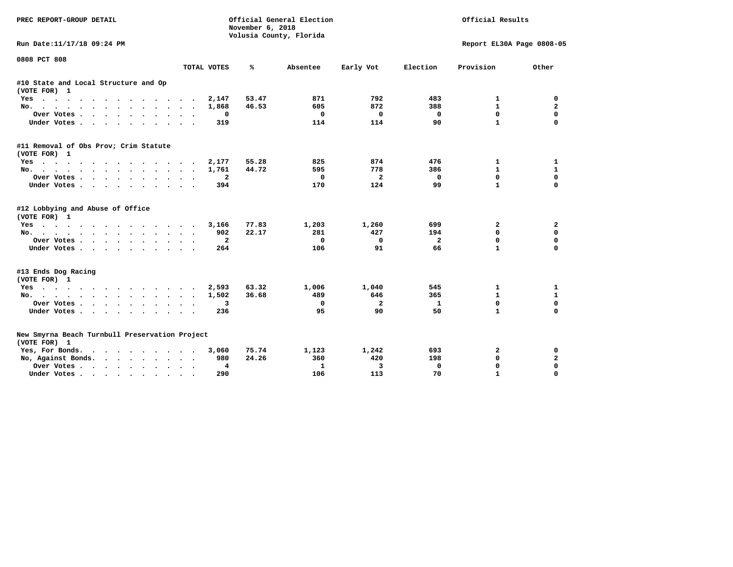| PREC REPORT-GROUP DETAIL                                       |              | November 6, 2018 | Official General Election<br>Volusia County, Florida | Official Results |                           |              |              |
|----------------------------------------------------------------|--------------|------------------|------------------------------------------------------|------------------|---------------------------|--------------|--------------|
| Run Date:11/17/18 09:24 PM                                     |              |                  |                                                      |                  | Report EL30A Page 0808-05 |              |              |
| 0808 PCT 808                                                   | TOTAL VOTES  | ℁                | Absentee                                             | Early Vot        | Election                  | Provision    | Other        |
| #10 State and Local Structure and Op                           |              |                  |                                                      |                  |                           |              |              |
| (VOTE FOR) 1                                                   |              |                  |                                                      |                  |                           |              |              |
| Yes                                                            | 2,147        | 53.47            | 871                                                  | 792              | 483                       | 1            | 0            |
| No.                                                            | 1,868        | 46.53            | 605                                                  | 872              | 388                       | $\mathbf{1}$ | $\mathbf{2}$ |
| Over Votes                                                     | 0            |                  | 0                                                    | $^{\circ}$       | $\mathbf 0$               | $\mathbf{0}$ | $\mathbf 0$  |
| Under Votes.                                                   | 319          |                  | 114                                                  | 114              | 90                        | $\mathbf{1}$ | 0            |
| #11 Removal of Obs Prov; Crim Statute                          |              |                  |                                                      |                  |                           |              |              |
| (VOTE FOR) 1                                                   |              |                  |                                                      |                  |                           |              |              |
| Yes                                                            | 2,177        | 55.28            | 825                                                  | 874              | 476                       | 1            | 1            |
| No.                                                            | 1,761        | 44.72            | 595                                                  | 778              | 386                       | $\mathbf{1}$ | $\mathbf{1}$ |
| Over Votes                                                     | $\mathbf{2}$ |                  | $\Omega$                                             | $\overline{a}$   | $\Omega$                  | $\mathbf{0}$ | $\mathbf 0$  |
| Under Votes                                                    | 394          |                  | 170                                                  | 124              | 99                        | $\mathbf{1}$ | $\Omega$     |
| #12 Lobbying and Abuse of Office                               |              |                  |                                                      |                  |                           |              |              |
| (VOTE FOR) 1                                                   |              |                  |                                                      |                  |                           |              |              |
| Yes                                                            | 3,166        | 77.83            | 1,203                                                | 1,260            | 699                       | 2            | 2            |
| No.                                                            | 902          | 22.17            | 281                                                  | 427              | 194                       | $\Omega$     | $\mathbf 0$  |
| Over Votes                                                     | $\mathbf{2}$ |                  | $\mathbf 0$                                          | $\mathbf 0$      | $\overline{a}$            | $\mathbf 0$  | $\mathbf 0$  |
| Under Votes                                                    | 264          |                  | 106                                                  | 91               | 66                        | $\mathbf{1}$ | $\mathbf 0$  |
| #13 Ends Dog Racing                                            |              |                  |                                                      |                  |                           |              |              |
| (VOTE FOR) 1                                                   |              |                  |                                                      |                  |                           |              |              |
| Yes                                                            | 2,593        | 63.32            | 1,006                                                | 1,040            | 545                       | 1            | 1            |
| No.                                                            | 1,502        | 36.68            | 489                                                  | 646              | 365                       | $\mathbf{1}$ | 1            |
| Over Votes                                                     | 3            |                  | 0                                                    | $\overline{a}$   | 1                         | $\mathbf 0$  | 0            |
| Under Votes                                                    | 236          |                  | 95                                                   | 90               | 50                        | $\mathbf{1}$ | $\mathbf 0$  |
|                                                                |              |                  |                                                      |                  |                           |              |              |
| New Smyrna Beach Turnbull Preservation Project<br>(VOTE FOR) 1 |              |                  |                                                      |                  |                           |              |              |
| Yes, For Bonds.                                                | 3,060        | 75.74            | 1,123                                                | 1,242            | 693                       | 2            | 0            |
| No, Against Bonds.                                             | 980          | 24.26            | 360                                                  | 420              | 198                       | $\mathbf 0$  | $\mathbf{2}$ |
| Over Votes                                                     | 4            |                  | 1                                                    | 3                | $\mathbf{0}$              | $\mathbf{0}$ | $\mathbf 0$  |
| Under Votes                                                    | 290          |                  | 106                                                  | 113              | 70                        | $\mathbf{1}$ | $\Omega$     |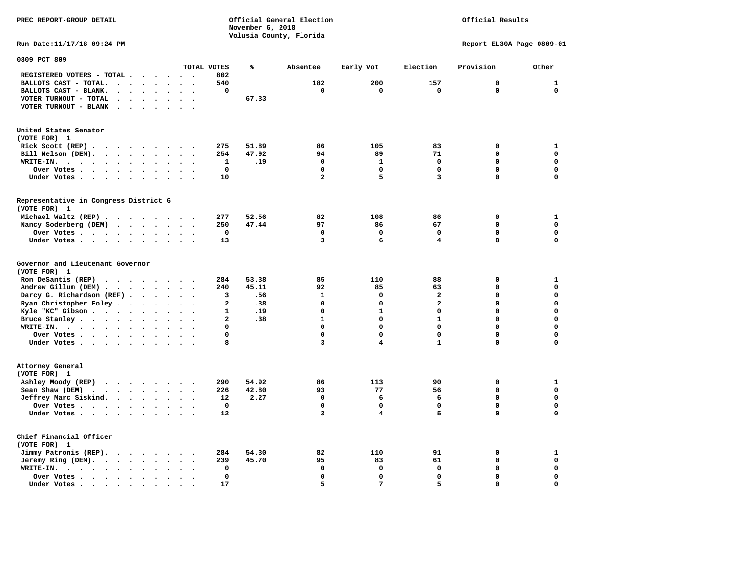**PREC REPORT-GROUP DETAIL COMPUTER CONSUMING A CONSUMING CONSUMING A LIGACION CONSUMING A LIGACION November 6, 2018 Volusia County, Florida** 

## Official Results

**Run Date:11/17/18 09:24 PM Report EL30A Page 0809-01** 

| 0809 PCT 809                                                                                                                                  |                                                  |              |       |                         |                         |                |             |                  |
|-----------------------------------------------------------------------------------------------------------------------------------------------|--------------------------------------------------|--------------|-------|-------------------------|-------------------------|----------------|-------------|------------------|
|                                                                                                                                               |                                                  | TOTAL VOTES  | ℁     | Absentee                | Early Vot               | Election       | Provision   | Other            |
| REGISTERED VOTERS - TOTAL .<br>$\ddot{\phantom{a}}$<br>$\ddot{\phantom{a}}$                                                                   | $\cdot$                                          | 802          |       |                         |                         |                |             |                  |
| BALLOTS CAST - TOTAL.<br>$\sim$<br>$\bullet$<br>$\bullet$<br>$\ddot{\phantom{a}}$                                                             |                                                  | 540          |       | 182                     | 200                     | 157            | $\mathbf 0$ | $\mathbf{1}$     |
| BALLOTS CAST - BLANK.<br>$\ddot{\phantom{a}}$<br>$\bullet$<br>$\bullet$                                                                       | $\ddot{\phantom{a}}$                             | $\mathbf 0$  |       | $\mathbf 0$             | 0                       | $\mathbf 0$    | $\Omega$    | $\mathbf 0$      |
| VOTER TURNOUT - TOTAL<br>$\ddot{\phantom{a}}$<br>$\Delta$<br>$\overline{\phantom{a}}$                                                         |                                                  |              | 67.33 |                         |                         |                |             |                  |
| VOTER TURNOUT - BLANK<br>$\overline{\phantom{a}}$                                                                                             |                                                  |              |       |                         |                         |                |             |                  |
|                                                                                                                                               |                                                  |              |       |                         |                         |                |             |                  |
|                                                                                                                                               |                                                  |              |       |                         |                         |                |             |                  |
| United States Senator                                                                                                                         |                                                  |              |       |                         |                         |                |             |                  |
| (VOTE FOR) 1                                                                                                                                  |                                                  |              |       |                         |                         |                |             |                  |
| Rick Scott (REP).<br>$\ddot{\phantom{1}}$<br>$\cdot$ $\cdot$<br>$\cdots$                                                                      | $\sim$                                           | 275          | 51.89 | 86                      | 105                     | 83             | 0           | $\mathbf{1}$     |
| Bill Nelson (DEM).                                                                                                                            | $\ddot{\phantom{a}}$                             | 254          | 47.92 | 94                      | 89                      | 71             | 0           | $\mathbf 0$      |
| WRITE-IN.<br>$\sim$ $\sim$ $\sim$<br>$\cdot$ $\cdot$<br>$\bullet$<br>$\bullet$<br>$\bullet$                                                   |                                                  | 1            | .19   | 0                       | 1                       | 0              | 0           | $\mathbf 0$      |
| Over Votes<br>$\sim$<br>$\bullet$<br>$\cdot$                                                                                                  |                                                  | $\mathbf 0$  |       | $\mathbf 0$             | 0                       | $\mathbf 0$    | 0           | $\mathbf 0$      |
| Under Votes<br>$\ddot{\phantom{0}}$<br>$\bullet$<br>$\ddot{\phantom{0}}$                                                                      | $\ddot{\phantom{0}}$<br>$\bullet$                | 10           |       | $\overline{\mathbf{2}}$ | 5                       | 3              | $\Omega$    | $\mathbf 0$      |
|                                                                                                                                               |                                                  |              |       |                         |                         |                |             |                  |
| Representative in Congress District 6                                                                                                         |                                                  |              |       |                         |                         |                |             |                  |
| (VOTE FOR) 1                                                                                                                                  |                                                  |              |       |                         |                         |                |             |                  |
| Michael Waltz (REP).                                                                                                                          |                                                  | 277          | 52.56 | 82                      | 108                     | 86             | 0           | $\mathbf{1}$     |
| Nancy Soderberg (DEM)<br>$\mathcal{A}$ , and $\mathcal{A}$ , and $\mathcal{A}$ , and $\mathcal{A}$                                            | $\bullet$                                        | 250          | 47.44 | 97                      | 86                      | 67             | 0           | $\mathbf 0$      |
| Over Votes.<br>$\sim$ $\sim$ $\sim$ $\sim$<br>$\bullet$<br>$\ddot{\phantom{a}}$<br>$\bullet$                                                  |                                                  | 0            |       | 0                       | $\mathbf 0$             | 0              | 0           | 0                |
| Under Votes<br>$\ddot{\phantom{a}}$<br>$\bullet$                                                                                              | $\sim$<br>$\bullet$                              | 13           |       | 3                       | 6                       | 4              | $\Omega$    | $\mathbf 0$      |
|                                                                                                                                               |                                                  |              |       |                         |                         |                |             |                  |
| Governor and Lieutenant Governor<br>(VOTE FOR) 1                                                                                              |                                                  |              |       |                         |                         |                |             |                  |
| Ron DeSantis (REP)                                                                                                                            |                                                  | 284          | 53.38 | 85                      | 110                     | 88             | 0           | $\mathbf{1}$     |
| $\begin{array}{cccccccccccccc} \bullet & \bullet & \bullet & \bullet & \bullet & \bullet & \bullet & \bullet & \bullet & \bullet \end{array}$ | $\sim$                                           |              |       |                         |                         |                | 0           | $\mathbf 0$      |
| Andrew Gillum (DEM)<br>$\ddot{\phantom{1}}$                                                                                                   | $\ddot{\phantom{a}}$<br>$\ddot{\phantom{1}}$     | 240          | 45.11 | 92                      | 85                      | 63             | 0           |                  |
| Darcy G. Richardson (REF).<br>$\ddot{\phantom{0}}$<br>$\bullet$                                                                               |                                                  | 3            | .56   | $\mathbf{1}$            | 0                       | 2              |             | $\mathbf 0$      |
| Ryan Christopher Foley.<br>$\bullet$<br>$\bullet$<br>$\bullet$                                                                                |                                                  | $\mathbf{2}$ | .38   | $\mathbf 0$             | $\Omega$                | $\overline{a}$ | $\Omega$    | $\mathbf 0$      |
| Kyle "KC" Gibson.<br>$\mathcal{L}(\mathcal{A})$ , and $\mathcal{A}(\mathcal{A})$<br>$\bullet$<br>$\bullet$<br>$\bullet$                       | $\ddot{\phantom{a}}$<br>$\overline{\phantom{a}}$ | $\mathbf{1}$ | .19   | $\Omega$                | $\mathbf{1}$            | $\Omega$       | $\Omega$    | $\mathbf 0$      |
| Bruce Stanley<br>$\bullet$                                                                                                                    | $\overline{\phantom{a}}$                         | 2            | .38   | $\mathbf{1}$            | 0                       | $\mathbf{1}$   | 0           | $\mathbf 0$      |
| WRITE-IN.<br>$\cdots$<br>$\cdot$<br>$\ddot{\phantom{a}}$                                                                                      |                                                  | 0            |       | $\mathbf 0$             | 0                       | 0              | 0           | $\mathbf 0$      |
| Over Votes .<br>$\cdots$<br>$\bullet$<br>$\bullet$                                                                                            |                                                  | 0            |       | $\mathbf 0$             | 0                       | 0              | 0           | $\mathbf 0$      |
| Under Votes<br>$\sim$<br>$\bullet$                                                                                                            | $\ddot{\phantom{0}}$                             | 8            |       | 3                       | $\overline{\mathbf{4}}$ | $\mathbf{1}$   | 0           | $\mathbf 0$      |
|                                                                                                                                               |                                                  |              |       |                         |                         |                |             |                  |
| Attorney General<br>(VOTE FOR) 1                                                                                                              |                                                  |              |       |                         |                         |                |             |                  |
|                                                                                                                                               |                                                  |              |       |                         |                         |                |             |                  |
| Ashley Moody (REP)                                                                                                                            |                                                  | 290          | 54.92 | 86                      | 113                     | 90             | 0           | 1<br>$\mathbf 0$ |
| Sean Shaw (DEM)<br>$\mathbf{r}$ , $\mathbf{r}$ , $\mathbf{r}$ , $\mathbf{r}$ , $\mathbf{r}$<br>$\ddot{\phantom{a}}$                           |                                                  | 226          | 42.80 | 93                      | 77                      | 56             | 0           |                  |
| Jeffrey Marc Siskind.<br>$\sim$ $\sim$ $\sim$ $\sim$<br>$\bullet$<br>$\bullet$                                                                | $\cdot$<br>$\overline{\phantom{a}}$              | 12           | 2.27  | $\mathbf 0$             | 6                       | 6              | 0           | $\mathbf 0$      |
| Over Votes<br>$\bullet$<br>$\ddot{\phantom{a}}$                                                                                               |                                                  | 0            |       | $\mathbf 0$             | 0                       | $\mathbf 0$    | 0           | $\mathbf 0$      |
| Under Votes<br>$\bullet$                                                                                                                      |                                                  | 12           |       | 3                       | 4                       | 5              | 0           | $\mathbf 0$      |
|                                                                                                                                               |                                                  |              |       |                         |                         |                |             |                  |
| Chief Financial Officer                                                                                                                       |                                                  |              |       |                         |                         |                |             |                  |
| (VOTE FOR) 1                                                                                                                                  |                                                  |              |       |                         |                         |                |             |                  |
| Jimmy Patronis (REP).<br>$\mathbf{r}$ , and $\mathbf{r}$ , and $\mathbf{r}$<br>$\ddot{\phantom{a}}$                                           | $\ddot{\phantom{a}}$                             | 284          | 54.30 | 82                      | 110                     | 91             | 0           | $\mathbf{1}$     |
| Jeremy Ring (DEM).                                                                                                                            | $\ddot{\phantom{0}}$<br>$\bullet$                | 239          | 45.70 | 95                      | 83                      | 61             | $\mathbf 0$ | $\mathbf 0$      |
| WRITE-IN.<br>$\cdots$<br>$\bullet$<br>$\bullet$                                                                                               |                                                  | 0            |       | $\mathbf 0$             | 0                       | $\mathbf 0$    | 0           | $\mathbf 0$      |
| Over Votes.<br>$\sim$ $\sim$ $\sim$ $\sim$<br>$\bullet$<br>$\bullet$                                                                          |                                                  | $\mathbf 0$  |       | $\Omega$                | $\mathbf 0$             | 0              | $\Omega$    | $\mathbf 0$      |
| Under Votes.<br>$\blacksquare$<br>$\bullet$<br>$\bullet$<br>$\bullet$<br>$\bullet$                                                            |                                                  | 17           |       | 5                       | 7                       | 5.             | $\Omega$    | $\mathbf 0$      |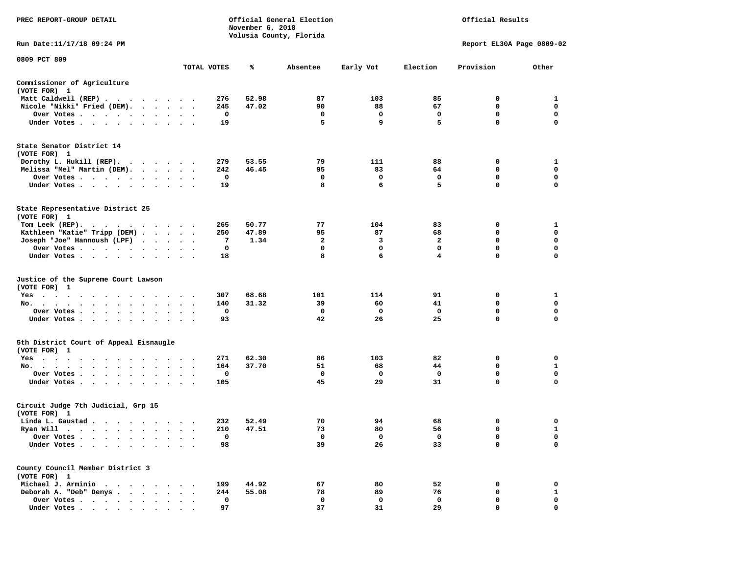| PREC REPORT-GROUP DETAIL                                                                                                                                                                                                                   |  |             | November 6, 2018 | Official General Election<br>Volusia County, Florida |             | Official Results |                           |             |
|--------------------------------------------------------------------------------------------------------------------------------------------------------------------------------------------------------------------------------------------|--|-------------|------------------|------------------------------------------------------|-------------|------------------|---------------------------|-------------|
| Run Date: 11/17/18 09:24 PM                                                                                                                                                                                                                |  |             |                  |                                                      |             |                  | Report EL30A Page 0809-02 |             |
| 0809 PCT 809                                                                                                                                                                                                                               |  |             |                  |                                                      |             |                  |                           |             |
|                                                                                                                                                                                                                                            |  | TOTAL VOTES | ℁                | Absentee                                             | Early Vot   | Election         | Provision                 | Other       |
| Commissioner of Agriculture<br>(VOTE FOR) 1                                                                                                                                                                                                |  |             |                  |                                                      |             |                  |                           |             |
| Matt Caldwell (REP)                                                                                                                                                                                                                        |  | 276         | 52.98            | 87                                                   | 103         | 85               | $\mathbf{o}$              | 1           |
| Nicole "Nikki" Fried (DEM).                                                                                                                                                                                                                |  | 245         | 47.02            | 90                                                   | 88          | 67               | 0                         | $\mathbf 0$ |
| Over Votes                                                                                                                                                                                                                                 |  | 0           |                  | 0                                                    | 0           | 0                | 0                         | 0           |
| Under Votes                                                                                                                                                                                                                                |  | 19          |                  | 5                                                    | 9           | 5                | $\mathbf 0$               | $\mathbf 0$ |
| State Senator District 14<br>(VOTE FOR) 1                                                                                                                                                                                                  |  |             |                  |                                                      |             |                  |                           |             |
| Dorothy L. Hukill $(REP)$ .                                                                                                                                                                                                                |  | 279         | 53.55            | 79                                                   | 111         | 88               | 0                         | 1           |
| Melissa "Mel" Martin (DEM).                                                                                                                                                                                                                |  | 242         | 46.45            | 95                                                   | 83          | 64               | 0                         | 0           |
| Over Votes                                                                                                                                                                                                                                 |  | 0           |                  | 0                                                    | 0           | 0                | 0                         | 0           |
| Under Votes                                                                                                                                                                                                                                |  | 19          |                  | 8                                                    | 6           | 5                | 0                         | 0           |
| State Representative District 25<br>(VOTE FOR) 1                                                                                                                                                                                           |  |             |                  |                                                      |             |                  |                           |             |
| Tom Leek $(REP)$ .                                                                                                                                                                                                                         |  | 265         | 50.77            | 77                                                   | 104         | 83               | 0                         | 1           |
| Kathleen "Katie" Tripp (DEM)                                                                                                                                                                                                               |  | 250         | 47.89            | 95                                                   | 87          | 68               | 0                         | 0           |
| Joseph "Joe" Hannoush (LPF)                                                                                                                                                                                                                |  | 7           | 1.34             | $\overline{2}$                                       | 3           | $\overline{a}$   | $\mathbf 0$               | $\mathbf 0$ |
| Over Votes                                                                                                                                                                                                                                 |  | 0           |                  | 0                                                    | 0           | 0                | 0                         | 0           |
| Under Votes                                                                                                                                                                                                                                |  | 18          |                  | 8                                                    | 6           | 4                | 0                         | 0           |
| Justice of the Supreme Court Lawson<br>(VOTE FOR) 1                                                                                                                                                                                        |  |             |                  |                                                      |             |                  |                           |             |
| Yes                                                                                                                                                                                                                                        |  | 307         | 68.68            | 101                                                  | 114         | 91               | 0                         | 1           |
| No.                                                                                                                                                                                                                                        |  | 140         | 31.32            | 39                                                   | 60          | 41               | 0                         | 0           |
| Over Votes                                                                                                                                                                                                                                 |  | 0           |                  | 0                                                    | $\mathbf 0$ | 0                | $\mathbf 0$               | $\mathbf 0$ |
| Under Votes                                                                                                                                                                                                                                |  | 93          |                  | 42                                                   | 26          | 25               | 0                         | 0           |
| 5th District Court of Appeal Eisnaugle                                                                                                                                                                                                     |  |             |                  |                                                      |             |                  |                           |             |
| (VOTE FOR) 1                                                                                                                                                                                                                               |  |             |                  |                                                      |             |                  |                           |             |
| Yes<br>No.                                                                                                                                                                                                                                 |  | 271<br>164  | 62.30<br>37.70   | 86<br>51                                             | 103<br>68   | 82<br>44         | $\mathbf{o}$<br>0         | 0<br>1      |
| Over Votes                                                                                                                                                                                                                                 |  | 0           |                  | 0                                                    | 0           | 0                | $\mathbf 0$               | $\mathbf 0$ |
| Under Votes                                                                                                                                                                                                                                |  | 105         |                  | 45                                                   | 29          | 31               | 0                         | $\mathbf 0$ |
| Circuit Judge 7th Judicial, Grp 15<br>(VOTE FOR) 1                                                                                                                                                                                         |  |             |                  |                                                      |             |                  |                           |             |
| Linda L. Gaustad                                                                                                                                                                                                                           |  | 232         | 52.49            | 70                                                   | 94          | 68               | 0                         | 0           |
| Ryan Will<br>the company of the company of the company of the company of the company of the company of the company of the company of the company of the company of the company of the company of the company of the company of the company |  | 210         | 47.51            | 73                                                   | 80          | 56               | 0                         | 1           |
| Over Votes .<br>$\cdots$                                                                                                                                                                                                                   |  | 0           |                  | 0                                                    | 0           | 0                | 0                         | 0           |
| Under Votes<br>$\ddot{\phantom{0}}$                                                                                                                                                                                                        |  | 98          |                  | 39                                                   | 26          | 33               | 0                         | 0           |
| County Council Member District 3<br>(VOTE FOR) 1                                                                                                                                                                                           |  |             |                  |                                                      |             |                  |                           |             |
| Michael J. Arminio<br>$\bullet$<br>$\cdot$<br>$\cdot$                                                                                                                                                                                      |  | 199         | 44.92            | 67                                                   | 80          | 52               | 0                         | 0           |
| Deborah A. "Deb" Denys.<br>$\ddot{\phantom{a}}$                                                                                                                                                                                            |  | 244         | 55.08            | 78                                                   | 89          | 76               | 0                         | 1           |
| Over Votes                                                                                                                                                                                                                                 |  | 0           |                  | 0                                                    | 0           | 0                | 0                         | 0           |
| Under Votes.<br>$\cdot$ $\cdot$ $\cdot$ $\cdot$ $\cdot$ $\cdot$<br>$\bullet$                                                                                                                                                               |  | 97          |                  | 37                                                   | 31          | 29               | 0                         | 0           |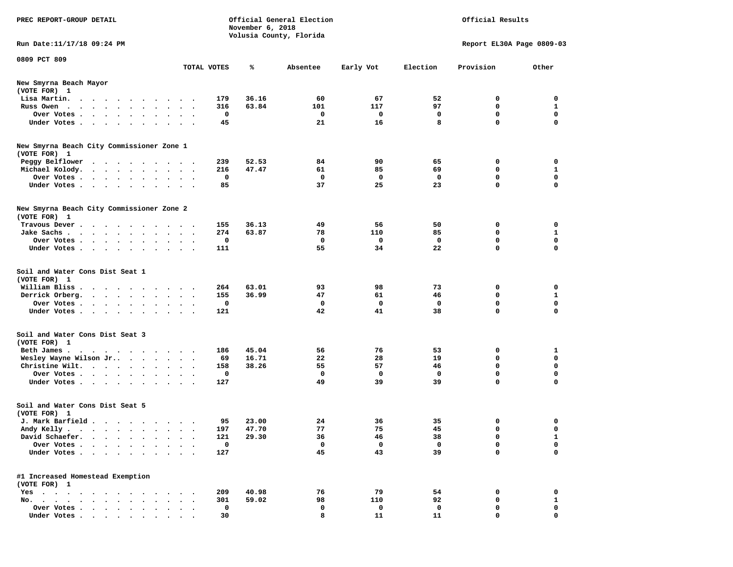| PREC REPORT-GROUP DETAIL                                                                                         |                        | November 6, 2018 | Official General Election<br>Volusia County, Florida |                     | Official Results    |                                      |                                              |
|------------------------------------------------------------------------------------------------------------------|------------------------|------------------|------------------------------------------------------|---------------------|---------------------|--------------------------------------|----------------------------------------------|
| Run Date: 11/17/18 09:24 PM                                                                                      |                        |                  |                                                      |                     |                     | Report EL30A Page 0809-03            |                                              |
| 0809 PCT 809                                                                                                     |                        |                  |                                                      |                     |                     |                                      |                                              |
|                                                                                                                  | TOTAL VOTES            | ℁                | Absentee                                             | Early Vot           | Election            | Provision                            | Other                                        |
| New Smyrna Beach Mayor<br>(VOTE FOR) 1                                                                           |                        |                  |                                                      |                     |                     |                                      |                                              |
| Lisa Martin.                                                                                                     | 179                    | 36.16            | 60                                                   | 67                  | 52                  | 0                                    | 0                                            |
| Russ Owen                                                                                                        | 316                    | 63.84            | 101                                                  | 117                 | 97                  | 0                                    | $\mathbf{1}$                                 |
| Over Votes.                                                                                                      | 0                      |                  | 0                                                    | 0                   | 0                   | $\mathbf 0$                          | $\mathbf 0$                                  |
| Under Votes                                                                                                      | 45                     |                  | 21                                                   | 16                  | 8                   | $\mathbf 0$                          | $\Omega$                                     |
| New Smyrna Beach City Commissioner Zone 1<br>(VOTE FOR) 1                                                        |                        |                  |                                                      |                     |                     |                                      |                                              |
| Peggy Belflower<br>$\cdots$                                                                                      | 239                    | 52.53            | 84                                                   | 90                  | 65                  | 0                                    | 0                                            |
| Michael Kolody.                                                                                                  | 216                    | 47.47            | 61                                                   | 85                  | 69                  | 0                                    | $\mathbf{1}$                                 |
| Over Votes                                                                                                       | 0                      |                  | $\mathbf 0$                                          | 0                   | $\mathbf 0$         | $\mathbf 0$                          | $\mathbf 0$                                  |
| Under Votes                                                                                                      | 85                     |                  | 37                                                   | 25                  | 23                  | $\Omega$                             | $\Omega$                                     |
| New Smyrna Beach City Commissioner Zone 2<br>(VOTE FOR) 1                                                        |                        |                  |                                                      |                     |                     |                                      |                                              |
| Travous Dever                                                                                                    | 155                    | 36.13            | 49                                                   | 56                  | 50                  | 0                                    | 0                                            |
| Jake Sachs                                                                                                       | 274                    | 63.87            | 78                                                   | 110                 | 85                  | $\Omega$                             | 1                                            |
| Over Votes.                                                                                                      | 0                      |                  | 0                                                    | 0                   | 0                   | $\mathbf 0$                          | 0                                            |
| Under Votes                                                                                                      | 111                    |                  | 55                                                   | 34                  | 22                  | $\mathbf 0$                          | $\mathbf 0$                                  |
| Soil and Water Cons Dist Seat 1<br>(VOTE FOR) 1<br>William Bliss<br>Derrick Orberg.<br>Over Votes<br>Under Votes | 264<br>155<br>0<br>121 | 63.01<br>36.99   | 93<br>47<br>0<br>42                                  | 98<br>61<br>0<br>41 | 73<br>46<br>0<br>38 | 0<br>0<br>$\mathbf 0$<br>$\mathbf 0$ | 0<br>$\mathbf{1}$<br>$\mathbf 0$<br>$\Omega$ |
| Soil and Water Cons Dist Seat 3<br>(VOTE FOR) 1                                                                  |                        |                  |                                                      |                     |                     |                                      |                                              |
| Beth James.                                                                                                      | 186                    | 45.04            | 56                                                   | 76                  | 53                  | 0                                    | 1                                            |
| Wesley Wayne Wilson Jr                                                                                           | 69                     | 16.71            | 22                                                   | 28                  | 19                  | $\mathbf 0$                          | 0                                            |
| Christine Wilt.                                                                                                  | 158                    | 38.26            | 55                                                   | 57                  | 46                  | $\mathbf{0}$                         | $\mathbf 0$                                  |
| Over Votes<br>Under Votes                                                                                        | 0<br>127               |                  | $\Omega$<br>49                                       | 0<br>39             | 0<br>39             | 0<br>$\mathbf 0$                     | $\mathbf 0$<br>$\Omega$                      |
| Soil and Water Cons Dist Seat 5                                                                                  |                        |                  |                                                      |                     |                     |                                      |                                              |
| (VOTE FOR) 1<br>J. Mark Barfield                                                                                 | 95                     | 23.00            | 24                                                   | 36                  | 35                  | 0                                    | 0                                            |
| Andy Kelly                                                                                                       | 197                    | 47.70            | 77                                                   | 75                  | 45                  | 0                                    | 0                                            |
| David Schaefer.                                                                                                  | 121                    | 29.30            | 36                                                   | 46                  | 38                  | 0                                    | 1                                            |
| Over Votes                                                                                                       | 0                      |                  | 0                                                    | 0                   | 0                   | $\mathbf 0$                          | 0                                            |
| Under Votes                                                                                                      | 127                    |                  | 45                                                   | 43                  | 39                  | $\mathbf 0$                          | 0                                            |
| #1 Increased Homestead Exemption                                                                                 |                        |                  |                                                      |                     |                     |                                      |                                              |
| (VOTE FOR) 1                                                                                                     |                        |                  |                                                      |                     |                     |                                      |                                              |
| Yes<br>No.                                                                                                       | 209<br>301             | 40.98<br>59.02   | 76<br>98                                             | 79<br>110           | 54<br>92            | 0<br>0                               | 0<br>$\mathbf{1}$                            |
| Over Votes                                                                                                       | 0                      |                  | 0                                                    | 0                   | 0                   | 0                                    | 0                                            |
| Under Votes                                                                                                      | 30                     |                  | 8                                                    | 11                  | 11                  | $\Omega$                             | 0                                            |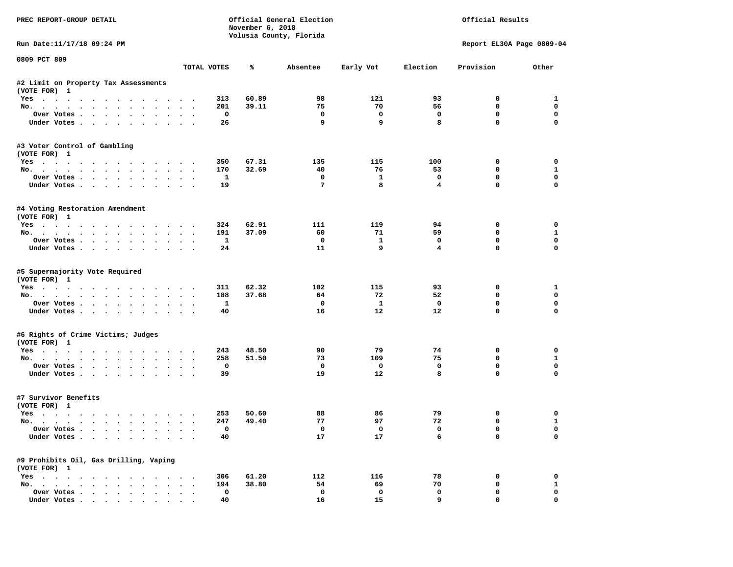| PREC REPORT-GROUP DETAIL                                                                                                                                                                                                                                                                                                                                                                                                                                                                   |        |              | November 6, 2018 | Official General Election<br>Volusia County, Florida |                         | Official Results        |                           |                   |  |
|--------------------------------------------------------------------------------------------------------------------------------------------------------------------------------------------------------------------------------------------------------------------------------------------------------------------------------------------------------------------------------------------------------------------------------------------------------------------------------------------|--------|--------------|------------------|------------------------------------------------------|-------------------------|-------------------------|---------------------------|-------------------|--|
| Run Date: 11/17/18 09:24 PM                                                                                                                                                                                                                                                                                                                                                                                                                                                                |        |              |                  |                                                      |                         |                         | Report EL30A Page 0809-04 |                   |  |
| 0809 PCT 809                                                                                                                                                                                                                                                                                                                                                                                                                                                                               |        | TOTAL VOTES  | ℁                | Absentee                                             | Early Vot               | Election                | Provision                 | Other             |  |
| #2 Limit on Property Tax Assessments                                                                                                                                                                                                                                                                                                                                                                                                                                                       |        |              |                  |                                                      |                         |                         |                           |                   |  |
| (VOTE FOR) 1                                                                                                                                                                                                                                                                                                                                                                                                                                                                               |        |              | 60.89            | 98                                                   | 121                     | 93                      | $^{\circ}$                |                   |  |
| Yes<br>No.                                                                                                                                                                                                                                                                                                                                                                                                                                                                                 |        | 313<br>201   | 39.11            | 75                                                   | 70                      | 56                      | $\mathbf 0$               | 1<br>$\mathbf 0$  |  |
| Over Votes                                                                                                                                                                                                                                                                                                                                                                                                                                                                                 |        | $\mathbf{o}$ |                  | $\mathbf{o}$                                         | $\mathbf 0$             | $\mathbf 0$             | $\mathbf 0$               | $\mathbf 0$       |  |
| Under Votes                                                                                                                                                                                                                                                                                                                                                                                                                                                                                |        | 26           |                  | 9                                                    | 9                       | 8                       | $\Omega$                  | $\Omega$          |  |
| #3 Voter Control of Gambling                                                                                                                                                                                                                                                                                                                                                                                                                                                               |        |              |                  |                                                      |                         |                         |                           |                   |  |
| (VOTE FOR) 1                                                                                                                                                                                                                                                                                                                                                                                                                                                                               |        |              |                  |                                                      |                         |                         |                           |                   |  |
| Yes                                                                                                                                                                                                                                                                                                                                                                                                                                                                                        |        | 350<br>170   | 67.31<br>32.69   | 135<br>40                                            | 115<br>76               | 100<br>53               | 0<br>$\Omega$             | 0<br>$\mathbf{1}$ |  |
| No.                                                                                                                                                                                                                                                                                                                                                                                                                                                                                        |        | $\mathbf{1}$ |                  | $^{\circ}$                                           | $\mathbf{1}$            | $^{\circ}$              | $\Omega$                  | $\Omega$          |  |
| Over Votes                                                                                                                                                                                                                                                                                                                                                                                                                                                                                 |        | 19           |                  | 7                                                    | 8                       | 4                       | 0                         | 0                 |  |
| Under Votes                                                                                                                                                                                                                                                                                                                                                                                                                                                                                |        |              |                  |                                                      |                         |                         |                           |                   |  |
| #4 Voting Restoration Amendment<br>(VOTE FOR) 1                                                                                                                                                                                                                                                                                                                                                                                                                                            |        |              |                  |                                                      |                         |                         |                           |                   |  |
| Yes                                                                                                                                                                                                                                                                                                                                                                                                                                                                                        |        | 324          | 62.91            | 111                                                  | 119                     | 94                      | 0                         | 0                 |  |
| No.                                                                                                                                                                                                                                                                                                                                                                                                                                                                                        |        | 191          | 37.09            | 60                                                   | 71                      | 59                      | 0                         | $\mathbf{1}$      |  |
| Over Votes                                                                                                                                                                                                                                                                                                                                                                                                                                                                                 |        | $\mathbf{1}$ |                  | $\overline{\mathbf{0}}$                              | $\mathbf{1}$            | $\mathbf 0$             | $\mathbf 0$               | $\mathbf 0$       |  |
| Under Votes                                                                                                                                                                                                                                                                                                                                                                                                                                                                                |        | 24           |                  | 11                                                   | 9                       | $\overline{\mathbf{4}}$ | $\mathbf 0$               | $\Omega$          |  |
| #5 Supermajority Vote Required<br>(VOTE FOR) 1                                                                                                                                                                                                                                                                                                                                                                                                                                             |        | 311          | 62.32            | 102                                                  | 115                     | 93                      | $\mathbf 0$               | $\mathbf{1}$      |  |
| Yes<br>No.                                                                                                                                                                                                                                                                                                                                                                                                                                                                                 |        | 188          | 37.68            | 64                                                   | 72                      | 52                      | $\mathbf 0$               | $\mathbf 0$       |  |
| Over Votes                                                                                                                                                                                                                                                                                                                                                                                                                                                                                 |        | <b>1</b>     |                  | $\mathbf{o}$                                         | $\mathbf{1}$            | $\mathbf{o}$            | 0                         | 0                 |  |
| Under Votes                                                                                                                                                                                                                                                                                                                                                                                                                                                                                |        | 40           |                  | 16                                                   | 12                      | $12 \overline{ }$       | $\mathbf 0$               | $\mathbf 0$       |  |
| #6 Rights of Crime Victims; Judges                                                                                                                                                                                                                                                                                                                                                                                                                                                         |        |              |                  |                                                      |                         |                         |                           |                   |  |
| (VOTE FOR) 1                                                                                                                                                                                                                                                                                                                                                                                                                                                                               |        |              |                  |                                                      |                         |                         |                           |                   |  |
| Yes                                                                                                                                                                                                                                                                                                                                                                                                                                                                                        |        | 243          | 48.50            | 90                                                   | 79                      | 74                      | 0                         | 0                 |  |
| No.                                                                                                                                                                                                                                                                                                                                                                                                                                                                                        |        | 258          | 51.50            | 73                                                   | 109                     | 75                      | $\mathbf 0$               | $\mathbf{1}$      |  |
| Over Votes                                                                                                                                                                                                                                                                                                                                                                                                                                                                                 |        | $\mathbf 0$  |                  | $\mathbf{o}$                                         | $\overline{\mathbf{0}}$ | $\mathbf 0$             | $\mathbf 0$               | $\mathbf 0$       |  |
| Under Votes                                                                                                                                                                                                                                                                                                                                                                                                                                                                                |        | 39           |                  | 19                                                   | $12 \overline{ }$       | 8                       | $\mathbf 0$               | $\Omega$          |  |
| #7 Survivor Benefits<br>(VOTE FOR) 1                                                                                                                                                                                                                                                                                                                                                                                                                                                       |        |              |                  |                                                      |                         |                         |                           |                   |  |
| Yes                                                                                                                                                                                                                                                                                                                                                                                                                                                                                        |        | 253          | 50.60            | 88                                                   | 86                      | 79                      | $\mathbf 0$               | $\mathbf 0$       |  |
| No.                                                                                                                                                                                                                                                                                                                                                                                                                                                                                        |        | 247          | 49.40            | 77                                                   | 97                      | 72                      | $^{\circ}$                | $\mathbf{1}$      |  |
| Over Votes                                                                                                                                                                                                                                                                                                                                                                                                                                                                                 |        | $\mathbf{o}$ |                  | $\mathbf 0$                                          | $\mathbf 0$             | 0                       | $\mathbf 0$               | $\mathbf 0$       |  |
| Under Votes                                                                                                                                                                                                                                                                                                                                                                                                                                                                                |        | 40           |                  | 17                                                   | 17                      | 6                       | $\mathbf{0}$              | $\mathbf 0$       |  |
| #9 Prohibits Oil, Gas Drilling, Vaping<br>(VOTE FOR) 1                                                                                                                                                                                                                                                                                                                                                                                                                                     |        |              |                  |                                                      |                         |                         |                           |                   |  |
| Yes                                                                                                                                                                                                                                                                                                                                                                                                                                                                                        |        | 306          | 61.20            | 112                                                  | 116                     | 78                      | 0                         | 0                 |  |
| No.                                                                                                                                                                                                                                                                                                                                                                                                                                                                                        |        | 194          | 38.80            | 54                                                   | 69                      | 70                      | 0                         | $\mathbf{1}$      |  |
| Over Votes                                                                                                                                                                                                                                                                                                                                                                                                                                                                                 | $\sim$ | $\mathbf 0$  |                  | $\mathbf{o}$                                         | $\mathbf 0$             | $\mathbf 0$             | $\mathbf 0$               | 0                 |  |
| $\blacksquare$ $\blacksquare$ $\blacksquare$ $\blacksquare$ $\blacksquare$ $\blacksquare$ $\blacksquare$ $\blacksquare$ $\blacksquare$ $\blacksquare$ $\blacksquare$ $\blacksquare$ $\blacksquare$ $\blacksquare$ $\blacksquare$ $\blacksquare$ $\blacksquare$ $\blacksquare$ $\blacksquare$ $\blacksquare$ $\blacksquare$ $\blacksquare$ $\blacksquare$ $\blacksquare$ $\blacksquare$ $\blacksquare$ $\blacksquare$ $\blacksquare$ $\blacksquare$ $\blacksquare$ $\blacksquare$ $\blacks$ |        | 40           |                  | 16                                                   | 15                      | 9                       | $\Omega$                  | $\Omega$          |  |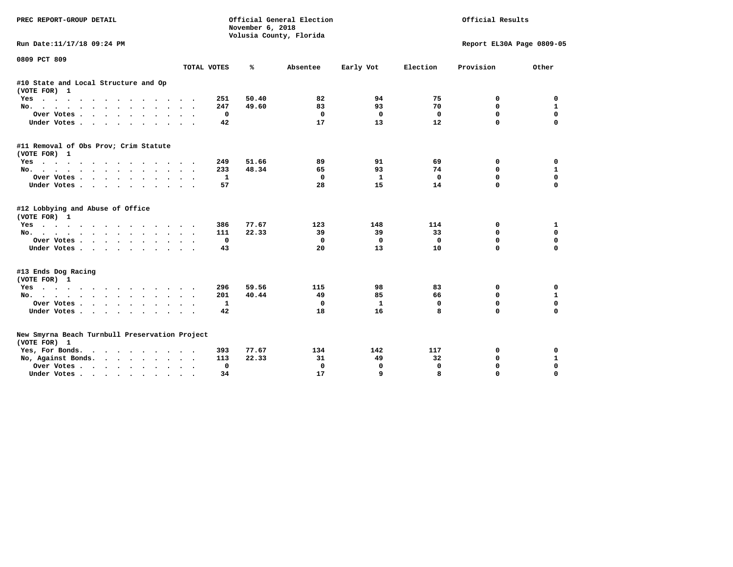| PREC REPORT-GROUP DETAIL                                                                                                           |                           | November 6, 2018<br>Volusia County, Florida | Official General Election | Official Results |             |                           |              |
|------------------------------------------------------------------------------------------------------------------------------------|---------------------------|---------------------------------------------|---------------------------|------------------|-------------|---------------------------|--------------|
| Run Date:11/17/18 09:24 PM                                                                                                         |                           |                                             |                           |                  |             | Report EL30A Page 0809-05 |              |
| 0809 PCT 809                                                                                                                       |                           |                                             |                           |                  |             |                           |              |
|                                                                                                                                    | TOTAL VOTES               | ℁                                           | Absentee                  | Early Vot        | Election    | Provision                 | Other        |
| #10 State and Local Structure and Op<br>(VOTE FOR) 1                                                                               |                           |                                             |                           |                  |             |                           |              |
| $Yes \t . \t .$<br>the contract of the contract of the contract of the contract of the contract of the contract of the contract of | 251                       | 50.40                                       | 82                        | 94               | 75          | 0                         | 0            |
| No.                                                                                                                                | 247<br>$\cdot$            | 49.60                                       | 83                        | 93               | 70          | 0                         | 1            |
| Over Votes<br>$\cdots$                                                                                                             | 0<br>$\bullet$            |                                             | 0                         | 0                | 0           | $\mathbf 0$               | $\mathbf 0$  |
| Under Votes                                                                                                                        | 42                        |                                             | 17                        | 13               | 12          | $\mathbf 0$               | $\mathbf 0$  |
| #11 Removal of Obs Prov; Crim Statute<br>(VOTE FOR) 1                                                                              |                           |                                             |                           |                  |             |                           |              |
| Yes                                                                                                                                | 249                       | 51.66                                       | 89                        | 91               | 69          | 0                         | 0            |
| No.                                                                                                                                | 233<br>$\sim$ $\sim$      | 48.34                                       | 65                        | 93               | 74          | $\mathbf 0$               | 1            |
| Over Votes                                                                                                                         | 1<br>$\bullet$            |                                             | 0                         | 1                | 0           | $\mathbf 0$               | $\mathbf 0$  |
| Under Votes                                                                                                                        | 57                        |                                             | 28                        | 15               | 14          | $\Omega$                  | $\mathbf 0$  |
| #12 Lobbying and Abuse of Office<br>(VOTE FOR) 1                                                                                   |                           |                                             |                           |                  |             |                           |              |
| Yes                                                                                                                                | 386                       | 77.67                                       | 123                       | 148              | 114         | 0                         | 1            |
| No.                                                                                                                                | 111                       | 22.33                                       | 39                        | 39               | 33          | 0                         | $\mathbf 0$  |
| Over Votes.<br>the contract of the contract of the contract of the contract of the contract of the contract of the contract of     | $\mathbf 0$               |                                             | 0                         | 0                | $\mathbf 0$ | $\mathbf 0$               | $\mathbf 0$  |
| Under Votes                                                                                                                        | 43                        |                                             | 20                        | 13               | 10          | $\mathbf 0$               | $\mathbf 0$  |
| #13 Ends Dog Racing<br>(VOTE FOR) 1                                                                                                |                           |                                             |                           |                  |             |                           |              |
| Yes                                                                                                                                | 296                       | 59.56                                       | 115                       | 98               | 83          | 0                         | 0            |
| $No.$<br>.                                                                                                                         | 201                       | 40.44                                       | 49                        | 85               | 66          | $\mathbf 0$               | $\mathbf{1}$ |
| Over Votes                                                                                                                         | 1                         |                                             | 0                         | 1                | 0           | 0                         | 0            |
| Under Votes                                                                                                                        | 42                        |                                             | 18                        | 16               | 8           | $\Omega$                  | 0            |
| New Smyrna Beach Turnbull Preservation Project<br>(VOTE FOR) 1                                                                     |                           |                                             |                           |                  |             |                           |              |
| Yes, For Bonds.                                                                                                                    | 393                       | 77.67                                       | 134                       | 142              | 117         | 0                         | 0            |
| No, Against Bonds.                                                                                                                 | 113                       | 22.33                                       | 31                        | 49               | 32          | 0                         | 1            |
| Over Votes                                                                                                                         | 0<br>$\ddot{\phantom{1}}$ |                                             | $\mathbf 0$               | $\mathbf 0$      | $\mathbf 0$ | 0                         | $\mathbf 0$  |
| Under Votes                                                                                                                        | 34                        |                                             | 17                        | 9                | 8           | $\Omega$                  | $\Omega$     |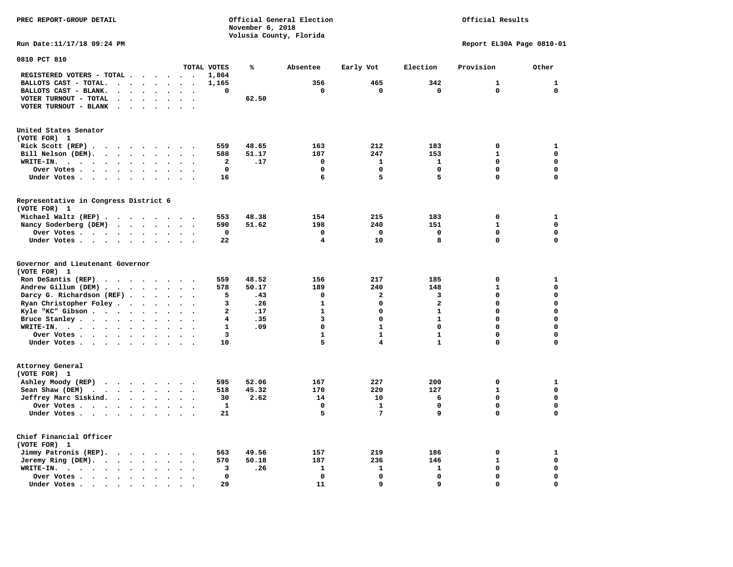**PREC REPORT-GROUP DETAIL COMPUTER CONSUMING A CONSUMING CONSUMING A LIGACION CONSUMING A LIGACION** *November 6, 2018 November 6, 2018*  **Volusia County, Florida** 

## Official Results

**Run Date:11/17/18 09:24 PM Report EL30A Page 0810-01** 

| 0810 PCT 810                                                                                                                                                               |                                   |              |       |                         |              |                         |              |              |
|----------------------------------------------------------------------------------------------------------------------------------------------------------------------------|-----------------------------------|--------------|-------|-------------------------|--------------|-------------------------|--------------|--------------|
|                                                                                                                                                                            |                                   | TOTAL VOTES  | ℁     | Absentee                | Early Vot    | Election                | Provision    | Other        |
| REGISTERED VOTERS - TOTAL .<br>$\ddot{\phantom{a}}$<br>$\ddot{\phantom{1}}$                                                                                                | $\overline{\phantom{a}}$          | 1,864        |       |                         |              |                         |              |              |
| BALLOTS CAST - TOTAL.<br>$\ddot{\phantom{a}}$<br>$\sim$<br>$\ddot{\phantom{a}}$<br>$\ddot{\phantom{a}}$<br>$\sim$                                                          |                                   | 1,165        |       | 356                     | 465          | 342                     | $\mathbf{1}$ | $\mathbf{1}$ |
| BALLOTS CAST - BLANK.<br>$\ddot{\phantom{a}}$<br>$\bullet$<br>$\bullet$<br>$\bullet$                                                                                       | $\cdot$<br>$\bullet$              | 0            |       | 0                       | 0            | $\mathbf 0$             | 0            | $\mathbf{0}$ |
| VOTER TURNOUT - TOTAL                                                                                                                                                      |                                   |              | 62.50 |                         |              |                         |              |              |
| $\ddot{\phantom{a}}$<br>$\ddot{\phantom{a}}$                                                                                                                               |                                   |              |       |                         |              |                         |              |              |
| VOTER TURNOUT - BLANK<br>$\ddot{\phantom{a}}$<br>$\bullet$                                                                                                                 |                                   |              |       |                         |              |                         |              |              |
|                                                                                                                                                                            |                                   |              |       |                         |              |                         |              |              |
| United States Senator                                                                                                                                                      |                                   |              |       |                         |              |                         |              |              |
| (VOTE FOR) 1                                                                                                                                                               |                                   |              |       |                         |              |                         |              |              |
| Rick Scott (REP).<br>$\ddot{\phantom{0}}$<br>$\sim$ $\sim$<br>$\sim$ $\sim$<br>$\bullet$<br>$\sim$                                                                         |                                   | 559          | 48.65 | 163                     | 212          | 183                     | $\mathbf 0$  | $\mathbf{1}$ |
| Bill Nelson (DEM).                                                                                                                                                         |                                   | 588          | 51.17 | 187                     | 247          | 153                     | $\mathbf{1}$ | $\mathbf 0$  |
| WRITE-IN.<br>$\sim$ $\sim$ $\sim$ $\sim$<br>$\sim$ $\sim$ $\sim$ $\sim$ $\sim$<br>$\ddot{\phantom{a}}$<br>$\bullet$<br>$\bullet$                                           |                                   | 2            | .17   | $\mathbf 0$             | 1            | $\mathbf{1}$            | $\mathbf 0$  | $\mathbf 0$  |
| Over Votes<br>$\ddot{\phantom{0}}$<br>$\ddot{\phantom{a}}$<br>$\ddot{\phantom{a}}$                                                                                         |                                   | 0            |       | $\mathbf 0$             | $\mathbf 0$  | 0                       | $\mathbf 0$  | $\mathbf 0$  |
|                                                                                                                                                                            |                                   | 16           |       | 6                       | 5            | 5                       | $\mathbf 0$  | $\mathbf 0$  |
| Under Votes<br>$\bullet$<br>$\bullet$                                                                                                                                      | $\ddot{\phantom{0}}$<br>$\cdot$   |              |       |                         |              |                         |              |              |
|                                                                                                                                                                            |                                   |              |       |                         |              |                         |              |              |
| Representative in Congress District 6                                                                                                                                      |                                   |              |       |                         |              |                         |              |              |
| (VOTE FOR) 1                                                                                                                                                               |                                   |              |       |                         |              |                         |              |              |
| Michael Waltz (REP)                                                                                                                                                        |                                   | 553          | 48.38 | 154                     | 215          | 183                     | 0            | 1            |
| Nancy Soderberg (DEM)<br>$\sim$ $\sim$ $\sim$ $\sim$ $\sim$<br>$\bullet$ .<br><br><br><br><br><br>$\ddot{\phantom{a}}$                                                     | $\ddotsc$                         | 590          | 51.62 | 198                     | 240          | 151                     | $\mathbf{1}$ | $\mathbf 0$  |
| Over Votes<br>$\ddot{\phantom{a}}$<br>$\ddot{\phantom{a}}$                                                                                                                 |                                   | 0            |       | 0                       | 0            | 0                       | 0            | $\mathbf 0$  |
| Under Votes<br>$\ddot{\phantom{a}}$<br>$\bullet$                                                                                                                           |                                   | 22           |       | $\overline{\mathbf{4}}$ | 10           | 8                       | $\mathbf 0$  | $\mathbf 0$  |
|                                                                                                                                                                            |                                   |              |       |                         |              |                         |              |              |
| Governor and Lieutenant Governor                                                                                                                                           |                                   |              |       |                         |              |                         |              |              |
| (VOTE FOR) 1                                                                                                                                                               |                                   |              |       |                         |              |                         |              |              |
| Ron DeSantis (REP)<br>$\cdot$ $\cdot$ $\cdot$ $\cdot$<br>$\ddot{\phantom{a}}$                                                                                              |                                   | 559          | 48.52 | 156                     | 217          | 185                     | $\mathbf 0$  | $\mathbf{1}$ |
| Andrew Gillum (DEM)                                                                                                                                                        |                                   | 578          | 50.17 | 189                     | 240          | 148                     | $\mathbf{1}$ | $\mathbf 0$  |
| Darcy G. Richardson (REF).<br>$\bullet$<br>$\bullet$                                                                                                                       |                                   | 5            | .43   | $\mathbf 0$             | $\mathbf{2}$ | 3                       | $\mathbf 0$  | $\mathbf 0$  |
| Ryan Christopher Foley.<br>$\sim$<br>$\bullet$<br>$\ddot{\phantom{a}}$                                                                                                     |                                   | 3            | .26   | $\mathbf{1}$            | $\mathbf 0$  | $\overline{\mathbf{2}}$ | $\mathbf 0$  | $\mathbf 0$  |
| Kyle "KC" Gibson<br>$\bullet$<br>$\bullet$<br>$\bullet$                                                                                                                    | $\ddot{\phantom{0}}$              | $\mathbf{2}$ | .17   | $\mathbf{1}$            | $\mathbf 0$  | $\mathbf{1}$            | $\mathbf 0$  | $\mathbf 0$  |
| Bruce Stanley<br>$\sim$                                                                                                                                                    |                                   | 4            | .35   | 3                       | $\Omega$     | $\mathbf{1}$            | 0            | $\mathbf 0$  |
|                                                                                                                                                                            |                                   |              |       | $\Omega$                | $\mathbf{1}$ | $\Omega$                | $\Omega$     | $\mathbf 0$  |
| WRITE-IN.<br>$\cdots$<br>$\ddot{\phantom{1}}$                                                                                                                              |                                   | 1            | .09   |                         |              |                         |              |              |
| Over Votes<br>$\bullet$<br>$\bullet$                                                                                                                                       | $\overline{\phantom{a}}$          | 3            |       | $\mathbf{1}$            | $\mathbf{1}$ | $\mathbf{1}$            | $\Omega$     | $\mathbf 0$  |
| Under Votes<br>$\sim$                                                                                                                                                      | $\sim$                            | 10           |       | 5                       | 4            | $\mathbf{1}$            | 0            | $\mathbf 0$  |
|                                                                                                                                                                            |                                   |              |       |                         |              |                         |              |              |
| Attorney General                                                                                                                                                           |                                   |              |       |                         |              |                         |              |              |
| (VOTE FOR) 1                                                                                                                                                               |                                   |              |       |                         |              |                         |              |              |
| Ashley Moody (REP)                                                                                                                                                         |                                   | 595          | 52.06 | 167                     | 227          | 200                     | $\mathbf 0$  | $\mathbf{1}$ |
| Sean Shaw (DEM)<br>$\cdot$ $\cdot$ $\cdot$ $\cdot$<br>$\ddot{\phantom{a}}$<br>$\ddot{\phantom{a}}$<br>$\ddot{\phantom{a}}$                                                 |                                   | 518          | 45.32 | 170                     | 220          | 127                     | $\mathbf{1}$ | $\mathbf 0$  |
| Jeffrey Marc Siskind.<br>$\ddot{\phantom{a}}$                                                                                                                              | $\bullet$<br>$\ddot{\phantom{0}}$ | 30           | 2.62  | 14                      | 10           | 6                       | $\mathbf 0$  | $\mathbf 0$  |
| Over Votes.<br>$\cdots$<br>$\cdot$                                                                                                                                         |                                   | ${\bf 1}$    |       | $\mathbf 0$             | $\mathbf{1}$ | 0                       | $\mathbf 0$  | $\mathbf 0$  |
| Under Votes                                                                                                                                                                |                                   | 21           |       | 5                       | 7            | 9                       | $\mathbf 0$  | $\mathbf 0$  |
|                                                                                                                                                                            |                                   |              |       |                         |              |                         |              |              |
|                                                                                                                                                                            |                                   |              |       |                         |              |                         |              |              |
| Chief Financial Officer                                                                                                                                                    |                                   |              |       |                         |              |                         |              |              |
| (VOTE FOR) 1                                                                                                                                                               |                                   |              |       |                         |              |                         |              |              |
| Jimmy Patronis (REP).<br>$\sim$ $\sim$ $\sim$ $\sim$<br>$\overline{\phantom{a}}$                                                                                           |                                   | 563          | 49.56 | 157                     | 219          | 186                     | 0            | 1            |
| Jeremy Ring (DEM).<br>$\cdot$ $\cdot$ $\cdot$<br>$\ddot{\phantom{a}}$<br>$\ddot{\phantom{a}}$                                                                              |                                   | 570          | 50.18 | 187                     | 236          | 146                     | $\mathbf{1}$ | $\mathbf 0$  |
| WRITE-IN.<br>$\begin{array}{cccccccccccccc} \bullet & \bullet & \bullet & \bullet & \bullet & \bullet & \bullet & \bullet & \bullet \end{array}$<br>$\bullet$<br>$\bullet$ |                                   | 3            | .26   | 1                       | 1            | 1                       | $\mathbf 0$  | $\mathbf 0$  |
| Over Votes.<br>$\ddot{\phantom{1}}$<br>$\bullet$                                                                                                                           |                                   | $\mathbf 0$  |       | $\mathbf 0$             | $\mathbf 0$  | 0                       | $\mathbf 0$  | $\mathbf 0$  |
| Under Votes<br>$\sim$<br>$\blacksquare$                                                                                                                                    |                                   | 29           |       | 11                      | 9            | 9                       | 0            | $\mathbf 0$  |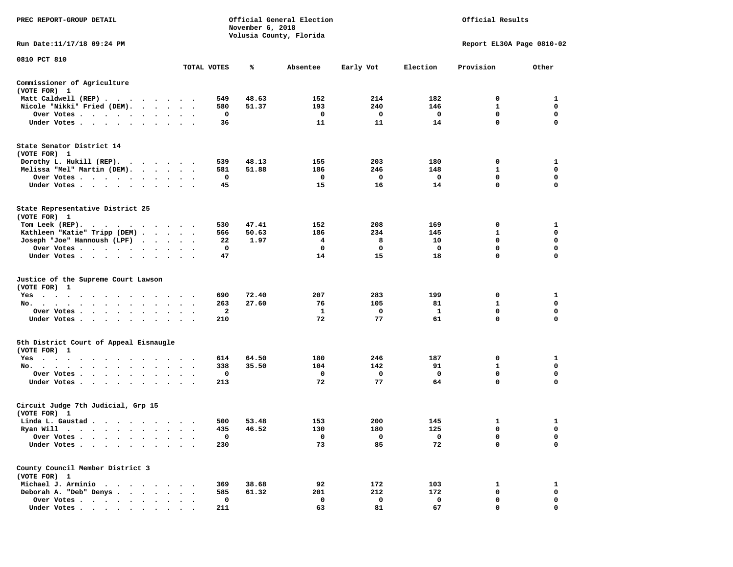| PREC REPORT-GROUP DETAIL                                                                                                                                                                                                                                             |                      |             | November 6, 2018 | Official General Election<br>Volusia County, Florida |           | Official Results |                           |             |  |
|----------------------------------------------------------------------------------------------------------------------------------------------------------------------------------------------------------------------------------------------------------------------|----------------------|-------------|------------------|------------------------------------------------------|-----------|------------------|---------------------------|-------------|--|
| Run Date:11/17/18 09:24 PM                                                                                                                                                                                                                                           |                      |             |                  |                                                      |           |                  | Report EL30A Page 0810-02 |             |  |
| 0810 PCT 810                                                                                                                                                                                                                                                         |                      |             |                  |                                                      |           |                  |                           |             |  |
|                                                                                                                                                                                                                                                                      |                      | TOTAL VOTES | ℁                | Absentee                                             | Early Vot | Election         | Provision                 | Other       |  |
| Commissioner of Agriculture<br>(VOTE FOR) 1                                                                                                                                                                                                                          |                      |             |                  |                                                      |           |                  |                           |             |  |
| Matt Caldwell (REP)                                                                                                                                                                                                                                                  |                      | 549         | 48.63            | 152                                                  | 214       | 182              | 0                         | 1           |  |
| Nicole "Nikki" Fried (DEM).                                                                                                                                                                                                                                          |                      | 580         | 51.37            | 193                                                  | 240       | 146              | 1                         | 0           |  |
| Over Votes                                                                                                                                                                                                                                                           | $\sim$               | 0           |                  | 0                                                    | 0         | 0                | 0                         | 0           |  |
| Under Votes                                                                                                                                                                                                                                                          |                      | 36          |                  | 11                                                   | 11        | 14               | $\mathbf 0$               | 0           |  |
| State Senator District 14<br>(VOTE FOR) 1                                                                                                                                                                                                                            |                      |             |                  |                                                      |           |                  |                           |             |  |
| Dorothy L. Hukill $(REP)$ .                                                                                                                                                                                                                                          |                      | 539         | 48.13            | 155                                                  | 203       | 180              | 0                         | 1           |  |
| Melissa "Mel" Martin (DEM).                                                                                                                                                                                                                                          |                      | 581         | 51.88            | 186                                                  | 246       | 148              | 1                         | 0           |  |
| Over Votes                                                                                                                                                                                                                                                           |                      | 0           |                  | 0                                                    | 0         | 0                | $\mathbf 0$               | 0           |  |
| Under Votes                                                                                                                                                                                                                                                          |                      | 45          |                  | 15                                                   | 16        | 14               | $\mathbf 0$               | $\mathbf 0$ |  |
| State Representative District 25<br>(VOTE FOR) 1                                                                                                                                                                                                                     |                      |             |                  |                                                      |           |                  |                           |             |  |
| Tom Leek $(REP)$ .                                                                                                                                                                                                                                                   |                      | 530         | 47.41            | 152                                                  | 208       | 169              | 0                         | 1           |  |
| Kathleen "Katie" Tripp (DEM)                                                                                                                                                                                                                                         |                      | 566         | 50.63            | 186                                                  | 234       | 145              | 1                         | 0           |  |
| Joseph "Joe" Hannoush (LPF)                                                                                                                                                                                                                                          |                      | 22          | 1.97             | 4                                                    | 8         | 10               | 0                         | 0           |  |
| Over Votes                                                                                                                                                                                                                                                           |                      | 0           |                  | 0                                                    | 0         | 0                | 0                         | $\mathbf 0$ |  |
| Under Votes                                                                                                                                                                                                                                                          |                      | 47          |                  | 14                                                   | 15        | 18               | $\mathbf 0$               | $\Omega$    |  |
| Justice of the Supreme Court Lawson<br>(VOTE FOR) 1                                                                                                                                                                                                                  |                      |             |                  |                                                      |           |                  |                           |             |  |
| $Yes \cdot \cdot \cdot$<br>$\cdots$<br>. The contract of the contract of the contract of the contract of the contract of the contract of the contract of the contract of the contract of the contract of the contract of the contract of the contract of the contrac |                      | 690         | 72.40            | 207                                                  | 283       | 199              | 0                         | 1           |  |
| No.                                                                                                                                                                                                                                                                  | $\sim$ $\sim$        | 263         | 27.60            | 76                                                   | 105       | 81               | 1                         | 0           |  |
| Over Votes                                                                                                                                                                                                                                                           |                      | 2           |                  | 1                                                    | 0         | 1                | 0                         | 0           |  |
| Under Votes                                                                                                                                                                                                                                                          |                      | 210         |                  | 72                                                   | 77        | 61               | $\mathbf 0$               | 0           |  |
| 5th District Court of Appeal Eisnaugle<br>(VOTE FOR) 1                                                                                                                                                                                                               |                      |             |                  |                                                      |           |                  |                           |             |  |
| Yes<br>$\mathbf{r}$ , and a set of the set of the set of the set of the set of the set of the set of the set of the set of the set of the set of the set of the set of the set of the set of the set of the set of the set of the set of                             |                      | 614         | 64.50            | 180                                                  | 246       | 187              | 0                         | 1           |  |
| No.<br>$\cdot$                                                                                                                                                                                                                                                       |                      | 338         | 35.50            | 104                                                  | 142       | 91               | 1                         | 0           |  |
| Over Votes                                                                                                                                                                                                                                                           | $\ddot{\phantom{1}}$ | 0           |                  | 0                                                    | 0         | 0                | $\mathbf 0$               | 0           |  |
| Under Votes                                                                                                                                                                                                                                                          |                      | 213         |                  | 72                                                   | 77        | 64               | 0                         | 0           |  |
| Circuit Judge 7th Judicial, Grp 15<br>(VOTE FOR) 1                                                                                                                                                                                                                   |                      |             |                  |                                                      |           |                  |                           |             |  |
| Linda L. Gaustad                                                                                                                                                                                                                                                     |                      | 500         | 53.48            | 153                                                  | 200       | 145              | 1                         | 1           |  |
| Ryan Will<br>$\bullet$<br>. The contract of the contract of the contract of the contract of the contract of the contract of the contract of the contract of the contract of the contract of the contract of the contract of the contract of the contrac              |                      | 435         | 46.52            | 130                                                  | 180       | 125              | $\mathbf 0$               | $\mathbf 0$ |  |
| Over Votes                                                                                                                                                                                                                                                           |                      | 0           |                  | 0                                                    | 0         | 0                | 0                         | 0           |  |
| Under Votes.                                                                                                                                                                                                                                                         |                      | 230         |                  | 73                                                   | 85        | 72               | 0                         | 0           |  |
| County Council Member District 3<br>(VOTE FOR) 1                                                                                                                                                                                                                     |                      |             |                  |                                                      |           |                  |                           |             |  |
| Michael J. Arminio<br>$\sim$                                                                                                                                                                                                                                         |                      | 369         | 38.68            | 92                                                   | 172       | 103              | 1                         | 1           |  |
| Deborah A. "Deb" Denys                                                                                                                                                                                                                                               |                      | 585         | 61.32            | 201                                                  | 212       | 172              | 0                         | 0           |  |
| Over Votes .<br>$\sim$ $\sim$                                                                                                                                                                                                                                        |                      | $\mathbf 0$ |                  | 0                                                    | 0         | 0                | 0                         | 0           |  |
| Under Votes                                                                                                                                                                                                                                                          |                      | 211         |                  | 63                                                   | 81        | 67               | 0                         | 0           |  |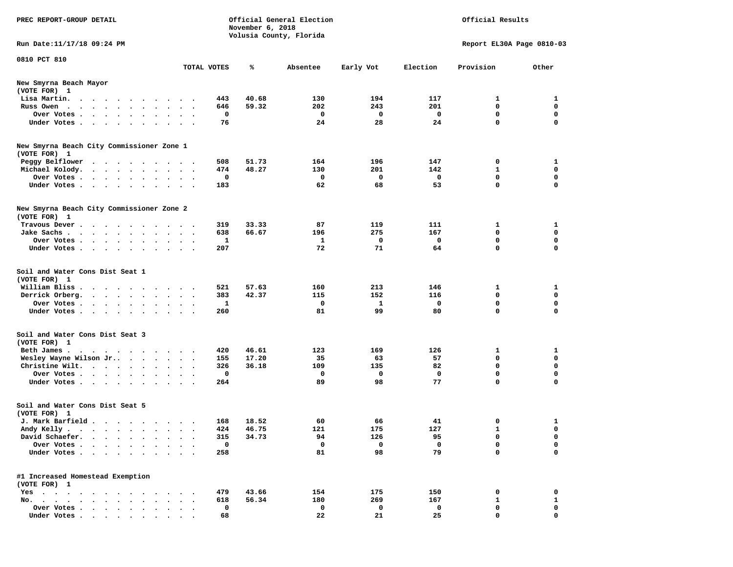| PREC REPORT-GROUP DETAIL                                                                                                                                                                                                                     | Official General Election<br>November 6, 2018<br>Volusia County, Florida |              |       |          |           |             | Official Results          |                  |  |
|----------------------------------------------------------------------------------------------------------------------------------------------------------------------------------------------------------------------------------------------|--------------------------------------------------------------------------|--------------|-------|----------|-----------|-------------|---------------------------|------------------|--|
| Run Date: 11/17/18 09:24 PM                                                                                                                                                                                                                  |                                                                          |              |       |          |           |             | Report EL30A Page 0810-03 |                  |  |
| 0810 PCT 810                                                                                                                                                                                                                                 |                                                                          | TOTAL VOTES  | ℁     | Absentee | Early Vot | Election    | Provision                 | Other            |  |
| New Smyrna Beach Mayor<br>(VOTE FOR) 1                                                                                                                                                                                                       |                                                                          |              |       |          |           |             |                           |                  |  |
| Lisa Martin.<br>$\cdot$ $\cdot$ $\cdot$ $\cdot$<br>$\sim$ $\sim$ $\sim$<br>$\cdot$                                                                                                                                                           |                                                                          | 443          | 40.68 | 130      | 194       | 117         | 1                         | 1                |  |
| Russ Owen                                                                                                                                                                                                                                    |                                                                          | 646          | 59.32 | 202      | 243       | 201         | 0                         | 0                |  |
| Over Votes .<br>$\cdot$ $\cdot$ $\cdot$<br>$\bullet$<br>$\bullet$<br>$\bullet$                                                                                                                                                               |                                                                          | 0            |       | 0        | 0         | 0           | $\mathbf 0$               | $\mathbf 0$      |  |
| Under Votes .<br>$\sim$ $\sim$ $\sim$ $\sim$<br>$\sim$<br>$\bullet$                                                                                                                                                                          |                                                                          | 76           |       | 24       | 28        | 24          | 0                         | $\mathbf 0$      |  |
| New Smyrna Beach City Commissioner Zone 1<br>(VOTE FOR) 1                                                                                                                                                                                    |                                                                          |              |       |          |           |             |                           |                  |  |
| Peggy Belflower                                                                                                                                                                                                                              |                                                                          | 508          | 51.73 | 164      | 196       | 147         | 0                         | 1                |  |
| Michael Kolody.<br>$\begin{array}{cccccccccccccc} \bullet & \bullet & \bullet & \bullet & \bullet & \bullet & \bullet & \bullet & \bullet & \bullet \end{array}$<br>$\bullet$                                                                | $\ddotsc$                                                                | 474          | 48.27 | 130      | 201       | 142         | 1                         | $\mathbf 0$      |  |
| Over Votes.<br>$\cdot$ $\cdot$ $\cdot$ $\cdot$ $\cdot$<br>$\bullet$<br>$\cdot$                                                                                                                                                               |                                                                          | 0            |       | 0        | 0         | 0           | 0                         | 0                |  |
| Under Votes<br>$\bullet$                                                                                                                                                                                                                     | $\bullet$ . $\bullet$                                                    | 183          |       | 62       | 68        | 53          | 0                         | $\mathbf 0$      |  |
| New Smyrna Beach City Commissioner Zone 2<br>(VOTE FOR) 1                                                                                                                                                                                    |                                                                          |              |       |          |           |             |                           |                  |  |
| Travous Dever.<br>$\sim$ $\sim$ $\sim$<br>$\sim$ $\sim$<br>$\overline{\phantom{a}}$                                                                                                                                                          | $\cdots$                                                                 | 319          | 33.33 | 87       | 119       | 111         | 1                         | 1                |  |
| Jake Sachs.<br>$\sim$ $\sim$<br>$\cdot$<br>$\bullet$<br>$\ddot{\phantom{0}}$                                                                                                                                                                 | $\ddot{\phantom{1}}$                                                     | 638          | 66.67 | 196      | 275       | 167         | 0                         | 0                |  |
| Over Votes.<br>$\mathcal{A}$ . The set of the set of the set of the $\mathcal{A}$<br>$\ddot{\phantom{0}}$                                                                                                                                    |                                                                          | 1            |       | 1        | 0         | 0           | 0                         | 0                |  |
| Under Votes<br>$\ddot{\phantom{1}}$<br>$\bullet$                                                                                                                                                                                             |                                                                          | 207          |       | 72       | 71        | 64          | 0                         | 0                |  |
| Soil and Water Cons Dist Seat 1<br>(VOTE FOR) 1                                                                                                                                                                                              |                                                                          |              |       |          |           |             |                           |                  |  |
| William Bliss.<br>$\cdots$<br>$\sim$                                                                                                                                                                                                         |                                                                          | 521          | 57.63 | 160      | 213       | 146         | 1                         | 1                |  |
| Derrick Orberg.<br>$\cdot$ $\cdot$ $\cdot$ $\cdot$ $\cdot$ $\cdot$<br>$\ddot{\phantom{a}}$                                                                                                                                                   |                                                                          | 383          | 42.37 | 115      | 152       | 116         | 0                         | 0                |  |
| Over Votes .<br>$\begin{array}{cccccccccccccc} \bullet & \bullet & \bullet & \bullet & \bullet & \bullet & \bullet & \bullet & \bullet & \bullet \end{array}$<br>$\bullet$                                                                   | $\bullet$                                                                | $\mathbf{1}$ |       | 0        | 1         | 0           | 0                         | $\mathbf 0$      |  |
| Under Votes.<br>$\cdot$<br>$\ddot{\phantom{1}}$                                                                                                                                                                                              |                                                                          | 260          |       | 81       | 99        | 80          | 0                         | $\mathbf 0$      |  |
| Soil and Water Cons Dist Seat 3<br>(VOTE FOR) 1                                                                                                                                                                                              |                                                                          |              |       |          |           |             |                           |                  |  |
| Beth James.<br>. The contract of the contract of the contract of the contract of the contract of the contract of the contract of the contract of the contract of the contract of the contract of the contract of the contract of the contrac | $\ddot{\phantom{1}}$                                                     | 420          | 46.61 | 123      | 169       | 126         | 1                         | 1                |  |
| Wesley Wayne Wilson Jr<br>$\bullet$                                                                                                                                                                                                          | $\ddotsc$                                                                | 155          | 17.20 | 35       | 63        | 57          | 0                         | $\mathbf 0$      |  |
| Christine Wilt.<br>$\bullet$                                                                                                                                                                                                                 |                                                                          | 326          | 36.18 | 109      | 135       | 82          | 0                         | 0                |  |
| Over Votes<br>$\bullet$                                                                                                                                                                                                                      |                                                                          | 0            |       | 0        | 0         | 0           | 0                         | $\mathbf 0$      |  |
| Under Votes<br>$\sim$                                                                                                                                                                                                                        | $\sim$ $\sim$                                                            | 264          |       | 89       | 98        | 77          | 0                         | $\mathbf 0$      |  |
| Soil and Water Cons Dist Seat 5<br>(VOTE FOR) 1                                                                                                                                                                                              |                                                                          |              |       |          |           |             |                           |                  |  |
| J. Mark Barfield                                                                                                                                                                                                                             |                                                                          | 168          | 18.52 | 60       | 66        | 41          | 0                         | 1                |  |
| Andy Kelly                                                                                                                                                                                                                                   |                                                                          | 424          | 46.75 | 121      | 175       | 127         | ı                         | 0                |  |
| David Schaefer.<br>$\bullet$<br>$\bullet$<br>$\bullet$<br>$\ddot{\phantom{a}}$                                                                                                                                                               |                                                                          | 315          | 34.73 | 94       | 126       | 95          | 0                         | 0                |  |
| Over Votes .                                                                                                                                                                                                                                 |                                                                          | 0            |       | 0        | 0         | $\mathbf 0$ | 0                         | 0                |  |
| Under Votes.<br>$\mathbf{r} = \mathbf{r} + \mathbf{r}$ .<br>$\ddot{\phantom{0}}$<br>$\bullet$ .<br>$\ddot{\phantom{0}}$                                                                                                                      | $\sim$ $\sim$                                                            | 258          |       | 81       | 98        | 79          | 0                         | $\mathbf 0$      |  |
| #1 Increased Homestead Exemption<br>(VOTE FOR) 1                                                                                                                                                                                             |                                                                          |              |       |          |           |             |                           |                  |  |
| Yes                                                                                                                                                                                                                                          |                                                                          | 479          | 43.66 | 154      | 175       | 150         | 0                         | 0                |  |
| No.<br>$\cdot \cdot \cdot \cdot$<br>$\cdot$ $\cdot$ $\cdot$                                                                                                                                                                                  |                                                                          | 618          | 56.34 | 180      | 269       | 167         | $\mathbf{1}$              | 1                |  |
| Over Votes<br>$\bullet$<br>Under Votes                                                                                                                                                                                                       |                                                                          | 0<br>68      |       | 0<br>22  | 0<br>21   | 0<br>25     | 0<br>0                    | 0<br>$\mathbf 0$ |  |
|                                                                                                                                                                                                                                              |                                                                          |              |       |          |           |             |                           |                  |  |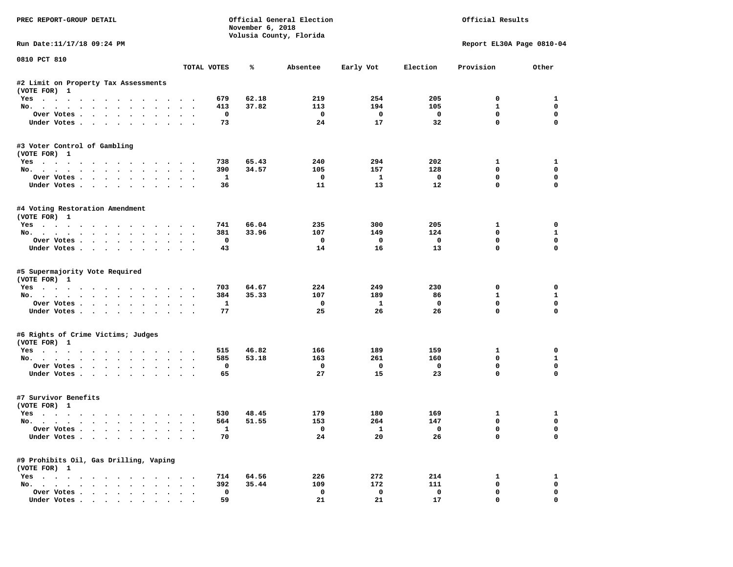| PREC REPORT-GROUP DETAIL                               |                      |              | November 6, 2018 | Official General Election<br>Volusia County, Florida | Official Results        |                         |                           |              |
|--------------------------------------------------------|----------------------|--------------|------------------|------------------------------------------------------|-------------------------|-------------------------|---------------------------|--------------|
| Run Date:11/17/18 09:24 PM                             |                      |              |                  |                                                      |                         |                         | Report EL30A Page 0810-04 |              |
| 0810 PCT 810                                           |                      | TOTAL VOTES  | ℁                | Absentee                                             | Early Vot               | Election                | Provision                 | Other        |
| #2 Limit on Property Tax Assessments                   |                      |              |                  |                                                      |                         |                         |                           |              |
| (VOTE FOR) 1                                           |                      |              |                  |                                                      |                         |                         |                           |              |
| Yes                                                    |                      | 679          | 62.18            | 219                                                  | 254                     | 205                     | $^{\circ}$                | 1            |
| No.                                                    |                      | 413          | 37.82            | 113                                                  | 194                     | 105                     | $\mathbf{1}$              | 0            |
| Over Votes                                             |                      | 0            |                  | $\overline{\phantom{0}}$                             | $\overline{\mathbf{0}}$ | $\mathbf 0$             | $\mathbf 0$               | $\mathbf 0$  |
| Under Votes                                            |                      | 73           |                  | 24                                                   | 17                      | 32                      | $\mathbf 0$               | $\mathbf 0$  |
| #3 Voter Control of Gambling<br>(VOTE FOR) 1           |                      |              |                  |                                                      |                         |                         |                           |              |
| Yes                                                    |                      | 738          | 65.43            | 240                                                  | 294                     | 202                     | $\mathbf{1}$              | $\mathbf{1}$ |
| No.                                                    |                      | 390          | 34.57            | 105                                                  | 157                     | 128                     | $^{\circ}$                | $\mathbf 0$  |
| Over Votes                                             |                      | <b>1</b>     |                  | $\mathbf 0$                                          | $\mathbf{1}$            | $\mathbf 0$             | $\mathbf 0$               | 0            |
| Under Votes                                            |                      | 36           |                  | 11                                                   | 13                      | 12                      | $\mathbf 0$               | 0            |
| #4 Voting Restoration Amendment<br>(VOTE FOR) 1        |                      |              |                  |                                                      |                         |                         |                           |              |
| Yes                                                    |                      | 741          | 66.04            | 235                                                  | 300                     | 205                     | $\mathbf{1}$              | $\mathbf 0$  |
| No.                                                    |                      | 381          | 33.96            | 107                                                  | 149                     | 124                     | $\mathbf 0$               | $\mathbf{1}$ |
| Over Votes                                             |                      | $\mathbf 0$  |                  | $\mathbf{o}$                                         | $\mathbf{o}$            | $\mathbf 0$             | $\mathbf 0$               | $\mathbf 0$  |
| Under Votes                                            |                      | 43           |                  | 14                                                   | 16                      | 13                      | $\Omega$                  | $\Omega$     |
| #5 Supermajority Vote Required<br>(VOTE FOR) 1<br>Yes  |                      | 703          | 64.67            | 224                                                  | 249                     | 230                     | 0                         | 0            |
| No.                                                    |                      | 384          | 35.33            | 107                                                  | 189                     | 86                      | $\mathbf{1}$              | $\mathbf{1}$ |
| Over Votes                                             |                      | $\mathbf{1}$ |                  | $\mathbf{o}$                                         | $\mathbf{1}$            | $\mathbf{o}$            | $\mathbf 0$               | $\mathbf 0$  |
| Under Votes                                            |                      | 77           |                  | 25                                                   | 26                      | 26                      | $\mathbf 0$               | $\Omega$     |
| #6 Rights of Crime Victims; Judges<br>(VOTE FOR) 1     |                      |              |                  |                                                      |                         |                         |                           |              |
|                                                        |                      | 515          | 46.82            | 166                                                  | 189                     | 159                     | 1                         | 0            |
| Yes<br>No.                                             |                      | 585          | 53.18            | 163                                                  | 261                     | 160                     | $\Omega$                  | $\mathbf{1}$ |
| Over Votes                                             |                      | 0            |                  | $\mathbf{o}$                                         | $\overline{\mathbf{0}}$ | $\mathbf 0$             | 0                         | 0            |
| Under Votes                                            |                      | 65           |                  | 27                                                   | 15                      | 23                      | $\mathbf{0}$              | 0            |
| #7 Survivor Benefits<br>(VOTE FOR) 1                   |                      |              |                  |                                                      |                         |                         |                           |              |
| Yes                                                    |                      | 530          | 48.45            | 179                                                  | 180                     | 169                     | 1                         | 1            |
| No.                                                    |                      | 564          | 51.55            | 153                                                  | 264                     | 147                     | $\mathbf 0$               | $\mathbf 0$  |
| Over Votes                                             |                      | $\mathbf{1}$ |                  | $\Omega$                                             | $\mathbf{1}$            | $\overline{\mathbf{0}}$ | $\mathbf 0$               | $\mathbf 0$  |
| Under Votes                                            |                      | 70           |                  | 24                                                   | 20                      | 26                      | $\mathbf 0$               | $\Omega$     |
| #9 Prohibits Oil, Gas Drilling, Vaping<br>(VOTE FOR) 1 |                      |              |                  |                                                      |                         |                         |                           |              |
| Yes                                                    |                      | 714          | 64.56            | 226                                                  | 272                     | 214                     | 1                         | 1            |
| No.                                                    | $\sim$ $\sim$        | 392          | 35.44            | 109                                                  | 172                     | 111                     | $\mathbf 0$               | $\mathbf 0$  |
| Over Votes                                             | $\ddot{\phantom{0}}$ | $\mathbf 0$  |                  | $\mathbf 0$                                          | $\mathbf 0$             | $\mathbf 0$             | $\mathbf 0$               | $\mathbf 0$  |
| Under Votes                                            |                      | 59           |                  | 21                                                   | 21                      | 17                      | $\mathbf{0}$              | 0            |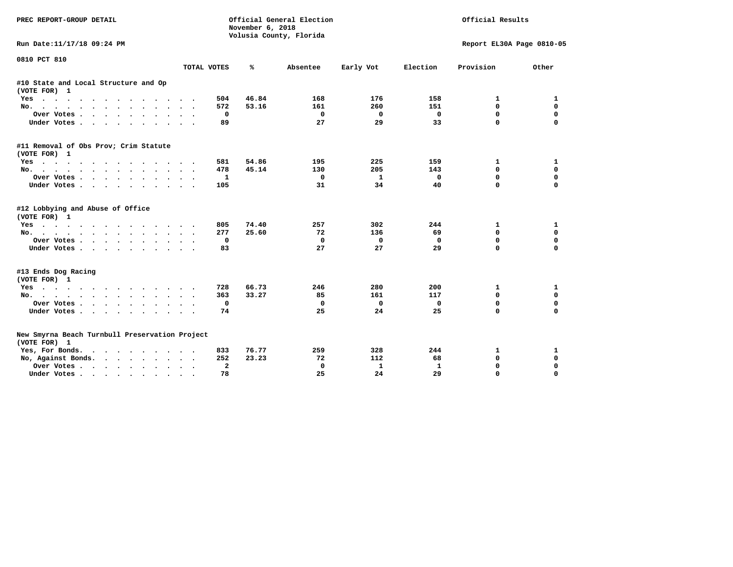| PREC REPORT-GROUP DETAIL                                       |                     | November 6, 2018 | Official General Election<br>Volusia County, Florida | Official Results |             |                           |             |
|----------------------------------------------------------------|---------------------|------------------|------------------------------------------------------|------------------|-------------|---------------------------|-------------|
| Run Date:11/17/18 09:24 PM                                     |                     |                  |                                                      |                  |             | Report EL30A Page 0810-05 |             |
| 0810 PCT 810                                                   | TOTAL VOTES         | %                | Absentee                                             | Early Vot        | Election    | Provision                 | Other       |
| #10 State and Local Structure and Op<br>(VOTE FOR) 1           |                     |                  |                                                      |                  |             |                           |             |
| Yes                                                            | 504                 | 46.84            | 168                                                  | 176              | 158         | 1                         | 1           |
| No.                                                            | 572                 | 53.16            | 161                                                  | 260              | 151         | 0                         | 0           |
| Over Votes.                                                    |                     | 0                | $\mathbf 0$                                          | 0                | $\mathbf 0$ | 0                         | $\mathbf 0$ |
| Under Votes                                                    | 89                  |                  | 27                                                   | 29               | 33          | $\mathbf 0$               | $\Omega$    |
| #11 Removal of Obs Prov; Crim Statute                          |                     |                  |                                                      |                  |             |                           |             |
| (VOTE FOR) 1                                                   |                     |                  |                                                      |                  |             |                           |             |
| $Yes \cdot \cdot \cdot \cdot \cdot$<br>$\cdots$<br>$\sim$      | 581                 | 54.86            | 195                                                  | 225              | 159         | 1                         | 1           |
| No.                                                            | 478                 | 45.14            | 130                                                  | 205              | 143         | $\mathbf{0}$              | $\mathbf 0$ |
| Over Votes                                                     |                     | 1                | 0                                                    | 1                | $\mathbf 0$ | $\mathbf 0$               | $\mathbf 0$ |
| Under Votes                                                    | 105                 |                  | 31                                                   | 34               | 40          | $\Omega$                  | $\Omega$    |
| #12 Lobbying and Abuse of Office<br>(VOTE FOR) 1               |                     |                  |                                                      |                  |             |                           |             |
| Yes                                                            | 805                 | 74.40            | 257                                                  | 302              | 244         | 1                         | 1           |
| No.                                                            | 277                 | 25.60            | 72                                                   | 136              | 69          | $\mathbf 0$               | 0           |
| Over Votes                                                     |                     | 0                | 0                                                    | $\mathbf 0$      | $\mathbf 0$ | $\mathbf 0$               | $\mathbf 0$ |
| Under Votes                                                    | 83                  |                  | 27                                                   | 27               | 29          | $\Omega$                  | $\Omega$    |
| #13 Ends Dog Racing                                            |                     |                  |                                                      |                  |             |                           |             |
| (VOTE FOR) 1                                                   |                     |                  |                                                      |                  |             |                           |             |
| Yes                                                            | 728                 | 66.73            | 246                                                  | 280              | 200         | 1                         | 1           |
| No.                                                            | 363                 | 33.27            | 85                                                   | 161              | 117         | 0                         | 0           |
| Over Votes                                                     |                     | $\mathbf 0$      | $\mathbf 0$                                          | $\mathbf 0$      | $\mathbf 0$ | $\mathbf 0$               | 0           |
| Under Votes                                                    | 74                  |                  | 25                                                   | 24               | 25          | $\Omega$                  | 0           |
| New Smyrna Beach Turnbull Preservation Project<br>(VOTE FOR) 1 |                     |                  |                                                      |                  |             |                           |             |
| Yes, For Bonds.<br>.                                           | 833                 | 76.77            | 259                                                  | 328              | 244         | 1                         | 1           |
| No, Against Bonds.                                             | 252                 | 23.23            | 72                                                   | 112              | 68          | $\Omega$                  | $\mathbf 0$ |
| Over Votes<br>$\ddot{\phantom{0}}$                             | $\bullet$<br>$\sim$ | $\mathbf{z}$     | 0                                                    | $\mathbf{1}$     | 1           | $\Omega$                  | $\mathbf 0$ |
| Under Votes                                                    | 78                  |                  | 25                                                   | 24               | 29          | $\Omega$                  | $\Omega$    |
|                                                                |                     |                  |                                                      |                  |             |                           |             |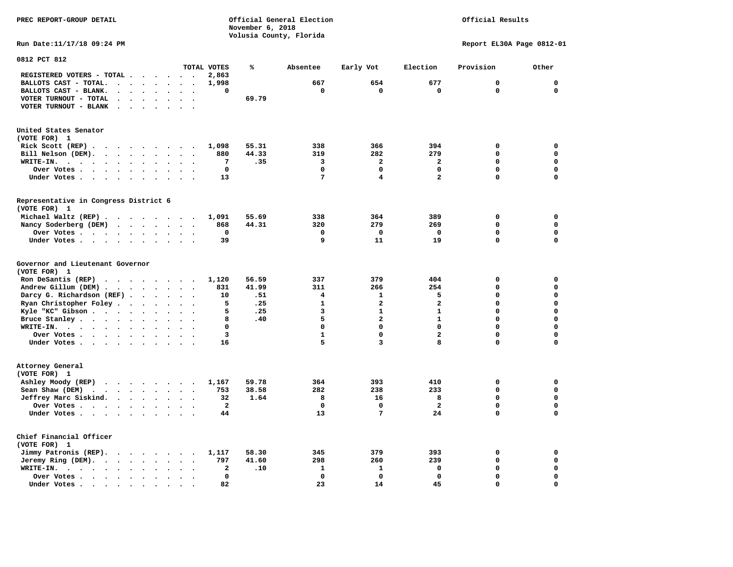**November 6, 2018 Volusia County, Florida Run Date:11/17/18 09:24 PM Report EL30A Page 0812-01 0812 PCT 812 TOTAL VOTES % Absentee Early Vot Election Provision Other REGISTERED VOTERS - TOTAL . . . . . . 2,863 BALLOTS CAST - TOTAL.** . . . . . . 1,998 667 654 677 0 0 0  **BALLOTS CAST - BLANK. . . . . . . . 0 0 0 0 0 0 VOTER TURNOUT - TOTAL . . . . . . . . 69.79 VOTER TURNOUT - BLANK . . . . . . . United States Senator (VOTE FOR) 1 Rick Scott (REP) . . . . . . . . . 1,098 55.31 338 366 394 0 0 Bill Nelson (DEM). . . . . . . . . 880 44.33 319 282 279 0 0 WRITE-IN. . . . . . . . . . . . 7 .35 3 2 2 0 0 Over Votes . . . . . . . . . . 0 0 0 0 0 0 Under Votes . . . . . . . . . . 13** 7 4 2 0 0 **Representative in Congress District 6 (VOTE FOR) 1 Michael Waltz (REP) . . . . . . . . 1,091 55.69 338 364 389 0 0 Nancy Soderberg (DEM) . . . . . . . 868 44.31 320 279 269 0 0 Over Votes . . . . . . . . . . 0 0 0 0 0 0**  $\Omega$  **Under Votes . . . . . . . . . . 39 9 11 19 0** 0 **Governor and Lieutenant Governor (VOTE FOR) 1 Ron DeSantis (REP)** . . . . . . . 1,120 56.59 337 379 404 0 0 0  **Andrew Gillum (DEM) . . . . . . . . 831 41.99 311 266 254 0 0 Darcy G. Richardson (REF) . . . . . . 10 .51 4 1 5 0 0 Ryan Christopher Foley . . . . . . . 5 .25 1 2 2 2 0 0** 0<br>**Ryle "KC"** Gibson . . . . . . . . . . 5 .25 3 1 1 1 0 0  **Kyle "KC" Gibson . . . . . . . . . . 5 . 25 3 Bruce Stanley . . . . . . . . . 8 .40** 5 2 1 0 0  **WRITE-IN. . . . . . . . . . . . 0 0 0 0 0 0**  $\mathbf{0}$ **Over Votes . . . . . . . . . . 3** 1 0 2 0  $\mathbf{0}$ **Under Votes . . . . . . . . . . 16** 5 3 8 0 **Attorney General (VOTE FOR) 1 Ashley Moody (REP) . . . . . . . . 1,167 59.78 364 393 410 0 0 Sean Shaw (DEM) . . . . . . . . . 753 38.58 282 238 233 0 0 0 Jeffrey Marc Siskind. . . . . . . . 32 1.64 8 16 8 0 0 Over Votes . . . . . . . . . . . . 2** 0 0 2 2  $\mathbf 0$  **Under Votes . . . . . . . . . . 44 13 7 24 0 0 Chief Financial Officer (VOTE FOR) 1 Jimmy Patronis (REP). . . . . . . 1,117 58.30 345 379 393 0 0 Jeremy Ring (DEM).** . . . . . . . 797 41.60 298 260 239 0 0 0  **WRITE-IN. . . . . . . . . . . . 2 .10 1 1 0 0 0 Over Votes . . . . . . . . . . 0 0 0 0 0 0**  $\mathbf{o}$  **Under Votes . . . . . . . . . . 82** 23 14 45 0

**PREC REPORT-GROUP DETAIL Official General Election Official Results**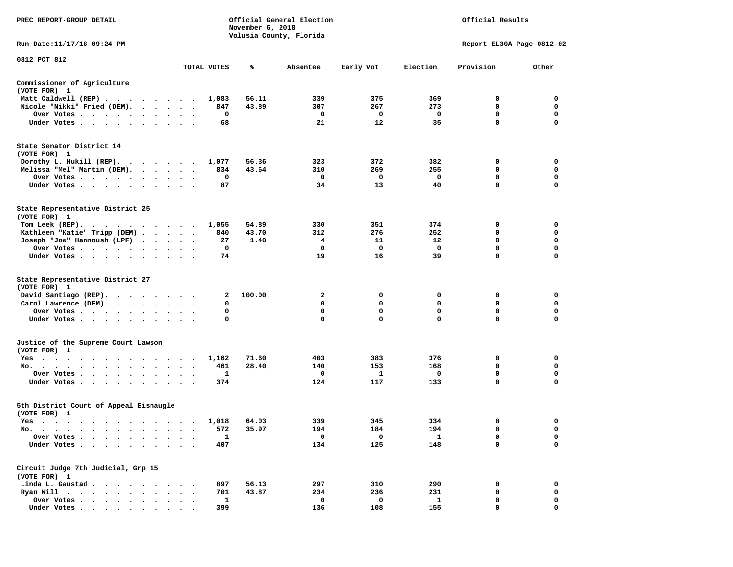| PREC REPORT-GROUP DETAIL                                                                                               |              | November 6, 2018 | Official General Election<br>Volusia County, Florida | Official Results<br>Report EL30A Page 0812-02 |                         |                  |                  |
|------------------------------------------------------------------------------------------------------------------------|--------------|------------------|------------------------------------------------------|-----------------------------------------------|-------------------------|------------------|------------------|
| Run Date: 11/17/18 09:24 PM                                                                                            |              |                  |                                                      |                                               |                         |                  |                  |
| 0812 PCT 812                                                                                                           | TOTAL VOTES  | %                | Absentee                                             | Early Vot                                     | Election                | Provision        | Other            |
| Commissioner of Agriculture                                                                                            |              |                  |                                                      |                                               |                         |                  |                  |
| (VOTE FOR) 1                                                                                                           |              |                  |                                                      |                                               |                         |                  |                  |
| Matt Caldwell (REP)<br>Nicole "Nikki" Fried (DEM).                                                                     | 1,083<br>847 | 56.11<br>43.89   | 339<br>307                                           | 375<br>267                                    | 369<br>273              | 0<br>0           | 0<br>0           |
| Over Votes                                                                                                             | 0            |                  | 0                                                    | 0                                             | 0                       | 0                | 0                |
| Under Votes                                                                                                            | 68           |                  | 21                                                   | 12                                            | 35                      | $\mathbf 0$      | $\Omega$         |
| State Senator District 14<br>(VOTE FOR) 1<br>Dorothy L. Hukill $(REP)$ .                                               | 1,077        | 56.36            | 323                                                  | 372                                           | 382                     | 0                | 0                |
| Melissa "Mel" Martin (DEM).                                                                                            | 834          | 43.64            | 310                                                  | 269                                           | 255                     | 0                | 0                |
| Over Votes                                                                                                             | 0            |                  | 0                                                    | 0                                             | 0                       | 0                | $\mathbf 0$      |
| Under Votes                                                                                                            | 87           |                  | 34                                                   | 13                                            | 40                      | 0                | 0                |
| State Representative District 25<br>(VOTE FOR) 1                                                                       |              |                  |                                                      |                                               |                         |                  |                  |
| Tom Leek $(REP)$ .                                                                                                     | 1,055        | 54.89            | 330                                                  | 351                                           | 374                     | 0                | 0                |
| Kathleen "Katie" Tripp (DEM)                                                                                           | 840          | 43.70            | 312                                                  | 276                                           | 252                     | 0                | 0                |
| Joseph "Joe" Hannoush (LPF)<br>Over Votes                                                                              | 27<br>0      | 1.40             | 4<br>0                                               | 11<br>0                                       | 12<br>$\mathbf 0$       | 0<br>0           | $\mathbf 0$<br>0 |
| Under Votes                                                                                                            | 74           |                  | 19                                                   | 16                                            | 39                      | 0                | 0                |
| State Representative District 27                                                                                       |              |                  |                                                      |                                               |                         |                  |                  |
| (VOTE FOR) 1                                                                                                           |              |                  |                                                      |                                               |                         |                  |                  |
| David Santiago (REP).<br>$\cdots$                                                                                      | 2            | 100.00           | 2                                                    | 0                                             | 0                       | 0                | 0                |
| Carol Lawrence (DEM).                                                                                                  | 0            |                  | 0                                                    | $\Omega$                                      | 0                       | 0                | 0                |
| Over Votes<br>Under Votes                                                                                              | 0<br>0       |                  | 0<br>0                                               | $\mathbf 0$<br>$\Omega$                       | $\mathbf 0$<br>$\Omega$ | $\mathbf 0$<br>0 | $\mathbf 0$<br>0 |
| Justice of the Supreme Court Lawson                                                                                    |              |                  |                                                      |                                               |                         |                  |                  |
| (VOTE FOR) 1                                                                                                           |              |                  |                                                      |                                               |                         |                  |                  |
| Yes                                                                                                                    | 1,162        | 71.60            | 403                                                  | 383                                           | 376                     | 0                | 0                |
| No.                                                                                                                    | 461          | 28.40            | 140                                                  | 153                                           | 168                     | 0                | 0                |
| Over Votes                                                                                                             | 1            |                  | 0                                                    | 1                                             | 0                       | 0                | 0                |
| Under Votes                                                                                                            | 374          |                  | 124                                                  | 117                                           | 133                     | $\mathbf 0$      | $\mathbf 0$      |
| 5th District Court of Appeal Eisnaugle<br>(VOTE FOR) 1                                                                 |              |                  |                                                      |                                               |                         |                  |                  |
| Yes                                                                                                                    | 1,018        | 64.03            | 339                                                  | 345                                           | 334                     | 0                | 0                |
| No.<br>the contract of the contract of the contract of the contract of the contract of the contract of the contract of | 572          | 35.97            | 194                                                  | 184                                           | 194                     | $\mathbf 0$      | $\Omega$         |
| Over Votes<br>Under Votes .                                                                                            | 1<br>407     |                  | 0<br>134                                             | 0<br>125                                      | 1<br>148                | 0<br>0           | 0<br>0           |
| Circuit Judge 7th Judicial, Grp 15                                                                                     |              |                  |                                                      |                                               |                         |                  |                  |
| (VOTE FOR) 1                                                                                                           |              |                  |                                                      |                                               |                         |                  |                  |
| Linda L. Gaustad.<br>$\sim$<br>$\bullet$                                                                               | 897          | 56.13            | 297                                                  | 310                                           | 290                     | 0                | 0                |
| Ryan Will $\cdots$<br>$\ddot{\phantom{0}}$<br>$\ddot{\phantom{a}}$                                                     | 701          | 43.87            | 234                                                  | 236                                           | 231                     | 0                | 0                |
| Over Votes.<br>$\cdot$ $\cdot$ $\cdot$ $\cdot$                                                                         | $\mathbf{1}$ |                  | 0                                                    | 0                                             | $\mathbf{1}$            | 0                | 0                |
| Under Votes.                                                                                                           | 399          |                  | 136                                                  | 108                                           | 155                     | 0                | $\Omega$         |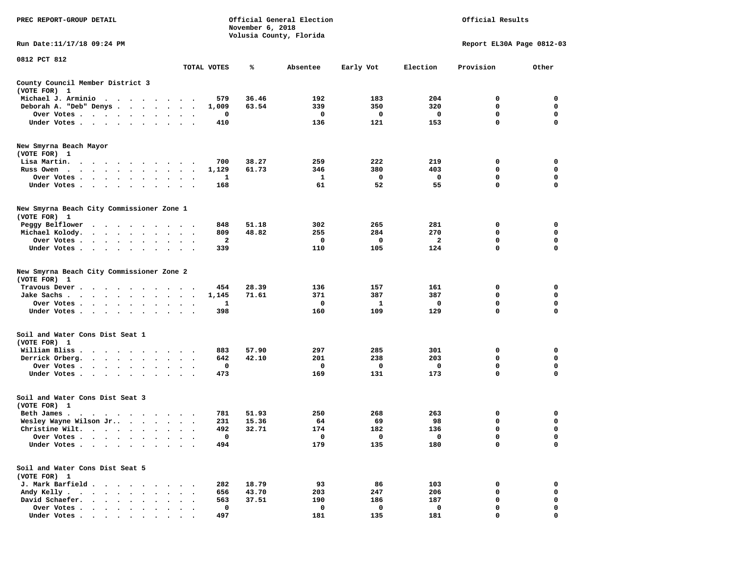| PREC REPORT-GROUP DETAIL                                                                                               |                                                |             | November 6, 2018 | Official General Election<br>Volusia County, Florida | Official Results<br>Report EL30A Page 0812-03 |                         |             |                  |
|------------------------------------------------------------------------------------------------------------------------|------------------------------------------------|-------------|------------------|------------------------------------------------------|-----------------------------------------------|-------------------------|-------------|------------------|
| Run Date:11/17/18 09:24 PM                                                                                             |                                                |             |                  |                                                      |                                               |                         |             |                  |
| 0812 PCT 812                                                                                                           |                                                | TOTAL VOTES | ℁                | Absentee                                             | Early Vot                                     | Election                | Provision   | Other            |
| County Council Member District 3<br>(VOTE FOR) 1                                                                       |                                                |             |                  |                                                      |                                               |                         |             |                  |
| Michael J. Arminio<br>$\ddot{\phantom{1}}$<br>$\cdot$ $\cdot$ $\cdot$ $\cdot$                                          |                                                | 579         | 36.46            | 192                                                  | 183                                           | 204                     | 0           | 0                |
| Deborah A. "Deb" Denys.<br>$\cdot$ $\cdot$ $\cdot$ $\cdot$                                                             |                                                | 1,009       | 63.54            | 339                                                  | 350                                           | 320                     | 0           | 0                |
| Over Votes<br>$\sim$<br>$\bullet$                                                                                      | $\cdot$<br>$\bullet$<br>$\bullet$              | 0           |                  | 0                                                    | 0                                             | 0                       | 0           | 0                |
| Under Votes<br>$\ddot{\phantom{a}}$                                                                                    |                                                | 410         |                  | 136                                                  | 121                                           | 153                     | 0           | 0                |
| New Smyrna Beach Mayor                                                                                                 |                                                |             |                  |                                                      |                                               |                         |             |                  |
| (VOTE FOR) 1                                                                                                           |                                                |             |                  |                                                      |                                               |                         |             |                  |
| Lisa Martin.<br>$\ddot{\phantom{1}}$<br>$\cdot$ $\cdot$ $\cdot$<br>$\blacksquare$                                      |                                                | 700         | 38.27            | 259                                                  | 222                                           | 219                     | 0           | 0                |
| Russ Owen<br>$\cdot$ $\cdot$ $\cdot$ $\cdot$ $\cdot$ $\cdot$<br>$\ddot{\phantom{1}}$<br>$\bullet$                      | $\ddot{\phantom{a}}$<br>$\bullet$<br>$\bullet$ | 1,129       | 61.73            | 346                                                  | 380                                           | 403                     | 0           | 0                |
| Over Votes .<br>$\sim$ $\sim$<br>$\ddot{\phantom{a}}$<br>Under Votes<br>$\ddot{\phantom{0}}$<br>$\bullet$<br>$\bullet$ |                                                | 1<br>168    |                  | 1<br>61                                              | 0<br>52                                       | 0<br>55                 | 0<br>0      | 0<br>$\mathbf 0$ |
| New Smyrna Beach City Commissioner Zone 1<br>(VOTE FOR) 1                                                              |                                                |             |                  |                                                      |                                               |                         |             |                  |
| Peggy Belflower                                                                                                        |                                                | 848         | 51.18            | 302                                                  | 265                                           | 281                     | 0           | 0                |
| Michael Kolody.<br>$\ddot{\phantom{a}}$<br>$\cdot$ $\cdot$ $\cdot$<br>$\ddot{\phantom{1}}$                             |                                                | 809         | 48.82            | 255                                                  | 284                                           | 270                     | 0           | 0                |
| Over Votes .<br>$\sim$ $\sim$<br>$\sim 100$ km s $^{-1}$<br>$\sim$ $\sim$<br>$\cdot$                                   |                                                | 2           |                  | 0                                                    | 0                                             | $\overline{\mathbf{2}}$ | 0           | 0                |
| Under Votes<br>$\bullet$ . $\bullet$<br>$\bullet$                                                                      | $\bullet$<br>$\ddot{\phantom{0}}$              | 339         |                  | 110                                                  | 105                                           | 124                     | 0           | 0                |
| New Smyrna Beach City Commissioner Zone 2<br>(VOTE FOR)<br>$\mathbf{1}$                                                |                                                |             |                  |                                                      |                                               |                         |             |                  |
| Travous Dever<br>$\ddot{\phantom{1}}$<br>$\cdot$<br>$\cdot$<br>$\cdot$<br>$\blacksquare$ .<br>$\cdot$                  | $\bullet$                                      | 454         | 28.39            | 136                                                  | 157                                           | 161                     | 0           | 0                |
| Jake Sachs.<br>$\sim$<br>$\sim$ $\sim$<br>$\sim$ $\sim$<br>$\bullet$                                                   |                                                | 1,145       | 71.61            | 371                                                  | 387                                           | 387                     | 0           | 0                |
| Over Votes.<br>$\cdot$ $\cdot$ $\cdot$ $\cdot$ $\cdot$<br>$\bullet$<br>$\bullet$                                       | $\bullet$<br>$\bullet$                         | 1           |                  | 0                                                    | 1                                             | 0                       | 0           | 0                |
| Under Votes<br>$\bullet$<br>$\bullet$                                                                                  |                                                | 398         |                  | 160                                                  | 109                                           | 129                     | 0           | 0                |
| Soil and Water Cons Dist Seat 1<br>(VOTE FOR) 1                                                                        |                                                |             |                  |                                                      |                                               |                         |             |                  |
| William Bliss<br>$\sim$<br>$\bullet$<br>$\sim$ $\sim$<br>$\cdot$                                                       |                                                | 883         | 57.90            | 297                                                  | 285                                           | 301                     | 0           | 0                |
| Derrick Orberg.<br>$\bullet$<br>$\ddot{\phantom{0}}$<br>$\bullet$                                                      | $\bullet$                                      | 642         | 42.10            | 201                                                  | 238                                           | 203                     | 0           | 0                |
| Over Votes .<br>$\bullet$<br>$\bullet$<br>$\cdot$<br>$\bullet$                                                         |                                                | 0           |                  | 0                                                    | 0                                             | 0                       | 0           | 0                |
| Under Votes.<br>$\sim$ $\sim$ $\sim$<br>$\sim$<br>$\bullet$<br>$\bullet$                                               |                                                | 473         |                  | 169                                                  | 131                                           | 173                     | $\mathbf 0$ | $\mathbf 0$      |
| Soil and Water Cons Dist Seat 3<br>(VOTE FOR) 1                                                                        |                                                |             |                  |                                                      |                                               |                         |             |                  |
| Beth James.<br>$\sim$ 0.000 $\sim$ 0.000 $\sim$ 0.000 $\sim$<br>$\bullet$ . $\bullet$<br>$\sim$ $\sim$                 |                                                | 781         | 51.93            | 250                                                  | 268                                           | 263                     | 0           | 0                |
| Wesley Wayne Wilson Jr                                                                                                 | $\ddot{\phantom{1}}$                           | 231         | 15.36            | 64                                                   | 69                                            | 98                      | 0           | 0                |
| Christine Wilt.                                                                                                        |                                                | 492         | 32.71            | 174                                                  | 182                                           | 136                     | $\mathbf 0$ | $\mathbf 0$      |
| Over Votes                                                                                                             |                                                | 0           |                  | 0                                                    | 0                                             | 0                       | 0           | 0                |
| Under Votes.                                                                                                           |                                                | 494         |                  | 179                                                  | 135                                           | 180                     | 0           | 0                |
| Soil and Water Cons Dist Seat 5<br>(VOTE FOR) 1                                                                        |                                                |             |                  |                                                      |                                               |                         |             |                  |
| J. Mark Barfield .<br>$\ddot{\phantom{a}}$<br>$\ddot{\phantom{a}}$                                                     |                                                | 282         | 18.79            | 93                                                   | 86                                            | 103                     | 0           | 0                |
| Andy Kelly.<br>$\sim$ $\sim$<br>$\sim$<br>$\bullet$<br>$\ddot{\phantom{a}}$<br>$\bullet$                               |                                                | 656         | 43.70            | 203                                                  | 247                                           | 206                     | $\mathbf 0$ | 0                |
| David Schaefer.<br>$\sim$<br>$\ddot{\phantom{a}}$                                                                      |                                                | 563         | 37.51            | 190                                                  | 186                                           | 187                     | 0           | 0                |
| Over Votes .<br>$\cdots$                                                                                               |                                                | 0           |                  | 0                                                    | 0                                             | 0                       | 0           | 0                |
| Under Votes                                                                                                            |                                                | 497         |                  | 181                                                  | 135                                           | 181                     | O           |                  |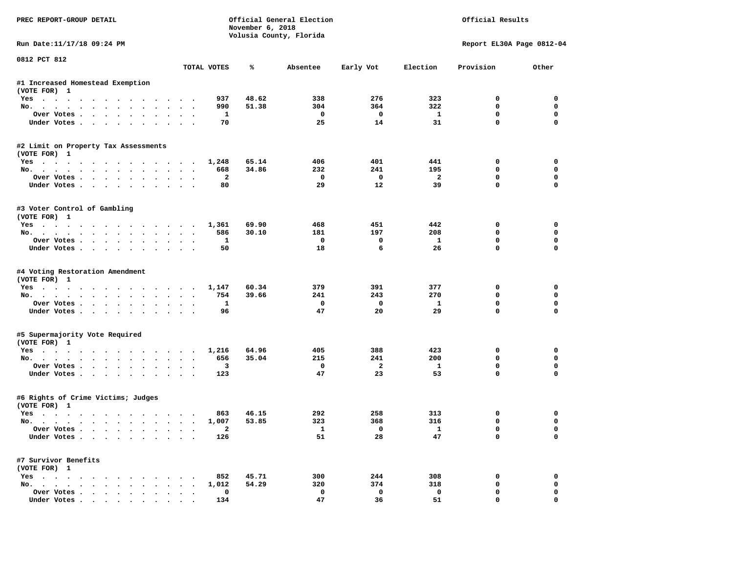| PREC REPORT-GROUP DETAIL                        |                                              |                      | Official General Election<br>November 6, 2018<br>Volusia County, Florida |                   | Official Results        |                      |                           |                         |
|-------------------------------------------------|----------------------------------------------|----------------------|--------------------------------------------------------------------------|-------------------|-------------------------|----------------------|---------------------------|-------------------------|
| Run Date:11/17/18 09:24 PM                      |                                              |                      |                                                                          |                   |                         |                      | Report EL30A Page 0812-04 |                         |
| 0812 PCT 812                                    |                                              | TOTAL VOTES          | ℁                                                                        | Absentee          | Early Vot               | Election             | Provision                 | Other                   |
| #1 Increased Homestead Exemption                |                                              |                      |                                                                          |                   |                         |                      |                           |                         |
| (VOTE FOR) 1                                    |                                              |                      |                                                                          |                   |                         |                      |                           |                         |
| Yes                                             |                                              | 937                  | 48.62                                                                    | 338               | 276                     | 323                  | 0                         | 0                       |
| No.                                             |                                              | 990                  | 51.38                                                                    | 304               | 364                     | 322                  | 0                         | 0                       |
| Over Votes                                      |                                              | $\mathbf{1}$         |                                                                          | 0                 | $\mathbf 0$             | 1                    | $\mathbf 0$               | $\mathbf 0$             |
| Under Votes                                     |                                              | 70                   |                                                                          | 25                | 14                      | 31                   | $\mathbf 0$               | $\mathbf 0$             |
| #2 Limit on Property Tax Assessments            |                                              |                      |                                                                          |                   |                         |                      |                           |                         |
| (VOTE FOR) 1                                    |                                              |                      |                                                                          |                   |                         |                      |                           |                         |
| Yes                                             |                                              | 1,248                | 65.14                                                                    | 406               | 401                     | 441                  | 0                         | 0                       |
| No.                                             |                                              | 668                  | 34.86                                                                    | 232               | 241                     | 195                  | 0                         | $\mathbf 0$             |
| Over Votes.<br>Under Votes                      |                                              | $\overline{a}$<br>80 |                                                                          | $\mathbf 0$<br>29 | $\mathbf{0}$<br>12      | $\overline{2}$<br>39 | $\mathbf 0$<br>$\Omega$   | $\mathbf 0$<br>$\Omega$ |
|                                                 |                                              |                      |                                                                          |                   |                         |                      |                           |                         |
| #3 Voter Control of Gambling                    |                                              |                      |                                                                          |                   |                         |                      |                           |                         |
| (VOTE FOR) 1                                    |                                              |                      |                                                                          |                   |                         |                      |                           |                         |
| Yes                                             |                                              | 1,361                | 69.90<br>30.10                                                           | 468<br>181        | 451<br>197              | 442<br>208           | 0<br>$\Omega$             | 0<br>0                  |
| No.                                             |                                              | 586<br>1             |                                                                          | $^{\circ}$        | $\mathbf{0}$            | $\mathbf{1}$         | $\mathbf 0$               | $\mathbf 0$             |
| Over Votes<br>Under Votes                       |                                              | 50                   |                                                                          | 18                | 6                       | 26                   | $\mathbf{0}$              | $\Omega$                |
| #4 Voting Restoration Amendment<br>(VOTE FOR) 1 |                                              |                      |                                                                          |                   |                         |                      |                           |                         |
| Yes                                             |                                              | 1,147                | 60.34                                                                    | 379               | 391                     | 377                  | 0                         | 0                       |
| No.                                             |                                              | 754                  | 39.66                                                                    | 241               | 243                     | 270                  | 0                         | 0                       |
| Over Votes                                      |                                              | 1                    |                                                                          | 0                 | $\mathbf 0$             | 1                    | $\mathbf 0$               | $\mathbf 0$             |
| Under Votes                                     |                                              | 96                   |                                                                          | 47                | 20                      | 29                   | $\mathbf 0$               | $\Omega$                |
| #5 Supermajority Vote Required                  |                                              |                      |                                                                          |                   |                         |                      |                           |                         |
| (VOTE FOR) 1                                    |                                              |                      |                                                                          |                   |                         |                      |                           |                         |
| Yes                                             |                                              | 1,216                | 64.96                                                                    | 405               | 388                     | 423                  | 0                         | 0                       |
| No.                                             |                                              | 656                  | 35.04                                                                    | 215               | 241                     | 200                  | 0                         | $\mathbf 0$             |
| Over Votes                                      |                                              | 3                    |                                                                          | 0                 | $\overline{a}$          | $\mathbf{1}$         | $\mathbf 0$               | $\mathbf 0$             |
| Under Votes                                     |                                              | 123                  |                                                                          | 47                | 23                      | 53                   | $\Omega$                  | $\Omega$                |
| #6 Rights of Crime Victims; Judges              |                                              |                      |                                                                          |                   |                         |                      |                           |                         |
| (VOTE FOR) 1                                    |                                              |                      |                                                                          |                   |                         |                      |                           |                         |
| Yes                                             |                                              | 863                  | 46.15                                                                    | 292               | 258                     | 313                  | 0                         | 0                       |
| No.                                             |                                              | 1,007                | 53.85                                                                    | 323               | 368                     | 316                  | 0                         | 0                       |
| Over votes $\cdots$                             |                                              |                      |                                                                          | $\mathbf{1}$      | $\overline{\mathbf{0}}$ | $\mathbf{1}$         | 0                         | 0                       |
| Under Votes                                     |                                              | 126                  |                                                                          | 51                | 28                      | 47                   | 0                         | 0                       |
| #7 Survivor Benefits                            |                                              |                      |                                                                          |                   |                         |                      |                           |                         |
| (VOTE FOR) 1                                    |                                              |                      |                                                                          |                   |                         |                      |                           |                         |
| Yes                                             |                                              | 852                  | 45.71                                                                    | 300               | 244                     | 308                  | 0                         | 0                       |
| No.                                             |                                              | 1,012                | 54.29                                                                    | 320               | 374                     | 318                  | 0                         | 0                       |
| Over Votes                                      | $\ddot{\phantom{a}}$<br>$\ddot{\phantom{a}}$ | 0                    |                                                                          | 0                 | $\mathbf 0$             | $\mathbf 0$          | 0                         | 0                       |
| Under Votes                                     |                                              | 134                  |                                                                          | 47                | 36                      | 51                   | $\mathbf 0$               | 0                       |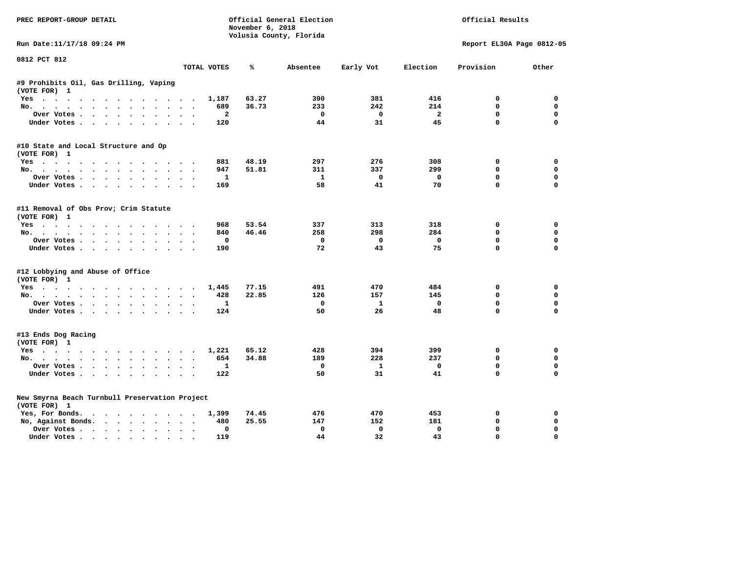| PREC REPORT-GROUP DETAIL                               |             | November 6, 2018 | Official General Election | Official Results |                   |                              |                            |
|--------------------------------------------------------|-------------|------------------|---------------------------|------------------|-------------------|------------------------------|----------------------------|
|                                                        |             |                  | Volusia County, Florida   |                  |                   |                              |                            |
| Run Date:11/17/18 09:24 PM                             |             |                  |                           |                  |                   | Report EL30A Page 0812-05    |                            |
| 0812 PCT 812                                           | TOTAL VOTES | ℁                | Absentee                  | Early Vot        | Election          | Provision                    | Other                      |
|                                                        |             |                  |                           |                  |                   |                              |                            |
| #9 Prohibits Oil, Gas Drilling, Vaping<br>(VOTE FOR) 1 |             |                  |                           |                  |                   |                              |                            |
| Yes                                                    | 1,187       | 63.27            | 390                       | 381              | 416               | 0                            | 0                          |
| No.                                                    | 689         | 36.73            | 233                       | 242              | 214               | $\mathbf{0}$                 | $\mathbf 0$                |
| Over Votes                                             |             | $\overline{a}$   | $^{\circ}$                | $\Omega$         | $\overline{a}$    | $\mathbf 0$                  | 0                          |
| Under Votes                                            | 120         |                  | 44                        | 31               | 45                | $\mathbf 0$                  | $\mathbf 0$                |
| #10 State and Local Structure and Op                   |             |                  |                           |                  |                   |                              |                            |
| (VOTE FOR) 1                                           |             |                  |                           |                  |                   |                              |                            |
| Yes                                                    | 881         | 48.19            | 297                       | 276              | 308               | 0                            | 0                          |
| No.                                                    | 947         | 51.81            | 311                       | 337              | 299               | 0                            | 0                          |
| Over Votes                                             | 169         | $\mathbf{1}$     | $\mathbf{1}$<br>58        | $^{\circ}$<br>41 | $\mathbf 0$<br>70 | $\mathbf{0}$<br>$\mathbf{0}$ | $\mathbf 0$<br>$\mathbf 0$ |
| Under Votes                                            |             |                  |                           |                  |                   |                              |                            |
| #11 Removal of Obs Prov; Crim Statute<br>(VOTE FOR) 1  |             |                  |                           |                  |                   |                              |                            |
| Yes                                                    | 968         | 53.54            | 337                       | 313              | 318               | $\Omega$                     | $\Omega$                   |
| No.                                                    | 840         | 46.46            | 258                       | 298              | 284               | $\mathbf 0$                  | $\mathbf 0$                |
| Over Votes                                             |             | $\Omega$         | $^{\circ}$                | $\mathbf{0}$     | $\Omega$          | $\mathbf{0}$                 | $\mathbf 0$                |
| Under Votes.                                           | 190         |                  | 72                        | 43               | 75                | $\Omega$                     | $\Omega$                   |
| #12 Lobbying and Abuse of Office                       |             |                  |                           |                  |                   |                              |                            |
| (VOTE FOR) 1                                           | 1,445       | 77.15            | 491                       | 470              | 484               | 0                            | 0                          |
| Yes<br>No.                                             | 428         | 22.85            | 126                       | 157              | 145               | $\mathbf 0$                  | 0                          |
| Over Votes                                             |             | 1                | 0                         | 1                | $\mathbf 0$       | $\mathbf{0}$                 | $\mathbf 0$                |
| Under Votes                                            | 124         |                  | 50                        | 26               | 48                | $\mathbf 0$                  | $\Omega$                   |
|                                                        |             |                  |                           |                  |                   |                              |                            |
| #13 Ends Dog Racing<br>(VOTE FOR) 1                    |             |                  |                           |                  |                   |                              |                            |
| Yes                                                    | 1,221       | 65.12            | 428                       | 394              | 399               | 0                            | 0                          |
| No.                                                    | 654         | 34.88            | 189                       | 228              | 237               | $\mathbf{0}$                 | $\Omega$                   |
| Over Votes.                                            |             | 1                | 0                         | $\mathbf{1}$     | $\mathbf 0$       | $\mathbf 0$                  | $\mathbf 0$                |
| Under Votes                                            | 122         |                  | 50                        | 31               | 41                | $\Omega$                     | $\Omega$                   |
| New Smyrna Beach Turnbull Preservation Project         |             |                  |                           |                  |                   |                              |                            |
| (VOTE FOR) 1                                           |             |                  |                           |                  |                   |                              |                            |
| Yes, For Bonds.                                        | 1,399       | 74.45            | 476                       | 470              | 453               | 0                            | 0                          |
| No, Against Bonds.                                     | 480         | 25.55            | 147                       | 152              | 181               | $\mathbf 0$                  | 0                          |
| Over Votes                                             |             | $\Omega$         | $\Omega$                  | $\Omega$         | $\Omega$          | 0                            | $\Omega$                   |
| Under Votes                                            | 119         |                  | 44                        | 32               | 43                | $\mathbf{0}$                 | $\Omega$                   |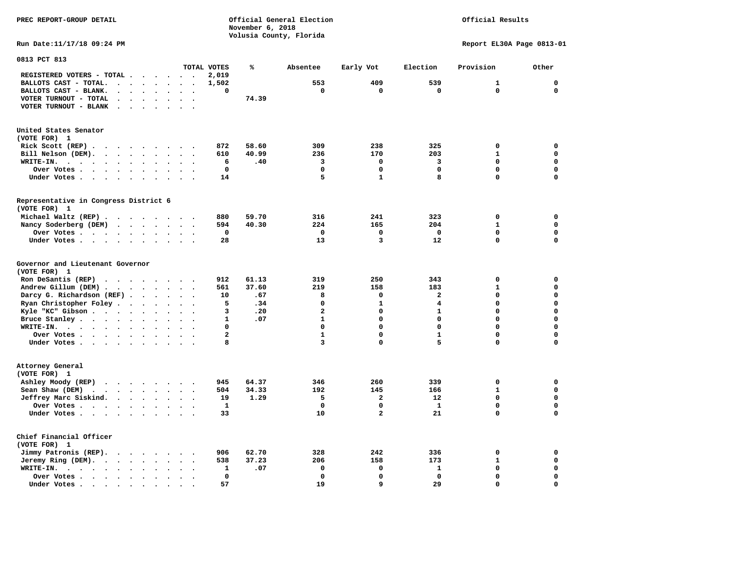**PREC REPORT-GROUP DETAIL COMPUTER CONSUMING A CONSUMING CONSUMING A LIGACION CONSUMING A LIGACION** *November 6, 2018 November 6, 2018*  **Volusia County, Florida Run Date:11/17/18 09:24 PM Report EL30A Page 0813-01** 

## Official Results

| 0813 PCT 813                                                                                                                                                        |                      |                      |                      |                      |                          |                      |                         |       |              |              |              |              |             |
|---------------------------------------------------------------------------------------------------------------------------------------------------------------------|----------------------|----------------------|----------------------|----------------------|--------------------------|----------------------|-------------------------|-------|--------------|--------------|--------------|--------------|-------------|
|                                                                                                                                                                     |                      |                      |                      |                      |                          |                      | TOTAL VOTES             | ℁     | Absentee     | Early Vot    | Election     | Provision    | Other       |
| REGISTERED VOTERS - TOTAL .                                                                                                                                         |                      |                      |                      | $\ddot{\phantom{a}}$ | $\ddot{\phantom{a}}$     |                      | 2,019                   |       |              |              |              |              |             |
| BALLOTS CAST - TOTAL.<br>$\cdot$                                                                                                                                    |                      | $\ddot{\phantom{a}}$ | $\ddot{\phantom{a}}$ | $\bullet$            | $\bullet$                | $\bullet$            | 1,502                   |       | 553          | 409          | 539          | 1            | $\mathbf 0$ |
| BALLOTS CAST - BLANK.<br>$\bullet$                                                                                                                                  |                      |                      |                      |                      |                          |                      | 0                       |       | $\mathbf 0$  | 0            | $\mathbf 0$  | 0            | $\mathbf 0$ |
| VOTER TURNOUT - TOTAL<br>$\ddot{\phantom{a}}$<br>$\Delta$                                                                                                           | $\overline{a}$       |                      |                      | $\bullet$            | $\ddot{\phantom{a}}$     | $\cdot$              |                         | 74.39 |              |              |              |              |             |
| VOTER TURNOUT - BLANK<br>$\cdot$                                                                                                                                    |                      |                      |                      |                      |                          |                      |                         |       |              |              |              |              |             |
| United States Senator                                                                                                                                               |                      |                      |                      |                      |                          |                      |                         |       |              |              |              |              |             |
| (VOTE FOR) 1                                                                                                                                                        |                      |                      |                      |                      |                          |                      |                         |       |              |              |              |              |             |
| Rick Scott (REP).<br>.                                                                                                                                              |                      |                      |                      |                      | $\sim$                   |                      | 872                     | 58.60 | 309          | 238          | 325          | 0            | $\mathbf 0$ |
| Bill Nelson (DEM).<br>$\cdots$<br>$\ddot{\phantom{a}}$                                                                                                              |                      |                      |                      |                      | $\sim$                   |                      | 610                     | 40.99 | 236          | 170          | 203          | $\mathbf{1}$ | $\mathbf 0$ |
| WRITE-IN.<br>$\ddotsc$<br>$\overline{\phantom{a}}$<br>$\ddot{\phantom{a}}$<br>$\ddot{\phantom{0}}$<br>$\bullet$                                                     |                      | $\bullet$            |                      | $\bullet$            |                          |                      | 6                       | .40   | 3            | $\mathbf 0$  | 3            | $\mathbf 0$  | $\mathbf 0$ |
| Over Votes .<br>$\ddot{\phantom{0}}$<br>$\bullet$<br>$\sim$ $\sim$<br>$\bullet$                                                                                     |                      | $\bullet$            | $\bullet$            | $\bullet$            |                          |                      | $\mathbf 0$             |       | $\mathbf 0$  | 0            | $\mathbf 0$  | 0            | $\mathbf 0$ |
| Under Votes<br>$\ddot{\phantom{a}}$<br>$\ddot{\phantom{a}}$<br>$\ddot{\phantom{0}}$                                                                                 | $\ddot{\phantom{a}}$ |                      | $\ddot{\phantom{a}}$ | $\cdot$              |                          |                      | 14                      |       | 5            | $\mathbf{1}$ | 8            | 0            | $\mathbf 0$ |
| Representative in Congress District 6                                                                                                                               |                      |                      |                      |                      |                          |                      |                         |       |              |              |              |              |             |
| (VOTE FOR) 1                                                                                                                                                        |                      |                      |                      |                      |                          |                      |                         |       |              |              |              |              |             |
| Michael Waltz (REP).<br>$\sim$ $\sim$                                                                                                                               |                      | $\sim$               | $\sim$ $\sim$        |                      | $\sim$                   |                      | 880                     | 59.70 | 316          | 241          | 323          | 0            | $\mathbf 0$ |
| Nancy Soderberg (DEM)<br>$\sim$ $\sim$                                                                                                                              |                      | $\ddot{\phantom{a}}$ |                      | $\bullet$            |                          |                      | 594                     | 40.30 | 224          | 165          | 204          | $\mathbf{1}$ | $\mathbf 0$ |
| Over Votes                                                                                                                                                          |                      | $\bullet$            | $\ddot{\phantom{0}}$ | $\bullet$            | $\bullet$                | $\bullet$            | 0                       |       | $\mathbf 0$  | 0            | $\mathbf 0$  | $\mathbf 0$  | $\mathbf 0$ |
| Under Votes                                                                                                                                                         | $\ddot{\phantom{0}}$ |                      | $\ddot{\phantom{a}}$ | $\bullet$            | $\bullet$                |                      | 28                      |       | 13           | 3            | 12           | 0            | $\mathbf 0$ |
|                                                                                                                                                                     |                      |                      |                      |                      |                          |                      |                         |       |              |              |              |              |             |
| Governor and Lieutenant Governor                                                                                                                                    |                      |                      |                      |                      |                          |                      |                         |       |              |              |              |              |             |
| (VOTE FOR) 1                                                                                                                                                        |                      |                      |                      |                      |                          |                      |                         |       |              |              |              |              |             |
| Ron DeSantis (REP)<br>.                                                                                                                                             |                      |                      |                      |                      |                          |                      | 912                     | 61.13 | 319          | 250          | 343          | $\mathbf 0$  | 0           |
| Andrew Gillum (DEM).<br>$\bullet$<br>$\overline{\phantom{a}}$                                                                                                       |                      | $\ddot{\phantom{a}}$ | $\bullet$            | $\ddot{\phantom{a}}$ |                          |                      | 561                     | 37.60 | 219          | 158          | 183          | $\mathbf{1}$ | $\mathbf 0$ |
| Darcy G. Richardson (REF).                                                                                                                                          |                      | $\bullet$            | $\sim$               | $\ddot{\phantom{0}}$ | $\ddot{\phantom{a}}$     | $\bullet$            | 10                      | .67   | 8            | 0            | $\mathbf{2}$ | $\mathbf 0$  | $\mathbf 0$ |
| Ryan Christopher Foley.<br>$\sim$                                                                                                                                   | $\ddot{\phantom{a}}$ |                      |                      | $\ddot{\phantom{a}}$ | $\overline{\phantom{a}}$ |                      | 5                       | .34   | $\Omega$     | $\mathbf{1}$ | 4            | $\Omega$     | $\mathbf 0$ |
| Kyle "KC" Gibson<br>$\ddot{\phantom{a}}$                                                                                                                            |                      | $\bullet$            |                      | $\bullet$            |                          |                      | 3                       | .20   | $\mathbf{2}$ | 0            | $\mathbf{1}$ | 0            | $\mathbf 0$ |
| Bruce Stanley                                                                                                                                                       | $\bullet$            |                      | $\bullet$            | $\bullet$            | $\bullet$                | $\ddot{\phantom{a}}$ | 1                       | .07   | $\mathbf{1}$ | 0            | $\mathbf 0$  | 0            | $\mathbf 0$ |
| WRITE-IN.<br>$\cdots$                                                                                                                                               |                      | $\bullet$            |                      |                      |                          |                      | 0                       |       | $\mathbf 0$  | 0            | $\mathbf 0$  | 0            | $\mathbf 0$ |
| Over Votes .<br>$\cdots$                                                                                                                                            |                      |                      | $\cdot$              | $\ddot{\phantom{a}}$ |                          | $\ddot{\phantom{a}}$ | $\overline{\mathbf{2}}$ |       | $\mathbf{1}$ | 0            | $\mathbf{1}$ | 0            | 0           |
| Under Votes                                                                                                                                                         |                      |                      | $\bullet$            | $\bullet$            | $\bullet$                | $\cdot$              | 8                       |       | 3            | 0            | 5            | 0            | $\mathbf 0$ |
| Attorney General                                                                                                                                                    |                      |                      |                      |                      |                          |                      |                         |       |              |              |              |              |             |
| (VOTE FOR) 1                                                                                                                                                        |                      |                      |                      |                      |                          |                      |                         |       |              |              |              |              |             |
| Ashley Moody (REP)<br>$\begin{array}{cccccccccccccc} \bullet & \bullet & \bullet & \bullet & \bullet & \bullet & \bullet & \bullet & \bullet & \bullet \end{array}$ |                      |                      |                      |                      |                          |                      | 945                     | 64.37 | 346          | 260          | 339          | 0            | 0           |
| Sean Shaw (DEM)<br>$\ddotsc$<br>$\sim$ $\sim$                                                                                                                       |                      | $\sim$               | $\sim$               | $\cdot$              | $\sim$                   |                      | 504                     | 34.33 | 192          | 145          | 166          | $\mathbf{1}$ | $\mathbf 0$ |
| Jeffrey Marc Siskind.<br>$\sim$ $\sim$                                                                                                                              |                      | $\ddot{\phantom{0}}$ |                      |                      |                          |                      | 19                      | 1.29  | 5            | $\mathbf{2}$ | 12           | 0            | $\mathbf 0$ |
|                                                                                                                                                                     |                      |                      |                      | $\bullet$            |                          |                      | 1                       |       | $\mathbf 0$  | 0            | $\mathbf{1}$ | 0            | $\mathbf 0$ |
| Over Votes.<br>$\mathcal{A}=\mathcal{A}=\mathcal{A}=\mathcal{A}=\mathcal{A}$ .                                                                                      |                      |                      | $\bullet$            | $\bullet$            | $\cdot$                  | $\bullet$            | 33                      |       | 10           | 2            | 21           | 0            | $\mathbf 0$ |
| Under Votes                                                                                                                                                         |                      |                      | $\sim$               | $\ddot{\phantom{a}}$ | $\ddot{\phantom{a}}$     |                      |                         |       |              |              |              |              |             |
| Chief Financial Officer                                                                                                                                             |                      |                      |                      |                      |                          |                      |                         |       |              |              |              |              |             |
| (VOTE FOR) 1                                                                                                                                                        |                      |                      |                      |                      |                          |                      |                         |       |              |              |              |              |             |
| Jimmy Patronis (REP).<br>$\cdot$ $\cdot$ $\cdot$ $\cdot$                                                                                                            |                      |                      |                      | $\ddot{\phantom{1}}$ |                          |                      | 906                     | 62.70 | 328          | 242          | 336          | 0            | 0           |
| Jeremy Ring (DEM).<br>$\ddotsc$<br>$\bullet$                                                                                                                        |                      | $\bullet$            |                      |                      |                          |                      | 538                     | 37.23 | 206          | 158          | 173          | $\mathbf{1}$ | $\mathbf 0$ |
| WRITE-IN.<br>$\sim$ $\sim$ $\sim$<br>$\sim$ $\sim$ $\sim$<br>$\bullet$                                                                                              |                      | $\bullet$            | $\bullet$            |                      | $\bullet$                | $\ddot{\phantom{a}}$ | 1                       | .07   | 0            | 0            | $\mathbf{1}$ | 0            | $\mathbf 0$ |
| Over Votes .<br>$\cdot$                                                                                                                                             |                      | $\ddot{\phantom{a}}$ |                      |                      |                          |                      | 0                       |       | $\mathbf 0$  | 0            | $\mathbf 0$  | 0            | $\mathbf 0$ |
| Under Votes                                                                                                                                                         |                      | $\bullet$            |                      |                      |                          |                      | 57                      |       | 19           | 9            | 29           | 0            | $\mathbf 0$ |
|                                                                                                                                                                     |                      |                      |                      |                      |                          |                      |                         |       |              |              |              |              |             |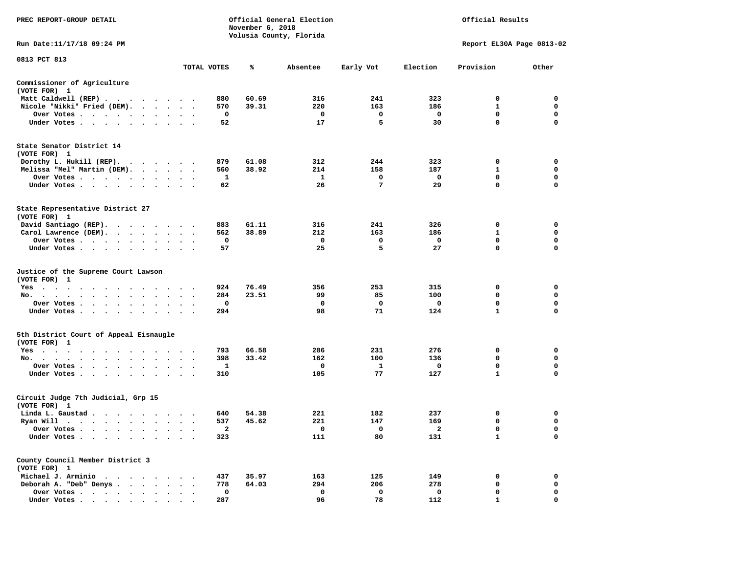| PREC REPORT-GROUP DETAIL                                                                                                                      |                                |              | November 6, 2018 | Official General Election<br>Volusia County, Florida | Official Results<br>Report EL30A Page 0813-02 |                |              |             |
|-----------------------------------------------------------------------------------------------------------------------------------------------|--------------------------------|--------------|------------------|------------------------------------------------------|-----------------------------------------------|----------------|--------------|-------------|
| Run Date:11/17/18 09:24 PM                                                                                                                    |                                |              |                  |                                                      |                                               |                |              |             |
| 0813 PCT 813                                                                                                                                  |                                | TOTAL VOTES  | ℁                | Absentee                                             | Early Vot                                     | Election       | Provision    | Other       |
|                                                                                                                                               |                                |              |                  |                                                      |                                               |                |              |             |
| Commissioner of Agriculture<br>(VOTE FOR) 1                                                                                                   |                                |              |                  |                                                      |                                               |                |              |             |
| Matt Caldwell (REP)                                                                                                                           |                                | 880          | 60.69            | 316                                                  | 241                                           | 323            | 0            | $\mathbf 0$ |
| Nicole "Nikki" Fried (DEM).                                                                                                                   |                                | 570          | 39.31            | 220                                                  | 163                                           | 186            | $\mathbf{1}$ | 0           |
| Over Votes                                                                                                                                    |                                | $\mathbf 0$  |                  | $\mathbf 0$                                          | $\Omega$                                      | $\mathbf 0$    | $\mathbf{0}$ | $\mathbf 0$ |
| Under Votes                                                                                                                                   |                                | 52           |                  | 17                                                   | 5                                             | 30             | 0            | $\mathbf 0$ |
| State Senator District 14<br>(VOTE FOR) 1                                                                                                     |                                |              |                  |                                                      |                                               |                |              |             |
| Dorothy L. Hukill $(REP)$ .                                                                                                                   |                                | 879          | 61.08            | 312                                                  | 244                                           | 323            | 0            | 0           |
| Melissa "Mel" Martin (DEM).                                                                                                                   |                                | 560          | 38.92            | 214                                                  | 158                                           | 187            | $\mathbf{1}$ | $\mathbf 0$ |
| Over Votes                                                                                                                                    |                                | $\mathbf{1}$ |                  | $\mathbf{1}$                                         | $\mathbf 0$                                   | $\mathbf 0$    | $\mathbf 0$  | $\mathbf 0$ |
| Under Votes                                                                                                                                   |                                | 62           |                  | 26                                                   | $7\phantom{.0}$                               | 29             | $\mathbf 0$  | $\mathbf 0$ |
| State Representative District 27<br>(VOTE FOR) 1                                                                                              |                                |              |                  |                                                      |                                               |                |              |             |
| David Santiago (REP).                                                                                                                         |                                | 883          | 61.11            | 316                                                  | 241                                           | 326            | 0            | 0           |
| Carol Lawrence (DEM).                                                                                                                         |                                | 562          | 38.89            | 212                                                  | 163                                           | 186            | $\mathbf{1}$ | $\mathbf 0$ |
| Over Votes                                                                                                                                    |                                | $\mathbf 0$  |                  | $\mathbf 0$                                          | $\mathbf 0$                                   | $\mathbf 0$    | $\mathbf 0$  | $\mathbf 0$ |
| Under Votes                                                                                                                                   |                                | 57           |                  | 25                                                   | 5                                             | 27             | 0            | $\mathbf 0$ |
| Justice of the Supreme Court Lawson<br>(VOTE FOR) 1                                                                                           |                                |              |                  |                                                      |                                               |                |              |             |
| $Yes \t . \t .$<br>$\sim$ $\sim$ $\sim$ $\sim$<br>$\cdots$                                                                                    |                                | 924          | 76.49            | 356                                                  | 253                                           | 315            | $\mathbf 0$  | $\mathbf 0$ |
| No.<br>$\mathbf{u} = \mathbf{u} + \mathbf{u} + \mathbf{u} + \mathbf{u} + \mathbf{u} + \mathbf{u}$<br>$\sim$<br>$\ddot{\phantom{0}}$<br>$\sim$ |                                | 284          | 23.51            | 99                                                   | 85                                            | 100            | 0            | 0           |
| Over Votes                                                                                                                                    | $\bullet$                      | 0            |                  | 0                                                    | 0                                             | $\mathbf{o}$   | 0            | 0           |
| Under Votes<br>$\sim$                                                                                                                         | $\ddot{\phantom{a}}$<br>$\sim$ | 294          |                  | 98                                                   | 71                                            | 124            | $\mathbf{1}$ | $\mathbf 0$ |
| 5th District Court of Appeal Eisnaugle<br>(VOTE FOR) 1                                                                                        |                                |              |                  |                                                      |                                               |                |              |             |
| Yes                                                                                                                                           |                                | 793          | 66.58            | 286                                                  | 231                                           | 276            | 0            | $\mathbf 0$ |
| No.                                                                                                                                           |                                | 398          | 33.42            | 162                                                  | 100                                           | 136            | 0            | $\mathbf 0$ |
| Over Votes<br>$\ddot{\phantom{0}}$<br>$\cdot$                                                                                                 |                                | 1            |                  | 0                                                    | 1                                             | $\mathbf 0$    | 0            | 0           |
| Under Votes<br>$\sim$                                                                                                                         | $\cdot$ $\cdot$ $\cdot$        | 310          |                  | 105                                                  | 77                                            | 127            | $\mathbf{1}$ | $\mathbf 0$ |
| Circuit Judge 7th Judicial, Grp 15<br>(VOTE FOR) 1                                                                                            |                                |              |                  |                                                      |                                               |                |              |             |
| Linda L. Gaustad                                                                                                                              |                                | 640          | 54.38            | 221                                                  | 182                                           | 237            | 0            | 0           |
| Ryan Will $\cdots$ , $\cdots$ , $\cdots$ , $\cdots$                                                                                           |                                | 537          | 45.62            | 221                                                  | 147                                           | 169            | $\mathbf 0$  | $\mathbf 0$ |
| Over Votes                                                                                                                                    |                                | 2            |                  | $\mathbf{o}$                                         | $\mathbf{o}$                                  | $\overline{2}$ | $\mathbf 0$  | $\mathbf 0$ |
| Under Votes<br>$\bullet$<br>$\bullet$<br>$\ddot{\phantom{1}}$                                                                                 |                                | 323          |                  | 111                                                  | 80                                            | 131            | $\mathbf{1}$ | $\Omega$    |
| County Council Member District 3<br>(VOTE FOR) 1                                                                                              |                                |              |                  |                                                      |                                               |                |              |             |
| Michael J. Arminio                                                                                                                            |                                | 437          | 35.97            | 163                                                  | 125                                           | 149            | 0            | 0           |
| Deborah A. "Deb" Denys                                                                                                                        |                                | 778          | 64.03            | 294                                                  | 206                                           | 278            | 0            | 0           |
| Over Votes<br>$\ddot{\phantom{a}}$                                                                                                            | $\cdot$<br>$\cdot$             | 0            |                  | $\mathbf 0$                                          | 0                                             | 0              | $\mathbf 0$  | $\mathbf 0$ |
|                                                                                                                                               |                                | 287          |                  | 96                                                   | 78                                            | 112            | 1            | $\mathbf 0$ |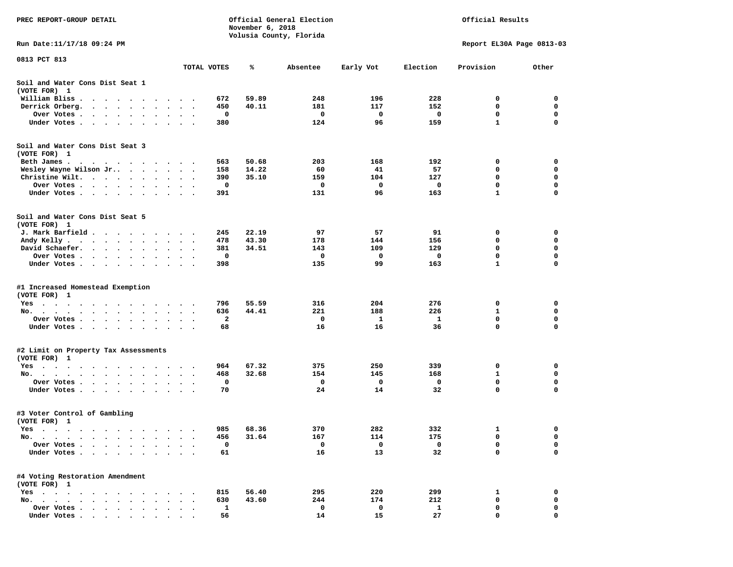| PREC REPORT-GROUP DETAIL                                                                                                                                                      |           |                                        |             | November 6, 2018 | Official General Election<br>Volusia County, Florida |            | Official Results<br>Report EL30A Page 0813-03 |              |             |
|-------------------------------------------------------------------------------------------------------------------------------------------------------------------------------|-----------|----------------------------------------|-------------|------------------|------------------------------------------------------|------------|-----------------------------------------------|--------------|-------------|
| Run Date:11/17/18 09:24 PM                                                                                                                                                    |           |                                        |             |                  |                                                      |            |                                               |              |             |
| 0813 PCT 813                                                                                                                                                                  |           |                                        | TOTAL VOTES | ℁                | Absentee                                             | Early Vot  | Election                                      | Provision    | Other       |
| Soil and Water Cons Dist Seat 1                                                                                                                                               |           |                                        |             |                  |                                                      |            |                                               |              |             |
| (VOTE FOR) 1                                                                                                                                                                  |           |                                        |             |                  |                                                      |            |                                               |              |             |
| William Bliss.<br>$\bullet$<br>$\ddot{\phantom{1}}$<br>$\sim$ $\sim$ $\sim$ $\sim$ $\sim$<br>$\overline{\phantom{a}}$<br>Derrick Orberg.                                      |           |                                        | 672<br>450  | 59.89<br>40.11   | 248<br>181                                           | 196<br>117 | 228<br>152                                    | 0<br>0       | 0<br>0      |
| $\sim$ $\sim$<br>$\sim 100$ km s $^{-1}$<br>$\ddot{\bullet}$ $\ddot{\bullet}$<br>$\ddot{\phantom{a}}$<br>Over Votes .<br>$\cdot$ $\cdot$ $\cdot$ $\cdot$ $\cdot$<br>$\bullet$ | $\bullet$ |                                        | 0           |                  | 0                                                    | 0          | 0                                             | 0            | 0           |
| Under Votes.<br>$\ddot{\phantom{1}}$<br>$\ddot{\phantom{a}}$<br>$\ddot{\phantom{1}}$<br>$\cdot$                                                                               |           |                                        | 380         |                  | 124                                                  | 96         | 159                                           | $\mathbf{1}$ | 0           |
| Soil and Water Cons Dist Seat 3<br>(VOTE FOR) 1                                                                                                                               |           |                                        |             |                  |                                                      |            |                                               |              |             |
| Beth James.                                                                                                                                                                   | $\sim$    |                                        | 563         | 50.68            | 203                                                  | 168        | 192                                           | 0            | 0           |
| Wesley Wayne Wilson Jr                                                                                                                                                        | $\bullet$ | $\ddot{\phantom{0}}$<br>$\blacksquare$ | 158         | 14.22            | 60                                                   | 41         | 57                                            | 0            | 0           |
| Christine Wilt.<br>$\sim 100$ km s $^{-1}$<br>$\cdot$<br>$\cdot$                                                                                                              |           |                                        | 390         | 35.10            | 159                                                  | 104        | 127                                           | 0            | 0           |
| Over Votes<br>$\bullet$ .<br><br><br><br><br><br>$\bullet$<br>$\bullet$                                                                                                       |           |                                        | 0           |                  | 0                                                    | 0          | 0                                             | 0            | 0           |
| Under Votes<br>$\cdot$                                                                                                                                                        |           |                                        | 391         |                  | 131                                                  | 96         | 163                                           | 1            | 0           |
| Soil and Water Cons Dist Seat 5<br>(VOTE FOR) 1                                                                                                                               |           |                                        |             |                  |                                                      |            |                                               |              |             |
| J. Mark Barfield.<br>.                                                                                                                                                        | $\cdot$   |                                        | 245         | 22.19            | 97                                                   | 57         | 91                                            | 0            | 0           |
| Andy Kelly<br>$\cdots$                                                                                                                                                        |           |                                        | 478         | 43.30            | 178                                                  | 144        | 156                                           | 0            | 0           |
| David Schaefer.<br>$\cdots$<br>$\bullet$ . $\bullet$<br>$\bullet$                                                                                                             | $\bullet$ |                                        | 381         | 34.51            | 143                                                  | 109        | 129                                           | 0            | 0           |
| Over Votes.<br>$\cdot$ $\cdot$<br>$\sim 100$ km s $^{-1}$<br>$\blacksquare$ .                                                                                                 |           |                                        | 0           |                  | 0                                                    | 0          | 0                                             | 0            | 0           |
| Under Votes<br>$\blacksquare$<br>$\bullet$                                                                                                                                    | $\bullet$ | $\cdot$<br>$\blacksquare$              | 398         |                  | 135                                                  | 99         | 163                                           | 1            | 0           |
| #1 Increased Homestead Exemption<br>(VOTE FOR) 1                                                                                                                              |           |                                        |             |                  |                                                      |            |                                               |              |             |
| Yes                                                                                                                                                                           |           |                                        | 796         | 55.59            | 316                                                  | 204        | 276                                           | 0            | 0           |
| No. $\cdots$ $\cdots$<br>$\ddot{\phantom{a}}$<br>$\ddot{\phantom{1}}$<br>$\bullet$<br>$\bullet$                                                                               |           |                                        | 636         | 44.41            | 221                                                  | 188        | 226                                           | 1            | 0           |
| Over Votes .<br>$\sim$ $\sim$<br>$\bullet$<br>$\bullet$<br>$\bullet$<br>$\bullet$                                                                                             | $\bullet$ |                                        | 2           |                  | 0                                                    | 1          | -1                                            | 0            | $\mathbf 0$ |
| Under Votes<br>$\cdot$                                                                                                                                                        | $\cdot$   | $\sim$ $\sim$                          | 68          |                  | 16                                                   | 16         | 36                                            | 0            | $\mathbf 0$ |
| #2 Limit on Property Tax Assessments                                                                                                                                          |           |                                        |             |                  |                                                      |            |                                               |              |             |
| (VOTE FOR) 1                                                                                                                                                                  |           |                                        |             |                  |                                                      |            |                                               |              |             |
| $Yes \cdot \cdot \cdot$<br>$\bullet$<br>$\bullet$<br>$\bullet$<br>$\bullet$<br>$\cdot$<br>$\bullet$<br>No.                                                                    | $\bullet$ |                                        | 964<br>468  | 67.32<br>32.68   | 375<br>154                                           | 250<br>145 | 339<br>168                                    | 0<br>1       | 0<br>0      |
| $\ddot{\phantom{0}}$<br>$\ddot{\phantom{a}}$<br>Over Votes .<br>$\ddot{\phantom{1}}$<br>$\ddot{\phantom{1}}$<br>$\ddot{\phantom{0}}$<br>$\bullet$                             |           |                                        | 0           |                  | 0                                                    | 0          | 0                                             | 0            | 0           |
| Under Votes.<br>$\ddot{\phantom{0}}$<br>$\bullet$<br>$\cdot$<br>$\bullet$                                                                                                     |           |                                        | 70          |                  | 24                                                   | 14         | 32                                            | 0            | 0           |
| #3 Voter Control of Gambling<br>(VOTE FOR) 1                                                                                                                                  |           |                                        |             |                  |                                                      |            |                                               |              |             |
| Yes<br>$\sim$ $\sim$<br>$\sim$<br>$\cdots$<br>.                                                                                                                               |           |                                        | 985         | 68.36            | 370                                                  | 282        | 332                                           | 1            | 0           |
| No.<br>$\blacksquare$ .<br>$\bullet$<br>$\bullet$                                                                                                                             |           |                                        | 456         | 31.64            | 167                                                  | 114        | 175                                           | 0            | 0           |
| Over Votes<br>$\cdot$<br>$\ddot{\phantom{a}}$<br>$\ddot{\phantom{a}}$                                                                                                         |           |                                        | 0           |                  | 0                                                    | 0          | 0                                             | 0            | 0           |
| Under Votes.<br>$\sim$ $\sim$ $\sim$<br>$\bullet$<br>$\,$ .                                                                                                                   |           |                                        | 61          |                  | 16                                                   | 13         | 32                                            | 0            | 0           |
| #4 Voting Restoration Amendment<br>(VOTE FOR) 1                                                                                                                               |           |                                        |             |                  |                                                      |            |                                               |              |             |
| $Yes \cdot \cdot \cdot$<br>$\cdot$ $\cdot$ $\cdot$<br>$\cdot$                                                                                                                 |           |                                        | 815         | 56.40            | 295                                                  | 220        | 299                                           | 1            | 0           |
| No.<br>$\sim$<br>$\bullet$<br>$\ddot{\phantom{1}}$<br>$\overline{\phantom{a}}$<br>$\sim$                                                                                      |           |                                        | 630         | 43.60            | 244                                                  | 174        | 212                                           | 0            | 0           |
| Over Votes                                                                                                                                                                    |           |                                        | 1           |                  | 0                                                    | 0          | $\mathbf{1}$                                  | 0            | 0           |
| Under Votes                                                                                                                                                                   |           |                                        | 56          |                  | 14                                                   | 15         | 27                                            | $\Omega$     | O           |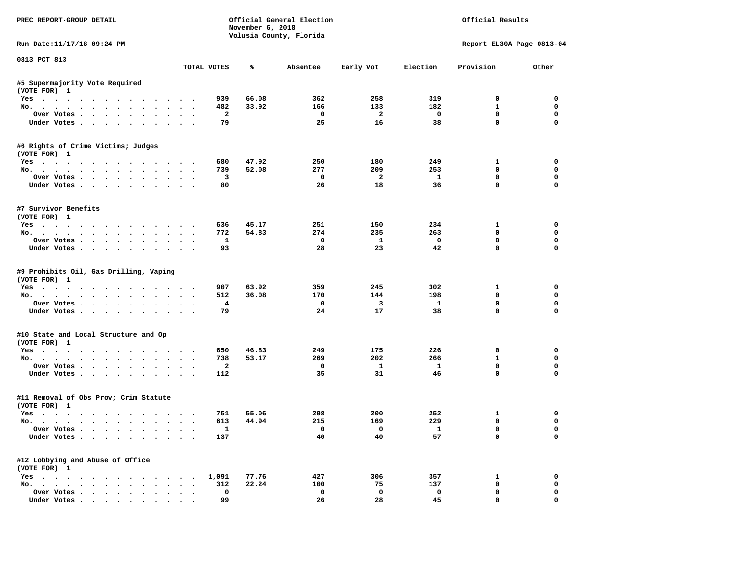| PREC REPORT-GROUP DETAIL                              |           |                         | November 6, 2018 | Official General Election<br>Volusia County, Florida | Official Results<br>Report EL30A Page 0813-04 |                         |              |             |
|-------------------------------------------------------|-----------|-------------------------|------------------|------------------------------------------------------|-----------------------------------------------|-------------------------|--------------|-------------|
| Run Date:11/17/18 09:24 PM                            |           |                         |                  |                                                      |                                               |                         |              |             |
| 0813 PCT 813                                          |           | TOTAL VOTES             | ℁                | Absentee                                             | Early Vot                                     | Election                | Provision    | Other       |
| #5 Supermajority Vote Required                        |           |                         |                  |                                                      |                                               |                         |              |             |
| (VOTE FOR) 1                                          |           |                         |                  |                                                      |                                               |                         |              |             |
| Yes                                                   |           | 939                     | 66.08            | 362                                                  | 258                                           | 319                     | $^{\circ}$   | $^{\circ}$  |
| No.                                                   |           | 482                     | 33.92            | 166                                                  | 133                                           | 182                     | $\mathbf{1}$ | $\mathbf 0$ |
| Over Votes                                            |           | $\overline{a}$          |                  | $\overline{\phantom{0}}$                             | $\overline{\mathbf{2}}$                       | $\overline{\mathbf{0}}$ | $\mathbf 0$  | $\mathbf 0$ |
| Under Votes                                           |           | 79                      |                  | 25                                                   | 16                                            | 38                      | $\mathbf 0$  | $\mathbf 0$ |
| #6 Rights of Crime Victims; Judges<br>(VOTE FOR) 1    |           |                         |                  |                                                      |                                               |                         |              |             |
| Yes                                                   |           | 680                     | 47.92            | 250                                                  | 180                                           | 249                     | $\mathbf{1}$ | 0           |
| No.                                                   |           | 739                     | 52.08            | 277                                                  | 209                                           | 253                     | $^{\circ}$   | 0           |
| Over Votes                                            |           | $\overline{\mathbf{3}}$ |                  | $\overline{\phantom{0}}$                             | $\overline{\mathbf{2}}$                       | $\mathbf{1}$            | $\mathbf 0$  | 0           |
| Under Votes                                           |           | 80                      |                  | 26                                                   | 18                                            | 36                      | $\mathbf 0$  | 0           |
|                                                       |           |                         |                  |                                                      |                                               |                         |              |             |
| #7 Survivor Benefits<br>(VOTE FOR) 1                  |           |                         |                  |                                                      |                                               |                         |              |             |
| Yes                                                   |           | 636                     | 45.17            | 251                                                  | 150                                           | 234                     | $\mathbf{1}$ | $\mathbf 0$ |
| No.                                                   |           | 772                     | 54.83            | 274                                                  | 235                                           | 263                     | $\mathbf 0$  | $\mathbf 0$ |
| Over Votes                                            |           | $\mathbf{1}$            |                  | $\mathbf{o}$                                         | $\mathbf{1}$                                  | $\mathbf 0$             | $\mathbf 0$  | $\mathbf 0$ |
| Under Votes                                           |           | 93                      |                  | 28                                                   | 23                                            | 42                      | $\Omega$     | $\Omega$    |
| (VOTE FOR) 1<br>Yes                                   |           | 907                     | 63.92            | 359                                                  | 245                                           | 302                     | $\mathbf{1}$ | 0           |
| No.                                                   |           | 512                     | 36.08            | 170                                                  | 144                                           | 198                     | $\mathbf 0$  | 0           |
| Over Votes                                            |           | $\overline{\mathbf{4}}$ |                  | $\mathbf{o}$                                         | $\overline{\mathbf{3}}$                       | $\mathbf{1}$            | $\mathbf 0$  | 0           |
| Under Votes                                           |           | 79                      |                  | 24                                                   | 17                                            | 38                      | $\mathbf 0$  | $\Omega$    |
| #10 State and Local Structure and Op                  |           |                         |                  |                                                      |                                               |                         |              |             |
| (VOTE FOR) 1                                          |           |                         |                  |                                                      |                                               |                         |              |             |
| Yes                                                   |           | 650                     | 46.83            | 249                                                  | 175                                           | 226                     | 0            | 0           |
| No.                                                   |           | 738                     | 53.17            | 269                                                  | 202                                           | 266                     | $\mathbf{1}$ | $\mathbf 0$ |
| Over Votes                                            |           | $\overline{a}$          |                  | $\mathbf{o}$                                         | $\mathbf{1}$                                  | $\mathbf{1}$            | 0            | 0           |
| Under Votes                                           |           | 112                     |                  | 35                                                   | 31                                            | 46                      | $\mathbf{0}$ | $\mathbf 0$ |
| #11 Removal of Obs Prov; Crim Statute<br>(VOTE FOR) 1 |           |                         |                  |                                                      |                                               |                         |              |             |
| Yes                                                   |           | 751                     | 55.06            | 298                                                  | 200                                           | 252                     | $\mathbf{1}$ | 0           |
| No.                                                   |           | 613                     | 44.94            | 215                                                  | 169                                           | 229                     | $\mathbf 0$  | 0           |
| Over Votes                                            |           | $\mathbf{1}$            |                  | $\Omega$                                             | $\overline{0}$                                | $\overline{\mathbf{1}}$ | $\mathbf 0$  | $\Omega$    |
| Under Votes                                           |           | 137                     |                  | 40                                                   | 40                                            | 57                      | $\mathbf 0$  | 0           |
| #12 Lobbying and Abuse of Office                      |           |                         |                  |                                                      |                                               |                         |              |             |
| (VOTE FOR) 1                                          |           |                         |                  |                                                      |                                               |                         |              |             |
| Yes 1,091                                             |           |                         | 77.76            | 427                                                  | 306                                           | 357                     | $\mathbf{1}$ | 0           |
| No.                                                   |           | 312                     | 22.24            | 100                                                  | 75                                            | 137                     | $\mathbf 0$  | $\mathbf 0$ |
| Over Votes                                            | $\ddotsc$ | $\mathbf 0$             |                  | $\mathbf 0$                                          | $\mathbf 0$                                   | $\mathbf 0$             | $\mathbf 0$  | 0           |
| Under Votes                                           |           | 99                      |                  | 26                                                   | 28                                            | 45                      | $\mathbf 0$  | 0           |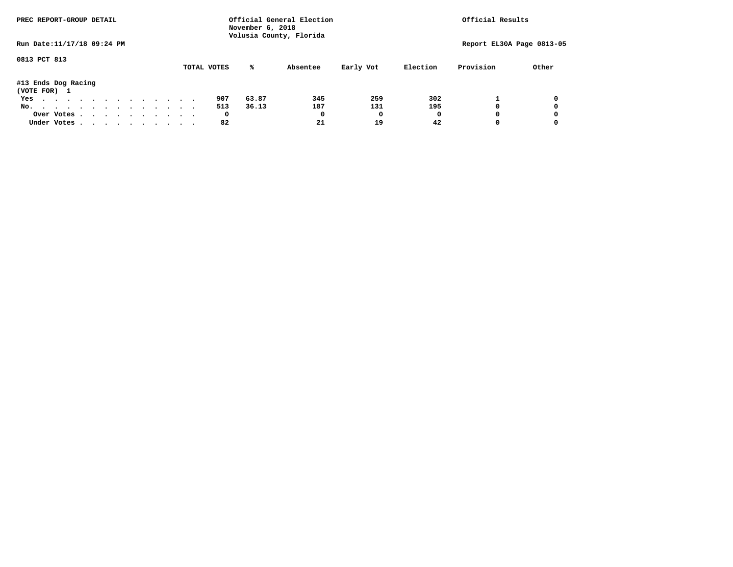| PREC REPORT-GROUP DETAIL            |  |  |  |  | Official General Election<br>November 6, 2018<br>Volusia County, Florida |  | Official Results |             |       |          |           |          |           |                           |
|-------------------------------------|--|--|--|--|--------------------------------------------------------------------------|--|------------------|-------------|-------|----------|-----------|----------|-----------|---------------------------|
| Run Date: 11/17/18 09:24 PM         |  |  |  |  |                                                                          |  |                  |             |       |          |           |          |           | Report EL30A Page 0813-05 |
| 0813 PCT 813                        |  |  |  |  |                                                                          |  |                  | TOTAL VOTES | %ะ    | Absentee | Early Vot | Election | Provision | Other                     |
| #13 Ends Dog Racing<br>(VOTE FOR) 1 |  |  |  |  |                                                                          |  |                  |             |       |          |           |          |           |                           |
| Yes                                 |  |  |  |  |                                                                          |  |                  | 907         | 63.87 | 345      | 259       | 302      |           | 0                         |
| No.                                 |  |  |  |  |                                                                          |  |                  | 513         | 36.13 | 187      | 131       | 195      |           | 0                         |
| Over Votes.                         |  |  |  |  |                                                                          |  |                  | 0           |       | 0        | 0         | 0        |           | 0                         |
| Under Votes                         |  |  |  |  |                                                                          |  |                  | 82          |       | 21       | 19        | 42       |           | 0                         |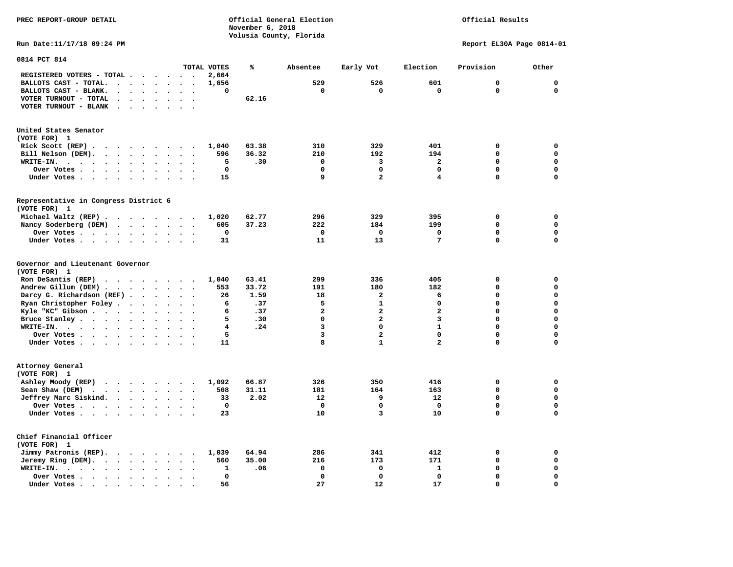| PREC REPORT-GROUP DETAIL                                                                                                                       |             | November 6, 2018<br>Volusia County, Florida | Official General Election |                         | Official Results |                           |             |
|------------------------------------------------------------------------------------------------------------------------------------------------|-------------|---------------------------------------------|---------------------------|-------------------------|------------------|---------------------------|-------------|
| Run Date: 11/17/18 09:24 PM                                                                                                                    |             |                                             |                           |                         |                  | Report EL30A Page 0814-01 |             |
| 0814 PCT 814                                                                                                                                   |             |                                             |                           |                         |                  |                           |             |
| TOTAL VOTES<br>REGISTERED VOTERS - TOTAL<br>$\ddot{\phantom{a}}$                                                                               | 2,664       | ℁                                           | Absentee                  | Early Vot               | Election         | Provision                 | Other       |
| BALLOTS CAST - TOTAL.<br>$\cdot$ $\cdot$ $\cdot$ $\cdot$ $\cdot$ $\cdot$ $\cdot$                                                               | 1,656       |                                             | 529                       | 526                     | 601              | $\mathbf 0$               | $\mathbf 0$ |
| BALLOTS CAST - BLANK.<br>$\sim$ $\sim$<br>$\ddot{\phantom{a}}$                                                                                 | 0           |                                             | 0                         | 0                       | $\Omega$         | 0                         | $\mathbf 0$ |
| VOTER TURNOUT - TOTAL<br>$\ddot{\phantom{a}}$<br>$\sim$<br>$\ddot{\phantom{a}}$<br>$\bullet$<br>$\bullet$<br>$\bullet$<br>$\ddot{\phantom{0}}$ |             | 62.16                                       |                           |                         |                  |                           |             |
| VOTER TURNOUT - BLANK<br>$\ddot{\phantom{a}}$<br>$\ddot{\phantom{a}}$                                                                          |             |                                             |                           |                         |                  |                           |             |
| United States Senator                                                                                                                          |             |                                             |                           |                         |                  |                           |             |
| (VOTE FOR) 1                                                                                                                                   |             |                                             |                           |                         |                  |                           |             |
| Rick Scott (REP)                                                                                                                               | 1,040       | 63.38                                       | 310                       | 329                     | 401              | 0                         | $\mathbf 0$ |
| Bill Nelson (DEM).<br>$\ddot{\phantom{0}}$<br>$\cdot$<br>$\sim$                                                                                | 596         | 36.32                                       | 210                       | 192                     | 194              | 0                         | 0           |
| $WRITE-IN.$<br>$\sim$ $\sim$                                                                                                                   | 5           | .30                                         | 0                         | 3                       | $\overline{a}$   | $\Omega$                  | $\mathbf 0$ |
| Over Votes<br>$\bullet$<br>$\ddot{\phantom{a}}$<br>$\bullet$<br>$\cdot$                                                                        | $\mathbf 0$ |                                             | 0                         | 0                       | $\Omega$         | $\Omega$                  | $\mathbf 0$ |
| Under Votes<br>$\ddot{\phantom{1}}$                                                                                                            | 15          |                                             | 9                         | $\overline{\mathbf{2}}$ | 4                | 0                         | $\mathbf 0$ |
| Representative in Congress District 6<br>(VOTE FOR) 1                                                                                          |             |                                             |                           |                         |                  |                           |             |
| Michael Waltz (REP)                                                                                                                            | 1,020       | 62.77                                       | 296                       | 329                     | 395              | 0                         | 0           |
| Nancy Soderberg (DEM)<br>$\cdots$                                                                                                              | 605         | 37.23                                       | 222                       | 184                     | 199              | 0                         | $\mathbf 0$ |
| Over Votes                                                                                                                                     | 0           |                                             | 0                         | 0                       | 0                | $\mathbf 0$               | 0           |
| Under Votes                                                                                                                                    | 31          |                                             | 11                        | 13                      | 7                | 0                         | 0           |
| Governor and Lieutenant Governor<br>(VOTE FOR) 1                                                                                               |             |                                             |                           |                         |                  |                           |             |
| Ron DeSantis (REP)<br>$\cdots$                                                                                                                 | 1,040       | 63.41                                       | 299                       | 336                     | 405              | 0                         | 0           |
| Andrew Gillum (DEM)                                                                                                                            | 553         | 33.72                                       | 191                       | 180                     | 182              | 0                         | $\mathbf 0$ |
| Darcy G. Richardson (REF).<br>$\sim$ $\sim$ $\sim$<br>$\cdot$ $\cdot$ $\cdot$                                                                  | 26          | 1.59                                        | 18                        | $\overline{a}$          | 6                | 0                         | 0           |
| Ryan Christopher Foley.<br>$\sim$ $\sim$ $\sim$ $\sim$<br>$\ddotsc$ $\ddotsc$                                                                  | 6           | .37                                         | 5                         | $\mathbf{1}$            | $\mathbf 0$      | 0                         | $\mathbf 0$ |
| Kyle "KC" Gibson<br>$\ddot{\phantom{0}}$<br>$\sim$<br>$\ddot{\phantom{a}}$                                                                     | 6           | .37                                         | $\overline{a}$            | $\overline{a}$          | $\overline{a}$   | $\Omega$                  | $\Omega$    |
| Bruce Stanley                                                                                                                                  | 5           | .30                                         | 0                         | $\overline{a}$          | 3                | $\Omega$                  | $\Omega$    |
| WRITE-IN.                                                                                                                                      | 4           | .24                                         | 3                         | $\Omega$                | $\mathbf{1}$     | 0                         | $\mathbf 0$ |
| Over Votes .<br>$\cdots$                                                                                                                       | 5           |                                             | 3                         | $\overline{a}$          | $\mathbf{0}$     | 0                         | $\mathbf 0$ |
| Under Votes                                                                                                                                    | 11          |                                             | 8                         | $\mathbf{1}$            | $\overline{a}$   | 0                         | $\Omega$    |
| Attorney General<br>(VOTE FOR) 1                                                                                                               |             |                                             |                           |                         |                  |                           |             |
| Ashley Moody (REP)<br>$\cdots$                                                                                                                 | 1,092       | 66.87                                       | 326                       | 350                     | 416              | 0                         | 0           |
| Sean Shaw (DEM)<br>$\cdot$ $\cdot$ $\cdot$ $\cdot$ $\cdot$ $\cdot$ $\cdot$<br>$\ddot{\phantom{0}}$<br>$\bullet$                                | 508         | 31.11                                       | 181                       | 164                     | 163              | 0                         | $\mathbf 0$ |
| Jeffrey Marc Siskind.<br>$\cdot$ $\cdot$ $\cdot$ $\cdot$                                                                                       | 33          | 2.02                                        | 12                        | 9                       | 12               | 0                         | $\Omega$    |
| Over Votes .<br>$\cdot$                                                                                                                        | $\mathbf 0$ |                                             | 0                         | $\mathbf 0$             | 0                | 0                         | $\mathbf 0$ |
| Under Votes<br>$\bullet$<br>$\bullet$                                                                                                          | 23          |                                             | 10                        | 3                       | 10               | 0                         | 0           |
|                                                                                                                                                |             |                                             |                           |                         |                  |                           |             |

| Chief Financial Officer                                                                                                                                     |  |  |  |     |       |     |     |     |   |
|-------------------------------------------------------------------------------------------------------------------------------------------------------------|--|--|--|-----|-------|-----|-----|-----|---|
| (VOTE FOR)                                                                                                                                                  |  |  |  |     |       |     |     |     |   |
| Jimmy Patronis (REP). 1,039                                                                                                                                 |  |  |  |     | 64.94 | 286 | 341 | 412 |   |
| Jeremy Ring (DEM).                                                                                                                                          |  |  |  | 560 | 35.00 | 216 | 173 | 171 | 0 |
| WRITE-IN.<br>$\mathbf{r} = \mathbf{r} - \mathbf{r} = \mathbf{r} - \mathbf{r} = \mathbf{r} - \mathbf{r} = \mathbf{r} - \mathbf{r} = \mathbf{r} - \mathbf{r}$ |  |  |  |     | .06   |     |     |     | 0 |
| Over Votes                                                                                                                                                  |  |  |  |     |       |     |     |     | 0 |
| Under Votes<br>$\mathbf{r}$ , $\mathbf{r}$ , $\mathbf{r}$ , $\mathbf{r}$ , $\mathbf{r}$ , $\mathbf{r}$ , $\mathbf{r}$                                       |  |  |  | 56  |       | 27  | 12  |     | 0 |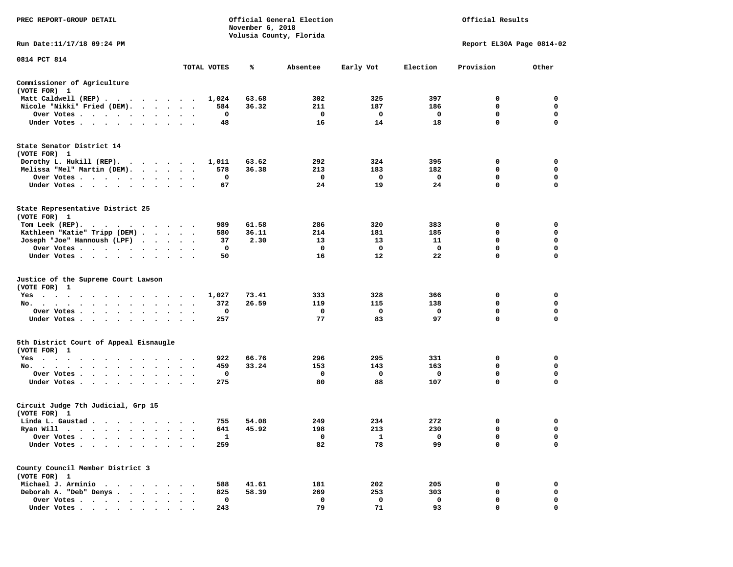| PREC REPORT-GROUP DETAIL                                                                                                                                                                                                                                                                |                 |              | November 6, 2018 | Official General Election<br>Volusia County, Florida | Official Results<br>Report EL30A Page 0814-02 |          |                  |             |
|-----------------------------------------------------------------------------------------------------------------------------------------------------------------------------------------------------------------------------------------------------------------------------------------|-----------------|--------------|------------------|------------------------------------------------------|-----------------------------------------------|----------|------------------|-------------|
| Run Date:11/17/18 09:24 PM                                                                                                                                                                                                                                                              |                 |              |                  |                                                      |                                               |          |                  |             |
| 0814 PCT 814                                                                                                                                                                                                                                                                            |                 |              |                  |                                                      |                                               |          |                  |             |
|                                                                                                                                                                                                                                                                                         |                 | TOTAL VOTES  | ℁                | Absentee                                             | Early Vot                                     | Election | Provision        | Other       |
| Commissioner of Agriculture<br>(VOTE FOR) 1                                                                                                                                                                                                                                             |                 |              |                  |                                                      |                                               |          |                  |             |
| Matt Caldwell (REP)                                                                                                                                                                                                                                                                     |                 | 1,024        | 63.68            | 302                                                  | 325                                           | 397      | 0                | 0           |
| Nicole "Nikki" Fried (DEM).                                                                                                                                                                                                                                                             |                 | 584          | 36.32            | 211                                                  | 187                                           | 186      | 0                | 0           |
| Over Votes                                                                                                                                                                                                                                                                              | $\sim$          | 0            |                  | 0                                                    | 0                                             | 0        | 0<br>$\mathbf 0$ | 0<br>0      |
| Under Votes                                                                                                                                                                                                                                                                             |                 | 48           |                  | 16                                                   | 14                                            | 18       |                  |             |
| State Senator District 14<br>(VOTE FOR) 1                                                                                                                                                                                                                                               |                 |              |                  |                                                      |                                               |          |                  |             |
| Dorothy L. Hukill $(REP)$ .                                                                                                                                                                                                                                                             |                 | 1,011        | 63.62            | 292                                                  | 324                                           | 395      | 0                | 0           |
| Melissa "Mel" Martin (DEM).                                                                                                                                                                                                                                                             |                 | 578          | 36.38            | 213                                                  | 183                                           | 182      | 0                | 0           |
| Over Votes                                                                                                                                                                                                                                                                              |                 | 0            |                  | 0                                                    | 0                                             | 0        | $\mathbf 0$      | 0           |
| Under Votes                                                                                                                                                                                                                                                                             |                 | 67           |                  | 24                                                   | 19                                            | 24       | $\mathbf 0$      | $\mathbf 0$ |
| State Representative District 25<br>(VOTE FOR) 1                                                                                                                                                                                                                                        |                 |              |                  |                                                      |                                               |          |                  |             |
| Tom Leek $(REP)$ .                                                                                                                                                                                                                                                                      |                 | 989          | 61.58            | 286                                                  | 320                                           | 383      | 0                | 0           |
| Kathleen "Katie" Tripp (DEM)                                                                                                                                                                                                                                                            |                 | 580          | 36.11            | 214                                                  | 181                                           | 185      | 0                | 0           |
| Joseph "Joe" Hannoush (LPF)                                                                                                                                                                                                                                                             |                 | 37           | 2.30             | 13                                                   | 13                                            | 11       | 0                | 0           |
| Over Votes                                                                                                                                                                                                                                                                              |                 | 0            |                  | 0                                                    | 0                                             | 0        | 0                | $\mathbf 0$ |
| Under Votes                                                                                                                                                                                                                                                                             |                 | 50           |                  | 16                                                   | 12                                            | 22       | $\mathbf 0$      | $\Omega$    |
| Justice of the Supreme Court Lawson<br>(VOTE FOR) 1                                                                                                                                                                                                                                     |                 |              |                  |                                                      |                                               |          |                  |             |
| $Yes \cdot \cdot \cdot$<br>$\sim$ $\sim$ $\sim$ $\sim$<br>. The contract of the contract of the contract of the contract of the contract of the contract of the contract of the contract of the contract of the contract of the contract of the contract of the contract of the contrac |                 | 1,027        | 73.41            | 333                                                  | 328                                           | 366      | 0                | 0           |
| No.                                                                                                                                                                                                                                                                                     | $\cdot$ $\cdot$ | 372          | 26.59            | 119                                                  | 115                                           | 138      | 0                | 0           |
| Over Votes                                                                                                                                                                                                                                                                              |                 | 0            |                  | 0                                                    | 0                                             | 0        | 0                | 0           |
| Under Votes                                                                                                                                                                                                                                                                             |                 | 257          |                  | 77                                                   | 83                                            | 97       | $\mathbf 0$      | 0           |
| 5th District Court of Appeal Eisnaugle<br>(VOTE FOR) 1                                                                                                                                                                                                                                  |                 |              |                  |                                                      |                                               |          |                  |             |
| Yes<br>.                                                                                                                                                                                                                                                                                |                 | 922          | 66.76            | 296                                                  | 295                                           | 331      | 0                | 0           |
| No.                                                                                                                                                                                                                                                                                     |                 | 459          | 33.24            | 153                                                  | 143                                           | 163      | 0                | 0           |
| Over Votes                                                                                                                                                                                                                                                                              |                 | 0            |                  | 0                                                    | 0                                             | 0        | $\mathbf 0$      | $\mathbf 0$ |
| Under Votes                                                                                                                                                                                                                                                                             |                 | 275          |                  | 80                                                   | 88                                            | 107      | 0                | 0           |
| Circuit Judge 7th Judicial, Grp 15<br>(VOTE FOR) 1                                                                                                                                                                                                                                      |                 |              |                  |                                                      |                                               |          |                  |             |
| Linda L. Gaustad                                                                                                                                                                                                                                                                        |                 | 755          | 54.08            | 249                                                  | 234                                           | 272      | 0                | 0           |
| Ryan Will<br>$\bullet$<br>. The contract of the contract of the contract of the contract of the contract of the contract of the contract of the contract of the contract of the contract of the contract of the contract of the contract of the contrac                                 |                 | 641          | 45.92            | 198                                                  | 213                                           | 230      | 0                | $\mathbf 0$ |
| Over Votes                                                                                                                                                                                                                                                                              |                 | $\mathbf{1}$ |                  | 0                                                    | 1                                             | 0        | 0                | 0           |
| Under Votes.                                                                                                                                                                                                                                                                            |                 | 259          |                  | 82                                                   | 78                                            | 99       | 0                | 0           |
| County Council Member District 3<br>(VOTE FOR) 1                                                                                                                                                                                                                                        |                 |              |                  |                                                      |                                               |          |                  |             |
| Michael J. Arminio<br>$\sim$                                                                                                                                                                                                                                                            |                 | 588          | 41.61            | 181                                                  | 202                                           | 205      | 0                | 0           |
| Deborah A. "Deb" Denys                                                                                                                                                                                                                                                                  |                 | 825          | 58.39            | 269                                                  | 253                                           | 303      | 0                | 0           |
| Over Votes .<br>$\ddot{\phantom{1}}$                                                                                                                                                                                                                                                    |                 | 0            |                  | 0                                                    | 0                                             | 0        | 0                | 0           |
| Under Votes                                                                                                                                                                                                                                                                             |                 | 243          |                  | 79                                                   | 71                                            | 93       | 0                | 0           |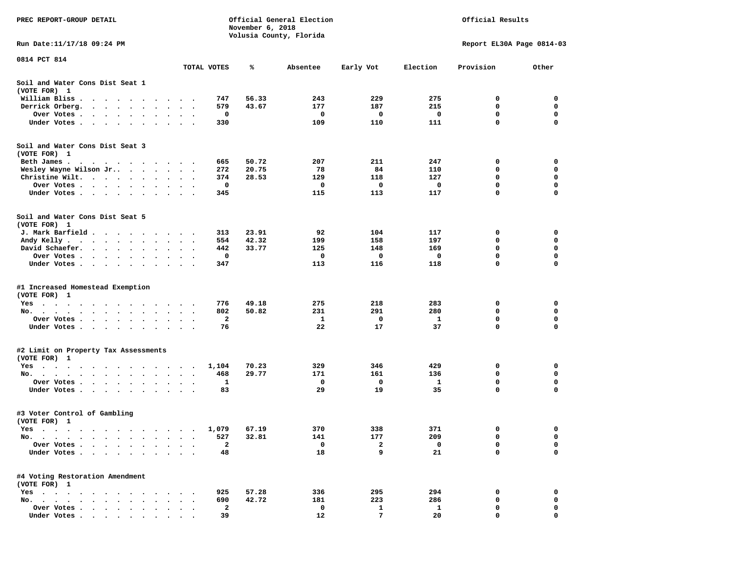| PREC REPORT-GROUP DETAIL                                                                                           |                                       |                    | November 6, 2018 | Official General Election<br>Volusia County, Florida | Official Results |          |                           |                  |  |
|--------------------------------------------------------------------------------------------------------------------|---------------------------------------|--------------------|------------------|------------------------------------------------------|------------------|----------|---------------------------|------------------|--|
| Run Date:11/17/18 09:24 PM                                                                                         |                                       |                    |                  |                                                      |                  |          | Report EL30A Page 0814-03 |                  |  |
| 0814 PCT 814                                                                                                       |                                       | TOTAL VOTES        | ℁                | Absentee                                             | Early Vot        | Election | Provision                 | Other            |  |
| Soil and Water Cons Dist Seat 1<br>(VOTE FOR) 1                                                                    |                                       |                    |                  |                                                      |                  |          |                           |                  |  |
| William Bliss.<br>$\bullet$<br>$\ddot{\phantom{1}}$<br>$\cdot$ $\cdot$ $\cdot$<br>$\cdot$                          |                                       | 747                | 56.33            | 243                                                  | 229              | 275      | 0                         | 0                |  |
| Derrick Orberg.<br>$\bullet$<br>$\ddot{\phantom{a}}$<br>$\ddot{\bullet}$ $\ddot{\bullet}$                          |                                       | 579                | 43.67            | 177                                                  | 187              | 215      | 0                         | 0                |  |
| Over Votes .<br>$\cdots$<br>$\sim$<br>$\bullet$<br>$\bullet$<br>$\bullet$                                          |                                       | 0                  |                  | 0                                                    | 0                | 0        | 0                         | 0                |  |
| Under Votes<br>$\ddot{\phantom{1}}$<br>$\cdot$                                                                     |                                       | 330                |                  | 109                                                  | 110              | 111      | 0                         | $\mathbf 0$      |  |
| Soil and Water Cons Dist Seat 3<br>(VOTE FOR) 1                                                                    |                                       |                    |                  |                                                      |                  |          |                           |                  |  |
| Beth James.<br>$\mathbf{r}$ , and $\mathbf{r}$ , and $\mathbf{r}$ , and $\mathbf{r}$ , and $\mathbf{r}$            | $\cdot$ $\cdot$ $\cdot$               | 665                | 50.72            | 207                                                  | 211              | 247      | 0                         | 0                |  |
| Wesley Wayne Wilson Jr                                                                                             | $\ddot{\phantom{1}}$<br>$\bullet$ .   | 272                | 20.75            | 78                                                   | 84               | 110      | 0                         | 0                |  |
| Christine Wilt.<br>$\sim$<br>$\bullet$                                                                             |                                       | 374                | 28.53            | 129                                                  | 118              | 127      | 0                         | 0                |  |
| Over Votes<br>$\bullet$<br>$\bullet$                                                                               | $\bullet$                             | 0                  |                  | 0                                                    | 0                | 0        | 0                         | $\mathbf 0$      |  |
| Under Votes<br>$\cdot$                                                                                             | $\bullet$<br>$\ddot{\phantom{1}}$     | 345                |                  | 115                                                  | 113              | 117      | 0                         | $\mathbf 0$      |  |
| Soil and Water Cons Dist Seat 5<br>(VOTE FOR) 1                                                                    |                                       |                    |                  |                                                      |                  |          |                           |                  |  |
| J. Mark Barfield.<br>$\sim$ $\sim$ $\sim$ $\sim$ $\sim$<br>$\sim$                                                  |                                       | 313                | 23.91            | 92                                                   | 104              | 117      | 0                         | 0                |  |
| Andy Kelly<br>$\bullet$                                                                                            | $\sim$ $\sim$                         | 554                | 42.32            | 199                                                  | 158              | 197      | 0                         | 0                |  |
| David Schaefer.<br>$\sim$ $\sim$ $\sim$ $\sim$ $\sim$<br>$\bullet$                                                 |                                       | 442                | 33.77            | 125                                                  | 148              | 169      | 0                         | 0                |  |
| Over Votes<br>$\sim$ $\sim$                                                                                        |                                       | 0                  |                  | 0                                                    | 0                | 0        | 0                         | $\mathbf 0$      |  |
| Under Votes<br>$\cdot$                                                                                             | $\cdot$<br>$\sim$ $\sim$              | 347                |                  | 113                                                  | 116              | 118      | 0                         | $\mathbf 0$      |  |
| #1 Increased Homestead Exemption                                                                                   |                                       |                    |                  |                                                      |                  |          |                           |                  |  |
| (VOTE FOR) 1                                                                                                       |                                       |                    |                  |                                                      |                  |          |                           |                  |  |
| Yes<br>$\cdot$ $\cdot$ $\cdot$                                                                                     |                                       | 776                | 49.18            | 275                                                  | 218              | 283      | 0                         | 0                |  |
| No.<br>$\cdot$<br>$\bullet$<br>$\bullet$                                                                           |                                       | 802                | 50.82            | 231                                                  | 291              | 280      | 0                         | 0                |  |
| Over Votes .<br>$\mathcal{L}(\mathcal{A})$ , and $\mathcal{A}(\mathcal{A})$<br>$\bullet$<br>$\bullet$<br>$\bullet$ | $\bullet$<br>$\bullet$                | 2<br>$\bullet$     |                  | 1<br>22                                              | 0                | 1        | 0<br>0                    | 0<br>$\mathbf 0$ |  |
| Under Votes<br>$\ddot{\phantom{0}}$                                                                                | $\ddot{\phantom{a}}$<br>$\sim$ $\sim$ | 76                 |                  |                                                      | 17               | 37       |                           |                  |  |
| #2 Limit on Property Tax Assessments<br>(VOTE FOR) 1                                                               |                                       |                    |                  |                                                      |                  |          |                           |                  |  |
| $Yes \t . \t .$<br>$\bullet$<br>$\bullet$<br>$\ddot{\phantom{1}}$<br>$\bullet$<br>$\cdot$                          |                                       | 1,104<br>$\bullet$ | 70.23            | 329                                                  | 346              | 429      | 0                         | 0                |  |
| No.<br>$\sim$ $\sim$<br>$\bullet$                                                                                  |                                       | 468                | 29.77            | 171                                                  | 161              | 136      | 0                         | $\mathbf 0$      |  |
| Over Votes .<br>$\sim$ $\sim$<br>$\ddot{\phantom{0}}$<br>$\bullet$                                                 |                                       | $\mathbf 1$        |                  | 0                                                    | 0                | 1        | $\mathbf 0$               | 0                |  |
| Under Votes.<br>$\cdots$<br>$\bullet$<br>$\bullet$                                                                 |                                       | 83                 |                  | 29                                                   | 19               | 35       | 0                         | 0                |  |
| #3 Voter Control of Gambling<br>(VOTE FOR) 1                                                                       |                                       |                    |                  |                                                      |                  |          |                           |                  |  |
| Yes                                                                                                                |                                       | 1,079              | 67.19            | 370                                                  | 338              | 371      | 0                         | $\mathbf 0$      |  |
| No. .<br>$\bullet$<br>$\bullet$                                                                                    |                                       | 527                | 32.81            | 141                                                  | 177              | 209      | 0                         | 0                |  |
| Over Votes                                                                                                         |                                       | $\mathbf{2}$       |                  | 0                                                    | 2                | 0        | $\mathbf 0$               | 0                |  |
| Under Votes<br>$\bullet$<br>$\bullet$<br>$\ddot{\phantom{a}}$                                                      |                                       | 48                 |                  | 18                                                   | 9                | 21       | 0                         | 0                |  |
| #4 Voting Restoration Amendment<br>(VOTE FOR) 1                                                                    |                                       |                    |                  |                                                      |                  |          |                           |                  |  |
| $Yes \cdot \cdot \cdot$<br>$\cdot$ $\cdot$<br>$\overline{\phantom{a}}$<br>$\sim$<br>$\sim$                         |                                       | 925                | 57.28            | 336                                                  | 295              | 294      | 0                         | 0                |  |
| No.<br>$\sim$ $\sim$<br>$\ddot{\phantom{a}}$                                                                       |                                       | 690                | 42.72            | 181                                                  | 223              | 286      | 0                         | 0                |  |
| Over Votes                                                                                                         |                                       | 2                  |                  | 0                                                    | 1                | 1        | 0                         | 0                |  |
| Under Votes                                                                                                        |                                       | 39                 |                  | 12                                                   | $7\phantom{.0}$  | 20       | 0                         | $\mathbf 0$      |  |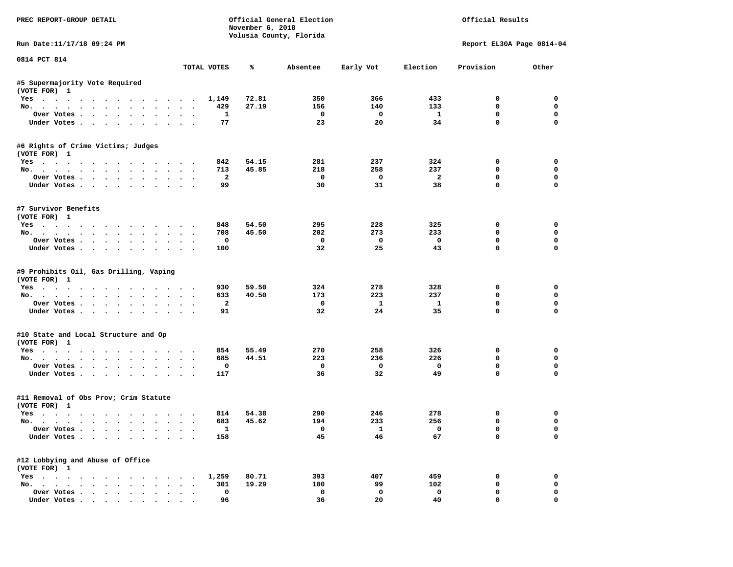| PREC REPORT-GROUP DETAIL                                      |           |                         | November 6, 2018 | Official General Election<br>Volusia County, Florida |                          |                               | Official Results            |                      |
|---------------------------------------------------------------|-----------|-------------------------|------------------|------------------------------------------------------|--------------------------|-------------------------------|-----------------------------|----------------------|
| Run Date:11/17/18 09:24 PM                                    |           |                         |                  |                                                      |                          |                               | Report EL30A Page 0814-04   |                      |
| 0814 PCT 814                                                  |           | TOTAL VOTES             | ℁                | Absentee                                             | Early Vot                | Election                      | Provision                   | Other                |
| #5 Supermajority Vote Required                                |           |                         |                  |                                                      |                          |                               |                             |                      |
| (VOTE FOR) 1                                                  |           |                         |                  |                                                      |                          |                               |                             |                      |
| Yes                                                           |           | 1,149                   | 72.81            | 350                                                  | 366                      | 433                           | $^{\circ}$                  | $^{\circ}$           |
| No.                                                           |           | 429                     | 27.19            | 156                                                  | 140                      | 133                           | 0                           | $\mathbf 0$          |
| Over Votes                                                    |           | <b>1</b>                |                  | $\overline{\phantom{0}}$                             | $\overline{\mathbf{0}}$  | $\mathbf{1}$                  | 0                           | $\mathbf 0$          |
| Under Votes                                                   |           | 77                      |                  | 23                                                   | 20                       | 34                            | $\mathbf 0$                 | $\mathbf 0$          |
| #6 Rights of Crime Victims; Judges<br>(VOTE FOR) 1            |           |                         |                  |                                                      |                          |                               |                             |                      |
| Yes                                                           |           | 842                     | 54.15            | 281                                                  | 237                      | 324                           | 0                           | 0                    |
| No.                                                           |           | 713                     | 45.85            | 218                                                  | 258                      | 237                           | $\mathbf 0$                 | 0                    |
| Over Votes                                                    |           | $\overline{\mathbf{2}}$ |                  | $\overline{\phantom{0}}$                             | $\overline{\phantom{0}}$ | $\overline{\mathbf{2}}$       | $\mathbf 0$                 | 0                    |
| Under Votes                                                   |           | 99                      |                  | 30                                                   | 31                       | 38                            | $\mathbf 0$                 | 0                    |
| #7 Survivor Benefits<br>(VOTE FOR) 1                          |           |                         |                  |                                                      |                          |                               |                             |                      |
| Yes                                                           |           | 848                     | 54.50            | 295                                                  | 228                      | 325                           | 0                           | $\mathbf 0$          |
| No.                                                           |           | 708                     | 45.50            | 202                                                  | 273                      | 233                           | $\mathbf 0$                 | $\mathbf 0$          |
| Over Votes                                                    |           | 0                       |                  | $\mathbf{o}$                                         | $\overline{\mathbf{0}}$  | $\overline{\mathbf{0}}$       | $\mathbf 0$                 | $\mathbf 0$          |
| Under Votes                                                   |           | 100                     |                  | 32                                                   | 25                       | 43                            | $\Omega$                    | $\Omega$             |
| #9 Prohibits Oil, Gas Drilling, Vaping<br>(VOTE FOR) 1<br>Yes |           | 930                     | 59.50            | 324                                                  | 278                      | 328                           | 0                           | 0                    |
| No.                                                           |           | 633                     | 40.50            | 173                                                  | 223                      | 237                           | 0                           | 0                    |
| Over Votes                                                    |           | $\overline{a}$          |                  | $\mathbf{o}$                                         | $\mathbf{1}$             | $\mathbf{1}$                  | $\mathbf 0$                 | $\mathbf 0$          |
| Under Votes                                                   |           | 91                      |                  | 32                                                   | 24                       | 35                            | $\mathbf 0$                 | $\Omega$             |
| #10 State and Local Structure and Op<br>(VOTE FOR) 1          |           |                         |                  |                                                      |                          |                               |                             |                      |
| Yes                                                           |           | 854                     | 55.49            | 270                                                  | 258                      | 326                           | 0                           | 0                    |
| No.                                                           |           | 685                     | 44.51            | 223                                                  | 236                      | 226                           | $\Omega$                    | $\mathbf 0$          |
| Over Votes                                                    |           | 0                       |                  | $\mathbf 0$                                          | $\overline{\mathbf{0}}$  | $\mathbf 0$                   | 0                           | 0                    |
| Under Votes                                                   |           | 117                     |                  | 36                                                   | 32                       | 49                            | $\mathbf{0}$                | $\mathbf 0$          |
| #11 Removal of Obs Prov; Crim Statute<br>(VOTE FOR) 1         |           |                         |                  |                                                      |                          |                               |                             |                      |
| Yes                                                           |           | 814                     | 54.38            | 290                                                  | 246                      | 278                           | 0                           | 0                    |
| No.                                                           |           | 683                     | 45.62            | 194                                                  | 233                      | 256                           | $\mathbf 0$                 | 0                    |
| Over Votes<br>Under Votes                                     |           | $\mathbf{1}$<br>158     |                  | $\overline{\mathbf{0}}$<br>45                        | $\mathbf{1}$<br>46       | $\overline{\mathbf{0}}$<br>67 | $\mathbf{0}$<br>$\mathbf 0$ | $\Omega$<br>$\Omega$ |
|                                                               |           |                         |                  |                                                      |                          |                               |                             |                      |
| #12 Lobbying and Abuse of Office<br>(VOTE FOR) 1              |           |                         | 80.71            | 393                                                  | 407                      | 459                           | 0                           | 0                    |
| Yes 1,259<br>No.                                              |           | 301                     | 19.29            | 100                                                  | 99                       | 102                           | $\mathbf 0$                 | $\mathbf 0$          |
| Over Votes                                                    | $\ddotsc$ | $\mathbf 0$             |                  | $\mathbf 0$                                          | $\mathbf 0$              | $\mathbf 0$                   | $\mathbf 0$                 | 0                    |
| Under Votes.                                                  |           | 96                      |                  | 36                                                   | 20                       | 40                            | $\mathbf 0$                 | 0                    |
|                                                               |           |                         |                  |                                                      |                          |                               |                             |                      |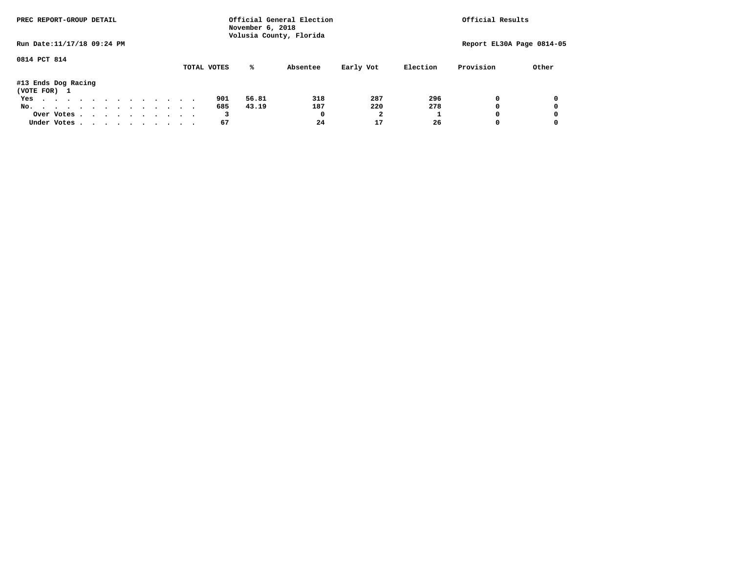| PREC REPORT-GROUP DETAIL            |  |  |  |  |  |  |  | Official General Election<br>November 6, 2018<br>Volusia County, Florida | Official Results |          |           |          |                           |       |
|-------------------------------------|--|--|--|--|--|--|--|--------------------------------------------------------------------------|------------------|----------|-----------|----------|---------------------------|-------|
| Run Date: 11/17/18 09:24 PM         |  |  |  |  |  |  |  |                                                                          |                  |          |           |          | Report EL30A Page 0814-05 |       |
| 0814 PCT 814                        |  |  |  |  |  |  |  | TOTAL VOTES                                                              | ℁                | Absentee | Early Vot | Election | Provision                 | Other |
| #13 Ends Dog Racing<br>(VOTE FOR) 1 |  |  |  |  |  |  |  |                                                                          |                  |          |           |          |                           |       |
| Yes                                 |  |  |  |  |  |  |  | 901                                                                      | 56.81            | 318      | 287       | 296      | 0                         | 0     |
| No.                                 |  |  |  |  |  |  |  | 685                                                                      | 43.19            | 187      | 220       | 278      | 0                         | 0     |
| Over Votes                          |  |  |  |  |  |  |  | 3                                                                        |                  | 0        |           |          | 0                         | 0     |
| Under Votes                         |  |  |  |  |  |  |  | 67                                                                       |                  | 24       | 17        | 26       |                           | 0     |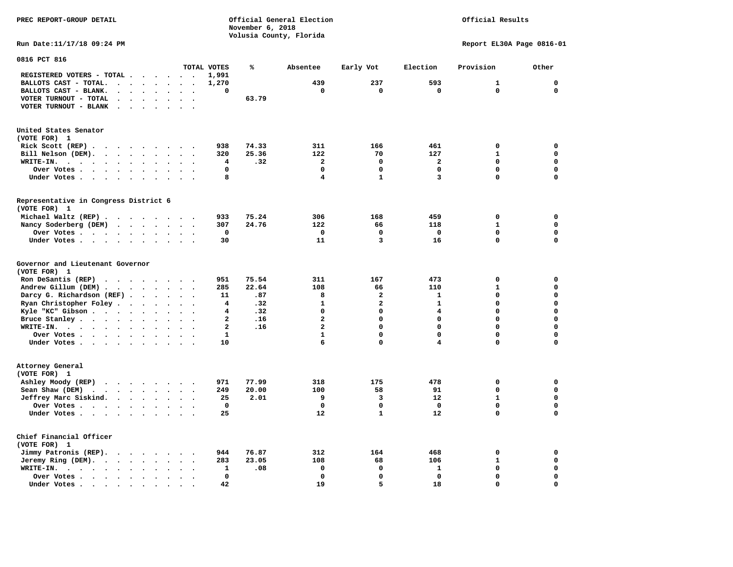**November 6, 2018 Volusia County, Florida Run Date:11/17/18 09:24 PM Report EL30A Page 0816-01 0816 PCT 816 TOTAL VOTES % Absentee Early Vot Election Provision Other REGISTERED VOTERS - TOTAL . . . . . . 1,991 BALLOTS CAST - TOTAL. . . . . . . . 1,270 439 237 593 1 0 BALLOTS CAST - BLANK. . . . . . . . 0 0 0 0 0 0 VOTER TURNOUT - TOTAL . . . . . . . 63.79 VOTER TURNOUT - BLANK . . . . . . . United States Senator (VOTE FOR) 1 Rick Scott (REP) . . . . . . . . 938 74.33** 311 166 461 0 0 0  **Bill Nelson (DEM). . . . . . . . . 320 25.36 122 70 127 1 0 WRITE-IN. . . . . . . . . . . . 4 .32 2 0 2 0 0 Over Votes . . . . . . . . . . 0 0 0 0 0 0 Under Votes . . . . . . . . . 8** 4 1 3 0 0 **Representative in Congress District 6 (VOTE FOR) 1 Michael Waltz (REP) . . . . . . . . 933 75.24 306 168 459 0 0 Nancy Soderberg (DEM) . . . . . . . 307 24.76 122 66 118 1 0 Over Votes . . . . . . . . . . 0 0 0 0 0 0**  $\Omega$  **Under Votes . . . . . . . . . . 30 11 3 16 0 0 Governor and Lieutenant Governor (VOTE FOR) 1 Ron DeSantis (REP) . . . . . . . . 951 75.54 311 167 473 0 0 Andrew Gillum (DEM) . . . . . . . . 285 22.64 108 66 110 1 0 Darcy G. Richardson (REF) . . . . . 11 .87** 8 2 1 0 0<br>**Ryan Christopher Foley . . . . . . 4 .32** 1 2 1 0 0  **Ryan Christopher Foley . . . . . . . 4 .32 1 2 1 0 0 Kyle "KC" Gibson . . . . . . . . . . 4 Bruce Stanley . . . . . . . . . . 2 .16** 2 0 0 0 0 0 0  **WRITE-IN. . . . . . . . . . . . 2 .16 2 0 0 0 0**  $\mathbf{0}$ **Over Votes . . . . . . . . . . 1** 1 0 0 0 0 0  $\mathbf{0}$ **Under Votes . . . . . . . . . . 10** 6 0 4 0 0 **Attorney General (VOTE FOR) 1 Ashley Moody (REP) . . . . . . . . 971 77.99 318 175 478 0 0 Sean Shaw (DEM)** . . . . . . . . 249 20.00 100 58 91 0 0  **Jeffrey Marc Siskind.** . . . . . . 25 2.01 9 3 12 1 0<br>Over Votes  **Over Votes . . . . . . . . . . 0 0 0 0 0 0**  $\mathbf 0$  **Under Votes . . . . . . . . . . 25 12 1 12 0 Chief Financial Officer (VOTE FOR) 1 Jimmy Patronis (REP). . . . . . . . 944 76.87 312 164 468 0 0 Jeremy Ring (DEM).** . . . . . . . 283 23.05 108 68 106 1 0  **WRITE-IN. . . . . . . . . . . . 1 .08 0 0 1 0 0 Over Votes . . . . . . . . . . 0 0 0 0 0 0**  $\mathbf{o}$  **Under Votes . . . . . . . . . . 42** 19 5 18 0

**PREC REPORT-GROUP DETAIL Official General Election Official Results**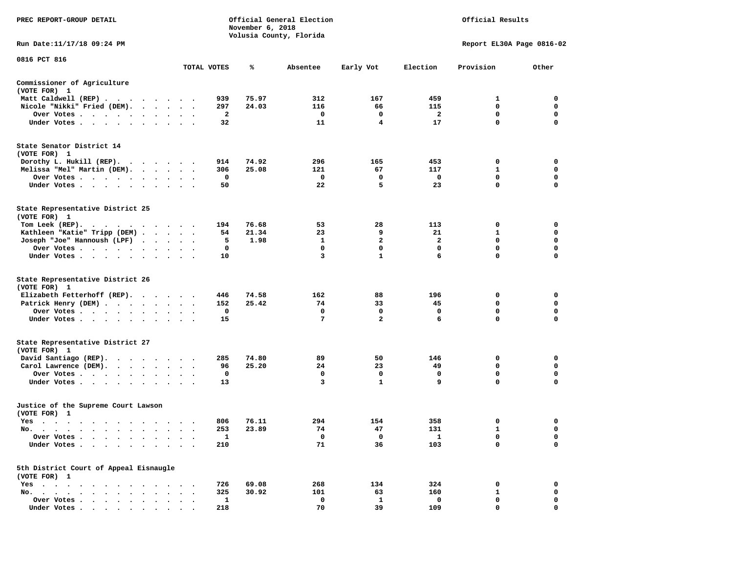| PREC REPORT-GROUP DETAIL                                                                                                                                                                                                                         |               |                     | November 6, 2018 | Official General Election<br>Volusia County, Florida |                         |                         | Official Results          |             |
|--------------------------------------------------------------------------------------------------------------------------------------------------------------------------------------------------------------------------------------------------|---------------|---------------------|------------------|------------------------------------------------------|-------------------------|-------------------------|---------------------------|-------------|
| Run Date: 11/17/18 09:24 PM                                                                                                                                                                                                                      |               |                     |                  |                                                      |                         |                         | Report EL30A Page 0816-02 |             |
| 0816 PCT 816                                                                                                                                                                                                                                     |               | TOTAL VOTES         | ℁                | Absentee                                             | Early Vot               | Election                | Provision                 | Other       |
| Commissioner of Agriculture                                                                                                                                                                                                                      |               |                     |                  |                                                      |                         |                         |                           |             |
| (VOTE FOR) 1                                                                                                                                                                                                                                     |               |                     |                  |                                                      |                         |                         |                           |             |
| Matt Caldwell (REP)                                                                                                                                                                                                                              |               | 939                 | 75.97            | 312                                                  | 167                     | 459                     | 1                         | 0           |
| Nicole "Nikki" Fried (DEM).                                                                                                                                                                                                                      |               | 297                 | 24.03            | 116                                                  | 66                      | 115                     | 0                         | 0           |
| Over Votes                                                                                                                                                                                                                                       |               | 2                   |                  | 0                                                    | 0                       | 2                       | 0                         | 0           |
| Under Votes                                                                                                                                                                                                                                      |               | 32                  |                  | 11                                                   | 4                       | 17                      | $\mathbf 0$               | $\mathbf 0$ |
| State Senator District 14<br>(VOTE FOR) 1                                                                                                                                                                                                        |               |                     |                  |                                                      |                         |                         |                           |             |
| Dorothy L. Hukill $(REP)$ .                                                                                                                                                                                                                      |               | 914                 | 74.92            | 296                                                  | 165                     | 453                     | 0                         | 0           |
| Melissa "Mel" Martin (DEM).                                                                                                                                                                                                                      |               | 306                 | 25.08            | 121                                                  | 67                      | 117                     | 1                         | 0           |
| Over Votes                                                                                                                                                                                                                                       |               | 0                   |                  | $\mathbf 0$                                          | 0                       | 0                       | $\mathbf 0$               | $\mathbf 0$ |
| Under Votes                                                                                                                                                                                                                                      |               | 50                  |                  | 22                                                   | 5                       | 23                      | 0                         | 0           |
| State Representative District 25<br>(VOTE FOR) 1                                                                                                                                                                                                 |               |                     |                  |                                                      |                         |                         |                           |             |
| Tom Leek (REP).<br>. The contract of the contract of the contract of the contract of the contract of the contract of the contract of the contract of the contract of the contract of the contract of the contract of the contract of the contrac |               | 194                 | 76.68            | 53                                                   | 28                      | 113                     | 0                         | 0           |
| Kathleen "Katie" Tripp (DEM)                                                                                                                                                                                                                     |               | 54                  | 21.34            | 23                                                   | 9                       | 21                      | 1                         | 0           |
| Joseph "Joe" Hannoush (LPF)                                                                                                                                                                                                                      |               | 5                   | 1.98             | 1                                                    | $\overline{\mathbf{2}}$ | $\overline{\mathbf{2}}$ | $\mathbf 0$               | $\mathbf 0$ |
| Over Votes                                                                                                                                                                                                                                       |               | 0                   |                  | $\Omega$                                             | 0                       | 0                       | 0                         | 0           |
| Under Votes.                                                                                                                                                                                                                                     |               | 10                  |                  | 3                                                    | $\mathbf{1}$            | 6                       | 0                         | 0           |
| State Representative District 26<br>(VOTE FOR) 1                                                                                                                                                                                                 |               |                     |                  |                                                      |                         |                         |                           |             |
| Elizabeth Fetterhoff (REP).                                                                                                                                                                                                                      |               | 446                 | 74.58            | 162                                                  | 88                      | 196                     | 0                         | 0           |
| Patrick Henry (DEM)                                                                                                                                                                                                                              |               | 152                 | 25.42            | 74                                                   | 33                      | 45                      | 0                         | 0           |
| Over Votes                                                                                                                                                                                                                                       |               | 0                   |                  | 0                                                    | 0                       | 0                       | $\mathbf 0$               | $\mathbf 0$ |
| Under Votes                                                                                                                                                                                                                                      | $\sim$ $\sim$ | 15                  |                  | 7                                                    | $\overline{2}$          | 6                       | 0                         | 0           |
| State Representative District 27<br>(VOTE FOR) 1                                                                                                                                                                                                 |               |                     |                  |                                                      |                         |                         |                           |             |
| David Santiago (REP).                                                                                                                                                                                                                            |               | 285                 | 74.80            | 89                                                   | 50                      | 146                     | 0                         | 0           |
| Carol Lawrence (DEM).                                                                                                                                                                                                                            |               | 96                  | 25.20            | 24                                                   | 23                      | 49                      | 0                         | 0           |
| Over Votes                                                                                                                                                                                                                                       |               | 0                   |                  | 0                                                    | 0                       | 0                       | $\mathbf 0$               | 0           |
| Under Votes                                                                                                                                                                                                                                      |               | 13                  |                  | 3                                                    | $\mathbf{1}$            | 9                       | $\mathbf 0$               | $\mathbf 0$ |
| Justice of the Supreme Court Lawson<br>(VOTE FOR) 1                                                                                                                                                                                              |               |                     |                  |                                                      |                         |                         |                           |             |
| Yes                                                                                                                                                                                                                                              |               | 806                 | 76.11            | 294                                                  | 154                     | 358                     | 0                         | 0           |
| No.<br>. A simple structure of the state of the state of the state of the state of the state of the state of the state of the state of the state of the state of the state of the state of the state of the state of the state of th             |               | 253                 | 23.89            | 74                                                   | 47                      | 131                     | $\mathbf{1}$              | $\Omega$    |
| Over Votes                                                                                                                                                                                                                                       |               | 1                   |                  | 0                                                    | 0                       | 1                       | 0                         | 0           |
| Under Votes .                                                                                                                                                                                                                                    |               | 210                 |                  | 71                                                   | 36                      | 103                     | 0                         | 0           |
| 5th District Court of Appeal Eisnaugle                                                                                                                                                                                                           |               |                     |                  |                                                      |                         |                         |                           |             |
| (VOTE FOR) 1                                                                                                                                                                                                                                     |               |                     |                  |                                                      |                         |                         |                           |             |
| $Yes \t . \t .$                                                                                                                                                                                                                                  |               | 726                 | 69.08<br>30.92   | 268                                                  | 134                     | 324                     | 0                         | 0<br>0      |
| No. .<br>$\ddot{\phantom{a}}$<br>$\ddot{\phantom{0}}$<br>$\sim$<br>Over Votes<br>$\cdot$ $\cdot$ $\cdot$ $\cdot$<br>$\overline{\phantom{a}}$                                                                                                     |               | 325<br>$\mathbf{1}$ |                  | 101<br>0                                             | 63<br>$\mathbf{1}$      | 160<br>0                | 1<br>0                    | 0           |
| Under Votes                                                                                                                                                                                                                                      |               | 218                 |                  | 70                                                   | 39                      | 109                     | 0                         | $\Omega$    |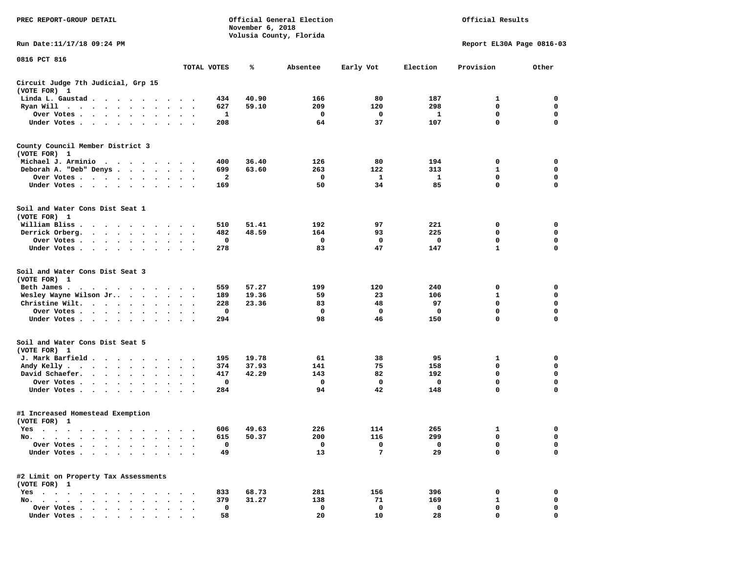| PREC REPORT-GROUP DETAIL                                                                                                                                                                                                                         |                                   |              | November 6, 2018 | Official General Election |           | Official Results |                           |             |
|--------------------------------------------------------------------------------------------------------------------------------------------------------------------------------------------------------------------------------------------------|-----------------------------------|--------------|------------------|---------------------------|-----------|------------------|---------------------------|-------------|
| Run Date: 11/17/18 09:24 PM                                                                                                                                                                                                                      |                                   |              |                  | Volusia County, Florida   |           |                  | Report EL30A Page 0816-03 |             |
| 0816 PCT 816                                                                                                                                                                                                                                     | TOTAL VOTES                       |              | ℁                | Absentee                  | Early Vot | Election         | Provision                 | Other       |
| Circuit Judge 7th Judicial, Grp 15                                                                                                                                                                                                               |                                   |              |                  |                           |           |                  |                           |             |
| (VOTE FOR) 1                                                                                                                                                                                                                                     |                                   |              |                  |                           |           |                  |                           |             |
| Linda L. Gaustad<br>Ryan Will $\dots$ , $\dots$ , $\dots$                                                                                                                                                                                        |                                   | 434<br>627   | 40.90<br>59.10   | 166<br>209                | 80<br>120 | 187<br>298       | 1<br>$\mathbf 0$          | 0<br>0      |
| Over Votes<br>$\ddot{\phantom{0}}$<br>$\bullet$                                                                                                                                                                                                  | $\bullet$<br>$\bullet$            | 1            |                  | 0                         | 0         | 1                | 0                         | 0           |
| Under Votes                                                                                                                                                                                                                                      |                                   | 208          |                  | 64                        | 37        | 107              | $\mathbf 0$               | $\mathbf 0$ |
| County Council Member District 3<br>(VOTE FOR) 1                                                                                                                                                                                                 |                                   |              |                  |                           |           |                  |                           |             |
| Michael J. Arminio<br>$\sim$<br>.                                                                                                                                                                                                                |                                   | 400          | 36.40            | 126                       | 80        | 194              | 0                         | 0           |
| Deborah A. "Deb" Denys                                                                                                                                                                                                                           | $\cdot$ $\cdot$ $\cdot$           | 699          | 63.60            | 263                       | 122       | 313              | 1                         | 0           |
| Over Votes<br>$\bullet$ , $\bullet$ , $\bullet$ , $\bullet$                                                                                                                                                                                      | $\cdot$                           | $\mathbf{2}$ |                  | 0                         | 1         | 1                | 0                         | 0           |
| Under Votes                                                                                                                                                                                                                                      |                                   | 169          |                  | 50                        | 34        | 85               | $\mathbf 0$               | 0           |
| Soil and Water Cons Dist Seat 1<br>(VOTE FOR) 1                                                                                                                                                                                                  |                                   |              |                  |                           |           |                  |                           |             |
| William Bliss.<br>$\mathbf{r}$ , and $\mathbf{r}$ , and $\mathbf{r}$ , and $\mathbf{r}$ , and $\mathbf{r}$                                                                                                                                       |                                   | 510          | 51.41            | 192                       | 97        | 221              | 0                         | 0           |
| Derrick Orberg.<br>$\bullet$ , $\bullet$ , $\bullet$ , $\bullet$ , $\bullet$<br>$\bullet$ , $\bullet$ , $\bullet$ , $\bullet$ , $\bullet$                                                                                                        |                                   | 482          | 48.59            | 164                       | 93        | 225              | 0                         | 0           |
| Over Votes                                                                                                                                                                                                                                       |                                   | 0            |                  | 0                         | 0         | 0                | $\mathbf 0$               | 0           |
| Under Votes<br>$\sim$                                                                                                                                                                                                                            | $\ddot{\phantom{1}}$              | 278          |                  | 83                        | 47        | 147              | $\mathbf{1}$              | $\mathbf 0$ |
| Soil and Water Cons Dist Seat 3<br>(VOTE FOR) 1                                                                                                                                                                                                  |                                   |              |                  |                           |           |                  |                           |             |
| Beth James.<br>$\mathbf{r}$ . The contract of the contract of the contract of the contract of the contract of the contract of the contract of the contract of the contract of the contract of the contract of the contract of the contract of th |                                   | 559          | 57.27            | 199                       | 120       | 240              | 0                         | 0           |
| Wesley Wayne Wilson Jr                                                                                                                                                                                                                           | $\ddot{\phantom{0}}$              | 189          | 19.36            | 59                        | 23        | 106              | 1                         | 0           |
| Christine Wilt.<br>$\bullet$<br>$\bullet$                                                                                                                                                                                                        | $\ddot{\phantom{1}}$              | 228          | 23.36            | 83                        | 48        | 97               | 0                         | $\mathbf 0$ |
| Over Votes<br>$\ddot{\phantom{0}}$<br>$\bullet$                                                                                                                                                                                                  |                                   | 0            |                  | 0                         | 0         | 0                | 0                         | 0           |
| Under Votes<br>$\bullet$                                                                                                                                                                                                                         | $\bullet$<br>$\ddot{\phantom{0}}$ | 294          |                  | 98                        | 46        | 150              | $\mathbf 0$               | $\mathbf 0$ |
| Soil and Water Cons Dist Seat 5<br>(VOTE FOR) 1                                                                                                                                                                                                  |                                   |              |                  |                           |           |                  |                           |             |
| J. Mark Barfield                                                                                                                                                                                                                                 |                                   | 195          | 19.78            | 61                        | 38        | 95               | 1                         | 0           |
| Andy Kelly<br>$\cdot$                                                                                                                                                                                                                            | $\ddot{\phantom{1}}$              | 374          | 37.93            | 141                       | 75        | 158              | 0                         | 0           |
| David Schaefer.<br>$\cdots$                                                                                                                                                                                                                      |                                   | 417          | 42.29            | 143                       | 82        | 192              | $\mathbf 0$               | 0           |
| Over Votes<br>$\ddot{\phantom{0}}$<br>$\bullet$                                                                                                                                                                                                  |                                   | 0            |                  | 0                         | 0         | 0                | $\mathbf 0$               | $\mathbf 0$ |
| Under Votes<br>$\ddot{\phantom{0}}$                                                                                                                                                                                                              |                                   | 284          |                  | 94                        | 42        | 148              | $\mathbf 0$               | $\mathbf 0$ |
| #1 Increased Homestead Exemption<br>(VOTE FOR) 1                                                                                                                                                                                                 |                                   |              |                  |                           |           |                  |                           |             |
| res                                                                                                                                                                                                                                              |                                   |              | 606 49.63        | 226                       | 114       | 265              |                           | 0           |
| No. $\cdot$ $\cdot$ $\cdot$<br>$\bullet$<br>$\cdots$<br>$\bullet$<br>$\bullet$<br>$\bullet$<br>$\bullet$                                                                                                                                         |                                   | 615          | 50.37            | 200                       | 116       | 299              | 0                         | 0           |
| Over Votes .<br>$\bullet$<br>$\ddot{\phantom{a}}$<br>$\ddot{\phantom{a}}$                                                                                                                                                                        |                                   | 0            |                  | 0                         | 0         | 0                | 0                         | 0           |
| Under Votes<br>$\bullet$                                                                                                                                                                                                                         | $\ddot{\phantom{1}}$              | 49           |                  | 13                        | 7         | 29               | $\mathbf 0$               | $\mathbf 0$ |
| #2 Limit on Property Tax Assessments<br>(VOTE FOR) 1                                                                                                                                                                                             |                                   |              |                  |                           |           |                  |                           |             |
| $Yes \t . \t .$<br>$\cdots$                                                                                                                                                                                                                      |                                   | 833          | 68.73            | 281                       | 156       | 396              | 0                         | 0           |
| No.                                                                                                                                                                                                                                              |                                   | 379          | 31.27            | 138                       | 71        | 169              | 1                         | 0           |
| Over Votes                                                                                                                                                                                                                                       |                                   | 0            |                  | 0                         | 0         | 0                | 0                         | 0           |
| Under Votes                                                                                                                                                                                                                                      |                                   | 58           |                  | 20                        | 10        | 28               | 0                         | 0           |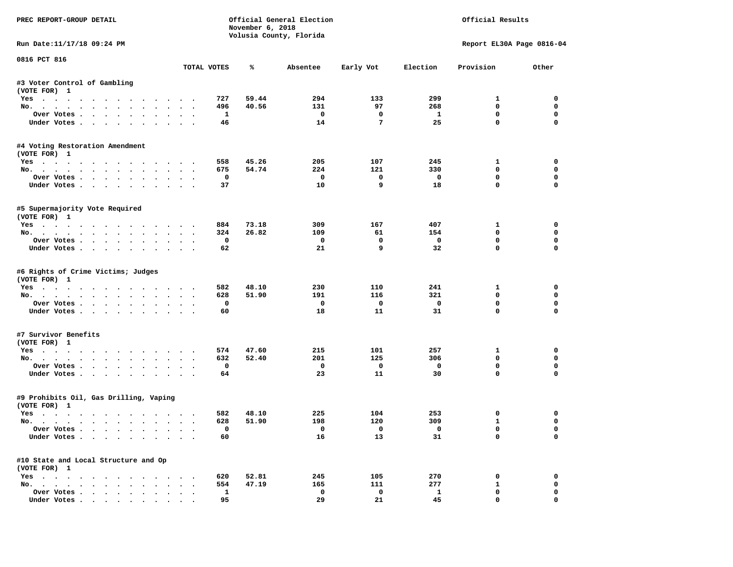| PREC REPORT-GROUP DETAIL                                         |                                                        |                     | November 6, 2018 | Official General Election<br>Volusia County, Florida |                               |                          | Official Results            |                  |
|------------------------------------------------------------------|--------------------------------------------------------|---------------------|------------------|------------------------------------------------------|-------------------------------|--------------------------|-----------------------------|------------------|
| Run Date:11/17/18 09:24 PM                                       |                                                        |                     |                  |                                                      |                               |                          | Report EL30A Page 0816-04   |                  |
| 0816 PCT 816                                                     |                                                        | TOTAL VOTES         | ℁                | Absentee                                             | Early Vot                     | Election                 | Provision                   | Other            |
| #3 Voter Control of Gambling                                     |                                                        |                     |                  |                                                      |                               |                          |                             |                  |
| (VOTE FOR) 1                                                     |                                                        |                     |                  |                                                      |                               |                          |                             |                  |
| Yes                                                              |                                                        | 727                 | 59.44            | 294                                                  | 133                           | 299                      | $\mathbf{1}$                | $\Omega$         |
| No.                                                              |                                                        | 496                 | 40.56            | 131                                                  | 97                            | 268                      | $\mathbf 0$                 | $\mathbf 0$      |
| Over Votes                                                       |                                                        | <b>1</b>            |                  | $\overline{\phantom{0}}$                             | $\mathbf 0$                   | $\mathbf{1}$             | 0                           | $\mathbf 0$      |
| Under Votes                                                      |                                                        | 46                  |                  | 14                                                   | $7\phantom{.0}$               | 25                       | $\mathbf 0$                 | $\mathbf 0$      |
| #4 Voting Restoration Amendment<br>(VOTE FOR) 1                  |                                                        |                     |                  |                                                      |                               |                          |                             |                  |
| Yes                                                              |                                                        | 558                 | 45.26            | 205                                                  | 107                           | 245                      | $\mathbf{1}$                | 0                |
| No.                                                              |                                                        | 675                 | 54.74            | 224                                                  | 121                           | 330                      | $^{\circ}$                  | 0                |
| Over Votes                                                       |                                                        | 0                   |                  | $\overline{\phantom{0}}$                             | $\mathbf 0$                   | $\overline{\phantom{0}}$ | $\mathbf 0$                 | 0                |
| Under Votes                                                      |                                                        | 37                  |                  | 10                                                   | 9                             | 18                       | $\mathbf 0$                 | 0                |
| #5 Supermajority Vote Required<br>(VOTE FOR) 1                   |                                                        |                     |                  |                                                      |                               |                          |                             |                  |
| Yes                                                              |                                                        | 884                 | 73.18            | 309                                                  | 167                           | 407                      | $\mathbf{1}$                | $\mathbf 0$      |
| No.                                                              |                                                        | 324                 | 26.82            | 109                                                  | 61                            | 154                      | $\mathbf 0$                 | $\mathbf 0$      |
| Over Votes                                                       |                                                        | $\mathbf 0$         |                  | $\mathbf 0$                                          | $\mathbf 0$                   | $\overline{\mathbf{0}}$  | $\mathbf 0$                 | $\mathbf 0$      |
| Under Votes                                                      |                                                        | 62                  |                  | 21                                                   | 9                             | 32                       | $\Omega$                    | $\Omega$         |
| #6 Rights of Crime Victims; Judges<br>(VOTE FOR) 1<br>Yes<br>No. |                                                        | 582<br>628          | 48.10<br>51.90   | 230<br>191                                           | 110<br>116                    | 241<br>321               | $\mathbf{1}$<br>$\mathbf 0$ | 0<br>0           |
| Over Votes                                                       |                                                        | $\mathbf 0$         |                  | $\mathbf{o}$                                         | $\overline{\mathbf{0}}$       | $\mathbf 0$              | $\mathbf 0$                 | 0                |
| Under Votes                                                      |                                                        | 60                  |                  | 18                                                   | 11                            | 31                       | $\mathbf 0$                 | $\Omega$         |
| #7 Survivor Benefits                                             |                                                        |                     |                  |                                                      |                               |                          |                             |                  |
| (VOTE FOR) 1                                                     |                                                        |                     |                  |                                                      |                               |                          |                             |                  |
| Yes                                                              |                                                        | 574                 | 47.60            | 215                                                  | 101                           | 257                      | 1                           | 0                |
| No.                                                              |                                                        | 632                 | 52.40            | 201                                                  | 125                           | 306                      | $\Omega$                    | $\mathbf 0$<br>0 |
| Over Votes<br>Under Votes                                        |                                                        | 0<br>64             |                  | $\mathbf 0$<br>23                                    | $\overline{\mathbf{0}}$<br>11 | $\mathbf 0$<br>30        | 0<br>$\mathbf{0}$           | $\Omega$         |
| #9 Prohibits Oil, Gas Drilling, Vaping                           |                                                        |                     |                  |                                                      |                               |                          |                             |                  |
| (VOTE FOR) 1                                                     |                                                        |                     |                  | 225                                                  | 104                           |                          | 0                           |                  |
| Yes<br>No.                                                       |                                                        | 582<br>628          | 48.10<br>51.90   | 198                                                  | 120                           | 253<br>309               | $\mathbf{1}$                | 0<br>0           |
|                                                                  |                                                        | $\mathbf{o}$        |                  | $\overline{0}$                                       | $\overline{0}$                | $\overline{\mathbf{0}}$  | $\mathbf{0}$                | $\Omega$         |
| Over Votes<br>Under Votes                                        |                                                        | 60                  |                  | 16                                                   | 13                            | 31                       | $\mathbf 0$                 | $\Omega$         |
| #10 State and Local Structure and Op                             |                                                        |                     |                  |                                                      |                               |                          |                             |                  |
| (VOTE FOR) 1                                                     |                                                        |                     |                  |                                                      |                               |                          |                             |                  |
| Yes                                                              |                                                        | 620                 | 52.81            | 245<br>165                                           | 105<br>111                    | 270<br>277               | 0<br>$\mathbf{1}$           | 0<br>0           |
| No.<br>Over Votes                                                | $\sim$ $\sim$<br>$\sim$ $\sim$<br>$\ddot{\phantom{0}}$ | 554<br>$\mathbf{1}$ | 47.19            | $\mathbf 0$                                          | $\mathbf 0$                   | $\mathbf{1}$             | $\mathbf 0$                 | $\Omega$         |
| Under Votes                                                      |                                                        | 95                  |                  | 29                                                   | 21                            | 45                       | $\mathbf 0$                 | $\mathbf 0$      |
|                                                                  |                                                        |                     |                  |                                                      |                               |                          |                             |                  |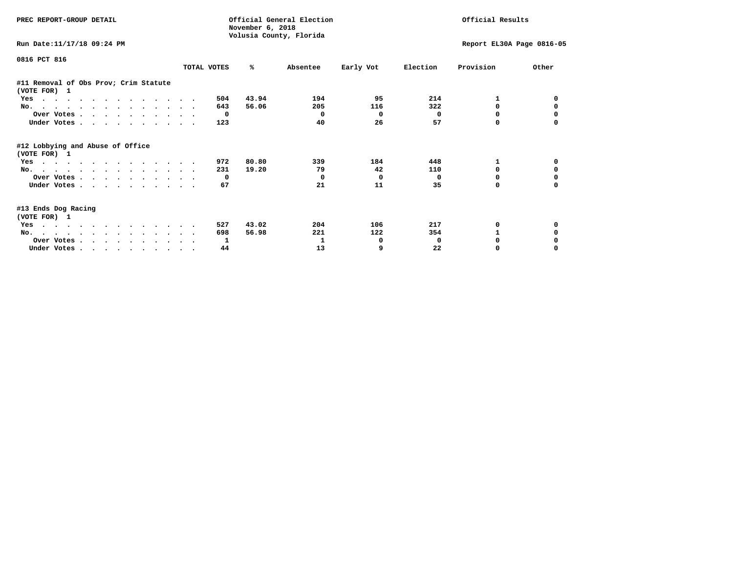| PREC REPORT-GROUP DETAIL                              |              | November 6, 2018 | Official General Election<br>Volusia County, Florida |           | Official Results |                           |          |  |
|-------------------------------------------------------|--------------|------------------|------------------------------------------------------|-----------|------------------|---------------------------|----------|--|
| Run Date: 11/17/18 09:24 PM                           |              |                  |                                                      |           |                  | Report EL30A Page 0816-05 |          |  |
| 0816 PCT 816                                          | TOTAL VOTES  | %ะ               | Absentee                                             | Early Vot | Election         | Provision                 | Other    |  |
| #11 Removal of Obs Prov; Crim Statute<br>(VOTE FOR) 1 |              |                  |                                                      |           |                  |                           |          |  |
| Yes                                                   | 504          | 43.94            | 194                                                  | 95        | 214              | 1                         |          |  |
| No.                                                   | 643          | 56.06            | 205                                                  | 116       | 322              | 0                         |          |  |
| Over Votes                                            | $\mathbf{o}$ |                  | $^{\circ}$                                           | 0         | $^{\circ}$       | 0                         |          |  |
| Under Votes                                           | 123          |                  | 40                                                   | 26        | 57               | 0                         |          |  |
| #12 Lobbying and Abuse of Office<br>(VOTE FOR) 1      |              |                  |                                                      |           |                  |                           |          |  |
| Yes                                                   | 972          | 80.80            | 339                                                  | 184       | 448              | 1                         | 0        |  |
| No.                                                   | 231          | 19.20            | 79                                                   | 42        | 110              | $\Omega$                  | $\Omega$ |  |
| Over Votes                                            |              | 0                | $^{\circ}$                                           | 0         | $^{\circ}$       | 0                         | 0        |  |
| Under Votes.                                          | 67           |                  | 21                                                   | 11        | 35               | 0                         | $\Omega$ |  |
| #13 Ends Dog Racing<br>(VOTE FOR) 1                   |              |                  |                                                      |           |                  |                           |          |  |
| Yes                                                   | 527          | 43.02            | 204                                                  | 106       | 217              | 0                         |          |  |
| No.                                                   | 698          | 56.98            | 221                                                  | 122       | 354              | 1                         | 0        |  |
| Over Votes                                            | 1            |                  | 1                                                    | 0         | 0                |                           |          |  |
| Under Votes                                           | 44           |                  | 13                                                   | 9         | 22               | 0                         |          |  |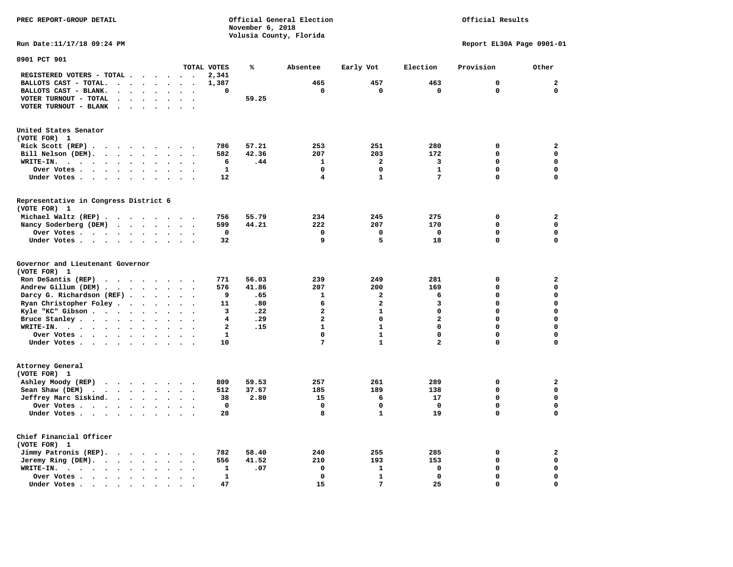**PREC REPORT-GROUP DETAIL COMPUTER CONSUMING A CONSUMING CONSUMING A LIGACION CONSUMING A LIGACION** *November 6, 2018 November 6, 2018*  **Volusia County, Florida Run Date:11/17/18 09:24 PM Report EL30A Page 0901-01 0901 PCT 901** 

Official Results

|                                                                                                                                                        |                                              | TOTAL VOTES    | ℁     | Absentee                | Early Vot      | Election       | Provision   | Other                       |
|--------------------------------------------------------------------------------------------------------------------------------------------------------|----------------------------------------------|----------------|-------|-------------------------|----------------|----------------|-------------|-----------------------------|
| REGISTERED VOTERS - TOTAL .<br>$\ddot{\phantom{1}}$                                                                                                    |                                              | 2,341          |       |                         |                |                |             |                             |
| BALLOTS CAST - TOTAL.<br>$\bullet$<br>$\bullet$                                                                                                        |                                              | 1,387          |       | 465                     | 457            | 463            | 0           | $\mathbf{2}$                |
| BALLOTS CAST - BLANK.                                                                                                                                  |                                              | $\mathbf 0$    |       | 0                       | 0              | 0              | $\mathbf 0$ | $\mathbf 0$                 |
| VOTER TURNOUT - TOTAL<br>$\bullet$<br>$\bullet$<br>$\bullet$<br>$\ddot{\phantom{a}}$<br>$\ddot{\phantom{a}}$                                           |                                              |                | 59.25 |                         |                |                |             |                             |
| VOTER TURNOUT - BLANK<br>$\ddot{\phantom{a}}$<br>$\cdot$<br>$\ddot{\phantom{a}}$<br>$\ddot{\phantom{a}}$                                               |                                              |                |       |                         |                |                |             |                             |
|                                                                                                                                                        |                                              |                |       |                         |                |                |             |                             |
| United States Senator                                                                                                                                  |                                              |                |       |                         |                |                |             |                             |
| (VOTE FOR) 1                                                                                                                                           |                                              |                |       |                         |                |                |             |                             |
| Rick Scott (REP).<br>$\ddot{\phantom{1}}$<br>$\sim$ $\sim$ $\sim$ $\sim$<br>$\overline{\phantom{a}}$                                                   |                                              | 786            | 57.21 | 253                     | 251            | 280            | $\mathbf 0$ | $\mathbf{2}$                |
| Bill Nelson (DEM).<br>$\bullet$<br>$\ddot{\phantom{a}}$<br>$\bullet$<br>$\bullet$                                                                      |                                              | 582            | 42.36 | 207                     | 203            | 172            | $\Omega$    | $\mathbf 0$                 |
| WRITE-IN.<br>$\sim$ $\sim$ $\sim$<br>$\bullet$<br>$\ddot{\phantom{a}}$<br>$\bullet$<br>$\ddot{\phantom{a}}$<br>$\bullet$<br>$\bullet$<br>$\bullet$     | $\bullet$<br>$\overline{\phantom{a}}$        | 6              | .44   | 1                       | $\overline{a}$ | 3              | $\mathbf 0$ | $\mathbf 0$                 |
| Over Votes<br>$\bullet$<br>$\ddot{\phantom{0}}$<br>$\bullet$<br>$\cdot$                                                                                |                                              | ${\bf 1}$      |       | $\mathbf 0$             | $\mathbf 0$    | $\mathbf{1}$   | $\mathbf 0$ | $\mathbf 0$                 |
| Under Votes.<br>$\cdot$ $\cdot$ $\cdot$<br>$\bullet$<br>$\bullet$                                                                                      |                                              | 12             |       | $\overline{\mathbf{4}}$ | $\mathbf{1}$   | 7              | $\mathbf 0$ | $\mathbf 0$                 |
| Representative in Congress District 6                                                                                                                  |                                              |                |       |                         |                |                |             |                             |
| (VOTE FOR) 1                                                                                                                                           |                                              |                |       |                         |                |                |             |                             |
| Michael Waltz (REP).<br>$\bullet$<br>$\cdots$<br>$\ddot{\phantom{1}}$                                                                                  |                                              | 756            | 55.79 | 234                     | 245            | 275            | $\mathbf 0$ | $\mathbf 2$                 |
| Nancy Soderberg (DEM)<br>$\sim 100$ $\sim$<br>$\bullet$<br>$\bullet$<br>$\bullet$                                                                      | $\bullet$<br>$\bullet$                       | 599            | 44.21 | 222                     | 207            | 170            | $\mathbf 0$ | $\mathbf 0$                 |
| Over Votes .<br>$\bullet$<br>$\bullet$<br>$\bullet$<br>$\bullet$<br>$\cdot$<br>$\bullet$                                                               |                                              | $\mathbf 0$    |       | $\mathbf 0$             | 0              | $\mathbf 0$    | $\mathbf 0$ | $\mathbf 0$                 |
| Under Votes<br>$\bullet$<br>$\blacksquare$<br>$\bullet$<br>$\bullet$                                                                                   | $\cdot$                                      | 32             |       | 9                       | 5              | 18             | 0           | $\mathbf 0$                 |
|                                                                                                                                                        |                                              |                |       |                         |                |                |             |                             |
| Governor and Lieutenant Governor<br>(VOTE FOR) 1                                                                                                       |                                              |                |       |                         |                |                |             |                             |
| Ron DeSantis (REP)<br>$\ddot{\phantom{1}}$<br>$\overline{\phantom{a}}$<br>$\sim$<br>$\ddot{\phantom{1}}$                                               |                                              | 771            | 56.03 | 239                     | 249            | 281            | 0           | $\mathbf{2}$                |
| Andrew Gillum (DEM).<br>$\bullet$<br>$\ddot{\phantom{a}}$<br>$\ddot{\phantom{a}}$<br>$\cdot$<br>$\bullet$                                              | $\ddot{\phantom{a}}$<br>$\ddot{\phantom{0}}$ | 576            | 41.86 | 207                     | 200            | 169            | $\Omega$    | $\mathbf 0$                 |
| Darcy G. Richardson (REF)<br>$\bullet$<br>$\ddot{\phantom{a}}$<br>$\ddot{\phantom{a}}$                                                                 |                                              | 9              | .65   | 1                       | $\overline{a}$ | 6              | $\mathbf 0$ | $\mathbf 0$                 |
| Ryan Christopher Foley.<br>$\bullet$<br>$\bullet$<br>$\ddot{\phantom{a}}$<br>$\bullet$                                                                 |                                              | 11             | .80   | 6                       | $\mathbf{2}$   | 3              | $\Omega$    | $\mathbf 0$                 |
| Kyle "KC" Gibson<br>$\ddot{\phantom{a}}$<br>$\ddot{\phantom{a}}$<br>$\ddot{\phantom{a}}$                                                               |                                              | 3              | .22   | $\mathbf{2}$            | $\mathbf{1}$   | $\mathbf 0$    | $\Omega$    | $\mathbf 0$                 |
| Bruce Stanley.<br>$\bullet$ , $\bullet$ , $\bullet$<br>$\bullet$<br>$\bullet$                                                                          |                                              | 4              | .29   | $\overline{\mathbf{2}}$ | $\Omega$       | $\overline{a}$ | $\Omega$    | $\mathbf 0$                 |
| WRITE-IN.<br>$\sim$ $\sim$<br>$\bullet$ .<br><br><br><br><br><br><br><br><br><br><br><br><br>$\bullet$<br>$\ddot{\phantom{a}}$<br>$\ddot{\phantom{a}}$ |                                              | $\overline{a}$ | .15   | $\mathbf{1}$            | $\mathbf{1}$   | 0              | $\mathbf 0$ | $\mathbf 0$                 |
| Over Votes .<br>$\ddot{\phantom{a}}$<br>$\cdot$                                                                                                        |                                              | ${\bf 1}$      |       | 0                       | 1              | $\mathbf 0$    | 0           | 0                           |
| $\ddot{\phantom{0}}$<br>$\bullet$<br>Under Votes.                                                                                                      |                                              | 10             |       | 7                       | $\mathbf{1}$   | $\overline{a}$ | 0           | $\mathbf 0$                 |
| $\cdot$ $\cdot$ $\cdot$ $\cdot$<br>$\bullet$<br>$\bullet$<br>$\ddot{\phantom{a}}$                                                                      | $\bullet$<br>$\bullet$                       |                |       |                         |                |                |             |                             |
| Attorney General                                                                                                                                       |                                              |                |       |                         |                |                |             |                             |
| (VOTE FOR) 1                                                                                                                                           |                                              |                |       |                         |                |                | $\mathbf 0$ |                             |
| Ashley Moody (REP)<br>$\cdot$ $\cdot$ $\cdot$ $\cdot$ $\cdot$<br>$\overline{\phantom{a}}$                                                              |                                              | 809            | 59.53 | 257                     | 261            | 289            | $\mathbf 0$ | $\mathbf{2}$<br>$\mathbf 0$ |
| Sean Shaw (DEM)<br>$\ddot{\phantom{1}}$<br>$\sim$ $-$<br>$\bullet$ .<br>$\ddot{\phantom{0}}$<br>$\bullet$                                              | $\bullet$<br>$\cdot$                         | 512            | 37.67 | 185                     | 189            | 138            |             |                             |
| Jeffrey Marc Siskind.<br>$\bullet$<br>$\ddot{\phantom{a}}$<br>$\ddot{\phantom{a}}$                                                                     |                                              | 38             | 2.80  | 15                      | 6              | 17             | $\mathbf 0$ | $\mathbf 0$                 |
| Over Votes .<br>$\ddot{\phantom{1}}$<br>$\ddot{\phantom{0}}$<br>$\ddot{\phantom{1}}$<br>$\bullet$<br>$\bullet$<br>$\bullet$                            | $\bullet$<br>$\cdot$                         | 0              |       | $\mathbf 0$             | 0              | 0              | $\mathbf 0$ | 0                           |
| Under Votes<br>$\ddot{\phantom{a}}$                                                                                                                    |                                              | 28             |       | 8                       | $\mathbf{1}$   | 19             | 0           | 0                           |
| Chief Financial Officer<br>(VOTE FOR) 1                                                                                                                |                                              |                |       |                         |                |                |             |                             |
| Jimmy Patronis (REP).<br>$\sim$ $\sim$ $\sim$<br>$\bullet$                                                                                             |                                              | 782            | 58.40 | 240                     | 255            | 285            | $\mathbf 0$ | $\mathbf{2}$                |
| Jeremy Ring (DEM).<br>$\ddot{\phantom{0}}$<br>$\bullet$<br>$\bullet$                                                                                   |                                              | 556            | 41.52 | 210                     | 193            | 153            | $\mathbf 0$ | $\mathbf 0$                 |
| WRITE-IN.<br>$\ddot{\phantom{a}}$<br>$\sim$ $\sim$<br>$\sim$<br>$\ddot{\phantom{a}}$<br>$\bullet$<br>$\overline{\phantom{a}}$<br>$\bullet$             | $\ddot{\phantom{a}}$                         | 1              | .07   | $\mathbf 0$             | $\mathbf{1}$   | 0              | $\mathbf 0$ | $\mathbf 0$                 |
| Over Votes .<br>$\cdot$ $\cdot$ $\cdot$<br>$\bullet$                                                                                                   |                                              | 1              |       | 0                       | 1              | 0              | 0           | $\mathbf 0$                 |
| Under Votes.<br>$\cdot$ .<br>$\overline{\phantom{a}}$<br>$\ddot{\phantom{1}}$                                                                          |                                              | 47             |       | 15                      | 7              | 25             | $\Omega$    | $\mathbf 0$                 |
|                                                                                                                                                        |                                              |                |       |                         |                |                |             |                             |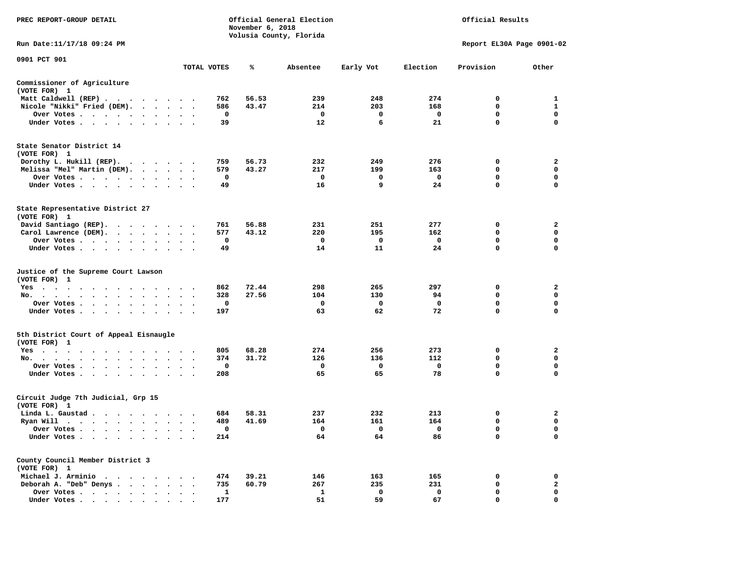| PREC REPORT-GROUP DETAIL                                    | Official General Election<br>November 6, 2018<br>Volusia County, Florida |  |             |       |                          | Official Results        |                         |                           |                         |
|-------------------------------------------------------------|--------------------------------------------------------------------------|--|-------------|-------|--------------------------|-------------------------|-------------------------|---------------------------|-------------------------|
| Run Date:11/17/18 09:24 PM                                  |                                                                          |  |             |       |                          |                         |                         | Report EL30A Page 0901-02 |                         |
| 0901 PCT 901                                                |                                                                          |  | TOTAL VOTES | ℁     | Absentee                 | Early Vot               | Election                | Provision                 | Other                   |
| Commissioner of Agriculture                                 |                                                                          |  |             |       |                          |                         |                         |                           |                         |
| (VOTE FOR) 1                                                |                                                                          |  |             |       |                          |                         |                         |                           |                         |
| Matt Caldwell (REP)                                         |                                                                          |  | 762         | 56.53 | 239                      | 248                     | 274                     | 0                         | 1                       |
| Nicole "Nikki" Fried (DEM).                                 |                                                                          |  | 586         | 43.47 | 214                      | 203                     | 168                     | $\mathbf 0$               | $\mathbf{1}$            |
| Over Votes                                                  |                                                                          |  | $\mathbf 0$ |       | $\mathbf{o}$             | $\mathbf 0$             | $\mathbf 0$             | $\mathbf 0$               | $\mathbf 0$             |
| Under Votes                                                 |                                                                          |  | 39          |       | 12                       | 6                       | 21                      | $\mathbf{0}$              | $\Omega$                |
| State Senator District 14<br>(VOTE FOR) 1                   |                                                                          |  |             |       |                          |                         |                         |                           |                         |
| Dorothy L. Hukill (REP).                                    |                                                                          |  | 759         | 56.73 | 232                      | 249                     | 276                     | 0                         | $\mathbf{2}$            |
| Melissa "Mel" Martin (DEM).                                 |                                                                          |  | 579         | 43.27 | 217                      | 199                     | 163                     | 0                         | $\mathbf 0$             |
| Over Votes                                                  |                                                                          |  | $\mathbf 0$ |       | $\mathbf{o}$             | 0                       | $\mathbf 0$             | $\mathbf 0$               | $\mathbf 0$             |
| Under Votes                                                 |                                                                          |  | 49          |       | 16                       | 9                       | 24                      | $\mathbf 0$               | $\mathbf 0$             |
| State Representative District 27<br>(VOTE FOR) 1            |                                                                          |  |             |       |                          |                         |                         |                           |                         |
| David Santiago (REP).                                       |                                                                          |  | 761         | 56.88 | 231                      | 251                     | 277                     | $\mathbf 0$               | $\mathbf{2}$            |
| Carol Lawrence (DEM).                                       |                                                                          |  | 577         | 43.12 | 220                      | 195                     | 162                     | $\mathbf 0$               | $\mathbf 0$             |
| Over Votes                                                  | $\bullet$                                                                |  | 0           |       | 0                        | 0                       | $\mathbf 0$             | 0                         | 0                       |
| Under Votes                                                 |                                                                          |  | 49          |       | 14                       | 11                      | 24                      | 0                         | $\mathbf 0$             |
| Justice of the Supreme Court Lawson<br>(VOTE FOR) 1         |                                                                          |  |             |       |                          |                         |                         |                           |                         |
| Yes                                                         |                                                                          |  | 862         | 72.44 | 298                      | 265                     | 297                     | 0                         | 2                       |
| No.<br>$\sim$ $\sim$<br>$\cdot$ $\cdot$                     |                                                                          |  | 328<br>0    | 27.56 | 104<br>$\mathbf 0$       | 130                     | 94<br>$\mathbf 0$       | 0<br>$\mathbf 0$          | 0<br>$\mathbf 0$        |
| Over Votes                                                  |                                                                          |  | 197         |       | 63                       | 0<br>62                 | 72                      | $\mathbf 0$               | $\mathbf 0$             |
| Under Votes                                                 | $\cdot$ $\cdot$ $\cdot$                                                  |  |             |       |                          |                         |                         |                           |                         |
| 5th District Court of Appeal Eisnaugle<br>(VOTE FOR) 1      |                                                                          |  |             |       |                          |                         |                         |                           |                         |
| Yes                                                         |                                                                          |  | 805         | 68.28 | 274                      | 256                     | 273                     | $\mathbf 0$               | $\overline{\mathbf{2}}$ |
| No.                                                         |                                                                          |  | 374         | 31.72 | 126                      | 136                     | 112                     | 0                         | 0                       |
| Over Votes<br>$\ddot{\phantom{1}}$<br>$\ddot{\phantom{1}}$  |                                                                          |  | 0           |       | 0                        | $\mathbf 0$             | $\mathbf 0$             | 0                         | 0                       |
| Under Votes<br>$\ddot{\phantom{0}}$                         |                                                                          |  | 208         |       | 65                       | 65                      | 78                      | $\mathbf 0$               | $\mathbf 0$             |
| Circuit Judge 7th Judicial, Grp 15<br>(VOTE FOR) 1          |                                                                          |  |             |       |                          |                         |                         |                           |                         |
| Linda L. Gaustad                                            |                                                                          |  | 684         | 58.31 | 237                      | 232                     | 213                     | 0                         | $\mathbf{2}$            |
| Ryan Will $\cdots$ , $\cdots$ , $\cdots$ , $\cdots$         |                                                                          |  | 489         | 41.69 | 164                      | 161                     | 164                     | $\mathbf 0$               | $\mathbf 0$             |
| Over Votes                                                  |                                                                          |  | 0           |       | $\overline{\phantom{0}}$ | $\overline{\mathbf{0}}$ | $\overline{\mathbf{0}}$ | 0                         | $\mathbf 0$             |
| Under Votes<br>$\bullet$<br>$\ddot{\phantom{1}}$<br>$\cdot$ |                                                                          |  | 214         |       | 64                       | 64                      | 86                      | 0                         | $\mathbf 0$             |
| County Council Member District 3<br>(VOTE FOR) 1            |                                                                          |  |             |       |                          |                         |                         |                           |                         |
| Michael J. Arminio                                          |                                                                          |  | 474         | 39.21 | 146                      | 163                     | 165                     | 0                         | 0                       |
| Deborah A. "Deb" Denys                                      |                                                                          |  | 735         | 60.79 | 267                      | 235                     | 231                     | 0                         | $\mathbf{2}$            |
| Over Votes<br>$\ddot{\phantom{a}}$                          | $\ddot{\phantom{a}}$<br>$\ddot{\phantom{a}}$                             |  | 1           |       | 1                        | 0                       | 0                       | $\mathbf 0$               | $\mathbf 0$             |
| Under Votes, , , , , , , , , ,                              |                                                                          |  | 177         |       | 51                       | 59                      | 67                      | $\Omega$                  | $\mathbf 0$             |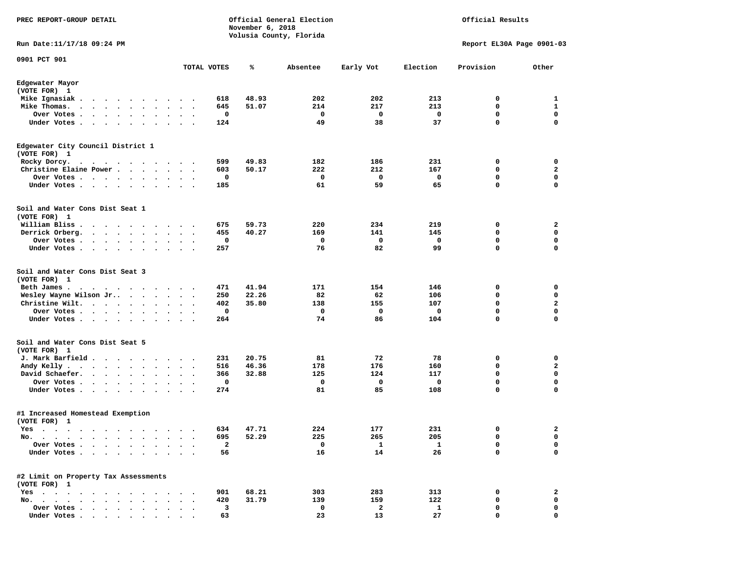| PREC REPORT-GROUP DETAIL                                                                                                       | Official General Election<br>Official Results<br>November 6, 2018<br>Volusia County, Florida |              |           |          |             |              |                           |                |
|--------------------------------------------------------------------------------------------------------------------------------|----------------------------------------------------------------------------------------------|--------------|-----------|----------|-------------|--------------|---------------------------|----------------|
| Run Date: 11/17/18 09:24 PM                                                                                                    |                                                                                              |              |           |          |             |              | Report EL30A Page 0901-03 |                |
| 0901 PCT 901                                                                                                                   |                                                                                              | TOTAL VOTES  | ℁         | Absentee | Early Vot   | Election     | Provision                 | Other          |
| Edgewater Mayor<br>(VOTE FOR) 1                                                                                                |                                                                                              |              |           |          |             |              |                           |                |
| Mike Ignasiak.                                                                                                                 |                                                                                              | 618          | 48.93     | 202      | 202         | 213          | 0                         | 1              |
| Mike Thomas.<br>$\cdots$<br>$\sim$<br>$\bullet$                                                                                | $\ddot{\phantom{1}}$                                                                         | 645          | 51.07     | 214      | 217         | 213          | 0                         | 1              |
| Over Votes .<br>$\mathcal{A}=\mathcal{A}=\mathcal{A}=\mathcal{A}=\mathcal{A}$ .<br>$\bullet$                                   | $\bullet$<br>$\bullet$                                                                       | 0            |           | 0        | 0           | 0            | $\mathbf 0$               | $\mathbf 0$    |
| Under Votes                                                                                                                    | $\ddot{\phantom{a}}$                                                                         | 124          |           | 49       | 38          | 37           | 0                         | $\mathbf 0$    |
| Edgewater City Council District 1<br>(VOTE FOR) 1                                                                              |                                                                                              |              |           |          |             |              |                           |                |
| Rocky Dorcy.<br>$\cdots$<br>$\bullet$                                                                                          | $\cdots$                                                                                     | 599          | 49.83     | 182      | 186         | 231          | 0                         | 0              |
| Christine Elaine Power                                                                                                         |                                                                                              | 603          | 50.17     | 222      | 212         | 167          | 0                         | $\mathbf{2}$   |
| Over Votes<br>$\ddot{\phantom{0}}$<br>$\cdot$<br>$\cdot$                                                                       |                                                                                              | 0<br>$\cdot$ |           | 0        | 0           | 0            | 0                         | 0              |
| Under Votes<br>$\ddot{\phantom{0}}$<br>$\cdot$                                                                                 |                                                                                              | 185          |           | 61       | 59          | 65           | 0                         | $\mathbf 0$    |
| Soil and Water Cons Dist Seat 1<br>(VOTE FOR) 1                                                                                |                                                                                              |              |           |          |             |              |                           |                |
| William Bliss.<br>$\ddot{\phantom{0}}$<br>$\cdots$                                                                             |                                                                                              | 675          | 59.73     | 220      | 234         | 219          | 0                         | 2              |
| Derrick Orberg.                                                                                                                | $\ddot{\phantom{1}}$                                                                         | 455          | 40.27     | 169      | 141         | 145          | 0                         | $\mathbf 0$    |
| Over Votes.<br>$\mathcal{A}$ . The set of the set of the set of the $\mathcal{A}$                                              |                                                                                              | 0            |           | 0        | $\mathbf 0$ | 0            | 0                         | 0              |
| Under Votes<br>$\ddot{\phantom{1}}$                                                                                            | $\bullet$<br>$\ddot{\phantom{1}}$                                                            | 257          |           | 76       | 82          | 99           | 0                         | $\mathbf 0$    |
| Soil and Water Cons Dist Seat 3<br>(VOTE FOR) 1                                                                                |                                                                                              |              |           |          |             |              |                           |                |
| Beth James.<br>the contract of the contract of the contract of the contract of the contract of the contract of the contract of |                                                                                              | 471          | 41.94     | 171      | 154         | 146          | 0                         | 0              |
| Wesley Wayne Wilson Jr                                                                                                         | $\bullet$                                                                                    | 250          | 22.26     | 82       | 62          | 106          | 0                         | 0              |
| Christine Wilt.<br>$\mathcal{A}$ , and $\mathcal{A}$ , and $\mathcal{A}$ , and $\mathcal{A}$                                   | $\bullet$                                                                                    | 402          | 35.80     | 138      | 155         | 107          | $\mathbf 0$               | $\overline{a}$ |
| Over Votes.<br>$\bullet$<br>$\cdot$<br>$\cdot$                                                                                 |                                                                                              | $\mathbf 0$  |           | 0        | 0           | 0            | 0                         | $\mathbf 0$    |
| Under Votes<br>$\bullet$                                                                                                       |                                                                                              | 264          |           | 74       | 86          | 104          | 0                         | 0              |
| Soil and Water Cons Dist Seat 5<br>(VOTE FOR) 1                                                                                |                                                                                              |              |           |          |             |              |                           |                |
| J. Mark Barfield.<br>.                                                                                                         |                                                                                              | 231          | 20.75     | 81       | 72          | 78           | 0                         | 0              |
| Andy Kelly.<br>$\mathbf{r}$ , and $\mathbf{r}$ , and $\mathbf{r}$ , and $\mathbf{r}$                                           | $\bullet$<br>$\ddot{\phantom{0}}$                                                            | 516          | 46.36     | 178      | 176         | 160          | 0                         | 2              |
| David Schaefer.<br>$\cdot$ $\cdot$ $\cdot$ $\cdot$<br>$\ddot{\phantom{1}}$                                                     |                                                                                              | 366          | 32.88     | 125      | 124         | 117          | $\mathbf 0$               | $\mathbf 0$    |
| Over Votes.<br>$\sim$ $\sim$<br>$\mathbf{r}=\mathbf{r}+\mathbf{r}+\mathbf{r}$<br>$\bullet$                                     | $\bullet$<br>$\bullet$                                                                       | 0<br>$\cdot$ |           | 0        | $\mathbf 0$ | 0            | 0                         | $\mathbf 0$    |
| Under Votes                                                                                                                    | $\sim$<br>$\ddot{\phantom{1}}$                                                               | 274          |           | 81       | 85          | 108          | 0                         | 0              |
| #1 Increased Homestead Exemption<br>(VOTE FOR) 1                                                                               |                                                                                              |              |           |          |             |              |                           |                |
| Yes                                                                                                                            |                                                                                              |              | 634 47.71 | 224      | 177         | 231          | $\sim$                    | 2              |
| No.<br>$\bullet$<br>$\bullet$                                                                                                  |                                                                                              | 695          | 52.29     | 225      | 265         | 205          | 0                         | 0              |
| Over Votes                                                                                                                     |                                                                                              | $\mathbf{2}$ |           | 0        | $\mathbf 1$ | 1            | 0                         | 0              |
| Under Votes.<br>$\cdot$ $\cdot$ $\cdot$ $\cdot$                                                                                |                                                                                              | 56           |           | 16       | 14          | 26           | 0                         | 0              |
| #2 Limit on Property Tax Assessments<br>(VOTE FOR) 1                                                                           |                                                                                              |              |           |          |             |              |                           |                |
| Yes                                                                                                                            |                                                                                              | 901          | 68.21     | 303      | 283         | 313          | 0                         | $\mathbf{2}$   |
| $\mathbf{r}$ , $\mathbf{r}$ , $\mathbf{r}$ , $\mathbf{r}$ , $\mathbf{r}$ , $\mathbf{r}$<br>No.                                 |                                                                                              | 420          | 31.79     | 139      | 159         | 122          | 0                         | 0              |
| Over Votes                                                                                                                     |                                                                                              | 3            |           | 0        | 2           | $\mathbf{1}$ | 0                         | 0              |
| Under Votes                                                                                                                    |                                                                                              | 63           |           | 23       | 13          | 27           | 0                         | 0              |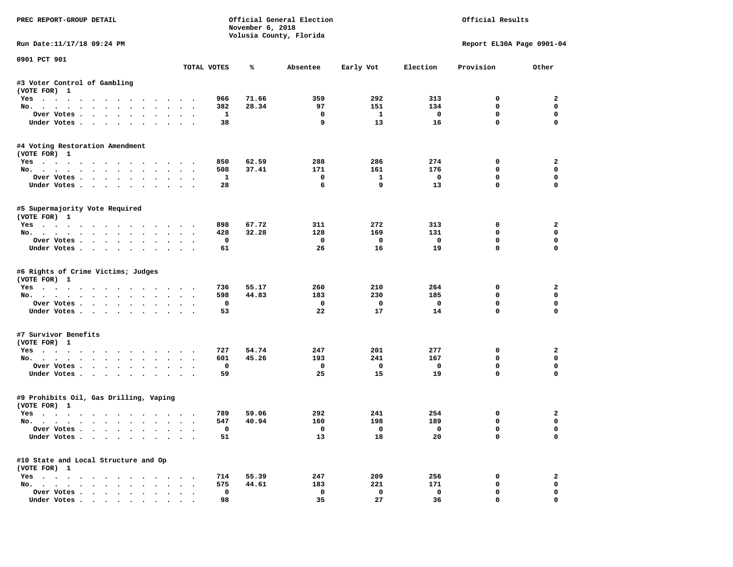| PREC REPORT-GROUP DETAIL                                  |                            |              | November 6, 2018 | Official General Election<br>Volusia County, Florida |                         |                         | Official Results          |                  |
|-----------------------------------------------------------|----------------------------|--------------|------------------|------------------------------------------------------|-------------------------|-------------------------|---------------------------|------------------|
| Run Date:11/17/18 09:24 PM                                |                            |              |                  |                                                      |                         |                         | Report EL30A Page 0901-04 |                  |
| 0901 PCT 901                                              |                            | TOTAL VOTES  | ℁                | Absentee                                             | Early Vot               | Election                | Provision                 | Other            |
| #3 Voter Control of Gambling                              |                            |              |                  |                                                      |                         |                         |                           |                  |
| (VOTE FOR) 1                                              |                            |              |                  |                                                      |                         |                         |                           |                  |
| Yes                                                       |                            | 966          | 71.66            | 359                                                  | 292                     | 313                     | $^{\circ}$                | $\overline{2}$   |
| No.                                                       |                            | 382          | 28.34            | 97                                                   | 151                     | 134                     | 0                         | $\mathbf 0$      |
| Over Votes                                                |                            | <b>1</b>     |                  | $\mathbf{o}$                                         | $\mathbf{1}$            | $\overline{\mathbf{0}}$ | 0                         | $\mathbf 0$      |
| Under Votes                                               |                            | 38           |                  | 9                                                    | 13                      | 16                      | $\mathbf 0$               | $\mathbf 0$      |
| #4 Voting Restoration Amendment<br>(VOTE FOR) 1           |                            |              |                  |                                                      |                         |                         |                           |                  |
| Yes                                                       |                            | 850          | 62.59            | 288                                                  | 286                     | 274                     | 0                         | $\overline{a}$   |
| No.                                                       |                            | 508          | 37.41            | 171                                                  | 161                     | 176                     | $\mathbf 0$               | 0                |
| Over Votes                                                |                            | $\mathbf{1}$ |                  | $\mathbf{o}$                                         | $\mathbf{1}$            | $\mathbf 0$             | 0                         | 0                |
| Under Votes                                               |                            | 28           |                  | 6                                                    | 9                       | 13                      | $\mathbf 0$               | 0                |
| #5 Supermajority Vote Required<br>(VOTE FOR) 1            |                            |              |                  |                                                      |                         |                         |                           |                  |
| Yes                                                       |                            | 898          | 67.72            | 311                                                  | 272                     | 313                     | 0                         | $\overline{a}$   |
| No.                                                       |                            | 428          | 32.28            | 128                                                  | 169                     | 131                     | $\mathbf 0$               | $\mathbf 0$      |
| Over Votes                                                |                            | $\mathbf 0$  |                  | $\mathbf{o}$                                         | $\overline{\mathbf{0}}$ | $\mathbf{o}$            | $\mathbf 0$               | 0                |
| Under Votes                                               |                            | 61           |                  | 26                                                   | 16                      | 19                      | $\Omega$                  | $\Omega$         |
| #6 Rights of Crime Victims; Judges<br>(VOTE FOR) 1<br>Yes |                            | 736          | 55.17            | 260                                                  | 210                     | 264                     | 0                         | 2                |
| No.                                                       |                            | 598          | 44.83            | 183<br>$\mathbf{o}$                                  | 230<br>$\mathbf{o}$     | 185<br>$\mathbf 0$      | 0<br>$\mathbf 0$          | $\mathbf 0$<br>0 |
| Over Votes                                                |                            | 0            |                  | 22                                                   | 17                      | 14                      | $\mathbf 0$               | $\Omega$         |
| Under Votes                                               |                            | 53           |                  |                                                      |                         |                         |                           |                  |
| #7 Survivor Benefits<br>(VOTE FOR) 1                      |                            |              |                  |                                                      |                         |                         |                           |                  |
| Yes                                                       |                            | 727          | 54.74            | 247                                                  | 201                     | 277                     | 0                         | $\mathbf{2}$     |
| No.                                                       |                            | 601          | 45.26            | 193                                                  | 241                     | 167                     | $\Omega$                  | $\mathbf{0}$     |
| Over Votes                                                |                            | $\mathbf 0$  |                  | $\mathbf{o}$                                         | $\overline{\mathbf{0}}$ | $\mathbf 0$             | 0                         | 0                |
| Under Votes                                               |                            | 59           |                  | 25                                                   | 15                      | 19                      | $\mathbf{0}$              | $\mathbf 0$      |
| #9 Prohibits Oil, Gas Drilling, Vaping<br>(VOTE FOR) 1    |                            |              |                  |                                                      |                         |                         |                           |                  |
| Yes                                                       |                            | 789          | 59.06            | 292                                                  | 241                     | 254                     | 0                         | 2                |
| No.                                                       |                            | 547          | 40.94            | 160                                                  | 198                     | 189                     | $\mathbf 0$               | 0                |
| Over Votes                                                |                            | $^{\circ}$   |                  | $\overline{\mathbf{0}}$                              | $\overline{0}$          | $\overline{\mathbf{0}}$ | $\mathbf 0$               | $\mathbf 0$      |
| Under Votes                                               |                            | 51           |                  | 13                                                   | 18                      | 20                      | $\mathbf 0$               | $\Omega$         |
| #10 State and Local Structure and Op<br>(VOTE FOR) 1      |                            |              |                  |                                                      |                         |                         |                           |                  |
| Yes                                                       |                            | 714          | 55.39            | 247                                                  | 209                     | 256                     | 0                         | 2                |
| No.                                                       | $\sim$ $\sim$<br>$\cdot$ . | 575          | 44.61            | 183                                                  | 221                     | 171                     | $\mathbf 0$               | $\mathbf 0$      |
| Over Votes                                                | $\ddot{\phantom{0}}$       | $\mathbf 0$  |                  | $\mathbf 0$                                          | $\mathbf 0$             | $\mathbf 0$             | $\mathbf 0$               | $\mathbf 0$      |
| Under Votes                                               |                            | 98           |                  | 35                                                   | 27                      | 36                      | $\mathbf 0$               | 0                |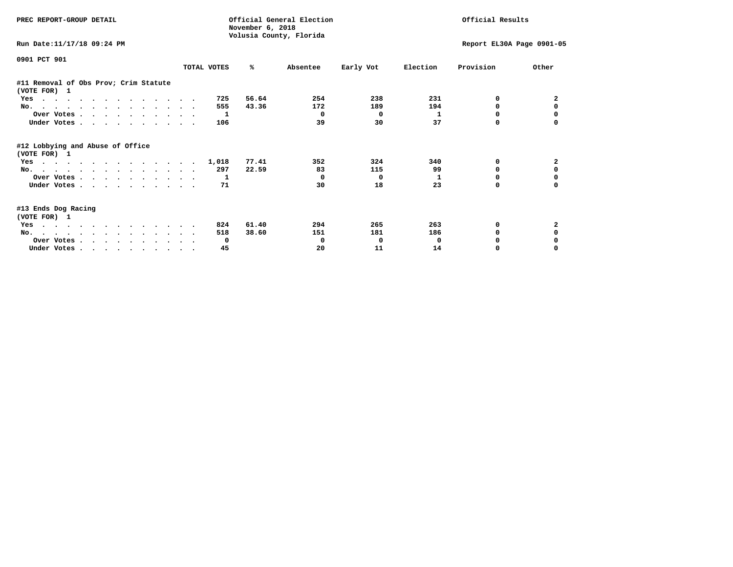| PREC REPORT-GROUP DETAIL                              |             | November 6, 2018 | Official General Election<br>Volusia County, Florida | Official Results |          |                           |              |  |
|-------------------------------------------------------|-------------|------------------|------------------------------------------------------|------------------|----------|---------------------------|--------------|--|
| Run Date:11/17/18 09:24 PM                            |             |                  |                                                      |                  |          | Report EL30A Page 0901-05 |              |  |
| 0901 PCT 901                                          | TOTAL VOTES | ℁                | Absentee                                             | Early Vot        | Election | Provision                 | Other        |  |
| #11 Removal of Obs Prov; Crim Statute<br>(VOTE FOR) 1 |             |                  |                                                      |                  |          |                           |              |  |
| Yes                                                   | 725         | 56.64            | 254                                                  | 238              | 231      | 0                         | $\mathbf{2}$ |  |
| No.                                                   | 555         | 43.36            | 172                                                  | 189              | 194      | $\Omega$                  | $\Omega$     |  |
| Over Votes                                            | -1          |                  | 0                                                    | 0                | 1        | 0                         |              |  |
| Under Votes                                           | 106         |                  | 39                                                   | 30               | 37       | 0                         |              |  |
| #12 Lobbying and Abuse of Office<br>(VOTE FOR) 1      |             |                  |                                                      |                  |          |                           |              |  |
| Yes                                                   | 1,018       | 77.41            | 352                                                  | 324              | 340      | 0                         | $\mathbf{2}$ |  |
| No.                                                   | 297         | 22.59            | 83                                                   | 115              | 99       | $\Omega$                  | 0            |  |
| Over Votes                                            | 1           |                  | $\Omega$                                             | $\mathbf{o}$     | 1        | 0                         | 0            |  |
| Under Votes                                           | 71          |                  | 30                                                   | 18               | 23       | 0                         | $\Omega$     |  |
| #13 Ends Dog Racing<br>(VOTE FOR) 1                   |             |                  |                                                      |                  |          |                           |              |  |
| Yes                                                   | 824         | 61.40            | 294                                                  | 265              | 263      | 0                         | $\mathbf{2}$ |  |
| No.                                                   | 518         | 38.60            | 151                                                  | 181              | 186      | <sup>0</sup>              | 0            |  |
| Over Votes                                            | 0           |                  | 0                                                    | 0                | 0        |                           |              |  |
| Under Votes.                                          | 45          |                  | 20                                                   | 11               | 14       | 0                         | $\Omega$     |  |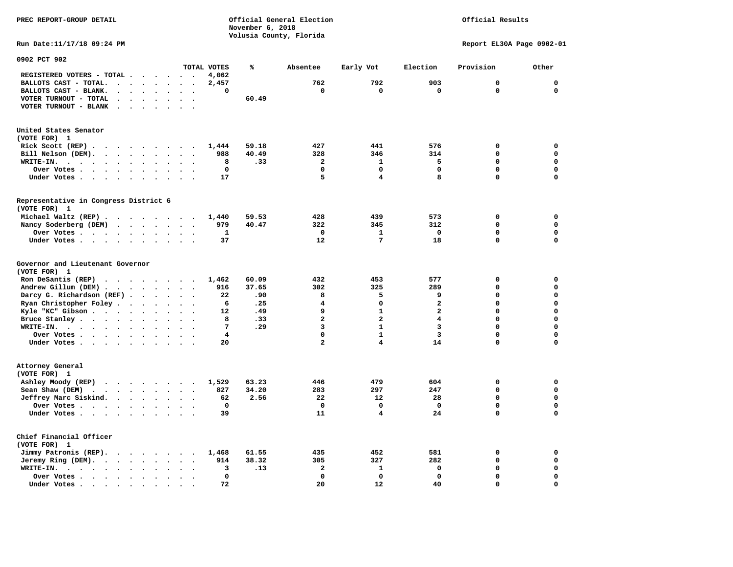**November 6, 2018 Volusia County, Florida Run Date:11/17/18 09:24 PM Report EL30A Page 0902-01 0902 PCT 902 TOTAL VOTES % Absentee Early Vot Election Provision Other REGISTERED VOTERS - TOTAL . . . . . . 4,062 BALLOTS CAST - TOTAL. . . . . . . . 2,457 762 792 903 0 0 BALLOTS CAST - BLANK. . . . . . . . 0 0 0 0 0 0 VOTER TURNOUT - TOTAL . . . . . . . 60.49 VOTER TURNOUT - BLANK . . . . . . . United States Senator (VOTE FOR) 1 Rick Scott (REP) . . . . . . . . . 1,444 59.18 427 441 576 0 0 Bill Nelson (DEM). . . . . . . . . 988 40.49 328 346 314 0 0 WRITE-IN. . . . . . . . . . . . 8 .33 2 1 5 0 0 Over Votes . . . . . . . . . . 0 0 0 0 0 0 Under Votes . . . . . . . . . . 17** 5 4 8 0 0 **Representative in Congress District 6 (VOTE FOR) 1 Michael Waltz (REP) . . . . . . . . 1,440 59.53 428 439 573 0 0 Nancy Soderberg (DEM) . . . . . . . 979 40.47 322 345 312 0 0 Over Votes . . . . . . . . . . 1 0 1 0 0 0**  $\Omega$  **Under Votes . . . . . . . . . . 37** 12 7 18 0 **Governor and Lieutenant Governor (VOTE FOR) 1 Ron DeSantis (REP) . . . . . . . . 1,462 60.09 432 453 577 0 0 Andrew Gillum (DEM) . . . . . . . . 916 37.65 302 325 289 0 0 Darcy G. Richardson (REF) . . . . . . 22 .90** 8 5 9 0 0 0<br>**Ryan Christopher Foley** . . . . . . . . 6 .25 4 0 2 0 0 **Ryan Christopher Foley . . . . . . . 6 .25** 4 0 2 0 0 0<br> **Ryle "KC"** Gibson . . . . . . . . 12 .49 9 1 2 0 0 **Kyle "KC" Gibson . . . . . . . . . . 12 . 49 Bruce Stanley . . . . . . . . . 8 .33 2** 2 4 0 0  **WRITE-IN. . . . . . . . . . . . 7 .29 3 1 3 0 0**  $\mathbf{0}$ **Over Votes . . . . . . . . . . 4** 0 1 3 0  $\mathbf{0}$  **Under Votes . . . . . . . . . . 20** 2 4 14 0 **Attorney General (VOTE FOR) 1 Ashley Moody (REP) . . . . . . . . 1,529 63.23 446 479 604 0 0 Sean Shaw (DEM)** . . . . . . . . 827 34.20 283 297 247 0 0  **Jeffrey Marc Siskind. . . . . . . . 62 2.56 22 12 28 0 0 Over Votes . . . . . . . . . . 0 0 0 0 0 0**  $\mathbf 0$  **Under Votes . . . . . . . . . . 39 11 4 24 0** 0 **Chief Financial Officer (VOTE FOR) 1 Jimmy Patronis (REP). . . . . . . . 1,468 61.55 435 452 581 0 0 Jeremy Ring (DEM).** . . . . . . . 914 38.32 305 327 282 0 0  **WRITE-IN. . . . . . . . . . . . 3 .13 2 1 0 0 0 Over Votes . . . . . . . . . . 0 0 0 0 0 0**  $\mathbf{o}$  **Under Votes . . . . . . . . . . 72** 20 12 40 0

**PREC REPORT-GROUP DETAIL Official General Election Official Results**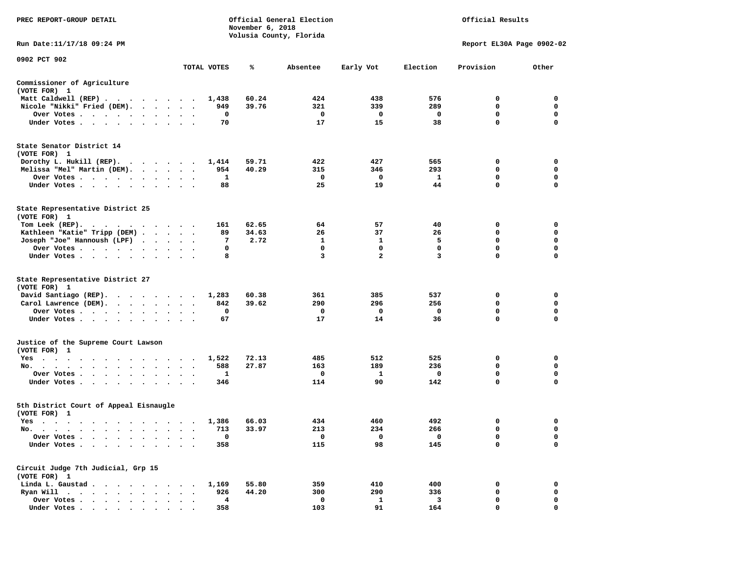| PREC REPORT-GROUP DETAIL                                                                                                                    |                      | November 6, 2018               | Official General Election<br>Volusia County, Florida |                       | Official Results      |                       |                            |                            |
|---------------------------------------------------------------------------------------------------------------------------------------------|----------------------|--------------------------------|------------------------------------------------------|-----------------------|-----------------------|-----------------------|----------------------------|----------------------------|
| Run Date: 11/17/18 09:24 PM                                                                                                                 |                      |                                |                                                      |                       |                       |                       | Report EL30A Page 0902-02  |                            |
| 0902 PCT 902                                                                                                                                |                      | TOTAL VOTES                    | %                                                    | Absentee              | Early Vot             | Election              | Provision                  | Other                      |
| Commissioner of Agriculture                                                                                                                 |                      |                                |                                                      |                       |                       |                       |                            |                            |
| (VOTE FOR) 1                                                                                                                                |                      |                                |                                                      |                       |                       |                       |                            |                            |
| Matt Caldwell (REP)                                                                                                                         |                      | 1,438                          | 60.24                                                | 424                   | 438                   | 576                   | 0                          | 0                          |
| Nicole "Nikki" Fried (DEM).                                                                                                                 |                      | 949                            | 39.76                                                | 321                   | 339                   | 289                   | 0                          | 0                          |
| Over Votes                                                                                                                                  |                      | 0                              |                                                      | 0                     | 0                     | 0                     | 0                          | 0                          |
| Under Votes                                                                                                                                 |                      | 70                             |                                                      | 17                    | 15                    | 38                    | $\mathbf 0$                | $\mathbf 0$                |
| State Senator District 14<br>(VOTE FOR) 1                                                                                                   |                      |                                |                                                      |                       |                       |                       |                            |                            |
| Dorothy L. Hukill $(REP)$ .                                                                                                                 |                      | 1,414                          | 59.71                                                | 422                   | 427                   | 565                   | 0                          | 0                          |
| Melissa "Mel" Martin (DEM).                                                                                                                 |                      | 954                            | 40.29                                                | 315                   | 346                   | 293                   | 0                          | 0                          |
| Over Votes                                                                                                                                  |                      | 1                              |                                                      | 0<br>25               | 0<br>19               | $\mathbf{1}$<br>44    | 0<br>0                     | $\mathbf 0$<br>0           |
| Under Votes                                                                                                                                 |                      | 88                             |                                                      |                       |                       |                       |                            |                            |
| State Representative District 25<br>(VOTE FOR) 1                                                                                            |                      |                                |                                                      |                       |                       |                       |                            |                            |
| Tom Leek $(REP)$ .                                                                                                                          |                      | 161                            | 62.65                                                | 64                    | 57                    | 40                    | 0                          | 0                          |
| Kathleen "Katie" Tripp (DEM)                                                                                                                |                      | 89                             | 34.63                                                | 26                    | 37                    | 26                    | 0                          | 0                          |
| Joseph "Joe" Hannoush (LPF)                                                                                                                 |                      | 7<br>0                         | 2.72                                                 | 1<br>0                | 1<br>$\Omega$         | 5<br>0                | 0<br>0                     | $\mathbf 0$<br>0           |
| Over Votes<br>Under Votes                                                                                                                   |                      | 8                              |                                                      | 3                     | $\mathbf{2}$          | 3                     | 0                          | 0                          |
| State Representative District 27<br>(VOTE FOR) 1<br>David Santiago (REP).<br>$\cdots$<br>Carol Lawrence (DEM).<br>Over Votes<br>Under Votes | $\ddot{\phantom{1}}$ | 1,283<br>842<br>0<br>67        | 60.38<br>39.62                                       | 361<br>290<br>0<br>17 | 385<br>296<br>0<br>14 | 537<br>256<br>0<br>36 | 0<br>0<br>$\mathbf 0$<br>0 | 0<br>0<br>$\mathbf 0$<br>0 |
| Justice of the Supreme Court Lawson<br>(VOTE FOR) 1                                                                                         |                      |                                |                                                      |                       |                       |                       |                            |                            |
| Yes                                                                                                                                         |                      | 1,522                          | 72.13                                                | 485                   | 512                   | 525                   | 0                          | 0                          |
| No.                                                                                                                                         |                      | 588                            | 27.87                                                | 163                   | 189                   | 236                   | 0                          | 0                          |
| Over Votes<br>Under Votes                                                                                                                   |                      | 1<br>346                       |                                                      | 0<br>114              | 1<br>90               | 0<br>142              | 0<br>$\mathbf 0$           | 0<br>$\mathbf 0$           |
|                                                                                                                                             |                      |                                |                                                      |                       |                       |                       |                            |                            |
| 5th District Court of Appeal Eisnaugle<br>(VOTE FOR) 1                                                                                      |                      |                                |                                                      |                       |                       |                       |                            |                            |
| Yes                                                                                                                                         |                      | 1,386                          | 66.03                                                | 434                   | 460                   | 492                   | 0                          | 0                          |
| No.<br>the contract of the contract of the contract of the contract of the contract of the contract of the contract of                      |                      | 713                            | 33.97                                                | 213                   | 234                   | 266                   | $\mathbf 0$                | $\mathbf 0$                |
| Over Votes                                                                                                                                  |                      | 0                              |                                                      | 0                     | 0                     | 0                     | 0                          | 0                          |
| Under Votes.<br>$\bullet$                                                                                                                   |                      | 358                            |                                                      | 115                   | 98                    | 145                   | 0                          | 0                          |
| Circuit Judge 7th Judicial, Grp 15<br>(VOTE FOR) 1                                                                                          |                      |                                |                                                      |                       |                       |                       |                            |                            |
| Linda L. Gaustad.<br>$\sim$<br>$\bullet$                                                                                                    |                      | 1,169                          | 55.80                                                | 359                   | 410                   | 400                   | 0                          | 0                          |
| Ryan Will $\cdots$<br>$\ddot{\phantom{0}}$<br>$\bullet$                                                                                     |                      | 926                            | 44.20                                                | 300                   | 290                   | 336                   | 0                          | 0                          |
| Over Votes.<br><u>in the second second</u><br>Under Votes.                                                                                  |                      | $\overline{\mathbf{4}}$<br>358 |                                                      | 0<br>103              | $\mathbf{1}$<br>91    | 3<br>164              | 0<br>0                     | 0<br>$\Omega$              |
|                                                                                                                                             |                      |                                |                                                      |                       |                       |                       |                            |                            |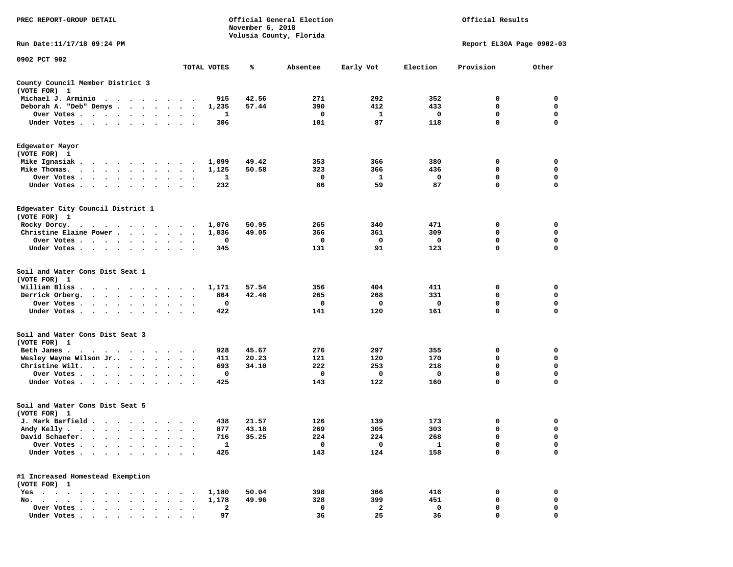| PREC REPORT-GROUP DETAIL                                                                          |                                              |             | November 6, 2018 | Official General Election<br>Volusia County, Florida |           | Official Results |                           |                  |  |
|---------------------------------------------------------------------------------------------------|----------------------------------------------|-------------|------------------|------------------------------------------------------|-----------|------------------|---------------------------|------------------|--|
| Run Date: 11/17/18 09:24 PM                                                                       |                                              |             |                  |                                                      |           |                  | Report EL30A Page 0902-03 |                  |  |
| 0902 PCT 902                                                                                      |                                              | TOTAL VOTES | ℁                | Absentee                                             | Early Vot | Election         | Provision                 | Other            |  |
| County Council Member District 3                                                                  |                                              |             |                  |                                                      |           |                  |                           |                  |  |
| (VOTE FOR) 1                                                                                      |                                              |             |                  |                                                      |           |                  |                           |                  |  |
| Michael J. Arminio<br>$\cdots$                                                                    | $\cdot$                                      | 915         | 42.56            | 271                                                  | 292       | 352              | 0                         | 0                |  |
| Deborah A. "Deb" Denys                                                                            | $\sim$<br>$\bullet$                          | 1,235       | 57.44            | 390                                                  | 412       | 433              | 0                         | 0                |  |
| Over Votes<br>$\bullet$<br>$\bullet$<br>$\bullet$<br>Under Votes                                  |                                              | 1<br>306    |                  | 0<br>101                                             | 1<br>87   | 0<br>118         | 0<br>$\mathbf 0$          | 0<br>$\mathbf 0$ |  |
| $\bullet$ $\bullet$                                                                               |                                              |             |                  |                                                      |           |                  |                           |                  |  |
| Edgewater Mayor                                                                                   |                                              |             |                  |                                                      |           |                  |                           |                  |  |
| (VOTE FOR) 1                                                                                      |                                              |             |                  |                                                      |           |                  |                           |                  |  |
| Mike Ignasiak.                                                                                    | $\cdot$                                      | 1,099       | 49.42            | 353                                                  | 366       | 380              | 0                         | 0                |  |
| Mike Thomas.                                                                                      | $\bullet$<br>$\bullet$<br>$\cdot$            | 1,125       | 50.58            | 323                                                  | 366       | 436              | 0                         | 0                |  |
| Over Votes.<br>$\cdots$                                                                           |                                              | 1           |                  | 0<br>86                                              | 1<br>59   | 0<br>87          | 0<br>0                    | 0<br>0           |  |
| Under Votes<br>$\ddot{\phantom{0}}$                                                               | $\bullet$<br>$\bullet$                       | 232         |                  |                                                      |           |                  |                           |                  |  |
| Edgewater City Council District 1                                                                 |                                              |             |                  |                                                      |           |                  |                           |                  |  |
| (VOTE FOR) 1                                                                                      |                                              |             |                  |                                                      |           |                  |                           |                  |  |
| Rocky Dorcy.                                                                                      |                                              | 1,076       | 50.95            | 265                                                  | 340       | 471              | 0                         | 0                |  |
| Christine Elaine Power                                                                            | $\bullet$                                    | 1,036       | 49.05            | 366                                                  | 361       | 309              | 0                         | 0                |  |
| Over Votes                                                                                        | $\bullet$<br>$\bullet$                       | 0           |                  | 0                                                    | 0         | 0                | 0<br>0                    | $\mathbf 0$<br>0 |  |
| Under Votes                                                                                       | $\ddot{\phantom{0}}$<br>$\ddot{\phantom{1}}$ | 345         |                  | 131                                                  | 91        | 123              |                           |                  |  |
| Soil and Water Cons Dist Seat 1                                                                   |                                              |             |                  |                                                      |           |                  |                           |                  |  |
| (VOTE FOR) 1                                                                                      |                                              |             |                  |                                                      |           |                  |                           |                  |  |
| William Bliss.<br>$\ddot{\phantom{0}}$<br>$\ddot{\phantom{1}}$<br>$\cdot$ $\cdot$ $\cdot$ $\cdot$ | $\cdot$<br>$\bullet$                         | 1,171       | 57.54            | 356                                                  | 404       | 411              | 0                         | 0                |  |
| Derrick Orberg.<br>$\cdot$ $\cdot$ $\cdot$ $\cdot$<br>$\bullet$                                   |                                              | 864         | 42.46            | 265                                                  | 268       | 331              | 0                         | 0                |  |
| Over Votes<br>$\bullet$<br>$\bullet$                                                              |                                              | 0           |                  | 0                                                    | 0         | 0                | 0                         | 0<br>$\Omega$    |  |
| Under Votes<br>$\bullet$                                                                          |                                              | 422         |                  | 141                                                  | 120       | 161              | $\mathbf 0$               |                  |  |
| Soil and Water Cons Dist Seat 3<br>(VOTE FOR) 1                                                   |                                              |             |                  |                                                      |           |                  |                           |                  |  |
| Beth James.<br>$\cdots$                                                                           |                                              | 928         | 45.67            | 276                                                  | 297       | 355              | 0                         | 0                |  |
| Wesley Wayne Wilson Jr                                                                            | $\ddot{\phantom{1}}$<br>$\bullet$ .          | 411         | 20.23            | 121                                                  | 120       | 170              | 0                         | $\mathbf 0$      |  |
| Christine Wilt.<br>$\bullet$<br>$\bullet$<br>$\bullet$                                            |                                              | 693         | 34.10            | 222                                                  | 253       | 218              | 0                         | 0                |  |
| Over Votes<br>$\bullet$                                                                           | $\bullet$<br>$\bullet$                       | 0           |                  | 0                                                    | 0         | 0                | 0                         | 0                |  |
| Under Votes                                                                                       |                                              | 425         |                  | 143                                                  | 122       | 160              | $\mathbf 0$               | $\mathbf 0$      |  |
| Soil and Water Cons Dist Seat 5                                                                   |                                              |             |                  |                                                      |           |                  |                           |                  |  |
| (VOTE FOR) 1                                                                                      |                                              |             |                  |                                                      |           |                  |                           |                  |  |
| J. Mark Barfield                                                                                  |                                              | 438         | 21.57            | 126                                                  | 139       | 173              | 0                         | 0                |  |
| Andy Kelly                                                                                        |                                              | 877         | 43.18<br>35.25   | 269                                                  | 305       | 303              | $\mathbf 0$               | $\mathbf 0$      |  |
| David Schaefer.                                                                                   |                                              | 716         |                  | 224<br>0                                             | 224<br>0  | 268              | 0<br>$\mathbf 0$          | 0<br>0           |  |
| Over Votes .<br>Under Votes.<br>$\ddot{\phantom{a}}$<br>$\ddot{\phantom{a}}$                      |                                              | 1<br>425    |                  | 143                                                  | 124       | 1<br>158         | 0                         | 0                |  |
| #1 Increased Homestead Exemption                                                                  |                                              |             |                  |                                                      |           |                  |                           |                  |  |
| (VOTE FOR) 1                                                                                      |                                              |             |                  |                                                      |           |                  |                           |                  |  |
| $Yes \cdot \cdot \cdot$<br>$\bullet$<br>$\cdot$<br>$\cdot$                                        |                                              | 1,180       | 50.04            | 398                                                  | 366       | 416              | 0                         | 0                |  |
| No.<br>$\cdot$<br>$\sim$ $\sim$<br>$\sim$                                                         |                                              | 1,178       | 49.96            | 328                                                  | 399       | 451              | 0                         | 0                |  |
| Over Votes .<br>$\cdot$ $\cdot$ $\cdot$ $\cdot$                                                   |                                              | 2           |                  | 0                                                    | 2         | 0                | 0                         | 0                |  |
| Under Votes                                                                                       |                                              | 97          |                  | 36                                                   | 25        | 36               | 0                         | 0                |  |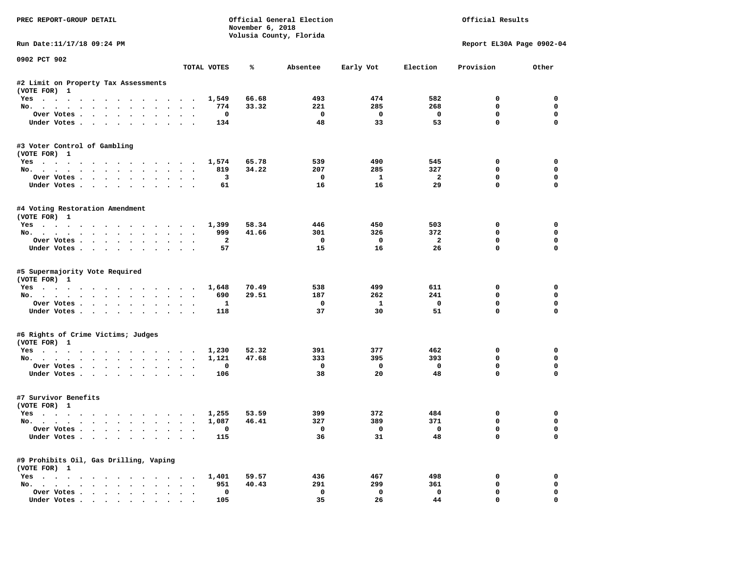| PREC REPORT-GROUP DETAIL                               |                      |                | November 6, 2018 | Official General Election<br>Volusia County, Florida | Official Results        |                         |                           |             |
|--------------------------------------------------------|----------------------|----------------|------------------|------------------------------------------------------|-------------------------|-------------------------|---------------------------|-------------|
| Run Date:11/17/18 09:24 PM                             |                      |                |                  |                                                      |                         |                         | Report EL30A Page 0902-04 |             |
| 0902 PCT 902                                           |                      | TOTAL VOTES    | ℁                | Absentee                                             | Early Vot               | Election                | Provision                 | Other       |
|                                                        |                      |                |                  |                                                      |                         |                         |                           |             |
| #2 Limit on Property Tax Assessments<br>(VOTE FOR) 1   |                      |                |                  |                                                      |                         |                         |                           |             |
| Yes                                                    |                      | 1,549          | 66.68            | 493                                                  | 474                     | 582                     | $^{\circ}$                | $^{\circ}$  |
| No.                                                    |                      | 774            | 33.32            | 221                                                  | 285                     | 268                     | 0                         | $\mathbf 0$ |
| Over Votes                                             |                      | 0              |                  | $\overline{\phantom{0}}$                             | $\overline{\mathbf{0}}$ | $\overline{\mathbf{0}}$ | 0                         | $\mathbf 0$ |
| Under Votes                                            |                      | 134            |                  | 48                                                   | 33                      | 53                      | $\mathbf 0$               | $\mathbf 0$ |
| #3 Voter Control of Gambling<br>(VOTE FOR) 1           |                      |                |                  |                                                      |                         |                         |                           |             |
| Yes                                                    |                      | 1,574          | 65.78            | 539                                                  | 490                     | 545                     | 0                         | $\mathbf 0$ |
| No.                                                    |                      | 819            | 34.22            | 207                                                  | 285                     | 327                     | $\mathbf 0$               | 0           |
| Over Votes                                             |                      | 3              |                  | $\mathbf 0$                                          | $\mathbf{1}$            | $\overline{\mathbf{2}}$ | $\mathbf 0$               | 0           |
| Under Votes                                            |                      | 61             |                  | 16                                                   | 16                      | 29                      | $\mathbf 0$               | 0           |
| #4 Voting Restoration Amendment<br>(VOTE FOR) 1        |                      |                |                  |                                                      |                         |                         |                           |             |
| Yes 1,399                                              |                      |                | 58.34            | 446                                                  | 450                     | 503                     | 0                         | 0           |
| No.                                                    |                      | 999            | 41.66            | 301                                                  | 326                     | 372                     | 0                         | $\mathbf 0$ |
| Over Votes.                                            |                      | $\overline{a}$ |                  | $\mathbf{o}$                                         | $\overline{\mathbf{0}}$ | $\overline{a}$          | $\mathbf 0$               | $\mathbf 0$ |
| Under Votes                                            |                      | 57             |                  | 15                                                   | 16                      | 26                      | $\Omega$                  | $\Omega$    |
| #5 Supermajority Vote Required<br>(VOTE FOR) 1<br>Yes  |                      | 1,648          | 70.49            | 538                                                  | 499                     | 611                     | 0                         | 0           |
| No.                                                    |                      | 690            | 29.51            | 187                                                  | 262                     | 241                     | 0                         | 0           |
| Over Votes                                             |                      | $\mathbf{1}$   |                  | $\mathbf{o}$                                         | $\mathbf{1}$            | $\mathbf 0$             | $\mathbf 0$               | 0           |
| Under Votes                                            |                      | 118            |                  | 37                                                   | 30                      | 51                      | $\mathbf 0$               | $\Omega$    |
| #6 Rights of Crime Victims; Judges<br>(VOTE FOR) 1     |                      |                |                  |                                                      |                         |                         |                           |             |
| Yes                                                    |                      | 1,230          | 52.32            | 391                                                  | 377                     | 462                     | 0                         | 0           |
| No.                                                    |                      | 1,121          | 47.68            | 333                                                  | 395                     | 393                     | $\Omega$                  | $\mathbf 0$ |
| Over Votes                                             |                      | 0              |                  | $\mathbf 0$                                          | $\overline{\mathbf{0}}$ | $\mathbf 0$             | 0                         | 0           |
| Under Votes                                            |                      | 106            |                  | 38                                                   | 20                      | 48                      | $\mathbf{0}$              | $\Omega$    |
| #7 Survivor Benefits<br>(VOTE FOR) 1                   |                      |                |                  |                                                      |                         |                         |                           |             |
| Yes                                                    |                      | 1,255          | 53.59            | 399                                                  | 372                     | 484                     | 0                         | 0           |
| No.                                                    |                      | 1,087          | 46.41            | 327                                                  | 389                     | 371                     | $\mathbf 0$               | 0           |
| Over Votes                                             |                      | $\Omega$       |                  | $\overline{\mathbf{0}}$                              | $\overline{0}$          | $\overline{0}$          | $\mathbf 0$               | $\Omega$    |
| Under Votes                                            |                      | 115            |                  | 36                                                   | 31                      | 48                      | $\mathbf 0$               | $\Omega$    |
| #9 Prohibits Oil, Gas Drilling, Vaping<br>(VOTE FOR) 1 |                      |                |                  |                                                      |                         |                         |                           |             |
| Yes 1,401                                              |                      |                | 59.57            | 436                                                  | 467                     | 498                     | 0                         | 0           |
| No.                                                    |                      | 951            | 40.43            | 291                                                  | 299                     | 361                     | $\mathbf 0$               | 0           |
| Over Votes                                             | $\ddot{\phantom{0}}$ | $\mathbf 0$    |                  | $\mathbf 0$                                          | $\mathbf 0$             | $\mathbf 0$             | $\mathbf 0$               | $\mathbf 0$ |
| Under Votes.                                           |                      | 105            |                  | 35                                                   | 26                      | 44                      | $\mathbf{0}$              | 0           |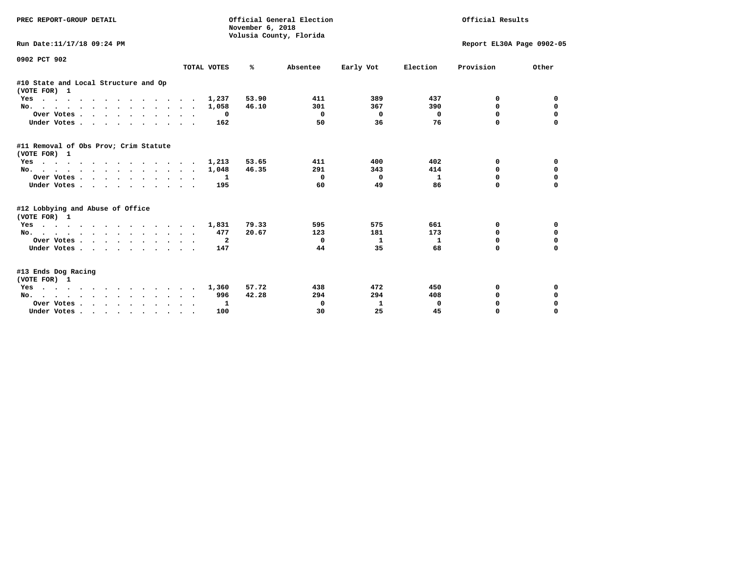| PREC REPORT-GROUP DETAIL                                                                                                                                                                                                                 |             | November 6, 2018 | Official General Election<br>Volusia County, Florida |                           | Official Results |             |             |
|------------------------------------------------------------------------------------------------------------------------------------------------------------------------------------------------------------------------------------------|-------------|------------------|------------------------------------------------------|---------------------------|------------------|-------------|-------------|
| Run Date:11/17/18 09:24 PM                                                                                                                                                                                                               |             |                  |                                                      | Report EL30A Page 0902-05 |                  |             |             |
| 0902 PCT 902                                                                                                                                                                                                                             | TOTAL VOTES | ℁                | Absentee                                             | Early Vot                 | Election         | Provision   | Other       |
| #10 State and Local Structure and Op<br>(VOTE FOR) 1                                                                                                                                                                                     |             |                  |                                                      |                           |                  |             |             |
| Yes                                                                                                                                                                                                                                      | 1,237       | 53.90            | 411                                                  | 389                       | 437              | 0           | 0           |
| No.                                                                                                                                                                                                                                      | 1,058       | 46.10            | 301                                                  | 367                       | 390              | $\Omega$    | 0           |
| Over Votes                                                                                                                                                                                                                               | 0           |                  | $\Omega$                                             | $\Omega$                  | 0                | 0           | $\mathbf 0$ |
| Under Votes.                                                                                                                                                                                                                             | 162         |                  | 50                                                   | 36                        | 76               | $\Omega$    |             |
| #11 Removal of Obs Prov; Crim Statute<br>(VOTE FOR) 1                                                                                                                                                                                    |             |                  |                                                      |                           |                  |             |             |
| Yes                                                                                                                                                                                                                                      | 1,213       | 53.65            | 411                                                  | 400                       | 402              | 0           | 0           |
| No.                                                                                                                                                                                                                                      | 1,048       | 46.35            | 291                                                  | 343                       | 414              | $\Omega$    | 0           |
| Over Votes.                                                                                                                                                                                                                              | 1           |                  | 0                                                    | $\Omega$                  | 1                | $\Omega$    | $\mathbf 0$ |
| Under Votes                                                                                                                                                                                                                              | 195         |                  | 60                                                   | 49                        | 86               | $\Omega$    | $\Omega$    |
| #12 Lobbying and Abuse of Office<br>(VOTE FOR) 1                                                                                                                                                                                         |             |                  |                                                      |                           |                  |             |             |
| $\mathbf{r}$ . The contract of the contract of the contract of the contract of the contract of the contract of the contract of the contract of the contract of the contract of the contract of the contract of the contract of th<br>Yes | 1,831       | 79.33            | 595                                                  | 575                       | 661              | 0           | 0           |
| No.                                                                                                                                                                                                                                      | 477         | 20.67            | 123                                                  | 181                       | 173              | $\Omega$    | $\mathbf 0$ |
| Over Votes                                                                                                                                                                                                                               | -2          |                  | 0                                                    | 1                         | 1                | 0           | $\mathbf 0$ |
| Under Votes                                                                                                                                                                                                                              | 147         |                  | 44                                                   | 35                        | 68               | $\Omega$    | $\mathbf 0$ |
| #13 Ends Dog Racing<br>(VOTE FOR) 1                                                                                                                                                                                                      |             |                  |                                                      |                           |                  |             |             |
| Yes                                                                                                                                                                                                                                      | 1,360       | 57.72            | 438                                                  | 472                       | 450              | 0           | 0           |
| No.                                                                                                                                                                                                                                      | 996         | 42.28            | 294                                                  | 294                       | 408              | $\mathbf 0$ | $\mathbf 0$ |
| Over Votes                                                                                                                                                                                                                               | 1           |                  | 0                                                    | 1                         | 0                | 0           | 0           |
| Under Votes                                                                                                                                                                                                                              | 100         |                  | 30                                                   | 25                        | 45               | $\Omega$    | $\Omega$    |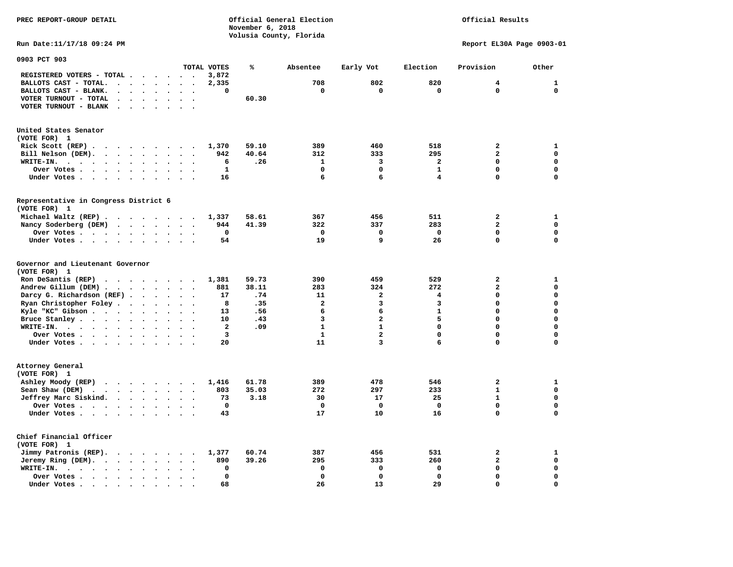**PREC REPORT-GROUP DETAIL COMPUTER CONSUMING A CONSUMING CONSUMING A LIGACION CONSUMING A LIGACION November 6, 2018 Volusia County, Florida** 

## Official Results

**Run Date:11/17/18 09:24 PM Report EL30A Page 0903-01** 

| 0903 PCT 903                                                                                               |                                   |                                    |                         |       |                |                         |              |                         |              |
|------------------------------------------------------------------------------------------------------------|-----------------------------------|------------------------------------|-------------------------|-------|----------------|-------------------------|--------------|-------------------------|--------------|
|                                                                                                            |                                   |                                    | TOTAL VOTES             | ℁     | Absentee       | Early Vot               | Election     | Provision               | Other        |
| REGISTERED VOTERS - TOTAL .<br>$\overline{\phantom{a}}$                                                    | $\ddot{\phantom{a}}$              | $\sim$<br>$\overline{\phantom{a}}$ | 3,872                   |       |                |                         |              |                         |              |
| BALLOTS CAST - TOTAL.<br>$\sim$<br>$\ddot{\phantom{a}}$<br>$\ddot{\phantom{a}}$                            | $\ddot{\phantom{a}}$              |                                    | 2,335                   |       | 708            | 802                     | 820          | 4                       | $\mathbf{1}$ |
| BALLOTS CAST - BLANK.<br>$\bullet$<br>$\bullet$                                                            | $\ddot{\phantom{a}}$<br>$\bullet$ | $\ddot{\phantom{a}}$<br>$\bullet$  | 0                       |       | 0              | 0                       | $\mathbf 0$  | $\mathbf 0$             | $\mathbf 0$  |
| VOTER TURNOUT - TOTAL<br>$\ddot{\phantom{a}}$<br>$\ddot{\phantom{a}}$<br>$\ddot{\phantom{1}}$              |                                   |                                    |                         | 60.30 |                |                         |              |                         |              |
| VOTER TURNOUT - BLANK<br>$\ddot{\phantom{a}}$                                                              |                                   |                                    |                         |       |                |                         |              |                         |              |
|                                                                                                            |                                   |                                    |                         |       |                |                         |              |                         |              |
|                                                                                                            |                                   |                                    |                         |       |                |                         |              |                         |              |
| United States Senator                                                                                      |                                   |                                    |                         |       |                |                         |              |                         |              |
| (VOTE FOR) 1                                                                                               |                                   |                                    |                         |       |                |                         |              |                         |              |
| Rick Scott (REP).<br>$\ddot{\phantom{0}}$<br>$\sim$ $\sim$<br>$\sim$ $\sim$                                | $\sim$                            | $\ddot{\phantom{0}}$               | 1,370                   | 59.10 | 389            | 460                     | 518          | 2                       | $\mathbf{1}$ |
| Bill Nelson (DEM).                                                                                         |                                   | $\bullet$                          | 942                     | 40.64 | 312            | 333                     | 295          | $\overline{a}$          | $\mathbf 0$  |
| WRITE-IN.<br>$\cdot$ $\cdot$ $\cdot$<br>$\mathbf{r}$ , $\mathbf{r}$ , $\mathbf{r}$<br>$\ddot{\phantom{a}}$ |                                   |                                    | 6                       | .26   | 1              | 3                       | $\mathbf{2}$ | $\Omega$                | $\mathbf 0$  |
| Over Votes<br>$\bullet$                                                                                    | $\ddot{\phantom{a}}$              |                                    | $\mathbf{1}$            |       | $\Omega$       | $\mathbf 0$             | $\mathbf{1}$ | 0                       | $\mathbf 0$  |
| Under Votes                                                                                                | $\ddot{\phantom{0}}$<br>$\bullet$ | $\ddot{\phantom{1}}$<br>$\cdot$    | 16                      |       | 6              | 6                       | 4            | 0                       | $\mathbf 0$  |
|                                                                                                            |                                   |                                    |                         |       |                |                         |              |                         |              |
| Representative in Congress District 6                                                                      |                                   |                                    |                         |       |                |                         |              |                         |              |
| (VOTE FOR) 1                                                                                               |                                   |                                    |                         |       |                |                         |              |                         |              |
|                                                                                                            |                                   |                                    |                         |       |                | 456                     | 511          | $\overline{a}$          | $\mathbf{1}$ |
| Michael Waltz (REP)                                                                                        |                                   |                                    | 1,337                   | 58.61 | 367            |                         |              |                         |              |
| Nancy Soderberg (DEM)                                                                                      |                                   | $\bullet$                          | 944                     | 41.39 | 322            | 337                     | 283          | $\overline{\mathbf{c}}$ | $\mathbf 0$  |
| Over Votes .<br>$\cdots$<br>$\ddot{\phantom{1}}$                                                           | $\bullet$                         | $\bullet$                          | $\mathbf 0$             |       | $\mathbf 0$    | $\mathbf 0$             | $\mathbf 0$  | 0                       | 0            |
| Under Votes                                                                                                | $\cdot$<br>$\ddot{\phantom{a}}$   | $\bullet$<br>$\cdot$               | 54                      |       | 19             | 9                       | 26           | 0                       | $\mathbf 0$  |
| Governor and Lieutenant Governor<br>(VOTE FOR) 1                                                           |                                   |                                    |                         |       |                |                         |              |                         |              |
| Ron DeSantis (REP)<br>.                                                                                    |                                   |                                    | 1,381                   | 59.73 | 390            | 459                     | 529          | $\overline{\mathbf{2}}$ | 1            |
| Andrew Gillum (DEM)                                                                                        | $\ddot{\phantom{0}}$              | $\ddot{\phantom{a}}$<br>$\bullet$  | 881                     | 38.11 | 283            | 324                     | 272          | $\overline{\mathbf{2}}$ | $\mathbf 0$  |
| Darcy G. Richardson (REF) .<br>$\bullet$                                                                   |                                   |                                    | 17                      | .74   | 11             | $\mathbf{2}$            | 4            | 0                       | $\mathbf 0$  |
| Ryan Christopher Foley.<br>$\ddot{\phantom{1}}$<br>$\bullet$                                               |                                   |                                    | 8                       | .35   | $\overline{a}$ | 3                       | 3            | $\mathbf 0$             | $\mathbf 0$  |
| Kyle "KC" Gibson<br>$\bullet$                                                                              | $\bullet$<br>$\bullet$            | $\bullet$<br>$\ddot{\phantom{1}}$  | 13                      | .56   | 6              | 6                       | $\mathbf{1}$ | 0                       | $\mathbf 0$  |
| Bruce Stanley<br>$\ddot{\phantom{a}}$                                                                      | $\overline{\phantom{a}}$          |                                    | 10                      | .43   | 3              | $\overline{\mathbf{2}}$ | 5            | 0                       | $\mathbf 0$  |
| WRITE-IN.<br>$\mathbf{r}$ , $\mathbf{r}$ , $\mathbf{r}$ , $\mathbf{r}$ , $\mathbf{r}$<br>$\bullet$         |                                   |                                    | $\overline{\mathbf{2}}$ | .09   | $\mathbf{1}$   | $\mathbf{1}$            | $\Omega$     | $\mathbf 0$             | $\mathbf 0$  |
|                                                                                                            |                                   |                                    | 3                       |       | $\mathbf{1}$   | $\overline{\mathbf{c}}$ | 0            | 0                       | $\mathbf 0$  |
| Over Votes                                                                                                 | $\ddot{\phantom{a}}$<br>$\bullet$ | $\ddot{\phantom{0}}$               |                         |       |                |                         | 6            | 0                       |              |
| Under Votes                                                                                                | $\ddot{\phantom{a}}$              | $\cdot$                            | 20                      |       | 11             | 3                       |              |                         | 0            |
| Attorney General<br>(VOTE FOR) 1                                                                           |                                   |                                    |                         |       |                |                         |              |                         |              |
| Ashley Moody (REP)<br>$\cdots$                                                                             |                                   | $\sim$                             | 1,416                   | 61.78 | 389            | 478                     | 546          | $\overline{a}$          | 1            |
| Sean Shaw (DEM)<br>$\cdot$ $\cdot$ $\cdot$ $\cdot$<br>$\ddot{\phantom{a}}$                                 |                                   |                                    | 803                     | 35.03 | 272            | 297                     | 233          | $\mathbf{1}$            | $\mathbf 0$  |
| Jeffrey Marc Siskind.<br>$\sim$ $\sim$ $\sim$ $\sim$ $\sim$                                                | $\ddot{\phantom{a}}$<br>$\bullet$ | $\bullet$                          | 73                      | 3.18  | 30             | 17                      | 25           | $\mathbf{1}$            | $\mathbf 0$  |
| Over Votes<br>$\ddot{\phantom{a}}$                                                                         | $\ddot{\phantom{a}}$              |                                    | $\mathbf 0$             |       | $\mathbf 0$    | 0                       | $\mathbf 0$  | 0                       | $\mathbf 0$  |
| Under Votes<br>$\bullet$                                                                                   |                                   |                                    | 43                      |       | 17             | 10                      | 16           | 0                       | $\mathbf 0$  |
|                                                                                                            |                                   |                                    |                         |       |                |                         |              |                         |              |
| Chief Financial Officer<br>(VOTE FOR) 1                                                                    |                                   |                                    |                         |       |                |                         |              |                         |              |
| Jimmy Patronis (REP).<br>$\sim$ $\sim$<br>$\sim$ $\sim$                                                    | $\ddot{\phantom{0}}$              |                                    | 1,377                   | 60.74 | 387            | 456                     | 531          | 2                       | $\mathbf{1}$ |
| Jeremy Ring (DEM).<br>$\cdot$ $\cdot$ $\cdot$ $\cdot$                                                      | $\bullet$<br>$\sim$               | $\bullet$                          | 890                     | 39.26 | 295            | 333                     | 260          | 2                       | $\mathbf 0$  |
| WRITE-IN.<br>$\cdot$ $\cdot$ $\cdot$ $\cdot$<br>$\bullet$<br>$\bullet$                                     |                                   |                                    | 0                       |       | $\mathbf 0$    | 0                       | 0            | 0                       | $\mathbf 0$  |
| Over Votes.<br>$\sim$ $\sim$ $\sim$ $\sim$<br>$\ddot{\phantom{1}}$<br>$\bullet$                            |                                   |                                    | 0                       |       | $\Omega$       | $\mathbf 0$             | $\mathbf 0$  | $\mathbf 0$             | $\mathbf 0$  |
| Under Votes.<br>$\sim$ $\sim$<br>$\blacksquare$ .<br>$\bullet$<br>$\bullet$<br>$\bullet$                   |                                   |                                    | 68                      |       | 26             | 13                      | 29           | 0                       | $\mathbf 0$  |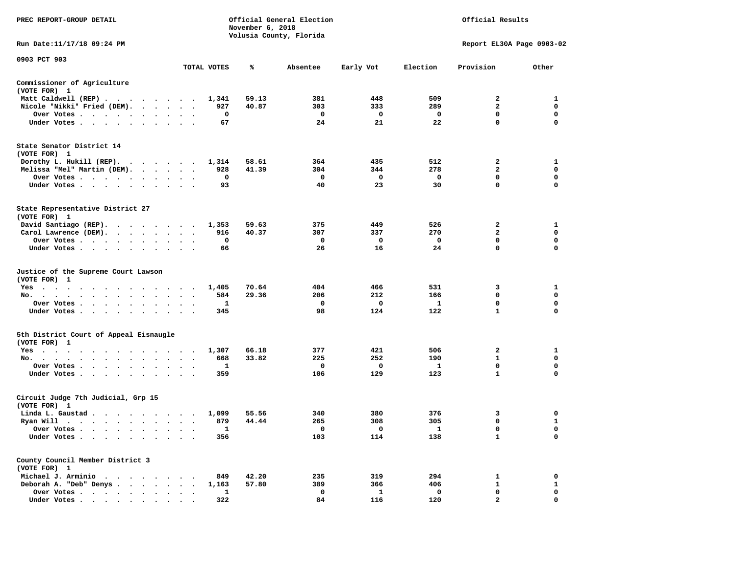| PREC REPORT-GROUP DETAIL                                               |                                                        |             | November 6, 2018 | Official General Election<br>Volusia County, Florida | Official Results |                    |                             |                  |
|------------------------------------------------------------------------|--------------------------------------------------------|-------------|------------------|------------------------------------------------------|------------------|--------------------|-----------------------------|------------------|
| Run Date:11/17/18 09:24 PM                                             |                                                        |             |                  |                                                      |                  |                    | Report EL30A Page 0903-02   |                  |
| 0903 PCT 903                                                           |                                                        | TOTAL VOTES | ℁                | Absentee                                             | Early Vot        | Election           | Provision                   | Other            |
| Commissioner of Agriculture                                            |                                                        |             |                  |                                                      |                  |                    |                             |                  |
| (VOTE FOR) 1                                                           |                                                        |             |                  |                                                      |                  |                    |                             |                  |
| Matt Caldwell (REP)                                                    |                                                        | 1,341       | 59.13            | 381                                                  | 448              | 509                | $\overline{a}$              | 1                |
| Nicole "Nikki" Fried (DEM).                                            |                                                        | 927         | 40.87            | 303                                                  | 333              | 289                | $\mathbf{2}$                | 0                |
| Over Votes                                                             |                                                        | 0           |                  | $\mathbf{o}$                                         | $\mathbf 0$      | $\mathbf 0$        | 0                           | 0                |
| Under Votes                                                            |                                                        | 67          |                  | 24                                                   | 21               | 22                 | $\mathbf 0$                 | $\mathbf 0$      |
| State Senator District 14<br>(VOTE FOR) 1                              |                                                        |             |                  |                                                      |                  |                    |                             |                  |
| Dorothy L. Hukill (REP).                                               |                                                        | 1,314       | 58.61            | 364                                                  | 435              | 512                | 2                           | 1                |
| Melissa "Mel" Martin (DEM).                                            |                                                        | 928         | 41.39            | 304                                                  | 344              | 278                | $\overline{2}$              | $\mathbf 0$      |
| Over Votes                                                             |                                                        | $\mathbf 0$ |                  | $\mathbf 0$                                          | $\mathbf 0$      | $\mathbf{o}$       | $\mathbf 0$                 | $\mathbf 0$      |
| Under Votes                                                            |                                                        | 93          |                  | 40                                                   | 23               | 30                 | $\mathbf 0$                 | $\mathbf 0$      |
| State Representative District 27<br>(VOTE FOR) 1                       |                                                        |             |                  |                                                      |                  |                    |                             |                  |
| David Santiago (REP).                                                  |                                                        | 1,353       | 59.63            | 375                                                  | 449              | 526                | $\overline{2}$              | 1                |
| Carol Lawrence (DEM).                                                  |                                                        | 916         | 40.37            | 307                                                  | 337              | 270                | $\overline{2}$              | $\mathbf 0$      |
| Over Votes                                                             | $\bullet$<br>$\sim$                                    | 0           |                  | 0                                                    | 0                | $\mathbf{o}$       | 0                           | 0                |
| Under Votes                                                            |                                                        | 66          |                  | 26                                                   | 16               | 24                 | $\mathbf 0$                 | $\mathbf 0$      |
| Justice of the Supreme Court Lawson<br>(VOTE FOR) 1                    |                                                        |             |                  |                                                      |                  |                    |                             |                  |
| Yes                                                                    |                                                        | 1,405       | 70.64            | 404                                                  | 466              | 531                | 3                           | 1                |
| No.                                                                    | $\cdot$                                                | 584         | 29.36            | 206                                                  | 212              | 166                | 0                           | 0                |
| Over Votes                                                             | $\ddot{\phantom{a}}$<br>$\sim$<br>$\ddot{\phantom{0}}$ | 1           |                  | 0                                                    | 0                | $\mathbf{1}$       | $\mathbf 0$                 | 0<br>$\mathbf 0$ |
| Under Votes                                                            | $\cdot$ $\cdot$ $\cdot$                                | 345         |                  | 98                                                   | 124              | 122                | $\mathbf{1}$                |                  |
| 5th District Court of Appeal Eisnaugle<br>(VOTE FOR) 1                 |                                                        |             |                  |                                                      |                  |                    |                             |                  |
| Yes                                                                    |                                                        | 1,307       | 66.18            | 377                                                  | 421              | 506                | $\mathbf{2}$                | 1                |
| No.                                                                    |                                                        | 668         | 33.82            | 225                                                  | 252              | 190                | $\mathbf{1}$                | $\mathbf 0$      |
| Over Votes<br>$\cdot$                                                  |                                                        | 1           |                  | $\mathbf{o}$                                         | 0                | 1                  | $\mathbf 0$                 | $\mathbf 0$      |
| Under Votes                                                            |                                                        | 359         |                  | 106                                                  | 129              | 123                | $\mathbf{1}$                | $\Omega$         |
| Circuit Judge 7th Judicial, Grp 15<br>(VOTE FOR) 1                     |                                                        |             |                  |                                                      |                  |                    |                             |                  |
| Linda L. Gaustad                                                       |                                                        | 1,099       | 55.56            | 340                                                  | 380              | 376                | 3                           | 0                |
| Ryan Will $\cdots$ $\cdots$ $\cdots$ $\cdots$                          |                                                        | 879         | 44.44            | 265                                                  | 308              | 305                | 0                           | 1                |
| Over Votes                                                             | $\cdot$ .                                              | 1           |                  | $\mathbf{o}$                                         | 0                | $\mathbf{1}$       | $\mathbf 0$                 | $\mathbf 0$      |
| Under Votes<br>$\ddot{\phantom{0}}$<br>$\cdot$<br>$\cdot$<br>$\bullet$ |                                                        | 356         |                  | 103                                                  | 114              | 138                | $\mathbf{1}$                | $\mathbf 0$      |
| County Council Member District 3<br>(VOTE FOR) 1                       |                                                        |             |                  |                                                      |                  |                    |                             |                  |
| Michael J. Arminio                                                     |                                                        | 849         | 42.20            | 235                                                  | 319              | 294                | 1                           | $\mathbf 0$      |
| Deborah A. "Deb" Denys                                                 |                                                        | 1,163       | 57.80            | 389                                                  | 366              | 406                | $\mathbf{1}$                | $\mathbf{1}$     |
| Over Votes<br>$\ddot{\phantom{1}}$<br>Under Votes,                     | $\cdot$<br>$\ddot{\phantom{1}}$<br>$\cdot$             | 1<br>322    |                  | $\mathbf{o}$<br>84                                   | 1<br>116         | $\mathbf 0$<br>120 | $\mathbf 0$<br>$\mathbf{z}$ | 0<br>$\Omega$    |
|                                                                        |                                                        |             |                  |                                                      |                  |                    |                             |                  |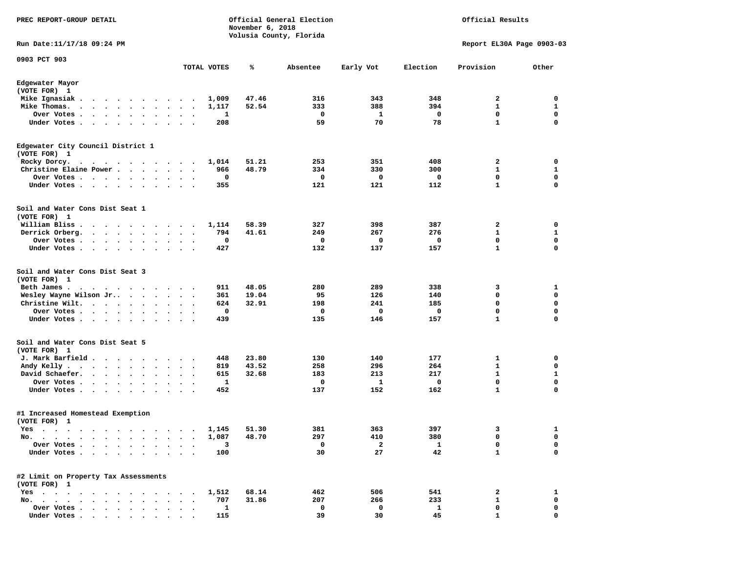| PREC REPORT-GROUP DETAIL                                                                                                                                                                                                                           |                                              |             | November 6, 2018 | Official General Election | Official Results        |          |                           |             |
|----------------------------------------------------------------------------------------------------------------------------------------------------------------------------------------------------------------------------------------------------|----------------------------------------------|-------------|------------------|---------------------------|-------------------------|----------|---------------------------|-------------|
| Run Date: 11/17/18 09:24 PM                                                                                                                                                                                                                        |                                              |             |                  | Volusia County, Florida   |                         |          | Report EL30A Page 0903-03 |             |
| 0903 PCT 903                                                                                                                                                                                                                                       |                                              | TOTAL VOTES | ℁                | Absentee                  | Early Vot               | Election | Provision                 | Other       |
| Edgewater Mayor                                                                                                                                                                                                                                    |                                              |             |                  |                           |                         |          |                           |             |
| (VOTE FOR) 1                                                                                                                                                                                                                                       |                                              |             |                  |                           |                         |          |                           |             |
| Mike Ignasiak.<br>. The contract of the contract of the contract of the contract of the contract of the contract of the contract of the contract of the contract of the contract of the contract of the contract of the contract of the contrac    |                                              | 1,009       | 47.46            | 316                       | 343                     | 348      | 2                         | 0           |
| Mike Thomas.<br>$\mathbf{r}$ , and $\mathbf{r}$ , and $\mathbf{r}$ , and $\mathbf{r}$                                                                                                                                                              | $\ddot{\phantom{0}}$                         | 1,117       | 52.54            | 333                       | 388                     | 394      | $\mathbf{1}$              | 1           |
| Over Votes<br>$\bullet$                                                                                                                                                                                                                            | $\bullet$<br>$\bullet$<br>$\bullet$          | 1           |                  | 0                         | 1                       | 0        | $\mathbf 0$               | 0           |
| Under Votes                                                                                                                                                                                                                                        | $\ddot{\phantom{0}}$<br>$\ddot{\phantom{1}}$ | 208         |                  | 59                        | 70                      | 78       | $\mathbf{1}$              | $\mathbf 0$ |
| Edgewater City Council District 1<br>(VOTE FOR) 1                                                                                                                                                                                                  |                                              |             |                  |                           |                         |          |                           |             |
| Rocky Dorcy.                                                                                                                                                                                                                                       |                                              | 1,014       | 51.21            | 253                       | 351                     | 408      | 2                         | 0           |
| Christine Elaine Power                                                                                                                                                                                                                             | $\sim$<br>$\ddotsc$                          | 966         | 48.79            | 334                       | 330                     | 300      | 1                         | 1           |
| Over Votes                                                                                                                                                                                                                                         | $\cdot$                                      | 0           |                  | 0                         | 0                       | 0        | $\mathbf 0$               | $\mathbf 0$ |
| Under Votes<br>$\bullet$                                                                                                                                                                                                                           | $\cdot$                                      | 355         |                  | 121                       | 121                     | 112      | $\mathbf{1}$              | 0           |
| Soil and Water Cons Dist Seat 1<br>(VOTE FOR) 1                                                                                                                                                                                                    |                                              |             |                  |                           |                         |          |                           |             |
| William Bliss.<br>$\mathbf{r}$ , and $\mathbf{r}$ , and $\mathbf{r}$ , and $\mathbf{r}$                                                                                                                                                            | $\overline{\phantom{a}}$                     | 1,114       | 58.39            | 327                       | 398                     | 387      | $\mathbf{2}$              | 0           |
| Derrick Orberg.<br>$\ddot{\phantom{0}}$                                                                                                                                                                                                            | $\bullet$<br>$\cdot$                         | 794         | 41.61            | 249                       | 267                     | 276      | 1                         | 1           |
| Over Votes .<br>. The contract of the contract of the contract of the contract of the contract of the contract of the contract of the contract of the contract of the contract of the contract of the contract of the contract of the contrac      |                                              | 0           |                  | 0                         | 0                       | 0        | $\mathbf 0$               | $\mathbf 0$ |
| Under Votes                                                                                                                                                                                                                                        | $\sim$<br>$\ddot{\phantom{1}}$               | 427         |                  | 132                       | 137                     | 157      | $\mathbf{1}$              | $\mathbf 0$ |
| Soil and Water Cons Dist Seat 3<br>(VOTE FOR) 1                                                                                                                                                                                                    |                                              |             |                  |                           |                         |          |                           |             |
| Beth James.<br>$\mathbf{r}$ . The contract of the contract of the contract of the contract of the contract of the contract of the contract of the contract of the contract of the contract of the contract of the contract of the contract of th   |                                              | 911         | 48.05            | 280                       | 289                     | 338      | 3                         | 1           |
| Wesley Wayne Wilson Jr                                                                                                                                                                                                                             |                                              | 361         | 19.04            | 95                        | 126                     | 140      | 0                         | 0           |
| Christine Wilt.                                                                                                                                                                                                                                    | $\bullet$<br>$\bullet$ .<br>$\bullet$        | 624         | 32.91            | 198                       | 241                     | 185      | 0                         | $\mathbf 0$ |
| Over Votes<br>$\bullet$<br>$\ddot{\phantom{1}}$<br>$\bullet$                                                                                                                                                                                       |                                              | 0           |                  | 0                         | 0                       | 0        | $\mathbf 0$               | $\mathbf 0$ |
| Under Votes<br>$\bullet$                                                                                                                                                                                                                           | $\bullet$<br>$\ddot{\phantom{0}}$            | 439         |                  | 135                       | 146                     | 157      | $\mathbf{1}$              | 0           |
| Soil and Water Cons Dist Seat 5<br>(VOTE FOR) 1                                                                                                                                                                                                    |                                              |             |                  |                           |                         |          |                           |             |
| J. Mark Barfield                                                                                                                                                                                                                                   |                                              | 448         | 23.80            | 130                       | 140                     | 177      | 1                         | 0           |
| Andy Kelly<br>$\ddot{\phantom{a}}$                                                                                                                                                                                                                 | $\cdot$ .                                    | 819         | 43.52            | 258                       | 296                     | 264      | 1                         | 0           |
| David Schaefer.<br>$\cdots$                                                                                                                                                                                                                        |                                              | 615         | 32.68            | 183                       | 213                     | 217      | $\mathbf{1}$              | 1           |
| Over Votes .<br>$\ddot{\phantom{0}}$<br>$\bullet$                                                                                                                                                                                                  | $\bullet$<br>$\bullet$                       | 1           |                  | 0                         | 1                       | 0        | 0                         | $\mathbf 0$ |
| Under Votes<br>$\ddot{\phantom{a}}$<br>$\ddot{\phantom{1}}$                                                                                                                                                                                        |                                              | 452         |                  | 137                       | 152                     | 162      | $\mathbf{1}$              | 0           |
| #1 Increased Homestead Exemption<br>(VOTE FOR) 1                                                                                                                                                                                                   |                                              |             |                  |                           |                         |          |                           |             |
| <b>Yes</b>                                                                                                                                                                                                                                         |                                              |             | 1,145 51.30      | 381                       | 363                     | 397      | 3                         | 1           |
| No.<br>$\bullet$ .<br><br><br><br><br><br><br><br><br><br><br><br><br>$\sim$<br>$\bullet$<br>$\bullet$<br>$\bullet$                                                                                                                                | $\bullet$<br>$\cdot$                         | 1,087       | 48.70            | 297                       | 410                     | 380      | 0                         | 0           |
| Over Votes .<br>$\sim$ $\sim$<br>$\ddot{\phantom{a}}$<br>$\sim$                                                                                                                                                                                    |                                              | 3           |                  | 0                         | $\overline{\mathbf{2}}$ | 1        | 0                         | 0           |
| Under Votes                                                                                                                                                                                                                                        |                                              | 100         |                  | 30                        | 27                      | 42       | $\mathbf{1}$              | $\mathbf 0$ |
| #2 Limit on Property Tax Assessments<br>(VOTE FOR) 1                                                                                                                                                                                               |                                              |             |                  |                           |                         |          |                           |             |
| Yes                                                                                                                                                                                                                                                |                                              | 1,512       | 68.14            | 462                       | 506                     | 541      | 2                         | 1           |
| No.<br>$\mathbf{r}$ . The contract of the contract of the contract of the contract of the contract of the contract of the contract of the contract of the contract of the contract of the contract of the contract of the contract of th<br>$\sim$ |                                              | 707         | 31.86            | 207                       | 266                     | 233      | 1                         | 0           |
| Over Votes<br>Under Votes,                                                                                                                                                                                                                         |                                              | 1           |                  | 0                         | 0                       | 1        | 0                         | 0           |
|                                                                                                                                                                                                                                                    |                                              | 115         |                  | 39                        | 30                      | 45       |                           | 0           |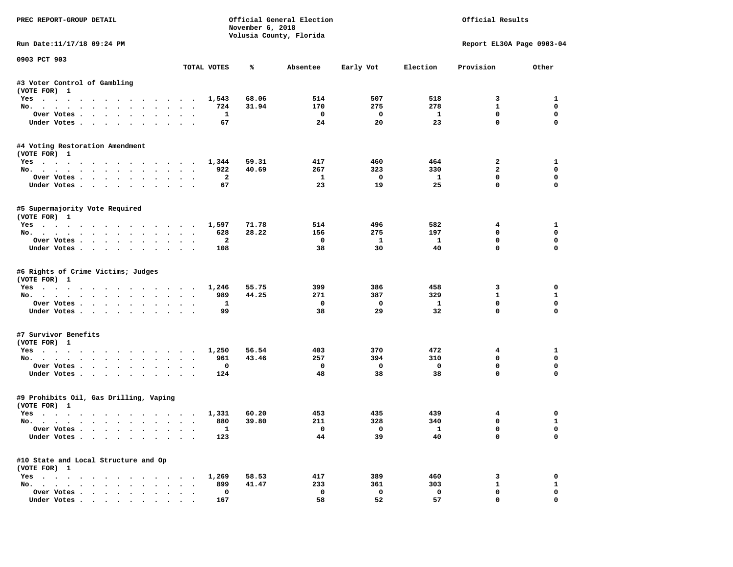| PREC REPORT-GROUP DETAIL                                  |                      |                         | November 6, 2018 | Official General Election<br>Volusia County, Florida |                          | Official Results        |                           |              |  |
|-----------------------------------------------------------|----------------------|-------------------------|------------------|------------------------------------------------------|--------------------------|-------------------------|---------------------------|--------------|--|
| Run Date:11/17/18 09:24 PM                                |                      |                         |                  |                                                      |                          |                         | Report EL30A Page 0903-04 |              |  |
| 0903 PCT 903                                              |                      | TOTAL VOTES             | ℁                | Absentee                                             | Early Vot                | Election                | Provision                 | Other        |  |
| #3 Voter Control of Gambling                              |                      |                         |                  |                                                      |                          |                         |                           |              |  |
| (VOTE FOR) 1                                              |                      |                         |                  |                                                      |                          |                         |                           |              |  |
| Yes 1,543                                                 |                      |                         | 68.06            | 514                                                  | 507                      | 518                     | 3                         | 1            |  |
| No.                                                       |                      | 724                     | 31.94            | 170                                                  | 275                      | 278                     | $\mathbf{1}$              | $\mathbf 0$  |  |
| Over Votes                                                |                      | <b>1</b>                |                  | $\overline{\phantom{0}}$                             | $\overline{\mathbf{0}}$  | $\mathbf{1}$            | $\mathbf 0$               | $\mathbf 0$  |  |
| Under Votes                                               |                      | 67                      |                  | 24                                                   | 20                       | 23                      | $\mathbf{0}$              | $\mathbf 0$  |  |
| #4 Voting Restoration Amendment<br>(VOTE FOR) 1           |                      |                         |                  |                                                      |                          |                         |                           |              |  |
| Yes 1,344                                                 |                      |                         | 59.31            | 417                                                  | 460                      | 464                     | $\overline{a}$            | $\mathbf{1}$ |  |
| No.                                                       |                      | 922                     | 40.69            | 267                                                  | 323                      | 330                     | $\mathbf{2}$              | $\mathbf{0}$ |  |
| Over Votes                                                |                      | $\overline{\mathbf{2}}$ |                  | $\mathbf{1}$                                         | $\overline{\phantom{0}}$ | $\mathbf{1}$            | $\mathbf 0$               | 0            |  |
| Under Votes                                               |                      | 67                      |                  | 23                                                   | 19                       | 25                      | $\mathbf 0$               | 0            |  |
| #5 Supermajority Vote Required<br>(VOTE FOR) 1            |                      |                         |                  |                                                      |                          |                         |                           |              |  |
| Yes 1,597                                                 |                      |                         | 71.78            | 514                                                  | 496                      | 582                     | 4                         | 1            |  |
| No.                                                       |                      | 628                     | 28.22            | 156                                                  | 275                      | 197                     | $\mathbf 0$               | $\mathbf 0$  |  |
| Over Votes.                                               |                      | $\overline{a}$          |                  | $\mathbf{o}$                                         | $\mathbf{1}$             | $\mathbf{1}$            | $\mathbf 0$               | $\mathbf 0$  |  |
| Under Votes                                               |                      | 108                     |                  | 38                                                   | 30                       | 40                      | $\Omega$                  | $\Omega$     |  |
| #6 Rights of Crime Victims; Judges<br>(VOTE FOR) 1<br>Yes |                      | 1,246                   | 55.75            | 399                                                  | 386                      | 458                     | 3                         | 0            |  |
| No.                                                       |                      | 989                     | 44.25            | 271                                                  | 387                      | 329                     | $\mathbf{1}$              | $\mathbf{1}$ |  |
| Over Votes                                                |                      | $\mathbf{1}$            |                  | $\mathbf{o}$                                         | $\mathbf{o}$             | $\mathbf{1}$            | $\mathbf 0$               | $\mathbf 0$  |  |
| Under Votes                                               |                      | 99                      |                  | 38                                                   | 29                       | 32                      | $\mathbf 0$               | $\Omega$     |  |
| #7 Survivor Benefits<br>(VOTE FOR) 1                      |                      |                         |                  |                                                      |                          |                         |                           |              |  |
| Yes                                                       |                      | 1,250                   | 56.54            | 403                                                  | 370                      | 472                     | $4\phantom{1}$            | 1            |  |
| No.                                                       |                      | 961                     | 43.46            | 257                                                  | 394                      | 310                     | $\Omega$                  | $\mathbf{0}$ |  |
| Over Votes                                                |                      | 0                       |                  | $\mathbf 0$                                          | $\overline{\mathbf{0}}$  | $\mathbf 0$             | 0                         | 0            |  |
| Under Votes                                               |                      | 124                     |                  | 48                                                   | 38                       | 38                      | $\mathbf{0}$              | $\mathbf 0$  |  |
| #9 Prohibits Oil, Gas Drilling, Vaping<br>(VOTE FOR) 1    |                      |                         |                  |                                                      |                          |                         |                           |              |  |
| Yes                                                       |                      | 1,331                   | 60.20            | 453                                                  | 435                      | 439                     | $\overline{4}$            | 0            |  |
| No.                                                       |                      | 880                     | 39.80            | 211                                                  | 328                      | 340                     | $\mathbf 0$               | $\mathbf{1}$ |  |
| Over Votes                                                |                      | $\overline{\mathbf{1}}$ |                  | $\overline{0}$                                       | $\overline{0}$           | $\overline{\mathbf{1}}$ | $\mathbf{0}$              | $\mathbf 0$  |  |
| Under Votes                                               |                      | 123                     |                  | 44                                                   | 39                       | 40                      | $\mathbf 0$               | $\Omega$     |  |
| #10 State and Local Structure and Op<br>(VOTE FOR) 1      |                      |                         |                  |                                                      |                          |                         |                           |              |  |
| Yes 1,269                                                 |                      |                         | 58.53            | 417                                                  | 389                      | 460                     | 3                         | 0            |  |
| No.                                                       | $\sim$ $\sim$ $\sim$ | 899                     | 41.47            | 233                                                  | 361                      | 303                     | $\mathbf{1}$              | $\mathbf{1}$ |  |
| Over Votes                                                | $\ddotsc$            | 0                       |                  | $\mathbf 0$                                          | $\mathbf 0$              | $\mathbf 0$             | $\mathbf 0$               | $\mathbf 0$  |  |
| Under Votes.                                              |                      | 167                     |                  | 58                                                   | 52                       | 57                      | $\mathbf{0}$              | 0            |  |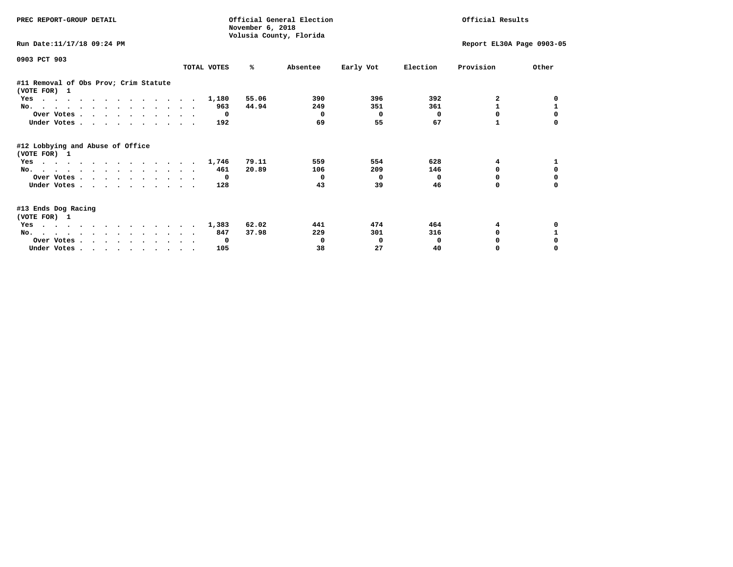| PREC REPORT-GROUP DETAIL                              |             |              | November 6, 2018 | Official General Election<br>Volusia County, Florida |           | Official Results |                           |          |
|-------------------------------------------------------|-------------|--------------|------------------|------------------------------------------------------|-----------|------------------|---------------------------|----------|
| Run Date: 11/17/18 09:24 PM                           |             |              |                  |                                                      |           |                  | Report EL30A Page 0903-05 |          |
| 0903 PCT 903                                          | TOTAL VOTES |              | ℁                | Absentee                                             | Early Vot | Election         | Provision                 | Other    |
| #11 Removal of Obs Prov; Crim Statute<br>(VOTE FOR) 1 |             |              |                  |                                                      |           |                  |                           |          |
| Yes                                                   |             | 1,180        | 55.06            | 390                                                  | 396       | 392              | 2                         |          |
| No.                                                   |             | 963          | 44.94            | 249                                                  | 351       | 361              |                           |          |
| Over Votes                                            |             | $\mathbf 0$  |                  | $\Omega$                                             | $\Omega$  | 0                | 0                         |          |
| Under Votes                                           |             | 192          |                  | 69                                                   | 55        | 67               |                           |          |
| #12 Lobbying and Abuse of Office<br>(VOTE FOR) 1      |             |              |                  |                                                      |           |                  |                           |          |
| Yes                                                   |             | 1,746        | 79.11            | 559                                                  | 554       | 628              | 4                         |          |
| No.                                                   |             | 461          | 20.89            | 106                                                  | 209       | 146              | 0                         | $\Omega$ |
| Over Votes                                            |             | $\mathbf 0$  |                  | 0                                                    | $\Omega$  | 0                | 0                         | 0        |
| Under Votes                                           |             | 128          |                  | 43                                                   | 39        | 46               | 0                         | $\Omega$ |
| #13 Ends Dog Racing<br>(VOTE FOR) 1                   |             |              |                  |                                                      |           |                  |                           |          |
| Yes                                                   |             | 1,383        | 62.02            | 441                                                  | 474       | 464              | 4                         |          |
| No.                                                   |             | 847          | 37.98            | 229                                                  | 301       | 316              | 0                         |          |
| Over Votes                                            |             | $\mathbf{o}$ |                  | 0                                                    | 0         | 0                |                           |          |
| Under Votes                                           |             | 105          |                  | 38                                                   | 27        | 40               | 0                         |          |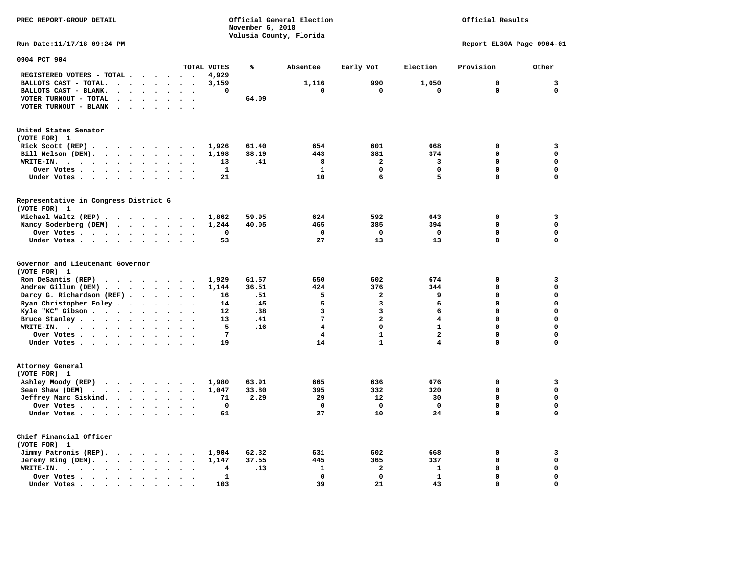**November 6, 2018 Volusia County, Florida Run Date:11/17/18 09:24 PM Report EL30A Page 0904-01 0904 PCT 904 TOTAL VOTES % Absentee Early Vot Election Provision Other REGISTERED VOTERS - TOTAL . . . . . . 4,929 BALLOTS CAST - TOTAL. . . . . . . . 3,159 1,116 990 1,050 0 3 BALLOTS CAST - BLANK. . . . . . . . 0 0 0 0 0 0 VOTER TURNOUT - TOTAL . . . . . . . 64.09 VOTER TURNOUT - BLANK . . . . . . . United States Senator (VOTE FOR) 1 Rick Scott (REP) . . . . . . . . . 1,926 61.40 654 601 668 0 3 Bill Nelson (DEM). . . . . . . . . 1,198 38.19 443 381 374 0 0 WRITE-IN. . . . . . . . . . . . 13 .41 8 2 3 0 0 Over Votes . . . . . . . . . . 1** 1 0 0 0 0 0 0 **Under Votes . . . . . . . . . . 21** 10 6 5 0 0 0 **Representative in Congress District 6 (VOTE FOR) 1 Michael Waltz (REP) . . . . . . . . 1,862 59.95 624 592 643 0 3 Nancy Soderberg (DEM) . . . . . . . 1,244 40.05 465 385 394 0 0 Over Votes . . . . . . . . . . 0 0 0 0 0 0**  $\Omega$  **Under Votes . . . . . . . . . . 53** 27 13 13 0 **Governor and Lieutenant Governor (VOTE FOR) 1 Ron DeSantis (REP) . . . . . . . . 1,929 61.57 650 602 674 0 3 Andrew Gillum (DEM) . . . . . . . . 1,144 36.51 424 376 344 0 0 Darcy G. Richardson (REF) . . . . . 16** . 51 5 5 2 9 0 0 0<br>**Ryan Christopher Foley . . . . . . 14 . 45** 5 3 6 0 0  **Ryan Christopher Foley . . . . . . . 14 .45 5 3 6 0 0 Kyle "KC" Gibson . . . . . . . . . 12** . 38 3 3 6 6 **Bruce Stanley . . . . . . . . . . 13 .41** 7 2 4 0 0  **WRITE-IN. . . . . . . . . . . . 5 .16 4 0 1 0 0**  $\mathbf{0}$  **Over Votes . . . . . . . . . . 7 4 1 2 0 0**  $\mathbf{0}$  **Under Votes . . . . . . . . . . 19 14 1 4 1 4 0 Attorney General (VOTE FOR) 1 Ashley Moody (REP) . . . . . . . . 1,980 63.91 665 636 676 0 3 Sean Shaw (DEM) . . . . . . . . . 1,047 33.80 395 332 320 0 0 Jeffrey Marc Siskind. . . . . . . . 71 2.29 29 12 30 0 0 Over Votes . . . . . . . . . . 0 0 0 0 0 0**  $\mathbf 0$  **Under Votes . . . . . . . . . . 61** 27 10 24 0 **Chief Financial Officer (VOTE FOR) 1 Jimmy Patronis (REP). . . . . . . . 1,904 62.32 631 602 668 0 3 Jeremy Ring (DEM).** . . . . . . . 1,147 37.55 445 365 337 0 0 0  **WRITE-IN. . . . . . . . . . . . 4 .13 1 2 1 0 0 Over Votes . . . . . . . . . . 1 0 0 1 0 0**  $\mathbf{o}$  **Under Votes . . . . . . . . . . 103 39 21 43 0 0** 

**PREC REPORT-GROUP DETAIL Official General Election Official Results**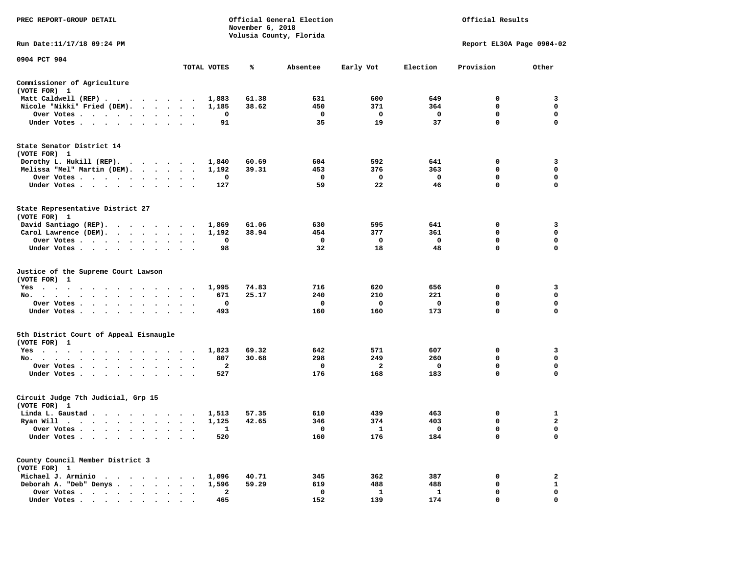| PREC REPORT-GROUP DETAIL                                                                                                                                                                                                                                                       |                                                         | Official General Election<br>Official Results<br>November 6, 2018<br>Volusia County, Florida |       |              |                         |                         |                           |                   |
|--------------------------------------------------------------------------------------------------------------------------------------------------------------------------------------------------------------------------------------------------------------------------------|---------------------------------------------------------|----------------------------------------------------------------------------------------------|-------|--------------|-------------------------|-------------------------|---------------------------|-------------------|
| Run Date:11/17/18 09:24 PM                                                                                                                                                                                                                                                     |                                                         |                                                                                              |       |              |                         |                         | Report EL30A Page 0904-02 |                   |
| 0904 PCT 904                                                                                                                                                                                                                                                                   |                                                         | TOTAL VOTES                                                                                  | ℁     | Absentee     | Early Vot               | Election                | Provision                 | Other             |
| Commissioner of Agriculture                                                                                                                                                                                                                                                    |                                                         |                                                                                              |       |              |                         |                         |                           |                   |
| (VOTE FOR) 1                                                                                                                                                                                                                                                                   |                                                         |                                                                                              |       |              |                         |                         |                           |                   |
| Matt Caldwell (REP)                                                                                                                                                                                                                                                            |                                                         | 1,883                                                                                        | 61.38 | 631          | 600                     | 649                     | $\Omega$                  | 3                 |
| Nicole "Nikki" Fried (DEM).                                                                                                                                                                                                                                                    |                                                         | 1,185                                                                                        | 38.62 | 450          | 371                     | 364                     | $\mathbf 0$               | 0                 |
| Over Votes<br>$\ddot{\phantom{1}}$                                                                                                                                                                                                                                             |                                                         | 0                                                                                            |       | $\mathbf{o}$ | $\overline{\mathbf{0}}$ | $\mathbf{o}$            | $\mathbf 0$               | $\mathbf 0$       |
| Under Votes                                                                                                                                                                                                                                                                    |                                                         | 91                                                                                           |       | 35           | 19                      | 37                      | $\mathbf{0}$              | $\mathbf 0$       |
| State Senator District 14                                                                                                                                                                                                                                                      |                                                         |                                                                                              |       |              |                         |                         |                           |                   |
| (VOTE FOR) 1                                                                                                                                                                                                                                                                   |                                                         |                                                                                              |       |              |                         |                         |                           |                   |
| Dorothy L. Hukill $(REP)$ .                                                                                                                                                                                                                                                    |                                                         | 1,840                                                                                        | 60.69 | 604<br>453   | 592<br>376              | 641<br>363              | 0<br>$\mathbf{0}$         | 3<br>$\mathbf{0}$ |
| Melissa "Mel" Martin (DEM).                                                                                                                                                                                                                                                    |                                                         | 1,192<br>0                                                                                   | 39.31 | $^{\circ}$   | 0                       | $\mathbf 0$             | $\mathbf{0}$              | $\mathbf{0}$      |
| Over Votes<br>Under Votes                                                                                                                                                                                                                                                      |                                                         | 127                                                                                          |       | 59           | 22                      | 46                      | 0                         | $\mathbf 0$       |
| $\cdot$                                                                                                                                                                                                                                                                        |                                                         |                                                                                              |       |              |                         |                         |                           |                   |
| State Representative District 27<br>(VOTE FOR) 1                                                                                                                                                                                                                               |                                                         |                                                                                              |       |              |                         |                         |                           |                   |
| David Santiago (REP).                                                                                                                                                                                                                                                          |                                                         | 1,869                                                                                        | 61.06 | 630          | 595                     | 641                     | 0                         | 3                 |
| Carol Lawrence (DEM).                                                                                                                                                                                                                                                          |                                                         | 1,192                                                                                        | 38.94 | 454          | 377                     | 361                     | 0                         | $\mathbf 0$       |
| Over Votes                                                                                                                                                                                                                                                                     | $\ddot{\phantom{a}}$<br>$\cdot$<br>$\ddot{\phantom{a}}$ | $\mathbf 0$                                                                                  |       | $\mathbf 0$  | 0                       | $\mathbf{o}$            | $\mathbf 0$               | $\mathbf 0$       |
| Under Votes                                                                                                                                                                                                                                                                    |                                                         | 98                                                                                           |       | 32           | 18                      | 48                      | 0                         | $\Omega$          |
| Justice of the Supreme Court Lawson<br>(VOTE FOR) 1                                                                                                                                                                                                                            |                                                         |                                                                                              |       |              |                         |                         |                           |                   |
| $Yes \cdot \cdot \cdot$<br>$\cdots$<br>. The contract of the contract of the contract of the contract of the contract of the contract of the contract of the contract of the contract of the contract of the contract of the contract of the contract of the contrac<br>$\sim$ |                                                         | 1,995                                                                                        | 74.83 | 716          | 620                     | 656                     | 0                         | 3                 |
| No.                                                                                                                                                                                                                                                                            |                                                         | 671                                                                                          | 25.17 | 240          | 210                     | 221                     | $\mathbf 0$               | $\mathbf 0$       |
| Over Votes                                                                                                                                                                                                                                                                     | $\ddot{\phantom{a}}$<br>$\sim$<br>$\ddot{\phantom{1}}$  | 0                                                                                            |       | 0            | 0                       | $\overline{\mathbf{0}}$ | 0                         | 0                 |
| Under Votes<br>$\sim$                                                                                                                                                                                                                                                          | $\cdot$<br>$\cdot$ $\cdot$                              | 493                                                                                          |       | 160          | 160                     | 173                     | $\mathbf 0$               | 0                 |
| 5th District Court of Appeal Eisnaugle<br>(VOTE FOR) 1                                                                                                                                                                                                                         |                                                         |                                                                                              |       |              |                         |                         |                           |                   |
| Yes                                                                                                                                                                                                                                                                            |                                                         | 1,823                                                                                        | 69.32 | 642          | 571                     | 607                     | 0                         | 3                 |
| No.                                                                                                                                                                                                                                                                            |                                                         | 807                                                                                          | 30.68 | 298          | 249                     | 260                     | $\mathbf 0$               | $\mathbf 0$       |
| Over Votes<br>$\cdot$                                                                                                                                                                                                                                                          |                                                         | $\mathbf{2}$                                                                                 |       | $\mathbf 0$  | $\mathbf{2}$            | $\mathbf 0$             | $\mathbf 0$               | $\mathbf 0$       |
| Under Votes                                                                                                                                                                                                                                                                    |                                                         | 527                                                                                          |       | 176          | 168                     | 183                     | $\mathbf 0$               | $\Omega$          |
| Circuit Judge 7th Judicial, Grp 15<br>(VOTE FOR) 1                                                                                                                                                                                                                             |                                                         |                                                                                              |       |              |                         |                         |                           |                   |
| Linda L. Gaustad                                                                                                                                                                                                                                                               |                                                         | 1,513                                                                                        | 57.35 | 610          | 439                     | 463                     | 0                         | $\mathbf{1}$      |
| Ryan Will $\cdots$ , $\cdots$ , $\cdots$ , $\cdots$                                                                                                                                                                                                                            |                                                         | 1,125                                                                                        | 42.65 | 346          | 374                     | 403                     | 0                         | $\mathbf{2}$      |
| Over Votes                                                                                                                                                                                                                                                                     | $\cdot$ .                                               | 1                                                                                            |       | $\mathbf{o}$ | $\mathbf{1}$            | $\overline{\mathbf{0}}$ | $\mathbf 0$               | $\mathbf 0$       |
| Under Votes<br>$\ddot{\phantom{1}}$<br>$\cdot$<br>$\cdot$<br>$\cdot$                                                                                                                                                                                                           |                                                         | 520                                                                                          |       | 160          | 176                     | 184                     | $\mathbf 0$               | $\mathbf 0$       |
| County Council Member District 3<br>(VOTE FOR) 1                                                                                                                                                                                                                               |                                                         |                                                                                              |       |              |                         |                         |                           |                   |
| Michael J. Arminio                                                                                                                                                                                                                                                             |                                                         | 1,096                                                                                        | 40.71 | 345          | 362                     | 387                     | 0                         | $\overline{a}$    |
| Deborah A. "Deb" Denys                                                                                                                                                                                                                                                         |                                                         | 1,596                                                                                        | 59.29 | 619          | 488                     | 488                     | 0                         | $\mathbf{1}$      |
| Over Votes<br>$\ddot{\phantom{1}}$                                                                                                                                                                                                                                             | $\cdot$<br>$\ddot{\phantom{a}}$<br>$\cdot$              | 2                                                                                            |       | 0            | 1                       | 1                       | $\mathbf 0$               | 0                 |
| Under Votes,                                                                                                                                                                                                                                                                   |                                                         | 465                                                                                          |       | 152          | 139                     | 174                     | $\Omega$                  | $\Omega$          |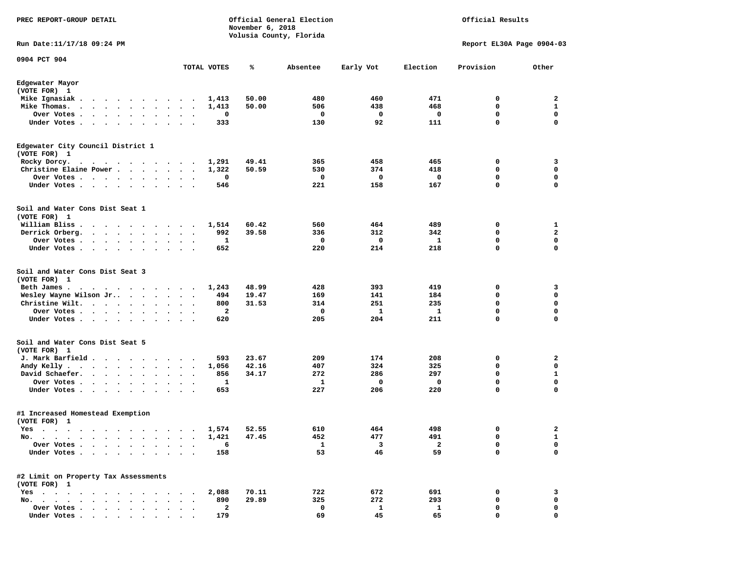| PREC REPORT-GROUP DETAIL                                                                                                                                                                                                                                                                                        |                                              |              | November 6, 2018 | Official General Election<br>Volusia County, Florida | Official Results |              |                           |                   |
|-----------------------------------------------------------------------------------------------------------------------------------------------------------------------------------------------------------------------------------------------------------------------------------------------------------------|----------------------------------------------|--------------|------------------|------------------------------------------------------|------------------|--------------|---------------------------|-------------------|
| Run Date:11/17/18 09:24 PM                                                                                                                                                                                                                                                                                      |                                              |              |                  |                                                      |                  |              | Report EL30A Page 0904-03 |                   |
| 0904 PCT 904                                                                                                                                                                                                                                                                                                    |                                              | TOTAL VOTES  | %                | Absentee                                             | Early Vot        | Election     | Provision                 | Other             |
| Edgewater Mayor                                                                                                                                                                                                                                                                                                 |                                              |              |                  |                                                      |                  |              |                           |                   |
| (VOTE FOR) 1                                                                                                                                                                                                                                                                                                    |                                              |              |                  |                                                      |                  |              |                           |                   |
| Mike Ignasiak.<br>.                                                                                                                                                                                                                                                                                             | $\sim$                                       | 1,413        | 50.00            | 480                                                  | 460              | 471          | 0                         | 2                 |
| Mike Thomas.<br>$\sim$ $\sim$<br>Over Votes.                                                                                                                                                                                                                                                                    |                                              | 1,413        | 50.00            | 506<br>0                                             | 438              | 468          | 0<br>$\mathbf 0$          | 1<br>$\mathbf 0$  |
| $\mathcal{A}=\mathcal{A}=\mathcal{A}=\mathcal{A}=\mathcal{A}=\mathcal{A}$ .<br>Under Votes<br>$\cdot$<br>$\sim$ $\sim$<br>$\ddot{\phantom{1}}$<br>$\ddot{\phantom{1}}$                                                                                                                                          | $\ddot{\phantom{a}}$<br>$\cdot$<br>$\bullet$ | 0<br>333     |                  | 130                                                  | 0<br>92          | 0<br>111     | 0                         | 0                 |
| Edgewater City Council District 1                                                                                                                                                                                                                                                                               |                                              |              |                  |                                                      |                  |              |                           |                   |
| (VOTE FOR) 1                                                                                                                                                                                                                                                                                                    |                                              |              |                  |                                                      |                  |              |                           |                   |
| Rocky Dorcy.<br>$\mathbf{a}$ , and $\mathbf{a}$ , and $\mathbf{a}$ , and $\mathbf{a}$ , and $\mathbf{a}$                                                                                                                                                                                                        |                                              | 1,291        | 49.41            | 365                                                  | 458              | 465          | 0                         | 3                 |
| Christine Elaine Power                                                                                                                                                                                                                                                                                          | $\bullet$                                    | 1,322        | 50.59            | 530                                                  | 374              | 418          | 0                         | 0                 |
| Over Votes<br>$\sim$ $\sim$                                                                                                                                                                                                                                                                                     |                                              | 0            |                  | 0                                                    | 0                | 0            | 0                         | 0                 |
| Under Votes<br>$\cdot$                                                                                                                                                                                                                                                                                          |                                              | 546          |                  | 221                                                  | 158              | 167          | 0                         | $\mathbf 0$       |
| Soil and Water Cons Dist Seat 1                                                                                                                                                                                                                                                                                 |                                              |              |                  |                                                      |                  |              |                           |                   |
| (VOTE FOR) 1                                                                                                                                                                                                                                                                                                    |                                              |              |                  |                                                      |                  |              |                           |                   |
| William Bliss.<br>$\begin{array}{cccccccccccccccccc} \bullet & \bullet & \bullet & \bullet & \bullet & \bullet & \bullet & \bullet & \bullet & \bullet & \bullet & \bullet & \bullet \end{array}$<br>Derrick Orberg.<br>$\mathbf{r}$ , $\mathbf{r}$ , $\mathbf{r}$ , $\mathbf{r}$ , $\mathbf{r}$ , $\mathbf{r}$ | $\ddot{\phantom{a}}$                         | 1,514<br>992 | 60.42<br>39.58   | 560<br>336                                           | 464<br>312       | 489<br>342   | 0<br>0                    | 1<br>$\mathbf{2}$ |
| Over Votes .<br>$\cdots$<br>$\sim$                                                                                                                                                                                                                                                                              | $\cdot$<br>$\cdot$                           | 1            |                  | 0                                                    | 0                | 1            | $\mathbf 0$               | 0                 |
| Under Votes<br>$\bullet$ .                                                                                                                                                                                                                                                                                      | $\bullet$ .<br>$\ddot{\phantom{1}}$          | 652          |                  | 220                                                  | 214              | 218          | $\mathbf 0$               | 0                 |
| Soil and Water Cons Dist Seat 3<br>(VOTE FOR) 1                                                                                                                                                                                                                                                                 |                                              |              |                  |                                                      |                  |              |                           |                   |
| Beth James.<br>$\sim$ $\sim$<br>$\sim$ $\sim$<br>.                                                                                                                                                                                                                                                              |                                              | 1,243        | 48.99            | 428                                                  | 393              | 419          | 0                         | 3                 |
| Wesley Wayne Wilson Jr                                                                                                                                                                                                                                                                                          | $\ddot{\phantom{1}}$                         | 494          | 19.47            | 169                                                  | 141              | 184          | 0                         | $\mathbf 0$       |
| Christine Wilt.                                                                                                                                                                                                                                                                                                 | $\bullet$                                    | 800          | 31.53            | 314                                                  | 251              | 235          | 0                         | $\mathbf 0$       |
| Over Votes<br>$\cdot$                                                                                                                                                                                                                                                                                           |                                              | 2            |                  | 0                                                    | 1                | 1            | 0                         | 0                 |
| Under Votes<br>$\ddot{\phantom{0}}$<br>$\bullet$                                                                                                                                                                                                                                                                |                                              | 620          |                  | 205                                                  | 204              | 211          | 0                         | $\mathbf 0$       |
| Soil and Water Cons Dist Seat 5<br>(VOTE FOR) 1                                                                                                                                                                                                                                                                 |                                              |              |                  |                                                      |                  |              |                           |                   |
| J. Mark Barfield                                                                                                                                                                                                                                                                                                |                                              | 593          | 23.67            | 209                                                  | 174              | 208          | 0                         | 2                 |
| Andy Kelly.<br>$\cdot$ $\cdot$ $\cdot$ $\cdot$ $\cdot$ $\cdot$ $\cdot$ $\cdot$                                                                                                                                                                                                                                  | $\cdot$<br>$\overline{\phantom{a}}$          | 1,056        | 42.16            | 407                                                  | 324              | 325          | 0                         | 0                 |
| David Schaefer.<br>$\cdots$                                                                                                                                                                                                                                                                                     |                                              | 856          | 34.17            | 272                                                  | 286              | 297          | 0                         | $\mathbf{1}$      |
| Over Votes .<br>$\sim$<br>$\ddot{\phantom{0}}$<br>$\blacksquare$ .<br>$\overline{\phantom{a}}$                                                                                                                                                                                                                  |                                              | 1            |                  | 1                                                    | 0                | 0            | 0                         | 0                 |
| Under Votes<br>$\bullet$<br>$\bullet$                                                                                                                                                                                                                                                                           |                                              | 653          |                  | 227                                                  | 206              | 220          | 0                         | 0                 |
| #1 Increased Homestead Exemption<br>(VOTE FOR) 1                                                                                                                                                                                                                                                                |                                              |              |                  |                                                      |                  |              |                           |                   |
| Yes                                                                                                                                                                                                                                                                                                             |                                              | 1,574        | 52.55            | 610                                                  | 464              | 498          | 0                         | 2                 |
| No. .<br>$\bullet$<br>$\bullet$                                                                                                                                                                                                                                                                                 |                                              | 1,421        | 47.45            | 452                                                  | 477              | 491          | 0                         | 1                 |
| Over Votes<br>$\ddot{\phantom{a}}$                                                                                                                                                                                                                                                                              |                                              | 6            |                  | $\mathbf{1}$                                         | 3                | $\mathbf{2}$ | 0                         | 0                 |
| Under Votes.<br>$\bullet$<br>$\ddot{\phantom{0}}$                                                                                                                                                                                                                                                               |                                              | 158          |                  | 53                                                   | 46               | 59           | 0                         | 0                 |
| #2 Limit on Property Tax Assessments<br>(VOTE FOR) 1                                                                                                                                                                                                                                                            |                                              |              |                  |                                                      |                  |              |                           |                   |
| $Yes \cdot \cdot \cdot$<br>$\ddot{\phantom{1}}$                                                                                                                                                                                                                                                                 |                                              | 2,088        | 70.11            | 722                                                  | 672              | 691          | 0                         | 3                 |
| No.                                                                                                                                                                                                                                                                                                             |                                              | 890          | 29.89            | 325                                                  | 272              | 293          | 0                         | 0                 |
| Over Votes<br>$\cdot$                                                                                                                                                                                                                                                                                           |                                              | 2            |                  | 0                                                    | 1                | $\mathbf{1}$ | 0                         | 0                 |
| Under Votes                                                                                                                                                                                                                                                                                                     |                                              | 179          |                  | 69                                                   | 45               | 65           | U                         | O                 |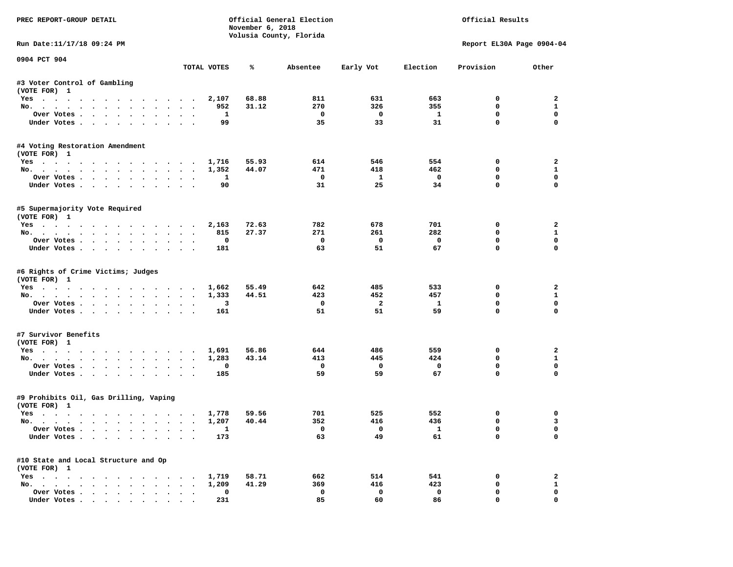| PREC REPORT-GROUP DETAIL                                                         |                                   |                     | November 6, 2018 | Official General Election<br>Volusia County, Florida |                                |                          | Official Results            |                            |
|----------------------------------------------------------------------------------|-----------------------------------|---------------------|------------------|------------------------------------------------------|--------------------------------|--------------------------|-----------------------------|----------------------------|
| Run Date:11/17/18 09:24 PM                                                       |                                   |                     |                  |                                                      |                                |                          | Report EL30A Page 0904-04   |                            |
| 0904 PCT 904                                                                     |                                   | TOTAL VOTES         | ℁                | Absentee                                             | Early Vot                      | Election                 | Provision                   | Other                      |
| #3 Voter Control of Gambling                                                     |                                   |                     |                  |                                                      |                                |                          |                             |                            |
| (VOTE FOR) 1                                                                     |                                   |                     |                  |                                                      |                                |                          |                             |                            |
| Yes                                                                              |                                   | 2,107               | 68.88            | 811                                                  | 631                            | 663                      | $^{\circ}$                  | $\overline{a}$             |
| No.                                                                              |                                   | 952                 | 31.12            | 270                                                  | 326                            | 355                      | 0                           | $\mathbf{1}$               |
| Over Votes                                                                       |                                   | $\mathbf{1}$        |                  | $\overline{\phantom{0}}$                             | $\overline{\mathbf{0}}$        | $\mathbf{1}$             | 0                           | $\mathbf 0$                |
| Under Votes                                                                      |                                   | 99                  |                  | 35                                                   | 33                             | 31                       | $\mathbf 0$                 | $\mathbf 0$                |
| #4 Voting Restoration Amendment<br>(VOTE FOR) 1                                  |                                   |                     |                  |                                                      |                                |                          |                             |                            |
| Yes 1,716                                                                        |                                   |                     | 55.93            | 614                                                  | 546                            | 554                      | 0                           | $\overline{a}$             |
| No.                                                                              |                                   | 1,352               | 44.07            | 471                                                  | 418                            | 462                      | $\mathbf 0$                 | $\mathbf{1}$               |
| Over Votes                                                                       |                                   | <b>1</b>            |                  | $\overline{\mathbf{0}}$                              | $\mathbf{1}$                   | $\overline{\phantom{0}}$ | 0                           | $\mathbf 0$                |
| Under Votes                                                                      |                                   | 90                  |                  | 31                                                   | 25                             | 34                       | $\mathbf 0$                 | $\mathbf 0$                |
| #5 Supermajority Vote Required<br>(VOTE FOR) 1                                   |                                   |                     |                  |                                                      |                                |                          |                             |                            |
| Yes                                                                              |                                   | 2,163               | 72.63            | 782                                                  | 678                            | 701                      | 0                           | $\overline{a}$             |
| No.                                                                              |                                   | 815                 | 27.37            | 271                                                  | 261                            | 282                      | $\mathbf 0$                 | $\mathbf{1}$               |
| Over Votes                                                                       |                                   | 0                   |                  | $\mathbf 0$                                          | $\overline{\mathbf{0}}$        | $\overline{\mathbf{0}}$  | $\mathbf 0$                 | $\mathbf 0$                |
| Under Votes                                                                      |                                   | 181                 |                  | 63                                                   | 51                             | 67                       | $\mathbf 0$                 | $\Omega$                   |
| #6 Rights of Crime Victims; Judges<br>(VOTE FOR) 1<br>Yes 1,662                  |                                   |                     | 55.49            | 642                                                  | 485                            | 533                      | 0                           | $\overline{a}$             |
| No.                                                                              |                                   | 1,333               | 44.51            | 423                                                  | 452                            | 457                      | 0                           | $\mathbf{1}$               |
| Over Votes.                                                                      |                                   | 3                   |                  | $\mathbf{o}$                                         | $\overline{\mathbf{2}}$        | $\mathbf{1}$             | 0                           | $\mathbf{0}$               |
| Under Votes                                                                      |                                   | 161                 |                  | 51                                                   | 51                             | 59                       | $\mathbf 0$                 | $\mathbf 0$                |
| #7 Survivor Benefits<br>(VOTE FOR) 1                                             |                                   |                     |                  |                                                      |                                |                          |                             |                            |
| Yes                                                                              |                                   | 1,691               | 56.86            | 644                                                  | 486                            | 559                      | 0                           | 2                          |
| No.                                                                              |                                   | 1,283               | 43.14            | 413                                                  | 445                            | 424                      | 0                           | $\mathbf{1}$               |
| Over Votes                                                                       |                                   | 0                   |                  | $\mathbf 0$                                          | $\overline{\mathbf{0}}$        | $\mathbf 0$              | 0                           | $\mathbf 0$                |
| Under Votes                                                                      |                                   | 185                 |                  | 59                                                   | 59                             | 67                       | $\Omega$                    | $\Omega$                   |
| #9 Prohibits Oil, Gas Drilling, Vaping<br>(VOTE FOR) 1                           |                                   |                     |                  |                                                      |                                |                          |                             |                            |
| Yes                                                                              |                                   | 1,778               | 59.56            | 701                                                  | 525                            | 552                      | 0                           | 0                          |
| No.                                                                              |                                   | 1,207               | 40.44            | 352                                                  | 416                            | 436                      | 0                           | $\overline{3}$             |
| Over Votes.<br>Under Votes                                                       |                                   | $\mathbf{1}$<br>173 |                  | $\overline{\phantom{0}}$<br>63                       | $\overline{\phantom{0}}$<br>49 | $\mathbf{1}$<br>61       | $\mathbf 0$<br>$\mathbf{0}$ | $\mathbf 0$<br>$\mathbf 0$ |
| #10 State and Local Structure and Op<br>(VOTE FOR) 1                             |                                   |                     |                  |                                                      |                                |                          |                             |                            |
| Yes 1,719                                                                        |                                   |                     | 58.71            | 662                                                  | 514                            | 541                      | 0                           | $\mathbf{2}$               |
| No.                                                                              |                                   | 1,209               | 41.29            | 369                                                  | 416                            | 423                      | 0                           | $\mathbf{1}$               |
| Over Votes                                                                       | $\ddot{\phantom{a}}$<br>$\bullet$ | 0                   |                  | $\mathbf 0$                                          | $\mathbf 0$                    | $\mathbf 0$              | $\mathbf 0$                 | $\mathbf{0}$               |
| Under Votes, $\cdot$ , $\cdot$ , $\cdot$ , $\cdot$ , $\cdot$ , $\cdot$ , $\cdot$ |                                   | 231                 |                  | 85                                                   | 60                             | 86                       | $\Omega$                    | $\Omega$                   |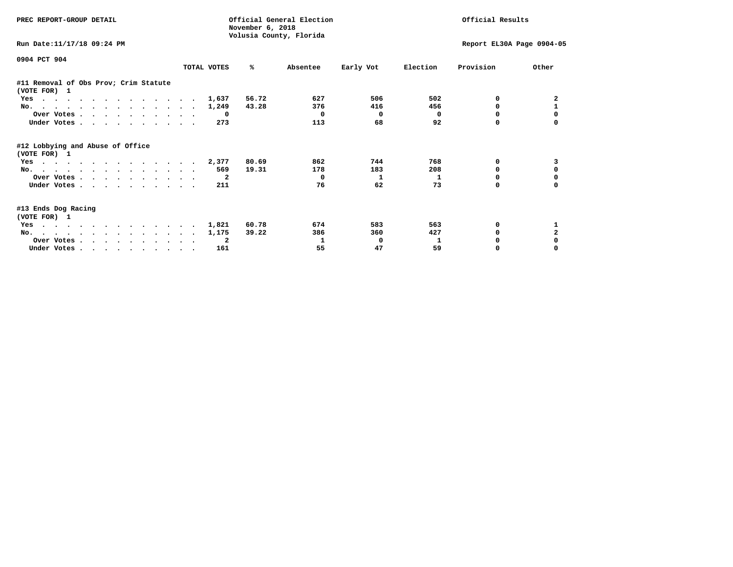| PREC REPORT-GROUP DETAIL                              |             |       | November 6, 2018 | Official General Election<br>Volusia County, Florida |                           | Official Results |           |              |
|-------------------------------------------------------|-------------|-------|------------------|------------------------------------------------------|---------------------------|------------------|-----------|--------------|
| Run Date: 11/17/18 09:24 PM                           |             |       |                  |                                                      | Report EL30A Page 0904-05 |                  |           |              |
| 0904 PCT 904                                          | TOTAL VOTES |       | %ะ               | Absentee                                             | Early Vot                 | Election         | Provision | Other        |
| #11 Removal of Obs Prov; Crim Statute<br>(VOTE FOR) 1 |             |       |                  |                                                      |                           |                  |           |              |
| Yes                                                   |             | 1,637 | 56.72            | 627                                                  | 506                       | 502              | 0         | 2            |
| No.                                                   |             | 1,249 | 43.28            | 376                                                  | 416                       | 456              | 0         |              |
| Over Votes                                            |             | 0     |                  | $\mathbf{o}$                                         | 0                         | $^{\circ}$       | $\Omega$  |              |
| Under Votes.                                          |             | 273   |                  | 113                                                  | 68                        | 92               | 0         |              |
| #12 Lobbying and Abuse of Office<br>(VOTE FOR) 1      |             |       |                  |                                                      |                           |                  |           |              |
| Yes                                                   |             | 2,377 | 80.69            | 862                                                  | 744                       | 768              | 0         |              |
| No.                                                   |             | 569   | 19.31            | 178                                                  | 183                       | 208              | $\Omega$  | $\Omega$     |
| Over Votes                                            |             | - 2   |                  | 0                                                    | 1                         | 1                | 0         |              |
| Under Votes                                           |             | 211   |                  | 76                                                   | 62                        | 73               | 0         |              |
| #13 Ends Dog Racing<br>(VOTE FOR) 1                   |             |       |                  |                                                      |                           |                  |           |              |
| Yes                                                   |             | 1,821 | 60.78            | 674                                                  | 583                       | 563              | 0         |              |
| No.                                                   |             | 1,175 | 39.22            | 386                                                  | 360                       | 427              | 0         | $\mathbf{2}$ |
| Over Votes                                            |             | -2    |                  | 1                                                    | 0                         | 1                |           |              |
| Under Votes                                           |             | 161   |                  | 55                                                   | 47                        | 59               | 0         |              |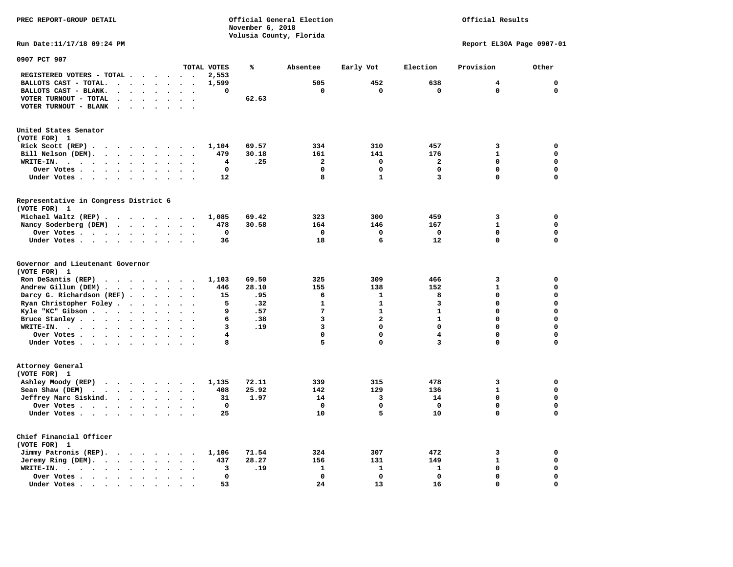**November 6, 2018 Volusia County, Florida Run Date:11/17/18 09:24 PM Report EL30A Page 0907-01 0907 PCT 907 TOTAL VOTES % Absentee Early Vot Election Provision Other REGISTERED VOTERS - TOTAL . . . . . . 2,553 BALLOTS CAST - TOTAL. . . . . . . . 1,599 505 452 638 4 0 BALLOTS CAST - BLANK. . . . . . . . 0 0 0 0 0 0 VOTER TURNOUT - TOTAL . . . . . . . 62.63 VOTER TURNOUT - BLANK . . . . . . . United States Senator (VOTE FOR) 1 Rick Scott (REP) . . . . . . . . . 1,104 69.57 334 310 457 3 0 Bill Nelson (DEM). . . . . . . . . 479 30.18 161 141 176 1 0 WRITE-IN. . . . . . . . . . . . 4 .25 2 0 2 0 0 Over Votes . . . . . . . . . . 0 0 0 0 0 0 Under Votes . . . . . . . . . . 12** 8 1 3 0 0 **Representative in Congress District 6 (VOTE FOR) 1 Michael Waltz (REP) . . . . . . . . 1,085 69.42 323 300 459 3 0 Nancy Soderberg (DEM) . . . . . . . 478 30.58 164 146 167 1 0 Over Votes . . . . . . . . . . 0 0 0 0 0 0**  $\Omega$  **Under Votes . . . . . . . . . . 36 18 18 6 12 0 Governor and Lieutenant Governor (VOTE FOR) 1 Ron DeSantis (REP) . . . . . . . . 1,103 69.50 325 309 466 3 0 Andrew Gillum (DEM) . . . . . . . . 446 28.10 155 138 152 1 0 Darcy G. Richardson (REF) . . . . . . 15 .95 6 1 8 0 0 Ryan Christopher Foley . . . . . . . 5 .32 1 1 3 0 0 Kyle "KC" Gibson . . . . . . . . . . 9 .57 Bruce Stanley . . . . . . . . . . 6 .38** 3 2 1 0 0  **WRITE-IN. . . . . . . . . . . . 3 .19 3 0 0 0 0**  $\mathbf{0}$ **Over Votes . . . . . . . . . . 4** 0 0 0 4 0 0  $\mathbf{0}$ **Under Votes . . . . . . . . . . 8** 5 0 3 0 **Attorney General (VOTE FOR) 1 Ashley Moody (REP) . . . . . . . . 1,135 72.11 339 315 478 3 0 Sean Shaw (DEM)** . . . . . . . . 408 25.92 142 129 136 1 0  **Jeffrey Marc Siskind. . . . . . . . 31 1.97 14 3 14 0 0 Over Votes . . . . . . . . . . 0 0 0 0 0 0**  $\mathbf 0$  **Under Votes . . . . . . . . . . 25 10 5 10 0 0 Chief Financial Officer (VOTE FOR) 1 Jimmy Patronis (REP). . . . . . . . 1,106 71.54 324 307 472 3 0 Jeremy Ring (DEM). . . . . . . . 437 28.27 156 131 149 1** 149 1  **WRITE-IN. . . . . . . . . . . . 3 .19 1 1 1 0 0 Over Votes . . . . . . . . . . 0 0 0 0 0 0**  $\mathbf{o}$  **Under Votes . . . . . . . . . . 53** 24 13 16 0

**PREC REPORT-GROUP DETAIL Official General Election Official Results**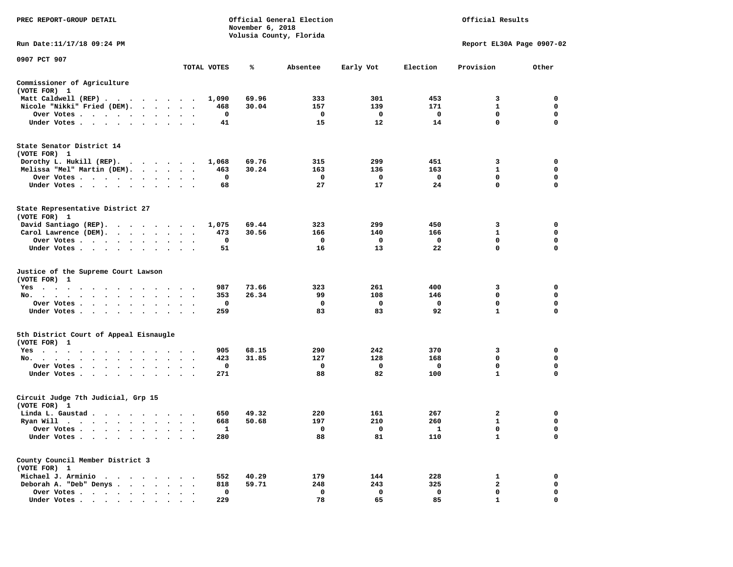| PREC REPORT-GROUP DETAIL                                                                                                                    |                                                             |             | November 6, 2018 | Official General Election<br>Volusia County, Florida |                         |              | Official Results          |             |
|---------------------------------------------------------------------------------------------------------------------------------------------|-------------------------------------------------------------|-------------|------------------|------------------------------------------------------|-------------------------|--------------|---------------------------|-------------|
| Run Date:11/17/18 09:24 PM                                                                                                                  |                                                             |             |                  |                                                      |                         |              | Report EL30A Page 0907-02 |             |
| 0907 PCT 907                                                                                                                                |                                                             | TOTAL VOTES | ℁                | Absentee                                             | Early Vot               | Election     | Provision                 | Other       |
| Commissioner of Agriculture                                                                                                                 |                                                             |             |                  |                                                      |                         |              |                           |             |
| (VOTE FOR) 1                                                                                                                                |                                                             |             |                  |                                                      |                         |              |                           |             |
| Matt Caldwell (REP)                                                                                                                         |                                                             | 1,090       | 69.96            | 333                                                  | 301                     | 453          | 3                         | 0           |
| Nicole "Nikki" Fried (DEM).                                                                                                                 |                                                             | 468         | 30.04            | 157                                                  | 139                     | 171          | $\mathbf{1}$              | 0           |
| Over Votes<br>$\ddot{\phantom{1}}$                                                                                                          |                                                             | 0           |                  | $\mathbf{o}$                                         | $\overline{\mathbf{0}}$ | $\mathbf 0$  | $\mathbf 0$               | $\mathbf 0$ |
| Under Votes                                                                                                                                 |                                                             | 41          |                  | 15                                                   | 12                      | 14           | $\mathbf 0$               | $\mathbf 0$ |
| State Senator District 14                                                                                                                   |                                                             |             |                  |                                                      |                         |              |                           |             |
| (VOTE FOR) 1                                                                                                                                |                                                             |             |                  |                                                      |                         |              |                           |             |
| Dorothy L. Hukill (REP).                                                                                                                    |                                                             | 1,068       | 69.76            | 315                                                  | 299                     | 451          | 3                         | 0           |
| Melissa "Mel" Martin (DEM).                                                                                                                 |                                                             | 463         | 30.24            | 163                                                  | 136                     | 163          | $\mathbf{1}$              | $\mathbf 0$ |
| Over Votes                                                                                                                                  |                                                             | 0           |                  | $^{\circ}$                                           | 0                       | $\mathbf 0$  | $\mathbf{0}$              | $\mathbf 0$ |
| Under Votes<br>$\ddot{\phantom{0}}$                                                                                                         |                                                             | 68          |                  | 27                                                   | 17                      | 24           | 0                         | 0           |
| State Representative District 27<br>(VOTE FOR) 1                                                                                            |                                                             |             |                  |                                                      |                         |              |                           |             |
| David Santiago (REP).                                                                                                                       |                                                             | 1,075       | 69.44            | 323                                                  | 299                     | 450          | 3                         | 0           |
| Carol Lawrence (DEM).                                                                                                                       |                                                             | 473         | 30.56            | 166                                                  | 140                     | 166          | 1                         | $\mathbf 0$ |
| Over Votes                                                                                                                                  | $\bullet$<br>$\cdot$<br>$\cdot$                             | $\mathbf 0$ |                  | $\mathbf 0$                                          | $\mathbf 0$             | $\mathbf{o}$ | $\mathbf 0$               | $\mathbf 0$ |
| Under Votes                                                                                                                                 |                                                             | 51          |                  | 16                                                   | 13                      | 22           | 0                         | $\mathbf 0$ |
| Justice of the Supreme Court Lawson<br>(VOTE FOR) 1                                                                                         |                                                             |             |                  |                                                      |                         |              |                           |             |
| $Yes \t . \t .$<br>$\cdot$ $\cdot$<br>$\mathcal{A}=\mathcal{A}=\mathcal{A}=\mathcal{A}=\mathcal{A}$ .<br>$\ddot{\phantom{1}}$               |                                                             | 987         | 73.66            | 323                                                  | 261                     | 400          | 3                         | $\mathbf 0$ |
| No.<br>$\mathcal{A}=\mathcal{A}=\mathcal{A}=\mathcal{A}=\mathcal{A}=\mathcal{A}=\mathcal{A}=\mathcal{A}$<br>$\cdot$ $\cdot$ $\cdot$ $\cdot$ |                                                             | 353         | 26.34            | 99                                                   | 108                     | 146          | $\mathbf 0$               | $\mathbf 0$ |
| Over Votes                                                                                                                                  | $\cdot$<br>$\overline{\phantom{a}}$<br>$\ddot{\phantom{a}}$ | 0           |                  | 0                                                    | 0                       | $\mathbf{o}$ | 0<br>$\mathbf{1}$         | 0           |
| Under Votes<br>$\cdot$                                                                                                                      | $\cdot$ $\cdot$ $\cdot$                                     | 259         |                  | 83                                                   | 83                      | 92           |                           | 0           |
| 5th District Court of Appeal Eisnaugle<br>(VOTE FOR) 1                                                                                      |                                                             |             |                  |                                                      |                         |              |                           |             |
| Yes                                                                                                                                         |                                                             | 905         | 68.15            | 290                                                  | 242                     | 370          | 3                         | 0           |
| No.                                                                                                                                         |                                                             | 423         | 31.85            | 127                                                  | 128                     | 168          | $\mathbf 0$               | $\mathbf 0$ |
| Over Votes<br>$\ddot{\phantom{1}}$                                                                                                          |                                                             | 0           |                  | 0                                                    | 0                       | $\mathbf 0$  | $\mathbf 0$               | $\mathbf 0$ |
| Under Votes                                                                                                                                 |                                                             | 271         |                  | 88                                                   | 82                      | 100          | $\mathbf{1}$              | $\Omega$    |
| Circuit Judge 7th Judicial, Grp 15<br>(VOTE FOR) 1                                                                                          |                                                             |             |                  |                                                      |                         |              |                           |             |
| Linda L. Gaustad                                                                                                                            |                                                             | 650         | 49.32            | 220                                                  | 161                     | 267          | 2                         | $\mathbf 0$ |
| Ryan Will $\cdots$                                                                                                                          |                                                             | 668         | 50.68            | 197                                                  | 210                     | 260          | 1                         | 0           |
| Over Votes                                                                                                                                  | $\cdot$ .                                                   | 1           |                  | $\mathbf 0$                                          | 0                       | 1            | $\mathbf 0$               | $\mathbf 0$ |
| Under Votes<br>$\ddot{\phantom{1}}$<br>$\cdot$<br>$\cdot$                                                                                   |                                                             | 280         |                  | 88                                                   | 81                      | 110          | $\mathbf{1}$              | $\mathbf 0$ |
| County Council Member District 3<br>(VOTE FOR) 1                                                                                            |                                                             |             |                  |                                                      |                         |              |                           |             |
| Michael J. Arminio                                                                                                                          |                                                             | 552         | 40.29            | 179                                                  | 144                     | 228          | 1                         | $\mathbf 0$ |
| Deborah A. "Deb" Denys                                                                                                                      |                                                             | 818         | 59.71            | 248                                                  | 243                     | 325          | $\mathbf{2}$              | 0           |
| Over Votes<br>$\bullet$                                                                                                                     | $\cdot$<br>$\cdot$                                          | 0           |                  | $\mathbf 0$                                          | 0                       | $\mathbf 0$  | $\mathbf 0$               | $\mathbf 0$ |
| Under Votes                                                                                                                                 |                                                             | 229         |                  | 78                                                   | 65                      | 85           | 1                         | $\Omega$    |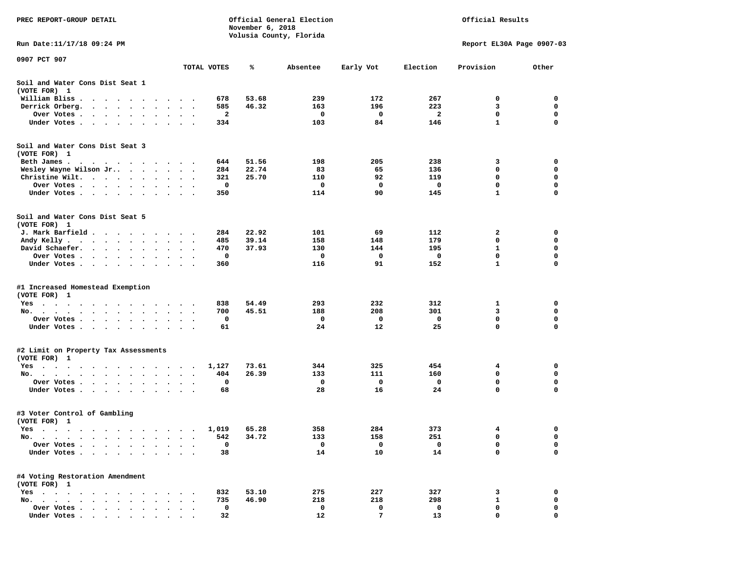| PREC REPORT-GROUP DETAIL                                                                                                                           |                                   | November 6, 2018 | Official General Election<br>Volusia County, Florida | Official Results |                |              |                           |             |
|----------------------------------------------------------------------------------------------------------------------------------------------------|-----------------------------------|------------------|------------------------------------------------------|------------------|----------------|--------------|---------------------------|-------------|
| Run Date:11/17/18 09:24 PM                                                                                                                         |                                   |                  |                                                      |                  |                |              | Report EL30A Page 0907-03 |             |
| 0907 PCT 907                                                                                                                                       |                                   | TOTAL VOTES      | ℁                                                    | Absentee         | Early Vot      | Election     | Provision                 | Other       |
| Soil and Water Cons Dist Seat 1<br>(VOTE FOR) 1                                                                                                    |                                   |                  |                                                      |                  |                |              |                           |             |
| William Bliss.<br>$\bullet$<br>$\sim$<br>$\sim$ $\sim$ $\sim$ $\sim$ $\sim$<br>$\sim$                                                              |                                   | 678              | 53.68                                                | 239              | 172            | 267          | 0                         | 0           |
| Derrick Orberg.<br>$\sim$ $\sim$ $\sim$<br>$\cdot$<br>$\ddot{\phantom{0}}$                                                                         |                                   | 585              | 46.32                                                | 163              | 196            | 223          | 3                         | 0           |
| Over Votes .<br>$\mathcal{A}=\mathcal{A}=\mathcal{A}=\mathcal{A}=\mathcal{A}=\mathcal{A}$ .<br>$\bullet$                                           | $\bullet$<br>$\bullet$            | 2                |                                                      | 0                | 0              | $\mathbf{2}$ | $\mathbf 0$               | 0           |
| Under Votes<br>$\sim$ $\sim$<br>$\ddot{\phantom{1}}$                                                                                               |                                   | 334              |                                                      | 103              | 84             | 146          | $\mathbf{1}$              | 0           |
| Soil and Water Cons Dist Seat 3<br>(VOTE FOR) 1                                                                                                    |                                   |                  |                                                      |                  |                |              |                           |             |
| Beth James.                                                                                                                                        | $\sim$ $\sim$                     | 644              | 51.56                                                | 198              | 205            | 238          | 3                         | 0           |
| Wesley Wayne Wilson Jr                                                                                                                             | $\bullet$<br>$\cdot$              | 284              | 22.74                                                | 83               | 65             | 136          | 0                         | 0           |
| Christine Wilt.<br>$\ddot{\phantom{0}}$<br>$\ddot{\phantom{1}}$                                                                                    |                                   | 321              | 25.70                                                | 110              | 92             | 119          | 0<br>$\mathbf 0$          | 0<br>0      |
| Over Votes<br>$\cdot$                                                                                                                              |                                   | 0                |                                                      | 0                | 0<br>90        | 0            |                           | 0           |
| Under Votes<br>$\cdot$                                                                                                                             |                                   | 350              |                                                      | 114              |                | 145          | 1                         |             |
| Soil and Water Cons Dist Seat 5<br>(VOTE FOR) 1                                                                                                    |                                   |                  |                                                      |                  |                |              |                           |             |
| J. Mark Barfield                                                                                                                                   |                                   | 284              | 22.92                                                | 101              | 69             | 112          | 2                         | 0           |
| Andy Kelly                                                                                                                                         |                                   | 485              | 39.14                                                | 158              | 148            | 179          | 0                         | 0           |
| David Schaefer.<br>$\mathcal{A}=\mathcal{A}=\mathcal{A}=\mathcal{A}=\mathcal{A}$ .<br>$\bullet$                                                    |                                   | 470              | 37.93                                                | 130              | 144            | 195          | 1                         | 0           |
| Over Votes.<br>$\sim$ $\sim$<br>$\cdots$                                                                                                           |                                   | 0                |                                                      | 0                | 0              | 0            | 0                         | 0           |
| Under Votes<br>$\ddot{\phantom{0}}$<br>$\bullet$                                                                                                   | $\bullet$<br>$\ddot{\phantom{1}}$ | 360              |                                                      | 116              | 91             | 152          | 1                         | 0           |
| #1 Increased Homestead Exemption<br>(VOTE FOR) 1                                                                                                   |                                   |                  |                                                      |                  |                |              |                           |             |
| Yes                                                                                                                                                |                                   | 838              | 54.49                                                | 293              | 232            | 312          | 1                         | 0           |
| No.<br>$\ddot{\phantom{1}}$<br>$\ddot{\phantom{a}}$<br>$\ddot{\phantom{1}}$                                                                        |                                   | 700              | 45.51                                                | 188              | 208            | 301          | 3                         | 0           |
| Over Votes .<br>$\sim$ $\sim$<br>$\sim$ $\sim$<br>$\blacksquare$<br>$\bullet$                                                                      |                                   | 0                |                                                      | 0                | 0              | 0            | $\mathbf 0$               | 0           |
| Under Votes<br>$\sim$                                                                                                                              | $\cdot$ $\cdot$ $\cdot$           | 61               |                                                      | 24               | 12             | 25           | 0                         | $\mathbf 0$ |
| #2 Limit on Property Tax Assessments<br>(VOTE FOR) 1                                                                                               |                                   |                  |                                                      |                  |                |              |                           |             |
| $Yes \cdot \cdot \cdot$<br>$\bullet$<br>$\mathcal{A}$ . The second contribution of the second contribution $\mathcal{A}$<br>$\bullet$<br>$\bullet$ | $\blacksquare$ .                  | 1,127            | 73.61                                                | 344              | 325            | 454          | 4                         | 0           |
| No.<br>$\sim$                                                                                                                                      |                                   | 404              | 26.39                                                | 133              | 111            | 160          | 0                         | 0           |
| Over Votes .<br>$\sim$ $\sim$<br>$\bullet$ .<br><br><br><br><br><br><br>$\ddot{\phantom{0}}$<br>$\cdot$                                            |                                   | 0                |                                                      | 0                | 0              | 0            | 0                         | 0           |
| Under Votes<br>$\bullet$<br>$\bullet$                                                                                                              |                                   | 68               |                                                      | 28               | 16             | 24           | 0                         | 0           |
| #3 Voter Control of Gambling<br>(VOTE FOR) 1                                                                                                       |                                   |                  |                                                      |                  |                |              |                           |             |
| Yes<br>$\sim$ $\sim$ $\sim$<br>$\cdots$<br>$\sim$ $\sim$                                                                                           |                                   | 1,019            | 65.28                                                | 358              | 284            | 373          | 4                         | 0           |
| No.<br>$\bullet$                                                                                                                                   |                                   | 542              | 34.72                                                | 133              | 158            | 251          | 0                         | 0           |
| Over Votes .<br>$\ddot{\phantom{a}}$<br>$\ddot{\phantom{a}}$<br>$\ddot{\phantom{0}}$<br>$\ddot{\phantom{a}}$                                       |                                   | 0                |                                                      | 0                | 0              | 0            | 0                         | 0           |
| Under Votes.<br>$\cdot$ $\cdot$ $\cdot$ $\cdot$ $\cdot$<br>$\bullet$                                                                               |                                   | 38               |                                                      | 14               | 10             | 14           | $\Omega$                  | 0           |
| #4 Voting Restoration Amendment<br>(VOTE FOR) 1                                                                                                    |                                   |                  |                                                      |                  |                |              |                           |             |
| $Yes \cdot \cdot \cdot$<br>$\cdot$                                                                                                                 |                                   | 832              | 53.10                                                | 275              | 227            | 327          | 3                         | 0           |
| No.<br>$\cdot$ $\cdot$ $\cdot$ $\cdot$ $\cdot$<br>$\ddot{\phantom{0}}$<br>$\ddot{\phantom{a}}$<br>$\ddot{\phantom{a}}$                             |                                   | 735              | 46.90                                                | 218              | 218            | 298          | $\mathbf{1}$              | 0           |
| Over Votes<br>$\ddot{\phantom{a}}$                                                                                                                 |                                   | 0                |                                                      | 0                | 0              | 0            | 0                         | 0           |
| Under Votes                                                                                                                                        |                                   | 32               |                                                      | 12               | $7\phantom{.}$ | 13           | $\mathbf 0$               | $\mathbf 0$ |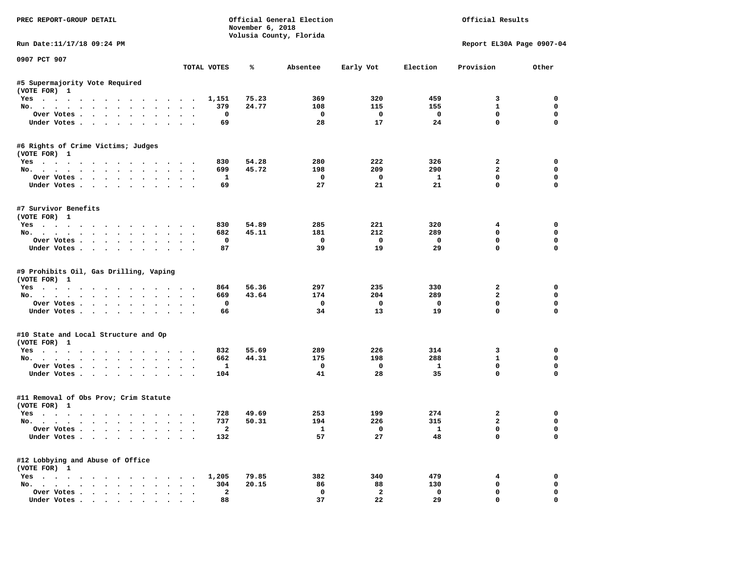| PREC REPORT-GROUP DETAIL                                                           |                                      | November 6, 2018 | Official General Election<br>Volusia County, Florida |                           |                           | Official Results                                       |                                 |
|------------------------------------------------------------------------------------|--------------------------------------|------------------|------------------------------------------------------|---------------------------|---------------------------|--------------------------------------------------------|---------------------------------|
| Run Date: 11/17/18 09:24 PM                                                        |                                      |                  |                                                      |                           |                           |                                                        | Report EL30A Page 0907-04       |
| 0907 PCT 907                                                                       | TOTAL VOTES                          | ℁                | Absentee                                             | Early Vot                 | Election                  | Provision                                              | Other                           |
|                                                                                    |                                      |                  |                                                      |                           |                           |                                                        |                                 |
| #5 Supermajority Vote Required<br>(VOTE FOR) 1                                     |                                      |                  |                                                      |                           |                           |                                                        |                                 |
| Yes                                                                                | 1,151                                | 75.23            | 369                                                  | 320                       | 459                       | 3                                                      | $\Omega$                        |
| No.                                                                                | 379                                  | 24.77            | 108                                                  | 115                       | 155                       | $\mathbf{1}$                                           | $\mathbf 0$                     |
| Over Votes                                                                         | $\mathbf{o}$                         |                  | $\mathbf{o}$                                         | $\mathbf{o}$              | $\mathbf 0$               | $\mathbf 0$                                            | $\mathbf 0$                     |
| Under Votes                                                                        | 69                                   |                  | 28                                                   | 17                        | 24                        | $\mathbf 0$                                            | $\mathbf{0}$                    |
| #6 Rights of Crime Victims; Judges                                                 |                                      |                  |                                                      |                           |                           |                                                        |                                 |
| (VOTE FOR) 1                                                                       |                                      |                  |                                                      |                           |                           |                                                        |                                 |
| Yes                                                                                | 830                                  | 54.28            | 280                                                  | 222                       | 326                       | $\overline{2}$                                         | $\mathbf 0$                     |
| No.                                                                                | 699                                  | 45.72            | 198                                                  | 209                       | 290                       | $\overline{a}$                                         | 0                               |
| Over Votes.                                                                        | $\mathbf{1}$                         |                  | 0                                                    | $\mathbf{o}$              | $\mathbf{1}$              | $\mathbf 0$                                            | $\mathbf 0$                     |
| Under Votes                                                                        | 69                                   |                  | 27                                                   | 21                        | 21                        | $\mathbf 0$                                            | $\mathbf 0$                     |
| #7 Survivor Benefits                                                               |                                      |                  |                                                      |                           |                           |                                                        |                                 |
| (VOTE FOR) 1                                                                       |                                      |                  |                                                      |                           |                           |                                                        |                                 |
| Yes                                                                                | 830                                  | 54.89            | 285                                                  | 221                       | 320                       | 4                                                      | $\mathbf 0$                     |
| No.                                                                                | 682                                  | 45.11            | 181                                                  | 212                       | 289                       | $\mathbf 0$                                            | $\mathbf 0$                     |
| Over Votes                                                                         | $\mathbf 0$                          |                  | $\mathbf 0$                                          | $\mathbf 0$               | $\mathbf 0$               | $\mathbf 0$                                            | $\mathbf 0$                     |
| Under Votes                                                                        | 87                                   |                  | 39                                                   | 19                        | 29                        | $\Omega$                                               | $\Omega$                        |
| #9 Prohibits Oil, Gas Drilling, Vaping<br>(VOTE FOR) 1<br>Yes<br>No.<br>Over Votes | 864<br>669<br>$\mathbf 0$            | 56.36<br>43.64   | 297<br>174<br>$\mathbf 0$                            | 235<br>204<br>$\mathbf 0$ | 330<br>289<br>$\mathbf 0$ | $\overline{\mathbf{2}}$<br>$\mathbf{2}$<br>$\mathbf 0$ | 0<br>$\mathbf 0$<br>$\mathbf 0$ |
| Under Votes                                                                        | 66                                   |                  | 34                                                   | 13                        | 19                        | $\Omega$                                               | $\mathbf 0$                     |
| #10 State and Local Structure and Op                                               |                                      |                  |                                                      |                           |                           |                                                        |                                 |
| (VOTE FOR) 1                                                                       |                                      |                  |                                                      |                           |                           |                                                        |                                 |
| Yes                                                                                | 832                                  | 55.69            | 289                                                  | 226                       | 314                       | 3                                                      | $\mathbf 0$                     |
| No.                                                                                | 662                                  | 44.31            | 175                                                  | 198                       | 288                       | $\mathbf{1}$                                           | $\mathbf{0}$                    |
| Over Votes                                                                         | $\mathbf{1}$                         |                  | 0                                                    | $\mathbf{o}$              | $\mathbf{1}$              | $\mathbf 0$                                            | $\mathbf 0$                     |
| Under Votes                                                                        | 104                                  |                  | 41                                                   | 28                        | 35                        | $\mathbf 0$                                            | $\mathbf{0}$                    |
| #11 Removal of Obs Prov; Crim Statute<br>(VOTE FOR) 1                              |                                      |                  |                                                      |                           |                           |                                                        |                                 |
| Yes                                                                                | 728                                  | 49.69            | 253                                                  | 199                       | 274                       | $\overline{2}$                                         | $\mathbf 0$                     |
| No.                                                                                | 737                                  | 50.31            | 194                                                  | 226                       | 315                       | $\overline{a}$                                         | $\mathbf 0$                     |
| Over Votes                                                                         | $\overline{2}$                       |                  | $\mathbf{1}$                                         | $\Omega$                  | $\mathbf{1}$              | $\mathbf 0$                                            | $\mathbf{0}$                    |
| Under Votes                                                                        | 132                                  |                  | 57                                                   | 27                        | 48                        | $\mathbf 0$                                            | $\mathbf 0$                     |
| #12 Lobbying and Abuse of Office                                                   |                                      |                  |                                                      |                           |                           |                                                        |                                 |
| (VOTE FOR) 1                                                                       |                                      |                  |                                                      |                           |                           |                                                        |                                 |
| Yes                                                                                | 1,205                                | 79.85            | 382                                                  | 340                       | 479                       | 4                                                      | $\mathbf 0$                     |
| No.                                                                                | 304                                  | 20.15            | 86                                                   | 88                        | 130                       | $\mathbf 0$                                            | $\mathbf 0$                     |
| Over Votes                                                                         | $\mathbf{2}$<br>$\ddot{\phantom{1}}$ |                  | $\mathbf 0$                                          | $\overline{a}$            | $\mathbf 0$               | $\mathbf 0$                                            | $\mathbf 0$                     |
| Under Votes                                                                        | 88                                   |                  | 37                                                   | 22                        | 29                        | $\mathbf{0}$                                           | $\mathbf 0$                     |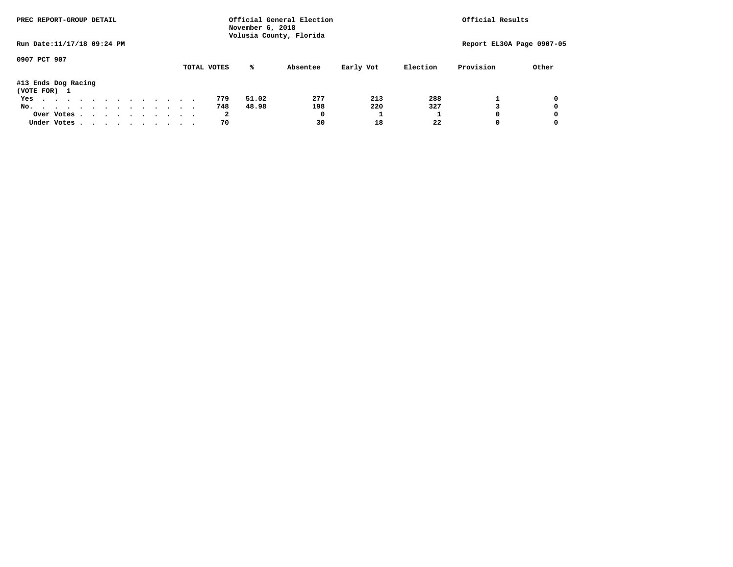| PREC REPORT-GROUP DETAIL            |  |  |  |  |  |  |             | November 6, 2018 | Official General Election<br>Volusia County, Florida |           |          | Official Results          |       |
|-------------------------------------|--|--|--|--|--|--|-------------|------------------|------------------------------------------------------|-----------|----------|---------------------------|-------|
| Run Date: 11/17/18 09:24 PM         |  |  |  |  |  |  |             |                  |                                                      |           |          | Report EL30A Page 0907-05 |       |
| 0907 PCT 907                        |  |  |  |  |  |  | TOTAL VOTES | %ะ               | Absentee                                             | Early Vot | Election | Provision                 | Other |
| #13 Ends Dog Racing<br>(VOTE FOR) 1 |  |  |  |  |  |  |             |                  |                                                      |           |          |                           |       |
| Yes                                 |  |  |  |  |  |  | 779         | 51.02            | 277                                                  | 213       | 288      |                           | 0     |
| No.                                 |  |  |  |  |  |  | 748         | 48.98            | 198                                                  | 220       | 327      |                           | 0     |
| Over Votes                          |  |  |  |  |  |  | 2           |                  | 0                                                    |           |          |                           | 0     |
| Under Votes                         |  |  |  |  |  |  | 70          |                  | 30                                                   | 18        | 22       |                           | 0     |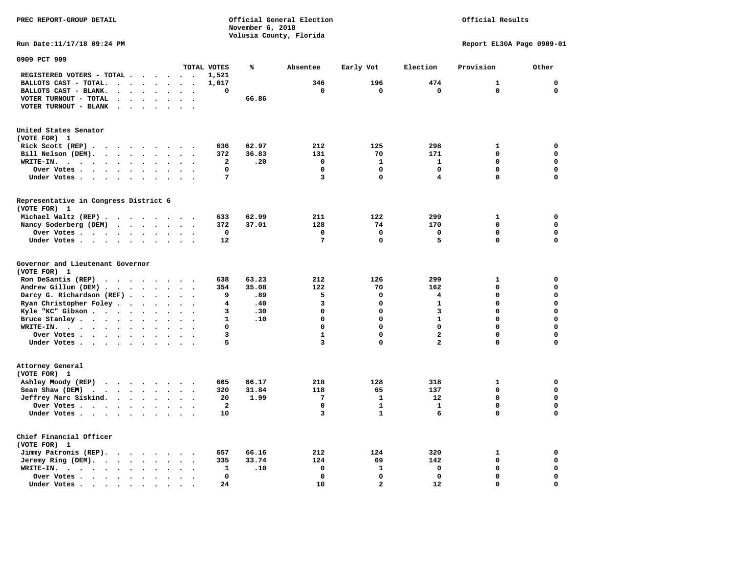**PREC REPORT-GROUP DETAIL COMPUTER CONSUMING A CONSUMING CONSUMING A LIGACION CONSUMING A LIGACION November 6, 2018 Volusia County, Florida** 

## Official Results

**Run Date:11/17/18 09:24 PM Report EL30A Page 0909-01** 

| 0909 PCT 909                                                                                                      |                                              |                         |       |              |                |                         |              |                            |
|-------------------------------------------------------------------------------------------------------------------|----------------------------------------------|-------------------------|-------|--------------|----------------|-------------------------|--------------|----------------------------|
|                                                                                                                   |                                              | TOTAL VOTES             | ℁     | Absentee     | Early Vot      | Election                | Provision    | Other                      |
| REGISTERED VOTERS - TOTAL .<br>$\overline{\phantom{a}}$<br>$\ddot{\phantom{a}}$<br>$\ddot{\phantom{a}}$           | $\overline{\phantom{a}}$<br>$\sim$           | 1,521                   |       |              |                |                         |              |                            |
| BALLOTS CAST - TOTAL.<br>$\sim$<br>$\ddot{\phantom{a}}$<br>$\ddot{\phantom{a}}$<br>$\ddot{\phantom{a}}$           |                                              | 1,017                   |       | 346          | 196            | 474                     | $\mathbf{1}$ | $\mathbf 0$                |
| BALLOTS CAST - BLANK.<br>$\ddot{\phantom{a}}$<br>$\ddot{\phantom{a}}$<br>$\bullet$<br>$\bullet$                   | $\bullet$<br>$\bullet$                       | 0                       |       | 0            | 0              | $\mathbf 0$             | $\mathbf 0$  | $\mathbf 0$                |
| VOTER TURNOUT - TOTAL<br>$\ddot{\phantom{a}}$<br>$\ddot{\phantom{a}}$<br>$\ddot{\phantom{1}}$                     |                                              |                         | 66.86 |              |                |                         |              |                            |
| VOTER TURNOUT - BLANK<br>$\ddot{\phantom{a}}$                                                                     |                                              |                         |       |              |                |                         |              |                            |
|                                                                                                                   |                                              |                         |       |              |                |                         |              |                            |
|                                                                                                                   |                                              |                         |       |              |                |                         |              |                            |
| United States Senator                                                                                             |                                              |                         |       |              |                |                         |              |                            |
| (VOTE FOR) 1                                                                                                      |                                              |                         |       |              |                |                         |              |                            |
| Rick Scott (REP).<br>$\ddot{\phantom{0}}$<br>$\sim$ $\sim$<br>$\sim$ 100 $\sim$<br>$\cdot$<br>$\sim$              | $\ddot{\phantom{0}}$                         | 636                     | 62.97 | 212          | 125            | 298                     | $\mathbf{1}$ | 0                          |
| Bill Nelson (DEM).<br>$\mathbf{r}$ , $\mathbf{r}$ , $\mathbf{r}$ , $\mathbf{r}$ , $\mathbf{r}$ , $\mathbf{r}$     | $\overline{\phantom{a}}$                     | 372                     | 36.83 | 131          | 70             | 171                     | 0            | $\mathbf 0$                |
| WRITE-IN.<br>$\cdot \cdot \cdot$ .<br>$\ddot{\phantom{a}}$<br>$\bullet$                                           |                                              | 2                       | .20   | 0            | $\mathbf{1}$   | $\mathbf{1}$            | $\Omega$     | $\mathbf 0$                |
| Over Votes<br>$\bullet$<br>$\ddot{\phantom{a}}$<br>$\bullet$                                                      |                                              | 0                       |       | $\Omega$     | $\mathbf 0$    | $\mathbf 0$             | 0            | $\mathbf 0$                |
| Under Votes<br>$\bullet$<br>$\bullet$                                                                             | $\bullet$<br>$\cdot$                         | 7                       |       | 3            | $\mathbf 0$    | 4                       | 0            | $\mathbf 0$                |
|                                                                                                                   |                                              |                         |       |              |                |                         |              |                            |
| Representative in Congress District 6                                                                             |                                              |                         |       |              |                |                         |              |                            |
| (VOTE FOR) 1                                                                                                      |                                              |                         |       |              |                |                         |              |                            |
| Michael Waltz (REP)                                                                                               |                                              | 633                     | 62.99 | 211          | 122            | 299                     | $\mathbf{1}$ | $\mathbf 0$                |
| Nancy Soderberg (DEM)<br>$\mathcal{A}$ . The set of the set of the set of $\mathcal{A}$                           | $\bullet$                                    | 372                     | 37.01 | 128          | 74             | 170                     | $\mathbf 0$  | $\mathbf 0$                |
| Over Votes<br>$\bullet$<br>$\bullet$                                                                              | $\ddot{\phantom{a}}$                         | 0                       |       | $\mathbf 0$  | $\mathbf 0$    | $\mathbf 0$             | 0            | 0                          |
| Under Votes<br>$\ddot{\phantom{a}}$<br>$\cdot$                                                                    |                                              | 12                      |       | 7            | $\mathbf 0$    | 5                       | 0            | $\mathbf 0$                |
|                                                                                                                   | $\cdot$                                      |                         |       |              |                |                         |              |                            |
| Governor and Lieutenant Governor                                                                                  |                                              |                         |       |              |                |                         |              |                            |
| (VOTE FOR) 1                                                                                                      |                                              |                         |       |              |                |                         |              |                            |
| Ron DeSantis (REP)<br>.                                                                                           |                                              | 638                     | 63.23 | 212          | 126            | 299                     | 1            | 0                          |
| Andrew Gillum (DEM)<br>$\ddot{\phantom{0}}$                                                                       | $\sim$<br>$\bullet$                          | 354                     | 35.08 | 122          | 70             | 162                     | 0            | $\mathbf 0$                |
| Darcy G. Richardson (REF).<br>$\bullet$                                                                           |                                              | 9                       | .89   | 5            | $\mathbf 0$    | 4                       | 0            | $\mathbf 0$                |
| Ryan Christopher Foley.                                                                                           |                                              | 4                       | .40   | 3            | $\Omega$       | $\mathbf{1}$            | $\mathbf 0$  | $\mathbf 0$                |
| $\ddot{\phantom{0}}$<br>$\bullet$<br>$\bullet$                                                                    |                                              |                         |       | $\mathbf 0$  | $\mathbf 0$    | 3                       | 0            | $\mathbf 0$                |
| Kyle "KC" Gibson<br>$\ddot{\phantom{1}}$<br>$\bullet$<br>$\bullet$                                                | $\bullet$<br>$\ddot{\phantom{1}}$            | 3                       | .30   | $\mathbf 0$  | $\mathbf 0$    | $\mathbf{1}$            | 0            | $\mathbf 0$                |
| Bruce Stanley<br>$\overline{\phantom{a}}$                                                                         |                                              | $\mathbf{1}$            | .10   |              |                |                         |              |                            |
| WRITE-IN.<br>$\mathbf{r}$ , $\mathbf{r}$ , $\mathbf{r}$ , $\mathbf{r}$ , $\mathbf{r}$ , $\mathbf{r}$<br>$\bullet$ |                                              | 0                       |       | $\Omega$     | $\Omega$       | $\Omega$                | $\mathbf 0$  | $\mathbf 0$                |
| Over Votes<br>$\cdot$<br>$\bullet$                                                                                | $\ddot{\phantom{a}}$<br>$\ddot{\phantom{a}}$ | 3                       |       | $\mathbf{1}$ | $\mathbf 0$    | $\overline{\mathbf{2}}$ | 0            | $\mathbf 0$                |
| Under Votes<br>$\bullet$                                                                                          | $\cdot$                                      | 5                       |       | 3            | $\mathbf 0$    | 2                       | 0            | 0                          |
|                                                                                                                   |                                              |                         |       |              |                |                         |              |                            |
| Attorney General<br>(VOTE FOR) 1                                                                                  |                                              |                         |       |              |                |                         |              |                            |
|                                                                                                                   |                                              |                         |       |              |                |                         |              |                            |
| Ashley Moody (REP)<br>$\cdots$                                                                                    |                                              | 665                     | 66.17 | 218          | 128            | 318                     | 1<br>0       | $\mathbf 0$<br>$\mathbf 0$ |
| Sean Shaw (DEM)<br>$\cdot$ $\cdot$ $\cdot$ $\cdot$ $\cdot$                                                        |                                              | 320                     | 31.84 | 118          | 65             | 137                     |              |                            |
| Jeffrey Marc Siskind.<br>$\sim$ $\sim$ $\sim$ $\sim$ $\sim$ $\sim$<br>$\ddot{\phantom{a}}$<br>$\bullet$           | $\bullet$                                    | 20                      | 1.99  | 7            | $\mathbf{1}$   | 12                      | 0            | $\mathbf 0$                |
| Over Votes<br>$\ddot{\phantom{0}}$<br>$\ddot{\phantom{a}}$                                                        |                                              | $\overline{\mathbf{2}}$ |       | $\mathbf 0$  | $\mathbf{1}$   | $\mathbf{1}$            | 0            | $\mathbf 0$                |
| Under Votes                                                                                                       |                                              | 10                      |       | 3            | $\mathbf{1}$   | 6                       | 0            | $\mathbf 0$                |
| Chief Financial Officer                                                                                           |                                              |                         |       |              |                |                         |              |                            |
| (VOTE FOR) 1                                                                                                      |                                              |                         |       |              |                |                         |              |                            |
| Jimmy Patronis (REP).<br>$\sim$ $\sim$<br>$\sim$ $\sim$<br>$\cdot$                                                |                                              | 657                     | 66.16 | 212          | 124            | 320                     | $\mathbf{1}$ | 0                          |
| Jeremy Ring (DEM).<br>$\cdots$ $\cdots$<br>$\sim$<br>$\ddot{\phantom{a}}$                                         | $\overline{\phantom{a}}$                     | 335                     | 33.74 | 124          | 69             | 142                     | 0            | $\mathbf 0$                |
| WRITE-IN.                                                                                                         |                                              | 1                       |       | $\mathbf 0$  | $\mathbf{1}$   | 0                       | 0            | $\mathbf 0$                |
| $\cdot$ $\cdot$ $\cdot$ $\cdot$ $\cdot$<br>$\bullet$<br>$\bullet$                                                 |                                              | 0                       | .10   | $\Omega$     | $\Omega$       | $\mathbf 0$             | $\mathbf 0$  | $\mathbf 0$                |
| Over Votes.<br>$\sim$ $\sim$ $\sim$ $\sim$ $\sim$<br>$\cdot$<br>$\bullet$                                         |                                              |                         |       |              | $\overline{a}$ |                         |              | $\mathbf 0$                |
| Under Votes.<br>$\sim$<br>$\blacksquare$ .<br>$\blacksquare$<br>$\sim$<br>$\bullet$                               |                                              | 24                      |       | 10           |                | 12                      | 0            |                            |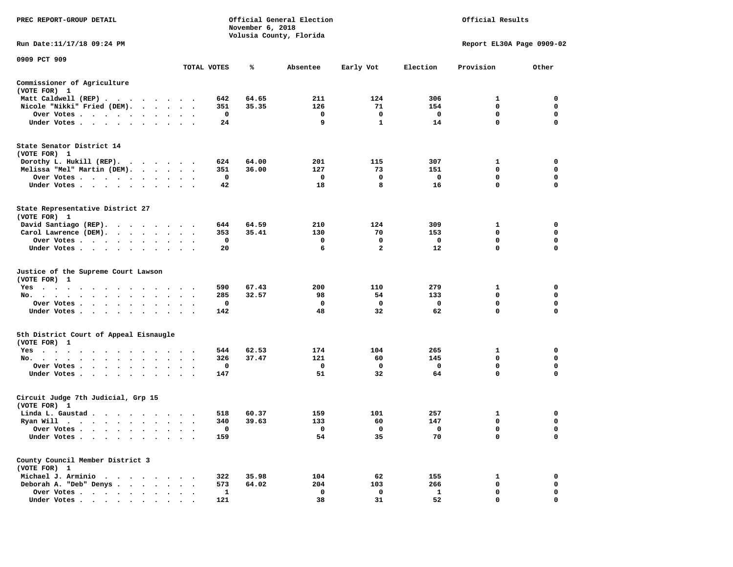| PREC REPORT-GROUP DETAIL                                                                             |                                               |           |             | November 6, 2018 | Official General Election<br>Volusia County, Florida | Official Results        |                         |                           |                  |
|------------------------------------------------------------------------------------------------------|-----------------------------------------------|-----------|-------------|------------------|------------------------------------------------------|-------------------------|-------------------------|---------------------------|------------------|
| Run Date:11/17/18 09:24 PM                                                                           |                                               |           |             |                  |                                                      |                         |                         | Report EL30A Page 0909-02 |                  |
| 0909 PCT 909                                                                                         |                                               |           | TOTAL VOTES | ℁                | Absentee                                             | Early Vot               | Election                | Provision                 | Other            |
|                                                                                                      |                                               |           |             |                  |                                                      |                         |                         |                           |                  |
| Commissioner of Agriculture<br>(VOTE FOR) 1                                                          |                                               |           |             |                  |                                                      |                         |                         |                           |                  |
| Matt Caldwell (REP)                                                                                  |                                               |           | 642         | 64.65            | 211                                                  | 124                     | 306                     | 1                         | $\mathbf 0$      |
| Nicole "Nikki" Fried (DEM).                                                                          |                                               |           | 351         | 35.35            | 126                                                  | 71                      | 154                     | $\mathbf 0$               | 0                |
| Over Votes                                                                                           |                                               |           | $\mathbf 0$ |                  | $\mathbf 0$                                          | $\mathbf 0$             | $\overline{\mathbf{0}}$ | $\mathbf{0}$              | $\mathbf 0$      |
| Under Votes                                                                                          |                                               |           | 24          |                  | 9                                                    | $\mathbf{1}$            | 14                      | $\mathbf 0$               | 0                |
| State Senator District 14<br>(VOTE FOR) 1                                                            |                                               |           |             |                  |                                                      |                         |                         |                           |                  |
| Dorothy L. Hukill (REP).                                                                             |                                               |           | 624         | 64.00            | 201                                                  | 115                     | 307                     | 1                         | 0                |
| Melissa "Mel" Martin (DEM).                                                                          |                                               |           | 351         | 36.00            | 127                                                  | 73                      | 151                     | $\mathbf{0}$              | $\mathbf 0$      |
| Over Votes                                                                                           |                                               |           | $\mathbf 0$ |                  | $\mathbf 0$                                          | $\mathbf 0$             | $\mathbf 0$             | $\mathbf 0$               | $\mathbf 0$      |
| Under Votes                                                                                          |                                               |           | 42          |                  | 18                                                   | 8                       | 16                      | $\mathbf 0$               | $\mathbf 0$      |
| State Representative District 27<br>(VOTE FOR) 1                                                     |                                               |           |             |                  |                                                      |                         |                         |                           |                  |
| David Santiago (REP).                                                                                |                                               |           | 644         | 64.59            | 210                                                  | 124                     | 309                     | 1                         | $\mathbf 0$      |
| Carol Lawrence (DEM).                                                                                |                                               |           | 353         | 35.41            | 130                                                  | 70                      | 153                     | $\mathbf{0}$              | $\mathbf 0$      |
| Over Votes                                                                                           |                                               |           | 0           |                  | 0                                                    | 0                       | $\mathbf 0$             | $\mathbf 0$               | $\mathbf 0$      |
| Under Votes                                                                                          |                                               |           | 20          |                  | 6                                                    | $\overline{\mathbf{2}}$ | 12                      | 0                         | $\mathbf 0$      |
| Justice of the Supreme Court Lawson<br>(VOTE FOR) 1                                                  |                                               |           |             |                  |                                                      |                         |                         |                           |                  |
| $Yes \cdot \cdot \cdot$<br>$\ddot{\phantom{1}}$<br>$\sim$ $\sim$<br>$\sim$ $\sim$<br>$\cdot$ $\cdot$ |                                               |           | 590         | 67.43            | 200                                                  | 110                     | 279                     | 1                         | 0                |
| No.                                                                                                  |                                               |           | 285         | 32.57            | 98                                                   | 54                      | 133                     | $\mathbf 0$               | $\mathbf 0$      |
| Over Votes                                                                                           | $\bullet$ , $\bullet$ , $\bullet$ , $\bullet$ |           | 0           |                  | $\mathbf 0$                                          | $\mathbf 0$             | $\mathbf 0$             | $\mathbf 0$               | $\mathbf 0$      |
| Under Votes                                                                                          | $\ddot{\phantom{a}}$                          |           | 142         |                  | 48                                                   | 32                      | 62                      | 0                         | 0                |
| 5th District Court of Appeal Eisnaugle<br>(VOTE FOR) 1                                               |                                               |           |             |                  |                                                      |                         |                         |                           |                  |
| Yes                                                                                                  |                                               |           | 544         | 62.53            | 174                                                  | 104                     | 265                     | 1                         | 0                |
| No.                                                                                                  |                                               |           | 326         | 37.47            | 121                                                  | 60                      | 145                     | $\mathbf 0$               | $\mathbf 0$      |
| Over Votes<br>$\overline{\phantom{a}}$                                                               |                                               |           | 0           |                  | 0                                                    | 0                       | $\mathbf{o}$            | 0<br>0                    | 0<br>$\mathbf 0$ |
| Under Votes                                                                                          |                                               |           | 147         |                  | 51                                                   | 32                      | 64                      |                           |                  |
| Circuit Judge 7th Judicial, Grp 15<br>(VOTE FOR) 1                                                   |                                               |           |             |                  |                                                      |                         |                         |                           |                  |
| Linda L. Gaustad                                                                                     |                                               |           | 518         | 60.37            | 159                                                  | 101                     | 257                     | $\mathbf{1}$              | 0                |
| Ryan Will $\cdots$                                                                                   |                                               |           | 340         | 39.63            | 133                                                  | 60                      | 147                     | 0                         | 0                |
| Over Votes                                                                                           |                                               | $\cdot$ . | 0           |                  | $\overline{\phantom{0}}$                             | 0                       | $\mathbf 0$             | 0                         | $\mathbf 0$      |
| Under Votes<br>$\ddot{\phantom{0}}$<br>$\cdot$<br>$\bullet$                                          |                                               |           | 159         |                  | 54                                                   | 35                      | 70                      | $\mathbf 0$               | $\mathbf 0$      |
| County Council Member District 3<br>(VOTE FOR) 1                                                     |                                               |           |             |                  |                                                      |                         |                         |                           |                  |
| Michael J. Arminio                                                                                   |                                               |           | 322         | 35.98            | 104                                                  | 62                      | 155                     | 1                         | $\mathbf 0$      |
| Deborah A. "Deb" Denys                                                                               |                                               |           | 573         | 64.02            | 204                                                  | 103                     | 266                     | 0                         | 0                |
| Over Votes<br>$\ddot{\phantom{1}}$                                                                   | $\cdot$<br>$\cdot$                            |           | 1           |                  | $\mathbf 0$                                          | 0                       | $\mathbf{1}$            | $\mathbf 0$               | $\mathbf 0$      |
| Under Votes, ,                                                                                       |                                               |           | 121         |                  | 38                                                   | 31                      | 52                      | $\Omega$                  | $\Omega$         |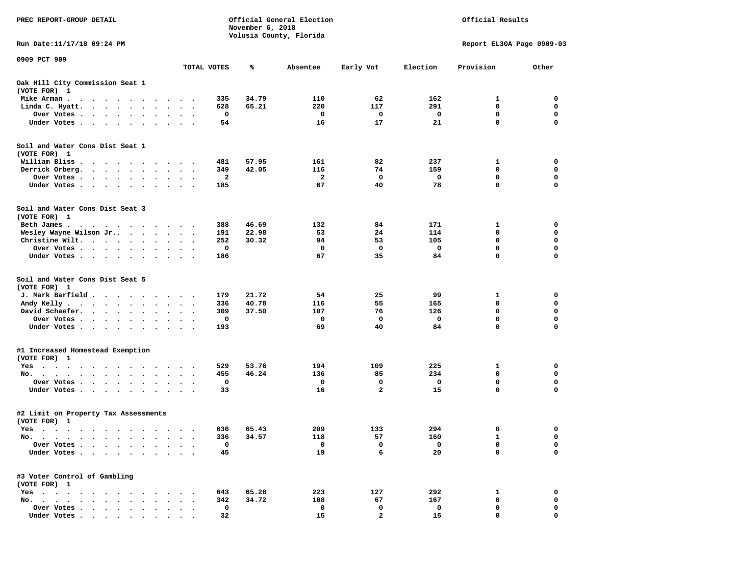| PREC REPORT-GROUP DETAIL                                                                                                                                                             |           |                        | November 6, 2018 | Official General Election<br>Volusia County, Florida | Official Results |                |             |                           |             |
|--------------------------------------------------------------------------------------------------------------------------------------------------------------------------------------|-----------|------------------------|------------------|------------------------------------------------------|------------------|----------------|-------------|---------------------------|-------------|
| Run Date: 11/17/18 09:24 PM                                                                                                                                                          |           |                        |                  |                                                      |                  |                |             | Report EL30A Page 0909-03 |             |
| 0909 PCT 909                                                                                                                                                                         |           |                        | TOTAL VOTES      | ℁                                                    | Absentee         | Early Vot      | Election    | Provision                 | Other       |
| Oak Hill City Commission Seat 1<br>(VOTE FOR) 1                                                                                                                                      |           |                        |                  |                                                      |                  |                |             |                           |             |
| Mike Arman.<br>$\bullet$<br>$\sim$<br>$\sim$<br>$\cdot$<br>$\sim$<br>$\cdot$                                                                                                         |           |                        | 335              | 34.79                                                | 110              | 62             | 162         | 1                         | 0           |
| Linda C. Hyatt.<br>$\ddot{\phantom{0}}$<br>$\sim$ 100 $\sim$<br>$\bullet$                                                                                                            |           |                        | 628              | 65.21                                                | 220              | 117            | 291         | 0                         | 0           |
| Over Votes<br>$\bullet$ . $\bullet$<br>$\bullet$<br>$\bullet$                                                                                                                        | $\bullet$ | $\cdot$                | 0                |                                                      | 0                | 0              | 0           | $\mathbf 0$               | 0           |
| Under Votes<br>$\ddot{\phantom{0}}$<br>$\bullet$                                                                                                                                     |           |                        | 54               |                                                      | 16               | 17             | 21          | $\mathbf 0$               | 0           |
| Soil and Water Cons Dist Seat 1<br>(VOTE FOR) 1                                                                                                                                      |           |                        |                  |                                                      |                  |                |             |                           |             |
| William Bliss.<br>$\ddot{\phantom{1}}$<br>$\cdot$ $\cdot$<br>$\cdot$ $\cdot$ $\cdot$                                                                                                 | $\bullet$ |                        | 481              | 57.95                                                | 161              | 82             | 237         | 1                         | 0           |
| Derrick Orberg.<br>$\cdot$ $\cdot$ $\cdot$ $\cdot$ $\cdot$ $\cdot$<br>$\bullet$                                                                                                      | $\bullet$ | $\bullet$<br>$\bullet$ | 349              | 42.05                                                | 116              | 74             | 159         | 0                         | 0           |
| Over Votes.<br>$\bullet$<br>$\bullet$                                                                                                                                                |           |                        | 2                |                                                      | 2                | 0              | 0           | 0                         | 0           |
| Under Votes<br>$\bullet$<br>$\bullet$                                                                                                                                                |           | $\ddot{\phantom{1}}$   | 185              |                                                      | 67               | 40             | 78          | $\mathbf 0$               | $\mathbf 0$ |
| Soil and Water Cons Dist Seat 3<br>(VOTE FOR) 1                                                                                                                                      |           |                        |                  |                                                      |                  |                |             |                           |             |
| Beth James.<br>the contract of the contract of the contract of the contract of the contract of the contract of the contract of                                                       |           |                        | 388              | 46.69                                                | 132              | 84             | 171         | 1                         | 0           |
| Wesley Wayne Wilson Jr<br>$\sim$ $\sim$ $\sim$ $\sim$                                                                                                                                |           | $\ddot{\phantom{1}}$   | 191              | 22.98                                                | 53               | 24             | 114         | 0                         | 0           |
| Christine Wilt.<br>$\cdots$<br>$\cdot$                                                                                                                                               |           |                        | 252              | 30.32                                                | 94               | 53             | 105         | $\mathbf 0$               | $\mathbf 0$ |
| Over Votes<br>$\bullet$<br>$\bullet$<br>$\bullet$                                                                                                                                    | $\bullet$ | $\bullet$              | 0                |                                                      | 0                | 0              | 0           | $\mathbf 0$               | 0           |
| Under Votes                                                                                                                                                                          |           |                        | 186              |                                                      | 67               | 35             | 84          | $\mathbf 0$               | $\mathbf 0$ |
| Soil and Water Cons Dist Seat 5<br>(VOTE FOR) 1                                                                                                                                      |           |                        |                  |                                                      |                  |                |             |                           |             |
| J. Mark Barfield                                                                                                                                                                     | $\bullet$ |                        | 179              | 21.72                                                | 54               | 25             | 99          | 1                         | 0           |
| Andy Kelly.<br>$\begin{array}{cccccccccccccc} \bullet & \bullet & \bullet & \bullet & \bullet & \bullet & \bullet & \bullet & \bullet & \bullet \end{array}$<br>$\ddot{\phantom{1}}$ | $\bullet$ | $\ddot{\phantom{1}}$   | 336              | 40.78                                                | 116              | 55             | 165         | $\mathbf 0$               | 0           |
| David Schaefer.<br>$\sim$ $\sim$<br>$\ddot{\phantom{0}}$<br>$\bullet$                                                                                                                |           |                        | 309              | 37.50                                                | 107              | 76             | 126         | 0                         | 0           |
| Over Votes.<br>$\sim$ $\sim$<br>$\sim$<br>$\bullet$<br>$\bullet$<br>$\bullet$                                                                                                        | $\bullet$ | $\bullet$              | 0                |                                                      | 0                | $\mathbf 0$    | 0           | $\mathbf 0$               | $\mathbf 0$ |
| Under Votes                                                                                                                                                                          |           | $\ddot{\phantom{a}}$   | 193              |                                                      | 69               | 40             | 84          | $\mathbf 0$               | $\mathbf 0$ |
| #1 Increased Homestead Exemption                                                                                                                                                     |           |                        |                  |                                                      |                  |                |             |                           |             |
| (VOTE FOR) 1                                                                                                                                                                         |           |                        |                  |                                                      |                  |                |             |                           |             |
| $Yes \t . \t .$<br>$\sim$ $\sim$ $\sim$ $\sim$<br>$\bullet$<br>$\bullet$<br>$\bullet$<br>$\bullet$<br>No.                                                                            |           |                        | 529<br>455       | 53.76<br>46.24                                       | 194<br>136       | 109<br>85      | 225<br>234  | 1<br>0                    | 0<br>0      |
| $\ddot{\phantom{a}}$<br>$\cdot$<br>Over Votes .<br>$\ddot{\phantom{0}}$<br>$\bullet$<br>$\cdot$<br>$\ddot{\phantom{a}}$                                                              |           |                        | 0                |                                                      | 0                | 0              | 0           | 0                         | 0           |
| Under Votes<br>$\bullet$                                                                                                                                                             |           |                        | 33               |                                                      | 16               | $\overline{a}$ | 15          | $\mathbf 0$               | $\mathbf 0$ |
| #2 Limit on Property Tax Assessments<br>(VOTE FOR) 1                                                                                                                                 |           |                        |                  |                                                      |                  |                |             |                           |             |
| Yes<br>$\cdots$<br>.                                                                                                                                                                 |           |                        | 636              | 65.43                                                | 209              | 133            | 294         | 0                         | 0           |
| No.<br>$\sim$ $\sim$<br>$\bullet$                                                                                                                                                    |           |                        | 336              | 34.57                                                | 118              | 57             | 160         | 1                         | 0           |
| Over Votes .<br>$\bullet$<br>$\ddot{\phantom{a}}$                                                                                                                                    |           |                        | 0                |                                                      | 0                | 0              | $\mathbf 0$ | 0                         | 0           |
| Under Votes.<br>$\sim$<br>$\sim$ $\sim$<br>$\bullet$                                                                                                                                 |           |                        | 45               |                                                      | 19               | 6              | 20          | 0                         | 0           |
| #3 Voter Control of Gambling<br>(VOTE FOR) 1                                                                                                                                         |           |                        |                  |                                                      |                  |                |             |                           |             |
| $Yes \cdot \cdot \cdot$<br>$\cdot$ $\cdot$ $\cdot$ $\cdot$                                                                                                                           |           |                        | 643              | 65.28                                                | 223              | 127            | 292         | 1                         | 0           |
| No.<br>$\ddot{\phantom{a}}$<br>$\ddot{\phantom{a}}$<br>$\sim$<br>$\ddot{\phantom{a}}$                                                                                                |           |                        | 342              | 34.72                                                | 108              | 67             | 167         | 0                         | 0           |
| Over Votes<br>$\cdot$                                                                                                                                                                |           |                        | 0                |                                                      | 0                | 0              | 0           | 0                         | 0           |
| Under Votes                                                                                                                                                                          |           |                        | 32               |                                                      | 15               | $\overline{2}$ | 15          | $\Omega$                  | O           |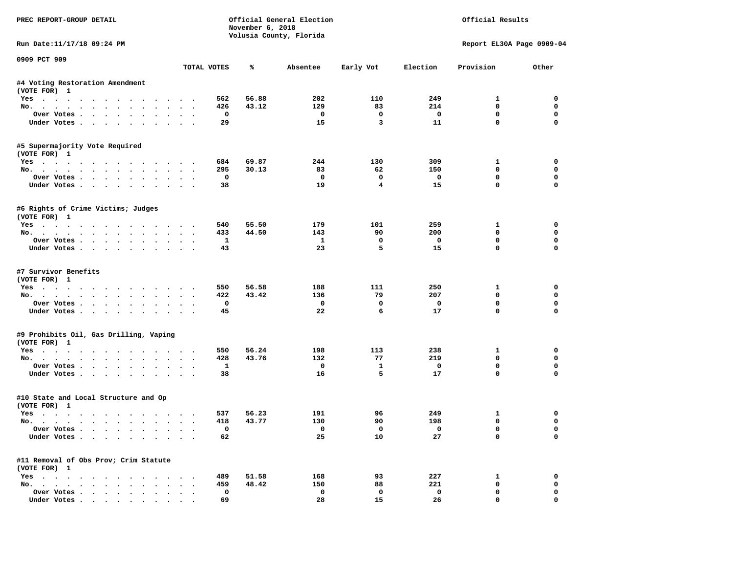| PREC REPORT-GROUP DETAIL                                             |                      |                 | November 6, 2018 | Official General Election<br>Volusia County, Florida | Official Results        |                 |                                 |                       |
|----------------------------------------------------------------------|----------------------|-----------------|------------------|------------------------------------------------------|-------------------------|-----------------|---------------------------------|-----------------------|
| Run Date: 11/17/18 09:24 PM                                          |                      |                 |                  |                                                      |                         |                 | Report EL30A Page 0909-04       |                       |
| 0909 PCT 909                                                         |                      | TOTAL VOTES     | ℁                | Absentee                                             | Early Vot               | Election        | Provision                       | Other                 |
|                                                                      |                      |                 |                  |                                                      |                         |                 |                                 |                       |
| #4 Voting Restoration Amendment<br>(VOTE FOR) 1                      |                      |                 |                  |                                                      |                         |                 |                                 |                       |
| Yes                                                                  |                      | 562             | 56.88            | 202                                                  | 110                     | 249             | 1                               | 0                     |
| No.                                                                  |                      | 426             | 43.12            | 129                                                  | 83                      | 214             | $\mathbf 0$                     | $\mathbf 0$           |
| Over Votes                                                           |                      | 0               |                  | $\mathbf 0$                                          | 0                       | 0               | $\mathbf 0$                     | $\mathbf 0$           |
| Under Votes                                                          |                      | 29              |                  | 15                                                   | $\overline{3}$          | 11              | $\mathbf 0$                     | $\Omega$              |
| #5 Supermajority Vote Required<br>(VOTE FOR) 1                       |                      |                 |                  |                                                      |                         |                 |                                 |                       |
| Yes                                                                  |                      | 684             | 69.87            | 244                                                  | 130                     | 309             | 1                               | 0                     |
| No.                                                                  |                      | 295             | 30.13            | 83                                                   | 62                      | 150             | $\mathbf 0$                     | $\mathbf 0$           |
| Over Votes                                                           |                      | $\mathbf 0$     |                  | $\mathbf 0$                                          | $\mathbf 0$             | $\mathbf 0$     | $\mathbf 0$                     | $\mathbf 0$           |
| Under Votes                                                          |                      | 38              |                  | 19                                                   | $\overline{\mathbf{4}}$ | 15              | $\mathbf{0}$                    | $\Omega$              |
| #6 Rights of Crime Victims; Judges<br>(VOTE FOR) 1                   |                      |                 |                  |                                                      |                         |                 |                                 |                       |
| Yes                                                                  |                      | 540             | 55.50            | 179                                                  | 101                     | 259             | 1                               | 0                     |
| No.                                                                  |                      | 433             | 44.50            | 143                                                  | 90                      | 200             | 0                               | 0                     |
| Over Votes                                                           |                      | 1               |                  | $\mathbf{1}$                                         | $\mathbf 0$             | $\mathbf 0$     | $\mathbf 0$                     | $\mathbf 0$           |
| Under Votes                                                          |                      | 43              |                  | 23                                                   | 5                       | 15              | $\mathbf 0$                     | $\Omega$              |
| #7 Survivor Benefits<br>(VOTE FOR) 1<br>Yes<br>No.<br>Over Votes     |                      | 550<br>422<br>0 | 56.58<br>43.42   | 188<br>136<br>$\mathbf 0$                            | 111<br>79<br>0          | 250<br>207<br>0 | 1<br>$\mathbf 0$<br>$\mathbf 0$ | 0<br>0<br>$\mathbf 0$ |
| Under Votes                                                          |                      | 45              |                  | 22                                                   | 6                       | 17              | $\mathbf 0$                     | $\Omega$              |
| #9 Prohibits Oil, Gas Drilling, Vaping<br>(VOTE FOR) 1               |                      |                 |                  |                                                      |                         |                 |                                 |                       |
| Yes                                                                  |                      | 550             | 56.24            | 198                                                  | 113                     | 238             | 1                               | 0                     |
| No.                                                                  |                      | 428             | 43.76            | 132                                                  | 77                      | 219             | $\mathbf 0$                     | $\mathbf 0$           |
| Over Votes                                                           |                      | 1               |                  | $\mathbf 0$                                          | 1                       | $\mathbf 0$     | $\mathbf 0$                     | $\mathbf 0$           |
| Under Votes                                                          |                      | 38              |                  | 16                                                   | 5                       | 17              | $\mathbf{0}$                    | $\Omega$              |
| #10 State and Local Structure and Op<br>(VOTE FOR) 1                 |                      |                 |                  |                                                      |                         |                 |                                 |                       |
| Yes                                                                  |                      | 537             | 56.23            | 191                                                  | 96                      | 249             | 1                               | 0                     |
| No.                                                                  |                      | 418             | 43.77            | 130                                                  | 90                      | 198             | 0                               | $\mathbf 0$           |
| Over votes $\cdots$                                                  |                      | 0               |                  | $\overline{\mathbf{0}}$                              | 0                       |                 | 0                               | 0                     |
| Under Votes                                                          |                      | 62              |                  | 25                                                   | 10                      | 27              | 0                               | 0                     |
| #11 Removal of Obs Prov; Crim Statute<br>(VOTE FOR) 1                |                      |                 |                  |                                                      |                         |                 |                                 |                       |
| $Yes \cdot \cdot \cdot \cdot \cdot \cdot$<br>$\sim$ $\sim$<br>$\sim$ |                      | 489             | 51.58            | 168                                                  | 93                      | 227             | 1                               | 0                     |
| No.<br>$\ddot{\phantom{a}}$                                          |                      | 459             | 48.42            | 150                                                  | 88                      | 221             | 0                               | 0                     |
| Over Votes                                                           | $\ddot{\phantom{1}}$ | 0               |                  | $\mathbf 0$                                          | $\mathbf 0$             | 0               | 0                               | 0                     |
| Under Votes                                                          |                      | 69              |                  | 28                                                   | 15                      | 26              | 0                               | $\mathbf 0$           |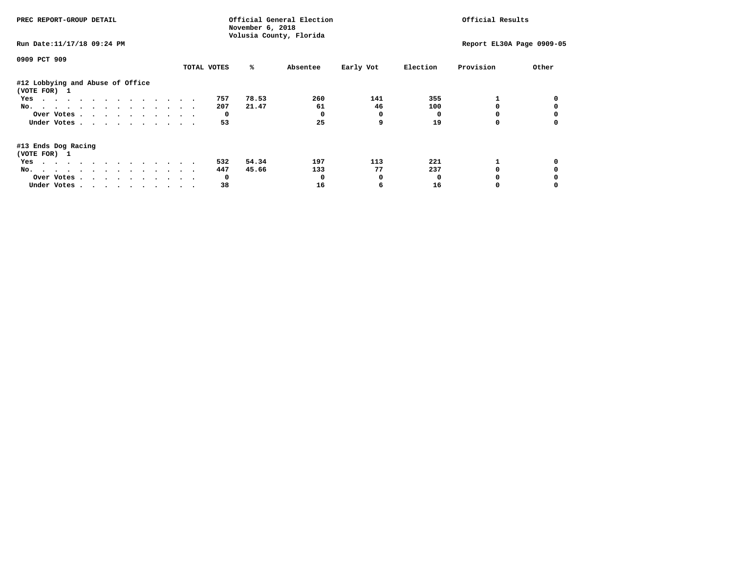| PREC REPORT-GROUP DETAIL                                                                                               |             | November 6, 2018        | Official General Election |              | Official Results |                           |       |  |
|------------------------------------------------------------------------------------------------------------------------|-------------|-------------------------|---------------------------|--------------|------------------|---------------------------|-------|--|
| Run Date: 11/17/18 09:24 PM                                                                                            |             | Volusia County, Florida |                           |              |                  | Report EL30A Page 0909-05 |       |  |
| 0909 PCT 909                                                                                                           |             |                         |                           |              |                  |                           |       |  |
|                                                                                                                        | TOTAL VOTES | ℁                       | Absentee                  | Early Vot    | Election         | Provision                 | Other |  |
| #12 Lobbying and Abuse of Office<br>(VOTE FOR) 1                                                                       |             |                         |                           |              |                  |                           |       |  |
| Yes                                                                                                                    | 757         | 78.53                   | 260                       | 141          | 355              |                           |       |  |
| No.                                                                                                                    | 207         | 21.47                   | 61                        | 46           | 100              |                           |       |  |
| Over Votes                                                                                                             |             | 0                       |                           | 0            |                  |                           |       |  |
| Under Votes                                                                                                            | 53          |                         | 25                        | 9            | 19               |                           |       |  |
| #13 Ends Dog Racing<br>(VOTE FOR) 1                                                                                    |             |                         |                           |              |                  |                           |       |  |
| the contract of the contract of the contract of the contract of the contract of the contract of the contract of<br>Yes | 532         | 54.34                   | 197                       | 113          | 221              |                           |       |  |
| No.                                                                                                                    | 447         | 45.66                   | 133                       | 77           | 237              |                           |       |  |
| Over Votes                                                                                                             |             | $\mathbf{o}$            |                           | <sup>0</sup> | n                |                           |       |  |
| Under Votes                                                                                                            | 38          |                         | 16                        | 6            | 16               |                           |       |  |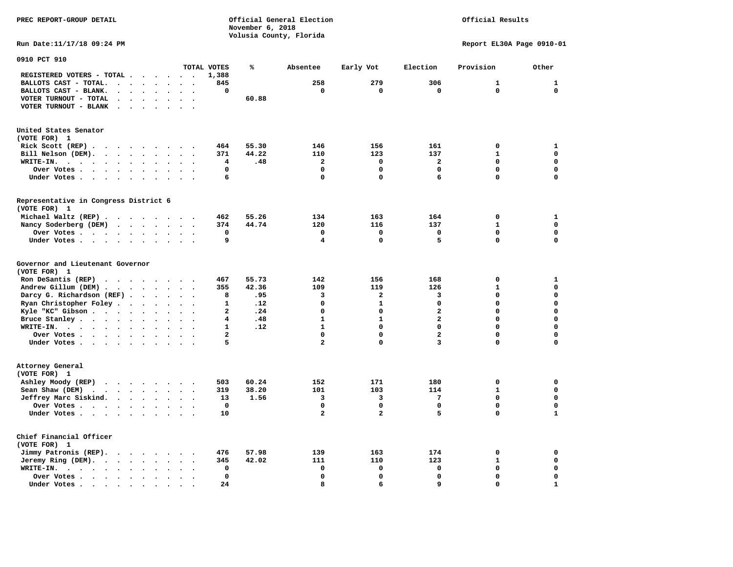**PREC REPORT-GROUP DETAIL COMPUTER CONSUMING A CONSUMING CONSUMING A LIGACION CONSUMING A LIGACION** *November 6, 2018 November 6, 2018*  **Volusia County, Florida** 

## Official Results

**Run Date:11/17/18 09:24 PM Report EL30A Page 0910-01** 

| 0910 PCT 910                                                              |                                              |                                |                      |                          |                         |       |                         |                         |                         |              |              |
|---------------------------------------------------------------------------|----------------------------------------------|--------------------------------|----------------------|--------------------------|-------------------------|-------|-------------------------|-------------------------|-------------------------|--------------|--------------|
|                                                                           |                                              |                                |                      |                          | TOTAL VOTES             | %     | Absentee                | Early Vot               | Election                | Provision    | Other        |
| REGISTERED VOTERS - TOTAL .                                               | $\ddot{\phantom{a}}$                         | $\sim$                         | $\sim$               | $\cdot$                  | 1,388                   |       |                         |                         |                         |              |              |
| BALLOTS CAST - TOTAL.<br>$\sim$<br>$\ddot{\phantom{a}}$                   | $\ddot{\phantom{a}}$                         | $\bullet$                      |                      |                          | 845                     |       | 258                     | 279                     | 306                     | $\mathbf{1}$ | $\mathbf{1}$ |
| BALLOTS CAST - BLANK.<br>$\bullet$                                        | $\ddot{\phantom{a}}$                         | $\bullet$                      | $\ddot{\phantom{a}}$ | $\bullet$                | 0                       |       | 0                       | 0                       | 0                       | $\mathbf 0$  | $\mathbf 0$  |
| VOTER TURNOUT - TOTAL<br>$\ddot{\phantom{a}}$<br>$\overline{\phantom{a}}$ | $\Delta$                                     |                                |                      |                          |                         | 60.88 |                         |                         |                         |              |              |
| VOTER TURNOUT - BLANK<br>$\overline{\phantom{a}}$                         |                                              |                                |                      |                          |                         |       |                         |                         |                         |              |              |
|                                                                           |                                              |                                |                      |                          |                         |       |                         |                         |                         |              |              |
| United States Senator                                                     |                                              |                                |                      |                          |                         |       |                         |                         |                         |              |              |
| (VOTE FOR) 1                                                              |                                              |                                |                      |                          |                         |       |                         |                         |                         |              |              |
| Rick Scott (REP).<br>$\ddot{\phantom{0}}$<br>$\sim$ $\sim$                | $\sim$ $\sim$ $\sim$                         |                                | $\cdot$              |                          | 464                     | 55.30 | 146                     | 156                     | 161                     | 0            | $\mathbf{1}$ |
| Bill Nelson (DEM).                                                        |                                              |                                |                      | $\overline{\phantom{a}}$ | 371                     | 44.22 | 110                     | 123                     | 137                     | $\mathbf{1}$ | $\mathbf 0$  |
| WRITE-IN.<br>$\cdots$<br>$\ddot{\phantom{1}}$<br>$\ddot{\phantom{0}}$     | $\bullet$                                    | $\bullet$                      |                      |                          | 4                       | .48   | $\mathbf{2}$            | 0                       | $\mathbf{2}$            | $\Omega$     | $\mathbf 0$  |
|                                                                           |                                              |                                |                      |                          | $\mathbf 0$             |       | $\Omega$                | 0                       | $\mathbf 0$             | $\Omega$     | $\mathbf 0$  |
| Over Votes                                                                |                                              | $\bullet$                      |                      |                          |                         |       | $\mathbf 0$             | 0                       | 6                       | 0            | $\mathbf 0$  |
| Under Votes                                                               | $\sim$<br>$\ddot{\phantom{a}}$               | $\blacksquare$                 | $\ddot{\phantom{0}}$ | $\cdot$                  | 6                       |       |                         |                         |                         |              |              |
| Representative in Congress District 6                                     |                                              |                                |                      |                          |                         |       |                         |                         |                         |              |              |
| (VOTE FOR) 1                                                              |                                              |                                |                      |                          |                         |       |                         |                         |                         |              |              |
| Michael Waltz (REP) .                                                     |                                              |                                |                      |                          | 462                     | 55.26 | 134                     | 163                     | 164                     | $\mathbf 0$  | $\mathbf{1}$ |
| Nancy Soderberg (DEM)                                                     |                                              |                                |                      | $\bullet$                | 374                     | 44.74 | 120                     | 116                     | 137                     | $\mathbf{1}$ | $\mathbf 0$  |
| Over Votes .                                                              | $\ddot{\phantom{0}}$                         | $\bullet$                      | $\cdot$              |                          | $\mathbf 0$             |       | $\mathbf 0$             | 0                       | $\mathbf 0$             | 0            | 0            |
| Under Votes                                                               | $\ddot{\phantom{0}}$<br>$\ddot{\phantom{a}}$ | $\bullet$                      | $\cdot$              |                          | 9                       |       | $\overline{\mathbf{4}}$ | 0                       | 5                       | 0            | $\mathbf 0$  |
|                                                                           |                                              |                                |                      |                          |                         |       |                         |                         |                         |              |              |
| Governor and Lieutenant Governor                                          |                                              |                                |                      |                          |                         |       |                         |                         |                         |              |              |
| (VOTE FOR) 1                                                              |                                              |                                |                      |                          |                         |       |                         |                         |                         |              |              |
| Ron DeSantis (REP)<br>.                                                   |                                              |                                |                      |                          | 467                     | 55.73 | 142                     | 156                     | 168                     | 0            | 1            |
| Andrew Gillum (DEM)                                                       |                                              |                                | $\sim$               | $\bullet$                | 355                     | 42.36 | 109                     | 119                     | 126                     | $\mathbf{1}$ | $\mathbf 0$  |
| Darcy G. Richardson (REF).                                                | $\bullet$                                    | $\ddot{\phantom{a}}$           |                      |                          | 8                       | .95   | 3                       | $\overline{\mathbf{2}}$ | 3                       | 0            | $\mathbf 0$  |
| Ryan Christopher Foley.<br>$\sim$                                         | $\bullet$                                    | $\bullet$                      |                      |                          | $\mathbf{1}$            | .12   | $\mathbf 0$             | $\mathbf{1}$            | 0                       | $\Omega$     | $\mathbf 0$  |
| Kyle "KC" Gibson                                                          |                                              |                                |                      | $\overline{\phantom{a}}$ | $\overline{\mathbf{2}}$ | .24   | $\mathbf 0$             | 0                       | $\overline{\mathbf{2}}$ | 0            | $\mathbf 0$  |
|                                                                           | $\bullet$<br>$\bullet$                       | $\bullet$                      | $\bullet$            |                          | 4                       | .48   | $\mathbf{1}$            | $\mathbf{1}$            | $\overline{\mathbf{2}}$ | 0            | $\mathbf 0$  |
| Bruce Stanley                                                             |                                              | $\bullet$                      | $\sim$               |                          |                         |       |                         | $\mathbf 0$             | $\mathbf 0$             | $\Omega$     |              |
| WRITE-IN.<br>$\cdots$                                                     | $\bullet$                                    |                                |                      |                          | $\mathbf{1}$            | .12   | $\mathbf{1}$            |                         |                         |              | $\mathbf 0$  |
| Over Votes                                                                | $\ddot{\phantom{a}}$                         | $\bullet$                      | $\ddot{\phantom{a}}$ | $\ddot{\phantom{0}}$     | $\overline{\mathbf{2}}$ |       | $\mathbf 0$             | 0                       | $\overline{\mathbf{2}}$ | 0            | $\mathbf 0$  |
| Under Votes                                                               |                                              | $\ddot{\phantom{0}}$           | $\ddot{\phantom{a}}$ |                          | 5                       |       | $\overline{\mathbf{2}}$ | 0                       | 3                       | 0            | $\mathbf 0$  |
| Attorney General                                                          |                                              |                                |                      |                          |                         |       |                         |                         |                         |              |              |
| (VOTE FOR) 1                                                              |                                              |                                |                      |                          |                         |       |                         |                         |                         |              |              |
| Ashley Moody (REP)                                                        |                                              |                                |                      |                          | 503                     | 60.24 | 152                     | 171                     | 180                     | 0            | $\mathbf 0$  |
| Sean Shaw (DEM)<br>$\cdot$ $\cdot$ $\cdot$ $\cdot$ $\cdot$ $\cdot$        |                                              | $\ddot{\phantom{a}}$           |                      |                          | 319                     | 38.20 | 101                     | 103                     | 114                     | $\mathbf{1}$ | $\mathbf 0$  |
| Jeffrey Marc Siskind.                                                     |                                              |                                |                      |                          | 13                      | 1.56  | 3                       | з                       | 7                       | $\mathbf 0$  | $\mathbf 0$  |
| $\cdots$                                                                  |                                              | $\ddot{\phantom{1}}$           | $\ddot{\phantom{a}}$ |                          |                         |       | $\mathbf 0$             | 0                       | $\mathbf 0$             | 0            | $\mathbf 0$  |
| Over Votes                                                                | $\sim$                                       | $\ddot{\phantom{a}}$           |                      |                          | 0                       |       |                         |                         | 5                       |              |              |
| Under Votes                                                               | $\bullet$                                    |                                |                      |                          | 10                      |       | $\overline{\mathbf{2}}$ | $\overline{a}$          |                         | 0            | $\mathbf{1}$ |
| Chief Financial Officer                                                   |                                              |                                |                      |                          |                         |       |                         |                         |                         |              |              |
| (VOTE FOR) 1                                                              |                                              |                                |                      |                          |                         |       |                         |                         |                         |              |              |
| Jimmy Patronis (REP).<br>$\sim$ $\sim$                                    | $\sim$ $\sim$ $\sim$ $\sim$                  | $\ddot{\phantom{0}}$           |                      |                          | 476                     | 57.98 | 139                     | 163                     | 174                     | 0            | 0            |
| Jeremy Ring (DEM).                                                        |                                              | $\ddot{\phantom{a}}$<br>$\sim$ | $\sim$               | $\ddot{\phantom{a}}$     | 345                     | 42.02 | 111                     | 110                     | 123                     | $\mathbf{1}$ | $\mathbf 0$  |
| WRITE-IN.                                                                 |                                              |                                |                      |                          | 0                       |       | 0                       | 0                       | 0                       | 0            | $\mathbf 0$  |
| $\bullet$                                                                 | $\bullet$                                    |                                |                      |                          | $\mathbf 0$             |       | $\mathbf 0$             | 0                       | $\Omega$                | $\Omega$     | $\mathbf 0$  |
| Over Votes.<br>$\sim$ $\sim$ $\sim$ $\sim$<br>$\bullet$                   | $\ddot{\phantom{a}}$                         |                                |                      |                          |                         |       |                         |                         |                         |              |              |
| Under Votes.<br>$\sim$ $\sim$<br>$\sim$<br>$\blacksquare$ .               | $\bullet$                                    |                                |                      |                          | 24                      |       | 8                       | 6                       | 9                       | 0            | $\mathbf{1}$ |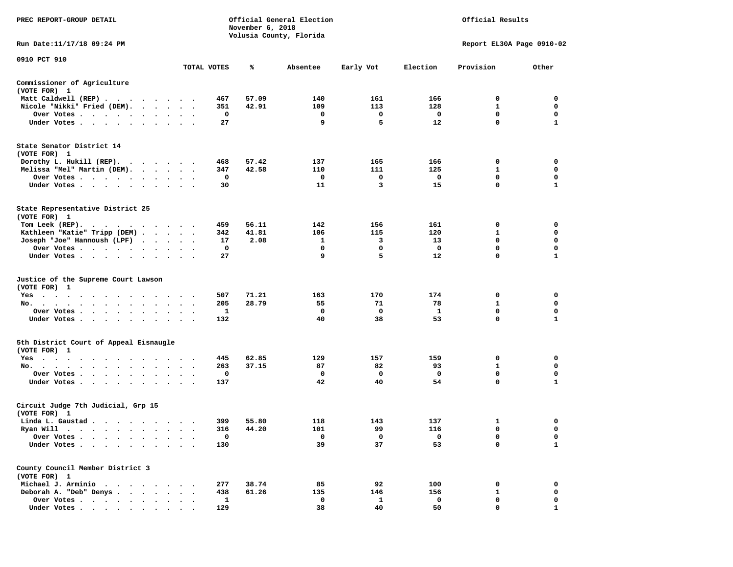| PREC REPORT-GROUP DETAIL                                                                                                                                                                                                                                |                      |             | November 6, 2018 | Official General Election<br>Volusia County, Florida |           | Official Results |                           |              |  |
|---------------------------------------------------------------------------------------------------------------------------------------------------------------------------------------------------------------------------------------------------------|----------------------|-------------|------------------|------------------------------------------------------|-----------|------------------|---------------------------|--------------|--|
| Run Date:11/17/18 09:24 PM                                                                                                                                                                                                                              |                      |             |                  |                                                      |           |                  | Report EL30A Page 0910-02 |              |  |
| 0910 PCT 910                                                                                                                                                                                                                                            |                      |             |                  |                                                      |           |                  |                           |              |  |
|                                                                                                                                                                                                                                                         |                      | TOTAL VOTES | %                | Absentee                                             | Early Vot | Election         | Provision                 | Other        |  |
| Commissioner of Agriculture<br>(VOTE FOR) 1                                                                                                                                                                                                             |                      |             |                  |                                                      |           |                  |                           |              |  |
| Matt Caldwell (REP)                                                                                                                                                                                                                                     |                      |             | 57.09<br>467     | 140                                                  | 161       | 166              | 0                         | 0            |  |
| Nicole "Nikki" Fried (DEM).                                                                                                                                                                                                                             |                      |             | 42.91<br>351     | 109                                                  | 113       | 128              | 1                         | 0            |  |
| Over Votes                                                                                                                                                                                                                                              |                      |             | 0                | 0<br>9                                               | 0         | 0                | 0<br>$\mathbf 0$          | 0            |  |
| Under Votes                                                                                                                                                                                                                                             |                      |             | 27               |                                                      | 5         | 12               |                           | 1            |  |
| State Senator District 14<br>(VOTE FOR) 1                                                                                                                                                                                                               |                      |             |                  |                                                      |           |                  |                           |              |  |
| Dorothy L. Hukill $(REP)$ .                                                                                                                                                                                                                             |                      |             | 468<br>57.42     | 137                                                  | 165       | 166              | 0                         | 0            |  |
| Melissa "Mel" Martin (DEM).                                                                                                                                                                                                                             |                      |             | 42.58<br>347     | 110                                                  | 111       | 125              | 1                         | 0            |  |
| Over Votes                                                                                                                                                                                                                                              |                      |             | 0                | 0                                                    | 0         | 0                | $\mathbf 0$               | 0            |  |
| Under Votes                                                                                                                                                                                                                                             | $\sim$ $\sim$        |             | 30               | 11                                                   | 3         | 15               | $\mathbf 0$               | $\mathbf{1}$ |  |
| State Representative District 25<br>(VOTE FOR) 1                                                                                                                                                                                                        |                      |             |                  |                                                      |           |                  |                           |              |  |
| Tom Leek $(REP)$ .                                                                                                                                                                                                                                      |                      |             | 56.11<br>459     | 142                                                  | 156       | 161              | 0                         | 0            |  |
| Kathleen "Katie" Tripp (DEM)                                                                                                                                                                                                                            |                      |             | 41.81<br>342     | 106                                                  | 115       | 120              | 1                         | 0            |  |
| Joseph "Joe" Hannoush (LPF)                                                                                                                                                                                                                             |                      |             | 2.08<br>17       | 1                                                    | 3         | 13               | 0                         | 0            |  |
| Over Votes                                                                                                                                                                                                                                              |                      |             | 0                | 0                                                    | 0         | 0                | 0                         | $\mathbf 0$  |  |
| Under Votes                                                                                                                                                                                                                                             |                      |             | 27               | 9                                                    | 5         | 12               | $\mathbf 0$               | $\mathbf{1}$ |  |
| Justice of the Supreme Court Lawson<br>(VOTE FOR) 1                                                                                                                                                                                                     |                      |             |                  |                                                      |           |                  |                           |              |  |
| $Yes \cdot \cdot \cdot$<br>$\sim$ $\sim$ $\sim$ $\sim$ $\sim$<br>.                                                                                                                                                                                      |                      |             | 507<br>71.21     | 163                                                  | 170       | 174              | 0                         | 0            |  |
| No.                                                                                                                                                                                                                                                     | $\sim$ $\sim$        |             | 28.79<br>205     | 55                                                   | 71        | 78               | 1                         | 0            |  |
| Over Votes                                                                                                                                                                                                                                              |                      |             | 1                | 0                                                    | 0         | 1                | $\mathbf 0$               | 0            |  |
| Under Votes                                                                                                                                                                                                                                             |                      |             | 132              | 40                                                   | 38        | 53               | $\mathbf 0$               | 1            |  |
| 5th District Court of Appeal Eisnaugle<br>(VOTE FOR) 1                                                                                                                                                                                                  |                      |             |                  |                                                      |           |                  |                           |              |  |
| Yes<br>.                                                                                                                                                                                                                                                |                      |             | 62.85<br>445     | 129                                                  | 157       | 159              | 0                         | 0            |  |
| No.<br>$\cdot$ $\cdot$ $\cdot$ $\cdot$ $\cdot$ $\cdot$                                                                                                                                                                                                  |                      |             | 37.15<br>263     | 87                                                   | 82        | 93               | 1                         | 0            |  |
| Over Votes                                                                                                                                                                                                                                              | $\ddot{\phantom{1}}$ |             | 0                | 0                                                    | 0         | 0                | $\mathbf 0$               | $\mathbf 0$  |  |
| Under Votes                                                                                                                                                                                                                                             |                      |             | 137              | 42                                                   | 40        | 54               | 0                         | 1            |  |
| Circuit Judge 7th Judicial, Grp 15<br>(VOTE FOR) 1                                                                                                                                                                                                      |                      |             |                  |                                                      |           |                  |                           |              |  |
| Linda L. Gaustad                                                                                                                                                                                                                                        |                      |             | 399<br>55.80     | 118                                                  | 143       | 137              | 1                         | 0            |  |
| Ryan Will<br>$\bullet$<br>. The contract of the contract of the contract of the contract of the contract of the contract of the contract of the contract of the contract of the contract of the contract of the contract of the contract of the contrac |                      |             | 44.20<br>316     | 101                                                  | 99        | 116              | $\mathbf 0$               | $\mathbf 0$  |  |
| Over Votes                                                                                                                                                                                                                                              |                      |             | 0                | 0                                                    | 0         | 0                | 0                         | 0            |  |
| Under Votes.                                                                                                                                                                                                                                            |                      |             | 130              | 39                                                   | 37        | 53               | 0                         | $\mathbf{1}$ |  |
| County Council Member District 3<br>(VOTE FOR) 1                                                                                                                                                                                                        |                      |             |                  |                                                      |           |                  |                           |              |  |
| Michael J. Arminio<br>$\sim$                                                                                                                                                                                                                            |                      |             | 277<br>38.74     | 85                                                   | 92        | 100              | 0                         | 0            |  |
| Deborah A. "Deb" Denys                                                                                                                                                                                                                                  |                      |             | 61.26<br>438     | 135                                                  | 146       | 156              | 1                         | 0            |  |
| Over Votes .<br>$\sim$ $\sim$                                                                                                                                                                                                                           |                      |             | 1                | 0                                                    | 1         | 0                | 0                         | 0            |  |
| Under Votes                                                                                                                                                                                                                                             |                      |             | 129              | 38                                                   | 40        | 50               | 0                         | п.           |  |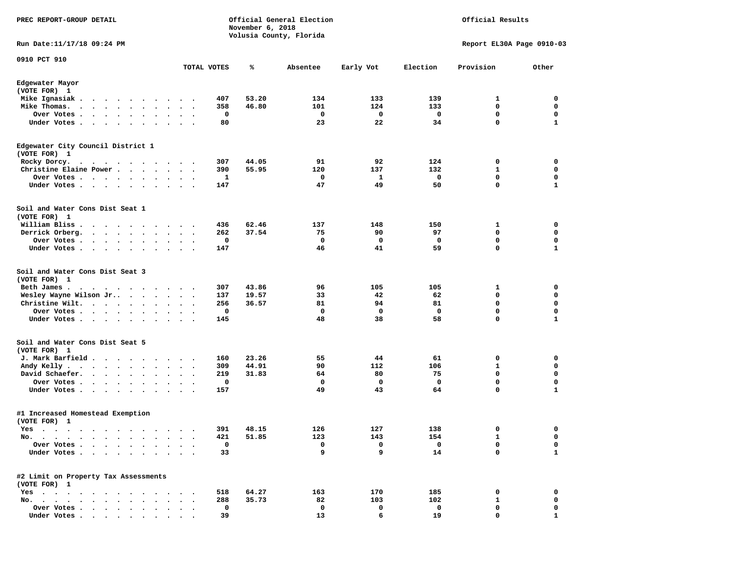| PREC REPORT-GROUP DETAIL                                                                                                                                                                                                                          |                                                      |             | November 6, 2018 | Official General Election<br>Volusia County, Florida |           | Official Results |                           |                   |  |
|---------------------------------------------------------------------------------------------------------------------------------------------------------------------------------------------------------------------------------------------------|------------------------------------------------------|-------------|------------------|------------------------------------------------------|-----------|------------------|---------------------------|-------------------|--|
| Run Date:11/17/18 09:24 PM                                                                                                                                                                                                                        |                                                      |             |                  |                                                      |           |                  | Report EL30A Page 0910-03 |                   |  |
| 0910 PCT 910                                                                                                                                                                                                                                      |                                                      | TOTAL VOTES | ℁                | Absentee                                             | Early Vot | Election         | Provision                 | Other             |  |
| Edgewater Mayor                                                                                                                                                                                                                                   |                                                      |             |                  |                                                      |           |                  |                           |                   |  |
| (VOTE FOR) 1                                                                                                                                                                                                                                      |                                                      |             |                  |                                                      |           |                  |                           |                   |  |
| Mike Ignasiak.                                                                                                                                                                                                                                    | $\bullet$ .<br><br><br><br><br><br>$\cdot$<br>$\sim$ | 407         | 53.20            | 134                                                  | 133       | 139              | 1                         | 0                 |  |
| Mike Thomas.<br>.<br>$\ddot{\phantom{1}}$<br>Over Votes .                                                                                                                                                                                         |                                                      | 358<br>0    | 46.80            | 101<br>0                                             | 124<br>0  | 133<br>0         | 0<br>$\mathbf 0$          | 0<br>0            |  |
| $\sim$ , and $\sim$ , and $\sim$<br>$\bullet$<br>Under Votes<br>$\sim$ $\sim$<br>$\bullet$                                                                                                                                                        | $\bullet$<br>$\cdot$                                 | 80          |                  | 23                                                   | 22        | 34               | $\mathbf 0$               | 1                 |  |
| Edgewater City Council District 1                                                                                                                                                                                                                 |                                                      |             |                  |                                                      |           |                  |                           |                   |  |
| (VOTE FOR) 1                                                                                                                                                                                                                                      |                                                      |             |                  |                                                      |           |                  |                           |                   |  |
| Rocky Dorcy.<br>$\mathbf{a}$ . The contribution of the contribution of the contribution of the contribution of the contribution of the contribution of the contribution of the contribution of the contribution of the contribution of the contri |                                                      | 307         | 44.05            | 91                                                   | 92        | 124              | 0                         | 0                 |  |
| Christine Elaine Power                                                                                                                                                                                                                            | $\bullet$<br>$\bullet$                               | 390         | 55.95            | 120                                                  | 137       | 132              | 1                         | 0                 |  |
| Over Votes<br>$\cdot$<br>Under Votes<br>$\cdot$                                                                                                                                                                                                   |                                                      | 1<br>147    |                  | 0<br>47                                              | 1<br>49   | 0<br>50          | 0<br>$\mathbf 0$          | 0<br>$\mathbf{1}$ |  |
| Soil and Water Cons Dist Seat 1                                                                                                                                                                                                                   |                                                      |             |                  |                                                      |           |                  |                           |                   |  |
| (VOTE FOR) 1                                                                                                                                                                                                                                      |                                                      |             |                  |                                                      |           |                  |                           |                   |  |
| William Bliss.                                                                                                                                                                                                                                    |                                                      | 436         | 62.46<br>37.54   | 137                                                  | 148       | 150              | 1<br>0                    | 0                 |  |
| Derrick Orberg.<br>$\cdot$ $\cdot$ $\cdot$ $\cdot$ $\cdot$ $\cdot$<br>Over Votes .<br>$\cdot$ $\cdot$ $\cdot$ $\cdot$ $\cdot$<br>$\cdot$                                                                                                          | $\cdot$                                              | 262<br>0    |                  | 75<br>0                                              | 90<br>0   | 97<br>0          | 0                         | 0<br>0            |  |
| Under Votes<br>$\bullet$                                                                                                                                                                                                                          | $\ddot{\phantom{1}}$                                 | 147         |                  | 46                                                   | 41        | 59               | 0                         | 1                 |  |
| Soil and Water Cons Dist Seat 3<br>(VOTE FOR) 1                                                                                                                                                                                                   |                                                      |             |                  |                                                      |           |                  |                           |                   |  |
| Beth James.<br>$\sim$ $\sim$<br>.                                                                                                                                                                                                                 |                                                      | 307         | 43.86            | 96                                                   | 105       | 105              | 1                         | 0                 |  |
| Wesley Wayne Wilson Jr<br>$\bullet$ .                                                                                                                                                                                                             |                                                      | 137         | 19.57            | 33                                                   | 42        | 62               | 0                         | 0                 |  |
| Christine Wilt.<br>$\bullet$                                                                                                                                                                                                                      | $\cdot$<br>$\blacksquare$<br>$\bullet$               | 256         | 36.57            | 81                                                   | 94        | 81               | 0                         | 0                 |  |
| Over Votes<br>$\bullet$<br>Under Votes<br>$\bullet$                                                                                                                                                                                               | $\bullet$<br>$\overline{\phantom{a}}$                | 0<br>145    |                  | 0<br>48                                              | 0<br>38   | 0<br>58          | 0<br>0                    | 0<br>$\mathbf{1}$ |  |
| Soil and Water Cons Dist Seat 5                                                                                                                                                                                                                   |                                                      |             |                  |                                                      |           |                  |                           |                   |  |
| (VOTE FOR) 1                                                                                                                                                                                                                                      |                                                      |             |                  |                                                      |           |                  |                           |                   |  |
| J. Mark Barfield                                                                                                                                                                                                                                  |                                                      | 160         | 23.26            | 55                                                   | 44        | 61               | 0                         | 0                 |  |
| Andy Kelly.<br>$\bullet$ , $\bullet$ , $\bullet$ , $\bullet$ , $\bullet$<br>$\cdots$<br>$\cdot$                                                                                                                                                   |                                                      | 309         | 44.91<br>31.83   | 90<br>64                                             | 112<br>80 | 106<br>75        | 1<br>0                    | 0<br>0            |  |
| David Schaefer.<br>$\ddot{\phantom{a}}$<br>Over Votes .<br>$\sim$ $\sim$ $\sim$<br>$\sim$                                                                                                                                                         |                                                      | 219<br>0    |                  | 0                                                    | 0         | 0                | 0                         | 0                 |  |
| $\ddot{\phantom{0}}$<br>Under Votes<br>$\bullet$<br>$\bullet$                                                                                                                                                                                     |                                                      | 157         |                  | 49                                                   | 43        | 64               | 0                         | 1                 |  |
| #1 Increased Homestead Exemption<br>(VOTE FOR) 1                                                                                                                                                                                                  |                                                      |             |                  |                                                      |           |                  |                           |                   |  |
| Yes<br>$\cdots$<br>the contract of the contract of the contract of the contract of the contract of the contract of the contract of                                                                                                                |                                                      | 391         | 48.15            | 126                                                  | 127       | 138              | 0                         | 0                 |  |
| $No. \t .$<br>$\blacksquare$ .<br>$\bullet$<br>$\bullet$<br>$\bullet$                                                                                                                                                                             |                                                      | 421         | 51.85            | 123                                                  | 143       | 154              | 1                         | 0                 |  |
| Over Votes .<br>$\ddot{\phantom{a}}$<br>$\ddot{\phantom{a}}$<br>$\ddot{\phantom{a}}$                                                                                                                                                              |                                                      | 0           |                  | 0                                                    | 0         | 0                | 0                         | 0                 |  |
| Under Votes.<br>$\cdot$ $\cdot$ $\cdot$<br>$\bullet$<br>$\ddot{\phantom{1}}$                                                                                                                                                                      |                                                      | 33          |                  | 9                                                    | 9         | 14               | $\mathbf 0$               | $\mathbf{1}$      |  |
| #2 Limit on Property Tax Assessments<br>(VOTE FOR) 1                                                                                                                                                                                              |                                                      |             |                  |                                                      |           |                  |                           |                   |  |
| $Yes \cdot \cdot \cdot$<br>$\sim$ $\sim$ $\sim$<br>$\ddot{\phantom{0}}$<br>$\ddot{\phantom{a}}$                                                                                                                                                   |                                                      | 518         | 64.27            | 163                                                  | 170       | 185              | 0                         | 0                 |  |
| No.<br>$\ddot{\phantom{a}}$<br>$\sim$<br>$\sim$<br>$\overline{\phantom{a}}$<br>$\sim$                                                                                                                                                             |                                                      | 288         | 35.73            | 82                                                   | 103       | 102              | 1                         | 0                 |  |
| Over Votes                                                                                                                                                                                                                                        |                                                      | 0           |                  | 0                                                    | 0         | 0                | 0                         | 0                 |  |
| Under Votes                                                                                                                                                                                                                                       |                                                      | 39          |                  | 13                                                   | 6         | 19               | $\Omega$                  |                   |  |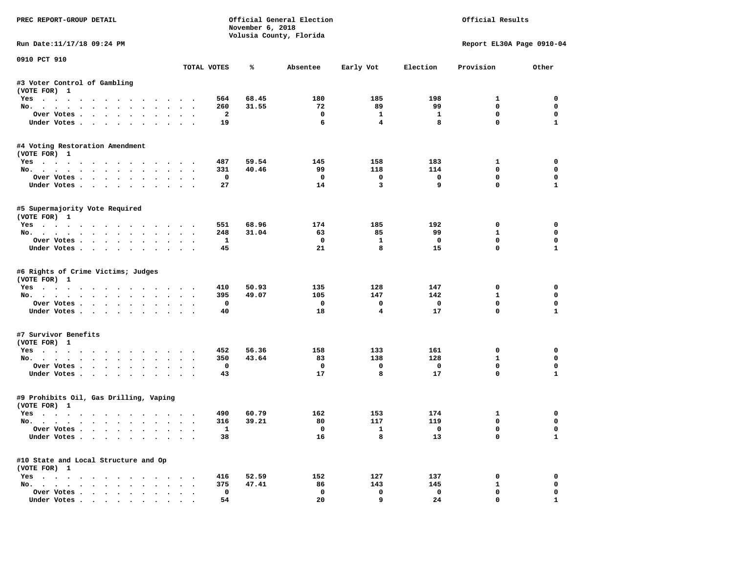| PREC REPORT-GROUP DETAIL                                                                                                                                                                                                                                                                                                                                                                                                                                                                   |        |                         | November 6, 2018 | Official General Election<br>Volusia County, Florida | Official Results  |                                |                             |                             |
|--------------------------------------------------------------------------------------------------------------------------------------------------------------------------------------------------------------------------------------------------------------------------------------------------------------------------------------------------------------------------------------------------------------------------------------------------------------------------------------------|--------|-------------------------|------------------|------------------------------------------------------|-------------------|--------------------------------|-----------------------------|-----------------------------|
| Run Date: 11/17/18 09:24 PM                                                                                                                                                                                                                                                                                                                                                                                                                                                                |        |                         |                  |                                                      |                   |                                | Report EL30A Page 0910-04   |                             |
| 0910 PCT 910                                                                                                                                                                                                                                                                                                                                                                                                                                                                               |        | TOTAL VOTES             | %                | Absentee                                             | Early Vot         | Election                       | Provision                   | Other                       |
| #3 Voter Control of Gambling                                                                                                                                                                                                                                                                                                                                                                                                                                                               |        |                         |                  |                                                      |                   |                                |                             |                             |
| (VOTE FOR) 1                                                                                                                                                                                                                                                                                                                                                                                                                                                                               |        |                         |                  |                                                      |                   |                                |                             |                             |
| Yes                                                                                                                                                                                                                                                                                                                                                                                                                                                                                        |        | 564                     | 68.45            | 180                                                  | 185               | 198                            | $\mathbf{1}$                | $\Omega$                    |
| No.                                                                                                                                                                                                                                                                                                                                                                                                                                                                                        |        | 260                     | 31.55            | 72                                                   | 89                | 99                             | $^{\circ}$                  | $^{\circ}$                  |
| Over Votes                                                                                                                                                                                                                                                                                                                                                                                                                                                                                 |        | $\overline{\mathbf{2}}$ |                  | $\mathbf 0$                                          | $\mathbf{1}$      | 1                              | $\mathbf 0$                 | 0                           |
| Under Votes                                                                                                                                                                                                                                                                                                                                                                                                                                                                                |        | 19                      |                  | 6                                                    | $\overline{4}$    | 8                              | $\mathbf 0$                 | $\mathbf{1}$                |
| #4 Voting Restoration Amendment                                                                                                                                                                                                                                                                                                                                                                                                                                                            |        |                         |                  |                                                      |                   |                                |                             |                             |
| (VOTE FOR) 1<br>Yes                                                                                                                                                                                                                                                                                                                                                                                                                                                                        |        | 487                     | 59.54            | 145                                                  | 158               | 183                            | $\mathbf{1}$                | 0                           |
| No.                                                                                                                                                                                                                                                                                                                                                                                                                                                                                        |        | 331                     | 40.46            | 99                                                   | 118               | 114                            | $\mathbf 0$                 | 0                           |
| Over Votes                                                                                                                                                                                                                                                                                                                                                                                                                                                                                 |        | $\mathbf{o}$            |                  | $\mathbf{o}$                                         | $\mathbf 0$       | $\overline{\phantom{0}}$       | $\mathbf 0$                 | 0                           |
| Under Votes                                                                                                                                                                                                                                                                                                                                                                                                                                                                                |        | 27                      |                  | 14                                                   | 3                 | 9                              | $\mathbf 0$                 | $\mathbf{1}$                |
| #5 Supermajority Vote Required<br>(VOTE FOR) 1                                                                                                                                                                                                                                                                                                                                                                                                                                             |        |                         |                  |                                                      |                   |                                |                             |                             |
| Yes                                                                                                                                                                                                                                                                                                                                                                                                                                                                                        |        | 551                     | 68.96            | 174                                                  | 185               | 192                            | $\Omega$                    | $\Omega$                    |
| No.                                                                                                                                                                                                                                                                                                                                                                                                                                                                                        |        | 248                     | 31.04            | 63                                                   | 85                | 99                             | $\mathbf{1}$                | 0                           |
| Over Votes                                                                                                                                                                                                                                                                                                                                                                                                                                                                                 |        | $\mathbf{1}$            |                  | $\mathbf{O}$                                         | $\mathbf{1}$      | $\mathbf 0$                    | $^{\circ}$                  | 0                           |
| Under Votes                                                                                                                                                                                                                                                                                                                                                                                                                                                                                |        | 45                      |                  | 21                                                   | 8                 | 15                             | $\Omega$                    | $\mathbf{1}$                |
| #6 Rights of Crime Victims; Judges<br>(VOTE FOR) 1<br>Yes                                                                                                                                                                                                                                                                                                                                                                                                                                  |        | 410                     | 50.93            | 135                                                  | 128               | 147                            | 0                           | 0                           |
| No.                                                                                                                                                                                                                                                                                                                                                                                                                                                                                        |        | 395                     | 49.07            | 105                                                  | 147               | 142                            | $\mathbf{1}$                | 0                           |
| Over Votes                                                                                                                                                                                                                                                                                                                                                                                                                                                                                 |        | 0                       |                  | $\mathbf{o}$                                         | $\mathbf 0$       | $\mathbf 0$                    | 0                           | $\mathbf 0$                 |
| Under Votes                                                                                                                                                                                                                                                                                                                                                                                                                                                                                |        | 40                      |                  | 18                                                   | $\overline{4}$    | 17                             | $\mathbf 0$                 | $\mathbf{1}$                |
| #7 Survivor Benefits                                                                                                                                                                                                                                                                                                                                                                                                                                                                       |        |                         |                  |                                                      |                   |                                |                             |                             |
| (VOTE FOR) 1                                                                                                                                                                                                                                                                                                                                                                                                                                                                               |        | 452                     | 56.36            | 158                                                  | 133               | 161                            | 0                           | $\mathbf 0$                 |
| Yes<br>No.                                                                                                                                                                                                                                                                                                                                                                                                                                                                                 |        | 350                     | 43.64            | 83                                                   | 138               | 128                            | $\mathbf{1}$                | 0                           |
| Over Votes                                                                                                                                                                                                                                                                                                                                                                                                                                                                                 |        | $\mathbf{o}$            |                  | $\mathbf{o}$                                         | $\mathbf 0$       | $\overline{\mathbf{0}}$        | $\mathbf 0$                 | $\mathbf 0$                 |
| Under Votes                                                                                                                                                                                                                                                                                                                                                                                                                                                                                |        | 43                      |                  | 17                                                   | 8                 | 17                             | $\Omega$                    | $\mathbf{1}$                |
| #9 Prohibits Oil, Gas Drilling, Vaping<br>(VOTE FOR) 1                                                                                                                                                                                                                                                                                                                                                                                                                                     |        |                         |                  |                                                      |                   |                                |                             |                             |
| Yes                                                                                                                                                                                                                                                                                                                                                                                                                                                                                        |        | 490                     | 60.79            | 162                                                  | 153               | 174                            | 1                           | 0                           |
| No.                                                                                                                                                                                                                                                                                                                                                                                                                                                                                        |        | 316                     | 39.21            | 80                                                   | 117               | 119                            | $\mathbf 0$                 | 0                           |
| Over Votes<br>Under Votes                                                                                                                                                                                                                                                                                                                                                                                                                                                                  |        | $\mathbf{1}$<br>38      |                  | $\overline{\phantom{0}}$<br>16                       | $\mathbf{1}$<br>8 | $\overline{\phantom{0}}$<br>13 | $\mathbf 0$<br>$\mathbf{0}$ | $\mathbf 0$<br>$\mathbf{1}$ |
| #10 State and Local Structure and Op                                                                                                                                                                                                                                                                                                                                                                                                                                                       |        |                         |                  |                                                      |                   |                                |                             |                             |
| (VOTE FOR) 1                                                                                                                                                                                                                                                                                                                                                                                                                                                                               |        | 416                     | 52.59            | 152                                                  | 127               | 137                            | 0                           | $\mathbf 0$                 |
| Yes<br>No.                                                                                                                                                                                                                                                                                                                                                                                                                                                                                 |        | 375                     | 47.41            | 86                                                   | 143               | 145                            | 1                           | 0                           |
| Over Votes                                                                                                                                                                                                                                                                                                                                                                                                                                                                                 | $\sim$ | 0                       |                  | $\mathbf{o}$                                         | $\mathbf 0$       | $\mathbf 0$                    | $\mathbf 0$                 | 0                           |
| $\blacksquare$ $\blacksquare$ $\blacksquare$ $\blacksquare$ $\blacksquare$ $\blacksquare$ $\blacksquare$ $\blacksquare$ $\blacksquare$ $\blacksquare$ $\blacksquare$ $\blacksquare$ $\blacksquare$ $\blacksquare$ $\blacksquare$ $\blacksquare$ $\blacksquare$ $\blacksquare$ $\blacksquare$ $\blacksquare$ $\blacksquare$ $\blacksquare$ $\blacksquare$ $\blacksquare$ $\blacksquare$ $\blacksquare$ $\blacksquare$ $\blacksquare$ $\blacksquare$ $\blacksquare$ $\blacksquare$ $\blacks$ |        | 54                      |                  | $20^{\circ}$                                         | 9                 | 2.4                            | $\Omega$                    | $\mathbf{1}$                |